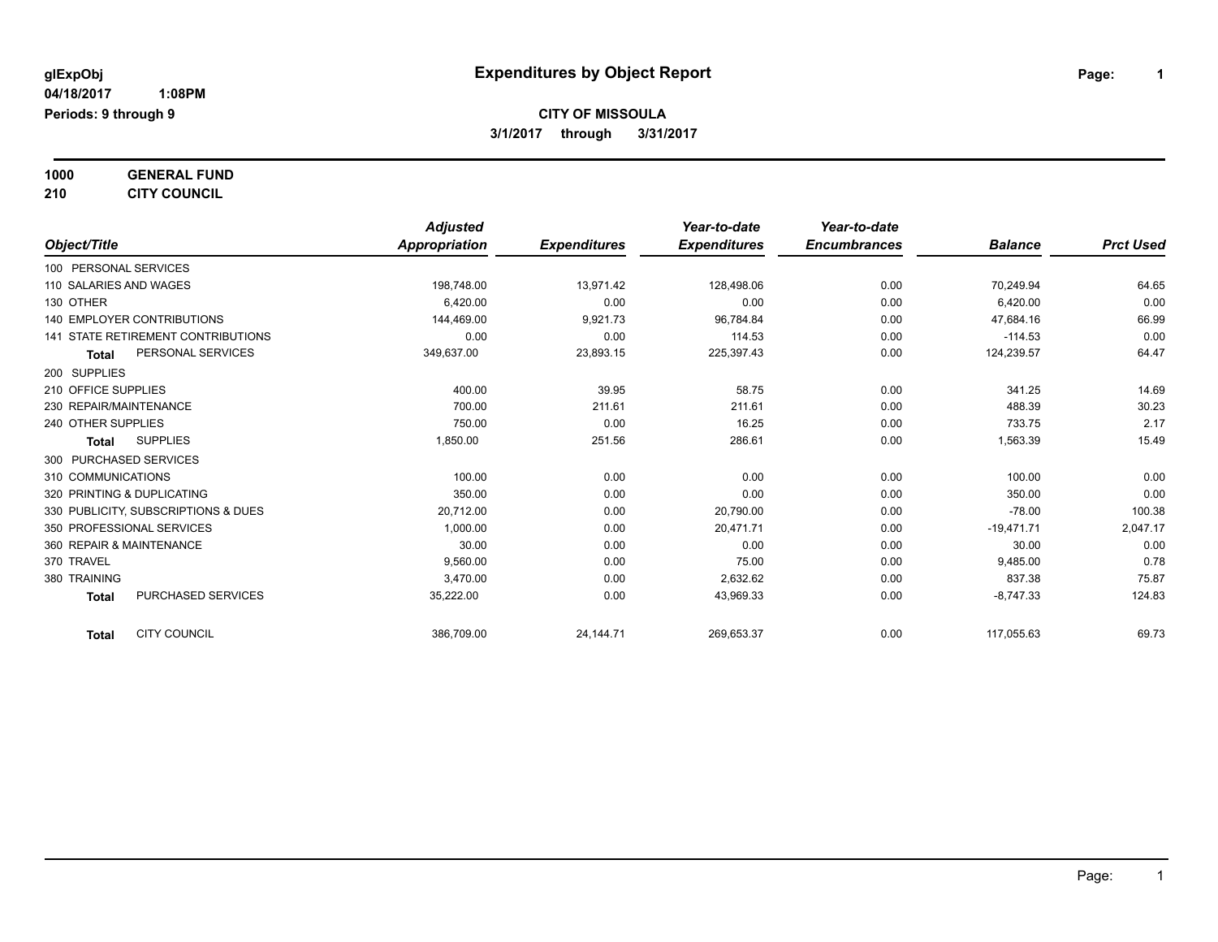**1000 GENERAL FUND**

**210 CITY COUNCIL**

|                                           | <b>Adjusted</b> |                     | Year-to-date        | Year-to-date        |                |                  |
|-------------------------------------------|-----------------|---------------------|---------------------|---------------------|----------------|------------------|
| Object/Title                              | Appropriation   | <b>Expenditures</b> | <b>Expenditures</b> | <b>Encumbrances</b> | <b>Balance</b> | <b>Prct Used</b> |
| 100 PERSONAL SERVICES                     |                 |                     |                     |                     |                |                  |
| 110 SALARIES AND WAGES                    | 198,748.00      | 13,971.42           | 128,498.06          | 0.00                | 70,249.94      | 64.65            |
| 130 OTHER                                 | 6,420.00        | 0.00                | 0.00                | 0.00                | 6,420.00       | 0.00             |
| 140 EMPLOYER CONTRIBUTIONS                | 144,469.00      | 9,921.73            | 96,784.84           | 0.00                | 47,684.16      | 66.99            |
| <b>141 STATE RETIREMENT CONTRIBUTIONS</b> | 0.00            | 0.00                | 114.53              | 0.00                | $-114.53$      | 0.00             |
| PERSONAL SERVICES<br><b>Total</b>         | 349,637.00      | 23,893.15           | 225,397.43          | 0.00                | 124,239.57     | 64.47            |
| 200 SUPPLIES                              |                 |                     |                     |                     |                |                  |
| 210 OFFICE SUPPLIES                       | 400.00          | 39.95               | 58.75               | 0.00                | 341.25         | 14.69            |
| 230 REPAIR/MAINTENANCE                    | 700.00          | 211.61              | 211.61              | 0.00                | 488.39         | 30.23            |
| 240 OTHER SUPPLIES                        | 750.00          | 0.00                | 16.25               | 0.00                | 733.75         | 2.17             |
| <b>SUPPLIES</b><br><b>Total</b>           | 1,850.00        | 251.56              | 286.61              | 0.00                | 1,563.39       | 15.49            |
| 300 PURCHASED SERVICES                    |                 |                     |                     |                     |                |                  |
| 310 COMMUNICATIONS                        | 100.00          | 0.00                | 0.00                | 0.00                | 100.00         | 0.00             |
| 320 PRINTING & DUPLICATING                | 350.00          | 0.00                | 0.00                | 0.00                | 350.00         | 0.00             |
| 330 PUBLICITY, SUBSCRIPTIONS & DUES       | 20,712.00       | 0.00                | 20,790.00           | 0.00                | $-78.00$       | 100.38           |
| 350 PROFESSIONAL SERVICES                 | 1.000.00        | 0.00                | 20.471.71           | 0.00                | $-19.471.71$   | 2,047.17         |
| 360 REPAIR & MAINTENANCE                  | 30.00           | 0.00                | 0.00                | 0.00                | 30.00          | 0.00             |
| 370 TRAVEL                                | 9,560.00        | 0.00                | 75.00               | 0.00                | 9,485.00       | 0.78             |
| 380 TRAINING                              | 3,470.00        | 0.00                | 2,632.62            | 0.00                | 837.38         | 75.87            |
| <b>PURCHASED SERVICES</b><br><b>Total</b> | 35,222.00       | 0.00                | 43,969.33           | 0.00                | $-8,747.33$    | 124.83           |
| <b>CITY COUNCIL</b><br><b>Total</b>       | 386,709.00      | 24,144.71           | 269,653.37          | 0.00                | 117,055.63     | 69.73            |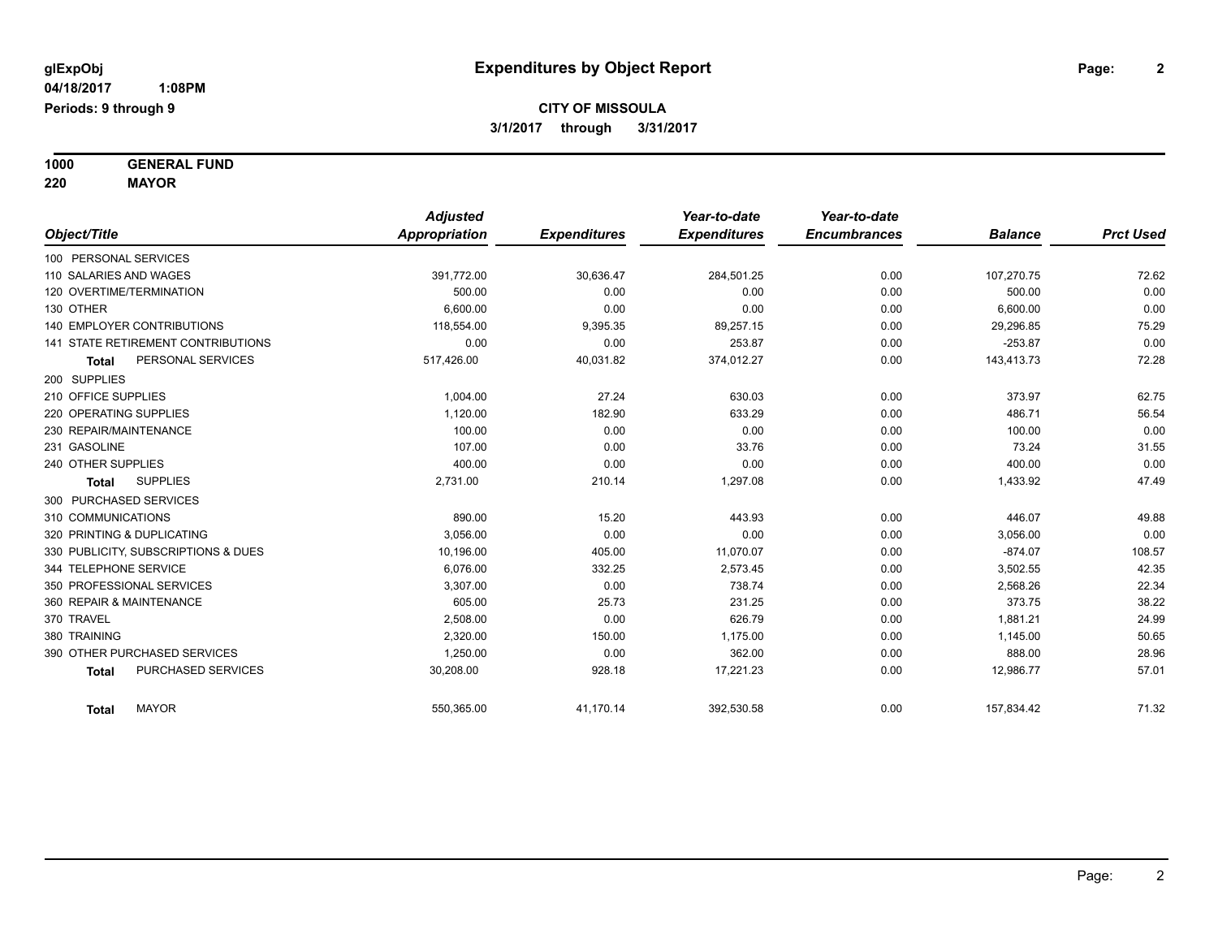**1000 GENERAL FUND**

**220 MAYOR**

|                                     | <b>Adjusted</b> |                     | Year-to-date        | Year-to-date        |                |                  |
|-------------------------------------|-----------------|---------------------|---------------------|---------------------|----------------|------------------|
| Object/Title                        | Appropriation   | <b>Expenditures</b> | <b>Expenditures</b> | <b>Encumbrances</b> | <b>Balance</b> | <b>Prct Used</b> |
| 100 PERSONAL SERVICES               |                 |                     |                     |                     |                |                  |
| 110 SALARIES AND WAGES              | 391,772.00      | 30,636.47           | 284,501.25          | 0.00                | 107,270.75     | 72.62            |
| 120 OVERTIME/TERMINATION            | 500.00          | 0.00                | 0.00                | 0.00                | 500.00         | 0.00             |
| 130 OTHER                           | 6.600.00        | 0.00                | 0.00                | 0.00                | 6,600.00       | 0.00             |
| <b>140 EMPLOYER CONTRIBUTIONS</b>   | 118.554.00      | 9,395.35            | 89.257.15           | 0.00                | 29,296.85      | 75.29            |
| 141 STATE RETIREMENT CONTRIBUTIONS  | 0.00            | 0.00                | 253.87              | 0.00                | $-253.87$      | 0.00             |
| PERSONAL SERVICES<br><b>Total</b>   | 517,426.00      | 40,031.82           | 374,012.27          | 0.00                | 143,413.73     | 72.28            |
| 200 SUPPLIES                        |                 |                     |                     |                     |                |                  |
| 210 OFFICE SUPPLIES                 | 1,004.00        | 27.24               | 630.03              | 0.00                | 373.97         | 62.75            |
| 220 OPERATING SUPPLIES              | 1,120.00        | 182.90              | 633.29              | 0.00                | 486.71         | 56.54            |
| 230 REPAIR/MAINTENANCE              | 100.00          | 0.00                | 0.00                | 0.00                | 100.00         | 0.00             |
| 231 GASOLINE                        | 107.00          | 0.00                | 33.76               | 0.00                | 73.24          | 31.55            |
| 240 OTHER SUPPLIES                  | 400.00          | 0.00                | 0.00                | 0.00                | 400.00         | 0.00             |
| <b>SUPPLIES</b><br><b>Total</b>     | 2,731.00        | 210.14              | 1,297.08            | 0.00                | 1,433.92       | 47.49            |
| 300 PURCHASED SERVICES              |                 |                     |                     |                     |                |                  |
| 310 COMMUNICATIONS                  | 890.00          | 15.20               | 443.93              | 0.00                | 446.07         | 49.88            |
| 320 PRINTING & DUPLICATING          | 3.056.00        | 0.00                | 0.00                | 0.00                | 3,056.00       | 0.00             |
| 330 PUBLICITY, SUBSCRIPTIONS & DUES | 10,196.00       | 405.00              | 11,070.07           | 0.00                | $-874.07$      | 108.57           |
| 344 TELEPHONE SERVICE               | 6,076.00        | 332.25              | 2,573.45            | 0.00                | 3,502.55       | 42.35            |
| 350 PROFESSIONAL SERVICES           | 3,307.00        | 0.00                | 738.74              | 0.00                | 2,568.26       | 22.34            |
| 360 REPAIR & MAINTENANCE            | 605.00          | 25.73               | 231.25              | 0.00                | 373.75         | 38.22            |
| 370 TRAVEL                          | 2,508.00        | 0.00                | 626.79              | 0.00                | 1,881.21       | 24.99            |
| 380 TRAINING                        | 2.320.00        | 150.00              | 1.175.00            | 0.00                | 1,145.00       | 50.65            |
| 390 OTHER PURCHASED SERVICES        | 1,250.00        | 0.00                | 362.00              | 0.00                | 888.00         | 28.96            |
| PURCHASED SERVICES<br><b>Total</b>  | 30,208.00       | 928.18              | 17,221.23           | 0.00                | 12,986.77      | 57.01            |
| <b>MAYOR</b><br>Total               | 550,365.00      | 41,170.14           | 392,530.58          | 0.00                | 157,834.42     | 71.32            |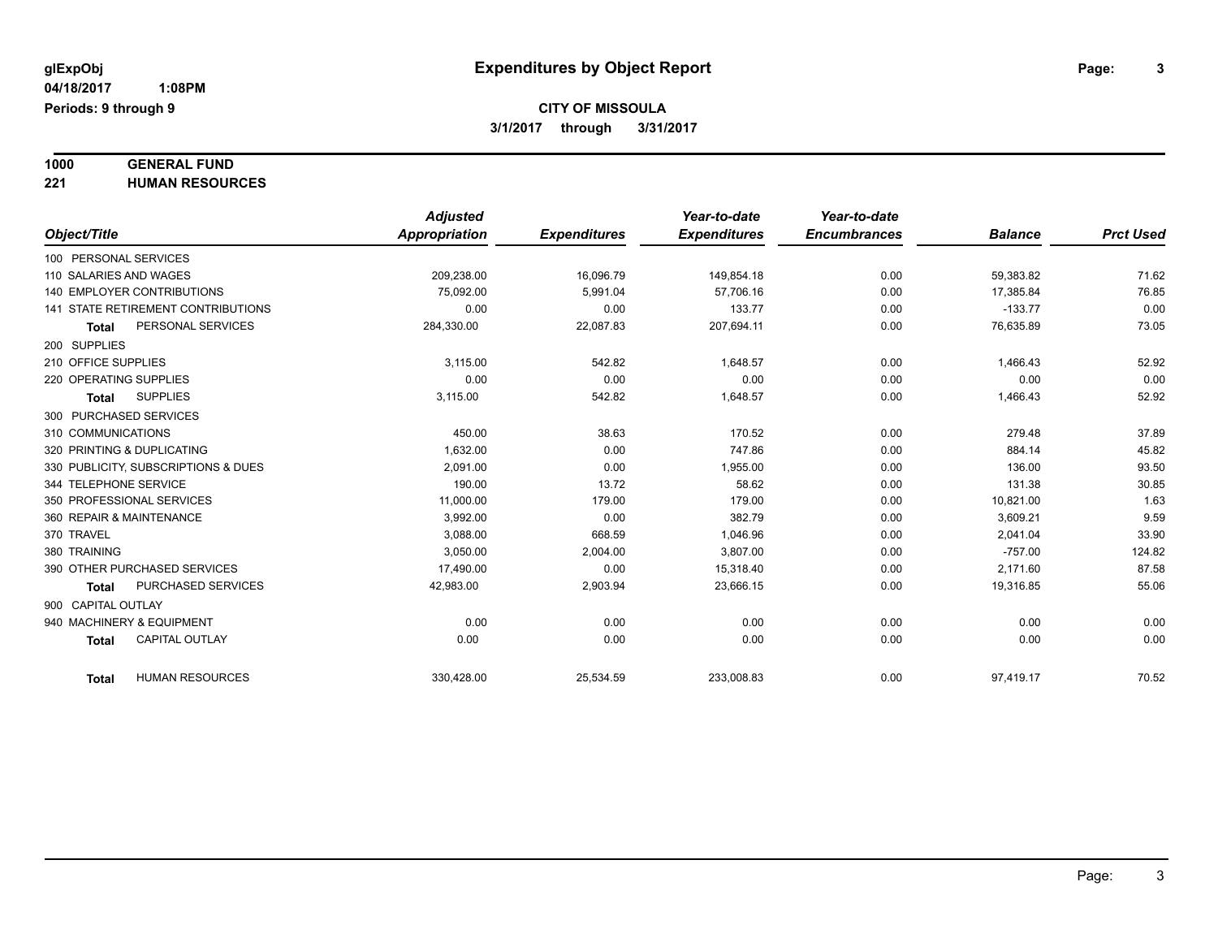# **1000 GENERAL FUND**

**221 HUMAN RESOURCES**

|                                        | <b>Adjusted</b> |                     | Year-to-date        | Year-to-date        |                |                  |
|----------------------------------------|-----------------|---------------------|---------------------|---------------------|----------------|------------------|
| Object/Title                           | Appropriation   | <b>Expenditures</b> | <b>Expenditures</b> | <b>Encumbrances</b> | <b>Balance</b> | <b>Prct Used</b> |
| 100 PERSONAL SERVICES                  |                 |                     |                     |                     |                |                  |
| 110 SALARIES AND WAGES                 | 209,238.00      | 16,096.79           | 149,854.18          | 0.00                | 59,383.82      | 71.62            |
| 140 EMPLOYER CONTRIBUTIONS             | 75,092.00       | 5,991.04            | 57,706.16           | 0.00                | 17,385.84      | 76.85            |
| 141 STATE RETIREMENT CONTRIBUTIONS     | 0.00            | 0.00                | 133.77              | 0.00                | $-133.77$      | 0.00             |
| PERSONAL SERVICES<br><b>Total</b>      | 284,330.00      | 22,087.83           | 207,694.11          | 0.00                | 76,635.89      | 73.05            |
| 200 SUPPLIES                           |                 |                     |                     |                     |                |                  |
| 210 OFFICE SUPPLIES                    | 3.115.00        | 542.82              | 1,648.57            | 0.00                | 1,466.43       | 52.92            |
| 220 OPERATING SUPPLIES                 | 0.00            | 0.00                | 0.00                | 0.00                | 0.00           | 0.00             |
| <b>SUPPLIES</b><br><b>Total</b>        | 3,115.00        | 542.82              | 1,648.57            | 0.00                | 1,466.43       | 52.92            |
| 300 PURCHASED SERVICES                 |                 |                     |                     |                     |                |                  |
| 310 COMMUNICATIONS                     | 450.00          | 38.63               | 170.52              | 0.00                | 279.48         | 37.89            |
| 320 PRINTING & DUPLICATING             | 1,632.00        | 0.00                | 747.86              | 0.00                | 884.14         | 45.82            |
| 330 PUBLICITY, SUBSCRIPTIONS & DUES    | 2.091.00        | 0.00                | 1,955.00            | 0.00                | 136.00         | 93.50            |
| 344 TELEPHONE SERVICE                  | 190.00          | 13.72               | 58.62               | 0.00                | 131.38         | 30.85            |
| 350 PROFESSIONAL SERVICES              | 11,000.00       | 179.00              | 179.00              | 0.00                | 10,821.00      | 1.63             |
| 360 REPAIR & MAINTENANCE               | 3,992.00        | 0.00                | 382.79              | 0.00                | 3,609.21       | 9.59             |
| 370 TRAVEL                             | 3,088.00        | 668.59              | 1,046.96            | 0.00                | 2,041.04       | 33.90            |
| 380 TRAINING                           | 3,050.00        | 2,004.00            | 3,807.00            | 0.00                | $-757.00$      | 124.82           |
| 390 OTHER PURCHASED SERVICES           | 17,490.00       | 0.00                | 15,318.40           | 0.00                | 2,171.60       | 87.58            |
| PURCHASED SERVICES<br><b>Total</b>     | 42,983.00       | 2,903.94            | 23,666.15           | 0.00                | 19,316.85      | 55.06            |
| 900 CAPITAL OUTLAY                     |                 |                     |                     |                     |                |                  |
| 940 MACHINERY & EQUIPMENT              | 0.00            | 0.00                | 0.00                | 0.00                | 0.00           | 0.00             |
| <b>CAPITAL OUTLAY</b><br><b>Total</b>  | 0.00            | 0.00                | 0.00                | 0.00                | 0.00           | 0.00             |
|                                        |                 |                     |                     |                     |                |                  |
| <b>HUMAN RESOURCES</b><br><b>Total</b> | 330,428.00      | 25,534.59           | 233,008.83          | 0.00                | 97,419.17      | 70.52            |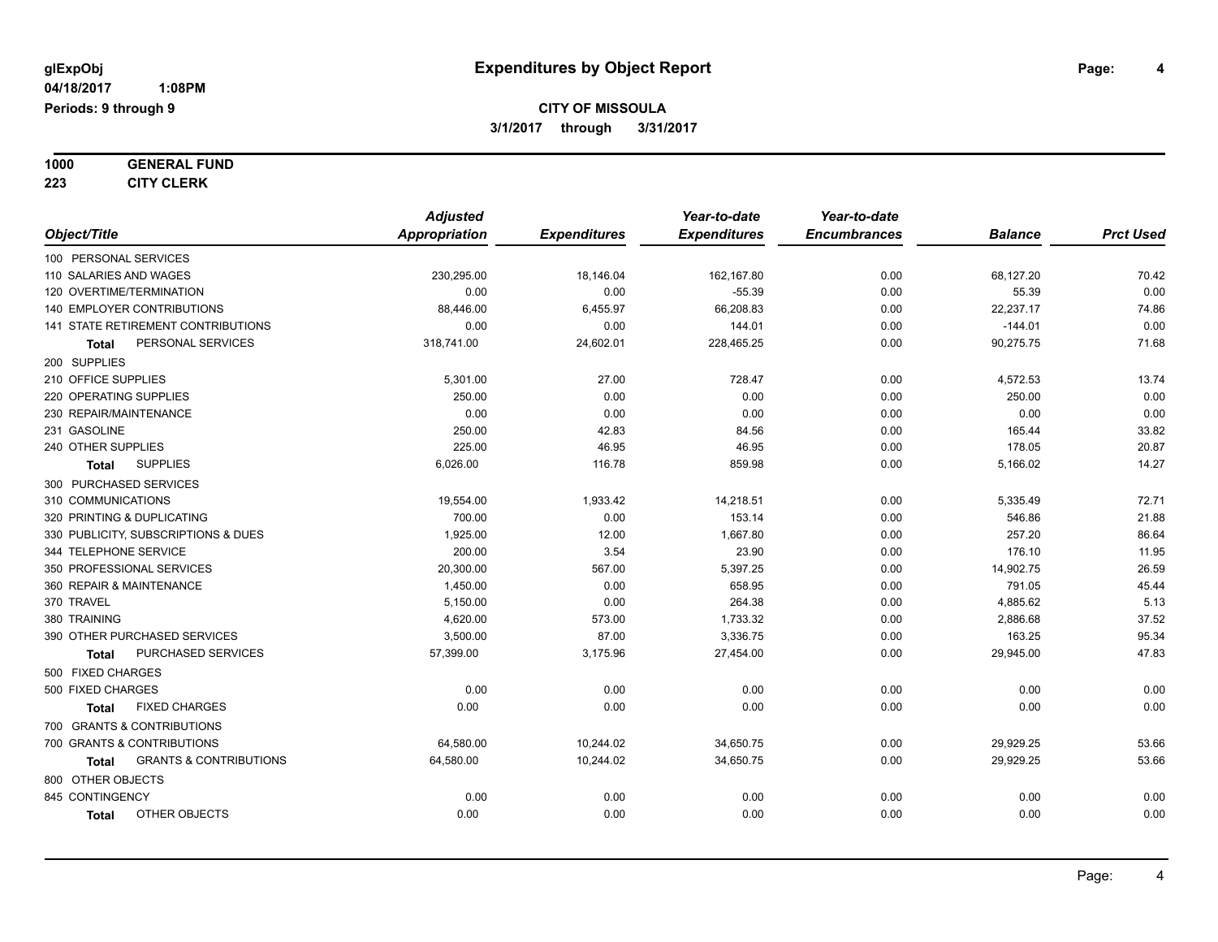**1000 GENERAL FUND**

**223 CITY CLERK**

|                                                   | <b>Adjusted</b>      |                     | Year-to-date        | Year-to-date        |                |                  |
|---------------------------------------------------|----------------------|---------------------|---------------------|---------------------|----------------|------------------|
| Object/Title                                      | <b>Appropriation</b> | <b>Expenditures</b> | <b>Expenditures</b> | <b>Encumbrances</b> | <b>Balance</b> | <b>Prct Used</b> |
| 100 PERSONAL SERVICES                             |                      |                     |                     |                     |                |                  |
| 110 SALARIES AND WAGES                            | 230,295.00           | 18,146.04           | 162,167.80          | 0.00                | 68,127.20      | 70.42            |
| 120 OVERTIME/TERMINATION                          | 0.00                 | 0.00                | $-55.39$            | 0.00                | 55.39          | 0.00             |
| 140 EMPLOYER CONTRIBUTIONS                        | 88,446.00            | 6,455.97            | 66,208.83           | 0.00                | 22,237.17      | 74.86            |
| <b>141 STATE RETIREMENT CONTRIBUTIONS</b>         | 0.00                 | 0.00                | 144.01              | 0.00                | $-144.01$      | 0.00             |
| PERSONAL SERVICES<br>Total                        | 318,741.00           | 24,602.01           | 228,465.25          | 0.00                | 90,275.75      | 71.68            |
| 200 SUPPLIES                                      |                      |                     |                     |                     |                |                  |
| 210 OFFICE SUPPLIES                               | 5,301.00             | 27.00               | 728.47              | 0.00                | 4,572.53       | 13.74            |
| 220 OPERATING SUPPLIES                            | 250.00               | 0.00                | 0.00                | 0.00                | 250.00         | 0.00             |
| 230 REPAIR/MAINTENANCE                            | 0.00                 | 0.00                | 0.00                | 0.00                | 0.00           | 0.00             |
| 231 GASOLINE                                      | 250.00               | 42.83               | 84.56               | 0.00                | 165.44         | 33.82            |
| 240 OTHER SUPPLIES                                | 225.00               | 46.95               | 46.95               | 0.00                | 178.05         | 20.87            |
| <b>SUPPLIES</b><br><b>Total</b>                   | 6,026.00             | 116.78              | 859.98              | 0.00                | 5,166.02       | 14.27            |
| 300 PURCHASED SERVICES                            |                      |                     |                     |                     |                |                  |
| 310 COMMUNICATIONS                                | 19,554.00            | 1,933.42            | 14,218.51           | 0.00                | 5,335.49       | 72.71            |
| 320 PRINTING & DUPLICATING                        | 700.00               | 0.00                | 153.14              | 0.00                | 546.86         | 21.88            |
| 330 PUBLICITY, SUBSCRIPTIONS & DUES               | 1,925.00             | 12.00               | 1,667.80            | 0.00                | 257.20         | 86.64            |
| 344 TELEPHONE SERVICE                             | 200.00               | 3.54                | 23.90               | 0.00                | 176.10         | 11.95            |
| 350 PROFESSIONAL SERVICES                         | 20,300.00            | 567.00              | 5,397.25            | 0.00                | 14,902.75      | 26.59            |
| 360 REPAIR & MAINTENANCE                          | 1,450.00             | 0.00                | 658.95              | 0.00                | 791.05         | 45.44            |
| 370 TRAVEL                                        | 5,150.00             | 0.00                | 264.38              | 0.00                | 4,885.62       | 5.13             |
| 380 TRAINING                                      | 4,620.00             | 573.00              | 1,733.32            | 0.00                | 2,886.68       | 37.52            |
| 390 OTHER PURCHASED SERVICES                      | 3,500.00             | 87.00               | 3,336.75            | 0.00                | 163.25         | 95.34            |
| PURCHASED SERVICES<br><b>Total</b>                | 57,399.00            | 3,175.96            | 27,454.00           | 0.00                | 29,945.00      | 47.83            |
| 500 FIXED CHARGES                                 |                      |                     |                     |                     |                |                  |
| 500 FIXED CHARGES                                 | 0.00                 | 0.00                | 0.00                | 0.00                | 0.00           | 0.00             |
| <b>FIXED CHARGES</b><br><b>Total</b>              | 0.00                 | 0.00                | 0.00                | 0.00                | 0.00           | 0.00             |
| 700 GRANTS & CONTRIBUTIONS                        |                      |                     |                     |                     |                |                  |
| 700 GRANTS & CONTRIBUTIONS                        | 64,580.00            | 10,244.02           | 34,650.75           | 0.00                | 29,929.25      | 53.66            |
| <b>GRANTS &amp; CONTRIBUTIONS</b><br><b>Total</b> | 64,580.00            | 10,244.02           | 34,650.75           | 0.00                | 29,929.25      | 53.66            |
| 800 OTHER OBJECTS                                 |                      |                     |                     |                     |                |                  |
| 845 CONTINGENCY                                   | 0.00                 | 0.00                | 0.00                | 0.00                | 0.00           | 0.00             |
| OTHER OBJECTS<br><b>Total</b>                     | 0.00                 | 0.00                | 0.00                | 0.00                | 0.00           | 0.00             |
|                                                   |                      |                     |                     |                     |                |                  |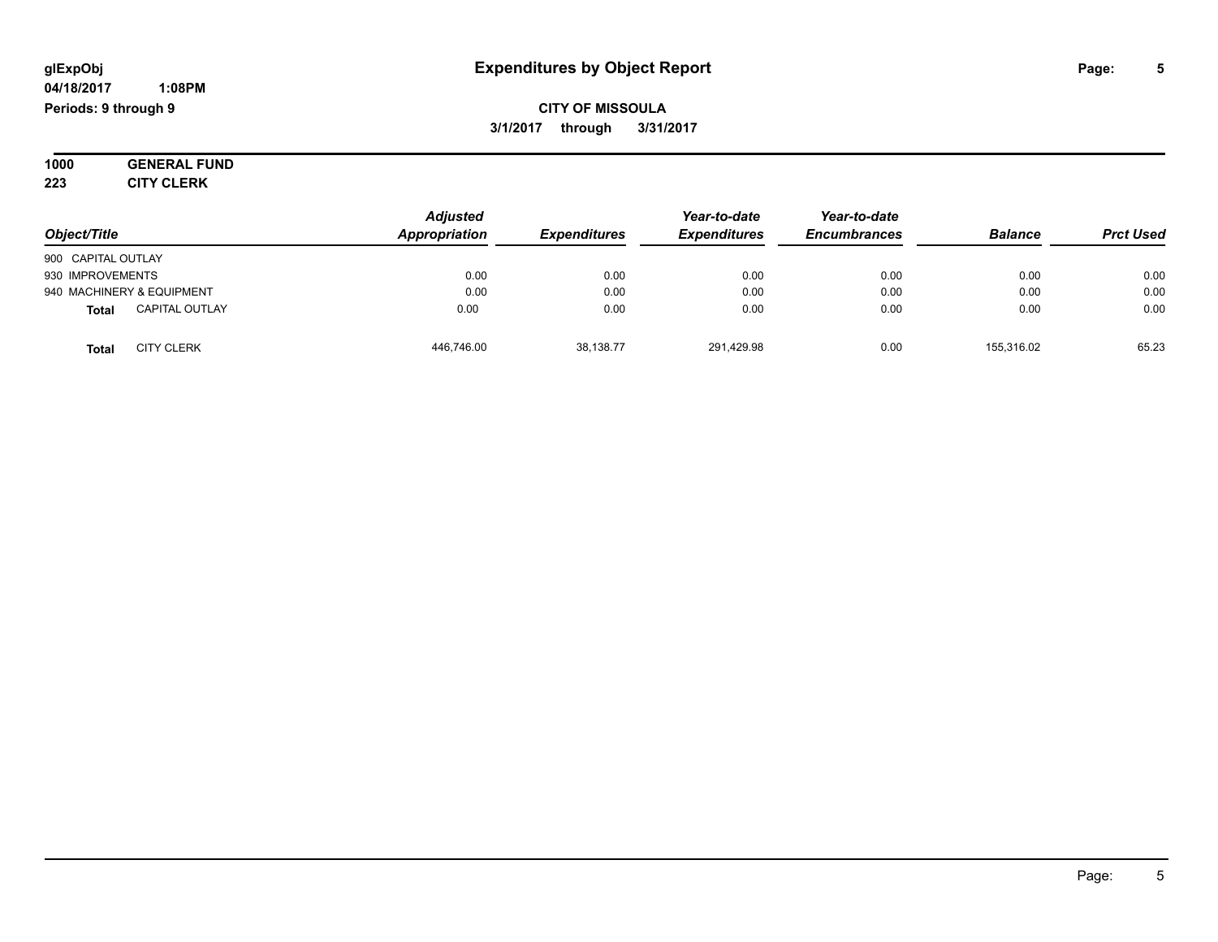#### **04/18/2017 1:08PM Periods: 9 through 9**

**CITY OF MISSOULA 3/1/2017 through 3/31/2017**

**1000 GENERAL FUND 223 CITY CLERK**

*Object/Title Adjusted Appropriation Expenditures Year-to-date Expenditures Year-to-date Encumbrances Balance Prct Used* 900 CAPITAL OUTLAY 930 IMPROVEMENTS 0.00 0.00 0.00 0.00 0.00 0.00 940 MACHINERY & EQUIPMENT 0.00 0.00 0.00 0.00 0.00 0.00 **Total** CAPITAL OUTLAY 0.00 0.00 0.00 0.00 0.00 0.00 **Total** CITY CLERK 446,746.00 38,138.77 291,429.98 0.00 155,316.02 65.23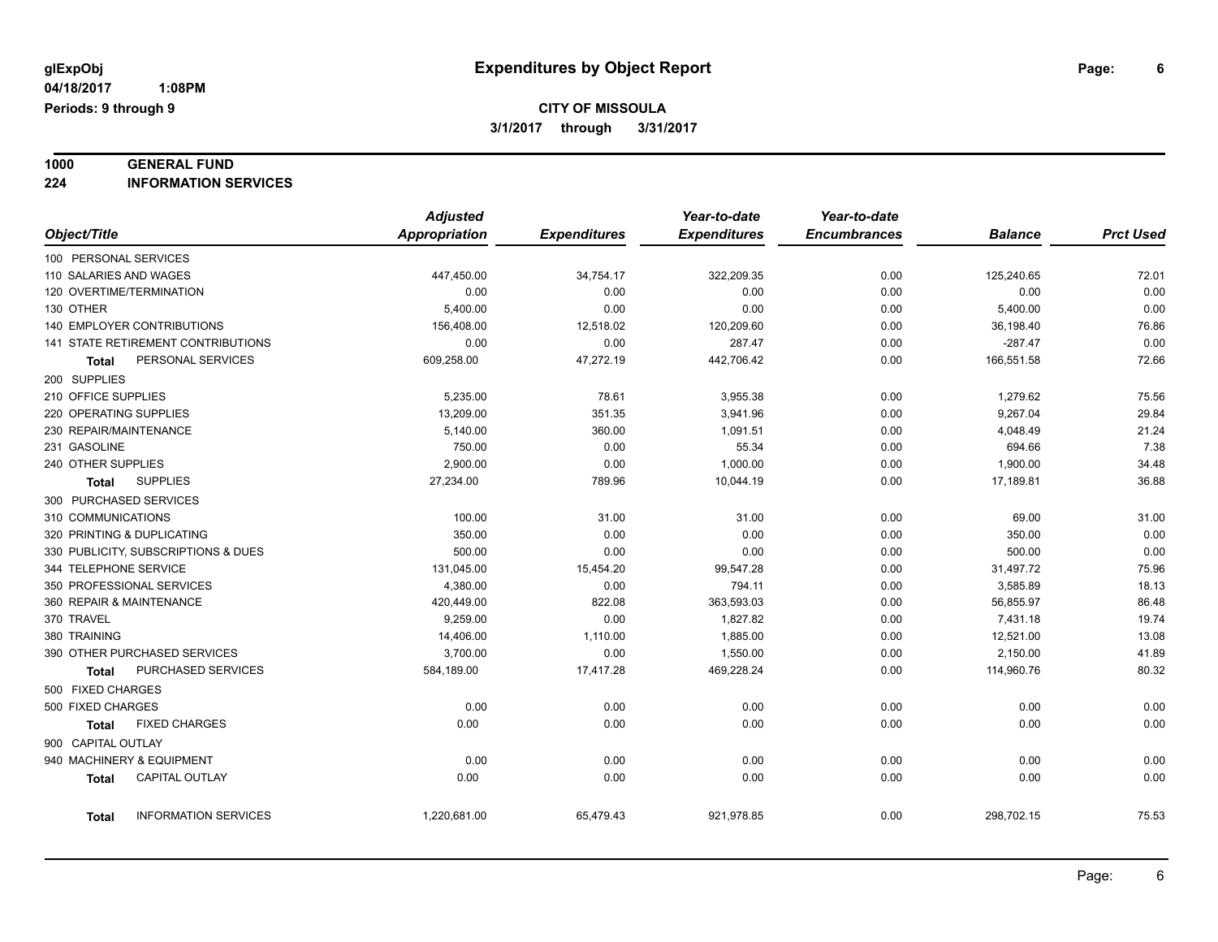# **1000 GENERAL FUND**

**224 INFORMATION SERVICES**

|                                           |                             | <b>Adjusted</b> |                     | Year-to-date        | Year-to-date        |                |                  |
|-------------------------------------------|-----------------------------|-----------------|---------------------|---------------------|---------------------|----------------|------------------|
| Object/Title                              |                             | Appropriation   | <b>Expenditures</b> | <b>Expenditures</b> | <b>Encumbrances</b> | <b>Balance</b> | <b>Prct Used</b> |
| 100 PERSONAL SERVICES                     |                             |                 |                     |                     |                     |                |                  |
| 110 SALARIES AND WAGES                    |                             | 447,450.00      | 34,754.17           | 322,209.35          | 0.00                | 125,240.65     | 72.01            |
| 120 OVERTIME/TERMINATION                  |                             | 0.00            | 0.00                | 0.00                | 0.00                | 0.00           | 0.00             |
| 130 OTHER                                 |                             | 5,400.00        | 0.00                | 0.00                | 0.00                | 5,400.00       | 0.00             |
| 140 EMPLOYER CONTRIBUTIONS                |                             | 156,408.00      | 12,518.02           | 120,209.60          | 0.00                | 36,198.40      | 76.86            |
| <b>141 STATE RETIREMENT CONTRIBUTIONS</b> |                             | 0.00            | 0.00                | 287.47              | 0.00                | $-287.47$      | 0.00             |
| Total                                     | PERSONAL SERVICES           | 609,258.00      | 47,272.19           | 442,706.42          | 0.00                | 166,551.58     | 72.66            |
| 200 SUPPLIES                              |                             |                 |                     |                     |                     |                |                  |
| 210 OFFICE SUPPLIES                       |                             | 5,235.00        | 78.61               | 3,955.38            | 0.00                | 1,279.62       | 75.56            |
| 220 OPERATING SUPPLIES                    |                             | 13,209.00       | 351.35              | 3,941.96            | 0.00                | 9,267.04       | 29.84            |
| 230 REPAIR/MAINTENANCE                    |                             | 5,140.00        | 360.00              | 1,091.51            | 0.00                | 4,048.49       | 21.24            |
| 231 GASOLINE                              |                             | 750.00          | 0.00                | 55.34               | 0.00                | 694.66         | 7.38             |
| 240 OTHER SUPPLIES                        |                             | 2,900.00        | 0.00                | 1,000.00            | 0.00                | 1,900.00       | 34.48            |
| <b>SUPPLIES</b><br>Total                  |                             | 27,234.00       | 789.96              | 10,044.19           | 0.00                | 17,189.81      | 36.88            |
| 300 PURCHASED SERVICES                    |                             |                 |                     |                     |                     |                |                  |
| 310 COMMUNICATIONS                        |                             | 100.00          | 31.00               | 31.00               | 0.00                | 69.00          | 31.00            |
| 320 PRINTING & DUPLICATING                |                             | 350.00          | 0.00                | 0.00                | 0.00                | 350.00         | 0.00             |
| 330 PUBLICITY, SUBSCRIPTIONS & DUES       |                             | 500.00          | 0.00                | 0.00                | 0.00                | 500.00         | 0.00             |
| 344 TELEPHONE SERVICE                     |                             | 131,045.00      | 15,454.20           | 99,547.28           | 0.00                | 31,497.72      | 75.96            |
| 350 PROFESSIONAL SERVICES                 |                             | 4,380.00        | 0.00                | 794.11              | 0.00                | 3,585.89       | 18.13            |
| 360 REPAIR & MAINTENANCE                  |                             | 420,449.00      | 822.08              | 363,593.03          | 0.00                | 56,855.97      | 86.48            |
| 370 TRAVEL                                |                             | 9,259.00        | 0.00                | 1,827.82            | 0.00                | 7,431.18       | 19.74            |
| 380 TRAINING                              |                             | 14,406.00       | 1,110.00            | 1,885.00            | 0.00                | 12,521.00      | 13.08            |
| 390 OTHER PURCHASED SERVICES              |                             | 3,700.00        | 0.00                | 1,550.00            | 0.00                | 2,150.00       | 41.89            |
| Total                                     | PURCHASED SERVICES          | 584,189.00      | 17,417.28           | 469,228.24          | 0.00                | 114,960.76     | 80.32            |
| 500 FIXED CHARGES                         |                             |                 |                     |                     |                     |                |                  |
| 500 FIXED CHARGES                         |                             | 0.00            | 0.00                | 0.00                | 0.00                | 0.00           | 0.00             |
| Total                                     | <b>FIXED CHARGES</b>        | 0.00            | 0.00                | 0.00                | 0.00                | 0.00           | 0.00             |
| 900 CAPITAL OUTLAY                        |                             |                 |                     |                     |                     |                |                  |
| 940 MACHINERY & EQUIPMENT                 |                             | 0.00            | 0.00                | 0.00                | 0.00                | 0.00           | 0.00             |
| <b>Total</b>                              | <b>CAPITAL OUTLAY</b>       | 0.00            | 0.00                | 0.00                | 0.00                | 0.00           | 0.00             |
| Total                                     | <b>INFORMATION SERVICES</b> | 1,220,681.00    | 65,479.43           | 921,978.85          | 0.00                | 298,702.15     | 75.53            |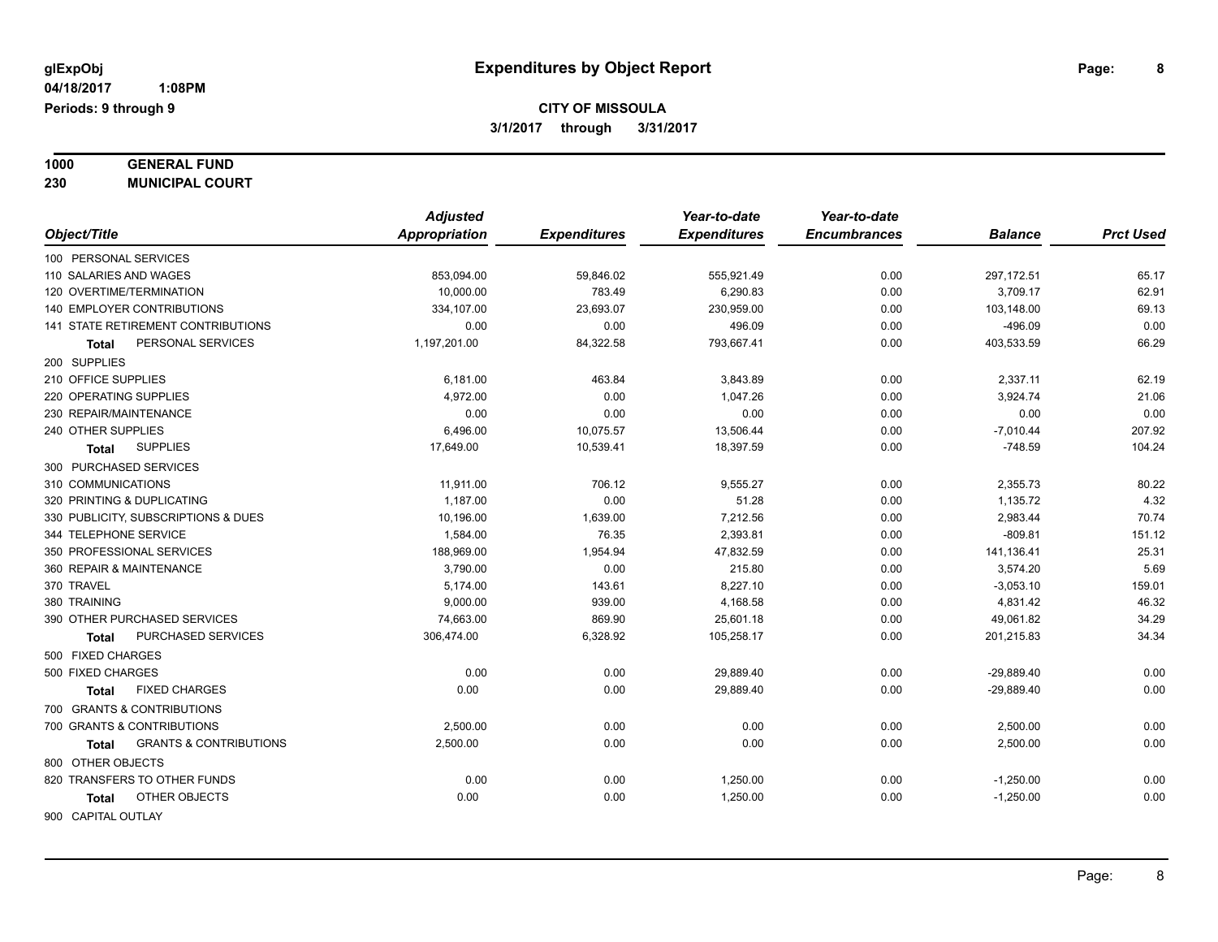**1000 GENERAL FUND**

**230 MUNICIPAL COURT**

| Object/Title<br>Appropriation<br><b>Expenditures</b><br><b>Expenditures</b><br><b>Encumbrances</b><br><b>Balance</b><br>100 PERSONAL SERVICES<br>297,172.51<br>110 SALARIES AND WAGES<br>853,094.00<br>59,846.02<br>555,921.49<br>0.00<br>120 OVERTIME/TERMINATION<br>10,000.00<br>783.49<br>6,290.83<br>0.00<br>3,709.17<br>140 EMPLOYER CONTRIBUTIONS<br>334,107.00<br>23,693.07<br>230,959.00<br>0.00<br>103,148.00<br><b>141 STATE RETIREMENT CONTRIBUTIONS</b><br>0.00<br>0.00<br>496.09<br>0.00<br>$-496.09$<br>84,322.58<br>793,667.41<br>PERSONAL SERVICES<br>1,197,201.00<br>0.00<br>403,533.59<br>Total<br>200 SUPPLIES<br>210 OFFICE SUPPLIES<br>2,337.11<br>6,181.00<br>463.84<br>3,843.89<br>0.00<br>220 OPERATING SUPPLIES<br>4,972.00<br>0.00<br>1,047.26<br>0.00<br>3,924.74<br>230 REPAIR/MAINTENANCE<br>0.00<br>0.00<br>0.00<br>0.00<br>0.00<br>240 OTHER SUPPLIES<br>6,496.00<br>10,075.57<br>13,506.44<br>$-7,010.44$<br>0.00<br><b>SUPPLIES</b><br>17,649.00<br>10,539.41<br>18,397.59<br>$-748.59$<br>0.00<br><b>Total</b><br>300 PURCHASED SERVICES<br>310 COMMUNICATIONS<br>11,911.00<br>706.12<br>9,555.27<br>0.00<br>2,355.73<br>320 PRINTING & DUPLICATING<br>1,187.00<br>0.00<br>51.28<br>1,135.72<br>0.00<br>330 PUBLICITY, SUBSCRIPTIONS & DUES<br>10,196.00<br>1,639.00<br>7,212.56<br>0.00<br>2,983.44<br>$-809.81$<br>344 TELEPHONE SERVICE<br>1,584.00<br>76.35<br>2,393.81<br>0.00<br>188,969.00<br>141,136.41<br>350 PROFESSIONAL SERVICES<br>1,954.94<br>47,832.59<br>0.00<br>360 REPAIR & MAINTENANCE<br>3,790.00<br>0.00<br>215.80<br>3,574.20<br>0.00<br>159.01<br>370 TRAVEL<br>5,174.00<br>143.61<br>8,227.10<br>0.00<br>$-3,053.10$<br>380 TRAINING<br>939.00<br>9,000.00<br>4,168.58<br>0.00<br>4,831.42<br>390 OTHER PURCHASED SERVICES<br>74,663.00<br>869.90<br>25,601.18<br>49,061.82<br>0.00<br>PURCHASED SERVICES<br>306,474.00<br>6,328.92<br>105,258.17<br>0.00<br>201,215.83<br>Total<br>500 FIXED CHARGES<br>0.00<br>500 FIXED CHARGES<br>0.00<br>29,889.40<br>0.00<br>$-29,889.40$<br><b>FIXED CHARGES</b><br>0.00<br>29,889.40<br>0.00<br>0.00<br>$-29,889.40$<br><b>Total</b><br>700 GRANTS & CONTRIBUTIONS<br>0.00<br>2,500.00<br>0.00<br>700 GRANTS & CONTRIBUTIONS<br>0.00<br>0.00<br>2,500.00<br><b>GRANTS &amp; CONTRIBUTIONS</b><br>2,500.00<br>0.00<br>0.00<br>0.00<br>2,500.00<br><b>Total</b><br>800 OTHER OBJECTS |                              | <b>Adjusted</b> |      | Year-to-date | Year-to-date |             |                  |
|--------------------------------------------------------------------------------------------------------------------------------------------------------------------------------------------------------------------------------------------------------------------------------------------------------------------------------------------------------------------------------------------------------------------------------------------------------------------------------------------------------------------------------------------------------------------------------------------------------------------------------------------------------------------------------------------------------------------------------------------------------------------------------------------------------------------------------------------------------------------------------------------------------------------------------------------------------------------------------------------------------------------------------------------------------------------------------------------------------------------------------------------------------------------------------------------------------------------------------------------------------------------------------------------------------------------------------------------------------------------------------------------------------------------------------------------------------------------------------------------------------------------------------------------------------------------------------------------------------------------------------------------------------------------------------------------------------------------------------------------------------------------------------------------------------------------------------------------------------------------------------------------------------------------------------------------------------------------------------------------------------------------------------------------------------------------------------------------------------------------------------------------------------------------------------------------------------------------------------------------------------------------------------------------------------------------------------------------------------------------------------------|------------------------------|-----------------|------|--------------|--------------|-------------|------------------|
|                                                                                                                                                                                                                                                                                                                                                                                                                                                                                                                                                                                                                                                                                                                                                                                                                                                                                                                                                                                                                                                                                                                                                                                                                                                                                                                                                                                                                                                                                                                                                                                                                                                                                                                                                                                                                                                                                                                                                                                                                                                                                                                                                                                                                                                                                                                                                                                      |                              |                 |      |              |              |             | <b>Prct Used</b> |
|                                                                                                                                                                                                                                                                                                                                                                                                                                                                                                                                                                                                                                                                                                                                                                                                                                                                                                                                                                                                                                                                                                                                                                                                                                                                                                                                                                                                                                                                                                                                                                                                                                                                                                                                                                                                                                                                                                                                                                                                                                                                                                                                                                                                                                                                                                                                                                                      |                              |                 |      |              |              |             |                  |
|                                                                                                                                                                                                                                                                                                                                                                                                                                                                                                                                                                                                                                                                                                                                                                                                                                                                                                                                                                                                                                                                                                                                                                                                                                                                                                                                                                                                                                                                                                                                                                                                                                                                                                                                                                                                                                                                                                                                                                                                                                                                                                                                                                                                                                                                                                                                                                                      |                              |                 |      |              |              |             | 65.17            |
|                                                                                                                                                                                                                                                                                                                                                                                                                                                                                                                                                                                                                                                                                                                                                                                                                                                                                                                                                                                                                                                                                                                                                                                                                                                                                                                                                                                                                                                                                                                                                                                                                                                                                                                                                                                                                                                                                                                                                                                                                                                                                                                                                                                                                                                                                                                                                                                      |                              |                 |      |              |              |             | 62.91            |
|                                                                                                                                                                                                                                                                                                                                                                                                                                                                                                                                                                                                                                                                                                                                                                                                                                                                                                                                                                                                                                                                                                                                                                                                                                                                                                                                                                                                                                                                                                                                                                                                                                                                                                                                                                                                                                                                                                                                                                                                                                                                                                                                                                                                                                                                                                                                                                                      |                              |                 |      |              |              |             | 69.13            |
|                                                                                                                                                                                                                                                                                                                                                                                                                                                                                                                                                                                                                                                                                                                                                                                                                                                                                                                                                                                                                                                                                                                                                                                                                                                                                                                                                                                                                                                                                                                                                                                                                                                                                                                                                                                                                                                                                                                                                                                                                                                                                                                                                                                                                                                                                                                                                                                      |                              |                 |      |              |              |             | 0.00             |
|                                                                                                                                                                                                                                                                                                                                                                                                                                                                                                                                                                                                                                                                                                                                                                                                                                                                                                                                                                                                                                                                                                                                                                                                                                                                                                                                                                                                                                                                                                                                                                                                                                                                                                                                                                                                                                                                                                                                                                                                                                                                                                                                                                                                                                                                                                                                                                                      |                              |                 |      |              |              |             | 66.29            |
|                                                                                                                                                                                                                                                                                                                                                                                                                                                                                                                                                                                                                                                                                                                                                                                                                                                                                                                                                                                                                                                                                                                                                                                                                                                                                                                                                                                                                                                                                                                                                                                                                                                                                                                                                                                                                                                                                                                                                                                                                                                                                                                                                                                                                                                                                                                                                                                      |                              |                 |      |              |              |             |                  |
|                                                                                                                                                                                                                                                                                                                                                                                                                                                                                                                                                                                                                                                                                                                                                                                                                                                                                                                                                                                                                                                                                                                                                                                                                                                                                                                                                                                                                                                                                                                                                                                                                                                                                                                                                                                                                                                                                                                                                                                                                                                                                                                                                                                                                                                                                                                                                                                      |                              |                 |      |              |              |             | 62.19            |
|                                                                                                                                                                                                                                                                                                                                                                                                                                                                                                                                                                                                                                                                                                                                                                                                                                                                                                                                                                                                                                                                                                                                                                                                                                                                                                                                                                                                                                                                                                                                                                                                                                                                                                                                                                                                                                                                                                                                                                                                                                                                                                                                                                                                                                                                                                                                                                                      |                              |                 |      |              |              |             | 21.06            |
|                                                                                                                                                                                                                                                                                                                                                                                                                                                                                                                                                                                                                                                                                                                                                                                                                                                                                                                                                                                                                                                                                                                                                                                                                                                                                                                                                                                                                                                                                                                                                                                                                                                                                                                                                                                                                                                                                                                                                                                                                                                                                                                                                                                                                                                                                                                                                                                      |                              |                 |      |              |              |             | 0.00             |
|                                                                                                                                                                                                                                                                                                                                                                                                                                                                                                                                                                                                                                                                                                                                                                                                                                                                                                                                                                                                                                                                                                                                                                                                                                                                                                                                                                                                                                                                                                                                                                                                                                                                                                                                                                                                                                                                                                                                                                                                                                                                                                                                                                                                                                                                                                                                                                                      |                              |                 |      |              |              |             | 207.92           |
|                                                                                                                                                                                                                                                                                                                                                                                                                                                                                                                                                                                                                                                                                                                                                                                                                                                                                                                                                                                                                                                                                                                                                                                                                                                                                                                                                                                                                                                                                                                                                                                                                                                                                                                                                                                                                                                                                                                                                                                                                                                                                                                                                                                                                                                                                                                                                                                      |                              |                 |      |              |              |             | 104.24           |
|                                                                                                                                                                                                                                                                                                                                                                                                                                                                                                                                                                                                                                                                                                                                                                                                                                                                                                                                                                                                                                                                                                                                                                                                                                                                                                                                                                                                                                                                                                                                                                                                                                                                                                                                                                                                                                                                                                                                                                                                                                                                                                                                                                                                                                                                                                                                                                                      |                              |                 |      |              |              |             |                  |
|                                                                                                                                                                                                                                                                                                                                                                                                                                                                                                                                                                                                                                                                                                                                                                                                                                                                                                                                                                                                                                                                                                                                                                                                                                                                                                                                                                                                                                                                                                                                                                                                                                                                                                                                                                                                                                                                                                                                                                                                                                                                                                                                                                                                                                                                                                                                                                                      |                              |                 |      |              |              |             | 80.22            |
|                                                                                                                                                                                                                                                                                                                                                                                                                                                                                                                                                                                                                                                                                                                                                                                                                                                                                                                                                                                                                                                                                                                                                                                                                                                                                                                                                                                                                                                                                                                                                                                                                                                                                                                                                                                                                                                                                                                                                                                                                                                                                                                                                                                                                                                                                                                                                                                      |                              |                 |      |              |              |             | 4.32             |
|                                                                                                                                                                                                                                                                                                                                                                                                                                                                                                                                                                                                                                                                                                                                                                                                                                                                                                                                                                                                                                                                                                                                                                                                                                                                                                                                                                                                                                                                                                                                                                                                                                                                                                                                                                                                                                                                                                                                                                                                                                                                                                                                                                                                                                                                                                                                                                                      |                              |                 |      |              |              |             | 70.74            |
|                                                                                                                                                                                                                                                                                                                                                                                                                                                                                                                                                                                                                                                                                                                                                                                                                                                                                                                                                                                                                                                                                                                                                                                                                                                                                                                                                                                                                                                                                                                                                                                                                                                                                                                                                                                                                                                                                                                                                                                                                                                                                                                                                                                                                                                                                                                                                                                      |                              |                 |      |              |              |             | 151.12           |
|                                                                                                                                                                                                                                                                                                                                                                                                                                                                                                                                                                                                                                                                                                                                                                                                                                                                                                                                                                                                                                                                                                                                                                                                                                                                                                                                                                                                                                                                                                                                                                                                                                                                                                                                                                                                                                                                                                                                                                                                                                                                                                                                                                                                                                                                                                                                                                                      |                              |                 |      |              |              |             | 25.31            |
|                                                                                                                                                                                                                                                                                                                                                                                                                                                                                                                                                                                                                                                                                                                                                                                                                                                                                                                                                                                                                                                                                                                                                                                                                                                                                                                                                                                                                                                                                                                                                                                                                                                                                                                                                                                                                                                                                                                                                                                                                                                                                                                                                                                                                                                                                                                                                                                      |                              |                 |      |              |              |             | 5.69             |
|                                                                                                                                                                                                                                                                                                                                                                                                                                                                                                                                                                                                                                                                                                                                                                                                                                                                                                                                                                                                                                                                                                                                                                                                                                                                                                                                                                                                                                                                                                                                                                                                                                                                                                                                                                                                                                                                                                                                                                                                                                                                                                                                                                                                                                                                                                                                                                                      |                              |                 |      |              |              |             |                  |
|                                                                                                                                                                                                                                                                                                                                                                                                                                                                                                                                                                                                                                                                                                                                                                                                                                                                                                                                                                                                                                                                                                                                                                                                                                                                                                                                                                                                                                                                                                                                                                                                                                                                                                                                                                                                                                                                                                                                                                                                                                                                                                                                                                                                                                                                                                                                                                                      |                              |                 |      |              |              |             | 46.32            |
|                                                                                                                                                                                                                                                                                                                                                                                                                                                                                                                                                                                                                                                                                                                                                                                                                                                                                                                                                                                                                                                                                                                                                                                                                                                                                                                                                                                                                                                                                                                                                                                                                                                                                                                                                                                                                                                                                                                                                                                                                                                                                                                                                                                                                                                                                                                                                                                      |                              |                 |      |              |              |             | 34.29            |
|                                                                                                                                                                                                                                                                                                                                                                                                                                                                                                                                                                                                                                                                                                                                                                                                                                                                                                                                                                                                                                                                                                                                                                                                                                                                                                                                                                                                                                                                                                                                                                                                                                                                                                                                                                                                                                                                                                                                                                                                                                                                                                                                                                                                                                                                                                                                                                                      |                              |                 |      |              |              |             | 34.34            |
|                                                                                                                                                                                                                                                                                                                                                                                                                                                                                                                                                                                                                                                                                                                                                                                                                                                                                                                                                                                                                                                                                                                                                                                                                                                                                                                                                                                                                                                                                                                                                                                                                                                                                                                                                                                                                                                                                                                                                                                                                                                                                                                                                                                                                                                                                                                                                                                      |                              |                 |      |              |              |             |                  |
|                                                                                                                                                                                                                                                                                                                                                                                                                                                                                                                                                                                                                                                                                                                                                                                                                                                                                                                                                                                                                                                                                                                                                                                                                                                                                                                                                                                                                                                                                                                                                                                                                                                                                                                                                                                                                                                                                                                                                                                                                                                                                                                                                                                                                                                                                                                                                                                      |                              |                 |      |              |              |             | 0.00             |
|                                                                                                                                                                                                                                                                                                                                                                                                                                                                                                                                                                                                                                                                                                                                                                                                                                                                                                                                                                                                                                                                                                                                                                                                                                                                                                                                                                                                                                                                                                                                                                                                                                                                                                                                                                                                                                                                                                                                                                                                                                                                                                                                                                                                                                                                                                                                                                                      |                              |                 |      |              |              |             | 0.00             |
|                                                                                                                                                                                                                                                                                                                                                                                                                                                                                                                                                                                                                                                                                                                                                                                                                                                                                                                                                                                                                                                                                                                                                                                                                                                                                                                                                                                                                                                                                                                                                                                                                                                                                                                                                                                                                                                                                                                                                                                                                                                                                                                                                                                                                                                                                                                                                                                      |                              |                 |      |              |              |             |                  |
|                                                                                                                                                                                                                                                                                                                                                                                                                                                                                                                                                                                                                                                                                                                                                                                                                                                                                                                                                                                                                                                                                                                                                                                                                                                                                                                                                                                                                                                                                                                                                                                                                                                                                                                                                                                                                                                                                                                                                                                                                                                                                                                                                                                                                                                                                                                                                                                      |                              |                 |      |              |              |             |                  |
|                                                                                                                                                                                                                                                                                                                                                                                                                                                                                                                                                                                                                                                                                                                                                                                                                                                                                                                                                                                                                                                                                                                                                                                                                                                                                                                                                                                                                                                                                                                                                                                                                                                                                                                                                                                                                                                                                                                                                                                                                                                                                                                                                                                                                                                                                                                                                                                      |                              |                 |      |              |              |             | 0.00             |
|                                                                                                                                                                                                                                                                                                                                                                                                                                                                                                                                                                                                                                                                                                                                                                                                                                                                                                                                                                                                                                                                                                                                                                                                                                                                                                                                                                                                                                                                                                                                                                                                                                                                                                                                                                                                                                                                                                                                                                                                                                                                                                                                                                                                                                                                                                                                                                                      |                              |                 |      |              |              |             |                  |
|                                                                                                                                                                                                                                                                                                                                                                                                                                                                                                                                                                                                                                                                                                                                                                                                                                                                                                                                                                                                                                                                                                                                                                                                                                                                                                                                                                                                                                                                                                                                                                                                                                                                                                                                                                                                                                                                                                                                                                                                                                                                                                                                                                                                                                                                                                                                                                                      | 820 TRANSFERS TO OTHER FUNDS | 0.00            | 0.00 | 1,250.00     | 0.00         | $-1,250.00$ | 0.00             |
| OTHER OBJECTS<br>0.00<br>0.00<br>1,250.00<br>0.00<br>$-1,250.00$<br>Total                                                                                                                                                                                                                                                                                                                                                                                                                                                                                                                                                                                                                                                                                                                                                                                                                                                                                                                                                                                                                                                                                                                                                                                                                                                                                                                                                                                                                                                                                                                                                                                                                                                                                                                                                                                                                                                                                                                                                                                                                                                                                                                                                                                                                                                                                                            |                              |                 |      |              |              |             | 0.00             |
| 900 CAPITAL OUTLAY                                                                                                                                                                                                                                                                                                                                                                                                                                                                                                                                                                                                                                                                                                                                                                                                                                                                                                                                                                                                                                                                                                                                                                                                                                                                                                                                                                                                                                                                                                                                                                                                                                                                                                                                                                                                                                                                                                                                                                                                                                                                                                                                                                                                                                                                                                                                                                   |                              |                 |      |              |              |             |                  |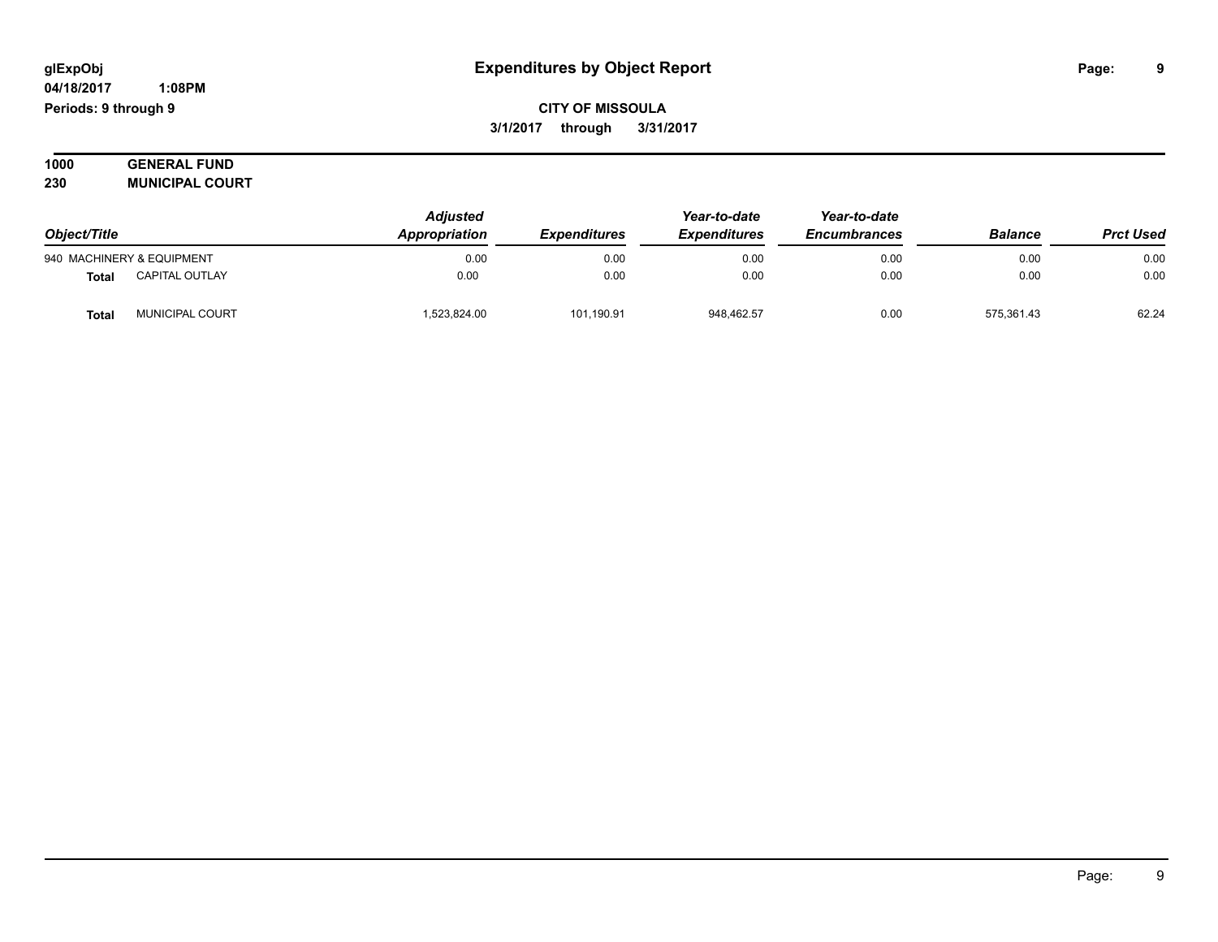#### **04/18/2017 1:08PM Periods: 9 through 9**

**CITY OF MISSOULA 3/1/2017 through 3/31/2017**

**1000 GENERAL FUND 230 MUNICIPAL COURT**

| Object/Title |                           | <b>Adjusted</b> | Year-to-date        | Year-to-date        |                     |                |                  |
|--------------|---------------------------|-----------------|---------------------|---------------------|---------------------|----------------|------------------|
|              |                           | Appropriation   | <b>Expenditures</b> | <b>Expenditures</b> | <b>Encumbrances</b> | <b>Balance</b> | <b>Prct Used</b> |
|              | 940 MACHINERY & EQUIPMENT | 0.00            | 0.00                | 0.00                | 0.00                | 0.00           | 0.00             |
| <b>Total</b> | <b>CAPITAL OUTLAY</b>     | 0.00            | 0.00                | 0.00                | 0.00                | 0.00           | 0.00             |
| <b>Total</b> | MUNICIPAL COURT           | 523,824.00      | 101,190.91          | 948.462.57          | 0.00                | 575,361.43     | 62.24            |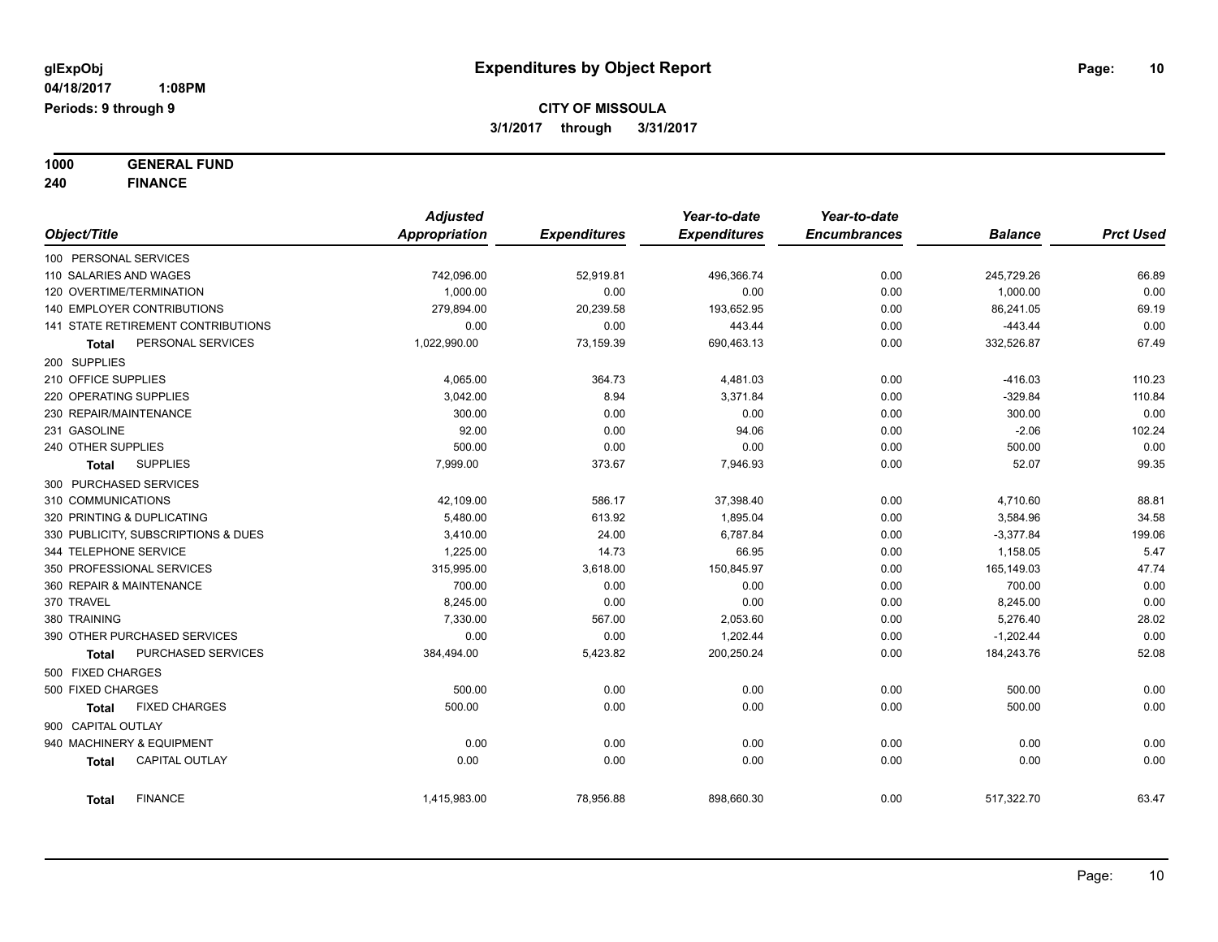**1000 GENERAL FUND 240 FINANCE**

|                            |                                     | <b>Adjusted</b>      |                     | Year-to-date        | Year-to-date        |                |                  |
|----------------------------|-------------------------------------|----------------------|---------------------|---------------------|---------------------|----------------|------------------|
| Object/Title               |                                     | <b>Appropriation</b> | <b>Expenditures</b> | <b>Expenditures</b> | <b>Encumbrances</b> | <b>Balance</b> | <b>Prct Used</b> |
| 100 PERSONAL SERVICES      |                                     |                      |                     |                     |                     |                |                  |
| 110 SALARIES AND WAGES     |                                     | 742,096.00           | 52,919.81           | 496,366.74          | 0.00                | 245,729.26     | 66.89            |
| 120 OVERTIME/TERMINATION   |                                     | 1,000.00             | 0.00                | 0.00                | 0.00                | 1,000.00       | 0.00             |
|                            | <b>140 EMPLOYER CONTRIBUTIONS</b>   | 279,894.00           | 20,239.58           | 193,652.95          | 0.00                | 86,241.05      | 69.19            |
|                            | 141 STATE RETIREMENT CONTRIBUTIONS  | 0.00                 | 0.00                | 443.44              | 0.00                | $-443.44$      | 0.00             |
| Total                      | PERSONAL SERVICES                   | 1,022,990.00         | 73,159.39           | 690,463.13          | 0.00                | 332,526.87     | 67.49            |
| 200 SUPPLIES               |                                     |                      |                     |                     |                     |                |                  |
| 210 OFFICE SUPPLIES        |                                     | 4,065.00             | 364.73              | 4,481.03            | 0.00                | $-416.03$      | 110.23           |
| 220 OPERATING SUPPLIES     |                                     | 3,042.00             | 8.94                | 3,371.84            | 0.00                | $-329.84$      | 110.84           |
| 230 REPAIR/MAINTENANCE     |                                     | 300.00               | 0.00                | 0.00                | 0.00                | 300.00         | 0.00             |
| 231 GASOLINE               |                                     | 92.00                | 0.00                | 94.06               | 0.00                | $-2.06$        | 102.24           |
| 240 OTHER SUPPLIES         |                                     | 500.00               | 0.00                | 0.00                | 0.00                | 500.00         | 0.00             |
| Total                      | <b>SUPPLIES</b>                     | 7,999.00             | 373.67              | 7,946.93            | 0.00                | 52.07          | 99.35            |
| 300 PURCHASED SERVICES     |                                     |                      |                     |                     |                     |                |                  |
| 310 COMMUNICATIONS         |                                     | 42,109.00            | 586.17              | 37,398.40           | 0.00                | 4,710.60       | 88.81            |
| 320 PRINTING & DUPLICATING |                                     | 5,480.00             | 613.92              | 1,895.04            | 0.00                | 3,584.96       | 34.58            |
|                            | 330 PUBLICITY, SUBSCRIPTIONS & DUES | 3,410.00             | 24.00               | 6,787.84            | 0.00                | $-3,377.84$    | 199.06           |
| 344 TELEPHONE SERVICE      |                                     | 1,225.00             | 14.73               | 66.95               | 0.00                | 1,158.05       | 5.47             |
|                            | 350 PROFESSIONAL SERVICES           | 315,995.00           | 3,618.00            | 150,845.97          | 0.00                | 165,149.03     | 47.74            |
| 360 REPAIR & MAINTENANCE   |                                     | 700.00               | 0.00                | 0.00                | 0.00                | 700.00         | 0.00             |
| 370 TRAVEL                 |                                     | 8,245.00             | 0.00                | 0.00                | 0.00                | 8,245.00       | 0.00             |
| 380 TRAINING               |                                     | 7,330.00             | 567.00              | 2,053.60            | 0.00                | 5,276.40       | 28.02            |
|                            | 390 OTHER PURCHASED SERVICES        | 0.00                 | 0.00                | 1,202.44            | 0.00                | $-1,202.44$    | 0.00             |
| Total                      | PURCHASED SERVICES                  | 384,494.00           | 5,423.82            | 200,250.24          | 0.00                | 184,243.76     | 52.08            |
| 500 FIXED CHARGES          |                                     |                      |                     |                     |                     |                |                  |
| 500 FIXED CHARGES          |                                     | 500.00               | 0.00                | 0.00                | 0.00                | 500.00         | 0.00             |
| <b>Total</b>               | <b>FIXED CHARGES</b>                | 500.00               | 0.00                | 0.00                | 0.00                | 500.00         | 0.00             |
| 900 CAPITAL OUTLAY         |                                     |                      |                     |                     |                     |                |                  |
|                            | 940 MACHINERY & EQUIPMENT           | 0.00                 | 0.00                | 0.00                | 0.00                | 0.00           | 0.00             |
| <b>Total</b>               | <b>CAPITAL OUTLAY</b>               | 0.00                 | 0.00                | 0.00                | 0.00                | 0.00           | 0.00             |
| <b>Total</b>               | <b>FINANCE</b>                      | 1,415,983.00         | 78,956.88           | 898,660.30          | 0.00                | 517,322.70     | 63.47            |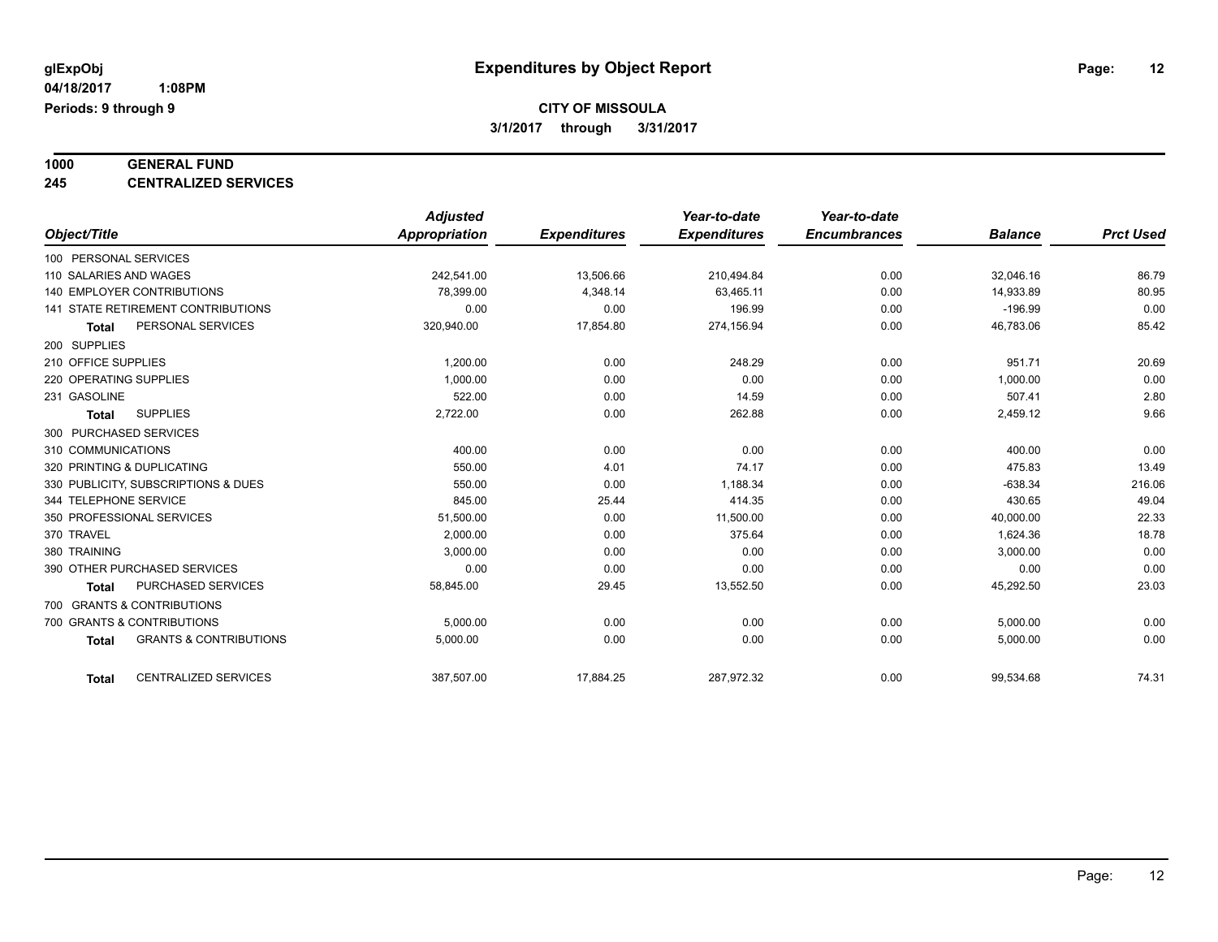# **1000 GENERAL FUND**

**245 CENTRALIZED SERVICES**

|                                                   | <b>Adjusted</b> |                     | Year-to-date        | Year-to-date        |                |                  |
|---------------------------------------------------|-----------------|---------------------|---------------------|---------------------|----------------|------------------|
| Object/Title                                      | Appropriation   | <b>Expenditures</b> | <b>Expenditures</b> | <b>Encumbrances</b> | <b>Balance</b> | <b>Prct Used</b> |
| 100 PERSONAL SERVICES                             |                 |                     |                     |                     |                |                  |
| 110 SALARIES AND WAGES                            | 242.541.00      | 13,506.66           | 210,494.84          | 0.00                | 32,046.16      | 86.79            |
| <b>140 EMPLOYER CONTRIBUTIONS</b>                 | 78,399.00       | 4,348.14            | 63.465.11           | 0.00                | 14,933.89      | 80.95            |
| 141 STATE RETIREMENT CONTRIBUTIONS                | 0.00            | 0.00                | 196.99              | 0.00                | $-196.99$      | 0.00             |
| PERSONAL SERVICES<br><b>Total</b>                 | 320,940.00      | 17,854.80           | 274,156.94          | 0.00                | 46,783.06      | 85.42            |
| 200 SUPPLIES                                      |                 |                     |                     |                     |                |                  |
| 210 OFFICE SUPPLIES                               | 1,200.00        | 0.00                | 248.29              | 0.00                | 951.71         | 20.69            |
| 220 OPERATING SUPPLIES                            | 1,000.00        | 0.00                | 0.00                | 0.00                | 1,000.00       | 0.00             |
| 231 GASOLINE                                      | 522.00          | 0.00                | 14.59               | 0.00                | 507.41         | 2.80             |
| <b>SUPPLIES</b><br><b>Total</b>                   | 2,722.00        | 0.00                | 262.88              | 0.00                | 2,459.12       | 9.66             |
| 300 PURCHASED SERVICES                            |                 |                     |                     |                     |                |                  |
| 310 COMMUNICATIONS                                | 400.00          | 0.00                | 0.00                | 0.00                | 400.00         | 0.00             |
| 320 PRINTING & DUPLICATING                        | 550.00          | 4.01                | 74.17               | 0.00                | 475.83         | 13.49            |
| 330 PUBLICITY, SUBSCRIPTIONS & DUES               | 550.00          | 0.00                | 1,188.34            | 0.00                | $-638.34$      | 216.06           |
| 344 TELEPHONE SERVICE                             | 845.00          | 25.44               | 414.35              | 0.00                | 430.65         | 49.04            |
| 350 PROFESSIONAL SERVICES                         | 51,500.00       | 0.00                | 11,500.00           | 0.00                | 40,000.00      | 22.33            |
| 370 TRAVEL                                        | 2,000.00        | 0.00                | 375.64              | 0.00                | 1,624.36       | 18.78            |
| 380 TRAINING                                      | 3,000.00        | 0.00                | 0.00                | 0.00                | 3,000.00       | 0.00             |
| 390 OTHER PURCHASED SERVICES                      | 0.00            | 0.00                | 0.00                | 0.00                | 0.00           | 0.00             |
| <b>PURCHASED SERVICES</b><br><b>Total</b>         | 58,845.00       | 29.45               | 13,552.50           | 0.00                | 45,292.50      | 23.03            |
| 700 GRANTS & CONTRIBUTIONS                        |                 |                     |                     |                     |                |                  |
| 700 GRANTS & CONTRIBUTIONS                        | 5,000.00        | 0.00                | 0.00                | 0.00                | 5,000.00       | 0.00             |
| <b>GRANTS &amp; CONTRIBUTIONS</b><br><b>Total</b> | 5,000.00        | 0.00                | 0.00                | 0.00                | 5,000.00       | 0.00             |
| <b>CENTRALIZED SERVICES</b><br><b>Total</b>       | 387,507.00      | 17,884.25           | 287,972.32          | 0.00                | 99,534.68      | 74.31            |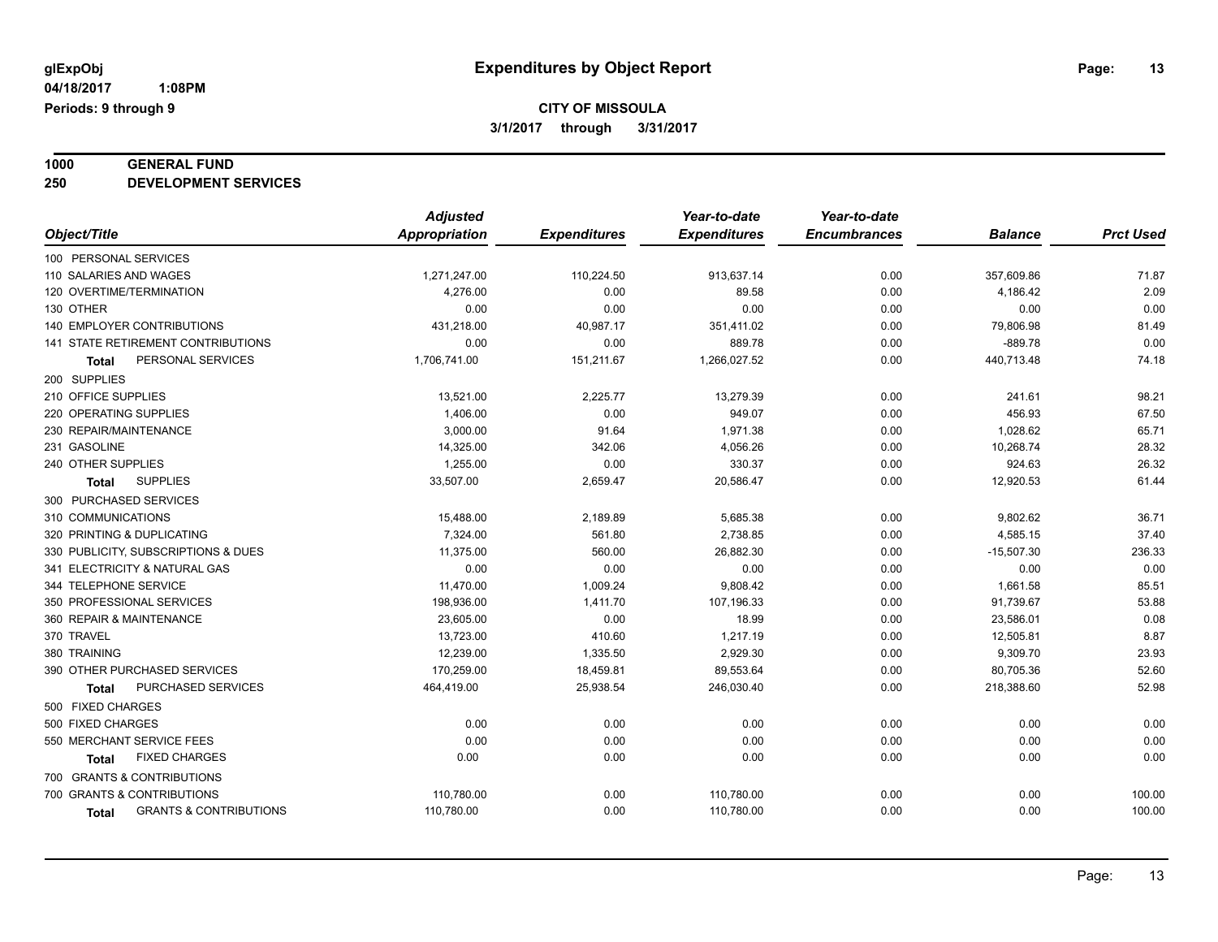# **1000 GENERAL FUND**

**250 DEVELOPMENT SERVICES**

|                                            | <b>Adjusted</b> |                     | Year-to-date        | Year-to-date        |                |                  |
|--------------------------------------------|-----------------|---------------------|---------------------|---------------------|----------------|------------------|
| Object/Title                               | Appropriation   | <b>Expenditures</b> | <b>Expenditures</b> | <b>Encumbrances</b> | <b>Balance</b> | <b>Prct Used</b> |
| 100 PERSONAL SERVICES                      |                 |                     |                     |                     |                |                  |
| 110 SALARIES AND WAGES                     | 1,271,247.00    | 110,224.50          | 913,637.14          | 0.00                | 357,609.86     | 71.87            |
| 120 OVERTIME/TERMINATION                   | 4,276.00        | 0.00                | 89.58               | 0.00                | 4,186.42       | 2.09             |
| 130 OTHER                                  | 0.00            | 0.00                | 0.00                | 0.00                | 0.00           | 0.00             |
| <b>140 EMPLOYER CONTRIBUTIONS</b>          | 431,218.00      | 40,987.17           | 351,411.02          | 0.00                | 79,806.98      | 81.49            |
| 141 STATE RETIREMENT CONTRIBUTIONS         | 0.00            | 0.00                | 889.78              | 0.00                | $-889.78$      | 0.00             |
| PERSONAL SERVICES<br>Total                 | 1,706,741.00    | 151,211.67          | 1,266,027.52        | 0.00                | 440,713.48     | 74.18            |
| 200 SUPPLIES                               |                 |                     |                     |                     |                |                  |
| 210 OFFICE SUPPLIES                        | 13,521.00       | 2,225.77            | 13,279.39           | 0.00                | 241.61         | 98.21            |
| 220 OPERATING SUPPLIES                     | 1,406.00        | 0.00                | 949.07              | 0.00                | 456.93         | 67.50            |
| 230 REPAIR/MAINTENANCE                     | 3,000.00        | 91.64               | 1,971.38            | 0.00                | 1,028.62       | 65.71            |
| 231 GASOLINE                               | 14,325.00       | 342.06              | 4,056.26            | 0.00                | 10,268.74      | 28.32            |
| 240 OTHER SUPPLIES                         | 1,255.00        | 0.00                | 330.37              | 0.00                | 924.63         | 26.32            |
| <b>SUPPLIES</b><br><b>Total</b>            | 33,507.00       | 2,659.47            | 20,586.47           | 0.00                | 12,920.53      | 61.44            |
| 300 PURCHASED SERVICES                     |                 |                     |                     |                     |                |                  |
| 310 COMMUNICATIONS                         | 15,488.00       | 2,189.89            | 5,685.38            | 0.00                | 9,802.62       | 36.71            |
| 320 PRINTING & DUPLICATING                 | 7,324.00        | 561.80              | 2,738.85            | 0.00                | 4,585.15       | 37.40            |
| 330 PUBLICITY, SUBSCRIPTIONS & DUES        | 11.375.00       | 560.00              | 26,882.30           | 0.00                | $-15,507.30$   | 236.33           |
| 341 ELECTRICITY & NATURAL GAS              | 0.00            | 0.00                | 0.00                | 0.00                | 0.00           | 0.00             |
| 344 TELEPHONE SERVICE                      | 11,470.00       | 1,009.24            | 9,808.42            | 0.00                | 1,661.58       | 85.51            |
| 350 PROFESSIONAL SERVICES                  | 198,936.00      | 1,411.70            | 107,196.33          | 0.00                | 91,739.67      | 53.88            |
| 360 REPAIR & MAINTENANCE                   | 23,605.00       | 0.00                | 18.99               | 0.00                | 23,586.01      | 0.08             |
| 370 TRAVEL                                 | 13,723.00       | 410.60              | 1,217.19            | 0.00                | 12,505.81      | 8.87             |
| 380 TRAINING                               | 12,239.00       | 1,335.50            | 2,929.30            | 0.00                | 9,309.70       | 23.93            |
| 390 OTHER PURCHASED SERVICES               | 170,259.00      | 18,459.81           | 89,553.64           | 0.00                | 80,705.36      | 52.60            |
| PURCHASED SERVICES<br><b>Total</b>         | 464,419.00      | 25,938.54           | 246,030.40          | 0.00                | 218,388.60     | 52.98            |
| 500 FIXED CHARGES                          |                 |                     |                     |                     |                |                  |
| 500 FIXED CHARGES                          | 0.00            | 0.00                | 0.00                | 0.00                | 0.00           | 0.00             |
| 550 MERCHANT SERVICE FEES                  | 0.00            | 0.00                | 0.00                | 0.00                | 0.00           | 0.00             |
| <b>FIXED CHARGES</b><br>Total              | 0.00            | 0.00                | 0.00                | 0.00                | 0.00           | 0.00             |
| 700 GRANTS & CONTRIBUTIONS                 |                 |                     |                     |                     |                |                  |
| 700 GRANTS & CONTRIBUTIONS                 | 110,780.00      | 0.00                | 110,780.00          | 0.00                | 0.00           | 100.00           |
| <b>GRANTS &amp; CONTRIBUTIONS</b><br>Total | 110,780.00      | 0.00                | 110,780.00          | 0.00                | 0.00           | 100.00           |
|                                            |                 |                     |                     |                     |                |                  |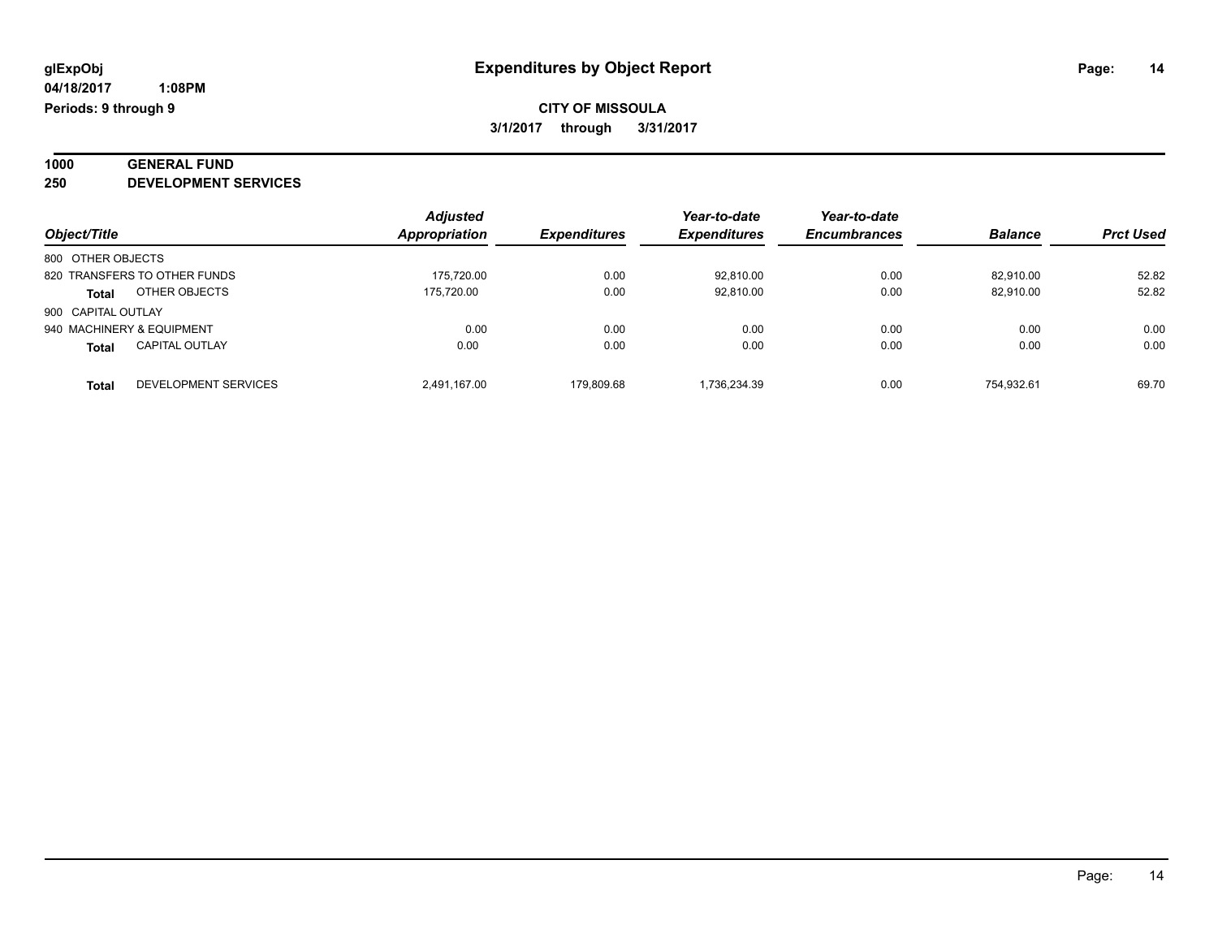#### **1000 GENERAL FUND 250 DEVELOPMENT SERVICES**

|                                       | <b>Adjusted</b>      |                     | Year-to-date        | Year-to-date        |                |                  |
|---------------------------------------|----------------------|---------------------|---------------------|---------------------|----------------|------------------|
| Object/Title                          | <b>Appropriation</b> | <b>Expenditures</b> | <b>Expenditures</b> | <b>Encumbrances</b> | <b>Balance</b> | <b>Prct Used</b> |
| 800 OTHER OBJECTS                     |                      |                     |                     |                     |                |                  |
| 820 TRANSFERS TO OTHER FUNDS          | 175.720.00           | 0.00                | 92,810.00           | 0.00                | 82.910.00      | 52.82            |
| OTHER OBJECTS<br><b>Total</b>         | 175.720.00           | 0.00                | 92.810.00           | 0.00                | 82.910.00      | 52.82            |
| 900 CAPITAL OUTLAY                    |                      |                     |                     |                     |                |                  |
| 940 MACHINERY & EQUIPMENT             | 0.00                 | 0.00                | 0.00                | 0.00                | 0.00           | 0.00             |
| <b>CAPITAL OUTLAY</b><br><b>Total</b> | 0.00                 | 0.00                | 0.00                | 0.00                | 0.00           | 0.00             |
| DEVELOPMENT SERVICES<br><b>Total</b>  | 2.491.167.00         | 179.809.68          | 1.736.234.39        | 0.00                | 754.932.61     | 69.70            |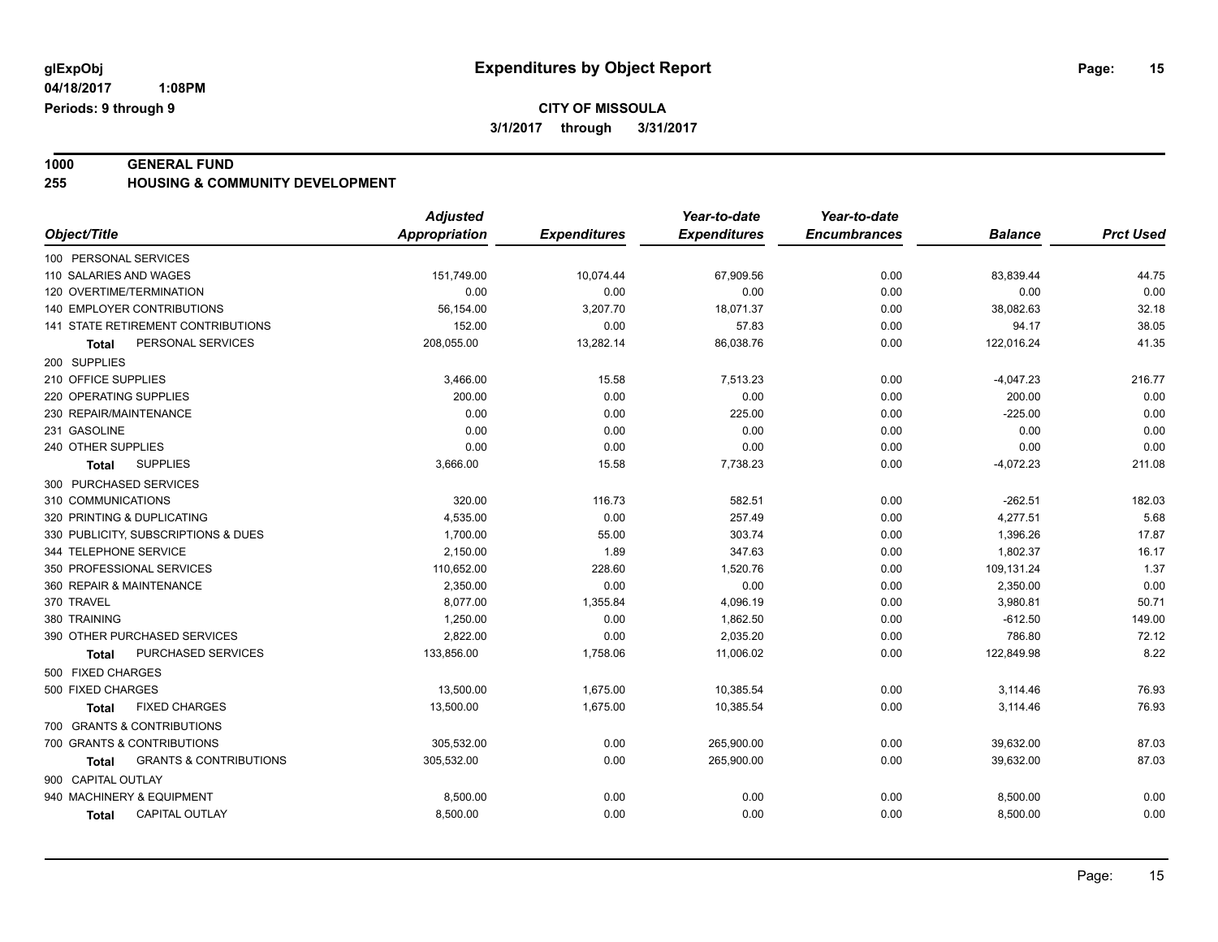**1000 GENERAL FUND 255 HOUSING & COMMUNITY DEVELOPMENT**

|                                            | <b>Adjusted</b> |                     | Year-to-date        | Year-to-date        |                |                  |
|--------------------------------------------|-----------------|---------------------|---------------------|---------------------|----------------|------------------|
| Object/Title                               | Appropriation   | <b>Expenditures</b> | <b>Expenditures</b> | <b>Encumbrances</b> | <b>Balance</b> | <b>Prct Used</b> |
| 100 PERSONAL SERVICES                      |                 |                     |                     |                     |                |                  |
| 110 SALARIES AND WAGES                     | 151,749.00      | 10,074.44           | 67,909.56           | 0.00                | 83,839.44      | 44.75            |
| 120 OVERTIME/TERMINATION                   | 0.00            | 0.00                | 0.00                | 0.00                | 0.00           | 0.00             |
| 140 EMPLOYER CONTRIBUTIONS                 | 56,154.00       | 3,207.70            | 18,071.37           | 0.00                | 38,082.63      | 32.18            |
| 141 STATE RETIREMENT CONTRIBUTIONS         | 152.00          | 0.00                | 57.83               | 0.00                | 94.17          | 38.05            |
| PERSONAL SERVICES<br><b>Total</b>          | 208,055.00      | 13,282.14           | 86,038.76           | 0.00                | 122,016.24     | 41.35            |
| 200 SUPPLIES                               |                 |                     |                     |                     |                |                  |
| 210 OFFICE SUPPLIES                        | 3,466.00        | 15.58               | 7,513.23            | 0.00                | $-4,047.23$    | 216.77           |
| 220 OPERATING SUPPLIES                     | 200.00          | 0.00                | 0.00                | 0.00                | 200.00         | 0.00             |
| 230 REPAIR/MAINTENANCE                     | 0.00            | 0.00                | 225.00              | 0.00                | $-225.00$      | 0.00             |
| 231 GASOLINE                               | 0.00            | 0.00                | 0.00                | 0.00                | 0.00           | 0.00             |
| 240 OTHER SUPPLIES                         | 0.00            | 0.00                | 0.00                | 0.00                | 0.00           | 0.00             |
| <b>SUPPLIES</b><br><b>Total</b>            | 3,666.00        | 15.58               | 7,738.23            | 0.00                | $-4,072.23$    | 211.08           |
| 300 PURCHASED SERVICES                     |                 |                     |                     |                     |                |                  |
| 310 COMMUNICATIONS                         | 320.00          | 116.73              | 582.51              | 0.00                | $-262.51$      | 182.03           |
| 320 PRINTING & DUPLICATING                 | 4,535.00        | 0.00                | 257.49              | 0.00                | 4,277.51       | 5.68             |
| 330 PUBLICITY, SUBSCRIPTIONS & DUES        | 1,700.00        | 55.00               | 303.74              | 0.00                | 1,396.26       | 17.87            |
| 344 TELEPHONE SERVICE                      | 2,150.00        | 1.89                | 347.63              | 0.00                | 1,802.37       | 16.17            |
| 350 PROFESSIONAL SERVICES                  | 110,652.00      | 228.60              | 1,520.76            | 0.00                | 109,131.24     | 1.37             |
| 360 REPAIR & MAINTENANCE                   | 2,350.00        | 0.00                | 0.00                | 0.00                | 2,350.00       | 0.00             |
| 370 TRAVEL                                 | 8.077.00        | 1.355.84            | 4,096.19            | 0.00                | 3,980.81       | 50.71            |
| 380 TRAINING                               | 1,250.00        | 0.00                | 1,862.50            | 0.00                | $-612.50$      | 149.00           |
| 390 OTHER PURCHASED SERVICES               | 2,822.00        | 0.00                | 2,035.20            | 0.00                | 786.80         | 72.12            |
| PURCHASED SERVICES<br><b>Total</b>         | 133,856.00      | 1,758.06            | 11,006.02           | 0.00                | 122,849.98     | 8.22             |
| 500 FIXED CHARGES                          |                 |                     |                     |                     |                |                  |
| 500 FIXED CHARGES                          | 13,500.00       | 1,675.00            | 10,385.54           | 0.00                | 3,114.46       | 76.93            |
| <b>FIXED CHARGES</b><br><b>Total</b>       | 13,500.00       | 1,675.00            | 10,385.54           | 0.00                | 3,114.46       | 76.93            |
| 700 GRANTS & CONTRIBUTIONS                 |                 |                     |                     |                     |                |                  |
| 700 GRANTS & CONTRIBUTIONS                 | 305,532.00      | 0.00                | 265,900.00          | 0.00                | 39,632.00      | 87.03            |
| <b>GRANTS &amp; CONTRIBUTIONS</b><br>Total | 305,532.00      | 0.00                | 265,900.00          | 0.00                | 39,632.00      | 87.03            |
| 900 CAPITAL OUTLAY                         |                 |                     |                     |                     |                |                  |
| 940 MACHINERY & EQUIPMENT                  | 8,500.00        | 0.00                | 0.00                | 0.00                | 8,500.00       | 0.00             |
| <b>CAPITAL OUTLAY</b><br><b>Total</b>      | 8,500.00        | 0.00                | 0.00                | 0.00                | 8,500.00       | 0.00             |
|                                            |                 |                     |                     |                     |                |                  |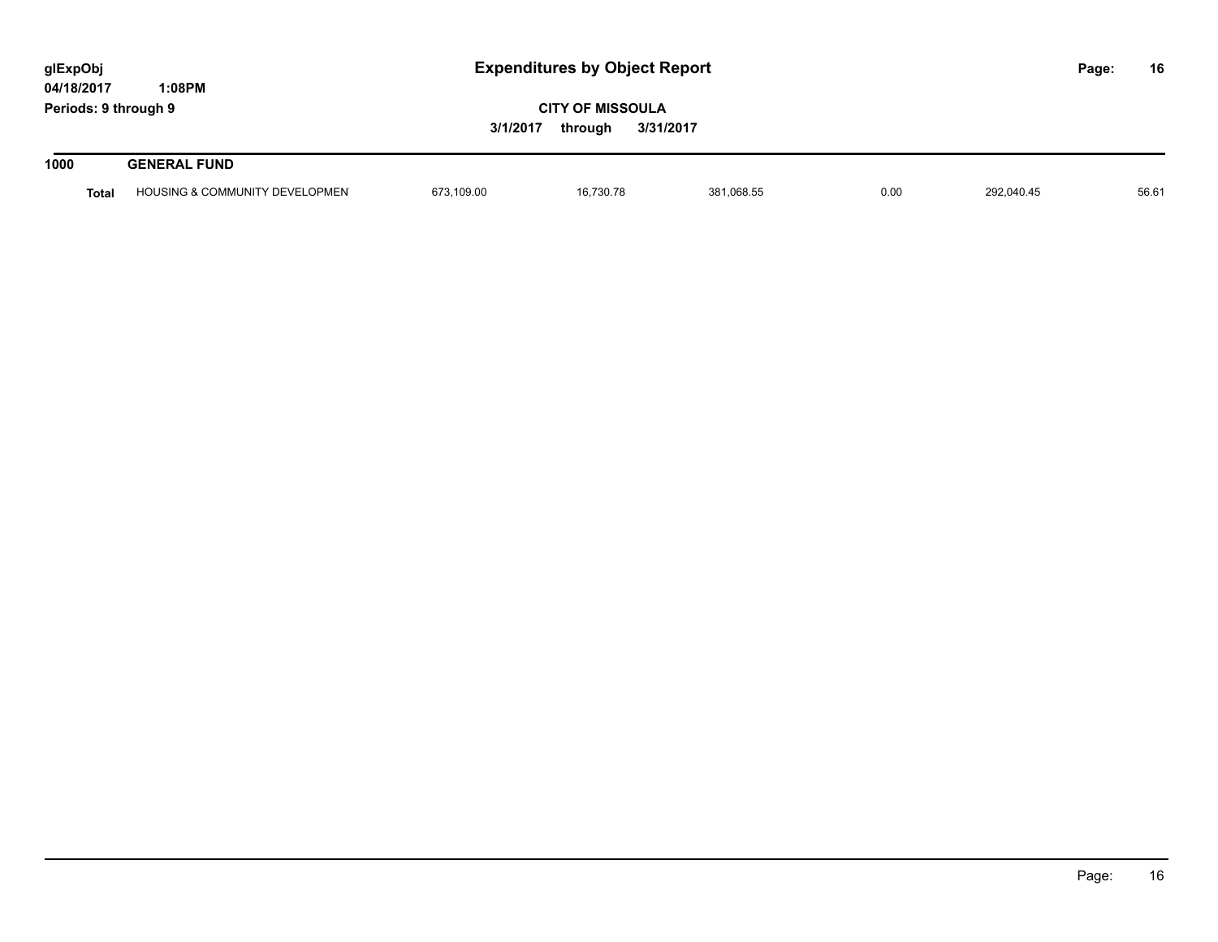| glExpObj<br>04/18/2017<br>1:08PM |              |                                           | <b>Expenditures by Object Report</b>                        |           |            |      |            |  | 16    |
|----------------------------------|--------------|-------------------------------------------|-------------------------------------------------------------|-----------|------------|------|------------|--|-------|
| Periods: 9 through 9             |              |                                           | <b>CITY OF MISSOULA</b><br>3/1/2017<br>3/31/2017<br>through |           |            |      |            |  |       |
| 1000                             |              | <b>GENERAL FUND</b>                       |                                                             |           |            |      |            |  |       |
|                                  | <b>Total</b> | <b>HOUSING &amp; COMMUNITY DEVELOPMEN</b> | 673.109.00                                                  | 16.730.78 | 381.068.55 | 0.00 | 292.040.45 |  | 56.61 |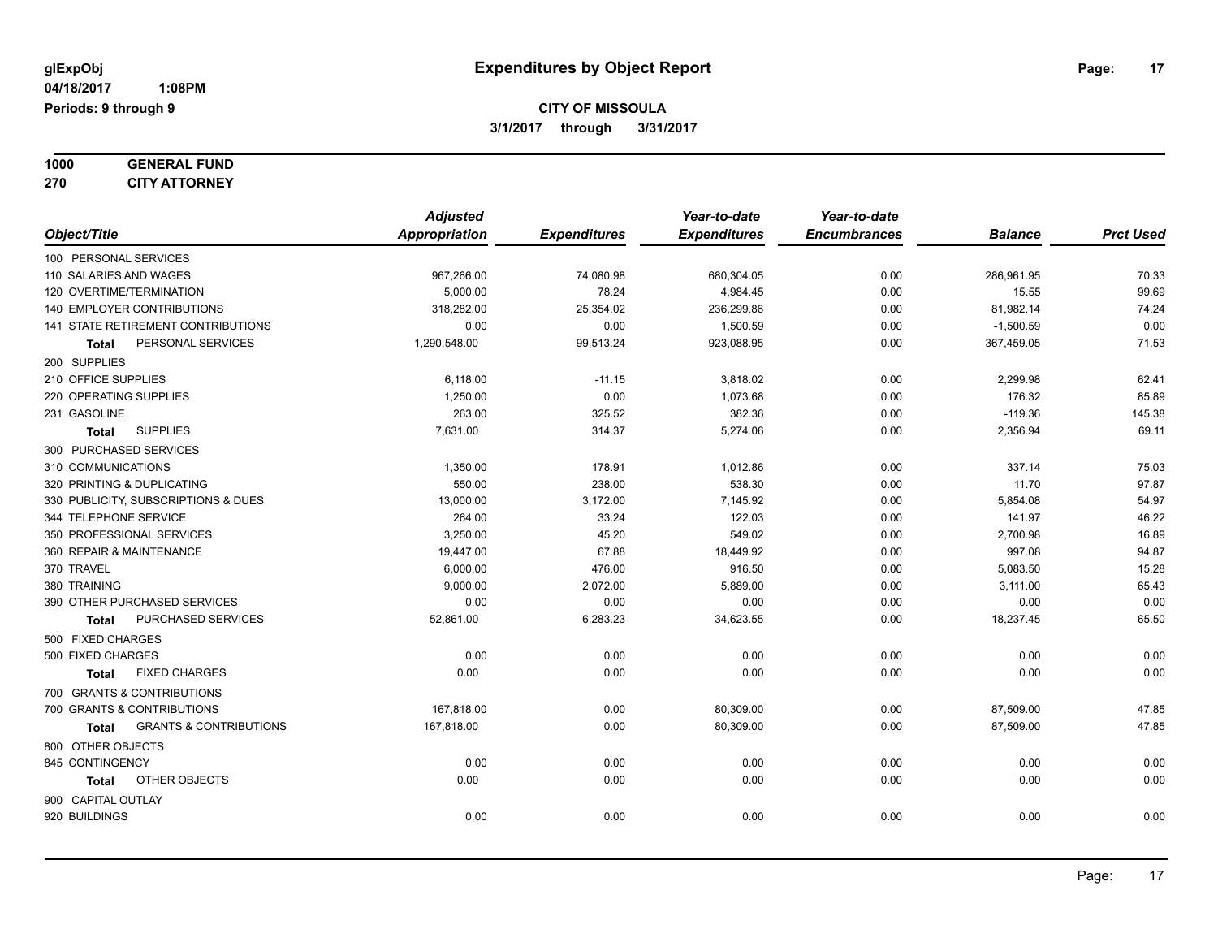| 1000 | <b>GENERAL FUND</b>  |
|------|----------------------|
| 270  | <b>CITY ATTORNEY</b> |

|                                            | <b>Adjusted</b>      |                     | Year-to-date        | Year-to-date        |                |                  |
|--------------------------------------------|----------------------|---------------------|---------------------|---------------------|----------------|------------------|
| Object/Title                               | <b>Appropriation</b> | <b>Expenditures</b> | <b>Expenditures</b> | <b>Encumbrances</b> | <b>Balance</b> | <b>Prct Used</b> |
| 100 PERSONAL SERVICES                      |                      |                     |                     |                     |                |                  |
| 110 SALARIES AND WAGES                     | 967,266.00           | 74,080.98           | 680,304.05          | 0.00                | 286,961.95     | 70.33            |
| 120 OVERTIME/TERMINATION                   | 5,000.00             | 78.24               | 4,984.45            | 0.00                | 15.55          | 99.69            |
| 140 EMPLOYER CONTRIBUTIONS                 | 318,282.00           | 25,354.02           | 236,299.86          | 0.00                | 81,982.14      | 74.24            |
| 141 STATE RETIREMENT CONTRIBUTIONS         | 0.00                 | 0.00                | 1,500.59            | 0.00                | $-1,500.59$    | 0.00             |
| PERSONAL SERVICES<br><b>Total</b>          | 1,290,548.00         | 99,513.24           | 923,088.95          | 0.00                | 367,459.05     | 71.53            |
| 200 SUPPLIES                               |                      |                     |                     |                     |                |                  |
| 210 OFFICE SUPPLIES                        | 6,118.00             | $-11.15$            | 3,818.02            | 0.00                | 2,299.98       | 62.41            |
| 220 OPERATING SUPPLIES                     | 1,250.00             | 0.00                | 1,073.68            | 0.00                | 176.32         | 85.89            |
| 231 GASOLINE                               | 263.00               | 325.52              | 382.36              | 0.00                | $-119.36$      | 145.38           |
| <b>SUPPLIES</b><br>Total                   | 7,631.00             | 314.37              | 5,274.06            | 0.00                | 2,356.94       | 69.11            |
| 300 PURCHASED SERVICES                     |                      |                     |                     |                     |                |                  |
| 310 COMMUNICATIONS                         | 1,350.00             | 178.91              | 1,012.86            | 0.00                | 337.14         | 75.03            |
| 320 PRINTING & DUPLICATING                 | 550.00               | 238.00              | 538.30              | 0.00                | 11.70          | 97.87            |
| 330 PUBLICITY, SUBSCRIPTIONS & DUES        | 13,000.00            | 3,172.00            | 7,145.92            | 0.00                | 5,854.08       | 54.97            |
| 344 TELEPHONE SERVICE                      | 264.00               | 33.24               | 122.03              | 0.00                | 141.97         | 46.22            |
| 350 PROFESSIONAL SERVICES                  | 3,250.00             | 45.20               | 549.02              | 0.00                | 2,700.98       | 16.89            |
| 360 REPAIR & MAINTENANCE                   | 19,447.00            | 67.88               | 18,449.92           | 0.00                | 997.08         | 94.87            |
| 370 TRAVEL                                 | 6,000.00             | 476.00              | 916.50              | 0.00                | 5,083.50       | 15.28            |
| 380 TRAINING                               | 9,000.00             | 2,072.00            | 5,889.00            | 0.00                | 3,111.00       | 65.43            |
| 390 OTHER PURCHASED SERVICES               | 0.00                 | 0.00                | 0.00                | 0.00                | 0.00           | 0.00             |
| PURCHASED SERVICES<br>Total                | 52,861.00            | 6,283.23            | 34,623.55           | 0.00                | 18,237.45      | 65.50            |
| 500 FIXED CHARGES                          |                      |                     |                     |                     |                |                  |
| 500 FIXED CHARGES                          | 0.00                 | 0.00                | 0.00                | 0.00                | 0.00           | 0.00             |
| <b>FIXED CHARGES</b><br><b>Total</b>       | 0.00                 | 0.00                | 0.00                | 0.00                | 0.00           | 0.00             |
| 700 GRANTS & CONTRIBUTIONS                 |                      |                     |                     |                     |                |                  |
| 700 GRANTS & CONTRIBUTIONS                 | 167,818.00           | 0.00                | 80,309.00           | 0.00                | 87,509.00      | 47.85            |
| <b>GRANTS &amp; CONTRIBUTIONS</b><br>Total | 167,818.00           | 0.00                | 80,309.00           | 0.00                | 87,509.00      | 47.85            |
| 800 OTHER OBJECTS                          |                      |                     |                     |                     |                |                  |
| 845 CONTINGENCY                            | 0.00                 | 0.00                | 0.00                | 0.00                | 0.00           | 0.00             |
| OTHER OBJECTS<br>Total                     | 0.00                 | 0.00                | 0.00                | 0.00                | 0.00           | 0.00             |
| 900 CAPITAL OUTLAY                         |                      |                     |                     |                     |                |                  |
| 920 BUILDINGS                              | 0.00                 | 0.00                | 0.00                | 0.00                | 0.00           | 0.00             |
|                                            |                      |                     |                     |                     |                |                  |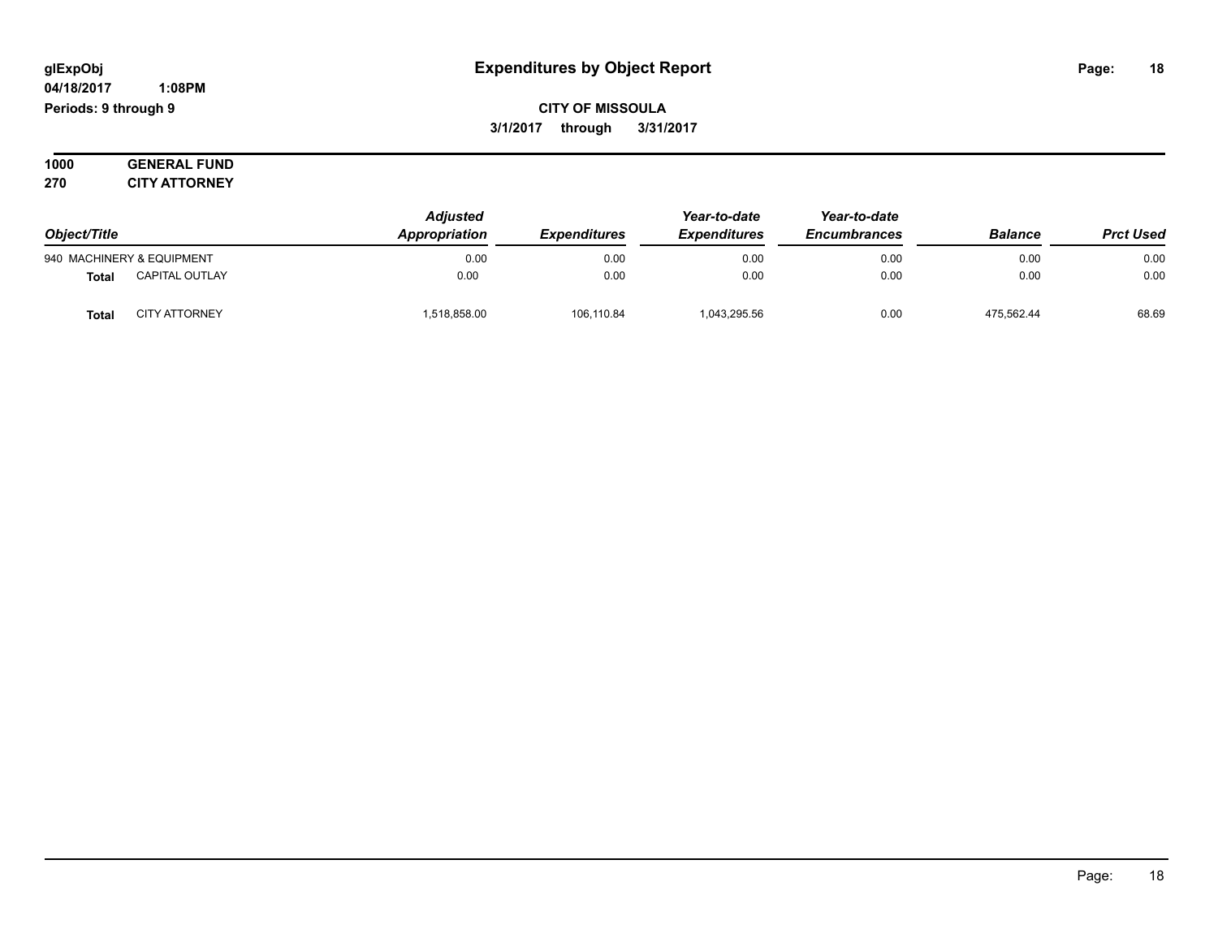#### **04/18/2017 1:08PM Periods: 9 through 9**

**CITY OF MISSOULA 3/1/2017 through 3/31/2017**

**1000 GENERAL FUND 270 CITY ATTORNEY**

| Object/Title                          | <b>Adjusted</b><br>Appropriation | <b>Expenditures</b> | Year-to-date<br><b>Expenditures</b> | Year-to-date<br><b>Encumbrances</b> | <b>Balance</b> | <b>Prct Used</b> |
|---------------------------------------|----------------------------------|---------------------|-------------------------------------|-------------------------------------|----------------|------------------|
| 940 MACHINERY & EQUIPMENT             | 0.00                             | 0.00                | 0.00                                | 0.00                                | 0.00           | 0.00             |
| <b>CAPITAL OUTLAY</b><br><b>Total</b> | 0.00                             | 0.00                | 0.00                                | 0.00                                | 0.00           | 0.00             |
| <b>CITY ATTORNEY</b><br>Total         | 1,518,858.00                     | 106,110.84          | 1,043,295.56                        | 0.00                                | 475.562.44     | 68.69            |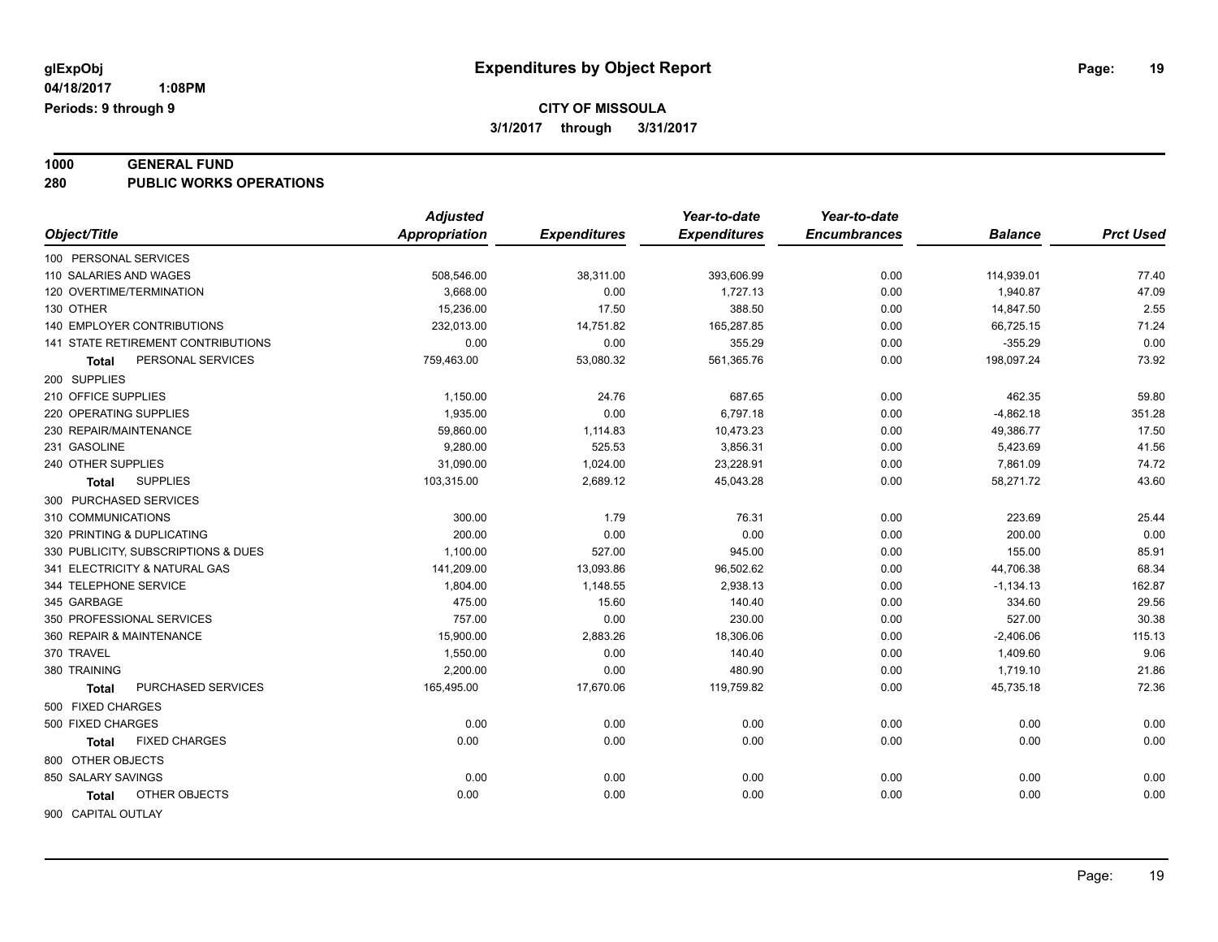# **1000 GENERAL FUND**

**280 PUBLIC WORKS OPERATIONS**

| <b>Expenditures</b><br>Object/Title<br><b>Appropriation</b><br><b>Expenditures</b><br><b>Encumbrances</b><br><b>Balance</b><br>100 PERSONAL SERVICES<br>110 SALARIES AND WAGES<br>508,546.00<br>38,311.00<br>393,606.99<br>0.00<br>114,939.01<br>120 OVERTIME/TERMINATION<br>3,668.00<br>1,727.13<br>0.00<br>0.00<br>1,940.87<br>130 OTHER<br>15,236.00<br>17.50<br>388.50<br>0.00<br>14,847.50<br>140 EMPLOYER CONTRIBUTIONS<br>232,013.00<br>14,751.82<br>165,287.85<br>0.00<br>66,725.15<br><b>141 STATE RETIREMENT CONTRIBUTIONS</b> | <b>Prct Used</b><br>77.40<br>47.09<br>2.55<br>71.24<br>0.00<br>73.92<br>59.80 |
|------------------------------------------------------------------------------------------------------------------------------------------------------------------------------------------------------------------------------------------------------------------------------------------------------------------------------------------------------------------------------------------------------------------------------------------------------------------------------------------------------------------------------------------|-------------------------------------------------------------------------------|
|                                                                                                                                                                                                                                                                                                                                                                                                                                                                                                                                          |                                                                               |
|                                                                                                                                                                                                                                                                                                                                                                                                                                                                                                                                          |                                                                               |
|                                                                                                                                                                                                                                                                                                                                                                                                                                                                                                                                          |                                                                               |
|                                                                                                                                                                                                                                                                                                                                                                                                                                                                                                                                          |                                                                               |
|                                                                                                                                                                                                                                                                                                                                                                                                                                                                                                                                          |                                                                               |
|                                                                                                                                                                                                                                                                                                                                                                                                                                                                                                                                          |                                                                               |
| 0.00<br>0.00<br>355.29<br>0.00<br>$-355.29$                                                                                                                                                                                                                                                                                                                                                                                                                                                                                              |                                                                               |
| 198,097.24<br>PERSONAL SERVICES<br>759,463.00<br>53,080.32<br>561,365.76<br>0.00<br>Total                                                                                                                                                                                                                                                                                                                                                                                                                                                |                                                                               |
| 200 SUPPLIES                                                                                                                                                                                                                                                                                                                                                                                                                                                                                                                             |                                                                               |
| 210 OFFICE SUPPLIES<br>1,150.00<br>24.76<br>687.65<br>0.00<br>462.35                                                                                                                                                                                                                                                                                                                                                                                                                                                                     |                                                                               |
| 1,935.00<br>0.00<br>6,797.18<br>0.00<br>$-4,862.18$<br>220 OPERATING SUPPLIES                                                                                                                                                                                                                                                                                                                                                                                                                                                            | 351.28                                                                        |
| 59,860.00<br>0.00<br>49,386.77<br>230 REPAIR/MAINTENANCE<br>1,114.83<br>10,473.23                                                                                                                                                                                                                                                                                                                                                                                                                                                        | 17.50                                                                         |
| 231 GASOLINE<br>9,280.00<br>525.53<br>3,856.31<br>5,423.69<br>0.00                                                                                                                                                                                                                                                                                                                                                                                                                                                                       | 41.56                                                                         |
| 240 OTHER SUPPLIES<br>31,090.00<br>1,024.00<br>23,228.91<br>0.00<br>7,861.09                                                                                                                                                                                                                                                                                                                                                                                                                                                             | 74.72                                                                         |
| <b>SUPPLIES</b><br>103,315.00<br>2,689.12<br>45,043.28<br>0.00<br>58,271.72<br>Total                                                                                                                                                                                                                                                                                                                                                                                                                                                     | 43.60                                                                         |
| 300 PURCHASED SERVICES                                                                                                                                                                                                                                                                                                                                                                                                                                                                                                                   |                                                                               |
| 310 COMMUNICATIONS<br>300.00<br>1.79<br>76.31<br>0.00<br>223.69                                                                                                                                                                                                                                                                                                                                                                                                                                                                          | 25.44                                                                         |
| 200.00<br>0.00<br>320 PRINTING & DUPLICATING<br>0.00<br>0.00<br>200.00                                                                                                                                                                                                                                                                                                                                                                                                                                                                   | 0.00                                                                          |
| 330 PUBLICITY, SUBSCRIPTIONS & DUES<br>1,100.00<br>527.00<br>945.00<br>0.00<br>155.00                                                                                                                                                                                                                                                                                                                                                                                                                                                    | 85.91                                                                         |
| 341 ELECTRICITY & NATURAL GAS<br>141,209.00<br>13,093.86<br>96,502.62<br>0.00<br>44,706.38                                                                                                                                                                                                                                                                                                                                                                                                                                               | 68.34                                                                         |
| 344 TELEPHONE SERVICE<br>1,804.00<br>1,148.55<br>2,938.13<br>0.00<br>$-1,134.13$                                                                                                                                                                                                                                                                                                                                                                                                                                                         | 162.87                                                                        |
| 475.00<br>15.60<br>140.40<br>345 GARBAGE<br>0.00<br>334.60                                                                                                                                                                                                                                                                                                                                                                                                                                                                               | 29.56                                                                         |
| 350 PROFESSIONAL SERVICES<br>757.00<br>0.00<br>230.00<br>0.00<br>527.00                                                                                                                                                                                                                                                                                                                                                                                                                                                                  | 30.38                                                                         |
| 15,900.00<br>360 REPAIR & MAINTENANCE<br>2,883.26<br>18,306.06<br>0.00<br>$-2,406.06$                                                                                                                                                                                                                                                                                                                                                                                                                                                    | 115.13                                                                        |
| 370 TRAVEL<br>1,550.00<br>0.00<br>140.40<br>0.00<br>1,409.60                                                                                                                                                                                                                                                                                                                                                                                                                                                                             | 9.06                                                                          |
| 2,200.00<br>0.00<br>380 TRAINING<br>480.90<br>0.00<br>1,719.10                                                                                                                                                                                                                                                                                                                                                                                                                                                                           | 21.86                                                                         |
| PURCHASED SERVICES<br>165,495.00<br>17,670.06<br>119,759.82<br>0.00<br>45,735.18<br><b>Total</b>                                                                                                                                                                                                                                                                                                                                                                                                                                         | 72.36                                                                         |
| 500 FIXED CHARGES                                                                                                                                                                                                                                                                                                                                                                                                                                                                                                                        |                                                                               |
| 0.00<br>0.00<br>0.00<br>500 FIXED CHARGES<br>0.00<br>0.00                                                                                                                                                                                                                                                                                                                                                                                                                                                                                | 0.00                                                                          |
| 0.00<br><b>FIXED CHARGES</b><br>0.00<br>0.00<br>0.00<br>0.00<br>Total                                                                                                                                                                                                                                                                                                                                                                                                                                                                    | 0.00                                                                          |
| 800 OTHER OBJECTS                                                                                                                                                                                                                                                                                                                                                                                                                                                                                                                        |                                                                               |
| 850 SALARY SAVINGS<br>0.00<br>0.00<br>0.00<br>0.00<br>0.00                                                                                                                                                                                                                                                                                                                                                                                                                                                                               | 0.00                                                                          |
| OTHER OBJECTS<br>0.00<br>0.00<br>0.00<br>0.00<br>0.00<br>Total                                                                                                                                                                                                                                                                                                                                                                                                                                                                           | 0.00                                                                          |
| 900 CAPITAL OUTLAY                                                                                                                                                                                                                                                                                                                                                                                                                                                                                                                       |                                                                               |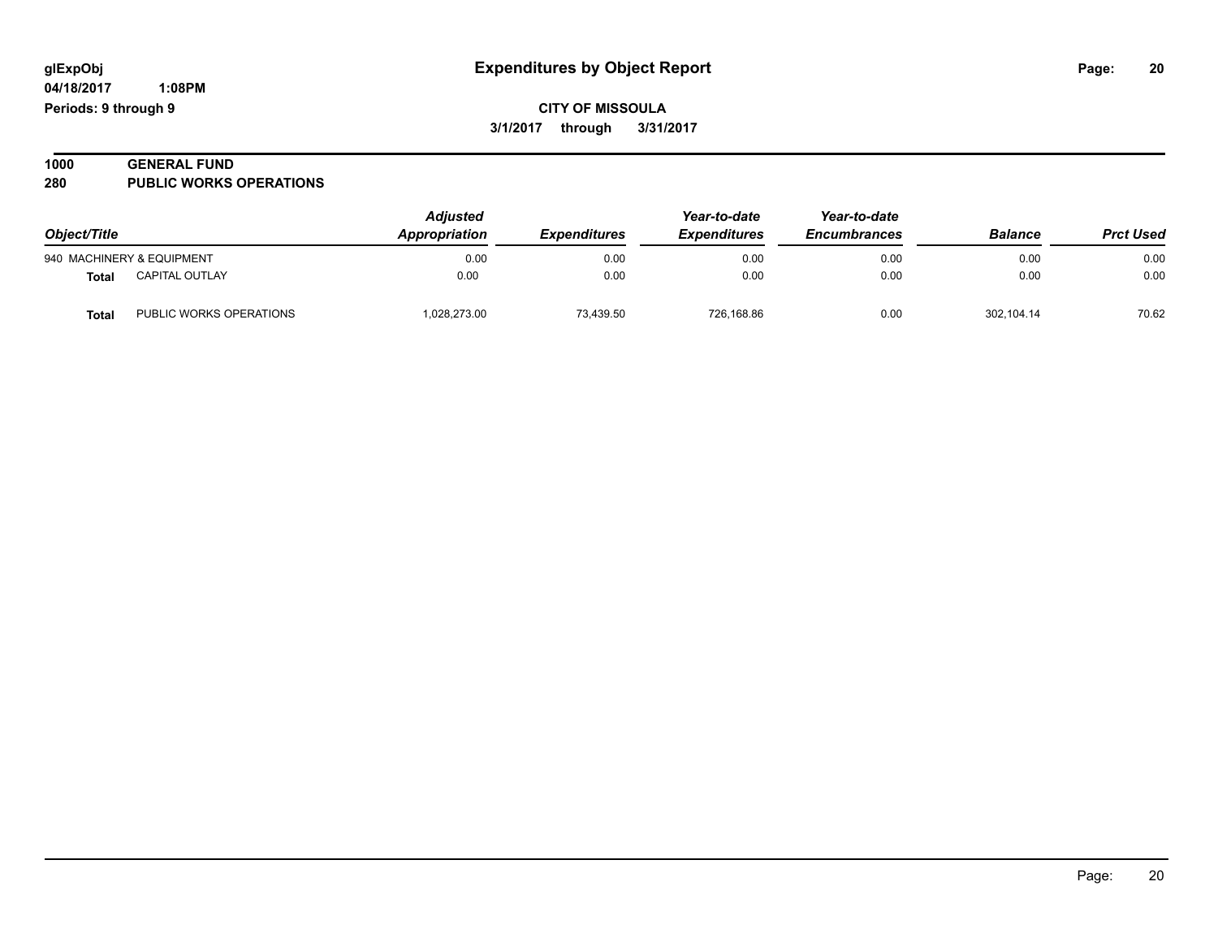**04/18/2017 1:08PM Periods: 9 through 9**

### **CITY OF MISSOULA 3/1/2017 through 3/31/2017**

#### **1000 GENERAL FUND 280 PUBLIC WORKS OPERATIONS**

| Object/Title |                           | <b>Adjusted</b><br>Appropriation<br><b>Expenditures</b> | Year-to-date<br><b>Expenditures</b> | Year-to-date<br><b>Encumbrances</b> | <b>Balance</b> | <b>Prct Used</b> |       |
|--------------|---------------------------|---------------------------------------------------------|-------------------------------------|-------------------------------------|----------------|------------------|-------|
|              | 940 MACHINERY & EQUIPMENT | 0.00                                                    | 0.00                                | 0.00                                | 0.00           | 0.00             | 0.00  |
| <b>Total</b> | <b>CAPITAL OUTLAY</b>     | 0.00                                                    | 0.00                                | 0.00                                | 0.00           | 0.00             | 0.00  |
| <b>Tota</b>  | PUBLIC WORKS OPERATIONS   | 028,273.00                                              | 73.439.50                           | 726.168.86                          | 0.00           | 302.104.14       | 70.62 |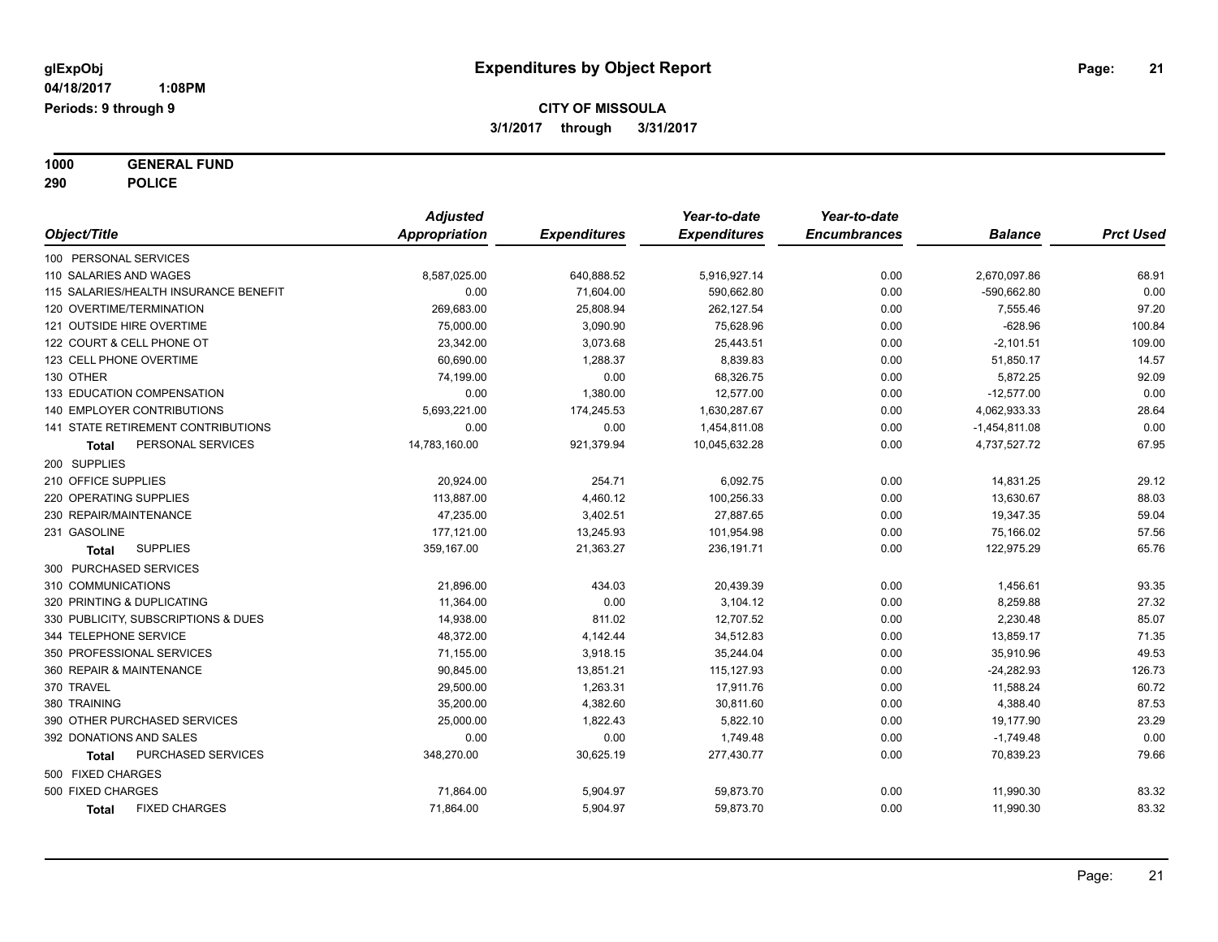**1000 GENERAL FUND 290 POLICE**

|                                       | <b>Adjusted</b> |                     | Year-to-date        | Year-to-date        |                 |                  |
|---------------------------------------|-----------------|---------------------|---------------------|---------------------|-----------------|------------------|
| Object/Title                          | Appropriation   | <b>Expenditures</b> | <b>Expenditures</b> | <b>Encumbrances</b> | <b>Balance</b>  | <b>Prct Used</b> |
| 100 PERSONAL SERVICES                 |                 |                     |                     |                     |                 |                  |
| 110 SALARIES AND WAGES                | 8,587,025.00    | 640,888.52          | 5,916,927.14        | 0.00                | 2,670,097.86    | 68.91            |
| 115 SALARIES/HEALTH INSURANCE BENEFIT | 0.00            | 71,604.00           | 590,662.80          | 0.00                | -590,662.80     | 0.00             |
| 120 OVERTIME/TERMINATION              | 269,683.00      | 25,808.94           | 262,127.54          | 0.00                | 7,555.46        | 97.20            |
| 121 OUTSIDE HIRE OVERTIME             | 75,000.00       | 3,090.90            | 75,628.96           | 0.00                | $-628.96$       | 100.84           |
| 122 COURT & CELL PHONE OT             | 23,342.00       | 3,073.68            | 25,443.51           | 0.00                | $-2,101.51$     | 109.00           |
| 123 CELL PHONE OVERTIME               | 60,690.00       | 1,288.37            | 8,839.83            | 0.00                | 51,850.17       | 14.57            |
| 130 OTHER                             | 74,199.00       | 0.00                | 68,326.75           | 0.00                | 5,872.25        | 92.09            |
| 133 EDUCATION COMPENSATION            | 0.00            | 1,380.00            | 12,577.00           | 0.00                | $-12,577.00$    | 0.00             |
| 140 EMPLOYER CONTRIBUTIONS            | 5,693,221.00    | 174,245.53          | 1,630,287.67        | 0.00                | 4,062,933.33    | 28.64            |
| 141 STATE RETIREMENT CONTRIBUTIONS    | 0.00            | 0.00                | 1,454,811.08        | 0.00                | $-1,454,811.08$ | 0.00             |
| PERSONAL SERVICES<br>Total            | 14,783,160.00   | 921,379.94          | 10,045,632.28       | 0.00                | 4,737,527.72    | 67.95            |
| 200 SUPPLIES                          |                 |                     |                     |                     |                 |                  |
| 210 OFFICE SUPPLIES                   | 20,924.00       | 254.71              | 6,092.75            | 0.00                | 14,831.25       | 29.12            |
| 220 OPERATING SUPPLIES                | 113,887.00      | 4,460.12            | 100,256.33          | 0.00                | 13,630.67       | 88.03            |
| 230 REPAIR/MAINTENANCE                | 47,235.00       | 3,402.51            | 27,887.65           | 0.00                | 19,347.35       | 59.04            |
| 231 GASOLINE                          | 177,121.00      | 13,245.93           | 101,954.98          | 0.00                | 75,166.02       | 57.56            |
| <b>SUPPLIES</b><br>Total              | 359,167.00      | 21,363.27           | 236, 191.71         | 0.00                | 122,975.29      | 65.76            |
| 300 PURCHASED SERVICES                |                 |                     |                     |                     |                 |                  |
| 310 COMMUNICATIONS                    | 21,896.00       | 434.03              | 20,439.39           | 0.00                | 1,456.61        | 93.35            |
| 320 PRINTING & DUPLICATING            | 11,364.00       | 0.00                | 3,104.12            | 0.00                | 8,259.88        | 27.32            |
| 330 PUBLICITY, SUBSCRIPTIONS & DUES   | 14,938.00       | 811.02              | 12,707.52           | 0.00                | 2,230.48        | 85.07            |
| 344 TELEPHONE SERVICE                 | 48,372.00       | 4,142.44            | 34,512.83           | 0.00                | 13,859.17       | 71.35            |
| 350 PROFESSIONAL SERVICES             | 71,155.00       | 3,918.15            | 35,244.04           | 0.00                | 35,910.96       | 49.53            |
| 360 REPAIR & MAINTENANCE              | 90,845.00       | 13,851.21           | 115,127.93          | 0.00                | $-24,282.93$    | 126.73           |
| 370 TRAVEL                            | 29,500.00       | 1,263.31            | 17,911.76           | 0.00                | 11,588.24       | 60.72            |
| 380 TRAINING                          | 35,200.00       | 4,382.60            | 30,811.60           | 0.00                | 4,388.40        | 87.53            |
| 390 OTHER PURCHASED SERVICES          | 25,000.00       | 1,822.43            | 5,822.10            | 0.00                | 19,177.90       | 23.29            |
| 392 DONATIONS AND SALES               | 0.00            | 0.00                | 1,749.48            | 0.00                | $-1,749.48$     | 0.00             |
| PURCHASED SERVICES<br>Total           | 348,270.00      | 30,625.19           | 277,430.77          | 0.00                | 70,839.23       | 79.66            |
| 500 FIXED CHARGES                     |                 |                     |                     |                     |                 |                  |
| 500 FIXED CHARGES                     | 71,864.00       | 5,904.97            | 59,873.70           | 0.00                | 11,990.30       | 83.32            |
| <b>FIXED CHARGES</b><br><b>Total</b>  | 71,864.00       | 5,904.97            | 59,873.70           | 0.00                | 11,990.30       | 83.32            |
|                                       |                 |                     |                     |                     |                 |                  |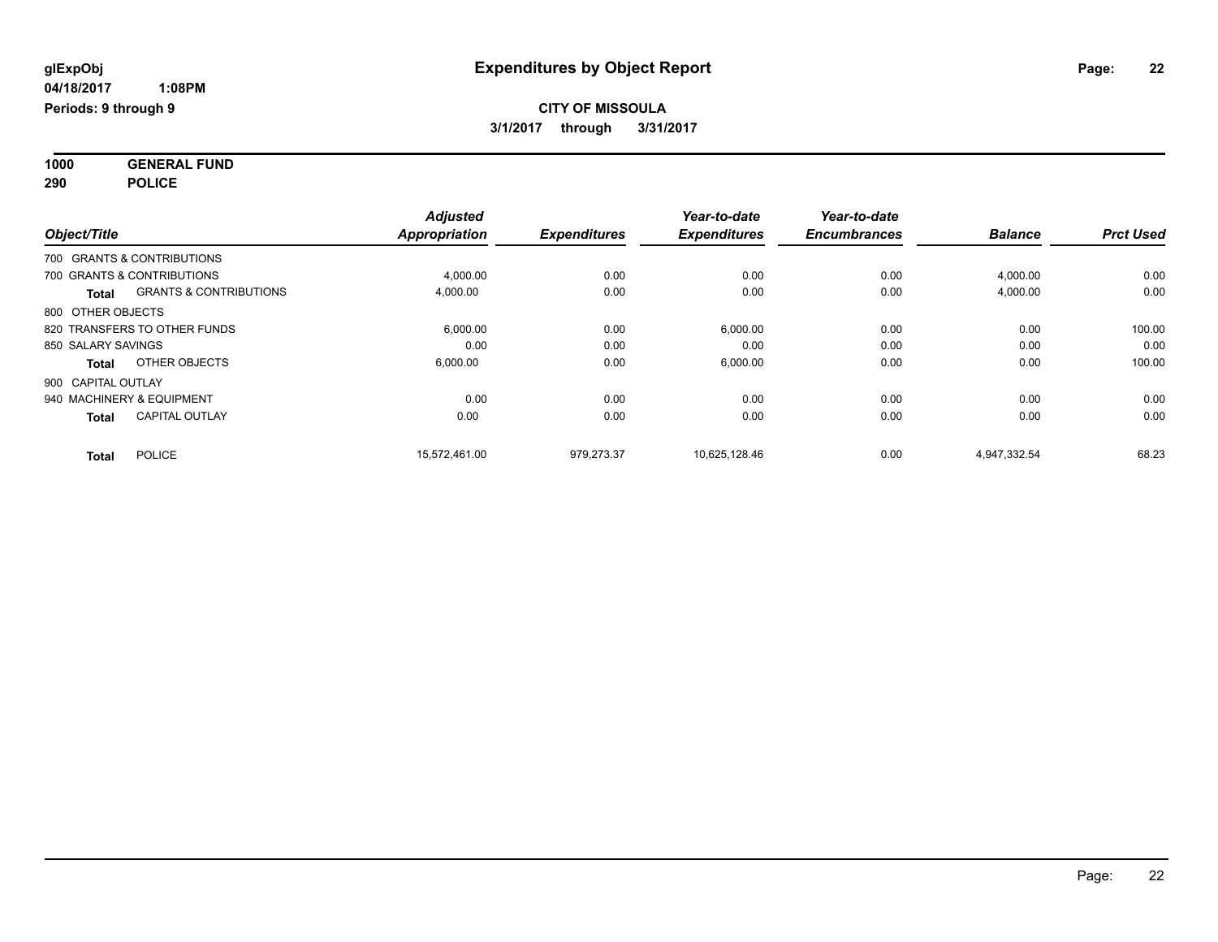**1000 GENERAL FUND 290 POLICE**

|                                       |                                   | <b>Adjusted</b>      |                     | Year-to-date        | Year-to-date        |                |                  |
|---------------------------------------|-----------------------------------|----------------------|---------------------|---------------------|---------------------|----------------|------------------|
| Object/Title                          |                                   | <b>Appropriation</b> | <b>Expenditures</b> | <b>Expenditures</b> | <b>Encumbrances</b> | <b>Balance</b> | <b>Prct Used</b> |
| 700 GRANTS & CONTRIBUTIONS            |                                   |                      |                     |                     |                     |                |                  |
| 700 GRANTS & CONTRIBUTIONS            |                                   | 4,000.00             | 0.00                | 0.00                | 0.00                | 4,000.00       | 0.00             |
| <b>Total</b>                          | <b>GRANTS &amp; CONTRIBUTIONS</b> | 4,000.00             | 0.00                | 0.00                | 0.00                | 4,000.00       | 0.00             |
| 800 OTHER OBJECTS                     |                                   |                      |                     |                     |                     |                |                  |
| 820 TRANSFERS TO OTHER FUNDS          |                                   | 6,000.00             | 0.00                | 6,000.00            | 0.00                | 0.00           | 100.00           |
| 850 SALARY SAVINGS                    |                                   | 0.00                 | 0.00                | 0.00                | 0.00                | 0.00           | 0.00             |
| OTHER OBJECTS<br><b>Total</b>         |                                   | 6,000.00             | 0.00                | 6,000.00            | 0.00                | 0.00           | 100.00           |
| 900 CAPITAL OUTLAY                    |                                   |                      |                     |                     |                     |                |                  |
| 940 MACHINERY & EQUIPMENT             |                                   | 0.00                 | 0.00                | 0.00                | 0.00                | 0.00           | 0.00             |
| <b>CAPITAL OUTLAY</b><br><b>Total</b> |                                   | 0.00                 | 0.00                | 0.00                | 0.00                | 0.00           | 0.00             |
| <b>POLICE</b><br><b>Total</b>         |                                   | 15,572,461.00        | 979,273.37          | 10,625,128.46       | 0.00                | 4,947,332.54   | 68.23            |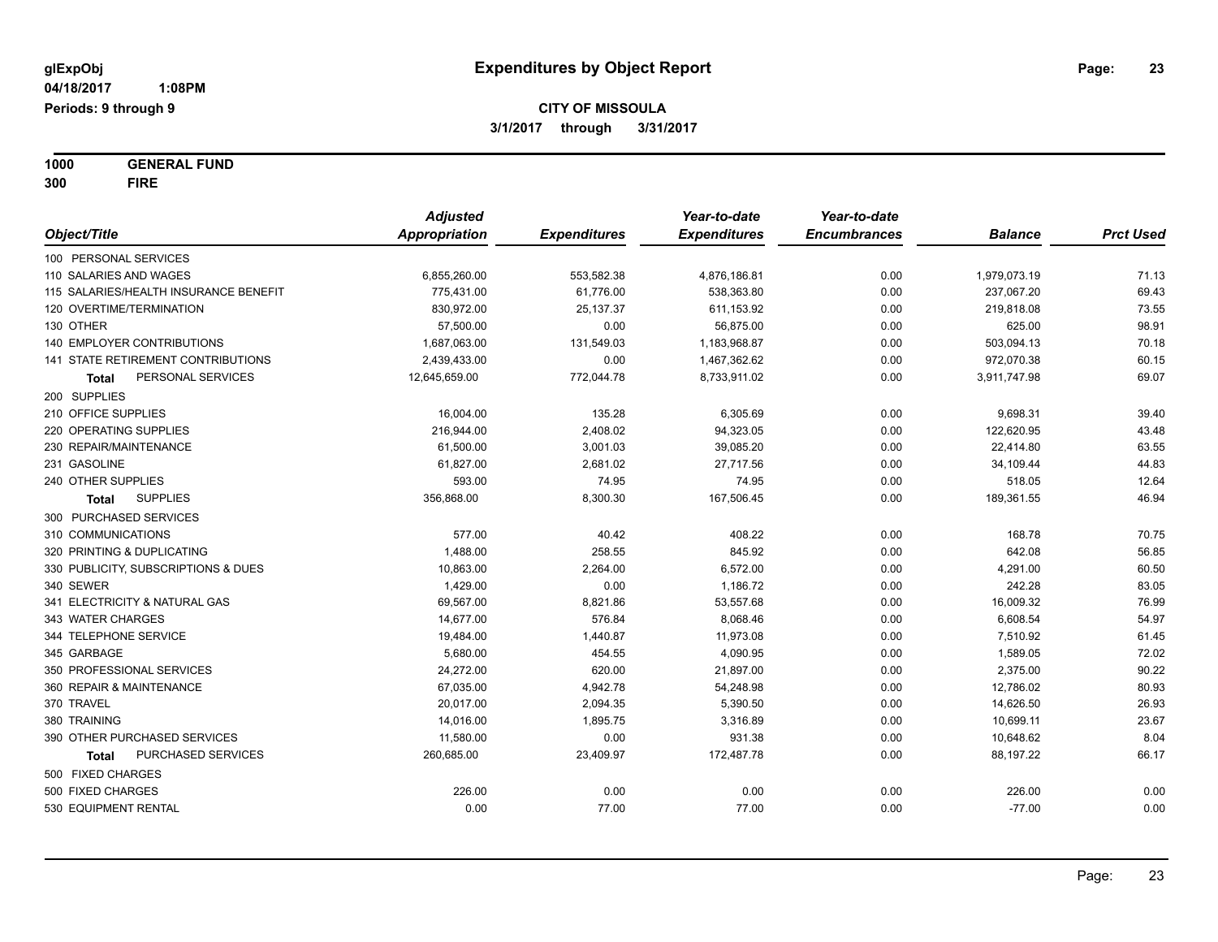**1000 GENERAL FUND 300 FIRE**

|                                       | <b>Adjusted</b> |                     | Year-to-date        | Year-to-date        |                |                  |
|---------------------------------------|-----------------|---------------------|---------------------|---------------------|----------------|------------------|
| Object/Title                          | Appropriation   | <b>Expenditures</b> | <b>Expenditures</b> | <b>Encumbrances</b> | <b>Balance</b> | <b>Prct Used</b> |
| 100 PERSONAL SERVICES                 |                 |                     |                     |                     |                |                  |
| 110 SALARIES AND WAGES                | 6,855,260.00    | 553,582.38          | 4,876,186.81        | 0.00                | 1,979,073.19   | 71.13            |
| 115 SALARIES/HEALTH INSURANCE BENEFIT | 775,431.00      | 61,776.00           | 538,363.80          | 0.00                | 237,067.20     | 69.43            |
| 120 OVERTIME/TERMINATION              | 830,972.00      | 25,137.37           | 611,153.92          | 0.00                | 219,818.08     | 73.55            |
| 130 OTHER                             | 57,500.00       | 0.00                | 56,875.00           | 0.00                | 625.00         | 98.91            |
| <b>140 EMPLOYER CONTRIBUTIONS</b>     | 1,687,063.00    | 131,549.03          | 1,183,968.87        | 0.00                | 503,094.13     | 70.18            |
| 141 STATE RETIREMENT CONTRIBUTIONS    | 2,439,433.00    | 0.00                | 1,467,362.62        | 0.00                | 972,070.38     | 60.15            |
| PERSONAL SERVICES<br>Total            | 12,645,659.00   | 772,044.78          | 8,733,911.02        | 0.00                | 3,911,747.98   | 69.07            |
| 200 SUPPLIES                          |                 |                     |                     |                     |                |                  |
| 210 OFFICE SUPPLIES                   | 16,004.00       | 135.28              | 6,305.69            | 0.00                | 9,698.31       | 39.40            |
| 220 OPERATING SUPPLIES                | 216,944.00      | 2,408.02            | 94,323.05           | 0.00                | 122,620.95     | 43.48            |
| 230 REPAIR/MAINTENANCE                | 61,500.00       | 3,001.03            | 39,085.20           | 0.00                | 22,414.80      | 63.55            |
| 231 GASOLINE                          | 61,827.00       | 2,681.02            | 27,717.56           | 0.00                | 34,109.44      | 44.83            |
| 240 OTHER SUPPLIES                    | 593.00          | 74.95               | 74.95               | 0.00                | 518.05         | 12.64            |
| <b>SUPPLIES</b><br>Total              | 356,868.00      | 8,300.30            | 167,506.45          | 0.00                | 189,361.55     | 46.94            |
| 300 PURCHASED SERVICES                |                 |                     |                     |                     |                |                  |
| 310 COMMUNICATIONS                    | 577.00          | 40.42               | 408.22              | 0.00                | 168.78         | 70.75            |
| 320 PRINTING & DUPLICATING            | 1,488.00        | 258.55              | 845.92              | 0.00                | 642.08         | 56.85            |
| 330 PUBLICITY, SUBSCRIPTIONS & DUES   | 10,863.00       | 2,264.00            | 6,572.00            | 0.00                | 4,291.00       | 60.50            |
| 340 SEWER                             | 1,429.00        | 0.00                | 1,186.72            | 0.00                | 242.28         | 83.05            |
| 341 ELECTRICITY & NATURAL GAS         | 69,567.00       | 8,821.86            | 53,557.68           | 0.00                | 16,009.32      | 76.99            |
| 343 WATER CHARGES                     | 14,677.00       | 576.84              | 8,068.46            | 0.00                | 6,608.54       | 54.97            |
| 344 TELEPHONE SERVICE                 | 19,484.00       | 1,440.87            | 11,973.08           | 0.00                | 7,510.92       | 61.45            |
| 345 GARBAGE                           | 5,680.00        | 454.55              | 4,090.95            | 0.00                | 1,589.05       | 72.02            |
| 350 PROFESSIONAL SERVICES             | 24,272.00       | 620.00              | 21,897.00           | 0.00                | 2,375.00       | 90.22            |
| 360 REPAIR & MAINTENANCE              | 67,035.00       | 4,942.78            | 54,248.98           | 0.00                | 12,786.02      | 80.93            |
| 370 TRAVEL                            | 20,017.00       | 2,094.35            | 5,390.50            | 0.00                | 14,626.50      | 26.93            |
| 380 TRAINING                          | 14,016.00       | 1,895.75            | 3,316.89            | 0.00                | 10,699.11      | 23.67            |
| 390 OTHER PURCHASED SERVICES          | 11,580.00       | 0.00                | 931.38              | 0.00                | 10,648.62      | 8.04             |
| PURCHASED SERVICES<br>Total           | 260,685.00      | 23,409.97           | 172,487.78          | 0.00                | 88,197.22      | 66.17            |
| 500 FIXED CHARGES                     |                 |                     |                     |                     |                |                  |
| 500 FIXED CHARGES                     | 226.00          | 0.00                | 0.00                | 0.00                | 226.00         | 0.00             |
| 530 EQUIPMENT RENTAL                  | 0.00            | 77.00               | 77.00               | 0.00                | $-77.00$       | 0.00             |
|                                       |                 |                     |                     |                     |                |                  |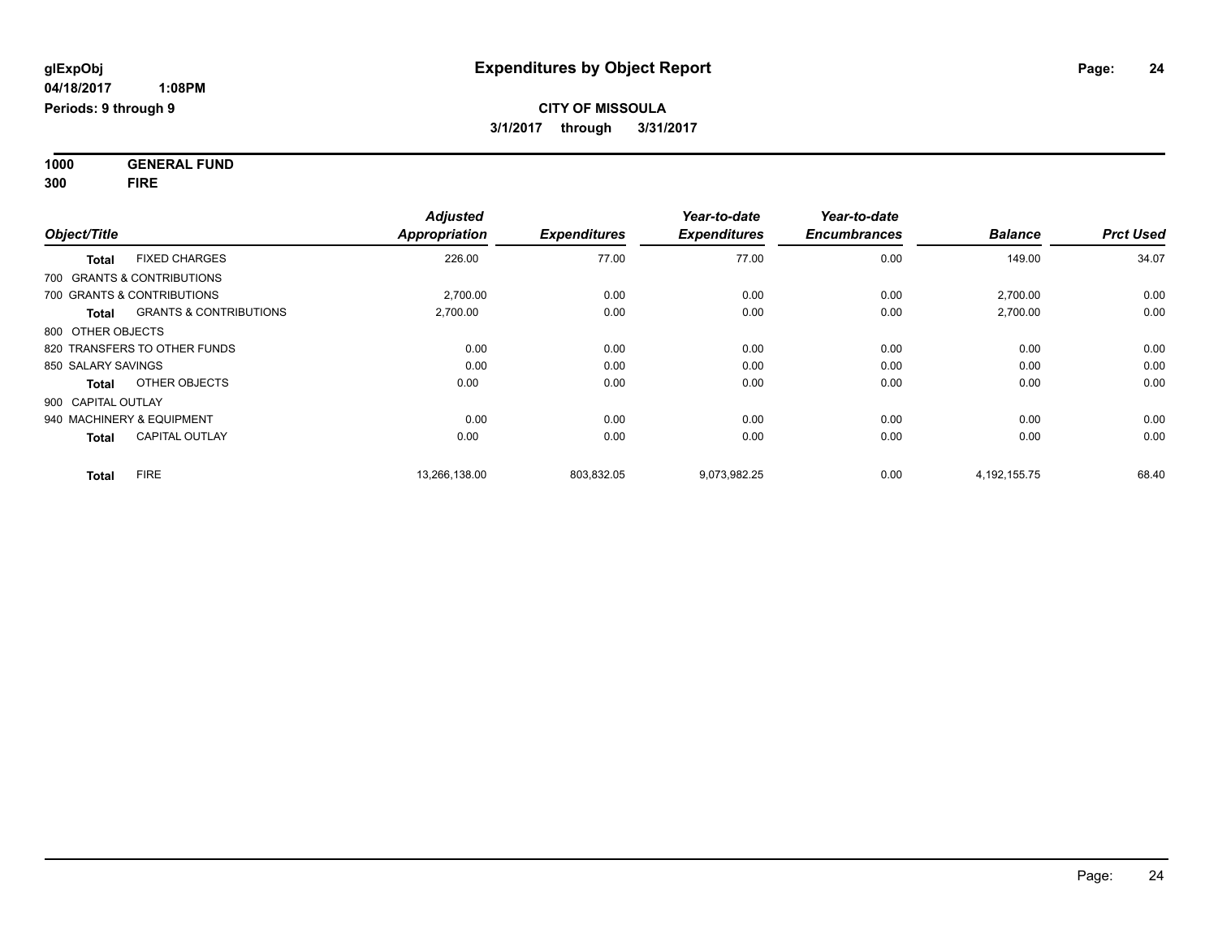**1000 GENERAL FUND 300 FIRE**

| Object/Title                               | <b>Adjusted</b><br><b>Appropriation</b> | <b>Expenditures</b> | Year-to-date<br><b>Expenditures</b> | Year-to-date<br><b>Encumbrances</b> | <b>Balance</b>  | <b>Prct Used</b> |
|--------------------------------------------|-----------------------------------------|---------------------|-------------------------------------|-------------------------------------|-----------------|------------------|
| <b>FIXED CHARGES</b><br><b>Total</b>       | 226.00                                  | 77.00               | 77.00                               | 0.00                                | 149.00          | 34.07            |
| 700 GRANTS & CONTRIBUTIONS                 |                                         |                     |                                     |                                     |                 |                  |
| 700 GRANTS & CONTRIBUTIONS                 | 2,700.00                                | 0.00                | 0.00                                | 0.00                                | 2,700.00        | 0.00             |
| <b>GRANTS &amp; CONTRIBUTIONS</b><br>Total | 2,700.00                                | 0.00                | 0.00                                | 0.00                                | 2,700.00        | 0.00             |
| 800 OTHER OBJECTS                          |                                         |                     |                                     |                                     |                 |                  |
| 820 TRANSFERS TO OTHER FUNDS               | 0.00                                    | 0.00                | 0.00                                | 0.00                                | 0.00            | 0.00             |
| 850 SALARY SAVINGS                         | 0.00                                    | 0.00                | 0.00                                | 0.00                                | 0.00            | 0.00             |
| OTHER OBJECTS<br><b>Total</b>              | 0.00                                    | 0.00                | 0.00                                | 0.00                                | 0.00            | 0.00             |
| 900 CAPITAL OUTLAY                         |                                         |                     |                                     |                                     |                 |                  |
| 940 MACHINERY & EQUIPMENT                  | 0.00                                    | 0.00                | 0.00                                | 0.00                                | 0.00            | 0.00             |
| <b>CAPITAL OUTLAY</b><br><b>Total</b>      | 0.00                                    | 0.00                | 0.00                                | 0.00                                | 0.00            | 0.00             |
| <b>FIRE</b><br><b>Total</b>                | 13,266,138.00                           | 803,832.05          | 9,073,982.25                        | 0.00                                | 4, 192, 155. 75 | 68.40            |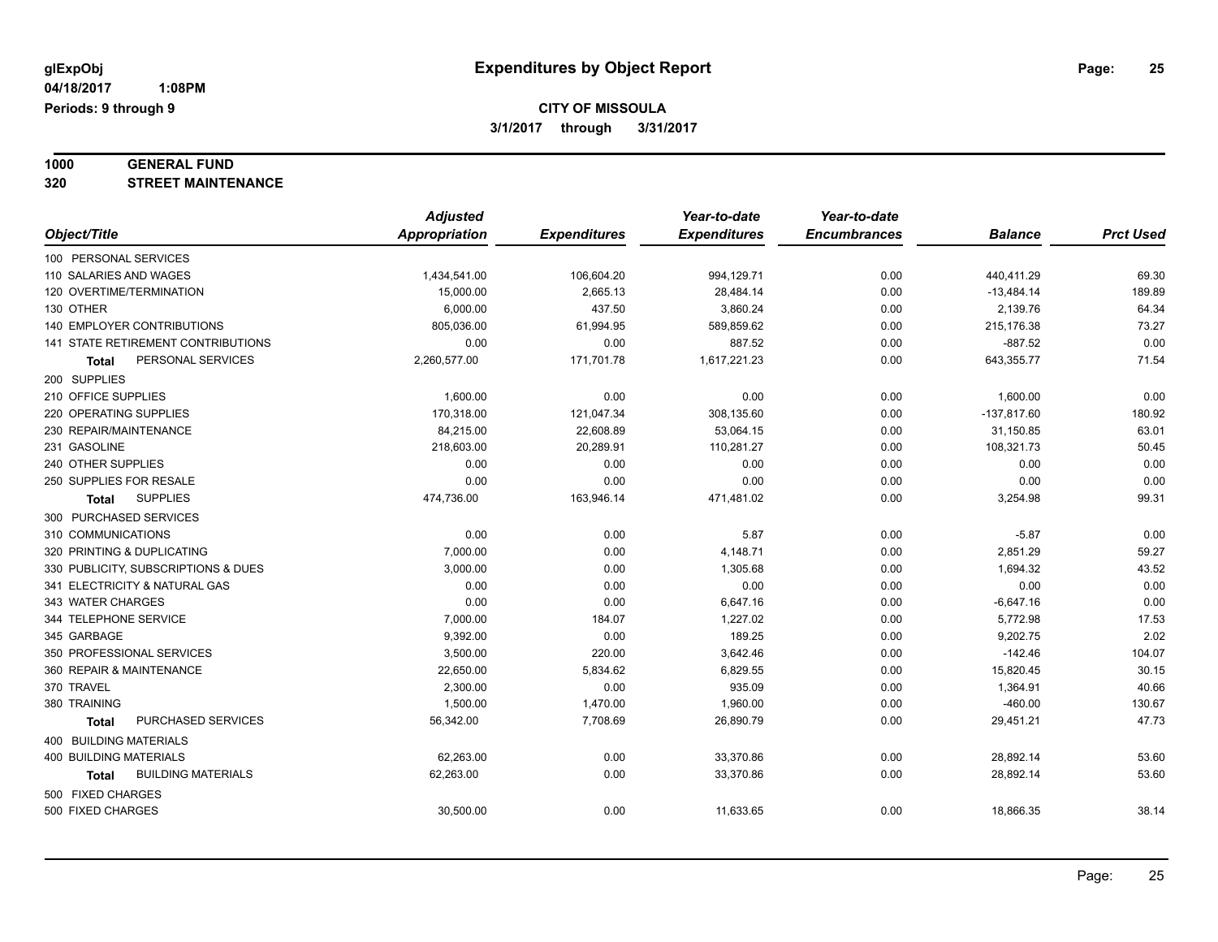# **1000 GENERAL FUND**

**320 STREET MAINTENANCE**

|                                     | <b>Adjusted</b> |                     | Year-to-date        | Year-to-date        |                |                  |
|-------------------------------------|-----------------|---------------------|---------------------|---------------------|----------------|------------------|
| Object/Title                        | Appropriation   | <b>Expenditures</b> | <b>Expenditures</b> | <b>Encumbrances</b> | <b>Balance</b> | <b>Prct Used</b> |
| 100 PERSONAL SERVICES               |                 |                     |                     |                     |                |                  |
| 110 SALARIES AND WAGES              | 1,434,541.00    | 106,604.20          | 994,129.71          | 0.00                | 440,411.29     | 69.30            |
| 120 OVERTIME/TERMINATION            | 15,000.00       | 2,665.13            | 28,484.14           | 0.00                | $-13,484.14$   | 189.89           |
| 130 OTHER                           | 6,000.00        | 437.50              | 3,860.24            | 0.00                | 2,139.76       | 64.34            |
| <b>140 EMPLOYER CONTRIBUTIONS</b>   | 805,036.00      | 61,994.95           | 589,859.62          | 0.00                | 215,176.38     | 73.27            |
| 141 STATE RETIREMENT CONTRIBUTIONS  | 0.00            | 0.00                | 887.52              | 0.00                | $-887.52$      | 0.00             |
| PERSONAL SERVICES<br>Total          | 2,260,577.00    | 171,701.78          | 1,617,221.23        | 0.00                | 643,355.77     | 71.54            |
| 200 SUPPLIES                        |                 |                     |                     |                     |                |                  |
| 210 OFFICE SUPPLIES                 | 1,600.00        | 0.00                | 0.00                | 0.00                | 1,600.00       | 0.00             |
| 220 OPERATING SUPPLIES              | 170,318.00      | 121,047.34          | 308,135.60          | 0.00                | $-137,817.60$  | 180.92           |
| 230 REPAIR/MAINTENANCE              | 84,215.00       | 22,608.89           | 53,064.15           | 0.00                | 31,150.85      | 63.01            |
| 231 GASOLINE                        | 218,603.00      | 20,289.91           | 110,281.27          | 0.00                | 108,321.73     | 50.45            |
| 240 OTHER SUPPLIES                  | 0.00            | 0.00                | 0.00                | 0.00                | 0.00           | 0.00             |
| 250 SUPPLIES FOR RESALE             | 0.00            | 0.00                | 0.00                | 0.00                | 0.00           | 0.00             |
| <b>SUPPLIES</b><br><b>Total</b>     | 474,736.00      | 163,946.14          | 471,481.02          | 0.00                | 3,254.98       | 99.31            |
| 300 PURCHASED SERVICES              |                 |                     |                     |                     |                |                  |
| 310 COMMUNICATIONS                  | 0.00            | 0.00                | 5.87                | 0.00                | $-5.87$        | 0.00             |
| 320 PRINTING & DUPLICATING          | 7,000.00        | 0.00                | 4,148.71            | 0.00                | 2,851.29       | 59.27            |
| 330 PUBLICITY, SUBSCRIPTIONS & DUES | 3,000.00        | 0.00                | 1,305.68            | 0.00                | 1,694.32       | 43.52            |
| 341 ELECTRICITY & NATURAL GAS       | 0.00            | 0.00                | 0.00                | 0.00                | 0.00           | 0.00             |
| 343 WATER CHARGES                   | 0.00            | 0.00                | 6,647.16            | 0.00                | $-6,647.16$    | 0.00             |
| 344 TELEPHONE SERVICE               | 7,000.00        | 184.07              | 1,227.02            | 0.00                | 5,772.98       | 17.53            |
| 345 GARBAGE                         | 9,392.00        | 0.00                | 189.25              | 0.00                | 9,202.75       | 2.02             |
| 350 PROFESSIONAL SERVICES           | 3,500.00        | 220.00              | 3,642.46            | 0.00                | $-142.46$      | 104.07           |
| 360 REPAIR & MAINTENANCE            | 22,650.00       | 5,834.62            | 6,829.55            | 0.00                | 15,820.45      | 30.15            |
| 370 TRAVEL                          | 2,300.00        | 0.00                | 935.09              | 0.00                | 1,364.91       | 40.66            |
| 380 TRAINING                        | 1,500.00        | 1,470.00            | 1,960.00            | 0.00                | $-460.00$      | 130.67           |
| PURCHASED SERVICES<br><b>Total</b>  | 56,342.00       | 7,708.69            | 26,890.79           | 0.00                | 29,451.21      | 47.73            |
| 400 BUILDING MATERIALS              |                 |                     |                     |                     |                |                  |
| <b>400 BUILDING MATERIALS</b>       | 62,263.00       | 0.00                | 33,370.86           | 0.00                | 28,892.14      | 53.60            |
| <b>BUILDING MATERIALS</b><br>Total  | 62,263.00       | 0.00                | 33,370.86           | 0.00                | 28,892.14      | 53.60            |
| 500 FIXED CHARGES                   |                 |                     |                     |                     |                |                  |
| 500 FIXED CHARGES                   | 30,500.00       | 0.00                | 11,633.65           | 0.00                | 18,866.35      | 38.14            |
|                                     |                 |                     |                     |                     |                |                  |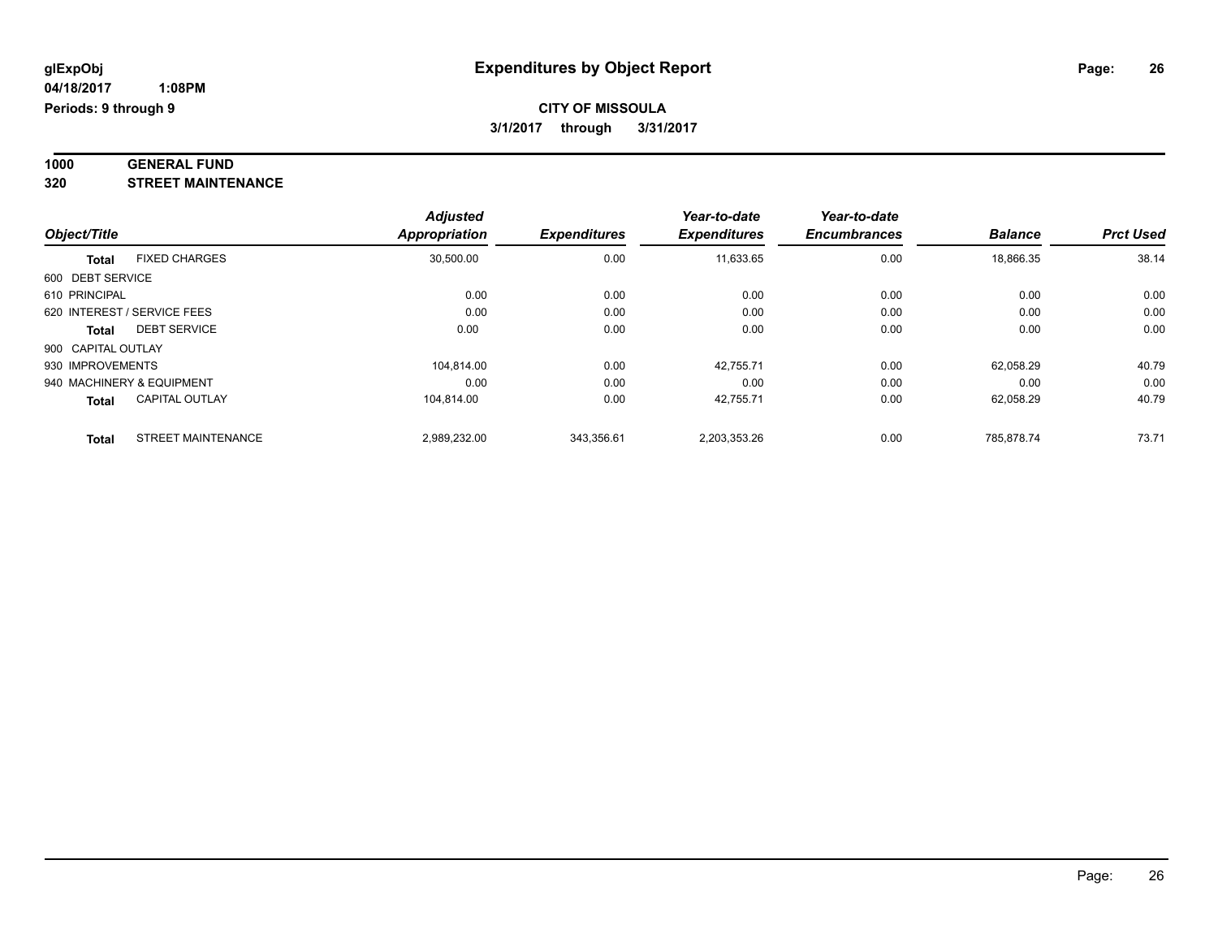#### **1000 GENERAL FUND 320 STREET MAINTENANCE**

|                    |                             | <b>Adjusted</b>      |                     | Year-to-date        | Year-to-date        |                |                  |
|--------------------|-----------------------------|----------------------|---------------------|---------------------|---------------------|----------------|------------------|
| Object/Title       |                             | <b>Appropriation</b> | <b>Expenditures</b> | <b>Expenditures</b> | <b>Encumbrances</b> | <b>Balance</b> | <b>Prct Used</b> |
| <b>Total</b>       | <b>FIXED CHARGES</b>        | 30,500.00            | 0.00                | 11,633.65           | 0.00                | 18,866.35      | 38.14            |
| 600 DEBT SERVICE   |                             |                      |                     |                     |                     |                |                  |
| 610 PRINCIPAL      |                             | 0.00                 | 0.00                | 0.00                | 0.00                | 0.00           | 0.00             |
|                    | 620 INTEREST / SERVICE FEES | 0.00                 | 0.00                | 0.00                | 0.00                | 0.00           | 0.00             |
| Total              | <b>DEBT SERVICE</b>         | 0.00                 | 0.00                | 0.00                | 0.00                | 0.00           | 0.00             |
| 900 CAPITAL OUTLAY |                             |                      |                     |                     |                     |                |                  |
| 930 IMPROVEMENTS   |                             | 104.814.00           | 0.00                | 42.755.71           | 0.00                | 62.058.29      | 40.79            |
|                    | 940 MACHINERY & EQUIPMENT   | 0.00                 | 0.00                | 0.00                | 0.00                | 0.00           | 0.00             |
| <b>Total</b>       | <b>CAPITAL OUTLAY</b>       | 104.814.00           | 0.00                | 42.755.71           | 0.00                | 62,058.29      | 40.79            |
| <b>Total</b>       | <b>STREET MAINTENANCE</b>   | 2,989,232.00         | 343,356.61          | 2,203,353.26        | 0.00                | 785.878.74     | 73.71            |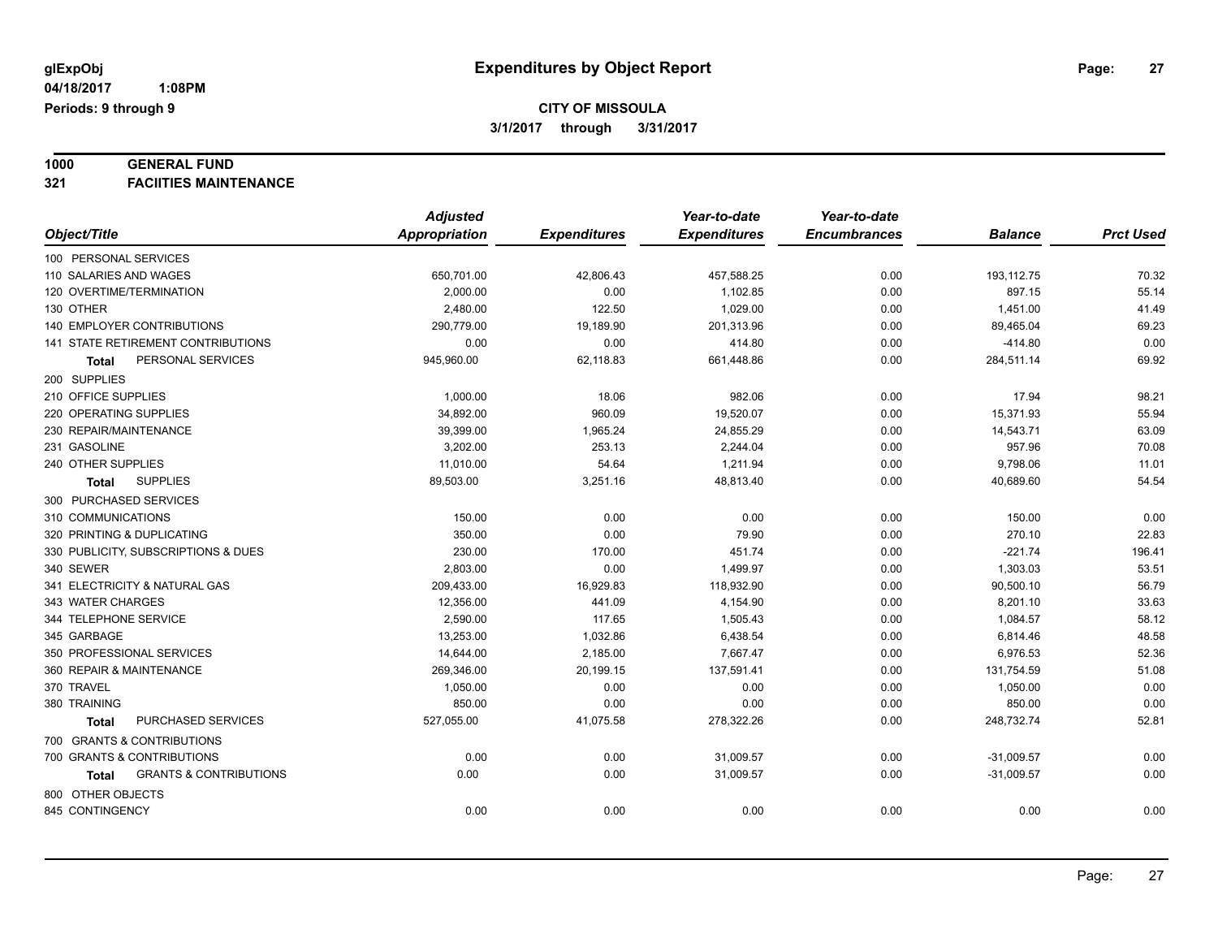# **1000 GENERAL FUND**

**321 FACIITIES MAINTENANCE**

|                                                   | <b>Adjusted</b>      |                     | Year-to-date        | Year-to-date        |                |                  |
|---------------------------------------------------|----------------------|---------------------|---------------------|---------------------|----------------|------------------|
| Object/Title                                      | <b>Appropriation</b> | <b>Expenditures</b> | <b>Expenditures</b> | <b>Encumbrances</b> | <b>Balance</b> | <b>Prct Used</b> |
| 100 PERSONAL SERVICES                             |                      |                     |                     |                     |                |                  |
| 110 SALARIES AND WAGES                            | 650,701.00           | 42,806.43           | 457,588.25          | 0.00                | 193,112.75     | 70.32            |
| 120 OVERTIME/TERMINATION                          | 2,000.00             | 0.00                | 1,102.85            | 0.00                | 897.15         | 55.14            |
| 130 OTHER                                         | 2,480.00             | 122.50              | 1,029.00            | 0.00                | 1,451.00       | 41.49            |
| 140 EMPLOYER CONTRIBUTIONS                        | 290,779.00           | 19,189.90           | 201,313.96          | 0.00                | 89,465.04      | 69.23            |
| 141 STATE RETIREMENT CONTRIBUTIONS                | 0.00                 | 0.00                | 414.80              | 0.00                | $-414.80$      | 0.00             |
| PERSONAL SERVICES<br>Total                        | 945,960.00           | 62,118.83           | 661,448.86          | 0.00                | 284,511.14     | 69.92            |
| 200 SUPPLIES                                      |                      |                     |                     |                     |                |                  |
| 210 OFFICE SUPPLIES                               | 1,000.00             | 18.06               | 982.06              | 0.00                | 17.94          | 98.21            |
| 220 OPERATING SUPPLIES                            | 34,892.00            | 960.09              | 19,520.07           | 0.00                | 15,371.93      | 55.94            |
| 230 REPAIR/MAINTENANCE                            | 39,399.00            | 1,965.24            | 24,855.29           | 0.00                | 14,543.71      | 63.09            |
| 231 GASOLINE                                      | 3,202.00             | 253.13              | 2,244.04            | 0.00                | 957.96         | 70.08            |
| 240 OTHER SUPPLIES                                | 11,010.00            | 54.64               | 1,211.94            | 0.00                | 9,798.06       | 11.01            |
| <b>SUPPLIES</b><br><b>Total</b>                   | 89,503.00            | 3,251.16            | 48,813.40           | 0.00                | 40,689.60      | 54.54            |
| 300 PURCHASED SERVICES                            |                      |                     |                     |                     |                |                  |
| 310 COMMUNICATIONS                                | 150.00               | 0.00                | 0.00                | 0.00                | 150.00         | 0.00             |
| 320 PRINTING & DUPLICATING                        | 350.00               | 0.00                | 79.90               | 0.00                | 270.10         | 22.83            |
| 330 PUBLICITY, SUBSCRIPTIONS & DUES               | 230.00               | 170.00              | 451.74              | 0.00                | $-221.74$      | 196.41           |
| 340 SEWER                                         | 2,803.00             | 0.00                | 1,499.97            | 0.00                | 1,303.03       | 53.51            |
| 341 ELECTRICITY & NATURAL GAS                     | 209,433.00           | 16,929.83           | 118,932.90          | 0.00                | 90,500.10      | 56.79            |
| 343 WATER CHARGES                                 | 12,356.00            | 441.09              | 4,154.90            | 0.00                | 8,201.10       | 33.63            |
| 344 TELEPHONE SERVICE                             | 2,590.00             | 117.65              | 1,505.43            | 0.00                | 1,084.57       | 58.12            |
| 345 GARBAGE                                       | 13,253.00            | 1,032.86            | 6,438.54            | 0.00                | 6,814.46       | 48.58            |
| 350 PROFESSIONAL SERVICES                         | 14,644.00            | 2,185.00            | 7.667.47            | 0.00                | 6,976.53       | 52.36            |
| 360 REPAIR & MAINTENANCE                          | 269,346.00           | 20,199.15           | 137,591.41          | 0.00                | 131,754.59     | 51.08            |
| 370 TRAVEL                                        | 1,050.00             | 0.00                | 0.00                | 0.00                | 1,050.00       | 0.00             |
| 380 TRAINING                                      | 850.00               | 0.00                | 0.00                | 0.00                | 850.00         | 0.00             |
| PURCHASED SERVICES<br><b>Total</b>                | 527,055.00           | 41,075.58           | 278,322.26          | 0.00                | 248,732.74     | 52.81            |
| 700 GRANTS & CONTRIBUTIONS                        |                      |                     |                     |                     |                |                  |
| 700 GRANTS & CONTRIBUTIONS                        | 0.00                 | 0.00                | 31,009.57           | 0.00                | $-31,009.57$   | 0.00             |
| <b>GRANTS &amp; CONTRIBUTIONS</b><br><b>Total</b> | 0.00                 | 0.00                | 31,009.57           | 0.00                | $-31,009.57$   | 0.00             |
| 800 OTHER OBJECTS                                 |                      |                     |                     |                     |                |                  |
| 845 CONTINGENCY                                   | 0.00                 | 0.00                | 0.00                | 0.00                | 0.00           | 0.00             |
|                                                   |                      |                     |                     |                     |                |                  |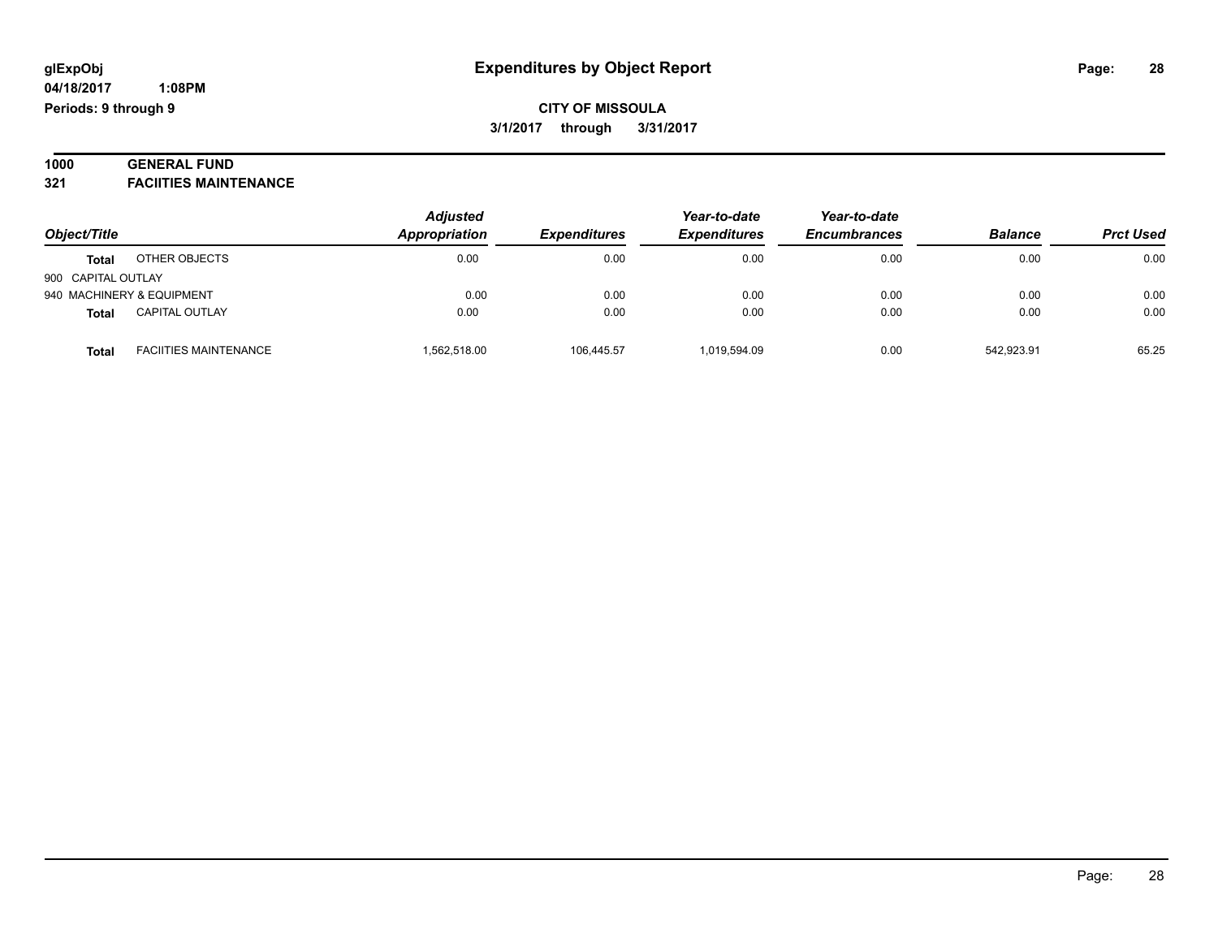#### **1000 GENERAL FUND 321 FACIITIES MAINTENANCE**

| Object/Title       |                              | <b>Adjusted</b> |                     | Year-to-date<br><b>Expenditures</b> | Year-to-date<br><b>Encumbrances</b> | <b>Balance</b> | <b>Prct Used</b> |
|--------------------|------------------------------|-----------------|---------------------|-------------------------------------|-------------------------------------|----------------|------------------|
|                    |                              | Appropriation   | <b>Expenditures</b> |                                     |                                     |                |                  |
| <b>Total</b>       | OTHER OBJECTS                | 0.00            | 0.00                | 0.00                                | 0.00                                | 0.00           | 0.00             |
| 900 CAPITAL OUTLAY |                              |                 |                     |                                     |                                     |                |                  |
|                    | 940 MACHINERY & EQUIPMENT    | 0.00            | 0.00                | 0.00                                | 0.00                                | 0.00           | 0.00             |
| <b>Total</b>       | <b>CAPITAL OUTLAY</b>        | 0.00            | 0.00                | 0.00                                | 0.00                                | 0.00           | 0.00             |
| <b>Total</b>       | <b>FACIITIES MAINTENANCE</b> | 1,562,518.00    | 106.445.57          | 1,019,594.09                        | 0.00                                | 542.923.91     | 65.25            |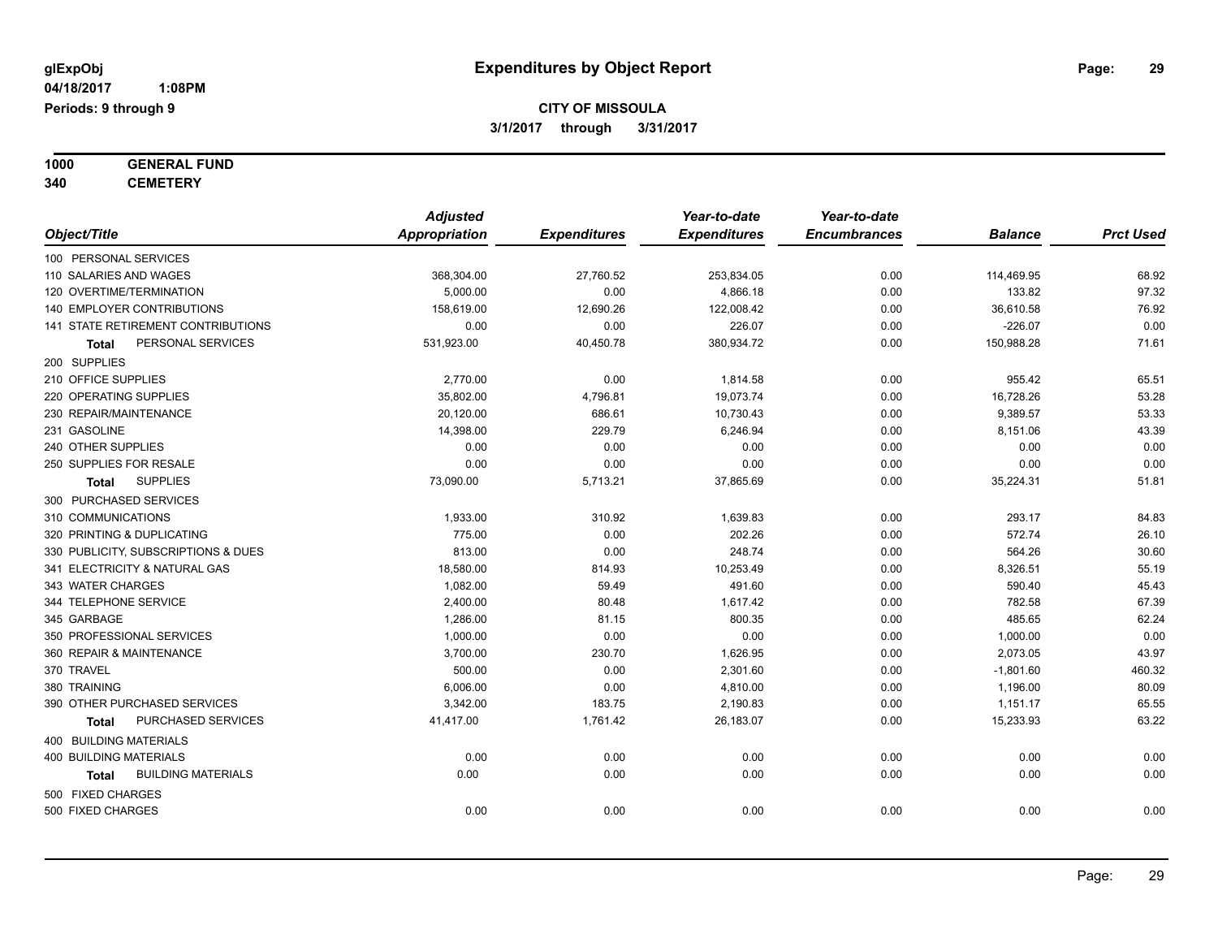# **1000 GENERAL FUND**

**340 CEMETERY**

|                                     | <b>Adjusted</b>      |                     | Year-to-date        | Year-to-date        |                |                  |
|-------------------------------------|----------------------|---------------------|---------------------|---------------------|----------------|------------------|
| Object/Title                        | <b>Appropriation</b> | <b>Expenditures</b> | <b>Expenditures</b> | <b>Encumbrances</b> | <b>Balance</b> | <b>Prct Used</b> |
| 100 PERSONAL SERVICES               |                      |                     |                     |                     |                |                  |
| 110 SALARIES AND WAGES              | 368,304.00           | 27,760.52           | 253,834.05          | 0.00                | 114,469.95     | 68.92            |
| 120 OVERTIME/TERMINATION            | 5,000.00             | 0.00                | 4,866.18            | 0.00                | 133.82         | 97.32            |
| 140 EMPLOYER CONTRIBUTIONS          | 158,619.00           | 12,690.26           | 122,008.42          | 0.00                | 36,610.58      | 76.92            |
| 141 STATE RETIREMENT CONTRIBUTIONS  | 0.00                 | 0.00                | 226.07              | 0.00                | $-226.07$      | 0.00             |
| PERSONAL SERVICES<br>Total          | 531,923.00           | 40,450.78           | 380,934.72          | 0.00                | 150,988.28     | 71.61            |
| 200 SUPPLIES                        |                      |                     |                     |                     |                |                  |
| 210 OFFICE SUPPLIES                 | 2,770.00             | 0.00                | 1,814.58            | 0.00                | 955.42         | 65.51            |
| 220 OPERATING SUPPLIES              | 35,802.00            | 4,796.81            | 19,073.74           | 0.00                | 16,728.26      | 53.28            |
| 230 REPAIR/MAINTENANCE              | 20,120.00            | 686.61              | 10,730.43           | 0.00                | 9,389.57       | 53.33            |
| 231 GASOLINE                        | 14,398.00            | 229.79              | 6,246.94            | 0.00                | 8,151.06       | 43.39            |
| 240 OTHER SUPPLIES                  | 0.00                 | 0.00                | 0.00                | 0.00                | 0.00           | 0.00             |
| 250 SUPPLIES FOR RESALE             | 0.00                 | 0.00                | 0.00                | 0.00                | 0.00           | 0.00             |
| <b>SUPPLIES</b><br><b>Total</b>     | 73,090.00            | 5,713.21            | 37,865.69           | 0.00                | 35,224.31      | 51.81            |
| 300 PURCHASED SERVICES              |                      |                     |                     |                     |                |                  |
| 310 COMMUNICATIONS                  | 1,933.00             | 310.92              | 1,639.83            | 0.00                | 293.17         | 84.83            |
| 320 PRINTING & DUPLICATING          | 775.00               | 0.00                | 202.26              | 0.00                | 572.74         | 26.10            |
| 330 PUBLICITY, SUBSCRIPTIONS & DUES | 813.00               | 0.00                | 248.74              | 0.00                | 564.26         | 30.60            |
| 341 ELECTRICITY & NATURAL GAS       | 18,580.00            | 814.93              | 10,253.49           | 0.00                | 8,326.51       | 55.19            |
| 343 WATER CHARGES                   | 1,082.00             | 59.49               | 491.60              | 0.00                | 590.40         | 45.43            |
| 344 TELEPHONE SERVICE               | 2,400.00             | 80.48               | 1,617.42            | 0.00                | 782.58         | 67.39            |
| 345 GARBAGE                         | 1,286.00             | 81.15               | 800.35              | 0.00                | 485.65         | 62.24            |
| 350 PROFESSIONAL SERVICES           | 1,000.00             | 0.00                | 0.00                | 0.00                | 1,000.00       | 0.00             |
| 360 REPAIR & MAINTENANCE            | 3,700.00             | 230.70              | 1,626.95            | 0.00                | 2,073.05       | 43.97            |
| 370 TRAVEL                          | 500.00               | 0.00                | 2,301.60            | 0.00                | $-1,801.60$    | 460.32           |
| 380 TRAINING                        | 6,006.00             | 0.00                | 4,810.00            | 0.00                | 1,196.00       | 80.09            |
| 390 OTHER PURCHASED SERVICES        | 3,342.00             | 183.75              | 2,190.83            | 0.00                | 1,151.17       | 65.55            |
| PURCHASED SERVICES<br>Total         | 41,417.00            | 1,761.42            | 26,183.07           | 0.00                | 15,233.93      | 63.22            |
| 400 BUILDING MATERIALS              |                      |                     |                     |                     |                |                  |
| <b>400 BUILDING MATERIALS</b>       | 0.00                 | 0.00                | 0.00                | 0.00                | 0.00           | 0.00             |
| <b>BUILDING MATERIALS</b><br>Total  | 0.00                 | 0.00                | 0.00                | 0.00                | 0.00           | 0.00             |
| 500 FIXED CHARGES                   |                      |                     |                     |                     |                |                  |
| 500 FIXED CHARGES                   | 0.00                 | 0.00                | 0.00                | 0.00                | 0.00           | 0.00             |
|                                     |                      |                     |                     |                     |                |                  |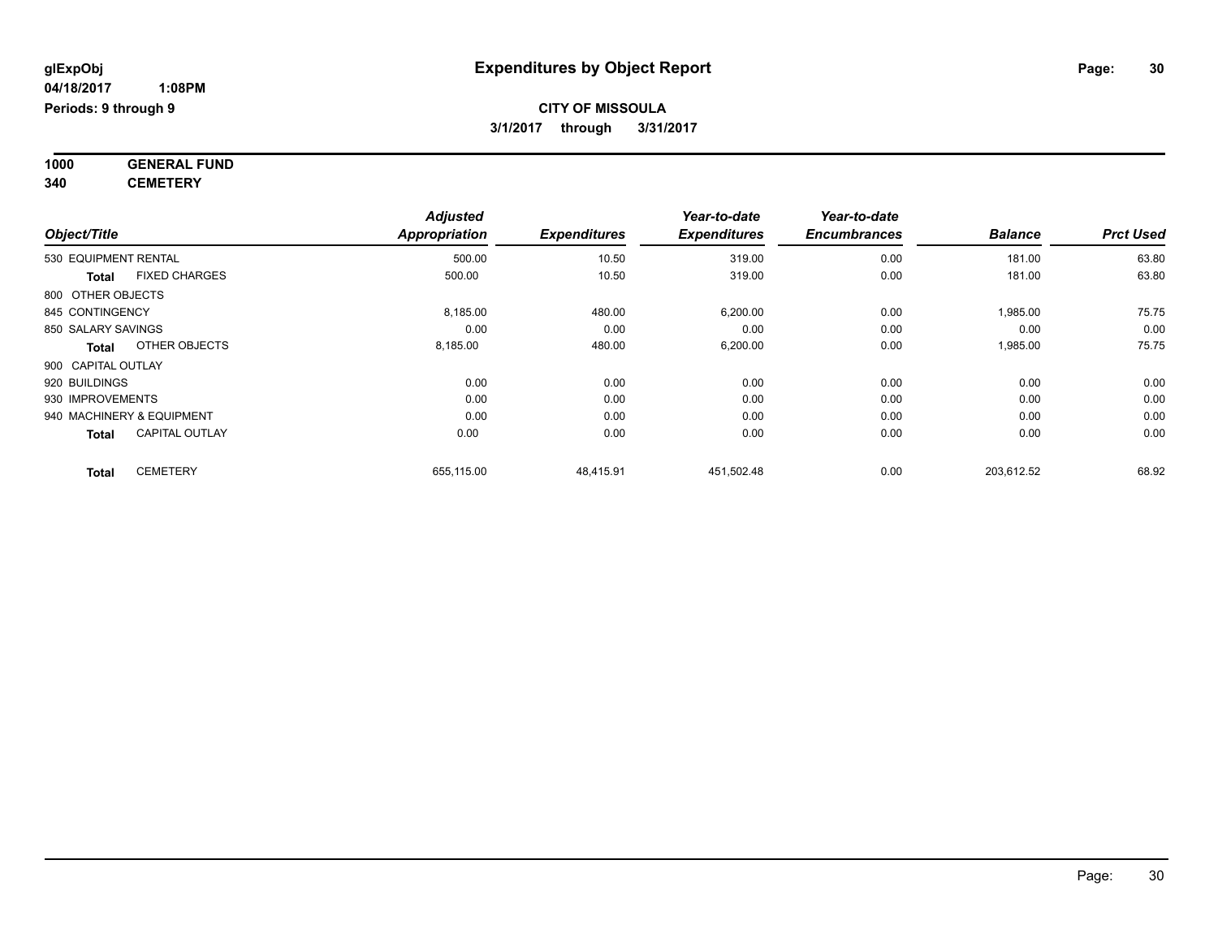**1000 GENERAL FUND 340 CEMETERY**

*Object/Title Adjusted Appropriation Expenditures Year-to-date Expenditures Year-to-date Encumbrances Balance Prct Used*  $530 \text{ EQUIPMENT RENTIAL} \quad 500.00 \quad 500.00 \quad 10.50 \quad 319.00 \quad 0.00 \quad 181.00 \quad 63.80 \quad 53.80 \quad 541.00 \quad 551.00 \quad 563.00 \quad 571.00 \quad 583.00 \quad 593.00 \quad 594.00 \quad 595.00 \quad 595.00 \quad 596.00 \quad 597.00 \quad 597.00 \quad 598.00 \quad 599.00 \quad 599.00 \quad 599$ **Total** FIXED CHARGES 500.00 10.50 319.00 0.00 181.00 63.80 800 OTHER OBJECTS 845 CONTINGENCY 8,185.00 480.00 6,200.00 0.00 1,985.00 75.75 850 SALARY SAVINGS 0.00 0.00 0.00 0.00 0.00 0.00 **Total** OTHER OBJECTS 8,185.00 480.00 6,200.00 0.00 1,985.00 75.75 900 CAPITAL OUTLAY 920 BUILDINGS 0.00 0.00 0.00 0.00 0.00 0.00 930 IMPROVEMENTS 0.00 0.00 0.00 0.00 0.00 0.00 940 MACHINERY & EQUIPMENT 0.00 0.00 0.00 0.00 0.00 0.00 **Total** CAPITAL OUTLAY 0.00 0.00 0.00 0.00 0.00 0.00 **Total** CEMETERY 655,115.00 48,415.91 451,502.48 0.00 203,612.52 68.92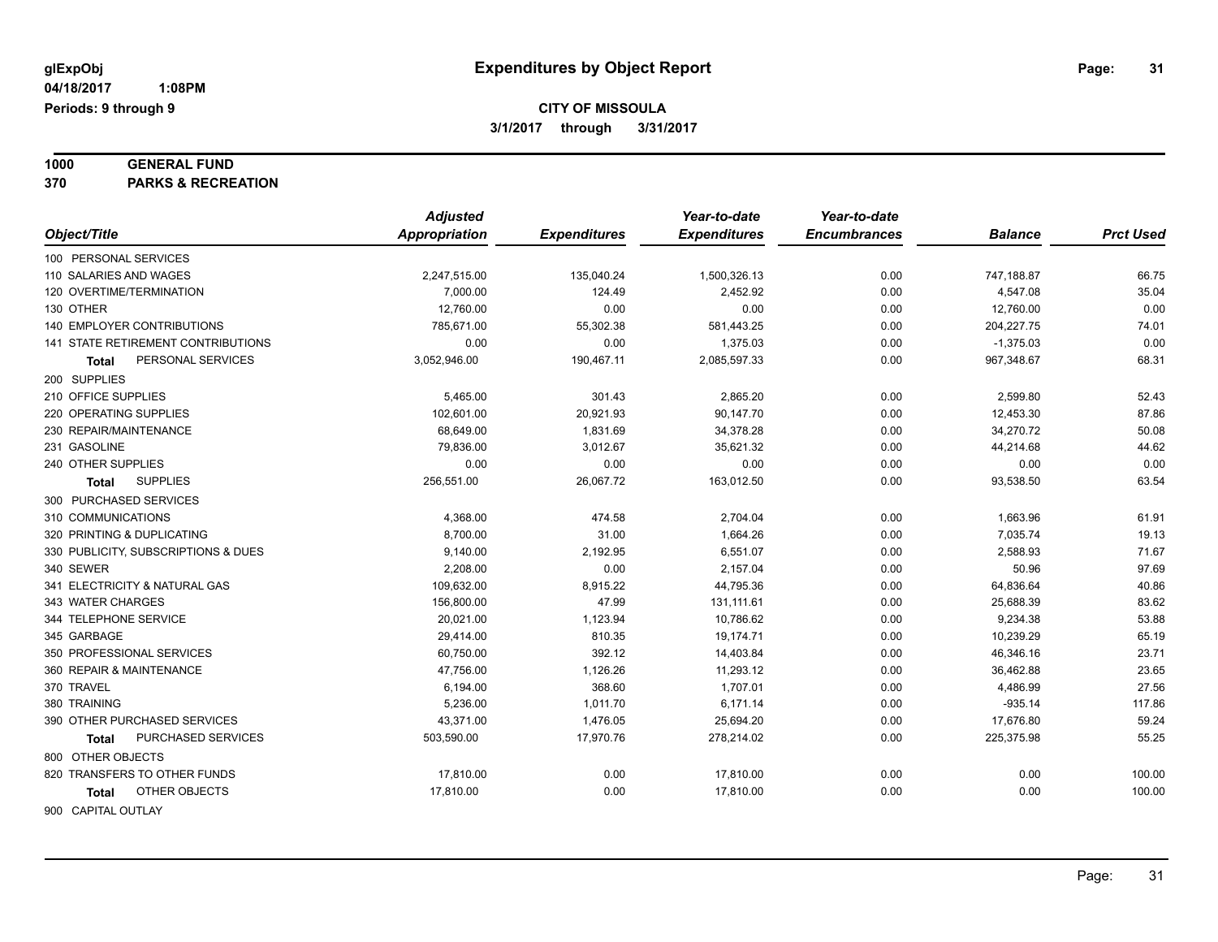# **1000 GENERAL FUND**

**370 PARKS & RECREATION**

|                                     | <b>Adjusted</b>      |                     | Year-to-date        | Year-to-date        |                |                  |
|-------------------------------------|----------------------|---------------------|---------------------|---------------------|----------------|------------------|
| Object/Title                        | <b>Appropriation</b> | <b>Expenditures</b> | <b>Expenditures</b> | <b>Encumbrances</b> | <b>Balance</b> | <b>Prct Used</b> |
| 100 PERSONAL SERVICES               |                      |                     |                     |                     |                |                  |
| 110 SALARIES AND WAGES              | 2,247,515.00         | 135,040.24          | 1,500,326.13        | 0.00                | 747,188.87     | 66.75            |
| 120 OVERTIME/TERMINATION            | 7,000.00             | 124.49              | 2,452.92            | 0.00                | 4,547.08       | 35.04            |
| 130 OTHER                           | 12,760.00            | 0.00                | 0.00                | 0.00                | 12,760.00      | 0.00             |
| <b>140 EMPLOYER CONTRIBUTIONS</b>   | 785,671.00           | 55,302.38           | 581,443.25          | 0.00                | 204,227.75     | 74.01            |
| 141 STATE RETIREMENT CONTRIBUTIONS  | 0.00                 | 0.00                | 1,375.03            | 0.00                | $-1,375.03$    | 0.00             |
| PERSONAL SERVICES<br><b>Total</b>   | 3,052,946.00         | 190,467.11          | 2,085,597.33        | 0.00                | 967,348.67     | 68.31            |
| 200 SUPPLIES                        |                      |                     |                     |                     |                |                  |
| 210 OFFICE SUPPLIES                 | 5,465.00             | 301.43              | 2,865.20            | 0.00                | 2,599.80       | 52.43            |
| 220 OPERATING SUPPLIES              | 102,601.00           | 20,921.93           | 90,147.70           | 0.00                | 12,453.30      | 87.86            |
| 230 REPAIR/MAINTENANCE              | 68,649.00            | 1,831.69            | 34,378.28           | 0.00                | 34,270.72      | 50.08            |
| 231 GASOLINE                        | 79,836.00            | 3,012.67            | 35,621.32           | 0.00                | 44,214.68      | 44.62            |
| 240 OTHER SUPPLIES                  | 0.00                 | 0.00                | 0.00                | 0.00                | 0.00           | 0.00             |
| <b>SUPPLIES</b><br>Total            | 256,551.00           | 26,067.72           | 163,012.50          | 0.00                | 93,538.50      | 63.54            |
| 300 PURCHASED SERVICES              |                      |                     |                     |                     |                |                  |
| 310 COMMUNICATIONS                  | 4,368.00             | 474.58              | 2,704.04            | 0.00                | 1,663.96       | 61.91            |
| 320 PRINTING & DUPLICATING          | 8,700.00             | 31.00               | 1,664.26            | 0.00                | 7,035.74       | 19.13            |
| 330 PUBLICITY, SUBSCRIPTIONS & DUES | 9,140.00             | 2,192.95            | 6,551.07            | 0.00                | 2,588.93       | 71.67            |
| 340 SEWER                           | 2,208.00             | 0.00                | 2,157.04            | 0.00                | 50.96          | 97.69            |
| 341 ELECTRICITY & NATURAL GAS       | 109,632.00           | 8,915.22            | 44,795.36           | 0.00                | 64,836.64      | 40.86            |
| 343 WATER CHARGES                   | 156,800.00           | 47.99               | 131, 111.61         | 0.00                | 25,688.39      | 83.62            |
| 344 TELEPHONE SERVICE               | 20,021.00            | 1,123.94            | 10,786.62           | 0.00                | 9,234.38       | 53.88            |
| 345 GARBAGE                         | 29,414.00            | 810.35              | 19,174.71           | 0.00                | 10,239.29      | 65.19            |
| 350 PROFESSIONAL SERVICES           | 60,750.00            | 392.12              | 14,403.84           | 0.00                | 46,346.16      | 23.71            |
| 360 REPAIR & MAINTENANCE            | 47,756.00            | 1,126.26            | 11,293.12           | 0.00                | 36,462.88      | 23.65            |
| 370 TRAVEL                          | 6,194.00             | 368.60              | 1,707.01            | 0.00                | 4,486.99       | 27.56            |
| 380 TRAINING                        | 5,236.00             | 1,011.70            | 6,171.14            | 0.00                | $-935.14$      | 117.86           |
| 390 OTHER PURCHASED SERVICES        | 43,371.00            | 1,476.05            | 25,694.20           | 0.00                | 17,676.80      | 59.24            |
| PURCHASED SERVICES<br>Total         | 503,590.00           | 17,970.76           | 278,214.02          | 0.00                | 225,375.98     | 55.25            |
| 800 OTHER OBJECTS                   |                      |                     |                     |                     |                |                  |
| 820 TRANSFERS TO OTHER FUNDS        | 17,810.00            | 0.00                | 17,810.00           | 0.00                | 0.00           | 100.00           |
| OTHER OBJECTS<br>Total              | 17,810.00            | 0.00                | 17,810.00           | 0.00                | 0.00           | 100.00           |
| 900 CAPITAL OUTLAY                  |                      |                     |                     |                     |                |                  |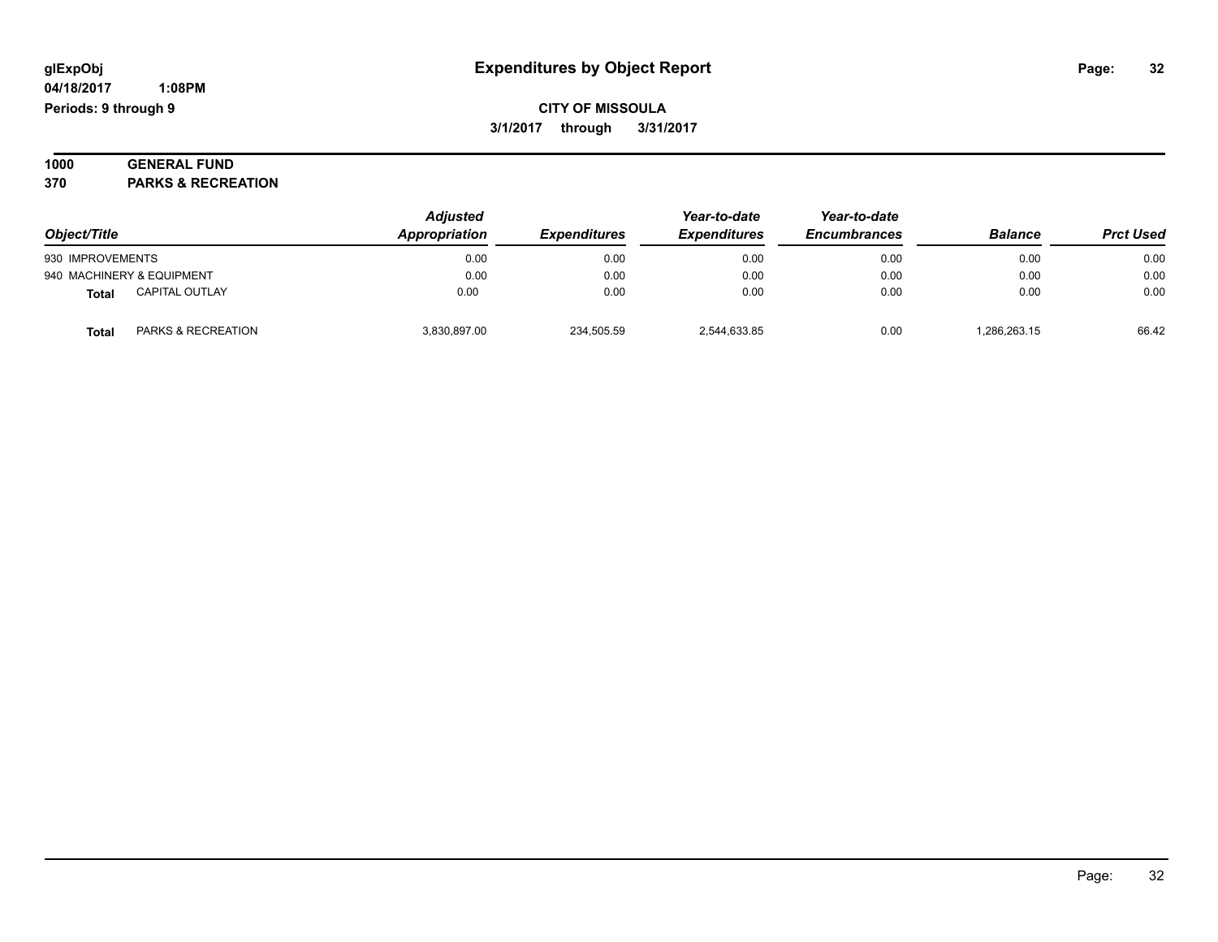#### **1000 GENERAL FUND 370 PARKS & RECREATION**

| Object/Title     |                           | <b>Adjusted</b><br>Appropriation | <b>Expenditures</b> | Year-to-date<br><b>Expenditures</b> | Year-to-date<br><b>Encumbrances</b> | <b>Balance</b> | <b>Prct Used</b> |
|------------------|---------------------------|----------------------------------|---------------------|-------------------------------------|-------------------------------------|----------------|------------------|
| 930 IMPROVEMENTS |                           | 0.00                             | 0.00                | 0.00                                | 0.00                                | 0.00           | 0.00             |
|                  | 940 MACHINERY & EQUIPMENT | 0.00                             | 0.00                | 0.00                                | 0.00                                | 0.00           | 0.00             |
| <b>Total</b>     | <b>CAPITAL OUTLAY</b>     | 0.00                             | 0.00                | 0.00                                | 0.00                                | 0.00           | 0.00             |
| Total            | PARKS & RECREATION        | 3,830,897.00                     | 234,505.59          | 2,544,633.85                        | 0.00                                | 1.286.263.15   | 66.42            |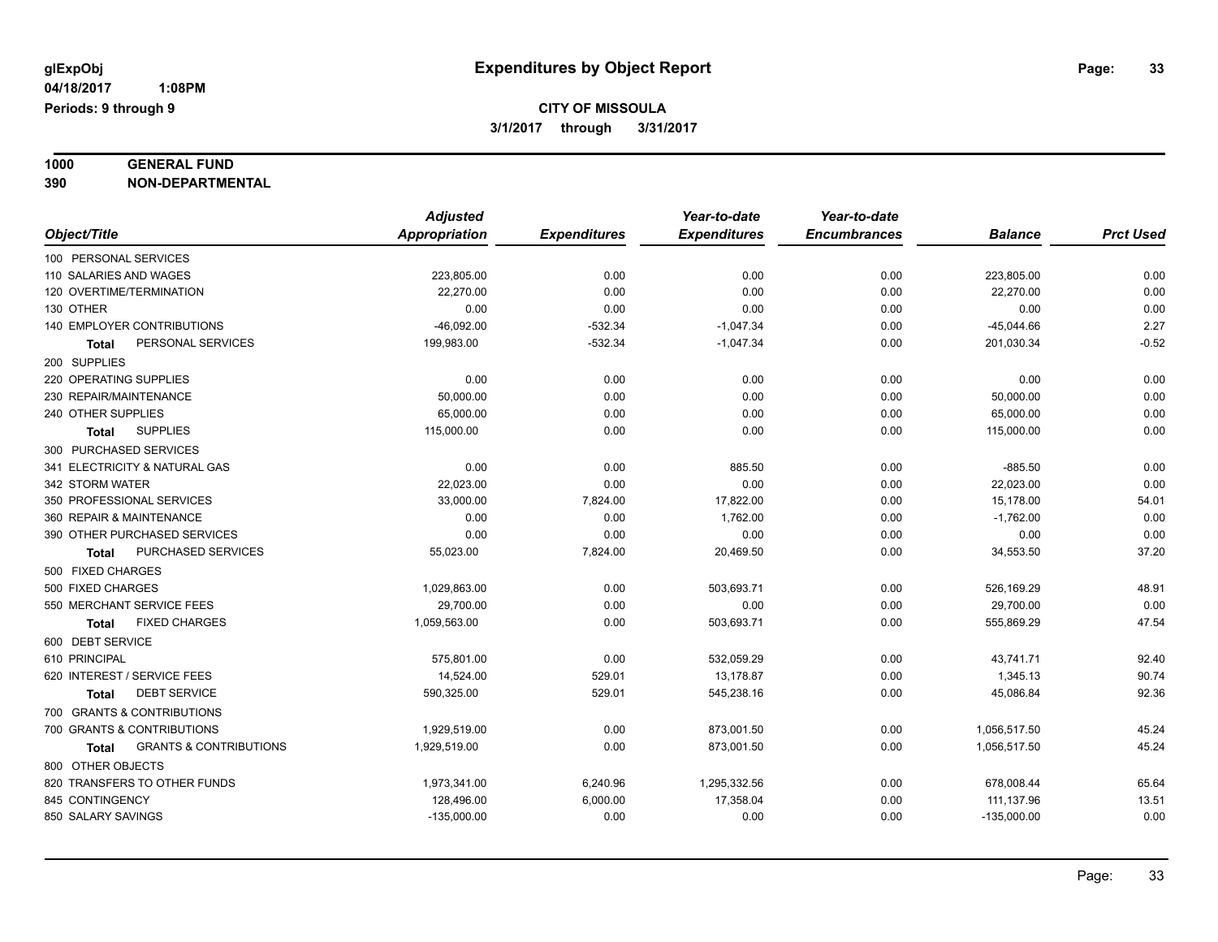# **1000 GENERAL FUND**

**390 NON-DEPARTMENTAL**

|                                            | <b>Adjusted</b> |                     | Year-to-date        | Year-to-date        |                |                  |
|--------------------------------------------|-----------------|---------------------|---------------------|---------------------|----------------|------------------|
| Object/Title                               | Appropriation   | <b>Expenditures</b> | <b>Expenditures</b> | <b>Encumbrances</b> | <b>Balance</b> | <b>Prct Used</b> |
| 100 PERSONAL SERVICES                      |                 |                     |                     |                     |                |                  |
| 110 SALARIES AND WAGES                     | 223,805.00      | 0.00                | 0.00                | 0.00                | 223,805.00     | 0.00             |
| 120 OVERTIME/TERMINATION                   | 22,270.00       | 0.00                | 0.00                | 0.00                | 22,270.00      | 0.00             |
| 130 OTHER                                  | 0.00            | 0.00                | 0.00                | 0.00                | 0.00           | 0.00             |
| <b>140 EMPLOYER CONTRIBUTIONS</b>          | $-46,092.00$    | $-532.34$           | $-1,047.34$         | 0.00                | $-45,044.66$   | 2.27             |
| PERSONAL SERVICES<br>Total                 | 199,983.00      | $-532.34$           | $-1,047.34$         | 0.00                | 201,030.34     | $-0.52$          |
| 200 SUPPLIES                               |                 |                     |                     |                     |                |                  |
| 220 OPERATING SUPPLIES                     | 0.00            | 0.00                | 0.00                | 0.00                | 0.00           | 0.00             |
| 230 REPAIR/MAINTENANCE                     | 50,000.00       | 0.00                | 0.00                | 0.00                | 50,000.00      | 0.00             |
| 240 OTHER SUPPLIES                         | 65,000.00       | 0.00                | 0.00                | 0.00                | 65,000.00      | 0.00             |
| <b>SUPPLIES</b><br>Total                   | 115,000.00      | 0.00                | 0.00                | 0.00                | 115,000.00     | 0.00             |
| 300 PURCHASED SERVICES                     |                 |                     |                     |                     |                |                  |
| 341 ELECTRICITY & NATURAL GAS              | 0.00            | 0.00                | 885.50              | 0.00                | $-885.50$      | 0.00             |
| 342 STORM WATER                            | 22,023.00       | 0.00                | 0.00                | 0.00                | 22,023.00      | 0.00             |
| 350 PROFESSIONAL SERVICES                  | 33,000.00       | 7,824.00            | 17,822.00           | 0.00                | 15,178.00      | 54.01            |
| 360 REPAIR & MAINTENANCE                   | 0.00            | 0.00                | 1,762.00            | 0.00                | $-1,762.00$    | 0.00             |
| 390 OTHER PURCHASED SERVICES               | 0.00            | 0.00                | 0.00                | 0.00                | 0.00           | 0.00             |
| PURCHASED SERVICES<br>Total                | 55,023.00       | 7,824.00            | 20,469.50           | 0.00                | 34,553.50      | 37.20            |
| 500 FIXED CHARGES                          |                 |                     |                     |                     |                |                  |
| 500 FIXED CHARGES                          | 1,029,863.00    | 0.00                | 503,693.71          | 0.00                | 526,169.29     | 48.91            |
| 550 MERCHANT SERVICE FEES                  | 29,700.00       | 0.00                | 0.00                | 0.00                | 29,700.00      | 0.00             |
| <b>FIXED CHARGES</b><br>Total              | 1,059,563.00    | 0.00                | 503,693.71          | 0.00                | 555,869.29     | 47.54            |
| 600 DEBT SERVICE                           |                 |                     |                     |                     |                |                  |
| 610 PRINCIPAL                              | 575,801.00      | 0.00                | 532,059.29          | 0.00                | 43,741.71      | 92.40            |
| 620 INTEREST / SERVICE FEES                | 14,524.00       | 529.01              | 13,178.87           | 0.00                | 1,345.13       | 90.74            |
| <b>DEBT SERVICE</b><br><b>Total</b>        | 590,325.00      | 529.01              | 545,238.16          | 0.00                | 45,086.84      | 92.36            |
| 700 GRANTS & CONTRIBUTIONS                 |                 |                     |                     |                     |                |                  |
| 700 GRANTS & CONTRIBUTIONS                 | 1,929,519.00    | 0.00                | 873,001.50          | 0.00                | 1,056,517.50   | 45.24            |
| <b>GRANTS &amp; CONTRIBUTIONS</b><br>Total | 1,929,519.00    | 0.00                | 873,001.50          | 0.00                | 1,056,517.50   | 45.24            |
| 800 OTHER OBJECTS                          |                 |                     |                     |                     |                |                  |
| 820 TRANSFERS TO OTHER FUNDS               | 1,973,341.00    | 6,240.96            | 1,295,332.56        | 0.00                | 678,008.44     | 65.64            |
| 845 CONTINGENCY                            | 128,496.00      | 6,000.00            | 17,358.04           | 0.00                | 111,137.96     | 13.51            |
| 850 SALARY SAVINGS                         | $-135,000.00$   | 0.00                | 0.00                | 0.00                | $-135,000.00$  | 0.00             |
|                                            |                 |                     |                     |                     |                |                  |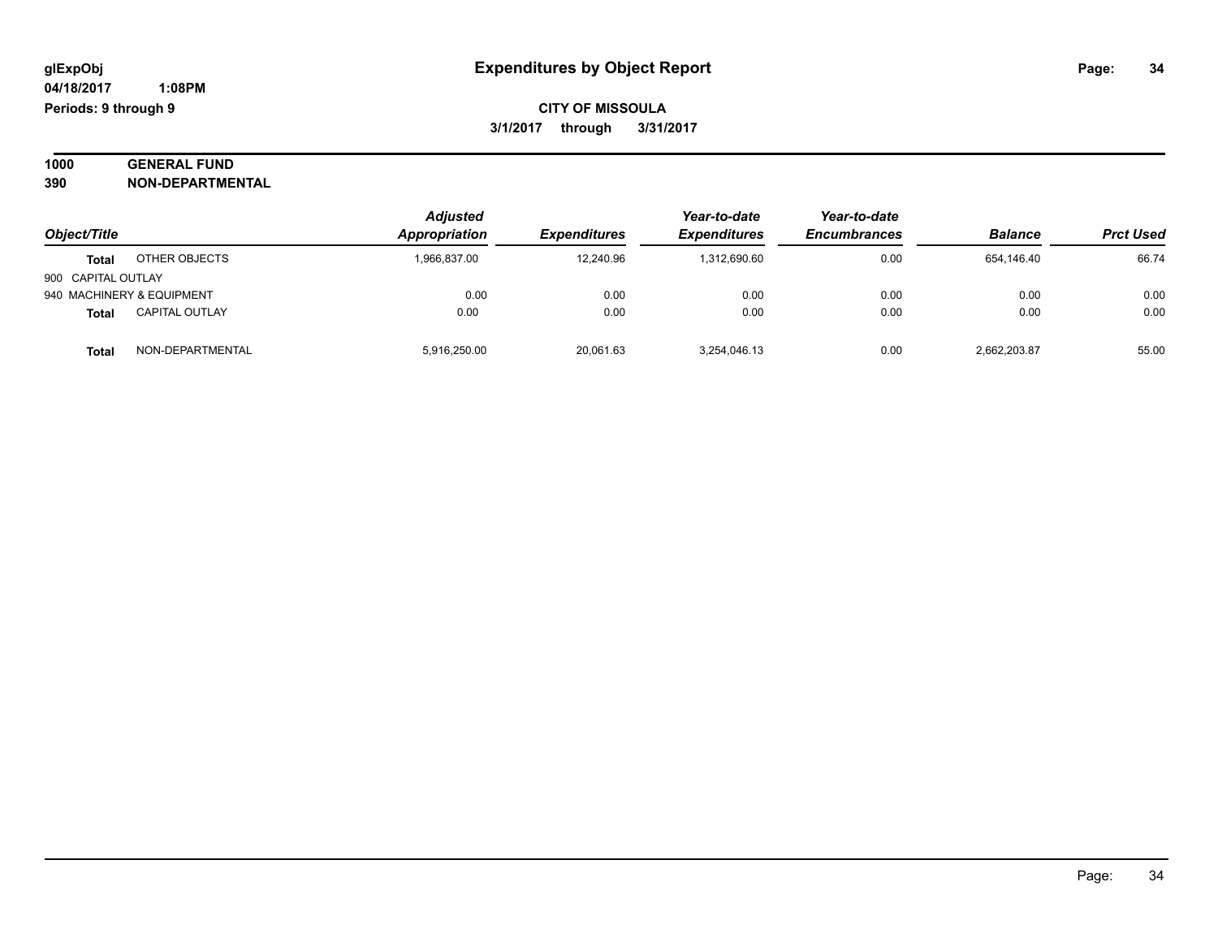| 1000 | <b>GENERAL FUND</b>     |
|------|-------------------------|
| 390  | <b>NON-DEPARTMENTAL</b> |

| Object/Title       |                           | <b>Adjusted</b><br>Appropriation | <b>Expenditures</b> | Year-to-date<br><b>Expenditures</b> | Year-to-date<br><b>Encumbrances</b> | <b>Balance</b> | <b>Prct Used</b> |
|--------------------|---------------------------|----------------------------------|---------------------|-------------------------------------|-------------------------------------|----------------|------------------|
| <b>Total</b>       | OTHER OBJECTS             | 1,966,837.00                     | 12.240.96           | 1.312.690.60                        | 0.00                                | 654.146.40     | 66.74            |
| 900 CAPITAL OUTLAY |                           |                                  |                     |                                     |                                     |                |                  |
|                    | 940 MACHINERY & EQUIPMENT | 0.00                             | 0.00                | 0.00                                | 0.00                                | 0.00           | 0.00             |
| <b>Total</b>       | <b>CAPITAL OUTLAY</b>     | 0.00                             | 0.00                | 0.00                                | 0.00                                | 0.00           | 0.00             |
| <b>Total</b>       | NON-DEPARTMENTAL          | 5,916,250.00                     | 20,061.63           | 3,254,046.13                        | 0.00                                | 2,662,203.87   | 55.00            |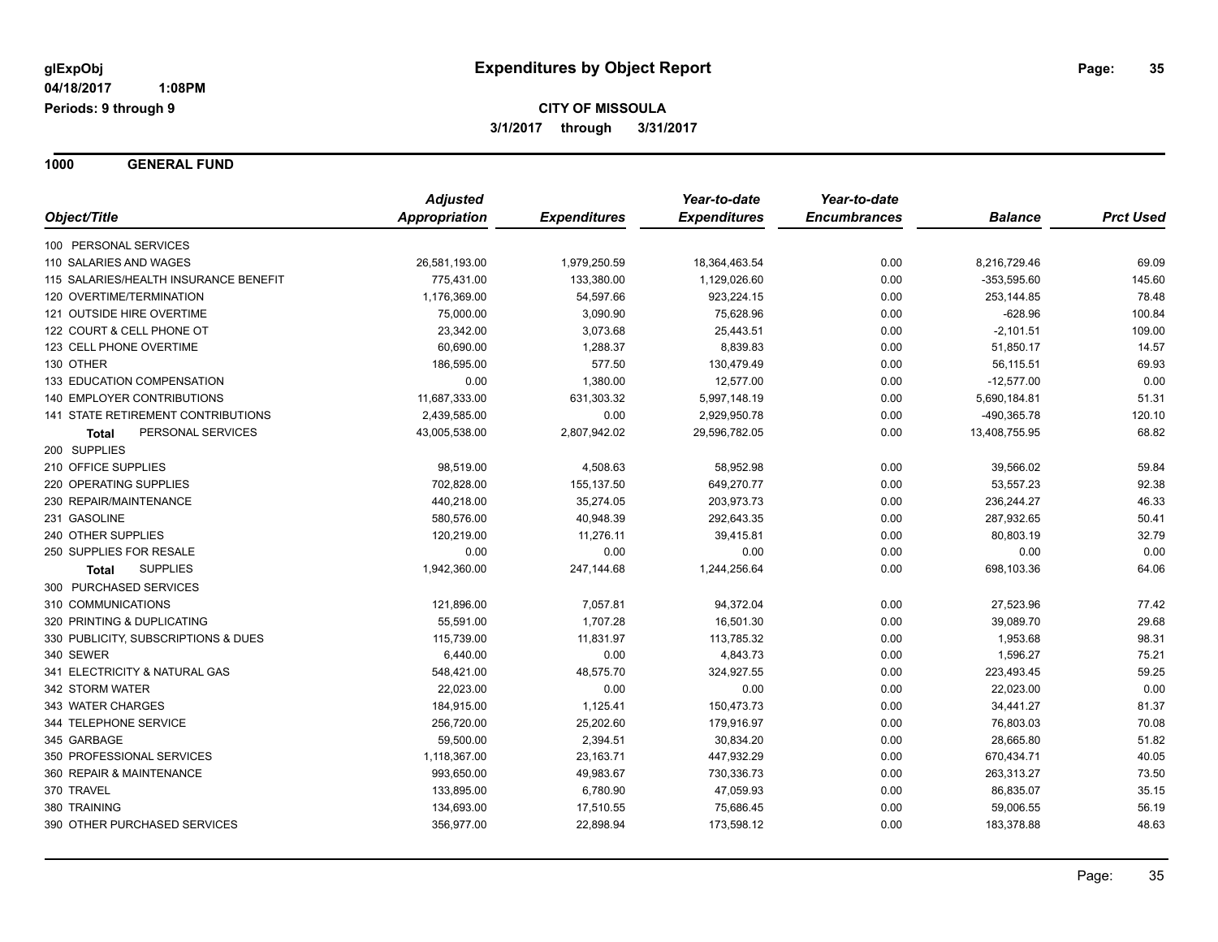**1000 GENERAL FUND**

|                                       | <b>Adjusted</b> |                     | Year-to-date        | Year-to-date        |                |                  |
|---------------------------------------|-----------------|---------------------|---------------------|---------------------|----------------|------------------|
| Object/Title                          | Appropriation   | <b>Expenditures</b> | <b>Expenditures</b> | <b>Encumbrances</b> | <b>Balance</b> | <b>Prct Used</b> |
| 100 PERSONAL SERVICES                 |                 |                     |                     |                     |                |                  |
| 110 SALARIES AND WAGES                | 26,581,193.00   | 1,979,250.59        | 18,364,463.54       | 0.00                | 8,216,729.46   | 69.09            |
| 115 SALARIES/HEALTH INSURANCE BENEFIT | 775,431.00      | 133,380.00          | 1,129,026.60        | 0.00                | -353,595.60    | 145.60           |
| 120 OVERTIME/TERMINATION              | 1,176,369.00    | 54,597.66           | 923,224.15          | 0.00                | 253,144.85     | 78.48            |
| 121 OUTSIDE HIRE OVERTIME             | 75,000.00       | 3,090.90            | 75,628.96           | 0.00                | $-628.96$      | 100.84           |
| 122 COURT & CELL PHONE OT             | 23,342.00       | 3,073.68            | 25,443.51           | 0.00                | $-2,101.51$    | 109.00           |
| 123 CELL PHONE OVERTIME               | 60,690.00       | 1,288.37            | 8,839.83            | 0.00                | 51,850.17      | 14.57            |
| 130 OTHER                             | 186,595.00      | 577.50              | 130,479.49          | 0.00                | 56,115.51      | 69.93            |
| 133 EDUCATION COMPENSATION            | 0.00            | 1,380.00            | 12,577.00           | 0.00                | $-12,577.00$   | 0.00             |
| 140 EMPLOYER CONTRIBUTIONS            | 11,687,333.00   | 631,303.32          | 5,997,148.19        | 0.00                | 5,690,184.81   | 51.31            |
| 141 STATE RETIREMENT CONTRIBUTIONS    | 2,439,585.00    | 0.00                | 2,929,950.78        | 0.00                | -490,365.78    | 120.10           |
| PERSONAL SERVICES<br>Total            | 43,005,538.00   | 2,807,942.02        | 29,596,782.05       | 0.00                | 13,408,755.95  | 68.82            |
| 200 SUPPLIES                          |                 |                     |                     |                     |                |                  |
| 210 OFFICE SUPPLIES                   | 98,519.00       | 4,508.63            | 58,952.98           | 0.00                | 39,566.02      | 59.84            |
| 220 OPERATING SUPPLIES                | 702,828.00      | 155,137.50          | 649,270.77          | 0.00                | 53,557.23      | 92.38            |
| 230 REPAIR/MAINTENANCE                | 440,218.00      | 35,274.05           | 203,973.73          | 0.00                | 236,244.27     | 46.33            |
| 231 GASOLINE                          | 580,576.00      | 40,948.39           | 292,643.35          | 0.00                | 287,932.65     | 50.41            |
| 240 OTHER SUPPLIES                    | 120,219.00      | 11,276.11           | 39,415.81           | 0.00                | 80,803.19      | 32.79            |
| 250 SUPPLIES FOR RESALE               | 0.00            | 0.00                | 0.00                | 0.00                | 0.00           | 0.00             |
| <b>SUPPLIES</b><br>Total              | 1,942,360.00    | 247,144.68          | 1,244,256.64        | 0.00                | 698,103.36     | 64.06            |
| 300 PURCHASED SERVICES                |                 |                     |                     |                     |                |                  |
| 310 COMMUNICATIONS                    | 121,896.00      | 7,057.81            | 94,372.04           | 0.00                | 27,523.96      | 77.42            |
| 320 PRINTING & DUPLICATING            | 55,591.00       | 1,707.28            | 16,501.30           | 0.00                | 39,089.70      | 29.68            |
| 330 PUBLICITY, SUBSCRIPTIONS & DUES   | 115,739.00      | 11,831.97           | 113,785.32          | 0.00                | 1,953.68       | 98.31            |
| 340 SEWER                             | 6,440.00        | 0.00                | 4,843.73            | 0.00                | 1,596.27       | 75.21            |
| 341 ELECTRICITY & NATURAL GAS         | 548,421.00      | 48,575.70           | 324,927.55          | 0.00                | 223,493.45     | 59.25            |
| 342 STORM WATER                       | 22,023.00       | 0.00                | 0.00                | 0.00                | 22,023.00      | 0.00             |
| 343 WATER CHARGES                     | 184,915.00      | 1,125.41            | 150,473.73          | 0.00                | 34,441.27      | 81.37            |
| 344 TELEPHONE SERVICE                 | 256,720.00      | 25,202.60           | 179,916.97          | 0.00                | 76,803.03      | 70.08            |
| 345 GARBAGE                           | 59,500.00       | 2,394.51            | 30,834.20           | 0.00                | 28,665.80      | 51.82            |
| 350 PROFESSIONAL SERVICES             | 1,118,367.00    | 23,163.71           | 447,932.29          | 0.00                | 670,434.71     | 40.05            |
| 360 REPAIR & MAINTENANCE              | 993,650.00      | 49,983.67           | 730,336.73          | 0.00                | 263,313.27     | 73.50            |
| 370 TRAVEL                            | 133,895.00      | 6,780.90            | 47,059.93           | 0.00                | 86,835.07      | 35.15            |
| 380 TRAINING                          | 134,693.00      | 17,510.55           | 75,686.45           | 0.00                | 59,006.55      | 56.19            |
| 390 OTHER PURCHASED SERVICES          | 356,977.00      | 22,898.94           | 173,598.12          | 0.00                | 183,378.88     | 48.63            |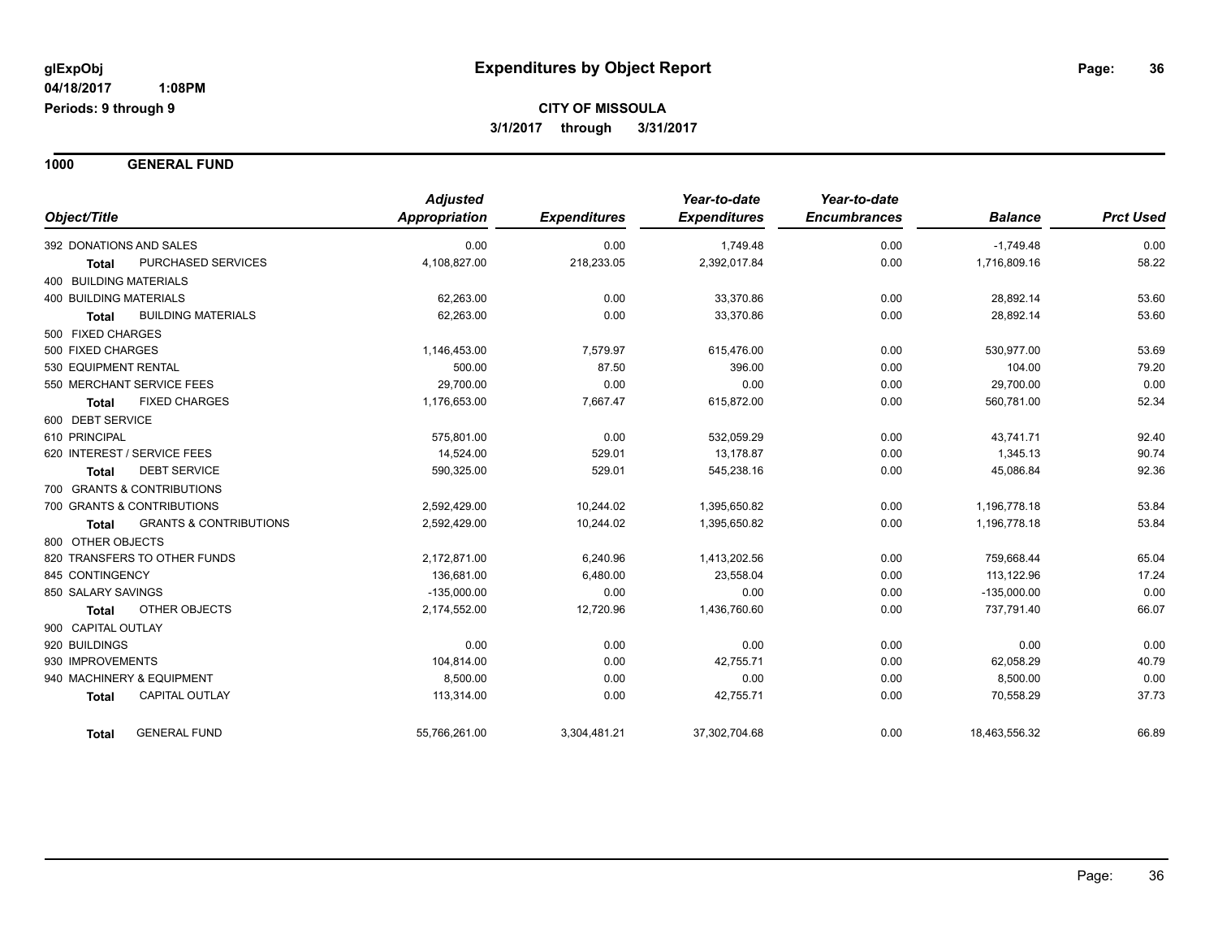**1000 GENERAL FUND**

| Object/Title                                      | <b>Adjusted</b><br><b>Appropriation</b> | <b>Expenditures</b> | Year-to-date<br><b>Expenditures</b> | Year-to-date<br><b>Encumbrances</b> | <b>Balance</b> | <b>Prct Used</b> |
|---------------------------------------------------|-----------------------------------------|---------------------|-------------------------------------|-------------------------------------|----------------|------------------|
|                                                   |                                         |                     |                                     |                                     |                |                  |
| 392 DONATIONS AND SALES                           | 0.00                                    | 0.00                | 1,749.48                            | 0.00                                | $-1,749.48$    | 0.00             |
| PURCHASED SERVICES<br><b>Total</b>                | 4,108,827.00                            | 218,233.05          | 2,392,017.84                        | 0.00                                | 1,716,809.16   | 58.22            |
| <b>400 BUILDING MATERIALS</b>                     |                                         |                     |                                     |                                     |                |                  |
| <b>400 BUILDING MATERIALS</b>                     | 62,263.00                               | 0.00                | 33,370.86                           | 0.00                                | 28,892.14      | 53.60            |
| <b>BUILDING MATERIALS</b><br><b>Total</b>         | 62,263.00                               | 0.00                | 33,370.86                           | 0.00                                | 28,892.14      | 53.60            |
| 500 FIXED CHARGES                                 |                                         |                     |                                     |                                     |                |                  |
| 500 FIXED CHARGES                                 | 1,146,453.00                            | 7,579.97            | 615,476.00                          | 0.00                                | 530,977.00     | 53.69            |
| 530 EQUIPMENT RENTAL                              | 500.00                                  | 87.50               | 396.00                              | 0.00                                | 104.00         | 79.20            |
| 550 MERCHANT SERVICE FEES                         | 29,700.00                               | 0.00                | 0.00                                | 0.00                                | 29,700.00      | 0.00             |
| <b>FIXED CHARGES</b><br><b>Total</b>              | 1,176,653.00                            | 7,667.47            | 615,872.00                          | 0.00                                | 560,781.00     | 52.34            |
| 600 DEBT SERVICE                                  |                                         |                     |                                     |                                     |                |                  |
| 610 PRINCIPAL                                     | 575,801.00                              | 0.00                | 532,059.29                          | 0.00                                | 43,741.71      | 92.40            |
| 620 INTEREST / SERVICE FEES                       | 14.524.00                               | 529.01              | 13.178.87                           | 0.00                                | 1,345.13       | 90.74            |
| <b>DEBT SERVICE</b><br><b>Total</b>               | 590,325.00                              | 529.01              | 545,238.16                          | 0.00                                | 45,086.84      | 92.36            |
| 700 GRANTS & CONTRIBUTIONS                        |                                         |                     |                                     |                                     |                |                  |
| 700 GRANTS & CONTRIBUTIONS                        | 2,592,429.00                            | 10,244.02           | 1,395,650.82                        | 0.00                                | 1,196,778.18   | 53.84            |
| <b>GRANTS &amp; CONTRIBUTIONS</b><br><b>Total</b> | 2,592,429.00                            | 10,244.02           | 1,395,650.82                        | 0.00                                | 1,196,778.18   | 53.84            |
| 800 OTHER OBJECTS                                 |                                         |                     |                                     |                                     |                |                  |
| 820 TRANSFERS TO OTHER FUNDS                      | 2,172,871.00                            | 6,240.96            | 1,413,202.56                        | 0.00                                | 759,668.44     | 65.04            |
| 845 CONTINGENCY                                   | 136.681.00                              | 6,480.00            | 23,558.04                           | 0.00                                | 113,122.96     | 17.24            |
| 850 SALARY SAVINGS                                | $-135,000.00$                           | 0.00                | 0.00                                | 0.00                                | $-135,000.00$  | 0.00             |
| <b>OTHER OBJECTS</b><br><b>Total</b>              | 2,174,552.00                            | 12,720.96           | 1,436,760.60                        | 0.00                                | 737,791.40     | 66.07            |
| 900 CAPITAL OUTLAY                                |                                         |                     |                                     |                                     |                |                  |
| 920 BUILDINGS                                     | 0.00                                    | 0.00                | 0.00                                | 0.00                                | 0.00           | 0.00             |
| 930 IMPROVEMENTS                                  | 104,814.00                              | 0.00                | 42,755.71                           | 0.00                                | 62,058.29      | 40.79            |
| 940 MACHINERY & EQUIPMENT                         | 8,500.00                                | 0.00                | 0.00                                | 0.00                                | 8,500.00       | 0.00             |
| <b>CAPITAL OUTLAY</b><br><b>Total</b>             | 113,314.00                              | 0.00                | 42,755.71                           | 0.00                                | 70,558.29      | 37.73            |
| <b>GENERAL FUND</b><br><b>Total</b>               | 55,766,261.00                           | 3,304,481.21        | 37,302,704.68                       | 0.00                                | 18,463,556.32  | 66.89            |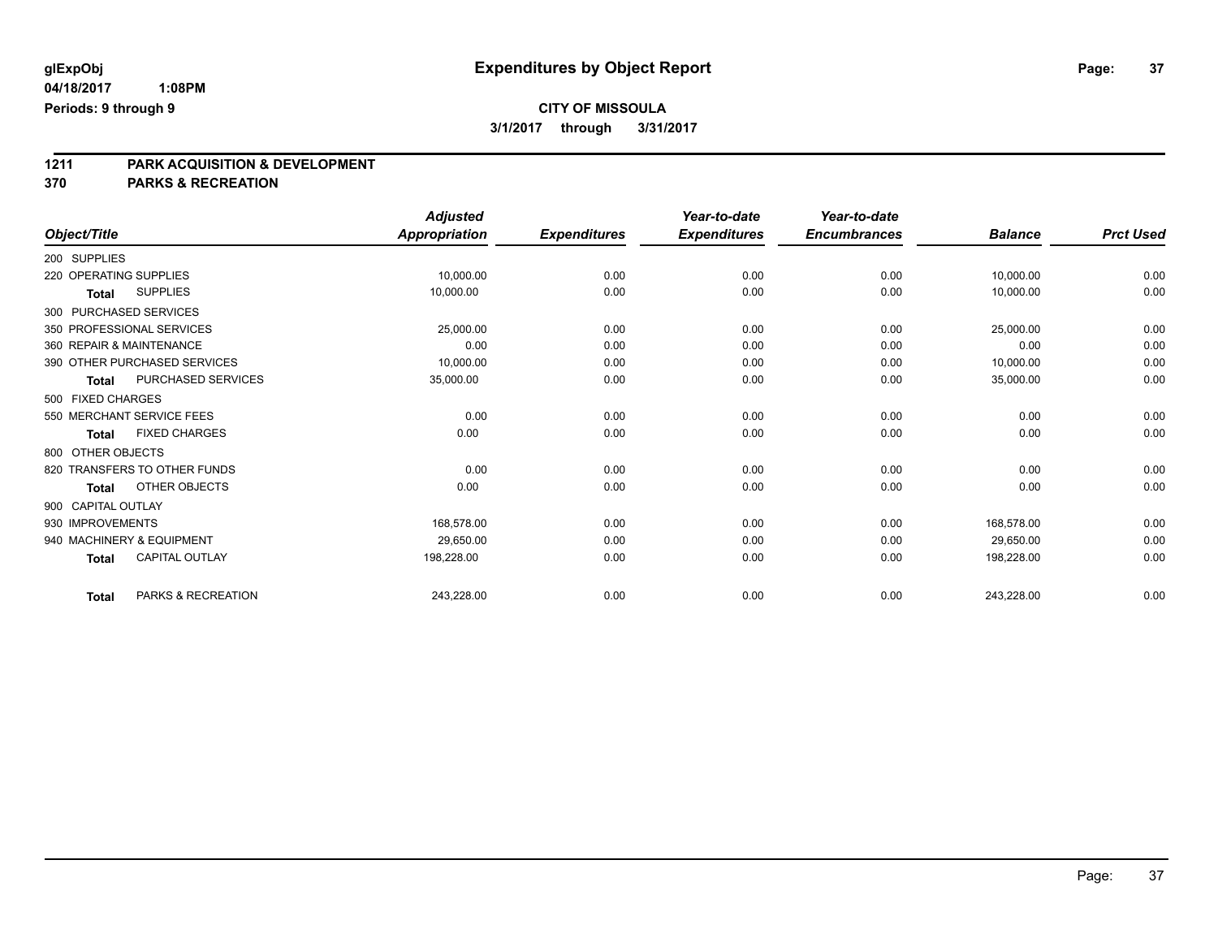**1211 PARK ACQUISITION & DEVELOPMENT**

**370 PARKS & RECREATION**

|                        |                              | <b>Adjusted</b>      |                     | Year-to-date        | Year-to-date        |                |                  |
|------------------------|------------------------------|----------------------|---------------------|---------------------|---------------------|----------------|------------------|
| Object/Title           |                              | <b>Appropriation</b> | <b>Expenditures</b> | <b>Expenditures</b> | <b>Encumbrances</b> | <b>Balance</b> | <b>Prct Used</b> |
| 200 SUPPLIES           |                              |                      |                     |                     |                     |                |                  |
| 220 OPERATING SUPPLIES |                              | 10,000.00            | 0.00                | 0.00                | 0.00                | 10,000.00      | 0.00             |
| Total                  | <b>SUPPLIES</b>              | 10,000.00            | 0.00                | 0.00                | 0.00                | 10,000.00      | 0.00             |
|                        | 300 PURCHASED SERVICES       |                      |                     |                     |                     |                |                  |
|                        | 350 PROFESSIONAL SERVICES    | 25,000.00            | 0.00                | 0.00                | 0.00                | 25,000.00      | 0.00             |
|                        | 360 REPAIR & MAINTENANCE     | 0.00                 | 0.00                | 0.00                | 0.00                | 0.00           | 0.00             |
|                        | 390 OTHER PURCHASED SERVICES | 10,000.00            | 0.00                | 0.00                | 0.00                | 10,000.00      | 0.00             |
| <b>Total</b>           | PURCHASED SERVICES           | 35,000.00            | 0.00                | 0.00                | 0.00                | 35,000.00      | 0.00             |
| 500 FIXED CHARGES      |                              |                      |                     |                     |                     |                |                  |
|                        | 550 MERCHANT SERVICE FEES    | 0.00                 | 0.00                | 0.00                | 0.00                | 0.00           | 0.00             |
| <b>Total</b>           | <b>FIXED CHARGES</b>         | 0.00                 | 0.00                | 0.00                | 0.00                | 0.00           | 0.00             |
| 800 OTHER OBJECTS      |                              |                      |                     |                     |                     |                |                  |
|                        | 820 TRANSFERS TO OTHER FUNDS | 0.00                 | 0.00                | 0.00                | 0.00                | 0.00           | 0.00             |
| Total                  | OTHER OBJECTS                | 0.00                 | 0.00                | 0.00                | 0.00                | 0.00           | 0.00             |
| 900 CAPITAL OUTLAY     |                              |                      |                     |                     |                     |                |                  |
| 930 IMPROVEMENTS       |                              | 168,578.00           | 0.00                | 0.00                | 0.00                | 168,578.00     | 0.00             |
|                        | 940 MACHINERY & EQUIPMENT    | 29,650.00            | 0.00                | 0.00                | 0.00                | 29,650.00      | 0.00             |
| <b>Total</b>           | CAPITAL OUTLAY               | 198,228.00           | 0.00                | 0.00                | 0.00                | 198,228.00     | 0.00             |
| Total                  | PARKS & RECREATION           | 243,228.00           | 0.00                | 0.00                | 0.00                | 243,228.00     | 0.00             |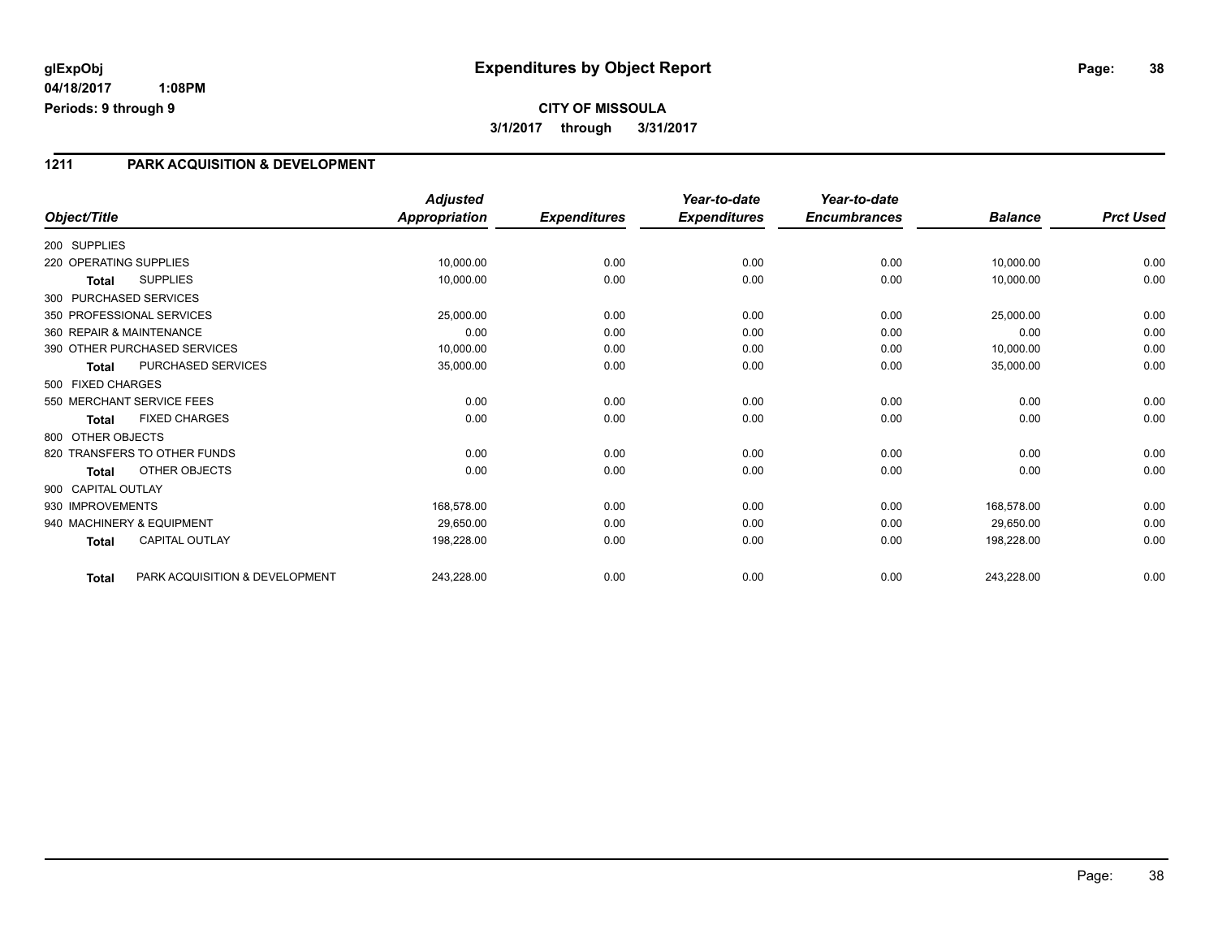# **CITY OF MISSOULA 3/1/2017 through 3/31/2017**

### **1211 PARK ACQUISITION & DEVELOPMENT**

|                        |                                | <b>Adjusted</b>      |                     | Year-to-date        | Year-to-date        |                |                  |
|------------------------|--------------------------------|----------------------|---------------------|---------------------|---------------------|----------------|------------------|
| Object/Title           |                                | <b>Appropriation</b> | <b>Expenditures</b> | <b>Expenditures</b> | <b>Encumbrances</b> | <b>Balance</b> | <b>Prct Used</b> |
| 200 SUPPLIES           |                                |                      |                     |                     |                     |                |                  |
| 220 OPERATING SUPPLIES |                                | 10,000.00            | 0.00                | 0.00                | 0.00                | 10,000.00      | 0.00             |
| <b>Total</b>           | <b>SUPPLIES</b>                | 10,000.00            | 0.00                | 0.00                | 0.00                | 10,000.00      | 0.00             |
|                        | 300 PURCHASED SERVICES         |                      |                     |                     |                     |                |                  |
|                        | 350 PROFESSIONAL SERVICES      | 25,000.00            | 0.00                | 0.00                | 0.00                | 25,000.00      | 0.00             |
|                        | 360 REPAIR & MAINTENANCE       | 0.00                 | 0.00                | 0.00                | 0.00                | 0.00           | 0.00             |
|                        | 390 OTHER PURCHASED SERVICES   | 10,000.00            | 0.00                | 0.00                | 0.00                | 10,000.00      | 0.00             |
| <b>Total</b>           | PURCHASED SERVICES             | 35,000.00            | 0.00                | 0.00                | 0.00                | 35,000.00      | 0.00             |
| 500 FIXED CHARGES      |                                |                      |                     |                     |                     |                |                  |
|                        | 550 MERCHANT SERVICE FEES      | 0.00                 | 0.00                | 0.00                | 0.00                | 0.00           | 0.00             |
| Total                  | <b>FIXED CHARGES</b>           | 0.00                 | 0.00                | 0.00                | 0.00                | 0.00           | 0.00             |
| 800 OTHER OBJECTS      |                                |                      |                     |                     |                     |                |                  |
|                        | 820 TRANSFERS TO OTHER FUNDS   | 0.00                 | 0.00                | 0.00                | 0.00                | 0.00           | 0.00             |
| Total                  | OTHER OBJECTS                  | 0.00                 | 0.00                | 0.00                | 0.00                | 0.00           | 0.00             |
| 900 CAPITAL OUTLAY     |                                |                      |                     |                     |                     |                |                  |
| 930 IMPROVEMENTS       |                                | 168,578.00           | 0.00                | 0.00                | 0.00                | 168,578.00     | 0.00             |
|                        | 940 MACHINERY & EQUIPMENT      | 29,650.00            | 0.00                | 0.00                | 0.00                | 29,650.00      | 0.00             |
| <b>Total</b>           | <b>CAPITAL OUTLAY</b>          | 198,228.00           | 0.00                | 0.00                | 0.00                | 198,228.00     | 0.00             |
| <b>Total</b>           | PARK ACQUISITION & DEVELOPMENT | 243,228.00           | 0.00                | 0.00                | 0.00                | 243,228.00     | 0.00             |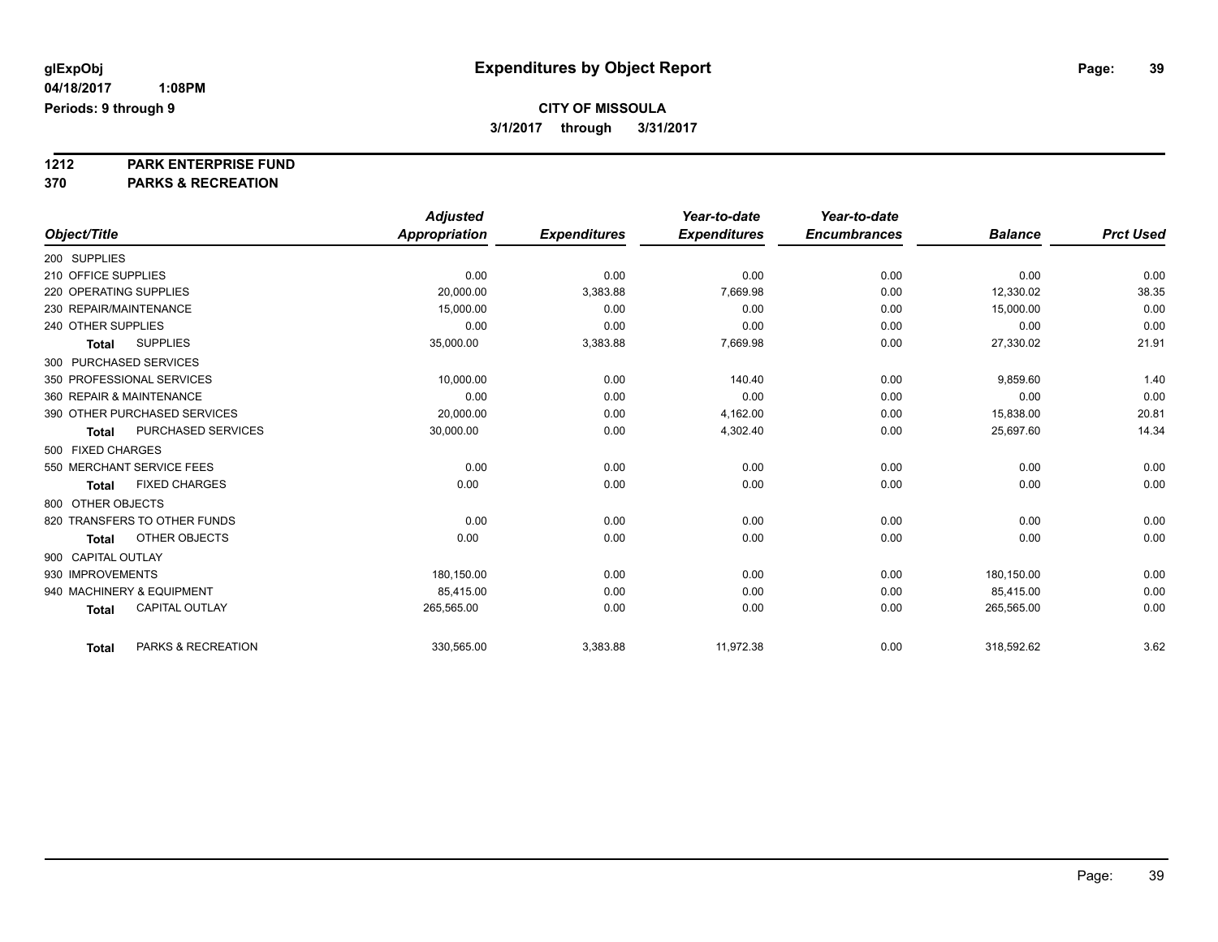**1212 PARK ENTERPRISE FUND**

**370 PARKS & RECREATION**

|                          |                              | <b>Adjusted</b> |                     | Year-to-date        | Year-to-date        |                |                  |
|--------------------------|------------------------------|-----------------|---------------------|---------------------|---------------------|----------------|------------------|
| Object/Title             |                              | Appropriation   | <b>Expenditures</b> | <b>Expenditures</b> | <b>Encumbrances</b> | <b>Balance</b> | <b>Prct Used</b> |
| 200 SUPPLIES             |                              |                 |                     |                     |                     |                |                  |
| 210 OFFICE SUPPLIES      |                              | 0.00            | 0.00                | 0.00                | 0.00                | 0.00           | 0.00             |
| 220 OPERATING SUPPLIES   |                              | 20,000.00       | 3,383.88            | 7,669.98            | 0.00                | 12.330.02      | 38.35            |
| 230 REPAIR/MAINTENANCE   |                              | 15,000.00       | 0.00                | 0.00                | 0.00                | 15,000.00      | 0.00             |
| 240 OTHER SUPPLIES       |                              | 0.00            | 0.00                | 0.00                | 0.00                | 0.00           | 0.00             |
| Total                    | <b>SUPPLIES</b>              | 35,000.00       | 3,383.88            | 7,669.98            | 0.00                | 27,330.02      | 21.91            |
| 300 PURCHASED SERVICES   |                              |                 |                     |                     |                     |                |                  |
|                          | 350 PROFESSIONAL SERVICES    | 10,000.00       | 0.00                | 140.40              | 0.00                | 9,859.60       | 1.40             |
| 360 REPAIR & MAINTENANCE |                              | 0.00            | 0.00                | 0.00                | 0.00                | 0.00           | 0.00             |
|                          | 390 OTHER PURCHASED SERVICES | 20,000.00       | 0.00                | 4,162.00            | 0.00                | 15,838.00      | 20.81            |
| <b>Total</b>             | PURCHASED SERVICES           | 30,000.00       | 0.00                | 4,302.40            | 0.00                | 25,697.60      | 14.34            |
| 500 FIXED CHARGES        |                              |                 |                     |                     |                     |                |                  |
|                          | 550 MERCHANT SERVICE FEES    | 0.00            | 0.00                | 0.00                | 0.00                | 0.00           | 0.00             |
| Total                    | <b>FIXED CHARGES</b>         | 0.00            | 0.00                | 0.00                | 0.00                | 0.00           | 0.00             |
| 800 OTHER OBJECTS        |                              |                 |                     |                     |                     |                |                  |
|                          | 820 TRANSFERS TO OTHER FUNDS | 0.00            | 0.00                | 0.00                | 0.00                | 0.00           | 0.00             |
| <b>Total</b>             | OTHER OBJECTS                | 0.00            | 0.00                | 0.00                | 0.00                | 0.00           | 0.00             |
| 900 CAPITAL OUTLAY       |                              |                 |                     |                     |                     |                |                  |
| 930 IMPROVEMENTS         |                              | 180,150.00      | 0.00                | 0.00                | 0.00                | 180,150.00     | 0.00             |
|                          | 940 MACHINERY & EQUIPMENT    | 85,415.00       | 0.00                | 0.00                | 0.00                | 85,415.00      | 0.00             |
| <b>Total</b>             | <b>CAPITAL OUTLAY</b>        | 265,565.00      | 0.00                | 0.00                | 0.00                | 265,565.00     | 0.00             |
| <b>Total</b>             | PARKS & RECREATION           | 330,565.00      | 3,383.88            | 11,972.38           | 0.00                | 318,592.62     | 3.62             |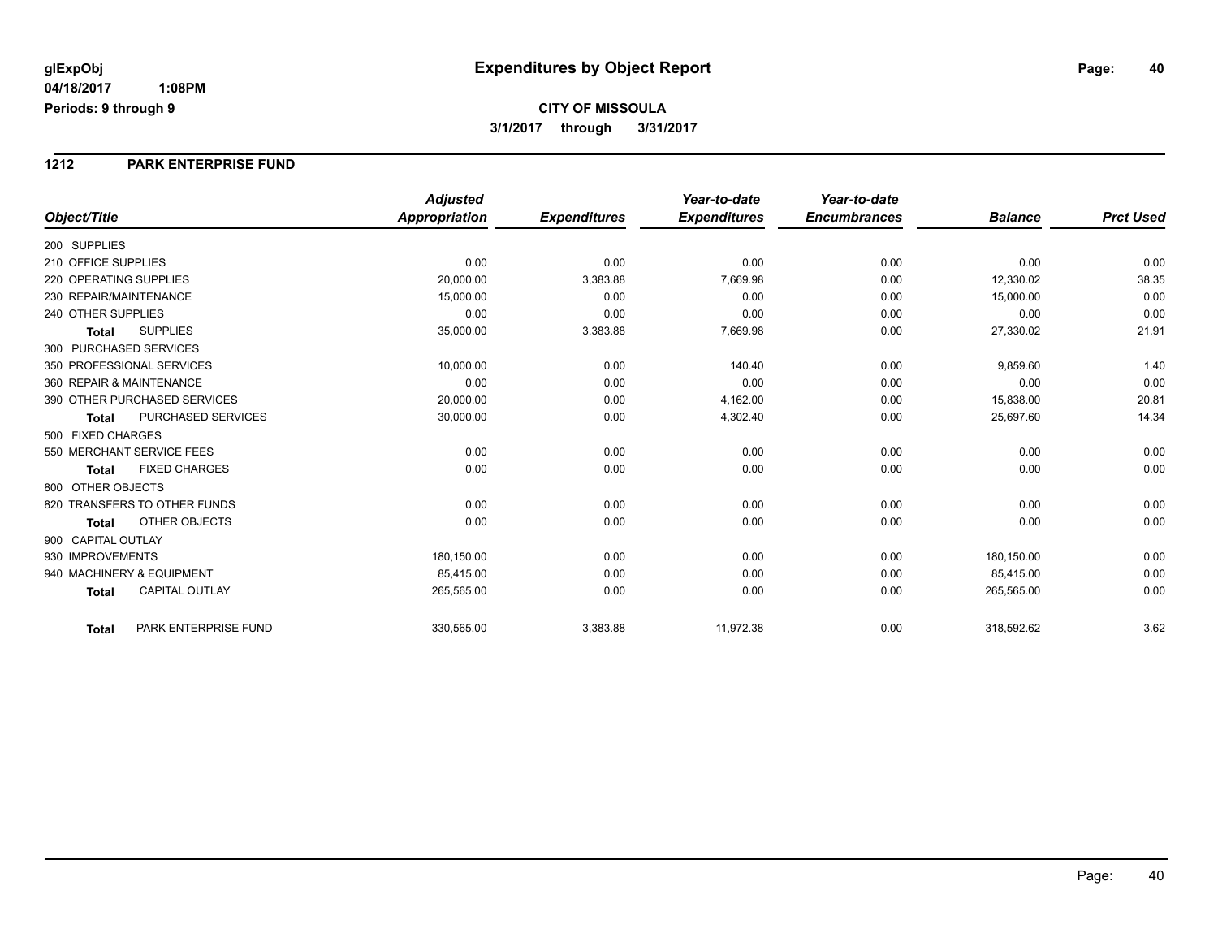#### **1212 PARK ENTERPRISE FUND**

|                                           | <b>Adjusted</b>      |                     | Year-to-date        | Year-to-date        |                |                  |
|-------------------------------------------|----------------------|---------------------|---------------------|---------------------|----------------|------------------|
| Object/Title                              | <b>Appropriation</b> | <b>Expenditures</b> | <b>Expenditures</b> | <b>Encumbrances</b> | <b>Balance</b> | <b>Prct Used</b> |
| 200 SUPPLIES                              |                      |                     |                     |                     |                |                  |
| 210 OFFICE SUPPLIES                       | 0.00                 | 0.00                | 0.00                | 0.00                | 0.00           | 0.00             |
| 220 OPERATING SUPPLIES                    | 20,000.00            | 3,383.88            | 7,669.98            | 0.00                | 12,330.02      | 38.35            |
| 230 REPAIR/MAINTENANCE                    | 15,000.00            | 0.00                | 0.00                | 0.00                | 15,000.00      | 0.00             |
| 240 OTHER SUPPLIES                        | 0.00                 | 0.00                | 0.00                | 0.00                | 0.00           | 0.00             |
| <b>SUPPLIES</b><br><b>Total</b>           | 35,000.00            | 3,383.88            | 7,669.98            | 0.00                | 27,330.02      | 21.91            |
| 300 PURCHASED SERVICES                    |                      |                     |                     |                     |                |                  |
| 350 PROFESSIONAL SERVICES                 | 10.000.00            | 0.00                | 140.40              | 0.00                | 9,859.60       | 1.40             |
| 360 REPAIR & MAINTENANCE                  | 0.00                 | 0.00                | 0.00                | 0.00                | 0.00           | 0.00             |
| 390 OTHER PURCHASED SERVICES              | 20,000.00            | 0.00                | 4,162.00            | 0.00                | 15,838.00      | 20.81            |
| <b>PURCHASED SERVICES</b><br><b>Total</b> | 30,000.00            | 0.00                | 4,302.40            | 0.00                | 25,697.60      | 14.34            |
| 500 FIXED CHARGES                         |                      |                     |                     |                     |                |                  |
| 550 MERCHANT SERVICE FEES                 | 0.00                 | 0.00                | 0.00                | 0.00                | 0.00           | 0.00             |
| <b>FIXED CHARGES</b><br><b>Total</b>      | 0.00                 | 0.00                | 0.00                | 0.00                | 0.00           | 0.00             |
| 800 OTHER OBJECTS                         |                      |                     |                     |                     |                |                  |
| 820 TRANSFERS TO OTHER FUNDS              | 0.00                 | 0.00                | 0.00                | 0.00                | 0.00           | 0.00             |
| <b>OTHER OBJECTS</b><br><b>Total</b>      | 0.00                 | 0.00                | 0.00                | 0.00                | 0.00           | 0.00             |
| 900 CAPITAL OUTLAY                        |                      |                     |                     |                     |                |                  |
| 930 IMPROVEMENTS                          | 180,150.00           | 0.00                | 0.00                | 0.00                | 180,150.00     | 0.00             |
| 940 MACHINERY & EQUIPMENT                 | 85.415.00            | 0.00                | 0.00                | 0.00                | 85,415.00      | 0.00             |
| <b>CAPITAL OUTLAY</b><br><b>Total</b>     | 265,565.00           | 0.00                | 0.00                | 0.00                | 265,565.00     | 0.00             |
| PARK ENTERPRISE FUND<br>Total             | 330,565.00           | 3,383.88            | 11,972.38           | 0.00                | 318,592.62     | 3.62             |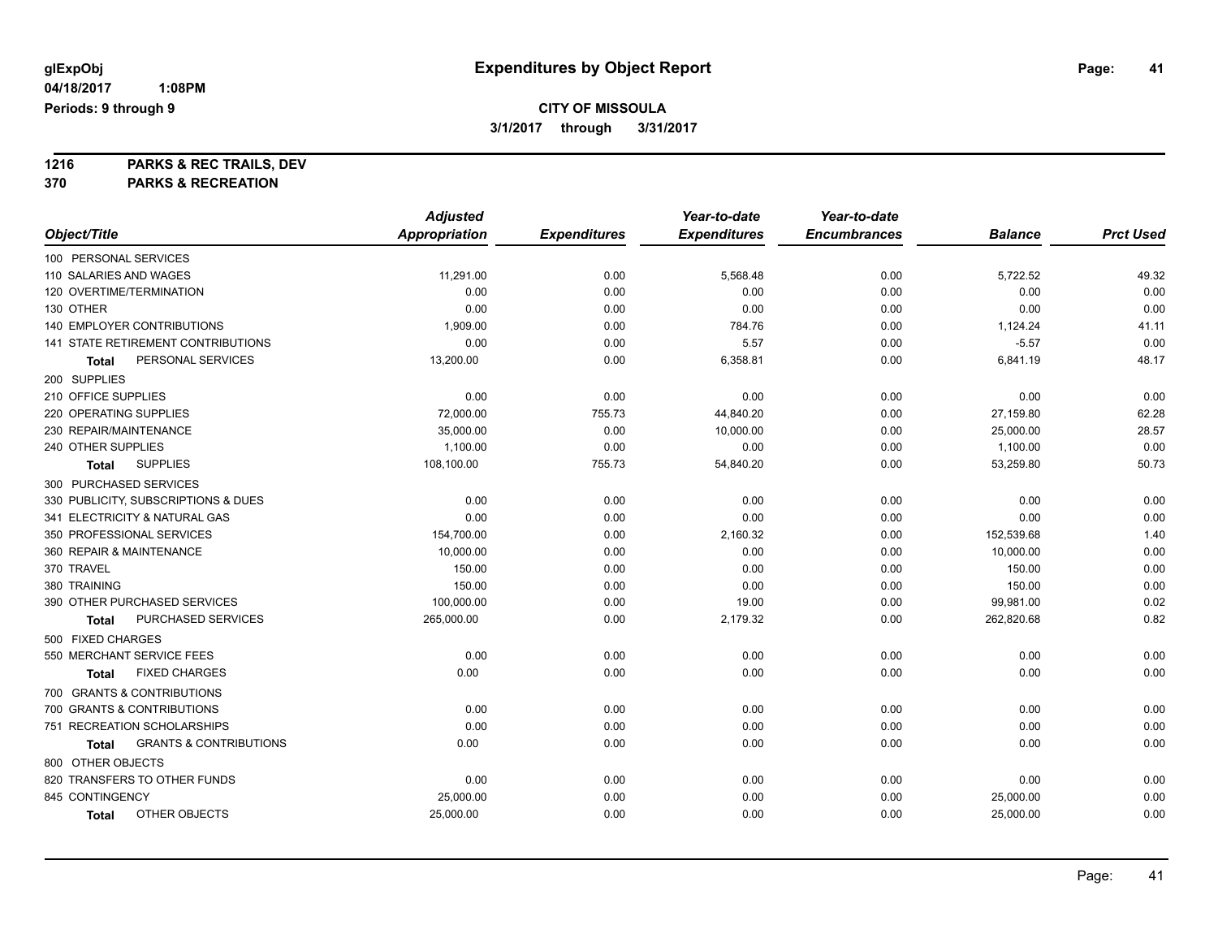**1216 PARKS & REC TRAILS, DEV 370 PARKS & RECREATION**

|                                            | <b>Adjusted</b>      |                     | Year-to-date        | Year-to-date        |                |                  |
|--------------------------------------------|----------------------|---------------------|---------------------|---------------------|----------------|------------------|
| Object/Title                               | <b>Appropriation</b> | <b>Expenditures</b> | <b>Expenditures</b> | <b>Encumbrances</b> | <b>Balance</b> | <b>Prct Used</b> |
| 100 PERSONAL SERVICES                      |                      |                     |                     |                     |                |                  |
| 110 SALARIES AND WAGES                     | 11,291.00            | 0.00                | 5,568.48            | 0.00                | 5,722.52       | 49.32            |
| 120 OVERTIME/TERMINATION                   | 0.00                 | 0.00                | 0.00                | 0.00                | 0.00           | 0.00             |
| 130 OTHER                                  | 0.00                 | 0.00                | 0.00                | 0.00                | 0.00           | 0.00             |
| <b>140 EMPLOYER CONTRIBUTIONS</b>          | 1,909.00             | 0.00                | 784.76              | 0.00                | 1,124.24       | 41.11            |
| 141 STATE RETIREMENT CONTRIBUTIONS         | 0.00                 | 0.00                | 5.57                | 0.00                | $-5.57$        | 0.00             |
| PERSONAL SERVICES<br>Total                 | 13,200.00            | 0.00                | 6,358.81            | 0.00                | 6,841.19       | 48.17            |
| 200 SUPPLIES                               |                      |                     |                     |                     |                |                  |
| 210 OFFICE SUPPLIES                        | 0.00                 | 0.00                | 0.00                | 0.00                | 0.00           | 0.00             |
| 220 OPERATING SUPPLIES                     | 72,000.00            | 755.73              | 44,840.20           | 0.00                | 27,159.80      | 62.28            |
| 230 REPAIR/MAINTENANCE                     | 35,000.00            | 0.00                | 10,000.00           | 0.00                | 25,000.00      | 28.57            |
| 240 OTHER SUPPLIES                         | 1,100.00             | 0.00                | 0.00                | 0.00                | 1,100.00       | 0.00             |
| <b>SUPPLIES</b><br>Total                   | 108,100.00           | 755.73              | 54,840.20           | 0.00                | 53,259.80      | 50.73            |
| 300 PURCHASED SERVICES                     |                      |                     |                     |                     |                |                  |
| 330 PUBLICITY, SUBSCRIPTIONS & DUES        | 0.00                 | 0.00                | 0.00                | 0.00                | 0.00           | 0.00             |
| 341 ELECTRICITY & NATURAL GAS              | 0.00                 | 0.00                | 0.00                | 0.00                | 0.00           | 0.00             |
| 350 PROFESSIONAL SERVICES                  | 154,700.00           | 0.00                | 2,160.32            | 0.00                | 152,539.68     | 1.40             |
| 360 REPAIR & MAINTENANCE                   | 10,000.00            | 0.00                | 0.00                | 0.00                | 10,000.00      | 0.00             |
| 370 TRAVEL                                 | 150.00               | 0.00                | 0.00                | 0.00                | 150.00         | 0.00             |
| 380 TRAINING                               | 150.00               | 0.00                | 0.00                | 0.00                | 150.00         | 0.00             |
| 390 OTHER PURCHASED SERVICES               | 100,000.00           | 0.00                | 19.00               | 0.00                | 99,981.00      | 0.02             |
| PURCHASED SERVICES<br>Total                | 265,000.00           | 0.00                | 2,179.32            | 0.00                | 262,820.68     | 0.82             |
| 500 FIXED CHARGES                          |                      |                     |                     |                     |                |                  |
| 550 MERCHANT SERVICE FEES                  | 0.00                 | 0.00                | 0.00                | 0.00                | 0.00           | 0.00             |
| <b>FIXED CHARGES</b><br>Total              | 0.00                 | 0.00                | 0.00                | 0.00                | 0.00           | 0.00             |
| 700 GRANTS & CONTRIBUTIONS                 |                      |                     |                     |                     |                |                  |
| 700 GRANTS & CONTRIBUTIONS                 | 0.00                 | 0.00                | 0.00                | 0.00                | 0.00           | 0.00             |
| 751 RECREATION SCHOLARSHIPS                | 0.00                 | 0.00                | 0.00                | 0.00                | 0.00           | 0.00             |
| <b>GRANTS &amp; CONTRIBUTIONS</b><br>Total | 0.00                 | 0.00                | 0.00                | 0.00                | 0.00           | 0.00             |
| 800 OTHER OBJECTS                          |                      |                     |                     |                     |                |                  |
| 820 TRANSFERS TO OTHER FUNDS               | 0.00                 | 0.00                | 0.00                | 0.00                | 0.00           | 0.00             |
| 845 CONTINGENCY                            | 25,000.00            | 0.00                | 0.00                | 0.00                | 25,000.00      | 0.00             |
| OTHER OBJECTS<br>Total                     | 25,000.00            | 0.00                | 0.00                | 0.00                | 25,000.00      | 0.00             |
|                                            |                      |                     |                     |                     |                |                  |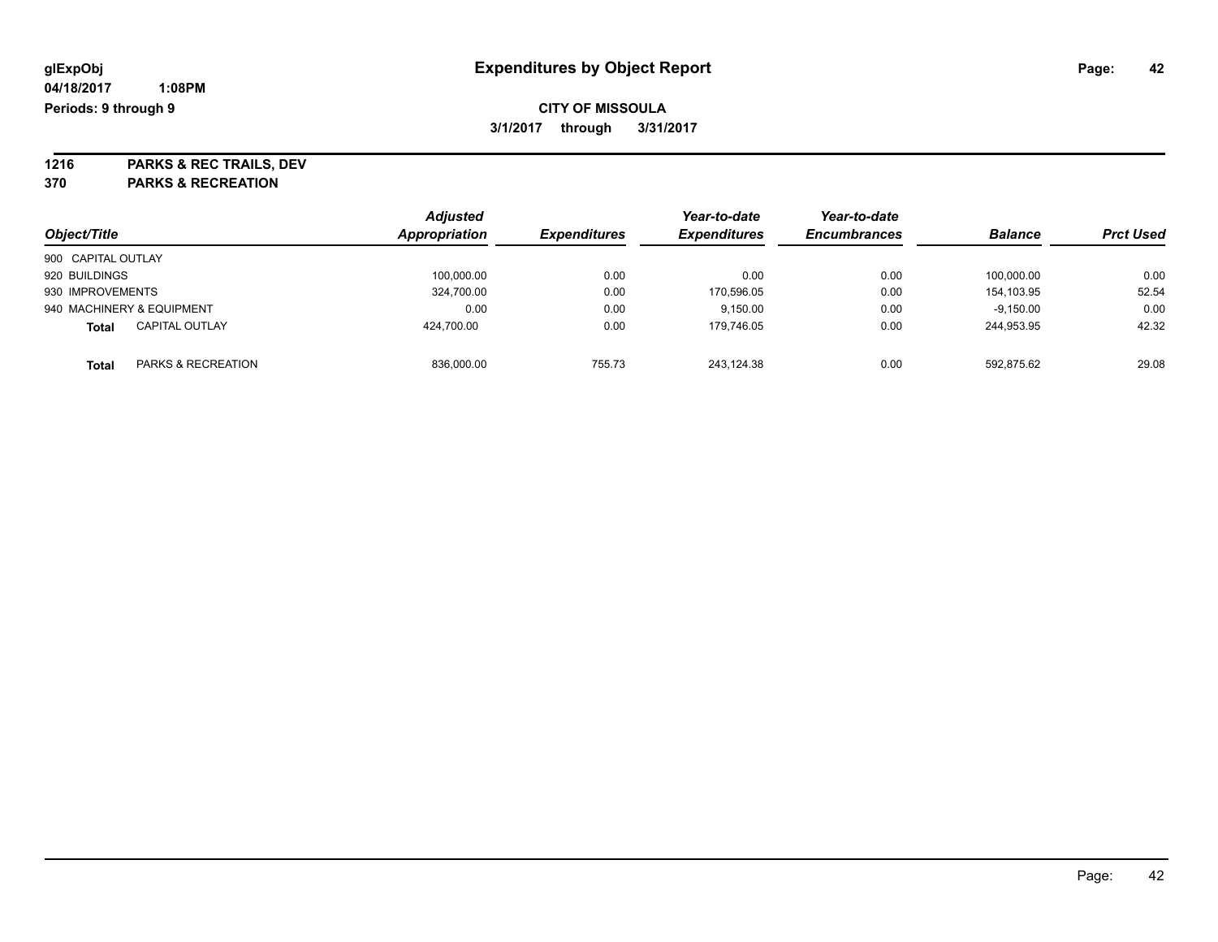**1216 PARKS & REC TRAILS, DEV 370 PARKS & RECREATION**

|                    |                           | <b>Adjusted</b> |                     | Year-to-date        | Year-to-date        |                |                  |
|--------------------|---------------------------|-----------------|---------------------|---------------------|---------------------|----------------|------------------|
| Object/Title       |                           | Appropriation   | <b>Expenditures</b> | <b>Expenditures</b> | <b>Encumbrances</b> | <b>Balance</b> | <b>Prct Used</b> |
| 900 CAPITAL OUTLAY |                           |                 |                     |                     |                     |                |                  |
| 920 BUILDINGS      |                           | 100,000.00      | 0.00                | 0.00                | 0.00                | 100,000.00     | 0.00             |
| 930 IMPROVEMENTS   |                           | 324,700.00      | 0.00                | 170,596.05          | 0.00                | 154.103.95     | 52.54            |
|                    | 940 MACHINERY & EQUIPMENT | 0.00            | 0.00                | 9.150.00            | 0.00                | $-9.150.00$    | 0.00             |
| <b>Total</b>       | <b>CAPITAL OUTLAY</b>     | 424.700.00      | 0.00                | 179.746.05          | 0.00                | 244.953.95     | 42.32            |
| <b>Total</b>       | PARKS & RECREATION        | 836,000.00      | 755.73              | 243.124.38          | 0.00                | 592,875.62     | 29.08            |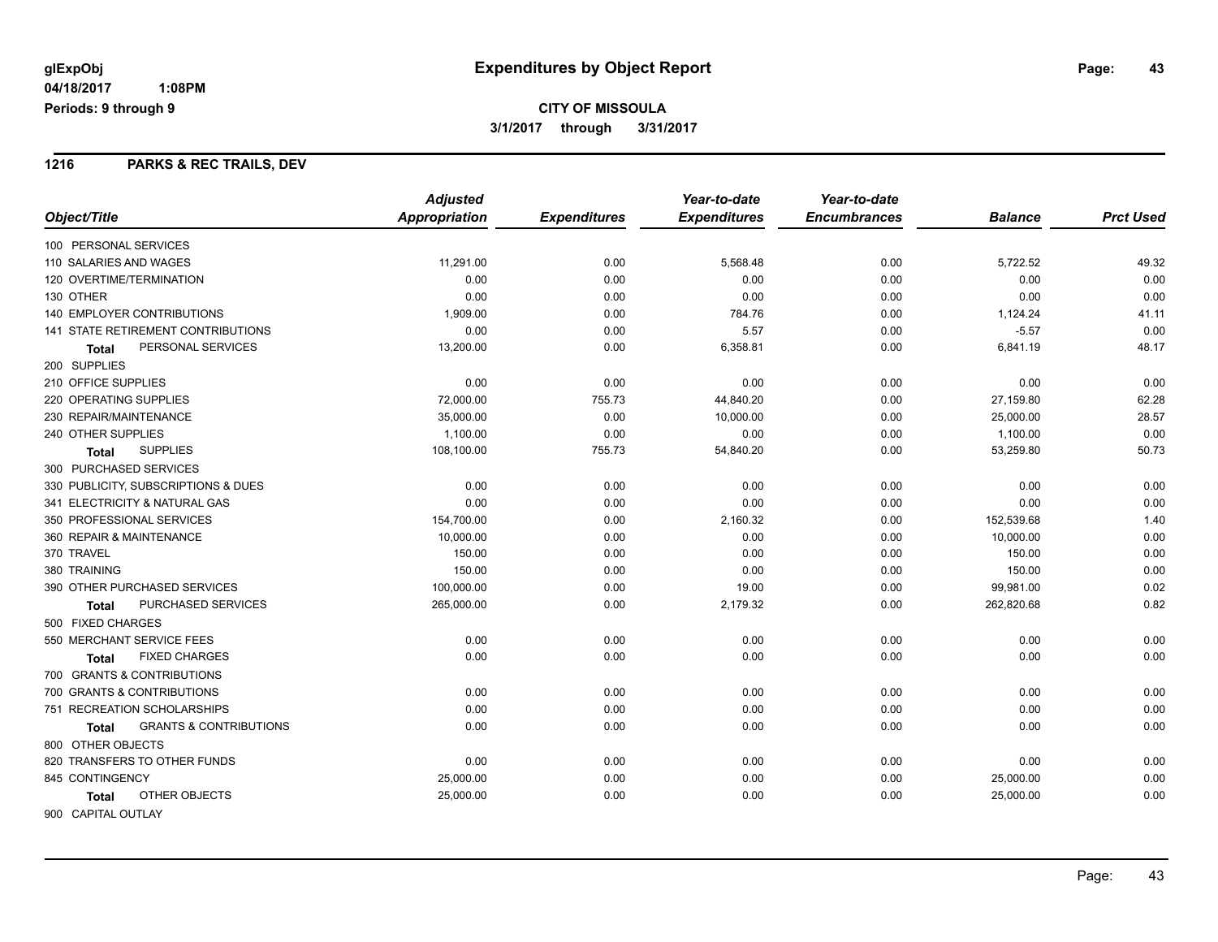### **1216 PARKS & REC TRAILS, DEV**

|                                                   | <b>Adjusted</b> |                     | Year-to-date        | Year-to-date        |                |                  |
|---------------------------------------------------|-----------------|---------------------|---------------------|---------------------|----------------|------------------|
| Object/Title                                      | Appropriation   | <b>Expenditures</b> | <b>Expenditures</b> | <b>Encumbrances</b> | <b>Balance</b> | <b>Prct Used</b> |
| 100 PERSONAL SERVICES                             |                 |                     |                     |                     |                |                  |
| 110 SALARIES AND WAGES                            | 11,291.00       | 0.00                | 5,568.48            | 0.00                | 5,722.52       | 49.32            |
| 120 OVERTIME/TERMINATION                          | 0.00            | 0.00                | 0.00                | 0.00                | 0.00           | 0.00             |
| 130 OTHER                                         | 0.00            | 0.00                | 0.00                | 0.00                | 0.00           | 0.00             |
| <b>140 EMPLOYER CONTRIBUTIONS</b>                 | 1,909.00        | 0.00                | 784.76              | 0.00                | 1,124.24       | 41.11            |
| <b>141 STATE RETIREMENT CONTRIBUTIONS</b>         | 0.00            | 0.00                | 5.57                | 0.00                | $-5.57$        | 0.00             |
| PERSONAL SERVICES<br><b>Total</b>                 | 13,200.00       | 0.00                | 6,358.81            | 0.00                | 6,841.19       | 48.17            |
| 200 SUPPLIES                                      |                 |                     |                     |                     |                |                  |
| 210 OFFICE SUPPLIES                               | 0.00            | 0.00                | 0.00                | 0.00                | 0.00           | 0.00             |
| 220 OPERATING SUPPLIES                            | 72,000.00       | 755.73              | 44,840.20           | 0.00                | 27,159.80      | 62.28            |
| 230 REPAIR/MAINTENANCE                            | 35,000.00       | 0.00                | 10,000.00           | 0.00                | 25,000.00      | 28.57            |
| 240 OTHER SUPPLIES                                | 1,100.00        | 0.00                | 0.00                | 0.00                | 1,100.00       | 0.00             |
| <b>SUPPLIES</b><br>Total                          | 108,100.00      | 755.73              | 54,840.20           | 0.00                | 53,259.80      | 50.73            |
| 300 PURCHASED SERVICES                            |                 |                     |                     |                     |                |                  |
| 330 PUBLICITY, SUBSCRIPTIONS & DUES               | 0.00            | 0.00                | 0.00                | 0.00                | 0.00           | 0.00             |
| 341 ELECTRICITY & NATURAL GAS                     | 0.00            | 0.00                | 0.00                | 0.00                | 0.00           | 0.00             |
| 350 PROFESSIONAL SERVICES                         | 154,700.00      | 0.00                | 2,160.32            | 0.00                | 152,539.68     | 1.40             |
| 360 REPAIR & MAINTENANCE                          | 10,000.00       | 0.00                | 0.00                | 0.00                | 10,000.00      | 0.00             |
| 370 TRAVEL                                        | 150.00          | 0.00                | 0.00                | 0.00                | 150.00         | 0.00             |
| 380 TRAINING                                      | 150.00          | 0.00                | 0.00                | 0.00                | 150.00         | 0.00             |
| 390 OTHER PURCHASED SERVICES                      | 100,000.00      | 0.00                | 19.00               | 0.00                | 99,981.00      | 0.02             |
| PURCHASED SERVICES<br>Total                       | 265,000.00      | 0.00                | 2,179.32            | 0.00                | 262,820.68     | 0.82             |
| 500 FIXED CHARGES                                 |                 |                     |                     |                     |                |                  |
| 550 MERCHANT SERVICE FEES                         | 0.00            | 0.00                | 0.00                | 0.00                | 0.00           | 0.00             |
| <b>FIXED CHARGES</b><br><b>Total</b>              | 0.00            | 0.00                | 0.00                | 0.00                | 0.00           | 0.00             |
| 700 GRANTS & CONTRIBUTIONS                        |                 |                     |                     |                     |                |                  |
| 700 GRANTS & CONTRIBUTIONS                        | 0.00            | 0.00                | 0.00                | 0.00                | 0.00           | 0.00             |
| 751 RECREATION SCHOLARSHIPS                       | 0.00            | 0.00                | 0.00                | 0.00                | 0.00           | 0.00             |
| <b>GRANTS &amp; CONTRIBUTIONS</b><br><b>Total</b> | 0.00            | 0.00                | 0.00                | 0.00                | 0.00           | 0.00             |
| 800 OTHER OBJECTS                                 |                 |                     |                     |                     |                |                  |
| 820 TRANSFERS TO OTHER FUNDS                      | 0.00            | 0.00                | 0.00                | 0.00                | 0.00           | 0.00             |
| 845 CONTINGENCY                                   | 25,000.00       | 0.00                | 0.00                | 0.00                | 25,000.00      | 0.00             |
| OTHER OBJECTS<br><b>Total</b>                     | 25,000.00       | 0.00                | 0.00                | 0.00                | 25,000.00      | 0.00             |
| 900 CAPITAL OUTLAY                                |                 |                     |                     |                     |                |                  |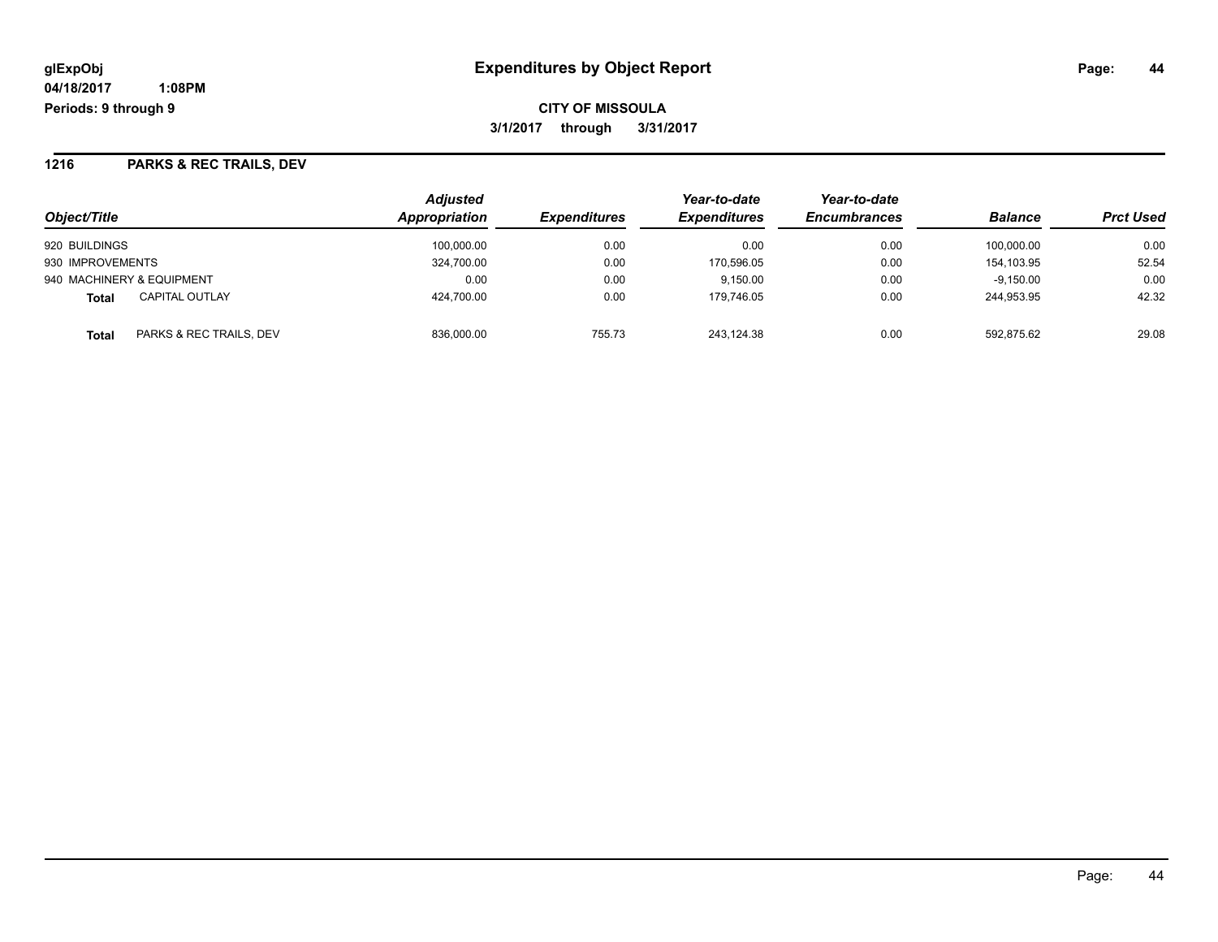**CITY OF MISSOULA 3/1/2017 through 3/31/2017**

## **1216 PARKS & REC TRAILS, DEV**

| Object/Title                          | <b>Adjusted</b><br><b>Appropriation</b> | <i><b>Expenditures</b></i> | Year-to-date<br><b>Expenditures</b> | Year-to-date<br><b>Encumbrances</b> | <b>Balance</b> | <b>Prct Used</b> |
|---------------------------------------|-----------------------------------------|----------------------------|-------------------------------------|-------------------------------------|----------------|------------------|
| 920 BUILDINGS                         | 100.000.00                              | 0.00                       | 0.00                                | 0.00                                | 100.000.00     | 0.00             |
| 930 IMPROVEMENTS                      | 324,700.00                              | 0.00                       | 170.596.05                          | 0.00                                | 154.103.95     | 52.54            |
| 940 MACHINERY & EQUIPMENT             | 0.00                                    | 0.00                       | 9.150.00                            | 0.00                                | $-9.150.00$    | 0.00             |
| <b>CAPITAL OUTLAY</b><br><b>Total</b> | 424.700.00                              | 0.00                       | 179.746.05                          | 0.00                                | 244.953.95     | 42.32            |
| PARKS & REC TRAILS, DEV<br>Total      | 836,000.00                              | 755.73                     | 243,124.38                          | 0.00                                | 592.875.62     | 29.08            |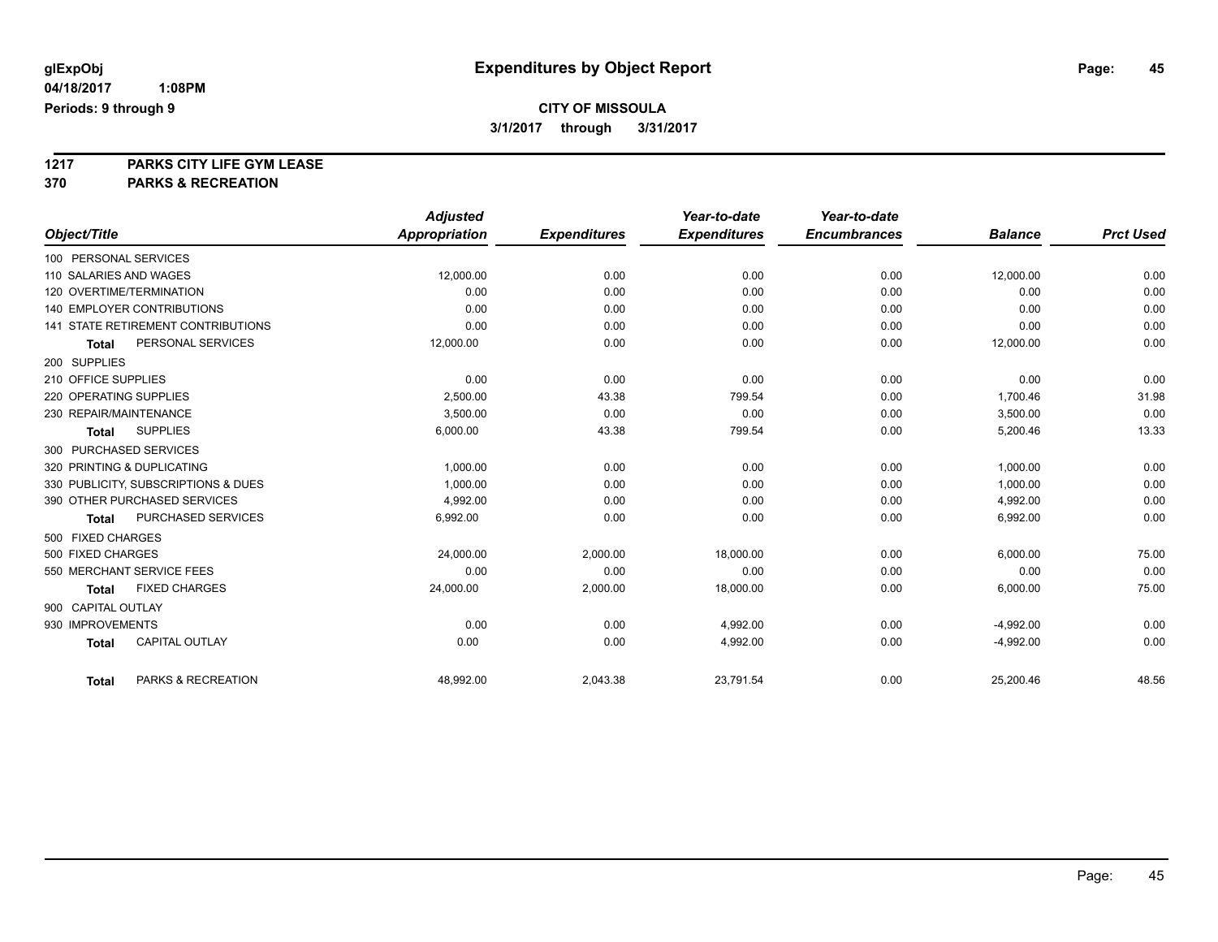**1217 PARKS CITY LIFE GYM LEASE**

**370 PARKS & RECREATION**

|                                       | <b>Adjusted</b> |                     | Year-to-date        | Year-to-date        |                |                  |
|---------------------------------------|-----------------|---------------------|---------------------|---------------------|----------------|------------------|
| Object/Title                          | Appropriation   | <b>Expenditures</b> | <b>Expenditures</b> | <b>Encumbrances</b> | <b>Balance</b> | <b>Prct Used</b> |
| 100 PERSONAL SERVICES                 |                 |                     |                     |                     |                |                  |
| 110 SALARIES AND WAGES                | 12,000.00       | 0.00                | 0.00                | 0.00                | 12,000.00      | 0.00             |
| 120 OVERTIME/TERMINATION              | 0.00            | 0.00                | 0.00                | 0.00                | 0.00           | 0.00             |
| <b>140 EMPLOYER CONTRIBUTIONS</b>     | 0.00            | 0.00                | 0.00                | 0.00                | 0.00           | 0.00             |
| 141 STATE RETIREMENT CONTRIBUTIONS    | 0.00            | 0.00                | 0.00                | 0.00                | 0.00           | 0.00             |
| PERSONAL SERVICES<br>Total            | 12,000.00       | 0.00                | 0.00                | 0.00                | 12,000.00      | 0.00             |
| 200 SUPPLIES                          |                 |                     |                     |                     |                |                  |
| 210 OFFICE SUPPLIES                   | 0.00            | 0.00                | 0.00                | 0.00                | 0.00           | 0.00             |
| 220 OPERATING SUPPLIES                | 2.500.00        | 43.38               | 799.54              | 0.00                | 1,700.46       | 31.98            |
| 230 REPAIR/MAINTENANCE                | 3,500.00        | 0.00                | 0.00                | 0.00                | 3,500.00       | 0.00             |
| <b>SUPPLIES</b><br>Total              | 6,000.00        | 43.38               | 799.54              | 0.00                | 5,200.46       | 13.33            |
| 300 PURCHASED SERVICES                |                 |                     |                     |                     |                |                  |
| 320 PRINTING & DUPLICATING            | 1,000.00        | 0.00                | 0.00                | 0.00                | 1,000.00       | 0.00             |
| 330 PUBLICITY, SUBSCRIPTIONS & DUES   | 1,000.00        | 0.00                | 0.00                | 0.00                | 1,000.00       | 0.00             |
| 390 OTHER PURCHASED SERVICES          | 4,992.00        | 0.00                | 0.00                | 0.00                | 4,992.00       | 0.00             |
| PURCHASED SERVICES<br>Total           | 6,992.00        | 0.00                | 0.00                | 0.00                | 6,992.00       | 0.00             |
| 500 FIXED CHARGES                     |                 |                     |                     |                     |                |                  |
| 500 FIXED CHARGES                     | 24,000.00       | 2,000.00            | 18,000.00           | 0.00                | 6,000.00       | 75.00            |
| 550 MERCHANT SERVICE FEES             | 0.00            | 0.00                | 0.00                | 0.00                | 0.00           | 0.00             |
| <b>FIXED CHARGES</b><br>Total         | 24,000.00       | 2,000.00            | 18,000.00           | 0.00                | 6,000.00       | 75.00            |
| 900 CAPITAL OUTLAY                    |                 |                     |                     |                     |                |                  |
| 930 IMPROVEMENTS                      | 0.00            | 0.00                | 4,992.00            | 0.00                | $-4,992.00$    | 0.00             |
| <b>CAPITAL OUTLAY</b><br><b>Total</b> | 0.00            | 0.00                | 4,992.00            | 0.00                | $-4,992.00$    | 0.00             |
| PARKS & RECREATION<br><b>Total</b>    | 48,992.00       | 2,043.38            | 23,791.54           | 0.00                | 25,200.46      | 48.56            |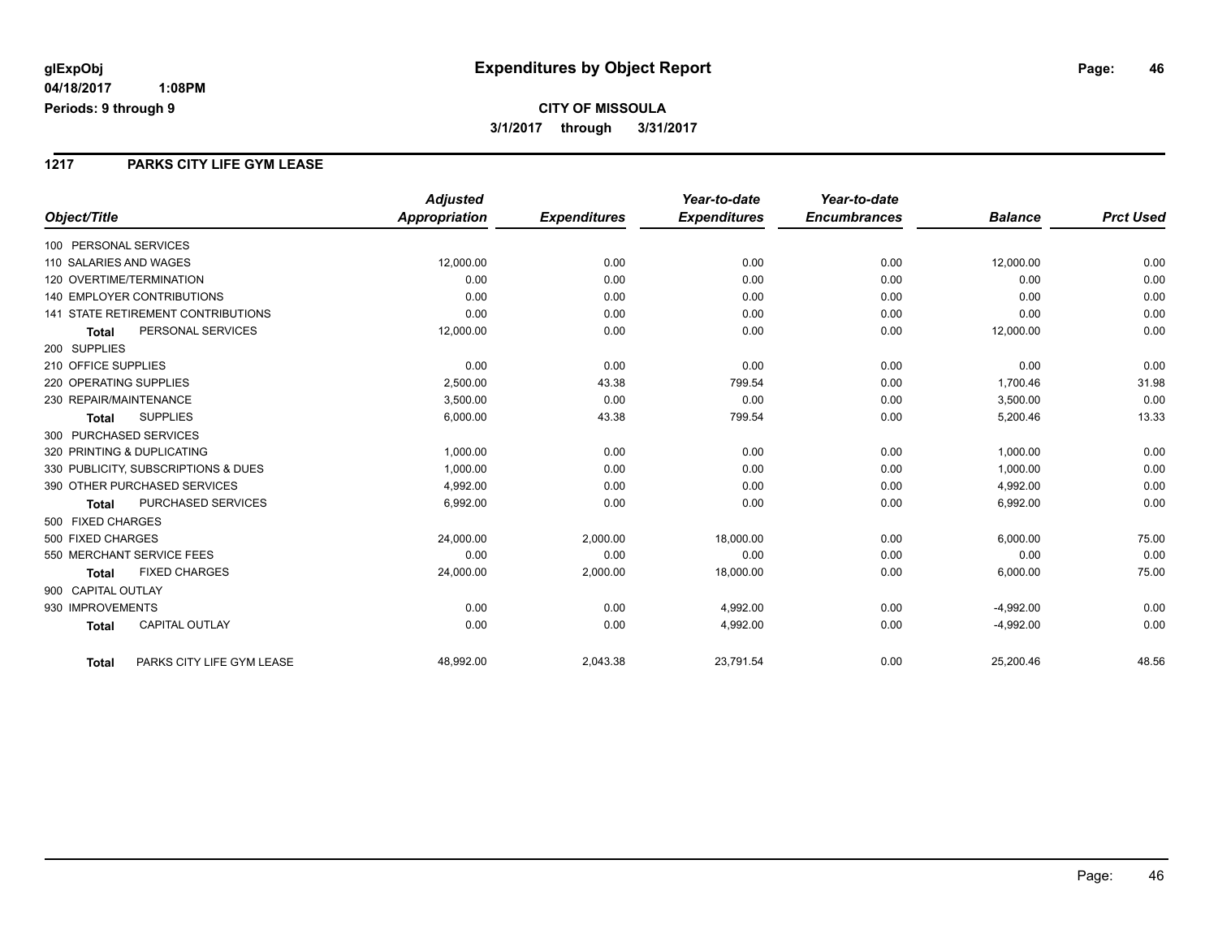# **CITY OF MISSOULA 3/1/2017 through 3/31/2017**

### **1217 PARKS CITY LIFE GYM LEASE**

|                                           | <b>Adjusted</b>      |                     | Year-to-date        | Year-to-date        |                |                  |
|-------------------------------------------|----------------------|---------------------|---------------------|---------------------|----------------|------------------|
| Object/Title                              | <b>Appropriation</b> | <b>Expenditures</b> | <b>Expenditures</b> | <b>Encumbrances</b> | <b>Balance</b> | <b>Prct Used</b> |
| 100 PERSONAL SERVICES                     |                      |                     |                     |                     |                |                  |
| 110 SALARIES AND WAGES                    | 12,000.00            | 0.00                | 0.00                | 0.00                | 12,000.00      | 0.00             |
| 120 OVERTIME/TERMINATION                  | 0.00                 | 0.00                | 0.00                | 0.00                | 0.00           | 0.00             |
| <b>140 EMPLOYER CONTRIBUTIONS</b>         | 0.00                 | 0.00                | 0.00                | 0.00                | 0.00           | 0.00             |
| <b>141 STATE RETIREMENT CONTRIBUTIONS</b> | 0.00                 | 0.00                | 0.00                | 0.00                | 0.00           | 0.00             |
| PERSONAL SERVICES<br><b>Total</b>         | 12,000.00            | 0.00                | 0.00                | 0.00                | 12,000.00      | 0.00             |
| 200 SUPPLIES                              |                      |                     |                     |                     |                |                  |
| 210 OFFICE SUPPLIES                       | 0.00                 | 0.00                | 0.00                | 0.00                | 0.00           | 0.00             |
| 220 OPERATING SUPPLIES                    | 2,500.00             | 43.38               | 799.54              | 0.00                | 1,700.46       | 31.98            |
| 230 REPAIR/MAINTENANCE                    | 3,500.00             | 0.00                | 0.00                | 0.00                | 3,500.00       | 0.00             |
| <b>SUPPLIES</b><br><b>Total</b>           | 6,000.00             | 43.38               | 799.54              | 0.00                | 5,200.46       | 13.33            |
| 300 PURCHASED SERVICES                    |                      |                     |                     |                     |                |                  |
| 320 PRINTING & DUPLICATING                | 1.000.00             | 0.00                | 0.00                | 0.00                | 1,000.00       | 0.00             |
| 330 PUBLICITY, SUBSCRIPTIONS & DUES       | 1,000.00             | 0.00                | 0.00                | 0.00                | 1,000.00       | 0.00             |
| 390 OTHER PURCHASED SERVICES              | 4,992.00             | 0.00                | 0.00                | 0.00                | 4,992.00       | 0.00             |
| <b>PURCHASED SERVICES</b><br>Total        | 6,992.00             | 0.00                | 0.00                | 0.00                | 6,992.00       | 0.00             |
| 500 FIXED CHARGES                         |                      |                     |                     |                     |                |                  |
| 500 FIXED CHARGES                         | 24,000.00            | 2,000.00            | 18,000.00           | 0.00                | 6,000.00       | 75.00            |
| 550 MERCHANT SERVICE FEES                 | 0.00                 | 0.00                | 0.00                | 0.00                | 0.00           | 0.00             |
| <b>FIXED CHARGES</b><br><b>Total</b>      | 24,000.00            | 2,000.00            | 18,000.00           | 0.00                | 6,000.00       | 75.00            |
| 900 CAPITAL OUTLAY                        |                      |                     |                     |                     |                |                  |
| 930 IMPROVEMENTS                          | 0.00                 | 0.00                | 4,992.00            | 0.00                | $-4,992.00$    | 0.00             |
| <b>CAPITAL OUTLAY</b><br><b>Total</b>     | 0.00                 | 0.00                | 4,992.00            | 0.00                | $-4,992.00$    | 0.00             |
| PARKS CITY LIFE GYM LEASE<br><b>Total</b> | 48,992.00            | 2,043.38            | 23,791.54           | 0.00                | 25,200.46      | 48.56            |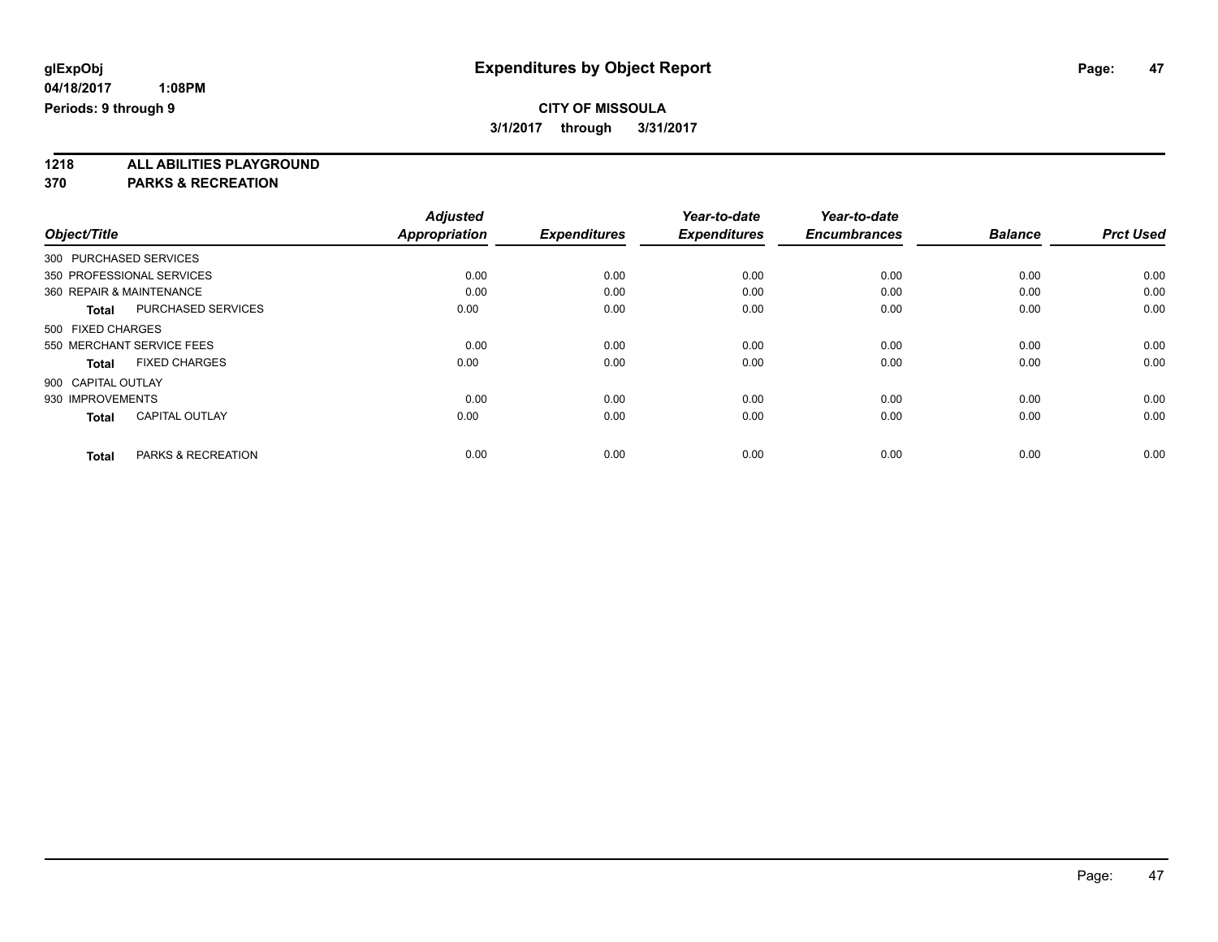**1218 ALL ABILITIES PLAYGROUND**

**370 PARKS & RECREATION**

|                    |                               | <b>Adjusted</b>      |                     | Year-to-date        | Year-to-date        |                |                  |
|--------------------|-------------------------------|----------------------|---------------------|---------------------|---------------------|----------------|------------------|
| Object/Title       |                               | <b>Appropriation</b> | <b>Expenditures</b> | <b>Expenditures</b> | <b>Encumbrances</b> | <b>Balance</b> | <b>Prct Used</b> |
|                    | 300 PURCHASED SERVICES        |                      |                     |                     |                     |                |                  |
|                    | 350 PROFESSIONAL SERVICES     | 0.00                 | 0.00                | 0.00                | 0.00                | 0.00           | 0.00             |
|                    | 360 REPAIR & MAINTENANCE      | 0.00                 | 0.00                | 0.00                | 0.00                | 0.00           | 0.00             |
| Total              | PURCHASED SERVICES            | 0.00                 | 0.00                | 0.00                | 0.00                | 0.00           | 0.00             |
| 500 FIXED CHARGES  |                               |                      |                     |                     |                     |                |                  |
|                    | 550 MERCHANT SERVICE FEES     | 0.00                 | 0.00                | 0.00                | 0.00                | 0.00           | 0.00             |
| <b>Total</b>       | <b>FIXED CHARGES</b>          | 0.00                 | 0.00                | 0.00                | 0.00                | 0.00           | 0.00             |
| 900 CAPITAL OUTLAY |                               |                      |                     |                     |                     |                |                  |
| 930 IMPROVEMENTS   |                               | 0.00                 | 0.00                | 0.00                | 0.00                | 0.00           | 0.00             |
| <b>Total</b>       | <b>CAPITAL OUTLAY</b>         | 0.00                 | 0.00                | 0.00                | 0.00                | 0.00           | 0.00             |
| <b>Total</b>       | <b>PARKS &amp; RECREATION</b> | 0.00                 | 0.00                | 0.00                | 0.00                | 0.00           | 0.00             |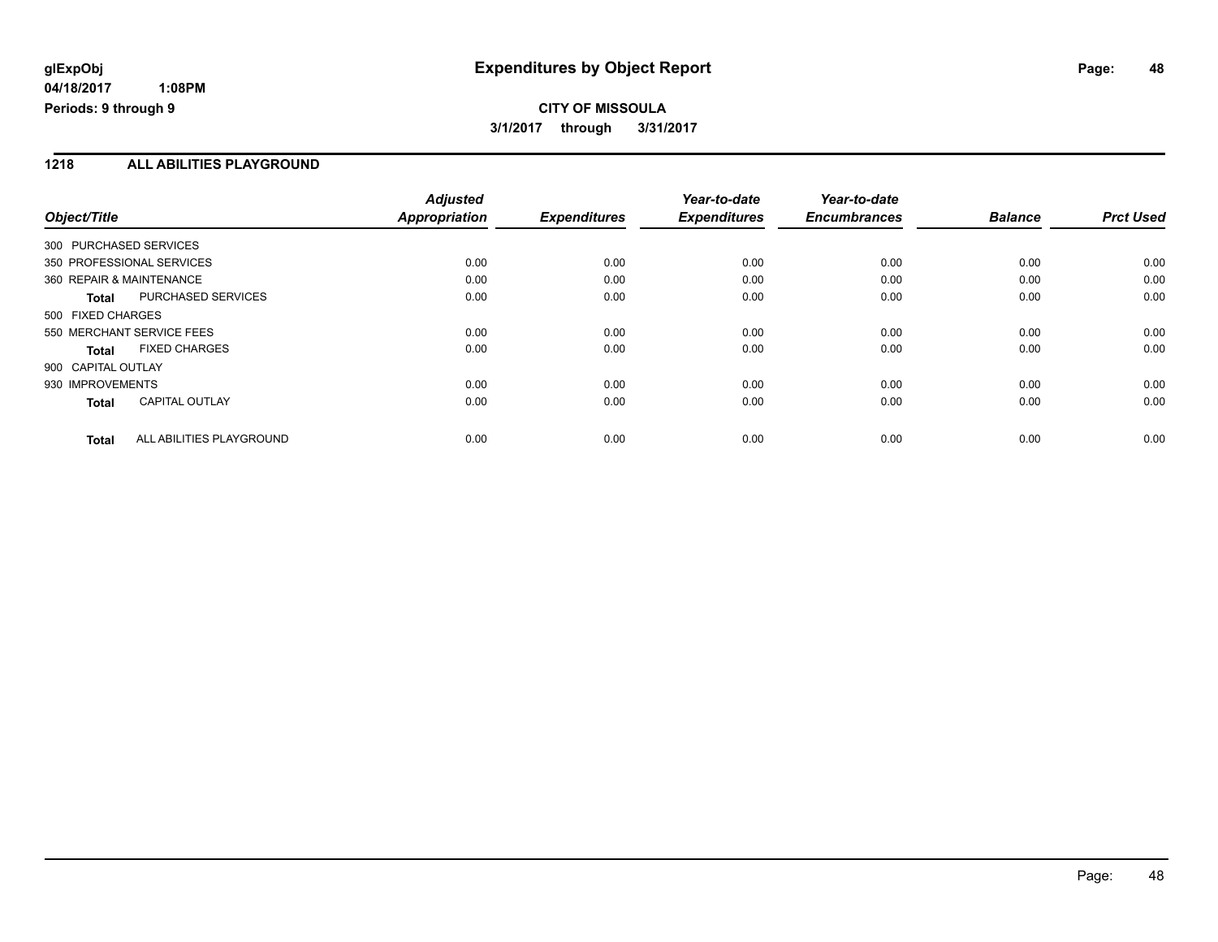# **CITY OF MISSOULA 3/1/2017 through 3/31/2017**

### **1218 ALL ABILITIES PLAYGROUND**

| Object/Title                             | <b>Adjusted</b><br>Appropriation | <b>Expenditures</b> | Year-to-date<br><b>Expenditures</b> | Year-to-date<br><b>Encumbrances</b> | <b>Balance</b> | <b>Prct Used</b> |
|------------------------------------------|----------------------------------|---------------------|-------------------------------------|-------------------------------------|----------------|------------------|
| 300 PURCHASED SERVICES                   |                                  |                     |                                     |                                     |                |                  |
| 350 PROFESSIONAL SERVICES                | 0.00                             | 0.00                | 0.00                                | 0.00                                | 0.00           | 0.00             |
| 360 REPAIR & MAINTENANCE                 | 0.00                             | 0.00                | 0.00                                | 0.00                                | 0.00           | 0.00             |
| PURCHASED SERVICES<br>Total              | 0.00                             | 0.00                | 0.00                                | 0.00                                | 0.00           | 0.00             |
| 500 FIXED CHARGES                        |                                  |                     |                                     |                                     |                |                  |
| 550 MERCHANT SERVICE FEES                | 0.00                             | 0.00                | 0.00                                | 0.00                                | 0.00           | 0.00             |
| <b>FIXED CHARGES</b><br><b>Total</b>     | 0.00                             | 0.00                | 0.00                                | 0.00                                | 0.00           | 0.00             |
| 900 CAPITAL OUTLAY                       |                                  |                     |                                     |                                     |                |                  |
| 930 IMPROVEMENTS                         | 0.00                             | 0.00                | 0.00                                | 0.00                                | 0.00           | 0.00             |
| <b>CAPITAL OUTLAY</b><br><b>Total</b>    | 0.00                             | 0.00                | 0.00                                | 0.00                                | 0.00           | 0.00             |
| ALL ABILITIES PLAYGROUND<br><b>Total</b> | 0.00                             | 0.00                | 0.00                                | 0.00                                | 0.00           | 0.00             |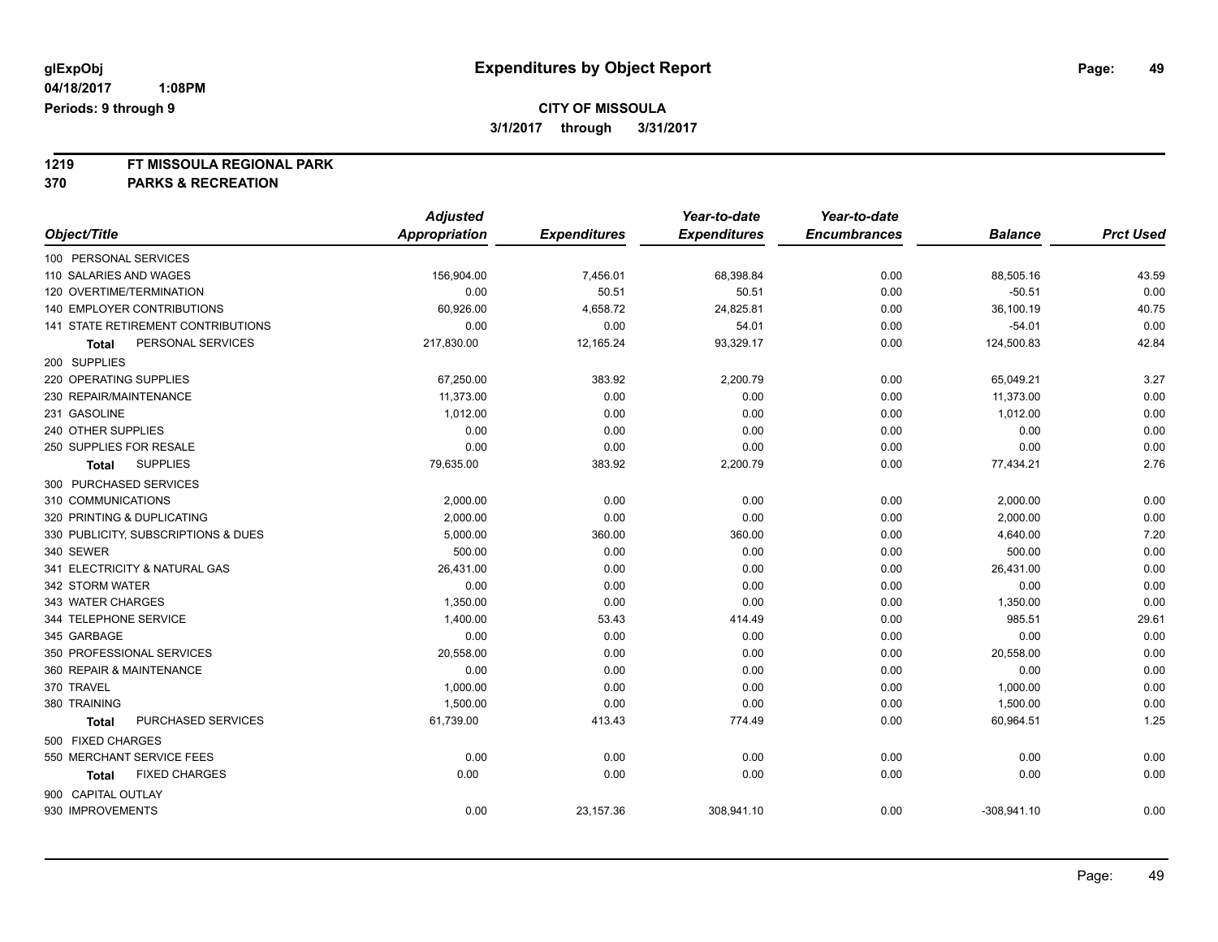# **1219 FT MISSOULA REGIONAL PARK**

# **370 PARKS & RECREATION**

|                                     | <b>Adjusted</b> |                     | Year-to-date        | Year-to-date        |                |                  |
|-------------------------------------|-----------------|---------------------|---------------------|---------------------|----------------|------------------|
| Object/Title                        | Appropriation   | <b>Expenditures</b> | <b>Expenditures</b> | <b>Encumbrances</b> | <b>Balance</b> | <b>Prct Used</b> |
| 100 PERSONAL SERVICES               |                 |                     |                     |                     |                |                  |
| 110 SALARIES AND WAGES              | 156,904.00      | 7,456.01            | 68,398.84           | 0.00                | 88,505.16      | 43.59            |
| 120 OVERTIME/TERMINATION            | 0.00            | 50.51               | 50.51               | 0.00                | $-50.51$       | 0.00             |
| 140 EMPLOYER CONTRIBUTIONS          | 60,926.00       | 4,658.72            | 24,825.81           | 0.00                | 36,100.19      | 40.75            |
| 141 STATE RETIREMENT CONTRIBUTIONS  | 0.00            | 0.00                | 54.01               | 0.00                | $-54.01$       | 0.00             |
| PERSONAL SERVICES<br><b>Total</b>   | 217,830.00      | 12,165.24           | 93,329.17           | 0.00                | 124,500.83     | 42.84            |
| 200 SUPPLIES                        |                 |                     |                     |                     |                |                  |
| 220 OPERATING SUPPLIES              | 67,250.00       | 383.92              | 2,200.79            | 0.00                | 65,049.21      | 3.27             |
| 230 REPAIR/MAINTENANCE              | 11,373.00       | 0.00                | 0.00                | 0.00                | 11,373.00      | 0.00             |
| 231 GASOLINE                        | 1,012.00        | 0.00                | 0.00                | 0.00                | 1,012.00       | 0.00             |
| 240 OTHER SUPPLIES                  | 0.00            | 0.00                | 0.00                | 0.00                | 0.00           | 0.00             |
| 250 SUPPLIES FOR RESALE             | 0.00            | 0.00                | 0.00                | 0.00                | 0.00           | 0.00             |
| <b>SUPPLIES</b><br><b>Total</b>     | 79,635.00       | 383.92              | 2,200.79            | 0.00                | 77,434.21      | 2.76             |
| 300 PURCHASED SERVICES              |                 |                     |                     |                     |                |                  |
| 310 COMMUNICATIONS                  | 2,000.00        | 0.00                | 0.00                | 0.00                | 2,000.00       | 0.00             |
| 320 PRINTING & DUPLICATING          | 2,000.00        | 0.00                | 0.00                | 0.00                | 2,000.00       | 0.00             |
| 330 PUBLICITY, SUBSCRIPTIONS & DUES | 5,000.00        | 360.00              | 360.00              | 0.00                | 4,640.00       | 7.20             |
| 340 SEWER                           | 500.00          | 0.00                | 0.00                | 0.00                | 500.00         | 0.00             |
| 341 ELECTRICITY & NATURAL GAS       | 26,431.00       | 0.00                | 0.00                | 0.00                | 26,431.00      | 0.00             |
| 342 STORM WATER                     | 0.00            | 0.00                | 0.00                | 0.00                | 0.00           | 0.00             |
| 343 WATER CHARGES                   | 1,350.00        | 0.00                | 0.00                | 0.00                | 1,350.00       | 0.00             |
| 344 TELEPHONE SERVICE               | 1,400.00        | 53.43               | 414.49              | 0.00                | 985.51         | 29.61            |
| 345 GARBAGE                         | 0.00            | 0.00                | 0.00                | 0.00                | 0.00           | 0.00             |
| 350 PROFESSIONAL SERVICES           | 20,558.00       | 0.00                | 0.00                | 0.00                | 20,558.00      | 0.00             |
| 360 REPAIR & MAINTENANCE            | 0.00            | 0.00                | 0.00                | 0.00                | 0.00           | 0.00             |
| 370 TRAVEL                          | 1,000.00        | 0.00                | 0.00                | 0.00                | 1,000.00       | 0.00             |
| 380 TRAINING                        | 1,500.00        | 0.00                | 0.00                | 0.00                | 1,500.00       | 0.00             |
| PURCHASED SERVICES<br><b>Total</b>  | 61,739.00       | 413.43              | 774.49              | 0.00                | 60,964.51      | 1.25             |
| 500 FIXED CHARGES                   |                 |                     |                     |                     |                |                  |
| 550 MERCHANT SERVICE FEES           | 0.00            | 0.00                | 0.00                | 0.00                | 0.00           | 0.00             |
| <b>FIXED CHARGES</b><br>Total       | 0.00            | 0.00                | 0.00                | 0.00                | 0.00           | 0.00             |
| 900 CAPITAL OUTLAY                  |                 |                     |                     |                     |                |                  |
| 930 IMPROVEMENTS                    | 0.00            | 23,157.36           | 308,941.10          | 0.00                | $-308,941.10$  | 0.00             |
|                                     |                 |                     |                     |                     |                |                  |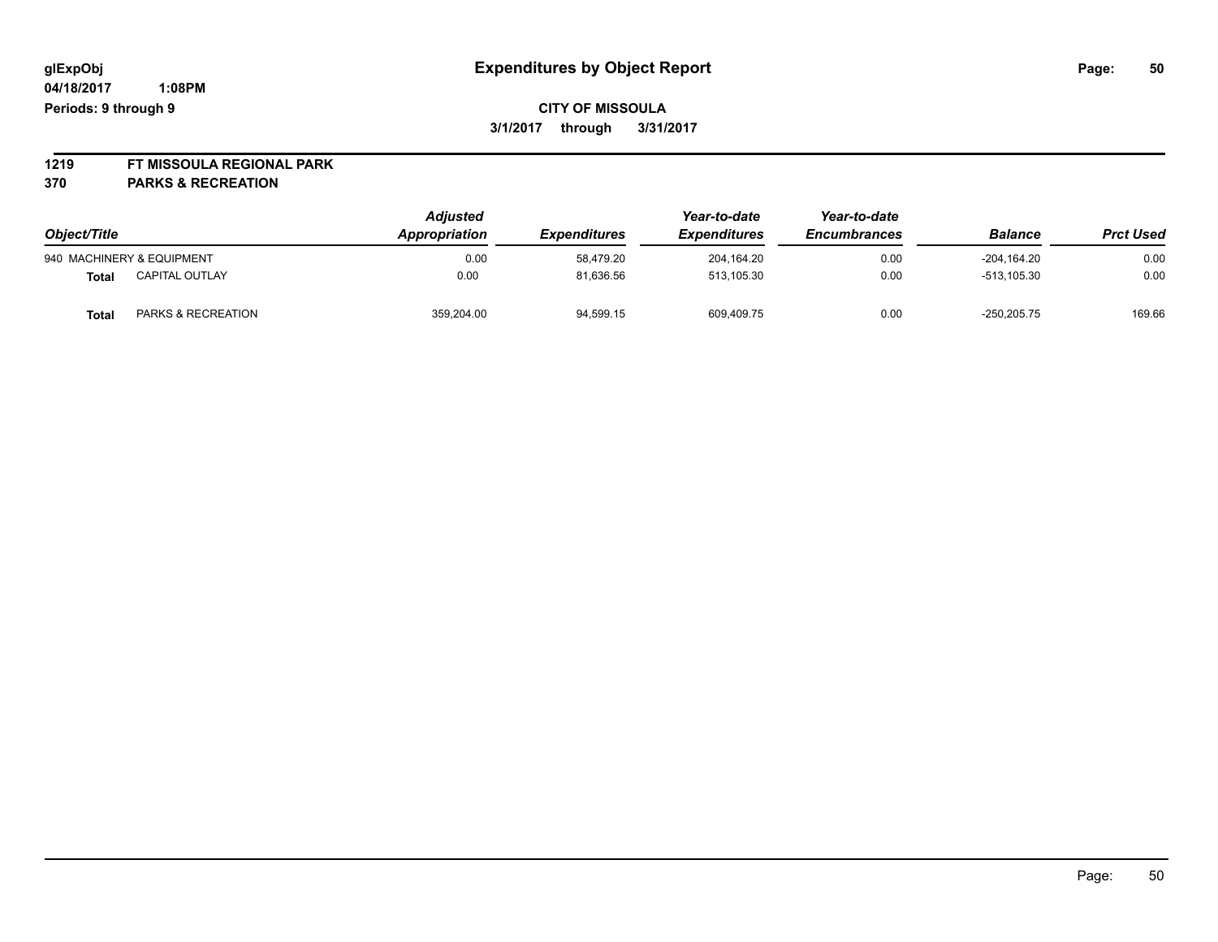# **CITY OF MISSOULA 3/1/2017 through 3/31/2017**

# **1219 FT MISSOULA REGIONAL PARK**

**370 PARKS & RECREATION**

| Object/Title |                           | <b>Adjusted</b><br>Appropriation | <b>Expenditures</b> | Year-to-date<br><i><b>Expenditures</b></i> | Year-to-date<br><b>Encumbrances</b> | <b>Balance</b> | <b>Prct Used</b> |
|--------------|---------------------------|----------------------------------|---------------------|--------------------------------------------|-------------------------------------|----------------|------------------|
|              | 940 MACHINERY & EQUIPMENT | 0.00                             | 58.479.20           | 204.164.20                                 | 0.00                                | $-204.164.20$  | 0.00             |
| Total        | <b>CAPITAL OUTLAY</b>     | 0.00                             | 81,636.56           | 513.105.30                                 | 0.00                                | $-513.105.30$  | 0.00             |
| <b>Total</b> | PARKS & RECREATION        | 359.204.00                       | 94,599.15           | 609,409.75                                 | 0.00                                | $-250.205.75$  | 169.66           |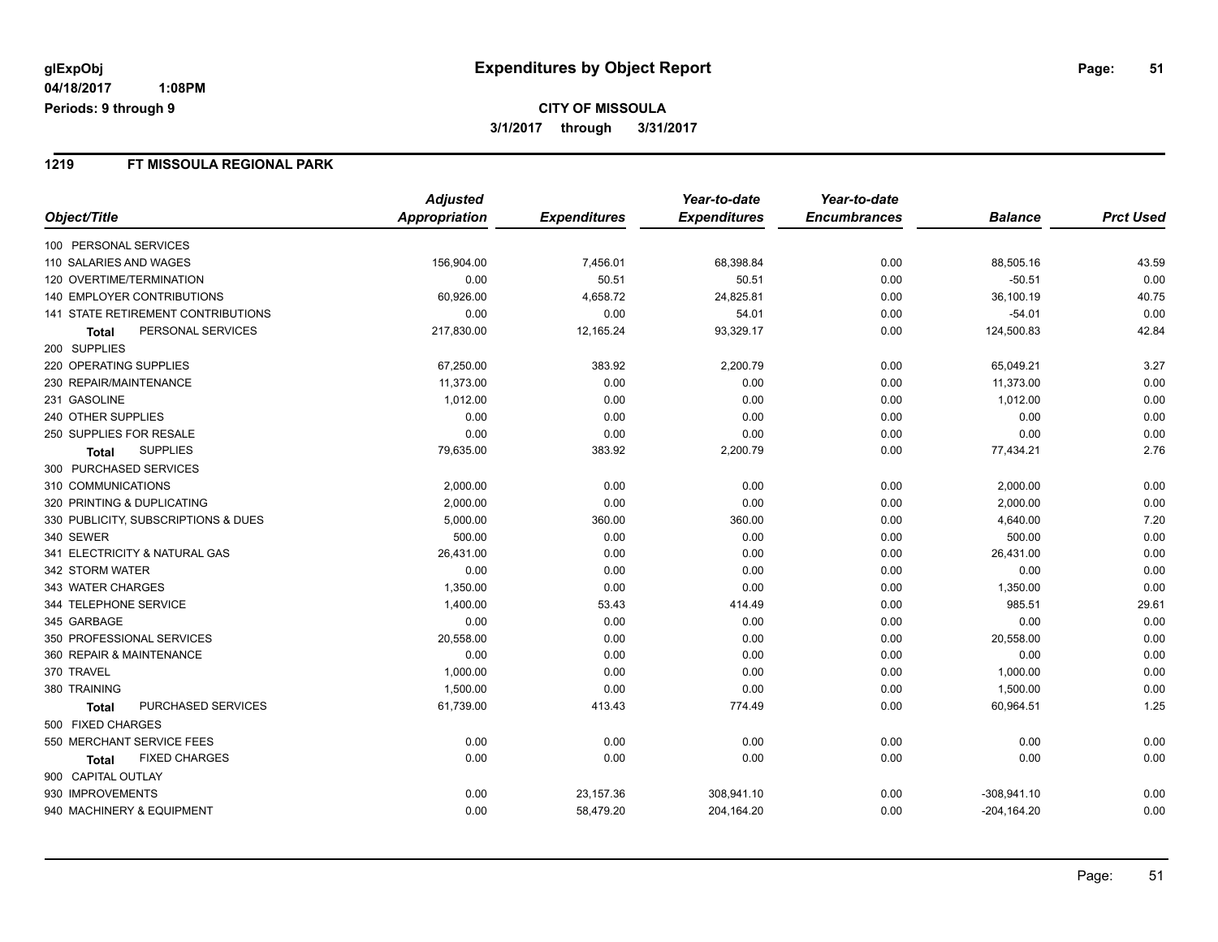# **CITY OF MISSOULA 3/1/2017 through 3/31/2017**

### **1219 FT MISSOULA REGIONAL PARK**

|                                           |                      | <b>Adjusted</b>      |                     | Year-to-date        | Year-to-date        |                |                  |
|-------------------------------------------|----------------------|----------------------|---------------------|---------------------|---------------------|----------------|------------------|
| Object/Title                              |                      | <b>Appropriation</b> | <b>Expenditures</b> | <b>Expenditures</b> | <b>Encumbrances</b> | <b>Balance</b> | <b>Prct Used</b> |
| 100 PERSONAL SERVICES                     |                      |                      |                     |                     |                     |                |                  |
| 110 SALARIES AND WAGES                    |                      | 156,904.00           | 7,456.01            | 68,398.84           | 0.00                | 88,505.16      | 43.59            |
| <b>120 OVERTIME/TERMINATION</b>           |                      | 0.00                 | 50.51               | 50.51               | 0.00                | $-50.51$       | 0.00             |
| <b>140 EMPLOYER CONTRIBUTIONS</b>         |                      | 60,926.00            | 4,658.72            | 24,825.81           | 0.00                | 36,100.19      | 40.75            |
| <b>141 STATE RETIREMENT CONTRIBUTIONS</b> |                      | 0.00                 | 0.00                | 54.01               | 0.00                | $-54.01$       | 0.00             |
| Total                                     | PERSONAL SERVICES    | 217,830.00           | 12,165.24           | 93,329.17           | 0.00                | 124,500.83     | 42.84            |
| 200 SUPPLIES                              |                      |                      |                     |                     |                     |                |                  |
| 220 OPERATING SUPPLIES                    |                      | 67,250.00            | 383.92              | 2,200.79            | 0.00                | 65,049.21      | 3.27             |
| 230 REPAIR/MAINTENANCE                    |                      | 11,373.00            | 0.00                | 0.00                | 0.00                | 11,373.00      | 0.00             |
| 231 GASOLINE                              |                      | 1,012.00             | 0.00                | 0.00                | 0.00                | 1,012.00       | 0.00             |
| 240 OTHER SUPPLIES                        |                      | 0.00                 | 0.00                | 0.00                | 0.00                | 0.00           | 0.00             |
| 250 SUPPLIES FOR RESALE                   |                      | 0.00                 | 0.00                | 0.00                | 0.00                | 0.00           | 0.00             |
| <b>SUPPLIES</b><br><b>Total</b>           |                      | 79,635.00            | 383.92              | 2,200.79            | 0.00                | 77,434.21      | 2.76             |
| 300 PURCHASED SERVICES                    |                      |                      |                     |                     |                     |                |                  |
| 310 COMMUNICATIONS                        |                      | 2,000.00             | 0.00                | 0.00                | 0.00                | 2,000.00       | 0.00             |
| 320 PRINTING & DUPLICATING                |                      | 2,000.00             | 0.00                | 0.00                | 0.00                | 2,000.00       | 0.00             |
| 330 PUBLICITY, SUBSCRIPTIONS & DUES       |                      | 5,000.00             | 360.00              | 360.00              | 0.00                | 4,640.00       | 7.20             |
| 340 SEWER                                 |                      | 500.00               | 0.00                | 0.00                | 0.00                | 500.00         | 0.00             |
| 341 ELECTRICITY & NATURAL GAS             |                      | 26,431.00            | 0.00                | 0.00                | 0.00                | 26,431.00      | 0.00             |
| 342 STORM WATER                           |                      | 0.00                 | 0.00                | 0.00                | 0.00                | 0.00           | 0.00             |
| 343 WATER CHARGES                         |                      | 1,350.00             | 0.00                | 0.00                | 0.00                | 1,350.00       | 0.00             |
| 344 TELEPHONE SERVICE                     |                      | 1,400.00             | 53.43               | 414.49              | 0.00                | 985.51         | 29.61            |
| 345 GARBAGE                               |                      | 0.00                 | 0.00                | 0.00                | 0.00                | 0.00           | 0.00             |
| 350 PROFESSIONAL SERVICES                 |                      | 20,558.00            | 0.00                | 0.00                | 0.00                | 20,558.00      | 0.00             |
| 360 REPAIR & MAINTENANCE                  |                      | 0.00                 | 0.00                | 0.00                | 0.00                | 0.00           | 0.00             |
| 370 TRAVEL                                |                      | 1,000.00             | 0.00                | 0.00                | 0.00                | 1,000.00       | 0.00             |
| 380 TRAINING                              |                      | 1,500.00             | 0.00                | 0.00                | 0.00                | 1,500.00       | 0.00             |
| <b>Total</b>                              | PURCHASED SERVICES   | 61,739.00            | 413.43              | 774.49              | 0.00                | 60,964.51      | 1.25             |
| 500 FIXED CHARGES                         |                      |                      |                     |                     |                     |                |                  |
| 550 MERCHANT SERVICE FEES                 |                      | 0.00                 | 0.00                | 0.00                | 0.00                | 0.00           | 0.00             |
| Total                                     | <b>FIXED CHARGES</b> | 0.00                 | 0.00                | 0.00                | 0.00                | 0.00           | 0.00             |
| 900 CAPITAL OUTLAY                        |                      |                      |                     |                     |                     |                |                  |
| 930 IMPROVEMENTS                          |                      | 0.00                 | 23,157.36           | 308,941.10          | 0.00                | $-308,941.10$  | 0.00             |
| 940 MACHINERY & EQUIPMENT                 |                      | 0.00                 | 58,479.20           | 204,164.20          | 0.00                | $-204, 164.20$ | 0.00             |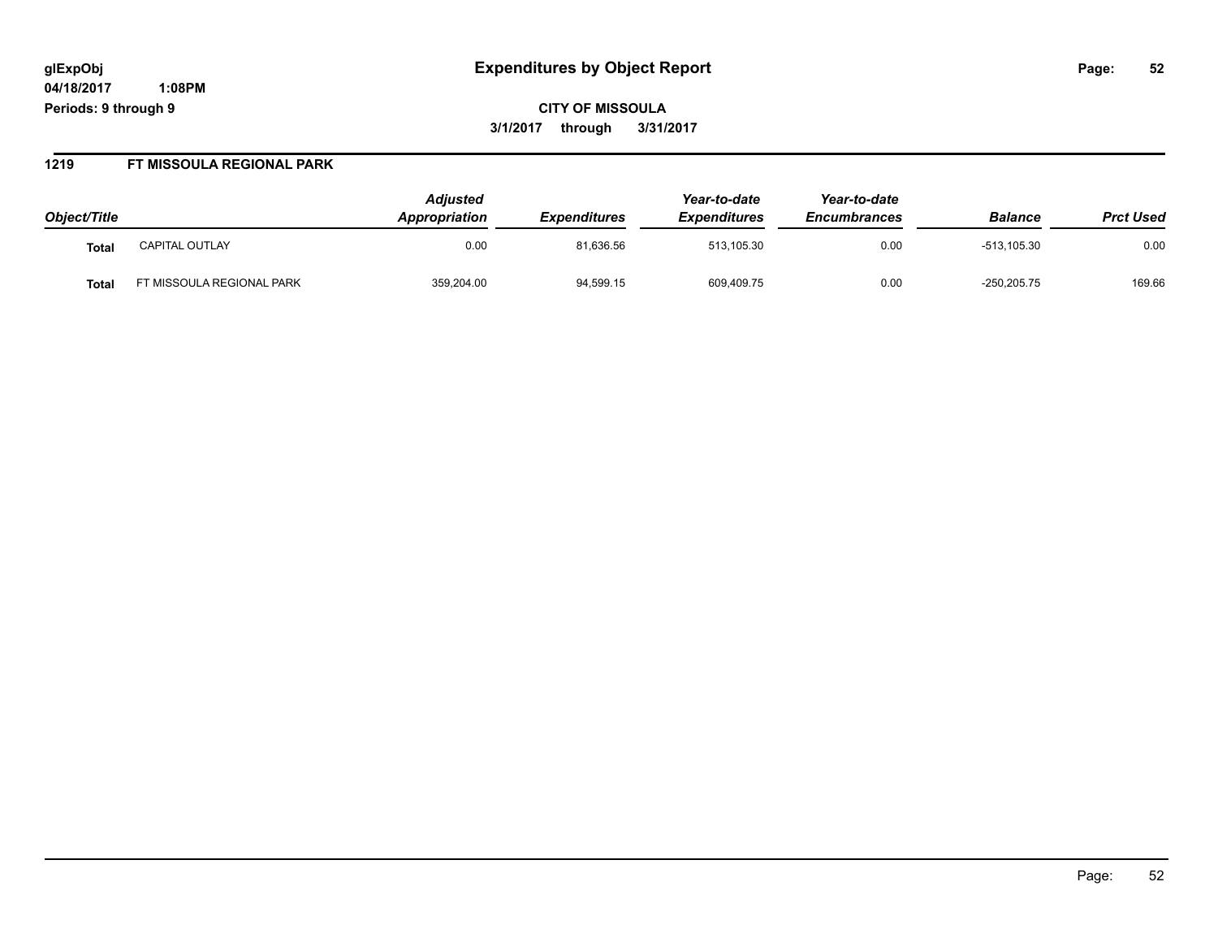# **glExpObj Expenditures by Object Report Page: 52**

**04/18/2017 1:08PM Periods: 9 through 9**

**CITY OF MISSOULA 3/1/2017 through 3/31/2017**

#### **1219 FT MISSOULA REGIONAL PARK**

| Object/Title |                          | <b>Adjusted</b><br><b>Appropriation</b> | <i><b>Expenditures</b></i> | Year-to-date<br><b>Expenditures</b> | Year-to-date<br><b>Encumbrances</b> | <b>Balance</b> | <b>Prct Used</b> |
|--------------|--------------------------|-----------------------------------------|----------------------------|-------------------------------------|-------------------------------------|----------------|------------------|
| Tota         | <b>CAPITAL OUTLAY</b>    | 0.00                                    | 81,636.56                  | 513,105.30                          | 0.00                                | $-513.105.30$  | 0.00             |
| Tota         | T MISSOULA REGIONAL PARK | 359,204.00                              | 94,599.15                  | 609,409.75                          | 0.00                                | $-250, 205.75$ | 169.66           |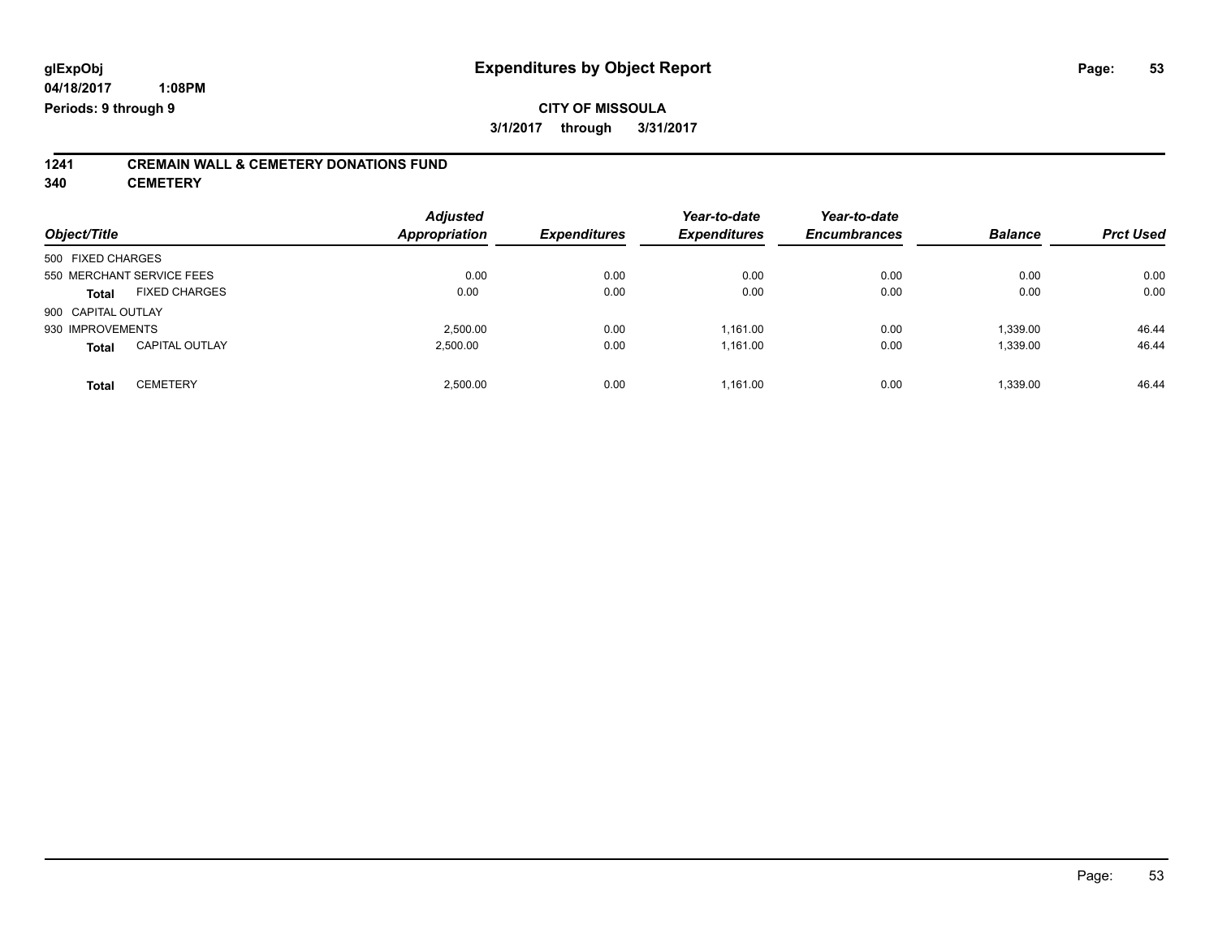## **CITY OF MISSOULA 3/1/2017 through 3/31/2017**

# **1241 CREMAIN WALL & CEMETERY DONATIONS FUND**

**340 CEMETERY**

| Object/Title                          | <b>Adjusted</b><br><b>Appropriation</b> | <b>Expenditures</b> | Year-to-date<br><b>Expenditures</b> | Year-to-date<br><b>Encumbrances</b> | <b>Balance</b> | <b>Prct Used</b> |
|---------------------------------------|-----------------------------------------|---------------------|-------------------------------------|-------------------------------------|----------------|------------------|
| 500 FIXED CHARGES                     |                                         |                     |                                     |                                     |                |                  |
| 550 MERCHANT SERVICE FEES             |                                         | 0.00<br>0.00        | 0.00                                | 0.00                                | 0.00           | 0.00             |
| <b>FIXED CHARGES</b><br><b>Total</b>  | 0.00                                    | 0.00                | 0.00                                | 0.00                                | 0.00           | 0.00             |
| 900 CAPITAL OUTLAY                    |                                         |                     |                                     |                                     |                |                  |
| 930 IMPROVEMENTS                      | 2.500.00                                | 0.00                | 1,161.00                            | 0.00                                | 1,339.00       | 46.44            |
| <b>CAPITAL OUTLAY</b><br><b>Total</b> | 2,500.00                                | 0.00                | 1,161.00                            | 0.00                                | 1,339.00       | 46.44            |
| <b>CEMETERY</b><br><b>Total</b>       | 2,500.00                                | 0.00                | 1,161.00                            | 0.00                                | 1,339.00       | 46.44            |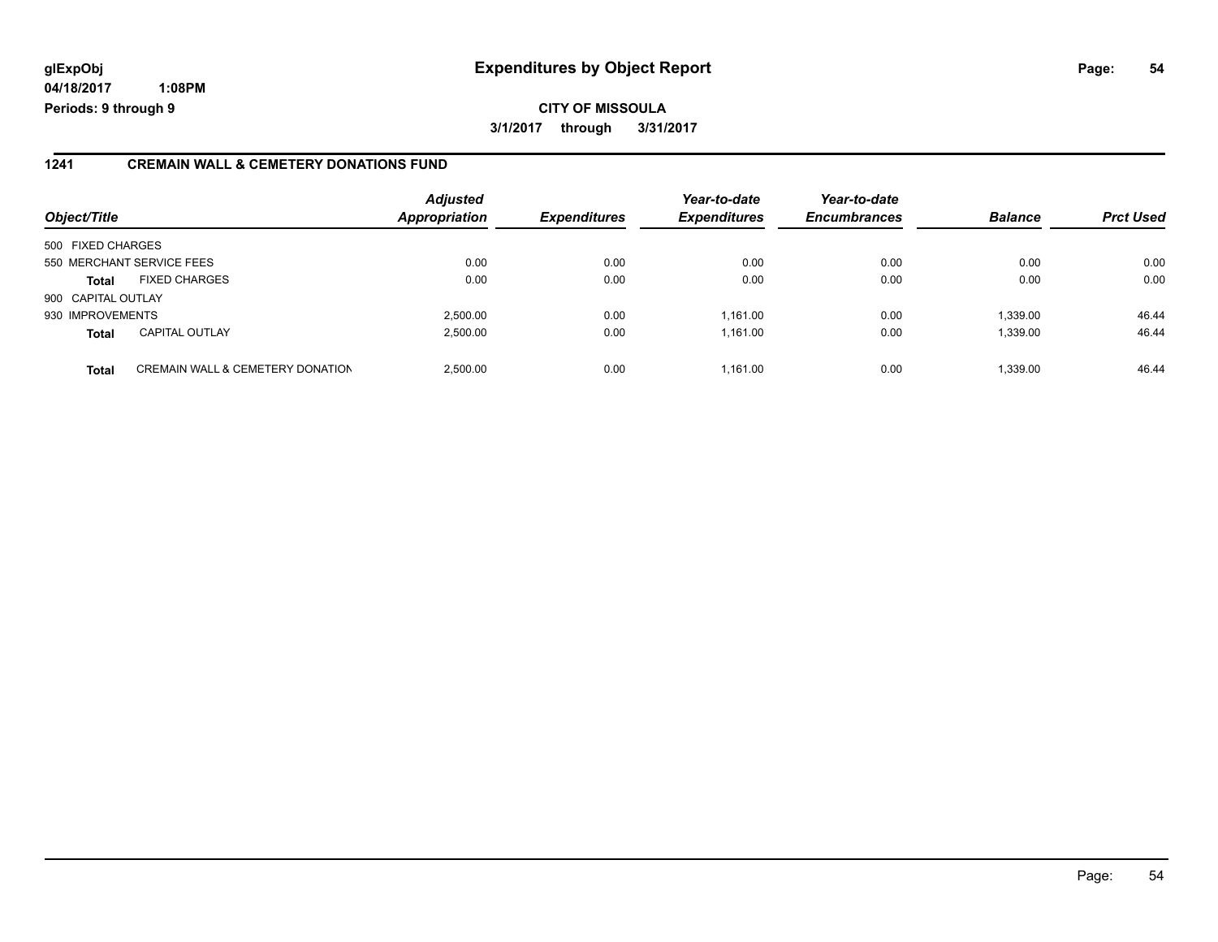# **glExpObj Expenditures by Object Report Page: 54**

**04/18/2017 1:08PM Periods: 9 through 9**

### **1241 CREMAIN WALL & CEMETERY DONATIONS FUND**

| Object/Title       |                                             | <b>Adjusted</b><br><b>Appropriation</b> | <b>Expenditures</b> | Year-to-date<br><b>Expenditures</b> | Year-to-date<br><b>Encumbrances</b> | <b>Balance</b> | <b>Prct Used</b> |
|--------------------|---------------------------------------------|-----------------------------------------|---------------------|-------------------------------------|-------------------------------------|----------------|------------------|
| 500 FIXED CHARGES  |                                             |                                         |                     |                                     |                                     |                |                  |
|                    | 550 MERCHANT SERVICE FEES                   | 0.00                                    | 0.00                | 0.00                                | 0.00                                | 0.00           | 0.00             |
| <b>Total</b>       | <b>FIXED CHARGES</b>                        | 0.00                                    | 0.00                | 0.00                                | 0.00                                | 0.00           | 0.00             |
| 900 CAPITAL OUTLAY |                                             |                                         |                     |                                     |                                     |                |                  |
| 930 IMPROVEMENTS   |                                             | 2,500.00                                | 0.00                | 1.161.00                            | 0.00                                | 1.339.00       | 46.44            |
| <b>Total</b>       | <b>CAPITAL OUTLAY</b>                       | 2.500.00                                | 0.00                | 1.161.00                            | 0.00                                | 1.339.00       | 46.44            |
| <b>Total</b>       | <b>CREMAIN WALL &amp; CEMETERY DONATION</b> | 2,500.00                                | 0.00                | 1.161.00                            | 0.00                                | 1.339.00       | 46.44            |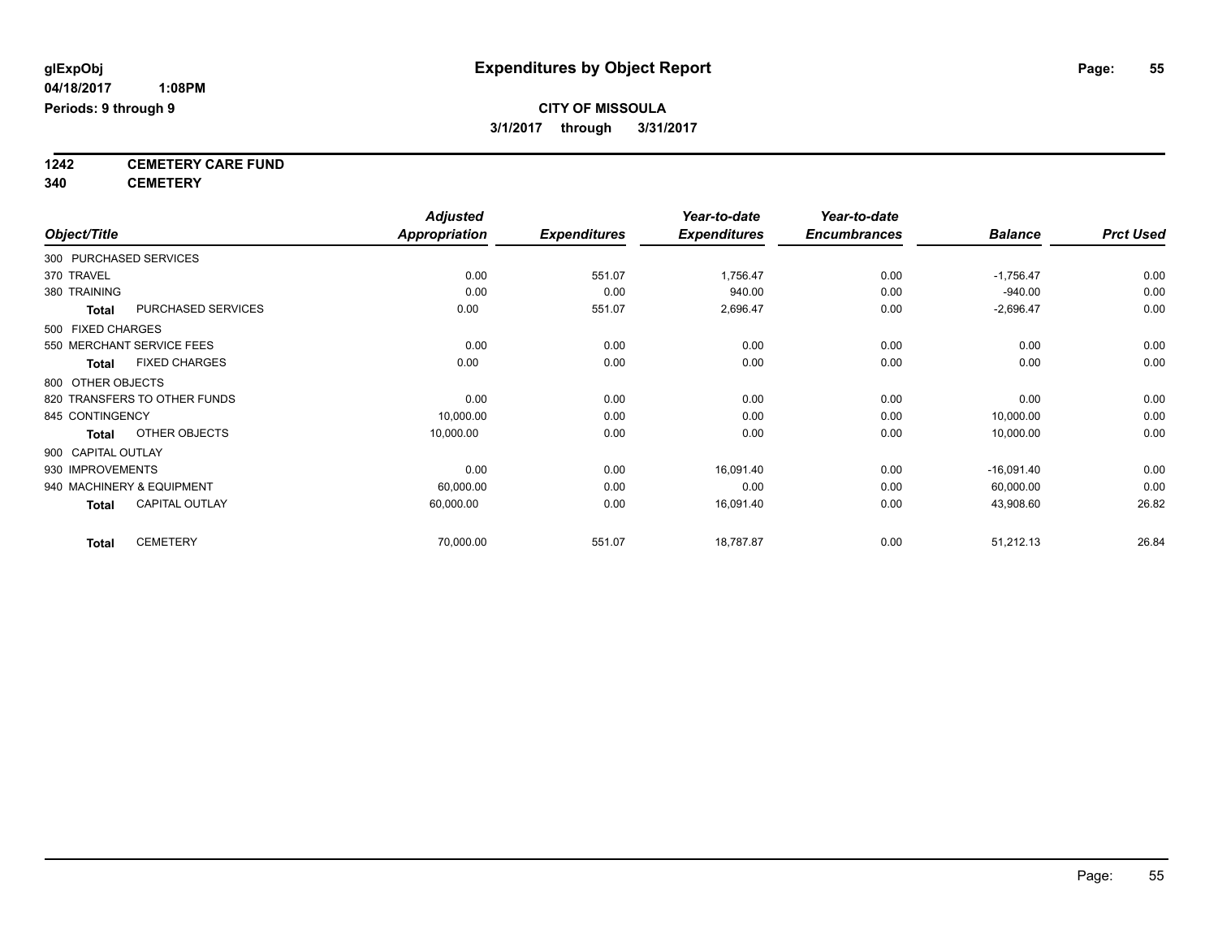**1242 CEMETERY CARE FUND**

**340 CEMETERY**

|                              |                       | <b>Adjusted</b>      |                     | Year-to-date        | Year-to-date        |                |                  |
|------------------------------|-----------------------|----------------------|---------------------|---------------------|---------------------|----------------|------------------|
| Object/Title                 |                       | <b>Appropriation</b> | <b>Expenditures</b> | <b>Expenditures</b> | <b>Encumbrances</b> | <b>Balance</b> | <b>Prct Used</b> |
| 300 PURCHASED SERVICES       |                       |                      |                     |                     |                     |                |                  |
| 370 TRAVEL                   |                       | 0.00                 | 551.07              | 1,756.47            | 0.00                | $-1,756.47$    | 0.00             |
| 380 TRAINING                 |                       | 0.00                 | 0.00                | 940.00              | 0.00                | $-940.00$      | 0.00             |
| <b>Total</b>                 | PURCHASED SERVICES    | 0.00                 | 551.07              | 2,696.47            | 0.00                | $-2,696.47$    | 0.00             |
| 500 FIXED CHARGES            |                       |                      |                     |                     |                     |                |                  |
| 550 MERCHANT SERVICE FEES    |                       | 0.00                 | 0.00                | 0.00                | 0.00                | 0.00           | 0.00             |
| <b>Total</b>                 | <b>FIXED CHARGES</b>  | 0.00                 | 0.00                | 0.00                | 0.00                | 0.00           | 0.00             |
| 800 OTHER OBJECTS            |                       |                      |                     |                     |                     |                |                  |
| 820 TRANSFERS TO OTHER FUNDS |                       | 0.00                 | 0.00                | 0.00                | 0.00                | 0.00           | 0.00             |
| 845 CONTINGENCY              |                       | 10,000.00            | 0.00                | 0.00                | 0.00                | 10,000.00      | 0.00             |
| <b>Total</b>                 | OTHER OBJECTS         | 10,000.00            | 0.00                | 0.00                | 0.00                | 10,000.00      | 0.00             |
| 900 CAPITAL OUTLAY           |                       |                      |                     |                     |                     |                |                  |
| 930 IMPROVEMENTS             |                       | 0.00                 | 0.00                | 16,091.40           | 0.00                | $-16,091.40$   | 0.00             |
| 940 MACHINERY & EQUIPMENT    |                       | 60,000.00            | 0.00                | 0.00                | 0.00                | 60,000.00      | 0.00             |
| <b>Total</b>                 | <b>CAPITAL OUTLAY</b> | 60,000.00            | 0.00                | 16,091.40           | 0.00                | 43,908.60      | 26.82            |
| <b>Total</b>                 | <b>CEMETERY</b>       | 70,000.00            | 551.07              | 18,787.87           | 0.00                | 51,212.13      | 26.84            |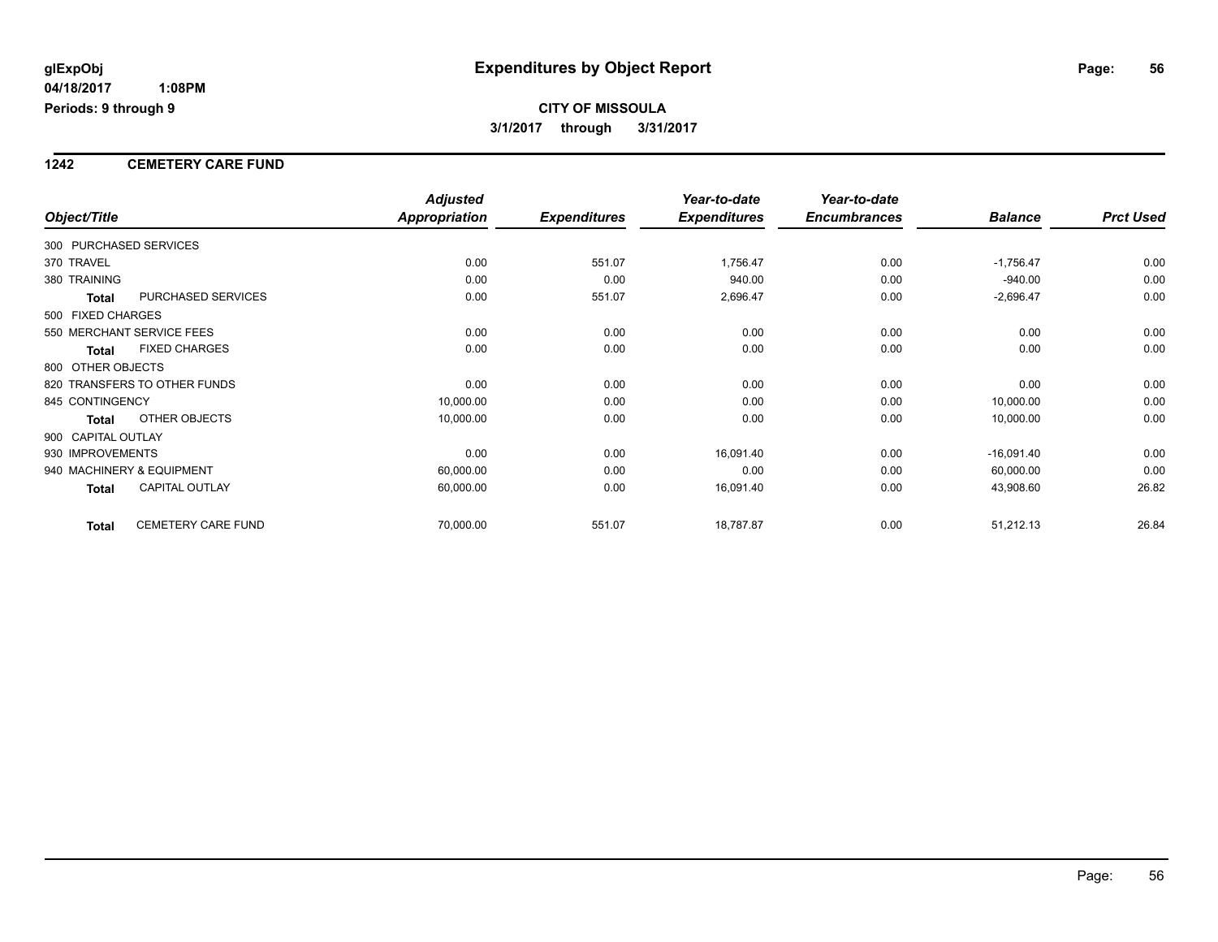### **1242 CEMETERY CARE FUND**

|                        |                              | <b>Adjusted</b>      |                     | Year-to-date        | Year-to-date        |                |                  |
|------------------------|------------------------------|----------------------|---------------------|---------------------|---------------------|----------------|------------------|
| Object/Title           |                              | <b>Appropriation</b> | <b>Expenditures</b> | <b>Expenditures</b> | <b>Encumbrances</b> | <b>Balance</b> | <b>Prct Used</b> |
| 300 PURCHASED SERVICES |                              |                      |                     |                     |                     |                |                  |
| 370 TRAVEL             |                              | 0.00                 | 551.07              | 1,756.47            | 0.00                | $-1,756.47$    | 0.00             |
| 380 TRAINING           |                              | 0.00                 | 0.00                | 940.00              | 0.00                | $-940.00$      | 0.00             |
| Total                  | PURCHASED SERVICES           | 0.00                 | 551.07              | 2,696.47            | 0.00                | $-2,696.47$    | 0.00             |
| 500 FIXED CHARGES      |                              |                      |                     |                     |                     |                |                  |
|                        | 550 MERCHANT SERVICE FEES    | 0.00                 | 0.00                | 0.00                | 0.00                | 0.00           | 0.00             |
| <b>Total</b>           | <b>FIXED CHARGES</b>         | 0.00                 | 0.00                | 0.00                | 0.00                | 0.00           | 0.00             |
| 800 OTHER OBJECTS      |                              |                      |                     |                     |                     |                |                  |
|                        | 820 TRANSFERS TO OTHER FUNDS | 0.00                 | 0.00                | 0.00                | 0.00                | 0.00           | 0.00             |
| 845 CONTINGENCY        |                              | 10,000.00            | 0.00                | 0.00                | 0.00                | 10,000.00      | 0.00             |
| <b>Total</b>           | OTHER OBJECTS                | 10,000.00            | 0.00                | 0.00                | 0.00                | 10,000.00      | 0.00             |
| 900 CAPITAL OUTLAY     |                              |                      |                     |                     |                     |                |                  |
| 930 IMPROVEMENTS       |                              | 0.00                 | 0.00                | 16,091.40           | 0.00                | $-16,091.40$   | 0.00             |
|                        | 940 MACHINERY & EQUIPMENT    | 60,000.00            | 0.00                | 0.00                | 0.00                | 60,000.00      | 0.00             |
| Total                  | <b>CAPITAL OUTLAY</b>        | 60,000.00            | 0.00                | 16,091.40           | 0.00                | 43,908.60      | 26.82            |
| <b>Total</b>           | <b>CEMETERY CARE FUND</b>    | 70,000.00            | 551.07              | 18,787.87           | 0.00                | 51,212.13      | 26.84            |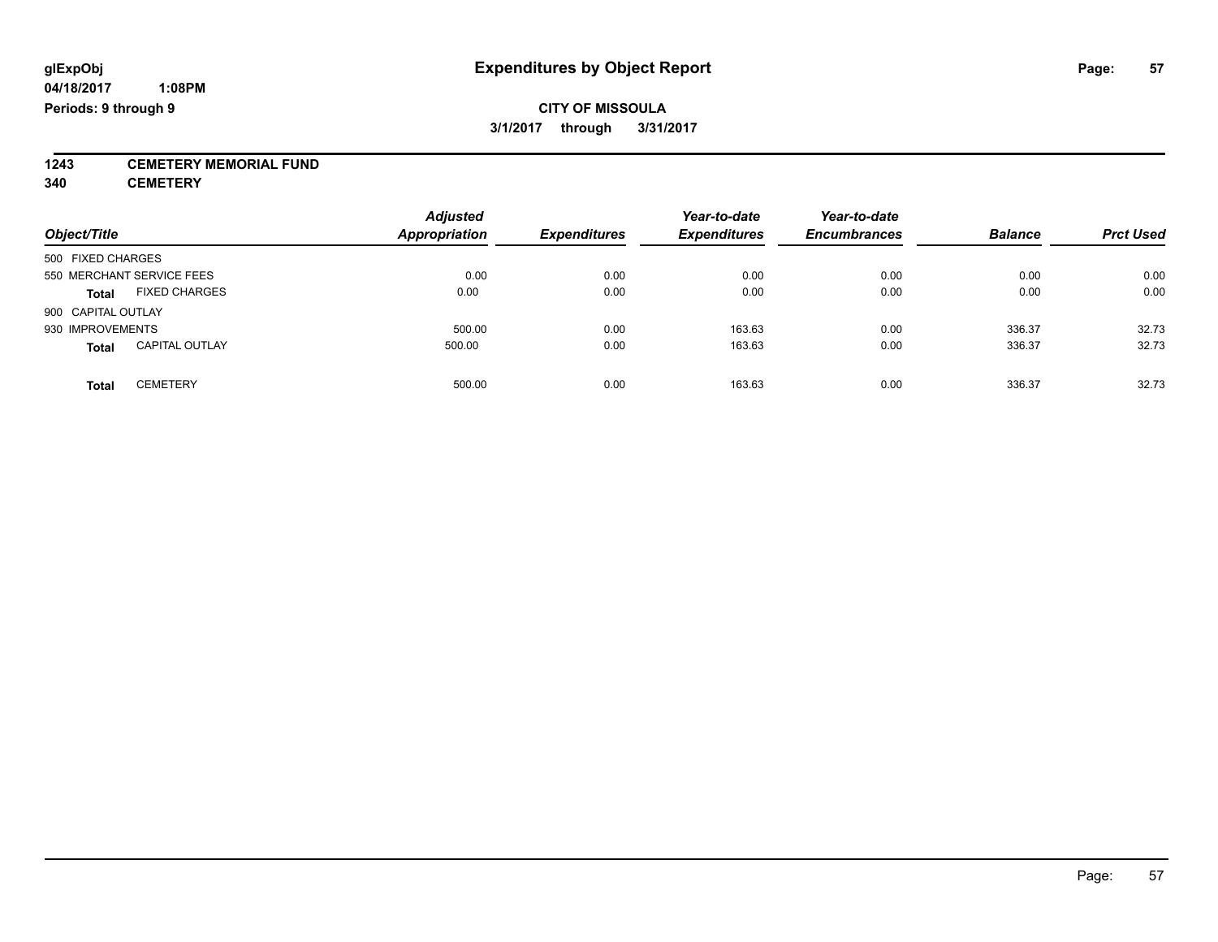**1243 CEMETERY MEMORIAL FUND**

**340 CEMETERY**

| Object/Title                          | <b>Adjusted</b><br><b>Appropriation</b> | <b>Expenditures</b> | Year-to-date<br><b>Expenditures</b> | Year-to-date<br><b>Encumbrances</b> | <b>Balance</b> | <b>Prct Used</b> |
|---------------------------------------|-----------------------------------------|---------------------|-------------------------------------|-------------------------------------|----------------|------------------|
| 500 FIXED CHARGES                     |                                         |                     |                                     |                                     |                |                  |
| 550 MERCHANT SERVICE FEES             | 0.00                                    | 0.00                | 0.00                                | 0.00                                | 0.00           | 0.00             |
| <b>FIXED CHARGES</b><br><b>Total</b>  | 0.00                                    | 0.00                | 0.00                                | 0.00                                | 0.00           | 0.00             |
| 900 CAPITAL OUTLAY                    |                                         |                     |                                     |                                     |                |                  |
| 930 IMPROVEMENTS                      | 500.00                                  | 0.00                | 163.63                              | 0.00                                | 336.37         | 32.73            |
| <b>CAPITAL OUTLAY</b><br><b>Total</b> | 500.00                                  | 0.00                | 163.63                              | 0.00                                | 336.37         | 32.73            |
| <b>CEMETERY</b><br>Total              | 500.00                                  | 0.00                | 163.63                              | 0.00                                | 336.37         | 32.73            |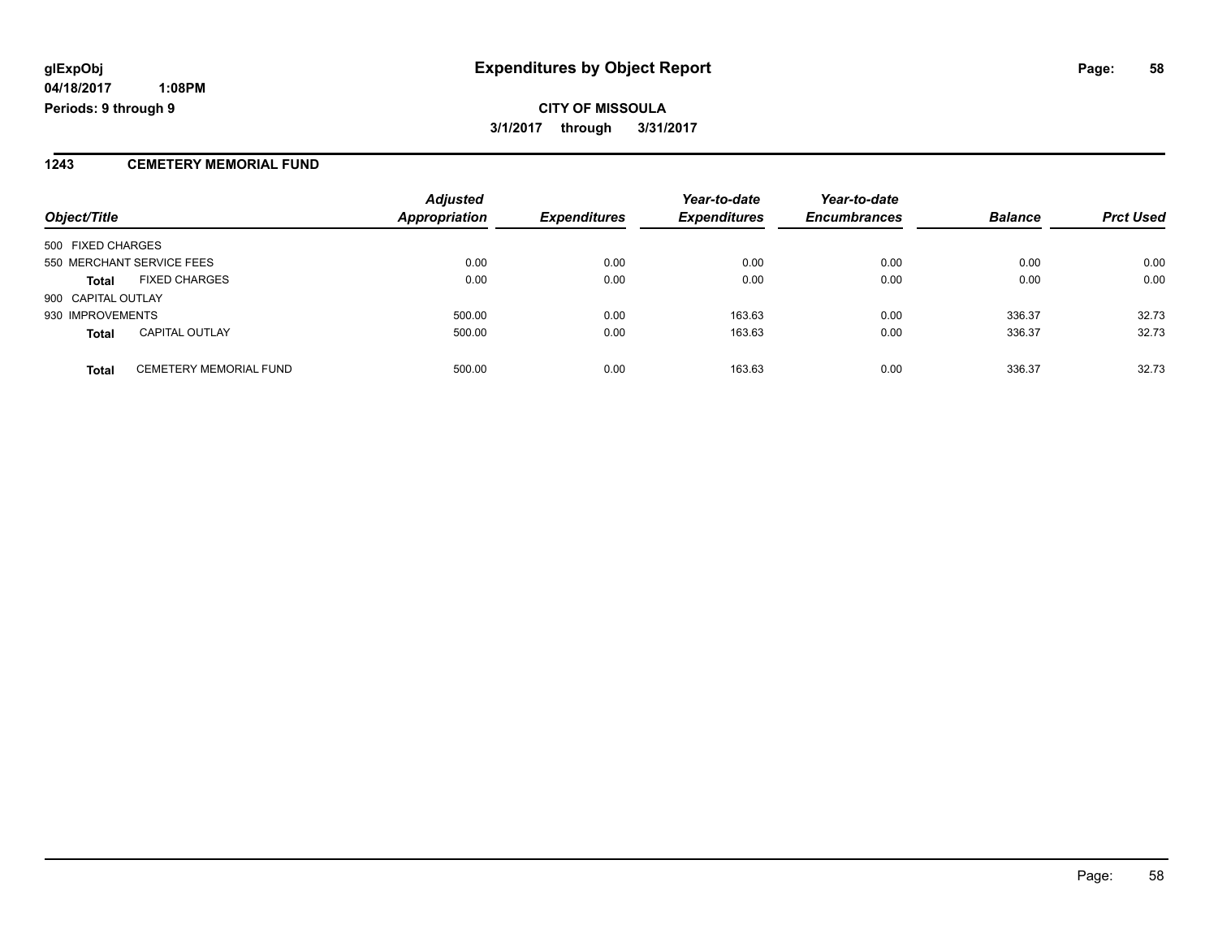**CITY OF MISSOULA 3/1/2017 through 3/31/2017**

### **1243 CEMETERY MEMORIAL FUND**

| Object/Title                                  | <b>Adjusted</b><br><b>Appropriation</b> | <b>Expenditures</b> | Year-to-date<br><b>Expenditures</b> | Year-to-date<br><b>Encumbrances</b> | <b>Balance</b> | <b>Prct Used</b> |
|-----------------------------------------------|-----------------------------------------|---------------------|-------------------------------------|-------------------------------------|----------------|------------------|
| 500 FIXED CHARGES                             |                                         |                     |                                     |                                     |                |                  |
| 550 MERCHANT SERVICE FEES                     | 0.00                                    | 0.00                | 0.00                                | 0.00                                | 0.00           | 0.00             |
| <b>FIXED CHARGES</b><br>Total                 | 0.00                                    | 0.00                | 0.00                                | 0.00                                | 0.00           | 0.00             |
| 900 CAPITAL OUTLAY                            |                                         |                     |                                     |                                     |                |                  |
| 930 IMPROVEMENTS                              | 500.00                                  | 0.00                | 163.63                              | 0.00                                | 336.37         | 32.73            |
| <b>CAPITAL OUTLAY</b><br><b>Total</b>         | 500.00                                  | 0.00                | 163.63                              | 0.00                                | 336.37         | 32.73            |
| <b>CEMETERY MEMORIAL FUND</b><br><b>Total</b> | 500.00                                  | 0.00                | 163.63                              | 0.00                                | 336.37         | 32.73            |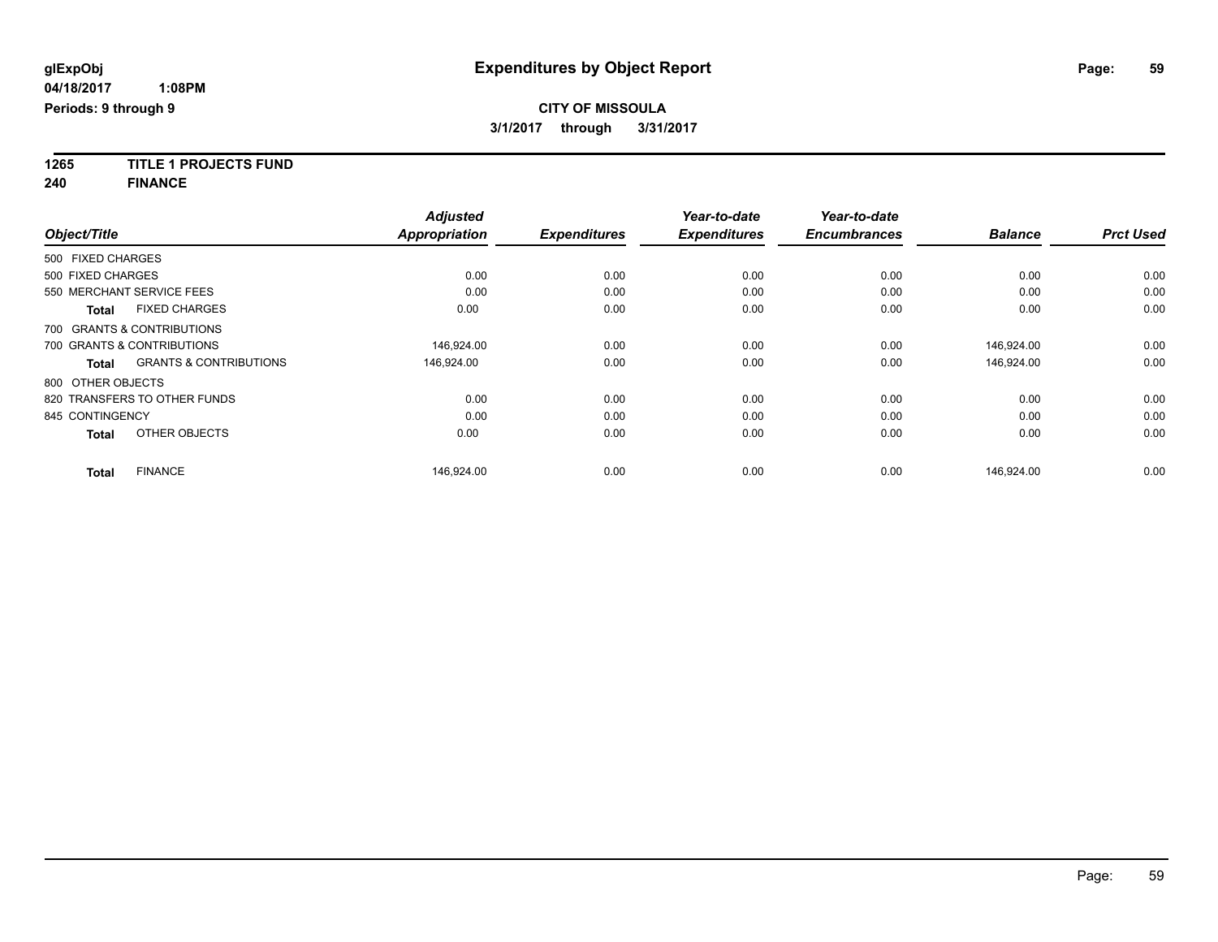**1265 TITLE 1 PROJECTS FUND**

**240 FINANCE**

|                   |                                   | <b>Adjusted</b>      |                     | Year-to-date        | Year-to-date        |                |                  |
|-------------------|-----------------------------------|----------------------|---------------------|---------------------|---------------------|----------------|------------------|
| Object/Title      |                                   | <b>Appropriation</b> | <b>Expenditures</b> | <b>Expenditures</b> | <b>Encumbrances</b> | <b>Balance</b> | <b>Prct Used</b> |
| 500 FIXED CHARGES |                                   |                      |                     |                     |                     |                |                  |
| 500 FIXED CHARGES |                                   | 0.00                 | 0.00                | 0.00                | 0.00                | 0.00           | 0.00             |
|                   | 550 MERCHANT SERVICE FEES         | 0.00                 | 0.00                | 0.00                | 0.00                | 0.00           | 0.00             |
| <b>Total</b>      | <b>FIXED CHARGES</b>              | 0.00                 | 0.00                | 0.00                | 0.00                | 0.00           | 0.00             |
|                   | 700 GRANTS & CONTRIBUTIONS        |                      |                     |                     |                     |                |                  |
|                   | 700 GRANTS & CONTRIBUTIONS        | 146,924.00           | 0.00                | 0.00                | 0.00                | 146,924.00     | 0.00             |
| <b>Total</b>      | <b>GRANTS &amp; CONTRIBUTIONS</b> | 146.924.00           | 0.00                | 0.00                | 0.00                | 146.924.00     | 0.00             |
| 800 OTHER OBJECTS |                                   |                      |                     |                     |                     |                |                  |
|                   | 820 TRANSFERS TO OTHER FUNDS      | 0.00                 | 0.00                | 0.00                | 0.00                | 0.00           | 0.00             |
| 845 CONTINGENCY   |                                   | 0.00                 | 0.00                | 0.00                | 0.00                | 0.00           | 0.00             |
| <b>Total</b>      | OTHER OBJECTS                     | 0.00                 | 0.00                | 0.00                | 0.00                | 0.00           | 0.00             |
| <b>Total</b>      | <b>FINANCE</b>                    | 146,924.00           | 0.00                | 0.00                | 0.00                | 146.924.00     | 0.00             |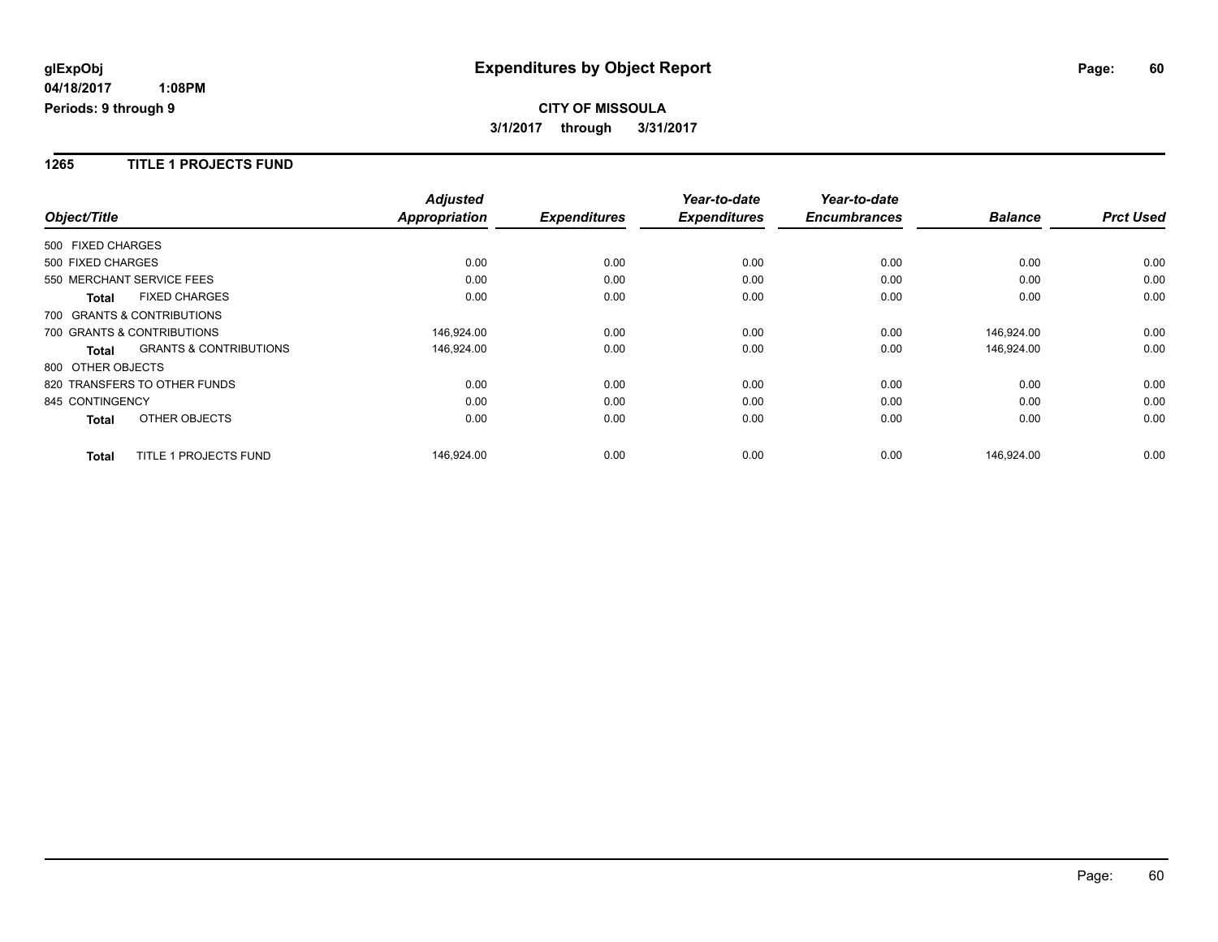### **1265 TITLE 1 PROJECTS FUND**

|                           |                                   | <b>Adjusted</b>      |                     | Year-to-date        | Year-to-date        |                |                  |
|---------------------------|-----------------------------------|----------------------|---------------------|---------------------|---------------------|----------------|------------------|
| Object/Title              |                                   | <b>Appropriation</b> | <b>Expenditures</b> | <b>Expenditures</b> | <b>Encumbrances</b> | <b>Balance</b> | <b>Prct Used</b> |
| 500 FIXED CHARGES         |                                   |                      |                     |                     |                     |                |                  |
| 500 FIXED CHARGES         |                                   | 0.00                 | 0.00                | 0.00                | 0.00                | 0.00           | 0.00             |
| 550 MERCHANT SERVICE FEES |                                   | 0.00                 | 0.00                | 0.00                | 0.00                | 0.00           | 0.00             |
| <b>Total</b>              | <b>FIXED CHARGES</b>              | 0.00                 | 0.00                | 0.00                | 0.00                | 0.00           | 0.00             |
|                           | 700 GRANTS & CONTRIBUTIONS        |                      |                     |                     |                     |                |                  |
|                           | 700 GRANTS & CONTRIBUTIONS        | 146,924.00           | 0.00                | 0.00                | 0.00                | 146,924.00     | 0.00             |
| Total                     | <b>GRANTS &amp; CONTRIBUTIONS</b> | 146,924.00           | 0.00                | 0.00                | 0.00                | 146,924.00     | 0.00             |
| 800 OTHER OBJECTS         |                                   |                      |                     |                     |                     |                |                  |
|                           | 820 TRANSFERS TO OTHER FUNDS      | 0.00                 | 0.00                | 0.00                | 0.00                | 0.00           | 0.00             |
| 845 CONTINGENCY           |                                   | 0.00                 | 0.00                | 0.00                | 0.00                | 0.00           | 0.00             |
| Total                     | OTHER OBJECTS                     | 0.00                 | 0.00                | 0.00                | 0.00                | 0.00           | 0.00             |
| <b>Total</b>              | <b>TITLE 1 PROJECTS FUND</b>      | 146,924.00           | 0.00                | 0.00                | 0.00                | 146,924.00     | 0.00             |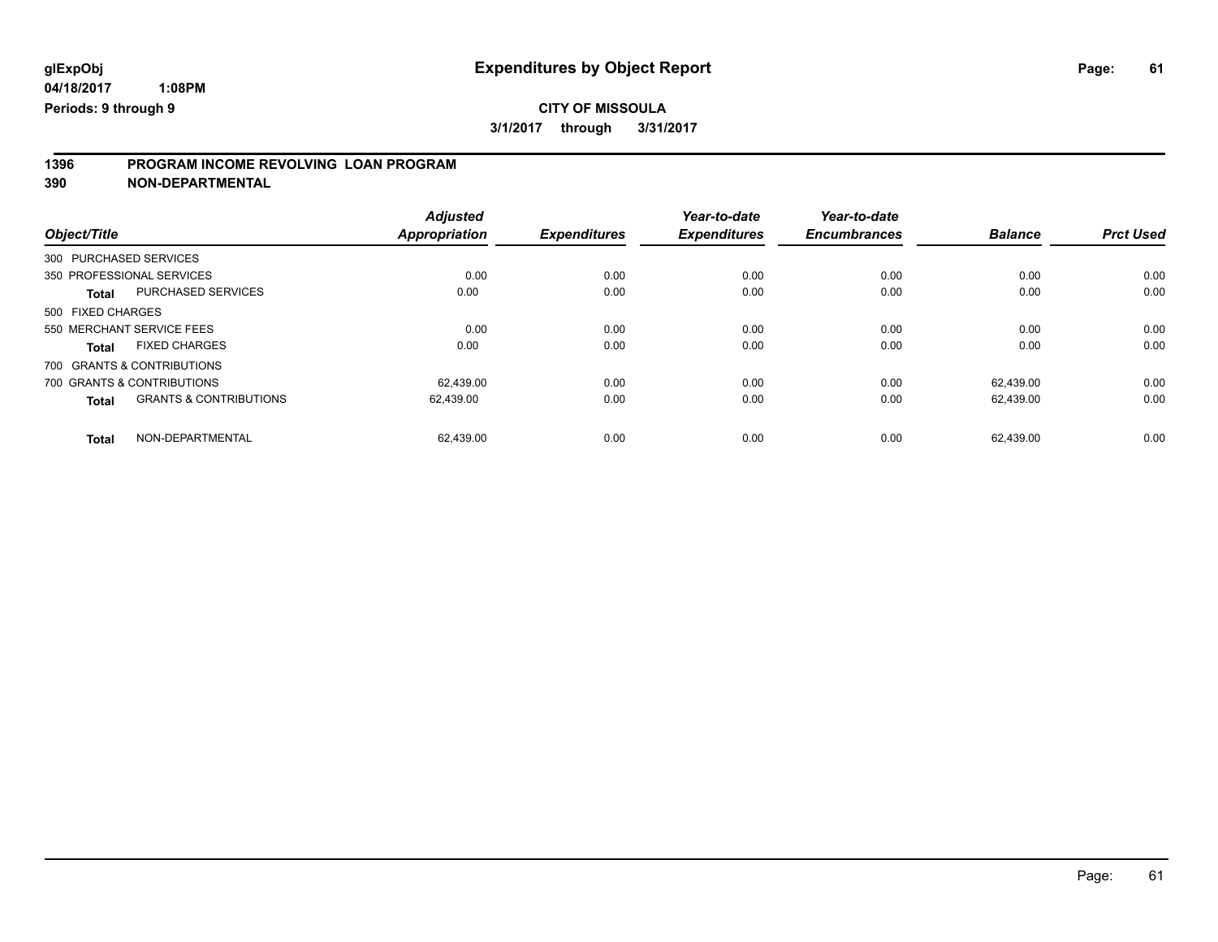# **1396 PROGRAM INCOME REVOLVING LOAN PROGRAM**

**390 NON-DEPARTMENTAL**

| Object/Title      |                                   | <b>Adjusted</b><br><b>Appropriation</b> | <b>Expenditures</b> | Year-to-date<br><b>Expenditures</b> | Year-to-date<br><b>Encumbrances</b> | <b>Balance</b> | <b>Prct Used</b> |
|-------------------|-----------------------------------|-----------------------------------------|---------------------|-------------------------------------|-------------------------------------|----------------|------------------|
|                   | 300 PURCHASED SERVICES            |                                         |                     |                                     |                                     |                |                  |
|                   | 350 PROFESSIONAL SERVICES         | 0.00                                    | 0.00                | 0.00                                | 0.00                                | 0.00           | 0.00             |
| <b>Total</b>      | <b>PURCHASED SERVICES</b>         | 0.00                                    | 0.00                | 0.00                                | 0.00                                | 0.00           | 0.00             |
| 500 FIXED CHARGES |                                   |                                         |                     |                                     |                                     |                |                  |
|                   | 550 MERCHANT SERVICE FEES         | 0.00                                    | 0.00                | 0.00                                | 0.00                                | 0.00           | 0.00             |
| <b>Total</b>      | <b>FIXED CHARGES</b>              | 0.00                                    | 0.00                | 0.00                                | 0.00                                | 0.00           | 0.00             |
|                   | 700 GRANTS & CONTRIBUTIONS        |                                         |                     |                                     |                                     |                |                  |
|                   | 700 GRANTS & CONTRIBUTIONS        | 62.439.00                               | 0.00                | 0.00                                | 0.00                                | 62.439.00      | 0.00             |
| <b>Total</b>      | <b>GRANTS &amp; CONTRIBUTIONS</b> | 62,439.00                               | 0.00                | 0.00                                | 0.00                                | 62.439.00      | 0.00             |
| Total             | NON-DEPARTMENTAL                  | 62.439.00                               | 0.00                | 0.00                                | 0.00                                | 62.439.00      | 0.00             |

Page: 61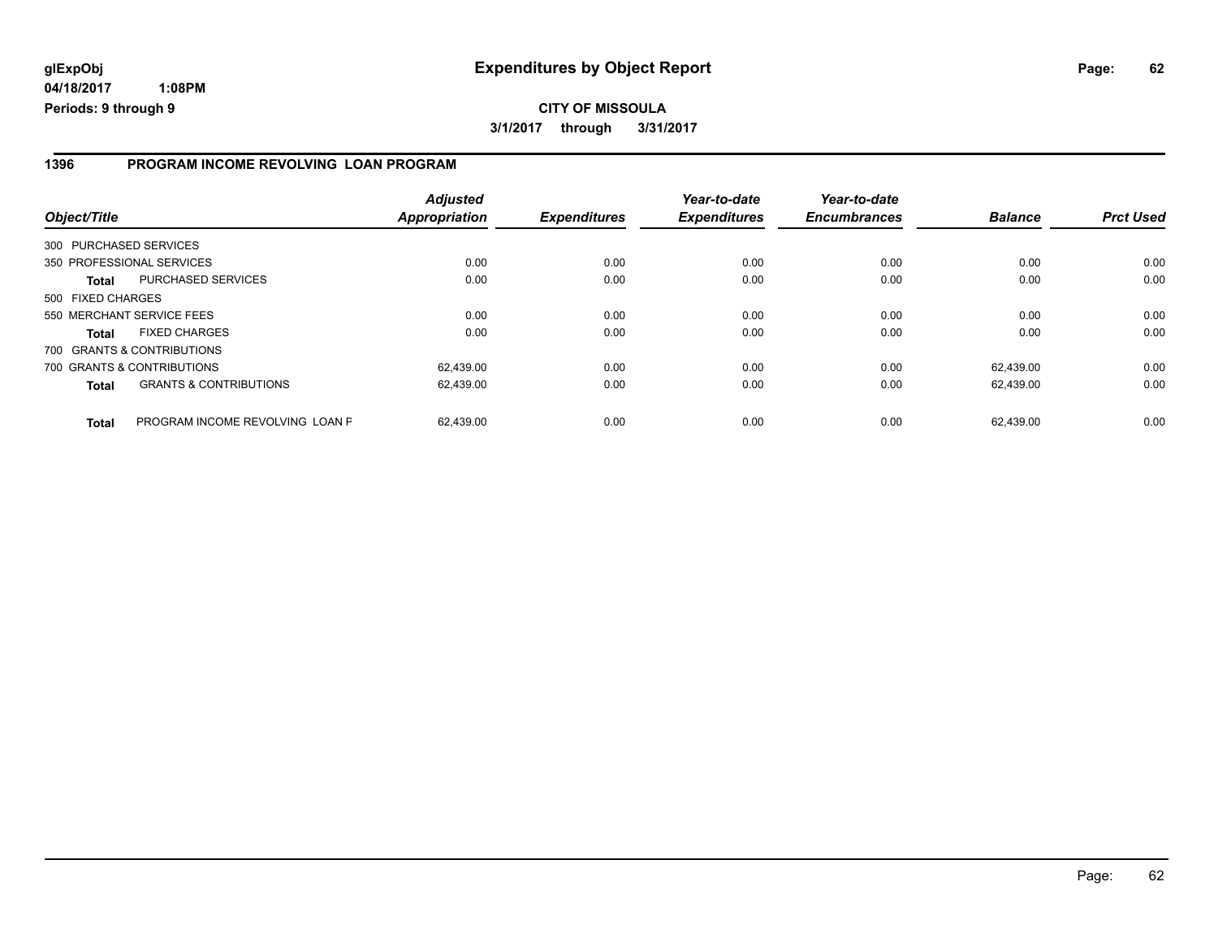### **1396 PROGRAM INCOME REVOLVING LOAN PROGRAM**

| Object/Title           |                                   | <b>Adjusted</b><br>Appropriation | <b>Expenditures</b> | Year-to-date<br><b>Expenditures</b> | Year-to-date<br><b>Encumbrances</b> | <b>Balance</b> | <b>Prct Used</b> |
|------------------------|-----------------------------------|----------------------------------|---------------------|-------------------------------------|-------------------------------------|----------------|------------------|
| 300 PURCHASED SERVICES |                                   |                                  |                     |                                     |                                     |                |                  |
|                        | 350 PROFESSIONAL SERVICES         | 0.00                             | 0.00                | 0.00                                | 0.00                                | 0.00           | 0.00             |
| <b>Total</b>           | <b>PURCHASED SERVICES</b>         | 0.00                             | 0.00                | 0.00                                | 0.00                                | 0.00           | 0.00             |
| 500 FIXED CHARGES      |                                   |                                  |                     |                                     |                                     |                |                  |
|                        | 550 MERCHANT SERVICE FEES         | 0.00                             | 0.00                | 0.00                                | 0.00                                | 0.00           | 0.00             |
| Total                  | <b>FIXED CHARGES</b>              | 0.00                             | 0.00                | 0.00                                | 0.00                                | 0.00           | 0.00             |
|                        | 700 GRANTS & CONTRIBUTIONS        |                                  |                     |                                     |                                     |                |                  |
|                        | 700 GRANTS & CONTRIBUTIONS        | 62.439.00                        | 0.00                | 0.00                                | 0.00                                | 62.439.00      | 0.00             |
| <b>Total</b>           | <b>GRANTS &amp; CONTRIBUTIONS</b> | 62,439.00                        | 0.00                | 0.00                                | 0.00                                | 62,439.00      | 0.00             |
| <b>Total</b>           | PROGRAM INCOME REVOLVING LOAN P   | 62.439.00                        | 0.00                | 0.00                                | 0.00                                | 62.439.00      | 0.00             |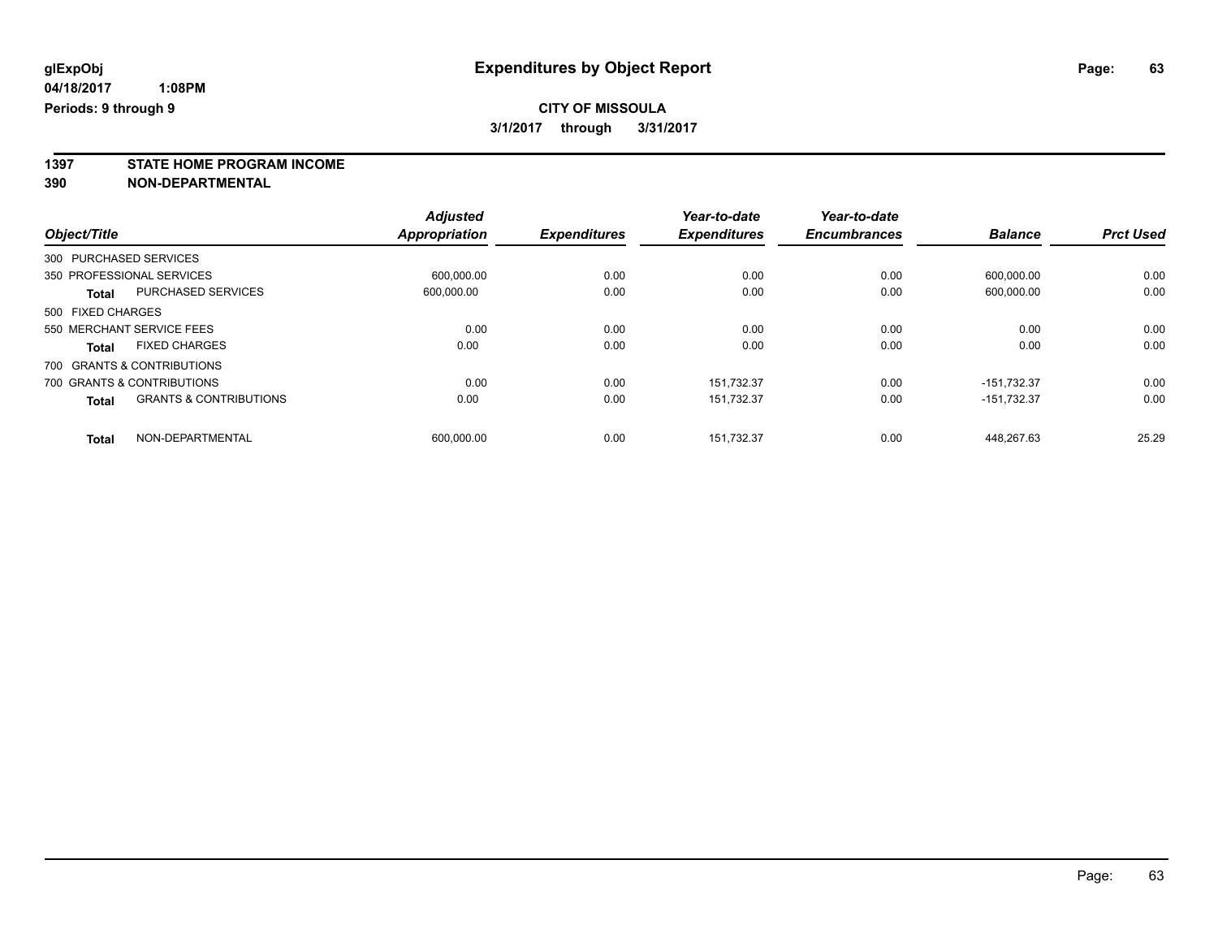**1397 STATE HOME PROGRAM INCOME**

**390 NON-DEPARTMENTAL**

|                   |                                   | <b>Adjusted</b> |                     | Year-to-date        | Year-to-date        |                |                  |
|-------------------|-----------------------------------|-----------------|---------------------|---------------------|---------------------|----------------|------------------|
| Object/Title      |                                   | Appropriation   | <b>Expenditures</b> | <b>Expenditures</b> | <b>Encumbrances</b> | <b>Balance</b> | <b>Prct Used</b> |
|                   | 300 PURCHASED SERVICES            |                 |                     |                     |                     |                |                  |
|                   | 350 PROFESSIONAL SERVICES         | 600.000.00      | 0.00                | 0.00                | 0.00                | 600.000.00     | 0.00             |
| <b>Total</b>      | <b>PURCHASED SERVICES</b>         | 600,000.00      | 0.00                | 0.00                | 0.00                | 600,000.00     | 0.00             |
| 500 FIXED CHARGES |                                   |                 |                     |                     |                     |                |                  |
|                   | 550 MERCHANT SERVICE FEES         | 0.00            | 0.00                | 0.00                | 0.00                | 0.00           | 0.00             |
| <b>Total</b>      | <b>FIXED CHARGES</b>              | 0.00            | 0.00                | 0.00                | 0.00                | 0.00           | 0.00             |
|                   | 700 GRANTS & CONTRIBUTIONS        |                 |                     |                     |                     |                |                  |
|                   | 700 GRANTS & CONTRIBUTIONS        | 0.00            | 0.00                | 151.732.37          | 0.00                | $-151.732.37$  | 0.00             |
| <b>Total</b>      | <b>GRANTS &amp; CONTRIBUTIONS</b> | 0.00            | 0.00                | 151,732.37          | 0.00                | $-151,732.37$  | 0.00             |
| <b>Total</b>      | NON-DEPARTMENTAL                  | 600.000.00      | 0.00                | 151.732.37          | 0.00                | 448.267.63     | 25.29            |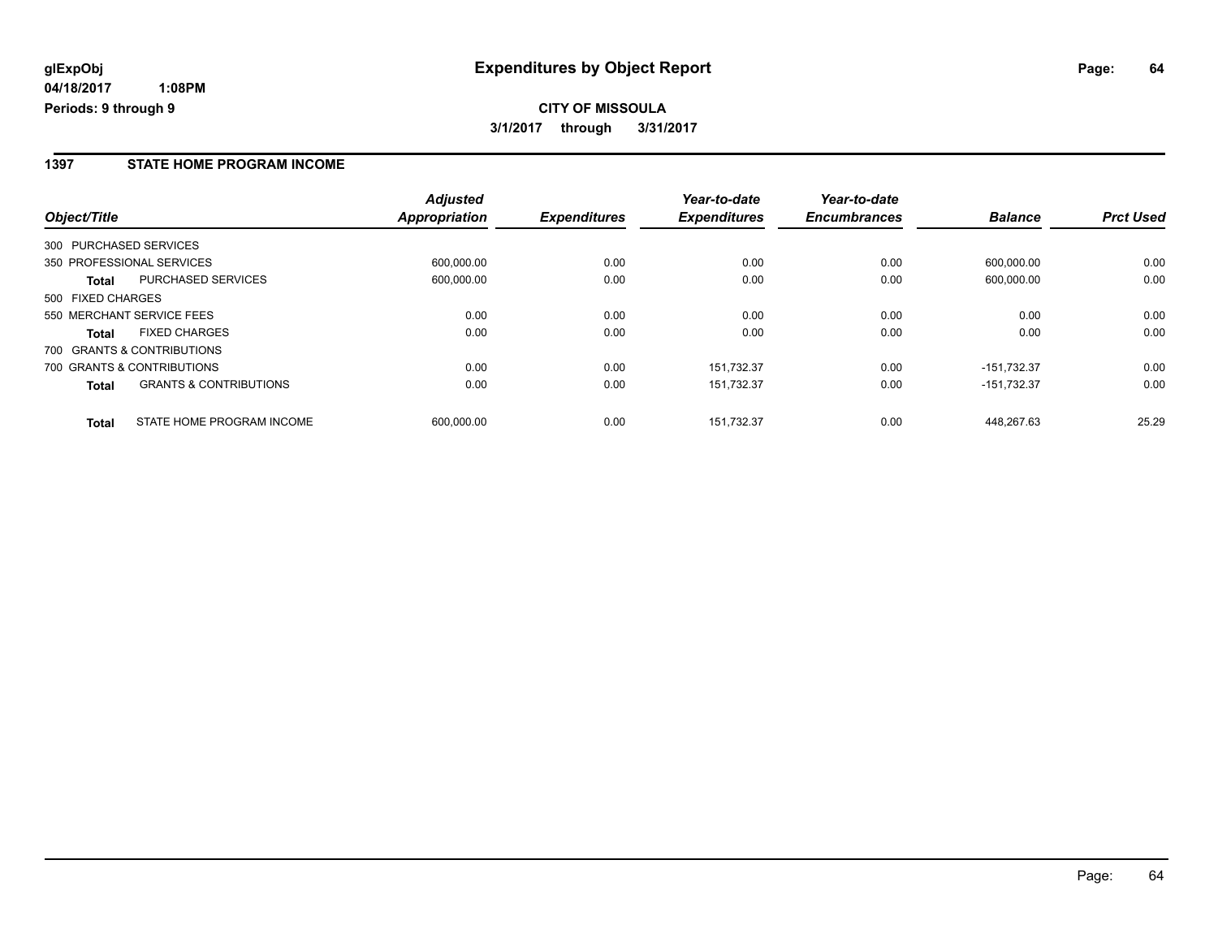### **1397 STATE HOME PROGRAM INCOME**

|                                                   | <b>Adjusted</b>      |                     | Year-to-date        | Year-to-date        |                |                  |
|---------------------------------------------------|----------------------|---------------------|---------------------|---------------------|----------------|------------------|
| Object/Title                                      | <b>Appropriation</b> | <b>Expenditures</b> | <b>Expenditures</b> | <b>Encumbrances</b> | <b>Balance</b> | <b>Prct Used</b> |
| 300 PURCHASED SERVICES                            |                      |                     |                     |                     |                |                  |
| 350 PROFESSIONAL SERVICES                         | 600.000.00           | 0.00                | 0.00                | 0.00                | 600.000.00     | 0.00             |
| <b>PURCHASED SERVICES</b><br>Total                | 600.000.00           | 0.00                | 0.00                | 0.00                | 600.000.00     | 0.00             |
| 500 FIXED CHARGES                                 |                      |                     |                     |                     |                |                  |
| 550 MERCHANT SERVICE FEES                         | 0.00                 | 0.00                | 0.00                | 0.00                | 0.00           | 0.00             |
| <b>FIXED CHARGES</b><br><b>Total</b>              | 0.00                 | 0.00                | 0.00                | 0.00                | 0.00           | 0.00             |
| 700 GRANTS & CONTRIBUTIONS                        |                      |                     |                     |                     |                |                  |
| 700 GRANTS & CONTRIBUTIONS                        | 0.00                 | 0.00                | 151.732.37          | 0.00                | $-151.732.37$  | 0.00             |
| <b>GRANTS &amp; CONTRIBUTIONS</b><br><b>Total</b> | 0.00                 | 0.00                | 151,732.37          | 0.00                | $-151,732.37$  | 0.00             |
| STATE HOME PROGRAM INCOME<br><b>Total</b>         | 600.000.00           | 0.00                | 151.732.37          | 0.00                | 448.267.63     | 25.29            |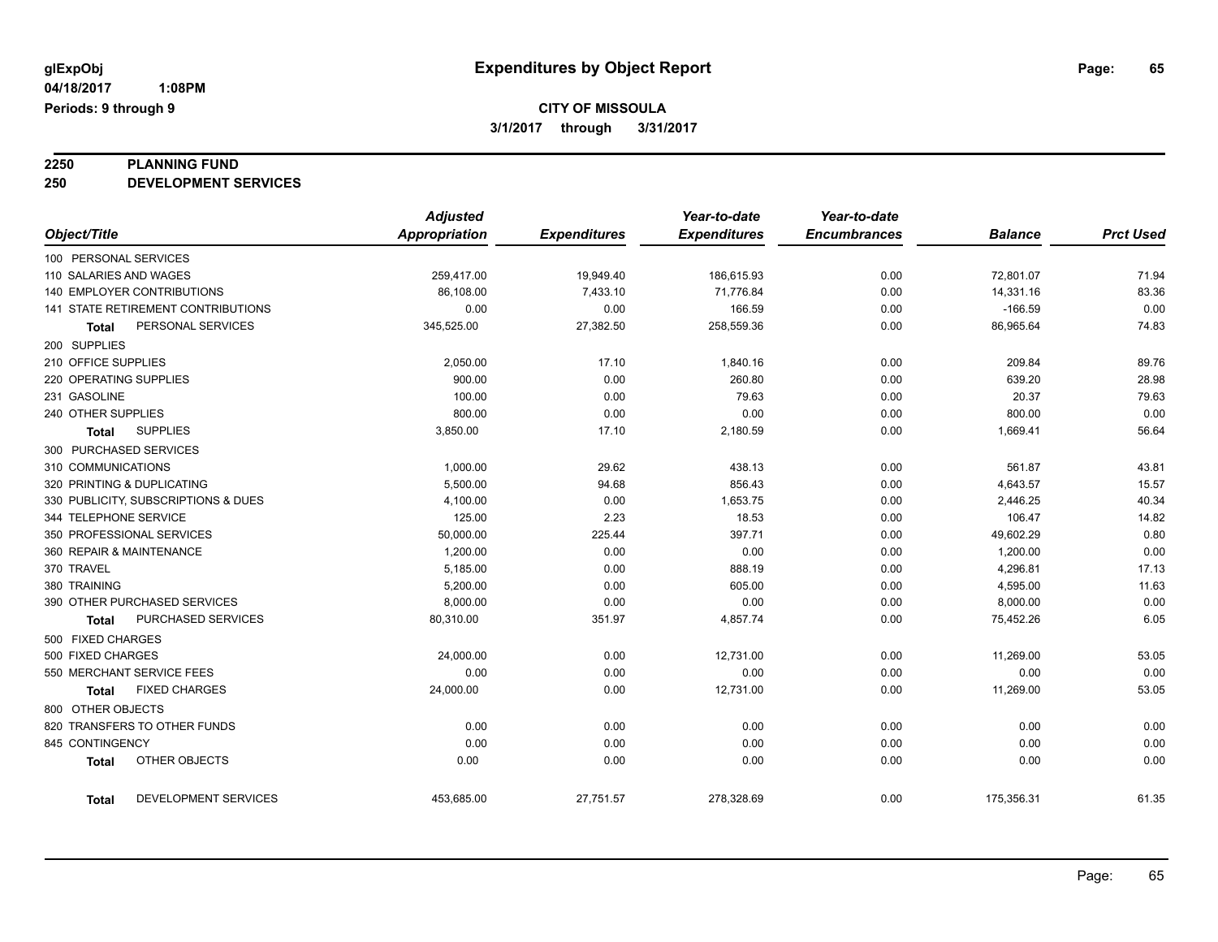# **2250 PLANNING FUND**

**250 DEVELOPMENT SERVICES**

|                                     | <b>Adjusted</b>      |                     | Year-to-date        | Year-to-date        |                |                  |
|-------------------------------------|----------------------|---------------------|---------------------|---------------------|----------------|------------------|
| Object/Title                        | <b>Appropriation</b> | <b>Expenditures</b> | <b>Expenditures</b> | <b>Encumbrances</b> | <b>Balance</b> | <b>Prct Used</b> |
| 100 PERSONAL SERVICES               |                      |                     |                     |                     |                |                  |
| 110 SALARIES AND WAGES              | 259,417.00           | 19,949.40           | 186,615.93          | 0.00                | 72,801.07      | 71.94            |
| 140 EMPLOYER CONTRIBUTIONS          | 86,108.00            | 7,433.10            | 71,776.84           | 0.00                | 14,331.16      | 83.36            |
| 141 STATE RETIREMENT CONTRIBUTIONS  | 0.00                 | 0.00                | 166.59              | 0.00                | $-166.59$      | 0.00             |
| PERSONAL SERVICES<br><b>Total</b>   | 345,525.00           | 27,382.50           | 258,559.36          | 0.00                | 86,965.64      | 74.83            |
| 200 SUPPLIES                        |                      |                     |                     |                     |                |                  |
| 210 OFFICE SUPPLIES                 | 2,050.00             | 17.10               | 1,840.16            | 0.00                | 209.84         | 89.76            |
| 220 OPERATING SUPPLIES              | 900.00               | 0.00                | 260.80              | 0.00                | 639.20         | 28.98            |
| 231 GASOLINE                        | 100.00               | 0.00                | 79.63               | 0.00                | 20.37          | 79.63            |
| 240 OTHER SUPPLIES                  | 800.00               | 0.00                | 0.00                | 0.00                | 800.00         | 0.00             |
| <b>SUPPLIES</b><br><b>Total</b>     | 3,850.00             | 17.10               | 2,180.59            | 0.00                | 1,669.41       | 56.64            |
| 300 PURCHASED SERVICES              |                      |                     |                     |                     |                |                  |
| 310 COMMUNICATIONS                  | 1,000.00             | 29.62               | 438.13              | 0.00                | 561.87         | 43.81            |
| 320 PRINTING & DUPLICATING          | 5,500.00             | 94.68               | 856.43              | 0.00                | 4,643.57       | 15.57            |
| 330 PUBLICITY, SUBSCRIPTIONS & DUES | 4,100.00             | 0.00                | 1,653.75            | 0.00                | 2,446.25       | 40.34            |
| 344 TELEPHONE SERVICE               | 125.00               | 2.23                | 18.53               | 0.00                | 106.47         | 14.82            |
| 350 PROFESSIONAL SERVICES           | 50,000.00            | 225.44              | 397.71              | 0.00                | 49,602.29      | 0.80             |
| 360 REPAIR & MAINTENANCE            | 1,200.00             | 0.00                | 0.00                | 0.00                | 1,200.00       | 0.00             |
| 370 TRAVEL                          | 5,185.00             | 0.00                | 888.19              | 0.00                | 4,296.81       | 17.13            |
| 380 TRAINING                        | 5,200.00             | 0.00                | 605.00              | 0.00                | 4,595.00       | 11.63            |
| 390 OTHER PURCHASED SERVICES        | 8,000.00             | 0.00                | 0.00                | 0.00                | 8,000.00       | 0.00             |
| PURCHASED SERVICES<br>Total         | 80,310.00            | 351.97              | 4,857.74            | 0.00                | 75,452.26      | 6.05             |
| 500 FIXED CHARGES                   |                      |                     |                     |                     |                |                  |
| 500 FIXED CHARGES                   | 24,000.00            | 0.00                | 12,731.00           | 0.00                | 11,269.00      | 53.05            |
| 550 MERCHANT SERVICE FEES           | 0.00                 | 0.00                | 0.00                | 0.00                | 0.00           | 0.00             |
| <b>FIXED CHARGES</b><br>Total       | 24,000.00            | 0.00                | 12,731.00           | 0.00                | 11,269.00      | 53.05            |
| 800 OTHER OBJECTS                   |                      |                     |                     |                     |                |                  |
| 820 TRANSFERS TO OTHER FUNDS        | 0.00                 | 0.00                | 0.00                | 0.00                | 0.00           | 0.00             |
| 845 CONTINGENCY                     | 0.00                 | 0.00                | 0.00                | 0.00                | 0.00           | 0.00             |
| OTHER OBJECTS<br><b>Total</b>       | 0.00                 | 0.00                | 0.00                | 0.00                | 0.00           | 0.00             |
| DEVELOPMENT SERVICES<br>Total       | 453,685.00           | 27,751.57           | 278,328.69          | 0.00                | 175,356.31     | 61.35            |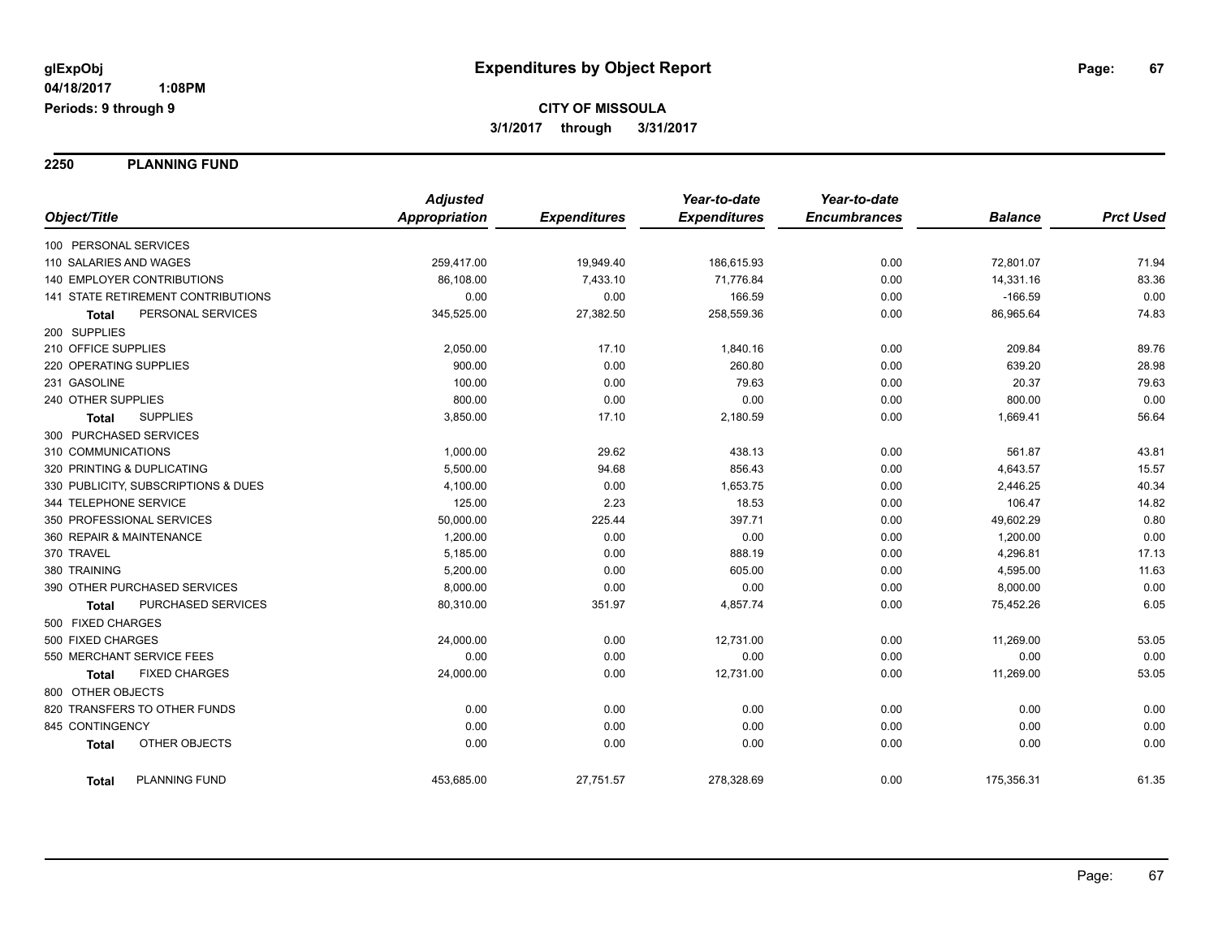**2250 PLANNING FUND**

|                                      | <b>Adjusted</b>      |                     | Year-to-date        | Year-to-date        |                |                  |
|--------------------------------------|----------------------|---------------------|---------------------|---------------------|----------------|------------------|
| Object/Title                         | <b>Appropriation</b> | <b>Expenditures</b> | <b>Expenditures</b> | <b>Encumbrances</b> | <b>Balance</b> | <b>Prct Used</b> |
| 100 PERSONAL SERVICES                |                      |                     |                     |                     |                |                  |
| 110 SALARIES AND WAGES               | 259,417.00           | 19,949.40           | 186,615.93          | 0.00                | 72,801.07      | 71.94            |
| 140 EMPLOYER CONTRIBUTIONS           | 86,108.00            | 7,433.10            | 71,776.84           | 0.00                | 14,331.16      | 83.36            |
| 141 STATE RETIREMENT CONTRIBUTIONS   | 0.00                 | 0.00                | 166.59              | 0.00                | $-166.59$      | 0.00             |
| PERSONAL SERVICES<br>Total           | 345,525.00           | 27,382.50           | 258,559.36          | 0.00                | 86,965.64      | 74.83            |
| 200 SUPPLIES                         |                      |                     |                     |                     |                |                  |
| 210 OFFICE SUPPLIES                  | 2,050.00             | 17.10               | 1,840.16            | 0.00                | 209.84         | 89.76            |
| 220 OPERATING SUPPLIES               | 900.00               | 0.00                | 260.80              | 0.00                | 639.20         | 28.98            |
| 231 GASOLINE                         | 100.00               | 0.00                | 79.63               | 0.00                | 20.37          | 79.63            |
| 240 OTHER SUPPLIES                   | 800.00               | 0.00                | 0.00                | 0.00                | 800.00         | 0.00             |
| <b>SUPPLIES</b><br><b>Total</b>      | 3,850.00             | 17.10               | 2,180.59            | 0.00                | 1,669.41       | 56.64            |
| 300 PURCHASED SERVICES               |                      |                     |                     |                     |                |                  |
| 310 COMMUNICATIONS                   | 1,000.00             | 29.62               | 438.13              | 0.00                | 561.87         | 43.81            |
| 320 PRINTING & DUPLICATING           | 5,500.00             | 94.68               | 856.43              | 0.00                | 4,643.57       | 15.57            |
| 330 PUBLICITY, SUBSCRIPTIONS & DUES  | 4,100.00             | 0.00                | 1,653.75            | 0.00                | 2,446.25       | 40.34            |
| 344 TELEPHONE SERVICE                | 125.00               | 2.23                | 18.53               | 0.00                | 106.47         | 14.82            |
| 350 PROFESSIONAL SERVICES            | 50,000.00            | 225.44              | 397.71              | 0.00                | 49,602.29      | 0.80             |
| 360 REPAIR & MAINTENANCE             | 1,200.00             | 0.00                | 0.00                | 0.00                | 1,200.00       | 0.00             |
| 370 TRAVEL                           | 5,185.00             | 0.00                | 888.19              | 0.00                | 4,296.81       | 17.13            |
| 380 TRAINING                         | 5,200.00             | 0.00                | 605.00              | 0.00                | 4,595.00       | 11.63            |
| 390 OTHER PURCHASED SERVICES         | 8,000.00             | 0.00                | 0.00                | 0.00                | 8,000.00       | 0.00             |
| PURCHASED SERVICES<br>Total          | 80,310.00            | 351.97              | 4,857.74            | 0.00                | 75,452.26      | 6.05             |
| 500 FIXED CHARGES                    |                      |                     |                     |                     |                |                  |
| 500 FIXED CHARGES                    | 24,000.00            | 0.00                | 12,731.00           | 0.00                | 11,269.00      | 53.05            |
| 550 MERCHANT SERVICE FEES            | 0.00                 | 0.00                | 0.00                | 0.00                | 0.00           | 0.00             |
| <b>FIXED CHARGES</b><br><b>Total</b> | 24,000.00            | 0.00                | 12,731.00           | 0.00                | 11,269.00      | 53.05            |
| 800 OTHER OBJECTS                    |                      |                     |                     |                     |                |                  |
| 820 TRANSFERS TO OTHER FUNDS         | 0.00                 | 0.00                | 0.00                | 0.00                | 0.00           | 0.00             |
| 845 CONTINGENCY                      | 0.00                 | 0.00                | 0.00                | 0.00                | 0.00           | 0.00             |
| OTHER OBJECTS<br><b>Total</b>        | 0.00                 | 0.00                | 0.00                | 0.00                | 0.00           | 0.00             |
| <b>PLANNING FUND</b><br><b>Total</b> | 453,685.00           | 27,751.57           | 278,328.69          | 0.00                | 175,356.31     | 61.35            |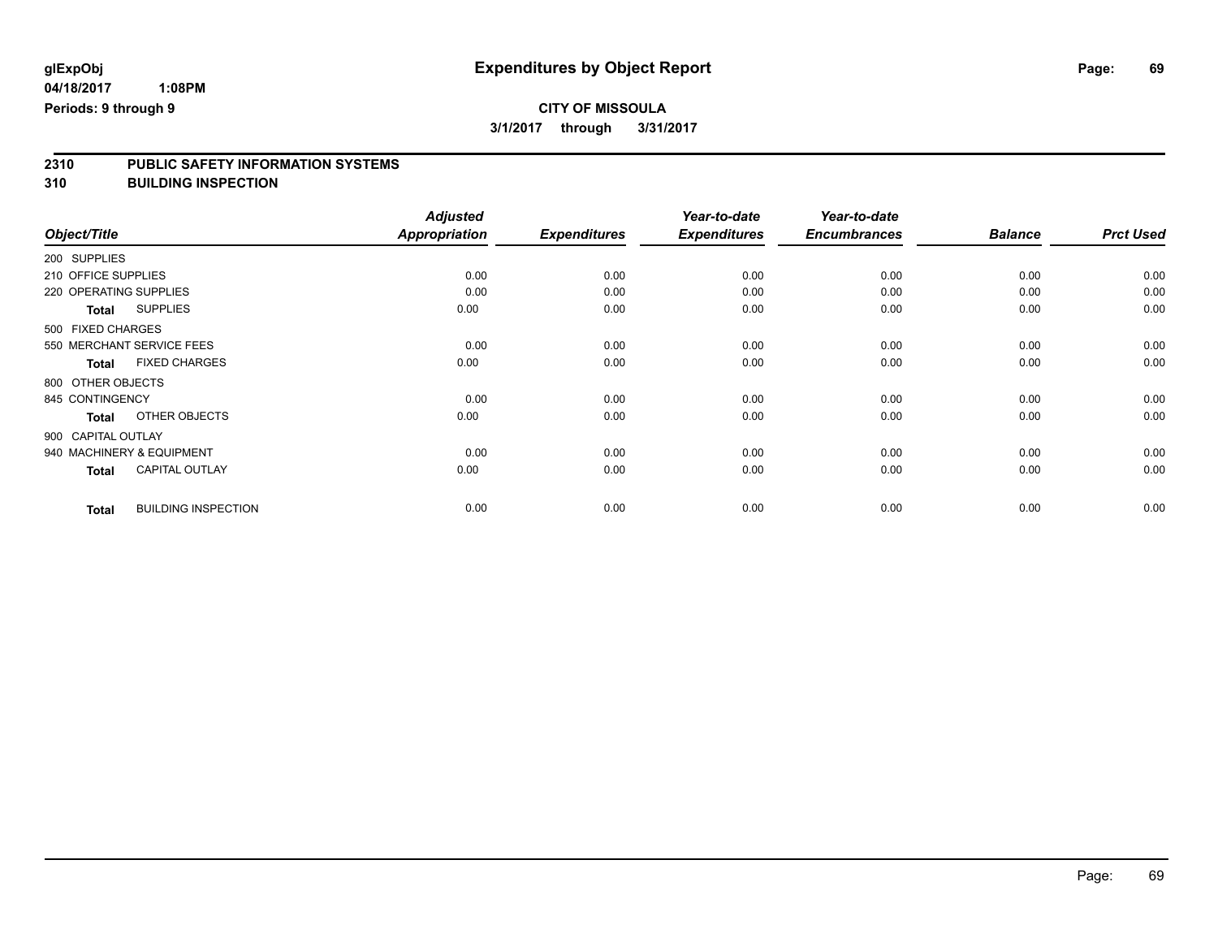# **2310 PUBLIC SAFETY INFORMATION SYSTEMS**

**310 BUILDING INSPECTION**

|                     |                            | <b>Adjusted</b> |                     | Year-to-date        | Year-to-date        |                |                  |
|---------------------|----------------------------|-----------------|---------------------|---------------------|---------------------|----------------|------------------|
| Object/Title        |                            | Appropriation   | <b>Expenditures</b> | <b>Expenditures</b> | <b>Encumbrances</b> | <b>Balance</b> | <b>Prct Used</b> |
| 200 SUPPLIES        |                            |                 |                     |                     |                     |                |                  |
| 210 OFFICE SUPPLIES |                            | 0.00            | 0.00                | 0.00                | 0.00                | 0.00           | 0.00             |
|                     | 220 OPERATING SUPPLIES     | 0.00            | 0.00                | 0.00                | 0.00                | 0.00           | 0.00             |
| <b>Total</b>        | <b>SUPPLIES</b>            | 0.00            | 0.00                | 0.00                | 0.00                | 0.00           | 0.00             |
| 500 FIXED CHARGES   |                            |                 |                     |                     |                     |                |                  |
|                     | 550 MERCHANT SERVICE FEES  | 0.00            | 0.00                | 0.00                | 0.00                | 0.00           | 0.00             |
| <b>Total</b>        | <b>FIXED CHARGES</b>       | 0.00            | 0.00                | 0.00                | 0.00                | 0.00           | 0.00             |
| 800 OTHER OBJECTS   |                            |                 |                     |                     |                     |                |                  |
| 845 CONTINGENCY     |                            | 0.00            | 0.00                | 0.00                | 0.00                | 0.00           | 0.00             |
| <b>Total</b>        | OTHER OBJECTS              | 0.00            | 0.00                | 0.00                | 0.00                | 0.00           | 0.00             |
| 900 CAPITAL OUTLAY  |                            |                 |                     |                     |                     |                |                  |
|                     | 940 MACHINERY & EQUIPMENT  | 0.00            | 0.00                | 0.00                | 0.00                | 0.00           | 0.00             |
| <b>Total</b>        | <b>CAPITAL OUTLAY</b>      | 0.00            | 0.00                | 0.00                | 0.00                | 0.00           | 0.00             |
| <b>Total</b>        | <b>BUILDING INSPECTION</b> | 0.00            | 0.00                | 0.00                | 0.00                | 0.00           | 0.00             |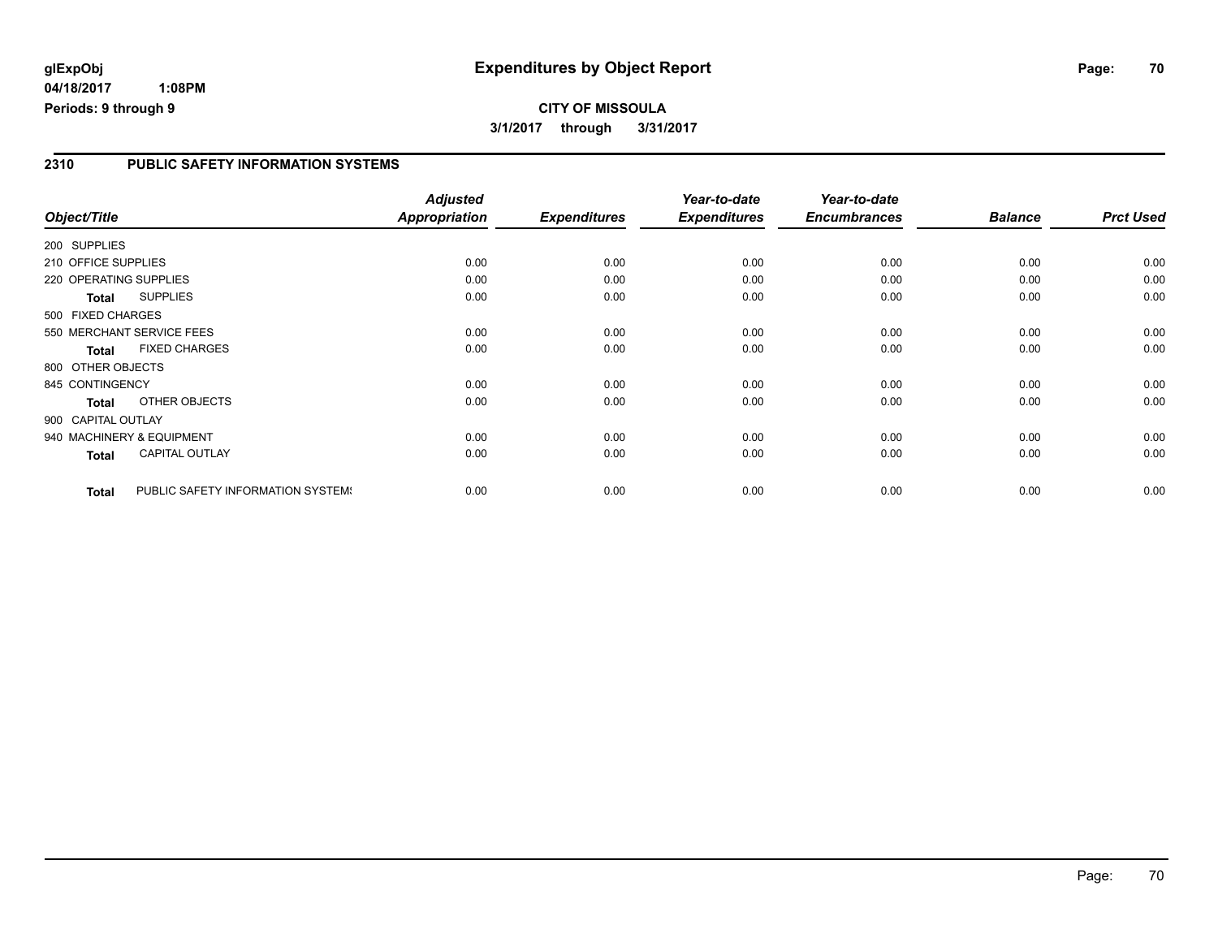# **glExpObj Expenditures by Object Report Page: 70**

**04/18/2017 1:08PM Periods: 9 through 9**

### **2310 PUBLIC SAFETY INFORMATION SYSTEMS**

| Object/Title                                      | <b>Adjusted</b><br><b>Appropriation</b> | <b>Expenditures</b> | Year-to-date<br><b>Expenditures</b> | Year-to-date<br><b>Encumbrances</b> | <b>Balance</b> | <b>Prct Used</b> |
|---------------------------------------------------|-----------------------------------------|---------------------|-------------------------------------|-------------------------------------|----------------|------------------|
|                                                   |                                         |                     |                                     |                                     |                |                  |
| 200 SUPPLIES                                      |                                         |                     |                                     |                                     |                |                  |
| 210 OFFICE SUPPLIES                               | 0.00                                    | 0.00                | 0.00                                | 0.00                                | 0.00           | 0.00             |
| 220 OPERATING SUPPLIES                            | 0.00                                    | 0.00                | 0.00                                | 0.00                                | 0.00           | 0.00             |
| <b>SUPPLIES</b><br>Total                          | 0.00                                    | 0.00                | 0.00                                | 0.00                                | 0.00           | 0.00             |
| 500 FIXED CHARGES                                 |                                         |                     |                                     |                                     |                |                  |
| 550 MERCHANT SERVICE FEES                         | 0.00                                    | 0.00                | 0.00                                | 0.00                                | 0.00           | 0.00             |
| <b>FIXED CHARGES</b><br><b>Total</b>              | 0.00                                    | 0.00                | 0.00                                | 0.00                                | 0.00           | 0.00             |
| 800 OTHER OBJECTS                                 |                                         |                     |                                     |                                     |                |                  |
| 845 CONTINGENCY                                   | 0.00                                    | 0.00                | 0.00                                | 0.00                                | 0.00           | 0.00             |
| OTHER OBJECTS<br><b>Total</b>                     | 0.00                                    | 0.00                | 0.00                                | 0.00                                | 0.00           | 0.00             |
| 900 CAPITAL OUTLAY                                |                                         |                     |                                     |                                     |                |                  |
| 940 MACHINERY & EQUIPMENT                         | 0.00                                    | 0.00                | 0.00                                | 0.00                                | 0.00           | 0.00             |
| <b>CAPITAL OUTLAY</b><br>Total                    | 0.00                                    | 0.00                | 0.00                                | 0.00                                | 0.00           | 0.00             |
|                                                   |                                         |                     |                                     |                                     |                |                  |
| PUBLIC SAFETY INFORMATION SYSTEM!<br><b>Total</b> | 0.00                                    | 0.00                | 0.00                                | 0.00                                | 0.00           | 0.00             |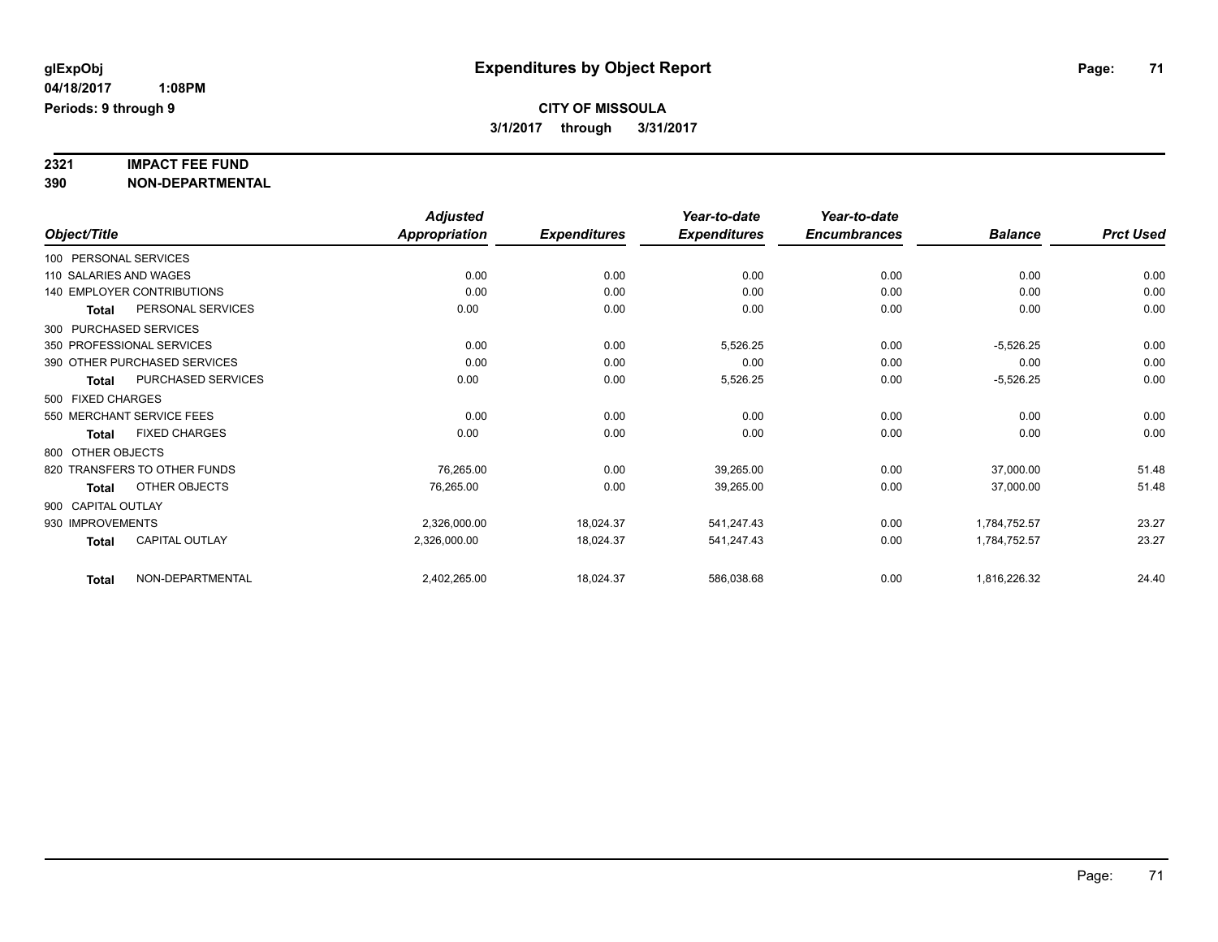# **2321 IMPACT FEE FUND**

**390 NON-DEPARTMENTAL**

|                                           | <b>Adjusted</b>      |                     | Year-to-date        | Year-to-date        |                |                  |
|-------------------------------------------|----------------------|---------------------|---------------------|---------------------|----------------|------------------|
| Object/Title                              | <b>Appropriation</b> | <b>Expenditures</b> | <b>Expenditures</b> | <b>Encumbrances</b> | <b>Balance</b> | <b>Prct Used</b> |
| 100 PERSONAL SERVICES                     |                      |                     |                     |                     |                |                  |
| 110 SALARIES AND WAGES                    | 0.00                 | 0.00                | 0.00                | 0.00                | 0.00           | 0.00             |
| <b>140 EMPLOYER CONTRIBUTIONS</b>         | 0.00                 | 0.00                | 0.00                | 0.00                | 0.00           | 0.00             |
| PERSONAL SERVICES<br>Total                | 0.00                 | 0.00                | 0.00                | 0.00                | 0.00           | 0.00             |
| 300 PURCHASED SERVICES                    |                      |                     |                     |                     |                |                  |
| 350 PROFESSIONAL SERVICES                 | 0.00                 | 0.00                | 5,526.25            | 0.00                | $-5,526.25$    | 0.00             |
| 390 OTHER PURCHASED SERVICES              | 0.00                 | 0.00                | 0.00                | 0.00                | 0.00           | 0.00             |
| <b>PURCHASED SERVICES</b><br><b>Total</b> | 0.00                 | 0.00                | 5,526.25            | 0.00                | $-5,526.25$    | 0.00             |
| 500 FIXED CHARGES                         |                      |                     |                     |                     |                |                  |
| 550 MERCHANT SERVICE FEES                 | 0.00                 | 0.00                | 0.00                | 0.00                | 0.00           | 0.00             |
| <b>FIXED CHARGES</b><br>Total             | 0.00                 | 0.00                | 0.00                | 0.00                | 0.00           | 0.00             |
| 800 OTHER OBJECTS                         |                      |                     |                     |                     |                |                  |
| 820 TRANSFERS TO OTHER FUNDS              | 76,265.00            | 0.00                | 39,265.00           | 0.00                | 37,000.00      | 51.48            |
| OTHER OBJECTS<br>Total                    | 76,265.00            | 0.00                | 39,265.00           | 0.00                | 37,000.00      | 51.48            |
| 900 CAPITAL OUTLAY                        |                      |                     |                     |                     |                |                  |
| 930 IMPROVEMENTS                          | 2,326,000.00         | 18,024.37           | 541,247.43          | 0.00                | 1,784,752.57   | 23.27            |
| CAPITAL OUTLAY<br><b>Total</b>            | 2,326,000.00         | 18,024.37           | 541,247.43          | 0.00                | 1,784,752.57   | 23.27            |
| NON-DEPARTMENTAL<br><b>Total</b>          | 2,402,265.00         | 18,024.37           | 586,038.68          | 0.00                | 1,816,226.32   | 24.40            |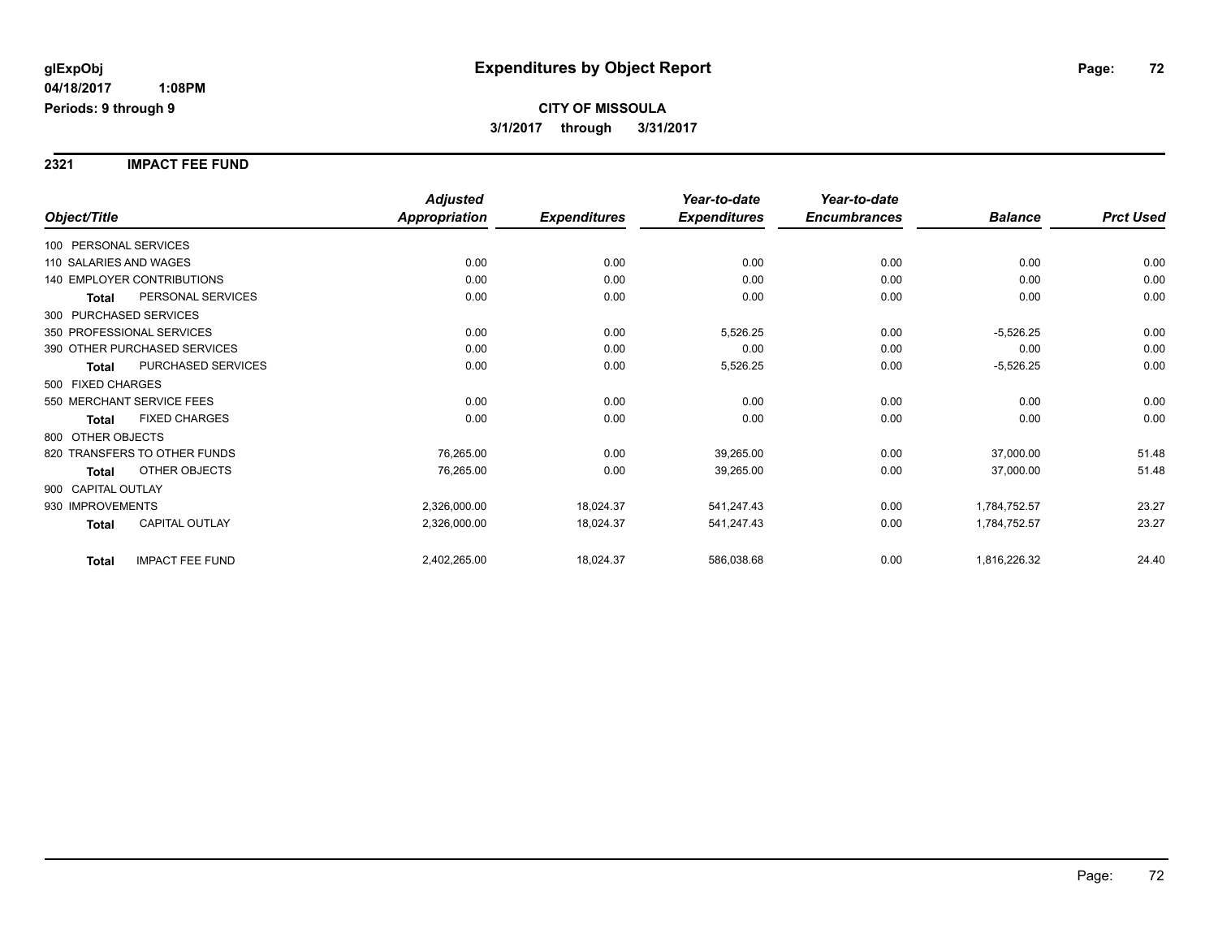#### **2321 IMPACT FEE FUND**

|                                        | <b>Adjusted</b> |                     | Year-to-date        | Year-to-date        |                |                  |
|----------------------------------------|-----------------|---------------------|---------------------|---------------------|----------------|------------------|
| Object/Title                           | Appropriation   | <b>Expenditures</b> | <b>Expenditures</b> | <b>Encumbrances</b> | <b>Balance</b> | <b>Prct Used</b> |
| 100 PERSONAL SERVICES                  |                 |                     |                     |                     |                |                  |
| 110 SALARIES AND WAGES                 | 0.00            | 0.00                | 0.00                | 0.00                | 0.00           | 0.00             |
| <b>140 EMPLOYER CONTRIBUTIONS</b>      | 0.00            | 0.00                | 0.00                | 0.00                | 0.00           | 0.00             |
| PERSONAL SERVICES<br>Total             | 0.00            | 0.00                | 0.00                | 0.00                | 0.00           | 0.00             |
| 300 PURCHASED SERVICES                 |                 |                     |                     |                     |                |                  |
| 350 PROFESSIONAL SERVICES              | 0.00            | 0.00                | 5,526.25            | 0.00                | $-5,526.25$    | 0.00             |
| 390 OTHER PURCHASED SERVICES           | 0.00            | 0.00                | 0.00                | 0.00                | 0.00           | 0.00             |
| PURCHASED SERVICES<br><b>Total</b>     | 0.00            | 0.00                | 5,526.25            | 0.00                | $-5,526.25$    | 0.00             |
| 500 FIXED CHARGES                      |                 |                     |                     |                     |                |                  |
| 550 MERCHANT SERVICE FEES              | 0.00            | 0.00                | 0.00                | 0.00                | 0.00           | 0.00             |
| <b>FIXED CHARGES</b><br>Total          | 0.00            | 0.00                | 0.00                | 0.00                | 0.00           | 0.00             |
| 800 OTHER OBJECTS                      |                 |                     |                     |                     |                |                  |
| 820 TRANSFERS TO OTHER FUNDS           | 76,265.00       | 0.00                | 39,265.00           | 0.00                | 37,000.00      | 51.48            |
| OTHER OBJECTS<br><b>Total</b>          | 76,265.00       | 0.00                | 39,265.00           | 0.00                | 37,000.00      | 51.48            |
| 900 CAPITAL OUTLAY                     |                 |                     |                     |                     |                |                  |
| 930 IMPROVEMENTS                       | 2,326,000.00    | 18,024.37           | 541,247.43          | 0.00                | 1,784,752.57   | 23.27            |
| CAPITAL OUTLAY<br><b>Total</b>         | 2,326,000.00    | 18,024.37           | 541,247.43          | 0.00                | 1,784,752.57   | 23.27            |
| <b>IMPACT FEE FUND</b><br><b>Total</b> | 2,402,265.00    | 18,024.37           | 586,038.68          | 0.00                | 1,816,226.32   | 24.40            |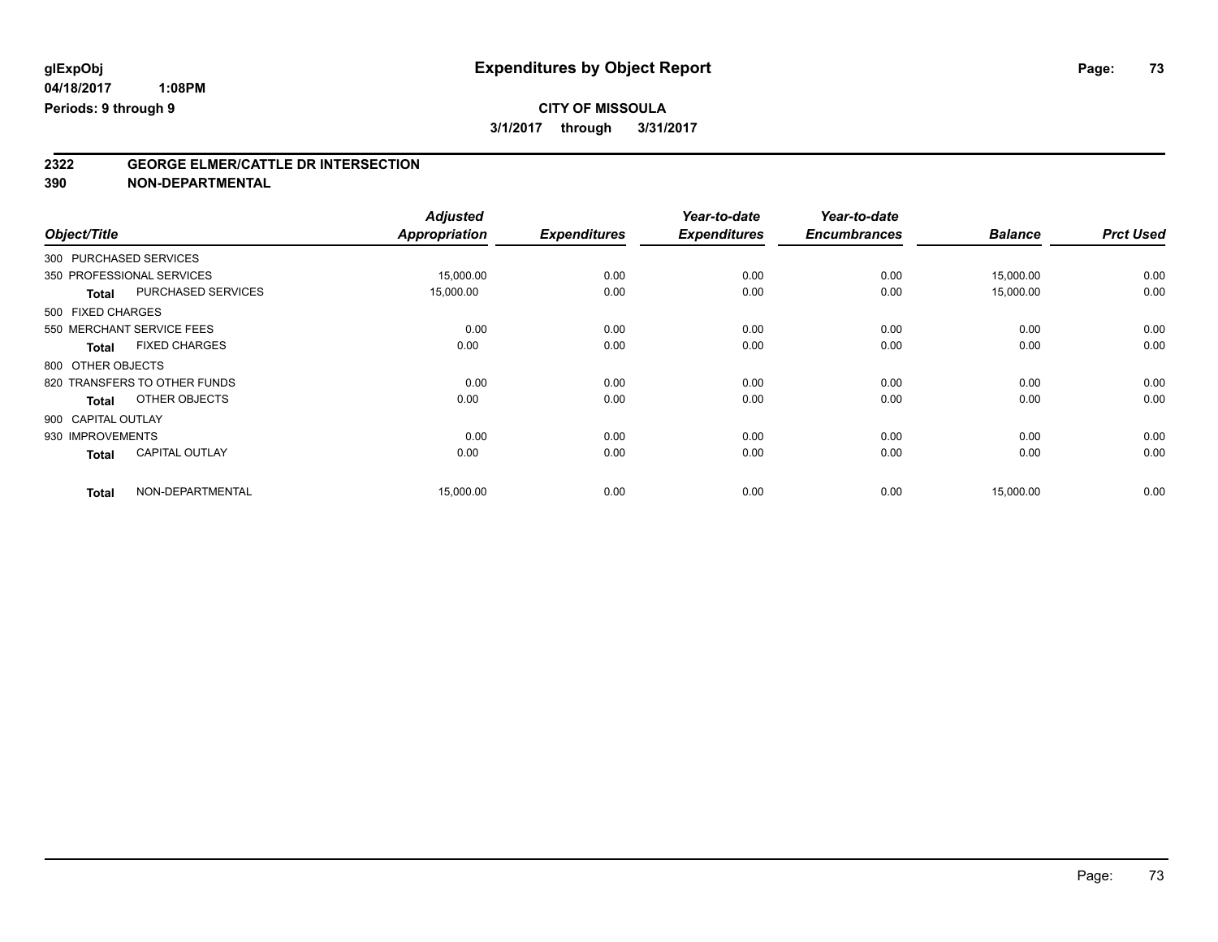**2322 GEORGE ELMER/CATTLE DR INTERSECTION**

**390 NON-DEPARTMENTAL**

| Object/Title     |                              | <b>Adjusted</b><br><b>Appropriation</b> | <b>Expenditures</b> | Year-to-date<br><b>Expenditures</b> | Year-to-date<br><b>Encumbrances</b> | <b>Balance</b> | <b>Prct Used</b> |
|------------------|------------------------------|-----------------------------------------|---------------------|-------------------------------------|-------------------------------------|----------------|------------------|
|                  |                              |                                         |                     |                                     |                                     |                |                  |
|                  | 300 PURCHASED SERVICES       |                                         |                     |                                     |                                     |                |                  |
|                  | 350 PROFESSIONAL SERVICES    | 15,000.00                               | 0.00                | 0.00                                | 0.00                                | 15,000.00      | 0.00             |
| <b>Total</b>     | <b>PURCHASED SERVICES</b>    | 15,000.00                               | 0.00                | 0.00                                | 0.00                                | 15,000.00      | 0.00             |
|                  | 500 FIXED CHARGES            |                                         |                     |                                     |                                     |                |                  |
|                  | 550 MERCHANT SERVICE FEES    | 0.00                                    | 0.00                | 0.00                                | 0.00                                | 0.00           | 0.00             |
| <b>Total</b>     | <b>FIXED CHARGES</b>         | 0.00                                    | 0.00                | 0.00                                | 0.00                                | 0.00           | 0.00             |
|                  | 800 OTHER OBJECTS            |                                         |                     |                                     |                                     |                |                  |
|                  | 820 TRANSFERS TO OTHER FUNDS | 0.00                                    | 0.00                | 0.00                                | 0.00                                | 0.00           | 0.00             |
| <b>Total</b>     | OTHER OBJECTS                | 0.00                                    | 0.00                | 0.00                                | 0.00                                | 0.00           | 0.00             |
|                  | 900 CAPITAL OUTLAY           |                                         |                     |                                     |                                     |                |                  |
| 930 IMPROVEMENTS |                              | 0.00                                    | 0.00                | 0.00                                | 0.00                                | 0.00           | 0.00             |
| <b>Total</b>     | <b>CAPITAL OUTLAY</b>        | 0.00                                    | 0.00                | 0.00                                | 0.00                                | 0.00           | 0.00             |
| <b>Total</b>     | NON-DEPARTMENTAL             | 15,000.00                               | 0.00                | 0.00                                | 0.00                                | 15,000.00      | 0.00             |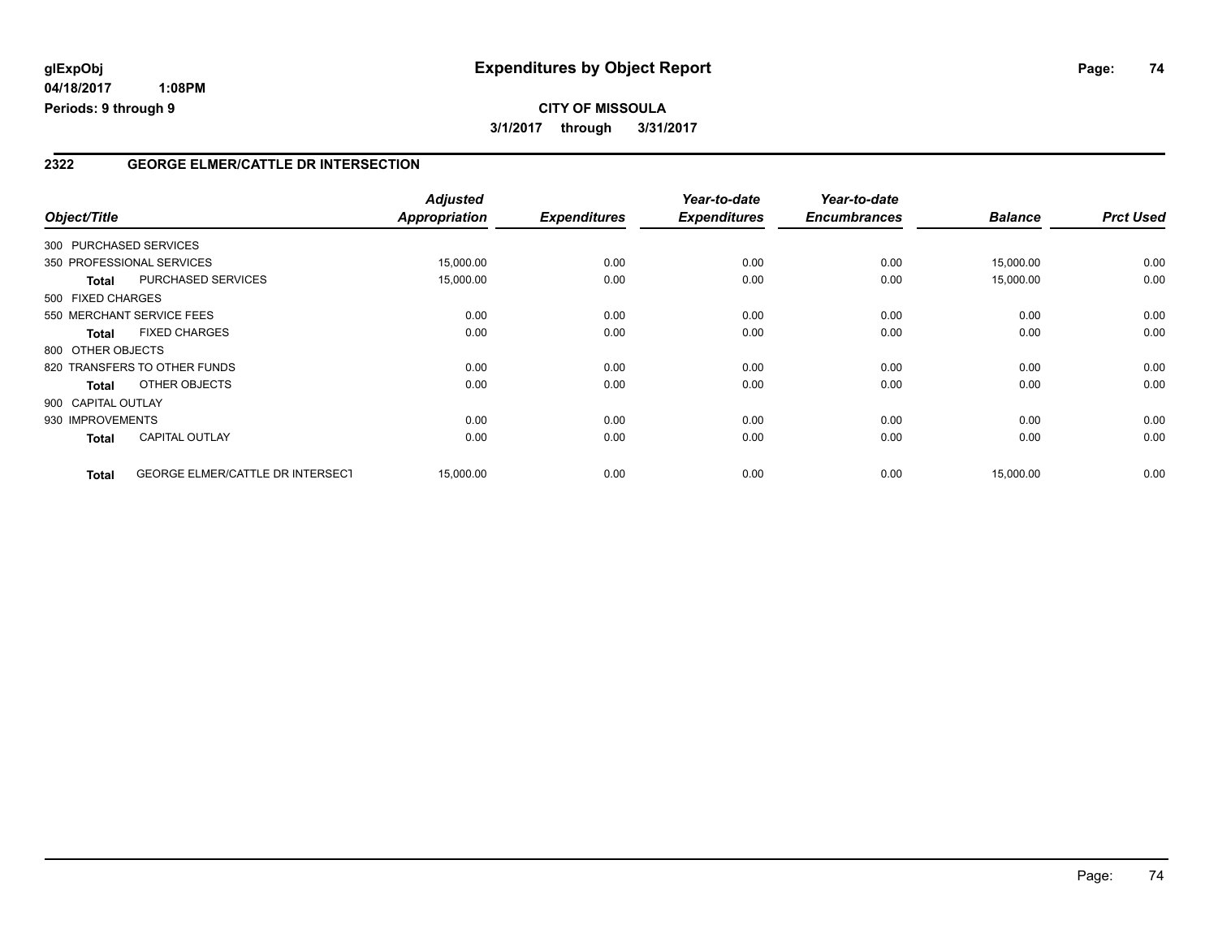# **CITY OF MISSOULA 3/1/2017 through 3/31/2017**

### **2322 GEORGE ELMER/CATTLE DR INTERSECTION**

| Object/Title           |                                         | <b>Adjusted</b><br>Appropriation | <b>Expenditures</b> | Year-to-date<br><b>Expenditures</b> | Year-to-date<br><b>Encumbrances</b> | <b>Balance</b> | <b>Prct Used</b> |
|------------------------|-----------------------------------------|----------------------------------|---------------------|-------------------------------------|-------------------------------------|----------------|------------------|
| 300 PURCHASED SERVICES |                                         |                                  |                     |                                     |                                     |                |                  |
|                        | 350 PROFESSIONAL SERVICES               | 15,000.00                        | 0.00                | 0.00                                | 0.00                                | 15,000.00      | 0.00             |
| <b>Total</b>           | PURCHASED SERVICES                      | 15,000.00                        | 0.00                | 0.00                                | 0.00                                | 15,000.00      | 0.00             |
| 500 FIXED CHARGES      |                                         |                                  |                     |                                     |                                     |                |                  |
|                        | 550 MERCHANT SERVICE FEES               | 0.00                             | 0.00                | 0.00                                | 0.00                                | 0.00           | 0.00             |
| <b>Total</b>           | <b>FIXED CHARGES</b>                    | 0.00                             | 0.00                | 0.00                                | 0.00                                | 0.00           | 0.00             |
| 800 OTHER OBJECTS      |                                         |                                  |                     |                                     |                                     |                |                  |
|                        | 820 TRANSFERS TO OTHER FUNDS            | 0.00                             | 0.00                | 0.00                                | 0.00                                | 0.00           | 0.00             |
| Total                  | OTHER OBJECTS                           | 0.00                             | 0.00                | 0.00                                | 0.00                                | 0.00           | 0.00             |
| 900 CAPITAL OUTLAY     |                                         |                                  |                     |                                     |                                     |                |                  |
| 930 IMPROVEMENTS       |                                         | 0.00                             | 0.00                | 0.00                                | 0.00                                | 0.00           | 0.00             |
| <b>Total</b>           | <b>CAPITAL OUTLAY</b>                   | 0.00                             | 0.00                | 0.00                                | 0.00                                | 0.00           | 0.00             |
| <b>Total</b>           | <b>GEORGE ELMER/CATTLE DR INTERSECT</b> | 15,000.00                        | 0.00                | 0.00                                | 0.00                                | 15,000.00      | 0.00             |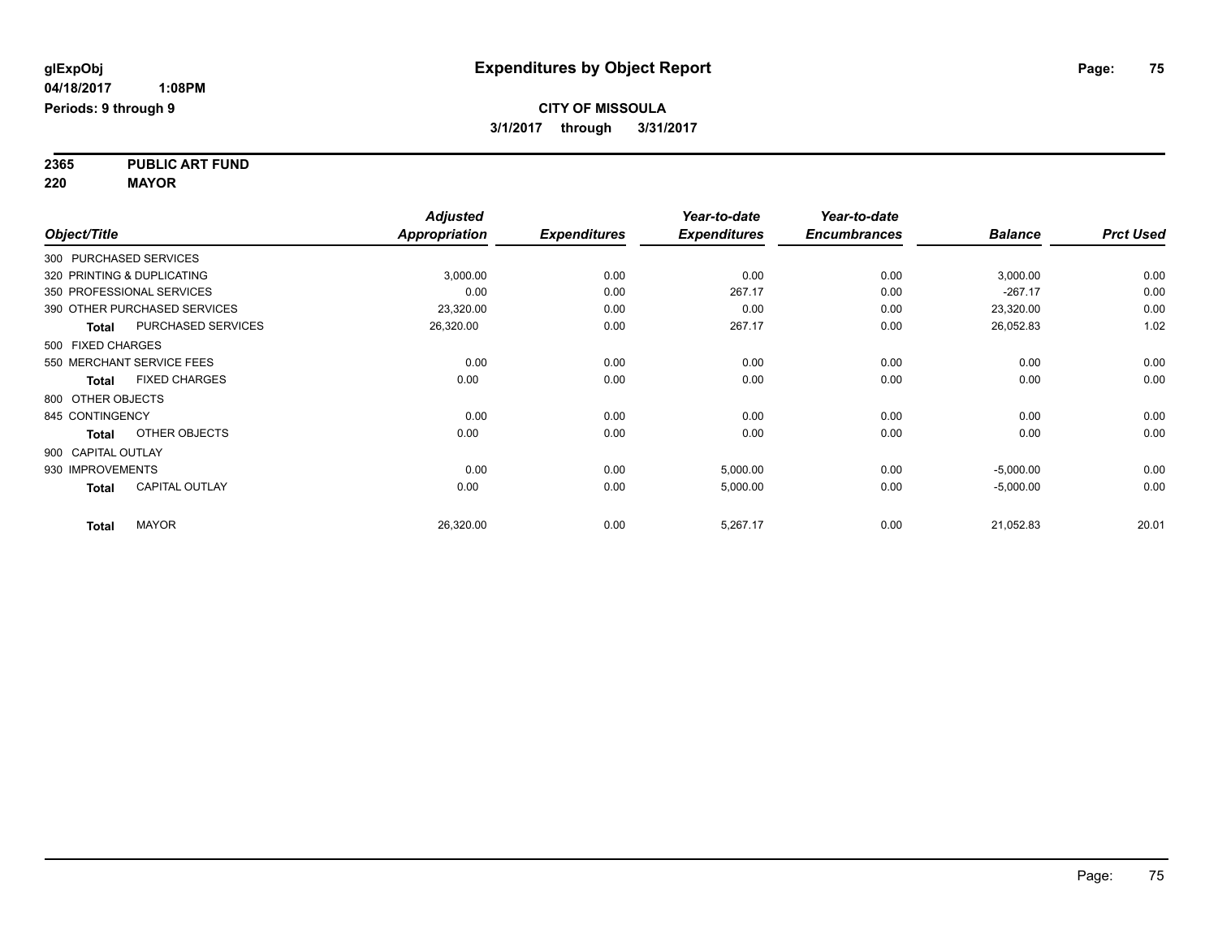**2365 PUBLIC ART FUND 220 MAYOR**

|                    |                              | <b>Adjusted</b>      |                     | Year-to-date        | Year-to-date        |                |                  |
|--------------------|------------------------------|----------------------|---------------------|---------------------|---------------------|----------------|------------------|
| Object/Title       |                              | <b>Appropriation</b> | <b>Expenditures</b> | <b>Expenditures</b> | <b>Encumbrances</b> | <b>Balance</b> | <b>Prct Used</b> |
|                    | 300 PURCHASED SERVICES       |                      |                     |                     |                     |                |                  |
|                    | 320 PRINTING & DUPLICATING   | 3,000.00             | 0.00                | 0.00                | 0.00                | 3,000.00       | 0.00             |
|                    | 350 PROFESSIONAL SERVICES    | 0.00                 | 0.00                | 267.17              | 0.00                | $-267.17$      | 0.00             |
|                    | 390 OTHER PURCHASED SERVICES | 23,320.00            | 0.00                | 0.00                | 0.00                | 23,320.00      | 0.00             |
| Total              | <b>PURCHASED SERVICES</b>    | 26,320.00            | 0.00                | 267.17              | 0.00                | 26,052.83      | 1.02             |
| 500 FIXED CHARGES  |                              |                      |                     |                     |                     |                |                  |
|                    | 550 MERCHANT SERVICE FEES    | 0.00                 | 0.00                | 0.00                | 0.00                | 0.00           | 0.00             |
| Total              | <b>FIXED CHARGES</b>         | 0.00                 | 0.00                | 0.00                | 0.00                | 0.00           | 0.00             |
| 800 OTHER OBJECTS  |                              |                      |                     |                     |                     |                |                  |
| 845 CONTINGENCY    |                              | 0.00                 | 0.00                | 0.00                | 0.00                | 0.00           | 0.00             |
| <b>Total</b>       | OTHER OBJECTS                | 0.00                 | 0.00                | 0.00                | 0.00                | 0.00           | 0.00             |
| 900 CAPITAL OUTLAY |                              |                      |                     |                     |                     |                |                  |
| 930 IMPROVEMENTS   |                              | 0.00                 | 0.00                | 5,000.00            | 0.00                | $-5,000.00$    | 0.00             |
| <b>Total</b>       | <b>CAPITAL OUTLAY</b>        | 0.00                 | 0.00                | 5,000.00            | 0.00                | $-5,000.00$    | 0.00             |
| <b>Total</b>       | <b>MAYOR</b>                 | 26,320.00            | 0.00                | 5,267.17            | 0.00                | 21,052.83      | 20.01            |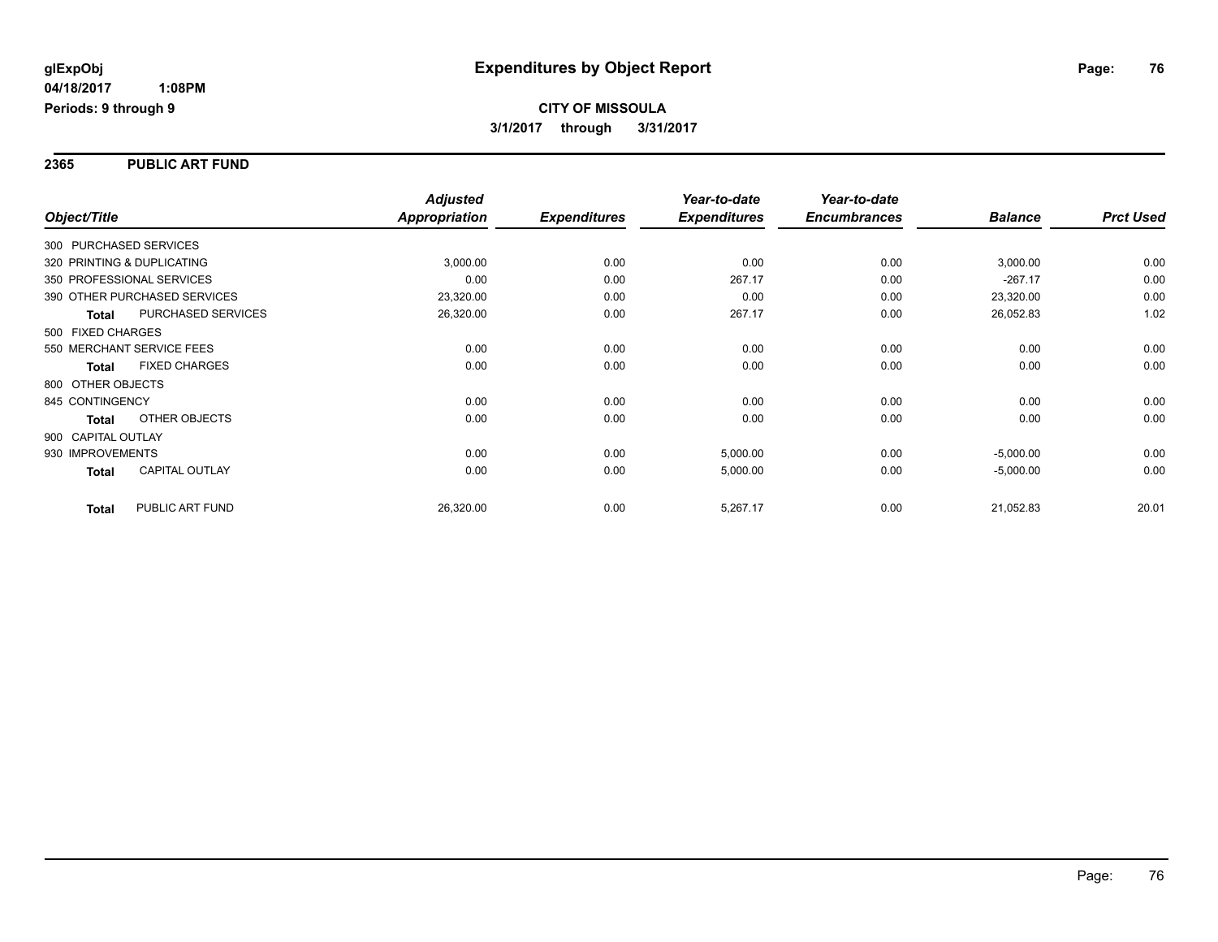#### **2365 PUBLIC ART FUND**

|                    |                              | <b>Adjusted</b>      |                     | Year-to-date        | Year-to-date        |                |                  |
|--------------------|------------------------------|----------------------|---------------------|---------------------|---------------------|----------------|------------------|
| Object/Title       |                              | <b>Appropriation</b> | <b>Expenditures</b> | <b>Expenditures</b> | <b>Encumbrances</b> | <b>Balance</b> | <b>Prct Used</b> |
|                    | 300 PURCHASED SERVICES       |                      |                     |                     |                     |                |                  |
|                    | 320 PRINTING & DUPLICATING   | 3,000.00             | 0.00                | 0.00                | 0.00                | 3,000.00       | 0.00             |
|                    | 350 PROFESSIONAL SERVICES    | 0.00                 | 0.00                | 267.17              | 0.00                | $-267.17$      | 0.00             |
|                    | 390 OTHER PURCHASED SERVICES | 23,320.00            | 0.00                | 0.00                | 0.00                | 23,320.00      | 0.00             |
| Total              | PURCHASED SERVICES           | 26,320.00            | 0.00                | 267.17              | 0.00                | 26,052.83      | 1.02             |
| 500 FIXED CHARGES  |                              |                      |                     |                     |                     |                |                  |
|                    | 550 MERCHANT SERVICE FEES    | 0.00                 | 0.00                | 0.00                | 0.00                | 0.00           | 0.00             |
| <b>Total</b>       | <b>FIXED CHARGES</b>         | 0.00                 | 0.00                | 0.00                | 0.00                | 0.00           | 0.00             |
| 800 OTHER OBJECTS  |                              |                      |                     |                     |                     |                |                  |
| 845 CONTINGENCY    |                              | 0.00                 | 0.00                | 0.00                | 0.00                | 0.00           | 0.00             |
| Total              | OTHER OBJECTS                | 0.00                 | 0.00                | 0.00                | 0.00                | 0.00           | 0.00             |
| 900 CAPITAL OUTLAY |                              |                      |                     |                     |                     |                |                  |
| 930 IMPROVEMENTS   |                              | 0.00                 | 0.00                | 5,000.00            | 0.00                | $-5,000.00$    | 0.00             |
| Total              | <b>CAPITAL OUTLAY</b>        | 0.00                 | 0.00                | 5,000.00            | 0.00                | $-5,000.00$    | 0.00             |
| <b>Total</b>       | PUBLIC ART FUND              | 26,320.00            | 0.00                | 5,267.17            | 0.00                | 21,052.83      | 20.01            |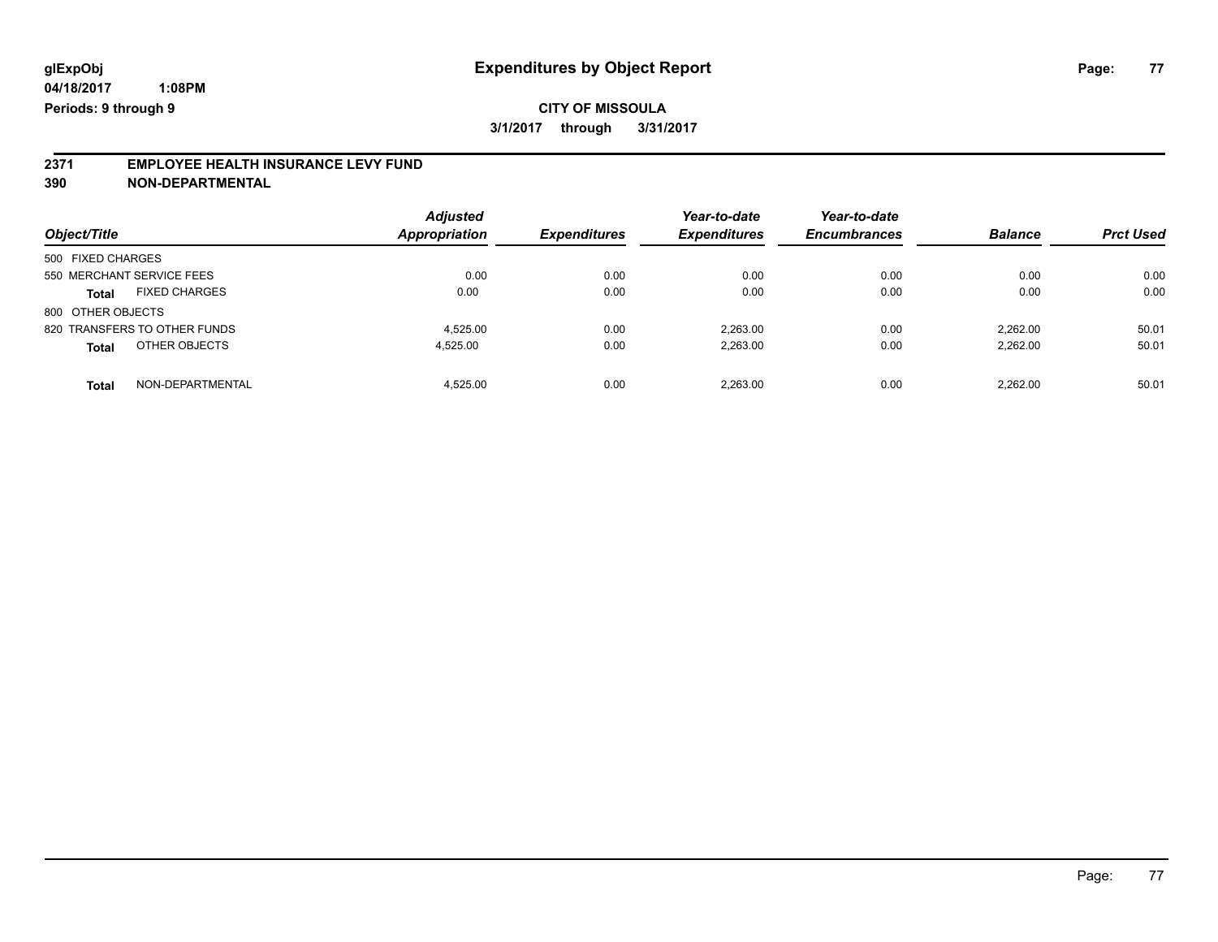# **2371 EMPLOYEE HEALTH INSURANCE LEVY FUND**

**390 NON-DEPARTMENTAL**

| Object/Title                         | <b>Adjusted</b><br><b>Appropriation</b> | <b>Expenditures</b> | Year-to-date<br><b>Expenditures</b> | Year-to-date<br><b>Encumbrances</b> | <b>Balance</b> | <b>Prct Used</b> |
|--------------------------------------|-----------------------------------------|---------------------|-------------------------------------|-------------------------------------|----------------|------------------|
| 500 FIXED CHARGES                    |                                         |                     |                                     |                                     |                |                  |
| 550 MERCHANT SERVICE FEES            | 0.00                                    | 0.00                | 0.00                                | 0.00                                | 0.00           | 0.00             |
| <b>FIXED CHARGES</b><br><b>Total</b> | 0.00                                    | 0.00                | 0.00                                | 0.00                                | 0.00           | 0.00             |
| 800 OTHER OBJECTS                    |                                         |                     |                                     |                                     |                |                  |
| 820 TRANSFERS TO OTHER FUNDS         | 4.525.00                                | 0.00                | 2.263.00                            | 0.00                                | 2.262.00       | 50.01            |
| OTHER OBJECTS<br><b>Total</b>        | 4.525.00                                | 0.00                | 2,263.00                            | 0.00                                | 2,262.00       | 50.01            |
| NON-DEPARTMENTAL<br><b>Total</b>     | 4.525.00                                | 0.00                | 2.263.00                            | 0.00                                | 2.262.00       | 50.01            |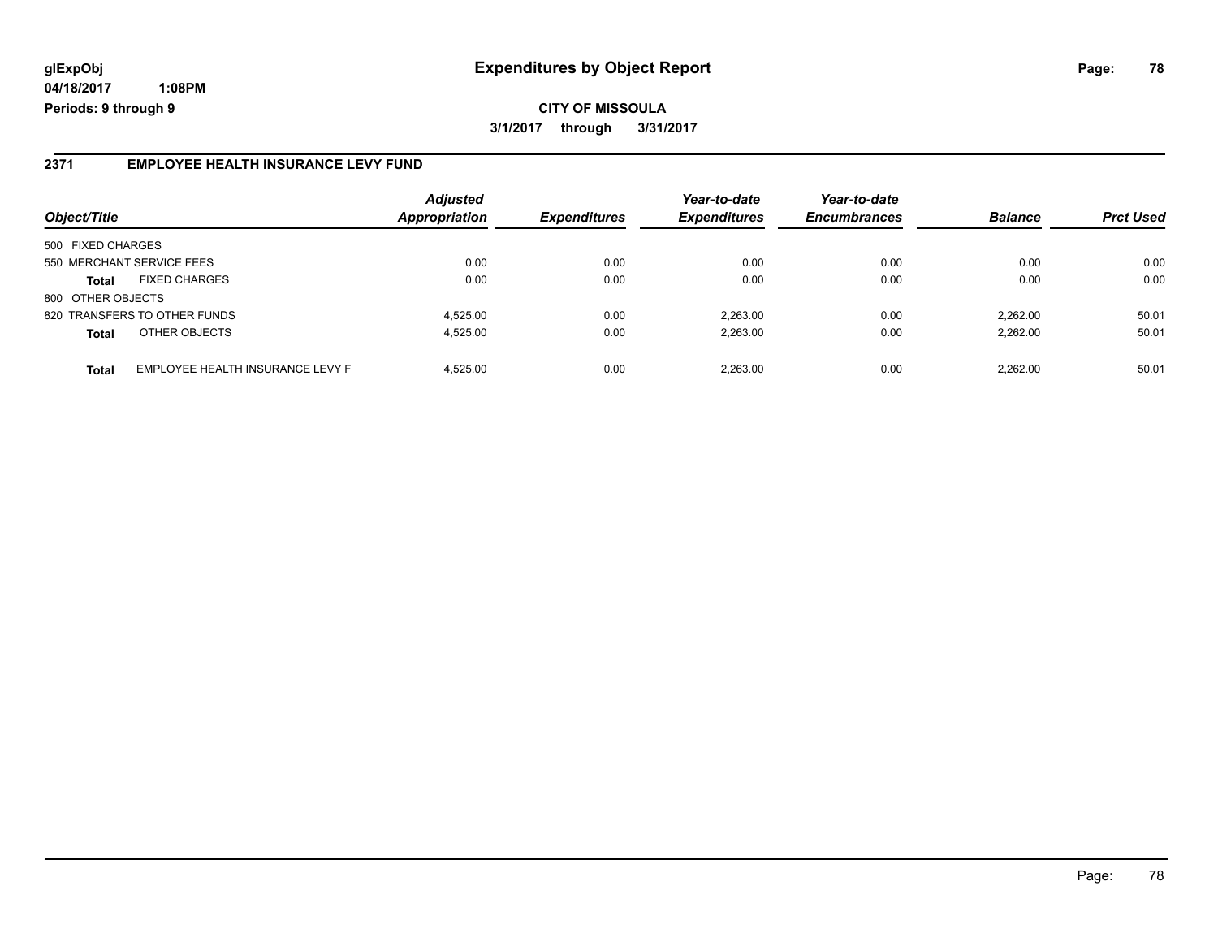# **glExpObj Expenditures by Object Report Page: 78**

**04/18/2017 1:08PM Periods: 9 through 9**

### **2371 EMPLOYEE HEALTH INSURANCE LEVY FUND**

| Object/Title              |                                  | <b>Adjusted</b><br>Appropriation | <b>Expenditures</b> | Year-to-date<br><b>Expenditures</b> | Year-to-date<br><b>Encumbrances</b> | <b>Balance</b> | <b>Prct Used</b> |
|---------------------------|----------------------------------|----------------------------------|---------------------|-------------------------------------|-------------------------------------|----------------|------------------|
| 500 FIXED CHARGES         |                                  |                                  |                     |                                     |                                     |                |                  |
| 550 MERCHANT SERVICE FEES |                                  | 0.00                             | 0.00                | 0.00                                | 0.00                                | 0.00           | 0.00             |
| <b>Total</b>              | <b>FIXED CHARGES</b>             | 0.00                             | 0.00                | 0.00                                | 0.00                                | 0.00           | 0.00             |
| 800 OTHER OBJECTS         |                                  |                                  |                     |                                     |                                     |                |                  |
|                           | 820 TRANSFERS TO OTHER FUNDS     | 4.525.00                         | 0.00                | 2.263.00                            | 0.00                                | 2.262.00       | 50.01            |
| <b>Total</b>              | OTHER OBJECTS                    | 4.525.00                         | 0.00                | 2.263.00                            | 0.00                                | 2.262.00       | 50.01            |
| <b>Total</b>              | EMPLOYEE HEALTH INSURANCE LEVY F | 4.525.00                         | 0.00                | 2.263.00                            | 0.00                                | 2.262.00       | 50.01            |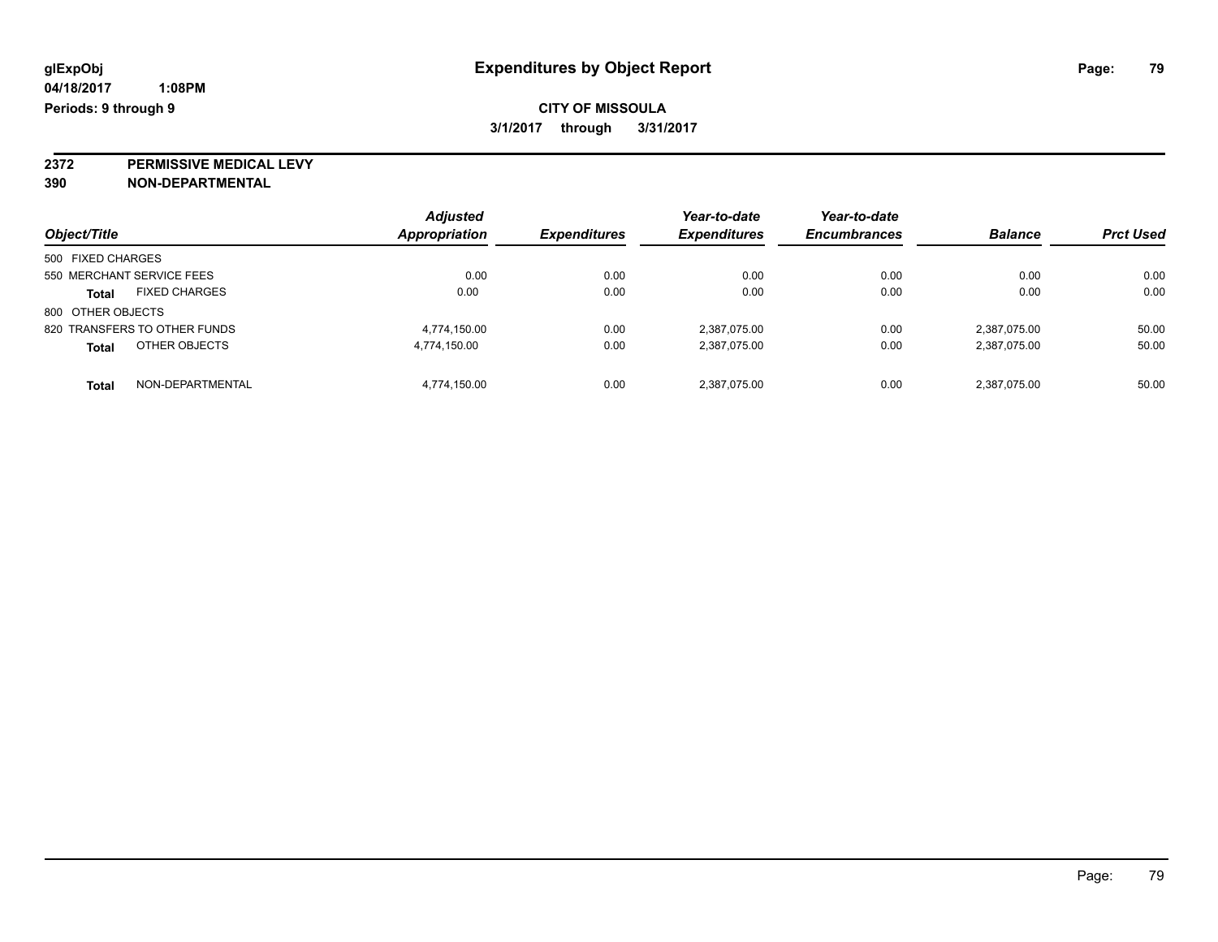**2372 PERMISSIVE MEDICAL LEVY**

**390 NON-DEPARTMENTAL**

| Object/Title                         | <b>Adjusted</b><br>Appropriation | <b>Expenditures</b> | Year-to-date<br><b>Expenditures</b> | Year-to-date<br><b>Encumbrances</b> | <b>Balance</b> | <b>Prct Used</b> |
|--------------------------------------|----------------------------------|---------------------|-------------------------------------|-------------------------------------|----------------|------------------|
| 500 FIXED CHARGES                    |                                  |                     |                                     |                                     |                |                  |
| 550 MERCHANT SERVICE FEES            | 0.00                             | 0.00                | 0.00                                | 0.00                                | 0.00           | 0.00             |
| <b>FIXED CHARGES</b><br><b>Total</b> | 0.00                             | 0.00                | 0.00                                | 0.00                                | 0.00           | 0.00             |
| 800 OTHER OBJECTS                    |                                  |                     |                                     |                                     |                |                  |
| 820 TRANSFERS TO OTHER FUNDS         | 4.774.150.00                     | 0.00                | 2,387,075.00                        | 0.00                                | 2.387.075.00   | 50.00            |
| OTHER OBJECTS<br><b>Total</b>        | 4,774,150.00                     | 0.00                | 2,387,075.00                        | 0.00                                | 2,387,075.00   | 50.00            |
| NON-DEPARTMENTAL<br><b>Total</b>     | 4,774,150.00                     | 0.00                | 2,387,075.00                        | 0.00                                | 2,387,075.00   | 50.00            |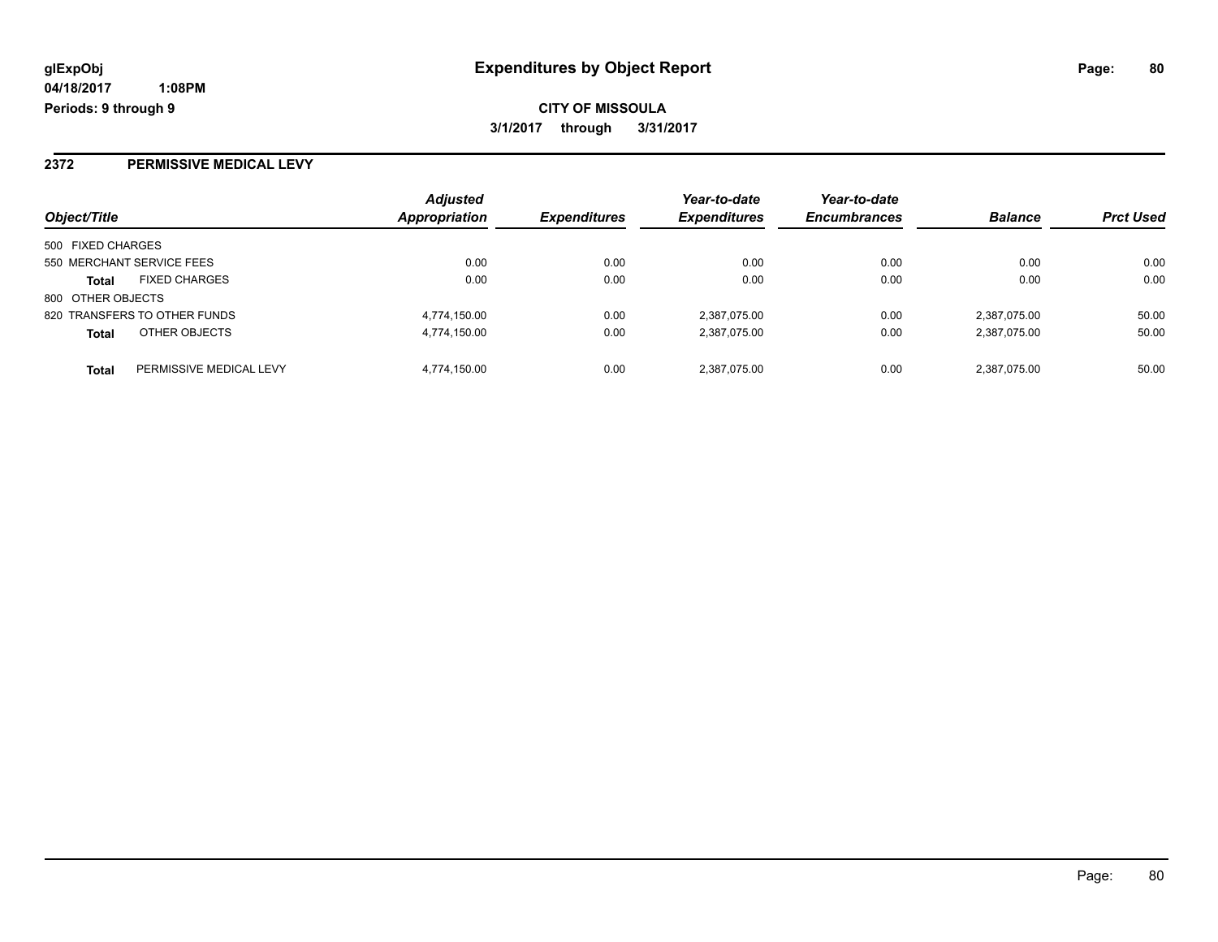**CITY OF MISSOULA 3/1/2017 through 3/31/2017**

## **2372 PERMISSIVE MEDICAL LEVY**

| Object/Title                            | <b>Adjusted</b><br>Appropriation | <b>Expenditures</b> | Year-to-date<br><b>Expenditures</b> | Year-to-date<br><b>Encumbrances</b> | <b>Balance</b> | <b>Prct Used</b> |
|-----------------------------------------|----------------------------------|---------------------|-------------------------------------|-------------------------------------|----------------|------------------|
| 500 FIXED CHARGES                       |                                  |                     |                                     |                                     |                |                  |
| 550 MERCHANT SERVICE FEES               | 0.00                             | 0.00                | 0.00                                | 0.00                                | 0.00           | 0.00             |
| <b>FIXED CHARGES</b><br><b>Total</b>    | 0.00                             | 0.00                | 0.00                                | 0.00                                | 0.00           | 0.00             |
| 800 OTHER OBJECTS                       |                                  |                     |                                     |                                     |                |                  |
| 820 TRANSFERS TO OTHER FUNDS            | 4,774,150.00                     | 0.00                | 2,387,075.00                        | 0.00                                | 2,387,075.00   | 50.00            |
| OTHER OBJECTS<br><b>Total</b>           | 4,774,150.00                     | 0.00                | 2,387,075.00                        | 0.00                                | 2,387,075.00   | 50.00            |
| PERMISSIVE MEDICAL LEVY<br><b>Total</b> | 4,774,150.00                     | 0.00                | 2,387,075.00                        | 0.00                                | 2,387,075.00   | 50.00            |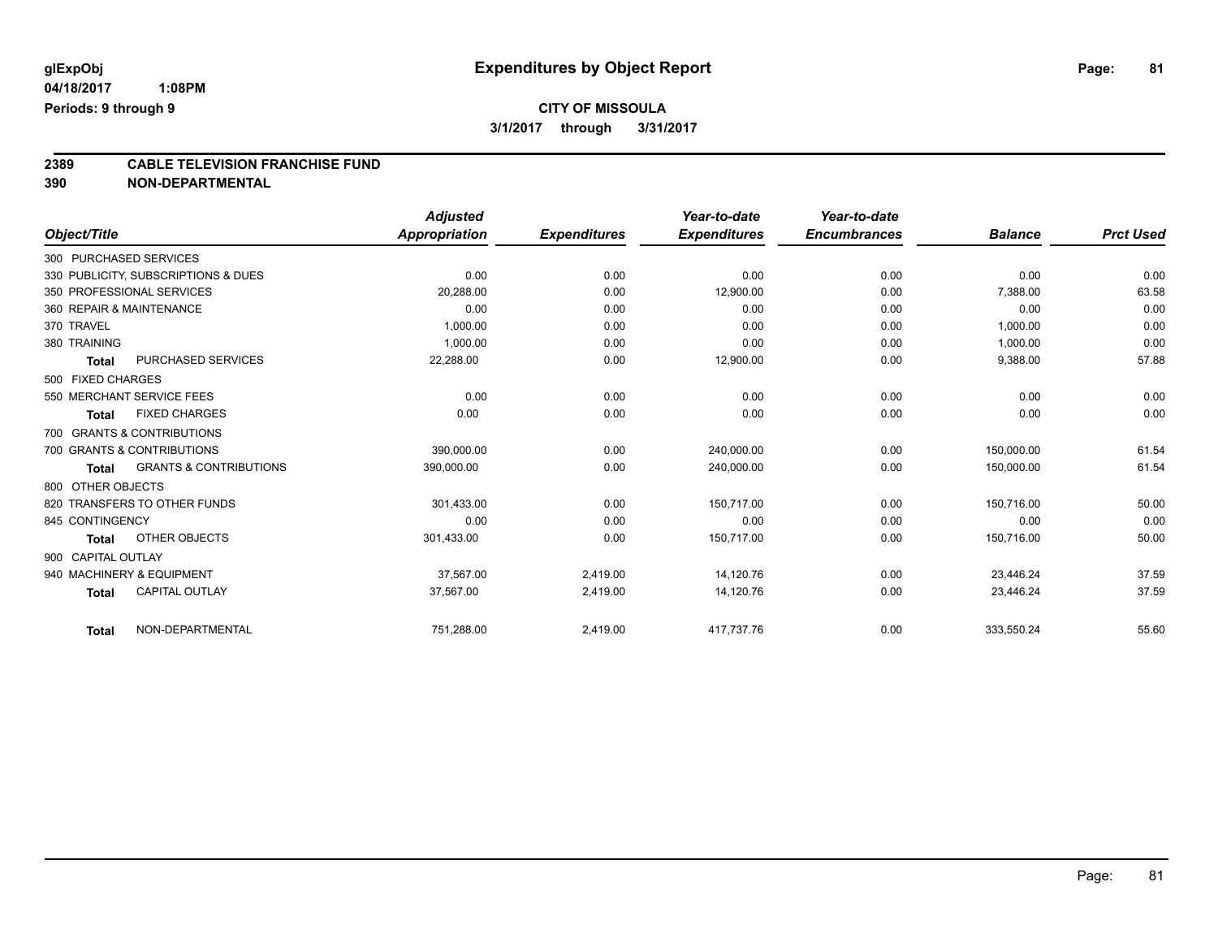# **2389 CABLE TELEVISION FRANCHISE FUND**

**390 NON-DEPARTMENTAL**

|                    |                                     | <b>Adjusted</b> |                     | Year-to-date        | Year-to-date        |                |                  |
|--------------------|-------------------------------------|-----------------|---------------------|---------------------|---------------------|----------------|------------------|
| Object/Title       |                                     | Appropriation   | <b>Expenditures</b> | <b>Expenditures</b> | <b>Encumbrances</b> | <b>Balance</b> | <b>Prct Used</b> |
|                    | 300 PURCHASED SERVICES              |                 |                     |                     |                     |                |                  |
|                    | 330 PUBLICITY, SUBSCRIPTIONS & DUES | 0.00            | 0.00                | 0.00                | 0.00                | 0.00           | 0.00             |
|                    | 350 PROFESSIONAL SERVICES           | 20.288.00       | 0.00                | 12,900.00           | 0.00                | 7,388.00       | 63.58            |
|                    | 360 REPAIR & MAINTENANCE            | 0.00            | 0.00                | 0.00                | 0.00                | 0.00           | 0.00             |
| 370 TRAVEL         |                                     | 1,000.00        | 0.00                | 0.00                | 0.00                | 1,000.00       | 0.00             |
| 380 TRAINING       |                                     | 1,000.00        | 0.00                | 0.00                | 0.00                | 1,000.00       | 0.00             |
| <b>Total</b>       | PURCHASED SERVICES                  | 22,288.00       | 0.00                | 12,900.00           | 0.00                | 9,388.00       | 57.88            |
| 500 FIXED CHARGES  |                                     |                 |                     |                     |                     |                |                  |
|                    | 550 MERCHANT SERVICE FEES           | 0.00            | 0.00                | 0.00                | 0.00                | 0.00           | 0.00             |
| <b>Total</b>       | <b>FIXED CHARGES</b>                | 0.00            | 0.00                | 0.00                | 0.00                | 0.00           | 0.00             |
|                    | 700 GRANTS & CONTRIBUTIONS          |                 |                     |                     |                     |                |                  |
|                    | 700 GRANTS & CONTRIBUTIONS          | 390.000.00      | 0.00                | 240.000.00          | 0.00                | 150.000.00     | 61.54            |
| <b>Total</b>       | <b>GRANTS &amp; CONTRIBUTIONS</b>   | 390,000.00      | 0.00                | 240,000.00          | 0.00                | 150,000.00     | 61.54            |
| 800 OTHER OBJECTS  |                                     |                 |                     |                     |                     |                |                  |
|                    | 820 TRANSFERS TO OTHER FUNDS        | 301.433.00      | 0.00                | 150.717.00          | 0.00                | 150.716.00     | 50.00            |
| 845 CONTINGENCY    |                                     | 0.00            | 0.00                | 0.00                | 0.00                | 0.00           | 0.00             |
| <b>Total</b>       | OTHER OBJECTS                       | 301,433.00      | 0.00                | 150,717.00          | 0.00                | 150,716.00     | 50.00            |
| 900 CAPITAL OUTLAY |                                     |                 |                     |                     |                     |                |                  |
|                    | 940 MACHINERY & EQUIPMENT           | 37,567.00       | 2,419.00            | 14,120.76           | 0.00                | 23,446.24      | 37.59            |
| <b>Total</b>       | <b>CAPITAL OUTLAY</b>               | 37,567.00       | 2,419.00            | 14,120.76           | 0.00                | 23,446.24      | 37.59            |
| <b>Total</b>       | NON-DEPARTMENTAL                    | 751,288.00      | 2,419.00            | 417,737.76          | 0.00                | 333,550.24     | 55.60            |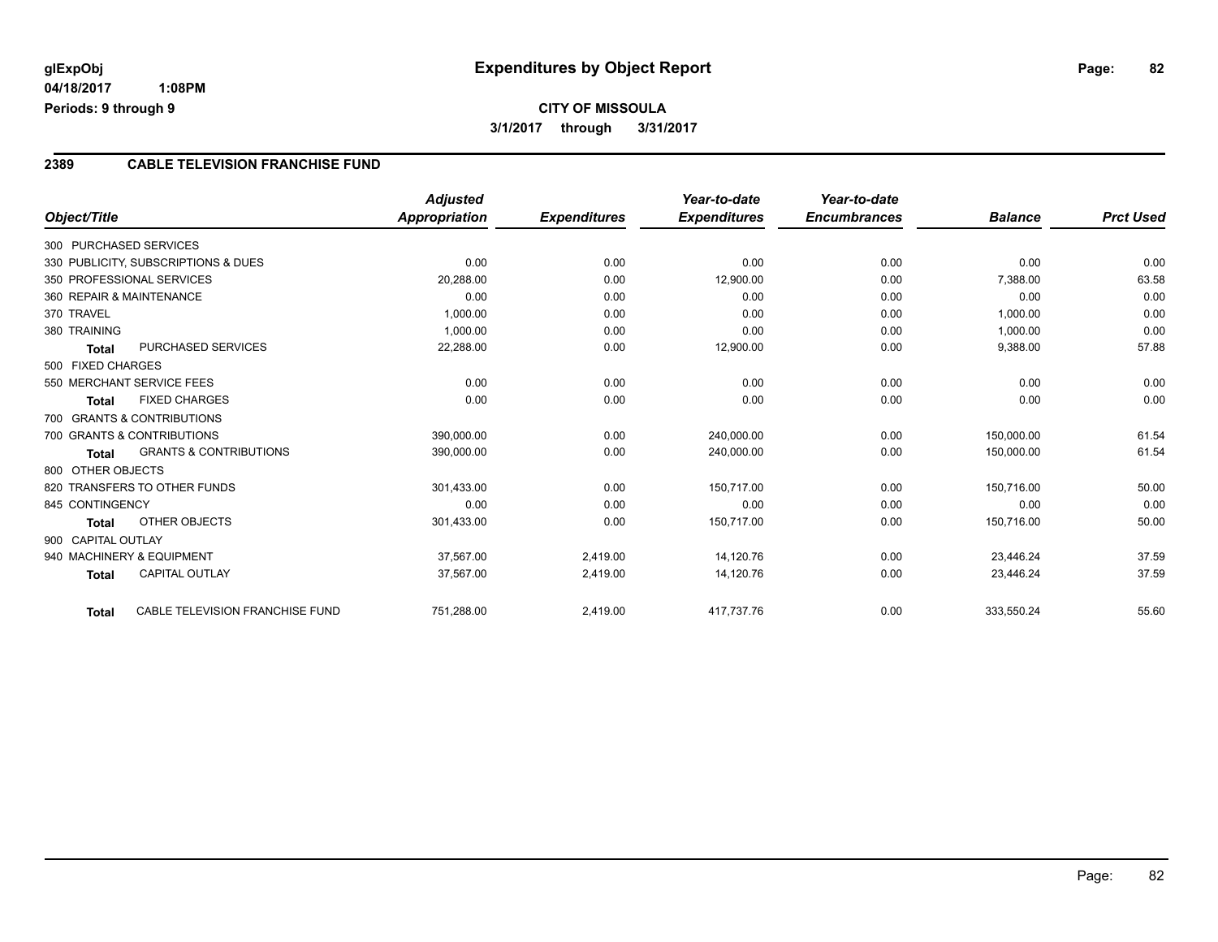# **CITY OF MISSOULA 3/1/2017 through 3/31/2017**

### **2389 CABLE TELEVISION FRANCHISE FUND**

|                          |                                     | <b>Adjusted</b> |                     | Year-to-date        | Year-to-date        |                |                  |
|--------------------------|-------------------------------------|-----------------|---------------------|---------------------|---------------------|----------------|------------------|
| Object/Title             |                                     | Appropriation   | <b>Expenditures</b> | <b>Expenditures</b> | <b>Encumbrances</b> | <b>Balance</b> | <b>Prct Used</b> |
| 300 PURCHASED SERVICES   |                                     |                 |                     |                     |                     |                |                  |
|                          | 330 PUBLICITY, SUBSCRIPTIONS & DUES | 0.00            | 0.00                | 0.00                | 0.00                | 0.00           | 0.00             |
|                          | 350 PROFESSIONAL SERVICES           | 20,288.00       | 0.00                | 12,900.00           | 0.00                | 7,388.00       | 63.58            |
| 360 REPAIR & MAINTENANCE |                                     | 0.00            | 0.00                | 0.00                | 0.00                | 0.00           | 0.00             |
| 370 TRAVEL               |                                     | 1,000.00        | 0.00                | 0.00                | 0.00                | 1,000.00       | 0.00             |
| 380 TRAINING             |                                     | 1,000.00        | 0.00                | 0.00                | 0.00                | 1,000.00       | 0.00             |
| <b>Total</b>             | <b>PURCHASED SERVICES</b>           | 22,288.00       | 0.00                | 12,900.00           | 0.00                | 9,388.00       | 57.88            |
| 500 FIXED CHARGES        |                                     |                 |                     |                     |                     |                |                  |
|                          | 550 MERCHANT SERVICE FEES           | 0.00            | 0.00                | 0.00                | 0.00                | 0.00           | 0.00             |
| <b>Total</b>             | <b>FIXED CHARGES</b>                | 0.00            | 0.00                | 0.00                | 0.00                | 0.00           | 0.00             |
|                          | 700 GRANTS & CONTRIBUTIONS          |                 |                     |                     |                     |                |                  |
|                          | 700 GRANTS & CONTRIBUTIONS          | 390,000.00      | 0.00                | 240,000.00          | 0.00                | 150,000.00     | 61.54            |
| <b>Total</b>             | <b>GRANTS &amp; CONTRIBUTIONS</b>   | 390,000.00      | 0.00                | 240,000.00          | 0.00                | 150,000.00     | 61.54            |
| 800 OTHER OBJECTS        |                                     |                 |                     |                     |                     |                |                  |
|                          | 820 TRANSFERS TO OTHER FUNDS        | 301,433.00      | 0.00                | 150,717.00          | 0.00                | 150,716.00     | 50.00            |
| 845 CONTINGENCY          |                                     | 0.00            | 0.00                | 0.00                | 0.00                | 0.00           | 0.00             |
| <b>Total</b>             | OTHER OBJECTS                       | 301,433.00      | 0.00                | 150,717.00          | 0.00                | 150,716.00     | 50.00            |
| 900 CAPITAL OUTLAY       |                                     |                 |                     |                     |                     |                |                  |
|                          | 940 MACHINERY & EQUIPMENT           | 37,567.00       | 2,419.00            | 14,120.76           | 0.00                | 23,446.24      | 37.59            |
| <b>Total</b>             | <b>CAPITAL OUTLAY</b>               | 37,567.00       | 2,419.00            | 14,120.76           | 0.00                | 23,446.24      | 37.59            |
| <b>Total</b>             | CABLE TELEVISION FRANCHISE FUND     | 751,288.00      | 2,419.00            | 417,737.76          | 0.00                | 333,550.24     | 55.60            |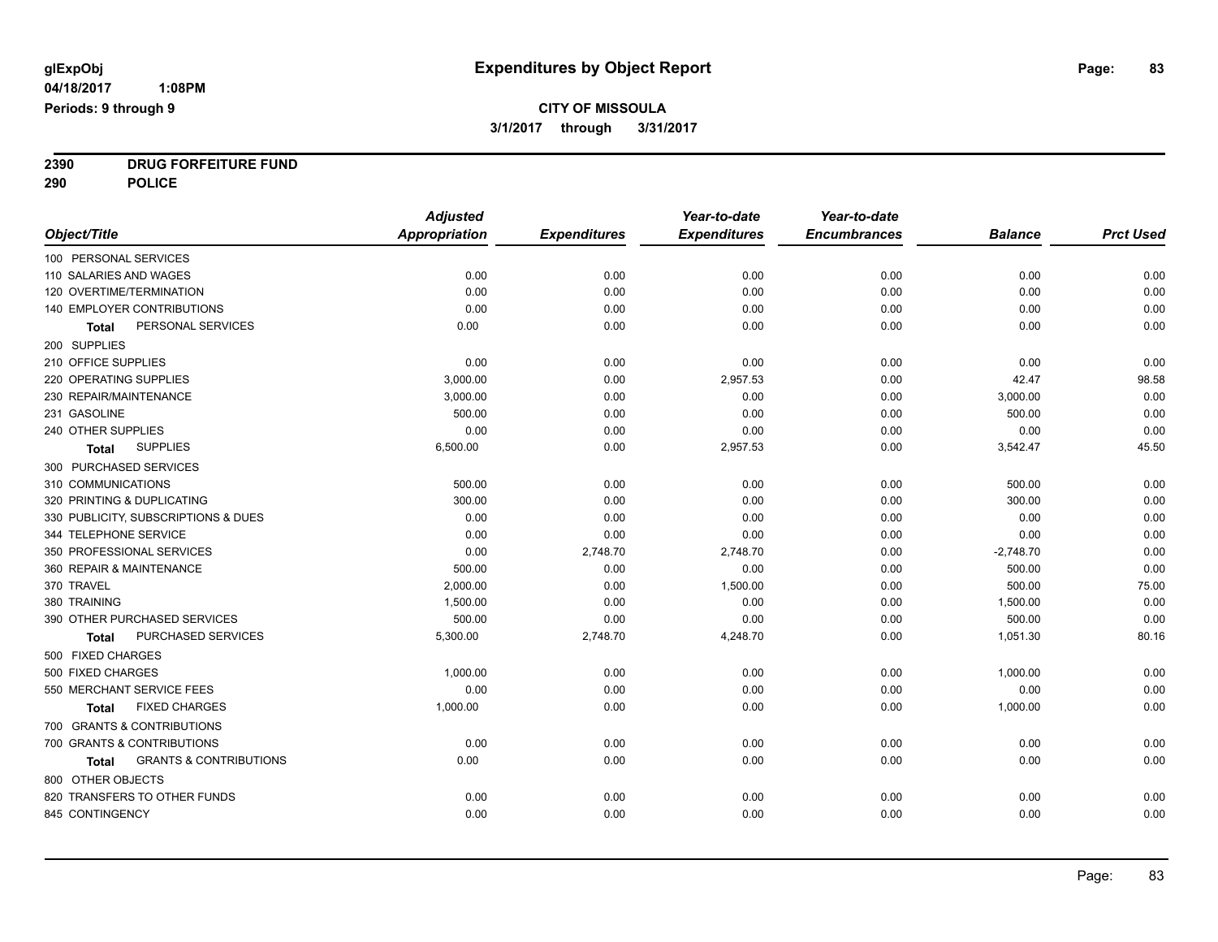**2390 DRUG FORFEITURE FUND**

**290 POLICE**

|                                                   | <b>Adjusted</b>      |                     | Year-to-date        | Year-to-date        |                |                  |
|---------------------------------------------------|----------------------|---------------------|---------------------|---------------------|----------------|------------------|
| Object/Title                                      | <b>Appropriation</b> | <b>Expenditures</b> | <b>Expenditures</b> | <b>Encumbrances</b> | <b>Balance</b> | <b>Prct Used</b> |
| 100 PERSONAL SERVICES                             |                      |                     |                     |                     |                |                  |
| 110 SALARIES AND WAGES                            | 0.00                 | 0.00                | 0.00                | 0.00                | 0.00           | 0.00             |
| 120 OVERTIME/TERMINATION                          | 0.00                 | 0.00                | 0.00                | 0.00                | 0.00           | 0.00             |
| 140 EMPLOYER CONTRIBUTIONS                        | 0.00                 | 0.00                | 0.00                | 0.00                | 0.00           | 0.00             |
| PERSONAL SERVICES<br>Total                        | 0.00                 | 0.00                | 0.00                | 0.00                | 0.00           | 0.00             |
| 200 SUPPLIES                                      |                      |                     |                     |                     |                |                  |
| 210 OFFICE SUPPLIES                               | 0.00                 | 0.00                | 0.00                | 0.00                | 0.00           | 0.00             |
| 220 OPERATING SUPPLIES                            | 3,000.00             | 0.00                | 2,957.53            | 0.00                | 42.47          | 98.58            |
| 230 REPAIR/MAINTENANCE                            | 3,000.00             | 0.00                | 0.00                | 0.00                | 3,000.00       | 0.00             |
| 231 GASOLINE                                      | 500.00               | 0.00                | 0.00                | 0.00                | 500.00         | 0.00             |
| 240 OTHER SUPPLIES                                | 0.00                 | 0.00                | 0.00                | 0.00                | 0.00           | 0.00             |
| <b>SUPPLIES</b><br>Total                          | 6,500.00             | 0.00                | 2,957.53            | 0.00                | 3,542.47       | 45.50            |
| 300 PURCHASED SERVICES                            |                      |                     |                     |                     |                |                  |
| 310 COMMUNICATIONS                                | 500.00               | 0.00                | 0.00                | 0.00                | 500.00         | 0.00             |
| 320 PRINTING & DUPLICATING                        | 300.00               | 0.00                | 0.00                | 0.00                | 300.00         | 0.00             |
| 330 PUBLICITY, SUBSCRIPTIONS & DUES               | 0.00                 | 0.00                | 0.00                | 0.00                | 0.00           | 0.00             |
| 344 TELEPHONE SERVICE                             | 0.00                 | 0.00                | 0.00                | 0.00                | 0.00           | 0.00             |
| 350 PROFESSIONAL SERVICES                         | 0.00                 | 2,748.70            | 2,748.70            | 0.00                | $-2,748.70$    | 0.00             |
| 360 REPAIR & MAINTENANCE                          | 500.00               | 0.00                | 0.00                | 0.00                | 500.00         | 0.00             |
| 370 TRAVEL                                        | 2,000.00             | 0.00                | 1,500.00            | 0.00                | 500.00         | 75.00            |
| 380 TRAINING                                      | 1,500.00             | 0.00                | 0.00                | 0.00                | 1,500.00       | 0.00             |
| 390 OTHER PURCHASED SERVICES                      | 500.00               | 0.00                | 0.00                | 0.00                | 500.00         | 0.00             |
| PURCHASED SERVICES<br><b>Total</b>                | 5,300.00             | 2,748.70            | 4,248.70            | 0.00                | 1,051.30       | 80.16            |
| 500 FIXED CHARGES                                 |                      |                     |                     |                     |                |                  |
| 500 FIXED CHARGES                                 | 1,000.00             | 0.00                | 0.00                | 0.00                | 1,000.00       | 0.00             |
| 550 MERCHANT SERVICE FEES                         | 0.00                 | 0.00                | 0.00                | 0.00                | 0.00           | 0.00             |
| <b>FIXED CHARGES</b><br>Total                     | 1,000.00             | 0.00                | 0.00                | 0.00                | 1,000.00       | 0.00             |
| 700 GRANTS & CONTRIBUTIONS                        |                      |                     |                     |                     |                |                  |
| 700 GRANTS & CONTRIBUTIONS                        | 0.00                 | 0.00                | 0.00                | 0.00                | 0.00           | 0.00             |
| <b>GRANTS &amp; CONTRIBUTIONS</b><br><b>Total</b> | 0.00                 | 0.00                | 0.00                | 0.00                | 0.00           | 0.00             |
| 800 OTHER OBJECTS                                 |                      |                     |                     |                     |                |                  |
| 820 TRANSFERS TO OTHER FUNDS                      | 0.00                 | 0.00                | 0.00                | 0.00                | 0.00           | 0.00             |
| 845 CONTINGENCY                                   | 0.00                 | 0.00                | 0.00                | 0.00                | 0.00           | 0.00             |
|                                                   |                      |                     |                     |                     |                |                  |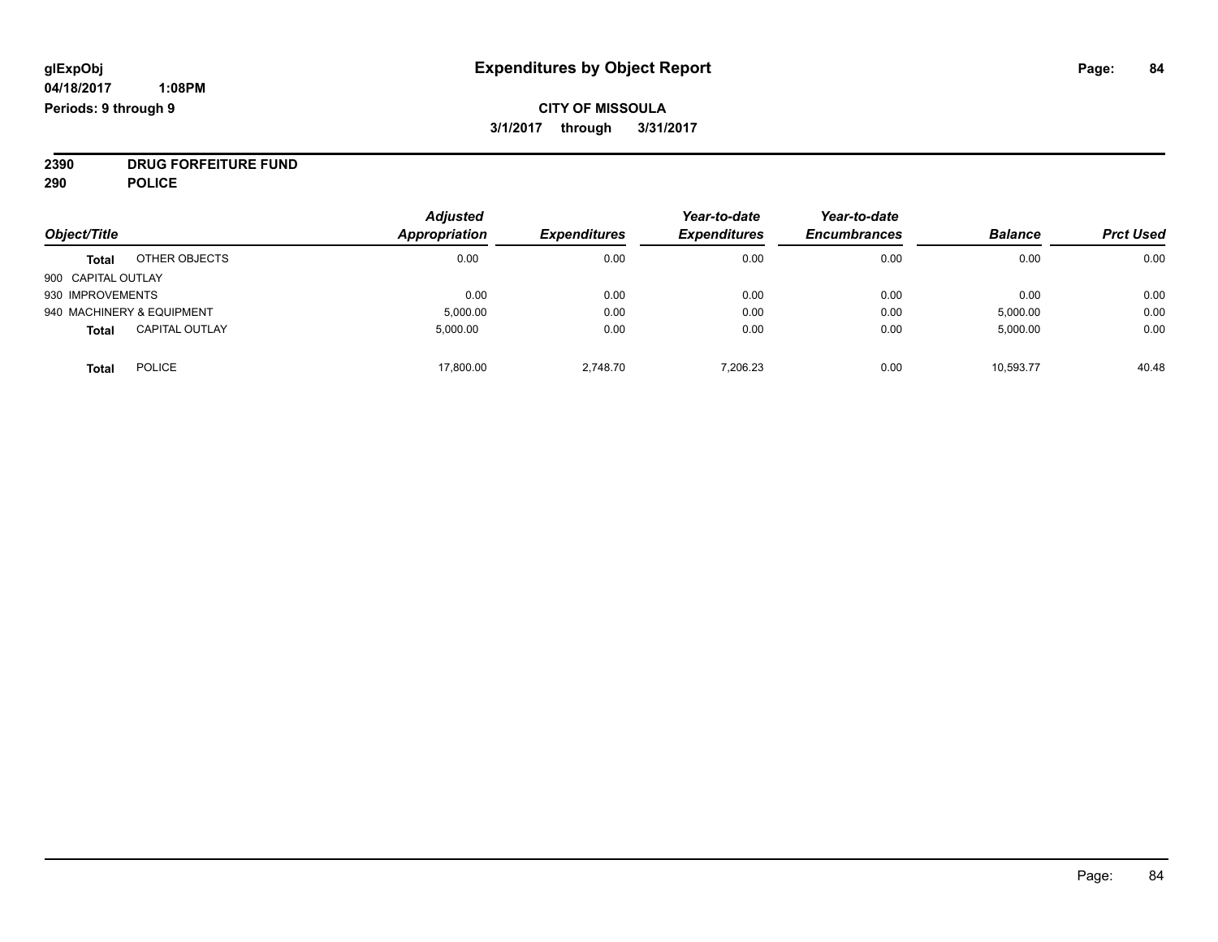# **CITY OF MISSOULA 3/1/2017 through 3/31/2017**

**2390 DRUG FORFEITURE FUND**

**290 POLICE**

|                    |                           | <b>Adjusted</b>      |                     | Year-to-date        | Year-to-date        |                |                  |
|--------------------|---------------------------|----------------------|---------------------|---------------------|---------------------|----------------|------------------|
| Object/Title       |                           | <b>Appropriation</b> | <b>Expenditures</b> | <b>Expenditures</b> | <b>Encumbrances</b> | <b>Balance</b> | <b>Prct Used</b> |
| <b>Total</b>       | OTHER OBJECTS             | 0.00                 | 0.00                | 0.00                | 0.00                | 0.00           | 0.00             |
| 900 CAPITAL OUTLAY |                           |                      |                     |                     |                     |                |                  |
| 930 IMPROVEMENTS   |                           | 0.00                 | 0.00                | 0.00                | 0.00                | 0.00           | 0.00             |
|                    | 940 MACHINERY & EQUIPMENT | 5,000.00             | 0.00                | 0.00                | 0.00                | 5,000.00       | 0.00             |
| <b>Total</b>       | <b>CAPITAL OUTLAY</b>     | 5,000.00             | 0.00                | 0.00                | 0.00                | 5,000.00       | 0.00             |
| <b>Total</b>       | <b>POLICE</b>             | 17,800.00            | 2.748.70            | 7,206.23            | 0.00                | 10,593.77      | 40.48            |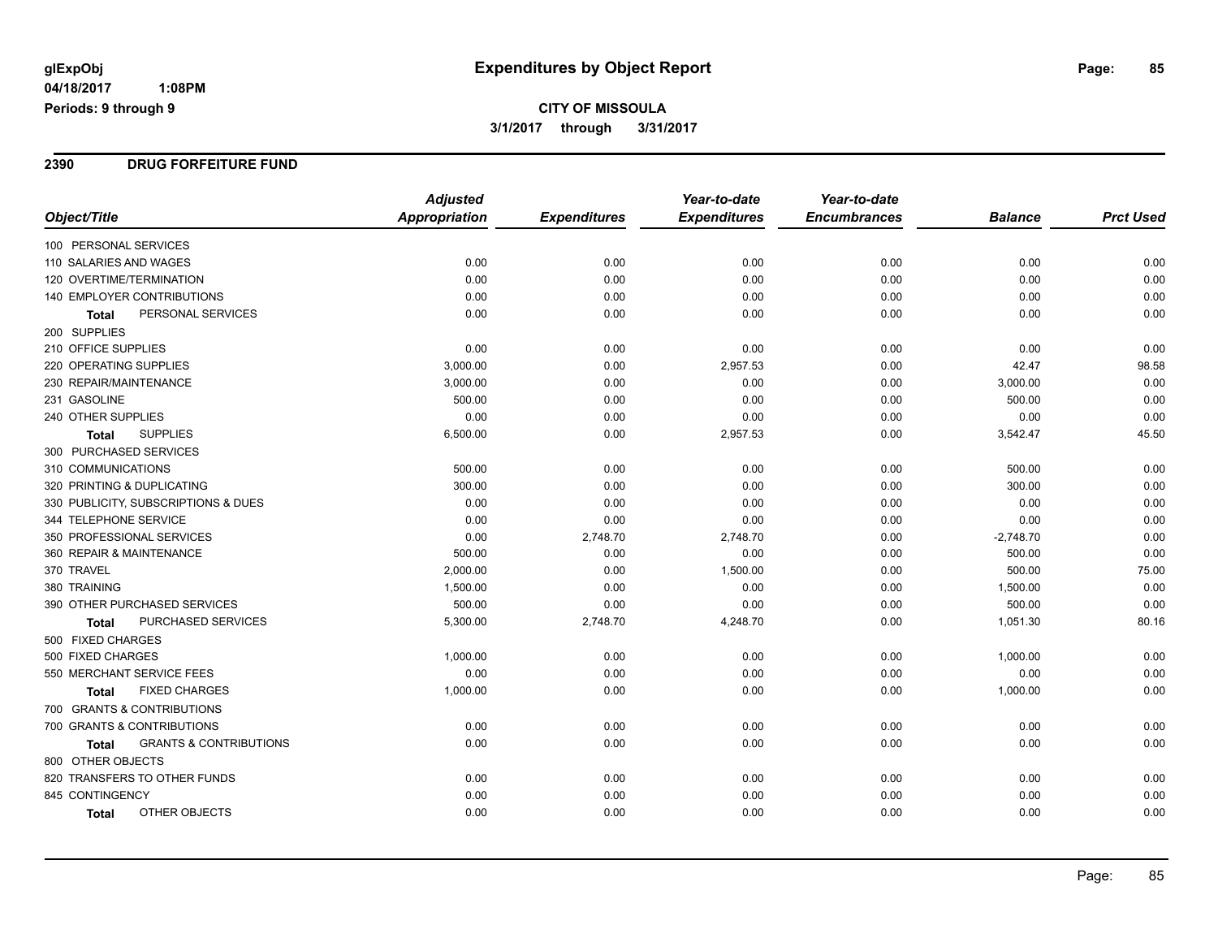# **CITY OF MISSOULA 3/1/2017 through 3/31/2017**

#### **2390 DRUG FORFEITURE FUND**

|                                            | <b>Adjusted</b>      |                     | Year-to-date        | Year-to-date        |                |                  |
|--------------------------------------------|----------------------|---------------------|---------------------|---------------------|----------------|------------------|
| Object/Title                               | <b>Appropriation</b> | <b>Expenditures</b> | <b>Expenditures</b> | <b>Encumbrances</b> | <b>Balance</b> | <b>Prct Used</b> |
| 100 PERSONAL SERVICES                      |                      |                     |                     |                     |                |                  |
| 110 SALARIES AND WAGES                     | 0.00                 | 0.00                | 0.00                | 0.00                | 0.00           | 0.00             |
| 120 OVERTIME/TERMINATION                   | 0.00                 | 0.00                | 0.00                | 0.00                | 0.00           | 0.00             |
| <b>140 EMPLOYER CONTRIBUTIONS</b>          | 0.00                 | 0.00                | 0.00                | 0.00                | 0.00           | 0.00             |
| PERSONAL SERVICES<br><b>Total</b>          | 0.00                 | 0.00                | 0.00                | 0.00                | 0.00           | 0.00             |
| 200 SUPPLIES                               |                      |                     |                     |                     |                |                  |
| 210 OFFICE SUPPLIES                        | 0.00                 | 0.00                | 0.00                | 0.00                | 0.00           | 0.00             |
| 220 OPERATING SUPPLIES                     | 3,000.00             | 0.00                | 2,957.53            | 0.00                | 42.47          | 98.58            |
| 230 REPAIR/MAINTENANCE                     | 3,000.00             | 0.00                | 0.00                | 0.00                | 3,000.00       | 0.00             |
| 231 GASOLINE                               | 500.00               | 0.00                | 0.00                | 0.00                | 500.00         | 0.00             |
| 240 OTHER SUPPLIES                         | 0.00                 | 0.00                | 0.00                | 0.00                | 0.00           | 0.00             |
| <b>SUPPLIES</b><br><b>Total</b>            | 6,500.00             | 0.00                | 2,957.53            | 0.00                | 3,542.47       | 45.50            |
| 300 PURCHASED SERVICES                     |                      |                     |                     |                     |                |                  |
| 310 COMMUNICATIONS                         | 500.00               | 0.00                | 0.00                | 0.00                | 500.00         | 0.00             |
| 320 PRINTING & DUPLICATING                 | 300.00               | 0.00                | 0.00                | 0.00                | 300.00         | 0.00             |
| 330 PUBLICITY, SUBSCRIPTIONS & DUES        | 0.00                 | 0.00                | 0.00                | 0.00                | 0.00           | 0.00             |
| 344 TELEPHONE SERVICE                      | 0.00                 | 0.00                | 0.00                | 0.00                | 0.00           | 0.00             |
| 350 PROFESSIONAL SERVICES                  | 0.00                 | 2,748.70            | 2,748.70            | 0.00                | $-2,748.70$    | 0.00             |
| 360 REPAIR & MAINTENANCE                   | 500.00               | 0.00                | 0.00                | 0.00                | 500.00         | 0.00             |
| 370 TRAVEL                                 | 2,000.00             | 0.00                | 1,500.00            | 0.00                | 500.00         | 75.00            |
| 380 TRAINING                               | 1,500.00             | 0.00                | 0.00                | 0.00                | 1,500.00       | 0.00             |
| 390 OTHER PURCHASED SERVICES               | 500.00               | 0.00                | 0.00                | 0.00                | 500.00         | 0.00             |
| PURCHASED SERVICES<br>Total                | 5,300.00             | 2,748.70            | 4,248.70            | 0.00                | 1,051.30       | 80.16            |
| 500 FIXED CHARGES                          |                      |                     |                     |                     |                |                  |
| 500 FIXED CHARGES                          | 1,000.00             | 0.00                | 0.00                | 0.00                | 1,000.00       | 0.00             |
| 550 MERCHANT SERVICE FEES                  | 0.00                 | 0.00                | 0.00                | 0.00                | 0.00           | 0.00             |
| <b>FIXED CHARGES</b><br><b>Total</b>       | 1,000.00             | 0.00                | 0.00                | 0.00                | 1,000.00       | 0.00             |
| 700 GRANTS & CONTRIBUTIONS                 |                      |                     |                     |                     |                |                  |
| 700 GRANTS & CONTRIBUTIONS                 | 0.00                 | 0.00                | 0.00                | 0.00                | 0.00           | 0.00             |
| <b>GRANTS &amp; CONTRIBUTIONS</b><br>Total | 0.00                 | 0.00                | 0.00                | 0.00                | 0.00           | 0.00             |
| 800 OTHER OBJECTS                          |                      |                     |                     |                     |                |                  |
| 820 TRANSFERS TO OTHER FUNDS               | 0.00                 | 0.00                | 0.00                | 0.00                | 0.00           | 0.00             |
| 845 CONTINGENCY                            | 0.00                 | 0.00                | 0.00                | 0.00                | 0.00           | 0.00             |
| OTHER OBJECTS<br>Total                     | 0.00                 | 0.00                | 0.00                | 0.00                | 0.00           | 0.00             |

Page: 85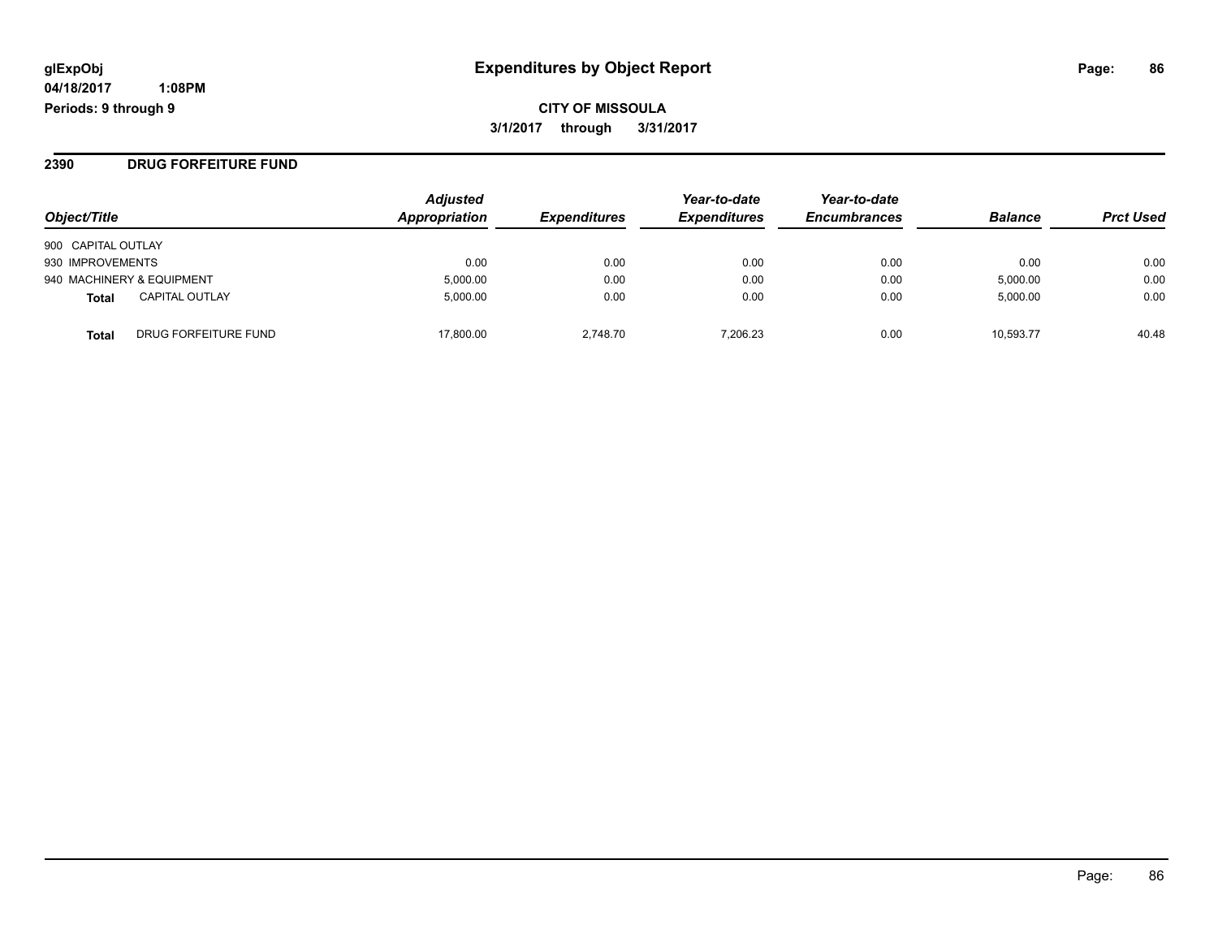#### **2390 DRUG FORFEITURE FUND**

| Object/Title              |                       | <b>Adjusted</b><br>Appropriation | <b>Expenditures</b> | Year-to-date<br><b>Expenditures</b> | Year-to-date<br><b>Encumbrances</b> | <b>Balance</b> | <b>Prct Used</b> |
|---------------------------|-----------------------|----------------------------------|---------------------|-------------------------------------|-------------------------------------|----------------|------------------|
| 900 CAPITAL OUTLAY        |                       |                                  |                     |                                     |                                     |                |                  |
| 930 IMPROVEMENTS          |                       | 0.00                             | 0.00                | 0.00                                | 0.00                                | 0.00           | 0.00             |
| 940 MACHINERY & EQUIPMENT |                       | 5,000.00                         | 0.00                | 0.00                                | 0.00                                | 5,000.00       | 0.00             |
| Total                     | <b>CAPITAL OUTLAY</b> | 5.000.00                         | 0.00                | 0.00                                | 0.00                                | 5,000.00       | 0.00             |
| <b>Total</b>              | DRUG FORFEITURE FUND  | 17.800.00                        | 2.748.70            | 7.206.23                            | 0.00                                | 10.593.77      | 40.48            |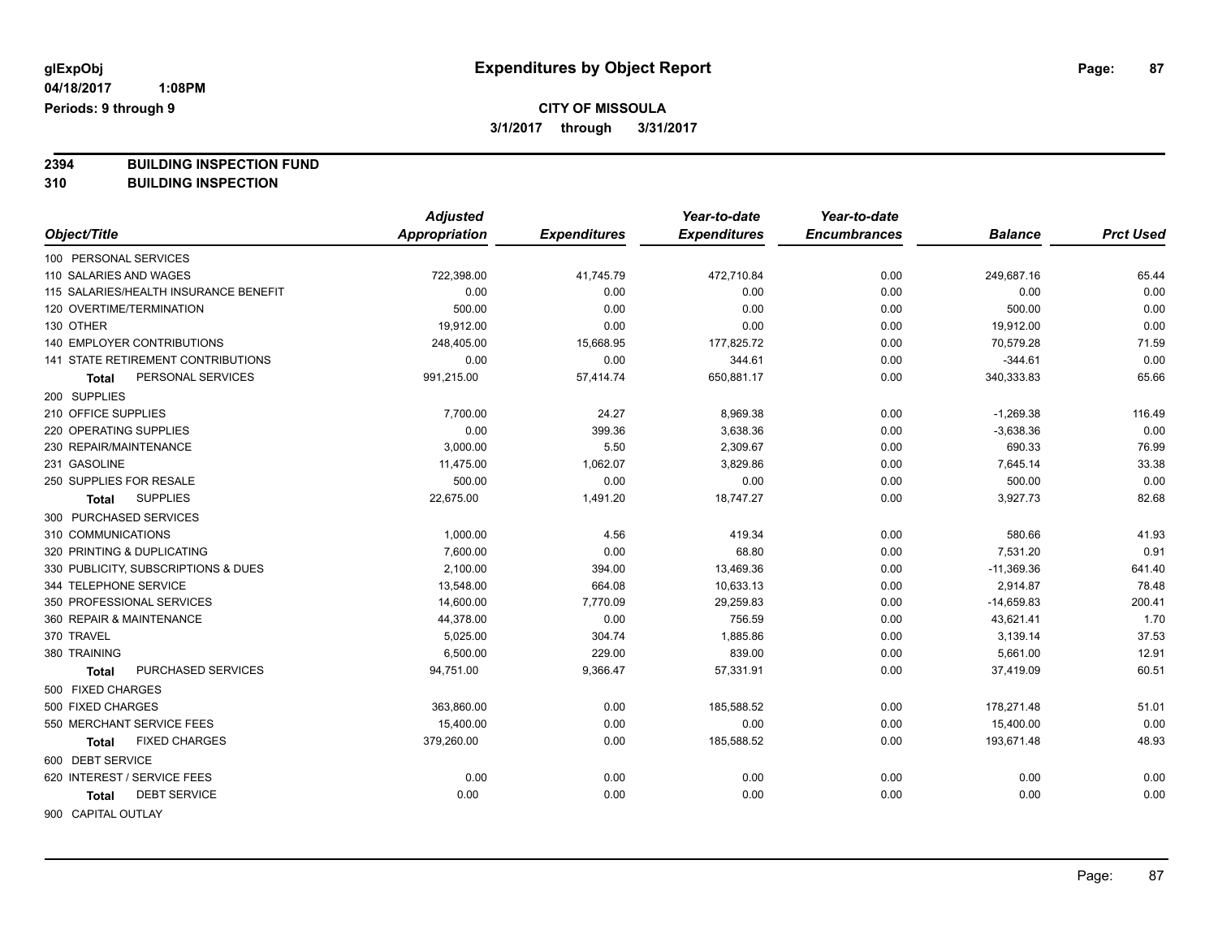**2394 BUILDING INSPECTION FUND**

**310 BUILDING INSPECTION**

|                                       | <b>Adjusted</b> |                     | Year-to-date        | Year-to-date        |                |                  |
|---------------------------------------|-----------------|---------------------|---------------------|---------------------|----------------|------------------|
| Object/Title                          | Appropriation   | <b>Expenditures</b> | <b>Expenditures</b> | <b>Encumbrances</b> | <b>Balance</b> | <b>Prct Used</b> |
| 100 PERSONAL SERVICES                 |                 |                     |                     |                     |                |                  |
| 110 SALARIES AND WAGES                | 722,398.00      | 41,745.79           | 472,710.84          | 0.00                | 249,687.16     | 65.44            |
| 115 SALARIES/HEALTH INSURANCE BENEFIT | 0.00            | 0.00                | 0.00                | 0.00                | 0.00           | 0.00             |
| 120 OVERTIME/TERMINATION              | 500.00          | 0.00                | 0.00                | 0.00                | 500.00         | 0.00             |
| 130 OTHER                             | 19,912.00       | 0.00                | 0.00                | 0.00                | 19,912.00      | 0.00             |
| <b>140 EMPLOYER CONTRIBUTIONS</b>     | 248,405.00      | 15,668.95           | 177,825.72          | 0.00                | 70,579.28      | 71.59            |
| 141 STATE RETIREMENT CONTRIBUTIONS    | 0.00            | 0.00                | 344.61              | 0.00                | $-344.61$      | 0.00             |
| PERSONAL SERVICES<br>Total            | 991,215.00      | 57,414.74           | 650,881.17          | 0.00                | 340,333.83     | 65.66            |
| 200 SUPPLIES                          |                 |                     |                     |                     |                |                  |
| 210 OFFICE SUPPLIES                   | 7,700.00        | 24.27               | 8,969.38            | 0.00                | $-1,269.38$    | 116.49           |
| 220 OPERATING SUPPLIES                | 0.00            | 399.36              | 3,638.36            | 0.00                | $-3,638.36$    | 0.00             |
| 230 REPAIR/MAINTENANCE                | 3,000.00        | 5.50                | 2,309.67            | 0.00                | 690.33         | 76.99            |
| 231 GASOLINE                          | 11,475.00       | 1,062.07            | 3,829.86            | 0.00                | 7,645.14       | 33.38            |
| 250 SUPPLIES FOR RESALE               | 500.00          | 0.00                | 0.00                | 0.00                | 500.00         | 0.00             |
| <b>SUPPLIES</b><br>Total              | 22,675.00       | 1,491.20            | 18,747.27           | 0.00                | 3,927.73       | 82.68            |
| 300 PURCHASED SERVICES                |                 |                     |                     |                     |                |                  |
| 310 COMMUNICATIONS                    | 1,000.00        | 4.56                | 419.34              | 0.00                | 580.66         | 41.93            |
| 320 PRINTING & DUPLICATING            | 7,600.00        | 0.00                | 68.80               | 0.00                | 7,531.20       | 0.91             |
| 330 PUBLICITY, SUBSCRIPTIONS & DUES   | 2,100.00        | 394.00              | 13,469.36           | 0.00                | $-11,369.36$   | 641.40           |
| 344 TELEPHONE SERVICE                 | 13,548.00       | 664.08              | 10,633.13           | 0.00                | 2,914.87       | 78.48            |
| 350 PROFESSIONAL SERVICES             | 14,600.00       | 7,770.09            | 29,259.83           | 0.00                | $-14,659.83$   | 200.41           |
| 360 REPAIR & MAINTENANCE              | 44,378.00       | 0.00                | 756.59              | 0.00                | 43,621.41      | 1.70             |
| 370 TRAVEL                            | 5,025.00        | 304.74              | 1,885.86            | 0.00                | 3,139.14       | 37.53            |
| 380 TRAINING                          | 6,500.00        | 229.00              | 839.00              | 0.00                | 5,661.00       | 12.91            |
| PURCHASED SERVICES<br><b>Total</b>    | 94,751.00       | 9,366.47            | 57,331.91           | 0.00                | 37,419.09      | 60.51            |
| 500 FIXED CHARGES                     |                 |                     |                     |                     |                |                  |
| 500 FIXED CHARGES                     | 363,860.00      | 0.00                | 185,588.52          | 0.00                | 178,271.48     | 51.01            |
| 550 MERCHANT SERVICE FEES             | 15,400.00       | 0.00                | 0.00                | 0.00                | 15,400.00      | 0.00             |
| <b>FIXED CHARGES</b><br><b>Total</b>  | 379,260.00      | 0.00                | 185,588.52          | 0.00                | 193,671.48     | 48.93            |
| 600 DEBT SERVICE                      |                 |                     |                     |                     |                |                  |
| 620 INTEREST / SERVICE FEES           | 0.00            | 0.00                | 0.00                | 0.00                | 0.00           | 0.00             |
| <b>DEBT SERVICE</b><br>Total          | 0.00            | 0.00                | 0.00                | 0.00                | 0.00           | 0.00             |
| 900 CAPITAL OUTLAY                    |                 |                     |                     |                     |                |                  |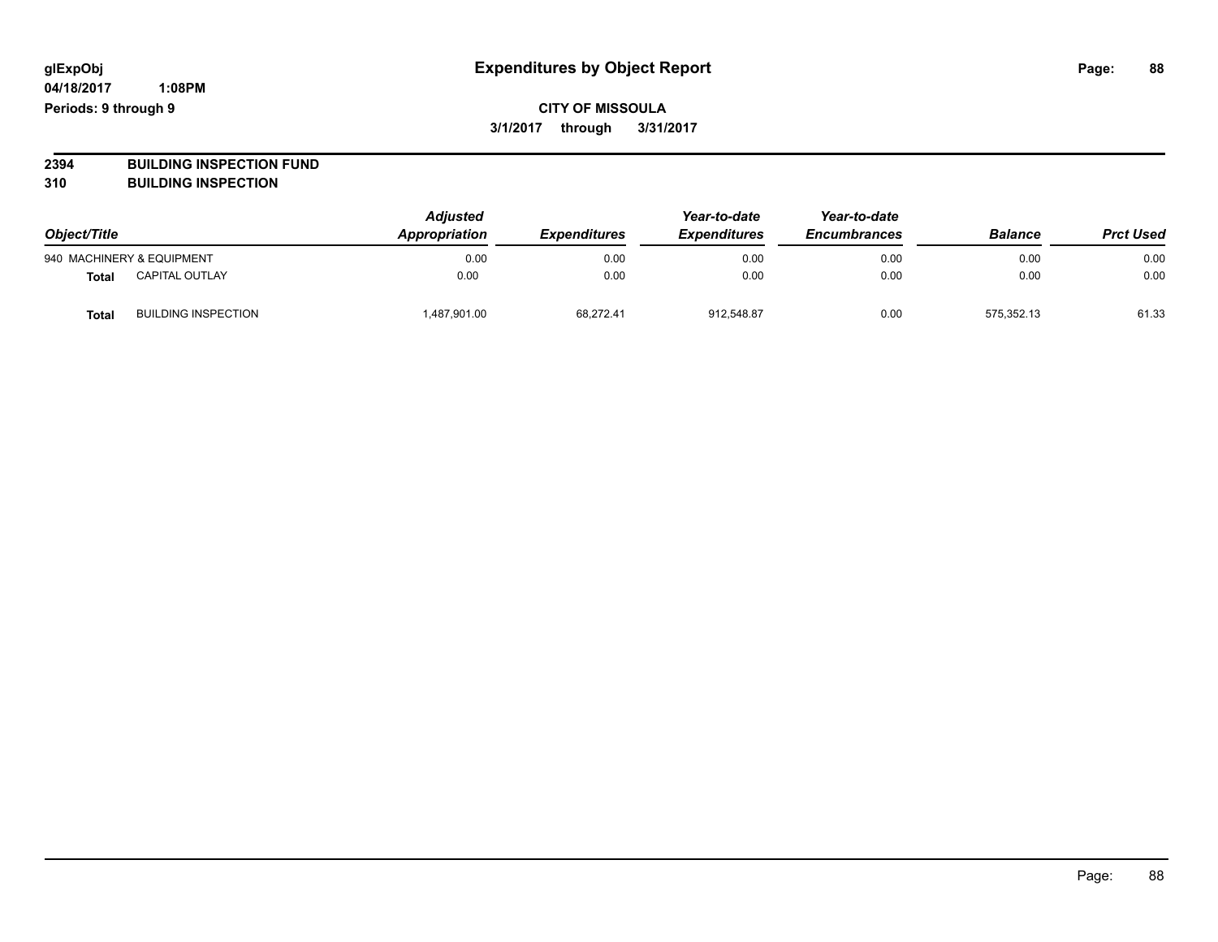**2394 BUILDING INSPECTION FUND**

**310 BUILDING INSPECTION**

| Object/Title |                            | <b>Adjusted</b><br>Appropriation | <b>Expenditures</b> | Year-to-date<br><b>Expenditures</b> | Year-to-date<br><b>Encumbrances</b> | <b>Balance</b> | <b>Prct Used</b> |
|--------------|----------------------------|----------------------------------|---------------------|-------------------------------------|-------------------------------------|----------------|------------------|
|              | 940 MACHINERY & EQUIPMENT  | 0.00                             | 0.00                | 0.00                                | 0.00                                | 0.00           | 0.00             |
| <b>Total</b> | <b>CAPITAL OUTLAY</b>      | 0.00                             | 0.00                | 0.00                                | 0.00                                | 0.00           | 0.00             |
| <b>Total</b> | <b>BUILDING INSPECTION</b> | 1,487,901.00                     | 68,272.41           | 912,548.87                          | 0.00                                | 575.352.13     | 61.33            |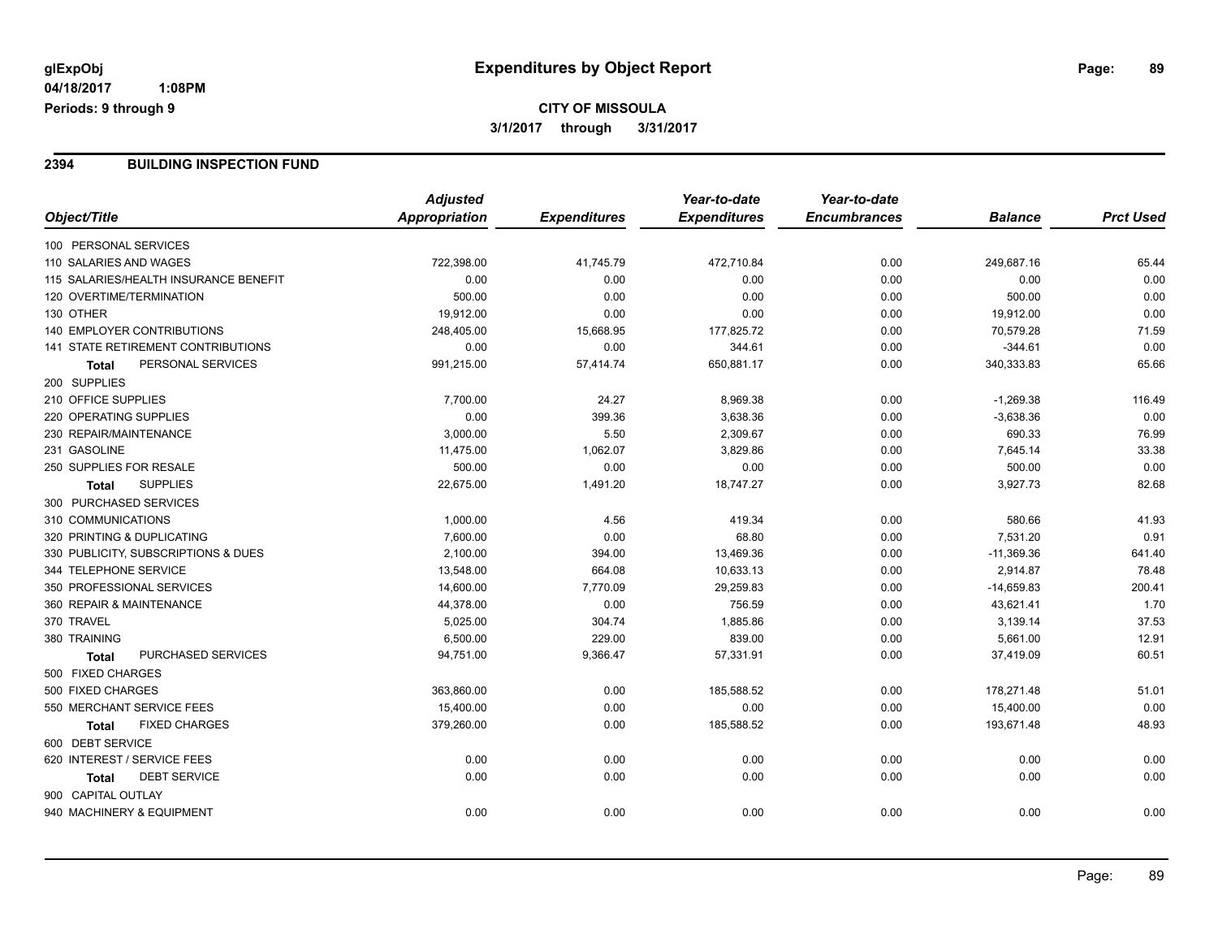# **CITY OF MISSOULA 3/1/2017 through 3/31/2017**

#### **2394 BUILDING INSPECTION FUND**

|                                           | <b>Adjusted</b>      |                     | Year-to-date        | Year-to-date        |                |                  |
|-------------------------------------------|----------------------|---------------------|---------------------|---------------------|----------------|------------------|
| Object/Title                              | <b>Appropriation</b> | <b>Expenditures</b> | <b>Expenditures</b> | <b>Encumbrances</b> | <b>Balance</b> | <b>Prct Used</b> |
| 100 PERSONAL SERVICES                     |                      |                     |                     |                     |                |                  |
| 110 SALARIES AND WAGES                    | 722,398.00           | 41,745.79           | 472,710.84          | 0.00                | 249,687.16     | 65.44            |
| 115 SALARIES/HEALTH INSURANCE BENEFIT     | 0.00                 | 0.00                | 0.00                | 0.00                | 0.00           | 0.00             |
| 120 OVERTIME/TERMINATION                  | 500.00               | 0.00                | 0.00                | 0.00                | 500.00         | 0.00             |
| 130 OTHER                                 | 19,912.00            | 0.00                | 0.00                | 0.00                | 19,912.00      | 0.00             |
| <b>140 EMPLOYER CONTRIBUTIONS</b>         | 248,405.00           | 15,668.95           | 177,825.72          | 0.00                | 70,579.28      | 71.59            |
| <b>141 STATE RETIREMENT CONTRIBUTIONS</b> | 0.00                 | 0.00                | 344.61              | 0.00                | $-344.61$      | 0.00             |
| PERSONAL SERVICES<br><b>Total</b>         | 991,215.00           | 57,414.74           | 650,881.17          | 0.00                | 340,333.83     | 65.66            |
| 200 SUPPLIES                              |                      |                     |                     |                     |                |                  |
| 210 OFFICE SUPPLIES                       | 7,700.00             | 24.27               | 8,969.38            | 0.00                | $-1,269.38$    | 116.49           |
| 220 OPERATING SUPPLIES                    | 0.00                 | 399.36              | 3,638.36            | 0.00                | $-3,638.36$    | 0.00             |
| 230 REPAIR/MAINTENANCE                    | 3,000.00             | 5.50                | 2,309.67            | 0.00                | 690.33         | 76.99            |
| 231 GASOLINE                              | 11,475.00            | 1,062.07            | 3,829.86            | 0.00                | 7,645.14       | 33.38            |
| 250 SUPPLIES FOR RESALE                   | 500.00               | 0.00                | 0.00                | 0.00                | 500.00         | 0.00             |
| <b>SUPPLIES</b><br><b>Total</b>           | 22,675.00            | 1,491.20            | 18,747.27           | 0.00                | 3,927.73       | 82.68            |
| 300 PURCHASED SERVICES                    |                      |                     |                     |                     |                |                  |
| 310 COMMUNICATIONS                        | 1,000.00             | 4.56                | 419.34              | 0.00                | 580.66         | 41.93            |
| 320 PRINTING & DUPLICATING                | 7,600.00             | 0.00                | 68.80               | 0.00                | 7,531.20       | 0.91             |
| 330 PUBLICITY, SUBSCRIPTIONS & DUES       | 2,100.00             | 394.00              | 13,469.36           | 0.00                | $-11,369.36$   | 641.40           |
| 344 TELEPHONE SERVICE                     | 13,548.00            | 664.08              | 10,633.13           | 0.00                | 2,914.87       | 78.48            |
| 350 PROFESSIONAL SERVICES                 | 14,600.00            | 7,770.09            | 29,259.83           | 0.00                | $-14,659.83$   | 200.41           |
| 360 REPAIR & MAINTENANCE                  | 44,378.00            | 0.00                | 756.59              | 0.00                | 43,621.41      | 1.70             |
| 370 TRAVEL                                | 5,025.00             | 304.74              | 1,885.86            | 0.00                | 3,139.14       | 37.53            |
| 380 TRAINING                              | 6,500.00             | 229.00              | 839.00              | 0.00                | 5,661.00       | 12.91            |
| PURCHASED SERVICES<br><b>Total</b>        | 94,751.00            | 9,366.47            | 57,331.91           | 0.00                | 37,419.09      | 60.51            |
| 500 FIXED CHARGES                         |                      |                     |                     |                     |                |                  |
| 500 FIXED CHARGES                         | 363,860.00           | 0.00                | 185,588.52          | 0.00                | 178,271.48     | 51.01            |
| 550 MERCHANT SERVICE FEES                 | 15,400.00            | 0.00                | 0.00                | 0.00                | 15,400.00      | 0.00             |
| <b>FIXED CHARGES</b><br>Total             | 379,260.00           | 0.00                | 185,588.52          | 0.00                | 193,671.48     | 48.93            |
| 600 DEBT SERVICE                          |                      |                     |                     |                     |                |                  |
| 620 INTEREST / SERVICE FEES               | 0.00                 | 0.00                | 0.00                | 0.00                | 0.00           | 0.00             |
| <b>DEBT SERVICE</b><br>Total              | 0.00                 | 0.00                | 0.00                | 0.00                | 0.00           | 0.00             |
| 900 CAPITAL OUTLAY                        |                      |                     |                     |                     |                |                  |
| 940 MACHINERY & EQUIPMENT                 | 0.00                 | 0.00                | 0.00                | 0.00                | 0.00           | 0.00             |
|                                           |                      |                     |                     |                     |                |                  |

Page: 89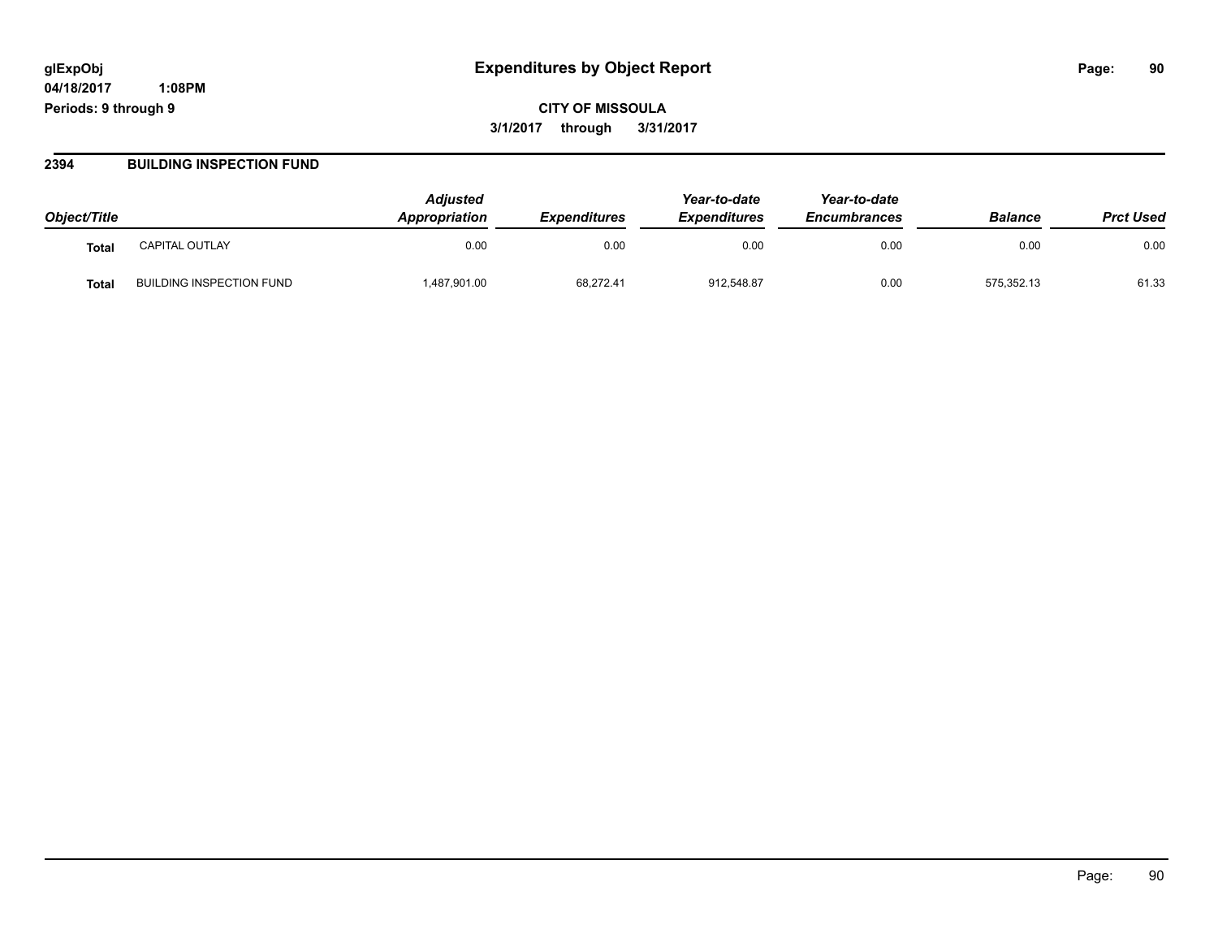**CITY OF MISSOULA 3/1/2017 through 3/31/2017**

#### **2394 BUILDING INSPECTION FUND**

| Object/Title |                                 | <b>Adjusted</b><br>Appropriation | <b>Expenditures</b> | Year-to-date<br><b>Expenditures</b> | Year-to-date<br><b>Encumbrances</b> | <b>Balance</b> | <b>Prct Used</b> |
|--------------|---------------------------------|----------------------------------|---------------------|-------------------------------------|-------------------------------------|----------------|------------------|
| <b>Total</b> | <b>CAPITAL OUTLAY</b>           | 0.00                             | 0.00                | 0.00                                | 0.00                                | 0.00           | 0.00             |
| Tota.        | <b>BUILDING INSPECTION FUND</b> | 487,901.00                       | 68,272.41           | 912,548.87                          | 0.00                                | 575,352.13     | 61.33            |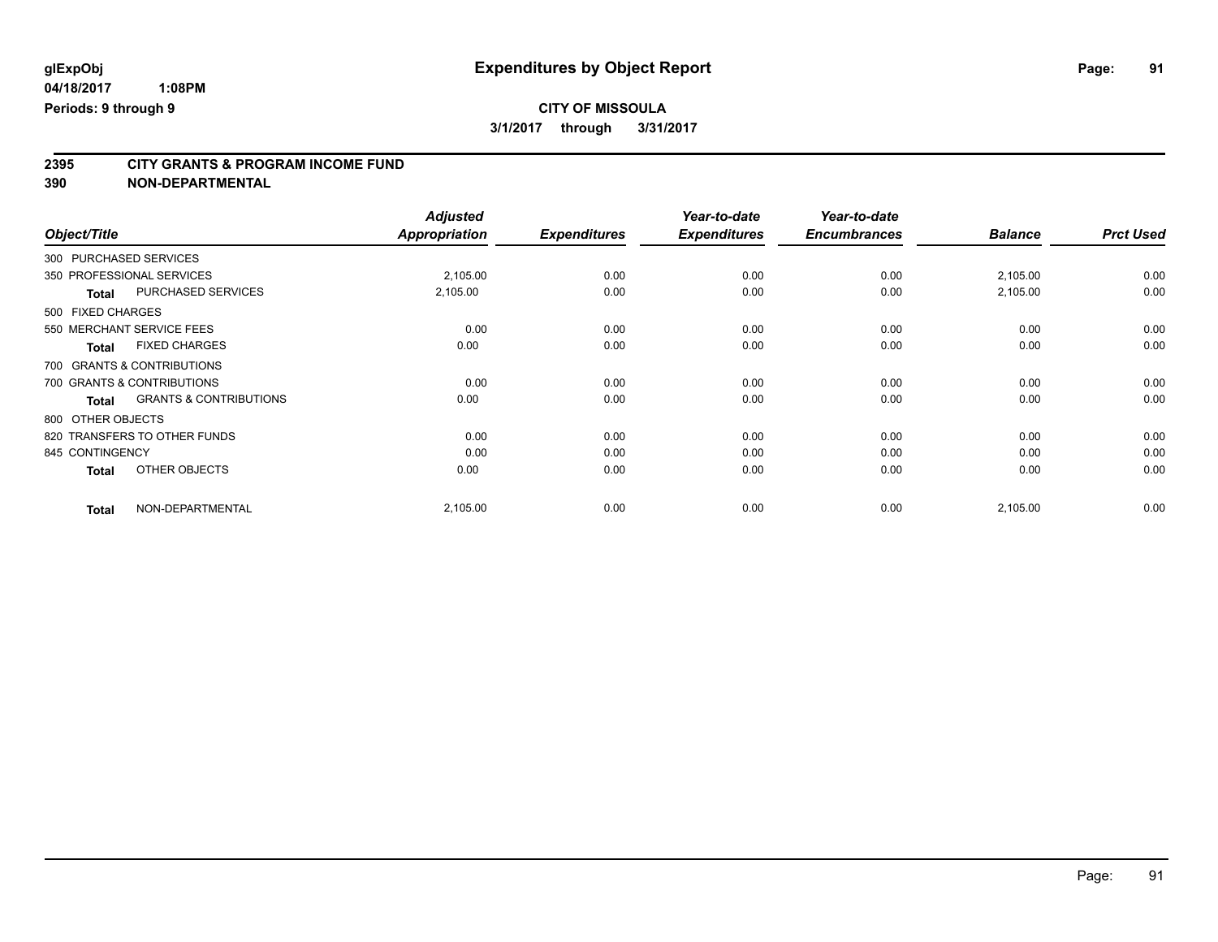**2395 CITY GRANTS & PROGRAM INCOME FUND**

**390 NON-DEPARTMENTAL**

| Object/Title               |                                   | <b>Adjusted</b><br>Appropriation | <b>Expenditures</b> | Year-to-date<br><b>Expenditures</b> | Year-to-date<br><b>Encumbrances</b> | <b>Balance</b> | <b>Prct Used</b> |
|----------------------------|-----------------------------------|----------------------------------|---------------------|-------------------------------------|-------------------------------------|----------------|------------------|
| 300 PURCHASED SERVICES     |                                   |                                  |                     |                                     |                                     |                |                  |
| 350 PROFESSIONAL SERVICES  |                                   | 2,105.00                         | 0.00                | 0.00                                | 0.00                                | 2,105.00       | 0.00             |
| <b>Total</b>               | PURCHASED SERVICES                | 2,105.00                         | 0.00                | 0.00                                | 0.00                                | 2,105.00       | 0.00             |
| 500 FIXED CHARGES          |                                   |                                  |                     |                                     |                                     |                |                  |
| 550 MERCHANT SERVICE FEES  |                                   | 0.00                             | 0.00                | 0.00                                | 0.00                                | 0.00           | 0.00             |
| <b>Total</b>               | <b>FIXED CHARGES</b>              | 0.00                             | 0.00                | 0.00                                | 0.00                                | 0.00           | 0.00             |
| 700 GRANTS & CONTRIBUTIONS |                                   |                                  |                     |                                     |                                     |                |                  |
| 700 GRANTS & CONTRIBUTIONS |                                   | 0.00                             | 0.00                | 0.00                                | 0.00                                | 0.00           | 0.00             |
| <b>Total</b>               | <b>GRANTS &amp; CONTRIBUTIONS</b> | 0.00                             | 0.00                | 0.00                                | 0.00                                | 0.00           | 0.00             |
| 800 OTHER OBJECTS          |                                   |                                  |                     |                                     |                                     |                |                  |
|                            | 820 TRANSFERS TO OTHER FUNDS      | 0.00                             | 0.00                | 0.00                                | 0.00                                | 0.00           | 0.00             |
| 845 CONTINGENCY            |                                   | 0.00                             | 0.00                | 0.00                                | 0.00                                | 0.00           | 0.00             |
| <b>Total</b>               | OTHER OBJECTS                     | 0.00                             | 0.00                | 0.00                                | 0.00                                | 0.00           | 0.00             |
| <b>Total</b>               | NON-DEPARTMENTAL                  | 2,105.00                         | 0.00                | 0.00                                | 0.00                                | 2,105.00       | 0.00             |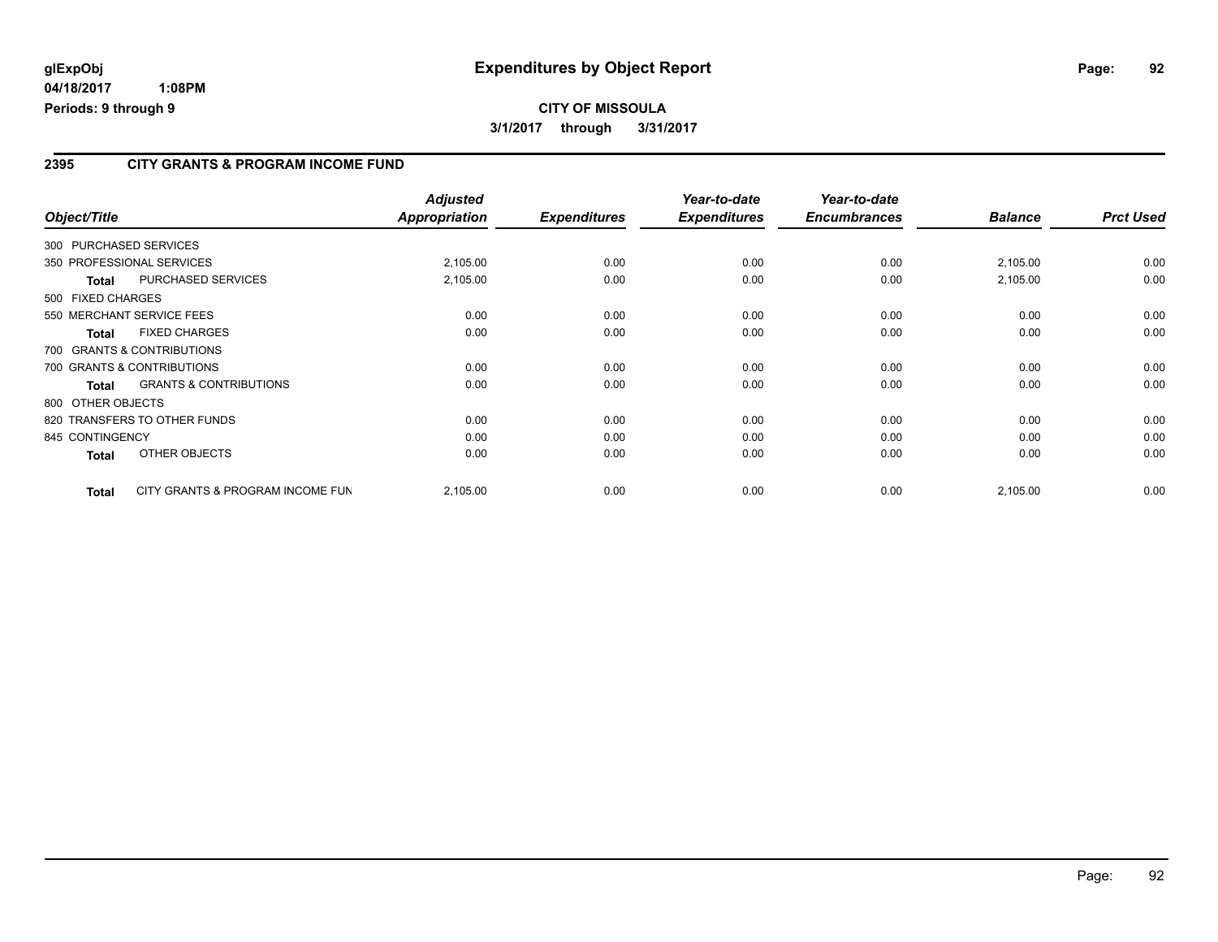# **CITY OF MISSOULA 3/1/2017 through 3/31/2017**

### **2395 CITY GRANTS & PROGRAM INCOME FUND**

| Object/Title      |                                   | <b>Adjusted</b><br>Appropriation | <b>Expenditures</b> | Year-to-date<br><b>Expenditures</b> | Year-to-date<br><b>Encumbrances</b> | <b>Balance</b> | <b>Prct Used</b> |
|-------------------|-----------------------------------|----------------------------------|---------------------|-------------------------------------|-------------------------------------|----------------|------------------|
|                   | 300 PURCHASED SERVICES            |                                  |                     |                                     |                                     |                |                  |
|                   | 350 PROFESSIONAL SERVICES         | 2,105.00                         | 0.00                | 0.00                                | 0.00                                | 2,105.00       | 0.00             |
| <b>Total</b>      | PURCHASED SERVICES                | 2,105.00                         | 0.00                | 0.00                                | 0.00                                | 2,105.00       | 0.00             |
| 500 FIXED CHARGES |                                   |                                  |                     |                                     |                                     |                |                  |
|                   | 550 MERCHANT SERVICE FEES         | 0.00                             | 0.00                | 0.00                                | 0.00                                | 0.00           | 0.00             |
| Total             | <b>FIXED CHARGES</b>              | 0.00                             | 0.00                | 0.00                                | 0.00                                | 0.00           | 0.00             |
|                   | 700 GRANTS & CONTRIBUTIONS        |                                  |                     |                                     |                                     |                |                  |
|                   | 700 GRANTS & CONTRIBUTIONS        | 0.00                             | 0.00                | 0.00                                | 0.00                                | 0.00           | 0.00             |
| <b>Total</b>      | <b>GRANTS &amp; CONTRIBUTIONS</b> | 0.00                             | 0.00                | 0.00                                | 0.00                                | 0.00           | 0.00             |
| 800 OTHER OBJECTS |                                   |                                  |                     |                                     |                                     |                |                  |
|                   | 820 TRANSFERS TO OTHER FUNDS      | 0.00                             | 0.00                | 0.00                                | 0.00                                | 0.00           | 0.00             |
| 845 CONTINGENCY   |                                   | 0.00                             | 0.00                | 0.00                                | 0.00                                | 0.00           | 0.00             |
| <b>Total</b>      | OTHER OBJECTS                     | 0.00                             | 0.00                | 0.00                                | 0.00                                | 0.00           | 0.00             |
| <b>Total</b>      | CITY GRANTS & PROGRAM INCOME FUN  | 2,105.00                         | 0.00                | 0.00                                | 0.00                                | 2,105.00       | 0.00             |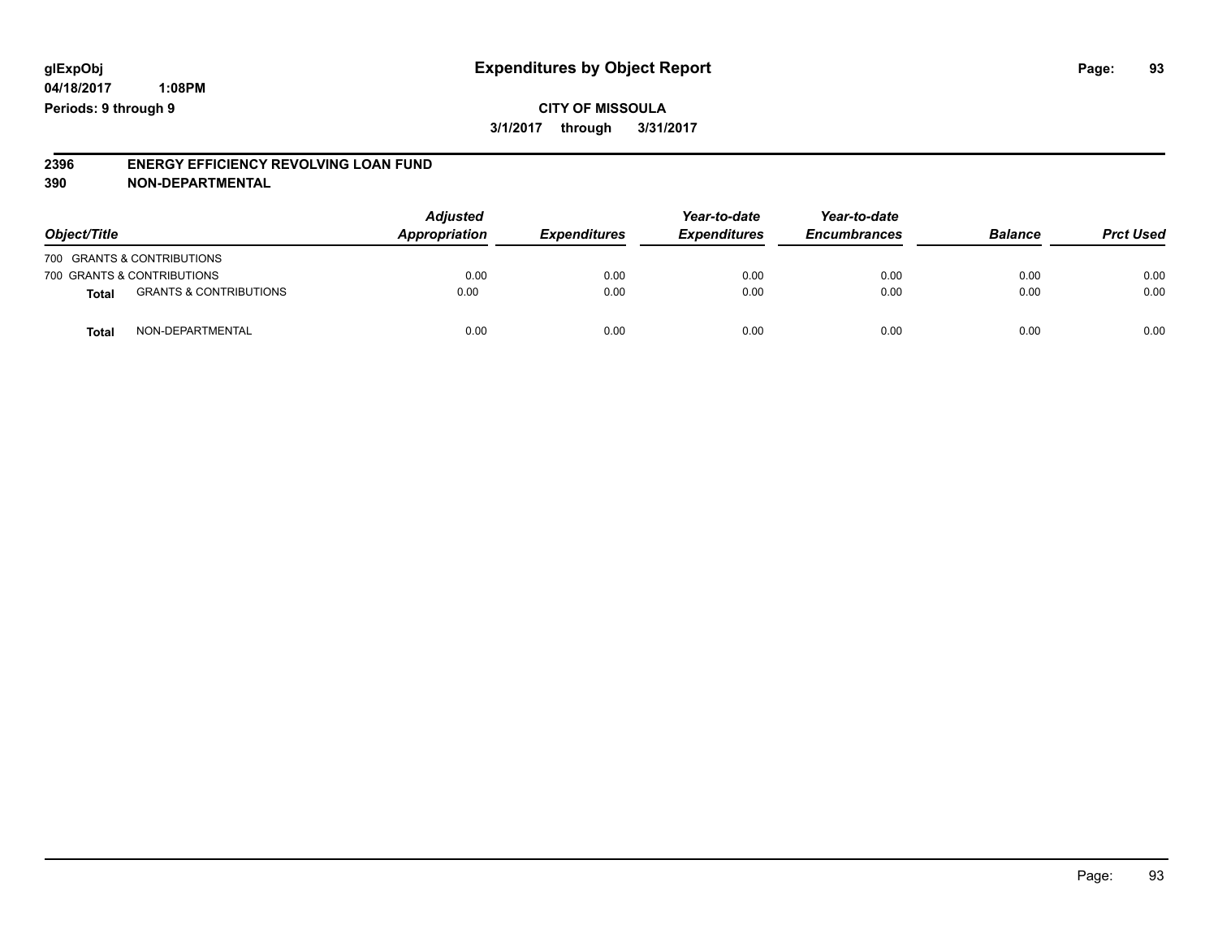#### **2396 ENERGY EFFICIENCY REVOLVING LOAN FUND 390 NON-DEPARTMENTAL**

| Object/Title |                                   | <b>Adjusted</b><br>Appropriation | <b>Expenditures</b> | Year-to-date<br><b>Expenditures</b> | Year-to-date<br><b>Encumbrances</b> | <b>Balance</b> | <b>Prct Used</b> |
|--------------|-----------------------------------|----------------------------------|---------------------|-------------------------------------|-------------------------------------|----------------|------------------|
|              | 700 GRANTS & CONTRIBUTIONS        |                                  |                     |                                     |                                     |                |                  |
|              | 700 GRANTS & CONTRIBUTIONS        | 0.00                             | 0.00                | 0.00                                | 0.00                                | 0.00           | 0.00             |
| <b>Total</b> | <b>GRANTS &amp; CONTRIBUTIONS</b> | 0.00                             | 0.00                | 0.00                                | 0.00                                | 0.00           | 0.00             |
| Tota         | NON-DEPARTMENTAL                  | 0.00                             | 0.00                | 0.00                                | 0.00                                | 0.00           | 0.00             |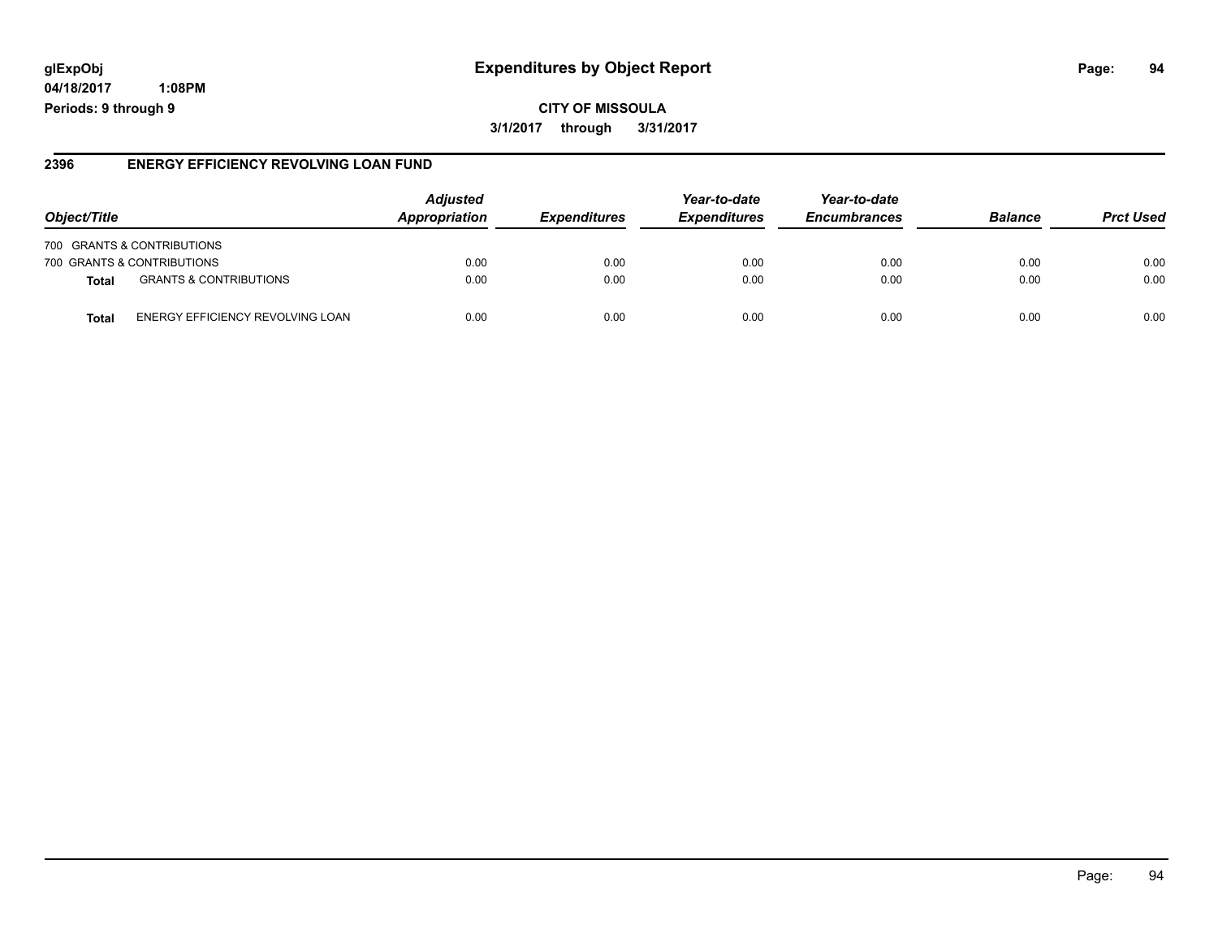# **glExpObj Expenditures by Object Report Page: 94**

**04/18/2017 1:08PM Periods: 9 through 9**

#### **2396 ENERGY EFFICIENCY REVOLVING LOAN FUND**

| Object/Title                                     | <b>Adjusted</b><br><b>Appropriation</b> | <i><b>Expenditures</b></i> | Year-to-date<br><b>Expenditures</b> | Year-to-date<br><b>Encumbrances</b> | <b>Balance</b> | <b>Prct Used</b> |
|--------------------------------------------------|-----------------------------------------|----------------------------|-------------------------------------|-------------------------------------|----------------|------------------|
| 700 GRANTS & CONTRIBUTIONS                       |                                         |                            |                                     |                                     |                |                  |
| 700 GRANTS & CONTRIBUTIONS                       | 0.00                                    | 0.00                       | 0.00                                | 0.00                                | 0.00           | 0.00             |
| <b>GRANTS &amp; CONTRIBUTIONS</b><br>Total       | 0.00                                    | 0.00                       | 0.00                                | 0.00                                | 0.00           | 0.00             |
| ENERGY EFFICIENCY REVOLVING LOAN<br><b>Total</b> | 0.00                                    | 0.00                       | 0.00                                | 0.00                                | 0.00           | 0.00             |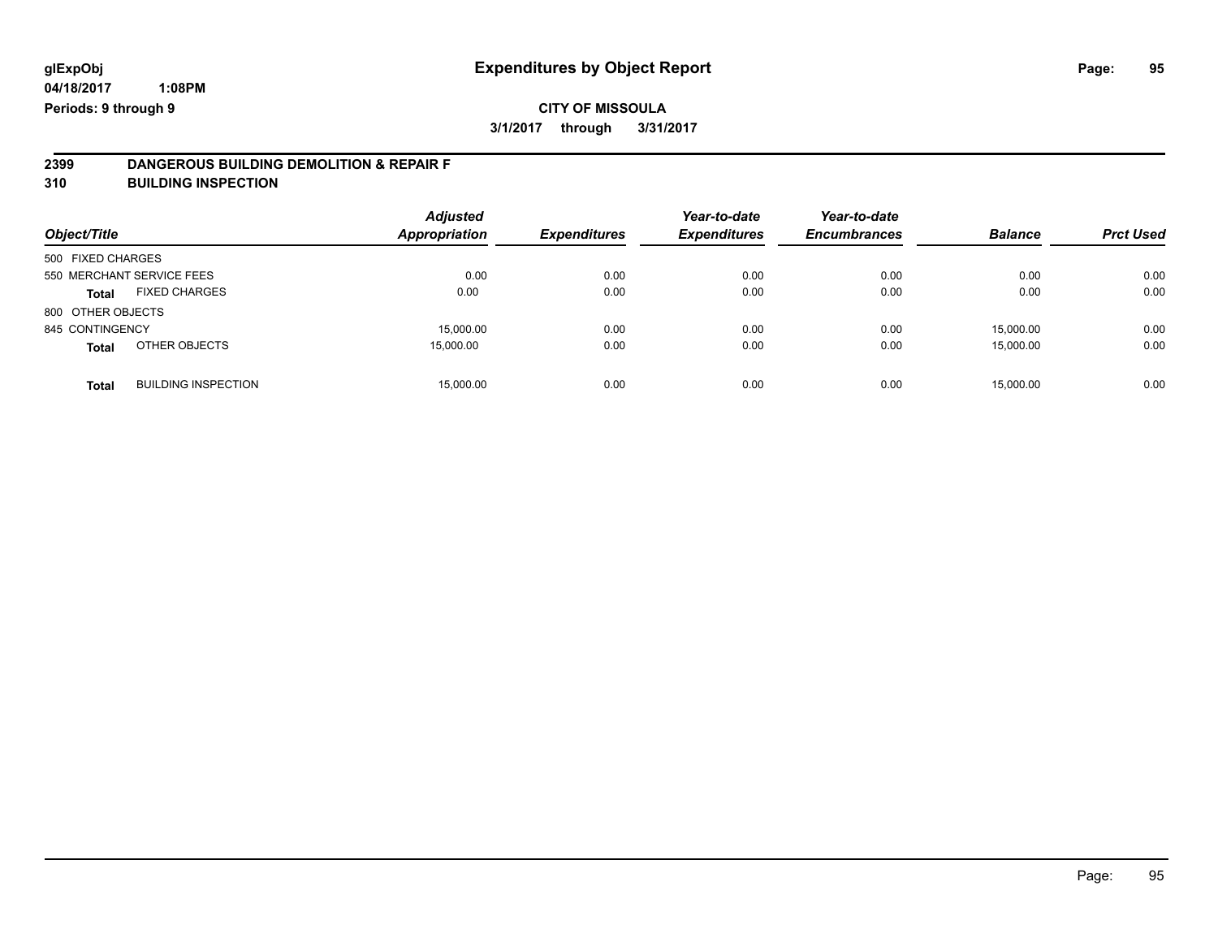# **2399 DANGEROUS BUILDING DEMOLITION & REPAIR F**

**310 BUILDING INSPECTION**

| Object/Title              |                            | <b>Adjusted</b><br><b>Appropriation</b> | <b>Expenditures</b> | Year-to-date<br><b>Expenditures</b> | Year-to-date<br><b>Encumbrances</b> | <b>Balance</b> | <b>Prct Used</b> |
|---------------------------|----------------------------|-----------------------------------------|---------------------|-------------------------------------|-------------------------------------|----------------|------------------|
| 500 FIXED CHARGES         |                            |                                         |                     |                                     |                                     |                |                  |
| 550 MERCHANT SERVICE FEES |                            | 0.00                                    | 0.00                | 0.00                                | 0.00                                | 0.00           | 0.00             |
| Total                     | <b>FIXED CHARGES</b>       | 0.00                                    | 0.00                | 0.00                                | 0.00                                | 0.00           | 0.00             |
| 800 OTHER OBJECTS         |                            |                                         |                     |                                     |                                     |                |                  |
| 845 CONTINGENCY           |                            | 15.000.00                               | 0.00                | 0.00                                | 0.00                                | 15.000.00      | 0.00             |
| <b>Total</b>              | OTHER OBJECTS              | 15.000.00                               | 0.00                | 0.00                                | 0.00                                | 15,000.00      | 0.00             |
| <b>Total</b>              | <b>BUILDING INSPECTION</b> | 15,000.00                               | 0.00                | 0.00                                | 0.00                                | 15.000.00      | 0.00             |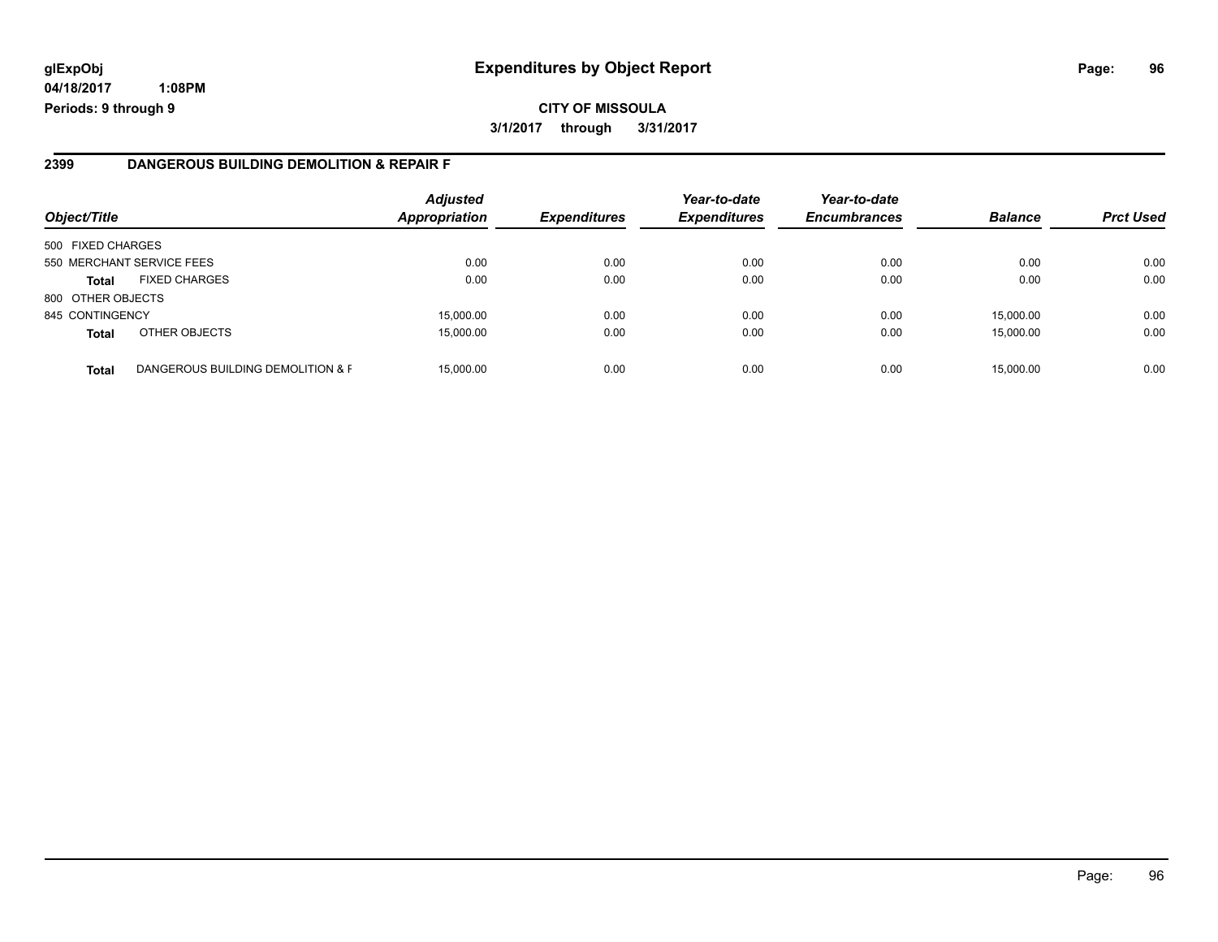# **glExpObj Expenditures by Object Report Page: 96**

**04/18/2017 1:08PM Periods: 9 through 9**

#### **2399 DANGEROUS BUILDING DEMOLITION & REPAIR F**

| Object/Title      |                                   | <b>Adjusted</b><br><b>Appropriation</b> | <b>Expenditures</b> | Year-to-date<br><b>Expenditures</b> | Year-to-date<br><b>Encumbrances</b> | <b>Balance</b> | <b>Prct Used</b> |
|-------------------|-----------------------------------|-----------------------------------------|---------------------|-------------------------------------|-------------------------------------|----------------|------------------|
| 500 FIXED CHARGES |                                   |                                         |                     |                                     |                                     |                |                  |
|                   | 550 MERCHANT SERVICE FEES         | 0.00                                    | 0.00                | 0.00                                | 0.00                                | 0.00           | 0.00             |
| <b>Total</b>      | <b>FIXED CHARGES</b>              | 0.00                                    | 0.00                | 0.00                                | 0.00                                | 0.00           | 0.00             |
| 800 OTHER OBJECTS |                                   |                                         |                     |                                     |                                     |                |                  |
| 845 CONTINGENCY   |                                   | 15,000.00                               | 0.00                | 0.00                                | 0.00                                | 15.000.00      | 0.00             |
| <b>Total</b>      | OTHER OBJECTS                     | 15,000.00                               | 0.00                | 0.00                                | 0.00                                | 15,000.00      | 0.00             |
| <b>Total</b>      | DANGEROUS BUILDING DEMOLITION & F | 15,000.00                               | 0.00                | 0.00                                | 0.00                                | 15,000.00      | 0.00             |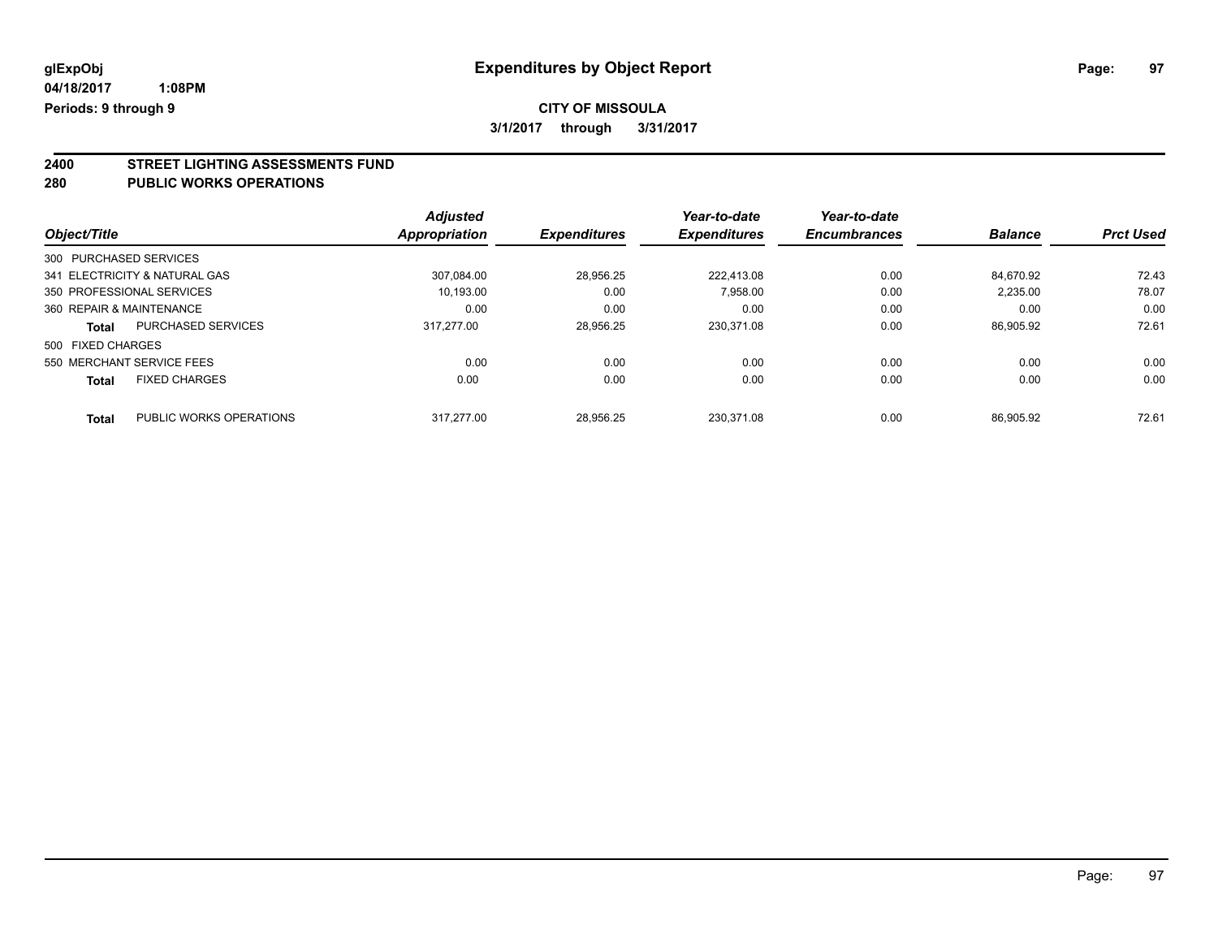# **CITY OF MISSOULA**

**3/1/2017 through 3/31/2017**

# **2400 STREET LIGHTING ASSESSMENTS FUND**

#### **280 PUBLIC WORKS OPERATIONS**

|                          |                               | <b>Adjusted</b> |                     | Year-to-date        | Year-to-date        |                |                  |
|--------------------------|-------------------------------|-----------------|---------------------|---------------------|---------------------|----------------|------------------|
| Object/Title             |                               | Appropriation   | <b>Expenditures</b> | <b>Expenditures</b> | <b>Encumbrances</b> | <b>Balance</b> | <b>Prct Used</b> |
| 300 PURCHASED SERVICES   |                               |                 |                     |                     |                     |                |                  |
|                          | 341 ELECTRICITY & NATURAL GAS | 307.084.00      | 28.956.25           | 222.413.08          | 0.00                | 84.670.92      | 72.43            |
|                          | 350 PROFESSIONAL SERVICES     | 10.193.00       | 0.00                | 7,958.00            | 0.00                | 2,235.00       | 78.07            |
| 360 REPAIR & MAINTENANCE |                               | 0.00            | 0.00                | 0.00                | 0.00                | 0.00           | 0.00             |
| Total                    | <b>PURCHASED SERVICES</b>     | 317.277.00      | 28.956.25           | 230.371.08          | 0.00                | 86.905.92      | 72.61            |
| 500 FIXED CHARGES        |                               |                 |                     |                     |                     |                |                  |
|                          | 550 MERCHANT SERVICE FEES     | 0.00            | 0.00                | 0.00                | 0.00                | 0.00           | 0.00             |
| <b>Total</b>             | <b>FIXED CHARGES</b>          | 0.00            | 0.00                | 0.00                | 0.00                | 0.00           | 0.00             |
| <b>Total</b>             | PUBLIC WORKS OPERATIONS       | 317.277.00      | 28.956.25           | 230.371.08          | 0.00                | 86.905.92      | 72.61            |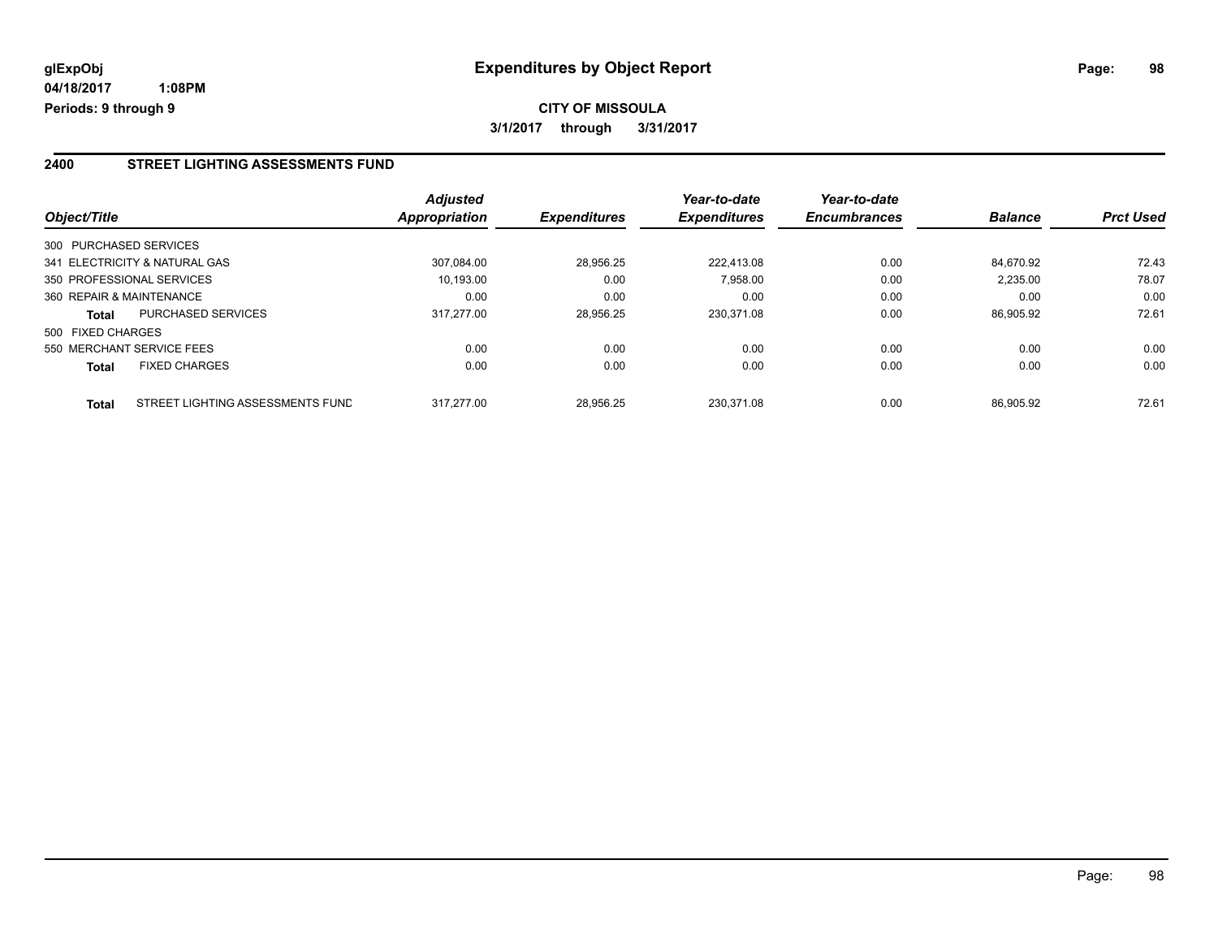#### **2400 STREET LIGHTING ASSESSMENTS FUND**

| Object/Title           |                                  | <b>Adjusted</b><br>Appropriation | <b>Expenditures</b> | Year-to-date<br><b>Expenditures</b> | Year-to-date<br><b>Encumbrances</b> | <b>Balance</b> | <b>Prct Used</b> |
|------------------------|----------------------------------|----------------------------------|---------------------|-------------------------------------|-------------------------------------|----------------|------------------|
| 300 PURCHASED SERVICES |                                  |                                  |                     |                                     |                                     |                |                  |
|                        | 341 ELECTRICITY & NATURAL GAS    | 307.084.00                       | 28.956.25           | 222.413.08                          | 0.00                                | 84.670.92      | 72.43            |
|                        | 350 PROFESSIONAL SERVICES        | 10.193.00                        | 0.00                | 7,958.00                            | 0.00                                | 2,235.00       | 78.07            |
|                        | 360 REPAIR & MAINTENANCE         | 0.00                             | 0.00                | 0.00                                | 0.00                                | 0.00           | 0.00             |
| <b>Total</b>           | <b>PURCHASED SERVICES</b>        | 317.277.00                       | 28,956.25           | 230.371.08                          | 0.00                                | 86.905.92      | 72.61            |
| 500 FIXED CHARGES      |                                  |                                  |                     |                                     |                                     |                |                  |
|                        | 550 MERCHANT SERVICE FEES        | 0.00                             | 0.00                | 0.00                                | 0.00                                | 0.00           | 0.00             |
| <b>Total</b>           | <b>FIXED CHARGES</b>             | 0.00                             | 0.00                | 0.00                                | 0.00                                | 0.00           | 0.00             |
| <b>Total</b>           | STREET LIGHTING ASSESSMENTS FUND | 317.277.00                       | 28.956.25           | 230.371.08                          | 0.00                                | 86.905.92      | 72.61            |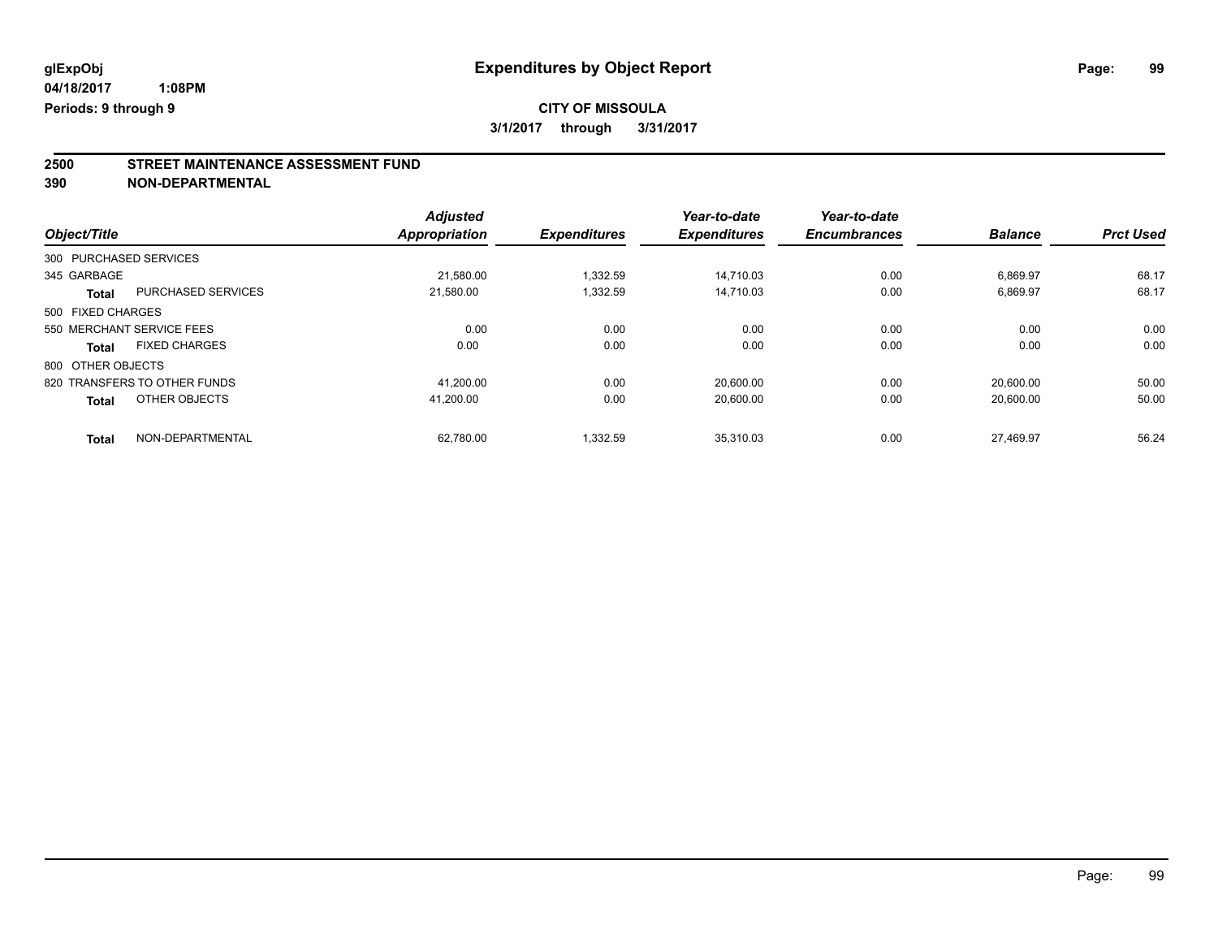**2500 STREET MAINTENANCE ASSESSMENT FUND**

**390 NON-DEPARTMENTAL**

|                        |                              | <b>Adjusted</b>      |                     | Year-to-date        | Year-to-date        |                |                  |
|------------------------|------------------------------|----------------------|---------------------|---------------------|---------------------|----------------|------------------|
| Object/Title           |                              | <b>Appropriation</b> | <b>Expenditures</b> | <b>Expenditures</b> | <b>Encumbrances</b> | <b>Balance</b> | <b>Prct Used</b> |
| 300 PURCHASED SERVICES |                              |                      |                     |                     |                     |                |                  |
| 345 GARBAGE            |                              | 21.580.00            | 1.332.59            | 14.710.03           | 0.00                | 6.869.97       | 68.17            |
| Total                  | PURCHASED SERVICES           | 21.580.00            | 1,332.59            | 14.710.03           | 0.00                | 6,869.97       | 68.17            |
| 500 FIXED CHARGES      |                              |                      |                     |                     |                     |                |                  |
|                        | 550 MERCHANT SERVICE FEES    | 0.00                 | 0.00                | 0.00                | 0.00                | 0.00           | 0.00             |
| Total                  | <b>FIXED CHARGES</b>         | 0.00                 | 0.00                | 0.00                | 0.00                | 0.00           | 0.00             |
| 800 OTHER OBJECTS      |                              |                      |                     |                     |                     |                |                  |
|                        | 820 TRANSFERS TO OTHER FUNDS | 41.200.00            | 0.00                | 20.600.00           | 0.00                | 20.600.00      | 50.00            |
| <b>Total</b>           | OTHER OBJECTS                | 41.200.00            | 0.00                | 20.600.00           | 0.00                | 20.600.00      | 50.00            |
| <b>Total</b>           | NON-DEPARTMENTAL             | 62.780.00            | 1.332.59            | 35.310.03           | 0.00                | 27.469.97      | 56.24            |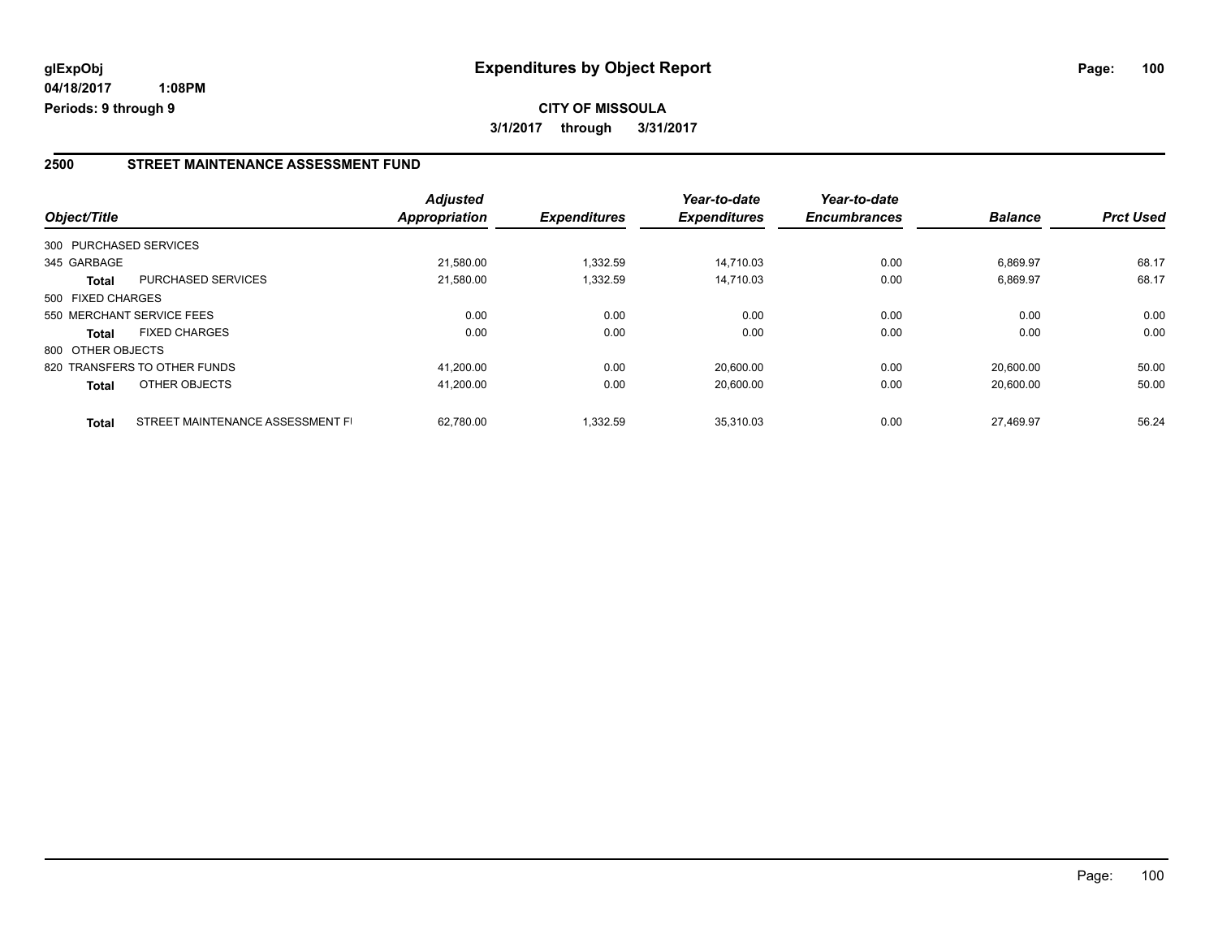#### **2500 STREET MAINTENANCE ASSESSMENT FUND**

| Object/Title           |                                  | <b>Adjusted</b><br>Appropriation | <b>Expenditures</b> | Year-to-date<br><b>Expenditures</b> | Year-to-date<br><b>Encumbrances</b> | <b>Balance</b> | <b>Prct Used</b> |
|------------------------|----------------------------------|----------------------------------|---------------------|-------------------------------------|-------------------------------------|----------------|------------------|
| 300 PURCHASED SERVICES |                                  |                                  |                     |                                     |                                     |                |                  |
| 345 GARBAGE            |                                  | 21,580.00                        | 1.332.59            | 14.710.03                           | 0.00                                | 6.869.97       | 68.17            |
| <b>Total</b>           | <b>PURCHASED SERVICES</b>        | 21,580.00                        | 1,332.59            | 14.710.03                           | 0.00                                | 6,869.97       | 68.17            |
| 500 FIXED CHARGES      |                                  |                                  |                     |                                     |                                     |                |                  |
|                        | 550 MERCHANT SERVICE FEES        | 0.00                             | 0.00                | 0.00                                | 0.00                                | 0.00           | 0.00             |
| <b>Total</b>           | <b>FIXED CHARGES</b>             | 0.00                             | 0.00                | 0.00                                | 0.00                                | 0.00           | 0.00             |
| 800 OTHER OBJECTS      |                                  |                                  |                     |                                     |                                     |                |                  |
|                        | 820 TRANSFERS TO OTHER FUNDS     | 41.200.00                        | 0.00                | 20.600.00                           | 0.00                                | 20.600.00      | 50.00            |
| <b>Total</b>           | OTHER OBJECTS                    | 41,200.00                        | 0.00                | 20,600.00                           | 0.00                                | 20.600.00      | 50.00            |
| <b>Total</b>           | STREET MAINTENANCE ASSESSMENT FI | 62.780.00                        | 1,332.59            | 35.310.03                           | 0.00                                | 27.469.97      | 56.24            |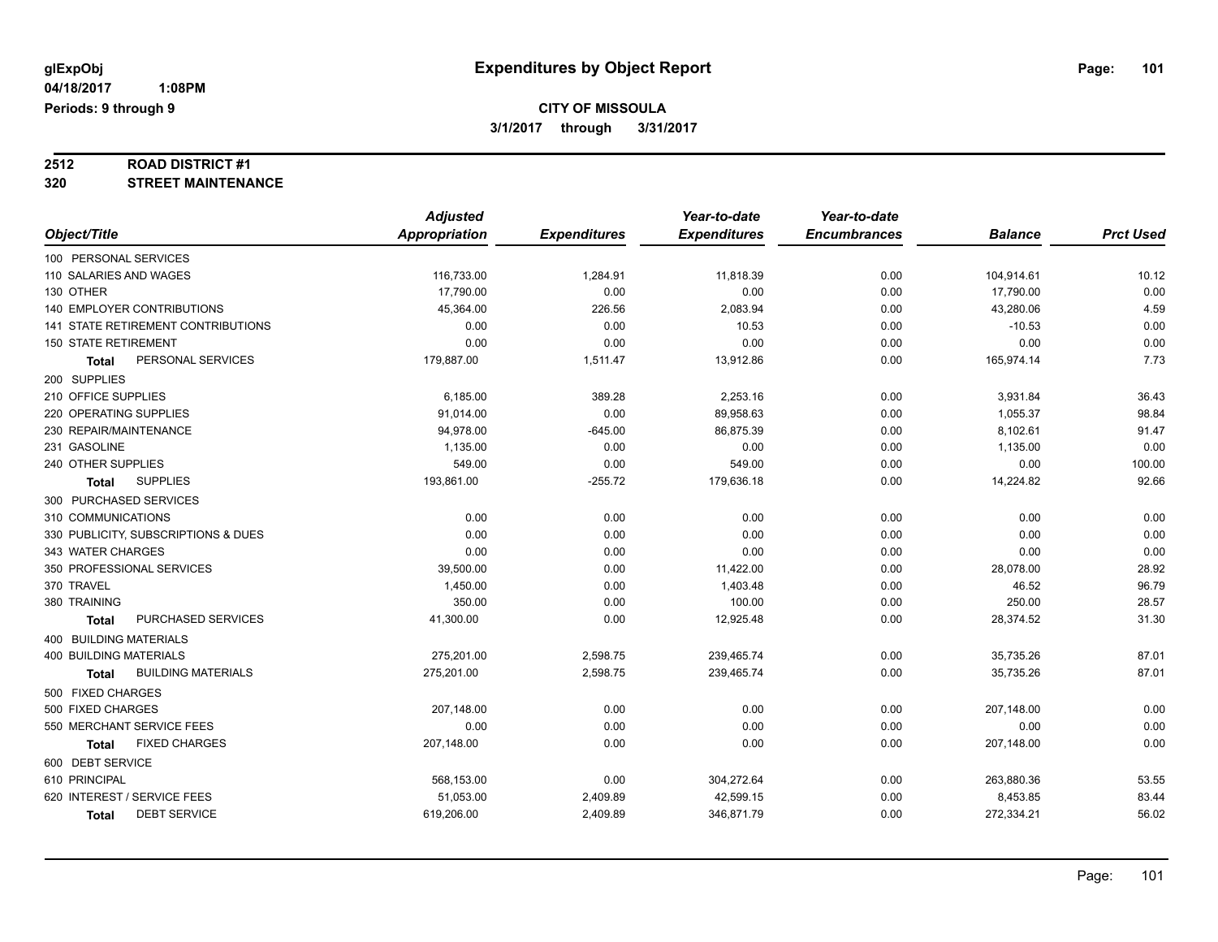# **2512 ROAD DISTRICT #1**

### **320 STREET MAINTENANCE**

|                                           | <b>Adjusted</b> |                     | Year-to-date        | Year-to-date        |                |                  |
|-------------------------------------------|-----------------|---------------------|---------------------|---------------------|----------------|------------------|
| Object/Title                              | Appropriation   | <b>Expenditures</b> | <b>Expenditures</b> | <b>Encumbrances</b> | <b>Balance</b> | <b>Prct Used</b> |
| 100 PERSONAL SERVICES                     |                 |                     |                     |                     |                |                  |
| 110 SALARIES AND WAGES                    | 116,733.00      | 1,284.91            | 11,818.39           | 0.00                | 104,914.61     | 10.12            |
| 130 OTHER                                 | 17,790.00       | 0.00                | 0.00                | 0.00                | 17,790.00      | 0.00             |
| 140 EMPLOYER CONTRIBUTIONS                | 45,364.00       | 226.56              | 2,083.94            | 0.00                | 43,280.06      | 4.59             |
| 141 STATE RETIREMENT CONTRIBUTIONS        | 0.00            | 0.00                | 10.53               | 0.00                | $-10.53$       | 0.00             |
| <b>150 STATE RETIREMENT</b>               | 0.00            | 0.00                | 0.00                | 0.00                | 0.00           | 0.00             |
| PERSONAL SERVICES<br>Total                | 179,887.00      | 1,511.47            | 13,912.86           | 0.00                | 165,974.14     | 7.73             |
| 200 SUPPLIES                              |                 |                     |                     |                     |                |                  |
| 210 OFFICE SUPPLIES                       | 6,185.00        | 389.28              | 2,253.16            | 0.00                | 3,931.84       | 36.43            |
| 220 OPERATING SUPPLIES                    | 91,014.00       | 0.00                | 89,958.63           | 0.00                | 1,055.37       | 98.84            |
| 230 REPAIR/MAINTENANCE                    | 94,978.00       | $-645.00$           | 86,875.39           | 0.00                | 8,102.61       | 91.47            |
| 231 GASOLINE                              | 1,135.00        | 0.00                | 0.00                | 0.00                | 1,135.00       | 0.00             |
| 240 OTHER SUPPLIES                        | 549.00          | 0.00                | 549.00              | 0.00                | 0.00           | 100.00           |
| <b>SUPPLIES</b><br><b>Total</b>           | 193,861.00      | $-255.72$           | 179,636.18          | 0.00                | 14,224.82      | 92.66            |
| 300 PURCHASED SERVICES                    |                 |                     |                     |                     |                |                  |
| 310 COMMUNICATIONS                        | 0.00            | 0.00                | 0.00                | 0.00                | 0.00           | 0.00             |
| 330 PUBLICITY, SUBSCRIPTIONS & DUES       | 0.00            | 0.00                | 0.00                | 0.00                | 0.00           | 0.00             |
| 343 WATER CHARGES                         | 0.00            | 0.00                | 0.00                | 0.00                | 0.00           | 0.00             |
| 350 PROFESSIONAL SERVICES                 | 39,500.00       | 0.00                | 11,422.00           | 0.00                | 28,078.00      | 28.92            |
| 370 TRAVEL                                | 1,450.00        | 0.00                | 1,403.48            | 0.00                | 46.52          | 96.79            |
| 380 TRAINING                              | 350.00          | 0.00                | 100.00              | 0.00                | 250.00         | 28.57            |
| PURCHASED SERVICES<br>Total               | 41,300.00       | 0.00                | 12,925.48           | 0.00                | 28,374.52      | 31.30            |
| 400 BUILDING MATERIALS                    |                 |                     |                     |                     |                |                  |
| 400 BUILDING MATERIALS                    | 275,201.00      | 2,598.75            | 239,465.74          | 0.00                | 35,735.26      | 87.01            |
| <b>BUILDING MATERIALS</b><br><b>Total</b> | 275,201.00      | 2,598.75            | 239,465.74          | 0.00                | 35,735.26      | 87.01            |
| 500 FIXED CHARGES                         |                 |                     |                     |                     |                |                  |
| 500 FIXED CHARGES                         | 207,148.00      | 0.00                | 0.00                | 0.00                | 207,148.00     | 0.00             |
| 550 MERCHANT SERVICE FEES                 | 0.00            | 0.00                | 0.00                | 0.00                | 0.00           | 0.00             |
| <b>FIXED CHARGES</b><br><b>Total</b>      | 207,148.00      | 0.00                | 0.00                | 0.00                | 207,148.00     | 0.00             |
| 600 DEBT SERVICE                          |                 |                     |                     |                     |                |                  |
| 610 PRINCIPAL                             | 568,153.00      | 0.00                | 304,272.64          | 0.00                | 263,880.36     | 53.55            |
| 620 INTEREST / SERVICE FEES               | 51,053.00       | 2,409.89            | 42,599.15           | 0.00                | 8,453.85       | 83.44            |
| <b>DEBT SERVICE</b><br><b>Total</b>       | 619,206.00      | 2,409.89            | 346,871.79          | 0.00                | 272,334.21     | 56.02            |
|                                           |                 |                     |                     |                     |                |                  |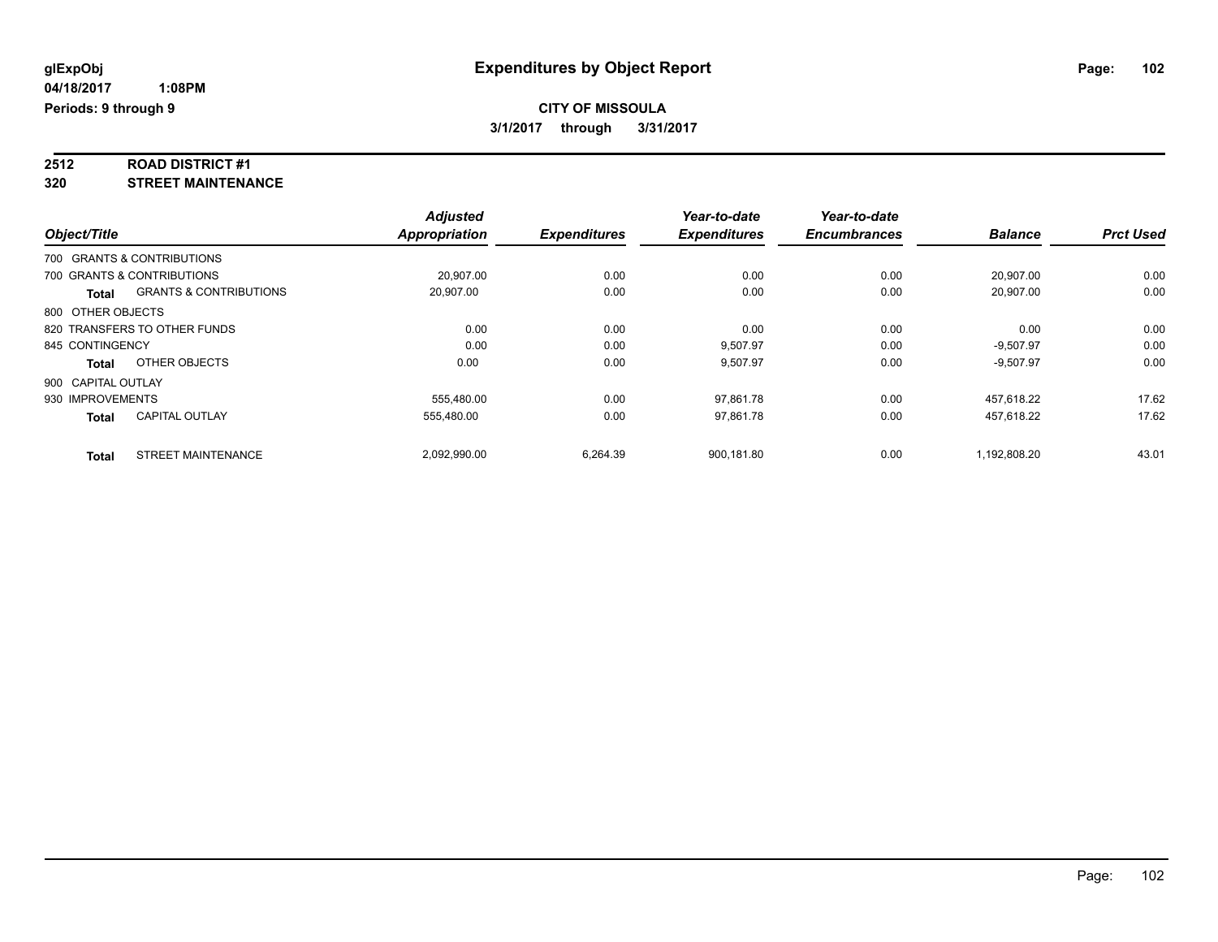# **2512 ROAD DISTRICT #1**

**320 STREET MAINTENANCE**

|                    |                                   | <b>Adjusted</b>      |                     | Year-to-date        | Year-to-date        |                |                  |
|--------------------|-----------------------------------|----------------------|---------------------|---------------------|---------------------|----------------|------------------|
| Object/Title       |                                   | <b>Appropriation</b> | <b>Expenditures</b> | <b>Expenditures</b> | <b>Encumbrances</b> | <b>Balance</b> | <b>Prct Used</b> |
|                    | 700 GRANTS & CONTRIBUTIONS        |                      |                     |                     |                     |                |                  |
|                    | 700 GRANTS & CONTRIBUTIONS        | 20.907.00            | 0.00                | 0.00                | 0.00                | 20,907.00      | 0.00             |
| <b>Total</b>       | <b>GRANTS &amp; CONTRIBUTIONS</b> | 20,907.00            | 0.00                | 0.00                | 0.00                | 20.907.00      | 0.00             |
| 800 OTHER OBJECTS  |                                   |                      |                     |                     |                     |                |                  |
|                    | 820 TRANSFERS TO OTHER FUNDS      | 0.00                 | 0.00                | 0.00                | 0.00                | 0.00           | 0.00             |
| 845 CONTINGENCY    |                                   | 0.00                 | 0.00                | 9,507.97            | 0.00                | $-9,507.97$    | 0.00             |
| <b>Total</b>       | OTHER OBJECTS                     | 0.00                 | 0.00                | 9,507.97            | 0.00                | $-9,507.97$    | 0.00             |
| 900 CAPITAL OUTLAY |                                   |                      |                     |                     |                     |                |                  |
| 930 IMPROVEMENTS   |                                   | 555,480.00           | 0.00                | 97,861.78           | 0.00                | 457,618.22     | 17.62            |
| <b>Total</b>       | <b>CAPITAL OUTLAY</b>             | 555.480.00           | 0.00                | 97,861.78           | 0.00                | 457.618.22     | 17.62            |
| <b>Total</b>       | <b>STREET MAINTENANCE</b>         | 2,092,990.00         | 6,264.39            | 900,181.80          | 0.00                | 1,192,808.20   | 43.01            |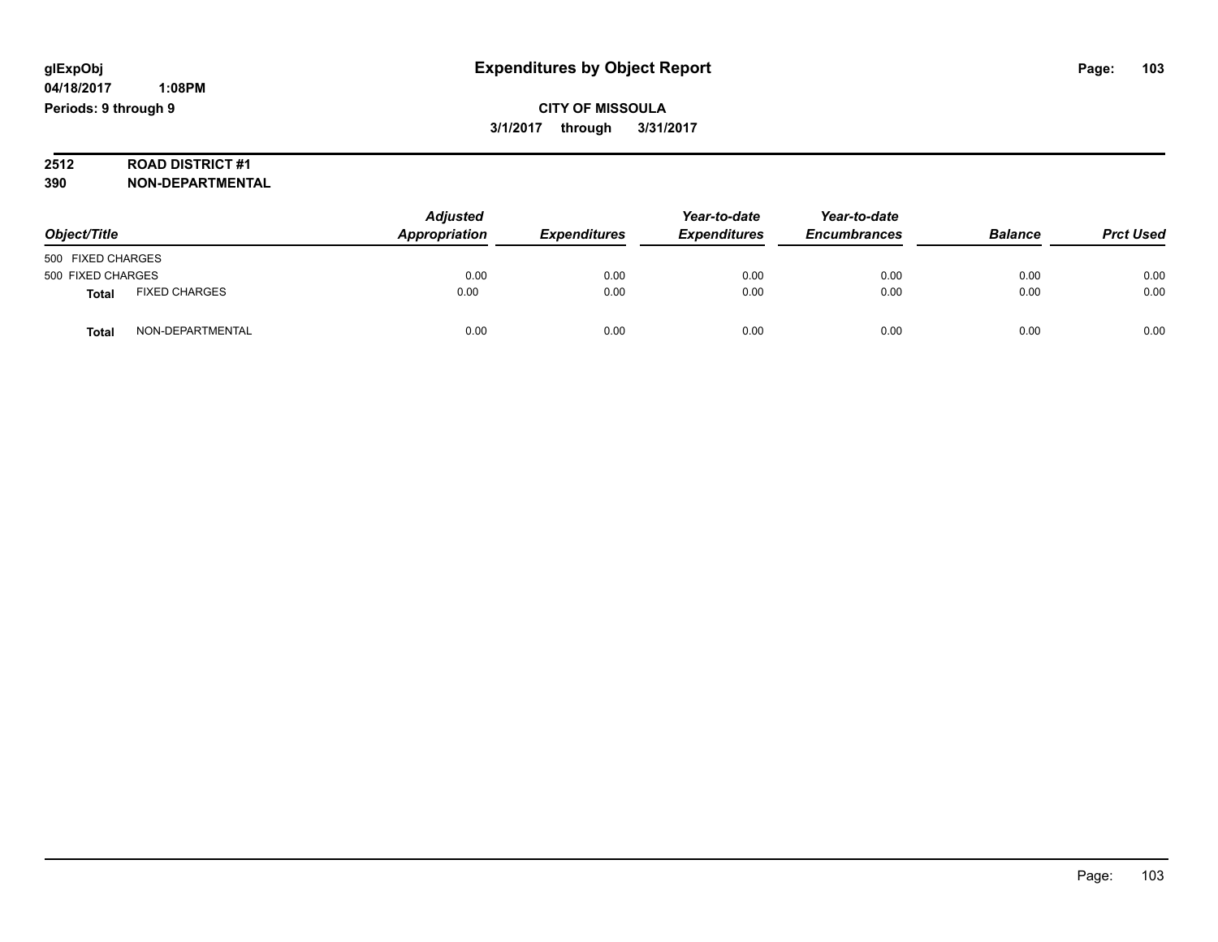**CITY OF MISSOULA 3/1/2017 through 3/31/2017**

# **2512 ROAD DISTRICT #1**

**390 NON-DEPARTMENTAL**

| Object/Title      |                      | <b>Adjusted</b><br>Appropriation | <b>Expenditures</b> | Year-to-date<br><b>Expenditures</b> | Year-to-date<br><b>Encumbrances</b> | <b>Balance</b> | <b>Prct Used</b> |
|-------------------|----------------------|----------------------------------|---------------------|-------------------------------------|-------------------------------------|----------------|------------------|
| 500 FIXED CHARGES |                      |                                  |                     |                                     |                                     |                |                  |
| 500 FIXED CHARGES |                      | 0.00                             | 0.00                | 0.00                                | 0.00                                | 0.00           | 0.00             |
| <b>Total</b>      | <b>FIXED CHARGES</b> | 0.00                             | 0.00                | 0.00                                | 0.00                                | 0.00           | 0.00             |
| Total             | NON-DEPARTMENTAL     | 0.00                             | 0.00                | 0.00                                | 0.00                                | 0.00           | 0.00             |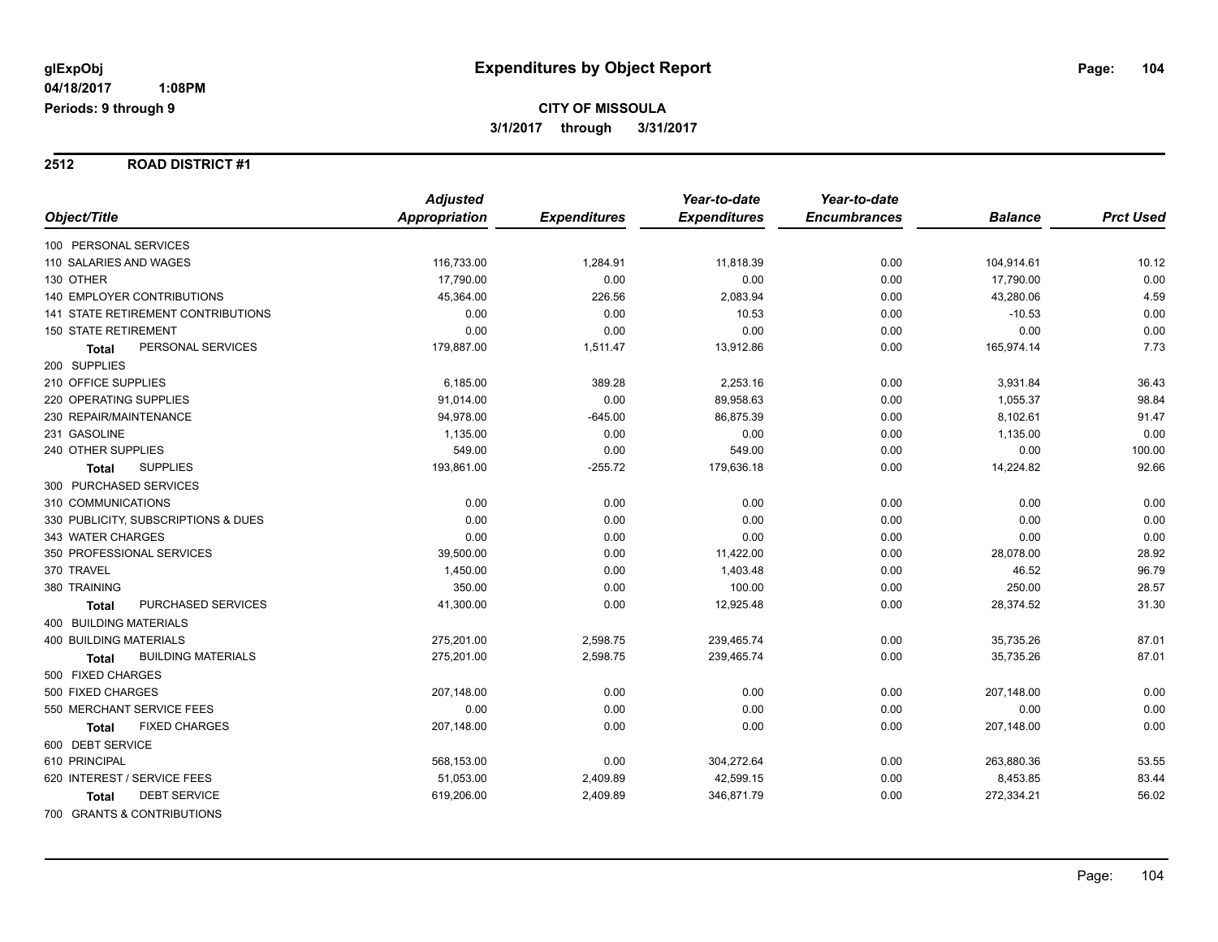#### **2512 ROAD DISTRICT #1**

|                                     | <b>Adjusted</b> |                     | Year-to-date        | Year-to-date        |                |                  |
|-------------------------------------|-----------------|---------------------|---------------------|---------------------|----------------|------------------|
| Object/Title                        | Appropriation   | <b>Expenditures</b> | <b>Expenditures</b> | <b>Encumbrances</b> | <b>Balance</b> | <b>Prct Used</b> |
| 100 PERSONAL SERVICES               |                 |                     |                     |                     |                |                  |
| 110 SALARIES AND WAGES              | 116,733.00      | 1,284.91            | 11,818.39           | 0.00                | 104,914.61     | 10.12            |
| 130 OTHER                           | 17,790.00       | 0.00                | 0.00                | 0.00                | 17,790.00      | 0.00             |
| <b>140 EMPLOYER CONTRIBUTIONS</b>   | 45,364.00       | 226.56              | 2,083.94            | 0.00                | 43,280.06      | 4.59             |
| 141 STATE RETIREMENT CONTRIBUTIONS  | 0.00            | 0.00                | 10.53               | 0.00                | $-10.53$       | 0.00             |
| 150 STATE RETIREMENT                | 0.00            | 0.00                | 0.00                | 0.00                | 0.00           | 0.00             |
| PERSONAL SERVICES<br><b>Total</b>   | 179,887.00      | 1,511.47            | 13,912.86           | 0.00                | 165,974.14     | 7.73             |
| 200 SUPPLIES                        |                 |                     |                     |                     |                |                  |
| 210 OFFICE SUPPLIES                 | 6,185.00        | 389.28              | 2,253.16            | 0.00                | 3,931.84       | 36.43            |
| 220 OPERATING SUPPLIES              | 91,014.00       | 0.00                | 89,958.63           | 0.00                | 1,055.37       | 98.84            |
| 230 REPAIR/MAINTENANCE              | 94,978.00       | $-645.00$           | 86,875.39           | 0.00                | 8,102.61       | 91.47            |
| 231 GASOLINE                        | 1,135.00        | 0.00                | 0.00                | 0.00                | 1,135.00       | 0.00             |
| 240 OTHER SUPPLIES                  | 549.00          | 0.00                | 549.00              | 0.00                | 0.00           | 100.00           |
| <b>SUPPLIES</b><br><b>Total</b>     | 193,861.00      | $-255.72$           | 179,636.18          | 0.00                | 14,224.82      | 92.66            |
| 300 PURCHASED SERVICES              |                 |                     |                     |                     |                |                  |
| 310 COMMUNICATIONS                  | 0.00            | 0.00                | 0.00                | 0.00                | 0.00           | 0.00             |
| 330 PUBLICITY, SUBSCRIPTIONS & DUES | 0.00            | 0.00                | 0.00                | 0.00                | 0.00           | 0.00             |
| 343 WATER CHARGES                   | 0.00            | 0.00                | 0.00                | 0.00                | 0.00           | 0.00             |
| 350 PROFESSIONAL SERVICES           | 39,500.00       | 0.00                | 11,422.00           | 0.00                | 28,078.00      | 28.92            |
| 370 TRAVEL                          | 1,450.00        | 0.00                | 1,403.48            | 0.00                | 46.52          | 96.79            |
| 380 TRAINING                        | 350.00          | 0.00                | 100.00              | 0.00                | 250.00         | 28.57            |
| PURCHASED SERVICES<br><b>Total</b>  | 41,300.00       | 0.00                | 12,925.48           | 0.00                | 28,374.52      | 31.30            |
| 400 BUILDING MATERIALS              |                 |                     |                     |                     |                |                  |
| <b>400 BUILDING MATERIALS</b>       | 275,201.00      | 2,598.75            | 239,465.74          | 0.00                | 35,735.26      | 87.01            |
| <b>BUILDING MATERIALS</b><br>Total  | 275,201.00      | 2,598.75            | 239,465.74          | 0.00                | 35,735.26      | 87.01            |
| 500 FIXED CHARGES                   |                 |                     |                     |                     |                |                  |
| 500 FIXED CHARGES                   | 207,148.00      | 0.00                | 0.00                | 0.00                | 207,148.00     | 0.00             |
| 550 MERCHANT SERVICE FEES           | 0.00            | 0.00                | 0.00                | 0.00                | 0.00           | 0.00             |
| <b>FIXED CHARGES</b><br>Total       | 207,148.00      | 0.00                | 0.00                | 0.00                | 207,148.00     | 0.00             |
| 600 DEBT SERVICE                    |                 |                     |                     |                     |                |                  |
| 610 PRINCIPAL                       | 568,153.00      | 0.00                | 304,272.64          | 0.00                | 263,880.36     | 53.55            |
| 620 INTEREST / SERVICE FEES         | 51,053.00       | 2,409.89            | 42,599.15           | 0.00                | 8,453.85       | 83.44            |
| <b>DEBT SERVICE</b><br><b>Total</b> | 619,206.00      | 2,409.89            | 346,871.79          | 0.00                | 272,334.21     | 56.02            |
| 700 GRANTS & CONTRIBUTIONS          |                 |                     |                     |                     |                |                  |

Page: 104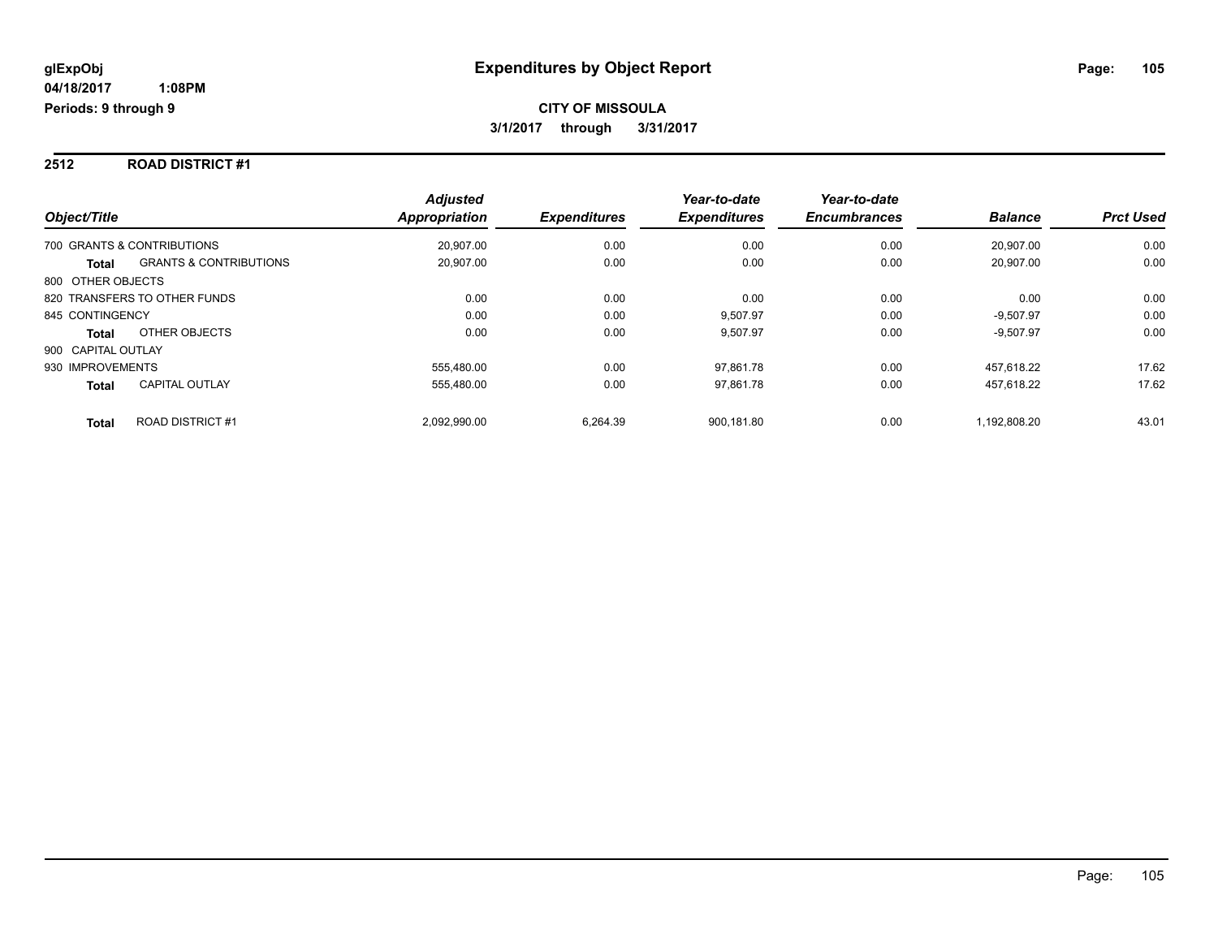#### **2512 ROAD DISTRICT #1**

| Object/Title                                      | <b>Adjusted</b><br><b>Appropriation</b> | <b>Expenditures</b> | Year-to-date<br><b>Expenditures</b> | Year-to-date<br><b>Encumbrances</b> | <b>Balance</b> | <b>Prct Used</b> |
|---------------------------------------------------|-----------------------------------------|---------------------|-------------------------------------|-------------------------------------|----------------|------------------|
| 700 GRANTS & CONTRIBUTIONS                        | 20.907.00                               | 0.00                | 0.00                                | 0.00                                | 20.907.00      | 0.00             |
| <b>GRANTS &amp; CONTRIBUTIONS</b><br><b>Total</b> | 20.907.00                               | 0.00                | 0.00                                | 0.00                                | 20.907.00      | 0.00             |
| 800 OTHER OBJECTS                                 |                                         |                     |                                     |                                     |                |                  |
| 820 TRANSFERS TO OTHER FUNDS                      | 0.00                                    | 0.00                | 0.00                                | 0.00                                | 0.00           | 0.00             |
| 845 CONTINGENCY                                   | 0.00                                    | 0.00                | 9,507.97                            | 0.00                                | $-9.507.97$    | 0.00             |
| OTHER OBJECTS<br><b>Total</b>                     | 0.00                                    | 0.00                | 9,507.97                            | 0.00                                | $-9,507.97$    | 0.00             |
| 900 CAPITAL OUTLAY                                |                                         |                     |                                     |                                     |                |                  |
| 930 IMPROVEMENTS                                  | 555.480.00                              | 0.00                | 97,861.78                           | 0.00                                | 457.618.22     | 17.62            |
| <b>CAPITAL OUTLAY</b><br><b>Total</b>             | 555.480.00                              | 0.00                | 97,861.78                           | 0.00                                | 457,618.22     | 17.62            |
| <b>ROAD DISTRICT#1</b><br><b>Total</b>            | 2,092,990.00                            | 6.264.39            | 900.181.80                          | 0.00                                | 1,192,808.20   | 43.01            |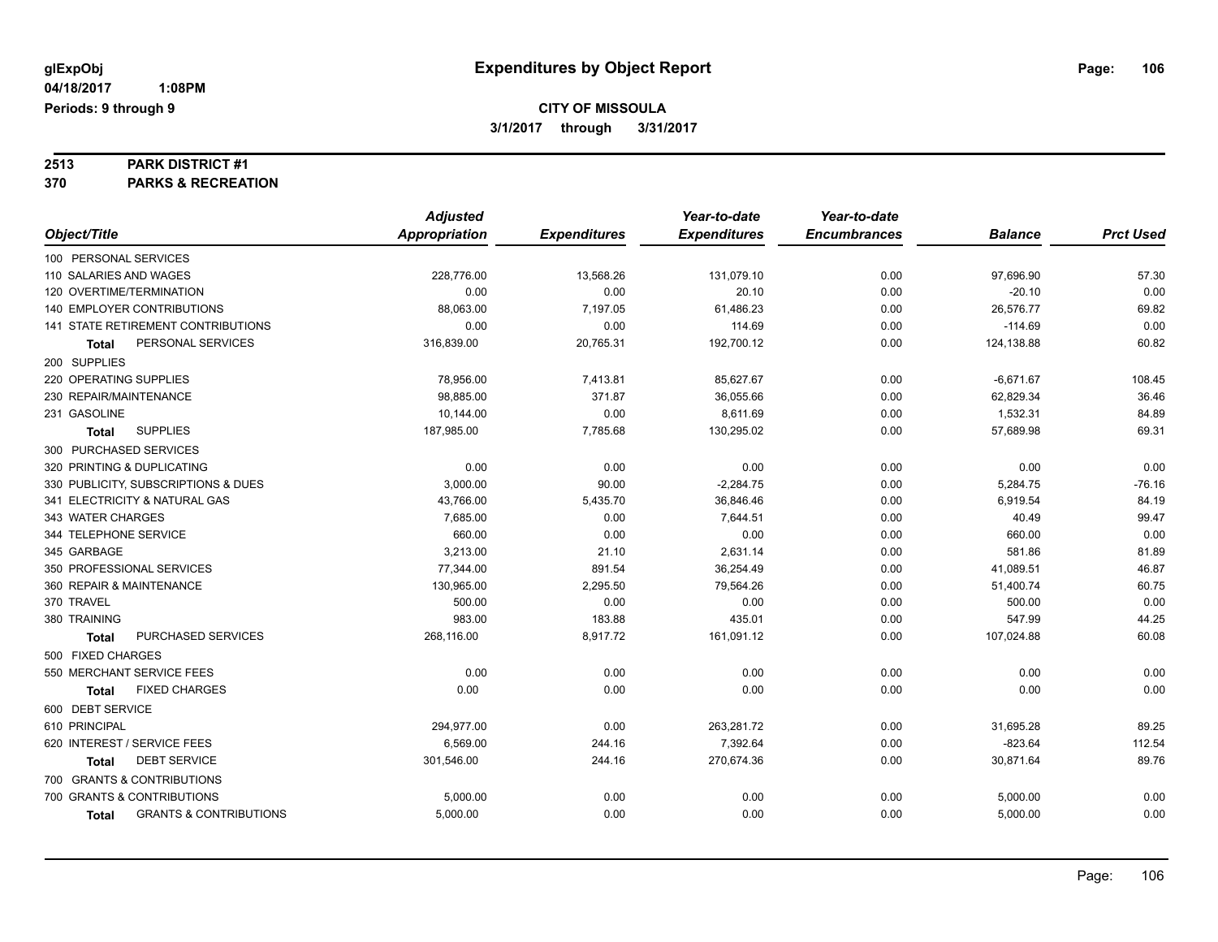# **2513 PARK DISTRICT #1**

**370 PARKS & RECREATION**

|                                                   | <b>Adjusted</b>      |                     | Year-to-date        | Year-to-date        |                |                  |
|---------------------------------------------------|----------------------|---------------------|---------------------|---------------------|----------------|------------------|
| Object/Title                                      | <b>Appropriation</b> | <b>Expenditures</b> | <b>Expenditures</b> | <b>Encumbrances</b> | <b>Balance</b> | <b>Prct Used</b> |
| 100 PERSONAL SERVICES                             |                      |                     |                     |                     |                |                  |
| 110 SALARIES AND WAGES                            | 228,776.00           | 13,568.26           | 131,079.10          | 0.00                | 97,696.90      | 57.30            |
| 120 OVERTIME/TERMINATION                          | 0.00                 | 0.00                | 20.10               | 0.00                | $-20.10$       | 0.00             |
| <b>140 EMPLOYER CONTRIBUTIONS</b>                 | 88,063.00            | 7,197.05            | 61,486.23           | 0.00                | 26,576.77      | 69.82            |
| 141 STATE RETIREMENT CONTRIBUTIONS                | 0.00                 | 0.00                | 114.69              | 0.00                | $-114.69$      | 0.00             |
| PERSONAL SERVICES<br>Total                        | 316,839.00           | 20,765.31           | 192,700.12          | 0.00                | 124,138.88     | 60.82            |
| 200 SUPPLIES                                      |                      |                     |                     |                     |                |                  |
| 220 OPERATING SUPPLIES                            | 78,956.00            | 7,413.81            | 85,627.67           | 0.00                | $-6,671.67$    | 108.45           |
| 230 REPAIR/MAINTENANCE                            | 98.885.00            | 371.87              | 36,055.66           | 0.00                | 62,829.34      | 36.46            |
| 231 GASOLINE                                      | 10,144.00            | 0.00                | 8,611.69            | 0.00                | 1,532.31       | 84.89            |
| <b>SUPPLIES</b><br>Total                          | 187,985.00           | 7,785.68            | 130,295.02          | 0.00                | 57,689.98      | 69.31            |
| 300 PURCHASED SERVICES                            |                      |                     |                     |                     |                |                  |
| 320 PRINTING & DUPLICATING                        | 0.00                 | 0.00                | 0.00                | 0.00                | 0.00           | 0.00             |
| 330 PUBLICITY, SUBSCRIPTIONS & DUES               | 3,000.00             | 90.00               | $-2,284.75$         | 0.00                | 5,284.75       | $-76.16$         |
| 341 ELECTRICITY & NATURAL GAS                     | 43,766.00            | 5,435.70            | 36,846.46           | 0.00                | 6,919.54       | 84.19            |
| 343 WATER CHARGES                                 | 7,685.00             | 0.00                | 7,644.51            | 0.00                | 40.49          | 99.47            |
| 344 TELEPHONE SERVICE                             | 660.00               | 0.00                | 0.00                | 0.00                | 660.00         | 0.00             |
| 345 GARBAGE                                       | 3,213.00             | 21.10               | 2,631.14            | 0.00                | 581.86         | 81.89            |
| 350 PROFESSIONAL SERVICES                         | 77,344.00            | 891.54              | 36,254.49           | 0.00                | 41,089.51      | 46.87            |
| 360 REPAIR & MAINTENANCE                          | 130,965.00           | 2,295.50            | 79,564.26           | 0.00                | 51,400.74      | 60.75            |
| 370 TRAVEL                                        | 500.00               | 0.00                | 0.00                | 0.00                | 500.00         | 0.00             |
| 380 TRAINING                                      | 983.00               | 183.88              | 435.01              | 0.00                | 547.99         | 44.25            |
| PURCHASED SERVICES<br><b>Total</b>                | 268,116.00           | 8,917.72            | 161,091.12          | 0.00                | 107,024.88     | 60.08            |
| 500 FIXED CHARGES                                 |                      |                     |                     |                     |                |                  |
| 550 MERCHANT SERVICE FEES                         | 0.00                 | 0.00                | 0.00                | 0.00                | 0.00           | 0.00             |
| <b>FIXED CHARGES</b><br><b>Total</b>              | 0.00                 | 0.00                | 0.00                | 0.00                | 0.00           | 0.00             |
| 600 DEBT SERVICE                                  |                      |                     |                     |                     |                |                  |
| 610 PRINCIPAL                                     | 294,977.00           | 0.00                | 263,281.72          | 0.00                | 31,695.28      | 89.25            |
| 620 INTEREST / SERVICE FEES                       | 6,569.00             | 244.16              | 7,392.64            | 0.00                | $-823.64$      | 112.54           |
| <b>DEBT SERVICE</b><br><b>Total</b>               | 301,546.00           | 244.16              | 270,674.36          | 0.00                | 30,871.64      | 89.76            |
| 700 GRANTS & CONTRIBUTIONS                        |                      |                     |                     |                     |                |                  |
| 700 GRANTS & CONTRIBUTIONS                        | 5,000.00             | 0.00                | 0.00                | 0.00                | 5,000.00       | 0.00             |
| <b>GRANTS &amp; CONTRIBUTIONS</b><br><b>Total</b> | 5,000.00             | 0.00                | 0.00                | 0.00                | 5,000.00       | 0.00             |
|                                                   |                      |                     |                     |                     |                |                  |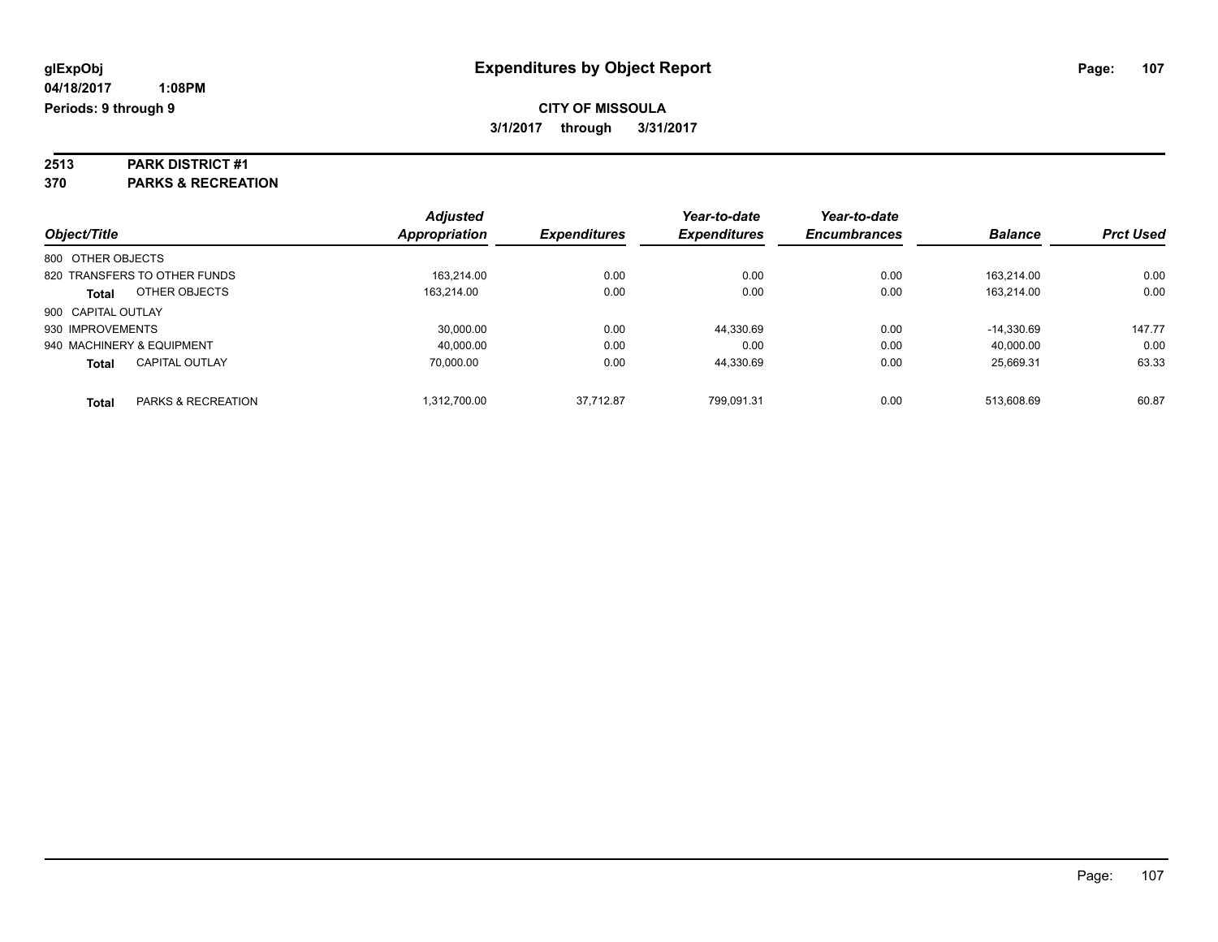# **2513 PARK DISTRICT #1**

**370 PARKS & RECREATION**

|                              |                               | <b>Adjusted</b> |                     | Year-to-date        | Year-to-date        |                |                  |
|------------------------------|-------------------------------|-----------------|---------------------|---------------------|---------------------|----------------|------------------|
| Object/Title                 |                               | Appropriation   | <b>Expenditures</b> | <b>Expenditures</b> | <b>Encumbrances</b> | <b>Balance</b> | <b>Prct Used</b> |
| 800 OTHER OBJECTS            |                               |                 |                     |                     |                     |                |                  |
| 820 TRANSFERS TO OTHER FUNDS |                               | 163.214.00      | 0.00                | 0.00                | 0.00                | 163.214.00     | 0.00             |
| <b>Total</b>                 | OTHER OBJECTS                 | 163.214.00      | 0.00                | 0.00                | 0.00                | 163.214.00     | 0.00             |
| 900 CAPITAL OUTLAY           |                               |                 |                     |                     |                     |                |                  |
| 930 IMPROVEMENTS             |                               | 30.000.00       | 0.00                | 44,330.69           | 0.00                | $-14.330.69$   | 147.77           |
| 940 MACHINERY & EQUIPMENT    |                               | 40.000.00       | 0.00                | 0.00                | 0.00                | 40.000.00      | 0.00             |
| <b>Total</b>                 | <b>CAPITAL OUTLAY</b>         | 70.000.00       | 0.00                | 44.330.69           | 0.00                | 25.669.31      | 63.33            |
| <b>Total</b>                 | <b>PARKS &amp; RECREATION</b> | 1.312.700.00    | 37.712.87           | 799.091.31          | 0.00                | 513.608.69     | 60.87            |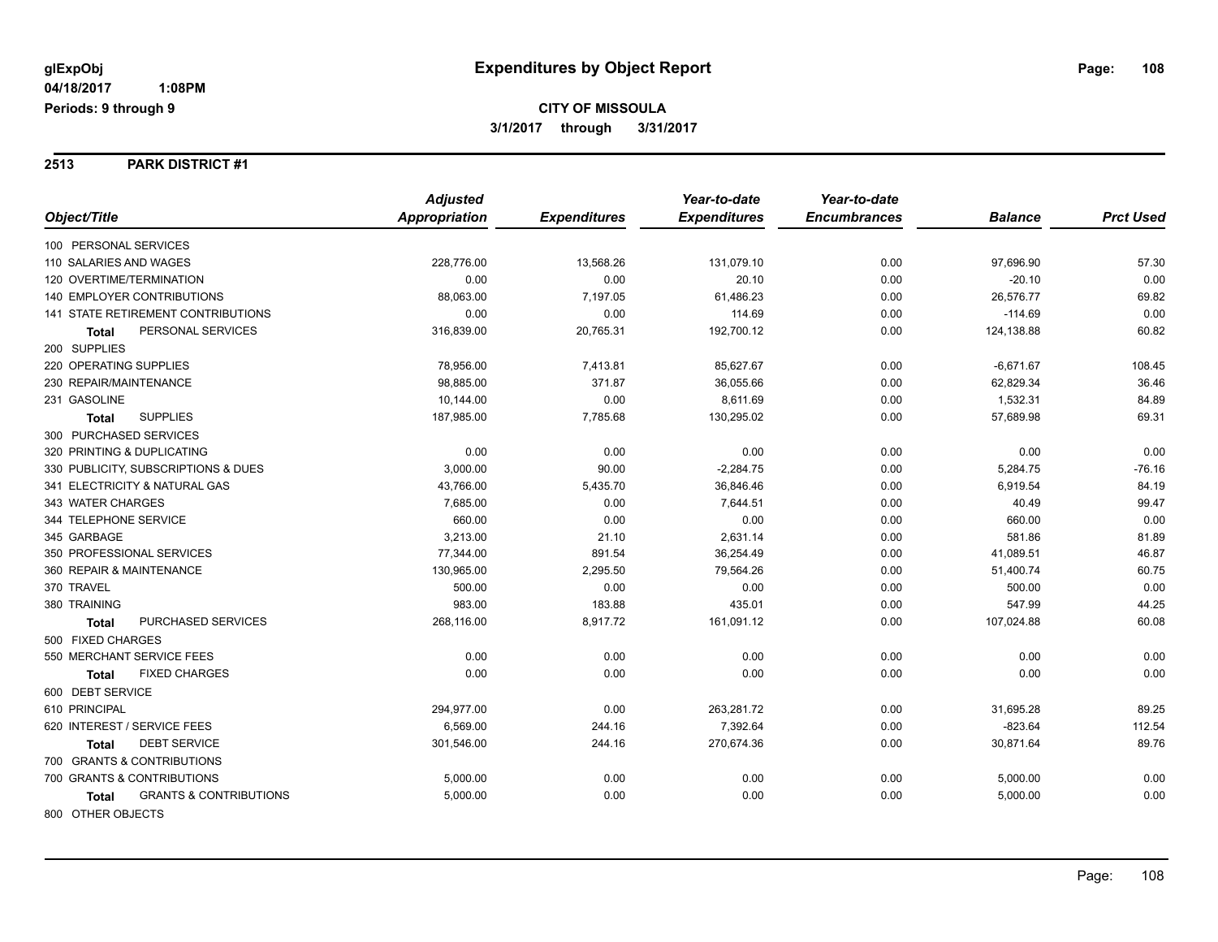#### **2513 PARK DISTRICT #1**

|                                                   | <b>Adjusted</b> |                     | Year-to-date        | Year-to-date        |                |                  |
|---------------------------------------------------|-----------------|---------------------|---------------------|---------------------|----------------|------------------|
| Object/Title                                      | Appropriation   | <b>Expenditures</b> | <b>Expenditures</b> | <b>Encumbrances</b> | <b>Balance</b> | <b>Prct Used</b> |
| 100 PERSONAL SERVICES                             |                 |                     |                     |                     |                |                  |
| 110 SALARIES AND WAGES                            | 228,776.00      | 13,568.26           | 131,079.10          | 0.00                | 97,696.90      | 57.30            |
| 120 OVERTIME/TERMINATION                          | 0.00            | 0.00                | 20.10               | 0.00                | $-20.10$       | 0.00             |
| <b>140 EMPLOYER CONTRIBUTIONS</b>                 | 88,063.00       | 7,197.05            | 61,486.23           | 0.00                | 26,576.77      | 69.82            |
| <b>141 STATE RETIREMENT CONTRIBUTIONS</b>         | 0.00            | 0.00                | 114.69              | 0.00                | $-114.69$      | 0.00             |
| PERSONAL SERVICES<br>Total                        | 316,839.00      | 20,765.31           | 192,700.12          | 0.00                | 124,138.88     | 60.82            |
| 200 SUPPLIES                                      |                 |                     |                     |                     |                |                  |
| 220 OPERATING SUPPLIES                            | 78,956.00       | 7,413.81            | 85,627.67           | 0.00                | $-6,671.67$    | 108.45           |
| 230 REPAIR/MAINTENANCE                            | 98,885.00       | 371.87              | 36,055.66           | 0.00                | 62,829.34      | 36.46            |
| 231 GASOLINE                                      | 10,144.00       | 0.00                | 8,611.69            | 0.00                | 1,532.31       | 84.89            |
| <b>SUPPLIES</b><br><b>Total</b>                   | 187,985.00      | 7,785.68            | 130,295.02          | 0.00                | 57,689.98      | 69.31            |
| 300 PURCHASED SERVICES                            |                 |                     |                     |                     |                |                  |
| 320 PRINTING & DUPLICATING                        | 0.00            | 0.00                | 0.00                | 0.00                | 0.00           | 0.00             |
| 330 PUBLICITY, SUBSCRIPTIONS & DUES               | 3,000.00        | 90.00               | $-2,284.75$         | 0.00                | 5,284.75       | $-76.16$         |
| 341 ELECTRICITY & NATURAL GAS                     | 43,766.00       | 5,435.70            | 36,846.46           | 0.00                | 6,919.54       | 84.19            |
| 343 WATER CHARGES                                 | 7,685.00        | 0.00                | 7,644.51            | 0.00                | 40.49          | 99.47            |
| 344 TELEPHONE SERVICE                             | 660.00          | 0.00                | 0.00                | 0.00                | 660.00         | 0.00             |
| 345 GARBAGE                                       | 3,213.00        | 21.10               | 2,631.14            | 0.00                | 581.86         | 81.89            |
| 350 PROFESSIONAL SERVICES                         | 77,344.00       | 891.54              | 36,254.49           | 0.00                | 41,089.51      | 46.87            |
| 360 REPAIR & MAINTENANCE                          | 130,965.00      | 2,295.50            | 79,564.26           | 0.00                | 51,400.74      | 60.75            |
| 370 TRAVEL                                        | 500.00          | 0.00                | 0.00                | 0.00                | 500.00         | 0.00             |
| 380 TRAINING                                      | 983.00          | 183.88              | 435.01              | 0.00                | 547.99         | 44.25            |
| PURCHASED SERVICES<br><b>Total</b>                | 268,116.00      | 8,917.72            | 161,091.12          | 0.00                | 107,024.88     | 60.08            |
| 500 FIXED CHARGES                                 |                 |                     |                     |                     |                |                  |
| 550 MERCHANT SERVICE FEES                         | 0.00            | 0.00                | 0.00                | 0.00                | 0.00           | 0.00             |
| <b>FIXED CHARGES</b><br>Total                     | 0.00            | 0.00                | 0.00                | 0.00                | 0.00           | 0.00             |
| 600 DEBT SERVICE                                  |                 |                     |                     |                     |                |                  |
| 610 PRINCIPAL                                     | 294,977.00      | 0.00                | 263,281.72          | 0.00                | 31,695.28      | 89.25            |
| 620 INTEREST / SERVICE FEES                       | 6,569.00        | 244.16              | 7,392.64            | 0.00                | $-823.64$      | 112.54           |
| <b>DEBT SERVICE</b><br>Total                      | 301,546.00      | 244.16              | 270,674.36          | 0.00                | 30,871.64      | 89.76            |
| 700 GRANTS & CONTRIBUTIONS                        |                 |                     |                     |                     |                |                  |
| 700 GRANTS & CONTRIBUTIONS                        | 5,000.00        | 0.00                | 0.00                | 0.00                | 5,000.00       | 0.00             |
| <b>GRANTS &amp; CONTRIBUTIONS</b><br><b>Total</b> | 5,000.00        | 0.00                | 0.00                | 0.00                | 5,000.00       | 0.00             |
| 800 OTHER OBJECTS                                 |                 |                     |                     |                     |                |                  |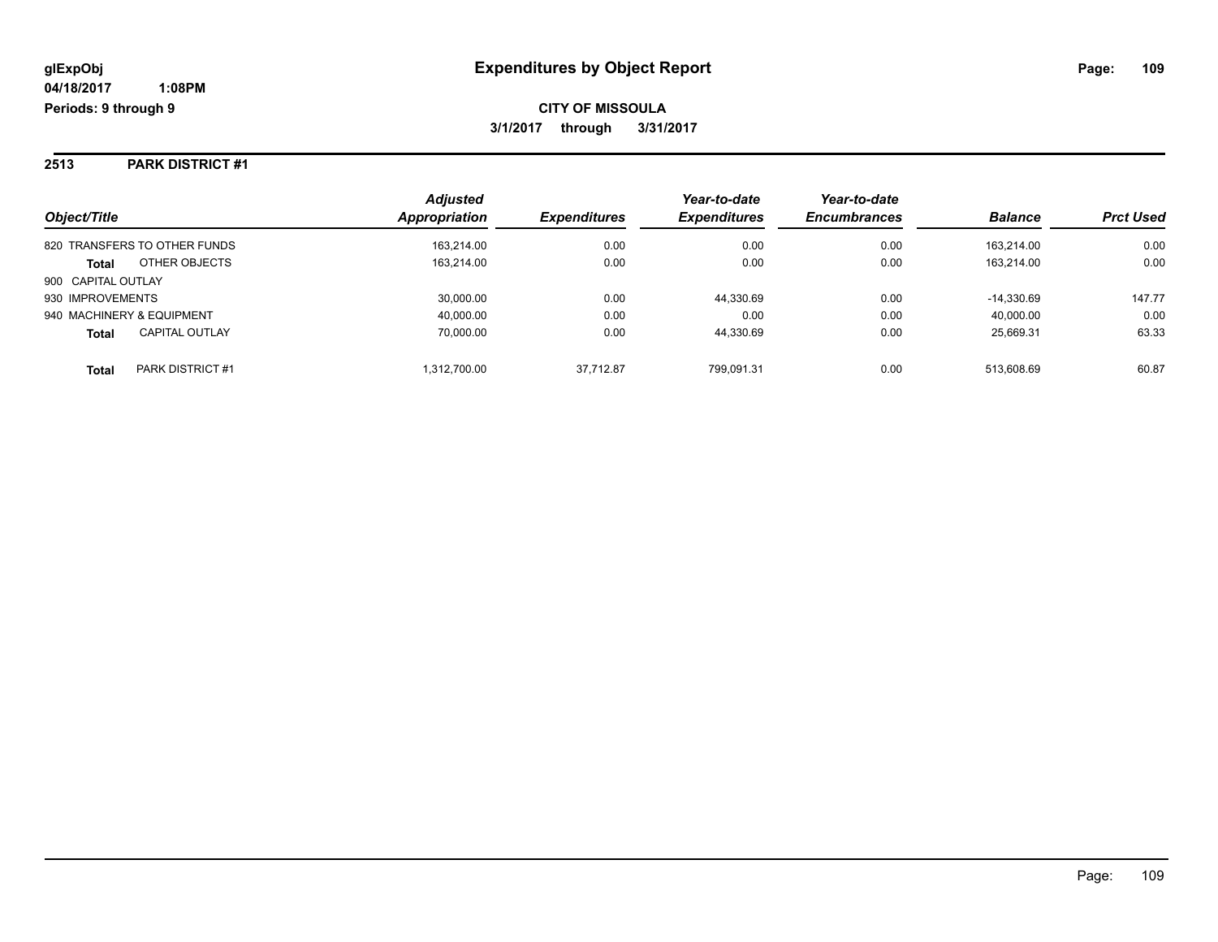#### **2513 PARK DISTRICT #1**

| Object/Title                          | <b>Adjusted</b><br>Appropriation | <b>Expenditures</b> | Year-to-date<br><b>Expenditures</b> | Year-to-date<br><b>Encumbrances</b> | <b>Balance</b> | <b>Prct Used</b> |
|---------------------------------------|----------------------------------|---------------------|-------------------------------------|-------------------------------------|----------------|------------------|
| 820 TRANSFERS TO OTHER FUNDS          | 163.214.00                       | 0.00                | 0.00                                | 0.00                                | 163.214.00     | 0.00             |
| OTHER OBJECTS<br><b>Total</b>         | 163,214.00                       | 0.00                | 0.00                                | 0.00                                | 163.214.00     | 0.00             |
| 900 CAPITAL OUTLAY                    |                                  |                     |                                     |                                     |                |                  |
| 930 IMPROVEMENTS                      | 30,000.00                        | 0.00                | 44,330.69                           | 0.00                                | $-14.330.69$   | 147.77           |
| 940 MACHINERY & EQUIPMENT             | 40,000.00                        | 0.00                | 0.00                                | 0.00                                | 40,000.00      | 0.00             |
| <b>CAPITAL OUTLAY</b><br><b>Total</b> | 70,000.00                        | 0.00                | 44.330.69                           | 0.00                                | 25.669.31      | 63.33            |
| PARK DISTRICT #1<br><b>Total</b>      | 1,312,700.00                     | 37.712.87           | 799.091.31                          | 0.00                                | 513.608.69     | 60.87            |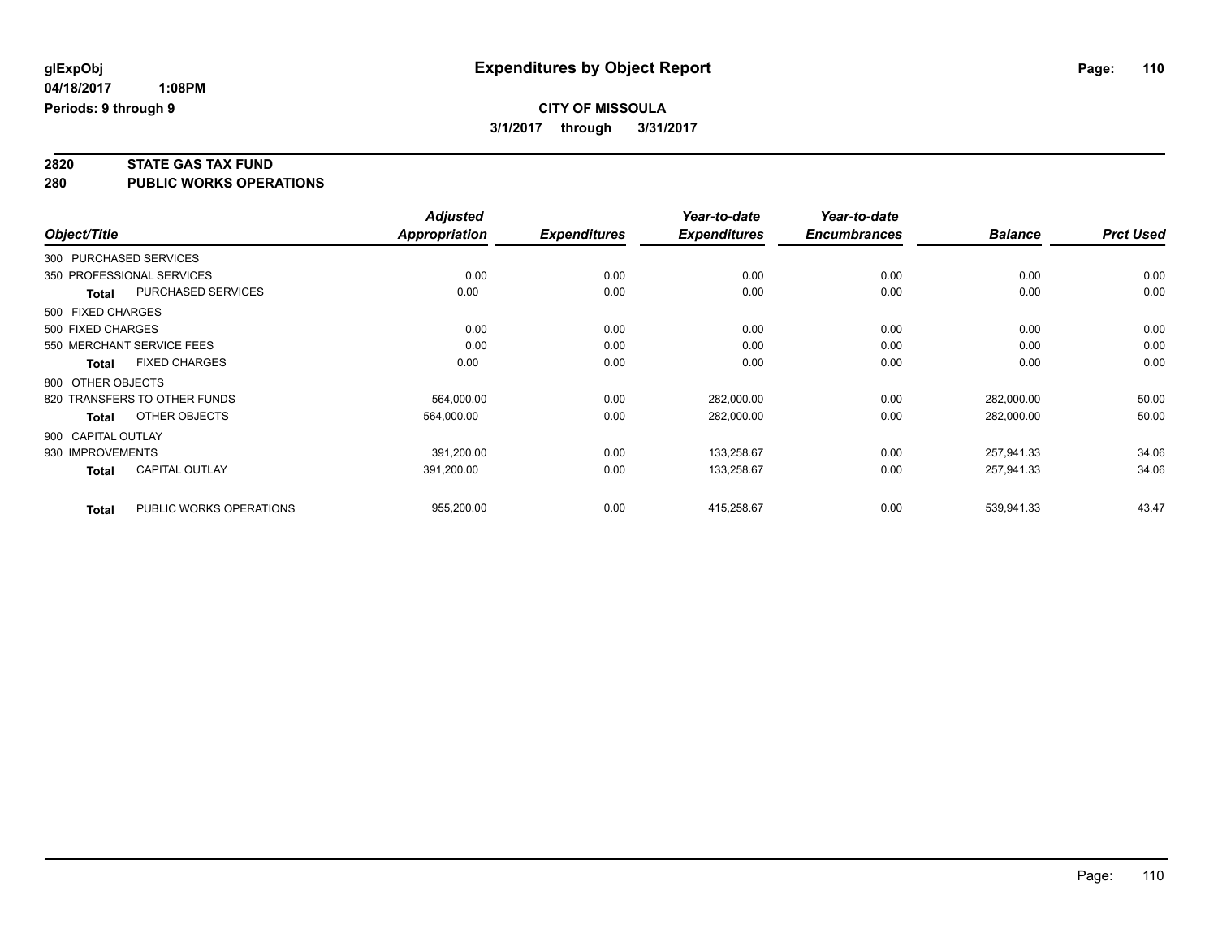# **2820 STATE GAS TAX FUND**

**280 PUBLIC WORKS OPERATIONS**

|                    |                              | <b>Adjusted</b>      |                     | Year-to-date        | Year-to-date        |                |                  |
|--------------------|------------------------------|----------------------|---------------------|---------------------|---------------------|----------------|------------------|
| Object/Title       |                              | <b>Appropriation</b> | <b>Expenditures</b> | <b>Expenditures</b> | <b>Encumbrances</b> | <b>Balance</b> | <b>Prct Used</b> |
|                    | 300 PURCHASED SERVICES       |                      |                     |                     |                     |                |                  |
|                    | 350 PROFESSIONAL SERVICES    | 0.00                 | 0.00                | 0.00                | 0.00                | 0.00           | 0.00             |
| <b>Total</b>       | PURCHASED SERVICES           | 0.00                 | 0.00                | 0.00                | 0.00                | 0.00           | 0.00             |
| 500 FIXED CHARGES  |                              |                      |                     |                     |                     |                |                  |
| 500 FIXED CHARGES  |                              | 0.00                 | 0.00                | 0.00                | 0.00                | 0.00           | 0.00             |
|                    | 550 MERCHANT SERVICE FEES    | 0.00                 | 0.00                | 0.00                | 0.00                | 0.00           | 0.00             |
| <b>Total</b>       | <b>FIXED CHARGES</b>         | 0.00                 | 0.00                | 0.00                | 0.00                | 0.00           | 0.00             |
| 800 OTHER OBJECTS  |                              |                      |                     |                     |                     |                |                  |
|                    | 820 TRANSFERS TO OTHER FUNDS | 564.000.00           | 0.00                | 282,000.00          | 0.00                | 282.000.00     | 50.00            |
| <b>Total</b>       | OTHER OBJECTS                | 564,000.00           | 0.00                | 282,000.00          | 0.00                | 282,000.00     | 50.00            |
| 900 CAPITAL OUTLAY |                              |                      |                     |                     |                     |                |                  |
| 930 IMPROVEMENTS   |                              | 391,200.00           | 0.00                | 133,258.67          | 0.00                | 257,941.33     | 34.06            |
| <b>Total</b>       | <b>CAPITAL OUTLAY</b>        | 391,200.00           | 0.00                | 133,258.67          | 0.00                | 257,941.33     | 34.06            |
| <b>Total</b>       | PUBLIC WORKS OPERATIONS      | 955,200.00           | 0.00                | 415,258.67          | 0.00                | 539,941.33     | 43.47            |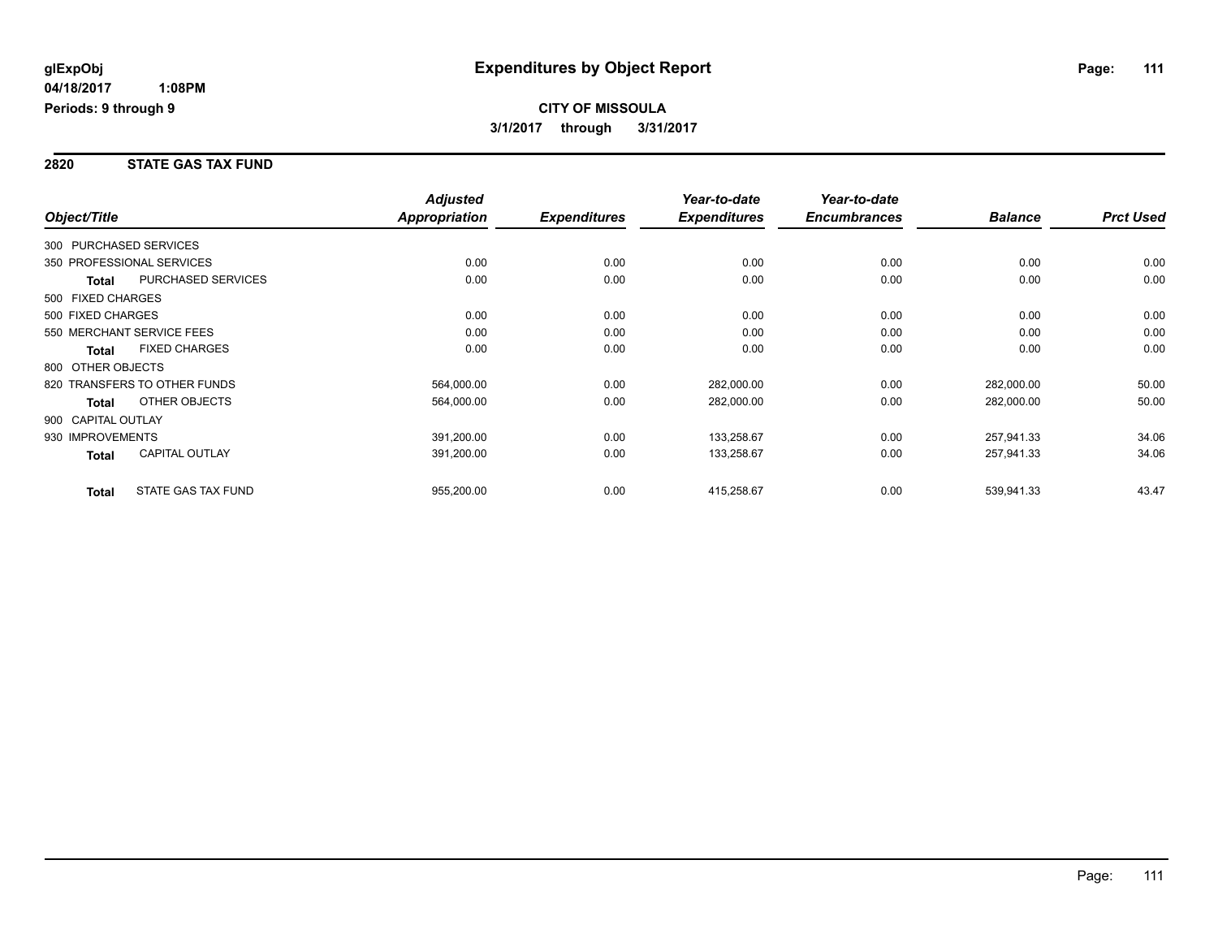#### **2820 STATE GAS TAX FUND**

|                        |                              | <b>Adjusted</b>      |                     | Year-to-date        | Year-to-date        |                |                  |
|------------------------|------------------------------|----------------------|---------------------|---------------------|---------------------|----------------|------------------|
| Object/Title           |                              | <b>Appropriation</b> | <b>Expenditures</b> | <b>Expenditures</b> | <b>Encumbrances</b> | <b>Balance</b> | <b>Prct Used</b> |
| 300 PURCHASED SERVICES |                              |                      |                     |                     |                     |                |                  |
|                        | 350 PROFESSIONAL SERVICES    | 0.00                 | 0.00                | 0.00                | 0.00                | 0.00           | 0.00             |
| Total                  | <b>PURCHASED SERVICES</b>    | 0.00                 | 0.00                | 0.00                | 0.00                | 0.00           | 0.00             |
| 500 FIXED CHARGES      |                              |                      |                     |                     |                     |                |                  |
| 500 FIXED CHARGES      |                              | 0.00                 | 0.00                | 0.00                | 0.00                | 0.00           | 0.00             |
|                        | 550 MERCHANT SERVICE FEES    | 0.00                 | 0.00                | 0.00                | 0.00                | 0.00           | 0.00             |
| <b>Total</b>           | <b>FIXED CHARGES</b>         | 0.00                 | 0.00                | 0.00                | 0.00                | 0.00           | 0.00             |
| 800 OTHER OBJECTS      |                              |                      |                     |                     |                     |                |                  |
|                        | 820 TRANSFERS TO OTHER FUNDS | 564,000.00           | 0.00                | 282,000.00          | 0.00                | 282,000.00     | 50.00            |
| <b>Total</b>           | OTHER OBJECTS                | 564,000.00           | 0.00                | 282,000.00          | 0.00                | 282,000.00     | 50.00            |
| 900 CAPITAL OUTLAY     |                              |                      |                     |                     |                     |                |                  |
| 930 IMPROVEMENTS       |                              | 391,200.00           | 0.00                | 133,258.67          | 0.00                | 257,941.33     | 34.06            |
| <b>Total</b>           | <b>CAPITAL OUTLAY</b>        | 391,200.00           | 0.00                | 133,258.67          | 0.00                | 257,941.33     | 34.06            |
| <b>Total</b>           | <b>STATE GAS TAX FUND</b>    | 955,200.00           | 0.00                | 415,258.67          | 0.00                | 539,941.33     | 43.47            |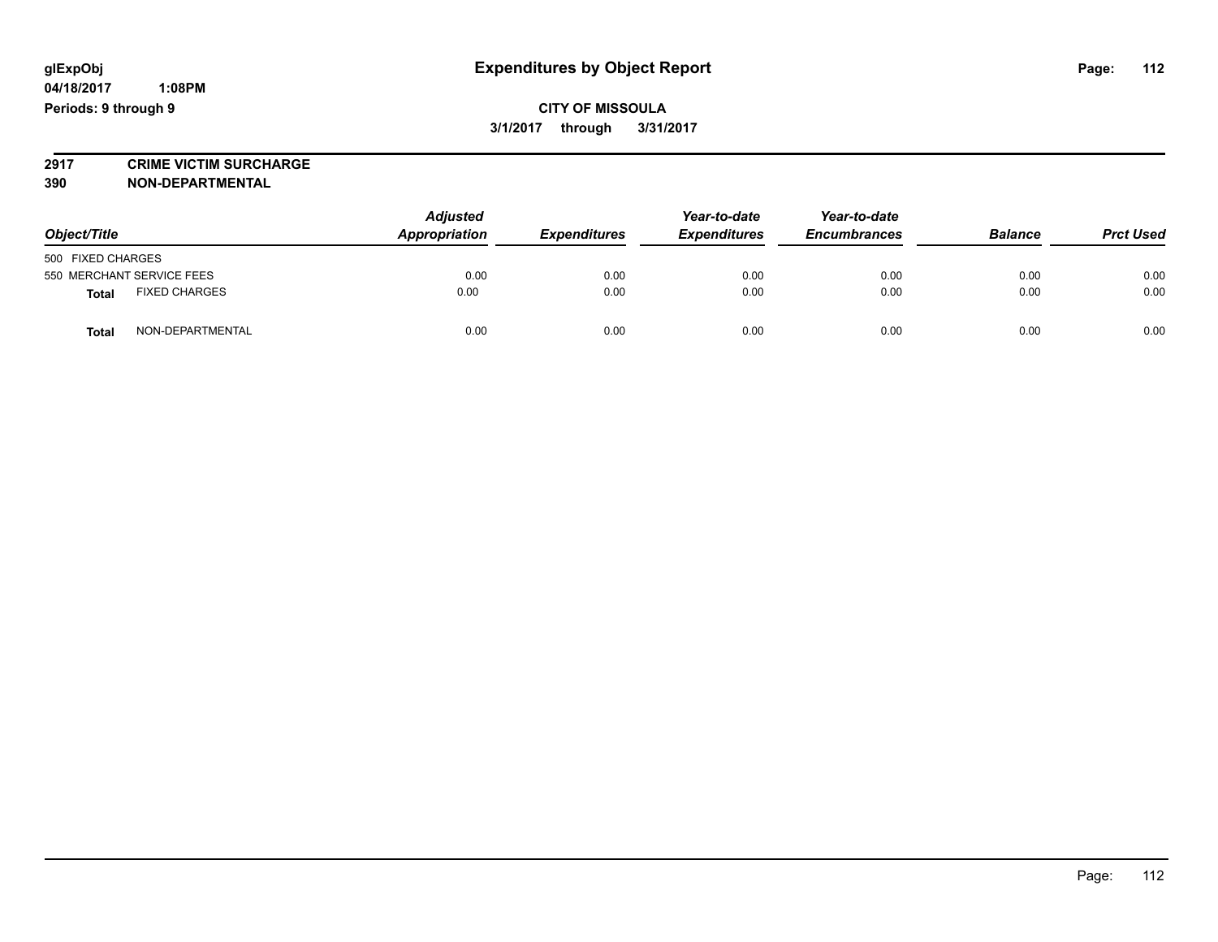### **CITY OF MISSOULA 3/1/2017 through 3/31/2017**

**2917 CRIME VICTIM SURCHARGE**

**390 NON-DEPARTMENTAL**

| Object/Title                         |  | <b>Adjusted</b><br>Appropriation<br><b>Expenditures</b> |      | Year-to-date<br><b>Expenditures</b> | Year-to-date<br><b>Encumbrances</b> | <b>Balance</b> | <b>Prct Used</b> |
|--------------------------------------|--|---------------------------------------------------------|------|-------------------------------------|-------------------------------------|----------------|------------------|
| 500 FIXED CHARGES                    |  |                                                         |      |                                     |                                     |                |                  |
| 550 MERCHANT SERVICE FEES            |  | 0.00                                                    | 0.00 | 0.00                                | 0.00                                | 0.00           | 0.00             |
| <b>FIXED CHARGES</b><br><b>Total</b> |  | 0.00                                                    | 0.00 | 0.00                                | 0.00                                | 0.00           | 0.00             |
| NON-DEPARTMENTAL<br><b>Total</b>     |  | 0.00                                                    | 0.00 | 0.00                                | 0.00                                | 0.00           | 0.00             |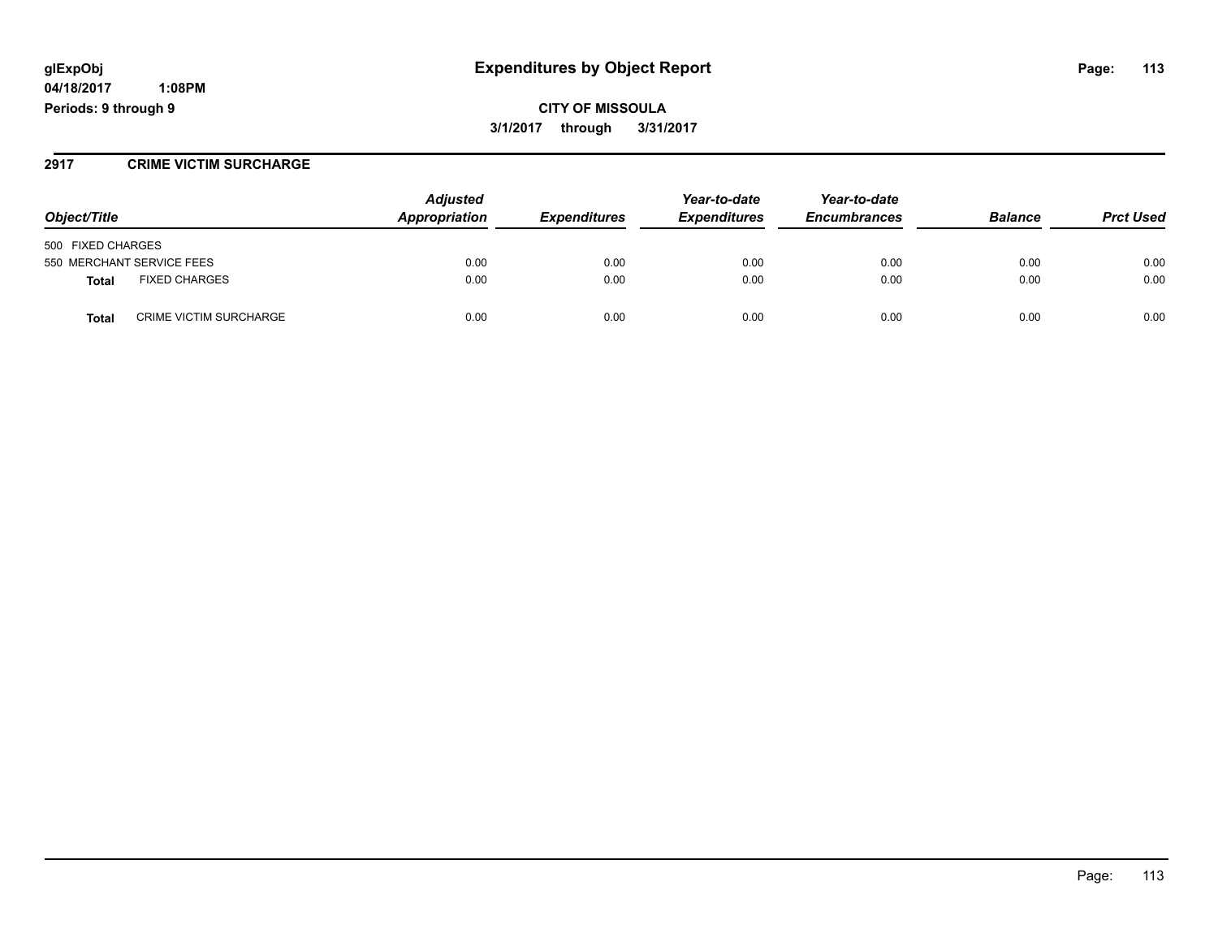## **glExpObj Expenditures by Object Report Page: 113**

**04/18/2017 1:08PM Periods: 9 through 9**

#### **2917 CRIME VICTIM SURCHARGE**

| Object/Title                           | <b>Adjusted</b><br>Appropriation | <i><b>Expenditures</b></i> | Year-to-date<br><b>Expenditures</b> | Year-to-date<br><b>Encumbrances</b> | <b>Balance</b> | <b>Prct Used</b> |
|----------------------------------------|----------------------------------|----------------------------|-------------------------------------|-------------------------------------|----------------|------------------|
| 500 FIXED CHARGES                      |                                  |                            |                                     |                                     |                |                  |
| 550 MERCHANT SERVICE FEES              | 0.00                             | 0.00                       | 0.00                                | 0.00                                | 0.00           | 0.00             |
| <b>FIXED CHARGES</b><br>Total          | 0.00                             | 0.00                       | 0.00                                | 0.00                                | 0.00           | 0.00             |
| <b>CRIME VICTIM SURCHARGE</b><br>Total | 0.00                             | 0.00                       | 0.00                                | 0.00                                | 0.00           | 0.00             |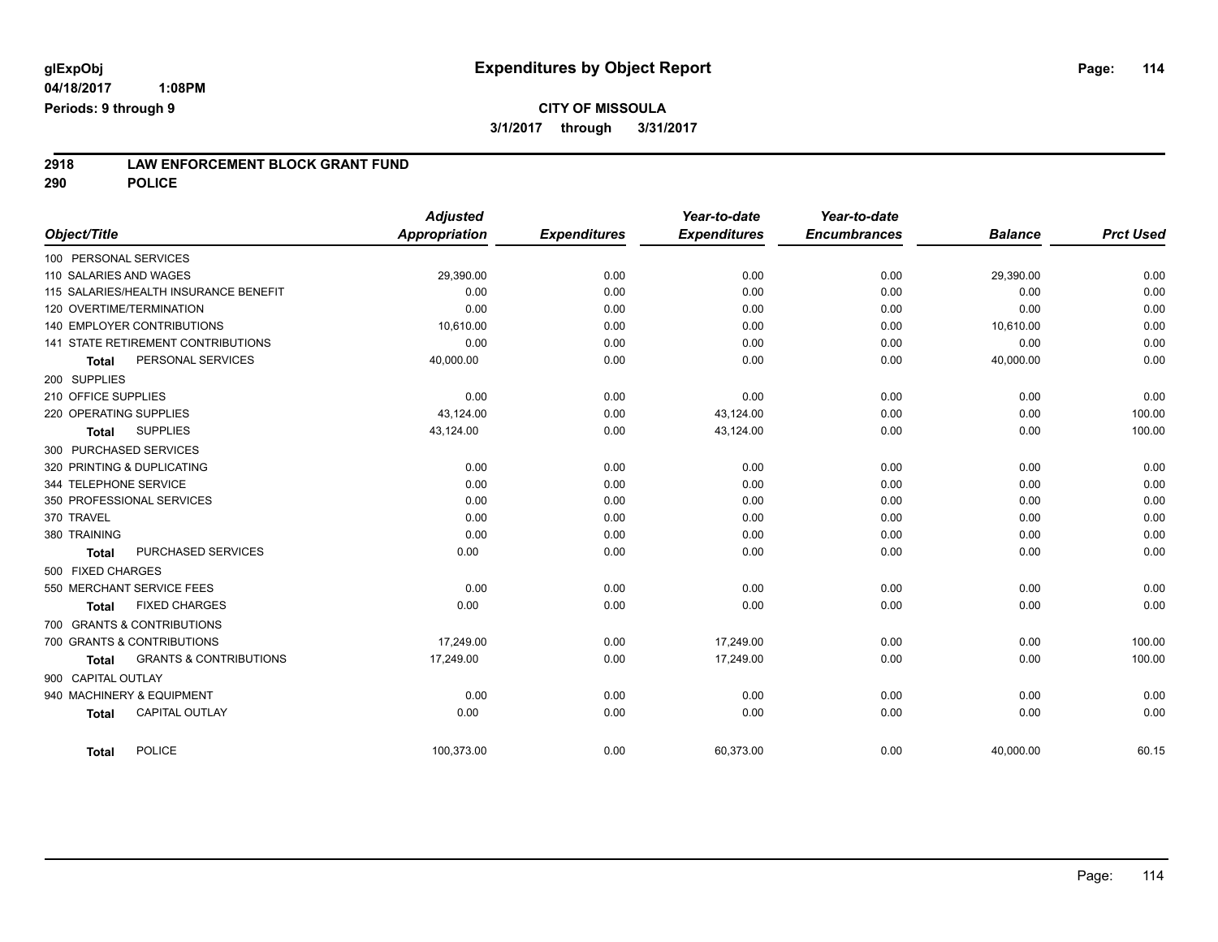# **2918 LAW ENFORCEMENT BLOCK GRANT FUND**

**290 POLICE**

|                                                   | <b>Adjusted</b>      |                     | Year-to-date        | Year-to-date        |                |                  |
|---------------------------------------------------|----------------------|---------------------|---------------------|---------------------|----------------|------------------|
| Object/Title                                      | <b>Appropriation</b> | <b>Expenditures</b> | <b>Expenditures</b> | <b>Encumbrances</b> | <b>Balance</b> | <b>Prct Used</b> |
| 100 PERSONAL SERVICES                             |                      |                     |                     |                     |                |                  |
| 110 SALARIES AND WAGES                            | 29,390.00            | 0.00                | 0.00                | 0.00                | 29,390.00      | 0.00             |
| 115 SALARIES/HEALTH INSURANCE BENEFIT             | 0.00                 | 0.00                | 0.00                | 0.00                | 0.00           | 0.00             |
| 120 OVERTIME/TERMINATION                          | 0.00                 | 0.00                | 0.00                | 0.00                | 0.00           | 0.00             |
| 140 EMPLOYER CONTRIBUTIONS                        | 10,610.00            | 0.00                | 0.00                | 0.00                | 10,610.00      | 0.00             |
| 141 STATE RETIREMENT CONTRIBUTIONS                | 0.00                 | 0.00                | 0.00                | 0.00                | 0.00           | 0.00             |
| PERSONAL SERVICES<br><b>Total</b>                 | 40,000.00            | 0.00                | 0.00                | 0.00                | 40,000.00      | 0.00             |
| 200 SUPPLIES                                      |                      |                     |                     |                     |                |                  |
| 210 OFFICE SUPPLIES                               | 0.00                 | 0.00                | 0.00                | 0.00                | 0.00           | 0.00             |
| 220 OPERATING SUPPLIES                            | 43,124.00            | 0.00                | 43,124.00           | 0.00                | 0.00           | 100.00           |
| <b>SUPPLIES</b><br><b>Total</b>                   | 43,124.00            | 0.00                | 43,124.00           | 0.00                | 0.00           | 100.00           |
| 300 PURCHASED SERVICES                            |                      |                     |                     |                     |                |                  |
| 320 PRINTING & DUPLICATING                        | 0.00                 | 0.00                | 0.00                | 0.00                | 0.00           | 0.00             |
| 344 TELEPHONE SERVICE                             | 0.00                 | 0.00                | 0.00                | 0.00                | 0.00           | 0.00             |
| 350 PROFESSIONAL SERVICES                         | 0.00                 | 0.00                | 0.00                | 0.00                | 0.00           | 0.00             |
| 370 TRAVEL                                        | 0.00                 | 0.00                | 0.00                | 0.00                | 0.00           | 0.00             |
| 380 TRAINING                                      | 0.00                 | 0.00                | 0.00                | 0.00                | 0.00           | 0.00             |
| PURCHASED SERVICES<br><b>Total</b>                | 0.00                 | 0.00                | 0.00                | 0.00                | 0.00           | 0.00             |
| 500 FIXED CHARGES                                 |                      |                     |                     |                     |                |                  |
| 550 MERCHANT SERVICE FEES                         | 0.00                 | 0.00                | 0.00                | 0.00                | 0.00           | 0.00             |
| <b>FIXED CHARGES</b><br><b>Total</b>              | 0.00                 | 0.00                | 0.00                | 0.00                | 0.00           | 0.00             |
| 700 GRANTS & CONTRIBUTIONS                        |                      |                     |                     |                     |                |                  |
| 700 GRANTS & CONTRIBUTIONS                        | 17,249.00            | 0.00                | 17,249.00           | 0.00                | 0.00           | 100.00           |
| <b>GRANTS &amp; CONTRIBUTIONS</b><br><b>Total</b> | 17,249.00            | 0.00                | 17,249.00           | 0.00                | 0.00           | 100.00           |
| 900 CAPITAL OUTLAY                                |                      |                     |                     |                     |                |                  |
| 940 MACHINERY & EQUIPMENT                         | 0.00                 | 0.00                | 0.00                | 0.00                | 0.00           | 0.00             |
| <b>CAPITAL OUTLAY</b><br><b>Total</b>             | 0.00                 | 0.00                | 0.00                | 0.00                | 0.00           | 0.00             |
|                                                   |                      |                     |                     |                     |                |                  |
| <b>POLICE</b><br><b>Total</b>                     | 100,373.00           | 0.00                | 60,373.00           | 0.00                | 40,000.00      | 60.15            |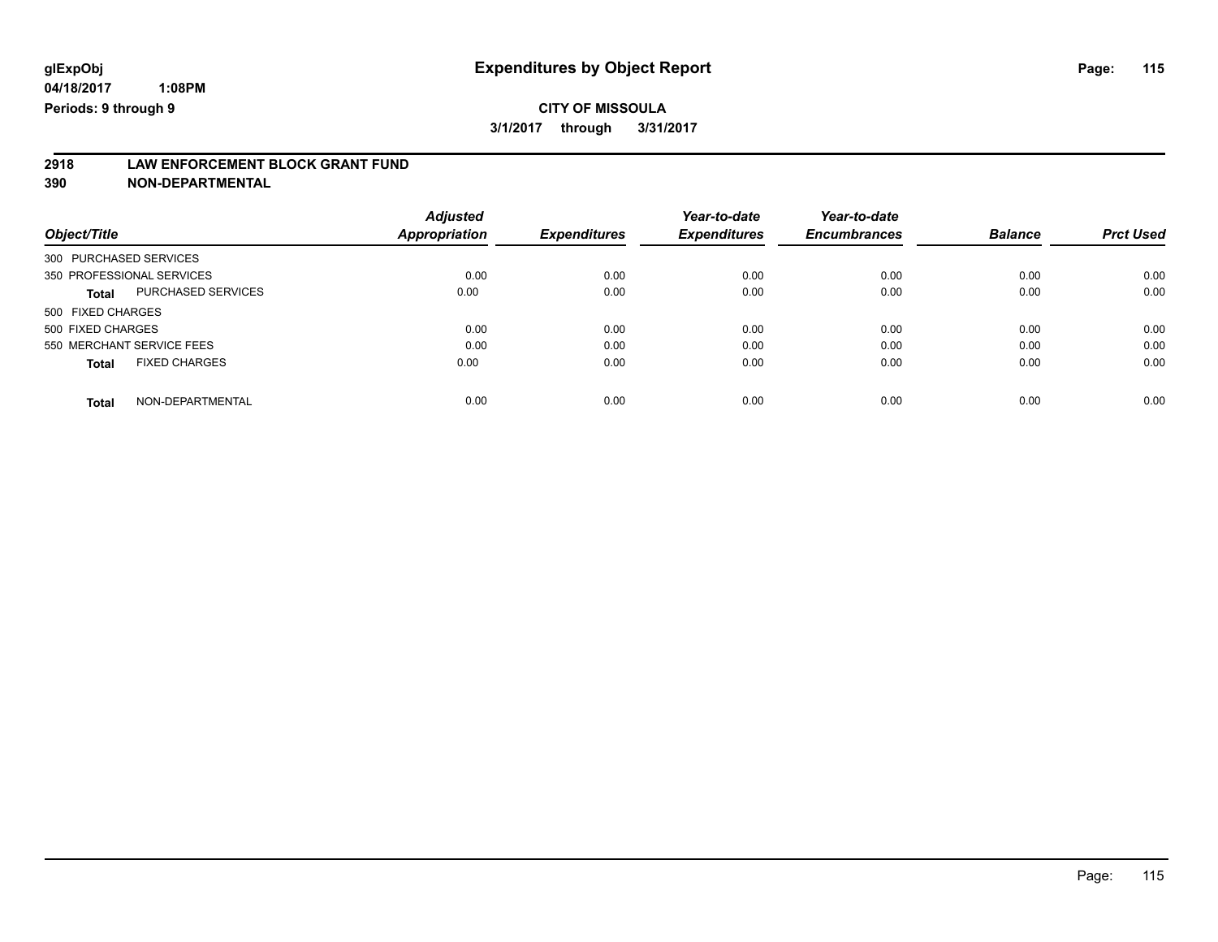# **2918 LAW ENFORCEMENT BLOCK GRANT FUND**

**390 NON-DEPARTMENTAL**

|                                           | <b>Adjusted</b> |                     | Year-to-date        | Year-to-date        |                |                  |
|-------------------------------------------|-----------------|---------------------|---------------------|---------------------|----------------|------------------|
| Object/Title                              | Appropriation   | <b>Expenditures</b> | <b>Expenditures</b> | <b>Encumbrances</b> | <b>Balance</b> | <b>Prct Used</b> |
| 300 PURCHASED SERVICES                    |                 |                     |                     |                     |                |                  |
| 350 PROFESSIONAL SERVICES                 | 0.00            | 0.00                | 0.00                | 0.00                | 0.00           | 0.00             |
| <b>PURCHASED SERVICES</b><br><b>Total</b> | 0.00            | 0.00                | 0.00                | 0.00                | 0.00           | 0.00             |
| 500 FIXED CHARGES                         |                 |                     |                     |                     |                |                  |
| 500 FIXED CHARGES                         | 0.00            | 0.00                | 0.00                | 0.00                | 0.00           | 0.00             |
| 550 MERCHANT SERVICE FEES                 | 0.00            | 0.00                | 0.00                | 0.00                | 0.00           | 0.00             |
| <b>FIXED CHARGES</b><br><b>Total</b>      | 0.00            | 0.00                | 0.00                | 0.00                | 0.00           | 0.00             |
| NON-DEPARTMENTAL<br><b>Total</b>          | 0.00            | 0.00                | 0.00                | 0.00                | 0.00           | 0.00             |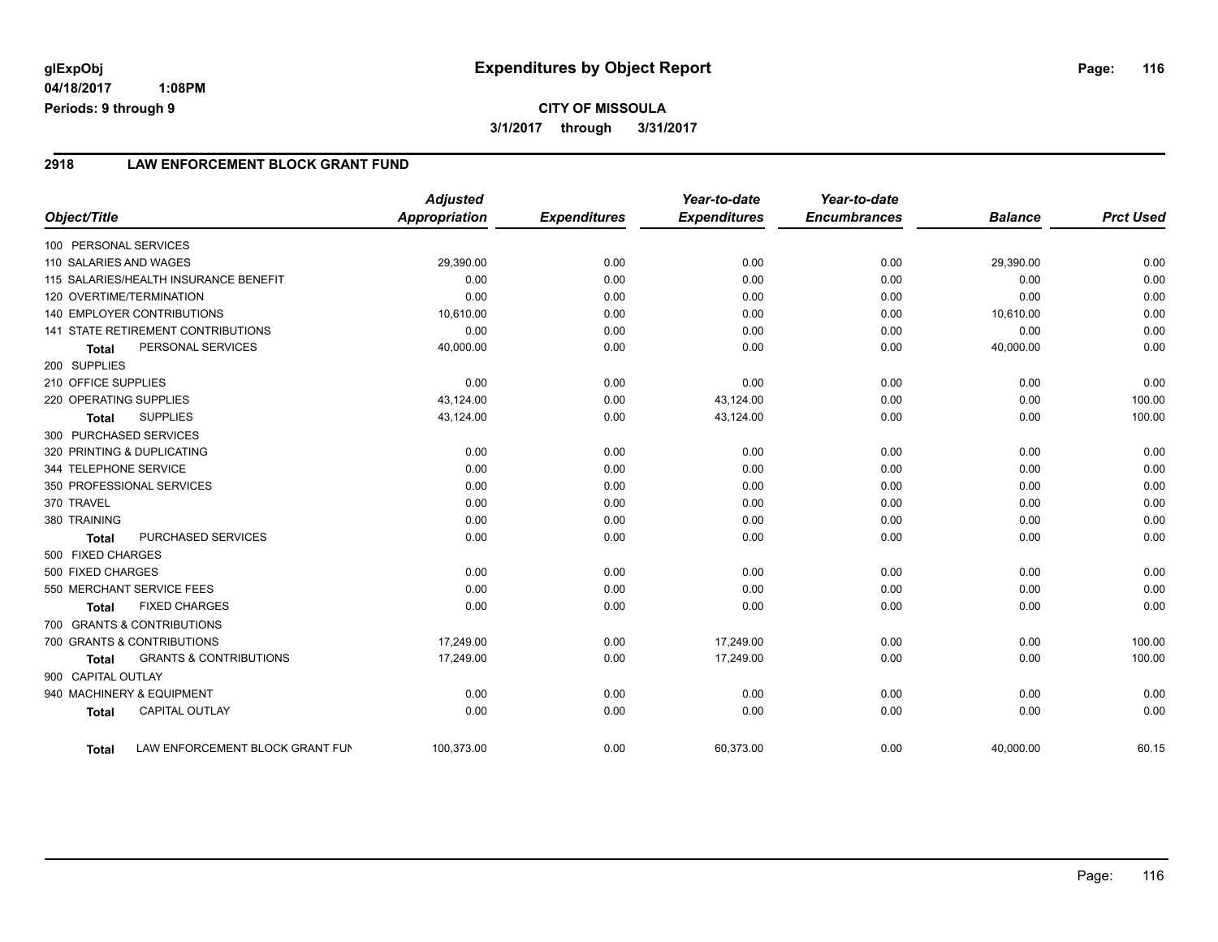## **CITY OF MISSOULA 3/1/2017 through 3/31/2017**

#### **2918 LAW ENFORCEMENT BLOCK GRANT FUND**

| Object/Title           |                                           | <b>Adjusted</b><br><b>Appropriation</b> | <b>Expenditures</b> | Year-to-date<br><b>Expenditures</b> | Year-to-date<br><b>Encumbrances</b> | <b>Balance</b> | <b>Prct Used</b> |
|------------------------|-------------------------------------------|-----------------------------------------|---------------------|-------------------------------------|-------------------------------------|----------------|------------------|
|                        |                                           |                                         |                     |                                     |                                     |                |                  |
| 100 PERSONAL SERVICES  |                                           |                                         |                     |                                     |                                     |                |                  |
| 110 SALARIES AND WAGES |                                           | 29,390.00                               | 0.00                | 0.00                                | 0.00                                | 29,390.00      | 0.00             |
|                        | 115 SALARIES/HEALTH INSURANCE BENEFIT     | 0.00                                    | 0.00                | 0.00                                | 0.00                                | 0.00           | 0.00             |
|                        | 120 OVERTIME/TERMINATION                  | 0.00                                    | 0.00                | 0.00                                | 0.00                                | 0.00           | 0.00             |
|                        | <b>140 EMPLOYER CONTRIBUTIONS</b>         | 10,610.00                               | 0.00                | 0.00                                | 0.00                                | 10,610.00      | 0.00             |
|                        | <b>141 STATE RETIREMENT CONTRIBUTIONS</b> | 0.00                                    | 0.00                | 0.00                                | 0.00                                | 0.00           | 0.00             |
| <b>Total</b>           | PERSONAL SERVICES                         | 40,000.00                               | 0.00                | 0.00                                | 0.00                                | 40,000.00      | 0.00             |
| 200 SUPPLIES           |                                           |                                         |                     |                                     |                                     |                |                  |
| 210 OFFICE SUPPLIES    |                                           | 0.00                                    | 0.00                | 0.00                                | 0.00                                | 0.00           | 0.00             |
| 220 OPERATING SUPPLIES |                                           | 43,124.00                               | 0.00                | 43,124.00                           | 0.00                                | 0.00           | 100.00           |
| <b>Total</b>           | <b>SUPPLIES</b>                           | 43,124.00                               | 0.00                | 43,124.00                           | 0.00                                | 0.00           | 100.00           |
| 300 PURCHASED SERVICES |                                           |                                         |                     |                                     |                                     |                |                  |
|                        | 320 PRINTING & DUPLICATING                | 0.00                                    | 0.00                | 0.00                                | 0.00                                | 0.00           | 0.00             |
| 344 TELEPHONE SERVICE  |                                           | 0.00                                    | 0.00                | 0.00                                | 0.00                                | 0.00           | 0.00             |
|                        | 350 PROFESSIONAL SERVICES                 | 0.00                                    | 0.00                | 0.00                                | 0.00                                | 0.00           | 0.00             |
| 370 TRAVEL             |                                           | 0.00                                    | 0.00                | 0.00                                | 0.00                                | 0.00           | 0.00             |
| 380 TRAINING           |                                           | 0.00                                    | 0.00                | 0.00                                | 0.00                                | 0.00           | 0.00             |
| <b>Total</b>           | <b>PURCHASED SERVICES</b>                 | 0.00                                    | 0.00                | 0.00                                | 0.00                                | 0.00           | 0.00             |
| 500 FIXED CHARGES      |                                           |                                         |                     |                                     |                                     |                |                  |
| 500 FIXED CHARGES      |                                           | 0.00                                    | 0.00                | 0.00                                | 0.00                                | 0.00           | 0.00             |
|                        | 550 MERCHANT SERVICE FEES                 | 0.00                                    | 0.00                | 0.00                                | 0.00                                | 0.00           | 0.00             |
| <b>Total</b>           | <b>FIXED CHARGES</b>                      | 0.00                                    | 0.00                | 0.00                                | 0.00                                | 0.00           | 0.00             |
|                        | 700 GRANTS & CONTRIBUTIONS                |                                         |                     |                                     |                                     |                |                  |
|                        | 700 GRANTS & CONTRIBUTIONS                | 17,249.00                               | 0.00                | 17,249.00                           | 0.00                                | 0.00           | 100.00           |
| <b>Total</b>           | <b>GRANTS &amp; CONTRIBUTIONS</b>         | 17,249.00                               | 0.00                | 17,249.00                           | 0.00                                | 0.00           | 100.00           |
| 900 CAPITAL OUTLAY     |                                           |                                         |                     |                                     |                                     |                |                  |
|                        | 940 MACHINERY & EQUIPMENT                 | 0.00                                    | 0.00                | 0.00                                | 0.00                                | 0.00           | 0.00             |
| <b>Total</b>           | <b>CAPITAL OUTLAY</b>                     | 0.00                                    | 0.00                | 0.00                                | 0.00                                | 0.00           | 0.00             |
| <b>Total</b>           | LAW ENFORCEMENT BLOCK GRANT FUN           | 100,373.00                              | 0.00                | 60,373.00                           | 0.00                                | 40,000.00      | 60.15            |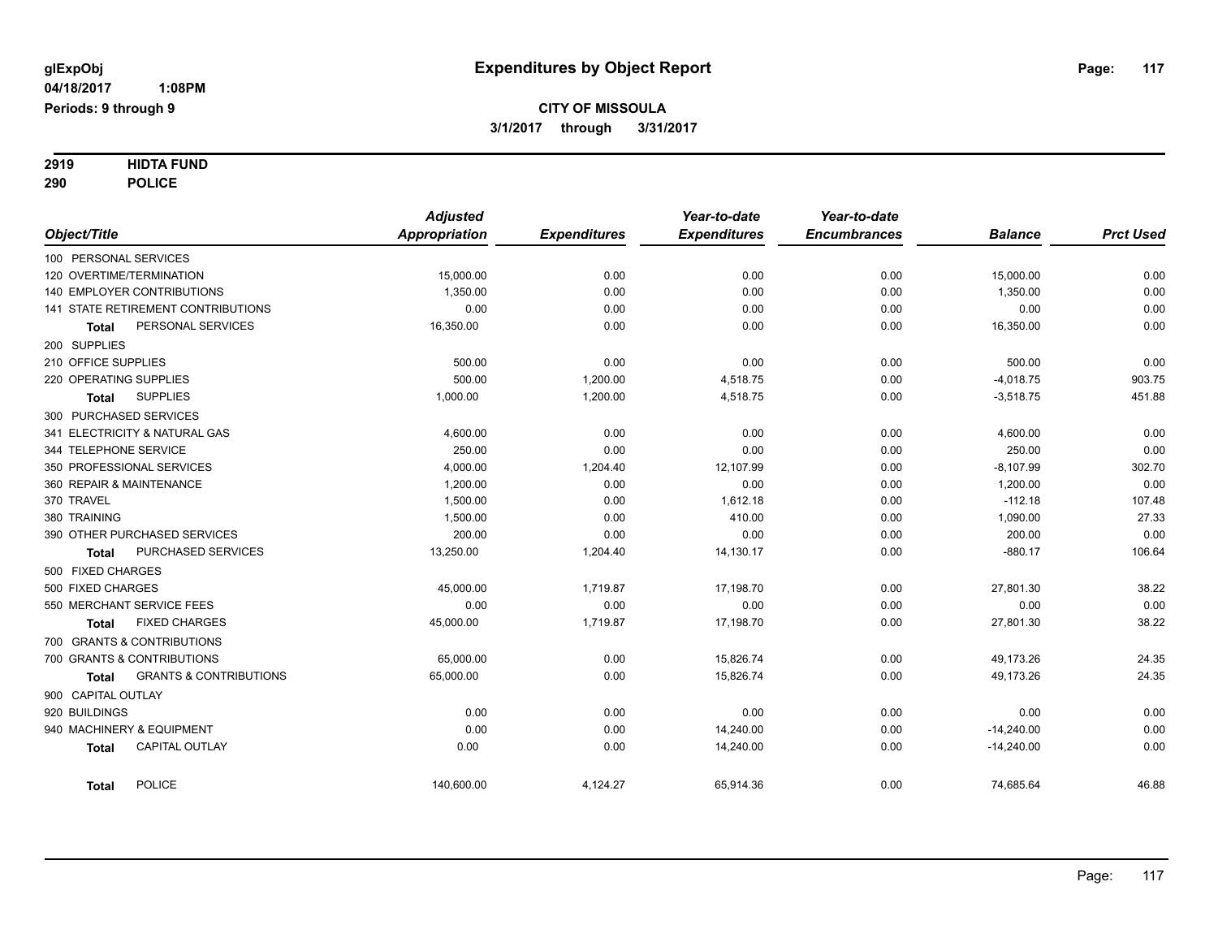# **2919 HIDTA FUND**

**290 POLICE**

|                                            | <b>Adjusted</b>      |                     | Year-to-date        | Year-to-date        |                |                  |
|--------------------------------------------|----------------------|---------------------|---------------------|---------------------|----------------|------------------|
| Object/Title                               | <b>Appropriation</b> | <b>Expenditures</b> | <b>Expenditures</b> | <b>Encumbrances</b> | <b>Balance</b> | <b>Prct Used</b> |
| 100 PERSONAL SERVICES                      |                      |                     |                     |                     |                |                  |
| 120 OVERTIME/TERMINATION                   | 15,000.00            | 0.00                | 0.00                | 0.00                | 15,000.00      | 0.00             |
| 140 EMPLOYER CONTRIBUTIONS                 | 1,350.00             | 0.00                | 0.00                | 0.00                | 1,350.00       | 0.00             |
| 141 STATE RETIREMENT CONTRIBUTIONS         | 0.00                 | 0.00                | 0.00                | 0.00                | 0.00           | 0.00             |
| PERSONAL SERVICES<br>Total                 | 16,350.00            | 0.00                | 0.00                | 0.00                | 16,350.00      | 0.00             |
| 200 SUPPLIES                               |                      |                     |                     |                     |                |                  |
| 210 OFFICE SUPPLIES                        | 500.00               | 0.00                | 0.00                | 0.00                | 500.00         | 0.00             |
| 220 OPERATING SUPPLIES                     | 500.00               | 1,200.00            | 4,518.75            | 0.00                | $-4,018.75$    | 903.75           |
| <b>SUPPLIES</b><br><b>Total</b>            | 1,000.00             | 1,200.00            | 4,518.75            | 0.00                | $-3,518.75$    | 451.88           |
| 300 PURCHASED SERVICES                     |                      |                     |                     |                     |                |                  |
| 341 ELECTRICITY & NATURAL GAS              | 4,600.00             | 0.00                | 0.00                | 0.00                | 4,600.00       | 0.00             |
| 344 TELEPHONE SERVICE                      | 250.00               | 0.00                | 0.00                | 0.00                | 250.00         | 0.00             |
| 350 PROFESSIONAL SERVICES                  | 4,000.00             | 1,204.40            | 12,107.99           | 0.00                | $-8,107.99$    | 302.70           |
| 360 REPAIR & MAINTENANCE                   | 1,200.00             | 0.00                | 0.00                | 0.00                | 1,200.00       | 0.00             |
| 370 TRAVEL                                 | 1,500.00             | 0.00                | 1,612.18            | 0.00                | $-112.18$      | 107.48           |
| 380 TRAINING                               | 1,500.00             | 0.00                | 410.00              | 0.00                | 1,090.00       | 27.33            |
| 390 OTHER PURCHASED SERVICES               | 200.00               | 0.00                | 0.00                | 0.00                | 200.00         | 0.00             |
| PURCHASED SERVICES<br>Total                | 13,250.00            | 1,204.40            | 14,130.17           | 0.00                | $-880.17$      | 106.64           |
| 500 FIXED CHARGES                          |                      |                     |                     |                     |                |                  |
| 500 FIXED CHARGES                          | 45,000.00            | 1,719.87            | 17,198.70           | 0.00                | 27,801.30      | 38.22            |
| 550 MERCHANT SERVICE FEES                  | 0.00                 | 0.00                | 0.00                | 0.00                | 0.00           | 0.00             |
| <b>FIXED CHARGES</b><br><b>Total</b>       | 45,000.00            | 1,719.87            | 17,198.70           | 0.00                | 27,801.30      | 38.22            |
| 700 GRANTS & CONTRIBUTIONS                 |                      |                     |                     |                     |                |                  |
| 700 GRANTS & CONTRIBUTIONS                 | 65,000.00            | 0.00                | 15,826.74           | 0.00                | 49,173.26      | 24.35            |
| <b>GRANTS &amp; CONTRIBUTIONS</b><br>Total | 65,000.00            | 0.00                | 15,826.74           | 0.00                | 49,173.26      | 24.35            |
| 900 CAPITAL OUTLAY                         |                      |                     |                     |                     |                |                  |
| 920 BUILDINGS                              | 0.00                 | 0.00                | 0.00                | 0.00                | 0.00           | 0.00             |
| 940 MACHINERY & EQUIPMENT                  | 0.00                 | 0.00                | 14,240.00           | 0.00                | $-14,240.00$   | 0.00             |
| <b>CAPITAL OUTLAY</b><br><b>Total</b>      | 0.00                 | 0.00                | 14,240.00           | 0.00                | $-14,240.00$   | 0.00             |
| <b>POLICE</b><br><b>Total</b>              | 140,600.00           | 4,124.27            | 65,914.36           | 0.00                | 74,685.64      | 46.88            |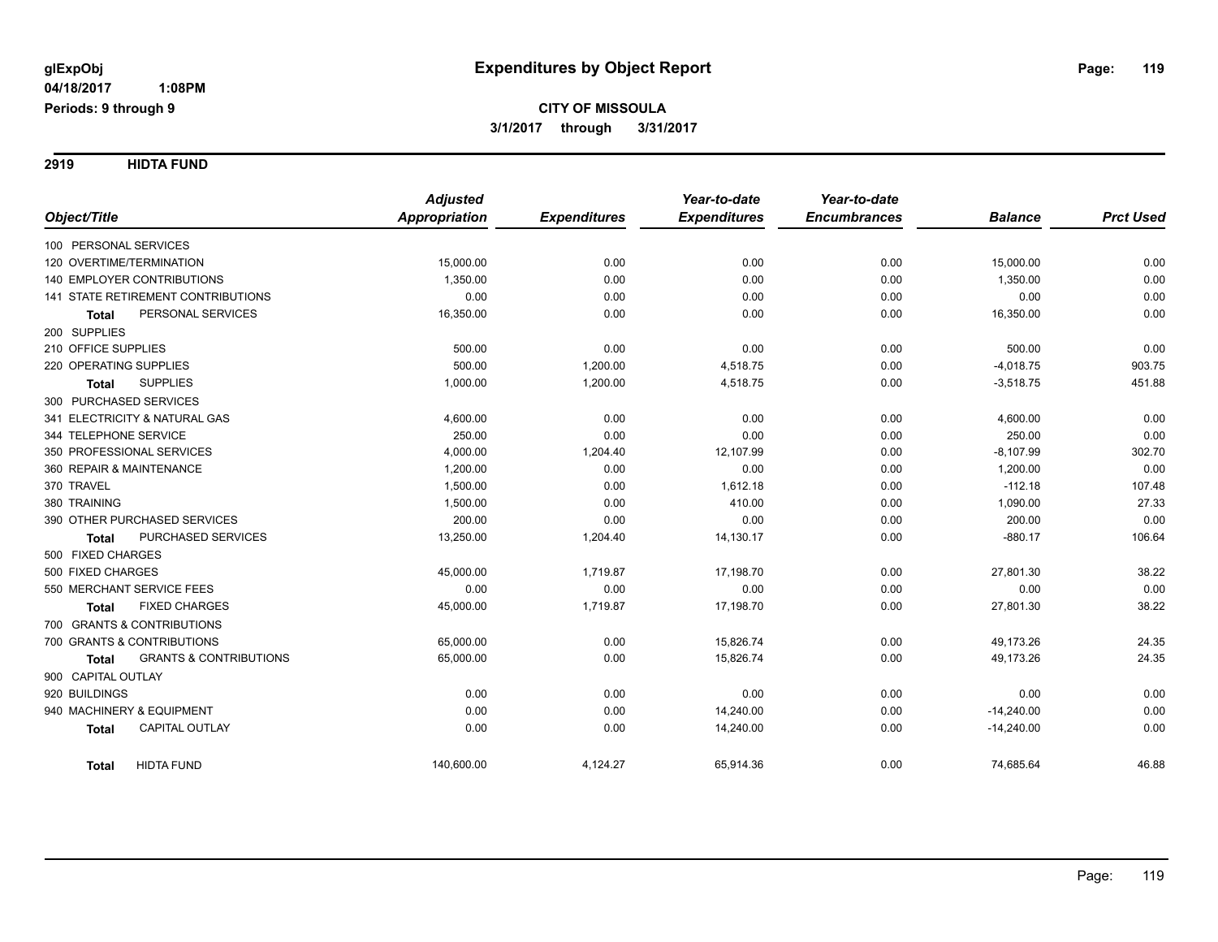**2919 HIDTA FUND**

|                                                   | <b>Adjusted</b>      |                     | Year-to-date        | Year-to-date        |                |                  |
|---------------------------------------------------|----------------------|---------------------|---------------------|---------------------|----------------|------------------|
| Object/Title                                      | <b>Appropriation</b> | <b>Expenditures</b> | <b>Expenditures</b> | <b>Encumbrances</b> | <b>Balance</b> | <b>Prct Used</b> |
| 100 PERSONAL SERVICES                             |                      |                     |                     |                     |                |                  |
| 120 OVERTIME/TERMINATION                          | 15,000.00            | 0.00                | 0.00                | 0.00                | 15,000.00      | 0.00             |
| 140 EMPLOYER CONTRIBUTIONS                        | 1,350.00             | 0.00                | 0.00                | 0.00                | 1,350.00       | 0.00             |
| 141 STATE RETIREMENT CONTRIBUTIONS                | 0.00                 | 0.00                | 0.00                | 0.00                | 0.00           | 0.00             |
| PERSONAL SERVICES<br><b>Total</b>                 | 16,350.00            | 0.00                | 0.00                | 0.00                | 16,350.00      | 0.00             |
| 200 SUPPLIES                                      |                      |                     |                     |                     |                |                  |
| 210 OFFICE SUPPLIES                               | 500.00               | 0.00                | 0.00                | 0.00                | 500.00         | 0.00             |
| 220 OPERATING SUPPLIES                            | 500.00               | 1,200.00            | 4,518.75            | 0.00                | $-4,018.75$    | 903.75           |
| <b>SUPPLIES</b><br><b>Total</b>                   | 1,000.00             | 1,200.00            | 4,518.75            | 0.00                | $-3,518.75$    | 451.88           |
| 300 PURCHASED SERVICES                            |                      |                     |                     |                     |                |                  |
| 341 ELECTRICITY & NATURAL GAS                     | 4,600.00             | 0.00                | 0.00                | 0.00                | 4,600.00       | 0.00             |
| 344 TELEPHONE SERVICE                             | 250.00               | 0.00                | 0.00                | 0.00                | 250.00         | 0.00             |
| 350 PROFESSIONAL SERVICES                         | 4,000.00             | 1,204.40            | 12,107.99           | 0.00                | $-8,107.99$    | 302.70           |
| 360 REPAIR & MAINTENANCE                          | 1,200.00             | 0.00                | 0.00                | 0.00                | 1,200.00       | 0.00             |
| 370 TRAVEL                                        | 1,500.00             | 0.00                | 1,612.18            | 0.00                | $-112.18$      | 107.48           |
| 380 TRAINING                                      | 1,500.00             | 0.00                | 410.00              | 0.00                | 1,090.00       | 27.33            |
| 390 OTHER PURCHASED SERVICES                      | 200.00               | 0.00                | 0.00                | 0.00                | 200.00         | 0.00             |
| PURCHASED SERVICES<br><b>Total</b>                | 13,250.00            | 1,204.40            | 14,130.17           | 0.00                | $-880.17$      | 106.64           |
| 500 FIXED CHARGES                                 |                      |                     |                     |                     |                |                  |
| 500 FIXED CHARGES                                 | 45,000.00            | 1,719.87            | 17,198.70           | 0.00                | 27,801.30      | 38.22            |
| 550 MERCHANT SERVICE FEES                         | 0.00                 | 0.00                | 0.00                | 0.00                | 0.00           | 0.00             |
| <b>FIXED CHARGES</b><br>Total                     | 45,000.00            | 1,719.87            | 17,198.70           | 0.00                | 27,801.30      | 38.22            |
| 700 GRANTS & CONTRIBUTIONS                        |                      |                     |                     |                     |                |                  |
| 700 GRANTS & CONTRIBUTIONS                        | 65,000.00            | 0.00                | 15,826.74           | 0.00                | 49,173.26      | 24.35            |
| <b>GRANTS &amp; CONTRIBUTIONS</b><br><b>Total</b> | 65,000.00            | 0.00                | 15,826.74           | 0.00                | 49,173.26      | 24.35            |
| 900 CAPITAL OUTLAY                                |                      |                     |                     |                     |                |                  |
| 920 BUILDINGS                                     | 0.00                 | 0.00                | 0.00                | 0.00                | 0.00           | 0.00             |
| 940 MACHINERY & EQUIPMENT                         | 0.00                 | 0.00                | 14,240.00           | 0.00                | $-14,240.00$   | 0.00             |
| CAPITAL OUTLAY<br><b>Total</b>                    | 0.00                 | 0.00                | 14,240.00           | 0.00                | $-14,240.00$   | 0.00             |
| <b>HIDTA FUND</b><br><b>Total</b>                 | 140,600.00           | 4,124.27            | 65,914.36           | 0.00                | 74,685.64      | 46.88            |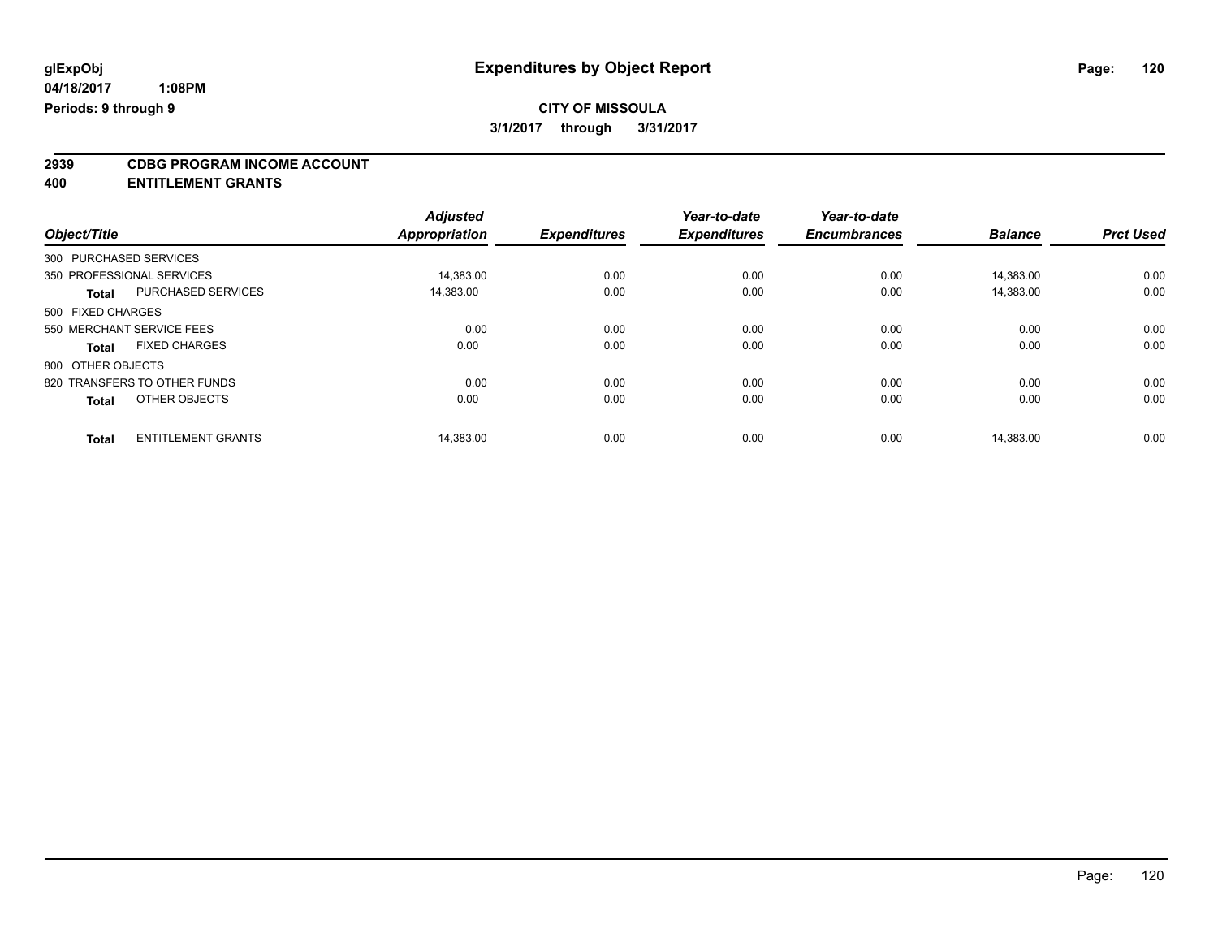# **2939 CDBG PROGRAM INCOME ACCOUNT**

**400 ENTITLEMENT GRANTS**

|                                           | <b>Adjusted</b>      |                     | Year-to-date        | Year-to-date        |                |                  |
|-------------------------------------------|----------------------|---------------------|---------------------|---------------------|----------------|------------------|
| Object/Title                              | <b>Appropriation</b> | <b>Expenditures</b> | <b>Expenditures</b> | <b>Encumbrances</b> | <b>Balance</b> | <b>Prct Used</b> |
| 300 PURCHASED SERVICES                    |                      |                     |                     |                     |                |                  |
| 350 PROFESSIONAL SERVICES                 | 14,383.00            | 0.00                | 0.00                | 0.00                | 14,383.00      | 0.00             |
| PURCHASED SERVICES<br><b>Total</b>        | 14,383.00            | 0.00                | 0.00                | 0.00                | 14,383.00      | 0.00             |
| 500 FIXED CHARGES                         |                      |                     |                     |                     |                |                  |
| 550 MERCHANT SERVICE FEES                 | 0.00                 | 0.00                | 0.00                | 0.00                | 0.00           | 0.00             |
| <b>FIXED CHARGES</b><br><b>Total</b>      | 0.00                 | 0.00                | 0.00                | 0.00                | 0.00           | 0.00             |
| 800 OTHER OBJECTS                         |                      |                     |                     |                     |                |                  |
| 820 TRANSFERS TO OTHER FUNDS              | 0.00                 | 0.00                | 0.00                | 0.00                | 0.00           | 0.00             |
| OTHER OBJECTS<br><b>Total</b>             | 0.00                 | 0.00                | 0.00                | 0.00                | 0.00           | 0.00             |
| <b>ENTITLEMENT GRANTS</b><br><b>Total</b> | 14.383.00            | 0.00                | 0.00                | 0.00                | 14.383.00      | 0.00             |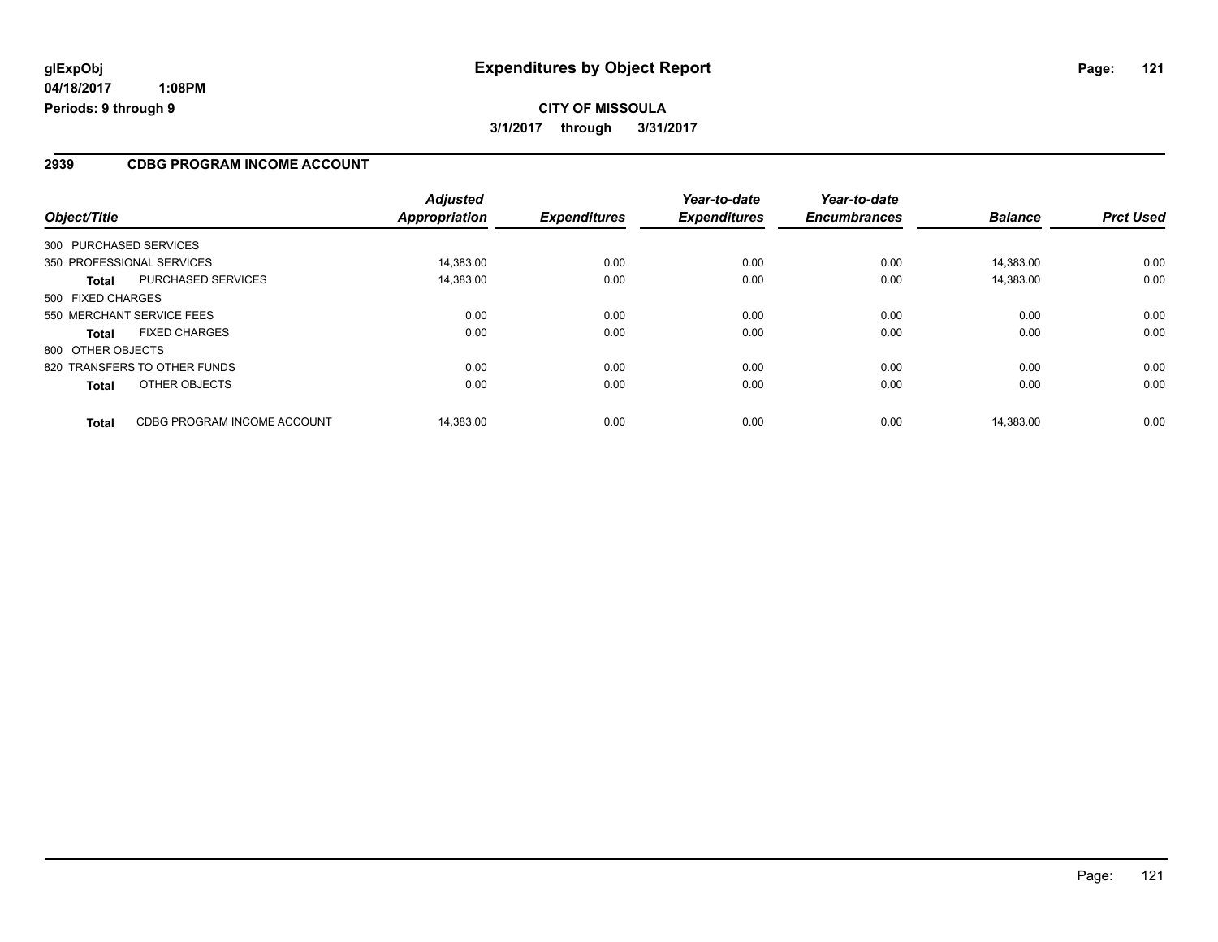#### **2939 CDBG PROGRAM INCOME ACCOUNT**

| Object/Title                                | <b>Adjusted</b><br><b>Appropriation</b> | <b>Expenditures</b> | Year-to-date<br><b>Expenditures</b> | Year-to-date<br><b>Encumbrances</b> | <b>Balance</b> | <b>Prct Used</b> |
|---------------------------------------------|-----------------------------------------|---------------------|-------------------------------------|-------------------------------------|----------------|------------------|
| 300 PURCHASED SERVICES                      |                                         |                     |                                     |                                     |                |                  |
| 350 PROFESSIONAL SERVICES                   | 14.383.00                               | 0.00                | 0.00                                | 0.00                                | 14.383.00      | 0.00             |
| <b>PURCHASED SERVICES</b><br><b>Total</b>   | 14,383.00                               | 0.00                | 0.00                                | 0.00                                | 14,383.00      | 0.00             |
| 500 FIXED CHARGES                           |                                         |                     |                                     |                                     |                |                  |
| 550 MERCHANT SERVICE FEES                   | 0.00                                    | 0.00                | 0.00                                | 0.00                                | 0.00           | 0.00             |
| <b>FIXED CHARGES</b><br><b>Total</b>        | 0.00                                    | 0.00                | 0.00                                | 0.00                                | 0.00           | 0.00             |
| 800 OTHER OBJECTS                           |                                         |                     |                                     |                                     |                |                  |
| 820 TRANSFERS TO OTHER FUNDS                | 0.00                                    | 0.00                | 0.00                                | 0.00                                | 0.00           | 0.00             |
| OTHER OBJECTS<br><b>Total</b>               | 0.00                                    | 0.00                | 0.00                                | 0.00                                | 0.00           | 0.00             |
| CDBG PROGRAM INCOME ACCOUNT<br><b>Total</b> | 14.383.00                               | 0.00                | 0.00                                | 0.00                                | 14.383.00      | 0.00             |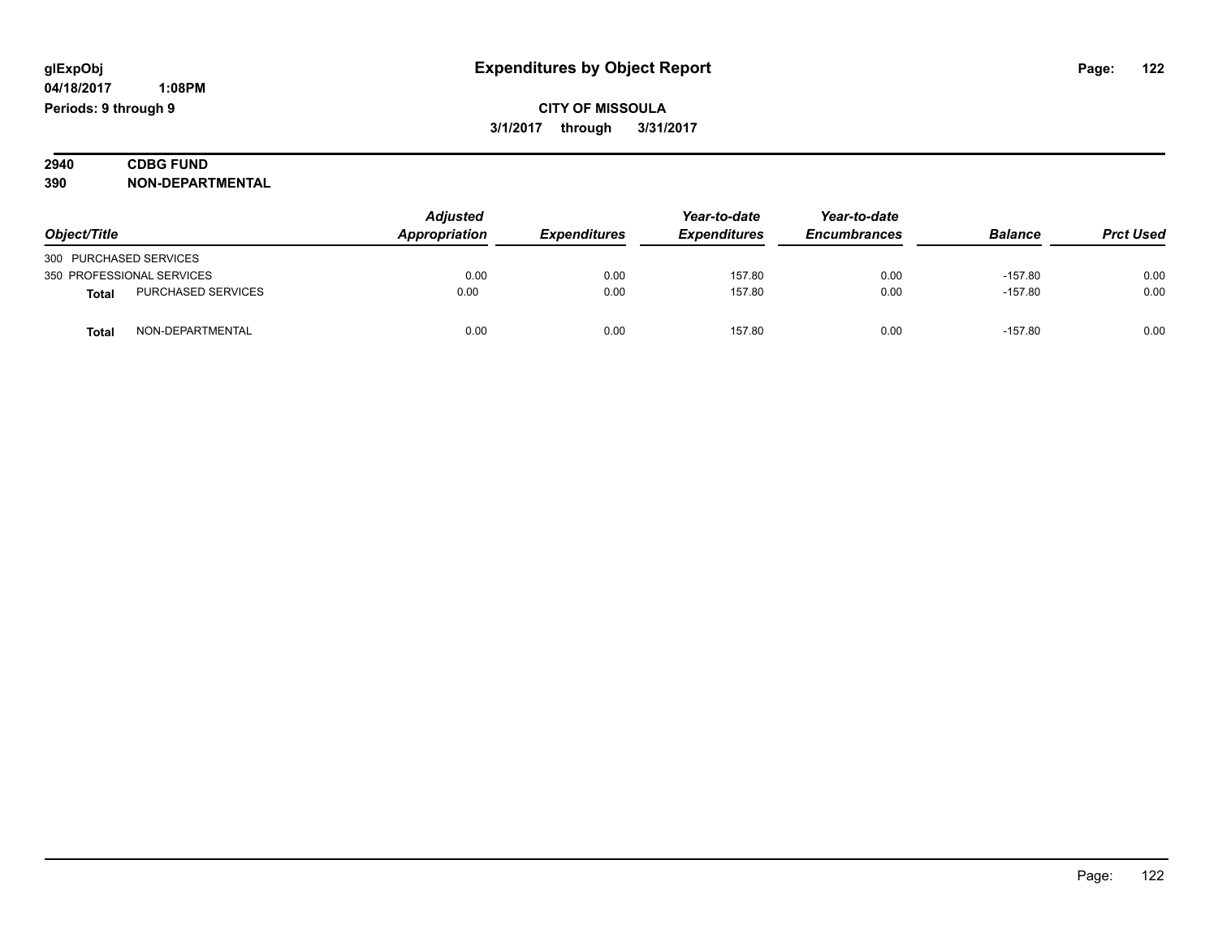| 2940 | <b>CDBG FUND</b>        |  |  |
|------|-------------------------|--|--|
| 390  | <b>NON-DEPARTMENTAL</b> |  |  |

| Object/Title           |                           | <b>Adjusted</b><br>Appropriation | <b>Expenditures</b> | Year-to-date<br><b>Expenditures</b> | Year-to-date<br><b>Encumbrances</b> | <b>Balance</b> | <b>Prct Used</b> |
|------------------------|---------------------------|----------------------------------|---------------------|-------------------------------------|-------------------------------------|----------------|------------------|
| 300 PURCHASED SERVICES |                           |                                  |                     |                                     |                                     |                |                  |
|                        | 350 PROFESSIONAL SERVICES | 0.00                             | 0.00                | 157.80                              | 0.00                                | $-157.80$      | 0.00             |
| <b>Total</b>           | <b>PURCHASED SERVICES</b> | 0.00                             | 0.00                | 157.80                              | 0.00                                | $-157.80$      | 0.00             |
| Tota                   | NON-DEPARTMENTAL          | 0.00                             | 0.00                | 157.80                              | 0.00                                | $-157.80$      | 0.00             |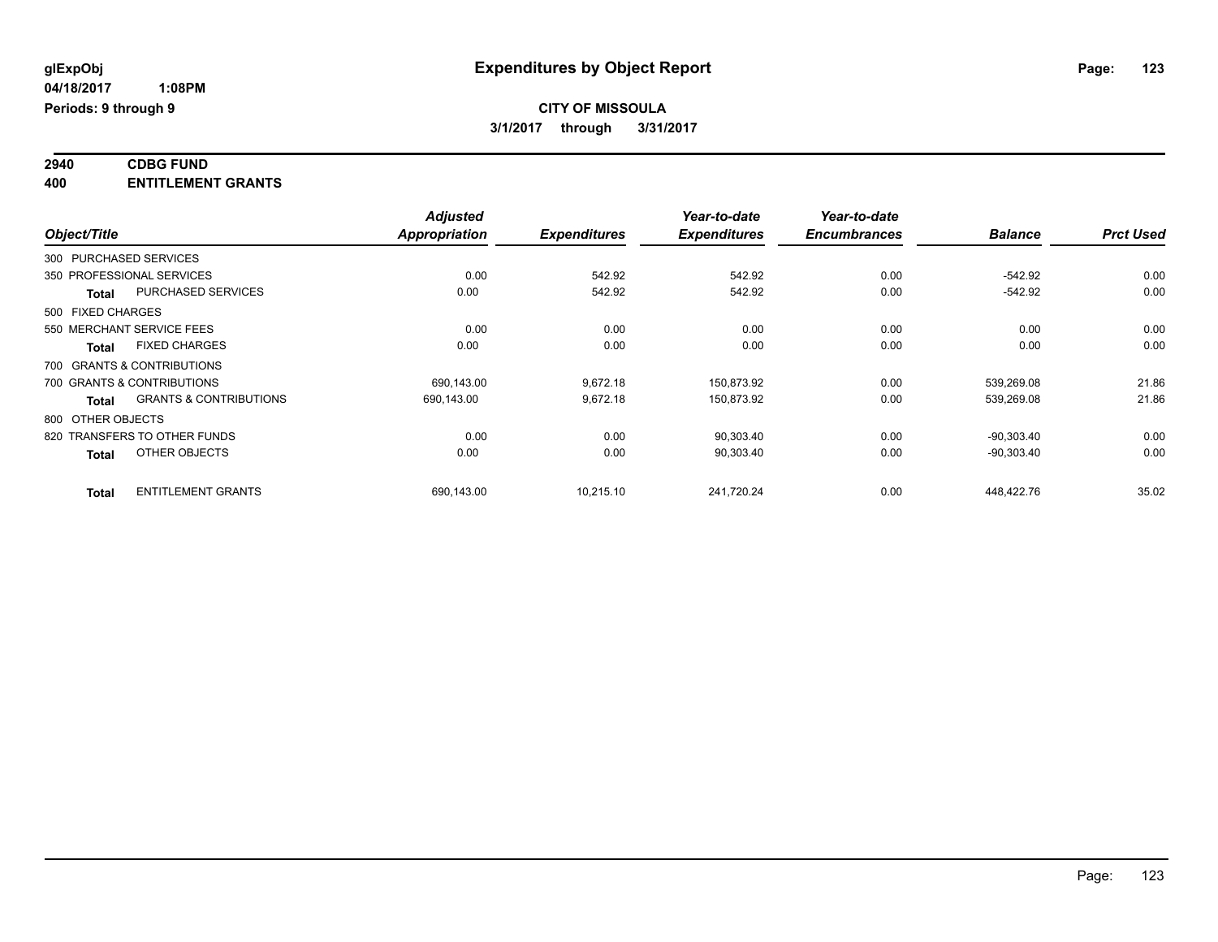#### **2940 CDBG FUND 400 ENTITLEMENT GRANTS**

|              |                                                   | <b>Adjusted</b>      |                     | Year-to-date        | Year-to-date        |                |                  |
|--------------|---------------------------------------------------|----------------------|---------------------|---------------------|---------------------|----------------|------------------|
| Object/Title |                                                   | <b>Appropriation</b> | <b>Expenditures</b> | <b>Expenditures</b> | <b>Encumbrances</b> | <b>Balance</b> | <b>Prct Used</b> |
|              | 300 PURCHASED SERVICES                            |                      |                     |                     |                     |                |                  |
|              | 350 PROFESSIONAL SERVICES                         | 0.00                 | 542.92              | 542.92              | 0.00                | $-542.92$      | 0.00             |
|              | <b>PURCHASED SERVICES</b><br><b>Total</b>         | 0.00                 | 542.92              | 542.92              | 0.00                | $-542.92$      | 0.00             |
|              | 500 FIXED CHARGES                                 |                      |                     |                     |                     |                |                  |
|              | 550 MERCHANT SERVICE FEES                         | 0.00                 | 0.00                | 0.00                | 0.00                | 0.00           | 0.00             |
|              | <b>FIXED CHARGES</b><br><b>Total</b>              | 0.00                 | 0.00                | 0.00                | 0.00                | 0.00           | 0.00             |
|              | 700 GRANTS & CONTRIBUTIONS                        |                      |                     |                     |                     |                |                  |
|              | 700 GRANTS & CONTRIBUTIONS                        | 690.143.00           | 9,672.18            | 150.873.92          | 0.00                | 539.269.08     | 21.86            |
|              | <b>GRANTS &amp; CONTRIBUTIONS</b><br><b>Total</b> | 690,143.00           | 9,672.18            | 150,873.92          | 0.00                | 539,269.08     | 21.86            |
|              | 800 OTHER OBJECTS                                 |                      |                     |                     |                     |                |                  |
|              | 820 TRANSFERS TO OTHER FUNDS                      | 0.00                 | 0.00                | 90,303.40           | 0.00                | $-90,303.40$   | 0.00             |
|              | OTHER OBJECTS<br><b>Total</b>                     | 0.00                 | 0.00                | 90,303.40           | 0.00                | $-90,303.40$   | 0.00             |
|              | <b>ENTITLEMENT GRANTS</b><br><b>Total</b>         | 690.143.00           | 10.215.10           | 241.720.24          | 0.00                | 448.422.76     | 35.02            |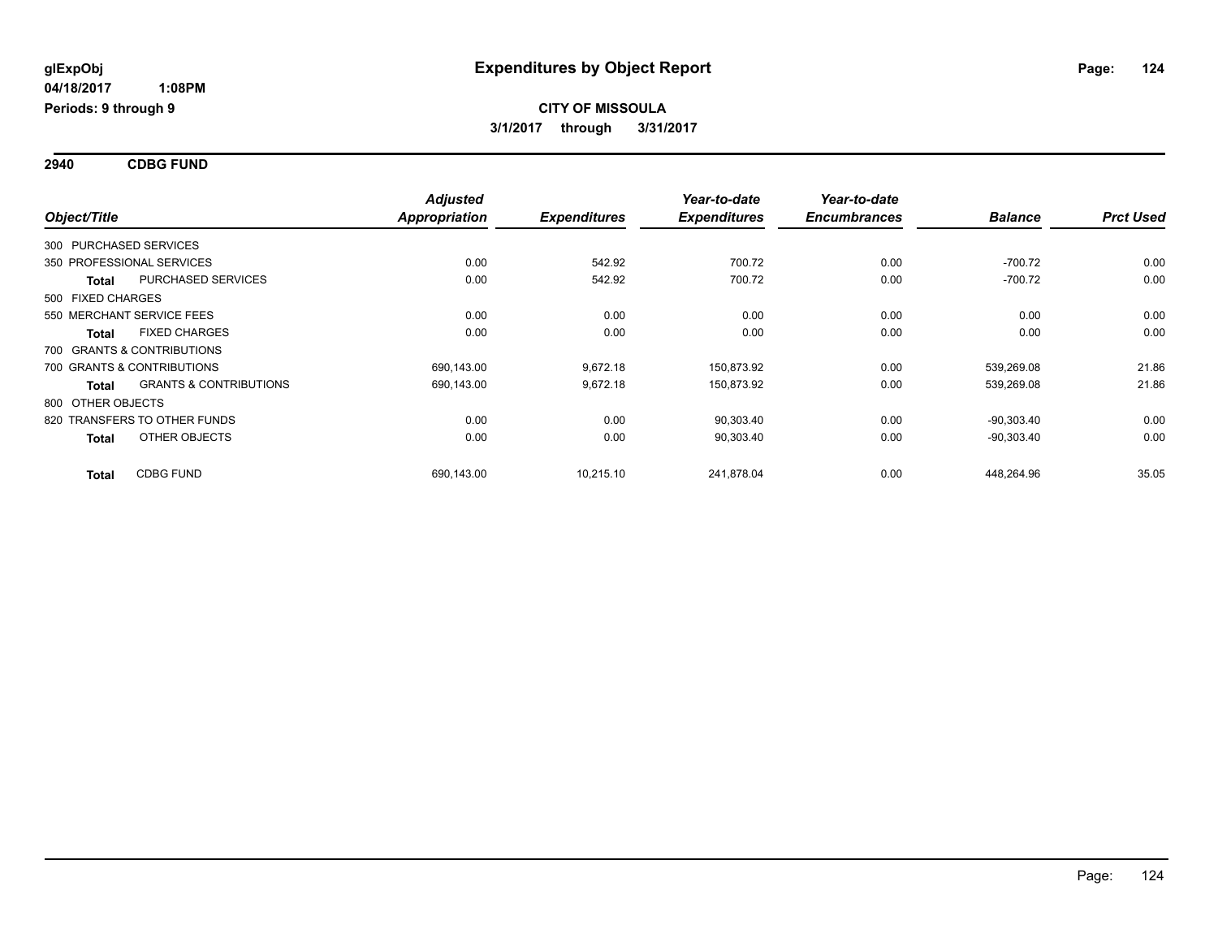**2940 CDBG FUND**

| Object/Title           |                                   | <b>Adjusted</b><br><b>Appropriation</b> | <b>Expenditures</b> | Year-to-date<br><b>Expenditures</b> | Year-to-date<br><b>Encumbrances</b> | <b>Balance</b> | <b>Prct Used</b> |
|------------------------|-----------------------------------|-----------------------------------------|---------------------|-------------------------------------|-------------------------------------|----------------|------------------|
| 300 PURCHASED SERVICES |                                   |                                         |                     |                                     |                                     |                |                  |
|                        | 350 PROFESSIONAL SERVICES         | 0.00                                    | 542.92              | 700.72                              | 0.00                                | $-700.72$      | 0.00             |
| <b>Total</b>           | PURCHASED SERVICES                | 0.00                                    | 542.92              | 700.72                              | 0.00                                | $-700.72$      | 0.00             |
| 500 FIXED CHARGES      |                                   |                                         |                     |                                     |                                     |                |                  |
|                        | 550 MERCHANT SERVICE FEES         | 0.00                                    | 0.00                | 0.00                                | 0.00                                | 0.00           | 0.00             |
| <b>Total</b>           | <b>FIXED CHARGES</b>              | 0.00                                    | 0.00                | 0.00                                | 0.00                                | 0.00           | 0.00             |
|                        | 700 GRANTS & CONTRIBUTIONS        |                                         |                     |                                     |                                     |                |                  |
|                        | 700 GRANTS & CONTRIBUTIONS        | 690,143.00                              | 9,672.18            | 150,873.92                          | 0.00                                | 539,269.08     | 21.86            |
| Total                  | <b>GRANTS &amp; CONTRIBUTIONS</b> | 690,143.00                              | 9,672.18            | 150,873.92                          | 0.00                                | 539,269.08     | 21.86            |
| 800 OTHER OBJECTS      |                                   |                                         |                     |                                     |                                     |                |                  |
|                        | 820 TRANSFERS TO OTHER FUNDS      | 0.00                                    | 0.00                | 90,303.40                           | 0.00                                | $-90.303.40$   | 0.00             |
| <b>Total</b>           | OTHER OBJECTS                     | 0.00                                    | 0.00                | 90,303.40                           | 0.00                                | $-90,303.40$   | 0.00             |
| <b>Total</b>           | <b>CDBG FUND</b>                  | 690,143.00                              | 10,215.10           | 241,878.04                          | 0.00                                | 448,264.96     | 35.05            |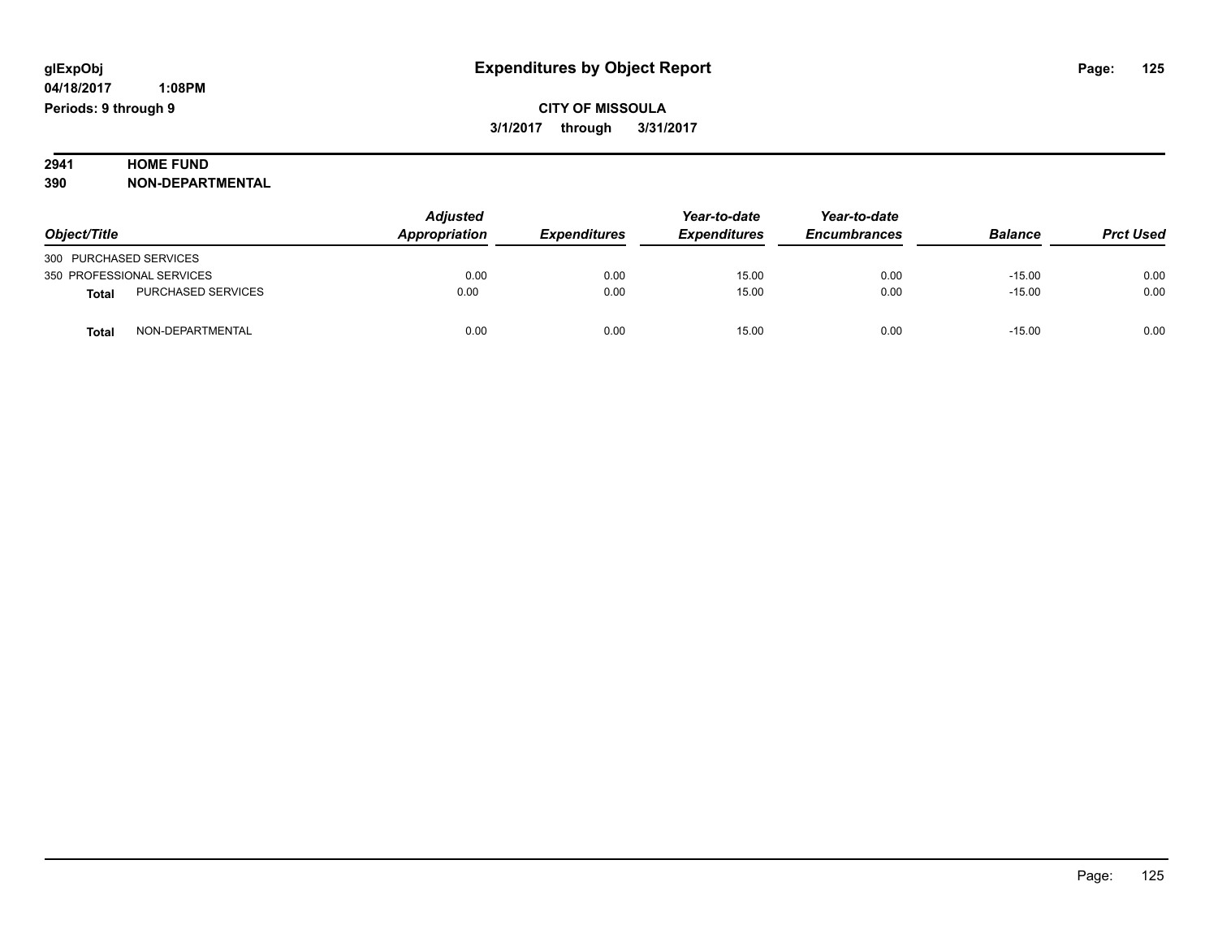# **2941 HOME FUND<br>390 NON-DEPART**

**390 NON-DEPARTMENTAL**

|                                    | Adjusted      |                     | Year-to-date        | Year-to-date        |                |                  |
|------------------------------------|---------------|---------------------|---------------------|---------------------|----------------|------------------|
| Object/Title                       | Appropriation | <b>Expenditures</b> | <b>Expenditures</b> | <b>Encumbrances</b> | <b>Balance</b> | <b>Prct Used</b> |
| 300 PURCHASED SERVICES             |               |                     |                     |                     |                |                  |
| 350 PROFESSIONAL SERVICES          | 0.00          | 0.00                | 15.00               | 0.00                | $-15.00$       | 0.00             |
| PURCHASED SERVICES<br><b>Total</b> | 0.00          | 0.00                | 15.00               | 0.00                | $-15.00$       | 0.00             |
| NON-DEPARTMENTAL<br><b>Total</b>   | 0.00          | 0.00                | 15.00               | 0.00                | $-15.00$       | 0.00             |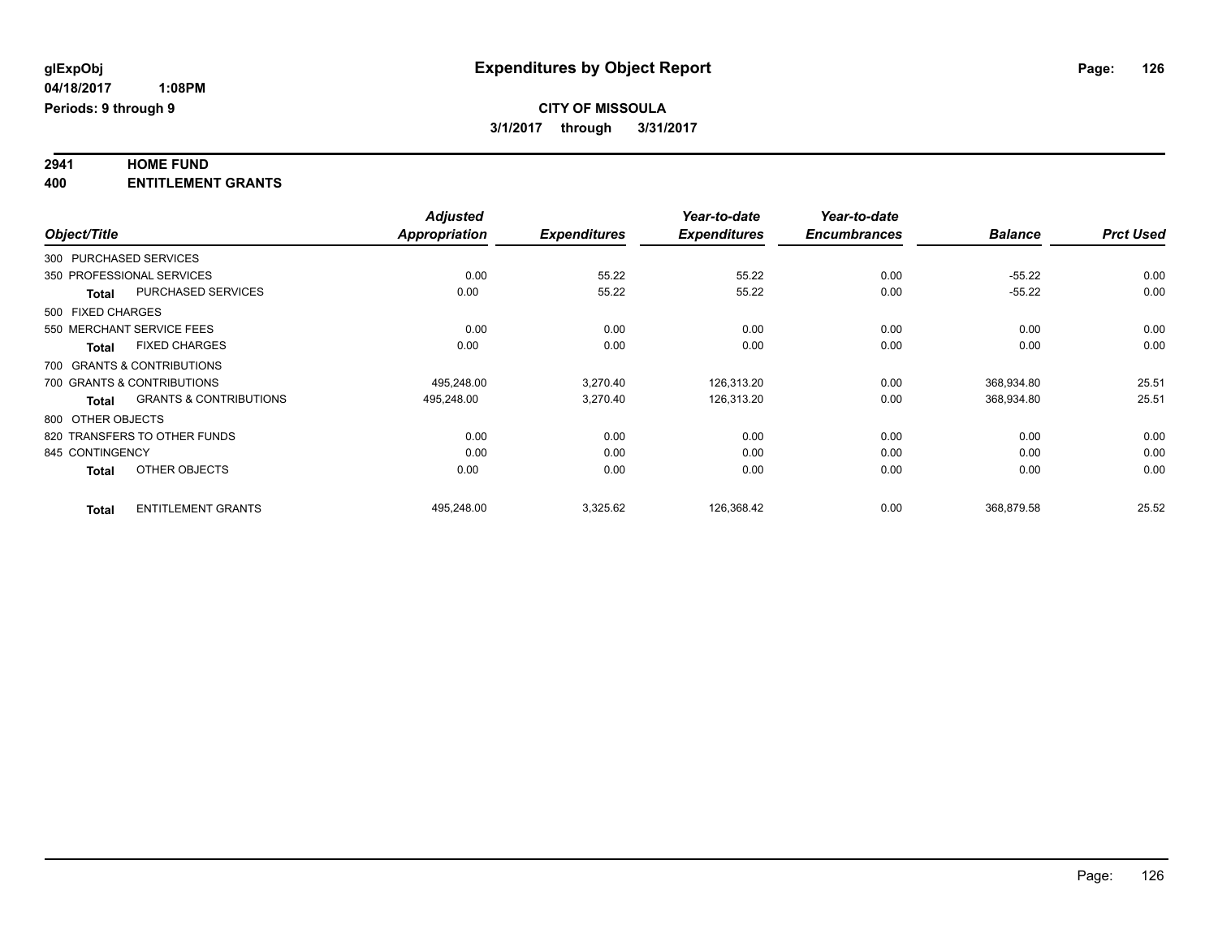# **2941 HOME FUND**

**400 ENTITLEMENT GRANTS**

|                   |                                   | <b>Adjusted</b>      |                     | Year-to-date        | Year-to-date        |                |                  |
|-------------------|-----------------------------------|----------------------|---------------------|---------------------|---------------------|----------------|------------------|
| Object/Title      |                                   | <b>Appropriation</b> | <b>Expenditures</b> | <b>Expenditures</b> | <b>Encumbrances</b> | <b>Balance</b> | <b>Prct Used</b> |
|                   | 300 PURCHASED SERVICES            |                      |                     |                     |                     |                |                  |
|                   | 350 PROFESSIONAL SERVICES         | 0.00                 | 55.22               | 55.22               | 0.00                | $-55.22$       | 0.00             |
| <b>Total</b>      | <b>PURCHASED SERVICES</b>         | 0.00                 | 55.22               | 55.22               | 0.00                | $-55.22$       | 0.00             |
| 500 FIXED CHARGES |                                   |                      |                     |                     |                     |                |                  |
|                   | 550 MERCHANT SERVICE FEES         | 0.00                 | 0.00                | 0.00                | 0.00                | 0.00           | 0.00             |
| <b>Total</b>      | <b>FIXED CHARGES</b>              | 0.00                 | 0.00                | 0.00                | 0.00                | 0.00           | 0.00             |
|                   | 700 GRANTS & CONTRIBUTIONS        |                      |                     |                     |                     |                |                  |
|                   | 700 GRANTS & CONTRIBUTIONS        | 495,248.00           | 3,270.40            | 126,313.20          | 0.00                | 368,934.80     | 25.51            |
| <b>Total</b>      | <b>GRANTS &amp; CONTRIBUTIONS</b> | 495,248.00           | 3,270.40            | 126,313.20          | 0.00                | 368,934.80     | 25.51            |
| 800 OTHER OBJECTS |                                   |                      |                     |                     |                     |                |                  |
|                   | 820 TRANSFERS TO OTHER FUNDS      | 0.00                 | 0.00                | 0.00                | 0.00                | 0.00           | 0.00             |
| 845 CONTINGENCY   |                                   | 0.00                 | 0.00                | 0.00                | 0.00                | 0.00           | 0.00             |
| <b>Total</b>      | OTHER OBJECTS                     | 0.00                 | 0.00                | 0.00                | 0.00                | 0.00           | 0.00             |
| <b>Total</b>      | <b>ENTITLEMENT GRANTS</b>         | 495,248.00           | 3,325.62            | 126,368.42          | 0.00                | 368.879.58     | 25.52            |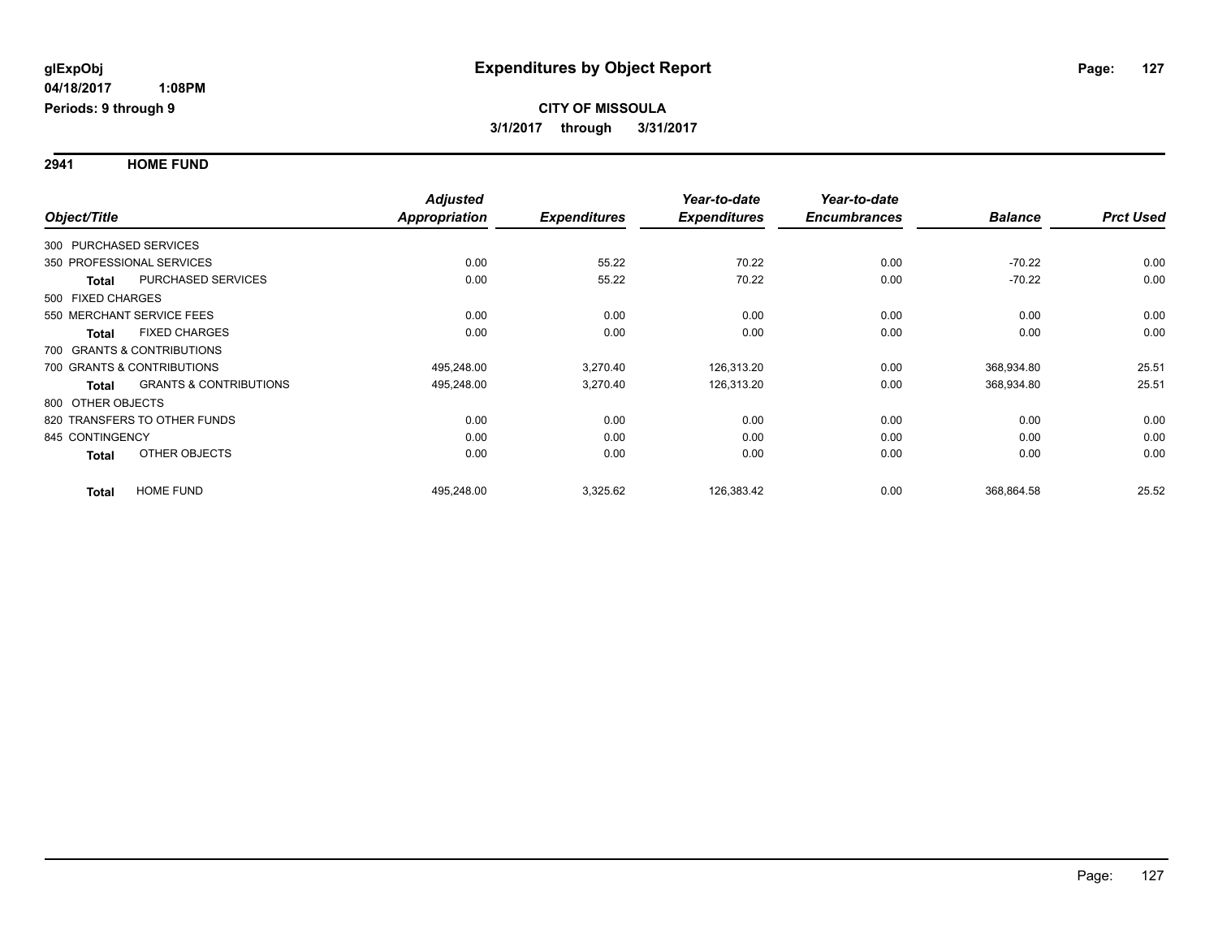**2941 HOME FUND**

|                        |                                   | <b>Adjusted</b> |                     | Year-to-date        | Year-to-date        |                |                  |
|------------------------|-----------------------------------|-----------------|---------------------|---------------------|---------------------|----------------|------------------|
| Object/Title           |                                   | Appropriation   | <b>Expenditures</b> | <b>Expenditures</b> | <b>Encumbrances</b> | <b>Balance</b> | <b>Prct Used</b> |
| 300 PURCHASED SERVICES |                                   |                 |                     |                     |                     |                |                  |
|                        | 350 PROFESSIONAL SERVICES         | 0.00            | 55.22               | 70.22               | 0.00                | $-70.22$       | 0.00             |
| <b>Total</b>           | <b>PURCHASED SERVICES</b>         | 0.00            | 55.22               | 70.22               | 0.00                | $-70.22$       | 0.00             |
| 500 FIXED CHARGES      |                                   |                 |                     |                     |                     |                |                  |
|                        | 550 MERCHANT SERVICE FEES         | 0.00            | 0.00                | 0.00                | 0.00                | 0.00           | 0.00             |
| <b>Total</b>           | <b>FIXED CHARGES</b>              | 0.00            | 0.00                | 0.00                | 0.00                | 0.00           | 0.00             |
|                        | 700 GRANTS & CONTRIBUTIONS        |                 |                     |                     |                     |                |                  |
|                        | 700 GRANTS & CONTRIBUTIONS        | 495,248.00      | 3,270.40            | 126,313.20          | 0.00                | 368,934.80     | 25.51            |
| <b>Total</b>           | <b>GRANTS &amp; CONTRIBUTIONS</b> | 495,248.00      | 3,270.40            | 126,313.20          | 0.00                | 368,934.80     | 25.51            |
| 800 OTHER OBJECTS      |                                   |                 |                     |                     |                     |                |                  |
|                        | 820 TRANSFERS TO OTHER FUNDS      | 0.00            | 0.00                | 0.00                | 0.00                | 0.00           | 0.00             |
| 845 CONTINGENCY        |                                   | 0.00            | 0.00                | 0.00                | 0.00                | 0.00           | 0.00             |
| <b>Total</b>           | <b>OTHER OBJECTS</b>              | 0.00            | 0.00                | 0.00                | 0.00                | 0.00           | 0.00             |
| <b>Total</b>           | <b>HOME FUND</b>                  | 495,248.00      | 3,325.62            | 126,383.42          | 0.00                | 368,864.58     | 25.52            |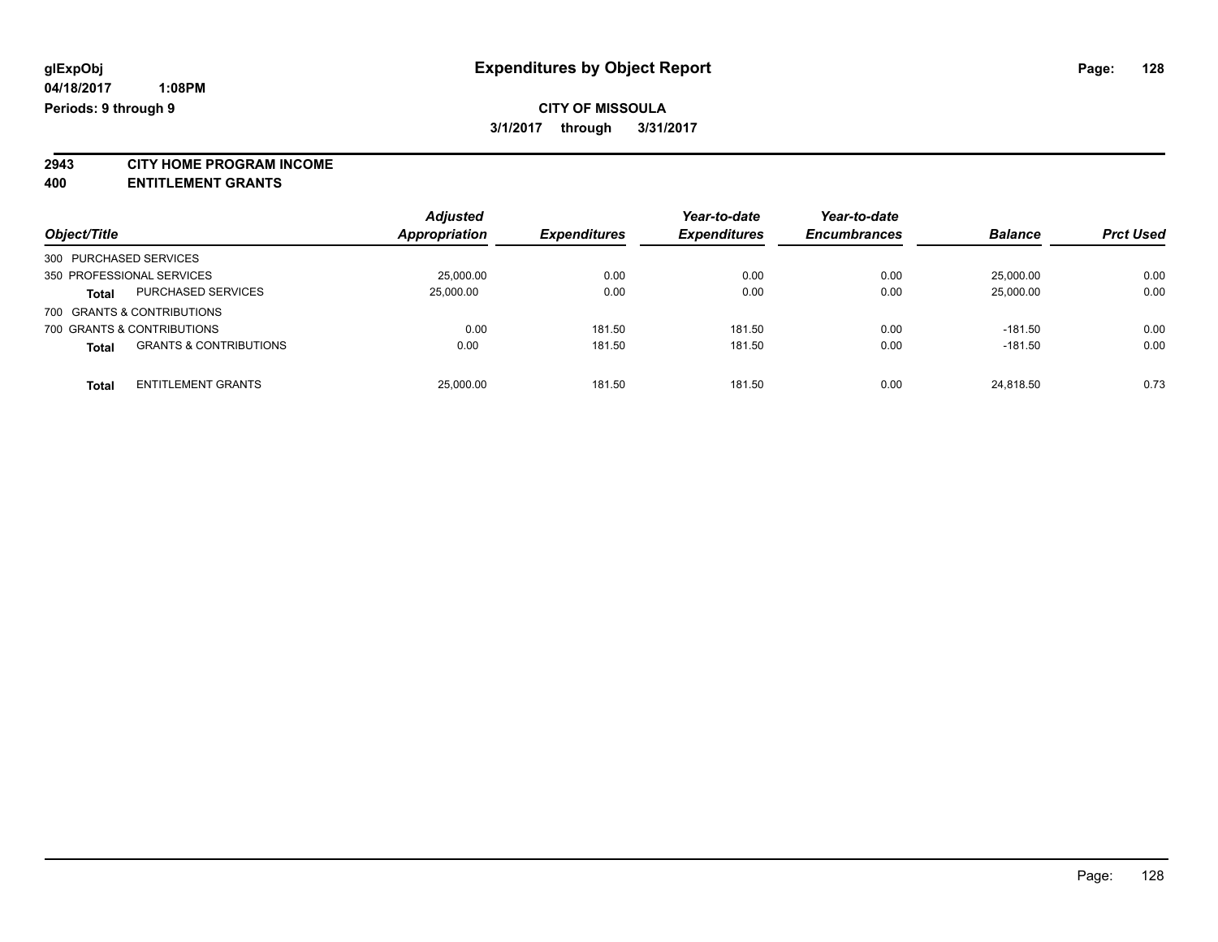**2943 CITY HOME PROGRAM INCOME**

**400 ENTITLEMENT GRANTS**

| Object/Title           |                                   | <b>Adjusted</b><br><b>Appropriation</b> | <b>Expenditures</b> | Year-to-date<br><b>Expenditures</b> | Year-to-date<br><b>Encumbrances</b> | <b>Balance</b> | <b>Prct Used</b> |
|------------------------|-----------------------------------|-----------------------------------------|---------------------|-------------------------------------|-------------------------------------|----------------|------------------|
| 300 PURCHASED SERVICES |                                   |                                         |                     |                                     |                                     |                |                  |
|                        | 350 PROFESSIONAL SERVICES         | 25.000.00                               | 0.00                | 0.00                                | 0.00                                | 25.000.00      | 0.00             |
| <b>Total</b>           | PURCHASED SERVICES                | 25,000.00                               | 0.00                | 0.00                                | 0.00                                | 25,000.00      | 0.00             |
|                        | 700 GRANTS & CONTRIBUTIONS        |                                         |                     |                                     |                                     |                |                  |
|                        | 700 GRANTS & CONTRIBUTIONS        | 0.00                                    | 181.50              | 181.50                              | 0.00                                | $-181.50$      | 0.00             |
| <b>Total</b>           | <b>GRANTS &amp; CONTRIBUTIONS</b> | 0.00                                    | 181.50              | 181.50                              | 0.00                                | $-181.50$      | 0.00             |
| <b>Total</b>           | <b>ENTITLEMENT GRANTS</b>         | 25,000.00                               | 181.50              | 181.50                              | 0.00                                | 24.818.50      | 0.73             |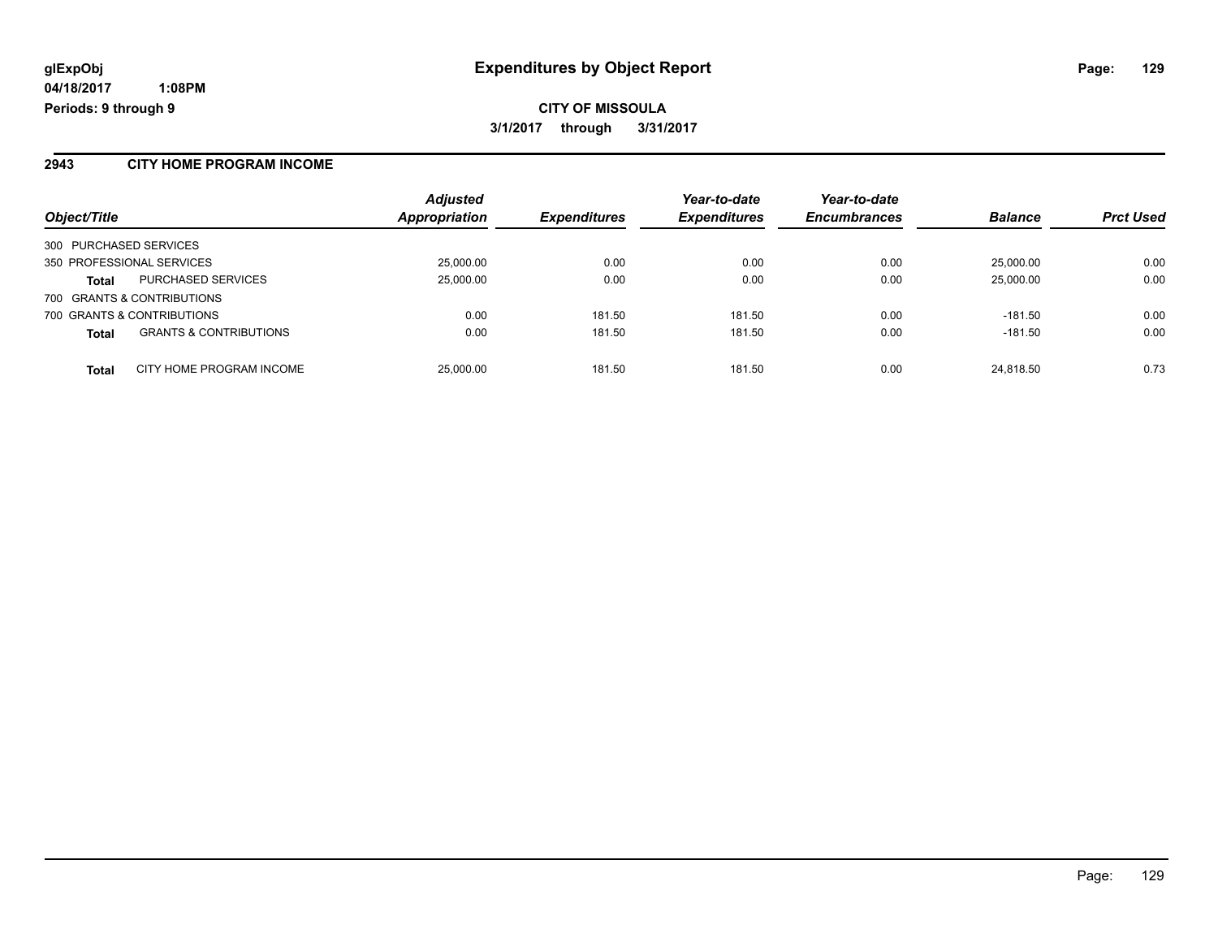**CITY OF MISSOULA 3/1/2017 through 3/31/2017**

#### **2943 CITY HOME PROGRAM INCOME**

| Object/Title                                      | <b>Adjusted</b><br><b>Appropriation</b> | <b>Expenditures</b> | Year-to-date<br><b>Expenditures</b> | Year-to-date<br><b>Encumbrances</b> | <b>Balance</b> | <b>Prct Used</b> |
|---------------------------------------------------|-----------------------------------------|---------------------|-------------------------------------|-------------------------------------|----------------|------------------|
| 300 PURCHASED SERVICES                            |                                         |                     |                                     |                                     |                |                  |
| 350 PROFESSIONAL SERVICES                         | 25,000.00                               | 0.00                | 0.00                                | 0.00                                | 25,000.00      | 0.00             |
| PURCHASED SERVICES<br><b>Total</b>                | 25,000.00                               | 0.00                | 0.00                                | 0.00                                | 25,000.00      | 0.00             |
| 700 GRANTS & CONTRIBUTIONS                        |                                         |                     |                                     |                                     |                |                  |
| 700 GRANTS & CONTRIBUTIONS                        | 0.00                                    | 181.50              | 181.50                              | 0.00                                | $-181.50$      | 0.00             |
| <b>GRANTS &amp; CONTRIBUTIONS</b><br><b>Total</b> | 0.00                                    | 181.50              | 181.50                              | 0.00                                | $-181.50$      | 0.00             |
| CITY HOME PROGRAM INCOME<br><b>Total</b>          | 25,000.00                               | 181.50              | 181.50                              | 0.00                                | 24,818.50      | 0.73             |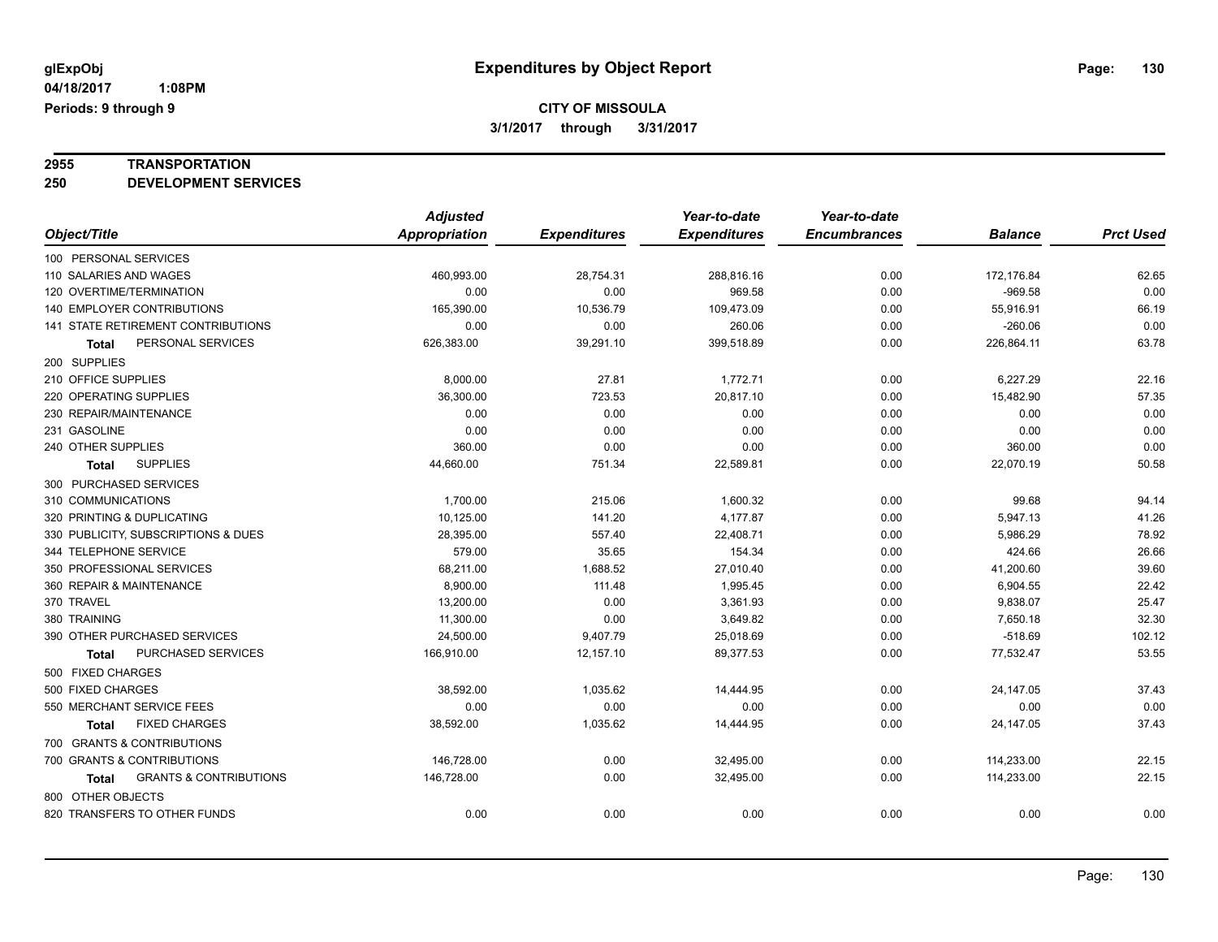# **2955 TRANSPORTATION**

**250 DEVELOPMENT SERVICES**

|                                                   | <b>Adjusted</b>      |                     | Year-to-date        | Year-to-date        |                |                  |
|---------------------------------------------------|----------------------|---------------------|---------------------|---------------------|----------------|------------------|
| Object/Title                                      | <b>Appropriation</b> | <b>Expenditures</b> | <b>Expenditures</b> | <b>Encumbrances</b> | <b>Balance</b> | <b>Prct Used</b> |
| 100 PERSONAL SERVICES                             |                      |                     |                     |                     |                |                  |
| 110 SALARIES AND WAGES                            | 460,993.00           | 28,754.31           | 288,816.16          | 0.00                | 172,176.84     | 62.65            |
| 120 OVERTIME/TERMINATION                          | 0.00                 | 0.00                | 969.58              | 0.00                | $-969.58$      | 0.00             |
| 140 EMPLOYER CONTRIBUTIONS                        | 165,390.00           | 10,536.79           | 109,473.09          | 0.00                | 55,916.91      | 66.19            |
| 141 STATE RETIREMENT CONTRIBUTIONS                | 0.00                 | 0.00                | 260.06              | 0.00                | $-260.06$      | 0.00             |
| PERSONAL SERVICES<br><b>Total</b>                 | 626,383.00           | 39,291.10           | 399,518.89          | 0.00                | 226,864.11     | 63.78            |
| 200 SUPPLIES                                      |                      |                     |                     |                     |                |                  |
| 210 OFFICE SUPPLIES                               | 8,000.00             | 27.81               | 1,772.71            | 0.00                | 6,227.29       | 22.16            |
| 220 OPERATING SUPPLIES                            | 36,300.00            | 723.53              | 20,817.10           | 0.00                | 15,482.90      | 57.35            |
| 230 REPAIR/MAINTENANCE                            | 0.00                 | 0.00                | 0.00                | 0.00                | 0.00           | 0.00             |
| 231 GASOLINE                                      | 0.00                 | 0.00                | 0.00                | 0.00                | 0.00           | 0.00             |
| 240 OTHER SUPPLIES                                | 360.00               | 0.00                | 0.00                | 0.00                | 360.00         | 0.00             |
| <b>SUPPLIES</b><br>Total                          | 44,660.00            | 751.34              | 22,589.81           | 0.00                | 22,070.19      | 50.58            |
| 300 PURCHASED SERVICES                            |                      |                     |                     |                     |                |                  |
| 310 COMMUNICATIONS                                | 1,700.00             | 215.06              | 1,600.32            | 0.00                | 99.68          | 94.14            |
| 320 PRINTING & DUPLICATING                        | 10,125.00            | 141.20              | 4,177.87            | 0.00                | 5,947.13       | 41.26            |
| 330 PUBLICITY, SUBSCRIPTIONS & DUES               | 28,395.00            | 557.40              | 22,408.71           | 0.00                | 5,986.29       | 78.92            |
| 344 TELEPHONE SERVICE                             | 579.00               | 35.65               | 154.34              | 0.00                | 424.66         | 26.66            |
| 350 PROFESSIONAL SERVICES                         | 68,211.00            | 1,688.52            | 27,010.40           | 0.00                | 41,200.60      | 39.60            |
| 360 REPAIR & MAINTENANCE                          | 8.900.00             | 111.48              | 1,995.45            | 0.00                | 6,904.55       | 22.42            |
| 370 TRAVEL                                        | 13,200.00            | 0.00                | 3,361.93            | 0.00                | 9,838.07       | 25.47            |
| 380 TRAINING                                      | 11,300.00            | 0.00                | 3,649.82            | 0.00                | 7,650.18       | 32.30            |
| 390 OTHER PURCHASED SERVICES                      | 24,500.00            | 9,407.79            | 25,018.69           | 0.00                | $-518.69$      | 102.12           |
| PURCHASED SERVICES<br>Total                       | 166,910.00           | 12,157.10           | 89,377.53           | 0.00                | 77,532.47      | 53.55            |
| 500 FIXED CHARGES                                 |                      |                     |                     |                     |                |                  |
| 500 FIXED CHARGES                                 | 38,592.00            | 1,035.62            | 14,444.95           | 0.00                | 24, 147.05     | 37.43            |
| 550 MERCHANT SERVICE FEES                         | 0.00                 | 0.00                | 0.00                | 0.00                | 0.00           | 0.00             |
| <b>FIXED CHARGES</b><br><b>Total</b>              | 38,592.00            | 1,035.62            | 14,444.95           | 0.00                | 24, 147.05     | 37.43            |
| 700 GRANTS & CONTRIBUTIONS                        |                      |                     |                     |                     |                |                  |
| 700 GRANTS & CONTRIBUTIONS                        | 146,728.00           | 0.00                | 32,495.00           | 0.00                | 114,233.00     | 22.15            |
| <b>GRANTS &amp; CONTRIBUTIONS</b><br><b>Total</b> | 146,728.00           | 0.00                | 32,495.00           | 0.00                | 114,233.00     | 22.15            |
| 800 OTHER OBJECTS                                 |                      |                     |                     |                     |                |                  |
| 820 TRANSFERS TO OTHER FUNDS                      | 0.00                 | 0.00                | 0.00                | 0.00                | 0.00           | 0.00             |
|                                                   |                      |                     |                     |                     |                |                  |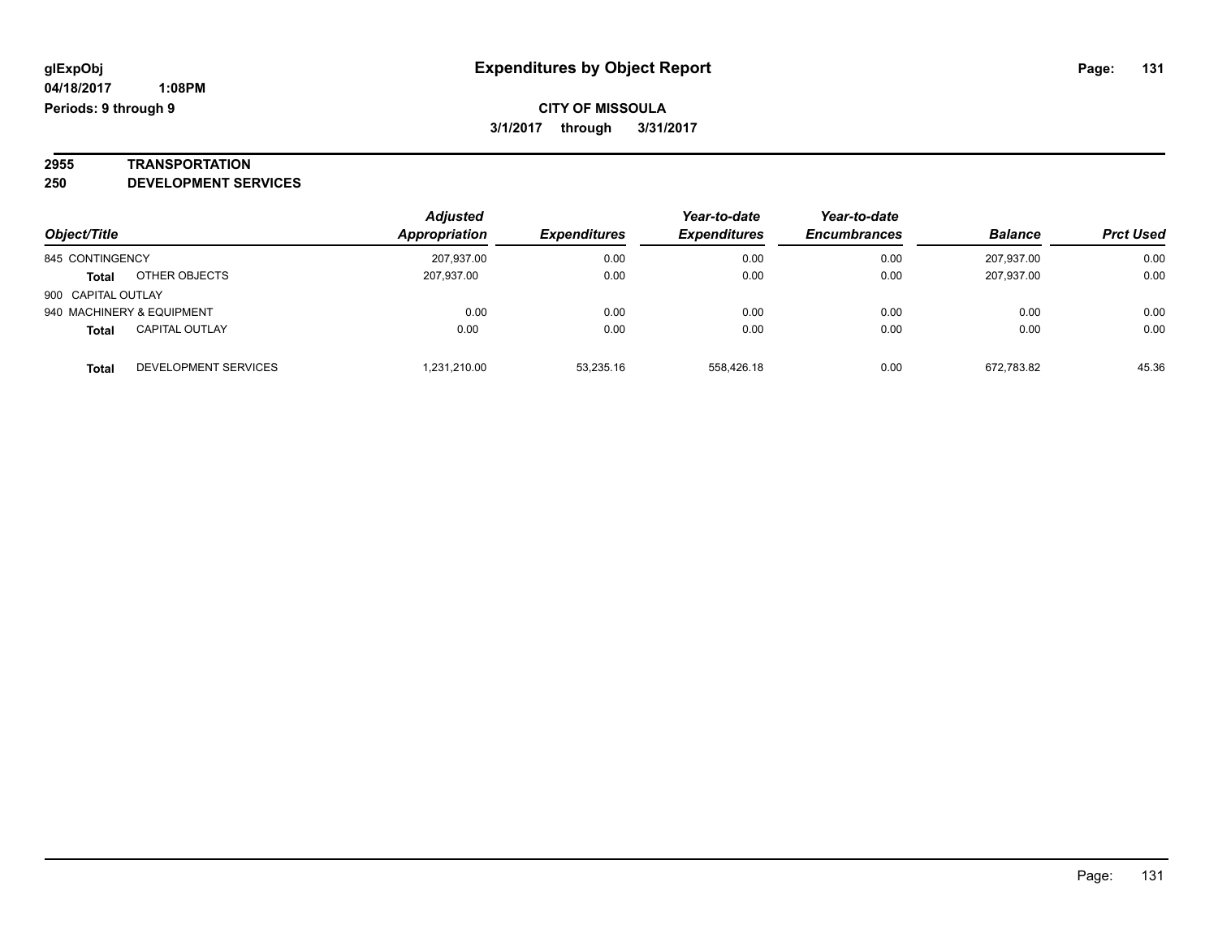# **2955 TRANSPORTATION**

**250 DEVELOPMENT SERVICES**

|                    |                           | <b>Adjusted</b> |                     | Year-to-date        | Year-to-date        |                |                  |
|--------------------|---------------------------|-----------------|---------------------|---------------------|---------------------|----------------|------------------|
| Object/Title       |                           | Appropriation   | <b>Expenditures</b> | <b>Expenditures</b> | <b>Encumbrances</b> | <b>Balance</b> | <b>Prct Used</b> |
| 845 CONTINGENCY    |                           | 207,937.00      | 0.00                | 0.00                | 0.00                | 207.937.00     | 0.00             |
| <b>Total</b>       | OTHER OBJECTS             | 207.937.00      | 0.00                | 0.00                | 0.00                | 207.937.00     | 0.00             |
| 900 CAPITAL OUTLAY |                           |                 |                     |                     |                     |                |                  |
|                    | 940 MACHINERY & EQUIPMENT | 0.00            | 0.00                | 0.00                | 0.00                | 0.00           | 0.00             |
| <b>Total</b>       | <b>CAPITAL OUTLAY</b>     | 0.00            | 0.00                | 0.00                | 0.00                | 0.00           | 0.00             |
| <b>Total</b>       | DEVELOPMENT SERVICES      | 1.231.210.00    | 53.235.16           | 558.426.18          | 0.00                | 672.783.82     | 45.36            |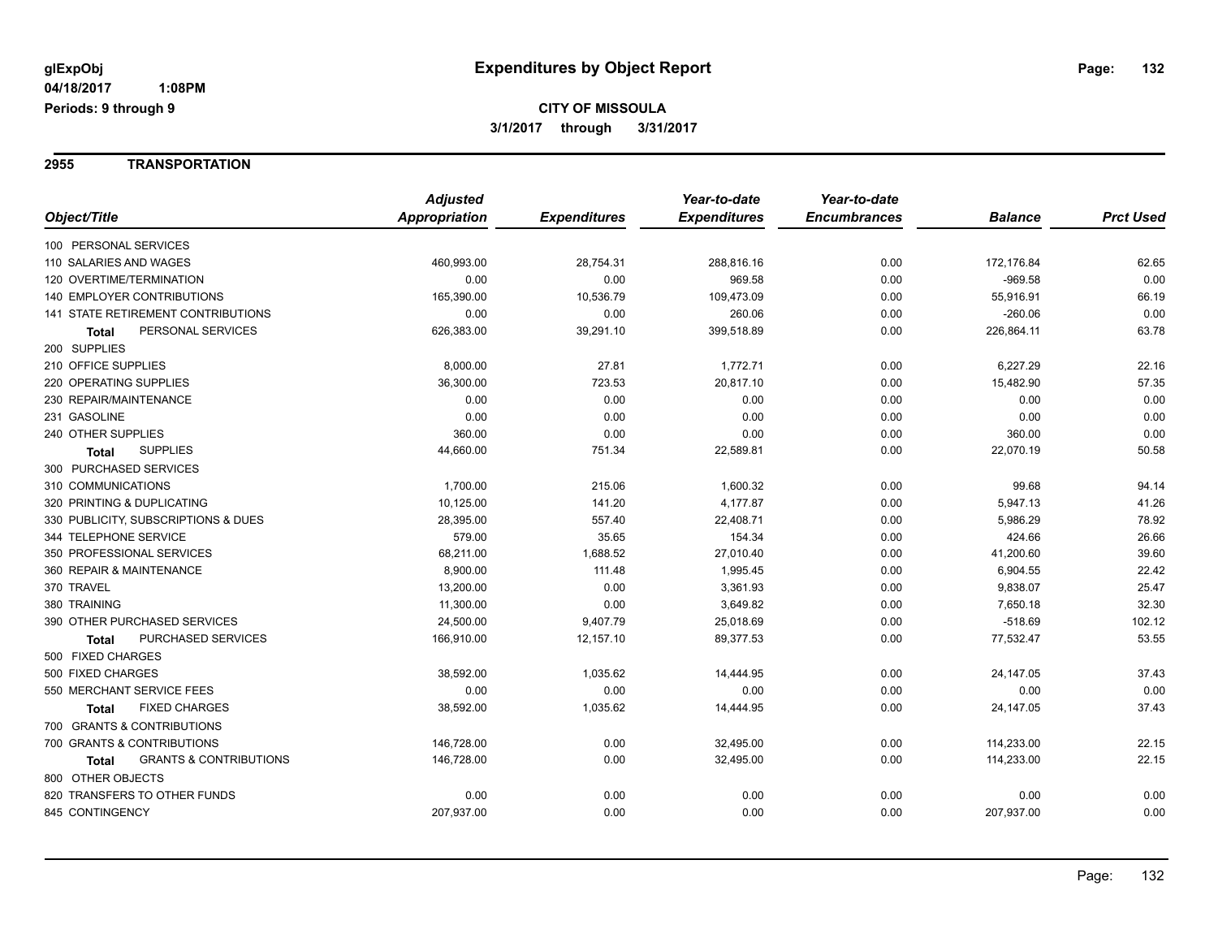#### **2955 TRANSPORTATION**

| <b>Prct Used</b><br>Object/Title<br>Appropriation<br><b>Expenditures</b><br><b>Expenditures</b><br><b>Encumbrances</b><br><b>Balance</b><br>100 PERSONAL SERVICES<br>110 SALARIES AND WAGES<br>460,993.00<br>28,754.31<br>288,816.16<br>0.00<br>172,176.84<br>62.65<br>0.00<br>120 OVERTIME/TERMINATION<br>0.00<br>0.00<br>969.58<br>0.00<br>$-969.58$<br>66.19<br><b>140 EMPLOYER CONTRIBUTIONS</b><br>165,390.00<br>10,536.79<br>109,473.09<br>0.00<br>55,916.91<br>0.00<br><b>141 STATE RETIREMENT CONTRIBUTIONS</b><br>0.00<br>0.00<br>260.06<br>0.00<br>$-260.06$<br>63.78<br>PERSONAL SERVICES<br>626,383.00<br>39,291.10<br>399,518.89<br>0.00<br>226,864.11<br>Total<br>200 SUPPLIES<br>210 OFFICE SUPPLIES<br>27.81<br>1,772.71<br>22.16<br>8,000.00<br>0.00<br>6,227.29<br>57.35<br>220 OPERATING SUPPLIES<br>36,300.00<br>723.53<br>20,817.10<br>15,482.90<br>0.00<br>0.00<br>230 REPAIR/MAINTENANCE<br>0.00<br>0.00<br>0.00<br>0.00<br>0.00<br>0.00<br>231 GASOLINE<br>0.00<br>0.00<br>0.00<br>0.00<br>0.00<br>0.00<br>240 OTHER SUPPLIES<br>360.00<br>0.00<br>360.00<br>0.00<br>0.00<br>50.58<br><b>SUPPLIES</b><br>751.34<br>44,660.00<br>22,589.81<br>0.00<br>22,070.19<br><b>Total</b><br>300 PURCHASED SERVICES<br>310 COMMUNICATIONS<br>215.06<br>99.68<br>94.14<br>1,700.00<br>1,600.32<br>0.00<br>320 PRINTING & DUPLICATING<br>141.20<br>4,177.87<br>41.26<br>10,125.00<br>0.00<br>5,947.13<br>78.92<br>557.40<br>330 PUBLICITY, SUBSCRIPTIONS & DUES<br>28,395.00<br>22,408.71<br>0.00<br>5,986.29<br>26.66<br>344 TELEPHONE SERVICE<br>579.00<br>35.65<br>154.34<br>424.66<br>0.00<br>39.60<br>350 PROFESSIONAL SERVICES<br>68,211.00<br>1,688.52<br>27,010.40<br>0.00<br>41,200.60<br>8,900.00<br>22.42<br>360 REPAIR & MAINTENANCE<br>111.48<br>1,995.45<br>0.00<br>6,904.55<br>370 TRAVEL<br>13,200.00<br>0.00<br>25.47<br>3,361.93<br>0.00<br>9,838.07<br>32.30<br>380 TRAINING<br>11,300.00<br>0.00<br>3,649.82<br>7,650.18<br>0.00<br>390 OTHER PURCHASED SERVICES<br>102.12<br>24,500.00<br>9,407.79<br>25,018.69<br>0.00<br>$-518.69$<br>53.55<br>PURCHASED SERVICES<br>166,910.00<br>12,157.10<br>89,377.53<br>0.00<br>77,532.47<br><b>Total</b><br>500 FIXED CHARGES<br>500 FIXED CHARGES<br>1,035.62<br>0.00<br>37.43<br>38,592.00<br>14,444.95<br>24,147.05<br>0.00<br>550 MERCHANT SERVICE FEES<br>0.00<br>0.00<br>0.00<br>0.00<br>0.00<br><b>FIXED CHARGES</b><br>37.43<br>38,592.00<br>1,035.62<br>14,444.95<br>0.00<br>24,147.05<br><b>Total</b><br>700 GRANTS & CONTRIBUTIONS<br>700 GRANTS & CONTRIBUTIONS<br>0.00<br>0.00<br>114,233.00<br>22.15<br>146,728.00<br>32,495.00<br>0.00<br>0.00<br>22.15<br><b>GRANTS &amp; CONTRIBUTIONS</b><br>146,728.00<br>32,495.00<br>114,233.00<br><b>Total</b><br>800 OTHER OBJECTS<br>0.00<br>820 TRANSFERS TO OTHER FUNDS<br>0.00<br>0.00<br>0.00<br>0.00<br>0.00<br>845 CONTINGENCY<br>207,937.00<br>0.00<br>0.00<br>0.00<br>207,937.00<br>0.00 | <b>Adjusted</b> | Year-to-date | Year-to-date |  |
|----------------------------------------------------------------------------------------------------------------------------------------------------------------------------------------------------------------------------------------------------------------------------------------------------------------------------------------------------------------------------------------------------------------------------------------------------------------------------------------------------------------------------------------------------------------------------------------------------------------------------------------------------------------------------------------------------------------------------------------------------------------------------------------------------------------------------------------------------------------------------------------------------------------------------------------------------------------------------------------------------------------------------------------------------------------------------------------------------------------------------------------------------------------------------------------------------------------------------------------------------------------------------------------------------------------------------------------------------------------------------------------------------------------------------------------------------------------------------------------------------------------------------------------------------------------------------------------------------------------------------------------------------------------------------------------------------------------------------------------------------------------------------------------------------------------------------------------------------------------------------------------------------------------------------------------------------------------------------------------------------------------------------------------------------------------------------------------------------------------------------------------------------------------------------------------------------------------------------------------------------------------------------------------------------------------------------------------------------------------------------------------------------------------------------------------------------------------------------------------------------------------------------------------------------------------------------------------------------------------------------------------------------------------------------------------------------------------------------------------------------------------------------------------------------------------------------------------------------------------------------------------------------------------------------------|-----------------|--------------|--------------|--|
|                                                                                                                                                                                                                                                                                                                                                                                                                                                                                                                                                                                                                                                                                                                                                                                                                                                                                                                                                                                                                                                                                                                                                                                                                                                                                                                                                                                                                                                                                                                                                                                                                                                                                                                                                                                                                                                                                                                                                                                                                                                                                                                                                                                                                                                                                                                                                                                                                                                                                                                                                                                                                                                                                                                                                                                                                                                                                                                                  |                 |              |              |  |
|                                                                                                                                                                                                                                                                                                                                                                                                                                                                                                                                                                                                                                                                                                                                                                                                                                                                                                                                                                                                                                                                                                                                                                                                                                                                                                                                                                                                                                                                                                                                                                                                                                                                                                                                                                                                                                                                                                                                                                                                                                                                                                                                                                                                                                                                                                                                                                                                                                                                                                                                                                                                                                                                                                                                                                                                                                                                                                                                  |                 |              |              |  |
|                                                                                                                                                                                                                                                                                                                                                                                                                                                                                                                                                                                                                                                                                                                                                                                                                                                                                                                                                                                                                                                                                                                                                                                                                                                                                                                                                                                                                                                                                                                                                                                                                                                                                                                                                                                                                                                                                                                                                                                                                                                                                                                                                                                                                                                                                                                                                                                                                                                                                                                                                                                                                                                                                                                                                                                                                                                                                                                                  |                 |              |              |  |
|                                                                                                                                                                                                                                                                                                                                                                                                                                                                                                                                                                                                                                                                                                                                                                                                                                                                                                                                                                                                                                                                                                                                                                                                                                                                                                                                                                                                                                                                                                                                                                                                                                                                                                                                                                                                                                                                                                                                                                                                                                                                                                                                                                                                                                                                                                                                                                                                                                                                                                                                                                                                                                                                                                                                                                                                                                                                                                                                  |                 |              |              |  |
|                                                                                                                                                                                                                                                                                                                                                                                                                                                                                                                                                                                                                                                                                                                                                                                                                                                                                                                                                                                                                                                                                                                                                                                                                                                                                                                                                                                                                                                                                                                                                                                                                                                                                                                                                                                                                                                                                                                                                                                                                                                                                                                                                                                                                                                                                                                                                                                                                                                                                                                                                                                                                                                                                                                                                                                                                                                                                                                                  |                 |              |              |  |
|                                                                                                                                                                                                                                                                                                                                                                                                                                                                                                                                                                                                                                                                                                                                                                                                                                                                                                                                                                                                                                                                                                                                                                                                                                                                                                                                                                                                                                                                                                                                                                                                                                                                                                                                                                                                                                                                                                                                                                                                                                                                                                                                                                                                                                                                                                                                                                                                                                                                                                                                                                                                                                                                                                                                                                                                                                                                                                                                  |                 |              |              |  |
|                                                                                                                                                                                                                                                                                                                                                                                                                                                                                                                                                                                                                                                                                                                                                                                                                                                                                                                                                                                                                                                                                                                                                                                                                                                                                                                                                                                                                                                                                                                                                                                                                                                                                                                                                                                                                                                                                                                                                                                                                                                                                                                                                                                                                                                                                                                                                                                                                                                                                                                                                                                                                                                                                                                                                                                                                                                                                                                                  |                 |              |              |  |
|                                                                                                                                                                                                                                                                                                                                                                                                                                                                                                                                                                                                                                                                                                                                                                                                                                                                                                                                                                                                                                                                                                                                                                                                                                                                                                                                                                                                                                                                                                                                                                                                                                                                                                                                                                                                                                                                                                                                                                                                                                                                                                                                                                                                                                                                                                                                                                                                                                                                                                                                                                                                                                                                                                                                                                                                                                                                                                                                  |                 |              |              |  |
|                                                                                                                                                                                                                                                                                                                                                                                                                                                                                                                                                                                                                                                                                                                                                                                                                                                                                                                                                                                                                                                                                                                                                                                                                                                                                                                                                                                                                                                                                                                                                                                                                                                                                                                                                                                                                                                                                                                                                                                                                                                                                                                                                                                                                                                                                                                                                                                                                                                                                                                                                                                                                                                                                                                                                                                                                                                                                                                                  |                 |              |              |  |
|                                                                                                                                                                                                                                                                                                                                                                                                                                                                                                                                                                                                                                                                                                                                                                                                                                                                                                                                                                                                                                                                                                                                                                                                                                                                                                                                                                                                                                                                                                                                                                                                                                                                                                                                                                                                                                                                                                                                                                                                                                                                                                                                                                                                                                                                                                                                                                                                                                                                                                                                                                                                                                                                                                                                                                                                                                                                                                                                  |                 |              |              |  |
|                                                                                                                                                                                                                                                                                                                                                                                                                                                                                                                                                                                                                                                                                                                                                                                                                                                                                                                                                                                                                                                                                                                                                                                                                                                                                                                                                                                                                                                                                                                                                                                                                                                                                                                                                                                                                                                                                                                                                                                                                                                                                                                                                                                                                                                                                                                                                                                                                                                                                                                                                                                                                                                                                                                                                                                                                                                                                                                                  |                 |              |              |  |
|                                                                                                                                                                                                                                                                                                                                                                                                                                                                                                                                                                                                                                                                                                                                                                                                                                                                                                                                                                                                                                                                                                                                                                                                                                                                                                                                                                                                                                                                                                                                                                                                                                                                                                                                                                                                                                                                                                                                                                                                                                                                                                                                                                                                                                                                                                                                                                                                                                                                                                                                                                                                                                                                                                                                                                                                                                                                                                                                  |                 |              |              |  |
|                                                                                                                                                                                                                                                                                                                                                                                                                                                                                                                                                                                                                                                                                                                                                                                                                                                                                                                                                                                                                                                                                                                                                                                                                                                                                                                                                                                                                                                                                                                                                                                                                                                                                                                                                                                                                                                                                                                                                                                                                                                                                                                                                                                                                                                                                                                                                                                                                                                                                                                                                                                                                                                                                                                                                                                                                                                                                                                                  |                 |              |              |  |
|                                                                                                                                                                                                                                                                                                                                                                                                                                                                                                                                                                                                                                                                                                                                                                                                                                                                                                                                                                                                                                                                                                                                                                                                                                                                                                                                                                                                                                                                                                                                                                                                                                                                                                                                                                                                                                                                                                                                                                                                                                                                                                                                                                                                                                                                                                                                                                                                                                                                                                                                                                                                                                                                                                                                                                                                                                                                                                                                  |                 |              |              |  |
|                                                                                                                                                                                                                                                                                                                                                                                                                                                                                                                                                                                                                                                                                                                                                                                                                                                                                                                                                                                                                                                                                                                                                                                                                                                                                                                                                                                                                                                                                                                                                                                                                                                                                                                                                                                                                                                                                                                                                                                                                                                                                                                                                                                                                                                                                                                                                                                                                                                                                                                                                                                                                                                                                                                                                                                                                                                                                                                                  |                 |              |              |  |
|                                                                                                                                                                                                                                                                                                                                                                                                                                                                                                                                                                                                                                                                                                                                                                                                                                                                                                                                                                                                                                                                                                                                                                                                                                                                                                                                                                                                                                                                                                                                                                                                                                                                                                                                                                                                                                                                                                                                                                                                                                                                                                                                                                                                                                                                                                                                                                                                                                                                                                                                                                                                                                                                                                                                                                                                                                                                                                                                  |                 |              |              |  |
|                                                                                                                                                                                                                                                                                                                                                                                                                                                                                                                                                                                                                                                                                                                                                                                                                                                                                                                                                                                                                                                                                                                                                                                                                                                                                                                                                                                                                                                                                                                                                                                                                                                                                                                                                                                                                                                                                                                                                                                                                                                                                                                                                                                                                                                                                                                                                                                                                                                                                                                                                                                                                                                                                                                                                                                                                                                                                                                                  |                 |              |              |  |
|                                                                                                                                                                                                                                                                                                                                                                                                                                                                                                                                                                                                                                                                                                                                                                                                                                                                                                                                                                                                                                                                                                                                                                                                                                                                                                                                                                                                                                                                                                                                                                                                                                                                                                                                                                                                                                                                                                                                                                                                                                                                                                                                                                                                                                                                                                                                                                                                                                                                                                                                                                                                                                                                                                                                                                                                                                                                                                                                  |                 |              |              |  |
|                                                                                                                                                                                                                                                                                                                                                                                                                                                                                                                                                                                                                                                                                                                                                                                                                                                                                                                                                                                                                                                                                                                                                                                                                                                                                                                                                                                                                                                                                                                                                                                                                                                                                                                                                                                                                                                                                                                                                                                                                                                                                                                                                                                                                                                                                                                                                                                                                                                                                                                                                                                                                                                                                                                                                                                                                                                                                                                                  |                 |              |              |  |
|                                                                                                                                                                                                                                                                                                                                                                                                                                                                                                                                                                                                                                                                                                                                                                                                                                                                                                                                                                                                                                                                                                                                                                                                                                                                                                                                                                                                                                                                                                                                                                                                                                                                                                                                                                                                                                                                                                                                                                                                                                                                                                                                                                                                                                                                                                                                                                                                                                                                                                                                                                                                                                                                                                                                                                                                                                                                                                                                  |                 |              |              |  |
|                                                                                                                                                                                                                                                                                                                                                                                                                                                                                                                                                                                                                                                                                                                                                                                                                                                                                                                                                                                                                                                                                                                                                                                                                                                                                                                                                                                                                                                                                                                                                                                                                                                                                                                                                                                                                                                                                                                                                                                                                                                                                                                                                                                                                                                                                                                                                                                                                                                                                                                                                                                                                                                                                                                                                                                                                                                                                                                                  |                 |              |              |  |
|                                                                                                                                                                                                                                                                                                                                                                                                                                                                                                                                                                                                                                                                                                                                                                                                                                                                                                                                                                                                                                                                                                                                                                                                                                                                                                                                                                                                                                                                                                                                                                                                                                                                                                                                                                                                                                                                                                                                                                                                                                                                                                                                                                                                                                                                                                                                                                                                                                                                                                                                                                                                                                                                                                                                                                                                                                                                                                                                  |                 |              |              |  |
|                                                                                                                                                                                                                                                                                                                                                                                                                                                                                                                                                                                                                                                                                                                                                                                                                                                                                                                                                                                                                                                                                                                                                                                                                                                                                                                                                                                                                                                                                                                                                                                                                                                                                                                                                                                                                                                                                                                                                                                                                                                                                                                                                                                                                                                                                                                                                                                                                                                                                                                                                                                                                                                                                                                                                                                                                                                                                                                                  |                 |              |              |  |
|                                                                                                                                                                                                                                                                                                                                                                                                                                                                                                                                                                                                                                                                                                                                                                                                                                                                                                                                                                                                                                                                                                                                                                                                                                                                                                                                                                                                                                                                                                                                                                                                                                                                                                                                                                                                                                                                                                                                                                                                                                                                                                                                                                                                                                                                                                                                                                                                                                                                                                                                                                                                                                                                                                                                                                                                                                                                                                                                  |                 |              |              |  |
|                                                                                                                                                                                                                                                                                                                                                                                                                                                                                                                                                                                                                                                                                                                                                                                                                                                                                                                                                                                                                                                                                                                                                                                                                                                                                                                                                                                                                                                                                                                                                                                                                                                                                                                                                                                                                                                                                                                                                                                                                                                                                                                                                                                                                                                                                                                                                                                                                                                                                                                                                                                                                                                                                                                                                                                                                                                                                                                                  |                 |              |              |  |
|                                                                                                                                                                                                                                                                                                                                                                                                                                                                                                                                                                                                                                                                                                                                                                                                                                                                                                                                                                                                                                                                                                                                                                                                                                                                                                                                                                                                                                                                                                                                                                                                                                                                                                                                                                                                                                                                                                                                                                                                                                                                                                                                                                                                                                                                                                                                                                                                                                                                                                                                                                                                                                                                                                                                                                                                                                                                                                                                  |                 |              |              |  |
|                                                                                                                                                                                                                                                                                                                                                                                                                                                                                                                                                                                                                                                                                                                                                                                                                                                                                                                                                                                                                                                                                                                                                                                                                                                                                                                                                                                                                                                                                                                                                                                                                                                                                                                                                                                                                                                                                                                                                                                                                                                                                                                                                                                                                                                                                                                                                                                                                                                                                                                                                                                                                                                                                                                                                                                                                                                                                                                                  |                 |              |              |  |
|                                                                                                                                                                                                                                                                                                                                                                                                                                                                                                                                                                                                                                                                                                                                                                                                                                                                                                                                                                                                                                                                                                                                                                                                                                                                                                                                                                                                                                                                                                                                                                                                                                                                                                                                                                                                                                                                                                                                                                                                                                                                                                                                                                                                                                                                                                                                                                                                                                                                                                                                                                                                                                                                                                                                                                                                                                                                                                                                  |                 |              |              |  |
|                                                                                                                                                                                                                                                                                                                                                                                                                                                                                                                                                                                                                                                                                                                                                                                                                                                                                                                                                                                                                                                                                                                                                                                                                                                                                                                                                                                                                                                                                                                                                                                                                                                                                                                                                                                                                                                                                                                                                                                                                                                                                                                                                                                                                                                                                                                                                                                                                                                                                                                                                                                                                                                                                                                                                                                                                                                                                                                                  |                 |              |              |  |
|                                                                                                                                                                                                                                                                                                                                                                                                                                                                                                                                                                                                                                                                                                                                                                                                                                                                                                                                                                                                                                                                                                                                                                                                                                                                                                                                                                                                                                                                                                                                                                                                                                                                                                                                                                                                                                                                                                                                                                                                                                                                                                                                                                                                                                                                                                                                                                                                                                                                                                                                                                                                                                                                                                                                                                                                                                                                                                                                  |                 |              |              |  |
|                                                                                                                                                                                                                                                                                                                                                                                                                                                                                                                                                                                                                                                                                                                                                                                                                                                                                                                                                                                                                                                                                                                                                                                                                                                                                                                                                                                                                                                                                                                                                                                                                                                                                                                                                                                                                                                                                                                                                                                                                                                                                                                                                                                                                                                                                                                                                                                                                                                                                                                                                                                                                                                                                                                                                                                                                                                                                                                                  |                 |              |              |  |
|                                                                                                                                                                                                                                                                                                                                                                                                                                                                                                                                                                                                                                                                                                                                                                                                                                                                                                                                                                                                                                                                                                                                                                                                                                                                                                                                                                                                                                                                                                                                                                                                                                                                                                                                                                                                                                                                                                                                                                                                                                                                                                                                                                                                                                                                                                                                                                                                                                                                                                                                                                                                                                                                                                                                                                                                                                                                                                                                  |                 |              |              |  |
|                                                                                                                                                                                                                                                                                                                                                                                                                                                                                                                                                                                                                                                                                                                                                                                                                                                                                                                                                                                                                                                                                                                                                                                                                                                                                                                                                                                                                                                                                                                                                                                                                                                                                                                                                                                                                                                                                                                                                                                                                                                                                                                                                                                                                                                                                                                                                                                                                                                                                                                                                                                                                                                                                                                                                                                                                                                                                                                                  |                 |              |              |  |
|                                                                                                                                                                                                                                                                                                                                                                                                                                                                                                                                                                                                                                                                                                                                                                                                                                                                                                                                                                                                                                                                                                                                                                                                                                                                                                                                                                                                                                                                                                                                                                                                                                                                                                                                                                                                                                                                                                                                                                                                                                                                                                                                                                                                                                                                                                                                                                                                                                                                                                                                                                                                                                                                                                                                                                                                                                                                                                                                  |                 |              |              |  |
|                                                                                                                                                                                                                                                                                                                                                                                                                                                                                                                                                                                                                                                                                                                                                                                                                                                                                                                                                                                                                                                                                                                                                                                                                                                                                                                                                                                                                                                                                                                                                                                                                                                                                                                                                                                                                                                                                                                                                                                                                                                                                                                                                                                                                                                                                                                                                                                                                                                                                                                                                                                                                                                                                                                                                                                                                                                                                                                                  |                 |              |              |  |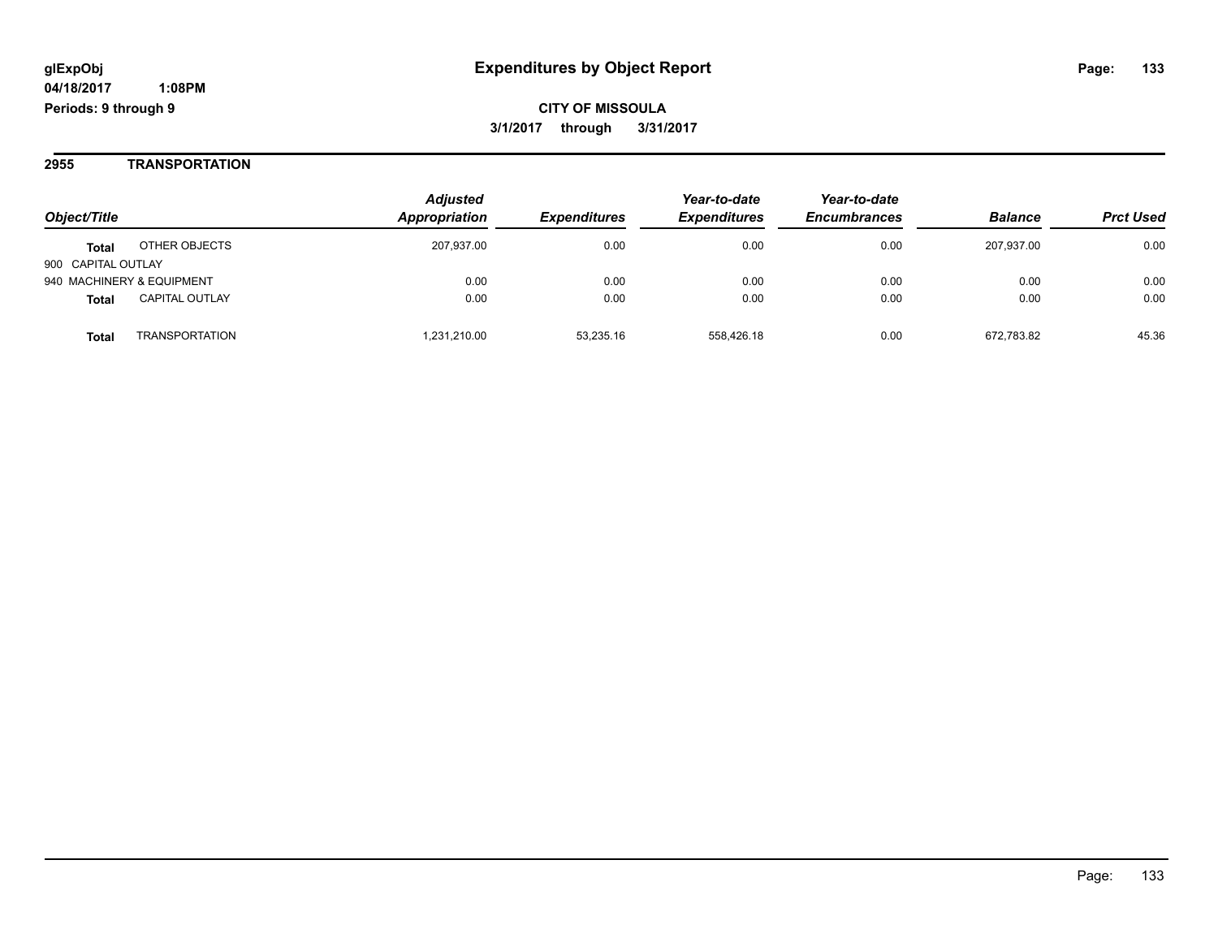#### **2955 TRANSPORTATION**

| Object/Title                          | <b>Adjusted</b><br>Appropriation | <b>Expenditures</b> | Year-to-date<br><b>Expenditures</b> | Year-to-date<br><b>Encumbrances</b> | <b>Balance</b> | <b>Prct Used</b> |
|---------------------------------------|----------------------------------|---------------------|-------------------------------------|-------------------------------------|----------------|------------------|
| OTHER OBJECTS<br><b>Total</b>         | 207,937.00                       | 0.00                | 0.00                                | 0.00                                | 207.937.00     | 0.00             |
| 900 CAPITAL OUTLAY                    |                                  |                     |                                     |                                     |                |                  |
| 940 MACHINERY & EQUIPMENT             | 0.00                             | 0.00                | 0.00                                | 0.00                                | 0.00           | 0.00             |
| <b>CAPITAL OUTLAY</b><br><b>Total</b> | 0.00                             | 0.00                | 0.00                                | 0.00                                | 0.00           | 0.00             |
| <b>TRANSPORTATION</b><br>Total        | 1.231.210.00                     | 53.235.16           | 558.426.18                          | 0.00                                | 672.783.82     | 45.36            |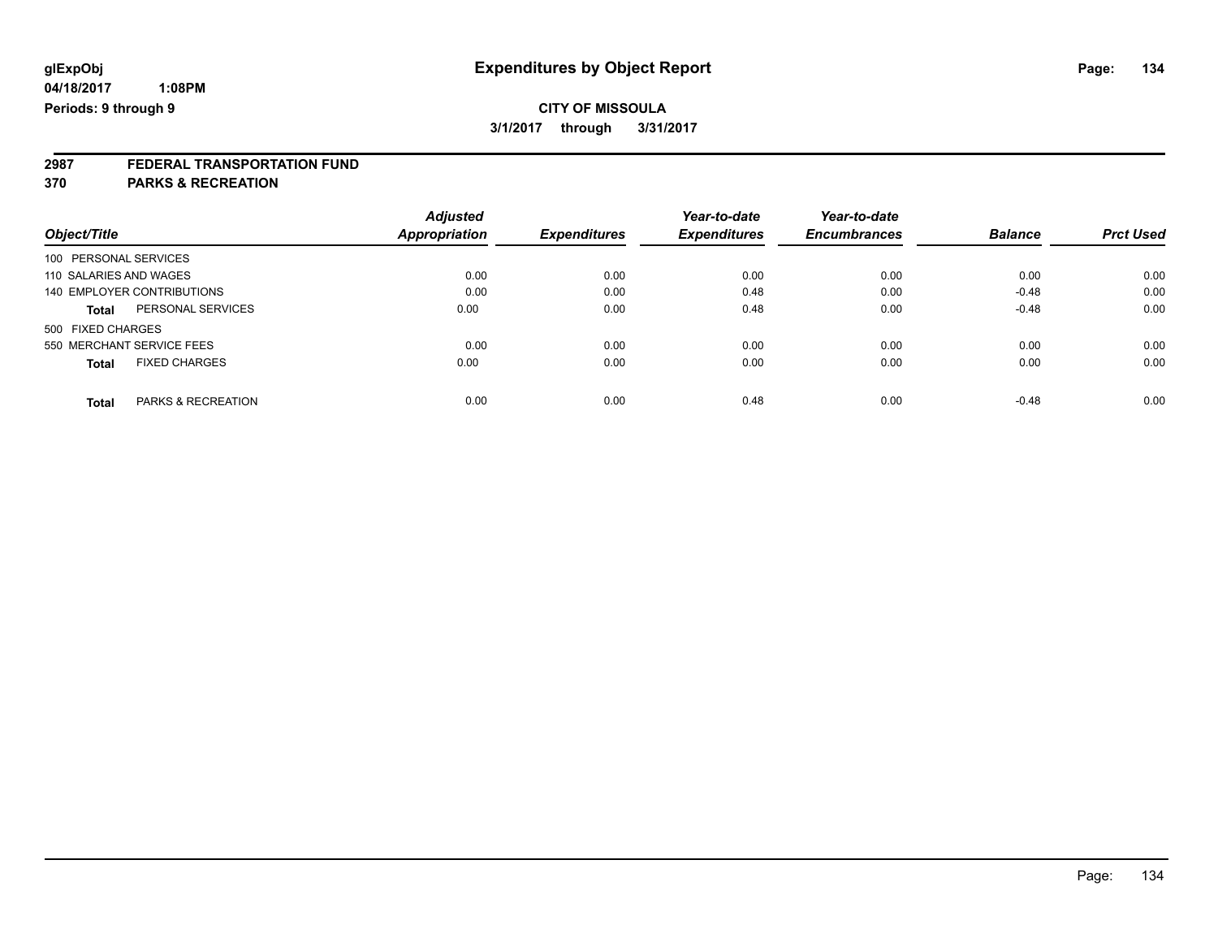# **2987 FEDERAL TRANSPORTATION FUND**

**370 PARKS & RECREATION**

|                                      | <b>Adjusted</b> |                     | Year-to-date        | Year-to-date        |                | <b>Prct Used</b> |
|--------------------------------------|-----------------|---------------------|---------------------|---------------------|----------------|------------------|
| Object/Title                         | Appropriation   | <b>Expenditures</b> | <b>Expenditures</b> | <b>Encumbrances</b> | <b>Balance</b> |                  |
| 100 PERSONAL SERVICES                |                 |                     |                     |                     |                |                  |
| 110 SALARIES AND WAGES               | 0.00            | 0.00                | 0.00                | 0.00                | 0.00           | 0.00             |
| 140 EMPLOYER CONTRIBUTIONS           | 0.00            | 0.00                | 0.48                | 0.00                | $-0.48$        | 0.00             |
| PERSONAL SERVICES<br><b>Total</b>    | 0.00            | 0.00                | 0.48                | 0.00                | $-0.48$        | 0.00             |
| 500 FIXED CHARGES                    |                 |                     |                     |                     |                |                  |
| 550 MERCHANT SERVICE FEES            | 0.00            | 0.00                | 0.00                | 0.00                | 0.00           | 0.00             |
| <b>FIXED CHARGES</b><br><b>Total</b> | 0.00            | 0.00                | 0.00                | 0.00                | 0.00           | 0.00             |
| PARKS & RECREATION<br><b>Total</b>   | 0.00            | 0.00                | 0.48                | 0.00                | $-0.48$        | 0.00             |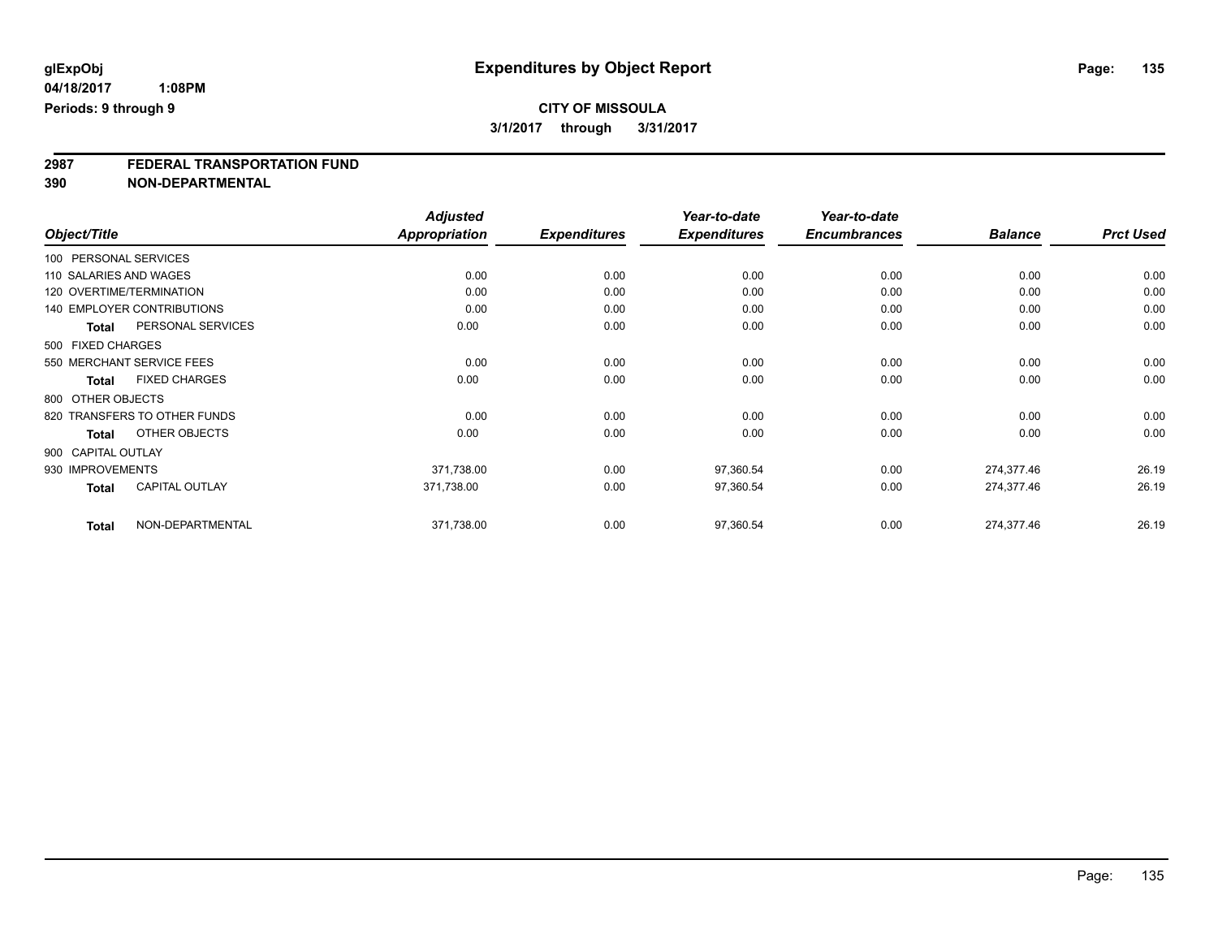# **2987 FEDERAL TRANSPORTATION FUND**

**390 NON-DEPARTMENTAL**

|                           |                                   | <b>Adjusted</b>      |                     | Year-to-date        | Year-to-date        |                |                  |
|---------------------------|-----------------------------------|----------------------|---------------------|---------------------|---------------------|----------------|------------------|
| Object/Title              |                                   | <b>Appropriation</b> | <b>Expenditures</b> | <b>Expenditures</b> | <b>Encumbrances</b> | <b>Balance</b> | <b>Prct Used</b> |
| 100 PERSONAL SERVICES     |                                   |                      |                     |                     |                     |                |                  |
| 110 SALARIES AND WAGES    |                                   | 0.00                 | 0.00                | 0.00                | 0.00                | 0.00           | 0.00             |
| 120 OVERTIME/TERMINATION  |                                   | 0.00                 | 0.00                | 0.00                | 0.00                | 0.00           | 0.00             |
|                           | <b>140 EMPLOYER CONTRIBUTIONS</b> | 0.00                 | 0.00                | 0.00                | 0.00                | 0.00           | 0.00             |
| Total                     | PERSONAL SERVICES                 | 0.00                 | 0.00                | 0.00                | 0.00                | 0.00           | 0.00             |
| 500 FIXED CHARGES         |                                   |                      |                     |                     |                     |                |                  |
| 550 MERCHANT SERVICE FEES |                                   | 0.00                 | 0.00                | 0.00                | 0.00                | 0.00           | 0.00             |
| <b>Total</b>              | <b>FIXED CHARGES</b>              | 0.00                 | 0.00                | 0.00                | 0.00                | 0.00           | 0.00             |
| 800 OTHER OBJECTS         |                                   |                      |                     |                     |                     |                |                  |
|                           | 820 TRANSFERS TO OTHER FUNDS      | 0.00                 | 0.00                | 0.00                | 0.00                | 0.00           | 0.00             |
| <b>Total</b>              | OTHER OBJECTS                     | 0.00                 | 0.00                | 0.00                | 0.00                | 0.00           | 0.00             |
| 900 CAPITAL OUTLAY        |                                   |                      |                     |                     |                     |                |                  |
| 930 IMPROVEMENTS          |                                   | 371,738.00           | 0.00                | 97,360.54           | 0.00                | 274,377.46     | 26.19            |
| <b>Total</b>              | <b>CAPITAL OUTLAY</b>             | 371,738.00           | 0.00                | 97,360.54           | 0.00                | 274,377.46     | 26.19            |
| <b>Total</b>              | NON-DEPARTMENTAL                  | 371,738.00           | 0.00                | 97,360.54           | 0.00                | 274,377.46     | 26.19            |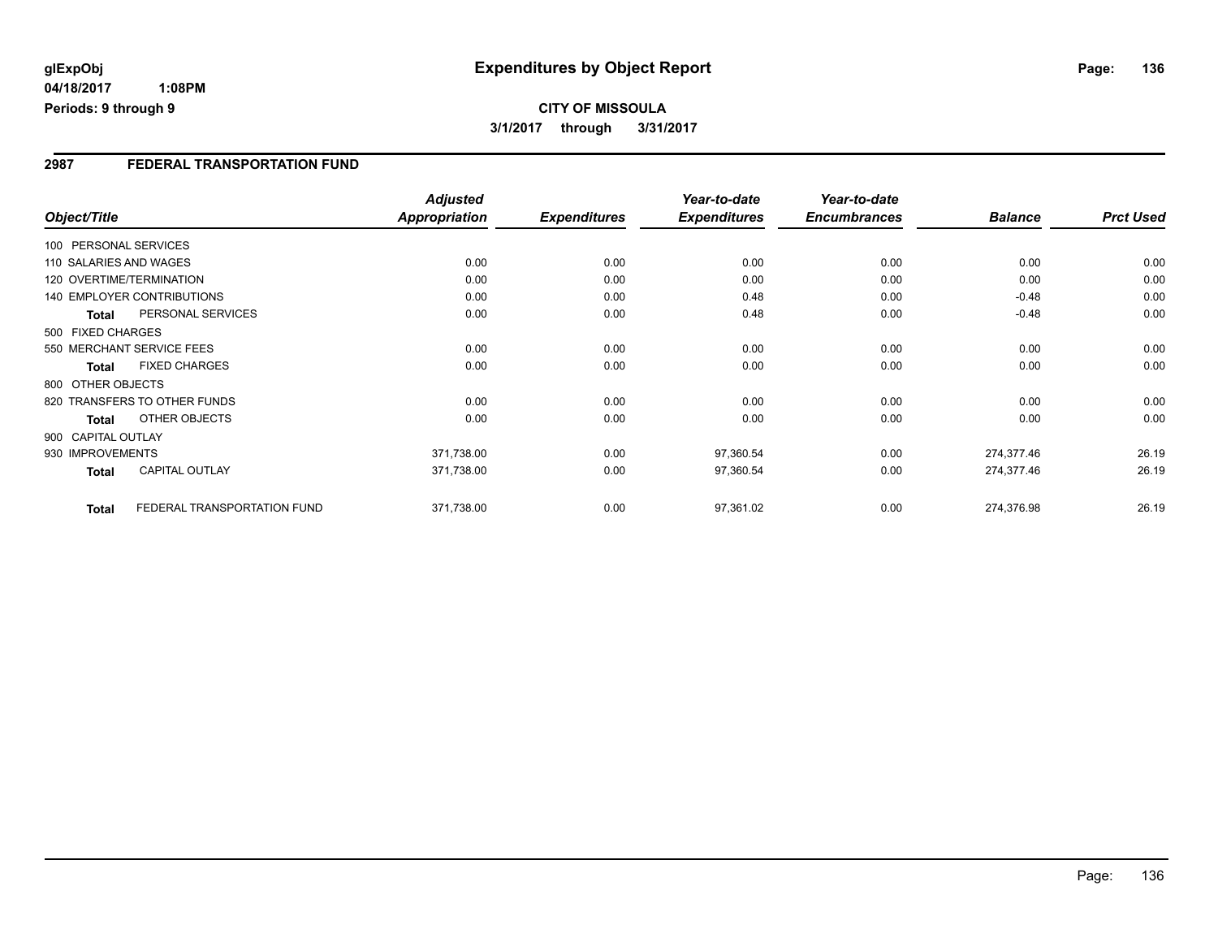## **CITY OF MISSOULA 3/1/2017 through 3/31/2017**

#### **2987 FEDERAL TRANSPORTATION FUND**

|                  |                                   | <b>Adjusted</b>      |                     | Year-to-date        | Year-to-date        |                |                  |
|------------------|-----------------------------------|----------------------|---------------------|---------------------|---------------------|----------------|------------------|
| Object/Title     |                                   | <b>Appropriation</b> | <b>Expenditures</b> | <b>Expenditures</b> | <b>Encumbrances</b> | <b>Balance</b> | <b>Prct Used</b> |
|                  | 100 PERSONAL SERVICES             |                      |                     |                     |                     |                |                  |
|                  | 110 SALARIES AND WAGES            | 0.00                 | 0.00                | 0.00                | 0.00                | 0.00           | 0.00             |
|                  | 120 OVERTIME/TERMINATION          | 0.00                 | 0.00                | 0.00                | 0.00                | 0.00           | 0.00             |
|                  | <b>140 EMPLOYER CONTRIBUTIONS</b> | 0.00                 | 0.00                | 0.48                | 0.00                | $-0.48$        | 0.00             |
| <b>Total</b>     | PERSONAL SERVICES                 | 0.00                 | 0.00                | 0.48                | 0.00                | $-0.48$        | 0.00             |
|                  | 500 FIXED CHARGES                 |                      |                     |                     |                     |                |                  |
|                  | 550 MERCHANT SERVICE FEES         | 0.00                 | 0.00                | 0.00                | 0.00                | 0.00           | 0.00             |
| <b>Total</b>     | <b>FIXED CHARGES</b>              | 0.00                 | 0.00                | 0.00                | 0.00                | 0.00           | 0.00             |
|                  | 800 OTHER OBJECTS                 |                      |                     |                     |                     |                |                  |
|                  | 820 TRANSFERS TO OTHER FUNDS      | 0.00                 | 0.00                | 0.00                | 0.00                | 0.00           | 0.00             |
| Total            | <b>OTHER OBJECTS</b>              | 0.00                 | 0.00                | 0.00                | 0.00                | 0.00           | 0.00             |
|                  | 900 CAPITAL OUTLAY                |                      |                     |                     |                     |                |                  |
| 930 IMPROVEMENTS |                                   | 371,738.00           | 0.00                | 97,360.54           | 0.00                | 274,377.46     | 26.19            |
| Total            | <b>CAPITAL OUTLAY</b>             | 371,738.00           | 0.00                | 97,360.54           | 0.00                | 274,377.46     | 26.19            |
|                  | FEDERAL TRANSPORTATION FUND       | 371,738.00           | 0.00                | 97,361.02           | 0.00                | 274,376.98     | 26.19            |
| <b>Total</b>     |                                   |                      |                     |                     |                     |                |                  |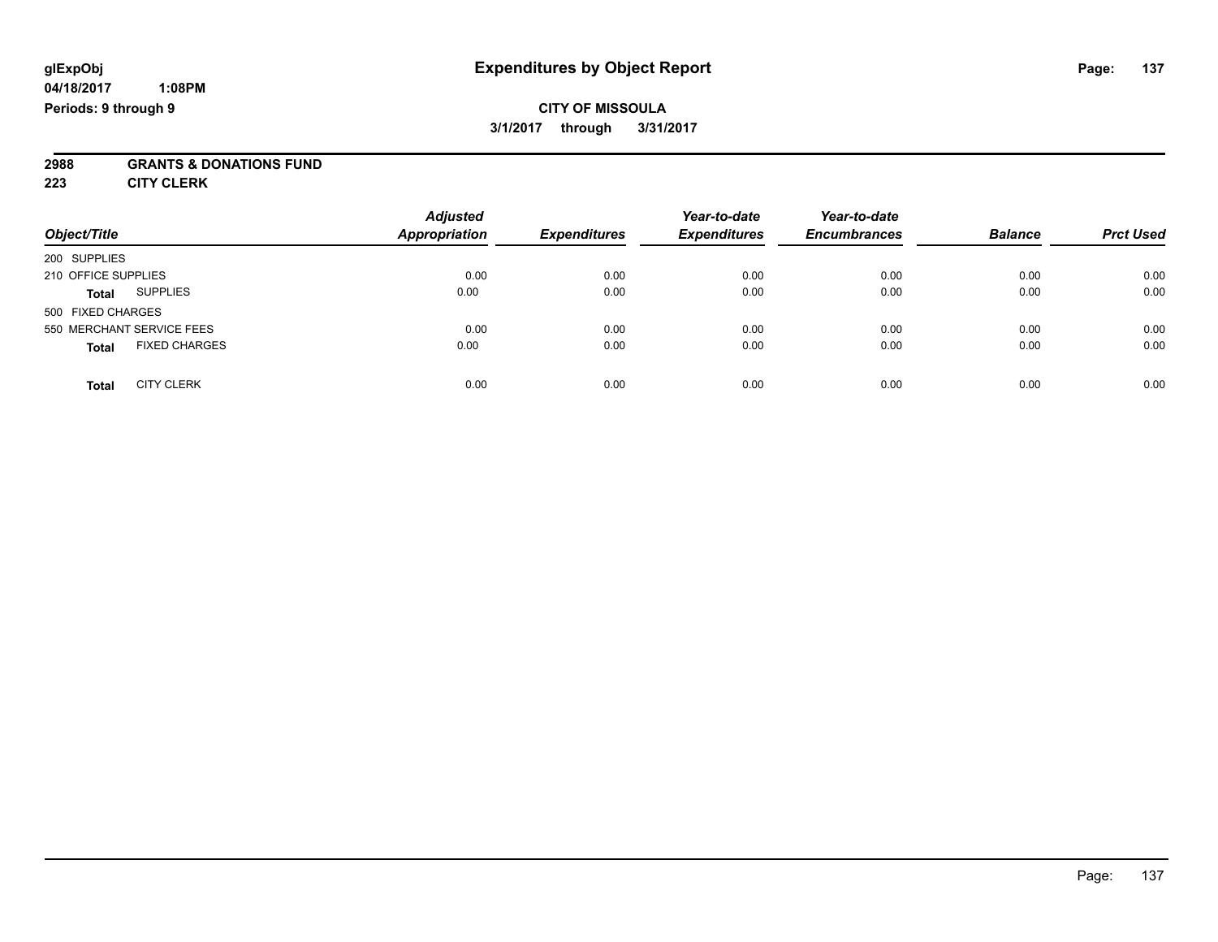### **CITY OF MISSOULA 3/1/2017 through 3/31/2017**

# **2988 GRANTS & DONATIONS FUND**

**223 CITY CLERK**

| Object/Title                         | <b>Adjusted</b><br><b>Appropriation</b> | <b>Expenditures</b> | Year-to-date<br><b>Expenditures</b> | Year-to-date<br><b>Encumbrances</b> | <b>Balance</b> | <b>Prct Used</b> |
|--------------------------------------|-----------------------------------------|---------------------|-------------------------------------|-------------------------------------|----------------|------------------|
| 200 SUPPLIES                         |                                         |                     |                                     |                                     |                |                  |
| 210 OFFICE SUPPLIES                  | 0.00                                    | 0.00                | 0.00                                | 0.00                                | 0.00           | 0.00             |
| <b>SUPPLIES</b><br><b>Total</b>      | 0.00                                    | 0.00                | 0.00                                | 0.00                                | 0.00           | 0.00             |
| 500 FIXED CHARGES                    |                                         |                     |                                     |                                     |                |                  |
| 550 MERCHANT SERVICE FEES            | 0.00                                    | 0.00                | 0.00                                | 0.00                                | 0.00           | 0.00             |
| <b>FIXED CHARGES</b><br><b>Total</b> | 0.00                                    | 0.00                | 0.00                                | 0.00                                | 0.00           | 0.00             |
| <b>CITY CLERK</b><br>Total           | 0.00                                    | 0.00                | 0.00                                | 0.00                                | 0.00           | 0.00             |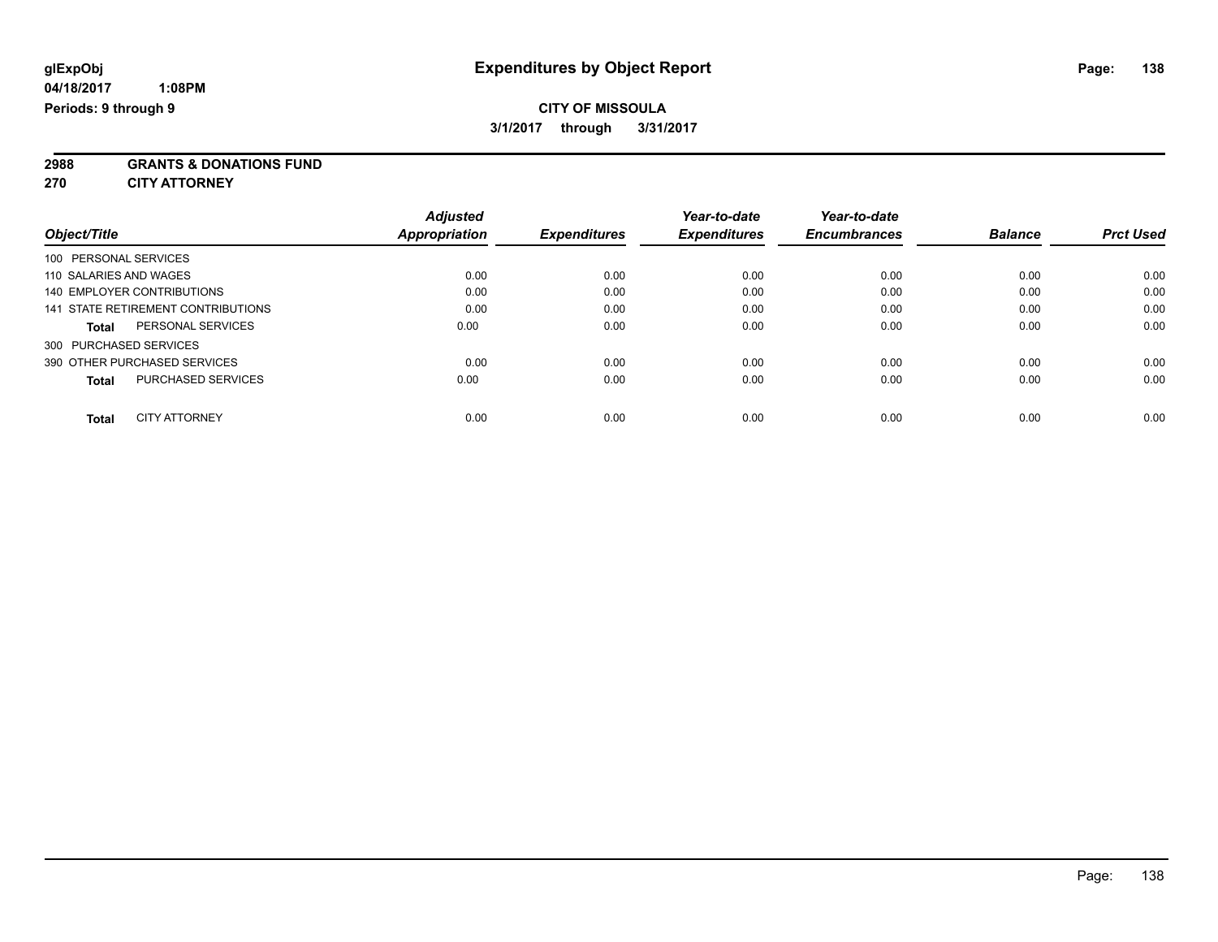**2988 GRANTS & DONATIONS FUND**

**270 CITY ATTORNEY**

|                                           | <b>Adjusted</b> |                     | Year-to-date        | Year-to-date        |                |                  |
|-------------------------------------------|-----------------|---------------------|---------------------|---------------------|----------------|------------------|
| Object/Title                              | Appropriation   | <b>Expenditures</b> | <b>Expenditures</b> | <b>Encumbrances</b> | <b>Balance</b> | <b>Prct Used</b> |
| 100 PERSONAL SERVICES                     |                 |                     |                     |                     |                |                  |
| 110 SALARIES AND WAGES                    | 0.00            | 0.00                | 0.00                | 0.00                | 0.00           | 0.00             |
| 140 EMPLOYER CONTRIBUTIONS                | 0.00            | 0.00                | 0.00                | 0.00                | 0.00           | 0.00             |
| 141 STATE RETIREMENT CONTRIBUTIONS        | 0.00            | 0.00                | 0.00                | 0.00                | 0.00           | 0.00             |
| PERSONAL SERVICES<br><b>Total</b>         | 0.00            | 0.00                | 0.00                | 0.00                | 0.00           | 0.00             |
| 300 PURCHASED SERVICES                    |                 |                     |                     |                     |                |                  |
| 390 OTHER PURCHASED SERVICES              | 0.00            | 0.00                | 0.00                | 0.00                | 0.00           | 0.00             |
| <b>PURCHASED SERVICES</b><br><b>Total</b> | 0.00            | 0.00                | 0.00                | 0.00                | 0.00           | 0.00             |
| <b>CITY ATTORNEY</b><br><b>Total</b>      | 0.00            | 0.00                | 0.00                | 0.00                | 0.00           | 0.00             |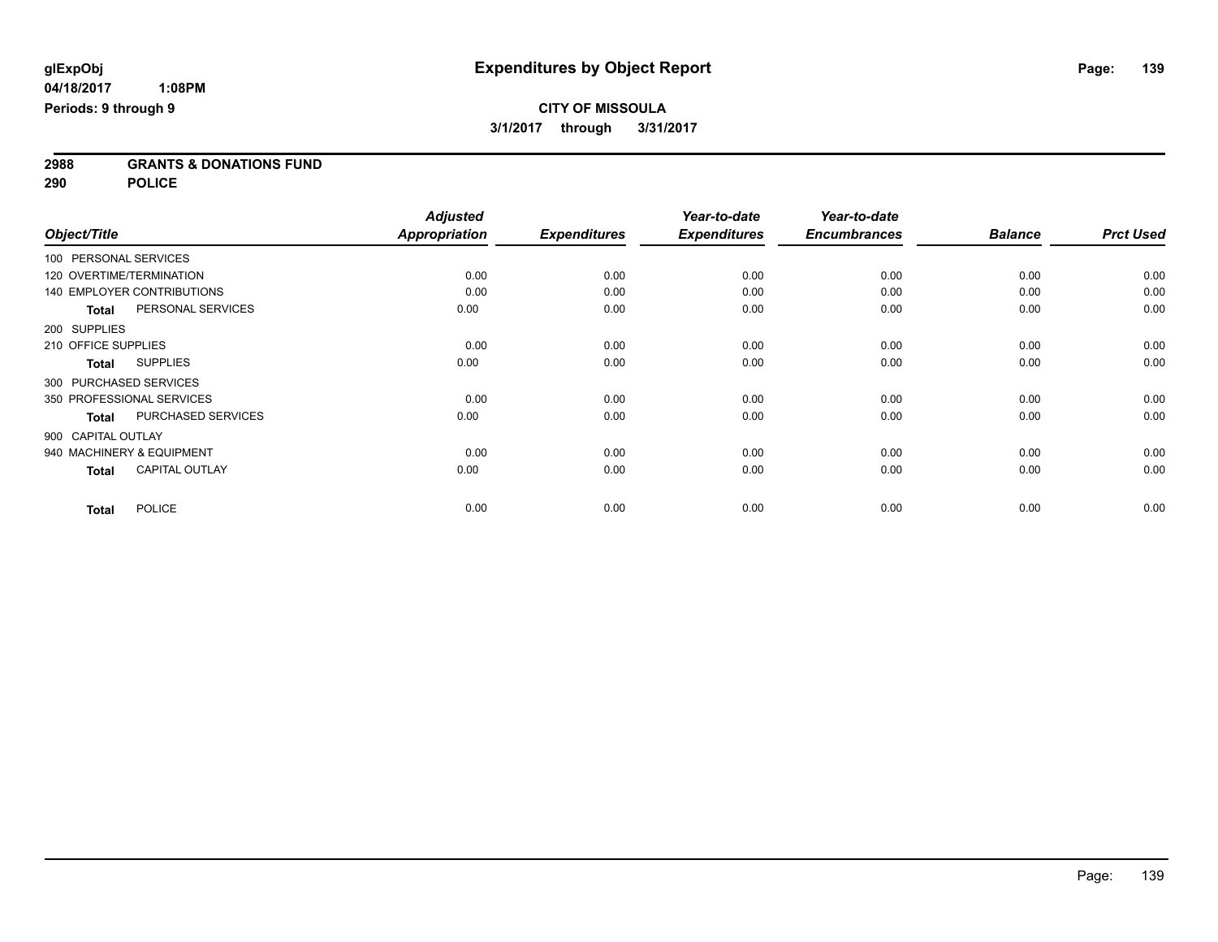**2988 GRANTS & DONATIONS FUND**

**290 POLICE**

|                          |                                   | <b>Adjusted</b>      |                     | Year-to-date        | Year-to-date        |                |                  |
|--------------------------|-----------------------------------|----------------------|---------------------|---------------------|---------------------|----------------|------------------|
| Object/Title             |                                   | <b>Appropriation</b> | <b>Expenditures</b> | <b>Expenditures</b> | <b>Encumbrances</b> | <b>Balance</b> | <b>Prct Used</b> |
| 100 PERSONAL SERVICES    |                                   |                      |                     |                     |                     |                |                  |
| 120 OVERTIME/TERMINATION |                                   | 0.00                 | 0.00                | 0.00                | 0.00                | 0.00           | 0.00             |
|                          | <b>140 EMPLOYER CONTRIBUTIONS</b> | 0.00                 | 0.00                | 0.00                | 0.00                | 0.00           | 0.00             |
| <b>Total</b>             | PERSONAL SERVICES                 | 0.00                 | 0.00                | 0.00                | 0.00                | 0.00           | 0.00             |
| 200 SUPPLIES             |                                   |                      |                     |                     |                     |                |                  |
| 210 OFFICE SUPPLIES      |                                   | 0.00                 | 0.00                | 0.00                | 0.00                | 0.00           | 0.00             |
| Total                    | <b>SUPPLIES</b>                   | 0.00                 | 0.00                | 0.00                | 0.00                | 0.00           | 0.00             |
| 300 PURCHASED SERVICES   |                                   |                      |                     |                     |                     |                |                  |
|                          | 350 PROFESSIONAL SERVICES         | 0.00                 | 0.00                | 0.00                | 0.00                | 0.00           | 0.00             |
| <b>Total</b>             | PURCHASED SERVICES                | 0.00                 | 0.00                | 0.00                | 0.00                | 0.00           | 0.00             |
| 900 CAPITAL OUTLAY       |                                   |                      |                     |                     |                     |                |                  |
|                          | 940 MACHINERY & EQUIPMENT         | 0.00                 | 0.00                | 0.00                | 0.00                | 0.00           | 0.00             |
| <b>Total</b>             | <b>CAPITAL OUTLAY</b>             | 0.00                 | 0.00                | 0.00                | 0.00                | 0.00           | 0.00             |
| <b>Total</b>             | <b>POLICE</b>                     | 0.00                 | 0.00                | 0.00                | 0.00                | 0.00           | 0.00             |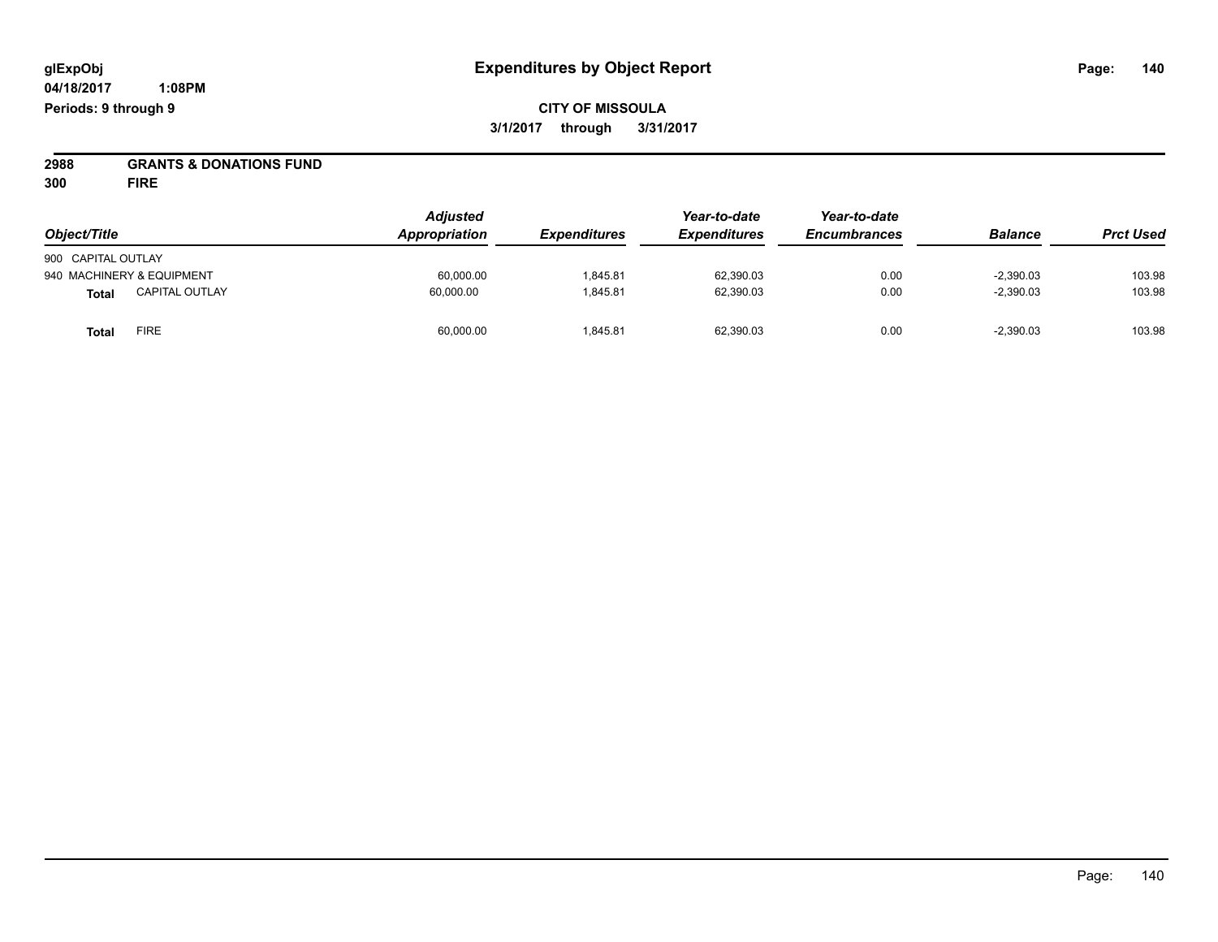# **2988 GRANTS & DONATIONS FUND**

**300 FIRE**

| Object/Title                   | <b>Adjusted</b><br>Appropriation | <i><b>Expenditures</b></i> | Year-to-date<br><b>Expenditures</b> | Year-to-date<br><b>Encumbrances</b> | <b>Balance</b> | <b>Prct Used</b> |
|--------------------------------|----------------------------------|----------------------------|-------------------------------------|-------------------------------------|----------------|------------------|
|                                |                                  |                            |                                     |                                     |                |                  |
| 900 CAPITAL OUTLAY             |                                  |                            |                                     |                                     |                |                  |
| 940 MACHINERY & EQUIPMENT      | 60,000.00                        | 1,845.81                   | 62,390.03                           | 0.00                                | $-2,390.03$    | 103.98           |
| <b>CAPITAL OUTLAY</b><br>Total | 60.000.00                        | 1,845.81                   | 62,390.03                           | 0.00                                | $-2,390.03$    | 103.98           |
| <b>FIRE</b><br>Total           | 60,000.00                        | 1,845.81                   | 62,390.03                           | 0.00                                | $-2,390.03$    | 103.98           |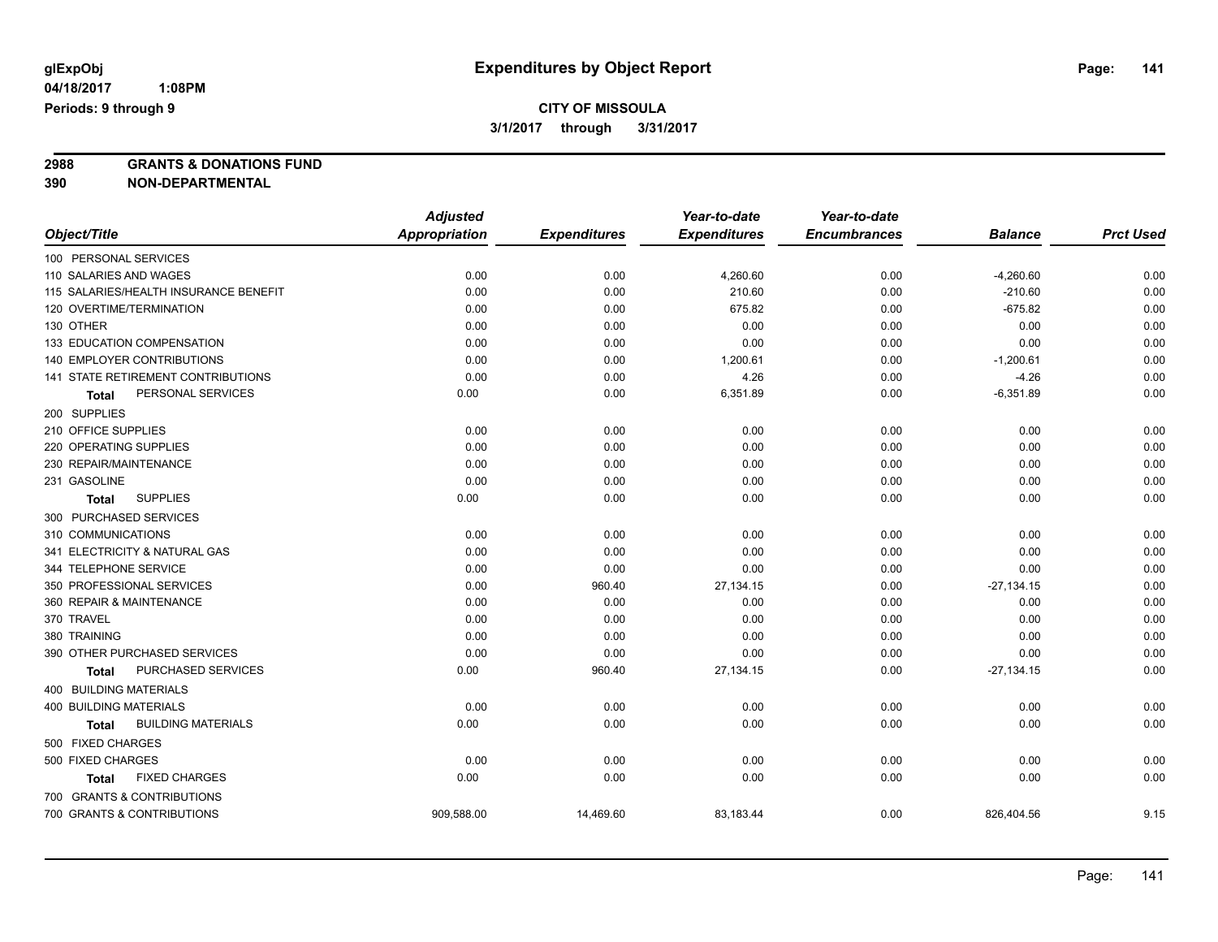**2988 GRANTS & DONATIONS FUND**

**390 NON-DEPARTMENTAL**

|                                           | <b>Adjusted</b>      |                     | Year-to-date        | Year-to-date        |                |                  |
|-------------------------------------------|----------------------|---------------------|---------------------|---------------------|----------------|------------------|
| Object/Title                              | <b>Appropriation</b> | <b>Expenditures</b> | <b>Expenditures</b> | <b>Encumbrances</b> | <b>Balance</b> | <b>Prct Used</b> |
| 100 PERSONAL SERVICES                     |                      |                     |                     |                     |                |                  |
| 110 SALARIES AND WAGES                    | 0.00                 | 0.00                | 4,260.60            | 0.00                | $-4,260.60$    | 0.00             |
| 115 SALARIES/HEALTH INSURANCE BENEFIT     | 0.00                 | 0.00                | 210.60              | 0.00                | $-210.60$      | 0.00             |
| 120 OVERTIME/TERMINATION                  | 0.00                 | 0.00                | 675.82              | 0.00                | $-675.82$      | 0.00             |
| 130 OTHER                                 | 0.00                 | 0.00                | 0.00                | 0.00                | 0.00           | 0.00             |
| 133 EDUCATION COMPENSATION                | 0.00                 | 0.00                | 0.00                | 0.00                | 0.00           | 0.00             |
| <b>140 EMPLOYER CONTRIBUTIONS</b>         | 0.00                 | 0.00                | 1,200.61            | 0.00                | $-1,200.61$    | 0.00             |
| 141 STATE RETIREMENT CONTRIBUTIONS        | 0.00                 | 0.00                | 4.26                | 0.00                | $-4.26$        | 0.00             |
| PERSONAL SERVICES<br>Total                | 0.00                 | 0.00                | 6,351.89            | 0.00                | $-6,351.89$    | 0.00             |
| 200 SUPPLIES                              |                      |                     |                     |                     |                |                  |
| 210 OFFICE SUPPLIES                       | 0.00                 | 0.00                | 0.00                | 0.00                | 0.00           | 0.00             |
| 220 OPERATING SUPPLIES                    | 0.00                 | 0.00                | 0.00                | 0.00                | 0.00           | 0.00             |
| 230 REPAIR/MAINTENANCE                    | 0.00                 | 0.00                | 0.00                | 0.00                | 0.00           | 0.00             |
| 231 GASOLINE                              | 0.00                 | 0.00                | 0.00                | 0.00                | 0.00           | 0.00             |
| <b>SUPPLIES</b><br><b>Total</b>           | 0.00                 | 0.00                | 0.00                | 0.00                | 0.00           | 0.00             |
| 300 PURCHASED SERVICES                    |                      |                     |                     |                     |                |                  |
| 310 COMMUNICATIONS                        | 0.00                 | 0.00                | 0.00                | 0.00                | 0.00           | 0.00             |
| 341 ELECTRICITY & NATURAL GAS             | 0.00                 | 0.00                | 0.00                | 0.00                | 0.00           | 0.00             |
| 344 TELEPHONE SERVICE                     | 0.00                 | 0.00                | 0.00                | 0.00                | 0.00           | 0.00             |
| 350 PROFESSIONAL SERVICES                 | 0.00                 | 960.40              | 27,134.15           | 0.00                | $-27,134.15$   | 0.00             |
| 360 REPAIR & MAINTENANCE                  | 0.00                 | 0.00                | 0.00                | 0.00                | 0.00           | 0.00             |
| 370 TRAVEL                                | 0.00                 | 0.00                | 0.00                | 0.00                | 0.00           | 0.00             |
| 380 TRAINING                              | 0.00                 | 0.00                | 0.00                | 0.00                | 0.00           | 0.00             |
| 390 OTHER PURCHASED SERVICES              | 0.00                 | 0.00                | 0.00                | 0.00                | 0.00           | 0.00             |
| PURCHASED SERVICES<br><b>Total</b>        | 0.00                 | 960.40              | 27,134.15           | 0.00                | $-27,134.15$   | 0.00             |
| 400 BUILDING MATERIALS                    |                      |                     |                     |                     |                |                  |
| 400 BUILDING MATERIALS                    | 0.00                 | 0.00                | 0.00                | 0.00                | 0.00           | 0.00             |
| <b>BUILDING MATERIALS</b><br><b>Total</b> | 0.00                 | 0.00                | 0.00                | 0.00                | 0.00           | 0.00             |
| 500 FIXED CHARGES                         |                      |                     |                     |                     |                |                  |
| 500 FIXED CHARGES                         | 0.00                 | 0.00                | 0.00                | 0.00                | 0.00           | 0.00             |
| <b>FIXED CHARGES</b><br><b>Total</b>      | 0.00                 | 0.00                | 0.00                | 0.00                | 0.00           | 0.00             |
| 700 GRANTS & CONTRIBUTIONS                |                      |                     |                     |                     |                |                  |
| 700 GRANTS & CONTRIBUTIONS                | 909,588.00           | 14,469.60           | 83,183.44           | 0.00                | 826,404.56     | 9.15             |
|                                           |                      |                     |                     |                     |                |                  |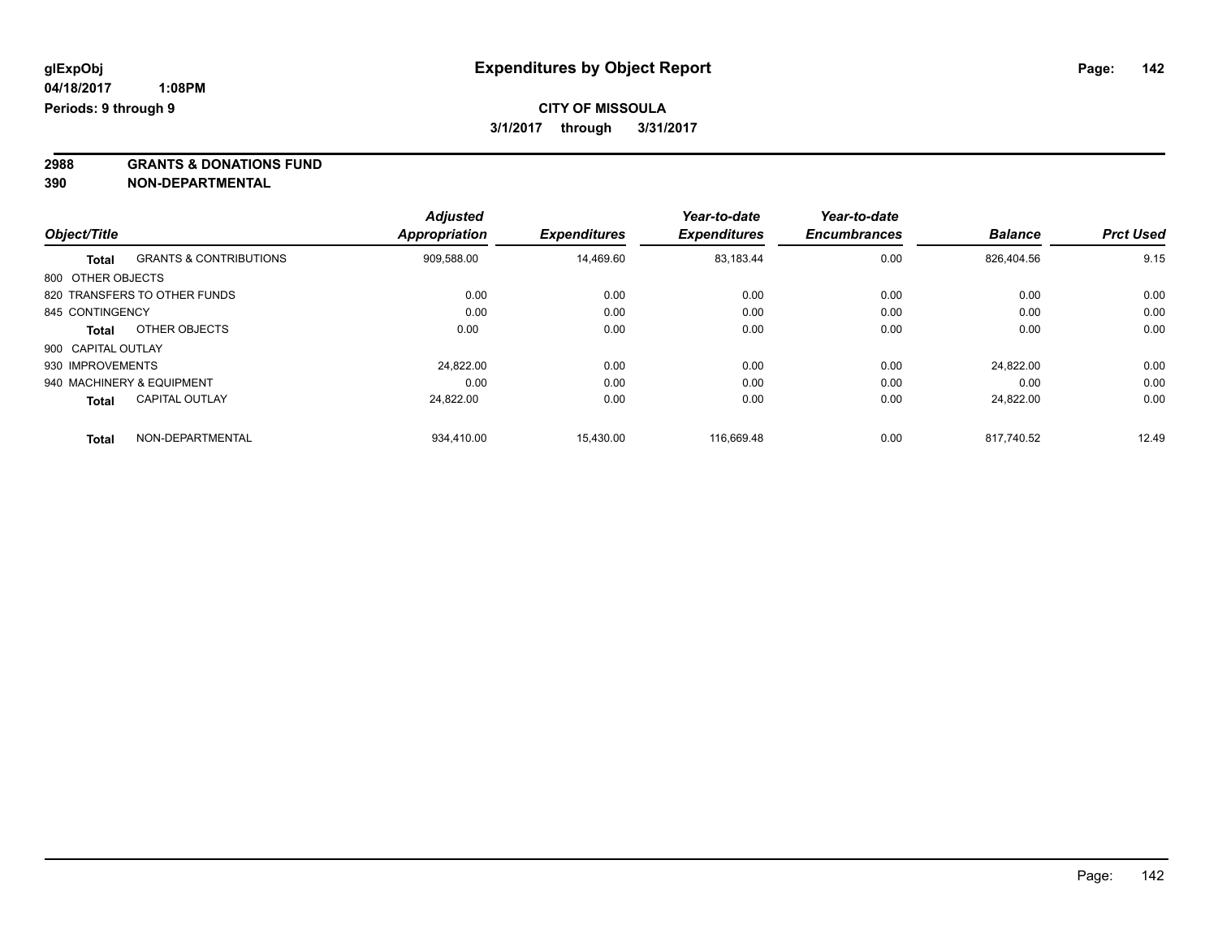**2988 GRANTS & DONATIONS FUND**

**390 NON-DEPARTMENTAL**

|                    |                                   | <b>Adjusted</b>      |                     | Year-to-date        | Year-to-date<br><b>Encumbrances</b> | <b>Balance</b> | <b>Prct Used</b> |
|--------------------|-----------------------------------|----------------------|---------------------|---------------------|-------------------------------------|----------------|------------------|
| Object/Title       |                                   | <b>Appropriation</b> | <b>Expenditures</b> | <b>Expenditures</b> |                                     |                |                  |
| <b>Total</b>       | <b>GRANTS &amp; CONTRIBUTIONS</b> | 909,588.00           | 14,469.60           | 83,183.44           | 0.00                                | 826.404.56     | 9.15             |
| 800 OTHER OBJECTS  |                                   |                      |                     |                     |                                     |                |                  |
|                    | 820 TRANSFERS TO OTHER FUNDS      | 0.00                 | 0.00                | 0.00                | 0.00                                | 0.00           | 0.00             |
| 845 CONTINGENCY    |                                   | 0.00                 | 0.00                | 0.00                | 0.00                                | 0.00           | 0.00             |
| <b>Total</b>       | OTHER OBJECTS                     | 0.00                 | 0.00                | 0.00                | 0.00                                | 0.00           | 0.00             |
| 900 CAPITAL OUTLAY |                                   |                      |                     |                     |                                     |                |                  |
| 930 IMPROVEMENTS   |                                   | 24.822.00            | 0.00                | 0.00                | 0.00                                | 24.822.00      | 0.00             |
|                    | 940 MACHINERY & EQUIPMENT         | 0.00                 | 0.00                | 0.00                | 0.00                                | 0.00           | 0.00             |
| <b>Total</b>       | <b>CAPITAL OUTLAY</b>             | 24,822.00            | 0.00                | 0.00                | 0.00                                | 24.822.00      | 0.00             |
| <b>Total</b>       | NON-DEPARTMENTAL                  | 934.410.00           | 15.430.00           | 116.669.48          | 0.00                                | 817.740.52     | 12.49            |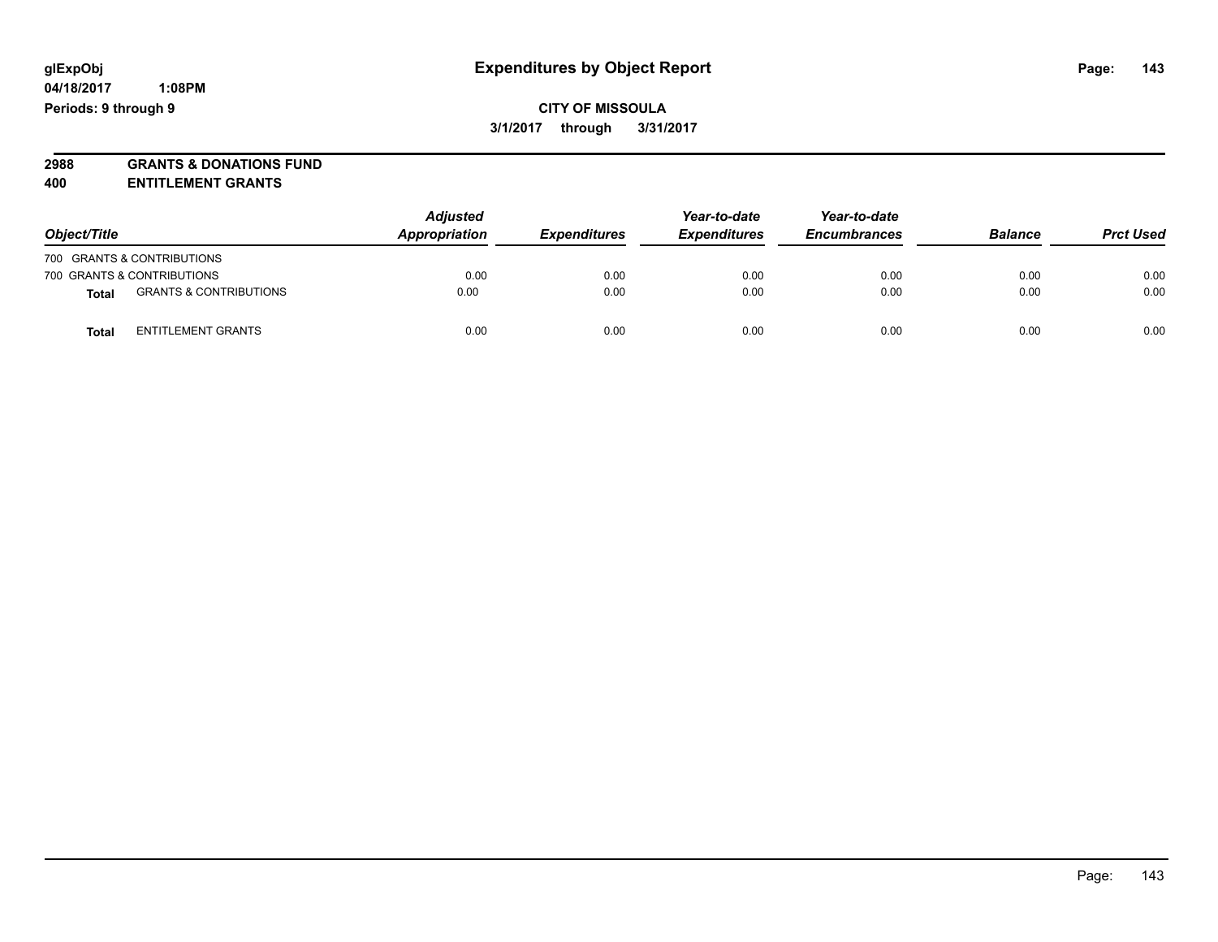**2988 GRANTS & DONATIONS FUND**

**400 ENTITLEMENT GRANTS**

| Object/Title |                                   | <b>Adjusted</b><br>Appropriation | <b>Expenditures</b> | Year-to-date<br><b>Expenditures</b> | Year-to-date<br><b>Encumbrances</b> | <b>Balance</b> | <b>Prct Used</b> |
|--------------|-----------------------------------|----------------------------------|---------------------|-------------------------------------|-------------------------------------|----------------|------------------|
|              | 700 GRANTS & CONTRIBUTIONS        |                                  |                     |                                     |                                     |                |                  |
|              | 700 GRANTS & CONTRIBUTIONS        | 0.00                             | 0.00                | 0.00                                | 0.00                                | 0.00           | 0.00             |
| Total        | <b>GRANTS &amp; CONTRIBUTIONS</b> | 0.00                             | 0.00                | 0.00                                | 0.00                                | 0.00           | 0.00             |
| Total        | <b>ENTITLEMENT GRANTS</b>         | 0.00                             | 0.00                | 0.00                                | 0.00                                | 0.00           | 0.00             |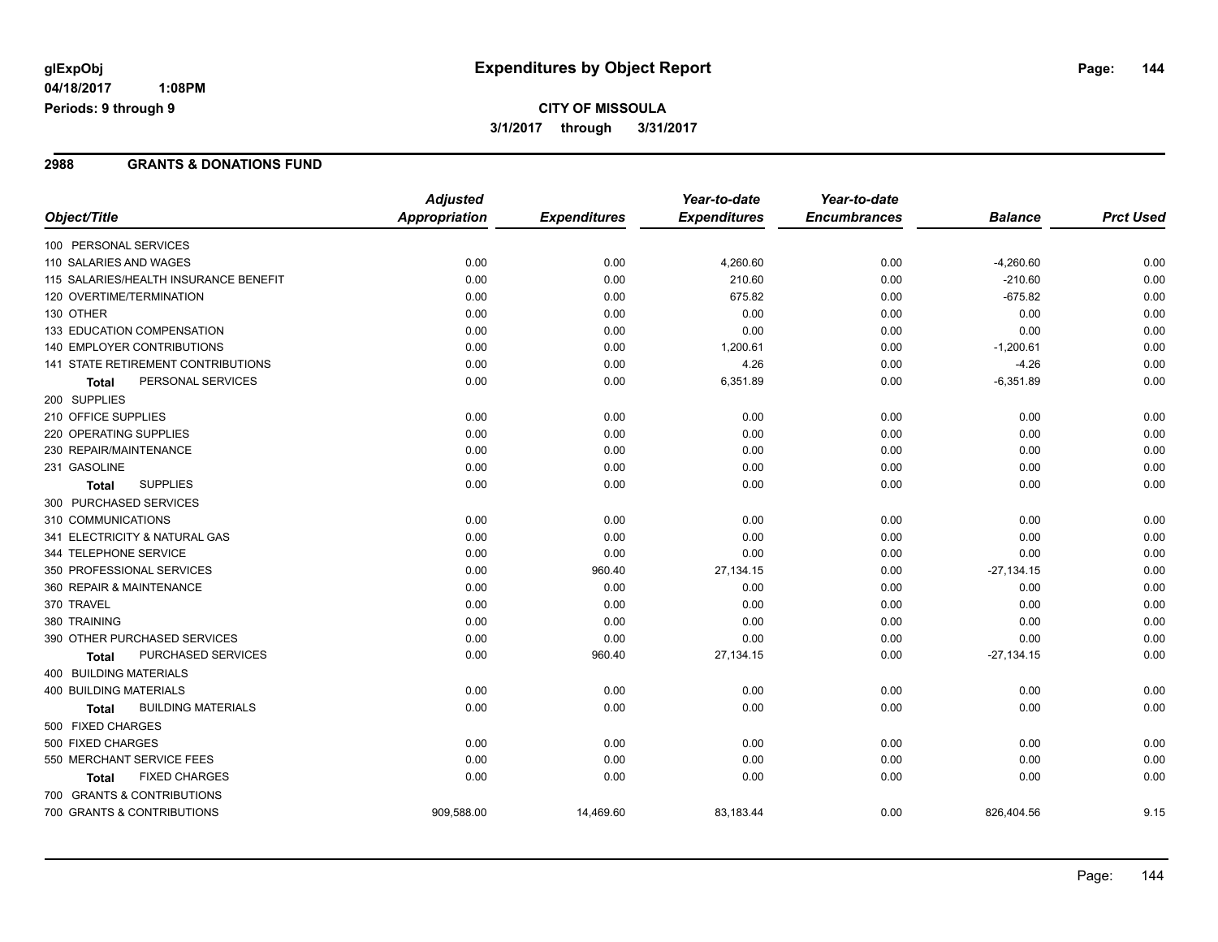## **CITY OF MISSOULA 3/1/2017 through 3/31/2017**

#### **2988 GRANTS & DONATIONS FUND**

|                                           | <b>Adjusted</b>      |                     | Year-to-date        | Year-to-date        |                |                  |
|-------------------------------------------|----------------------|---------------------|---------------------|---------------------|----------------|------------------|
| Object/Title                              | <b>Appropriation</b> | <b>Expenditures</b> | <b>Expenditures</b> | <b>Encumbrances</b> | <b>Balance</b> | <b>Prct Used</b> |
| 100 PERSONAL SERVICES                     |                      |                     |                     |                     |                |                  |
| 110 SALARIES AND WAGES                    | 0.00                 | 0.00                | 4,260.60            | 0.00                | $-4,260.60$    | 0.00             |
| 115 SALARIES/HEALTH INSURANCE BENEFIT     | 0.00                 | 0.00                | 210.60              | 0.00                | $-210.60$      | 0.00             |
| 120 OVERTIME/TERMINATION                  | 0.00                 | 0.00                | 675.82              | 0.00                | $-675.82$      | 0.00             |
| 130 OTHER                                 | 0.00                 | 0.00                | 0.00                | 0.00                | 0.00           | 0.00             |
| 133 EDUCATION COMPENSATION                | 0.00                 | 0.00                | 0.00                | 0.00                | 0.00           | 0.00             |
| 140 EMPLOYER CONTRIBUTIONS                | 0.00                 | 0.00                | 1,200.61            | 0.00                | $-1,200.61$    | 0.00             |
| 141 STATE RETIREMENT CONTRIBUTIONS        | 0.00                 | 0.00                | 4.26                | 0.00                | $-4.26$        | 0.00             |
| PERSONAL SERVICES<br>Total                | 0.00                 | 0.00                | 6,351.89            | 0.00                | $-6,351.89$    | 0.00             |
| 200 SUPPLIES                              |                      |                     |                     |                     |                |                  |
| 210 OFFICE SUPPLIES                       | 0.00                 | 0.00                | 0.00                | 0.00                | 0.00           | 0.00             |
| 220 OPERATING SUPPLIES                    | 0.00                 | 0.00                | 0.00                | 0.00                | 0.00           | 0.00             |
| 230 REPAIR/MAINTENANCE                    | 0.00                 | 0.00                | 0.00                | 0.00                | 0.00           | 0.00             |
| 231 GASOLINE                              | 0.00                 | 0.00                | 0.00                | 0.00                | 0.00           | 0.00             |
| <b>SUPPLIES</b><br><b>Total</b>           | 0.00                 | 0.00                | 0.00                | 0.00                | 0.00           | 0.00             |
| 300 PURCHASED SERVICES                    |                      |                     |                     |                     |                |                  |
| 310 COMMUNICATIONS                        | 0.00                 | 0.00                | 0.00                | 0.00                | 0.00           | 0.00             |
| 341 ELECTRICITY & NATURAL GAS             | 0.00                 | 0.00                | 0.00                | 0.00                | 0.00           | 0.00             |
| 344 TELEPHONE SERVICE                     | 0.00                 | 0.00                | 0.00                | 0.00                | 0.00           | 0.00             |
| 350 PROFESSIONAL SERVICES                 | 0.00                 | 960.40              | 27,134.15           | 0.00                | $-27,134.15$   | 0.00             |
| 360 REPAIR & MAINTENANCE                  | 0.00                 | 0.00                | 0.00                | 0.00                | 0.00           | 0.00             |
| 370 TRAVEL                                | 0.00                 | 0.00                | 0.00                | 0.00                | 0.00           | 0.00             |
| 380 TRAINING                              | 0.00                 | 0.00                | 0.00                | 0.00                | 0.00           | 0.00             |
| 390 OTHER PURCHASED SERVICES              | 0.00                 | 0.00                | 0.00                | 0.00                | 0.00           | 0.00             |
| PURCHASED SERVICES<br><b>Total</b>        | 0.00                 | 960.40              | 27,134.15           | 0.00                | $-27,134.15$   | 0.00             |
| <b>400 BUILDING MATERIALS</b>             |                      |                     |                     |                     |                |                  |
| <b>400 BUILDING MATERIALS</b>             | 0.00                 | 0.00                | 0.00                | 0.00                | 0.00           | 0.00             |
| <b>BUILDING MATERIALS</b><br><b>Total</b> | 0.00                 | 0.00                | 0.00                | 0.00                | 0.00           | 0.00             |
| 500 FIXED CHARGES                         |                      |                     |                     |                     |                |                  |
| 500 FIXED CHARGES                         | 0.00                 | 0.00                | 0.00                | 0.00                | 0.00           | 0.00             |
| 550 MERCHANT SERVICE FEES                 | 0.00                 | 0.00                | 0.00                | 0.00                | 0.00           | 0.00             |
| <b>FIXED CHARGES</b><br>Total             | 0.00                 | 0.00                | 0.00                | 0.00                | 0.00           | 0.00             |
| 700 GRANTS & CONTRIBUTIONS                |                      |                     |                     |                     |                |                  |
| 700 GRANTS & CONTRIBUTIONS                | 909,588.00           | 14,469.60           | 83,183.44           | 0.00                | 826,404.56     | 9.15             |
|                                           |                      |                     |                     |                     |                |                  |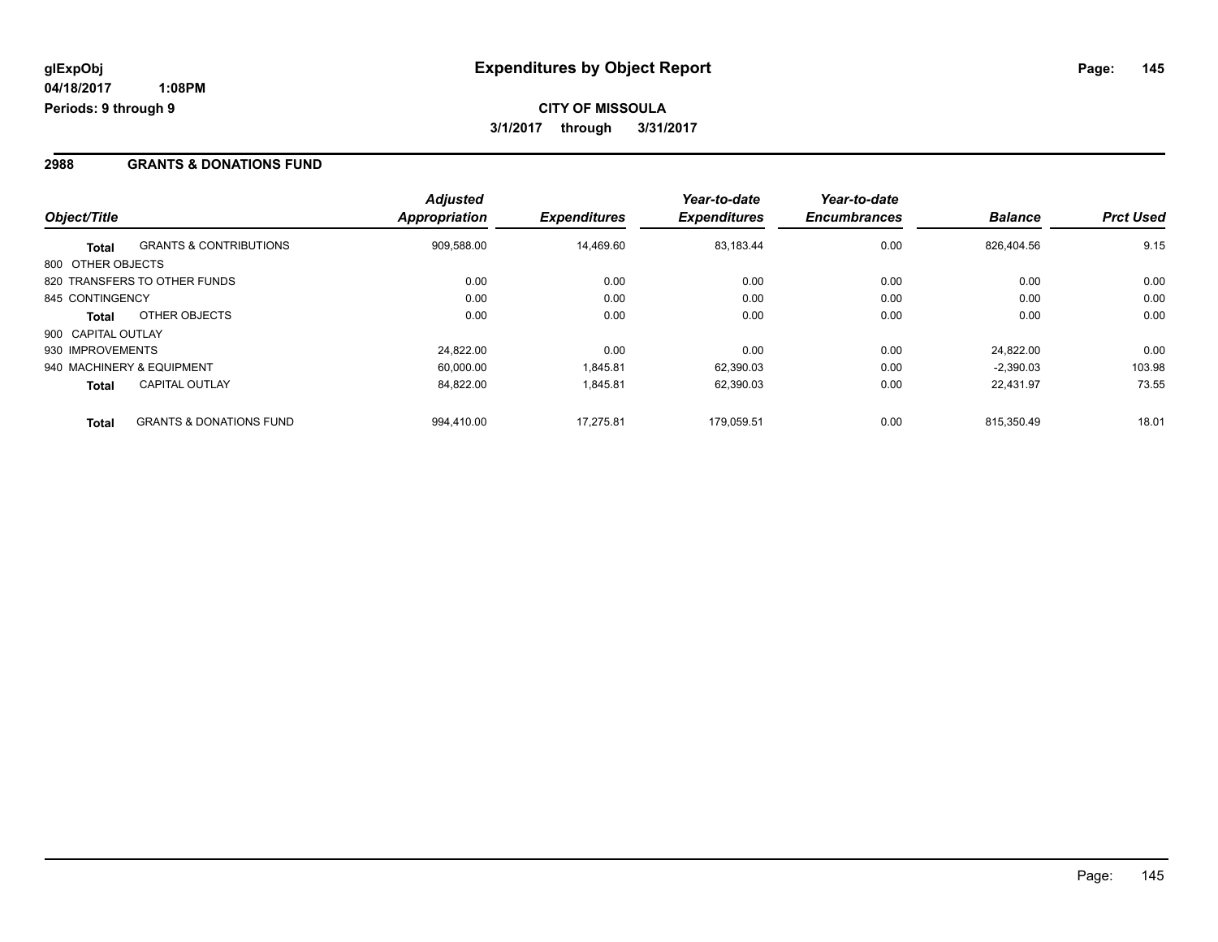#### **2988 GRANTS & DONATIONS FUND**

|                    |                                    | <b>Adjusted</b> |                     | Year-to-date        | Year-to-date        |                |                  |
|--------------------|------------------------------------|-----------------|---------------------|---------------------|---------------------|----------------|------------------|
| Object/Title       |                                    | Appropriation   | <b>Expenditures</b> | <b>Expenditures</b> | <b>Encumbrances</b> | <b>Balance</b> | <b>Prct Used</b> |
| Total              | <b>GRANTS &amp; CONTRIBUTIONS</b>  | 909,588.00      | 14,469.60           | 83,183.44           | 0.00                | 826.404.56     | 9.15             |
| 800 OTHER OBJECTS  |                                    |                 |                     |                     |                     |                |                  |
|                    | 820 TRANSFERS TO OTHER FUNDS       | 0.00            | 0.00                | 0.00                | 0.00                | 0.00           | 0.00             |
| 845 CONTINGENCY    |                                    | 0.00            | 0.00                | 0.00                | 0.00                | 0.00           | 0.00             |
| <b>Total</b>       | OTHER OBJECTS                      | 0.00            | 0.00                | 0.00                | 0.00                | 0.00           | 0.00             |
| 900 CAPITAL OUTLAY |                                    |                 |                     |                     |                     |                |                  |
| 930 IMPROVEMENTS   |                                    | 24.822.00       | 0.00                | 0.00                | 0.00                | 24.822.00      | 0.00             |
|                    | 940 MACHINERY & EQUIPMENT          | 60.000.00       | 1.845.81            | 62,390.03           | 0.00                | $-2,390.03$    | 103.98           |
| Total              | <b>CAPITAL OUTLAY</b>              | 84.822.00       | 1,845.81            | 62,390.03           | 0.00                | 22.431.97      | 73.55            |
| <b>Total</b>       | <b>GRANTS &amp; DONATIONS FUND</b> | 994.410.00      | 17.275.81           | 179.059.51          | 0.00                | 815.350.49     | 18.01            |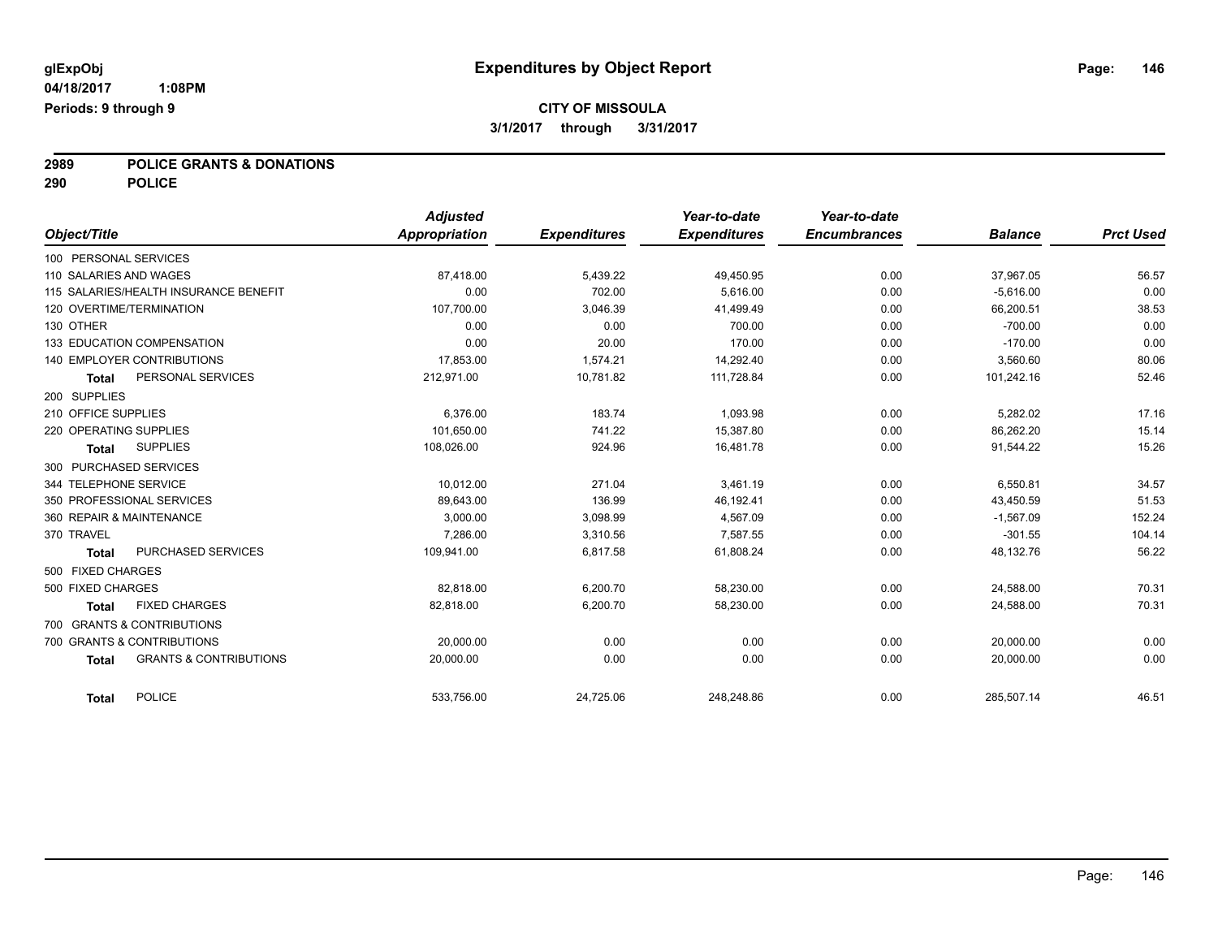# **2989 POLICE GRANTS & DONATIONS**

**290 POLICE**

|                        |                                       | <b>Adjusted</b> |                     | Year-to-date        | Year-to-date        |                |                  |
|------------------------|---------------------------------------|-----------------|---------------------|---------------------|---------------------|----------------|------------------|
| Object/Title           |                                       | Appropriation   | <b>Expenditures</b> | <b>Expenditures</b> | <b>Encumbrances</b> | <b>Balance</b> | <b>Prct Used</b> |
| 100 PERSONAL SERVICES  |                                       |                 |                     |                     |                     |                |                  |
| 110 SALARIES AND WAGES |                                       | 87,418.00       | 5,439.22            | 49,450.95           | 0.00                | 37,967.05      | 56.57            |
|                        | 115 SALARIES/HEALTH INSURANCE BENEFIT | 0.00            | 702.00              | 5,616.00            | 0.00                | $-5,616.00$    | 0.00             |
|                        | 120 OVERTIME/TERMINATION              | 107,700.00      | 3,046.39            | 41,499.49           | 0.00                | 66,200.51      | 38.53            |
| 130 OTHER              |                                       | 0.00            | 0.00                | 700.00              | 0.00                | $-700.00$      | 0.00             |
|                        | 133 EDUCATION COMPENSATION            | 0.00            | 20.00               | 170.00              | 0.00                | $-170.00$      | 0.00             |
|                        | <b>140 EMPLOYER CONTRIBUTIONS</b>     | 17,853.00       | 1,574.21            | 14,292.40           | 0.00                | 3,560.60       | 80.06            |
| <b>Total</b>           | PERSONAL SERVICES                     | 212,971.00      | 10,781.82           | 111,728.84          | 0.00                | 101,242.16     | 52.46            |
| 200 SUPPLIES           |                                       |                 |                     |                     |                     |                |                  |
| 210 OFFICE SUPPLIES    |                                       | 6.376.00        | 183.74              | 1,093.98            | 0.00                | 5,282.02       | 17.16            |
| 220 OPERATING SUPPLIES |                                       | 101,650.00      | 741.22              | 15,387.80           | 0.00                | 86,262.20      | 15.14            |
| <b>Total</b>           | <b>SUPPLIES</b>                       | 108,026.00      | 924.96              | 16,481.78           | 0.00                | 91,544.22      | 15.26            |
|                        | 300 PURCHASED SERVICES                |                 |                     |                     |                     |                |                  |
| 344 TELEPHONE SERVICE  |                                       | 10.012.00       | 271.04              | 3.461.19            | 0.00                | 6,550.81       | 34.57            |
|                        | 350 PROFESSIONAL SERVICES             | 89,643.00       | 136.99              | 46,192.41           | 0.00                | 43,450.59      | 51.53            |
|                        | 360 REPAIR & MAINTENANCE              | 3,000.00        | 3,098.99            | 4,567.09            | 0.00                | $-1,567.09$    | 152.24           |
| 370 TRAVEL             |                                       | 7,286.00        | 3,310.56            | 7,587.55            | 0.00                | $-301.55$      | 104.14           |
| <b>Total</b>           | PURCHASED SERVICES                    | 109,941.00      | 6.817.58            | 61,808.24           | 0.00                | 48,132.76      | 56.22            |
| 500 FIXED CHARGES      |                                       |                 |                     |                     |                     |                |                  |
| 500 FIXED CHARGES      |                                       | 82.818.00       | 6,200.70            | 58,230.00           | 0.00                | 24,588.00      | 70.31            |
| <b>Total</b>           | <b>FIXED CHARGES</b>                  | 82,818.00       | 6,200.70            | 58,230.00           | 0.00                | 24,588.00      | 70.31            |
|                        | 700 GRANTS & CONTRIBUTIONS            |                 |                     |                     |                     |                |                  |
|                        | 700 GRANTS & CONTRIBUTIONS            | 20,000.00       | 0.00                | 0.00                | 0.00                | 20,000.00      | 0.00             |
| <b>Total</b>           | <b>GRANTS &amp; CONTRIBUTIONS</b>     | 20.000.00       | 0.00                | 0.00                | 0.00                | 20,000.00      | 0.00             |
| <b>Total</b>           | <b>POLICE</b>                         | 533.756.00      | 24,725.06           | 248.248.86          | 0.00                | 285,507.14     | 46.51            |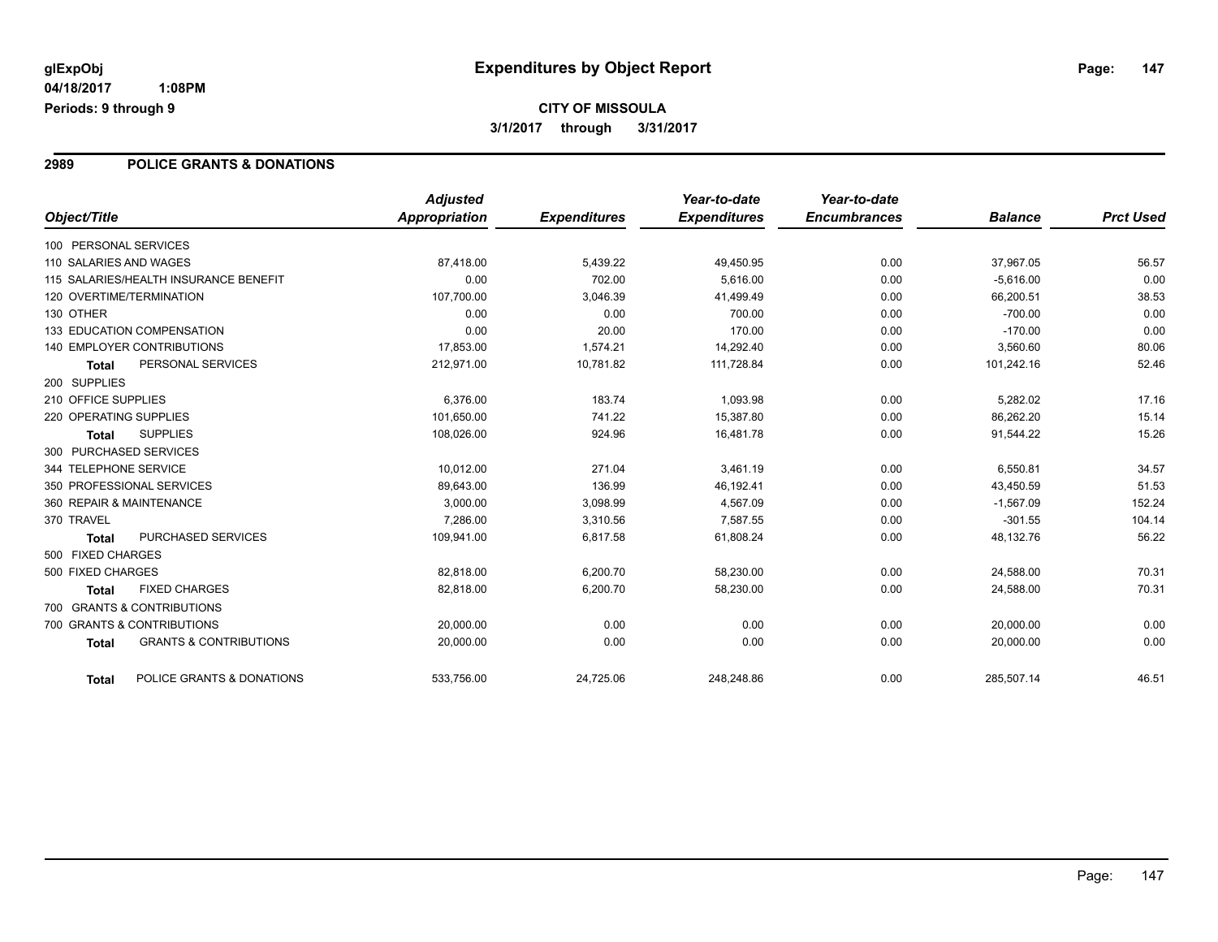# **CITY OF MISSOULA 3/1/2017 through 3/31/2017**

### **2989 POLICE GRANTS & DONATIONS**

| Object/Title           |                                       | <b>Adjusted</b><br>Appropriation | <b>Expenditures</b> | Year-to-date<br><b>Expenditures</b> | Year-to-date<br><b>Encumbrances</b> | <b>Balance</b> | <b>Prct Used</b> |
|------------------------|---------------------------------------|----------------------------------|---------------------|-------------------------------------|-------------------------------------|----------------|------------------|
| 100 PERSONAL SERVICES  |                                       |                                  |                     |                                     |                                     |                |                  |
| 110 SALARIES AND WAGES |                                       | 87,418.00                        | 5,439.22            | 49,450.95                           | 0.00                                | 37,967.05      | 56.57            |
|                        | 115 SALARIES/HEALTH INSURANCE BENEFIT | 0.00                             | 702.00              | 5,616.00                            | 0.00                                | $-5,616.00$    | 0.00             |
|                        | 120 OVERTIME/TERMINATION              | 107,700.00                       | 3,046.39            | 41,499.49                           | 0.00                                | 66,200.51      | 38.53            |
| 130 OTHER              |                                       | 0.00                             | 0.00                | 700.00                              | 0.00                                | $-700.00$      | 0.00             |
|                        | 133 EDUCATION COMPENSATION            | 0.00                             | 20.00               | 170.00                              | 0.00                                | $-170.00$      | 0.00             |
|                        | <b>140 EMPLOYER CONTRIBUTIONS</b>     | 17,853.00                        | 1,574.21            | 14,292.40                           | 0.00                                | 3,560.60       | 80.06            |
| <b>Total</b>           | PERSONAL SERVICES                     | 212,971.00                       | 10,781.82           | 111,728.84                          | 0.00                                | 101,242.16     | 52.46            |
| 200 SUPPLIES           |                                       |                                  |                     |                                     |                                     |                |                  |
| 210 OFFICE SUPPLIES    |                                       | 6.376.00                         | 183.74              | 1.093.98                            | 0.00                                | 5,282.02       | 17.16            |
| 220 OPERATING SUPPLIES |                                       | 101,650.00                       | 741.22              | 15,387.80                           | 0.00                                | 86,262.20      | 15.14            |
| <b>Total</b>           | <b>SUPPLIES</b>                       | 108,026.00                       | 924.96              | 16,481.78                           | 0.00                                | 91,544.22      | 15.26            |
|                        | 300 PURCHASED SERVICES                |                                  |                     |                                     |                                     |                |                  |
| 344 TELEPHONE SERVICE  |                                       | 10,012.00                        | 271.04              | 3,461.19                            | 0.00                                | 6,550.81       | 34.57            |
|                        | 350 PROFESSIONAL SERVICES             | 89.643.00                        | 136.99              | 46.192.41                           | 0.00                                | 43,450.59      | 51.53            |
|                        | 360 REPAIR & MAINTENANCE              | 3.000.00                         | 3,098.99            | 4,567.09                            | 0.00                                | $-1.567.09$    | 152.24           |
| 370 TRAVEL             |                                       | 7,286.00                         | 3,310.56            | 7,587.55                            | 0.00                                | $-301.55$      | 104.14           |
| <b>Total</b>           | PURCHASED SERVICES                    | 109,941.00                       | 6,817.58            | 61,808.24                           | 0.00                                | 48,132.76      | 56.22            |
| 500 FIXED CHARGES      |                                       |                                  |                     |                                     |                                     |                |                  |
| 500 FIXED CHARGES      |                                       | 82,818.00                        | 6,200.70            | 58,230.00                           | 0.00                                | 24,588.00      | 70.31            |
| <b>Total</b>           | <b>FIXED CHARGES</b>                  | 82,818.00                        | 6,200.70            | 58,230.00                           | 0.00                                | 24,588.00      | 70.31            |
|                        | 700 GRANTS & CONTRIBUTIONS            |                                  |                     |                                     |                                     |                |                  |
|                        | 700 GRANTS & CONTRIBUTIONS            | 20,000.00                        | 0.00                | 0.00                                | 0.00                                | 20,000.00      | 0.00             |
| <b>Total</b>           | <b>GRANTS &amp; CONTRIBUTIONS</b>     | 20,000.00                        | 0.00                | 0.00                                | 0.00                                | 20,000.00      | 0.00             |
| <b>Total</b>           | POLICE GRANTS & DONATIONS             | 533,756.00                       | 24,725.06           | 248.248.86                          | 0.00                                | 285,507.14     | 46.51            |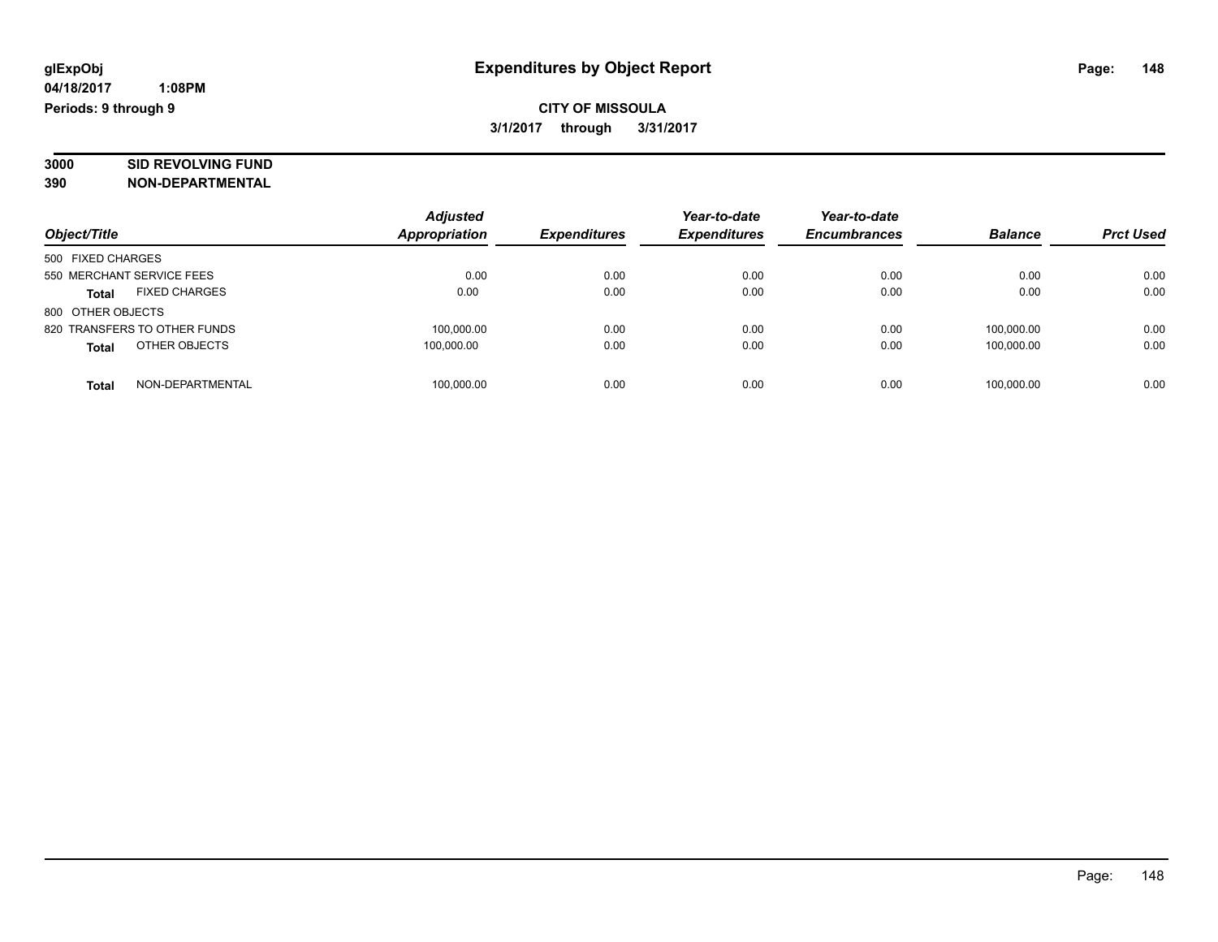# **3000 SID REVOLVING FUND**

|                                      | <b>Adjusted</b>      |                     | Year-to-date        | Year-to-date        |                |                  |
|--------------------------------------|----------------------|---------------------|---------------------|---------------------|----------------|------------------|
| Object/Title                         | <b>Appropriation</b> | <b>Expenditures</b> | <b>Expenditures</b> | <b>Encumbrances</b> | <b>Balance</b> | <b>Prct Used</b> |
| 500 FIXED CHARGES                    |                      |                     |                     |                     |                |                  |
| 550 MERCHANT SERVICE FEES            | 0.00                 | 0.00                | 0.00                | 0.00                | 0.00           | 0.00             |
| <b>FIXED CHARGES</b><br><b>Total</b> | 0.00                 | 0.00                | 0.00                | 0.00                | 0.00           | 0.00             |
| 800 OTHER OBJECTS                    |                      |                     |                     |                     |                |                  |
| 820 TRANSFERS TO OTHER FUNDS         | 100,000.00           | 0.00                | 0.00                | 0.00                | 100.000.00     | 0.00             |
| OTHER OBJECTS<br><b>Total</b>        | 100.000.00           | 0.00                | 0.00                | 0.00                | 100.000.00     | 0.00             |
| NON-DEPARTMENTAL<br>Total            | 100,000.00           | 0.00                | 0.00                | 0.00                | 100.000.00     | 0.00             |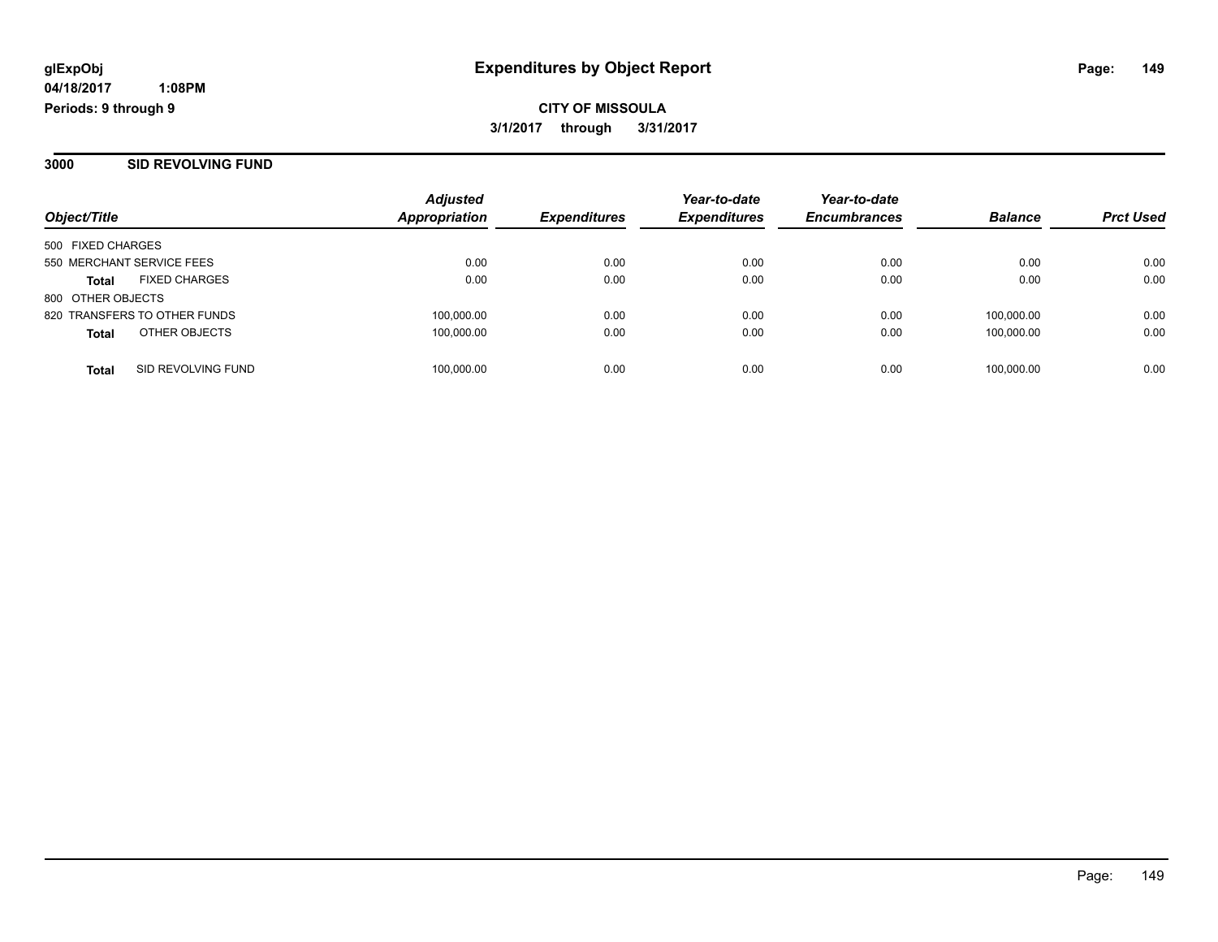**3000 SID REVOLVING FUND**

| Object/Title                       | <b>Adjusted</b><br>Appropriation | <b>Expenditures</b> | Year-to-date<br><b>Expenditures</b> | Year-to-date<br><b>Encumbrances</b> | <b>Balance</b> | <b>Prct Used</b> |
|------------------------------------|----------------------------------|---------------------|-------------------------------------|-------------------------------------|----------------|------------------|
| 500 FIXED CHARGES                  |                                  |                     |                                     |                                     |                |                  |
| 550 MERCHANT SERVICE FEES          | 0.00                             | 0.00                | 0.00                                | 0.00                                | 0.00           | 0.00             |
| <b>FIXED CHARGES</b><br>Total      | 0.00                             | 0.00                | 0.00                                | 0.00                                | 0.00           | 0.00             |
| 800 OTHER OBJECTS                  |                                  |                     |                                     |                                     |                |                  |
| 820 TRANSFERS TO OTHER FUNDS       | 100,000.00                       | 0.00                | 0.00                                | 0.00                                | 100.000.00     | 0.00             |
| OTHER OBJECTS<br><b>Total</b>      | 100,000.00                       | 0.00                | 0.00                                | 0.00                                | 100.000.00     | 0.00             |
| SID REVOLVING FUND<br><b>Total</b> | 100,000.00                       | 0.00                | 0.00                                | 0.00                                | 100,000.00     | 0.00             |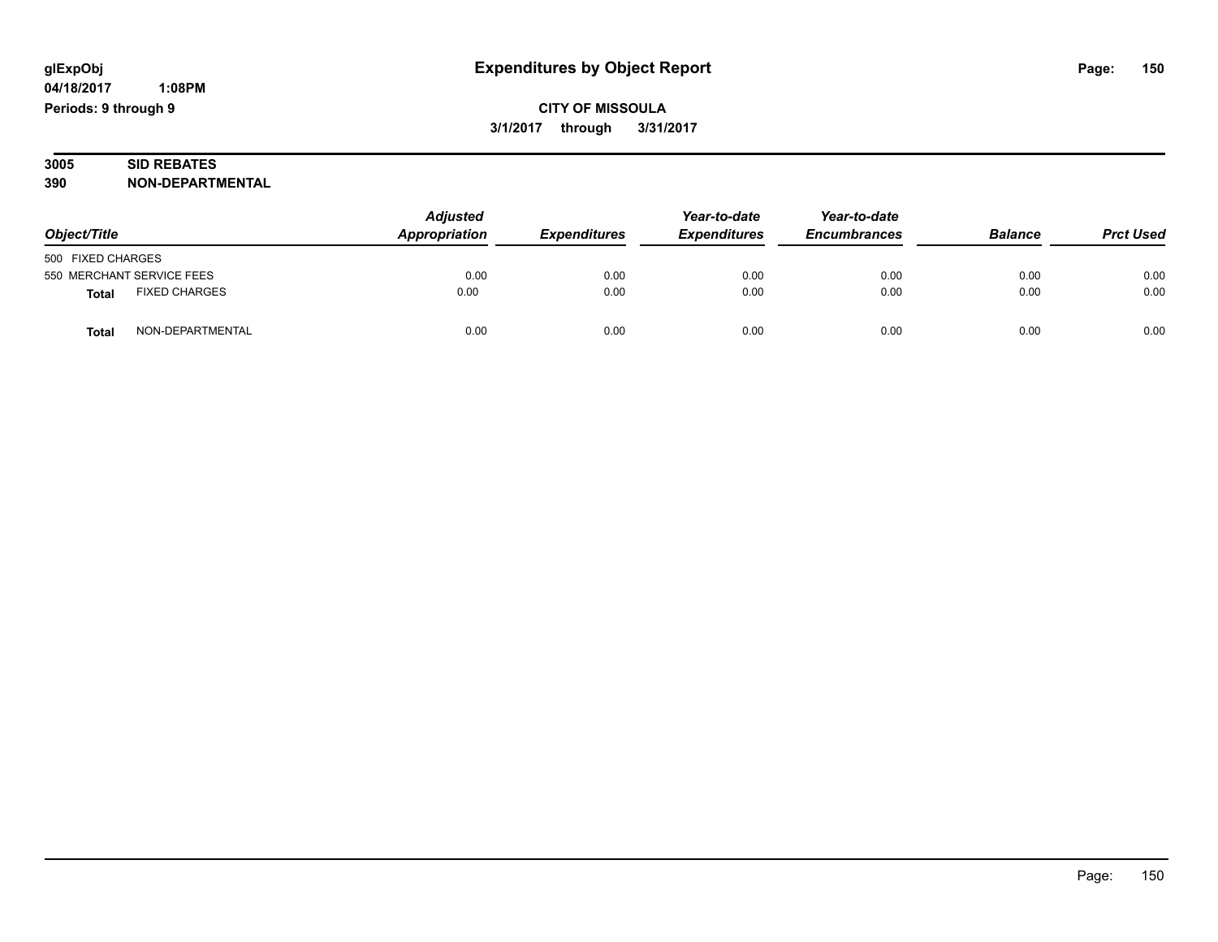#### **3005 SID REBATES 390 NON-DEPARTMENTAL**

| Object/Title      |                           | <b>Adjusted</b><br>Appropriation | <b>Expenditures</b> | Year-to-date<br><b>Expenditures</b> | Year-to-date<br><b>Encumbrances</b> | <b>Balance</b> | <b>Prct Used</b> |
|-------------------|---------------------------|----------------------------------|---------------------|-------------------------------------|-------------------------------------|----------------|------------------|
| 500 FIXED CHARGES |                           |                                  |                     |                                     |                                     |                |                  |
|                   | 550 MERCHANT SERVICE FEES | 0.00                             | 0.00                | 0.00                                | 0.00                                | 0.00           | 0.00             |
| <b>Total</b>      | <b>FIXED CHARGES</b>      | 0.00                             | 0.00                | 0.00                                | 0.00                                | 0.00           | 0.00             |
| <b>Total</b>      | NON-DEPARTMENTAL          | 0.00                             | 0.00                | 0.00                                | 0.00                                | 0.00           | 0.00             |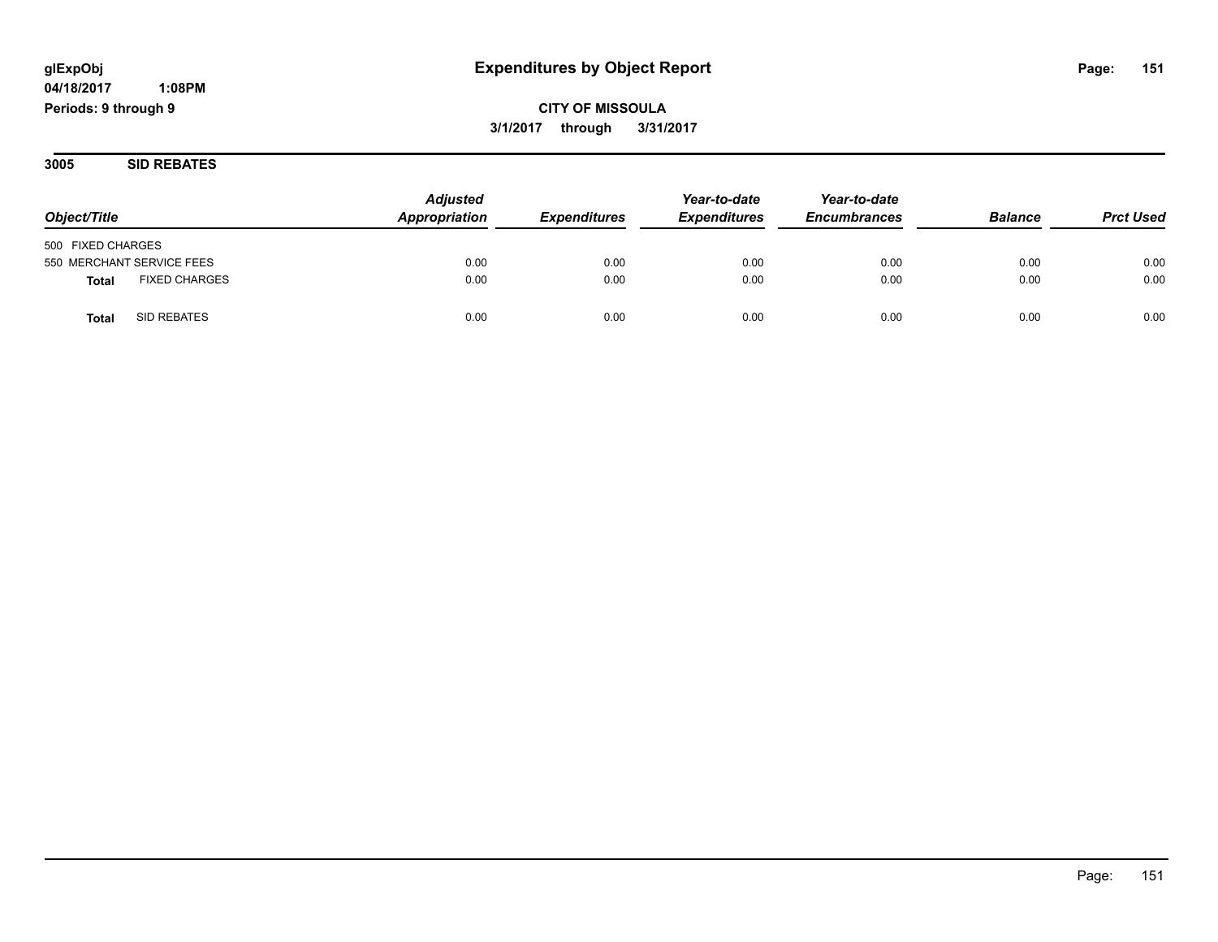**CITY OF MISSOULA 3/1/2017 through 3/31/2017**

**3005 SID REBATES**

| Object/Title                         | <b>Adjusted</b><br>Appropriation | <i><b>Expenditures</b></i> | Year-to-date<br><b>Expenditures</b> | Year-to-date<br><b>Encumbrances</b> | <b>Balance</b> | <b>Prct Used</b> |
|--------------------------------------|----------------------------------|----------------------------|-------------------------------------|-------------------------------------|----------------|------------------|
| 500 FIXED CHARGES                    |                                  |                            |                                     |                                     |                |                  |
| 550 MERCHANT SERVICE FEES            | 0.00                             | 0.00                       | 0.00                                | 0.00                                | 0.00           | 0.00             |
| <b>FIXED CHARGES</b><br><b>Total</b> | 0.00                             | 0.00                       | 0.00                                | 0.00                                | 0.00           | 0.00             |
| SID REBATES<br>Tota                  | 0.00                             | 0.00                       | 0.00                                | 0.00                                | 0.00           | 0.00             |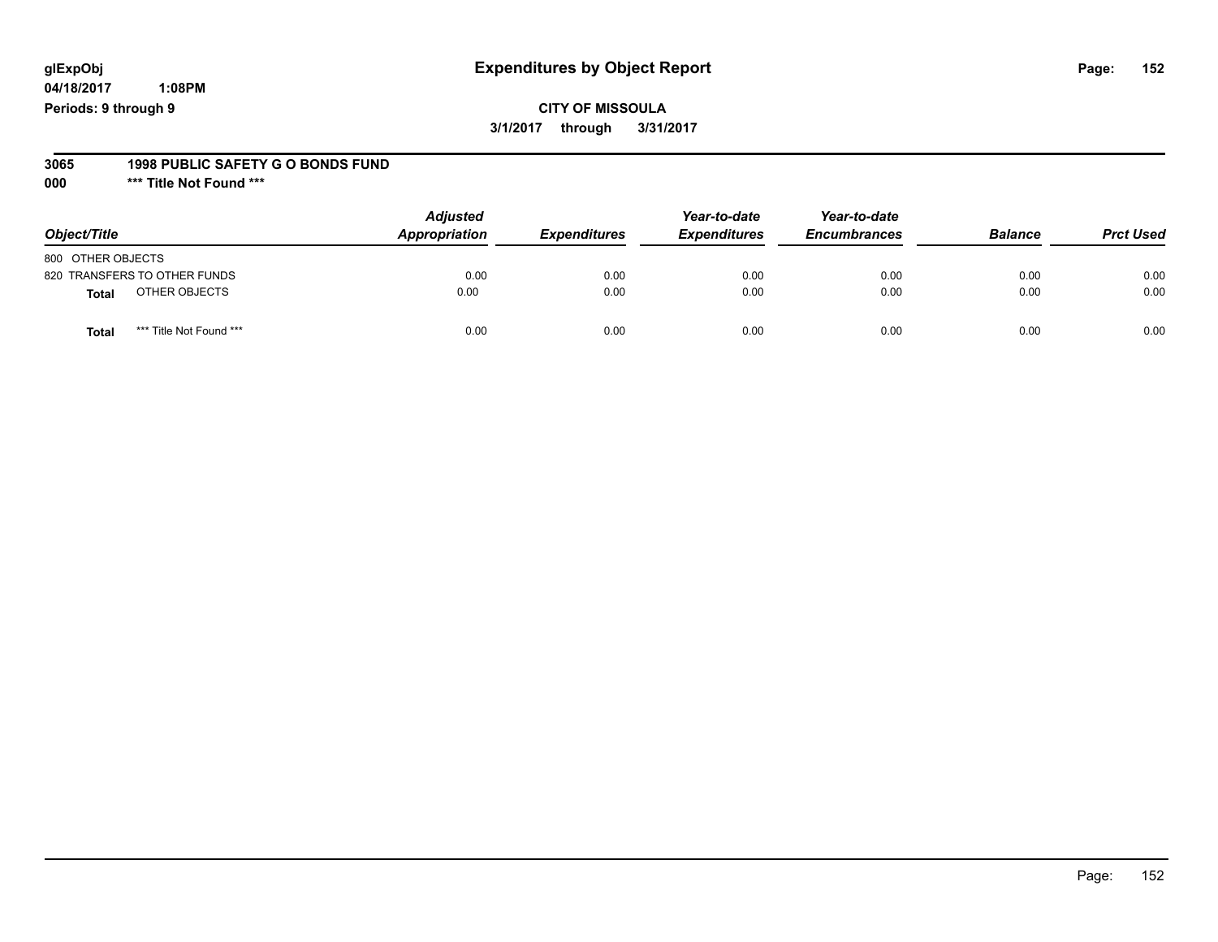**04/18/2017 1:08PM Periods: 9 through 9**

#### **3065 1998 PUBLIC SAFETY G O BONDS FUND**

**000 \*\*\* Title Not Found \*\*\***

| Object/Title                     | <b>Adjusted</b><br>Appropriation | <b>Expenditures</b> | Year-to-date<br><b>Expenditures</b> | Year-to-date<br><b>Encumbrances</b> | <b>Balance</b> | <b>Prct Used</b> |
|----------------------------------|----------------------------------|---------------------|-------------------------------------|-------------------------------------|----------------|------------------|
| 800 OTHER OBJECTS                |                                  |                     |                                     |                                     |                |                  |
| 820 TRANSFERS TO OTHER FUNDS     | 0.00                             | 0.00                | 0.00                                | 0.00                                | 0.00           | 0.00             |
| OTHER OBJECTS<br><b>Total</b>    | 0.00                             | 0.00                | 0.00                                | 0.00                                | 0.00           | 0.00             |
| *** Title Not Found ***<br>Total | 0.00                             | 0.00                | 0.00                                | 0.00                                | 0.00           | 0.00             |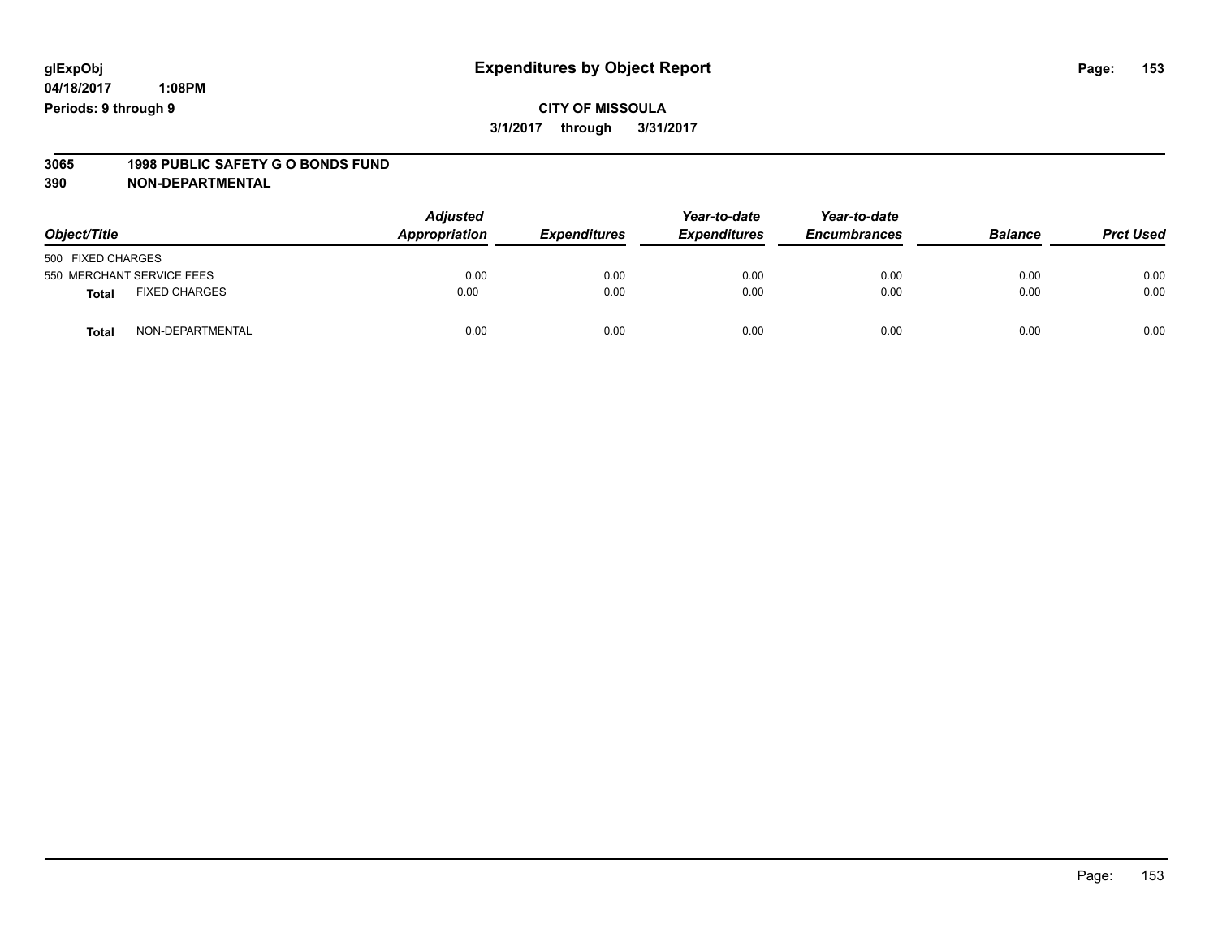### **CITY OF MISSOULA 3/1/2017 through 3/31/2017**

# **3065 1998 PUBLIC SAFETY G O BONDS FUND**

| Object/Title      |                           | <b>Adjusted</b><br>Appropriation | <b>Expenditures</b> | Year-to-date<br><b>Expenditures</b> | Year-to-date<br><b>Encumbrances</b> | <b>Balance</b> | <b>Prct Used</b> |
|-------------------|---------------------------|----------------------------------|---------------------|-------------------------------------|-------------------------------------|----------------|------------------|
| 500 FIXED CHARGES |                           |                                  |                     |                                     |                                     |                |                  |
|                   | 550 MERCHANT SERVICE FEES | 0.00                             | 0.00                | 0.00                                | 0.00                                | 0.00           | 0.00             |
| <b>Total</b>      | <b>FIXED CHARGES</b>      | 0.00                             | 0.00                | 0.00                                | 0.00                                | 0.00           | 0.00             |
| <b>Total</b>      | NON-DEPARTMENTAL          | 0.00                             | 0.00                | 0.00                                | 0.00                                | 0.00           | 0.00             |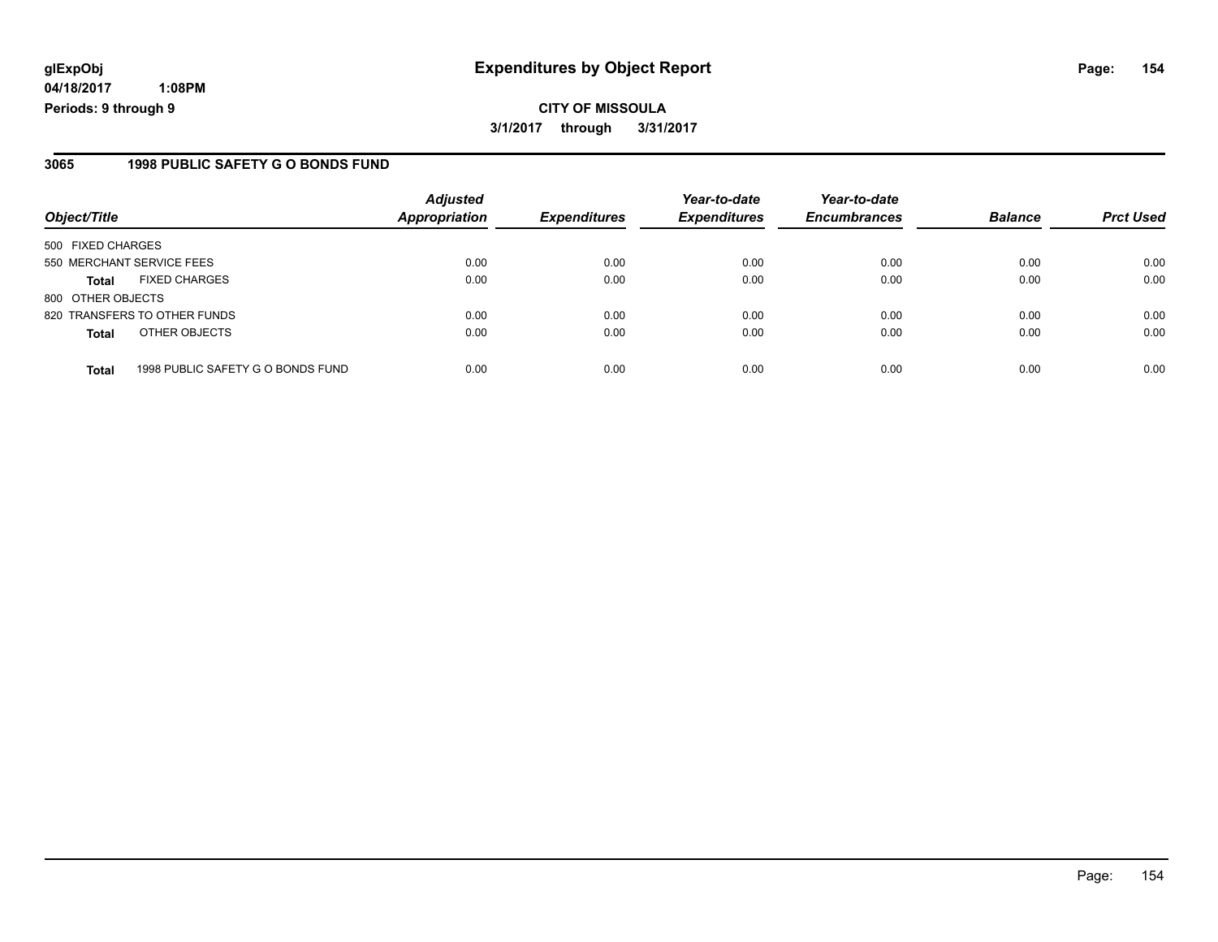**04/18/2017 1:08PM Periods: 9 through 9**

#### **3065 1998 PUBLIC SAFETY G O BONDS FUND**

| Object/Title              |                                   | <b>Adjusted</b><br>Appropriation | <b>Expenditures</b> | Year-to-date<br><b>Expenditures</b> | Year-to-date<br><b>Encumbrances</b> | <b>Balance</b> | <b>Prct Used</b> |
|---------------------------|-----------------------------------|----------------------------------|---------------------|-------------------------------------|-------------------------------------|----------------|------------------|
| 500 FIXED CHARGES         |                                   |                                  |                     |                                     |                                     |                |                  |
| 550 MERCHANT SERVICE FEES |                                   | 0.00                             | 0.00                | 0.00                                | 0.00                                | 0.00           | 0.00             |
| <b>Total</b>              | <b>FIXED CHARGES</b>              | 0.00                             | 0.00                | 0.00                                | 0.00                                | 0.00           | 0.00             |
| 800 OTHER OBJECTS         |                                   |                                  |                     |                                     |                                     |                |                  |
|                           | 820 TRANSFERS TO OTHER FUNDS      | 0.00                             | 0.00                | 0.00                                | 0.00                                | 0.00           | 0.00             |
| <b>Total</b>              | OTHER OBJECTS                     | 0.00                             | 0.00                | 0.00                                | 0.00                                | 0.00           | 0.00             |
| <b>Total</b>              | 1998 PUBLIC SAFETY G O BONDS FUND | 0.00                             | 0.00                | 0.00                                | 0.00                                | 0.00           | 0.00             |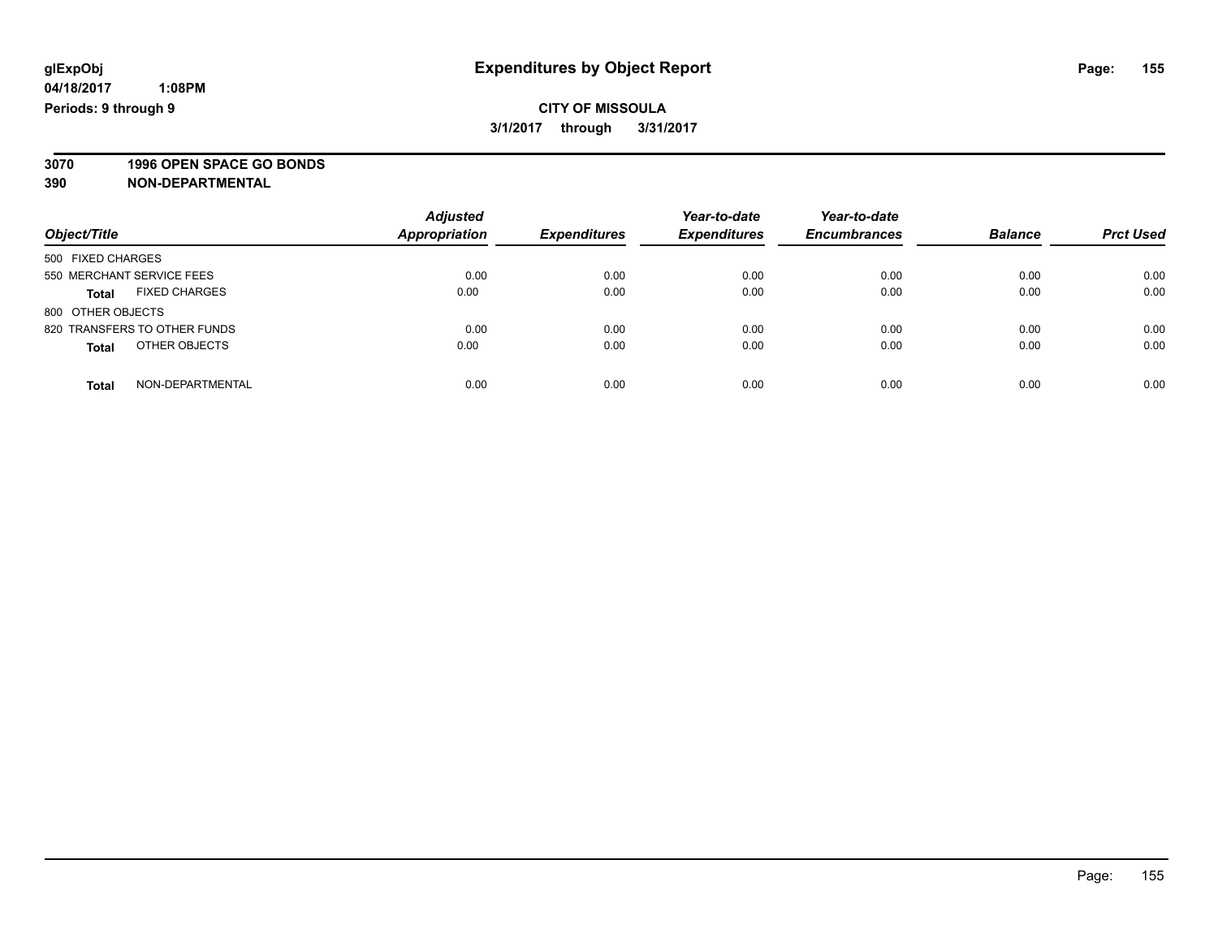**3070 1996 OPEN SPACE GO BONDS**

| Object/Title                         | <b>Adjusted</b><br><b>Appropriation</b> | <b>Expenditures</b> | Year-to-date<br><b>Expenditures</b> | Year-to-date<br><b>Encumbrances</b> | <b>Balance</b> | <b>Prct Used</b> |
|--------------------------------------|-----------------------------------------|---------------------|-------------------------------------|-------------------------------------|----------------|------------------|
| 500 FIXED CHARGES                    |                                         |                     |                                     |                                     |                |                  |
| 550 MERCHANT SERVICE FEES            | 0.00                                    | 0.00                | 0.00                                | 0.00                                | 0.00           | 0.00             |
| <b>FIXED CHARGES</b><br><b>Total</b> | 0.00                                    | 0.00                | 0.00                                | 0.00                                | 0.00           | 0.00             |
| 800 OTHER OBJECTS                    |                                         |                     |                                     |                                     |                |                  |
| 820 TRANSFERS TO OTHER FUNDS         | 0.00                                    | 0.00                | 0.00                                | 0.00                                | 0.00           | 0.00             |
| OTHER OBJECTS<br><b>Total</b>        | 0.00                                    | 0.00                | 0.00                                | 0.00                                | 0.00           | 0.00             |
| NON-DEPARTMENTAL<br>Total            | 0.00                                    | 0.00                | 0.00                                | 0.00                                | 0.00           | 0.00             |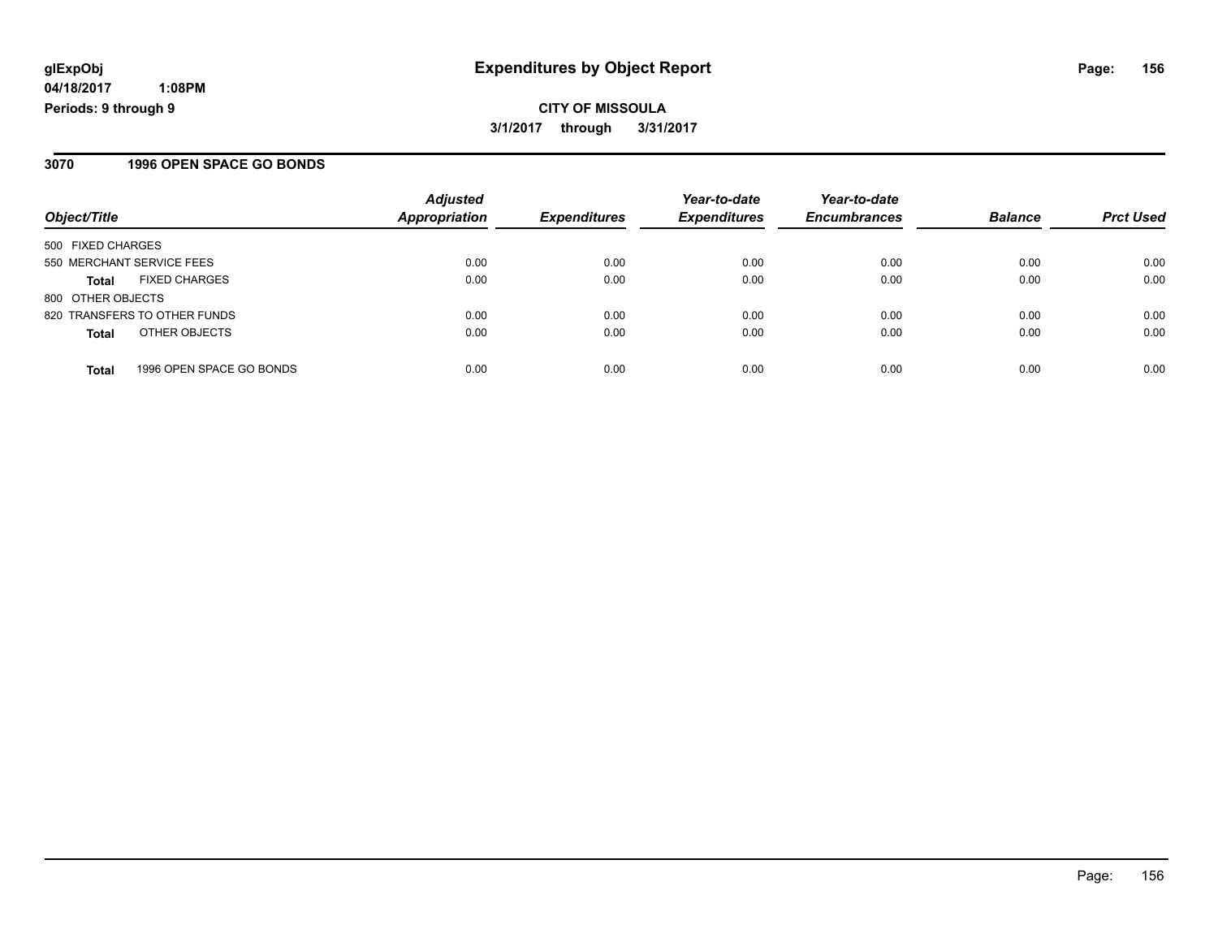**CITY OF MISSOULA 3/1/2017 through 3/31/2017**

#### **3070 1996 OPEN SPACE GO BONDS**

| Object/Title                             | <b>Adjusted</b><br><b>Appropriation</b> | <b>Expenditures</b> | Year-to-date<br><b>Expenditures</b> | Year-to-date<br><b>Encumbrances</b> | <b>Balance</b> | <b>Prct Used</b> |
|------------------------------------------|-----------------------------------------|---------------------|-------------------------------------|-------------------------------------|----------------|------------------|
| 500 FIXED CHARGES                        |                                         |                     |                                     |                                     |                |                  |
| 550 MERCHANT SERVICE FEES                | 0.00                                    | 0.00                | 0.00                                | 0.00                                | 0.00           | 0.00             |
| <b>FIXED CHARGES</b><br><b>Total</b>     | 0.00                                    | 0.00                | 0.00                                | 0.00                                | 0.00           | 0.00             |
| 800 OTHER OBJECTS                        |                                         |                     |                                     |                                     |                |                  |
| 820 TRANSFERS TO OTHER FUNDS             | 0.00                                    | 0.00                | 0.00                                | 0.00                                | 0.00           | 0.00             |
| OTHER OBJECTS<br><b>Total</b>            | 0.00                                    | 0.00                | 0.00                                | 0.00                                | 0.00           | 0.00             |
| 1996 OPEN SPACE GO BONDS<br><b>Total</b> | 0.00                                    | 0.00                | 0.00                                | 0.00                                | 0.00           | 0.00             |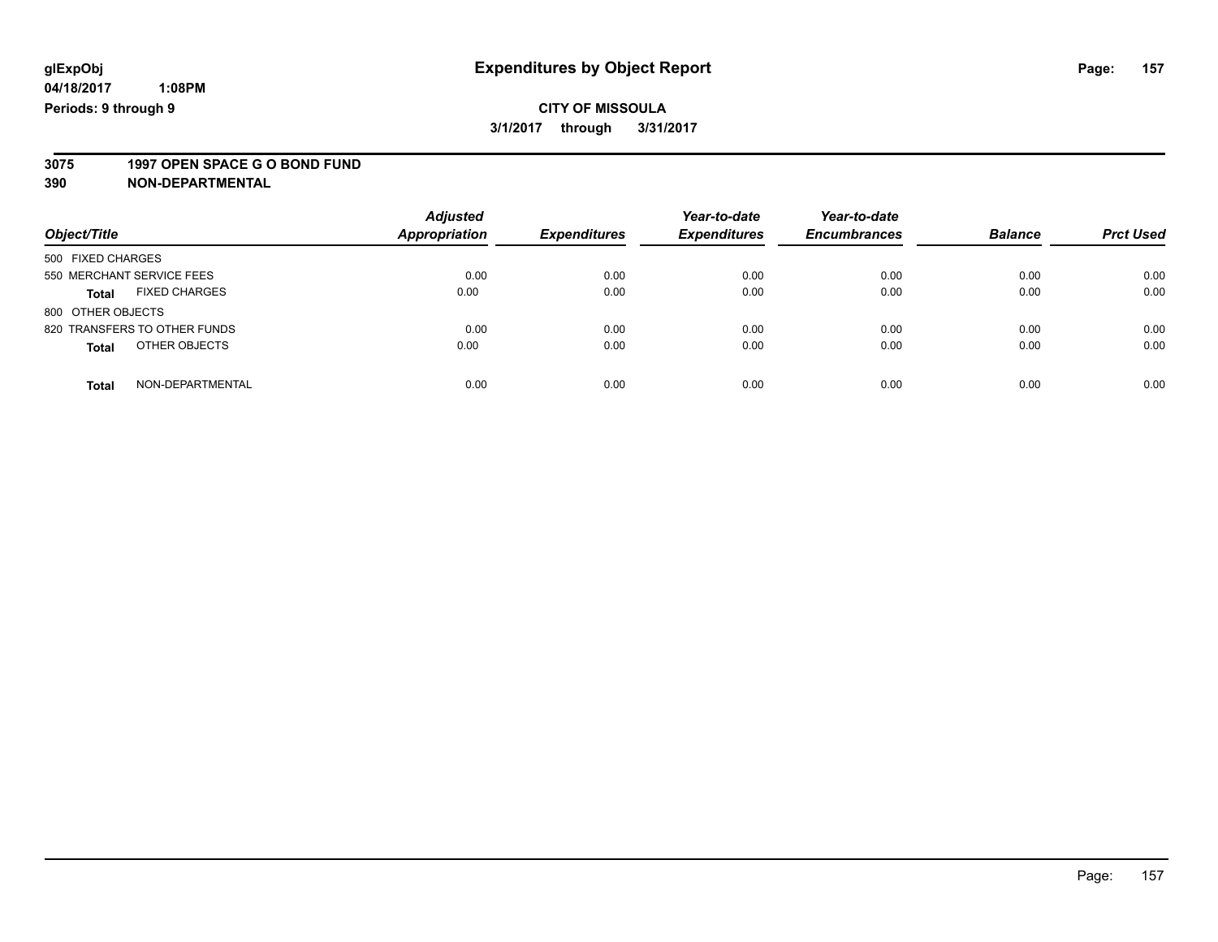### **CITY OF MISSOULA 3/1/2017 through 3/31/2017**

# **3075 1997 OPEN SPACE G O BOND FUND**

|                                      | <b>Adjusted</b>      |                     | Year-to-date        | Year-to-date        |                |                  |
|--------------------------------------|----------------------|---------------------|---------------------|---------------------|----------------|------------------|
| Object/Title                         | <b>Appropriation</b> | <b>Expenditures</b> | <b>Expenditures</b> | <b>Encumbrances</b> | <b>Balance</b> | <b>Prct Used</b> |
| 500 FIXED CHARGES                    |                      |                     |                     |                     |                |                  |
| 550 MERCHANT SERVICE FEES            | 0.00                 | 0.00                | 0.00                | 0.00                | 0.00           | 0.00             |
| <b>FIXED CHARGES</b><br><b>Total</b> | 0.00                 | 0.00                | 0.00                | 0.00                | 0.00           | 0.00             |
| 800 OTHER OBJECTS                    |                      |                     |                     |                     |                |                  |
| 820 TRANSFERS TO OTHER FUNDS         | 0.00                 | 0.00                | 0.00                | 0.00                | 0.00           | 0.00             |
| OTHER OBJECTS<br><b>Total</b>        | 0.00                 | 0.00                | 0.00                | 0.00                | 0.00           | 0.00             |
| NON-DEPARTMENTAL<br><b>Total</b>     | 0.00                 | 0.00                | 0.00                | 0.00                | 0.00           | 0.00             |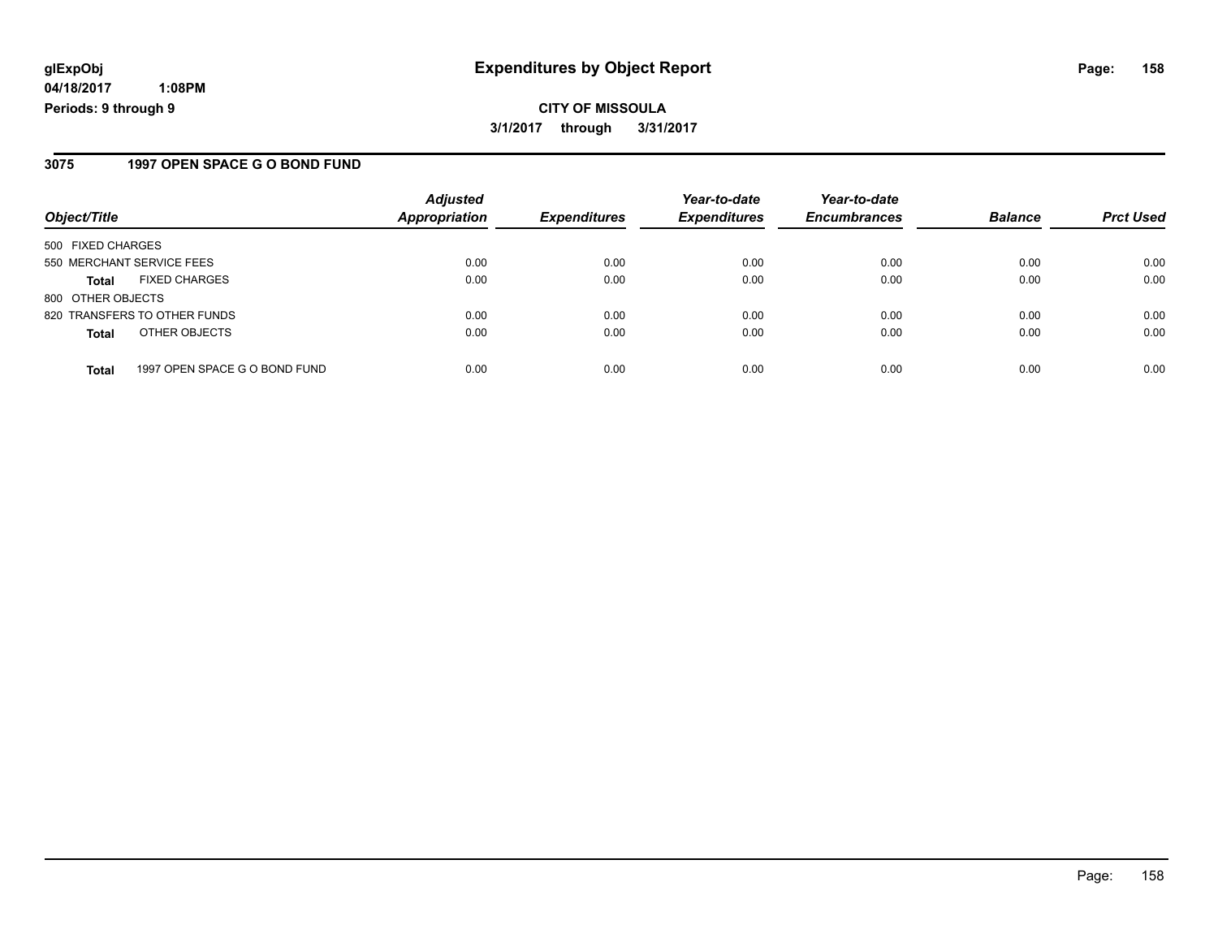**04/18/2017 1:08PM Periods: 9 through 9**

#### **3075 1997 OPEN SPACE G O BOND FUND**

| Object/Title                                  | <b>Adjusted</b><br>Appropriation | <b>Expenditures</b> | Year-to-date<br><b>Expenditures</b> | Year-to-date<br><b>Encumbrances</b> | <b>Balance</b> | <b>Prct Used</b> |
|-----------------------------------------------|----------------------------------|---------------------|-------------------------------------|-------------------------------------|----------------|------------------|
| 500 FIXED CHARGES                             |                                  |                     |                                     |                                     |                |                  |
| 550 MERCHANT SERVICE FEES                     | 0.00                             | 0.00                | 0.00                                | 0.00                                | 0.00           | 0.00             |
| <b>FIXED CHARGES</b><br><b>Total</b>          | 0.00                             | 0.00                | 0.00                                | 0.00                                | 0.00           | 0.00             |
| 800 OTHER OBJECTS                             |                                  |                     |                                     |                                     |                |                  |
| 820 TRANSFERS TO OTHER FUNDS                  | 0.00                             | 0.00                | 0.00                                | 0.00                                | 0.00           | 0.00             |
| OTHER OBJECTS<br><b>Total</b>                 | 0.00                             | 0.00                | 0.00                                | 0.00                                | 0.00           | 0.00             |
| 1997 OPEN SPACE G O BOND FUND<br><b>Total</b> | 0.00                             | 0.00                | 0.00                                | 0.00                                | 0.00           | 0.00             |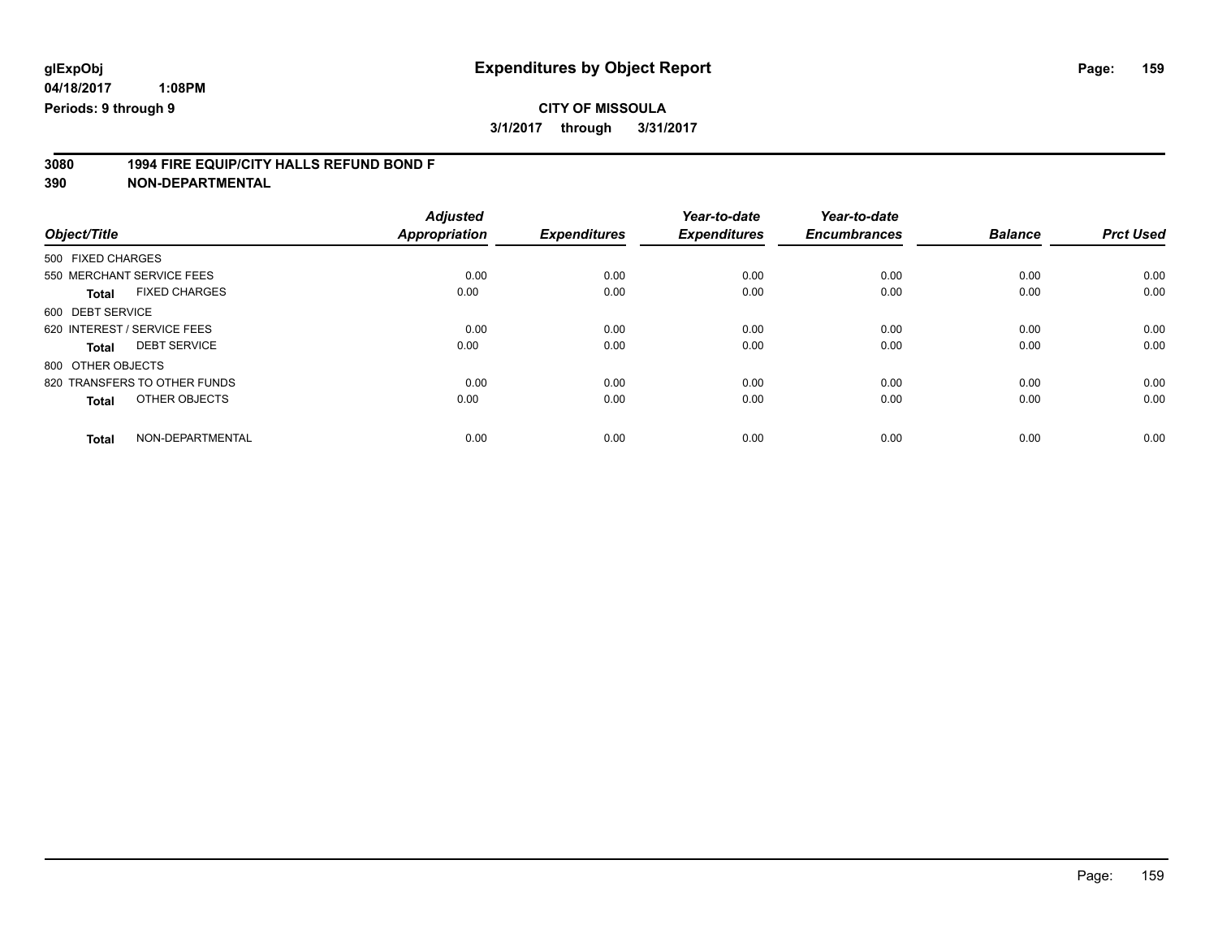# **3080 1994 FIRE EQUIP/CITY HALLS REFUND BOND F**

| Object/Title                         | <b>Adjusted</b><br><b>Appropriation</b> | <b>Expenditures</b> | Year-to-date<br><b>Expenditures</b> | Year-to-date<br><b>Encumbrances</b> | <b>Balance</b> | <b>Prct Used</b> |
|--------------------------------------|-----------------------------------------|---------------------|-------------------------------------|-------------------------------------|----------------|------------------|
| 500 FIXED CHARGES                    |                                         |                     |                                     |                                     |                |                  |
|                                      |                                         |                     |                                     |                                     |                |                  |
| 550 MERCHANT SERVICE FEES            | 0.00                                    | 0.00                | 0.00                                | 0.00                                | 0.00           | 0.00             |
| <b>FIXED CHARGES</b><br><b>Total</b> | 0.00                                    | 0.00                | 0.00                                | 0.00                                | 0.00           | 0.00             |
| 600 DEBT SERVICE                     |                                         |                     |                                     |                                     |                |                  |
| 620 INTEREST / SERVICE FEES          | 0.00                                    | 0.00                | 0.00                                | 0.00                                | 0.00           | 0.00             |
| <b>DEBT SERVICE</b><br>Total         | 0.00                                    | 0.00                | 0.00                                | 0.00                                | 0.00           | 0.00             |
| 800 OTHER OBJECTS                    |                                         |                     |                                     |                                     |                |                  |
| 820 TRANSFERS TO OTHER FUNDS         | 0.00                                    | 0.00                | 0.00                                | 0.00                                | 0.00           | 0.00             |
| OTHER OBJECTS<br><b>Total</b>        | 0.00                                    | 0.00                | 0.00                                | 0.00                                | 0.00           | 0.00             |
|                                      |                                         |                     |                                     |                                     |                |                  |
| NON-DEPARTMENTAL<br><b>Total</b>     | 0.00                                    | 0.00                | 0.00                                | 0.00                                | 0.00           | 0.00             |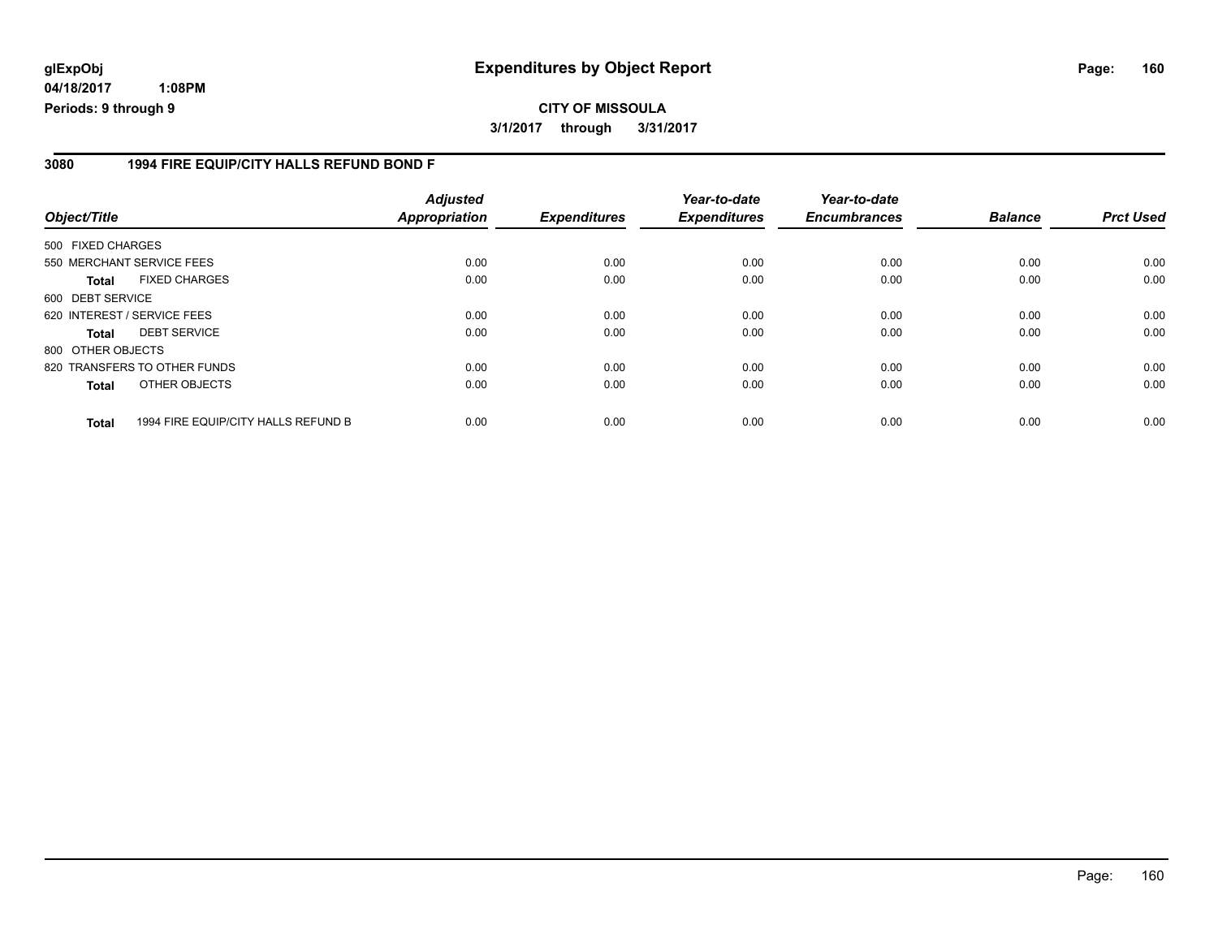**04/18/2017 1:08PM Periods: 9 through 9**

#### **3080 1994 FIRE EQUIP/CITY HALLS REFUND BOND F**

| Object/Title      |                                     | <b>Adjusted</b><br>Appropriation | <b>Expenditures</b> | Year-to-date<br><b>Expenditures</b> | Year-to-date<br><b>Encumbrances</b> | <b>Balance</b> | <b>Prct Used</b> |
|-------------------|-------------------------------------|----------------------------------|---------------------|-------------------------------------|-------------------------------------|----------------|------------------|
| 500 FIXED CHARGES |                                     |                                  |                     |                                     |                                     |                |                  |
|                   | 550 MERCHANT SERVICE FEES           | 0.00                             | 0.00                | 0.00                                | 0.00                                | 0.00           | 0.00             |
| <b>Total</b>      | <b>FIXED CHARGES</b>                | 0.00                             | 0.00                | 0.00                                | 0.00                                | 0.00           | 0.00             |
| 600 DEBT SERVICE  |                                     |                                  |                     |                                     |                                     |                |                  |
|                   | 620 INTEREST / SERVICE FEES         | 0.00                             | 0.00                | 0.00                                | 0.00                                | 0.00           | 0.00             |
| <b>Total</b>      | <b>DEBT SERVICE</b>                 | 0.00                             | 0.00                | 0.00                                | 0.00                                | 0.00           | 0.00             |
| 800 OTHER OBJECTS |                                     |                                  |                     |                                     |                                     |                |                  |
|                   | 820 TRANSFERS TO OTHER FUNDS        | 0.00                             | 0.00                | 0.00                                | 0.00                                | 0.00           | 0.00             |
| <b>Total</b>      | OTHER OBJECTS                       | 0.00                             | 0.00                | 0.00                                | 0.00                                | 0.00           | 0.00             |
| <b>Total</b>      | 1994 FIRE EQUIP/CITY HALLS REFUND B | 0.00                             | 0.00                | 0.00                                | 0.00                                | 0.00           | 0.00             |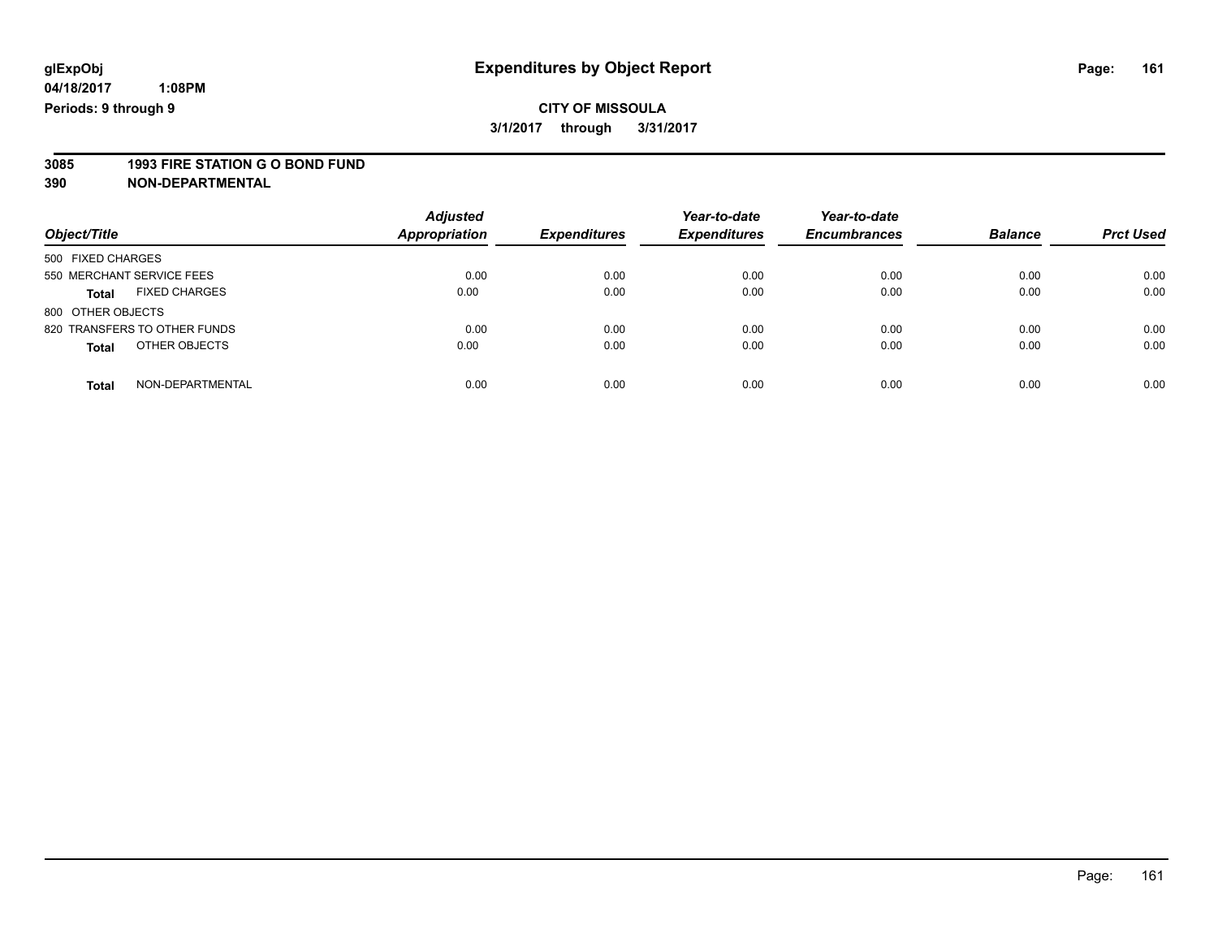**3085 1993 FIRE STATION G O BOND FUND**

| Object/Title                         | <b>Adjusted</b><br><b>Appropriation</b> | <b>Expenditures</b> | Year-to-date<br><b>Expenditures</b> | Year-to-date<br><b>Encumbrances</b> | <b>Balance</b> | <b>Prct Used</b> |
|--------------------------------------|-----------------------------------------|---------------------|-------------------------------------|-------------------------------------|----------------|------------------|
| 500 FIXED CHARGES                    |                                         |                     |                                     |                                     |                |                  |
| 550 MERCHANT SERVICE FEES            | 0.00                                    | 0.00                | 0.00                                | 0.00                                | 0.00           | 0.00             |
| <b>FIXED CHARGES</b><br><b>Total</b> | 0.00                                    | 0.00                | 0.00                                | 0.00                                | 0.00           | 0.00             |
| 800 OTHER OBJECTS                    |                                         |                     |                                     |                                     |                |                  |
| 820 TRANSFERS TO OTHER FUNDS         | 0.00                                    | 0.00                | 0.00                                | 0.00                                | 0.00           | 0.00             |
| OTHER OBJECTS<br><b>Total</b>        | 0.00                                    | 0.00                | 0.00                                | 0.00                                | 0.00           | 0.00             |
| NON-DEPARTMENTAL<br>Total            | 0.00                                    | 0.00                | 0.00                                | 0.00                                | 0.00           | 0.00             |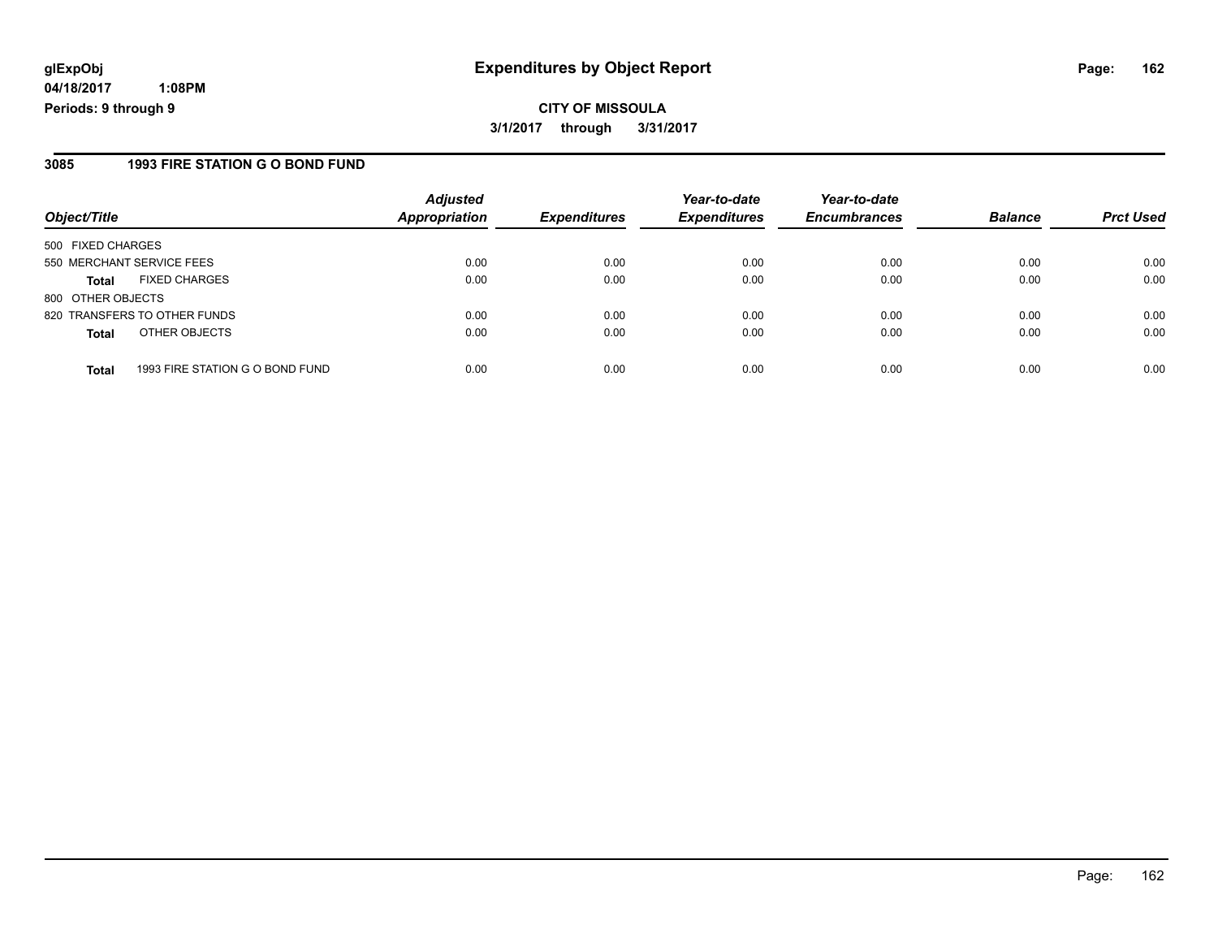**04/18/2017 1:08PM Periods: 9 through 9**

#### **3085 1993 FIRE STATION G O BOND FUND**

| Object/Title                                    | <b>Adjusted</b><br>Appropriation | <b>Expenditures</b> | Year-to-date<br><b>Expenditures</b> | Year-to-date<br><b>Encumbrances</b> | <b>Balance</b> | <b>Prct Used</b> |
|-------------------------------------------------|----------------------------------|---------------------|-------------------------------------|-------------------------------------|----------------|------------------|
| 500 FIXED CHARGES                               |                                  |                     |                                     |                                     |                |                  |
| 550 MERCHANT SERVICE FEES                       | 0.00                             | 0.00                | 0.00                                | 0.00                                | 0.00           | 0.00             |
| <b>FIXED CHARGES</b><br><b>Total</b>            | 0.00                             | 0.00                | 0.00                                | 0.00                                | 0.00           | 0.00             |
| 800 OTHER OBJECTS                               |                                  |                     |                                     |                                     |                |                  |
| 820 TRANSFERS TO OTHER FUNDS                    | 0.00                             | 0.00                | 0.00                                | 0.00                                | 0.00           | 0.00             |
| OTHER OBJECTS<br><b>Total</b>                   | 0.00                             | 0.00                | 0.00                                | 0.00                                | 0.00           | 0.00             |
| 1993 FIRE STATION G O BOND FUND<br><b>Total</b> | 0.00                             | 0.00                | 0.00                                | 0.00                                | 0.00           | 0.00             |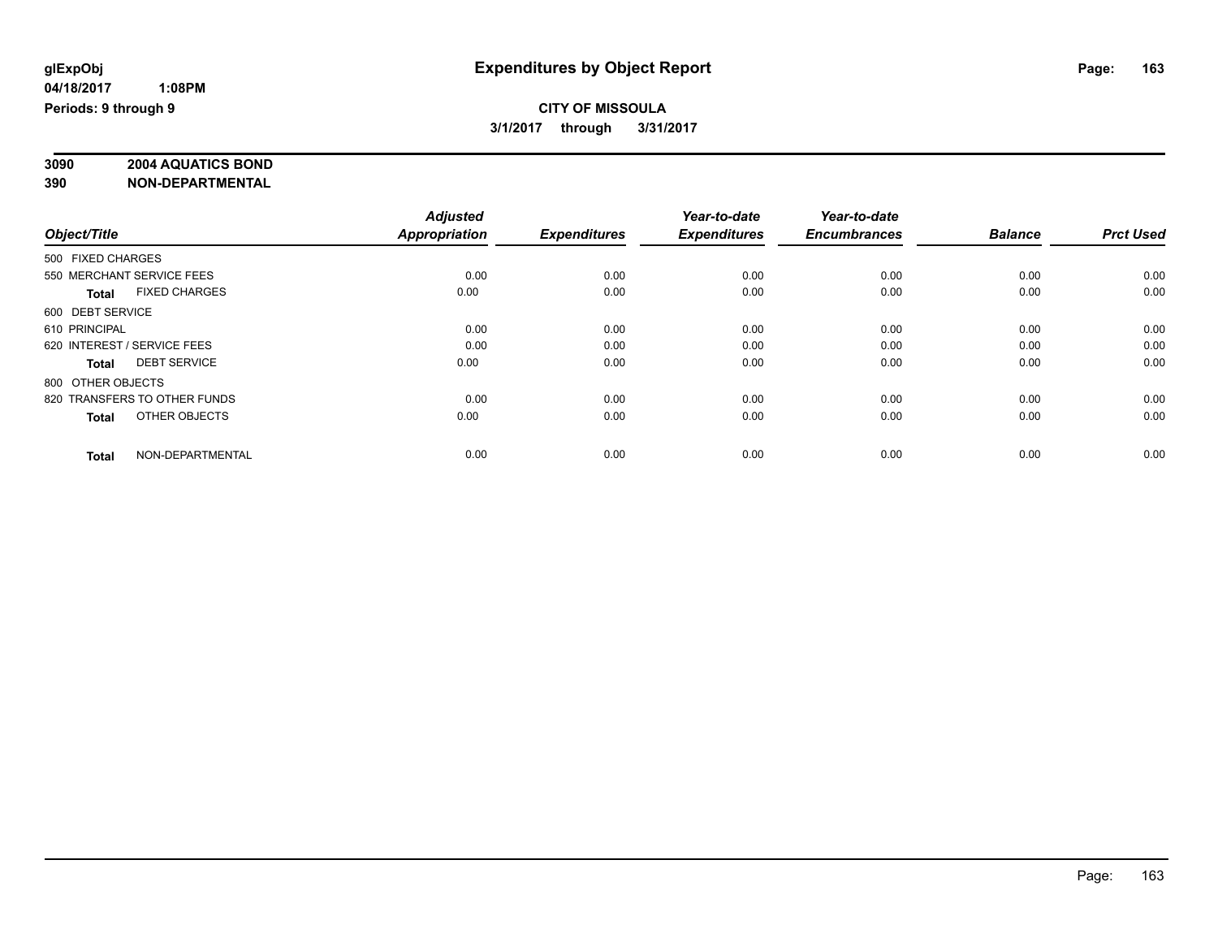# **3090 2004 AQUATICS BOND**

|                                      | <b>Adjusted</b>      |                     | Year-to-date        | Year-to-date        |                |                  |
|--------------------------------------|----------------------|---------------------|---------------------|---------------------|----------------|------------------|
| Object/Title                         | <b>Appropriation</b> | <b>Expenditures</b> | <b>Expenditures</b> | <b>Encumbrances</b> | <b>Balance</b> | <b>Prct Used</b> |
| 500 FIXED CHARGES                    |                      |                     |                     |                     |                |                  |
| 550 MERCHANT SERVICE FEES            | 0.00                 | 0.00                | 0.00                | 0.00                | 0.00           | 0.00             |
| <b>FIXED CHARGES</b><br><b>Total</b> | 0.00                 | 0.00                | 0.00                | 0.00                | 0.00           | 0.00             |
| 600 DEBT SERVICE                     |                      |                     |                     |                     |                |                  |
| 610 PRINCIPAL                        | 0.00                 | 0.00                | 0.00                | 0.00                | 0.00           | 0.00             |
| 620 INTEREST / SERVICE FEES          | 0.00                 | 0.00                | 0.00                | 0.00                | 0.00           | 0.00             |
| <b>DEBT SERVICE</b><br><b>Total</b>  | 0.00                 | 0.00                | 0.00                | 0.00                | 0.00           | 0.00             |
| 800 OTHER OBJECTS                    |                      |                     |                     |                     |                |                  |
| 820 TRANSFERS TO OTHER FUNDS         | 0.00                 | 0.00                | 0.00                | 0.00                | 0.00           | 0.00             |
| OTHER OBJECTS<br><b>Total</b>        | 0.00                 | 0.00                | 0.00                | 0.00                | 0.00           | 0.00             |
|                                      |                      |                     |                     |                     |                |                  |
| NON-DEPARTMENTAL<br><b>Total</b>     | 0.00                 | 0.00                | 0.00                | 0.00                | 0.00           | 0.00             |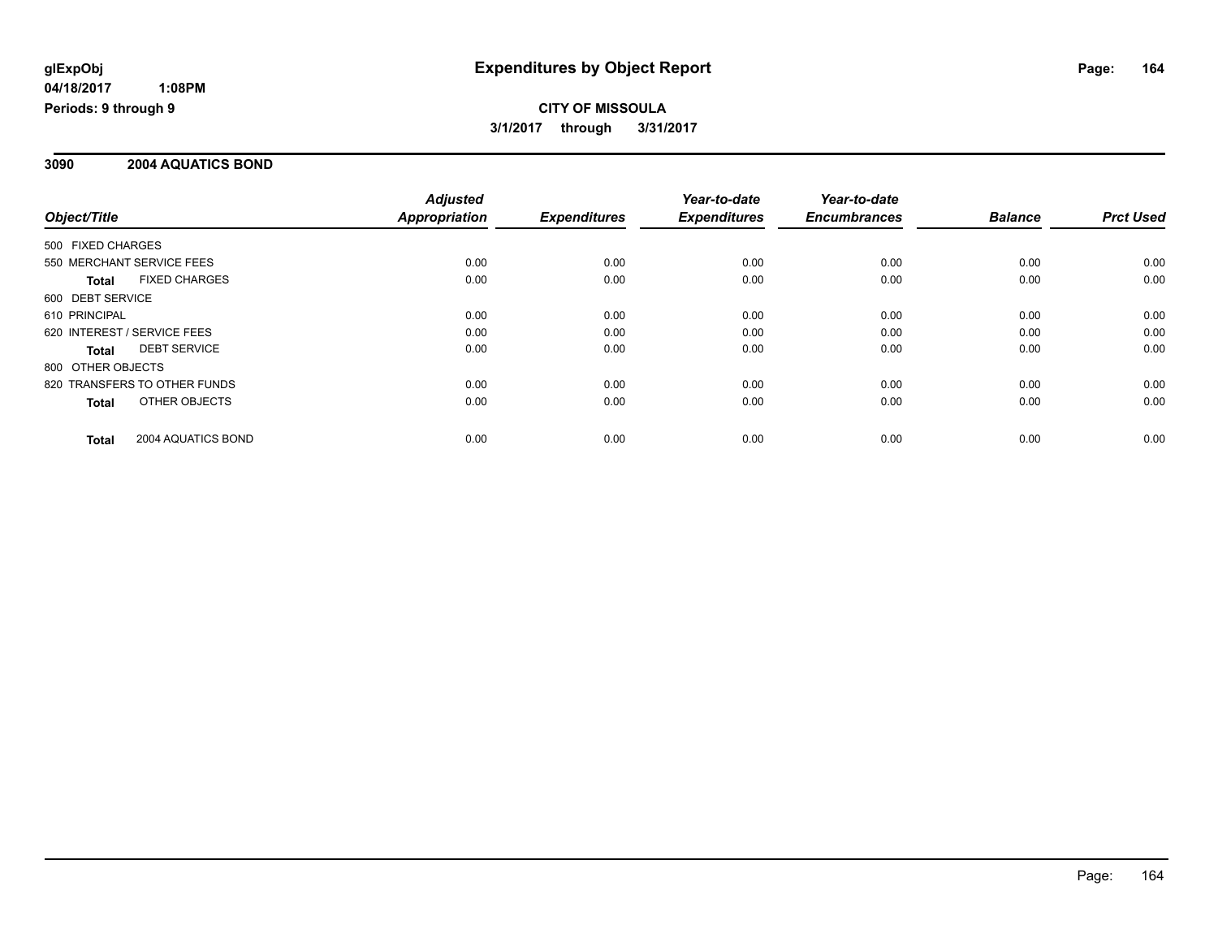# **CITY OF MISSOULA 3/1/2017 through 3/31/2017**

### **3090 2004 AQUATICS BOND**

|                               | <b>Adjusted</b>      |                     | Year-to-date        | Year-to-date        |                |                  |
|-------------------------------|----------------------|---------------------|---------------------|---------------------|----------------|------------------|
| Object/Title                  | <b>Appropriation</b> | <b>Expenditures</b> | <b>Expenditures</b> | <b>Encumbrances</b> | <b>Balance</b> | <b>Prct Used</b> |
| 500 FIXED CHARGES             |                      |                     |                     |                     |                |                  |
| 550 MERCHANT SERVICE FEES     | 0.00                 | 0.00                | 0.00                | 0.00                | 0.00           | 0.00             |
| <b>FIXED CHARGES</b><br>Total | 0.00                 | 0.00                | 0.00                | 0.00                | 0.00           | 0.00             |
| 600 DEBT SERVICE              |                      |                     |                     |                     |                |                  |
| 610 PRINCIPAL                 | 0.00                 | 0.00                | 0.00                | 0.00                | 0.00           | 0.00             |
| 620 INTEREST / SERVICE FEES   | 0.00                 | 0.00                | 0.00                | 0.00                | 0.00           | 0.00             |
| <b>DEBT SERVICE</b><br>Total  | 0.00                 | 0.00                | 0.00                | 0.00                | 0.00           | 0.00             |
| 800 OTHER OBJECTS             |                      |                     |                     |                     |                |                  |
| 820 TRANSFERS TO OTHER FUNDS  | 0.00                 | 0.00                | 0.00                | 0.00                | 0.00           | 0.00             |
| OTHER OBJECTS<br>Total        | 0.00                 | 0.00                | 0.00                | 0.00                | 0.00           | 0.00             |
| 2004 AQUATICS BOND<br>Total   | 0.00                 | 0.00                | 0.00                | 0.00                | 0.00           | 0.00             |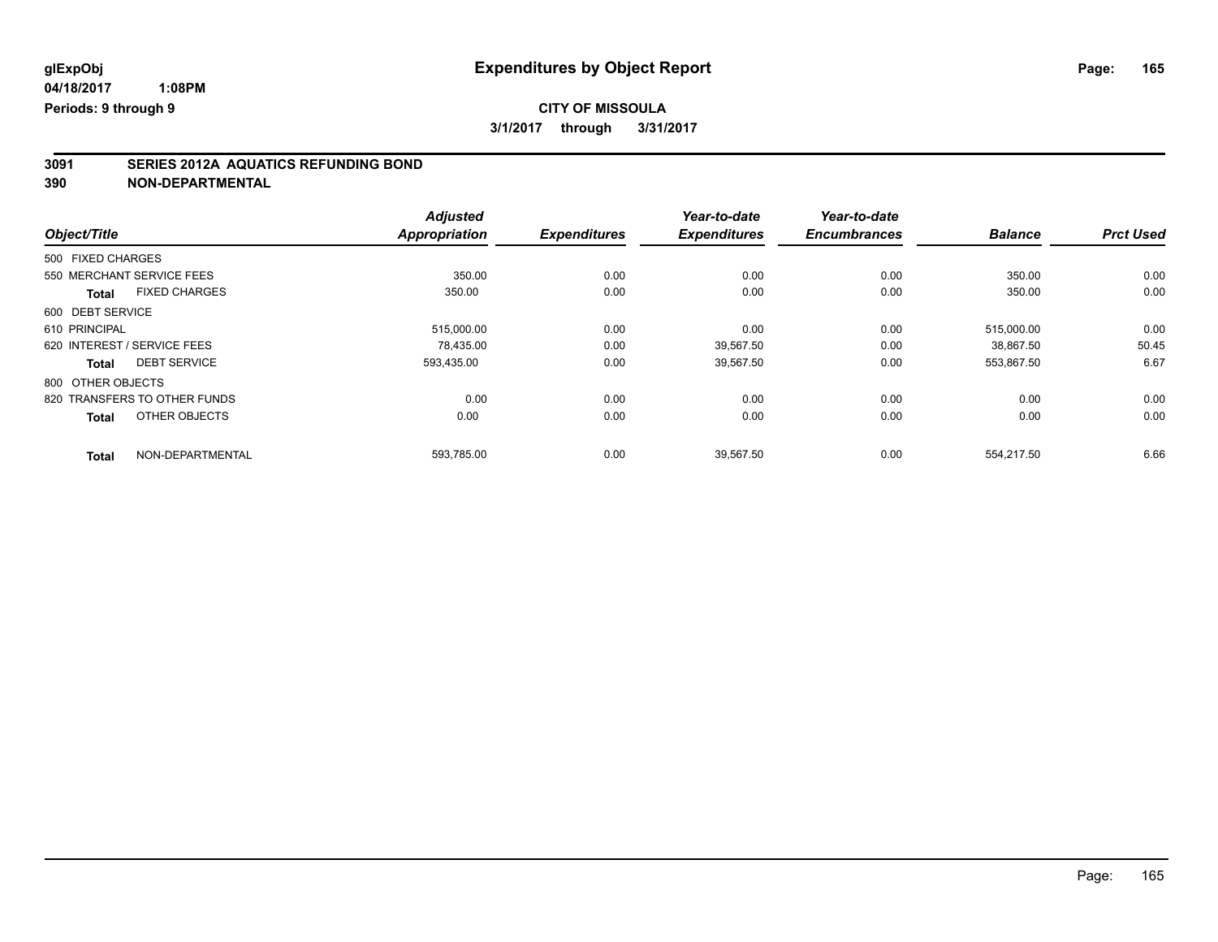# **3091 SERIES 2012A AQUATICS REFUNDING BOND**

|                                      | <b>Adjusted</b> |                     | Year-to-date        | Year-to-date        |                |                  |
|--------------------------------------|-----------------|---------------------|---------------------|---------------------|----------------|------------------|
| Object/Title                         | Appropriation   | <b>Expenditures</b> | <b>Expenditures</b> | <b>Encumbrances</b> | <b>Balance</b> | <b>Prct Used</b> |
| 500 FIXED CHARGES                    |                 |                     |                     |                     |                |                  |
| 550 MERCHANT SERVICE FEES            | 350.00          | 0.00                | 0.00                | 0.00                | 350.00         | 0.00             |
| <b>FIXED CHARGES</b><br><b>Total</b> | 350.00          | 0.00                | 0.00                | 0.00                | 350.00         | 0.00             |
| 600 DEBT SERVICE                     |                 |                     |                     |                     |                |                  |
| 610 PRINCIPAL                        | 515,000.00      | 0.00                | 0.00                | 0.00                | 515,000.00     | 0.00             |
| 620 INTEREST / SERVICE FEES          | 78.435.00       | 0.00                | 39.567.50           | 0.00                | 38.867.50      | 50.45            |
| <b>DEBT SERVICE</b><br><b>Total</b>  | 593,435.00      | 0.00                | 39,567.50           | 0.00                | 553,867.50     | 6.67             |
| 800 OTHER OBJECTS                    |                 |                     |                     |                     |                |                  |
| 820 TRANSFERS TO OTHER FUNDS         | 0.00            | 0.00                | 0.00                | 0.00                | 0.00           | 0.00             |
| OTHER OBJECTS<br><b>Total</b>        | 0.00            | 0.00                | 0.00                | 0.00                | 0.00           | 0.00             |
| NON-DEPARTMENTAL<br><b>Total</b>     | 593,785.00      | 0.00                | 39.567.50           | 0.00                | 554.217.50     | 6.66             |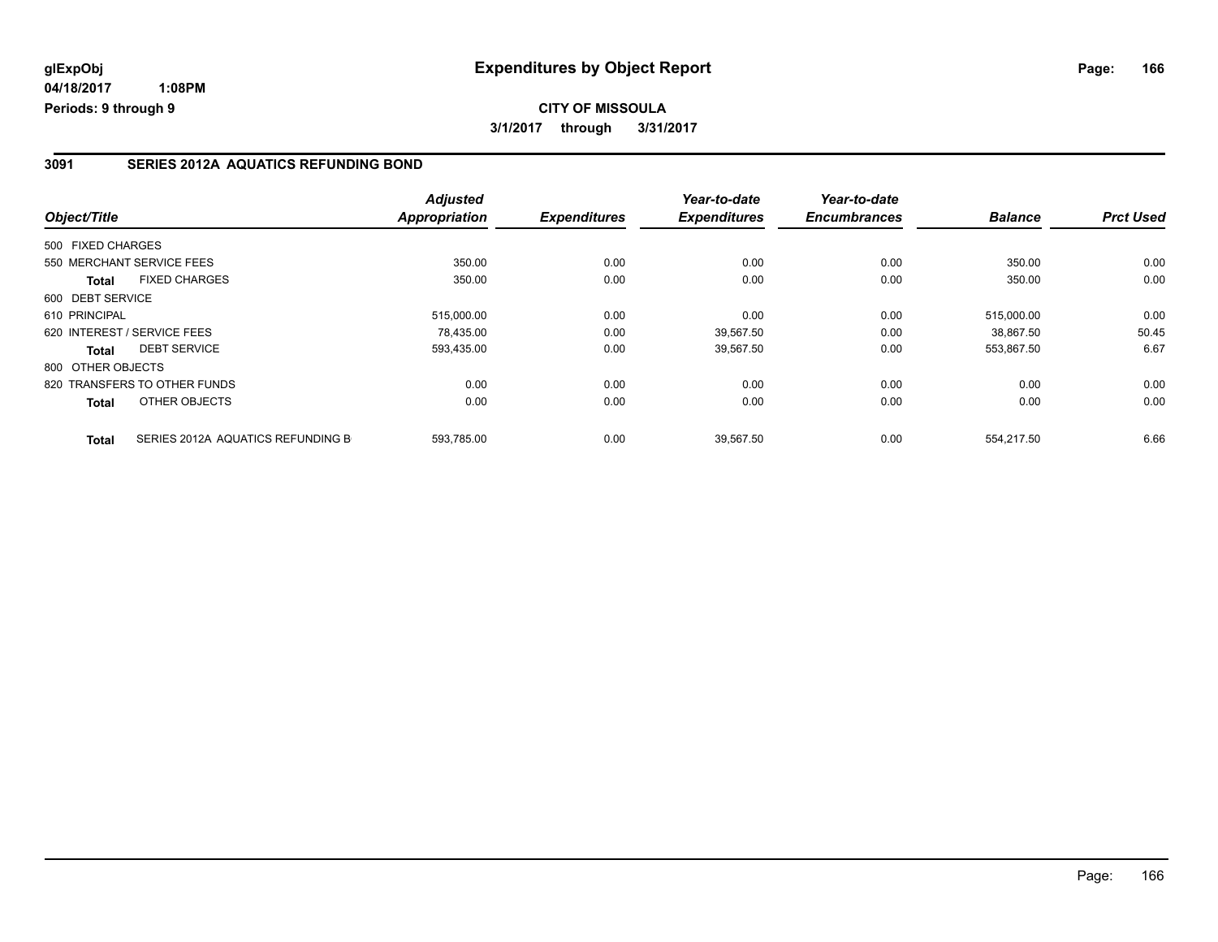#### **3091 SERIES 2012A AQUATICS REFUNDING BOND**

| Object/Title                         |                                   | <b>Adjusted</b><br>Appropriation | <b>Expenditures</b> | Year-to-date<br><b>Expenditures</b> | Year-to-date<br><b>Encumbrances</b> | <b>Balance</b> | <b>Prct Used</b> |
|--------------------------------------|-----------------------------------|----------------------------------|---------------------|-------------------------------------|-------------------------------------|----------------|------------------|
|                                      |                                   |                                  |                     |                                     |                                     |                |                  |
| 500 FIXED CHARGES                    |                                   |                                  |                     |                                     |                                     |                |                  |
| 550 MERCHANT SERVICE FEES            |                                   | 350.00                           | 0.00                | 0.00                                | 0.00                                | 350.00         | 0.00             |
| <b>FIXED CHARGES</b><br><b>Total</b> |                                   | 350.00                           | 0.00                | 0.00                                | 0.00                                | 350.00         | 0.00             |
| 600 DEBT SERVICE                     |                                   |                                  |                     |                                     |                                     |                |                  |
| 610 PRINCIPAL                        |                                   | 515,000.00                       | 0.00                | 0.00                                | 0.00                                | 515.000.00     | 0.00             |
| 620 INTEREST / SERVICE FEES          |                                   | 78.435.00                        | 0.00                | 39.567.50                           | 0.00                                | 38.867.50      | 50.45            |
| <b>DEBT SERVICE</b><br>Total         |                                   | 593,435.00                       | 0.00                | 39,567.50                           | 0.00                                | 553,867.50     | 6.67             |
| 800 OTHER OBJECTS                    |                                   |                                  |                     |                                     |                                     |                |                  |
| 820 TRANSFERS TO OTHER FUNDS         |                                   | 0.00                             | 0.00                | 0.00                                | 0.00                                | 0.00           | 0.00             |
| OTHER OBJECTS<br>Total               |                                   | 0.00                             | 0.00                | 0.00                                | 0.00                                | 0.00           | 0.00             |
| <b>Total</b>                         | SERIES 2012A AQUATICS REFUNDING B | 593,785.00                       | 0.00                | 39,567.50                           | 0.00                                | 554,217.50     | 6.66             |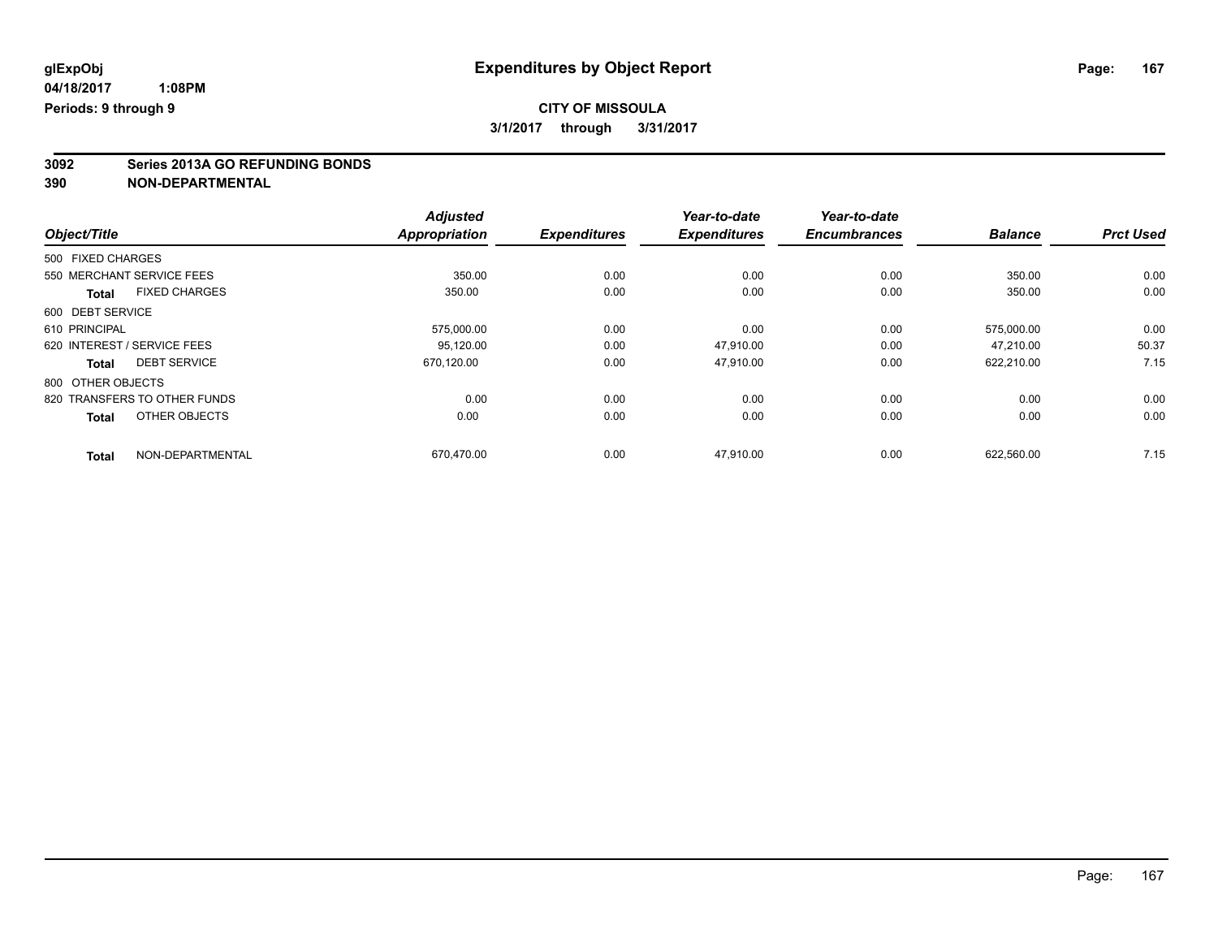# **3092 Series 2013A GO REFUNDING BONDS**

|                              |                      | <b>Adjusted</b>      |                     | Year-to-date        | Year-to-date        |                |                  |
|------------------------------|----------------------|----------------------|---------------------|---------------------|---------------------|----------------|------------------|
| Object/Title                 |                      | <b>Appropriation</b> | <b>Expenditures</b> | <b>Expenditures</b> | <b>Encumbrances</b> | <b>Balance</b> | <b>Prct Used</b> |
| 500 FIXED CHARGES            |                      |                      |                     |                     |                     |                |                  |
| 550 MERCHANT SERVICE FEES    |                      | 350.00               | 0.00                | 0.00                | 0.00                | 350.00         | 0.00             |
| <b>Total</b>                 | <b>FIXED CHARGES</b> | 350.00               | 0.00                | 0.00                | 0.00                | 350.00         | 0.00             |
| 600 DEBT SERVICE             |                      |                      |                     |                     |                     |                |                  |
| 610 PRINCIPAL                |                      | 575,000.00           | 0.00                | 0.00                | 0.00                | 575,000.00     | 0.00             |
| 620 INTEREST / SERVICE FEES  |                      | 95.120.00            | 0.00                | 47.910.00           | 0.00                | 47.210.00      | 50.37            |
| <b>Total</b>                 | <b>DEBT SERVICE</b>  | 670.120.00           | 0.00                | 47,910.00           | 0.00                | 622,210.00     | 7.15             |
| 800 OTHER OBJECTS            |                      |                      |                     |                     |                     |                |                  |
| 820 TRANSFERS TO OTHER FUNDS |                      | 0.00                 | 0.00                | 0.00                | 0.00                | 0.00           | 0.00             |
| <b>Total</b>                 | OTHER OBJECTS        | 0.00                 | 0.00                | 0.00                | 0.00                | 0.00           | 0.00             |
| <b>Total</b>                 | NON-DEPARTMENTAL     | 670.470.00           | 0.00                | 47.910.00           | 0.00                | 622.560.00     | 7.15             |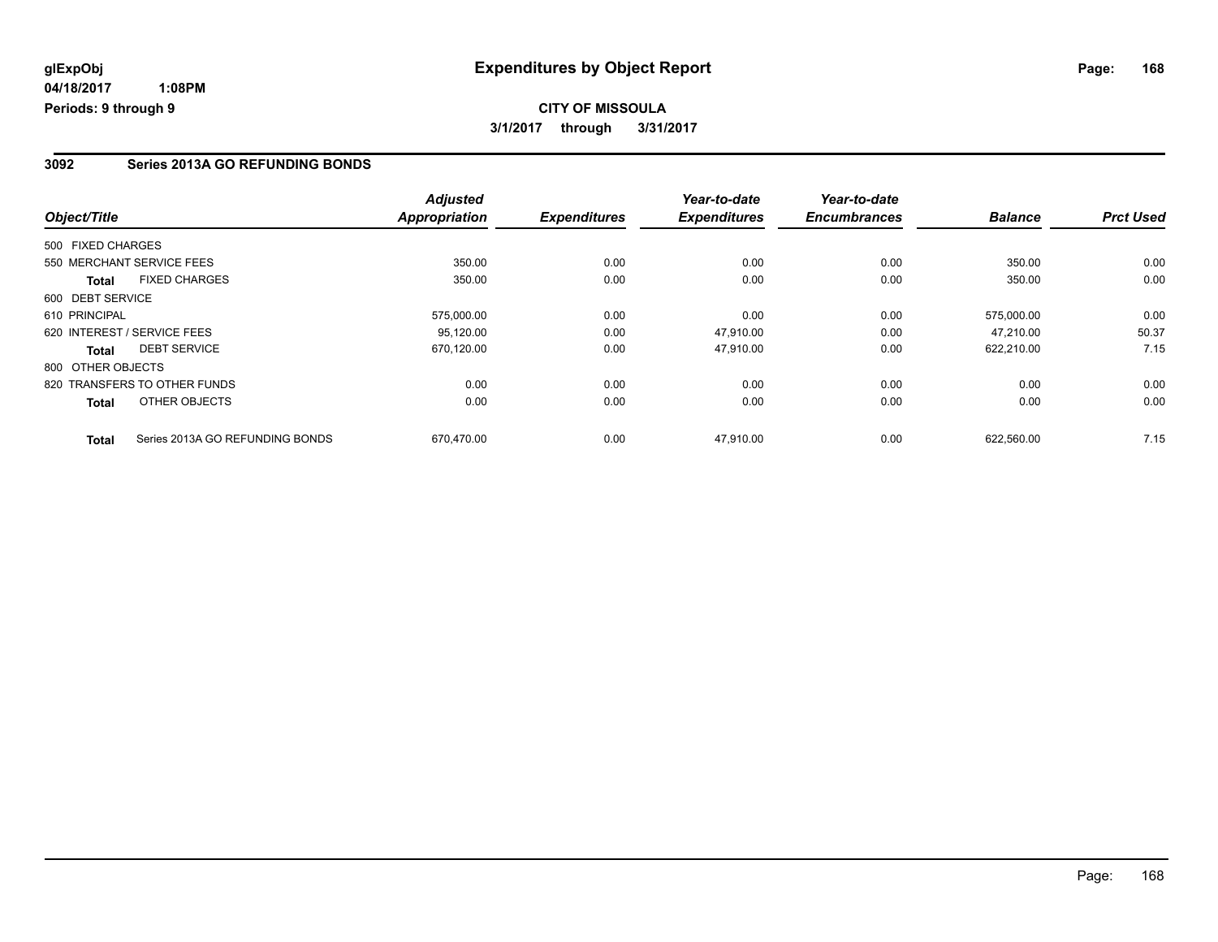# **CITY OF MISSOULA 3/1/2017 through 3/31/2017**

### **3092 Series 2013A GO REFUNDING BONDS**

|                   |                                 | <b>Adjusted</b>      |                     | Year-to-date        | Year-to-date        |                |                  |
|-------------------|---------------------------------|----------------------|---------------------|---------------------|---------------------|----------------|------------------|
| Object/Title      |                                 | <b>Appropriation</b> | <b>Expenditures</b> | <b>Expenditures</b> | <b>Encumbrances</b> | <b>Balance</b> | <b>Prct Used</b> |
| 500 FIXED CHARGES |                                 |                      |                     |                     |                     |                |                  |
|                   | 550 MERCHANT SERVICE FEES       | 350.00               | 0.00                | 0.00                | 0.00                | 350.00         | 0.00             |
| <b>Total</b>      | <b>FIXED CHARGES</b>            | 350.00               | 0.00                | 0.00                | 0.00                | 350.00         | 0.00             |
| 600 DEBT SERVICE  |                                 |                      |                     |                     |                     |                |                  |
| 610 PRINCIPAL     |                                 | 575,000.00           | 0.00                | 0.00                | 0.00                | 575.000.00     | 0.00             |
|                   | 620 INTEREST / SERVICE FEES     | 95.120.00            | 0.00                | 47,910.00           | 0.00                | 47.210.00      | 50.37            |
| Total             | <b>DEBT SERVICE</b>             | 670,120.00           | 0.00                | 47,910.00           | 0.00                | 622,210.00     | 7.15             |
| 800 OTHER OBJECTS |                                 |                      |                     |                     |                     |                |                  |
|                   | 820 TRANSFERS TO OTHER FUNDS    | 0.00                 | 0.00                | 0.00                | 0.00                | 0.00           | 0.00             |
| Total             | OTHER OBJECTS                   | 0.00                 | 0.00                | 0.00                | 0.00                | 0.00           | 0.00             |
| <b>Total</b>      | Series 2013A GO REFUNDING BONDS | 670.470.00           | 0.00                | 47.910.00           | 0.00                | 622.560.00     | 7.15             |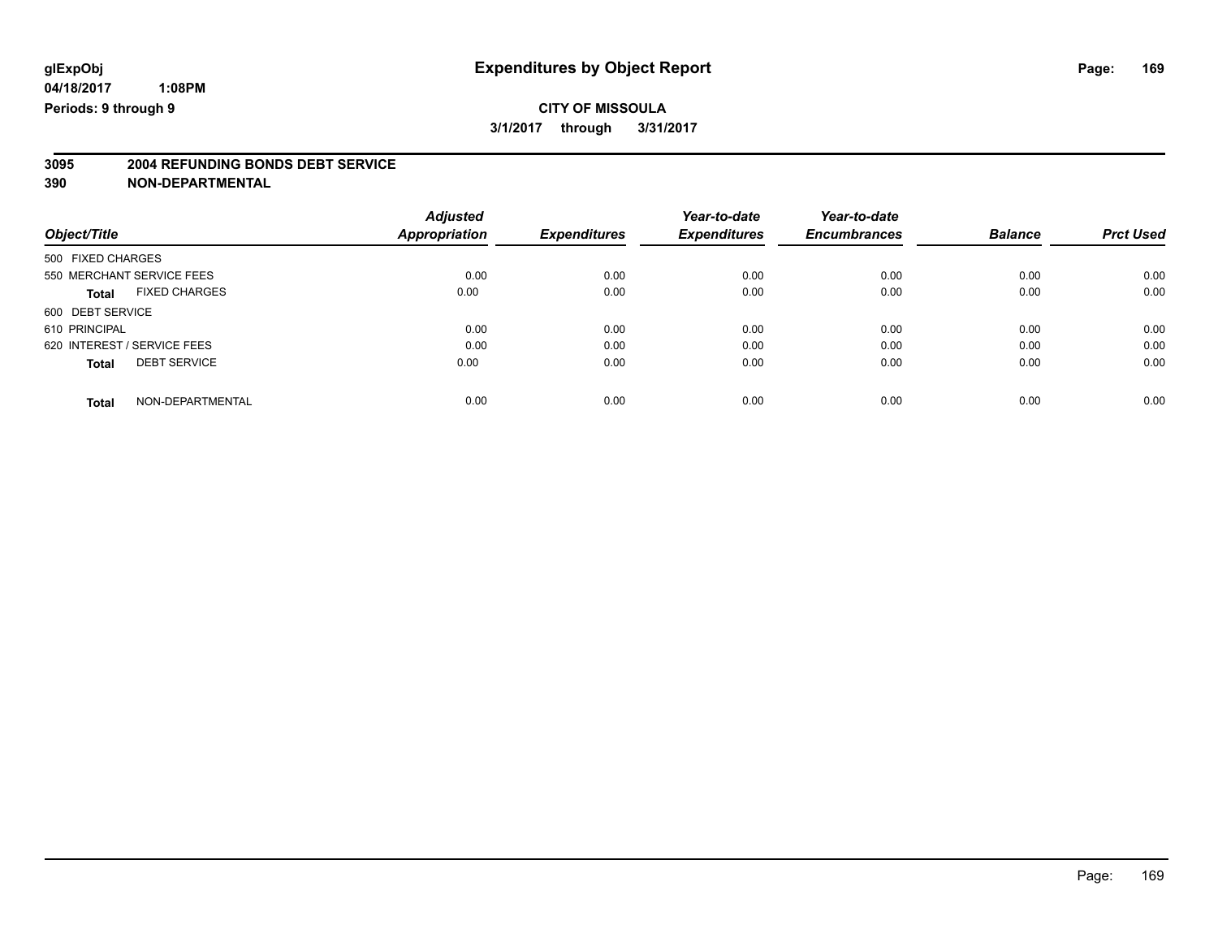# **3095 2004 REFUNDING BONDS DEBT SERVICE**

|                                      | <b>Adjusted</b>      |                     | Year-to-date        | Year-to-date        |                |                  |
|--------------------------------------|----------------------|---------------------|---------------------|---------------------|----------------|------------------|
| Object/Title                         | <b>Appropriation</b> | <b>Expenditures</b> | <b>Expenditures</b> | <b>Encumbrances</b> | <b>Balance</b> | <b>Prct Used</b> |
| 500 FIXED CHARGES                    |                      |                     |                     |                     |                |                  |
| 550 MERCHANT SERVICE FEES            | 0.00                 | 0.00                | 0.00                | 0.00                | 0.00           | 0.00             |
| <b>FIXED CHARGES</b><br><b>Total</b> | 0.00                 | 0.00                | 0.00                | 0.00                | 0.00           | 0.00             |
| 600 DEBT SERVICE                     |                      |                     |                     |                     |                |                  |
| 610 PRINCIPAL                        | 0.00                 | 0.00                | 0.00                | 0.00                | 0.00           | 0.00             |
| 620 INTEREST / SERVICE FEES          | 0.00                 | 0.00                | 0.00                | 0.00                | 0.00           | 0.00             |
| <b>DEBT SERVICE</b><br><b>Total</b>  | 0.00                 | 0.00                | 0.00                | 0.00                | 0.00           | 0.00             |
| NON-DEPARTMENTAL<br><b>Total</b>     | 0.00                 | 0.00                | 0.00                | 0.00                | 0.00           | 0.00             |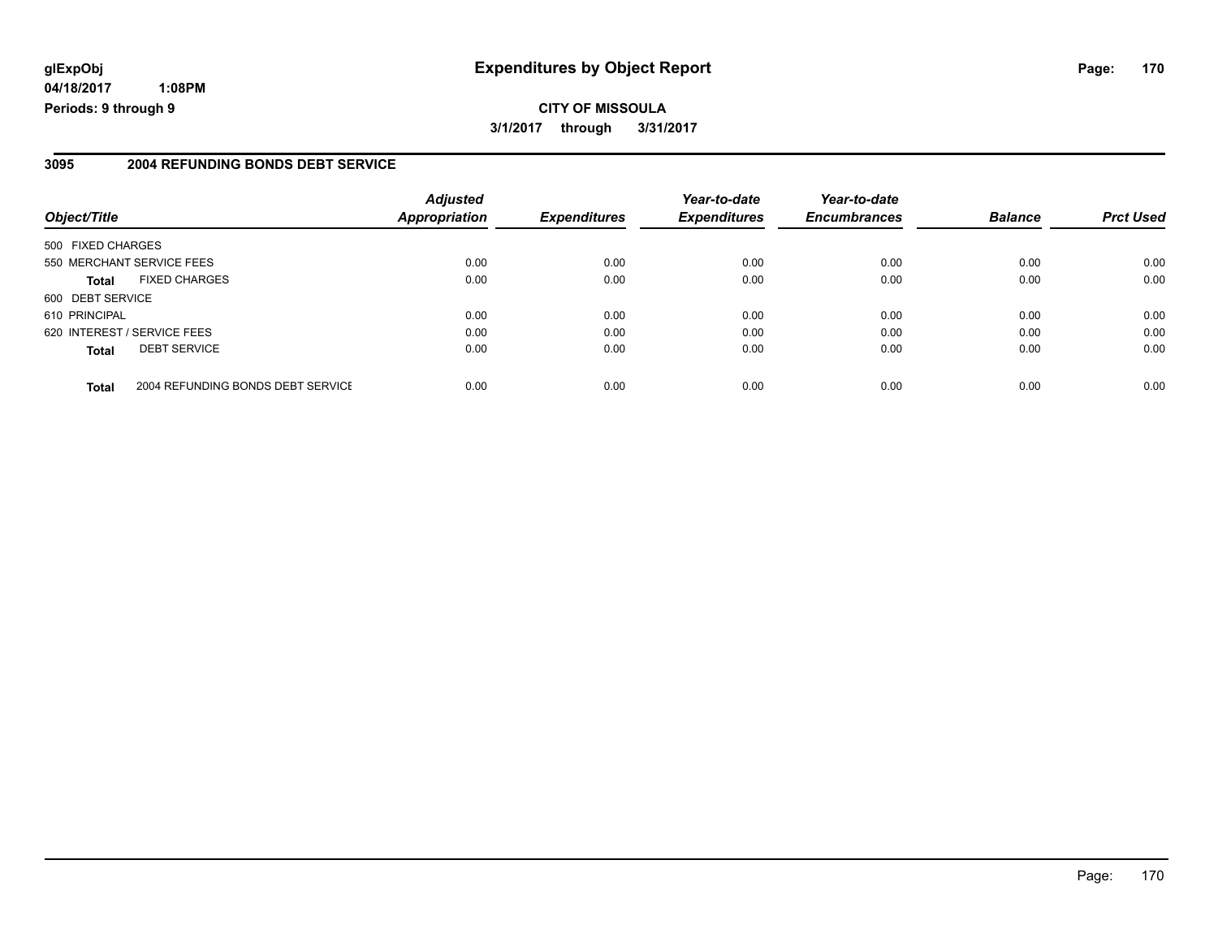**04/18/2017 1:08PM Periods: 9 through 9**

#### **3095 2004 REFUNDING BONDS DEBT SERVICE**

| Object/Title                |                                   | <b>Adjusted</b><br><b>Appropriation</b> | <b>Expenditures</b> | Year-to-date<br><b>Expenditures</b> | Year-to-date<br><b>Encumbrances</b> | <b>Balance</b> | <b>Prct Used</b> |
|-----------------------------|-----------------------------------|-----------------------------------------|---------------------|-------------------------------------|-------------------------------------|----------------|------------------|
| 500 FIXED CHARGES           |                                   |                                         |                     |                                     |                                     |                |                  |
| 550 MERCHANT SERVICE FEES   |                                   | 0.00                                    | 0.00                | 0.00                                | 0.00                                | 0.00           | 0.00             |
| Total                       | <b>FIXED CHARGES</b>              | 0.00                                    | 0.00                | 0.00                                | 0.00                                | 0.00           | 0.00             |
| 600 DEBT SERVICE            |                                   |                                         |                     |                                     |                                     |                |                  |
| 610 PRINCIPAL               |                                   | 0.00                                    | 0.00                | 0.00                                | 0.00                                | 0.00           | 0.00             |
| 620 INTEREST / SERVICE FEES |                                   | 0.00                                    | 0.00                | 0.00                                | 0.00                                | 0.00           | 0.00             |
| Total                       | <b>DEBT SERVICE</b>               | 0.00                                    | 0.00                | 0.00                                | 0.00                                | 0.00           | 0.00             |
| <b>Total</b>                | 2004 REFUNDING BONDS DEBT SERVICE | 0.00                                    | 0.00                | 0.00                                | 0.00                                | 0.00           | 0.00             |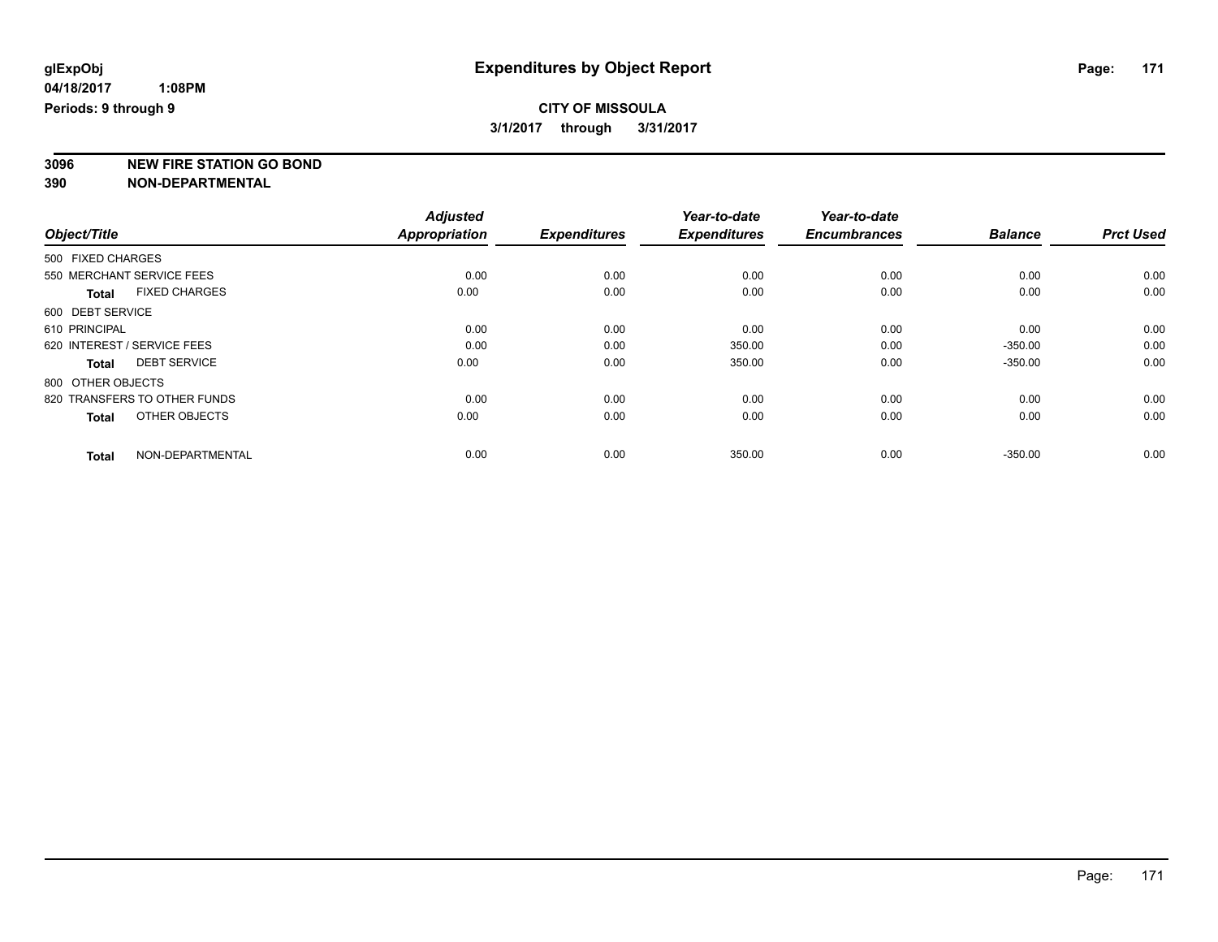### **CITY OF MISSOULA 3/1/2017 through 3/31/2017**

**3096 NEW FIRE STATION GO BOND**

|                                     |                      | <b>Adjusted</b>      |                     | Year-to-date        | Year-to-date        |                |                  |
|-------------------------------------|----------------------|----------------------|---------------------|---------------------|---------------------|----------------|------------------|
| Object/Title                        |                      | <b>Appropriation</b> | <b>Expenditures</b> | <b>Expenditures</b> | <b>Encumbrances</b> | <b>Balance</b> | <b>Prct Used</b> |
| 500 FIXED CHARGES                   |                      |                      |                     |                     |                     |                |                  |
| 550 MERCHANT SERVICE FEES           |                      | 0.00                 | 0.00                | 0.00                | 0.00                | 0.00           | 0.00             |
| <b>Total</b>                        | <b>FIXED CHARGES</b> | 0.00                 | 0.00                | 0.00                | 0.00                | 0.00           | 0.00             |
| 600 DEBT SERVICE                    |                      |                      |                     |                     |                     |                |                  |
| 610 PRINCIPAL                       |                      | 0.00                 | 0.00                | 0.00                | 0.00                | 0.00           | 0.00             |
| 620 INTEREST / SERVICE FEES         |                      | 0.00                 | 0.00                | 350.00              | 0.00                | $-350.00$      | 0.00             |
| <b>DEBT SERVICE</b><br><b>Total</b> |                      | 0.00                 | 0.00                | 350.00              | 0.00                | $-350.00$      | 0.00             |
| 800 OTHER OBJECTS                   |                      |                      |                     |                     |                     |                |                  |
| 820 TRANSFERS TO OTHER FUNDS        |                      | 0.00                 | 0.00                | 0.00                | 0.00                | 0.00           | 0.00             |
| <b>Total</b>                        | OTHER OBJECTS        | 0.00                 | 0.00                | 0.00                | 0.00                | 0.00           | 0.00             |
| <b>Total</b>                        | NON-DEPARTMENTAL     | 0.00                 | 0.00                | 350.00              | 0.00                | $-350.00$      | 0.00             |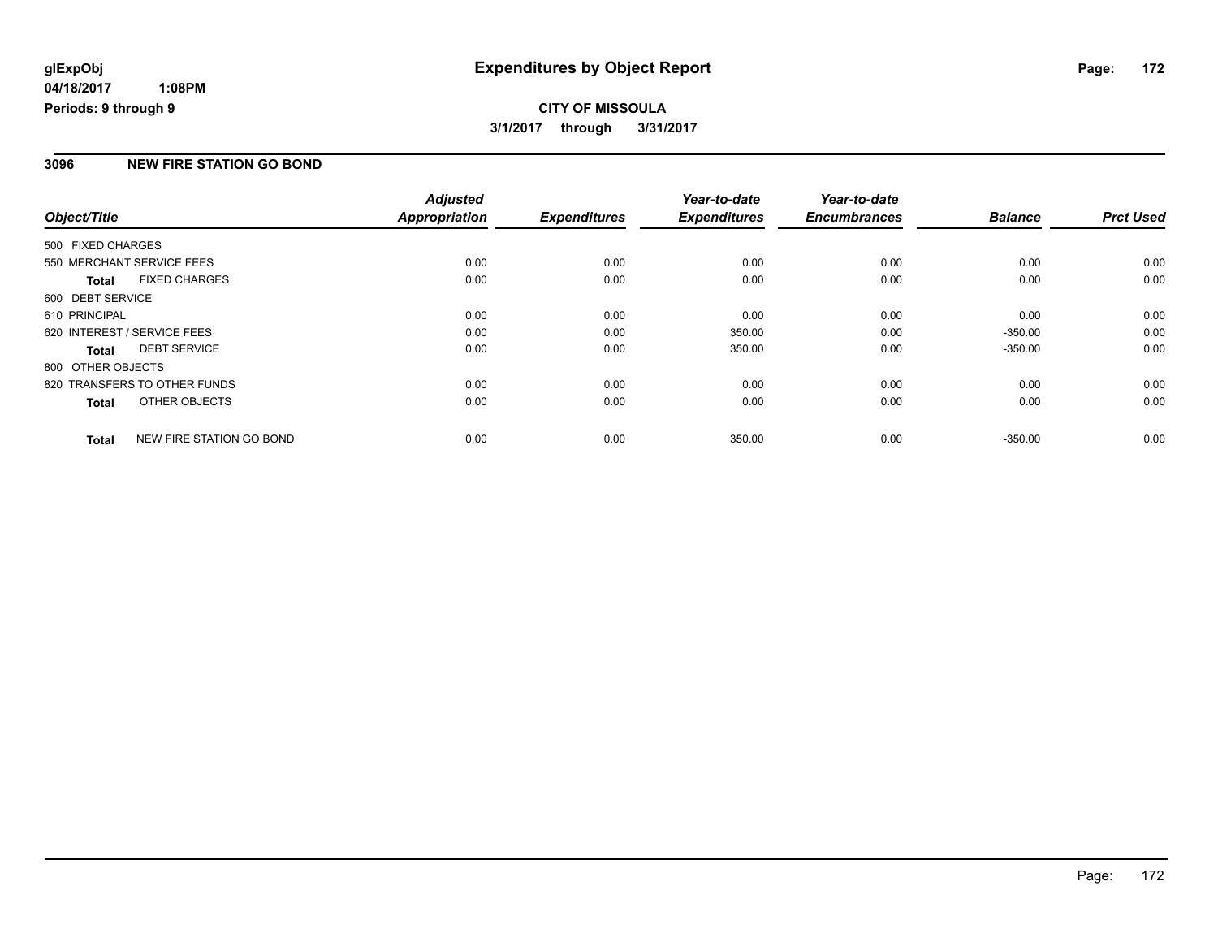# **CITY OF MISSOULA 3/1/2017 through 3/31/2017**

### **3096 NEW FIRE STATION GO BOND**

| Object/Title                |                              | <b>Adjusted</b><br><b>Appropriation</b> | <b>Expenditures</b> | Year-to-date<br><b>Expenditures</b> | Year-to-date<br><b>Encumbrances</b> | <b>Balance</b> | <b>Prct Used</b> |
|-----------------------------|------------------------------|-----------------------------------------|---------------------|-------------------------------------|-------------------------------------|----------------|------------------|
|                             |                              |                                         |                     |                                     |                                     |                |                  |
| 500 FIXED CHARGES           |                              |                                         |                     |                                     |                                     |                |                  |
| 550 MERCHANT SERVICE FEES   |                              | 0.00                                    | 0.00                | 0.00                                | 0.00                                | 0.00           | 0.00             |
| <b>Total</b>                | <b>FIXED CHARGES</b>         | 0.00                                    | 0.00                | 0.00                                | 0.00                                | 0.00           | 0.00             |
| 600 DEBT SERVICE            |                              |                                         |                     |                                     |                                     |                |                  |
| 610 PRINCIPAL               |                              | 0.00                                    | 0.00                | 0.00                                | 0.00                                | 0.00           | 0.00             |
| 620 INTEREST / SERVICE FEES |                              | 0.00                                    | 0.00                | 350.00                              | 0.00                                | $-350.00$      | 0.00             |
| Total                       | <b>DEBT SERVICE</b>          | 0.00                                    | 0.00                | 350.00                              | 0.00                                | $-350.00$      | 0.00             |
| 800 OTHER OBJECTS           |                              |                                         |                     |                                     |                                     |                |                  |
|                             | 820 TRANSFERS TO OTHER FUNDS | 0.00                                    | 0.00                | 0.00                                | 0.00                                | 0.00           | 0.00             |
| <b>Total</b>                | OTHER OBJECTS                | 0.00                                    | 0.00                | 0.00                                | 0.00                                | 0.00           | 0.00             |
| <b>Total</b>                | NEW FIRE STATION GO BOND     | 0.00                                    | 0.00                | 350.00                              | 0.00                                | $-350.00$      | 0.00             |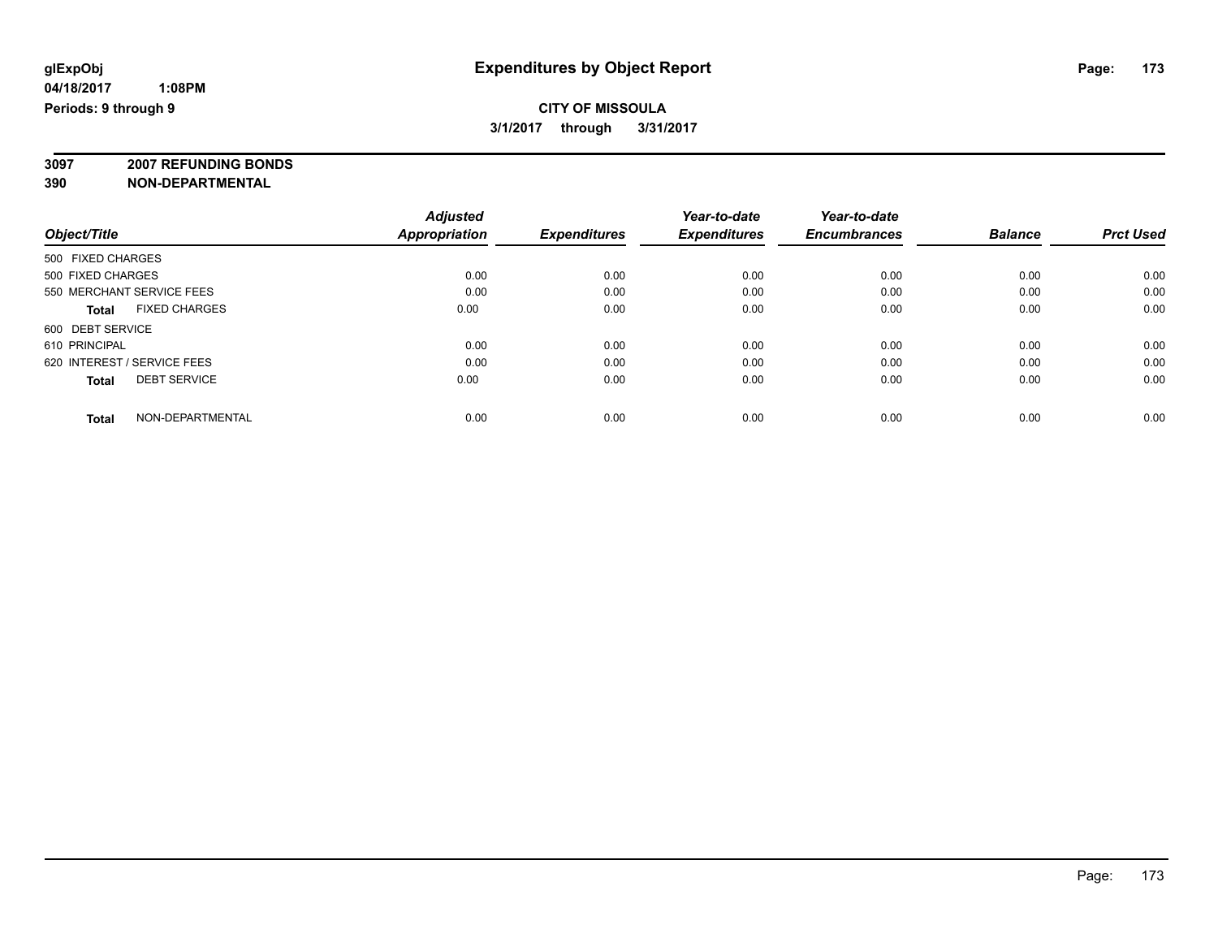**3097 2007 REFUNDING BONDS**

| Object/Title                         | <b>Adjusted</b><br><b>Appropriation</b> | <b>Expenditures</b> | Year-to-date<br><b>Expenditures</b> | Year-to-date<br><b>Encumbrances</b> | <b>Balance</b> | <b>Prct Used</b> |
|--------------------------------------|-----------------------------------------|---------------------|-------------------------------------|-------------------------------------|----------------|------------------|
| 500 FIXED CHARGES                    |                                         |                     |                                     |                                     |                |                  |
| 500 FIXED CHARGES                    | 0.00                                    | 0.00                | 0.00                                | 0.00                                | 0.00           | 0.00             |
| 550 MERCHANT SERVICE FEES            | 0.00                                    | 0.00                | 0.00                                | 0.00                                | 0.00           | 0.00             |
| <b>FIXED CHARGES</b><br><b>Total</b> | 0.00                                    | 0.00                | 0.00                                | 0.00                                | 0.00           | 0.00             |
| 600 DEBT SERVICE                     |                                         |                     |                                     |                                     |                |                  |
| 610 PRINCIPAL                        | 0.00                                    | 0.00                | 0.00                                | 0.00                                | 0.00           | 0.00             |
| 620 INTEREST / SERVICE FEES          | 0.00                                    | 0.00                | 0.00                                | 0.00                                | 0.00           | 0.00             |
| <b>DEBT SERVICE</b><br><b>Total</b>  | 0.00                                    | 0.00                | 0.00                                | 0.00                                | 0.00           | 0.00             |
| NON-DEPARTMENTAL<br><b>Total</b>     | 0.00                                    | 0.00                | 0.00                                | 0.00                                | 0.00           | 0.00             |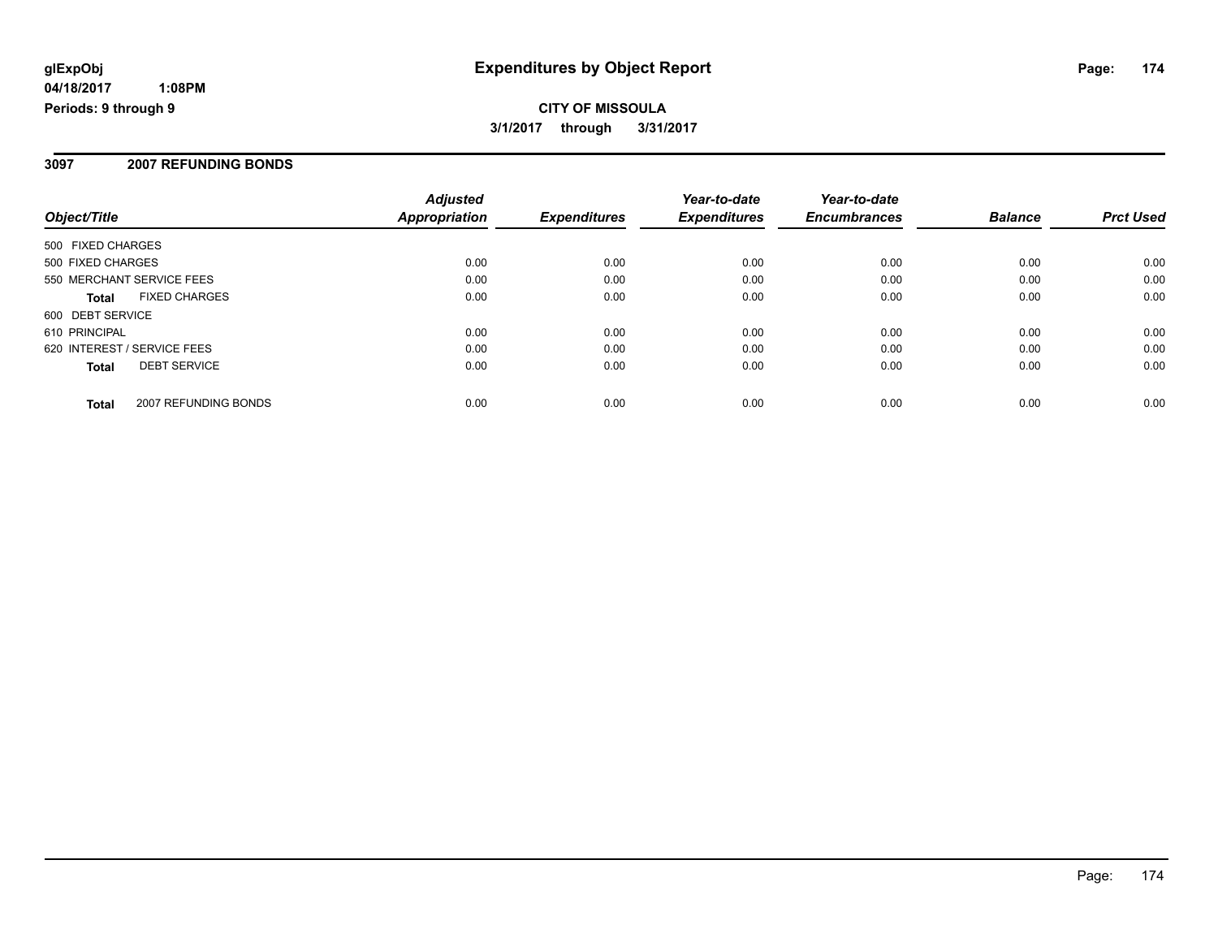#### **3097 2007 REFUNDING BONDS**

| Object/Title                         | <b>Adjusted</b><br>Appropriation | <b>Expenditures</b> | Year-to-date<br><b>Expenditures</b> | Year-to-date<br><b>Encumbrances</b> | <b>Balance</b> | <b>Prct Used</b> |
|--------------------------------------|----------------------------------|---------------------|-------------------------------------|-------------------------------------|----------------|------------------|
| 500 FIXED CHARGES                    |                                  |                     |                                     |                                     |                |                  |
| 500 FIXED CHARGES                    | 0.00                             | 0.00                | 0.00                                | 0.00                                | 0.00           | 0.00             |
| 550 MERCHANT SERVICE FEES            | 0.00                             | 0.00                | 0.00                                | 0.00                                | 0.00           | 0.00             |
| <b>FIXED CHARGES</b><br><b>Total</b> | 0.00                             | 0.00                | 0.00                                | 0.00                                | 0.00           | 0.00             |
| 600 DEBT SERVICE                     |                                  |                     |                                     |                                     |                |                  |
| 610 PRINCIPAL                        | 0.00                             | 0.00                | 0.00                                | 0.00                                | 0.00           | 0.00             |
| 620 INTEREST / SERVICE FEES          | 0.00                             | 0.00                | 0.00                                | 0.00                                | 0.00           | 0.00             |
| <b>DEBT SERVICE</b><br><b>Total</b>  | 0.00                             | 0.00                | 0.00                                | 0.00                                | 0.00           | 0.00             |
| 2007 REFUNDING BONDS<br><b>Total</b> | 0.00                             | 0.00                | 0.00                                | 0.00                                | 0.00           | 0.00             |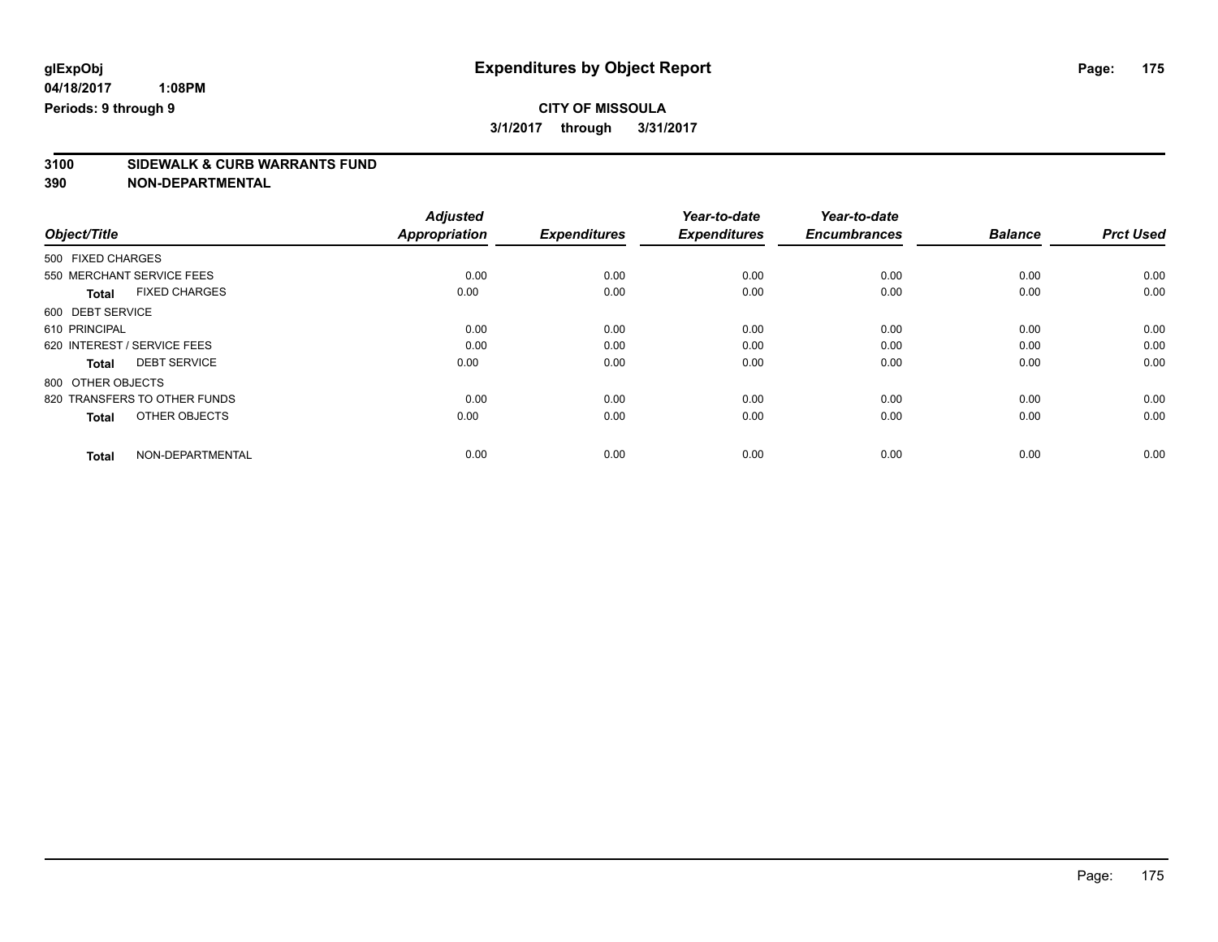# **3100 SIDEWALK & CURB WARRANTS FUND**

|                                      | <b>Adjusted</b>      | <b>Expenditures</b> | Year-to-date<br><b>Expenditures</b> | Year-to-date<br><b>Encumbrances</b> | <b>Balance</b> | <b>Prct Used</b> |
|--------------------------------------|----------------------|---------------------|-------------------------------------|-------------------------------------|----------------|------------------|
| Object/Title                         | <b>Appropriation</b> |                     |                                     |                                     |                |                  |
| 500 FIXED CHARGES                    |                      |                     |                                     |                                     |                |                  |
| 550 MERCHANT SERVICE FEES            | 0.00                 | 0.00                | 0.00                                | 0.00                                | 0.00           | 0.00             |
| <b>FIXED CHARGES</b><br><b>Total</b> | 0.00                 | 0.00                | 0.00                                | 0.00                                | 0.00           | 0.00             |
| 600 DEBT SERVICE                     |                      |                     |                                     |                                     |                |                  |
| 610 PRINCIPAL                        | 0.00                 | 0.00                | 0.00                                | 0.00                                | 0.00           | 0.00             |
| 620 INTEREST / SERVICE FEES          | 0.00                 | 0.00                | 0.00                                | 0.00                                | 0.00           | 0.00             |
| <b>DEBT SERVICE</b><br><b>Total</b>  | 0.00                 | 0.00                | 0.00                                | 0.00                                | 0.00           | 0.00             |
| 800 OTHER OBJECTS                    |                      |                     |                                     |                                     |                |                  |
| 820 TRANSFERS TO OTHER FUNDS         | 0.00                 | 0.00                | 0.00                                | 0.00                                | 0.00           | 0.00             |
| OTHER OBJECTS<br><b>Total</b>        | 0.00                 | 0.00                | 0.00                                | 0.00                                | 0.00           | 0.00             |
| NON-DEPARTMENTAL<br><b>Total</b>     | 0.00                 | 0.00                | 0.00                                | 0.00                                | 0.00           | 0.00             |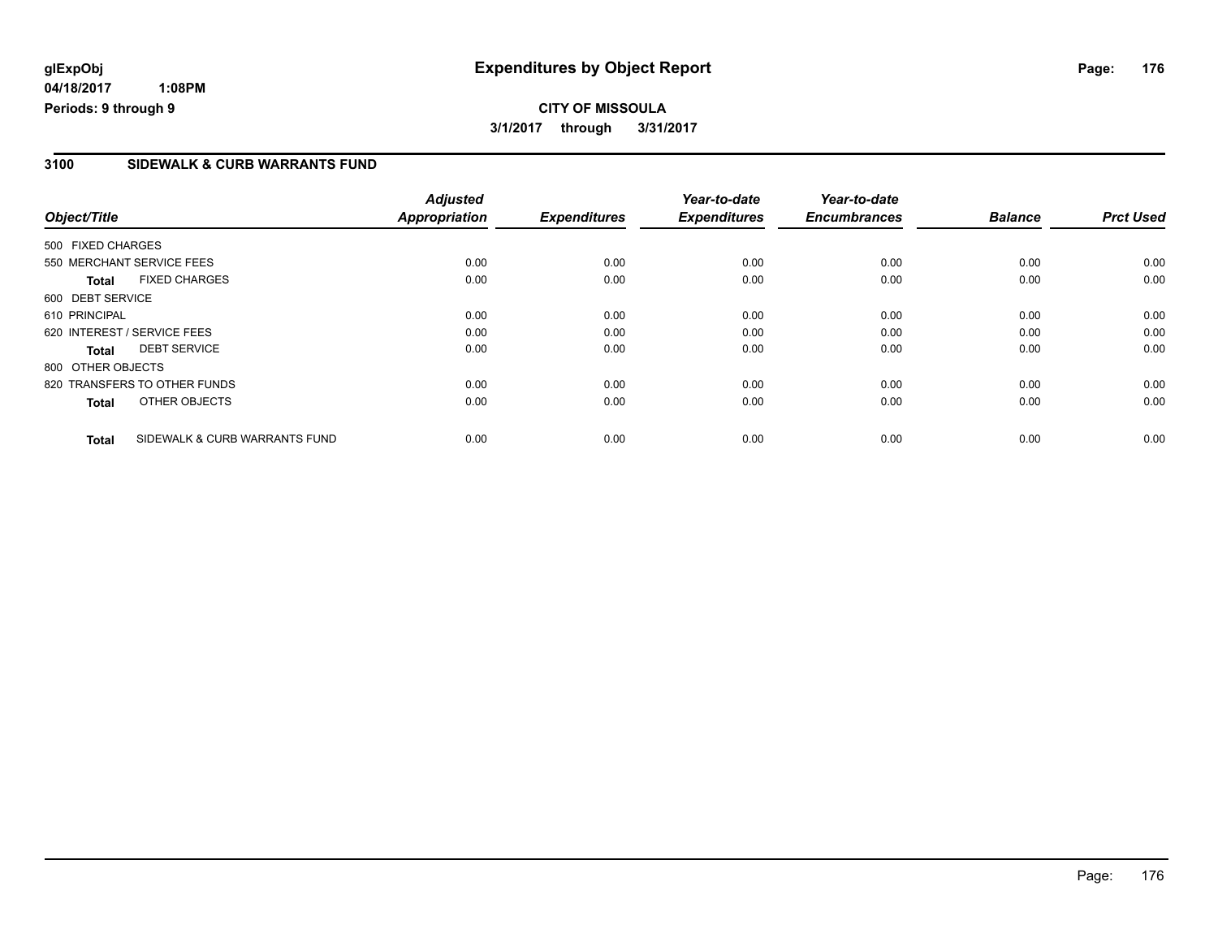**04/18/2017 1:08PM Periods: 9 through 9**

### **3100 SIDEWALK & CURB WARRANTS FUND**

| Object/Title      |                               | <b>Adjusted</b><br>Appropriation | <b>Expenditures</b> | Year-to-date<br><b>Expenditures</b> | Year-to-date<br><b>Encumbrances</b> | <b>Balance</b> | <b>Prct Used</b> |
|-------------------|-------------------------------|----------------------------------|---------------------|-------------------------------------|-------------------------------------|----------------|------------------|
|                   |                               |                                  |                     |                                     |                                     |                |                  |
| 500 FIXED CHARGES |                               |                                  |                     |                                     |                                     |                |                  |
|                   | 550 MERCHANT SERVICE FEES     | 0.00                             | 0.00                | 0.00                                | 0.00                                | 0.00           | 0.00             |
| <b>Total</b>      | <b>FIXED CHARGES</b>          | 0.00                             | 0.00                | 0.00                                | 0.00                                | 0.00           | 0.00             |
| 600 DEBT SERVICE  |                               |                                  |                     |                                     |                                     |                |                  |
| 610 PRINCIPAL     |                               | 0.00                             | 0.00                | 0.00                                | 0.00                                | 0.00           | 0.00             |
|                   | 620 INTEREST / SERVICE FEES   | 0.00                             | 0.00                | 0.00                                | 0.00                                | 0.00           | 0.00             |
| Total             | <b>DEBT SERVICE</b>           | 0.00                             | 0.00                | 0.00                                | 0.00                                | 0.00           | 0.00             |
| 800 OTHER OBJECTS |                               |                                  |                     |                                     |                                     |                |                  |
|                   | 820 TRANSFERS TO OTHER FUNDS  | 0.00                             | 0.00                | 0.00                                | 0.00                                | 0.00           | 0.00             |
| <b>Total</b>      | OTHER OBJECTS                 | 0.00                             | 0.00                | 0.00                                | 0.00                                | 0.00           | 0.00             |
| Total             | SIDEWALK & CURB WARRANTS FUND | 0.00                             | 0.00                | 0.00                                | 0.00                                | 0.00           | 0.00             |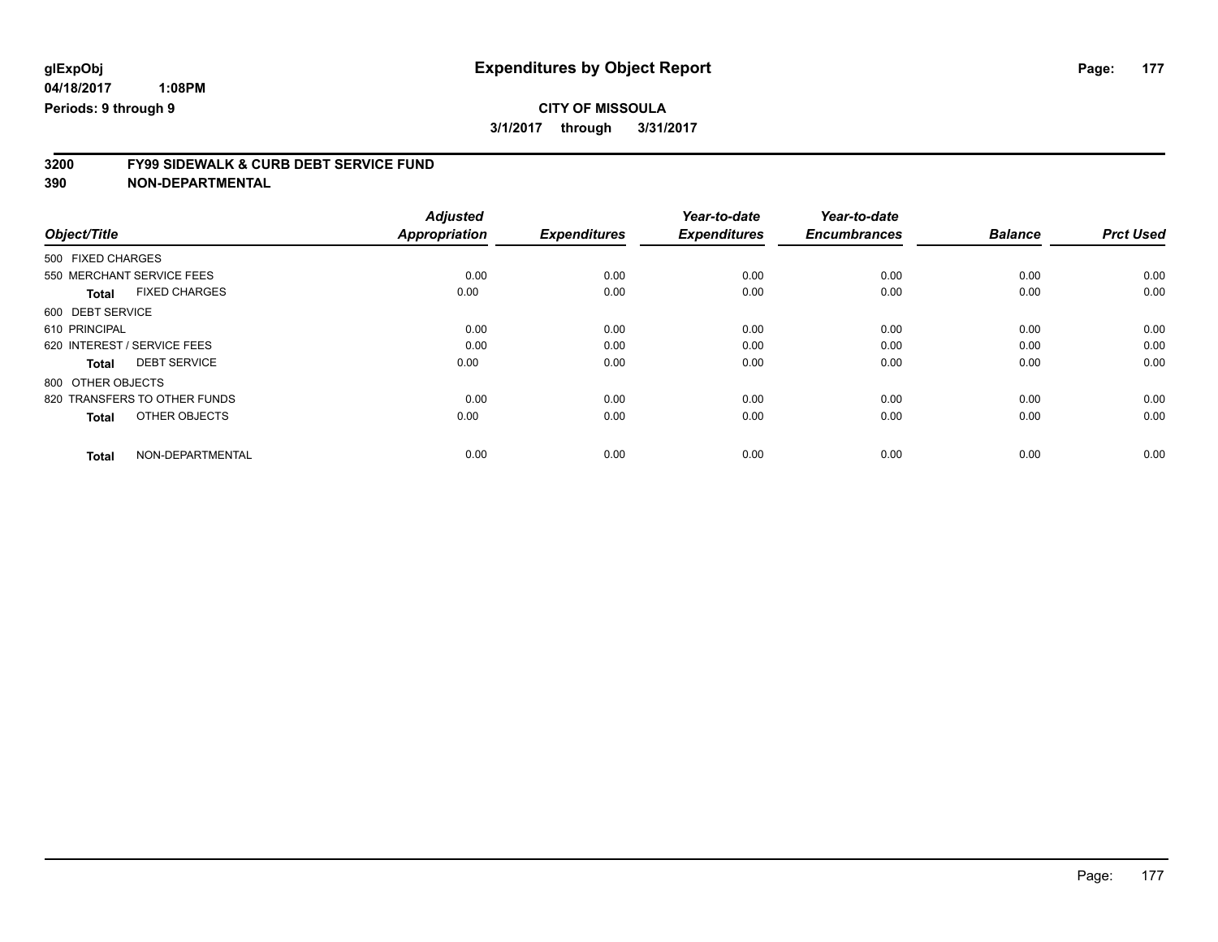# **3200 FY99 SIDEWALK & CURB DEBT SERVICE FUND**

|                                      | <b>Adjusted</b>      | <b>Expenditures</b> | Year-to-date<br><b>Expenditures</b> | Year-to-date<br><b>Encumbrances</b> | <b>Balance</b> | <b>Prct Used</b> |
|--------------------------------------|----------------------|---------------------|-------------------------------------|-------------------------------------|----------------|------------------|
| Object/Title                         | <b>Appropriation</b> |                     |                                     |                                     |                |                  |
| 500 FIXED CHARGES                    |                      |                     |                                     |                                     |                |                  |
| 550 MERCHANT SERVICE FEES            | 0.00                 | 0.00                | 0.00                                | 0.00                                | 0.00           | 0.00             |
| <b>FIXED CHARGES</b><br><b>Total</b> | 0.00                 | 0.00                | 0.00                                | 0.00                                | 0.00           | 0.00             |
| 600 DEBT SERVICE                     |                      |                     |                                     |                                     |                |                  |
| 610 PRINCIPAL                        | 0.00                 | 0.00                | 0.00                                | 0.00                                | 0.00           | 0.00             |
| 620 INTEREST / SERVICE FEES          | 0.00                 | 0.00                | 0.00                                | 0.00                                | 0.00           | 0.00             |
| <b>DEBT SERVICE</b><br><b>Total</b>  | 0.00                 | 0.00                | 0.00                                | 0.00                                | 0.00           | 0.00             |
| 800 OTHER OBJECTS                    |                      |                     |                                     |                                     |                |                  |
| 820 TRANSFERS TO OTHER FUNDS         | 0.00                 | 0.00                | 0.00                                | 0.00                                | 0.00           | 0.00             |
| OTHER OBJECTS<br><b>Total</b>        | 0.00                 | 0.00                | 0.00                                | 0.00                                | 0.00           | 0.00             |
| NON-DEPARTMENTAL<br><b>Total</b>     | 0.00                 | 0.00                | 0.00                                | 0.00                                | 0.00           | 0.00             |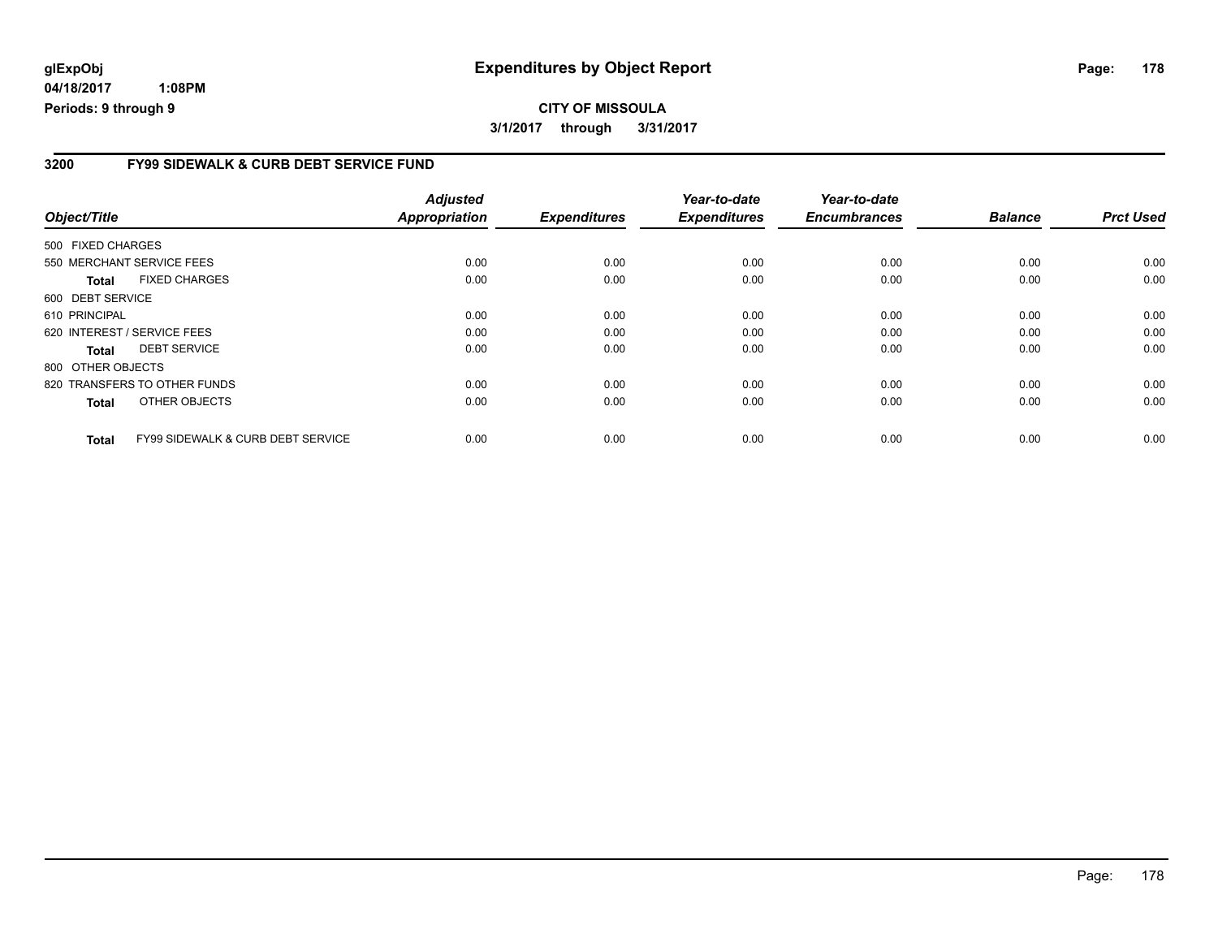**04/18/2017 1:08PM Periods: 9 through 9**

#### **3200 FY99 SIDEWALK & CURB DEBT SERVICE FUND**

| Object/Title      |                                              | <b>Adjusted</b><br><b>Appropriation</b> | <b>Expenditures</b> | Year-to-date<br><b>Expenditures</b> | Year-to-date<br><b>Encumbrances</b> | <b>Balance</b> | <b>Prct Used</b> |
|-------------------|----------------------------------------------|-----------------------------------------|---------------------|-------------------------------------|-------------------------------------|----------------|------------------|
| 500 FIXED CHARGES |                                              |                                         |                     |                                     |                                     |                |                  |
|                   | 550 MERCHANT SERVICE FEES                    | 0.00                                    | 0.00                | 0.00                                | 0.00                                | 0.00           | 0.00             |
| <b>Total</b>      | <b>FIXED CHARGES</b>                         | 0.00                                    | 0.00                | 0.00                                | 0.00                                | 0.00           | 0.00             |
| 600 DEBT SERVICE  |                                              |                                         |                     |                                     |                                     |                |                  |
| 610 PRINCIPAL     |                                              | 0.00                                    | 0.00                | 0.00                                | 0.00                                | 0.00           | 0.00             |
|                   | 620 INTEREST / SERVICE FEES                  | 0.00                                    | 0.00                | 0.00                                | 0.00                                | 0.00           | 0.00             |
| <b>Total</b>      | <b>DEBT SERVICE</b>                          | 0.00                                    | 0.00                | 0.00                                | 0.00                                | 0.00           | 0.00             |
| 800 OTHER OBJECTS |                                              |                                         |                     |                                     |                                     |                |                  |
|                   | 820 TRANSFERS TO OTHER FUNDS                 | 0.00                                    | 0.00                | 0.00                                | 0.00                                | 0.00           | 0.00             |
| <b>Total</b>      | OTHER OBJECTS                                | 0.00                                    | 0.00                | 0.00                                | 0.00                                | 0.00           | 0.00             |
| Total             | <b>FY99 SIDEWALK &amp; CURB DEBT SERVICE</b> | 0.00                                    | 0.00                | 0.00                                | 0.00                                | 0.00           | 0.00             |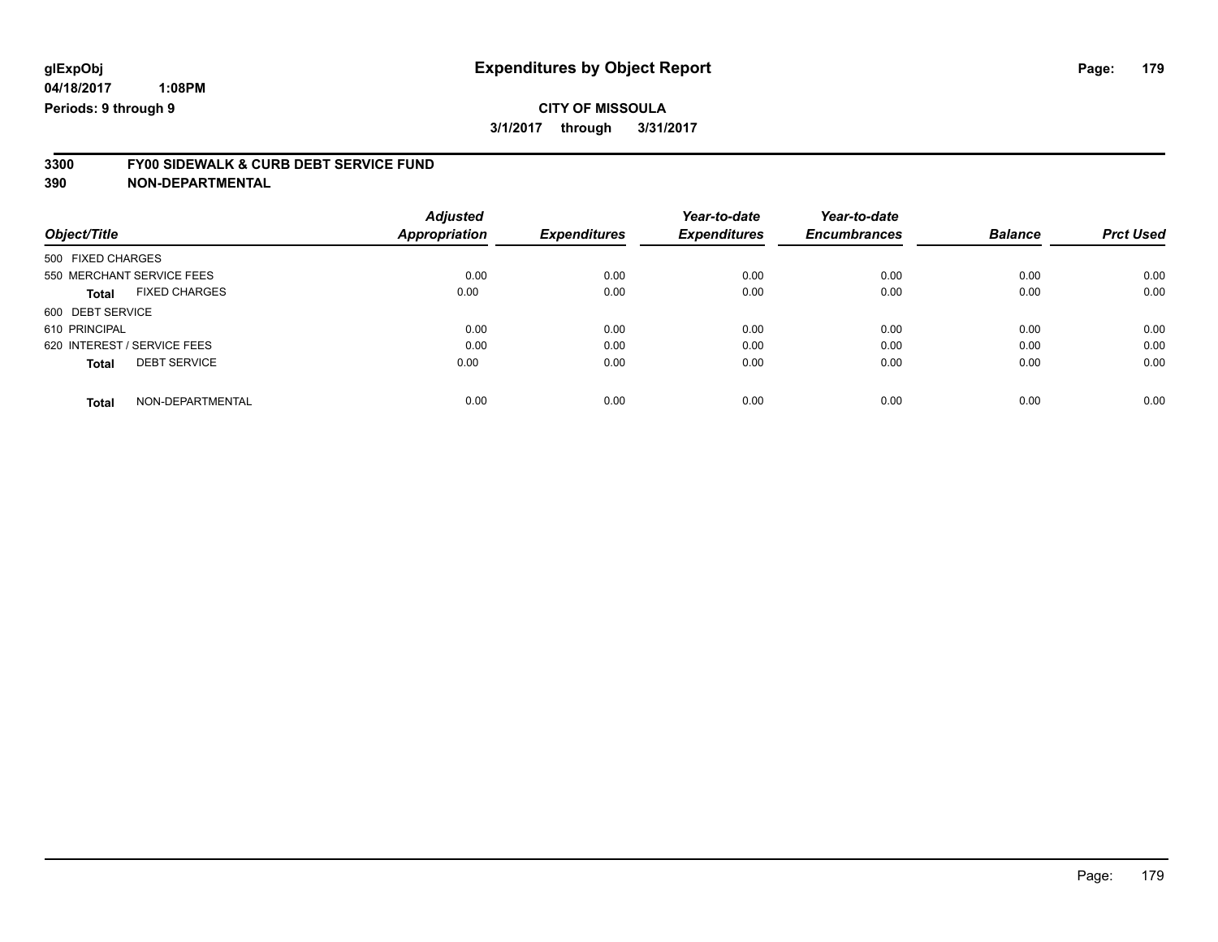# **3300 FY00 SIDEWALK & CURB DEBT SERVICE FUND**

**390 NON-DEPARTMENTAL**

| Object/Title                         | <b>Adjusted</b><br>Appropriation | <b>Expenditures</b> | Year-to-date<br><b>Expenditures</b> | Year-to-date<br><b>Encumbrances</b> | <b>Balance</b> | <b>Prct Used</b> |
|--------------------------------------|----------------------------------|---------------------|-------------------------------------|-------------------------------------|----------------|------------------|
| 500 FIXED CHARGES                    |                                  |                     |                                     |                                     |                |                  |
| 550 MERCHANT SERVICE FEES            | 0.00                             | 0.00                | 0.00                                | 0.00                                | 0.00           | 0.00             |
| <b>FIXED CHARGES</b><br><b>Total</b> | 0.00                             | 0.00                | 0.00                                | 0.00                                | 0.00           | 0.00             |
| 600 DEBT SERVICE                     |                                  |                     |                                     |                                     |                |                  |
| 610 PRINCIPAL                        | 0.00                             | 0.00                | 0.00                                | 0.00                                | 0.00           | 0.00             |
| 620 INTEREST / SERVICE FEES          | 0.00                             | 0.00                | 0.00                                | 0.00                                | 0.00           | 0.00             |
| <b>DEBT SERVICE</b><br><b>Total</b>  | 0.00                             | 0.00                | 0.00                                | 0.00                                | 0.00           | 0.00             |
| NON-DEPARTMENTAL<br><b>Total</b>     | 0.00                             | 0.00                | 0.00                                | 0.00                                | 0.00           | 0.00             |

**3/1/2017 through 3/31/2017**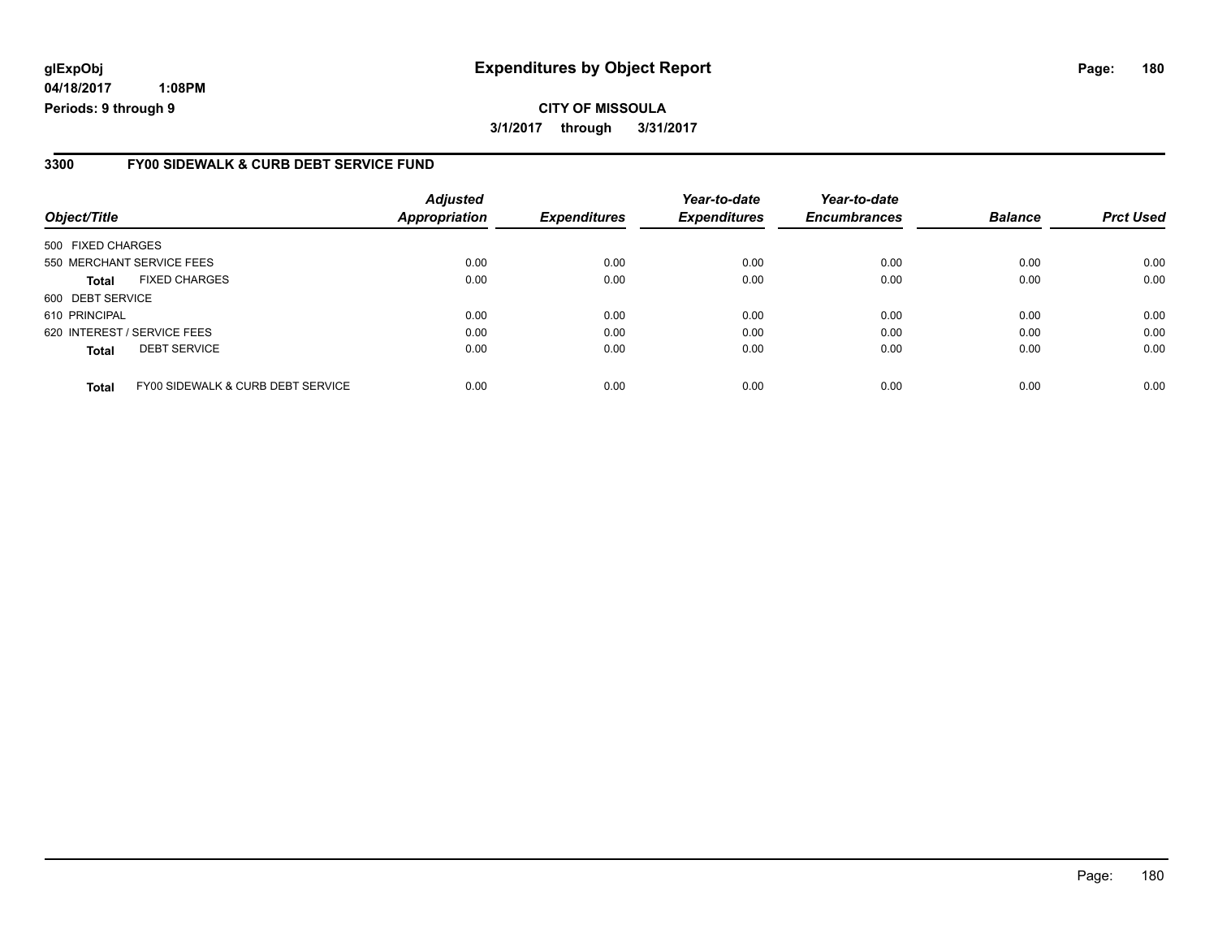**04/18/2017 1:08PM Periods: 9 through 9**

#### **3300 FY00 SIDEWALK & CURB DEBT SERVICE FUND**

| Object/Title                |                                   | <b>Adjusted</b><br><b>Appropriation</b> | <b>Expenditures</b> | Year-to-date<br><b>Expenditures</b> | Year-to-date<br><b>Encumbrances</b> | <b>Balance</b> | <b>Prct Used</b> |
|-----------------------------|-----------------------------------|-----------------------------------------|---------------------|-------------------------------------|-------------------------------------|----------------|------------------|
| 500 FIXED CHARGES           |                                   |                                         |                     |                                     |                                     |                |                  |
| 550 MERCHANT SERVICE FEES   |                                   | 0.00                                    | 0.00                | 0.00                                | 0.00                                | 0.00           | 0.00             |
| Total                       | <b>FIXED CHARGES</b>              | 0.00                                    | 0.00                | 0.00                                | 0.00                                | 0.00           | 0.00             |
| 600 DEBT SERVICE            |                                   |                                         |                     |                                     |                                     |                |                  |
| 610 PRINCIPAL               |                                   | 0.00                                    | 0.00                | 0.00                                | 0.00                                | 0.00           | 0.00             |
| 620 INTEREST / SERVICE FEES |                                   | 0.00                                    | 0.00                | 0.00                                | 0.00                                | 0.00           | 0.00             |
| Total                       | <b>DEBT SERVICE</b>               | 0.00                                    | 0.00                | 0.00                                | 0.00                                | 0.00           | 0.00             |
| <b>Total</b>                | FY00 SIDEWALK & CURB DEBT SERVICE | 0.00                                    | 0.00                | 0.00                                | 0.00                                | 0.00           | 0.00             |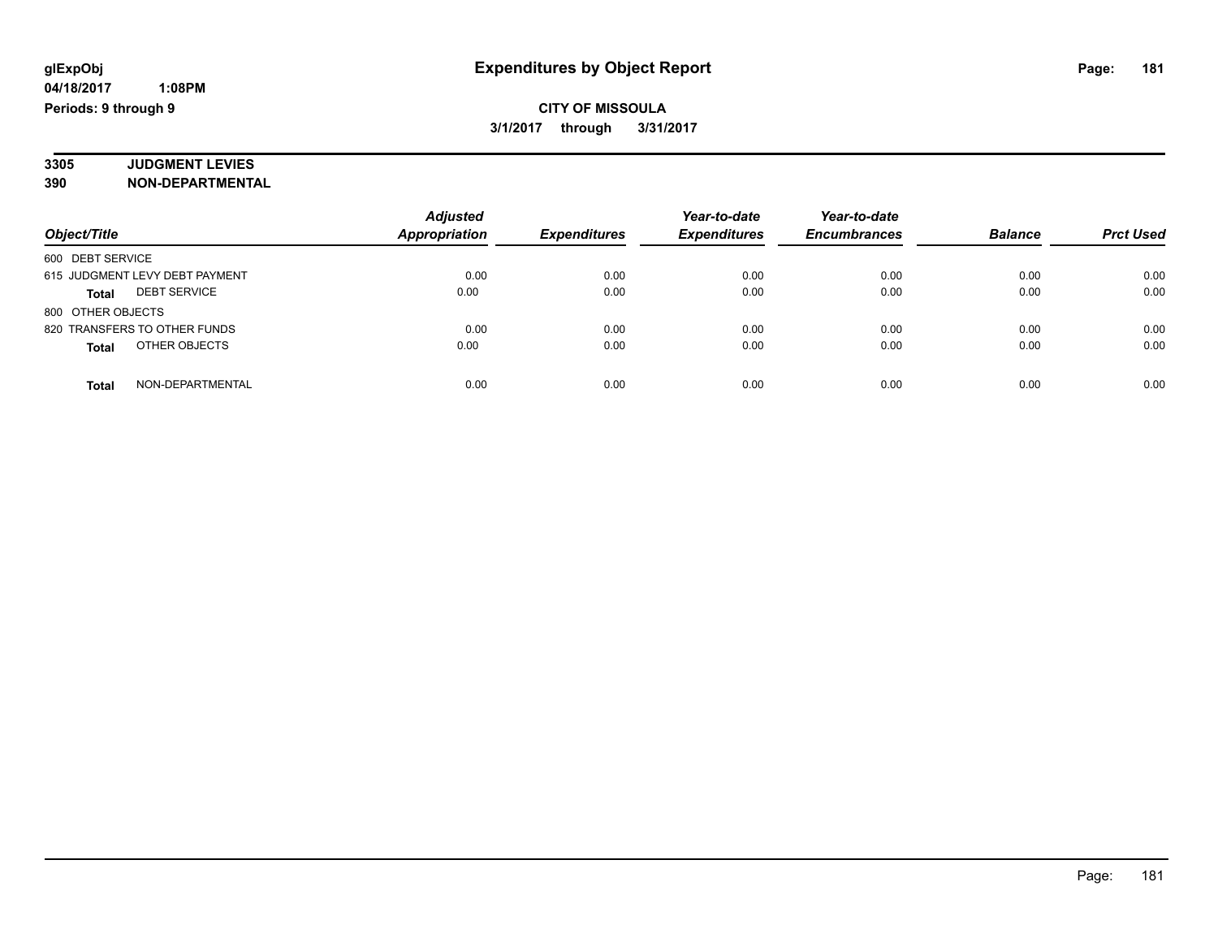#### **3305 JUDGMENT LEVIES 390 NON-DEPARTMENTAL**

|                                     | <b>Adjusted</b>      |                     | Year-to-date        |                     |                |                  |
|-------------------------------------|----------------------|---------------------|---------------------|---------------------|----------------|------------------|
| Object/Title                        | <b>Appropriation</b> | <b>Expenditures</b> | <b>Expenditures</b> | <b>Encumbrances</b> | <b>Balance</b> | <b>Prct Used</b> |
| 600 DEBT SERVICE                    |                      |                     |                     |                     |                |                  |
| 615 JUDGMENT LEVY DEBT PAYMENT      | 0.00                 | 0.00                | 0.00                | 0.00                | 0.00           | 0.00             |
| <b>DEBT SERVICE</b><br><b>Total</b> | 0.00                 | 0.00                | 0.00                | 0.00                | 0.00           | 0.00             |
| 800 OTHER OBJECTS                   |                      |                     |                     |                     |                |                  |
| 820 TRANSFERS TO OTHER FUNDS        | 0.00                 | 0.00                | 0.00                | 0.00                | 0.00           | 0.00             |
| OTHER OBJECTS<br><b>Total</b>       | 0.00                 | 0.00                | 0.00                | 0.00                | 0.00           | 0.00             |
| NON-DEPARTMENTAL<br><b>Total</b>    | 0.00                 | 0.00                | 0.00                | 0.00                | 0.00           | 0.00             |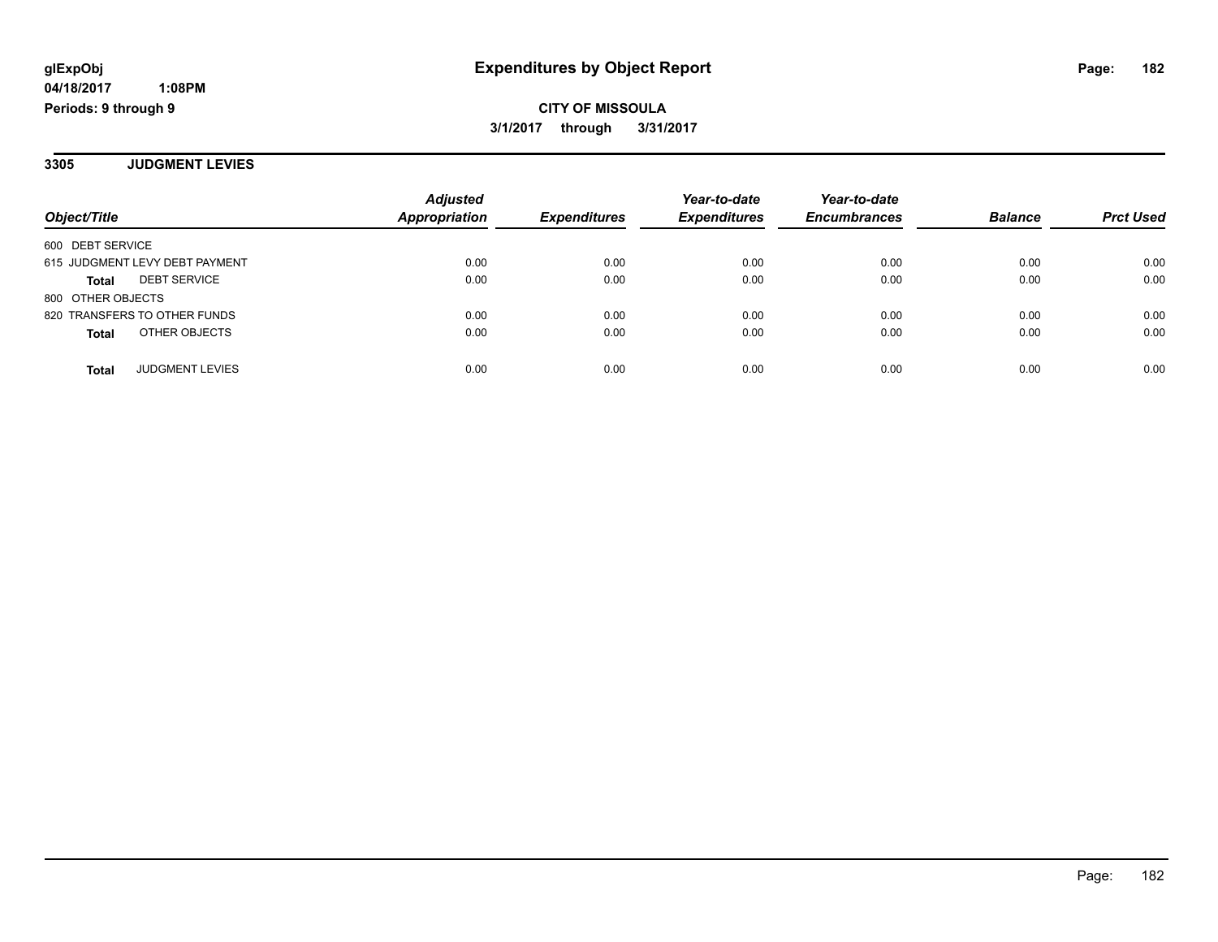**3305 JUDGMENT LEVIES**

| Object/Title                        | <b>Adjusted</b><br><b>Appropriation</b> | <b>Expenditures</b> | Year-to-date<br><b>Expenditures</b> | Year-to-date<br><b>Encumbrances</b> | <b>Balance</b> | <b>Prct Used</b> |
|-------------------------------------|-----------------------------------------|---------------------|-------------------------------------|-------------------------------------|----------------|------------------|
| 600 DEBT SERVICE                    |                                         |                     |                                     |                                     |                |                  |
| 615 JUDGMENT LEVY DEBT PAYMENT      | 0.00                                    | 0.00                | 0.00                                | 0.00                                | 0.00           | 0.00             |
| <b>DEBT SERVICE</b><br><b>Total</b> | 0.00                                    | 0.00                | 0.00                                | 0.00                                | 0.00           | 0.00             |
| 800 OTHER OBJECTS                   |                                         |                     |                                     |                                     |                |                  |
| 820 TRANSFERS TO OTHER FUNDS        | 0.00                                    | 0.00                | 0.00                                | 0.00                                | 0.00           | 0.00             |
| OTHER OBJECTS<br><b>Total</b>       | 0.00                                    | 0.00                | 0.00                                | 0.00                                | 0.00           | 0.00             |
|                                     |                                         |                     |                                     |                                     |                |                  |
| <b>JUDGMENT LEVIES</b><br>Total     | 0.00                                    | 0.00                | 0.00                                | 0.00                                | 0.00           | 0.00             |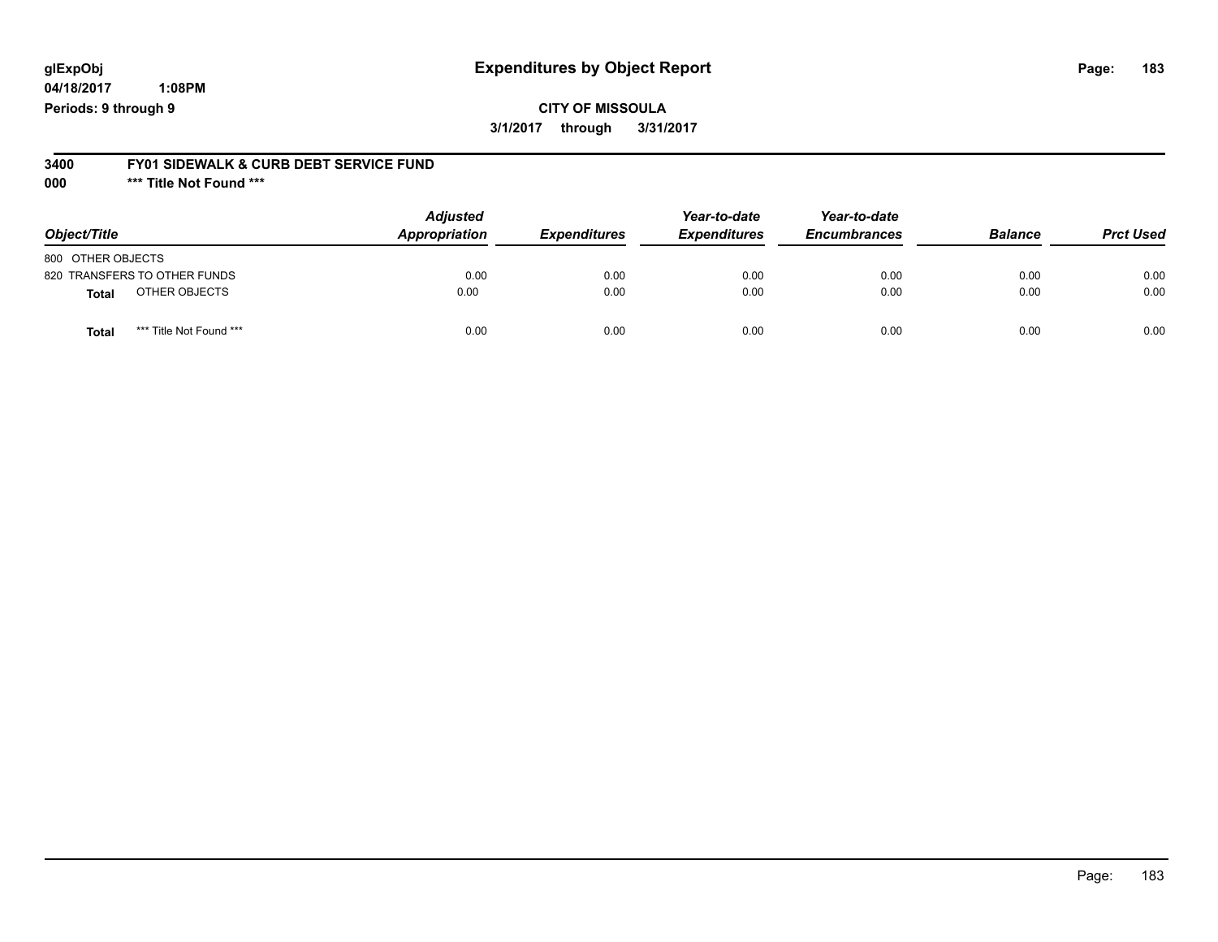**04/18/2017 1:08PM Periods: 9 through 9**

#### **3400 FY01 SIDEWALK & CURB DEBT SERVICE FUND**

**000 \*\*\* Title Not Found \*\*\***

| Object/Title                            | <b>Adjusted</b><br>Appropriation | <b>Expenditures</b> | Year-to-date<br><b>Expenditures</b> | Year-to-date<br><b>Encumbrances</b> | <b>Balance</b> | <b>Prct Used</b> |
|-----------------------------------------|----------------------------------|---------------------|-------------------------------------|-------------------------------------|----------------|------------------|
| 800 OTHER OBJECTS                       |                                  |                     |                                     |                                     |                |                  |
| 820 TRANSFERS TO OTHER FUNDS            | 0.00                             | 0.00                | 0.00                                | 0.00                                | 0.00           | 0.00             |
| OTHER OBJECTS<br><b>Total</b>           | 0.00                             | 0.00                | 0.00                                | 0.00                                | 0.00           | 0.00             |
| *** Title Not Found ***<br><b>Total</b> | 0.00                             | 0.00                | 0.00                                | 0.00                                | 0.00           | 0.00             |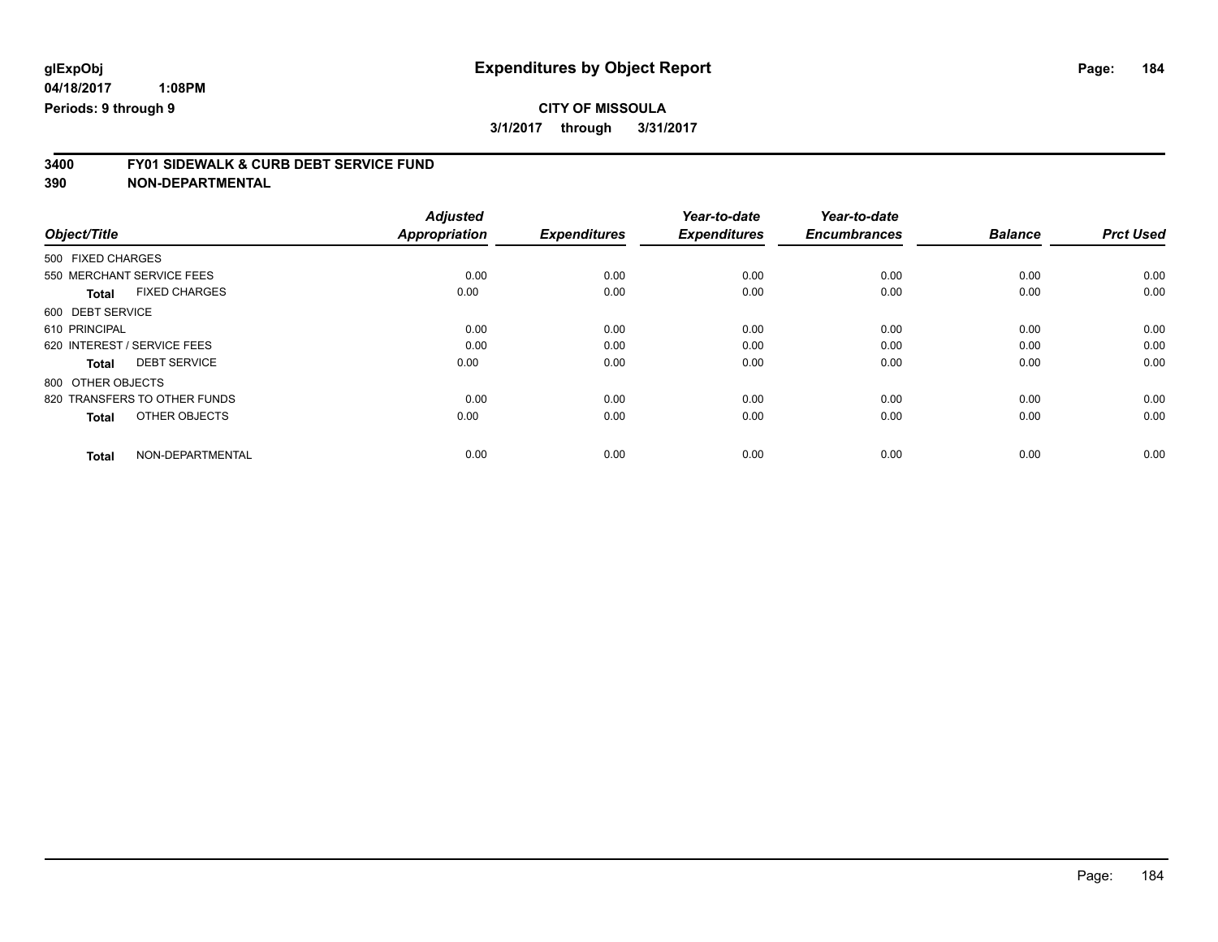# **3400 FY01 SIDEWALK & CURB DEBT SERVICE FUND**

| Object/Title                         | <b>Adjusted</b><br><b>Appropriation</b> | <b>Expenditures</b> | Year-to-date<br><b>Expenditures</b> | Year-to-date<br><b>Encumbrances</b> | <b>Balance</b> | <b>Prct Used</b> |
|--------------------------------------|-----------------------------------------|---------------------|-------------------------------------|-------------------------------------|----------------|------------------|
|                                      |                                         |                     |                                     |                                     |                |                  |
| 500 FIXED CHARGES                    |                                         |                     |                                     |                                     |                |                  |
| 550 MERCHANT SERVICE FEES            | 0.00                                    | 0.00                | 0.00                                | 0.00                                | 0.00           | 0.00             |
| <b>FIXED CHARGES</b><br><b>Total</b> | 0.00                                    | 0.00                | 0.00                                | 0.00                                | 0.00           | 0.00             |
| 600 DEBT SERVICE                     |                                         |                     |                                     |                                     |                |                  |
| 610 PRINCIPAL                        | 0.00                                    | 0.00                | 0.00                                | 0.00                                | 0.00           | 0.00             |
| 620 INTEREST / SERVICE FEES          | 0.00                                    | 0.00                | 0.00                                | 0.00                                | 0.00           | 0.00             |
| <b>DEBT SERVICE</b><br><b>Total</b>  | 0.00                                    | 0.00                | 0.00                                | 0.00                                | 0.00           | 0.00             |
| 800 OTHER OBJECTS                    |                                         |                     |                                     |                                     |                |                  |
| 820 TRANSFERS TO OTHER FUNDS         | 0.00                                    | 0.00                | 0.00                                | 0.00                                | 0.00           | 0.00             |
| OTHER OBJECTS<br><b>Total</b>        | 0.00                                    | 0.00                | 0.00                                | 0.00                                | 0.00           | 0.00             |
| NON-DEPARTMENTAL<br><b>Total</b>     | 0.00                                    | 0.00                | 0.00                                | 0.00                                | 0.00           | 0.00             |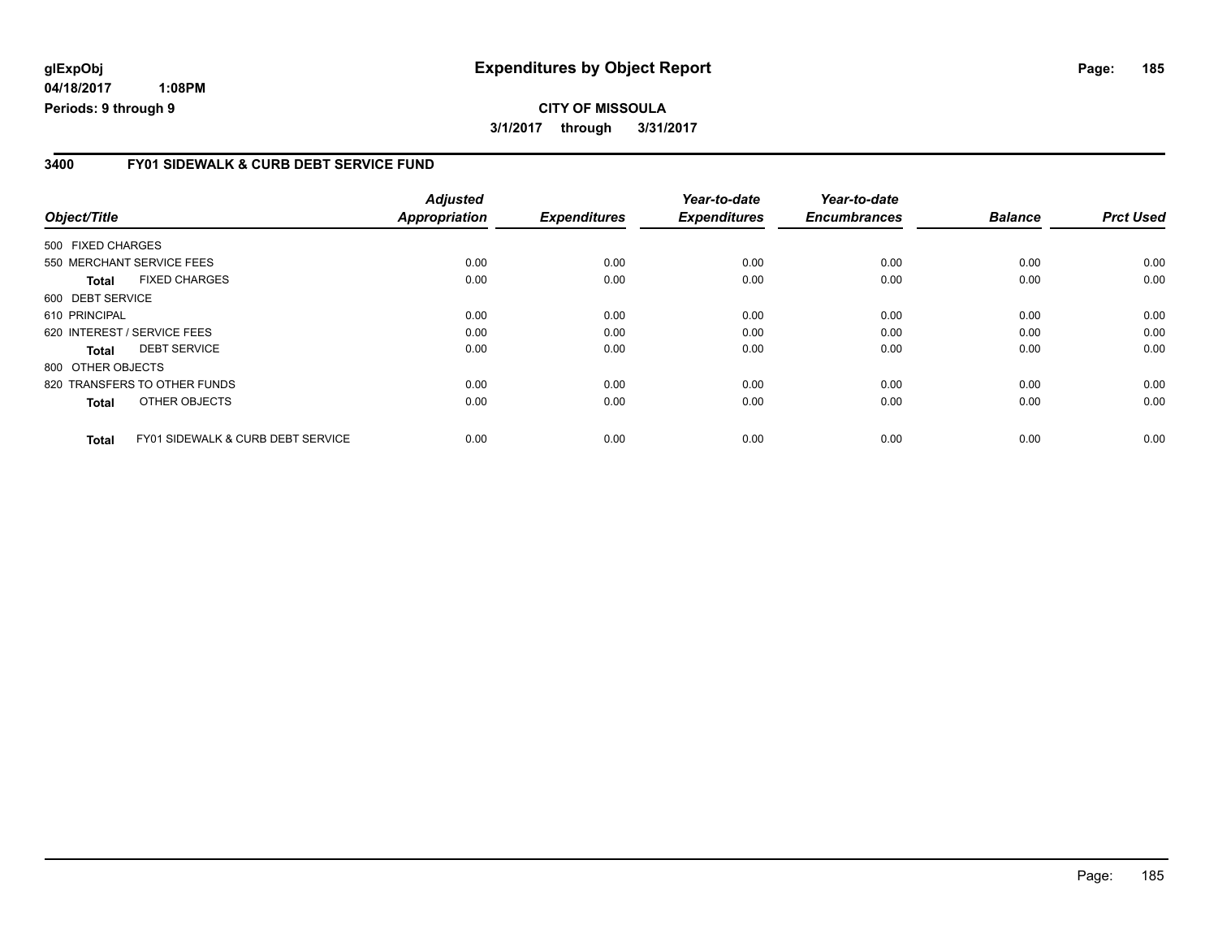**04/18/2017 1:08PM Periods: 9 through 9**

#### **3400 FY01 SIDEWALK & CURB DEBT SERVICE FUND**

| Object/Title      |                                              | <b>Adjusted</b><br><b>Appropriation</b> | <b>Expenditures</b> | Year-to-date<br><b>Expenditures</b> | Year-to-date<br><b>Encumbrances</b> | <b>Balance</b> | <b>Prct Used</b> |
|-------------------|----------------------------------------------|-----------------------------------------|---------------------|-------------------------------------|-------------------------------------|----------------|------------------|
| 500 FIXED CHARGES |                                              |                                         |                     |                                     |                                     |                |                  |
|                   | 550 MERCHANT SERVICE FEES                    | 0.00                                    | 0.00                | 0.00                                | 0.00                                | 0.00           | 0.00             |
| <b>Total</b>      | <b>FIXED CHARGES</b>                         | 0.00                                    | 0.00                | 0.00                                | 0.00                                | 0.00           | 0.00             |
| 600 DEBT SERVICE  |                                              |                                         |                     |                                     |                                     |                |                  |
| 610 PRINCIPAL     |                                              | 0.00                                    | 0.00                | 0.00                                | 0.00                                | 0.00           | 0.00             |
|                   | 620 INTEREST / SERVICE FEES                  | 0.00                                    | 0.00                | 0.00                                | 0.00                                | 0.00           | 0.00             |
| <b>Total</b>      | <b>DEBT SERVICE</b>                          | 0.00                                    | 0.00                | 0.00                                | 0.00                                | 0.00           | 0.00             |
| 800 OTHER OBJECTS |                                              |                                         |                     |                                     |                                     |                |                  |
|                   | 820 TRANSFERS TO OTHER FUNDS                 | 0.00                                    | 0.00                | 0.00                                | 0.00                                | 0.00           | 0.00             |
| <b>Total</b>      | OTHER OBJECTS                                | 0.00                                    | 0.00                | 0.00                                | 0.00                                | 0.00           | 0.00             |
| Total             | <b>FY01 SIDEWALK &amp; CURB DEBT SERVICE</b> | 0.00                                    | 0.00                | 0.00                                | 0.00                                | 0.00           | 0.00             |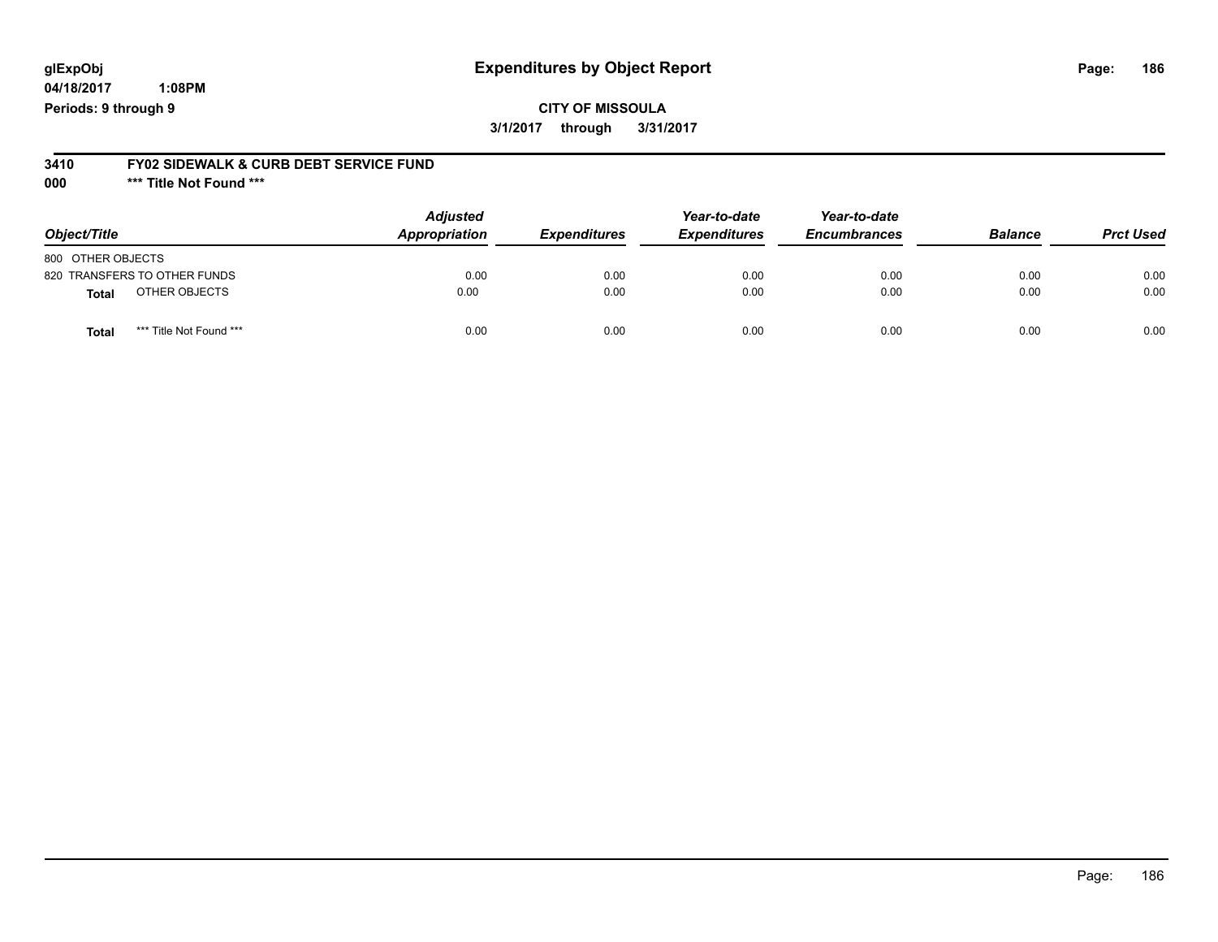**04/18/2017 1:08PM Periods: 9 through 9**

# **3410 FY02 SIDEWALK & CURB DEBT SERVICE FUND**

**000 \*\*\* Title Not Found \*\*\***

| Object/Title                            | <b>Adjusted</b><br>Appropriation | <b>Expenditures</b> | Year-to-date<br><b>Expenditures</b> | Year-to-date<br><b>Encumbrances</b> | <b>Balance</b> | <b>Prct Used</b> |
|-----------------------------------------|----------------------------------|---------------------|-------------------------------------|-------------------------------------|----------------|------------------|
| 800 OTHER OBJECTS                       |                                  |                     |                                     |                                     |                |                  |
| 820 TRANSFERS TO OTHER FUNDS            | 0.00                             | 0.00                | 0.00                                | 0.00                                | 0.00           | 0.00             |
| OTHER OBJECTS<br><b>Total</b>           | 0.00                             | 0.00                | 0.00                                | 0.00                                | 0.00           | 0.00             |
| *** Title Not Found ***<br><b>Total</b> | 0.00                             | 0.00                | 0.00                                | 0.00                                | 0.00           | 0.00             |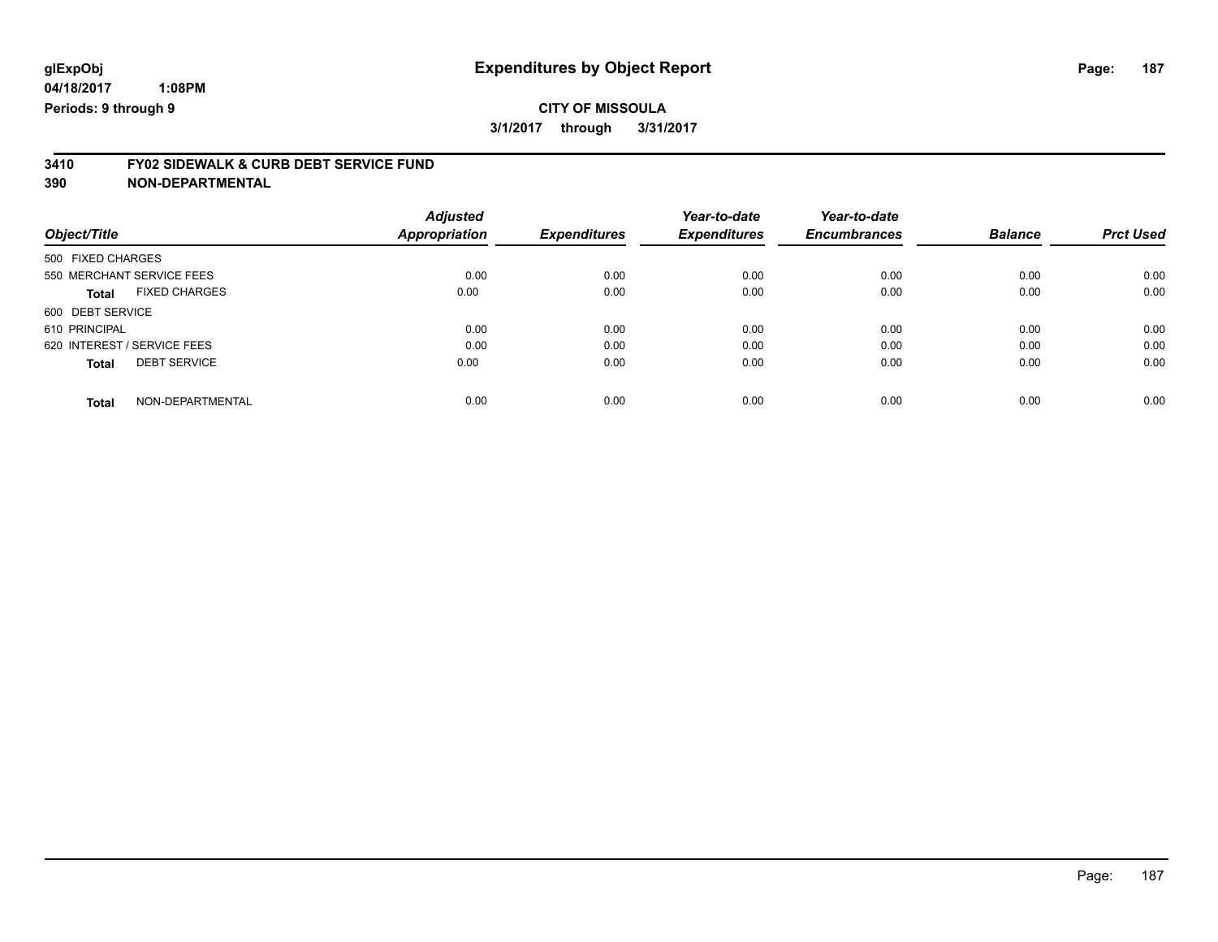### **CITY OF MISSOULA 3/1/2017 through 3/31/2017**

# **3410 FY02 SIDEWALK & CURB DEBT SERVICE FUND**

|                                      | <b>Adjusted</b> |                     | Year-to-date        | Year-to-date        |                |                  |
|--------------------------------------|-----------------|---------------------|---------------------|---------------------|----------------|------------------|
| Object/Title                         | Appropriation   | <b>Expenditures</b> | <b>Expenditures</b> | <b>Encumbrances</b> | <b>Balance</b> | <b>Prct Used</b> |
| 500 FIXED CHARGES                    |                 |                     |                     |                     |                |                  |
| 550 MERCHANT SERVICE FEES            | 0.00            | 0.00                | 0.00                | 0.00                | 0.00           | 0.00             |
| <b>FIXED CHARGES</b><br><b>Total</b> | 0.00            | 0.00                | 0.00                | 0.00                | 0.00           | 0.00             |
| 600 DEBT SERVICE                     |                 |                     |                     |                     |                |                  |
| 610 PRINCIPAL                        | 0.00            | 0.00                | 0.00                | 0.00                | 0.00           | 0.00             |
| 620 INTEREST / SERVICE FEES          | 0.00            | 0.00                | 0.00                | 0.00                | 0.00           | 0.00             |
| <b>DEBT SERVICE</b><br><b>Total</b>  | 0.00            | 0.00                | 0.00                | 0.00                | 0.00           | 0.00             |
| NON-DEPARTMENTAL<br>Total            | 0.00            | 0.00                | 0.00                | 0.00                | 0.00           | 0.00             |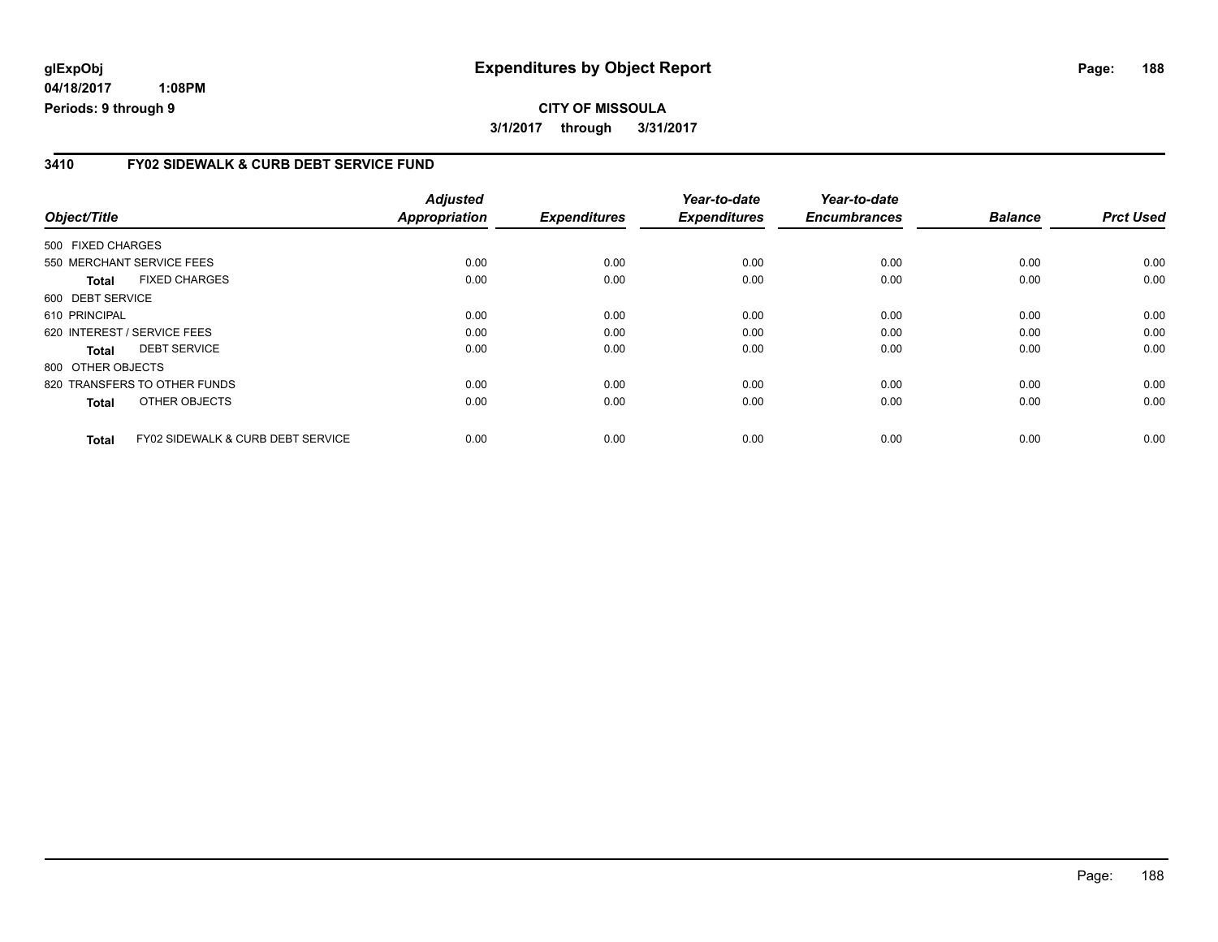**04/18/2017 1:08PM Periods: 9 through 9**

#### **3410 FY02 SIDEWALK & CURB DEBT SERVICE FUND**

| Object/Title                                                 | <b>Adjusted</b><br><b>Appropriation</b> | <b>Expenditures</b> | Year-to-date<br><b>Expenditures</b> | Year-to-date<br><b>Encumbrances</b> | <b>Balance</b> | <b>Prct Used</b> |
|--------------------------------------------------------------|-----------------------------------------|---------------------|-------------------------------------|-------------------------------------|----------------|------------------|
| 500 FIXED CHARGES                                            |                                         |                     |                                     |                                     |                |                  |
| 550 MERCHANT SERVICE FEES                                    | 0.00                                    | 0.00                | 0.00                                | 0.00                                | 0.00           | 0.00             |
| <b>FIXED CHARGES</b><br>Total                                | 0.00                                    | 0.00                | 0.00                                | 0.00                                | 0.00           | 0.00             |
| 600 DEBT SERVICE                                             |                                         |                     |                                     |                                     |                |                  |
| 610 PRINCIPAL                                                | 0.00                                    | 0.00                | 0.00                                | 0.00                                | 0.00           | 0.00             |
| 620 INTEREST / SERVICE FEES                                  | 0.00                                    | 0.00                | 0.00                                | 0.00                                | 0.00           | 0.00             |
| <b>DEBT SERVICE</b><br><b>Total</b>                          | 0.00                                    | 0.00                | 0.00                                | 0.00                                | 0.00           | 0.00             |
| 800 OTHER OBJECTS                                            |                                         |                     |                                     |                                     |                |                  |
| 820 TRANSFERS TO OTHER FUNDS                                 | 0.00                                    | 0.00                | 0.00                                | 0.00                                | 0.00           | 0.00             |
| OTHER OBJECTS<br><b>Total</b>                                | 0.00                                    | 0.00                | 0.00                                | 0.00                                | 0.00           | 0.00             |
| <b>FY02 SIDEWALK &amp; CURB DEBT SERVICE</b><br><b>Total</b> | 0.00                                    | 0.00                | 0.00                                | 0.00                                | 0.00           | 0.00             |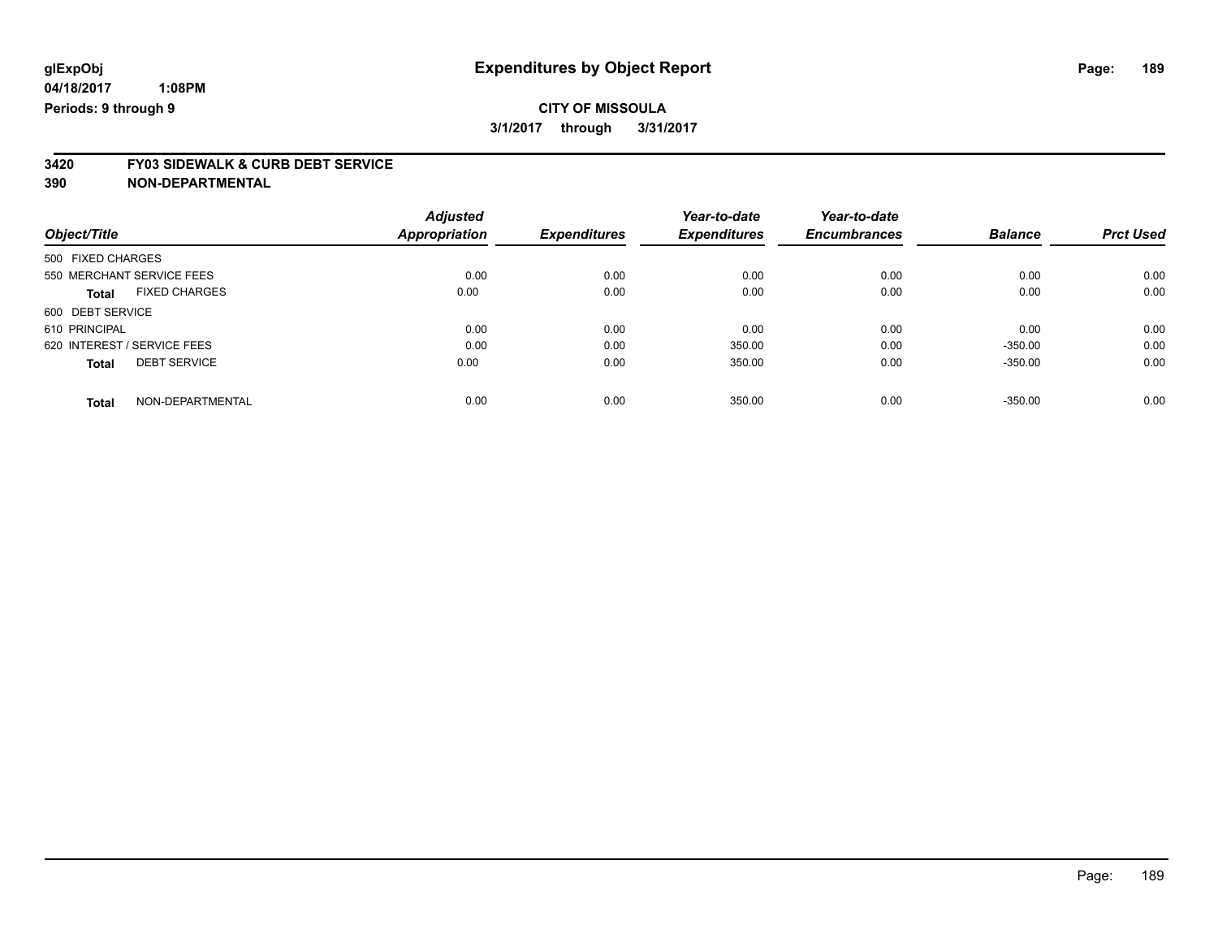# **3420 FY03 SIDEWALK & CURB DEBT SERVICE**

|                                      | <b>Adjusted</b>      |                     | Year-to-date        | Year-to-date        |                |                  |
|--------------------------------------|----------------------|---------------------|---------------------|---------------------|----------------|------------------|
| Object/Title                         | <b>Appropriation</b> | <b>Expenditures</b> | <b>Expenditures</b> | <b>Encumbrances</b> | <b>Balance</b> | <b>Prct Used</b> |
| 500 FIXED CHARGES                    |                      |                     |                     |                     |                |                  |
| 550 MERCHANT SERVICE FEES            | 0.00                 | 0.00                | 0.00                | 0.00                | 0.00           | 0.00             |
| <b>FIXED CHARGES</b><br><b>Total</b> | 0.00                 | 0.00                | 0.00                | 0.00                | 0.00           | 0.00             |
| 600 DEBT SERVICE                     |                      |                     |                     |                     |                |                  |
| 610 PRINCIPAL                        | 0.00                 | 0.00                | 0.00                | 0.00                | 0.00           | 0.00             |
| 620 INTEREST / SERVICE FEES          | 0.00                 | 0.00                | 350.00              | 0.00                | $-350.00$      | 0.00             |
| <b>DEBT SERVICE</b><br><b>Total</b>  | 0.00                 | 0.00                | 350.00              | 0.00                | $-350.00$      | 0.00             |
| NON-DEPARTMENTAL<br><b>Total</b>     | 0.00                 | 0.00                | 350.00              | 0.00                | $-350.00$      | 0.00             |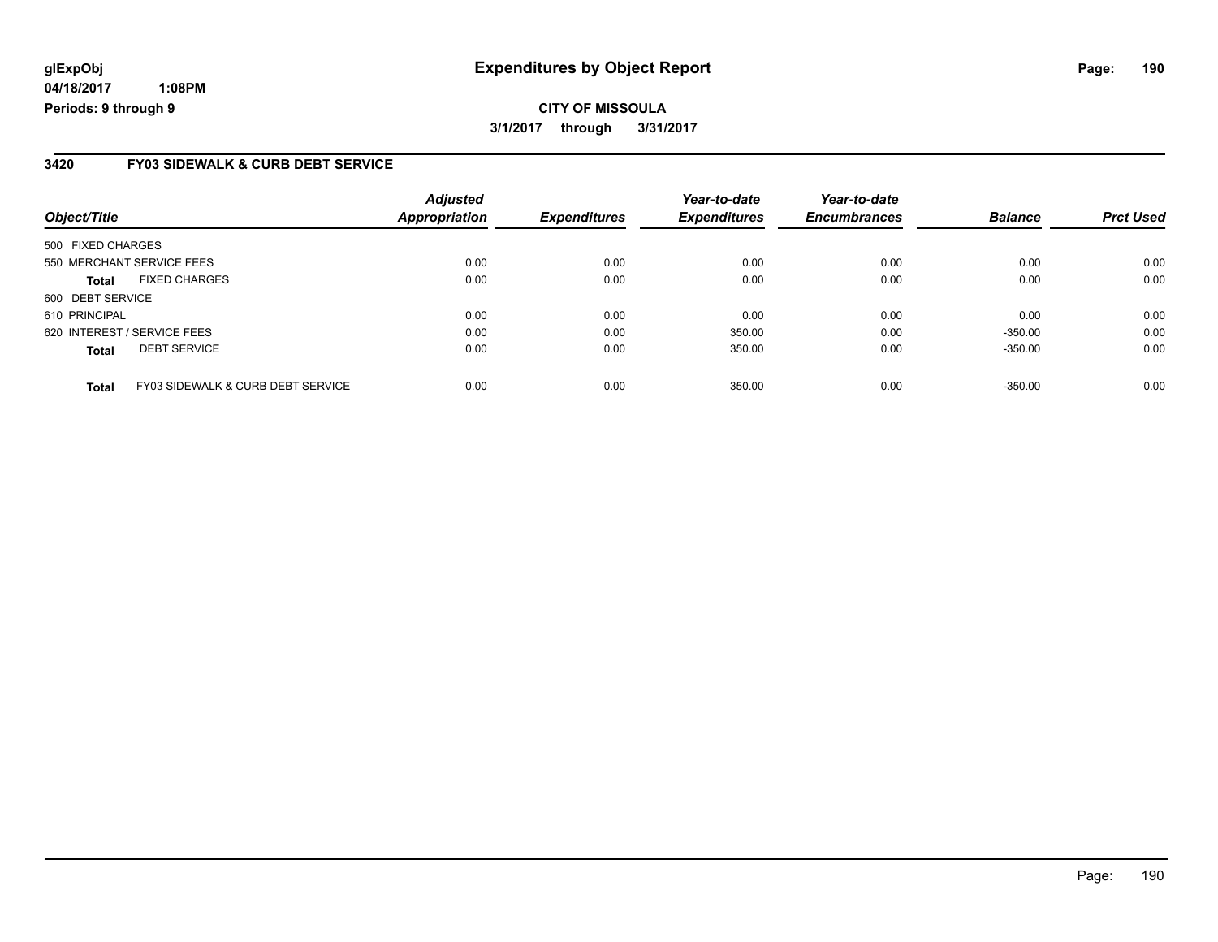**04/18/2017 1:08PM Periods: 9 through 9**

#### **3420 FY03 SIDEWALK & CURB DEBT SERVICE**

| Object/Title                                      | <b>Adjusted</b><br>Appropriation | <b>Expenditures</b> | Year-to-date<br><b>Expenditures</b> | Year-to-date<br><b>Encumbrances</b> | <b>Balance</b> | <b>Prct Used</b> |
|---------------------------------------------------|----------------------------------|---------------------|-------------------------------------|-------------------------------------|----------------|------------------|
| 500 FIXED CHARGES                                 |                                  |                     |                                     |                                     |                |                  |
| 550 MERCHANT SERVICE FEES                         | 0.00                             | 0.00                | 0.00                                | 0.00                                | 0.00           | 0.00             |
| <b>FIXED CHARGES</b><br><b>Total</b>              | 0.00                             | 0.00                | 0.00                                | 0.00                                | 0.00           | 0.00             |
| 600 DEBT SERVICE                                  |                                  |                     |                                     |                                     |                |                  |
| 610 PRINCIPAL                                     | 0.00                             | 0.00                | 0.00                                | 0.00                                | 0.00           | 0.00             |
| 620 INTEREST / SERVICE FEES                       | 0.00                             | 0.00                | 350.00                              | 0.00                                | $-350.00$      | 0.00             |
| <b>DEBT SERVICE</b><br><b>Total</b>               | 0.00                             | 0.00                | 350.00                              | 0.00                                | $-350.00$      | 0.00             |
| FY03 SIDEWALK & CURB DEBT SERVICE<br><b>Total</b> | 0.00                             | 0.00                | 350.00                              | 0.00                                | $-350.00$      | 0.00             |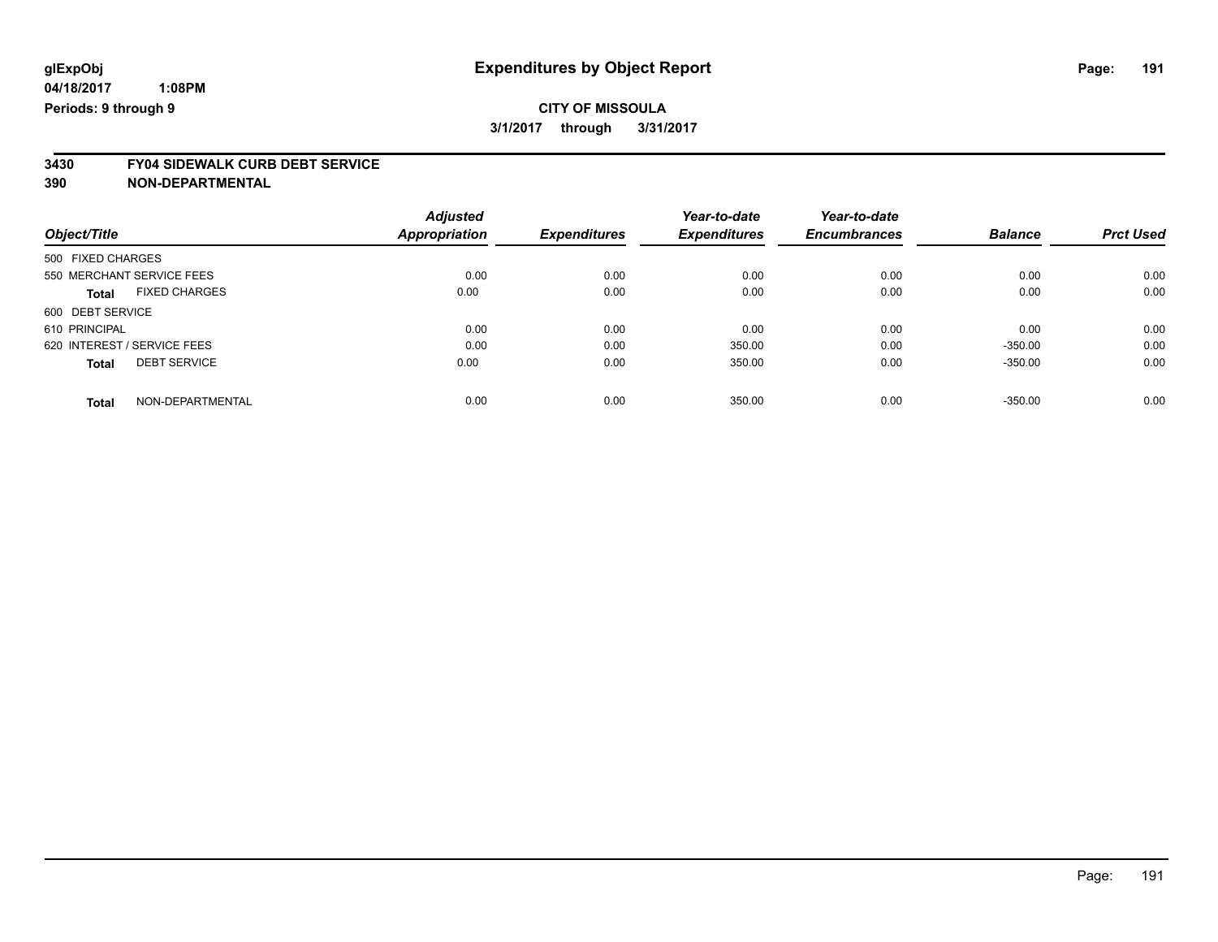### **CITY OF MISSOULA 3/1/2017 through 3/31/2017**

# **3430 FY04 SIDEWALK CURB DEBT SERVICE**

|                                      | <b>Adjusted</b>      |                     | Year-to-date        | Year-to-date        |                |                  |
|--------------------------------------|----------------------|---------------------|---------------------|---------------------|----------------|------------------|
| Object/Title                         | <b>Appropriation</b> | <b>Expenditures</b> | <b>Expenditures</b> | <b>Encumbrances</b> | <b>Balance</b> | <b>Prct Used</b> |
| 500 FIXED CHARGES                    |                      |                     |                     |                     |                |                  |
| 550 MERCHANT SERVICE FEES            | 0.00                 | 0.00                | 0.00                | 0.00                | 0.00           | 0.00             |
| <b>FIXED CHARGES</b><br><b>Total</b> | 0.00                 | 0.00                | 0.00                | 0.00                | 0.00           | 0.00             |
| 600 DEBT SERVICE                     |                      |                     |                     |                     |                |                  |
| 610 PRINCIPAL                        | 0.00                 | 0.00                | 0.00                | 0.00                | 0.00           | 0.00             |
| 620 INTEREST / SERVICE FEES          | 0.00                 | 0.00                | 350.00              | 0.00                | $-350.00$      | 0.00             |
| <b>DEBT SERVICE</b><br><b>Total</b>  | 0.00                 | 0.00                | 350.00              | 0.00                | $-350.00$      | 0.00             |
| NON-DEPARTMENTAL<br>Total            | 0.00                 | 0.00                | 350.00              | 0.00                | $-350.00$      | 0.00             |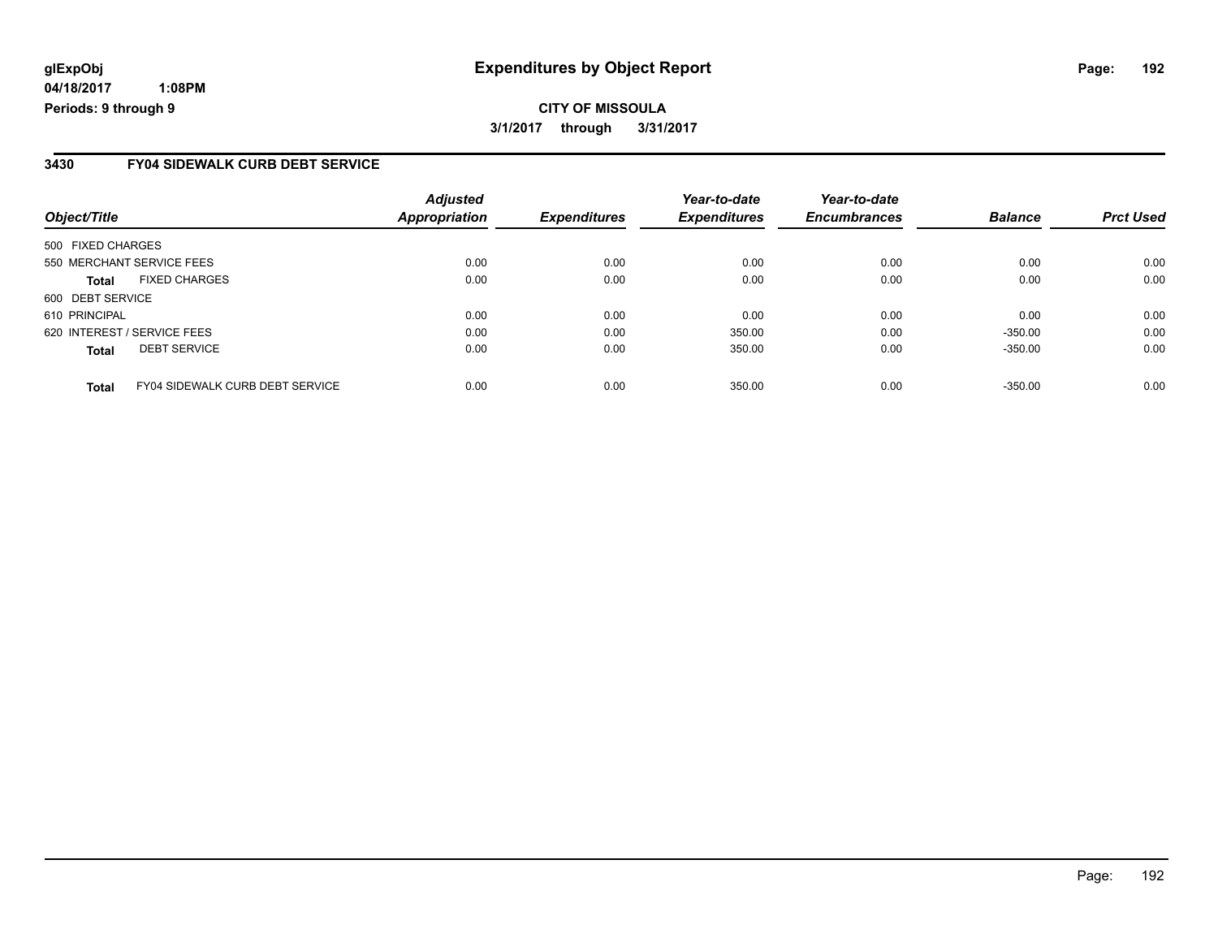**04/18/2017 1:08PM Periods: 9 through 9**

#### **3430 FY04 SIDEWALK CURB DEBT SERVICE**

| Object/Title                                           | <b>Adjusted</b><br>Appropriation | <b>Expenditures</b> | Year-to-date<br><b>Expenditures</b> | Year-to-date<br><b>Encumbrances</b> | <b>Balance</b> | <b>Prct Used</b> |
|--------------------------------------------------------|----------------------------------|---------------------|-------------------------------------|-------------------------------------|----------------|------------------|
| 500 FIXED CHARGES                                      |                                  |                     |                                     |                                     |                |                  |
| 550 MERCHANT SERVICE FEES                              | 0.00                             | 0.00                | 0.00                                | 0.00                                | 0.00           | 0.00             |
| <b>FIXED CHARGES</b><br><b>Total</b>                   | 0.00                             | 0.00                | 0.00                                | 0.00                                | 0.00           | 0.00             |
| 600 DEBT SERVICE                                       |                                  |                     |                                     |                                     |                |                  |
| 610 PRINCIPAL                                          | 0.00                             | 0.00                | 0.00                                | 0.00                                | 0.00           | 0.00             |
| 620 INTEREST / SERVICE FEES                            | 0.00                             | 0.00                | 350.00                              | 0.00                                | $-350.00$      | 0.00             |
| <b>DEBT SERVICE</b><br><b>Total</b>                    | 0.00                             | 0.00                | 350.00                              | 0.00                                | $-350.00$      | 0.00             |
| <b>FY04 SIDEWALK CURB DEBT SERVICE</b><br><b>Total</b> | 0.00                             | 0.00                | 350.00                              | 0.00                                | $-350.00$      | 0.00             |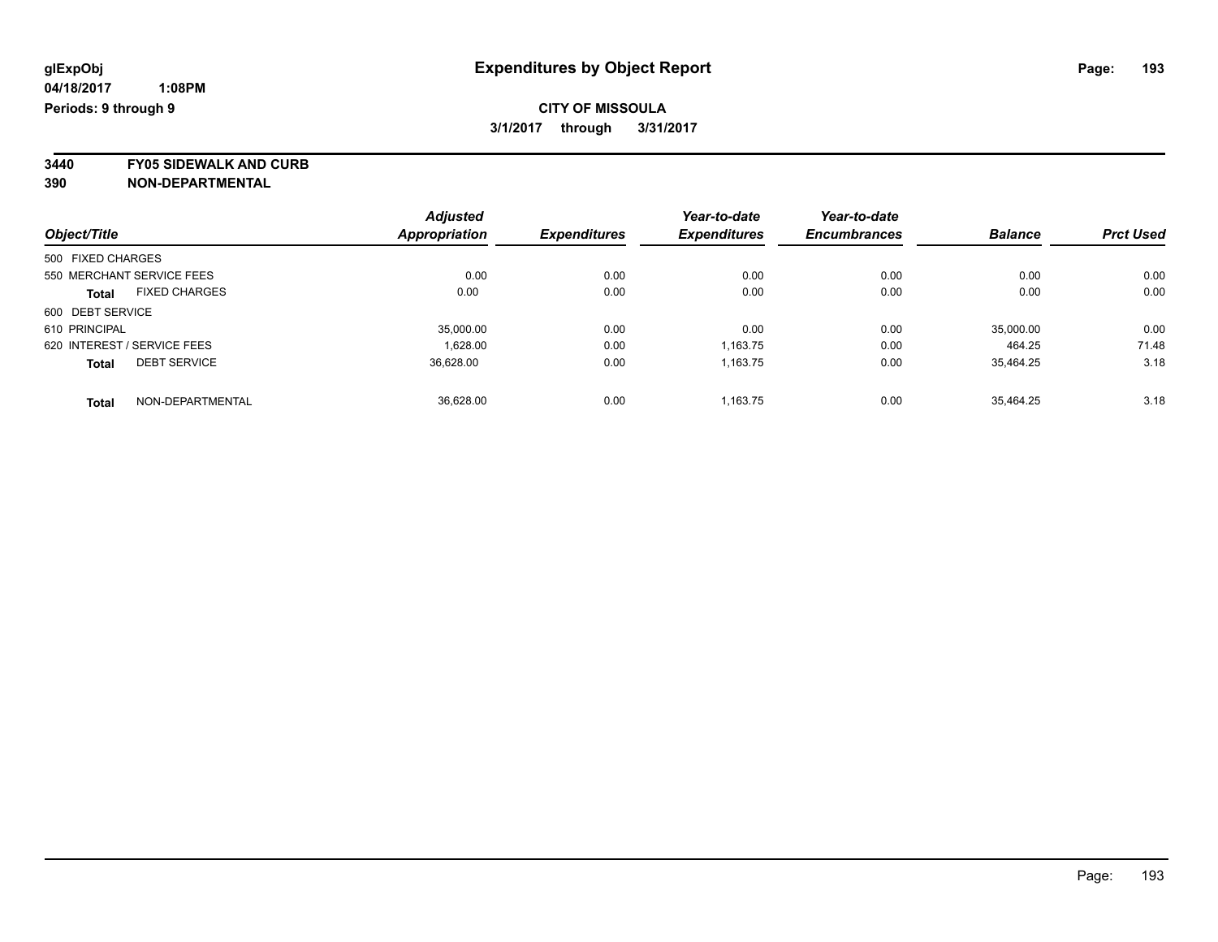**3440 FY05 SIDEWALK AND CURB**

|                                      | <b>Adjusted</b>      | <b>Expenditures</b> | Year-to-date<br><b>Expenditures</b> | Year-to-date        | <b>Balance</b> | <b>Prct Used</b> |
|--------------------------------------|----------------------|---------------------|-------------------------------------|---------------------|----------------|------------------|
| Object/Title                         | <b>Appropriation</b> |                     |                                     | <b>Encumbrances</b> |                |                  |
| 500 FIXED CHARGES                    |                      |                     |                                     |                     |                |                  |
| 550 MERCHANT SERVICE FEES            | 0.00                 | 0.00                | 0.00                                | 0.00                | 0.00           | 0.00             |
| <b>FIXED CHARGES</b><br><b>Total</b> | 0.00                 | 0.00                | 0.00                                | 0.00                | 0.00           | 0.00             |
| 600 DEBT SERVICE                     |                      |                     |                                     |                     |                |                  |
| 610 PRINCIPAL                        | 35,000.00            | 0.00                | 0.00                                | 0.00                | 35,000.00      | 0.00             |
| 620 INTEREST / SERVICE FEES          | 1.628.00             | 0.00                | 1,163.75                            | 0.00                | 464.25         | 71.48            |
| <b>DEBT SERVICE</b><br><b>Total</b>  | 36,628.00            | 0.00                | 1.163.75                            | 0.00                | 35.464.25      | 3.18             |
| NON-DEPARTMENTAL<br><b>Total</b>     | 36.628.00            | 0.00                | 1.163.75                            | 0.00                | 35.464.25      | 3.18             |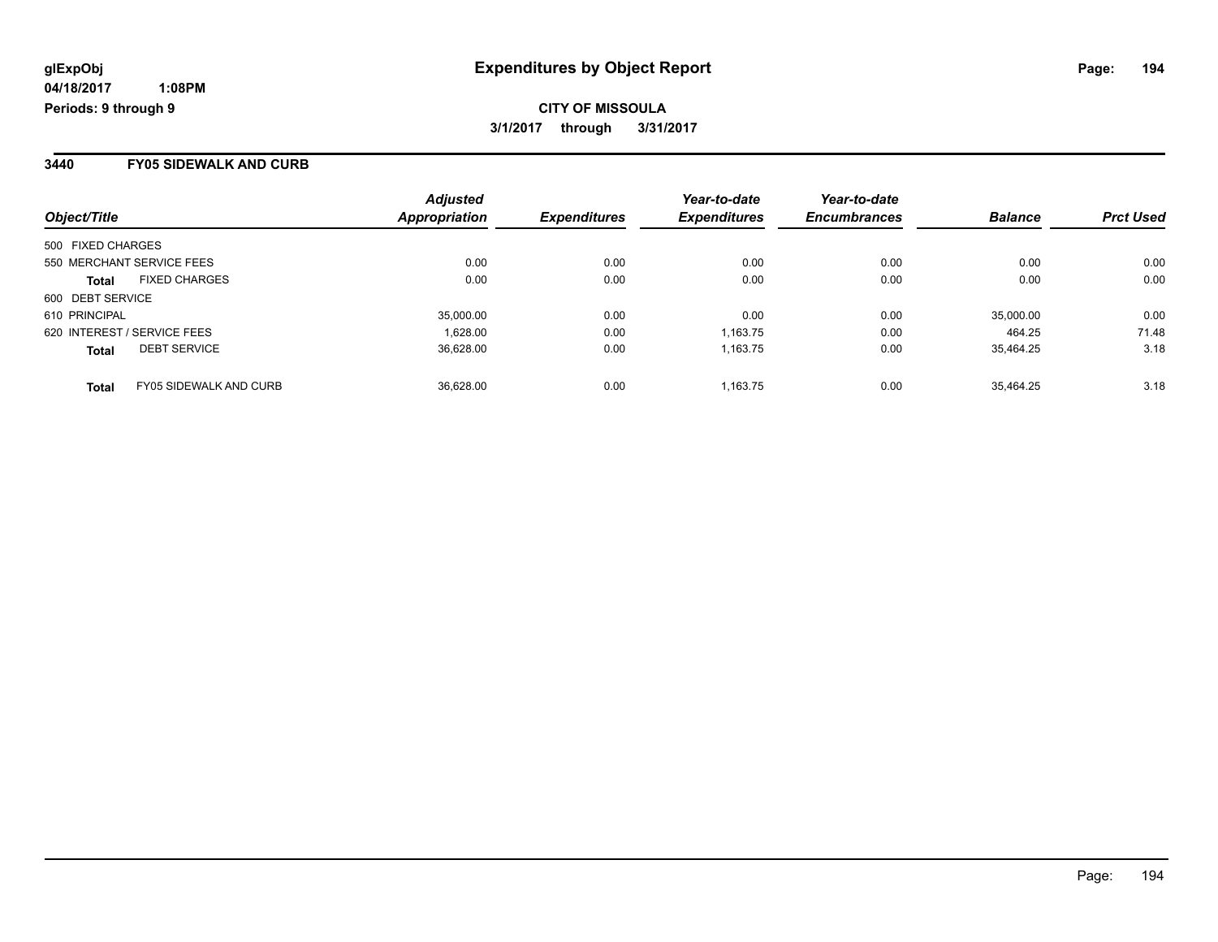**CITY OF MISSOULA 3/1/2017 through 3/31/2017**

#### **3440 FY05 SIDEWALK AND CURB**

| Object/Title                                  | <b>Adjusted</b><br>Appropriation | <b>Expenditures</b> | Year-to-date<br><b>Expenditures</b> | Year-to-date<br><b>Encumbrances</b> | <b>Balance</b> | <b>Prct Used</b> |
|-----------------------------------------------|----------------------------------|---------------------|-------------------------------------|-------------------------------------|----------------|------------------|
| 500 FIXED CHARGES                             |                                  |                     |                                     |                                     |                |                  |
| 550 MERCHANT SERVICE FEES                     | 0.00                             | 0.00                | 0.00                                | 0.00                                | 0.00           | 0.00             |
| <b>FIXED CHARGES</b><br><b>Total</b>          | 0.00                             | 0.00                | 0.00                                | 0.00                                | 0.00           | 0.00             |
| 600 DEBT SERVICE                              |                                  |                     |                                     |                                     |                |                  |
| 610 PRINCIPAL                                 | 35,000.00                        | 0.00                | 0.00                                | 0.00                                | 35,000.00      | 0.00             |
| 620 INTEREST / SERVICE FEES                   | 1.628.00                         | 0.00                | 1,163.75                            | 0.00                                | 464.25         | 71.48            |
| <b>DEBT SERVICE</b><br><b>Total</b>           | 36.628.00                        | 0.00                | 1.163.75                            | 0.00                                | 35.464.25      | 3.18             |
| <b>FY05 SIDEWALK AND CURB</b><br><b>Total</b> | 36.628.00                        | 0.00                | 1.163.75                            | 0.00                                | 35.464.25      | 3.18             |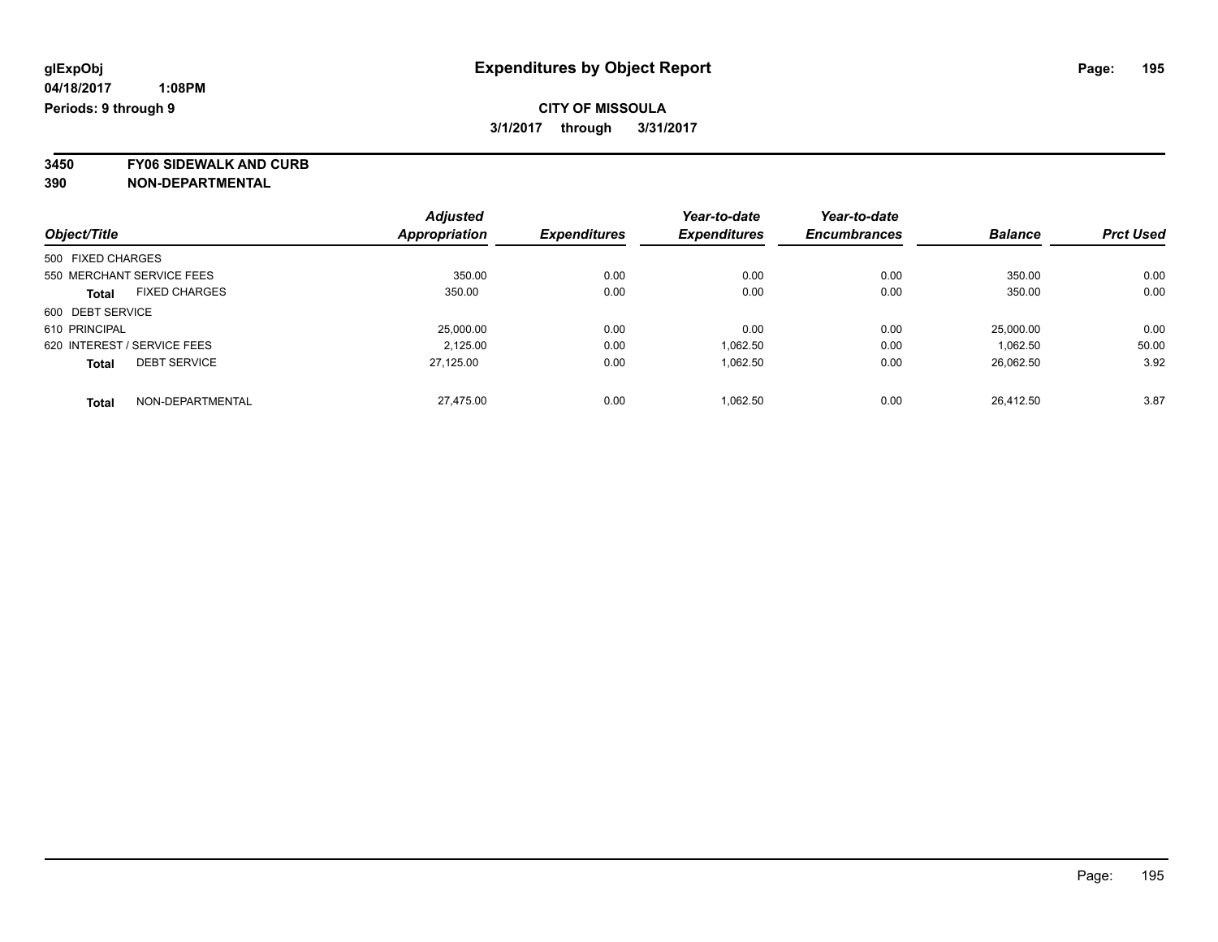**3450 FY06 SIDEWALK AND CURB**

|                                      | <b>Adjusted</b>      | <b>Expenditures</b> | Year-to-date<br><b>Expenditures</b> | Year-to-date        | <b>Balance</b> | <b>Prct Used</b> |
|--------------------------------------|----------------------|---------------------|-------------------------------------|---------------------|----------------|------------------|
| Object/Title                         | <b>Appropriation</b> |                     |                                     | <b>Encumbrances</b> |                |                  |
| 500 FIXED CHARGES                    |                      |                     |                                     |                     |                |                  |
| 550 MERCHANT SERVICE FEES            | 350.00               | 0.00                | 0.00                                | 0.00                | 350.00         | 0.00             |
| <b>FIXED CHARGES</b><br><b>Total</b> | 350.00               | 0.00                | 0.00                                | 0.00                | 350.00         | 0.00             |
| 600 DEBT SERVICE                     |                      |                     |                                     |                     |                |                  |
| 610 PRINCIPAL                        | 25,000.00            | 0.00                | 0.00                                | 0.00                | 25,000.00      | 0.00             |
| 620 INTEREST / SERVICE FEES          | 2.125.00             | 0.00                | 1.062.50                            | 0.00                | 1.062.50       | 50.00            |
| <b>DEBT SERVICE</b><br><b>Total</b>  | 27.125.00            | 0.00                | 1,062.50                            | 0.00                | 26,062.50      | 3.92             |
| NON-DEPARTMENTAL<br><b>Total</b>     | 27.475.00            | 0.00                | 1.062.50                            | 0.00                | 26.412.50      | 3.87             |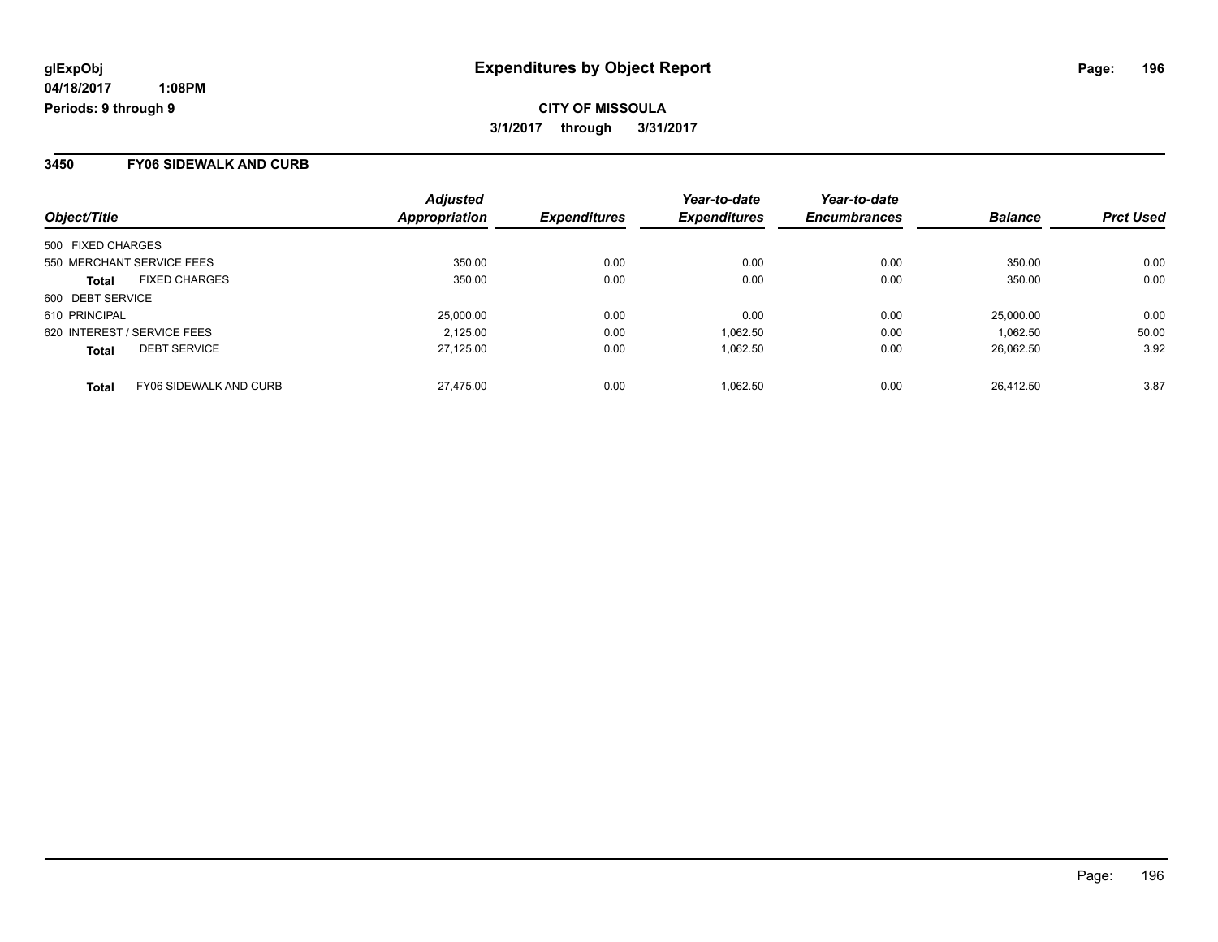### **CITY OF MISSOULA 3/1/2017 through 3/31/2017**

#### **3450 FY06 SIDEWALK AND CURB**

| Object/Title                                  | <b>Adjusted</b><br>Appropriation | <b>Expenditures</b> | Year-to-date<br><b>Expenditures</b> | Year-to-date<br><b>Encumbrances</b> | <b>Balance</b> | <b>Prct Used</b> |
|-----------------------------------------------|----------------------------------|---------------------|-------------------------------------|-------------------------------------|----------------|------------------|
| 500 FIXED CHARGES                             |                                  |                     |                                     |                                     |                |                  |
| 550 MERCHANT SERVICE FEES                     | 350.00                           | 0.00                | 0.00                                | 0.00                                | 350.00         | 0.00             |
| <b>FIXED CHARGES</b><br><b>Total</b>          | 350.00                           | 0.00                | 0.00                                | 0.00                                | 350.00         | 0.00             |
| 600 DEBT SERVICE                              |                                  |                     |                                     |                                     |                |                  |
| 610 PRINCIPAL                                 | 25,000.00                        | 0.00                | 0.00                                | 0.00                                | 25,000.00      | 0.00             |
| 620 INTEREST / SERVICE FEES                   | 2.125.00                         | 0.00                | 1,062.50                            | 0.00                                | 1.062.50       | 50.00            |
| <b>DEBT SERVICE</b><br><b>Total</b>           | 27.125.00                        | 0.00                | 1.062.50                            | 0.00                                | 26.062.50      | 3.92             |
| <b>FY06 SIDEWALK AND CURB</b><br><b>Total</b> | 27.475.00                        | 0.00                | 1.062.50                            | 0.00                                | 26.412.50      | 3.87             |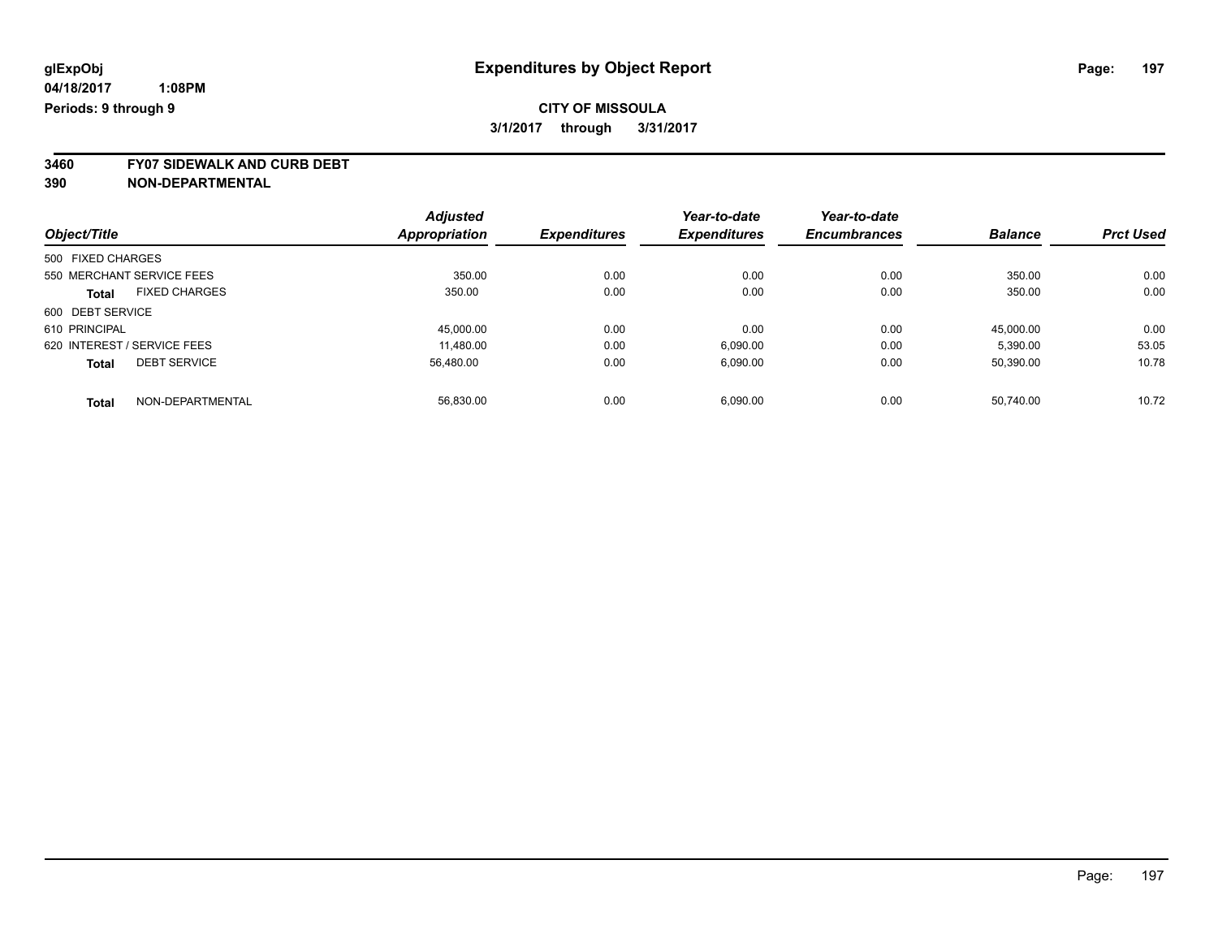**3460 FY07 SIDEWALK AND CURB DEBT**

|                                      | <b>Adjusted</b>      |                     | Year-to-date        | Year-to-date        | <b>Balance</b> | <b>Prct Used</b> |
|--------------------------------------|----------------------|---------------------|---------------------|---------------------|----------------|------------------|
| Object/Title                         | <b>Appropriation</b> | <b>Expenditures</b> | <b>Expenditures</b> | <b>Encumbrances</b> |                |                  |
| 500 FIXED CHARGES                    |                      |                     |                     |                     |                |                  |
| 550 MERCHANT SERVICE FEES            | 350.00               | 0.00                | 0.00                | 0.00                | 350.00         | 0.00             |
| <b>FIXED CHARGES</b><br><b>Total</b> | 350.00               | 0.00                | 0.00                | 0.00                | 350.00         | 0.00             |
| 600 DEBT SERVICE                     |                      |                     |                     |                     |                |                  |
| 610 PRINCIPAL                        | 45,000.00            | 0.00                | 0.00                | 0.00                | 45.000.00      | 0.00             |
| 620 INTEREST / SERVICE FEES          | 11.480.00            | 0.00                | 6,090.00            | 0.00                | 5,390.00       | 53.05            |
| <b>DEBT SERVICE</b><br><b>Total</b>  | 56.480.00            | 0.00                | 6,090.00            | 0.00                | 50.390.00      | 10.78            |
| NON-DEPARTMENTAL<br>Total            | 56.830.00            | 0.00                | 6,090.00            | 0.00                | 50.740.00      | 10.72            |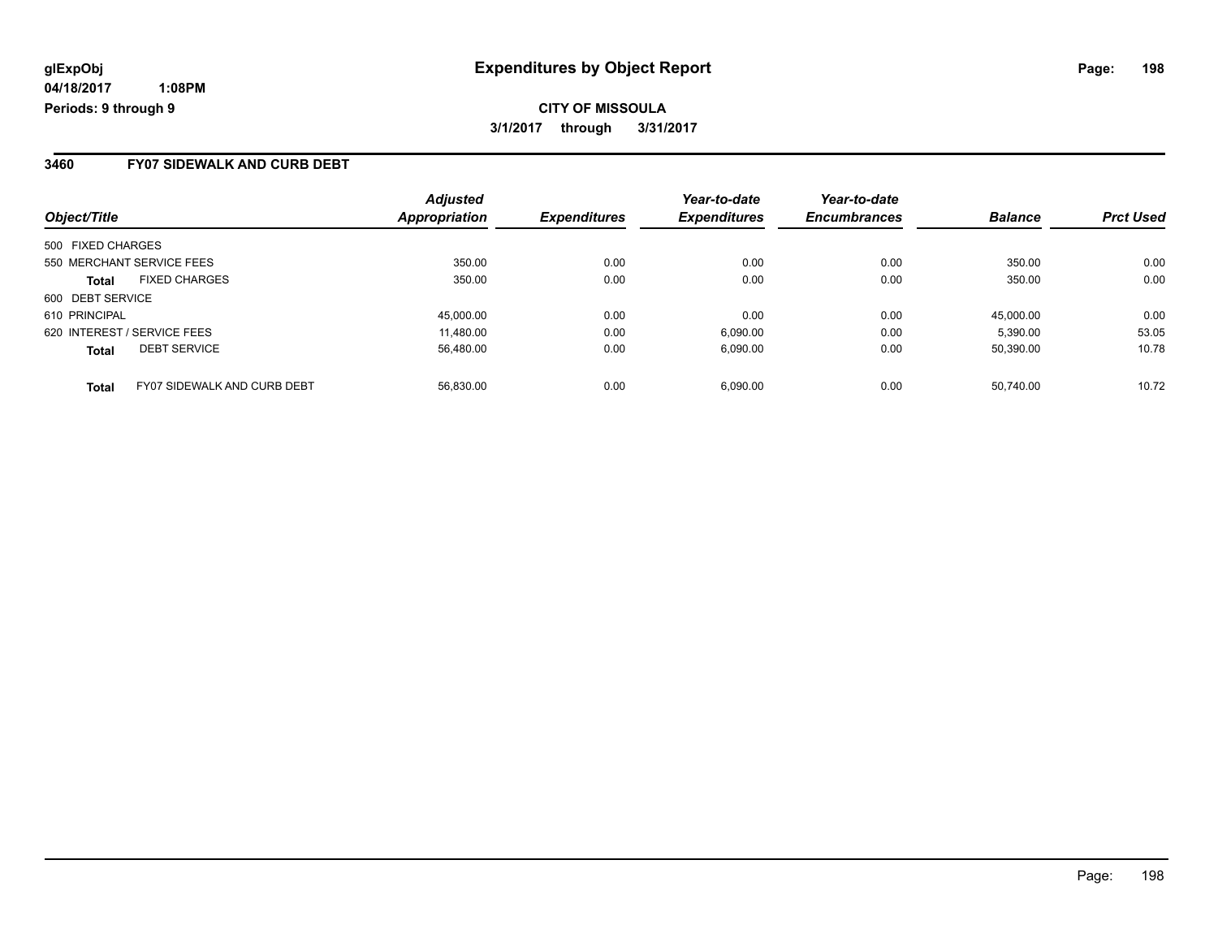#### **3460 FY07 SIDEWALK AND CURB DEBT**

| Object/Title                                       | <b>Adjusted</b><br>Appropriation | <b>Expenditures</b> | Year-to-date<br><b>Expenditures</b> | Year-to-date<br><b>Encumbrances</b> | <b>Balance</b> | <b>Prct Used</b> |
|----------------------------------------------------|----------------------------------|---------------------|-------------------------------------|-------------------------------------|----------------|------------------|
| 500 FIXED CHARGES                                  |                                  |                     |                                     |                                     |                |                  |
| 550 MERCHANT SERVICE FEES                          | 350.00                           | 0.00                | 0.00                                | 0.00                                | 350.00         | 0.00             |
| <b>FIXED CHARGES</b><br><b>Total</b>               | 350.00                           | 0.00                | 0.00                                | 0.00                                | 350.00         | 0.00             |
| 600 DEBT SERVICE                                   |                                  |                     |                                     |                                     |                |                  |
| 610 PRINCIPAL                                      | 45,000.00                        | 0.00                | 0.00                                | 0.00                                | 45.000.00      | 0.00             |
| 620 INTEREST / SERVICE FEES                        | 11,480.00                        | 0.00                | 6,090.00                            | 0.00                                | 5,390.00       | 53.05            |
| <b>DEBT SERVICE</b><br><b>Total</b>                | 56.480.00                        | 0.00                | 6.090.00                            | 0.00                                | 50.390.00      | 10.78            |
| <b>FY07 SIDEWALK AND CURB DEBT</b><br><b>Total</b> | 56.830.00                        | 0.00                | 6.090.00                            | 0.00                                | 50.740.00      | 10.72            |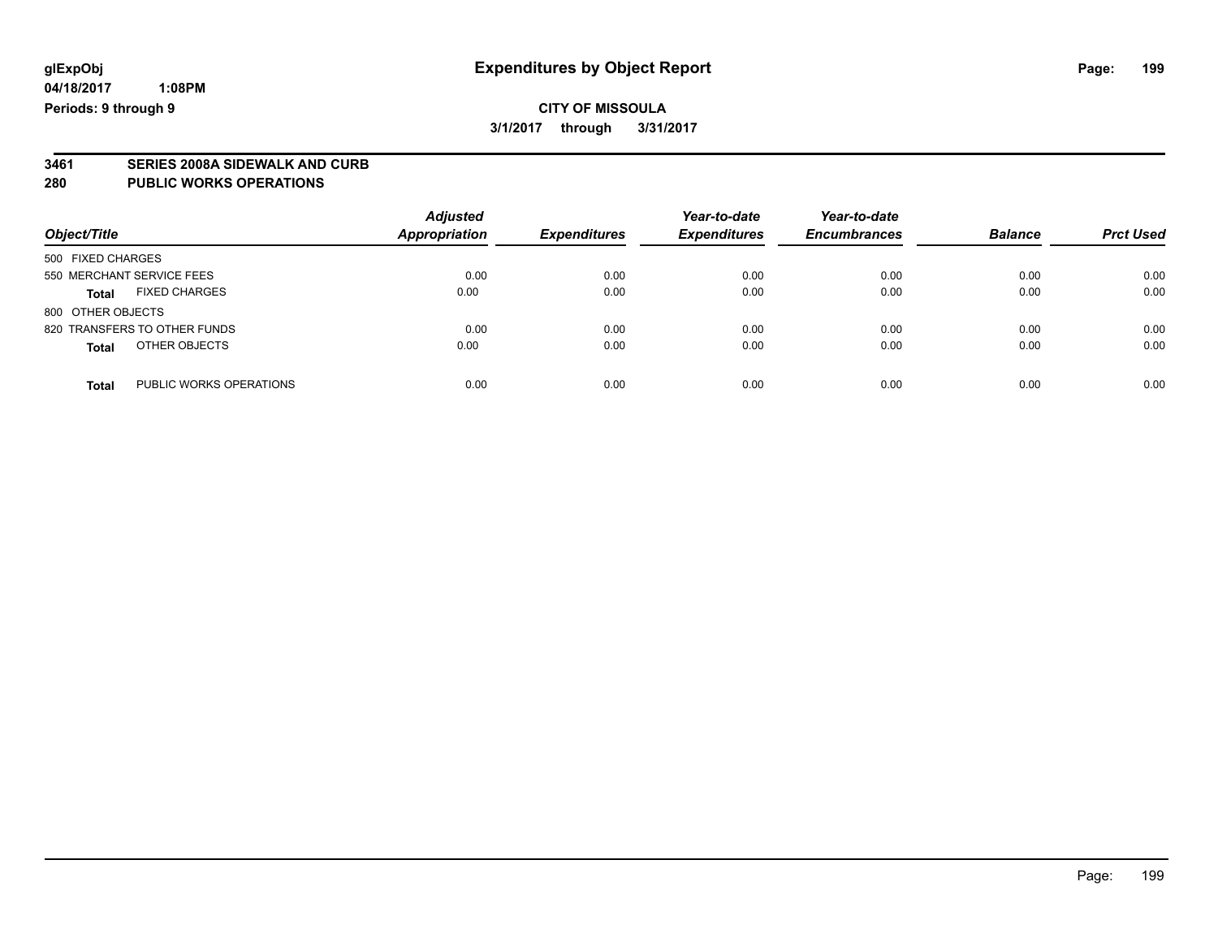# **3461 SERIES 2008A SIDEWALK AND CURB**

#### **280 PUBLIC WORKS OPERATIONS**

| Object/Title                            | <b>Adjusted</b><br>Appropriation | <b>Expenditures</b> | Year-to-date<br><b>Expenditures</b> | Year-to-date<br><b>Encumbrances</b> | <b>Balance</b> | <b>Prct Used</b> |
|-----------------------------------------|----------------------------------|---------------------|-------------------------------------|-------------------------------------|----------------|------------------|
| 500 FIXED CHARGES                       |                                  |                     |                                     |                                     |                |                  |
| 550 MERCHANT SERVICE FEES               | 0.00                             | 0.00                | 0.00                                | 0.00                                | 0.00           | 0.00             |
| <b>FIXED CHARGES</b><br><b>Total</b>    | 0.00                             | 0.00                | 0.00                                | 0.00                                | 0.00           | 0.00             |
| 800 OTHER OBJECTS                       |                                  |                     |                                     |                                     |                |                  |
| 820 TRANSFERS TO OTHER FUNDS            | 0.00                             | 0.00                | 0.00                                | 0.00                                | 0.00           | 0.00             |
| OTHER OBJECTS<br><b>Total</b>           | 0.00                             | 0.00                | 0.00                                | 0.00                                | 0.00           | 0.00             |
| PUBLIC WORKS OPERATIONS<br><b>Total</b> | 0.00                             | 0.00                | 0.00                                | 0.00                                | 0.00           | 0.00             |

Page: 199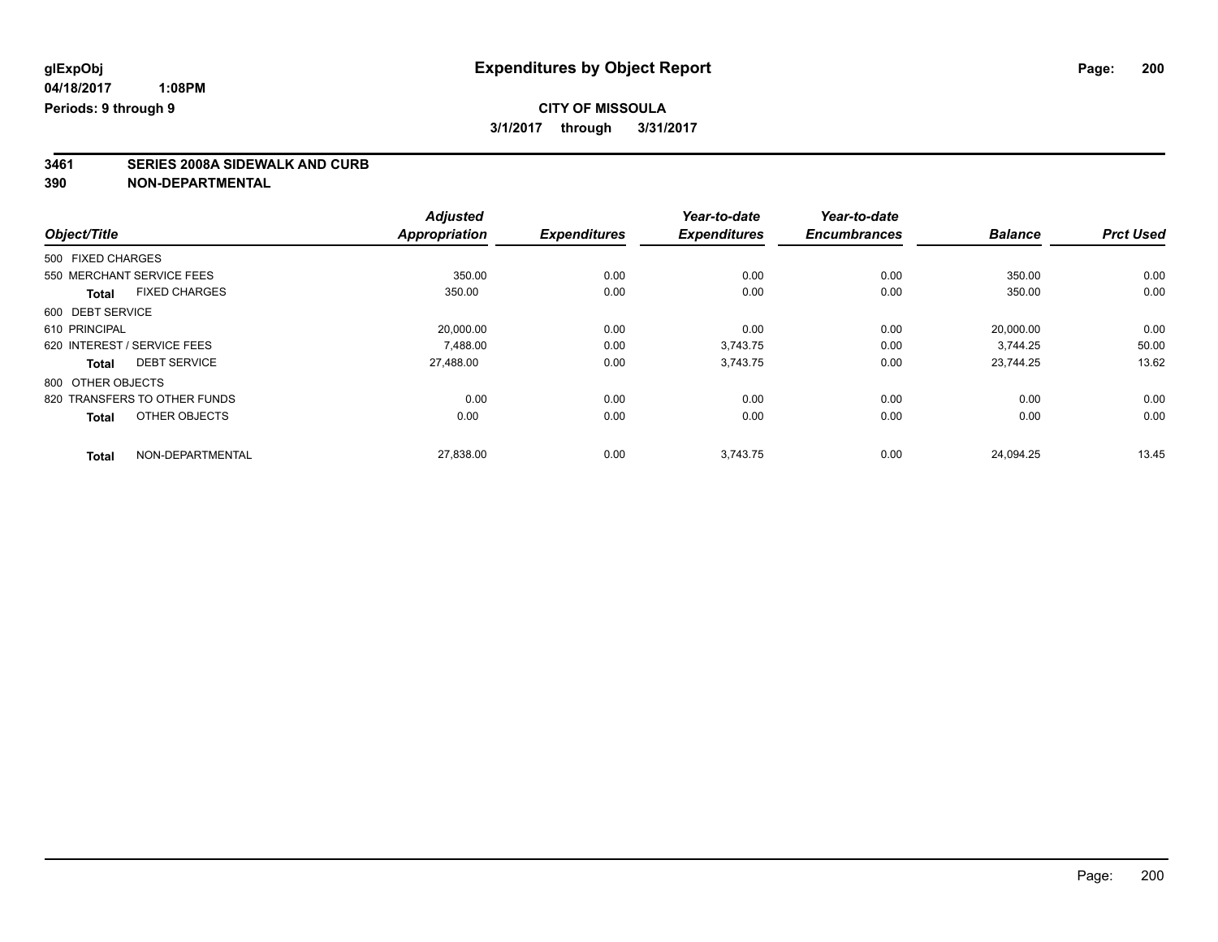# **3461 SERIES 2008A SIDEWALK AND CURB**

|                                      | <b>Adjusted</b>      |                     | Year-to-date        | Year-to-date        |                |                  |
|--------------------------------------|----------------------|---------------------|---------------------|---------------------|----------------|------------------|
| Object/Title                         | <b>Appropriation</b> | <b>Expenditures</b> | <b>Expenditures</b> | <b>Encumbrances</b> | <b>Balance</b> | <b>Prct Used</b> |
| 500 FIXED CHARGES                    |                      |                     |                     |                     |                |                  |
| 550 MERCHANT SERVICE FEES            | 350.00               | 0.00                | 0.00                | 0.00                | 350.00         | 0.00             |
| <b>FIXED CHARGES</b><br><b>Total</b> | 350.00               | 0.00                | 0.00                | 0.00                | 350.00         | 0.00             |
| 600 DEBT SERVICE                     |                      |                     |                     |                     |                |                  |
| 610 PRINCIPAL                        | 20,000.00            | 0.00                | 0.00                | 0.00                | 20,000.00      | 0.00             |
| 620 INTEREST / SERVICE FEES          | 7.488.00             | 0.00                | 3.743.75            | 0.00                | 3.744.25       | 50.00            |
| <b>DEBT SERVICE</b><br><b>Total</b>  | 27.488.00            | 0.00                | 3,743.75            | 0.00                | 23.744.25      | 13.62            |
| 800 OTHER OBJECTS                    |                      |                     |                     |                     |                |                  |
| 820 TRANSFERS TO OTHER FUNDS         | 0.00                 | 0.00                | 0.00                | 0.00                | 0.00           | 0.00             |
| OTHER OBJECTS<br><b>Total</b>        | 0.00                 | 0.00                | 0.00                | 0.00                | 0.00           | 0.00             |
| NON-DEPARTMENTAL<br><b>Total</b>     | 27,838.00            | 0.00                | 3,743.75            | 0.00                | 24.094.25      | 13.45            |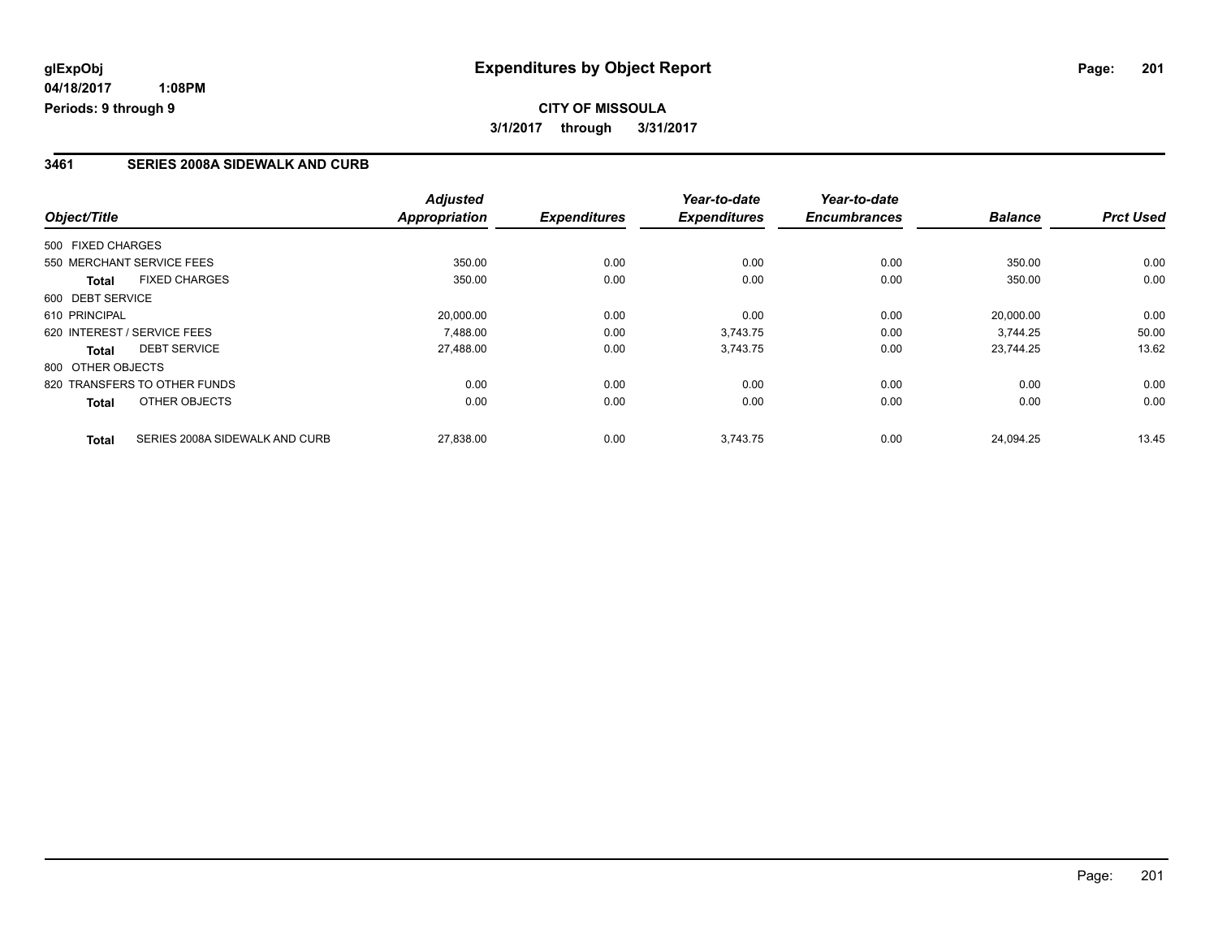#### **3461 SERIES 2008A SIDEWALK AND CURB**

|                                                | <b>Adjusted</b>      |                     | Year-to-date<br><b>Expenditures</b> | Year-to-date<br><b>Encumbrances</b> | <b>Balance</b> | <b>Prct Used</b> |
|------------------------------------------------|----------------------|---------------------|-------------------------------------|-------------------------------------|----------------|------------------|
| Object/Title                                   | <b>Appropriation</b> | <b>Expenditures</b> |                                     |                                     |                |                  |
| 500 FIXED CHARGES                              |                      |                     |                                     |                                     |                |                  |
| 550 MERCHANT SERVICE FEES                      | 350.00               | 0.00                | 0.00                                | 0.00                                | 350.00         | 0.00             |
| <b>FIXED CHARGES</b><br>Total                  | 350.00               | 0.00                | 0.00                                | 0.00                                | 350.00         | 0.00             |
| 600 DEBT SERVICE                               |                      |                     |                                     |                                     |                |                  |
| 610 PRINCIPAL                                  | 20,000.00            | 0.00                | 0.00                                | 0.00                                | 20.000.00      | 0.00             |
| 620 INTEREST / SERVICE FEES                    | 7.488.00             | 0.00                | 3,743.75                            | 0.00                                | 3.744.25       | 50.00            |
| <b>DEBT SERVICE</b><br>Total                   | 27,488.00            | 0.00                | 3,743.75                            | 0.00                                | 23.744.25      | 13.62            |
| 800 OTHER OBJECTS                              |                      |                     |                                     |                                     |                |                  |
| 820 TRANSFERS TO OTHER FUNDS                   | 0.00                 | 0.00                | 0.00                                | 0.00                                | 0.00           | 0.00             |
| OTHER OBJECTS<br>Total                         | 0.00                 | 0.00                | 0.00                                | 0.00                                | 0.00           | 0.00             |
| SERIES 2008A SIDEWALK AND CURB<br><b>Total</b> | 27,838.00            | 0.00                | 3.743.75                            | 0.00                                | 24.094.25      | 13.45            |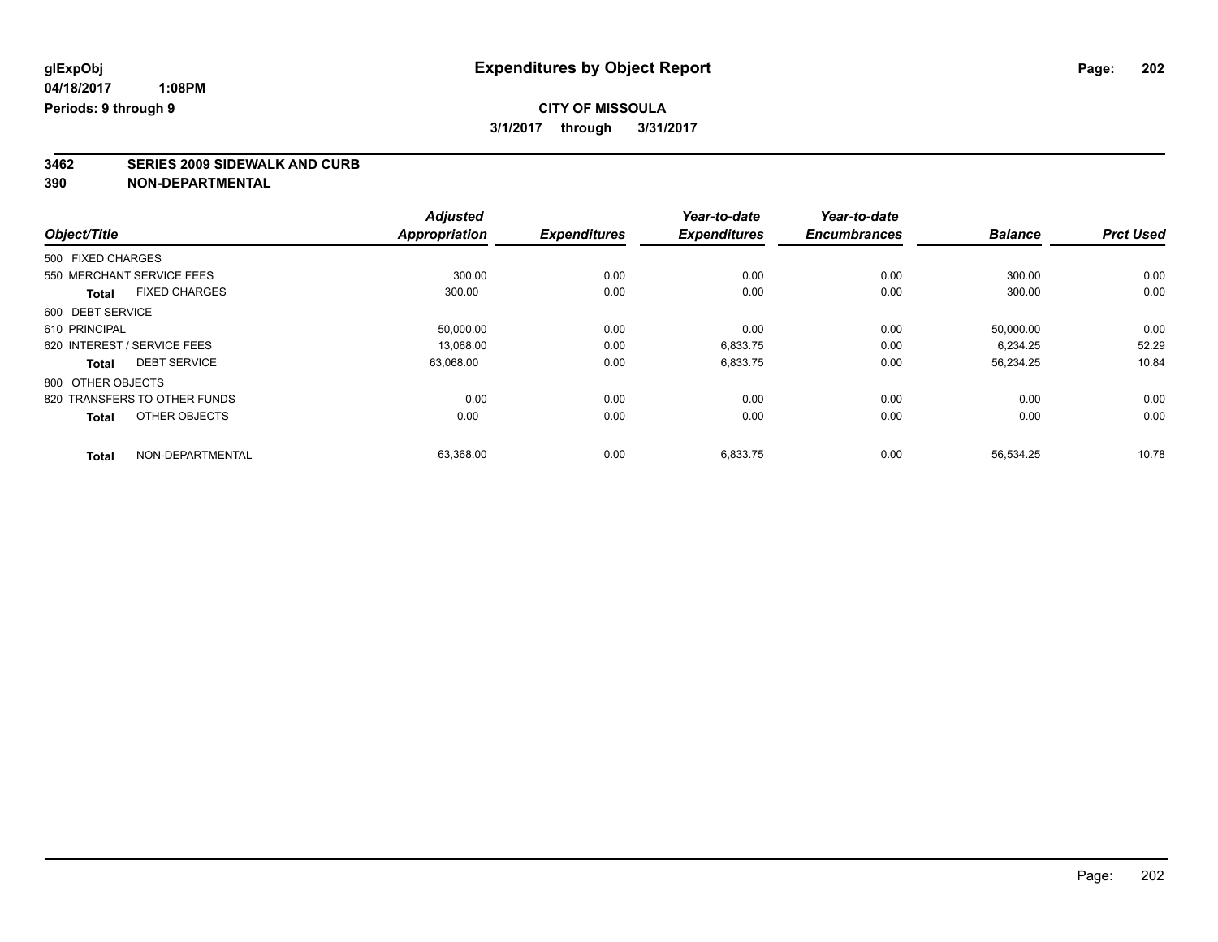# **3462 SERIES 2009 SIDEWALK AND CURB**

|                                      | <b>Adjusted</b>      |                     | Year-to-date<br><b>Expenditures</b> | Year-to-date<br><b>Encumbrances</b> | <b>Balance</b> | <b>Prct Used</b> |
|--------------------------------------|----------------------|---------------------|-------------------------------------|-------------------------------------|----------------|------------------|
| Object/Title                         | <b>Appropriation</b> | <b>Expenditures</b> |                                     |                                     |                |                  |
| 500 FIXED CHARGES                    |                      |                     |                                     |                                     |                |                  |
| 550 MERCHANT SERVICE FEES            | 300.00               | 0.00                | 0.00                                | 0.00                                | 300.00         | 0.00             |
| <b>FIXED CHARGES</b><br><b>Total</b> | 300.00               | 0.00                | 0.00                                | 0.00                                | 300.00         | 0.00             |
| 600 DEBT SERVICE                     |                      |                     |                                     |                                     |                |                  |
| 610 PRINCIPAL                        | 50,000.00            | 0.00                | 0.00                                | 0.00                                | 50,000.00      | 0.00             |
| 620 INTEREST / SERVICE FEES          | 13,068.00            | 0.00                | 6,833.75                            | 0.00                                | 6,234.25       | 52.29            |
| <b>DEBT SERVICE</b><br><b>Total</b>  | 63,068.00            | 0.00                | 6,833.75                            | 0.00                                | 56,234.25      | 10.84            |
| 800 OTHER OBJECTS                    |                      |                     |                                     |                                     |                |                  |
| 820 TRANSFERS TO OTHER FUNDS         | 0.00                 | 0.00                | 0.00                                | 0.00                                | 0.00           | 0.00             |
| OTHER OBJECTS<br><b>Total</b>        | 0.00                 | 0.00                | 0.00                                | 0.00                                | 0.00           | 0.00             |
| NON-DEPARTMENTAL                     | 63,368.00            | 0.00                | 6,833.75                            | 0.00                                | 56,534.25      | 10.78            |
| <b>Total</b>                         |                      |                     |                                     |                                     |                |                  |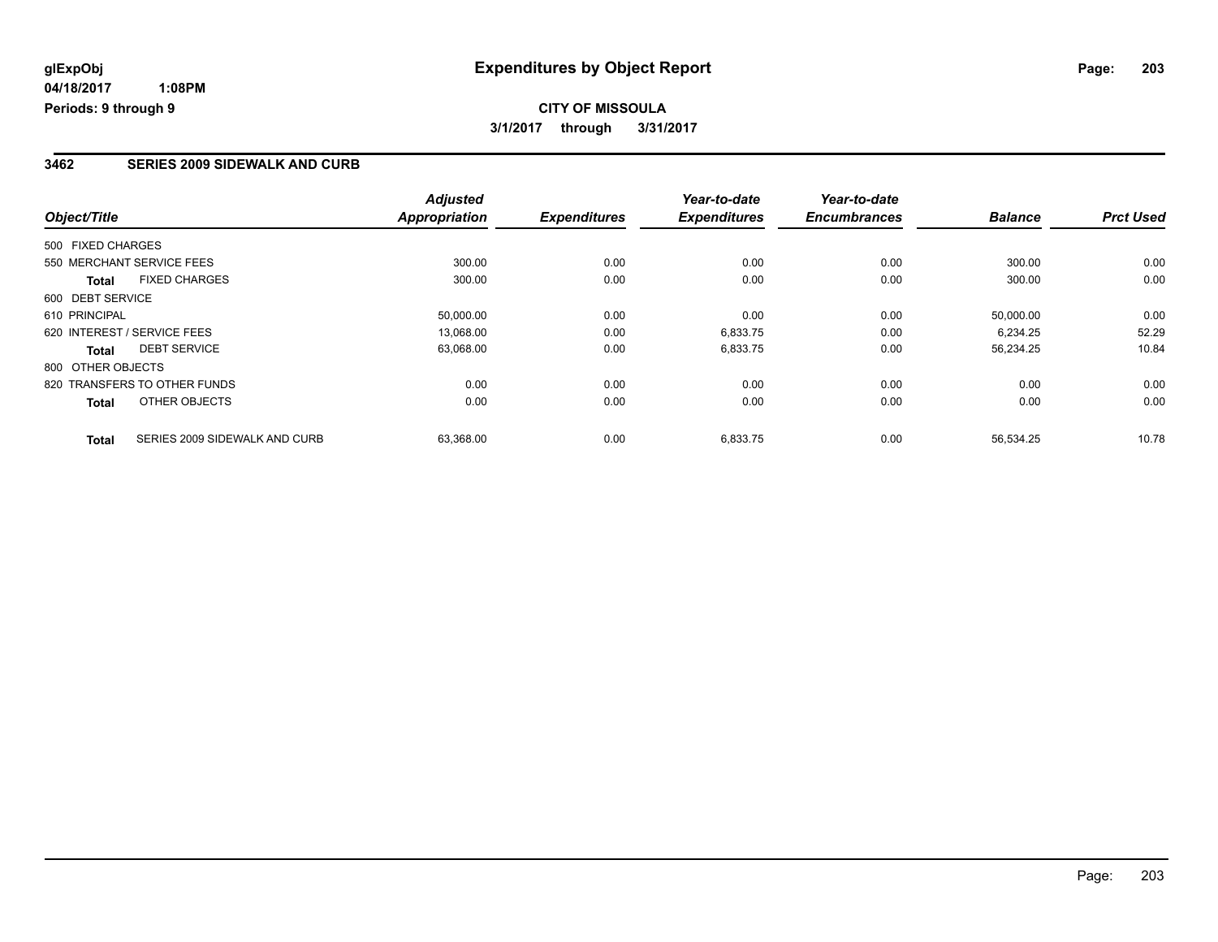## **CITY OF MISSOULA 3/1/2017 through 3/31/2017**

#### **3462 SERIES 2009 SIDEWALK AND CURB**

| Object/Title                                  | <b>Adjusted</b><br><b>Appropriation</b> | <b>Expenditures</b> | Year-to-date<br><b>Expenditures</b> | Year-to-date<br><b>Encumbrances</b> | <b>Balance</b> | <b>Prct Used</b> |
|-----------------------------------------------|-----------------------------------------|---------------------|-------------------------------------|-------------------------------------|----------------|------------------|
|                                               |                                         |                     |                                     |                                     |                |                  |
| 500 FIXED CHARGES                             |                                         |                     |                                     |                                     |                |                  |
| 550 MERCHANT SERVICE FEES                     | 300.00                                  | 0.00                | 0.00                                | 0.00                                | 300.00         | 0.00             |
| <b>FIXED CHARGES</b><br><b>Total</b>          | 300.00                                  | 0.00                | 0.00                                | 0.00                                | 300.00         | 0.00             |
| 600 DEBT SERVICE                              |                                         |                     |                                     |                                     |                |                  |
| 610 PRINCIPAL                                 | 50,000.00                               | 0.00                | 0.00                                | 0.00                                | 50,000.00      | 0.00             |
| 620 INTEREST / SERVICE FEES                   | 13.068.00                               | 0.00                | 6,833.75                            | 0.00                                | 6.234.25       | 52.29            |
| <b>DEBT SERVICE</b><br>Total                  | 63,068.00                               | 0.00                | 6,833.75                            | 0.00                                | 56,234.25      | 10.84            |
| 800 OTHER OBJECTS                             |                                         |                     |                                     |                                     |                |                  |
| 820 TRANSFERS TO OTHER FUNDS                  | 0.00                                    | 0.00                | 0.00                                | 0.00                                | 0.00           | 0.00             |
| OTHER OBJECTS<br>Total                        | 0.00                                    | 0.00                | 0.00                                | 0.00                                | 0.00           | 0.00             |
| SERIES 2009 SIDEWALK AND CURB<br><b>Total</b> | 63,368.00                               | 0.00                | 6,833.75                            | 0.00                                | 56,534.25      | 10.78            |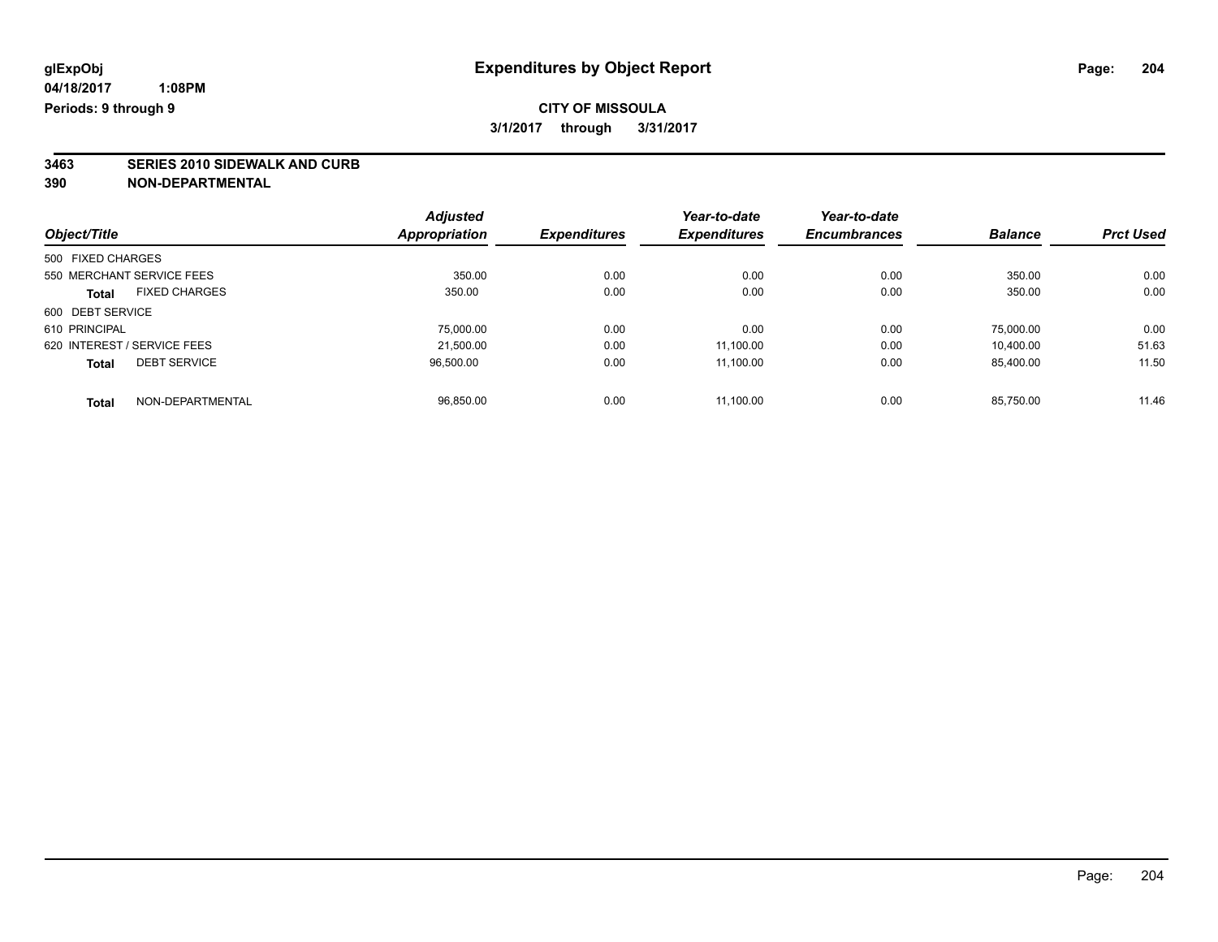### **CITY OF MISSOULA 3/1/2017 through 3/31/2017**

# **3463 SERIES 2010 SIDEWALK AND CURB**

|                                      | <b>Adjusted</b> |                     | Year-to-date        | Year-to-date        |                |                  |
|--------------------------------------|-----------------|---------------------|---------------------|---------------------|----------------|------------------|
| Object/Title                         | Appropriation   | <b>Expenditures</b> | <b>Expenditures</b> | <b>Encumbrances</b> | <b>Balance</b> | <b>Prct Used</b> |
| 500 FIXED CHARGES                    |                 |                     |                     |                     |                |                  |
| 550 MERCHANT SERVICE FEES            | 350.00          | 0.00                | 0.00                | 0.00                | 350.00         | 0.00             |
| <b>FIXED CHARGES</b><br><b>Total</b> | 350.00          | 0.00                | 0.00                | 0.00                | 350.00         | 0.00             |
| 600 DEBT SERVICE                     |                 |                     |                     |                     |                |                  |
| 610 PRINCIPAL                        | 75.000.00       | 0.00                | 0.00                | 0.00                | 75.000.00      | 0.00             |
| 620 INTEREST / SERVICE FEES          | 21.500.00       | 0.00                | 11.100.00           | 0.00                | 10.400.00      | 51.63            |
| <b>DEBT SERVICE</b><br><b>Total</b>  | 96,500.00       | 0.00                | 11.100.00           | 0.00                | 85.400.00      | 11.50            |
| NON-DEPARTMENTAL<br><b>Total</b>     | 96,850.00       | 0.00                | 11.100.00           | 0.00                | 85.750.00      | 11.46            |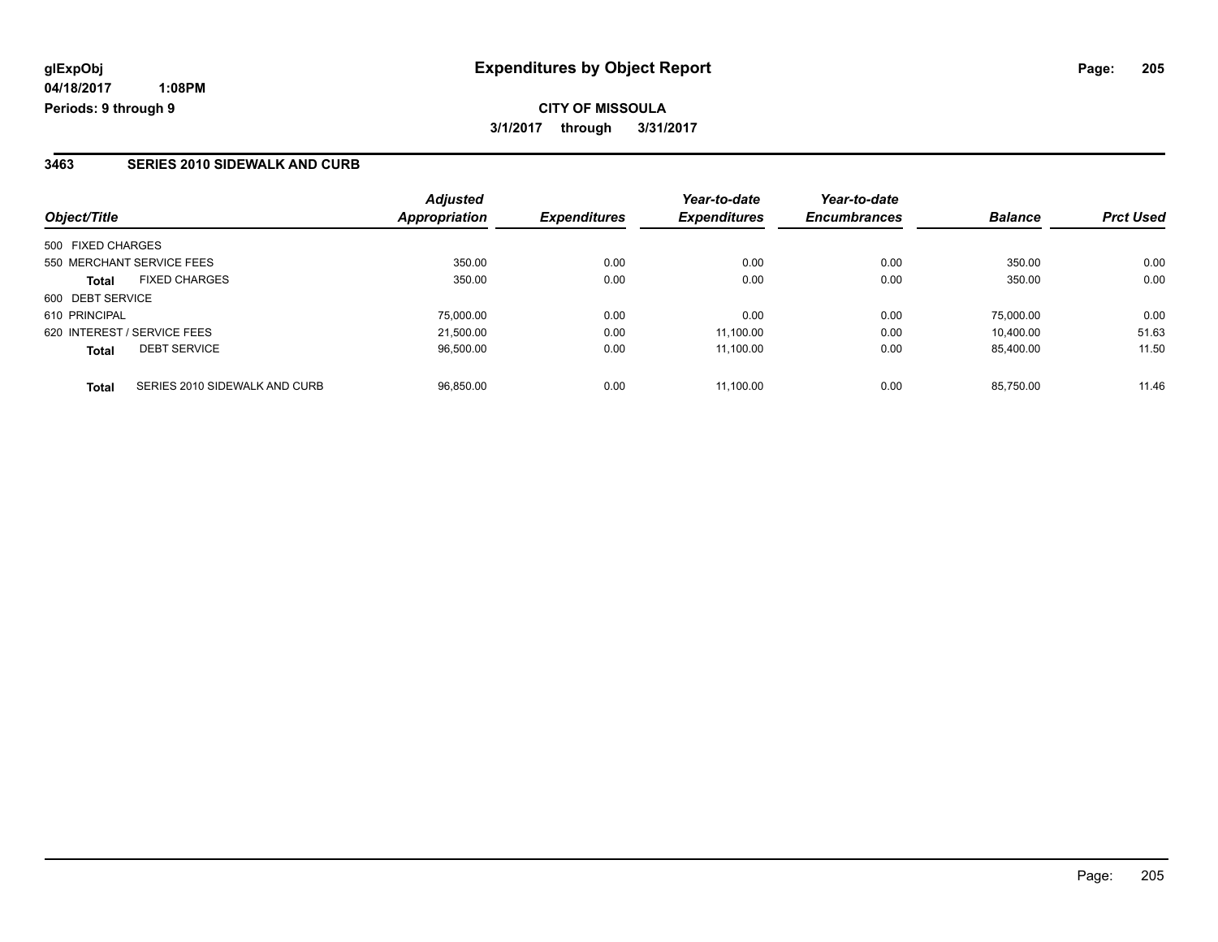#### **3463 SERIES 2010 SIDEWALK AND CURB**

| Object/Title                                  | <b>Adjusted</b><br>Appropriation | <b>Expenditures</b> | Year-to-date<br><b>Expenditures</b> | Year-to-date<br><b>Encumbrances</b> | <b>Balance</b> | <b>Prct Used</b> |
|-----------------------------------------------|----------------------------------|---------------------|-------------------------------------|-------------------------------------|----------------|------------------|
| 500 FIXED CHARGES                             |                                  |                     |                                     |                                     |                |                  |
| 550 MERCHANT SERVICE FEES                     | 350.00                           | 0.00                | 0.00                                | 0.00                                | 350.00         | 0.00             |
| <b>FIXED CHARGES</b><br><b>Total</b>          | 350.00                           | 0.00                | 0.00                                | 0.00                                | 350.00         | 0.00             |
| 600 DEBT SERVICE                              |                                  |                     |                                     |                                     |                |                  |
| 610 PRINCIPAL                                 | 75,000.00                        | 0.00                | 0.00                                | 0.00                                | 75.000.00      | 0.00             |
| 620 INTEREST / SERVICE FEES                   | 21,500.00                        | 0.00                | 11.100.00                           | 0.00                                | 10.400.00      | 51.63            |
| <b>DEBT SERVICE</b><br><b>Total</b>           | 96.500.00                        | 0.00                | 11.100.00                           | 0.00                                | 85.400.00      | 11.50            |
| SERIES 2010 SIDEWALK AND CURB<br><b>Total</b> | 96.850.00                        | 0.00                | 11.100.00                           | 0.00                                | 85.750.00      | 11.46            |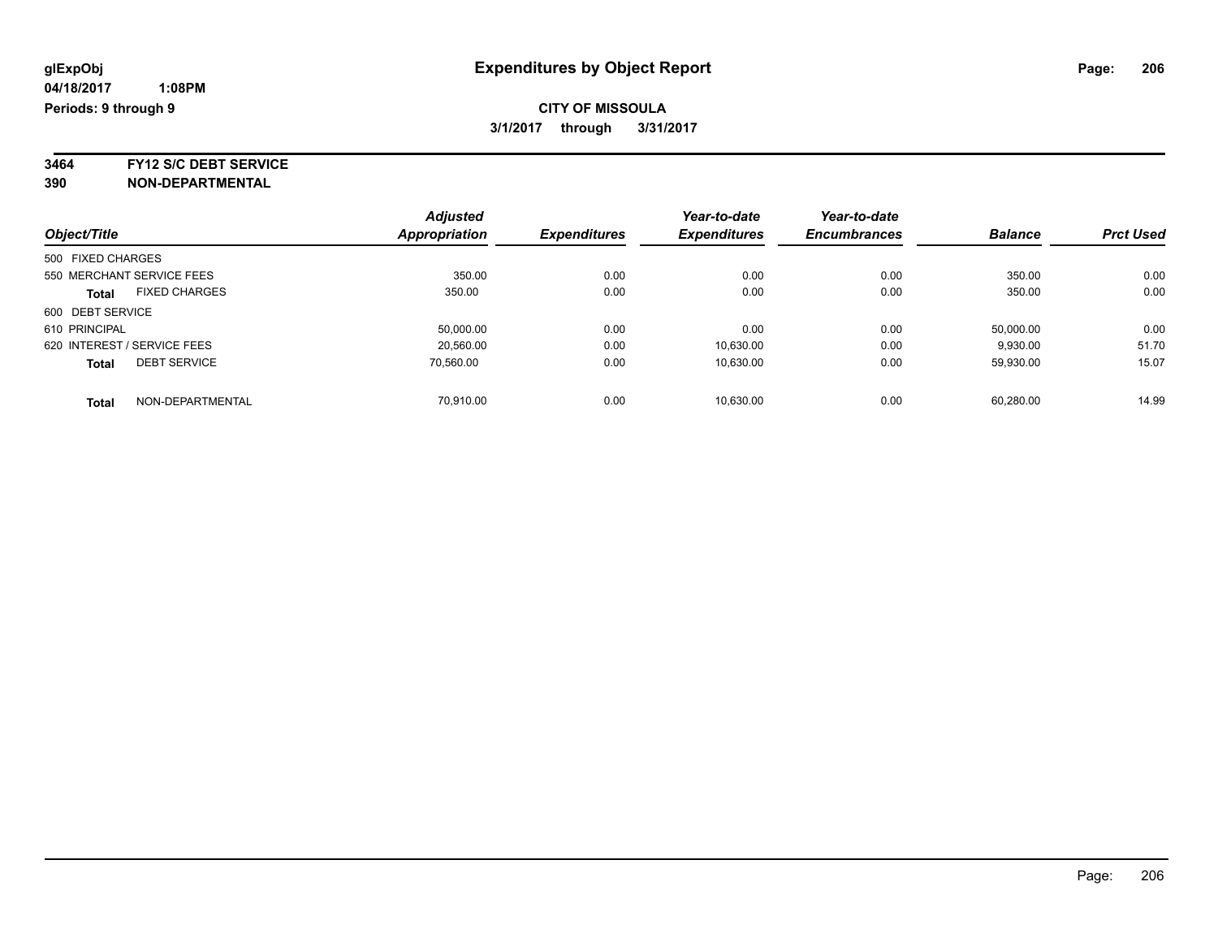**3464 FY12 S/C DEBT SERVICE**

|                             |                      | <b>Adjusted</b> |                     | Year-to-date        | Year-to-date        |                |                  |
|-----------------------------|----------------------|-----------------|---------------------|---------------------|---------------------|----------------|------------------|
| Object/Title                |                      | Appropriation   | <b>Expenditures</b> | <b>Expenditures</b> | <b>Encumbrances</b> | <b>Balance</b> | <b>Prct Used</b> |
| 500 FIXED CHARGES           |                      |                 |                     |                     |                     |                |                  |
| 550 MERCHANT SERVICE FEES   |                      | 350.00          | 0.00                | 0.00                | 0.00                | 350.00         | 0.00             |
| <b>Total</b>                | <b>FIXED CHARGES</b> | 350.00          | 0.00                | 0.00                | 0.00                | 350.00         | 0.00             |
| 600 DEBT SERVICE            |                      |                 |                     |                     |                     |                |                  |
| 610 PRINCIPAL               |                      | 50.000.00       | 0.00                | 0.00                | 0.00                | 50.000.00      | 0.00             |
| 620 INTEREST / SERVICE FEES |                      | 20.560.00       | 0.00                | 10,630.00           | 0.00                | 9,930.00       | 51.70            |
| <b>Total</b>                | <b>DEBT SERVICE</b>  | 70.560.00       | 0.00                | 10.630.00           | 0.00                | 59.930.00      | 15.07            |
| <b>Total</b>                | NON-DEPARTMENTAL     | 70.910.00       | 0.00                | 10.630.00           | 0.00                | 60.280.00      | 14.99            |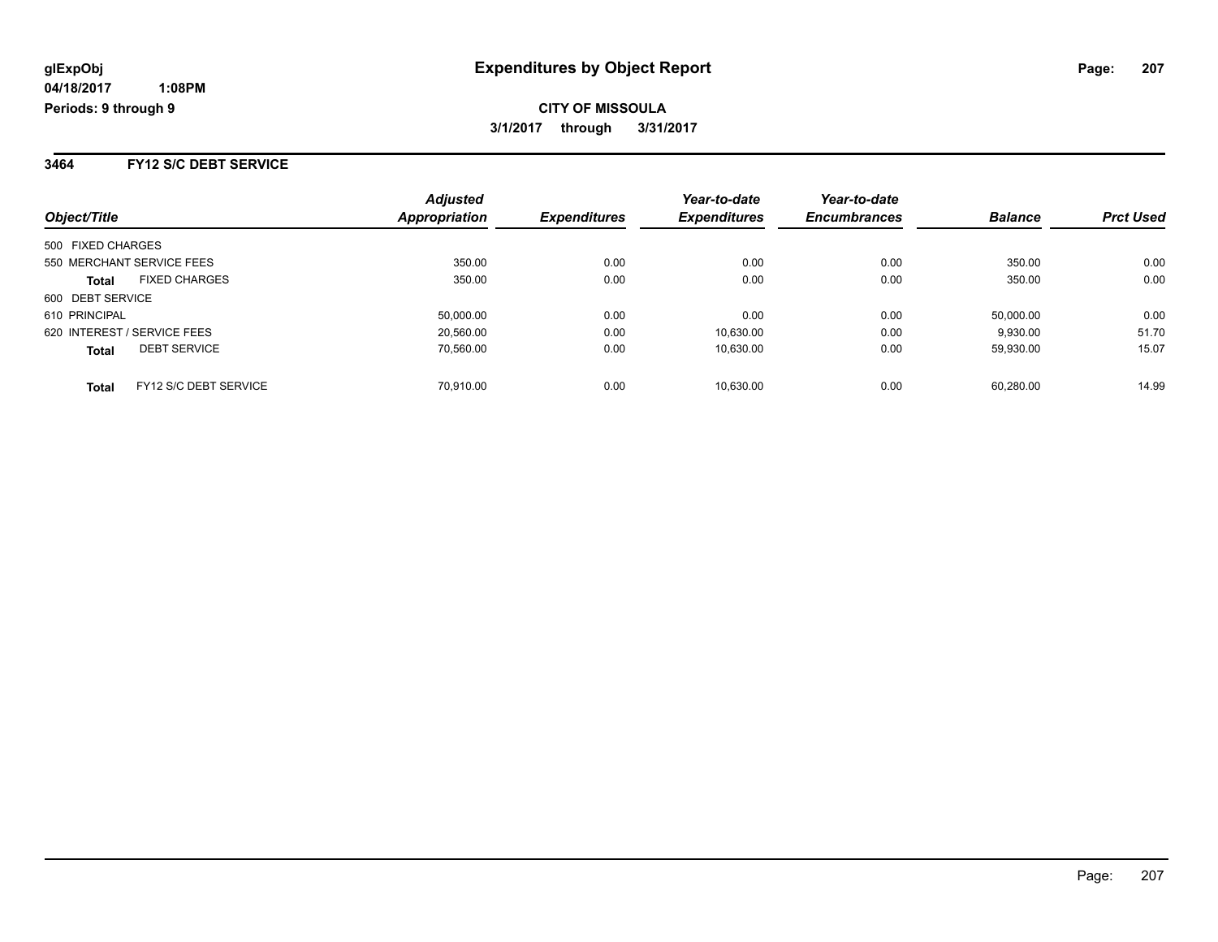**3464 FY12 S/C DEBT SERVICE**

| Object/Title                          | <b>Adjusted</b><br>Appropriation | <b>Expenditures</b> | Year-to-date<br><b>Expenditures</b> | Year-to-date<br><b>Encumbrances</b> | <b>Balance</b> | <b>Prct Used</b> |
|---------------------------------------|----------------------------------|---------------------|-------------------------------------|-------------------------------------|----------------|------------------|
| 500 FIXED CHARGES                     |                                  |                     |                                     |                                     |                |                  |
| 550 MERCHANT SERVICE FEES             | 350.00                           | 0.00                | 0.00                                | 0.00                                | 350.00         | 0.00             |
| <b>FIXED CHARGES</b><br><b>Total</b>  | 350.00                           | 0.00                | 0.00                                | 0.00                                | 350.00         | 0.00             |
| 600 DEBT SERVICE                      |                                  |                     |                                     |                                     |                |                  |
| 610 PRINCIPAL                         | 50.000.00                        | 0.00                | 0.00                                | 0.00                                | 50,000.00      | 0.00             |
| 620 INTEREST / SERVICE FEES           | 20,560.00                        | 0.00                | 10.630.00                           | 0.00                                | 9,930.00       | 51.70            |
| <b>DEBT SERVICE</b><br><b>Total</b>   | 70.560.00                        | 0.00                | 10.630.00                           | 0.00                                | 59.930.00      | 15.07            |
| FY12 S/C DEBT SERVICE<br><b>Total</b> | 70.910.00                        | 0.00                | 10.630.00                           | 0.00                                | 60.280.00      | 14.99            |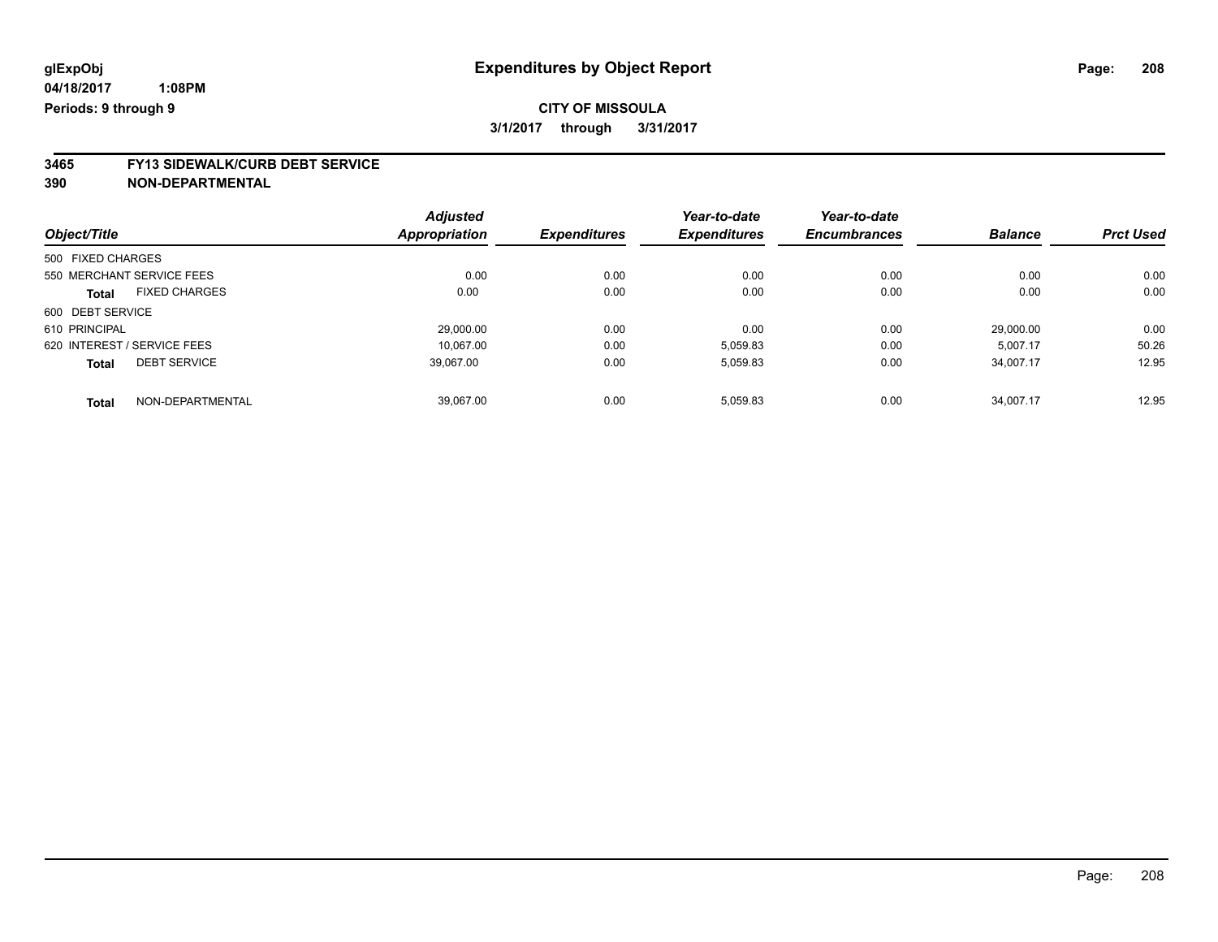# **3465 FY13 SIDEWALK/CURB DEBT SERVICE**

|                                      | <b>Adjusted</b> |                     | Year-to-date        | Year-to-date        |                |                  |
|--------------------------------------|-----------------|---------------------|---------------------|---------------------|----------------|------------------|
| Object/Title                         | Appropriation   | <b>Expenditures</b> | <b>Expenditures</b> | <b>Encumbrances</b> | <b>Balance</b> | <b>Prct Used</b> |
| 500 FIXED CHARGES                    |                 |                     |                     |                     |                |                  |
| 550 MERCHANT SERVICE FEES            | 0.00            | 0.00                | 0.00                | 0.00                | 0.00           | 0.00             |
| <b>FIXED CHARGES</b><br><b>Total</b> | 0.00            | 0.00                | 0.00                | 0.00                | 0.00           | 0.00             |
| 600 DEBT SERVICE                     |                 |                     |                     |                     |                |                  |
| 610 PRINCIPAL                        | 29,000.00       | 0.00                | 0.00                | 0.00                | 29,000.00      | 0.00             |
| 620 INTEREST / SERVICE FEES          | 10.067.00       | 0.00                | 5,059.83            | 0.00                | 5.007.17       | 50.26            |
| <b>DEBT SERVICE</b><br><b>Total</b>  | 39,067.00       | 0.00                | 5,059.83            | 0.00                | 34,007.17      | 12.95            |
| NON-DEPARTMENTAL<br><b>Total</b>     | 39.067.00       | 0.00                | 5.059.83            | 0.00                | 34.007.17      | 12.95            |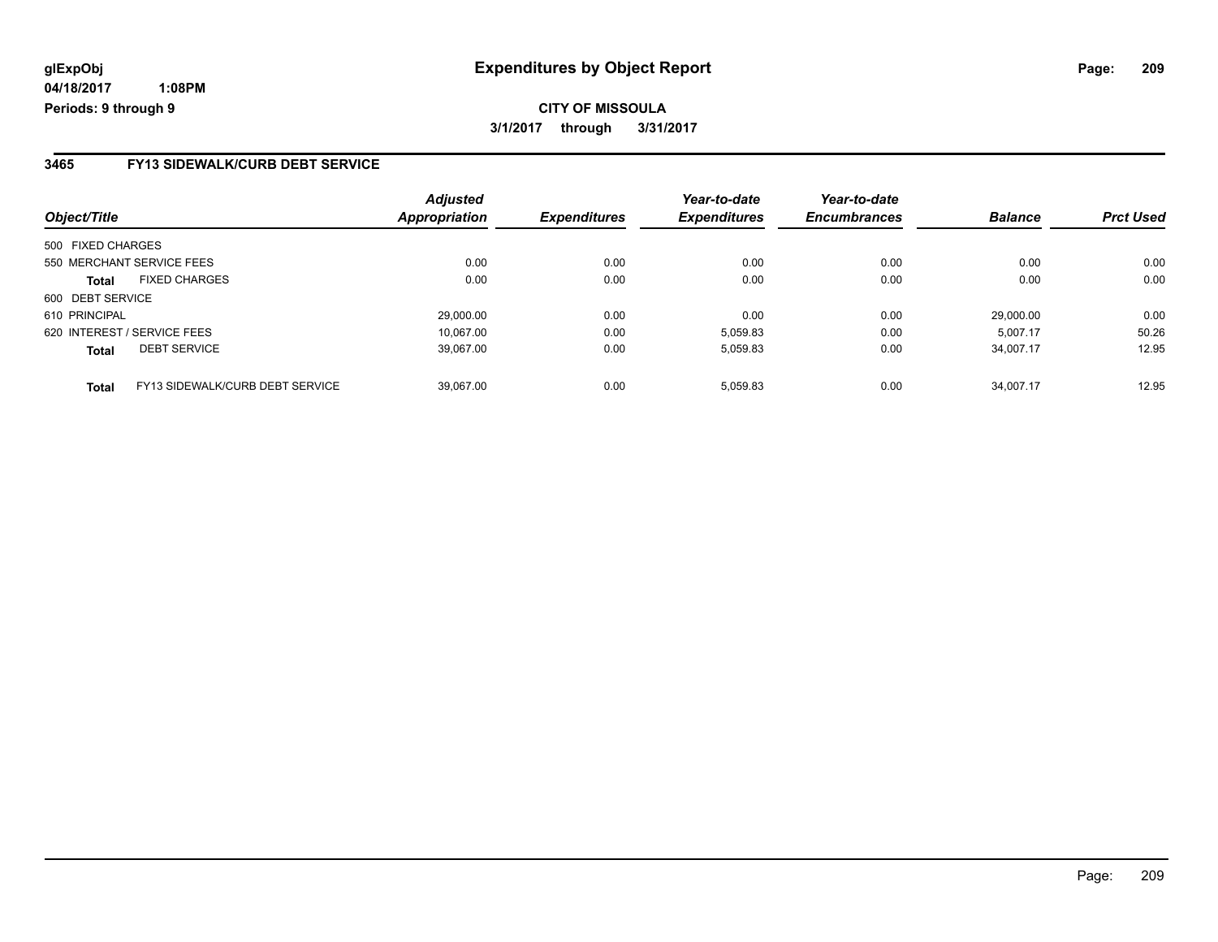#### **3465 FY13 SIDEWALK/CURB DEBT SERVICE**

| Object/Title                |                                 | <b>Adjusted</b><br><b>Appropriation</b> | <b>Expenditures</b> | Year-to-date<br><b>Expenditures</b> | Year-to-date<br><b>Encumbrances</b> | <b>Balance</b> | <b>Prct Used</b> |
|-----------------------------|---------------------------------|-----------------------------------------|---------------------|-------------------------------------|-------------------------------------|----------------|------------------|
| 500 FIXED CHARGES           |                                 |                                         |                     |                                     |                                     |                |                  |
| 550 MERCHANT SERVICE FEES   |                                 | 0.00                                    | 0.00                | 0.00                                | 0.00                                | 0.00           | 0.00             |
| <b>Total</b>                | <b>FIXED CHARGES</b>            | 0.00                                    | 0.00                | 0.00                                | 0.00                                | 0.00           | 0.00             |
| 600 DEBT SERVICE            |                                 |                                         |                     |                                     |                                     |                |                  |
| 610 PRINCIPAL               |                                 | 29.000.00                               | 0.00                | 0.00                                | 0.00                                | 29.000.00      | 0.00             |
| 620 INTEREST / SERVICE FEES |                                 | 10.067.00                               | 0.00                | 5,059.83                            | 0.00                                | 5.007.17       | 50.26            |
| <b>Total</b>                | <b>DEBT SERVICE</b>             | 39.067.00                               | 0.00                | 5,059.83                            | 0.00                                | 34.007.17      | 12.95            |
| <b>Total</b>                | FY13 SIDEWALK/CURB DEBT SERVICE | 39.067.00                               | 0.00                | 5.059.83                            | 0.00                                | 34.007.17      | 12.95            |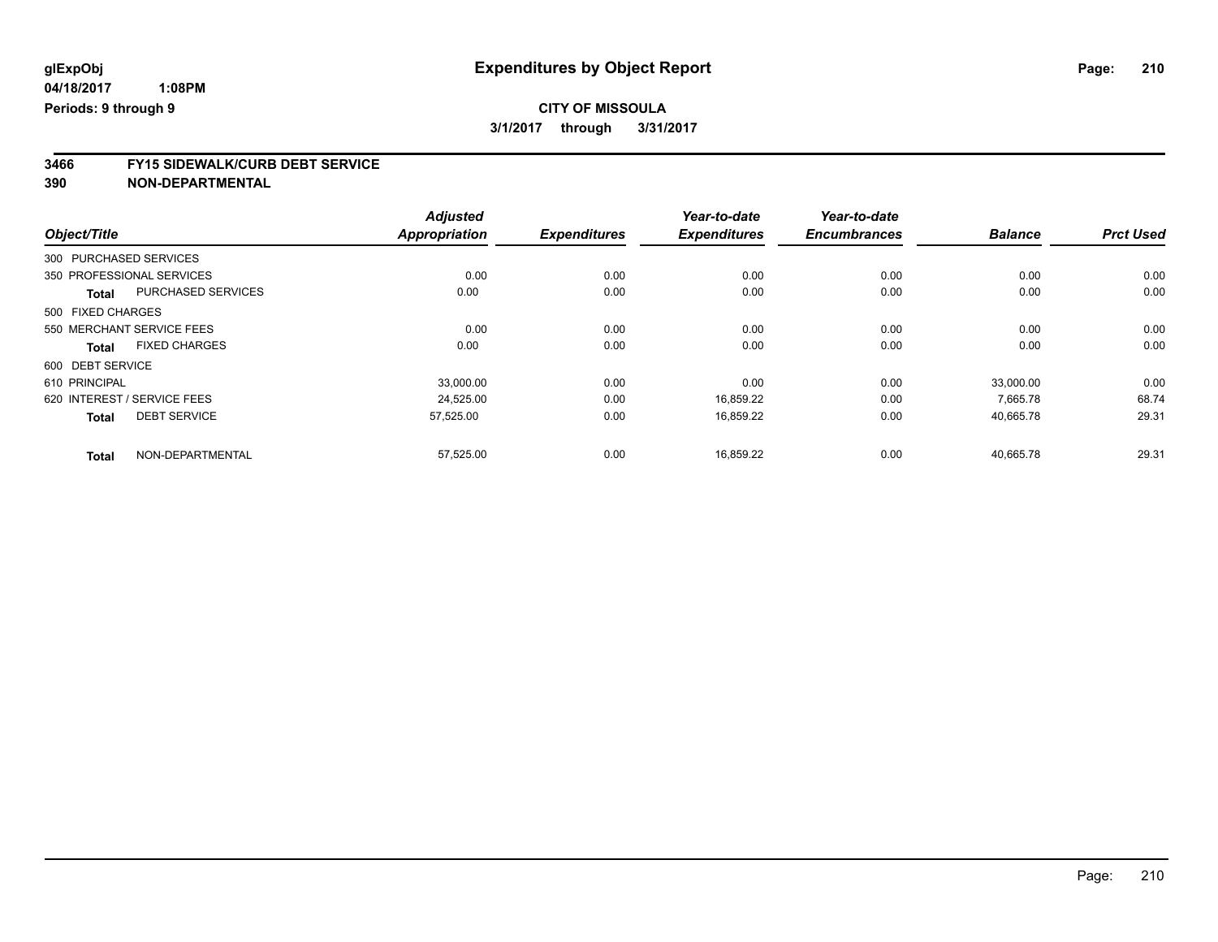# **3466 FY15 SIDEWALK/CURB DEBT SERVICE**

|                             |                      | <b>Adjusted</b>      |                     | Year-to-date        | Year-to-date        |                |                  |
|-----------------------------|----------------------|----------------------|---------------------|---------------------|---------------------|----------------|------------------|
| Object/Title                |                      | <b>Appropriation</b> | <b>Expenditures</b> | <b>Expenditures</b> | <b>Encumbrances</b> | <b>Balance</b> | <b>Prct Used</b> |
| 300 PURCHASED SERVICES      |                      |                      |                     |                     |                     |                |                  |
| 350 PROFESSIONAL SERVICES   |                      | 0.00                 | 0.00                | 0.00                | 0.00                | 0.00           | 0.00             |
| <b>Total</b>                | PURCHASED SERVICES   | 0.00                 | 0.00                | 0.00                | 0.00                | 0.00           | 0.00             |
| 500 FIXED CHARGES           |                      |                      |                     |                     |                     |                |                  |
| 550 MERCHANT SERVICE FEES   |                      | 0.00                 | 0.00                | 0.00                | 0.00                | 0.00           | 0.00             |
| <b>Total</b>                | <b>FIXED CHARGES</b> | 0.00                 | 0.00                | 0.00                | 0.00                | 0.00           | 0.00             |
| 600 DEBT SERVICE            |                      |                      |                     |                     |                     |                |                  |
| 610 PRINCIPAL               |                      | 33,000.00            | 0.00                | 0.00                | 0.00                | 33,000.00      | 0.00             |
| 620 INTEREST / SERVICE FEES |                      | 24,525.00            | 0.00                | 16,859.22           | 0.00                | 7,665.78       | 68.74            |
| <b>Total</b>                | <b>DEBT SERVICE</b>  | 57,525.00            | 0.00                | 16,859.22           | 0.00                | 40,665.78      | 29.31            |
| <b>Total</b>                | NON-DEPARTMENTAL     | 57,525.00            | 0.00                | 16,859.22           | 0.00                | 40,665.78      | 29.31            |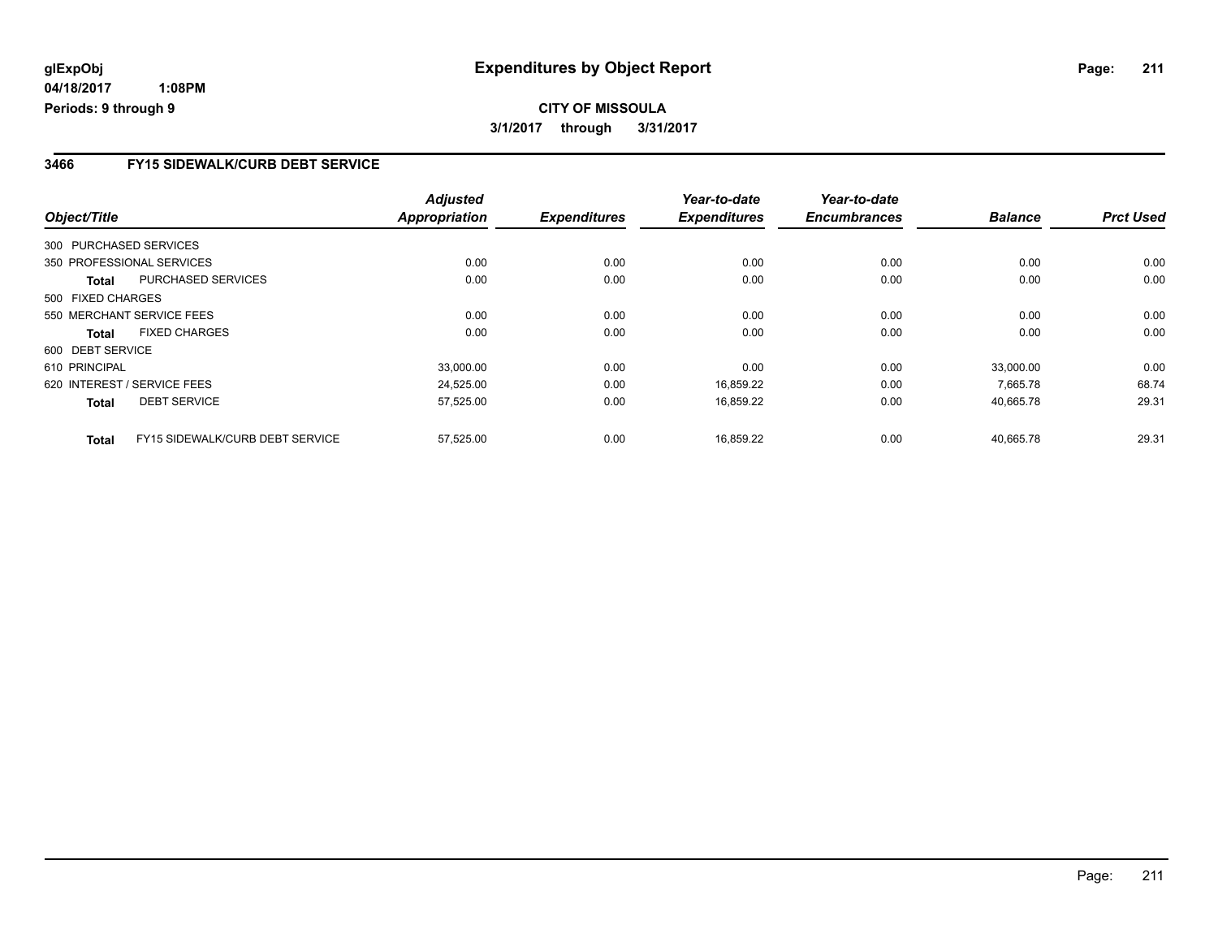## **CITY OF MISSOULA 3/1/2017 through 3/31/2017**

#### **3466 FY15 SIDEWALK/CURB DEBT SERVICE**

| Object/Title      |                                 | <b>Adjusted</b><br><b>Appropriation</b> | <b>Expenditures</b> | Year-to-date<br><b>Expenditures</b> | Year-to-date<br><b>Encumbrances</b> | <b>Balance</b> | <b>Prct Used</b> |
|-------------------|---------------------------------|-----------------------------------------|---------------------|-------------------------------------|-------------------------------------|----------------|------------------|
|                   |                                 |                                         |                     |                                     |                                     |                |                  |
|                   | 300 PURCHASED SERVICES          |                                         |                     |                                     |                                     |                |                  |
|                   | 350 PROFESSIONAL SERVICES       | 0.00                                    | 0.00                | 0.00                                | 0.00                                | 0.00           | 0.00             |
| Total             | <b>PURCHASED SERVICES</b>       | 0.00                                    | 0.00                | 0.00                                | 0.00                                | 0.00           | 0.00             |
| 500 FIXED CHARGES |                                 |                                         |                     |                                     |                                     |                |                  |
|                   | 550 MERCHANT SERVICE FEES       | 0.00                                    | 0.00                | 0.00                                | 0.00                                | 0.00           | 0.00             |
| Total             | <b>FIXED CHARGES</b>            | 0.00                                    | 0.00                | 0.00                                | 0.00                                | 0.00           | 0.00             |
| 600 DEBT SERVICE  |                                 |                                         |                     |                                     |                                     |                |                  |
| 610 PRINCIPAL     |                                 | 33,000.00                               | 0.00                | 0.00                                | 0.00                                | 33,000.00      | 0.00             |
|                   | 620 INTEREST / SERVICE FEES     | 24,525.00                               | 0.00                | 16,859.22                           | 0.00                                | 7.665.78       | 68.74            |
| <b>Total</b>      | <b>DEBT SERVICE</b>             | 57,525.00                               | 0.00                | 16,859.22                           | 0.00                                | 40,665.78      | 29.31            |
| <b>Total</b>      | FY15 SIDEWALK/CURB DEBT SERVICE | 57,525.00                               | 0.00                | 16.859.22                           | 0.00                                | 40.665.78      | 29.31            |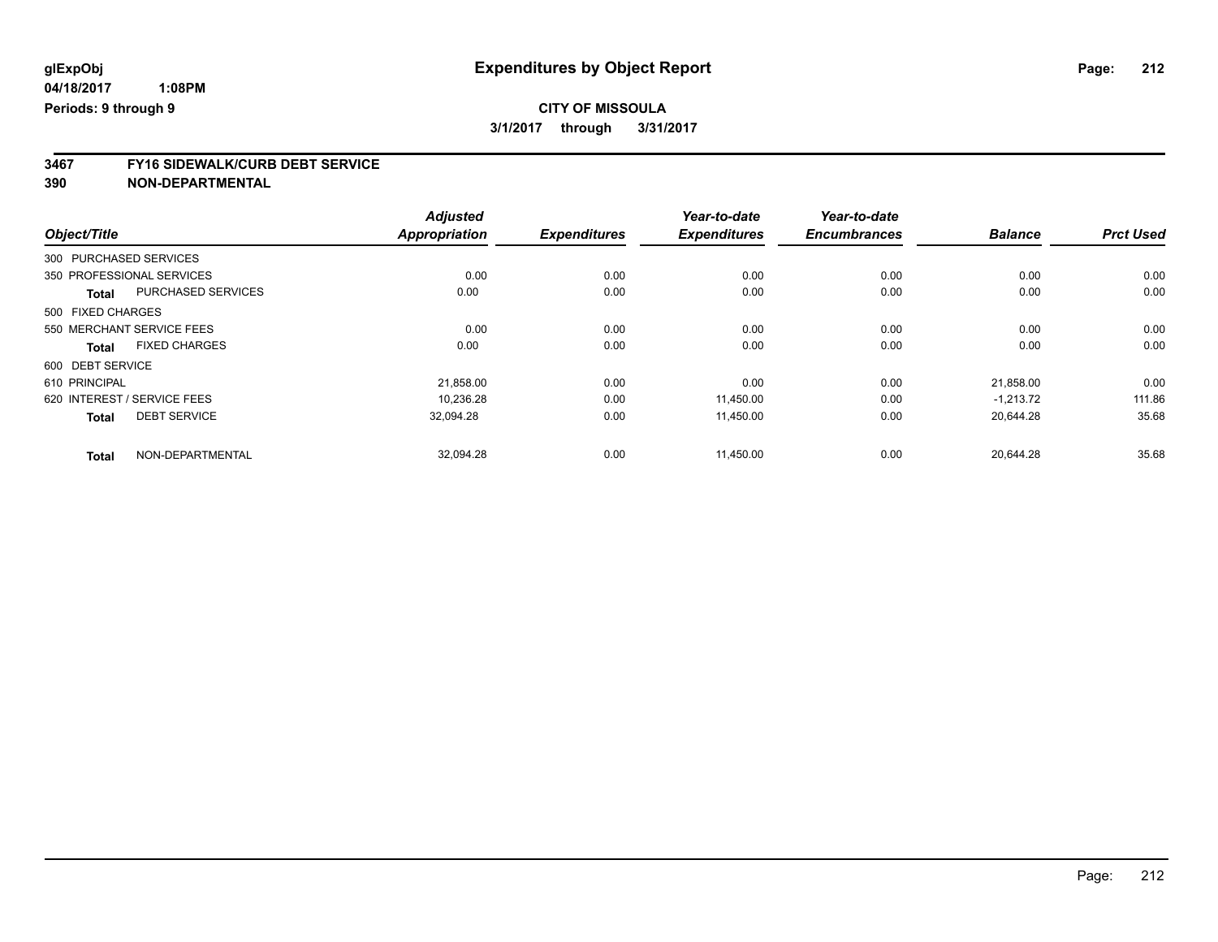# **3467 FY16 SIDEWALK/CURB DEBT SERVICE**

|                                      | <b>Adjusted</b>      |                     | Year-to-date        | Year-to-date        |                |                  |
|--------------------------------------|----------------------|---------------------|---------------------|---------------------|----------------|------------------|
| Object/Title                         | <b>Appropriation</b> | <b>Expenditures</b> | <b>Expenditures</b> | <b>Encumbrances</b> | <b>Balance</b> | <b>Prct Used</b> |
| 300 PURCHASED SERVICES               |                      |                     |                     |                     |                |                  |
| 350 PROFESSIONAL SERVICES            | 0.00                 | 0.00                | 0.00                | 0.00                | 0.00           | 0.00             |
| PURCHASED SERVICES<br><b>Total</b>   | 0.00                 | 0.00                | 0.00                | 0.00                | 0.00           | 0.00             |
| 500 FIXED CHARGES                    |                      |                     |                     |                     |                |                  |
| 550 MERCHANT SERVICE FEES            | 0.00                 | 0.00                | 0.00                | 0.00                | 0.00           | 0.00             |
| <b>FIXED CHARGES</b><br><b>Total</b> | 0.00                 | 0.00                | 0.00                | 0.00                | 0.00           | 0.00             |
| 600 DEBT SERVICE                     |                      |                     |                     |                     |                |                  |
| 610 PRINCIPAL                        | 21,858.00            | 0.00                | 0.00                | 0.00                | 21,858.00      | 0.00             |
| 620 INTEREST / SERVICE FEES          | 10.236.28            | 0.00                | 11.450.00           | 0.00                | $-1,213.72$    | 111.86           |
| <b>DEBT SERVICE</b><br><b>Total</b>  | 32.094.28            | 0.00                | 11.450.00           | 0.00                | 20.644.28      | 35.68            |
| NON-DEPARTMENTAL<br><b>Total</b>     | 32,094.28            | 0.00                | 11,450.00           | 0.00                | 20.644.28      | 35.68            |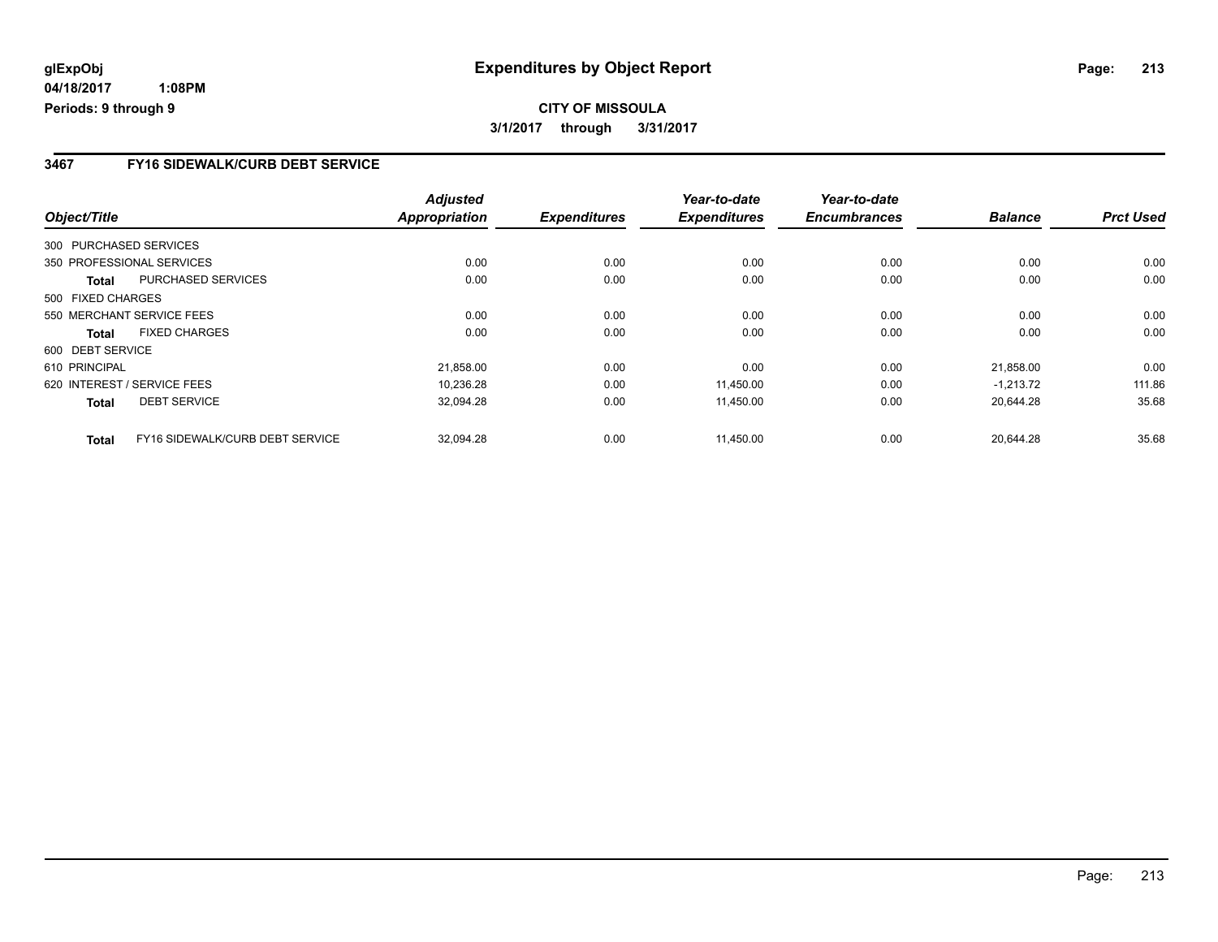## **CITY OF MISSOULA 3/1/2017 through 3/31/2017**

#### **3467 FY16 SIDEWALK/CURB DEBT SERVICE**

| Object/Title           |                                 | <b>Adjusted</b><br><b>Appropriation</b> | <b>Expenditures</b> | Year-to-date<br><b>Expenditures</b> | Year-to-date<br><b>Encumbrances</b> | <b>Balance</b> | <b>Prct Used</b> |
|------------------------|---------------------------------|-----------------------------------------|---------------------|-------------------------------------|-------------------------------------|----------------|------------------|
|                        |                                 |                                         |                     |                                     |                                     |                |                  |
| 300 PURCHASED SERVICES |                                 |                                         |                     |                                     |                                     |                |                  |
|                        | 350 PROFESSIONAL SERVICES       | 0.00                                    | 0.00                | 0.00                                | 0.00                                | 0.00           | 0.00             |
| Total                  | PURCHASED SERVICES              | 0.00                                    | 0.00                | 0.00                                | 0.00                                | 0.00           | 0.00             |
| 500 FIXED CHARGES      |                                 |                                         |                     |                                     |                                     |                |                  |
|                        | 550 MERCHANT SERVICE FEES       | 0.00                                    | 0.00                | 0.00                                | 0.00                                | 0.00           | 0.00             |
| Total                  | <b>FIXED CHARGES</b>            | 0.00                                    | 0.00                | 0.00                                | 0.00                                | 0.00           | 0.00             |
| 600 DEBT SERVICE       |                                 |                                         |                     |                                     |                                     |                |                  |
| 610 PRINCIPAL          |                                 | 21,858.00                               | 0.00                | 0.00                                | 0.00                                | 21,858.00      | 0.00             |
|                        | 620 INTEREST / SERVICE FEES     | 10,236.28                               | 0.00                | 11,450.00                           | 0.00                                | $-1.213.72$    | 111.86           |
| <b>Total</b>           | <b>DEBT SERVICE</b>             | 32,094.28                               | 0.00                | 11,450.00                           | 0.00                                | 20.644.28      | 35.68            |
| <b>Total</b>           | FY16 SIDEWALK/CURB DEBT SERVICE | 32.094.28                               | 0.00                | 11.450.00                           | 0.00                                | 20.644.28      | 35.68            |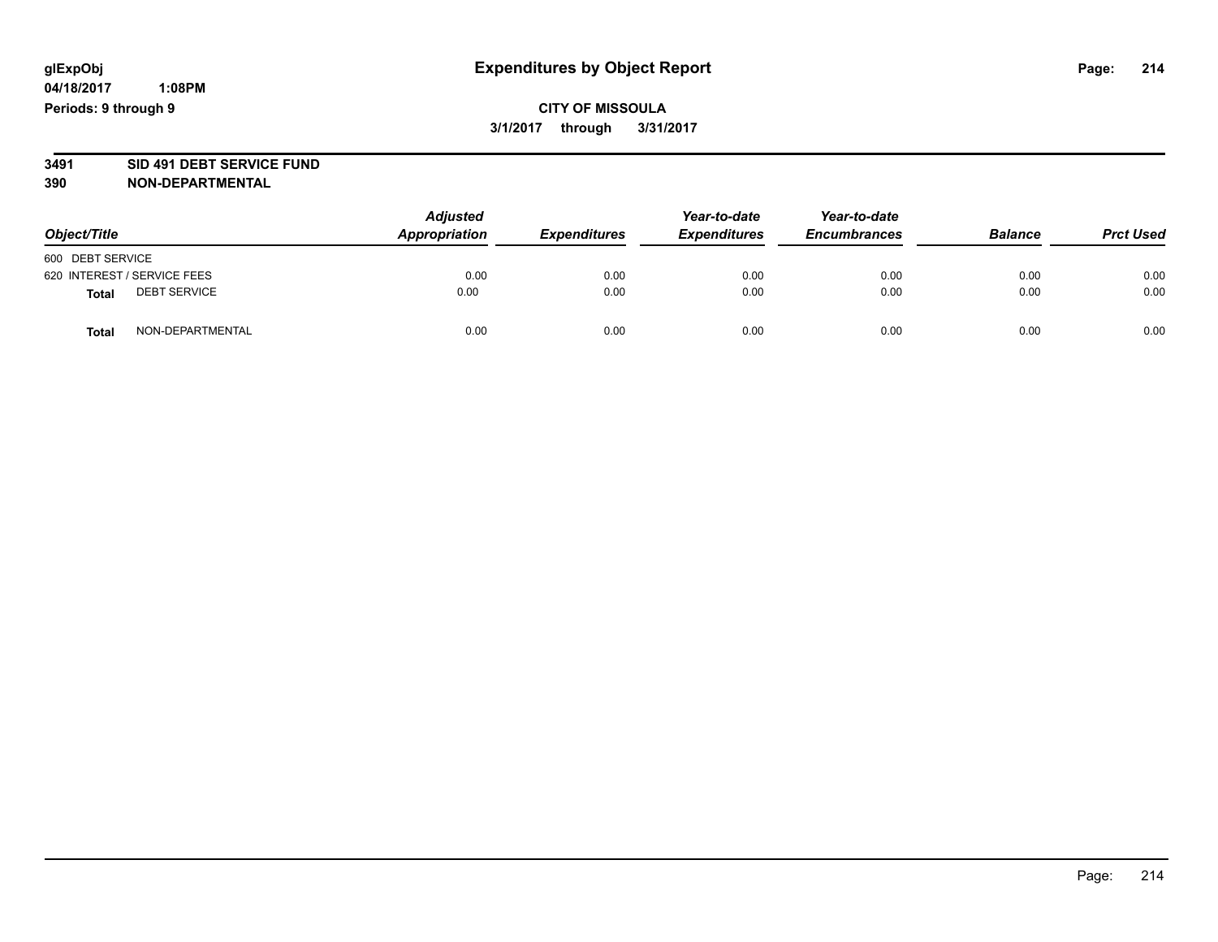### **CITY OF MISSOULA 3/1/2017 through 3/31/2017**

# **3491 SID 491 DEBT SERVICE FUND**

| Object/Title                        | <b>Adjusted</b><br>Appropriation | <b>Expenditures</b> | Year-to-date<br><b>Expenditures</b> | Year-to-date<br><b>Encumbrances</b> | <b>Balance</b> | <b>Prct Used</b> |
|-------------------------------------|----------------------------------|---------------------|-------------------------------------|-------------------------------------|----------------|------------------|
| 600 DEBT SERVICE                    |                                  |                     |                                     |                                     |                |                  |
| 620 INTEREST / SERVICE FEES         | 0.00                             | 0.00                | 0.00                                | 0.00                                | 0.00           | 0.00             |
| <b>DEBT SERVICE</b><br><b>Total</b> | 0.00                             | 0.00                | 0.00                                | 0.00                                | 0.00           | 0.00             |
| NON-DEPARTMENTAL<br><b>Total</b>    | 0.00                             | 0.00                | 0.00                                | 0.00                                | 0.00           | 0.00             |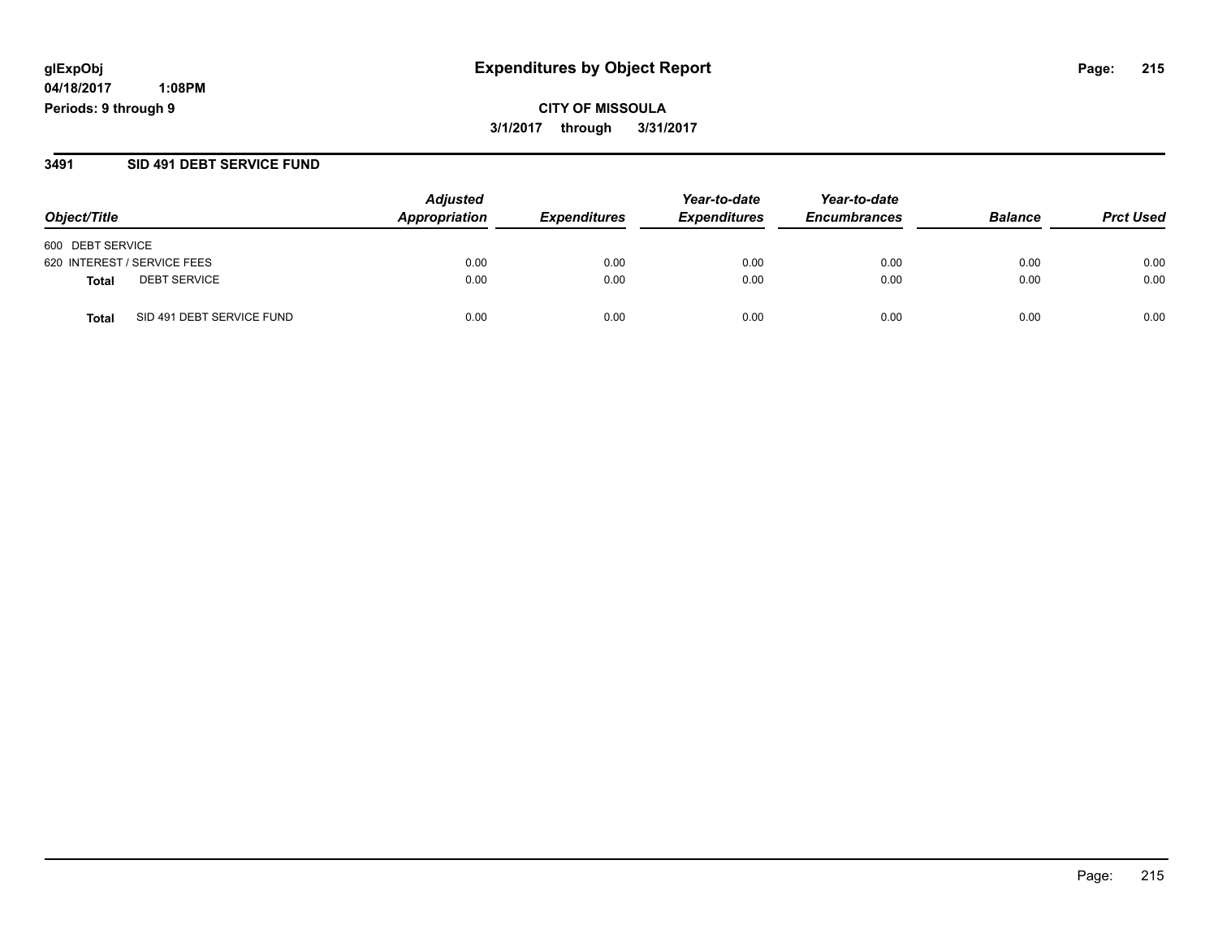**04/18/2017 1:08PM Periods: 9 through 9**

**CITY OF MISSOULA 3/1/2017 through 3/31/2017**

#### **3491 SID 491 DEBT SERVICE FUND**

| Object/Title                              | <b>Adjusted</b><br>Appropriation | <b>Expenditures</b> | Year-to-date<br><b>Expenditures</b> | Year-to-date<br><b>Encumbrances</b> | <b>Balance</b> | <b>Prct Used</b> |
|-------------------------------------------|----------------------------------|---------------------|-------------------------------------|-------------------------------------|----------------|------------------|
| 600 DEBT SERVICE                          |                                  |                     |                                     |                                     |                |                  |
| 620 INTEREST / SERVICE FEES               | 0.00                             | 0.00                | 0.00                                | 0.00                                | 0.00           | 0.00             |
| <b>DEBT SERVICE</b><br>Total              | 0.00                             | 0.00                | 0.00                                | 0.00                                | 0.00           | 0.00             |
| SID 491 DEBT SERVICE FUND<br><b>Total</b> | 0.00                             | 0.00                | 0.00                                | 0.00                                | 0.00           | 0.00             |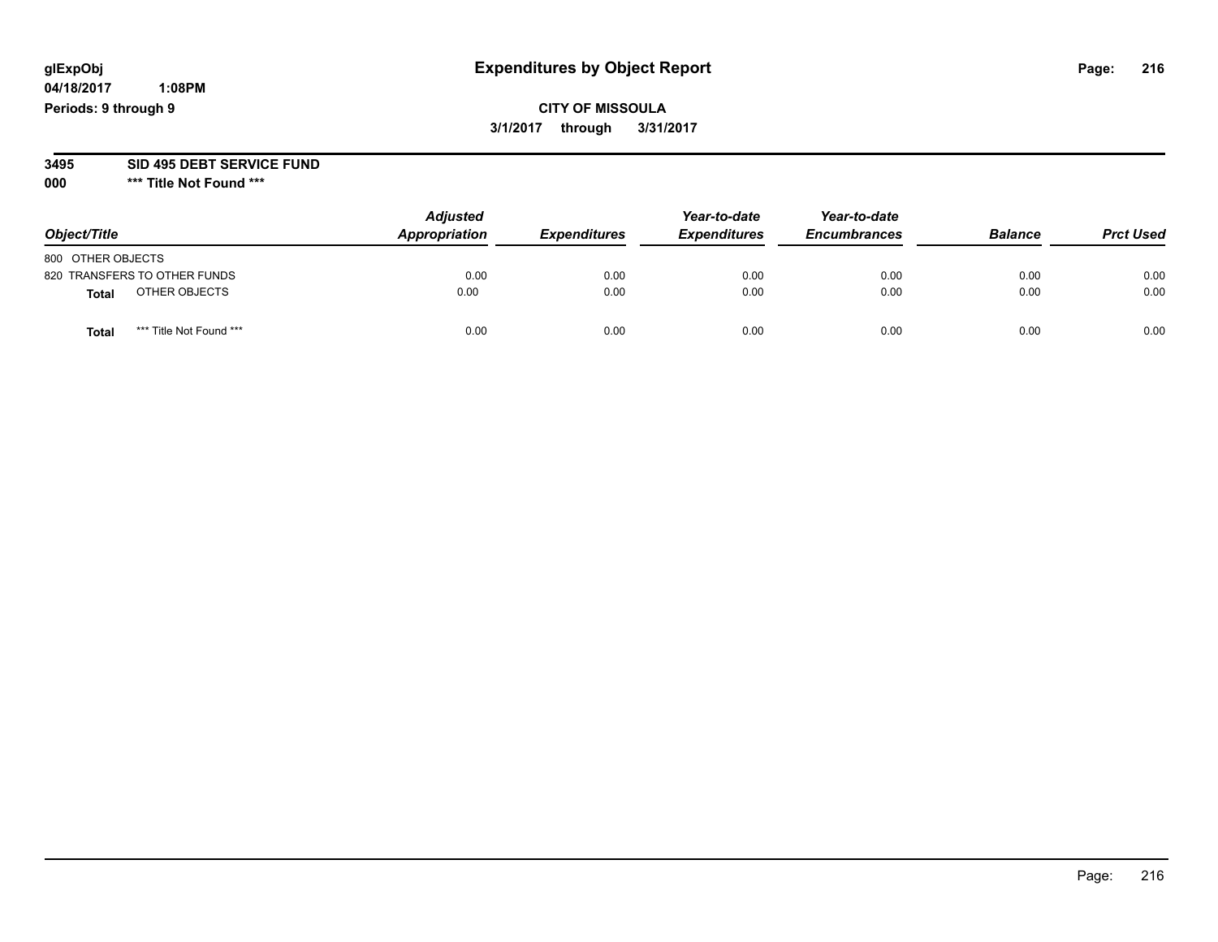**04/18/2017 1:08PM Periods: 9 through 9**

**CITY OF MISSOULA 3/1/2017 through 3/31/2017**

**3495 SID 495 DEBT SERVICE FUND**

**000 \*\*\* Title Not Found \*\*\***

| Object/Title      |                              | <b>Adjusted</b><br>Appropriation | <b>Expenditures</b> | Year-to-date<br><b>Expenditures</b> | Year-to-date<br><b>Encumbrances</b> | <b>Balance</b> | <b>Prct Used</b> |
|-------------------|------------------------------|----------------------------------|---------------------|-------------------------------------|-------------------------------------|----------------|------------------|
| 800 OTHER OBJECTS |                              |                                  |                     |                                     |                                     |                |                  |
|                   | 820 TRANSFERS TO OTHER FUNDS | 0.00                             | 0.00                | 0.00                                | 0.00                                | 0.00           | 0.00             |
| <b>Total</b>      | OTHER OBJECTS                | 0.00                             | 0.00                | 0.00                                | 0.00                                | 0.00           | 0.00             |
| <b>Total</b>      | *** Title Not Found ***      | 0.00                             | 0.00                | 0.00                                | 0.00                                | 0.00           | 0.00             |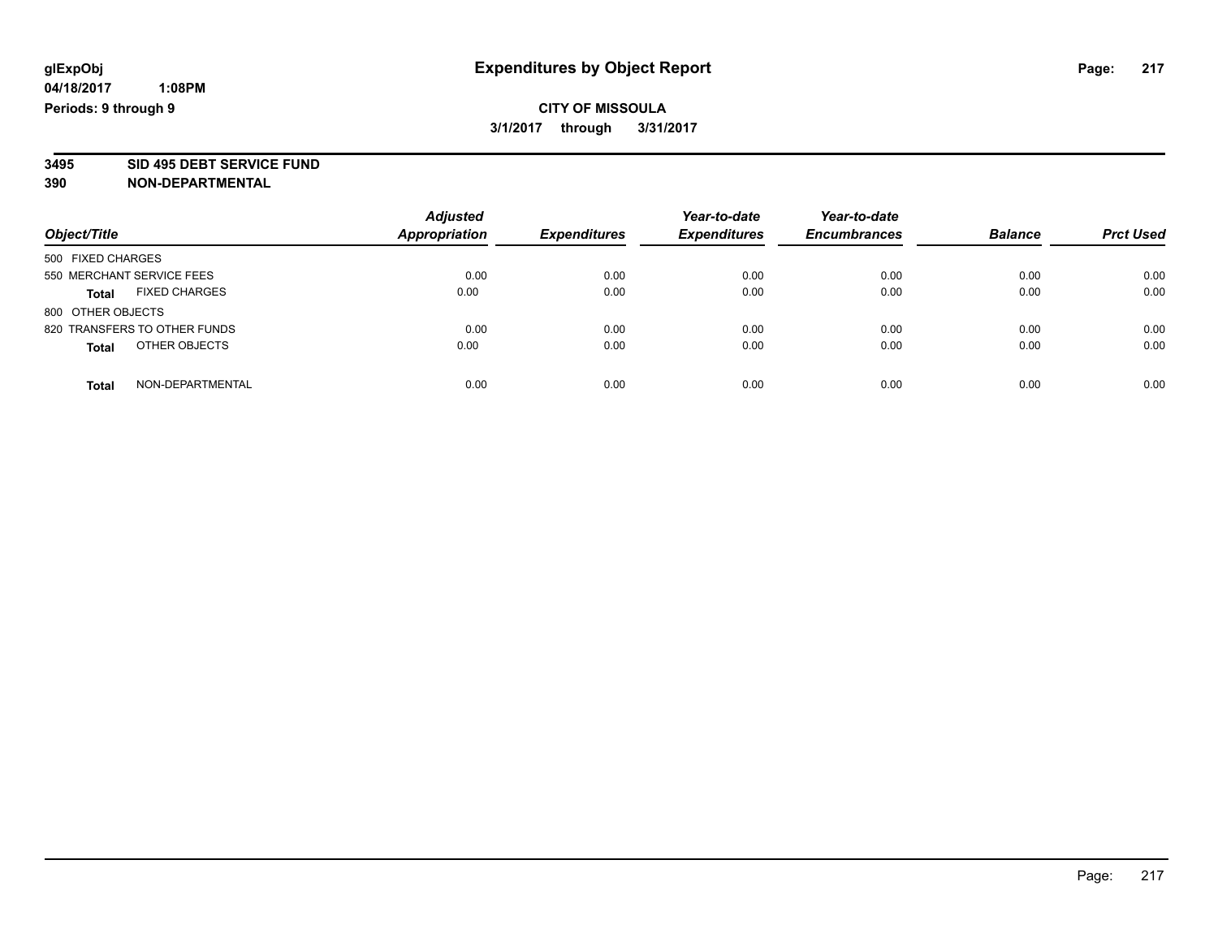# **CITY OF MISSOULA 3/1/2017 through 3/31/2017**

**3495 SID 495 DEBT SERVICE FUND**

|                                      | <b>Adjusted</b>      |                     | Year-to-date        | Year-to-date        |                |                  |
|--------------------------------------|----------------------|---------------------|---------------------|---------------------|----------------|------------------|
| Object/Title                         | <b>Appropriation</b> | <b>Expenditures</b> | <b>Expenditures</b> | <b>Encumbrances</b> | <b>Balance</b> | <b>Prct Used</b> |
| 500 FIXED CHARGES                    |                      |                     |                     |                     |                |                  |
| 550 MERCHANT SERVICE FEES            | 0.00                 | 0.00                | 0.00                | 0.00                | 0.00           | 0.00             |
| <b>FIXED CHARGES</b><br><b>Total</b> | 0.00                 | 0.00                | 0.00                | 0.00                | 0.00           | 0.00             |
| 800 OTHER OBJECTS                    |                      |                     |                     |                     |                |                  |
| 820 TRANSFERS TO OTHER FUNDS         | 0.00                 | 0.00                | 0.00                | 0.00                | 0.00           | 0.00             |
| OTHER OBJECTS<br><b>Total</b>        | 0.00                 | 0.00                | 0.00                | 0.00                | 0.00           | 0.00             |
| NON-DEPARTMENTAL<br>Total            | 0.00                 | 0.00                | 0.00                | 0.00                | 0.00           | 0.00             |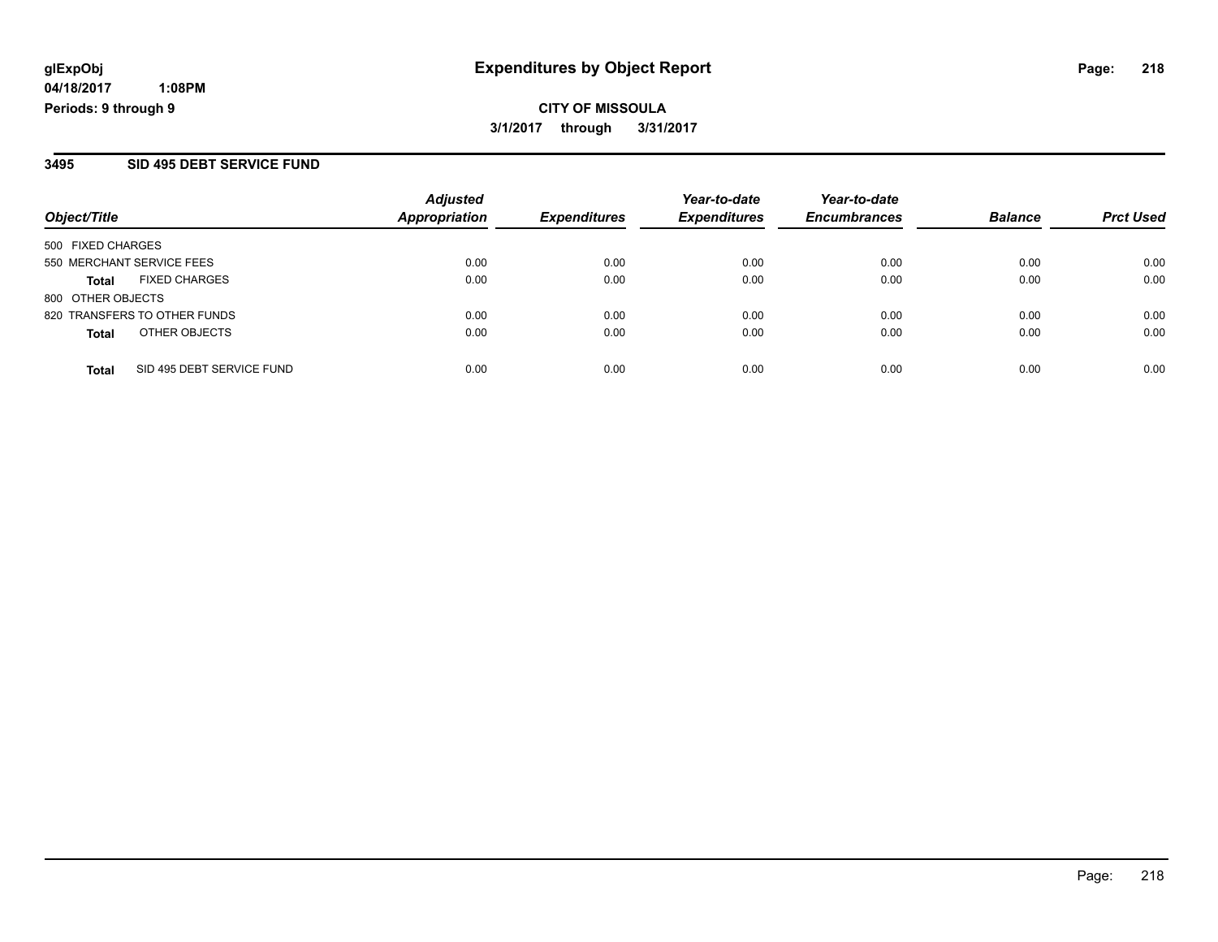**CITY OF MISSOULA 3/1/2017 through 3/31/2017**

#### **3495 SID 495 DEBT SERVICE FUND**

| Object/Title                              | <b>Adjusted</b><br>Appropriation | <b>Expenditures</b> | Year-to-date<br><b>Expenditures</b> | Year-to-date<br><b>Encumbrances</b> | <b>Balance</b> | <b>Prct Used</b> |
|-------------------------------------------|----------------------------------|---------------------|-------------------------------------|-------------------------------------|----------------|------------------|
| 500 FIXED CHARGES                         |                                  |                     |                                     |                                     |                |                  |
| 550 MERCHANT SERVICE FEES                 | 0.00                             | 0.00                | 0.00                                | 0.00                                | 0.00           | 0.00             |
| <b>FIXED CHARGES</b><br><b>Total</b>      | 0.00                             | 0.00                | 0.00                                | 0.00                                | 0.00           | 0.00             |
| 800 OTHER OBJECTS                         |                                  |                     |                                     |                                     |                |                  |
| 820 TRANSFERS TO OTHER FUNDS              | 0.00                             | 0.00                | 0.00                                | 0.00                                | 0.00           | 0.00             |
| OTHER OBJECTS<br><b>Total</b>             | 0.00                             | 0.00                | 0.00                                | 0.00                                | 0.00           | 0.00             |
| SID 495 DEBT SERVICE FUND<br><b>Total</b> | 0.00                             | 0.00                | 0.00                                | 0.00                                | 0.00           | 0.00             |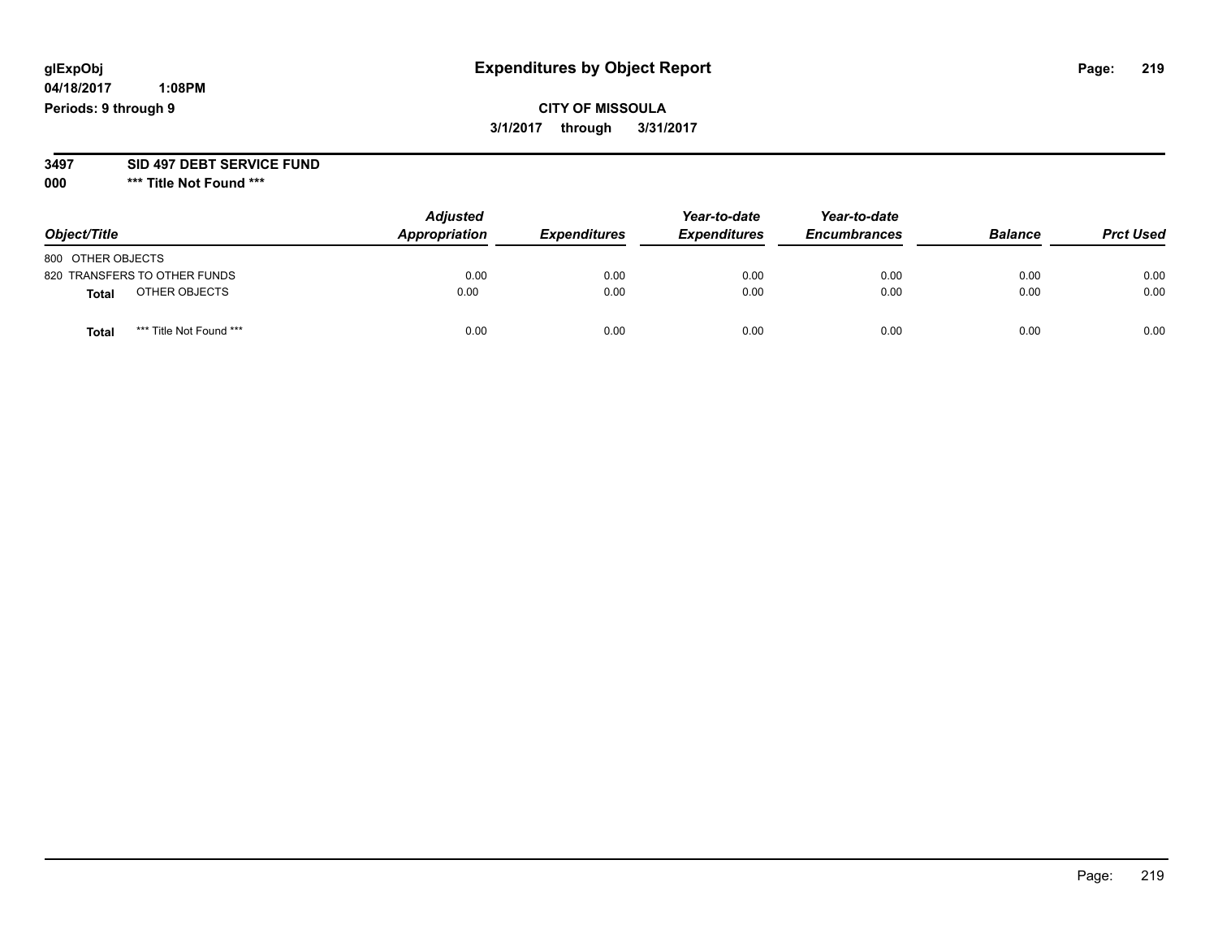**04/18/2017 1:08PM Periods: 9 through 9**

**CITY OF MISSOULA 3/1/2017 through 3/31/2017**

**3497 SID 497 DEBT SERVICE FUND**

| Object/Title      |                              | <b>Adjusted</b><br>Appropriation | <b>Expenditures</b> | Year-to-date<br><b>Expenditures</b> | Year-to-date<br><b>Encumbrances</b> | <b>Balance</b> | <b>Prct Used</b> |
|-------------------|------------------------------|----------------------------------|---------------------|-------------------------------------|-------------------------------------|----------------|------------------|
| 800 OTHER OBJECTS |                              |                                  |                     |                                     |                                     |                |                  |
|                   | 820 TRANSFERS TO OTHER FUNDS | 0.00                             | 0.00                | 0.00                                | 0.00                                | 0.00           | 0.00             |
| <b>Total</b>      | OTHER OBJECTS                | 0.00                             | 0.00                | 0.00                                | 0.00                                | 0.00           | 0.00             |
| <b>Total</b>      | *** Title Not Found ***      | 0.00                             | 0.00                | 0.00                                | 0.00                                | 0.00           | 0.00             |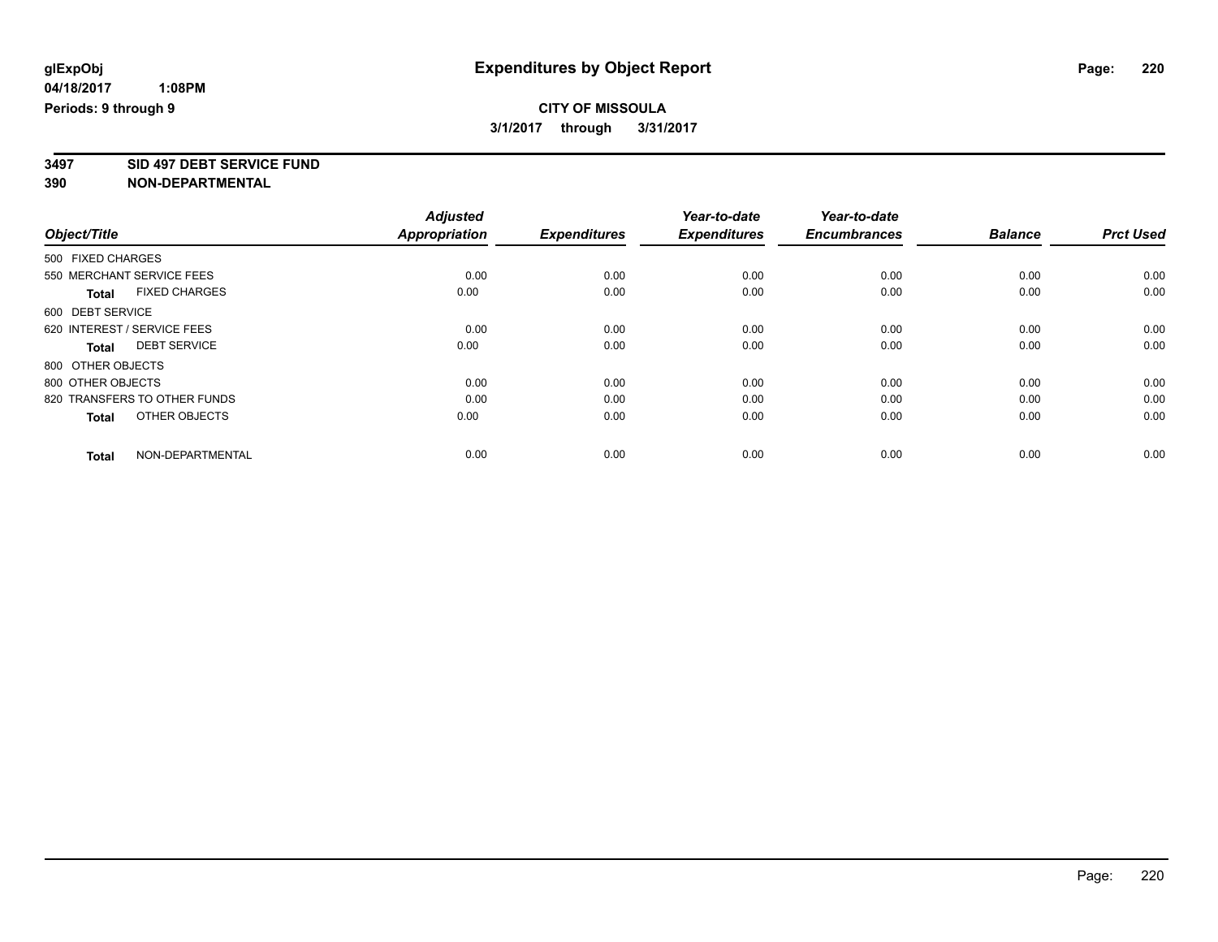# **CITY OF MISSOULA 3/1/2017 through 3/31/2017**

**3497 SID 497 DEBT SERVICE FUND**

|                                      | <b>Adjusted</b>      |                     | Year-to-date        | Year-to-date        |                |                  |
|--------------------------------------|----------------------|---------------------|---------------------|---------------------|----------------|------------------|
| Object/Title                         | <b>Appropriation</b> | <b>Expenditures</b> | <b>Expenditures</b> | <b>Encumbrances</b> | <b>Balance</b> | <b>Prct Used</b> |
| 500 FIXED CHARGES                    |                      |                     |                     |                     |                |                  |
| 550 MERCHANT SERVICE FEES            | 0.00                 | 0.00                | 0.00                | 0.00                | 0.00           | 0.00             |
| <b>FIXED CHARGES</b><br><b>Total</b> | 0.00                 | 0.00                | 0.00                | 0.00                | 0.00           | 0.00             |
| 600 DEBT SERVICE                     |                      |                     |                     |                     |                |                  |
| 620 INTEREST / SERVICE FEES          | 0.00                 | 0.00                | 0.00                | 0.00                | 0.00           | 0.00             |
| <b>DEBT SERVICE</b><br><b>Total</b>  | 0.00                 | 0.00                | 0.00                | 0.00                | 0.00           | 0.00             |
| 800 OTHER OBJECTS                    |                      |                     |                     |                     |                |                  |
| 800 OTHER OBJECTS                    | 0.00                 | 0.00                | 0.00                | 0.00                | 0.00           | 0.00             |
| 820 TRANSFERS TO OTHER FUNDS         | 0.00                 | 0.00                | 0.00                | 0.00                | 0.00           | 0.00             |
| OTHER OBJECTS<br><b>Total</b>        | 0.00                 | 0.00                | 0.00                | 0.00                | 0.00           | 0.00             |
|                                      |                      |                     |                     |                     |                |                  |
| NON-DEPARTMENTAL<br><b>Total</b>     | 0.00                 | 0.00                | 0.00                | 0.00                | 0.00           | 0.00             |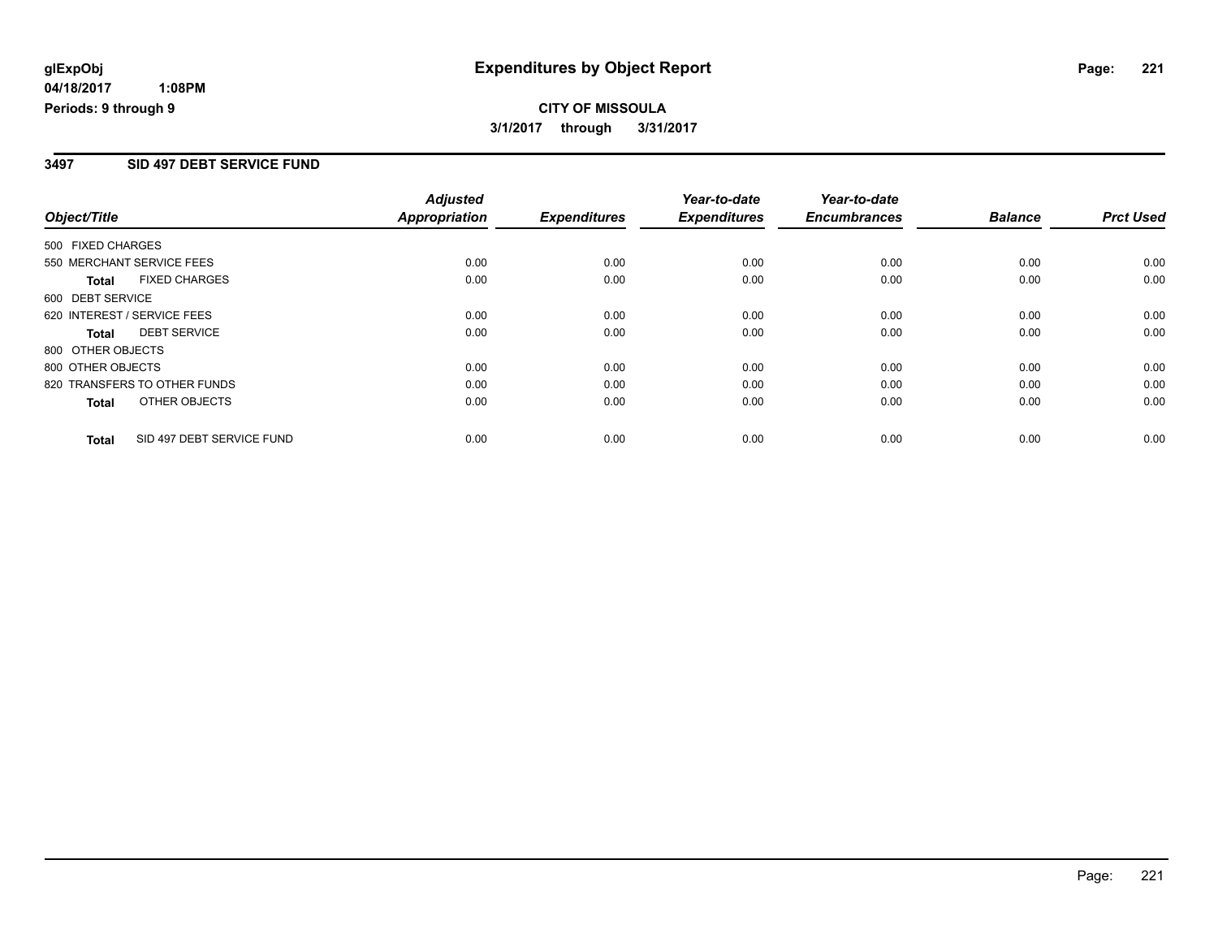# **CITY OF MISSOULA 3/1/2017 through 3/31/2017**

### **3497 SID 497 DEBT SERVICE FUND**

|                   |                              | <b>Adjusted</b>      |                     | Year-to-date        | Year-to-date        |                |                  |
|-------------------|------------------------------|----------------------|---------------------|---------------------|---------------------|----------------|------------------|
| Object/Title      |                              | <b>Appropriation</b> | <b>Expenditures</b> | <b>Expenditures</b> | <b>Encumbrances</b> | <b>Balance</b> | <b>Prct Used</b> |
| 500 FIXED CHARGES |                              |                      |                     |                     |                     |                |                  |
|                   | 550 MERCHANT SERVICE FEES    | 0.00                 | 0.00                | 0.00                | 0.00                | 0.00           | 0.00             |
| <b>Total</b>      | <b>FIXED CHARGES</b>         | 0.00                 | 0.00                | 0.00                | 0.00                | 0.00           | 0.00             |
| 600 DEBT SERVICE  |                              |                      |                     |                     |                     |                |                  |
|                   | 620 INTEREST / SERVICE FEES  | 0.00                 | 0.00                | 0.00                | 0.00                | 0.00           | 0.00             |
| <b>Total</b>      | <b>DEBT SERVICE</b>          | 0.00                 | 0.00                | 0.00                | 0.00                | 0.00           | 0.00             |
| 800 OTHER OBJECTS |                              |                      |                     |                     |                     |                |                  |
| 800 OTHER OBJECTS |                              | 0.00                 | 0.00                | 0.00                | 0.00                | 0.00           | 0.00             |
|                   | 820 TRANSFERS TO OTHER FUNDS | 0.00                 | 0.00                | 0.00                | 0.00                | 0.00           | 0.00             |
| <b>Total</b>      | OTHER OBJECTS                | 0.00                 | 0.00                | 0.00                | 0.00                | 0.00           | 0.00             |
| Total             | SID 497 DEBT SERVICE FUND    | 0.00                 | 0.00                | 0.00                | 0.00                | 0.00           | 0.00             |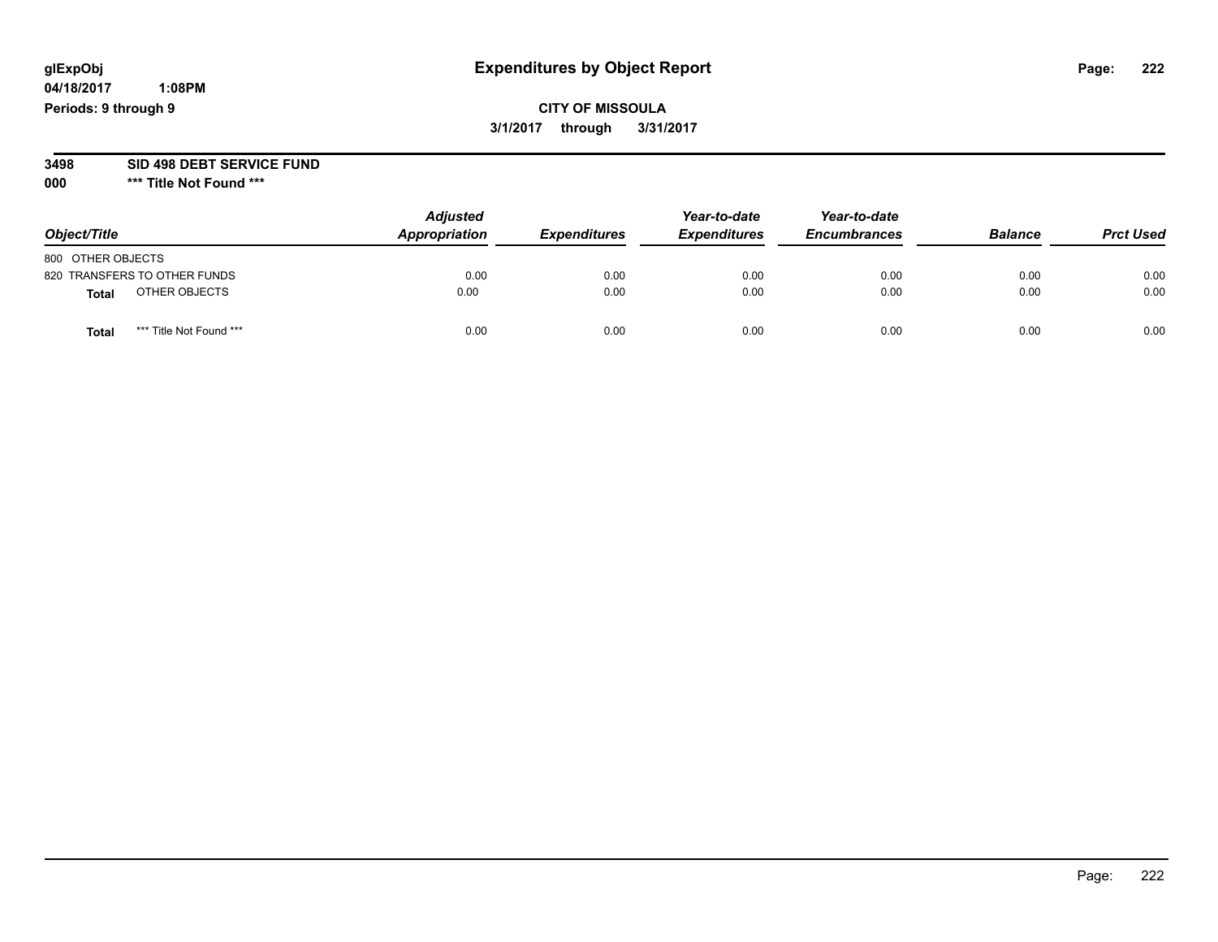**04/18/2017 1:08PM Periods: 9 through 9**

**CITY OF MISSOULA 3/1/2017 through 3/31/2017**

**3498 SID 498 DEBT SERVICE FUND**

| Object/Title      |                              | <b>Adjusted</b><br>Appropriation | <b>Expenditures</b> | Year-to-date<br><b>Expenditures</b> | Year-to-date<br><b>Encumbrances</b> | <b>Balance</b> | <b>Prct Used</b> |
|-------------------|------------------------------|----------------------------------|---------------------|-------------------------------------|-------------------------------------|----------------|------------------|
| 800 OTHER OBJECTS |                              |                                  |                     |                                     |                                     |                |                  |
|                   | 820 TRANSFERS TO OTHER FUNDS | 0.00                             | 0.00                | 0.00                                | 0.00                                | 0.00           | 0.00             |
| <b>Total</b>      | OTHER OBJECTS                | 0.00                             | 0.00                | 0.00                                | 0.00                                | 0.00           | 0.00             |
| <b>Total</b>      | *** Title Not Found ***      | 0.00                             | 0.00                | 0.00                                | 0.00                                | 0.00           | 0.00             |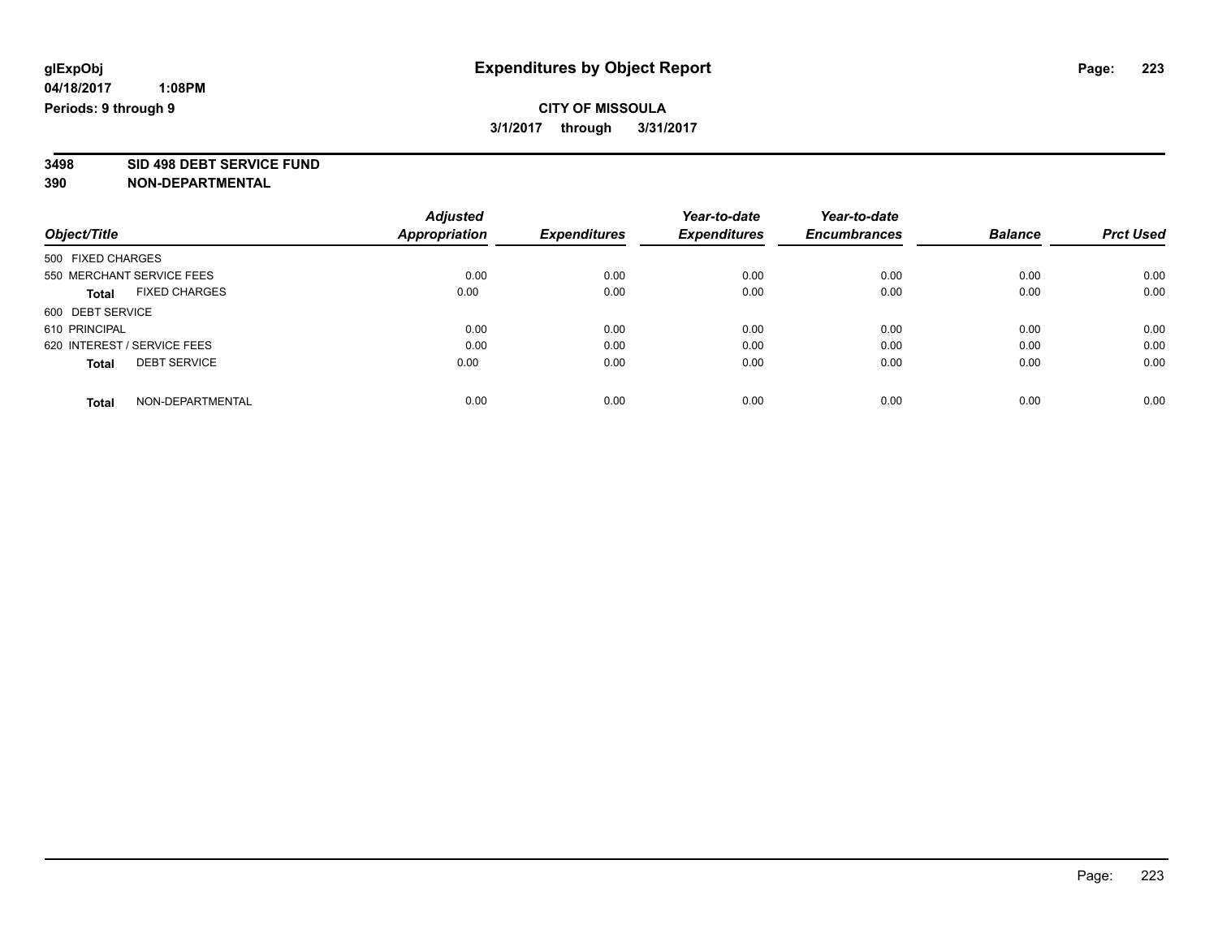# **CITY OF MISSOULA 3/1/2017 through 3/31/2017**

**3498 SID 498 DEBT SERVICE FUND**

|                                      | <b>Adjusted</b> | <b>Expenditures</b> | Year-to-date<br><b>Expenditures</b> | Year-to-date        | <b>Balance</b> | <b>Prct Used</b> |
|--------------------------------------|-----------------|---------------------|-------------------------------------|---------------------|----------------|------------------|
| Object/Title                         | Appropriation   |                     |                                     | <b>Encumbrances</b> |                |                  |
| 500 FIXED CHARGES                    |                 |                     |                                     |                     |                |                  |
| 550 MERCHANT SERVICE FEES            | 0.00            | 0.00                | 0.00                                | 0.00                | 0.00           | 0.00             |
| <b>FIXED CHARGES</b><br><b>Total</b> | 0.00            | 0.00                | 0.00                                | 0.00                | 0.00           | 0.00             |
| 600 DEBT SERVICE                     |                 |                     |                                     |                     |                |                  |
| 610 PRINCIPAL                        | 0.00            | 0.00                | 0.00                                | 0.00                | 0.00           | 0.00             |
| 620 INTEREST / SERVICE FEES          | 0.00            | 0.00                | 0.00                                | 0.00                | 0.00           | 0.00             |
| <b>DEBT SERVICE</b><br><b>Total</b>  | 0.00            | 0.00                | 0.00                                | 0.00                | 0.00           | 0.00             |
| NON-DEPARTMENTAL<br><b>Total</b>     | 0.00            | 0.00                | 0.00                                | 0.00                | 0.00           | 0.00             |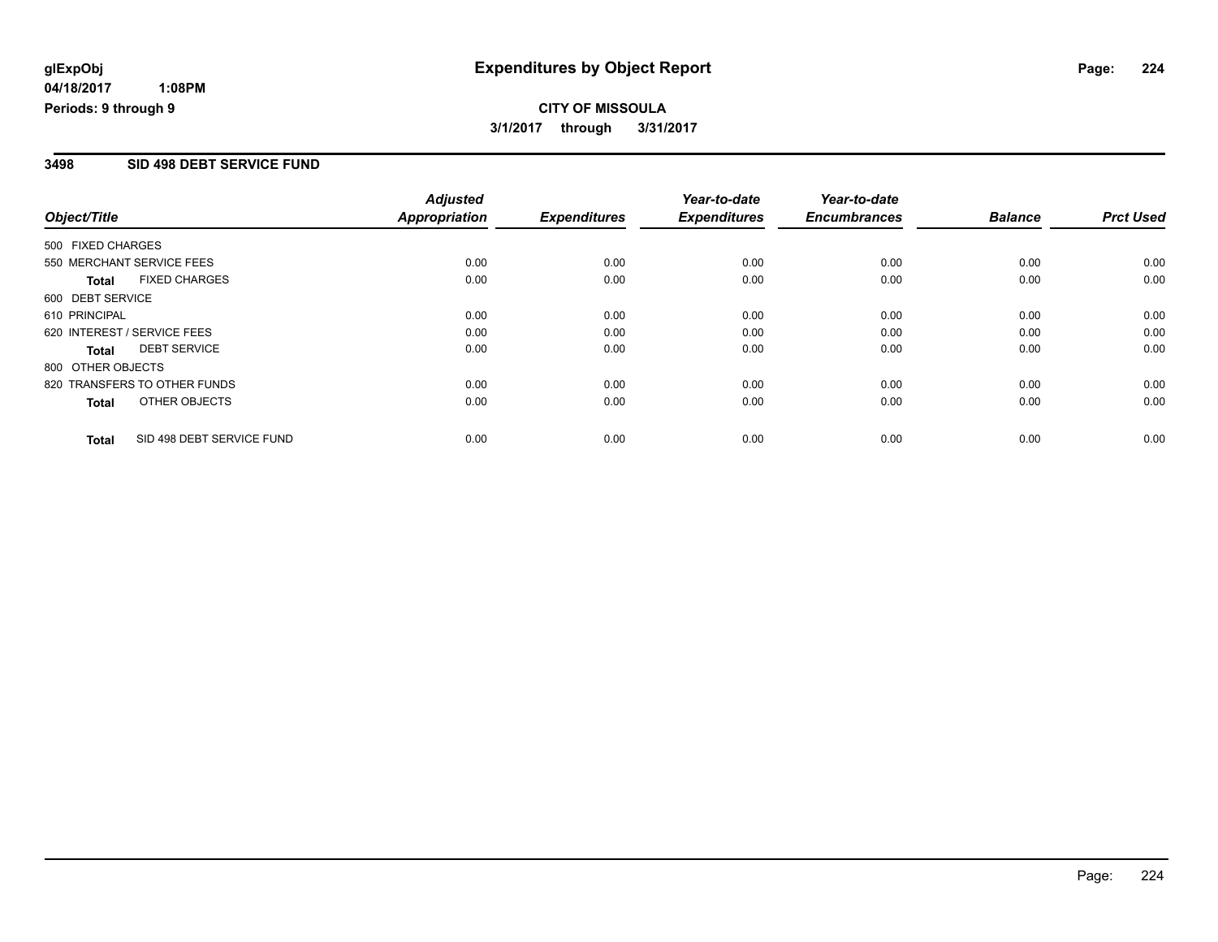# **CITY OF MISSOULA 3/1/2017 through 3/31/2017**

#### **3498 SID 498 DEBT SERVICE FUND**

| Object/Title      |                              | <b>Adjusted</b><br><b>Appropriation</b> | <b>Expenditures</b> | Year-to-date<br><b>Expenditures</b> | Year-to-date<br><b>Encumbrances</b> | <b>Balance</b> | <b>Prct Used</b> |
|-------------------|------------------------------|-----------------------------------------|---------------------|-------------------------------------|-------------------------------------|----------------|------------------|
|                   |                              |                                         |                     |                                     |                                     |                |                  |
| 500 FIXED CHARGES |                              |                                         |                     |                                     |                                     |                |                  |
|                   | 550 MERCHANT SERVICE FEES    | 0.00                                    | 0.00                | 0.00                                | 0.00                                | 0.00           | 0.00             |
| <b>Total</b>      | <b>FIXED CHARGES</b>         | 0.00                                    | 0.00                | 0.00                                | 0.00                                | 0.00           | 0.00             |
| 600 DEBT SERVICE  |                              |                                         |                     |                                     |                                     |                |                  |
| 610 PRINCIPAL     |                              | 0.00                                    | 0.00                | 0.00                                | 0.00                                | 0.00           | 0.00             |
|                   | 620 INTEREST / SERVICE FEES  | 0.00                                    | 0.00                | 0.00                                | 0.00                                | 0.00           | 0.00             |
| Total             | <b>DEBT SERVICE</b>          | 0.00                                    | 0.00                | 0.00                                | 0.00                                | 0.00           | 0.00             |
| 800 OTHER OBJECTS |                              |                                         |                     |                                     |                                     |                |                  |
|                   | 820 TRANSFERS TO OTHER FUNDS | 0.00                                    | 0.00                | 0.00                                | 0.00                                | 0.00           | 0.00             |
| <b>Total</b>      | OTHER OBJECTS                | 0.00                                    | 0.00                | 0.00                                | 0.00                                | 0.00           | 0.00             |
| <b>Total</b>      | SID 498 DEBT SERVICE FUND    | 0.00                                    | 0.00                | 0.00                                | 0.00                                | 0.00           | 0.00             |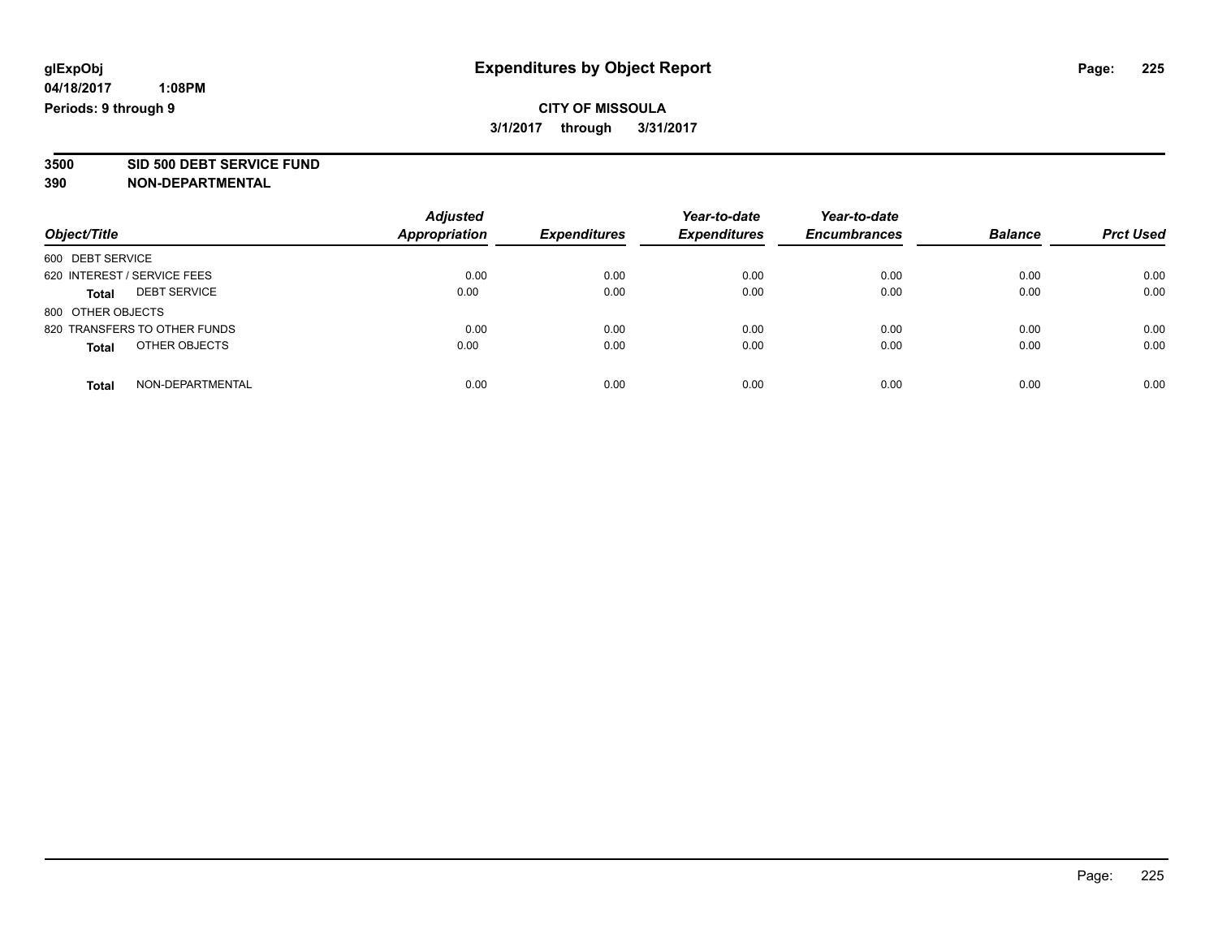# **CITY OF MISSOULA 3/1/2017 through 3/31/2017**

**3500 SID 500 DEBT SERVICE FUND**

| Object/Title                        | <b>Adjusted</b><br><b>Appropriation</b> | <b>Expenditures</b> | Year-to-date<br><b>Expenditures</b> | Year-to-date<br><b>Encumbrances</b> | <b>Balance</b> | <b>Prct Used</b> |
|-------------------------------------|-----------------------------------------|---------------------|-------------------------------------|-------------------------------------|----------------|------------------|
|                                     |                                         |                     |                                     |                                     |                |                  |
| 600 DEBT SERVICE                    |                                         |                     |                                     |                                     |                |                  |
| 620 INTEREST / SERVICE FEES         | 0.00                                    | 0.00                | 0.00                                | 0.00                                | 0.00           | 0.00             |
| <b>DEBT SERVICE</b><br><b>Total</b> | 0.00                                    | 0.00                | 0.00                                | 0.00                                | 0.00           | 0.00             |
| 800 OTHER OBJECTS                   |                                         |                     |                                     |                                     |                |                  |
| 820 TRANSFERS TO OTHER FUNDS        | 0.00                                    | 0.00                | 0.00                                | 0.00                                | 0.00           | 0.00             |
| OTHER OBJECTS<br><b>Total</b>       | 0.00                                    | 0.00                | 0.00                                | 0.00                                | 0.00           | 0.00             |
| NON-DEPARTMENTAL<br>Total           | 0.00                                    | 0.00                | 0.00                                | 0.00                                | 0.00           | 0.00             |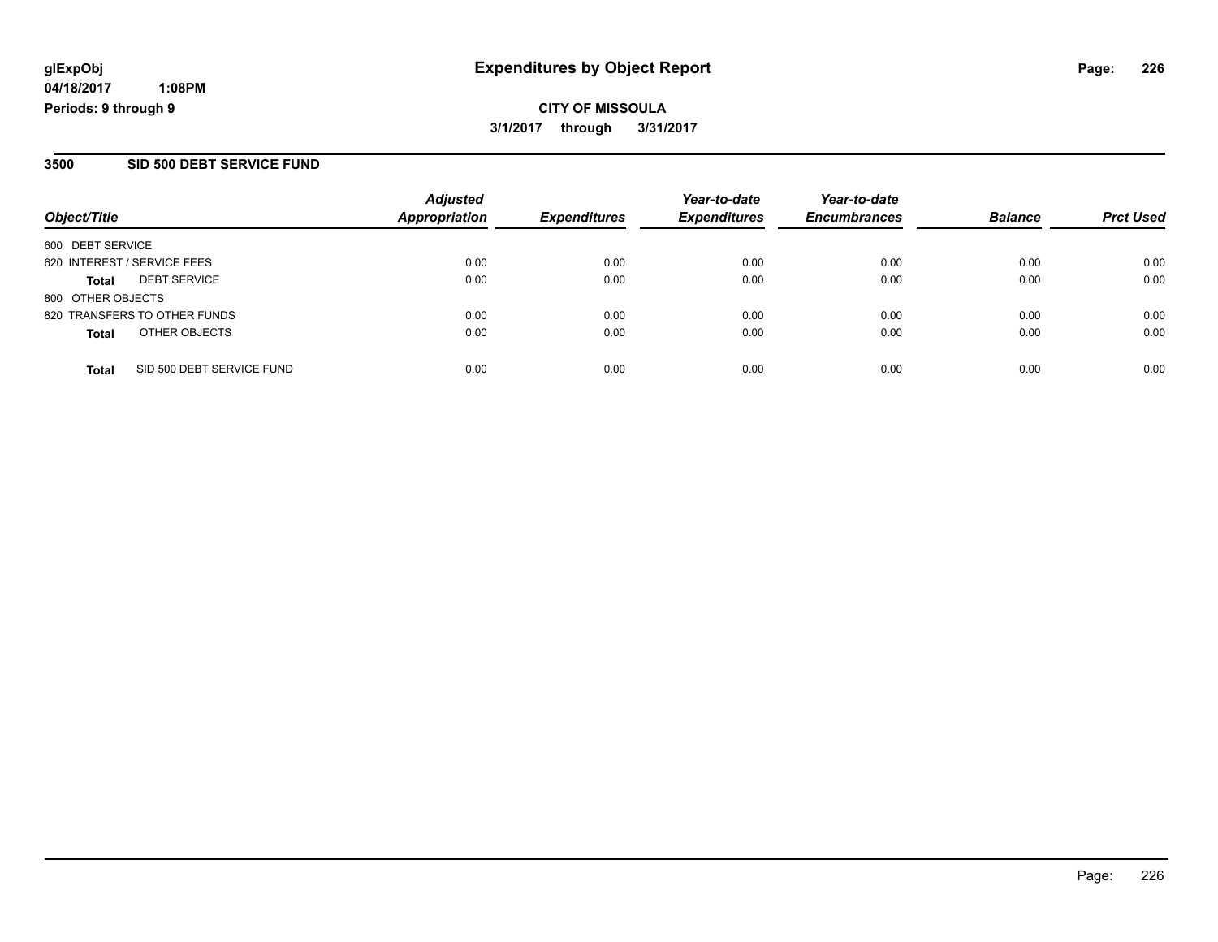**CITY OF MISSOULA 3/1/2017 through 3/31/2017**

#### **3500 SID 500 DEBT SERVICE FUND**

| Object/Title                              | <b>Adjusted</b><br><b>Appropriation</b> | <b>Expenditures</b> | Year-to-date<br><b>Expenditures</b> | Year-to-date<br><b>Encumbrances</b> | <b>Balance</b> | <b>Prct Used</b> |
|-------------------------------------------|-----------------------------------------|---------------------|-------------------------------------|-------------------------------------|----------------|------------------|
| 600 DEBT SERVICE                          |                                         |                     |                                     |                                     |                |                  |
| 620 INTEREST / SERVICE FEES               | 0.00                                    | 0.00                | 0.00                                | 0.00                                | 0.00           | 0.00             |
| <b>DEBT SERVICE</b><br><b>Total</b>       | 0.00                                    | 0.00                | 0.00                                | 0.00                                | 0.00           | 0.00             |
| 800 OTHER OBJECTS                         |                                         |                     |                                     |                                     |                |                  |
| 820 TRANSFERS TO OTHER FUNDS              | 0.00                                    | 0.00                | 0.00                                | 0.00                                | 0.00           | 0.00             |
| OTHER OBJECTS<br><b>Total</b>             | 0.00                                    | 0.00                | 0.00                                | 0.00                                | 0.00           | 0.00             |
| SID 500 DEBT SERVICE FUND<br><b>Total</b> | 0.00                                    | 0.00                | 0.00                                | 0.00                                | 0.00           | 0.00             |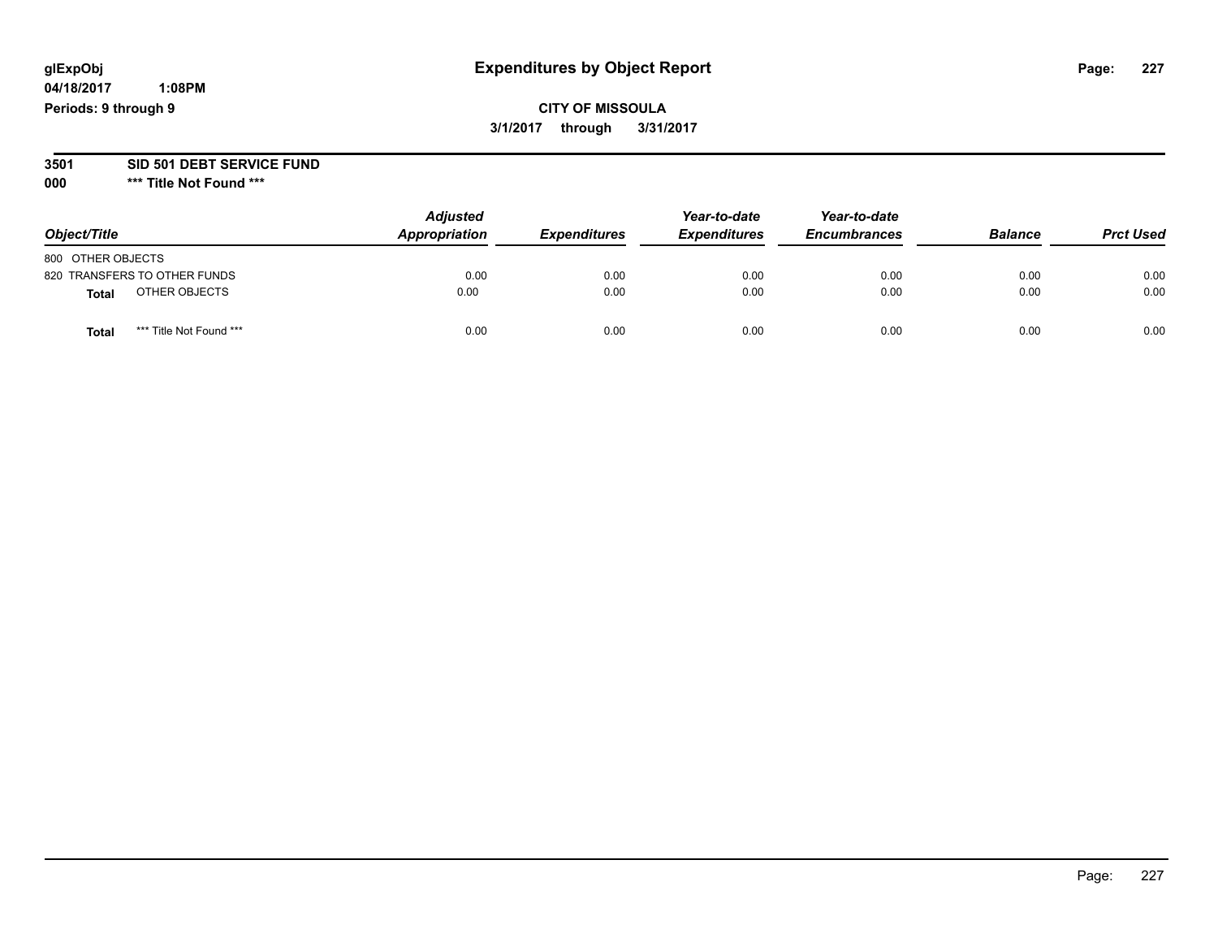**04/18/2017 1:08PM Periods: 9 through 9**

# **CITY OF MISSOULA 3/1/2017 through 3/31/2017**

#### **3501 SID 501 DEBT SERVICE FUND**

| Object/Title      |                              | <b>Adjusted</b><br>Appropriation | <b>Expenditures</b> | Year-to-date<br><b>Expenditures</b> | Year-to-date<br><b>Encumbrances</b> | <b>Balance</b> | <b>Prct Used</b> |
|-------------------|------------------------------|----------------------------------|---------------------|-------------------------------------|-------------------------------------|----------------|------------------|
| 800 OTHER OBJECTS |                              |                                  |                     |                                     |                                     |                |                  |
|                   | 820 TRANSFERS TO OTHER FUNDS | 0.00                             | 0.00                | 0.00                                | 0.00                                | 0.00           | 0.00             |
| <b>Total</b>      | OTHER OBJECTS                | 0.00                             | 0.00                | 0.00                                | 0.00                                | 0.00           | 0.00             |
| <b>Total</b>      | *** Title Not Found ***      | 0.00                             | 0.00                | 0.00                                | 0.00                                | 0.00           | 0.00             |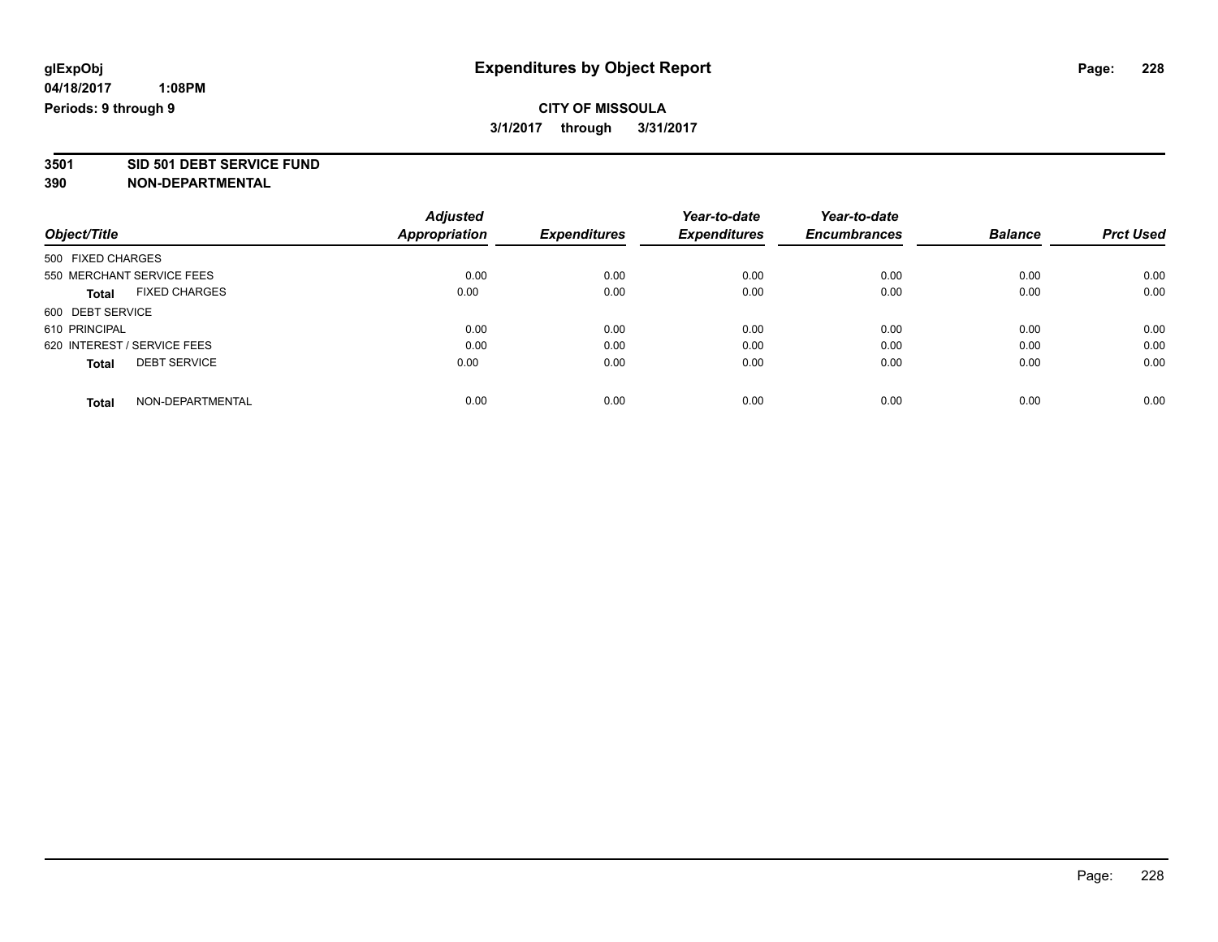# **CITY OF MISSOULA 3/1/2017 through 3/31/2017**

**3501 SID 501 DEBT SERVICE FUND**

| Object/Title                        | <b>Adjusted</b>      | <b>Expenditures</b> | Year-to-date<br><b>Expenditures</b> | Year-to-date<br><b>Encumbrances</b> | <b>Balance</b> | <b>Prct Used</b> |
|-------------------------------------|----------------------|---------------------|-------------------------------------|-------------------------------------|----------------|------------------|
|                                     | <b>Appropriation</b> |                     |                                     |                                     |                |                  |
| 500 FIXED CHARGES                   |                      |                     |                                     |                                     |                |                  |
| 550 MERCHANT SERVICE FEES           | 0.00                 | 0.00                | 0.00                                | 0.00                                | 0.00           | 0.00             |
| <b>FIXED CHARGES</b><br>Total       | 0.00                 | 0.00                | 0.00                                | 0.00                                | 0.00           | 0.00             |
| 600 DEBT SERVICE                    |                      |                     |                                     |                                     |                |                  |
| 610 PRINCIPAL                       | 0.00                 | 0.00                | 0.00                                | 0.00                                | 0.00           | 0.00             |
| 620 INTEREST / SERVICE FEES         | 0.00                 | 0.00                | 0.00                                | 0.00                                | 0.00           | 0.00             |
| <b>DEBT SERVICE</b><br><b>Total</b> | 0.00                 | 0.00                | 0.00                                | 0.00                                | 0.00           | 0.00             |
| NON-DEPARTMENTAL<br><b>Total</b>    | 0.00                 | 0.00                | 0.00                                | 0.00                                | 0.00           | 0.00             |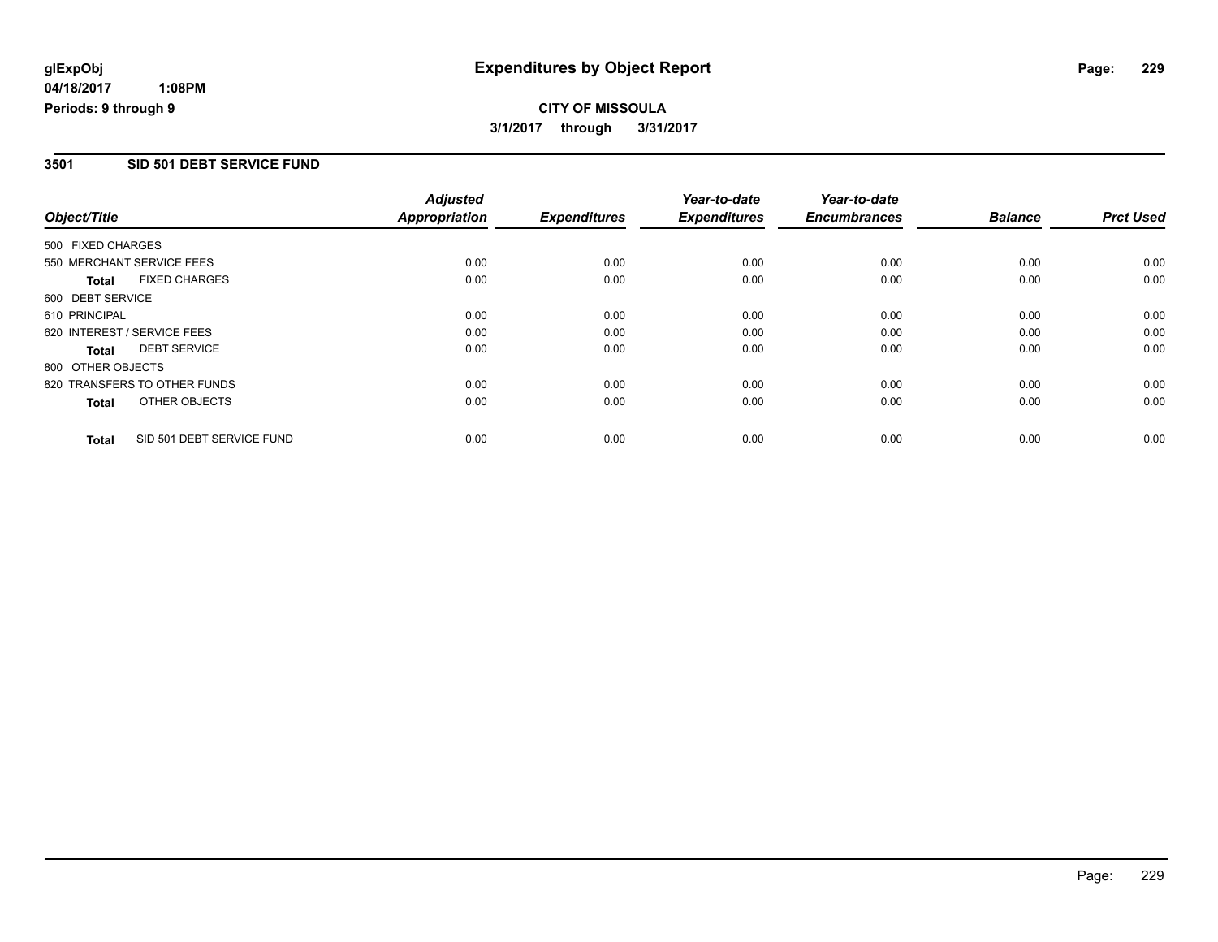**CITY OF MISSOULA 3/1/2017 through 3/31/2017**

### **3501 SID 501 DEBT SERVICE FUND**

|                   |                              | <b>Adjusted</b>      |                     | Year-to-date        | Year-to-date        |                |                  |
|-------------------|------------------------------|----------------------|---------------------|---------------------|---------------------|----------------|------------------|
| Object/Title      |                              | <b>Appropriation</b> | <b>Expenditures</b> | <b>Expenditures</b> | <b>Encumbrances</b> | <b>Balance</b> | <b>Prct Used</b> |
| 500 FIXED CHARGES |                              |                      |                     |                     |                     |                |                  |
|                   | 550 MERCHANT SERVICE FEES    | 0.00                 | 0.00                | 0.00                | 0.00                | 0.00           | 0.00             |
| <b>Total</b>      | <b>FIXED CHARGES</b>         | 0.00                 | 0.00                | 0.00                | 0.00                | 0.00           | 0.00             |
| 600 DEBT SERVICE  |                              |                      |                     |                     |                     |                |                  |
| 610 PRINCIPAL     |                              | 0.00                 | 0.00                | 0.00                | 0.00                | 0.00           | 0.00             |
|                   | 620 INTEREST / SERVICE FEES  | 0.00                 | 0.00                | 0.00                | 0.00                | 0.00           | 0.00             |
| <b>Total</b>      | <b>DEBT SERVICE</b>          | 0.00                 | 0.00                | 0.00                | 0.00                | 0.00           | 0.00             |
| 800 OTHER OBJECTS |                              |                      |                     |                     |                     |                |                  |
|                   | 820 TRANSFERS TO OTHER FUNDS | 0.00                 | 0.00                | 0.00                | 0.00                | 0.00           | 0.00             |
| Total             | OTHER OBJECTS                | 0.00                 | 0.00                | 0.00                | 0.00                | 0.00           | 0.00             |
| <b>Total</b>      | SID 501 DEBT SERVICE FUND    | 0.00                 | 0.00                | 0.00                | 0.00                | 0.00           | 0.00             |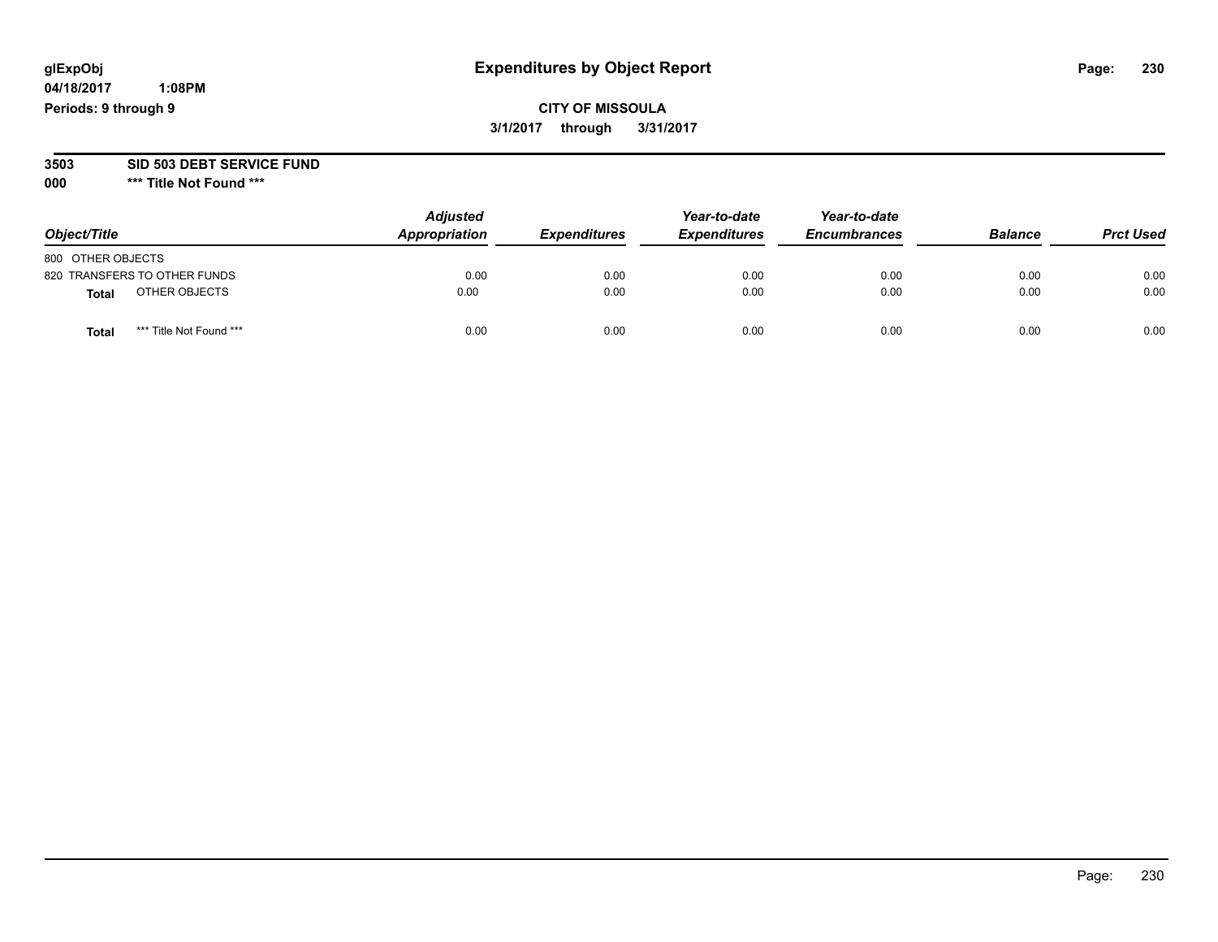**04/18/2017 1:08PM Periods: 9 through 9**

**CITY OF MISSOULA 3/1/2017 through 3/31/2017**

**3503 SID 503 DEBT SERVICE FUND**

| Object/Title                    | <b>Adjusted</b><br>Appropriation | <b>Expenditures</b> | Year-to-date<br><b>Expenditures</b> | Year-to-date<br><b>Encumbrances</b> | <b>Balance</b> | <b>Prct Used</b> |
|---------------------------------|----------------------------------|---------------------|-------------------------------------|-------------------------------------|----------------|------------------|
| 800 OTHER OBJECTS               |                                  |                     |                                     |                                     |                |                  |
| 820 TRANSFERS TO OTHER FUNDS    | 0.00                             | 0.00                | 0.00                                | 0.00                                | 0.00           | 0.00             |
| OTHER OBJECTS<br><b>Total</b>   | 0.00                             | 0.00                | 0.00                                | 0.00                                | 0.00           | 0.00             |
| *** Title Not Found ***<br>Tota | 0.00                             | 0.00                | 0.00                                | 0.00                                | 0.00           | 0.00             |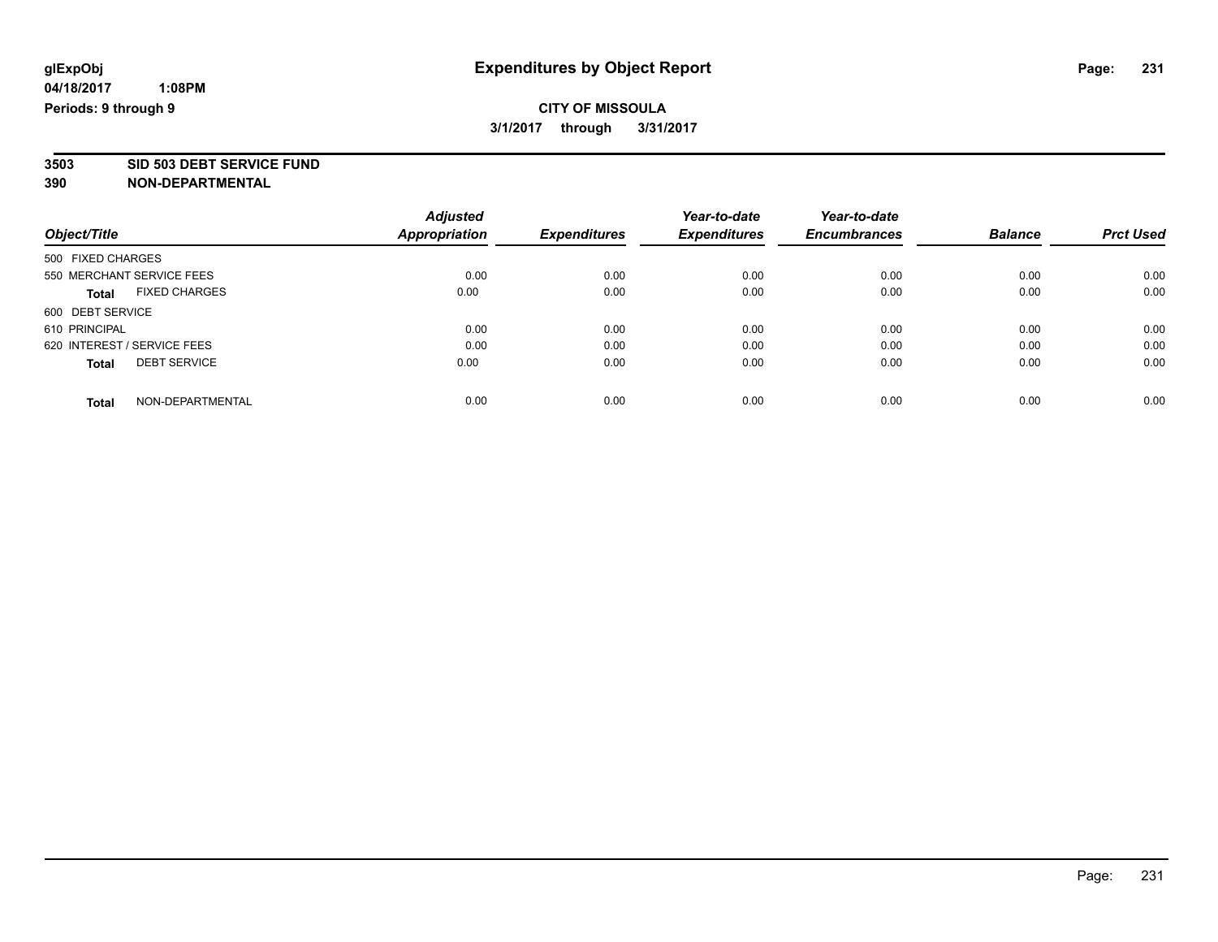# **CITY OF MISSOULA 3/1/2017 through 3/31/2017**

**3503 SID 503 DEBT SERVICE FUND**

|                             |                      | <b>Adjusted</b> |                     | Year-to-date        | Year-to-date        |                |                  |
|-----------------------------|----------------------|-----------------|---------------------|---------------------|---------------------|----------------|------------------|
| Object/Title                |                      | Appropriation   | <b>Expenditures</b> | <b>Expenditures</b> | <b>Encumbrances</b> | <b>Balance</b> | <b>Prct Used</b> |
| 500 FIXED CHARGES           |                      |                 |                     |                     |                     |                |                  |
| 550 MERCHANT SERVICE FEES   |                      | 0.00            | 0.00                | 0.00                | 0.00                | 0.00           | 0.00             |
| <b>Total</b>                | <b>FIXED CHARGES</b> | 0.00            | 0.00                | 0.00                | 0.00                | 0.00           | 0.00             |
| 600 DEBT SERVICE            |                      |                 |                     |                     |                     |                |                  |
| 610 PRINCIPAL               |                      | 0.00            | 0.00                | 0.00                | 0.00                | 0.00           | 0.00             |
| 620 INTEREST / SERVICE FEES |                      | 0.00            | 0.00                | 0.00                | 0.00                | 0.00           | 0.00             |
| <b>Total</b>                | <b>DEBT SERVICE</b>  | 0.00            | 0.00                | 0.00                | 0.00                | 0.00           | 0.00             |
| <b>Total</b>                | NON-DEPARTMENTAL     | 0.00            | 0.00                | 0.00                | 0.00                | 0.00           | 0.00             |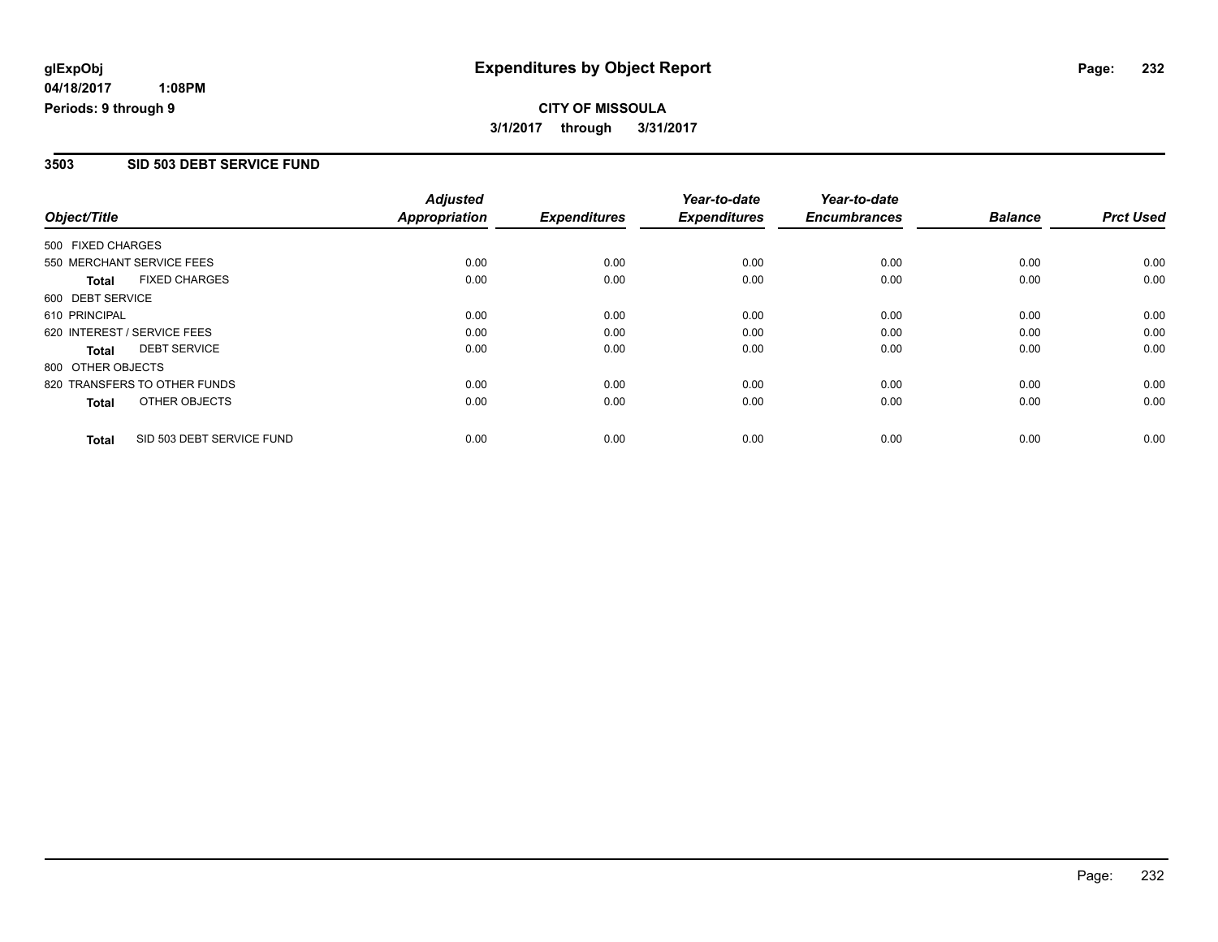**CITY OF MISSOULA 3/1/2017 through 3/31/2017**

### **3503 SID 503 DEBT SERVICE FUND**

|                   |                              | <b>Adjusted</b>      |                     | Year-to-date        | Year-to-date        |                |                  |
|-------------------|------------------------------|----------------------|---------------------|---------------------|---------------------|----------------|------------------|
| Object/Title      |                              | <b>Appropriation</b> | <b>Expenditures</b> | <b>Expenditures</b> | <b>Encumbrances</b> | <b>Balance</b> | <b>Prct Used</b> |
| 500 FIXED CHARGES |                              |                      |                     |                     |                     |                |                  |
|                   | 550 MERCHANT SERVICE FEES    | 0.00                 | 0.00                | 0.00                | 0.00                | 0.00           | 0.00             |
| <b>Total</b>      | <b>FIXED CHARGES</b>         | 0.00                 | 0.00                | 0.00                | 0.00                | 0.00           | 0.00             |
| 600 DEBT SERVICE  |                              |                      |                     |                     |                     |                |                  |
| 610 PRINCIPAL     |                              | 0.00                 | 0.00                | 0.00                | 0.00                | 0.00           | 0.00             |
|                   | 620 INTEREST / SERVICE FEES  | 0.00                 | 0.00                | 0.00                | 0.00                | 0.00           | 0.00             |
| <b>Total</b>      | <b>DEBT SERVICE</b>          | 0.00                 | 0.00                | 0.00                | 0.00                | 0.00           | 0.00             |
| 800 OTHER OBJECTS |                              |                      |                     |                     |                     |                |                  |
|                   | 820 TRANSFERS TO OTHER FUNDS | 0.00                 | 0.00                | 0.00                | 0.00                | 0.00           | 0.00             |
| Total             | OTHER OBJECTS                | 0.00                 | 0.00                | 0.00                | 0.00                | 0.00           | 0.00             |
| <b>Total</b>      | SID 503 DEBT SERVICE FUND    | 0.00                 | 0.00                | 0.00                | 0.00                | 0.00           | 0.00             |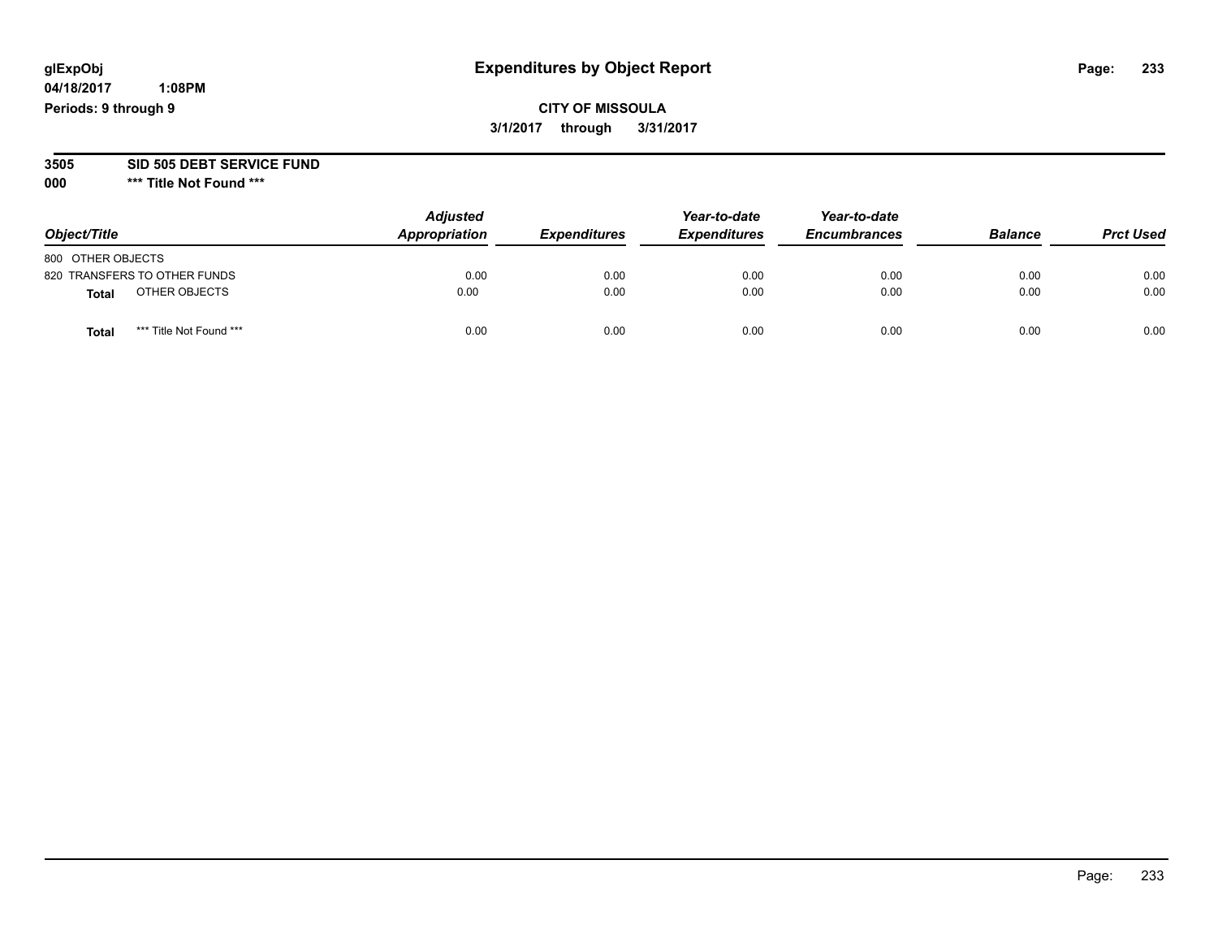**04/18/2017 1:08PM Periods: 9 through 9**

# **CITY OF MISSOULA 3/1/2017 through 3/31/2017**

#### **3505 SID 505 DEBT SERVICE FUND**

| Object/Title      |                              | <b>Adjusted</b><br>Appropriation | <b>Expenditures</b> | Year-to-date<br><b>Expenditures</b> | Year-to-date<br><b>Encumbrances</b> | <b>Balance</b> | <b>Prct Used</b> |
|-------------------|------------------------------|----------------------------------|---------------------|-------------------------------------|-------------------------------------|----------------|------------------|
| 800 OTHER OBJECTS |                              |                                  |                     |                                     |                                     |                |                  |
|                   | 820 TRANSFERS TO OTHER FUNDS | 0.00                             | 0.00                | 0.00                                | 0.00                                | 0.00           | 0.00             |
| <b>Total</b>      | OTHER OBJECTS                | 0.00                             | 0.00                | 0.00                                | 0.00                                | 0.00           | 0.00             |
| <b>Total</b>      | *** Title Not Found ***      | 0.00                             | 0.00                | 0.00                                | 0.00                                | 0.00           | 0.00             |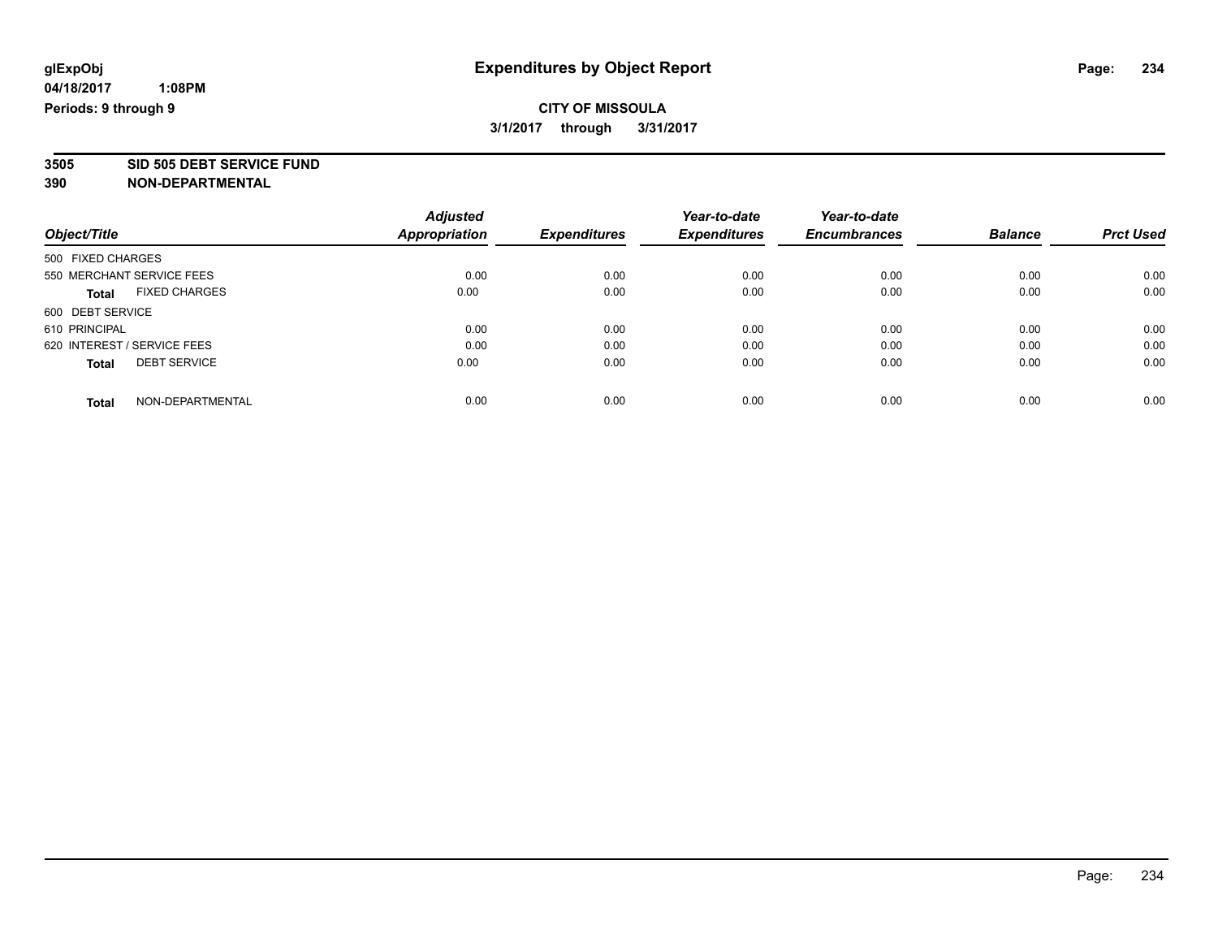# **CITY OF MISSOULA 3/1/2017 through 3/31/2017**

**3505 SID 505 DEBT SERVICE FUND**

|                             |                      | <b>Adjusted</b> |                     | Year-to-date        | Year-to-date        |                |                  |
|-----------------------------|----------------------|-----------------|---------------------|---------------------|---------------------|----------------|------------------|
| Object/Title                |                      | Appropriation   | <b>Expenditures</b> | <b>Expenditures</b> | <b>Encumbrances</b> | <b>Balance</b> | <b>Prct Used</b> |
| 500 FIXED CHARGES           |                      |                 |                     |                     |                     |                |                  |
| 550 MERCHANT SERVICE FEES   |                      | 0.00            | 0.00                | 0.00                | 0.00                | 0.00           | 0.00             |
| <b>Total</b>                | <b>FIXED CHARGES</b> | 0.00            | 0.00                | 0.00                | 0.00                | 0.00           | 0.00             |
| 600 DEBT SERVICE            |                      |                 |                     |                     |                     |                |                  |
| 610 PRINCIPAL               |                      | 0.00            | 0.00                | 0.00                | 0.00                | 0.00           | 0.00             |
| 620 INTEREST / SERVICE FEES |                      | 0.00            | 0.00                | 0.00                | 0.00                | 0.00           | 0.00             |
| <b>Total</b>                | <b>DEBT SERVICE</b>  | 0.00            | 0.00                | 0.00                | 0.00                | 0.00           | 0.00             |
| <b>Total</b>                | NON-DEPARTMENTAL     | 0.00            | 0.00                | 0.00                | 0.00                | 0.00           | 0.00             |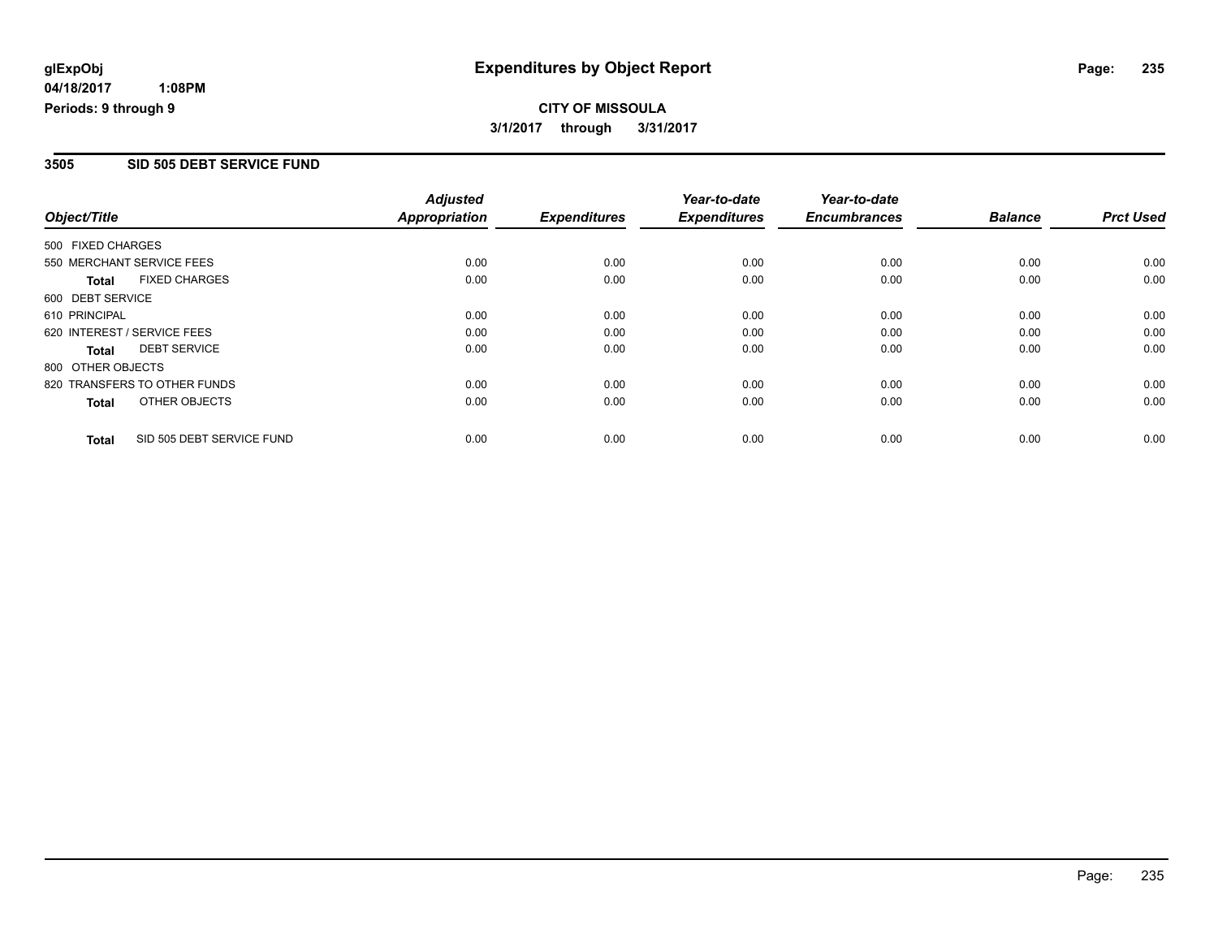# **CITY OF MISSOULA**

**3/1/2017 through 3/31/2017**

#### **3505 SID 505 DEBT SERVICE FUND**

|                              | <b>Adjusted</b>           |                       | Year-to-date                | Year-to-date                |                             | <b>Prct Used</b>       |
|------------------------------|---------------------------|-----------------------|-----------------------------|-----------------------------|-----------------------------|------------------------|
|                              |                           |                       |                             |                             |                             |                        |
| 500 FIXED CHARGES            |                           |                       |                             |                             |                             |                        |
| 550 MERCHANT SERVICE FEES    | 0.00                      | 0.00                  | 0.00                        | 0.00                        | 0.00                        | 0.00                   |
| <b>FIXED CHARGES</b>         | 0.00                      | 0.00                  | 0.00                        | 0.00                        | 0.00                        | 0.00                   |
| 600 DEBT SERVICE             |                           |                       |                             |                             |                             |                        |
| 610 PRINCIPAL                | 0.00                      | 0.00                  | 0.00                        | 0.00                        | 0.00                        | 0.00                   |
| 620 INTEREST / SERVICE FEES  | 0.00                      | 0.00                  | 0.00                        | 0.00                        | 0.00                        | 0.00                   |
| <b>DEBT SERVICE</b>          | 0.00                      | 0.00                  | 0.00                        | 0.00                        | 0.00                        | 0.00                   |
| 800 OTHER OBJECTS            |                           |                       |                             |                             |                             |                        |
| 820 TRANSFERS TO OTHER FUNDS | 0.00                      | 0.00                  | 0.00                        | 0.00                        | 0.00                        | 0.00                   |
| OTHER OBJECTS                | 0.00                      | 0.00                  | 0.00                        | 0.00                        | 0.00                        | 0.00                   |
|                              |                           |                       |                             |                             |                             | 0.00                   |
|                              | SID 505 DEBT SERVICE FUND | Appropriation<br>0.00 | <b>Expenditures</b><br>0.00 | <b>Expenditures</b><br>0.00 | <b>Encumbrances</b><br>0.00 | <b>Balance</b><br>0.00 |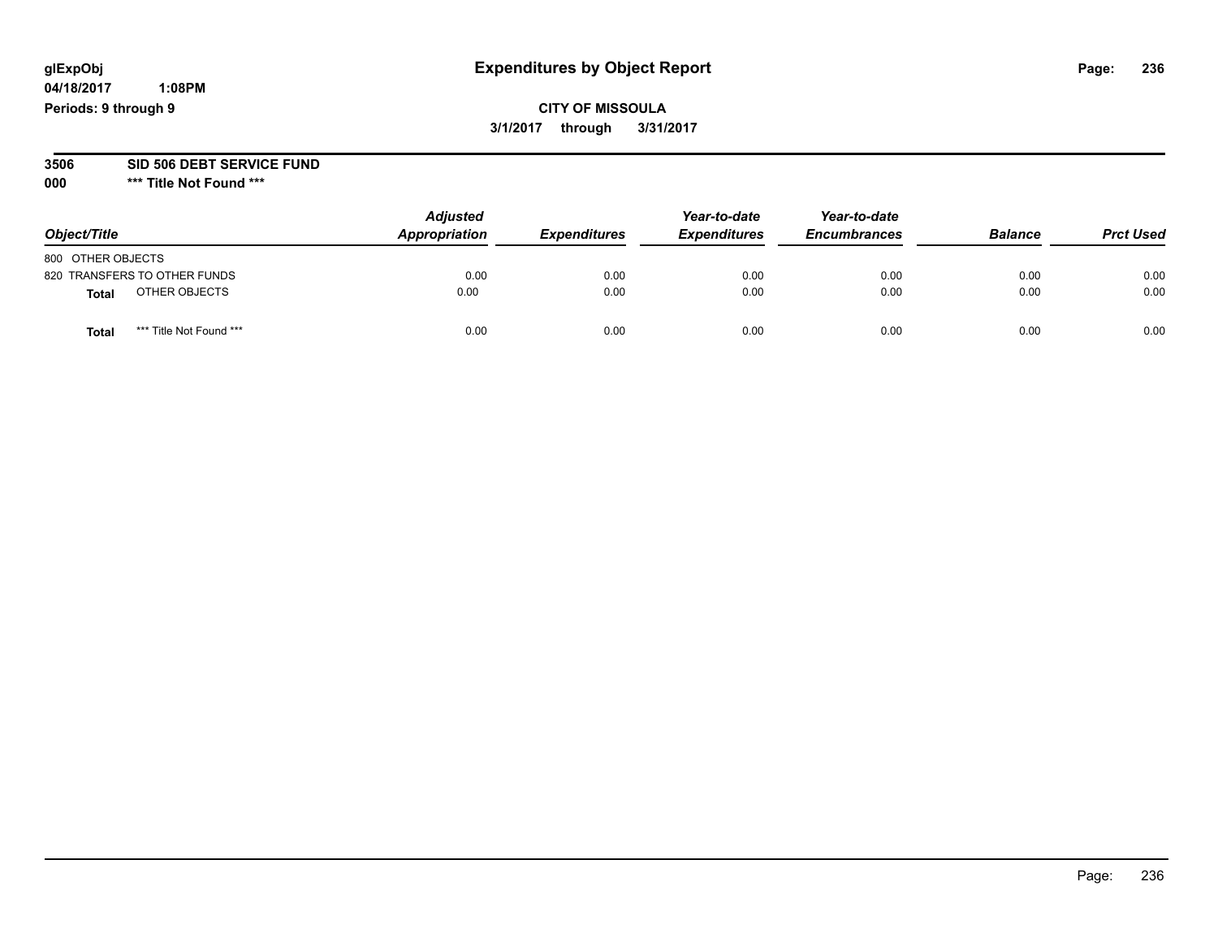**04/18/2017 1:08PM Periods: 9 through 9**

# **CITY OF MISSOULA 3/1/2017 through 3/31/2017**

#### **3506 SID 506 DEBT SERVICE FUND**

| Object/Title      |                              | <b>Adjusted</b><br>Appropriation | <b>Expenditures</b> | Year-to-date<br><b>Expenditures</b> | Year-to-date<br><b>Encumbrances</b> | <b>Balance</b> | <b>Prct Used</b> |
|-------------------|------------------------------|----------------------------------|---------------------|-------------------------------------|-------------------------------------|----------------|------------------|
| 800 OTHER OBJECTS |                              |                                  |                     |                                     |                                     |                |                  |
|                   | 820 TRANSFERS TO OTHER FUNDS | 0.00                             | 0.00                | 0.00                                | 0.00                                | 0.00           | 0.00             |
| <b>Total</b>      | OTHER OBJECTS                | 0.00                             | 0.00                | 0.00                                | 0.00                                | 0.00           | 0.00             |
| <b>Total</b>      | *** Title Not Found ***      | 0.00                             | 0.00                | 0.00                                | 0.00                                | 0.00           | 0.00             |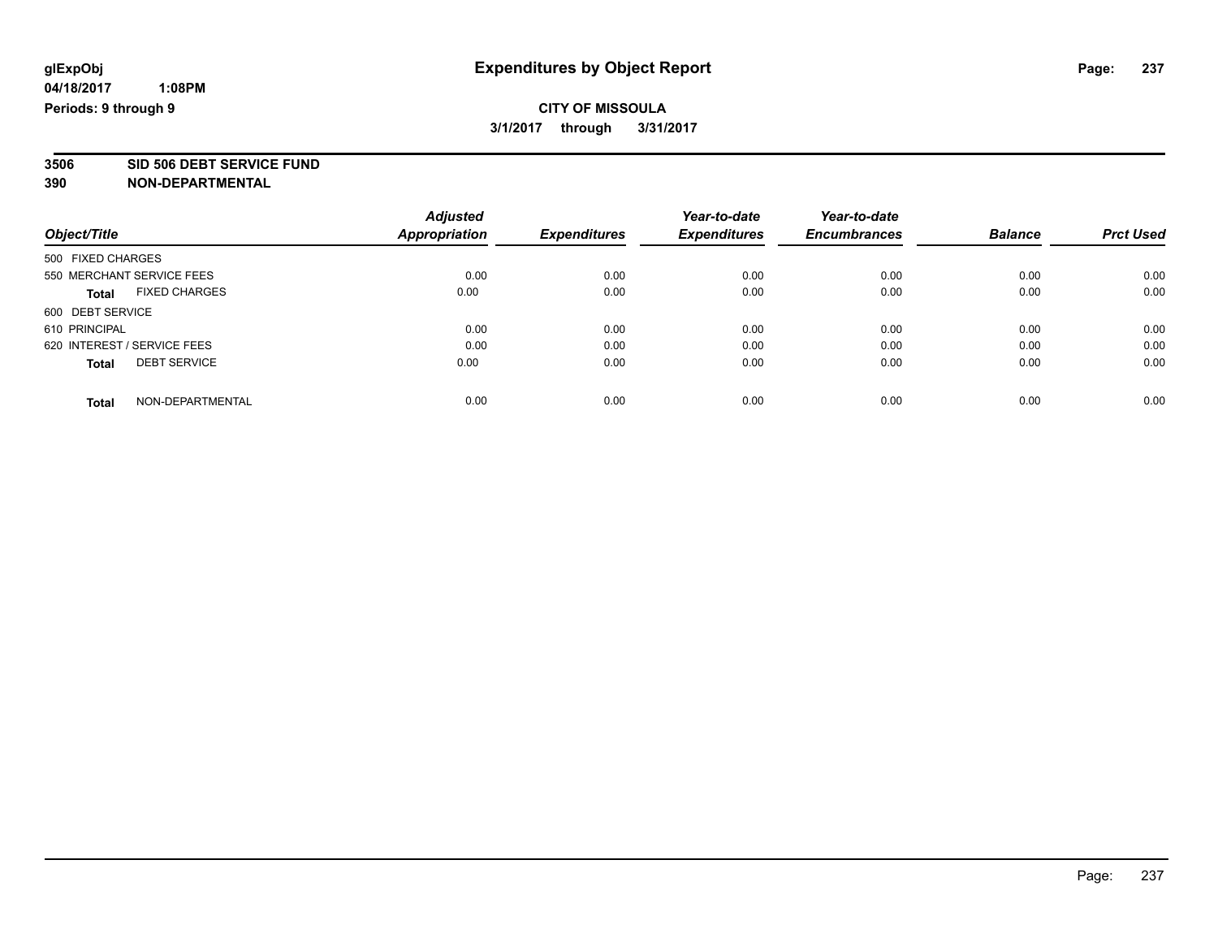# **CITY OF MISSOULA 3/1/2017 through 3/31/2017**

**3506 SID 506 DEBT SERVICE FUND**

|                                      | <b>Adjusted</b> |                     | Year-to-date        | Year-to-date        |                |                  |
|--------------------------------------|-----------------|---------------------|---------------------|---------------------|----------------|------------------|
| Object/Title                         | Appropriation   | <b>Expenditures</b> | <b>Expenditures</b> | <b>Encumbrances</b> | <b>Balance</b> | <b>Prct Used</b> |
| 500 FIXED CHARGES                    |                 |                     |                     |                     |                |                  |
| 550 MERCHANT SERVICE FEES            | 0.00            | 0.00                | 0.00                | 0.00                | 0.00           | 0.00             |
| <b>FIXED CHARGES</b><br><b>Total</b> | 0.00            | 0.00                | 0.00                | 0.00                | 0.00           | 0.00             |
| 600 DEBT SERVICE                     |                 |                     |                     |                     |                |                  |
| 610 PRINCIPAL                        | 0.00            | 0.00                | 0.00                | 0.00                | 0.00           | 0.00             |
| 620 INTEREST / SERVICE FEES          | 0.00            | 0.00                | 0.00                | 0.00                | 0.00           | 0.00             |
| <b>DEBT SERVICE</b><br><b>Total</b>  | 0.00            | 0.00                | 0.00                | 0.00                | 0.00           | 0.00             |
| NON-DEPARTMENTAL<br><b>Total</b>     | 0.00            | 0.00                | 0.00                | 0.00                | 0.00           | 0.00             |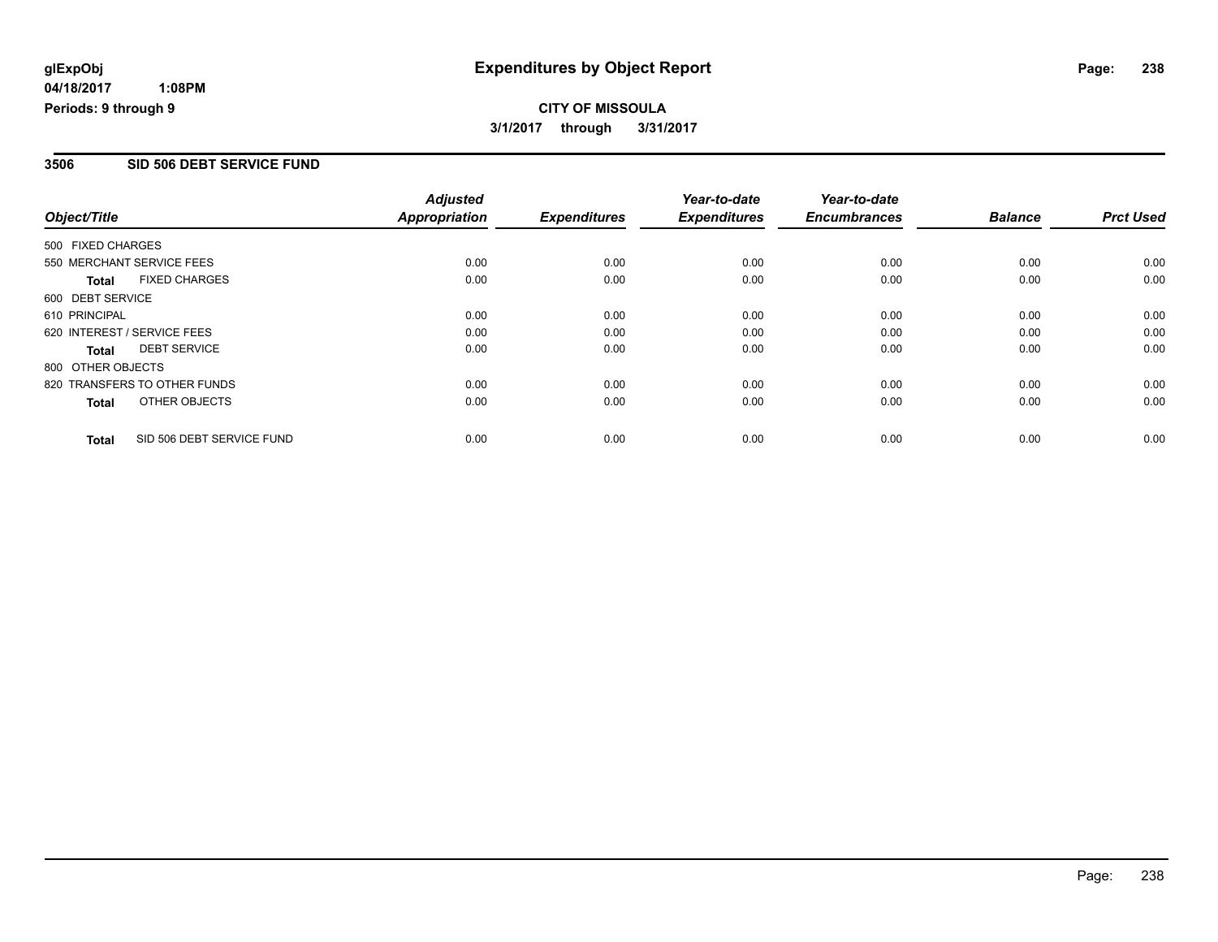# **CITY OF MISSOULA 3/1/2017 through 3/31/2017**

#### **3506 SID 506 DEBT SERVICE FUND**

| Object/Title                              | <b>Adjusted</b><br><b>Appropriation</b> | <b>Expenditures</b> | Year-to-date<br><b>Expenditures</b> | Year-to-date<br><b>Encumbrances</b> | <b>Balance</b> | <b>Prct Used</b> |
|-------------------------------------------|-----------------------------------------|---------------------|-------------------------------------|-------------------------------------|----------------|------------------|
|                                           |                                         |                     |                                     |                                     |                |                  |
| 500 FIXED CHARGES                         |                                         |                     |                                     |                                     |                |                  |
| 550 MERCHANT SERVICE FEES                 | 0.00                                    | 0.00                | 0.00                                | 0.00                                | 0.00           | 0.00             |
| <b>FIXED CHARGES</b><br><b>Total</b>      | 0.00                                    | 0.00                | 0.00                                | 0.00                                | 0.00           | 0.00             |
| 600 DEBT SERVICE                          |                                         |                     |                                     |                                     |                |                  |
| 610 PRINCIPAL                             | 0.00                                    | 0.00                | 0.00                                | 0.00                                | 0.00           | 0.00             |
| 620 INTEREST / SERVICE FEES               | 0.00                                    | 0.00                | 0.00                                | 0.00                                | 0.00           | 0.00             |
| <b>DEBT SERVICE</b><br>Total              | 0.00                                    | 0.00                | 0.00                                | 0.00                                | 0.00           | 0.00             |
| 800 OTHER OBJECTS                         |                                         |                     |                                     |                                     |                |                  |
| 820 TRANSFERS TO OTHER FUNDS              | 0.00                                    | 0.00                | 0.00                                | 0.00                                | 0.00           | 0.00             |
| OTHER OBJECTS<br><b>Total</b>             | 0.00                                    | 0.00                | 0.00                                | 0.00                                | 0.00           | 0.00             |
|                                           |                                         |                     |                                     |                                     |                |                  |
| SID 506 DEBT SERVICE FUND<br><b>Total</b> | 0.00                                    | 0.00                | 0.00                                | 0.00                                | 0.00           | 0.00             |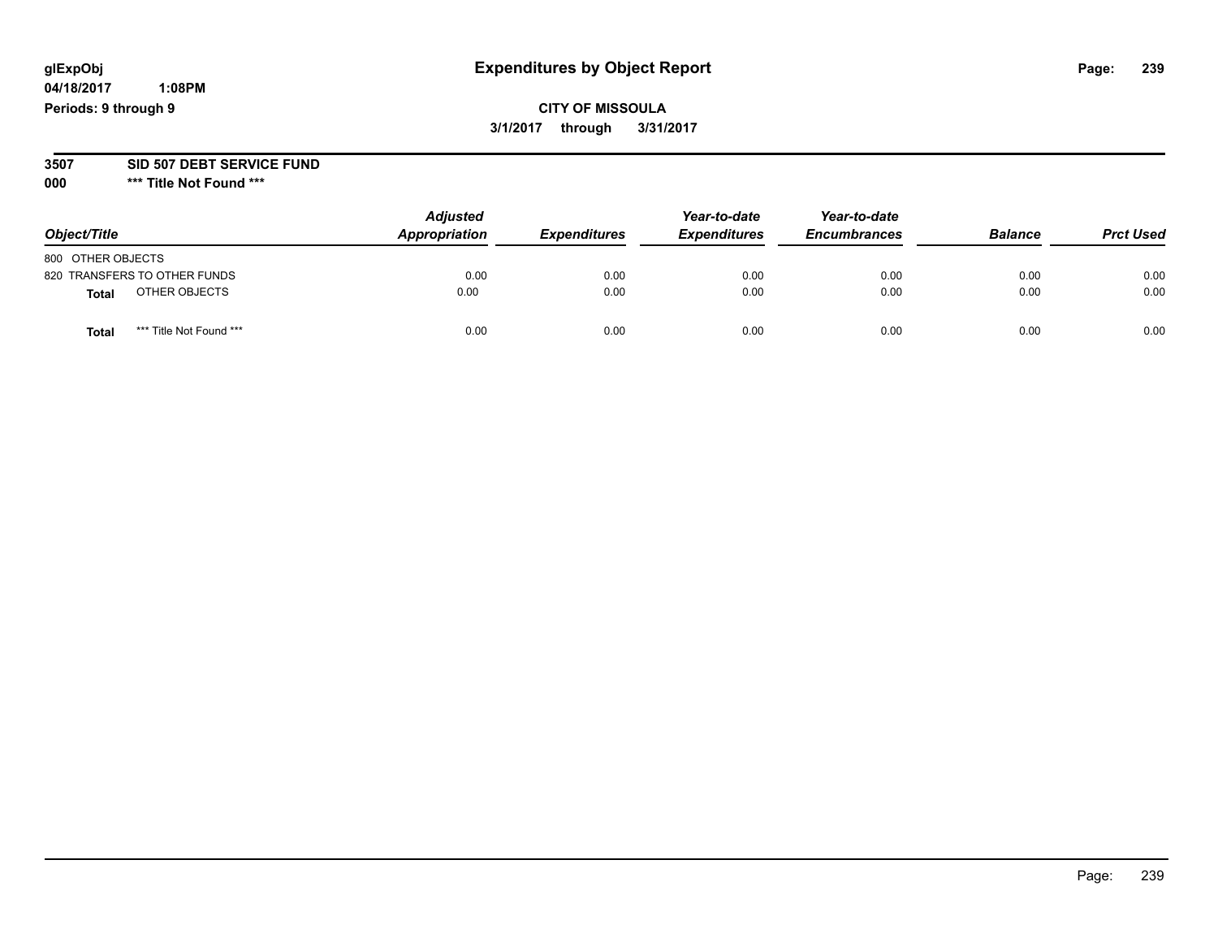**04/18/2017 1:08PM Periods: 9 through 9**

**CITY OF MISSOULA 3/1/2017 through 3/31/2017**

**3507 SID 507 DEBT SERVICE FUND**

| Object/Title      |                              | <b>Adjusted</b><br>Appropriation | <b>Expenditures</b> | Year-to-date<br><b>Expenditures</b> | Year-to-date<br><b>Encumbrances</b> | <b>Balance</b> | <b>Prct Used</b> |
|-------------------|------------------------------|----------------------------------|---------------------|-------------------------------------|-------------------------------------|----------------|------------------|
| 800 OTHER OBJECTS |                              |                                  |                     |                                     |                                     |                |                  |
|                   | 820 TRANSFERS TO OTHER FUNDS | 0.00                             | 0.00                | 0.00                                | 0.00                                | 0.00           | 0.00             |
| <b>Total</b>      | OTHER OBJECTS                | 0.00                             | 0.00                | 0.00                                | 0.00                                | 0.00           | 0.00             |
| <b>Total</b>      | *** Title Not Found ***      | 0.00                             | 0.00                | 0.00                                | 0.00                                | 0.00           | 0.00             |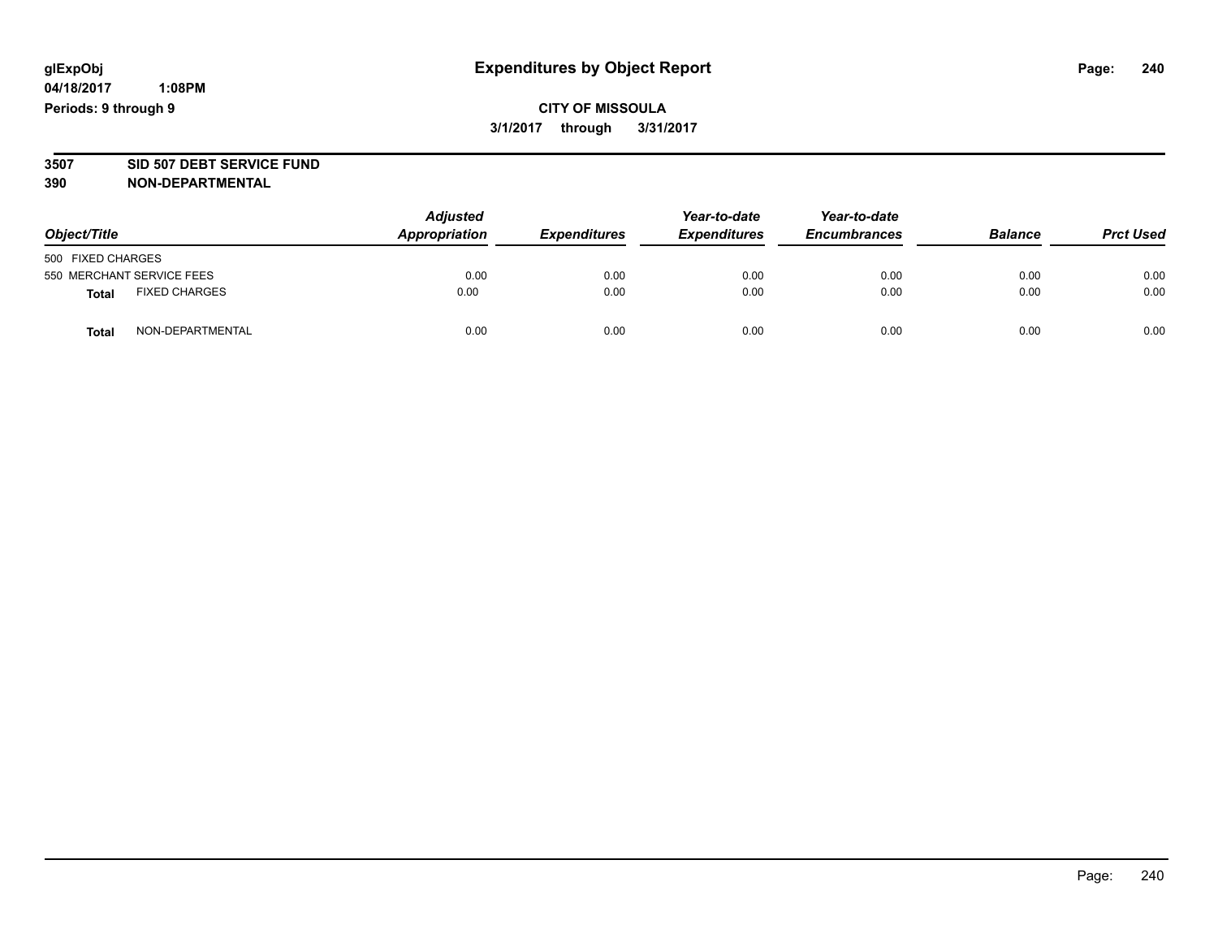# **CITY OF MISSOULA 3/1/2017 through 3/31/2017**

# **3507 SID 507 DEBT SERVICE FUND**

| Object/Title                         | <b>Adjusted</b><br>Appropriation | <b>Expenditures</b> | Year-to-date<br><b>Expenditures</b> | Year-to-date<br><b>Encumbrances</b> | <b>Balance</b> | <b>Prct Used</b> |
|--------------------------------------|----------------------------------|---------------------|-------------------------------------|-------------------------------------|----------------|------------------|
| 500 FIXED CHARGES                    |                                  |                     |                                     |                                     |                |                  |
| 550 MERCHANT SERVICE FEES            | 0.00                             | 0.00                | 0.00                                | 0.00                                | 0.00           | 0.00             |
| <b>FIXED CHARGES</b><br><b>Total</b> | 0.00                             | 0.00                | 0.00                                | 0.00                                | 0.00           | 0.00             |
| NON-DEPARTMENTAL<br>Total            | 0.00                             | 0.00                | 0.00                                | 0.00                                | 0.00           | 0.00             |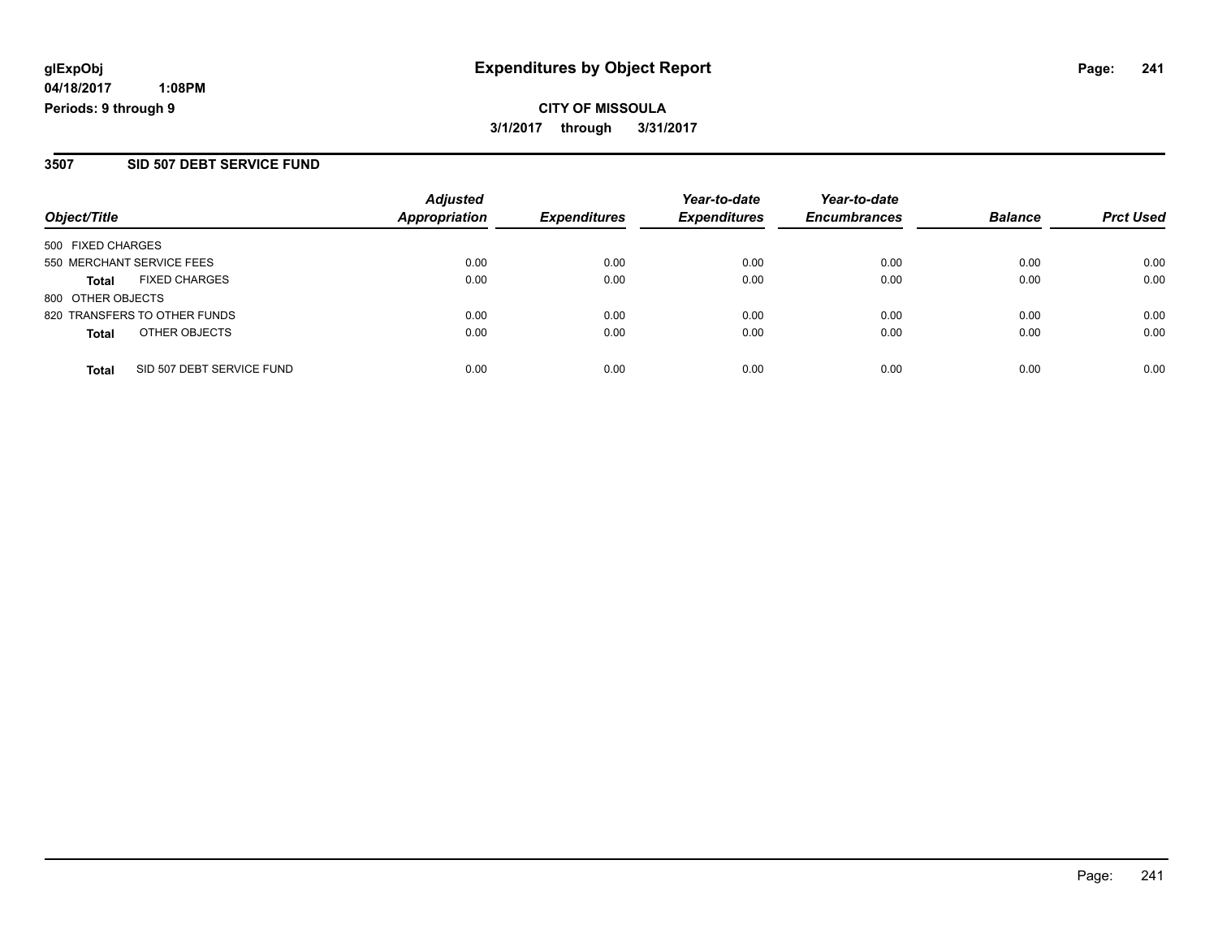**CITY OF MISSOULA 3/1/2017 through 3/31/2017**

### **3507 SID 507 DEBT SERVICE FUND**

| Object/Title                              | <b>Adjusted</b><br>Appropriation | <b>Expenditures</b> | Year-to-date<br><b>Expenditures</b> | Year-to-date<br><b>Encumbrances</b> | <b>Balance</b> | <b>Prct Used</b> |
|-------------------------------------------|----------------------------------|---------------------|-------------------------------------|-------------------------------------|----------------|------------------|
| 500 FIXED CHARGES                         |                                  |                     |                                     |                                     |                |                  |
| 550 MERCHANT SERVICE FEES                 | 0.00                             | 0.00                | 0.00                                | 0.00                                | 0.00           | 0.00             |
| <b>FIXED CHARGES</b><br><b>Total</b>      | 0.00                             | 0.00                | 0.00                                | 0.00                                | 0.00           | 0.00             |
| 800 OTHER OBJECTS                         |                                  |                     |                                     |                                     |                |                  |
| 820 TRANSFERS TO OTHER FUNDS              | 0.00                             | 0.00                | 0.00                                | 0.00                                | 0.00           | 0.00             |
| OTHER OBJECTS<br><b>Total</b>             | 0.00                             | 0.00                | 0.00                                | 0.00                                | 0.00           | 0.00             |
| SID 507 DEBT SERVICE FUND<br><b>Total</b> | 0.00                             | 0.00                | 0.00                                | 0.00                                | 0.00           | 0.00             |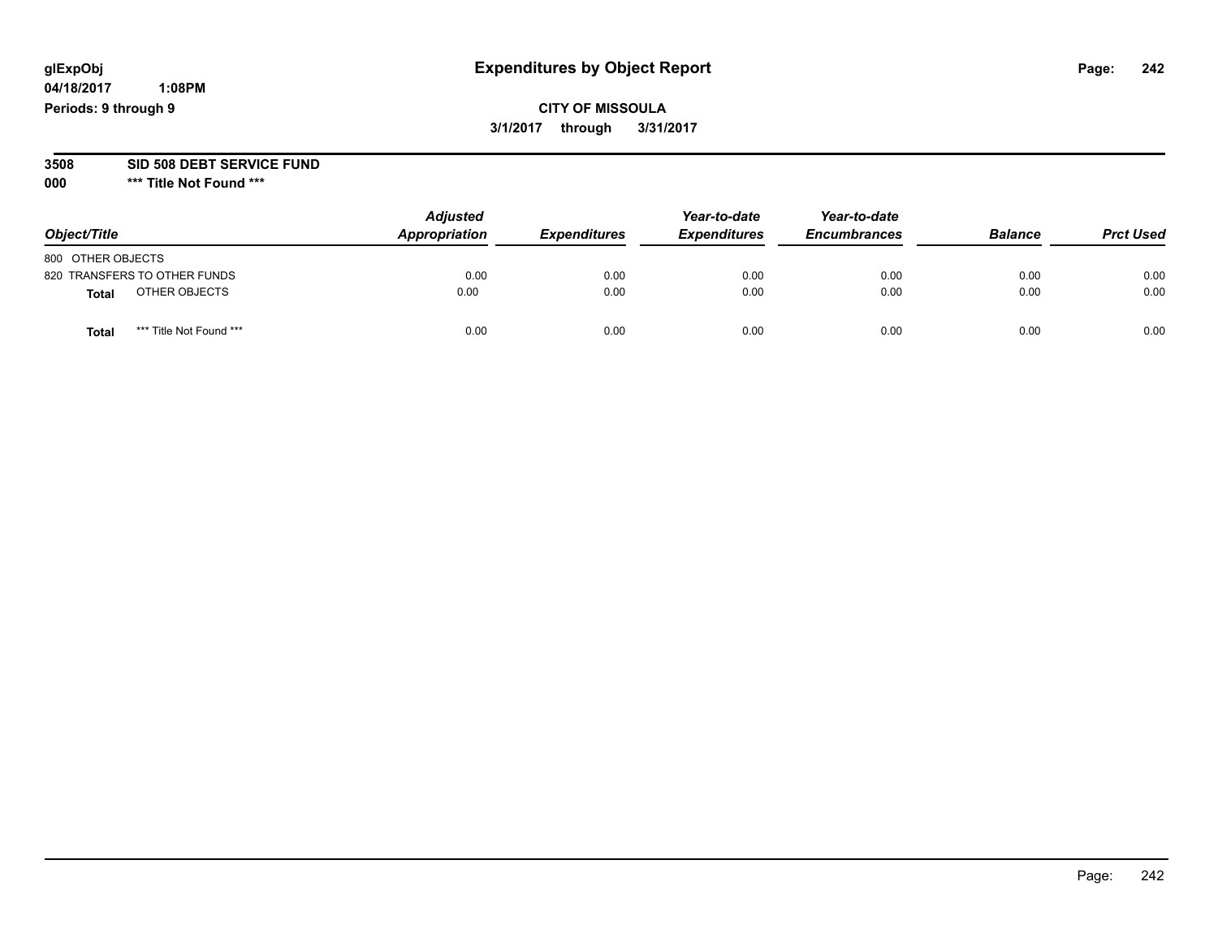**04/18/2017 1:08PM Periods: 9 through 9**

# **CITY OF MISSOULA 3/1/2017 through 3/31/2017**

#### **3508 SID 508 DEBT SERVICE FUND**

| Object/Title                            | <b>Adjusted</b><br>Appropriation | <b>Expenditures</b> | Year-to-date<br><b>Expenditures</b> | Year-to-date<br><b>Encumbrances</b> | <b>Balance</b> | <b>Prct Used</b> |
|-----------------------------------------|----------------------------------|---------------------|-------------------------------------|-------------------------------------|----------------|------------------|
| 800 OTHER OBJECTS                       |                                  |                     |                                     |                                     |                |                  |
| 820 TRANSFERS TO OTHER FUNDS            | 0.00                             | 0.00                | 0.00                                | 0.00                                | 0.00           | 0.00             |
| OTHER OBJECTS<br>Total                  | 0.00                             | 0.00                | 0.00                                | 0.00                                | 0.00           | 0.00             |
| *** Title Not Found ***<br><b>Total</b> | 0.00                             | 0.00                | 0.00                                | 0.00                                | 0.00           | 0.00             |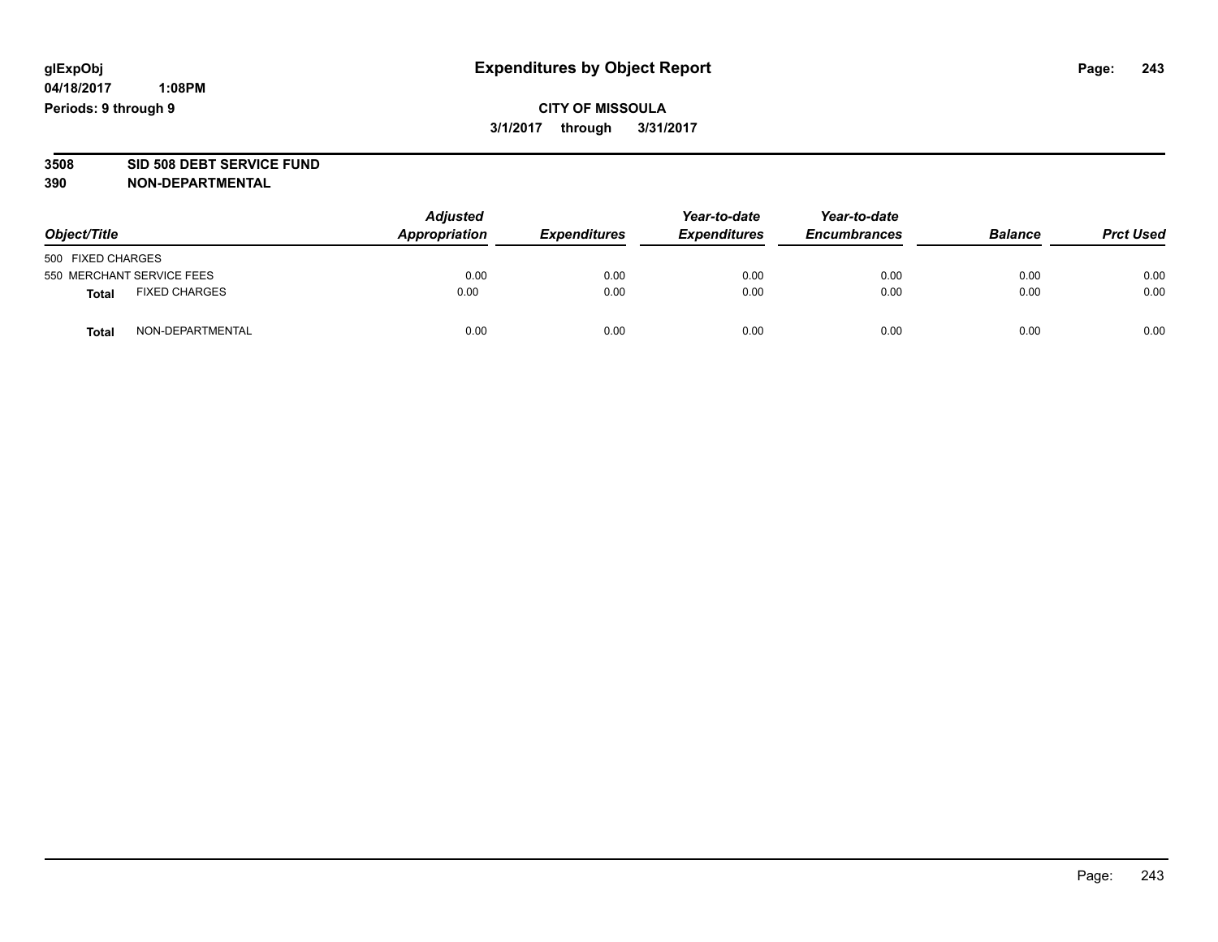# **CITY OF MISSOULA 3/1/2017 through 3/31/2017**

# **3508 SID 508 DEBT SERVICE FUND**

| Object/Title                         | <b>Adjusted</b><br>Appropriation | <b>Expenditures</b> | Year-to-date<br><b>Expenditures</b> | Year-to-date<br><b>Encumbrances</b> | <b>Balance</b> | <b>Prct Used</b> |
|--------------------------------------|----------------------------------|---------------------|-------------------------------------|-------------------------------------|----------------|------------------|
| 500 FIXED CHARGES                    |                                  |                     |                                     |                                     |                |                  |
| 550 MERCHANT SERVICE FEES            | 0.00                             | 0.00                | 0.00                                | 0.00                                | 0.00           | 0.00             |
| <b>FIXED CHARGES</b><br><b>Total</b> | 0.00                             | 0.00                | 0.00                                | 0.00                                | 0.00           | 0.00             |
| NON-DEPARTMENTAL<br><b>Total</b>     | 0.00                             | 0.00                | 0.00                                | 0.00                                | 0.00           | 0.00             |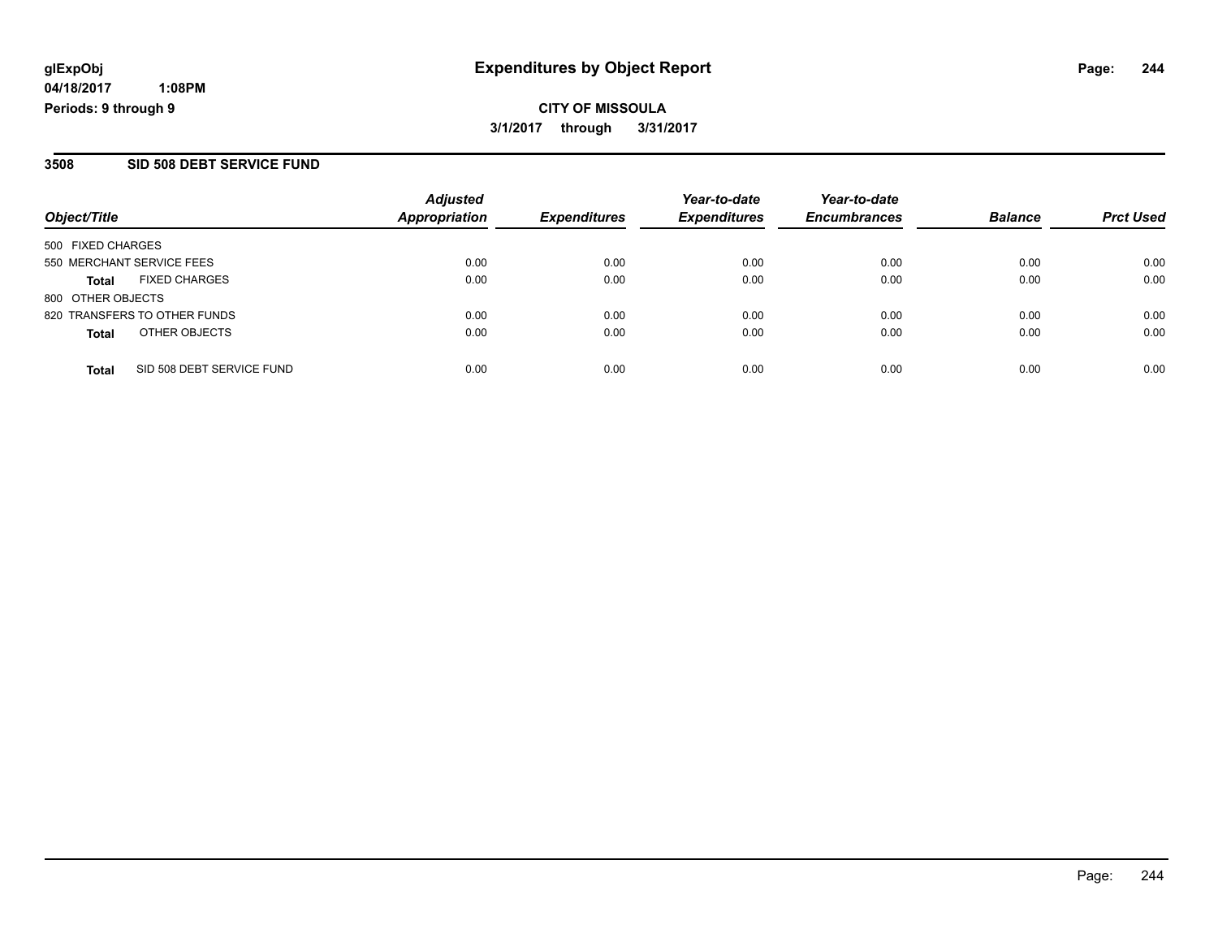**CITY OF MISSOULA 3/1/2017 through 3/31/2017**

#### **3508 SID 508 DEBT SERVICE FUND**

| Object/Title                              | <b>Adjusted</b><br>Appropriation | <b>Expenditures</b> | Year-to-date<br><b>Expenditures</b> | Year-to-date<br><b>Encumbrances</b> | <b>Balance</b> | <b>Prct Used</b> |
|-------------------------------------------|----------------------------------|---------------------|-------------------------------------|-------------------------------------|----------------|------------------|
| 500 FIXED CHARGES                         |                                  |                     |                                     |                                     |                |                  |
| 550 MERCHANT SERVICE FEES                 | 0.00                             | 0.00                | 0.00                                | 0.00                                | 0.00           | 0.00             |
| <b>FIXED CHARGES</b><br>Total             | 0.00                             | 0.00                | 0.00                                | 0.00                                | 0.00           | 0.00             |
| 800 OTHER OBJECTS                         |                                  |                     |                                     |                                     |                |                  |
| 820 TRANSFERS TO OTHER FUNDS              | 0.00                             | 0.00                | 0.00                                | 0.00                                | 0.00           | 0.00             |
| OTHER OBJECTS<br><b>Total</b>             | 0.00                             | 0.00                | 0.00                                | 0.00                                | 0.00           | 0.00             |
| SID 508 DEBT SERVICE FUND<br><b>Total</b> | 0.00                             | 0.00                | 0.00                                | 0.00                                | 0.00           | 0.00             |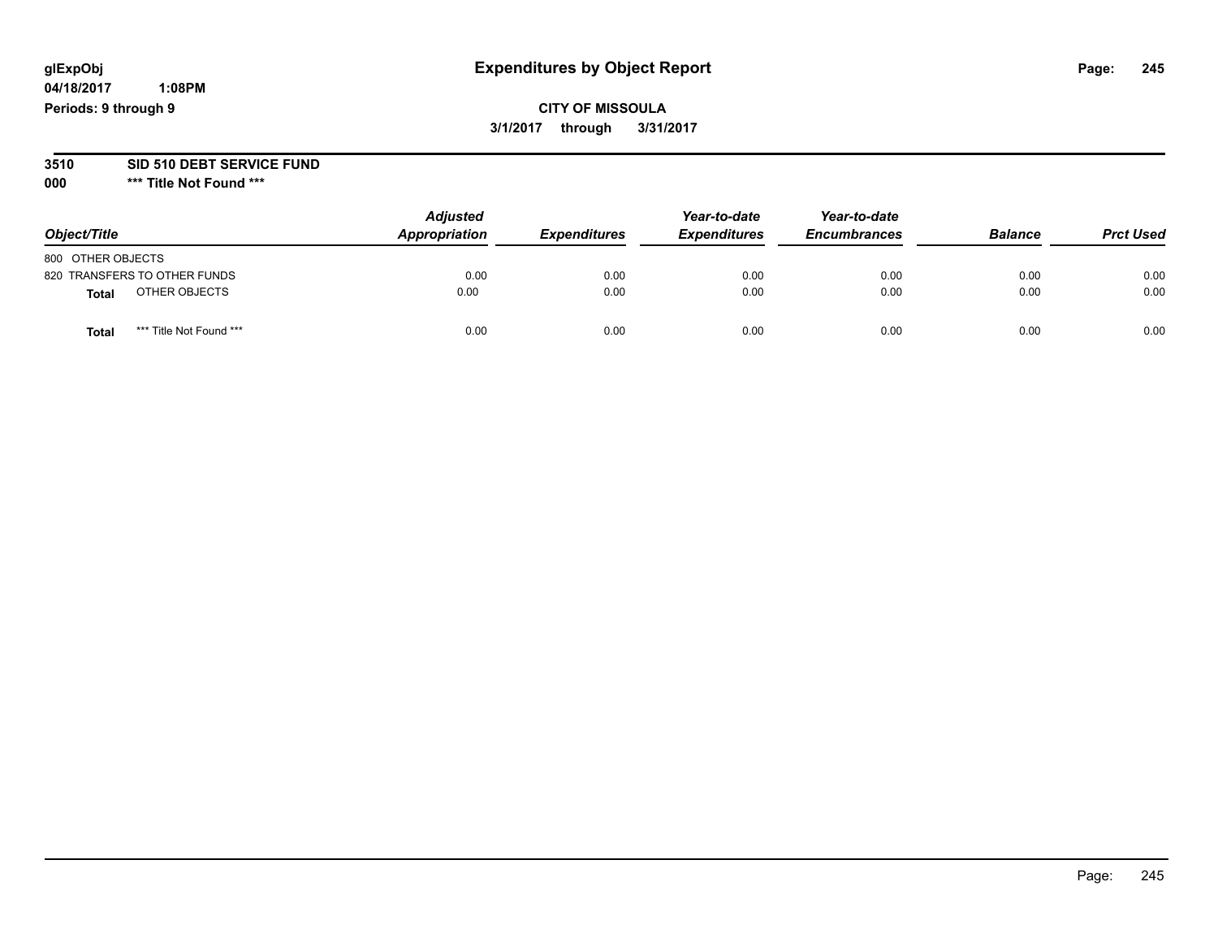**04/18/2017 1:08PM Periods: 9 through 9**

# **CITY OF MISSOULA 3/1/2017 through 3/31/2017**

# **3510 SID 510 DEBT SERVICE FUND**

| Object/Title                     | <b>Adjusted</b><br>Appropriation | <b>Expenditures</b> | Year-to-date<br><b>Expenditures</b> | Year-to-date<br><b>Encumbrances</b> | <b>Balance</b> | <b>Prct Used</b> |
|----------------------------------|----------------------------------|---------------------|-------------------------------------|-------------------------------------|----------------|------------------|
| 800 OTHER OBJECTS                |                                  |                     |                                     |                                     |                |                  |
| 820 TRANSFERS TO OTHER FUNDS     | 0.00                             | 0.00                | 0.00                                | 0.00                                | 0.00           | 0.00             |
| OTHER OBJECTS<br><b>Total</b>    | 0.00                             | 0.00                | 0.00                                | 0.00                                | 0.00           | 0.00             |
| *** Title Not Found ***<br>Total | 0.00                             | 0.00                | 0.00                                | 0.00                                | 0.00           | 0.00             |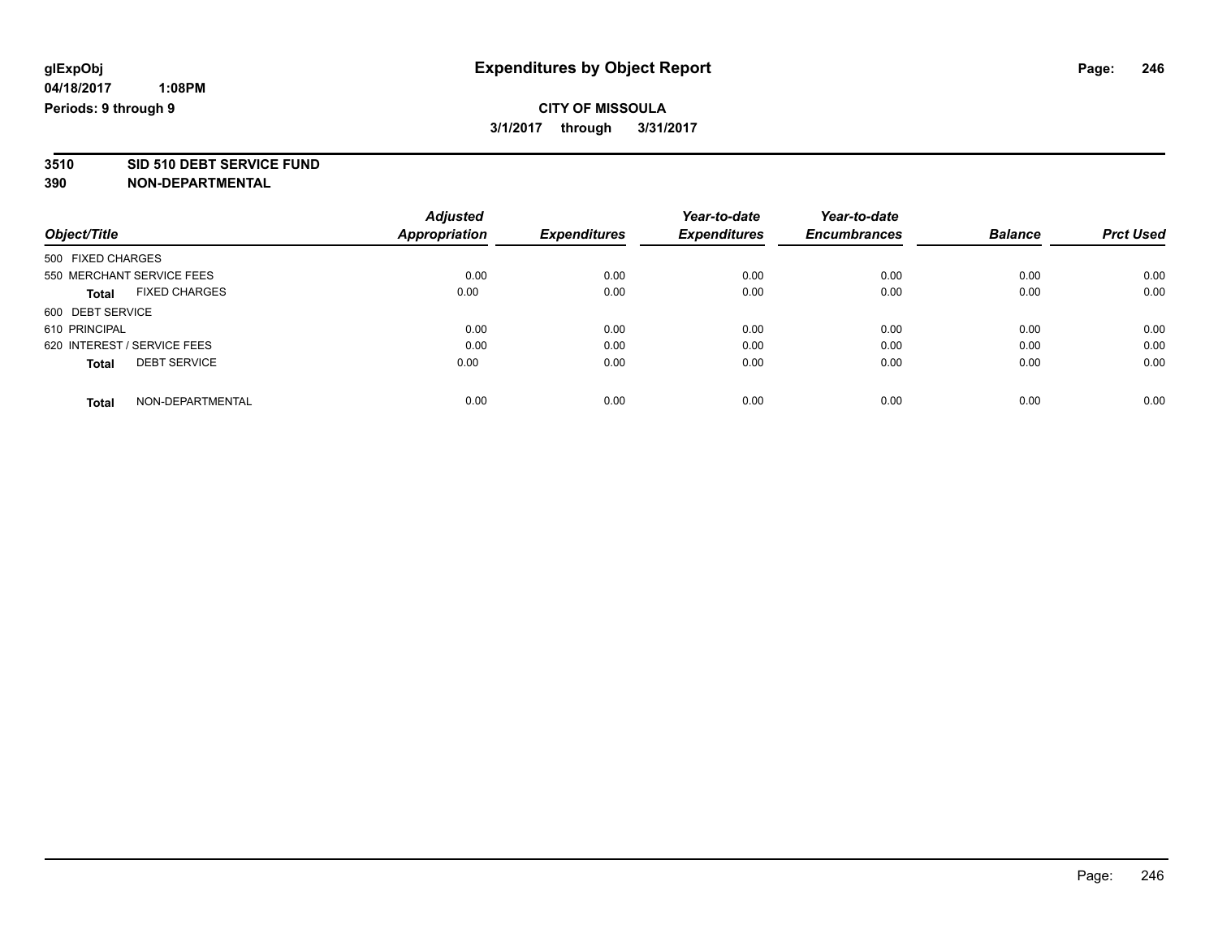# **CITY OF MISSOULA 3/1/2017 through 3/31/2017**

**3510 SID 510 DEBT SERVICE FUND**

| Object/Title                        | <b>Adjusted</b>      | <b>Expenditures</b> | Year-to-date<br><b>Expenditures</b> | Year-to-date<br><b>Encumbrances</b> | <b>Balance</b> | <b>Prct Used</b> |
|-------------------------------------|----------------------|---------------------|-------------------------------------|-------------------------------------|----------------|------------------|
|                                     | <b>Appropriation</b> |                     |                                     |                                     |                |                  |
| 500 FIXED CHARGES                   |                      |                     |                                     |                                     |                |                  |
| 550 MERCHANT SERVICE FEES           | 0.00                 | 0.00                | 0.00                                | 0.00                                | 0.00           | 0.00             |
| <b>FIXED CHARGES</b><br>Total       | 0.00                 | 0.00                | 0.00                                | 0.00                                | 0.00           | 0.00             |
| 600 DEBT SERVICE                    |                      |                     |                                     |                                     |                |                  |
| 610 PRINCIPAL                       | 0.00                 | 0.00                | 0.00                                | 0.00                                | 0.00           | 0.00             |
| 620 INTEREST / SERVICE FEES         | 0.00                 | 0.00                | 0.00                                | 0.00                                | 0.00           | 0.00             |
| <b>DEBT SERVICE</b><br><b>Total</b> | 0.00                 | 0.00                | 0.00                                | 0.00                                | 0.00           | 0.00             |
| NON-DEPARTMENTAL<br><b>Total</b>    | 0.00                 | 0.00                | 0.00                                | 0.00                                | 0.00           | 0.00             |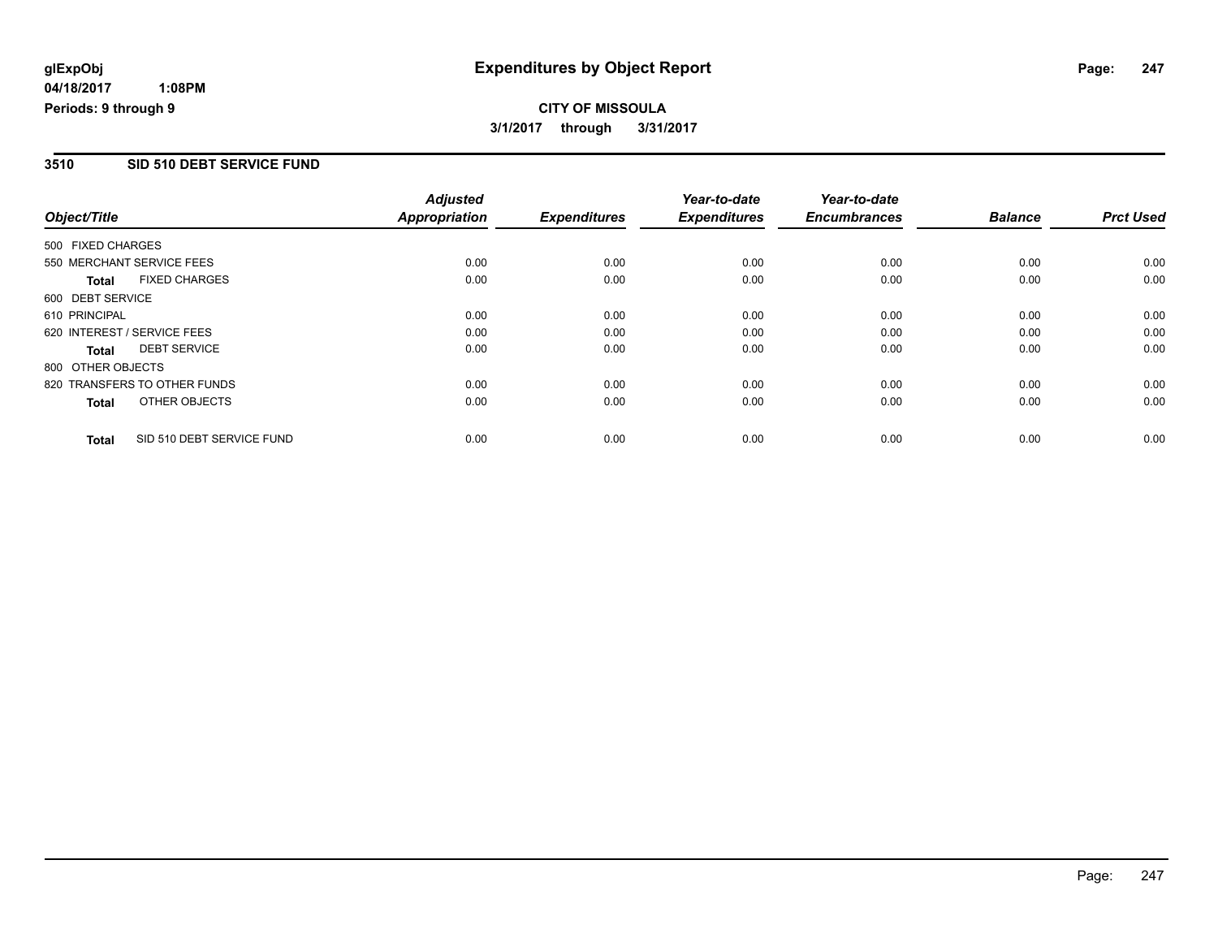**CITY OF MISSOULA 3/1/2017 through 3/31/2017**

#### **3510 SID 510 DEBT SERVICE FUND**

|                   |                              | <b>Adjusted</b>      |                     | Year-to-date        | Year-to-date        |                |                  |
|-------------------|------------------------------|----------------------|---------------------|---------------------|---------------------|----------------|------------------|
| Object/Title      |                              | <b>Appropriation</b> | <b>Expenditures</b> | <b>Expenditures</b> | <b>Encumbrances</b> | <b>Balance</b> | <b>Prct Used</b> |
| 500 FIXED CHARGES |                              |                      |                     |                     |                     |                |                  |
|                   | 550 MERCHANT SERVICE FEES    | 0.00                 | 0.00                | 0.00                | 0.00                | 0.00           | 0.00             |
| <b>Total</b>      | <b>FIXED CHARGES</b>         | 0.00                 | 0.00                | 0.00                | 0.00                | 0.00           | 0.00             |
| 600 DEBT SERVICE  |                              |                      |                     |                     |                     |                |                  |
| 610 PRINCIPAL     |                              | 0.00                 | 0.00                | 0.00                | 0.00                | 0.00           | 0.00             |
|                   | 620 INTEREST / SERVICE FEES  | 0.00                 | 0.00                | 0.00                | 0.00                | 0.00           | 0.00             |
| <b>Total</b>      | <b>DEBT SERVICE</b>          | 0.00                 | 0.00                | 0.00                | 0.00                | 0.00           | 0.00             |
| 800 OTHER OBJECTS |                              |                      |                     |                     |                     |                |                  |
|                   | 820 TRANSFERS TO OTHER FUNDS | 0.00                 | 0.00                | 0.00                | 0.00                | 0.00           | 0.00             |
| <b>Total</b>      | OTHER OBJECTS                | 0.00                 | 0.00                | 0.00                | 0.00                | 0.00           | 0.00             |
| <b>Total</b>      | SID 510 DEBT SERVICE FUND    | 0.00                 | 0.00                | 0.00                | 0.00                | 0.00           | 0.00             |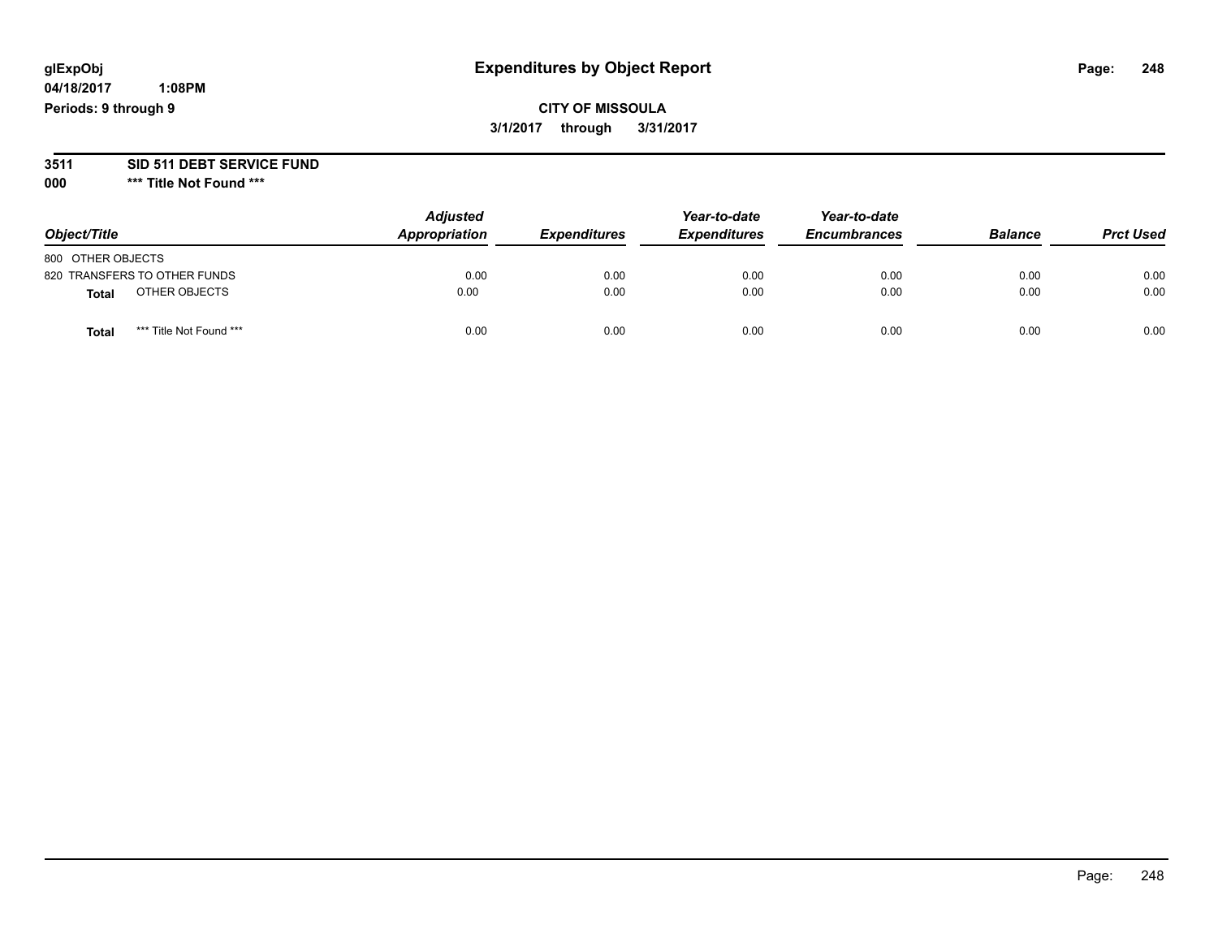**04/18/2017 1:08PM Periods: 9 through 9**

**CITY OF MISSOULA 3/1/2017 through 3/31/2017**

# **3511 SID 511 DEBT SERVICE FUND**

| Object/Title                    | <b>Adjusted</b><br>Appropriation | <b>Expenditures</b> | Year-to-date<br><b>Expenditures</b> | Year-to-date<br><b>Encumbrances</b> | <b>Balance</b> | <b>Prct Used</b> |
|---------------------------------|----------------------------------|---------------------|-------------------------------------|-------------------------------------|----------------|------------------|
| 800 OTHER OBJECTS               |                                  |                     |                                     |                                     |                |                  |
| 820 TRANSFERS TO OTHER FUNDS    | 0.00                             | 0.00                | 0.00                                | 0.00                                | 0.00           | 0.00             |
| OTHER OBJECTS<br><b>Total</b>   | 0.00                             | 0.00                | 0.00                                | 0.00                                | 0.00           | 0.00             |
| *** Title Not Found ***<br>Tota | 0.00                             | 0.00                | 0.00                                | 0.00                                | 0.00           | 0.00             |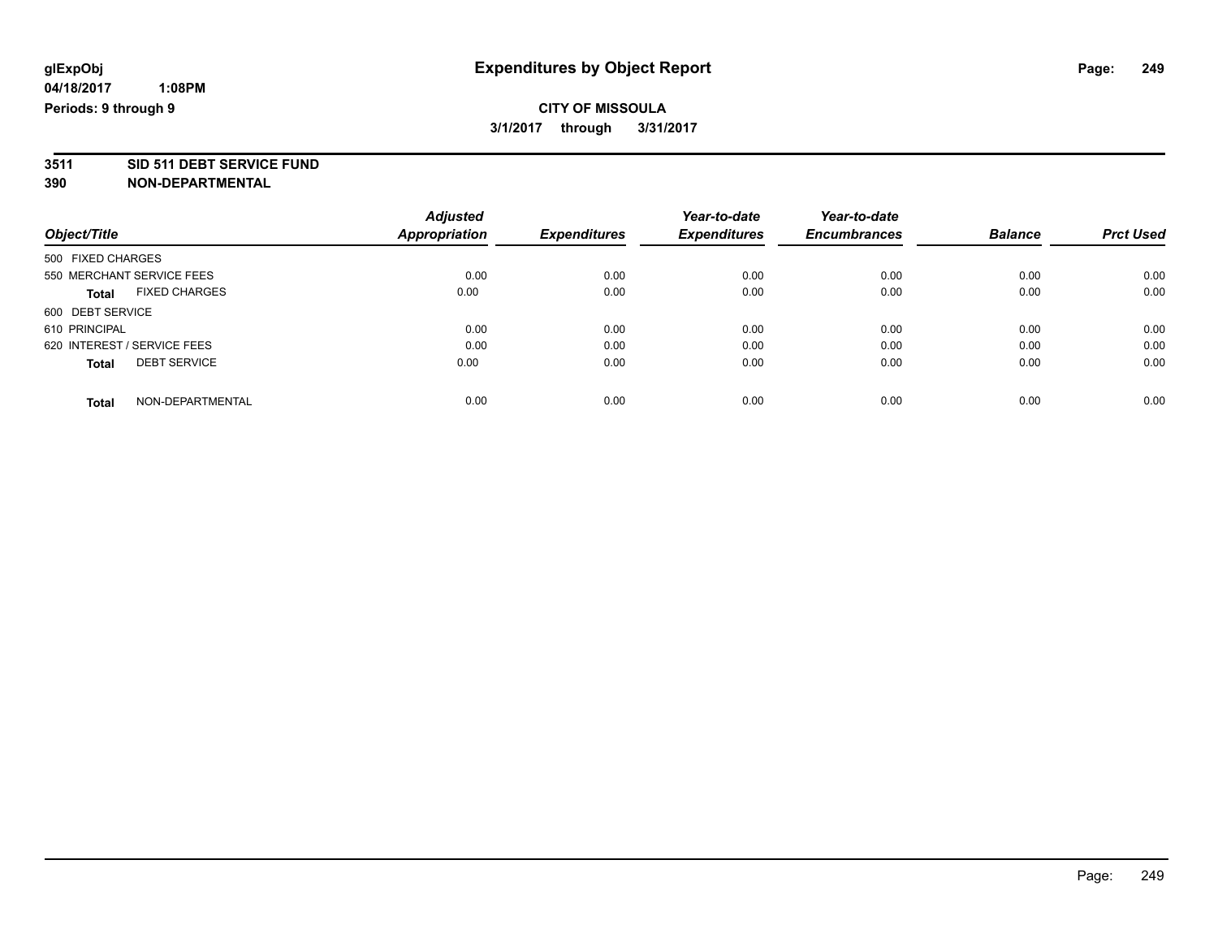# **CITY OF MISSOULA 3/1/2017 through 3/31/2017**

**3511 SID 511 DEBT SERVICE FUND**

|                             |                      | <b>Adjusted</b> |                     | Year-to-date        | Year-to-date        |                |                  |
|-----------------------------|----------------------|-----------------|---------------------|---------------------|---------------------|----------------|------------------|
| Object/Title                |                      | Appropriation   | <b>Expenditures</b> | <b>Expenditures</b> | <b>Encumbrances</b> | <b>Balance</b> | <b>Prct Used</b> |
| 500 FIXED CHARGES           |                      |                 |                     |                     |                     |                |                  |
| 550 MERCHANT SERVICE FEES   |                      | 0.00            | 0.00                | 0.00                | 0.00                | 0.00           | 0.00             |
| <b>Total</b>                | <b>FIXED CHARGES</b> | 0.00            | 0.00                | 0.00                | 0.00                | 0.00           | 0.00             |
| 600 DEBT SERVICE            |                      |                 |                     |                     |                     |                |                  |
| 610 PRINCIPAL               |                      | 0.00            | 0.00                | 0.00                | 0.00                | 0.00           | 0.00             |
| 620 INTEREST / SERVICE FEES |                      | 0.00            | 0.00                | 0.00                | 0.00                | 0.00           | 0.00             |
| <b>Total</b>                | <b>DEBT SERVICE</b>  | 0.00            | 0.00                | 0.00                | 0.00                | 0.00           | 0.00             |
| <b>Total</b>                | NON-DEPARTMENTAL     | 0.00            | 0.00                | 0.00                | 0.00                | 0.00           | 0.00             |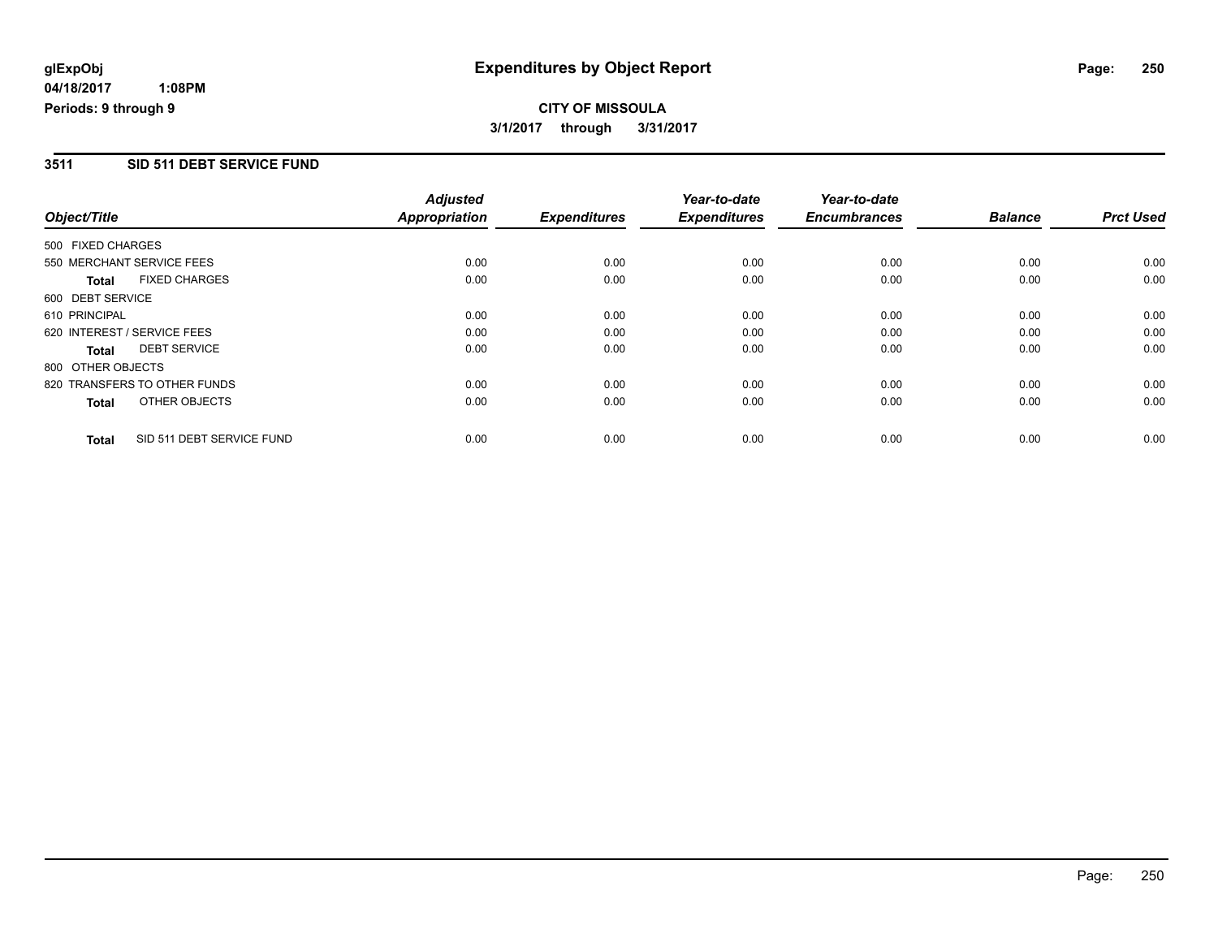# **CITY OF MISSOULA 3/1/2017 through 3/31/2017**

### **3511 SID 511 DEBT SERVICE FUND**

| Object/Title                |                              | <b>Adjusted</b><br><b>Appropriation</b> | <b>Expenditures</b> | Year-to-date<br><b>Expenditures</b> | Year-to-date<br><b>Encumbrances</b> | <b>Balance</b> | <b>Prct Used</b> |
|-----------------------------|------------------------------|-----------------------------------------|---------------------|-------------------------------------|-------------------------------------|----------------|------------------|
|                             |                              |                                         |                     |                                     |                                     |                |                  |
| 500 FIXED CHARGES           |                              |                                         |                     |                                     |                                     |                |                  |
| 550 MERCHANT SERVICE FEES   |                              | 0.00                                    | 0.00                | 0.00                                | 0.00                                | 0.00           | 0.00             |
| <b>Total</b>                | <b>FIXED CHARGES</b>         | 0.00                                    | 0.00                | 0.00                                | 0.00                                | 0.00           | 0.00             |
| 600 DEBT SERVICE            |                              |                                         |                     |                                     |                                     |                |                  |
| 610 PRINCIPAL               |                              | 0.00                                    | 0.00                | 0.00                                | 0.00                                | 0.00           | 0.00             |
| 620 INTEREST / SERVICE FEES |                              | 0.00                                    | 0.00                | 0.00                                | 0.00                                | 0.00           | 0.00             |
| Total                       | <b>DEBT SERVICE</b>          | 0.00                                    | 0.00                | 0.00                                | 0.00                                | 0.00           | 0.00             |
| 800 OTHER OBJECTS           |                              |                                         |                     |                                     |                                     |                |                  |
|                             | 820 TRANSFERS TO OTHER FUNDS | 0.00                                    | 0.00                | 0.00                                | 0.00                                | 0.00           | 0.00             |
| <b>Total</b>                | OTHER OBJECTS                | 0.00                                    | 0.00                | 0.00                                | 0.00                                | 0.00           | 0.00             |
| <b>Total</b>                | SID 511 DEBT SERVICE FUND    | 0.00                                    | 0.00                | 0.00                                | 0.00                                | 0.00           | 0.00             |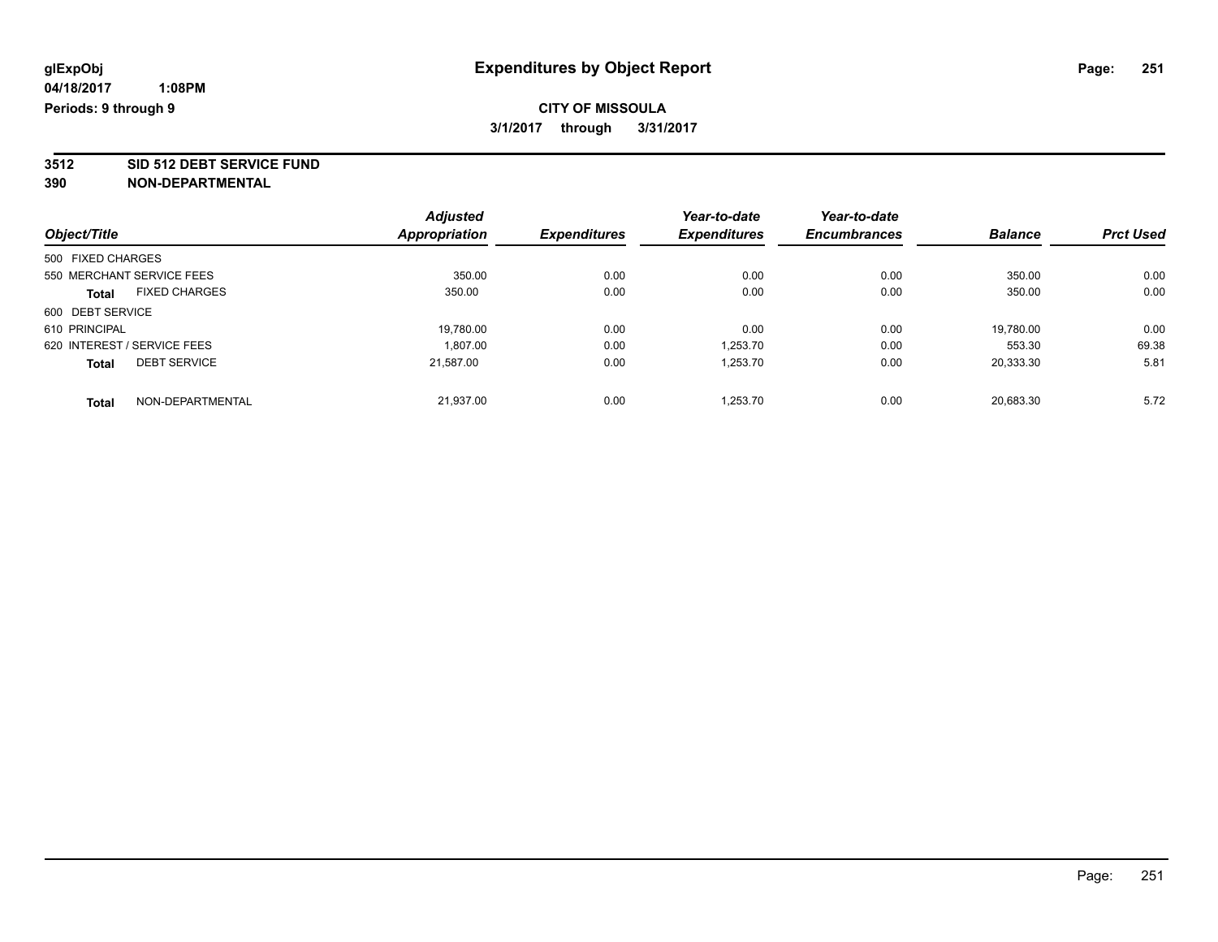# **CITY OF MISSOULA 3/1/2017 through 3/31/2017**

**3512 SID 512 DEBT SERVICE FUND**

|                             |                      | <b>Adjusted</b> |                     | Year-to-date        | Year-to-date        |                |                  |
|-----------------------------|----------------------|-----------------|---------------------|---------------------|---------------------|----------------|------------------|
| Object/Title                |                      | Appropriation   | <b>Expenditures</b> | <b>Expenditures</b> | <b>Encumbrances</b> | <b>Balance</b> | <b>Prct Used</b> |
| 500 FIXED CHARGES           |                      |                 |                     |                     |                     |                |                  |
| 550 MERCHANT SERVICE FEES   |                      | 350.00          | 0.00                | 0.00                | 0.00                | 350.00         | 0.00             |
| Total                       | <b>FIXED CHARGES</b> | 350.00          | 0.00                | 0.00                | 0.00                | 350.00         | 0.00             |
| 600 DEBT SERVICE            |                      |                 |                     |                     |                     |                |                  |
| 610 PRINCIPAL               |                      | 19,780.00       | 0.00                | 0.00                | 0.00                | 19,780.00      | 0.00             |
| 620 INTEREST / SERVICE FEES |                      | 1.807.00        | 0.00                | 1.253.70            | 0.00                | 553.30         | 69.38            |
| <b>Total</b>                | <b>DEBT SERVICE</b>  | 21,587.00       | 0.00                | 1,253.70            | 0.00                | 20,333.30      | 5.81             |
| <b>Total</b>                | NON-DEPARTMENTAL     | 21.937.00       | 0.00                | 1.253.70            | 0.00                | 20.683.30      | 5.72             |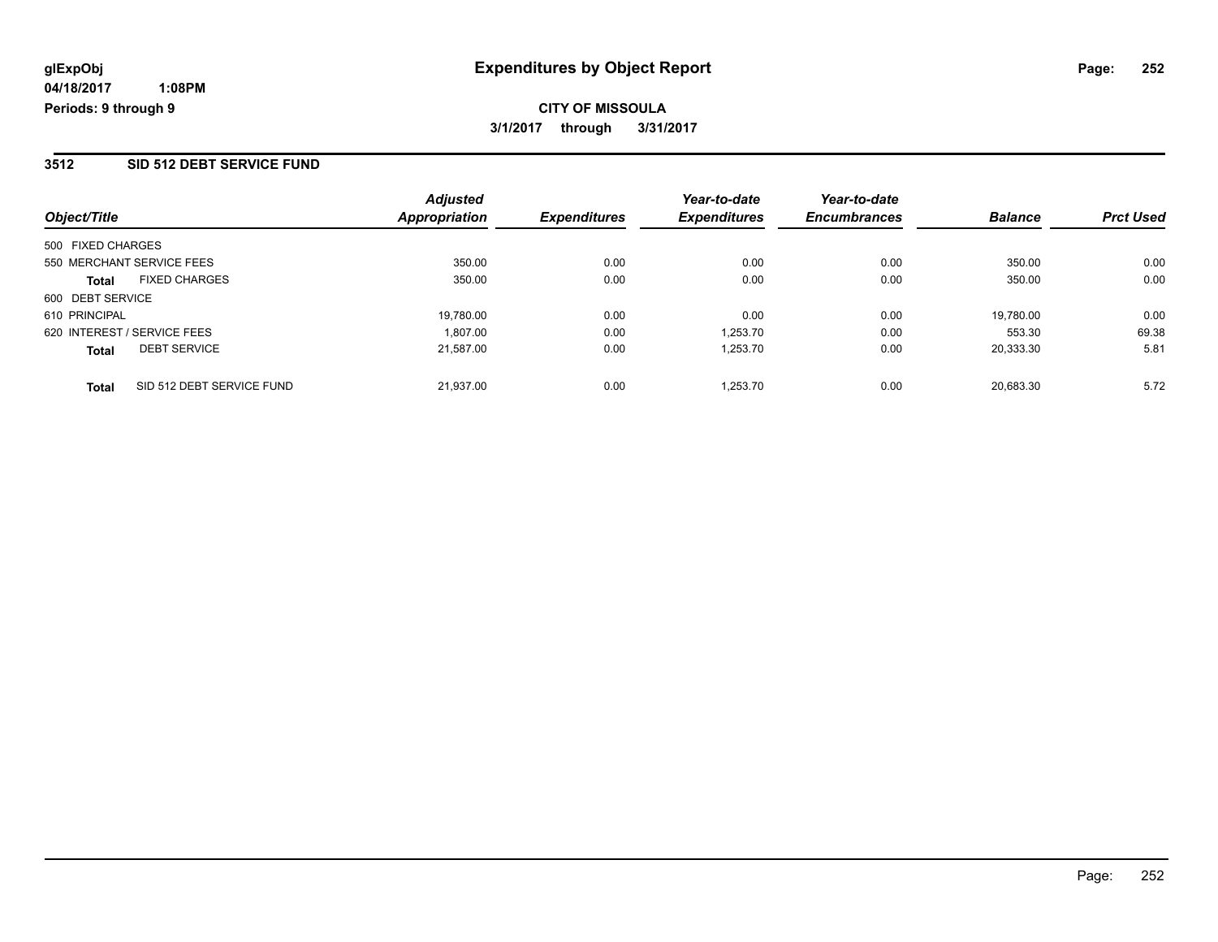### **3512 SID 512 DEBT SERVICE FUND**

| Object/Title                              | <b>Adjusted</b><br>Appropriation | <i><b>Expenditures</b></i> | Year-to-date<br><b>Expenditures</b> | Year-to-date<br><b>Encumbrances</b> | <b>Balance</b> | <b>Prct Used</b> |
|-------------------------------------------|----------------------------------|----------------------------|-------------------------------------|-------------------------------------|----------------|------------------|
| 500 FIXED CHARGES                         |                                  |                            |                                     |                                     |                |                  |
| 550 MERCHANT SERVICE FEES                 | 350.00                           | 0.00                       | 0.00                                | 0.00                                | 350.00         | 0.00             |
| <b>FIXED CHARGES</b><br><b>Total</b>      | 350.00                           | 0.00                       | 0.00                                | 0.00                                | 350.00         | 0.00             |
| 600 DEBT SERVICE                          |                                  |                            |                                     |                                     |                |                  |
| 610 PRINCIPAL                             | 19,780.00                        | 0.00                       | 0.00                                | 0.00                                | 19,780.00      | 0.00             |
| 620 INTEREST / SERVICE FEES               | 1.807.00                         | 0.00                       | 1.253.70                            | 0.00                                | 553.30         | 69.38            |
| <b>DEBT SERVICE</b><br><b>Total</b>       | 21.587.00                        | 0.00                       | 1.253.70                            | 0.00                                | 20.333.30      | 5.81             |
| SID 512 DEBT SERVICE FUND<br><b>Total</b> | 21.937.00                        | 0.00                       | 1.253.70                            | 0.00                                | 20.683.30      | 5.72             |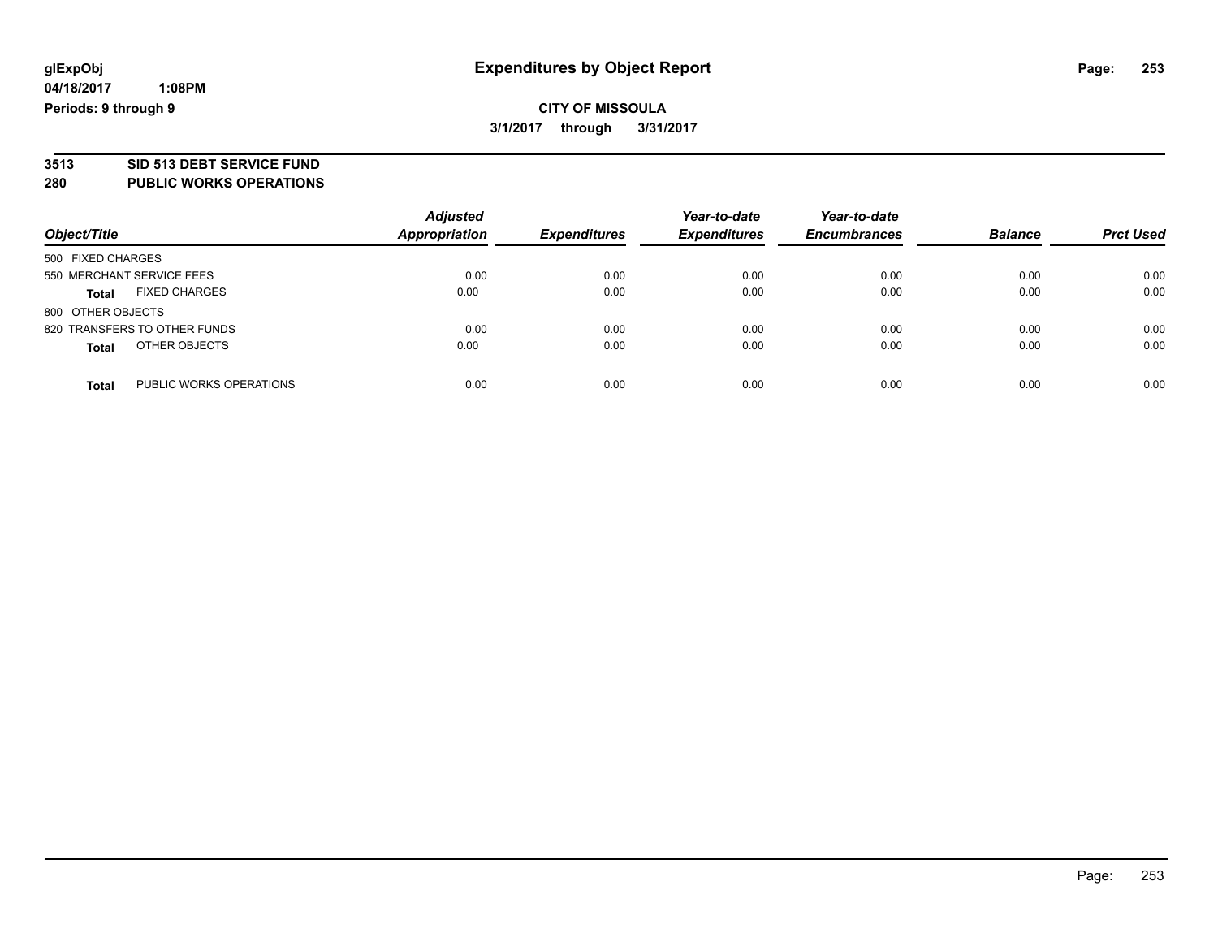### **CITY OF MISSOULA 3/1/2017 through 3/31/2017**

# **3513 SID 513 DEBT SERVICE FUND**

### **280 PUBLIC WORKS OPERATIONS**

| Object/Title                            | <b>Adjusted</b><br>Appropriation | <b>Expenditures</b> | Year-to-date<br><b>Expenditures</b> | Year-to-date<br><b>Encumbrances</b> | <b>Balance</b> | <b>Prct Used</b> |
|-----------------------------------------|----------------------------------|---------------------|-------------------------------------|-------------------------------------|----------------|------------------|
| 500 FIXED CHARGES                       |                                  |                     |                                     |                                     |                |                  |
| 550 MERCHANT SERVICE FEES               | 0.00                             | 0.00                | 0.00                                | 0.00                                | 0.00           | 0.00             |
| <b>FIXED CHARGES</b><br><b>Total</b>    | 0.00                             | 0.00                | 0.00                                | 0.00                                | 0.00           | 0.00             |
| 800 OTHER OBJECTS                       |                                  |                     |                                     |                                     |                |                  |
| 820 TRANSFERS TO OTHER FUNDS            | 0.00                             | 0.00                | 0.00                                | 0.00                                | 0.00           | 0.00             |
| OTHER OBJECTS<br><b>Total</b>           | 0.00                             | 0.00                | 0.00                                | 0.00                                | 0.00           | 0.00             |
| PUBLIC WORKS OPERATIONS<br><b>Total</b> | 0.00                             | 0.00                | 0.00                                | 0.00                                | 0.00           | 0.00             |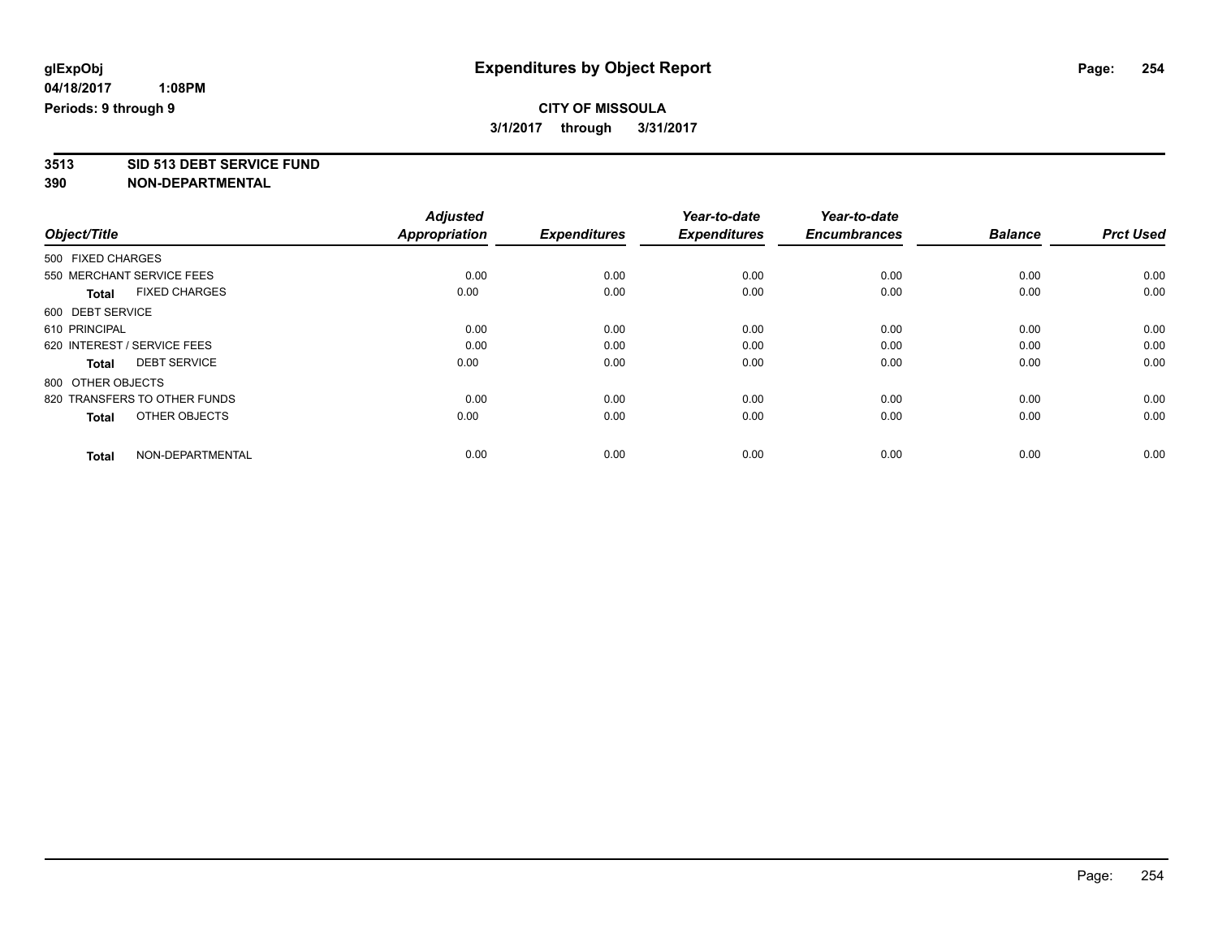### **CITY OF MISSOULA 3/1/2017 through 3/31/2017**

**3513 SID 513 DEBT SERVICE FUND**

|                                      | <b>Adjusted</b>      |                     | Year-to-date        | Year-to-date        |                |                  |
|--------------------------------------|----------------------|---------------------|---------------------|---------------------|----------------|------------------|
| Object/Title                         | <b>Appropriation</b> | <b>Expenditures</b> | <b>Expenditures</b> | <b>Encumbrances</b> | <b>Balance</b> | <b>Prct Used</b> |
| 500 FIXED CHARGES                    |                      |                     |                     |                     |                |                  |
| 550 MERCHANT SERVICE FEES            | 0.00                 | 0.00                | 0.00                | 0.00                | 0.00           | 0.00             |
| <b>FIXED CHARGES</b><br><b>Total</b> | 0.00                 | 0.00                | 0.00                | 0.00                | 0.00           | 0.00             |
| 600 DEBT SERVICE                     |                      |                     |                     |                     |                |                  |
| 610 PRINCIPAL                        | 0.00                 | 0.00                | 0.00                | 0.00                | 0.00           | 0.00             |
| 620 INTEREST / SERVICE FEES          | 0.00                 | 0.00                | 0.00                | 0.00                | 0.00           | 0.00             |
| <b>DEBT SERVICE</b><br>Total         | 0.00                 | 0.00                | 0.00                | 0.00                | 0.00           | 0.00             |
| 800 OTHER OBJECTS                    |                      |                     |                     |                     |                |                  |
| 820 TRANSFERS TO OTHER FUNDS         | 0.00                 | 0.00                | 0.00                | 0.00                | 0.00           | 0.00             |
| OTHER OBJECTS<br><b>Total</b>        | 0.00                 | 0.00                | 0.00                | 0.00                | 0.00           | 0.00             |
|                                      |                      |                     |                     |                     |                |                  |
| NON-DEPARTMENTAL<br><b>Total</b>     | 0.00                 | 0.00                | 0.00                | 0.00                | 0.00           | 0.00             |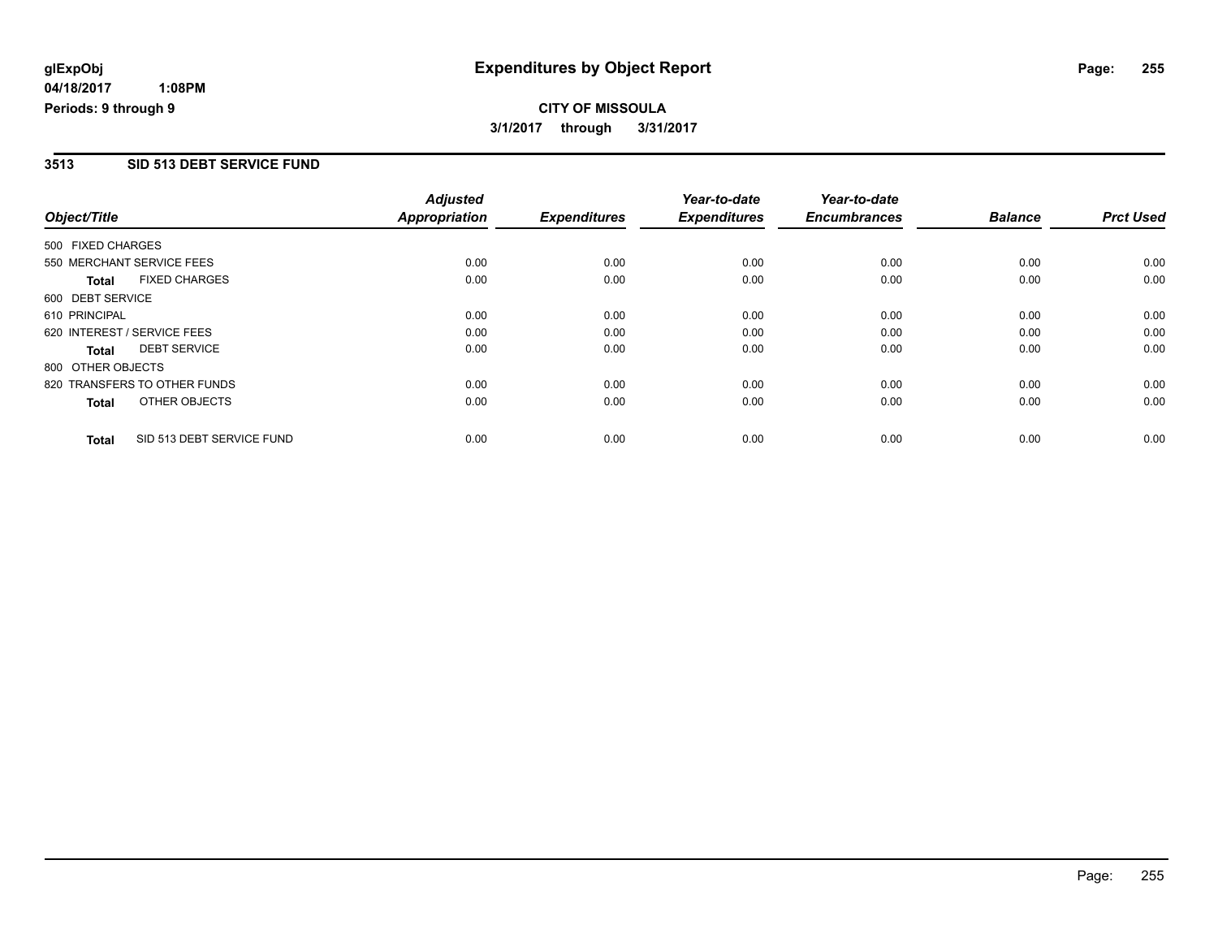**CITY OF MISSOULA 3/1/2017 through 3/31/2017**

#### **3513 SID 513 DEBT SERVICE FUND**

|                   |                              | <b>Adjusted</b>      |                     | Year-to-date        | Year-to-date        |                |                  |
|-------------------|------------------------------|----------------------|---------------------|---------------------|---------------------|----------------|------------------|
| Object/Title      |                              | <b>Appropriation</b> | <b>Expenditures</b> | <b>Expenditures</b> | <b>Encumbrances</b> | <b>Balance</b> | <b>Prct Used</b> |
| 500 FIXED CHARGES |                              |                      |                     |                     |                     |                |                  |
|                   | 550 MERCHANT SERVICE FEES    | 0.00                 | 0.00                | 0.00                | 0.00                | 0.00           | 0.00             |
| <b>Total</b>      | <b>FIXED CHARGES</b>         | 0.00                 | 0.00                | 0.00                | 0.00                | 0.00           | 0.00             |
| 600 DEBT SERVICE  |                              |                      |                     |                     |                     |                |                  |
| 610 PRINCIPAL     |                              | 0.00                 | 0.00                | 0.00                | 0.00                | 0.00           | 0.00             |
|                   | 620 INTEREST / SERVICE FEES  | 0.00                 | 0.00                | 0.00                | 0.00                | 0.00           | 0.00             |
| <b>Total</b>      | <b>DEBT SERVICE</b>          | 0.00                 | 0.00                | 0.00                | 0.00                | 0.00           | 0.00             |
| 800 OTHER OBJECTS |                              |                      |                     |                     |                     |                |                  |
|                   | 820 TRANSFERS TO OTHER FUNDS | 0.00                 | 0.00                | 0.00                | 0.00                | 0.00           | 0.00             |
| <b>Total</b>      | OTHER OBJECTS                | 0.00                 | 0.00                | 0.00                | 0.00                | 0.00           | 0.00             |
| <b>Total</b>      | SID 513 DEBT SERVICE FUND    | 0.00                 | 0.00                | 0.00                | 0.00                | 0.00           | 0.00             |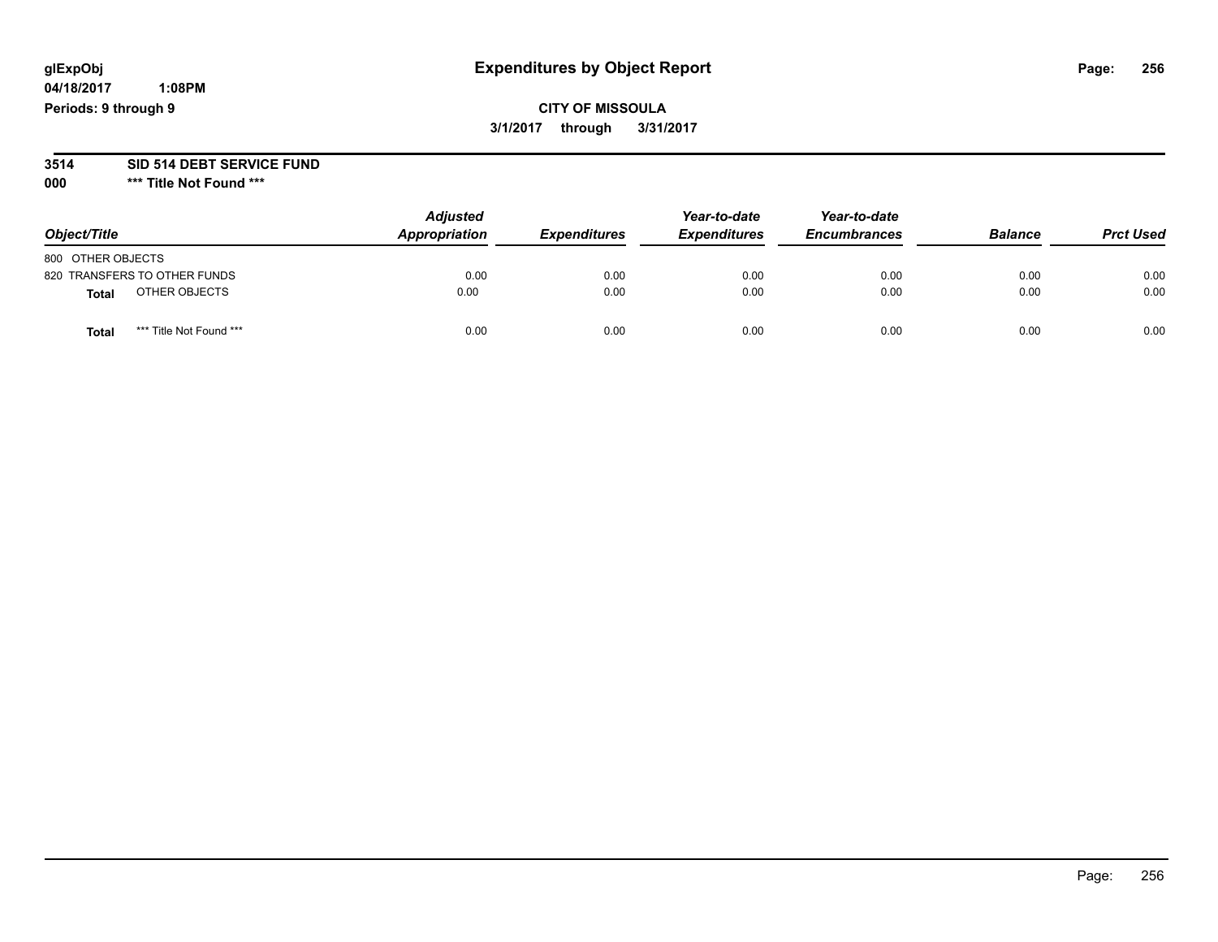# **glExpObj Expenditures by Object Report Page: 256**

**04/18/2017 1:08PM Periods: 9 through 9**

### **CITY OF MISSOULA 3/1/2017 through 3/31/2017**

#### **3514 SID 514 DEBT SERVICE FUND**

**000 \*\*\* Title Not Found \*\*\***

| Object/Title      |                              | <b>Adjusted</b><br>Appropriation | <b>Expenditures</b> | Year-to-date<br><b>Expenditures</b> | Year-to-date<br><b>Encumbrances</b> | <b>Balance</b> | <b>Prct Used</b> |
|-------------------|------------------------------|----------------------------------|---------------------|-------------------------------------|-------------------------------------|----------------|------------------|
| 800 OTHER OBJECTS |                              |                                  |                     |                                     |                                     |                |                  |
|                   | 820 TRANSFERS TO OTHER FUNDS | 0.00                             | 0.00                | 0.00                                | 0.00                                | 0.00           | 0.00             |
| <b>Total</b>      | OTHER OBJECTS                | 0.00                             | 0.00                | 0.00                                | 0.00                                | 0.00           | 0.00             |
| <b>Total</b>      | *** Title Not Found ***      | 0.00                             | 0.00                | 0.00                                | 0.00                                | 0.00           | 0.00             |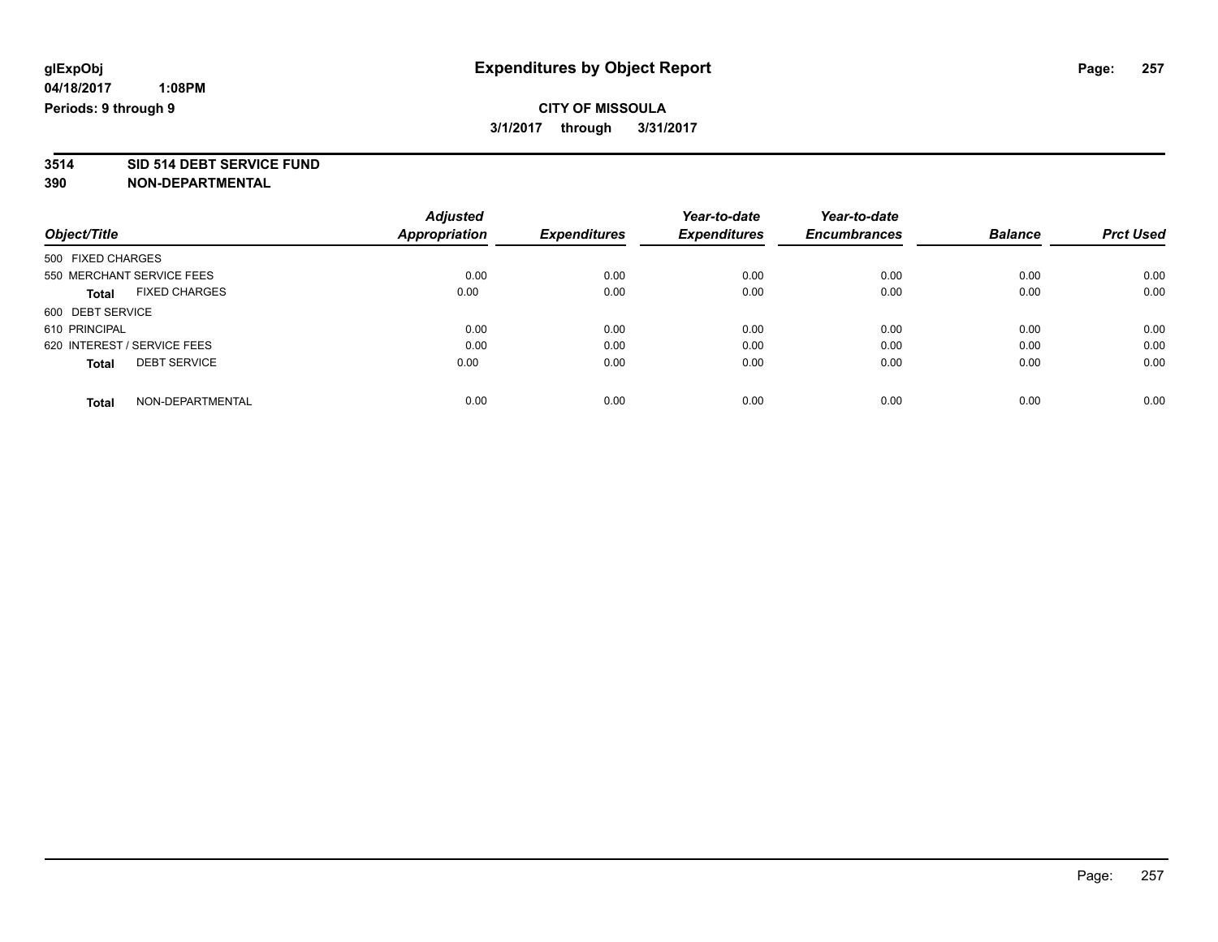### **CITY OF MISSOULA 3/1/2017 through 3/31/2017**

# **3514 SID 514 DEBT SERVICE FUND**

|                                      | <b>Adjusted</b> |                     | Year-to-date        | Year-to-date        |                |                  |
|--------------------------------------|-----------------|---------------------|---------------------|---------------------|----------------|------------------|
| Object/Title                         | Appropriation   | <b>Expenditures</b> | <b>Expenditures</b> | <b>Encumbrances</b> | <b>Balance</b> | <b>Prct Used</b> |
| 500 FIXED CHARGES                    |                 |                     |                     |                     |                |                  |
| 550 MERCHANT SERVICE FEES            | 0.00            | 0.00                | 0.00                | 0.00                | 0.00           | 0.00             |
| <b>FIXED CHARGES</b><br><b>Total</b> | 0.00            | 0.00                | 0.00                | 0.00                | 0.00           | 0.00             |
| 600 DEBT SERVICE                     |                 |                     |                     |                     |                |                  |
| 610 PRINCIPAL                        | 0.00            | 0.00                | 0.00                | 0.00                | 0.00           | 0.00             |
| 620 INTEREST / SERVICE FEES          | 0.00            | 0.00                | 0.00                | 0.00                | 0.00           | 0.00             |
| <b>DEBT SERVICE</b><br><b>Total</b>  | 0.00            | 0.00                | 0.00                | 0.00                | 0.00           | 0.00             |
| NON-DEPARTMENTAL<br><b>Total</b>     | 0.00            | 0.00                | 0.00                | 0.00                | 0.00           | 0.00             |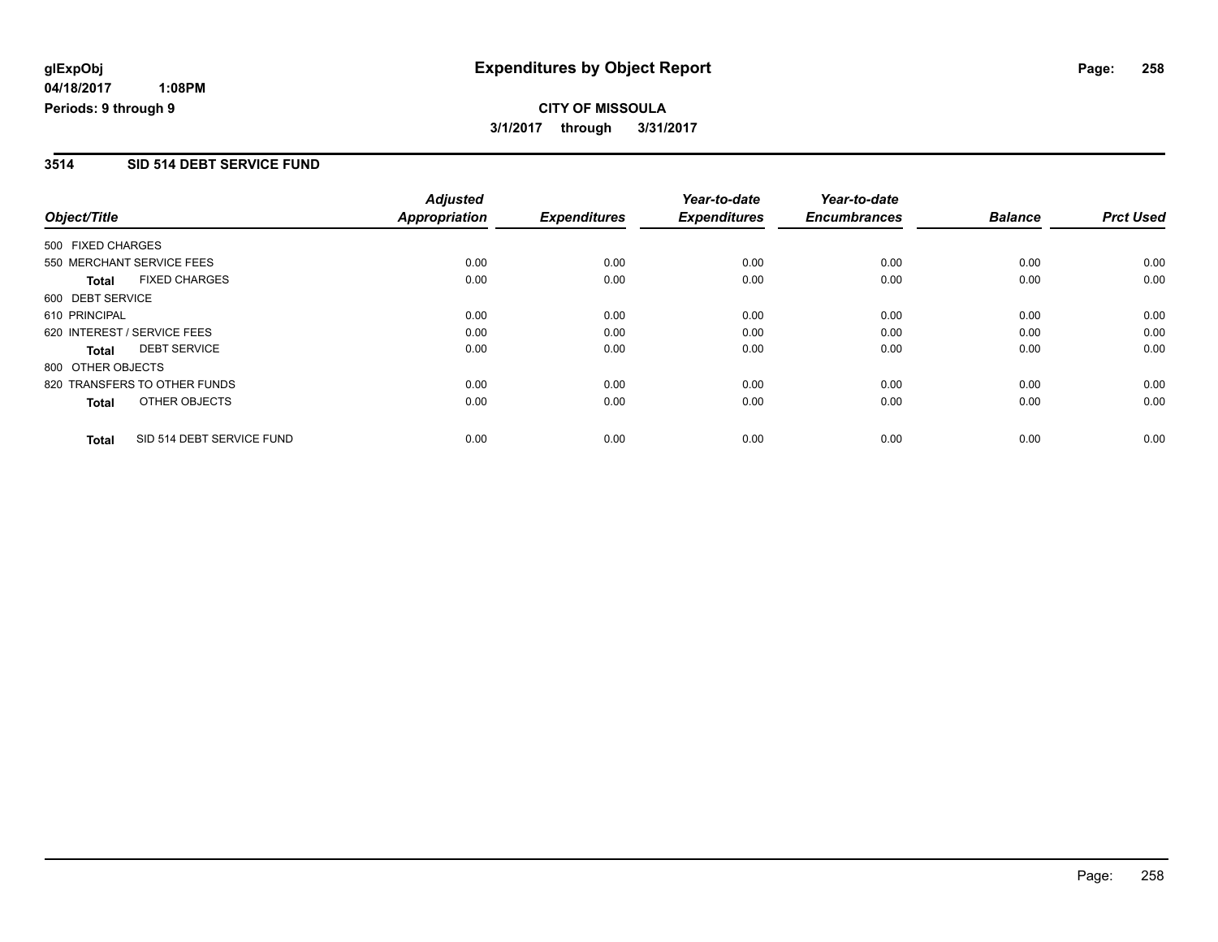**CITY OF MISSOULA 3/1/2017 through 3/31/2017**

#### **3514 SID 514 DEBT SERVICE FUND**

|                   |                              | <b>Adjusted</b>      |                     | Year-to-date        | Year-to-date        |                |                  |
|-------------------|------------------------------|----------------------|---------------------|---------------------|---------------------|----------------|------------------|
| Object/Title      |                              | <b>Appropriation</b> | <b>Expenditures</b> | <b>Expenditures</b> | <b>Encumbrances</b> | <b>Balance</b> | <b>Prct Used</b> |
| 500 FIXED CHARGES |                              |                      |                     |                     |                     |                |                  |
|                   | 550 MERCHANT SERVICE FEES    | 0.00                 | 0.00                | 0.00                | 0.00                | 0.00           | 0.00             |
| <b>Total</b>      | <b>FIXED CHARGES</b>         | 0.00                 | 0.00                | 0.00                | 0.00                | 0.00           | 0.00             |
| 600 DEBT SERVICE  |                              |                      |                     |                     |                     |                |                  |
| 610 PRINCIPAL     |                              | 0.00                 | 0.00                | 0.00                | 0.00                | 0.00           | 0.00             |
|                   | 620 INTEREST / SERVICE FEES  | 0.00                 | 0.00                | 0.00                | 0.00                | 0.00           | 0.00             |
| <b>Total</b>      | <b>DEBT SERVICE</b>          | 0.00                 | 0.00                | 0.00                | 0.00                | 0.00           | 0.00             |
| 800 OTHER OBJECTS |                              |                      |                     |                     |                     |                |                  |
|                   | 820 TRANSFERS TO OTHER FUNDS | 0.00                 | 0.00                | 0.00                | 0.00                | 0.00           | 0.00             |
| <b>Total</b>      | OTHER OBJECTS                | 0.00                 | 0.00                | 0.00                | 0.00                | 0.00           | 0.00             |
| <b>Total</b>      | SID 514 DEBT SERVICE FUND    | 0.00                 | 0.00                | 0.00                | 0.00                | 0.00           | 0.00             |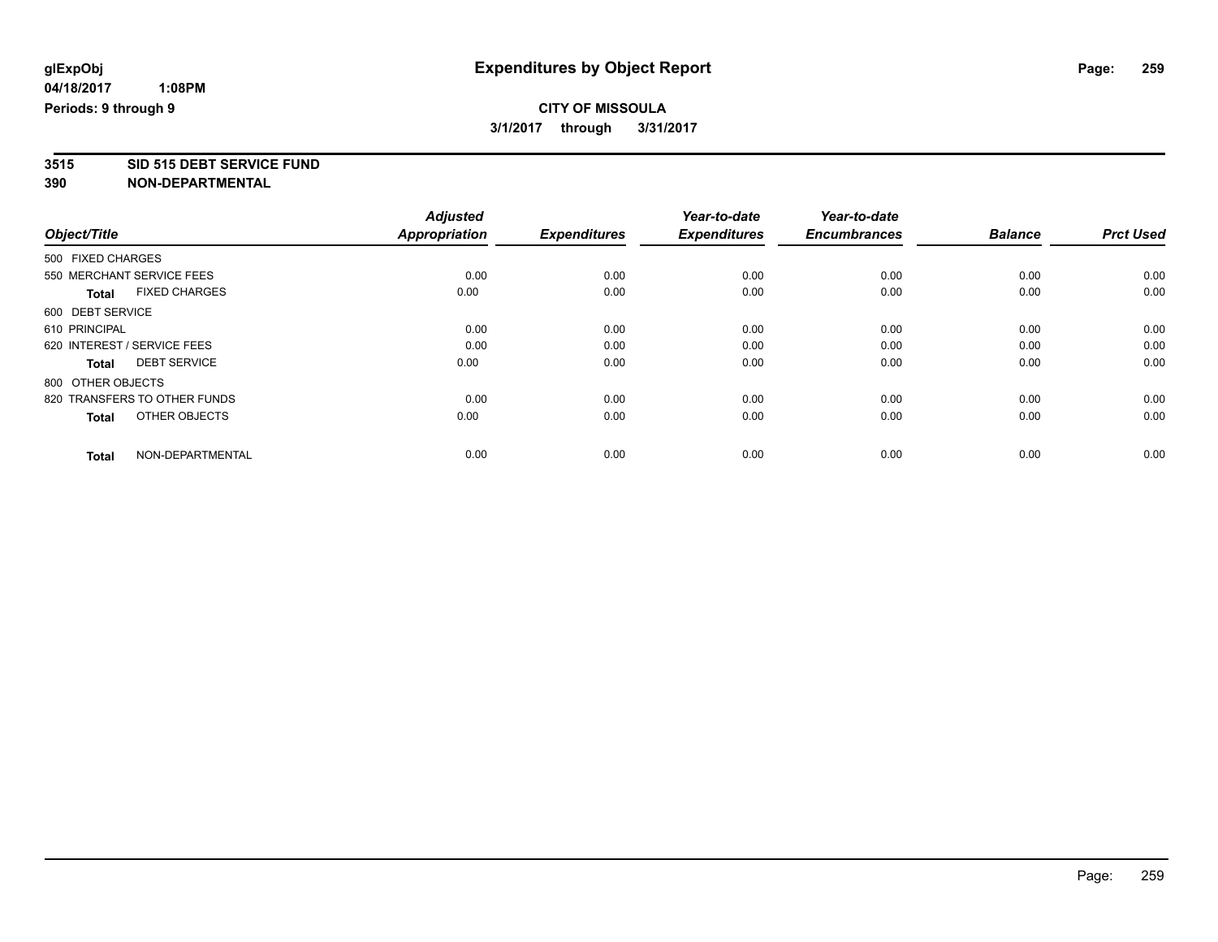### **CITY OF MISSOULA 3/1/2017 through 3/31/2017**

**3515 SID 515 DEBT SERVICE FUND**

|                                      | <b>Adjusted</b>      |                     | Year-to-date        | Year-to-date        |                |                  |
|--------------------------------------|----------------------|---------------------|---------------------|---------------------|----------------|------------------|
| Object/Title                         | <b>Appropriation</b> | <b>Expenditures</b> | <b>Expenditures</b> | <b>Encumbrances</b> | <b>Balance</b> | <b>Prct Used</b> |
| 500 FIXED CHARGES                    |                      |                     |                     |                     |                |                  |
| 550 MERCHANT SERVICE FEES            | 0.00                 | 0.00                | 0.00                | 0.00                | 0.00           | 0.00             |
| <b>FIXED CHARGES</b><br><b>Total</b> | 0.00                 | 0.00                | 0.00                | 0.00                | 0.00           | 0.00             |
| 600 DEBT SERVICE                     |                      |                     |                     |                     |                |                  |
| 610 PRINCIPAL                        | 0.00                 | 0.00                | 0.00                | 0.00                | 0.00           | 0.00             |
| 620 INTEREST / SERVICE FEES          | 0.00                 | 0.00                | 0.00                | 0.00                | 0.00           | 0.00             |
| <b>DEBT SERVICE</b><br>Total         | 0.00                 | 0.00                | 0.00                | 0.00                | 0.00           | 0.00             |
| 800 OTHER OBJECTS                    |                      |                     |                     |                     |                |                  |
| 820 TRANSFERS TO OTHER FUNDS         | 0.00                 | 0.00                | 0.00                | 0.00                | 0.00           | 0.00             |
| OTHER OBJECTS<br><b>Total</b>        | 0.00                 | 0.00                | 0.00                | 0.00                | 0.00           | 0.00             |
|                                      |                      |                     |                     |                     |                |                  |
| NON-DEPARTMENTAL<br><b>Total</b>     | 0.00                 | 0.00                | 0.00                | 0.00                | 0.00           | 0.00             |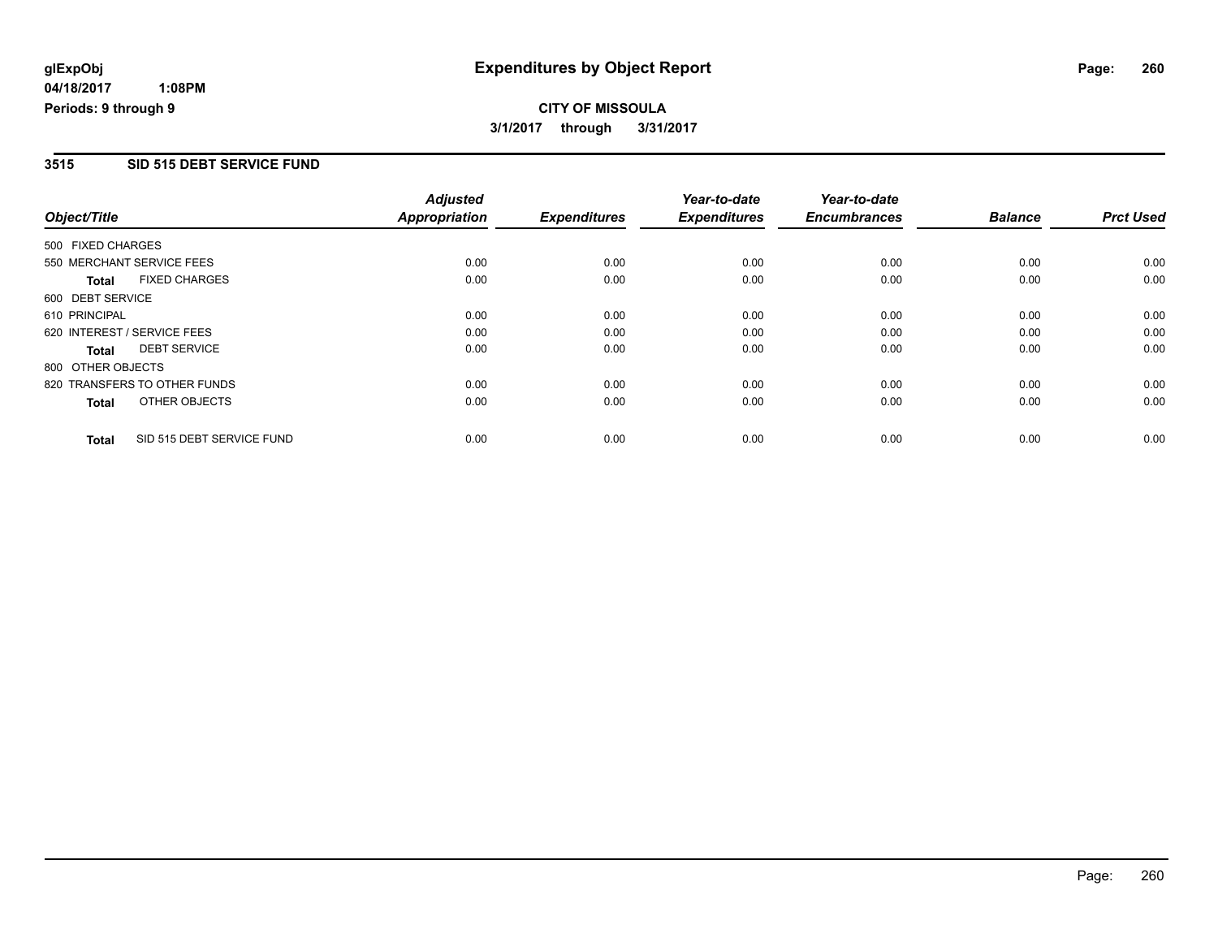**CITY OF MISSOULA 3/1/2017 through 3/31/2017**

#### **3515 SID 515 DEBT SERVICE FUND**

|                   |                              | <b>Adjusted</b>      |                     | Year-to-date        | Year-to-date        |                |                  |
|-------------------|------------------------------|----------------------|---------------------|---------------------|---------------------|----------------|------------------|
| Object/Title      |                              | <b>Appropriation</b> | <b>Expenditures</b> | <b>Expenditures</b> | <b>Encumbrances</b> | <b>Balance</b> | <b>Prct Used</b> |
| 500 FIXED CHARGES |                              |                      |                     |                     |                     |                |                  |
|                   | 550 MERCHANT SERVICE FEES    | 0.00                 | 0.00                | 0.00                | 0.00                | 0.00           | 0.00             |
| <b>Total</b>      | <b>FIXED CHARGES</b>         | 0.00                 | 0.00                | 0.00                | 0.00                | 0.00           | 0.00             |
| 600 DEBT SERVICE  |                              |                      |                     |                     |                     |                |                  |
| 610 PRINCIPAL     |                              | 0.00                 | 0.00                | 0.00                | 0.00                | 0.00           | 0.00             |
|                   | 620 INTEREST / SERVICE FEES  | 0.00                 | 0.00                | 0.00                | 0.00                | 0.00           | 0.00             |
| <b>Total</b>      | <b>DEBT SERVICE</b>          | 0.00                 | 0.00                | 0.00                | 0.00                | 0.00           | 0.00             |
| 800 OTHER OBJECTS |                              |                      |                     |                     |                     |                |                  |
|                   | 820 TRANSFERS TO OTHER FUNDS | 0.00                 | 0.00                | 0.00                | 0.00                | 0.00           | 0.00             |
| <b>Total</b>      | OTHER OBJECTS                | 0.00                 | 0.00                | 0.00                | 0.00                | 0.00           | 0.00             |
| <b>Total</b>      | SID 515 DEBT SERVICE FUND    | 0.00                 | 0.00                | 0.00                | 0.00                | 0.00           | 0.00             |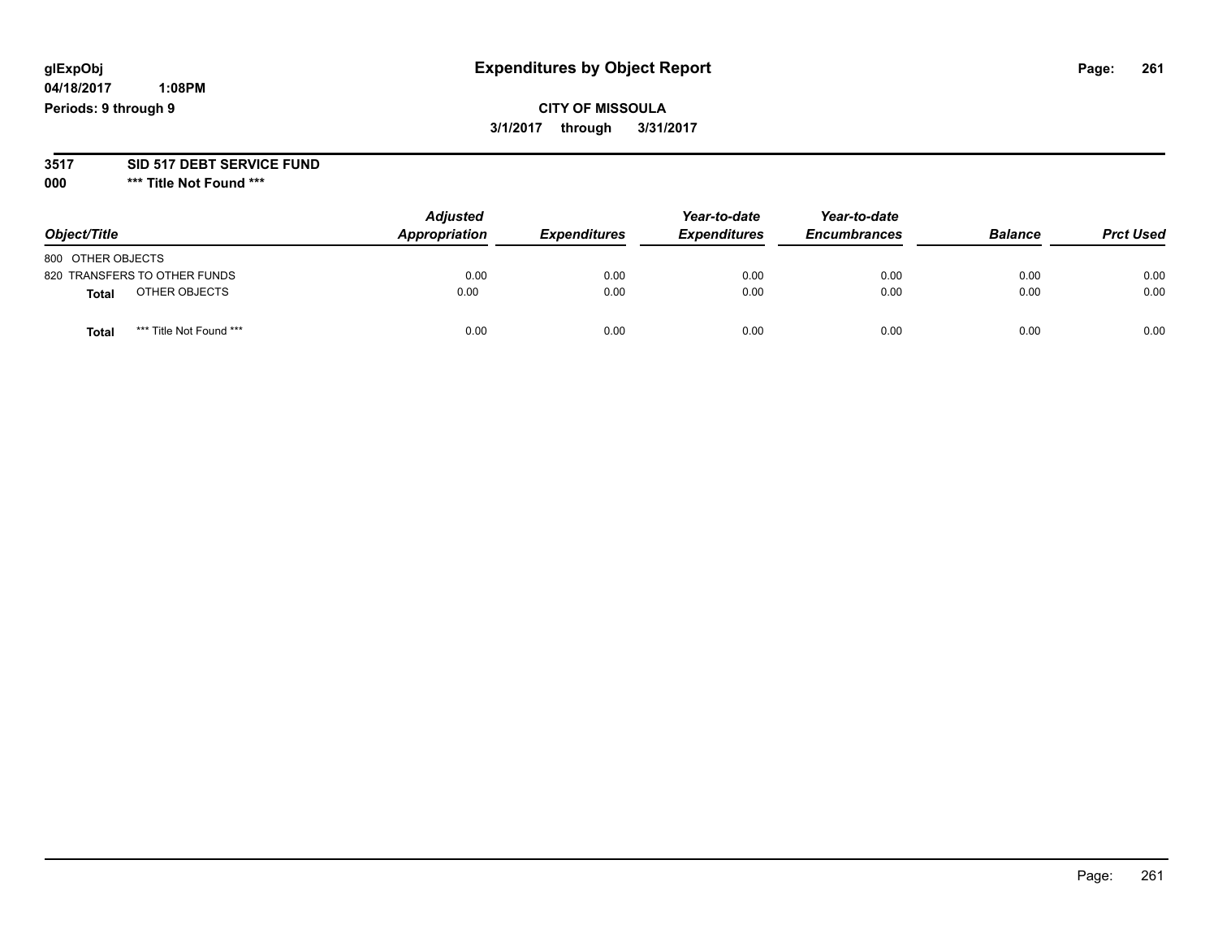# **glExpObj Expenditures by Object Report Page: 261**

**04/18/2017 1:08PM Periods: 9 through 9**

### **CITY OF MISSOULA 3/1/2017 through 3/31/2017**

#### **3517 SID 517 DEBT SERVICE FUND**

**000 \*\*\* Title Not Found \*\*\***

| Object/Title                     | <b>Adjusted</b><br>Appropriation | <b>Expenditures</b> | Year-to-date<br><b>Expenditures</b> | Year-to-date<br><b>Encumbrances</b> | <b>Balance</b> | <b>Prct Used</b> |
|----------------------------------|----------------------------------|---------------------|-------------------------------------|-------------------------------------|----------------|------------------|
| 800 OTHER OBJECTS                |                                  |                     |                                     |                                     |                |                  |
| 820 TRANSFERS TO OTHER FUNDS     | 0.00                             | 0.00                | 0.00                                | 0.00                                | 0.00           | 0.00             |
| OTHER OBJECTS<br><b>Total</b>    | 0.00                             | 0.00                | 0.00                                | 0.00                                | 0.00           | 0.00             |
| *** Title Not Found ***<br>Total | 0.00                             | 0.00                | 0.00                                | 0.00                                | 0.00           | 0.00             |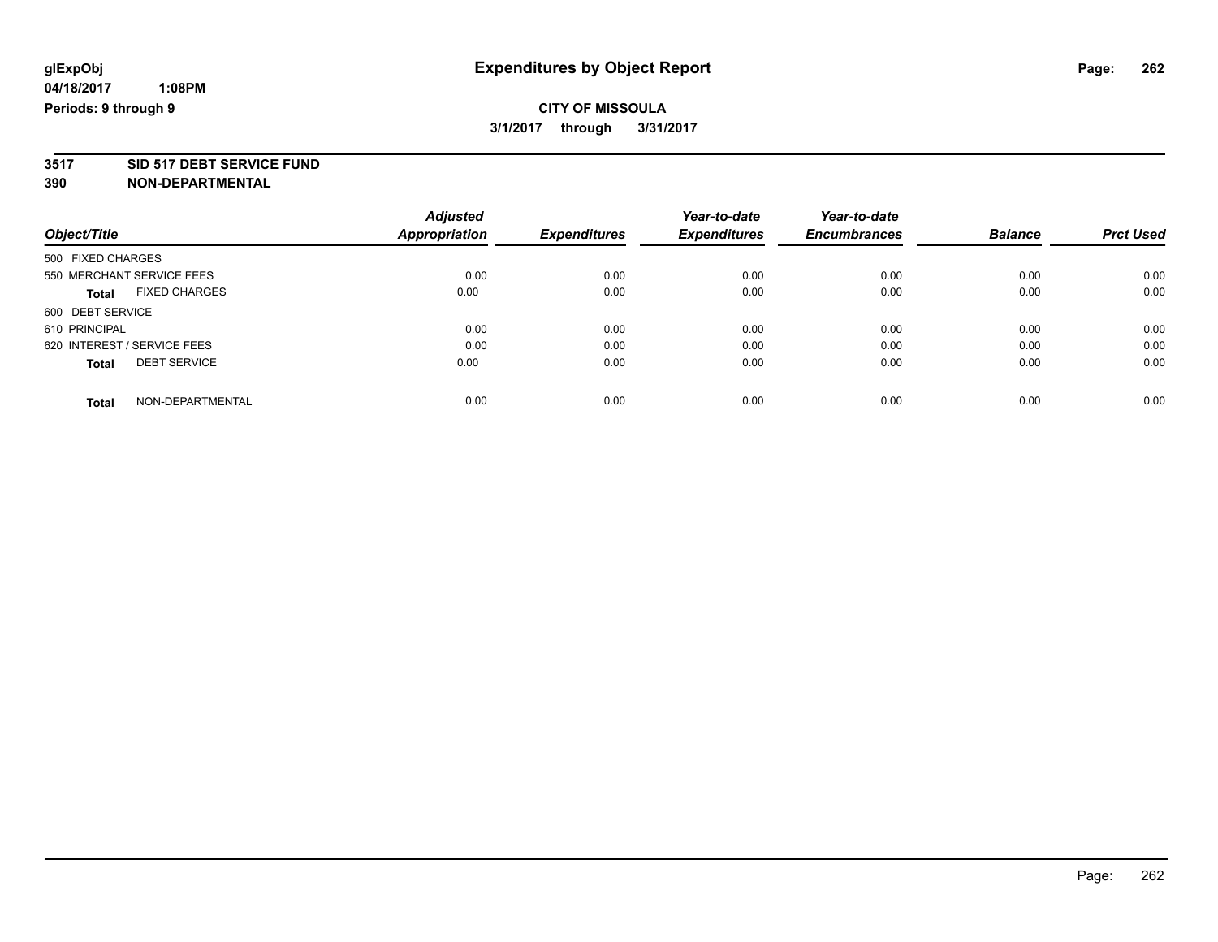### **CITY OF MISSOULA 3/1/2017 through 3/31/2017**

# **3517 SID 517 DEBT SERVICE FUND**

|                                      | <b>Adjusted</b> |                     | Year-to-date        | Year-to-date        |                |                  |
|--------------------------------------|-----------------|---------------------|---------------------|---------------------|----------------|------------------|
| Object/Title                         | Appropriation   | <b>Expenditures</b> | <b>Expenditures</b> | <b>Encumbrances</b> | <b>Balance</b> | <b>Prct Used</b> |
| 500 FIXED CHARGES                    |                 |                     |                     |                     |                |                  |
| 550 MERCHANT SERVICE FEES            | 0.00            | 0.00                | 0.00                | 0.00                | 0.00           | 0.00             |
| <b>FIXED CHARGES</b><br><b>Total</b> | 0.00            | 0.00                | 0.00                | 0.00                | 0.00           | 0.00             |
| 600 DEBT SERVICE                     |                 |                     |                     |                     |                |                  |
| 610 PRINCIPAL                        | 0.00            | 0.00                | 0.00                | 0.00                | 0.00           | 0.00             |
| 620 INTEREST / SERVICE FEES          | 0.00            | 0.00                | 0.00                | 0.00                | 0.00           | 0.00             |
| <b>DEBT SERVICE</b><br><b>Total</b>  | 0.00            | 0.00                | 0.00                | 0.00                | 0.00           | 0.00             |
| NON-DEPARTMENTAL<br><b>Total</b>     | 0.00            | 0.00                | 0.00                | 0.00                | 0.00           | 0.00             |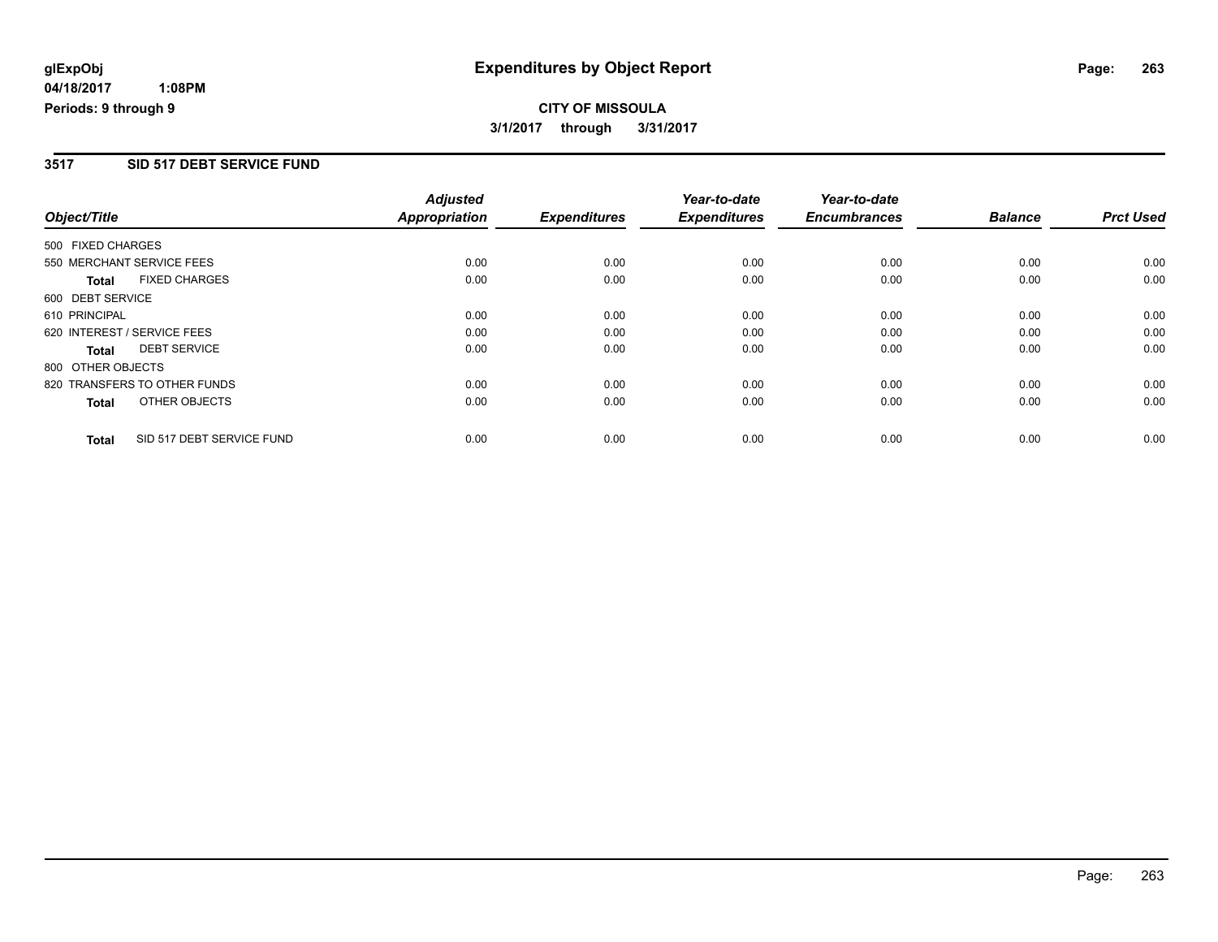**CITY OF MISSOULA 3/1/2017 through 3/31/2017**

#### **3517 SID 517 DEBT SERVICE FUND**

|                   |                              | <b>Adjusted</b>      |                     | Year-to-date        | Year-to-date        |                |                  |
|-------------------|------------------------------|----------------------|---------------------|---------------------|---------------------|----------------|------------------|
| Object/Title      |                              | <b>Appropriation</b> | <b>Expenditures</b> | <b>Expenditures</b> | <b>Encumbrances</b> | <b>Balance</b> | <b>Prct Used</b> |
| 500 FIXED CHARGES |                              |                      |                     |                     |                     |                |                  |
|                   | 550 MERCHANT SERVICE FEES    | 0.00                 | 0.00                | 0.00                | 0.00                | 0.00           | 0.00             |
| <b>Total</b>      | <b>FIXED CHARGES</b>         | 0.00                 | 0.00                | 0.00                | 0.00                | 0.00           | 0.00             |
| 600 DEBT SERVICE  |                              |                      |                     |                     |                     |                |                  |
| 610 PRINCIPAL     |                              | 0.00                 | 0.00                | 0.00                | 0.00                | 0.00           | 0.00             |
|                   | 620 INTEREST / SERVICE FEES  | 0.00                 | 0.00                | 0.00                | 0.00                | 0.00           | 0.00             |
| <b>Total</b>      | <b>DEBT SERVICE</b>          | 0.00                 | 0.00                | 0.00                | 0.00                | 0.00           | 0.00             |
| 800 OTHER OBJECTS |                              |                      |                     |                     |                     |                |                  |
|                   | 820 TRANSFERS TO OTHER FUNDS | 0.00                 | 0.00                | 0.00                | 0.00                | 0.00           | 0.00             |
| <b>Total</b>      | OTHER OBJECTS                | 0.00                 | 0.00                | 0.00                | 0.00                | 0.00           | 0.00             |
| <b>Total</b>      | SID 517 DEBT SERVICE FUND    | 0.00                 | 0.00                | 0.00                | 0.00                | 0.00           | 0.00             |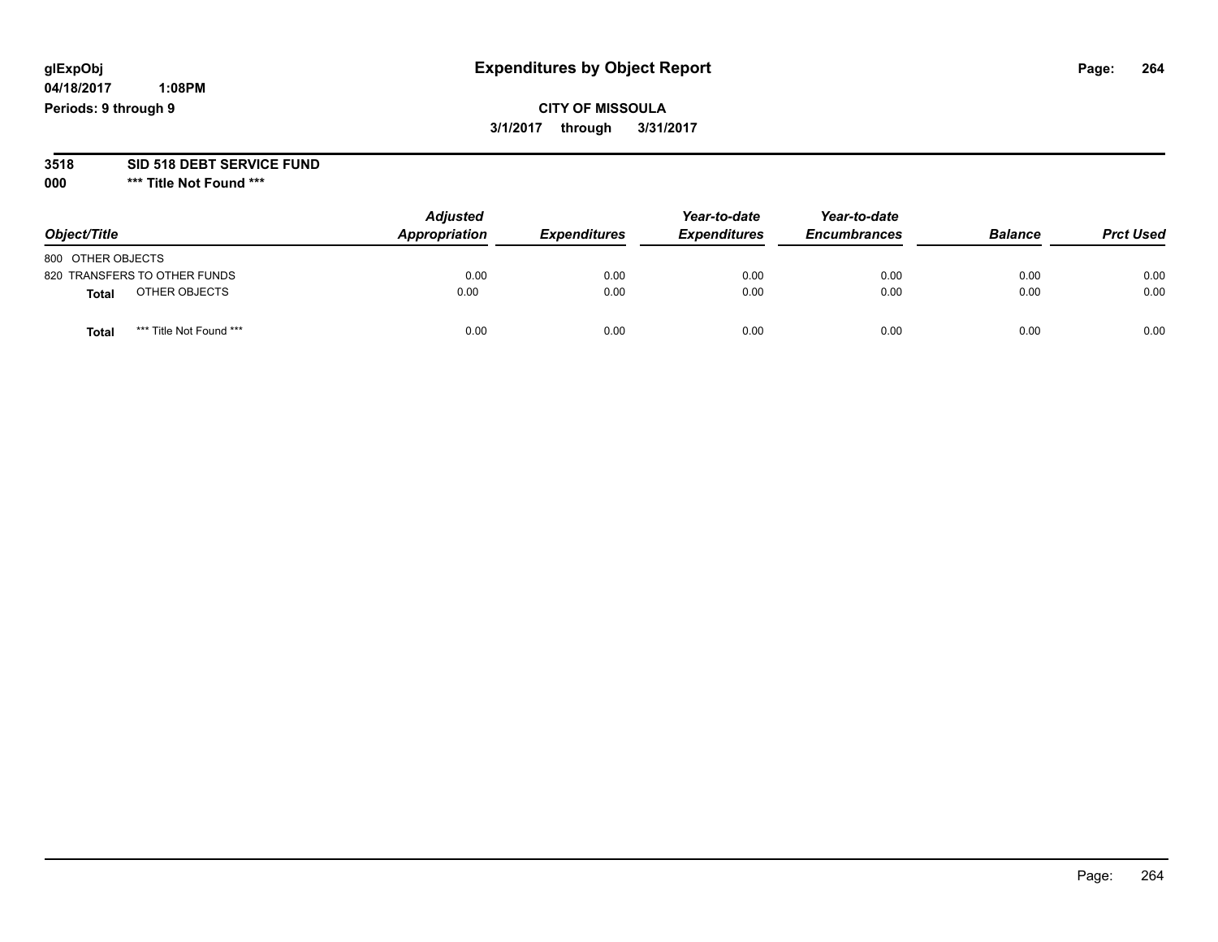# **glExpObj Expenditures by Object Report Page: 264**

**04/18/2017 1:08PM Periods: 9 through 9**

### **CITY OF MISSOULA 3/1/2017 through 3/31/2017**

# **3518 SID 518 DEBT SERVICE FUND**

**000 \*\*\* Title Not Found \*\*\***

|                   |                              | <b>Adjusted</b> |                     | Year-to-date        | Year-to-date        |                |                  |
|-------------------|------------------------------|-----------------|---------------------|---------------------|---------------------|----------------|------------------|
| Object/Title      |                              | Appropriation   | <b>Expenditures</b> | <b>Expenditures</b> | <b>Encumbrances</b> | <b>Balance</b> | <b>Prct Used</b> |
| 800 OTHER OBJECTS |                              |                 |                     |                     |                     |                |                  |
|                   | 820 TRANSFERS TO OTHER FUNDS | 0.00            | 0.00                | 0.00                | 0.00                | 0.00           | 0.00             |
| <b>Total</b>      | OTHER OBJECTS                | 0.00            | 0.00                | 0.00                | 0.00                | 0.00           | 0.00             |
| <b>Total</b>      | *** Title Not Found ***      | 0.00            | 0.00                | 0.00                | 0.00                | 0.00           | 0.00             |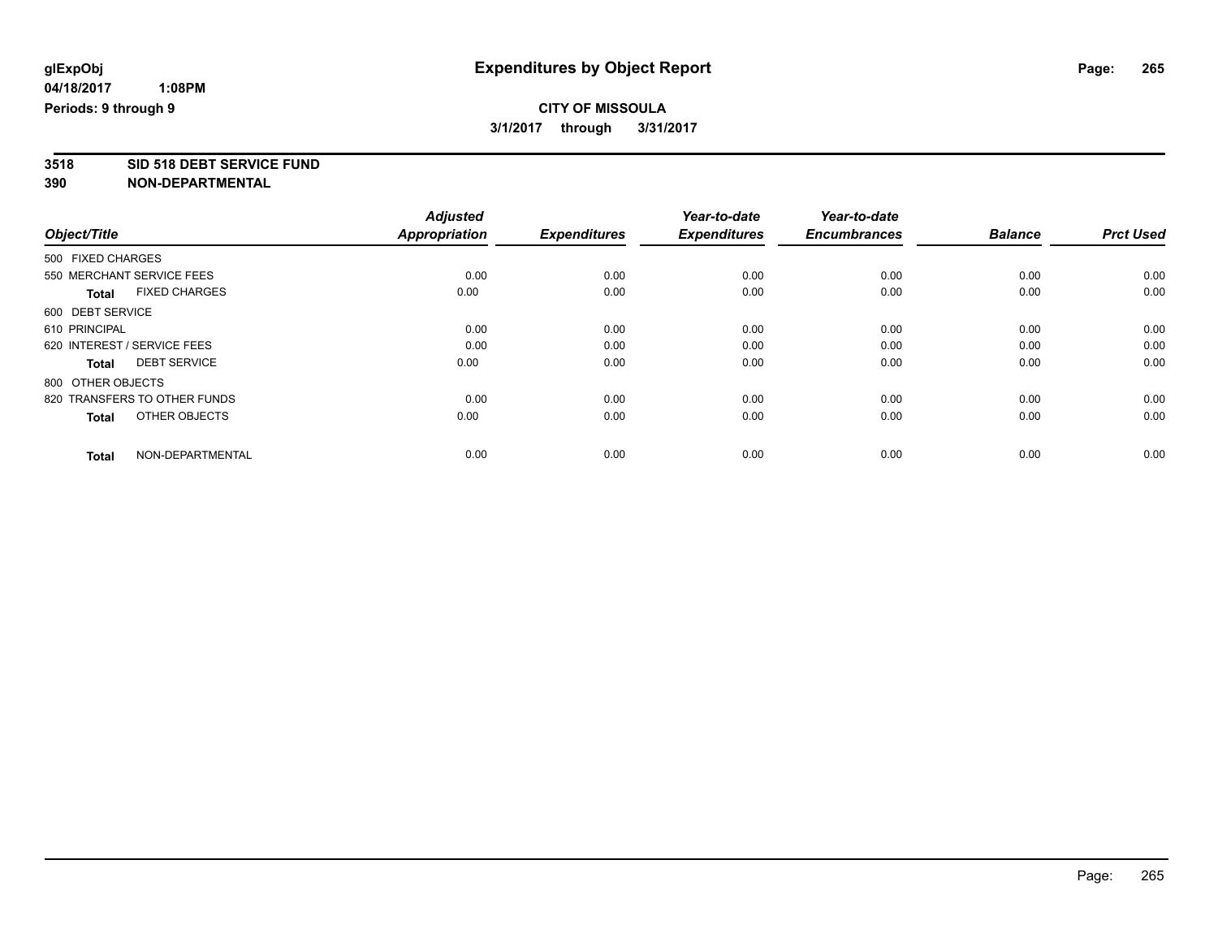### **CITY OF MISSOULA 3/1/2017 through 3/31/2017**

**3518 SID 518 DEBT SERVICE FUND**

|                                      | <b>Adjusted</b>      |                     | Year-to-date        | Year-to-date        |                |                  |
|--------------------------------------|----------------------|---------------------|---------------------|---------------------|----------------|------------------|
| Object/Title                         | <b>Appropriation</b> | <b>Expenditures</b> | <b>Expenditures</b> | <b>Encumbrances</b> | <b>Balance</b> | <b>Prct Used</b> |
| 500 FIXED CHARGES                    |                      |                     |                     |                     |                |                  |
| 550 MERCHANT SERVICE FEES            | 0.00                 | 0.00                | 0.00                | 0.00                | 0.00           | 0.00             |
| <b>FIXED CHARGES</b><br><b>Total</b> | 0.00                 | 0.00                | 0.00                | 0.00                | 0.00           | 0.00             |
| 600 DEBT SERVICE                     |                      |                     |                     |                     |                |                  |
| 610 PRINCIPAL                        | 0.00                 | 0.00                | 0.00                | 0.00                | 0.00           | 0.00             |
| 620 INTEREST / SERVICE FEES          | 0.00                 | 0.00                | 0.00                | 0.00                | 0.00           | 0.00             |
| <b>DEBT SERVICE</b><br>Total         | 0.00                 | 0.00                | 0.00                | 0.00                | 0.00           | 0.00             |
| 800 OTHER OBJECTS                    |                      |                     |                     |                     |                |                  |
| 820 TRANSFERS TO OTHER FUNDS         | 0.00                 | 0.00                | 0.00                | 0.00                | 0.00           | 0.00             |
| OTHER OBJECTS<br><b>Total</b>        | 0.00                 | 0.00                | 0.00                | 0.00                | 0.00           | 0.00             |
|                                      |                      |                     |                     |                     |                |                  |
| NON-DEPARTMENTAL<br><b>Total</b>     | 0.00                 | 0.00                | 0.00                | 0.00                | 0.00           | 0.00             |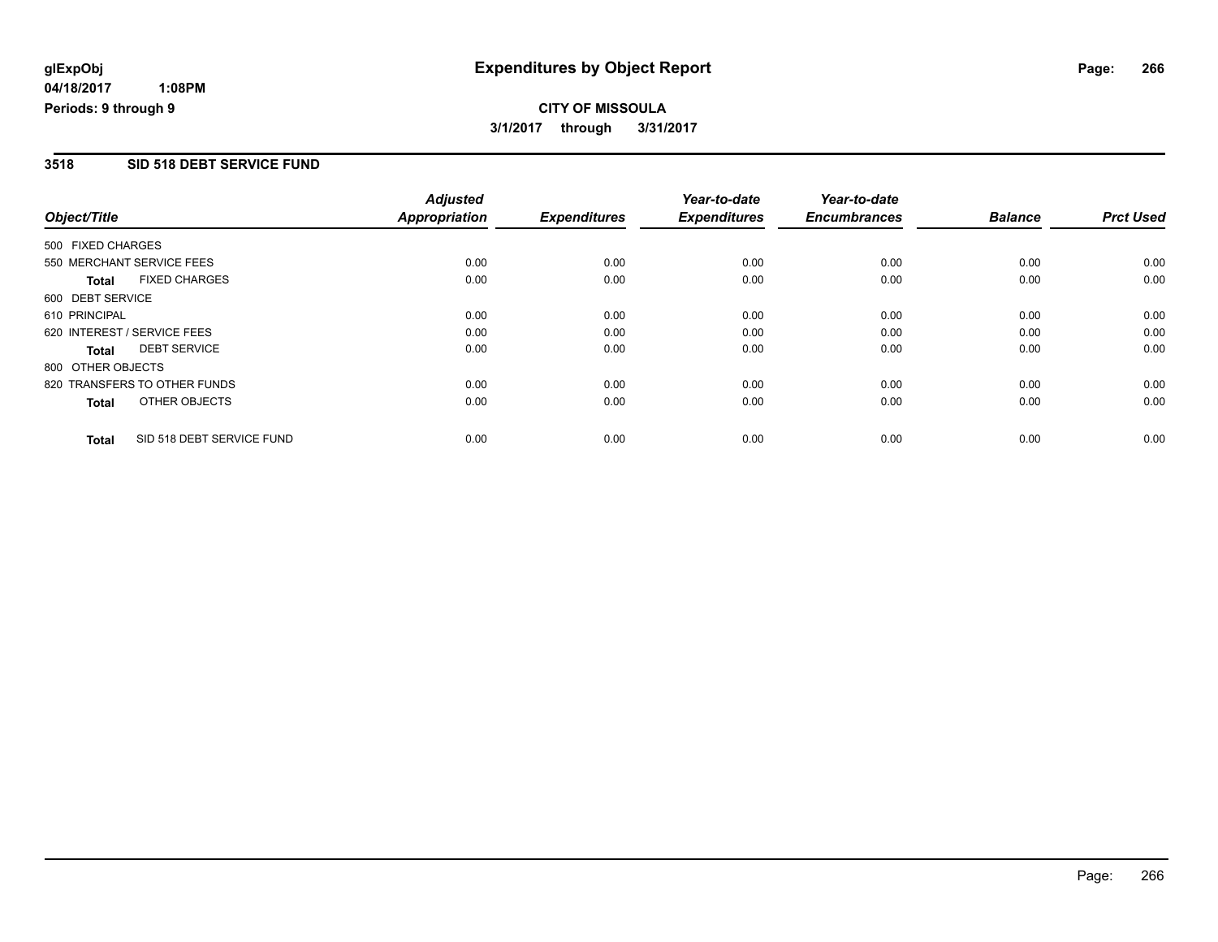**CITY OF MISSOULA 3/1/2017 through 3/31/2017**

#### **3518 SID 518 DEBT SERVICE FUND**

|                   |                              | <b>Adjusted</b>      |                     | Year-to-date        | Year-to-date        |                |                  |
|-------------------|------------------------------|----------------------|---------------------|---------------------|---------------------|----------------|------------------|
| Object/Title      |                              | <b>Appropriation</b> | <b>Expenditures</b> | <b>Expenditures</b> | <b>Encumbrances</b> | <b>Balance</b> | <b>Prct Used</b> |
| 500 FIXED CHARGES |                              |                      |                     |                     |                     |                |                  |
|                   | 550 MERCHANT SERVICE FEES    | 0.00                 | 0.00                | 0.00                | 0.00                | 0.00           | 0.00             |
| <b>Total</b>      | <b>FIXED CHARGES</b>         | 0.00                 | 0.00                | 0.00                | 0.00                | 0.00           | 0.00             |
| 600 DEBT SERVICE  |                              |                      |                     |                     |                     |                |                  |
| 610 PRINCIPAL     |                              | 0.00                 | 0.00                | 0.00                | 0.00                | 0.00           | 0.00             |
|                   | 620 INTEREST / SERVICE FEES  | 0.00                 | 0.00                | 0.00                | 0.00                | 0.00           | 0.00             |
| <b>Total</b>      | <b>DEBT SERVICE</b>          | 0.00                 | 0.00                | 0.00                | 0.00                | 0.00           | 0.00             |
| 800 OTHER OBJECTS |                              |                      |                     |                     |                     |                |                  |
|                   | 820 TRANSFERS TO OTHER FUNDS | 0.00                 | 0.00                | 0.00                | 0.00                | 0.00           | 0.00             |
| <b>Total</b>      | OTHER OBJECTS                | 0.00                 | 0.00                | 0.00                | 0.00                | 0.00           | 0.00             |
| <b>Total</b>      | SID 518 DEBT SERVICE FUND    | 0.00                 | 0.00                | 0.00                | 0.00                | 0.00           | 0.00             |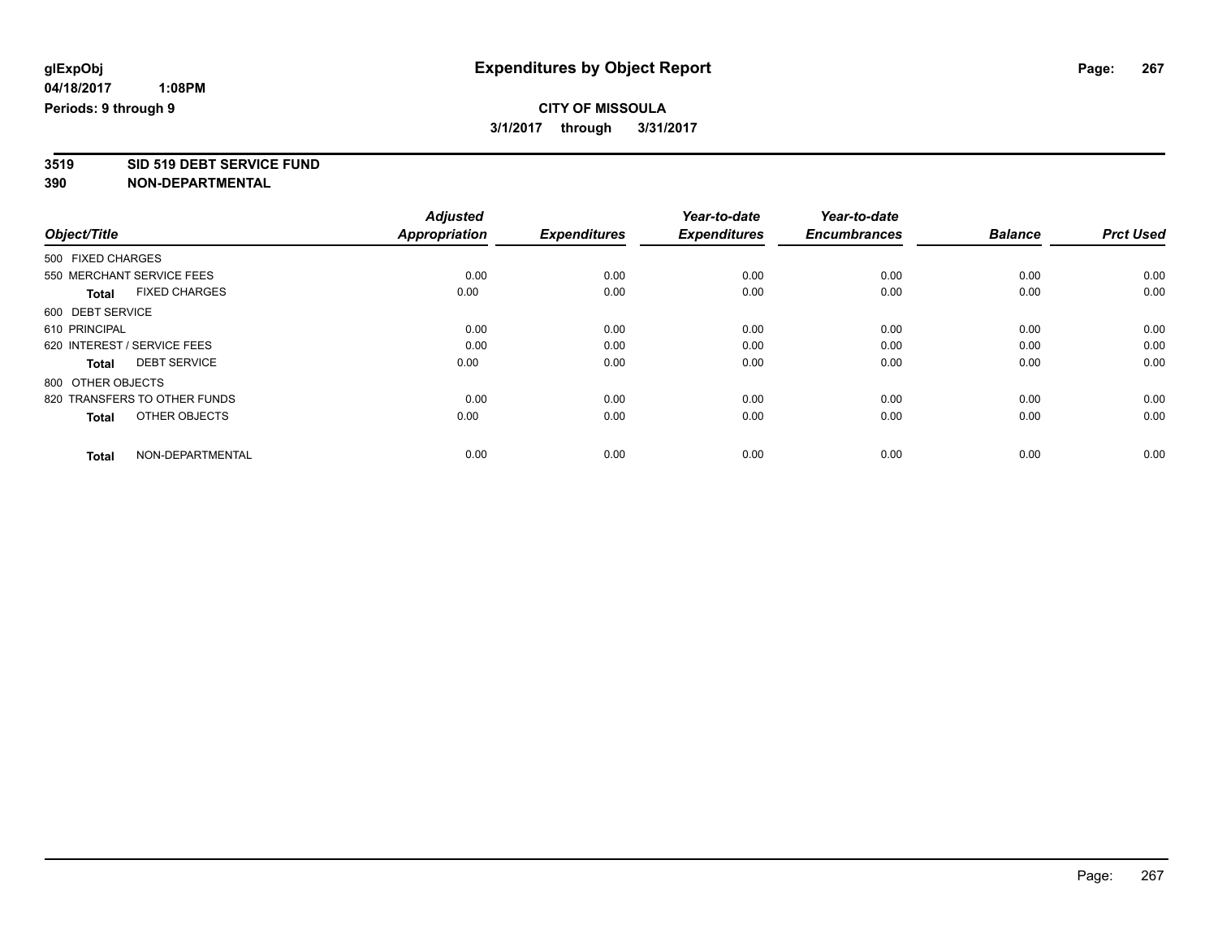### **CITY OF MISSOULA 3/1/2017 through 3/31/2017**

**3519 SID 519 DEBT SERVICE FUND**

|                                      | <b>Adjusted</b>      |                     | Year-to-date        | Year-to-date        |                |                  |
|--------------------------------------|----------------------|---------------------|---------------------|---------------------|----------------|------------------|
| Object/Title                         | <b>Appropriation</b> | <b>Expenditures</b> | <b>Expenditures</b> | <b>Encumbrances</b> | <b>Balance</b> | <b>Prct Used</b> |
| 500 FIXED CHARGES                    |                      |                     |                     |                     |                |                  |
| 550 MERCHANT SERVICE FEES            | 0.00                 | 0.00                | 0.00                | 0.00                | 0.00           | 0.00             |
| <b>FIXED CHARGES</b><br><b>Total</b> | 0.00                 | 0.00                | 0.00                | 0.00                | 0.00           | 0.00             |
| 600 DEBT SERVICE                     |                      |                     |                     |                     |                |                  |
| 610 PRINCIPAL                        | 0.00                 | 0.00                | 0.00                | 0.00                | 0.00           | 0.00             |
| 620 INTEREST / SERVICE FEES          | 0.00                 | 0.00                | 0.00                | 0.00                | 0.00           | 0.00             |
| <b>DEBT SERVICE</b><br>Total         | 0.00                 | 0.00                | 0.00                | 0.00                | 0.00           | 0.00             |
| 800 OTHER OBJECTS                    |                      |                     |                     |                     |                |                  |
| 820 TRANSFERS TO OTHER FUNDS         | 0.00                 | 0.00                | 0.00                | 0.00                | 0.00           | 0.00             |
| OTHER OBJECTS<br><b>Total</b>        | 0.00                 | 0.00                | 0.00                | 0.00                | 0.00           | 0.00             |
|                                      |                      |                     |                     |                     |                |                  |
| NON-DEPARTMENTAL<br><b>Total</b>     | 0.00                 | 0.00                | 0.00                | 0.00                | 0.00           | 0.00             |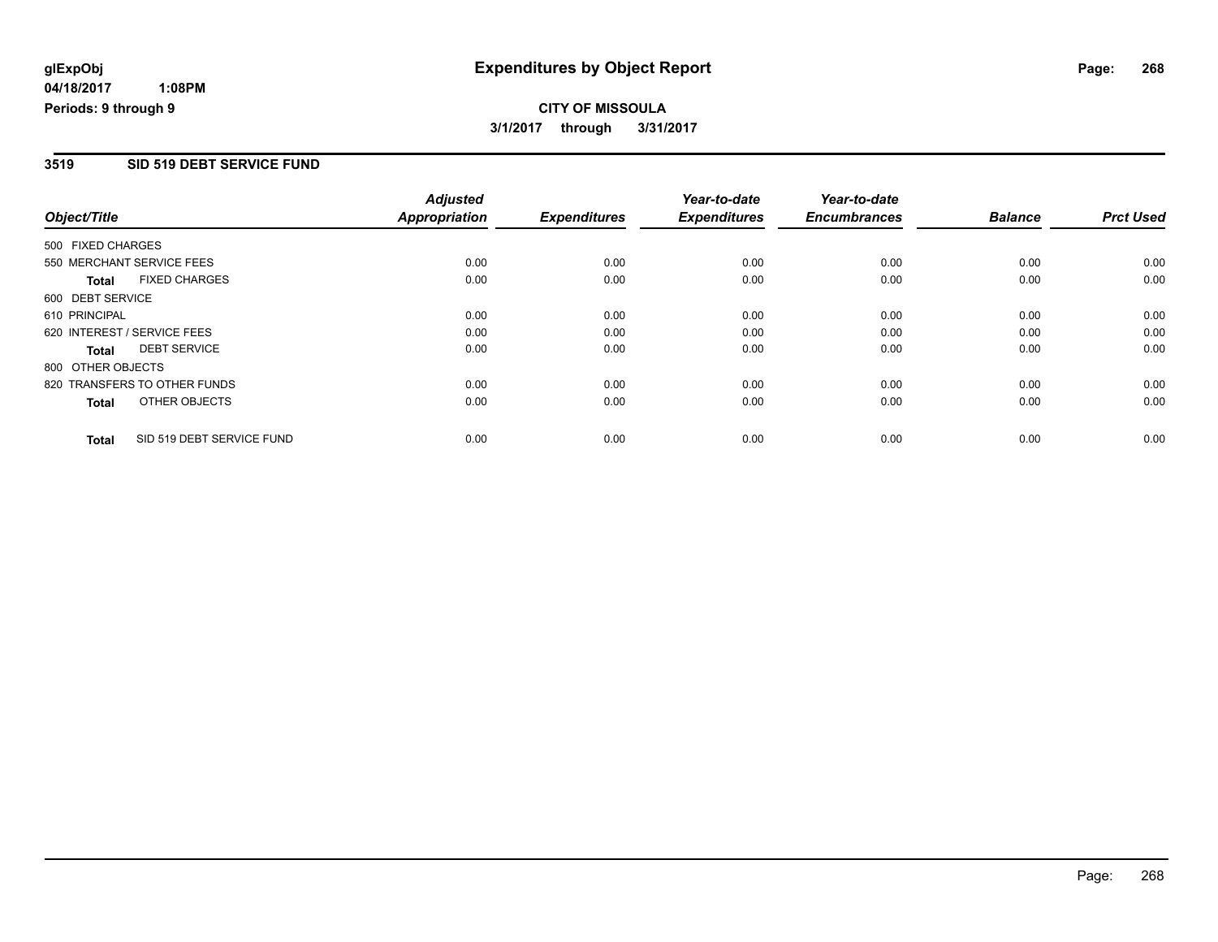**CITY OF MISSOULA 3/1/2017 through 3/31/2017**

#### **3519 SID 519 DEBT SERVICE FUND**

|                   |                              | <b>Adjusted</b>      |                     | Year-to-date        | Year-to-date        |                |                  |
|-------------------|------------------------------|----------------------|---------------------|---------------------|---------------------|----------------|------------------|
| Object/Title      |                              | <b>Appropriation</b> | <b>Expenditures</b> | <b>Expenditures</b> | <b>Encumbrances</b> | <b>Balance</b> | <b>Prct Used</b> |
| 500 FIXED CHARGES |                              |                      |                     |                     |                     |                |                  |
|                   | 550 MERCHANT SERVICE FEES    | 0.00                 | 0.00                | 0.00                | 0.00                | 0.00           | 0.00             |
| <b>Total</b>      | <b>FIXED CHARGES</b>         | 0.00                 | 0.00                | 0.00                | 0.00                | 0.00           | 0.00             |
| 600 DEBT SERVICE  |                              |                      |                     |                     |                     |                |                  |
| 610 PRINCIPAL     |                              | 0.00                 | 0.00                | 0.00                | 0.00                | 0.00           | 0.00             |
|                   | 620 INTEREST / SERVICE FEES  | 0.00                 | 0.00                | 0.00                | 0.00                | 0.00           | 0.00             |
| <b>Total</b>      | <b>DEBT SERVICE</b>          | 0.00                 | 0.00                | 0.00                | 0.00                | 0.00           | 0.00             |
| 800 OTHER OBJECTS |                              |                      |                     |                     |                     |                |                  |
|                   | 820 TRANSFERS TO OTHER FUNDS | 0.00                 | 0.00                | 0.00                | 0.00                | 0.00           | 0.00             |
| <b>Total</b>      | OTHER OBJECTS                | 0.00                 | 0.00                | 0.00                | 0.00                | 0.00           | 0.00             |
| <b>Total</b>      | SID 519 DEBT SERVICE FUND    | 0.00                 | 0.00                | 0.00                | 0.00                | 0.00           | 0.00             |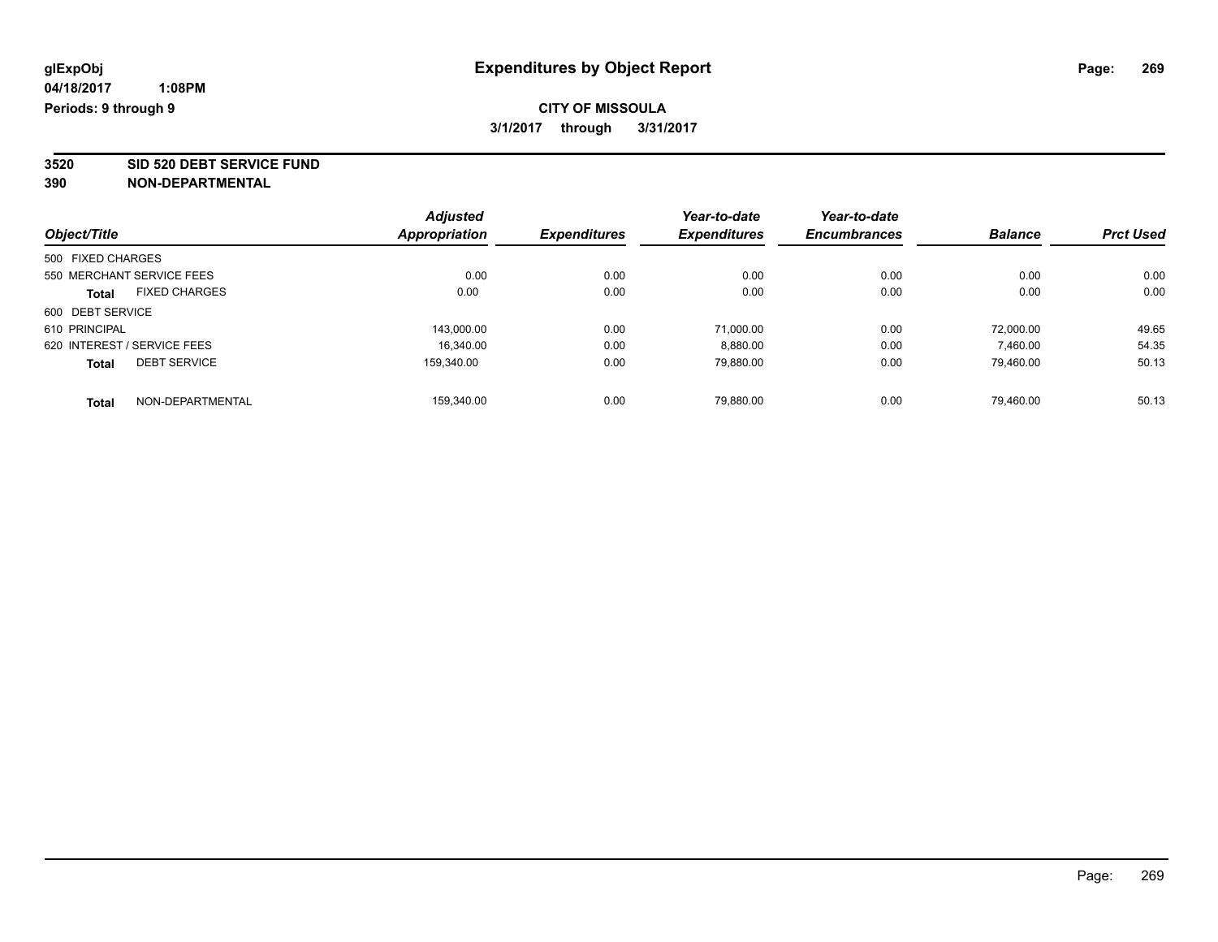### **CITY OF MISSOULA 3/1/2017 through 3/31/2017**

**3520 SID 520 DEBT SERVICE FUND**

|                                      | <b>Adjusted</b>      |                     | Year-to-date        | Year-to-date        |                |                  |
|--------------------------------------|----------------------|---------------------|---------------------|---------------------|----------------|------------------|
| Object/Title                         | <b>Appropriation</b> | <b>Expenditures</b> | <b>Expenditures</b> | <b>Encumbrances</b> | <b>Balance</b> | <b>Prct Used</b> |
| 500 FIXED CHARGES                    |                      |                     |                     |                     |                |                  |
| 550 MERCHANT SERVICE FEES            | 0.00                 | 0.00                | 0.00                | 0.00                | 0.00           | 0.00             |
| <b>FIXED CHARGES</b><br><b>Total</b> | 0.00                 | 0.00                | 0.00                | 0.00                | 0.00           | 0.00             |
| 600 DEBT SERVICE                     |                      |                     |                     |                     |                |                  |
| 610 PRINCIPAL                        | 143.000.00           | 0.00                | 71,000.00           | 0.00                | 72,000.00      | 49.65            |
| 620 INTEREST / SERVICE FEES          | 16.340.00            | 0.00                | 8,880.00            | 0.00                | 7.460.00       | 54.35            |
| <b>DEBT SERVICE</b><br><b>Total</b>  | 159.340.00           | 0.00                | 79,880.00           | 0.00                | 79.460.00      | 50.13            |
| NON-DEPARTMENTAL<br>Total            | 159.340.00           | 0.00                | 79.880.00           | 0.00                | 79.460.00      | 50.13            |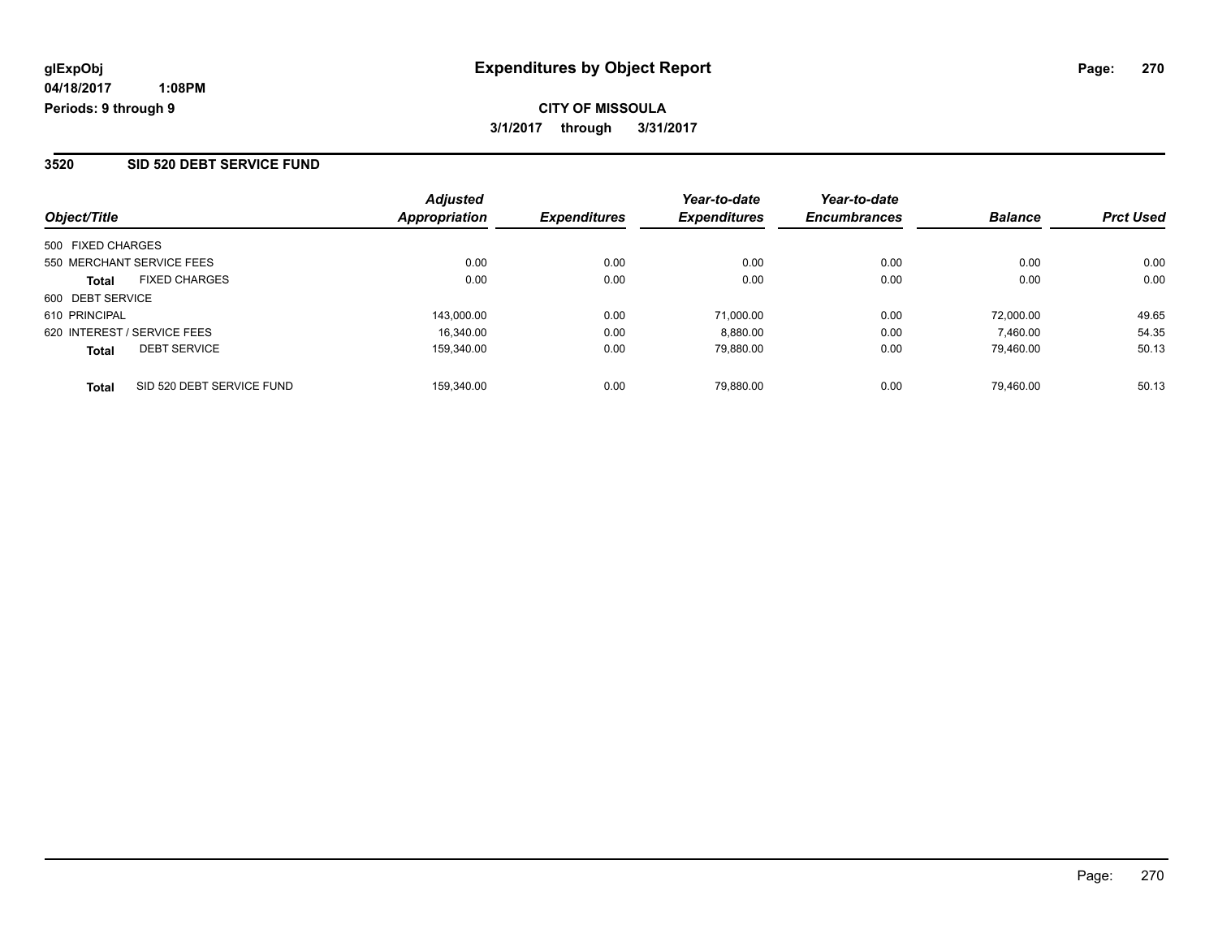## **CITY OF MISSOULA 3/1/2017 through 3/31/2017**

#### **3520 SID 520 DEBT SERVICE FUND**

| Object/Title                              | <b>Adjusted</b><br><b>Appropriation</b> | <i><b>Expenditures</b></i> | Year-to-date<br><b>Expenditures</b> | Year-to-date<br><b>Encumbrances</b> | <b>Balance</b> | <b>Prct Used</b> |
|-------------------------------------------|-----------------------------------------|----------------------------|-------------------------------------|-------------------------------------|----------------|------------------|
| 500 FIXED CHARGES                         |                                         |                            |                                     |                                     |                |                  |
| 550 MERCHANT SERVICE FEES                 | 0.00                                    | 0.00                       | 0.00                                | 0.00                                | 0.00           | 0.00             |
| <b>FIXED CHARGES</b><br><b>Total</b>      | 0.00                                    | 0.00                       | 0.00                                | 0.00                                | 0.00           | 0.00             |
| 600 DEBT SERVICE                          |                                         |                            |                                     |                                     |                |                  |
| 610 PRINCIPAL                             | 143.000.00                              | 0.00                       | 71.000.00                           | 0.00                                | 72.000.00      | 49.65            |
| 620 INTEREST / SERVICE FEES               | 16.340.00                               | 0.00                       | 8,880.00                            | 0.00                                | 7.460.00       | 54.35            |
| <b>DEBT SERVICE</b><br><b>Total</b>       | 159.340.00                              | 0.00                       | 79.880.00                           | 0.00                                | 79.460.00      | 50.13            |
| SID 520 DEBT SERVICE FUND<br><b>Total</b> | 159.340.00                              | 0.00                       | 79.880.00                           | 0.00                                | 79.460.00      | 50.13            |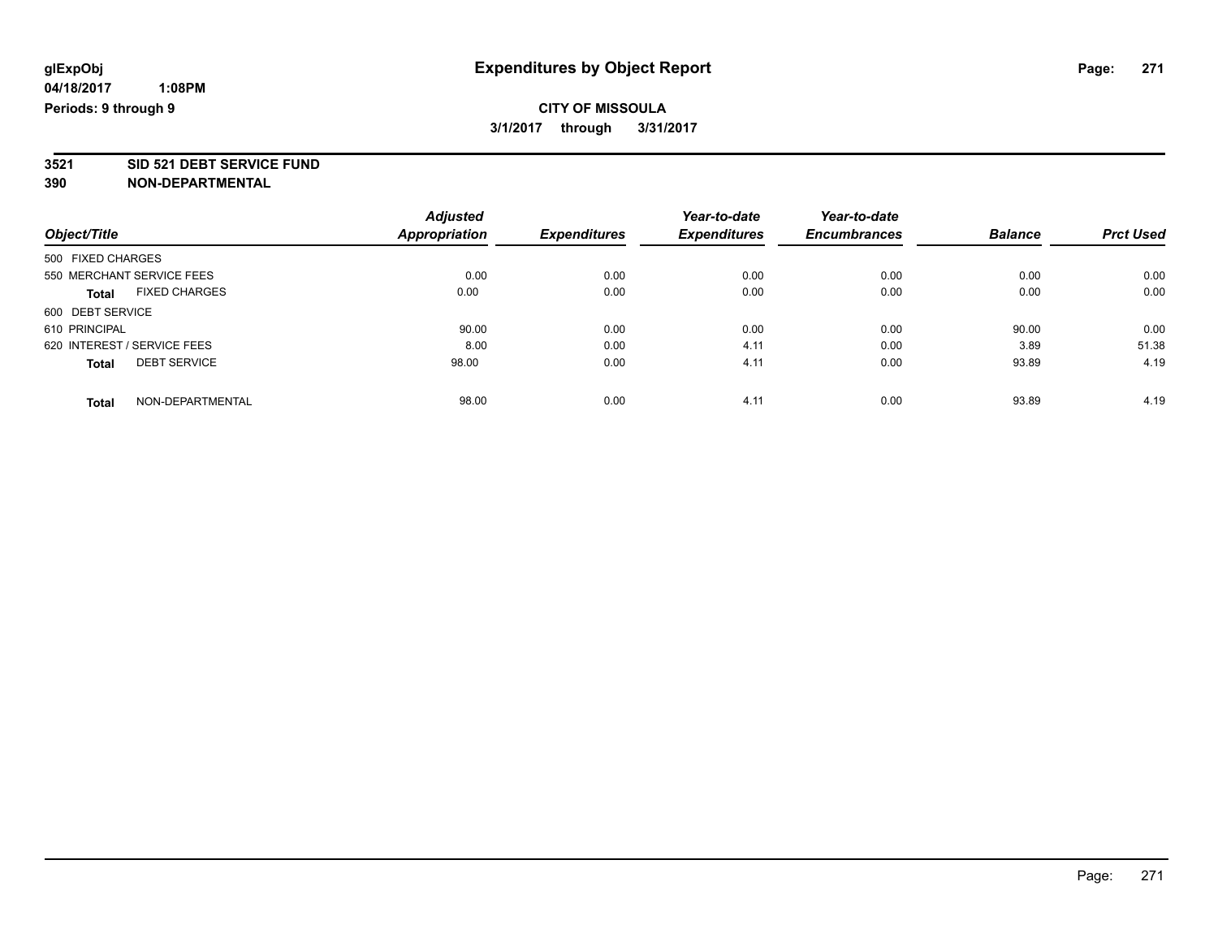### **CITY OF MISSOULA 3/1/2017 through 3/31/2017**

**3521 SID 521 DEBT SERVICE FUND**

|                                      | <b>Adjusted</b> |                     | Year-to-date        | Year-to-date        |                |                  |
|--------------------------------------|-----------------|---------------------|---------------------|---------------------|----------------|------------------|
| Object/Title                         | Appropriation   | <b>Expenditures</b> | <b>Expenditures</b> | <b>Encumbrances</b> | <b>Balance</b> | <b>Prct Used</b> |
| 500 FIXED CHARGES                    |                 |                     |                     |                     |                |                  |
| 550 MERCHANT SERVICE FEES            | 0.00            | 0.00                | 0.00                | 0.00                | 0.00           | 0.00             |
| <b>FIXED CHARGES</b><br><b>Total</b> | 0.00            | 0.00                | 0.00                | 0.00                | 0.00           | 0.00             |
| 600 DEBT SERVICE                     |                 |                     |                     |                     |                |                  |
| 610 PRINCIPAL                        | 90.00           | 0.00                | 0.00                | 0.00                | 90.00          | 0.00             |
| 620 INTEREST / SERVICE FEES          | 8.00            | 0.00                | 4.11                | 0.00                | 3.89           | 51.38            |
| <b>DEBT SERVICE</b><br><b>Total</b>  | 98.00           | 0.00                | 4.11                | 0.00                | 93.89          | 4.19             |
| NON-DEPARTMENTAL<br>Total            | 98.00           | 0.00                | 4.11                | 0.00                | 93.89          | 4.19             |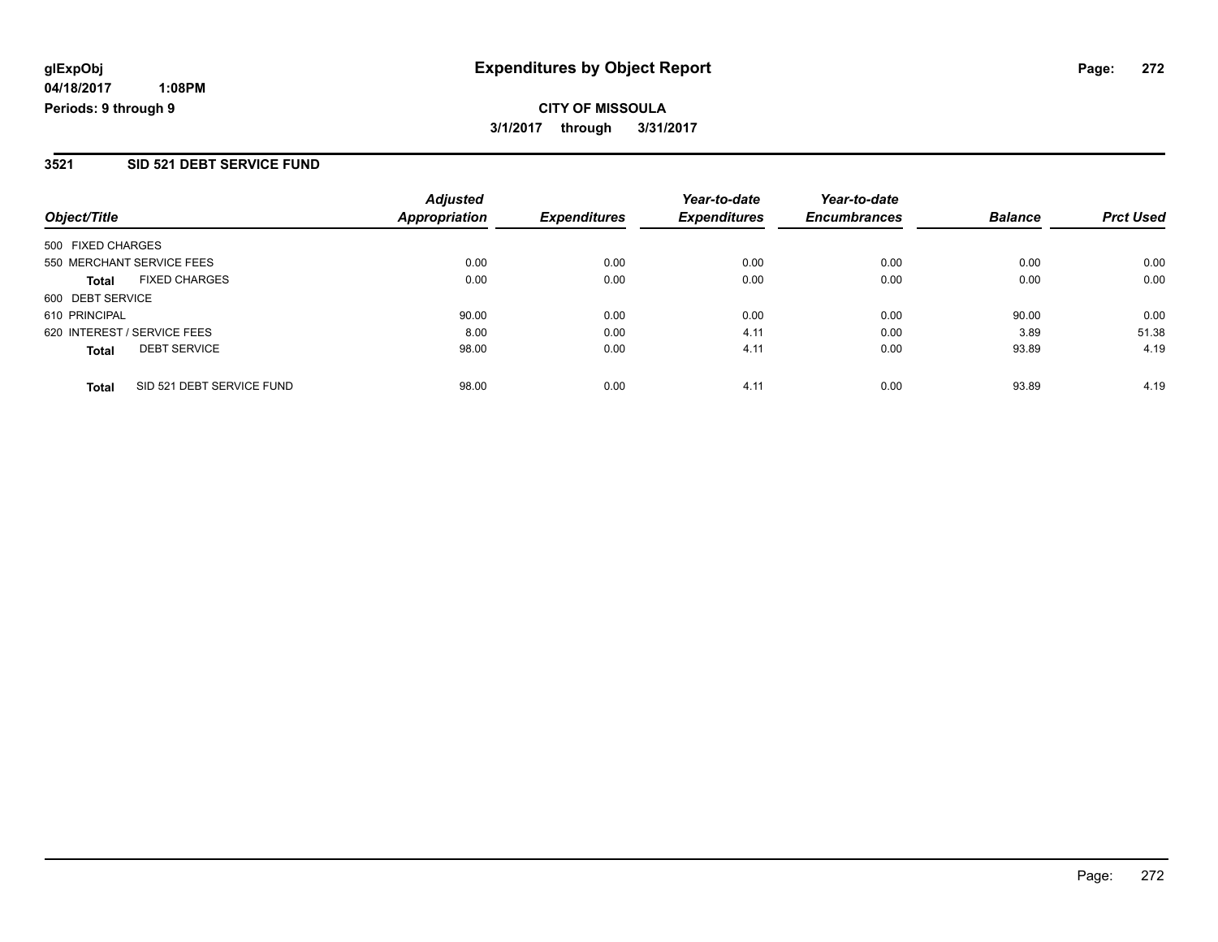## **CITY OF MISSOULA 3/1/2017 through 3/31/2017**

#### **3521 SID 521 DEBT SERVICE FUND**

| Object/Title                              | <b>Adjusted</b><br>Appropriation | <b>Expenditures</b> | Year-to-date<br><b>Expenditures</b> | Year-to-date<br><b>Encumbrances</b> | <b>Balance</b> | <b>Prct Used</b> |
|-------------------------------------------|----------------------------------|---------------------|-------------------------------------|-------------------------------------|----------------|------------------|
| 500 FIXED CHARGES                         |                                  |                     |                                     |                                     |                |                  |
| 550 MERCHANT SERVICE FEES                 | 0.00                             | 0.00                | 0.00                                | 0.00                                | 0.00           | 0.00             |
| <b>FIXED CHARGES</b><br><b>Total</b>      | 0.00                             | 0.00                | 0.00                                | 0.00                                | 0.00           | 0.00             |
| 600 DEBT SERVICE                          |                                  |                     |                                     |                                     |                |                  |
| 610 PRINCIPAL                             | 90.00                            | 0.00                | 0.00                                | 0.00                                | 90.00          | 0.00             |
| 620 INTEREST / SERVICE FEES               | 8.00                             | 0.00                | 4.11                                | 0.00                                | 3.89           | 51.38            |
| <b>DEBT SERVICE</b><br><b>Total</b>       | 98.00                            | 0.00                | 4.11                                | 0.00                                | 93.89          | 4.19             |
| SID 521 DEBT SERVICE FUND<br><b>Total</b> | 98.00                            | 0.00                | 4.11                                | 0.00                                | 93.89          | 4.19             |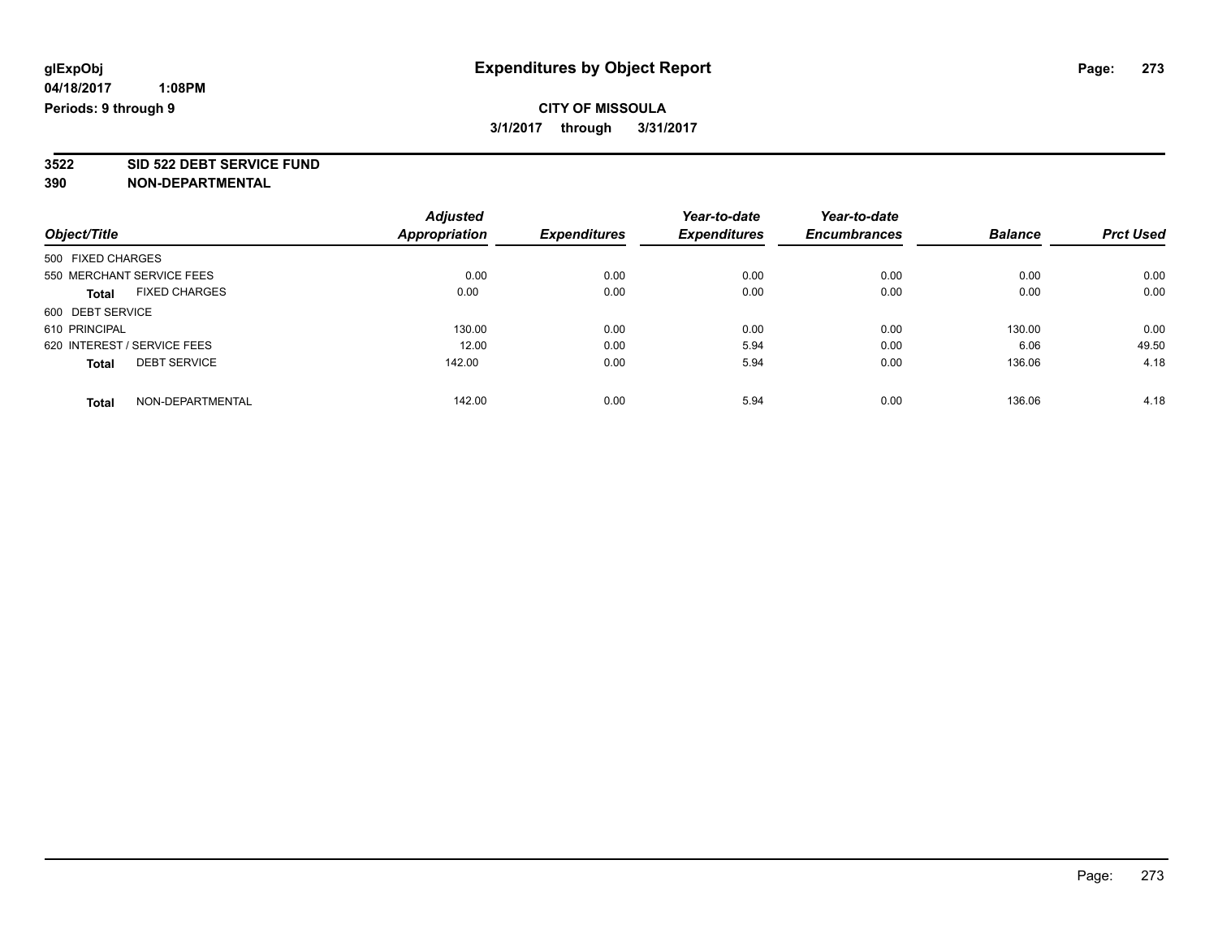### **CITY OF MISSOULA 3/1/2017 through 3/31/2017**

**3522 SID 522 DEBT SERVICE FUND**

|                                      | <b>Adjusted</b>      |                     | Year-to-date        | Year-to-date        |                |                  |
|--------------------------------------|----------------------|---------------------|---------------------|---------------------|----------------|------------------|
| Object/Title                         | <b>Appropriation</b> | <b>Expenditures</b> | <b>Expenditures</b> | <b>Encumbrances</b> | <b>Balance</b> | <b>Prct Used</b> |
| 500 FIXED CHARGES                    |                      |                     |                     |                     |                |                  |
| 550 MERCHANT SERVICE FEES            | 0.00                 | 0.00                | 0.00                | 0.00                | 0.00           | 0.00             |
| <b>FIXED CHARGES</b><br><b>Total</b> | 0.00                 | 0.00                | 0.00                | 0.00                | 0.00           | 0.00             |
| 600 DEBT SERVICE                     |                      |                     |                     |                     |                |                  |
| 610 PRINCIPAL                        | 130.00               | 0.00                | 0.00                | 0.00                | 130.00         | 0.00             |
| 620 INTEREST / SERVICE FEES          | 12.00                | 0.00                | 5.94                | 0.00                | 6.06           | 49.50            |
| <b>DEBT SERVICE</b><br><b>Total</b>  | 142.00               | 0.00                | 5.94                | 0.00                | 136.06         | 4.18             |
| NON-DEPARTMENTAL<br><b>Total</b>     | 142.00               | 0.00                | 5.94                | 0.00                | 136.06         | 4.18             |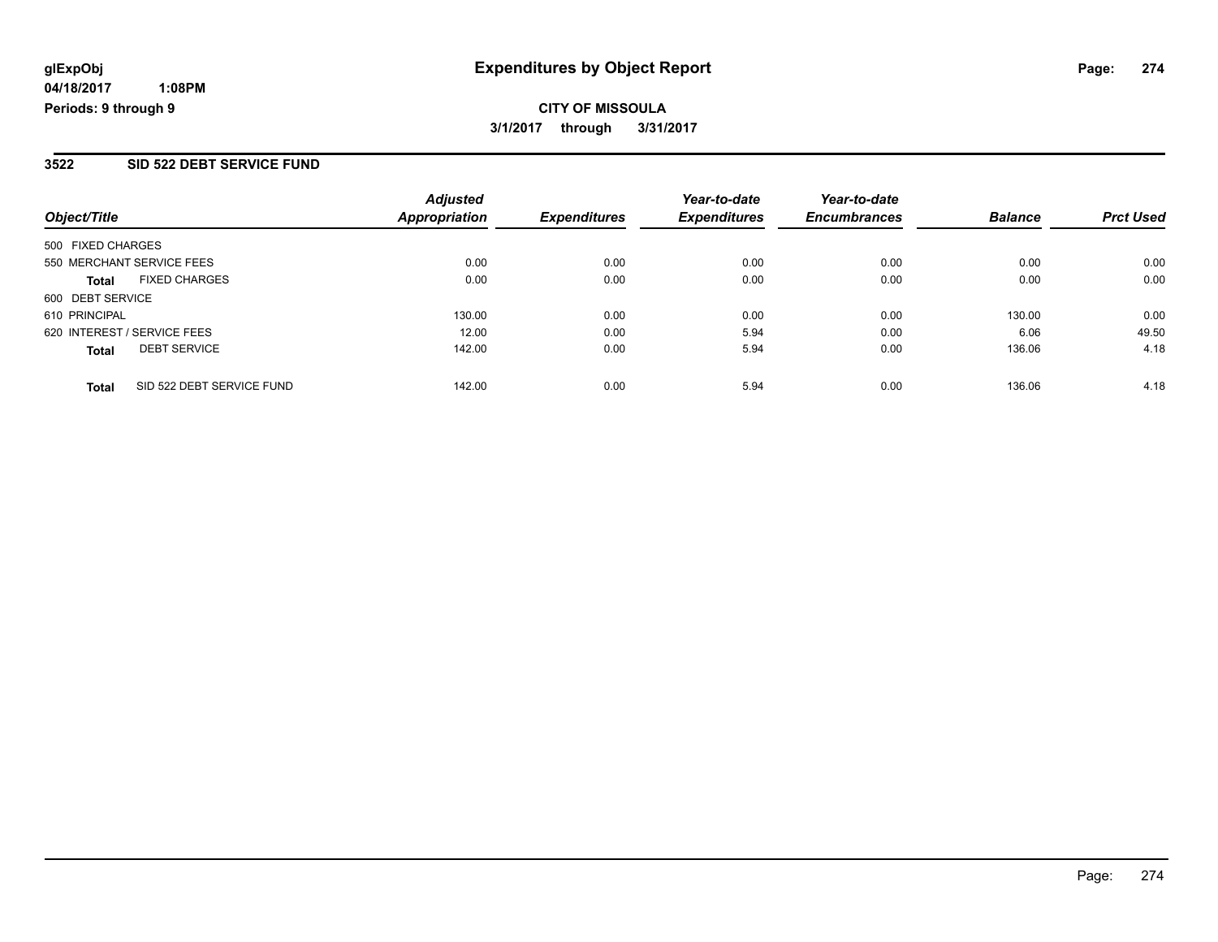## **CITY OF MISSOULA 3/1/2017 through 3/31/2017**

#### **3522 SID 522 DEBT SERVICE FUND**

| Object/Title                              | <b>Adjusted</b><br>Appropriation | <i><b>Expenditures</b></i> | Year-to-date<br><b>Expenditures</b> | Year-to-date<br><b>Encumbrances</b> | <b>Balance</b> | <b>Prct Used</b> |
|-------------------------------------------|----------------------------------|----------------------------|-------------------------------------|-------------------------------------|----------------|------------------|
| 500 FIXED CHARGES                         |                                  |                            |                                     |                                     |                |                  |
| 550 MERCHANT SERVICE FEES                 | 0.00                             | 0.00                       | 0.00                                | 0.00                                | 0.00           | 0.00             |
| <b>FIXED CHARGES</b><br><b>Total</b>      | 0.00                             | 0.00                       | 0.00                                | 0.00                                | 0.00           | 0.00             |
| 600 DEBT SERVICE                          |                                  |                            |                                     |                                     |                |                  |
| 610 PRINCIPAL                             | 130.00                           | 0.00                       | 0.00                                | 0.00                                | 130.00         | 0.00             |
| 620 INTEREST / SERVICE FEES               | 12.00                            | 0.00                       | 5.94                                | 0.00                                | 6.06           | 49.50            |
| <b>DEBT SERVICE</b><br><b>Total</b>       | 142.00                           | 0.00                       | 5.94                                | 0.00                                | 136.06         | 4.18             |
| SID 522 DEBT SERVICE FUND<br><b>Total</b> | 142.00                           | 0.00                       | 5.94                                | 0.00                                | 136.06         | 4.18             |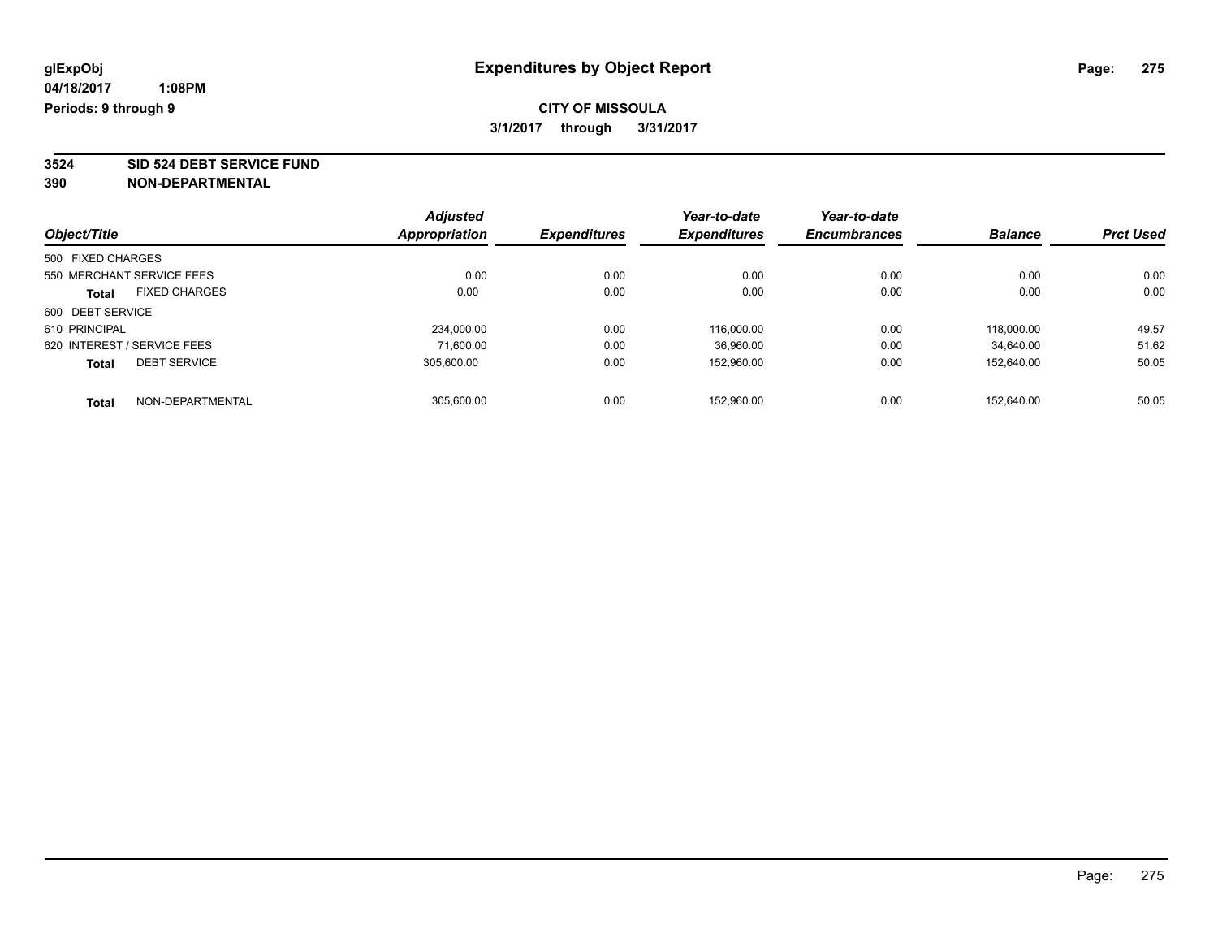### **CITY OF MISSOULA 3/1/2017 through 3/31/2017**

**3524 SID 524 DEBT SERVICE FUND**

|                                      | <b>Adjusted</b>      |                     | Year-to-date        | Year-to-date        |                |                  |
|--------------------------------------|----------------------|---------------------|---------------------|---------------------|----------------|------------------|
| Object/Title                         | <b>Appropriation</b> | <b>Expenditures</b> | <b>Expenditures</b> | <b>Encumbrances</b> | <b>Balance</b> | <b>Prct Used</b> |
| 500 FIXED CHARGES                    |                      |                     |                     |                     |                |                  |
| 550 MERCHANT SERVICE FEES            | 0.00                 | 0.00                | 0.00                | 0.00                | 0.00           | 0.00             |
| <b>FIXED CHARGES</b><br><b>Total</b> | 0.00                 | 0.00                | 0.00                | 0.00                | 0.00           | 0.00             |
| 600 DEBT SERVICE                     |                      |                     |                     |                     |                |                  |
| 610 PRINCIPAL                        | 234,000.00           | 0.00                | 116,000.00          | 0.00                | 118,000.00     | 49.57            |
| 620 INTEREST / SERVICE FEES          | 71.600.00            | 0.00                | 36,960.00           | 0.00                | 34.640.00      | 51.62            |
| <b>DEBT SERVICE</b><br><b>Total</b>  | 305.600.00           | 0.00                | 152.960.00          | 0.00                | 152.640.00     | 50.05            |
| NON-DEPARTMENTAL<br>Total            | 305.600.00           | 0.00                | 152.960.00          | 0.00                | 152.640.00     | 50.05            |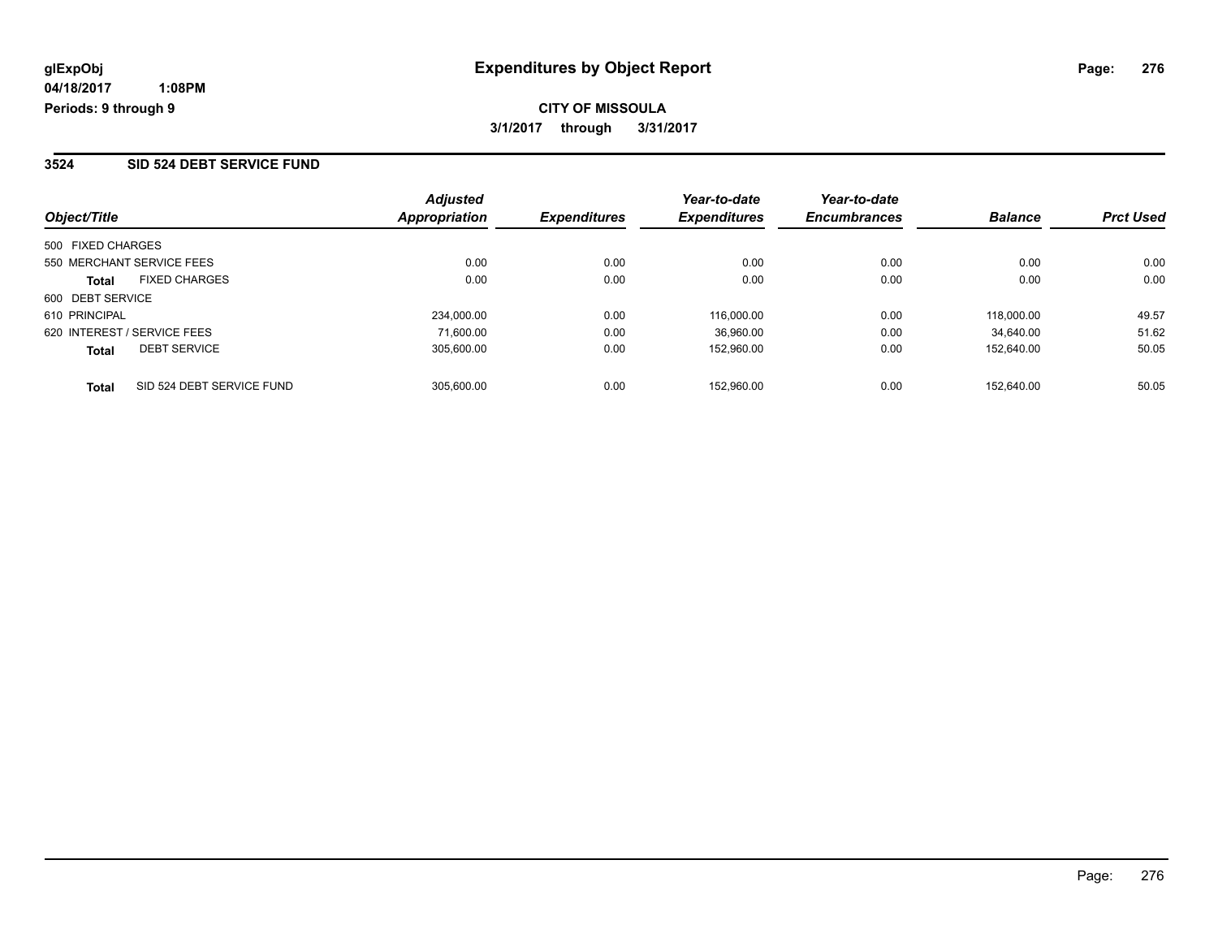**CITY OF MISSOULA 3/1/2017 through 3/31/2017**

#### **3524 SID 524 DEBT SERVICE FUND**

| Object/Title                         | <b>Adjusted</b><br>Appropriation | <b>Expenditures</b> | Year-to-date<br><b>Expenditures</b> | Year-to-date<br><b>Encumbrances</b> | <b>Balance</b> | <b>Prct Used</b> |
|--------------------------------------|----------------------------------|---------------------|-------------------------------------|-------------------------------------|----------------|------------------|
| 500 FIXED CHARGES                    |                                  |                     |                                     |                                     |                |                  |
| 550 MERCHANT SERVICE FEES            | 0.00                             | 0.00                | 0.00                                | 0.00                                | 0.00           | 0.00             |
| <b>FIXED CHARGES</b><br><b>Total</b> | 0.00                             | 0.00                | 0.00                                | 0.00                                | 0.00           | 0.00             |
| 600 DEBT SERVICE                     |                                  |                     |                                     |                                     |                |                  |
| 610 PRINCIPAL                        | 234.000.00                       | 0.00                | 116.000.00                          | 0.00                                | 118,000.00     | 49.57            |
| 620 INTEREST / SERVICE FEES          | 71.600.00                        | 0.00                | 36,960.00                           | 0.00                                | 34.640.00      | 51.62            |
| <b>DEBT SERVICE</b><br><b>Total</b>  | 305.600.00                       | 0.00                | 152,960.00                          | 0.00                                | 152.640.00     | 50.05            |
| SID 524 DEBT SERVICE FUND<br>Total   | 305.600.00                       | 0.00                | 152.960.00                          | 0.00                                | 152.640.00     | 50.05            |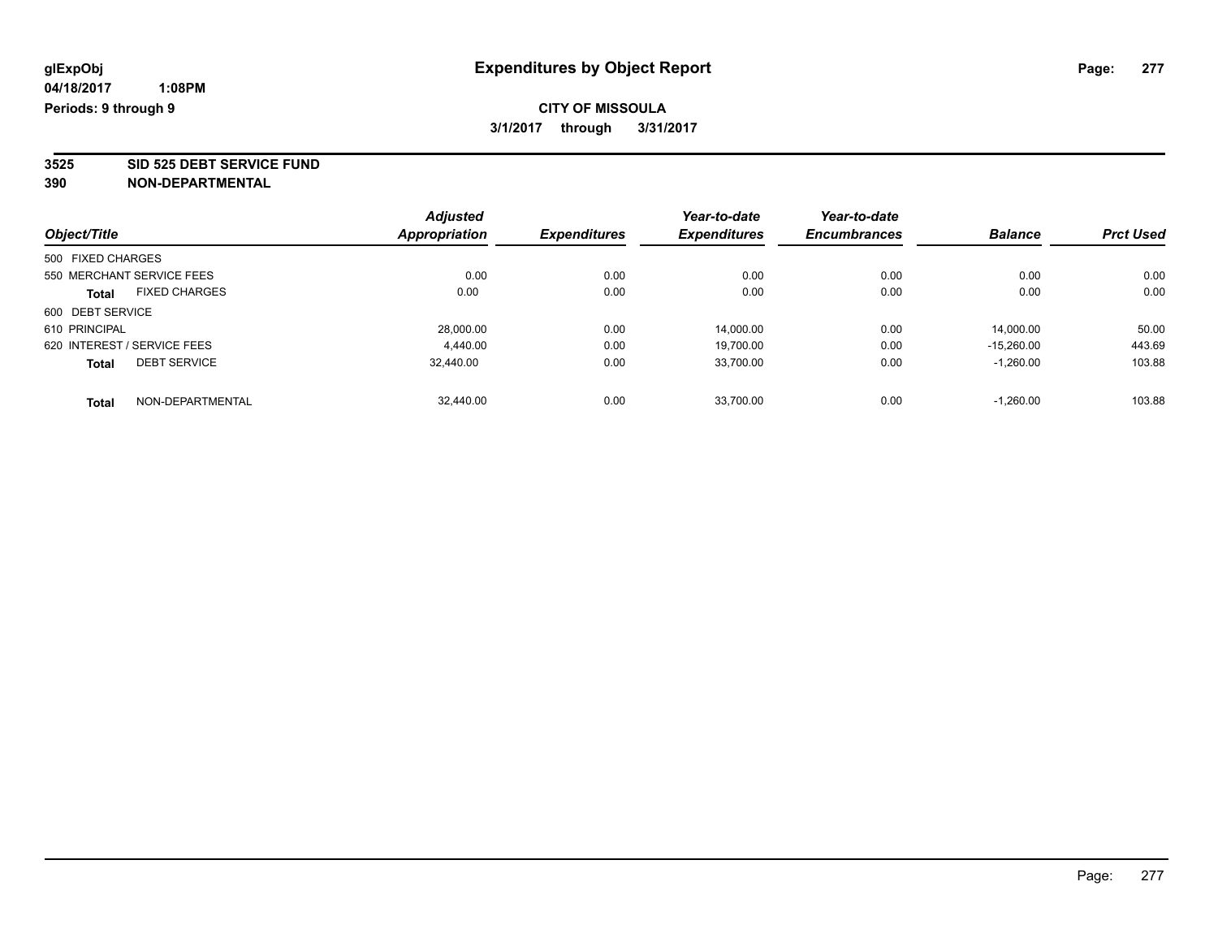### **CITY OF MISSOULA 3/1/2017 through 3/31/2017**

**3525 SID 525 DEBT SERVICE FUND**

|                                      | <b>Adjusted</b>      |                     | Year-to-date        | Year-to-date        |                |                  |
|--------------------------------------|----------------------|---------------------|---------------------|---------------------|----------------|------------------|
| Object/Title                         | <b>Appropriation</b> | <b>Expenditures</b> | <b>Expenditures</b> | <b>Encumbrances</b> | <b>Balance</b> | <b>Prct Used</b> |
| 500 FIXED CHARGES                    |                      |                     |                     |                     |                |                  |
| 550 MERCHANT SERVICE FEES            | 0.00                 | 0.00                | 0.00                | 0.00                | 0.00           | 0.00             |
| <b>FIXED CHARGES</b><br><b>Total</b> | 0.00                 | 0.00                | 0.00                | 0.00                | 0.00           | 0.00             |
| 600 DEBT SERVICE                     |                      |                     |                     |                     |                |                  |
| 610 PRINCIPAL                        | 28,000.00            | 0.00                | 14,000.00           | 0.00                | 14.000.00      | 50.00            |
| 620 INTEREST / SERVICE FEES          | 4.440.00             | 0.00                | 19,700.00           | 0.00                | $-15.260.00$   | 443.69           |
| <b>DEBT SERVICE</b><br><b>Total</b>  | 32,440.00            | 0.00                | 33.700.00           | 0.00                | $-1.260.00$    | 103.88           |
| NON-DEPARTMENTAL<br><b>Total</b>     | 32.440.00            | 0.00                | 33.700.00           | 0.00                | $-1.260.00$    | 103.88           |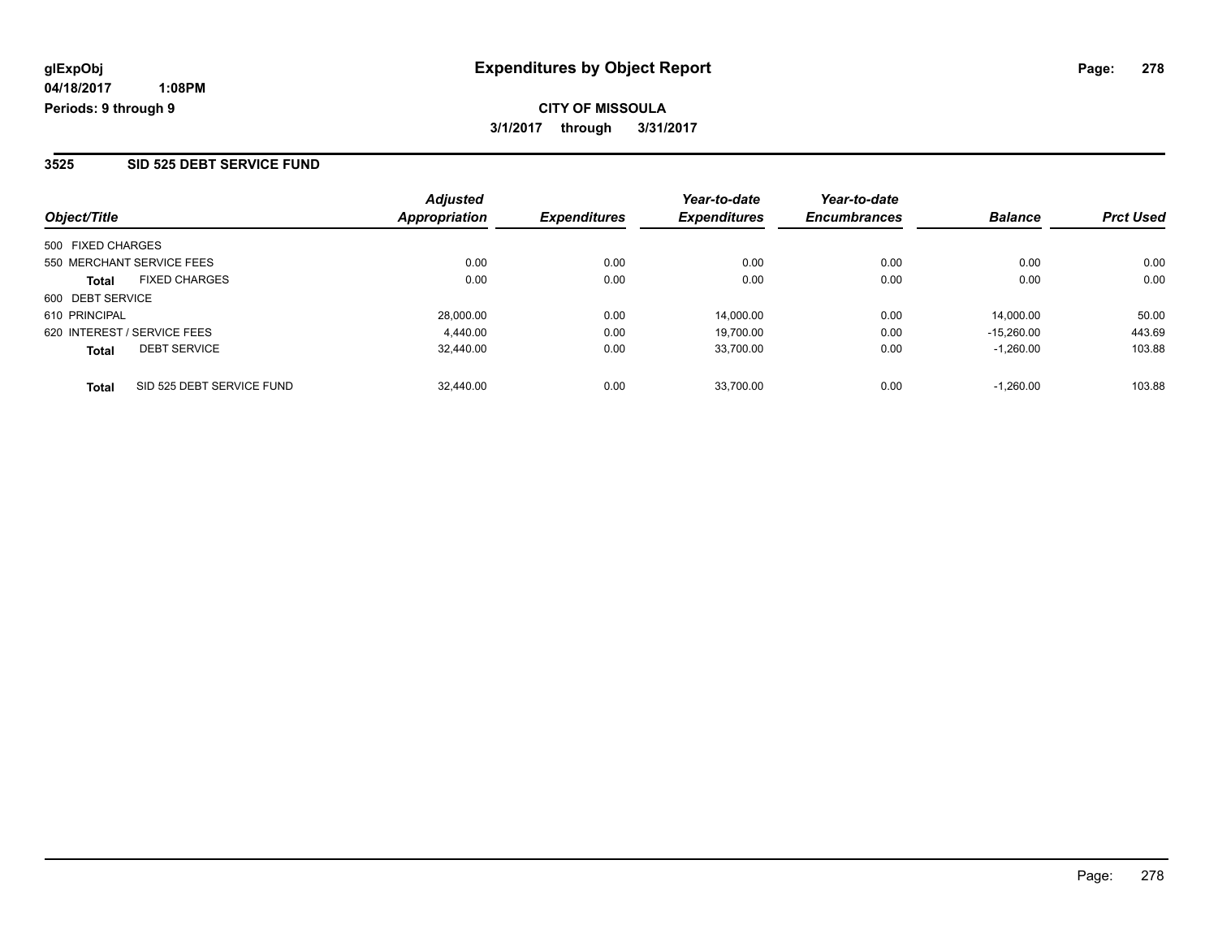#### **3525 SID 525 DEBT SERVICE FUND**

| Object/Title                              | <b>Adjusted</b><br>Appropriation | <i><b>Expenditures</b></i> | Year-to-date<br><b>Expenditures</b> | Year-to-date<br><b>Encumbrances</b> | <b>Balance</b> | <b>Prct Used</b> |
|-------------------------------------------|----------------------------------|----------------------------|-------------------------------------|-------------------------------------|----------------|------------------|
| 500 FIXED CHARGES                         |                                  |                            |                                     |                                     |                |                  |
| 550 MERCHANT SERVICE FEES                 | 0.00                             | 0.00                       | 0.00                                | 0.00                                | 0.00           | 0.00             |
| <b>FIXED CHARGES</b><br><b>Total</b>      | 0.00                             | 0.00                       | 0.00                                | 0.00                                | 0.00           | 0.00             |
| 600 DEBT SERVICE                          |                                  |                            |                                     |                                     |                |                  |
| 610 PRINCIPAL                             | 28,000.00                        | 0.00                       | 14.000.00                           | 0.00                                | 14.000.00      | 50.00            |
| 620 INTEREST / SERVICE FEES               | 4.440.00                         | 0.00                       | 19.700.00                           | 0.00                                | $-15.260.00$   | 443.69           |
| <b>DEBT SERVICE</b><br><b>Total</b>       | 32.440.00                        | 0.00                       | 33.700.00                           | 0.00                                | $-1.260.00$    | 103.88           |
| SID 525 DEBT SERVICE FUND<br><b>Total</b> | 32,440.00                        | 0.00                       | 33.700.00                           | 0.00                                | $-1.260.00$    | 103.88           |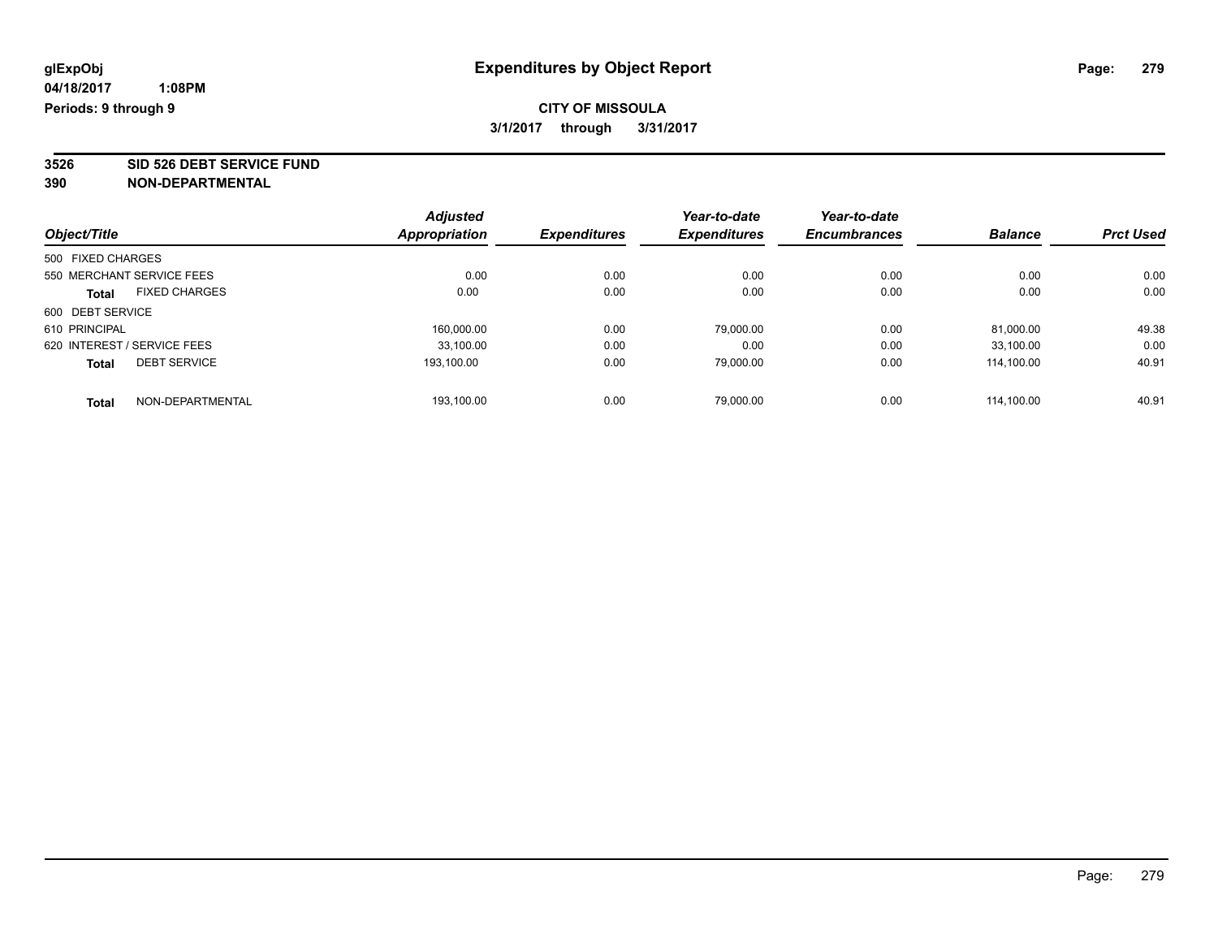### **CITY OF MISSOULA 3/1/2017 through 3/31/2017**

**3526 SID 526 DEBT SERVICE FUND**

|                             |                      | <b>Adjusted</b> |                     | Year-to-date        | Year-to-date        |                |                  |
|-----------------------------|----------------------|-----------------|---------------------|---------------------|---------------------|----------------|------------------|
| Object/Title                |                      | Appropriation   | <b>Expenditures</b> | <b>Expenditures</b> | <b>Encumbrances</b> | <b>Balance</b> | <b>Prct Used</b> |
| 500 FIXED CHARGES           |                      |                 |                     |                     |                     |                |                  |
| 550 MERCHANT SERVICE FEES   |                      | 0.00            | 0.00                | 0.00                | 0.00                | 0.00           | 0.00             |
| <b>Total</b>                | <b>FIXED CHARGES</b> | 0.00            | 0.00                | 0.00                | 0.00                | 0.00           | 0.00             |
| 600 DEBT SERVICE            |                      |                 |                     |                     |                     |                |                  |
| 610 PRINCIPAL               |                      | 160,000.00      | 0.00                | 79,000.00           | 0.00                | 81,000.00      | 49.38            |
| 620 INTEREST / SERVICE FEES |                      | 33.100.00       | 0.00                | 0.00                | 0.00                | 33.100.00      | 0.00             |
| <b>Total</b>                | <b>DEBT SERVICE</b>  | 193,100.00      | 0.00                | 79.000.00           | 0.00                | 114.100.00     | 40.91            |
| <b>Total</b>                | NON-DEPARTMENTAL     | 193.100.00      | 0.00                | 79.000.00           | 0.00                | 114.100.00     | 40.91            |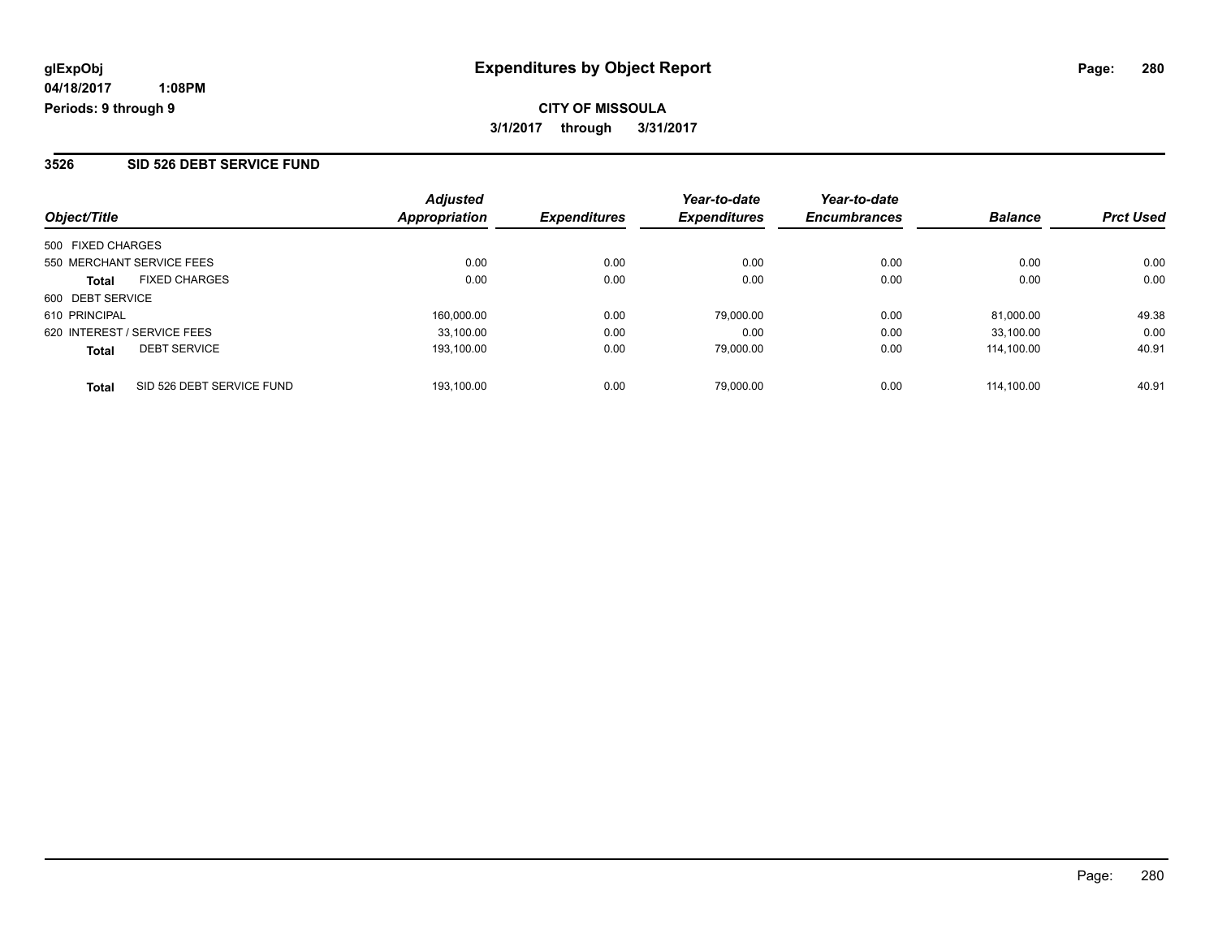## **CITY OF MISSOULA 3/1/2017 through 3/31/2017**

#### **3526 SID 526 DEBT SERVICE FUND**

| Object/Title                              | <b>Adjusted</b><br><b>Appropriation</b> | <i><b>Expenditures</b></i> | Year-to-date<br><b>Expenditures</b> | Year-to-date<br><b>Encumbrances</b> | <b>Balance</b> | <b>Prct Used</b> |
|-------------------------------------------|-----------------------------------------|----------------------------|-------------------------------------|-------------------------------------|----------------|------------------|
| 500 FIXED CHARGES                         |                                         |                            |                                     |                                     |                |                  |
| 550 MERCHANT SERVICE FEES                 | 0.00                                    | 0.00                       | 0.00                                | 0.00                                | 0.00           | 0.00             |
| <b>FIXED CHARGES</b><br><b>Total</b>      | 0.00                                    | 0.00                       | 0.00                                | 0.00                                | 0.00           | 0.00             |
| 600 DEBT SERVICE                          |                                         |                            |                                     |                                     |                |                  |
| 610 PRINCIPAL                             | 160.000.00                              | 0.00                       | 79.000.00                           | 0.00                                | 81.000.00      | 49.38            |
| 620 INTEREST / SERVICE FEES               | 33.100.00                               | 0.00                       | 0.00                                | 0.00                                | 33.100.00      | 0.00             |
| <b>DEBT SERVICE</b><br><b>Total</b>       | 193.100.00                              | 0.00                       | 79.000.00                           | 0.00                                | 114.100.00     | 40.91            |
| SID 526 DEBT SERVICE FUND<br><b>Total</b> | 193.100.00                              | 0.00                       | 79.000.00                           | 0.00                                | 114.100.00     | 40.91            |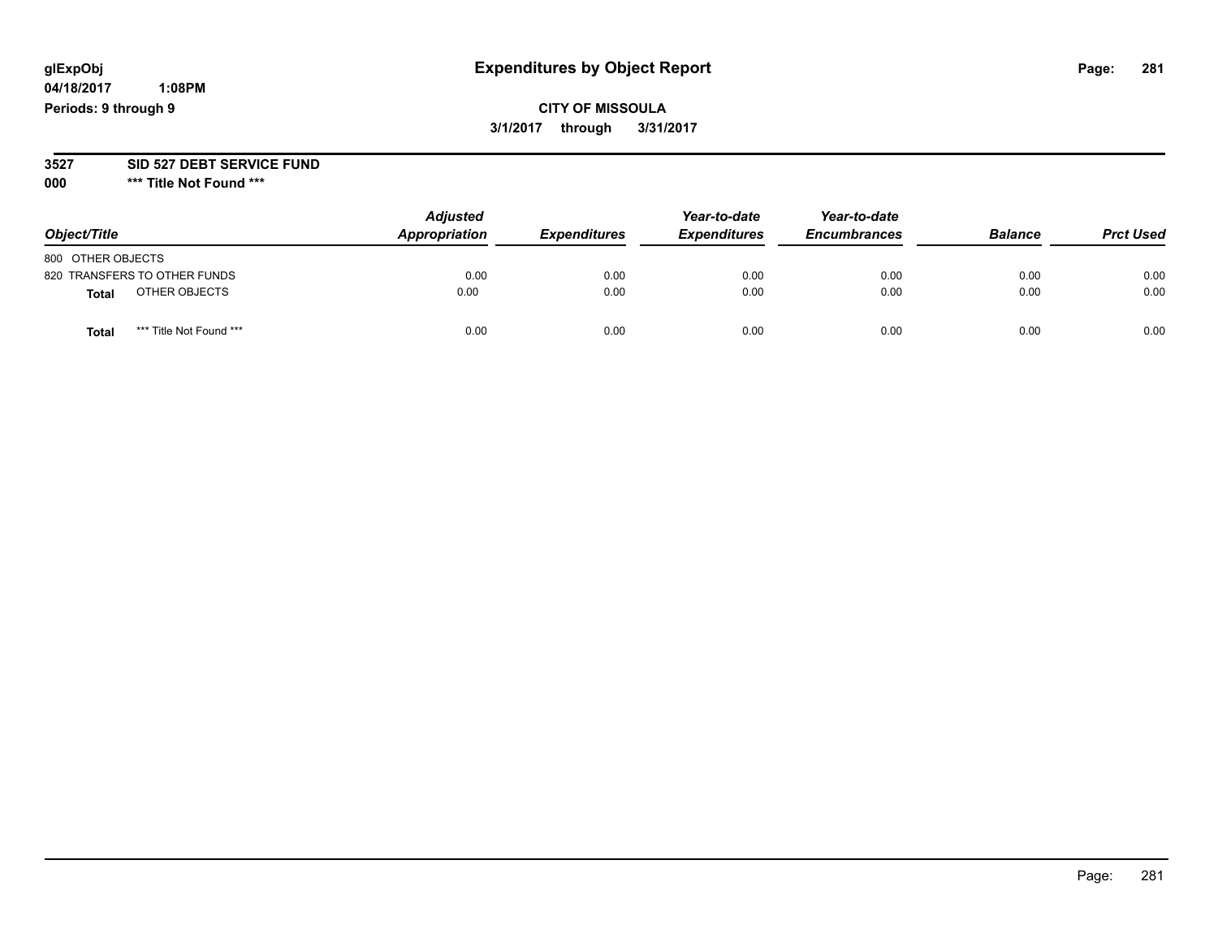# **glExpObj Expenditures by Object Report Page: 281**

**04/18/2017 1:08PM Periods: 9 through 9**

**CITY OF MISSOULA 3/1/2017 through 3/31/2017**

**3527 SID 527 DEBT SERVICE FUND**

**000 \*\*\* Title Not Found \*\*\***

| Object/Title      |                              | <b>Adjusted</b><br>Appropriation | <b>Expenditures</b> | Year-to-date<br><b>Expenditures</b> | Year-to-date<br><b>Encumbrances</b> | <b>Balance</b> | <b>Prct Used</b> |
|-------------------|------------------------------|----------------------------------|---------------------|-------------------------------------|-------------------------------------|----------------|------------------|
| 800 OTHER OBJECTS |                              |                                  |                     |                                     |                                     |                |                  |
|                   | 820 TRANSFERS TO OTHER FUNDS | 0.00                             | 0.00                | 0.00                                | 0.00                                | 0.00           | 0.00             |
| <b>Total</b>      | OTHER OBJECTS                | 0.00                             | 0.00                | 0.00                                | 0.00                                | 0.00           | 0.00             |
| <b>Total</b>      | *** Title Not Found ***      | 0.00                             | 0.00                | 0.00                                | 0.00                                | 0.00           | 0.00             |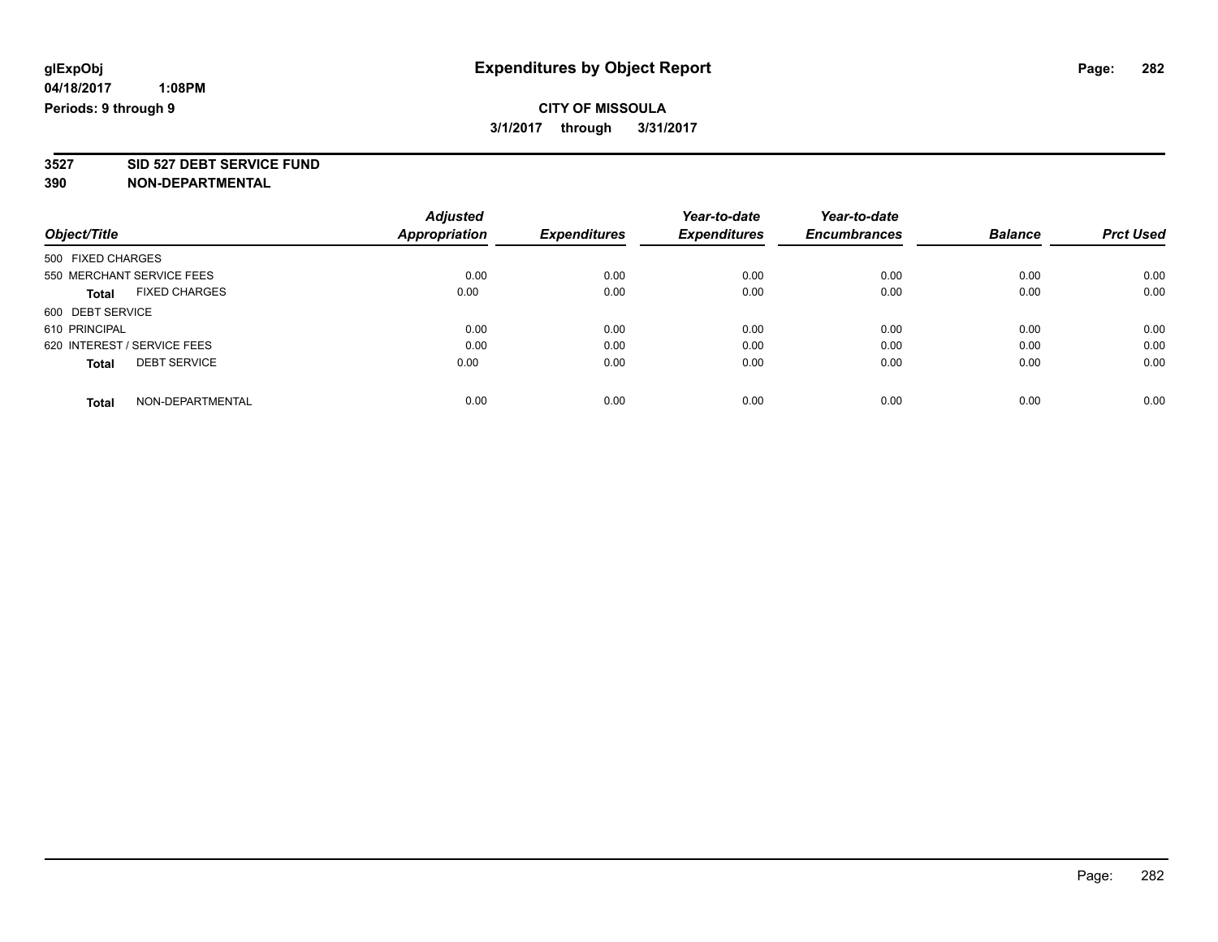### **CITY OF MISSOULA 3/1/2017 through 3/31/2017**

**3527 SID 527 DEBT SERVICE FUND**

| Object/Title                        | <b>Adjusted</b>      | <b>Expenditures</b> | Year-to-date<br><b>Expenditures</b> | Year-to-date<br><b>Encumbrances</b> | <b>Balance</b> | <b>Prct Used</b> |
|-------------------------------------|----------------------|---------------------|-------------------------------------|-------------------------------------|----------------|------------------|
|                                     | <b>Appropriation</b> |                     |                                     |                                     |                |                  |
| 500 FIXED CHARGES                   |                      |                     |                                     |                                     |                |                  |
| 550 MERCHANT SERVICE FEES           | 0.00                 | 0.00                | 0.00                                | 0.00                                | 0.00           | 0.00             |
| <b>FIXED CHARGES</b><br>Total       | 0.00                 | 0.00                | 0.00                                | 0.00                                | 0.00           | 0.00             |
| 600 DEBT SERVICE                    |                      |                     |                                     |                                     |                |                  |
| 610 PRINCIPAL                       | 0.00                 | 0.00                | 0.00                                | 0.00                                | 0.00           | 0.00             |
| 620 INTEREST / SERVICE FEES         | 0.00                 | 0.00                | 0.00                                | 0.00                                | 0.00           | 0.00             |
| <b>DEBT SERVICE</b><br><b>Total</b> | 0.00                 | 0.00                | 0.00                                | 0.00                                | 0.00           | 0.00             |
| NON-DEPARTMENTAL<br><b>Total</b>    | 0.00                 | 0.00                | 0.00                                | 0.00                                | 0.00           | 0.00             |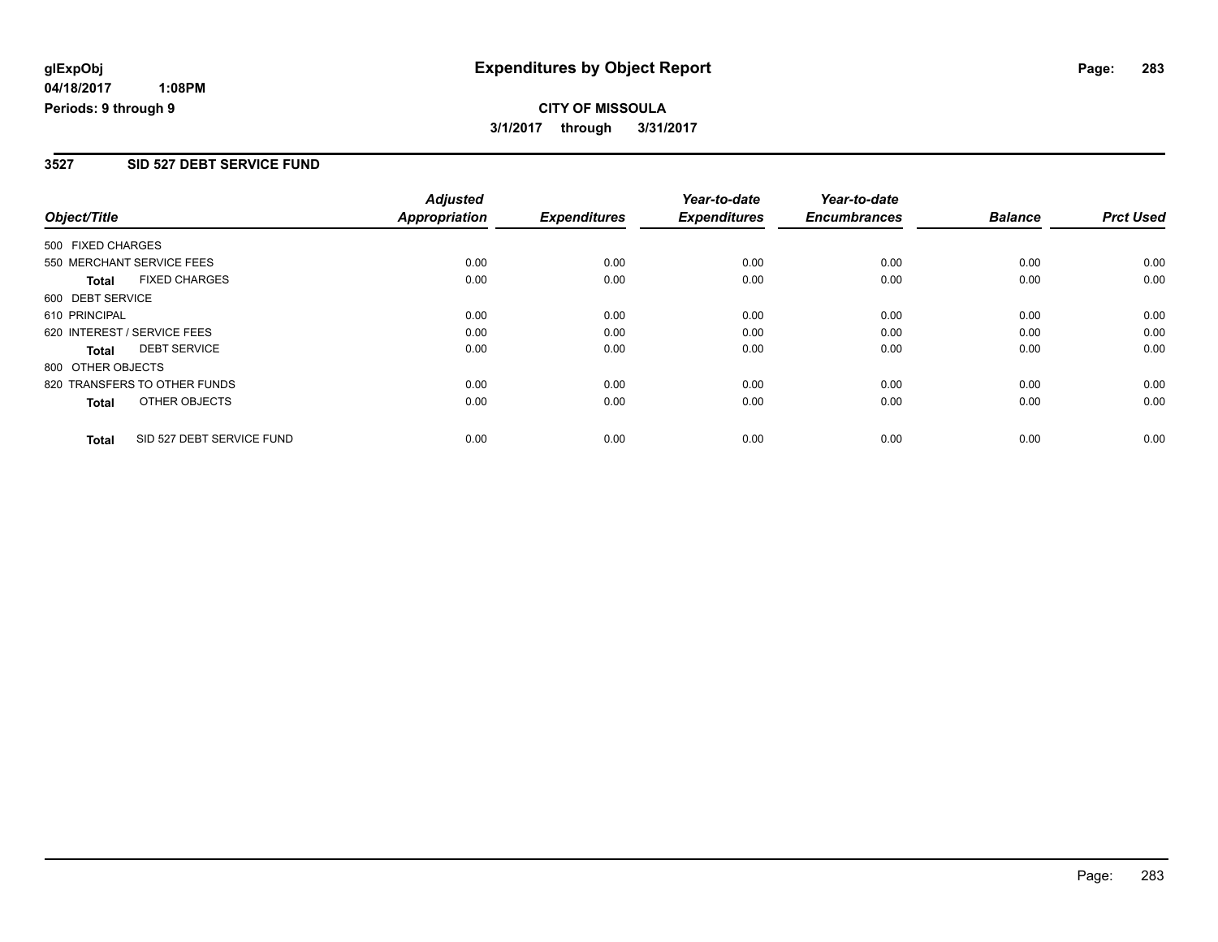## **CITY OF MISSOULA 3/1/2017 through 3/31/2017**

#### **3527 SID 527 DEBT SERVICE FUND**

| Object/Title      |                              | <b>Adjusted</b><br><b>Appropriation</b> | <b>Expenditures</b> | Year-to-date<br><b>Expenditures</b> | Year-to-date<br><b>Encumbrances</b> | <b>Balance</b> | <b>Prct Used</b> |
|-------------------|------------------------------|-----------------------------------------|---------------------|-------------------------------------|-------------------------------------|----------------|------------------|
|                   |                              |                                         |                     |                                     |                                     |                |                  |
| 500 FIXED CHARGES |                              |                                         |                     |                                     |                                     |                |                  |
|                   | 550 MERCHANT SERVICE FEES    | 0.00                                    | 0.00                | 0.00                                | 0.00                                | 0.00           | 0.00             |
| <b>Total</b>      | <b>FIXED CHARGES</b>         | 0.00                                    | 0.00                | 0.00                                | 0.00                                | 0.00           | 0.00             |
| 600 DEBT SERVICE  |                              |                                         |                     |                                     |                                     |                |                  |
| 610 PRINCIPAL     |                              | 0.00                                    | 0.00                | 0.00                                | 0.00                                | 0.00           | 0.00             |
|                   | 620 INTEREST / SERVICE FEES  | 0.00                                    | 0.00                | 0.00                                | 0.00                                | 0.00           | 0.00             |
| <b>Total</b>      | <b>DEBT SERVICE</b>          | 0.00                                    | 0.00                | 0.00                                | 0.00                                | 0.00           | 0.00             |
| 800 OTHER OBJECTS |                              |                                         |                     |                                     |                                     |                |                  |
|                   | 820 TRANSFERS TO OTHER FUNDS | 0.00                                    | 0.00                | 0.00                                | 0.00                                | 0.00           | 0.00             |
| <b>Total</b>      | OTHER OBJECTS                | 0.00                                    | 0.00                | 0.00                                | 0.00                                | 0.00           | 0.00             |
| <b>Total</b>      | SID 527 DEBT SERVICE FUND    | 0.00                                    | 0.00                | 0.00                                | 0.00                                | 0.00           | 0.00             |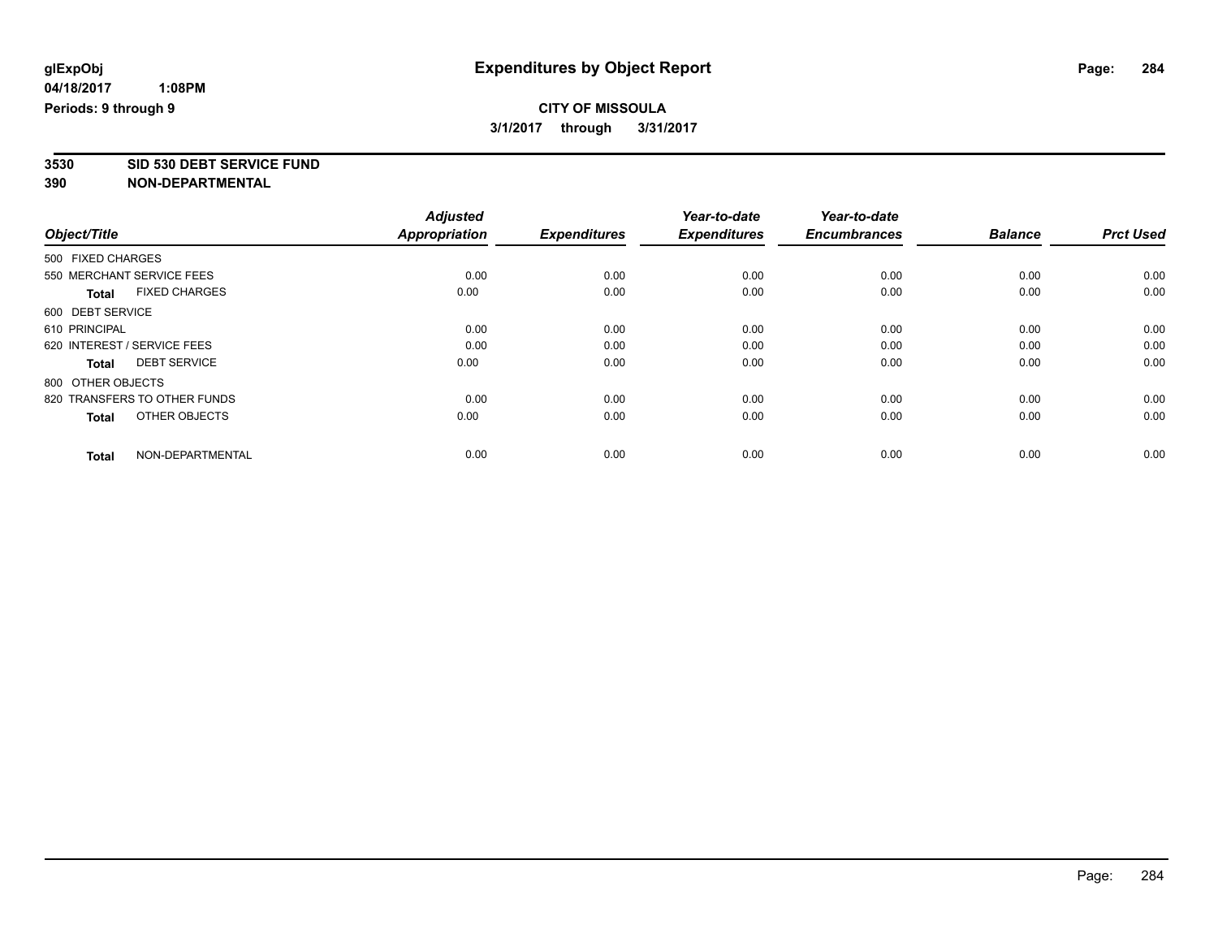### **CITY OF MISSOULA 3/1/2017 through 3/31/2017**

**3530 SID 530 DEBT SERVICE FUND**

|                                      | <b>Adjusted</b>      |                     | Year-to-date        | Year-to-date        |                |                  |
|--------------------------------------|----------------------|---------------------|---------------------|---------------------|----------------|------------------|
| Object/Title                         | <b>Appropriation</b> | <b>Expenditures</b> | <b>Expenditures</b> | <b>Encumbrances</b> | <b>Balance</b> | <b>Prct Used</b> |
| 500 FIXED CHARGES                    |                      |                     |                     |                     |                |                  |
| 550 MERCHANT SERVICE FEES            | 0.00                 | 0.00                | 0.00                | 0.00                | 0.00           | 0.00             |
| <b>FIXED CHARGES</b><br><b>Total</b> | 0.00                 | 0.00                | 0.00                | 0.00                | 0.00           | 0.00             |
| 600 DEBT SERVICE                     |                      |                     |                     |                     |                |                  |
| 610 PRINCIPAL                        | 0.00                 | 0.00                | 0.00                | 0.00                | 0.00           | 0.00             |
| 620 INTEREST / SERVICE FEES          | 0.00                 | 0.00                | 0.00                | 0.00                | 0.00           | 0.00             |
| <b>DEBT SERVICE</b><br><b>Total</b>  | 0.00                 | 0.00                | 0.00                | 0.00                | 0.00           | 0.00             |
| 800 OTHER OBJECTS                    |                      |                     |                     |                     |                |                  |
| 820 TRANSFERS TO OTHER FUNDS         | 0.00                 | 0.00                | 0.00                | 0.00                | 0.00           | 0.00             |
| OTHER OBJECTS<br><b>Total</b>        | 0.00                 | 0.00                | 0.00                | 0.00                | 0.00           | 0.00             |
|                                      |                      |                     |                     |                     |                |                  |
| NON-DEPARTMENTAL<br><b>Total</b>     | 0.00                 | 0.00                | 0.00                | 0.00                | 0.00           | 0.00             |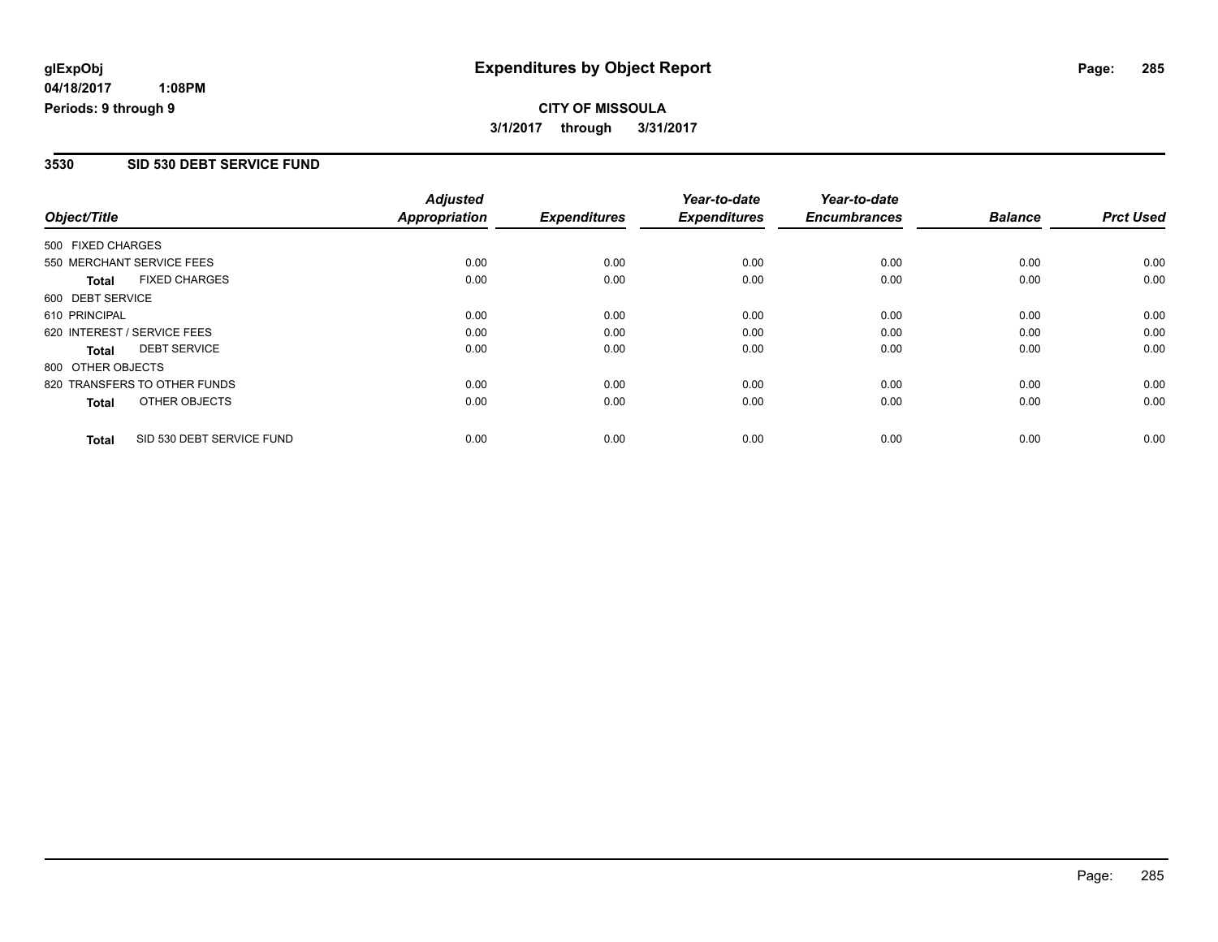# **CITY OF MISSOULA**

**3/1/2017 through 3/31/2017**

#### **3530 SID 530 DEBT SERVICE FUND**

| Object/Title                |                              | <b>Adjusted</b><br>Appropriation | <b>Expenditures</b> | Year-to-date<br><b>Expenditures</b> | Year-to-date<br><b>Encumbrances</b> | <b>Balance</b> | <b>Prct Used</b> |
|-----------------------------|------------------------------|----------------------------------|---------------------|-------------------------------------|-------------------------------------|----------------|------------------|
|                             |                              |                                  |                     |                                     |                                     |                |                  |
| 500 FIXED CHARGES           |                              |                                  |                     |                                     |                                     |                |                  |
|                             | 550 MERCHANT SERVICE FEES    | 0.00                             | 0.00                | 0.00                                | 0.00                                | 0.00           | 0.00             |
| <b>Total</b>                | <b>FIXED CHARGES</b>         | 0.00                             | 0.00                | 0.00                                | 0.00                                | 0.00           | 0.00             |
| 600 DEBT SERVICE            |                              |                                  |                     |                                     |                                     |                |                  |
| 610 PRINCIPAL               |                              | 0.00                             | 0.00                | 0.00                                | 0.00                                | 0.00           | 0.00             |
| 620 INTEREST / SERVICE FEES |                              | 0.00                             | 0.00                | 0.00                                | 0.00                                | 0.00           | 0.00             |
| <b>Total</b>                | <b>DEBT SERVICE</b>          | 0.00                             | 0.00                | 0.00                                | 0.00                                | 0.00           | 0.00             |
| 800 OTHER OBJECTS           |                              |                                  |                     |                                     |                                     |                |                  |
|                             | 820 TRANSFERS TO OTHER FUNDS | 0.00                             | 0.00                | 0.00                                | 0.00                                | 0.00           | 0.00             |
| <b>Total</b>                | OTHER OBJECTS                | 0.00                             | 0.00                | 0.00                                | 0.00                                | 0.00           | 0.00             |
| <b>Total</b>                | SID 530 DEBT SERVICE FUND    | 0.00                             | 0.00                | 0.00                                | 0.00                                | 0.00           | 0.00             |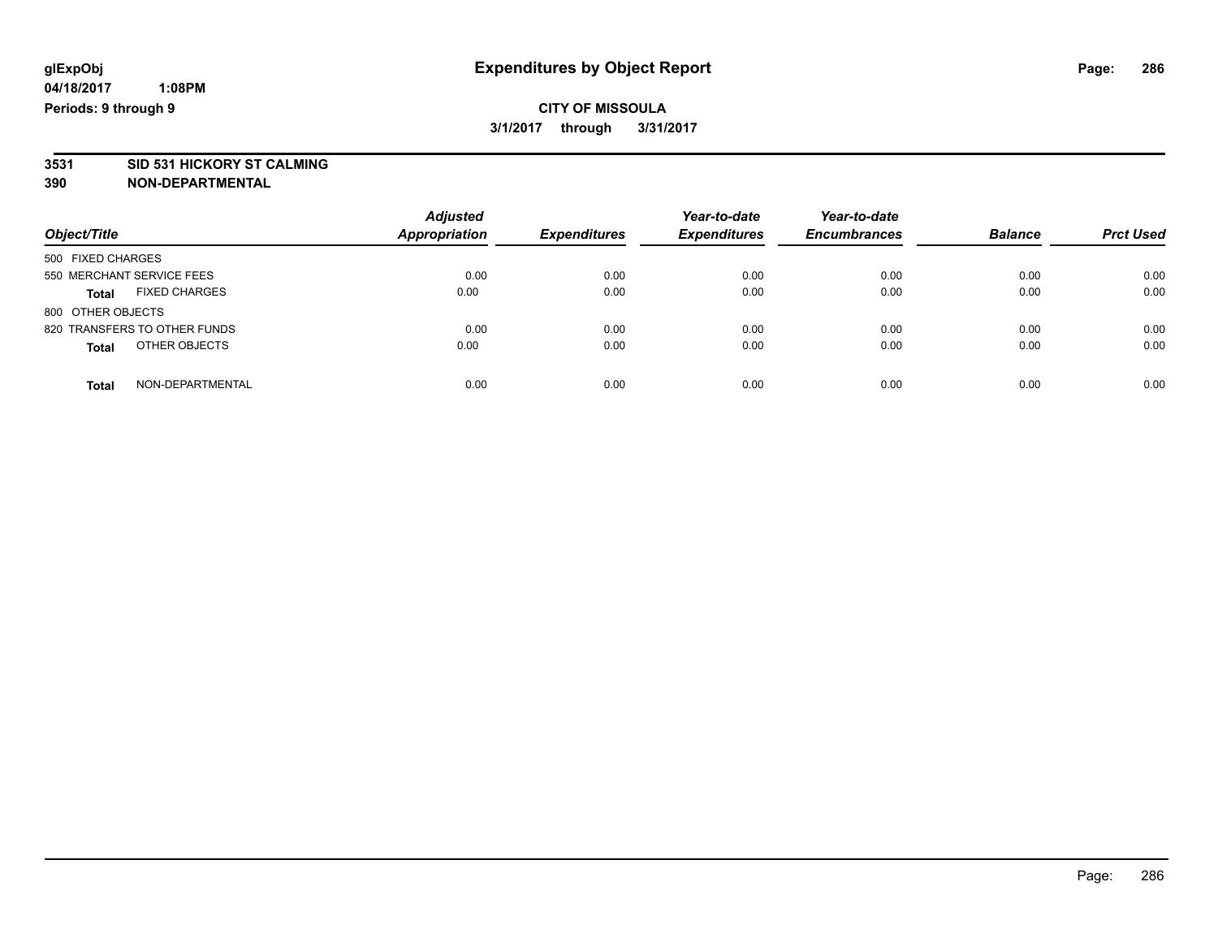### **CITY OF MISSOULA 3/1/2017 through 3/31/2017**

# **3531 SID 531 HICKORY ST CALMING**

| Object/Title                         | <b>Adjusted</b><br><b>Appropriation</b> | <b>Expenditures</b> | Year-to-date<br><b>Expenditures</b> | Year-to-date<br><b>Encumbrances</b> | <b>Balance</b> | <b>Prct Used</b> |
|--------------------------------------|-----------------------------------------|---------------------|-------------------------------------|-------------------------------------|----------------|------------------|
| 500 FIXED CHARGES                    |                                         |                     |                                     |                                     |                |                  |
| 550 MERCHANT SERVICE FEES            | 0.00                                    | 0.00                | 0.00                                | 0.00                                | 0.00           | 0.00             |
| <b>FIXED CHARGES</b><br><b>Total</b> | 0.00                                    | 0.00                | 0.00                                | 0.00                                | 0.00           | 0.00             |
| 800 OTHER OBJECTS                    |                                         |                     |                                     |                                     |                |                  |
| 820 TRANSFERS TO OTHER FUNDS         | 0.00                                    | 0.00                | 0.00                                | 0.00                                | 0.00           | 0.00             |
| OTHER OBJECTS<br><b>Total</b>        | 0.00                                    | 0.00                | 0.00                                | 0.00                                | 0.00           | 0.00             |
| NON-DEPARTMENTAL<br>Total            | 0.00                                    | 0.00                | 0.00                                | 0.00                                | 0.00           | 0.00             |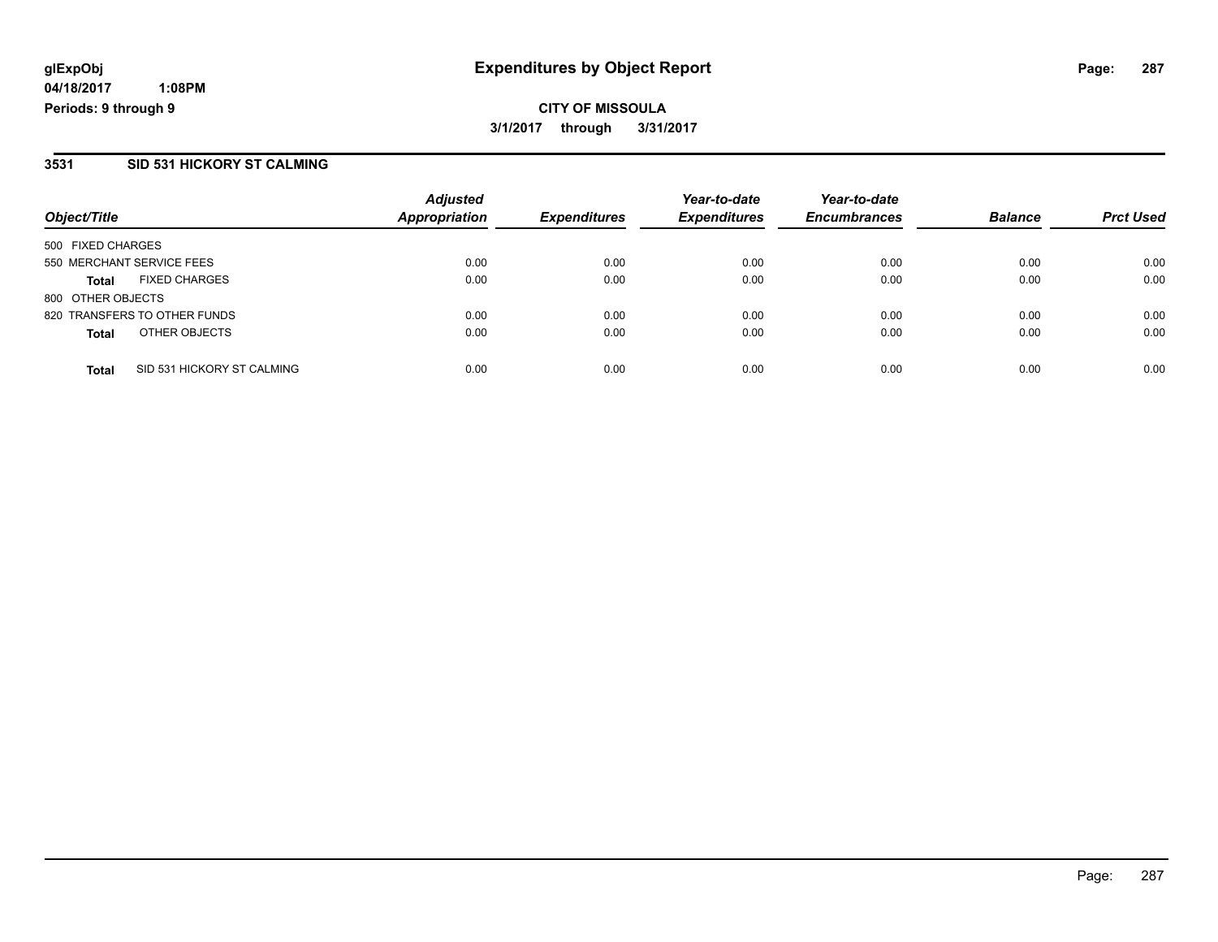**CITY OF MISSOULA 3/1/2017 through 3/31/2017**

#### **3531 SID 531 HICKORY ST CALMING**

| Object/Title      |                              | <b>Adjusted</b><br><b>Appropriation</b> | <b>Expenditures</b> | Year-to-date<br><b>Expenditures</b> | Year-to-date<br><b>Encumbrances</b> | <b>Balance</b> | <b>Prct Used</b> |
|-------------------|------------------------------|-----------------------------------------|---------------------|-------------------------------------|-------------------------------------|----------------|------------------|
| 500 FIXED CHARGES |                              |                                         |                     |                                     |                                     |                |                  |
|                   | 550 MERCHANT SERVICE FEES    | 0.00                                    | 0.00                | 0.00                                | 0.00                                | 0.00           | 0.00             |
| <b>Total</b>      | <b>FIXED CHARGES</b>         | 0.00                                    | 0.00                | 0.00                                | 0.00                                | 0.00           | 0.00             |
| 800 OTHER OBJECTS |                              |                                         |                     |                                     |                                     |                |                  |
|                   | 820 TRANSFERS TO OTHER FUNDS | 0.00                                    | 0.00                | 0.00                                | 0.00                                | 0.00           | 0.00             |
| <b>Total</b>      | OTHER OBJECTS                | 0.00                                    | 0.00                | 0.00                                | 0.00                                | 0.00           | 0.00             |
| <b>Total</b>      | SID 531 HICKORY ST CALMING   | 0.00                                    | 0.00                | 0.00                                | 0.00                                | 0.00           | 0.00             |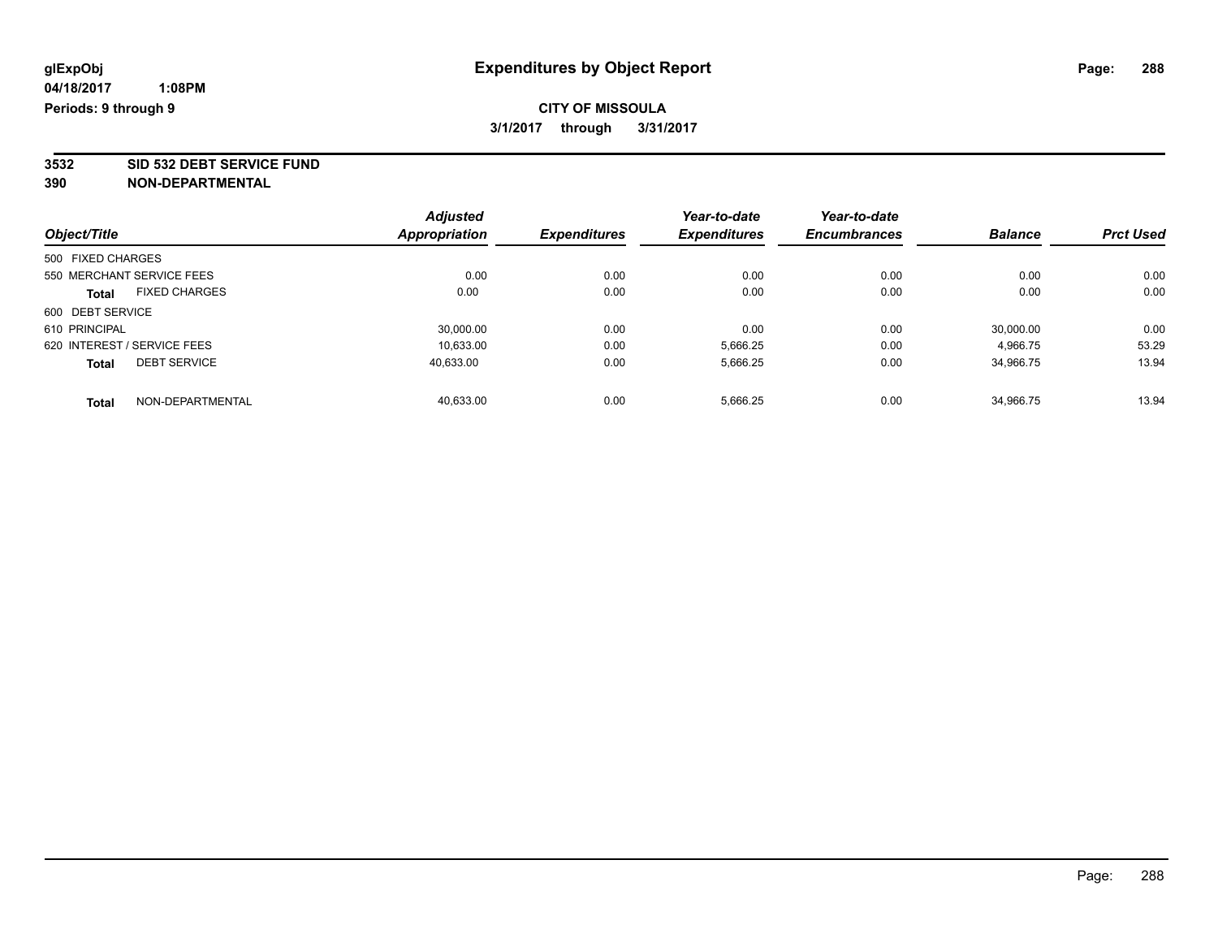### **CITY OF MISSOULA 3/1/2017 through 3/31/2017**

**3532 SID 532 DEBT SERVICE FUND**

|                             |                           | <b>Adjusted</b>      |                     | Year-to-date        | Year-to-date        |                |                  |
|-----------------------------|---------------------------|----------------------|---------------------|---------------------|---------------------|----------------|------------------|
| Object/Title                |                           | <b>Appropriation</b> | <b>Expenditures</b> | <b>Expenditures</b> | <b>Encumbrances</b> | <b>Balance</b> | <b>Prct Used</b> |
| 500 FIXED CHARGES           |                           |                      |                     |                     |                     |                |                  |
|                             | 550 MERCHANT SERVICE FEES | 0.00                 | 0.00                | 0.00                | 0.00                | 0.00           | 0.00             |
| <b>Total</b>                | <b>FIXED CHARGES</b>      | 0.00                 | 0.00                | 0.00                | 0.00                | 0.00           | 0.00             |
| 600 DEBT SERVICE            |                           |                      |                     |                     |                     |                |                  |
| 610 PRINCIPAL               |                           | 30.000.00            | 0.00                | 0.00                | 0.00                | 30.000.00      | 0.00             |
| 620 INTEREST / SERVICE FEES |                           | 10.633.00            | 0.00                | 5,666.25            | 0.00                | 4,966.75       | 53.29            |
| <b>Total</b>                | <b>DEBT SERVICE</b>       | 40.633.00            | 0.00                | 5,666.25            | 0.00                | 34,966.75      | 13.94            |
| <b>Total</b>                | NON-DEPARTMENTAL          | 40.633.00            | 0.00                | 5,666.25            | 0.00                | 34.966.75      | 13.94            |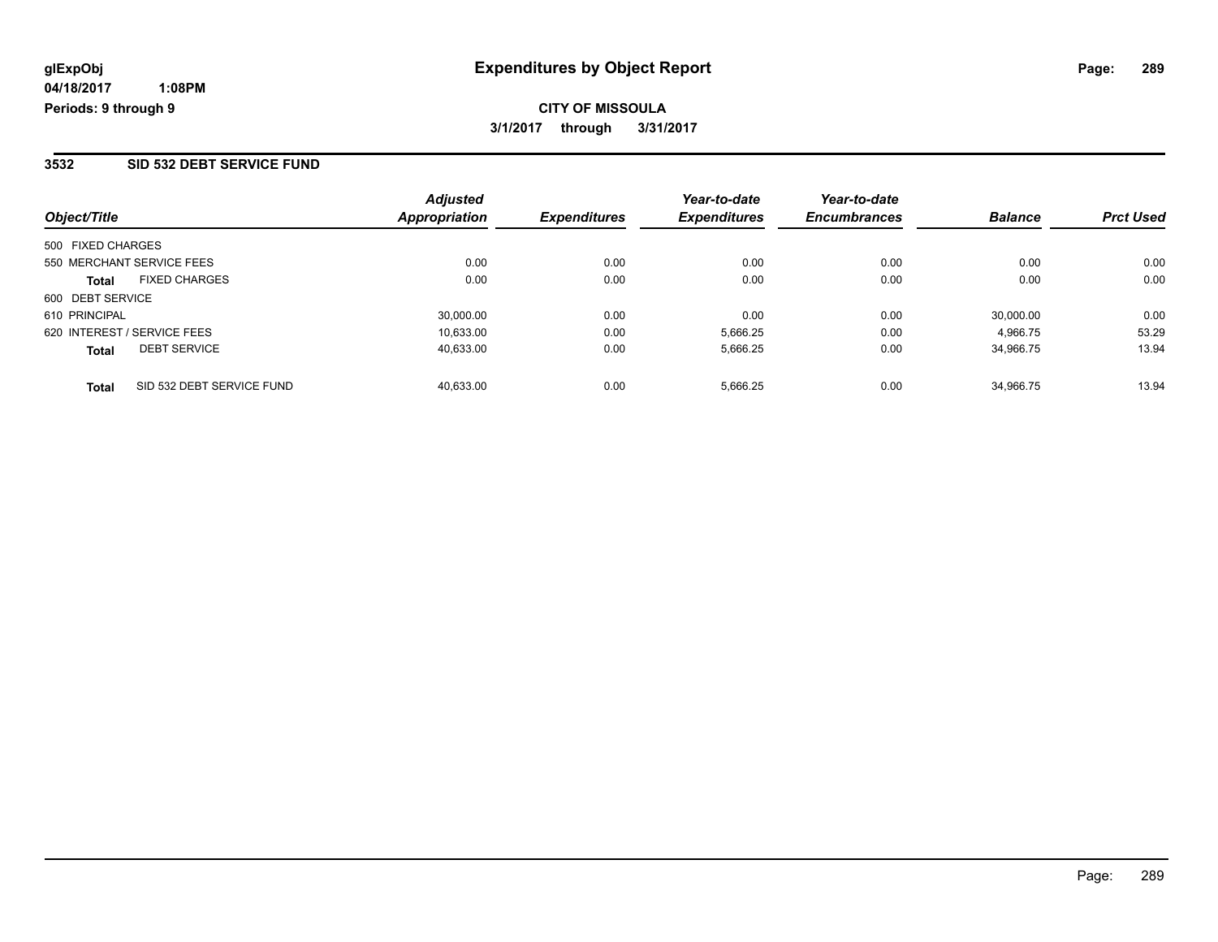## **CITY OF MISSOULA 3/1/2017 through 3/31/2017**

### **3532 SID 532 DEBT SERVICE FUND**

| Object/Title                              | <b>Adjusted</b><br><b>Appropriation</b> | <b>Expenditures</b> | Year-to-date<br><b>Expenditures</b> | Year-to-date<br><b>Encumbrances</b> | <b>Balance</b> | <b>Prct Used</b> |
|-------------------------------------------|-----------------------------------------|---------------------|-------------------------------------|-------------------------------------|----------------|------------------|
| 500 FIXED CHARGES                         |                                         |                     |                                     |                                     |                |                  |
| 550 MERCHANT SERVICE FEES                 | 0.00                                    | 0.00                | 0.00                                | 0.00                                | 0.00           | 0.00             |
| <b>FIXED CHARGES</b><br><b>Total</b>      | 0.00                                    | 0.00                | 0.00                                | 0.00                                | 0.00           | 0.00             |
| 600 DEBT SERVICE                          |                                         |                     |                                     |                                     |                |                  |
| 610 PRINCIPAL                             | 30.000.00                               | 0.00                | 0.00                                | 0.00                                | 30.000.00      | 0.00             |
| 620 INTEREST / SERVICE FEES               | 10.633.00                               | 0.00                | 5,666.25                            | 0.00                                | 4.966.75       | 53.29            |
| <b>DEBT SERVICE</b><br><b>Total</b>       | 40.633.00                               | 0.00                | 5,666.25                            | 0.00                                | 34.966.75      | 13.94            |
| SID 532 DEBT SERVICE FUND<br><b>Total</b> | 40.633.00                               | 0.00                | 5.666.25                            | 0.00                                | 34.966.75      | 13.94            |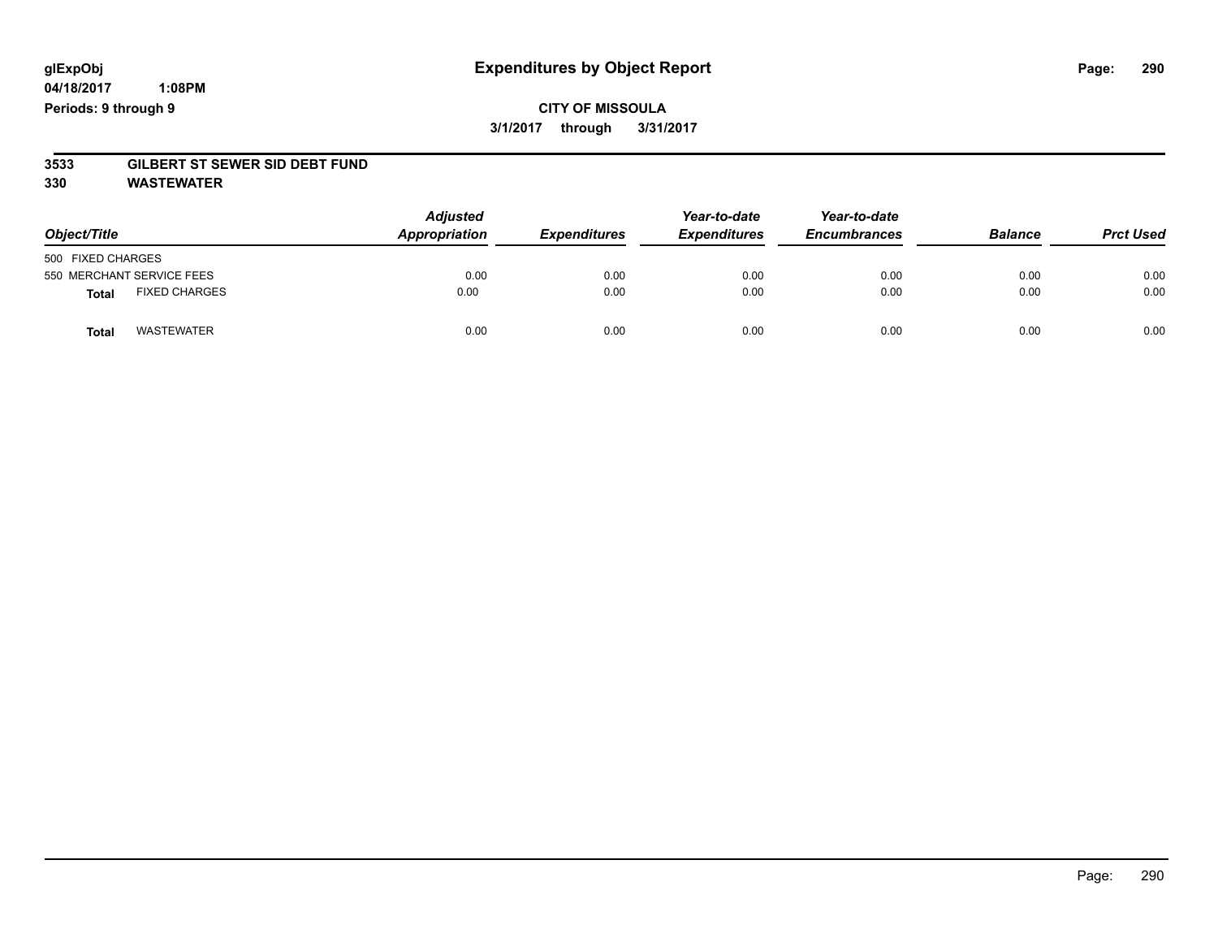## **CITY OF MISSOULA 3/1/2017 through 3/31/2017**

# **3533 GILBERT ST SEWER SID DEBT FUND**

**330 WASTEWATER**

| Object/Title                         | <b>Adjusted</b><br>Appropriation | <b>Expenditures</b> | Year-to-date<br><b>Expenditures</b> | Year-to-date<br><b>Encumbrances</b> | <b>Balance</b> | <b>Prct Used</b> |
|--------------------------------------|----------------------------------|---------------------|-------------------------------------|-------------------------------------|----------------|------------------|
| 500 FIXED CHARGES                    |                                  |                     |                                     |                                     |                |                  |
| 550 MERCHANT SERVICE FEES            | 0.00                             | 0.00                | 0.00                                | 0.00                                | 0.00           | 0.00             |
| <b>FIXED CHARGES</b><br><b>Total</b> | 0.00                             | 0.00                | 0.00                                | 0.00                                | 0.00           | 0.00             |
| <b>WASTEWATER</b><br>Total           | 0.00                             | 0.00                | 0.00                                | 0.00                                | 0.00           | 0.00             |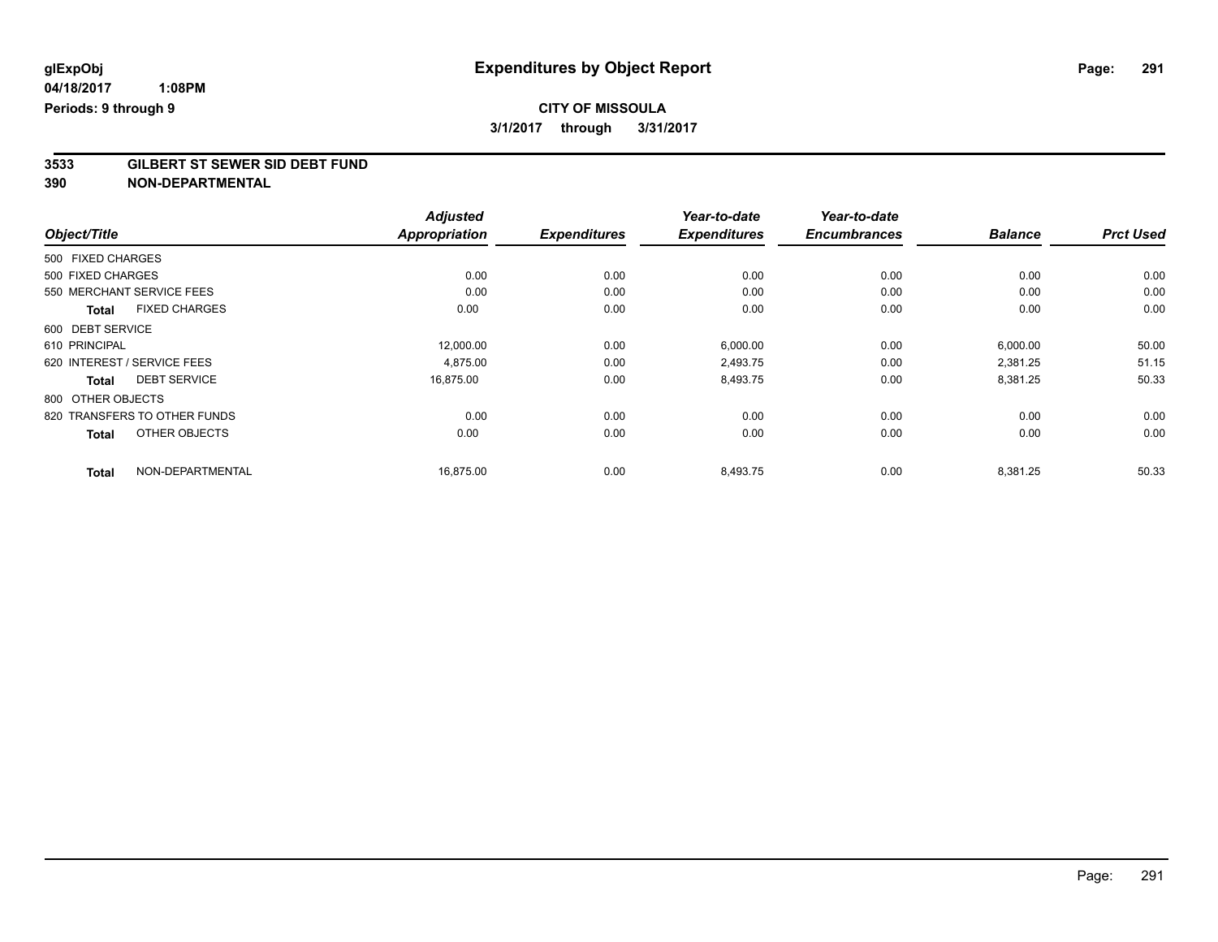**3/1/2017 through 3/31/2017**

# **3533 GILBERT ST SEWER SID DEBT FUND**

**390 NON-DEPARTMENTAL**

|                                      | <b>Adjusted</b>      |                     | Year-to-date        | Year-to-date        |                |                  |
|--------------------------------------|----------------------|---------------------|---------------------|---------------------|----------------|------------------|
| Object/Title                         | <b>Appropriation</b> | <b>Expenditures</b> | <b>Expenditures</b> | <b>Encumbrances</b> | <b>Balance</b> | <b>Prct Used</b> |
| 500 FIXED CHARGES                    |                      |                     |                     |                     |                |                  |
| 500 FIXED CHARGES                    | 0.00                 | 0.00                | 0.00                | 0.00                | 0.00           | 0.00             |
| 550 MERCHANT SERVICE FEES            | 0.00                 | 0.00                | 0.00                | 0.00                | 0.00           | 0.00             |
| <b>FIXED CHARGES</b><br><b>Total</b> | 0.00                 | 0.00                | 0.00                | 0.00                | 0.00           | 0.00             |
| 600 DEBT SERVICE                     |                      |                     |                     |                     |                |                  |
| 610 PRINCIPAL                        | 12,000.00            | 0.00                | 6,000.00            | 0.00                | 6,000.00       | 50.00            |
| 620 INTEREST / SERVICE FEES          | 4,875.00             | 0.00                | 2,493.75            | 0.00                | 2,381.25       | 51.15            |
| <b>DEBT SERVICE</b><br>Total         | 16,875.00            | 0.00                | 8,493.75            | 0.00                | 8,381.25       | 50.33            |
| 800 OTHER OBJECTS                    |                      |                     |                     |                     |                |                  |
| 820 TRANSFERS TO OTHER FUNDS         | 0.00                 | 0.00                | 0.00                | 0.00                | 0.00           | 0.00             |
| OTHER OBJECTS<br><b>Total</b>        | 0.00                 | 0.00                | 0.00                | 0.00                | 0.00           | 0.00             |
| NON-DEPARTMENTAL<br><b>Total</b>     | 16,875.00            | 0.00                | 8,493.75            | 0.00                | 8,381.25       | 50.33            |

Page: 291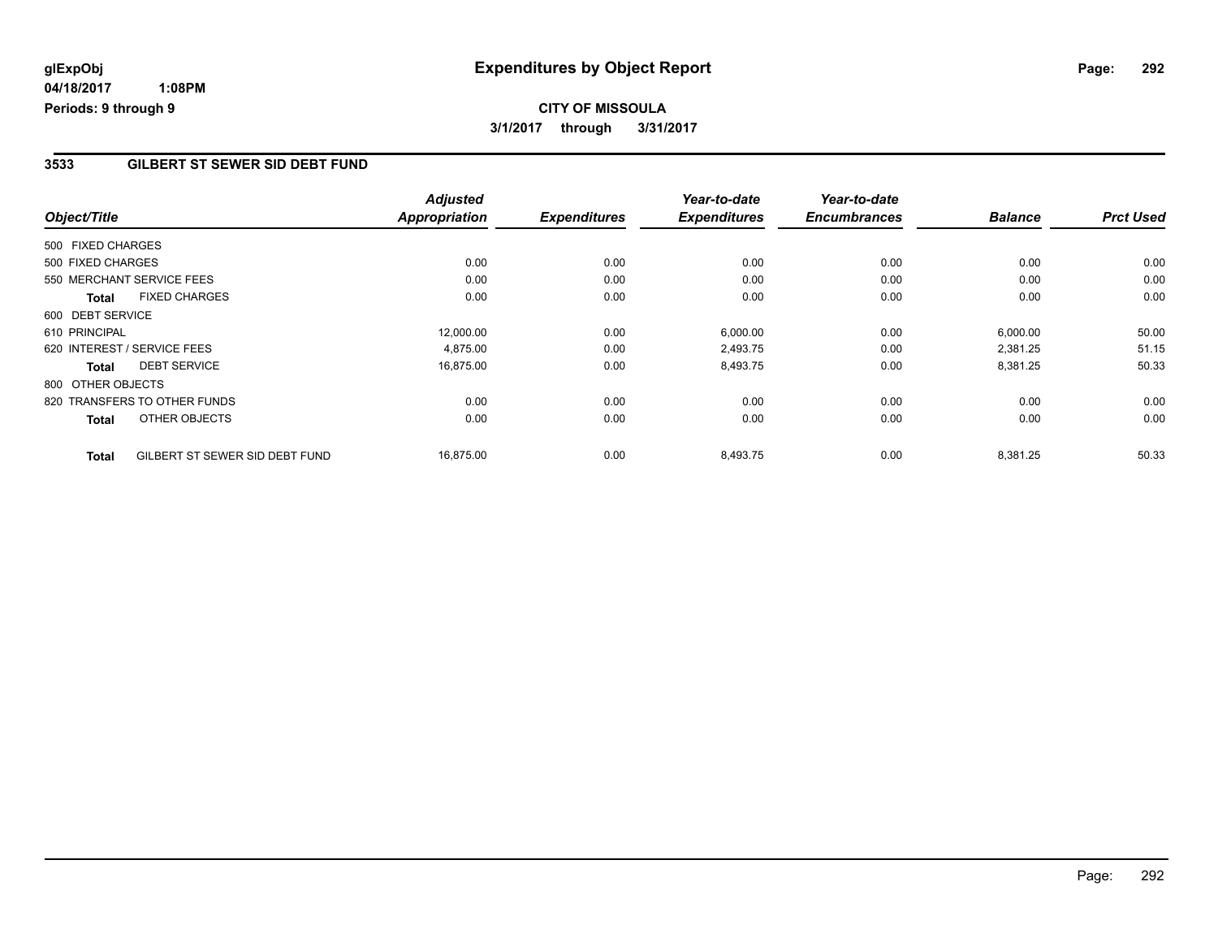## **CITY OF MISSOULA 3/1/2017 through 3/31/2017**

### **3533 GILBERT ST SEWER SID DEBT FUND**

|                   |                                | <b>Adjusted</b> |                     | Year-to-date        | Year-to-date        |                |                  |
|-------------------|--------------------------------|-----------------|---------------------|---------------------|---------------------|----------------|------------------|
| Object/Title      |                                | Appropriation   | <b>Expenditures</b> | <b>Expenditures</b> | <b>Encumbrances</b> | <b>Balance</b> | <b>Prct Used</b> |
| 500 FIXED CHARGES |                                |                 |                     |                     |                     |                |                  |
| 500 FIXED CHARGES |                                | 0.00            | 0.00                | 0.00                | 0.00                | 0.00           | 0.00             |
|                   | 550 MERCHANT SERVICE FEES      | 0.00            | 0.00                | 0.00                | 0.00                | 0.00           | 0.00             |
| <b>Total</b>      | <b>FIXED CHARGES</b>           | 0.00            | 0.00                | 0.00                | 0.00                | 0.00           | 0.00             |
| 600 DEBT SERVICE  |                                |                 |                     |                     |                     |                |                  |
| 610 PRINCIPAL     |                                | 12,000.00       | 0.00                | 6,000.00            | 0.00                | 6,000.00       | 50.00            |
|                   | 620 INTEREST / SERVICE FEES    | 4,875.00        | 0.00                | 2,493.75            | 0.00                | 2,381.25       | 51.15            |
| <b>Total</b>      | <b>DEBT SERVICE</b>            | 16,875.00       | 0.00                | 8,493.75            | 0.00                | 8,381.25       | 50.33            |
| 800 OTHER OBJECTS |                                |                 |                     |                     |                     |                |                  |
|                   | 820 TRANSFERS TO OTHER FUNDS   | 0.00            | 0.00                | 0.00                | 0.00                | 0.00           | 0.00             |
| <b>Total</b>      | OTHER OBJECTS                  | 0.00            | 0.00                | 0.00                | 0.00                | 0.00           | 0.00             |
| <b>Total</b>      | GILBERT ST SEWER SID DEBT FUND | 16,875.00       | 0.00                | 8,493.75            | 0.00                | 8,381.25       | 50.33            |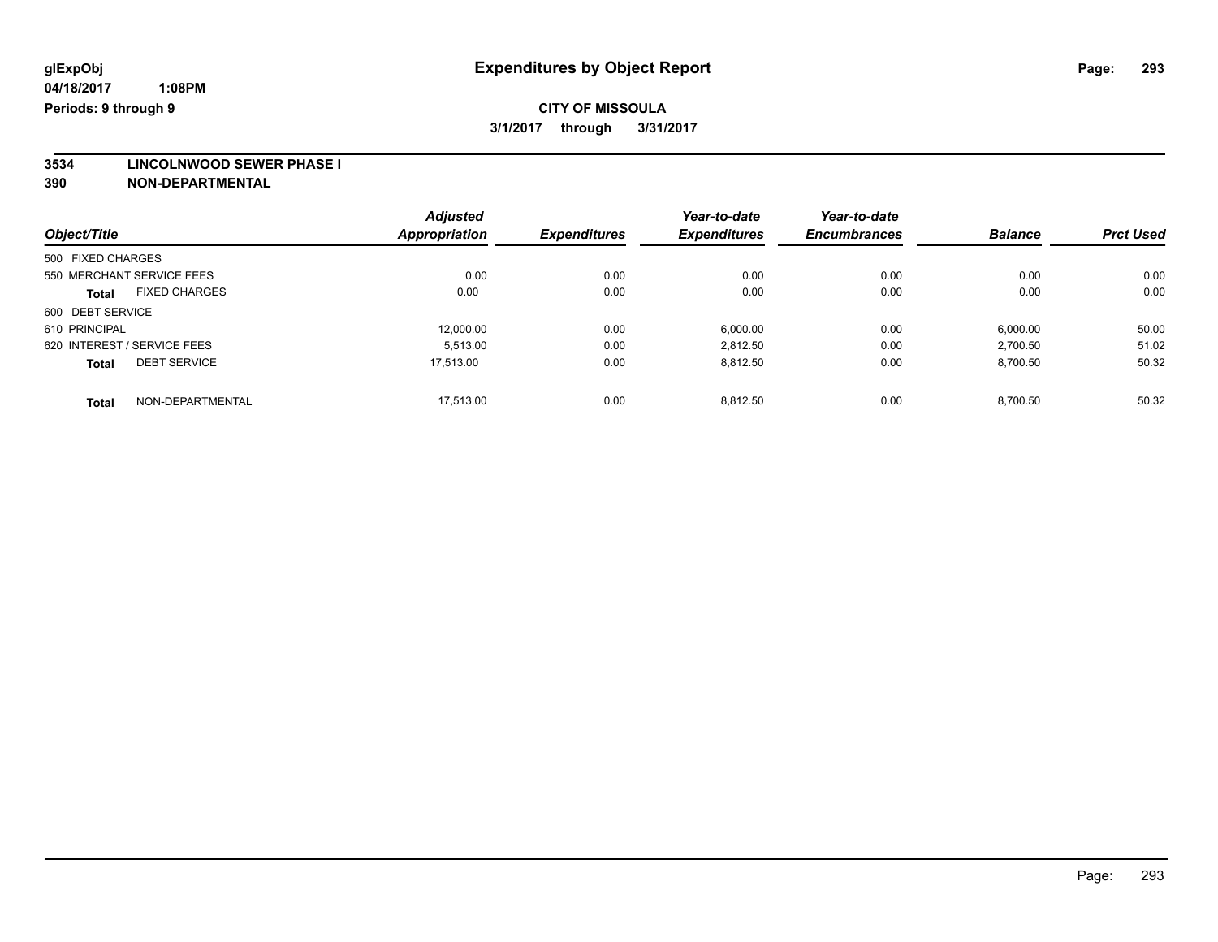**3534 LINCOLNWOOD SEWER PHASE I**

|                                      | <b>Adjusted</b><br><b>Appropriation</b> |                     | Year-to-date<br><b>Expenditures</b> | Year-to-date<br><b>Encumbrances</b> | <b>Balance</b> | <b>Prct Used</b> |
|--------------------------------------|-----------------------------------------|---------------------|-------------------------------------|-------------------------------------|----------------|------------------|
| Object/Title                         |                                         | <b>Expenditures</b> |                                     |                                     |                |                  |
| 500 FIXED CHARGES                    |                                         |                     |                                     |                                     |                |                  |
| 550 MERCHANT SERVICE FEES            | 0.00                                    | 0.00                | 0.00                                | 0.00                                | 0.00           | 0.00             |
| <b>FIXED CHARGES</b><br><b>Total</b> | 0.00                                    | 0.00                | 0.00                                | 0.00                                | 0.00           | 0.00             |
| 600 DEBT SERVICE                     |                                         |                     |                                     |                                     |                |                  |
| 610 PRINCIPAL                        | 12.000.00                               | 0.00                | 6,000.00                            | 0.00                                | 6,000.00       | 50.00            |
| 620 INTEREST / SERVICE FEES          | 5.513.00                                | 0.00                | 2,812.50                            | 0.00                                | 2,700.50       | 51.02            |
| <b>DEBT SERVICE</b><br><b>Total</b>  | 17.513.00                               | 0.00                | 8,812.50                            | 0.00                                | 8,700.50       | 50.32            |
| NON-DEPARTMENTAL<br>Total            | 17.513.00                               | 0.00                | 8.812.50                            | 0.00                                | 8.700.50       | 50.32            |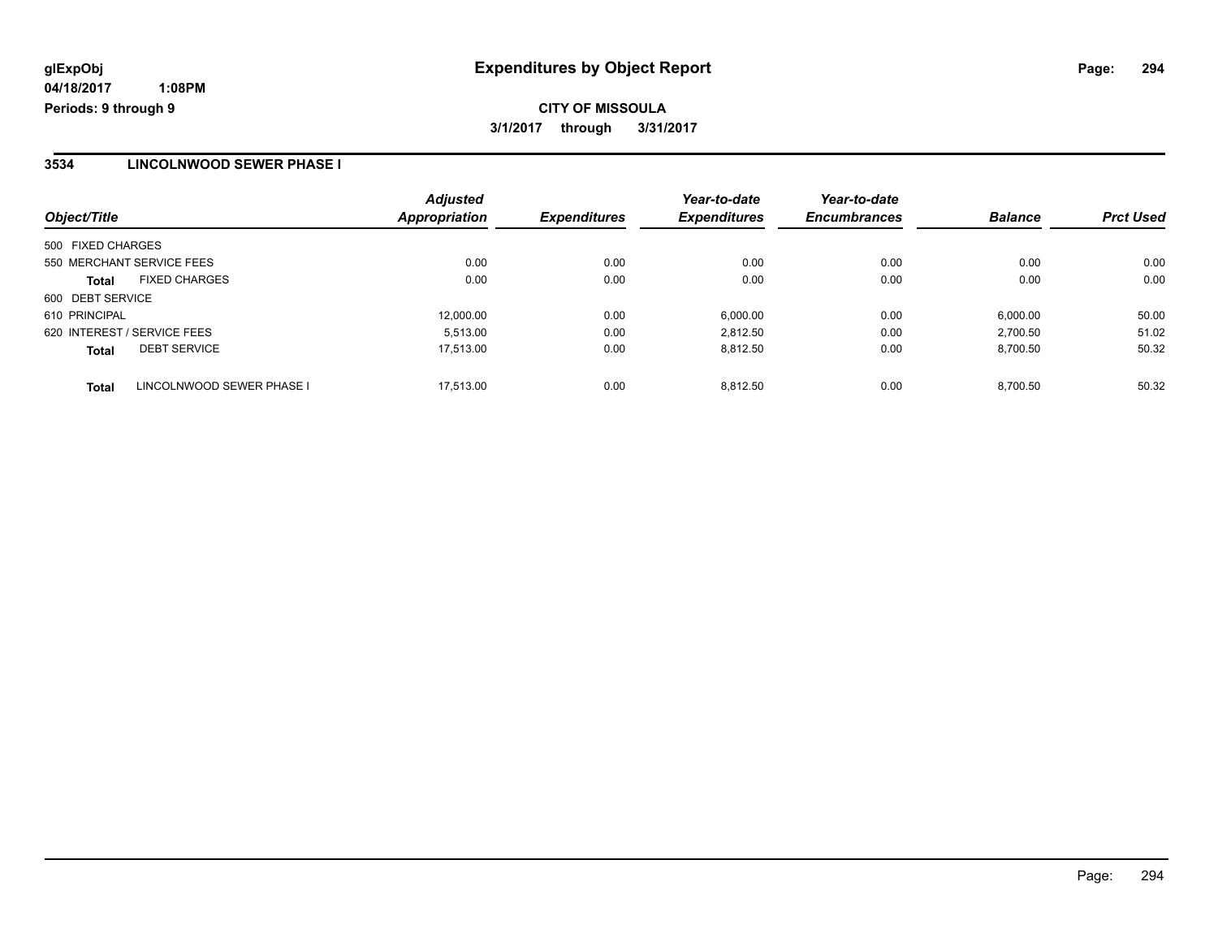### **3534 LINCOLNWOOD SEWER PHASE I**

| Object/Title                              | <b>Adjusted</b><br>Appropriation | <b>Expenditures</b> | Year-to-date<br><b>Expenditures</b> | Year-to-date<br><b>Encumbrances</b> | <b>Balance</b> | <b>Prct Used</b> |
|-------------------------------------------|----------------------------------|---------------------|-------------------------------------|-------------------------------------|----------------|------------------|
| 500 FIXED CHARGES                         |                                  |                     |                                     |                                     |                |                  |
| 550 MERCHANT SERVICE FEES                 | 0.00                             | 0.00                | 0.00                                | 0.00                                | 0.00           | 0.00             |
| <b>FIXED CHARGES</b><br><b>Total</b>      | 0.00                             | 0.00                | 0.00                                | 0.00                                | 0.00           | 0.00             |
| 600 DEBT SERVICE                          |                                  |                     |                                     |                                     |                |                  |
| 610 PRINCIPAL                             | 12,000.00                        | 0.00                | 6,000.00                            | 0.00                                | 6,000.00       | 50.00            |
| 620 INTEREST / SERVICE FEES               | 5.513.00                         | 0.00                | 2.812.50                            | 0.00                                | 2.700.50       | 51.02            |
| <b>DEBT SERVICE</b><br><b>Total</b>       | 17.513.00                        | 0.00                | 8.812.50                            | 0.00                                | 8,700.50       | 50.32            |
| LINCOLNWOOD SEWER PHASE I<br><b>Total</b> | 17.513.00                        | 0.00                | 8.812.50                            | 0.00                                | 8.700.50       | 50.32            |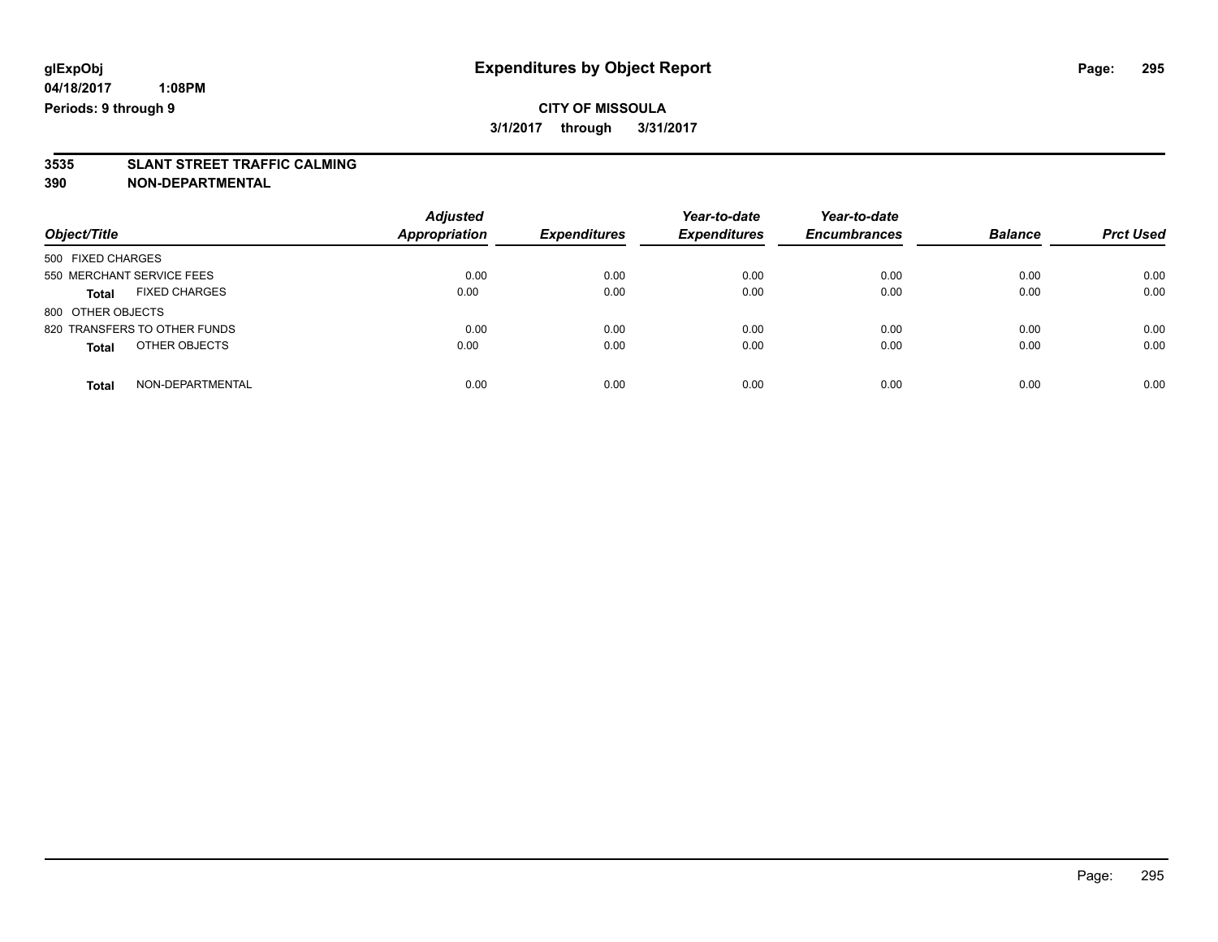## **CITY OF MISSOULA 3/1/2017 through 3/31/2017**

# **3535 SLANT STREET TRAFFIC CALMING**

| Object/Title                         | <b>Adjusted</b><br><b>Appropriation</b> | <b>Expenditures</b> | Year-to-date<br><b>Expenditures</b> | Year-to-date<br><b>Encumbrances</b> | <b>Balance</b> | <b>Prct Used</b> |
|--------------------------------------|-----------------------------------------|---------------------|-------------------------------------|-------------------------------------|----------------|------------------|
| 500 FIXED CHARGES                    |                                         |                     |                                     |                                     |                |                  |
| 550 MERCHANT SERVICE FEES            | 0.00                                    | 0.00                | 0.00                                | 0.00                                | 0.00           | 0.00             |
| <b>FIXED CHARGES</b><br><b>Total</b> | 0.00                                    | 0.00                | 0.00                                | 0.00                                | 0.00           | 0.00             |
| 800 OTHER OBJECTS                    |                                         |                     |                                     |                                     |                |                  |
| 820 TRANSFERS TO OTHER FUNDS         | 0.00                                    | 0.00                | 0.00                                | 0.00                                | 0.00           | 0.00             |
| OTHER OBJECTS<br><b>Total</b>        | 0.00                                    | 0.00                | 0.00                                | 0.00                                | 0.00           | 0.00             |
| NON-DEPARTMENTAL<br>Total            | 0.00                                    | 0.00                | 0.00                                | 0.00                                | 0.00           | 0.00             |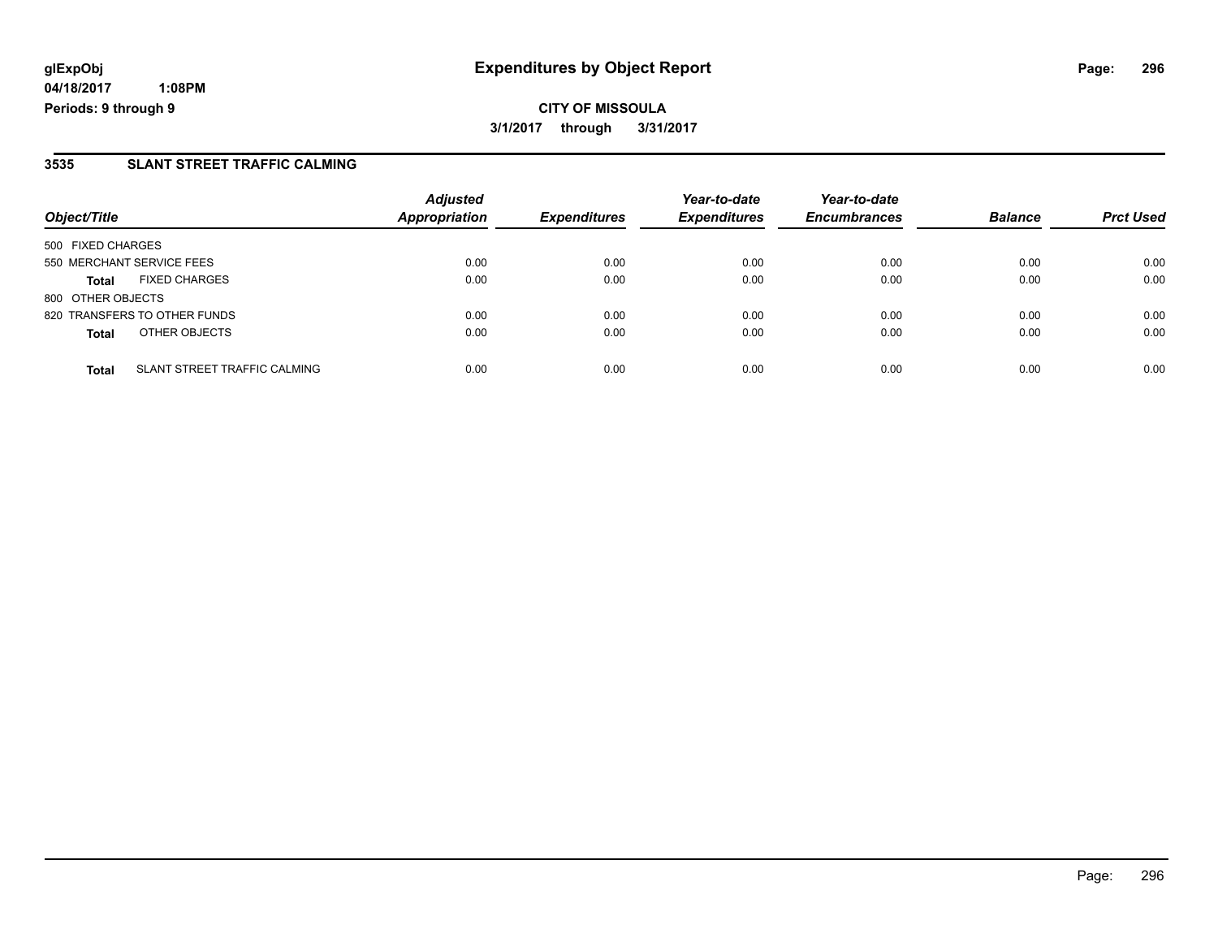### **3535 SLANT STREET TRAFFIC CALMING**

| Object/Title      |                                     | <b>Adjusted</b><br>Appropriation | <b>Expenditures</b> | Year-to-date<br><b>Expenditures</b> | Year-to-date<br><b>Encumbrances</b> | <b>Balance</b> | <b>Prct Used</b> |
|-------------------|-------------------------------------|----------------------------------|---------------------|-------------------------------------|-------------------------------------|----------------|------------------|
| 500 FIXED CHARGES |                                     |                                  |                     |                                     |                                     |                |                  |
|                   | 550 MERCHANT SERVICE FEES           | 0.00                             | 0.00                | 0.00                                | 0.00                                | 0.00           | 0.00             |
| <b>Total</b>      | <b>FIXED CHARGES</b>                | 0.00                             | 0.00                | 0.00                                | 0.00                                | 0.00           | 0.00             |
| 800 OTHER OBJECTS |                                     |                                  |                     |                                     |                                     |                |                  |
|                   | 820 TRANSFERS TO OTHER FUNDS        | 0.00                             | 0.00                | 0.00                                | 0.00                                | 0.00           | 0.00             |
| <b>Total</b>      | OTHER OBJECTS                       | 0.00                             | 0.00                | 0.00                                | 0.00                                | 0.00           | 0.00             |
| <b>Total</b>      | <b>SLANT STREET TRAFFIC CALMING</b> | 0.00                             | 0.00                | 0.00                                | 0.00                                | 0.00           | 0.00             |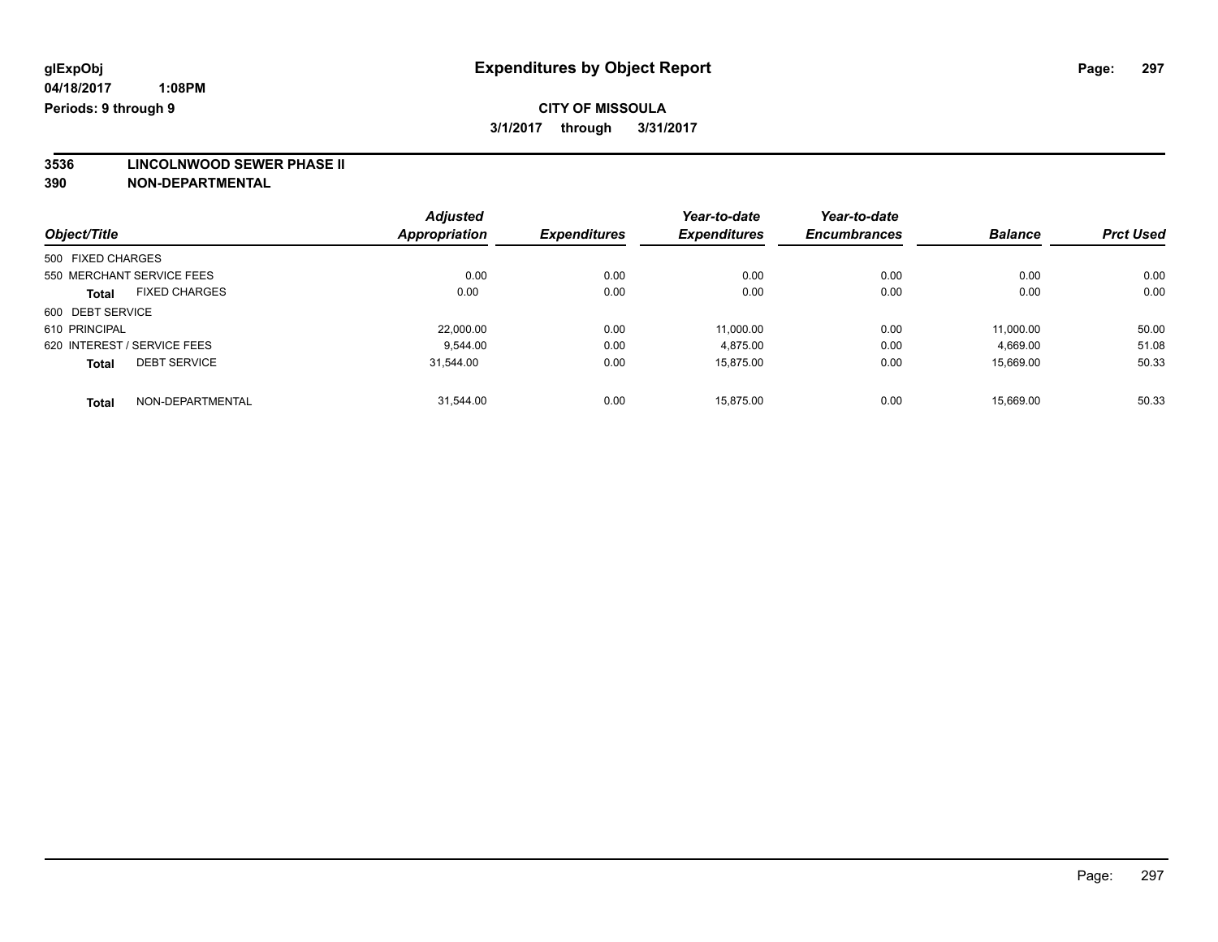**3536 LINCOLNWOOD SEWER PHASE II**

|                                      | <b>Adjusted</b>      |                     | Year-to-date        | Year-to-date<br><b>Encumbrances</b> |                |                  |
|--------------------------------------|----------------------|---------------------|---------------------|-------------------------------------|----------------|------------------|
| Object/Title                         | <b>Appropriation</b> | <b>Expenditures</b> | <b>Expenditures</b> |                                     | <b>Balance</b> | <b>Prct Used</b> |
| 500 FIXED CHARGES                    |                      |                     |                     |                                     |                |                  |
| 550 MERCHANT SERVICE FEES            | 0.00                 | 0.00                | 0.00                | 0.00                                | 0.00           | 0.00             |
| <b>FIXED CHARGES</b><br><b>Total</b> | 0.00                 | 0.00                | 0.00                | 0.00                                | 0.00           | 0.00             |
| 600 DEBT SERVICE                     |                      |                     |                     |                                     |                |                  |
| 610 PRINCIPAL                        | 22,000.00            | 0.00                | 11.000.00           | 0.00                                | 11.000.00      | 50.00            |
| 620 INTEREST / SERVICE FEES          | 9.544.00             | 0.00                | 4,875.00            | 0.00                                | 4,669.00       | 51.08            |
| <b>DEBT SERVICE</b><br><b>Total</b>  | 31,544.00            | 0.00                | 15,875.00           | 0.00                                | 15,669.00      | 50.33            |
| NON-DEPARTMENTAL<br>Total            | 31.544.00            | 0.00                | 15.875.00           | 0.00                                | 15.669.00      | 50.33            |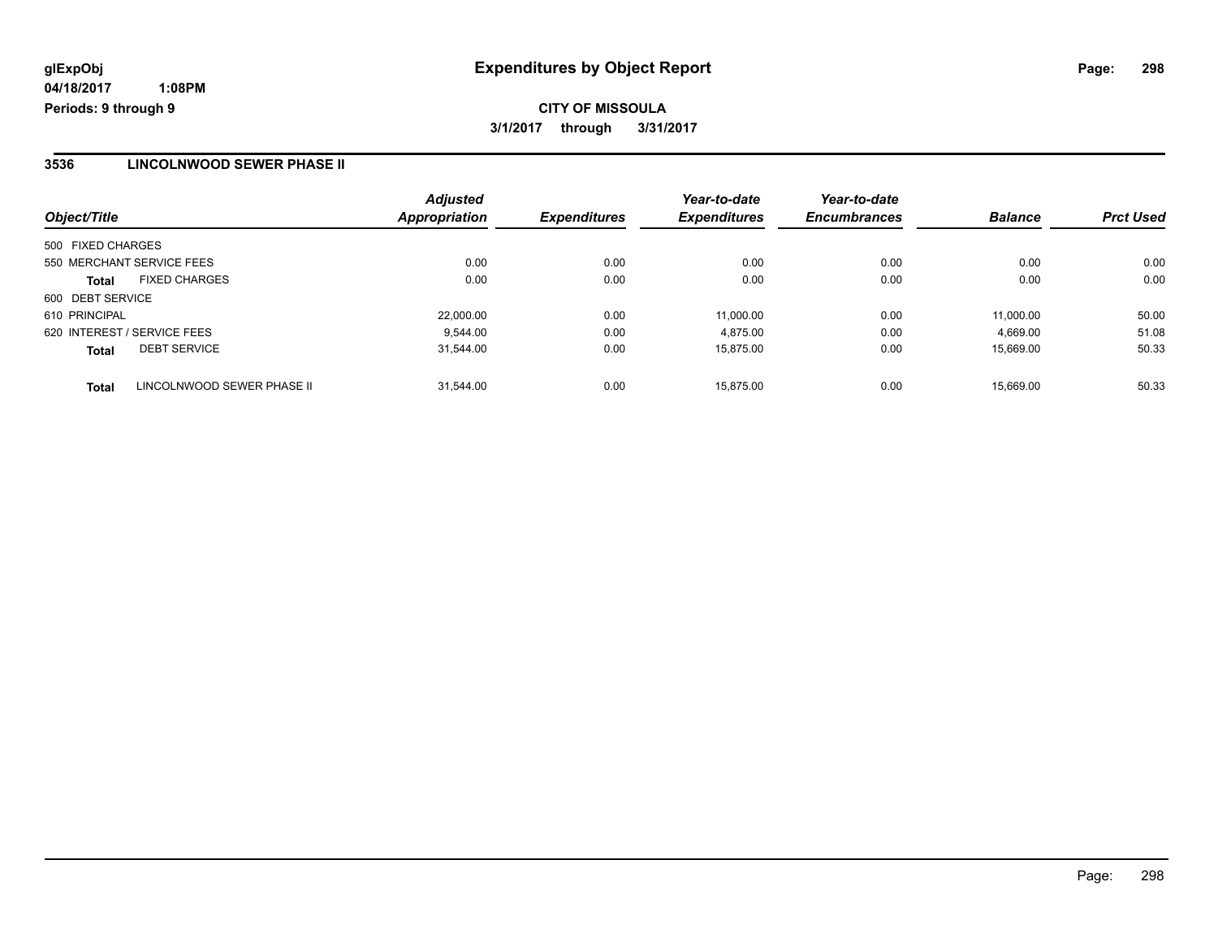### **3536 LINCOLNWOOD SEWER PHASE II**

| Object/Title                               | <b>Adjusted</b><br>Appropriation | <b>Expenditures</b> | Year-to-date<br><b>Expenditures</b> | Year-to-date<br><b>Encumbrances</b> | <b>Balance</b> | <b>Prct Used</b> |
|--------------------------------------------|----------------------------------|---------------------|-------------------------------------|-------------------------------------|----------------|------------------|
| 500 FIXED CHARGES                          |                                  |                     |                                     |                                     |                |                  |
| 550 MERCHANT SERVICE FEES                  | 0.00                             | 0.00                | 0.00                                | 0.00                                | 0.00           | 0.00             |
| <b>FIXED CHARGES</b><br><b>Total</b>       | 0.00                             | 0.00                | 0.00                                | 0.00                                | 0.00           | 0.00             |
| 600 DEBT SERVICE                           |                                  |                     |                                     |                                     |                |                  |
| 610 PRINCIPAL                              | 22,000.00                        | 0.00                | 11.000.00                           | 0.00                                | 11.000.00      | 50.00            |
| 620 INTEREST / SERVICE FEES                | 9.544.00                         | 0.00                | 4.875.00                            | 0.00                                | 4,669.00       | 51.08            |
| <b>DEBT SERVICE</b><br><b>Total</b>        | 31.544.00                        | 0.00                | 15.875.00                           | 0.00                                | 15.669.00      | 50.33            |
| LINCOLNWOOD SEWER PHASE II<br><b>Total</b> | 31.544.00                        | 0.00                | 15.875.00                           | 0.00                                | 15.669.00      | 50.33            |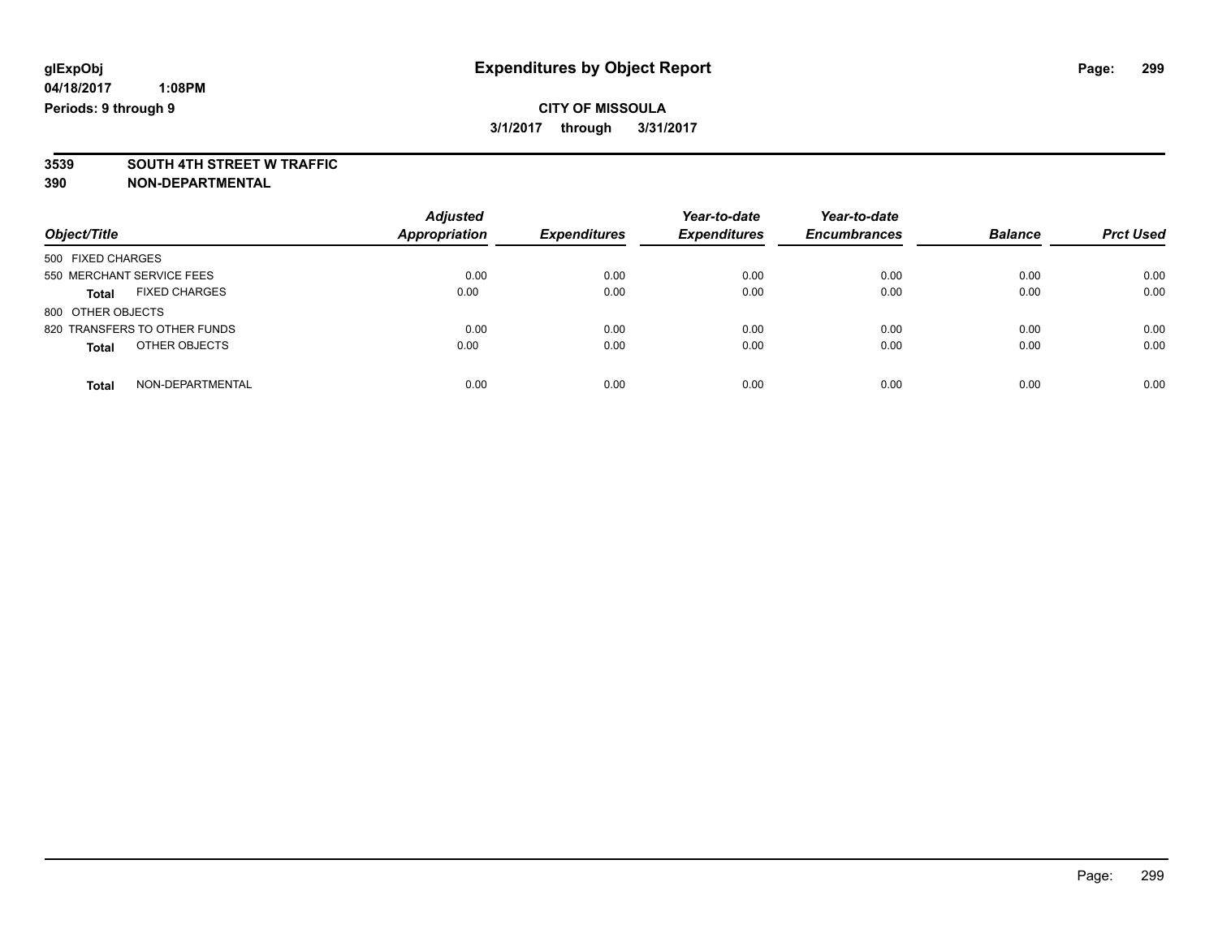## **CITY OF MISSOULA 3/1/2017 through 3/31/2017**

# **3539 SOUTH 4TH STREET W TRAFFIC**

| Object/Title                         | <b>Adjusted</b><br>Appropriation | <b>Expenditures</b> | Year-to-date<br><b>Expenditures</b> | Year-to-date<br><b>Encumbrances</b> | <b>Balance</b> | <b>Prct Used</b> |
|--------------------------------------|----------------------------------|---------------------|-------------------------------------|-------------------------------------|----------------|------------------|
| 500 FIXED CHARGES                    |                                  |                     |                                     |                                     |                |                  |
| 550 MERCHANT SERVICE FEES            | 0.00                             | 0.00                | 0.00                                | 0.00                                | 0.00           | 0.00             |
| <b>FIXED CHARGES</b><br><b>Total</b> | 0.00                             | 0.00                | 0.00                                | 0.00                                | 0.00           | 0.00             |
| 800 OTHER OBJECTS                    |                                  |                     |                                     |                                     |                |                  |
| 820 TRANSFERS TO OTHER FUNDS         | 0.00                             | 0.00                | 0.00                                | 0.00                                | 0.00           | 0.00             |
| OTHER OBJECTS<br><b>Total</b>        | 0.00                             | 0.00                | 0.00                                | 0.00                                | 0.00           | 0.00             |
| NON-DEPARTMENTAL<br><b>Total</b>     | 0.00                             | 0.00                | 0.00                                | 0.00                                | 0.00           | 0.00             |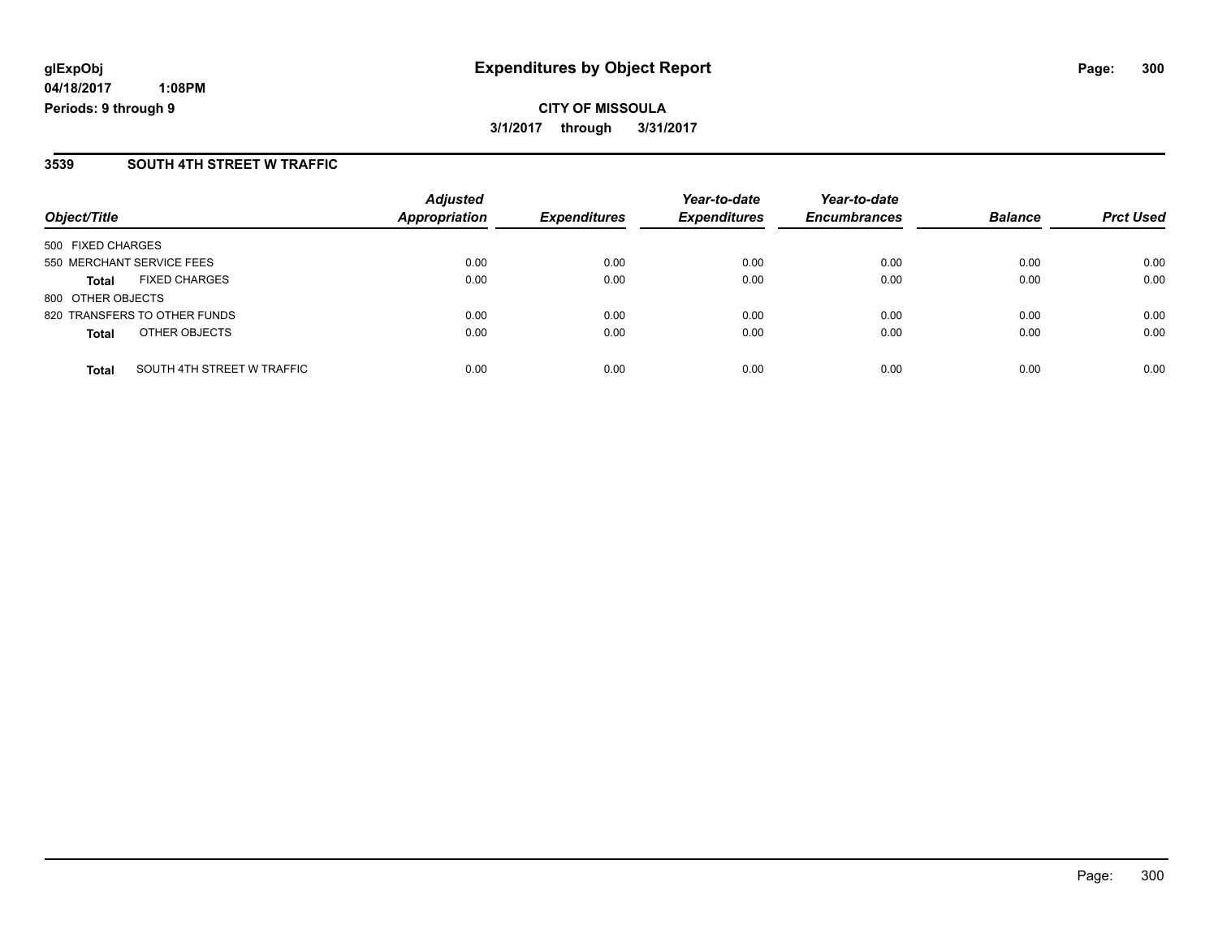**CITY OF MISSOULA 3/1/2017 through 3/31/2017**

### **3539 SOUTH 4TH STREET W TRAFFIC**

| Object/Title                 |                            | <b>Adjusted</b><br>Appropriation | <b>Expenditures</b> | Year-to-date<br><b>Expenditures</b> | Year-to-date<br><b>Encumbrances</b> | <b>Balance</b> | <b>Prct Used</b> |
|------------------------------|----------------------------|----------------------------------|---------------------|-------------------------------------|-------------------------------------|----------------|------------------|
| 500 FIXED CHARGES            |                            |                                  |                     |                                     |                                     |                |                  |
| 550 MERCHANT SERVICE FEES    |                            | 0.00                             | 0.00                | 0.00                                | 0.00                                | 0.00           | 0.00             |
| <b>Total</b>                 | <b>FIXED CHARGES</b>       | 0.00                             | 0.00                | 0.00                                | 0.00                                | 0.00           | 0.00             |
| 800 OTHER OBJECTS            |                            |                                  |                     |                                     |                                     |                |                  |
| 820 TRANSFERS TO OTHER FUNDS |                            | 0.00                             | 0.00                | 0.00                                | 0.00                                | 0.00           | 0.00             |
| <b>Total</b>                 | OTHER OBJECTS              | 0.00                             | 0.00                | 0.00                                | 0.00                                | 0.00           | 0.00             |
| <b>Total</b>                 | SOUTH 4TH STREET W TRAFFIC | 0.00                             | 0.00                | 0.00                                | 0.00                                | 0.00           | 0.00             |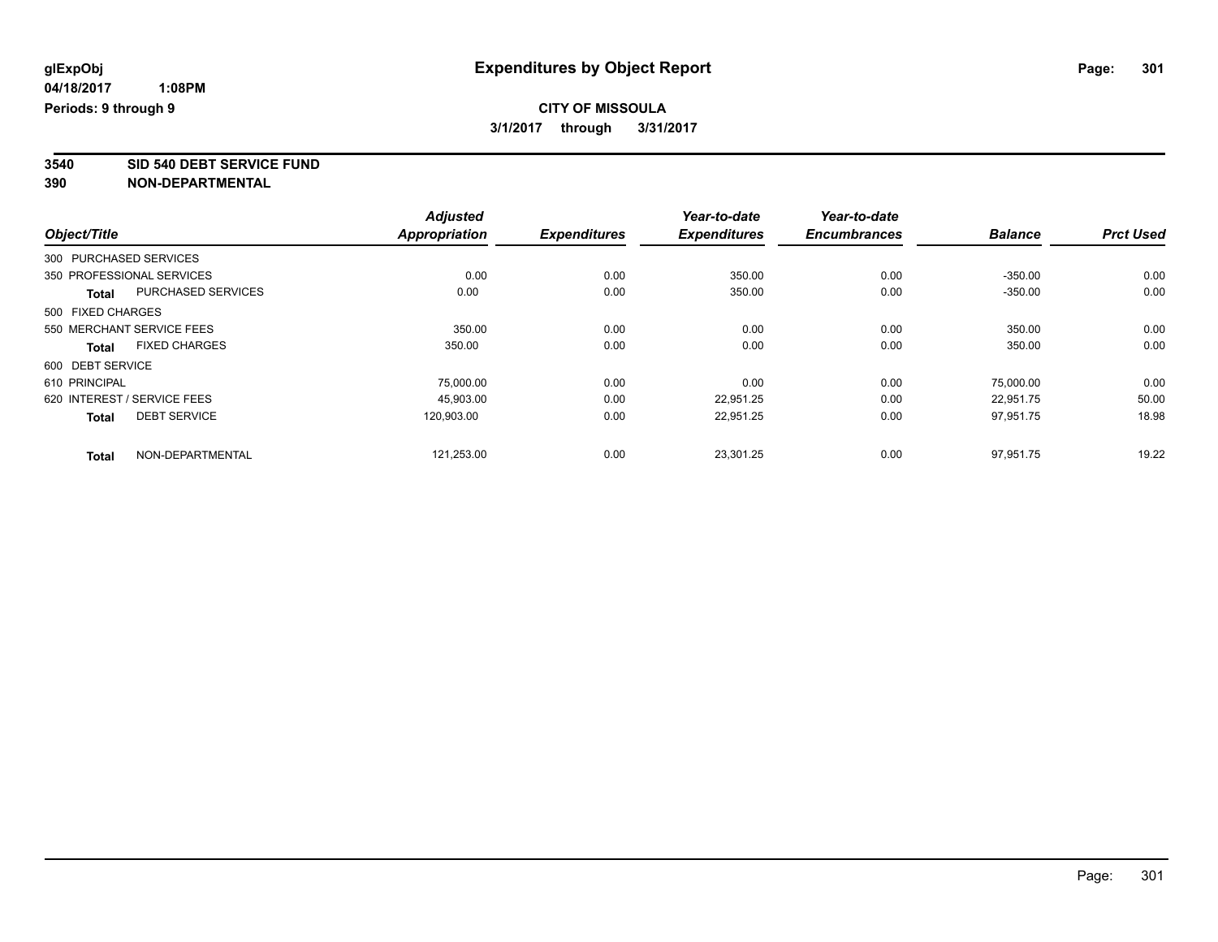**3540 SID 540 DEBT SERVICE FUND**

|                             |                           | <b>Adjusted</b>      |                     | Year-to-date        | Year-to-date        |                |                  |
|-----------------------------|---------------------------|----------------------|---------------------|---------------------|---------------------|----------------|------------------|
| Object/Title                |                           | <b>Appropriation</b> | <b>Expenditures</b> | <b>Expenditures</b> | <b>Encumbrances</b> | <b>Balance</b> | <b>Prct Used</b> |
| 300 PURCHASED SERVICES      |                           |                      |                     |                     |                     |                |                  |
| 350 PROFESSIONAL SERVICES   |                           | 0.00                 | 0.00                | 350.00              | 0.00                | $-350.00$      | 0.00             |
| <b>Total</b>                | <b>PURCHASED SERVICES</b> | 0.00                 | 0.00                | 350.00              | 0.00                | $-350.00$      | 0.00             |
| 500 FIXED CHARGES           |                           |                      |                     |                     |                     |                |                  |
| 550 MERCHANT SERVICE FEES   |                           | 350.00               | 0.00                | 0.00                | 0.00                | 350.00         | 0.00             |
| <b>Total</b>                | <b>FIXED CHARGES</b>      | 350.00               | 0.00                | 0.00                | 0.00                | 350.00         | 0.00             |
| 600 DEBT SERVICE            |                           |                      |                     |                     |                     |                |                  |
| 610 PRINCIPAL               |                           | 75,000.00            | 0.00                | 0.00                | 0.00                | 75,000.00      | 0.00             |
| 620 INTEREST / SERVICE FEES |                           | 45,903.00            | 0.00                | 22,951.25           | 0.00                | 22,951.75      | 50.00            |
| <b>Total</b>                | <b>DEBT SERVICE</b>       | 120.903.00           | 0.00                | 22,951.25           | 0.00                | 97.951.75      | 18.98            |
| <b>Total</b>                | NON-DEPARTMENTAL          | 121,253.00           | 0.00                | 23,301.25           | 0.00                | 97,951.75      | 19.22            |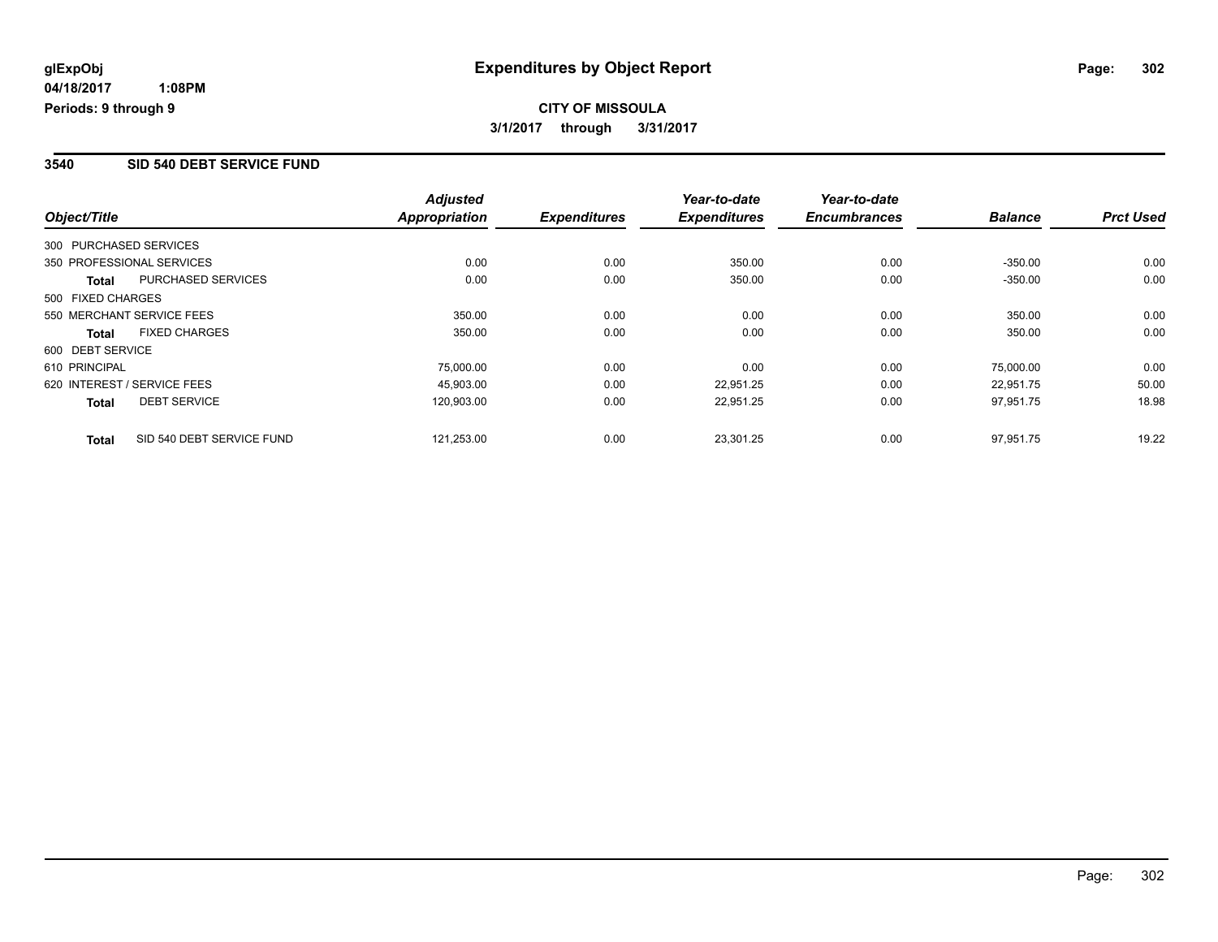#### **3540 SID 540 DEBT SERVICE FUND**

|                        |                             | <b>Adjusted</b>      |                     | Year-to-date        | Year-to-date        |                |                  |
|------------------------|-----------------------------|----------------------|---------------------|---------------------|---------------------|----------------|------------------|
| Object/Title           |                             | <b>Appropriation</b> | <b>Expenditures</b> | <b>Expenditures</b> | <b>Encumbrances</b> | <b>Balance</b> | <b>Prct Used</b> |
| 300 PURCHASED SERVICES |                             |                      |                     |                     |                     |                |                  |
|                        | 350 PROFESSIONAL SERVICES   | 0.00                 | 0.00                | 350.00              | 0.00                | $-350.00$      | 0.00             |
| <b>Total</b>           | PURCHASED SERVICES          | 0.00                 | 0.00                | 350.00              | 0.00                | $-350.00$      | 0.00             |
| 500 FIXED CHARGES      |                             |                      |                     |                     |                     |                |                  |
|                        | 550 MERCHANT SERVICE FEES   | 350.00               | 0.00                | 0.00                | 0.00                | 350.00         | 0.00             |
| Total                  | <b>FIXED CHARGES</b>        | 350.00               | 0.00                | 0.00                | 0.00                | 350.00         | 0.00             |
| 600 DEBT SERVICE       |                             |                      |                     |                     |                     |                |                  |
| 610 PRINCIPAL          |                             | 75,000.00            | 0.00                | 0.00                | 0.00                | 75.000.00      | 0.00             |
|                        | 620 INTEREST / SERVICE FEES | 45.903.00            | 0.00                | 22.951.25           | 0.00                | 22.951.75      | 50.00            |
| <b>Total</b>           | <b>DEBT SERVICE</b>         | 120,903.00           | 0.00                | 22,951.25           | 0.00                | 97,951.75      | 18.98            |
| <b>Total</b>           | SID 540 DEBT SERVICE FUND   | 121,253.00           | 0.00                | 23.301.25           | 0.00                | 97.951.75      | 19.22            |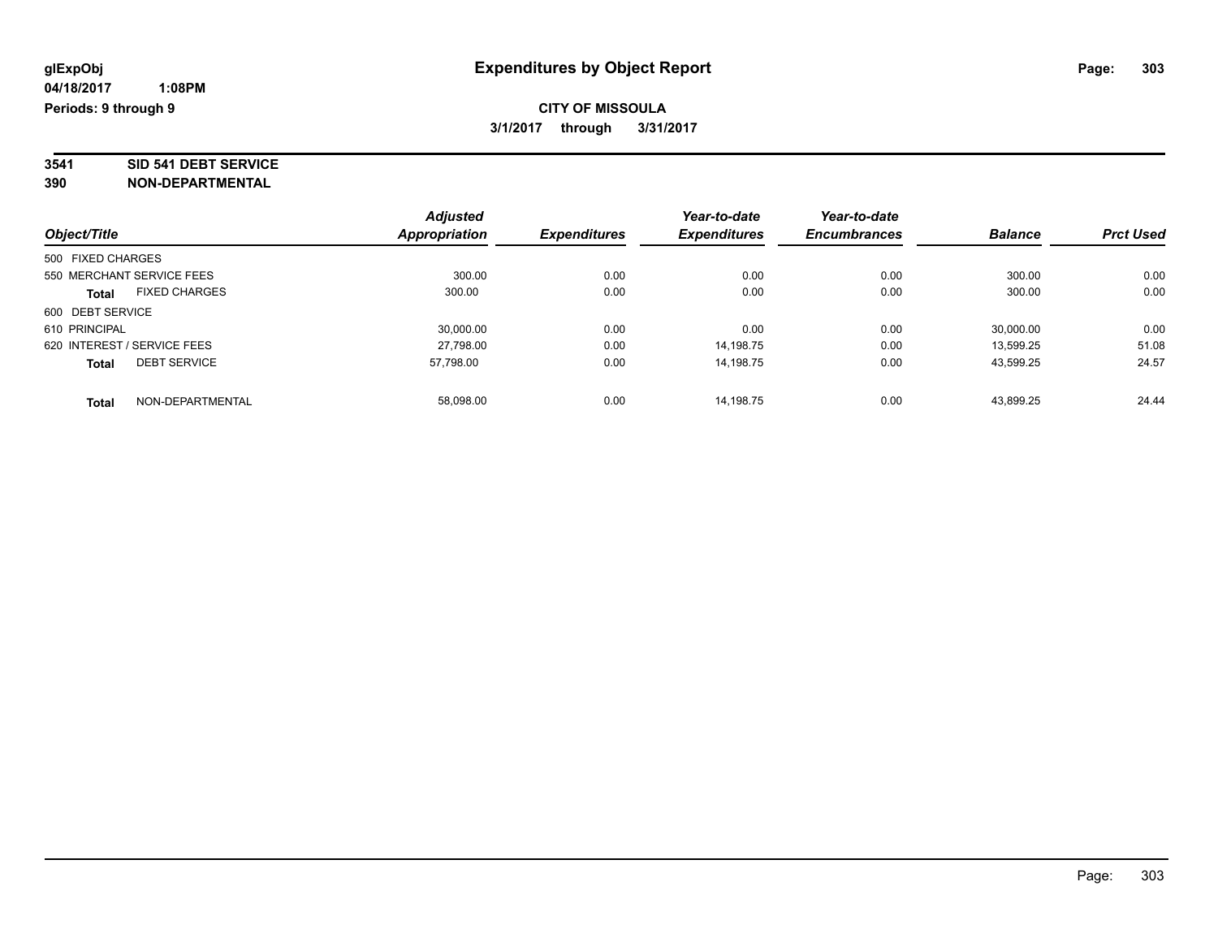# **3541 SID 541 DEBT SERVICE**

| Object/Title                |                      | <b>Adjusted</b> | <b>Expenditures</b> | Year-to-date<br><b>Expenditures</b> | Year-to-date<br><b>Encumbrances</b> | <b>Balance</b> | <b>Prct Used</b> |
|-----------------------------|----------------------|-----------------|---------------------|-------------------------------------|-------------------------------------|----------------|------------------|
|                             |                      | Appropriation   |                     |                                     |                                     |                |                  |
| 500 FIXED CHARGES           |                      |                 |                     |                                     |                                     |                |                  |
| 550 MERCHANT SERVICE FEES   |                      | 300.00          | 0.00                | 0.00                                | 0.00                                | 300.00         | 0.00             |
| <b>Total</b>                | <b>FIXED CHARGES</b> | 300.00          | 0.00                | 0.00                                | 0.00                                | 300.00         | 0.00             |
| 600 DEBT SERVICE            |                      |                 |                     |                                     |                                     |                |                  |
| 610 PRINCIPAL               |                      | 30,000.00       | 0.00                | 0.00                                | 0.00                                | 30,000.00      | 0.00             |
| 620 INTEREST / SERVICE FEES |                      | 27,798.00       | 0.00                | 14,198.75                           | 0.00                                | 13,599.25      | 51.08            |
| <b>Total</b>                | <b>DEBT SERVICE</b>  | 57.798.00       | 0.00                | 14.198.75                           | 0.00                                | 43.599.25      | 24.57            |
| <b>Total</b>                | NON-DEPARTMENTAL     | 58.098.00       | 0.00                | 14.198.75                           | 0.00                                | 43.899.25      | 24.44            |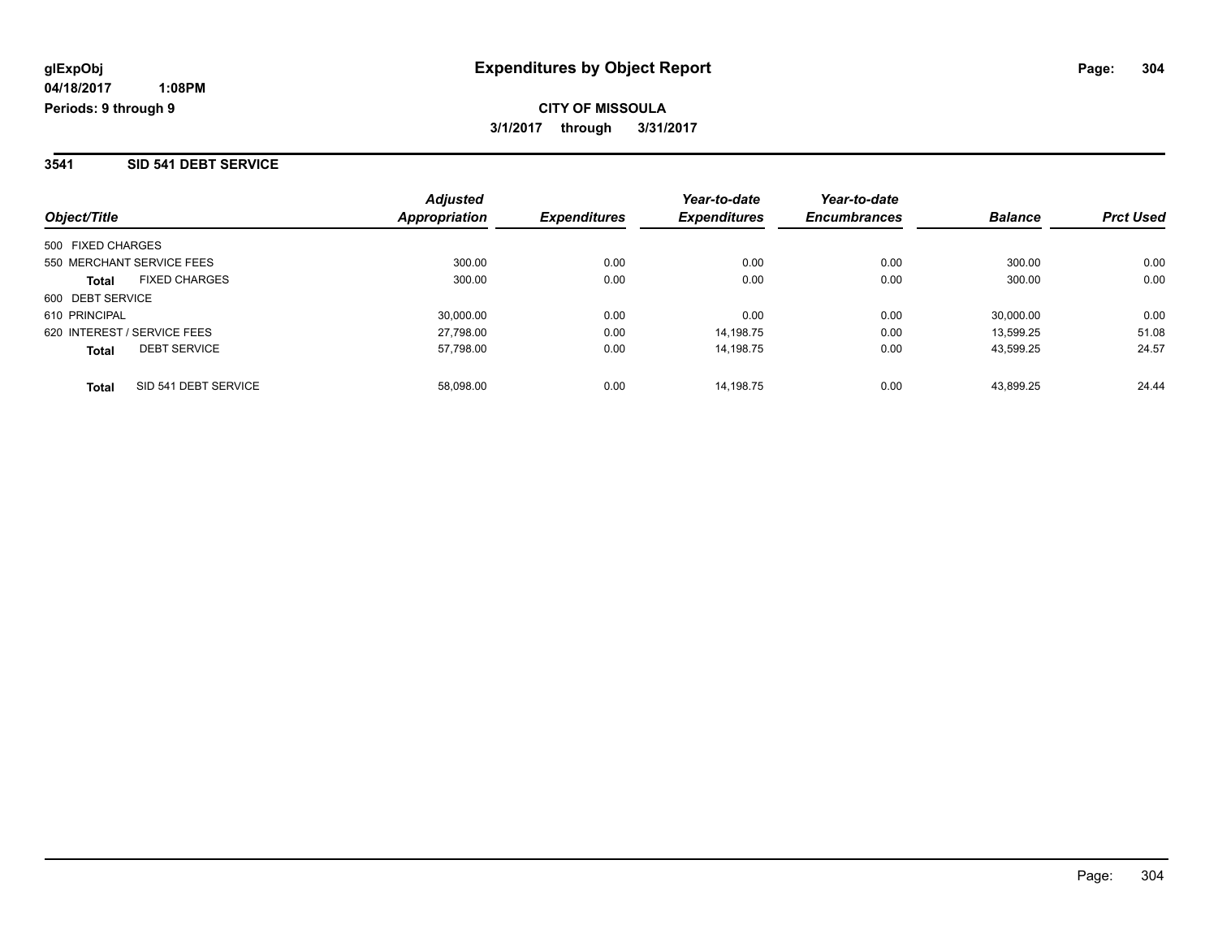#### **3541 SID 541 DEBT SERVICE**

| Object/Title                         | <b>Adjusted</b><br>Appropriation | <b>Expenditures</b> | Year-to-date<br><b>Expenditures</b> | Year-to-date<br><b>Encumbrances</b> | <b>Balance</b> | <b>Prct Used</b> |
|--------------------------------------|----------------------------------|---------------------|-------------------------------------|-------------------------------------|----------------|------------------|
| 500 FIXED CHARGES                    |                                  |                     |                                     |                                     |                |                  |
| 550 MERCHANT SERVICE FEES            | 300.00                           | 0.00                | 0.00                                | 0.00                                | 300.00         | 0.00             |
| <b>FIXED CHARGES</b><br><b>Total</b> | 300.00                           | 0.00                | 0.00                                | 0.00                                | 300.00         | 0.00             |
| 600 DEBT SERVICE                     |                                  |                     |                                     |                                     |                |                  |
| 610 PRINCIPAL                        | 30.000.00                        | 0.00                | 0.00                                | 0.00                                | 30,000.00      | 0.00             |
| 620 INTEREST / SERVICE FEES          | 27,798.00                        | 0.00                | 14.198.75                           | 0.00                                | 13.599.25      | 51.08            |
| <b>DEBT SERVICE</b><br><b>Total</b>  | 57,798.00                        | 0.00                | 14.198.75                           | 0.00                                | 43.599.25      | 24.57            |
| SID 541 DEBT SERVICE<br><b>Total</b> | 58.098.00                        | 0.00                | 14.198.75                           | 0.00                                | 43.899.25      | 24.44            |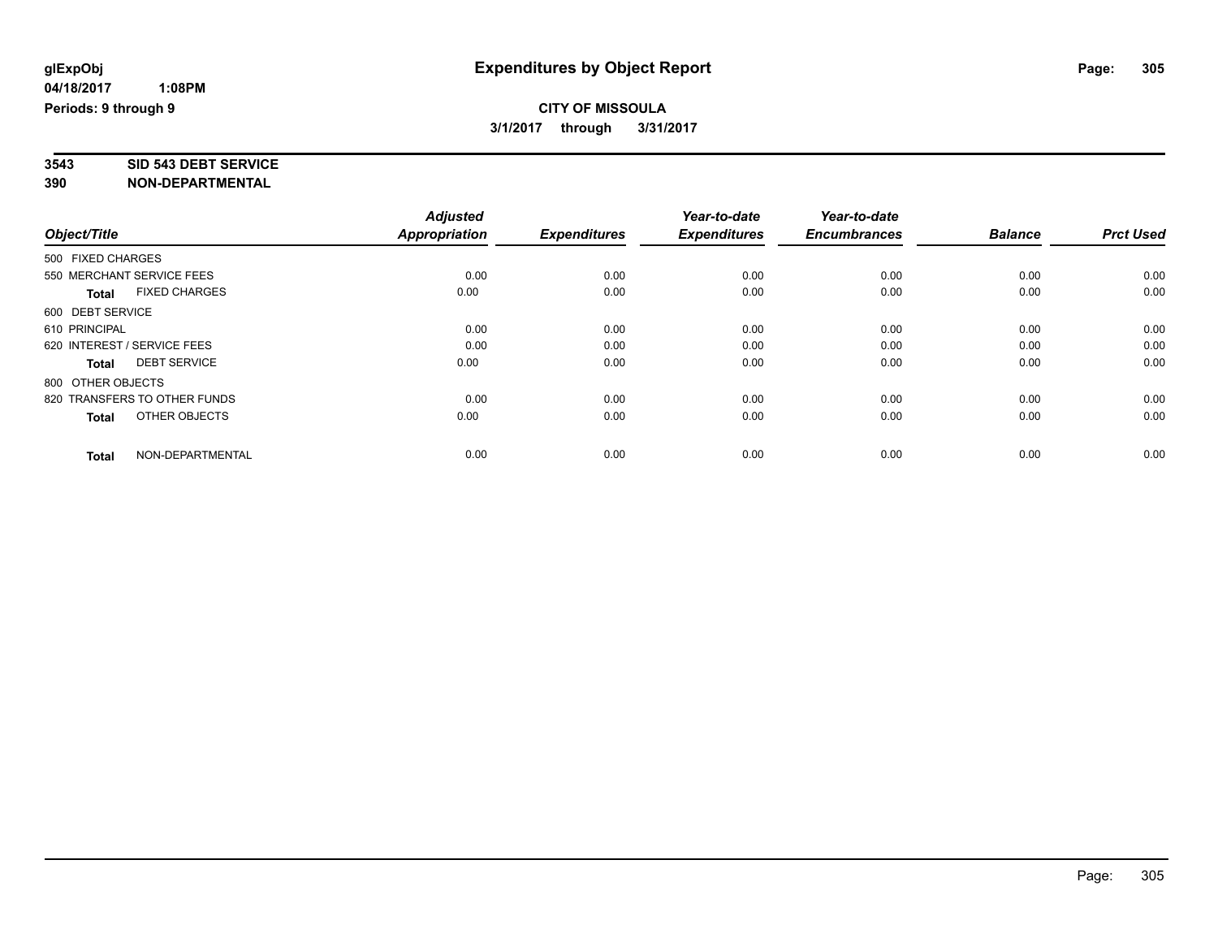# **3543 SID 543 DEBT SERVICE**

|                                      | <b>Adjusted</b>      |                     | Year-to-date        | Year-to-date        |                |                  |
|--------------------------------------|----------------------|---------------------|---------------------|---------------------|----------------|------------------|
| Object/Title                         | <b>Appropriation</b> | <b>Expenditures</b> | <b>Expenditures</b> | <b>Encumbrances</b> | <b>Balance</b> | <b>Prct Used</b> |
| 500 FIXED CHARGES                    |                      |                     |                     |                     |                |                  |
| 550 MERCHANT SERVICE FEES            | 0.00                 | 0.00                | 0.00                | 0.00                | 0.00           | 0.00             |
| <b>FIXED CHARGES</b><br><b>Total</b> | 0.00                 | 0.00                | 0.00                | 0.00                | 0.00           | 0.00             |
| 600 DEBT SERVICE                     |                      |                     |                     |                     |                |                  |
| 610 PRINCIPAL                        | 0.00                 | 0.00                | 0.00                | 0.00                | 0.00           | 0.00             |
| 620 INTEREST / SERVICE FEES          | 0.00                 | 0.00                | 0.00                | 0.00                | 0.00           | 0.00             |
| <b>DEBT SERVICE</b><br><b>Total</b>  | 0.00                 | 0.00                | 0.00                | 0.00                | 0.00           | 0.00             |
| 800 OTHER OBJECTS                    |                      |                     |                     |                     |                |                  |
| 820 TRANSFERS TO OTHER FUNDS         | 0.00                 | 0.00                | 0.00                | 0.00                | 0.00           | 0.00             |
| OTHER OBJECTS<br><b>Total</b>        | 0.00                 | 0.00                | 0.00                | 0.00                | 0.00           | 0.00             |
|                                      |                      |                     |                     |                     |                |                  |
| NON-DEPARTMENTAL<br>Total            | 0.00                 | 0.00                | 0.00                | 0.00                | 0.00           | 0.00             |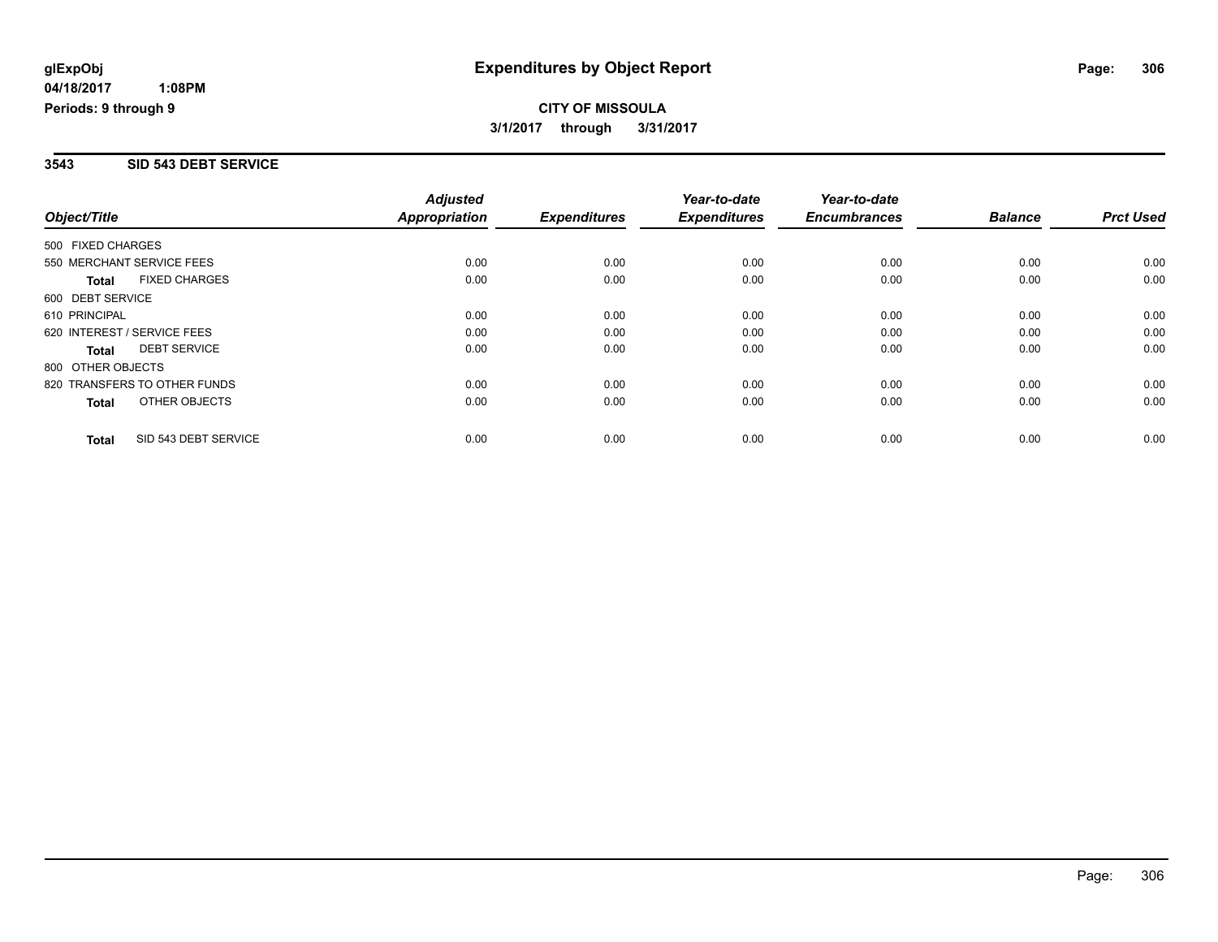### **3543 SID 543 DEBT SERVICE**

|                             |                              | <b>Adjusted</b>      |                     | Year-to-date        | Year-to-date        |                |                  |
|-----------------------------|------------------------------|----------------------|---------------------|---------------------|---------------------|----------------|------------------|
| Object/Title                |                              | <b>Appropriation</b> | <b>Expenditures</b> | <b>Expenditures</b> | <b>Encumbrances</b> | <b>Balance</b> | <b>Prct Used</b> |
| 500 FIXED CHARGES           |                              |                      |                     |                     |                     |                |                  |
| 550 MERCHANT SERVICE FEES   |                              | 0.00                 | 0.00                | 0.00                | 0.00                | 0.00           | 0.00             |
| <b>Total</b>                | <b>FIXED CHARGES</b>         | 0.00                 | 0.00                | 0.00                | 0.00                | 0.00           | 0.00             |
| 600 DEBT SERVICE            |                              |                      |                     |                     |                     |                |                  |
| 610 PRINCIPAL               |                              | 0.00                 | 0.00                | 0.00                | 0.00                | 0.00           | 0.00             |
| 620 INTEREST / SERVICE FEES |                              | 0.00                 | 0.00                | 0.00                | 0.00                | 0.00           | 0.00             |
| Total                       | <b>DEBT SERVICE</b>          | 0.00                 | 0.00                | 0.00                | 0.00                | 0.00           | 0.00             |
| 800 OTHER OBJECTS           |                              |                      |                     |                     |                     |                |                  |
|                             | 820 TRANSFERS TO OTHER FUNDS | 0.00                 | 0.00                | 0.00                | 0.00                | 0.00           | 0.00             |
| Total                       | OTHER OBJECTS                | 0.00                 | 0.00                | 0.00                | 0.00                | 0.00           | 0.00             |
| <b>Total</b>                | SID 543 DEBT SERVICE         | 0.00                 | 0.00                | 0.00                | 0.00                | 0.00           | 0.00             |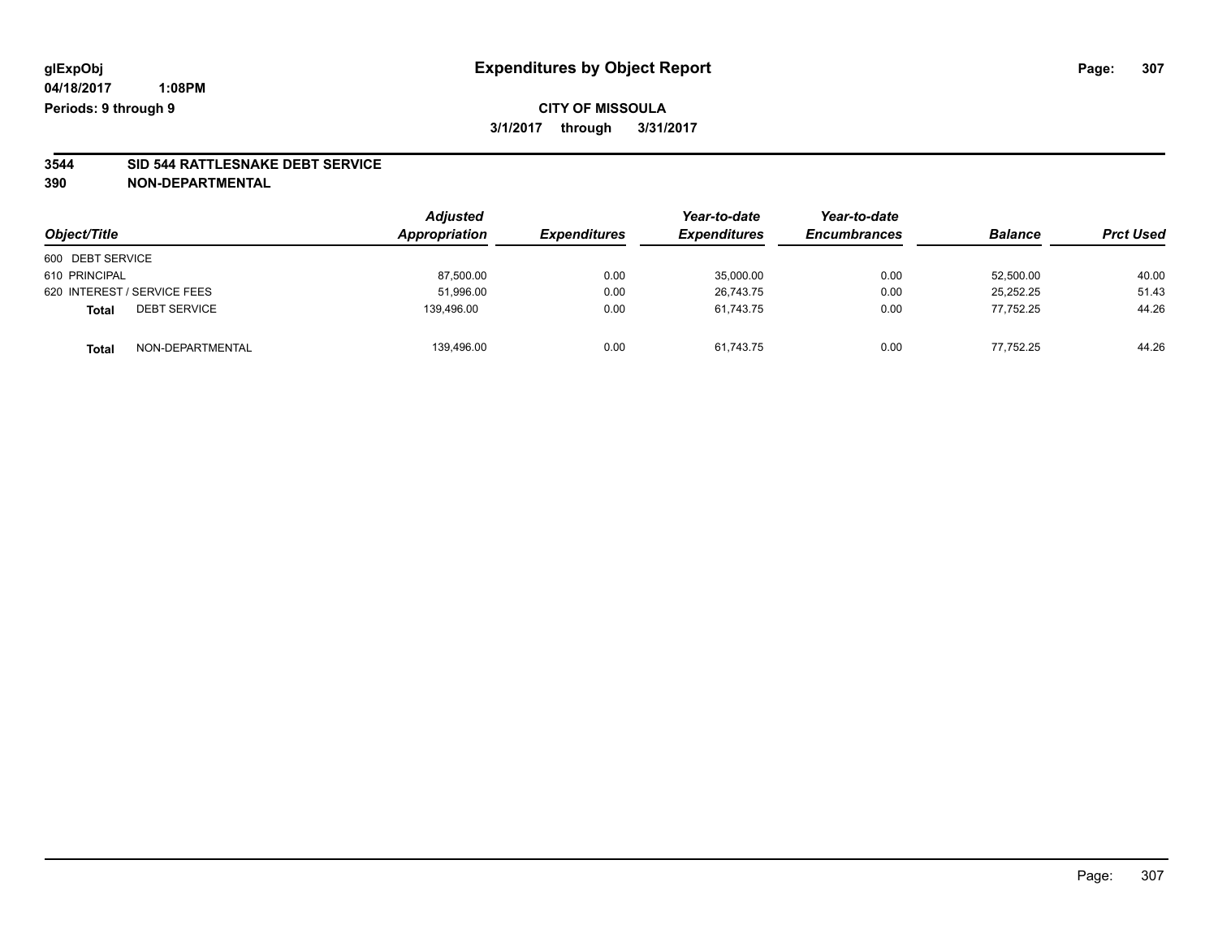## **CITY OF MISSOULA 3/1/2017 through 3/31/2017**

# **3544 SID 544 RATTLESNAKE DEBT SERVICE**

|                                     | <b>Adjusted</b> |                     | Year-to-date        | Year-to-date        | <b>Balance</b> |                  |
|-------------------------------------|-----------------|---------------------|---------------------|---------------------|----------------|------------------|
| Object/Title                        | Appropriation   | <b>Expenditures</b> | <b>Expenditures</b> | <b>Encumbrances</b> |                | <b>Prct Used</b> |
| 600 DEBT SERVICE                    |                 |                     |                     |                     |                |                  |
| 610 PRINCIPAL                       | 87,500.00       | 0.00                | 35,000.00           | 0.00                | 52,500.00      | 40.00            |
| 620 INTEREST / SERVICE FEES         | 51,996.00       | 0.00                | 26.743.75           | 0.00                | 25.252.25      | 51.43            |
| <b>DEBT SERVICE</b><br><b>Total</b> | 139.496.00      | 0.00                | 61.743.75           | 0.00                | 77.752.25      | 44.26            |
| NON-DEPARTMENTAL<br><b>Total</b>    | 139,496.00      | 0.00                | 61,743.75           | 0.00                | 77.752.25      | 44.26            |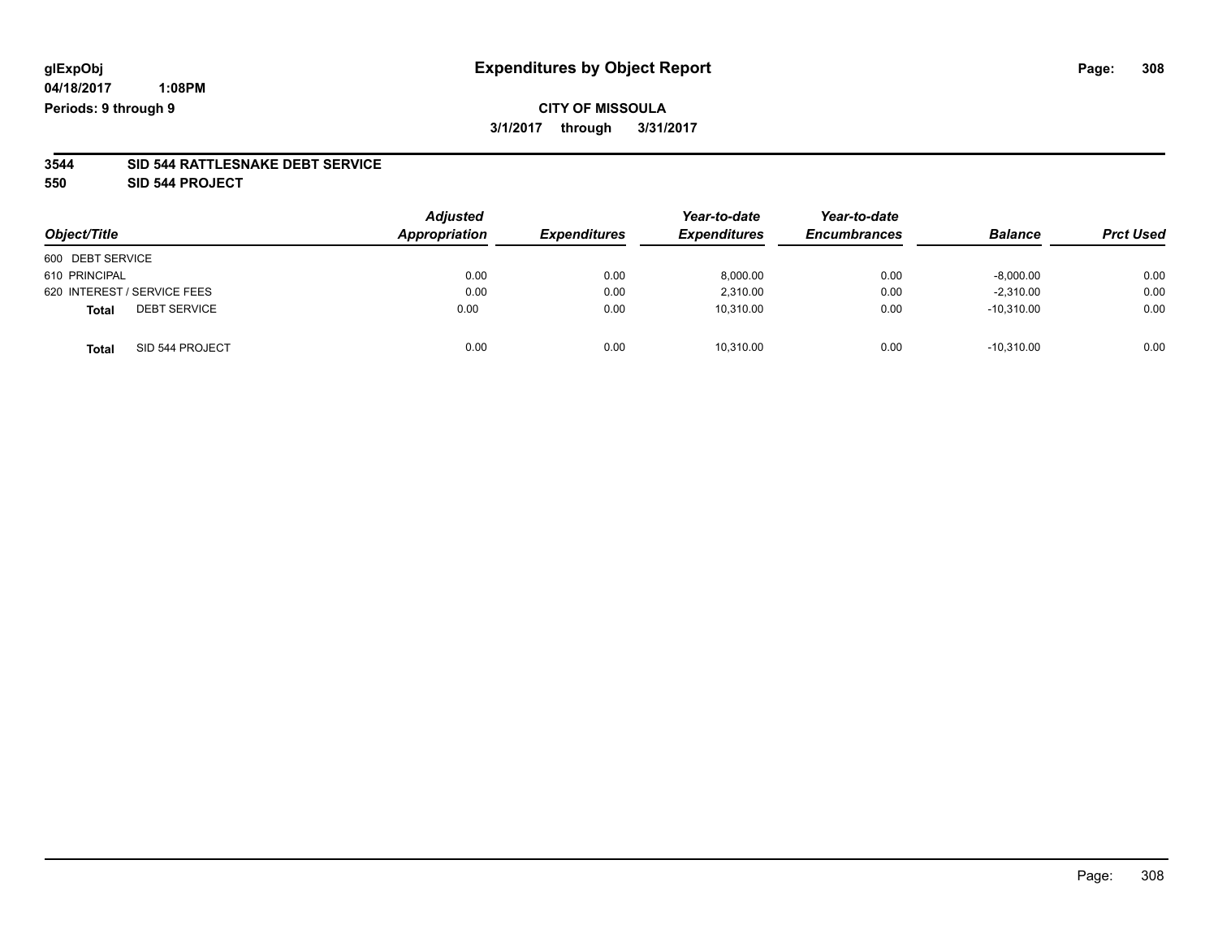## **CITY OF MISSOULA 3/1/2017 through 3/31/2017**

#### **3544 SID 544 RATTLESNAKE DEBT SERVICE**

**550 SID 544 PROJECT**

| Object/Title                        | <b>Adjusted</b><br>Appropriation | <b>Expenditures</b> | Year-to-date<br><b>Expenditures</b> | Year-to-date<br><b>Encumbrances</b> | <b>Balance</b> | <b>Prct Used</b> |
|-------------------------------------|----------------------------------|---------------------|-------------------------------------|-------------------------------------|----------------|------------------|
| 600 DEBT SERVICE                    |                                  |                     |                                     |                                     |                |                  |
| 610 PRINCIPAL                       | 0.00                             | 0.00                | 8,000.00                            | 0.00                                | $-8,000.00$    | 0.00             |
| 620 INTEREST / SERVICE FEES         | 0.00                             | 0.00                | 2,310.00                            | 0.00                                | $-2,310.00$    | 0.00             |
| <b>DEBT SERVICE</b><br><b>Total</b> | 0.00                             | 0.00                | 10,310.00                           | 0.00                                | $-10,310.00$   | 0.00             |
| SID 544 PROJECT<br><b>Total</b>     | 0.00                             | 0.00                | 10,310.00                           | 0.00                                | $-10.310.00$   | 0.00             |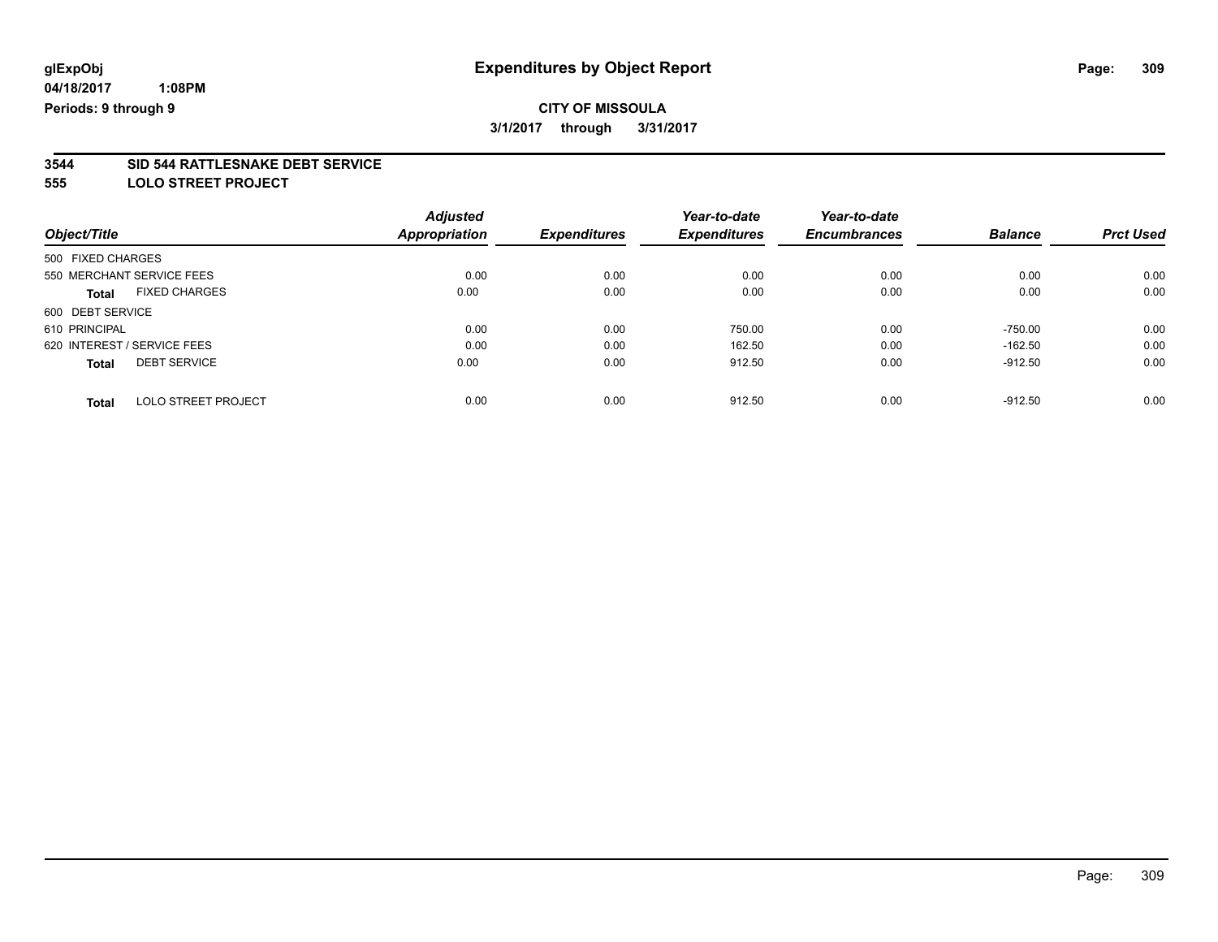## **CITY OF MISSOULA 3/1/2017 through 3/31/2017**

# **3544 SID 544 RATTLESNAKE DEBT SERVICE**

**555 LOLO STREET PROJECT**

|                                      | <b>Adjusted</b>      |                     | Year-to-date        | Year-to-date        |                |                  |
|--------------------------------------|----------------------|---------------------|---------------------|---------------------|----------------|------------------|
| Object/Title                         | <b>Appropriation</b> | <b>Expenditures</b> | <b>Expenditures</b> | <b>Encumbrances</b> | <b>Balance</b> | <b>Prct Used</b> |
| 500 FIXED CHARGES                    |                      |                     |                     |                     |                |                  |
| 550 MERCHANT SERVICE FEES            | 0.00                 | 0.00                | 0.00                | 0.00                | 0.00           | 0.00             |
| <b>FIXED CHARGES</b><br><b>Total</b> | 0.00                 | 0.00                | 0.00                | 0.00                | 0.00           | 0.00             |
| 600 DEBT SERVICE                     |                      |                     |                     |                     |                |                  |
| 610 PRINCIPAL                        | 0.00                 | 0.00                | 750.00              | 0.00                | $-750.00$      | 0.00             |
| 620 INTEREST / SERVICE FEES          | 0.00                 | 0.00                | 162.50              | 0.00                | $-162.50$      | 0.00             |
| <b>DEBT SERVICE</b><br><b>Total</b>  | 0.00                 | 0.00                | 912.50              | 0.00                | $-912.50$      | 0.00             |
| <b>LOLO STREET PROJECT</b><br>Total  | 0.00                 | 0.00                | 912.50              | 0.00                | $-912.50$      | 0.00             |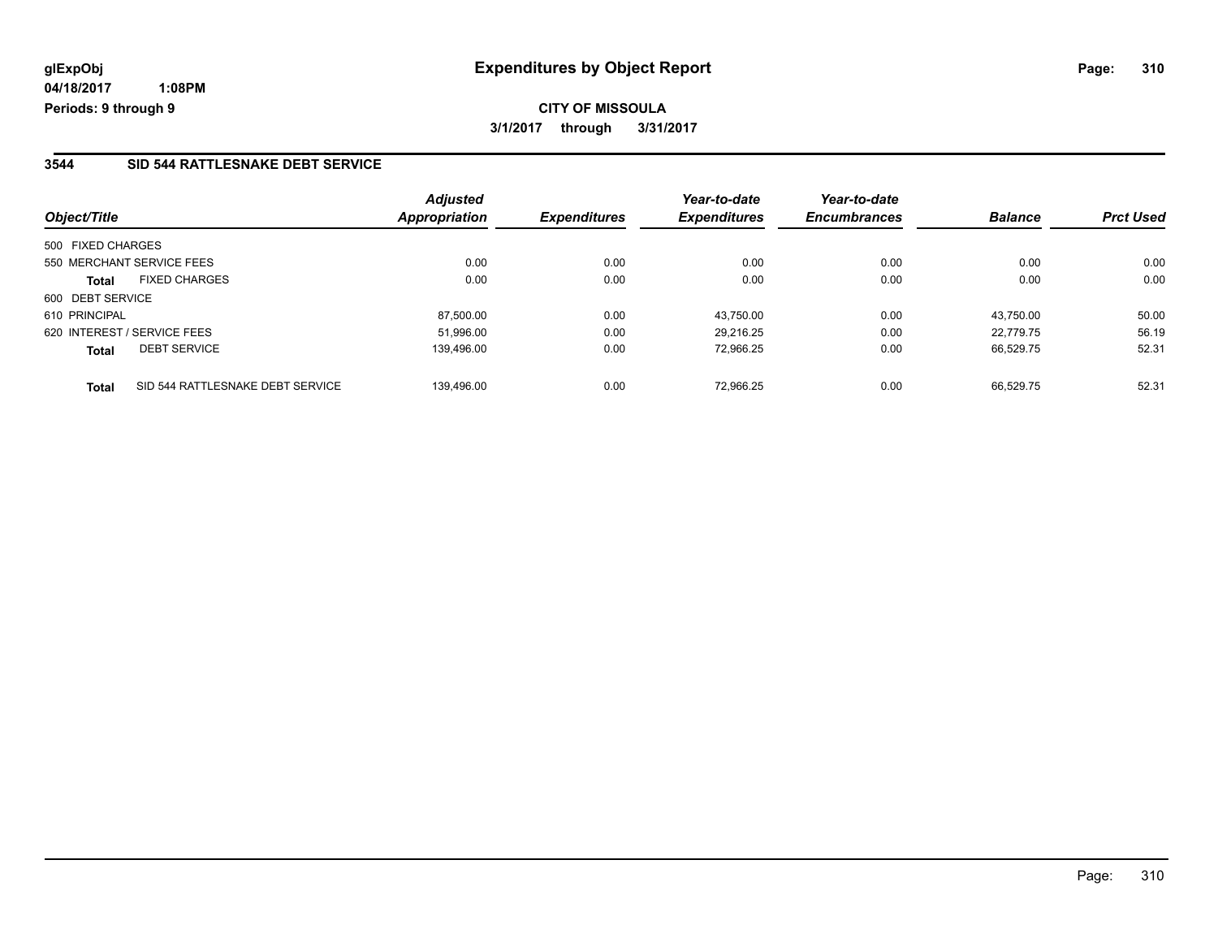## **CITY OF MISSOULA 3/1/2017 through 3/31/2017**

### **3544 SID 544 RATTLESNAKE DEBT SERVICE**

| Object/Title                                     | <b>Adjusted</b><br>Appropriation | <b>Expenditures</b> | Year-to-date<br><b>Expenditures</b> | Year-to-date<br><b>Encumbrances</b> | <b>Balance</b> | <b>Prct Used</b> |
|--------------------------------------------------|----------------------------------|---------------------|-------------------------------------|-------------------------------------|----------------|------------------|
| 500 FIXED CHARGES                                |                                  |                     |                                     |                                     |                |                  |
| 550 MERCHANT SERVICE FEES                        | 0.00                             | 0.00                | 0.00                                | 0.00                                | 0.00           | 0.00             |
| <b>FIXED CHARGES</b><br><b>Total</b>             | 0.00                             | 0.00                | 0.00                                | 0.00                                | 0.00           | 0.00             |
| 600 DEBT SERVICE                                 |                                  |                     |                                     |                                     |                |                  |
| 610 PRINCIPAL                                    | 87.500.00                        | 0.00                | 43.750.00                           | 0.00                                | 43.750.00      | 50.00            |
| 620 INTEREST / SERVICE FEES                      | 51.996.00                        | 0.00                | 29.216.25                           | 0.00                                | 22,779.75      | 56.19            |
| <b>DEBT SERVICE</b><br><b>Total</b>              | 139.496.00                       | 0.00                | 72,966.25                           | 0.00                                | 66.529.75      | 52.31            |
| SID 544 RATTLESNAKE DEBT SERVICE<br><b>Total</b> | 139.496.00                       | 0.00                | 72.966.25                           | 0.00                                | 66.529.75      | 52.31            |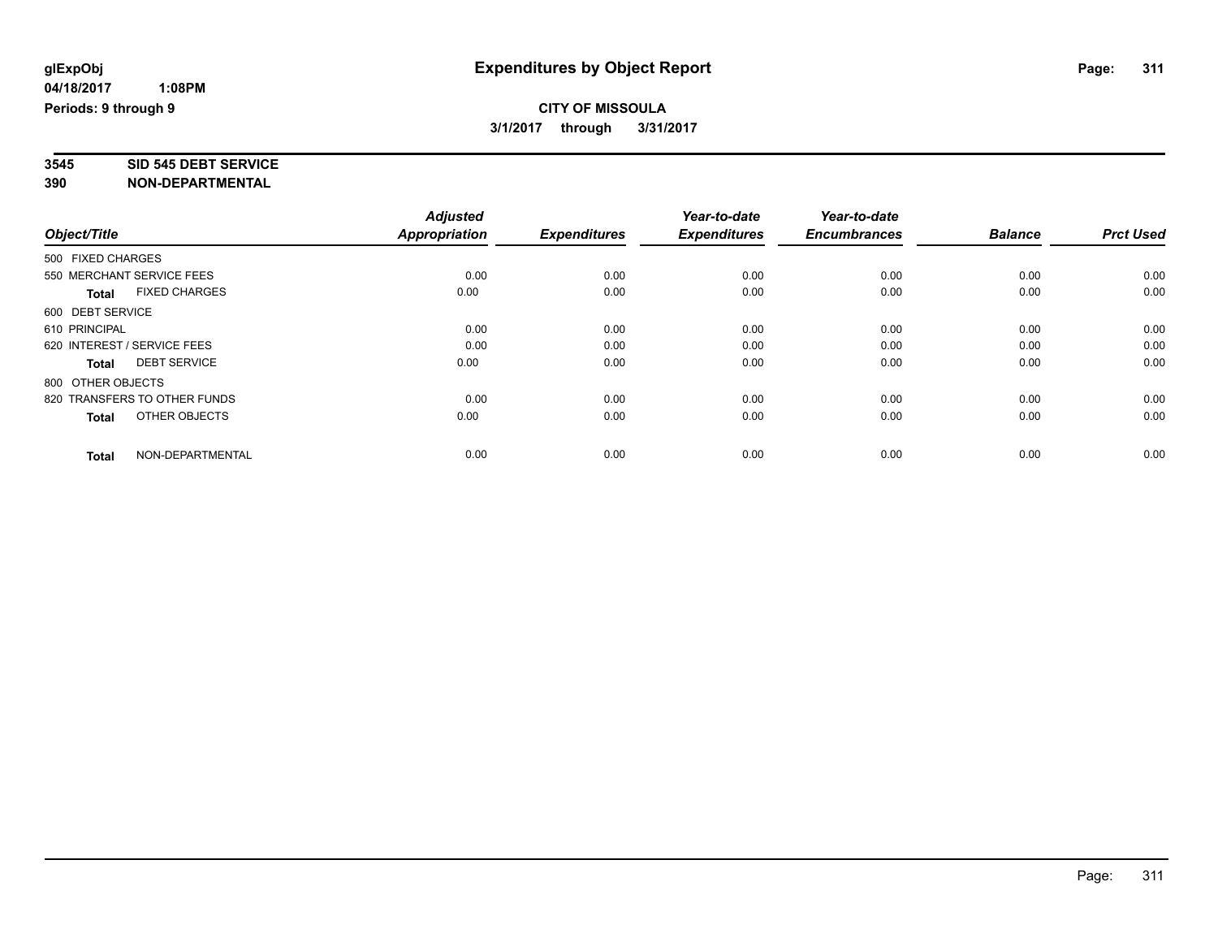# **3545 SID 545 DEBT SERVICE**

|                                      | <b>Adjusted</b> |                     | Year-to-date        | Year-to-date        |                |                  |
|--------------------------------------|-----------------|---------------------|---------------------|---------------------|----------------|------------------|
| Object/Title                         | Appropriation   | <b>Expenditures</b> | <b>Expenditures</b> | <b>Encumbrances</b> | <b>Balance</b> | <b>Prct Used</b> |
| 500 FIXED CHARGES                    |                 |                     |                     |                     |                |                  |
| 550 MERCHANT SERVICE FEES            | 0.00            | 0.00                | 0.00                | 0.00                | 0.00           | 0.00             |
| <b>FIXED CHARGES</b><br><b>Total</b> | 0.00            | 0.00                | 0.00                | 0.00                | 0.00           | 0.00             |
| 600 DEBT SERVICE                     |                 |                     |                     |                     |                |                  |
| 610 PRINCIPAL                        | 0.00            | 0.00                | 0.00                | 0.00                | 0.00           | 0.00             |
| 620 INTEREST / SERVICE FEES          | 0.00            | 0.00                | 0.00                | 0.00                | 0.00           | 0.00             |
| <b>DEBT SERVICE</b><br><b>Total</b>  | 0.00            | 0.00                | 0.00                | 0.00                | 0.00           | 0.00             |
| 800 OTHER OBJECTS                    |                 |                     |                     |                     |                |                  |
| 820 TRANSFERS TO OTHER FUNDS         | 0.00            | 0.00                | 0.00                | 0.00                | 0.00           | 0.00             |
| OTHER OBJECTS<br>Total               | 0.00            | 0.00                | 0.00                | 0.00                | 0.00           | 0.00             |
|                                      |                 |                     |                     |                     |                |                  |
| NON-DEPARTMENTAL<br><b>Total</b>     | 0.00            | 0.00                | 0.00                | 0.00                | 0.00           | 0.00             |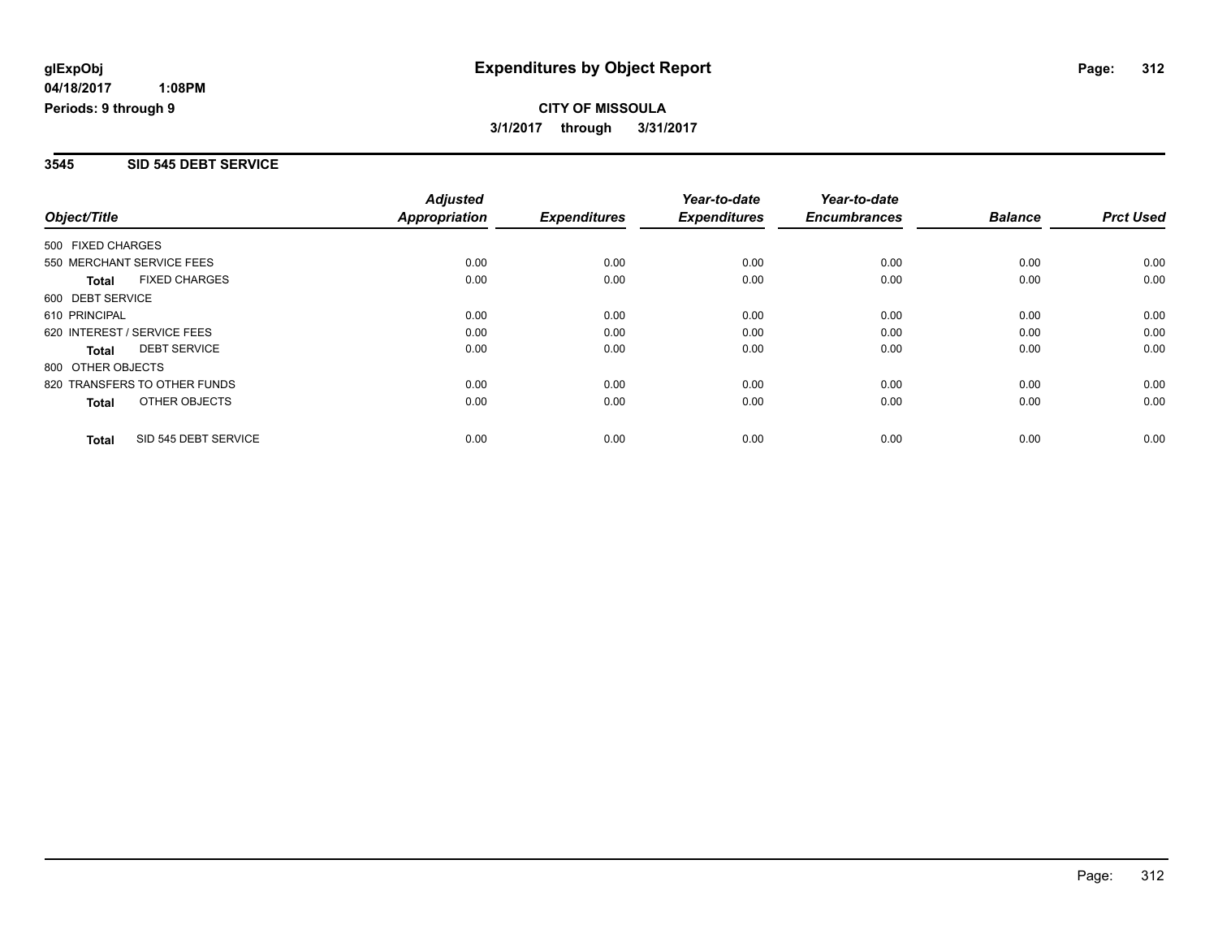### **3545 SID 545 DEBT SERVICE**

|                             |                              | <b>Adjusted</b>      |                     | Year-to-date        | Year-to-date        |                |                  |
|-----------------------------|------------------------------|----------------------|---------------------|---------------------|---------------------|----------------|------------------|
| Object/Title                |                              | <b>Appropriation</b> | <b>Expenditures</b> | <b>Expenditures</b> | <b>Encumbrances</b> | <b>Balance</b> | <b>Prct Used</b> |
| 500 FIXED CHARGES           |                              |                      |                     |                     |                     |                |                  |
| 550 MERCHANT SERVICE FEES   |                              | 0.00                 | 0.00                | 0.00                | 0.00                | 0.00           | 0.00             |
| <b>Total</b>                | <b>FIXED CHARGES</b>         | 0.00                 | 0.00                | 0.00                | 0.00                | 0.00           | 0.00             |
| 600 DEBT SERVICE            |                              |                      |                     |                     |                     |                |                  |
| 610 PRINCIPAL               |                              | 0.00                 | 0.00                | 0.00                | 0.00                | 0.00           | 0.00             |
| 620 INTEREST / SERVICE FEES |                              | 0.00                 | 0.00                | 0.00                | 0.00                | 0.00           | 0.00             |
| Total                       | <b>DEBT SERVICE</b>          | 0.00                 | 0.00                | 0.00                | 0.00                | 0.00           | 0.00             |
| 800 OTHER OBJECTS           |                              |                      |                     |                     |                     |                |                  |
|                             | 820 TRANSFERS TO OTHER FUNDS | 0.00                 | 0.00                | 0.00                | 0.00                | 0.00           | 0.00             |
| Total                       | OTHER OBJECTS                | 0.00                 | 0.00                | 0.00                | 0.00                | 0.00           | 0.00             |
| <b>Total</b>                | SID 545 DEBT SERVICE         | 0.00                 | 0.00                | 0.00                | 0.00                | 0.00           | 0.00             |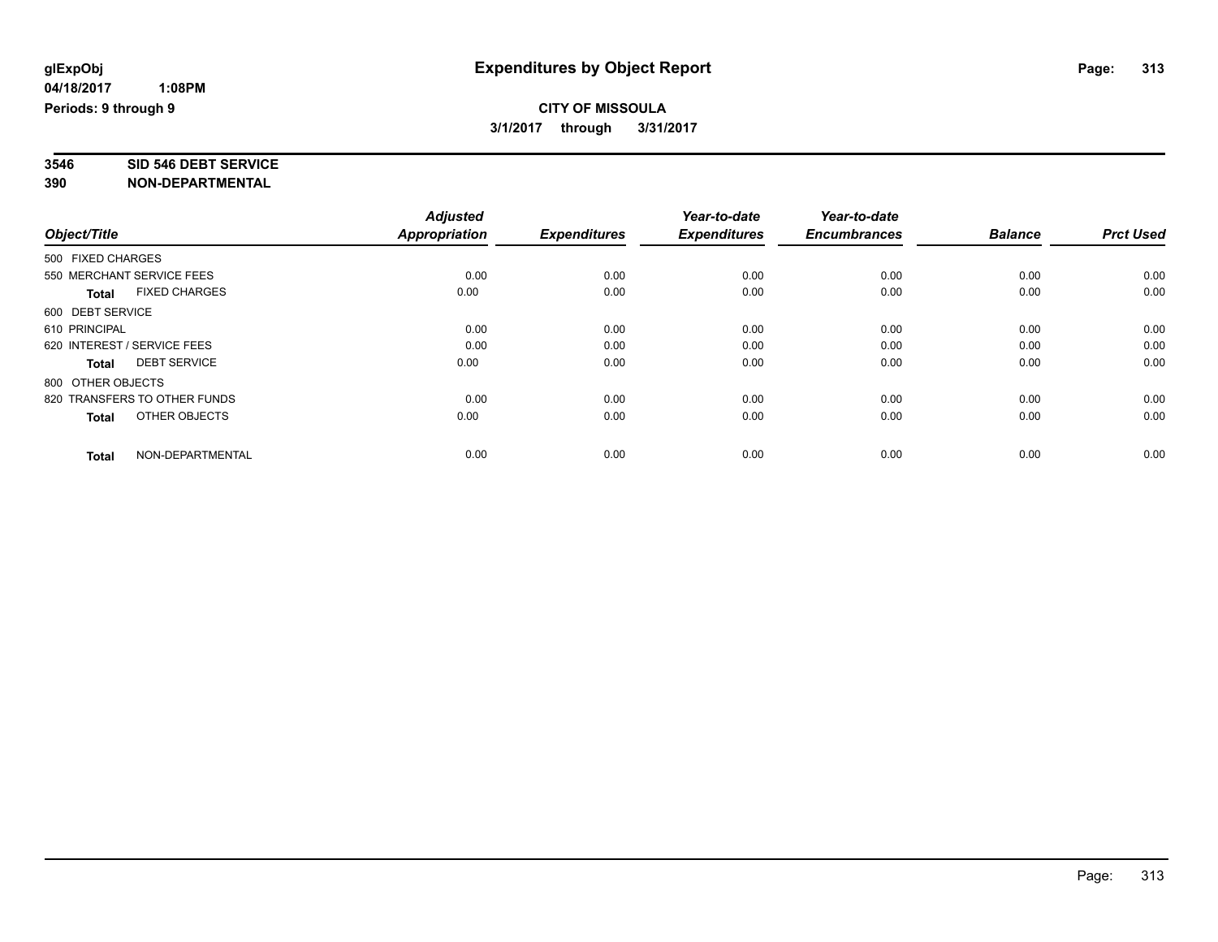# **3546 SID 546 DEBT SERVICE**

|                                      | <b>Adjusted</b> |                     | Year-to-date        | Year-to-date        |                |                  |
|--------------------------------------|-----------------|---------------------|---------------------|---------------------|----------------|------------------|
| Object/Title                         | Appropriation   | <b>Expenditures</b> | <b>Expenditures</b> | <b>Encumbrances</b> | <b>Balance</b> | <b>Prct Used</b> |
| 500 FIXED CHARGES                    |                 |                     |                     |                     |                |                  |
| 550 MERCHANT SERVICE FEES            | 0.00            | 0.00                | 0.00                | 0.00                | 0.00           | 0.00             |
| <b>FIXED CHARGES</b><br><b>Total</b> | 0.00            | 0.00                | 0.00                | 0.00                | 0.00           | 0.00             |
| 600 DEBT SERVICE                     |                 |                     |                     |                     |                |                  |
| 610 PRINCIPAL                        | 0.00            | 0.00                | 0.00                | 0.00                | 0.00           | 0.00             |
| 620 INTEREST / SERVICE FEES          | 0.00            | 0.00                | 0.00                | 0.00                | 0.00           | 0.00             |
| <b>DEBT SERVICE</b><br><b>Total</b>  | 0.00            | 0.00                | 0.00                | 0.00                | 0.00           | 0.00             |
| 800 OTHER OBJECTS                    |                 |                     |                     |                     |                |                  |
| 820 TRANSFERS TO OTHER FUNDS         | 0.00            | 0.00                | 0.00                | 0.00                | 0.00           | 0.00             |
| OTHER OBJECTS<br><b>Total</b>        | 0.00            | 0.00                | 0.00                | 0.00                | 0.00           | 0.00             |
|                                      |                 |                     |                     |                     |                |                  |
| NON-DEPARTMENTAL<br>Total            | 0.00            | 0.00                | 0.00                | 0.00                | 0.00           | 0.00             |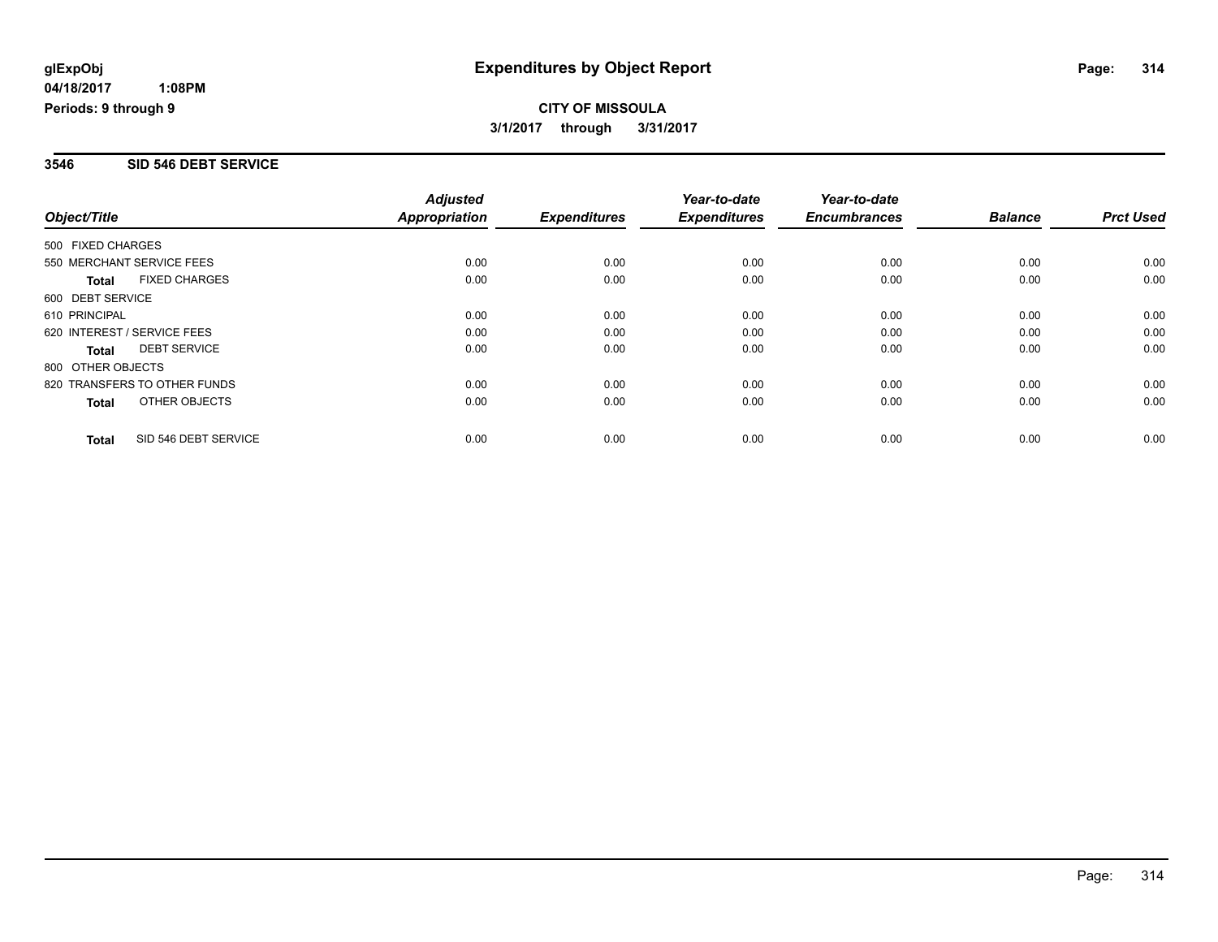### **3546 SID 546 DEBT SERVICE**

|                             |                              | <b>Adjusted</b>      |                     | Year-to-date        | Year-to-date        |                |                  |
|-----------------------------|------------------------------|----------------------|---------------------|---------------------|---------------------|----------------|------------------|
| Object/Title                |                              | <b>Appropriation</b> | <b>Expenditures</b> | <b>Expenditures</b> | <b>Encumbrances</b> | <b>Balance</b> | <b>Prct Used</b> |
| 500 FIXED CHARGES           |                              |                      |                     |                     |                     |                |                  |
| 550 MERCHANT SERVICE FEES   |                              | 0.00                 | 0.00                | 0.00                | 0.00                | 0.00           | 0.00             |
| <b>Total</b>                | <b>FIXED CHARGES</b>         | 0.00                 | 0.00                | 0.00                | 0.00                | 0.00           | 0.00             |
| 600 DEBT SERVICE            |                              |                      |                     |                     |                     |                |                  |
| 610 PRINCIPAL               |                              | 0.00                 | 0.00                | 0.00                | 0.00                | 0.00           | 0.00             |
| 620 INTEREST / SERVICE FEES |                              | 0.00                 | 0.00                | 0.00                | 0.00                | 0.00           | 0.00             |
| Total                       | <b>DEBT SERVICE</b>          | 0.00                 | 0.00                | 0.00                | 0.00                | 0.00           | 0.00             |
| 800 OTHER OBJECTS           |                              |                      |                     |                     |                     |                |                  |
|                             | 820 TRANSFERS TO OTHER FUNDS | 0.00                 | 0.00                | 0.00                | 0.00                | 0.00           | 0.00             |
| Total                       | OTHER OBJECTS                | 0.00                 | 0.00                | 0.00                | 0.00                | 0.00           | 0.00             |
| <b>Total</b>                | SID 546 DEBT SERVICE         | 0.00                 | 0.00                | 0.00                | 0.00                | 0.00           | 0.00             |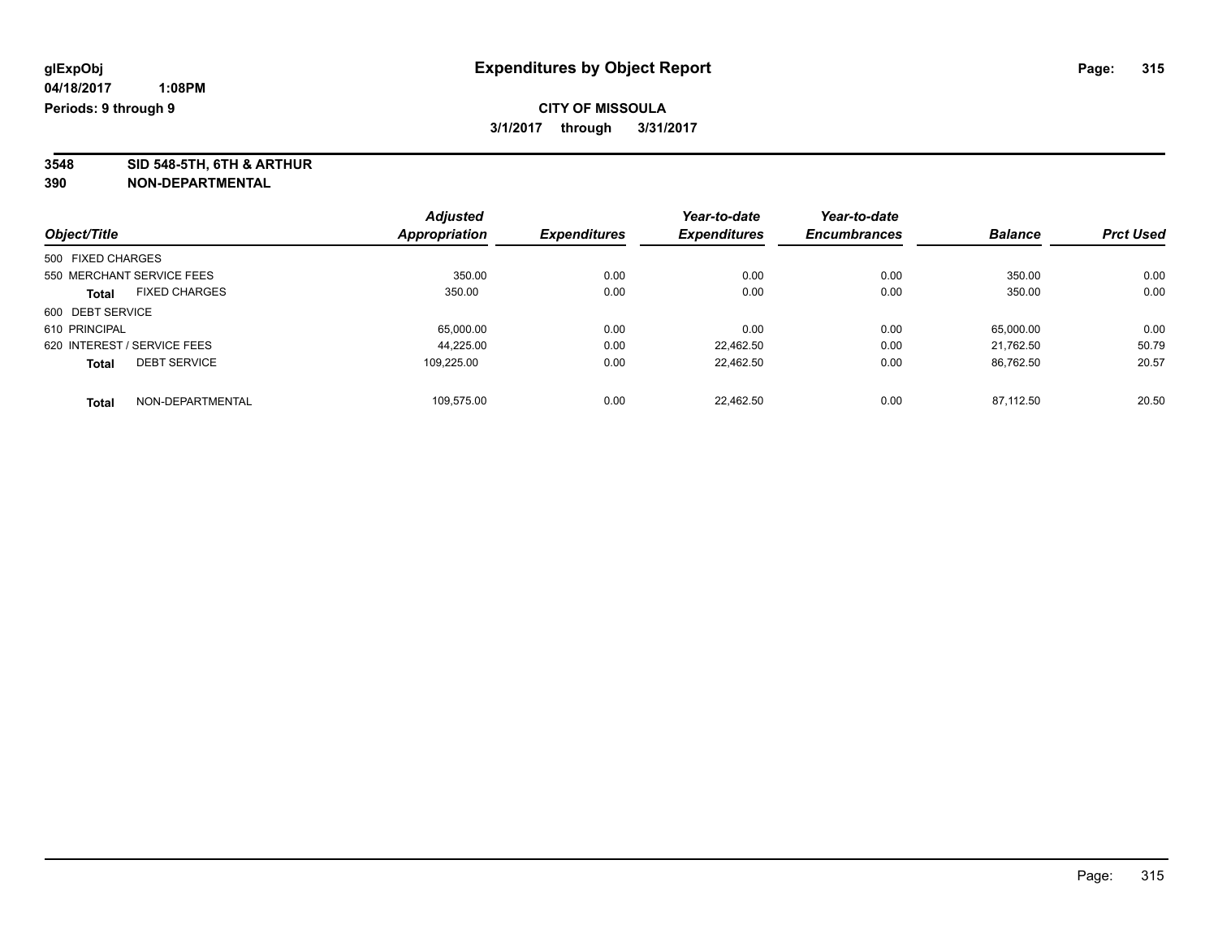**3548 SID 548-5TH, 6TH & ARTHUR**

|                                      | <b>Adjusted</b> |                     | Year-to-date        | Year-to-date        |                |                  |
|--------------------------------------|-----------------|---------------------|---------------------|---------------------|----------------|------------------|
| Object/Title                         | Appropriation   | <b>Expenditures</b> | <b>Expenditures</b> | <b>Encumbrances</b> | <b>Balance</b> | <b>Prct Used</b> |
| 500 FIXED CHARGES                    |                 |                     |                     |                     |                |                  |
| 550 MERCHANT SERVICE FEES            | 350.00          | 0.00                | 0.00                | 0.00                | 350.00         | 0.00             |
| <b>FIXED CHARGES</b><br><b>Total</b> | 350.00          | 0.00                | 0.00                | 0.00                | 350.00         | 0.00             |
| 600 DEBT SERVICE                     |                 |                     |                     |                     |                |                  |
| 610 PRINCIPAL                        | 65,000.00       | 0.00                | 0.00                | 0.00                | 65,000.00      | 0.00             |
| 620 INTEREST / SERVICE FEES          | 44.225.00       | 0.00                | 22.462.50           | 0.00                | 21.762.50      | 50.79            |
| <b>DEBT SERVICE</b><br><b>Total</b>  | 109.225.00      | 0.00                | 22.462.50           | 0.00                | 86.762.50      | 20.57            |
| NON-DEPARTMENTAL<br><b>Total</b>     | 109.575.00      | 0.00                | 22.462.50           | 0.00                | 87.112.50      | 20.50            |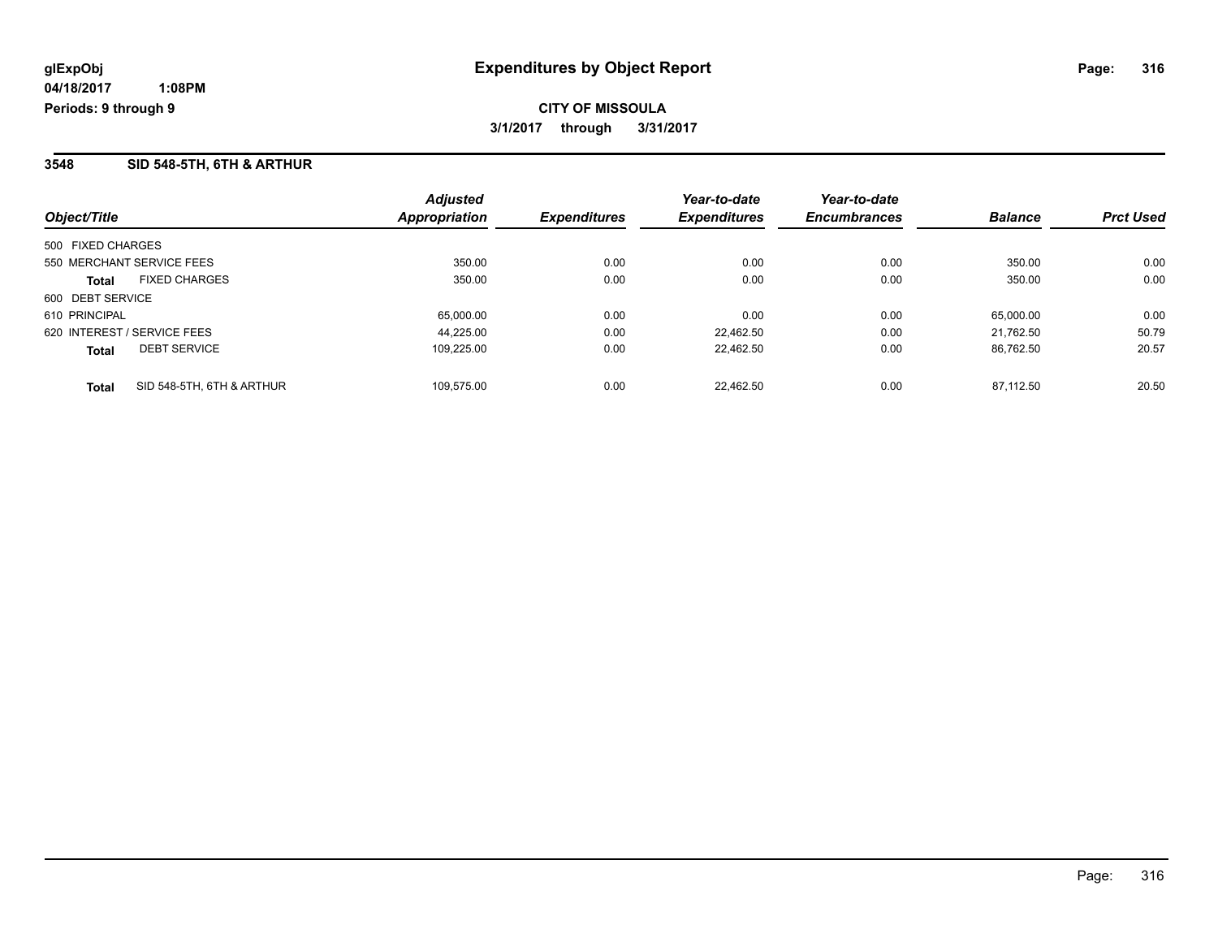## **3548 SID 548-5TH, 6TH & ARTHUR**

| Object/Title                |                           | <b>Adjusted</b><br><b>Appropriation</b> | <i><b>Expenditures</b></i> | Year-to-date<br><b>Expenditures</b> | Year-to-date<br><b>Encumbrances</b> | <b>Balance</b> | <b>Prct Used</b> |
|-----------------------------|---------------------------|-----------------------------------------|----------------------------|-------------------------------------|-------------------------------------|----------------|------------------|
| 500 FIXED CHARGES           |                           |                                         |                            |                                     |                                     |                |                  |
| 550 MERCHANT SERVICE FEES   |                           | 350.00                                  | 0.00                       | 0.00                                | 0.00                                | 350.00         | 0.00             |
| <b>Total</b>                | <b>FIXED CHARGES</b>      | 350.00                                  | 0.00                       | 0.00                                | 0.00                                | 350.00         | 0.00             |
| 600 DEBT SERVICE            |                           |                                         |                            |                                     |                                     |                |                  |
| 610 PRINCIPAL               |                           | 65,000.00                               | 0.00                       | 0.00                                | 0.00                                | 65.000.00      | 0.00             |
| 620 INTEREST / SERVICE FEES |                           | 44.225.00                               | 0.00                       | 22.462.50                           | 0.00                                | 21.762.50      | 50.79            |
| <b>Total</b>                | <b>DEBT SERVICE</b>       | 109.225.00                              | 0.00                       | 22.462.50                           | 0.00                                | 86.762.50      | 20.57            |
| <b>Total</b>                | SID 548-5TH, 6TH & ARTHUR | 109.575.00                              | 0.00                       | 22.462.50                           | 0.00                                | 87.112.50      | 20.50            |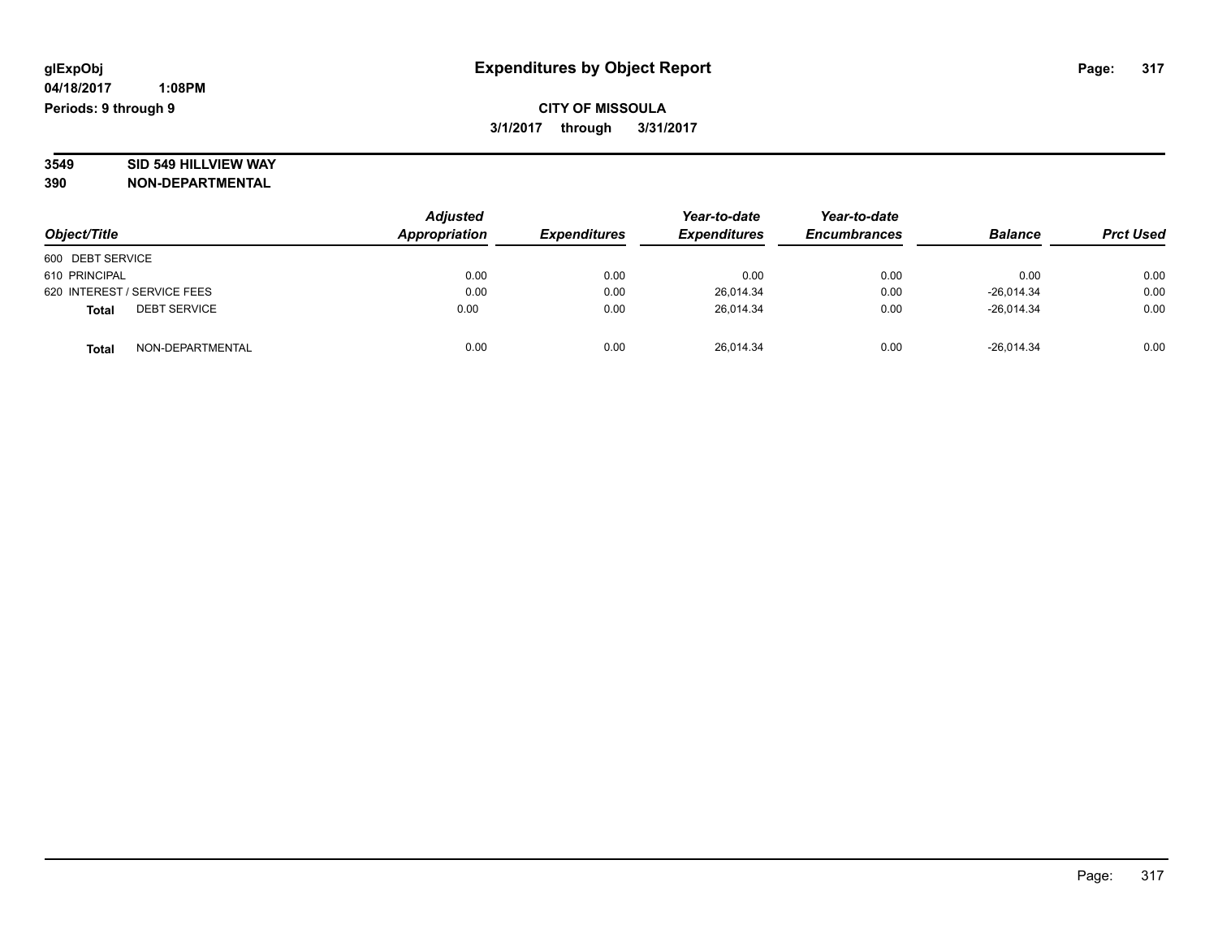# **3549 SID 549 HILLVIEW WAY**

| Object/Title                        | <b>Adjusted</b><br>Appropriation | <b>Expenditures</b> | Year-to-date<br><b>Expenditures</b> | Year-to-date<br><b>Encumbrances</b> | <b>Balance</b> | <b>Prct Used</b> |
|-------------------------------------|----------------------------------|---------------------|-------------------------------------|-------------------------------------|----------------|------------------|
| 600 DEBT SERVICE                    |                                  |                     |                                     |                                     |                |                  |
| 610 PRINCIPAL                       | 0.00                             | 0.00                | 0.00                                | 0.00                                | 0.00           | 0.00             |
| 620 INTEREST / SERVICE FEES         | 0.00                             | 0.00                | 26.014.34                           | 0.00                                | $-26.014.34$   | 0.00             |
| <b>DEBT SERVICE</b><br><b>Total</b> | 0.00                             | 0.00                | 26.014.34                           | 0.00                                | $-26.014.34$   | 0.00             |
| NON-DEPARTMENTAL<br><b>Total</b>    | 0.00                             | 0.00                | 26,014.34                           | 0.00                                | $-26,014.34$   | 0.00             |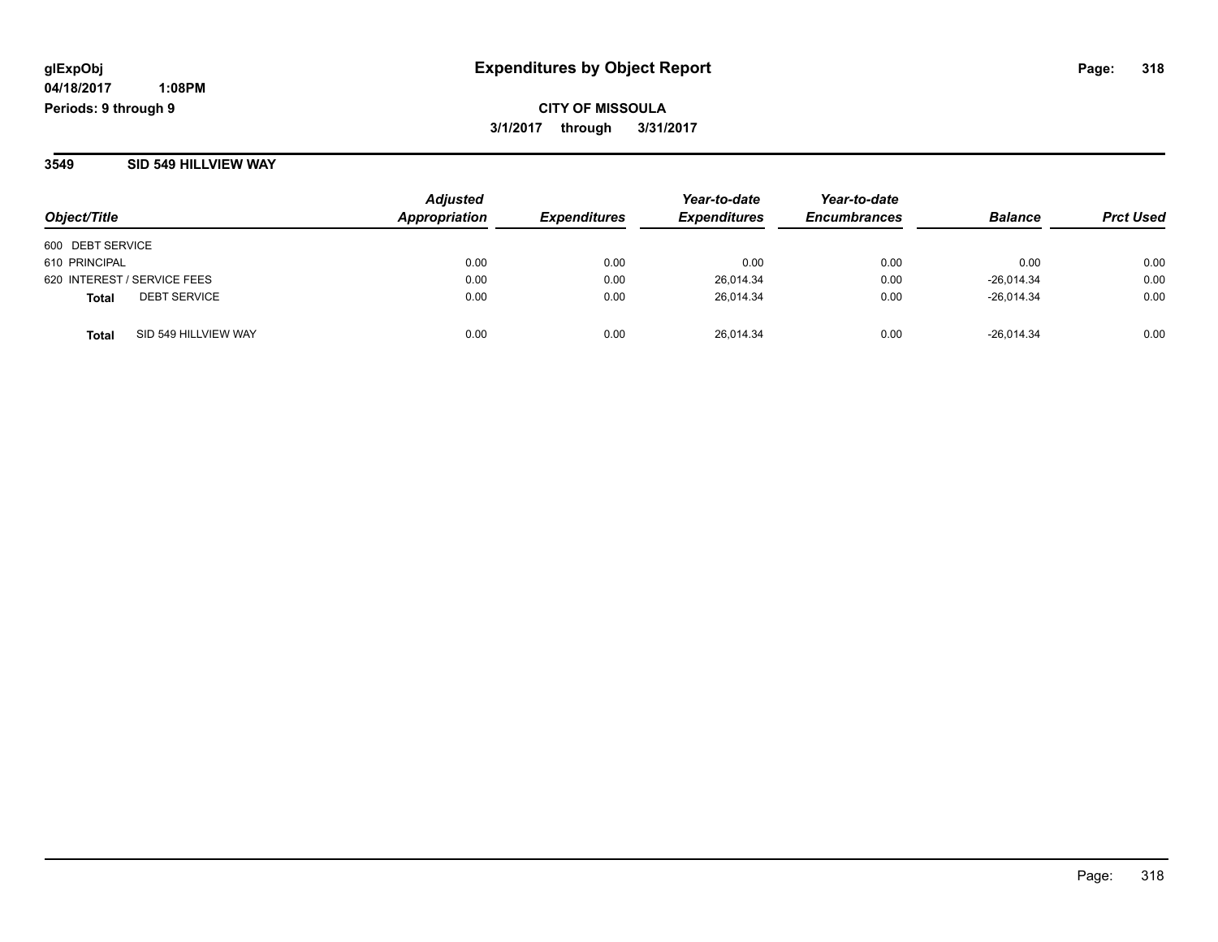**CITY OF MISSOULA 3/1/2017 through 3/31/2017**

**3549 SID 549 HILLVIEW WAY**

| Object/Title                         | <b>Adjusted</b><br>Appropriation | <b>Expenditures</b> | Year-to-date<br><b>Expenditures</b> | Year-to-date<br><b>Encumbrances</b> | <b>Balance</b> | <b>Prct Used</b> |
|--------------------------------------|----------------------------------|---------------------|-------------------------------------|-------------------------------------|----------------|------------------|
| 600 DEBT SERVICE                     |                                  |                     |                                     |                                     |                |                  |
| 610 PRINCIPAL                        | 0.00                             | 0.00                | 0.00                                | 0.00                                | 0.00           | 0.00             |
| 620 INTEREST / SERVICE FEES          | 0.00                             | 0.00                | 26,014.34                           | 0.00                                | $-26,014.34$   | 0.00             |
| <b>DEBT SERVICE</b><br>Total         | 0.00                             | 0.00                | 26.014.34                           | 0.00                                | $-26.014.34$   | 0.00             |
| SID 549 HILLVIEW WAY<br><b>Total</b> | 0.00                             | 0.00                | 26.014.34                           | 0.00                                | $-26.014.34$   | 0.00             |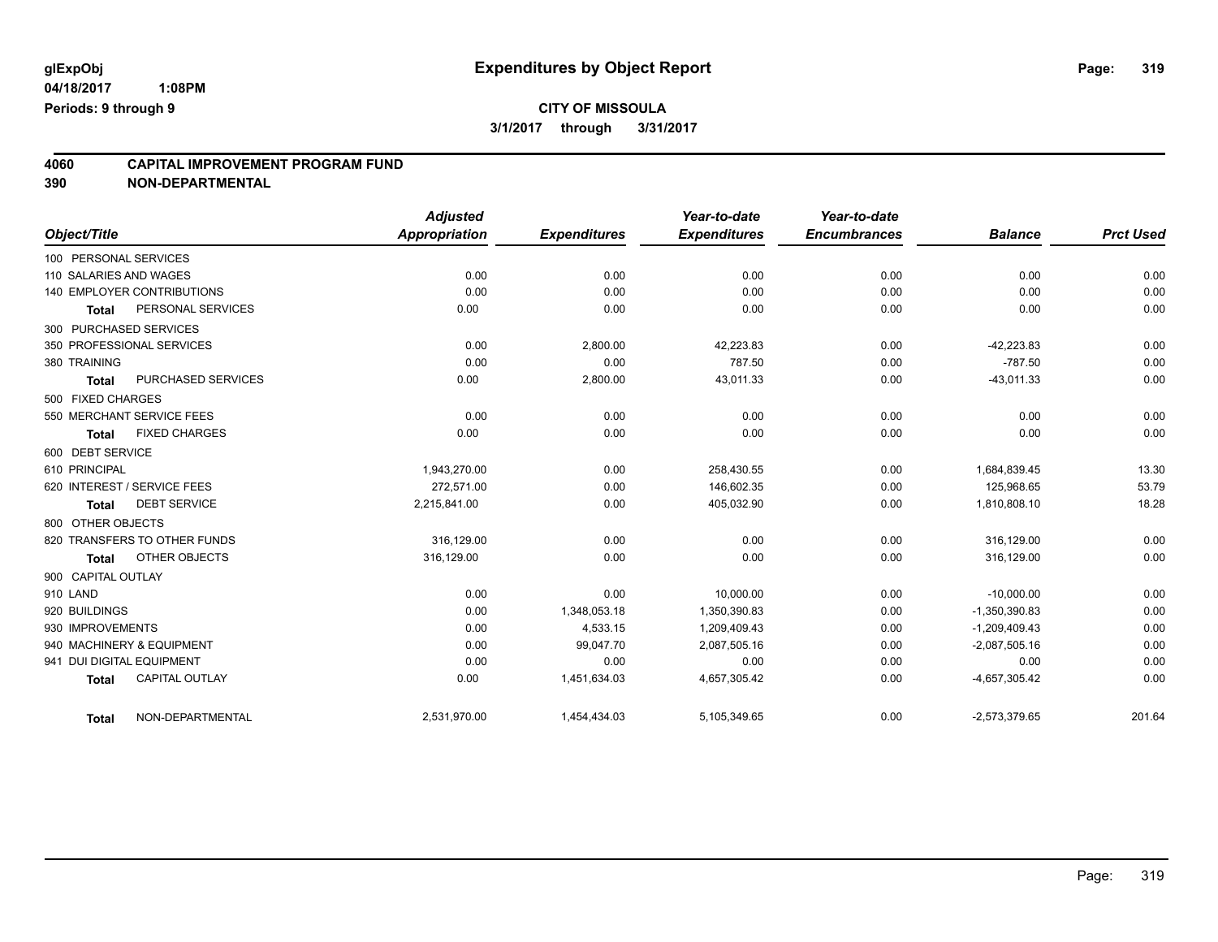## **4060 CAPITAL IMPROVEMENT PROGRAM FUND**

| Object/Title              |                                   | <b>Adjusted</b><br>Appropriation | <b>Expenditures</b> | Year-to-date<br><b>Expenditures</b> | Year-to-date<br><b>Encumbrances</b> | <b>Balance</b>  | <b>Prct Used</b> |
|---------------------------|-----------------------------------|----------------------------------|---------------------|-------------------------------------|-------------------------------------|-----------------|------------------|
| 100 PERSONAL SERVICES     |                                   |                                  |                     |                                     |                                     |                 |                  |
|                           |                                   | 0.00                             |                     |                                     |                                     | 0.00            | 0.00             |
| 110 SALARIES AND WAGES    |                                   |                                  | 0.00                | 0.00                                | 0.00                                |                 |                  |
|                           | <b>140 EMPLOYER CONTRIBUTIONS</b> | 0.00                             | 0.00                | 0.00                                | 0.00                                | 0.00            | 0.00             |
| <b>Total</b>              | PERSONAL SERVICES                 | 0.00                             | 0.00                | 0.00                                | 0.00                                | 0.00            | 0.00             |
| 300 PURCHASED SERVICES    |                                   |                                  |                     |                                     |                                     |                 |                  |
|                           | 350 PROFESSIONAL SERVICES         | 0.00                             | 2,800.00            | 42,223.83                           | 0.00                                | $-42,223.83$    | 0.00             |
| 380 TRAINING              |                                   | 0.00                             | 0.00                | 787.50                              | 0.00                                | $-787.50$       | 0.00             |
| <b>Total</b>              | PURCHASED SERVICES                | 0.00                             | 2,800.00            | 43,011.33                           | 0.00                                | $-43,011.33$    | 0.00             |
| 500 FIXED CHARGES         |                                   |                                  |                     |                                     |                                     |                 |                  |
|                           | 550 MERCHANT SERVICE FEES         | 0.00                             | 0.00                | 0.00                                | 0.00                                | 0.00            | 0.00             |
| <b>Total</b>              | <b>FIXED CHARGES</b>              | 0.00                             | 0.00                | 0.00                                | 0.00                                | 0.00            | 0.00             |
| 600 DEBT SERVICE          |                                   |                                  |                     |                                     |                                     |                 |                  |
| 610 PRINCIPAL             |                                   | 1,943,270.00                     | 0.00                | 258,430.55                          | 0.00                                | 1,684,839.45    | 13.30            |
|                           | 620 INTEREST / SERVICE FEES       | 272.571.00                       | 0.00                | 146,602.35                          | 0.00                                | 125,968.65      | 53.79            |
| <b>Total</b>              | <b>DEBT SERVICE</b>               | 2,215,841.00                     | 0.00                | 405,032.90                          | 0.00                                | 1,810,808.10    | 18.28            |
| 800 OTHER OBJECTS         |                                   |                                  |                     |                                     |                                     |                 |                  |
|                           | 820 TRANSFERS TO OTHER FUNDS      | 316,129.00                       | 0.00                | 0.00                                | 0.00                                | 316,129.00      | 0.00             |
| <b>Total</b>              | OTHER OBJECTS                     | 316,129.00                       | 0.00                | 0.00                                | 0.00                                | 316,129.00      | 0.00             |
| 900 CAPITAL OUTLAY        |                                   |                                  |                     |                                     |                                     |                 |                  |
| 910 LAND                  |                                   | 0.00                             | 0.00                | 10,000.00                           | 0.00                                | $-10,000.00$    | 0.00             |
| 920 BUILDINGS             |                                   | 0.00                             | 1,348,053.18        | 1,350,390.83                        | 0.00                                | $-1,350,390.83$ | 0.00             |
| 930 IMPROVEMENTS          |                                   | 0.00                             | 4.533.15            | 1,209,409.43                        | 0.00                                | $-1,209,409.43$ | 0.00             |
|                           | 940 MACHINERY & EQUIPMENT         | 0.00                             | 99,047.70           | 2,087,505.16                        | 0.00                                | $-2,087,505.16$ | 0.00             |
| 941 DUI DIGITAL EQUIPMENT |                                   | 0.00                             | 0.00                | 0.00                                | 0.00                                | 0.00            | 0.00             |
| <b>Total</b>              | <b>CAPITAL OUTLAY</b>             | 0.00                             | 1,451,634.03        | 4,657,305.42                        | 0.00                                | $-4,657,305.42$ | 0.00             |
| <b>Total</b>              | NON-DEPARTMENTAL                  | 2,531,970.00                     | 1,454,434.03        | 5,105,349.65                        | 0.00                                | $-2,573,379.65$ | 201.64           |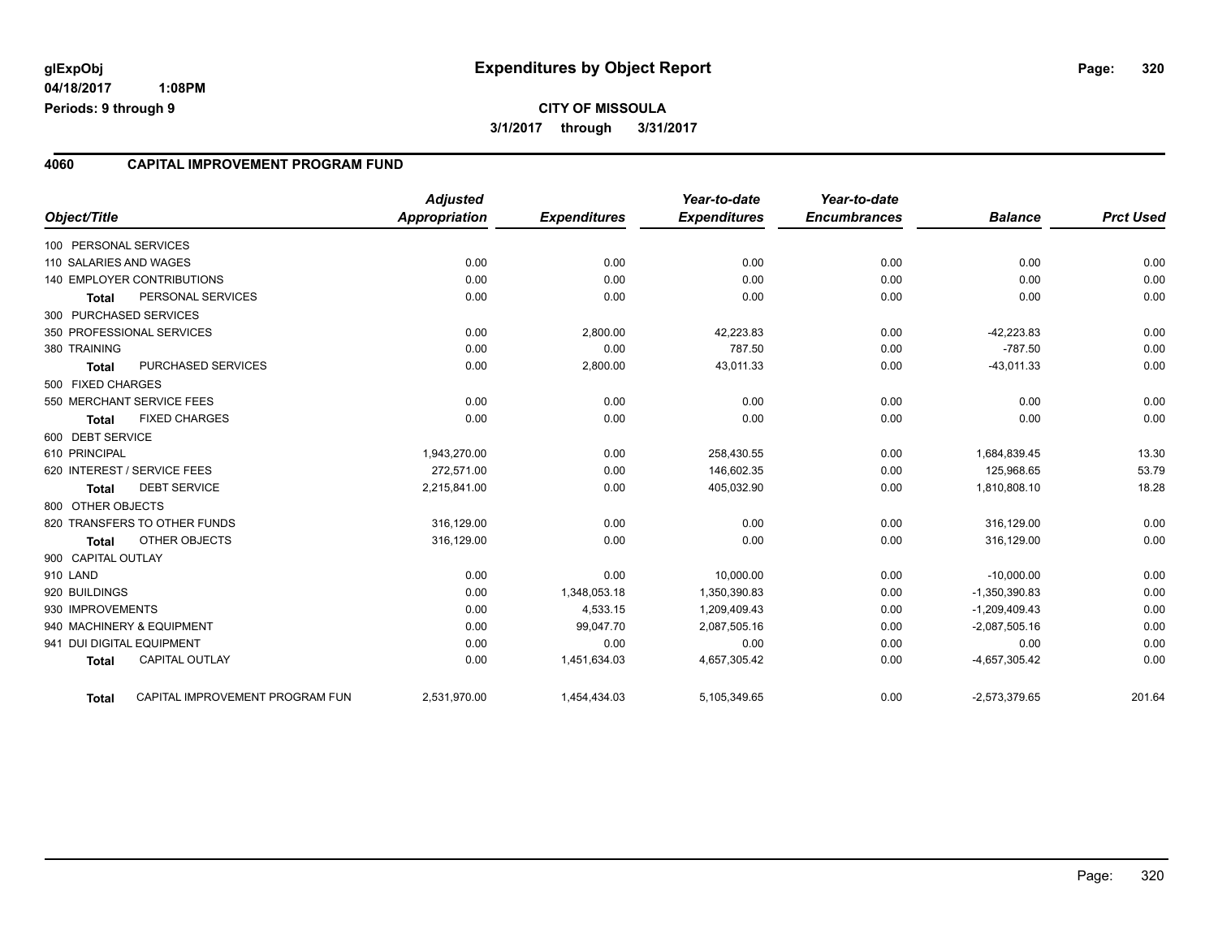## **CITY OF MISSOULA 3/1/2017 through 3/31/2017**

#### **4060 CAPITAL IMPROVEMENT PROGRAM FUND**

| Object/Title           |                                 | <b>Adjusted</b><br>Appropriation | <b>Expenditures</b> | Year-to-date<br><b>Expenditures</b> | Year-to-date<br><b>Encumbrances</b> | <b>Balance</b>  | <b>Prct Used</b> |
|------------------------|---------------------------------|----------------------------------|---------------------|-------------------------------------|-------------------------------------|-----------------|------------------|
| 100 PERSONAL SERVICES  |                                 |                                  |                     |                                     |                                     |                 |                  |
| 110 SALARIES AND WAGES |                                 | 0.00                             | 0.00                | 0.00                                | 0.00                                | 0.00            | 0.00             |
|                        | 140 EMPLOYER CONTRIBUTIONS      | 0.00                             | 0.00                | 0.00                                | 0.00                                | 0.00            | 0.00             |
| <b>Total</b>           | PERSONAL SERVICES               | 0.00                             | 0.00                | 0.00                                | 0.00                                | 0.00            | 0.00             |
| 300 PURCHASED SERVICES |                                 |                                  |                     |                                     |                                     |                 |                  |
|                        | 350 PROFESSIONAL SERVICES       | 0.00                             | 2,800.00            | 42,223.83                           | 0.00                                | $-42,223.83$    | 0.00             |
| 380 TRAINING           |                                 | 0.00                             | 0.00                | 787.50                              | 0.00                                | $-787.50$       | 0.00             |
| <b>Total</b>           | PURCHASED SERVICES              | 0.00                             | 2,800.00            | 43,011.33                           | 0.00                                | $-43,011.33$    | 0.00             |
| 500 FIXED CHARGES      |                                 |                                  |                     |                                     |                                     |                 |                  |
|                        | 550 MERCHANT SERVICE FEES       | 0.00                             | 0.00                | 0.00                                | 0.00                                | 0.00            | 0.00             |
| <b>Total</b>           | <b>FIXED CHARGES</b>            | 0.00                             | 0.00                | 0.00                                | 0.00                                | 0.00            | 0.00             |
| 600 DEBT SERVICE       |                                 |                                  |                     |                                     |                                     |                 |                  |
| 610 PRINCIPAL          |                                 | 1,943,270.00                     | 0.00                | 258,430.55                          | 0.00                                | 1,684,839.45    | 13.30            |
|                        | 620 INTEREST / SERVICE FEES     | 272.571.00                       | 0.00                | 146,602.35                          | 0.00                                | 125,968.65      | 53.79            |
| <b>Total</b>           | <b>DEBT SERVICE</b>             | 2,215,841.00                     | 0.00                | 405,032.90                          | 0.00                                | 1,810,808.10    | 18.28            |
| 800 OTHER OBJECTS      |                                 |                                  |                     |                                     |                                     |                 |                  |
|                        | 820 TRANSFERS TO OTHER FUNDS    | 316,129.00                       | 0.00                | 0.00                                | 0.00                                | 316,129.00      | 0.00             |
| <b>Total</b>           | <b>OTHER OBJECTS</b>            | 316,129.00                       | 0.00                | 0.00                                | 0.00                                | 316,129.00      | 0.00             |
| 900 CAPITAL OUTLAY     |                                 |                                  |                     |                                     |                                     |                 |                  |
| 910 LAND               |                                 | 0.00                             | 0.00                | 10,000.00                           | 0.00                                | $-10,000.00$    | 0.00             |
| 920 BUILDINGS          |                                 | 0.00                             | 1,348,053.18        | 1,350,390.83                        | 0.00                                | $-1,350,390.83$ | 0.00             |
| 930 IMPROVEMENTS       |                                 | 0.00                             | 4,533.15            | 1,209,409.43                        | 0.00                                | $-1,209,409.43$ | 0.00             |
|                        | 940 MACHINERY & EQUIPMENT       | 0.00                             | 99,047.70           | 2,087,505.16                        | 0.00                                | $-2,087,505.16$ | 0.00             |
|                        | 941 DUI DIGITAL EQUIPMENT       | 0.00                             | 0.00                | 0.00                                | 0.00                                | 0.00            | 0.00             |
| <b>Total</b>           | <b>CAPITAL OUTLAY</b>           | 0.00                             | 1,451,634.03        | 4,657,305.42                        | 0.00                                | $-4,657,305.42$ | 0.00             |
| <b>Total</b>           | CAPITAL IMPROVEMENT PROGRAM FUN | 2,531,970.00                     | 1,454,434.03        | 5,105,349.65                        | 0.00                                | $-2,573,379.65$ | 201.64           |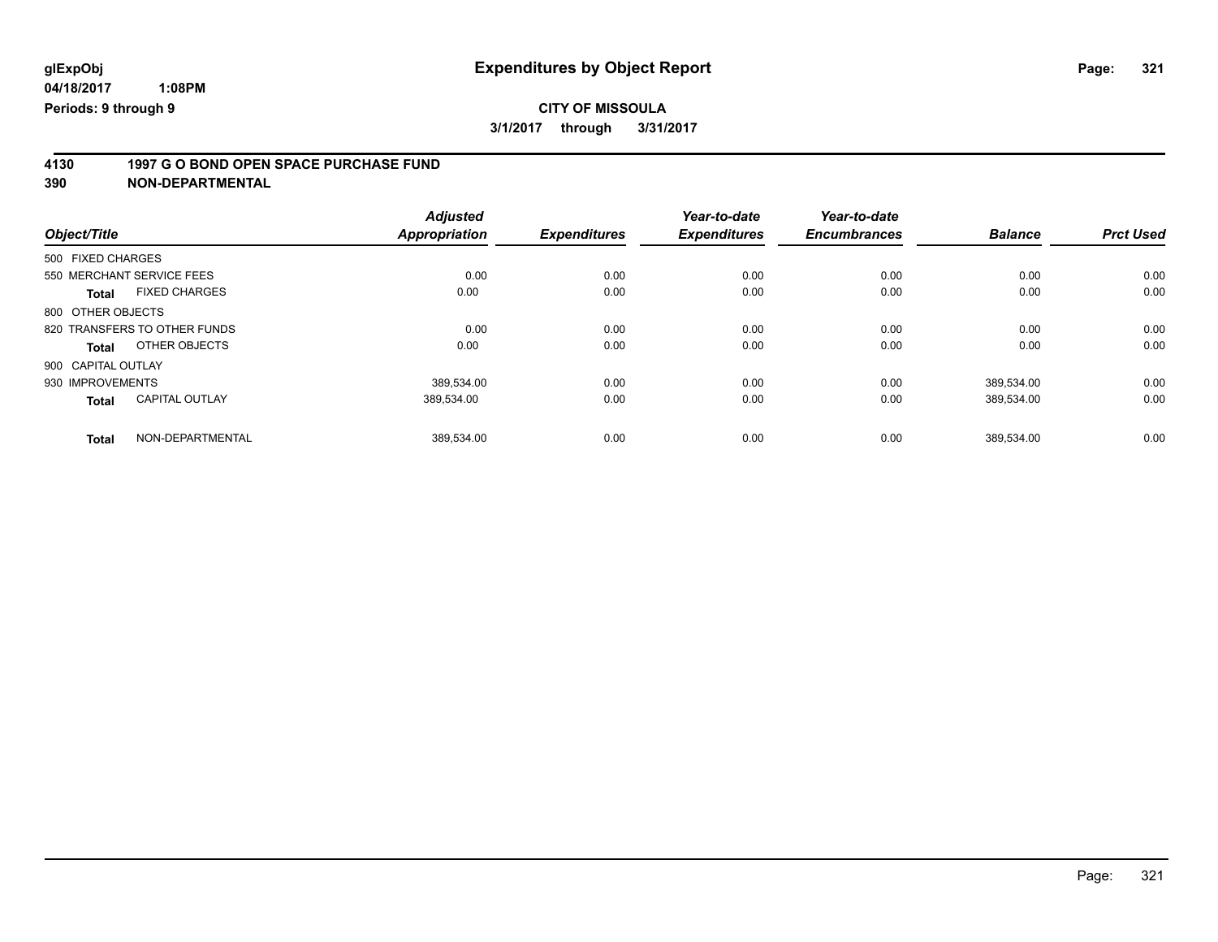# **4130 1997 G O BOND OPEN SPACE PURCHASE FUND**

|                                       | <b>Adjusted</b>      |                     | Year-to-date        | Year-to-date        |                |                  |
|---------------------------------------|----------------------|---------------------|---------------------|---------------------|----------------|------------------|
| Object/Title                          | <b>Appropriation</b> | <b>Expenditures</b> | <b>Expenditures</b> | <b>Encumbrances</b> | <b>Balance</b> | <b>Prct Used</b> |
| 500 FIXED CHARGES                     |                      |                     |                     |                     |                |                  |
| 550 MERCHANT SERVICE FEES             | 0.00                 | 0.00                | 0.00                | 0.00                | 0.00           | 0.00             |
| <b>FIXED CHARGES</b><br><b>Total</b>  | 0.00                 | 0.00                | 0.00                | 0.00                | 0.00           | 0.00             |
| 800 OTHER OBJECTS                     |                      |                     |                     |                     |                |                  |
| 820 TRANSFERS TO OTHER FUNDS          | 0.00                 | 0.00                | 0.00                | 0.00                | 0.00           | 0.00             |
| OTHER OBJECTS<br>Total                | 0.00                 | 0.00                | 0.00                | 0.00                | 0.00           | 0.00             |
| 900 CAPITAL OUTLAY                    |                      |                     |                     |                     |                |                  |
| 930 IMPROVEMENTS                      | 389,534.00           | 0.00                | 0.00                | 0.00                | 389,534.00     | 0.00             |
| <b>CAPITAL OUTLAY</b><br><b>Total</b> | 389.534.00           | 0.00                | 0.00                | 0.00                | 389,534.00     | 0.00             |
| NON-DEPARTMENTAL<br><b>Total</b>      | 389.534.00           | 0.00                | 0.00                | 0.00                | 389.534.00     | 0.00             |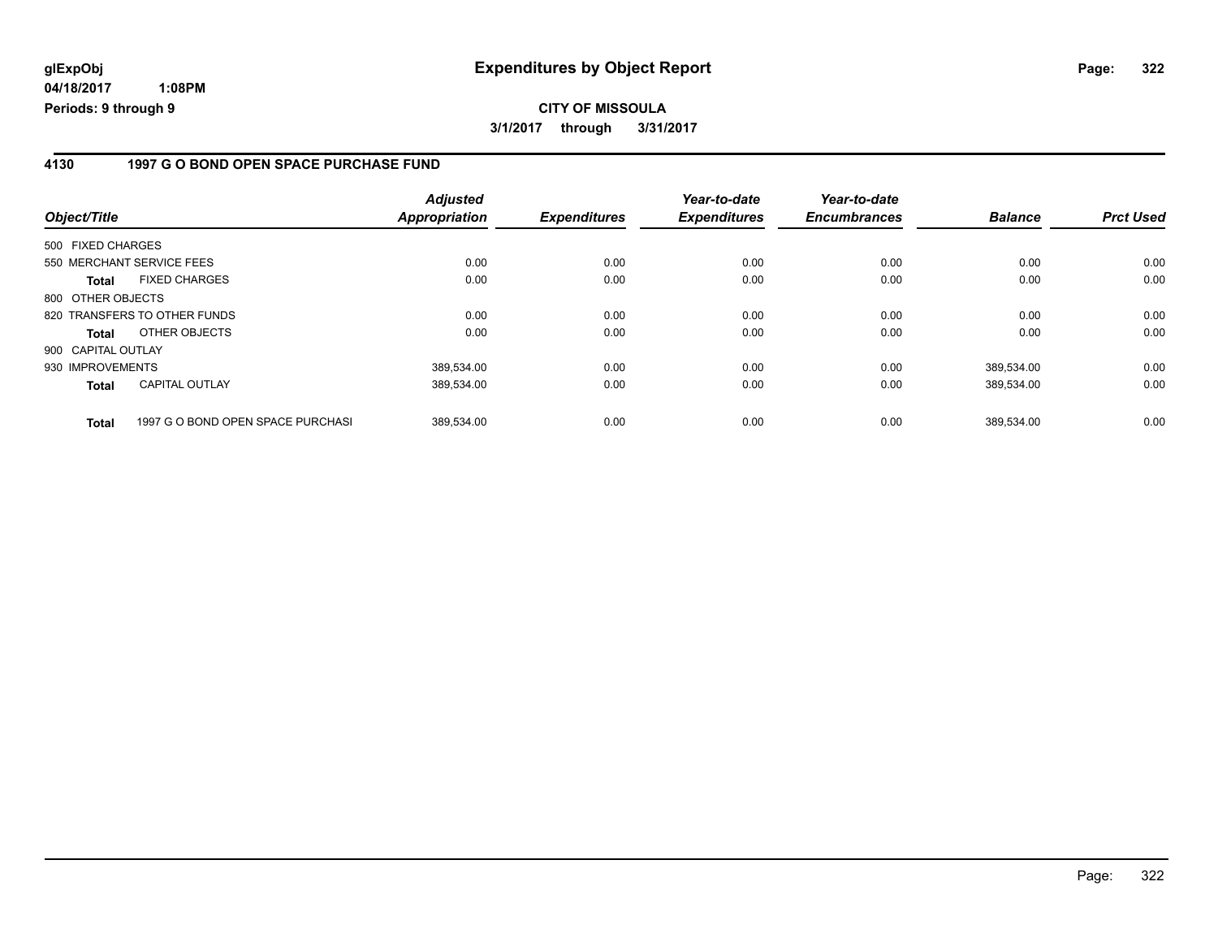### **4130 1997 G O BOND OPEN SPACE PURCHASE FUND**

| Object/Title       |                                   | <b>Adjusted</b><br><b>Appropriation</b> | <b>Expenditures</b> | Year-to-date<br><b>Expenditures</b> | Year-to-date<br><b>Encumbrances</b> | <b>Balance</b> | <b>Prct Used</b> |
|--------------------|-----------------------------------|-----------------------------------------|---------------------|-------------------------------------|-------------------------------------|----------------|------------------|
| 500 FIXED CHARGES  |                                   |                                         |                     |                                     |                                     |                |                  |
|                    | 550 MERCHANT SERVICE FEES         | 0.00                                    | 0.00                | 0.00                                | 0.00                                | 0.00           | 0.00             |
| <b>Total</b>       | <b>FIXED CHARGES</b>              | 0.00                                    | 0.00                | 0.00                                | 0.00                                | 0.00           | 0.00             |
| 800 OTHER OBJECTS  |                                   |                                         |                     |                                     |                                     |                |                  |
|                    | 820 TRANSFERS TO OTHER FUNDS      | 0.00                                    | 0.00                | 0.00                                | 0.00                                | 0.00           | 0.00             |
| <b>Total</b>       | OTHER OBJECTS                     | 0.00                                    | 0.00                | 0.00                                | 0.00                                | 0.00           | 0.00             |
| 900 CAPITAL OUTLAY |                                   |                                         |                     |                                     |                                     |                |                  |
| 930 IMPROVEMENTS   |                                   | 389.534.00                              | 0.00                | 0.00                                | 0.00                                | 389.534.00     | 0.00             |
| <b>Total</b>       | <b>CAPITAL OUTLAY</b>             | 389,534.00                              | 0.00                | 0.00                                | 0.00                                | 389,534.00     | 0.00             |
| <b>Total</b>       | 1997 G O BOND OPEN SPACE PURCHASI | 389.534.00                              | 0.00                | 0.00                                | 0.00                                | 389,534.00     | 0.00             |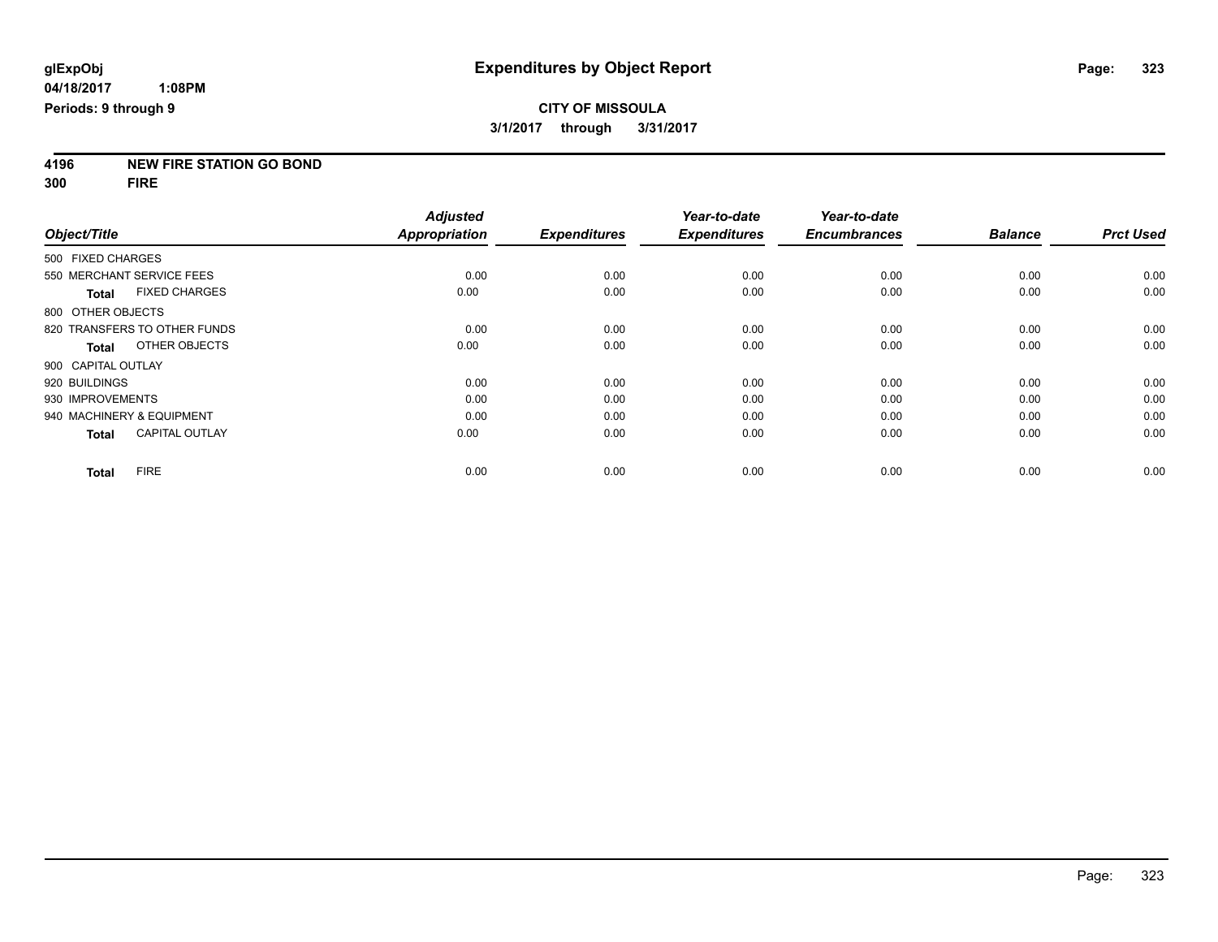# **4196 NEW FIRE STATION GO BOND**

**300 FIRE**

|                           |                              | <b>Adjusted</b>      |                     | Year-to-date        | Year-to-date        |                |                  |
|---------------------------|------------------------------|----------------------|---------------------|---------------------|---------------------|----------------|------------------|
| Object/Title              |                              | <b>Appropriation</b> | <b>Expenditures</b> | <b>Expenditures</b> | <b>Encumbrances</b> | <b>Balance</b> | <b>Prct Used</b> |
| 500 FIXED CHARGES         |                              |                      |                     |                     |                     |                |                  |
| 550 MERCHANT SERVICE FEES |                              | 0.00                 | 0.00                | 0.00                | 0.00                | 0.00           | 0.00             |
| Total                     | <b>FIXED CHARGES</b>         | 0.00                 | 0.00                | 0.00                | 0.00                | 0.00           | 0.00             |
| 800 OTHER OBJECTS         |                              |                      |                     |                     |                     |                |                  |
|                           | 820 TRANSFERS TO OTHER FUNDS | 0.00                 | 0.00                | 0.00                | 0.00                | 0.00           | 0.00             |
| Total                     | OTHER OBJECTS                | 0.00                 | 0.00                | 0.00                | 0.00                | 0.00           | 0.00             |
| 900 CAPITAL OUTLAY        |                              |                      |                     |                     |                     |                |                  |
| 920 BUILDINGS             |                              | 0.00                 | 0.00                | 0.00                | 0.00                | 0.00           | 0.00             |
| 930 IMPROVEMENTS          |                              | 0.00                 | 0.00                | 0.00                | 0.00                | 0.00           | 0.00             |
| 940 MACHINERY & EQUIPMENT |                              | 0.00                 | 0.00                | 0.00                | 0.00                | 0.00           | 0.00             |
| <b>Total</b>              | <b>CAPITAL OUTLAY</b>        | 0.00                 | 0.00                | 0.00                | 0.00                | 0.00           | 0.00             |
| <b>Total</b>              | <b>FIRE</b>                  | 0.00                 | 0.00                | 0.00                | 0.00                | 0.00           | 0.00             |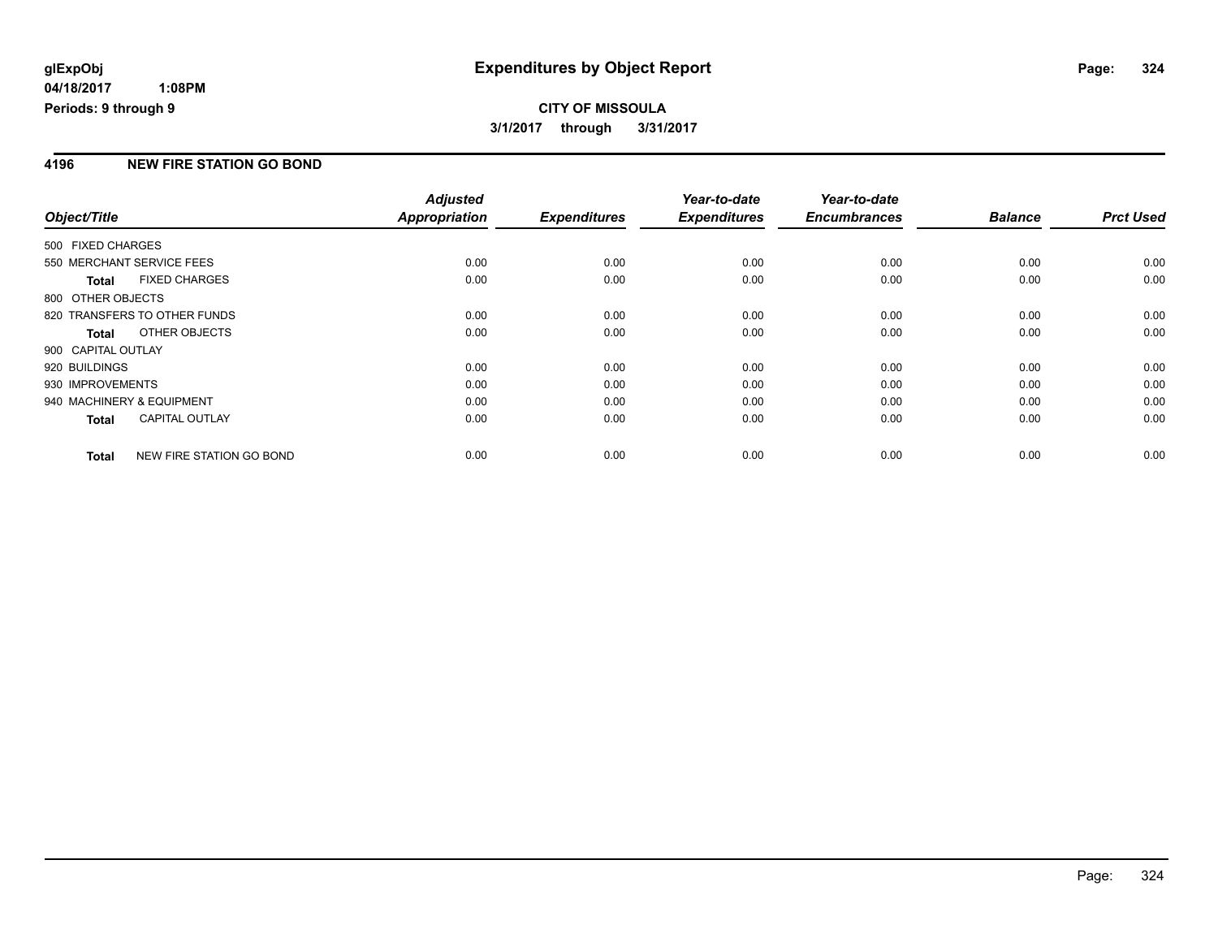## **CITY OF MISSOULA 3/1/2017 through 3/31/2017**

### **4196 NEW FIRE STATION GO BOND**

|                           |                              | <b>Adjusted</b>      |                     | Year-to-date        | Year-to-date        |                |                  |
|---------------------------|------------------------------|----------------------|---------------------|---------------------|---------------------|----------------|------------------|
| Object/Title              |                              | <b>Appropriation</b> | <b>Expenditures</b> | <b>Expenditures</b> | <b>Encumbrances</b> | <b>Balance</b> | <b>Prct Used</b> |
| 500 FIXED CHARGES         |                              |                      |                     |                     |                     |                |                  |
| 550 MERCHANT SERVICE FEES |                              | 0.00                 | 0.00                | 0.00                | 0.00                | 0.00           | 0.00             |
| <b>Total</b>              | <b>FIXED CHARGES</b>         | 0.00                 | 0.00                | 0.00                | 0.00                | 0.00           | 0.00             |
| 800 OTHER OBJECTS         |                              |                      |                     |                     |                     |                |                  |
|                           | 820 TRANSFERS TO OTHER FUNDS | 0.00                 | 0.00                | 0.00                | 0.00                | 0.00           | 0.00             |
| <b>Total</b>              | OTHER OBJECTS                | 0.00                 | 0.00                | 0.00                | 0.00                | 0.00           | 0.00             |
| 900 CAPITAL OUTLAY        |                              |                      |                     |                     |                     |                |                  |
| 920 BUILDINGS             |                              | 0.00                 | 0.00                | 0.00                | 0.00                | 0.00           | 0.00             |
| 930 IMPROVEMENTS          |                              | 0.00                 | 0.00                | 0.00                | 0.00                | 0.00           | 0.00             |
| 940 MACHINERY & EQUIPMENT |                              | 0.00                 | 0.00                | 0.00                | 0.00                | 0.00           | 0.00             |
| <b>Total</b>              | <b>CAPITAL OUTLAY</b>        | 0.00                 | 0.00                | 0.00                | 0.00                | 0.00           | 0.00             |
| <b>Total</b>              | NEW FIRE STATION GO BOND     | 0.00                 | 0.00                | 0.00                | 0.00                | 0.00           | 0.00             |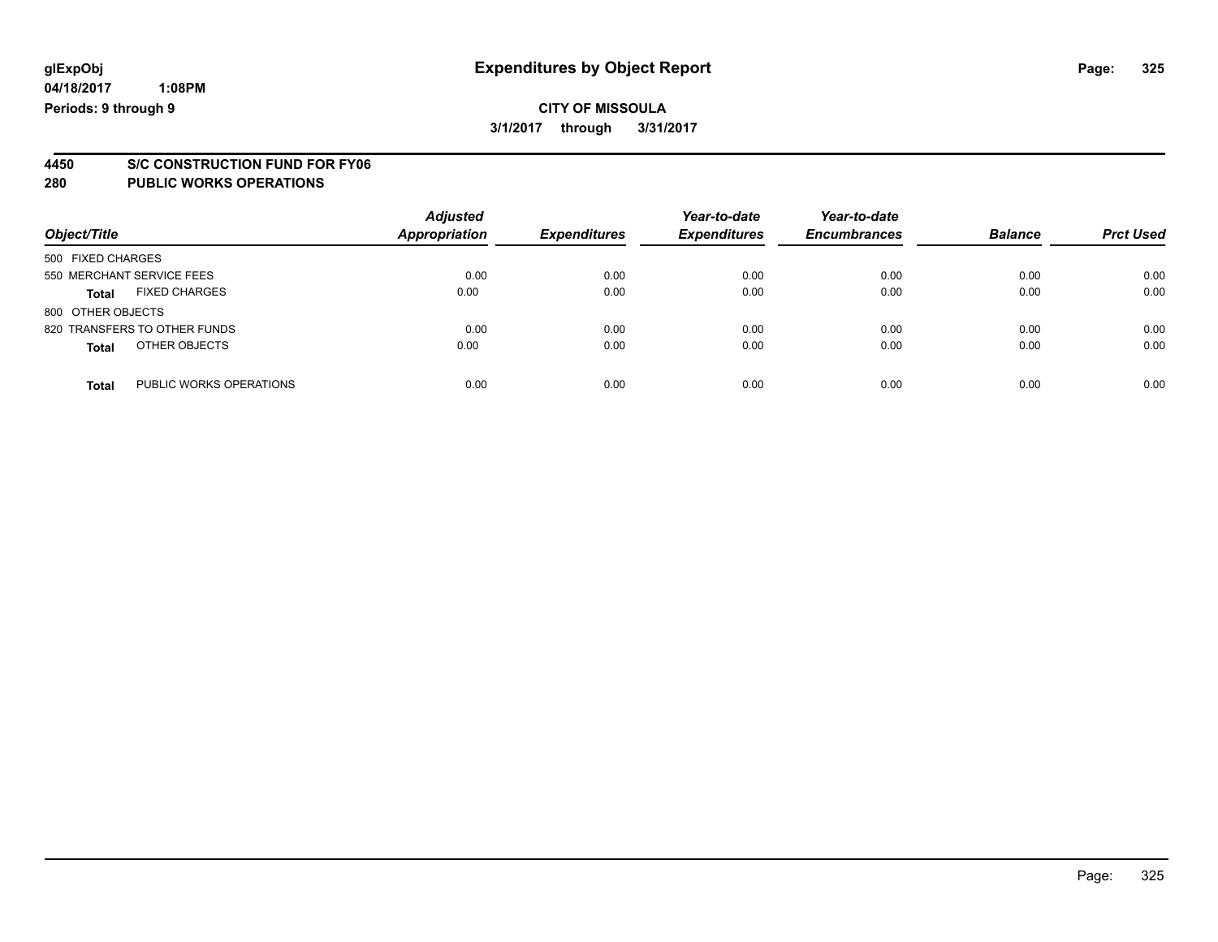# **4450 S/C CONSTRUCTION FUND FOR FY06**

| Object/Title                            | <b>Adjusted</b><br><b>Appropriation</b> | <b>Expenditures</b> | Year-to-date<br><b>Expenditures</b> | Year-to-date<br><b>Encumbrances</b> | <b>Balance</b> | <b>Prct Used</b> |
|-----------------------------------------|-----------------------------------------|---------------------|-------------------------------------|-------------------------------------|----------------|------------------|
| 500 FIXED CHARGES                       |                                         |                     |                                     |                                     |                |                  |
| 550 MERCHANT SERVICE FEES               | 0.00                                    | 0.00                | 0.00                                | 0.00                                | 0.00           | 0.00             |
| <b>FIXED CHARGES</b><br><b>Total</b>    | 0.00                                    | 0.00                | 0.00                                | 0.00                                | 0.00           | 0.00             |
| 800 OTHER OBJECTS                       |                                         |                     |                                     |                                     |                |                  |
| 820 TRANSFERS TO OTHER FUNDS            | 0.00                                    | 0.00                | 0.00                                | 0.00                                | 0.00           | 0.00             |
| OTHER OBJECTS<br><b>Total</b>           | 0.00                                    | 0.00                | 0.00                                | 0.00                                | 0.00           | 0.00             |
| PUBLIC WORKS OPERATIONS<br><b>Total</b> | 0.00                                    | 0.00                | 0.00                                | 0.00                                | 0.00           | 0.00             |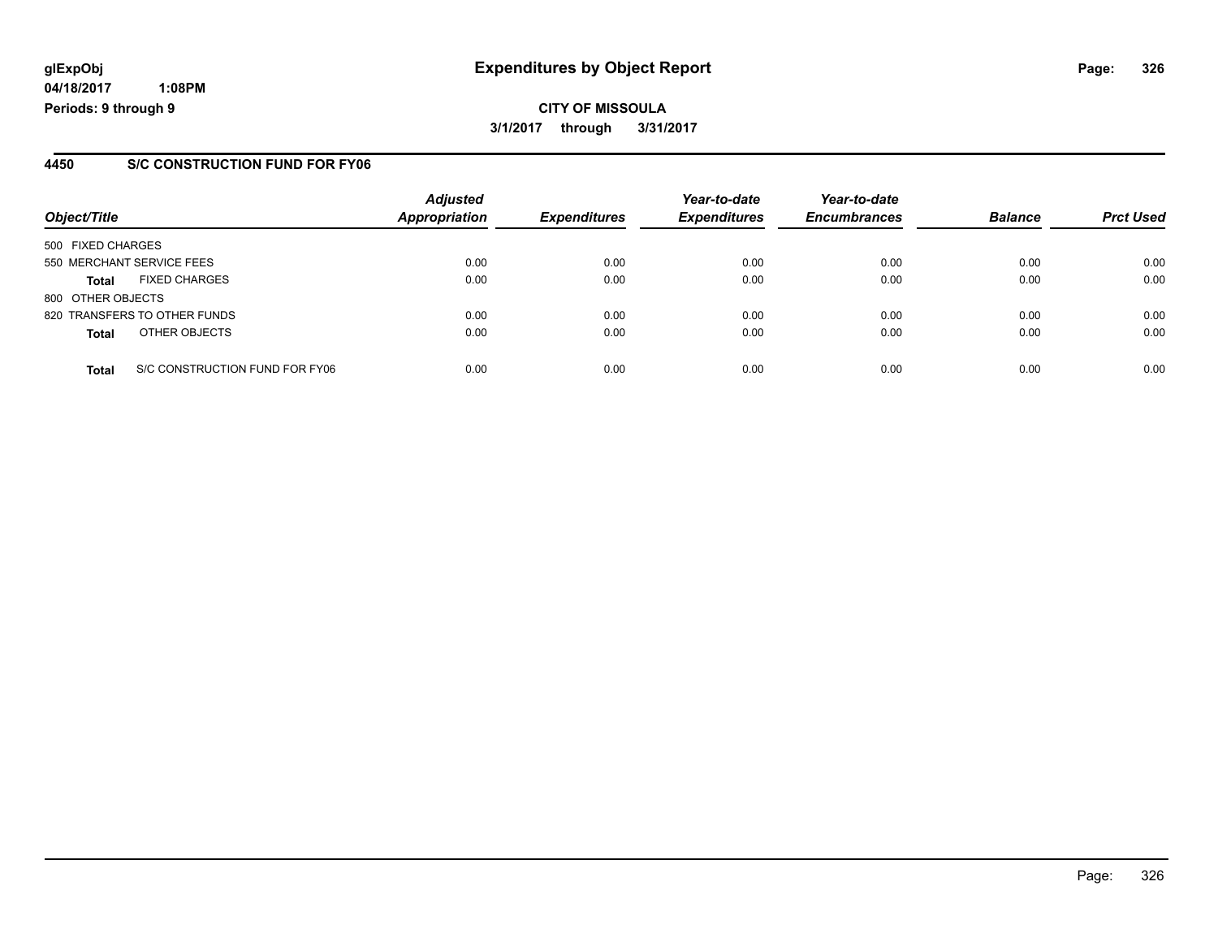**04/18/2017 1:08PM Periods: 9 through 9**

### **4450 S/C CONSTRUCTION FUND FOR FY06**

| Object/Title              |                                | <b>Adjusted</b><br><b>Appropriation</b> | <b>Expenditures</b> | Year-to-date<br><b>Expenditures</b> | Year-to-date<br><b>Encumbrances</b> | <b>Balance</b> | <b>Prct Used</b> |
|---------------------------|--------------------------------|-----------------------------------------|---------------------|-------------------------------------|-------------------------------------|----------------|------------------|
| 500 FIXED CHARGES         |                                |                                         |                     |                                     |                                     |                |                  |
| 550 MERCHANT SERVICE FEES |                                | 0.00                                    | 0.00                | 0.00                                | 0.00                                | 0.00           | 0.00             |
| <b>Total</b>              | <b>FIXED CHARGES</b>           | 0.00                                    | 0.00                | 0.00                                | 0.00                                | 0.00           | 0.00             |
| 800 OTHER OBJECTS         |                                |                                         |                     |                                     |                                     |                |                  |
|                           | 820 TRANSFERS TO OTHER FUNDS   | 0.00                                    | 0.00                | 0.00                                | 0.00                                | 0.00           | 0.00             |
| <b>Total</b>              | OTHER OBJECTS                  | 0.00                                    | 0.00                | 0.00                                | 0.00                                | 0.00           | 0.00             |
| <b>Total</b>              | S/C CONSTRUCTION FUND FOR FY06 | 0.00                                    | 0.00                | 0.00                                | 0.00                                | 0.00           | 0.00             |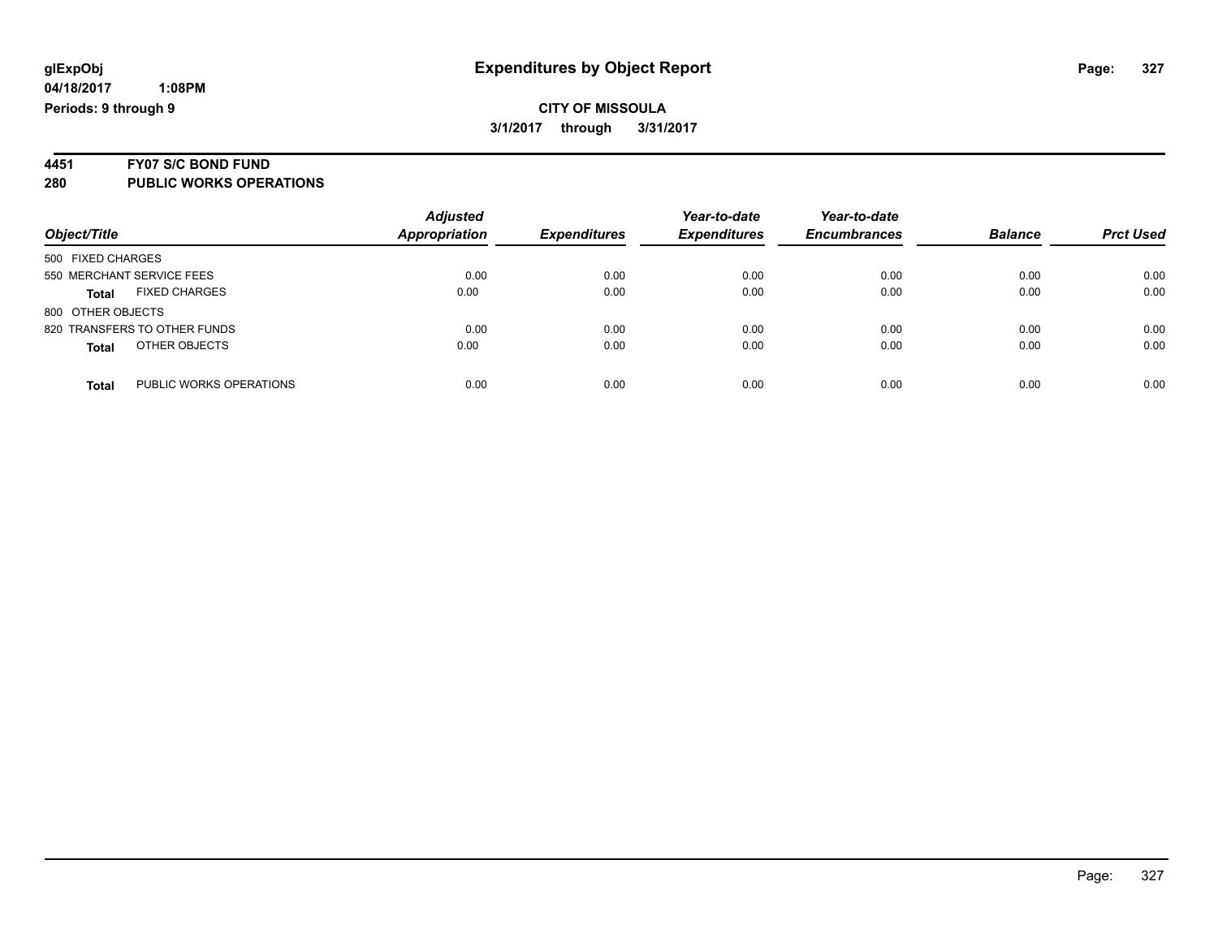# **CITY OF MISSOULA 3/1/2017 through 3/31/2017**

# **4451 FY07 S/C BOND FUND**

| Object/Title                         | <b>Adjusted</b><br>Appropriation | <b>Expenditures</b> | Year-to-date<br><b>Expenditures</b> | Year-to-date<br><b>Encumbrances</b> | <b>Balance</b> | <b>Prct Used</b> |
|--------------------------------------|----------------------------------|---------------------|-------------------------------------|-------------------------------------|----------------|------------------|
| 500 FIXED CHARGES                    |                                  |                     |                                     |                                     |                |                  |
| 550 MERCHANT SERVICE FEES            | 0.00                             | 0.00                | 0.00                                | 0.00                                | 0.00           | 0.00             |
| <b>FIXED CHARGES</b><br><b>Total</b> | 0.00                             | 0.00                | 0.00                                | 0.00                                | 0.00           | 0.00             |
| 800 OTHER OBJECTS                    |                                  |                     |                                     |                                     |                |                  |
| 820 TRANSFERS TO OTHER FUNDS         | 0.00                             | 0.00                | 0.00                                | 0.00                                | 0.00           | 0.00             |
| OTHER OBJECTS<br><b>Total</b>        | 0.00                             | 0.00                | 0.00                                | 0.00                                | 0.00           | 0.00             |
| PUBLIC WORKS OPERATIONS<br>Total     | 0.00                             | 0.00                | 0.00                                | 0.00                                | 0.00           | 0.00             |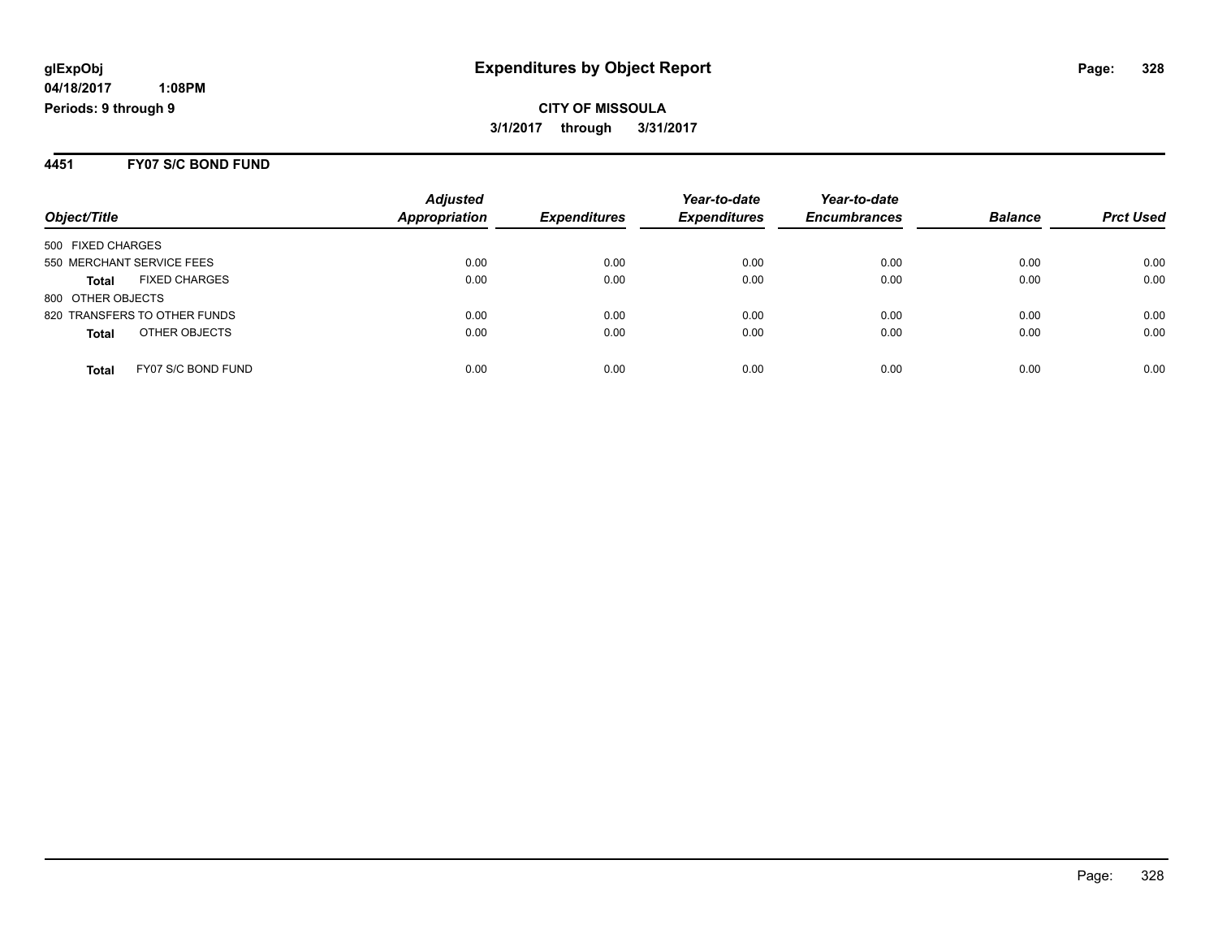**CITY OF MISSOULA 3/1/2017 through 3/31/2017**

#### **4451 FY07 S/C BOND FUND**

| Object/Title                         | <b>Adjusted</b><br>Appropriation | <b>Expenditures</b> | Year-to-date<br><b>Expenditures</b> | Year-to-date<br><b>Encumbrances</b> | <b>Balance</b> | <b>Prct Used</b> |
|--------------------------------------|----------------------------------|---------------------|-------------------------------------|-------------------------------------|----------------|------------------|
| 500 FIXED CHARGES                    |                                  |                     |                                     |                                     |                |                  |
| 550 MERCHANT SERVICE FEES            | 0.00                             | 0.00                | 0.00                                | 0.00                                | 0.00           | 0.00             |
| <b>FIXED CHARGES</b><br><b>Total</b> | 0.00                             | 0.00                | 0.00                                | 0.00                                | 0.00           | 0.00             |
| 800 OTHER OBJECTS                    |                                  |                     |                                     |                                     |                |                  |
| 820 TRANSFERS TO OTHER FUNDS         | 0.00                             | 0.00                | 0.00                                | 0.00                                | 0.00           | 0.00             |
| OTHER OBJECTS<br><b>Total</b>        | 0.00                             | 0.00                | 0.00                                | 0.00                                | 0.00           | 0.00             |
| FY07 S/C BOND FUND<br><b>Total</b>   | 0.00                             | 0.00                | 0.00                                | 0.00                                | 0.00           | 0.00             |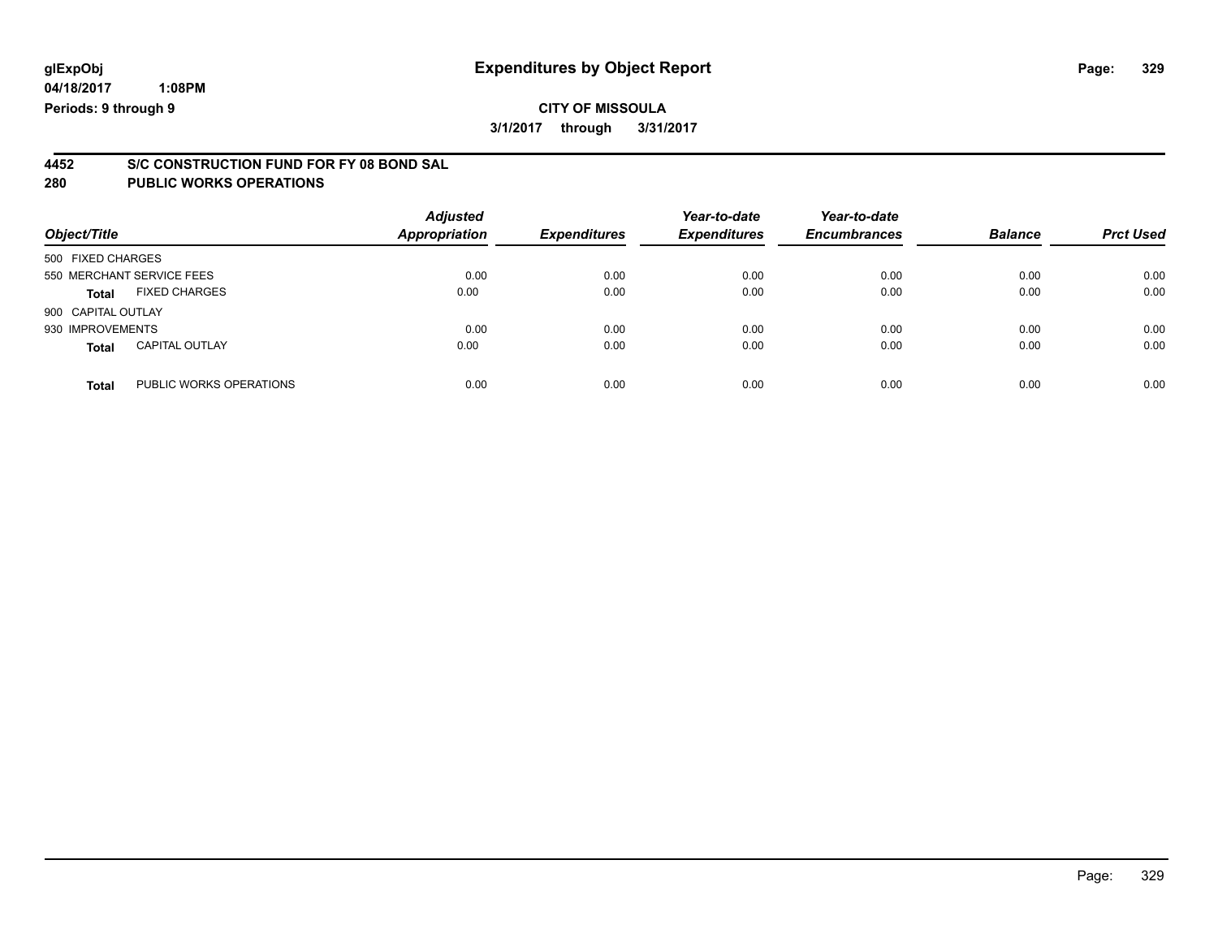# **CITY OF MISSOULA 3/1/2017 through 3/31/2017**

# **4452 S/C CONSTRUCTION FUND FOR FY 08 BOND SAL**

| Object/Title                            | <b>Adjusted</b><br><b>Appropriation</b> | <b>Expenditures</b> | Year-to-date<br><b>Expenditures</b> | Year-to-date<br><b>Encumbrances</b> | <b>Balance</b> | <b>Prct Used</b> |
|-----------------------------------------|-----------------------------------------|---------------------|-------------------------------------|-------------------------------------|----------------|------------------|
| 500 FIXED CHARGES                       |                                         |                     |                                     |                                     |                |                  |
| 550 MERCHANT SERVICE FEES               | 0.00                                    | 0.00                | 0.00                                | 0.00                                | 0.00           | 0.00             |
| <b>FIXED CHARGES</b><br><b>Total</b>    | 0.00                                    | 0.00                | 0.00                                | 0.00                                | 0.00           | 0.00             |
| 900 CAPITAL OUTLAY                      |                                         |                     |                                     |                                     |                |                  |
| 930 IMPROVEMENTS                        | 0.00                                    | 0.00                | 0.00                                | 0.00                                | 0.00           | 0.00             |
| <b>CAPITAL OUTLAY</b><br><b>Total</b>   | 0.00                                    | 0.00                | 0.00                                | 0.00                                | 0.00           | 0.00             |
| PUBLIC WORKS OPERATIONS<br><b>Total</b> | 0.00                                    | 0.00                | 0.00                                | 0.00                                | 0.00           | 0.00             |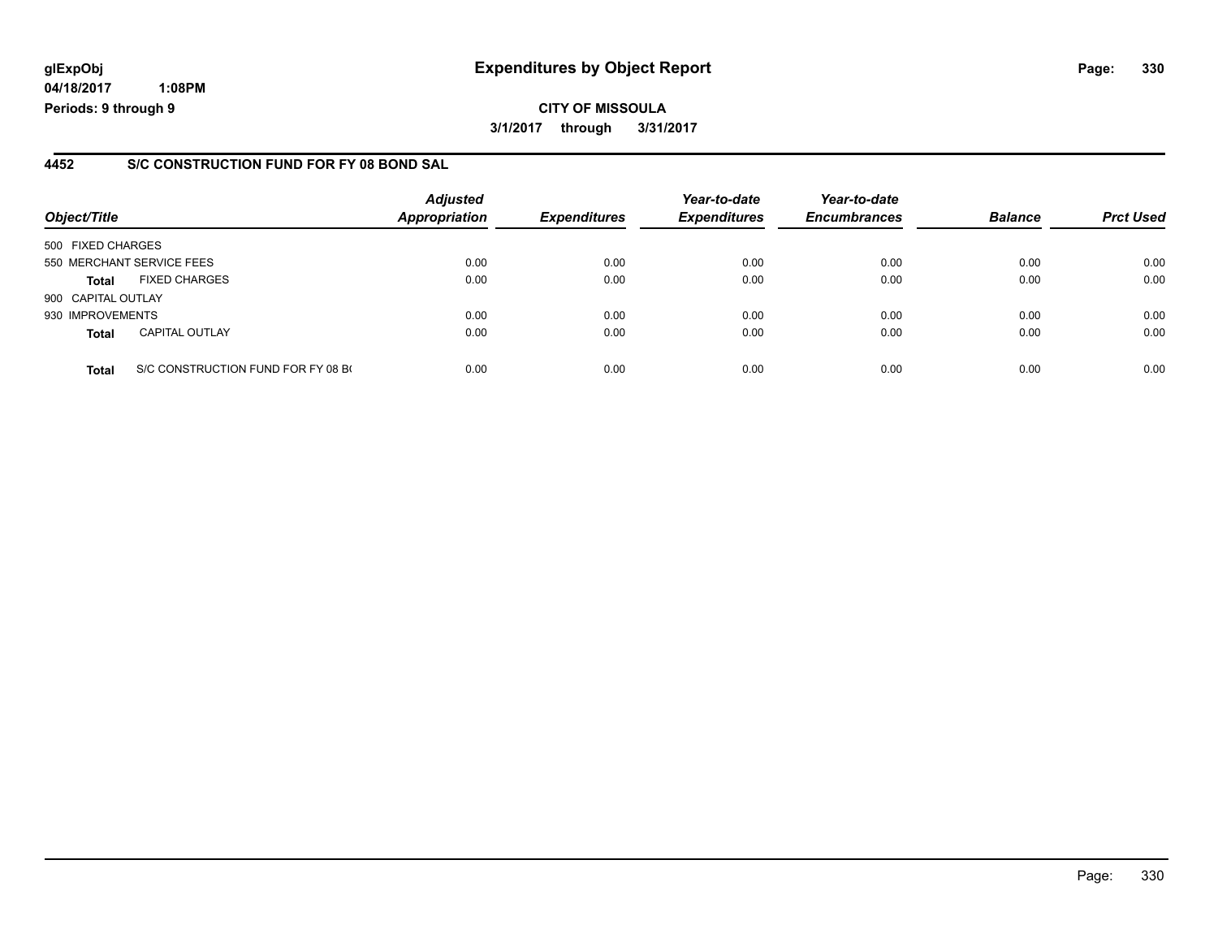**04/18/2017 1:08PM Periods: 9 through 9**

### **4452 S/C CONSTRUCTION FUND FOR FY 08 BOND SAL**

| Object/Title              |                                    | <b>Adjusted</b><br><b>Appropriation</b> | <b>Expenditures</b> | Year-to-date<br><b>Expenditures</b> | Year-to-date<br><b>Encumbrances</b> | <b>Balance</b> | <b>Prct Used</b> |
|---------------------------|------------------------------------|-----------------------------------------|---------------------|-------------------------------------|-------------------------------------|----------------|------------------|
| 500 FIXED CHARGES         |                                    |                                         |                     |                                     |                                     |                |                  |
| 550 MERCHANT SERVICE FEES |                                    | 0.00                                    | 0.00                | 0.00                                | 0.00                                | 0.00           | 0.00             |
| <b>Total</b>              | <b>FIXED CHARGES</b>               | 0.00                                    | 0.00                | 0.00                                | 0.00                                | 0.00           | 0.00             |
| 900 CAPITAL OUTLAY        |                                    |                                         |                     |                                     |                                     |                |                  |
| 930 IMPROVEMENTS          |                                    | 0.00                                    | 0.00                | 0.00                                | 0.00                                | 0.00           | 0.00             |
| <b>Total</b>              | <b>CAPITAL OUTLAY</b>              | 0.00                                    | 0.00                | 0.00                                | 0.00                                | 0.00           | 0.00             |
| <b>Total</b>              | S/C CONSTRUCTION FUND FOR FY 08 BO | 0.00                                    | 0.00                | 0.00                                | 0.00                                | 0.00           | 0.00             |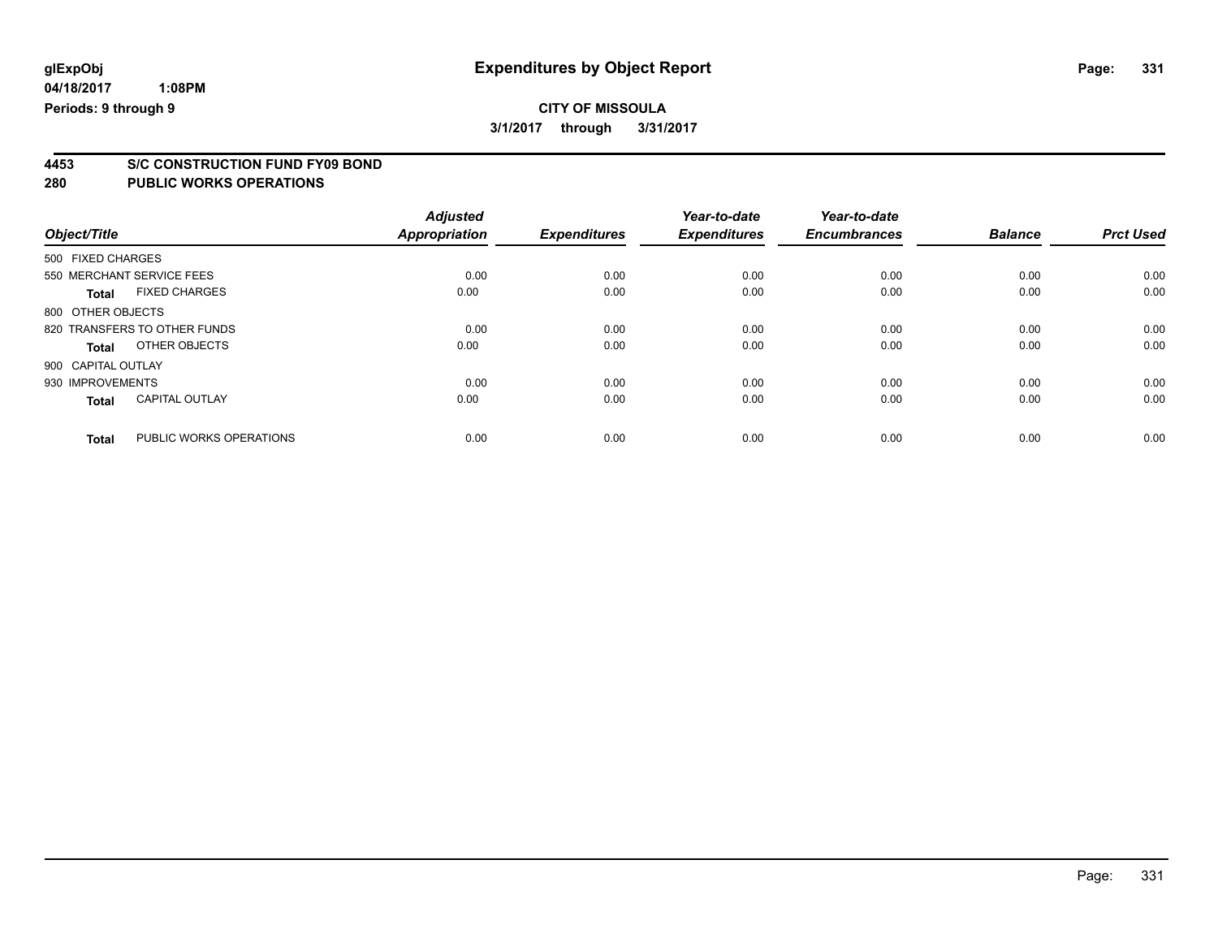**3/1/2017 through 3/31/2017**

# **4453 S/C CONSTRUCTION FUND FY09 BOND**

| Object/Title       |                              | <b>Adjusted</b><br><b>Appropriation</b> | <b>Expenditures</b> | Year-to-date<br><b>Expenditures</b> | Year-to-date<br><b>Encumbrances</b> | <b>Balance</b> | <b>Prct Used</b> |
|--------------------|------------------------------|-----------------------------------------|---------------------|-------------------------------------|-------------------------------------|----------------|------------------|
| 500 FIXED CHARGES  |                              |                                         |                     |                                     |                                     |                |                  |
|                    | 550 MERCHANT SERVICE FEES    | 0.00                                    | 0.00                | 0.00                                | 0.00                                | 0.00           | 0.00             |
| <b>Total</b>       | <b>FIXED CHARGES</b>         | 0.00                                    | 0.00                | 0.00                                | 0.00                                | 0.00           | 0.00             |
| 800 OTHER OBJECTS  |                              |                                         |                     |                                     |                                     |                |                  |
|                    | 820 TRANSFERS TO OTHER FUNDS | 0.00                                    | 0.00                | 0.00                                | 0.00                                | 0.00           | 0.00             |
| Total              | OTHER OBJECTS                | 0.00                                    | 0.00                | 0.00                                | 0.00                                | 0.00           | 0.00             |
| 900 CAPITAL OUTLAY |                              |                                         |                     |                                     |                                     |                |                  |
| 930 IMPROVEMENTS   |                              | 0.00                                    | 0.00                | 0.00                                | 0.00                                | 0.00           | 0.00             |
| <b>Total</b>       | <b>CAPITAL OUTLAY</b>        | 0.00                                    | 0.00                | 0.00                                | 0.00                                | 0.00           | 0.00             |
|                    |                              |                                         |                     |                                     |                                     |                |                  |
| <b>Total</b>       | PUBLIC WORKS OPERATIONS      | 0.00                                    | 0.00                | 0.00                                | 0.00                                | 0.00           | 0.00             |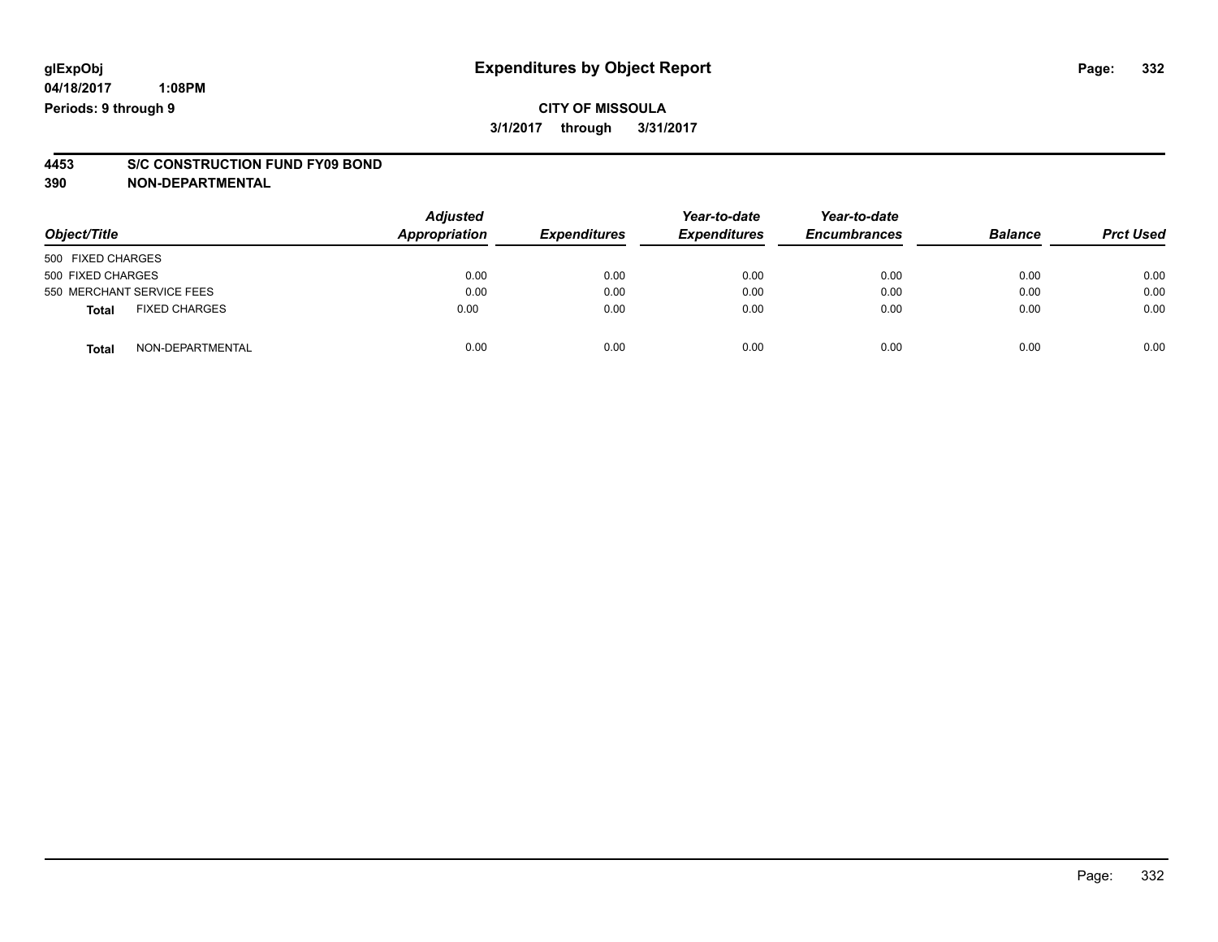# **CITY OF MISSOULA 3/1/2017 through 3/31/2017**

# **4453 S/C CONSTRUCTION FUND FY09 BOND**

**390 NON-DEPARTMENTAL**

| Object/Title                         | <b>Adjusted</b><br><b>Appropriation</b> | <b>Expenditures</b> | Year-to-date<br><b>Expenditures</b> | Year-to-date<br><b>Encumbrances</b> | <b>Balance</b> | <b>Prct Used</b> |
|--------------------------------------|-----------------------------------------|---------------------|-------------------------------------|-------------------------------------|----------------|------------------|
| 500 FIXED CHARGES                    |                                         |                     |                                     |                                     |                |                  |
| 500 FIXED CHARGES                    | 0.00                                    | 0.00                | 0.00                                | 0.00                                | 0.00           | 0.00             |
| 550 MERCHANT SERVICE FEES            | 0.00                                    | 0.00                | 0.00                                | 0.00                                | 0.00           | 0.00             |
| <b>FIXED CHARGES</b><br><b>Total</b> | 0.00                                    | 0.00                | 0.00                                | 0.00                                | 0.00           | 0.00             |
| NON-DEPARTMENTAL<br><b>Total</b>     | 0.00                                    | 0.00                | 0.00                                | 0.00                                | 0.00           | 0.00             |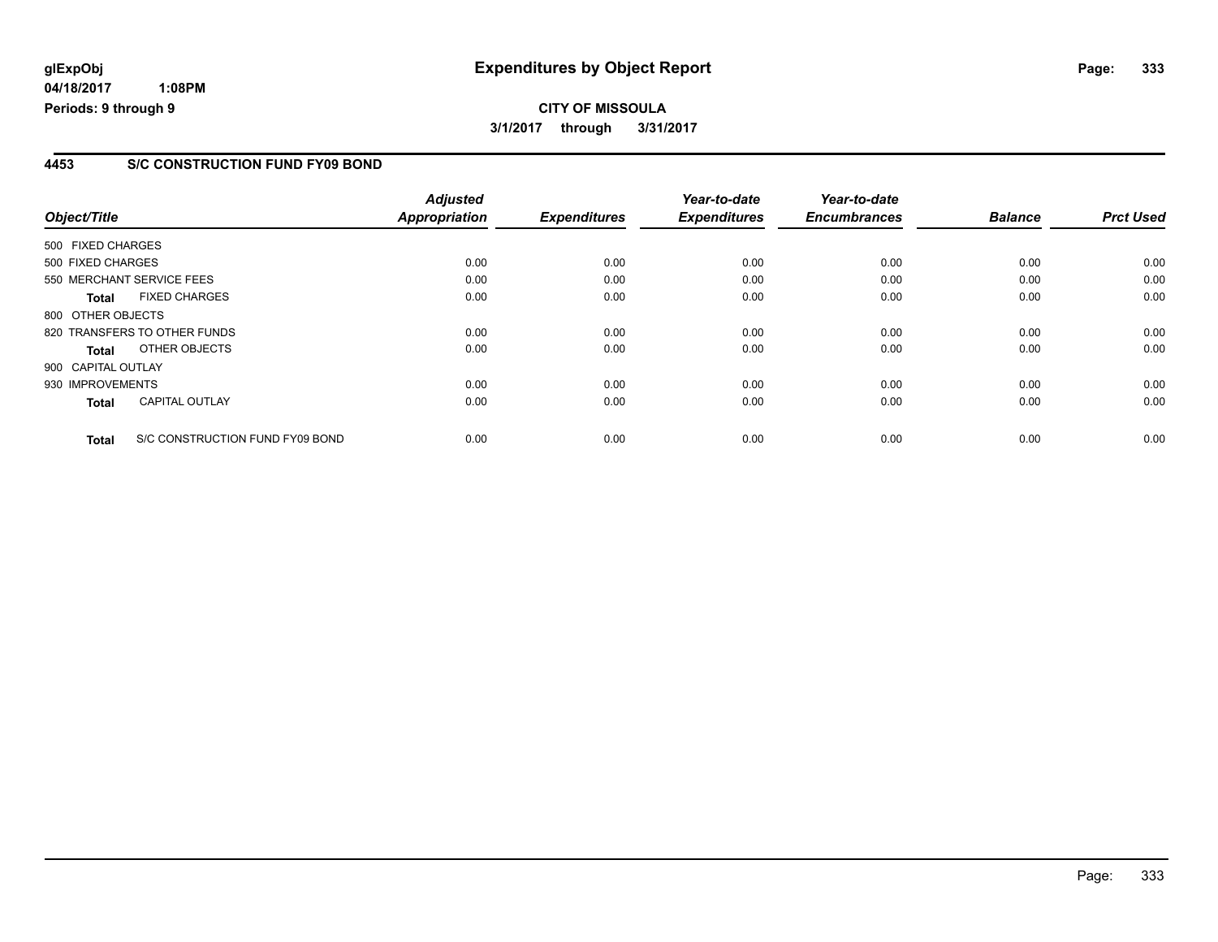**04/18/2017 1:08PM Periods: 9 through 9**

### **4453 S/C CONSTRUCTION FUND FY09 BOND**

| Object/Title                                    | <b>Adjusted</b><br><b>Appropriation</b> | <b>Expenditures</b> | Year-to-date<br><b>Expenditures</b> | Year-to-date<br><b>Encumbrances</b> | <b>Balance</b> | <b>Prct Used</b> |
|-------------------------------------------------|-----------------------------------------|---------------------|-------------------------------------|-------------------------------------|----------------|------------------|
|                                                 |                                         |                     |                                     |                                     |                |                  |
| 500 FIXED CHARGES                               |                                         |                     |                                     |                                     |                |                  |
| 500 FIXED CHARGES                               | 0.00                                    | 0.00                | 0.00                                | 0.00                                | 0.00           | 0.00             |
| 550 MERCHANT SERVICE FEES                       | 0.00                                    | 0.00                | 0.00                                | 0.00                                | 0.00           | 0.00             |
| <b>FIXED CHARGES</b><br><b>Total</b>            | 0.00                                    | 0.00                | 0.00                                | 0.00                                | 0.00           | 0.00             |
| 800 OTHER OBJECTS                               |                                         |                     |                                     |                                     |                |                  |
| 820 TRANSFERS TO OTHER FUNDS                    | 0.00                                    | 0.00                | 0.00                                | 0.00                                | 0.00           | 0.00             |
| OTHER OBJECTS<br>Total                          | 0.00                                    | 0.00                | 0.00                                | 0.00                                | 0.00           | 0.00             |
| 900 CAPITAL OUTLAY                              |                                         |                     |                                     |                                     |                |                  |
| 930 IMPROVEMENTS                                | 0.00                                    | 0.00                | 0.00                                | 0.00                                | 0.00           | 0.00             |
| <b>CAPITAL OUTLAY</b><br><b>Total</b>           | 0.00                                    | 0.00                | 0.00                                | 0.00                                | 0.00           | 0.00             |
| S/C CONSTRUCTION FUND FY09 BOND<br><b>Total</b> | 0.00                                    | 0.00                | 0.00                                | 0.00                                | 0.00           | 0.00             |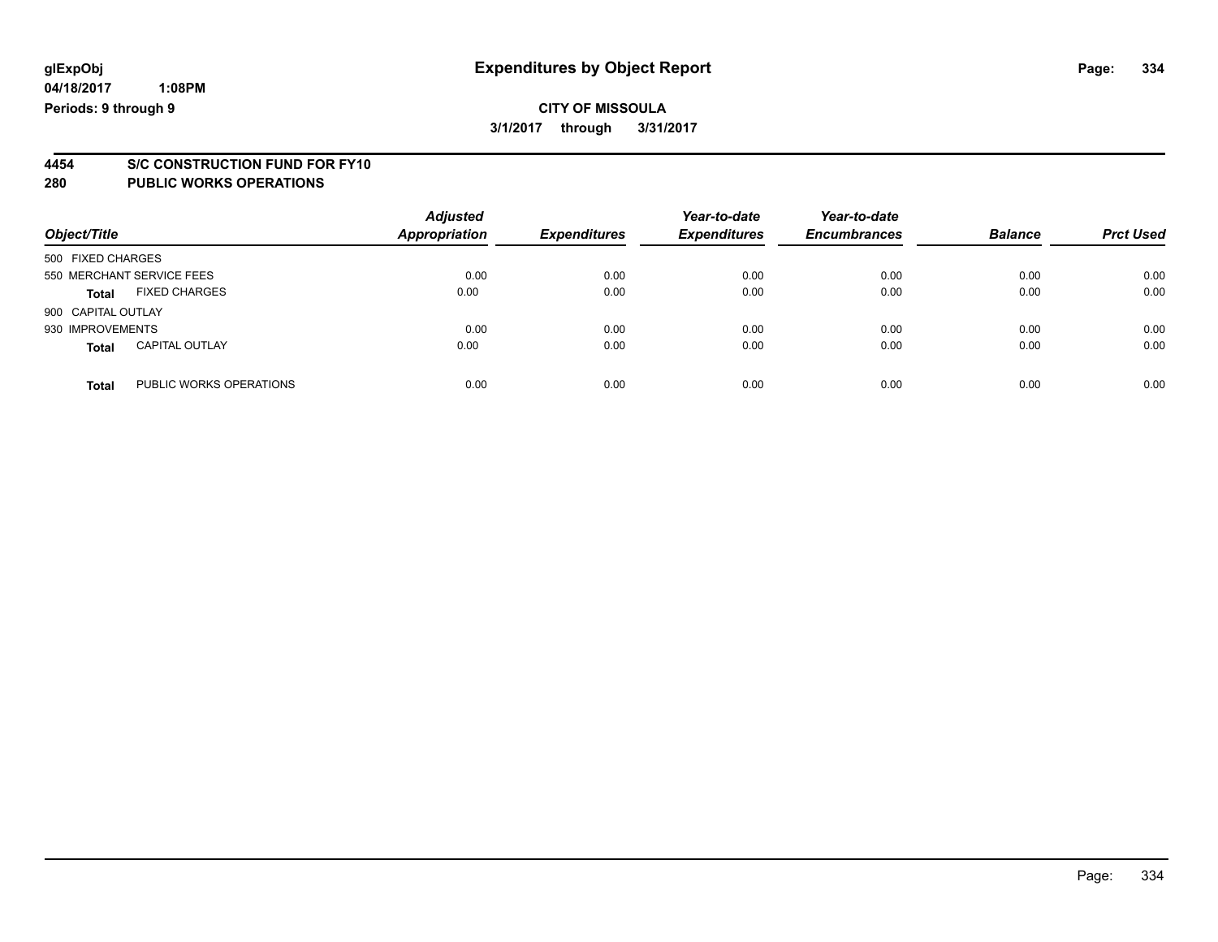# **4454 S/C CONSTRUCTION FUND FOR FY10**

| Object/Title       |                           | <b>Adjusted</b><br><b>Appropriation</b> | <b>Expenditures</b> | Year-to-date<br><b>Expenditures</b> | Year-to-date<br><b>Encumbrances</b> | <b>Balance</b> | <b>Prct Used</b> |
|--------------------|---------------------------|-----------------------------------------|---------------------|-------------------------------------|-------------------------------------|----------------|------------------|
| 500 FIXED CHARGES  |                           |                                         |                     |                                     |                                     |                |                  |
|                    | 550 MERCHANT SERVICE FEES | 0.00                                    | 0.00                | 0.00                                | 0.00                                | 0.00           | 0.00             |
| <b>Total</b>       | <b>FIXED CHARGES</b>      | 0.00                                    | 0.00                | 0.00                                | 0.00                                | 0.00           | 0.00             |
| 900 CAPITAL OUTLAY |                           |                                         |                     |                                     |                                     |                |                  |
| 930 IMPROVEMENTS   |                           | 0.00                                    | 0.00                | 0.00                                | 0.00                                | 0.00           | 0.00             |
| <b>Total</b>       | <b>CAPITAL OUTLAY</b>     | 0.00                                    | 0.00                | 0.00                                | 0.00                                | 0.00           | 0.00             |
| <b>Total</b>       | PUBLIC WORKS OPERATIONS   | 0.00                                    | 0.00                | 0.00                                | 0.00                                | 0.00           | 0.00             |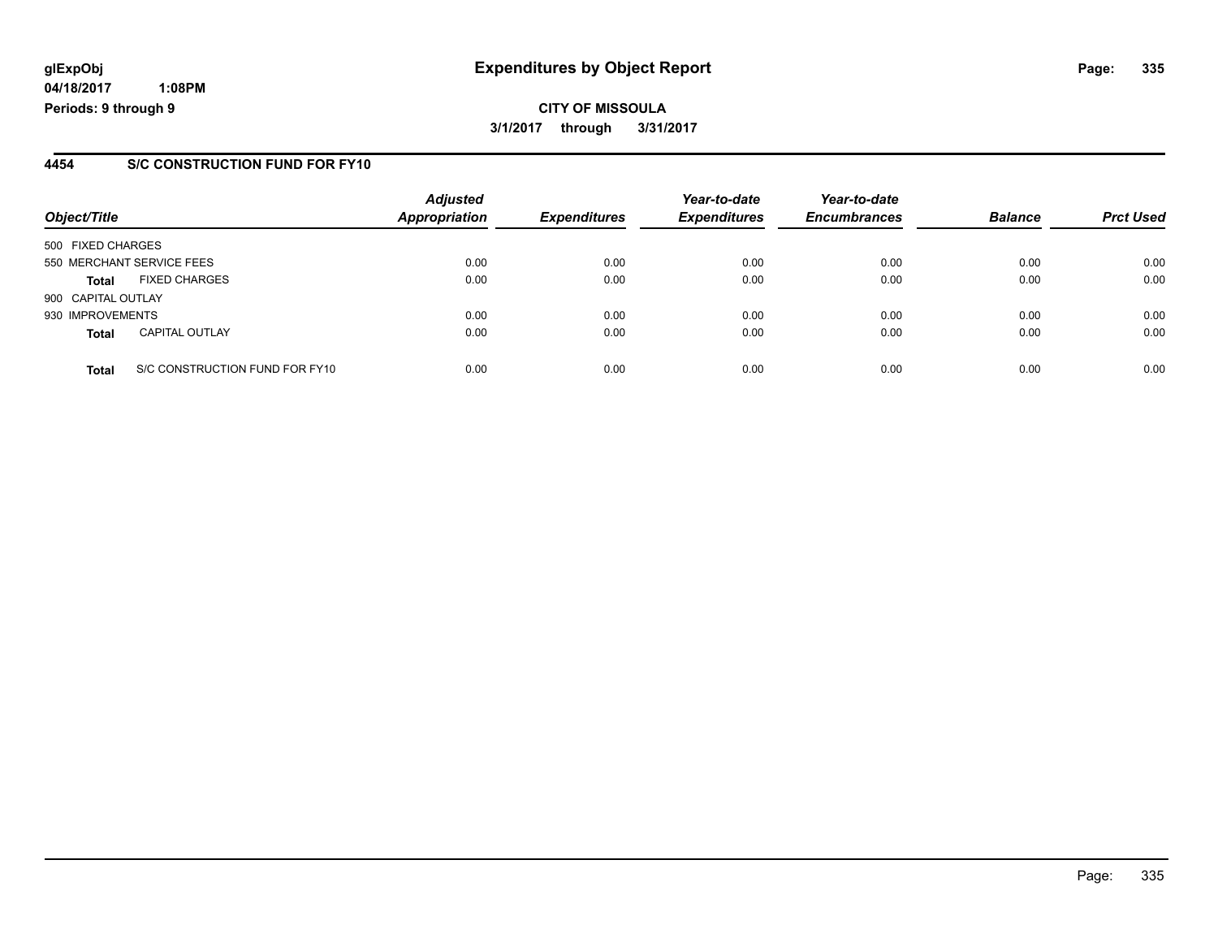**04/18/2017 1:08PM Periods: 9 through 9**

### **4454 S/C CONSTRUCTION FUND FOR FY10**

| Object/Title       |                                | <b>Adjusted</b><br><b>Appropriation</b> | <b>Expenditures</b> | Year-to-date<br><b>Expenditures</b> | Year-to-date<br><b>Encumbrances</b> | <b>Balance</b> | <b>Prct Used</b> |
|--------------------|--------------------------------|-----------------------------------------|---------------------|-------------------------------------|-------------------------------------|----------------|------------------|
| 500 FIXED CHARGES  |                                |                                         |                     |                                     |                                     |                |                  |
|                    | 550 MERCHANT SERVICE FEES      | 0.00                                    | 0.00                | 0.00                                | 0.00                                | 0.00           | 0.00             |
| <b>Total</b>       | <b>FIXED CHARGES</b>           | 0.00                                    | 0.00                | 0.00                                | 0.00                                | 0.00           | 0.00             |
| 900 CAPITAL OUTLAY |                                |                                         |                     |                                     |                                     |                |                  |
| 930 IMPROVEMENTS   |                                | 0.00                                    | 0.00                | 0.00                                | 0.00                                | 0.00           | 0.00             |
| <b>Total</b>       | <b>CAPITAL OUTLAY</b>          | 0.00                                    | 0.00                | 0.00                                | 0.00                                | 0.00           | 0.00             |
| <b>Total</b>       | S/C CONSTRUCTION FUND FOR FY10 | 0.00                                    | 0.00                | 0.00                                | 0.00                                | 0.00           | 0.00             |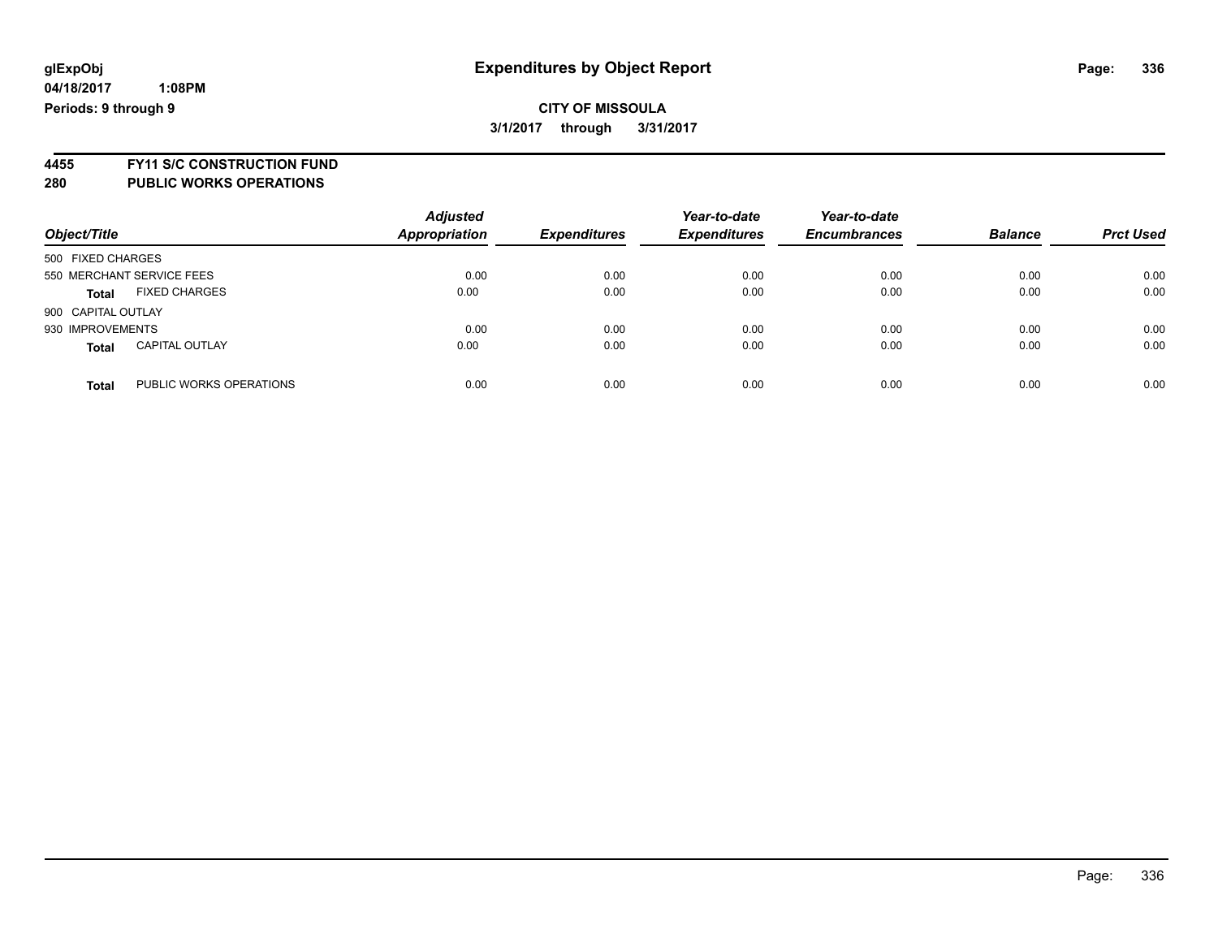# **CITY OF MISSOULA 3/1/2017 through 3/31/2017**

**4455 FY11 S/C CONSTRUCTION FUND 280 PUBLIC WORKS OPERATIONS**

| Object/Title                            | <b>Adjusted</b><br><b>Appropriation</b> | <b>Expenditures</b> | Year-to-date<br><b>Expenditures</b> | Year-to-date<br><b>Encumbrances</b> | <b>Balance</b> | <b>Prct Used</b> |
|-----------------------------------------|-----------------------------------------|---------------------|-------------------------------------|-------------------------------------|----------------|------------------|
| 500 FIXED CHARGES                       |                                         |                     |                                     |                                     |                |                  |
| 550 MERCHANT SERVICE FEES               | 0.00                                    | 0.00                | 0.00                                | 0.00                                | 0.00           | 0.00             |
| <b>FIXED CHARGES</b><br><b>Total</b>    | 0.00                                    | 0.00                | 0.00                                | 0.00                                | 0.00           | 0.00             |
| 900 CAPITAL OUTLAY                      |                                         |                     |                                     |                                     |                |                  |
| 930 IMPROVEMENTS                        | 0.00                                    | 0.00                | 0.00                                | 0.00                                | 0.00           | 0.00             |
| <b>CAPITAL OUTLAY</b><br><b>Total</b>   | 0.00                                    | 0.00                | 0.00                                | 0.00                                | 0.00           | 0.00             |
| PUBLIC WORKS OPERATIONS<br><b>Total</b> | 0.00                                    | 0.00                | 0.00                                | 0.00                                | 0.00           | 0.00             |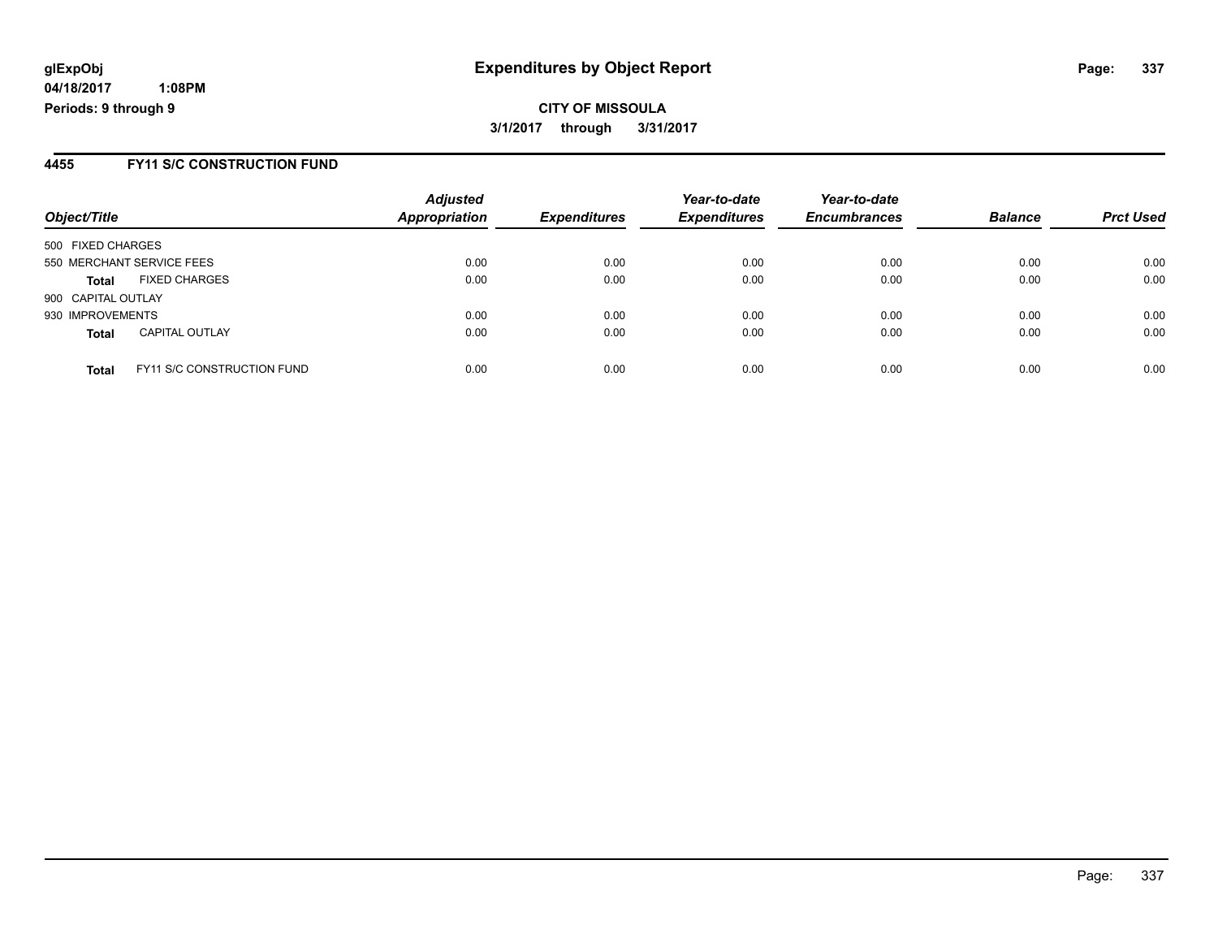**04/18/2017 1:08PM Periods: 9 through 9**

### **4455 FY11 S/C CONSTRUCTION FUND**

| Object/Title       |                                   | <b>Adjusted</b><br>Appropriation | <b>Expenditures</b> | Year-to-date<br><b>Expenditures</b> | Year-to-date<br><b>Encumbrances</b> | <b>Balance</b> | <b>Prct Used</b> |
|--------------------|-----------------------------------|----------------------------------|---------------------|-------------------------------------|-------------------------------------|----------------|------------------|
| 500 FIXED CHARGES  |                                   |                                  |                     |                                     |                                     |                |                  |
|                    | 550 MERCHANT SERVICE FEES         | 0.00                             | 0.00                | 0.00                                | 0.00                                | 0.00           | 0.00             |
| <b>Total</b>       | <b>FIXED CHARGES</b>              | 0.00                             | 0.00                | 0.00                                | 0.00                                | 0.00           | 0.00             |
| 900 CAPITAL OUTLAY |                                   |                                  |                     |                                     |                                     |                |                  |
| 930 IMPROVEMENTS   |                                   | 0.00                             | 0.00                | 0.00                                | 0.00                                | 0.00           | 0.00             |
| <b>Total</b>       | <b>CAPITAL OUTLAY</b>             | 0.00                             | 0.00                | 0.00                                | 0.00                                | 0.00           | 0.00             |
| <b>Total</b>       | <b>FY11 S/C CONSTRUCTION FUND</b> | 0.00                             | 0.00                | 0.00                                | 0.00                                | 0.00           | 0.00             |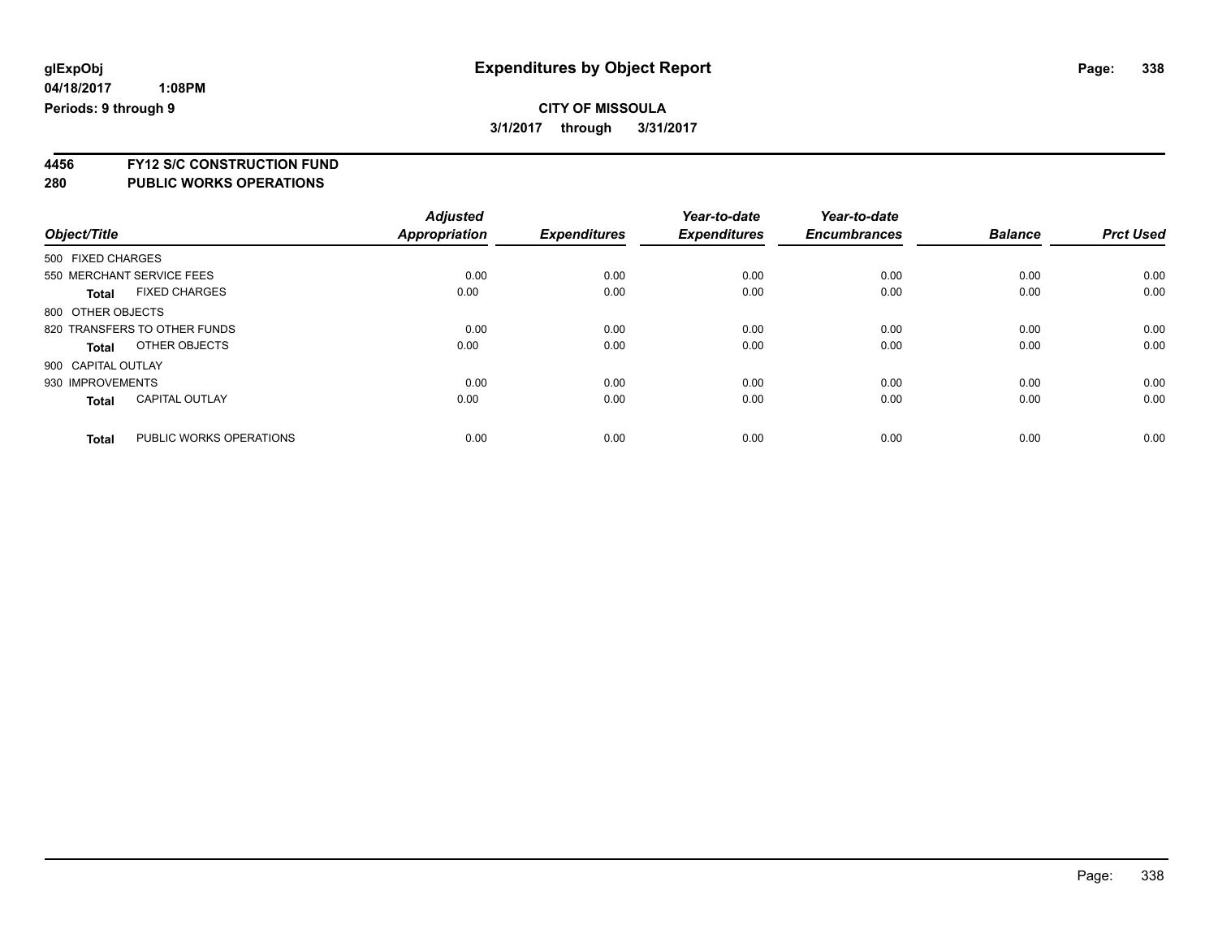**4456 FY12 S/C CONSTRUCTION FUND**

| Object/Title       |                              | <b>Adjusted</b><br><b>Appropriation</b> | <b>Expenditures</b> | Year-to-date<br><b>Expenditures</b> | Year-to-date<br><b>Encumbrances</b> | <b>Balance</b> | <b>Prct Used</b> |
|--------------------|------------------------------|-----------------------------------------|---------------------|-------------------------------------|-------------------------------------|----------------|------------------|
| 500 FIXED CHARGES  |                              |                                         |                     |                                     |                                     |                |                  |
|                    |                              |                                         |                     |                                     |                                     |                |                  |
|                    | 550 MERCHANT SERVICE FEES    | 0.00                                    | 0.00                | 0.00                                | 0.00                                | 0.00           | 0.00             |
| <b>Total</b>       | <b>FIXED CHARGES</b>         | 0.00                                    | 0.00                | 0.00                                | 0.00                                | 0.00           | 0.00             |
| 800 OTHER OBJECTS  |                              |                                         |                     |                                     |                                     |                |                  |
|                    | 820 TRANSFERS TO OTHER FUNDS | 0.00                                    | 0.00                | 0.00                                | 0.00                                | 0.00           | 0.00             |
| Total              | OTHER OBJECTS                | 0.00                                    | 0.00                | 0.00                                | 0.00                                | 0.00           | 0.00             |
| 900 CAPITAL OUTLAY |                              |                                         |                     |                                     |                                     |                |                  |
| 930 IMPROVEMENTS   |                              | 0.00                                    | 0.00                | 0.00                                | 0.00                                | 0.00           | 0.00             |
| <b>Total</b>       | <b>CAPITAL OUTLAY</b>        | 0.00                                    | 0.00                | 0.00                                | 0.00                                | 0.00           | 0.00             |
|                    |                              |                                         |                     |                                     |                                     |                |                  |
| <b>Total</b>       | PUBLIC WORKS OPERATIONS      | 0.00                                    | 0.00                | 0.00                                | 0.00                                | 0.00           | 0.00             |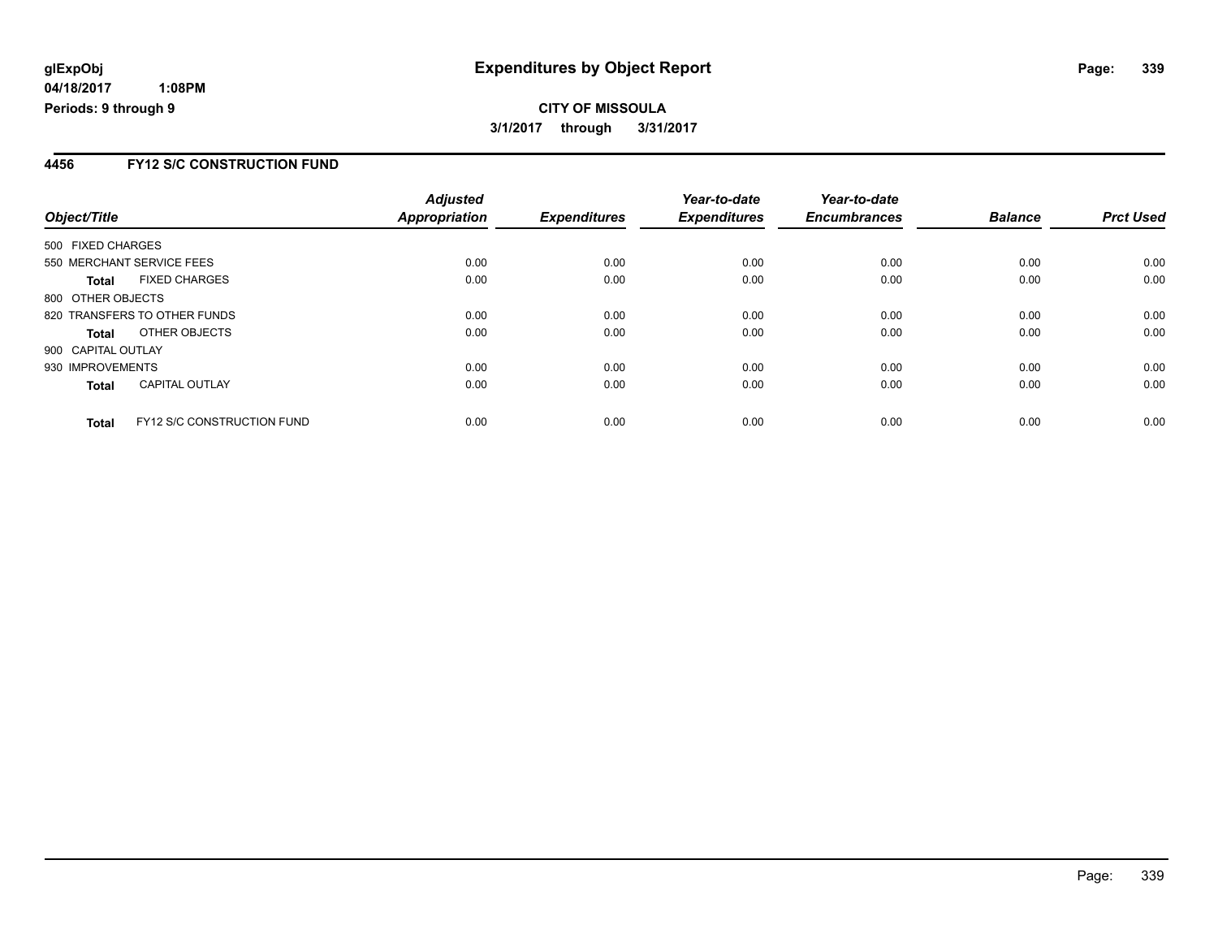# **CITY OF MISSOULA 3/1/2017 through 3/31/2017**

### **4456 FY12 S/C CONSTRUCTION FUND**

| Object/Title       |                                   | <b>Adjusted</b><br><b>Appropriation</b> | <b>Expenditures</b> | Year-to-date<br><b>Expenditures</b> | Year-to-date<br><b>Encumbrances</b> | <b>Balance</b> | <b>Prct Used</b> |
|--------------------|-----------------------------------|-----------------------------------------|---------------------|-------------------------------------|-------------------------------------|----------------|------------------|
| 500 FIXED CHARGES  |                                   |                                         |                     |                                     |                                     |                |                  |
|                    | 550 MERCHANT SERVICE FEES         | 0.00                                    | 0.00                | 0.00                                | 0.00                                | 0.00           | 0.00             |
| Total              | <b>FIXED CHARGES</b>              | 0.00                                    | 0.00                | 0.00                                | 0.00                                | 0.00           | 0.00             |
| 800 OTHER OBJECTS  |                                   |                                         |                     |                                     |                                     |                |                  |
|                    | 820 TRANSFERS TO OTHER FUNDS      | 0.00                                    | 0.00                | 0.00                                | 0.00                                | 0.00           | 0.00             |
| <b>Total</b>       | OTHER OBJECTS                     | 0.00                                    | 0.00                | 0.00                                | 0.00                                | 0.00           | 0.00             |
| 900 CAPITAL OUTLAY |                                   |                                         |                     |                                     |                                     |                |                  |
| 930 IMPROVEMENTS   |                                   | 0.00                                    | 0.00                | 0.00                                | 0.00                                | 0.00           | 0.00             |
| <b>Total</b>       | <b>CAPITAL OUTLAY</b>             | 0.00                                    | 0.00                | 0.00                                | 0.00                                | 0.00           | 0.00             |
| <b>Total</b>       | <b>FY12 S/C CONSTRUCTION FUND</b> | 0.00                                    | 0.00                | 0.00                                | 0.00                                | 0.00           | 0.00             |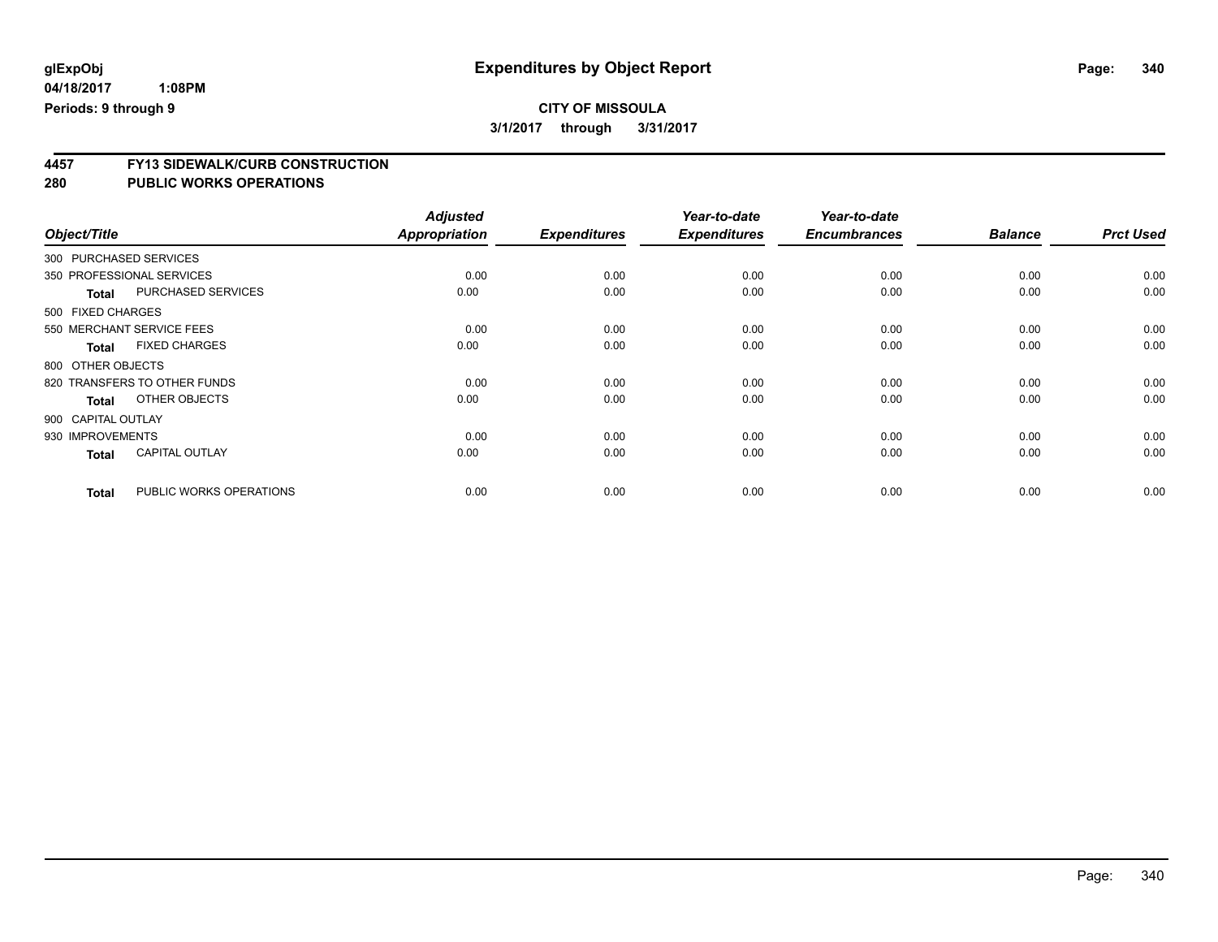**3/1/2017 through 3/31/2017**

# **4457 FY13 SIDEWALK/CURB CONSTRUCTION**

|                        |                              | <b>Adjusted</b>      |                     | Year-to-date        | Year-to-date        |                |                  |
|------------------------|------------------------------|----------------------|---------------------|---------------------|---------------------|----------------|------------------|
| Object/Title           |                              | <b>Appropriation</b> | <b>Expenditures</b> | <b>Expenditures</b> | <b>Encumbrances</b> | <b>Balance</b> | <b>Prct Used</b> |
| 300 PURCHASED SERVICES |                              |                      |                     |                     |                     |                |                  |
|                        | 350 PROFESSIONAL SERVICES    | 0.00                 | 0.00                | 0.00                | 0.00                | 0.00           | 0.00             |
| <b>Total</b>           | <b>PURCHASED SERVICES</b>    | 0.00                 | 0.00                | 0.00                | 0.00                | 0.00           | 0.00             |
| 500 FIXED CHARGES      |                              |                      |                     |                     |                     |                |                  |
|                        | 550 MERCHANT SERVICE FEES    | 0.00                 | 0.00                | 0.00                | 0.00                | 0.00           | 0.00             |
| <b>Total</b>           | <b>FIXED CHARGES</b>         | 0.00                 | 0.00                | 0.00                | 0.00                | 0.00           | 0.00             |
| 800 OTHER OBJECTS      |                              |                      |                     |                     |                     |                |                  |
|                        | 820 TRANSFERS TO OTHER FUNDS | 0.00                 | 0.00                | 0.00                | 0.00                | 0.00           | 0.00             |
| <b>Total</b>           | OTHER OBJECTS                | 0.00                 | 0.00                | 0.00                | 0.00                | 0.00           | 0.00             |
| 900 CAPITAL OUTLAY     |                              |                      |                     |                     |                     |                |                  |
| 930 IMPROVEMENTS       |                              | 0.00                 | 0.00                | 0.00                | 0.00                | 0.00           | 0.00             |
| <b>Total</b>           | <b>CAPITAL OUTLAY</b>        | 0.00                 | 0.00                | 0.00                | 0.00                | 0.00           | 0.00             |
| <b>Total</b>           | PUBLIC WORKS OPERATIONS      | 0.00                 | 0.00                | 0.00                | 0.00                | 0.00           | 0.00             |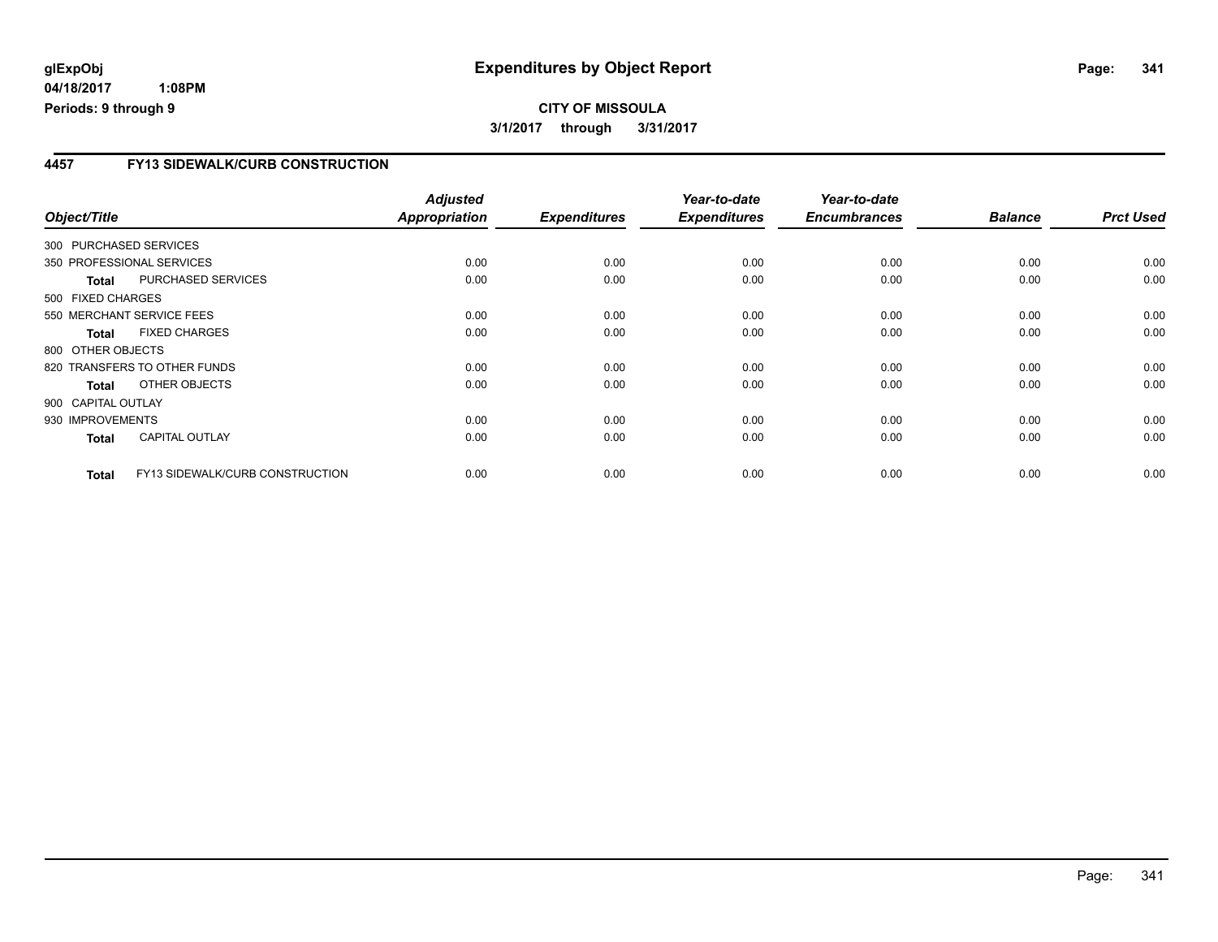**04/18/2017 1:08PM Periods: 9 through 9**

# **CITY OF MISSOULA 3/1/2017 through 3/31/2017**

### **4457 FY13 SIDEWALK/CURB CONSTRUCTION**

| Object/Title           |                                 | <b>Adjusted</b><br><b>Appropriation</b> | <b>Expenditures</b> | Year-to-date<br><b>Expenditures</b> | Year-to-date<br><b>Encumbrances</b> | <b>Balance</b> | <b>Prct Used</b> |
|------------------------|---------------------------------|-----------------------------------------|---------------------|-------------------------------------|-------------------------------------|----------------|------------------|
| 300 PURCHASED SERVICES |                                 |                                         |                     |                                     |                                     |                |                  |
|                        | 350 PROFESSIONAL SERVICES       | 0.00                                    | 0.00                | 0.00                                | 0.00                                | 0.00           | 0.00             |
| <b>Total</b>           | PURCHASED SERVICES              | 0.00                                    | 0.00                | 0.00                                | 0.00                                | 0.00           | 0.00             |
| 500 FIXED CHARGES      |                                 |                                         |                     |                                     |                                     |                |                  |
|                        | 550 MERCHANT SERVICE FEES       | 0.00                                    | 0.00                | 0.00                                | 0.00                                | 0.00           | 0.00             |
| <b>Total</b>           | <b>FIXED CHARGES</b>            | 0.00                                    | 0.00                | 0.00                                | 0.00                                | 0.00           | 0.00             |
| 800 OTHER OBJECTS      |                                 |                                         |                     |                                     |                                     |                |                  |
|                        | 820 TRANSFERS TO OTHER FUNDS    | 0.00                                    | 0.00                | 0.00                                | 0.00                                | 0.00           | 0.00             |
| <b>Total</b>           | OTHER OBJECTS                   | 0.00                                    | 0.00                | 0.00                                | 0.00                                | 0.00           | 0.00             |
| 900 CAPITAL OUTLAY     |                                 |                                         |                     |                                     |                                     |                |                  |
| 930 IMPROVEMENTS       |                                 | 0.00                                    | 0.00                | 0.00                                | 0.00                                | 0.00           | 0.00             |
| <b>Total</b>           | <b>CAPITAL OUTLAY</b>           | 0.00                                    | 0.00                | 0.00                                | 0.00                                | 0.00           | 0.00             |
| <b>Total</b>           | FY13 SIDEWALK/CURB CONSTRUCTION | 0.00                                    | 0.00                | 0.00                                | 0.00                                | 0.00           | 0.00             |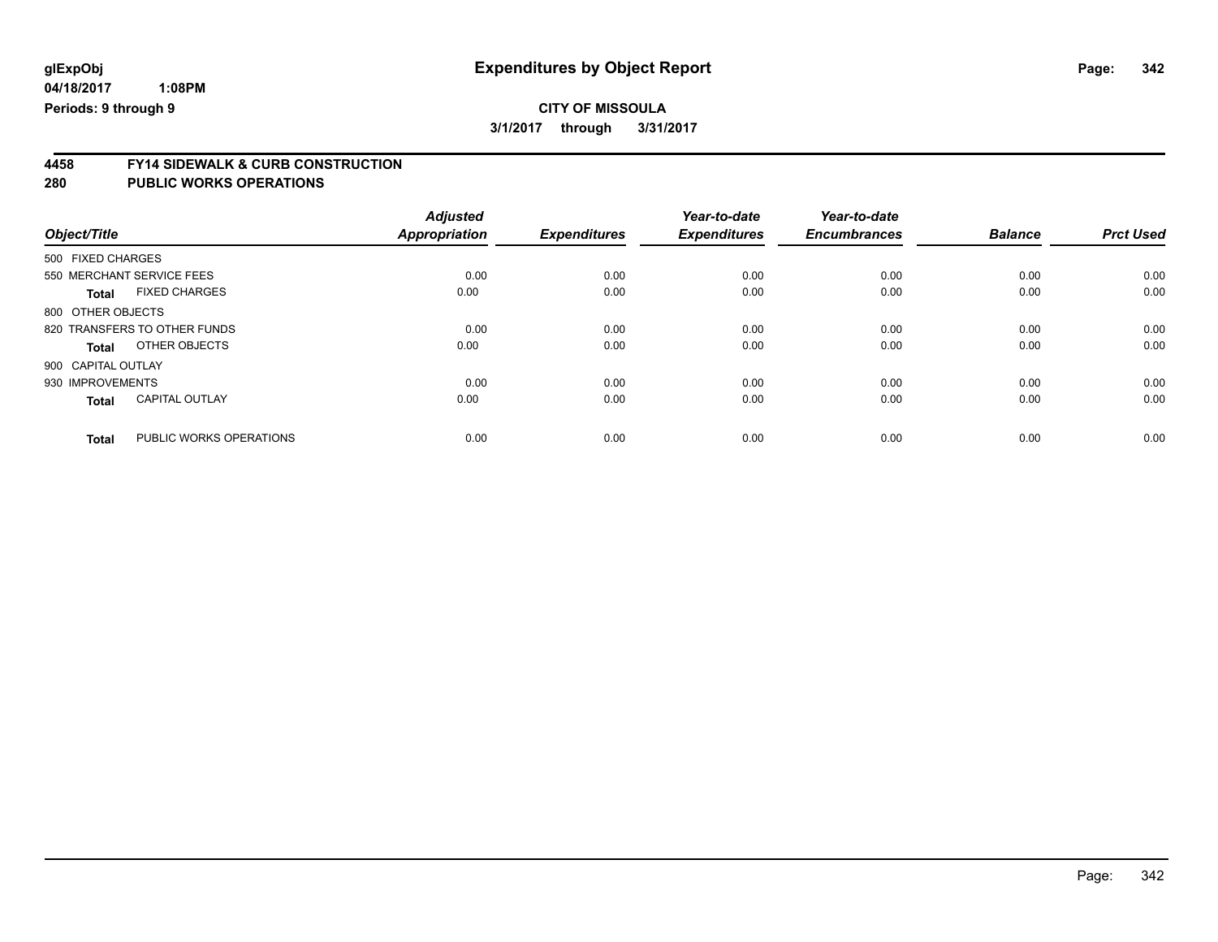**3/1/2017 through 3/31/2017**

# **4458 FY14 SIDEWALK & CURB CONSTRUCTION**

| Object/Title       |                              | <b>Adjusted</b><br><b>Appropriation</b> | <b>Expenditures</b> | Year-to-date<br><b>Expenditures</b> | Year-to-date<br><b>Encumbrances</b> | <b>Balance</b> | <b>Prct Used</b> |
|--------------------|------------------------------|-----------------------------------------|---------------------|-------------------------------------|-------------------------------------|----------------|------------------|
| 500 FIXED CHARGES  |                              |                                         |                     |                                     |                                     |                |                  |
|                    | 550 MERCHANT SERVICE FEES    | 0.00                                    | 0.00                | 0.00                                | 0.00                                | 0.00           | 0.00             |
| <b>Total</b>       | <b>FIXED CHARGES</b>         | 0.00                                    | 0.00                | 0.00                                | 0.00                                | 0.00           | 0.00             |
| 800 OTHER OBJECTS  |                              |                                         |                     |                                     |                                     |                |                  |
|                    | 820 TRANSFERS TO OTHER FUNDS | 0.00                                    | 0.00                | 0.00                                | 0.00                                | 0.00           | 0.00             |
| <b>Total</b>       | OTHER OBJECTS                | 0.00                                    | 0.00                | 0.00                                | 0.00                                | 0.00           | 0.00             |
| 900 CAPITAL OUTLAY |                              |                                         |                     |                                     |                                     |                |                  |
| 930 IMPROVEMENTS   |                              | 0.00                                    | 0.00                | 0.00                                | 0.00                                | 0.00           | 0.00             |
| <b>Total</b>       | <b>CAPITAL OUTLAY</b>        | 0.00                                    | 0.00                | 0.00                                | 0.00                                | 0.00           | 0.00             |
| <b>Total</b>       | PUBLIC WORKS OPERATIONS      | 0.00                                    | 0.00                | 0.00                                | 0.00                                | 0.00           | 0.00             |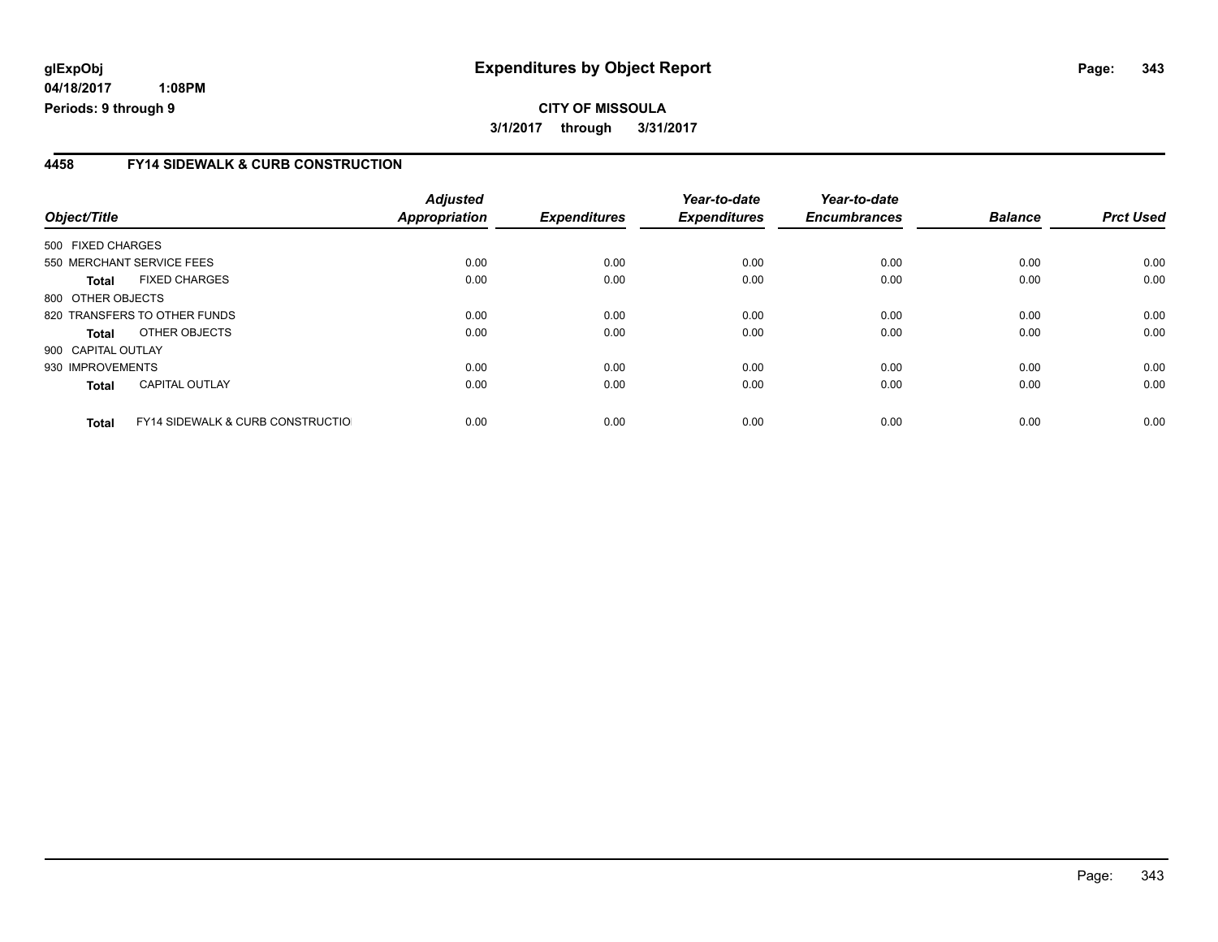**04/18/2017 1:08PM Periods: 9 through 9**

### **4458 FY14 SIDEWALK & CURB CONSTRUCTION**

| Object/Title       |                                              | <b>Adjusted</b><br><b>Appropriation</b> | <b>Expenditures</b> | Year-to-date<br><b>Expenditures</b> | Year-to-date<br><b>Encumbrances</b> | <b>Balance</b> | <b>Prct Used</b> |
|--------------------|----------------------------------------------|-----------------------------------------|---------------------|-------------------------------------|-------------------------------------|----------------|------------------|
| 500 FIXED CHARGES  |                                              |                                         |                     |                                     |                                     |                |                  |
|                    | 550 MERCHANT SERVICE FEES                    | 0.00                                    | 0.00                | 0.00                                | 0.00                                | 0.00           | 0.00             |
| Total              | <b>FIXED CHARGES</b>                         | 0.00                                    | 0.00                | 0.00                                | 0.00                                | 0.00           | 0.00             |
| 800 OTHER OBJECTS  |                                              |                                         |                     |                                     |                                     |                |                  |
|                    | 820 TRANSFERS TO OTHER FUNDS                 | 0.00                                    | 0.00                | 0.00                                | 0.00                                | 0.00           | 0.00             |
| Total              | OTHER OBJECTS                                | 0.00                                    | 0.00                | 0.00                                | 0.00                                | 0.00           | 0.00             |
| 900 CAPITAL OUTLAY |                                              |                                         |                     |                                     |                                     |                |                  |
| 930 IMPROVEMENTS   |                                              | 0.00                                    | 0.00                | 0.00                                | 0.00                                | 0.00           | 0.00             |
| <b>Total</b>       | <b>CAPITAL OUTLAY</b>                        | 0.00                                    | 0.00                | 0.00                                | 0.00                                | 0.00           | 0.00             |
| <b>Total</b>       | <b>FY14 SIDEWALK &amp; CURB CONSTRUCTIOL</b> | 0.00                                    | 0.00                | 0.00                                | 0.00                                | 0.00           | 0.00             |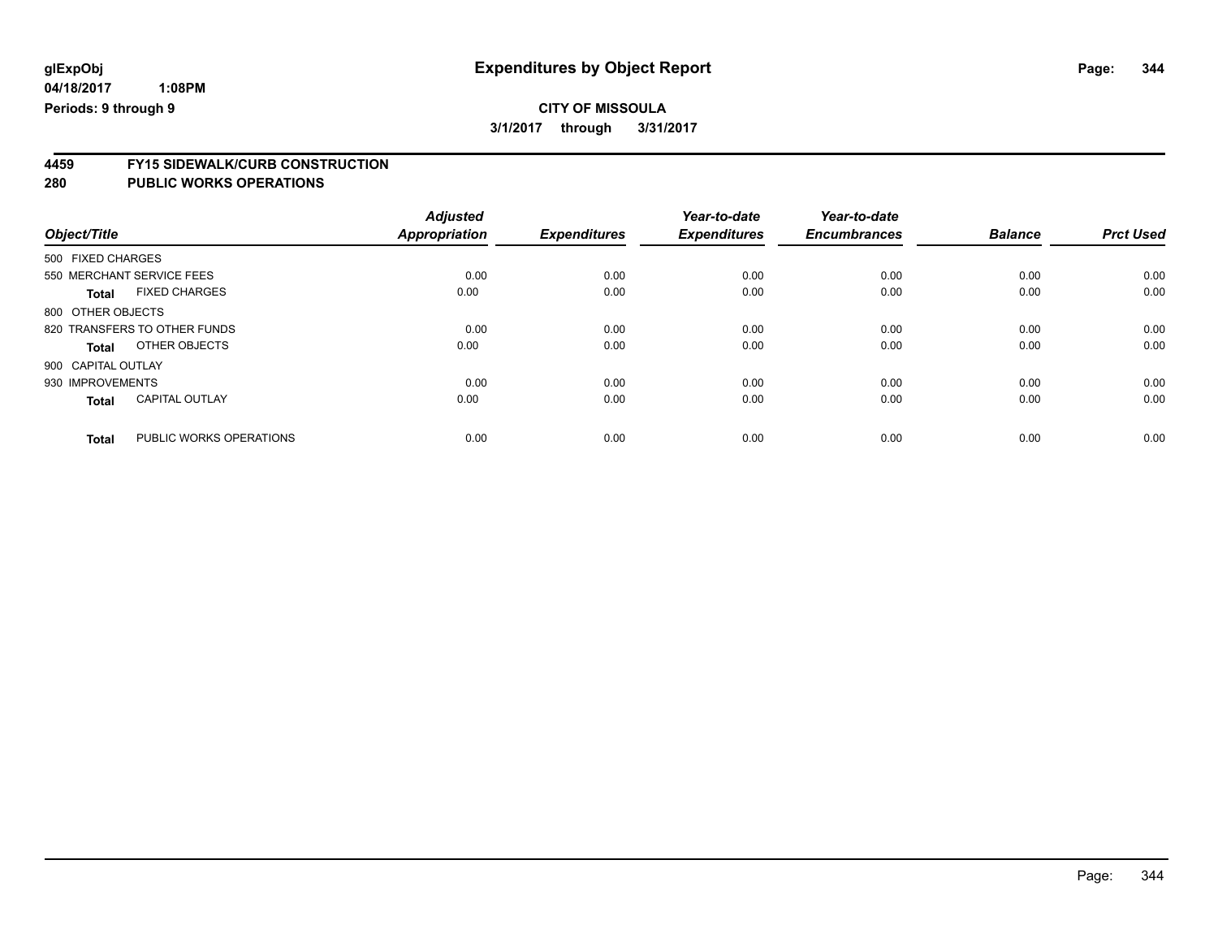**4459 FY15 SIDEWALK/CURB CONSTRUCTION**

|                    |                              | <b>Adjusted</b>      |                     | Year-to-date        | Year-to-date        |                |                  |
|--------------------|------------------------------|----------------------|---------------------|---------------------|---------------------|----------------|------------------|
| Object/Title       |                              | <b>Appropriation</b> | <b>Expenditures</b> | <b>Expenditures</b> | <b>Encumbrances</b> | <b>Balance</b> | <b>Prct Used</b> |
| 500 FIXED CHARGES  |                              |                      |                     |                     |                     |                |                  |
|                    | 550 MERCHANT SERVICE FEES    | 0.00                 | 0.00                | 0.00                | 0.00                | 0.00           | 0.00             |
| <b>Total</b>       | <b>FIXED CHARGES</b>         | 0.00                 | 0.00                | 0.00                | 0.00                | 0.00           | 0.00             |
| 800 OTHER OBJECTS  |                              |                      |                     |                     |                     |                |                  |
|                    | 820 TRANSFERS TO OTHER FUNDS | 0.00                 | 0.00                | 0.00                | 0.00                | 0.00           | 0.00             |
| <b>Total</b>       | OTHER OBJECTS                | 0.00                 | 0.00                | 0.00                | 0.00                | 0.00           | 0.00             |
| 900 CAPITAL OUTLAY |                              |                      |                     |                     |                     |                |                  |
| 930 IMPROVEMENTS   |                              | 0.00                 | 0.00                | 0.00                | 0.00                | 0.00           | 0.00             |
| <b>Total</b>       | <b>CAPITAL OUTLAY</b>        | 0.00                 | 0.00                | 0.00                | 0.00                | 0.00           | 0.00             |
| <b>Total</b>       | PUBLIC WORKS OPERATIONS      | 0.00                 | 0.00                | 0.00                | 0.00                | 0.00           | 0.00             |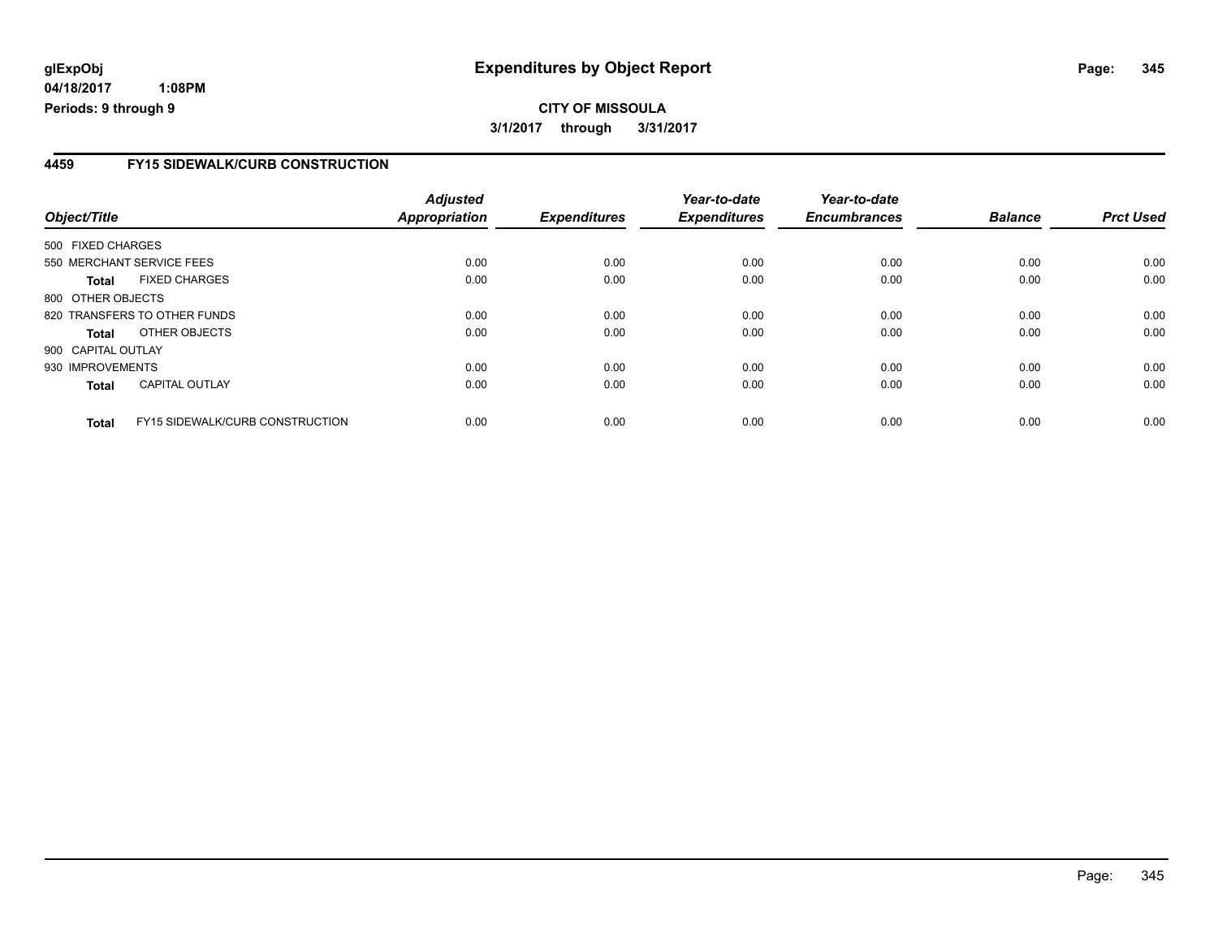**04/18/2017 1:08PM Periods: 9 through 9**

### **4459 FY15 SIDEWALK/CURB CONSTRUCTION**

| Object/Title       |                                        | <b>Adjusted</b><br><b>Appropriation</b> | <b>Expenditures</b> | Year-to-date<br><b>Expenditures</b> | Year-to-date<br><b>Encumbrances</b> | <b>Balance</b> | <b>Prct Used</b> |
|--------------------|----------------------------------------|-----------------------------------------|---------------------|-------------------------------------|-------------------------------------|----------------|------------------|
| 500 FIXED CHARGES  |                                        |                                         |                     |                                     |                                     |                |                  |
|                    | 550 MERCHANT SERVICE FEES              | 0.00                                    | 0.00                | 0.00                                | 0.00                                | 0.00           | 0.00             |
| Total              | <b>FIXED CHARGES</b>                   | 0.00                                    | 0.00                | 0.00                                | 0.00                                | 0.00           | 0.00             |
| 800 OTHER OBJECTS  |                                        |                                         |                     |                                     |                                     |                |                  |
|                    | 820 TRANSFERS TO OTHER FUNDS           | 0.00                                    | 0.00                | 0.00                                | 0.00                                | 0.00           | 0.00             |
| <b>Total</b>       | OTHER OBJECTS                          | 0.00                                    | 0.00                | 0.00                                | 0.00                                | 0.00           | 0.00             |
| 900 CAPITAL OUTLAY |                                        |                                         |                     |                                     |                                     |                |                  |
| 930 IMPROVEMENTS   |                                        | 0.00                                    | 0.00                | 0.00                                | 0.00                                | 0.00           | 0.00             |
| <b>Total</b>       | <b>CAPITAL OUTLAY</b>                  | 0.00                                    | 0.00                | 0.00                                | 0.00                                | 0.00           | 0.00             |
| <b>Total</b>       | <b>FY15 SIDEWALK/CURB CONSTRUCTION</b> | 0.00                                    | 0.00                | 0.00                                | 0.00                                | 0.00           | 0.00             |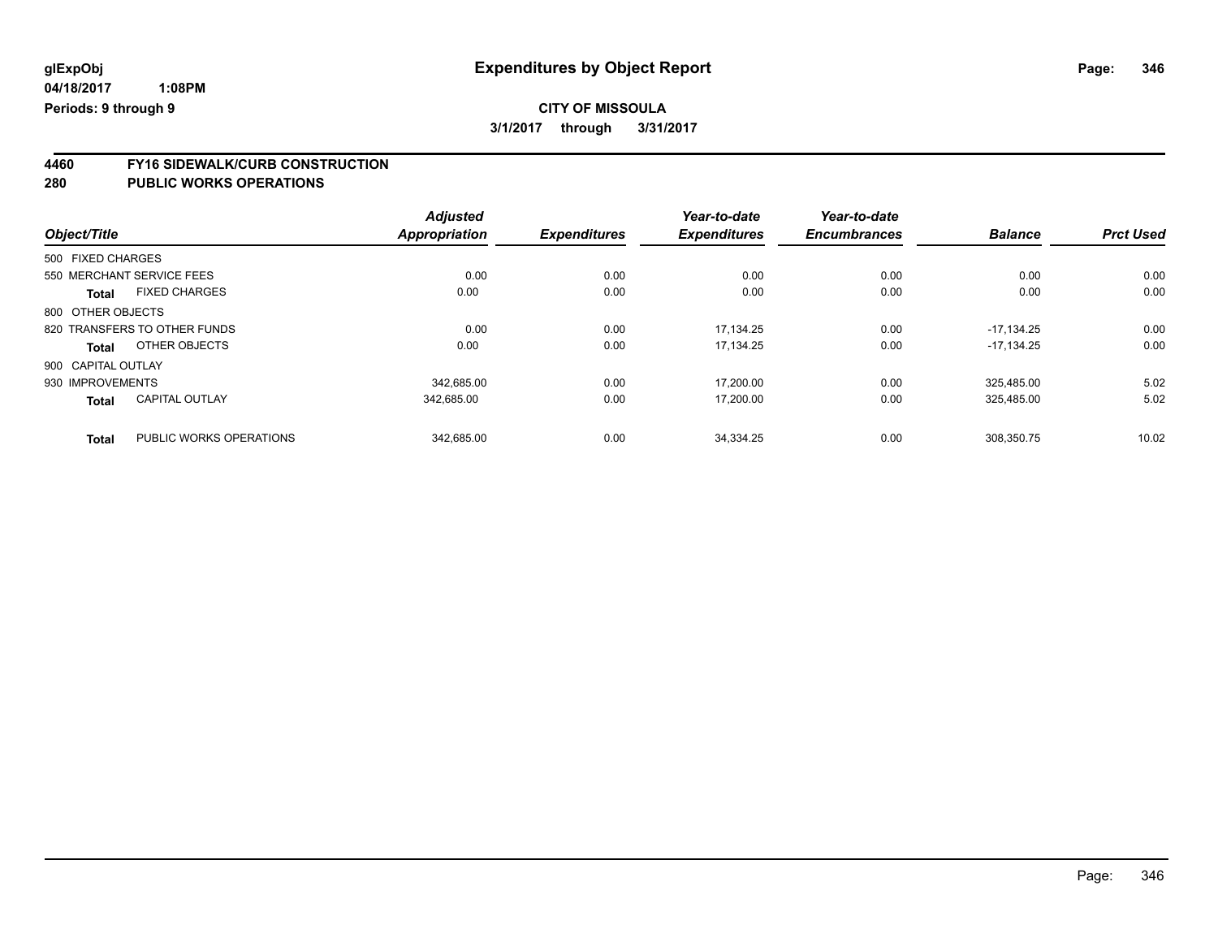**4460 FY16 SIDEWALK/CURB CONSTRUCTION**

| Object/Title       |                              | <b>Adjusted</b><br>Appropriation | <b>Expenditures</b> | Year-to-date<br><b>Expenditures</b> | Year-to-date<br><b>Encumbrances</b> | <b>Balance</b> | <b>Prct Used</b> |
|--------------------|------------------------------|----------------------------------|---------------------|-------------------------------------|-------------------------------------|----------------|------------------|
| 500 FIXED CHARGES  |                              |                                  |                     |                                     |                                     |                |                  |
|                    | 550 MERCHANT SERVICE FEES    | 0.00                             | 0.00                | 0.00                                | 0.00                                | 0.00           | 0.00             |
| <b>Total</b>       | <b>FIXED CHARGES</b>         | 0.00                             | 0.00                | 0.00                                | 0.00                                | 0.00           | 0.00             |
| 800 OTHER OBJECTS  |                              |                                  |                     |                                     |                                     |                |                  |
|                    | 820 TRANSFERS TO OTHER FUNDS | 0.00                             | 0.00                | 17.134.25                           | 0.00                                | $-17.134.25$   | 0.00             |
| <b>Total</b>       | OTHER OBJECTS                | 0.00                             | 0.00                | 17,134.25                           | 0.00                                | $-17.134.25$   | 0.00             |
| 900 CAPITAL OUTLAY |                              |                                  |                     |                                     |                                     |                |                  |
| 930 IMPROVEMENTS   |                              | 342,685.00                       | 0.00                | 17,200.00                           | 0.00                                | 325.485.00     | 5.02             |
| <b>Total</b>       | <b>CAPITAL OUTLAY</b>        | 342,685.00                       | 0.00                | 17,200.00                           | 0.00                                | 325.485.00     | 5.02             |
| <b>Total</b>       | PUBLIC WORKS OPERATIONS      | 342.685.00                       | 0.00                | 34.334.25                           | 0.00                                | 308.350.75     | 10.02            |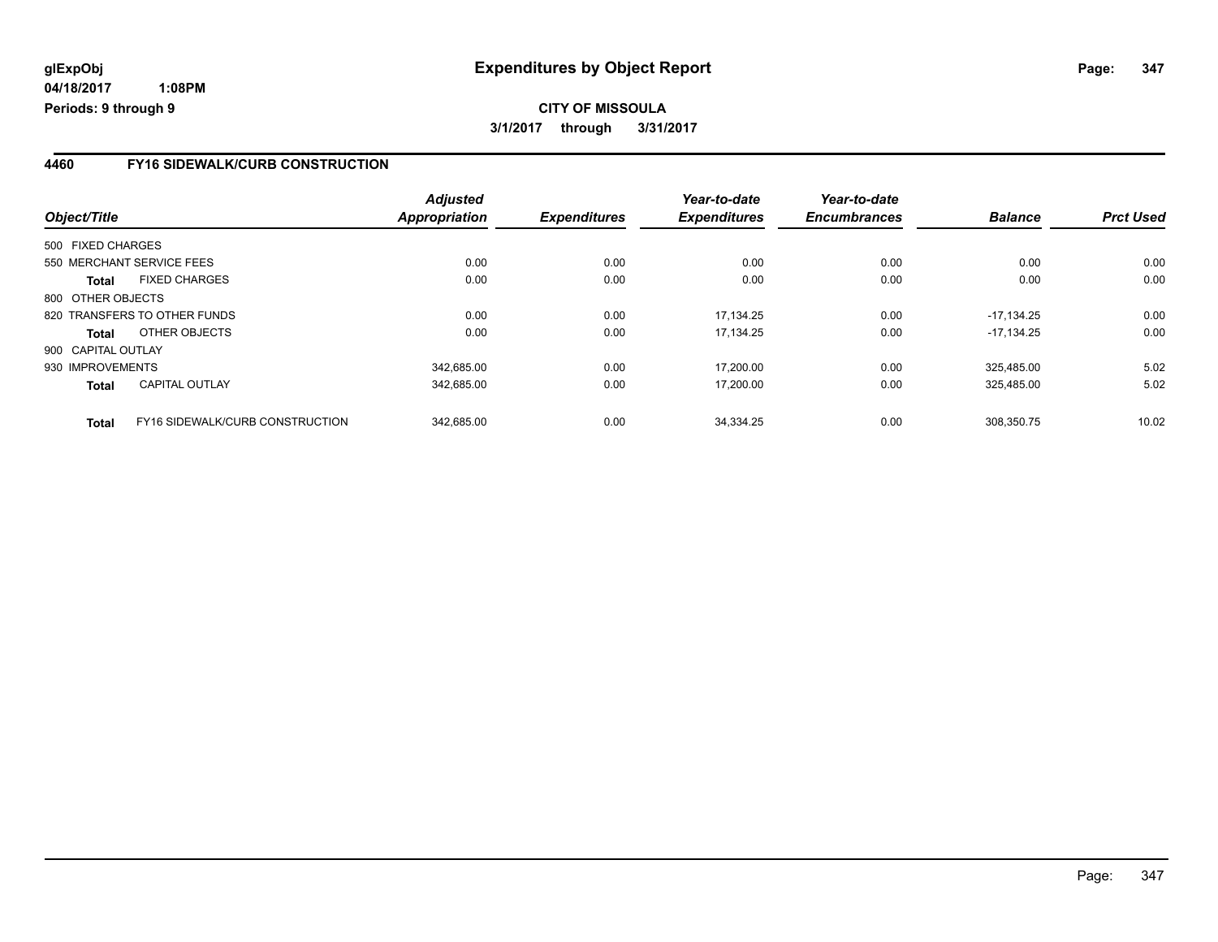### **4460 FY16 SIDEWALK/CURB CONSTRUCTION**

| Object/Title       |                                 | <b>Adjusted</b><br>Appropriation | <b>Expenditures</b> | Year-to-date<br><b>Expenditures</b> | Year-to-date<br><b>Encumbrances</b> | <b>Balance</b> | <b>Prct Used</b> |
|--------------------|---------------------------------|----------------------------------|---------------------|-------------------------------------|-------------------------------------|----------------|------------------|
| 500 FIXED CHARGES  |                                 |                                  |                     |                                     |                                     |                |                  |
|                    | 550 MERCHANT SERVICE FEES       | 0.00                             | 0.00                | 0.00                                | 0.00                                | 0.00           | 0.00             |
| <b>Total</b>       | <b>FIXED CHARGES</b>            | 0.00                             | 0.00                | 0.00                                | 0.00                                | 0.00           | 0.00             |
| 800 OTHER OBJECTS  |                                 |                                  |                     |                                     |                                     |                |                  |
|                    | 820 TRANSFERS TO OTHER FUNDS    | 0.00                             | 0.00                | 17.134.25                           | 0.00                                | $-17.134.25$   | 0.00             |
| Total              | OTHER OBJECTS                   | 0.00                             | 0.00                | 17.134.25                           | 0.00                                | $-17.134.25$   | 0.00             |
| 900 CAPITAL OUTLAY |                                 |                                  |                     |                                     |                                     |                |                  |
| 930 IMPROVEMENTS   |                                 | 342,685.00                       | 0.00                | 17,200.00                           | 0.00                                | 325.485.00     | 5.02             |
| <b>Total</b>       | <b>CAPITAL OUTLAY</b>           | 342,685.00                       | 0.00                | 17,200.00                           | 0.00                                | 325,485.00     | 5.02             |
| <b>Total</b>       | FY16 SIDEWALK/CURB CONSTRUCTION | 342.685.00                       | 0.00                | 34.334.25                           | 0.00                                | 308.350.75     | 10.02            |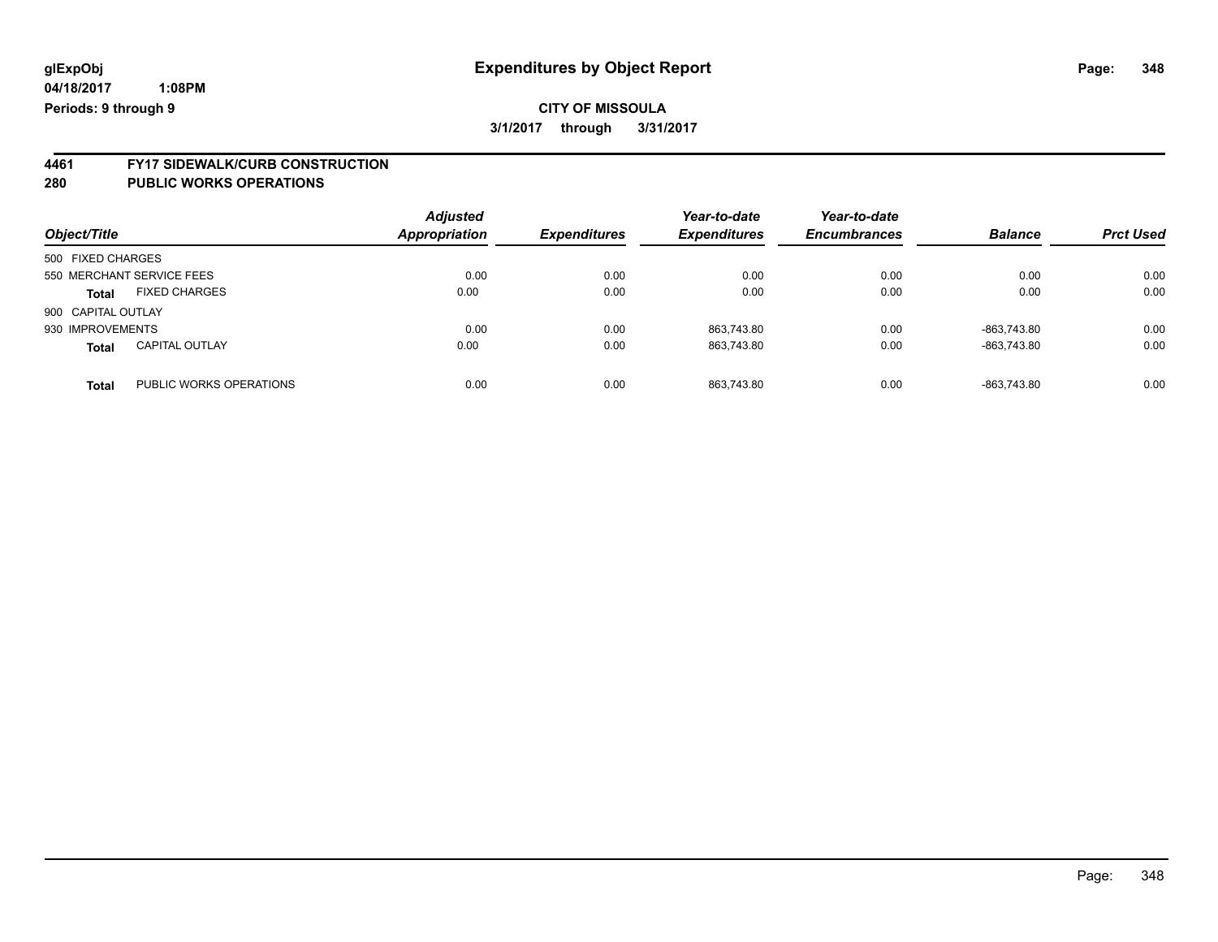# **4461 FY17 SIDEWALK/CURB CONSTRUCTION**

| Object/Title       |                           | <b>Adjusted</b><br><b>Appropriation</b> | <b>Expenditures</b> | Year-to-date<br><b>Expenditures</b> | Year-to-date<br><b>Encumbrances</b> | <b>Balance</b> | <b>Prct Used</b> |
|--------------------|---------------------------|-----------------------------------------|---------------------|-------------------------------------|-------------------------------------|----------------|------------------|
| 500 FIXED CHARGES  |                           |                                         |                     |                                     |                                     |                |                  |
|                    | 550 MERCHANT SERVICE FEES | 0.00                                    | 0.00                | 0.00                                | 0.00                                | 0.00           | 0.00             |
| <b>Total</b>       | <b>FIXED CHARGES</b>      | 0.00                                    | 0.00                | 0.00                                | 0.00                                | 0.00           | 0.00             |
| 900 CAPITAL OUTLAY |                           |                                         |                     |                                     |                                     |                |                  |
| 930 IMPROVEMENTS   |                           | 0.00                                    | 0.00                | 863.743.80                          | 0.00                                | -863.743.80    | 0.00             |
| <b>Total</b>       | <b>CAPITAL OUTLAY</b>     | 0.00                                    | 0.00                | 863.743.80                          | 0.00                                | -863.743.80    | 0.00             |
| <b>Total</b>       | PUBLIC WORKS OPERATIONS   | 0.00                                    | 0.00                | 863.743.80                          | 0.00                                | -863.743.80    | 0.00             |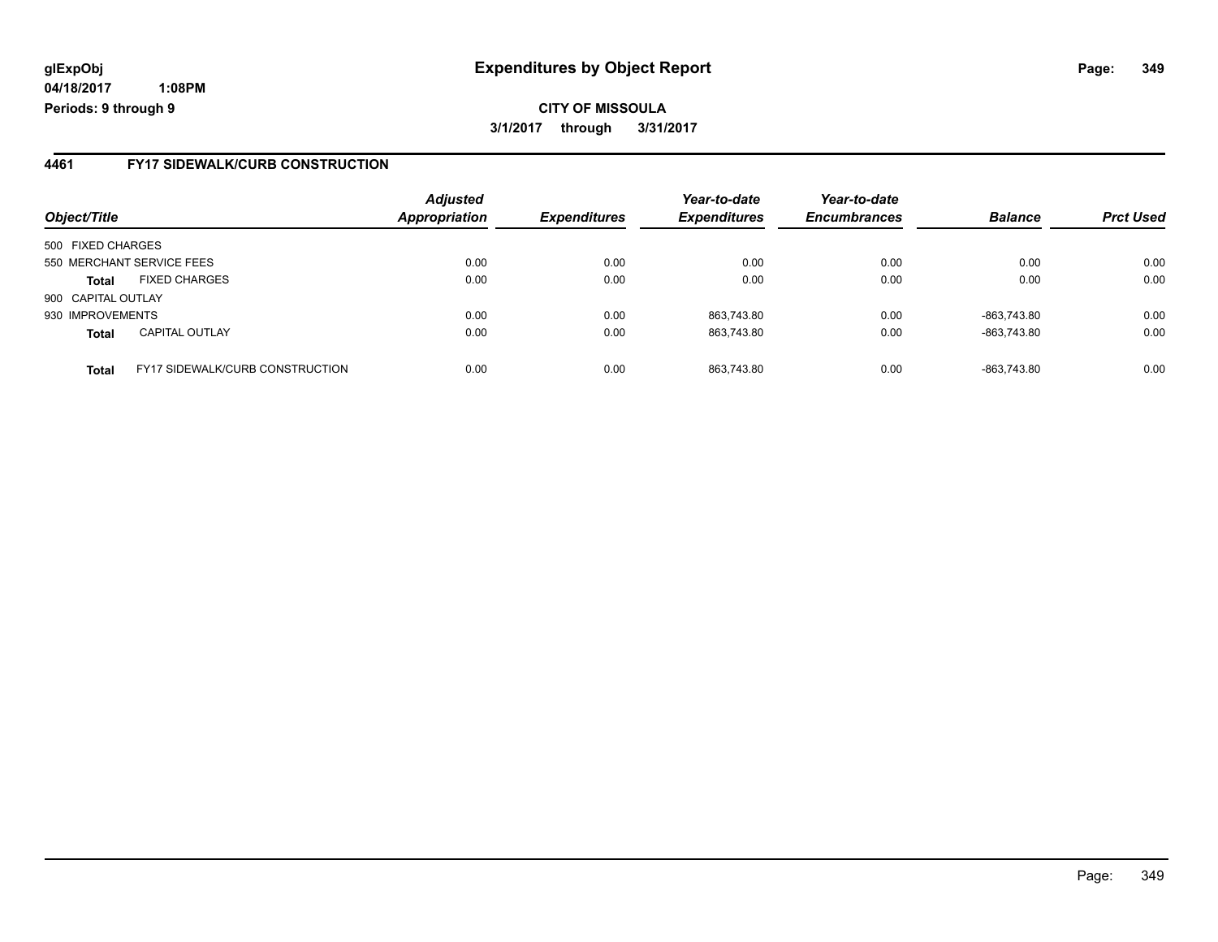**04/18/2017 1:08PM Periods: 9 through 9**

### **4461 FY17 SIDEWALK/CURB CONSTRUCTION**

| Object/Title       |                                        | <b>Adjusted</b><br>Appropriation | <b>Expenditures</b> | Year-to-date<br><b>Expenditures</b> | Year-to-date<br><b>Encumbrances</b> | <b>Balance</b> | <b>Prct Used</b> |
|--------------------|----------------------------------------|----------------------------------|---------------------|-------------------------------------|-------------------------------------|----------------|------------------|
| 500 FIXED CHARGES  |                                        |                                  |                     |                                     |                                     |                |                  |
|                    | 550 MERCHANT SERVICE FEES              | 0.00                             | 0.00                | 0.00                                | 0.00                                | 0.00           | 0.00             |
| <b>Total</b>       | <b>FIXED CHARGES</b>                   | 0.00                             | 0.00                | 0.00                                | 0.00                                | 0.00           | 0.00             |
| 900 CAPITAL OUTLAY |                                        |                                  |                     |                                     |                                     |                |                  |
| 930 IMPROVEMENTS   |                                        | 0.00                             | 0.00                | 863,743.80                          | 0.00                                | -863,743.80    | 0.00             |
| <b>Total</b>       | <b>CAPITAL OUTLAY</b>                  | 0.00                             | 0.00                | 863.743.80                          | 0.00                                | -863.743.80    | 0.00             |
| <b>Total</b>       | <b>FY17 SIDEWALK/CURB CONSTRUCTION</b> | 0.00                             | 0.00                | 863.743.80                          | 0.00                                | -863.743.80    | 0.00             |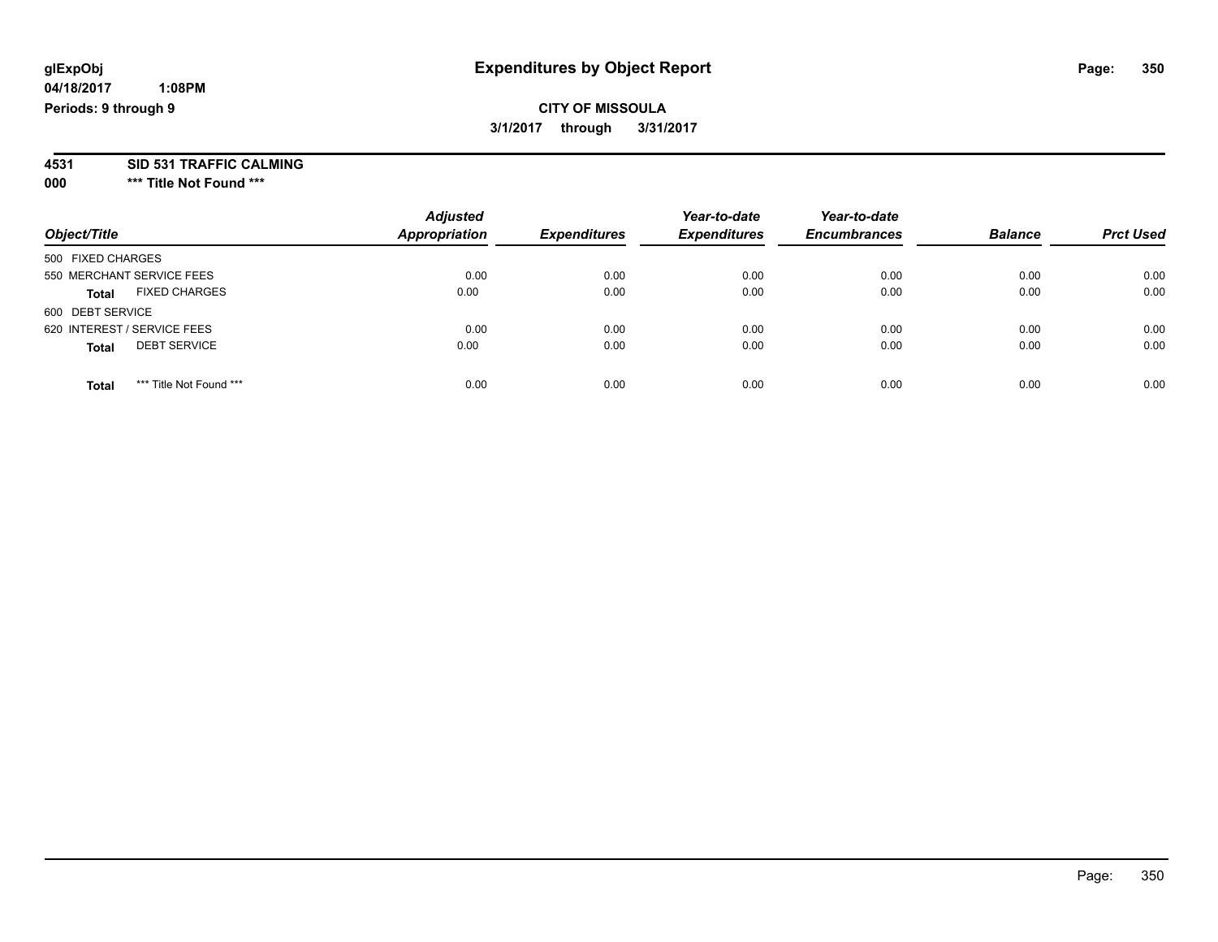# **CITY OF MISSOULA 3/1/2017 through 3/31/2017**

**4531 SID 531 TRAFFIC CALMING**

**000 \*\*\* Title Not Found \*\*\***

| Object/Title                            | <b>Adjusted</b><br><b>Appropriation</b> | <b>Expenditures</b> | Year-to-date<br><b>Expenditures</b> | Year-to-date<br><b>Encumbrances</b> | <b>Balance</b> | <b>Prct Used</b> |
|-----------------------------------------|-----------------------------------------|---------------------|-------------------------------------|-------------------------------------|----------------|------------------|
| 500 FIXED CHARGES                       |                                         |                     |                                     |                                     |                |                  |
| 550 MERCHANT SERVICE FEES               | 0.00                                    | 0.00                | 0.00                                | 0.00                                | 0.00           | 0.00             |
| <b>FIXED CHARGES</b><br><b>Total</b>    | 0.00                                    | 0.00                | 0.00                                | 0.00                                | 0.00           | 0.00             |
| 600 DEBT SERVICE                        |                                         |                     |                                     |                                     |                |                  |
| 620 INTEREST / SERVICE FEES             | 0.00                                    | 0.00                | 0.00                                | 0.00                                | 0.00           | 0.00             |
| <b>DEBT SERVICE</b><br><b>Total</b>     | 0.00                                    | 0.00                | 0.00                                | 0.00                                | 0.00           | 0.00             |
| *** Title Not Found ***<br><b>Total</b> | 0.00                                    | 0.00                | 0.00                                | 0.00                                | 0.00           | 0.00             |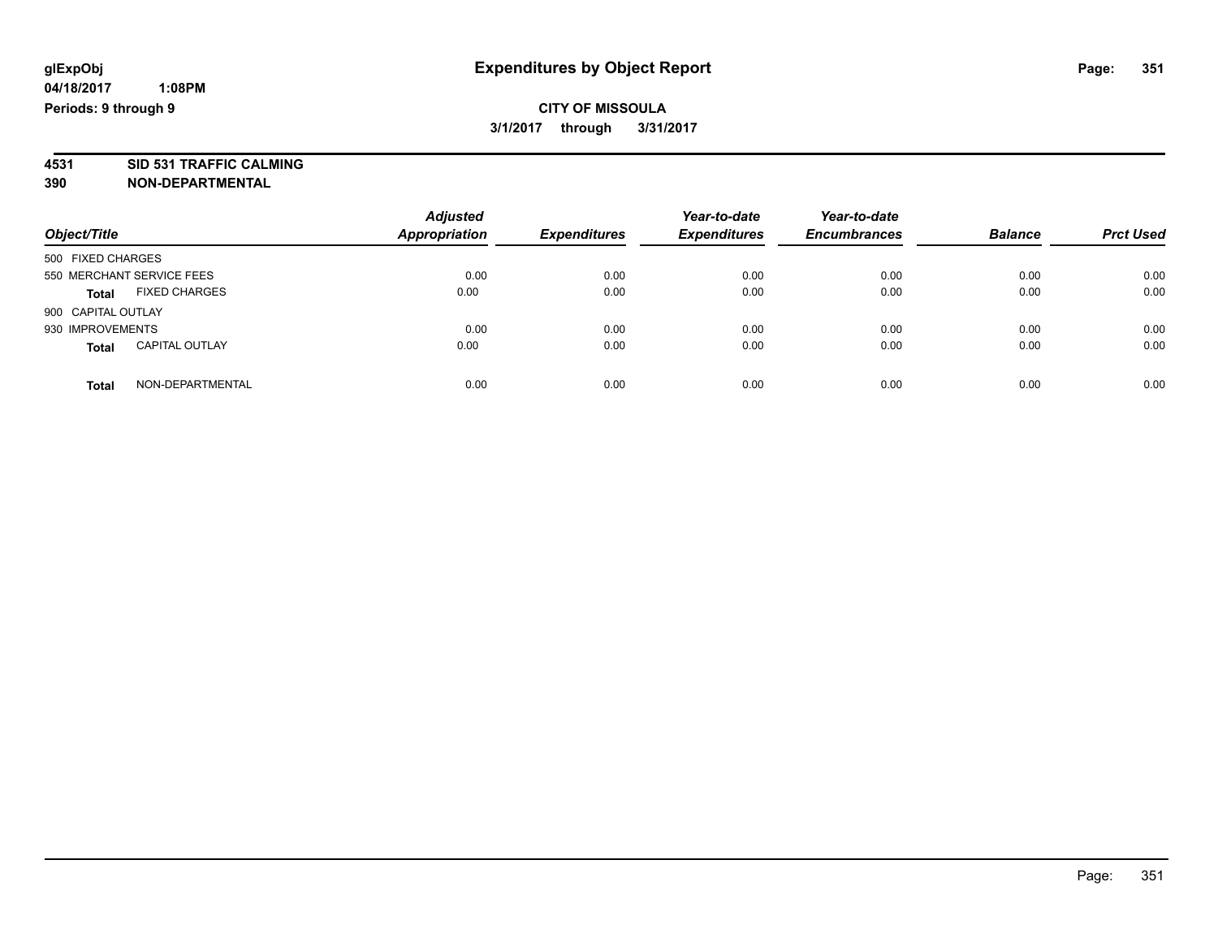# **CITY OF MISSOULA 3/1/2017 through 3/31/2017**

**4531 SID 531 TRAFFIC CALMING 390 NON-DEPARTMENTAL**

| Object/Title                          | <b>Adjusted</b><br><b>Appropriation</b> | <b>Expenditures</b> | Year-to-date<br><b>Expenditures</b> | Year-to-date<br><b>Encumbrances</b> | <b>Balance</b> | <b>Prct Used</b> |
|---------------------------------------|-----------------------------------------|---------------------|-------------------------------------|-------------------------------------|----------------|------------------|
| 500 FIXED CHARGES                     |                                         |                     |                                     |                                     |                |                  |
| 550 MERCHANT SERVICE FEES             | 0.00                                    | 0.00                | 0.00                                | 0.00                                | 0.00           | 0.00             |
| <b>FIXED CHARGES</b><br><b>Total</b>  | 0.00                                    | 0.00                | 0.00                                | 0.00                                | 0.00           | 0.00             |
| 900 CAPITAL OUTLAY                    |                                         |                     |                                     |                                     |                |                  |
| 930 IMPROVEMENTS                      | 0.00                                    | 0.00                | 0.00                                | 0.00                                | 0.00           | 0.00             |
| <b>CAPITAL OUTLAY</b><br><b>Total</b> | 0.00                                    | 0.00                | 0.00                                | 0.00                                | 0.00           | 0.00             |
| NON-DEPARTMENTAL<br>Total             | 0.00                                    | 0.00                | 0.00                                | 0.00                                | 0.00           | 0.00             |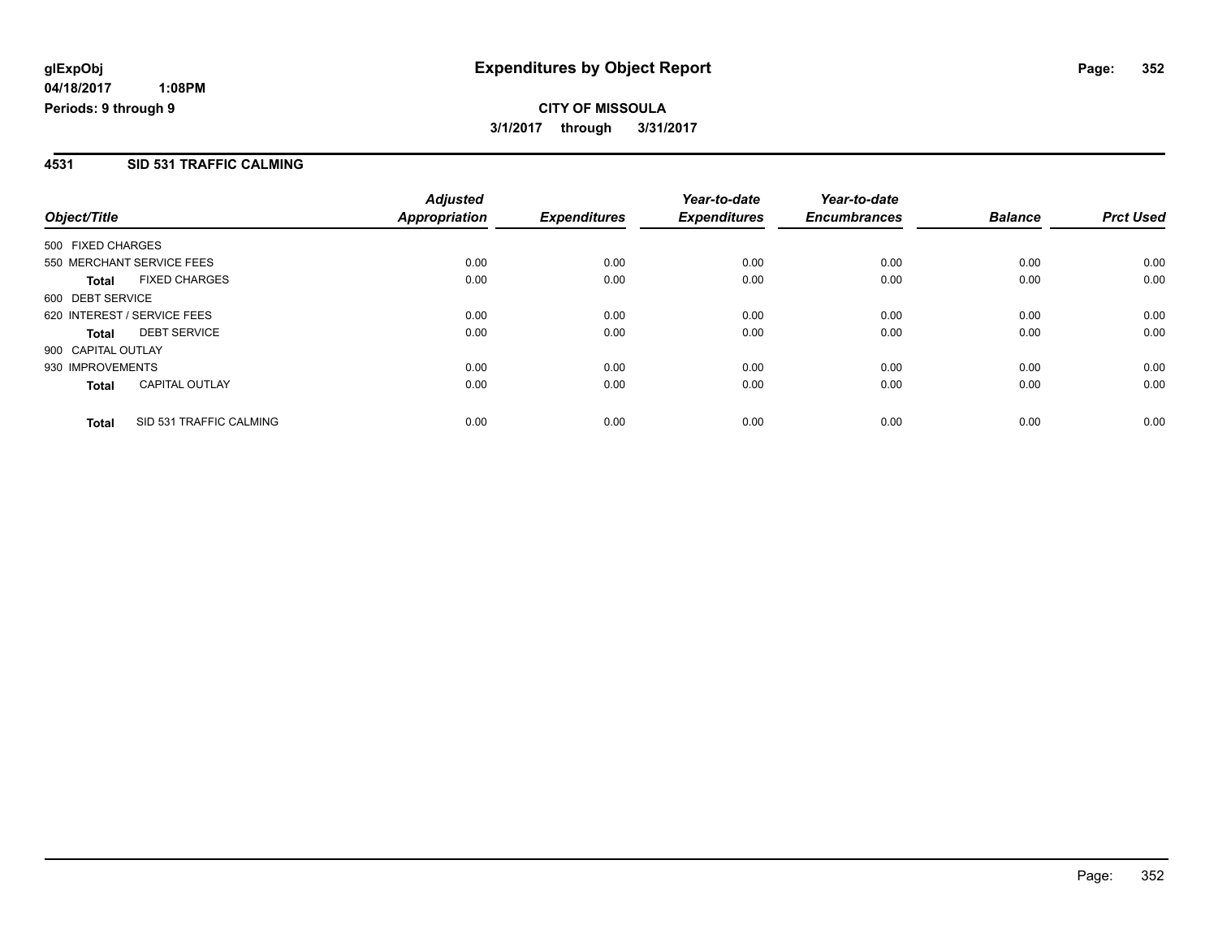# **CITY OF MISSOULA 3/1/2017 through 3/31/2017**

### **4531 SID 531 TRAFFIC CALMING**

| Object/Title       |                             | <b>Adjusted</b><br><b>Appropriation</b> | <b>Expenditures</b> | Year-to-date<br><b>Expenditures</b> | Year-to-date<br><b>Encumbrances</b> | <b>Balance</b> | <b>Prct Used</b> |
|--------------------|-----------------------------|-----------------------------------------|---------------------|-------------------------------------|-------------------------------------|----------------|------------------|
| 500 FIXED CHARGES  |                             |                                         |                     |                                     |                                     |                |                  |
|                    | 550 MERCHANT SERVICE FEES   | 0.00                                    | 0.00                | 0.00                                | 0.00                                | 0.00           | 0.00             |
| Total              | <b>FIXED CHARGES</b>        | 0.00                                    | 0.00                | 0.00                                | 0.00                                | 0.00           | 0.00             |
| 600 DEBT SERVICE   |                             |                                         |                     |                                     |                                     |                |                  |
|                    | 620 INTEREST / SERVICE FEES | 0.00                                    | 0.00                | 0.00                                | 0.00                                | 0.00           | 0.00             |
| <b>Total</b>       | <b>DEBT SERVICE</b>         | 0.00                                    | 0.00                | 0.00                                | 0.00                                | 0.00           | 0.00             |
| 900 CAPITAL OUTLAY |                             |                                         |                     |                                     |                                     |                |                  |
| 930 IMPROVEMENTS   |                             | 0.00                                    | 0.00                | 0.00                                | 0.00                                | 0.00           | 0.00             |
| <b>Total</b>       | <b>CAPITAL OUTLAY</b>       | 0.00                                    | 0.00                | 0.00                                | 0.00                                | 0.00           | 0.00             |
| <b>Total</b>       | SID 531 TRAFFIC CALMING     | 0.00                                    | 0.00                | 0.00                                | 0.00                                | 0.00           | 0.00             |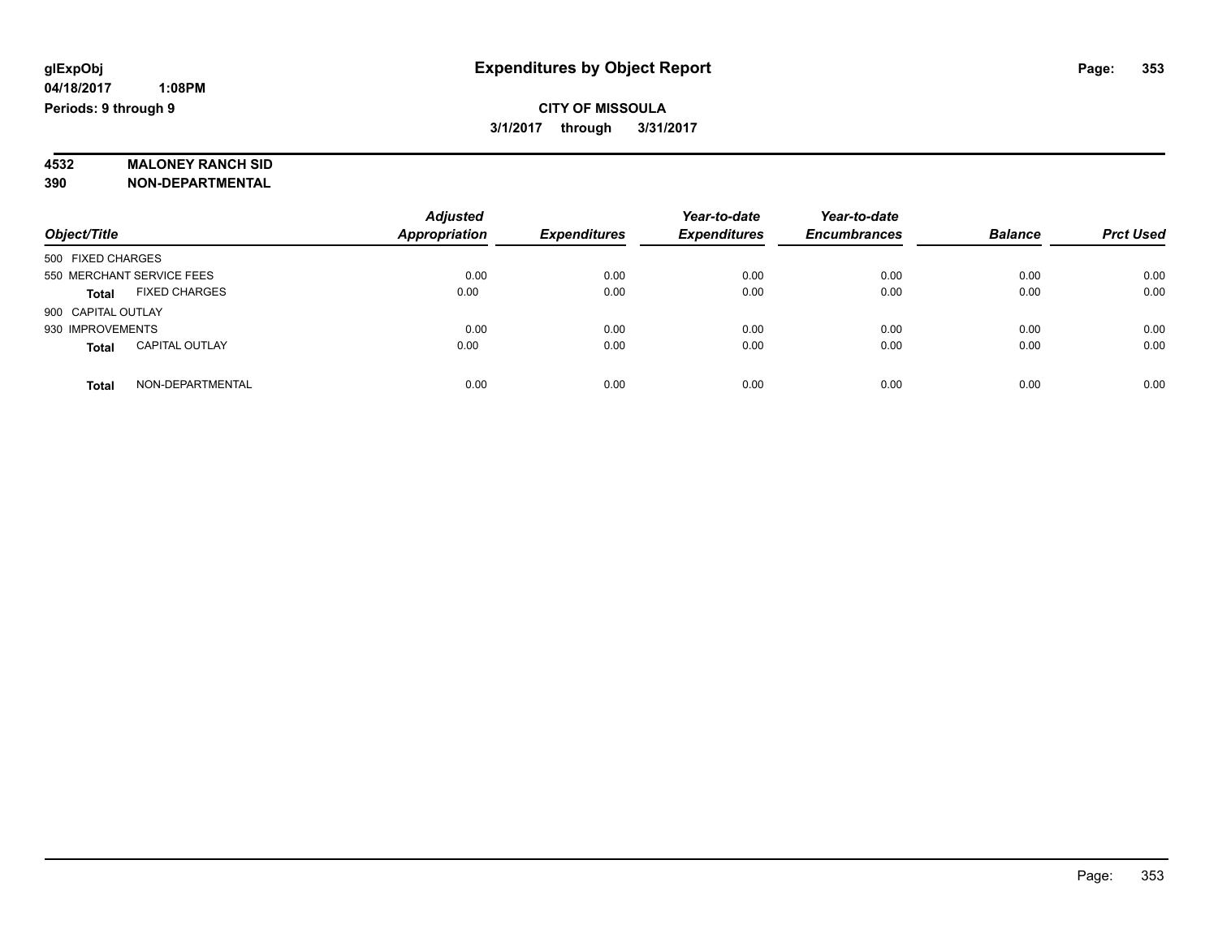# **CITY OF MISSOULA 3/1/2017 through 3/31/2017**

# **4532 MALONEY RANCH SID**

**390 NON-DEPARTMENTAL**

|                                       | <b>Adjusted</b>      |                     | Year-to-date        | Year-to-date        |                |                  |
|---------------------------------------|----------------------|---------------------|---------------------|---------------------|----------------|------------------|
| Object/Title                          | <b>Appropriation</b> | <b>Expenditures</b> | <b>Expenditures</b> | <b>Encumbrances</b> | <b>Balance</b> | <b>Prct Used</b> |
| 500 FIXED CHARGES                     |                      |                     |                     |                     |                |                  |
| 550 MERCHANT SERVICE FEES             | 0.00                 | 0.00                | 0.00                | 0.00                | 0.00           | 0.00             |
| <b>FIXED CHARGES</b><br><b>Total</b>  | 0.00                 | 0.00                | 0.00                | 0.00                | 0.00           | 0.00             |
| 900 CAPITAL OUTLAY                    |                      |                     |                     |                     |                |                  |
| 930 IMPROVEMENTS                      | 0.00                 | 0.00                | 0.00                | 0.00                | 0.00           | 0.00             |
| <b>CAPITAL OUTLAY</b><br><b>Total</b> | 0.00                 | 0.00                | 0.00                | 0.00                | 0.00           | 0.00             |
| NON-DEPARTMENTAL<br>Total             | 0.00                 | 0.00                | 0.00                | 0.00                | 0.00           | 0.00             |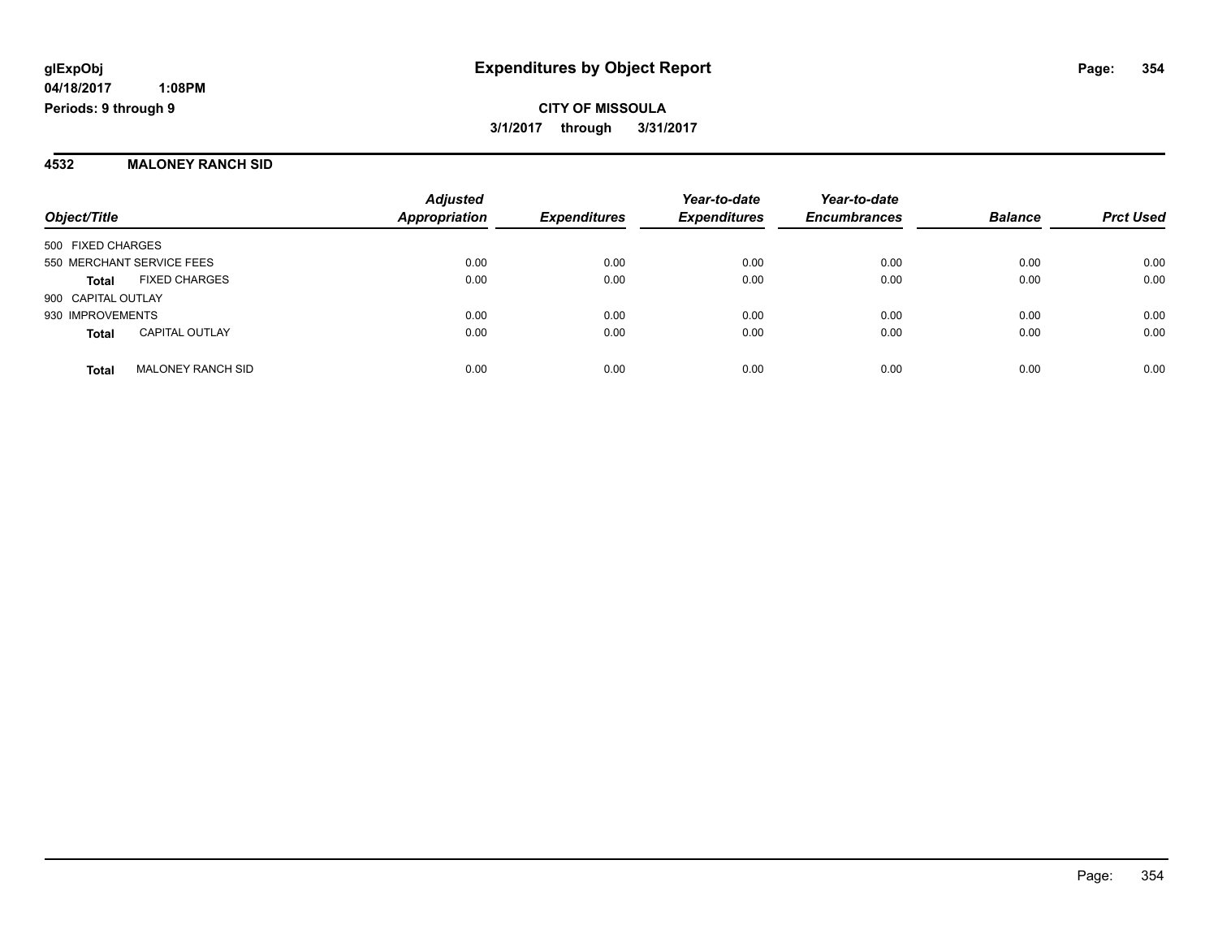**CITY OF MISSOULA 3/1/2017 through 3/31/2017**

#### **4532 MALONEY RANCH SID**

| Object/Title                             | <b>Adjusted</b><br><b>Appropriation</b> | <b>Expenditures</b> | Year-to-date<br><b>Expenditures</b> | Year-to-date<br><b>Encumbrances</b> | <b>Balance</b> | <b>Prct Used</b> |
|------------------------------------------|-----------------------------------------|---------------------|-------------------------------------|-------------------------------------|----------------|------------------|
| 500 FIXED CHARGES                        |                                         |                     |                                     |                                     |                |                  |
| 550 MERCHANT SERVICE FEES                | 0.00                                    | 0.00                | 0.00                                | 0.00                                | 0.00           | 0.00             |
| <b>FIXED CHARGES</b><br><b>Total</b>     | 0.00                                    | 0.00                | 0.00                                | 0.00                                | 0.00           | 0.00             |
| 900 CAPITAL OUTLAY                       |                                         |                     |                                     |                                     |                |                  |
| 930 IMPROVEMENTS                         | 0.00                                    | 0.00                | 0.00                                | 0.00                                | 0.00           | 0.00             |
| <b>CAPITAL OUTLAY</b><br><b>Total</b>    | 0.00                                    | 0.00                | 0.00                                | 0.00                                | 0.00           | 0.00             |
| <b>MALONEY RANCH SID</b><br><b>Total</b> | 0.00                                    | 0.00                | 0.00                                | 0.00                                | 0.00           | 0.00             |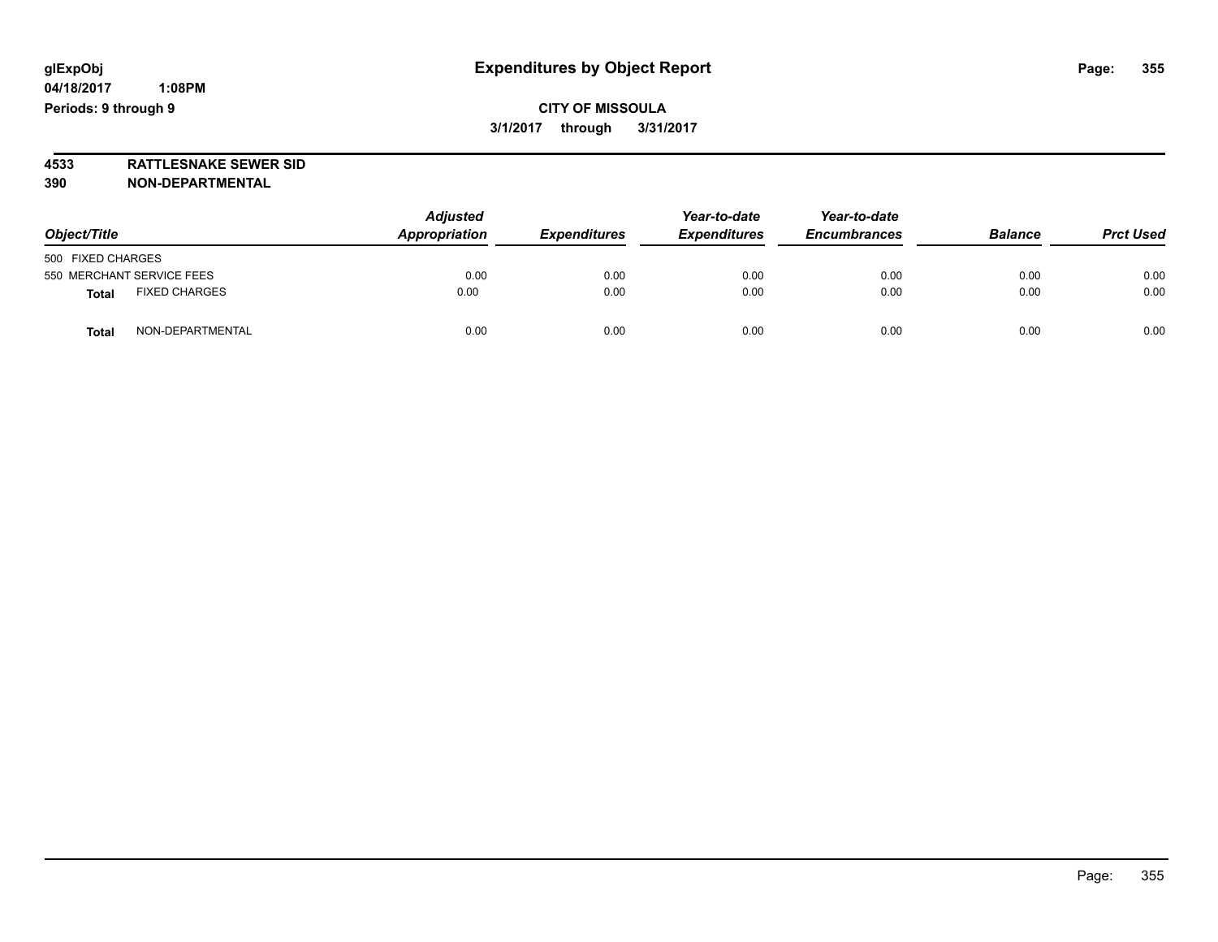**CITY OF MISSOULA 3/1/2017 through 3/31/2017**

**4533 RATTLESNAKE SEWER SID 390 NON-DEPARTMENTAL**

| Object/Title                         | <b>Adjusted</b><br>Appropriation<br><b>Expenditures</b> | Year-to-date<br><b>Expenditures</b> | Year-to-date<br><b>Encumbrances</b> | <b>Balance</b> | <b>Prct Used</b> |      |
|--------------------------------------|---------------------------------------------------------|-------------------------------------|-------------------------------------|----------------|------------------|------|
| 500 FIXED CHARGES                    |                                                         |                                     |                                     |                |                  |      |
| 550 MERCHANT SERVICE FEES            | 0.00                                                    | 0.00                                | 0.00                                | 0.00           | 0.00             | 0.00 |
| <b>FIXED CHARGES</b><br><b>Total</b> | 0.00                                                    | 0.00                                | 0.00                                | 0.00           | 0.00             | 0.00 |
| NON-DEPARTMENTAL<br><b>Total</b>     | 0.00                                                    | 0.00                                | 0.00                                | 0.00           | 0.00             | 0.00 |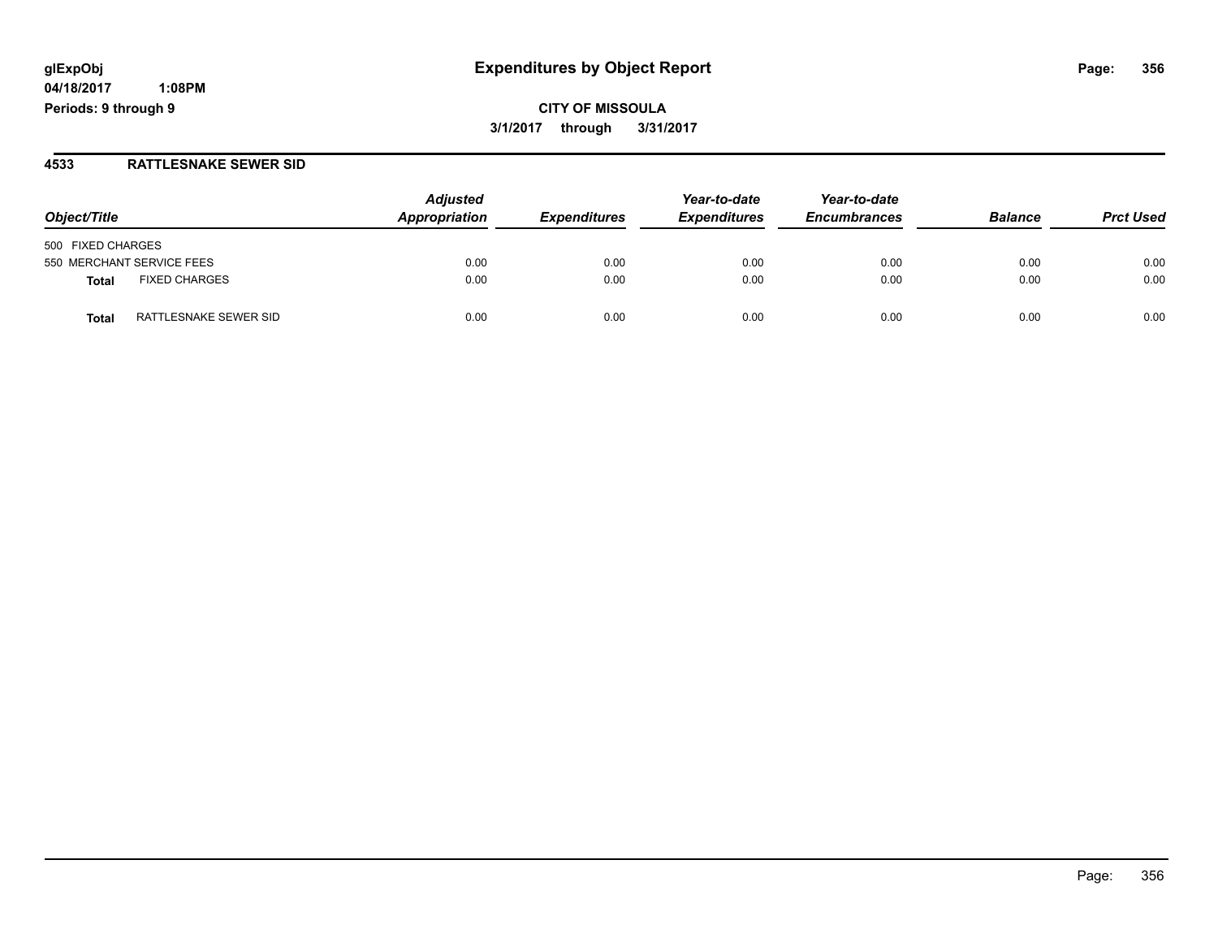**04/18/2017 1:08PM Periods: 9 through 9**

### **4533 RATTLESNAKE SEWER SID**

| Object/Title                   | <b>Adjusted</b><br>Appropriation | <b>Expenditures</b> | Year-to-date<br><b>Expenditures</b> | Year-to-date<br><b>Encumbrances</b> | <b>Balance</b> | <b>Prct Used</b> |
|--------------------------------|----------------------------------|---------------------|-------------------------------------|-------------------------------------|----------------|------------------|
| 500 FIXED CHARGES              |                                  |                     |                                     |                                     |                |                  |
| 550 MERCHANT SERVICE FEES      | 0.00                             | 0.00                | 0.00                                | 0.00                                | 0.00           | 0.00             |
| <b>FIXED CHARGES</b><br>Total  | 0.00                             | 0.00                | 0.00                                | 0.00                                | 0.00           | 0.00             |
| RATTLESNAKE SEWER SID<br>Total | 0.00                             | 0.00                | 0.00                                | 0.00                                | 0.00           | 0.00             |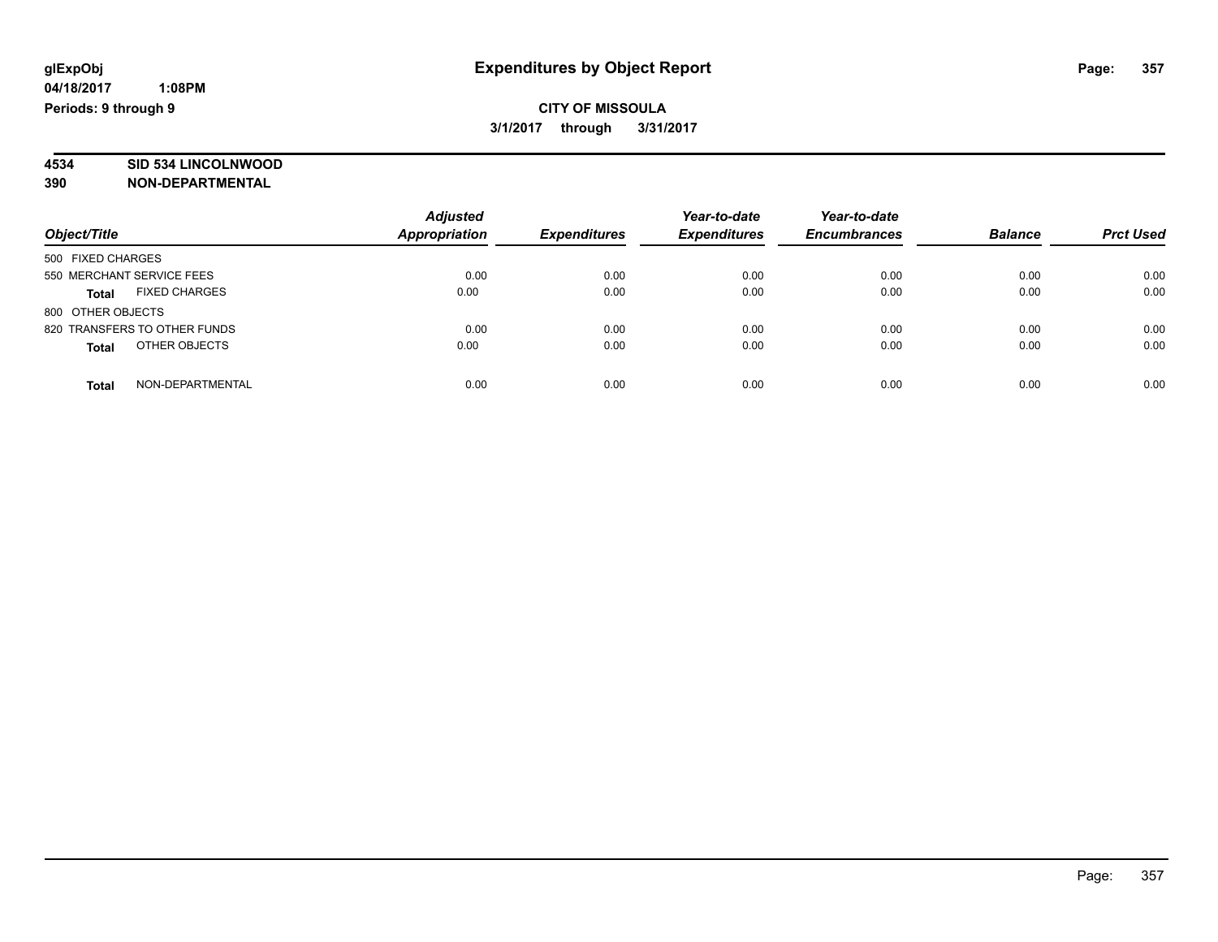# **CITY OF MISSOULA 3/1/2017 through 3/31/2017**

# **4534 SID 534 LINCOLNWOOD**

**390 NON-DEPARTMENTAL**

| Object/Title                         | <b>Adjusted</b><br>Appropriation | <b>Expenditures</b> | Year-to-date<br><b>Expenditures</b> | Year-to-date<br><b>Encumbrances</b> | <b>Balance</b> | <b>Prct Used</b> |
|--------------------------------------|----------------------------------|---------------------|-------------------------------------|-------------------------------------|----------------|------------------|
| 500 FIXED CHARGES                    |                                  |                     |                                     |                                     |                |                  |
| 550 MERCHANT SERVICE FEES            | 0.00                             | 0.00                | 0.00                                | 0.00                                | 0.00           | 0.00             |
| <b>FIXED CHARGES</b><br><b>Total</b> | 0.00                             | 0.00                | 0.00                                | 0.00                                | 0.00           | 0.00             |
| 800 OTHER OBJECTS                    |                                  |                     |                                     |                                     |                |                  |
| 820 TRANSFERS TO OTHER FUNDS         | 0.00                             | 0.00                | 0.00                                | 0.00                                | 0.00           | 0.00             |
| OTHER OBJECTS<br><b>Total</b>        | 0.00                             | 0.00                | 0.00                                | 0.00                                | 0.00           | 0.00             |
| NON-DEPARTMENTAL<br>Total            | 0.00                             | 0.00                | 0.00                                | 0.00                                | 0.00           | 0.00             |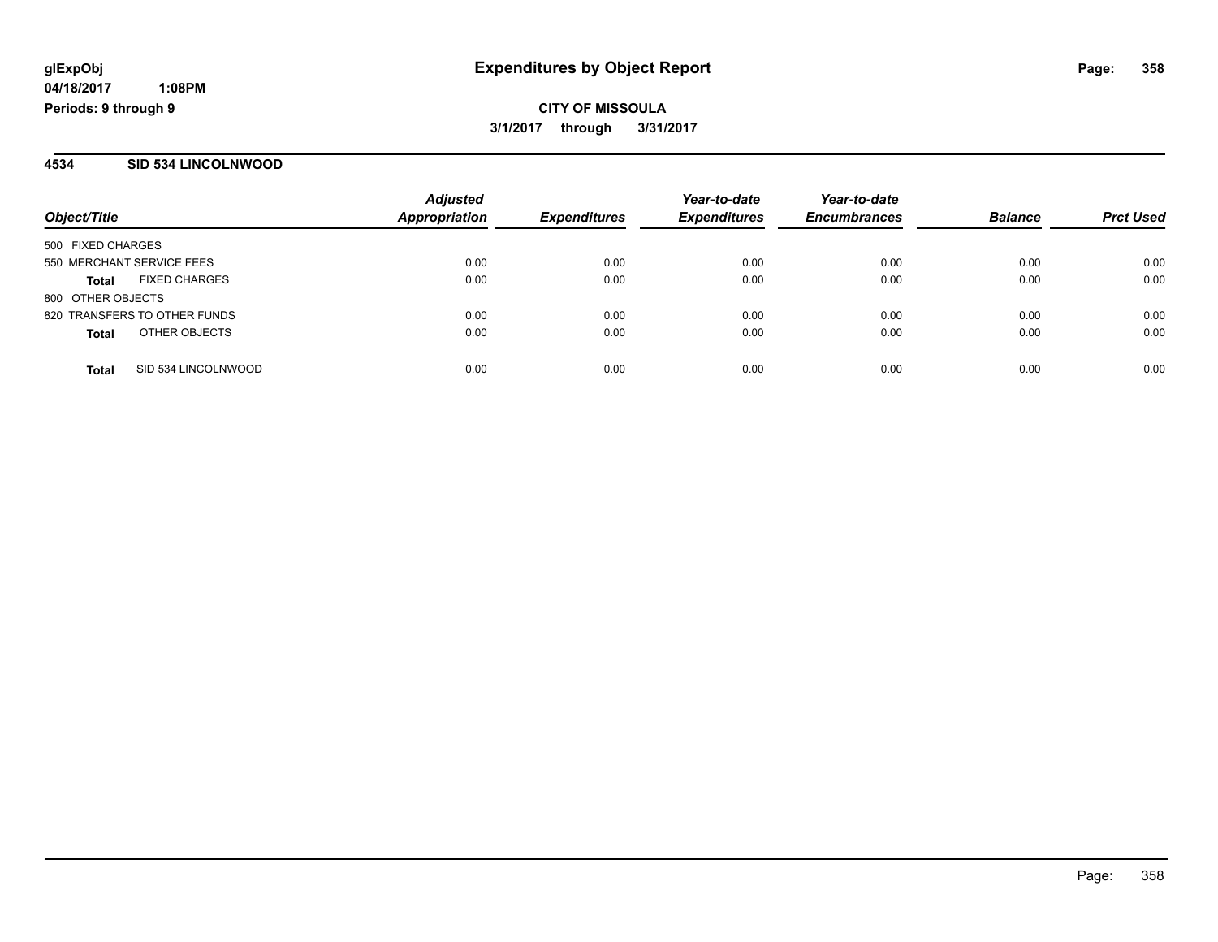### **4534 SID 534 LINCOLNWOOD**

| Object/Title                         | <b>Adjusted</b><br>Appropriation | <b>Expenditures</b> | Year-to-date<br><b>Expenditures</b> | Year-to-date<br><b>Encumbrances</b> | <b>Balance</b> | <b>Prct Used</b> |
|--------------------------------------|----------------------------------|---------------------|-------------------------------------|-------------------------------------|----------------|------------------|
| 500 FIXED CHARGES                    |                                  |                     |                                     |                                     |                |                  |
| 550 MERCHANT SERVICE FEES            | 0.00                             | 0.00                | 0.00                                | 0.00                                | 0.00           | 0.00             |
| <b>FIXED CHARGES</b><br><b>Total</b> | 0.00                             | 0.00                | 0.00                                | 0.00                                | 0.00           | 0.00             |
| 800 OTHER OBJECTS                    |                                  |                     |                                     |                                     |                |                  |
| 820 TRANSFERS TO OTHER FUNDS         | 0.00                             | 0.00                | 0.00                                | 0.00                                | 0.00           | 0.00             |
| OTHER OBJECTS<br><b>Total</b>        | 0.00                             | 0.00                | 0.00                                | 0.00                                | 0.00           | 0.00             |
| SID 534 LINCOLNWOOD<br><b>Total</b>  | 0.00                             | 0.00                | 0.00                                | 0.00                                | 0.00           | 0.00             |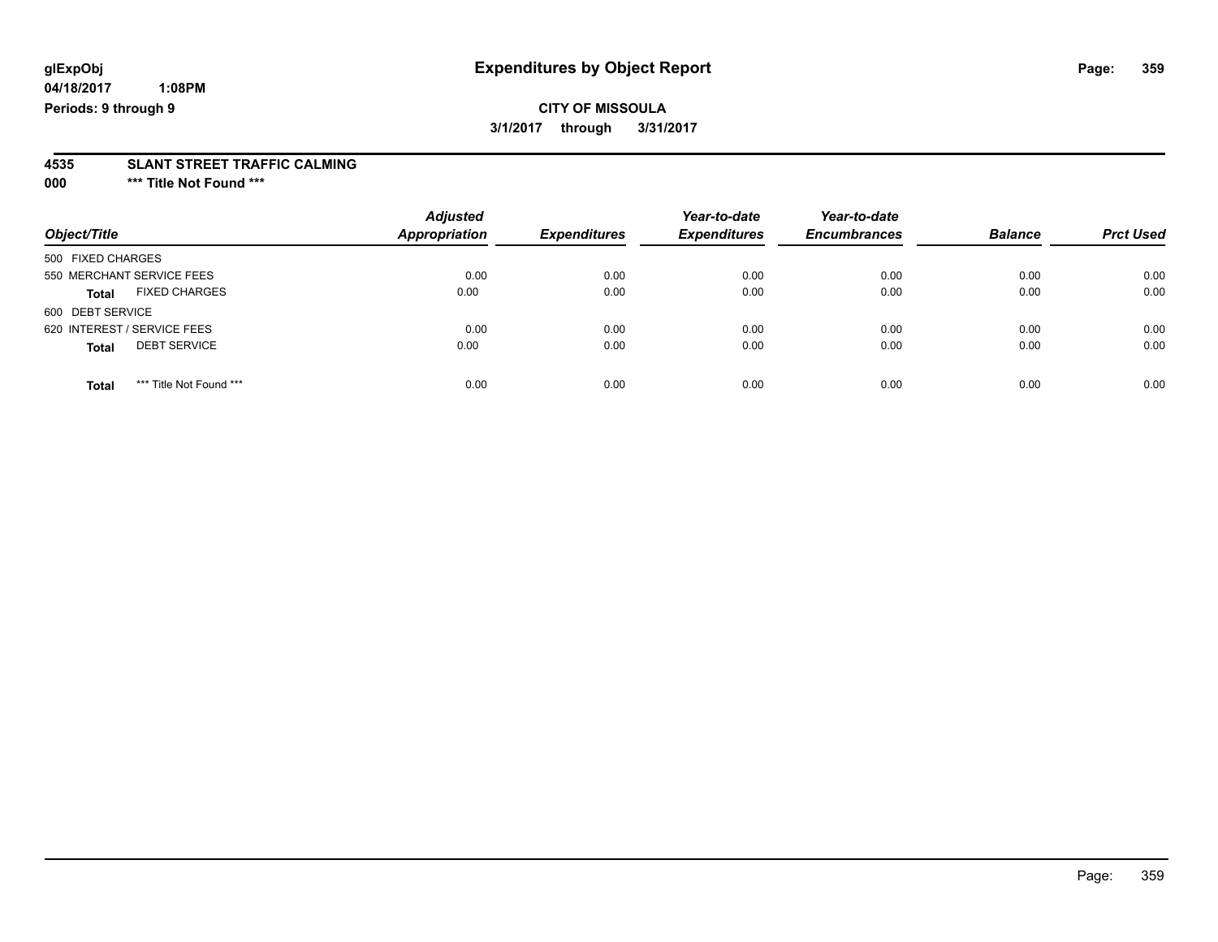**04/18/2017 1:08PM Periods: 9 through 9**

# **4535 SLANT STREET TRAFFIC CALMING**

**000 \*\*\* Title Not Found \*\*\***

| Object/Title                            | <b>Adjusted</b><br><b>Appropriation</b> | <b>Expenditures</b> | Year-to-date<br><b>Expenditures</b> | Year-to-date<br><b>Encumbrances</b> | <b>Balance</b> | <b>Prct Used</b> |
|-----------------------------------------|-----------------------------------------|---------------------|-------------------------------------|-------------------------------------|----------------|------------------|
| 500 FIXED CHARGES                       |                                         |                     |                                     |                                     |                |                  |
| 550 MERCHANT SERVICE FEES               | 0.00                                    | 0.00                | 0.00                                | 0.00                                | 0.00           | 0.00             |
| <b>FIXED CHARGES</b><br><b>Total</b>    | 0.00                                    | 0.00                | 0.00                                | 0.00                                | 0.00           | 0.00             |
| 600 DEBT SERVICE                        |                                         |                     |                                     |                                     |                |                  |
| 620 INTEREST / SERVICE FEES             | 0.00                                    | 0.00                | 0.00                                | 0.00                                | 0.00           | 0.00             |
| <b>DEBT SERVICE</b><br><b>Total</b>     | 0.00                                    | 0.00                | 0.00                                | 0.00                                | 0.00           | 0.00             |
| *** Title Not Found ***<br><b>Total</b> | 0.00                                    | 0.00                | 0.00                                | 0.00                                | 0.00           | 0.00             |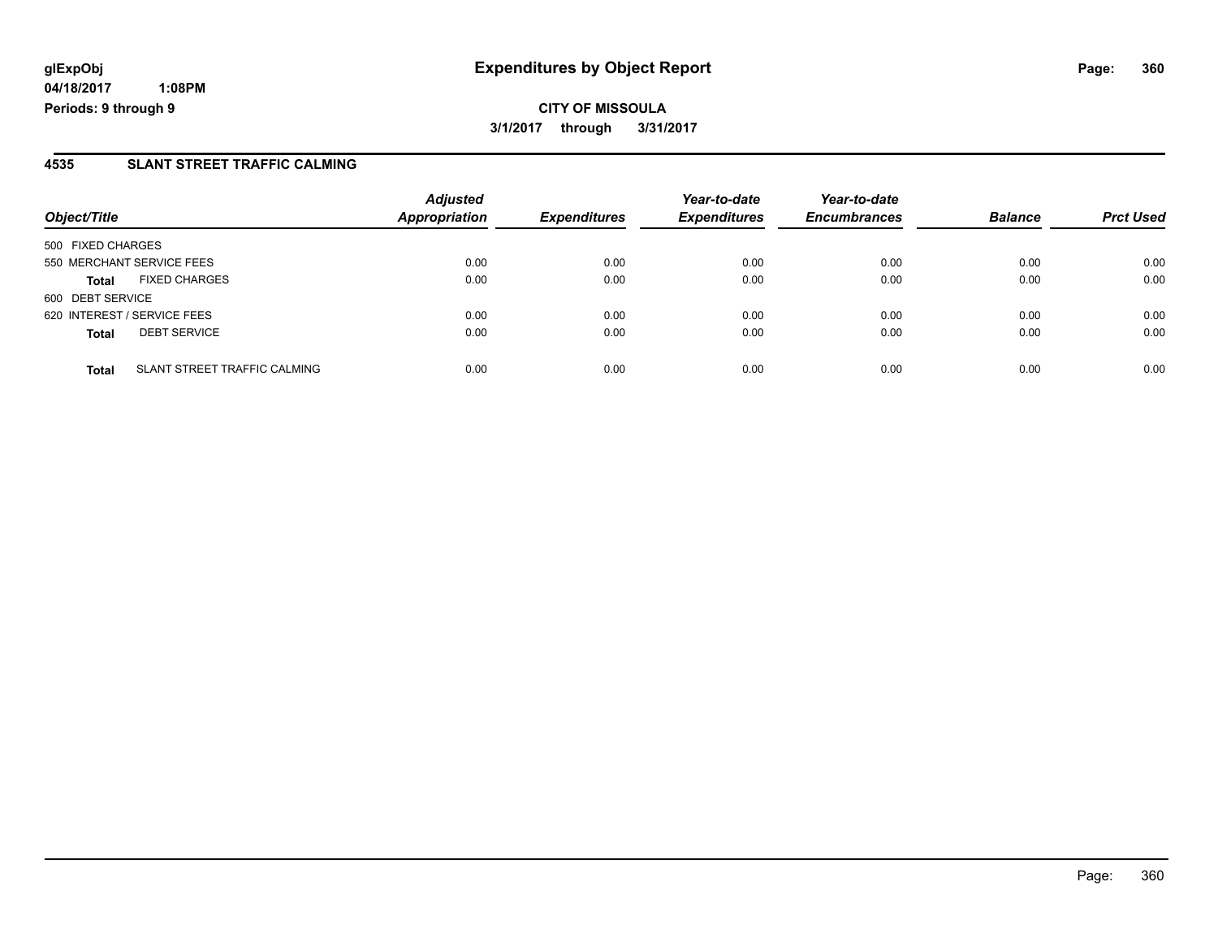### **4535 SLANT STREET TRAFFIC CALMING**

| Object/Title                                 | <b>Adjusted</b><br><b>Appropriation</b> | <b>Expenditures</b> | Year-to-date<br><b>Expenditures</b> | Year-to-date<br><b>Encumbrances</b> | <b>Balance</b> | <b>Prct Used</b> |
|----------------------------------------------|-----------------------------------------|---------------------|-------------------------------------|-------------------------------------|----------------|------------------|
| 500 FIXED CHARGES                            |                                         |                     |                                     |                                     |                |                  |
| 550 MERCHANT SERVICE FEES                    | 0.00                                    | 0.00                | 0.00                                | 0.00                                | 0.00           | 0.00             |
| <b>FIXED CHARGES</b><br><b>Total</b>         | 0.00                                    | 0.00                | 0.00                                | 0.00                                | 0.00           | 0.00             |
| 600 DEBT SERVICE                             |                                         |                     |                                     |                                     |                |                  |
| 620 INTEREST / SERVICE FEES                  | 0.00                                    | 0.00                | 0.00                                | 0.00                                | 0.00           | 0.00             |
| <b>DEBT SERVICE</b><br><b>Total</b>          | 0.00                                    | 0.00                | 0.00                                | 0.00                                | 0.00           | 0.00             |
| SLANT STREET TRAFFIC CALMING<br><b>Total</b> | 0.00                                    | 0.00                | 0.00                                | 0.00                                | 0.00           | 0.00             |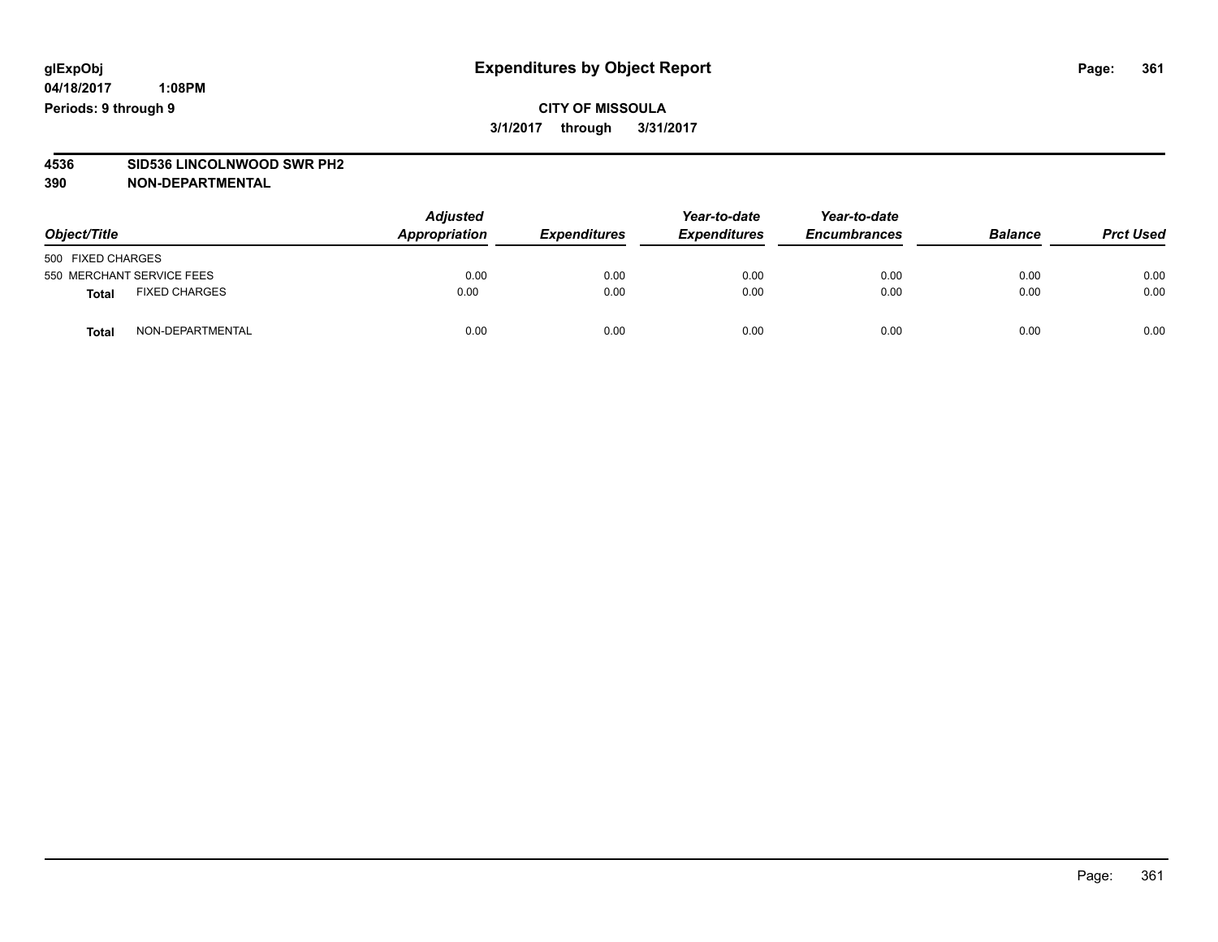## **CITY OF MISSOULA 3/1/2017 through 3/31/2017**

# **4536 SID536 LINCOLNWOOD SWR PH2**

| Object/Title              |                      | <b>Adjusted</b><br>Appropriation | <b>Expenditures</b> | Year-to-date<br><b>Expenditures</b> | Year-to-date<br><b>Encumbrances</b> | <b>Balance</b> | <b>Prct Used</b> |
|---------------------------|----------------------|----------------------------------|---------------------|-------------------------------------|-------------------------------------|----------------|------------------|
| 500 FIXED CHARGES         |                      |                                  |                     |                                     |                                     |                |                  |
| 550 MERCHANT SERVICE FEES |                      | 0.00                             | 0.00                | 0.00                                | 0.00                                | 0.00           | 0.00             |
| <b>Total</b>              | <b>FIXED CHARGES</b> | 0.00                             | 0.00                | 0.00                                | 0.00                                | 0.00           | 0.00             |
| <b>Total</b>              | NON-DEPARTMENTAL     | 0.00                             | 0.00                | 0.00                                | 0.00                                | 0.00           | 0.00             |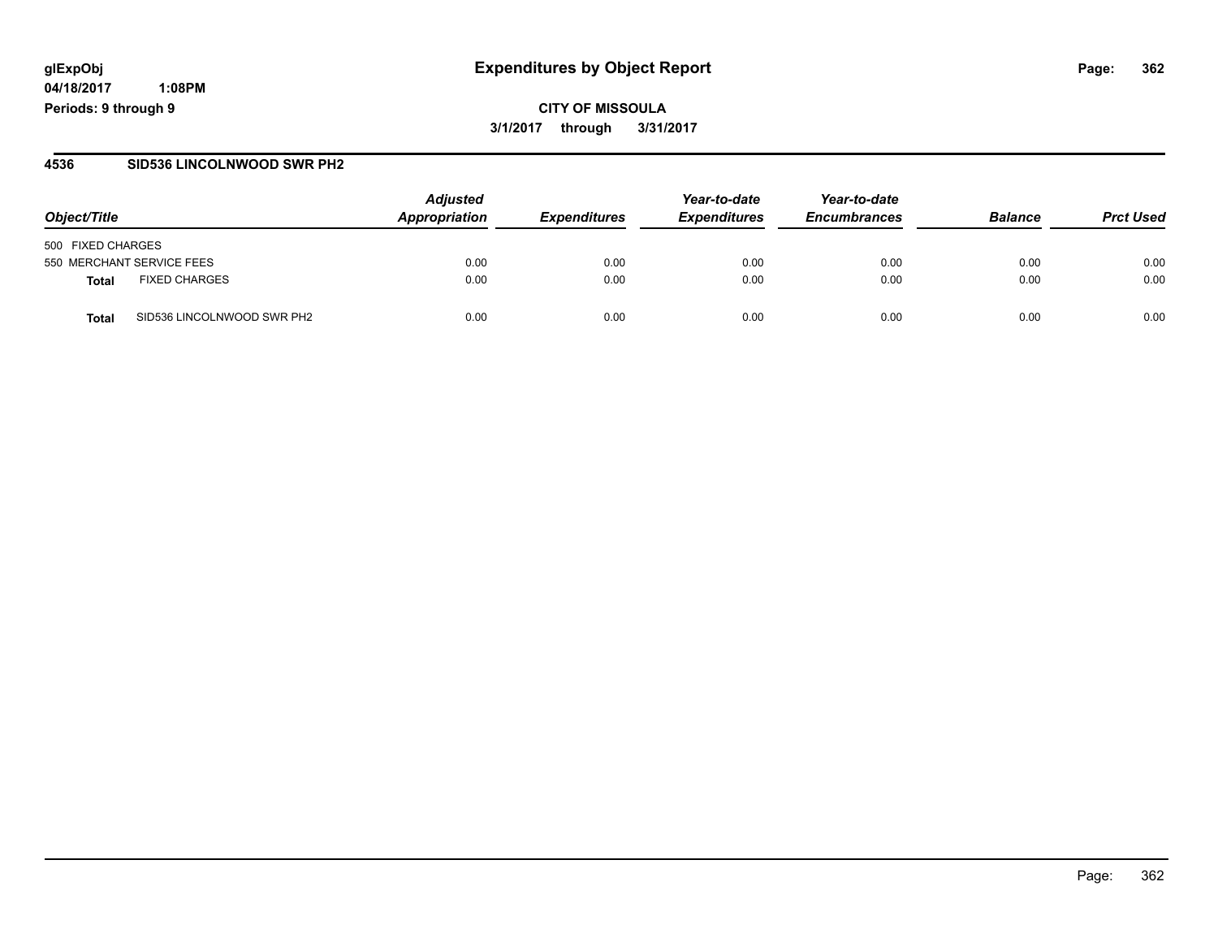**04/18/2017 1:08PM Periods: 9 through 9**

### **4536 SID536 LINCOLNWOOD SWR PH2**

| Object/Title                               | <b>Adjusted</b><br>Appropriation | <b>Expenditures</b> | Year-to-date<br><b>Expenditures</b> | Year-to-date<br><b>Encumbrances</b> | <b>Balance</b> | <b>Prct Used</b> |
|--------------------------------------------|----------------------------------|---------------------|-------------------------------------|-------------------------------------|----------------|------------------|
| 500 FIXED CHARGES                          |                                  |                     |                                     |                                     |                |                  |
| 550 MERCHANT SERVICE FEES                  | 0.00                             | 0.00                | 0.00                                | 0.00                                | 0.00           | 0.00             |
| <b>FIXED CHARGES</b><br>Total              | 0.00                             | 0.00                | 0.00                                | 0.00                                | 0.00           | 0.00             |
| SID536 LINCOLNWOOD SWR PH2<br><b>Total</b> | 0.00                             | 0.00                | 0.00                                | 0.00                                | 0.00           | 0.00             |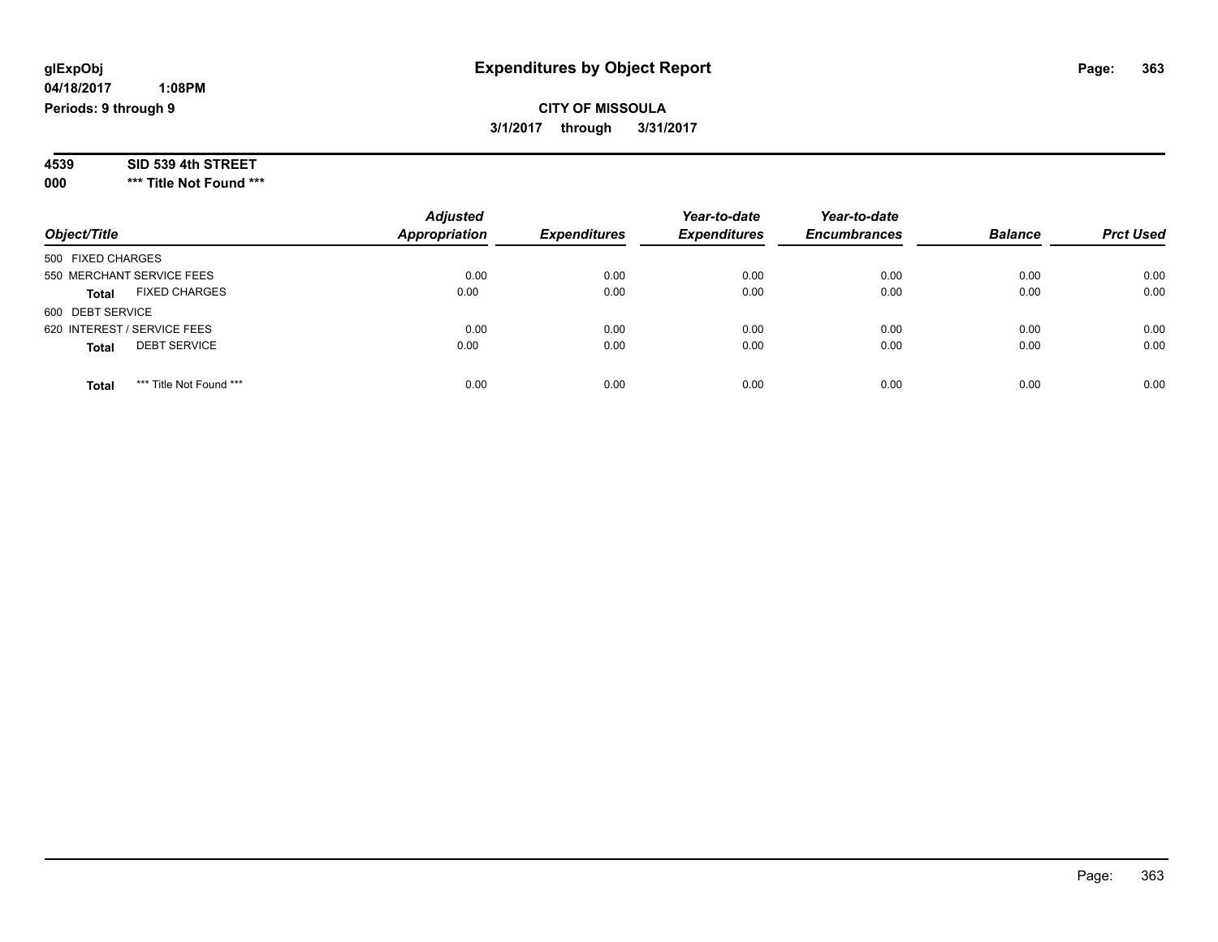## **CITY OF MISSOULA 3/1/2017 through 3/31/2017**

| 4539 | SID 539 4th STREET |  |
|------|--------------------|--|
|------|--------------------|--|

**000 \*\*\* Title Not Found \*\*\***

| Object/Title                            | <b>Adjusted</b><br>Appropriation | <b>Expenditures</b> | Year-to-date<br><b>Expenditures</b> | Year-to-date<br><b>Encumbrances</b> | <b>Balance</b> | <b>Prct Used</b> |
|-----------------------------------------|----------------------------------|---------------------|-------------------------------------|-------------------------------------|----------------|------------------|
| 500 FIXED CHARGES                       |                                  |                     |                                     |                                     |                |                  |
| 550 MERCHANT SERVICE FEES               | 0.00                             | 0.00                | 0.00                                | 0.00                                | 0.00           | 0.00             |
| <b>FIXED CHARGES</b><br><b>Total</b>    | 0.00                             | 0.00                | 0.00                                | 0.00                                | 0.00           | 0.00             |
| 600 DEBT SERVICE                        |                                  |                     |                                     |                                     |                |                  |
| 620 INTEREST / SERVICE FEES             | 0.00                             | 0.00                | 0.00                                | 0.00                                | 0.00           | 0.00             |
| <b>DEBT SERVICE</b><br><b>Total</b>     | 0.00                             | 0.00                | 0.00                                | 0.00                                | 0.00           | 0.00             |
| *** Title Not Found ***<br><b>Total</b> | 0.00                             | 0.00                | 0.00                                | 0.00                                | 0.00           | 0.00             |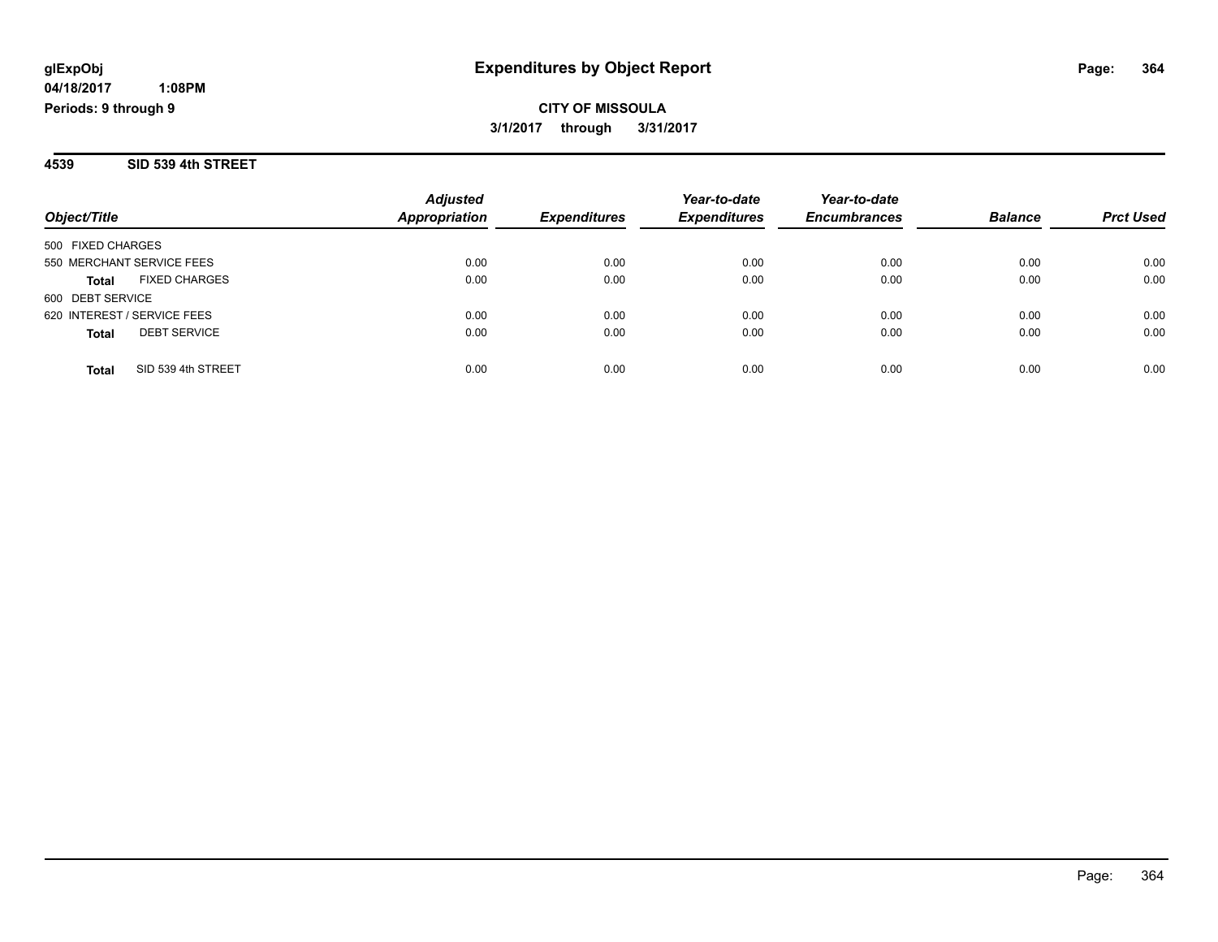# **CITY OF MISSOULA 3/1/2017 through 3/31/2017**

#### **4539 SID 539 4th STREET**

| Object/Title                         | <b>Adjusted</b><br>Appropriation | <b>Expenditures</b> | Year-to-date<br><b>Expenditures</b> | Year-to-date<br><b>Encumbrances</b> | <b>Balance</b> | <b>Prct Used</b> |
|--------------------------------------|----------------------------------|---------------------|-------------------------------------|-------------------------------------|----------------|------------------|
|                                      |                                  |                     |                                     |                                     |                |                  |
| 500 FIXED CHARGES                    |                                  |                     |                                     |                                     |                |                  |
| 550 MERCHANT SERVICE FEES            | 0.00                             | 0.00                | 0.00                                | 0.00                                | 0.00           | 0.00             |
| <b>FIXED CHARGES</b><br><b>Total</b> | 0.00                             | 0.00                | 0.00                                | 0.00                                | 0.00           | 0.00             |
| 600 DEBT SERVICE                     |                                  |                     |                                     |                                     |                |                  |
| 620 INTEREST / SERVICE FEES          | 0.00                             | 0.00                | 0.00                                | 0.00                                | 0.00           | 0.00             |
| <b>DEBT SERVICE</b><br><b>Total</b>  | 0.00                             | 0.00                | 0.00                                | 0.00                                | 0.00           | 0.00             |
|                                      |                                  |                     |                                     |                                     |                |                  |
| SID 539 4th STREET<br><b>Total</b>   | 0.00                             | 0.00                | 0.00                                | 0.00                                | 0.00           | 0.00             |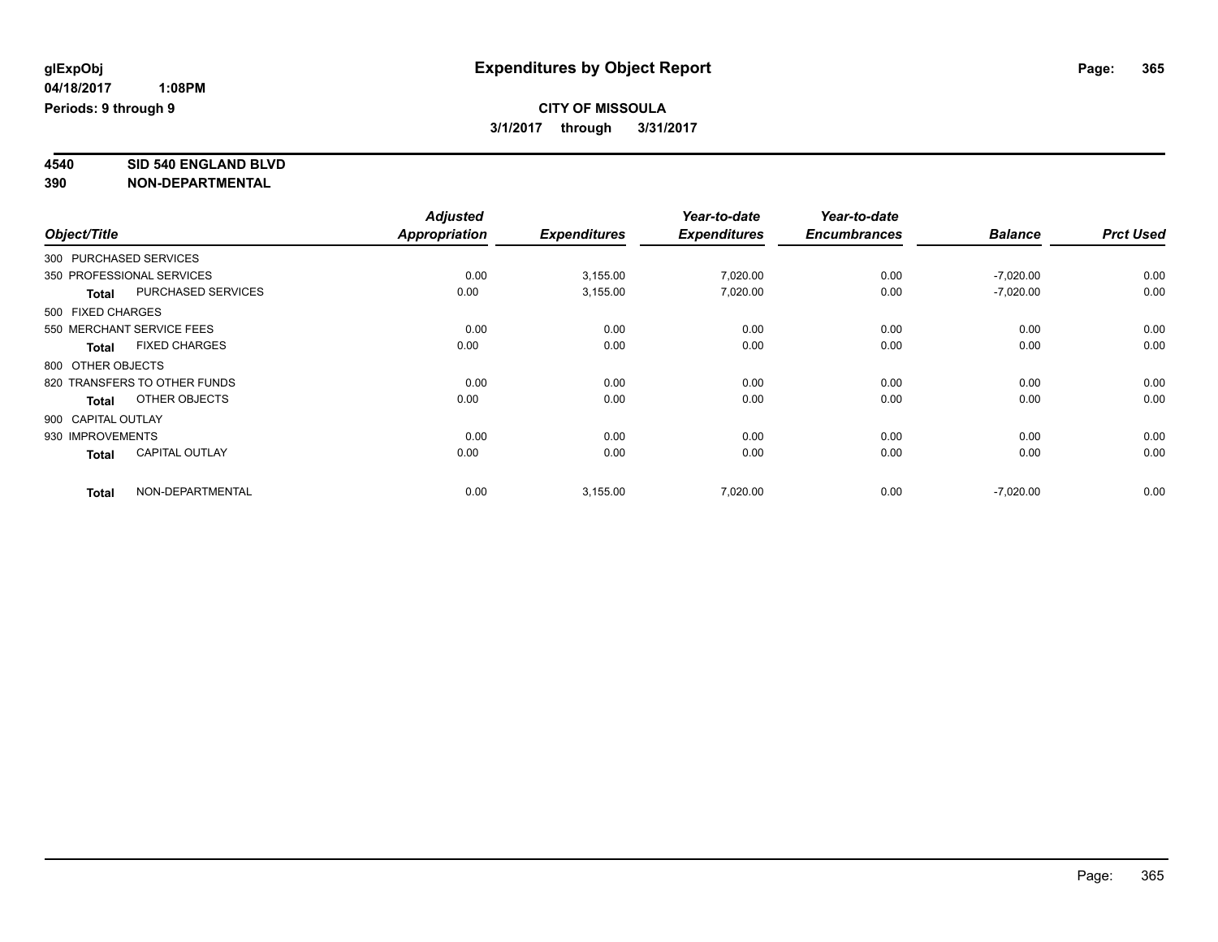**4540 SID 540 ENGLAND BLVD**

| Object/Title           |                              | <b>Adjusted</b> |                     | Year-to-date        | Year-to-date        |                |                  |
|------------------------|------------------------------|-----------------|---------------------|---------------------|---------------------|----------------|------------------|
|                        |                              | Appropriation   | <b>Expenditures</b> | <b>Expenditures</b> | <b>Encumbrances</b> | <b>Balance</b> | <b>Prct Used</b> |
| 300 PURCHASED SERVICES |                              |                 |                     |                     |                     |                |                  |
|                        | 350 PROFESSIONAL SERVICES    | 0.00            | 3,155.00            | 7,020.00            | 0.00                | $-7,020.00$    | 0.00             |
| <b>Total</b>           | <b>PURCHASED SERVICES</b>    | 0.00            | 3,155.00            | 7,020.00            | 0.00                | $-7,020.00$    | 0.00             |
| 500 FIXED CHARGES      |                              |                 |                     |                     |                     |                |                  |
|                        | 550 MERCHANT SERVICE FEES    | 0.00            | 0.00                | 0.00                | 0.00                | 0.00           | 0.00             |
| <b>Total</b>           | <b>FIXED CHARGES</b>         | 0.00            | 0.00                | 0.00                | 0.00                | 0.00           | 0.00             |
| 800 OTHER OBJECTS      |                              |                 |                     |                     |                     |                |                  |
|                        | 820 TRANSFERS TO OTHER FUNDS | 0.00            | 0.00                | 0.00                | 0.00                | 0.00           | 0.00             |
| <b>Total</b>           | OTHER OBJECTS                | 0.00            | 0.00                | 0.00                | 0.00                | 0.00           | 0.00             |
| 900 CAPITAL OUTLAY     |                              |                 |                     |                     |                     |                |                  |
| 930 IMPROVEMENTS       |                              | 0.00            | 0.00                | 0.00                | 0.00                | 0.00           | 0.00             |
| <b>Total</b>           | <b>CAPITAL OUTLAY</b>        | 0.00            | 0.00                | 0.00                | 0.00                | 0.00           | 0.00             |
| <b>Total</b>           | NON-DEPARTMENTAL             | 0.00            | 3,155.00            | 7,020.00            | 0.00                | $-7,020.00$    | 0.00             |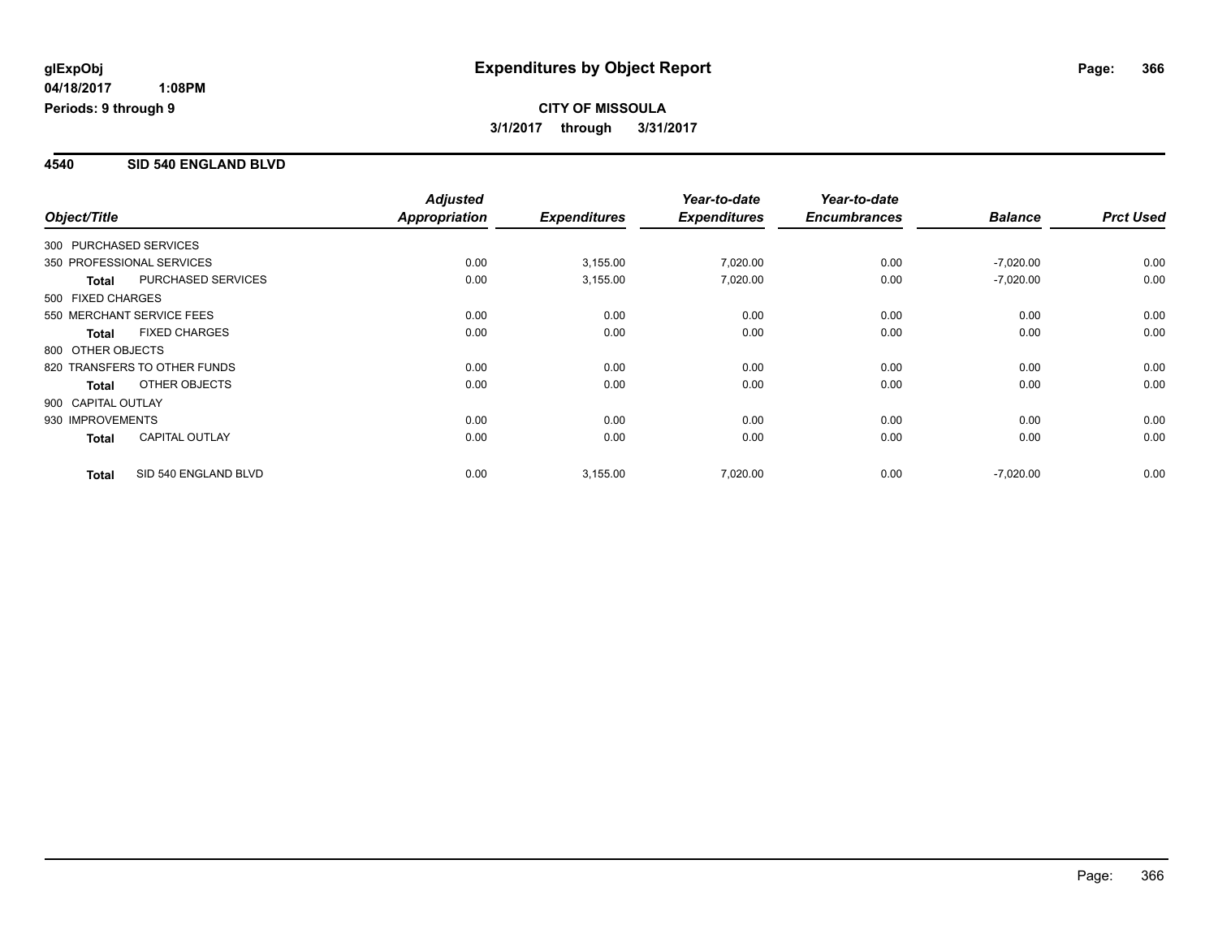### **4540 SID 540 ENGLAND BLVD**

|                        |                              | <b>Adjusted</b>      |                     | Year-to-date        | Year-to-date        |                |                  |
|------------------------|------------------------------|----------------------|---------------------|---------------------|---------------------|----------------|------------------|
| Object/Title           |                              | <b>Appropriation</b> | <b>Expenditures</b> | <b>Expenditures</b> | <b>Encumbrances</b> | <b>Balance</b> | <b>Prct Used</b> |
| 300 PURCHASED SERVICES |                              |                      |                     |                     |                     |                |                  |
|                        | 350 PROFESSIONAL SERVICES    | 0.00                 | 3,155.00            | 7,020.00            | 0.00                | $-7,020.00$    | 0.00             |
| <b>Total</b>           | <b>PURCHASED SERVICES</b>    | 0.00                 | 3,155.00            | 7,020.00            | 0.00                | $-7,020.00$    | 0.00             |
| 500 FIXED CHARGES      |                              |                      |                     |                     |                     |                |                  |
|                        | 550 MERCHANT SERVICE FEES    | 0.00                 | 0.00                | 0.00                | 0.00                | 0.00           | 0.00             |
| <b>Total</b>           | <b>FIXED CHARGES</b>         | 0.00                 | 0.00                | 0.00                | 0.00                | 0.00           | 0.00             |
| 800 OTHER OBJECTS      |                              |                      |                     |                     |                     |                |                  |
|                        | 820 TRANSFERS TO OTHER FUNDS | 0.00                 | 0.00                | 0.00                | 0.00                | 0.00           | 0.00             |
| <b>Total</b>           | OTHER OBJECTS                | 0.00                 | 0.00                | 0.00                | 0.00                | 0.00           | 0.00             |
| 900 CAPITAL OUTLAY     |                              |                      |                     |                     |                     |                |                  |
| 930 IMPROVEMENTS       |                              | 0.00                 | 0.00                | 0.00                | 0.00                | 0.00           | 0.00             |
| <b>Total</b>           | <b>CAPITAL OUTLAY</b>        | 0.00                 | 0.00                | 0.00                | 0.00                | 0.00           | 0.00             |
| <b>Total</b>           | SID 540 ENGLAND BLVD         | 0.00                 | 3,155.00            | 7,020.00            | 0.00                | $-7,020.00$    | 0.00             |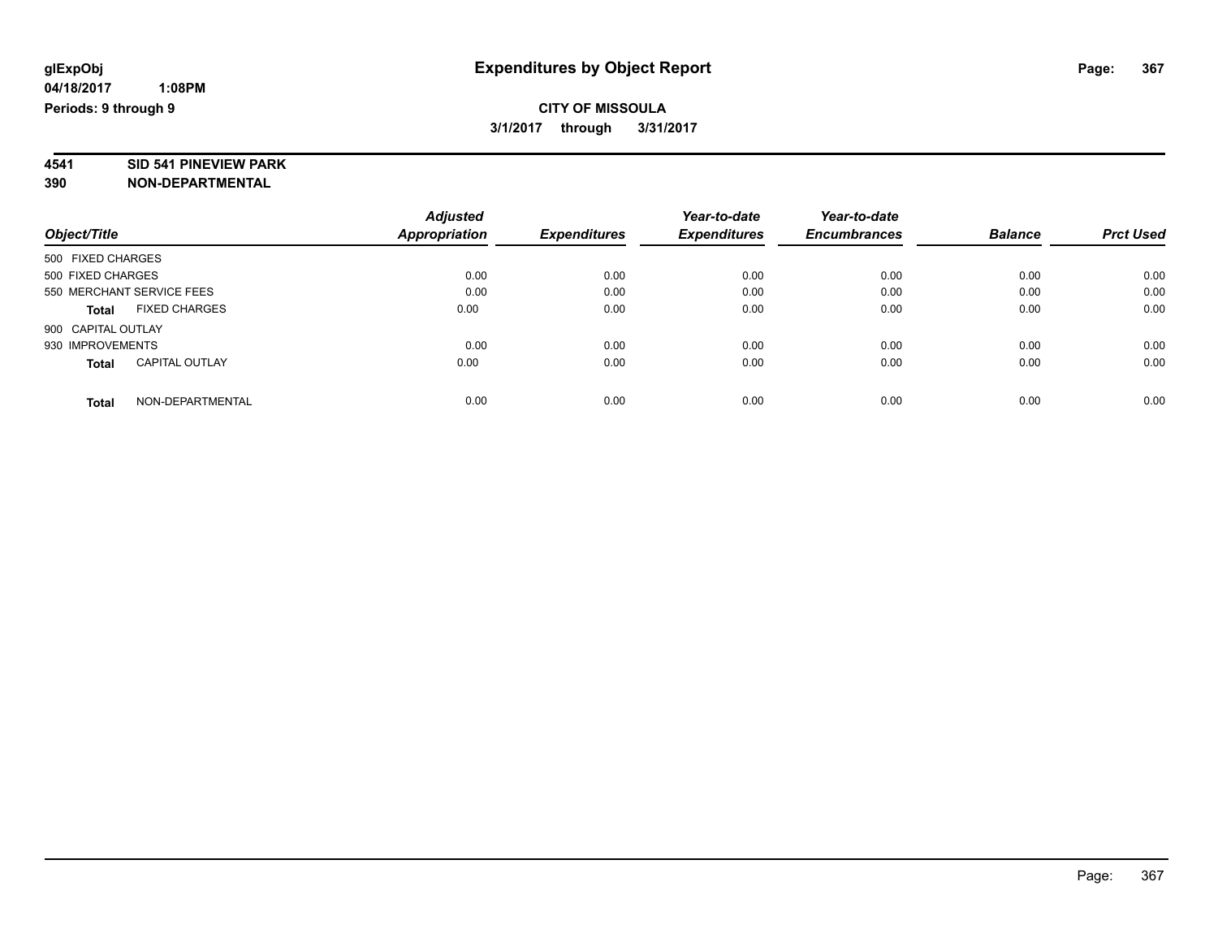# **4541 SID 541 PINEVIEW PARK**

|                                       | <b>Adjusted</b> | <b>Expenditures</b> | Year-to-date<br><b>Expenditures</b> | Year-to-date<br><b>Encumbrances</b> | <b>Balance</b> | <b>Prct Used</b> |
|---------------------------------------|-----------------|---------------------|-------------------------------------|-------------------------------------|----------------|------------------|
| Object/Title                          | Appropriation   |                     |                                     |                                     |                |                  |
| 500 FIXED CHARGES                     |                 |                     |                                     |                                     |                |                  |
| 500 FIXED CHARGES                     | 0.00            | 0.00                | 0.00                                | 0.00                                | 0.00           | 0.00             |
| 550 MERCHANT SERVICE FEES             | 0.00            | 0.00                | 0.00                                | 0.00                                | 0.00           | 0.00             |
| <b>FIXED CHARGES</b><br><b>Total</b>  | 0.00            | 0.00                | 0.00                                | 0.00                                | 0.00           | 0.00             |
| 900 CAPITAL OUTLAY                    |                 |                     |                                     |                                     |                |                  |
| 930 IMPROVEMENTS                      | 0.00            | 0.00                | 0.00                                | 0.00                                | 0.00           | 0.00             |
| <b>CAPITAL OUTLAY</b><br><b>Total</b> | 0.00            | 0.00                | 0.00                                | 0.00                                | 0.00           | 0.00             |
| NON-DEPARTMENTAL<br><b>Total</b>      | 0.00            | 0.00                | 0.00                                | 0.00                                | 0.00           | 0.00             |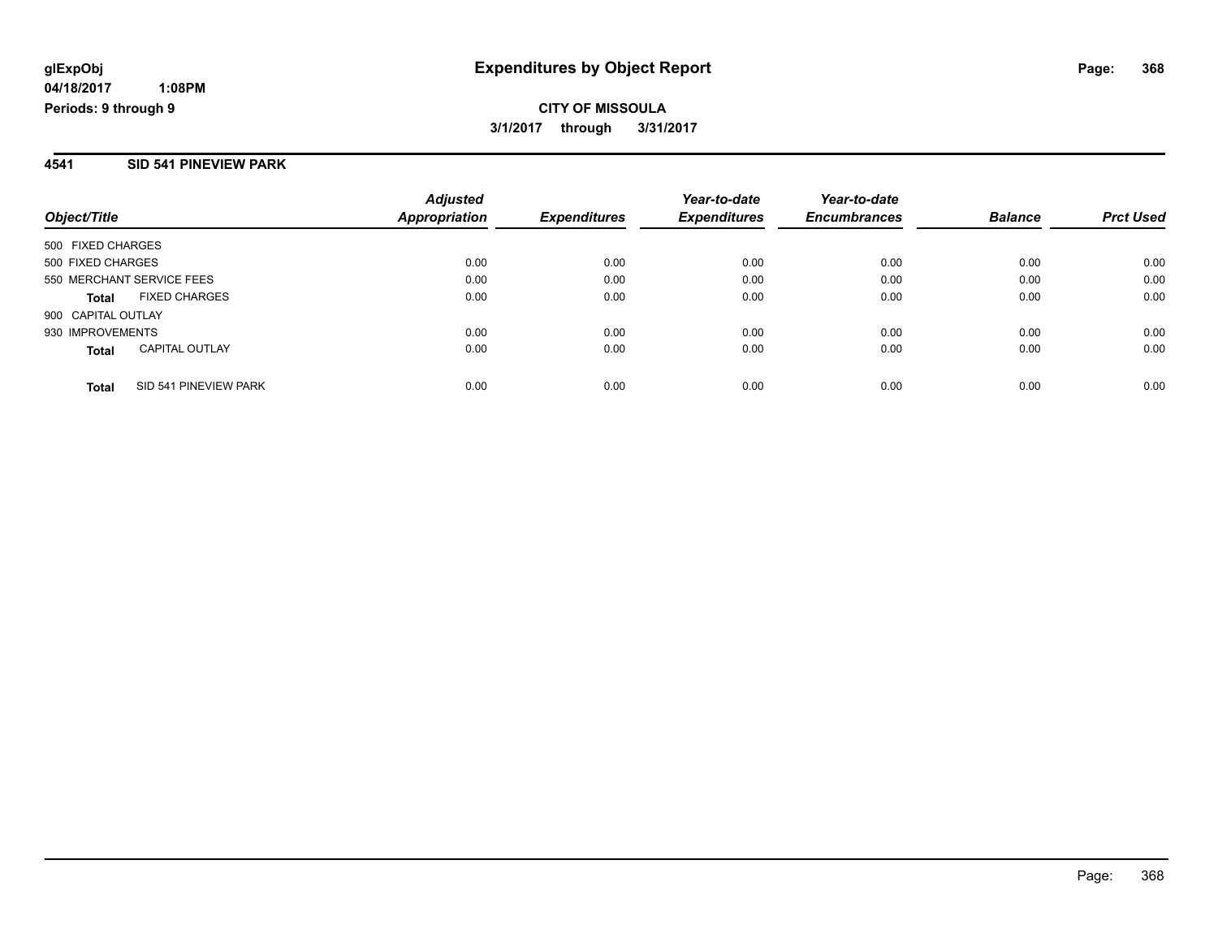**CITY OF MISSOULA 3/1/2017 through 3/31/2017**

#### **4541 SID 541 PINEVIEW PARK**

| Object/Title                          | <b>Adjusted</b><br>Appropriation | <b>Expenditures</b> | Year-to-date<br><b>Expenditures</b> | Year-to-date<br><b>Encumbrances</b> | <b>Balance</b> | <b>Prct Used</b> |
|---------------------------------------|----------------------------------|---------------------|-------------------------------------|-------------------------------------|----------------|------------------|
| 500 FIXED CHARGES                     |                                  |                     |                                     |                                     |                |                  |
| 500 FIXED CHARGES                     | 0.00                             | 0.00                | 0.00                                | 0.00                                | 0.00           | 0.00             |
| 550 MERCHANT SERVICE FEES             | 0.00                             | 0.00                | 0.00                                | 0.00                                | 0.00           | 0.00             |
| <b>FIXED CHARGES</b><br><b>Total</b>  | 0.00                             | 0.00                | 0.00                                | 0.00                                | 0.00           | 0.00             |
| 900 CAPITAL OUTLAY                    |                                  |                     |                                     |                                     |                |                  |
| 930 IMPROVEMENTS                      | 0.00                             | 0.00                | 0.00                                | 0.00                                | 0.00           | 0.00             |
| <b>CAPITAL OUTLAY</b><br><b>Total</b> | 0.00                             | 0.00                | 0.00                                | 0.00                                | 0.00           | 0.00             |
| SID 541 PINEVIEW PARK<br>Total        | 0.00                             | 0.00                | 0.00                                | 0.00                                | 0.00           | 0.00             |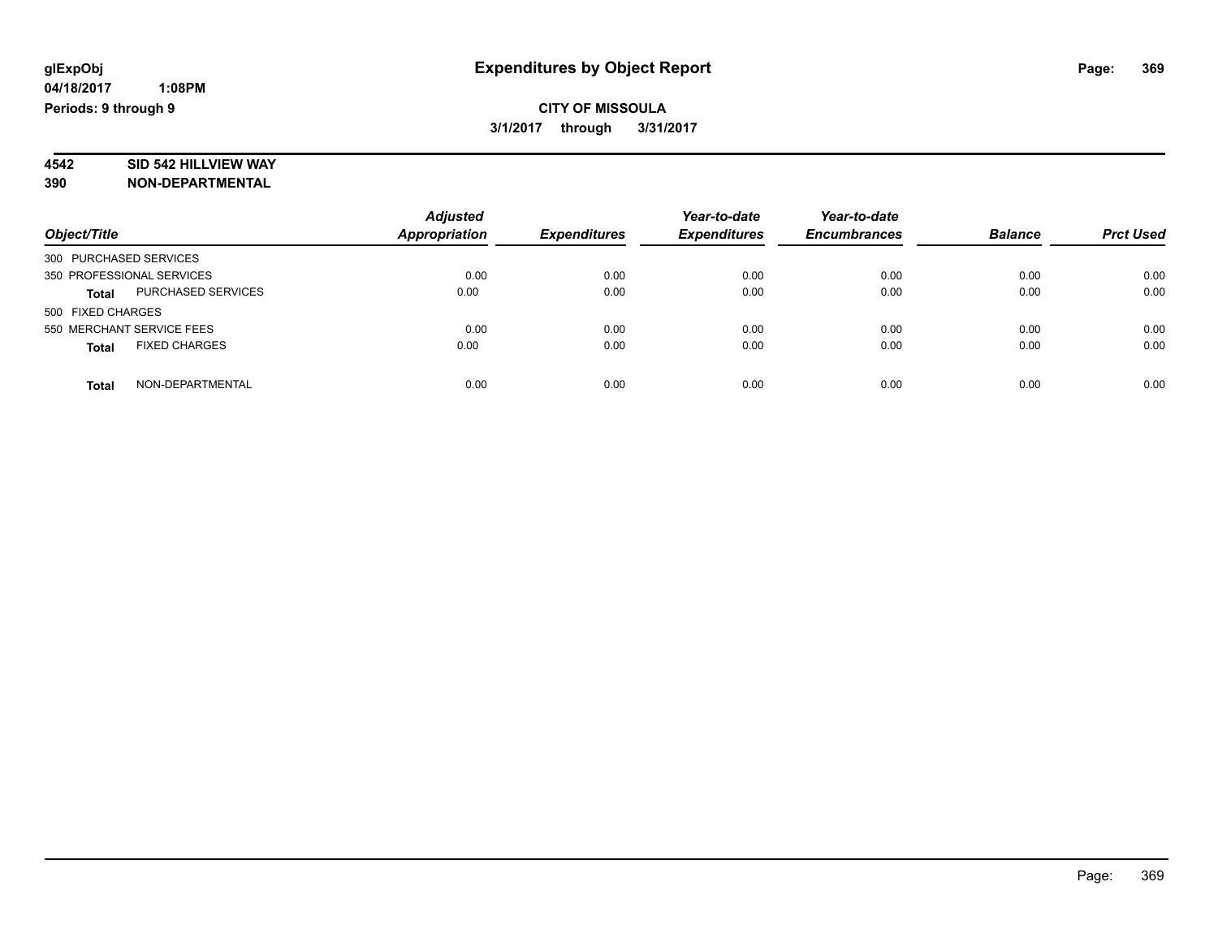# **4542 SID 542 HILLVIEW WAY**

|                                      | <b>Adjusted</b>      |                     | Year-to-date        | Year-to-date        |                |                  |
|--------------------------------------|----------------------|---------------------|---------------------|---------------------|----------------|------------------|
| Object/Title                         | <b>Appropriation</b> | <b>Expenditures</b> | <b>Expenditures</b> | <b>Encumbrances</b> | <b>Balance</b> | <b>Prct Used</b> |
| 300 PURCHASED SERVICES               |                      |                     |                     |                     |                |                  |
| 350 PROFESSIONAL SERVICES            | 0.00                 | 0.00                | 0.00                | 0.00                | 0.00           | 0.00             |
| PURCHASED SERVICES<br><b>Total</b>   | 0.00                 | 0.00                | 0.00                | 0.00                | 0.00           | 0.00             |
| 500 FIXED CHARGES                    |                      |                     |                     |                     |                |                  |
| 550 MERCHANT SERVICE FEES            | 0.00                 | 0.00                | 0.00                | 0.00                | 0.00           | 0.00             |
| <b>FIXED CHARGES</b><br><b>Total</b> | 0.00                 | 0.00                | 0.00                | 0.00                | 0.00           | 0.00             |
| NON-DEPARTMENTAL<br><b>Total</b>     | 0.00                 | 0.00                | 0.00                | 0.00                | 0.00           | 0.00             |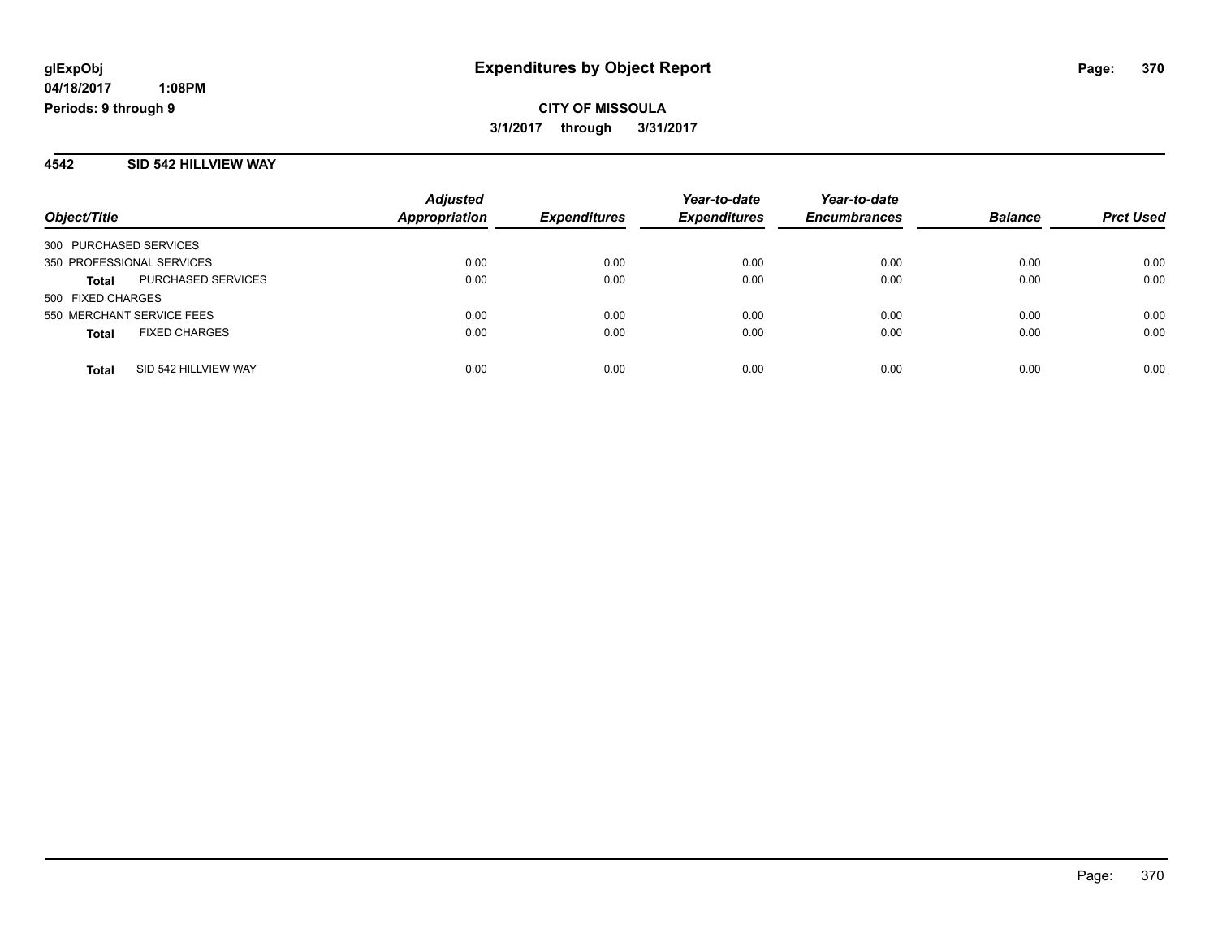#### **4542 SID 542 HILLVIEW WAY**

| Object/Title                         | <b>Adjusted</b><br><b>Appropriation</b> | <b>Expenditures</b> | Year-to-date<br><b>Expenditures</b> | Year-to-date<br><b>Encumbrances</b> | <b>Balance</b> | <b>Prct Used</b> |
|--------------------------------------|-----------------------------------------|---------------------|-------------------------------------|-------------------------------------|----------------|------------------|
| 300 PURCHASED SERVICES               |                                         |                     |                                     |                                     |                |                  |
| 350 PROFESSIONAL SERVICES            | 0.00                                    | 0.00                | 0.00                                | 0.00                                | 0.00           | 0.00             |
| PURCHASED SERVICES<br>Total          | 0.00                                    | 0.00                | 0.00                                | 0.00                                | 0.00           | 0.00             |
| 500 FIXED CHARGES                    |                                         |                     |                                     |                                     |                |                  |
| 550 MERCHANT SERVICE FEES            | 0.00                                    | 0.00                | 0.00                                | 0.00                                | 0.00           | 0.00             |
| <b>FIXED CHARGES</b><br><b>Total</b> | 0.00                                    | 0.00                | 0.00                                | 0.00                                | 0.00           | 0.00             |
| SID 542 HILLVIEW WAY<br><b>Total</b> | 0.00                                    | 0.00                | 0.00                                | 0.00                                | 0.00           | 0.00             |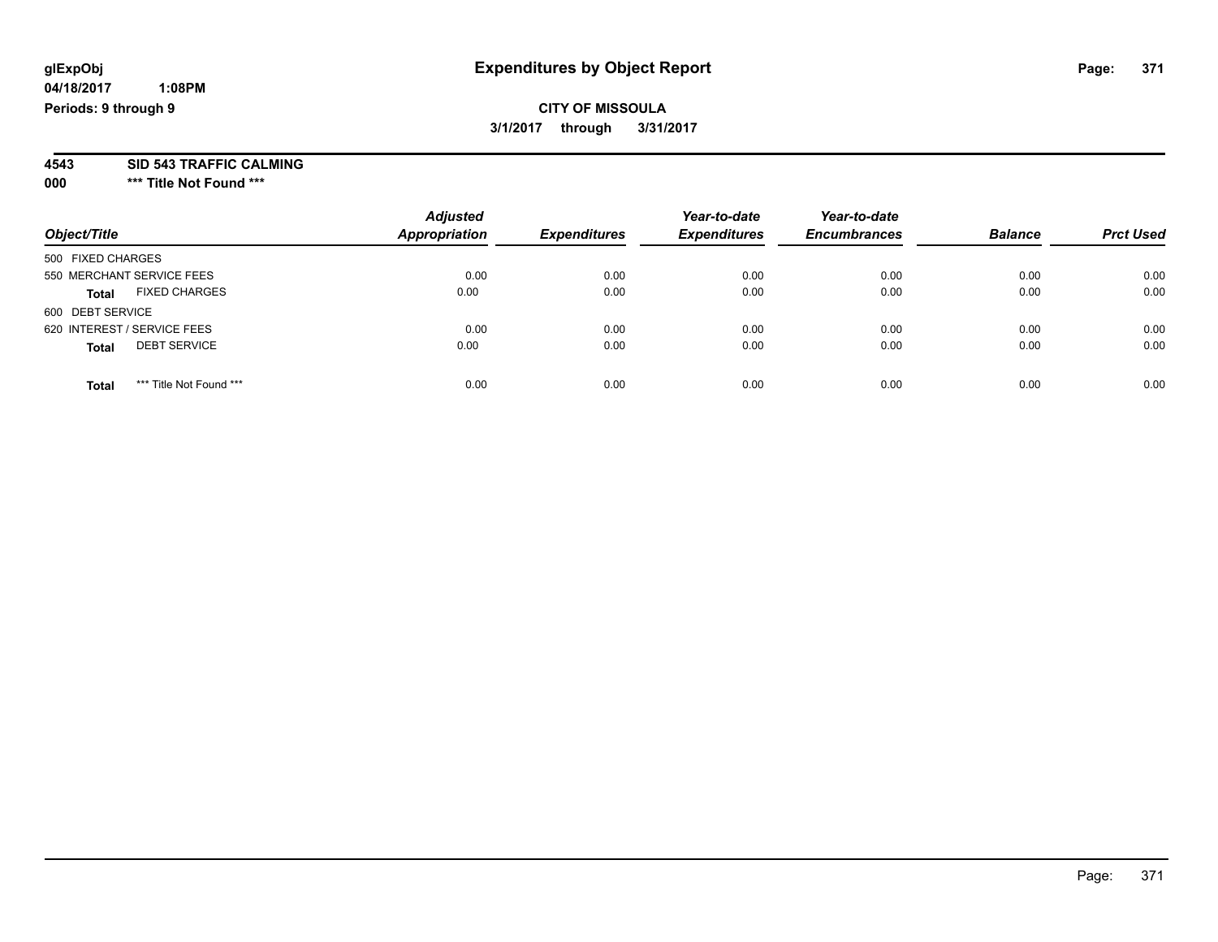## **CITY OF MISSOULA 3/1/2017 through 3/31/2017**

**4543 SID 543 TRAFFIC CALMING**

**000 \*\*\* Title Not Found \*\*\***

| Object/Title                            | <b>Adjusted</b><br><b>Appropriation</b> | <b>Expenditures</b> | Year-to-date<br><b>Expenditures</b> | Year-to-date<br><b>Encumbrances</b> | <b>Balance</b> | <b>Prct Used</b> |
|-----------------------------------------|-----------------------------------------|---------------------|-------------------------------------|-------------------------------------|----------------|------------------|
| 500 FIXED CHARGES                       |                                         |                     |                                     |                                     |                |                  |
| 550 MERCHANT SERVICE FEES               | 0.00                                    | 0.00                | 0.00                                | 0.00                                | 0.00           | 0.00             |
| <b>FIXED CHARGES</b><br><b>Total</b>    | 0.00                                    | 0.00                | 0.00                                | 0.00                                | 0.00           | 0.00             |
| 600 DEBT SERVICE                        |                                         |                     |                                     |                                     |                |                  |
| 620 INTEREST / SERVICE FEES             | 0.00                                    | 0.00                | 0.00                                | 0.00                                | 0.00           | 0.00             |
| <b>DEBT SERVICE</b><br><b>Total</b>     | 0.00                                    | 0.00                | 0.00                                | 0.00                                | 0.00           | 0.00             |
| *** Title Not Found ***<br><b>Total</b> | 0.00                                    | 0.00                | 0.00                                | 0.00                                | 0.00           | 0.00             |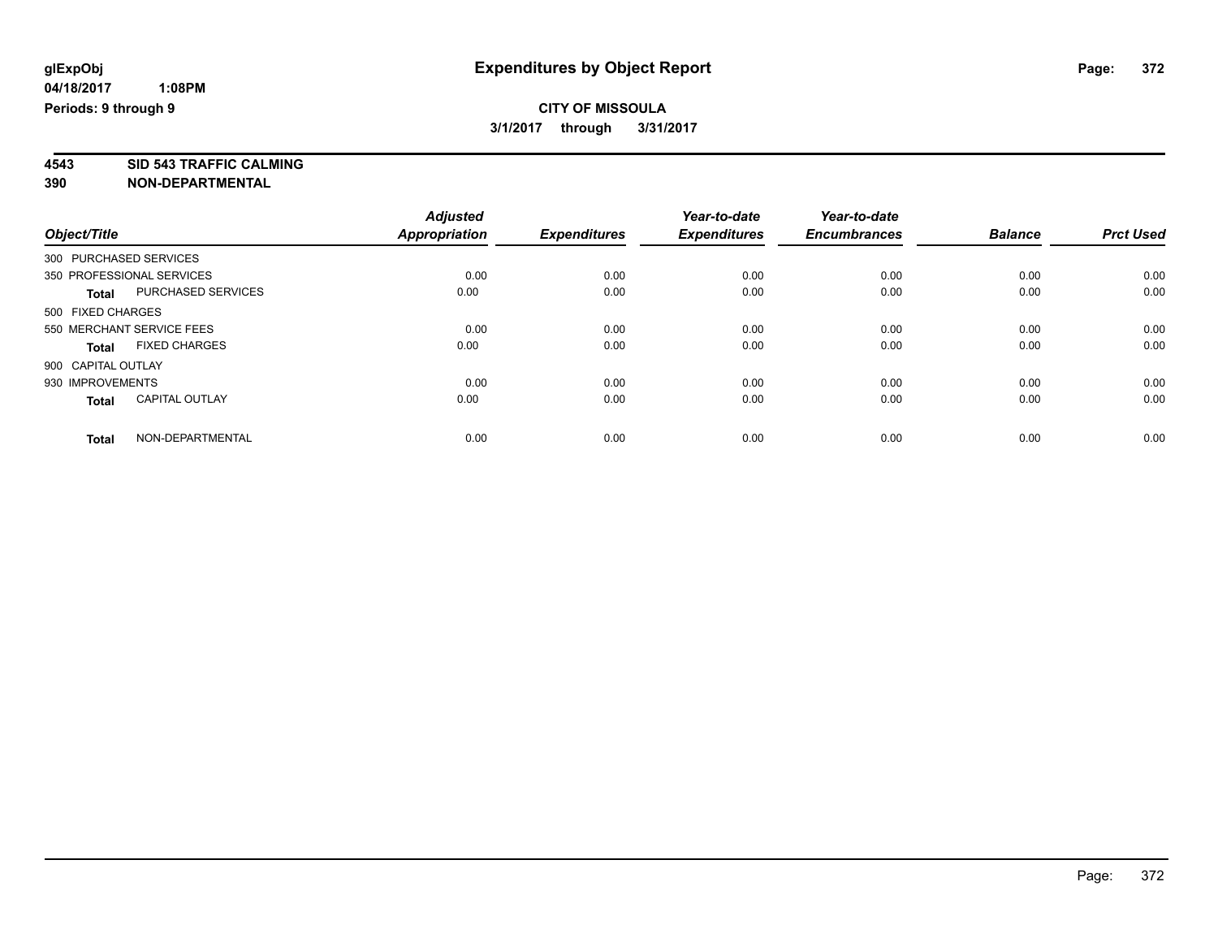**4543 SID 543 TRAFFIC CALMING**

| Object/Title       |                           | <b>Adjusted</b><br><b>Appropriation</b> | <b>Expenditures</b> | Year-to-date<br><b>Expenditures</b> | Year-to-date<br><b>Encumbrances</b> | <b>Balance</b> | <b>Prct Used</b> |
|--------------------|---------------------------|-----------------------------------------|---------------------|-------------------------------------|-------------------------------------|----------------|------------------|
|                    |                           |                                         |                     |                                     |                                     |                |                  |
|                    | 350 PROFESSIONAL SERVICES | 0.00                                    | 0.00                | 0.00                                | 0.00                                | 0.00           | 0.00             |
| <b>Total</b>       | <b>PURCHASED SERVICES</b> | 0.00                                    | 0.00                | 0.00                                | 0.00                                | 0.00           | 0.00             |
| 500 FIXED CHARGES  |                           |                                         |                     |                                     |                                     |                |                  |
|                    | 550 MERCHANT SERVICE FEES | 0.00                                    | 0.00                | 0.00                                | 0.00                                | 0.00           | 0.00             |
| <b>Total</b>       | <b>FIXED CHARGES</b>      | 0.00                                    | 0.00                | 0.00                                | 0.00                                | 0.00           | 0.00             |
| 900 CAPITAL OUTLAY |                           |                                         |                     |                                     |                                     |                |                  |
| 930 IMPROVEMENTS   |                           | 0.00                                    | 0.00                | 0.00                                | 0.00                                | 0.00           | 0.00             |
| <b>Total</b>       | <b>CAPITAL OUTLAY</b>     | 0.00                                    | 0.00                | 0.00                                | 0.00                                | 0.00           | 0.00             |
| <b>Total</b>       | NON-DEPARTMENTAL          | 0.00                                    | 0.00                | 0.00                                | 0.00                                | 0.00           | 0.00             |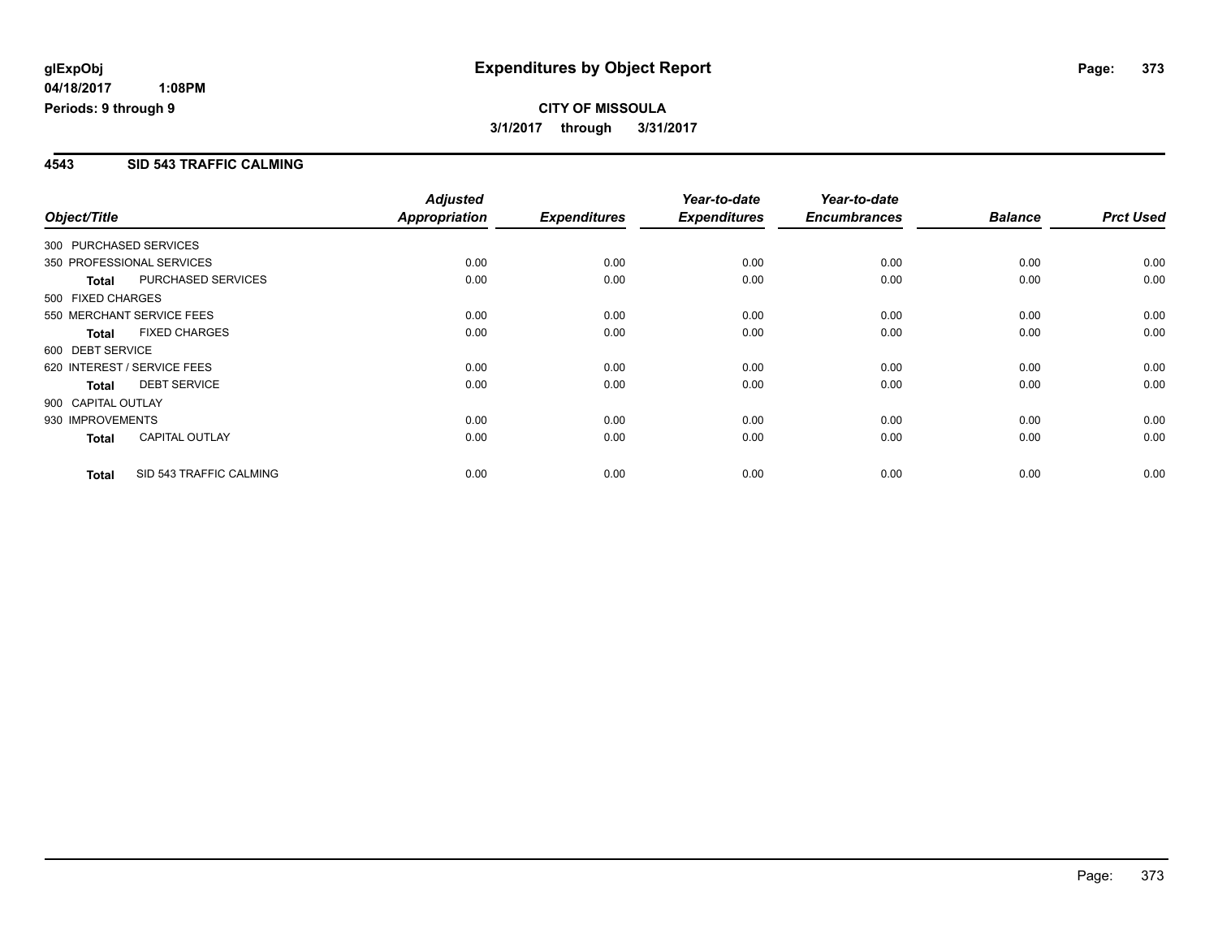### **4543 SID 543 TRAFFIC CALMING**

| Object/Title       |                             | <b>Adjusted</b><br><b>Appropriation</b> | <b>Expenditures</b> | Year-to-date<br><b>Expenditures</b> | Year-to-date<br><b>Encumbrances</b> | <b>Balance</b> | <b>Prct Used</b> |
|--------------------|-----------------------------|-----------------------------------------|---------------------|-------------------------------------|-------------------------------------|----------------|------------------|
|                    | 300 PURCHASED SERVICES      |                                         |                     |                                     |                                     |                |                  |
|                    | 350 PROFESSIONAL SERVICES   | 0.00                                    | 0.00                | 0.00                                | 0.00                                | 0.00           | 0.00             |
| <b>Total</b>       | <b>PURCHASED SERVICES</b>   | 0.00                                    | 0.00                | 0.00                                | 0.00                                | 0.00           | 0.00             |
| 500 FIXED CHARGES  |                             |                                         |                     |                                     |                                     |                |                  |
|                    | 550 MERCHANT SERVICE FEES   | 0.00                                    | 0.00                | 0.00                                | 0.00                                | 0.00           | 0.00             |
| <b>Total</b>       | <b>FIXED CHARGES</b>        | 0.00                                    | 0.00                | 0.00                                | 0.00                                | 0.00           | 0.00             |
| 600 DEBT SERVICE   |                             |                                         |                     |                                     |                                     |                |                  |
|                    | 620 INTEREST / SERVICE FEES | 0.00                                    | 0.00                | 0.00                                | 0.00                                | 0.00           | 0.00             |
| Total              | <b>DEBT SERVICE</b>         | 0.00                                    | 0.00                | 0.00                                | 0.00                                | 0.00           | 0.00             |
| 900 CAPITAL OUTLAY |                             |                                         |                     |                                     |                                     |                |                  |
| 930 IMPROVEMENTS   |                             | 0.00                                    | 0.00                | 0.00                                | 0.00                                | 0.00           | 0.00             |
| <b>Total</b>       | <b>CAPITAL OUTLAY</b>       | 0.00                                    | 0.00                | 0.00                                | 0.00                                | 0.00           | 0.00             |
| <b>Total</b>       | SID 543 TRAFFIC CALMING     | 0.00                                    | 0.00                | 0.00                                | 0.00                                | 0.00           | 0.00             |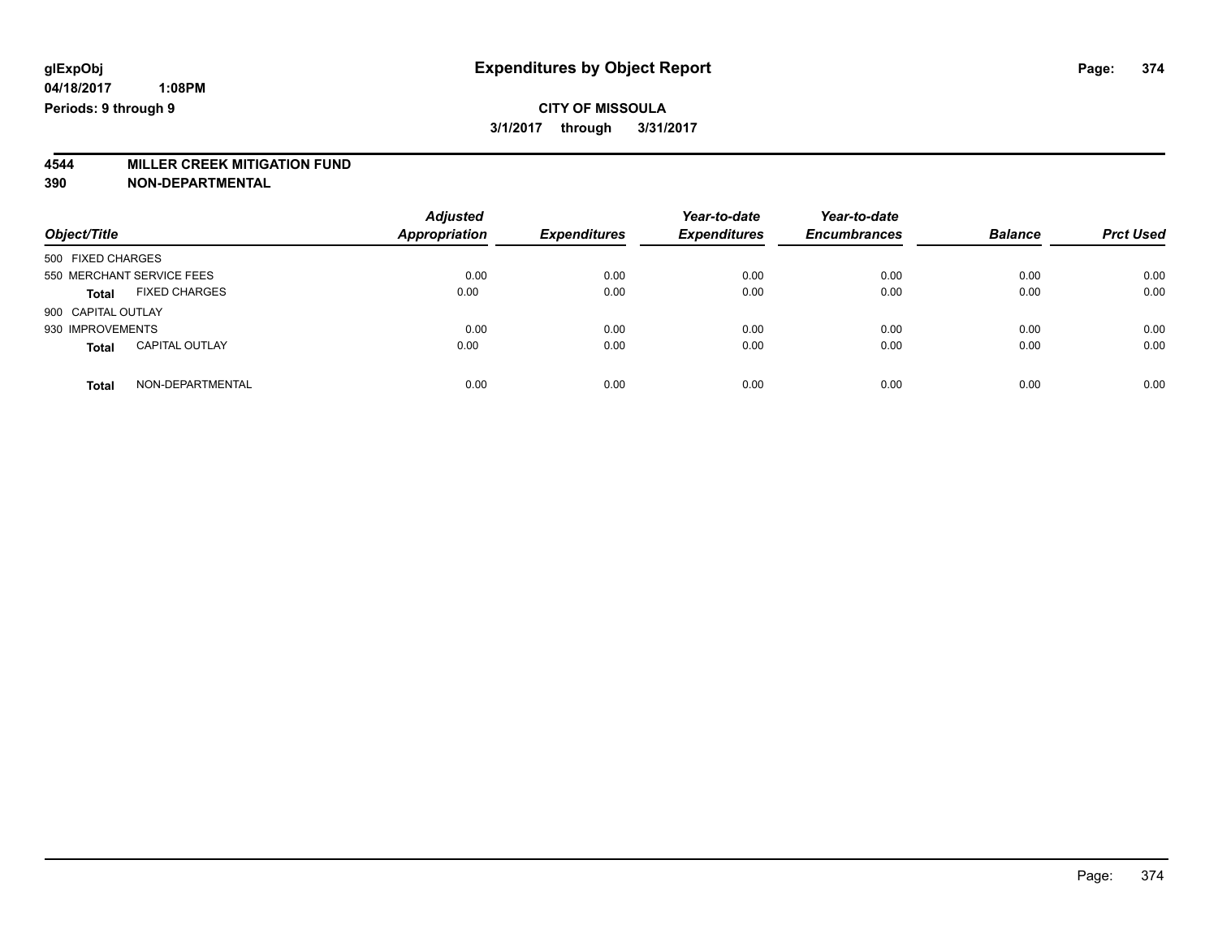## **CITY OF MISSOULA 3/1/2017 through 3/31/2017**

# **4544 MILLER CREEK MITIGATION FUND**

| Object/Title                          | <b>Adjusted</b><br><b>Appropriation</b> | <b>Expenditures</b> | Year-to-date<br><b>Expenditures</b> | Year-to-date<br><b>Encumbrances</b> | <b>Balance</b> | <b>Prct Used</b> |
|---------------------------------------|-----------------------------------------|---------------------|-------------------------------------|-------------------------------------|----------------|------------------|
| 500 FIXED CHARGES                     |                                         |                     |                                     |                                     |                |                  |
| 550 MERCHANT SERVICE FEES             | 0.00                                    | 0.00                | 0.00                                | 0.00                                | 0.00           | 0.00             |
| <b>FIXED CHARGES</b><br><b>Total</b>  | 0.00                                    | 0.00                | 0.00                                | 0.00                                | 0.00           | 0.00             |
| 900 CAPITAL OUTLAY                    |                                         |                     |                                     |                                     |                |                  |
| 930 IMPROVEMENTS                      | 0.00                                    | 0.00                | 0.00                                | 0.00                                | 0.00           | 0.00             |
| <b>CAPITAL OUTLAY</b><br><b>Total</b> | 0.00                                    | 0.00                | 0.00                                | 0.00                                | 0.00           | 0.00             |
| NON-DEPARTMENTAL<br>Total             | 0.00                                    | 0.00                | 0.00                                | 0.00                                | 0.00           | 0.00             |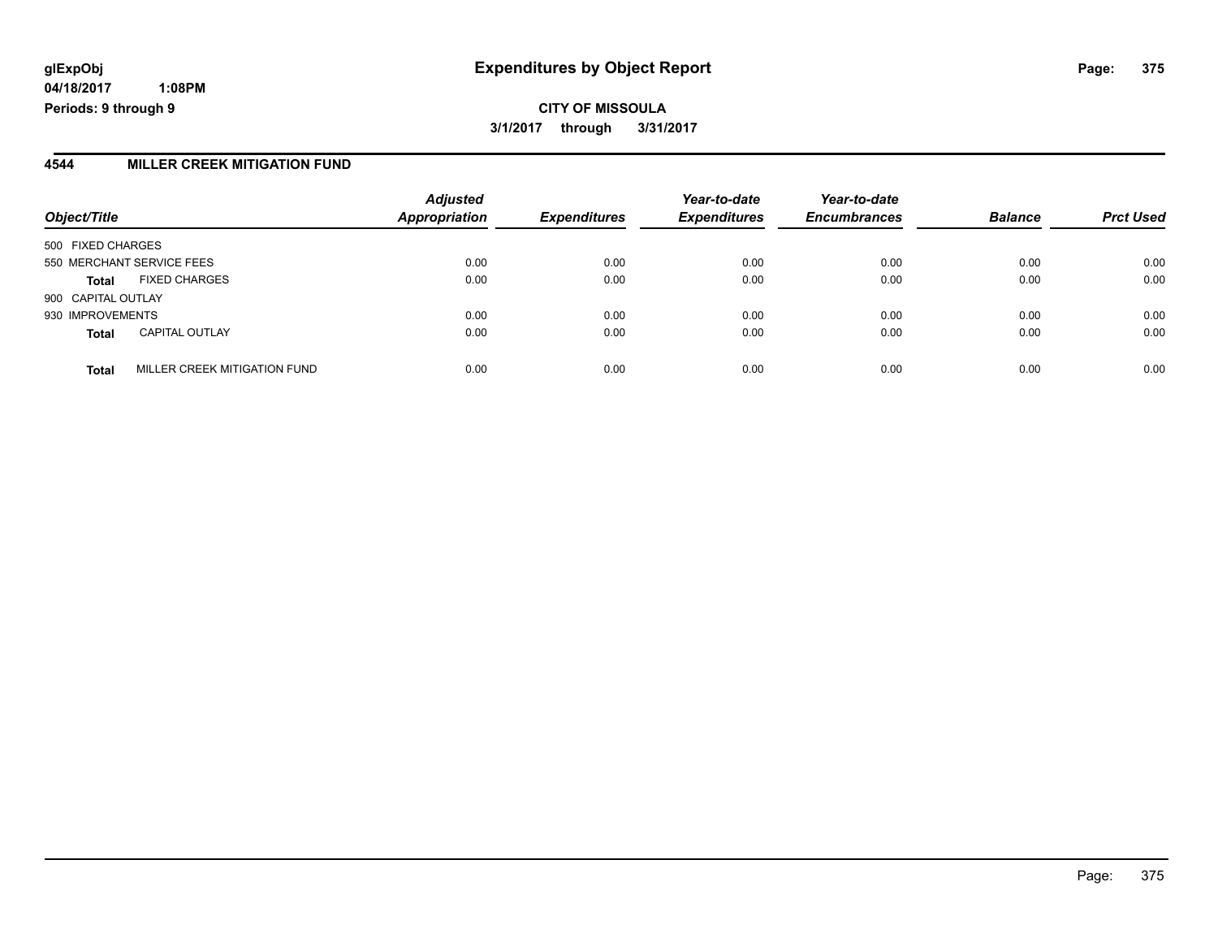**04/18/2017 1:08PM Periods: 9 through 9**

### **4544 MILLER CREEK MITIGATION FUND**

| Object/Title                                 | <b>Adjusted</b><br><b>Appropriation</b> | <b>Expenditures</b> | Year-to-date<br><b>Expenditures</b> | Year-to-date<br><b>Encumbrances</b> | <b>Balance</b> | <b>Prct Used</b> |
|----------------------------------------------|-----------------------------------------|---------------------|-------------------------------------|-------------------------------------|----------------|------------------|
| 500 FIXED CHARGES                            |                                         |                     |                                     |                                     |                |                  |
| 550 MERCHANT SERVICE FEES                    | 0.00                                    | 0.00                | 0.00                                | 0.00                                | 0.00           | 0.00             |
| <b>FIXED CHARGES</b><br><b>Total</b>         | 0.00                                    | 0.00                | 0.00                                | 0.00                                | 0.00           | 0.00             |
| 900 CAPITAL OUTLAY                           |                                         |                     |                                     |                                     |                |                  |
| 930 IMPROVEMENTS                             | 0.00                                    | 0.00                | 0.00                                | 0.00                                | 0.00           | 0.00             |
| <b>CAPITAL OUTLAY</b><br><b>Total</b>        | 0.00                                    | 0.00                | 0.00                                | 0.00                                | 0.00           | 0.00             |
| MILLER CREEK MITIGATION FUND<br><b>Total</b> | 0.00                                    | 0.00                | 0.00                                | 0.00                                | 0.00           | 0.00             |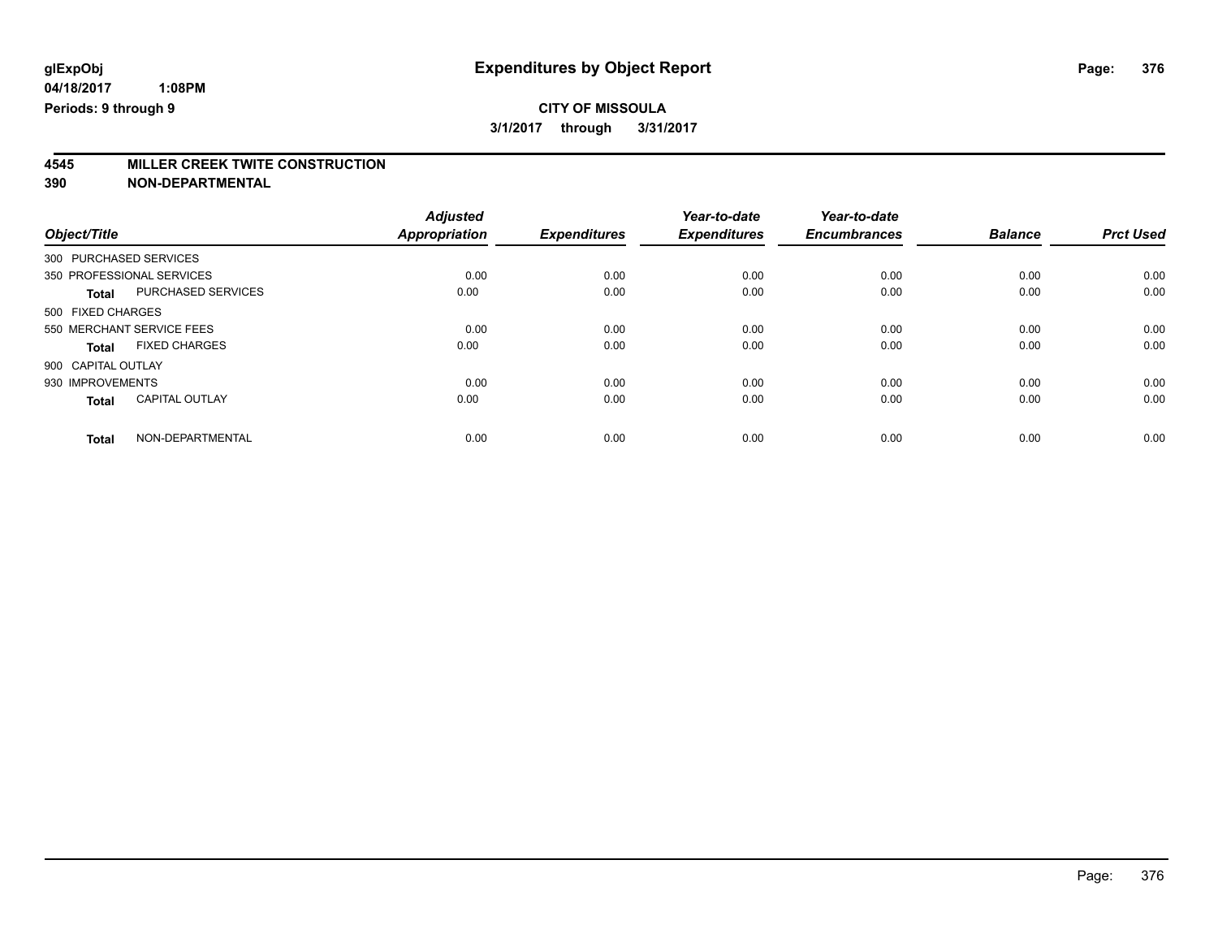# **4545 MILLER CREEK TWITE CONSTRUCTION**

|                                       | <b>Adjusted</b>      |                     | Year-to-date        | Year-to-date        |                |                  |
|---------------------------------------|----------------------|---------------------|---------------------|---------------------|----------------|------------------|
| Object/Title                          | <b>Appropriation</b> | <b>Expenditures</b> | <b>Expenditures</b> | <b>Encumbrances</b> | <b>Balance</b> | <b>Prct Used</b> |
| 300 PURCHASED SERVICES                |                      |                     |                     |                     |                |                  |
| 350 PROFESSIONAL SERVICES             | 0.00                 | 0.00                | 0.00                | 0.00                | 0.00           | 0.00             |
| PURCHASED SERVICES<br><b>Total</b>    | 0.00                 | 0.00                | 0.00                | 0.00                | 0.00           | 0.00             |
| 500 FIXED CHARGES                     |                      |                     |                     |                     |                |                  |
| 550 MERCHANT SERVICE FEES             | 0.00                 | 0.00                | 0.00                | 0.00                | 0.00           | 0.00             |
| <b>FIXED CHARGES</b><br><b>Total</b>  | 0.00                 | 0.00                | 0.00                | 0.00                | 0.00           | 0.00             |
| 900 CAPITAL OUTLAY                    |                      |                     |                     |                     |                |                  |
| 930 IMPROVEMENTS                      | 0.00                 | 0.00                | 0.00                | 0.00                | 0.00           | 0.00             |
| <b>CAPITAL OUTLAY</b><br><b>Total</b> | 0.00                 | 0.00                | 0.00                | 0.00                | 0.00           | 0.00             |
| NON-DEPARTMENTAL<br><b>Total</b>      | 0.00                 | 0.00                | 0.00                | 0.00                | 0.00           | 0.00             |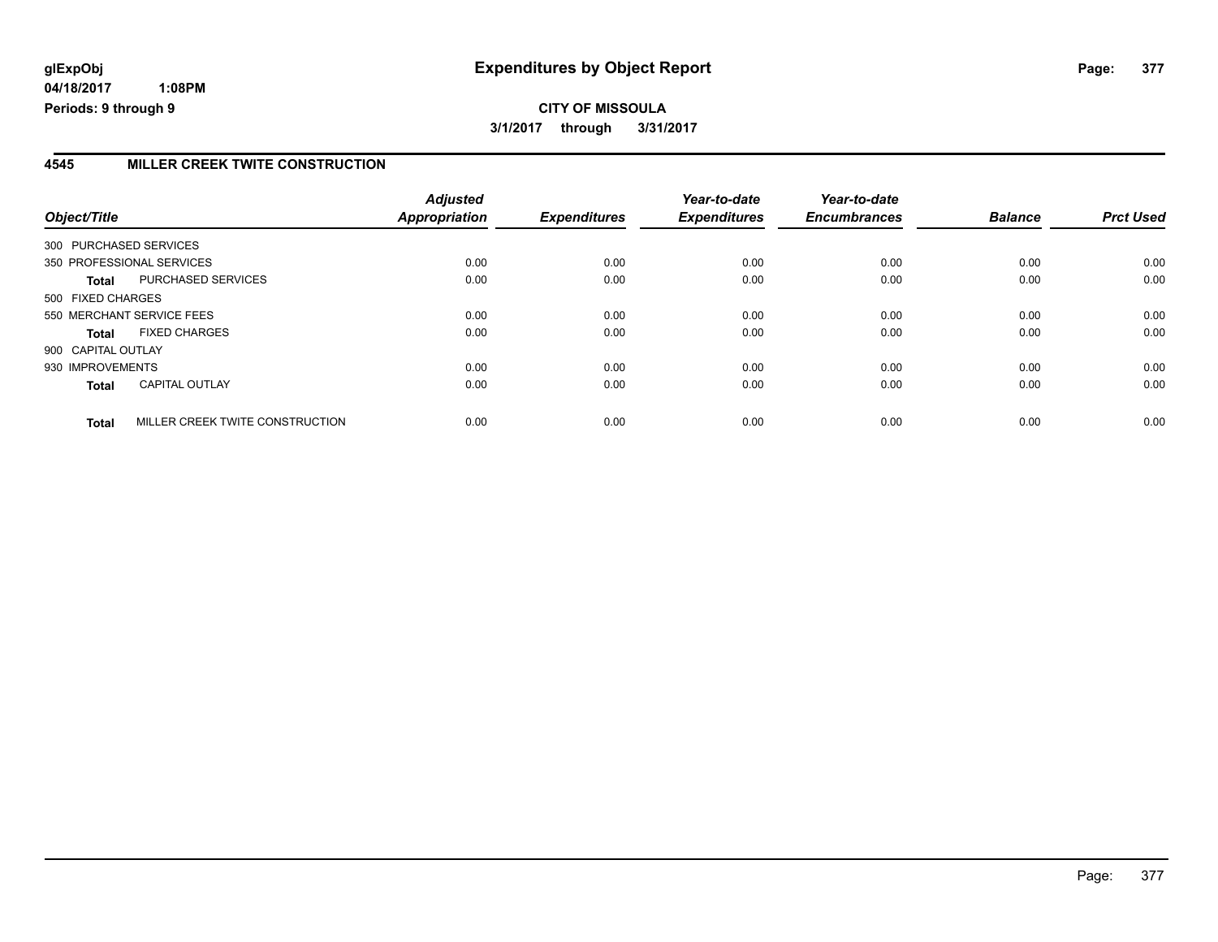**04/18/2017 1:08PM Periods: 9 through 9**

### **4545 MILLER CREEK TWITE CONSTRUCTION**

| Object/Title       |                                 | <b>Adjusted</b><br>Appropriation | <b>Expenditures</b> | Year-to-date<br><b>Expenditures</b> | Year-to-date<br><b>Encumbrances</b> | <b>Balance</b> | <b>Prct Used</b> |
|--------------------|---------------------------------|----------------------------------|---------------------|-------------------------------------|-------------------------------------|----------------|------------------|
|                    | 300 PURCHASED SERVICES          |                                  |                     |                                     |                                     |                |                  |
|                    | 350 PROFESSIONAL SERVICES       | 0.00                             | 0.00                | 0.00                                | 0.00                                | 0.00           | 0.00             |
| <b>Total</b>       | PURCHASED SERVICES              | 0.00                             | 0.00                | 0.00                                | 0.00                                | 0.00           | 0.00             |
| 500 FIXED CHARGES  |                                 |                                  |                     |                                     |                                     |                |                  |
|                    | 550 MERCHANT SERVICE FEES       | 0.00                             | 0.00                | 0.00                                | 0.00                                | 0.00           | 0.00             |
| Total              | <b>FIXED CHARGES</b>            | 0.00                             | 0.00                | 0.00                                | 0.00                                | 0.00           | 0.00             |
| 900 CAPITAL OUTLAY |                                 |                                  |                     |                                     |                                     |                |                  |
| 930 IMPROVEMENTS   |                                 | 0.00                             | 0.00                | 0.00                                | 0.00                                | 0.00           | 0.00             |
| <b>Total</b>       | <b>CAPITAL OUTLAY</b>           | 0.00                             | 0.00                | 0.00                                | 0.00                                | 0.00           | 0.00             |
| <b>Total</b>       | MILLER CREEK TWITE CONSTRUCTION | 0.00                             | 0.00                | 0.00                                | 0.00                                | 0.00           | 0.00             |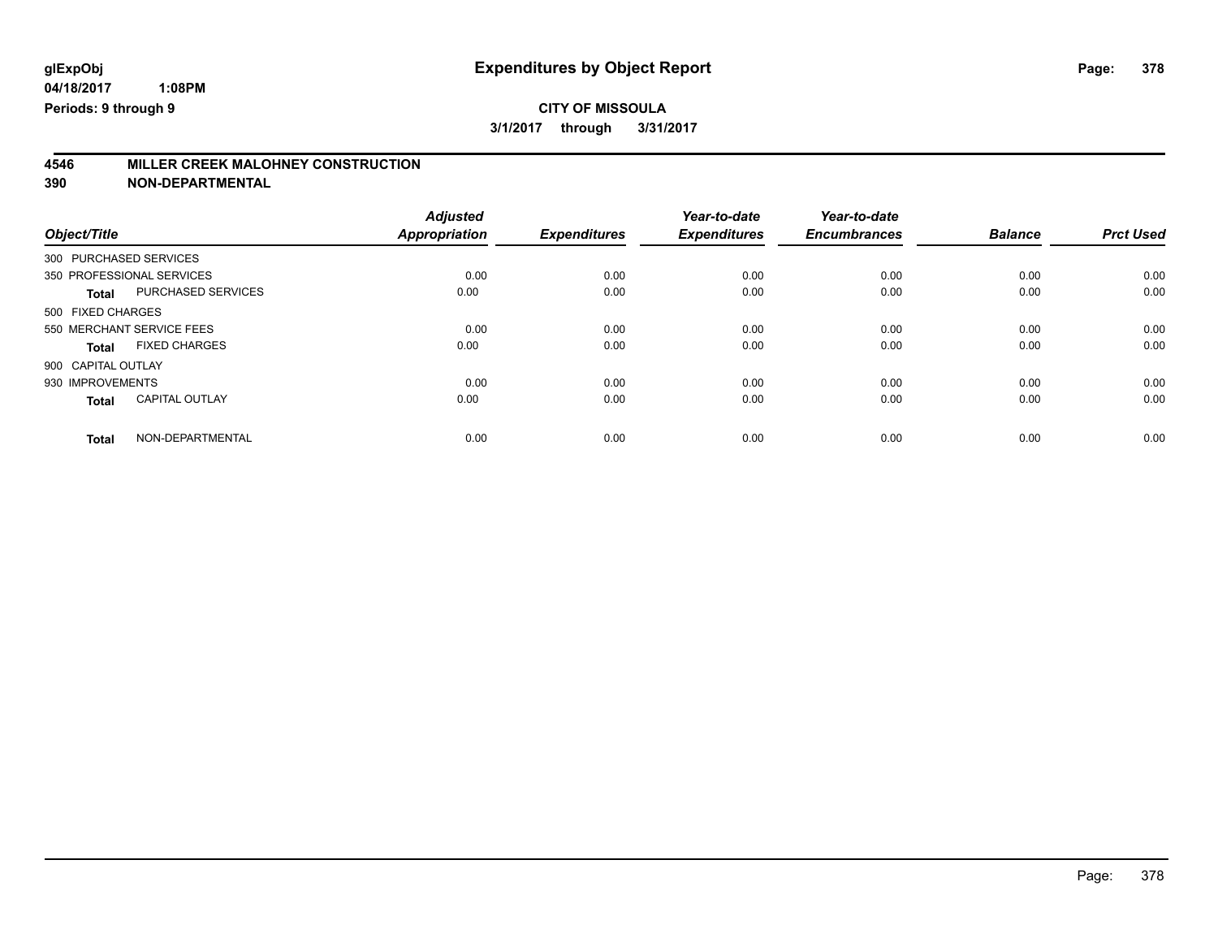|                                       | <b>Adjusted</b>      |                     | Year-to-date        | Year-to-date        |                |                  |
|---------------------------------------|----------------------|---------------------|---------------------|---------------------|----------------|------------------|
| Object/Title                          | <b>Appropriation</b> | <b>Expenditures</b> | <b>Expenditures</b> | <b>Encumbrances</b> | <b>Balance</b> | <b>Prct Used</b> |
| 300 PURCHASED SERVICES                |                      |                     |                     |                     |                |                  |
| 350 PROFESSIONAL SERVICES             | 0.00                 | 0.00                | 0.00                | 0.00                | 0.00           | 0.00             |
| PURCHASED SERVICES<br><b>Total</b>    | 0.00                 | 0.00                | 0.00                | 0.00                | 0.00           | 0.00             |
| 500 FIXED CHARGES                     |                      |                     |                     |                     |                |                  |
| 550 MERCHANT SERVICE FEES             | 0.00                 | 0.00                | 0.00                | 0.00                | 0.00           | 0.00             |
| <b>FIXED CHARGES</b><br>Total         | 0.00                 | 0.00                | 0.00                | 0.00                | 0.00           | 0.00             |
| 900 CAPITAL OUTLAY                    |                      |                     |                     |                     |                |                  |
| 930 IMPROVEMENTS                      | 0.00                 | 0.00                | 0.00                | 0.00                | 0.00           | 0.00             |
| <b>CAPITAL OUTLAY</b><br><b>Total</b> | 0.00                 | 0.00                | 0.00                | 0.00                | 0.00           | 0.00             |
| NON-DEPARTMENTAL<br><b>Total</b>      | 0.00                 | 0.00                | 0.00                | 0.00                | 0.00           | 0.00             |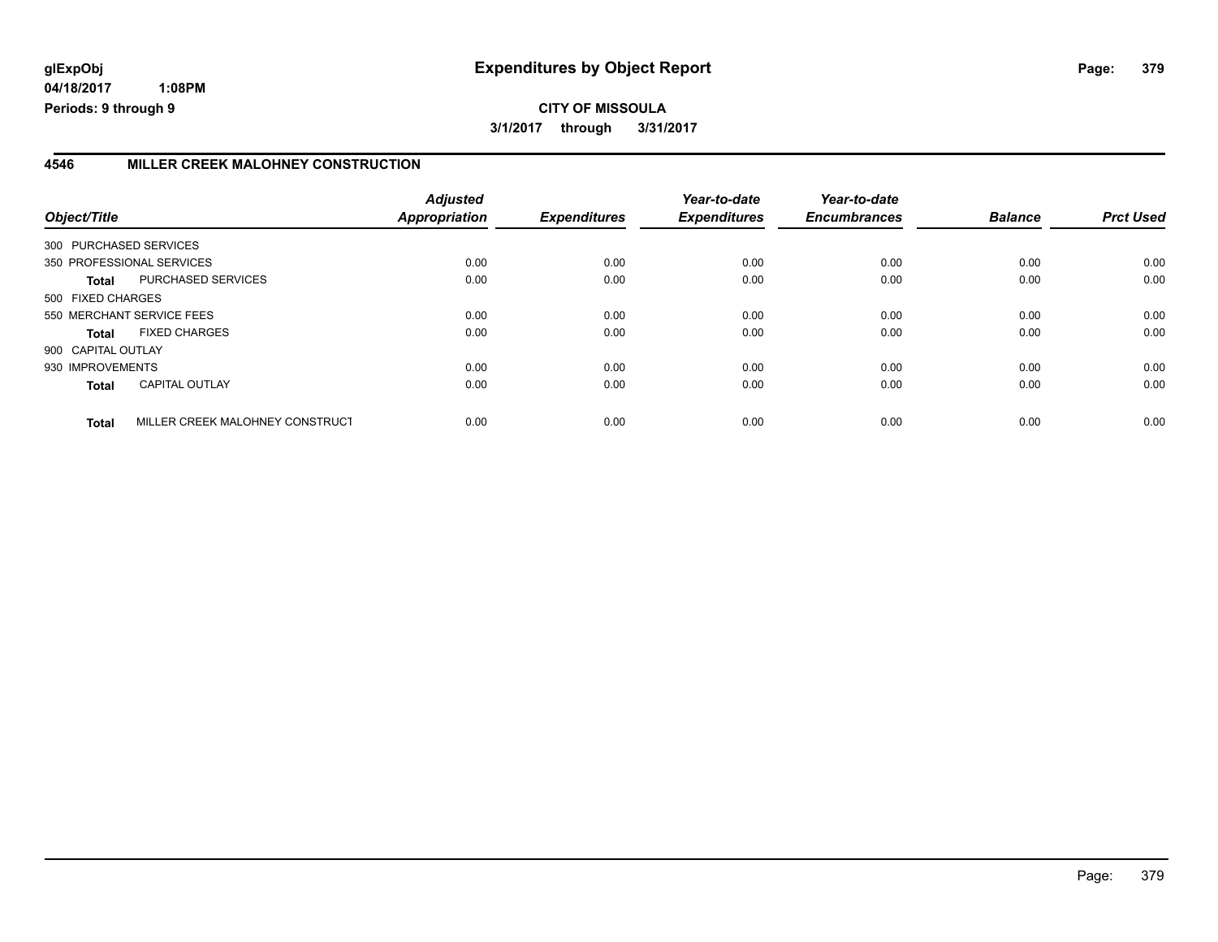**04/18/2017 1:08PM Periods: 9 through 9**

## **4546 MILLER CREEK MALOHNEY CONSTRUCTION**

| Object/Title       |                                 | <b>Adjusted</b><br>Appropriation | <b>Expenditures</b> | Year-to-date<br><b>Expenditures</b> | Year-to-date<br><b>Encumbrances</b> | <b>Balance</b> | <b>Prct Used</b> |
|--------------------|---------------------------------|----------------------------------|---------------------|-------------------------------------|-------------------------------------|----------------|------------------|
|                    | 300 PURCHASED SERVICES          |                                  |                     |                                     |                                     |                |                  |
|                    | 350 PROFESSIONAL SERVICES       | 0.00                             | 0.00                | 0.00                                | 0.00                                | 0.00           | 0.00             |
| <b>Total</b>       | <b>PURCHASED SERVICES</b>       | 0.00                             | 0.00                | 0.00                                | 0.00                                | 0.00           | 0.00             |
| 500 FIXED CHARGES  |                                 |                                  |                     |                                     |                                     |                |                  |
|                    | 550 MERCHANT SERVICE FEES       | 0.00                             | 0.00                | 0.00                                | 0.00                                | 0.00           | 0.00             |
| Total              | <b>FIXED CHARGES</b>            | 0.00                             | 0.00                | 0.00                                | 0.00                                | 0.00           | 0.00             |
| 900 CAPITAL OUTLAY |                                 |                                  |                     |                                     |                                     |                |                  |
| 930 IMPROVEMENTS   |                                 | 0.00                             | 0.00                | 0.00                                | 0.00                                | 0.00           | 0.00             |
| <b>Total</b>       | <b>CAPITAL OUTLAY</b>           | 0.00                             | 0.00                | 0.00                                | 0.00                                | 0.00           | 0.00             |
| <b>Total</b>       | MILLER CREEK MALOHNEY CONSTRUCT | 0.00                             | 0.00                | 0.00                                | 0.00                                | 0.00           | 0.00             |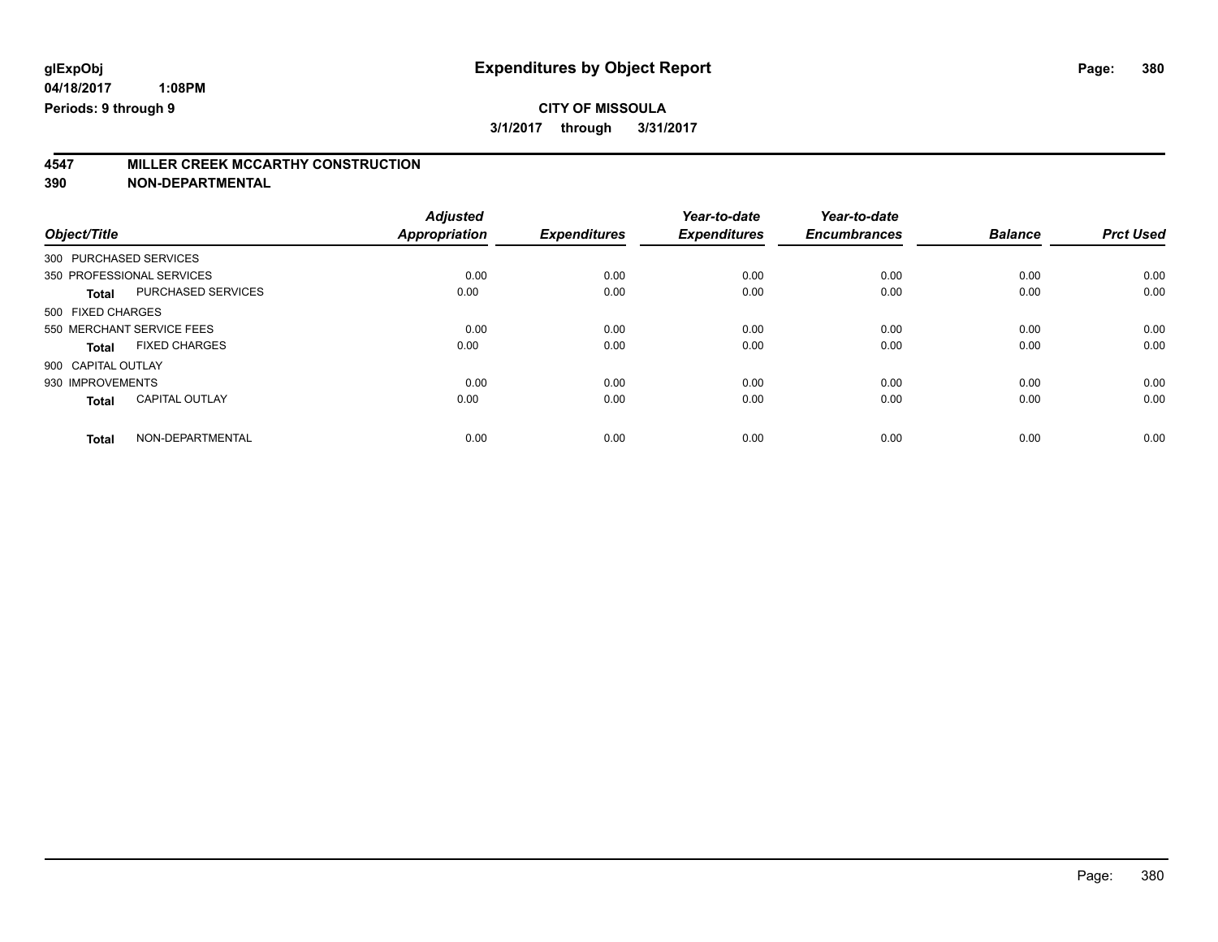|                                           | <b>Adjusted</b>      |                     | Year-to-date        | Year-to-date        |                |                  |
|-------------------------------------------|----------------------|---------------------|---------------------|---------------------|----------------|------------------|
| Object/Title                              | <b>Appropriation</b> | <b>Expenditures</b> | <b>Expenditures</b> | <b>Encumbrances</b> | <b>Balance</b> | <b>Prct Used</b> |
| 300 PURCHASED SERVICES                    |                      |                     |                     |                     |                |                  |
| 350 PROFESSIONAL SERVICES                 | 0.00                 | 0.00                | 0.00                | 0.00                | 0.00           | 0.00             |
| <b>PURCHASED SERVICES</b><br><b>Total</b> | 0.00                 | 0.00                | 0.00                | 0.00                | 0.00           | 0.00             |
| 500 FIXED CHARGES                         |                      |                     |                     |                     |                |                  |
| 550 MERCHANT SERVICE FEES                 | 0.00                 | 0.00                | 0.00                | 0.00                | 0.00           | 0.00             |
| <b>FIXED CHARGES</b><br><b>Total</b>      | 0.00                 | 0.00                | 0.00                | 0.00                | 0.00           | 0.00             |
| 900 CAPITAL OUTLAY                        |                      |                     |                     |                     |                |                  |
| 930 IMPROVEMENTS                          | 0.00                 | 0.00                | 0.00                | 0.00                | 0.00           | 0.00             |
| <b>CAPITAL OUTLAY</b><br><b>Total</b>     | 0.00                 | 0.00                | 0.00                | 0.00                | 0.00           | 0.00             |
| NON-DEPARTMENTAL<br><b>Total</b>          | 0.00                 | 0.00                | 0.00                | 0.00                | 0.00           | 0.00             |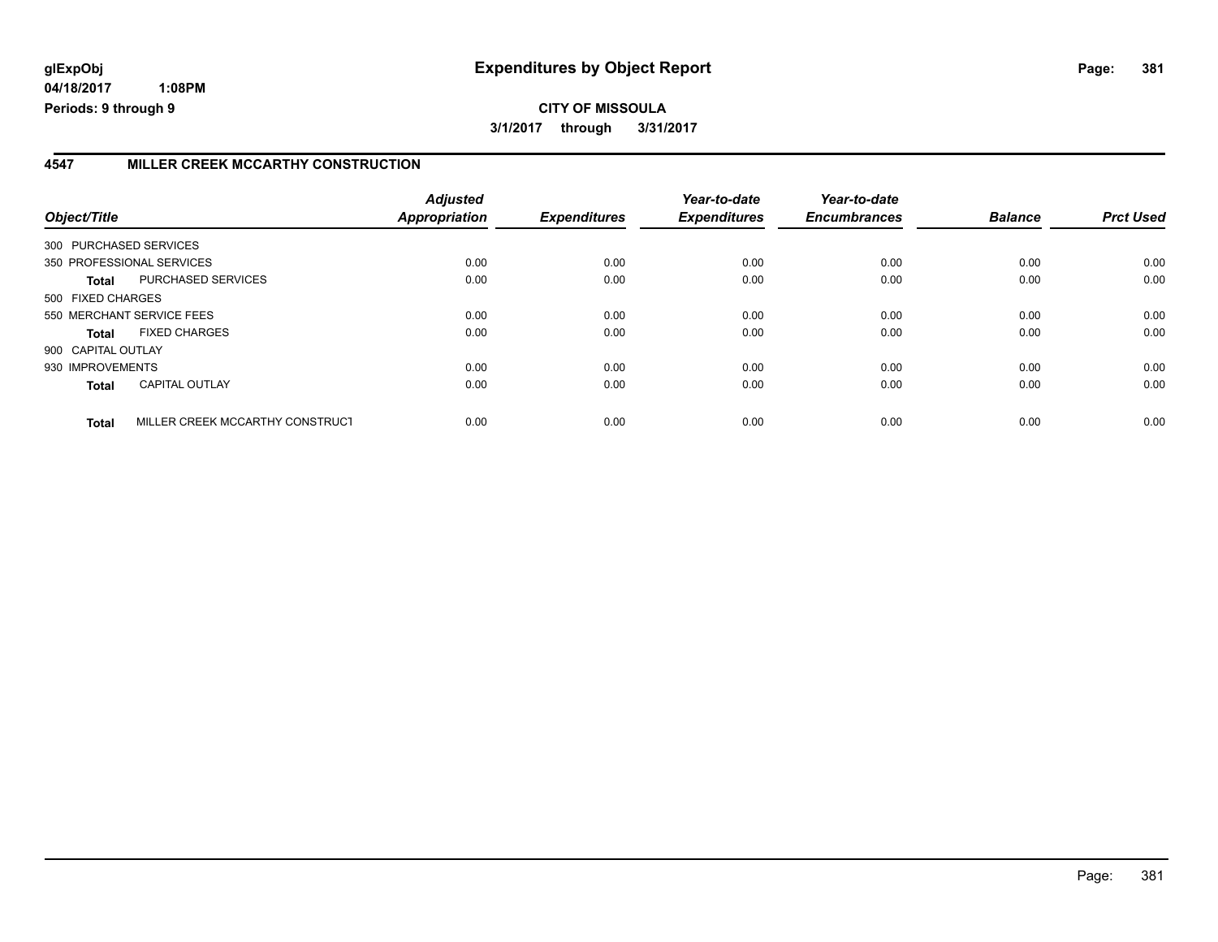**04/18/2017 1:08PM Periods: 9 through 9**

## **4547 MILLER CREEK MCCARTHY CONSTRUCTION**

| Object/Title       |                                 | <b>Adjusted</b><br>Appropriation | <b>Expenditures</b> | Year-to-date<br><b>Expenditures</b> | Year-to-date<br><b>Encumbrances</b> | <b>Balance</b> | <b>Prct Used</b> |
|--------------------|---------------------------------|----------------------------------|---------------------|-------------------------------------|-------------------------------------|----------------|------------------|
|                    | 300 PURCHASED SERVICES          |                                  |                     |                                     |                                     |                |                  |
|                    | 350 PROFESSIONAL SERVICES       | 0.00                             | 0.00                | 0.00                                | 0.00                                | 0.00           | 0.00             |
| Total              | PURCHASED SERVICES              | 0.00                             | 0.00                | 0.00                                | 0.00                                | 0.00           | 0.00             |
| 500 FIXED CHARGES  |                                 |                                  |                     |                                     |                                     |                |                  |
|                    | 550 MERCHANT SERVICE FEES       | 0.00                             | 0.00                | 0.00                                | 0.00                                | 0.00           | 0.00             |
| Total              | <b>FIXED CHARGES</b>            | 0.00                             | 0.00                | 0.00                                | 0.00                                | 0.00           | 0.00             |
| 900 CAPITAL OUTLAY |                                 |                                  |                     |                                     |                                     |                |                  |
| 930 IMPROVEMENTS   |                                 | 0.00                             | 0.00                | 0.00                                | 0.00                                | 0.00           | 0.00             |
| <b>Total</b>       | <b>CAPITAL OUTLAY</b>           | 0.00                             | 0.00                | 0.00                                | 0.00                                | 0.00           | 0.00             |
| <b>Total</b>       | MILLER CREEK MCCARTHY CONSTRUCT | 0.00                             | 0.00                | 0.00                                | 0.00                                | 0.00           | 0.00             |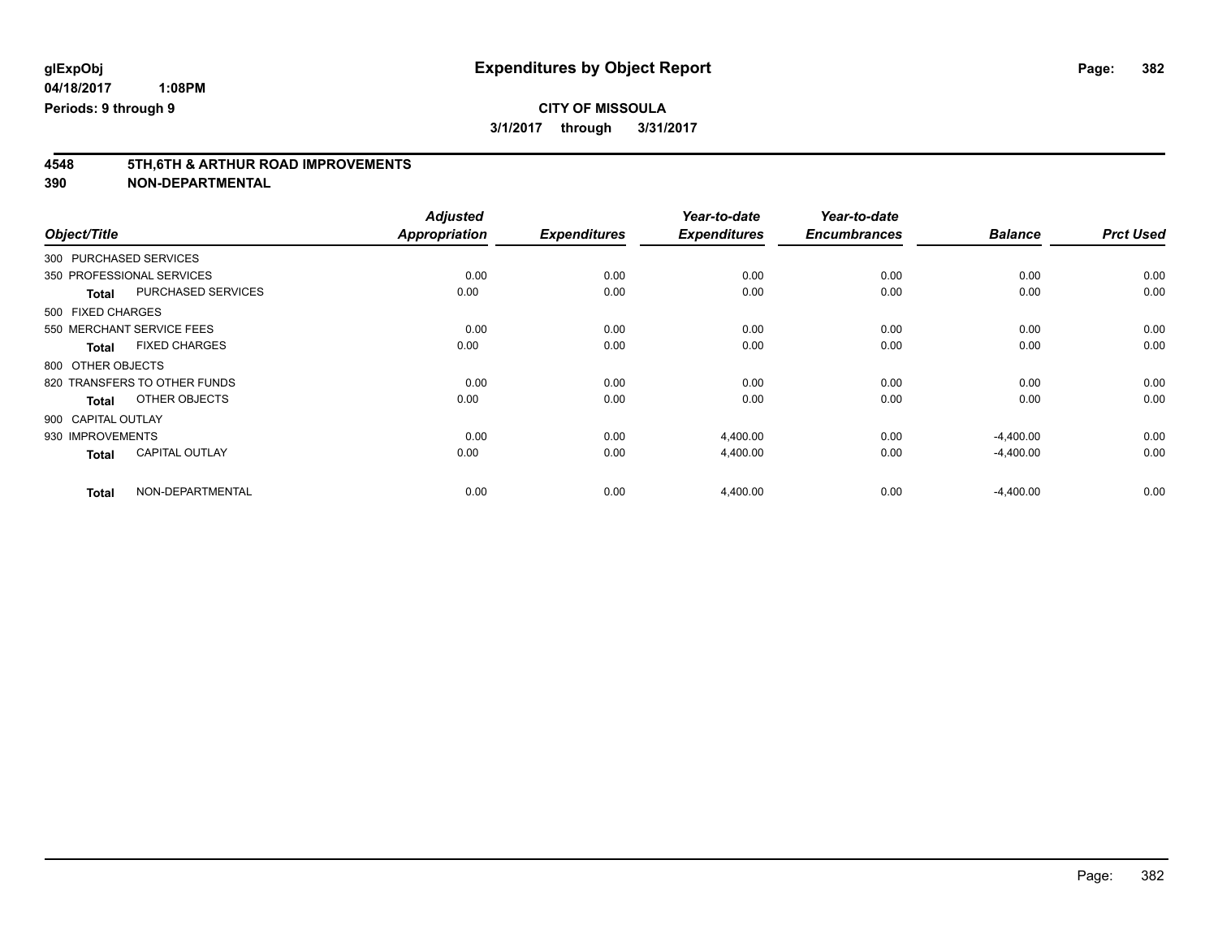# **4548 5TH,6TH & ARTHUR ROAD IMPROVEMENTS**

| Object/Title                          | <b>Adjusted</b><br><b>Appropriation</b> | <b>Expenditures</b> | Year-to-date<br><b>Expenditures</b> | Year-to-date<br><b>Encumbrances</b> | <b>Balance</b> | <b>Prct Used</b> |
|---------------------------------------|-----------------------------------------|---------------------|-------------------------------------|-------------------------------------|----------------|------------------|
|                                       |                                         |                     |                                     |                                     |                |                  |
| 300 PURCHASED SERVICES                |                                         |                     |                                     |                                     |                |                  |
| 350 PROFESSIONAL SERVICES             | 0.00                                    | 0.00                | 0.00                                | 0.00                                | 0.00           | 0.00             |
| PURCHASED SERVICES<br><b>Total</b>    | 0.00                                    | 0.00                | 0.00                                | 0.00                                | 0.00           | 0.00             |
| 500 FIXED CHARGES                     |                                         |                     |                                     |                                     |                |                  |
| 550 MERCHANT SERVICE FEES             | 0.00                                    | 0.00                | 0.00                                | 0.00                                | 0.00           | 0.00             |
| <b>FIXED CHARGES</b><br>Total         | 0.00                                    | 0.00                | 0.00                                | 0.00                                | 0.00           | 0.00             |
| 800 OTHER OBJECTS                     |                                         |                     |                                     |                                     |                |                  |
| 820 TRANSFERS TO OTHER FUNDS          | 0.00                                    | 0.00                | 0.00                                | 0.00                                | 0.00           | 0.00             |
| OTHER OBJECTS<br>Total                | 0.00                                    | 0.00                | 0.00                                | 0.00                                | 0.00           | 0.00             |
| 900 CAPITAL OUTLAY                    |                                         |                     |                                     |                                     |                |                  |
| 930 IMPROVEMENTS                      | 0.00                                    | 0.00                | 4,400.00                            | 0.00                                | $-4,400.00$    | 0.00             |
| <b>CAPITAL OUTLAY</b><br><b>Total</b> | 0.00                                    | 0.00                | 4,400.00                            | 0.00                                | $-4,400.00$    | 0.00             |
| NON-DEPARTMENTAL<br><b>Total</b>      | 0.00                                    | 0.00                | 4,400.00                            | 0.00                                | $-4,400.00$    | 0.00             |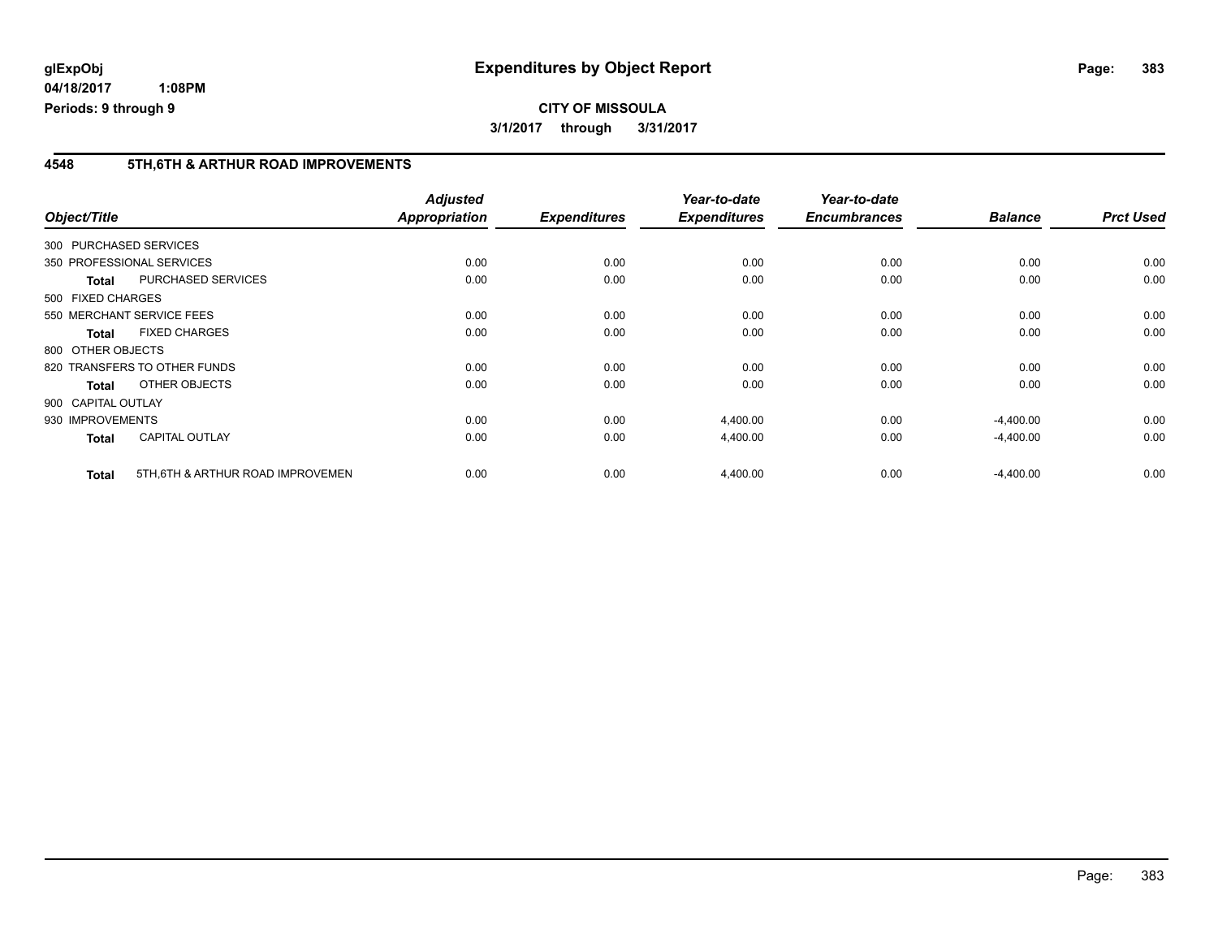### **4548 5TH,6TH & ARTHUR ROAD IMPROVEMENTS**

| Object/Title |                                   | <b>Adjusted</b><br><b>Appropriation</b> | <b>Expenditures</b> | Year-to-date<br><b>Expenditures</b> | Year-to-date<br><b>Encumbrances</b> | <b>Balance</b> | <b>Prct Used</b> |
|--------------|-----------------------------------|-----------------------------------------|---------------------|-------------------------------------|-------------------------------------|----------------|------------------|
|              | 300 PURCHASED SERVICES            |                                         |                     |                                     |                                     |                |                  |
|              | 350 PROFESSIONAL SERVICES         | 0.00                                    | 0.00                | 0.00                                | 0.00                                | 0.00           | 0.00             |
| <b>Total</b> | <b>PURCHASED SERVICES</b>         | 0.00                                    | 0.00                | 0.00                                | 0.00                                | 0.00           | 0.00             |
|              | 500 FIXED CHARGES                 |                                         |                     |                                     |                                     |                |                  |
|              | 550 MERCHANT SERVICE FEES         | 0.00                                    | 0.00                | 0.00                                | 0.00                                | 0.00           | 0.00             |
| <b>Total</b> | <b>FIXED CHARGES</b>              | 0.00                                    | 0.00                | 0.00                                | 0.00                                | 0.00           | 0.00             |
|              | 800 OTHER OBJECTS                 |                                         |                     |                                     |                                     |                |                  |
|              | 820 TRANSFERS TO OTHER FUNDS      | 0.00                                    | 0.00                | 0.00                                | 0.00                                | 0.00           | 0.00             |
| <b>Total</b> | OTHER OBJECTS                     | 0.00                                    | 0.00                | 0.00                                | 0.00                                | 0.00           | 0.00             |
|              | 900 CAPITAL OUTLAY                |                                         |                     |                                     |                                     |                |                  |
|              | 930 IMPROVEMENTS                  | 0.00                                    | 0.00                | 4,400.00                            | 0.00                                | $-4,400.00$    | 0.00             |
| <b>Total</b> | <b>CAPITAL OUTLAY</b>             | 0.00                                    | 0.00                | 4,400.00                            | 0.00                                | $-4,400.00$    | 0.00             |
| <b>Total</b> | 5TH, 6TH & ARTHUR ROAD IMPROVEMEN | 0.00                                    | 0.00                | 4,400.00                            | 0.00                                | $-4,400.00$    | 0.00             |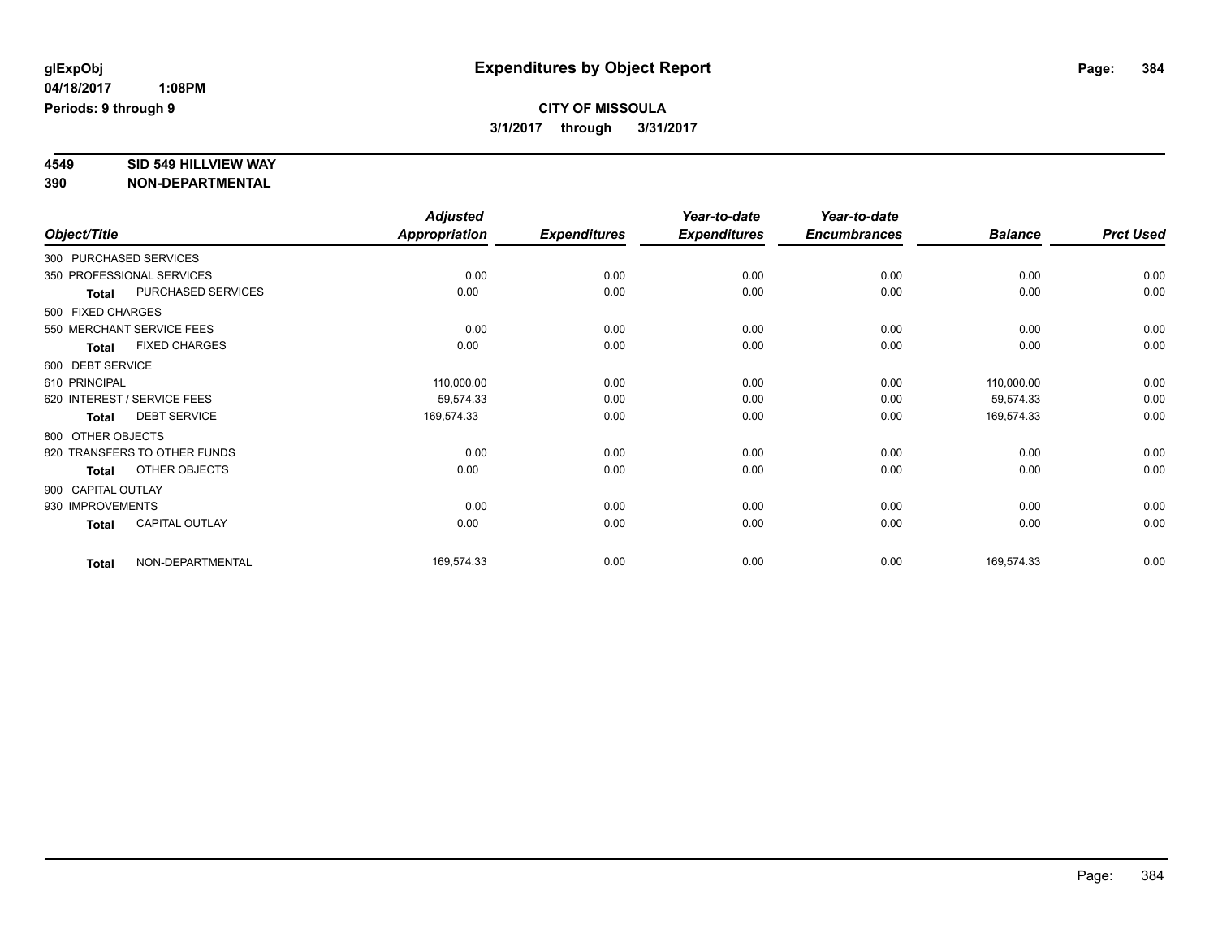# **4549 SID 549 HILLVIEW WAY**

|                    |                              | <b>Adjusted</b> |                     | Year-to-date        | Year-to-date        |                |                  |
|--------------------|------------------------------|-----------------|---------------------|---------------------|---------------------|----------------|------------------|
| Object/Title       |                              | Appropriation   | <b>Expenditures</b> | <b>Expenditures</b> | <b>Encumbrances</b> | <b>Balance</b> | <b>Prct Used</b> |
|                    | 300 PURCHASED SERVICES       |                 |                     |                     |                     |                |                  |
|                    | 350 PROFESSIONAL SERVICES    | 0.00            | 0.00                | 0.00                | 0.00                | 0.00           | 0.00             |
| <b>Total</b>       | PURCHASED SERVICES           | 0.00            | 0.00                | 0.00                | 0.00                | 0.00           | 0.00             |
| 500 FIXED CHARGES  |                              |                 |                     |                     |                     |                |                  |
|                    | 550 MERCHANT SERVICE FEES    | 0.00            | 0.00                | 0.00                | 0.00                | 0.00           | 0.00             |
| <b>Total</b>       | <b>FIXED CHARGES</b>         | 0.00            | 0.00                | 0.00                | 0.00                | 0.00           | 0.00             |
| 600 DEBT SERVICE   |                              |                 |                     |                     |                     |                |                  |
| 610 PRINCIPAL      |                              | 110,000.00      | 0.00                | 0.00                | 0.00                | 110,000.00     | 0.00             |
|                    | 620 INTEREST / SERVICE FEES  | 59,574.33       | 0.00                | 0.00                | 0.00                | 59,574.33      | 0.00             |
| <b>Total</b>       | <b>DEBT SERVICE</b>          | 169,574.33      | 0.00                | 0.00                | 0.00                | 169,574.33     | 0.00             |
| 800 OTHER OBJECTS  |                              |                 |                     |                     |                     |                |                  |
|                    | 820 TRANSFERS TO OTHER FUNDS | 0.00            | 0.00                | 0.00                | 0.00                | 0.00           | 0.00             |
| <b>Total</b>       | OTHER OBJECTS                | 0.00            | 0.00                | 0.00                | 0.00                | 0.00           | 0.00             |
| 900 CAPITAL OUTLAY |                              |                 |                     |                     |                     |                |                  |
| 930 IMPROVEMENTS   |                              | 0.00            | 0.00                | 0.00                | 0.00                | 0.00           | 0.00             |
| <b>Total</b>       | CAPITAL OUTLAY               | 0.00            | 0.00                | 0.00                | 0.00                | 0.00           | 0.00             |
| <b>Total</b>       | NON-DEPARTMENTAL             | 169,574.33      | 0.00                | 0.00                | 0.00                | 169,574.33     | 0.00             |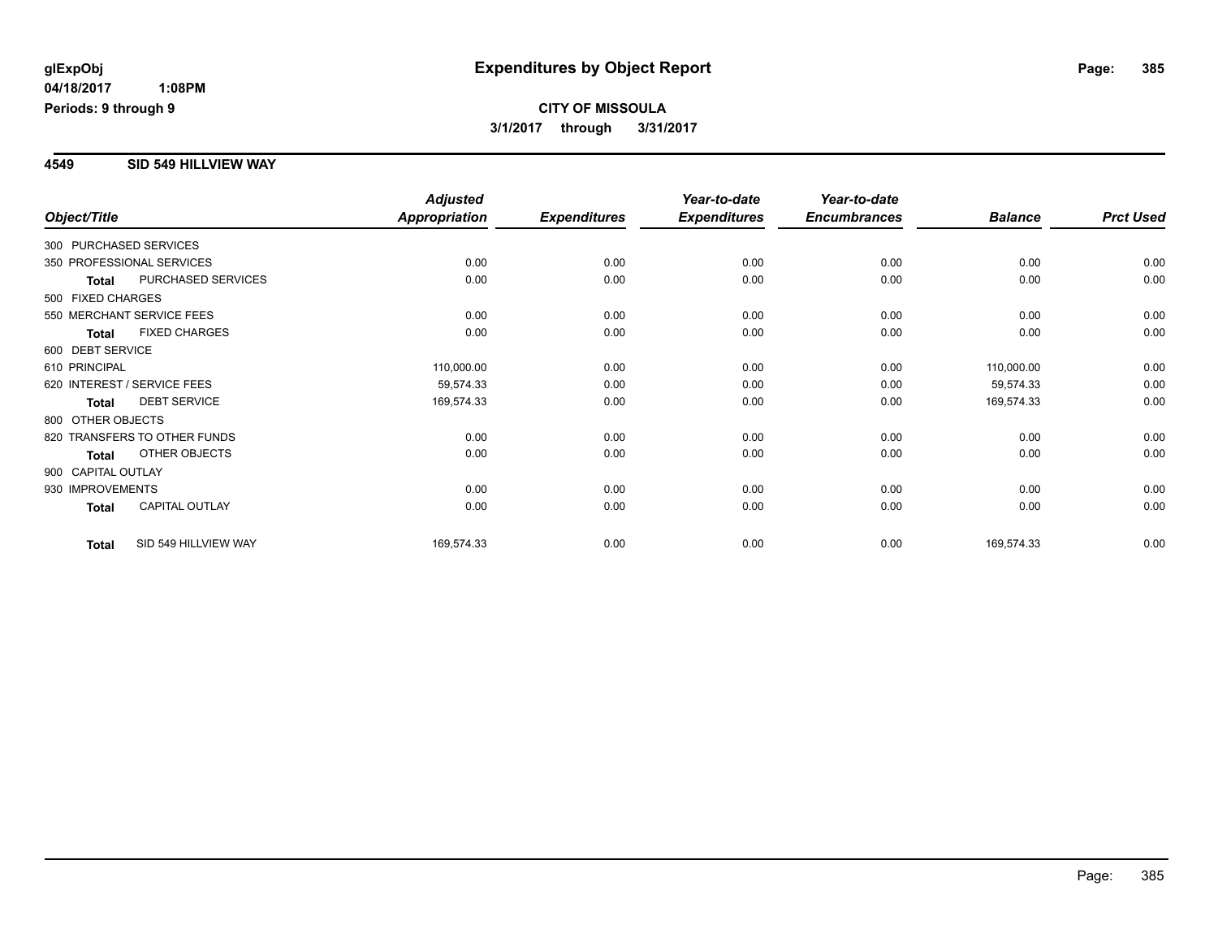### **4549 SID 549 HILLVIEW WAY**

|                        |                              | <b>Adjusted</b>      |                     | Year-to-date        | Year-to-date        |                |                  |
|------------------------|------------------------------|----------------------|---------------------|---------------------|---------------------|----------------|------------------|
| Object/Title           |                              | <b>Appropriation</b> | <b>Expenditures</b> | <b>Expenditures</b> | <b>Encumbrances</b> | <b>Balance</b> | <b>Prct Used</b> |
| 300 PURCHASED SERVICES |                              |                      |                     |                     |                     |                |                  |
|                        | 350 PROFESSIONAL SERVICES    | 0.00                 | 0.00                | 0.00                | 0.00                | 0.00           | 0.00             |
| <b>Total</b>           | PURCHASED SERVICES           | 0.00                 | 0.00                | 0.00                | 0.00                | 0.00           | 0.00             |
| 500 FIXED CHARGES      |                              |                      |                     |                     |                     |                |                  |
|                        | 550 MERCHANT SERVICE FEES    | 0.00                 | 0.00                | 0.00                | 0.00                | 0.00           | 0.00             |
| Total                  | <b>FIXED CHARGES</b>         | 0.00                 | 0.00                | 0.00                | 0.00                | 0.00           | 0.00             |
| 600 DEBT SERVICE       |                              |                      |                     |                     |                     |                |                  |
| 610 PRINCIPAL          |                              | 110,000.00           | 0.00                | 0.00                | 0.00                | 110,000.00     | 0.00             |
|                        | 620 INTEREST / SERVICE FEES  | 59,574.33            | 0.00                | 0.00                | 0.00                | 59,574.33      | 0.00             |
| <b>Total</b>           | <b>DEBT SERVICE</b>          | 169,574.33           | 0.00                | 0.00                | 0.00                | 169,574.33     | 0.00             |
| 800 OTHER OBJECTS      |                              |                      |                     |                     |                     |                |                  |
|                        | 820 TRANSFERS TO OTHER FUNDS | 0.00                 | 0.00                | 0.00                | 0.00                | 0.00           | 0.00             |
| <b>Total</b>           | <b>OTHER OBJECTS</b>         | 0.00                 | 0.00                | 0.00                | 0.00                | 0.00           | 0.00             |
| 900 CAPITAL OUTLAY     |                              |                      |                     |                     |                     |                |                  |
| 930 IMPROVEMENTS       |                              | 0.00                 | 0.00                | 0.00                | 0.00                | 0.00           | 0.00             |
| <b>Total</b>           | <b>CAPITAL OUTLAY</b>        | 0.00                 | 0.00                | 0.00                | 0.00                | 0.00           | 0.00             |
| <b>Total</b>           | SID 549 HILLVIEW WAY         | 169,574.33           | 0.00                | 0.00                | 0.00                | 169,574.33     | 0.00             |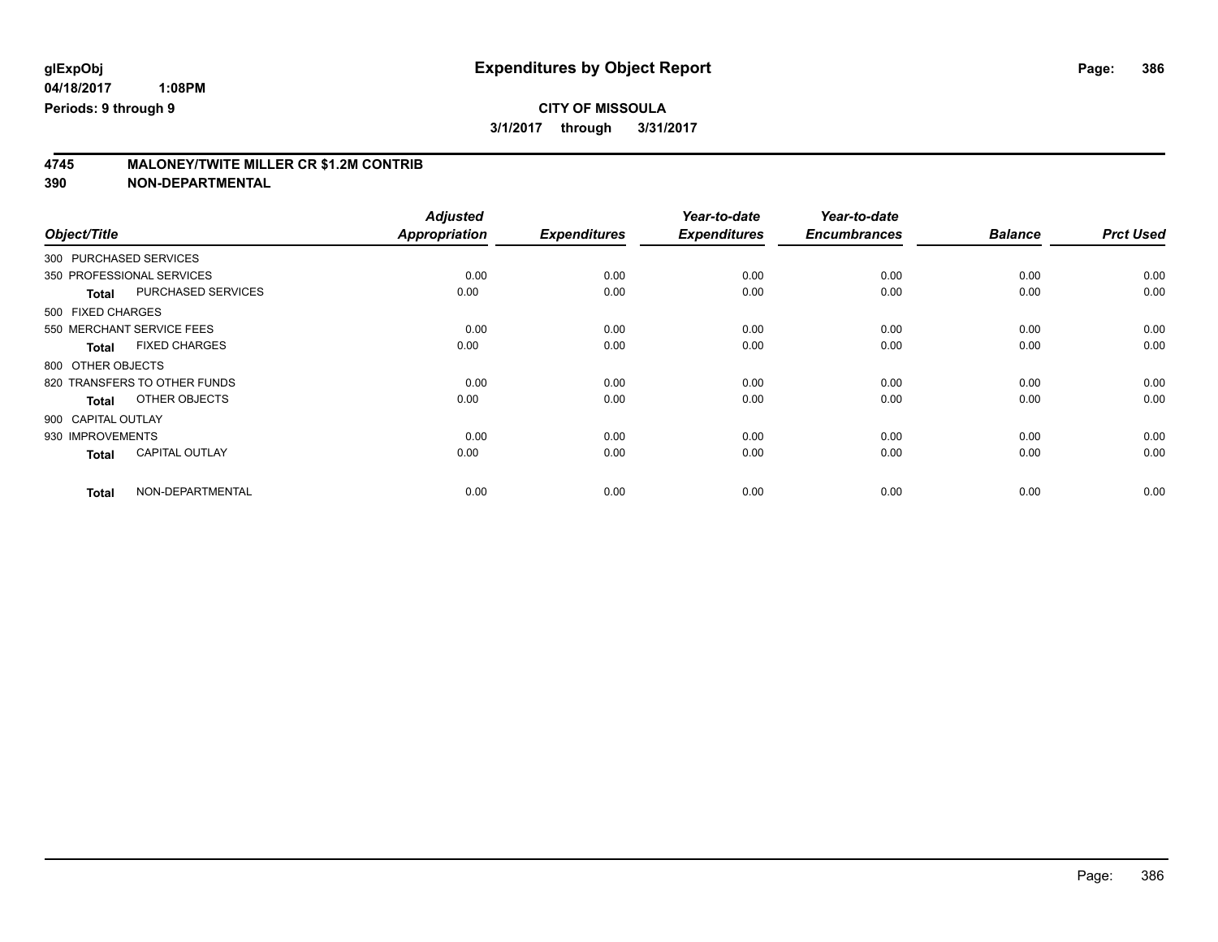**4745 MALONEY/TWITE MILLER CR \$1.2M CONTRIB 390 NON-DEPARTMENTAL**

| Object/Title                          | <b>Adjusted</b><br><b>Appropriation</b> | <b>Expenditures</b> | Year-to-date<br><b>Expenditures</b> | Year-to-date<br><b>Encumbrances</b> | <b>Balance</b> | <b>Prct Used</b> |
|---------------------------------------|-----------------------------------------|---------------------|-------------------------------------|-------------------------------------|----------------|------------------|
| 300 PURCHASED SERVICES                |                                         |                     |                                     |                                     |                |                  |
| 350 PROFESSIONAL SERVICES             | 0.00                                    | 0.00                | 0.00                                | 0.00                                | 0.00           | 0.00             |
| PURCHASED SERVICES<br><b>Total</b>    | 0.00                                    | 0.00                | 0.00                                | 0.00                                | 0.00           | 0.00             |
| 500 FIXED CHARGES                     |                                         |                     |                                     |                                     |                |                  |
| 550 MERCHANT SERVICE FEES             | 0.00                                    | 0.00                | 0.00                                | 0.00                                | 0.00           | 0.00             |
| <b>FIXED CHARGES</b><br><b>Total</b>  | 0.00                                    | 0.00                | 0.00                                | 0.00                                | 0.00           | 0.00             |
| 800 OTHER OBJECTS                     |                                         |                     |                                     |                                     |                |                  |
| 820 TRANSFERS TO OTHER FUNDS          | 0.00                                    | 0.00                | 0.00                                | 0.00                                | 0.00           | 0.00             |
| OTHER OBJECTS<br><b>Total</b>         | 0.00                                    | 0.00                | 0.00                                | 0.00                                | 0.00           | 0.00             |
| 900 CAPITAL OUTLAY                    |                                         |                     |                                     |                                     |                |                  |
| 930 IMPROVEMENTS                      | 0.00                                    | 0.00                | 0.00                                | 0.00                                | 0.00           | 0.00             |
| <b>CAPITAL OUTLAY</b><br><b>Total</b> | 0.00                                    | 0.00                | 0.00                                | 0.00                                | 0.00           | 0.00             |
| NON-DEPARTMENTAL<br><b>Total</b>      | 0.00                                    | 0.00                | 0.00                                | 0.00                                | 0.00           | 0.00             |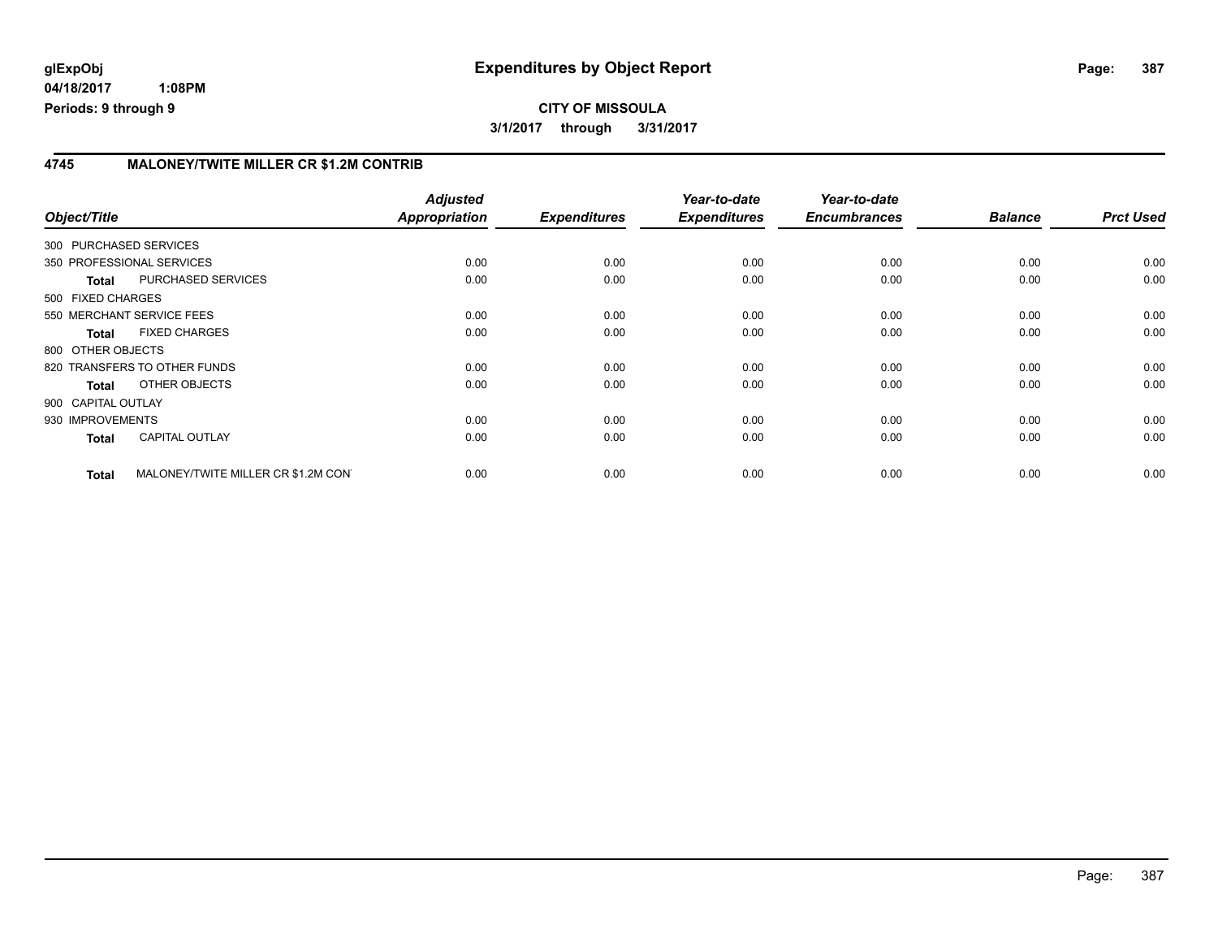**04/18/2017 1:08PM Periods: 9 through 9**

### **4745 MALONEY/TWITE MILLER CR \$1.2M CONTRIB**

| Object/Title       |                                     | <b>Adjusted</b><br><b>Appropriation</b> | <b>Expenditures</b> | Year-to-date<br><b>Expenditures</b> | Year-to-date<br><b>Encumbrances</b> | <b>Balance</b> | <b>Prct Used</b> |
|--------------------|-------------------------------------|-----------------------------------------|---------------------|-------------------------------------|-------------------------------------|----------------|------------------|
|                    | 300 PURCHASED SERVICES              |                                         |                     |                                     |                                     |                |                  |
|                    | 350 PROFESSIONAL SERVICES           | 0.00                                    | 0.00                | 0.00                                | 0.00                                | 0.00           | 0.00             |
| <b>Total</b>       | PURCHASED SERVICES                  | 0.00                                    | 0.00                | 0.00                                | 0.00                                | 0.00           | 0.00             |
| 500 FIXED CHARGES  |                                     |                                         |                     |                                     |                                     |                |                  |
|                    | 550 MERCHANT SERVICE FEES           | 0.00                                    | 0.00                | 0.00                                | 0.00                                | 0.00           | 0.00             |
| <b>Total</b>       | <b>FIXED CHARGES</b>                | 0.00                                    | 0.00                | 0.00                                | 0.00                                | 0.00           | 0.00             |
| 800 OTHER OBJECTS  |                                     |                                         |                     |                                     |                                     |                |                  |
|                    | 820 TRANSFERS TO OTHER FUNDS        | 0.00                                    | 0.00                | 0.00                                | 0.00                                | 0.00           | 0.00             |
| <b>Total</b>       | OTHER OBJECTS                       | 0.00                                    | 0.00                | 0.00                                | 0.00                                | 0.00           | 0.00             |
| 900 CAPITAL OUTLAY |                                     |                                         |                     |                                     |                                     |                |                  |
| 930 IMPROVEMENTS   |                                     | 0.00                                    | 0.00                | 0.00                                | 0.00                                | 0.00           | 0.00             |
| <b>Total</b>       | <b>CAPITAL OUTLAY</b>               | 0.00                                    | 0.00                | 0.00                                | 0.00                                | 0.00           | 0.00             |
| <b>Total</b>       | MALONEY/TWITE MILLER CR \$1.2M CON' | 0.00                                    | 0.00                | 0.00                                | 0.00                                | 0.00           | 0.00             |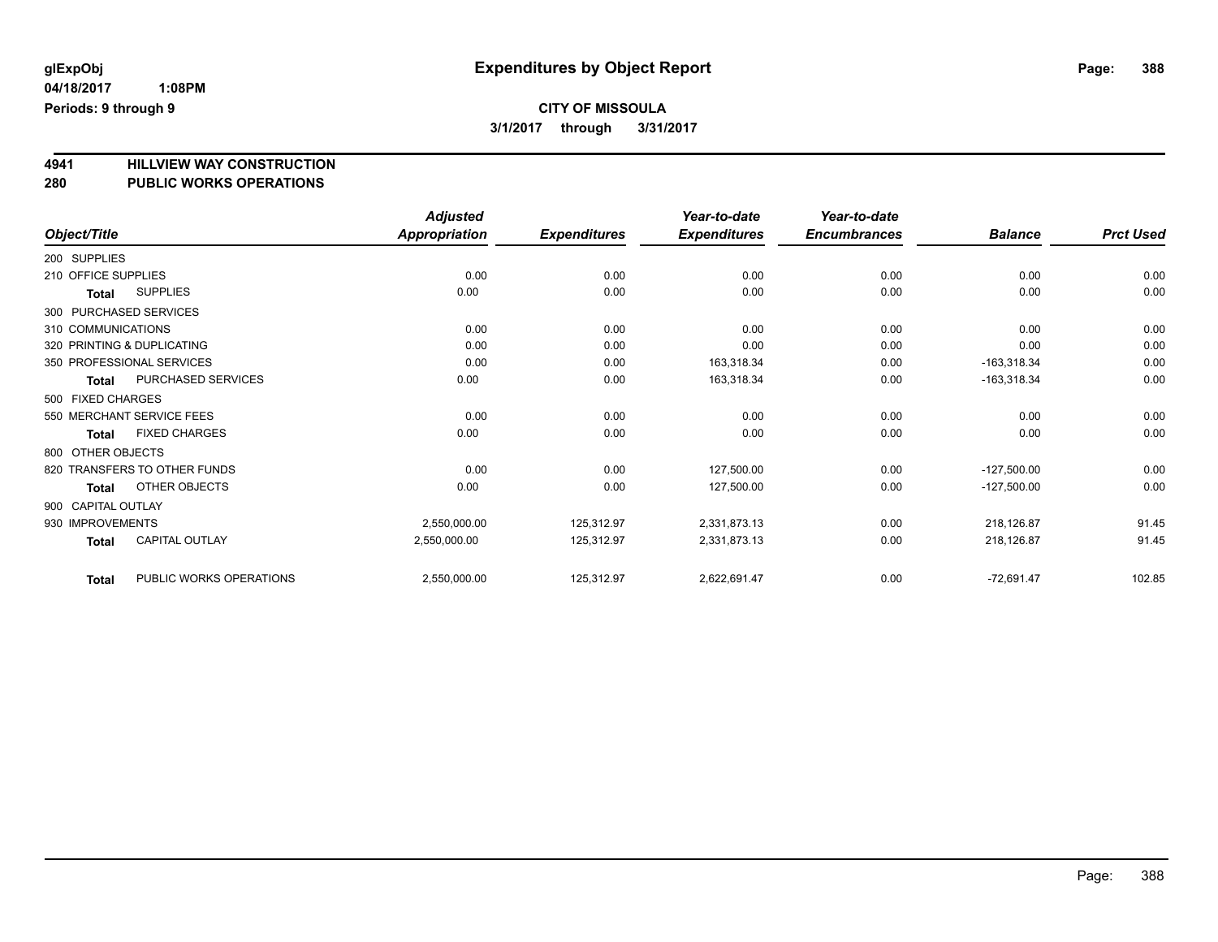**4941 HILLVIEW WAY CONSTRUCTION**

# **280 PUBLIC WORKS OPERATIONS**

|                                         | <b>Adjusted</b>      |                     | Year-to-date        | Year-to-date        |                |                  |
|-----------------------------------------|----------------------|---------------------|---------------------|---------------------|----------------|------------------|
| Object/Title                            | <b>Appropriation</b> | <b>Expenditures</b> | <b>Expenditures</b> | <b>Encumbrances</b> | <b>Balance</b> | <b>Prct Used</b> |
| 200 SUPPLIES                            |                      |                     |                     |                     |                |                  |
| 210 OFFICE SUPPLIES                     | 0.00                 | 0.00                | 0.00                | 0.00                | 0.00           | 0.00             |
| <b>SUPPLIES</b><br><b>Total</b>         | 0.00                 | 0.00                | 0.00                | 0.00                | 0.00           | 0.00             |
| 300 PURCHASED SERVICES                  |                      |                     |                     |                     |                |                  |
| 310 COMMUNICATIONS                      | 0.00                 | 0.00                | 0.00                | 0.00                | 0.00           | 0.00             |
| 320 PRINTING & DUPLICATING              | 0.00                 | 0.00                | 0.00                | 0.00                | 0.00           | 0.00             |
| 350 PROFESSIONAL SERVICES               | 0.00                 | 0.00                | 163,318.34          | 0.00                | $-163,318.34$  | 0.00             |
| PURCHASED SERVICES<br><b>Total</b>      | 0.00                 | 0.00                | 163,318.34          | 0.00                | $-163,318.34$  | 0.00             |
| 500 FIXED CHARGES                       |                      |                     |                     |                     |                |                  |
| 550 MERCHANT SERVICE FEES               | 0.00                 | 0.00                | 0.00                | 0.00                | 0.00           | 0.00             |
| <b>FIXED CHARGES</b><br><b>Total</b>    | 0.00                 | 0.00                | 0.00                | 0.00                | 0.00           | 0.00             |
| 800 OTHER OBJECTS                       |                      |                     |                     |                     |                |                  |
| 820 TRANSFERS TO OTHER FUNDS            | 0.00                 | 0.00                | 127,500.00          | 0.00                | $-127,500.00$  | 0.00             |
| OTHER OBJECTS<br><b>Total</b>           | 0.00                 | 0.00                | 127,500.00          | 0.00                | $-127,500.00$  | 0.00             |
| 900 CAPITAL OUTLAY                      |                      |                     |                     |                     |                |                  |
| 930 IMPROVEMENTS                        | 2,550,000.00         | 125,312.97          | 2,331,873.13        | 0.00                | 218,126.87     | 91.45            |
| <b>CAPITAL OUTLAY</b><br><b>Total</b>   | 2,550,000.00         | 125,312.97          | 2,331,873.13        | 0.00                | 218,126.87     | 91.45            |
| PUBLIC WORKS OPERATIONS<br><b>Total</b> | 2,550,000.00         | 125,312.97          | 2,622,691.47        | 0.00                | $-72,691.47$   | 102.85           |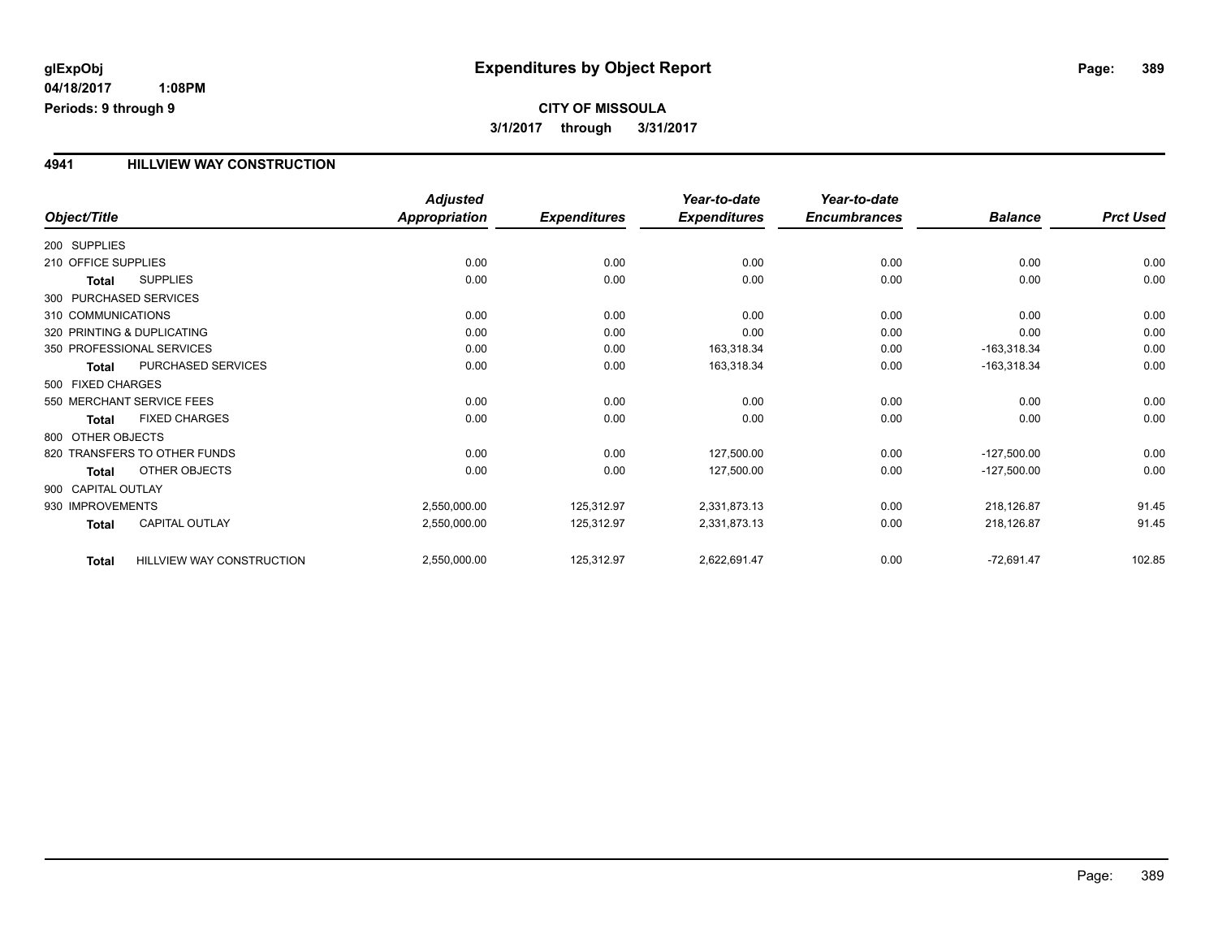# **CITY OF MISSOULA 3/1/2017 through 3/31/2017**

## **4941 HILLVIEW WAY CONSTRUCTION**

|                     |                              | <b>Adjusted</b>      |                     | Year-to-date        | Year-to-date        |                |                  |
|---------------------|------------------------------|----------------------|---------------------|---------------------|---------------------|----------------|------------------|
| Object/Title        |                              | <b>Appropriation</b> | <b>Expenditures</b> | <b>Expenditures</b> | <b>Encumbrances</b> | <b>Balance</b> | <b>Prct Used</b> |
| 200 SUPPLIES        |                              |                      |                     |                     |                     |                |                  |
| 210 OFFICE SUPPLIES |                              | 0.00                 | 0.00                | 0.00                | 0.00                | 0.00           | 0.00             |
| Total               | <b>SUPPLIES</b>              | 0.00                 | 0.00                | 0.00                | 0.00                | 0.00           | 0.00             |
|                     | 300 PURCHASED SERVICES       |                      |                     |                     |                     |                |                  |
| 310 COMMUNICATIONS  |                              | 0.00                 | 0.00                | 0.00                | 0.00                | 0.00           | 0.00             |
|                     | 320 PRINTING & DUPLICATING   | 0.00                 | 0.00                | 0.00                | 0.00                | 0.00           | 0.00             |
|                     | 350 PROFESSIONAL SERVICES    | 0.00                 | 0.00                | 163,318.34          | 0.00                | $-163,318.34$  | 0.00             |
| Total               | PURCHASED SERVICES           | 0.00                 | 0.00                | 163,318.34          | 0.00                | $-163,318.34$  | 0.00             |
| 500 FIXED CHARGES   |                              |                      |                     |                     |                     |                |                  |
|                     | 550 MERCHANT SERVICE FEES    | 0.00                 | 0.00                | 0.00                | 0.00                | 0.00           | 0.00             |
| Total               | <b>FIXED CHARGES</b>         | 0.00                 | 0.00                | 0.00                | 0.00                | 0.00           | 0.00             |
| 800 OTHER OBJECTS   |                              |                      |                     |                     |                     |                |                  |
|                     | 820 TRANSFERS TO OTHER FUNDS | 0.00                 | 0.00                | 127,500.00          | 0.00                | $-127,500.00$  | 0.00             |
| Total               | <b>OTHER OBJECTS</b>         | 0.00                 | 0.00                | 127,500.00          | 0.00                | $-127,500.00$  | 0.00             |
| 900 CAPITAL OUTLAY  |                              |                      |                     |                     |                     |                |                  |
| 930 IMPROVEMENTS    |                              | 2,550,000.00         | 125,312.97          | 2,331,873.13        | 0.00                | 218,126.87     | 91.45            |
| <b>Total</b>        | CAPITAL OUTLAY               | 2,550,000.00         | 125,312.97          | 2,331,873.13        | 0.00                | 218,126.87     | 91.45            |
| <b>Total</b>        | HILLVIEW WAY CONSTRUCTION    | 2,550,000.00         | 125,312.97          | 2,622,691.47        | 0.00                | $-72,691.47$   | 102.85           |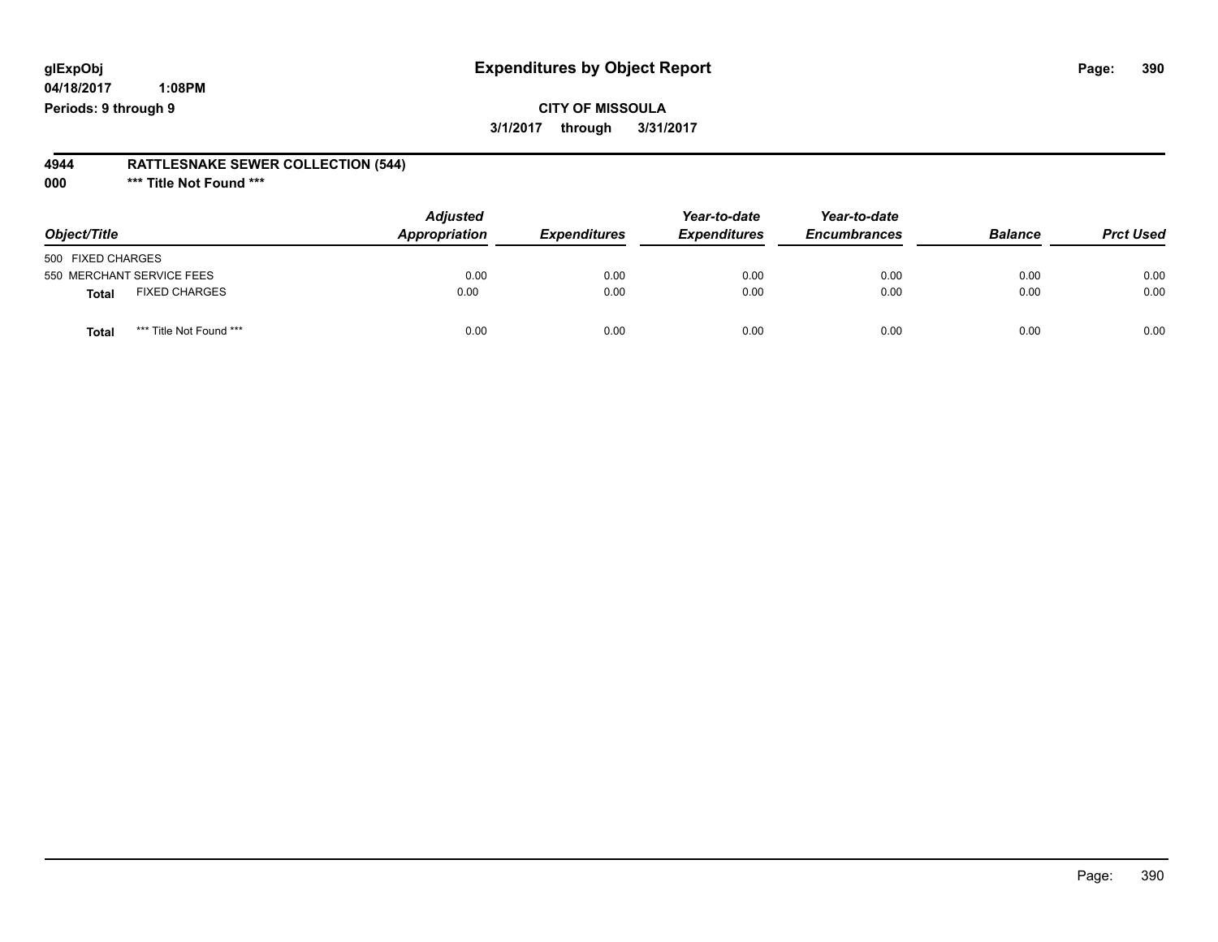**04/18/2017 1:08PM Periods: 9 through 9**

**CITY OF MISSOULA 3/1/2017 through 3/31/2017**

#### **4944 RATTLESNAKE SEWER COLLECTION (544)**

**000 \*\*\* Title Not Found \*\*\***

| Object/Title      |                           | <b>Adjusted</b><br>Appropriation | <b>Expenditures</b> | Year-to-date<br><b>Expenditures</b> | Year-to-date<br><b>Encumbrances</b> | <b>Balance</b> | <b>Prct Used</b> |
|-------------------|---------------------------|----------------------------------|---------------------|-------------------------------------|-------------------------------------|----------------|------------------|
| 500 FIXED CHARGES |                           |                                  |                     |                                     |                                     |                |                  |
|                   | 550 MERCHANT SERVICE FEES | 0.00                             | 0.00                | 0.00                                | 0.00                                | 0.00           | 0.00             |
| <b>Total</b>      | <b>FIXED CHARGES</b>      | 0.00                             | 0.00                | 0.00                                | 0.00                                | 0.00           | 0.00             |
| <b>Total</b>      | *** Title Not Found ***   | 0.00                             | 0.00                | 0.00                                | 0.00                                | 0.00           | 0.00             |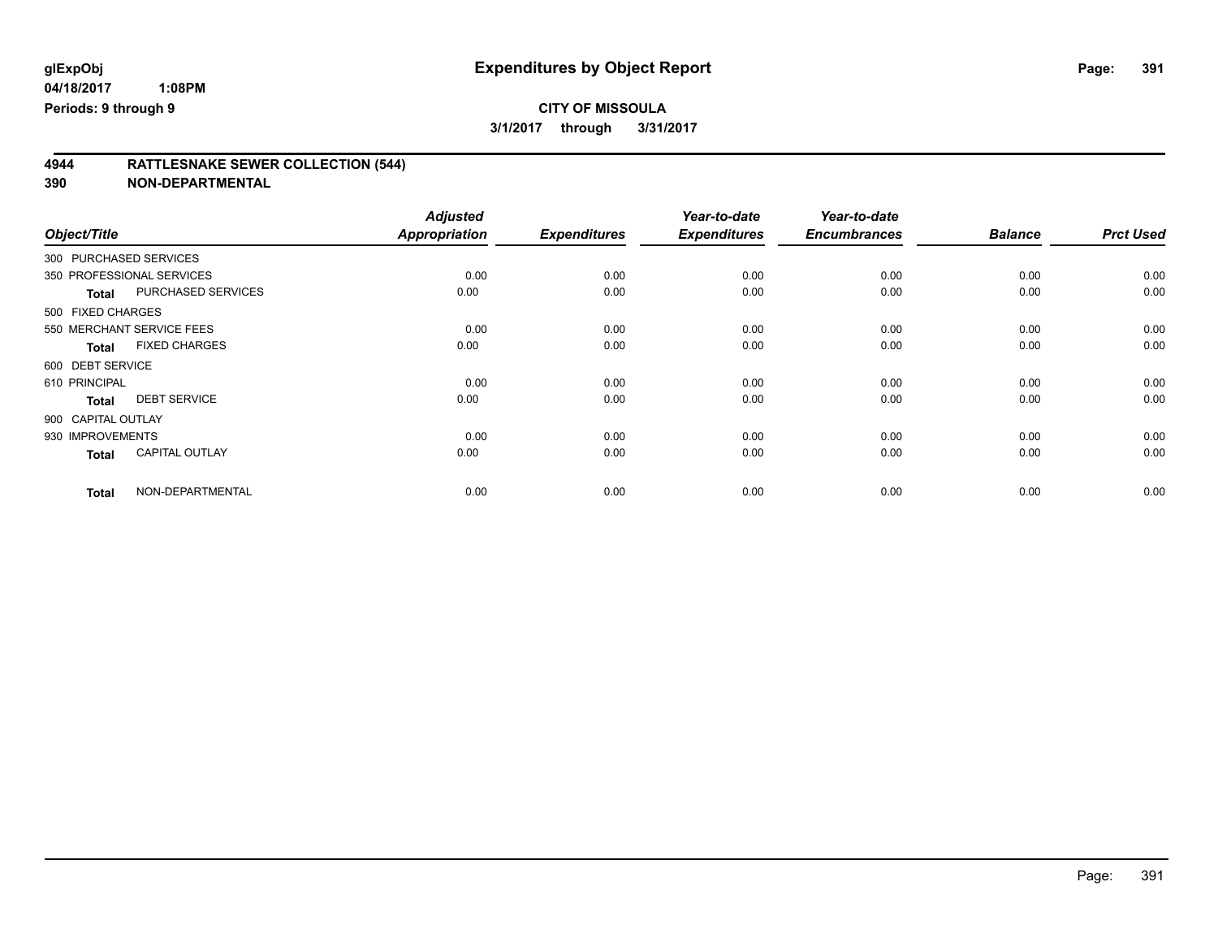# **4944 RATTLESNAKE SEWER COLLECTION (544)**

| Object/Title           |                           | <b>Adjusted</b><br><b>Appropriation</b> | <b>Expenditures</b> | Year-to-date<br><b>Expenditures</b> | Year-to-date<br><b>Encumbrances</b> | <b>Balance</b> | <b>Prct Used</b> |
|------------------------|---------------------------|-----------------------------------------|---------------------|-------------------------------------|-------------------------------------|----------------|------------------|
|                        |                           |                                         |                     |                                     |                                     |                |                  |
| 300 PURCHASED SERVICES |                           |                                         |                     |                                     |                                     |                |                  |
|                        | 350 PROFESSIONAL SERVICES | 0.00                                    | 0.00                | 0.00                                | 0.00                                | 0.00           | 0.00             |
| Total                  | PURCHASED SERVICES        | 0.00                                    | 0.00                | 0.00                                | 0.00                                | 0.00           | 0.00             |
| 500 FIXED CHARGES      |                           |                                         |                     |                                     |                                     |                |                  |
|                        | 550 MERCHANT SERVICE FEES | 0.00                                    | 0.00                | 0.00                                | 0.00                                | 0.00           | 0.00             |
| <b>Total</b>           | <b>FIXED CHARGES</b>      | 0.00                                    | 0.00                | 0.00                                | 0.00                                | 0.00           | 0.00             |
| 600 DEBT SERVICE       |                           |                                         |                     |                                     |                                     |                |                  |
| 610 PRINCIPAL          |                           | 0.00                                    | 0.00                | 0.00                                | 0.00                                | 0.00           | 0.00             |
| <b>Total</b>           | <b>DEBT SERVICE</b>       | 0.00                                    | 0.00                | 0.00                                | 0.00                                | 0.00           | 0.00             |
| 900 CAPITAL OUTLAY     |                           |                                         |                     |                                     |                                     |                |                  |
| 930 IMPROVEMENTS       |                           | 0.00                                    | 0.00                | 0.00                                | 0.00                                | 0.00           | 0.00             |
| <b>Total</b>           | <b>CAPITAL OUTLAY</b>     | 0.00                                    | 0.00                | 0.00                                | 0.00                                | 0.00           | 0.00             |
| <b>Total</b>           | NON-DEPARTMENTAL          | 0.00                                    | 0.00                | 0.00                                | 0.00                                | 0.00           | 0.00             |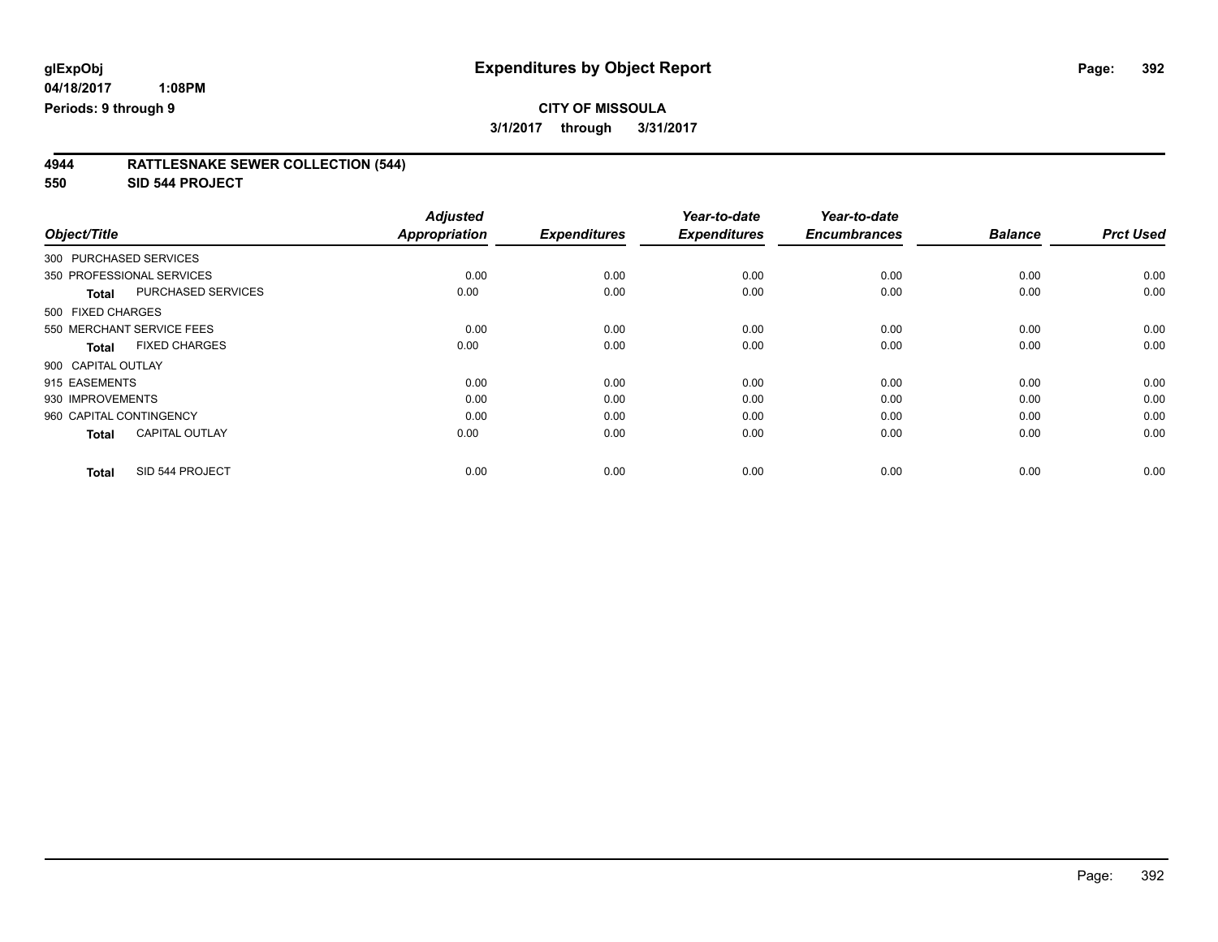**3/1/2017 through 3/31/2017**

| <b>RATTLESNAKE SEWER COLLECTION (544)</b><br>4944 |
|---------------------------------------------------|
|---------------------------------------------------|

**550 SID 544 PROJECT**

| Object/Title                          | <b>Adjusted</b><br>Appropriation | <b>Expenditures</b> | Year-to-date<br><b>Expenditures</b> | Year-to-date<br><b>Encumbrances</b> | <b>Balance</b> | <b>Prct Used</b> |
|---------------------------------------|----------------------------------|---------------------|-------------------------------------|-------------------------------------|----------------|------------------|
|                                       |                                  |                     |                                     |                                     |                |                  |
| 300 PURCHASED SERVICES                |                                  |                     |                                     |                                     |                |                  |
| 350 PROFESSIONAL SERVICES             | 0.00                             | 0.00                | 0.00                                | 0.00                                | 0.00           | 0.00             |
| PURCHASED SERVICES<br>Total           | 0.00                             | 0.00                | 0.00                                | 0.00                                | 0.00           | 0.00             |
| 500 FIXED CHARGES                     |                                  |                     |                                     |                                     |                |                  |
| 550 MERCHANT SERVICE FEES             | 0.00                             | 0.00                | 0.00                                | 0.00                                | 0.00           | 0.00             |
| <b>FIXED CHARGES</b><br><b>Total</b>  | 0.00                             | 0.00                | 0.00                                | 0.00                                | 0.00           | 0.00             |
| 900 CAPITAL OUTLAY                    |                                  |                     |                                     |                                     |                |                  |
| 915 EASEMENTS                         | 0.00                             | 0.00                | 0.00                                | 0.00                                | 0.00           | 0.00             |
| 930 IMPROVEMENTS                      | 0.00                             | 0.00                | 0.00                                | 0.00                                | 0.00           | 0.00             |
| 960 CAPITAL CONTINGENCY               | 0.00                             | 0.00                | 0.00                                | 0.00                                | 0.00           | 0.00             |
| <b>CAPITAL OUTLAY</b><br><b>Total</b> | 0.00                             | 0.00                | 0.00                                | 0.00                                | 0.00           | 0.00             |
| SID 544 PROJECT<br><b>Total</b>       | 0.00                             | 0.00                | 0.00                                | 0.00                                | 0.00           | 0.00             |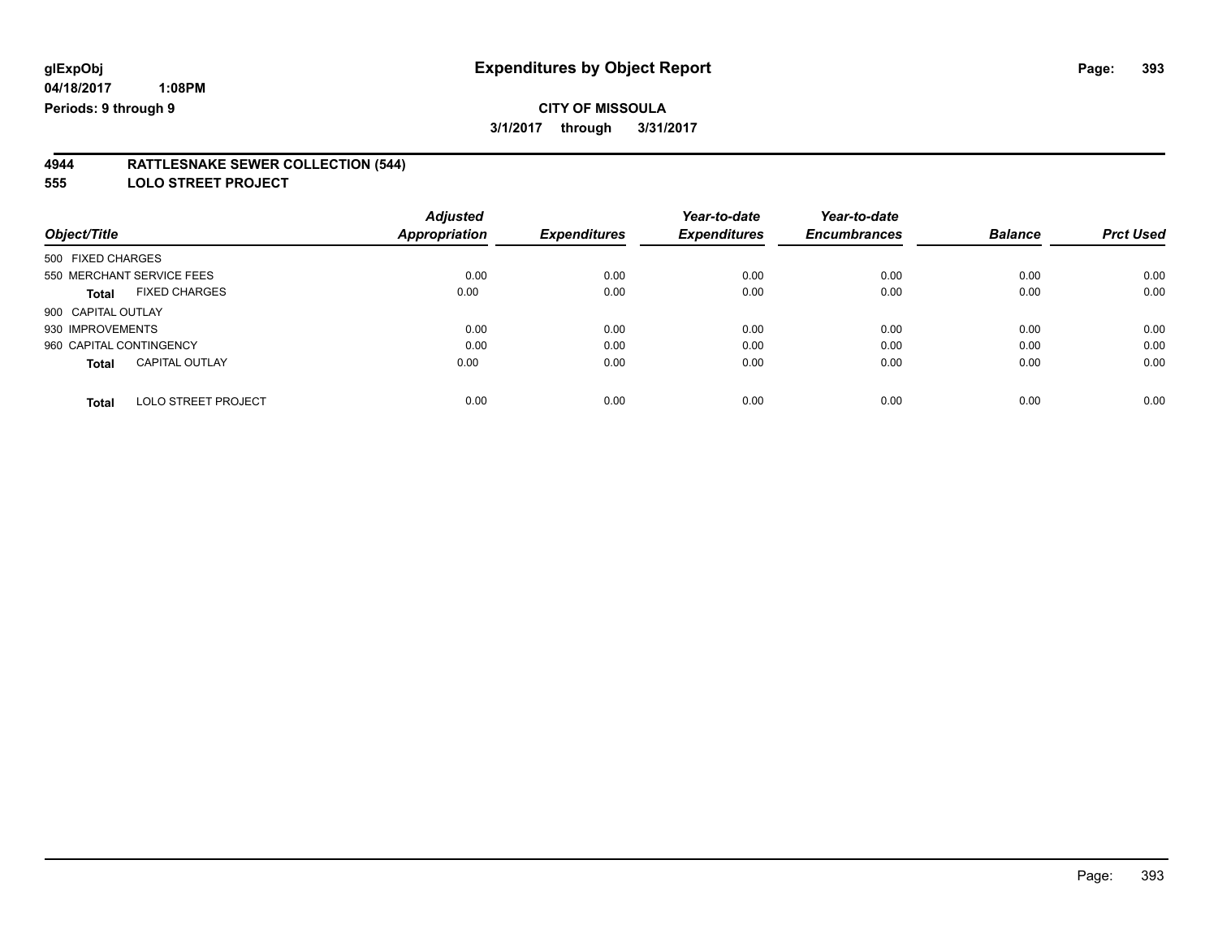#### **4944 RATTLESNAKE SEWER COLLECTION (544)**

**555 LOLO STREET PROJECT**

|                                            | <b>Adjusted</b>      |                     | Year-to-date        | Year-to-date        |                |                  |
|--------------------------------------------|----------------------|---------------------|---------------------|---------------------|----------------|------------------|
| Object/Title                               | <b>Appropriation</b> | <b>Expenditures</b> | <b>Expenditures</b> | <b>Encumbrances</b> | <b>Balance</b> | <b>Prct Used</b> |
| 500 FIXED CHARGES                          |                      |                     |                     |                     |                |                  |
| 550 MERCHANT SERVICE FEES                  | 0.00                 | 0.00                | 0.00                | 0.00                | 0.00           | 0.00             |
| <b>FIXED CHARGES</b><br><b>Total</b>       | 0.00                 | 0.00                | 0.00                | 0.00                | 0.00           | 0.00             |
| 900 CAPITAL OUTLAY                         |                      |                     |                     |                     |                |                  |
| 930 IMPROVEMENTS                           | 0.00                 | 0.00                | 0.00                | 0.00                | 0.00           | 0.00             |
| 960 CAPITAL CONTINGENCY                    | 0.00                 | 0.00                | 0.00                | 0.00                | 0.00           | 0.00             |
| <b>CAPITAL OUTLAY</b><br><b>Total</b>      | 0.00                 | 0.00                | 0.00                | 0.00                | 0.00           | 0.00             |
| <b>LOLO STREET PROJECT</b><br><b>Total</b> | 0.00                 | 0.00                | 0.00                | 0.00                | 0.00           | 0.00             |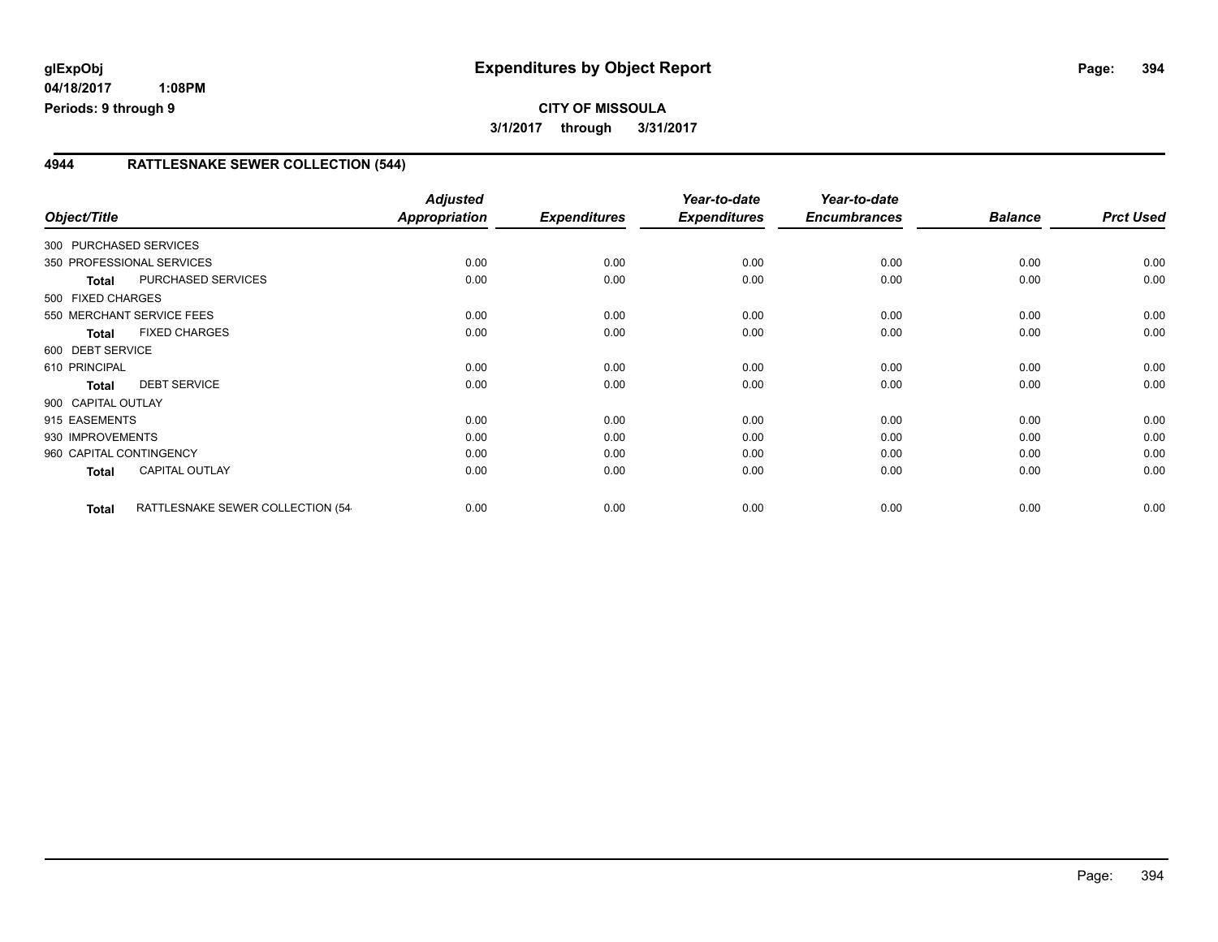# **CITY OF MISSOULA 3/1/2017 through 3/31/2017**

## **4944 RATTLESNAKE SEWER COLLECTION (544)**

| Object/Title            |                                   | <b>Adjusted</b><br><b>Appropriation</b> | <b>Expenditures</b> | Year-to-date<br><b>Expenditures</b> | Year-to-date<br><b>Encumbrances</b> | <b>Balance</b> | <b>Prct Used</b> |
|-------------------------|-----------------------------------|-----------------------------------------|---------------------|-------------------------------------|-------------------------------------|----------------|------------------|
| 300 PURCHASED SERVICES  |                                   |                                         |                     |                                     |                                     |                |                  |
|                         | 350 PROFESSIONAL SERVICES         | 0.00                                    | 0.00                | 0.00                                | 0.00                                | 0.00           | 0.00             |
| <b>Total</b>            | PURCHASED SERVICES                | 0.00                                    | 0.00                | 0.00                                | 0.00                                | 0.00           | 0.00             |
| 500 FIXED CHARGES       |                                   |                                         |                     |                                     |                                     |                |                  |
|                         | 550 MERCHANT SERVICE FEES         | 0.00                                    | 0.00                | 0.00                                | 0.00                                | 0.00           | 0.00             |
| <b>Total</b>            | <b>FIXED CHARGES</b>              | 0.00                                    | 0.00                | 0.00                                | 0.00                                | 0.00           | 0.00             |
| 600 DEBT SERVICE        |                                   |                                         |                     |                                     |                                     |                |                  |
| 610 PRINCIPAL           |                                   | 0.00                                    | 0.00                | 0.00                                | 0.00                                | 0.00           | 0.00             |
| <b>Total</b>            | <b>DEBT SERVICE</b>               | 0.00                                    | 0.00                | 0.00                                | 0.00                                | 0.00           | 0.00             |
| 900 CAPITAL OUTLAY      |                                   |                                         |                     |                                     |                                     |                |                  |
| 915 EASEMENTS           |                                   | 0.00                                    | 0.00                | 0.00                                | 0.00                                | 0.00           | 0.00             |
| 930 IMPROVEMENTS        |                                   | 0.00                                    | 0.00                | 0.00                                | 0.00                                | 0.00           | 0.00             |
| 960 CAPITAL CONTINGENCY |                                   | 0.00                                    | 0.00                | 0.00                                | 0.00                                | 0.00           | 0.00             |
| <b>Total</b>            | <b>CAPITAL OUTLAY</b>             | 0.00                                    | 0.00                | 0.00                                | 0.00                                | 0.00           | 0.00             |
| <b>Total</b>            | RATTLESNAKE SEWER COLLECTION (54- | 0.00                                    | 0.00                | 0.00                                | 0.00                                | 0.00           | 0.00             |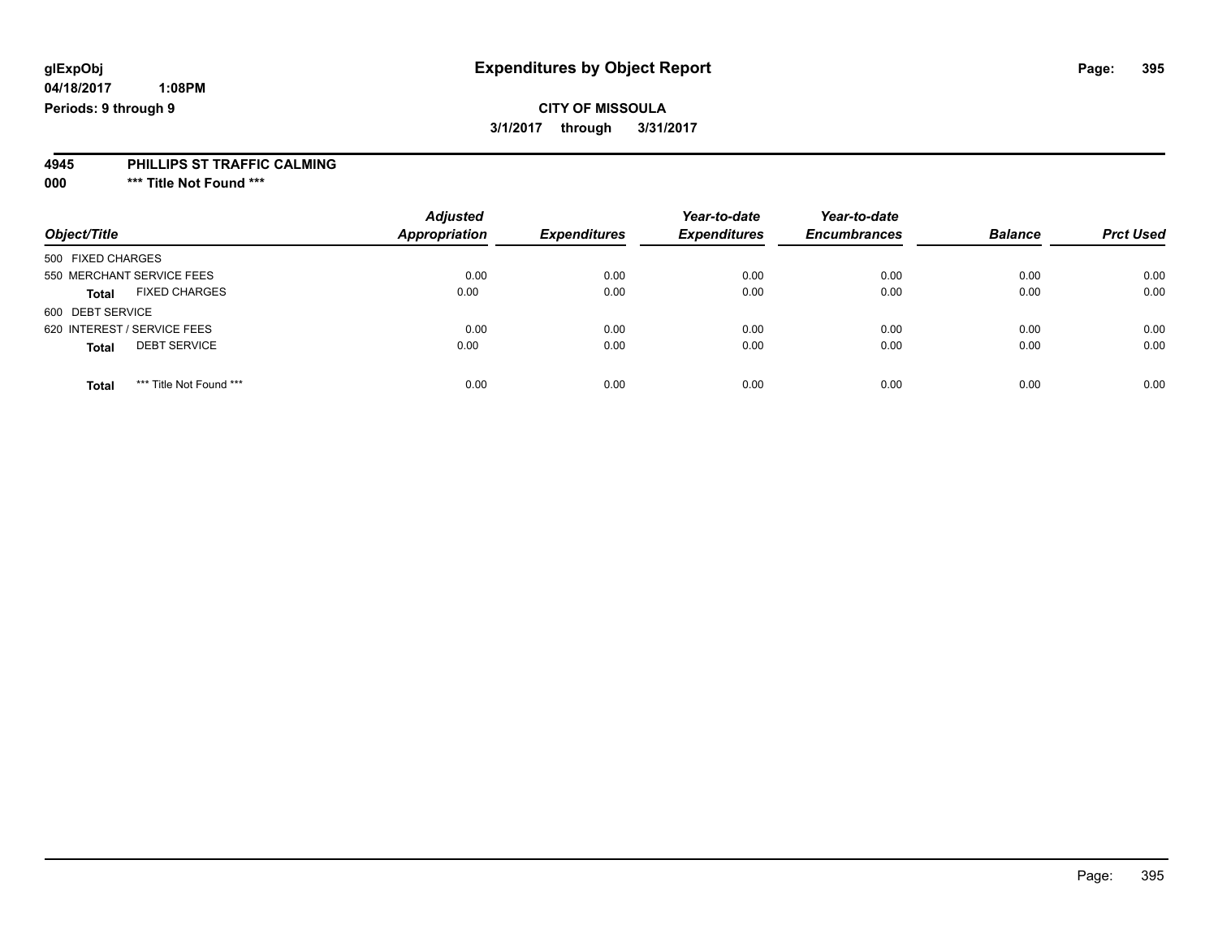**04/18/2017 1:08PM Periods: 9 through 9**

**3/1/2017 through 3/31/2017**

#### **4945 PHILLIPS ST TRAFFIC CALMING**

**000 \*\*\* Title Not Found \*\*\***

| Object/Title                            | <b>Adjusted</b><br><b>Appropriation</b> | <b>Expenditures</b> | Year-to-date<br><b>Expenditures</b> | Year-to-date<br><b>Encumbrances</b> | <b>Balance</b> | <b>Prct Used</b> |
|-----------------------------------------|-----------------------------------------|---------------------|-------------------------------------|-------------------------------------|----------------|------------------|
| 500 FIXED CHARGES                       |                                         |                     |                                     |                                     |                |                  |
| 550 MERCHANT SERVICE FEES               | 0.00                                    | 0.00                | 0.00                                | 0.00                                | 0.00           | 0.00             |
| <b>FIXED CHARGES</b><br><b>Total</b>    | 0.00                                    | 0.00                | 0.00                                | 0.00                                | 0.00           | 0.00             |
| 600 DEBT SERVICE                        |                                         |                     |                                     |                                     |                |                  |
| 620 INTEREST / SERVICE FEES             | 0.00                                    | 0.00                | 0.00                                | 0.00                                | 0.00           | 0.00             |
| <b>DEBT SERVICE</b><br><b>Total</b>     | 0.00                                    | 0.00                | 0.00                                | 0.00                                | 0.00           | 0.00             |
| *** Title Not Found ***<br><b>Total</b> | 0.00                                    | 0.00                | 0.00                                | 0.00                                | 0.00           | 0.00             |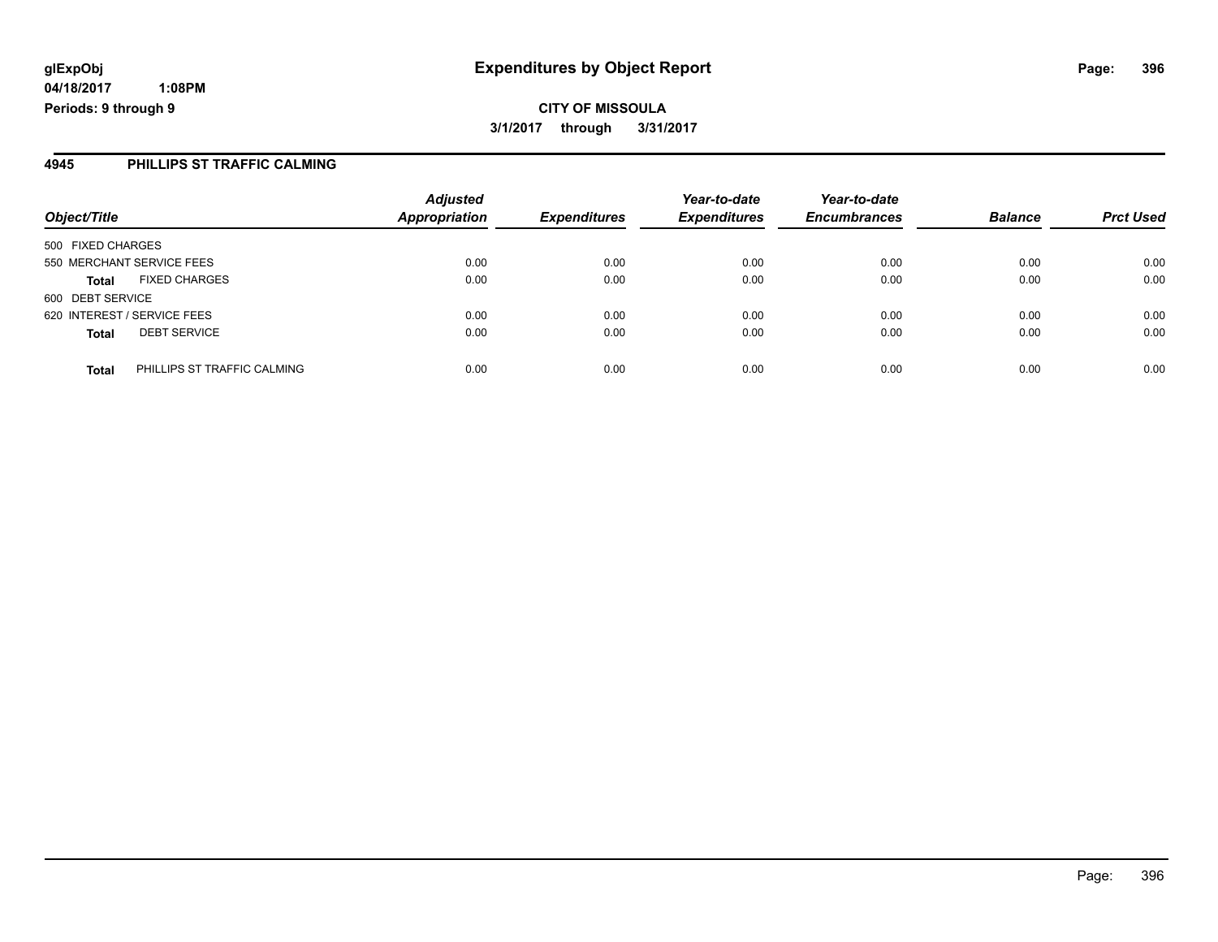**CITY OF MISSOULA 3/1/2017 through 3/31/2017**

### **4945 PHILLIPS ST TRAFFIC CALMING**

| Object/Title                                | <b>Adjusted</b><br><b>Appropriation</b> | <b>Expenditures</b> | Year-to-date<br><b>Expenditures</b> | Year-to-date<br><b>Encumbrances</b> | <b>Balance</b> | <b>Prct Used</b> |
|---------------------------------------------|-----------------------------------------|---------------------|-------------------------------------|-------------------------------------|----------------|------------------|
| 500 FIXED CHARGES                           |                                         |                     |                                     |                                     |                |                  |
| 550 MERCHANT SERVICE FEES                   | 0.00                                    | 0.00                | 0.00                                | 0.00                                | 0.00           | 0.00             |
| <b>FIXED CHARGES</b><br><b>Total</b>        | 0.00                                    | 0.00                | 0.00                                | 0.00                                | 0.00           | 0.00             |
| 600 DEBT SERVICE                            |                                         |                     |                                     |                                     |                |                  |
| 620 INTEREST / SERVICE FEES                 | 0.00                                    | 0.00                | 0.00                                | 0.00                                | 0.00           | 0.00             |
| <b>DEBT SERVICE</b><br><b>Total</b>         | 0.00                                    | 0.00                | 0.00                                | 0.00                                | 0.00           | 0.00             |
| PHILLIPS ST TRAFFIC CALMING<br><b>Total</b> | 0.00                                    | 0.00                | 0.00                                | 0.00                                | 0.00           | 0.00             |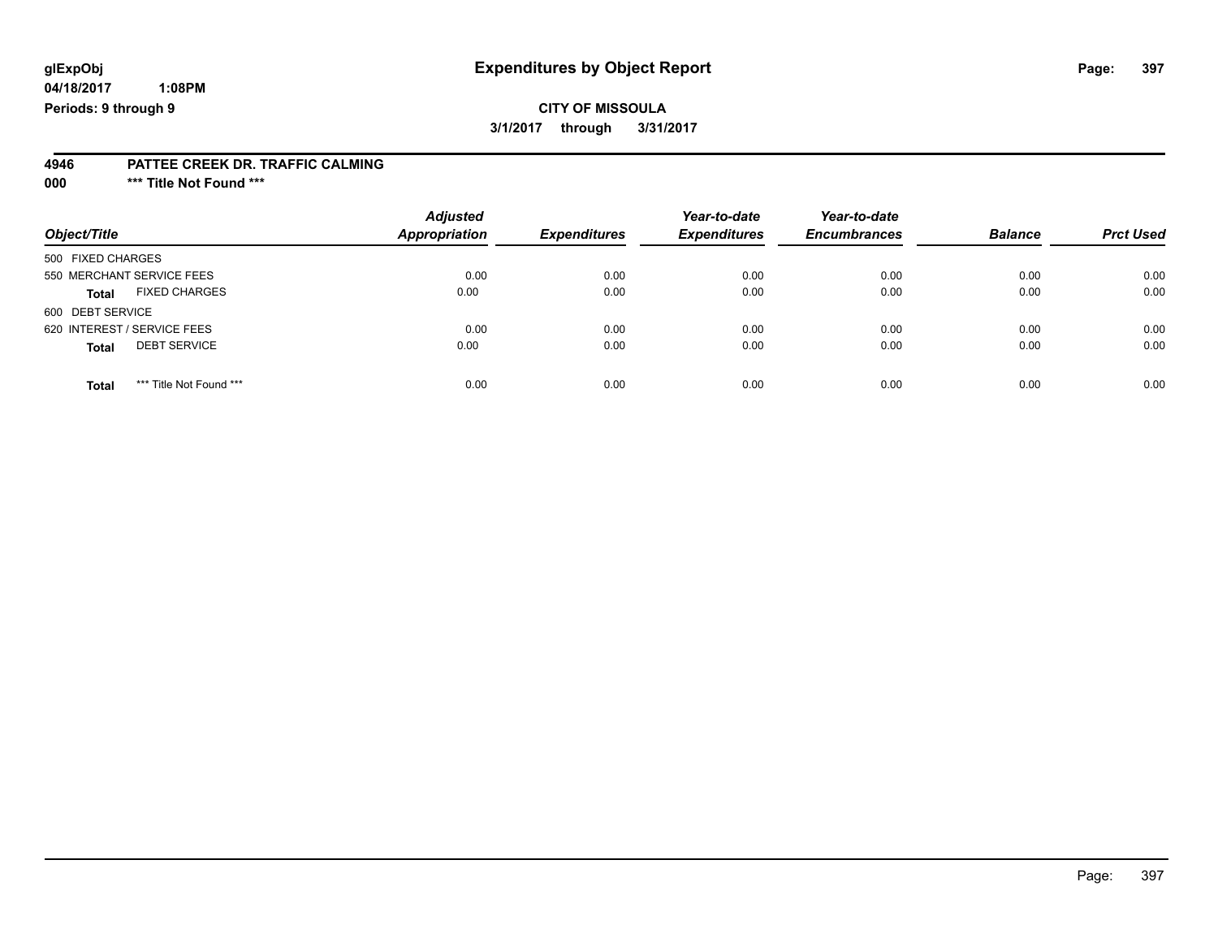# **glExpObj Expenditures by Object Report Page: 397**

**04/18/2017 1:08PM Periods: 9 through 9**

#### **4946 PATTEE CREEK DR. TRAFFIC CALMING**

**000 \*\*\* Title Not Found \*\*\***

| Object/Title                            | <b>Adjusted</b><br><b>Appropriation</b> | <b>Expenditures</b> | Year-to-date<br><b>Expenditures</b> | Year-to-date<br><b>Encumbrances</b> | <b>Balance</b> | <b>Prct Used</b> |
|-----------------------------------------|-----------------------------------------|---------------------|-------------------------------------|-------------------------------------|----------------|------------------|
| 500 FIXED CHARGES                       |                                         |                     |                                     |                                     |                |                  |
| 550 MERCHANT SERVICE FEES               | 0.00                                    | 0.00                | 0.00                                | 0.00                                | 0.00           | 0.00             |
| <b>FIXED CHARGES</b><br><b>Total</b>    | 0.00                                    | 0.00                | 0.00                                | 0.00                                | 0.00           | 0.00             |
| 600 DEBT SERVICE                        |                                         |                     |                                     |                                     |                |                  |
| 620 INTEREST / SERVICE FEES             | 0.00                                    | 0.00                | 0.00                                | 0.00                                | 0.00           | 0.00             |
| <b>DEBT SERVICE</b><br><b>Total</b>     | 0.00                                    | 0.00                | 0.00                                | 0.00                                | 0.00           | 0.00             |
| *** Title Not Found ***<br><b>Total</b> | 0.00                                    | 0.00                | 0.00                                | 0.00                                | 0.00           | 0.00             |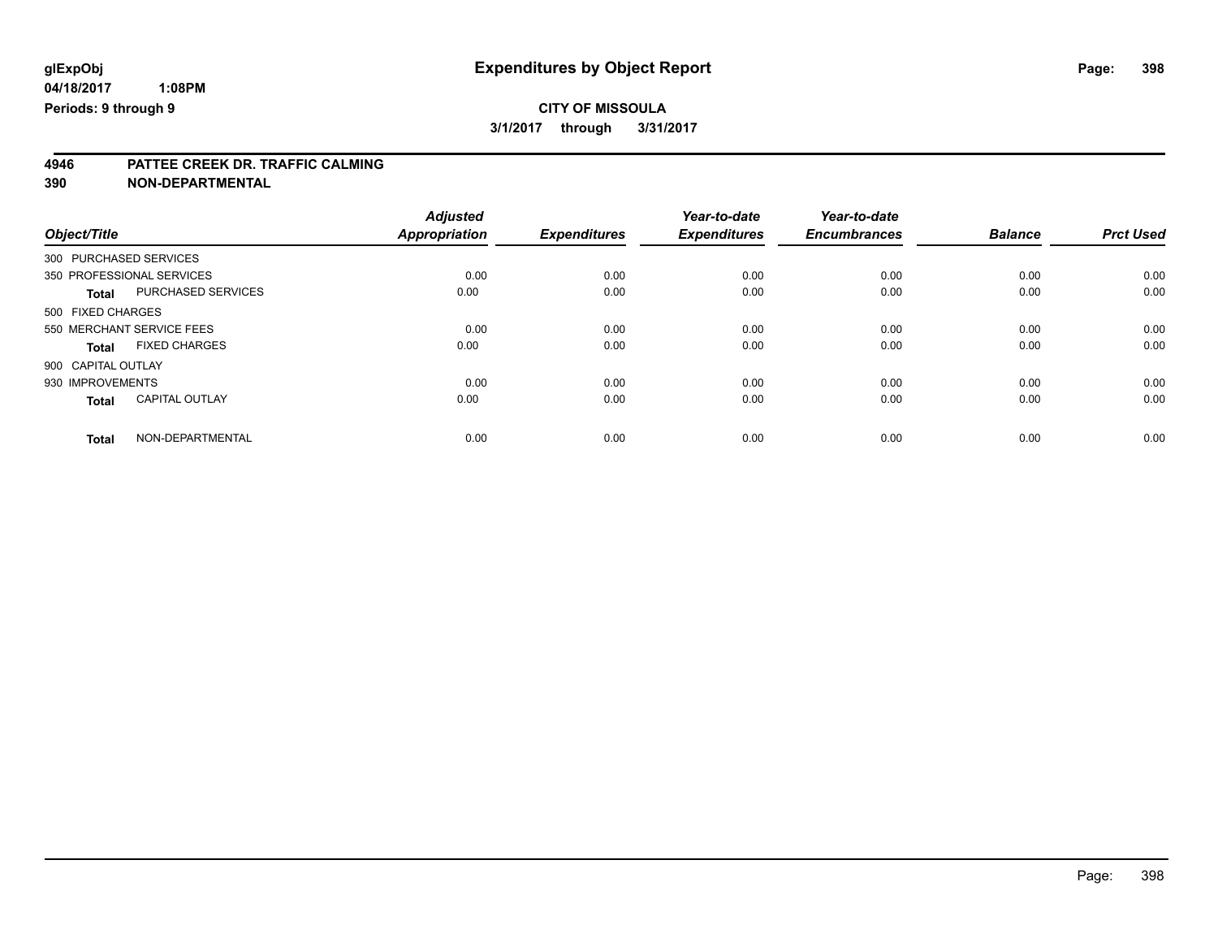# **4946 PATTEE CREEK DR. TRAFFIC CALMING**

**390 NON-DEPARTMENTAL**

|                        |                           | <b>Adjusted</b>      |                     | Year-to-date        | Year-to-date        |                |                  |
|------------------------|---------------------------|----------------------|---------------------|---------------------|---------------------|----------------|------------------|
| Object/Title           |                           | <b>Appropriation</b> | <b>Expenditures</b> | <b>Expenditures</b> | <b>Encumbrances</b> | <b>Balance</b> | <b>Prct Used</b> |
| 300 PURCHASED SERVICES |                           |                      |                     |                     |                     |                |                  |
|                        | 350 PROFESSIONAL SERVICES | 0.00                 | 0.00                | 0.00                | 0.00                | 0.00           | 0.00             |
| <b>Total</b>           | PURCHASED SERVICES        | 0.00                 | 0.00                | 0.00                | 0.00                | 0.00           | 0.00             |
| 500 FIXED CHARGES      |                           |                      |                     |                     |                     |                |                  |
|                        | 550 MERCHANT SERVICE FEES | 0.00                 | 0.00                | 0.00                | 0.00                | 0.00           | 0.00             |
| <b>Total</b>           | <b>FIXED CHARGES</b>      | 0.00                 | 0.00                | 0.00                | 0.00                | 0.00           | 0.00             |
| 900 CAPITAL OUTLAY     |                           |                      |                     |                     |                     |                |                  |
| 930 IMPROVEMENTS       |                           | 0.00                 | 0.00                | 0.00                | 0.00                | 0.00           | 0.00             |
| <b>Total</b>           | <b>CAPITAL OUTLAY</b>     | 0.00                 | 0.00                | 0.00                | 0.00                | 0.00           | 0.00             |
| <b>Total</b>           | NON-DEPARTMENTAL          | 0.00                 | 0.00                | 0.00                | 0.00                | 0.00           | 0.00             |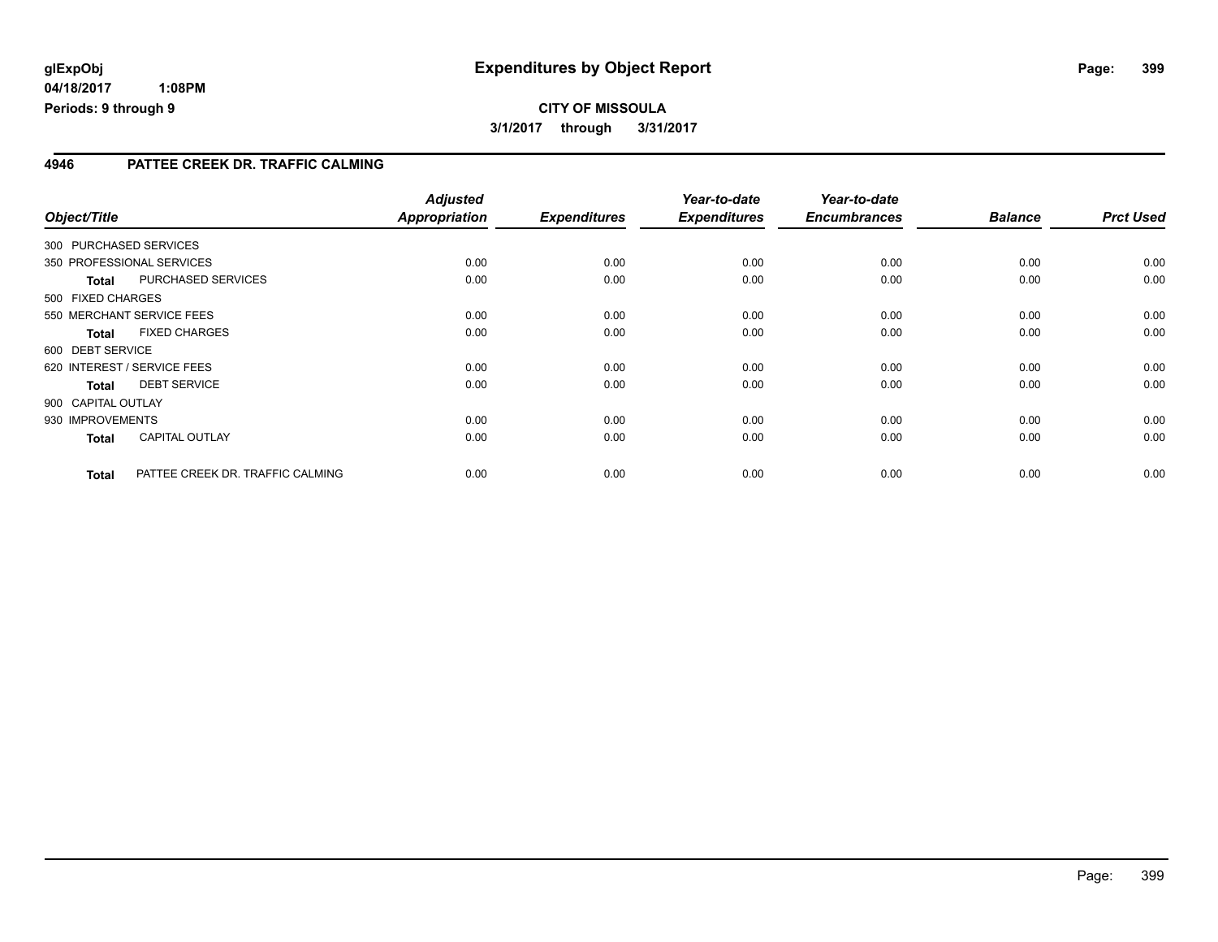# **CITY OF MISSOULA 3/1/2017 through 3/31/2017**

#### **4946 PATTEE CREEK DR. TRAFFIC CALMING**

| Object/Title       |                                  | <b>Adjusted</b><br>Appropriation | <b>Expenditures</b> | Year-to-date<br><b>Expenditures</b> | Year-to-date<br><b>Encumbrances</b> | <b>Balance</b> | <b>Prct Used</b> |
|--------------------|----------------------------------|----------------------------------|---------------------|-------------------------------------|-------------------------------------|----------------|------------------|
|                    | 300 PURCHASED SERVICES           |                                  |                     |                                     |                                     |                |                  |
|                    | 350 PROFESSIONAL SERVICES        | 0.00                             | 0.00                | 0.00                                | 0.00                                | 0.00           | 0.00             |
| <b>Total</b>       | PURCHASED SERVICES               | 0.00                             | 0.00                | 0.00                                | 0.00                                | 0.00           | 0.00             |
| 500 FIXED CHARGES  |                                  |                                  |                     |                                     |                                     |                |                  |
|                    | 550 MERCHANT SERVICE FEES        | 0.00                             | 0.00                | 0.00                                | 0.00                                | 0.00           | 0.00             |
| <b>Total</b>       | <b>FIXED CHARGES</b>             | 0.00                             | 0.00                | 0.00                                | 0.00                                | 0.00           | 0.00             |
| 600 DEBT SERVICE   |                                  |                                  |                     |                                     |                                     |                |                  |
|                    | 620 INTEREST / SERVICE FEES      | 0.00                             | 0.00                | 0.00                                | 0.00                                | 0.00           | 0.00             |
| <b>Total</b>       | <b>DEBT SERVICE</b>              | 0.00                             | 0.00                | 0.00                                | 0.00                                | 0.00           | 0.00             |
| 900 CAPITAL OUTLAY |                                  |                                  |                     |                                     |                                     |                |                  |
| 930 IMPROVEMENTS   |                                  | 0.00                             | 0.00                | 0.00                                | 0.00                                | 0.00           | 0.00             |
| <b>Total</b>       | <b>CAPITAL OUTLAY</b>            | 0.00                             | 0.00                | 0.00                                | 0.00                                | 0.00           | 0.00             |
| <b>Total</b>       | PATTEE CREEK DR. TRAFFIC CALMING | 0.00                             | 0.00                | 0.00                                | 0.00                                | 0.00           | 0.00             |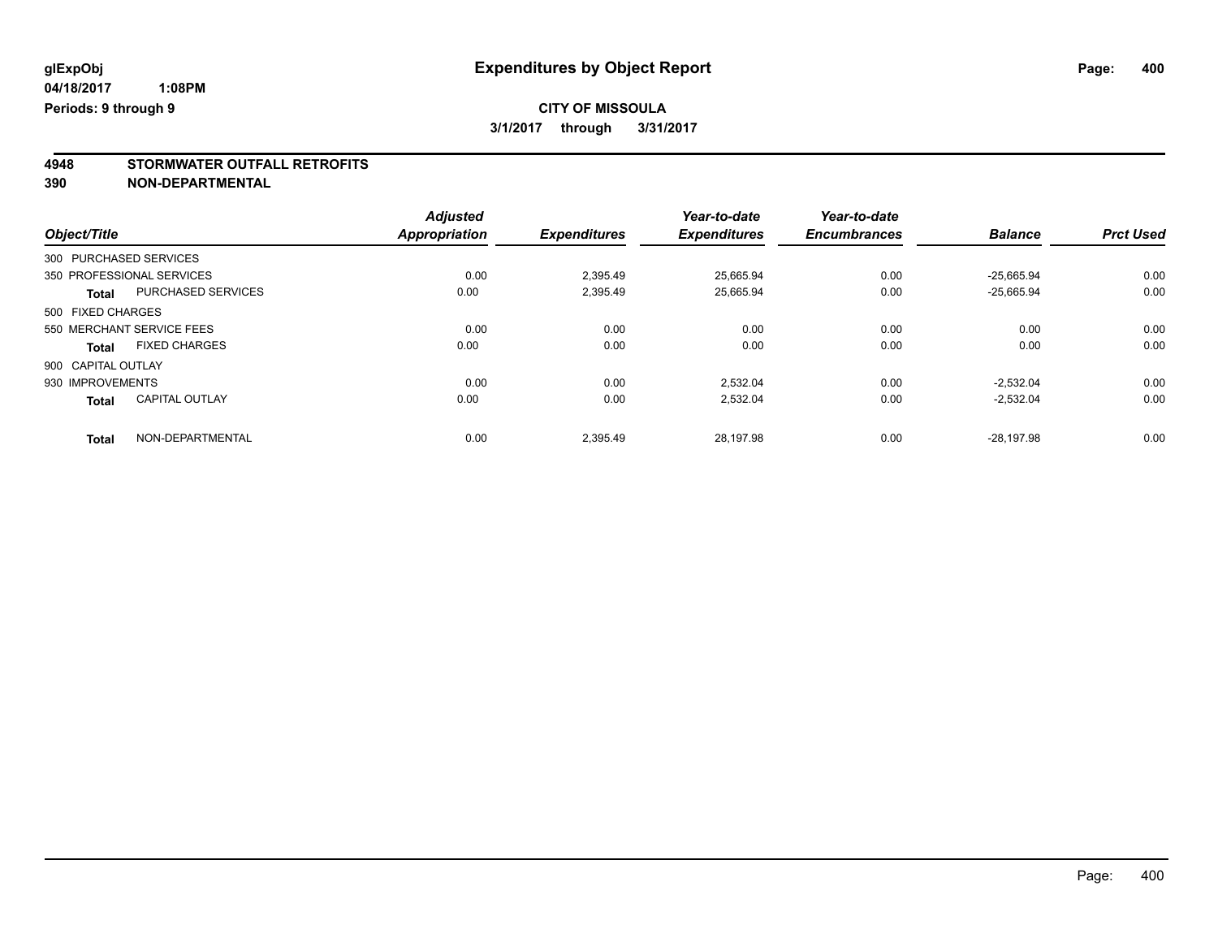# **4948 STORMWATER OUTFALL RETROFITS**

**390 NON-DEPARTMENTAL**

|                                           | <b>Adjusted</b>      |                     | Year-to-date        | Year-to-date        |                |                  |
|-------------------------------------------|----------------------|---------------------|---------------------|---------------------|----------------|------------------|
| Object/Title                              | <b>Appropriation</b> | <b>Expenditures</b> | <b>Expenditures</b> | <b>Encumbrances</b> | <b>Balance</b> | <b>Prct Used</b> |
| 300 PURCHASED SERVICES                    |                      |                     |                     |                     |                |                  |
| 350 PROFESSIONAL SERVICES                 | 0.00                 | 2.395.49            | 25.665.94           | 0.00                | $-25.665.94$   | 0.00             |
| <b>PURCHASED SERVICES</b><br><b>Total</b> | 0.00                 | 2,395.49            | 25,665.94           | 0.00                | $-25,665.94$   | 0.00             |
| 500 FIXED CHARGES                         |                      |                     |                     |                     |                |                  |
| 550 MERCHANT SERVICE FEES                 | 0.00                 | 0.00                | 0.00                | 0.00                | 0.00           | 0.00             |
| <b>FIXED CHARGES</b><br><b>Total</b>      | 0.00                 | 0.00                | 0.00                | 0.00                | 0.00           | 0.00             |
| 900 CAPITAL OUTLAY                        |                      |                     |                     |                     |                |                  |
| 930 IMPROVEMENTS                          | 0.00                 | 0.00                | 2.532.04            | 0.00                | $-2.532.04$    | 0.00             |
| <b>CAPITAL OUTLAY</b><br><b>Total</b>     | 0.00                 | 0.00                | 2.532.04            | 0.00                | $-2.532.04$    | 0.00             |
| NON-DEPARTMENTAL<br><b>Total</b>          | 0.00                 | 2.395.49            | 28.197.98           | 0.00                | $-28.197.98$   | 0.00             |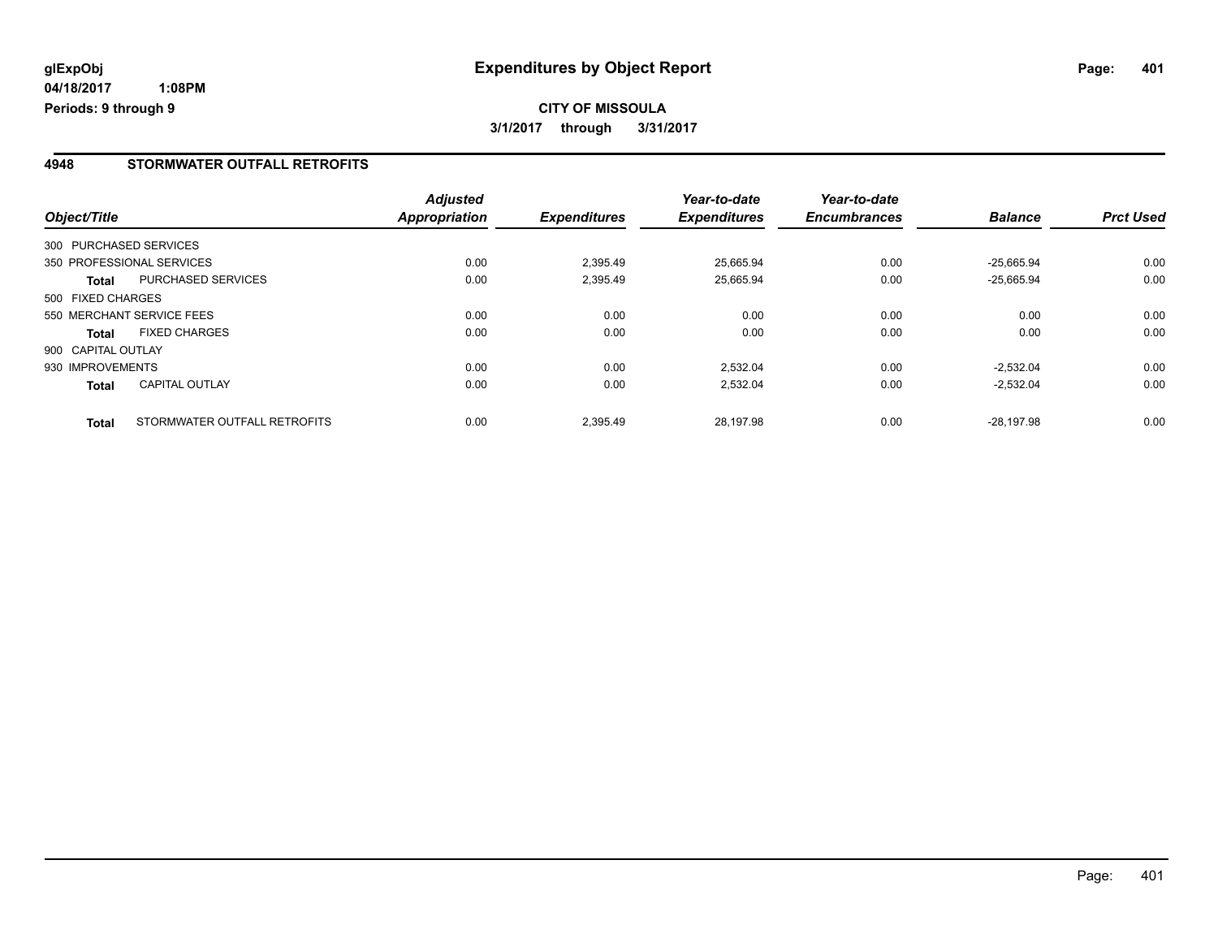#### **4948 STORMWATER OUTFALL RETROFITS**

| Object/Title           |                              | <b>Adjusted</b><br>Appropriation | <b>Expenditures</b> | Year-to-date<br><b>Expenditures</b> | Year-to-date<br><b>Encumbrances</b> | <b>Balance</b> | <b>Prct Used</b> |
|------------------------|------------------------------|----------------------------------|---------------------|-------------------------------------|-------------------------------------|----------------|------------------|
| 300 PURCHASED SERVICES |                              |                                  |                     |                                     |                                     |                |                  |
|                        | 350 PROFESSIONAL SERVICES    | 0.00                             | 2,395.49            | 25.665.94                           | 0.00                                | $-25.665.94$   | 0.00             |
| <b>Total</b>           | PURCHASED SERVICES           | 0.00                             | 2,395.49            | 25,665.94                           | 0.00                                | $-25,665.94$   | 0.00             |
| 500 FIXED CHARGES      |                              |                                  |                     |                                     |                                     |                |                  |
|                        | 550 MERCHANT SERVICE FEES    | 0.00                             | 0.00                | 0.00                                | 0.00                                | 0.00           | 0.00             |
| <b>Total</b>           | <b>FIXED CHARGES</b>         | 0.00                             | 0.00                | 0.00                                | 0.00                                | 0.00           | 0.00             |
| 900 CAPITAL OUTLAY     |                              |                                  |                     |                                     |                                     |                |                  |
| 930 IMPROVEMENTS       |                              | 0.00                             | 0.00                | 2,532.04                            | 0.00                                | $-2.532.04$    | 0.00             |
| <b>Total</b>           | CAPITAL OUTLAY               | 0.00                             | 0.00                | 2,532.04                            | 0.00                                | $-2,532.04$    | 0.00             |
| <b>Total</b>           | STORMWATER OUTFALL RETROFITS | 0.00                             | 2.395.49            | 28.197.98                           | 0.00                                | $-28.197.98$   | 0.00             |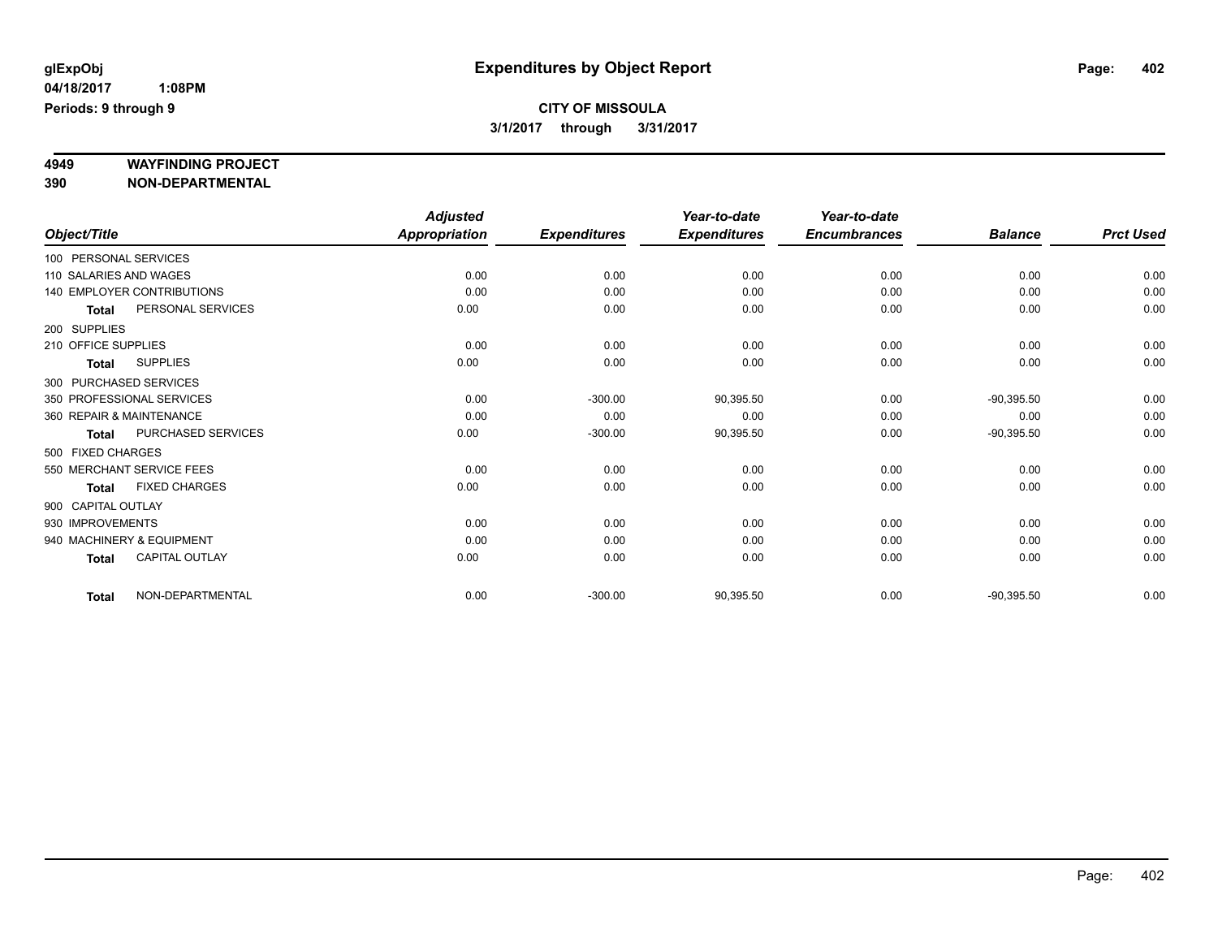# **4949 WAYFINDING PROJECT**

**390 NON-DEPARTMENTAL**

|                    |                                   | <b>Adjusted</b>      |                     | Year-to-date        | Year-to-date        |                |                  |
|--------------------|-----------------------------------|----------------------|---------------------|---------------------|---------------------|----------------|------------------|
| Object/Title       |                                   | <b>Appropriation</b> | <b>Expenditures</b> | <b>Expenditures</b> | <b>Encumbrances</b> | <b>Balance</b> | <b>Prct Used</b> |
|                    | 100 PERSONAL SERVICES             |                      |                     |                     |                     |                |                  |
|                    | 110 SALARIES AND WAGES            | 0.00                 | 0.00                | 0.00                | 0.00                | 0.00           | 0.00             |
|                    | <b>140 EMPLOYER CONTRIBUTIONS</b> | 0.00                 | 0.00                | 0.00                | 0.00                | 0.00           | 0.00             |
| <b>Total</b>       | PERSONAL SERVICES                 | 0.00                 | 0.00                | 0.00                | 0.00                | 0.00           | 0.00             |
| 200 SUPPLIES       |                                   |                      |                     |                     |                     |                |                  |
|                    | 210 OFFICE SUPPLIES               | 0.00                 | 0.00                | 0.00                | 0.00                | 0.00           | 0.00             |
| <b>Total</b>       | <b>SUPPLIES</b>                   | 0.00                 | 0.00                | 0.00                | 0.00                | 0.00           | 0.00             |
|                    | 300 PURCHASED SERVICES            |                      |                     |                     |                     |                |                  |
|                    | 350 PROFESSIONAL SERVICES         | 0.00                 | $-300.00$           | 90,395.50           | 0.00                | $-90,395.50$   | 0.00             |
|                    | 360 REPAIR & MAINTENANCE          | 0.00                 | 0.00                | 0.00                | 0.00                | 0.00           | 0.00             |
| <b>Total</b>       | PURCHASED SERVICES                | 0.00                 | $-300.00$           | 90,395.50           | 0.00                | $-90,395.50$   | 0.00             |
| 500 FIXED CHARGES  |                                   |                      |                     |                     |                     |                |                  |
|                    | 550 MERCHANT SERVICE FEES         | 0.00                 | 0.00                | 0.00                | 0.00                | 0.00           | 0.00             |
| <b>Total</b>       | <b>FIXED CHARGES</b>              | 0.00                 | 0.00                | 0.00                | 0.00                | 0.00           | 0.00             |
| 900 CAPITAL OUTLAY |                                   |                      |                     |                     |                     |                |                  |
| 930 IMPROVEMENTS   |                                   | 0.00                 | 0.00                | 0.00                | 0.00                | 0.00           | 0.00             |
|                    | 940 MACHINERY & EQUIPMENT         | 0.00                 | 0.00                | 0.00                | 0.00                | 0.00           | 0.00             |
| <b>Total</b>       | <b>CAPITAL OUTLAY</b>             | 0.00                 | 0.00                | 0.00                | 0.00                | 0.00           | 0.00             |
| <b>Total</b>       | NON-DEPARTMENTAL                  | 0.00                 | $-300.00$           | 90,395.50           | 0.00                | $-90,395.50$   | 0.00             |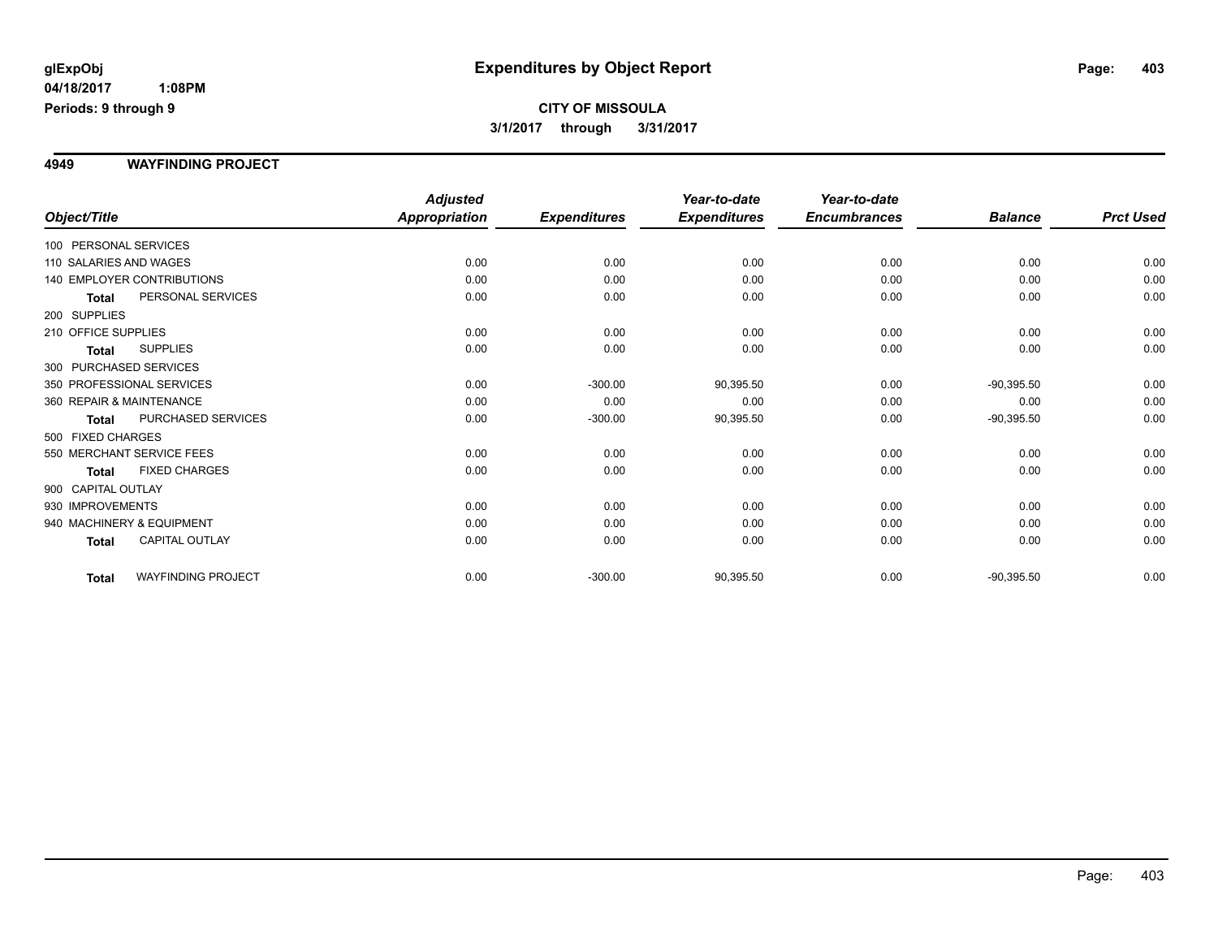#### **4949 WAYFINDING PROJECT**

|                                           | <b>Adjusted</b>      |                     | Year-to-date        | Year-to-date        |                |                  |
|-------------------------------------------|----------------------|---------------------|---------------------|---------------------|----------------|------------------|
| Object/Title                              | <b>Appropriation</b> | <b>Expenditures</b> | <b>Expenditures</b> | <b>Encumbrances</b> | <b>Balance</b> | <b>Prct Used</b> |
| 100 PERSONAL SERVICES                     |                      |                     |                     |                     |                |                  |
| 110 SALARIES AND WAGES                    | 0.00                 | 0.00                | 0.00                | 0.00                | 0.00           | 0.00             |
| 140 EMPLOYER CONTRIBUTIONS                | 0.00                 | 0.00                | 0.00                | 0.00                | 0.00           | 0.00             |
| PERSONAL SERVICES<br><b>Total</b>         | 0.00                 | 0.00                | 0.00                | 0.00                | 0.00           | 0.00             |
| 200 SUPPLIES                              |                      |                     |                     |                     |                |                  |
| 210 OFFICE SUPPLIES                       | 0.00                 | 0.00                | 0.00                | 0.00                | 0.00           | 0.00             |
| <b>SUPPLIES</b><br><b>Total</b>           | 0.00                 | 0.00                | 0.00                | 0.00                | 0.00           | 0.00             |
| 300 PURCHASED SERVICES                    |                      |                     |                     |                     |                |                  |
| 350 PROFESSIONAL SERVICES                 | 0.00                 | $-300.00$           | 90,395.50           | 0.00                | $-90,395.50$   | 0.00             |
| 360 REPAIR & MAINTENANCE                  | 0.00                 | 0.00                | 0.00                | 0.00                | 0.00           | 0.00             |
| PURCHASED SERVICES<br><b>Total</b>        | 0.00                 | $-300.00$           | 90,395.50           | 0.00                | $-90,395.50$   | 0.00             |
| 500 FIXED CHARGES                         |                      |                     |                     |                     |                |                  |
| 550 MERCHANT SERVICE FEES                 | 0.00                 | 0.00                | 0.00                | 0.00                | 0.00           | 0.00             |
| <b>FIXED CHARGES</b><br><b>Total</b>      | 0.00                 | 0.00                | 0.00                | 0.00                | 0.00           | 0.00             |
| 900 CAPITAL OUTLAY                        |                      |                     |                     |                     |                |                  |
| 930 IMPROVEMENTS                          | 0.00                 | 0.00                | 0.00                | 0.00                | 0.00           | 0.00             |
| 940 MACHINERY & EQUIPMENT                 | 0.00                 | 0.00                | 0.00                | 0.00                | 0.00           | 0.00             |
| CAPITAL OUTLAY<br><b>Total</b>            | 0.00                 | 0.00                | 0.00                | 0.00                | 0.00           | 0.00             |
| <b>WAYFINDING PROJECT</b><br><b>Total</b> | 0.00                 | $-300.00$           | 90,395.50           | 0.00                | $-90,395.50$   | 0.00             |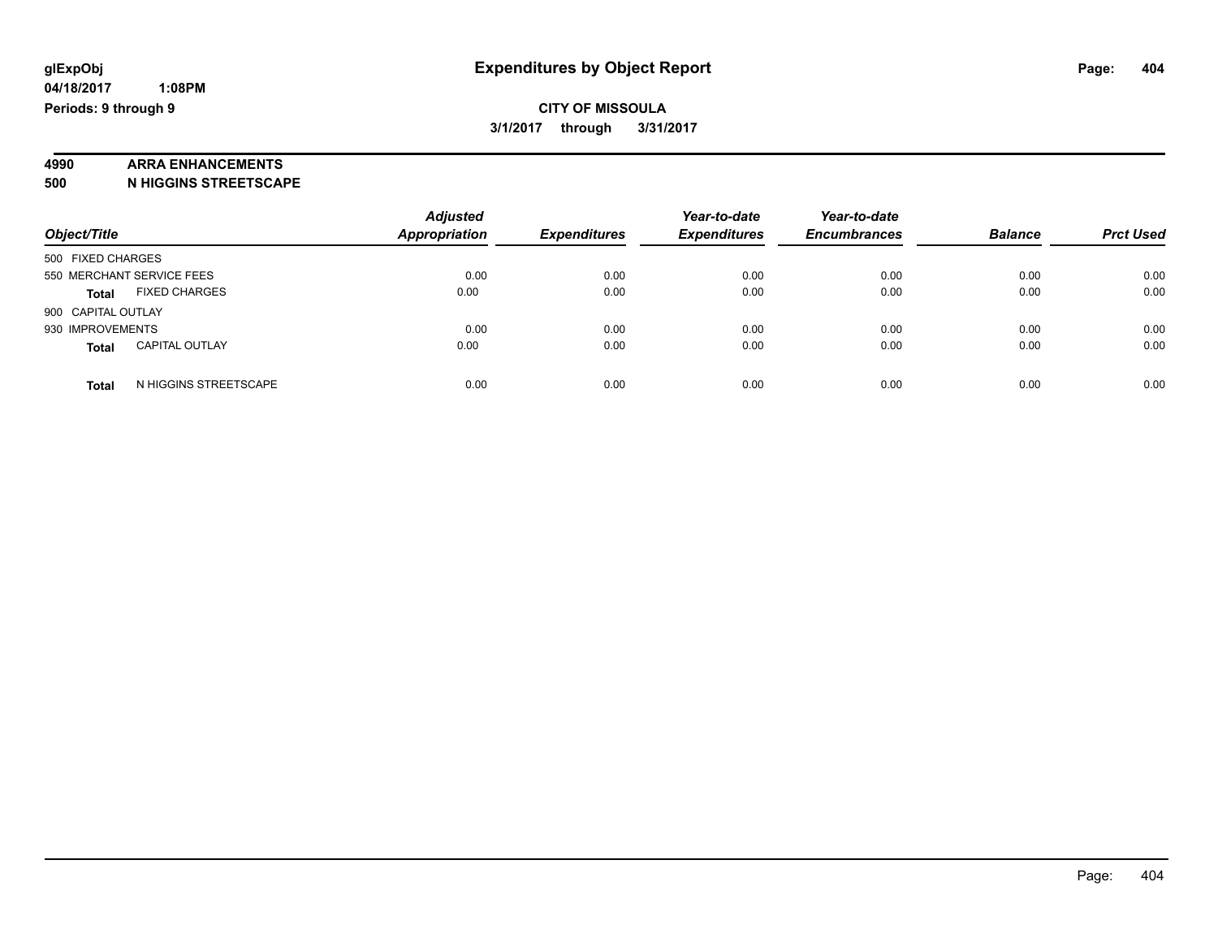# **4990 ARRA ENHANCEMENTS**

**500 N HIGGINS STREETSCAPE**

| Object/Title       |                           | <b>Adjusted</b><br><b>Appropriation</b> | <b>Expenditures</b> | Year-to-date<br><b>Expenditures</b> | Year-to-date<br><b>Encumbrances</b> | <b>Balance</b> | <b>Prct Used</b> |
|--------------------|---------------------------|-----------------------------------------|---------------------|-------------------------------------|-------------------------------------|----------------|------------------|
| 500 FIXED CHARGES  |                           |                                         |                     |                                     |                                     |                |                  |
|                    |                           |                                         |                     |                                     |                                     |                |                  |
|                    | 550 MERCHANT SERVICE FEES | 0.00                                    | 0.00                | 0.00                                | 0.00                                | 0.00           | 0.00             |
| <b>Total</b>       | <b>FIXED CHARGES</b>      | 0.00                                    | 0.00                | 0.00                                | 0.00                                | 0.00           | 0.00             |
| 900 CAPITAL OUTLAY |                           |                                         |                     |                                     |                                     |                |                  |
| 930 IMPROVEMENTS   |                           | 0.00                                    | 0.00                | 0.00                                | 0.00                                | 0.00           | 0.00             |
| <b>Total</b>       | <b>CAPITAL OUTLAY</b>     | 0.00                                    | 0.00                | 0.00                                | 0.00                                | 0.00           | 0.00             |
| <b>Total</b>       | N HIGGINS STREETSCAPE     | 0.00                                    | 0.00                | 0.00                                | 0.00                                | 0.00           | 0.00             |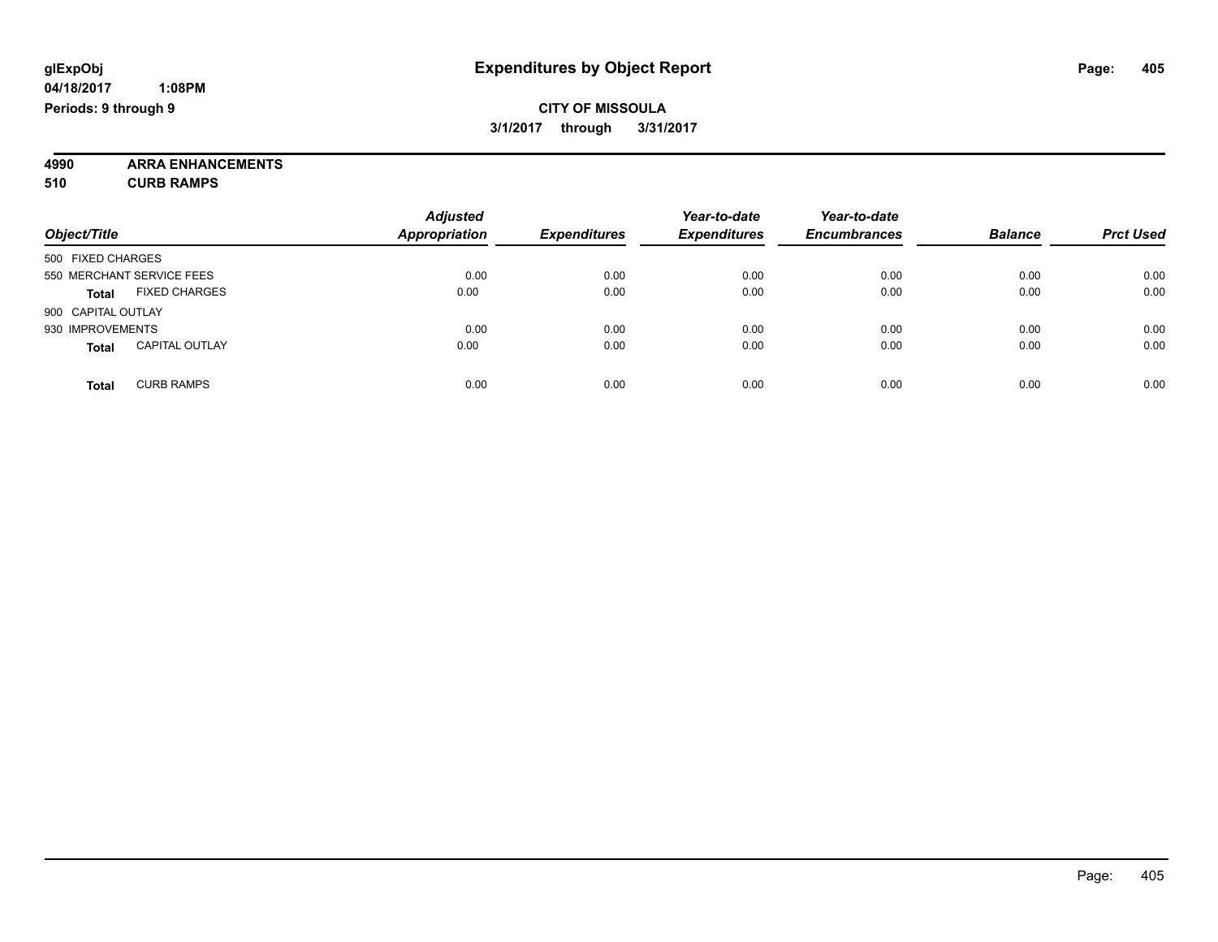**4990 ARRA ENHANCEMENTS 510 CURB RAMPS**

|                                       | <b>Adjusted</b>      |                     | Year-to-date        | Year-to-date        |                |                  |
|---------------------------------------|----------------------|---------------------|---------------------|---------------------|----------------|------------------|
| Object/Title                          | <b>Appropriation</b> | <b>Expenditures</b> | <b>Expenditures</b> | <b>Encumbrances</b> | <b>Balance</b> | <b>Prct Used</b> |
| 500 FIXED CHARGES                     |                      |                     |                     |                     |                |                  |
| 550 MERCHANT SERVICE FEES             | 0.00                 | 0.00                | 0.00                | 0.00                | 0.00           | 0.00             |
| <b>FIXED CHARGES</b><br><b>Total</b>  | 0.00                 | 0.00                | 0.00                | 0.00                | 0.00           | 0.00             |
| 900 CAPITAL OUTLAY                    |                      |                     |                     |                     |                |                  |
| 930 IMPROVEMENTS                      | 0.00                 | 0.00                | 0.00                | 0.00                | 0.00           | 0.00             |
| <b>CAPITAL OUTLAY</b><br><b>Total</b> | 0.00                 | 0.00                | 0.00                | 0.00                | 0.00           | 0.00             |
| <b>CURB RAMPS</b><br><b>Total</b>     | 0.00                 | 0.00                | 0.00                | 0.00                | 0.00           | 0.00             |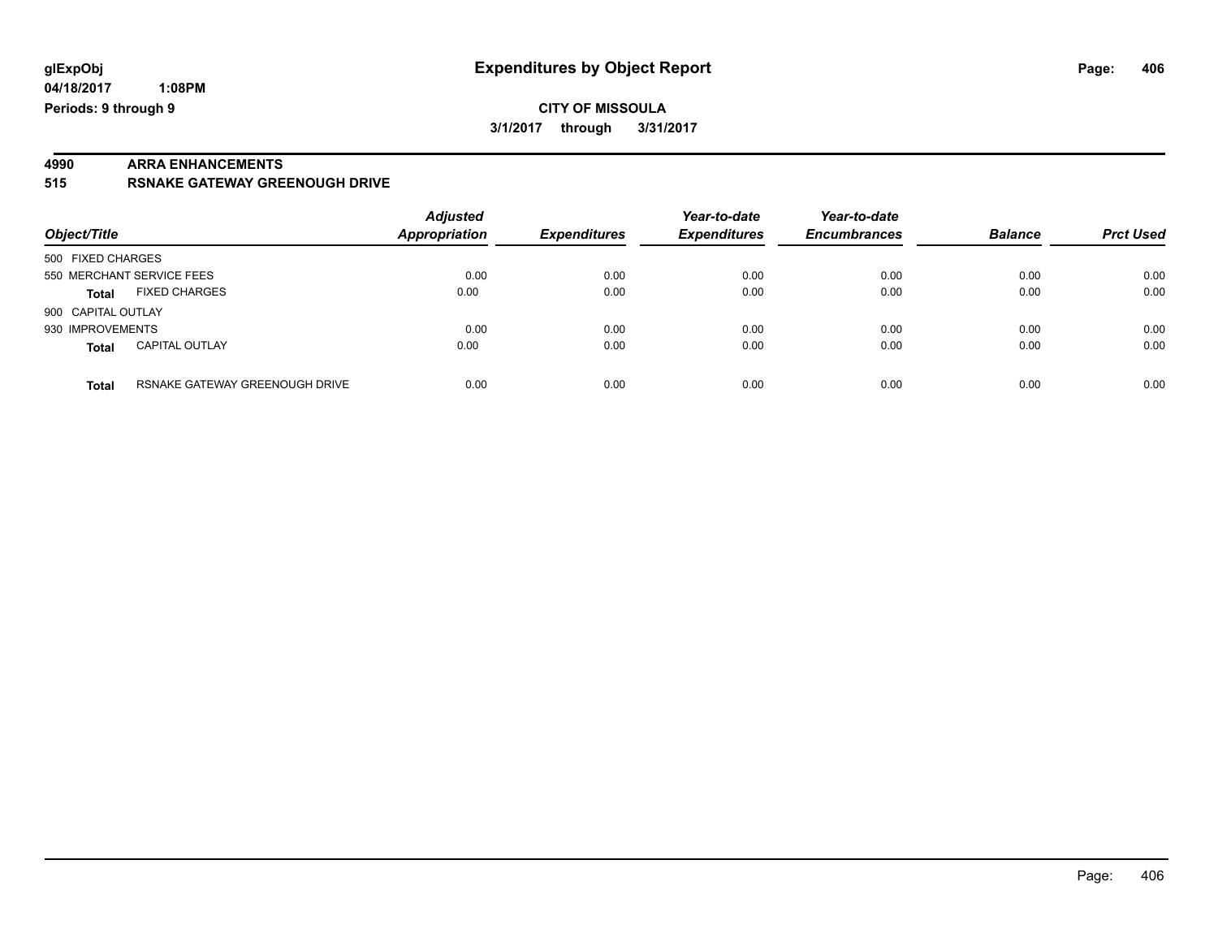# **4990 ARRA ENHANCEMENTS**

**515 RSNAKE GATEWAY GREENOUGH DRIVE**

| Object/Title                          |                                | <b>Adjusted</b><br><b>Appropriation</b> | <b>Expenditures</b> | Year-to-date<br><b>Expenditures</b> | Year-to-date<br><b>Encumbrances</b> | <b>Balance</b> | <b>Prct Used</b> |
|---------------------------------------|--------------------------------|-----------------------------------------|---------------------|-------------------------------------|-------------------------------------|----------------|------------------|
| 500 FIXED CHARGES                     |                                |                                         |                     |                                     |                                     |                |                  |
| 550 MERCHANT SERVICE FEES             |                                | 0.00                                    | 0.00                | 0.00                                | 0.00                                | 0.00           | 0.00             |
| <b>FIXED CHARGES</b><br><b>Total</b>  |                                | 0.00                                    | 0.00                | 0.00                                | 0.00                                | 0.00           | 0.00             |
| 900 CAPITAL OUTLAY                    |                                |                                         |                     |                                     |                                     |                |                  |
| 930 IMPROVEMENTS                      |                                | 0.00                                    | 0.00                | 0.00                                | 0.00                                | 0.00           | 0.00             |
| <b>CAPITAL OUTLAY</b><br><b>Total</b> |                                | 0.00                                    | 0.00                | 0.00                                | 0.00                                | 0.00           | 0.00             |
| <b>Total</b>                          | RSNAKE GATEWAY GREENOUGH DRIVE | 0.00                                    | 0.00                | 0.00                                | 0.00                                | 0.00           | 0.00             |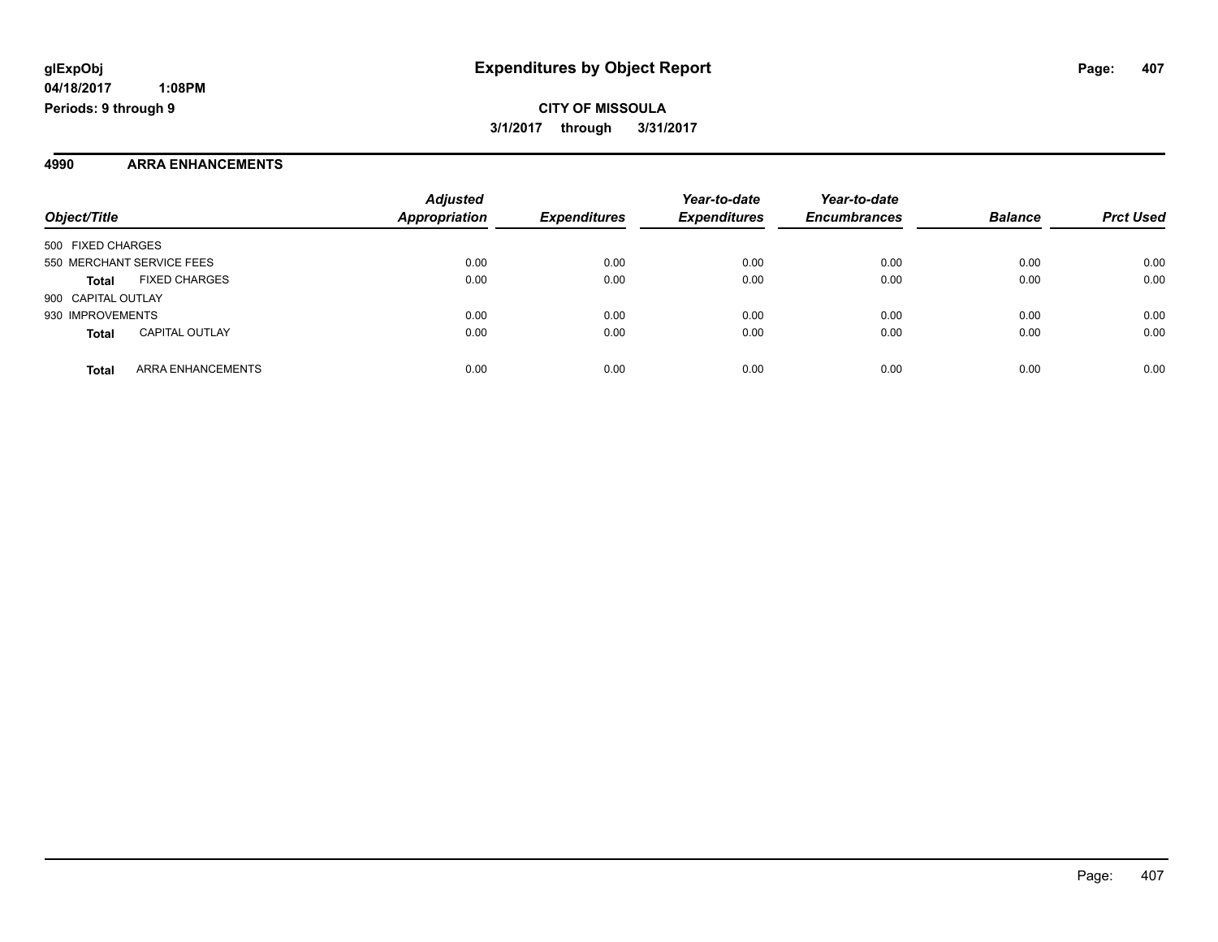**CITY OF MISSOULA 3/1/2017 through 3/31/2017**

#### **4990 ARRA ENHANCEMENTS**

| Object/Title                          | <b>Adjusted</b><br><b>Appropriation</b> | <b>Expenditures</b> | Year-to-date<br><b>Expenditures</b> | Year-to-date<br><b>Encumbrances</b> | <b>Balance</b> | <b>Prct Used</b> |
|---------------------------------------|-----------------------------------------|---------------------|-------------------------------------|-------------------------------------|----------------|------------------|
| 500 FIXED CHARGES                     |                                         |                     |                                     |                                     |                |                  |
| 550 MERCHANT SERVICE FEES             | 0.00                                    | 0.00                | 0.00                                | 0.00                                | 0.00           | 0.00             |
| <b>FIXED CHARGES</b><br><b>Total</b>  | 0.00                                    | 0.00                | 0.00                                | 0.00                                | 0.00           | 0.00             |
| 900 CAPITAL OUTLAY                    |                                         |                     |                                     |                                     |                |                  |
| 930 IMPROVEMENTS                      | 0.00                                    | 0.00                | 0.00                                | 0.00                                | 0.00           | 0.00             |
| <b>CAPITAL OUTLAY</b><br><b>Total</b> | 0.00                                    | 0.00                | 0.00                                | 0.00                                | 0.00           | 0.00             |
| ARRA ENHANCEMENTS<br><b>Total</b>     | 0.00                                    | 0.00                | 0.00                                | 0.00                                | 0.00           | 0.00             |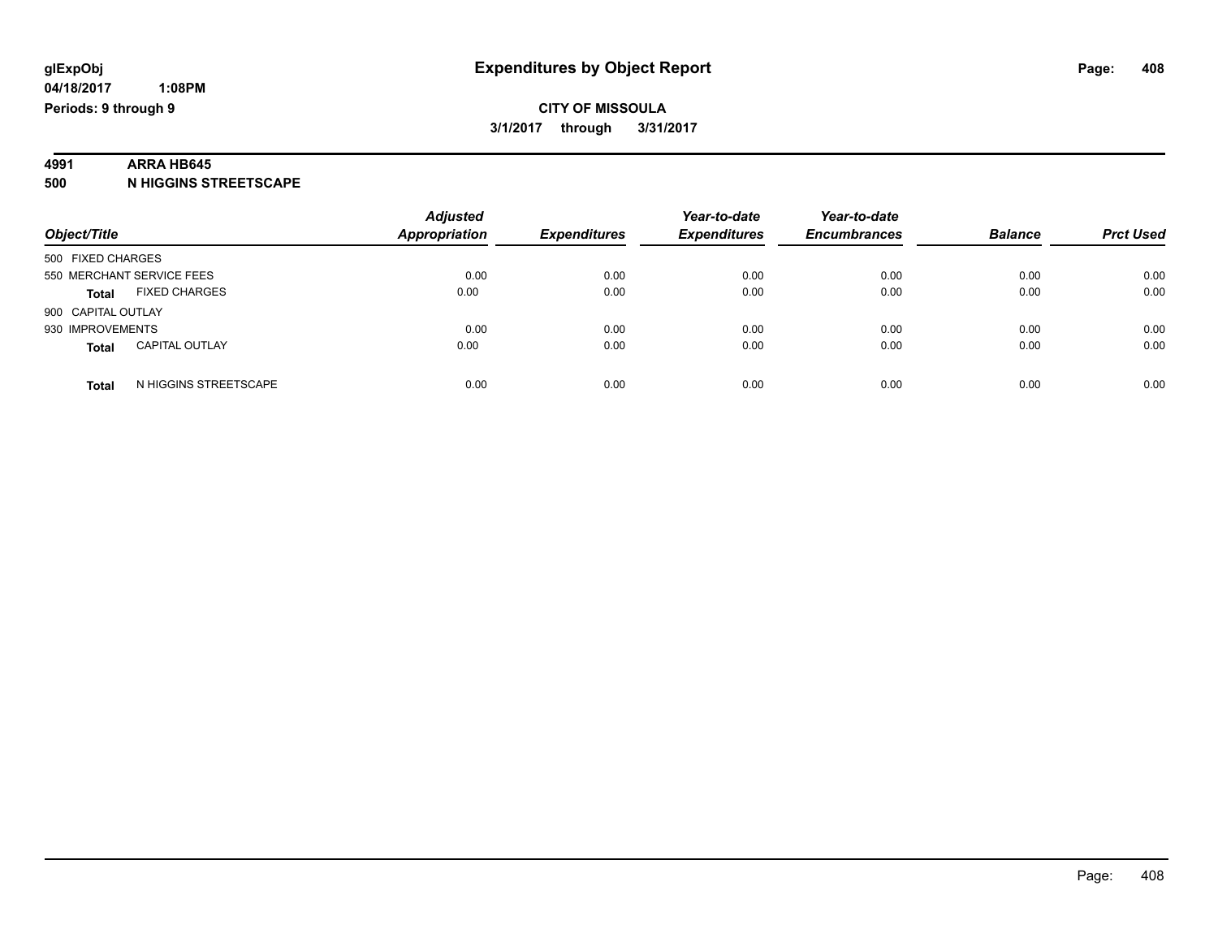# **4991 ARRA HB645**

**500 N HIGGINS STREETSCAPE**

| Object/Title                          | <b>Adjusted</b><br><b>Appropriation</b> | <b>Expenditures</b> | Year-to-date<br><b>Expenditures</b> | Year-to-date<br><b>Encumbrances</b> | <b>Balance</b> | <b>Prct Used</b> |
|---------------------------------------|-----------------------------------------|---------------------|-------------------------------------|-------------------------------------|----------------|------------------|
|                                       |                                         |                     |                                     |                                     |                |                  |
| 500 FIXED CHARGES                     |                                         |                     |                                     |                                     |                |                  |
| 550 MERCHANT SERVICE FEES             | 0.00                                    | 0.00                | 0.00                                | 0.00                                | 0.00           | 0.00             |
| <b>FIXED CHARGES</b><br><b>Total</b>  | 0.00                                    | 0.00                | 0.00                                | 0.00                                | 0.00           | 0.00             |
| 900 CAPITAL OUTLAY                    |                                         |                     |                                     |                                     |                |                  |
| 930 IMPROVEMENTS                      | 0.00                                    | 0.00                | 0.00                                | 0.00                                | 0.00           | 0.00             |
| <b>CAPITAL OUTLAY</b><br><b>Total</b> | 0.00                                    | 0.00                | 0.00                                | 0.00                                | 0.00           | 0.00             |
| N HIGGINS STREETSCAPE<br><b>Total</b> | 0.00                                    | 0.00                | 0.00                                | 0.00                                | 0.00           | 0.00             |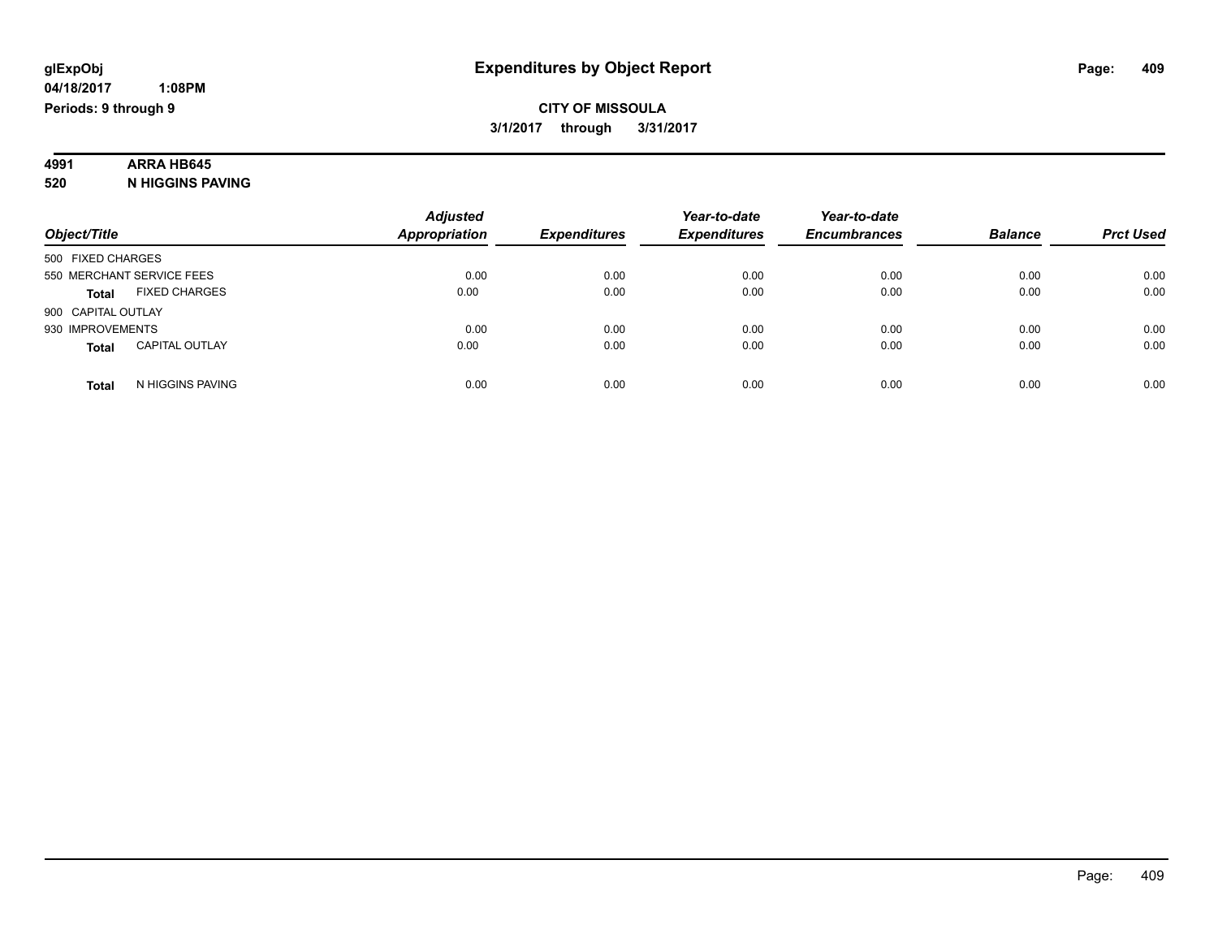# **4991 ARRA HB645**

**520 N HIGGINS PAVING**

| Object/Title                          | <b>Adjusted</b><br>Appropriation | <b>Expenditures</b> | Year-to-date<br><b>Expenditures</b> | Year-to-date<br><b>Encumbrances</b> | <b>Balance</b> | <b>Prct Used</b> |
|---------------------------------------|----------------------------------|---------------------|-------------------------------------|-------------------------------------|----------------|------------------|
| 500 FIXED CHARGES                     |                                  |                     |                                     |                                     |                |                  |
| 550 MERCHANT SERVICE FEES             | 0.00                             | 0.00                | 0.00                                | 0.00                                | 0.00           | 0.00             |
| <b>FIXED CHARGES</b><br><b>Total</b>  | 0.00                             | 0.00                | 0.00                                | 0.00                                | 0.00           | 0.00             |
| 900 CAPITAL OUTLAY                    |                                  |                     |                                     |                                     |                |                  |
| 930 IMPROVEMENTS                      | 0.00                             | 0.00                | 0.00                                | 0.00                                | 0.00           | 0.00             |
| <b>CAPITAL OUTLAY</b><br><b>Total</b> | 0.00                             | 0.00                | 0.00                                | 0.00                                | 0.00           | 0.00             |
| N HIGGINS PAVING<br><b>Total</b>      | 0.00                             | 0.00                | 0.00                                | 0.00                                | 0.00           | 0.00             |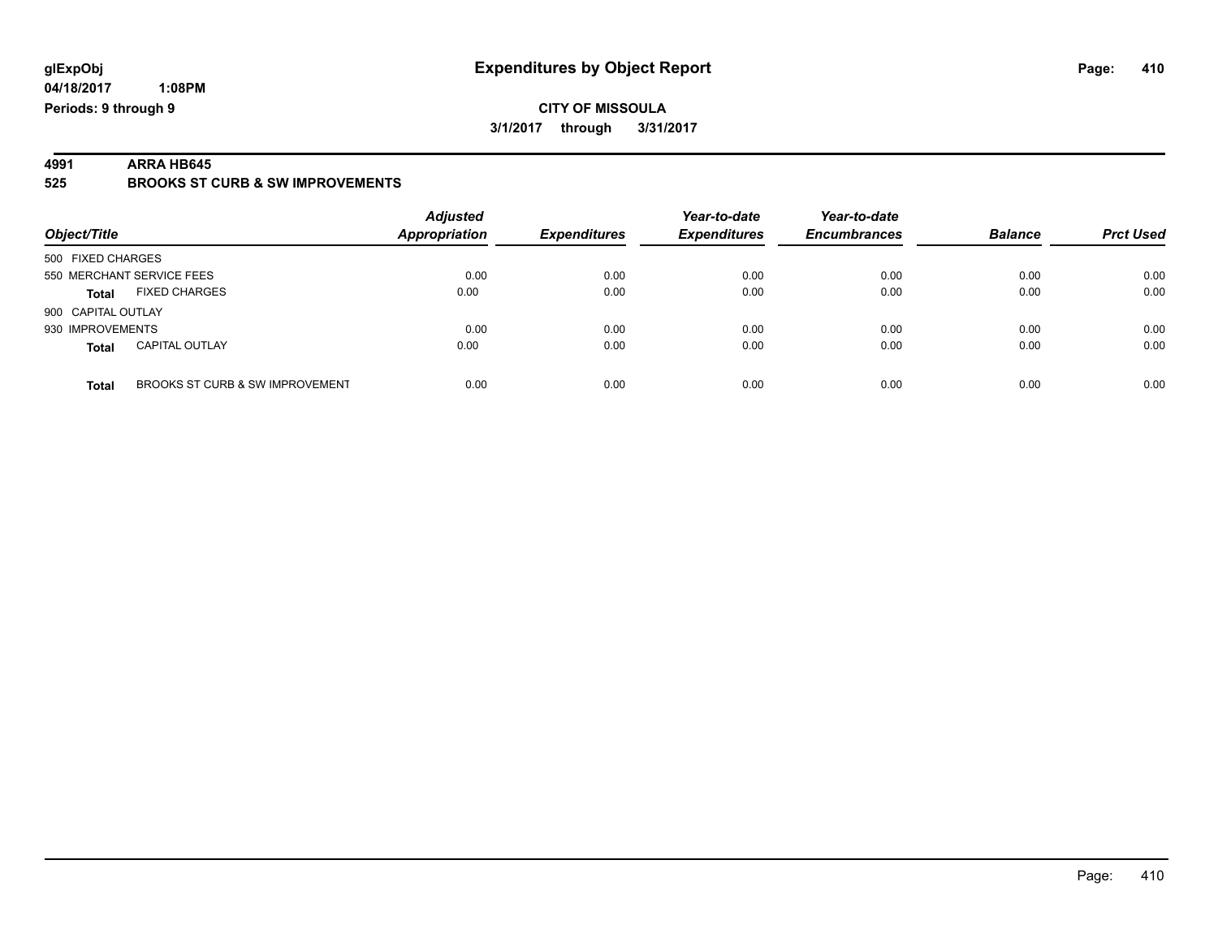### **CITY OF MISSOULA 3/1/2017 through 3/31/2017**

**4991 ARRA HB645 525 BROOKS ST CURB & SW IMPROVEMENTS**

| Object/Title              |                                 | <b>Adjusted</b><br><b>Appropriation</b> | <b>Expenditures</b> | Year-to-date<br><b>Expenditures</b> | Year-to-date<br><b>Encumbrances</b> | <b>Balance</b> | <b>Prct Used</b> |
|---------------------------|---------------------------------|-----------------------------------------|---------------------|-------------------------------------|-------------------------------------|----------------|------------------|
| 500 FIXED CHARGES         |                                 |                                         |                     |                                     |                                     |                |                  |
| 550 MERCHANT SERVICE FEES |                                 | 0.00                                    | 0.00                | 0.00                                | 0.00                                | 0.00           | 0.00             |
| <b>Total</b>              | <b>FIXED CHARGES</b>            | 0.00                                    | 0.00                | 0.00                                | 0.00                                | 0.00           | 0.00             |
| 900 CAPITAL OUTLAY        |                                 |                                         |                     |                                     |                                     |                |                  |
| 930 IMPROVEMENTS          |                                 | 0.00                                    | 0.00                | 0.00                                | 0.00                                | 0.00           | 0.00             |
| <b>Total</b>              | <b>CAPITAL OUTLAY</b>           | 0.00                                    | 0.00                | 0.00                                | 0.00                                | 0.00           | 0.00             |
| <b>Total</b>              | BROOKS ST CURB & SW IMPROVEMENT | 0.00                                    | 0.00                | 0.00                                | 0.00                                | 0.00           | 0.00             |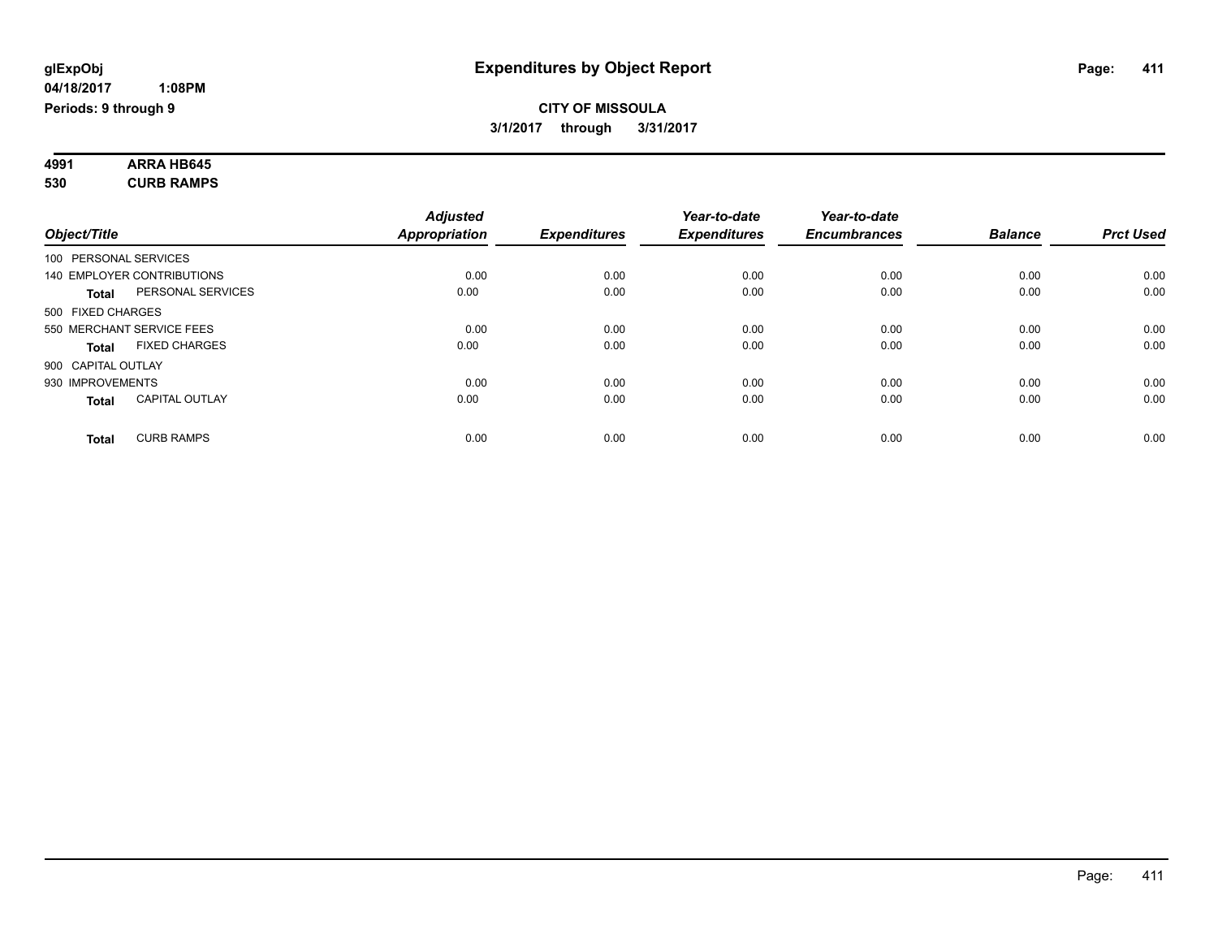#### **4991 ARRA HB645 530 CURB RAMPS**

|              |                                       | <b>Adjusted</b>      |                     | Year-to-date        | Year-to-date        |                |                  |
|--------------|---------------------------------------|----------------------|---------------------|---------------------|---------------------|----------------|------------------|
| Object/Title |                                       | <b>Appropriation</b> | <b>Expenditures</b> | <b>Expenditures</b> | <b>Encumbrances</b> | <b>Balance</b> | <b>Prct Used</b> |
|              | 100 PERSONAL SERVICES                 |                      |                     |                     |                     |                |                  |
|              | 140 EMPLOYER CONTRIBUTIONS            | 0.00                 | 0.00                | 0.00                | 0.00                | 0.00           | 0.00             |
|              | PERSONAL SERVICES<br><b>Total</b>     | 0.00                 | 0.00                | 0.00                | 0.00                | 0.00           | 0.00             |
|              | 500 FIXED CHARGES                     |                      |                     |                     |                     |                |                  |
|              | 550 MERCHANT SERVICE FEES             | 0.00                 | 0.00                | 0.00                | 0.00                | 0.00           | 0.00             |
|              | <b>FIXED CHARGES</b><br><b>Total</b>  | 0.00                 | 0.00                | 0.00                | 0.00                | 0.00           | 0.00             |
|              | 900 CAPITAL OUTLAY                    |                      |                     |                     |                     |                |                  |
|              | 930 IMPROVEMENTS                      | 0.00                 | 0.00                | 0.00                | 0.00                | 0.00           | 0.00             |
|              | <b>CAPITAL OUTLAY</b><br><b>Total</b> | 0.00                 | 0.00                | 0.00                | 0.00                | 0.00           | 0.00             |
|              | <b>CURB RAMPS</b><br><b>Total</b>     | 0.00                 | 0.00                | 0.00                | 0.00                | 0.00           | 0.00             |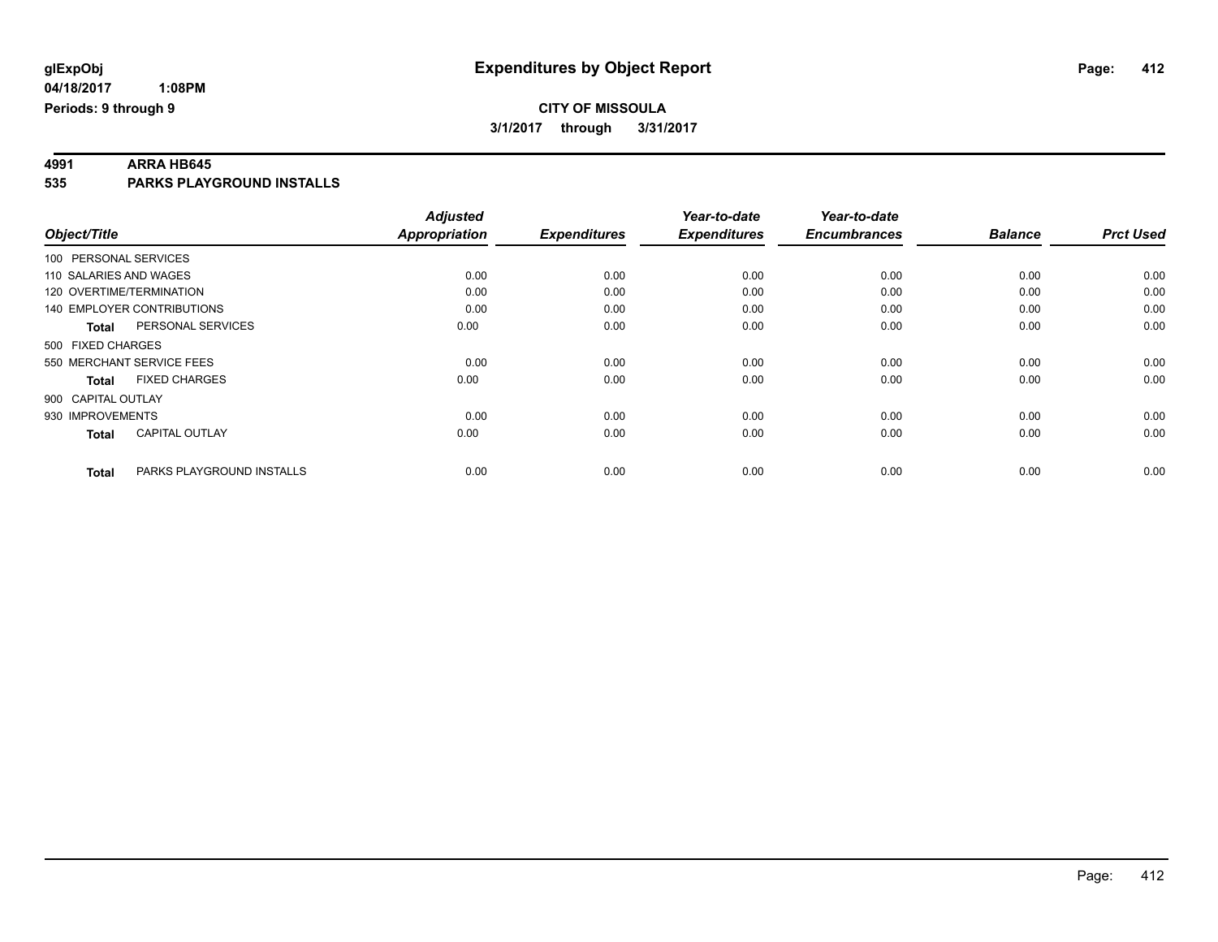**4991 ARRA HB645 535 PARKS PLAYGROUND INSTALLS**

|                                           | <b>Adjusted</b>      |                     | Year-to-date        | Year-to-date        |                |                  |
|-------------------------------------------|----------------------|---------------------|---------------------|---------------------|----------------|------------------|
| Object/Title                              | <b>Appropriation</b> | <b>Expenditures</b> | <b>Expenditures</b> | <b>Encumbrances</b> | <b>Balance</b> | <b>Prct Used</b> |
| 100 PERSONAL SERVICES                     |                      |                     |                     |                     |                |                  |
| 110 SALARIES AND WAGES                    | 0.00                 | 0.00                | 0.00                | 0.00                | 0.00           | 0.00             |
| 120 OVERTIME/TERMINATION                  | 0.00                 | 0.00                | 0.00                | 0.00                | 0.00           | 0.00             |
| 140 EMPLOYER CONTRIBUTIONS                | 0.00                 | 0.00                | 0.00                | 0.00                | 0.00           | 0.00             |
| PERSONAL SERVICES<br>Total                | 0.00                 | 0.00                | 0.00                | 0.00                | 0.00           | 0.00             |
| 500 FIXED CHARGES                         |                      |                     |                     |                     |                |                  |
| 550 MERCHANT SERVICE FEES                 | 0.00                 | 0.00                | 0.00                | 0.00                | 0.00           | 0.00             |
| <b>FIXED CHARGES</b><br><b>Total</b>      | 0.00                 | 0.00                | 0.00                | 0.00                | 0.00           | 0.00             |
| 900 CAPITAL OUTLAY                        |                      |                     |                     |                     |                |                  |
| 930 IMPROVEMENTS                          | 0.00                 | 0.00                | 0.00                | 0.00                | 0.00           | 0.00             |
| <b>CAPITAL OUTLAY</b><br><b>Total</b>     | 0.00                 | 0.00                | 0.00                | 0.00                | 0.00           | 0.00             |
| PARKS PLAYGROUND INSTALLS<br><b>Total</b> | 0.00                 | 0.00                | 0.00                | 0.00                | 0.00           | 0.00             |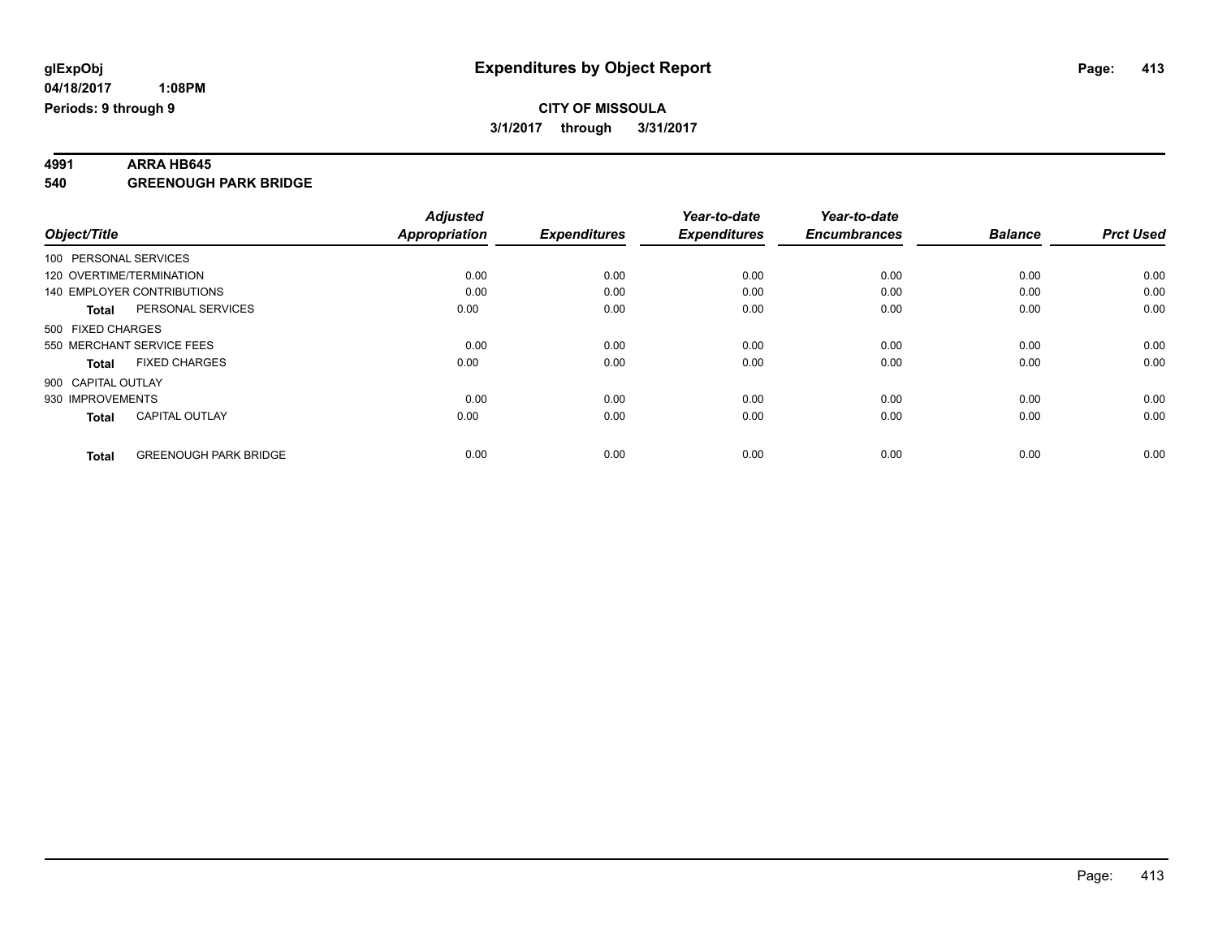**4991 ARRA HB645 540 GREENOUGH PARK BRIDGE**

|                            |                              | <b>Adjusted</b>      |                     | Year-to-date        | Year-to-date        |                |                  |
|----------------------------|------------------------------|----------------------|---------------------|---------------------|---------------------|----------------|------------------|
| Object/Title               |                              | <b>Appropriation</b> | <b>Expenditures</b> | <b>Expenditures</b> | <b>Encumbrances</b> | <b>Balance</b> | <b>Prct Used</b> |
| 100 PERSONAL SERVICES      |                              |                      |                     |                     |                     |                |                  |
| 120 OVERTIME/TERMINATION   |                              | 0.00                 | 0.00                | 0.00                | 0.00                | 0.00           | 0.00             |
| 140 EMPLOYER CONTRIBUTIONS |                              | 0.00                 | 0.00                | 0.00                | 0.00                | 0.00           | 0.00             |
| Total                      | PERSONAL SERVICES            | 0.00                 | 0.00                | 0.00                | 0.00                | 0.00           | 0.00             |
| 500 FIXED CHARGES          |                              |                      |                     |                     |                     |                |                  |
| 550 MERCHANT SERVICE FEES  |                              | 0.00                 | 0.00                | 0.00                | 0.00                | 0.00           | 0.00             |
| Total                      | <b>FIXED CHARGES</b>         | 0.00                 | 0.00                | 0.00                | 0.00                | 0.00           | 0.00             |
| 900 CAPITAL OUTLAY         |                              |                      |                     |                     |                     |                |                  |
| 930 IMPROVEMENTS           |                              | 0.00                 | 0.00                | 0.00                | 0.00                | 0.00           | 0.00             |
| <b>Total</b>               | <b>CAPITAL OUTLAY</b>        | 0.00                 | 0.00                | 0.00                | 0.00                | 0.00           | 0.00             |
|                            |                              |                      |                     |                     |                     |                |                  |
| <b>Total</b>               | <b>GREENOUGH PARK BRIDGE</b> | 0.00                 | 0.00                | 0.00                | 0.00                | 0.00           | 0.00             |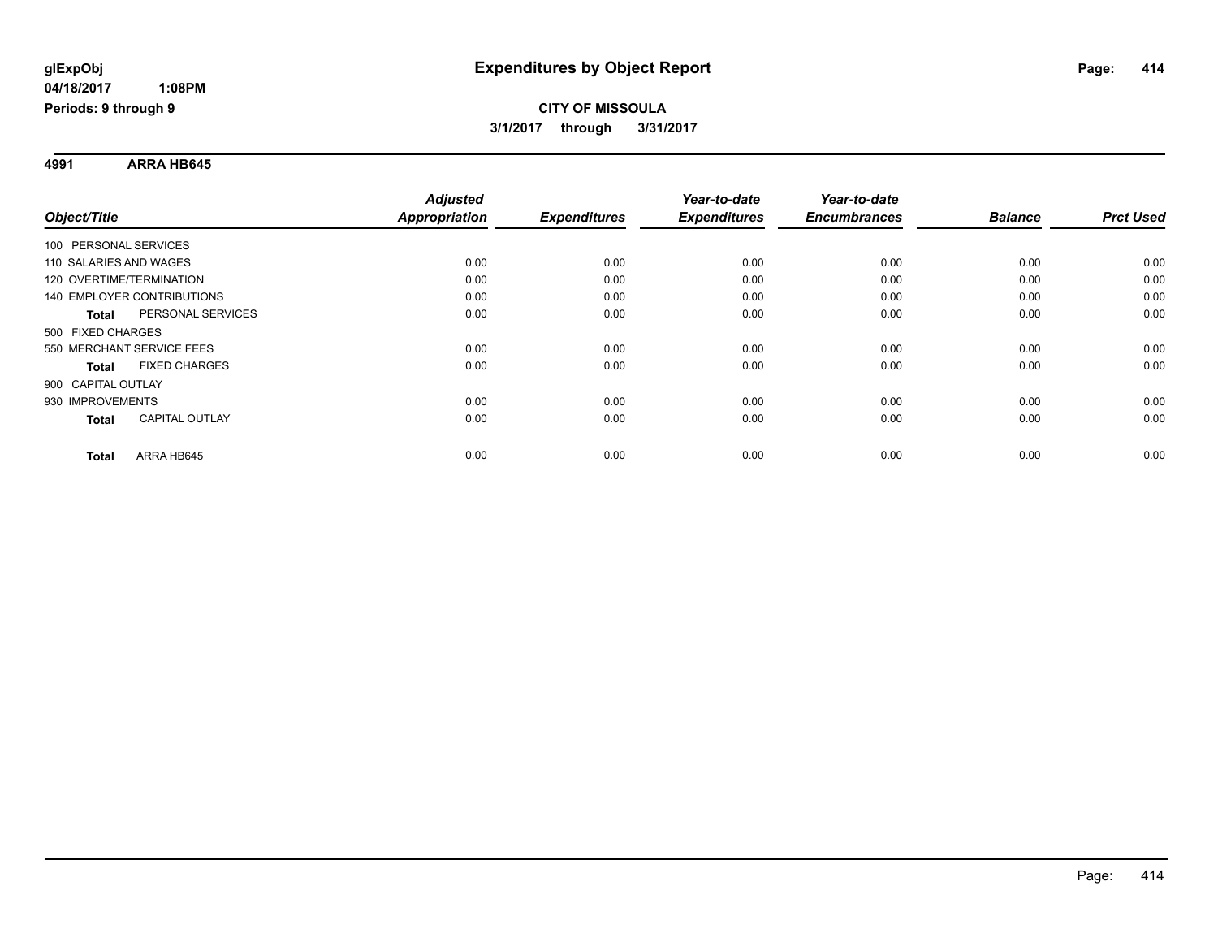**4991 ARRA HB645**

|                                       | <b>Adjusted</b>      |                     | Year-to-date        | Year-to-date        |                |                  |
|---------------------------------------|----------------------|---------------------|---------------------|---------------------|----------------|------------------|
| Object/Title                          | <b>Appropriation</b> | <b>Expenditures</b> | <b>Expenditures</b> | <b>Encumbrances</b> | <b>Balance</b> | <b>Prct Used</b> |
| 100 PERSONAL SERVICES                 |                      |                     |                     |                     |                |                  |
| 110 SALARIES AND WAGES                | 0.00                 | 0.00                | 0.00                | 0.00                | 0.00           | 0.00             |
| 120 OVERTIME/TERMINATION              | 0.00                 | 0.00                | 0.00                | 0.00                | 0.00           | 0.00             |
| <b>140 EMPLOYER CONTRIBUTIONS</b>     | 0.00                 | 0.00                | 0.00                | 0.00                | 0.00           | 0.00             |
| PERSONAL SERVICES<br><b>Total</b>     | 0.00                 | 0.00                | 0.00                | 0.00                | 0.00           | 0.00             |
| 500 FIXED CHARGES                     |                      |                     |                     |                     |                |                  |
| 550 MERCHANT SERVICE FEES             | 0.00                 | 0.00                | 0.00                | 0.00                | 0.00           | 0.00             |
| <b>FIXED CHARGES</b><br><b>Total</b>  | 0.00                 | 0.00                | 0.00                | 0.00                | 0.00           | 0.00             |
| 900 CAPITAL OUTLAY                    |                      |                     |                     |                     |                |                  |
| 930 IMPROVEMENTS                      | 0.00                 | 0.00                | 0.00                | 0.00                | 0.00           | 0.00             |
| <b>CAPITAL OUTLAY</b><br><b>Total</b> | 0.00                 | 0.00                | 0.00                | 0.00                | 0.00           | 0.00             |
| ARRA HB645<br><b>Total</b>            | 0.00                 | 0.00                | 0.00                | 0.00                | 0.00           | 0.00             |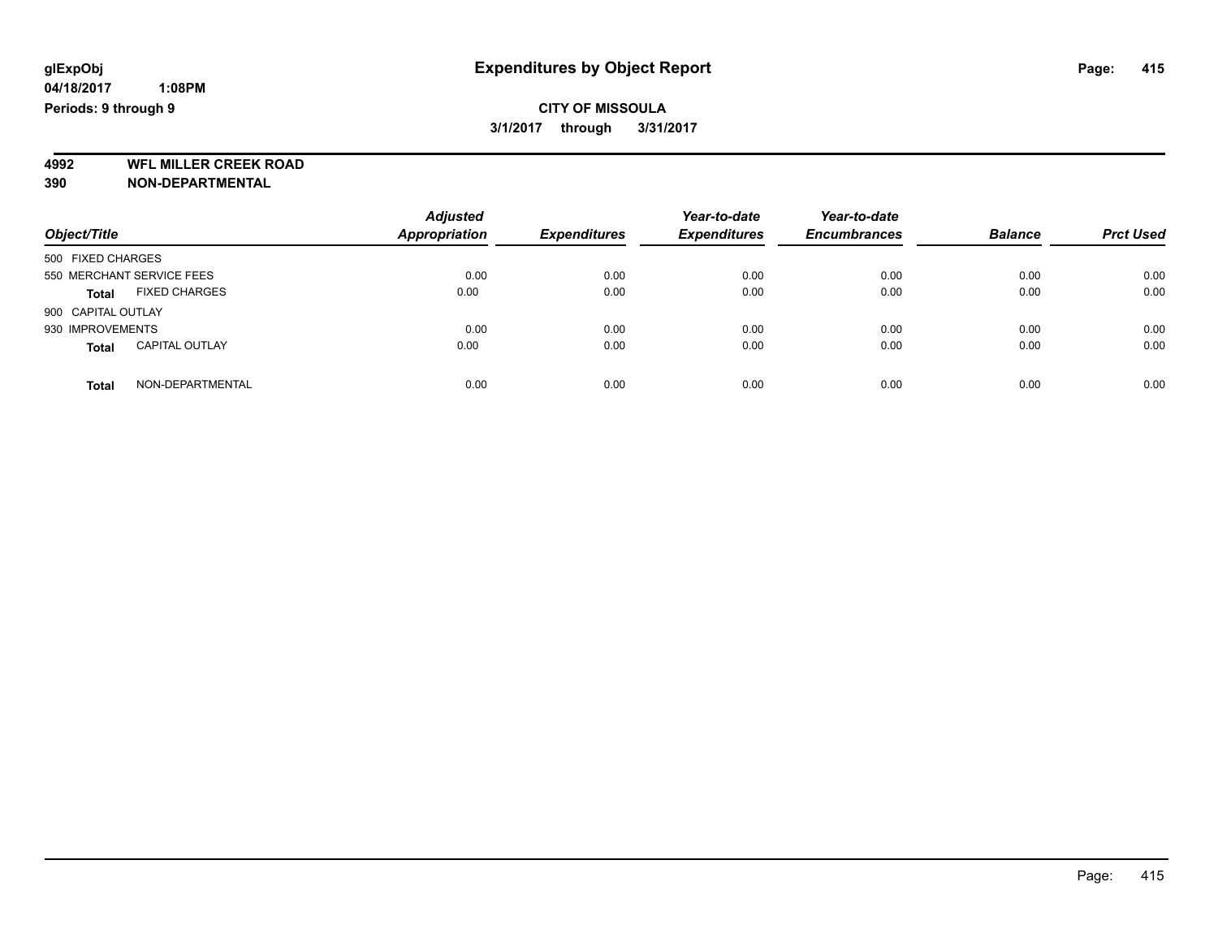### **CITY OF MISSOULA 3/1/2017 through 3/31/2017**

**4992 WFL MILLER CREEK ROAD 390 NON-DEPARTMENTAL**

| Object/Title                          | <b>Adjusted</b><br><b>Appropriation</b> | <b>Expenditures</b> | Year-to-date<br><b>Expenditures</b> | Year-to-date<br><b>Encumbrances</b> | <b>Balance</b> | <b>Prct Used</b> |
|---------------------------------------|-----------------------------------------|---------------------|-------------------------------------|-------------------------------------|----------------|------------------|
| 500 FIXED CHARGES                     |                                         |                     |                                     |                                     |                |                  |
| 550 MERCHANT SERVICE FEES             | 0.00                                    | 0.00                | 0.00                                | 0.00                                | 0.00           | 0.00             |
| <b>FIXED CHARGES</b><br><b>Total</b>  | 0.00                                    | 0.00                | 0.00                                | 0.00                                | 0.00           | 0.00             |
| 900 CAPITAL OUTLAY                    |                                         |                     |                                     |                                     |                |                  |
| 930 IMPROVEMENTS                      | 0.00                                    | 0.00                | 0.00                                | 0.00                                | 0.00           | 0.00             |
| <b>CAPITAL OUTLAY</b><br><b>Total</b> | 0.00                                    | 0.00                | 0.00                                | 0.00                                | 0.00           | 0.00             |
| NON-DEPARTMENTAL<br><b>Total</b>      | 0.00                                    | 0.00                | 0.00                                | 0.00                                | 0.00           | 0.00             |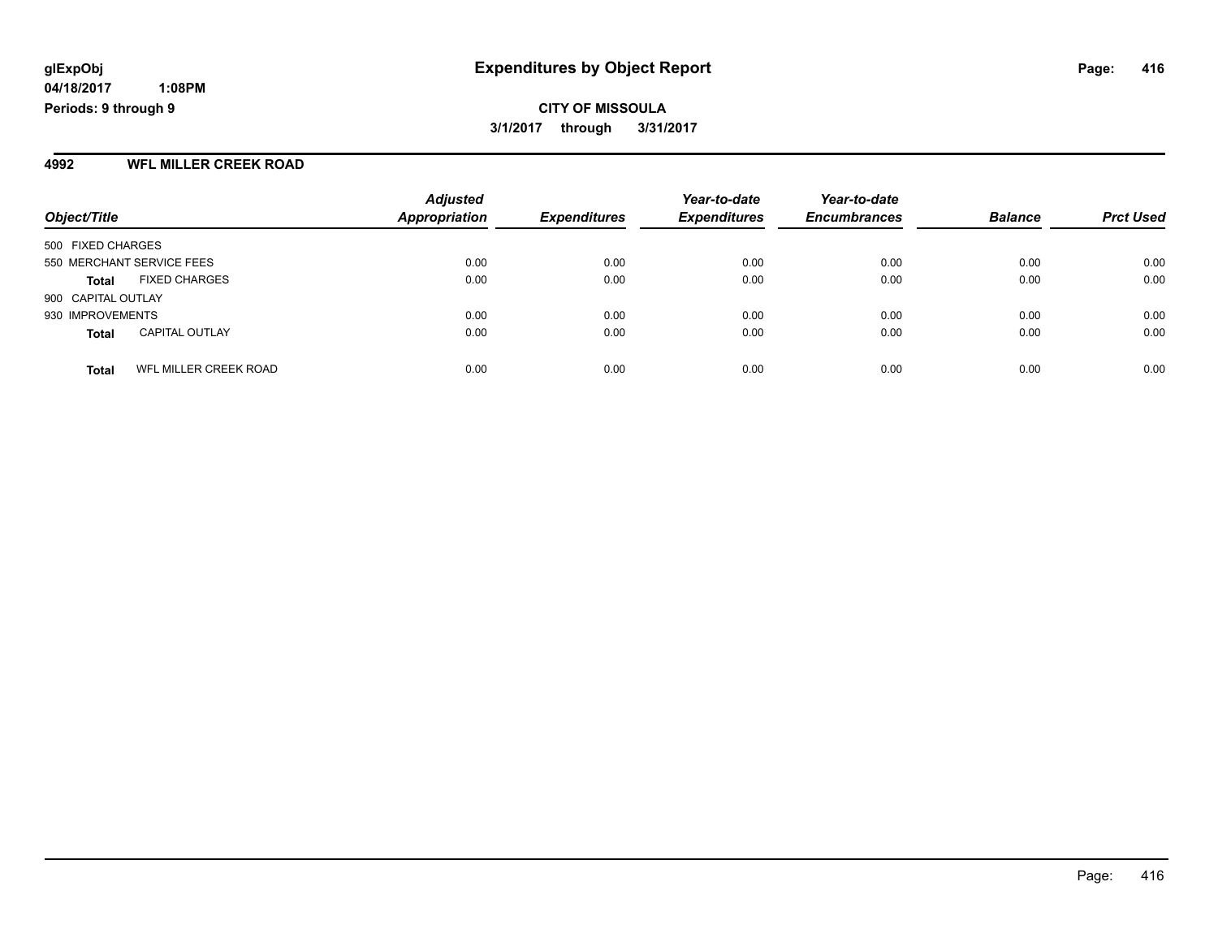**CITY OF MISSOULA 3/1/2017 through 3/31/2017**

#### **4992 WFL MILLER CREEK ROAD**

| Object/Title                          | <b>Adjusted</b><br>Appropriation | <b>Expenditures</b> | Year-to-date<br><b>Expenditures</b> | Year-to-date<br><b>Encumbrances</b> | <b>Balance</b> | <b>Prct Used</b> |
|---------------------------------------|----------------------------------|---------------------|-------------------------------------|-------------------------------------|----------------|------------------|
| 500 FIXED CHARGES                     |                                  |                     |                                     |                                     |                |                  |
| 550 MERCHANT SERVICE FEES             | 0.00                             | 0.00                | 0.00                                | 0.00                                | 0.00           | 0.00             |
| <b>FIXED CHARGES</b><br><b>Total</b>  | 0.00                             | 0.00                | 0.00                                | 0.00                                | 0.00           | 0.00             |
| 900 CAPITAL OUTLAY                    |                                  |                     |                                     |                                     |                |                  |
| 930 IMPROVEMENTS                      | 0.00                             | 0.00                | 0.00                                | 0.00                                | 0.00           | 0.00             |
| <b>CAPITAL OUTLAY</b><br><b>Total</b> | 0.00                             | 0.00                | 0.00                                | 0.00                                | 0.00           | 0.00             |
| WFL MILLER CREEK ROAD<br><b>Total</b> | 0.00                             | 0.00                | 0.00                                | 0.00                                | 0.00           | 0.00             |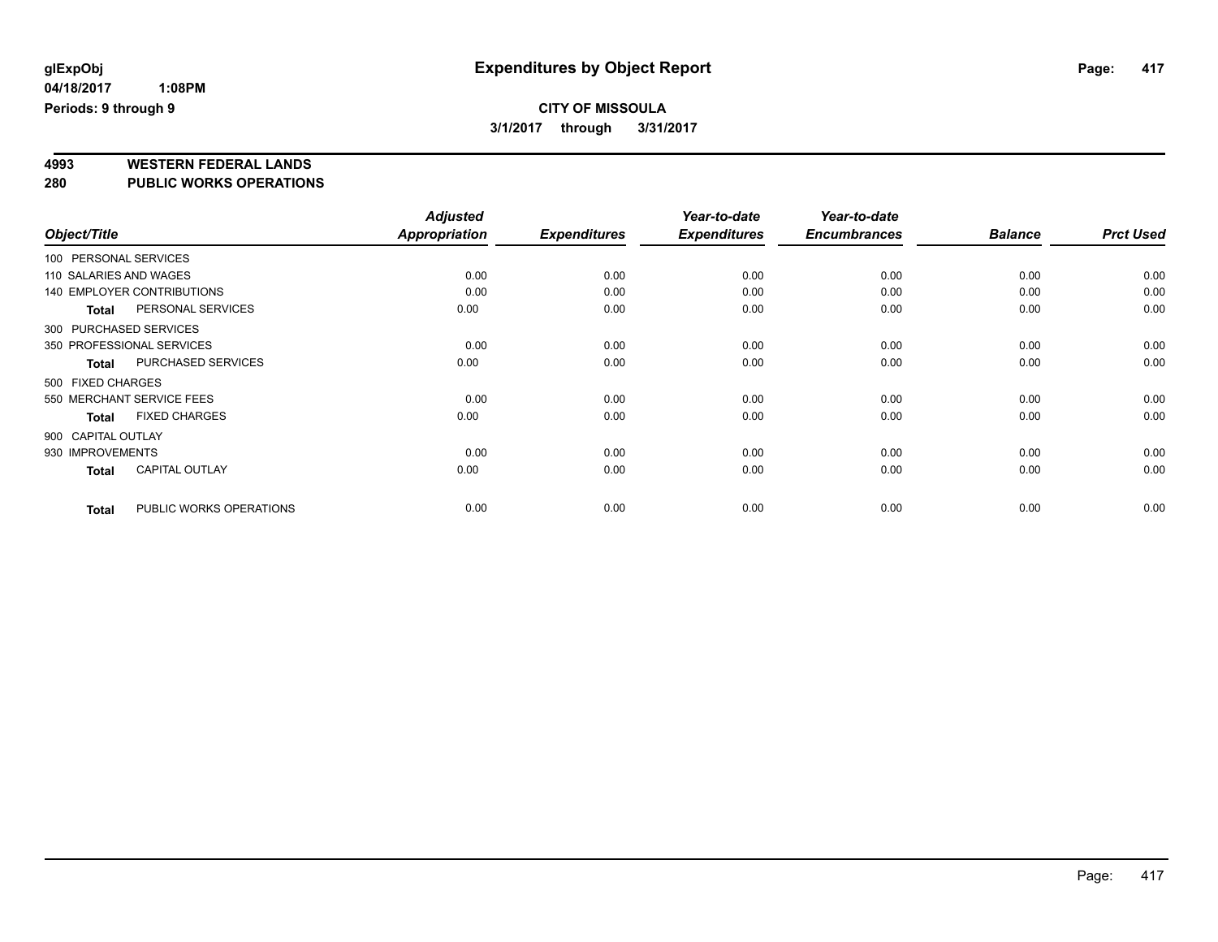**4993 WESTERN FEDERAL LANDS**

**280 PUBLIC WORKS OPERATIONS**

|                        |                                   | <b>Adjusted</b> |                     | Year-to-date        | Year-to-date        |                |                  |
|------------------------|-----------------------------------|-----------------|---------------------|---------------------|---------------------|----------------|------------------|
| Object/Title           |                                   | Appropriation   | <b>Expenditures</b> | <b>Expenditures</b> | <b>Encumbrances</b> | <b>Balance</b> | <b>Prct Used</b> |
| 100 PERSONAL SERVICES  |                                   |                 |                     |                     |                     |                |                  |
| 110 SALARIES AND WAGES |                                   | 0.00            | 0.00                | 0.00                | 0.00                | 0.00           | 0.00             |
|                        | <b>140 EMPLOYER CONTRIBUTIONS</b> | 0.00            | 0.00                | 0.00                | 0.00                | 0.00           | 0.00             |
| <b>Total</b>           | PERSONAL SERVICES                 | 0.00            | 0.00                | 0.00                | 0.00                | 0.00           | 0.00             |
| 300 PURCHASED SERVICES |                                   |                 |                     |                     |                     |                |                  |
|                        | 350 PROFESSIONAL SERVICES         | 0.00            | 0.00                | 0.00                | 0.00                | 0.00           | 0.00             |
| Total                  | <b>PURCHASED SERVICES</b>         | 0.00            | 0.00                | 0.00                | 0.00                | 0.00           | 0.00             |
| 500 FIXED CHARGES      |                                   |                 |                     |                     |                     |                |                  |
|                        | 550 MERCHANT SERVICE FEES         | 0.00            | 0.00                | 0.00                | 0.00                | 0.00           | 0.00             |
| <b>Total</b>           | <b>FIXED CHARGES</b>              | 0.00            | 0.00                | 0.00                | 0.00                | 0.00           | 0.00             |
| 900 CAPITAL OUTLAY     |                                   |                 |                     |                     |                     |                |                  |
| 930 IMPROVEMENTS       |                                   | 0.00            | 0.00                | 0.00                | 0.00                | 0.00           | 0.00             |
| <b>Total</b>           | <b>CAPITAL OUTLAY</b>             | 0.00            | 0.00                | 0.00                | 0.00                | 0.00           | 0.00             |
| <b>Total</b>           | PUBLIC WORKS OPERATIONS           | 0.00            | 0.00                | 0.00                | 0.00                | 0.00           | 0.00             |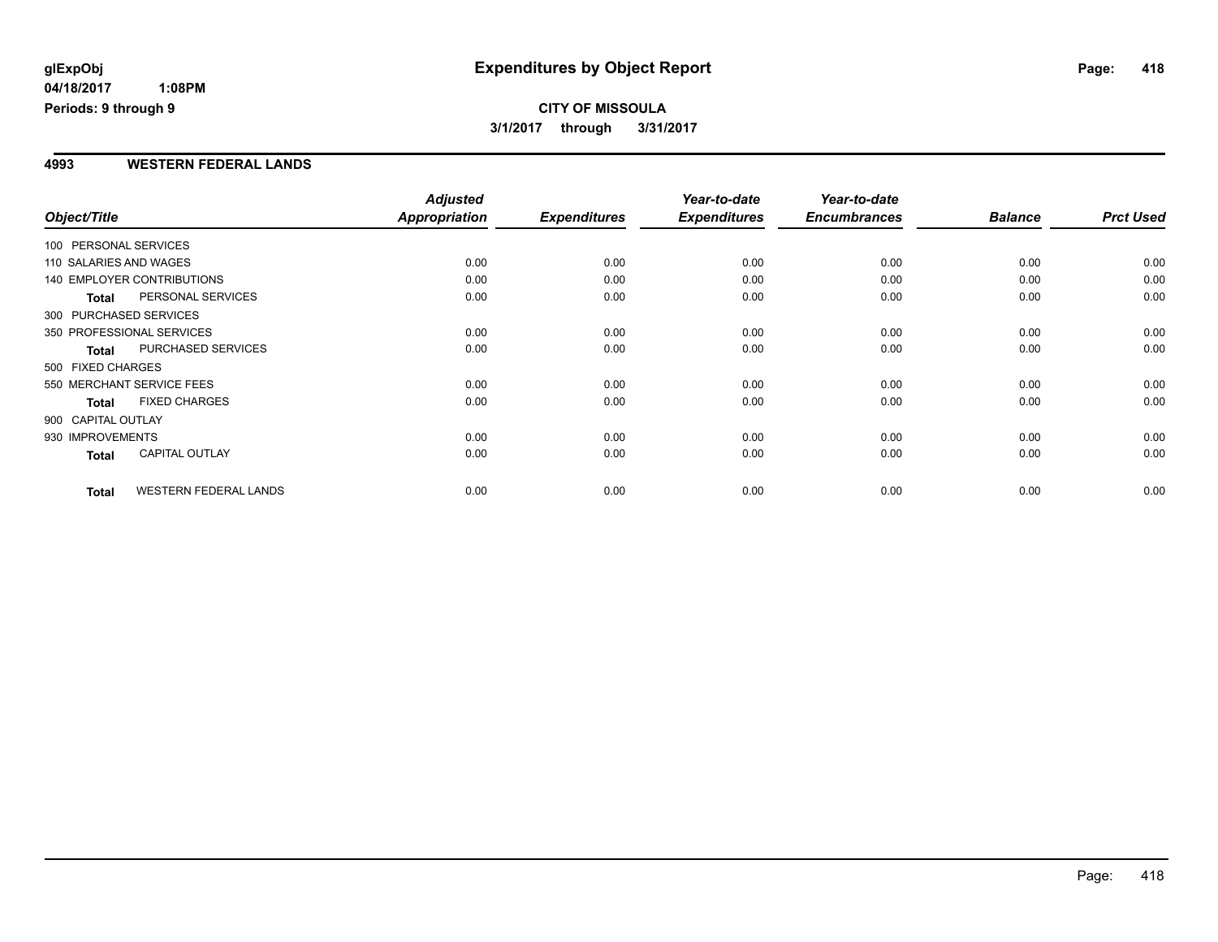# **CITY OF MISSOULA 3/1/2017 through 3/31/2017**

#### **4993 WESTERN FEDERAL LANDS**

| Object/Title           |                                   | <b>Adjusted</b><br>Appropriation | <b>Expenditures</b> | Year-to-date<br><b>Expenditures</b> | Year-to-date<br><b>Encumbrances</b> | <b>Balance</b> | <b>Prct Used</b> |
|------------------------|-----------------------------------|----------------------------------|---------------------|-------------------------------------|-------------------------------------|----------------|------------------|
| 100 PERSONAL SERVICES  |                                   |                                  |                     |                                     |                                     |                |                  |
| 110 SALARIES AND WAGES |                                   | 0.00                             | 0.00                | 0.00                                | 0.00                                | 0.00           | 0.00             |
|                        | <b>140 EMPLOYER CONTRIBUTIONS</b> | 0.00                             | 0.00                | 0.00                                | 0.00                                | 0.00           | 0.00             |
| <b>Total</b>           | PERSONAL SERVICES                 | 0.00                             | 0.00                | 0.00                                | 0.00                                | 0.00           | 0.00             |
| 300 PURCHASED SERVICES |                                   |                                  |                     |                                     |                                     |                |                  |
|                        | 350 PROFESSIONAL SERVICES         | 0.00                             | 0.00                | 0.00                                | 0.00                                | 0.00           | 0.00             |
| <b>Total</b>           | PURCHASED SERVICES                | 0.00                             | 0.00                | 0.00                                | 0.00                                | 0.00           | 0.00             |
| 500 FIXED CHARGES      |                                   |                                  |                     |                                     |                                     |                |                  |
|                        | 550 MERCHANT SERVICE FEES         | 0.00                             | 0.00                | 0.00                                | 0.00                                | 0.00           | 0.00             |
| <b>Total</b>           | <b>FIXED CHARGES</b>              | 0.00                             | 0.00                | 0.00                                | 0.00                                | 0.00           | 0.00             |
| 900 CAPITAL OUTLAY     |                                   |                                  |                     |                                     |                                     |                |                  |
| 930 IMPROVEMENTS       |                                   | 0.00                             | 0.00                | 0.00                                | 0.00                                | 0.00           | 0.00             |
| Total                  | <b>CAPITAL OUTLAY</b>             | 0.00                             | 0.00                | 0.00                                | 0.00                                | 0.00           | 0.00             |
| <b>Total</b>           | <b>WESTERN FEDERAL LANDS</b>      | 0.00                             | 0.00                | 0.00                                | 0.00                                | 0.00           | 0.00             |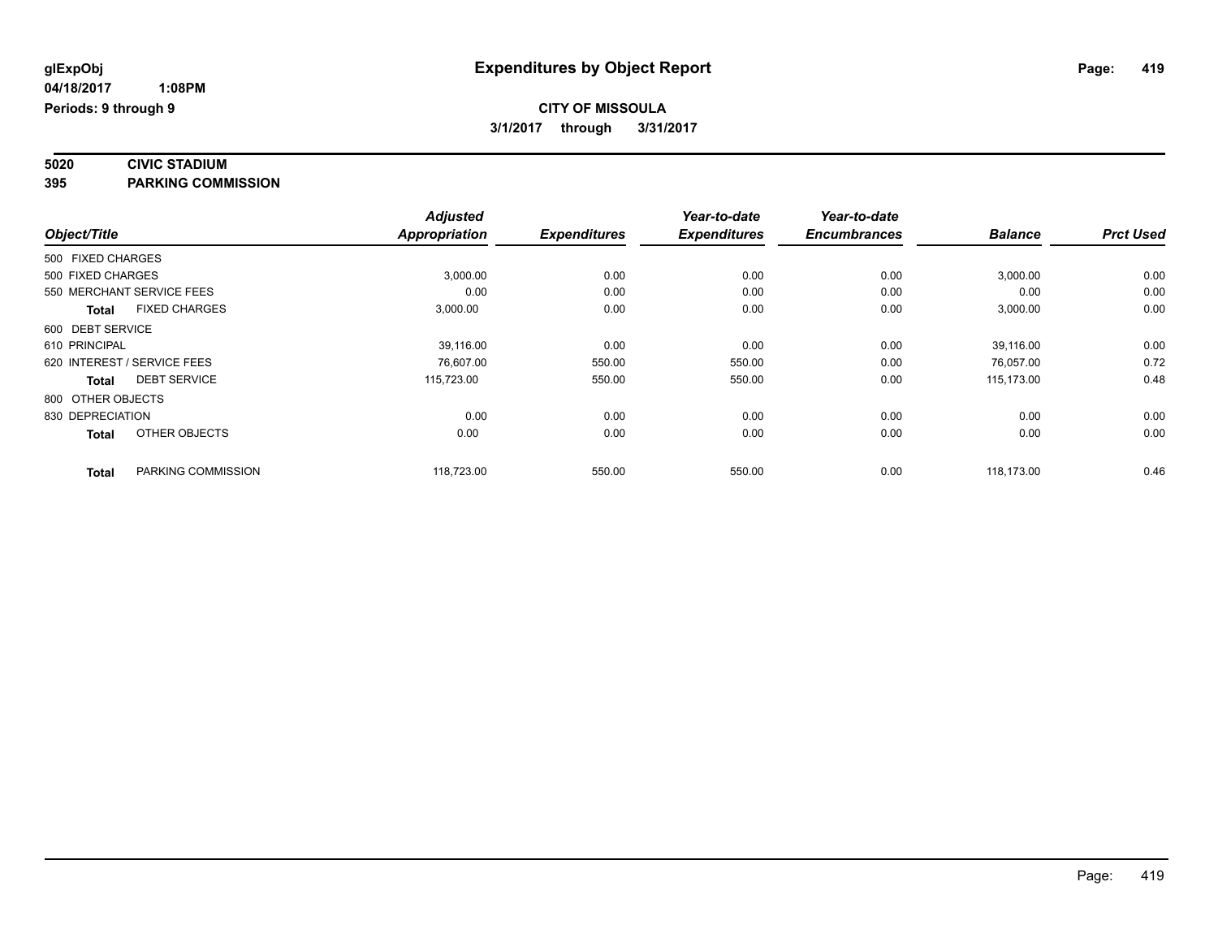#### **5020 CIVIC STADIUM 395 PARKING COMMISSION**

|                             |                      | <b>Adjusted</b>      |                     | Year-to-date        | Year-to-date        |                |                  |
|-----------------------------|----------------------|----------------------|---------------------|---------------------|---------------------|----------------|------------------|
| Object/Title                |                      | <b>Appropriation</b> | <b>Expenditures</b> | <b>Expenditures</b> | <b>Encumbrances</b> | <b>Balance</b> | <b>Prct Used</b> |
| 500 FIXED CHARGES           |                      |                      |                     |                     |                     |                |                  |
| 500 FIXED CHARGES           |                      | 3,000.00             | 0.00                | 0.00                | 0.00                | 3,000.00       | 0.00             |
| 550 MERCHANT SERVICE FEES   |                      | 0.00                 | 0.00                | 0.00                | 0.00                | 0.00           | 0.00             |
| Total                       | <b>FIXED CHARGES</b> | 3,000.00             | 0.00                | 0.00                | 0.00                | 3,000.00       | 0.00             |
| 600 DEBT SERVICE            |                      |                      |                     |                     |                     |                |                  |
| 610 PRINCIPAL               |                      | 39,116.00            | 0.00                | 0.00                | 0.00                | 39,116.00      | 0.00             |
| 620 INTEREST / SERVICE FEES |                      | 76,607.00            | 550.00              | 550.00              | 0.00                | 76,057.00      | 0.72             |
| <b>Total</b>                | <b>DEBT SERVICE</b>  | 115,723.00           | 550.00              | 550.00              | 0.00                | 115.173.00     | 0.48             |
| 800 OTHER OBJECTS           |                      |                      |                     |                     |                     |                |                  |
| 830 DEPRECIATION            |                      | 0.00                 | 0.00                | 0.00                | 0.00                | 0.00           | 0.00             |
| <b>Total</b>                | OTHER OBJECTS        | 0.00                 | 0.00                | 0.00                | 0.00                | 0.00           | 0.00             |
| <b>Total</b>                | PARKING COMMISSION   | 118,723.00           | 550.00              | 550.00              | 0.00                | 118,173.00     | 0.46             |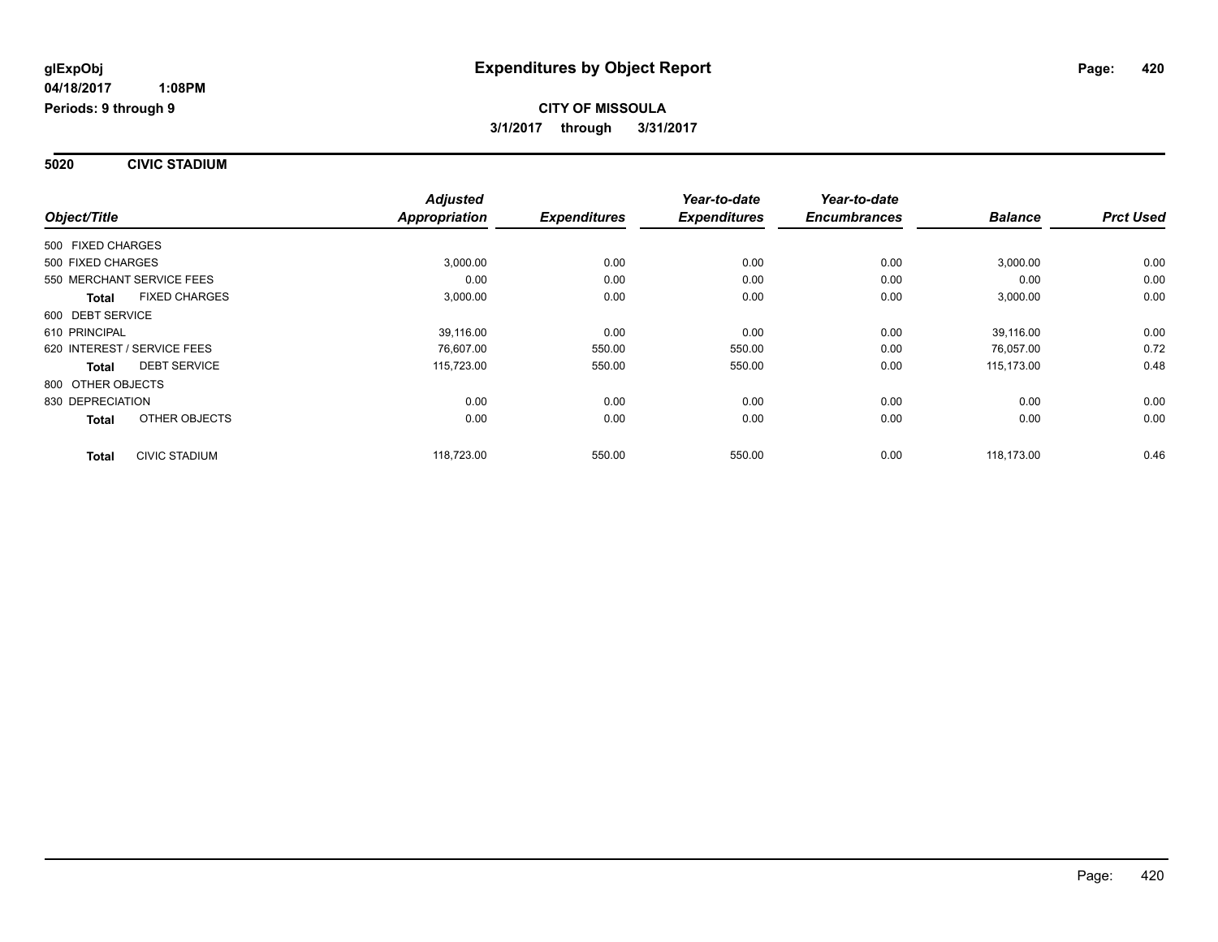**5020 CIVIC STADIUM**

|                   |                             | <b>Adjusted</b>      |                     | Year-to-date        | Year-to-date        |                |                  |
|-------------------|-----------------------------|----------------------|---------------------|---------------------|---------------------|----------------|------------------|
| Object/Title      |                             | <b>Appropriation</b> | <b>Expenditures</b> | <b>Expenditures</b> | <b>Encumbrances</b> | <b>Balance</b> | <b>Prct Used</b> |
| 500 FIXED CHARGES |                             |                      |                     |                     |                     |                |                  |
| 500 FIXED CHARGES |                             | 3,000.00             | 0.00                | 0.00                | 0.00                | 3,000.00       | 0.00             |
|                   | 550 MERCHANT SERVICE FEES   | 0.00                 | 0.00                | 0.00                | 0.00                | 0.00           | 0.00             |
| <b>Total</b>      | <b>FIXED CHARGES</b>        | 3,000.00             | 0.00                | 0.00                | 0.00                | 3,000.00       | 0.00             |
| 600 DEBT SERVICE  |                             |                      |                     |                     |                     |                |                  |
| 610 PRINCIPAL     |                             | 39.116.00            | 0.00                | 0.00                | 0.00                | 39.116.00      | 0.00             |
|                   | 620 INTEREST / SERVICE FEES | 76,607.00            | 550.00              | 550.00              | 0.00                | 76,057.00      | 0.72             |
| <b>Total</b>      | <b>DEBT SERVICE</b>         | 115,723.00           | 550.00              | 550.00              | 0.00                | 115,173.00     | 0.48             |
| 800 OTHER OBJECTS |                             |                      |                     |                     |                     |                |                  |
| 830 DEPRECIATION  |                             | 0.00                 | 0.00                | 0.00                | 0.00                | 0.00           | 0.00             |
| <b>Total</b>      | OTHER OBJECTS               | 0.00                 | 0.00                | 0.00                | 0.00                | 0.00           | 0.00             |
| <b>Total</b>      | <b>CIVIC STADIUM</b>        | 118,723.00           | 550.00              | 550.00              | 0.00                | 118.173.00     | 0.46             |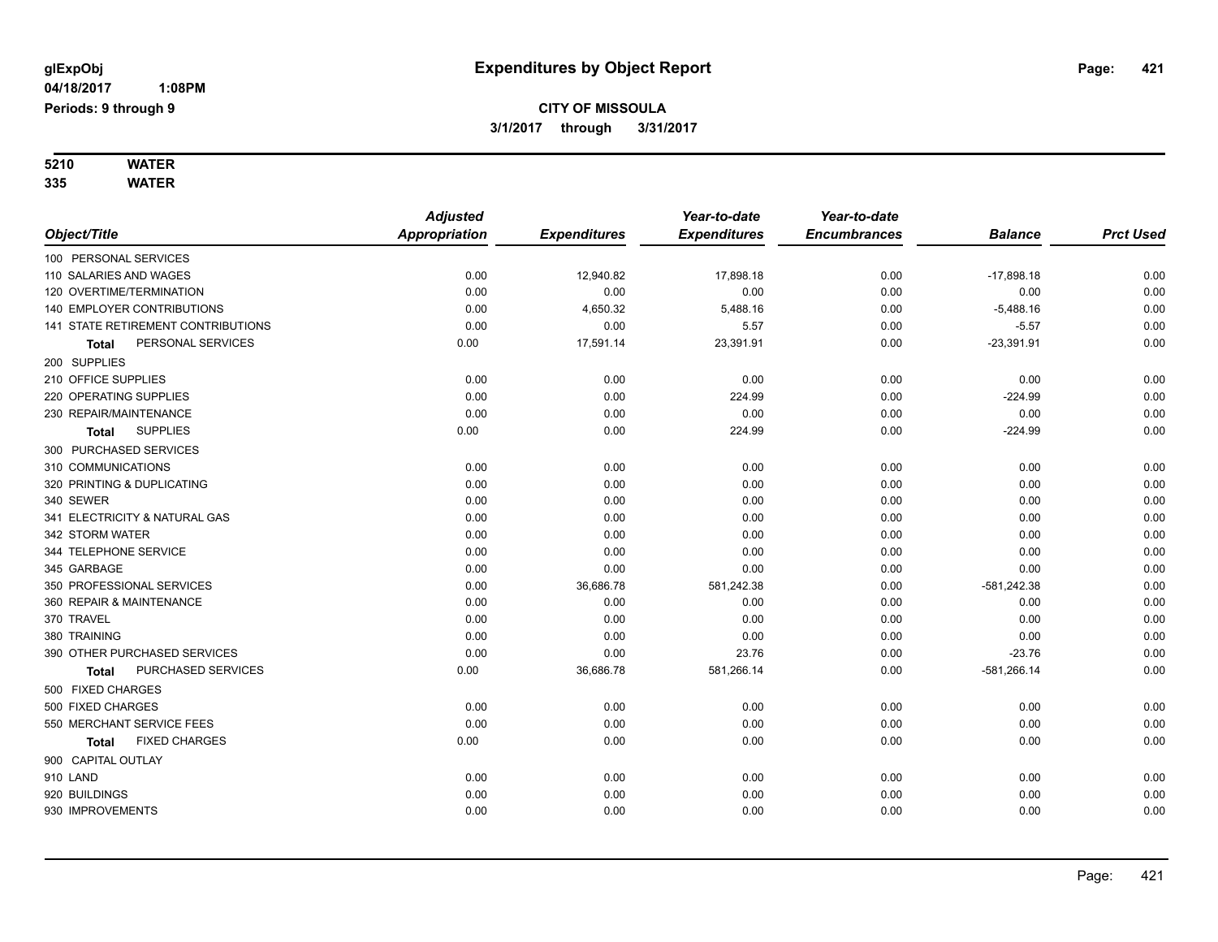**5210 WATER 335 WATER**

| კაა | <b>WAICK</b> |  |
|-----|--------------|--|
|     |              |  |

|                                      | <b>Adjusted</b> |                     | Year-to-date        | Year-to-date        |                |                  |
|--------------------------------------|-----------------|---------------------|---------------------|---------------------|----------------|------------------|
| Object/Title                         | Appropriation   | <b>Expenditures</b> | <b>Expenditures</b> | <b>Encumbrances</b> | <b>Balance</b> | <b>Prct Used</b> |
| 100 PERSONAL SERVICES                |                 |                     |                     |                     |                |                  |
| 110 SALARIES AND WAGES               | 0.00            | 12,940.82           | 17,898.18           | 0.00                | $-17,898.18$   | 0.00             |
| 120 OVERTIME/TERMINATION             | 0.00            | 0.00                | 0.00                | 0.00                | 0.00           | 0.00             |
| 140 EMPLOYER CONTRIBUTIONS           | 0.00            | 4,650.32            | 5,488.16            | 0.00                | $-5,488.16$    | 0.00             |
| 141 STATE RETIREMENT CONTRIBUTIONS   | 0.00            | 0.00                | 5.57                | 0.00                | $-5.57$        | 0.00             |
| PERSONAL SERVICES<br>Total           | 0.00            | 17,591.14           | 23,391.91           | 0.00                | $-23,391.91$   | 0.00             |
| 200 SUPPLIES                         |                 |                     |                     |                     |                |                  |
| 210 OFFICE SUPPLIES                  | 0.00            | 0.00                | 0.00                | 0.00                | 0.00           | 0.00             |
| 220 OPERATING SUPPLIES               | 0.00            | 0.00                | 224.99              | 0.00                | $-224.99$      | 0.00             |
| 230 REPAIR/MAINTENANCE               | 0.00            | 0.00                | 0.00                | 0.00                | 0.00           | 0.00             |
| <b>SUPPLIES</b><br><b>Total</b>      | 0.00            | 0.00                | 224.99              | 0.00                | $-224.99$      | 0.00             |
| 300 PURCHASED SERVICES               |                 |                     |                     |                     |                |                  |
| 310 COMMUNICATIONS                   | 0.00            | 0.00                | 0.00                | 0.00                | 0.00           | 0.00             |
| 320 PRINTING & DUPLICATING           | 0.00            | 0.00                | 0.00                | 0.00                | 0.00           | 0.00             |
| 340 SEWER                            | 0.00            | 0.00                | 0.00                | 0.00                | 0.00           | 0.00             |
| 341 ELECTRICITY & NATURAL GAS        | 0.00            | 0.00                | 0.00                | 0.00                | 0.00           | 0.00             |
| 342 STORM WATER                      | 0.00            | 0.00                | 0.00                | 0.00                | 0.00           | 0.00             |
| 344 TELEPHONE SERVICE                | 0.00            | 0.00                | 0.00                | 0.00                | 0.00           | 0.00             |
| 345 GARBAGE                          | 0.00            | 0.00                | 0.00                | 0.00                | 0.00           | 0.00             |
| 350 PROFESSIONAL SERVICES            | 0.00            | 36,686.78           | 581,242.38          | 0.00                | $-581,242.38$  | 0.00             |
| 360 REPAIR & MAINTENANCE             | 0.00            | 0.00                | 0.00                | 0.00                | 0.00           | 0.00             |
| 370 TRAVEL                           | 0.00            | 0.00                | 0.00                | 0.00                | 0.00           | 0.00             |
| 380 TRAINING                         | 0.00            | 0.00                | 0.00                | 0.00                | 0.00           | 0.00             |
| 390 OTHER PURCHASED SERVICES         | 0.00            | 0.00                | 23.76               | 0.00                | $-23.76$       | 0.00             |
| PURCHASED SERVICES<br>Total          | 0.00            | 36,686.78           | 581,266.14          | 0.00                | $-581,266.14$  | 0.00             |
| 500 FIXED CHARGES                    |                 |                     |                     |                     |                |                  |
| 500 FIXED CHARGES                    | 0.00            | 0.00                | 0.00                | 0.00                | 0.00           | 0.00             |
| 550 MERCHANT SERVICE FEES            | 0.00            | 0.00                | 0.00                | 0.00                | 0.00           | 0.00             |
| <b>FIXED CHARGES</b><br><b>Total</b> | 0.00            | 0.00                | 0.00                | 0.00                | 0.00           | 0.00             |
| 900 CAPITAL OUTLAY                   |                 |                     |                     |                     |                |                  |
| 910 LAND                             | 0.00            | 0.00                | 0.00                | 0.00                | 0.00           | 0.00             |
| 920 BUILDINGS                        | 0.00            | 0.00                | 0.00                | 0.00                | 0.00           | 0.00             |
| 930 IMPROVEMENTS                     | 0.00            | 0.00                | 0.00                | 0.00                | 0.00           | 0.00             |
|                                      |                 |                     |                     |                     |                |                  |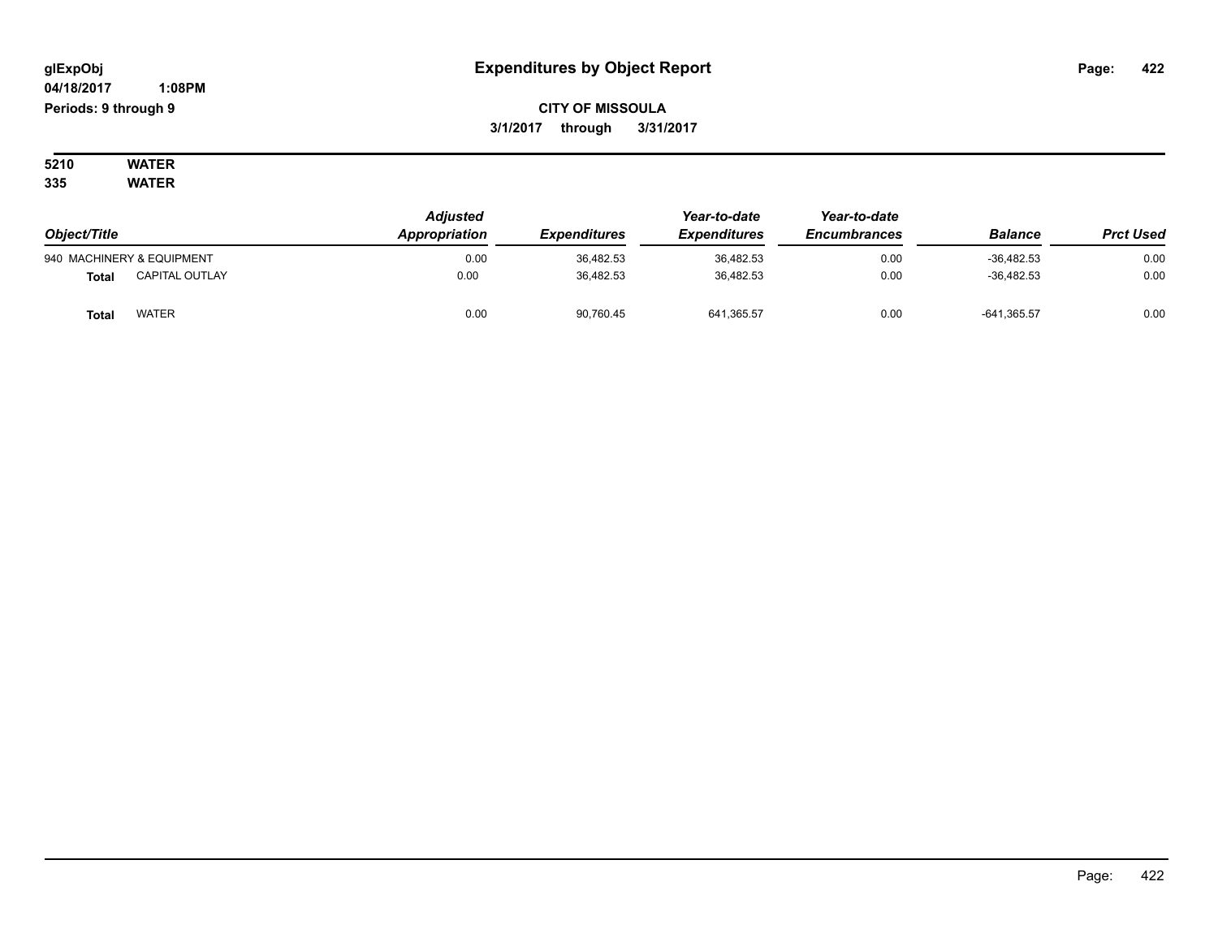## **CITY OF MISSOULA 3/1/2017 through 3/31/2017**

#### **5210 WATER 335 WATER**

| Object/Title |                           | <b>Adjusted</b><br>Appropriation<br><i><b>Expenditures</b></i> | Year-to-date<br><b>Expenditures</b> | Year-to-date<br><b>Encumbrances</b> | <b>Balance</b> | <b>Prct Used</b> |      |
|--------------|---------------------------|----------------------------------------------------------------|-------------------------------------|-------------------------------------|----------------|------------------|------|
|              | 940 MACHINERY & EQUIPMENT | 0.00                                                           | 36,482.53                           | 36,482.53                           | 0.00           | $-36,482.53$     | 0.00 |
| <b>Total</b> | <b>CAPITAL OUTLAY</b>     | 0.00                                                           | 36.482.53                           | 36.482.53                           | 0.00           | $-36.482.53$     | 0.00 |
| Total        | <b>WATER</b>              | 0.00                                                           | 90,760.45                           | 641,365.57                          | 0.00           | $-641,365.57$    | 0.00 |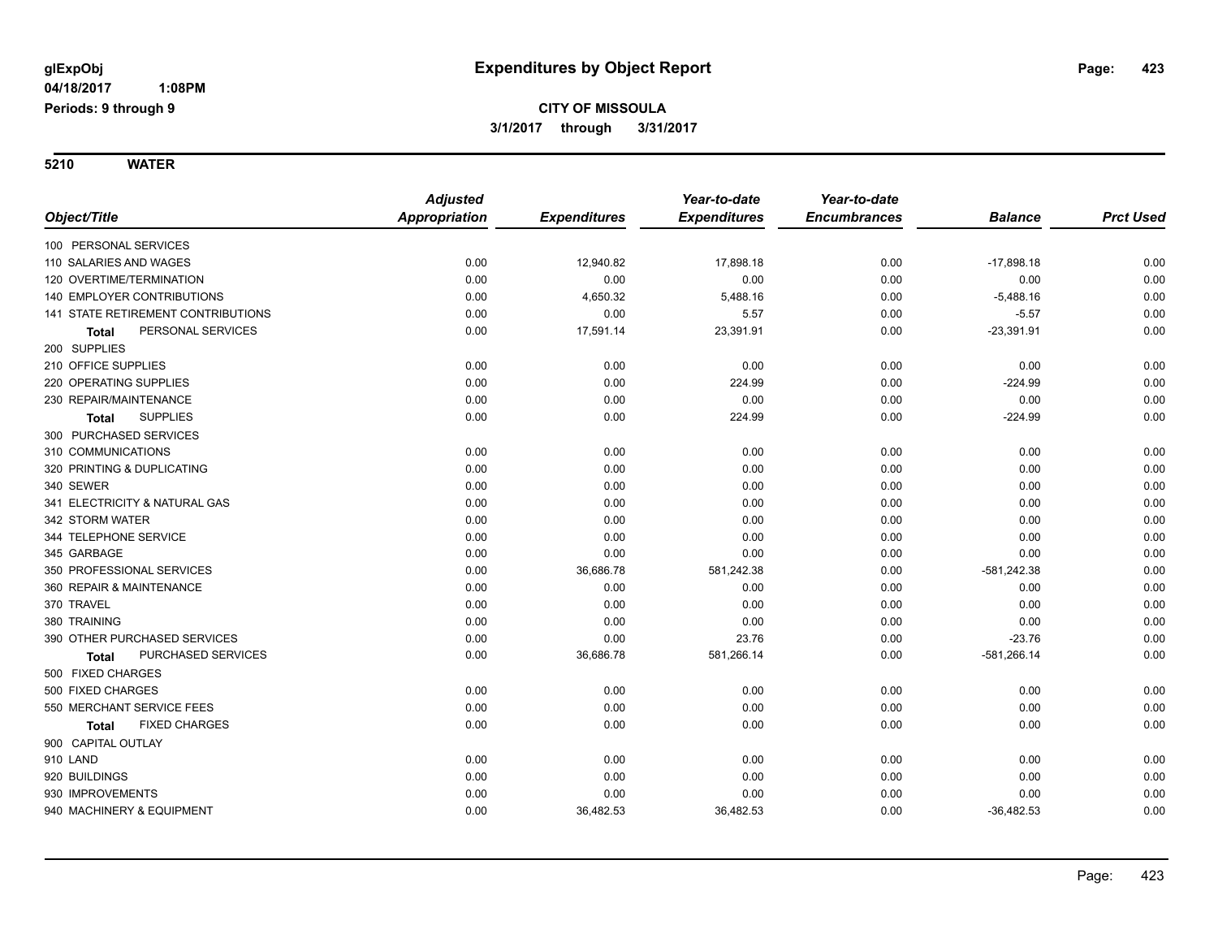**5210 WATER**

**Periods: 9 through 9**

|                                           | <b>Adjusted</b>      |                     | Year-to-date        | Year-to-date        |                |                  |
|-------------------------------------------|----------------------|---------------------|---------------------|---------------------|----------------|------------------|
| Object/Title                              | <b>Appropriation</b> | <b>Expenditures</b> | <b>Expenditures</b> | <b>Encumbrances</b> | <b>Balance</b> | <b>Prct Used</b> |
| 100 PERSONAL SERVICES                     |                      |                     |                     |                     |                |                  |
| 110 SALARIES AND WAGES                    | 0.00                 | 12,940.82           | 17,898.18           | 0.00                | $-17,898.18$   | 0.00             |
| 120 OVERTIME/TERMINATION                  | 0.00                 | 0.00                | 0.00                | 0.00                | 0.00           | 0.00             |
| <b>140 EMPLOYER CONTRIBUTIONS</b>         | 0.00                 | 4,650.32            | 5,488.16            | 0.00                | $-5,488.16$    | 0.00             |
| <b>141 STATE RETIREMENT CONTRIBUTIONS</b> | 0.00                 | 0.00                | 5.57                | 0.00                | $-5.57$        | 0.00             |
| PERSONAL SERVICES<br><b>Total</b>         | 0.00                 | 17,591.14           | 23,391.91           | 0.00                | $-23,391.91$   | 0.00             |
| 200 SUPPLIES                              |                      |                     |                     |                     |                |                  |
| 210 OFFICE SUPPLIES                       | 0.00                 | 0.00                | 0.00                | 0.00                | 0.00           | 0.00             |
| 220 OPERATING SUPPLIES                    | 0.00                 | 0.00                | 224.99              | 0.00                | $-224.99$      | 0.00             |
| 230 REPAIR/MAINTENANCE                    | 0.00                 | 0.00                | 0.00                | 0.00                | 0.00           | 0.00             |
| <b>SUPPLIES</b><br>Total                  | 0.00                 | 0.00                | 224.99              | 0.00                | $-224.99$      | 0.00             |
| 300 PURCHASED SERVICES                    |                      |                     |                     |                     |                |                  |
| 310 COMMUNICATIONS                        | 0.00                 | 0.00                | 0.00                | 0.00                | 0.00           | 0.00             |
| 320 PRINTING & DUPLICATING                | 0.00                 | 0.00                | 0.00                | 0.00                | 0.00           | 0.00             |
| 340 SEWER                                 | 0.00                 | 0.00                | 0.00                | 0.00                | 0.00           | 0.00             |
| 341 ELECTRICITY & NATURAL GAS             | 0.00                 | 0.00                | 0.00                | 0.00                | 0.00           | 0.00             |
| 342 STORM WATER                           | 0.00                 | 0.00                | 0.00                | 0.00                | 0.00           | 0.00             |
| 344 TELEPHONE SERVICE                     | 0.00                 | 0.00                | 0.00                | 0.00                | 0.00           | 0.00             |
| 345 GARBAGE                               | 0.00                 | 0.00                | 0.00                | 0.00                | 0.00           | 0.00             |
| 350 PROFESSIONAL SERVICES                 | 0.00                 | 36,686.78           | 581,242.38          | 0.00                | $-581,242.38$  | 0.00             |
| 360 REPAIR & MAINTENANCE                  | 0.00                 | 0.00                | 0.00                | 0.00                | 0.00           | 0.00             |
| 370 TRAVEL                                | 0.00                 | 0.00                | 0.00                | 0.00                | 0.00           | 0.00             |
| 380 TRAINING                              | 0.00                 | 0.00                | 0.00                | 0.00                | 0.00           | 0.00             |
| 390 OTHER PURCHASED SERVICES              | 0.00                 | 0.00                | 23.76               | 0.00                | $-23.76$       | 0.00             |
| PURCHASED SERVICES<br><b>Total</b>        | 0.00                 | 36,686.78           | 581,266.14          | 0.00                | $-581,266.14$  | 0.00             |
| 500 FIXED CHARGES                         |                      |                     |                     |                     |                |                  |
| 500 FIXED CHARGES                         | 0.00                 | 0.00                | 0.00                | 0.00                | 0.00           | 0.00             |
| 550 MERCHANT SERVICE FEES                 | 0.00                 | 0.00                | 0.00                | 0.00                | 0.00           | 0.00             |
| <b>FIXED CHARGES</b><br>Total             | 0.00                 | 0.00                | 0.00                | 0.00                | 0.00           | 0.00             |
| 900 CAPITAL OUTLAY                        |                      |                     |                     |                     |                |                  |
| 910 LAND                                  | 0.00                 | 0.00                | 0.00                | 0.00                | 0.00           | 0.00             |
| 920 BUILDINGS                             | 0.00                 | 0.00                | 0.00                | 0.00                | 0.00           | 0.00             |
| 930 IMPROVEMENTS                          | 0.00                 | 0.00                | 0.00                | 0.00                | 0.00           | 0.00             |
| 940 MACHINERY & EQUIPMENT                 | 0.00                 | 36,482.53           | 36,482.53           | 0.00                | $-36,482.53$   | 0.00             |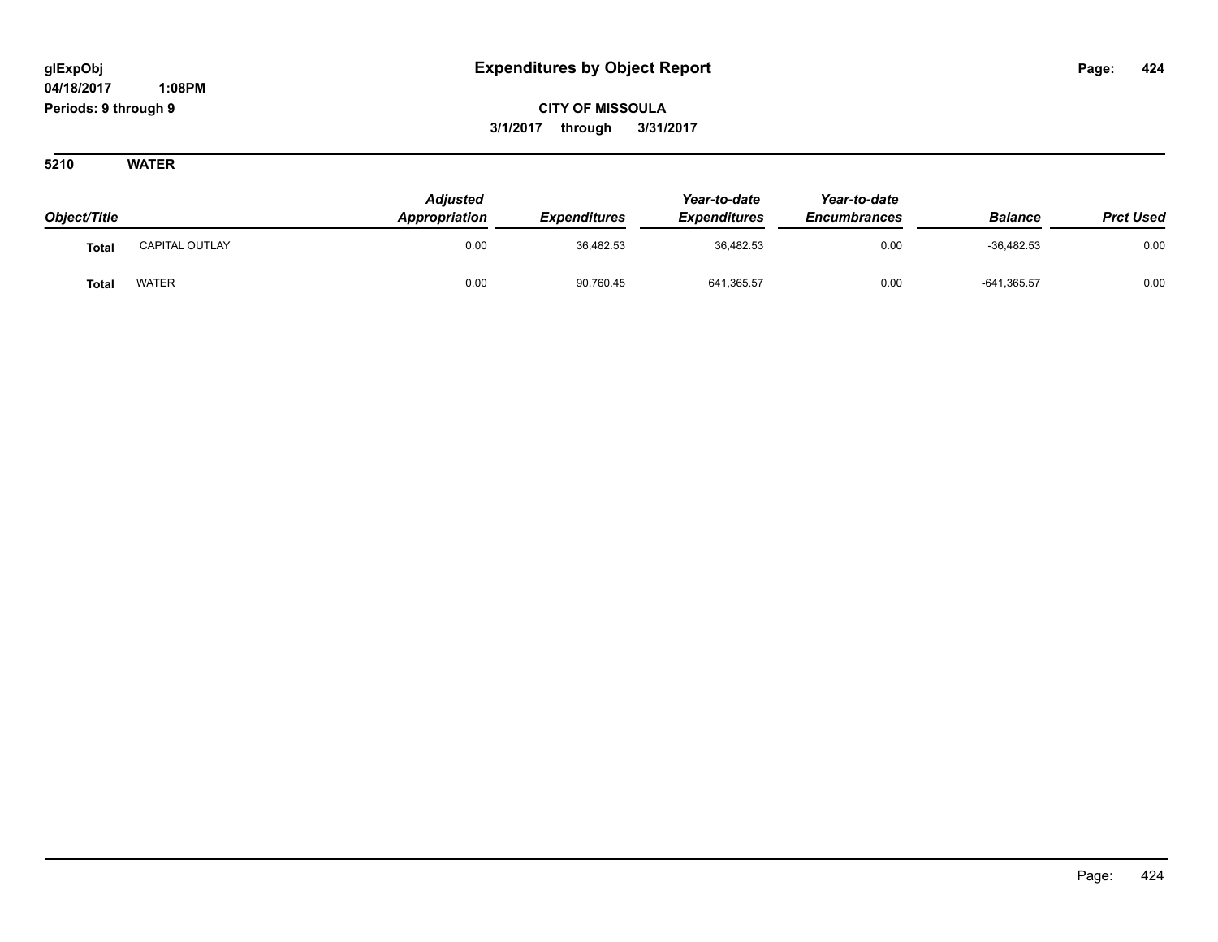**CITY OF MISSOULA 3/1/2017 through 3/31/2017**

**5210 WATER**

| Object/Title |                | <b>Adjusted</b><br>Appropriation | <b>Expenditures</b> | Year-to-date<br><b>Expenditures</b> | Year-to-date<br><b>Encumbrances</b> | <b>Balance</b> | <b>Prct Used</b> |
|--------------|----------------|----------------------------------|---------------------|-------------------------------------|-------------------------------------|----------------|------------------|
| <b>Total</b> | CAPITAL OUTLAY | 0.00                             | 36.482.53           | 36,482.53                           | 0.00                                | $-36.482.53$   | 0.00             |
| Tota.        | <b>WATER</b>   | 0.00                             | 90,760.45           | 641,365.57                          | 0.00                                | $-641,365.57$  | 0.00             |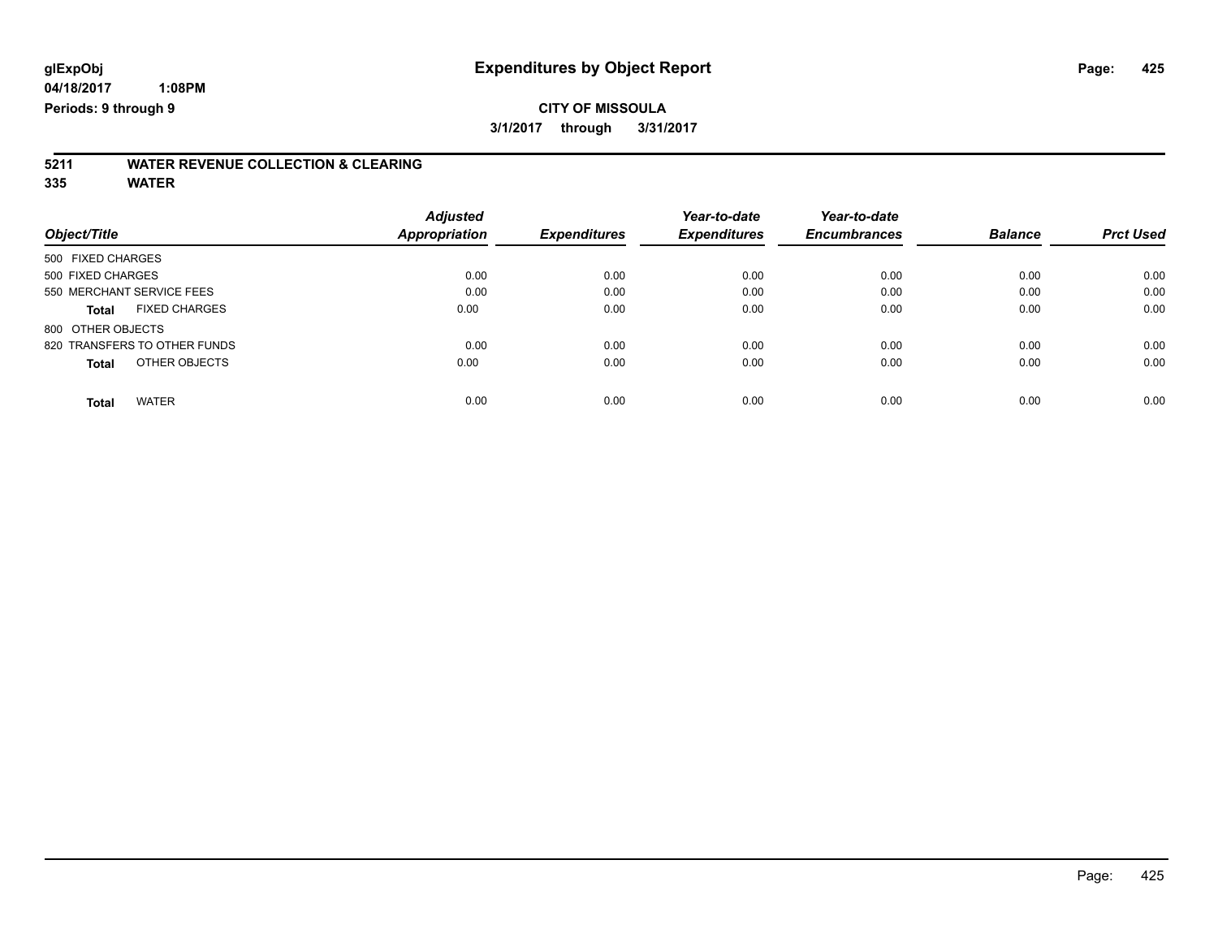# **5211 WATER REVENUE COLLECTION & CLEARING**

**335 WATER**

|                                      | <b>Adjusted</b>      |                     | Year-to-date        | Year-to-date        |                |                  |
|--------------------------------------|----------------------|---------------------|---------------------|---------------------|----------------|------------------|
| Object/Title                         | <b>Appropriation</b> | <b>Expenditures</b> | <b>Expenditures</b> | <b>Encumbrances</b> | <b>Balance</b> | <b>Prct Used</b> |
| 500 FIXED CHARGES                    |                      |                     |                     |                     |                |                  |
| 500 FIXED CHARGES                    | 0.00                 | 0.00                | 0.00                | 0.00                | 0.00           | 0.00             |
| 550 MERCHANT SERVICE FEES            | 0.00                 | 0.00                | 0.00                | 0.00                | 0.00           | 0.00             |
| <b>FIXED CHARGES</b><br><b>Total</b> | 0.00                 | 0.00                | 0.00                | 0.00                | 0.00           | 0.00             |
| 800 OTHER OBJECTS                    |                      |                     |                     |                     |                |                  |
| 820 TRANSFERS TO OTHER FUNDS         | 0.00                 | 0.00                | 0.00                | 0.00                | 0.00           | 0.00             |
| OTHER OBJECTS<br><b>Total</b>        | 0.00                 | 0.00                | 0.00                | 0.00                | 0.00           | 0.00             |
| <b>WATER</b><br>Total                | 0.00                 | 0.00                | 0.00                | 0.00                | 0.00           | 0.00             |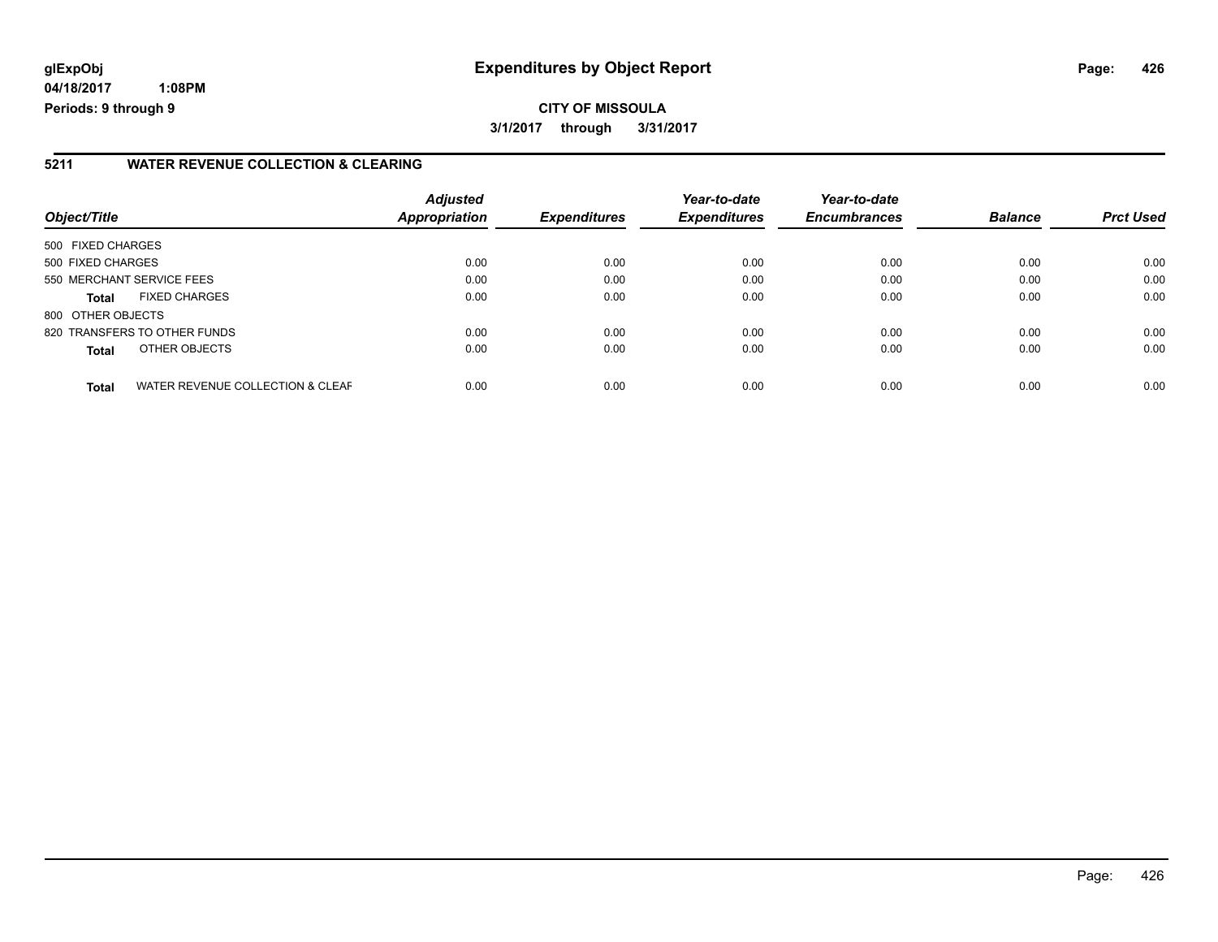# **glExpObj Expenditures by Object Report Page: 426**

**04/18/2017 1:08PM Periods: 9 through 9**

#### **5211 WATER REVENUE COLLECTION & CLEARING**

| Object/Title      |                                  | <b>Adjusted</b><br>Appropriation | <b>Expenditures</b> | Year-to-date<br><b>Expenditures</b> | Year-to-date<br><b>Encumbrances</b> | <b>Balance</b> | <b>Prct Used</b> |
|-------------------|----------------------------------|----------------------------------|---------------------|-------------------------------------|-------------------------------------|----------------|------------------|
| 500 FIXED CHARGES |                                  |                                  |                     |                                     |                                     |                |                  |
| 500 FIXED CHARGES |                                  | 0.00                             | 0.00                | 0.00                                | 0.00                                | 0.00           | 0.00             |
|                   | 550 MERCHANT SERVICE FEES        | 0.00                             | 0.00                | 0.00                                | 0.00                                | 0.00           | 0.00             |
| <b>Total</b>      | <b>FIXED CHARGES</b>             | 0.00                             | 0.00                | 0.00                                | 0.00                                | 0.00           | 0.00             |
| 800 OTHER OBJECTS |                                  |                                  |                     |                                     |                                     |                |                  |
|                   | 820 TRANSFERS TO OTHER FUNDS     | 0.00                             | 0.00                | 0.00                                | 0.00                                | 0.00           | 0.00             |
| Total             | OTHER OBJECTS                    | 0.00                             | 0.00                | 0.00                                | 0.00                                | 0.00           | 0.00             |
| <b>Total</b>      | WATER REVENUE COLLECTION & CLEAF | 0.00                             | 0.00                | 0.00                                | 0.00                                | 0.00           | 0.00             |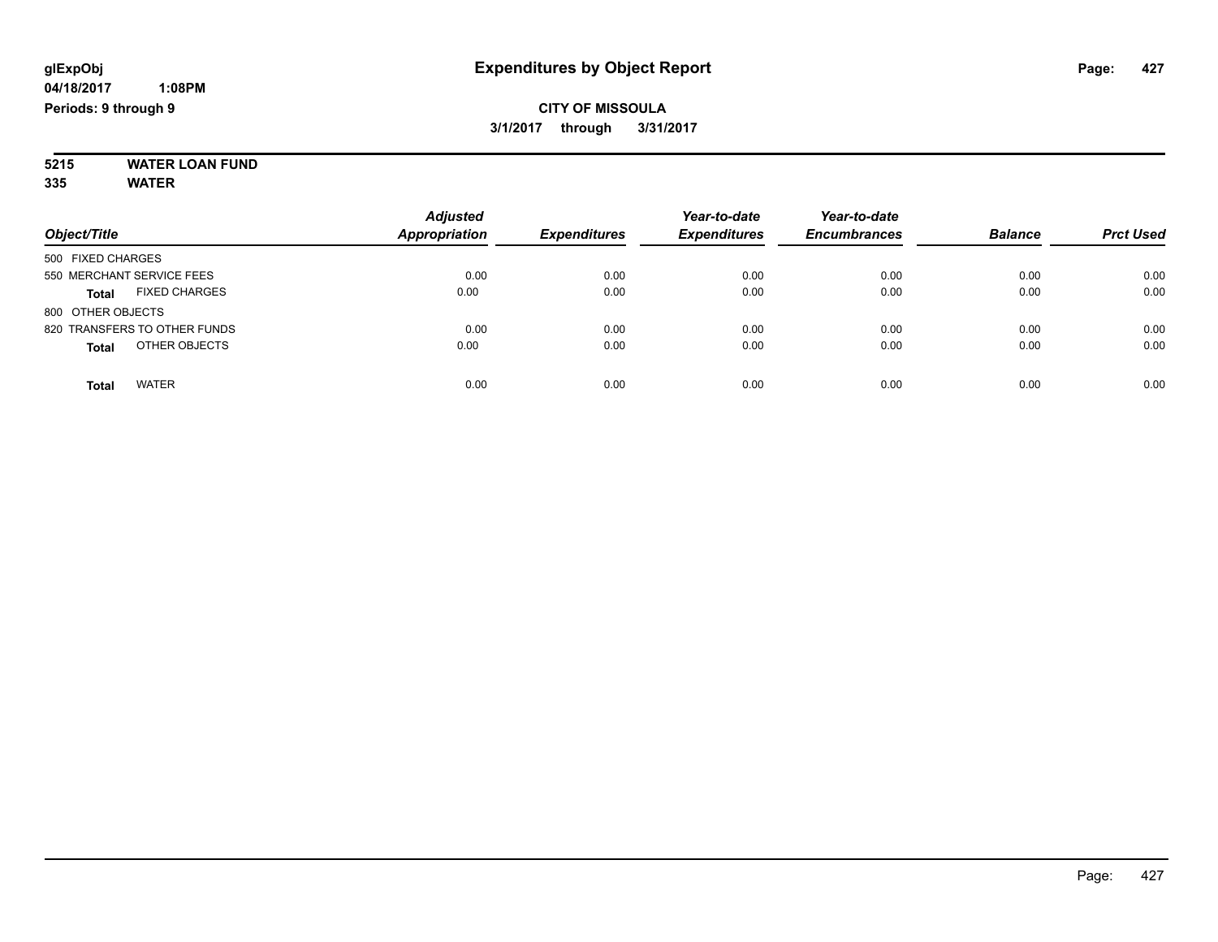#### **5215 WATER LOAN FUND 335 WATER**

| Object/Title                         | <b>Adjusted</b><br><b>Appropriation</b> | <b>Expenditures</b> | Year-to-date<br><b>Expenditures</b> | Year-to-date<br><b>Encumbrances</b> | <b>Balance</b> | <b>Prct Used</b> |
|--------------------------------------|-----------------------------------------|---------------------|-------------------------------------|-------------------------------------|----------------|------------------|
| 500 FIXED CHARGES                    |                                         |                     |                                     |                                     |                |                  |
| 550 MERCHANT SERVICE FEES            | 0.00                                    | 0.00                | 0.00                                | 0.00                                | 0.00           | 0.00             |
| <b>FIXED CHARGES</b><br><b>Total</b> | 0.00                                    | 0.00                | 0.00                                | 0.00                                | 0.00           | 0.00             |
| 800 OTHER OBJECTS                    |                                         |                     |                                     |                                     |                |                  |
| 820 TRANSFERS TO OTHER FUNDS         | 0.00                                    | 0.00                | 0.00                                | 0.00                                | 0.00           | 0.00             |
| OTHER OBJECTS<br><b>Total</b>        | 0.00                                    | 0.00                | 0.00                                | 0.00                                | 0.00           | 0.00             |
| <b>WATER</b><br>Total                | 0.00                                    | 0.00                | 0.00                                | 0.00                                | 0.00           | 0.00             |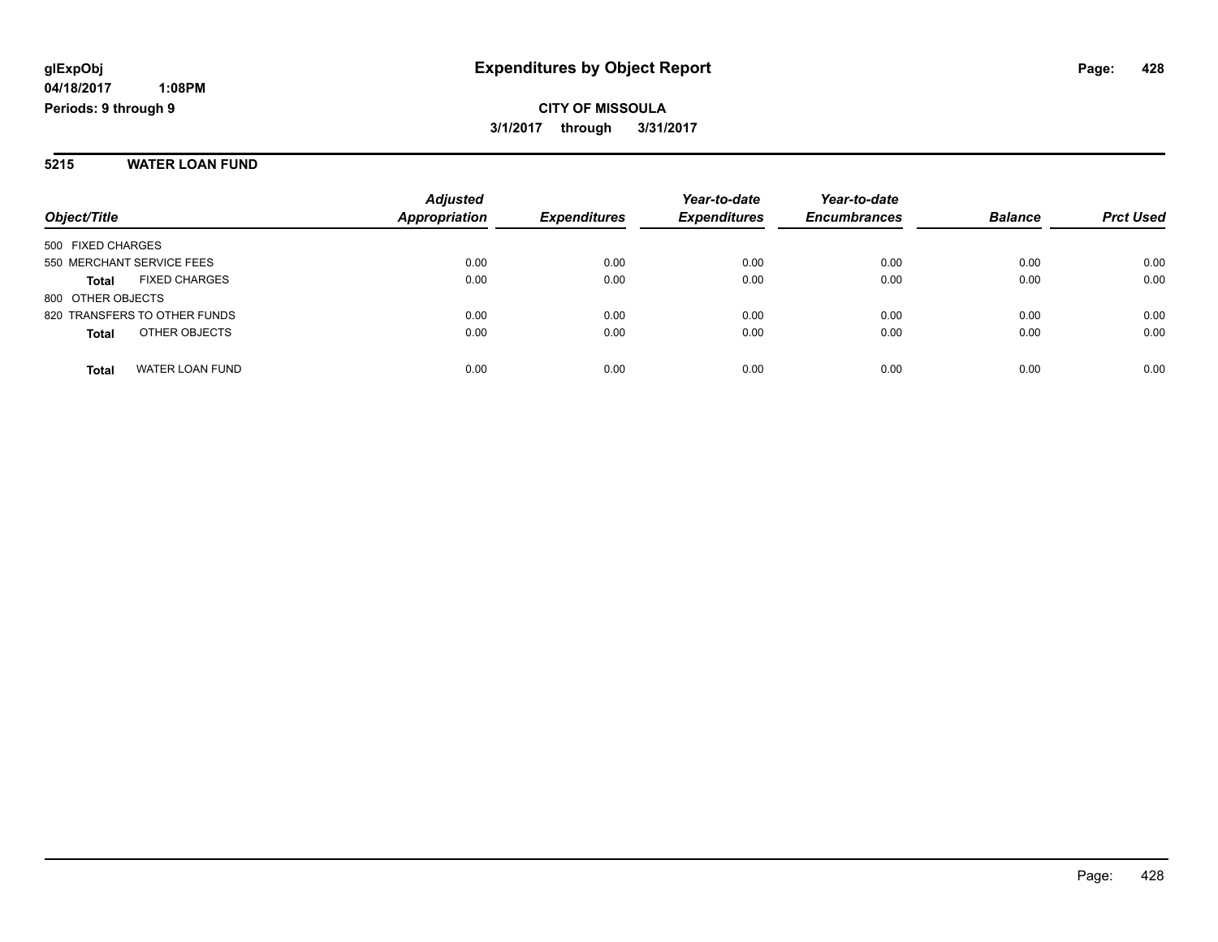#### **5215 WATER LOAN FUND**

| Object/Title                         | <b>Adjusted</b><br>Appropriation | <b>Expenditures</b> | Year-to-date<br><b>Expenditures</b> | Year-to-date<br><b>Encumbrances</b> | <b>Balance</b> | <b>Prct Used</b> |
|--------------------------------------|----------------------------------|---------------------|-------------------------------------|-------------------------------------|----------------|------------------|
| 500 FIXED CHARGES                    |                                  |                     |                                     |                                     |                |                  |
| 550 MERCHANT SERVICE FEES            | 0.00                             | 0.00                | 0.00                                | 0.00                                | 0.00           | 0.00             |
| <b>FIXED CHARGES</b><br><b>Total</b> | 0.00                             | 0.00                | 0.00                                | 0.00                                | 0.00           | 0.00             |
| 800 OTHER OBJECTS                    |                                  |                     |                                     |                                     |                |                  |
| 820 TRANSFERS TO OTHER FUNDS         | 0.00                             | 0.00                | 0.00                                | 0.00                                | 0.00           | 0.00             |
| OTHER OBJECTS<br><b>Total</b>        | 0.00                             | 0.00                | 0.00                                | 0.00                                | 0.00           | 0.00             |
| WATER LOAN FUND<br><b>Total</b>      | 0.00                             | 0.00                | 0.00                                | 0.00                                | 0.00           | 0.00             |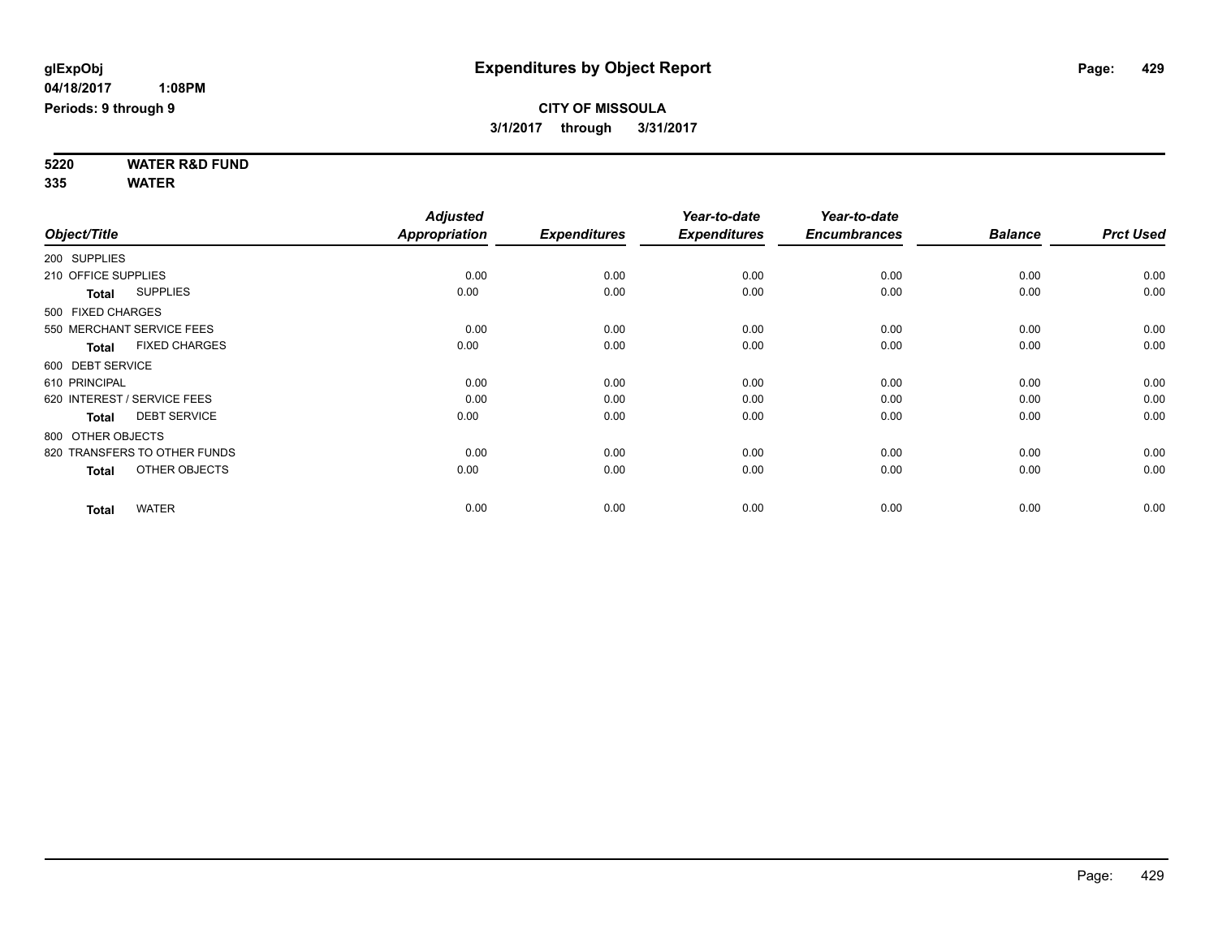**5220 WATER R&D FUND 335 WATER**

|                     |                              | <b>Adjusted</b> |                     | Year-to-date        | Year-to-date        |                |                  |
|---------------------|------------------------------|-----------------|---------------------|---------------------|---------------------|----------------|------------------|
| Object/Title        |                              | Appropriation   | <b>Expenditures</b> | <b>Expenditures</b> | <b>Encumbrances</b> | <b>Balance</b> | <b>Prct Used</b> |
| 200 SUPPLIES        |                              |                 |                     |                     |                     |                |                  |
| 210 OFFICE SUPPLIES |                              | 0.00            | 0.00                | 0.00                | 0.00                | 0.00           | 0.00             |
| <b>Total</b>        | <b>SUPPLIES</b>              | 0.00            | 0.00                | 0.00                | 0.00                | 0.00           | 0.00             |
| 500 FIXED CHARGES   |                              |                 |                     |                     |                     |                |                  |
|                     | 550 MERCHANT SERVICE FEES    | 0.00            | 0.00                | 0.00                | 0.00                | 0.00           | 0.00             |
| <b>Total</b>        | <b>FIXED CHARGES</b>         | 0.00            | 0.00                | 0.00                | 0.00                | 0.00           | 0.00             |
| 600 DEBT SERVICE    |                              |                 |                     |                     |                     |                |                  |
| 610 PRINCIPAL       |                              | 0.00            | 0.00                | 0.00                | 0.00                | 0.00           | 0.00             |
|                     | 620 INTEREST / SERVICE FEES  | 0.00            | 0.00                | 0.00                | 0.00                | 0.00           | 0.00             |
| <b>Total</b>        | <b>DEBT SERVICE</b>          | 0.00            | 0.00                | 0.00                | 0.00                | 0.00           | 0.00             |
| 800 OTHER OBJECTS   |                              |                 |                     |                     |                     |                |                  |
|                     | 820 TRANSFERS TO OTHER FUNDS | 0.00            | 0.00                | 0.00                | 0.00                | 0.00           | 0.00             |
| <b>Total</b>        | OTHER OBJECTS                | 0.00            | 0.00                | 0.00                | 0.00                | 0.00           | 0.00             |
| <b>Total</b>        | <b>WATER</b>                 | 0.00            | 0.00                | 0.00                | 0.00                | 0.00           | 0.00             |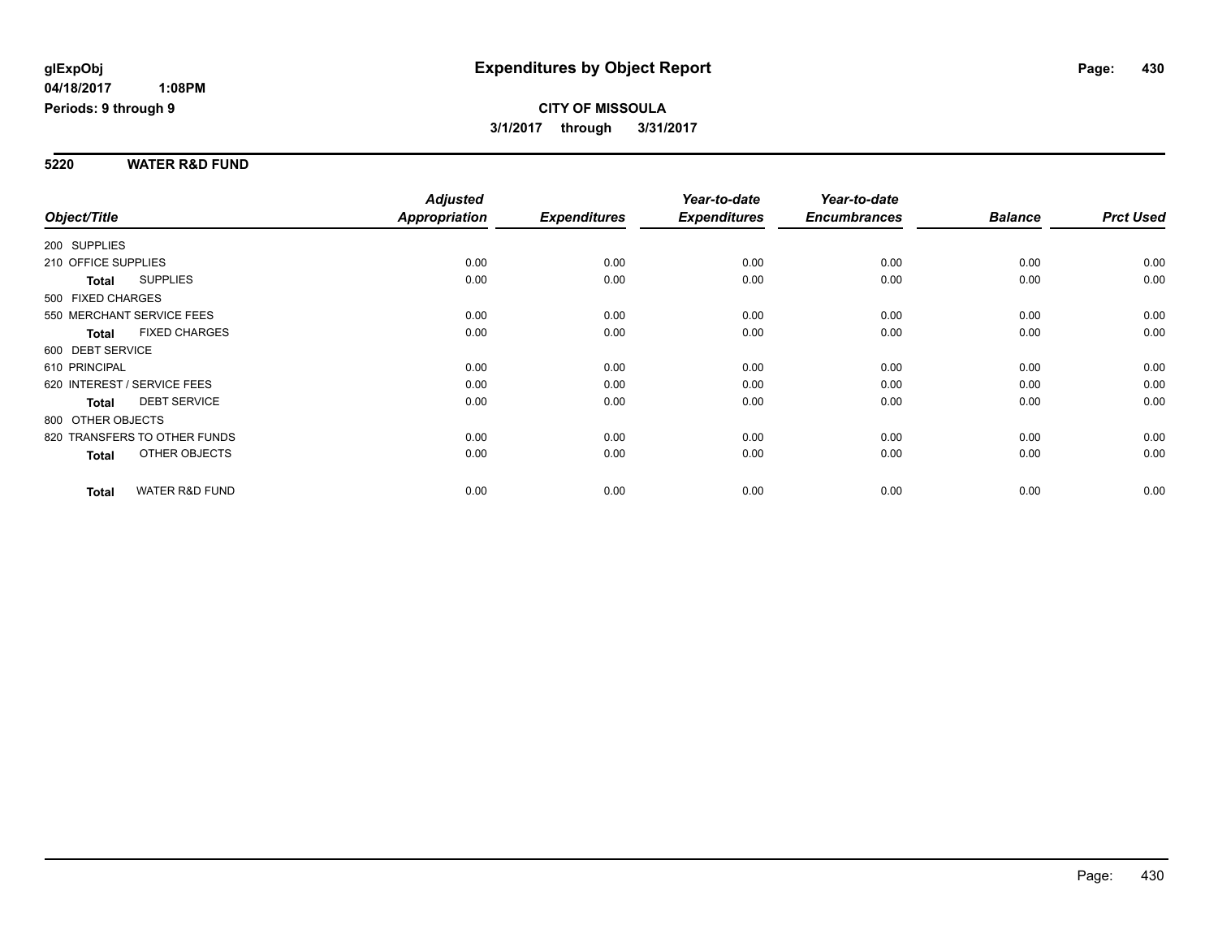#### **5220 WATER R&D FUND**

|                     |                              | <b>Adjusted</b>      |                     | Year-to-date        | Year-to-date        |                |                  |
|---------------------|------------------------------|----------------------|---------------------|---------------------|---------------------|----------------|------------------|
| Object/Title        |                              | <b>Appropriation</b> | <b>Expenditures</b> | <b>Expenditures</b> | <b>Encumbrances</b> | <b>Balance</b> | <b>Prct Used</b> |
| 200 SUPPLIES        |                              |                      |                     |                     |                     |                |                  |
| 210 OFFICE SUPPLIES |                              | 0.00                 | 0.00                | 0.00                | 0.00                | 0.00           | 0.00             |
| <b>Total</b>        | <b>SUPPLIES</b>              | 0.00                 | 0.00                | 0.00                | 0.00                | 0.00           | 0.00             |
| 500 FIXED CHARGES   |                              |                      |                     |                     |                     |                |                  |
|                     | 550 MERCHANT SERVICE FEES    | 0.00                 | 0.00                | 0.00                | 0.00                | 0.00           | 0.00             |
| <b>Total</b>        | <b>FIXED CHARGES</b>         | 0.00                 | 0.00                | 0.00                | 0.00                | 0.00           | 0.00             |
| 600 DEBT SERVICE    |                              |                      |                     |                     |                     |                |                  |
| 610 PRINCIPAL       |                              | 0.00                 | 0.00                | 0.00                | 0.00                | 0.00           | 0.00             |
|                     | 620 INTEREST / SERVICE FEES  | 0.00                 | 0.00                | 0.00                | 0.00                | 0.00           | 0.00             |
| <b>Total</b>        | <b>DEBT SERVICE</b>          | 0.00                 | 0.00                | 0.00                | 0.00                | 0.00           | 0.00             |
| 800 OTHER OBJECTS   |                              |                      |                     |                     |                     |                |                  |
|                     | 820 TRANSFERS TO OTHER FUNDS | 0.00                 | 0.00                | 0.00                | 0.00                | 0.00           | 0.00             |
| <b>Total</b>        | OTHER OBJECTS                | 0.00                 | 0.00                | 0.00                | 0.00                | 0.00           | 0.00             |
| <b>Total</b>        | <b>WATER R&amp;D FUND</b>    | 0.00                 | 0.00                | 0.00                | 0.00                | 0.00           | 0.00             |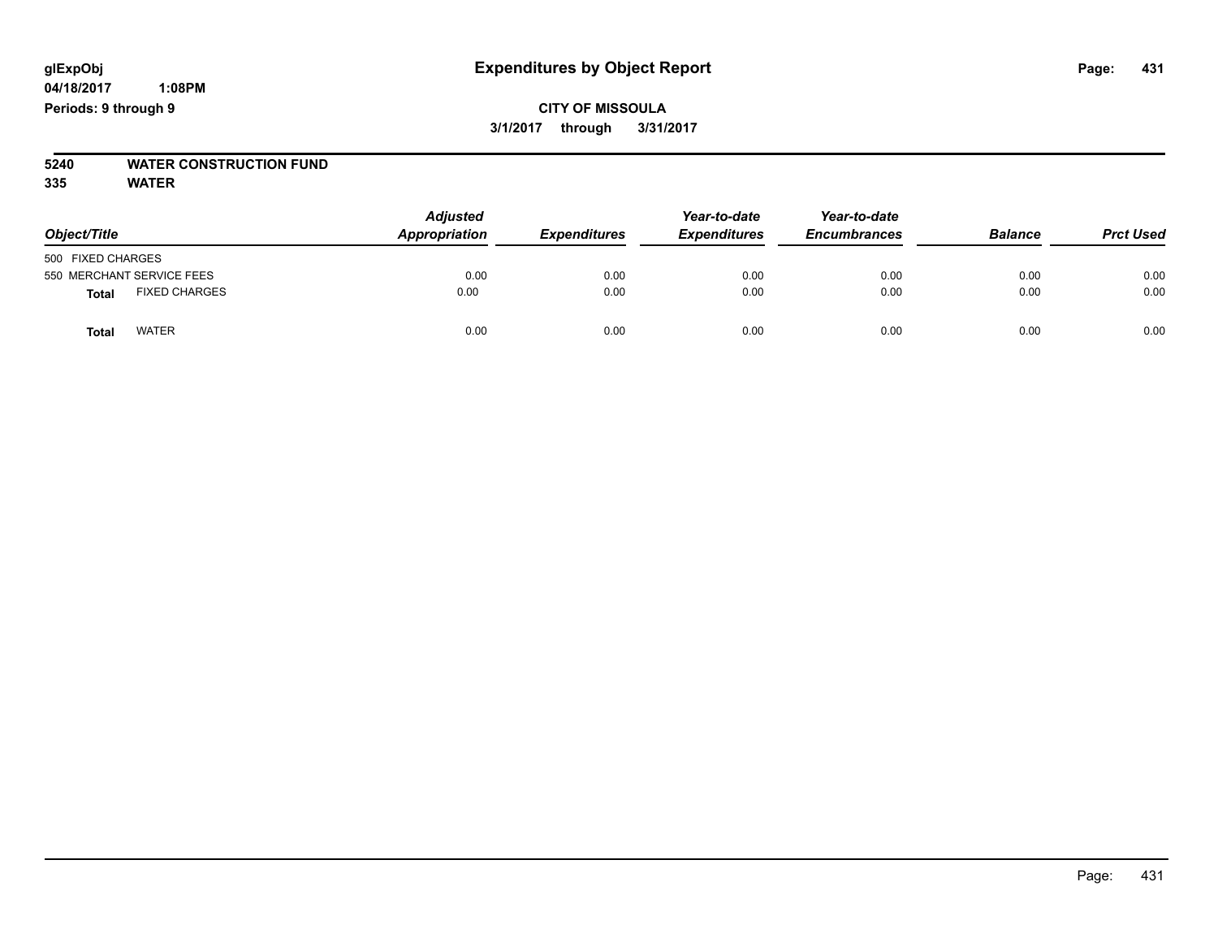## **CITY OF MISSOULA 3/1/2017 through 3/31/2017**

# **5240 WATER CONSTRUCTION FUND**

**335 WATER**

| Object/Title                         | <b>Adjusted</b><br>Appropriation | <b>Expenditures</b> | Year-to-date<br><b>Expenditures</b> | Year-to-date<br><b>Encumbrances</b> | <b>Balance</b> | <b>Prct Used</b> |
|--------------------------------------|----------------------------------|---------------------|-------------------------------------|-------------------------------------|----------------|------------------|
| 500 FIXED CHARGES                    |                                  |                     |                                     |                                     |                |                  |
| 550 MERCHANT SERVICE FEES            | 0.00                             | 0.00                | 0.00                                | 0.00                                | 0.00           | 0.00             |
| <b>FIXED CHARGES</b><br><b>Total</b> | 0.00                             | 0.00                | 0.00                                | 0.00                                | 0.00           | 0.00             |
| <b>WATER</b><br><b>Total</b>         | 0.00                             | 0.00                | 0.00                                | 0.00                                | 0.00           | 0.00             |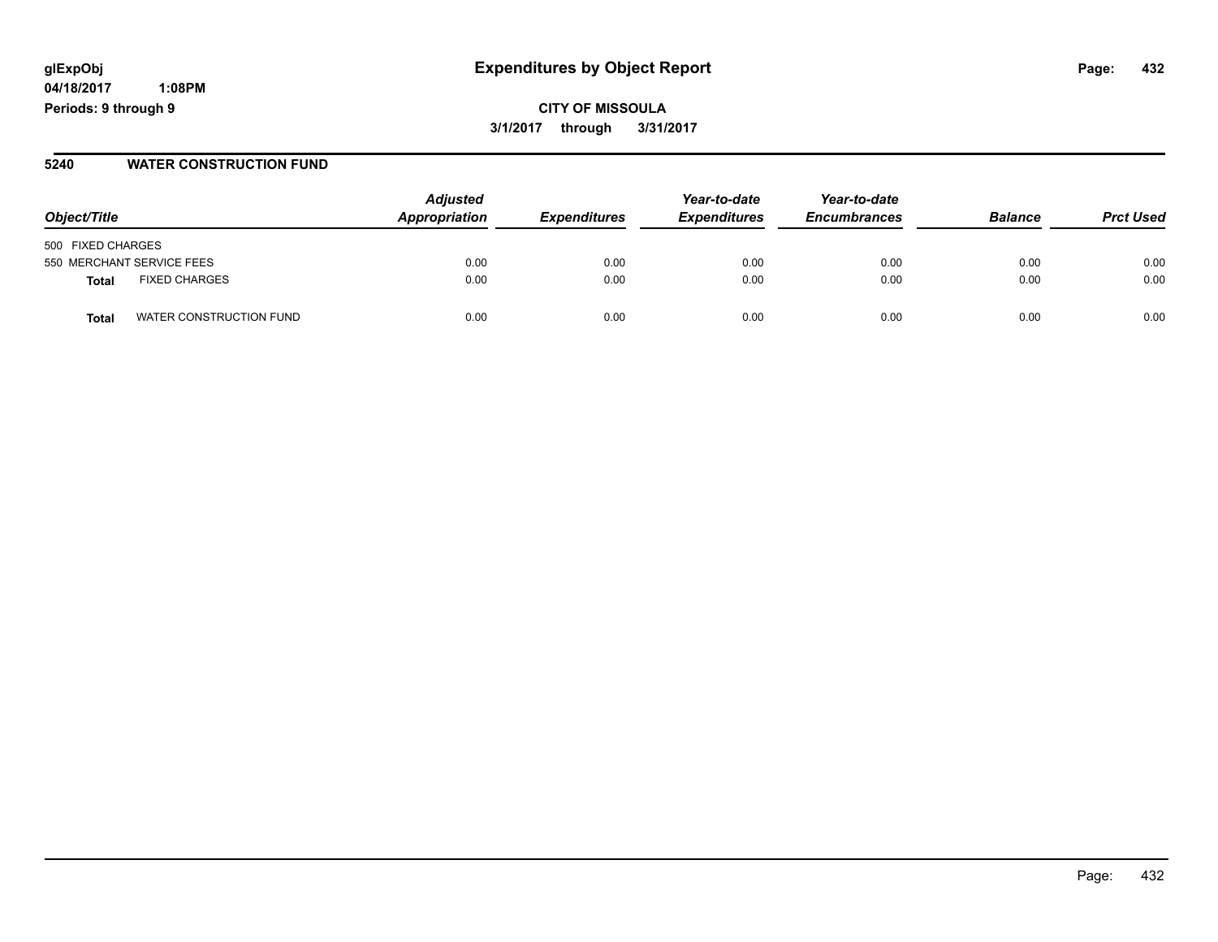# **glExpObj Expenditures by Object Report Page: 432**

**04/18/2017 1:08PM Periods: 9 through 9**

#### **5240 WATER CONSTRUCTION FUND**

| Object/Title                    | <b>Adjusted</b><br>Appropriation | <i><b>Expenditures</b></i> | Year-to-date<br><b>Expenditures</b> | Year-to-date<br><b>Encumbrances</b> | <b>Balance</b> | <b>Prct Used</b> |
|---------------------------------|----------------------------------|----------------------------|-------------------------------------|-------------------------------------|----------------|------------------|
| 500 FIXED CHARGES               |                                  |                            |                                     |                                     |                |                  |
| 550 MERCHANT SERVICE FEES       | 0.00                             | 0.00                       | 0.00                                | 0.00                                | 0.00           | 0.00             |
| <b>FIXED CHARGES</b><br>Total   | 0.00                             | 0.00                       | 0.00                                | 0.00                                | 0.00           | 0.00             |
| WATER CONSTRUCTION FUND<br>Tota | 0.00                             | 0.00                       | 0.00                                | 0.00                                | 0.00           | 0.00             |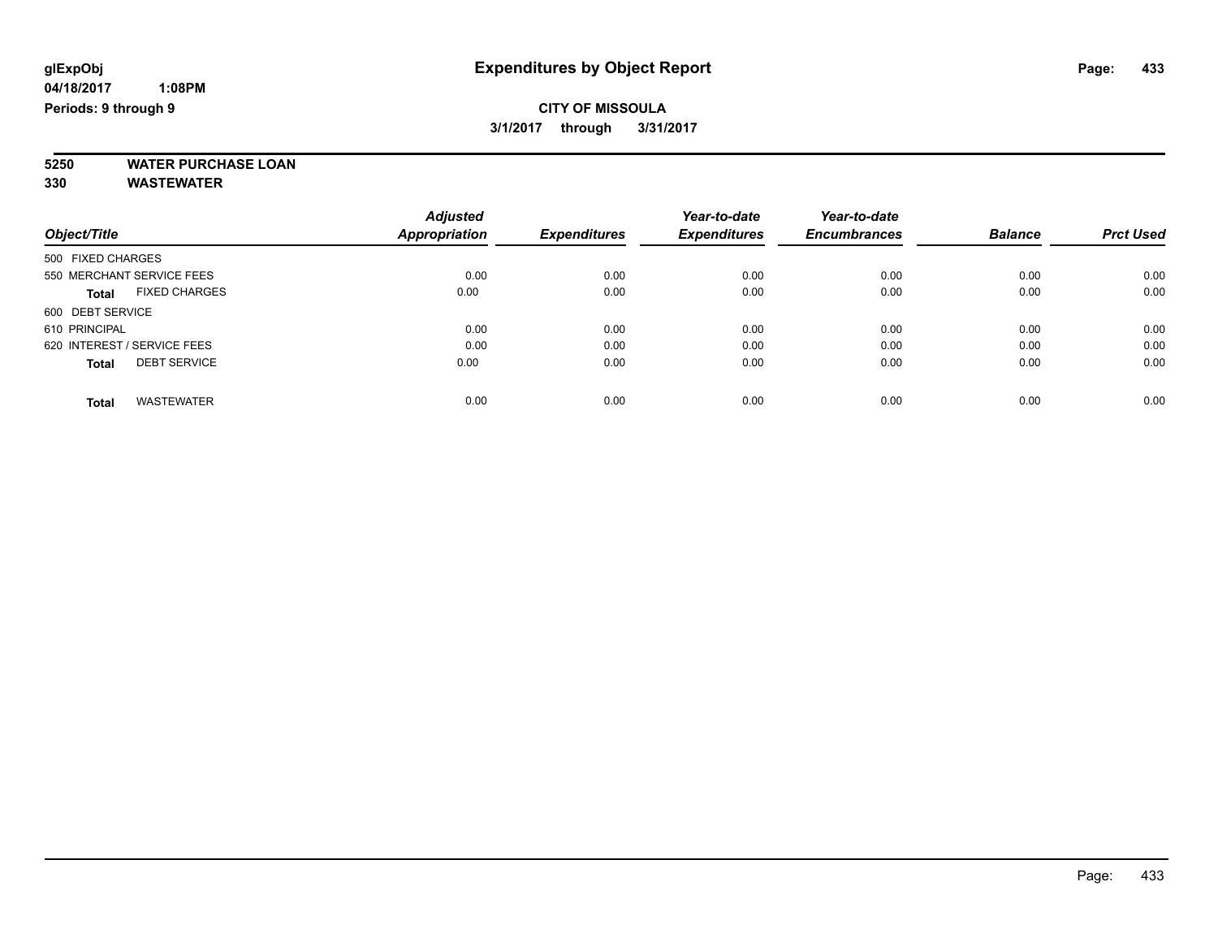**5250 WATER PURCHASE LOAN**

|                                      | <b>Adjusted</b> | <b>Expenditures</b> | Year-to-date<br><b>Expenditures</b> | Year-to-date        | <b>Balance</b> | <b>Prct Used</b> |
|--------------------------------------|-----------------|---------------------|-------------------------------------|---------------------|----------------|------------------|
| Object/Title                         | Appropriation   |                     |                                     | <b>Encumbrances</b> |                |                  |
| 500 FIXED CHARGES                    |                 |                     |                                     |                     |                |                  |
| 550 MERCHANT SERVICE FEES            | 0.00            | 0.00                | 0.00                                | 0.00                | 0.00           | 0.00             |
| <b>FIXED CHARGES</b><br><b>Total</b> | 0.00            | 0.00                | 0.00                                | 0.00                | 0.00           | 0.00             |
| 600 DEBT SERVICE                     |                 |                     |                                     |                     |                |                  |
| 610 PRINCIPAL                        | 0.00            | 0.00                | 0.00                                | 0.00                | 0.00           | 0.00             |
| 620 INTEREST / SERVICE FEES          | 0.00            | 0.00                | 0.00                                | 0.00                | 0.00           | 0.00             |
| <b>DEBT SERVICE</b><br><b>Total</b>  | 0.00            | 0.00                | 0.00                                | 0.00                | 0.00           | 0.00             |
| <b>WASTEWATER</b><br><b>Total</b>    | 0.00            | 0.00                | 0.00                                | 0.00                | 0.00           | 0.00             |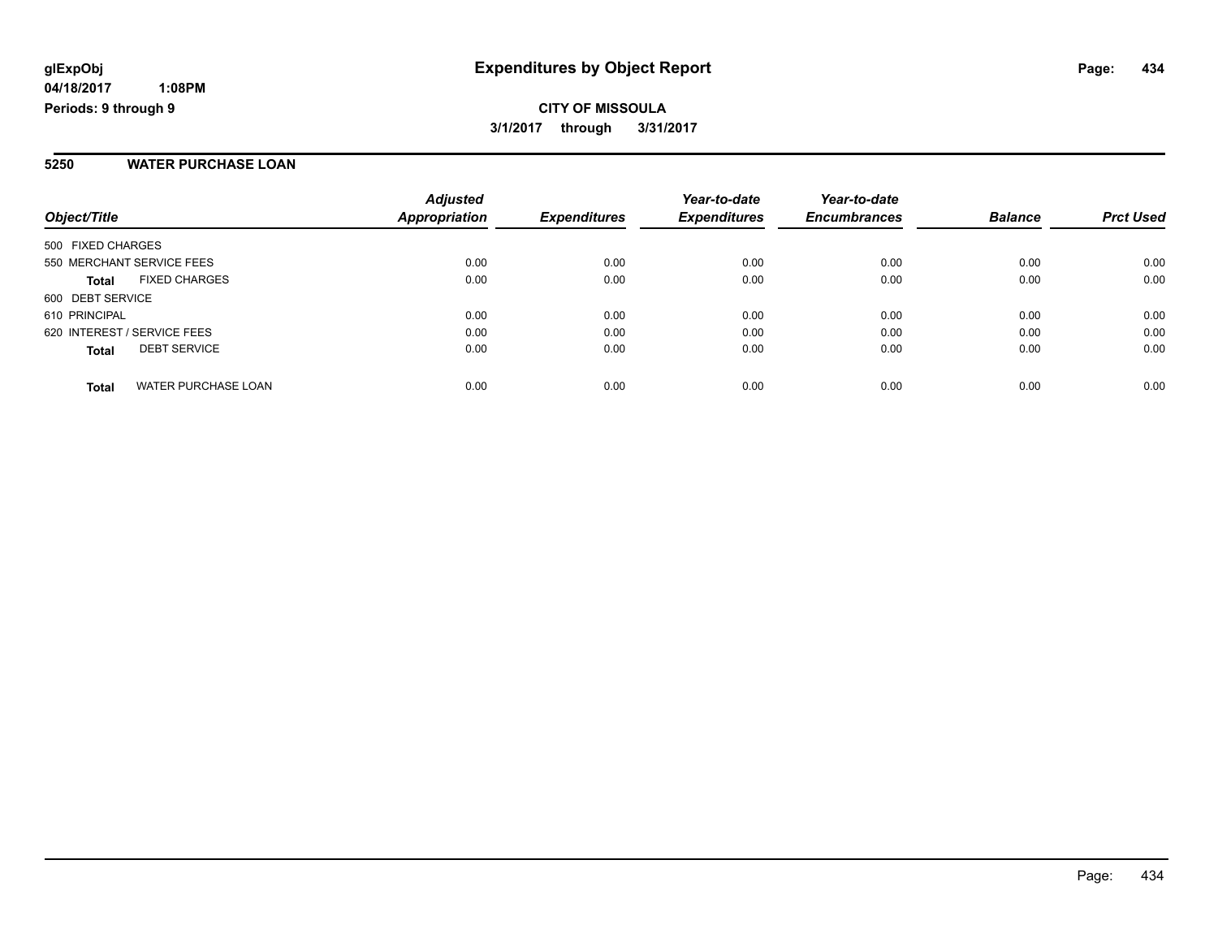**CITY OF MISSOULA 3/1/2017 through 3/31/2017**

#### **5250 WATER PURCHASE LOAN**

| Object/Title                               | <b>Adjusted</b><br><b>Appropriation</b> | <b>Expenditures</b> | Year-to-date<br><b>Expenditures</b> | Year-to-date<br><b>Encumbrances</b> | <b>Balance</b> | <b>Prct Used</b> |
|--------------------------------------------|-----------------------------------------|---------------------|-------------------------------------|-------------------------------------|----------------|------------------|
| 500 FIXED CHARGES                          |                                         |                     |                                     |                                     |                |                  |
| 550 MERCHANT SERVICE FEES                  | 0.00                                    | 0.00                | 0.00                                | 0.00                                | 0.00           | 0.00             |
| <b>FIXED CHARGES</b><br><b>Total</b>       | 0.00                                    | 0.00                | 0.00                                | 0.00                                | 0.00           | 0.00             |
| 600 DEBT SERVICE                           |                                         |                     |                                     |                                     |                |                  |
| 610 PRINCIPAL                              | 0.00                                    | 0.00                | 0.00                                | 0.00                                | 0.00           | 0.00             |
| 620 INTEREST / SERVICE FEES                | 0.00                                    | 0.00                | 0.00                                | 0.00                                | 0.00           | 0.00             |
| <b>DEBT SERVICE</b><br><b>Total</b>        | 0.00                                    | 0.00                | 0.00                                | 0.00                                | 0.00           | 0.00             |
| <b>WATER PURCHASE LOAN</b><br><b>Total</b> | 0.00                                    | 0.00                | 0.00                                | 0.00                                | 0.00           | 0.00             |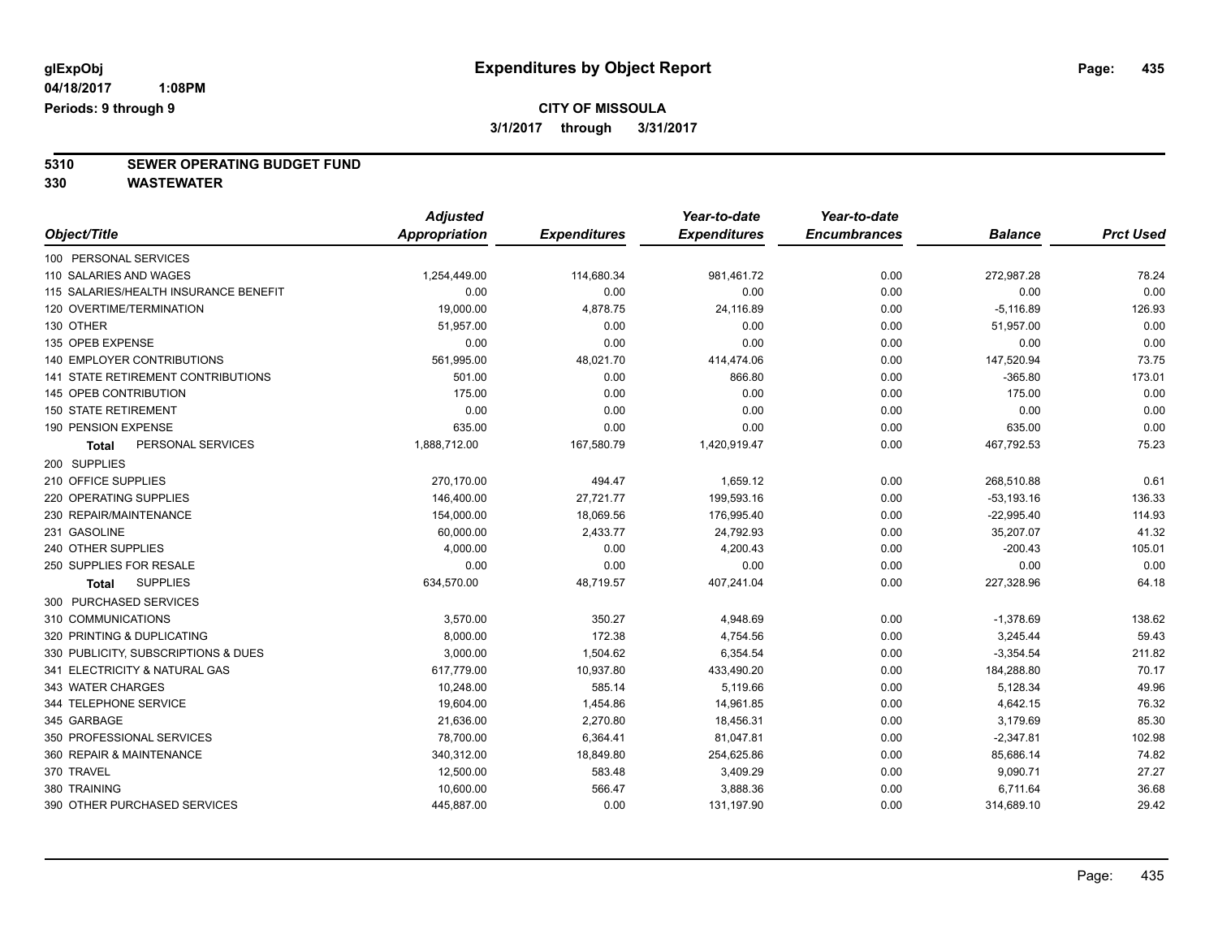# **5310 SEWER OPERATING BUDGET FUND**

|                                       | <b>Adjusted</b>      |                     | Year-to-date        | Year-to-date        |                |                  |
|---------------------------------------|----------------------|---------------------|---------------------|---------------------|----------------|------------------|
| Object/Title                          | <b>Appropriation</b> | <b>Expenditures</b> | <b>Expenditures</b> | <b>Encumbrances</b> | <b>Balance</b> | <b>Prct Used</b> |
| 100 PERSONAL SERVICES                 |                      |                     |                     |                     |                |                  |
| 110 SALARIES AND WAGES                | 1,254,449.00         | 114,680.34          | 981,461.72          | 0.00                | 272,987.28     | 78.24            |
| 115 SALARIES/HEALTH INSURANCE BENEFIT | 0.00                 | 0.00                | 0.00                | 0.00                | 0.00           | 0.00             |
| 120 OVERTIME/TERMINATION              | 19,000.00            | 4,878.75            | 24,116.89           | 0.00                | $-5,116.89$    | 126.93           |
| 130 OTHER                             | 51,957.00            | 0.00                | 0.00                | 0.00                | 51,957.00      | 0.00             |
| 135 OPEB EXPENSE                      | 0.00                 | 0.00                | 0.00                | 0.00                | 0.00           | 0.00             |
| 140 EMPLOYER CONTRIBUTIONS            | 561,995.00           | 48,021.70           | 414,474.06          | 0.00                | 147,520.94     | 73.75            |
| 141 STATE RETIREMENT CONTRIBUTIONS    | 501.00               | 0.00                | 866.80              | 0.00                | $-365.80$      | 173.01           |
| 145 OPEB CONTRIBUTION                 | 175.00               | 0.00                | 0.00                | 0.00                | 175.00         | 0.00             |
| <b>150 STATE RETIREMENT</b>           | 0.00                 | 0.00                | 0.00                | 0.00                | 0.00           | 0.00             |
| 190 PENSION EXPENSE                   | 635.00               | 0.00                | 0.00                | 0.00                | 635.00         | 0.00             |
| PERSONAL SERVICES<br><b>Total</b>     | 1,888,712.00         | 167,580.79          | 1,420,919.47        | 0.00                | 467,792.53     | 75.23            |
| 200 SUPPLIES                          |                      |                     |                     |                     |                |                  |
| 210 OFFICE SUPPLIES                   | 270,170.00           | 494.47              | 1,659.12            | 0.00                | 268,510.88     | 0.61             |
| 220 OPERATING SUPPLIES                | 146,400.00           | 27,721.77           | 199,593.16          | 0.00                | $-53, 193.16$  | 136.33           |
| 230 REPAIR/MAINTENANCE                | 154,000.00           | 18,069.56           | 176,995.40          | 0.00                | $-22,995.40$   | 114.93           |
| 231 GASOLINE                          | 60,000.00            | 2,433.77            | 24,792.93           | 0.00                | 35,207.07      | 41.32            |
| 240 OTHER SUPPLIES                    | 4,000.00             | 0.00                | 4,200.43            | 0.00                | $-200.43$      | 105.01           |
| 250 SUPPLIES FOR RESALE               | 0.00                 | 0.00                | 0.00                | 0.00                | 0.00           | 0.00             |
| <b>SUPPLIES</b><br>Total              | 634,570.00           | 48,719.57           | 407,241.04          | 0.00                | 227,328.96     | 64.18            |
| 300 PURCHASED SERVICES                |                      |                     |                     |                     |                |                  |
| 310 COMMUNICATIONS                    | 3,570.00             | 350.27              | 4,948.69            | 0.00                | $-1,378.69$    | 138.62           |
| 320 PRINTING & DUPLICATING            | 8,000.00             | 172.38              | 4,754.56            | 0.00                | 3,245.44       | 59.43            |
| 330 PUBLICITY, SUBSCRIPTIONS & DUES   | 3,000.00             | 1,504.62            | 6,354.54            | 0.00                | $-3,354.54$    | 211.82           |
| 341 ELECTRICITY & NATURAL GAS         | 617,779.00           | 10,937.80           | 433,490.20          | 0.00                | 184,288.80     | 70.17            |
| 343 WATER CHARGES                     | 10,248.00            | 585.14              | 5,119.66            | 0.00                | 5,128.34       | 49.96            |
| 344 TELEPHONE SERVICE                 | 19,604.00            | 1,454.86            | 14,961.85           | 0.00                | 4,642.15       | 76.32            |
| 345 GARBAGE                           | 21,636.00            | 2,270.80            | 18,456.31           | 0.00                | 3,179.69       | 85.30            |
| 350 PROFESSIONAL SERVICES             | 78,700.00            | 6,364.41            | 81,047.81           | 0.00                | $-2,347.81$    | 102.98           |
| 360 REPAIR & MAINTENANCE              | 340,312.00           | 18,849.80           | 254,625.86          | 0.00                | 85,686.14      | 74.82            |
| 370 TRAVEL                            | 12,500.00            | 583.48              | 3,409.29            | 0.00                | 9,090.71       | 27.27            |
| 380 TRAINING                          | 10,600.00            | 566.47              | 3,888.36            | 0.00                | 6,711.64       | 36.68            |
| 390 OTHER PURCHASED SERVICES          | 445,887.00           | 0.00                | 131,197.90          | 0.00                | 314,689.10     | 29.42            |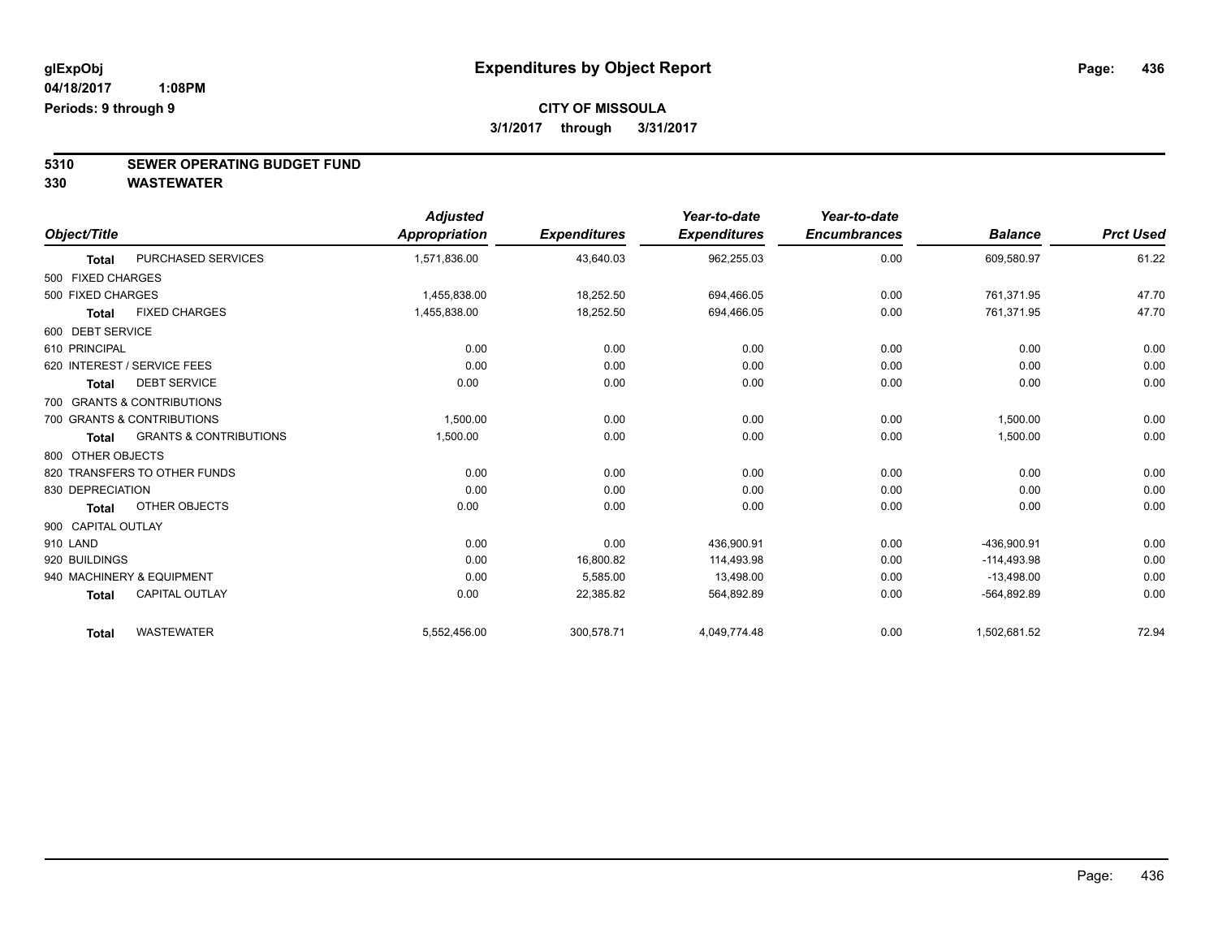# **5310 SEWER OPERATING BUDGET FUND**

|                    |                                   | <b>Adjusted</b> |                     | Year-to-date        | Year-to-date        |                |                  |
|--------------------|-----------------------------------|-----------------|---------------------|---------------------|---------------------|----------------|------------------|
| Object/Title       |                                   | Appropriation   | <b>Expenditures</b> | <b>Expenditures</b> | <b>Encumbrances</b> | <b>Balance</b> | <b>Prct Used</b> |
| <b>Total</b>       | PURCHASED SERVICES                | 1,571,836.00    | 43,640.03           | 962,255.03          | 0.00                | 609,580.97     | 61.22            |
| 500 FIXED CHARGES  |                                   |                 |                     |                     |                     |                |                  |
| 500 FIXED CHARGES  |                                   | 1,455,838.00    | 18,252.50           | 694,466.05          | 0.00                | 761,371.95     | 47.70            |
| <b>Total</b>       | <b>FIXED CHARGES</b>              | 1,455,838.00    | 18,252.50           | 694,466.05          | 0.00                | 761,371.95     | 47.70            |
| 600 DEBT SERVICE   |                                   |                 |                     |                     |                     |                |                  |
| 610 PRINCIPAL      |                                   | 0.00            | 0.00                | 0.00                | 0.00                | 0.00           | 0.00             |
|                    | 620 INTEREST / SERVICE FEES       | 0.00            | 0.00                | 0.00                | 0.00                | 0.00           | 0.00             |
| <b>Total</b>       | <b>DEBT SERVICE</b>               | 0.00            | 0.00                | 0.00                | 0.00                | 0.00           | 0.00             |
|                    | 700 GRANTS & CONTRIBUTIONS        |                 |                     |                     |                     |                |                  |
|                    | 700 GRANTS & CONTRIBUTIONS        | 1,500.00        | 0.00                | 0.00                | 0.00                | 1,500.00       | 0.00             |
| <b>Total</b>       | <b>GRANTS &amp; CONTRIBUTIONS</b> | 1,500.00        | 0.00                | 0.00                | 0.00                | 1,500.00       | 0.00             |
| 800 OTHER OBJECTS  |                                   |                 |                     |                     |                     |                |                  |
|                    | 820 TRANSFERS TO OTHER FUNDS      | 0.00            | 0.00                | 0.00                | 0.00                | 0.00           | 0.00             |
| 830 DEPRECIATION   |                                   | 0.00            | 0.00                | 0.00                | 0.00                | 0.00           | 0.00             |
| <b>Total</b>       | OTHER OBJECTS                     | 0.00            | 0.00                | 0.00                | 0.00                | 0.00           | 0.00             |
| 900 CAPITAL OUTLAY |                                   |                 |                     |                     |                     |                |                  |
| 910 LAND           |                                   | 0.00            | 0.00                | 436,900.91          | 0.00                | -436,900.91    | 0.00             |
| 920 BUILDINGS      |                                   | 0.00            | 16,800.82           | 114,493.98          | 0.00                | $-114,493.98$  | 0.00             |
|                    | 940 MACHINERY & EQUIPMENT         | 0.00            | 5,585.00            | 13,498.00           | 0.00                | $-13,498.00$   | 0.00             |
| <b>Total</b>       | <b>CAPITAL OUTLAY</b>             | 0.00            | 22,385.82           | 564,892.89          | 0.00                | $-564,892.89$  | 0.00             |
| <b>Total</b>       | <b>WASTEWATER</b>                 | 5,552,456.00    | 300,578.71          | 4,049,774.48        | 0.00                | 1,502,681.52   | 72.94            |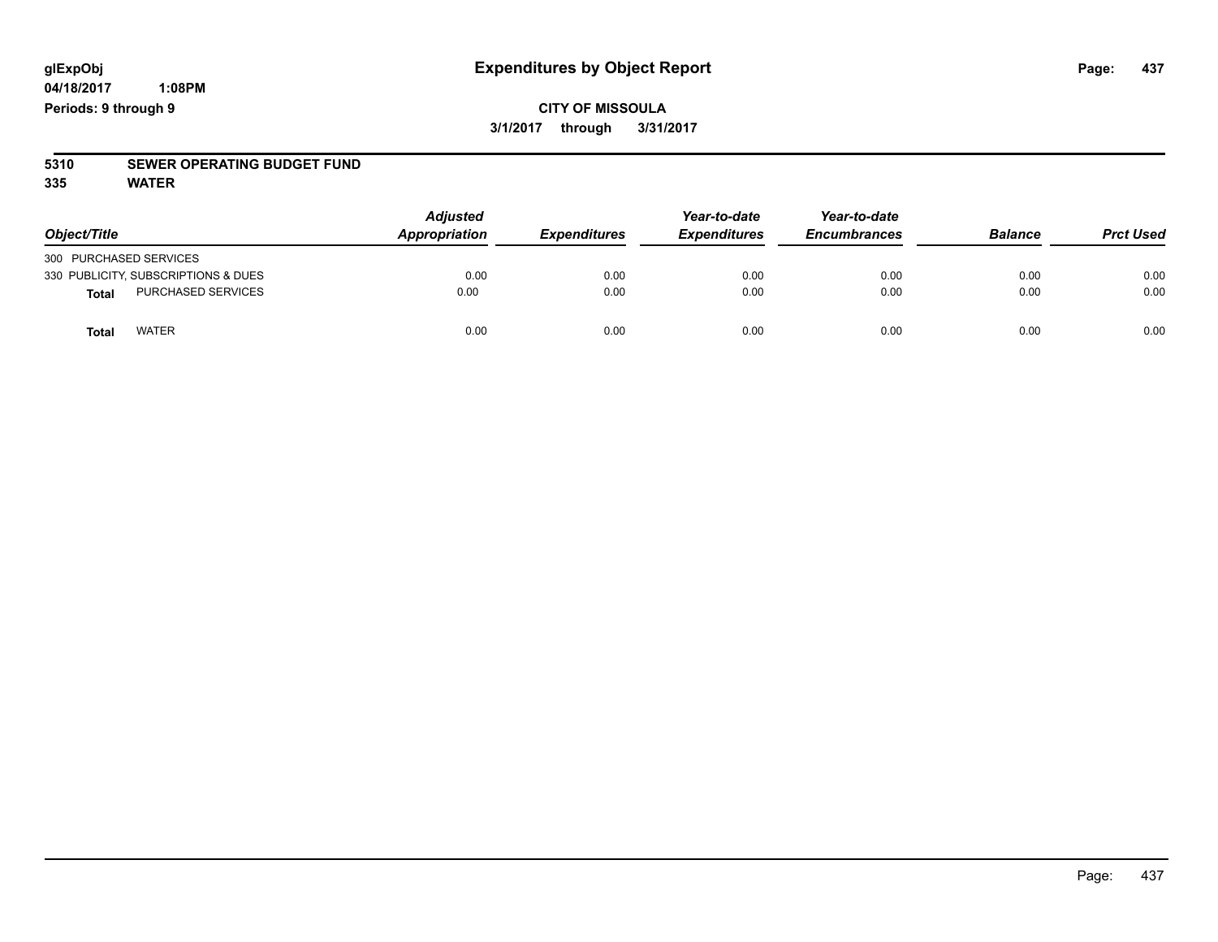### **CITY OF MISSOULA 3/1/2017 through 3/31/2017**

# **5310 SEWER OPERATING BUDGET FUND**

**335 WATER**

| Object/Title                        | <b>Adjusted</b><br>Appropriation | <b>Expenditures</b> | Year-to-date<br><b>Expenditures</b> | Year-to-date<br><b>Encumbrances</b> | <b>Balance</b> | <b>Prct Used</b> |
|-------------------------------------|----------------------------------|---------------------|-------------------------------------|-------------------------------------|----------------|------------------|
| 300 PURCHASED SERVICES              |                                  |                     |                                     |                                     |                |                  |
| 330 PUBLICITY, SUBSCRIPTIONS & DUES | 0.00                             | 0.00                | 0.00                                | 0.00                                | 0.00           | 0.00             |
| PURCHASED SERVICES<br><b>Total</b>  | 0.00                             | 0.00                | 0.00                                | 0.00                                | 0.00           | 0.00             |
| <b>WATER</b><br>Total               | 0.00                             | 0.00                | 0.00                                | 0.00                                | 0.00           | 0.00             |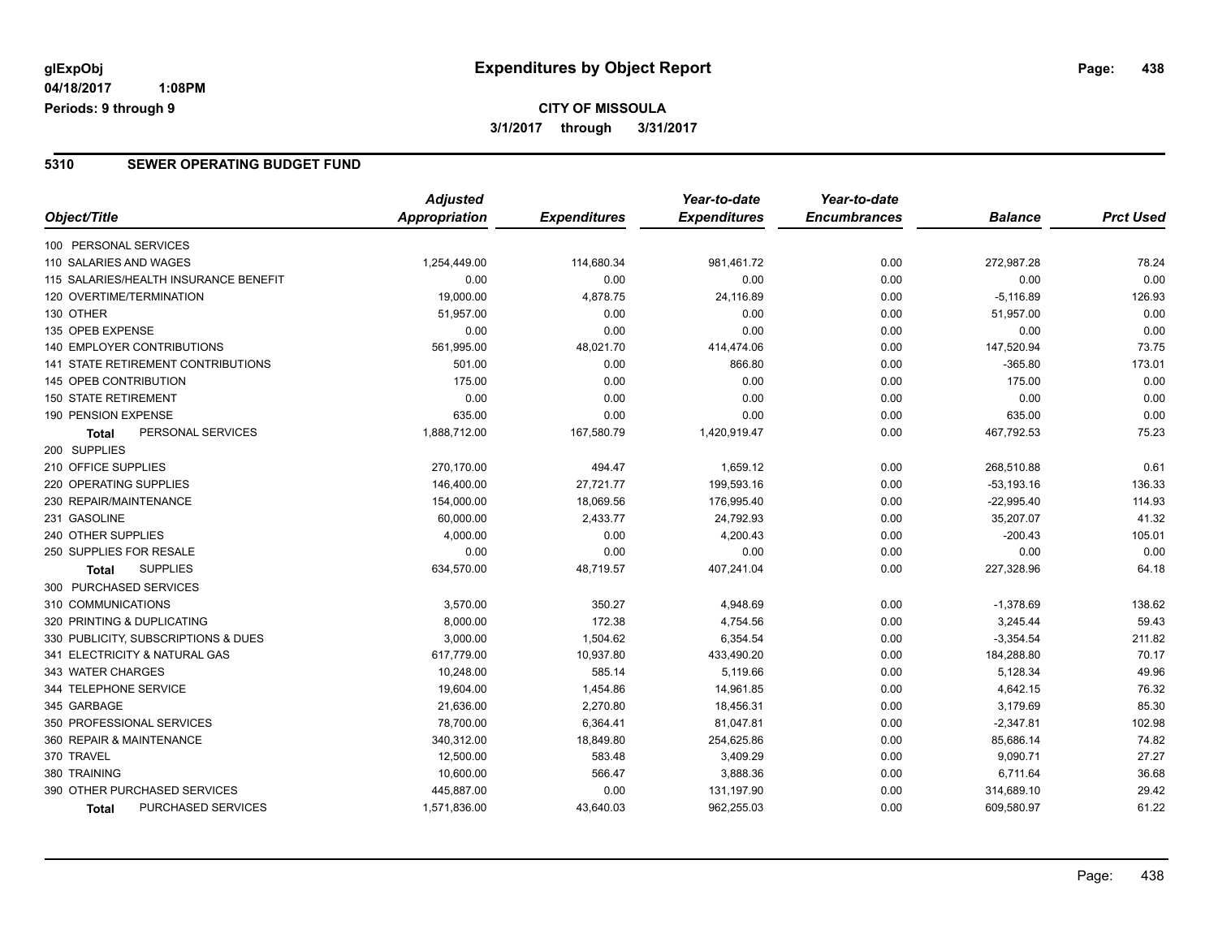### **CITY OF MISSOULA 3/1/2017 through 3/31/2017**

#### **5310 SEWER OPERATING BUDGET FUND**

|                                       | <b>Adjusted</b>      |                     | Year-to-date        | Year-to-date        |                |                  |
|---------------------------------------|----------------------|---------------------|---------------------|---------------------|----------------|------------------|
| Object/Title                          | <b>Appropriation</b> | <b>Expenditures</b> | <b>Expenditures</b> | <b>Encumbrances</b> | <b>Balance</b> | <b>Prct Used</b> |
| 100 PERSONAL SERVICES                 |                      |                     |                     |                     |                |                  |
| 110 SALARIES AND WAGES                | 1,254,449.00         | 114,680.34          | 981,461.72          | 0.00                | 272,987.28     | 78.24            |
| 115 SALARIES/HEALTH INSURANCE BENEFIT | 0.00                 | 0.00                | 0.00                | 0.00                | 0.00           | 0.00             |
| 120 OVERTIME/TERMINATION              | 19,000.00            | 4,878.75            | 24,116.89           | 0.00                | $-5,116.89$    | 126.93           |
| 130 OTHER                             | 51,957.00            | 0.00                | 0.00                | 0.00                | 51,957.00      | 0.00             |
| 135 OPEB EXPENSE                      | 0.00                 | 0.00                | 0.00                | 0.00                | 0.00           | 0.00             |
| 140 EMPLOYER CONTRIBUTIONS            | 561,995.00           | 48,021.70           | 414,474.06          | 0.00                | 147,520.94     | 73.75            |
| 141 STATE RETIREMENT CONTRIBUTIONS    | 501.00               | 0.00                | 866.80              | 0.00                | $-365.80$      | 173.01           |
| 145 OPEB CONTRIBUTION                 | 175.00               | 0.00                | 0.00                | 0.00                | 175.00         | 0.00             |
| <b>150 STATE RETIREMENT</b>           | 0.00                 | 0.00                | 0.00                | 0.00                | 0.00           | 0.00             |
| 190 PENSION EXPENSE                   | 635.00               | 0.00                | 0.00                | 0.00                | 635.00         | 0.00             |
| PERSONAL SERVICES<br>Total            | 1,888,712.00         | 167,580.79          | 1,420,919.47        | 0.00                | 467,792.53     | 75.23            |
| 200 SUPPLIES                          |                      |                     |                     |                     |                |                  |
| 210 OFFICE SUPPLIES                   | 270,170.00           | 494.47              | 1,659.12            | 0.00                | 268,510.88     | 0.61             |
| 220 OPERATING SUPPLIES                | 146,400.00           | 27,721.77           | 199,593.16          | 0.00                | $-53, 193.16$  | 136.33           |
| 230 REPAIR/MAINTENANCE                | 154,000.00           | 18,069.56           | 176,995.40          | 0.00                | $-22,995.40$   | 114.93           |
| 231 GASOLINE                          | 60,000.00            | 2,433.77            | 24,792.93           | 0.00                | 35,207.07      | 41.32            |
| 240 OTHER SUPPLIES                    | 4,000.00             | 0.00                | 4,200.43            | 0.00                | $-200.43$      | 105.01           |
| 250 SUPPLIES FOR RESALE               | 0.00                 | 0.00                | 0.00                | 0.00                | 0.00           | 0.00             |
| <b>SUPPLIES</b><br><b>Total</b>       | 634,570.00           | 48,719.57           | 407,241.04          | 0.00                | 227,328.96     | 64.18            |
| 300 PURCHASED SERVICES                |                      |                     |                     |                     |                |                  |
| 310 COMMUNICATIONS                    | 3,570.00             | 350.27              | 4,948.69            | 0.00                | $-1,378.69$    | 138.62           |
| 320 PRINTING & DUPLICATING            | 8,000.00             | 172.38              | 4,754.56            | 0.00                | 3,245.44       | 59.43            |
| 330 PUBLICITY, SUBSCRIPTIONS & DUES   | 3,000.00             | 1,504.62            | 6,354.54            | 0.00                | $-3,354.54$    | 211.82           |
| 341 ELECTRICITY & NATURAL GAS         | 617,779.00           | 10,937.80           | 433,490.20          | 0.00                | 184,288.80     | 70.17            |
| 343 WATER CHARGES                     | 10,248.00            | 585.14              | 5,119.66            | 0.00                | 5,128.34       | 49.96            |
| 344 TELEPHONE SERVICE                 | 19,604.00            | 1,454.86            | 14,961.85           | 0.00                | 4,642.15       | 76.32            |
| 345 GARBAGE                           | 21,636.00            | 2,270.80            | 18,456.31           | 0.00                | 3,179.69       | 85.30            |
| 350 PROFESSIONAL SERVICES             | 78,700.00            | 6,364.41            | 81,047.81           | 0.00                | $-2,347.81$    | 102.98           |
| 360 REPAIR & MAINTENANCE              | 340,312.00           | 18,849.80           | 254,625.86          | 0.00                | 85,686.14      | 74.82            |
| 370 TRAVEL                            | 12,500.00            | 583.48              | 3,409.29            | 0.00                | 9,090.71       | 27.27            |
| 380 TRAINING                          | 10,600.00            | 566.47              | 3,888.36            | 0.00                | 6,711.64       | 36.68            |
| 390 OTHER PURCHASED SERVICES          | 445,887.00           | 0.00                | 131,197.90          | 0.00                | 314,689.10     | 29.42            |
| PURCHASED SERVICES<br><b>Total</b>    | 1,571,836.00         | 43,640.03           | 962,255.03          | 0.00                | 609,580.97     | 61.22            |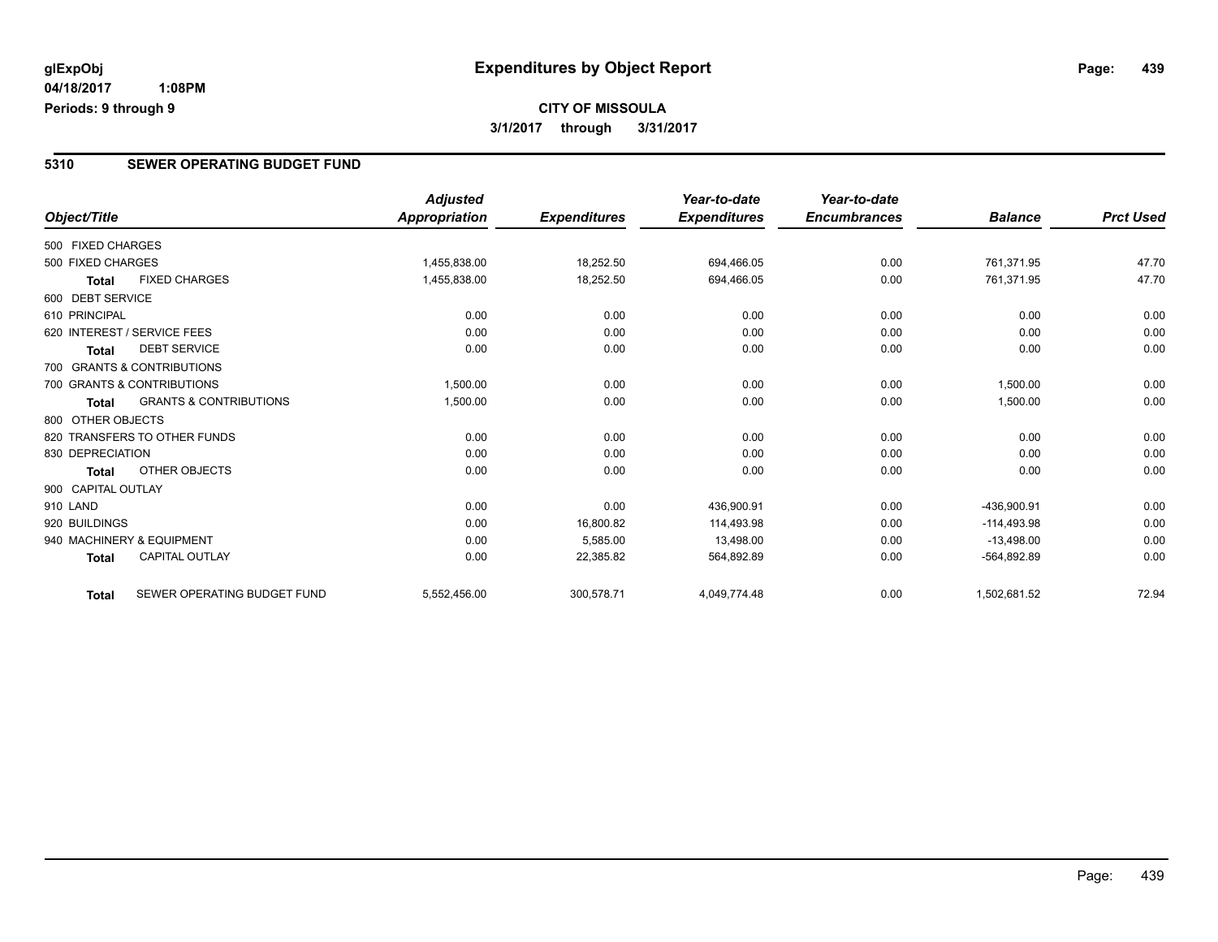### **CITY OF MISSOULA 3/1/2017 through 3/31/2017**

#### **5310 SEWER OPERATING BUDGET FUND**

|                    |                                   | <b>Adjusted</b>      |                     | Year-to-date        | Year-to-date        |                |                  |
|--------------------|-----------------------------------|----------------------|---------------------|---------------------|---------------------|----------------|------------------|
| Object/Title       |                                   | <b>Appropriation</b> | <b>Expenditures</b> | <b>Expenditures</b> | <b>Encumbrances</b> | <b>Balance</b> | <b>Prct Used</b> |
| 500 FIXED CHARGES  |                                   |                      |                     |                     |                     |                |                  |
| 500 FIXED CHARGES  |                                   | 1,455,838.00         | 18,252.50           | 694,466.05          | 0.00                | 761.371.95     | 47.70            |
| <b>Total</b>       | <b>FIXED CHARGES</b>              | 1,455,838.00         | 18,252.50           | 694,466.05          | 0.00                | 761,371.95     | 47.70            |
| 600 DEBT SERVICE   |                                   |                      |                     |                     |                     |                |                  |
| 610 PRINCIPAL      |                                   | 0.00                 | 0.00                | 0.00                | 0.00                | 0.00           | 0.00             |
|                    | 620 INTEREST / SERVICE FEES       | 0.00                 | 0.00                | 0.00                | 0.00                | 0.00           | 0.00             |
| <b>Total</b>       | <b>DEBT SERVICE</b>               | 0.00                 | 0.00                | 0.00                | 0.00                | 0.00           | 0.00             |
|                    | 700 GRANTS & CONTRIBUTIONS        |                      |                     |                     |                     |                |                  |
|                    | 700 GRANTS & CONTRIBUTIONS        | 1,500.00             | 0.00                | 0.00                | 0.00                | 1,500.00       | 0.00             |
| Total              | <b>GRANTS &amp; CONTRIBUTIONS</b> | 1,500.00             | 0.00                | 0.00                | 0.00                | 1,500.00       | 0.00             |
| 800 OTHER OBJECTS  |                                   |                      |                     |                     |                     |                |                  |
|                    | 820 TRANSFERS TO OTHER FUNDS      | 0.00                 | 0.00                | 0.00                | 0.00                | 0.00           | 0.00             |
| 830 DEPRECIATION   |                                   | 0.00                 | 0.00                | 0.00                | 0.00                | 0.00           | 0.00             |
| <b>Total</b>       | OTHER OBJECTS                     | 0.00                 | 0.00                | 0.00                | 0.00                | 0.00           | 0.00             |
| 900 CAPITAL OUTLAY |                                   |                      |                     |                     |                     |                |                  |
| 910 LAND           |                                   | 0.00                 | 0.00                | 436,900.91          | 0.00                | -436,900.91    | 0.00             |
| 920 BUILDINGS      |                                   | 0.00                 | 16,800.82           | 114.493.98          | 0.00                | $-114.493.98$  | 0.00             |
|                    | 940 MACHINERY & EQUIPMENT         | 0.00                 | 5,585.00            | 13,498.00           | 0.00                | $-13,498.00$   | 0.00             |
| <b>Total</b>       | <b>CAPITAL OUTLAY</b>             | 0.00                 | 22,385.82           | 564,892.89          | 0.00                | -564,892.89    | 0.00             |
| <b>Total</b>       | SEWER OPERATING BUDGET FUND       | 5,552,456.00         | 300,578.71          | 4,049,774.48        | 0.00                | 1,502,681.52   | 72.94            |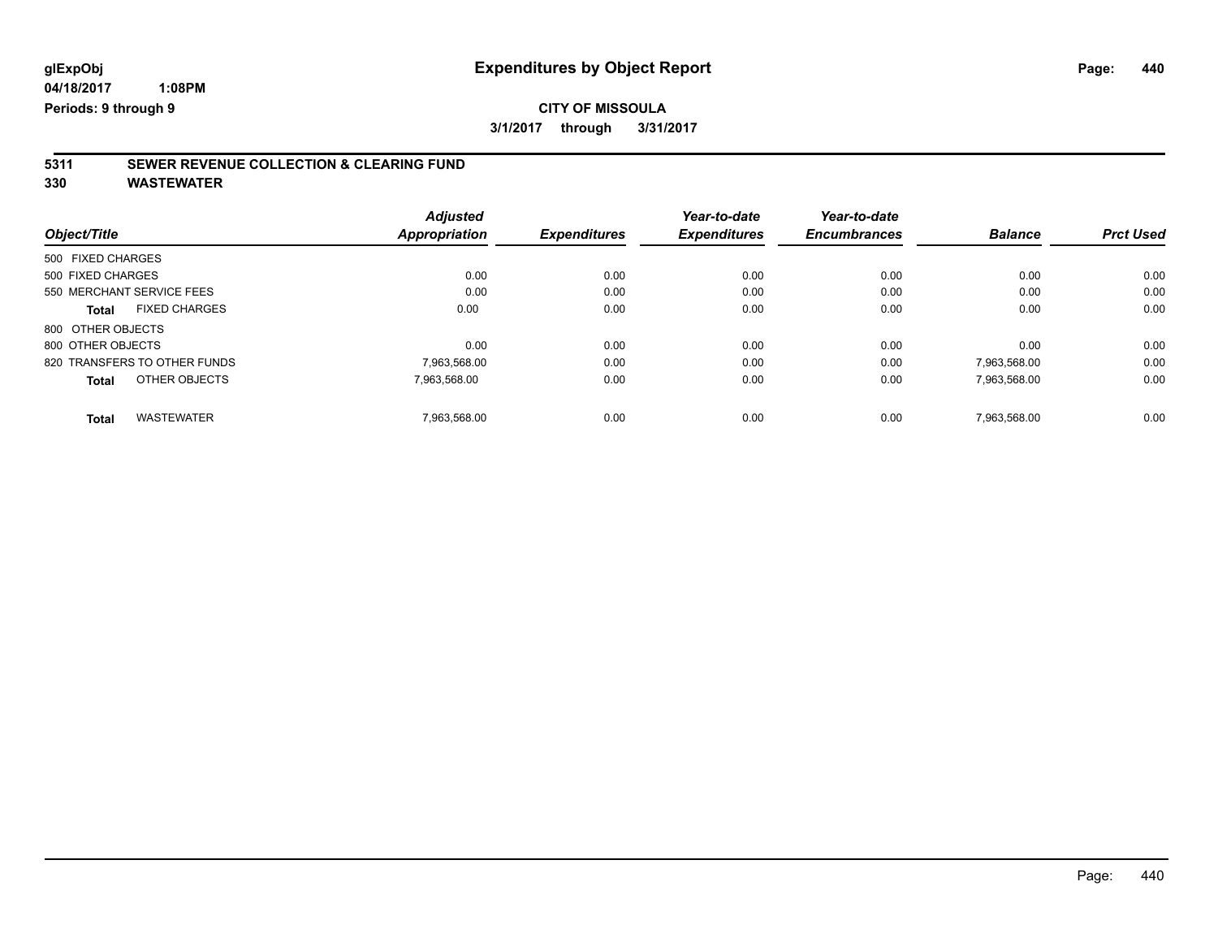# **5311 SEWER REVENUE COLLECTION & CLEARING FUND**

| Object/Title                         | <b>Adjusted</b><br><b>Appropriation</b> | <b>Expenditures</b> | Year-to-date<br><b>Expenditures</b> | Year-to-date<br><b>Encumbrances</b> | <b>Balance</b> | <b>Prct Used</b> |
|--------------------------------------|-----------------------------------------|---------------------|-------------------------------------|-------------------------------------|----------------|------------------|
| 500 FIXED CHARGES                    |                                         |                     |                                     |                                     |                |                  |
| 500 FIXED CHARGES                    | 0.00                                    | 0.00                | 0.00                                | 0.00                                | 0.00           | 0.00             |
| 550 MERCHANT SERVICE FEES            | 0.00                                    | 0.00                | 0.00                                | 0.00                                | 0.00           | 0.00             |
| <b>FIXED CHARGES</b><br><b>Total</b> | 0.00                                    | 0.00                | 0.00                                | 0.00                                | 0.00           | 0.00             |
| 800 OTHER OBJECTS                    |                                         |                     |                                     |                                     |                |                  |
| 800 OTHER OBJECTS                    | 0.00                                    | 0.00                | 0.00                                | 0.00                                | 0.00           | 0.00             |
| 820 TRANSFERS TO OTHER FUNDS         | 7,963,568.00                            | 0.00                | 0.00                                | 0.00                                | 7,963,568.00   | 0.00             |
| OTHER OBJECTS<br><b>Total</b>        | 7.963.568.00                            | 0.00                | 0.00                                | 0.00                                | 7,963,568.00   | 0.00             |
| <b>WASTEWATER</b><br><b>Total</b>    | 7.963.568.00                            | 0.00                | 0.00                                | 0.00                                | 7.963.568.00   | 0.00             |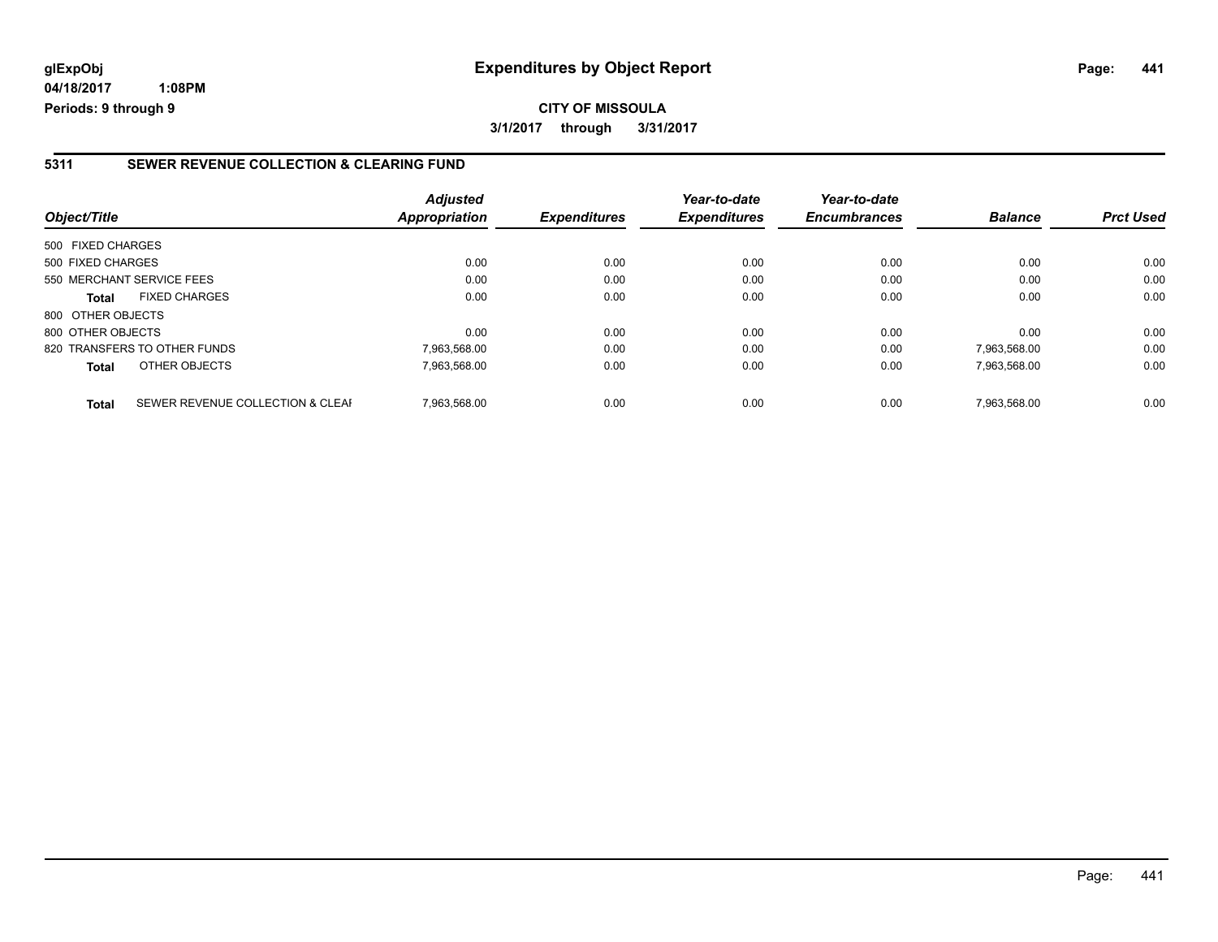**04/18/2017 1:08PM Periods: 9 through 9**

#### **5311 SEWER REVENUE COLLECTION & CLEARING FUND**

| Object/Title              |                                  | <b>Adjusted</b><br>Appropriation | <b>Expenditures</b> | Year-to-date<br><b>Expenditures</b> | Year-to-date<br><b>Encumbrances</b> | <b>Balance</b> | <b>Prct Used</b> |
|---------------------------|----------------------------------|----------------------------------|---------------------|-------------------------------------|-------------------------------------|----------------|------------------|
| 500 FIXED CHARGES         |                                  |                                  |                     |                                     |                                     |                |                  |
| 500 FIXED CHARGES         |                                  | 0.00                             | 0.00                | 0.00                                | 0.00                                | 0.00           | 0.00             |
| 550 MERCHANT SERVICE FEES |                                  | 0.00                             | 0.00                | 0.00                                | 0.00                                | 0.00           | 0.00             |
| <b>Total</b>              | <b>FIXED CHARGES</b>             | 0.00                             | 0.00                | 0.00                                | 0.00                                | 0.00           | 0.00             |
| 800 OTHER OBJECTS         |                                  |                                  |                     |                                     |                                     |                |                  |
| 800 OTHER OBJECTS         |                                  | 0.00                             | 0.00                | 0.00                                | 0.00                                | 0.00           | 0.00             |
|                           | 820 TRANSFERS TO OTHER FUNDS     | 7,963,568.00                     | 0.00                | 0.00                                | 0.00                                | 7,963,568.00   | 0.00             |
| <b>Total</b>              | OTHER OBJECTS                    | 7,963,568.00                     | 0.00                | 0.00                                | 0.00                                | 7,963,568.00   | 0.00             |
| <b>Total</b>              | SEWER REVENUE COLLECTION & CLEAF | 7.963.568.00                     | 0.00                | 0.00                                | 0.00                                | 7.963.568.00   | 0.00             |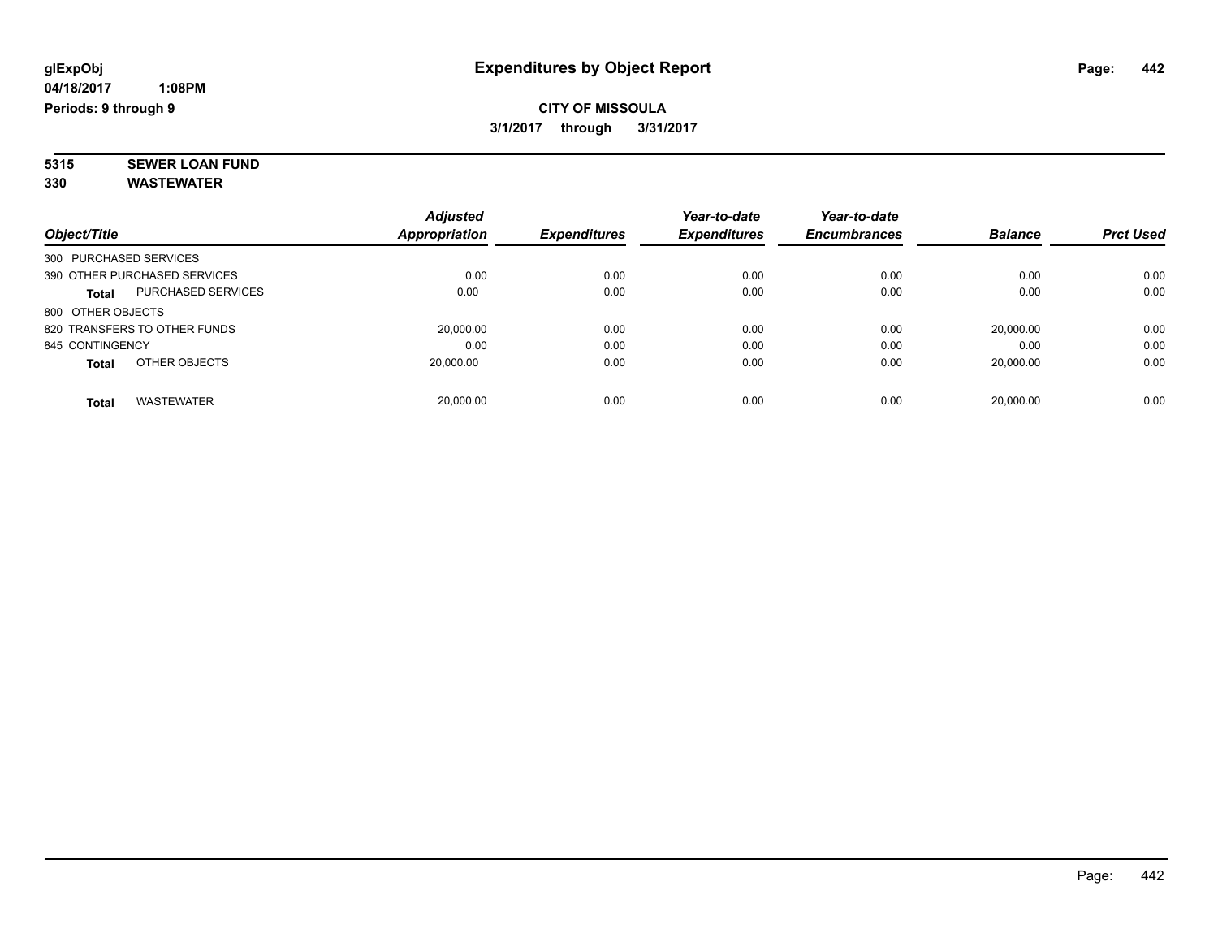**5315 SEWER LOAN FUND 330 WASTEWATER**

|                                           | <b>Adjusted</b> |                     | Year-to-date        | Year-to-date        |                |                  |
|-------------------------------------------|-----------------|---------------------|---------------------|---------------------|----------------|------------------|
| Object/Title                              | Appropriation   | <b>Expenditures</b> | <b>Expenditures</b> | <b>Encumbrances</b> | <b>Balance</b> | <b>Prct Used</b> |
| 300 PURCHASED SERVICES                    |                 |                     |                     |                     |                |                  |
| 390 OTHER PURCHASED SERVICES              | 0.00            | 0.00                | 0.00                | 0.00                | 0.00           | 0.00             |
| <b>PURCHASED SERVICES</b><br><b>Total</b> | 0.00            | 0.00                | 0.00                | 0.00                | 0.00           | 0.00             |
| 800 OTHER OBJECTS                         |                 |                     |                     |                     |                |                  |
| 820 TRANSFERS TO OTHER FUNDS              | 20,000.00       | 0.00                | 0.00                | 0.00                | 20.000.00      | 0.00             |
| 845 CONTINGENCY                           | 0.00            | 0.00                | 0.00                | 0.00                | 0.00           | 0.00             |
| OTHER OBJECTS<br><b>Total</b>             | 20,000.00       | 0.00                | 0.00                | 0.00                | 20.000.00      | 0.00             |
| <b>WASTEWATER</b><br>Total                | 20,000.00       | 0.00                | 0.00                | 0.00                | 20.000.00      | 0.00             |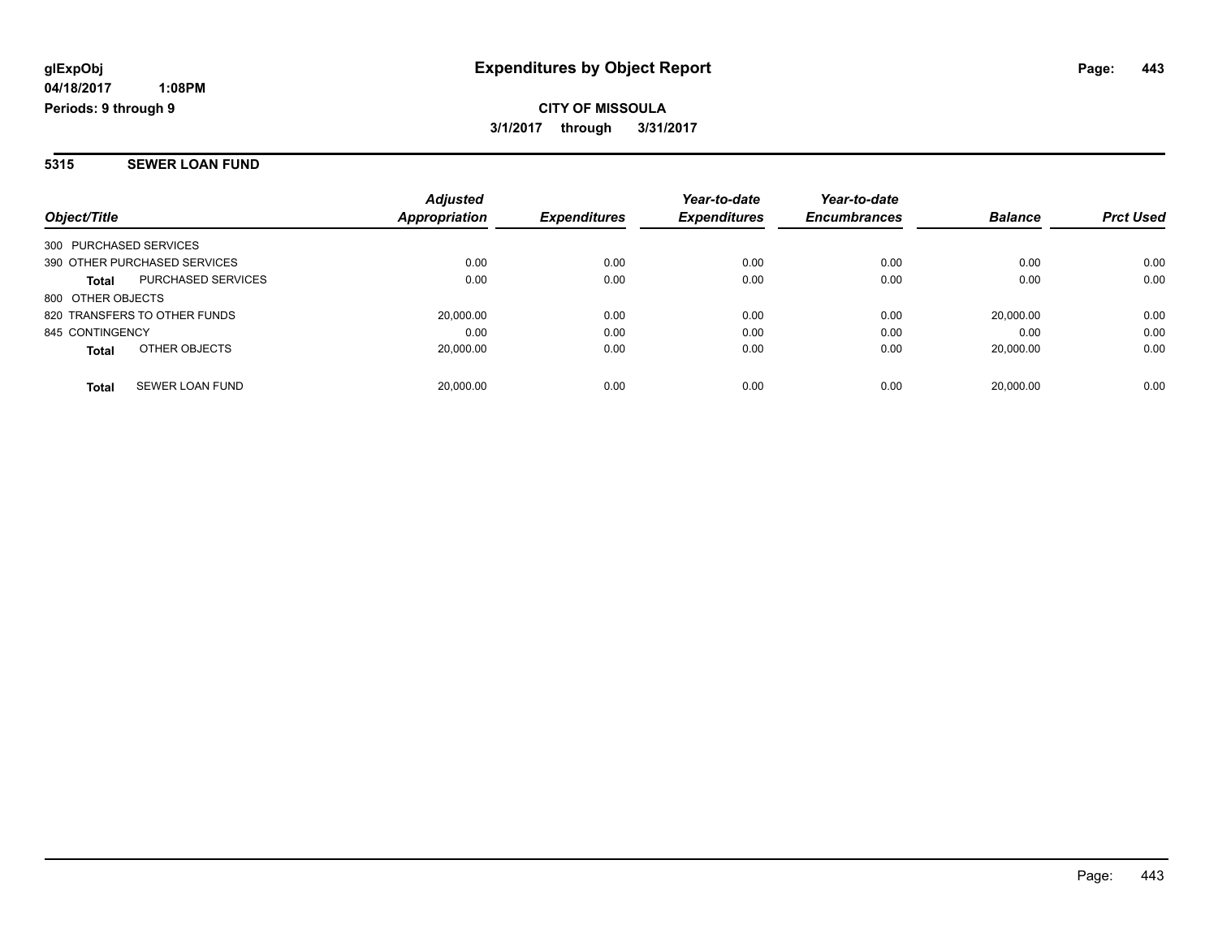#### **5315 SEWER LOAN FUND**

| Object/Title                           |                           | <b>Adjusted</b><br>Appropriation | <b>Expenditures</b> | Year-to-date<br><b>Expenditures</b> | Year-to-date<br><b>Encumbrances</b> | <b>Balance</b> | <b>Prct Used</b> |
|----------------------------------------|---------------------------|----------------------------------|---------------------|-------------------------------------|-------------------------------------|----------------|------------------|
| 300 PURCHASED SERVICES                 |                           |                                  |                     |                                     |                                     |                |                  |
| 390 OTHER PURCHASED SERVICES           |                           | 0.00                             | 0.00                | 0.00                                | 0.00                                | 0.00           | 0.00             |
| <b>Total</b>                           | <b>PURCHASED SERVICES</b> | 0.00                             | 0.00                | 0.00                                | 0.00                                | 0.00           | 0.00             |
| 800 OTHER OBJECTS                      |                           |                                  |                     |                                     |                                     |                |                  |
| 820 TRANSFERS TO OTHER FUNDS           |                           | 20,000.00                        | 0.00                | 0.00                                | 0.00                                | 20.000.00      | 0.00             |
| 845 CONTINGENCY                        |                           | 0.00                             | 0.00                | 0.00                                | 0.00                                | 0.00           | 0.00             |
| OTHER OBJECTS<br><b>Total</b>          |                           | 20,000.00                        | 0.00                | 0.00                                | 0.00                                | 20,000.00      | 0.00             |
| <b>SEWER LOAN FUND</b><br><b>Total</b> |                           | 20.000.00                        | 0.00                | 0.00                                | 0.00                                | 20.000.00      | 0.00             |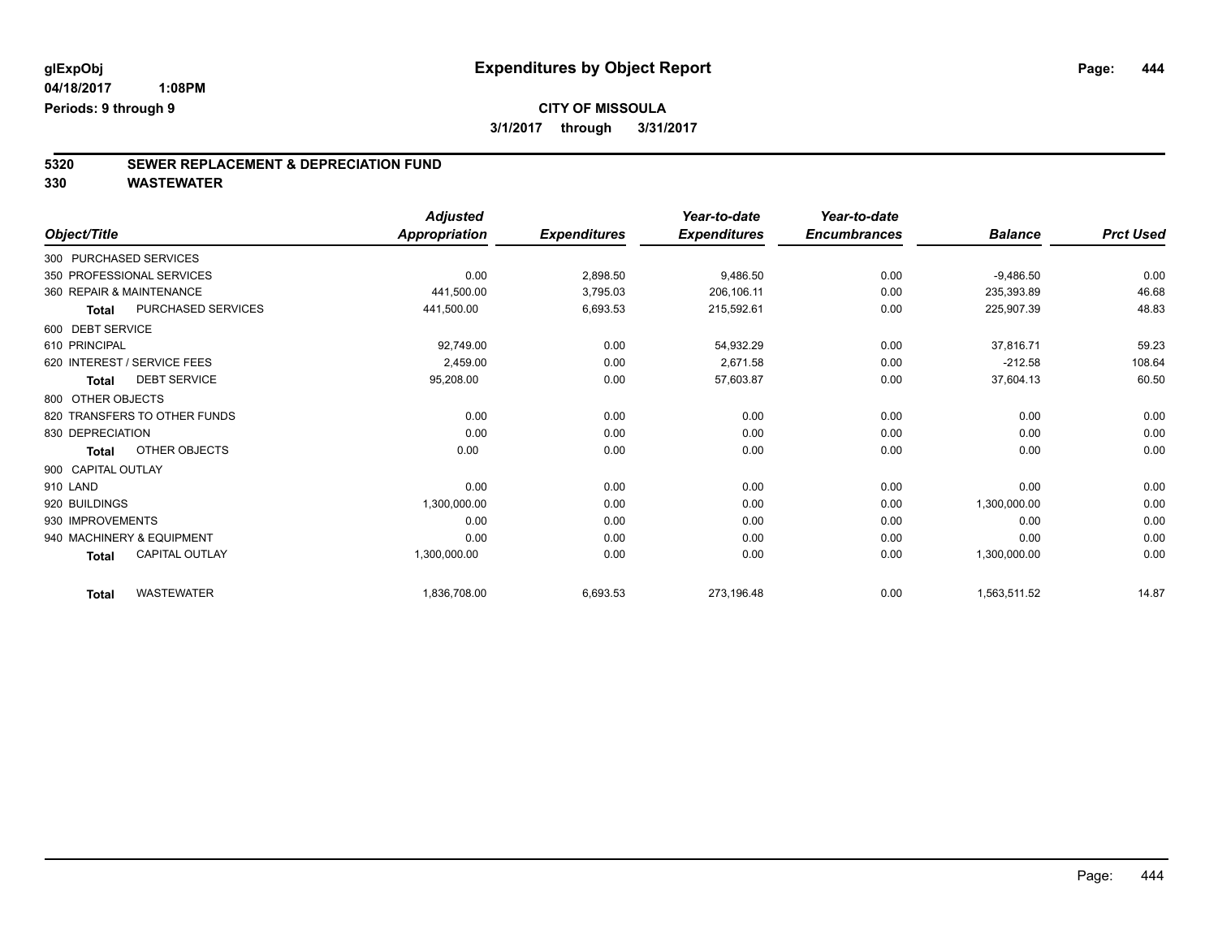# **CITY OF MISSOULA**

**3/1/2017 through 3/31/2017**

# **5320 SEWER REPLACEMENT & DEPRECIATION FUND**

|                          |                              | <b>Adjusted</b>      |                     | Year-to-date        | Year-to-date        |                |                  |
|--------------------------|------------------------------|----------------------|---------------------|---------------------|---------------------|----------------|------------------|
| Object/Title             |                              | <b>Appropriation</b> | <b>Expenditures</b> | <b>Expenditures</b> | <b>Encumbrances</b> | <b>Balance</b> | <b>Prct Used</b> |
| 300 PURCHASED SERVICES   |                              |                      |                     |                     |                     |                |                  |
|                          | 350 PROFESSIONAL SERVICES    | 0.00                 | 2,898.50            | 9,486.50            | 0.00                | $-9,486.50$    | 0.00             |
| 360 REPAIR & MAINTENANCE |                              | 441,500.00           | 3,795.03            | 206,106.11          | 0.00                | 235,393.89     | 46.68            |
| <b>Total</b>             | PURCHASED SERVICES           | 441,500.00           | 6,693.53            | 215,592.61          | 0.00                | 225,907.39     | 48.83            |
| 600 DEBT SERVICE         |                              |                      |                     |                     |                     |                |                  |
| 610 PRINCIPAL            |                              | 92,749.00            | 0.00                | 54,932.29           | 0.00                | 37,816.71      | 59.23            |
|                          | 620 INTEREST / SERVICE FEES  | 2,459.00             | 0.00                | 2,671.58            | 0.00                | $-212.58$      | 108.64           |
| <b>Total</b>             | <b>DEBT SERVICE</b>          | 95,208.00            | 0.00                | 57,603.87           | 0.00                | 37,604.13      | 60.50            |
| 800 OTHER OBJECTS        |                              |                      |                     |                     |                     |                |                  |
|                          | 820 TRANSFERS TO OTHER FUNDS | 0.00                 | 0.00                | 0.00                | 0.00                | 0.00           | 0.00             |
| 830 DEPRECIATION         |                              | 0.00                 | 0.00                | 0.00                | 0.00                | 0.00           | 0.00             |
| <b>Total</b>             | OTHER OBJECTS                | 0.00                 | 0.00                | 0.00                | 0.00                | 0.00           | 0.00             |
| 900 CAPITAL OUTLAY       |                              |                      |                     |                     |                     |                |                  |
| 910 LAND                 |                              | 0.00                 | 0.00                | 0.00                | 0.00                | 0.00           | 0.00             |
| 920 BUILDINGS            |                              | 1,300,000.00         | 0.00                | 0.00                | 0.00                | 1,300,000.00   | 0.00             |
| 930 IMPROVEMENTS         |                              | 0.00                 | 0.00                | 0.00                | 0.00                | 0.00           | 0.00             |
|                          | 940 MACHINERY & EQUIPMENT    | 0.00                 | 0.00                | 0.00                | 0.00                | 0.00           | 0.00             |
| <b>Total</b>             | <b>CAPITAL OUTLAY</b>        | 1,300,000.00         | 0.00                | 0.00                | 0.00                | 1,300,000.00   | 0.00             |
| <b>Total</b>             | <b>WASTEWATER</b>            | 1,836,708.00         | 6,693.53            | 273,196.48          | 0.00                | 1,563,511.52   | 14.87            |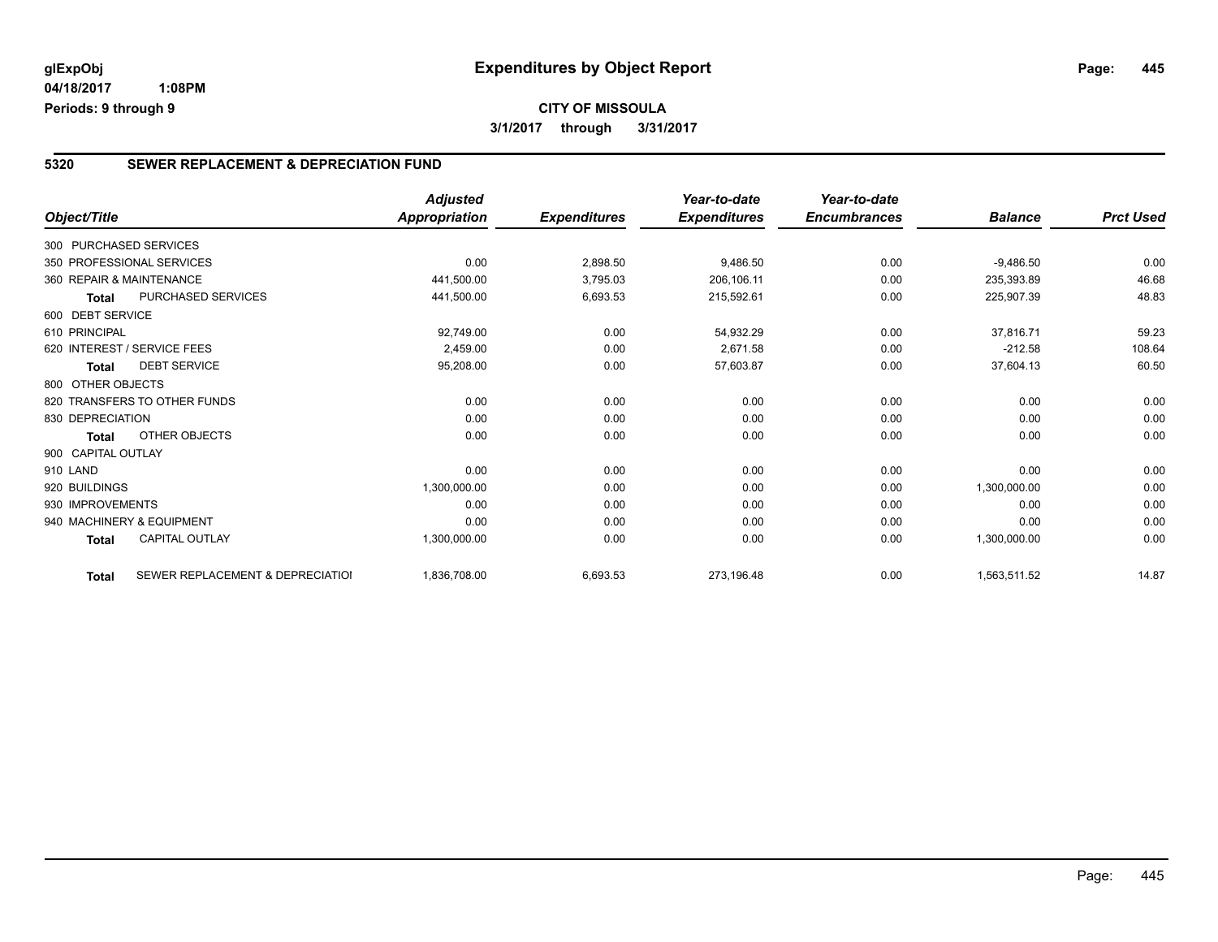#### **5320 SEWER REPLACEMENT & DEPRECIATION FUND**

|                        |                                  | <b>Adjusted</b>      |                     | Year-to-date        | Year-to-date        |                |                  |
|------------------------|----------------------------------|----------------------|---------------------|---------------------|---------------------|----------------|------------------|
| Object/Title           |                                  | <b>Appropriation</b> | <b>Expenditures</b> | <b>Expenditures</b> | <b>Encumbrances</b> | <b>Balance</b> | <b>Prct Used</b> |
| 300 PURCHASED SERVICES |                                  |                      |                     |                     |                     |                |                  |
|                        | 350 PROFESSIONAL SERVICES        | 0.00                 | 2,898.50            | 9,486.50            | 0.00                | $-9,486.50$    | 0.00             |
|                        | 360 REPAIR & MAINTENANCE         | 441,500.00           | 3,795.03            | 206,106.11          | 0.00                | 235,393.89     | 46.68            |
| <b>Total</b>           | PURCHASED SERVICES               | 441,500.00           | 6,693.53            | 215,592.61          | 0.00                | 225,907.39     | 48.83            |
| 600 DEBT SERVICE       |                                  |                      |                     |                     |                     |                |                  |
| 610 PRINCIPAL          |                                  | 92,749.00            | 0.00                | 54,932.29           | 0.00                | 37,816.71      | 59.23            |
|                        | 620 INTEREST / SERVICE FEES      | 2,459.00             | 0.00                | 2,671.58            | 0.00                | $-212.58$      | 108.64           |
| Total                  | <b>DEBT SERVICE</b>              | 95,208.00            | 0.00                | 57,603.87           | 0.00                | 37,604.13      | 60.50            |
| 800 OTHER OBJECTS      |                                  |                      |                     |                     |                     |                |                  |
|                        | 820 TRANSFERS TO OTHER FUNDS     | 0.00                 | 0.00                | 0.00                | 0.00                | 0.00           | 0.00             |
| 830 DEPRECIATION       |                                  | 0.00                 | 0.00                | 0.00                | 0.00                | 0.00           | 0.00             |
| <b>Total</b>           | <b>OTHER OBJECTS</b>             | 0.00                 | 0.00                | 0.00                | 0.00                | 0.00           | 0.00             |
| 900 CAPITAL OUTLAY     |                                  |                      |                     |                     |                     |                |                  |
| 910 LAND               |                                  | 0.00                 | 0.00                | 0.00                | 0.00                | 0.00           | 0.00             |
| 920 BUILDINGS          |                                  | 1,300,000.00         | 0.00                | 0.00                | 0.00                | 1,300,000.00   | 0.00             |
| 930 IMPROVEMENTS       |                                  | 0.00                 | 0.00                | 0.00                | 0.00                | 0.00           | 0.00             |
|                        | 940 MACHINERY & EQUIPMENT        | 0.00                 | 0.00                | 0.00                | 0.00                | 0.00           | 0.00             |
| <b>Total</b>           | <b>CAPITAL OUTLAY</b>            | 1,300,000.00         | 0.00                | 0.00                | 0.00                | 1,300,000.00   | 0.00             |
| <b>Total</b>           | SEWER REPLACEMENT & DEPRECIATION | 1,836,708.00         | 6,693.53            | 273,196.48          | 0.00                | 1,563,511.52   | 14.87            |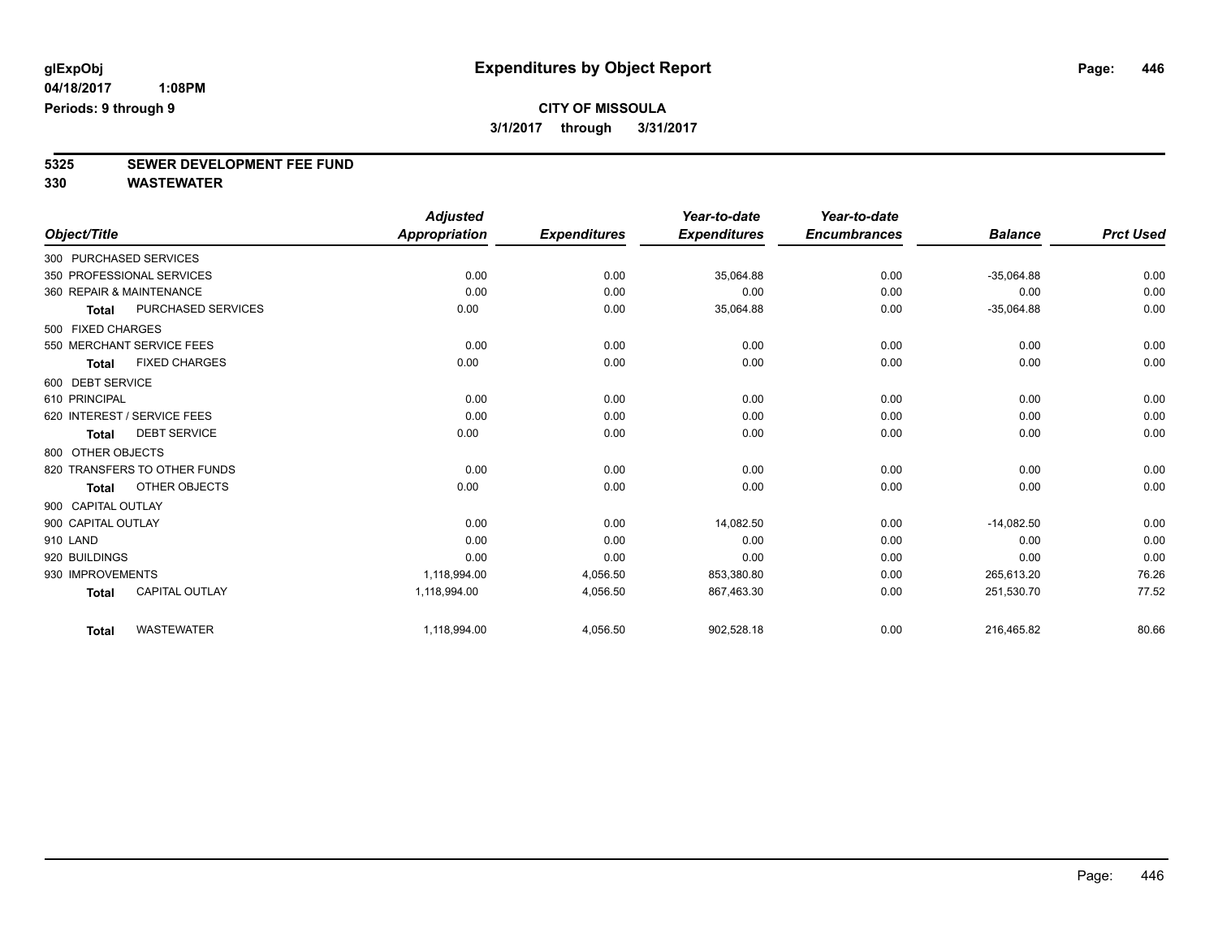# **5325 SEWER DEVELOPMENT FEE FUND**

|                    |                              | <b>Adjusted</b> |                     | Year-to-date        | Year-to-date        |                |                  |
|--------------------|------------------------------|-----------------|---------------------|---------------------|---------------------|----------------|------------------|
| Object/Title       |                              | Appropriation   | <b>Expenditures</b> | <b>Expenditures</b> | <b>Encumbrances</b> | <b>Balance</b> | <b>Prct Used</b> |
|                    | 300 PURCHASED SERVICES       |                 |                     |                     |                     |                |                  |
|                    | 350 PROFESSIONAL SERVICES    | 0.00            | 0.00                | 35,064.88           | 0.00                | $-35,064.88$   | 0.00             |
|                    | 360 REPAIR & MAINTENANCE     | 0.00            | 0.00                | 0.00                | 0.00                | 0.00           | 0.00             |
| Total              | PURCHASED SERVICES           | 0.00            | 0.00                | 35,064.88           | 0.00                | $-35,064.88$   | 0.00             |
| 500 FIXED CHARGES  |                              |                 |                     |                     |                     |                |                  |
|                    | 550 MERCHANT SERVICE FEES    | 0.00            | 0.00                | 0.00                | 0.00                | 0.00           | 0.00             |
| Total              | <b>FIXED CHARGES</b>         | 0.00            | 0.00                | 0.00                | 0.00                | 0.00           | 0.00             |
| 600 DEBT SERVICE   |                              |                 |                     |                     |                     |                |                  |
| 610 PRINCIPAL      |                              | 0.00            | 0.00                | 0.00                | 0.00                | 0.00           | 0.00             |
|                    | 620 INTEREST / SERVICE FEES  | 0.00            | 0.00                | 0.00                | 0.00                | 0.00           | 0.00             |
| <b>Total</b>       | <b>DEBT SERVICE</b>          | 0.00            | 0.00                | 0.00                | 0.00                | 0.00           | 0.00             |
| 800 OTHER OBJECTS  |                              |                 |                     |                     |                     |                |                  |
|                    | 820 TRANSFERS TO OTHER FUNDS | 0.00            | 0.00                | 0.00                | 0.00                | 0.00           | 0.00             |
| <b>Total</b>       | <b>OTHER OBJECTS</b>         | 0.00            | 0.00                | 0.00                | 0.00                | 0.00           | 0.00             |
| 900 CAPITAL OUTLAY |                              |                 |                     |                     |                     |                |                  |
| 900 CAPITAL OUTLAY |                              | 0.00            | 0.00                | 14.082.50           | 0.00                | $-14.082.50$   | 0.00             |
| 910 LAND           |                              | 0.00            | 0.00                | 0.00                | 0.00                | 0.00           | 0.00             |
| 920 BUILDINGS      |                              | 0.00            | 0.00                | 0.00                | 0.00                | 0.00           | 0.00             |
| 930 IMPROVEMENTS   |                              | 1,118,994.00    | 4,056.50            | 853,380.80          | 0.00                | 265.613.20     | 76.26            |
| <b>Total</b>       | <b>CAPITAL OUTLAY</b>        | 1,118,994.00    | 4,056.50            | 867,463.30          | 0.00                | 251,530.70     | 77.52            |
| <b>Total</b>       | <b>WASTEWATER</b>            | 1,118,994.00    | 4,056.50            | 902,528.18          | 0.00                | 216,465.82     | 80.66            |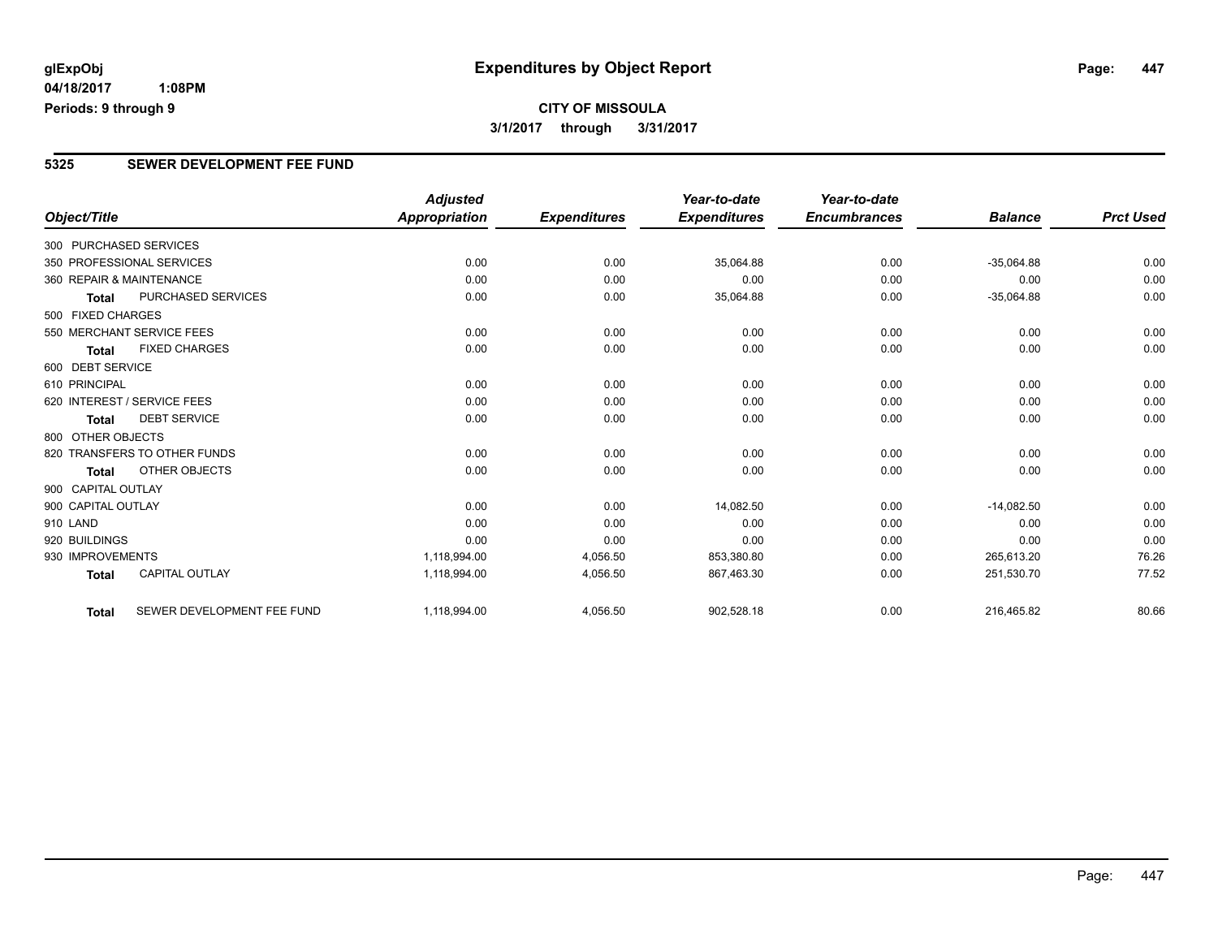### **CITY OF MISSOULA 3/1/2017 through 3/31/2017**

#### **5325 SEWER DEVELOPMENT FEE FUND**

|                        |                              | <b>Adjusted</b>      |                     | Year-to-date        | Year-to-date        |                |                  |
|------------------------|------------------------------|----------------------|---------------------|---------------------|---------------------|----------------|------------------|
| Object/Title           |                              | <b>Appropriation</b> | <b>Expenditures</b> | <b>Expenditures</b> | <b>Encumbrances</b> | <b>Balance</b> | <b>Prct Used</b> |
| 300 PURCHASED SERVICES |                              |                      |                     |                     |                     |                |                  |
|                        | 350 PROFESSIONAL SERVICES    | 0.00                 | 0.00                | 35,064.88           | 0.00                | $-35,064.88$   | 0.00             |
|                        | 360 REPAIR & MAINTENANCE     | 0.00                 | 0.00                | 0.00                | 0.00                | 0.00           | 0.00             |
| <b>Total</b>           | <b>PURCHASED SERVICES</b>    | 0.00                 | 0.00                | 35,064.88           | 0.00                | $-35,064.88$   | 0.00             |
| 500 FIXED CHARGES      |                              |                      |                     |                     |                     |                |                  |
|                        | 550 MERCHANT SERVICE FEES    | 0.00                 | 0.00                | 0.00                | 0.00                | 0.00           | 0.00             |
| <b>Total</b>           | <b>FIXED CHARGES</b>         | 0.00                 | 0.00                | 0.00                | 0.00                | 0.00           | 0.00             |
| 600 DEBT SERVICE       |                              |                      |                     |                     |                     |                |                  |
| 610 PRINCIPAL          |                              | 0.00                 | 0.00                | 0.00                | 0.00                | 0.00           | 0.00             |
|                        | 620 INTEREST / SERVICE FEES  | 0.00                 | 0.00                | 0.00                | 0.00                | 0.00           | 0.00             |
| <b>Total</b>           | <b>DEBT SERVICE</b>          | 0.00                 | 0.00                | 0.00                | 0.00                | 0.00           | 0.00             |
| 800 OTHER OBJECTS      |                              |                      |                     |                     |                     |                |                  |
|                        | 820 TRANSFERS TO OTHER FUNDS | 0.00                 | 0.00                | 0.00                | 0.00                | 0.00           | 0.00             |
| Total                  | <b>OTHER OBJECTS</b>         | 0.00                 | 0.00                | 0.00                | 0.00                | 0.00           | 0.00             |
| 900 CAPITAL OUTLAY     |                              |                      |                     |                     |                     |                |                  |
| 900 CAPITAL OUTLAY     |                              | 0.00                 | 0.00                | 14,082.50           | 0.00                | $-14,082.50$   | 0.00             |
| 910 LAND               |                              | 0.00                 | 0.00                | 0.00                | 0.00                | 0.00           | 0.00             |
| 920 BUILDINGS          |                              | 0.00                 | 0.00                | 0.00                | 0.00                | 0.00           | 0.00             |
| 930 IMPROVEMENTS       |                              | 1,118,994.00         | 4,056.50            | 853,380.80          | 0.00                | 265,613.20     | 76.26            |
| <b>Total</b>           | <b>CAPITAL OUTLAY</b>        | 1,118,994.00         | 4,056.50            | 867,463.30          | 0.00                | 251,530.70     | 77.52            |
| <b>Total</b>           | SEWER DEVELOPMENT FEE FUND   | 1,118,994.00         | 4,056.50            | 902,528.18          | 0.00                | 216,465.82     | 80.66            |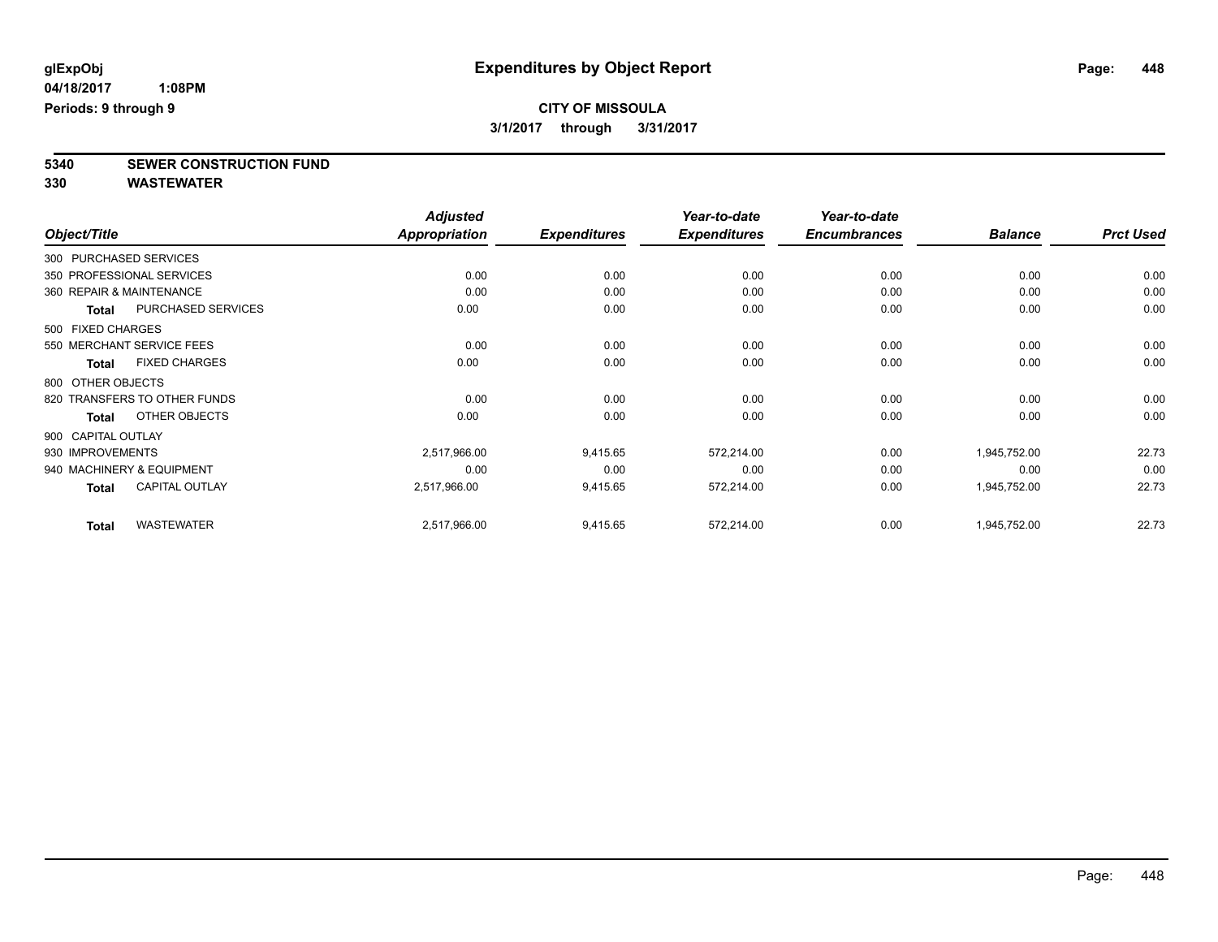**5340 SEWER CONSTRUCTION FUND**

|                    |                              | <b>Adjusted</b>      |                     | Year-to-date        | Year-to-date        |                |                  |
|--------------------|------------------------------|----------------------|---------------------|---------------------|---------------------|----------------|------------------|
| Object/Title       |                              | <b>Appropriation</b> | <b>Expenditures</b> | <b>Expenditures</b> | <b>Encumbrances</b> | <b>Balance</b> | <b>Prct Used</b> |
|                    | 300 PURCHASED SERVICES       |                      |                     |                     |                     |                |                  |
|                    | 350 PROFESSIONAL SERVICES    | 0.00                 | 0.00                | 0.00                | 0.00                | 0.00           | 0.00             |
|                    | 360 REPAIR & MAINTENANCE     | 0.00                 | 0.00                | 0.00                | 0.00                | 0.00           | 0.00             |
| <b>Total</b>       | <b>PURCHASED SERVICES</b>    | 0.00                 | 0.00                | 0.00                | 0.00                | 0.00           | 0.00             |
| 500 FIXED CHARGES  |                              |                      |                     |                     |                     |                |                  |
|                    | 550 MERCHANT SERVICE FEES    | 0.00                 | 0.00                | 0.00                | 0.00                | 0.00           | 0.00             |
| Total              | <b>FIXED CHARGES</b>         | 0.00                 | 0.00                | 0.00                | 0.00                | 0.00           | 0.00             |
| 800 OTHER OBJECTS  |                              |                      |                     |                     |                     |                |                  |
|                    | 820 TRANSFERS TO OTHER FUNDS | 0.00                 | 0.00                | 0.00                | 0.00                | 0.00           | 0.00             |
| <b>Total</b>       | OTHER OBJECTS                | 0.00                 | 0.00                | 0.00                | 0.00                | 0.00           | 0.00             |
| 900 CAPITAL OUTLAY |                              |                      |                     |                     |                     |                |                  |
| 930 IMPROVEMENTS   |                              | 2,517,966.00         | 9,415.65            | 572,214.00          | 0.00                | 1,945,752.00   | 22.73            |
|                    | 940 MACHINERY & EQUIPMENT    | 0.00                 | 0.00                | 0.00                | 0.00                | 0.00           | 0.00             |
| <b>Total</b>       | <b>CAPITAL OUTLAY</b>        | 2,517,966.00         | 9,415.65            | 572,214.00          | 0.00                | 1,945,752.00   | 22.73            |
| <b>Total</b>       | <b>WASTEWATER</b>            | 2,517,966.00         | 9,415.65            | 572,214.00          | 0.00                | 1,945,752.00   | 22.73            |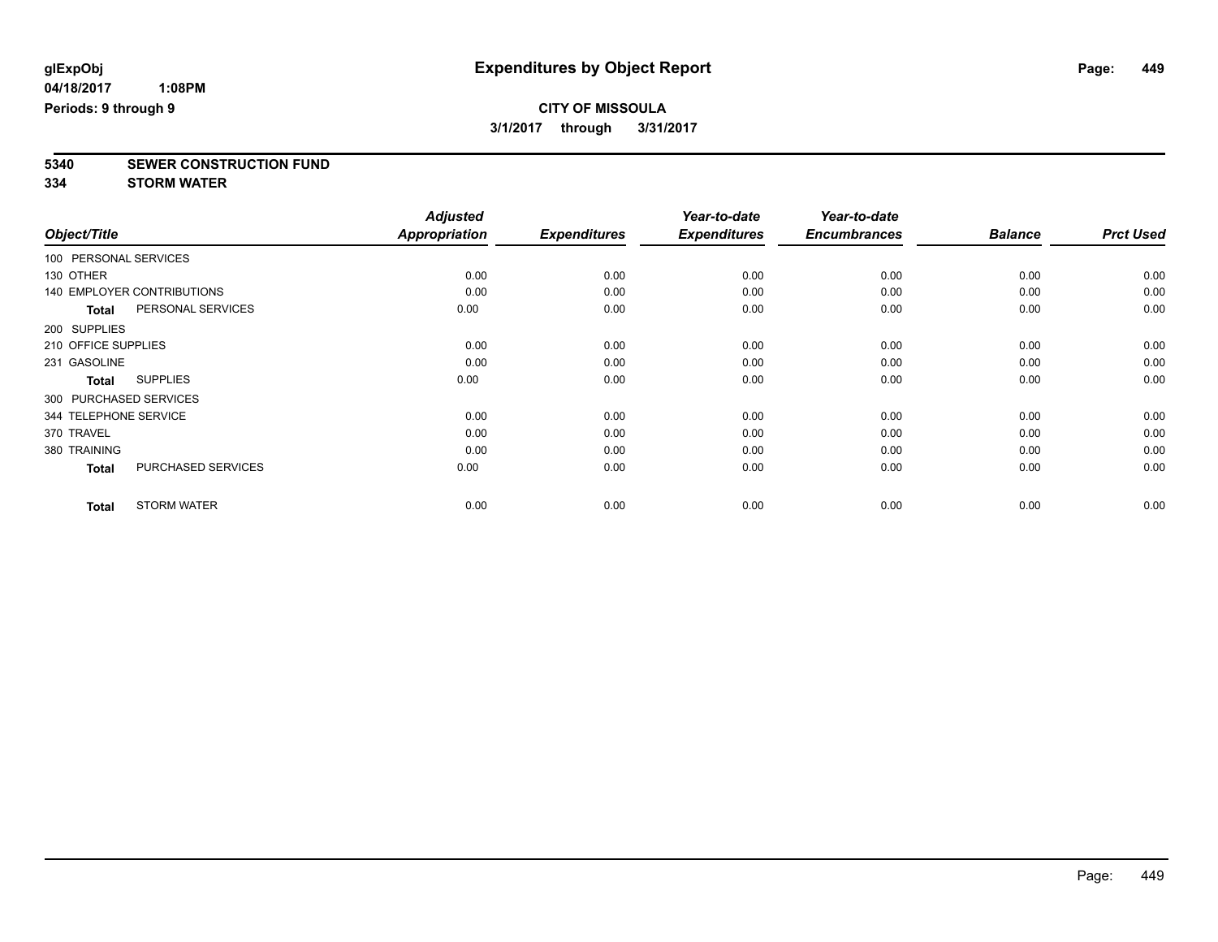# **5340 SEWER CONSTRUCTION FUND**

**334 STORM WATER**

|                        |                                   | <b>Adjusted</b>      |                     | Year-to-date        | Year-to-date        |                |                  |
|------------------------|-----------------------------------|----------------------|---------------------|---------------------|---------------------|----------------|------------------|
| Object/Title           |                                   | <b>Appropriation</b> | <b>Expenditures</b> | <b>Expenditures</b> | <b>Encumbrances</b> | <b>Balance</b> | <b>Prct Used</b> |
| 100 PERSONAL SERVICES  |                                   |                      |                     |                     |                     |                |                  |
| 130 OTHER              |                                   | 0.00                 | 0.00                | 0.00                | 0.00                | 0.00           | 0.00             |
|                        | <b>140 EMPLOYER CONTRIBUTIONS</b> | 0.00                 | 0.00                | 0.00                | 0.00                | 0.00           | 0.00             |
| <b>Total</b>           | PERSONAL SERVICES                 | 0.00                 | 0.00                | 0.00                | 0.00                | 0.00           | 0.00             |
| 200 SUPPLIES           |                                   |                      |                     |                     |                     |                |                  |
| 210 OFFICE SUPPLIES    |                                   | 0.00                 | 0.00                | 0.00                | 0.00                | 0.00           | 0.00             |
| 231 GASOLINE           |                                   | 0.00                 | 0.00                | 0.00                | 0.00                | 0.00           | 0.00             |
| <b>Total</b>           | <b>SUPPLIES</b>                   | 0.00                 | 0.00                | 0.00                | 0.00                | 0.00           | 0.00             |
| 300 PURCHASED SERVICES |                                   |                      |                     |                     |                     |                |                  |
| 344 TELEPHONE SERVICE  |                                   | 0.00                 | 0.00                | 0.00                | 0.00                | 0.00           | 0.00             |
| 370 TRAVEL             |                                   | 0.00                 | 0.00                | 0.00                | 0.00                | 0.00           | 0.00             |
| 380 TRAINING           |                                   | 0.00                 | 0.00                | 0.00                | 0.00                | 0.00           | 0.00             |
| <b>Total</b>           | <b>PURCHASED SERVICES</b>         | 0.00                 | 0.00                | 0.00                | 0.00                | 0.00           | 0.00             |
| <b>Total</b>           | <b>STORM WATER</b>                | 0.00                 | 0.00                | 0.00                | 0.00                | 0.00           | 0.00             |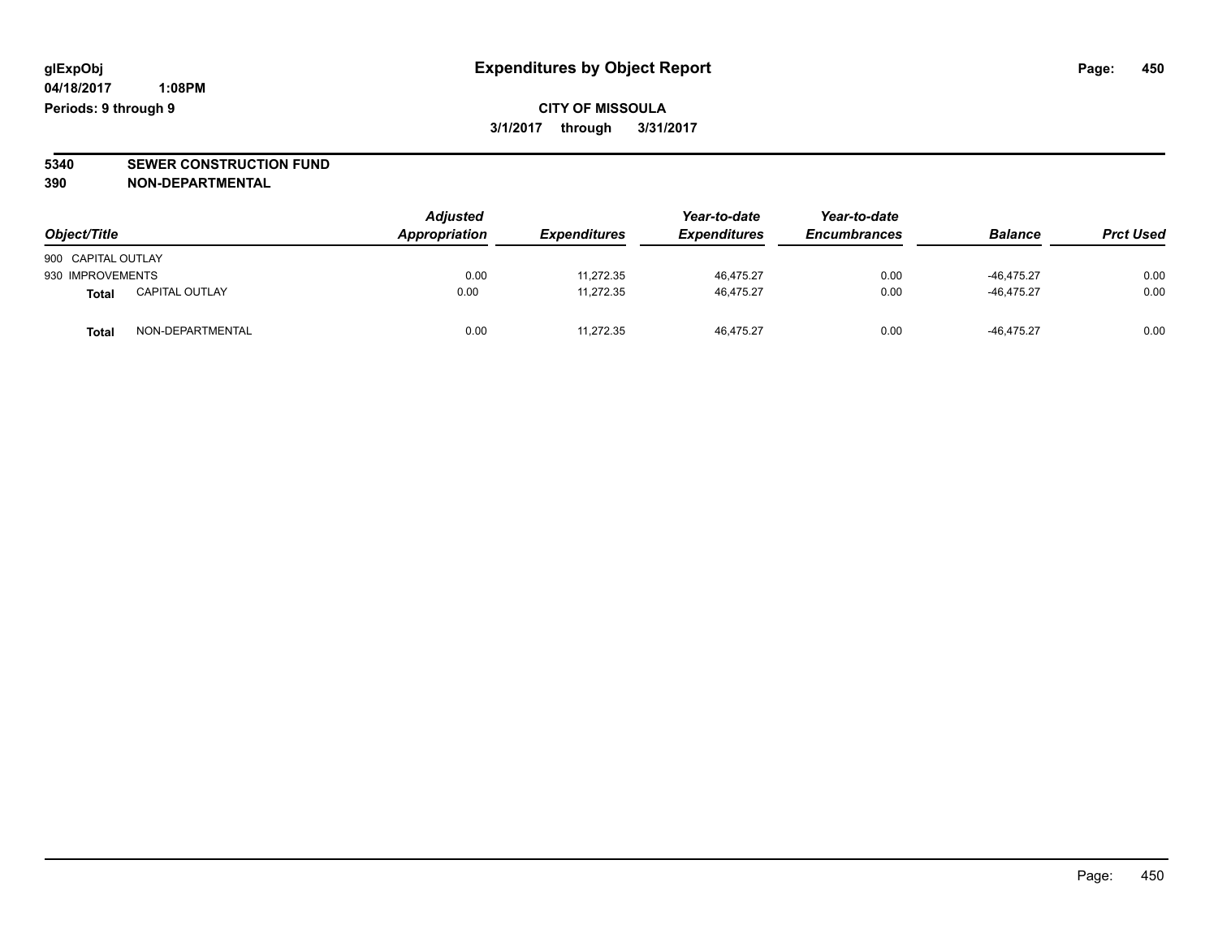**CITY OF MISSOULA 3/1/2017 through 3/31/2017**

**5340 SEWER CONSTRUCTION FUND**

**390 NON-DEPARTMENTAL**

| Object/Title       |                       | <b>Adjusted</b><br>Appropriation | <b>Expenditures</b> | Year-to-date<br><b>Expenditures</b> | Year-to-date<br><b>Encumbrances</b> | <b>Balance</b> | <b>Prct Used</b> |
|--------------------|-----------------------|----------------------------------|---------------------|-------------------------------------|-------------------------------------|----------------|------------------|
| 900 CAPITAL OUTLAY |                       |                                  |                     |                                     |                                     |                |                  |
| 930 IMPROVEMENTS   |                       | 0.00                             | 11,272.35           | 46,475.27                           | 0.00                                | $-46,475.27$   | 0.00             |
| Total              | <b>CAPITAL OUTLAY</b> | 0.00                             | 11,272.35           | 46,475.27                           | 0.00                                | $-46.475.27$   | 0.00             |
| <b>Total</b>       | NON-DEPARTMENTAL      | 0.00                             | 11.272.35           | 46.475.27                           | 0.00                                | $-46.475.27$   | 0.00             |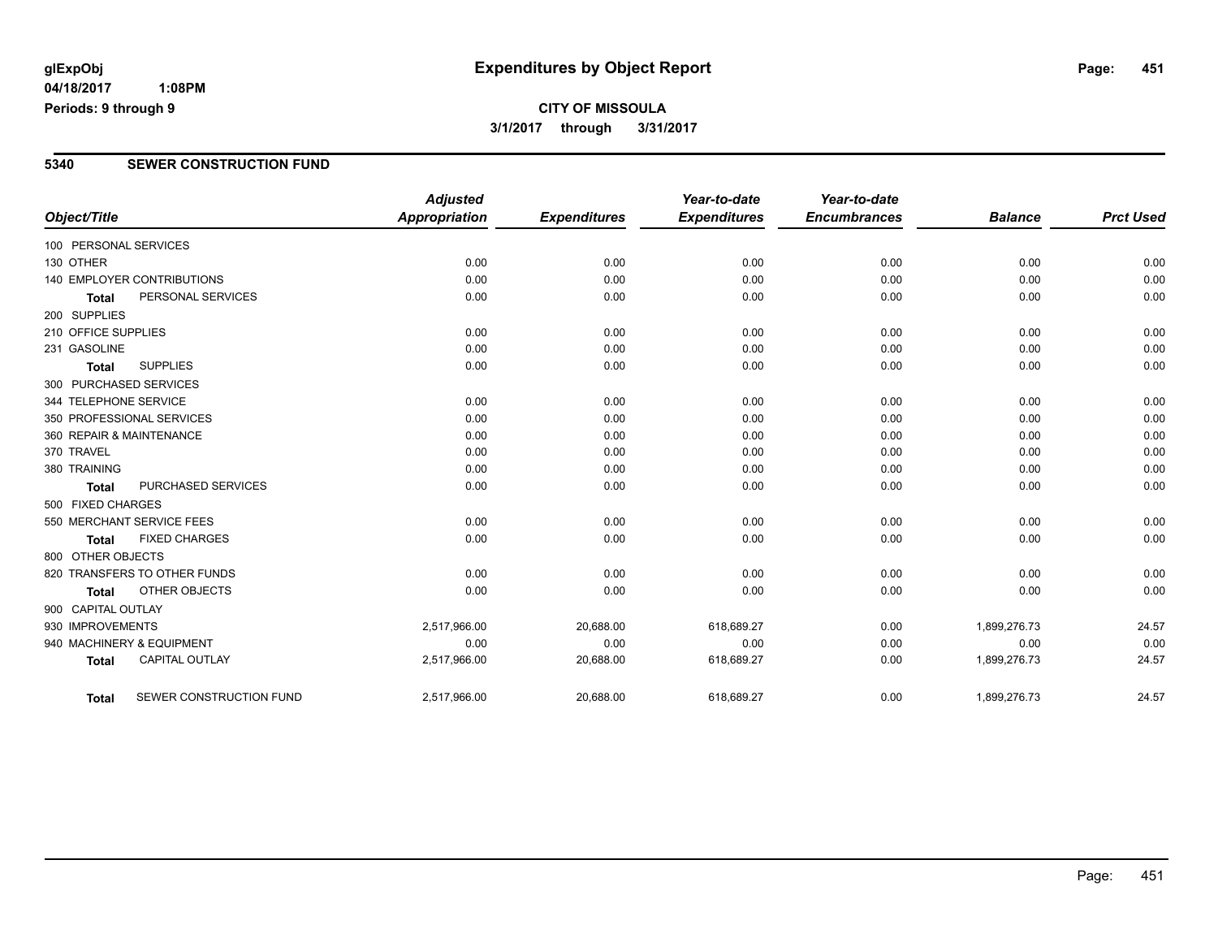**04/18/2017 1:08PM Periods: 9 through 9**

### **CITY OF MISSOULA 3/1/2017 through 3/31/2017**

#### **5340 SEWER CONSTRUCTION FUND**

| Object/Title           |                                   | <b>Adjusted</b><br><b>Appropriation</b> | <b>Expenditures</b> | Year-to-date<br><b>Expenditures</b> | Year-to-date<br><b>Encumbrances</b> | <b>Balance</b> | <b>Prct Used</b> |
|------------------------|-----------------------------------|-----------------------------------------|---------------------|-------------------------------------|-------------------------------------|----------------|------------------|
| 100 PERSONAL SERVICES  |                                   |                                         |                     |                                     |                                     |                |                  |
| 130 OTHER              |                                   | 0.00                                    | 0.00                | 0.00                                | 0.00                                | 0.00           | 0.00             |
|                        | <b>140 EMPLOYER CONTRIBUTIONS</b> | 0.00                                    | 0.00                | 0.00                                | 0.00                                | 0.00           | 0.00             |
| <b>Total</b>           | PERSONAL SERVICES                 | 0.00                                    | 0.00                | 0.00                                | 0.00                                | 0.00           | 0.00             |
| 200 SUPPLIES           |                                   |                                         |                     |                                     |                                     |                |                  |
| 210 OFFICE SUPPLIES    |                                   | 0.00                                    | 0.00                | 0.00                                | 0.00                                | 0.00           | 0.00             |
| 231 GASOLINE           |                                   | 0.00                                    | 0.00                | 0.00                                | 0.00                                | 0.00           | 0.00             |
| <b>Total</b>           | <b>SUPPLIES</b>                   | 0.00                                    | 0.00                | 0.00                                | 0.00                                | 0.00           | 0.00             |
| 300 PURCHASED SERVICES |                                   |                                         |                     |                                     |                                     |                |                  |
| 344 TELEPHONE SERVICE  |                                   | 0.00                                    | 0.00                | 0.00                                | 0.00                                | 0.00           | 0.00             |
|                        | 350 PROFESSIONAL SERVICES         | 0.00                                    | 0.00                | 0.00                                | 0.00                                | 0.00           | 0.00             |
|                        | 360 REPAIR & MAINTENANCE          | 0.00                                    | 0.00                | 0.00                                | 0.00                                | 0.00           | 0.00             |
| 370 TRAVEL             |                                   | 0.00                                    | 0.00                | 0.00                                | 0.00                                | 0.00           | 0.00             |
| 380 TRAINING           |                                   | 0.00                                    | 0.00                | 0.00                                | 0.00                                | 0.00           | 0.00             |
| <b>Total</b>           | PURCHASED SERVICES                | 0.00                                    | 0.00                | 0.00                                | 0.00                                | 0.00           | 0.00             |
| 500 FIXED CHARGES      |                                   |                                         |                     |                                     |                                     |                |                  |
|                        | 550 MERCHANT SERVICE FEES         | 0.00                                    | 0.00                | 0.00                                | 0.00                                | 0.00           | 0.00             |
| <b>Total</b>           | <b>FIXED CHARGES</b>              | 0.00                                    | 0.00                | 0.00                                | 0.00                                | 0.00           | 0.00             |
| 800 OTHER OBJECTS      |                                   |                                         |                     |                                     |                                     |                |                  |
|                        | 820 TRANSFERS TO OTHER FUNDS      | 0.00                                    | 0.00                | 0.00                                | 0.00                                | 0.00           | 0.00             |
| <b>Total</b>           | OTHER OBJECTS                     | 0.00                                    | 0.00                | 0.00                                | 0.00                                | 0.00           | 0.00             |
| 900 CAPITAL OUTLAY     |                                   |                                         |                     |                                     |                                     |                |                  |
| 930 IMPROVEMENTS       |                                   | 2,517,966.00                            | 20,688.00           | 618,689.27                          | 0.00                                | 1,899,276.73   | 24.57            |
|                        | 940 MACHINERY & EQUIPMENT         | 0.00                                    | 0.00                | 0.00                                | 0.00                                | 0.00           | 0.00             |
| <b>Total</b>           | <b>CAPITAL OUTLAY</b>             | 2,517,966.00                            | 20,688.00           | 618,689.27                          | 0.00                                | 1,899,276.73   | 24.57            |
| Total                  | SEWER CONSTRUCTION FUND           | 2,517,966.00                            | 20,688.00           | 618,689.27                          | 0.00                                | 1,899,276.73   | 24.57            |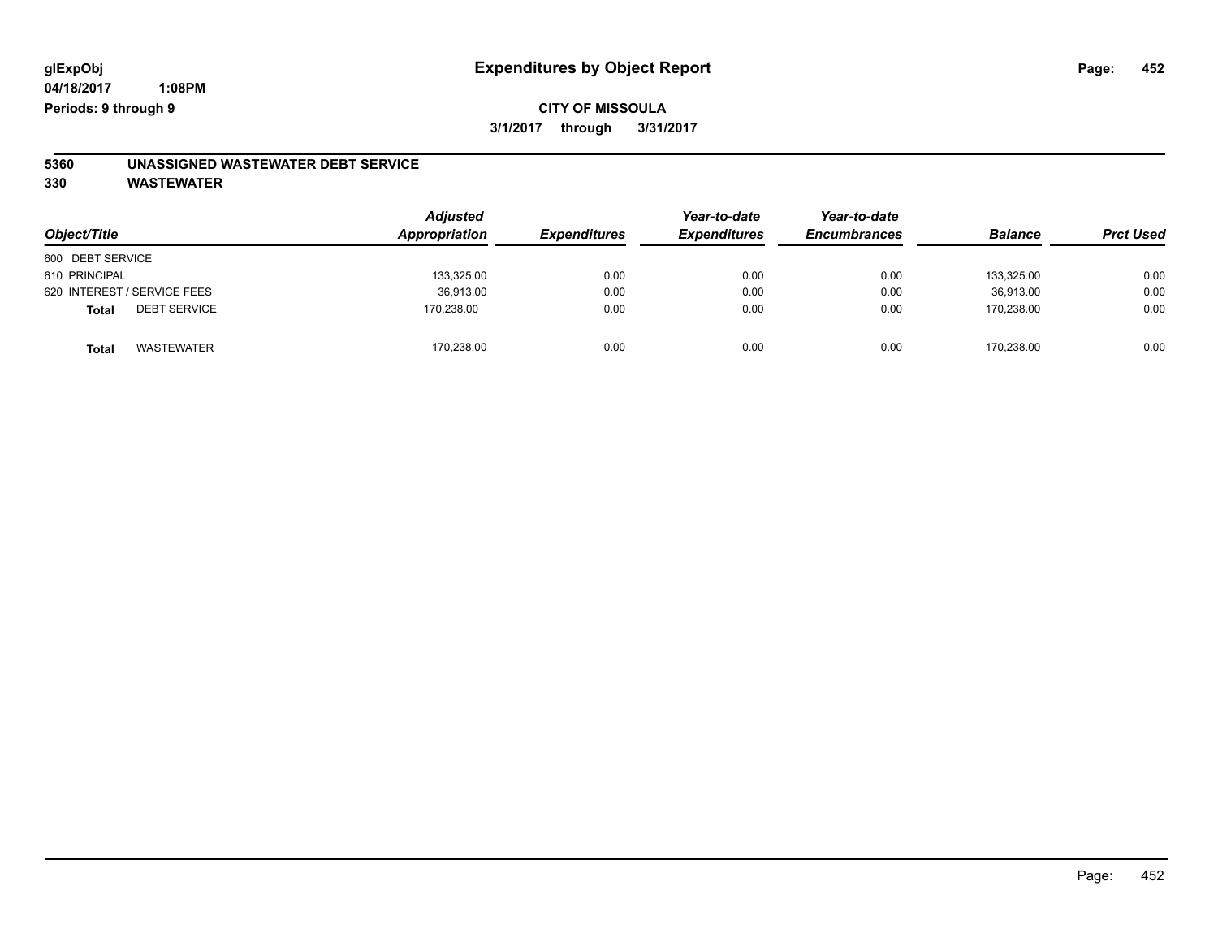### **CITY OF MISSOULA 3/1/2017 through 3/31/2017**

# **5360 UNASSIGNED WASTEWATER DEBT SERVICE**

| Object/Title                        | <b>Adjusted</b><br>Appropriation | <b>Expenditures</b> | Year-to-date<br><b>Expenditures</b> | Year-to-date<br><b>Encumbrances</b> | <b>Balance</b> | <b>Prct Used</b> |
|-------------------------------------|----------------------------------|---------------------|-------------------------------------|-------------------------------------|----------------|------------------|
| 600 DEBT SERVICE                    |                                  |                     |                                     |                                     |                |                  |
| 610 PRINCIPAL                       | 133,325.00                       | 0.00                | 0.00                                | 0.00                                | 133.325.00     | 0.00             |
| 620 INTEREST / SERVICE FEES         | 36,913.00                        | 0.00                | 0.00                                | 0.00                                | 36.913.00      | 0.00             |
| <b>DEBT SERVICE</b><br><b>Total</b> | 170,238.00                       | 0.00                | 0.00                                | 0.00                                | 170.238.00     | 0.00             |
| <b>WASTEWATER</b><br>Total          | 170,238.00                       | 0.00                | 0.00                                | 0.00                                | 170,238.00     | 0.00             |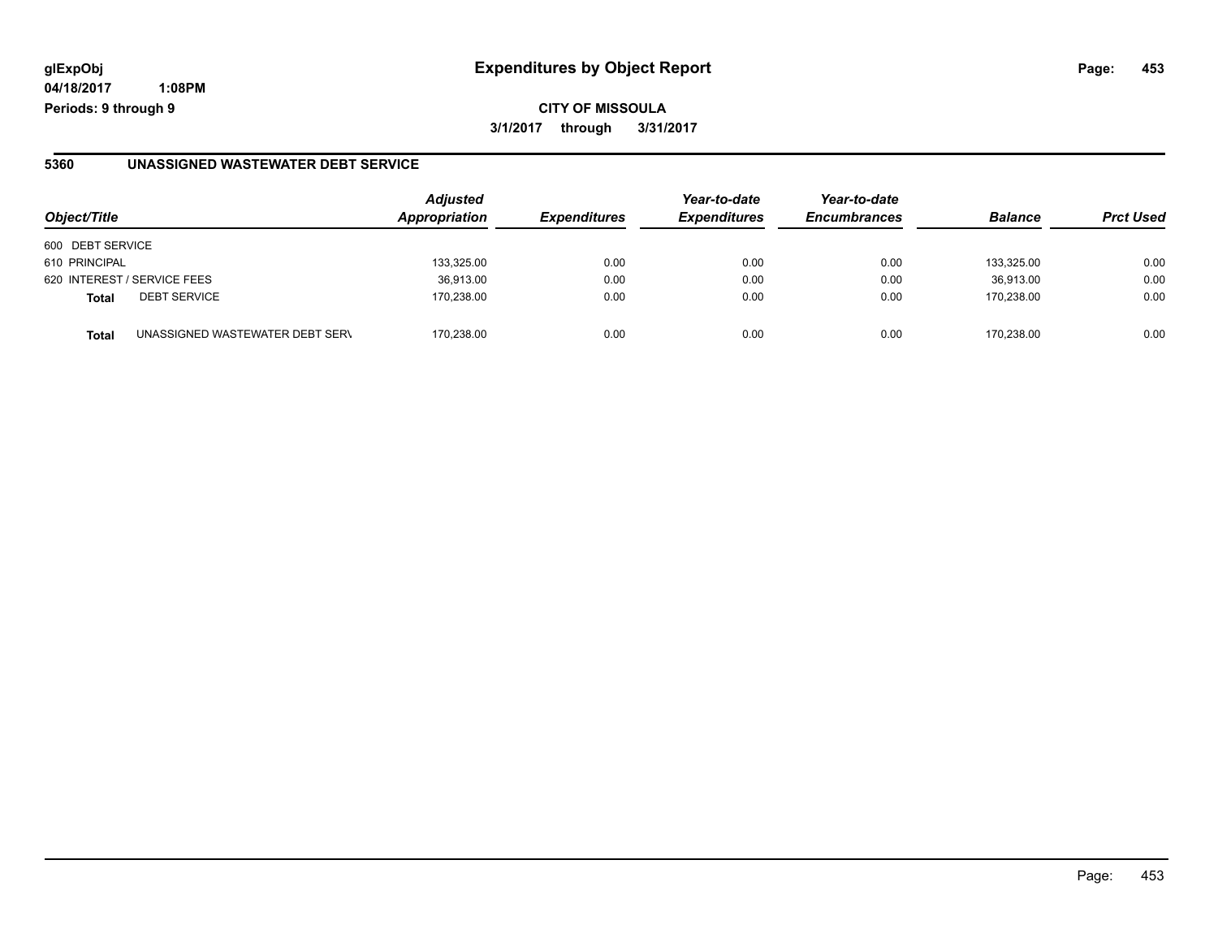**04/18/2017 1:08PM Periods: 9 through 9**

#### **5360 UNASSIGNED WASTEWATER DEBT SERVICE**

| Object/Title                                    | <b>Adjusted</b><br>Appropriation | <b>Expenditures</b> | Year-to-date<br><b>Expenditures</b> | Year-to-date<br><b>Encumbrances</b> | <b>Balance</b> | <b>Prct Used</b> |
|-------------------------------------------------|----------------------------------|---------------------|-------------------------------------|-------------------------------------|----------------|------------------|
| 600 DEBT SERVICE                                |                                  |                     |                                     |                                     |                |                  |
| 610 PRINCIPAL                                   | 133,325.00                       | 0.00                | 0.00                                | 0.00                                | 133.325.00     | 0.00             |
| 620 INTEREST / SERVICE FEES                     | 36,913.00                        | 0.00                | 0.00                                | 0.00                                | 36,913.00      | 0.00             |
| <b>DEBT SERVICE</b><br><b>Total</b>             | 170.238.00                       | 0.00                | 0.00                                | 0.00                                | 170.238.00     | 0.00             |
| UNASSIGNED WASTEWATER DEBT SERV<br><b>Total</b> | 170.238.00                       | 0.00                | 0.00                                | 0.00                                | 170.238.00     | 0.00             |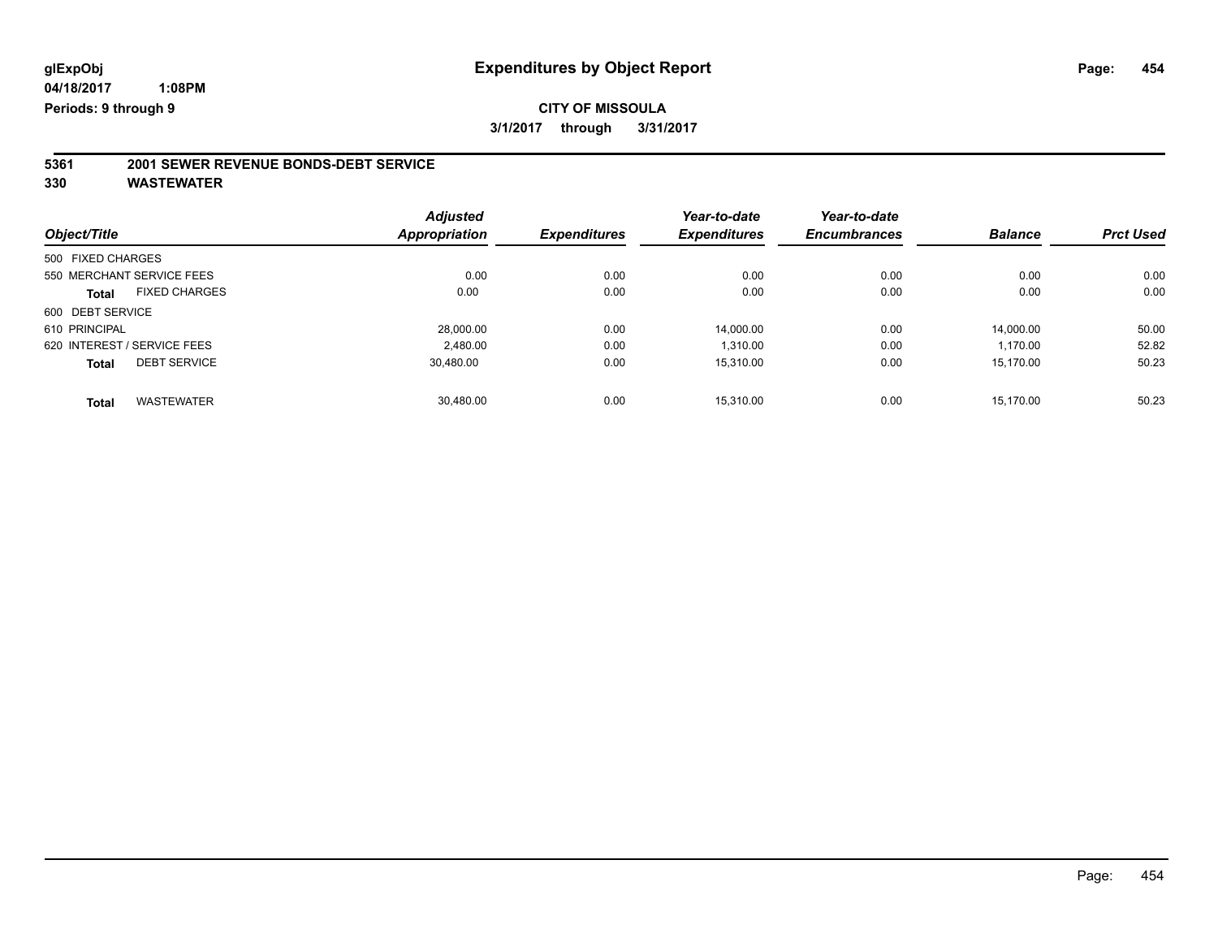# **5361 2001 SEWER REVENUE BONDS-DEBT SERVICE**

| <b>Adjusted</b>      |                     | Year-to-date        | Year-to-date        |                |                  |
|----------------------|---------------------|---------------------|---------------------|----------------|------------------|
| <b>Appropriation</b> | <b>Expenditures</b> | <b>Expenditures</b> | <b>Encumbrances</b> | <b>Balance</b> | <b>Prct Used</b> |
|                      |                     |                     |                     |                |                  |
| 0.00                 | 0.00                | 0.00                | 0.00                | 0.00           | 0.00             |
| 0.00                 | 0.00                | 0.00                | 0.00                | 0.00           | 0.00             |
|                      |                     |                     |                     |                |                  |
| 28,000.00            | 0.00                | 14.000.00           | 0.00                | 14.000.00      | 50.00            |
| 2,480.00             | 0.00                | 1,310.00            | 0.00                | 1,170.00       | 52.82            |
| 30.480.00            | 0.00                | 15.310.00           | 0.00                | 15.170.00      | 50.23            |
| 30,480.00            | 0.00                | 15.310.00           | 0.00                | 15.170.00      | 50.23            |
|                      |                     |                     |                     |                |                  |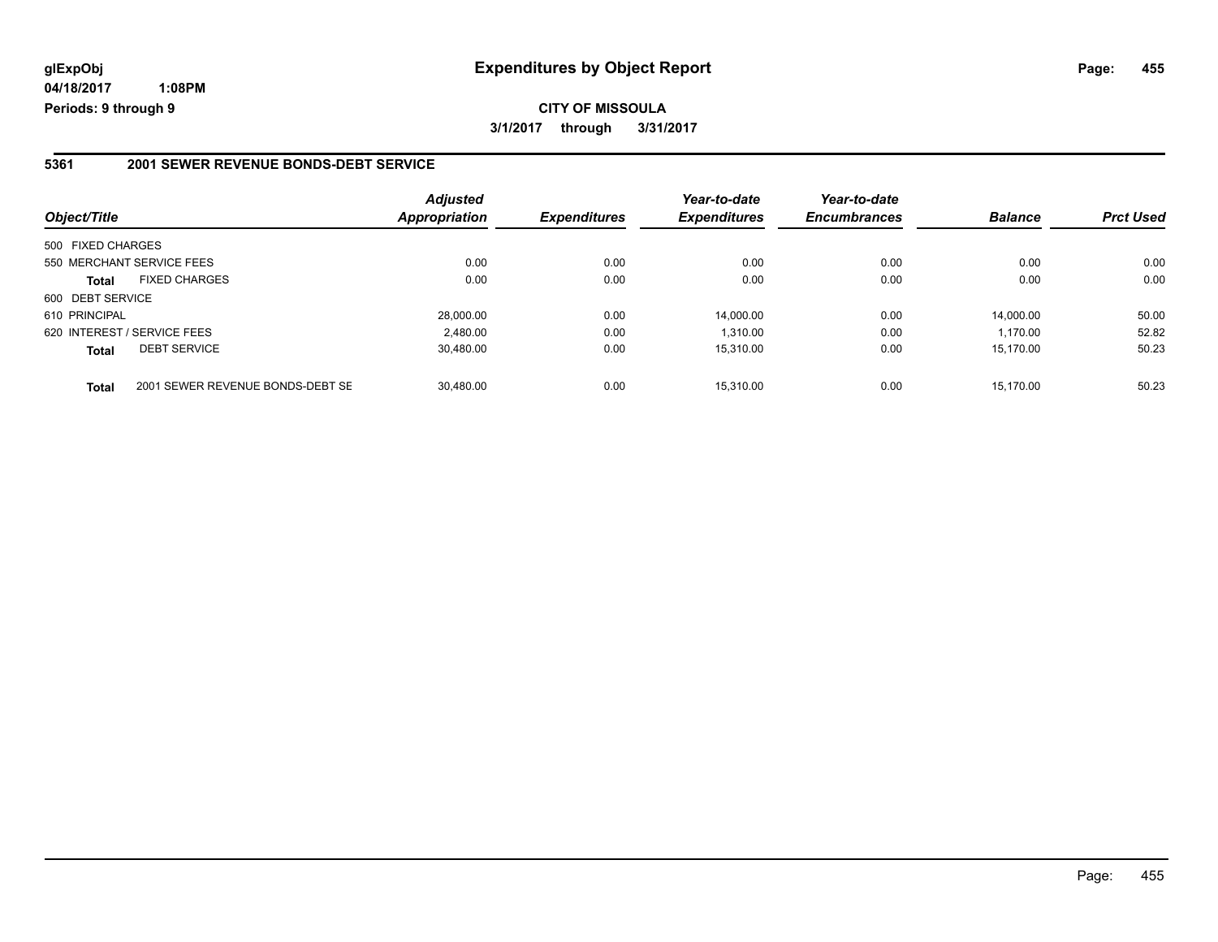**04/18/2017 1:08PM Periods: 9 through 9**

#### **5361 2001 SEWER REVENUE BONDS-DEBT SERVICE**

| Object/Title      |                                  | <b>Adjusted</b><br>Appropriation | <b>Expenditures</b> | Year-to-date<br><b>Expenditures</b> | Year-to-date<br><b>Encumbrances</b> | <b>Balance</b> | <b>Prct Used</b> |
|-------------------|----------------------------------|----------------------------------|---------------------|-------------------------------------|-------------------------------------|----------------|------------------|
| 500 FIXED CHARGES |                                  |                                  |                     |                                     |                                     |                |                  |
|                   | 550 MERCHANT SERVICE FEES        | 0.00                             | 0.00                | 0.00                                | 0.00                                | 0.00           | 0.00             |
| <b>Total</b>      | <b>FIXED CHARGES</b>             | 0.00                             | 0.00                | 0.00                                | 0.00                                | 0.00           | 0.00             |
| 600 DEBT SERVICE  |                                  |                                  |                     |                                     |                                     |                |                  |
| 610 PRINCIPAL     |                                  | 28,000.00                        | 0.00                | 14.000.00                           | 0.00                                | 14.000.00      | 50.00            |
|                   | 620 INTEREST / SERVICE FEES      | 2.480.00                         | 0.00                | 1.310.00                            | 0.00                                | 1.170.00       | 52.82            |
| <b>Total</b>      | <b>DEBT SERVICE</b>              | 30.480.00                        | 0.00                | 15,310.00                           | 0.00                                | 15.170.00      | 50.23            |
| <b>Total</b>      | 2001 SEWER REVENUE BONDS-DEBT SE | 30.480.00                        | 0.00                | 15.310.00                           | 0.00                                | 15.170.00      | 50.23            |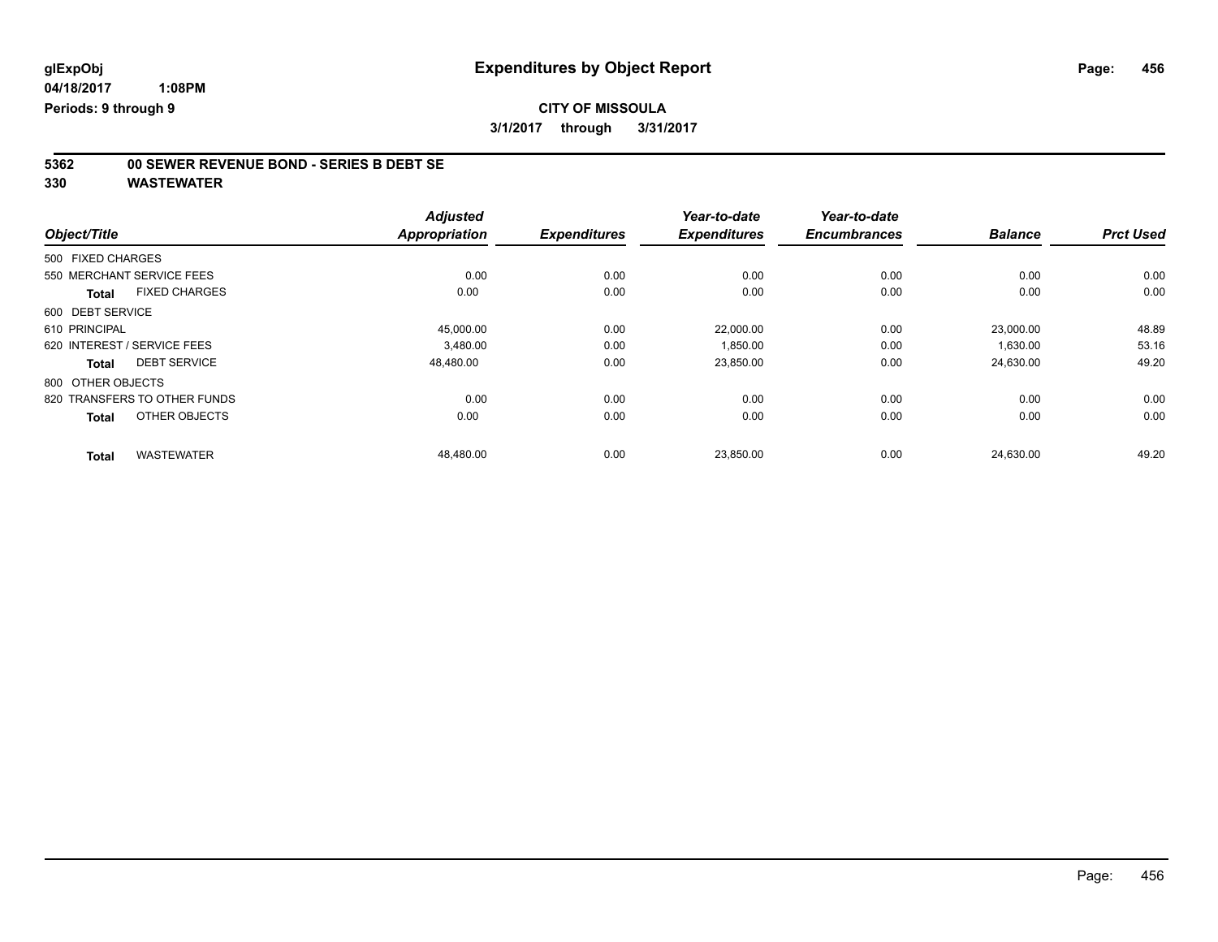# **5362 00 SEWER REVENUE BOND - SERIES B DEBT SE**

|                                      | <b>Adjusted</b>      |                     | Year-to-date        | Year-to-date        |                |                  |
|--------------------------------------|----------------------|---------------------|---------------------|---------------------|----------------|------------------|
| Object/Title                         | <b>Appropriation</b> | <b>Expenditures</b> | <b>Expenditures</b> | <b>Encumbrances</b> | <b>Balance</b> | <b>Prct Used</b> |
| 500 FIXED CHARGES                    |                      |                     |                     |                     |                |                  |
| 550 MERCHANT SERVICE FEES            | 0.00                 | 0.00                | 0.00                | 0.00                | 0.00           | 0.00             |
| <b>FIXED CHARGES</b><br><b>Total</b> | 0.00                 | 0.00                | 0.00                | 0.00                | 0.00           | 0.00             |
| 600 DEBT SERVICE                     |                      |                     |                     |                     |                |                  |
| 610 PRINCIPAL                        | 45,000.00            | 0.00                | 22,000.00           | 0.00                | 23.000.00      | 48.89            |
| 620 INTEREST / SERVICE FEES          | 3.480.00             | 0.00                | 1.850.00            | 0.00                | 1,630.00       | 53.16            |
| <b>DEBT SERVICE</b><br><b>Total</b>  | 48,480.00            | 0.00                | 23,850.00           | 0.00                | 24,630.00      | 49.20            |
| 800 OTHER OBJECTS                    |                      |                     |                     |                     |                |                  |
| 820 TRANSFERS TO OTHER FUNDS         | 0.00                 | 0.00                | 0.00                | 0.00                | 0.00           | 0.00             |
| OTHER OBJECTS<br><b>Total</b>        | 0.00                 | 0.00                | 0.00                | 0.00                | 0.00           | 0.00             |
| <b>WASTEWATER</b><br><b>Total</b>    | 48,480.00            | 0.00                | 23,850.00           | 0.00                | 24,630.00      | 49.20            |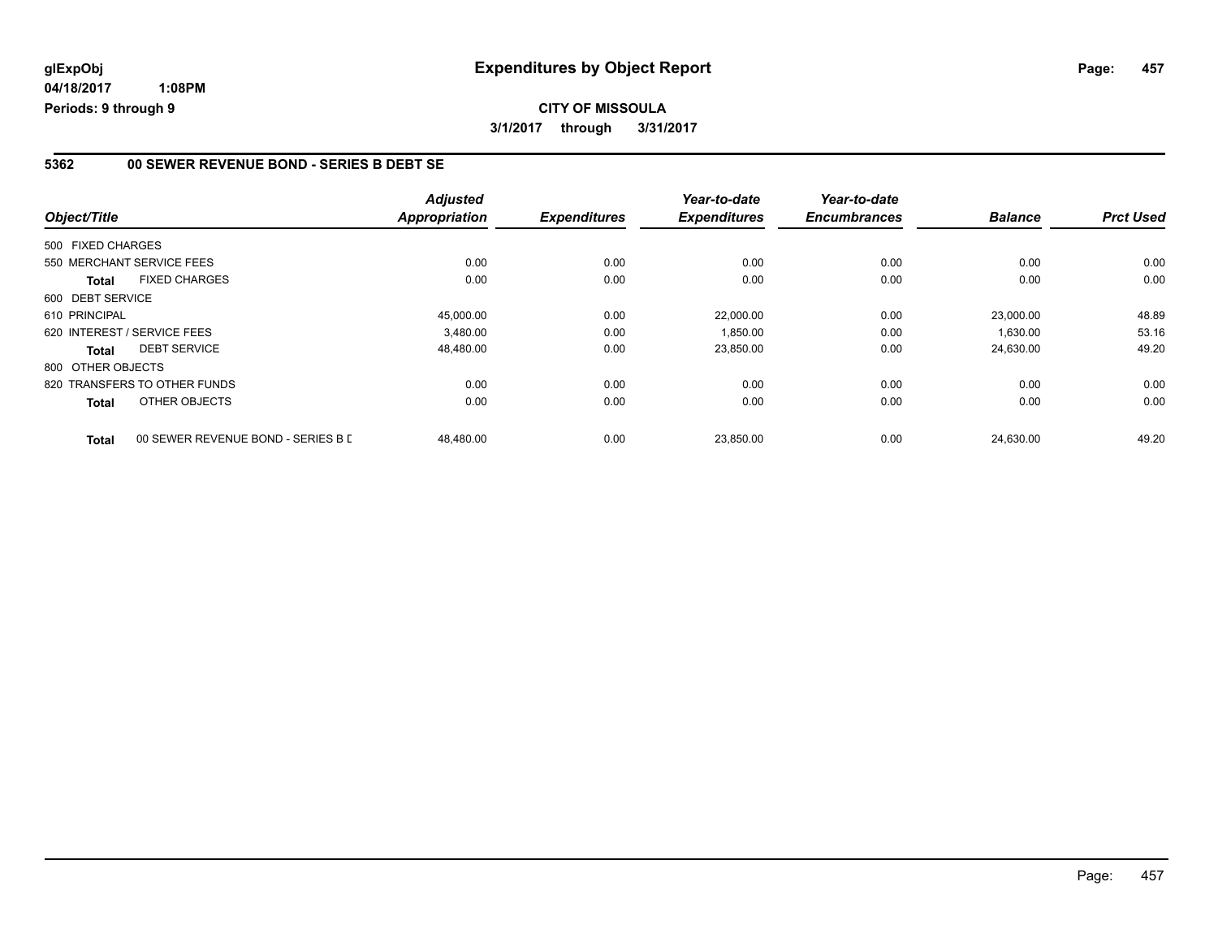**04/18/2017 1:08PM Periods: 9 through 9**

#### **5362 00 SEWER REVENUE BOND - SERIES B DEBT SE**

| Object/Title                         |                                    | <b>Adjusted</b><br><b>Appropriation</b> | <b>Expenditures</b> | Year-to-date<br><b>Expenditures</b> | Year-to-date<br><b>Encumbrances</b> | <b>Balance</b> | <b>Prct Used</b> |
|--------------------------------------|------------------------------------|-----------------------------------------|---------------------|-------------------------------------|-------------------------------------|----------------|------------------|
| 500 FIXED CHARGES                    |                                    |                                         |                     |                                     |                                     |                |                  |
| 550 MERCHANT SERVICE FEES            |                                    | 0.00                                    | 0.00                | 0.00                                | 0.00                                | 0.00           | 0.00             |
| <b>FIXED CHARGES</b><br><b>Total</b> |                                    | 0.00                                    | 0.00                | 0.00                                | 0.00                                | 0.00           | 0.00             |
| 600 DEBT SERVICE                     |                                    |                                         |                     |                                     |                                     |                |                  |
| 610 PRINCIPAL                        |                                    | 45,000.00                               | 0.00                | 22,000.00                           | 0.00                                | 23.000.00      | 48.89            |
| 620 INTEREST / SERVICE FEES          |                                    | 3.480.00                                | 0.00                | 1,850.00                            | 0.00                                | 1,630.00       | 53.16            |
| <b>DEBT SERVICE</b><br>Total         |                                    | 48,480.00                               | 0.00                | 23,850.00                           | 0.00                                | 24,630.00      | 49.20            |
| 800 OTHER OBJECTS                    |                                    |                                         |                     |                                     |                                     |                |                  |
| 820 TRANSFERS TO OTHER FUNDS         |                                    | 0.00                                    | 0.00                | 0.00                                | 0.00                                | 0.00           | 0.00             |
| OTHER OBJECTS<br>Total               |                                    | 0.00                                    | 0.00                | 0.00                                | 0.00                                | 0.00           | 0.00             |
| <b>Total</b>                         | 00 SEWER REVENUE BOND - SERIES B D | 48,480.00                               | 0.00                | 23,850.00                           | 0.00                                | 24,630.00      | 49.20            |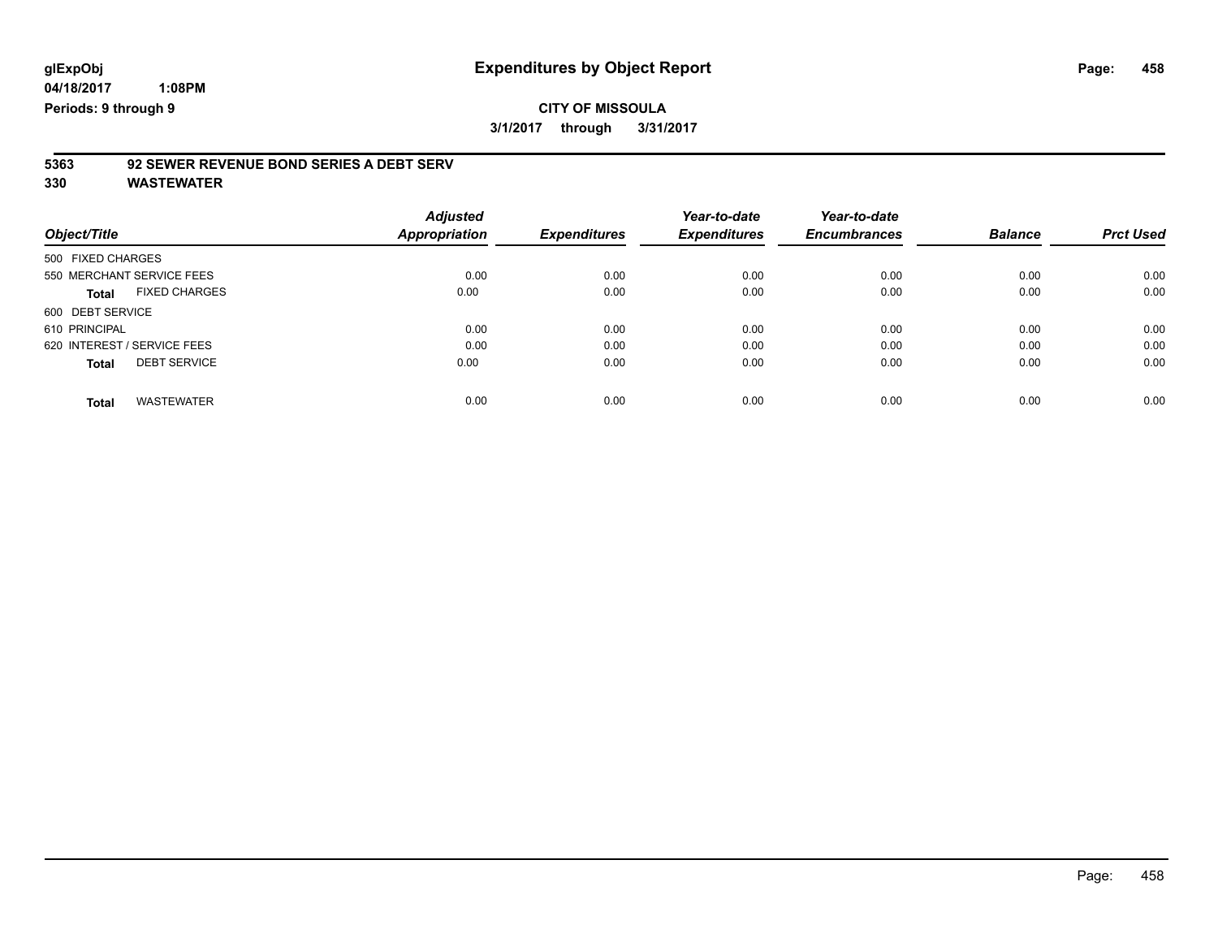### **CITY OF MISSOULA 3/1/2017 through 3/31/2017**

# **5363 92 SEWER REVENUE BOND SERIES A DEBT SERV**

|                                      | <b>Adjusted</b> |                     | Year-to-date        | Year-to-date        |                |                  |
|--------------------------------------|-----------------|---------------------|---------------------|---------------------|----------------|------------------|
| Object/Title                         | Appropriation   | <b>Expenditures</b> | <b>Expenditures</b> | <b>Encumbrances</b> | <b>Balance</b> | <b>Prct Used</b> |
| 500 FIXED CHARGES                    |                 |                     |                     |                     |                |                  |
| 550 MERCHANT SERVICE FEES            | 0.00            | 0.00                | 0.00                | 0.00                | 0.00           | 0.00             |
| <b>FIXED CHARGES</b><br><b>Total</b> | 0.00            | 0.00                | 0.00                | 0.00                | 0.00           | 0.00             |
| 600 DEBT SERVICE                     |                 |                     |                     |                     |                |                  |
| 610 PRINCIPAL                        | 0.00            | 0.00                | 0.00                | 0.00                | 0.00           | 0.00             |
| 620 INTEREST / SERVICE FEES          | 0.00            | 0.00                | 0.00                | 0.00                | 0.00           | 0.00             |
| <b>DEBT SERVICE</b><br><b>Total</b>  | 0.00            | 0.00                | 0.00                | 0.00                | 0.00           | 0.00             |
| <b>WASTEWATER</b><br><b>Total</b>    | 0.00            | 0.00                | 0.00                | 0.00                | 0.00           | 0.00             |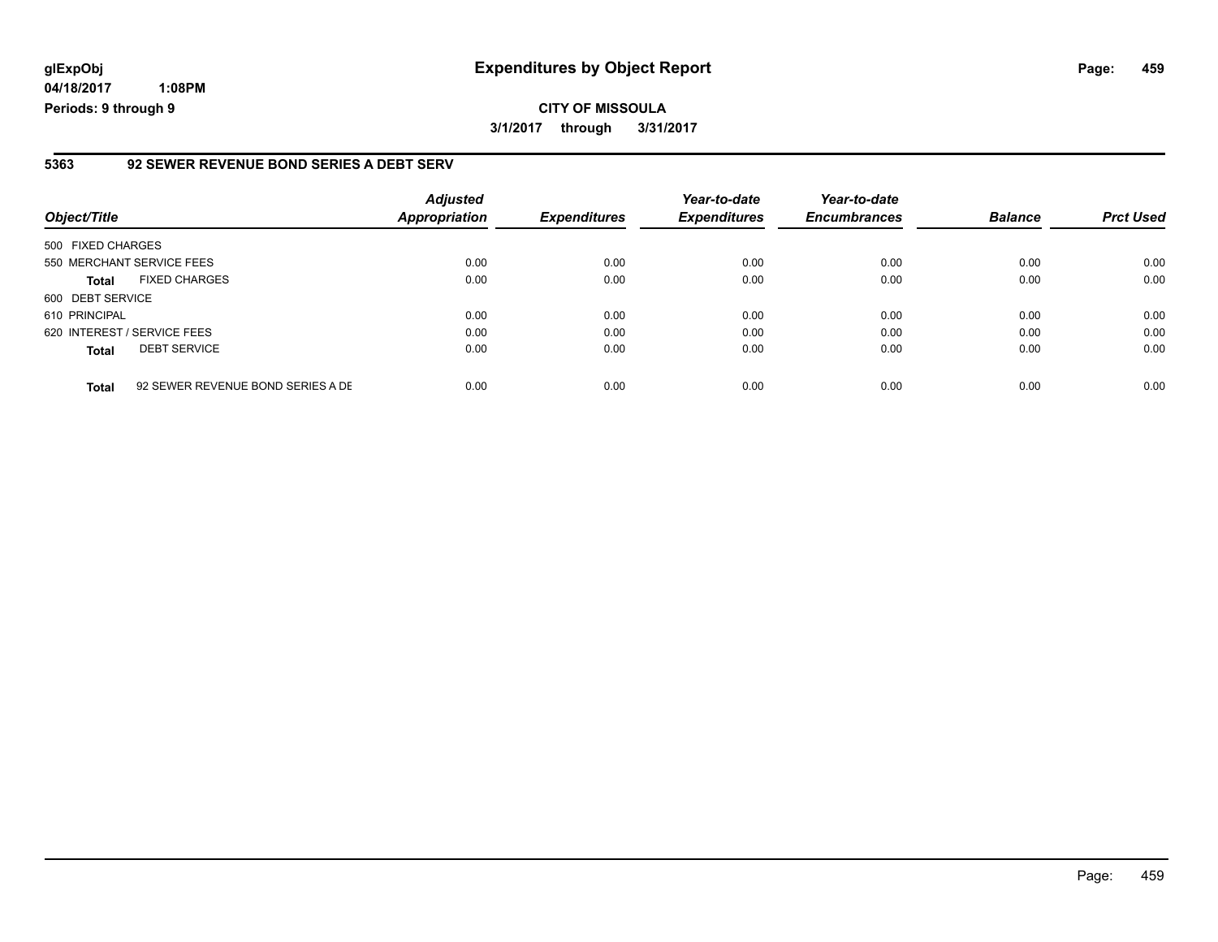**04/18/2017 1:08PM Periods: 9 through 9**

#### **5363 92 SEWER REVENUE BOND SERIES A DEBT SERV**

| Object/Title                |                                   | <b>Adjusted</b><br><b>Appropriation</b> | <b>Expenditures</b> | Year-to-date<br><b>Expenditures</b> | Year-to-date<br><b>Encumbrances</b> | <b>Balance</b> | <b>Prct Used</b> |
|-----------------------------|-----------------------------------|-----------------------------------------|---------------------|-------------------------------------|-------------------------------------|----------------|------------------|
| 500 FIXED CHARGES           |                                   |                                         |                     |                                     |                                     |                |                  |
| 550 MERCHANT SERVICE FEES   |                                   | 0.00                                    | 0.00                | 0.00                                | 0.00                                | 0.00           | 0.00             |
| <b>Total</b>                | <b>FIXED CHARGES</b>              | 0.00                                    | 0.00                | 0.00                                | 0.00                                | 0.00           | 0.00             |
| 600 DEBT SERVICE            |                                   |                                         |                     |                                     |                                     |                |                  |
| 610 PRINCIPAL               |                                   | 0.00                                    | 0.00                | 0.00                                | 0.00                                | 0.00           | 0.00             |
| 620 INTEREST / SERVICE FEES |                                   | 0.00                                    | 0.00                | 0.00                                | 0.00                                | 0.00           | 0.00             |
| Total                       | <b>DEBT SERVICE</b>               | 0.00                                    | 0.00                | 0.00                                | 0.00                                | 0.00           | 0.00             |
| <b>Total</b>                | 92 SEWER REVENUE BOND SERIES A DE | 0.00                                    | 0.00                | 0.00                                | 0.00                                | 0.00           | 0.00             |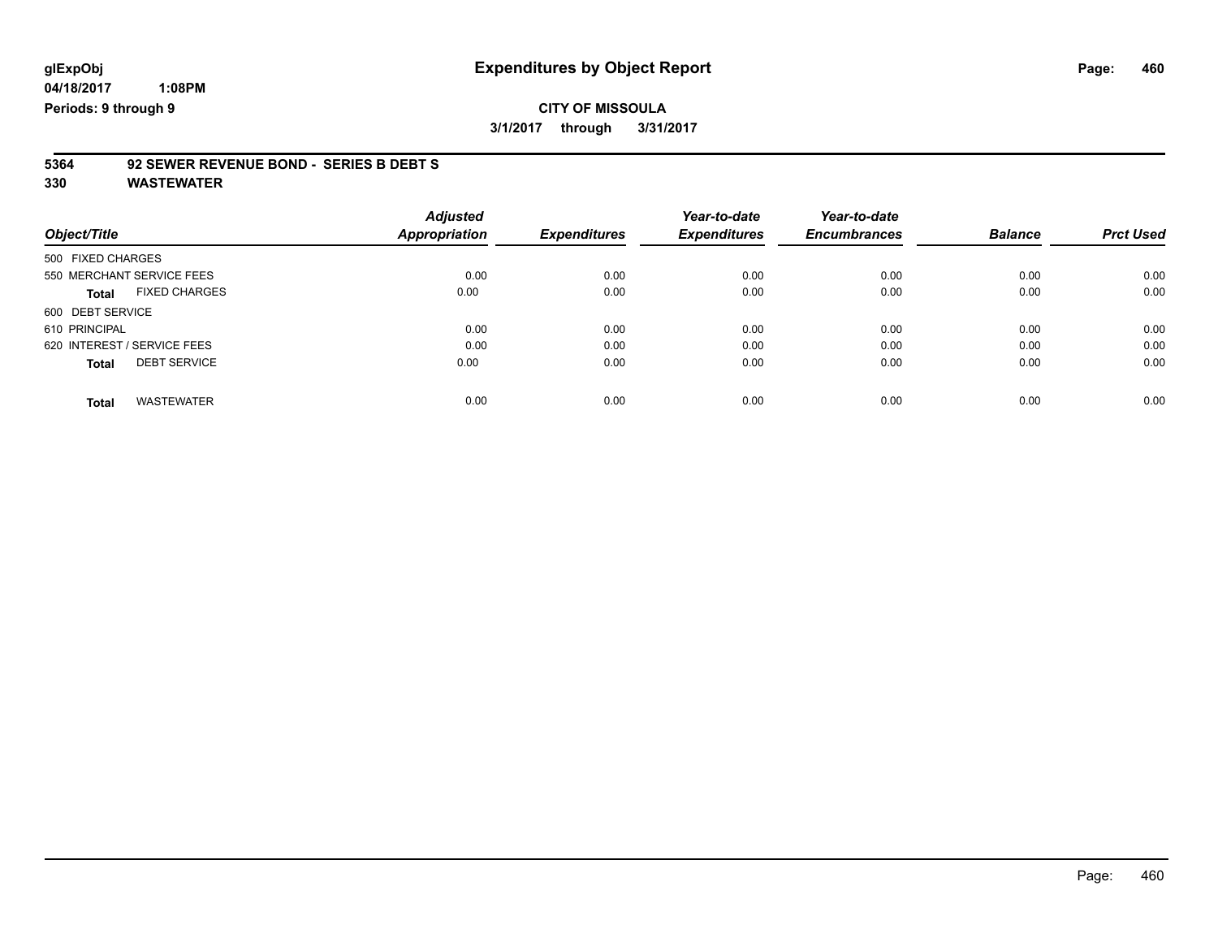### **CITY OF MISSOULA 3/1/2017 through 3/31/2017**

# **5364 92 SEWER REVENUE BOND - SERIES B DEBT S**

| Object/Title                         | <b>Adjusted</b><br>Appropriation | <b>Expenditures</b> | Year-to-date<br><b>Expenditures</b> | Year-to-date<br><b>Encumbrances</b> | <b>Balance</b> | <b>Prct Used</b> |
|--------------------------------------|----------------------------------|---------------------|-------------------------------------|-------------------------------------|----------------|------------------|
|                                      |                                  |                     |                                     |                                     |                |                  |
| 500 FIXED CHARGES                    |                                  |                     |                                     |                                     |                |                  |
| 550 MERCHANT SERVICE FEES            | 0.00                             | 0.00                | 0.00                                | 0.00                                | 0.00           | 0.00             |
| <b>FIXED CHARGES</b><br><b>Total</b> | 0.00                             | 0.00                | 0.00                                | 0.00                                | 0.00           | 0.00             |
| 600 DEBT SERVICE                     |                                  |                     |                                     |                                     |                |                  |
| 610 PRINCIPAL                        | 0.00                             | 0.00                | 0.00                                | 0.00                                | 0.00           | 0.00             |
| 620 INTEREST / SERVICE FEES          | 0.00                             | 0.00                | 0.00                                | 0.00                                | 0.00           | 0.00             |
| <b>DEBT SERVICE</b><br><b>Total</b>  | 0.00                             | 0.00                | 0.00                                | 0.00                                | 0.00           | 0.00             |
| <b>WASTEWATER</b><br>Total           | 0.00                             | 0.00                | 0.00                                | 0.00                                | 0.00           | 0.00             |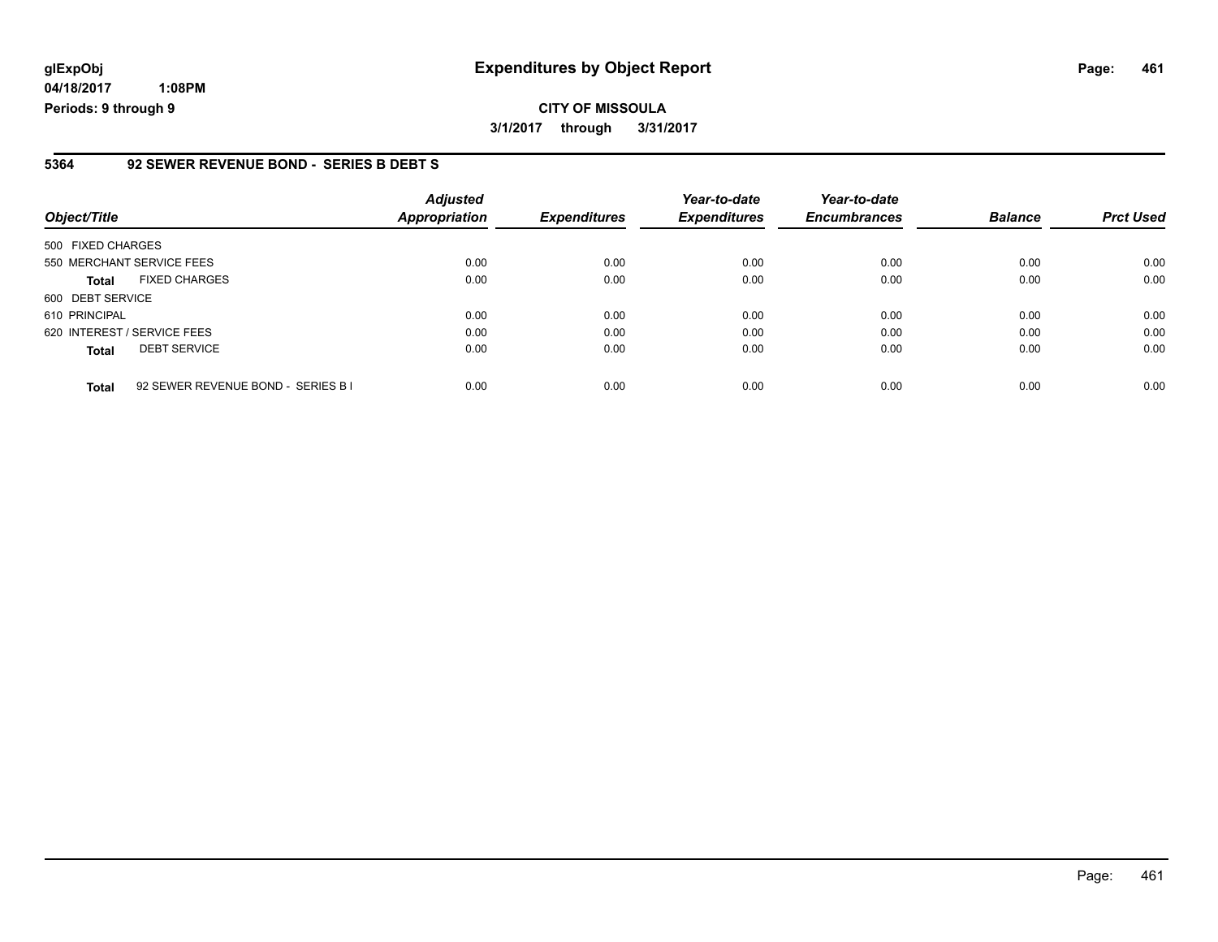**04/18/2017 1:08PM Periods: 9 through 9**

#### **5364 92 SEWER REVENUE BOND - SERIES B DEBT S**

| Object/Title                |                                    | <b>Adjusted</b><br><b>Appropriation</b> | <b>Expenditures</b> | Year-to-date<br><b>Expenditures</b> | Year-to-date<br><b>Encumbrances</b> | <b>Balance</b> | <b>Prct Used</b> |
|-----------------------------|------------------------------------|-----------------------------------------|---------------------|-------------------------------------|-------------------------------------|----------------|------------------|
| 500 FIXED CHARGES           |                                    |                                         |                     |                                     |                                     |                |                  |
|                             | 550 MERCHANT SERVICE FEES          | 0.00                                    | 0.00                | 0.00                                | 0.00                                | 0.00           | 0.00             |
| <b>Total</b>                | <b>FIXED CHARGES</b>               | 0.00                                    | 0.00                | 0.00                                | 0.00                                | 0.00           | 0.00             |
| 600 DEBT SERVICE            |                                    |                                         |                     |                                     |                                     |                |                  |
| 610 PRINCIPAL               |                                    | 0.00                                    | 0.00                | 0.00                                | 0.00                                | 0.00           | 0.00             |
| 620 INTEREST / SERVICE FEES |                                    | 0.00                                    | 0.00                | 0.00                                | 0.00                                | 0.00           | 0.00             |
| <b>Total</b>                | <b>DEBT SERVICE</b>                | 0.00                                    | 0.00                | 0.00                                | 0.00                                | 0.00           | 0.00             |
| <b>Total</b>                | 92 SEWER REVENUE BOND - SERIES B I | 0.00                                    | 0.00                | 0.00                                | 0.00                                | 0.00           | 0.00             |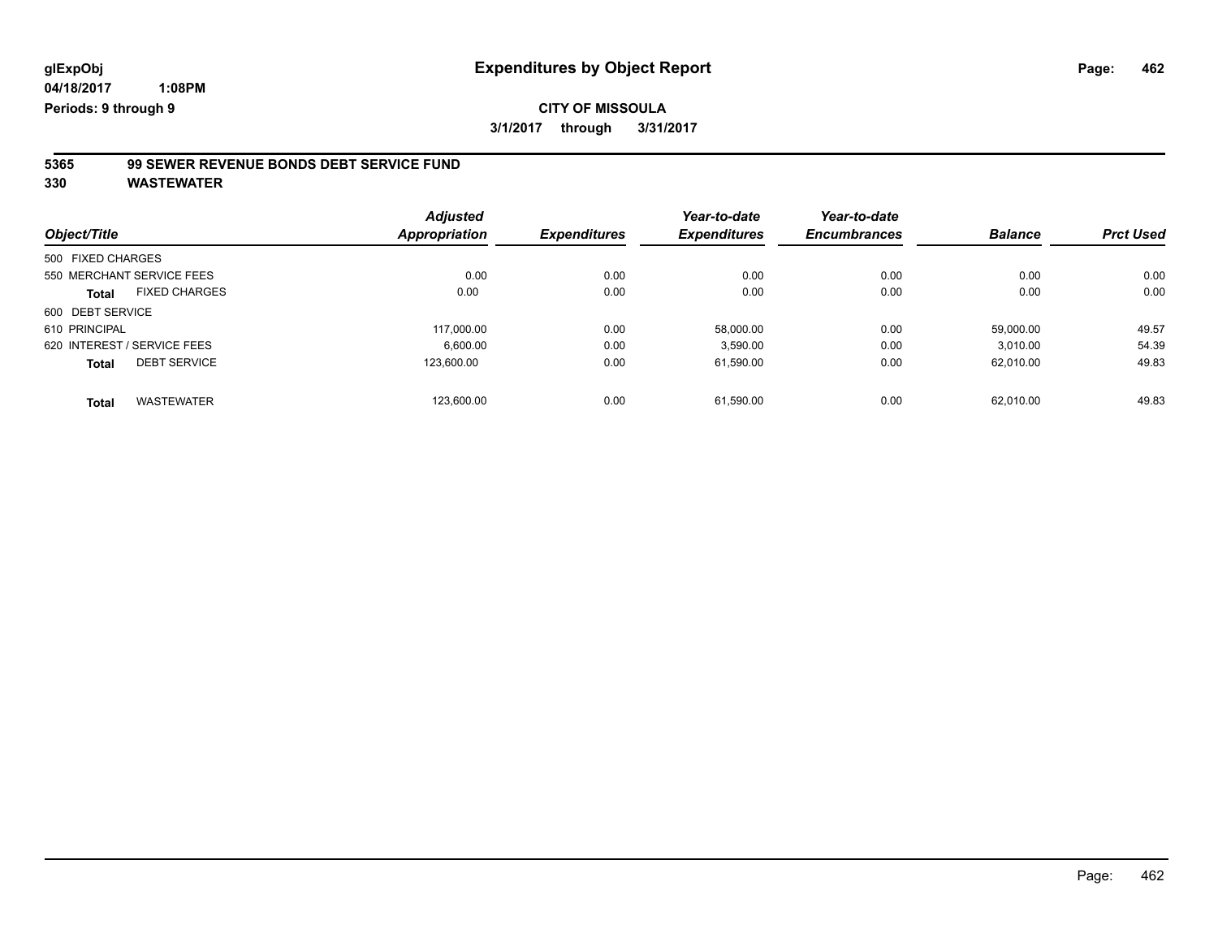# **5365 99 SEWER REVENUE BONDS DEBT SERVICE FUND**

|                                      | <b>Adjusted</b>      |                     | Year-to-date        | Year-to-date        |                |                  |
|--------------------------------------|----------------------|---------------------|---------------------|---------------------|----------------|------------------|
| Object/Title                         | <b>Appropriation</b> | <b>Expenditures</b> | <b>Expenditures</b> | <b>Encumbrances</b> | <b>Balance</b> | <b>Prct Used</b> |
| 500 FIXED CHARGES                    |                      |                     |                     |                     |                |                  |
| 550 MERCHANT SERVICE FEES            | 0.00                 | 0.00                | 0.00                | 0.00                | 0.00           | 0.00             |
| <b>FIXED CHARGES</b><br><b>Total</b> | 0.00                 | 0.00                | 0.00                | 0.00                | 0.00           | 0.00             |
| 600 DEBT SERVICE                     |                      |                     |                     |                     |                |                  |
| 610 PRINCIPAL                        | 117.000.00           | 0.00                | 58.000.00           | 0.00                | 59.000.00      | 49.57            |
| 620 INTEREST / SERVICE FEES          | 6.600.00             | 0.00                | 3,590.00            | 0.00                | 3,010.00       | 54.39            |
| <b>DEBT SERVICE</b><br><b>Total</b>  | 123.600.00           | 0.00                | 61,590.00           | 0.00                | 62.010.00      | 49.83            |
| <b>WASTEWATER</b><br><b>Total</b>    | 123.600.00           | 0.00                | 61.590.00           | 0.00                | 62.010.00      | 49.83            |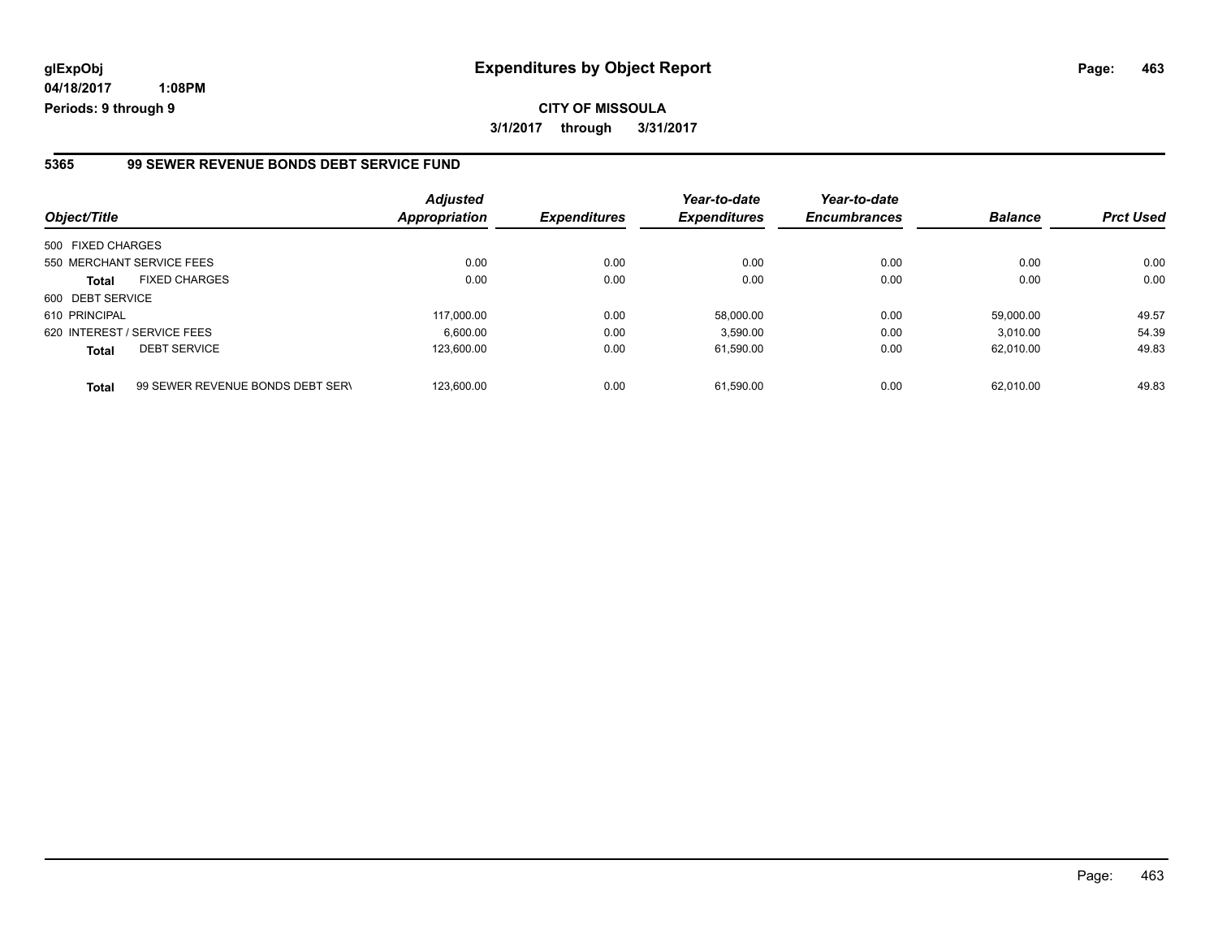**04/18/2017 1:08PM Periods: 9 through 9**

#### **5365 99 SEWER REVENUE BONDS DEBT SERVICE FUND**

| Object/Title      |                                  | <b>Adjusted</b><br>Appropriation | <b>Expenditures</b> | Year-to-date<br><b>Expenditures</b> | Year-to-date<br><b>Encumbrances</b> | <b>Balance</b> | <b>Prct Used</b> |
|-------------------|----------------------------------|----------------------------------|---------------------|-------------------------------------|-------------------------------------|----------------|------------------|
| 500 FIXED CHARGES |                                  |                                  |                     |                                     |                                     |                |                  |
|                   | 550 MERCHANT SERVICE FEES        | 0.00                             | 0.00                | 0.00                                | 0.00                                | 0.00           | 0.00             |
| <b>Total</b>      | <b>FIXED CHARGES</b>             | 0.00                             | 0.00                | 0.00                                | 0.00                                | 0.00           | 0.00             |
| 600 DEBT SERVICE  |                                  |                                  |                     |                                     |                                     |                |                  |
| 610 PRINCIPAL     |                                  | 117.000.00                       | 0.00                | 58.000.00                           | 0.00                                | 59.000.00      | 49.57            |
|                   | 620 INTEREST / SERVICE FEES      | 6.600.00                         | 0.00                | 3.590.00                            | 0.00                                | 3.010.00       | 54.39            |
| <b>Total</b>      | <b>DEBT SERVICE</b>              | 123.600.00                       | 0.00                | 61,590.00                           | 0.00                                | 62.010.00      | 49.83            |
| <b>Total</b>      | 99 SEWER REVENUE BONDS DEBT SERV | 123.600.00                       | 0.00                | 61.590.00                           | 0.00                                | 62.010.00      | 49.83            |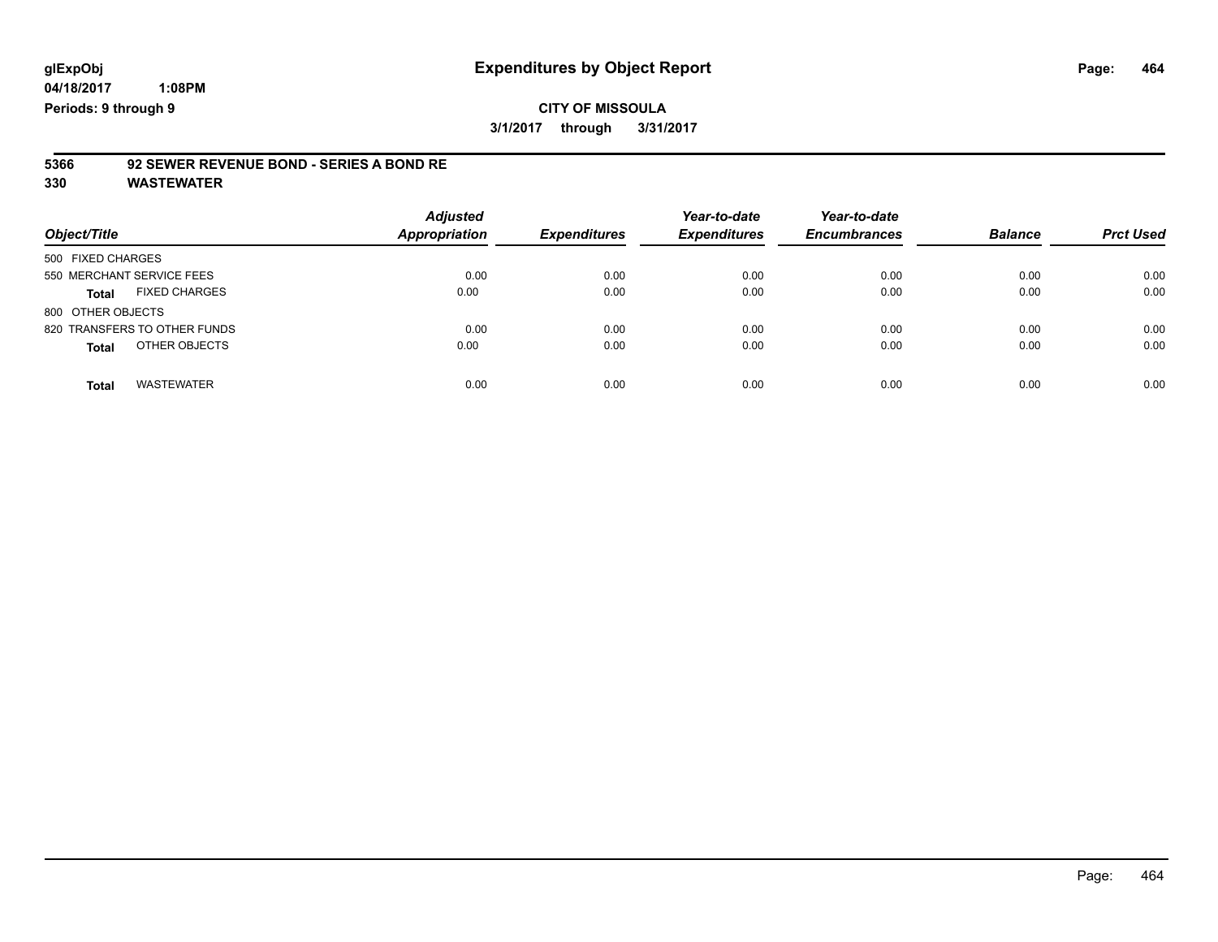**04/18/2017**

 **1:08PM Periods: 9 through 9**

### **CITY OF MISSOULA 3/1/2017 through 3/31/2017**

# **5366 92 SEWER REVENUE BOND - SERIES A BOND RE**

| Object/Title                      | <b>Adjusted</b><br><b>Appropriation</b> | <b>Expenditures</b> | Year-to-date<br><b>Expenditures</b> | Year-to-date<br><b>Encumbrances</b> | <b>Balance</b> | <b>Prct Used</b> |
|-----------------------------------|-----------------------------------------|---------------------|-------------------------------------|-------------------------------------|----------------|------------------|
| 500 FIXED CHARGES                 |                                         |                     |                                     |                                     |                |                  |
| 550 MERCHANT SERVICE FEES         | 0.00                                    | 0.00                | 0.00                                | 0.00                                | 0.00           | 0.00             |
| <b>FIXED CHARGES</b><br>Total     | 0.00                                    | 0.00                | 0.00                                | 0.00                                | 0.00           | 0.00             |
| 800 OTHER OBJECTS                 |                                         |                     |                                     |                                     |                |                  |
| 820 TRANSFERS TO OTHER FUNDS      | 0.00                                    | 0.00                | 0.00                                | 0.00                                | 0.00           | 0.00             |
| OTHER OBJECTS<br><b>Total</b>     | 0.00                                    | 0.00                | 0.00                                | 0.00                                | 0.00           | 0.00             |
| <b>WASTEWATER</b><br><b>Total</b> | 0.00                                    | 0.00                | 0.00                                | 0.00                                | 0.00           | 0.00             |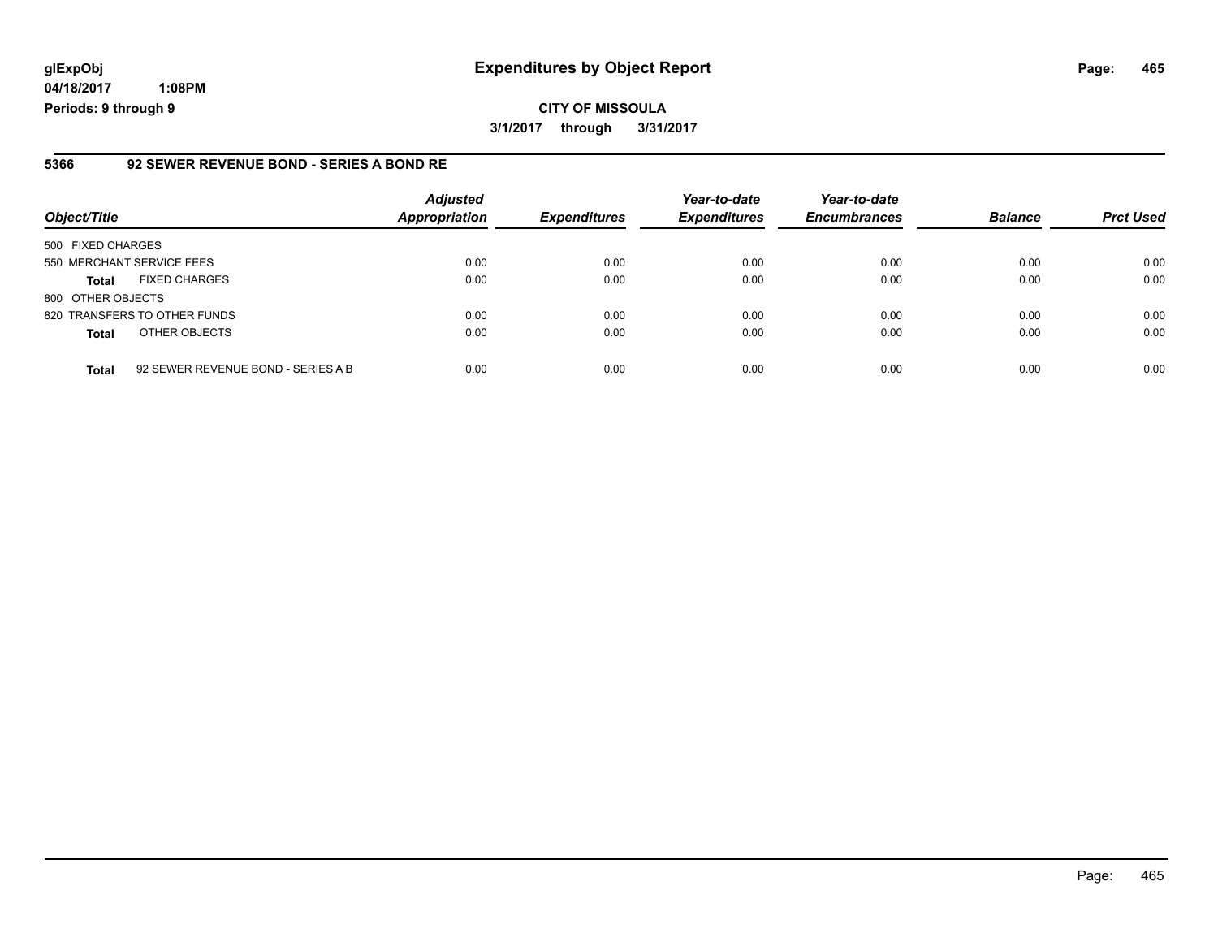**04/18/2017 1:08PM Periods: 9 through 9**

#### **5366 92 SEWER REVENUE BOND - SERIES A BOND RE**

| Object/Title              |                                    | <b>Adjusted</b><br><b>Appropriation</b> | <b>Expenditures</b> | Year-to-date<br><b>Expenditures</b> | Year-to-date<br><b>Encumbrances</b> | <b>Balance</b> | <b>Prct Used</b> |
|---------------------------|------------------------------------|-----------------------------------------|---------------------|-------------------------------------|-------------------------------------|----------------|------------------|
| 500 FIXED CHARGES         |                                    |                                         |                     |                                     |                                     |                |                  |
| 550 MERCHANT SERVICE FEES |                                    | 0.00                                    | 0.00                | 0.00                                | 0.00                                | 0.00           | 0.00             |
| <b>Total</b>              | <b>FIXED CHARGES</b>               | 0.00                                    | 0.00                | 0.00                                | 0.00                                | 0.00           | 0.00             |
| 800 OTHER OBJECTS         |                                    |                                         |                     |                                     |                                     |                |                  |
|                           | 820 TRANSFERS TO OTHER FUNDS       | 0.00                                    | 0.00                | 0.00                                | 0.00                                | 0.00           | 0.00             |
| <b>Total</b>              | OTHER OBJECTS                      | 0.00                                    | 0.00                | 0.00                                | 0.00                                | 0.00           | 0.00             |
| <b>Total</b>              | 92 SEWER REVENUE BOND - SERIES A B | 0.00                                    | 0.00                | 0.00                                | 0.00                                | 0.00           | 0.00             |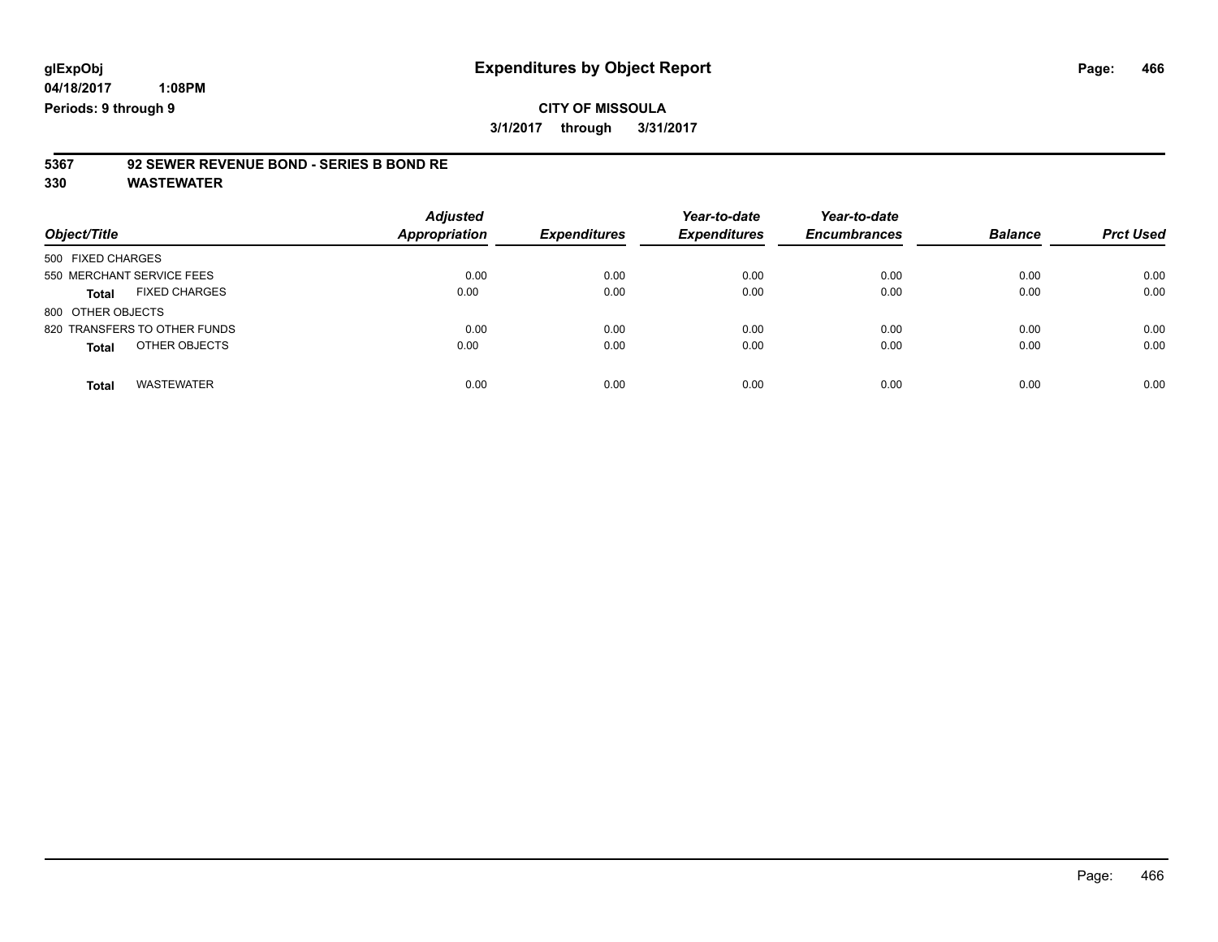### **CITY OF MISSOULA 3/1/2017 through 3/31/2017**

# **5367 92 SEWER REVENUE BOND - SERIES B BOND RE**

| Object/Title                  | <b>Adjusted</b><br><b>Appropriation</b> | <b>Expenditures</b> | Year-to-date<br><b>Expenditures</b> | Year-to-date<br><b>Encumbrances</b> | <b>Balance</b> | <b>Prct Used</b> |
|-------------------------------|-----------------------------------------|---------------------|-------------------------------------|-------------------------------------|----------------|------------------|
| 500 FIXED CHARGES             |                                         |                     |                                     |                                     |                |                  |
| 550 MERCHANT SERVICE FEES     | 0.00                                    | 0.00                | 0.00                                | 0.00                                | 0.00           | 0.00             |
| <b>FIXED CHARGES</b><br>Total | 0.00                                    | 0.00                | 0.00                                | 0.00                                | 0.00           | 0.00             |
| 800 OTHER OBJECTS             |                                         |                     |                                     |                                     |                |                  |
| 820 TRANSFERS TO OTHER FUNDS  | 0.00                                    | 0.00                | 0.00                                | 0.00                                | 0.00           | 0.00             |
| OTHER OBJECTS<br><b>Total</b> | 0.00                                    | 0.00                | 0.00                                | 0.00                                | 0.00           | 0.00             |
| <b>WASTEWATER</b><br>Total    | 0.00                                    | 0.00                | 0.00                                | 0.00                                | 0.00           | 0.00             |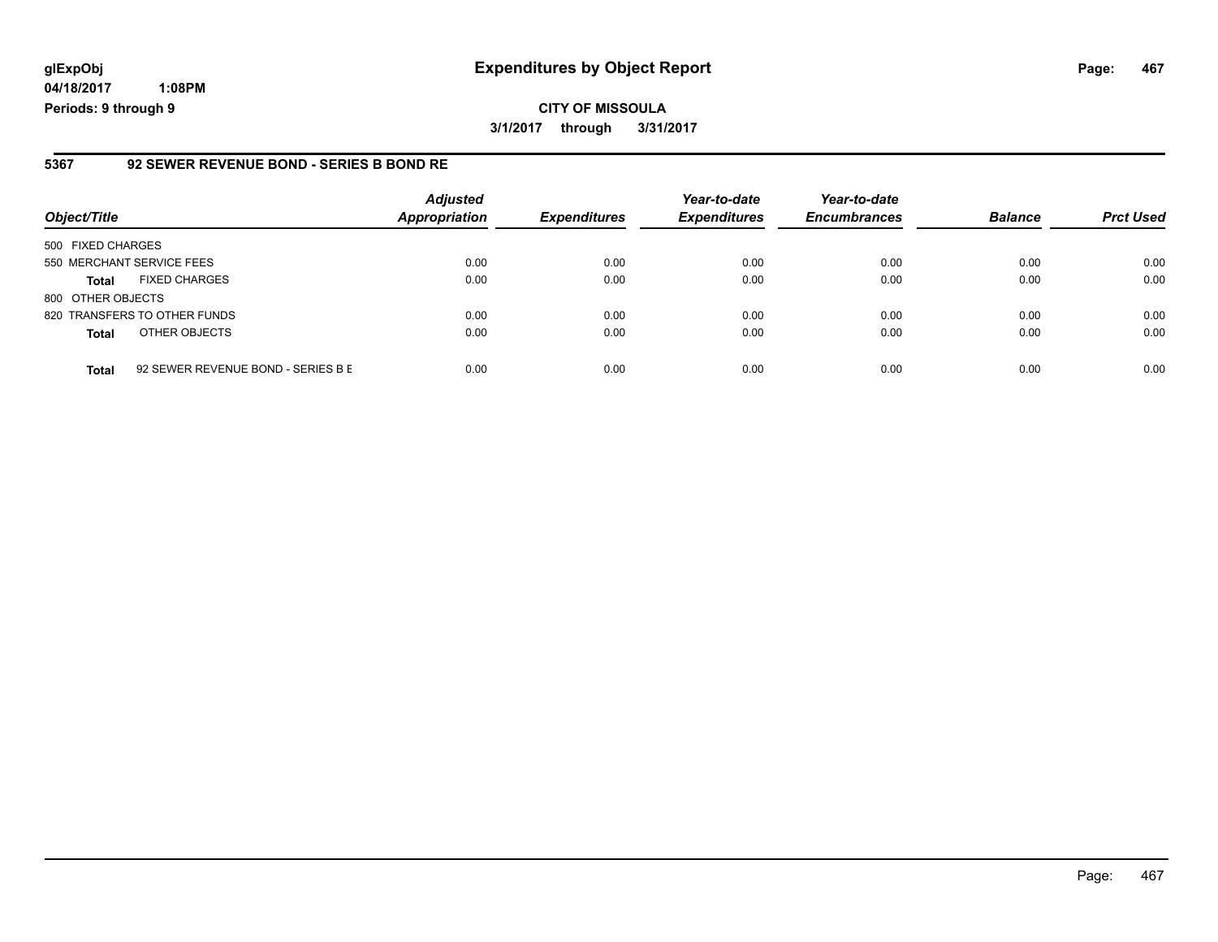**04/18/2017 1:08PM Periods: 9 through 9**

#### **5367 92 SEWER REVENUE BOND - SERIES B BOND RE**

| Object/Title              |                                    | <b>Adjusted</b><br>Appropriation | <b>Expenditures</b> | Year-to-date<br><b>Expenditures</b> | Year-to-date<br><b>Encumbrances</b> | <b>Balance</b> | <b>Prct Used</b> |
|---------------------------|------------------------------------|----------------------------------|---------------------|-------------------------------------|-------------------------------------|----------------|------------------|
| 500 FIXED CHARGES         |                                    |                                  |                     |                                     |                                     |                |                  |
| 550 MERCHANT SERVICE FEES |                                    | 0.00                             | 0.00                | 0.00                                | 0.00                                | 0.00           | 0.00             |
| <b>Total</b>              | <b>FIXED CHARGES</b>               | 0.00                             | 0.00                | 0.00                                | 0.00                                | 0.00           | 0.00             |
| 800 OTHER OBJECTS         |                                    |                                  |                     |                                     |                                     |                |                  |
|                           | 820 TRANSFERS TO OTHER FUNDS       | 0.00                             | 0.00                | 0.00                                | 0.00                                | 0.00           | 0.00             |
| <b>Total</b>              | OTHER OBJECTS                      | 0.00                             | 0.00                | 0.00                                | 0.00                                | 0.00           | 0.00             |
| <b>Total</b>              | 92 SEWER REVENUE BOND - SERIES B E | 0.00                             | 0.00                | 0.00                                | 0.00                                | 0.00           | 0.00             |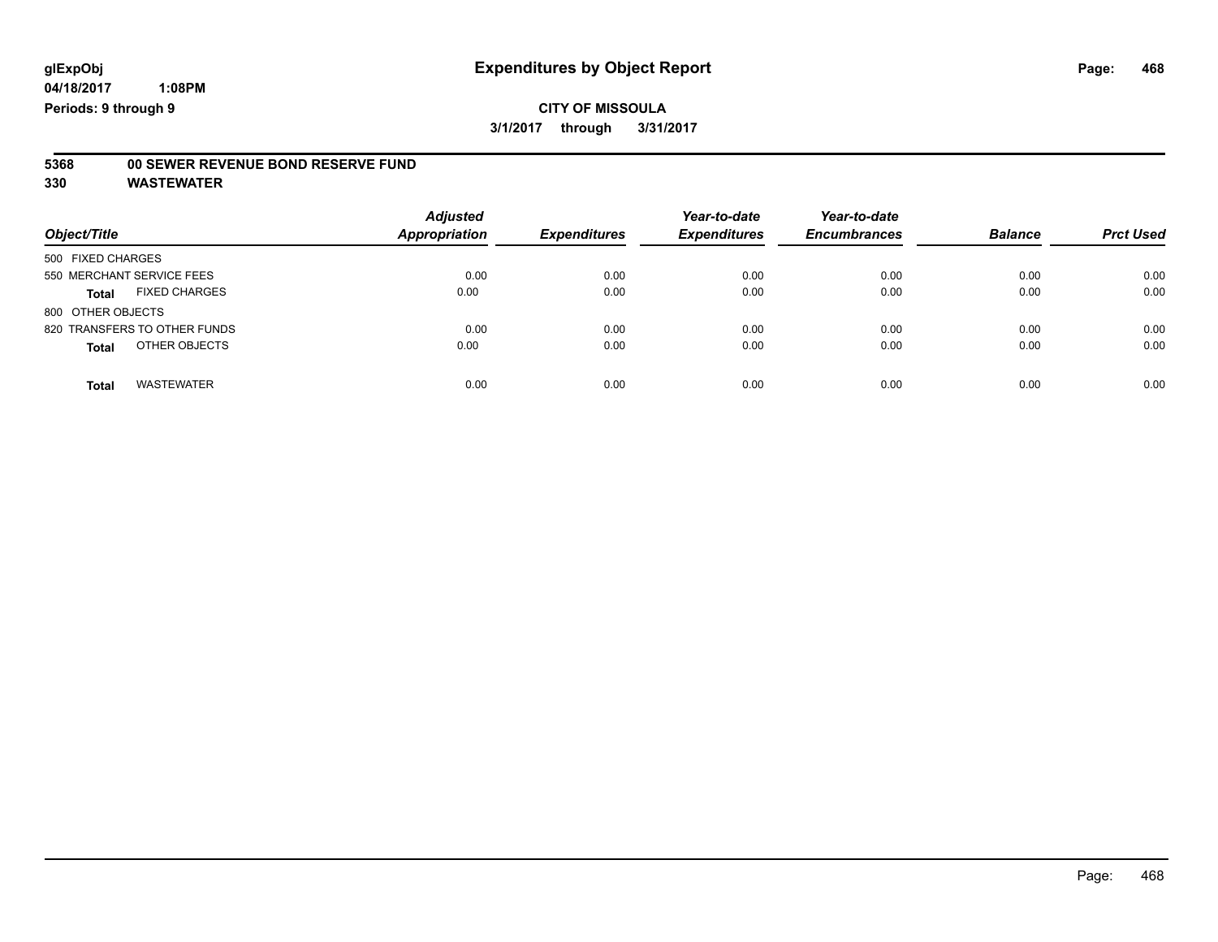# **5368 00 SEWER REVENUE BOND RESERVE FUND**

| Object/Title                         | <b>Adjusted</b><br><b>Appropriation</b> | <b>Expenditures</b> | Year-to-date<br><b>Expenditures</b> | Year-to-date<br><b>Encumbrances</b> | <b>Balance</b> | <b>Prct Used</b> |
|--------------------------------------|-----------------------------------------|---------------------|-------------------------------------|-------------------------------------|----------------|------------------|
| 500 FIXED CHARGES                    |                                         |                     |                                     |                                     |                |                  |
| 550 MERCHANT SERVICE FEES            | 0.00                                    | 0.00                | 0.00                                | 0.00                                | 0.00           | 0.00             |
| <b>FIXED CHARGES</b><br><b>Total</b> | 0.00                                    | 0.00                | 0.00                                | 0.00                                | 0.00           | 0.00             |
| 800 OTHER OBJECTS                    |                                         |                     |                                     |                                     |                |                  |
| 820 TRANSFERS TO OTHER FUNDS         | 0.00                                    | 0.00                | 0.00                                | 0.00                                | 0.00           | 0.00             |
| OTHER OBJECTS<br><b>Total</b>        | 0.00                                    | 0.00                | 0.00                                | 0.00                                | 0.00           | 0.00             |
| <b>WASTEWATER</b><br><b>Total</b>    | 0.00                                    | 0.00                | 0.00                                | 0.00                                | 0.00           | 0.00             |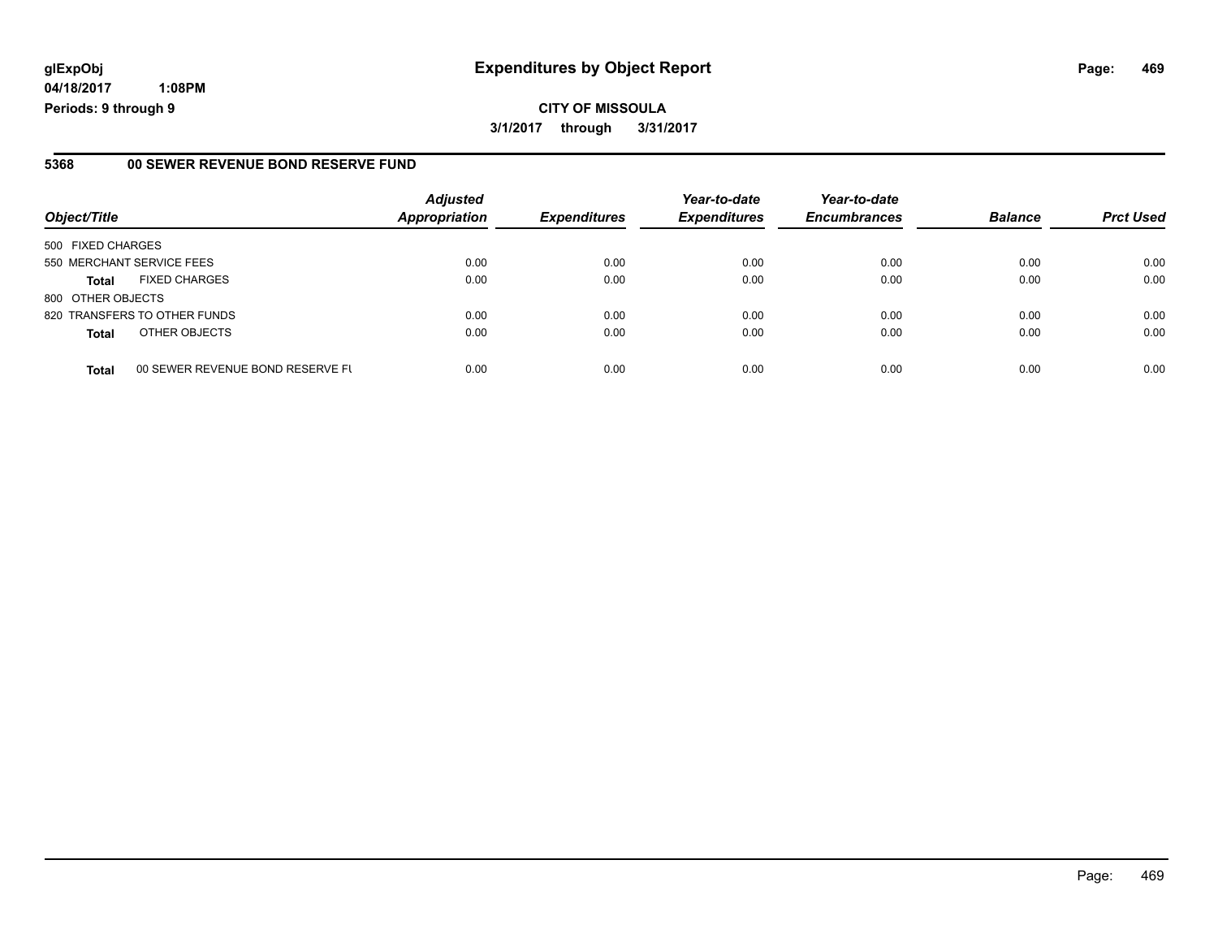# **glExpObj Expenditures by Object Report Page: 469**

**04/18/2017 1:08PM Periods: 9 through 9**

#### **5368 00 SEWER REVENUE BOND RESERVE FUND**

| Object/Title              |                                  | <b>Adjusted</b><br><b>Appropriation</b> | <b>Expenditures</b> | Year-to-date<br><b>Expenditures</b> | Year-to-date<br><b>Encumbrances</b> | <b>Balance</b> | <b>Prct Used</b> |
|---------------------------|----------------------------------|-----------------------------------------|---------------------|-------------------------------------|-------------------------------------|----------------|------------------|
| 500 FIXED CHARGES         |                                  |                                         |                     |                                     |                                     |                |                  |
| 550 MERCHANT SERVICE FEES |                                  | 0.00                                    | 0.00                | 0.00                                | 0.00                                | 0.00           | 0.00             |
| <b>Total</b>              | <b>FIXED CHARGES</b>             | 0.00                                    | 0.00                | 0.00                                | 0.00                                | 0.00           | 0.00             |
| 800 OTHER OBJECTS         |                                  |                                         |                     |                                     |                                     |                |                  |
|                           | 820 TRANSFERS TO OTHER FUNDS     | 0.00                                    | 0.00                | 0.00                                | 0.00                                | 0.00           | 0.00             |
| <b>Total</b>              | OTHER OBJECTS                    | 0.00                                    | 0.00                | 0.00                                | 0.00                                | 0.00           | 0.00             |
| <b>Total</b>              | 00 SEWER REVENUE BOND RESERVE FL | 0.00                                    | 0.00                | 0.00                                | 0.00                                | 0.00           | 0.00             |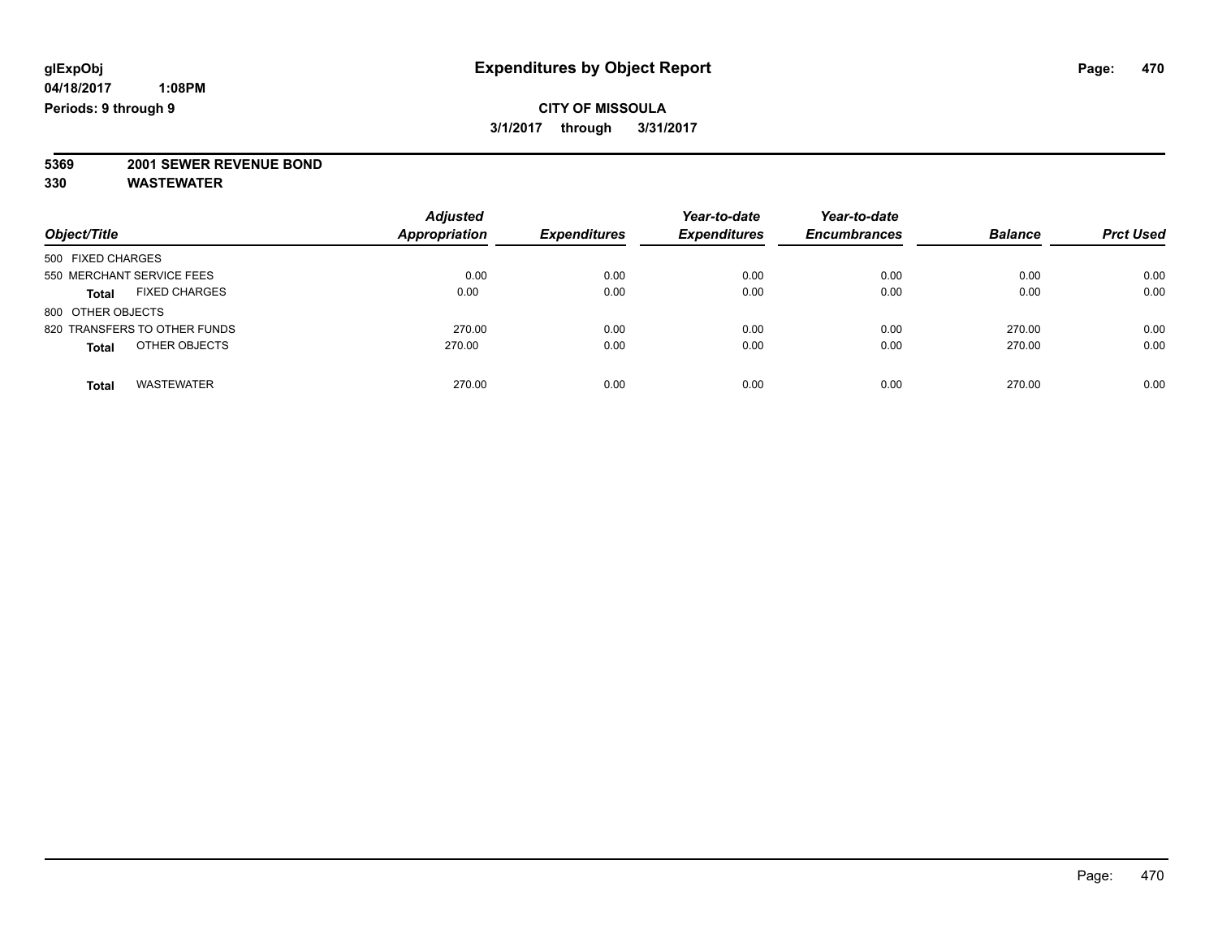**5369 2001 SEWER REVENUE BOND**

| Object/Title                         | <b>Adjusted</b><br><b>Appropriation</b> | <b>Expenditures</b> | Year-to-date<br><b>Expenditures</b> | Year-to-date<br><b>Encumbrances</b> | <b>Balance</b> | <b>Prct Used</b> |
|--------------------------------------|-----------------------------------------|---------------------|-------------------------------------|-------------------------------------|----------------|------------------|
| 500 FIXED CHARGES                    |                                         |                     |                                     |                                     |                |                  |
| 550 MERCHANT SERVICE FEES            | 0.00                                    | 0.00                | 0.00                                | 0.00                                | 0.00           | 0.00             |
| <b>FIXED CHARGES</b><br><b>Total</b> | 0.00                                    | 0.00                | 0.00                                | 0.00                                | 0.00           | 0.00             |
| 800 OTHER OBJECTS                    |                                         |                     |                                     |                                     |                |                  |
| 820 TRANSFERS TO OTHER FUNDS         | 270.00                                  | 0.00                | 0.00                                | 0.00                                | 270.00         | 0.00             |
| OTHER OBJECTS<br><b>Total</b>        | 270.00                                  | 0.00                | 0.00                                | 0.00                                | 270.00         | 0.00             |
| <b>WASTEWATER</b><br>Total           | 270.00                                  | 0.00                | 0.00                                | 0.00                                | 270.00         | 0.00             |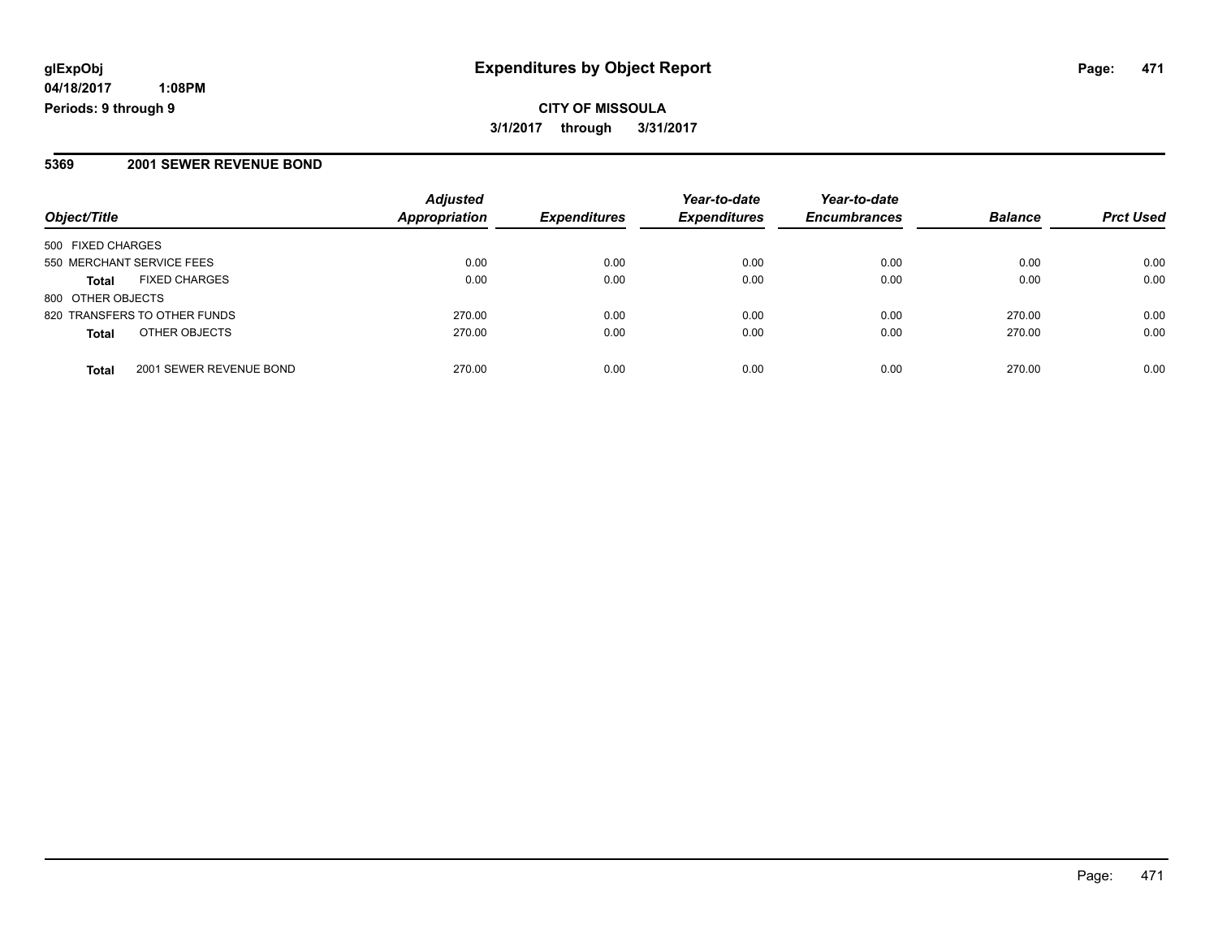### **5369 2001 SEWER REVENUE BOND**

| Object/Title                            | <b>Adjusted</b><br><b>Appropriation</b> | <b>Expenditures</b> | Year-to-date<br><b>Expenditures</b> | Year-to-date<br><b>Encumbrances</b> | <b>Balance</b> | <b>Prct Used</b> |
|-----------------------------------------|-----------------------------------------|---------------------|-------------------------------------|-------------------------------------|----------------|------------------|
| 500 FIXED CHARGES                       |                                         |                     |                                     |                                     |                |                  |
| 550 MERCHANT SERVICE FEES               | 0.00                                    | 0.00                | 0.00                                | 0.00                                | 0.00           | 0.00             |
| <b>FIXED CHARGES</b><br><b>Total</b>    | 0.00                                    | 0.00                | 0.00                                | 0.00                                | 0.00           | 0.00             |
| 800 OTHER OBJECTS                       |                                         |                     |                                     |                                     |                |                  |
| 820 TRANSFERS TO OTHER FUNDS            | 270.00                                  | 0.00                | 0.00                                | 0.00                                | 270.00         | 0.00             |
| OTHER OBJECTS<br><b>Total</b>           | 270.00                                  | 0.00                | 0.00                                | 0.00                                | 270.00         | 0.00             |
| 2001 SEWER REVENUE BOND<br><b>Total</b> | 270.00                                  | 0.00                | 0.00                                | 0.00                                | 270.00         | 0.00             |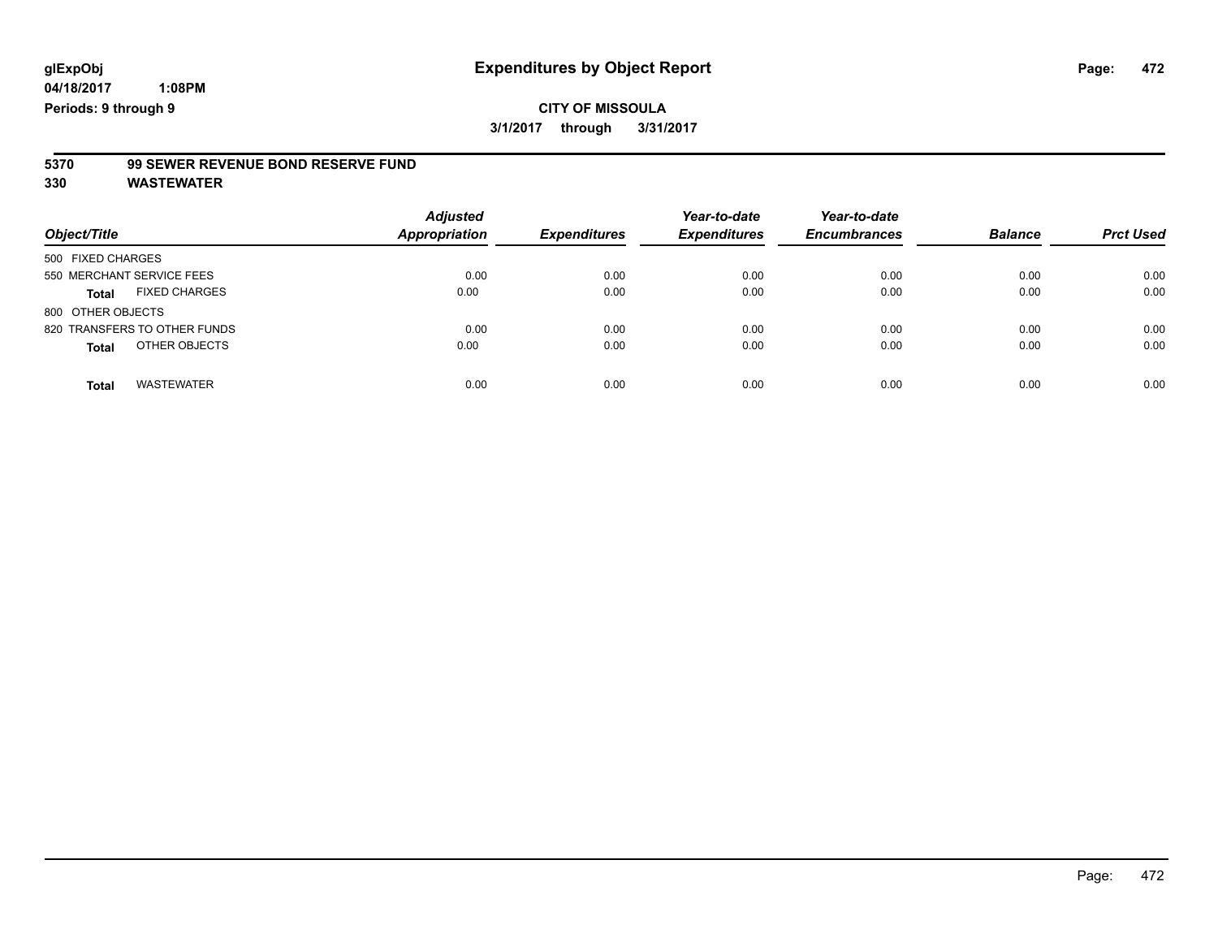# **5370 99 SEWER REVENUE BOND RESERVE FUND**

| Object/Title                         | <b>Adjusted</b><br><b>Appropriation</b> | <b>Expenditures</b> | Year-to-date<br><b>Expenditures</b> | Year-to-date<br><b>Encumbrances</b> | <b>Balance</b> | <b>Prct Used</b> |
|--------------------------------------|-----------------------------------------|---------------------|-------------------------------------|-------------------------------------|----------------|------------------|
| 500 FIXED CHARGES                    |                                         |                     |                                     |                                     |                |                  |
| 550 MERCHANT SERVICE FEES            | 0.00                                    | 0.00                | 0.00                                | 0.00                                | 0.00           | 0.00             |
| <b>FIXED CHARGES</b><br><b>Total</b> | 0.00                                    | 0.00                | 0.00                                | 0.00                                | 0.00           | 0.00             |
| 800 OTHER OBJECTS                    |                                         |                     |                                     |                                     |                |                  |
| 820 TRANSFERS TO OTHER FUNDS         | 0.00                                    | 0.00                | 0.00                                | 0.00                                | 0.00           | 0.00             |
| OTHER OBJECTS<br><b>Total</b>        | 0.00                                    | 0.00                | 0.00                                | 0.00                                | 0.00           | 0.00             |
| <b>WASTEWATER</b><br><b>Total</b>    | 0.00                                    | 0.00                | 0.00                                | 0.00                                | 0.00           | 0.00             |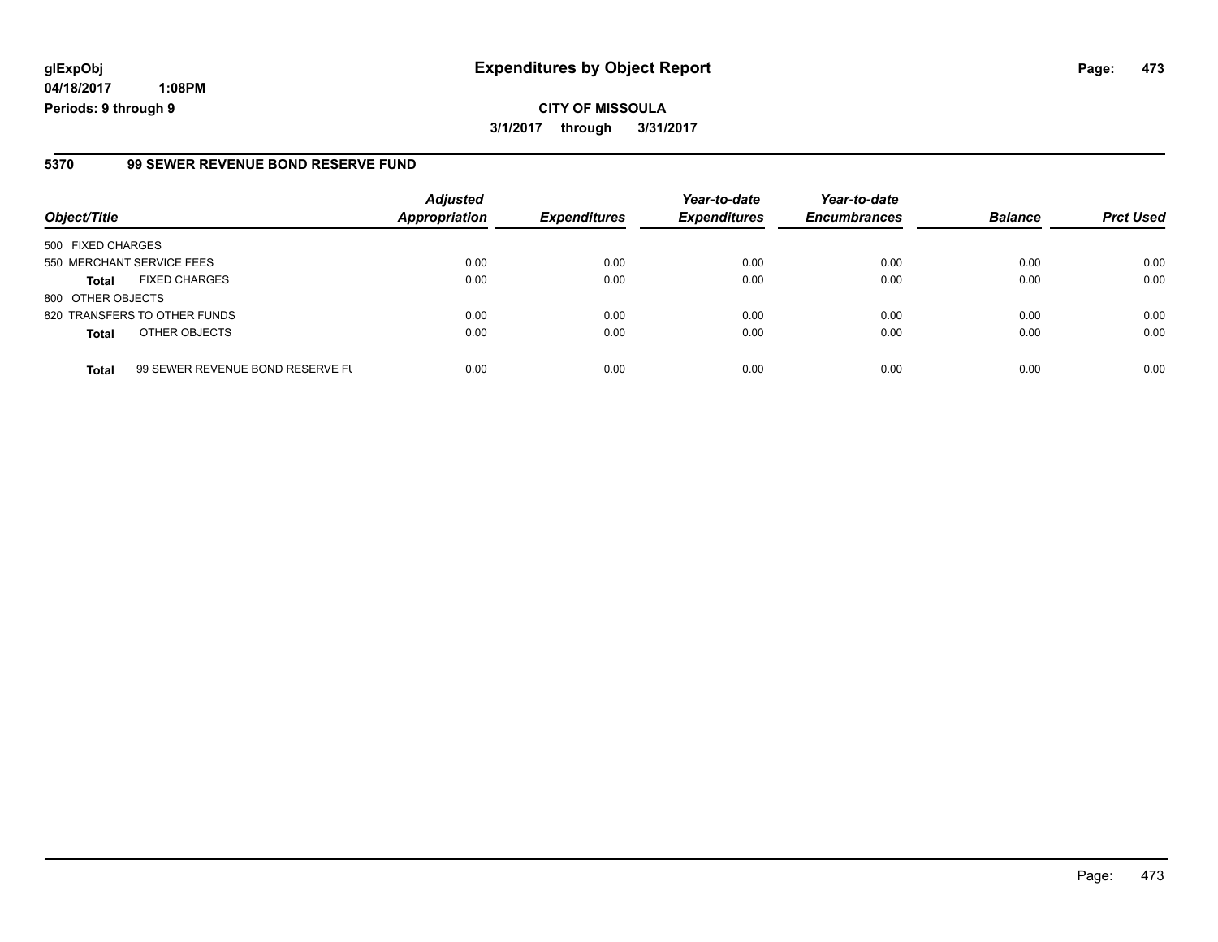# **glExpObj Expenditures by Object Report Page: 473**

**04/18/2017 1:08PM Periods: 9 through 9**

#### **5370 99 SEWER REVENUE BOND RESERVE FUND**

| Object/Title              |                                  | <b>Adjusted</b><br><b>Appropriation</b> | <b>Expenditures</b> | Year-to-date<br><b>Expenditures</b> | Year-to-date<br><b>Encumbrances</b> | <b>Balance</b> | <b>Prct Used</b> |
|---------------------------|----------------------------------|-----------------------------------------|---------------------|-------------------------------------|-------------------------------------|----------------|------------------|
| 500 FIXED CHARGES         |                                  |                                         |                     |                                     |                                     |                |                  |
| 550 MERCHANT SERVICE FEES |                                  | 0.00                                    | 0.00                | 0.00                                | 0.00                                | 0.00           | 0.00             |
| <b>Total</b>              | <b>FIXED CHARGES</b>             | 0.00                                    | 0.00                | 0.00                                | 0.00                                | 0.00           | 0.00             |
| 800 OTHER OBJECTS         |                                  |                                         |                     |                                     |                                     |                |                  |
|                           | 820 TRANSFERS TO OTHER FUNDS     | 0.00                                    | 0.00                | 0.00                                | 0.00                                | 0.00           | 0.00             |
| <b>Total</b>              | OTHER OBJECTS                    | 0.00                                    | 0.00                | 0.00                                | 0.00                                | 0.00           | 0.00             |
| <b>Total</b>              | 99 SEWER REVENUE BOND RESERVE FL | 0.00                                    | 0.00                | 0.00                                | 0.00                                | 0.00           | 0.00             |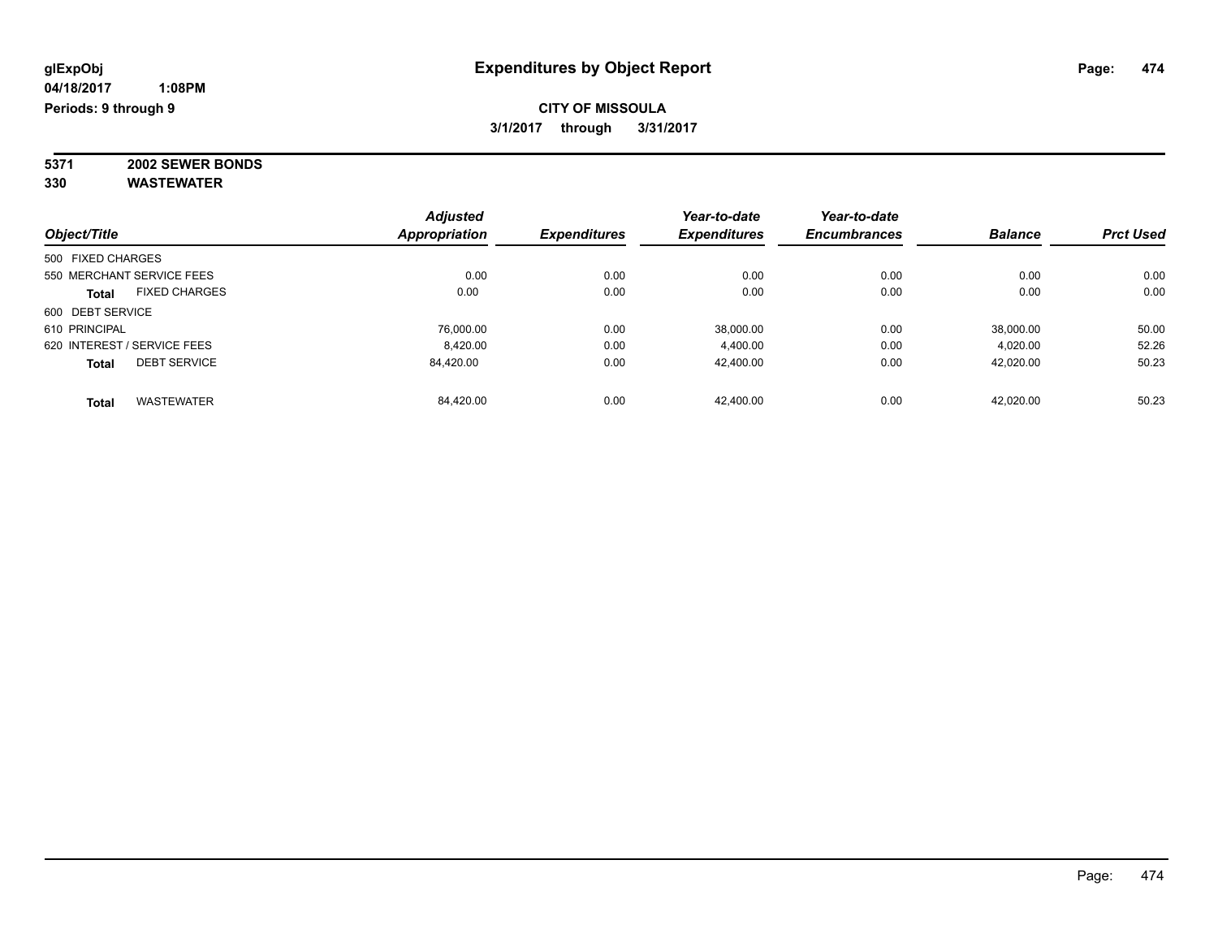**5371 2002 SEWER BONDS 330 WASTEWATER**

|                   |                             | <b>Adjusted</b>      |                     | Year-to-date        | Year-to-date        |                |                  |
|-------------------|-----------------------------|----------------------|---------------------|---------------------|---------------------|----------------|------------------|
| Object/Title      |                             | <b>Appropriation</b> | <b>Expenditures</b> | <b>Expenditures</b> | <b>Encumbrances</b> | <b>Balance</b> | <b>Prct Used</b> |
| 500 FIXED CHARGES |                             |                      |                     |                     |                     |                |                  |
|                   | 550 MERCHANT SERVICE FEES   | 0.00                 | 0.00                | 0.00                | 0.00                | 0.00           | 0.00             |
| Total             | <b>FIXED CHARGES</b>        | 0.00                 | 0.00                | 0.00                | 0.00                | 0.00           | 0.00             |
| 600 DEBT SERVICE  |                             |                      |                     |                     |                     |                |                  |
| 610 PRINCIPAL     |                             | 76.000.00            | 0.00                | 38,000.00           | 0.00                | 38,000.00      | 50.00            |
|                   | 620 INTEREST / SERVICE FEES | 8.420.00             | 0.00                | 4.400.00            | 0.00                | 4.020.00       | 52.26            |
| <b>Total</b>      | <b>DEBT SERVICE</b>         | 84.420.00            | 0.00                | 42.400.00           | 0.00                | 42,020.00      | 50.23            |
| Total             | <b>WASTEWATER</b>           | 84.420.00            | 0.00                | 42.400.00           | 0.00                | 42.020.00      | 50.23            |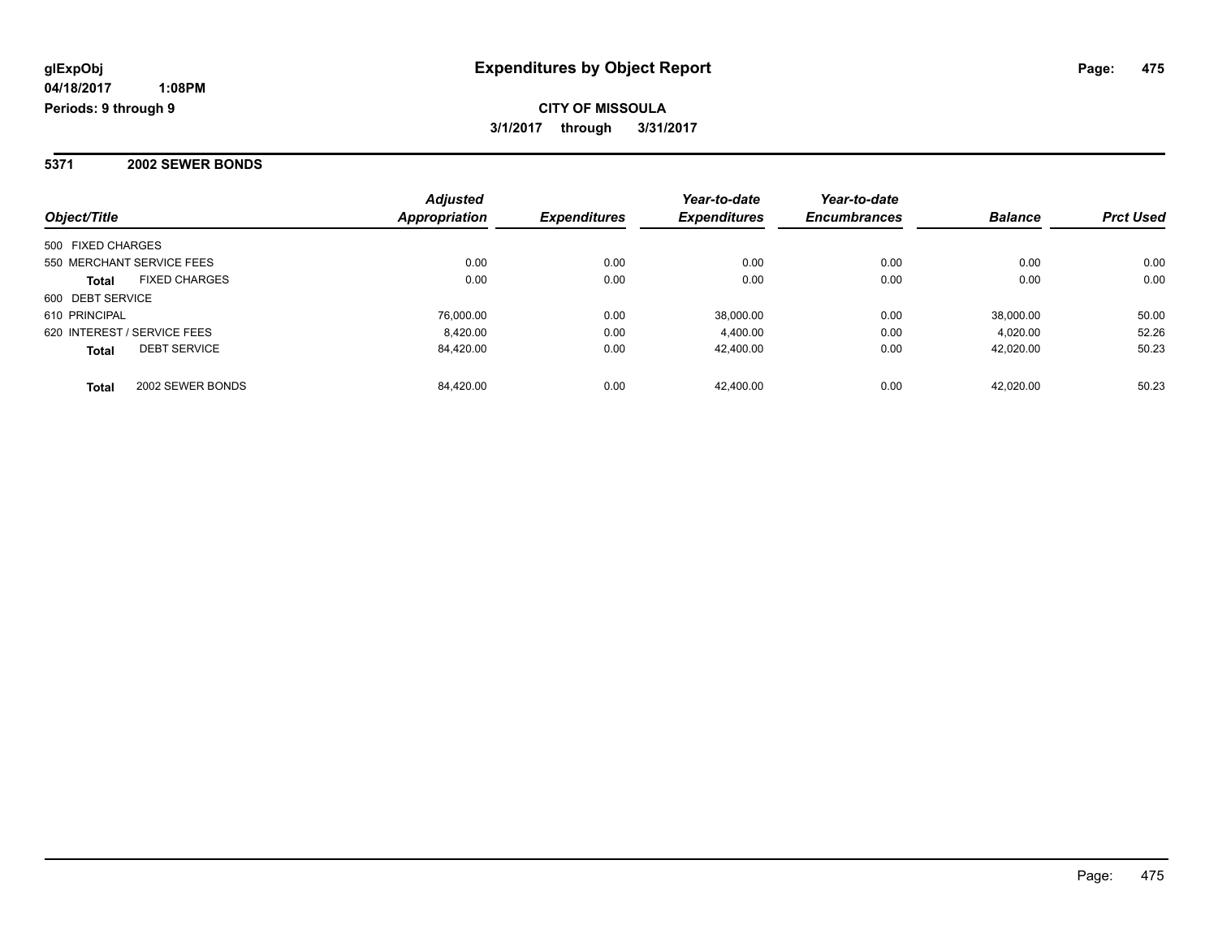**CITY OF MISSOULA 3/1/2017 through 3/31/2017**

### **5371 2002 SEWER BONDS**

| Object/Title                         | <b>Adjusted</b><br>Appropriation | <b>Expenditures</b> | Year-to-date<br><b>Expenditures</b> | Year-to-date<br><b>Encumbrances</b> | <b>Balance</b> | <b>Prct Used</b> |
|--------------------------------------|----------------------------------|---------------------|-------------------------------------|-------------------------------------|----------------|------------------|
| 500 FIXED CHARGES                    |                                  |                     |                                     |                                     |                |                  |
| 550 MERCHANT SERVICE FEES            | 0.00                             | 0.00                | 0.00                                | 0.00                                | 0.00           | 0.00             |
| <b>FIXED CHARGES</b><br><b>Total</b> | 0.00                             | 0.00                | 0.00                                | 0.00                                | 0.00           | 0.00             |
| 600 DEBT SERVICE                     |                                  |                     |                                     |                                     |                |                  |
| 610 PRINCIPAL                        | 76,000.00                        | 0.00                | 38.000.00                           | 0.00                                | 38.000.00      | 50.00            |
| 620 INTEREST / SERVICE FEES          | 8.420.00                         | 0.00                | 4,400.00                            | 0.00                                | 4.020.00       | 52.26            |
| <b>DEBT SERVICE</b><br><b>Total</b>  | 84.420.00                        | 0.00                | 42.400.00                           | 0.00                                | 42.020.00      | 50.23            |
| 2002 SEWER BONDS<br><b>Total</b>     | 84.420.00                        | 0.00                | 42.400.00                           | 0.00                                | 42.020.00      | 50.23            |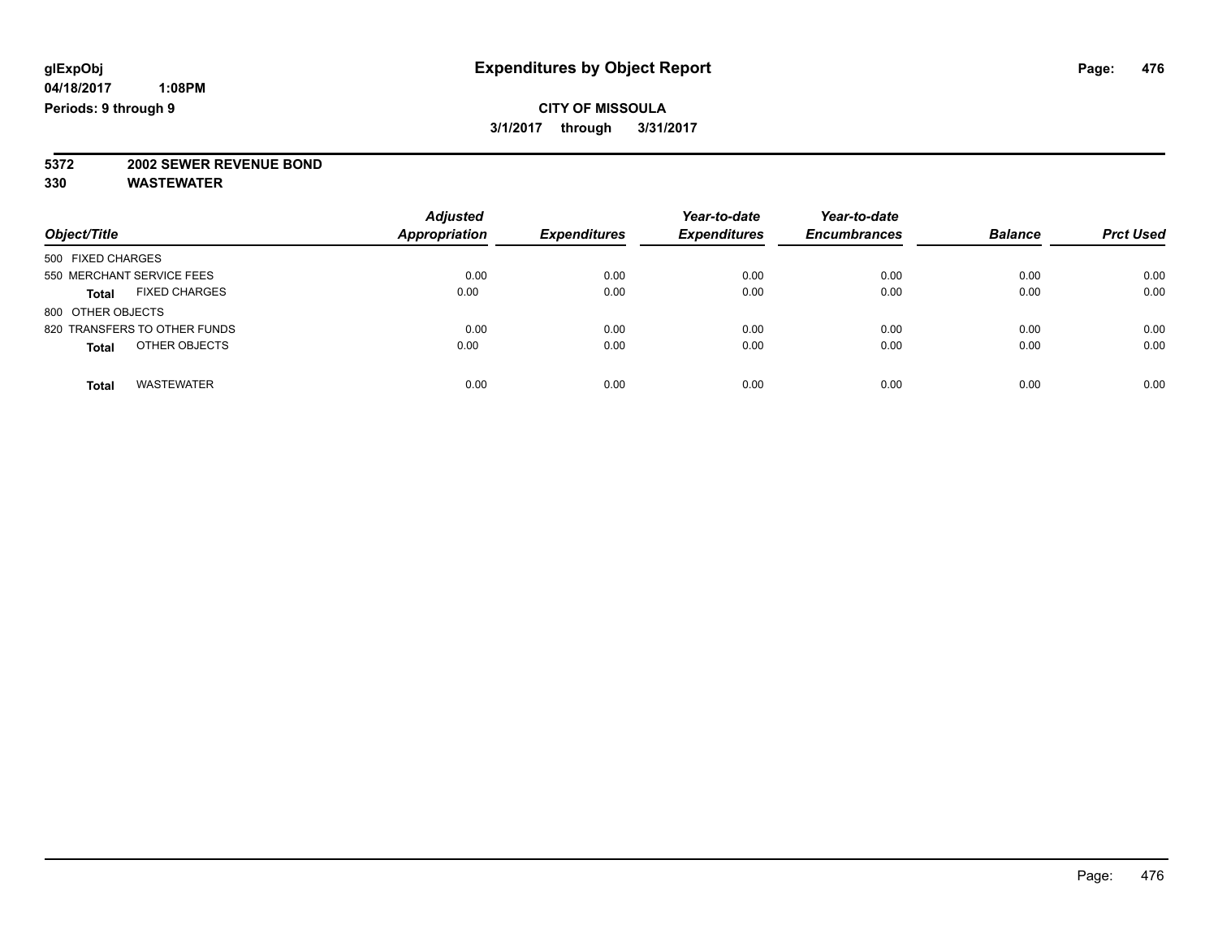# **5372 2002 SEWER REVENUE BOND**

| Object/Title                         | <b>Adjusted</b><br><b>Appropriation</b> | <b>Expenditures</b> | Year-to-date<br><b>Expenditures</b> | Year-to-date<br><b>Encumbrances</b> | <b>Balance</b> | <b>Prct Used</b> |
|--------------------------------------|-----------------------------------------|---------------------|-------------------------------------|-------------------------------------|----------------|------------------|
| 500 FIXED CHARGES                    |                                         |                     |                                     |                                     |                |                  |
| 550 MERCHANT SERVICE FEES            | 0.00                                    | 0.00                | 0.00                                | 0.00                                | 0.00           | 0.00             |
| <b>FIXED CHARGES</b><br><b>Total</b> | 0.00                                    | 0.00                | 0.00                                | 0.00                                | 0.00           | 0.00             |
| 800 OTHER OBJECTS                    |                                         |                     |                                     |                                     |                |                  |
| 820 TRANSFERS TO OTHER FUNDS         | 0.00                                    | 0.00                | 0.00                                | 0.00                                | 0.00           | 0.00             |
| OTHER OBJECTS<br><b>Total</b>        | 0.00                                    | 0.00                | 0.00                                | 0.00                                | 0.00           | 0.00             |
| <b>WASTEWATER</b><br>Total           | 0.00                                    | 0.00                | 0.00                                | 0.00                                | 0.00           | 0.00             |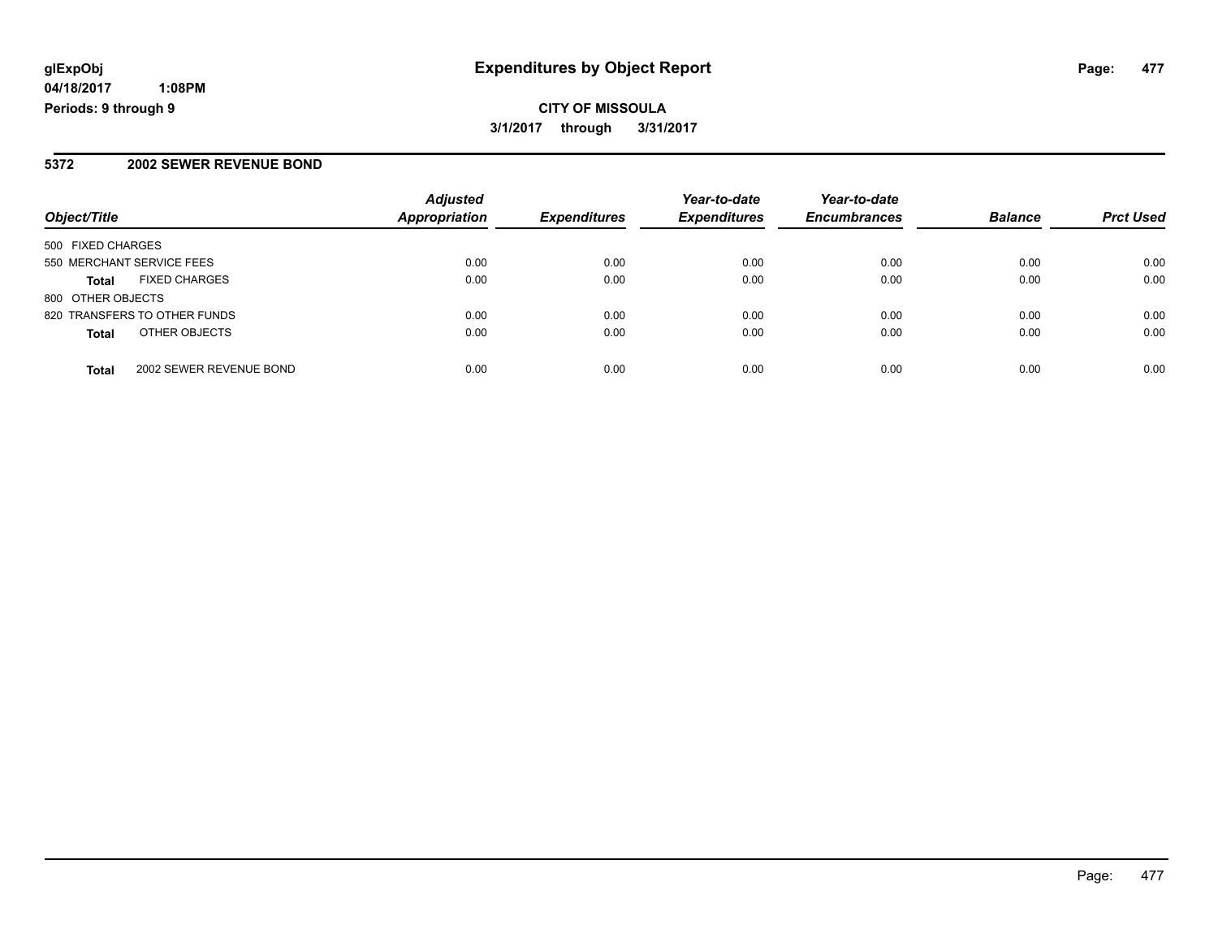## **CITY OF MISSOULA 3/1/2017 through 3/31/2017**

### **5372 2002 SEWER REVENUE BOND**

| Object/Title                            | <b>Adjusted</b><br><b>Appropriation</b> | <b>Expenditures</b> | Year-to-date<br><b>Expenditures</b> | Year-to-date<br><b>Encumbrances</b> | <b>Balance</b> | <b>Prct Used</b> |
|-----------------------------------------|-----------------------------------------|---------------------|-------------------------------------|-------------------------------------|----------------|------------------|
| 500 FIXED CHARGES                       |                                         |                     |                                     |                                     |                |                  |
| 550 MERCHANT SERVICE FEES               | 0.00                                    | 0.00                | 0.00                                | 0.00                                | 0.00           | 0.00             |
| <b>FIXED CHARGES</b><br><b>Total</b>    | 0.00                                    | 0.00                | 0.00                                | 0.00                                | 0.00           | 0.00             |
| 800 OTHER OBJECTS                       |                                         |                     |                                     |                                     |                |                  |
| 820 TRANSFERS TO OTHER FUNDS            | 0.00                                    | 0.00                | 0.00                                | 0.00                                | 0.00           | 0.00             |
| OTHER OBJECTS<br><b>Total</b>           | 0.00                                    | 0.00                | 0.00                                | 0.00                                | 0.00           | 0.00             |
| 2002 SEWER REVENUE BOND<br><b>Total</b> | 0.00                                    | 0.00                | 0.00                                | 0.00                                | 0.00           | 0.00             |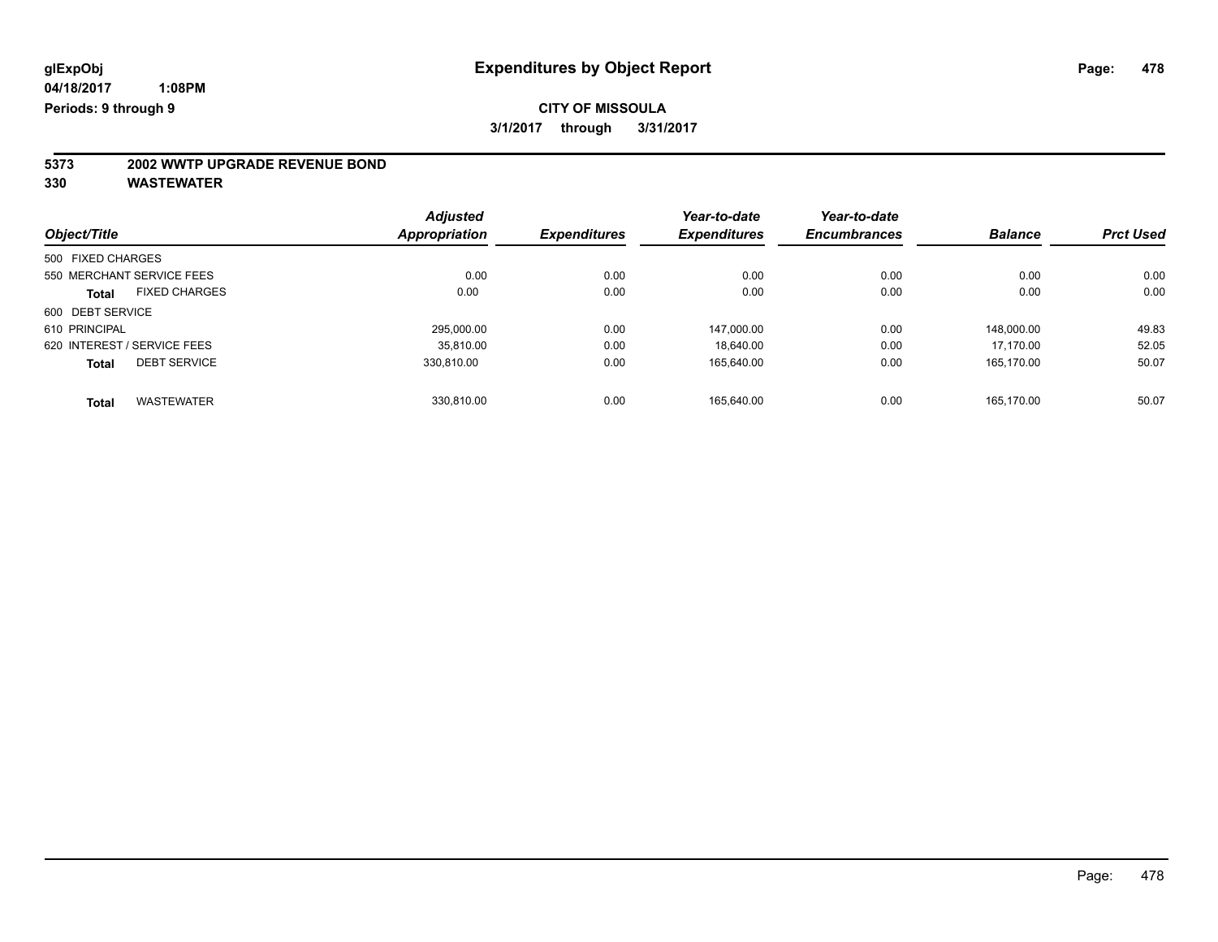# **5373 2002 WWTP UPGRADE REVENUE BOND**

|                             |                           | <b>Adjusted</b>      |                     | Year-to-date        | Year-to-date        |                |                  |
|-----------------------------|---------------------------|----------------------|---------------------|---------------------|---------------------|----------------|------------------|
| Object/Title                |                           | <b>Appropriation</b> | <b>Expenditures</b> | <b>Expenditures</b> | <b>Encumbrances</b> | <b>Balance</b> | <b>Prct Used</b> |
| 500 FIXED CHARGES           |                           |                      |                     |                     |                     |                |                  |
|                             | 550 MERCHANT SERVICE FEES | 0.00                 | 0.00                | 0.00                | 0.00                | 0.00           | 0.00             |
| <b>Total</b>                | <b>FIXED CHARGES</b>      | 0.00                 | 0.00                | 0.00                | 0.00                | 0.00           | 0.00             |
| 600 DEBT SERVICE            |                           |                      |                     |                     |                     |                |                  |
| 610 PRINCIPAL               |                           | 295.000.00           | 0.00                | 147.000.00          | 0.00                | 148.000.00     | 49.83            |
| 620 INTEREST / SERVICE FEES |                           | 35.810.00            | 0.00                | 18.640.00           | 0.00                | 17.170.00      | 52.05            |
| <b>Total</b>                | <b>DEBT SERVICE</b>       | 330.810.00           | 0.00                | 165,640.00          | 0.00                | 165.170.00     | 50.07            |
| <b>Total</b>                | <b>WASTEWATER</b>         | 330.810.00           | 0.00                | 165.640.00          | 0.00                | 165.170.00     | 50.07            |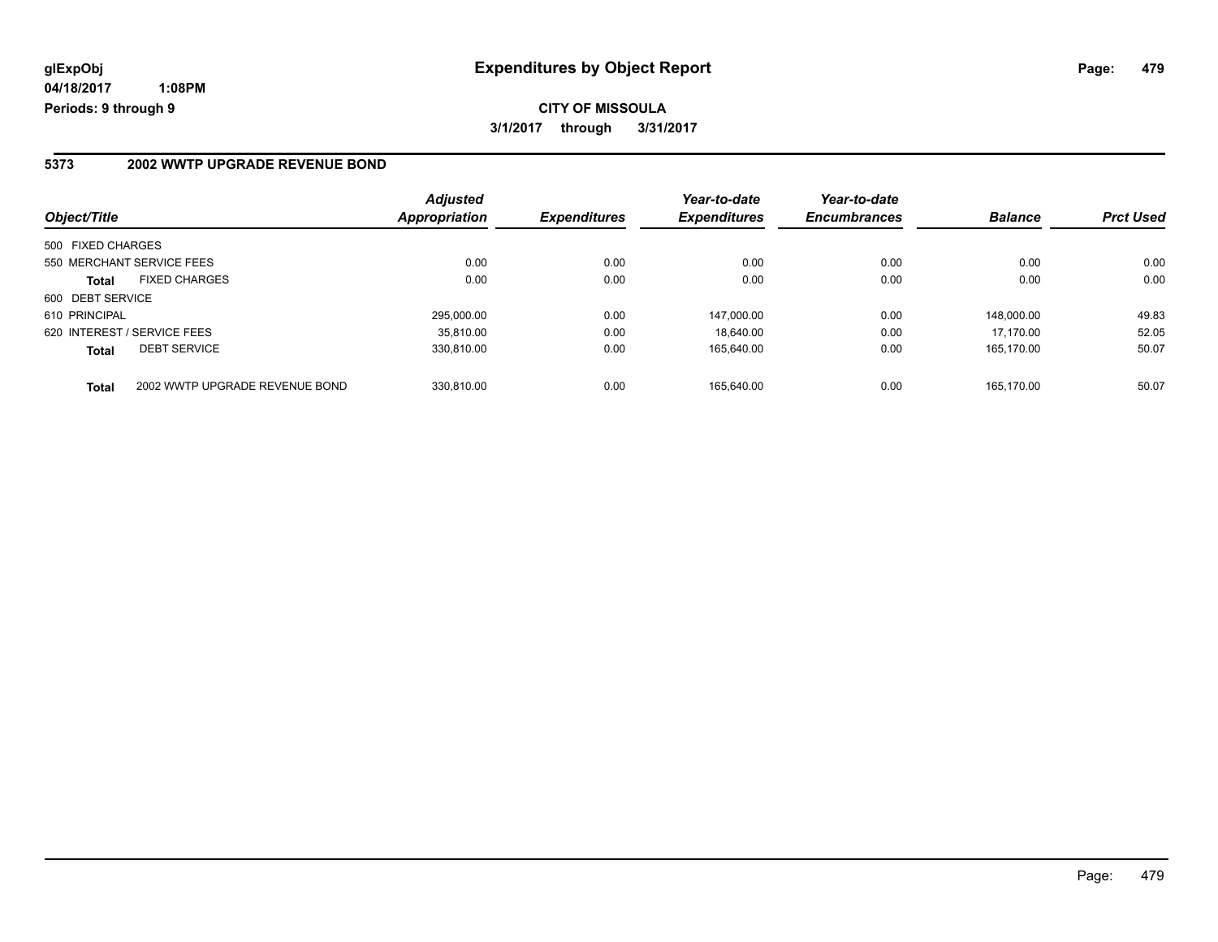### **5373 2002 WWTP UPGRADE REVENUE BOND**

| Object/Title                |                                | <b>Adjusted</b><br><b>Appropriation</b> | <i><b>Expenditures</b></i> | Year-to-date<br><b>Expenditures</b> | Year-to-date<br><b>Encumbrances</b> | <b>Balance</b> | <b>Prct Used</b> |
|-----------------------------|--------------------------------|-----------------------------------------|----------------------------|-------------------------------------|-------------------------------------|----------------|------------------|
| 500 FIXED CHARGES           |                                |                                         |                            |                                     |                                     |                |                  |
| 550 MERCHANT SERVICE FEES   |                                | 0.00                                    | 0.00                       | 0.00                                | 0.00                                | 0.00           | 0.00             |
| <b>Total</b>                | <b>FIXED CHARGES</b>           | 0.00                                    | 0.00                       | 0.00                                | 0.00                                | 0.00           | 0.00             |
| 600 DEBT SERVICE            |                                |                                         |                            |                                     |                                     |                |                  |
| 610 PRINCIPAL               |                                | 295.000.00                              | 0.00                       | 147.000.00                          | 0.00                                | 148.000.00     | 49.83            |
| 620 INTEREST / SERVICE FEES |                                | 35.810.00                               | 0.00                       | 18.640.00                           | 0.00                                | 17.170.00      | 52.05            |
| <b>Total</b>                | <b>DEBT SERVICE</b>            | 330.810.00                              | 0.00                       | 165.640.00                          | 0.00                                | 165.170.00     | 50.07            |
| <b>Total</b>                | 2002 WWTP UPGRADE REVENUE BOND | 330.810.00                              | 0.00                       | 165.640.00                          | 0.00                                | 165.170.00     | 50.07            |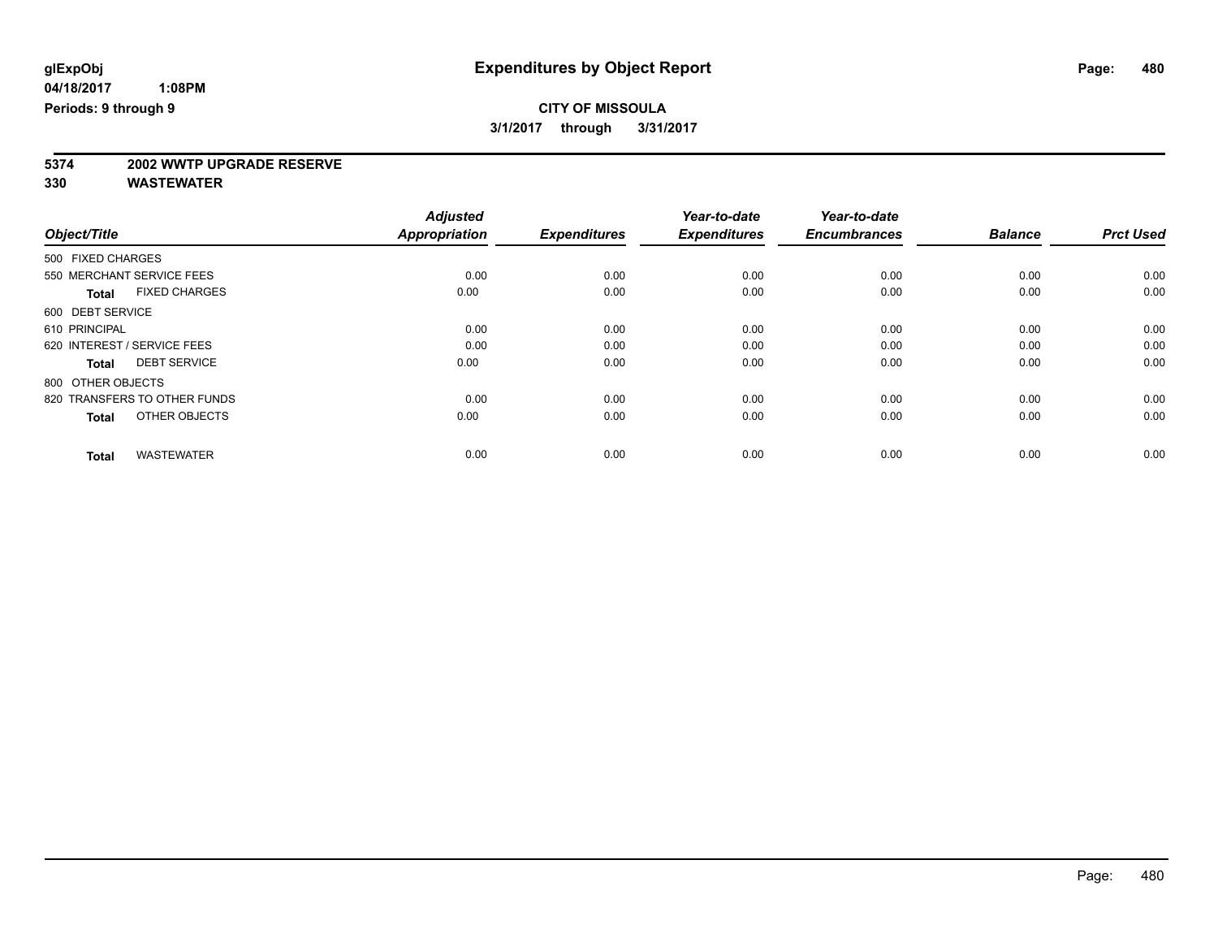# **5374 2002 WWTP UPGRADE RESERVE**

|                                      | <b>Adjusted</b>      |                     | Year-to-date        | Year-to-date        |                |                  |
|--------------------------------------|----------------------|---------------------|---------------------|---------------------|----------------|------------------|
| Object/Title                         | <b>Appropriation</b> | <b>Expenditures</b> | <b>Expenditures</b> | <b>Encumbrances</b> | <b>Balance</b> | <b>Prct Used</b> |
| 500 FIXED CHARGES                    |                      |                     |                     |                     |                |                  |
| 550 MERCHANT SERVICE FEES            | 0.00                 | 0.00                | 0.00                | 0.00                | 0.00           | 0.00             |
| <b>FIXED CHARGES</b><br><b>Total</b> | 0.00                 | 0.00                | 0.00                | 0.00                | 0.00           | 0.00             |
| 600 DEBT SERVICE                     |                      |                     |                     |                     |                |                  |
| 610 PRINCIPAL                        | 0.00                 | 0.00                | 0.00                | 0.00                | 0.00           | 0.00             |
| 620 INTEREST / SERVICE FEES          | 0.00                 | 0.00                | 0.00                | 0.00                | 0.00           | 0.00             |
| <b>DEBT SERVICE</b><br><b>Total</b>  | 0.00                 | 0.00                | 0.00                | 0.00                | 0.00           | 0.00             |
| 800 OTHER OBJECTS                    |                      |                     |                     |                     |                |                  |
| 820 TRANSFERS TO OTHER FUNDS         | 0.00                 | 0.00                | 0.00                | 0.00                | 0.00           | 0.00             |
| OTHER OBJECTS<br><b>Total</b>        | 0.00                 | 0.00                | 0.00                | 0.00                | 0.00           | 0.00             |
|                                      |                      |                     |                     |                     |                |                  |
| <b>WASTEWATER</b><br><b>Total</b>    | 0.00                 | 0.00                | 0.00                | 0.00                | 0.00           | 0.00             |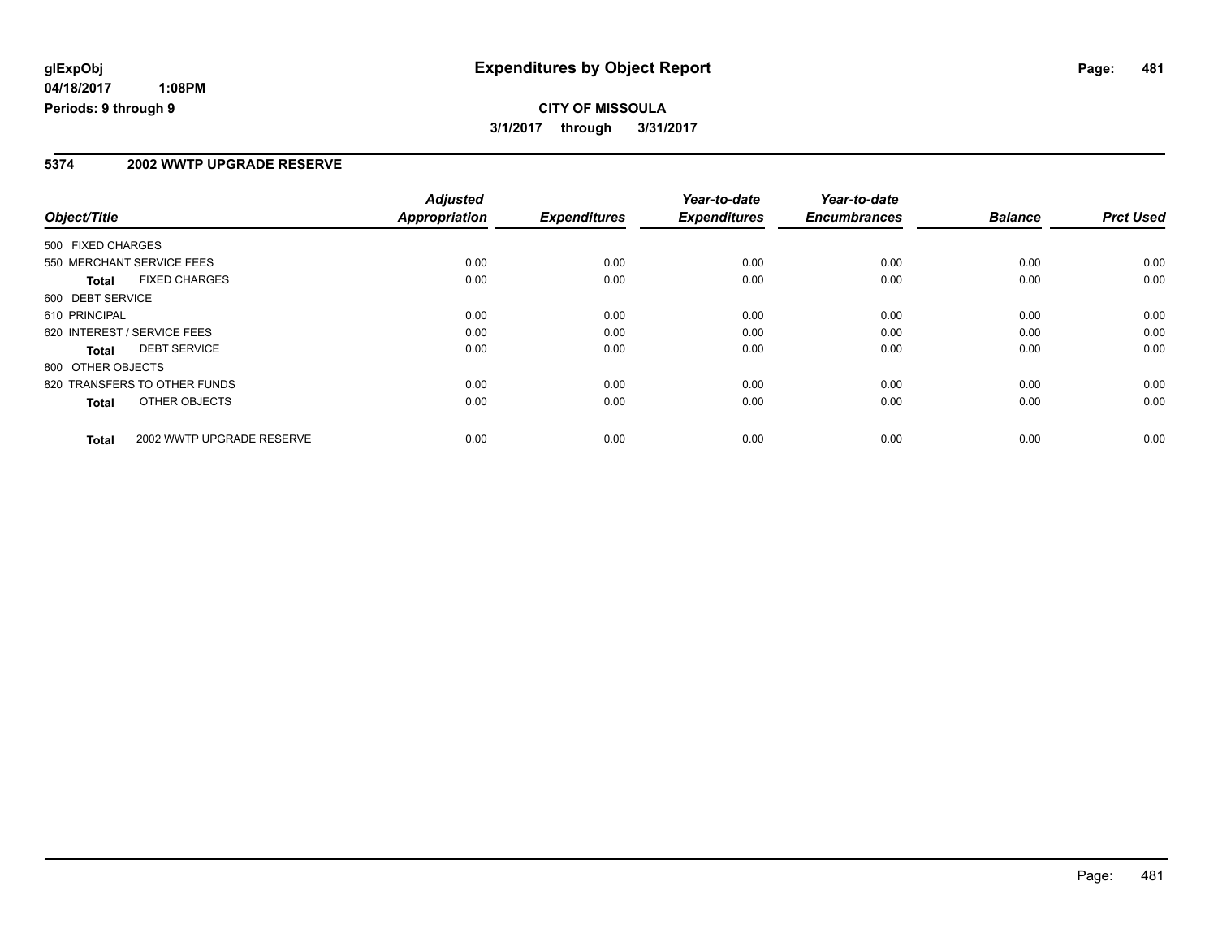## **CITY OF MISSOULA 3/1/2017 through 3/31/2017**

#### **5374 2002 WWTP UPGRADE RESERVE**

| Object/Title                              | <b>Adjusted</b><br>Appropriation | <b>Expenditures</b> | Year-to-date<br><b>Expenditures</b> | Year-to-date<br><b>Encumbrances</b> | <b>Balance</b> | <b>Prct Used</b> |
|-------------------------------------------|----------------------------------|---------------------|-------------------------------------|-------------------------------------|----------------|------------------|
|                                           |                                  |                     |                                     |                                     |                |                  |
| 500 FIXED CHARGES                         |                                  |                     |                                     |                                     |                |                  |
| 550 MERCHANT SERVICE FEES                 | 0.00                             | 0.00                | 0.00                                | 0.00                                | 0.00           | 0.00             |
| <b>FIXED CHARGES</b><br><b>Total</b>      | 0.00                             | 0.00                | 0.00                                | 0.00                                | 0.00           | 0.00             |
| 600 DEBT SERVICE                          |                                  |                     |                                     |                                     |                |                  |
| 610 PRINCIPAL                             | 0.00                             | 0.00                | 0.00                                | 0.00                                | 0.00           | 0.00             |
| 620 INTEREST / SERVICE FEES               | 0.00                             | 0.00                | 0.00                                | 0.00                                | 0.00           | 0.00             |
| <b>DEBT SERVICE</b><br><b>Total</b>       | 0.00                             | 0.00                | 0.00                                | 0.00                                | 0.00           | 0.00             |
| 800 OTHER OBJECTS                         |                                  |                     |                                     |                                     |                |                  |
| 820 TRANSFERS TO OTHER FUNDS              | 0.00                             | 0.00                | 0.00                                | 0.00                                | 0.00           | 0.00             |
| OTHER OBJECTS<br>Total                    | 0.00                             | 0.00                | 0.00                                | 0.00                                | 0.00           | 0.00             |
| 2002 WWTP UPGRADE RESERVE<br><b>Total</b> | 0.00                             | 0.00                | 0.00                                | 0.00                                | 0.00           | 0.00             |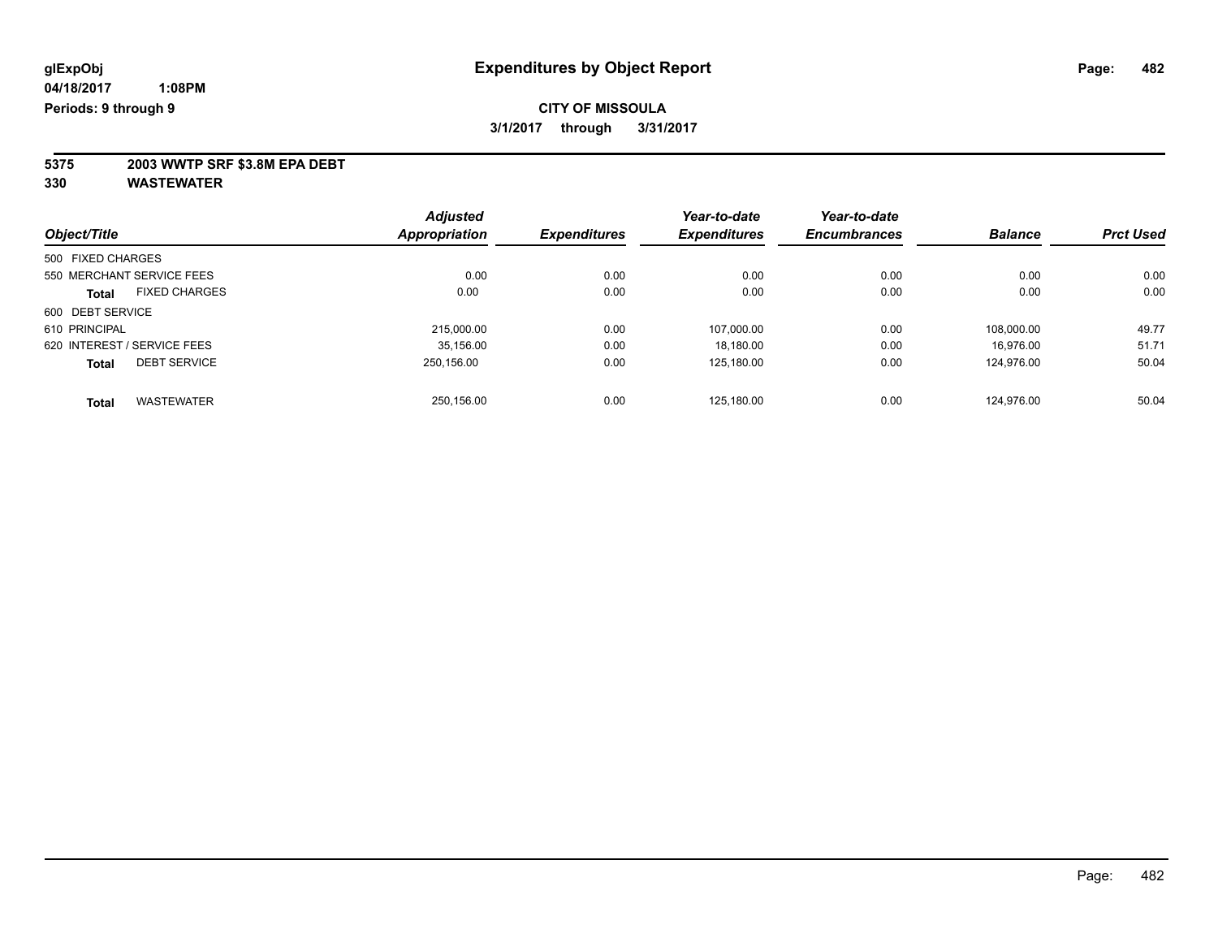**5375 2003 WWTP SRF \$3.8M EPA DEBT**

|                                     |                      | <b>Adjusted</b>     |                     | Year-to-date        | Year-to-date   |                  |       |
|-------------------------------------|----------------------|---------------------|---------------------|---------------------|----------------|------------------|-------|
| Object/Title                        | <b>Appropriation</b> | <b>Expenditures</b> | <b>Expenditures</b> | <b>Encumbrances</b> | <b>Balance</b> | <b>Prct Used</b> |       |
| 500 FIXED CHARGES                   |                      |                     |                     |                     |                |                  |       |
| 550 MERCHANT SERVICE FEES           |                      | 0.00                | 0.00                | 0.00                | 0.00           | 0.00             | 0.00  |
| <b>Total</b>                        | <b>FIXED CHARGES</b> | 0.00                | 0.00                | 0.00                | 0.00           | 0.00             | 0.00  |
| 600 DEBT SERVICE                    |                      |                     |                     |                     |                |                  |       |
| 610 PRINCIPAL                       |                      | 215,000.00          | 0.00                | 107.000.00          | 0.00           | 108.000.00       | 49.77 |
| 620 INTEREST / SERVICE FEES         |                      | 35,156.00           | 0.00                | 18,180.00           | 0.00           | 16.976.00        | 51.71 |
| <b>DEBT SERVICE</b><br><b>Total</b> |                      | 250.156.00          | 0.00                | 125,180.00          | 0.00           | 124,976.00       | 50.04 |
| <b>WASTEWATER</b><br><b>Total</b>   |                      | 250.156.00          | 0.00                | 125.180.00          | 0.00           | 124.976.00       | 50.04 |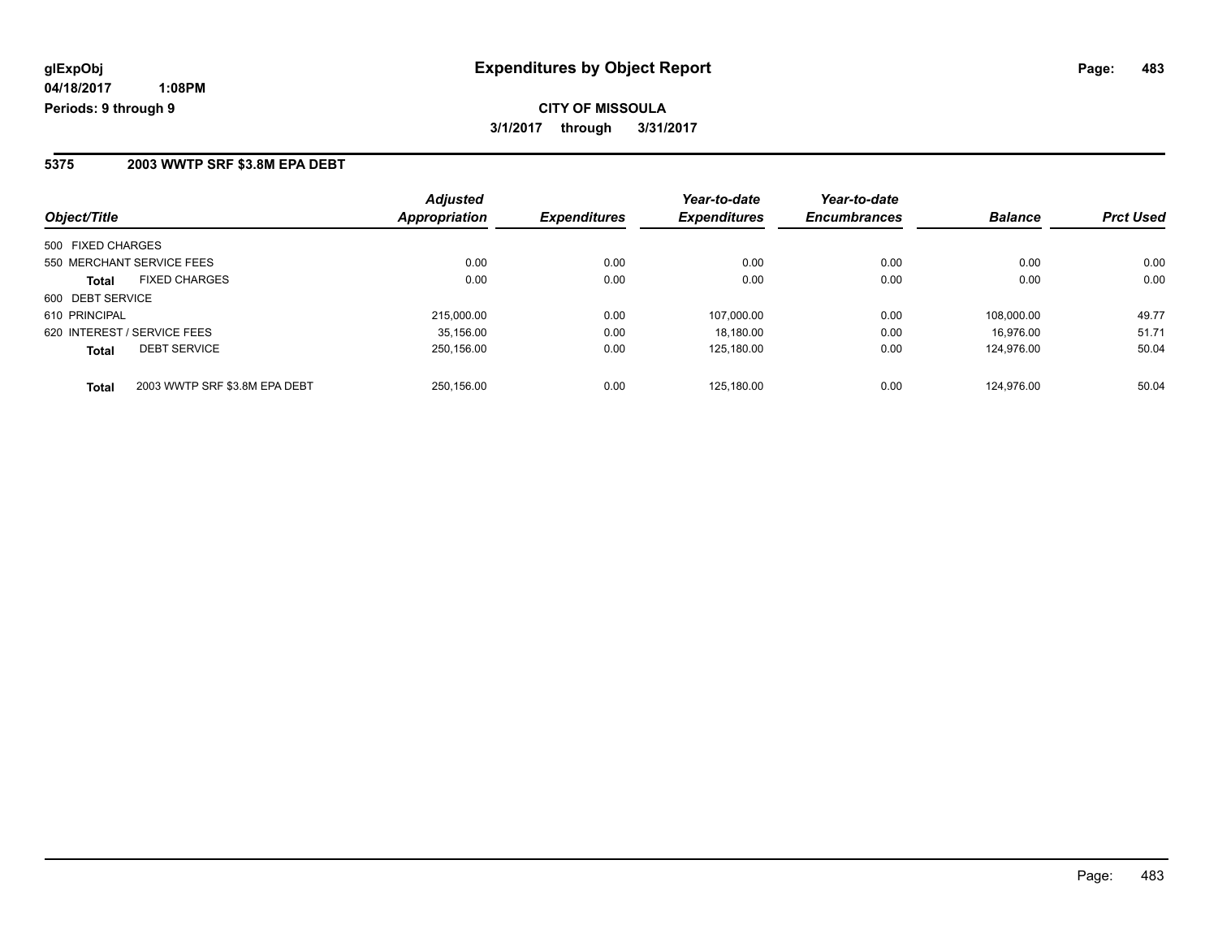#### **5375 2003 WWTP SRF \$3.8M EPA DEBT**

| Object/Title                                  | <b>Adjusted</b><br>Appropriation | <b>Expenditures</b> | Year-to-date<br><b>Expenditures</b> | Year-to-date<br><b>Encumbrances</b> | <b>Balance</b> | <b>Prct Used</b> |
|-----------------------------------------------|----------------------------------|---------------------|-------------------------------------|-------------------------------------|----------------|------------------|
| 500 FIXED CHARGES                             |                                  |                     |                                     |                                     |                |                  |
| 550 MERCHANT SERVICE FEES                     | 0.00                             | 0.00                | 0.00                                | 0.00                                | 0.00           | 0.00             |
| <b>FIXED CHARGES</b><br><b>Total</b>          | 0.00                             | 0.00                | 0.00                                | 0.00                                | 0.00           | 0.00             |
| 600 DEBT SERVICE                              |                                  |                     |                                     |                                     |                |                  |
| 610 PRINCIPAL                                 | 215,000.00                       | 0.00                | 107,000.00                          | 0.00                                | 108.000.00     | 49.77            |
| 620 INTEREST / SERVICE FEES                   | 35.156.00                        | 0.00                | 18.180.00                           | 0.00                                | 16.976.00      | 51.71            |
| <b>DEBT SERVICE</b><br><b>Total</b>           | 250.156.00                       | 0.00                | 125.180.00                          | 0.00                                | 124.976.00     | 50.04            |
| 2003 WWTP SRF \$3.8M EPA DEBT<br><b>Total</b> | 250.156.00                       | 0.00                | 125.180.00                          | 0.00                                | 124.976.00     | 50.04            |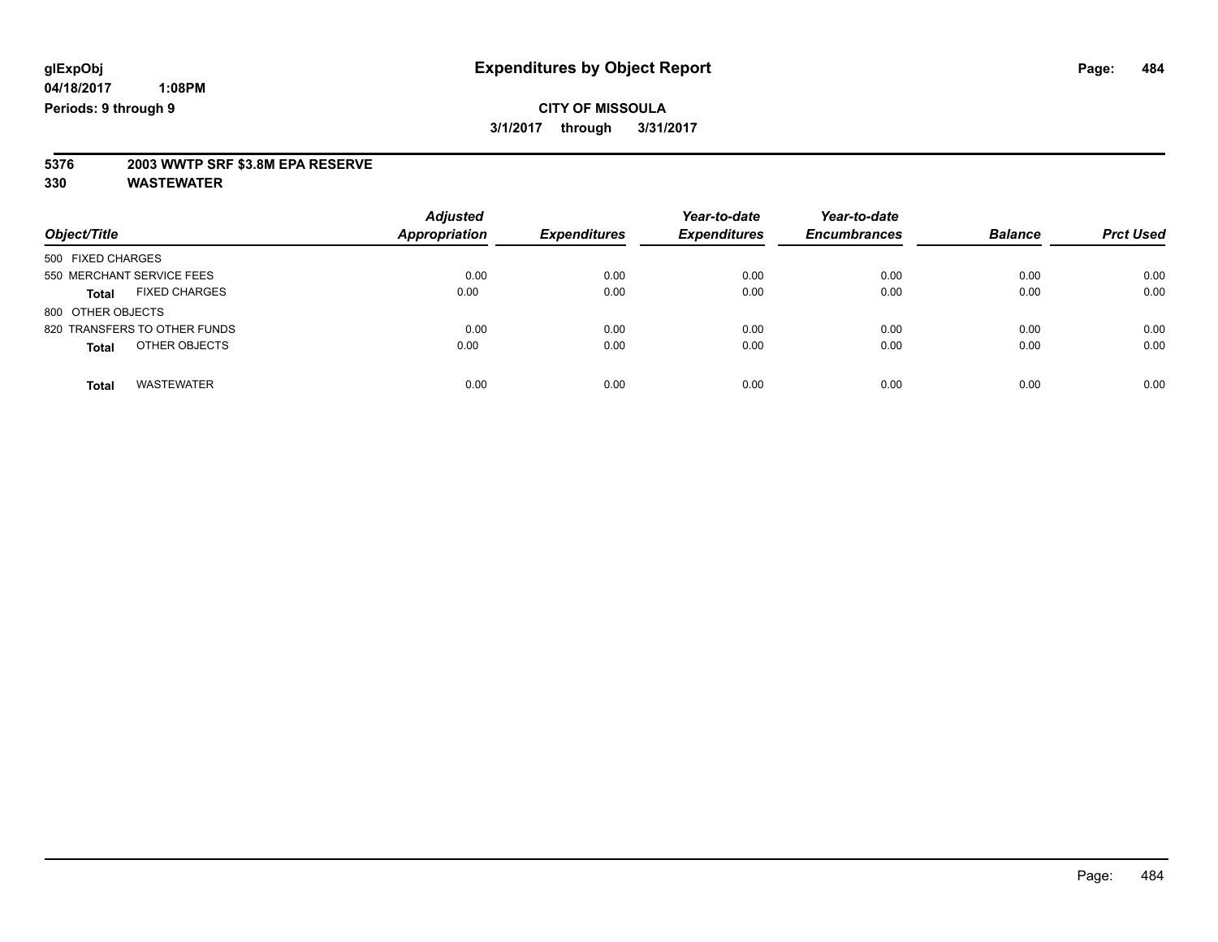# **5376 2003 WWTP SRF \$3.8M EPA RESERVE**

| Object/Title                         | <b>Adjusted</b><br><b>Appropriation</b> | <b>Expenditures</b> | Year-to-date<br><b>Expenditures</b> | Year-to-date<br><b>Encumbrances</b> | <b>Balance</b> | <b>Prct Used</b> |
|--------------------------------------|-----------------------------------------|---------------------|-------------------------------------|-------------------------------------|----------------|------------------|
| 500 FIXED CHARGES                    |                                         |                     |                                     |                                     |                |                  |
| 550 MERCHANT SERVICE FEES            | 0.00                                    | 0.00                | 0.00                                | 0.00                                | 0.00           | 0.00             |
| <b>FIXED CHARGES</b><br><b>Total</b> | 0.00                                    | 0.00                | 0.00                                | 0.00                                | 0.00           | 0.00             |
| 800 OTHER OBJECTS                    |                                         |                     |                                     |                                     |                |                  |
| 820 TRANSFERS TO OTHER FUNDS         | 0.00                                    | 0.00                | 0.00                                | 0.00                                | 0.00           | 0.00             |
| OTHER OBJECTS<br><b>Total</b>        | 0.00                                    | 0.00                | 0.00                                | 0.00                                | 0.00           | 0.00             |
| <b>WASTEWATER</b><br><b>Total</b>    | 0.00                                    | 0.00                | 0.00                                | 0.00                                | 0.00           | 0.00             |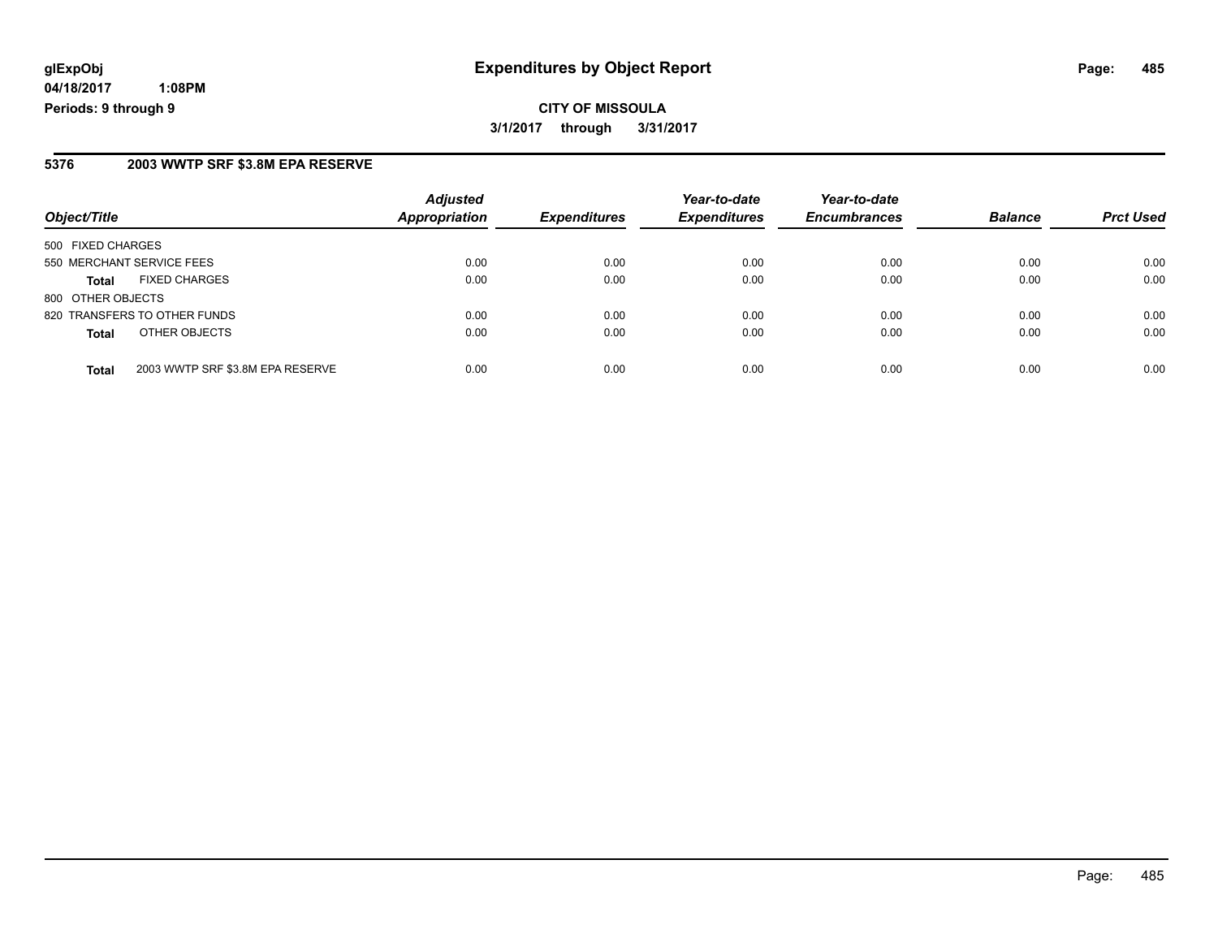# **glExpObj Expenditures by Object Report Page: 485**

**04/18/2017 1:08PM Periods: 9 through 9**

#### **5376 2003 WWTP SRF \$3.8M EPA RESERVE**

| Object/Title                                     | <b>Adjusted</b><br><b>Appropriation</b> | <b>Expenditures</b> | Year-to-date<br><b>Expenditures</b> | Year-to-date<br><b>Encumbrances</b> | <b>Balance</b> | <b>Prct Used</b> |
|--------------------------------------------------|-----------------------------------------|---------------------|-------------------------------------|-------------------------------------|----------------|------------------|
| 500 FIXED CHARGES                                |                                         |                     |                                     |                                     |                |                  |
| 550 MERCHANT SERVICE FEES                        | 0.00                                    | 0.00                | 0.00                                | 0.00                                | 0.00           | 0.00             |
| <b>FIXED CHARGES</b><br><b>Total</b>             | 0.00                                    | 0.00                | 0.00                                | 0.00                                | 0.00           | 0.00             |
| 800 OTHER OBJECTS                                |                                         |                     |                                     |                                     |                |                  |
| 820 TRANSFERS TO OTHER FUNDS                     | 0.00                                    | 0.00                | 0.00                                | 0.00                                | 0.00           | 0.00             |
| OTHER OBJECTS<br><b>Total</b>                    | 0.00                                    | 0.00                | 0.00                                | 0.00                                | 0.00           | 0.00             |
| 2003 WWTP SRF \$3.8M EPA RESERVE<br><b>Total</b> | 0.00                                    | 0.00                | 0.00                                | 0.00                                | 0.00           | 0.00             |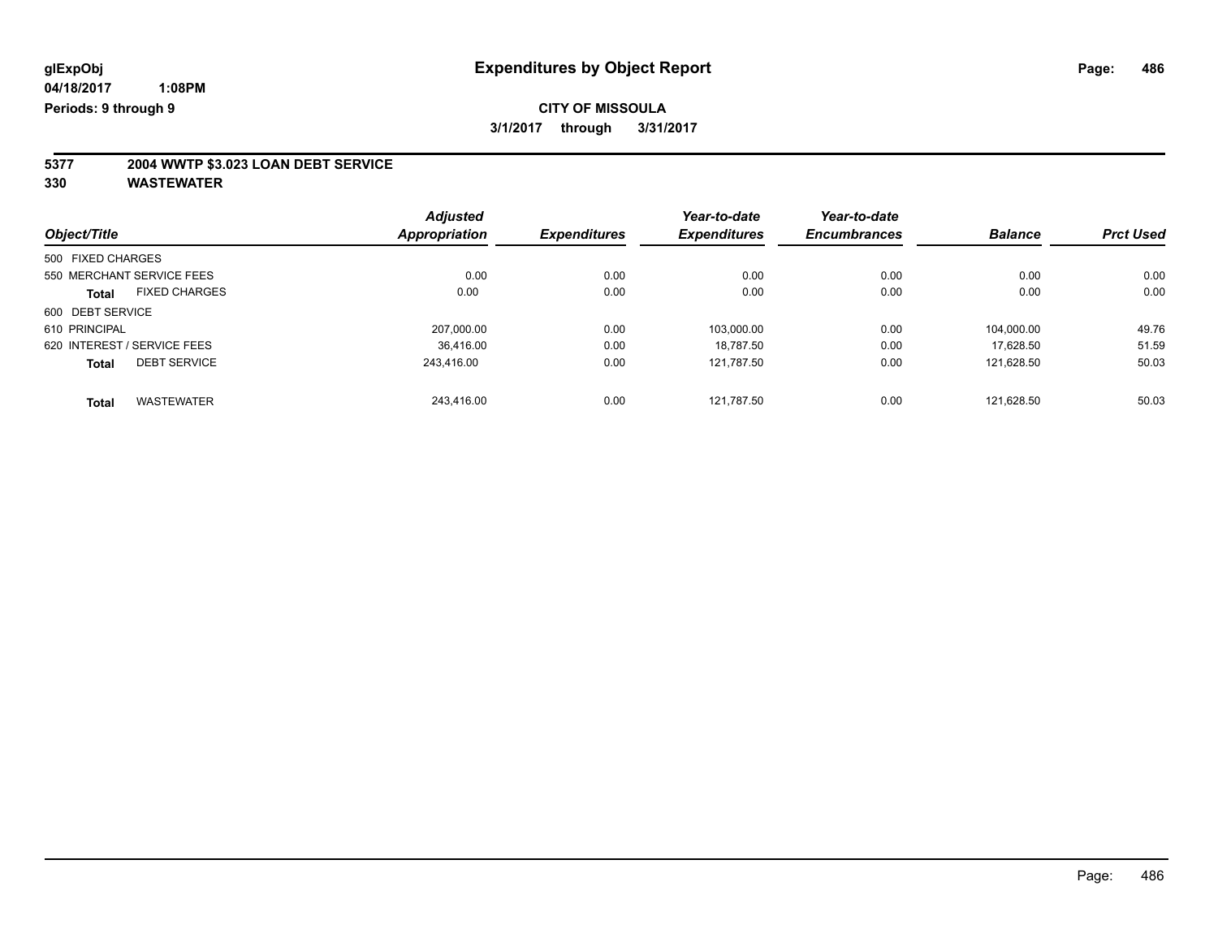# **5377 2004 WWTP \$3.023 LOAN DEBT SERVICE**

|                             |                      | <b>Adjusted</b>     |                     | Year-to-date        | Year-to-date   |                  |       |
|-----------------------------|----------------------|---------------------|---------------------|---------------------|----------------|------------------|-------|
| Object/Title                | <b>Appropriation</b> | <b>Expenditures</b> | <b>Expenditures</b> | <b>Encumbrances</b> | <b>Balance</b> | <b>Prct Used</b> |       |
| 500 FIXED CHARGES           |                      |                     |                     |                     |                |                  |       |
| 550 MERCHANT SERVICE FEES   |                      | 0.00                | 0.00                | 0.00                | 0.00           | 0.00             | 0.00  |
| <b>Total</b>                | <b>FIXED CHARGES</b> | 0.00                | 0.00                | 0.00                | 0.00           | 0.00             | 0.00  |
| 600 DEBT SERVICE            |                      |                     |                     |                     |                |                  |       |
| 610 PRINCIPAL               |                      | 207.000.00          | 0.00                | 103.000.00          | 0.00           | 104.000.00       | 49.76 |
| 620 INTEREST / SERVICE FEES |                      | 36.416.00           | 0.00                | 18.787.50           | 0.00           | 17.628.50        | 51.59 |
| <b>Total</b>                | <b>DEBT SERVICE</b>  | 243.416.00          | 0.00                | 121,787.50          | 0.00           | 121.628.50       | 50.03 |
| <b>Total</b>                | <b>WASTEWATER</b>    | 243.416.00          | 0.00                | 121.787.50          | 0.00           | 121.628.50       | 50.03 |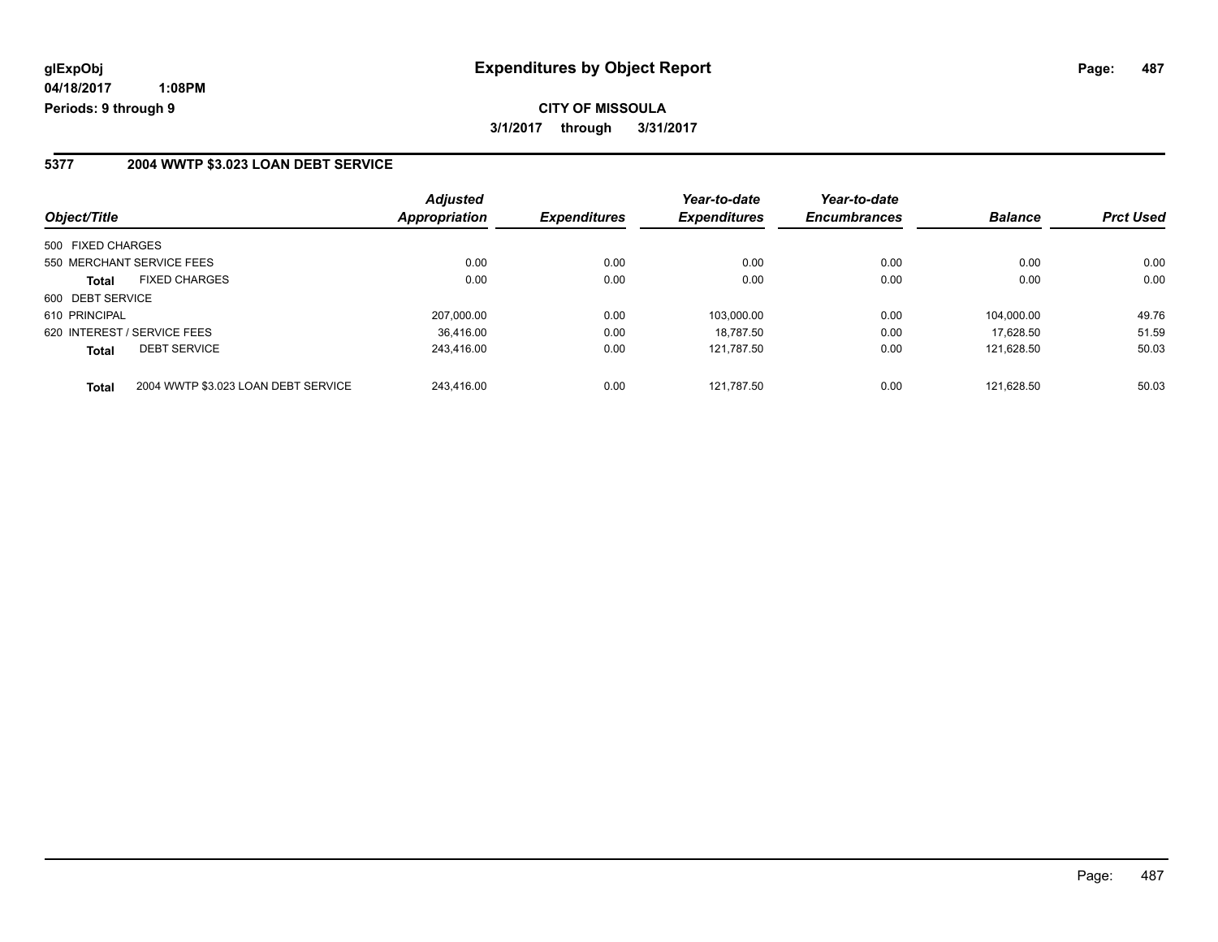### **5377 2004 WWTP \$3.023 LOAN DEBT SERVICE**

| Object/Title                                        | <b>Adjusted</b><br>Appropriation | <b>Expenditures</b> | Year-to-date<br><b>Expenditures</b> | Year-to-date<br><b>Encumbrances</b> | <b>Balance</b> | <b>Prct Used</b> |
|-----------------------------------------------------|----------------------------------|---------------------|-------------------------------------|-------------------------------------|----------------|------------------|
| 500 FIXED CHARGES                                   |                                  |                     |                                     |                                     |                |                  |
| 550 MERCHANT SERVICE FEES                           | 0.00                             | 0.00                | 0.00                                | 0.00                                | 0.00           | 0.00             |
| <b>FIXED CHARGES</b><br><b>Total</b>                | 0.00                             | 0.00                | 0.00                                | 0.00                                | 0.00           | 0.00             |
| 600 DEBT SERVICE                                    |                                  |                     |                                     |                                     |                |                  |
| 610 PRINCIPAL                                       | 207.000.00                       | 0.00                | 103.000.00                          | 0.00                                | 104.000.00     | 49.76            |
| 620 INTEREST / SERVICE FEES                         | 36.416.00                        | 0.00                | 18.787.50                           | 0.00                                | 17.628.50      | 51.59            |
| <b>DEBT SERVICE</b><br><b>Total</b>                 | 243.416.00                       | 0.00                | 121,787.50                          | 0.00                                | 121.628.50     | 50.03            |
| 2004 WWTP \$3.023 LOAN DEBT SERVICE<br><b>Total</b> | 243.416.00                       | 0.00                | 121.787.50                          | 0.00                                | 121.628.50     | 50.03            |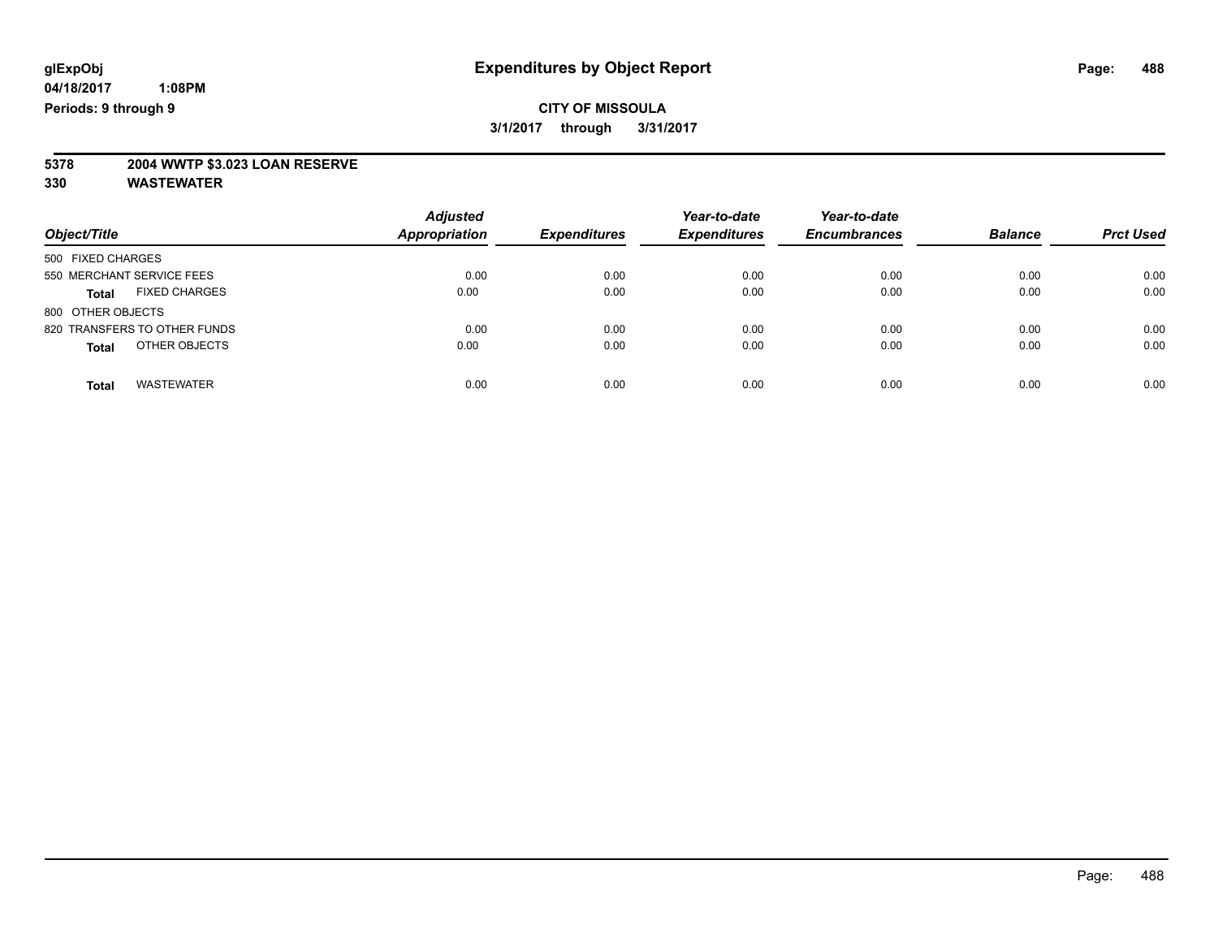# **5378 2004 WWTP \$3.023 LOAN RESERVE**

| Object/Title                         | <b>Adjusted</b><br><b>Appropriation</b> | <b>Expenditures</b> | Year-to-date<br><b>Expenditures</b> | Year-to-date<br><b>Encumbrances</b> | <b>Balance</b> | <b>Prct Used</b> |
|--------------------------------------|-----------------------------------------|---------------------|-------------------------------------|-------------------------------------|----------------|------------------|
| 500 FIXED CHARGES                    |                                         |                     |                                     |                                     |                |                  |
| 550 MERCHANT SERVICE FEES            | 0.00                                    | 0.00                | 0.00                                | 0.00                                | 0.00           | 0.00             |
| <b>FIXED CHARGES</b><br><b>Total</b> | 0.00                                    | 0.00                | 0.00                                | 0.00                                | 0.00           | 0.00             |
| 800 OTHER OBJECTS                    |                                         |                     |                                     |                                     |                |                  |
| 820 TRANSFERS TO OTHER FUNDS         | 0.00                                    | 0.00                | 0.00                                | 0.00                                | 0.00           | 0.00             |
| OTHER OBJECTS<br><b>Total</b>        | 0.00                                    | 0.00                | 0.00                                | 0.00                                | 0.00           | 0.00             |
| <b>WASTEWATER</b><br>Total           | 0.00                                    | 0.00                | 0.00                                | 0.00                                | 0.00           | 0.00             |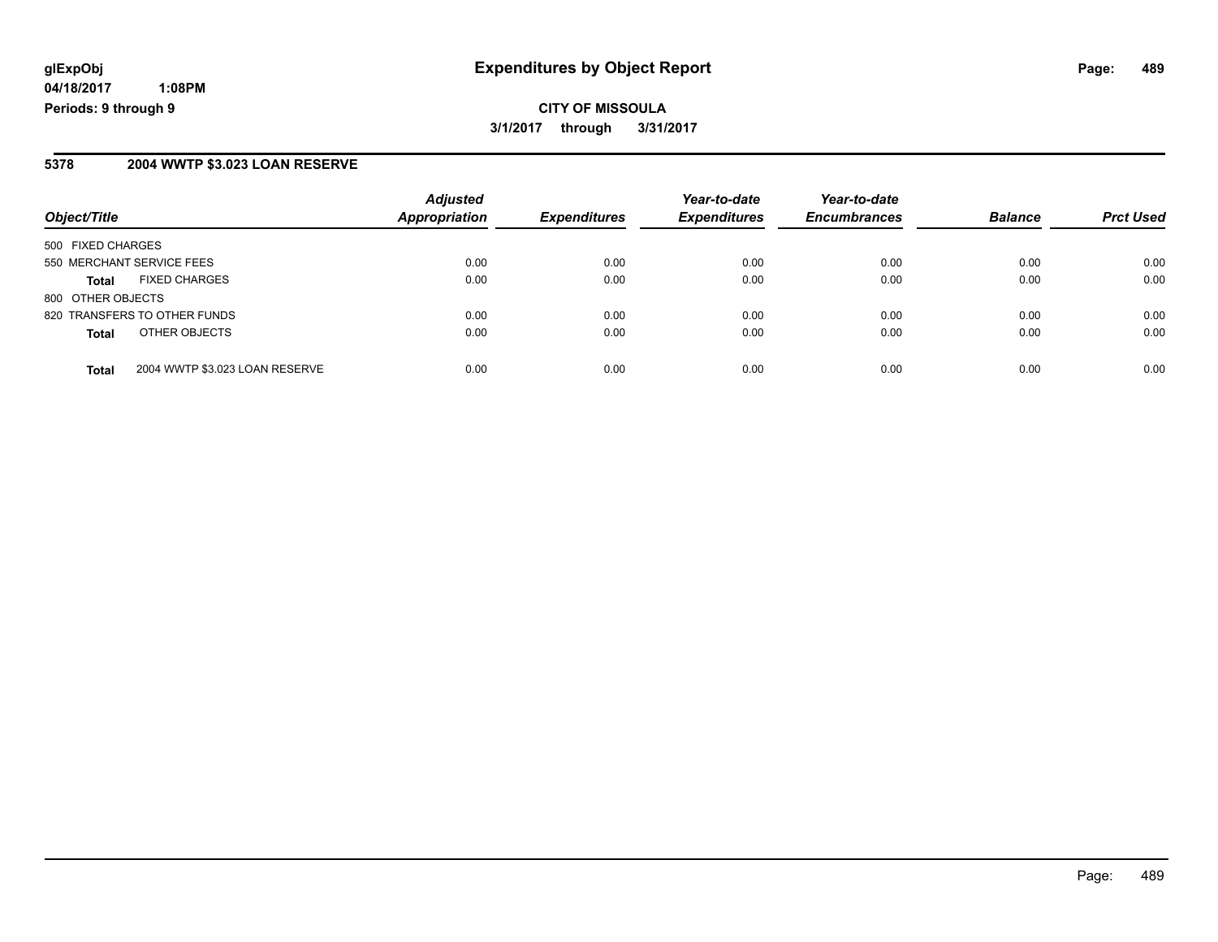### **5378 2004 WWTP \$3.023 LOAN RESERVE**

| Object/Title                                   | <b>Adjusted</b><br>Appropriation | <b>Expenditures</b> | Year-to-date<br><b>Expenditures</b> | Year-to-date<br><b>Encumbrances</b> | <b>Balance</b> | <b>Prct Used</b> |
|------------------------------------------------|----------------------------------|---------------------|-------------------------------------|-------------------------------------|----------------|------------------|
| 500 FIXED CHARGES                              |                                  |                     |                                     |                                     |                |                  |
| 550 MERCHANT SERVICE FEES                      | 0.00                             | 0.00                | 0.00                                | 0.00                                | 0.00           | 0.00             |
| <b>FIXED CHARGES</b><br><b>Total</b>           | 0.00                             | 0.00                | 0.00                                | 0.00                                | 0.00           | 0.00             |
| 800 OTHER OBJECTS                              |                                  |                     |                                     |                                     |                |                  |
| 820 TRANSFERS TO OTHER FUNDS                   | 0.00                             | 0.00                | 0.00                                | 0.00                                | 0.00           | 0.00             |
| OTHER OBJECTS<br><b>Total</b>                  | 0.00                             | 0.00                | 0.00                                | 0.00                                | 0.00           | 0.00             |
| 2004 WWTP \$3.023 LOAN RESERVE<br><b>Total</b> | 0.00                             | 0.00                | 0.00                                | 0.00                                | 0.00           | 0.00             |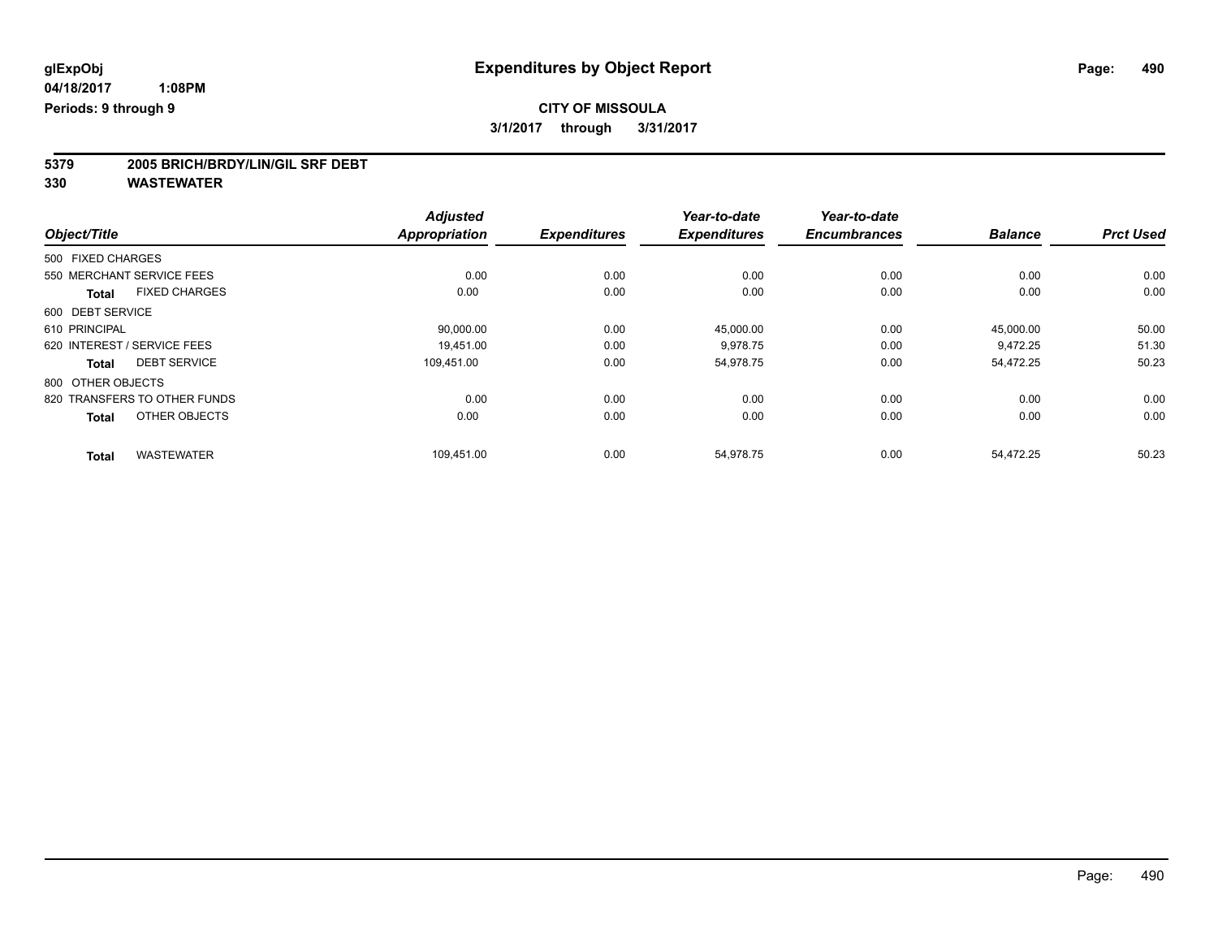# **5379 2005 BRICH/BRDY/LIN/GIL SRF DEBT**

|                                      | <b>Adjusted</b>      |                     | Year-to-date        | Year-to-date        |                |                  |
|--------------------------------------|----------------------|---------------------|---------------------|---------------------|----------------|------------------|
| Object/Title                         | <b>Appropriation</b> | <b>Expenditures</b> | <b>Expenditures</b> | <b>Encumbrances</b> | <b>Balance</b> | <b>Prct Used</b> |
| 500 FIXED CHARGES                    |                      |                     |                     |                     |                |                  |
| 550 MERCHANT SERVICE FEES            | 0.00                 | 0.00                | 0.00                | 0.00                | 0.00           | 0.00             |
| <b>FIXED CHARGES</b><br><b>Total</b> | 0.00                 | 0.00                | 0.00                | 0.00                | 0.00           | 0.00             |
| 600 DEBT SERVICE                     |                      |                     |                     |                     |                |                  |
| 610 PRINCIPAL                        | 90,000.00            | 0.00                | 45,000.00           | 0.00                | 45,000.00      | 50.00            |
| 620 INTEREST / SERVICE FEES          | 19,451.00            | 0.00                | 9,978.75            | 0.00                | 9,472.25       | 51.30            |
| <b>DEBT SERVICE</b><br><b>Total</b>  | 109,451.00           | 0.00                | 54,978.75           | 0.00                | 54,472.25      | 50.23            |
| 800 OTHER OBJECTS                    |                      |                     |                     |                     |                |                  |
| 820 TRANSFERS TO OTHER FUNDS         | 0.00                 | 0.00                | 0.00                | 0.00                | 0.00           | 0.00             |
| OTHER OBJECTS<br><b>Total</b>        | 0.00                 | 0.00                | 0.00                | 0.00                | 0.00           | 0.00             |
| <b>WASTEWATER</b><br><b>Total</b>    | 109,451.00           | 0.00                | 54,978.75           | 0.00                | 54,472.25      | 50.23            |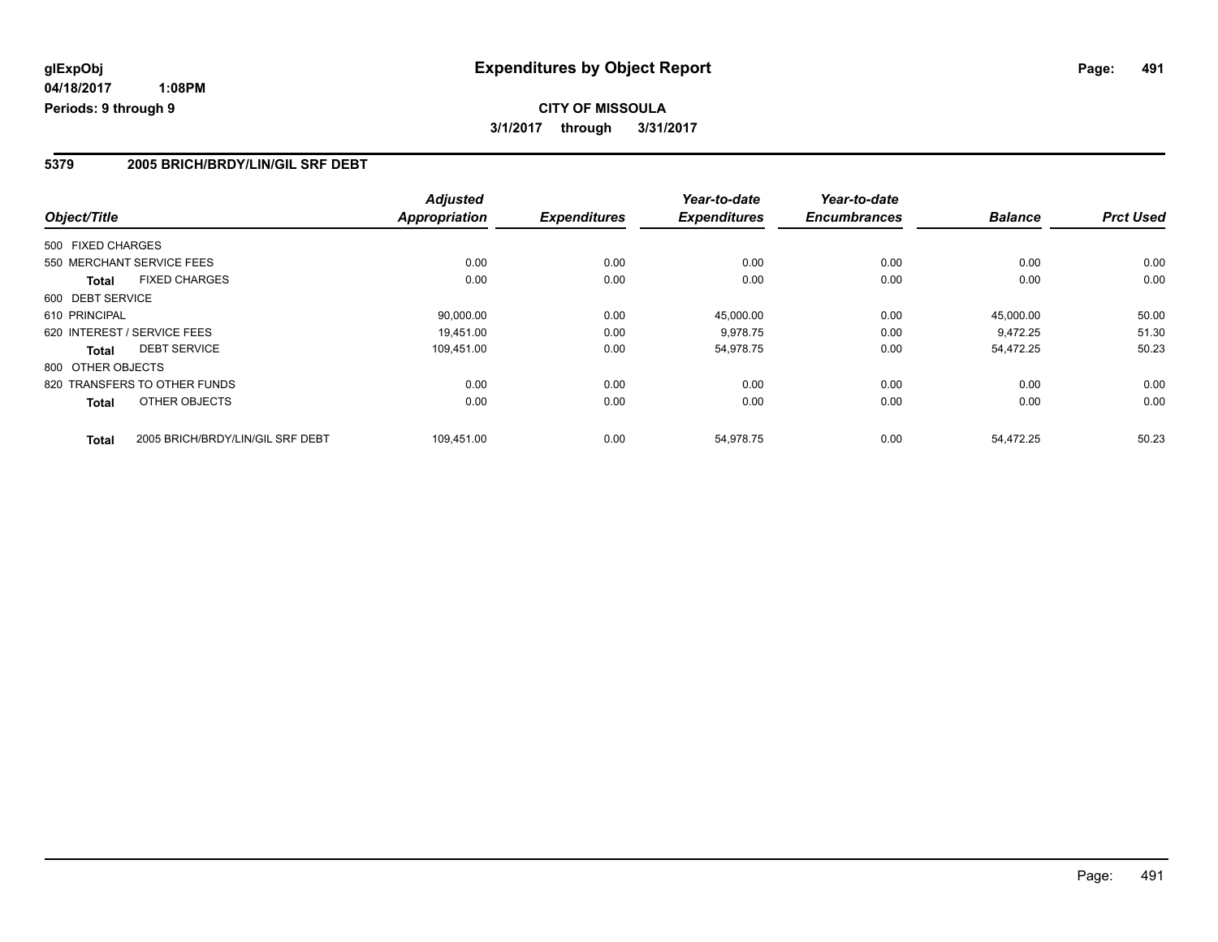## **CITY OF MISSOULA 3/1/2017 through 3/31/2017**

### **5379 2005 BRICH/BRDY/LIN/GIL SRF DEBT**

| Object/Title                                     | <b>Adjusted</b><br><b>Appropriation</b> | <b>Expenditures</b> | Year-to-date<br><b>Expenditures</b> | Year-to-date<br><b>Encumbrances</b> | <b>Balance</b> | <b>Prct Used</b> |
|--------------------------------------------------|-----------------------------------------|---------------------|-------------------------------------|-------------------------------------|----------------|------------------|
|                                                  |                                         |                     |                                     |                                     |                |                  |
| 500 FIXED CHARGES                                |                                         |                     |                                     |                                     |                |                  |
| 550 MERCHANT SERVICE FEES                        | 0.00                                    | 0.00                | 0.00                                | 0.00                                | 0.00           | 0.00             |
| <b>FIXED CHARGES</b><br><b>Total</b>             | 0.00                                    | 0.00                | 0.00                                | 0.00                                | 0.00           | 0.00             |
| 600 DEBT SERVICE                                 |                                         |                     |                                     |                                     |                |                  |
| 610 PRINCIPAL                                    | 90,000.00                               | 0.00                | 45,000.00                           | 0.00                                | 45.000.00      | 50.00            |
| 620 INTEREST / SERVICE FEES                      | 19.451.00                               | 0.00                | 9.978.75                            | 0.00                                | 9.472.25       | 51.30            |
| <b>DEBT SERVICE</b><br>Total                     | 109,451.00                              | 0.00                | 54,978.75                           | 0.00                                | 54,472.25      | 50.23            |
| 800 OTHER OBJECTS                                |                                         |                     |                                     |                                     |                |                  |
| 820 TRANSFERS TO OTHER FUNDS                     | 0.00                                    | 0.00                | 0.00                                | 0.00                                | 0.00           | 0.00             |
| OTHER OBJECTS<br>Total                           | 0.00                                    | 0.00                | 0.00                                | 0.00                                | 0.00           | 0.00             |
| 2005 BRICH/BRDY/LIN/GIL SRF DEBT<br><b>Total</b> | 109,451.00                              | 0.00                | 54,978.75                           | 0.00                                | 54.472.25      | 50.23            |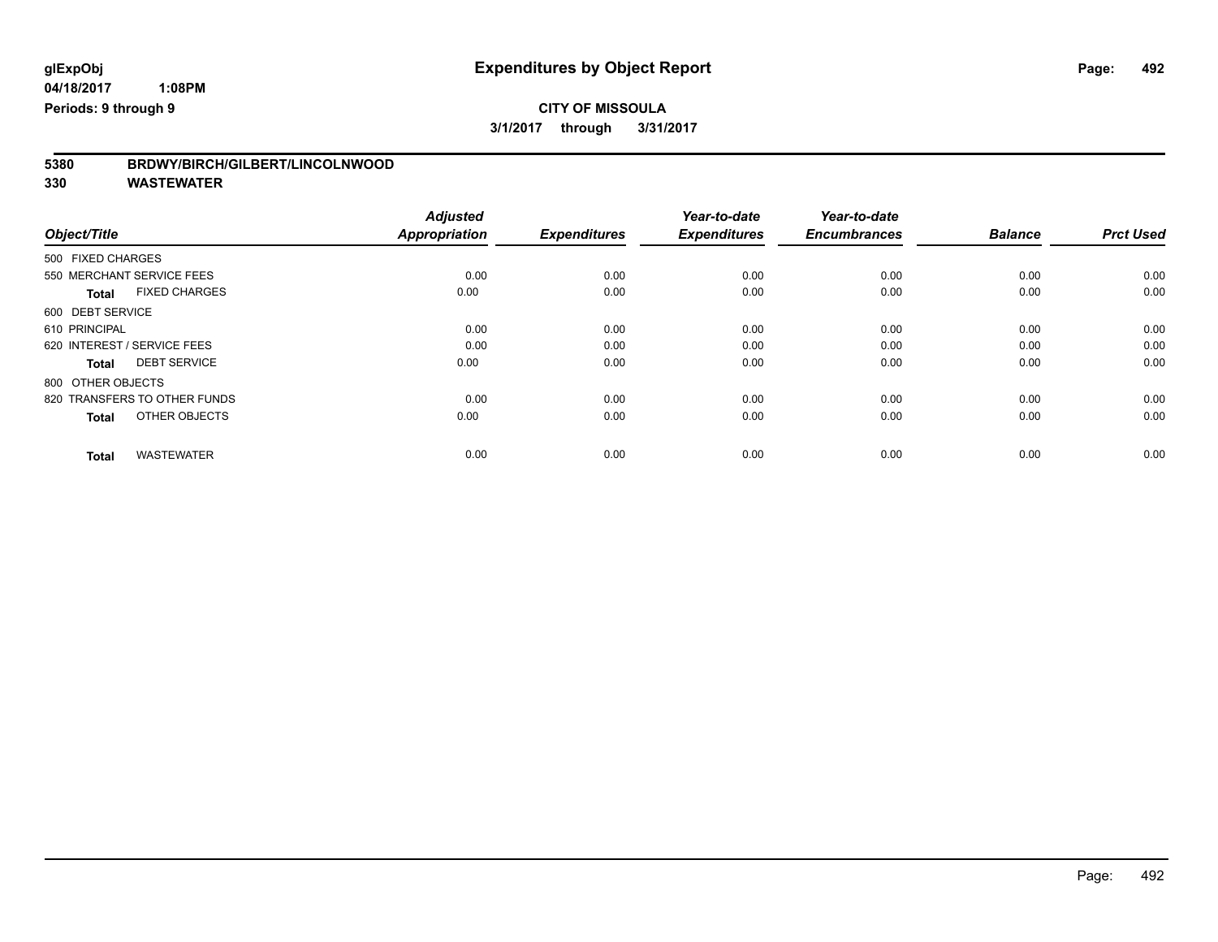# **5380 BRDWY/BIRCH/GILBERT/LINCOLNWOOD**

|                                      | <b>Adjusted</b><br><b>Appropriation</b> | <b>Expenditures</b> | Year-to-date<br><b>Expenditures</b> | Year-to-date<br><b>Encumbrances</b> | <b>Balance</b> | <b>Prct Used</b> |
|--------------------------------------|-----------------------------------------|---------------------|-------------------------------------|-------------------------------------|----------------|------------------|
| Object/Title                         |                                         |                     |                                     |                                     |                |                  |
| 500 FIXED CHARGES                    |                                         |                     |                                     |                                     |                |                  |
| 550 MERCHANT SERVICE FEES            | 0.00                                    | 0.00                | 0.00                                | 0.00                                | 0.00           | 0.00             |
| <b>FIXED CHARGES</b><br><b>Total</b> | 0.00                                    | 0.00                | 0.00                                | 0.00                                | 0.00           | 0.00             |
| 600 DEBT SERVICE                     |                                         |                     |                                     |                                     |                |                  |
| 610 PRINCIPAL                        | 0.00                                    | 0.00                | 0.00                                | 0.00                                | 0.00           | 0.00             |
| 620 INTEREST / SERVICE FEES          | 0.00                                    | 0.00                | 0.00                                | 0.00                                | 0.00           | 0.00             |
| <b>DEBT SERVICE</b><br><b>Total</b>  | 0.00                                    | 0.00                | 0.00                                | 0.00                                | 0.00           | 0.00             |
| 800 OTHER OBJECTS                    |                                         |                     |                                     |                                     |                |                  |
| 820 TRANSFERS TO OTHER FUNDS         | 0.00                                    | 0.00                | 0.00                                | 0.00                                | 0.00           | 0.00             |
| OTHER OBJECTS<br><b>Total</b>        | 0.00                                    | 0.00                | 0.00                                | 0.00                                | 0.00           | 0.00             |
|                                      |                                         |                     |                                     |                                     |                |                  |
| <b>WASTEWATER</b><br><b>Total</b>    | 0.00                                    | 0.00                | 0.00                                | 0.00                                | 0.00           | 0.00             |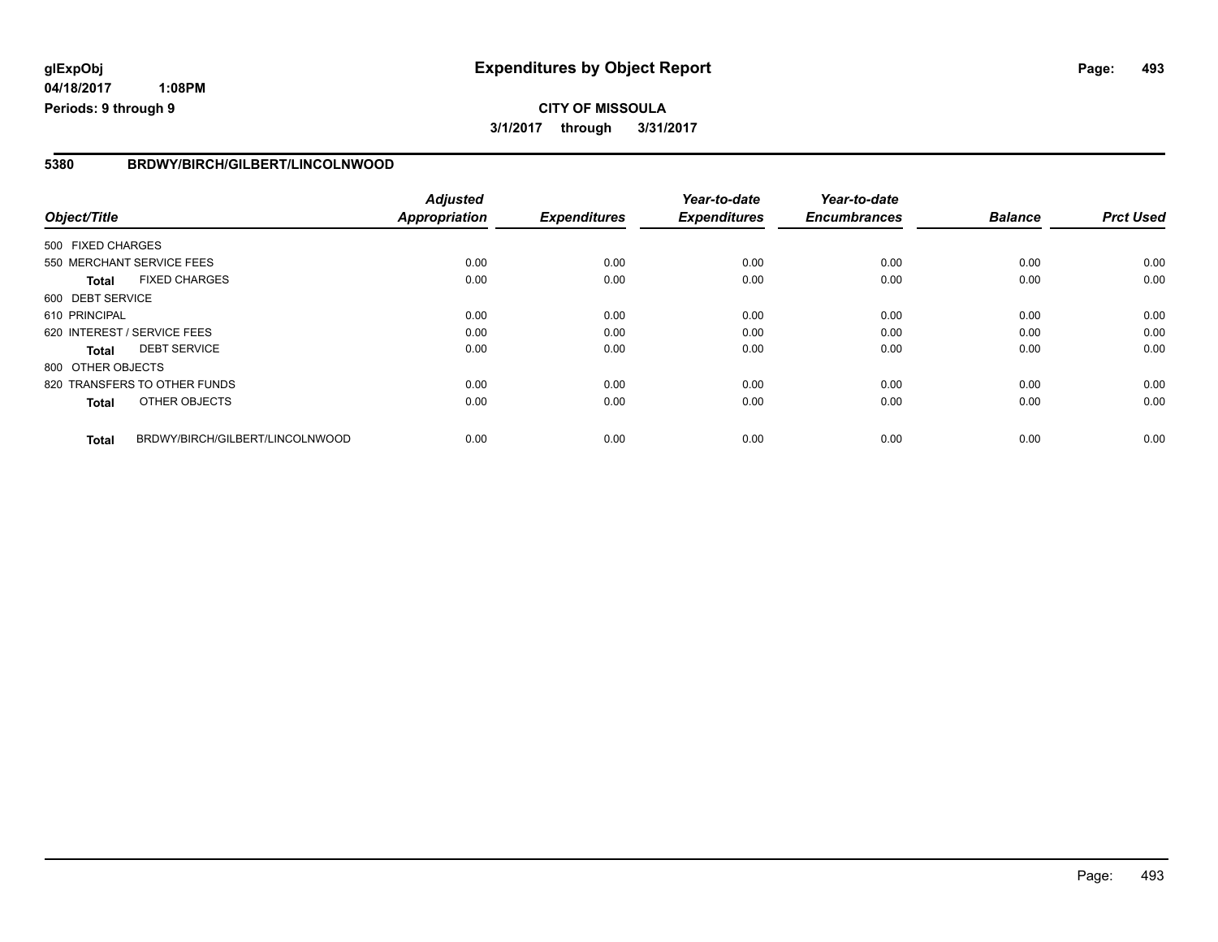# **glExpObj Expenditures by Object Report Page: 493**

**04/18/2017 1:08PM Periods: 9 through 9**

#### **5380 BRDWY/BIRCH/GILBERT/LINCOLNWOOD**

| Object/Title      |                                 | <b>Adjusted</b><br><b>Appropriation</b> | <b>Expenditures</b> | Year-to-date<br><b>Expenditures</b> | Year-to-date<br><b>Encumbrances</b> | <b>Balance</b> | <b>Prct Used</b> |
|-------------------|---------------------------------|-----------------------------------------|---------------------|-------------------------------------|-------------------------------------|----------------|------------------|
|                   |                                 |                                         |                     |                                     |                                     |                |                  |
| 500 FIXED CHARGES |                                 |                                         |                     |                                     |                                     |                |                  |
|                   | 550 MERCHANT SERVICE FEES       | 0.00                                    | 0.00                | 0.00                                | 0.00                                | 0.00           | 0.00             |
| <b>Total</b>      | <b>FIXED CHARGES</b>            | 0.00                                    | 0.00                | 0.00                                | 0.00                                | 0.00           | 0.00             |
| 600 DEBT SERVICE  |                                 |                                         |                     |                                     |                                     |                |                  |
| 610 PRINCIPAL     |                                 | 0.00                                    | 0.00                | 0.00                                | 0.00                                | 0.00           | 0.00             |
|                   | 620 INTEREST / SERVICE FEES     | 0.00                                    | 0.00                | 0.00                                | 0.00                                | 0.00           | 0.00             |
| <b>Total</b>      | <b>DEBT SERVICE</b>             | 0.00                                    | 0.00                | 0.00                                | 0.00                                | 0.00           | 0.00             |
| 800 OTHER OBJECTS |                                 |                                         |                     |                                     |                                     |                |                  |
|                   | 820 TRANSFERS TO OTHER FUNDS    | 0.00                                    | 0.00                | 0.00                                | 0.00                                | 0.00           | 0.00             |
| <b>Total</b>      | OTHER OBJECTS                   | 0.00                                    | 0.00                | 0.00                                | 0.00                                | 0.00           | 0.00             |
| <b>Total</b>      | BRDWY/BIRCH/GILBERT/LINCOLNWOOD | 0.00                                    | 0.00                | 0.00                                | 0.00                                | 0.00           | 0.00             |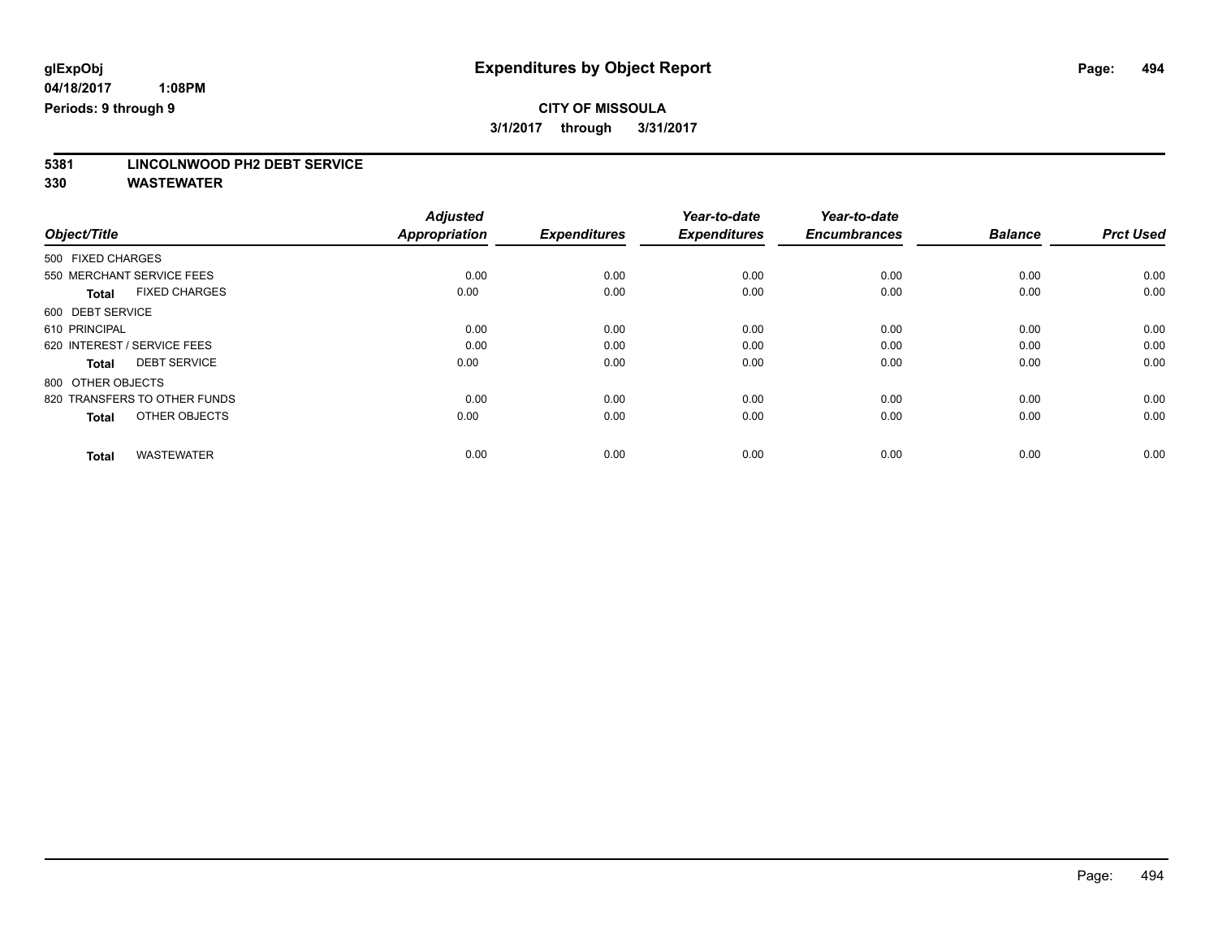# **5381 LINCOLNWOOD PH2 DEBT SERVICE**

|                                      | <b>Adjusted</b>      |                     | Year-to-date        | Year-to-date<br><b>Encumbrances</b> | <b>Balance</b> | <b>Prct Used</b> |
|--------------------------------------|----------------------|---------------------|---------------------|-------------------------------------|----------------|------------------|
| Object/Title                         | <b>Appropriation</b> | <b>Expenditures</b> | <b>Expenditures</b> |                                     |                |                  |
| 500 FIXED CHARGES                    |                      |                     |                     |                                     |                |                  |
| 550 MERCHANT SERVICE FEES            | 0.00                 | 0.00                | 0.00                | 0.00                                | 0.00           | 0.00             |
| <b>FIXED CHARGES</b><br><b>Total</b> | 0.00                 | 0.00                | 0.00                | 0.00                                | 0.00           | 0.00             |
| 600 DEBT SERVICE                     |                      |                     |                     |                                     |                |                  |
| 610 PRINCIPAL                        | 0.00                 | 0.00                | 0.00                | 0.00                                | 0.00           | 0.00             |
| 620 INTEREST / SERVICE FEES          | 0.00                 | 0.00                | 0.00                | 0.00                                | 0.00           | 0.00             |
| <b>DEBT SERVICE</b><br><b>Total</b>  | 0.00                 | 0.00                | 0.00                | 0.00                                | 0.00           | 0.00             |
| 800 OTHER OBJECTS                    |                      |                     |                     |                                     |                |                  |
| 820 TRANSFERS TO OTHER FUNDS         | 0.00                 | 0.00                | 0.00                | 0.00                                | 0.00           | 0.00             |
| OTHER OBJECTS<br><b>Total</b>        | 0.00                 | 0.00                | 0.00                | 0.00                                | 0.00           | 0.00             |
|                                      |                      |                     |                     |                                     |                |                  |
| <b>WASTEWATER</b><br><b>Total</b>    | 0.00                 | 0.00                | 0.00                | 0.00                                | 0.00           | 0.00             |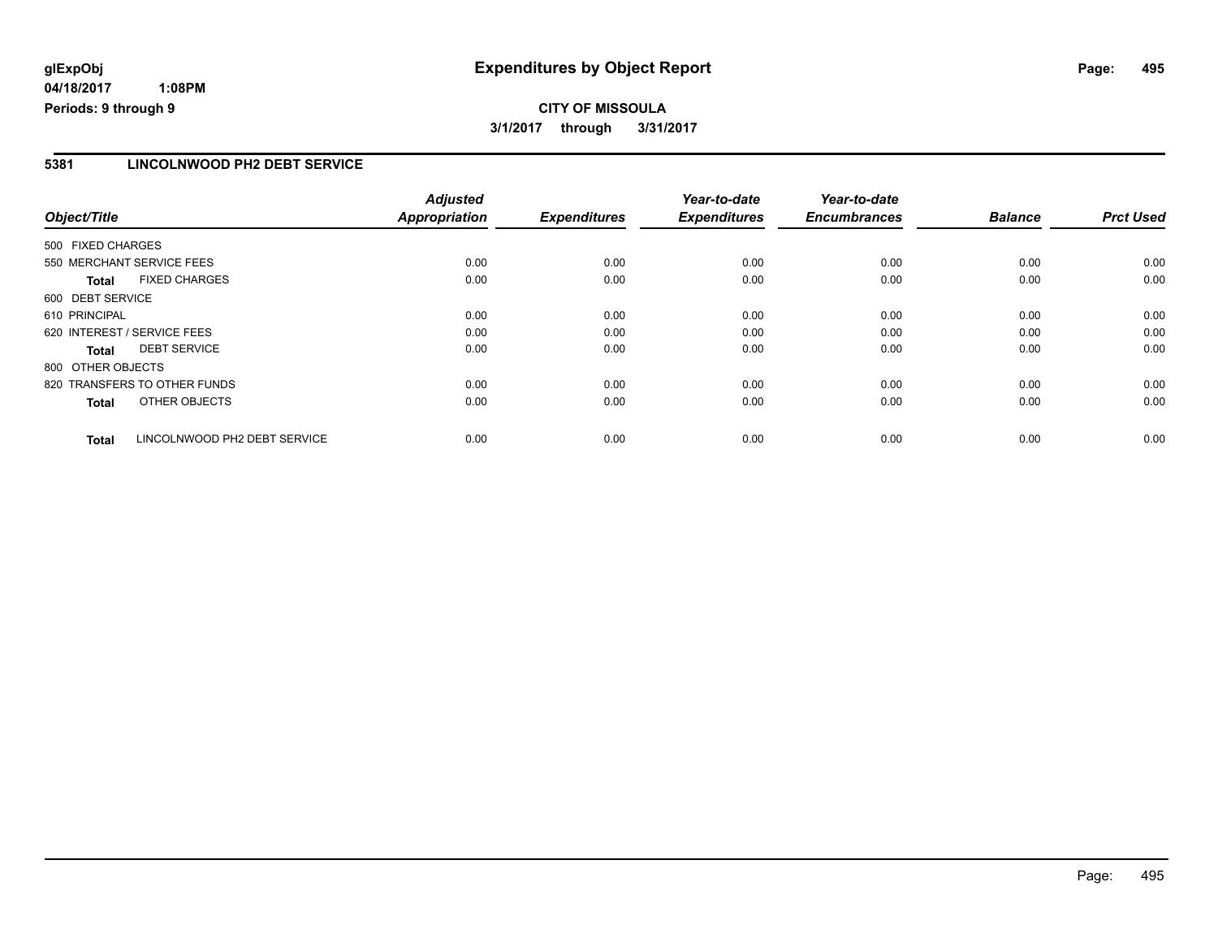# **glExpObj Expenditures by Object Report Page: 495**

**04/18/2017 1:08PM Periods: 9 through 9**

#### **5381 LINCOLNWOOD PH2 DEBT SERVICE**

| Object/Title                |                              | <b>Adjusted</b><br>Appropriation | <b>Expenditures</b> | Year-to-date<br><b>Expenditures</b> | Year-to-date<br><b>Encumbrances</b> | <b>Balance</b> | <b>Prct Used</b> |
|-----------------------------|------------------------------|----------------------------------|---------------------|-------------------------------------|-------------------------------------|----------------|------------------|
|                             |                              |                                  |                     |                                     |                                     |                |                  |
| 500 FIXED CHARGES           |                              |                                  |                     |                                     |                                     |                |                  |
| 550 MERCHANT SERVICE FEES   |                              | 0.00                             | 0.00                | 0.00                                | 0.00                                | 0.00           | 0.00             |
| <b>Total</b>                | <b>FIXED CHARGES</b>         | 0.00                             | 0.00                | 0.00                                | 0.00                                | 0.00           | 0.00             |
| 600 DEBT SERVICE            |                              |                                  |                     |                                     |                                     |                |                  |
| 610 PRINCIPAL               |                              | 0.00                             | 0.00                | 0.00                                | 0.00                                | 0.00           | 0.00             |
| 620 INTEREST / SERVICE FEES |                              | 0.00                             | 0.00                | 0.00                                | 0.00                                | 0.00           | 0.00             |
| Total                       | <b>DEBT SERVICE</b>          | 0.00                             | 0.00                | 0.00                                | 0.00                                | 0.00           | 0.00             |
| 800 OTHER OBJECTS           |                              |                                  |                     |                                     |                                     |                |                  |
|                             | 820 TRANSFERS TO OTHER FUNDS | 0.00                             | 0.00                | 0.00                                | 0.00                                | 0.00           | 0.00             |
| <b>Total</b>                | OTHER OBJECTS                | 0.00                             | 0.00                | 0.00                                | 0.00                                | 0.00           | 0.00             |
| <b>Total</b>                | LINCOLNWOOD PH2 DEBT SERVICE | 0.00                             | 0.00                | 0.00                                | 0.00                                | 0.00           | 0.00             |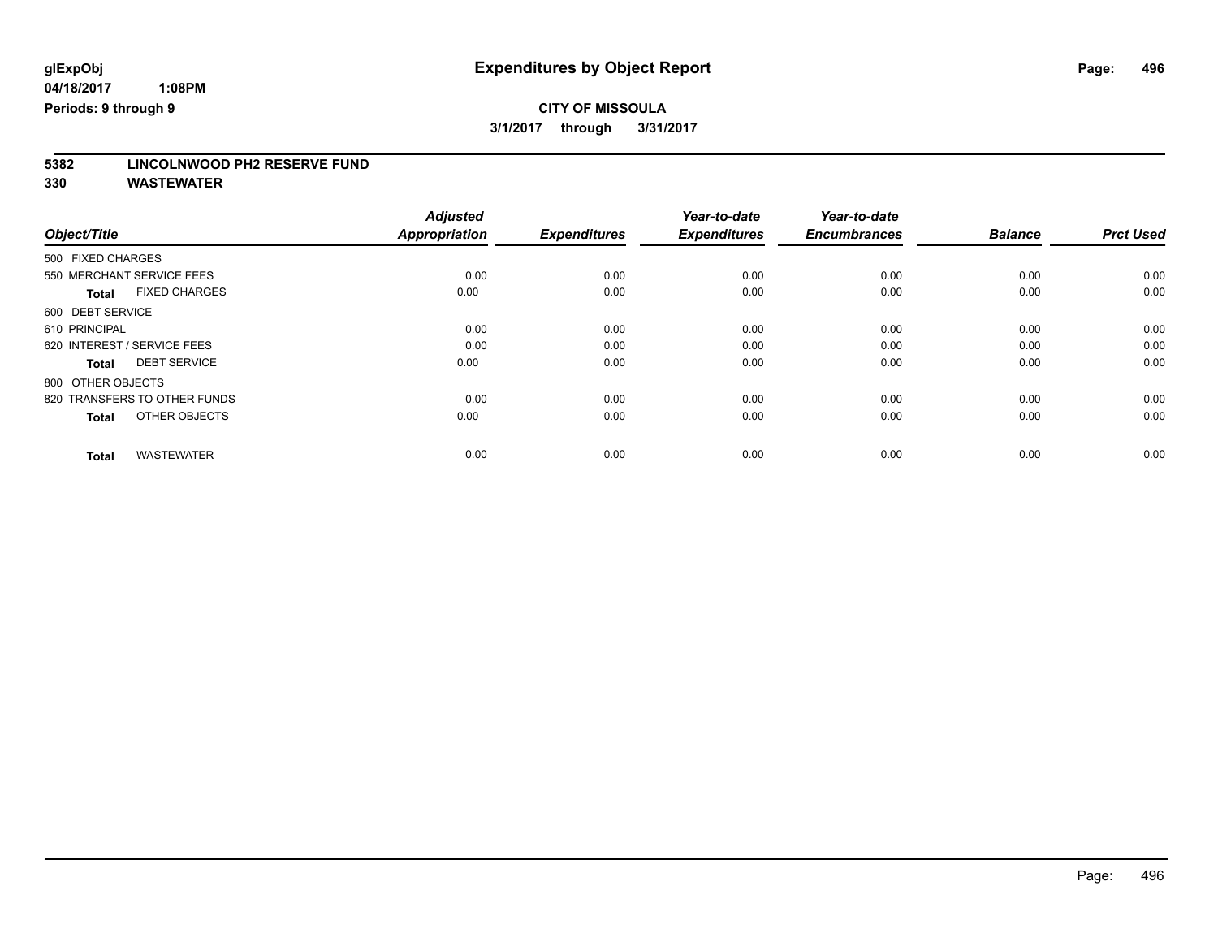# **5382 LINCOLNWOOD PH2 RESERVE FUND**

|                                      | <b>Adjusted</b> |                     | Year-to-date        | Year-to-date        |                |                  |
|--------------------------------------|-----------------|---------------------|---------------------|---------------------|----------------|------------------|
| Object/Title                         | Appropriation   | <b>Expenditures</b> | <b>Expenditures</b> | <b>Encumbrances</b> | <b>Balance</b> | <b>Prct Used</b> |
| 500 FIXED CHARGES                    |                 |                     |                     |                     |                |                  |
| 550 MERCHANT SERVICE FEES            | 0.00            | 0.00                | 0.00                | 0.00                | 0.00           | 0.00             |
| <b>FIXED CHARGES</b><br><b>Total</b> | 0.00            | 0.00                | 0.00                | 0.00                | 0.00           | 0.00             |
| 600 DEBT SERVICE                     |                 |                     |                     |                     |                |                  |
| 610 PRINCIPAL                        | 0.00            | 0.00                | 0.00                | 0.00                | 0.00           | 0.00             |
| 620 INTEREST / SERVICE FEES          | 0.00            | 0.00                | 0.00                | 0.00                | 0.00           | 0.00             |
| <b>DEBT SERVICE</b><br><b>Total</b>  | 0.00            | 0.00                | 0.00                | 0.00                | 0.00           | 0.00             |
| 800 OTHER OBJECTS                    |                 |                     |                     |                     |                |                  |
| 820 TRANSFERS TO OTHER FUNDS         | 0.00            | 0.00                | 0.00                | 0.00                | 0.00           | 0.00             |
| OTHER OBJECTS<br><b>Total</b>        | 0.00            | 0.00                | 0.00                | 0.00                | 0.00           | 0.00             |
|                                      |                 |                     |                     |                     |                |                  |
| <b>WASTEWATER</b><br><b>Total</b>    | 0.00            | 0.00                | 0.00                | 0.00                | 0.00           | 0.00             |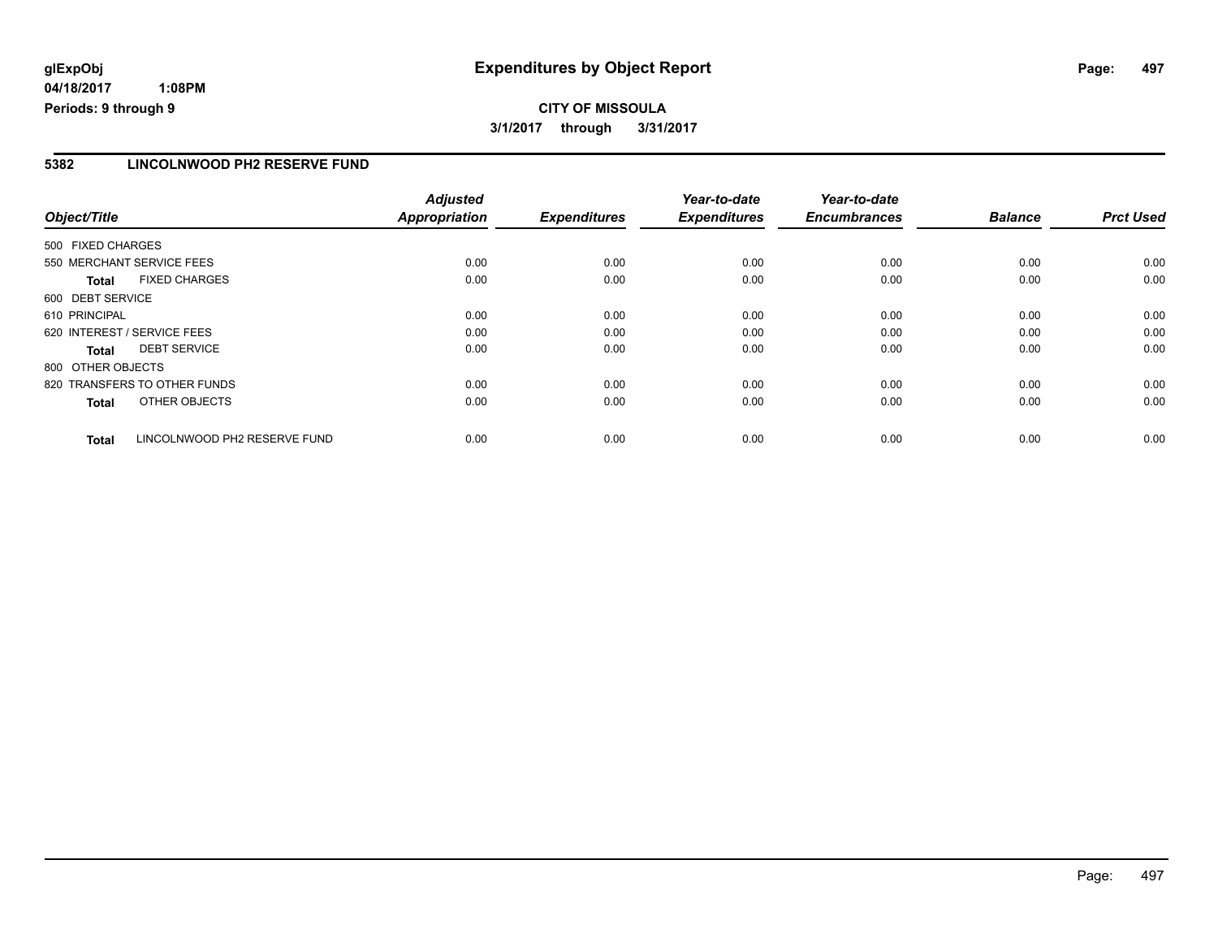# **glExpObj Expenditures by Object Report Page: 497**

**04/18/2017 1:08PM Periods: 9 through 9**

#### **5382 LINCOLNWOOD PH2 RESERVE FUND**

| Object/Title                |                              | <b>Adjusted</b><br>Appropriation | <b>Expenditures</b> | Year-to-date<br><b>Expenditures</b> | Year-to-date<br><b>Encumbrances</b> | <b>Balance</b> | <b>Prct Used</b> |
|-----------------------------|------------------------------|----------------------------------|---------------------|-------------------------------------|-------------------------------------|----------------|------------------|
| 500 FIXED CHARGES           |                              |                                  |                     |                                     |                                     |                |                  |
| 550 MERCHANT SERVICE FEES   |                              | 0.00                             | 0.00                | 0.00                                | 0.00                                | 0.00           | 0.00             |
| <b>Total</b>                | <b>FIXED CHARGES</b>         | 0.00                             | 0.00                | 0.00                                | 0.00                                | 0.00           | 0.00             |
| 600 DEBT SERVICE            |                              |                                  |                     |                                     |                                     |                |                  |
| 610 PRINCIPAL               |                              | 0.00                             | 0.00                | 0.00                                | 0.00                                | 0.00           | 0.00             |
| 620 INTEREST / SERVICE FEES |                              | 0.00                             | 0.00                | 0.00                                | 0.00                                | 0.00           | 0.00             |
| <b>Total</b>                | <b>DEBT SERVICE</b>          | 0.00                             | 0.00                | 0.00                                | 0.00                                | 0.00           | 0.00             |
| 800 OTHER OBJECTS           |                              |                                  |                     |                                     |                                     |                |                  |
|                             | 820 TRANSFERS TO OTHER FUNDS | 0.00                             | 0.00                | 0.00                                | 0.00                                | 0.00           | 0.00             |
| <b>Total</b>                | OTHER OBJECTS                | 0.00                             | 0.00                | 0.00                                | 0.00                                | 0.00           | 0.00             |
| <b>Total</b>                | LINCOLNWOOD PH2 RESERVE FUND | 0.00                             | 0.00                | 0.00                                | 0.00                                | 0.00           | 0.00             |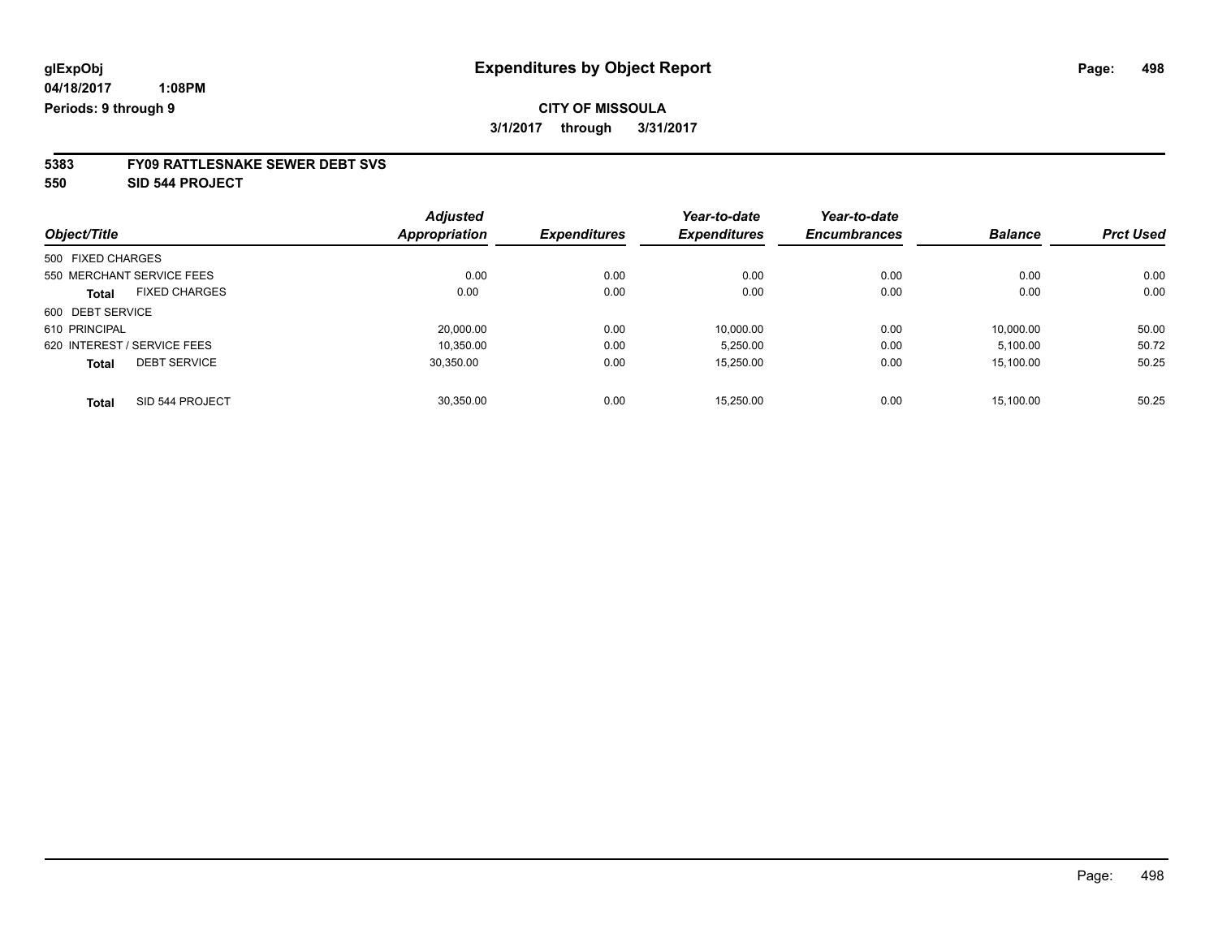# **5383 FY09 RATTLESNAKE SEWER DEBT SVS**

**550 SID 544 PROJECT**

|                                      | <b>Adjusted</b>      |                     | Year-to-date | Year-to-date        |                |                  |
|--------------------------------------|----------------------|---------------------|--------------|---------------------|----------------|------------------|
| Object/Title                         | <b>Appropriation</b> | <b>Expenditures</b> | Expenditures | <b>Encumbrances</b> | <b>Balance</b> | <b>Prct Used</b> |
| 500 FIXED CHARGES                    |                      |                     |              |                     |                |                  |
| 550 MERCHANT SERVICE FEES            | 0.00                 | 0.00                | 0.00         | 0.00                | 0.00           | 0.00             |
| <b>FIXED CHARGES</b><br><b>Total</b> | 0.00                 | 0.00                | 0.00         | 0.00                | 0.00           | 0.00             |
| 600 DEBT SERVICE                     |                      |                     |              |                     |                |                  |
| 610 PRINCIPAL                        | 20,000.00            | 0.00                | 10,000.00    | 0.00                | 10,000.00      | 50.00            |
| 620 INTEREST / SERVICE FEES          | 10.350.00            | 0.00                | 5,250.00     | 0.00                | 5,100.00       | 50.72            |
| <b>DEBT SERVICE</b><br><b>Total</b>  | 30.350.00            | 0.00                | 15,250.00    | 0.00                | 15,100.00      | 50.25            |
| SID 544 PROJECT<br>Total             | 30.350.00            | 0.00                | 15.250.00    | 0.00                | 15.100.00      | 50.25            |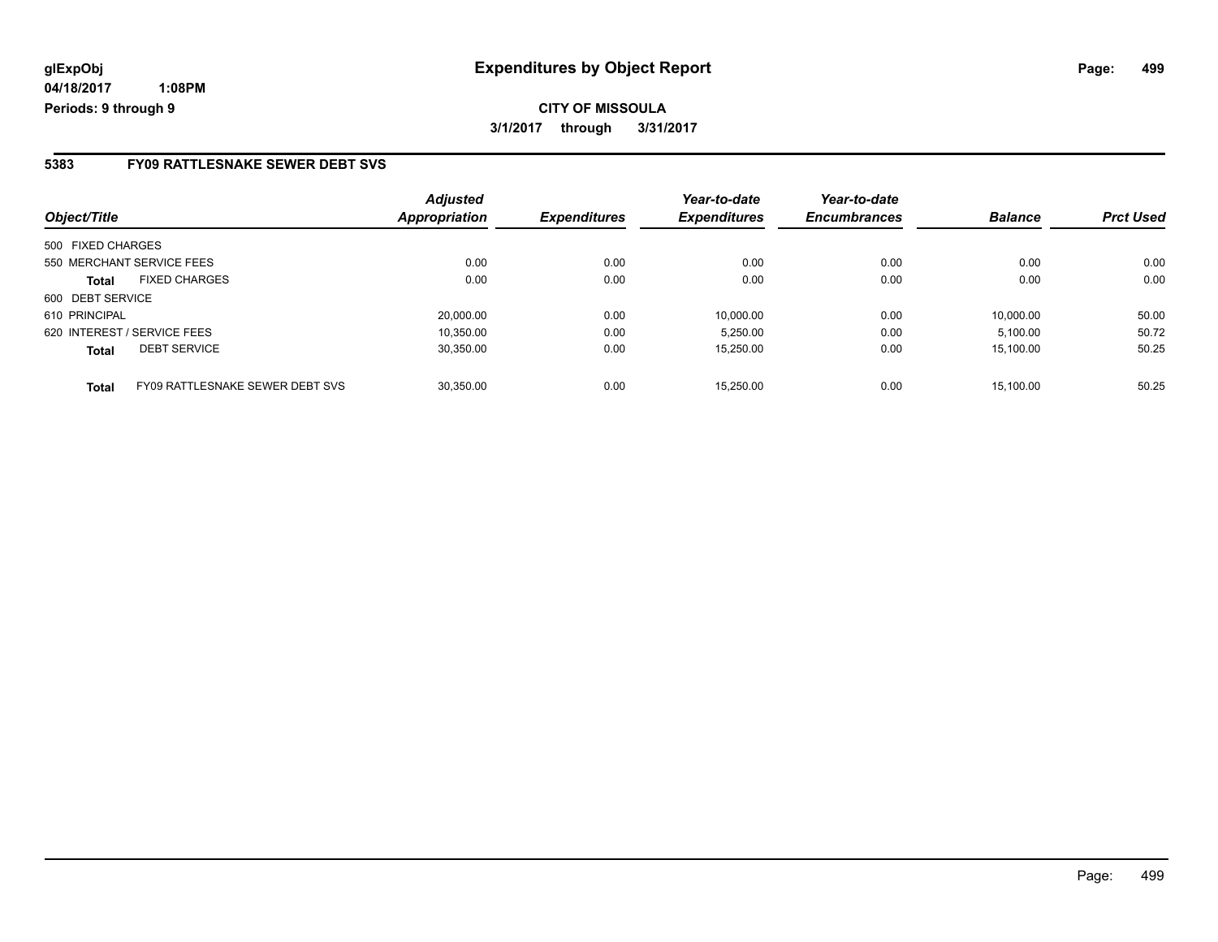### **5383 FY09 RATTLESNAKE SEWER DEBT SVS**

| Object/Title                                    | <b>Adjusted</b><br><b>Appropriation</b> | <b>Expenditures</b> | Year-to-date<br><b>Expenditures</b> | Year-to-date<br><b>Encumbrances</b> | <b>Balance</b> | <b>Prct Used</b> |
|-------------------------------------------------|-----------------------------------------|---------------------|-------------------------------------|-------------------------------------|----------------|------------------|
| 500 FIXED CHARGES                               |                                         |                     |                                     |                                     |                |                  |
| 550 MERCHANT SERVICE FEES                       | 0.00                                    | 0.00                | 0.00                                | 0.00                                | 0.00           | 0.00             |
| <b>FIXED CHARGES</b><br><b>Total</b>            | 0.00                                    | 0.00                | 0.00                                | 0.00                                | 0.00           | 0.00             |
| 600 DEBT SERVICE                                |                                         |                     |                                     |                                     |                |                  |
| 610 PRINCIPAL                                   | 20.000.00                               | 0.00                | 10.000.00                           | 0.00                                | 10.000.00      | 50.00            |
| 620 INTEREST / SERVICE FEES                     | 10,350.00                               | 0.00                | 5.250.00                            | 0.00                                | 5.100.00       | 50.72            |
| <b>DEBT SERVICE</b><br><b>Total</b>             | 30.350.00                               | 0.00                | 15,250.00                           | 0.00                                | 15.100.00      | 50.25            |
| FY09 RATTLESNAKE SEWER DEBT SVS<br><b>Total</b> | 30.350.00                               | 0.00                | 15.250.00                           | 0.00                                | 15.100.00      | 50.25            |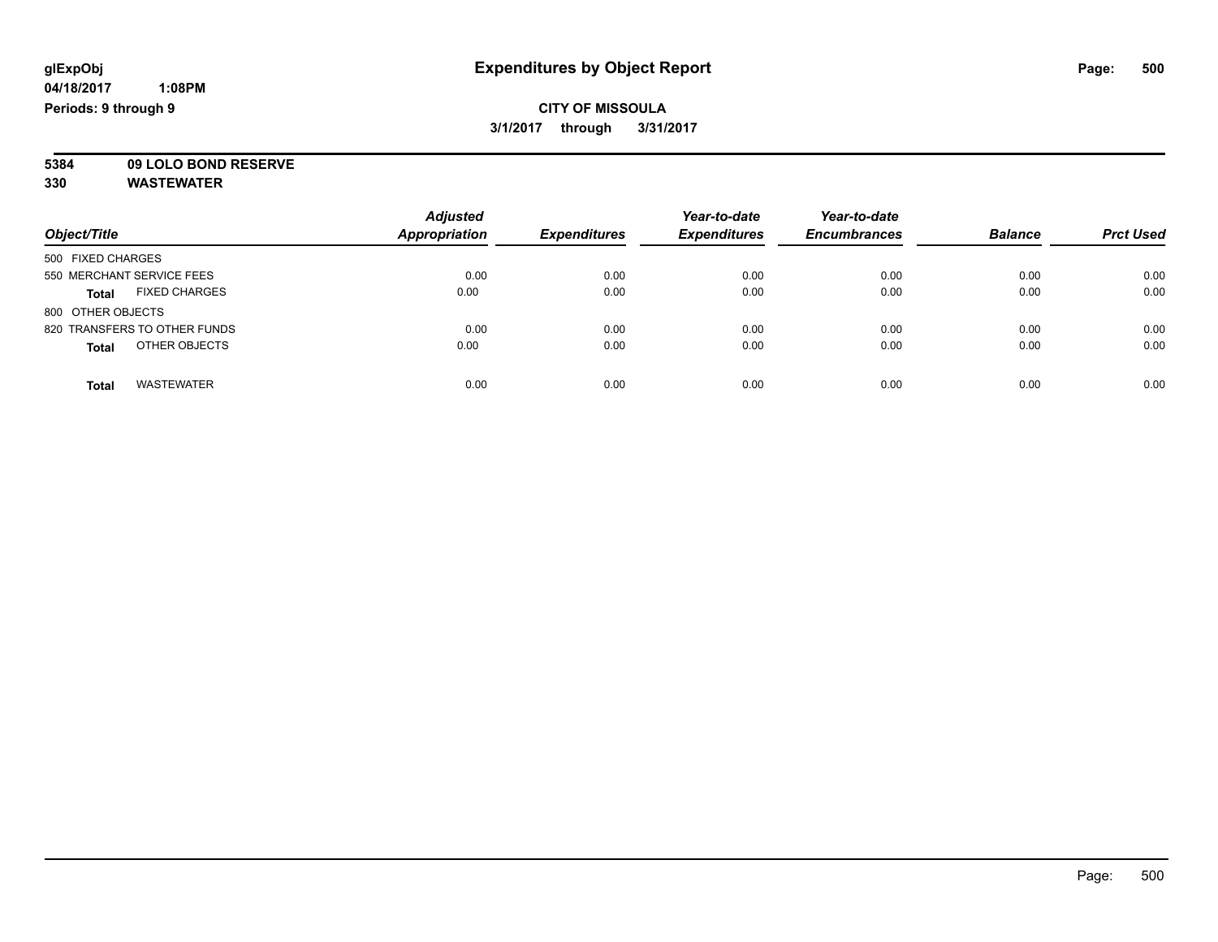**5384 09 LOLO BOND RESERVE**

| Object/Title                         | <b>Adjusted</b><br><b>Appropriation</b> | <b>Expenditures</b> | Year-to-date<br><b>Expenditures</b> | Year-to-date<br><b>Encumbrances</b> | <b>Balance</b> | <b>Prct Used</b> |
|--------------------------------------|-----------------------------------------|---------------------|-------------------------------------|-------------------------------------|----------------|------------------|
| 500 FIXED CHARGES                    |                                         |                     |                                     |                                     |                |                  |
| 550 MERCHANT SERVICE FEES            | 0.00                                    | 0.00                | 0.00                                | 0.00                                | 0.00           | 0.00             |
| <b>FIXED CHARGES</b><br><b>Total</b> | 0.00                                    | 0.00                | 0.00                                | 0.00                                | 0.00           | 0.00             |
| 800 OTHER OBJECTS                    |                                         |                     |                                     |                                     |                |                  |
| 820 TRANSFERS TO OTHER FUNDS         | 0.00                                    | 0.00                | 0.00                                | 0.00                                | 0.00           | 0.00             |
| OTHER OBJECTS<br><b>Total</b>        | 0.00                                    | 0.00                | 0.00                                | 0.00                                | 0.00           | 0.00             |
| <b>WASTEWATER</b><br>Total           | 0.00                                    | 0.00                | 0.00                                | 0.00                                | 0.00           | 0.00             |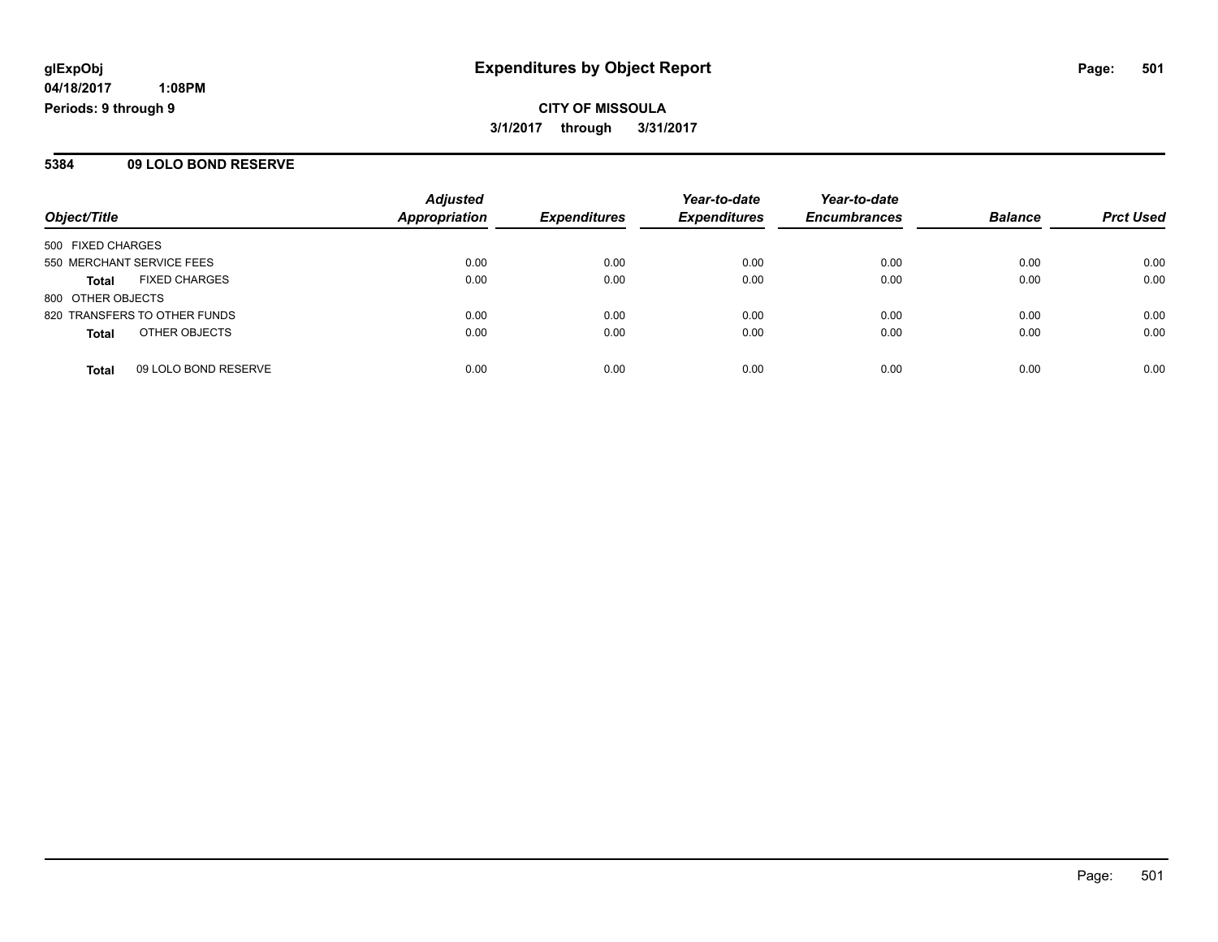**CITY OF MISSOULA 3/1/2017 through 3/31/2017**

#### **5384 09 LOLO BOND RESERVE**

| Object/Title                         | <b>Adjusted</b><br><b>Appropriation</b> | <b>Expenditures</b> | Year-to-date<br><b>Expenditures</b> | Year-to-date<br><b>Encumbrances</b> | <b>Balance</b> | <b>Prct Used</b> |
|--------------------------------------|-----------------------------------------|---------------------|-------------------------------------|-------------------------------------|----------------|------------------|
| 500 FIXED CHARGES                    |                                         |                     |                                     |                                     |                |                  |
| 550 MERCHANT SERVICE FEES            | 0.00                                    | 0.00                | 0.00                                | 0.00                                | 0.00           | 0.00             |
| <b>FIXED CHARGES</b><br><b>Total</b> | 0.00                                    | 0.00                | 0.00                                | 0.00                                | 0.00           | 0.00             |
| 800 OTHER OBJECTS                    |                                         |                     |                                     |                                     |                |                  |
| 820 TRANSFERS TO OTHER FUNDS         | 0.00                                    | 0.00                | 0.00                                | 0.00                                | 0.00           | 0.00             |
| OTHER OBJECTS<br><b>Total</b>        | 0.00                                    | 0.00                | 0.00                                | 0.00                                | 0.00           | 0.00             |
| 09 LOLO BOND RESERVE<br><b>Total</b> | 0.00                                    | 0.00                | 0.00                                | 0.00                                | 0.00           | 0.00             |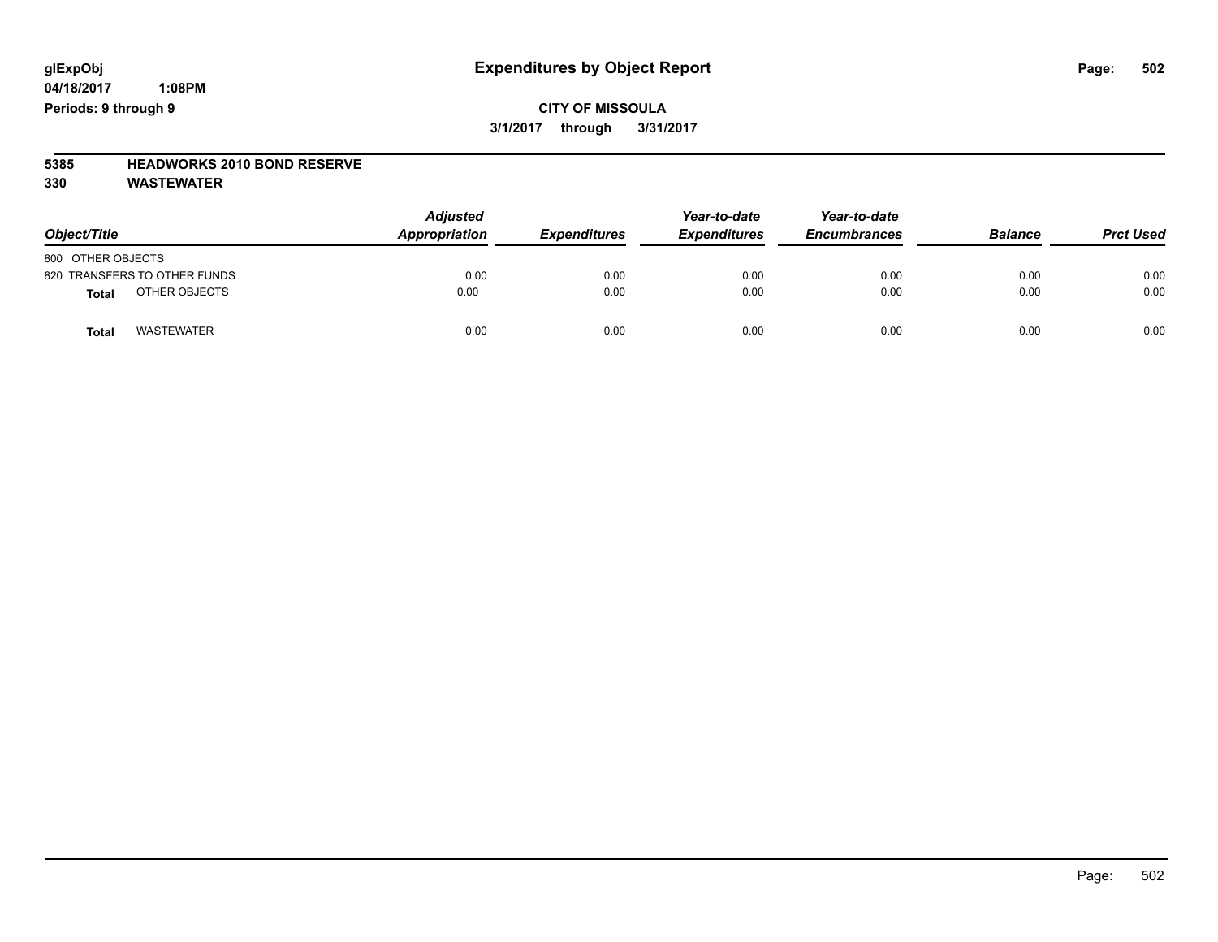**CITY OF MISSOULA 3/1/2017 through 3/31/2017**

# **5385 HEADWORKS 2010 BOND RESERVE**

| Object/Title                  | <b>Adjusted</b><br>Appropriation | <b>Expenditures</b> | Year-to-date<br><b>Expenditures</b> | Year-to-date<br><b>Encumbrances</b> | <b>Balance</b> | <b>Prct Used</b> |
|-------------------------------|----------------------------------|---------------------|-------------------------------------|-------------------------------------|----------------|------------------|
| 800 OTHER OBJECTS             |                                  |                     |                                     |                                     |                |                  |
| 820 TRANSFERS TO OTHER FUNDS  | 0.00                             | 0.00                | 0.00                                | 0.00                                | 0.00           | 0.00             |
| OTHER OBJECTS<br><b>Total</b> | 0.00                             | 0.00                | 0.00                                | 0.00                                | 0.00           | 0.00             |
| <b>WASTEWATER</b><br>Total    | 0.00                             | 0.00                | 0.00                                | 0.00                                | 0.00           | 0.00             |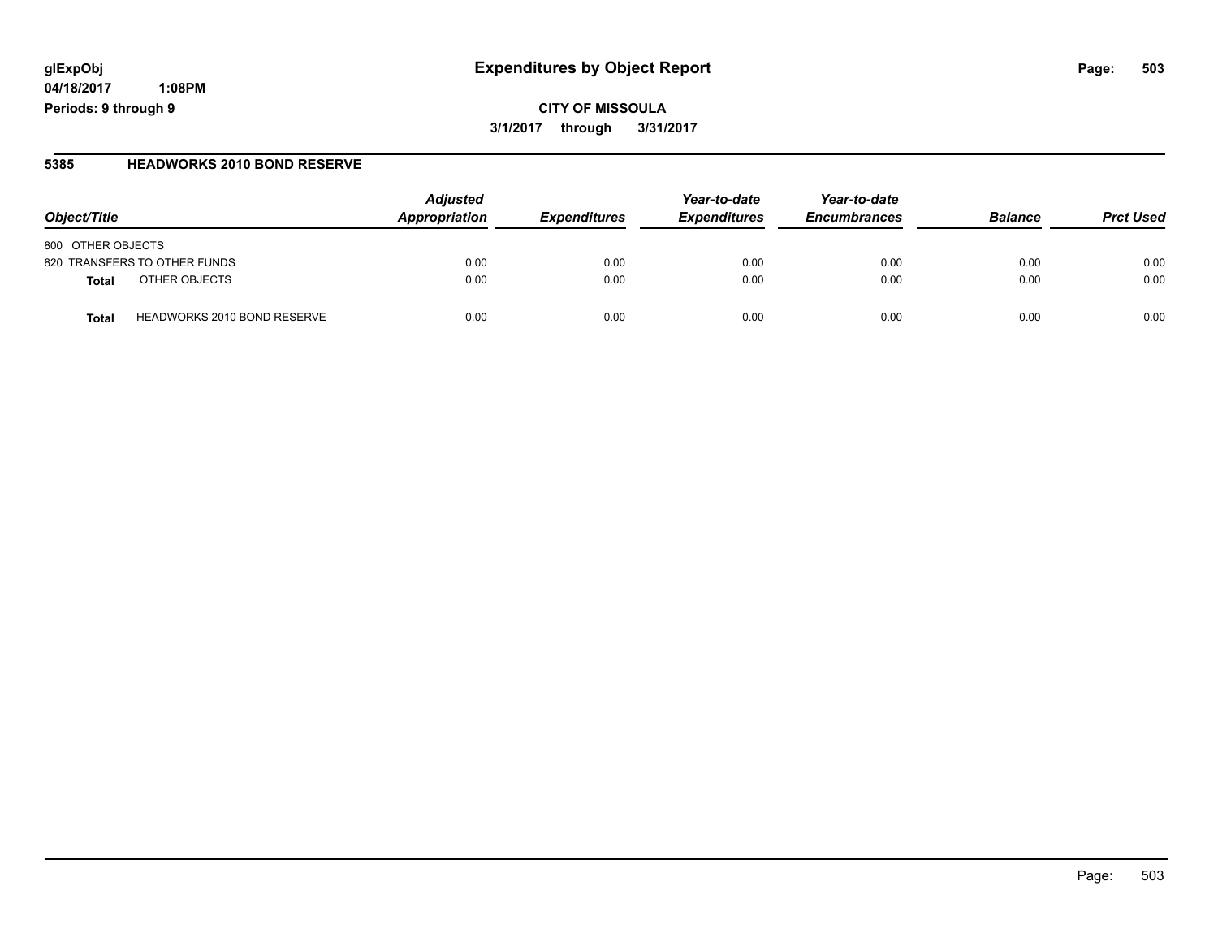# **glExpObj Expenditures by Object Report Page: 503**

**04/18/2017 1:08PM Periods: 9 through 9**

**5385 HEADWORKS 2010 BOND RESERVE**

| Object/Title                                       | <b>Adjusted</b><br>Appropriation | <b>Expenditures</b> | Year-to-date<br><b>Expenditures</b> | Year-to-date<br><b>Encumbrances</b> | <b>Balance</b> | <b>Prct Used</b> |
|----------------------------------------------------|----------------------------------|---------------------|-------------------------------------|-------------------------------------|----------------|------------------|
| 800 OTHER OBJECTS                                  |                                  |                     |                                     |                                     |                |                  |
| 820 TRANSFERS TO OTHER FUNDS                       | 0.00                             | 0.00                | 0.00                                | 0.00                                | 0.00           | 0.00             |
| OTHER OBJECTS<br>Total                             | 0.00                             | 0.00                | 0.00                                | 0.00                                | 0.00           | 0.00             |
| <b>HEADWORKS 2010 BOND RESERVE</b><br><b>Total</b> | 0.00                             | 0.00                | 0.00                                | 0.00                                | 0.00           | 0.00             |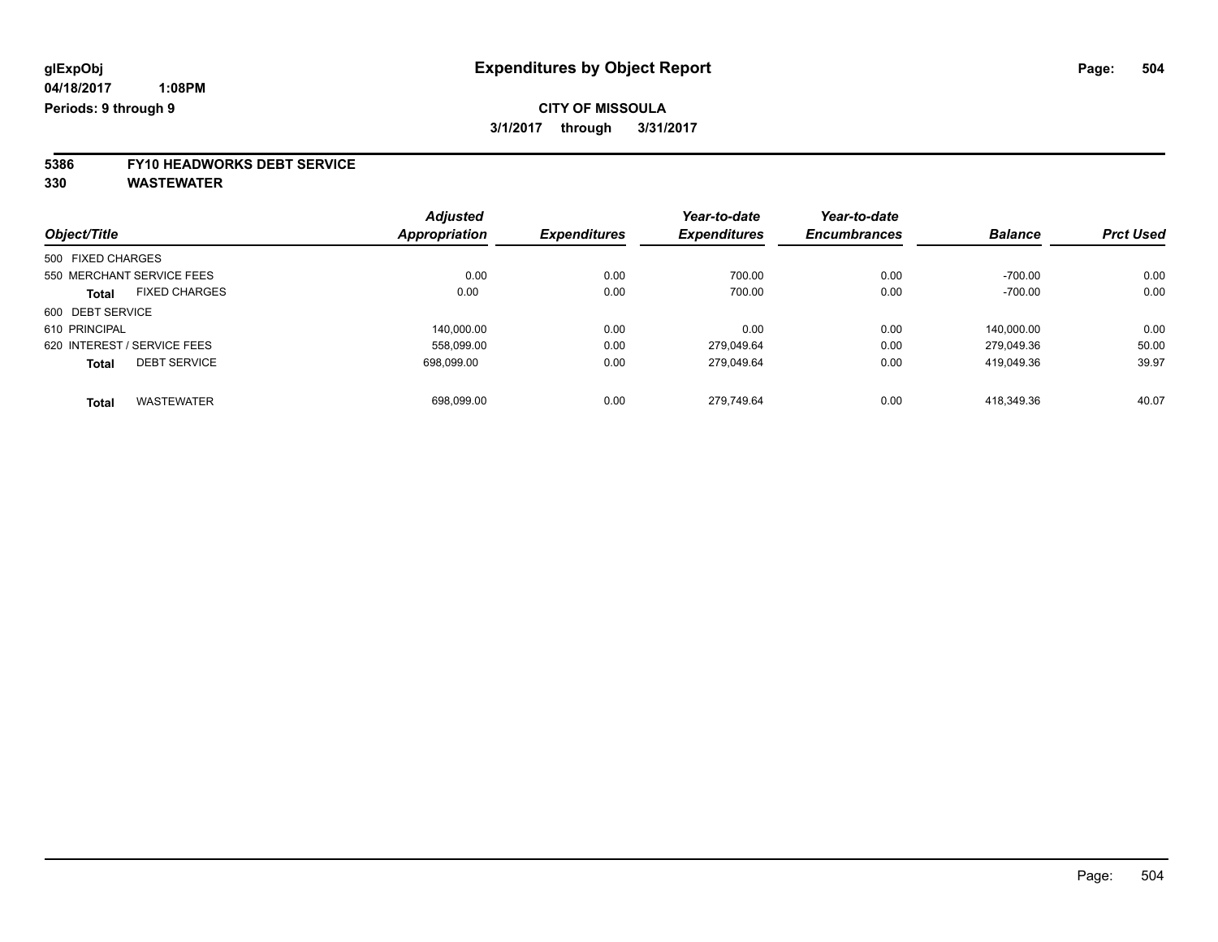# **5386 FY10 HEADWORKS DEBT SERVICE**

|                                      |                      | <b>Adjusted</b>     | Year-to-date        | Year-to-date        |                |                  |
|--------------------------------------|----------------------|---------------------|---------------------|---------------------|----------------|------------------|
| Object/Title                         | <b>Appropriation</b> | <b>Expenditures</b> | <b>Expenditures</b> | <b>Encumbrances</b> | <b>Balance</b> | <b>Prct Used</b> |
| 500 FIXED CHARGES                    |                      |                     |                     |                     |                |                  |
| 550 MERCHANT SERVICE FEES            |                      | 0.00<br>0.00        | 700.00              | 0.00                | $-700.00$      | 0.00             |
| <b>FIXED CHARGES</b><br><b>Total</b> |                      | 0.00<br>0.00        | 700.00              | 0.00                | $-700.00$      | 0.00             |
| 600 DEBT SERVICE                     |                      |                     |                     |                     |                |                  |
| 610 PRINCIPAL                        |                      | 0.00<br>140.000.00  | 0.00                | 0.00                | 140.000.00     | 0.00             |
| 620 INTEREST / SERVICE FEES          |                      | 0.00<br>558,099.00  | 279.049.64          | 0.00                | 279.049.36     | 50.00            |
| <b>DEBT SERVICE</b><br><b>Total</b>  |                      | 698.099.00<br>0.00  | 279.049.64          | 0.00                | 419.049.36     | 39.97            |
| <b>WASTEWATER</b><br><b>Total</b>    |                      | 0.00<br>698,099.00  | 279.749.64          | 0.00                | 418.349.36     | 40.07            |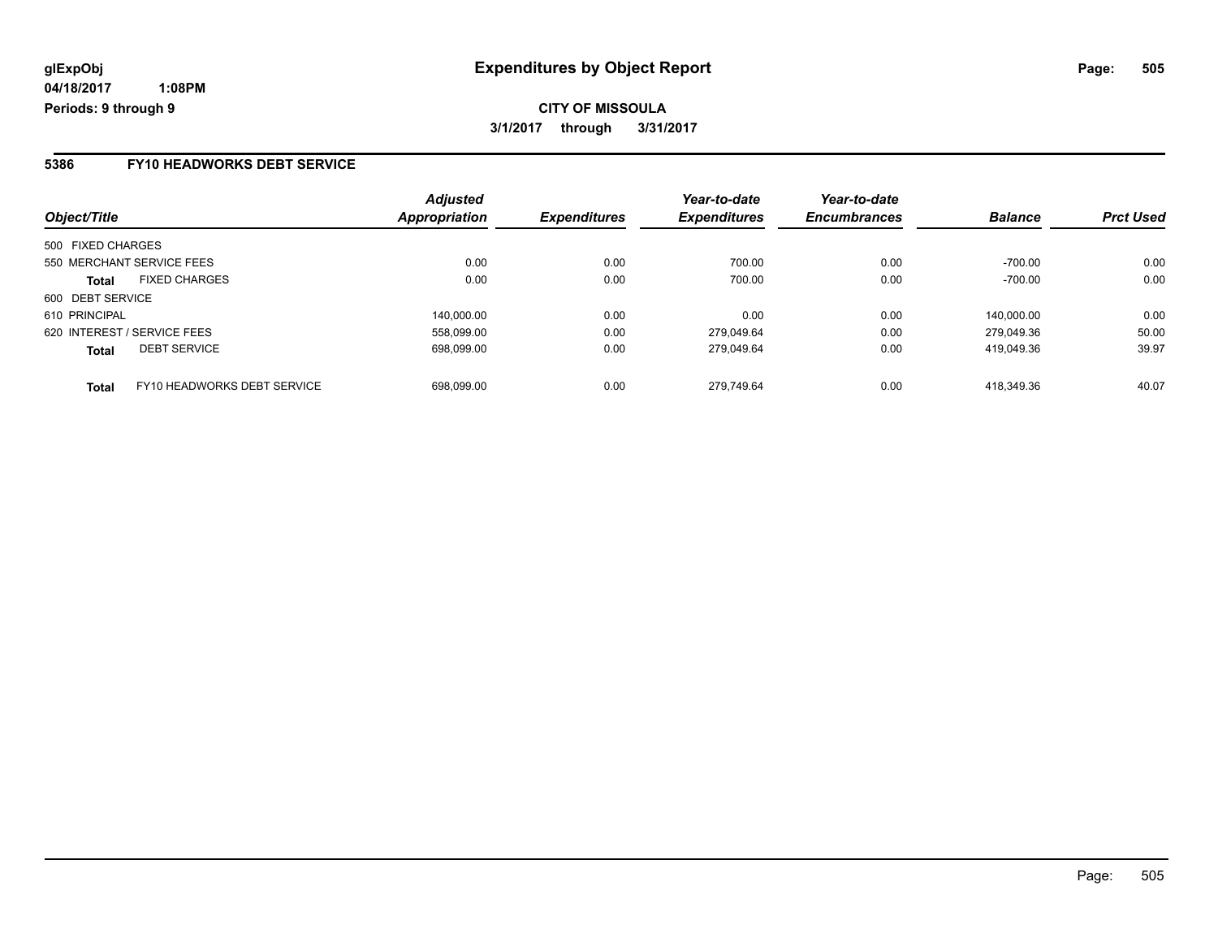### **5386 FY10 HEADWORKS DEBT SERVICE**

| Object/Title                                | <b>Adjusted</b><br>Appropriation | <b>Expenditures</b> | Year-to-date<br><b>Expenditures</b> | Year-to-date<br><b>Encumbrances</b> | <b>Balance</b> | <b>Prct Used</b> |
|---------------------------------------------|----------------------------------|---------------------|-------------------------------------|-------------------------------------|----------------|------------------|
| 500 FIXED CHARGES                           |                                  |                     |                                     |                                     |                |                  |
| 550 MERCHANT SERVICE FEES                   | 0.00                             | 0.00                | 700.00                              | 0.00                                | $-700.00$      | 0.00             |
| <b>FIXED CHARGES</b><br><b>Total</b>        | 0.00                             | 0.00                | 700.00                              | 0.00                                | $-700.00$      | 0.00             |
| 600 DEBT SERVICE                            |                                  |                     |                                     |                                     |                |                  |
| 610 PRINCIPAL                               | 140.000.00                       | 0.00                | 0.00                                | 0.00                                | 140,000.00     | 0.00             |
| 620 INTEREST / SERVICE FEES                 | 558.099.00                       | 0.00                | 279.049.64                          | 0.00                                | 279.049.36     | 50.00            |
| <b>DEBT SERVICE</b><br><b>Total</b>         | 698.099.00                       | 0.00                | 279.049.64                          | 0.00                                | 419.049.36     | 39.97            |
| FY10 HEADWORKS DEBT SERVICE<br><b>Total</b> | 698.099.00                       | 0.00                | 279.749.64                          | 0.00                                | 418.349.36     | 40.07            |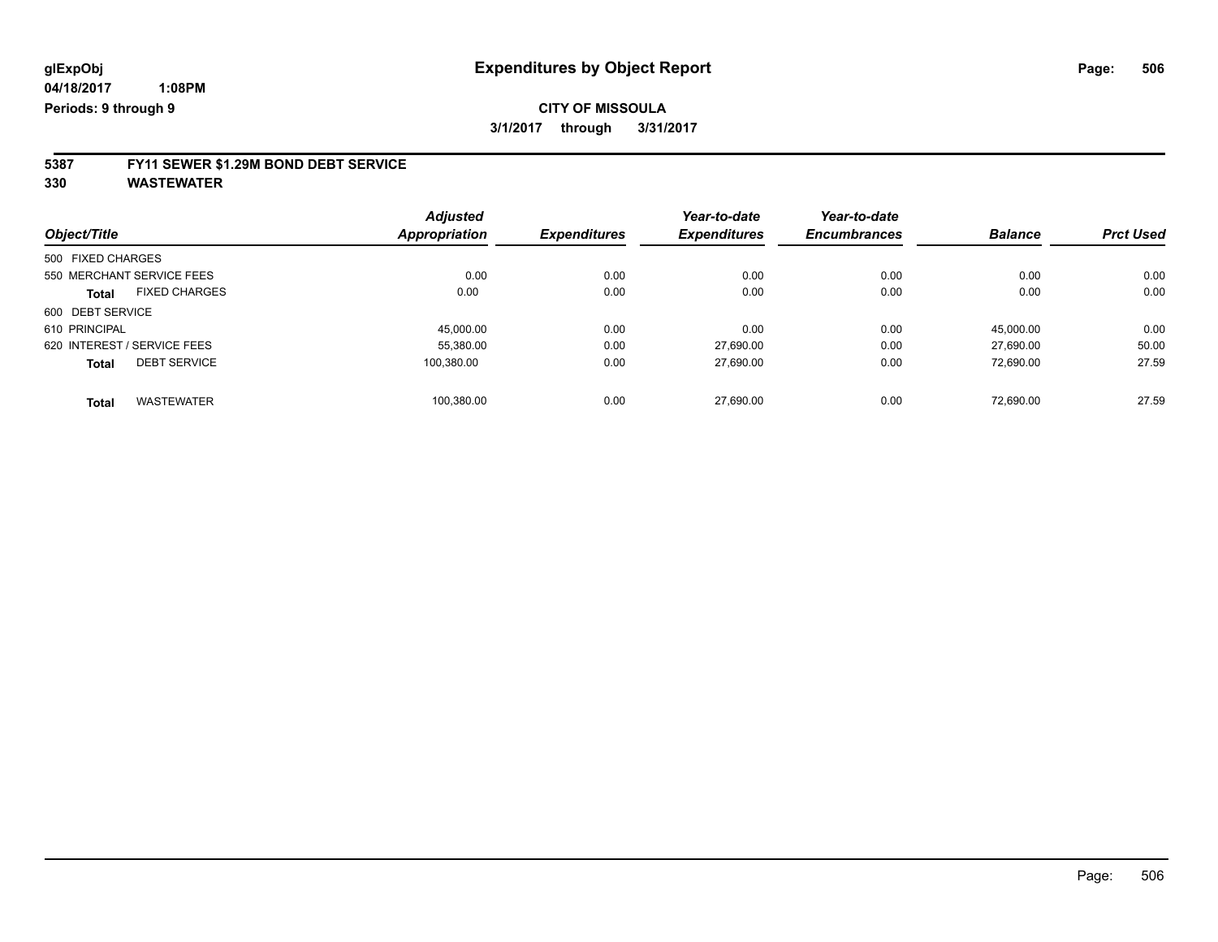# **5387 FY11 SEWER \$1.29M BOND DEBT SERVICE**

**330 WASTEWATER**

|                                      | <b>Adjusted</b>      |                     | Year-to-date        | Year-to-date        |                |                  |
|--------------------------------------|----------------------|---------------------|---------------------|---------------------|----------------|------------------|
| Object/Title                         | <b>Appropriation</b> | <b>Expenditures</b> | <b>Expenditures</b> | <b>Encumbrances</b> | <b>Balance</b> | <b>Prct Used</b> |
| 500 FIXED CHARGES                    |                      |                     |                     |                     |                |                  |
| 550 MERCHANT SERVICE FEES            | 0.00                 | 0.00                | 0.00                | 0.00                | 0.00           | 0.00             |
| <b>FIXED CHARGES</b><br><b>Total</b> | 0.00                 | 0.00                | 0.00                | 0.00                | 0.00           | 0.00             |
| 600 DEBT SERVICE                     |                      |                     |                     |                     |                |                  |
| 610 PRINCIPAL                        | 45.000.00            | 0.00                | 0.00                | 0.00                | 45.000.00      | 0.00             |
| 620 INTEREST / SERVICE FEES          | 55,380.00            | 0.00                | 27,690.00           | 0.00                | 27.690.00      | 50.00            |
| <b>DEBT SERVICE</b><br><b>Total</b>  | 100.380.00           | 0.00                | 27.690.00           | 0.00                | 72.690.00      | 27.59            |
| <b>WASTEWATER</b><br>Total           | 100,380.00           | 0.00                | 27.690.00           | 0.00                | 72.690.00      | 27.59            |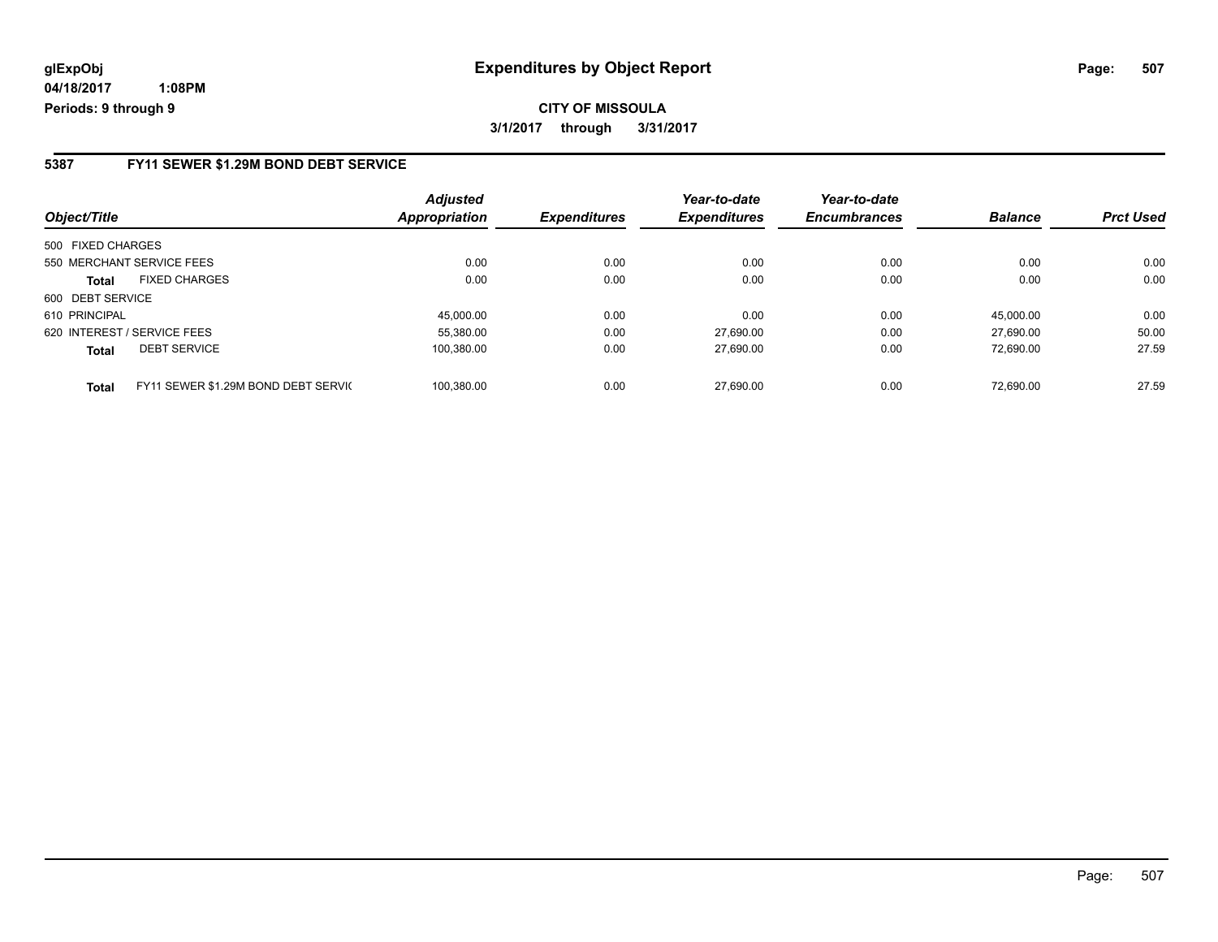**CITY OF MISSOULA 3/1/2017 through 3/31/2017**

### **5387 FY11 SEWER \$1.29M BOND DEBT SERVICE**

| Object/Title      |                                     | <b>Adjusted</b><br><b>Appropriation</b> | <b>Expenditures</b> | Year-to-date<br><b>Expenditures</b> | Year-to-date<br><b>Encumbrances</b> | <b>Balance</b> | <b>Prct Used</b> |
|-------------------|-------------------------------------|-----------------------------------------|---------------------|-------------------------------------|-------------------------------------|----------------|------------------|
| 500 FIXED CHARGES |                                     |                                         |                     |                                     |                                     |                |                  |
|                   | 550 MERCHANT SERVICE FEES           | 0.00                                    | 0.00                | 0.00                                | 0.00                                | 0.00           | 0.00             |
| <b>Total</b>      | <b>FIXED CHARGES</b>                | 0.00                                    | 0.00                | 0.00                                | 0.00                                | 0.00           | 0.00             |
| 600 DEBT SERVICE  |                                     |                                         |                     |                                     |                                     |                |                  |
| 610 PRINCIPAL     |                                     | 45.000.00                               | 0.00                | 0.00                                | 0.00                                | 45.000.00      | 0.00             |
|                   | 620 INTEREST / SERVICE FEES         | 55.380.00                               | 0.00                | 27.690.00                           | 0.00                                | 27.690.00      | 50.00            |
| <b>Total</b>      | <b>DEBT SERVICE</b>                 | 100,380.00                              | 0.00                | 27,690.00                           | 0.00                                | 72.690.00      | 27.59            |
| <b>Total</b>      | FY11 SEWER \$1.29M BOND DEBT SERVIC | 100.380.00                              | 0.00                | 27.690.00                           | 0.00                                | 72.690.00      | 27.59            |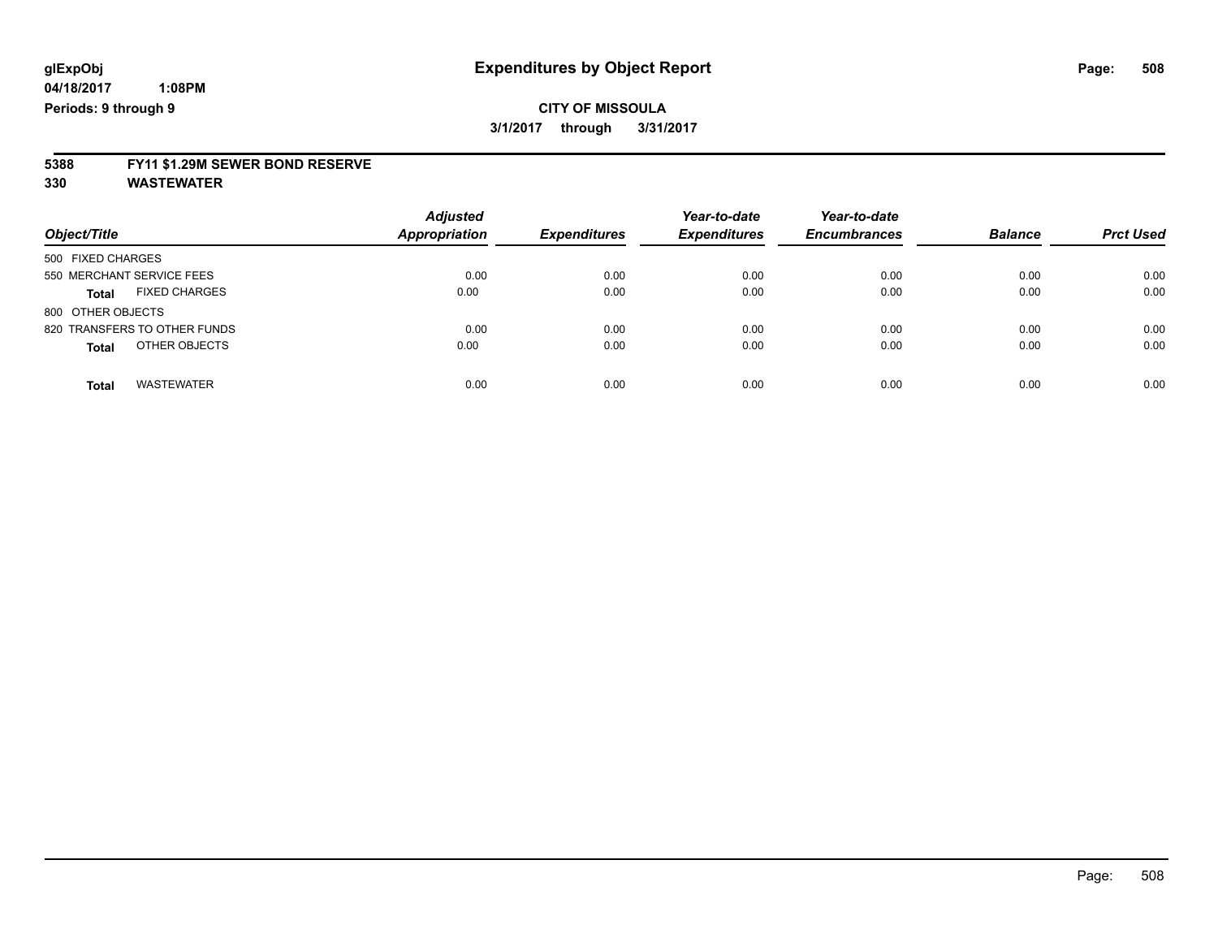# **5388 FY11 \$1.29M SEWER BOND RESERVE**

**330 WASTEWATER**

| Object/Title                         | <b>Adjusted</b><br><b>Appropriation</b> | <b>Expenditures</b> | Year-to-date<br><b>Expenditures</b> | Year-to-date<br><b>Encumbrances</b> | <b>Balance</b> | <b>Prct Used</b> |
|--------------------------------------|-----------------------------------------|---------------------|-------------------------------------|-------------------------------------|----------------|------------------|
| 500 FIXED CHARGES                    |                                         |                     |                                     |                                     |                |                  |
| 550 MERCHANT SERVICE FEES            | 0.00                                    | 0.00                | 0.00                                | 0.00                                | 0.00           | 0.00             |
| <b>FIXED CHARGES</b><br><b>Total</b> | 0.00                                    | 0.00                | 0.00                                | 0.00                                | 0.00           | 0.00             |
| 800 OTHER OBJECTS                    |                                         |                     |                                     |                                     |                |                  |
| 820 TRANSFERS TO OTHER FUNDS         | 0.00                                    | 0.00                | 0.00                                | 0.00                                | 0.00           | 0.00             |
| OTHER OBJECTS<br><b>Total</b>        | 0.00                                    | 0.00                | 0.00                                | 0.00                                | 0.00           | 0.00             |
| <b>WASTEWATER</b><br><b>Total</b>    | 0.00                                    | 0.00                | 0.00                                | 0.00                                | 0.00           | 0.00             |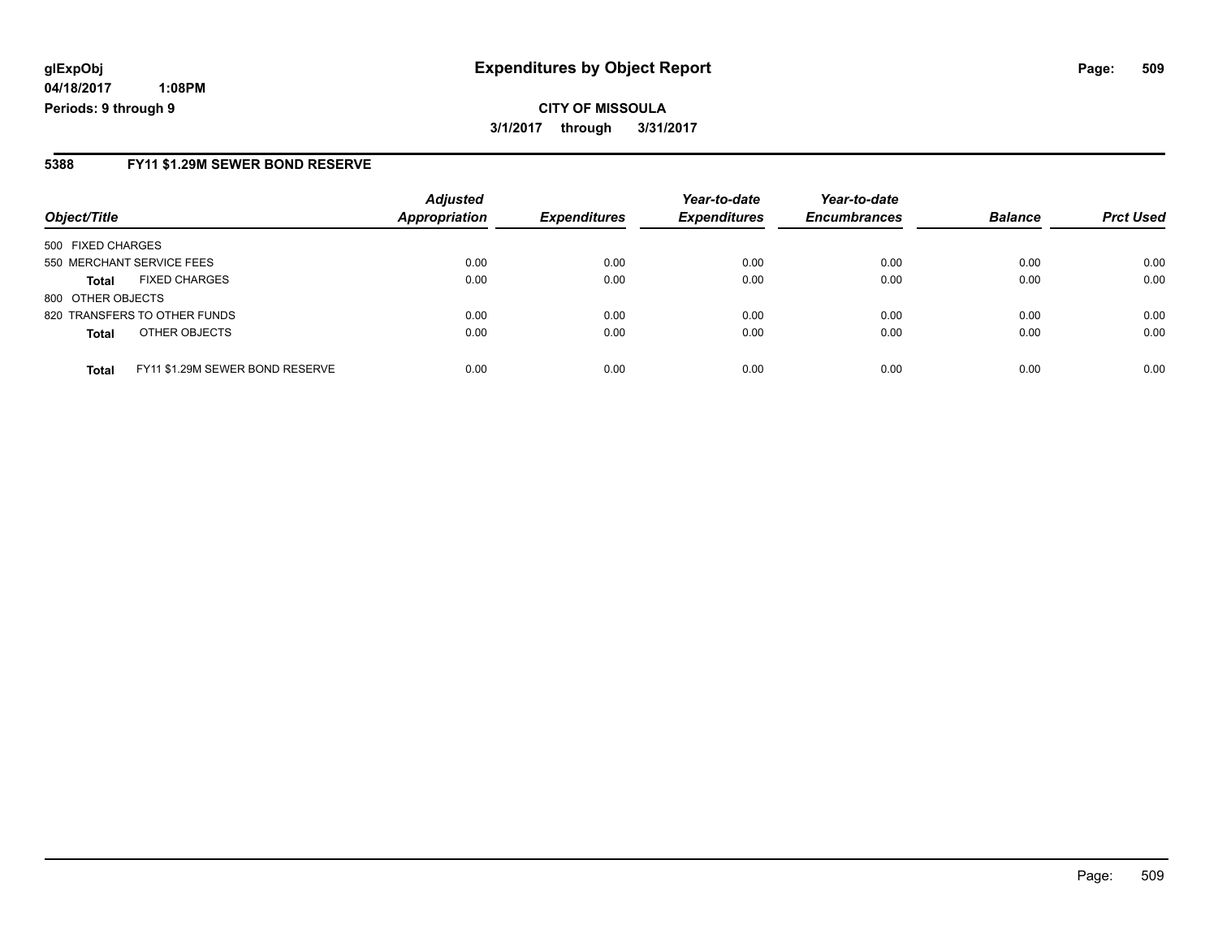# **glExpObj Expenditures by Object Report Page: 509**

**04/18/2017 1:08PM Periods: 9 through 9**

#### **5388 FY11 \$1.29M SEWER BOND RESERVE**

| Object/Title              |                                 | <b>Adjusted</b><br>Appropriation | <b>Expenditures</b> | Year-to-date<br><b>Expenditures</b> | Year-to-date<br><b>Encumbrances</b> | <b>Balance</b> | <b>Prct Used</b> |
|---------------------------|---------------------------------|----------------------------------|---------------------|-------------------------------------|-------------------------------------|----------------|------------------|
| 500 FIXED CHARGES         |                                 |                                  |                     |                                     |                                     |                |                  |
| 550 MERCHANT SERVICE FEES |                                 | 0.00                             | 0.00                | 0.00                                | 0.00                                | 0.00           | 0.00             |
| <b>Total</b>              | <b>FIXED CHARGES</b>            | 0.00                             | 0.00                | 0.00                                | 0.00                                | 0.00           | 0.00             |
| 800 OTHER OBJECTS         |                                 |                                  |                     |                                     |                                     |                |                  |
|                           | 820 TRANSFERS TO OTHER FUNDS    | 0.00                             | 0.00                | 0.00                                | 0.00                                | 0.00           | 0.00             |
| <b>Total</b>              | OTHER OBJECTS                   | 0.00                             | 0.00                | 0.00                                | 0.00                                | 0.00           | 0.00             |
| <b>Total</b>              | FY11 \$1.29M SEWER BOND RESERVE | 0.00                             | 0.00                | 0.00                                | 0.00                                | 0.00           | 0.00             |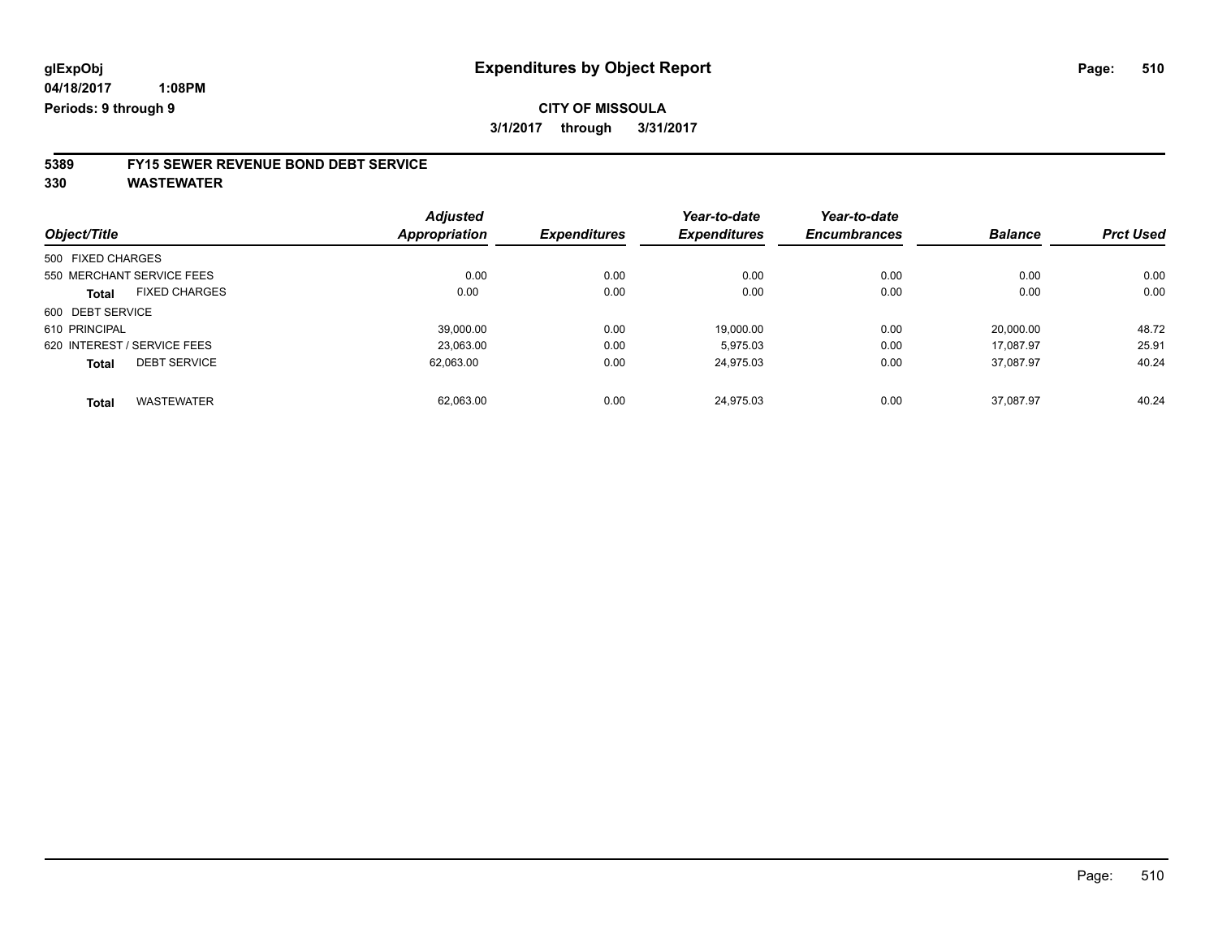# **5389 FY15 SEWER REVENUE BOND DEBT SERVICE**

**330 WASTEWATER**

|                                      | <b>Adjusted</b>      |                     | Year-to-date        | Year-to-date        |                |                  |
|--------------------------------------|----------------------|---------------------|---------------------|---------------------|----------------|------------------|
| Object/Title                         | <b>Appropriation</b> | <b>Expenditures</b> | <b>Expenditures</b> | <b>Encumbrances</b> | <b>Balance</b> | <b>Prct Used</b> |
| 500 FIXED CHARGES                    |                      |                     |                     |                     |                |                  |
| 550 MERCHANT SERVICE FEES            | 0.00                 | 0.00                | 0.00                | 0.00                | 0.00           | 0.00             |
| <b>FIXED CHARGES</b><br><b>Total</b> | 0.00                 | 0.00                | 0.00                | 0.00                | 0.00           | 0.00             |
| 600 DEBT SERVICE                     |                      |                     |                     |                     |                |                  |
| 610 PRINCIPAL                        | 39,000.00            | 0.00                | 19,000.00           | 0.00                | 20,000.00      | 48.72            |
| 620 INTEREST / SERVICE FEES          | 23,063.00            | 0.00                | 5.975.03            | 0.00                | 17.087.97      | 25.91            |
| <b>DEBT SERVICE</b><br><b>Total</b>  | 62.063.00            | 0.00                | 24.975.03           | 0.00                | 37.087.97      | 40.24            |
| <b>WASTEWATER</b><br><b>Total</b>    | 62,063.00            | 0.00                | 24.975.03           | 0.00                | 37.087.97      | 40.24            |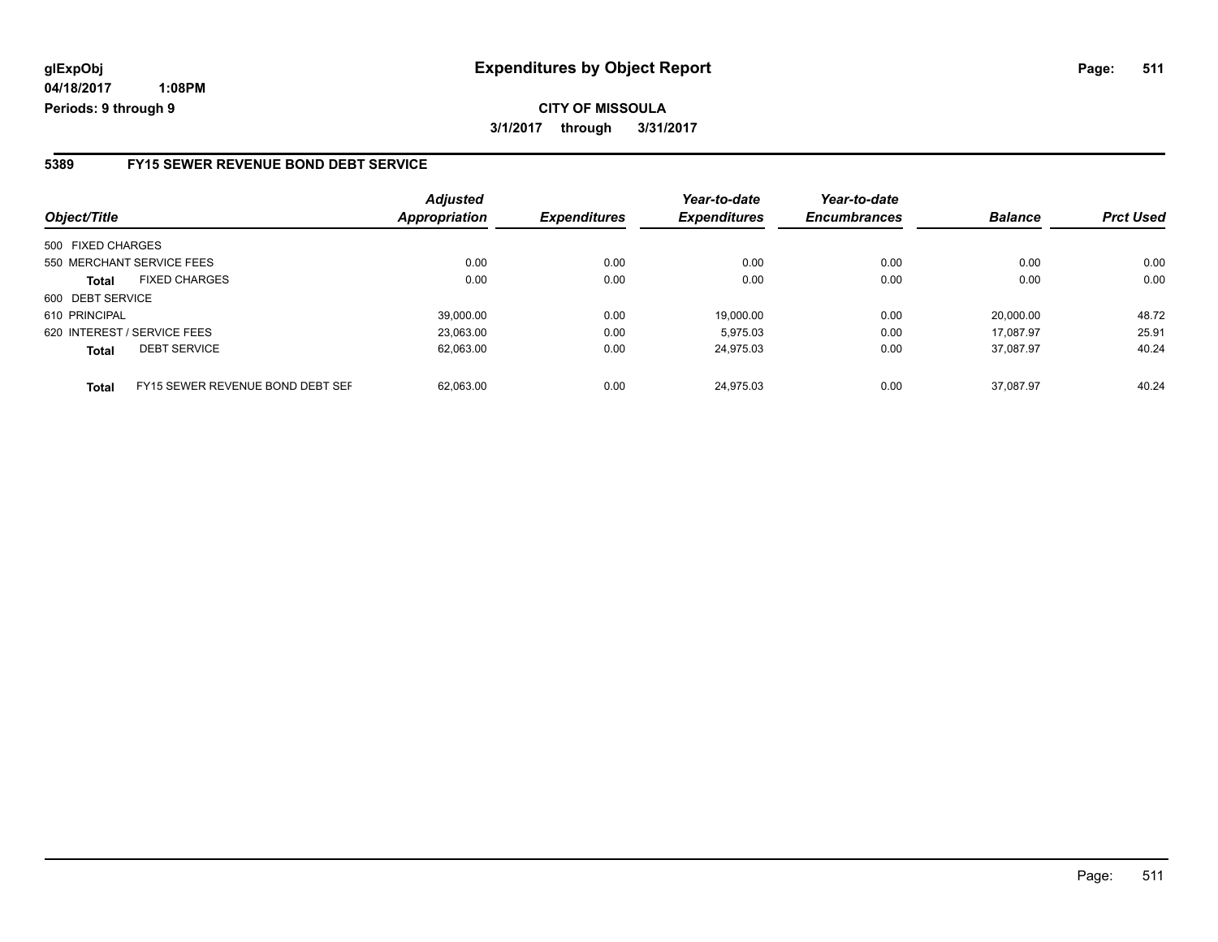# **glExpObj Expenditures by Object Report Page: 511**

**04/18/2017 1:08PM Periods: 9 through 9**

#### **5389 FY15 SEWER REVENUE BOND DEBT SERVICE**

| Object/Title                |                                  | <b>Adjusted</b><br><b>Appropriation</b> | <b>Expenditures</b> | Year-to-date<br><b>Expenditures</b> | Year-to-date<br><b>Encumbrances</b> | <b>Balance</b> | <b>Prct Used</b> |
|-----------------------------|----------------------------------|-----------------------------------------|---------------------|-------------------------------------|-------------------------------------|----------------|------------------|
| 500 FIXED CHARGES           |                                  |                                         |                     |                                     |                                     |                |                  |
| 550 MERCHANT SERVICE FEES   |                                  | 0.00                                    | 0.00                | 0.00                                | 0.00                                | 0.00           | 0.00             |
| <b>Total</b>                | <b>FIXED CHARGES</b>             | 0.00                                    | 0.00                | 0.00                                | 0.00                                | 0.00           | 0.00             |
| 600 DEBT SERVICE            |                                  |                                         |                     |                                     |                                     |                |                  |
| 610 PRINCIPAL               |                                  | 39.000.00                               | 0.00                | 19.000.00                           | 0.00                                | 20.000.00      | 48.72            |
| 620 INTEREST / SERVICE FEES |                                  | 23.063.00                               | 0.00                | 5.975.03                            | 0.00                                | 17.087.97      | 25.91            |
| <b>Total</b>                | <b>DEBT SERVICE</b>              | 62,063.00                               | 0.00                | 24,975.03                           | 0.00                                | 37.087.97      | 40.24            |
| <b>Total</b>                | FY15 SEWER REVENUE BOND DEBT SEF | 62.063.00                               | 0.00                | 24.975.03                           | 0.00                                | 37.087.97      | 40.24            |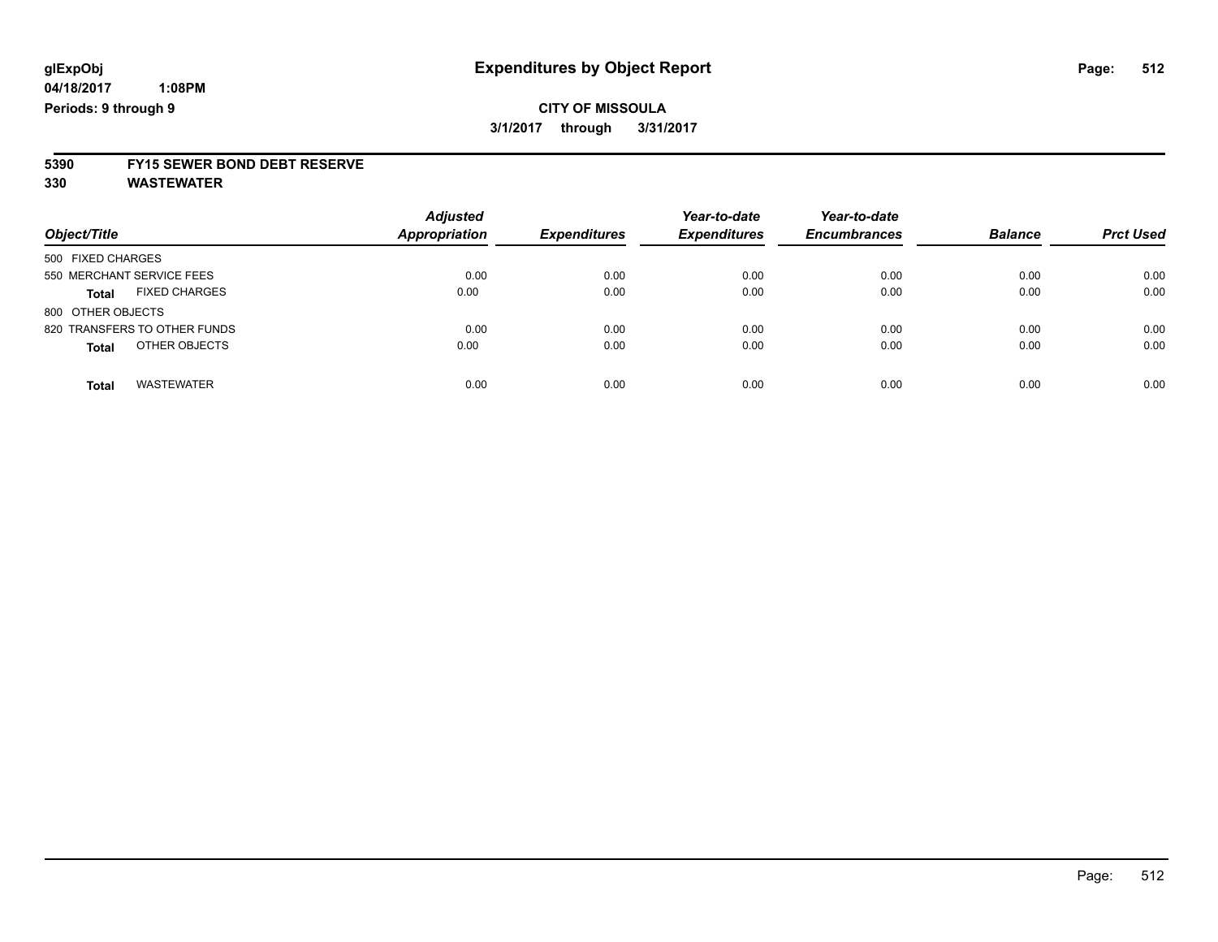# **5390 FY15 SEWER BOND DEBT RESERVE**

**330 WASTEWATER**

| Object/Title                         | <b>Adjusted</b><br><b>Appropriation</b> | <b>Expenditures</b> | Year-to-date<br><b>Expenditures</b> | Year-to-date<br><b>Encumbrances</b> | <b>Balance</b> | <b>Prct Used</b> |
|--------------------------------------|-----------------------------------------|---------------------|-------------------------------------|-------------------------------------|----------------|------------------|
| 500 FIXED CHARGES                    |                                         |                     |                                     |                                     |                |                  |
| 550 MERCHANT SERVICE FEES            | 0.00                                    | 0.00                | 0.00                                | 0.00                                | 0.00           | 0.00             |
| <b>FIXED CHARGES</b><br><b>Total</b> | 0.00                                    | 0.00                | 0.00                                | 0.00                                | 0.00           | 0.00             |
| 800 OTHER OBJECTS                    |                                         |                     |                                     |                                     |                |                  |
| 820 TRANSFERS TO OTHER FUNDS         | 0.00                                    | 0.00                | 0.00                                | 0.00                                | 0.00           | 0.00             |
| OTHER OBJECTS<br><b>Total</b>        | 0.00                                    | 0.00                | 0.00                                | 0.00                                | 0.00           | 0.00             |
|                                      |                                         |                     |                                     |                                     |                |                  |
| <b>WASTEWATER</b><br>Total           | 0.00                                    | 0.00                | 0.00                                | 0.00                                | 0.00           | 0.00             |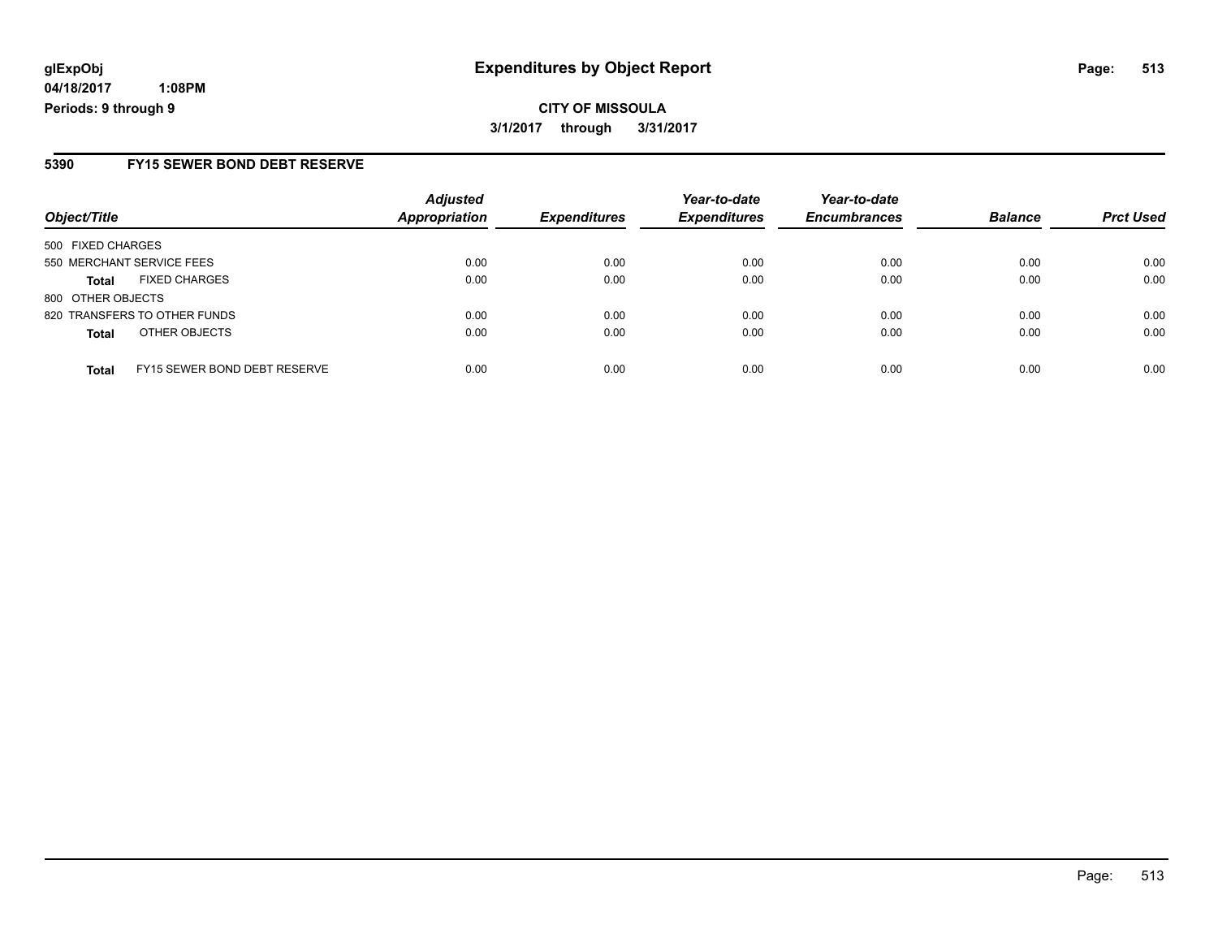# **glExpObj Expenditures by Object Report Page: 513**

**04/18/2017 1:08PM Periods: 9 through 9**

### **5390 FY15 SEWER BOND DEBT RESERVE**

| Object/Title                                 | <b>Adjusted</b><br><b>Appropriation</b> | <b>Expenditures</b> | Year-to-date<br><b>Expenditures</b> | Year-to-date<br><b>Encumbrances</b> | <b>Balance</b> | <b>Prct Used</b> |
|----------------------------------------------|-----------------------------------------|---------------------|-------------------------------------|-------------------------------------|----------------|------------------|
| 500 FIXED CHARGES                            |                                         |                     |                                     |                                     |                |                  |
| 550 MERCHANT SERVICE FEES                    | 0.00                                    | 0.00                | 0.00                                | 0.00                                | 0.00           | 0.00             |
| <b>FIXED CHARGES</b><br><b>Total</b>         | 0.00                                    | 0.00                | 0.00                                | 0.00                                | 0.00           | 0.00             |
| 800 OTHER OBJECTS                            |                                         |                     |                                     |                                     |                |                  |
| 820 TRANSFERS TO OTHER FUNDS                 | 0.00                                    | 0.00                | 0.00                                | 0.00                                | 0.00           | 0.00             |
| OTHER OBJECTS<br><b>Total</b>                | 0.00                                    | 0.00                | 0.00                                | 0.00                                | 0.00           | 0.00             |
| FY15 SEWER BOND DEBT RESERVE<br><b>Total</b> | 0.00                                    | 0.00                | 0.00                                | 0.00                                | 0.00           | 0.00             |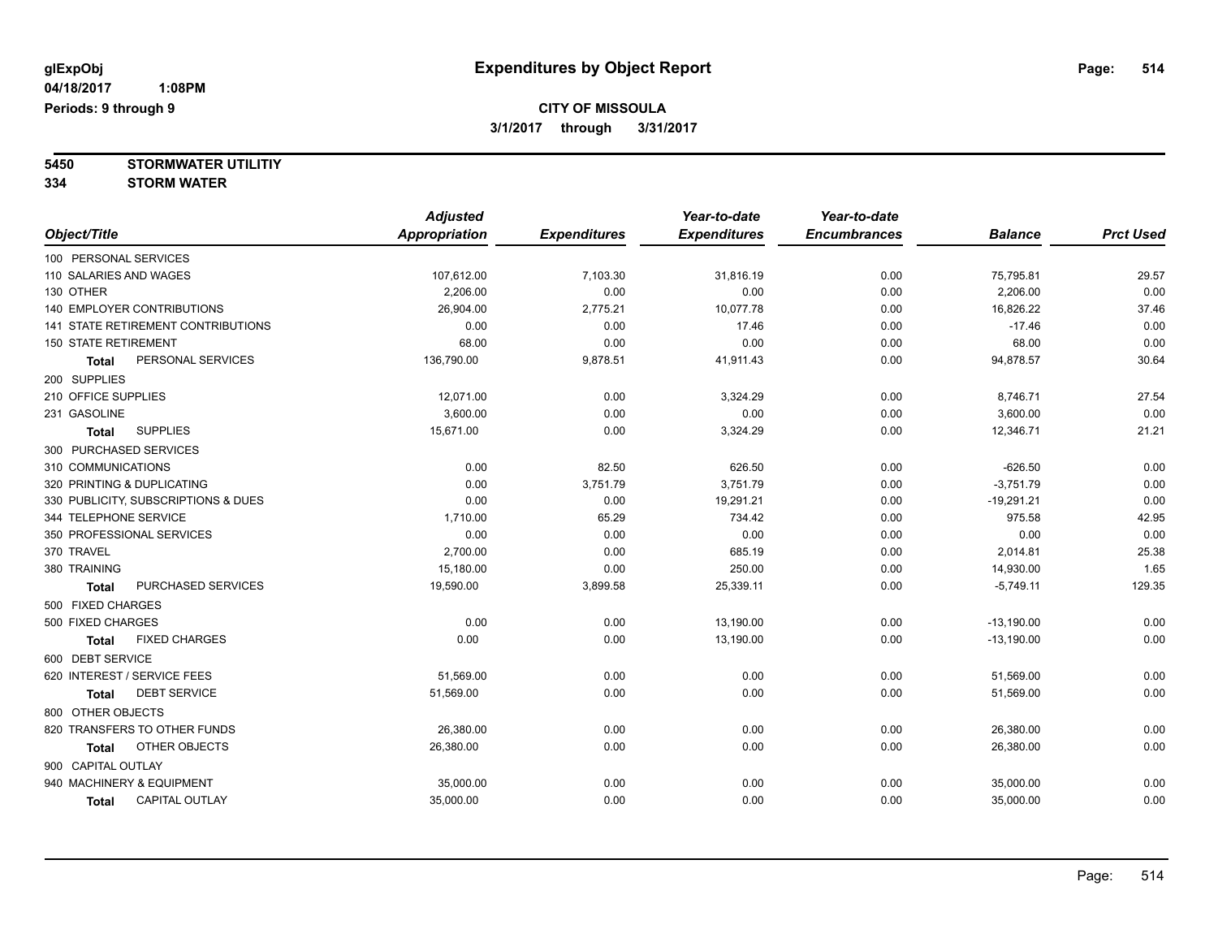**5450 STORMWATER UTILITIY 334 STORM WATER**

|                                     | <b>Adjusted</b>      |                     | Year-to-date        | Year-to-date        |                |                  |
|-------------------------------------|----------------------|---------------------|---------------------|---------------------|----------------|------------------|
| Object/Title                        | <b>Appropriation</b> | <b>Expenditures</b> | <b>Expenditures</b> | <b>Encumbrances</b> | <b>Balance</b> | <b>Prct Used</b> |
| 100 PERSONAL SERVICES               |                      |                     |                     |                     |                |                  |
| 110 SALARIES AND WAGES              | 107,612.00           | 7,103.30            | 31,816.19           | 0.00                | 75,795.81      | 29.57            |
| 130 OTHER                           | 2,206.00             | 0.00                | 0.00                | 0.00                | 2,206.00       | 0.00             |
| <b>140 EMPLOYER CONTRIBUTIONS</b>   | 26.904.00            | 2,775.21            | 10.077.78           | 0.00                | 16,826.22      | 37.46            |
| 141 STATE RETIREMENT CONTRIBUTIONS  | 0.00                 | 0.00                | 17.46               | 0.00                | $-17.46$       | 0.00             |
| <b>150 STATE RETIREMENT</b>         | 68.00                | 0.00                | 0.00                | 0.00                | 68.00          | 0.00             |
| PERSONAL SERVICES<br><b>Total</b>   | 136,790.00           | 9,878.51            | 41,911.43           | 0.00                | 94,878.57      | 30.64            |
| 200 SUPPLIES                        |                      |                     |                     |                     |                |                  |
| 210 OFFICE SUPPLIES                 | 12,071.00            | 0.00                | 3,324.29            | 0.00                | 8,746.71       | 27.54            |
| 231 GASOLINE                        | 3,600.00             | 0.00                | 0.00                | 0.00                | 3,600.00       | 0.00             |
| <b>SUPPLIES</b><br>Total            | 15,671.00            | 0.00                | 3,324.29            | 0.00                | 12,346.71      | 21.21            |
| 300 PURCHASED SERVICES              |                      |                     |                     |                     |                |                  |
| 310 COMMUNICATIONS                  | 0.00                 | 82.50               | 626.50              | 0.00                | $-626.50$      | 0.00             |
| 320 PRINTING & DUPLICATING          | 0.00                 | 3,751.79            | 3,751.79            | 0.00                | $-3,751.79$    | 0.00             |
| 330 PUBLICITY, SUBSCRIPTIONS & DUES | 0.00                 | 0.00                | 19,291.21           | 0.00                | $-19,291.21$   | 0.00             |
| 344 TELEPHONE SERVICE               | 1,710.00             | 65.29               | 734.42              | 0.00                | 975.58         | 42.95            |
| 350 PROFESSIONAL SERVICES           | 0.00                 | 0.00                | 0.00                | 0.00                | 0.00           | 0.00             |
| 370 TRAVEL                          | 2,700.00             | 0.00                | 685.19              | 0.00                | 2,014.81       | 25.38            |
| 380 TRAINING                        | 15,180.00            | 0.00                | 250.00              | 0.00                | 14,930.00      | 1.65             |
| PURCHASED SERVICES<br><b>Total</b>  | 19,590.00            | 3,899.58            | 25,339.11           | 0.00                | $-5,749.11$    | 129.35           |
| 500 FIXED CHARGES                   |                      |                     |                     |                     |                |                  |
| 500 FIXED CHARGES                   | 0.00                 | 0.00                | 13,190.00           | 0.00                | $-13,190.00$   | 0.00             |
| <b>FIXED CHARGES</b><br>Total       | 0.00                 | 0.00                | 13,190.00           | 0.00                | $-13,190.00$   | 0.00             |
| 600 DEBT SERVICE                    |                      |                     |                     |                     |                |                  |
| 620 INTEREST / SERVICE FEES         | 51,569.00            | 0.00                | 0.00                | 0.00                | 51,569.00      | 0.00             |
| <b>DEBT SERVICE</b><br><b>Total</b> | 51,569.00            | 0.00                | 0.00                | 0.00                | 51,569.00      | 0.00             |
| 800 OTHER OBJECTS                   |                      |                     |                     |                     |                |                  |
| 820 TRANSFERS TO OTHER FUNDS        | 26,380.00            | 0.00                | 0.00                | 0.00                | 26,380.00      | 0.00             |
| OTHER OBJECTS<br><b>Total</b>       | 26,380.00            | 0.00                | 0.00                | 0.00                | 26,380.00      | 0.00             |
| 900 CAPITAL OUTLAY                  |                      |                     |                     |                     |                |                  |
| 940 MACHINERY & EQUIPMENT           | 35,000.00            | 0.00                | 0.00                | 0.00                | 35,000.00      | 0.00             |
| CAPITAL OUTLAY<br><b>Total</b>      | 35,000.00            | 0.00                | 0.00                | 0.00                | 35,000.00      | 0.00             |
|                                     |                      |                     |                     |                     |                |                  |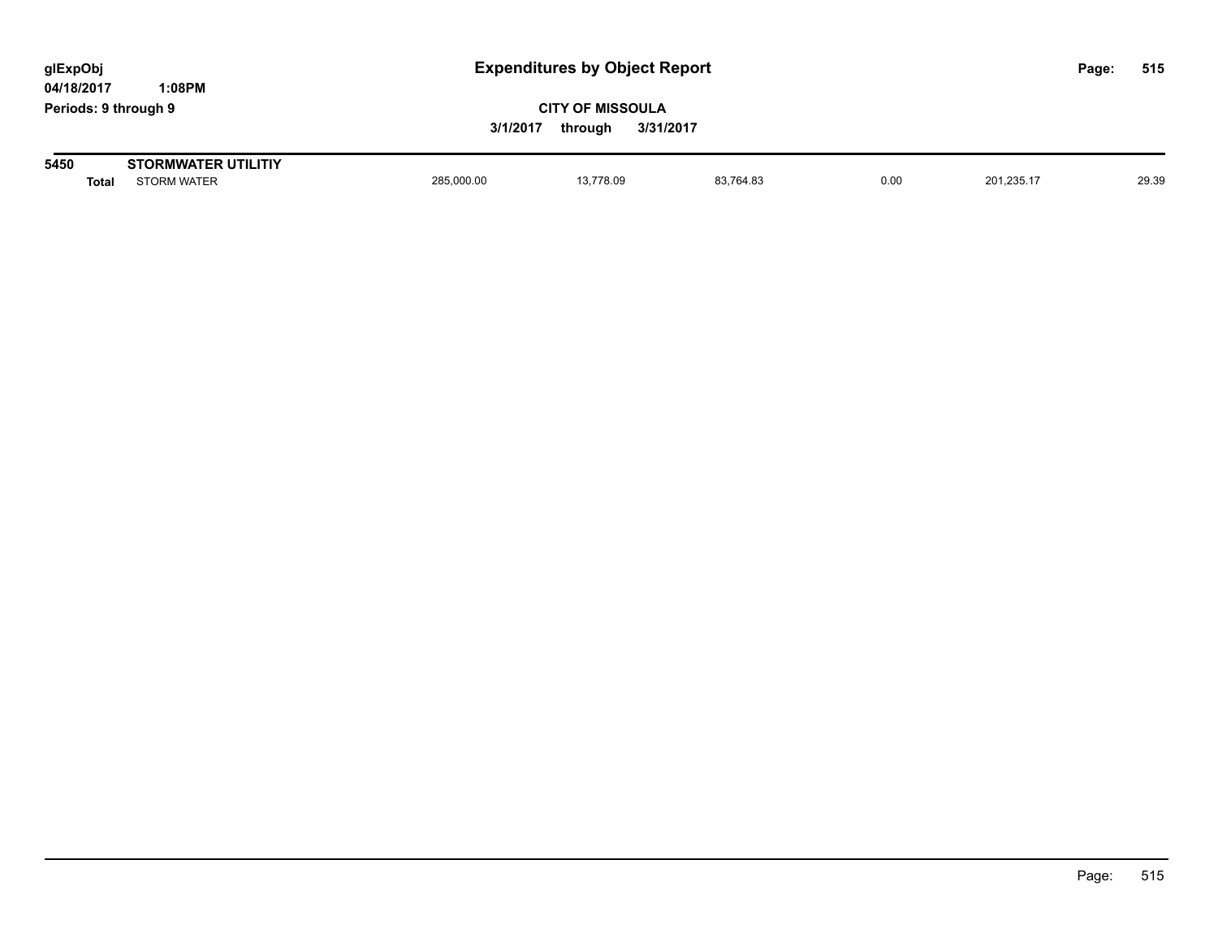| glExpObj<br>04/18/2017 |       | 1:08PM                                           |            | <b>Expenditures by Object Report</b>            |           |      |            |  | 515   |
|------------------------|-------|--------------------------------------------------|------------|-------------------------------------------------|-----------|------|------------|--|-------|
|                        |       | Periods: 9 through 9                             | 3/1/2017   | <b>CITY OF MISSOULA</b><br>3/31/2017<br>throuah |           |      |            |  |       |
| 5450                   | Total | <b>STORMWATER UTILITIY</b><br><b>STORM WATER</b> | 285,000.00 | 13.778.09                                       | 83.764.83 | 0.00 | 201.235.17 |  | 29.39 |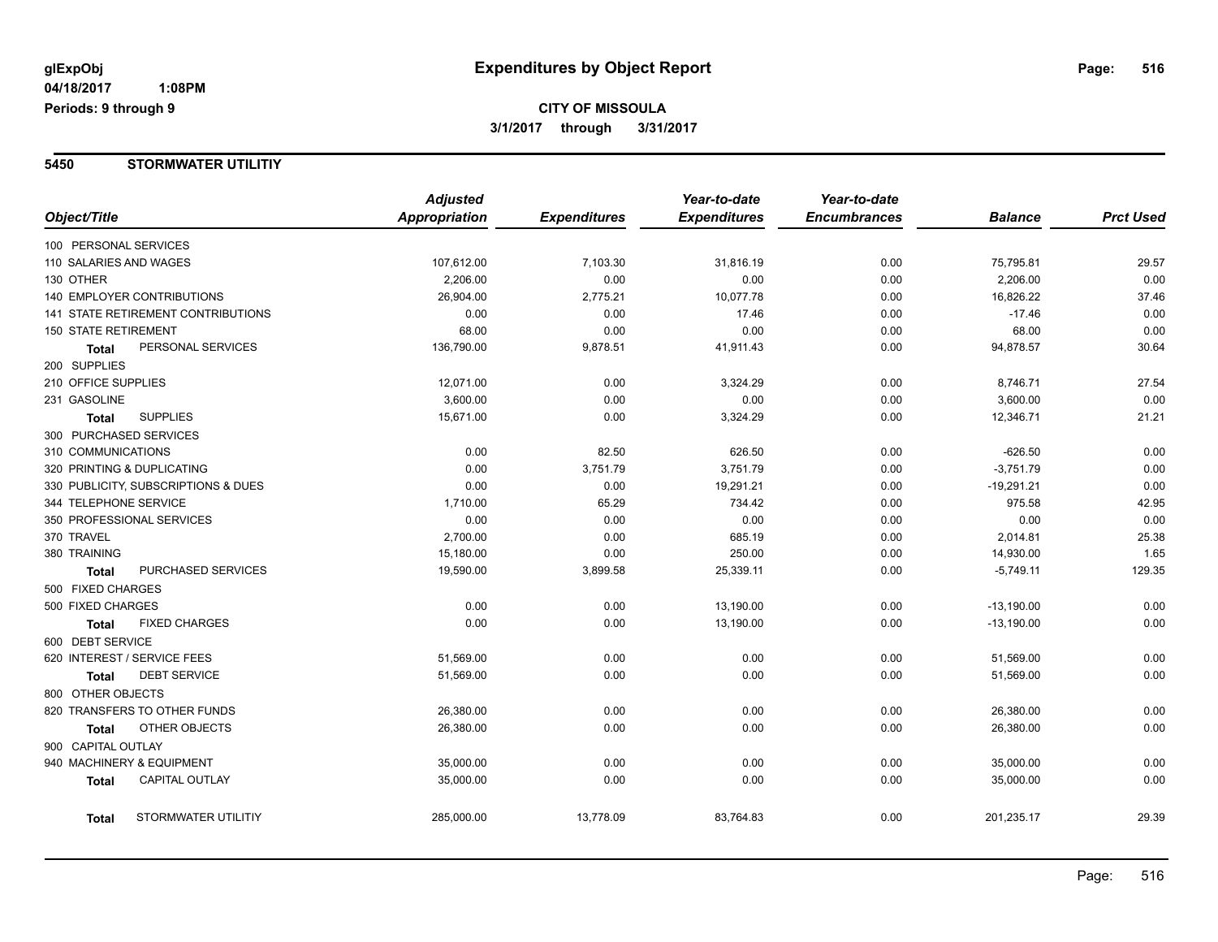#### **5450 STORMWATER UTILITIY**

|                                     |                                    | <b>Adjusted</b> |                     | Year-to-date        | Year-to-date        |                |                  |
|-------------------------------------|------------------------------------|-----------------|---------------------|---------------------|---------------------|----------------|------------------|
| Object/Title                        |                                    | Appropriation   | <b>Expenditures</b> | <b>Expenditures</b> | <b>Encumbrances</b> | <b>Balance</b> | <b>Prct Used</b> |
| 100 PERSONAL SERVICES               |                                    |                 |                     |                     |                     |                |                  |
| 110 SALARIES AND WAGES              |                                    | 107,612.00      | 7,103.30            | 31,816.19           | 0.00                | 75,795.81      | 29.57            |
| 130 OTHER                           |                                    | 2,206.00        | 0.00                | 0.00                | 0.00                | 2,206.00       | 0.00             |
|                                     | 140 EMPLOYER CONTRIBUTIONS         | 26,904.00       | 2,775.21            | 10,077.78           | 0.00                | 16,826.22      | 37.46            |
|                                     | 141 STATE RETIREMENT CONTRIBUTIONS | 0.00            | 0.00                | 17.46               | 0.00                | $-17.46$       | 0.00             |
| <b>150 STATE RETIREMENT</b>         |                                    | 68.00           | 0.00                | 0.00                | 0.00                | 68.00          | 0.00             |
| Total                               | PERSONAL SERVICES                  | 136,790.00      | 9,878.51            | 41,911.43           | 0.00                | 94,878.57      | 30.64            |
| 200 SUPPLIES                        |                                    |                 |                     |                     |                     |                |                  |
| 210 OFFICE SUPPLIES                 |                                    | 12,071.00       | 0.00                | 3,324.29            | 0.00                | 8,746.71       | 27.54            |
| 231 GASOLINE                        |                                    | 3,600.00        | 0.00                | 0.00                | 0.00                | 3,600.00       | 0.00             |
| <b>Total</b>                        | <b>SUPPLIES</b>                    | 15,671.00       | 0.00                | 3,324.29            | 0.00                | 12,346.71      | 21.21            |
| 300 PURCHASED SERVICES              |                                    |                 |                     |                     |                     |                |                  |
| 310 COMMUNICATIONS                  |                                    | 0.00            | 82.50               | 626.50              | 0.00                | $-626.50$      | 0.00             |
|                                     | 320 PRINTING & DUPLICATING         | 0.00            | 3,751.79            | 3,751.79            | 0.00                | $-3,751.79$    | 0.00             |
| 330 PUBLICITY, SUBSCRIPTIONS & DUES |                                    | 0.00            | 0.00                | 19,291.21           | 0.00                | $-19,291.21$   | 0.00             |
| 344 TELEPHONE SERVICE               |                                    | 1,710.00        | 65.29               | 734.42              | 0.00                | 975.58         | 42.95            |
|                                     | 350 PROFESSIONAL SERVICES          | 0.00            | 0.00                | 0.00                | 0.00                | 0.00           | 0.00             |
| 370 TRAVEL                          |                                    | 2,700.00        | 0.00                | 685.19              | 0.00                | 2,014.81       | 25.38            |
| 380 TRAINING                        |                                    | 15,180.00       | 0.00                | 250.00              | 0.00                | 14,930.00      | 1.65             |
| Total                               | PURCHASED SERVICES                 | 19,590.00       | 3,899.58            | 25,339.11           | 0.00                | $-5,749.11$    | 129.35           |
| 500 FIXED CHARGES                   |                                    |                 |                     |                     |                     |                |                  |
| 500 FIXED CHARGES                   |                                    | 0.00            | 0.00                | 13,190.00           | 0.00                | $-13,190.00$   | 0.00             |
| <b>Total</b>                        | <b>FIXED CHARGES</b>               | 0.00            | 0.00                | 13,190.00           | 0.00                | $-13,190.00$   | 0.00             |
| 600 DEBT SERVICE                    |                                    |                 |                     |                     |                     |                |                  |
|                                     | 620 INTEREST / SERVICE FEES        | 51,569.00       | 0.00                | 0.00                | 0.00                | 51,569.00      | 0.00             |
| <b>Total</b>                        | <b>DEBT SERVICE</b>                | 51,569.00       | 0.00                | 0.00                | 0.00                | 51,569.00      | 0.00             |
| 800 OTHER OBJECTS                   |                                    |                 |                     |                     |                     |                |                  |
|                                     | 820 TRANSFERS TO OTHER FUNDS       | 26,380.00       | 0.00                | 0.00                | 0.00                | 26,380.00      | 0.00             |
| Total                               | OTHER OBJECTS                      | 26,380.00       | 0.00                | 0.00                | 0.00                | 26,380.00      | 0.00             |
| 900 CAPITAL OUTLAY                  |                                    |                 |                     |                     |                     |                |                  |
|                                     | 940 MACHINERY & EQUIPMENT          | 35,000.00       | 0.00                | 0.00                | 0.00                | 35,000.00      | 0.00             |
| <b>Total</b>                        | CAPITAL OUTLAY                     | 35,000.00       | 0.00                | 0.00                | 0.00                | 35,000.00      | 0.00             |
| <b>Total</b>                        | STORMWATER UTILITIY                | 285,000.00      | 13,778.09           | 83,764.83           | 0.00                | 201,235.17     | 29.39            |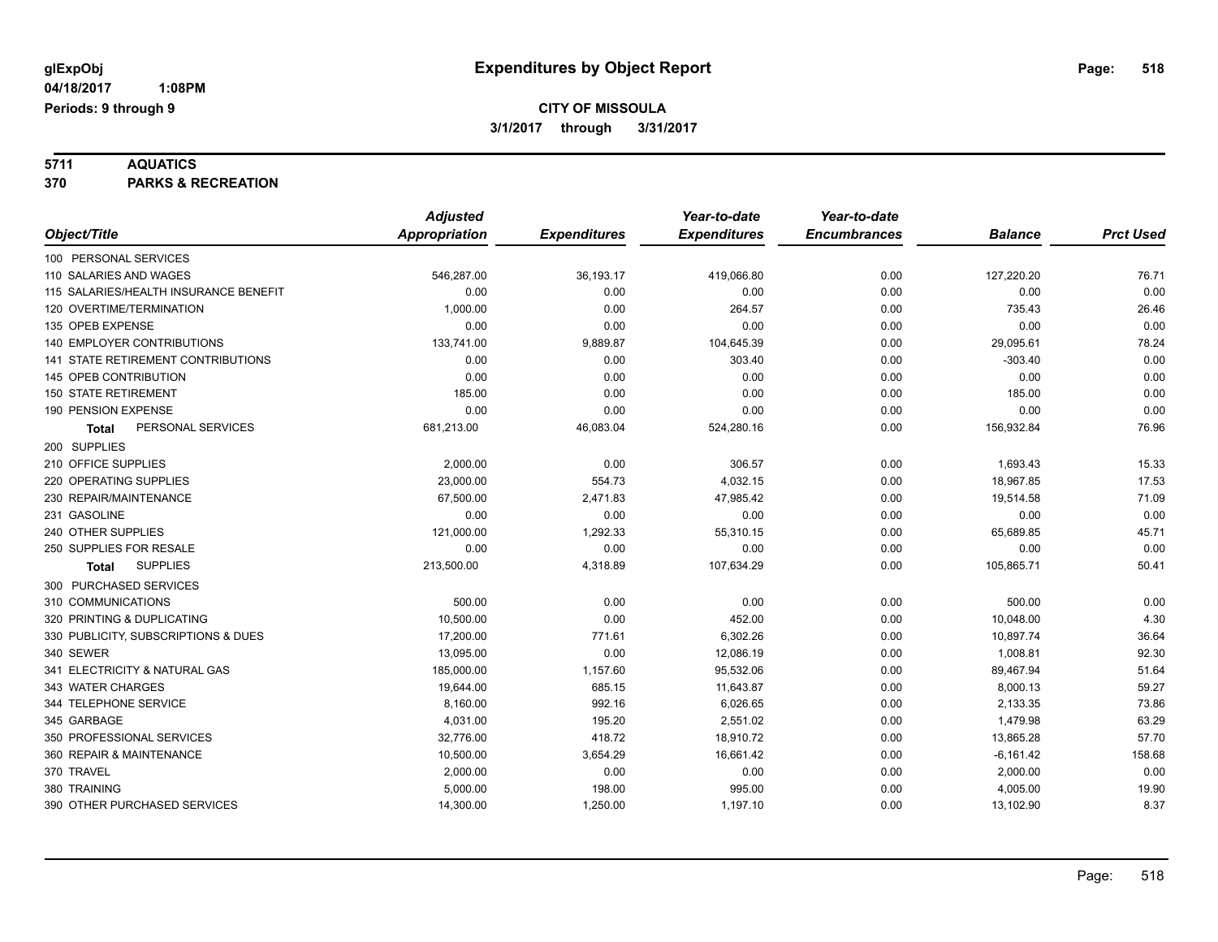**5711 AQUATICS 370 PARKS & RECREATION**

|                                       | <b>Adjusted</b>      |                     | Year-to-date        | Year-to-date        |                |                  |
|---------------------------------------|----------------------|---------------------|---------------------|---------------------|----------------|------------------|
| Object/Title                          | <b>Appropriation</b> | <b>Expenditures</b> | <b>Expenditures</b> | <b>Encumbrances</b> | <b>Balance</b> | <b>Prct Used</b> |
| 100 PERSONAL SERVICES                 |                      |                     |                     |                     |                |                  |
| 110 SALARIES AND WAGES                | 546,287.00           | 36,193.17           | 419,066.80          | 0.00                | 127,220.20     | 76.71            |
| 115 SALARIES/HEALTH INSURANCE BENEFIT | 0.00                 | 0.00                | 0.00                | 0.00                | 0.00           | 0.00             |
| 120 OVERTIME/TERMINATION              | 1,000.00             | 0.00                | 264.57              | 0.00                | 735.43         | 26.46            |
| 135 OPEB EXPENSE                      | 0.00                 | 0.00                | 0.00                | 0.00                | 0.00           | 0.00             |
| <b>140 EMPLOYER CONTRIBUTIONS</b>     | 133,741.00           | 9,889.87            | 104,645.39          | 0.00                | 29,095.61      | 78.24            |
| 141 STATE RETIREMENT CONTRIBUTIONS    | 0.00                 | 0.00                | 303.40              | 0.00                | $-303.40$      | 0.00             |
| 145 OPEB CONTRIBUTION                 | 0.00                 | 0.00                | 0.00                | 0.00                | 0.00           | 0.00             |
| <b>150 STATE RETIREMENT</b>           | 185.00               | 0.00                | 0.00                | 0.00                | 185.00         | 0.00             |
| 190 PENSION EXPENSE                   | 0.00                 | 0.00                | 0.00                | 0.00                | 0.00           | 0.00             |
| PERSONAL SERVICES<br><b>Total</b>     | 681,213.00           | 46,083.04           | 524,280.16          | 0.00                | 156,932.84     | 76.96            |
| 200 SUPPLIES                          |                      |                     |                     |                     |                |                  |
| 210 OFFICE SUPPLIES                   | 2,000.00             | 0.00                | 306.57              | 0.00                | 1,693.43       | 15.33            |
| 220 OPERATING SUPPLIES                | 23,000.00            | 554.73              | 4,032.15            | 0.00                | 18,967.85      | 17.53            |
| 230 REPAIR/MAINTENANCE                | 67,500.00            | 2,471.83            | 47,985.42           | 0.00                | 19,514.58      | 71.09            |
| 231 GASOLINE                          | 0.00                 | 0.00                | 0.00                | 0.00                | 0.00           | 0.00             |
| 240 OTHER SUPPLIES                    | 121,000.00           | 1,292.33            | 55,310.15           | 0.00                | 65,689.85      | 45.71            |
| 250 SUPPLIES FOR RESALE               | 0.00                 | 0.00                | 0.00                | 0.00                | 0.00           | 0.00             |
| <b>SUPPLIES</b><br>Total              | 213,500.00           | 4,318.89            | 107,634.29          | 0.00                | 105,865.71     | 50.41            |
| 300 PURCHASED SERVICES                |                      |                     |                     |                     |                |                  |
| 310 COMMUNICATIONS                    | 500.00               | 0.00                | 0.00                | 0.00                | 500.00         | 0.00             |
| 320 PRINTING & DUPLICATING            | 10,500.00            | 0.00                | 452.00              | 0.00                | 10,048.00      | 4.30             |
| 330 PUBLICITY, SUBSCRIPTIONS & DUES   | 17,200.00            | 771.61              | 6,302.26            | 0.00                | 10,897.74      | 36.64            |
| 340 SEWER                             | 13,095.00            | 0.00                | 12,086.19           | 0.00                | 1,008.81       | 92.30            |
| 341 ELECTRICITY & NATURAL GAS         | 185,000.00           | 1,157.60            | 95,532.06           | 0.00                | 89,467.94      | 51.64            |
| 343 WATER CHARGES                     | 19,644.00            | 685.15              | 11,643.87           | 0.00                | 8,000.13       | 59.27            |
| 344 TELEPHONE SERVICE                 | 8,160.00             | 992.16              | 6,026.65            | 0.00                | 2,133.35       | 73.86            |
| 345 GARBAGE                           | 4,031.00             | 195.20              | 2,551.02            | 0.00                | 1,479.98       | 63.29            |
| 350 PROFESSIONAL SERVICES             | 32,776.00            | 418.72              | 18,910.72           | 0.00                | 13,865.28      | 57.70            |
| 360 REPAIR & MAINTENANCE              | 10,500.00            | 3,654.29            | 16,661.42           | 0.00                | $-6,161.42$    | 158.68           |
| 370 TRAVEL                            | 2,000.00             | 0.00                | 0.00                | 0.00                | 2,000.00       | 0.00             |
| 380 TRAINING                          | 5,000.00             | 198.00              | 995.00              | 0.00                | 4,005.00       | 19.90            |
| 390 OTHER PURCHASED SERVICES          | 14,300.00            | 1,250.00            | 1,197.10            | 0.00                | 13,102.90      | 8.37             |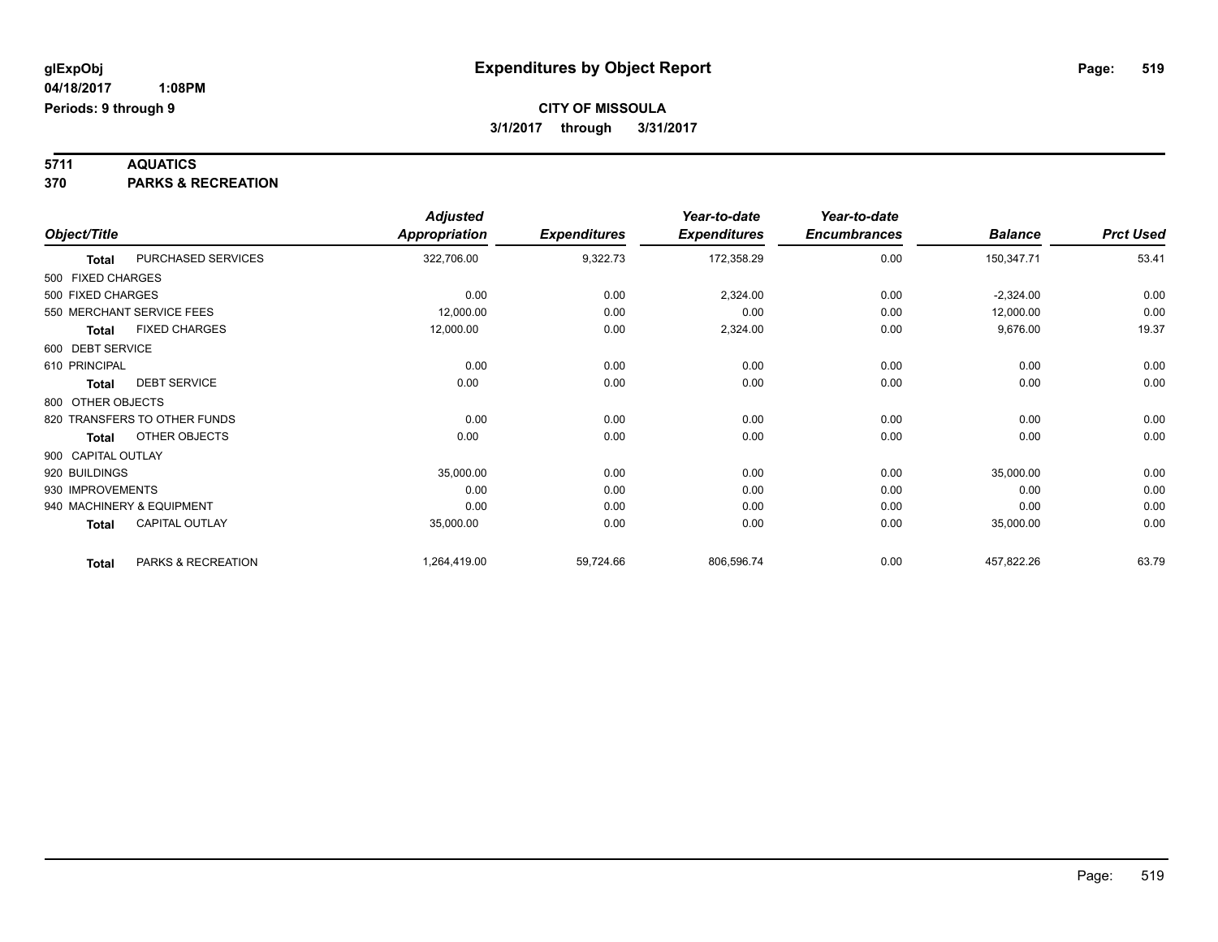**5711 AQUATICS 370 PARKS & RECREATION**

|                    |                              | <b>Adjusted</b>      |                     | Year-to-date        | Year-to-date        |                |                  |
|--------------------|------------------------------|----------------------|---------------------|---------------------|---------------------|----------------|------------------|
| Object/Title       |                              | <b>Appropriation</b> | <b>Expenditures</b> | <b>Expenditures</b> | <b>Encumbrances</b> | <b>Balance</b> | <b>Prct Used</b> |
| <b>Total</b>       | PURCHASED SERVICES           | 322,706.00           | 9,322.73            | 172,358.29          | 0.00                | 150,347.71     | 53.41            |
| 500 FIXED CHARGES  |                              |                      |                     |                     |                     |                |                  |
| 500 FIXED CHARGES  |                              | 0.00                 | 0.00                | 2,324.00            | 0.00                | $-2,324.00$    | 0.00             |
|                    | 550 MERCHANT SERVICE FEES    | 12,000.00            | 0.00                | 0.00                | 0.00                | 12,000.00      | 0.00             |
| <b>Total</b>       | <b>FIXED CHARGES</b>         | 12,000.00            | 0.00                | 2,324.00            | 0.00                | 9,676.00       | 19.37            |
| 600 DEBT SERVICE   |                              |                      |                     |                     |                     |                |                  |
| 610 PRINCIPAL      |                              | 0.00                 | 0.00                | 0.00                | 0.00                | 0.00           | 0.00             |
| <b>Total</b>       | <b>DEBT SERVICE</b>          | 0.00                 | 0.00                | 0.00                | 0.00                | 0.00           | 0.00             |
| 800 OTHER OBJECTS  |                              |                      |                     |                     |                     |                |                  |
|                    | 820 TRANSFERS TO OTHER FUNDS | 0.00                 | 0.00                | 0.00                | 0.00                | 0.00           | 0.00             |
| <b>Total</b>       | OTHER OBJECTS                | 0.00                 | 0.00                | 0.00                | 0.00                | 0.00           | 0.00             |
| 900 CAPITAL OUTLAY |                              |                      |                     |                     |                     |                |                  |
| 920 BUILDINGS      |                              | 35,000.00            | 0.00                | 0.00                | 0.00                | 35,000.00      | 0.00             |
| 930 IMPROVEMENTS   |                              | 0.00                 | 0.00                | 0.00                | 0.00                | 0.00           | 0.00             |
|                    | 940 MACHINERY & EQUIPMENT    | 0.00                 | 0.00                | 0.00                | 0.00                | 0.00           | 0.00             |
| <b>Total</b>       | CAPITAL OUTLAY               | 35,000.00            | 0.00                | 0.00                | 0.00                | 35,000.00      | 0.00             |
| <b>Total</b>       | PARKS & RECREATION           | 1,264,419.00         | 59,724.66           | 806,596.74          | 0.00                | 457,822.26     | 63.79            |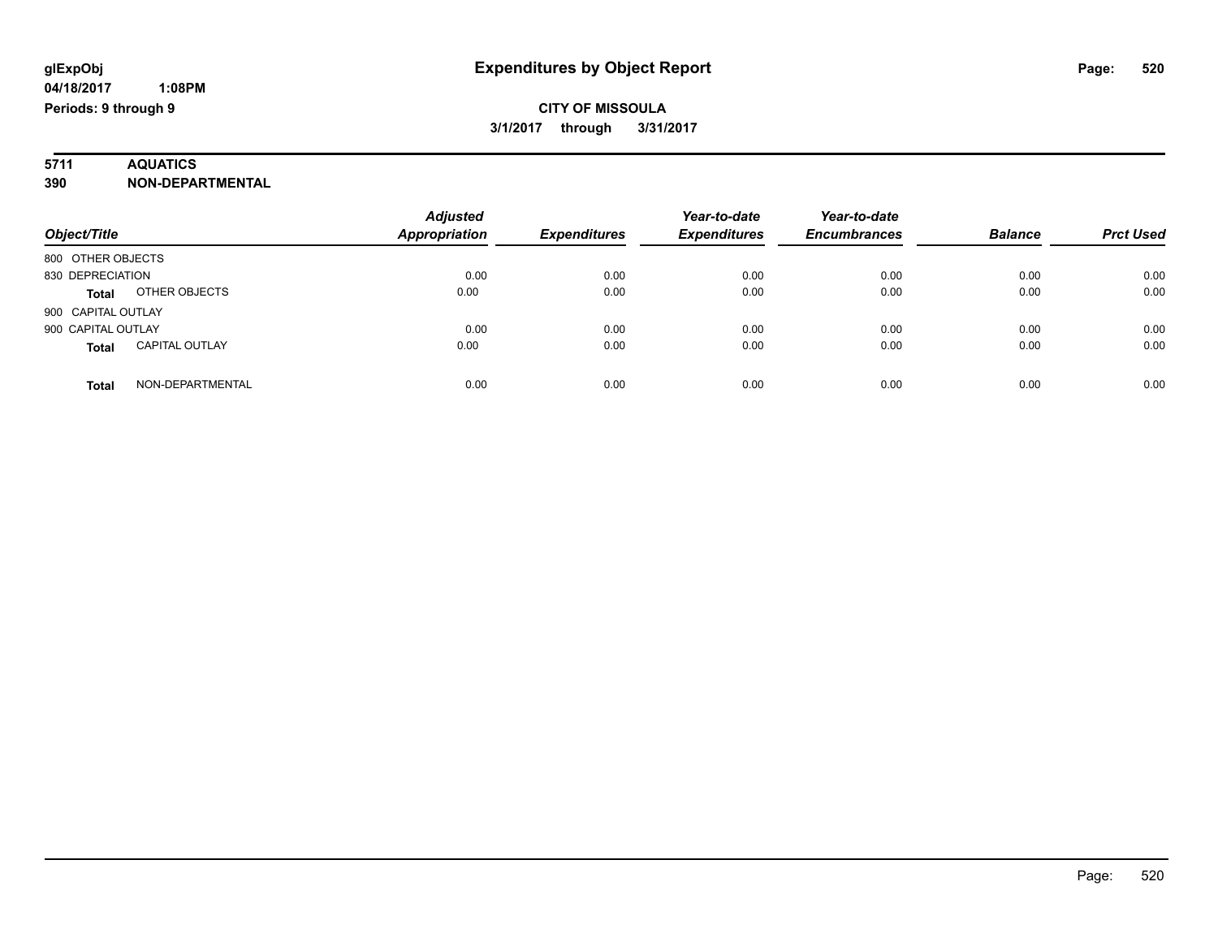# **5711 AQUATICS**

**390 NON-DEPARTMENTAL**

| Object/Title                          | <b>Adjusted</b><br><b>Appropriation</b> | <b>Expenditures</b> | Year-to-date<br><b>Expenditures</b> | Year-to-date<br><b>Encumbrances</b> | <b>Balance</b> | <b>Prct Used</b> |
|---------------------------------------|-----------------------------------------|---------------------|-------------------------------------|-------------------------------------|----------------|------------------|
|                                       |                                         |                     |                                     |                                     |                |                  |
| 800 OTHER OBJECTS                     |                                         |                     |                                     |                                     |                |                  |
| 830 DEPRECIATION                      | 0.00                                    | 0.00                | 0.00                                | 0.00                                | 0.00           | 0.00             |
| OTHER OBJECTS<br><b>Total</b>         | 0.00                                    | 0.00                | 0.00                                | 0.00                                | 0.00           | 0.00             |
| 900 CAPITAL OUTLAY                    |                                         |                     |                                     |                                     |                |                  |
| 900 CAPITAL OUTLAY                    | 0.00                                    | 0.00                | 0.00                                | 0.00                                | 0.00           | 0.00             |
| <b>CAPITAL OUTLAY</b><br><b>Total</b> | 0.00                                    | 0.00                | 0.00                                | 0.00                                | 0.00           | 0.00             |
| NON-DEPARTMENTAL<br>Total             | 0.00                                    | 0.00                | 0.00                                | 0.00                                | 0.00           | 0.00             |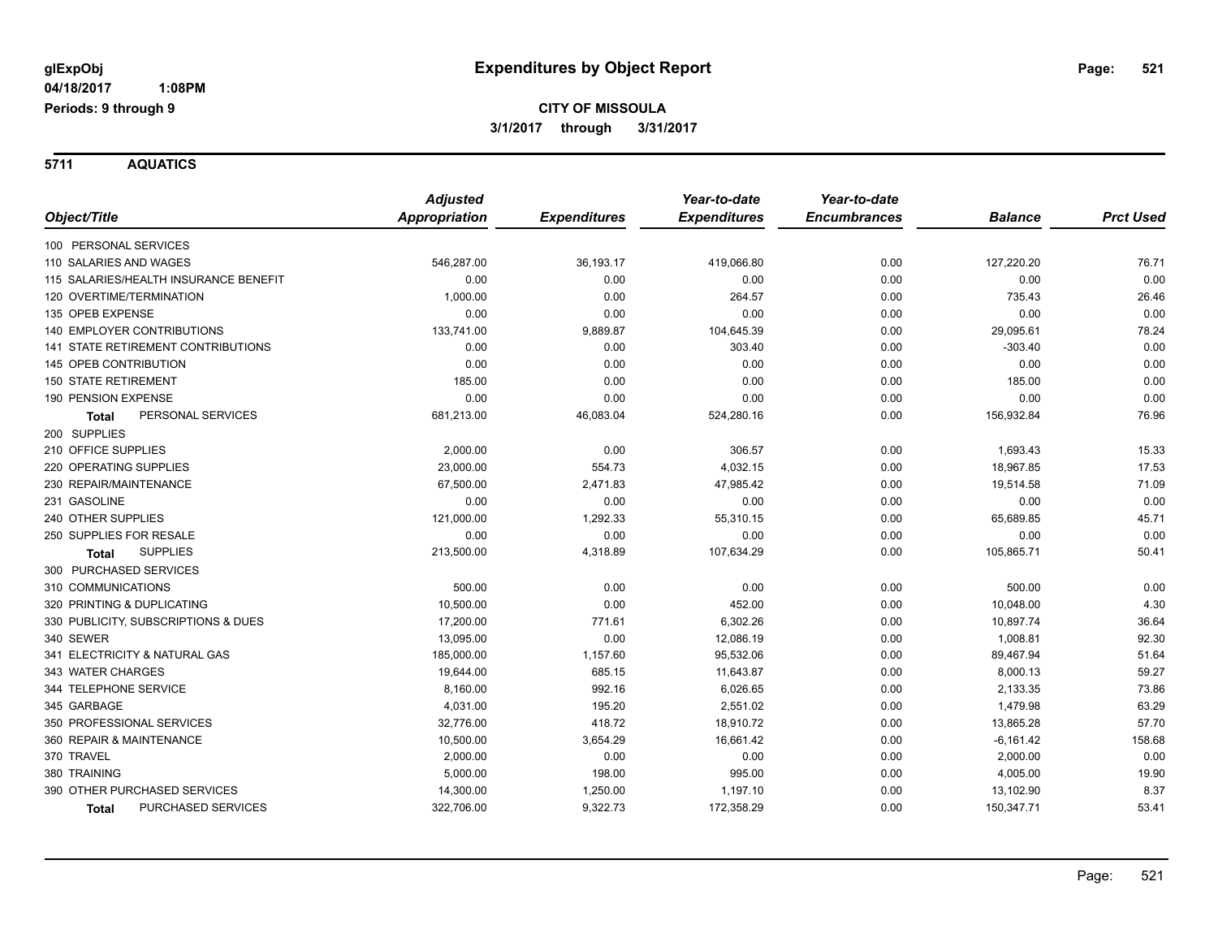**Periods: 9 through 9**

 **1:08PM**

**CITY OF MISSOULA 3/1/2017 through 3/31/2017**

**5711 AQUATICS**

|                                           | <b>Adjusted</b>      |                     | Year-to-date        | Year-to-date        |                |                  |
|-------------------------------------------|----------------------|---------------------|---------------------|---------------------|----------------|------------------|
| Object/Title                              | <b>Appropriation</b> | <b>Expenditures</b> | <b>Expenditures</b> | <b>Encumbrances</b> | <b>Balance</b> | <b>Prct Used</b> |
| 100 PERSONAL SERVICES                     |                      |                     |                     |                     |                |                  |
| 110 SALARIES AND WAGES                    | 546,287.00           | 36,193.17           | 419,066.80          | 0.00                | 127,220.20     | 76.71            |
| 115 SALARIES/HEALTH INSURANCE BENEFIT     | 0.00                 | 0.00                | 0.00                | 0.00                | 0.00           | 0.00             |
| 120 OVERTIME/TERMINATION                  | 1,000.00             | 0.00                | 264.57              | 0.00                | 735.43         | 26.46            |
| 135 OPEB EXPENSE                          | 0.00                 | 0.00                | 0.00                | 0.00                | 0.00           | 0.00             |
| <b>140 EMPLOYER CONTRIBUTIONS</b>         | 133,741.00           | 9,889.87            | 104,645.39          | 0.00                | 29,095.61      | 78.24            |
| <b>141 STATE RETIREMENT CONTRIBUTIONS</b> | 0.00                 | 0.00                | 303.40              | 0.00                | $-303.40$      | 0.00             |
| 145 OPEB CONTRIBUTION                     | 0.00                 | 0.00                | 0.00                | 0.00                | 0.00           | 0.00             |
| <b>150 STATE RETIREMENT</b>               | 185.00               | 0.00                | 0.00                | 0.00                | 185.00         | 0.00             |
| 190 PENSION EXPENSE                       | 0.00                 | 0.00                | 0.00                | 0.00                | 0.00           | 0.00             |
| PERSONAL SERVICES<br>Total                | 681,213.00           | 46,083.04           | 524,280.16          | 0.00                | 156,932.84     | 76.96            |
| 200 SUPPLIES                              |                      |                     |                     |                     |                |                  |
| 210 OFFICE SUPPLIES                       | 2,000.00             | 0.00                | 306.57              | 0.00                | 1,693.43       | 15.33            |
| 220 OPERATING SUPPLIES                    | 23,000.00            | 554.73              | 4,032.15            | 0.00                | 18,967.85      | 17.53            |
| 230 REPAIR/MAINTENANCE                    | 67,500.00            | 2,471.83            | 47,985.42           | 0.00                | 19,514.58      | 71.09            |
| 231 GASOLINE                              | 0.00                 | 0.00                | 0.00                | 0.00                | 0.00           | 0.00             |
| 240 OTHER SUPPLIES                        | 121,000.00           | 1,292.33            | 55,310.15           | 0.00                | 65,689.85      | 45.71            |
| 250 SUPPLIES FOR RESALE                   | 0.00                 | 0.00                | 0.00                | 0.00                | 0.00           | 0.00             |
| <b>SUPPLIES</b><br><b>Total</b>           | 213,500.00           | 4,318.89            | 107,634.29          | 0.00                | 105,865.71     | 50.41            |
| 300 PURCHASED SERVICES                    |                      |                     |                     |                     |                |                  |
| 310 COMMUNICATIONS                        | 500.00               | 0.00                | 0.00                | 0.00                | 500.00         | 0.00             |
| 320 PRINTING & DUPLICATING                | 10,500.00            | 0.00                | 452.00              | 0.00                | 10,048.00      | 4.30             |
| 330 PUBLICITY, SUBSCRIPTIONS & DUES       | 17,200.00            | 771.61              | 6,302.26            | 0.00                | 10,897.74      | 36.64            |
| 340 SEWER                                 | 13,095.00            | 0.00                | 12,086.19           | 0.00                | 1,008.81       | 92.30            |
| 341 ELECTRICITY & NATURAL GAS             | 185,000.00           | 1,157.60            | 95,532.06           | 0.00                | 89,467.94      | 51.64            |
| 343 WATER CHARGES                         | 19,644.00            | 685.15              | 11,643.87           | 0.00                | 8,000.13       | 59.27            |
| 344 TELEPHONE SERVICE                     | 8,160.00             | 992.16              | 6,026.65            | 0.00                | 2,133.35       | 73.86            |
| 345 GARBAGE                               | 4,031.00             | 195.20              | 2,551.02            | 0.00                | 1,479.98       | 63.29            |
| 350 PROFESSIONAL SERVICES                 | 32,776.00            | 418.72              | 18,910.72           | 0.00                | 13,865.28      | 57.70            |
| 360 REPAIR & MAINTENANCE                  | 10,500.00            | 3,654.29            | 16,661.42           | 0.00                | $-6,161.42$    | 158.68           |
| 370 TRAVEL                                | 2,000.00             | 0.00                | 0.00                | 0.00                | 2,000.00       | 0.00             |
| 380 TRAINING                              | 5,000.00             | 198.00              | 995.00              | 0.00                | 4,005.00       | 19.90            |
| 390 OTHER PURCHASED SERVICES              | 14,300.00            | 1,250.00            | 1,197.10            | 0.00                | 13,102.90      | 8.37             |
| PURCHASED SERVICES<br>Total               | 322,706.00           | 9,322.73            | 172,358.29          | 0.00                | 150,347.71     | 53.41            |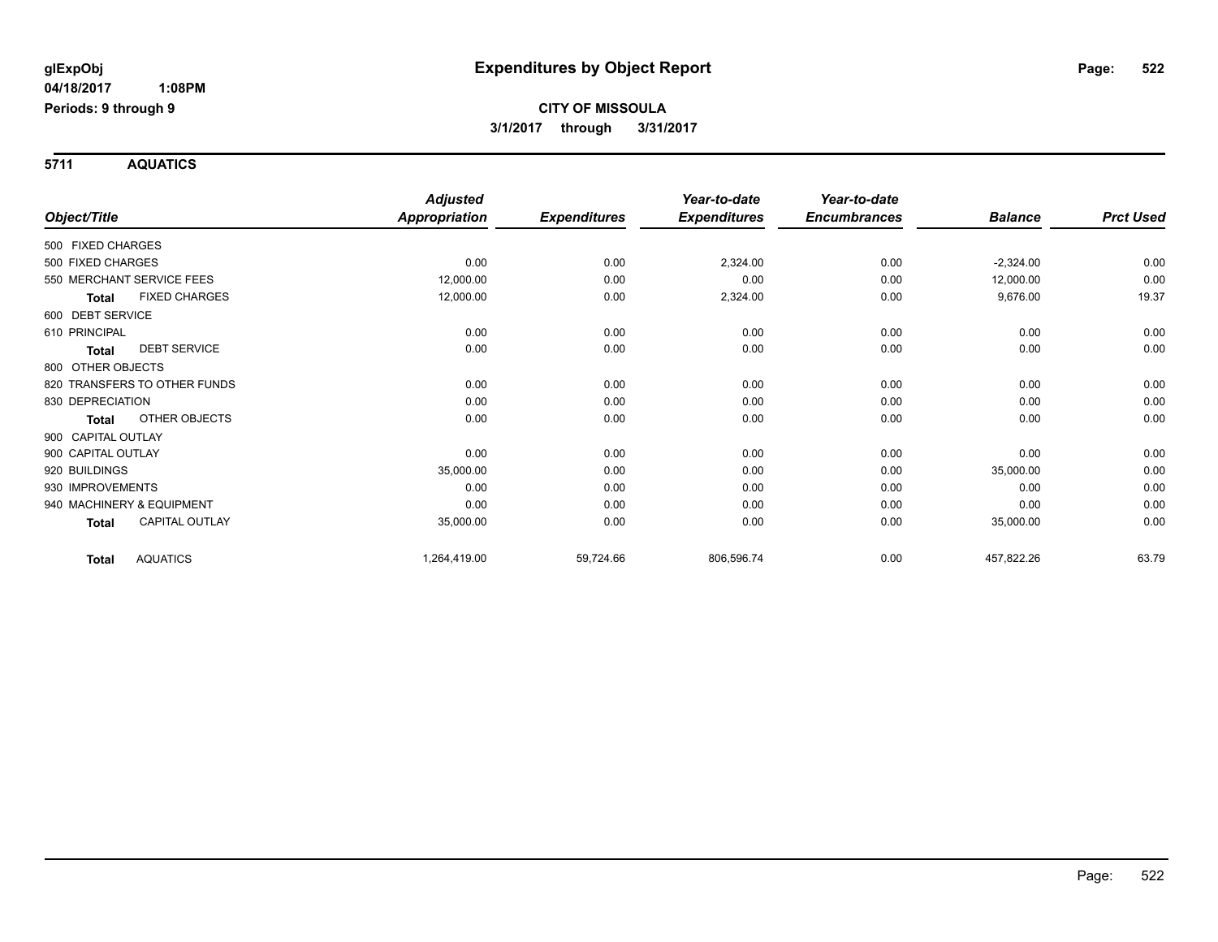**Periods: 9 through 9**

 **1:08PM**

**CITY OF MISSOULA 3/1/2017 through 3/31/2017**

**5711 AQUATICS**

|                    |                              | <b>Adjusted</b>      |                     | Year-to-date        | Year-to-date        |                |                  |
|--------------------|------------------------------|----------------------|---------------------|---------------------|---------------------|----------------|------------------|
| Object/Title       |                              | <b>Appropriation</b> | <b>Expenditures</b> | <b>Expenditures</b> | <b>Encumbrances</b> | <b>Balance</b> | <b>Prct Used</b> |
| 500 FIXED CHARGES  |                              |                      |                     |                     |                     |                |                  |
| 500 FIXED CHARGES  |                              | 0.00                 | 0.00                | 2,324.00            | 0.00                | $-2,324.00$    | 0.00             |
|                    | 550 MERCHANT SERVICE FEES    | 12,000.00            | 0.00                | 0.00                | 0.00                | 12,000.00      | 0.00             |
| <b>Total</b>       | <b>FIXED CHARGES</b>         | 12,000.00            | 0.00                | 2,324.00            | 0.00                | 9,676.00       | 19.37            |
| 600 DEBT SERVICE   |                              |                      |                     |                     |                     |                |                  |
| 610 PRINCIPAL      |                              | 0.00                 | 0.00                | 0.00                | 0.00                | 0.00           | 0.00             |
| <b>Total</b>       | <b>DEBT SERVICE</b>          | 0.00                 | 0.00                | 0.00                | 0.00                | 0.00           | 0.00             |
| 800 OTHER OBJECTS  |                              |                      |                     |                     |                     |                |                  |
|                    | 820 TRANSFERS TO OTHER FUNDS | 0.00                 | 0.00                | 0.00                | 0.00                | 0.00           | 0.00             |
| 830 DEPRECIATION   |                              | 0.00                 | 0.00                | 0.00                | 0.00                | 0.00           | 0.00             |
| Total              | OTHER OBJECTS                | 0.00                 | 0.00                | 0.00                | 0.00                | 0.00           | 0.00             |
| 900 CAPITAL OUTLAY |                              |                      |                     |                     |                     |                |                  |
| 900 CAPITAL OUTLAY |                              | 0.00                 | 0.00                | 0.00                | 0.00                | 0.00           | 0.00             |
| 920 BUILDINGS      |                              | 35,000.00            | 0.00                | 0.00                | 0.00                | 35,000.00      | 0.00             |
| 930 IMPROVEMENTS   |                              | 0.00                 | 0.00                | 0.00                | 0.00                | 0.00           | 0.00             |
|                    | 940 MACHINERY & EQUIPMENT    | 0.00                 | 0.00                | 0.00                | 0.00                | 0.00           | 0.00             |
| Total              | <b>CAPITAL OUTLAY</b>        | 35,000.00            | 0.00                | 0.00                | 0.00                | 35,000.00      | 0.00             |
| Total              | <b>AQUATICS</b>              | 1,264,419.00         | 59,724.66           | 806,596.74          | 0.00                | 457,822.26     | 63.79            |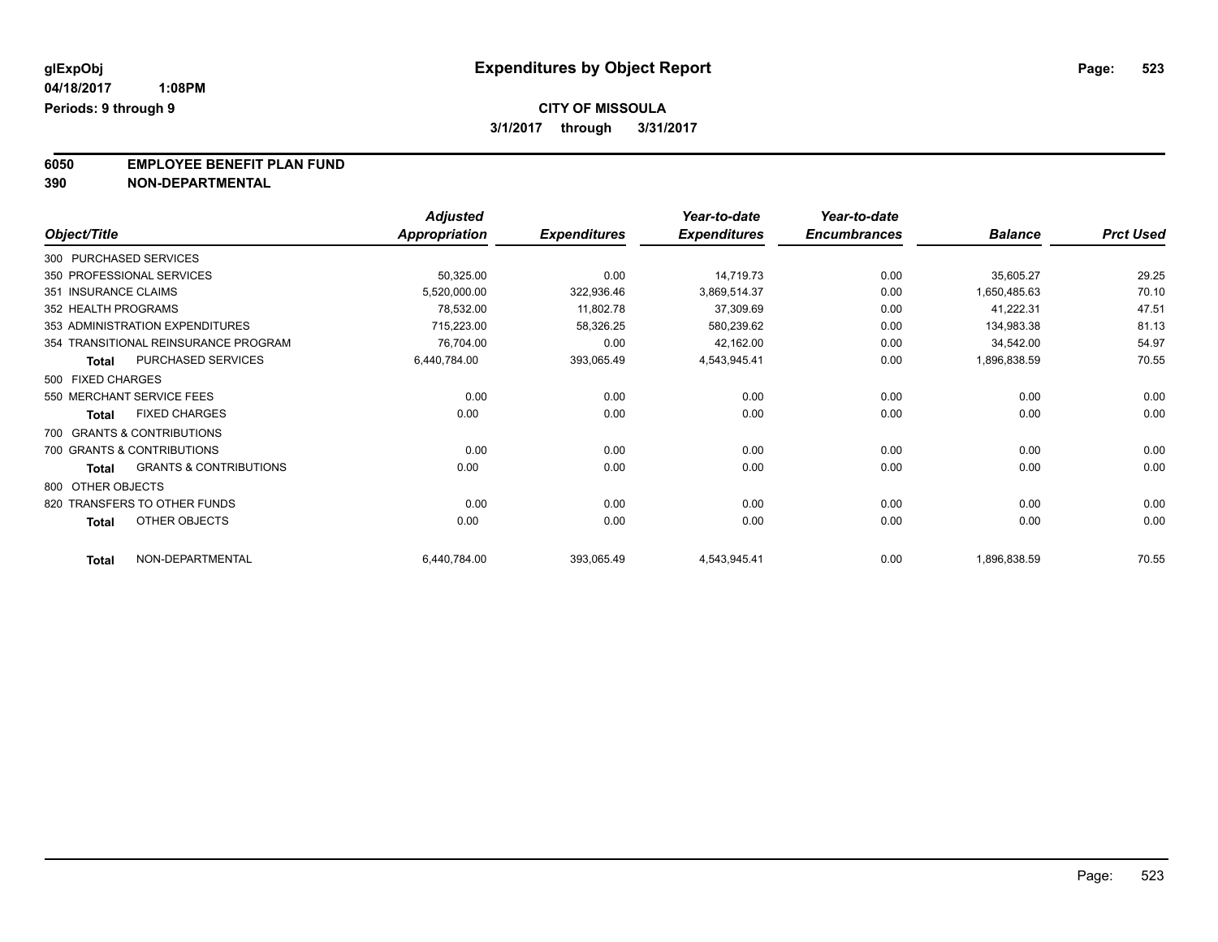**6050 EMPLOYEE BENEFIT PLAN FUND**<br>390 NON-DEPARTMENTAL

**390 NON-DEPARTMENTAL**

|                      |                                      | <b>Adjusted</b>      |                     | Year-to-date        | Year-to-date        |                |                  |
|----------------------|--------------------------------------|----------------------|---------------------|---------------------|---------------------|----------------|------------------|
| Object/Title         |                                      | <b>Appropriation</b> | <b>Expenditures</b> | <b>Expenditures</b> | <b>Encumbrances</b> | <b>Balance</b> | <b>Prct Used</b> |
|                      | 300 PURCHASED SERVICES               |                      |                     |                     |                     |                |                  |
|                      | 350 PROFESSIONAL SERVICES            | 50,325.00            | 0.00                | 14,719.73           | 0.00                | 35,605.27      | 29.25            |
| 351 INSURANCE CLAIMS |                                      | 5,520,000.00         | 322,936.46          | 3,869,514.37        | 0.00                | 1,650,485.63   | 70.10            |
| 352 HEALTH PROGRAMS  |                                      | 78,532.00            | 11,802.78           | 37,309.69           | 0.00                | 41,222.31      | 47.51            |
|                      | 353 ADMINISTRATION EXPENDITURES      | 715,223.00           | 58,326.25           | 580,239.62          | 0.00                | 134,983.38     | 81.13            |
|                      | 354 TRANSITIONAL REINSURANCE PROGRAM | 76,704.00            | 0.00                | 42,162.00           | 0.00                | 34,542.00      | 54.97            |
| <b>Total</b>         | PURCHASED SERVICES                   | 6,440,784.00         | 393,065.49          | 4,543,945.41        | 0.00                | 1,896,838.59   | 70.55            |
| 500 FIXED CHARGES    |                                      |                      |                     |                     |                     |                |                  |
|                      | 550 MERCHANT SERVICE FEES            | 0.00                 | 0.00                | 0.00                | 0.00                | 0.00           | 0.00             |
| <b>Total</b>         | <b>FIXED CHARGES</b>                 | 0.00                 | 0.00                | 0.00                | 0.00                | 0.00           | 0.00             |
|                      | 700 GRANTS & CONTRIBUTIONS           |                      |                     |                     |                     |                |                  |
|                      | 700 GRANTS & CONTRIBUTIONS           | 0.00                 | 0.00                | 0.00                | 0.00                | 0.00           | 0.00             |
| <b>Total</b>         | <b>GRANTS &amp; CONTRIBUTIONS</b>    | 0.00                 | 0.00                | 0.00                | 0.00                | 0.00           | 0.00             |
| 800 OTHER OBJECTS    |                                      |                      |                     |                     |                     |                |                  |
|                      | 820 TRANSFERS TO OTHER FUNDS         | 0.00                 | 0.00                | 0.00                | 0.00                | 0.00           | 0.00             |
| <b>Total</b>         | OTHER OBJECTS                        | 0.00                 | 0.00                | 0.00                | 0.00                | 0.00           | 0.00             |
| <b>Total</b>         | NON-DEPARTMENTAL                     | 6,440,784.00         | 393,065.49          | 4,543,945.41        | 0.00                | 1,896,838.59   | 70.55            |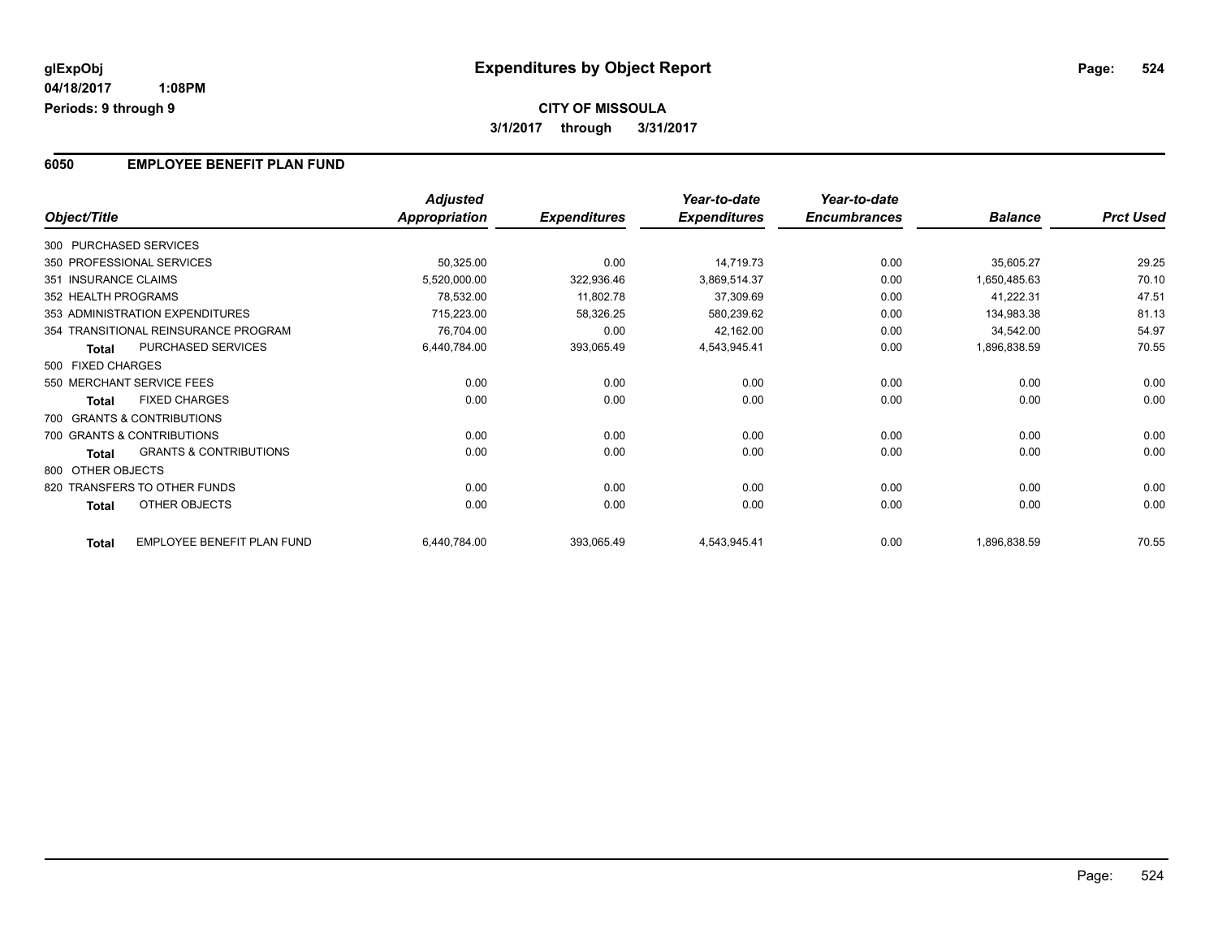# **CITY OF MISSOULA 3/1/2017 through 3/31/2017**

### **6050 EMPLOYEE BENEFIT PLAN FUND**

|                      |                                      | <b>Adjusted</b>      |                     | Year-to-date        | Year-to-date        |                |                  |
|----------------------|--------------------------------------|----------------------|---------------------|---------------------|---------------------|----------------|------------------|
| Object/Title         |                                      | <b>Appropriation</b> | <b>Expenditures</b> | <b>Expenditures</b> | <b>Encumbrances</b> | <b>Balance</b> | <b>Prct Used</b> |
|                      | 300 PURCHASED SERVICES               |                      |                     |                     |                     |                |                  |
|                      | 350 PROFESSIONAL SERVICES            | 50,325.00            | 0.00                | 14,719.73           | 0.00                | 35,605.27      | 29.25            |
| 351 INSURANCE CLAIMS |                                      | 5,520,000.00         | 322,936.46          | 3,869,514.37        | 0.00                | 1,650,485.63   | 70.10            |
| 352 HEALTH PROGRAMS  |                                      | 78,532.00            | 11,802.78           | 37,309.69           | 0.00                | 41,222.31      | 47.51            |
|                      | 353 ADMINISTRATION EXPENDITURES      | 715,223.00           | 58,326.25           | 580,239.62          | 0.00                | 134,983.38     | 81.13            |
|                      | 354 TRANSITIONAL REINSURANCE PROGRAM | 76,704.00            | 0.00                | 42,162.00           | 0.00                | 34,542.00      | 54.97            |
| <b>Total</b>         | PURCHASED SERVICES                   | 6,440,784.00         | 393,065.49          | 4,543,945.41        | 0.00                | 1,896,838.59   | 70.55            |
| 500 FIXED CHARGES    |                                      |                      |                     |                     |                     |                |                  |
|                      | 550 MERCHANT SERVICE FEES            | 0.00                 | 0.00                | 0.00                | 0.00                | 0.00           | 0.00             |
| <b>Total</b>         | <b>FIXED CHARGES</b>                 | 0.00                 | 0.00                | 0.00                | 0.00                | 0.00           | 0.00             |
|                      | 700 GRANTS & CONTRIBUTIONS           |                      |                     |                     |                     |                |                  |
|                      | 700 GRANTS & CONTRIBUTIONS           | 0.00                 | 0.00                | 0.00                | 0.00                | 0.00           | 0.00             |
| Total                | <b>GRANTS &amp; CONTRIBUTIONS</b>    | 0.00                 | 0.00                | 0.00                | 0.00                | 0.00           | 0.00             |
| 800 OTHER OBJECTS    |                                      |                      |                     |                     |                     |                |                  |
|                      | 820 TRANSFERS TO OTHER FUNDS         | 0.00                 | 0.00                | 0.00                | 0.00                | 0.00           | 0.00             |
| <b>Total</b>         | OTHER OBJECTS                        | 0.00                 | 0.00                | 0.00                | 0.00                | 0.00           | 0.00             |
| <b>Total</b>         | EMPLOYEE BENEFIT PLAN FUND           | 6,440,784.00         | 393,065.49          | 4,543,945.41        | 0.00                | 1,896,838.59   | 70.55            |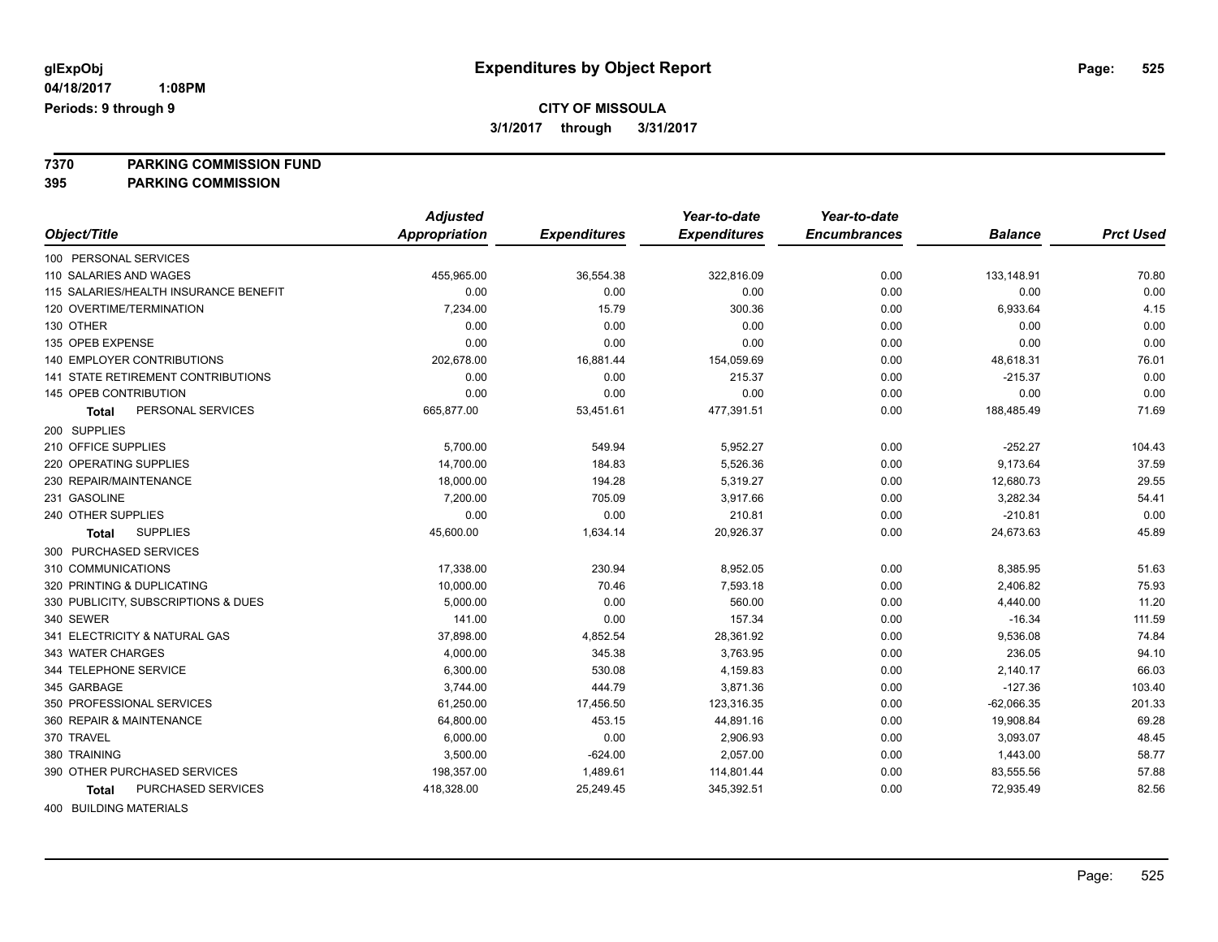**7370 PARKING COMMISSION FUND**

**395 PARKING COMMISSION**

|                                           | <b>Adjusted</b>      |                     | Year-to-date        | Year-to-date        |                |                  |
|-------------------------------------------|----------------------|---------------------|---------------------|---------------------|----------------|------------------|
| Object/Title                              | <b>Appropriation</b> | <b>Expenditures</b> | <b>Expenditures</b> | <b>Encumbrances</b> | <b>Balance</b> | <b>Prct Used</b> |
| 100 PERSONAL SERVICES                     |                      |                     |                     |                     |                |                  |
| 110 SALARIES AND WAGES                    | 455,965.00           | 36,554.38           | 322,816.09          | 0.00                | 133,148.91     | 70.80            |
| 115 SALARIES/HEALTH INSURANCE BENEFIT     | 0.00                 | 0.00                | 0.00                | 0.00                | 0.00           | 0.00             |
| 120 OVERTIME/TERMINATION                  | 7,234.00             | 15.79               | 300.36              | 0.00                | 6,933.64       | 4.15             |
| 130 OTHER                                 | 0.00                 | 0.00                | 0.00                | 0.00                | 0.00           | 0.00             |
| 135 OPEB EXPENSE                          | 0.00                 | 0.00                | 0.00                | 0.00                | 0.00           | 0.00             |
| <b>140 EMPLOYER CONTRIBUTIONS</b>         | 202,678.00           | 16,881.44           | 154,059.69          | 0.00                | 48,618.31      | 76.01            |
| <b>141 STATE RETIREMENT CONTRIBUTIONS</b> | 0.00                 | 0.00                | 215.37              | 0.00                | $-215.37$      | 0.00             |
| 145 OPEB CONTRIBUTION                     | 0.00                 | 0.00                | 0.00                | 0.00                | 0.00           | 0.00             |
| PERSONAL SERVICES<br><b>Total</b>         | 665,877.00           | 53,451.61           | 477,391.51          | 0.00                | 188,485.49     | 71.69            |
| 200 SUPPLIES                              |                      |                     |                     |                     |                |                  |
| 210 OFFICE SUPPLIES                       | 5,700.00             | 549.94              | 5,952.27            | 0.00                | $-252.27$      | 104.43           |
| 220 OPERATING SUPPLIES                    | 14,700.00            | 184.83              | 5,526.36            | 0.00                | 9,173.64       | 37.59            |
| 230 REPAIR/MAINTENANCE                    | 18,000.00            | 194.28              | 5,319.27            | 0.00                | 12,680.73      | 29.55            |
| 231 GASOLINE                              | 7,200.00             | 705.09              | 3,917.66            | 0.00                | 3,282.34       | 54.41            |
| 240 OTHER SUPPLIES                        | 0.00                 | 0.00                | 210.81              | 0.00                | $-210.81$      | 0.00             |
| <b>SUPPLIES</b><br><b>Total</b>           | 45,600.00            | 1,634.14            | 20,926.37           | 0.00                | 24,673.63      | 45.89            |
| 300 PURCHASED SERVICES                    |                      |                     |                     |                     |                |                  |
| 310 COMMUNICATIONS                        | 17,338.00            | 230.94              | 8,952.05            | 0.00                | 8,385.95       | 51.63            |
| 320 PRINTING & DUPLICATING                | 10,000.00            | 70.46               | 7,593.18            | 0.00                | 2,406.82       | 75.93            |
| 330 PUBLICITY, SUBSCRIPTIONS & DUES       | 5,000.00             | 0.00                | 560.00              | 0.00                | 4,440.00       | 11.20            |
| 340 SEWER                                 | 141.00               | 0.00                | 157.34              | 0.00                | $-16.34$       | 111.59           |
| 341 ELECTRICITY & NATURAL GAS             | 37,898.00            | 4,852.54            | 28,361.92           | 0.00                | 9,536.08       | 74.84            |
| 343 WATER CHARGES                         | 4,000.00             | 345.38              | 3,763.95            | 0.00                | 236.05         | 94.10            |
| 344 TELEPHONE SERVICE                     | 6,300.00             | 530.08              | 4,159.83            | 0.00                | 2,140.17       | 66.03            |
| 345 GARBAGE                               | 3,744.00             | 444.79              | 3,871.36            | 0.00                | $-127.36$      | 103.40           |
| 350 PROFESSIONAL SERVICES                 | 61,250.00            | 17,456.50           | 123,316.35          | 0.00                | $-62,066.35$   | 201.33           |
| 360 REPAIR & MAINTENANCE                  | 64,800.00            | 453.15              | 44,891.16           | 0.00                | 19,908.84      | 69.28            |
| 370 TRAVEL                                | 6,000.00             | 0.00                | 2,906.93            | 0.00                | 3,093.07       | 48.45            |
| 380 TRAINING                              | 3,500.00             | $-624.00$           | 2,057.00            | 0.00                | 1,443.00       | 58.77            |
| 390 OTHER PURCHASED SERVICES              | 198,357.00           | 1,489.61            | 114,801.44          | 0.00                | 83,555.56      | 57.88            |
| PURCHASED SERVICES<br>Total               | 418,328.00           | 25,249.45           | 345,392.51          | 0.00                | 72,935.49      | 82.56            |
|                                           |                      |                     |                     |                     |                |                  |

400 BUILDING MATERIALS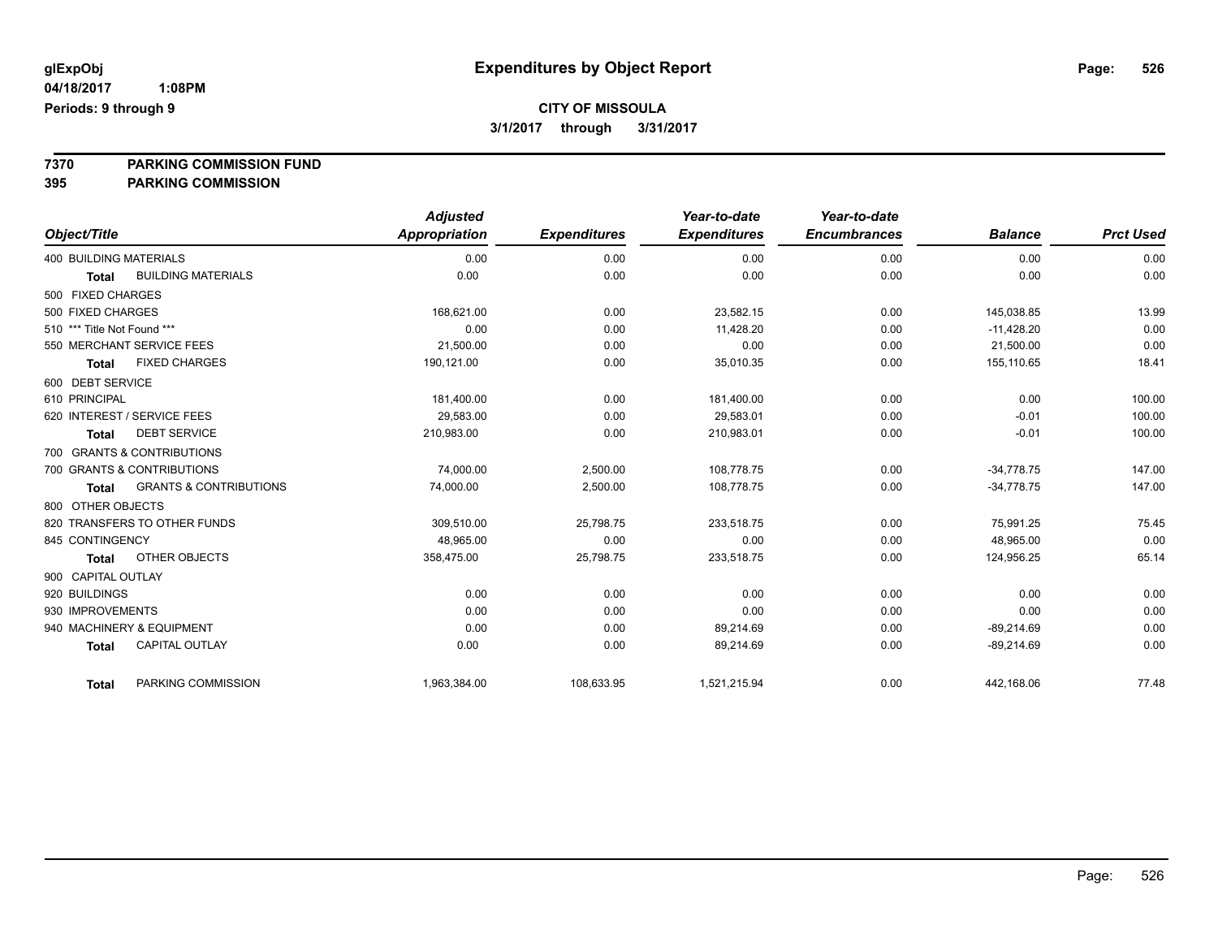**7370 PARKING COMMISSION FUND**

**395 PARKING COMMISSION**

|                               |                                   | <b>Adjusted</b> |                     | Year-to-date        | Year-to-date        |                |                  |
|-------------------------------|-----------------------------------|-----------------|---------------------|---------------------|---------------------|----------------|------------------|
| Object/Title                  |                                   | Appropriation   | <b>Expenditures</b> | <b>Expenditures</b> | <b>Encumbrances</b> | <b>Balance</b> | <b>Prct Used</b> |
| <b>400 BUILDING MATERIALS</b> |                                   | 0.00            | 0.00                | 0.00                | 0.00                | 0.00           | 0.00             |
| <b>Total</b>                  | <b>BUILDING MATERIALS</b>         | 0.00            | 0.00                | 0.00                | 0.00                | 0.00           | 0.00             |
| 500 FIXED CHARGES             |                                   |                 |                     |                     |                     |                |                  |
| 500 FIXED CHARGES             |                                   | 168,621.00      | 0.00                | 23,582.15           | 0.00                | 145,038.85     | 13.99            |
| 510 *** Title Not Found ***   |                                   | 0.00            | 0.00                | 11,428.20           | 0.00                | $-11,428.20$   | 0.00             |
| 550 MERCHANT SERVICE FEES     |                                   | 21,500.00       | 0.00                | 0.00                | 0.00                | 21,500.00      | 0.00             |
| Total                         | <b>FIXED CHARGES</b>              | 190,121.00      | 0.00                | 35,010.35           | 0.00                | 155,110.65     | 18.41            |
| 600 DEBT SERVICE              |                                   |                 |                     |                     |                     |                |                  |
| 610 PRINCIPAL                 |                                   | 181,400.00      | 0.00                | 181,400.00          | 0.00                | 0.00           | 100.00           |
| 620 INTEREST / SERVICE FEES   |                                   | 29.583.00       | 0.00                | 29,583.01           | 0.00                | $-0.01$        | 100.00           |
| Total                         | <b>DEBT SERVICE</b>               | 210,983.00      | 0.00                | 210,983.01          | 0.00                | $-0.01$        | 100.00           |
| 700 GRANTS & CONTRIBUTIONS    |                                   |                 |                     |                     |                     |                |                  |
| 700 GRANTS & CONTRIBUTIONS    |                                   | 74,000.00       | 2,500.00            | 108.778.75          | 0.00                | $-34.778.75$   | 147.00           |
| Total                         | <b>GRANTS &amp; CONTRIBUTIONS</b> | 74,000.00       | 2,500.00            | 108,778.75          | 0.00                | $-34,778.75$   | 147.00           |
| 800 OTHER OBJECTS             |                                   |                 |                     |                     |                     |                |                  |
| 820 TRANSFERS TO OTHER FUNDS  |                                   | 309.510.00      | 25,798.75           | 233,518.75          | 0.00                | 75.991.25      | 75.45            |
| 845 CONTINGENCY               |                                   | 48,965.00       | 0.00                | 0.00                | 0.00                | 48,965.00      | 0.00             |
| <b>Total</b>                  | <b>OTHER OBJECTS</b>              | 358,475.00      | 25,798.75           | 233,518.75          | 0.00                | 124,956.25     | 65.14            |
| 900 CAPITAL OUTLAY            |                                   |                 |                     |                     |                     |                |                  |
| 920 BUILDINGS                 |                                   | 0.00            | 0.00                | 0.00                | 0.00                | 0.00           | 0.00             |
| 930 IMPROVEMENTS              |                                   | 0.00            | 0.00                | 0.00                | 0.00                | 0.00           | 0.00             |
| 940 MACHINERY & EQUIPMENT     |                                   | 0.00            | 0.00                | 89,214.69           | 0.00                | $-89,214.69$   | 0.00             |
| <b>Total</b>                  | <b>CAPITAL OUTLAY</b>             | 0.00            | 0.00                | 89,214.69           | 0.00                | $-89,214.69$   | 0.00             |
| <b>Total</b>                  | PARKING COMMISSION                | 1,963,384.00    | 108,633.95          | 1,521,215.94        | 0.00                | 442,168.06     | 77.48            |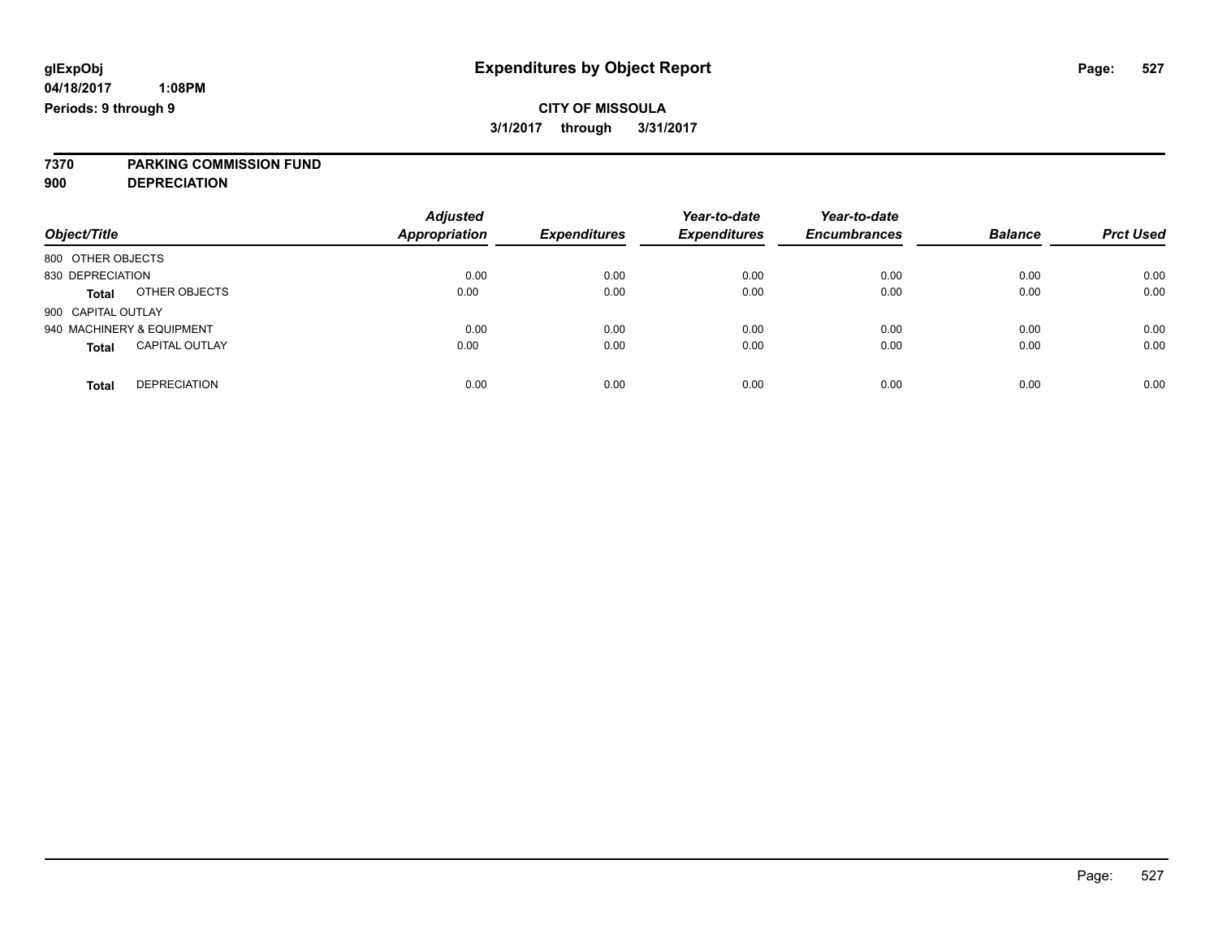# **7370 PARKING COMMISSION FUND**

**900 DEPRECIATION**

| Object/Title                          | <b>Adjusted</b><br><b>Appropriation</b> | <b>Expenditures</b> | Year-to-date<br><b>Expenditures</b> | Year-to-date<br><b>Encumbrances</b> | <b>Balance</b> | <b>Prct Used</b> |
|---------------------------------------|-----------------------------------------|---------------------|-------------------------------------|-------------------------------------|----------------|------------------|
| 800 OTHER OBJECTS                     |                                         |                     |                                     |                                     |                |                  |
| 830 DEPRECIATION                      | 0.00                                    | 0.00                | 0.00                                | 0.00                                | 0.00           | 0.00             |
| OTHER OBJECTS<br><b>Total</b>         | 0.00                                    | 0.00                | 0.00                                | 0.00                                | 0.00           | 0.00             |
| 900 CAPITAL OUTLAY                    |                                         |                     |                                     |                                     |                |                  |
| 940 MACHINERY & EQUIPMENT             | 0.00                                    | 0.00                | 0.00                                | 0.00                                | 0.00           | 0.00             |
| <b>CAPITAL OUTLAY</b><br><b>Total</b> | 0.00                                    | 0.00                | 0.00                                | 0.00                                | 0.00           | 0.00             |
| <b>DEPRECIATION</b><br>Total          | 0.00                                    | 0.00                | 0.00                                | 0.00                                | 0.00           | 0.00             |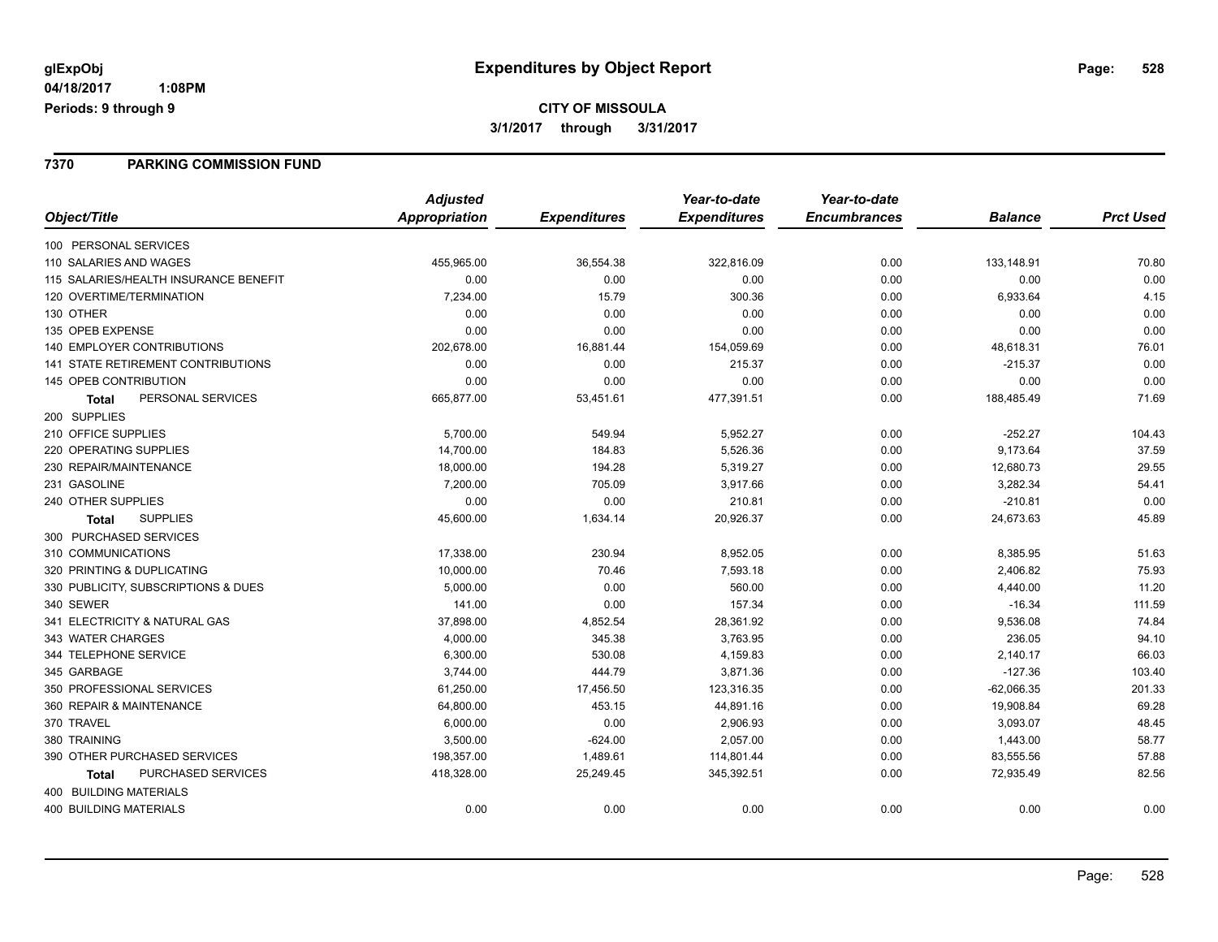# **CITY OF MISSOULA 3/1/2017 through 3/31/2017**

### **7370 PARKING COMMISSION FUND**

|                                           | <b>Adjusted</b>      |                     | Year-to-date        | Year-to-date        |                |                  |
|-------------------------------------------|----------------------|---------------------|---------------------|---------------------|----------------|------------------|
| Object/Title                              | <b>Appropriation</b> | <b>Expenditures</b> | <b>Expenditures</b> | <b>Encumbrances</b> | <b>Balance</b> | <b>Prct Used</b> |
| 100 PERSONAL SERVICES                     |                      |                     |                     |                     |                |                  |
| 110 SALARIES AND WAGES                    | 455,965.00           | 36,554.38           | 322,816.09          | 0.00                | 133,148.91     | 70.80            |
| 115 SALARIES/HEALTH INSURANCE BENEFIT     | 0.00                 | 0.00                | 0.00                | 0.00                | 0.00           | 0.00             |
| 120 OVERTIME/TERMINATION                  | 7,234.00             | 15.79               | 300.36              | 0.00                | 6,933.64       | 4.15             |
| 130 OTHER                                 | 0.00                 | 0.00                | 0.00                | 0.00                | 0.00           | 0.00             |
| 135 OPEB EXPENSE                          | 0.00                 | 0.00                | 0.00                | 0.00                | 0.00           | 0.00             |
| <b>140 EMPLOYER CONTRIBUTIONS</b>         | 202,678.00           | 16,881.44           | 154,059.69          | 0.00                | 48,618.31      | 76.01            |
| <b>141 STATE RETIREMENT CONTRIBUTIONS</b> | 0.00                 | 0.00                | 215.37              | 0.00                | $-215.37$      | 0.00             |
| 145 OPEB CONTRIBUTION                     | 0.00                 | 0.00                | 0.00                | 0.00                | 0.00           | 0.00             |
| PERSONAL SERVICES<br><b>Total</b>         | 665,877.00           | 53,451.61           | 477,391.51          | 0.00                | 188,485.49     | 71.69            |
| 200 SUPPLIES                              |                      |                     |                     |                     |                |                  |
| 210 OFFICE SUPPLIES                       | 5,700.00             | 549.94              | 5,952.27            | 0.00                | $-252.27$      | 104.43           |
| 220 OPERATING SUPPLIES                    | 14,700.00            | 184.83              | 5,526.36            | 0.00                | 9,173.64       | 37.59            |
| 230 REPAIR/MAINTENANCE                    | 18,000.00            | 194.28              | 5,319.27            | 0.00                | 12,680.73      | 29.55            |
| 231 GASOLINE                              | 7,200.00             | 705.09              | 3,917.66            | 0.00                | 3,282.34       | 54.41            |
| 240 OTHER SUPPLIES                        | 0.00                 | 0.00                | 210.81              | 0.00                | $-210.81$      | 0.00             |
| <b>SUPPLIES</b><br><b>Total</b>           | 45,600.00            | 1,634.14            | 20,926.37           | 0.00                | 24,673.63      | 45.89            |
| 300 PURCHASED SERVICES                    |                      |                     |                     |                     |                |                  |
| 310 COMMUNICATIONS                        | 17,338.00            | 230.94              | 8,952.05            | 0.00                | 8,385.95       | 51.63            |
| 320 PRINTING & DUPLICATING                | 10,000.00            | 70.46               | 7,593.18            | 0.00                | 2,406.82       | 75.93            |
| 330 PUBLICITY, SUBSCRIPTIONS & DUES       | 5,000.00             | 0.00                | 560.00              | 0.00                | 4,440.00       | 11.20            |
| 340 SEWER                                 | 141.00               | 0.00                | 157.34              | 0.00                | $-16.34$       | 111.59           |
| 341 ELECTRICITY & NATURAL GAS             | 37,898.00            | 4,852.54            | 28,361.92           | 0.00                | 9,536.08       | 74.84            |
| 343 WATER CHARGES                         | 4,000.00             | 345.38              | 3,763.95            | 0.00                | 236.05         | 94.10            |
| 344 TELEPHONE SERVICE                     | 6,300.00             | 530.08              | 4,159.83            | 0.00                | 2,140.17       | 66.03            |
| 345 GARBAGE                               | 3,744.00             | 444.79              | 3,871.36            | 0.00                | $-127.36$      | 103.40           |
| 350 PROFESSIONAL SERVICES                 | 61,250.00            | 17,456.50           | 123,316.35          | 0.00                | $-62,066.35$   | 201.33           |
| 360 REPAIR & MAINTENANCE                  | 64,800.00            | 453.15              | 44,891.16           | 0.00                | 19,908.84      | 69.28            |
| 370 TRAVEL                                | 6,000.00             | 0.00                | 2,906.93            | 0.00                | 3,093.07       | 48.45            |
| 380 TRAINING                              | 3,500.00             | $-624.00$           | 2,057.00            | 0.00                | 1,443.00       | 58.77            |
| 390 OTHER PURCHASED SERVICES              | 198,357.00           | 1,489.61            | 114,801.44          | 0.00                | 83,555.56      | 57.88            |
| PURCHASED SERVICES<br><b>Total</b>        | 418,328.00           | 25,249.45           | 345,392.51          | 0.00                | 72,935.49      | 82.56            |
| 400 BUILDING MATERIALS                    |                      |                     |                     |                     |                |                  |
| <b>400 BUILDING MATERIALS</b>             | 0.00                 | 0.00                | 0.00                | 0.00                | 0.00           | 0.00             |
|                                           |                      |                     |                     |                     |                |                  |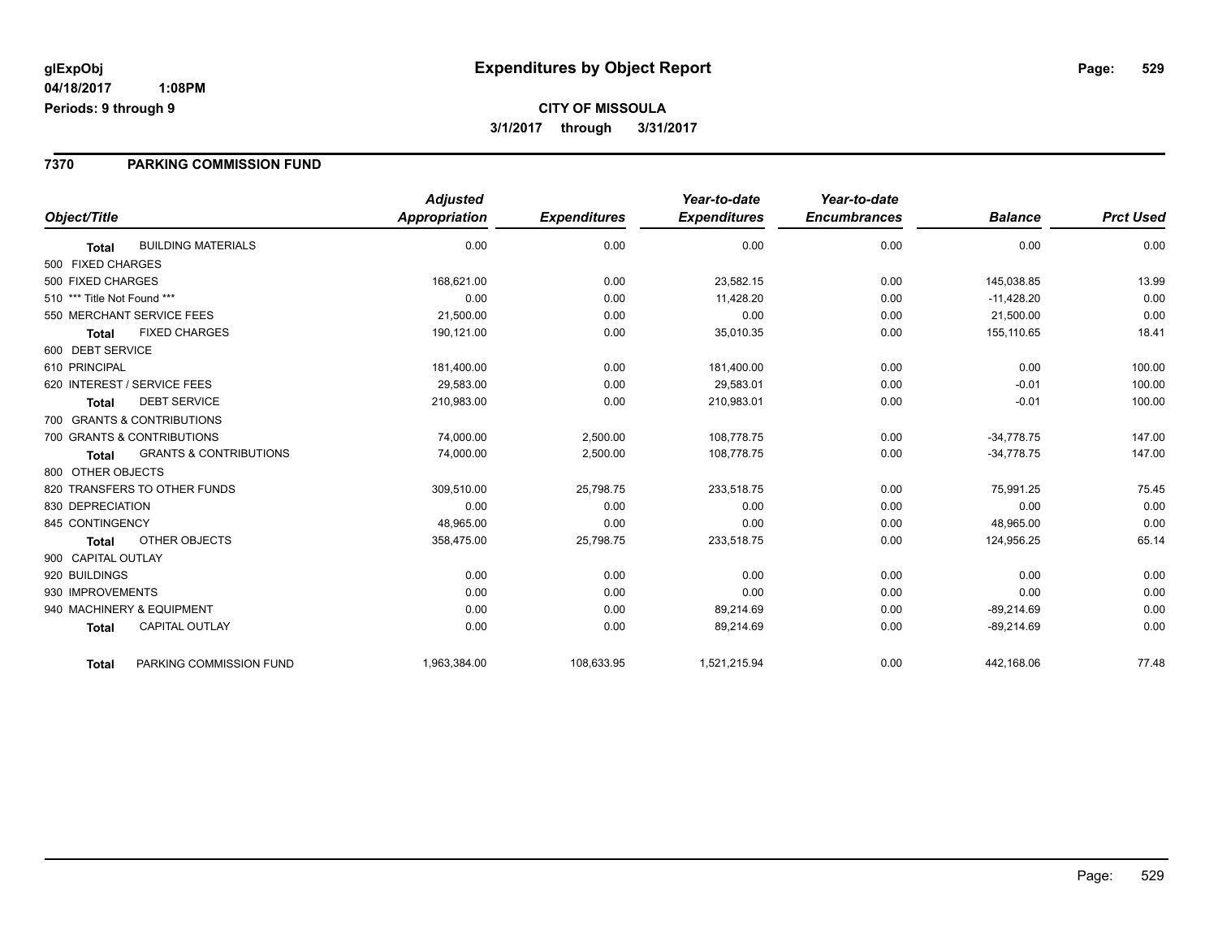# **CITY OF MISSOULA 3/1/2017 through 3/31/2017**

### **7370 PARKING COMMISSION FUND**

|                                                   | <b>Adjusted</b>      |                     | Year-to-date        | Year-to-date        |                |                  |
|---------------------------------------------------|----------------------|---------------------|---------------------|---------------------|----------------|------------------|
| Object/Title                                      | <b>Appropriation</b> | <b>Expenditures</b> | <b>Expenditures</b> | <b>Encumbrances</b> | <b>Balance</b> | <b>Prct Used</b> |
| <b>BUILDING MATERIALS</b><br><b>Total</b>         | 0.00                 | 0.00                | 0.00                | 0.00                | 0.00           | 0.00             |
| 500 FIXED CHARGES                                 |                      |                     |                     |                     |                |                  |
| 500 FIXED CHARGES                                 | 168,621.00           | 0.00                | 23,582.15           | 0.00                | 145,038.85     | 13.99            |
| 510 *** Title Not Found ***                       | 0.00                 | 0.00                | 11.428.20           | 0.00                | $-11,428.20$   | 0.00             |
| 550 MERCHANT SERVICE FEES                         | 21,500.00            | 0.00                | 0.00                | 0.00                | 21,500.00      | 0.00             |
| <b>FIXED CHARGES</b><br><b>Total</b>              | 190,121.00           | 0.00                | 35,010.35           | 0.00                | 155,110.65     | 18.41            |
| 600 DEBT SERVICE                                  |                      |                     |                     |                     |                |                  |
| 610 PRINCIPAL                                     | 181,400.00           | 0.00                | 181,400.00          | 0.00                | 0.00           | 100.00           |
| 620 INTEREST / SERVICE FEES                       | 29,583.00            | 0.00                | 29,583.01           | 0.00                | $-0.01$        | 100.00           |
| <b>DEBT SERVICE</b><br><b>Total</b>               | 210,983.00           | 0.00                | 210,983.01          | 0.00                | $-0.01$        | 100.00           |
| 700 GRANTS & CONTRIBUTIONS                        |                      |                     |                     |                     |                |                  |
| 700 GRANTS & CONTRIBUTIONS                        | 74,000.00            | 2,500.00            | 108,778.75          | 0.00                | $-34,778.75$   | 147.00           |
| <b>GRANTS &amp; CONTRIBUTIONS</b><br><b>Total</b> | 74,000.00            | 2,500.00            | 108,778.75          | 0.00                | $-34,778.75$   | 147.00           |
| 800 OTHER OBJECTS                                 |                      |                     |                     |                     |                |                  |
| 820 TRANSFERS TO OTHER FUNDS                      | 309,510.00           | 25,798.75           | 233,518.75          | 0.00                | 75,991.25      | 75.45            |
| 830 DEPRECIATION                                  | 0.00                 | 0.00                | 0.00                | 0.00                | 0.00           | 0.00             |
| 845 CONTINGENCY                                   | 48,965.00            | 0.00                | 0.00                | 0.00                | 48,965.00      | 0.00             |
| OTHER OBJECTS<br><b>Total</b>                     | 358,475.00           | 25,798.75           | 233,518.75          | 0.00                | 124,956.25     | 65.14            |
| 900 CAPITAL OUTLAY                                |                      |                     |                     |                     |                |                  |
| 920 BUILDINGS                                     | 0.00                 | 0.00                | 0.00                | 0.00                | 0.00           | 0.00             |
| 930 IMPROVEMENTS                                  | 0.00                 | 0.00                | 0.00                | 0.00                | 0.00           | 0.00             |
| 940 MACHINERY & EQUIPMENT                         | 0.00                 | 0.00                | 89,214.69           | 0.00                | $-89,214.69$   | 0.00             |
| <b>CAPITAL OUTLAY</b><br><b>Total</b>             | 0.00                 | 0.00                | 89,214.69           | 0.00                | $-89,214.69$   | 0.00             |
| PARKING COMMISSION FUND<br><b>Total</b>           | 1,963,384.00         | 108,633.95          | 1,521,215.94        | 0.00                | 442,168.06     | 77.48            |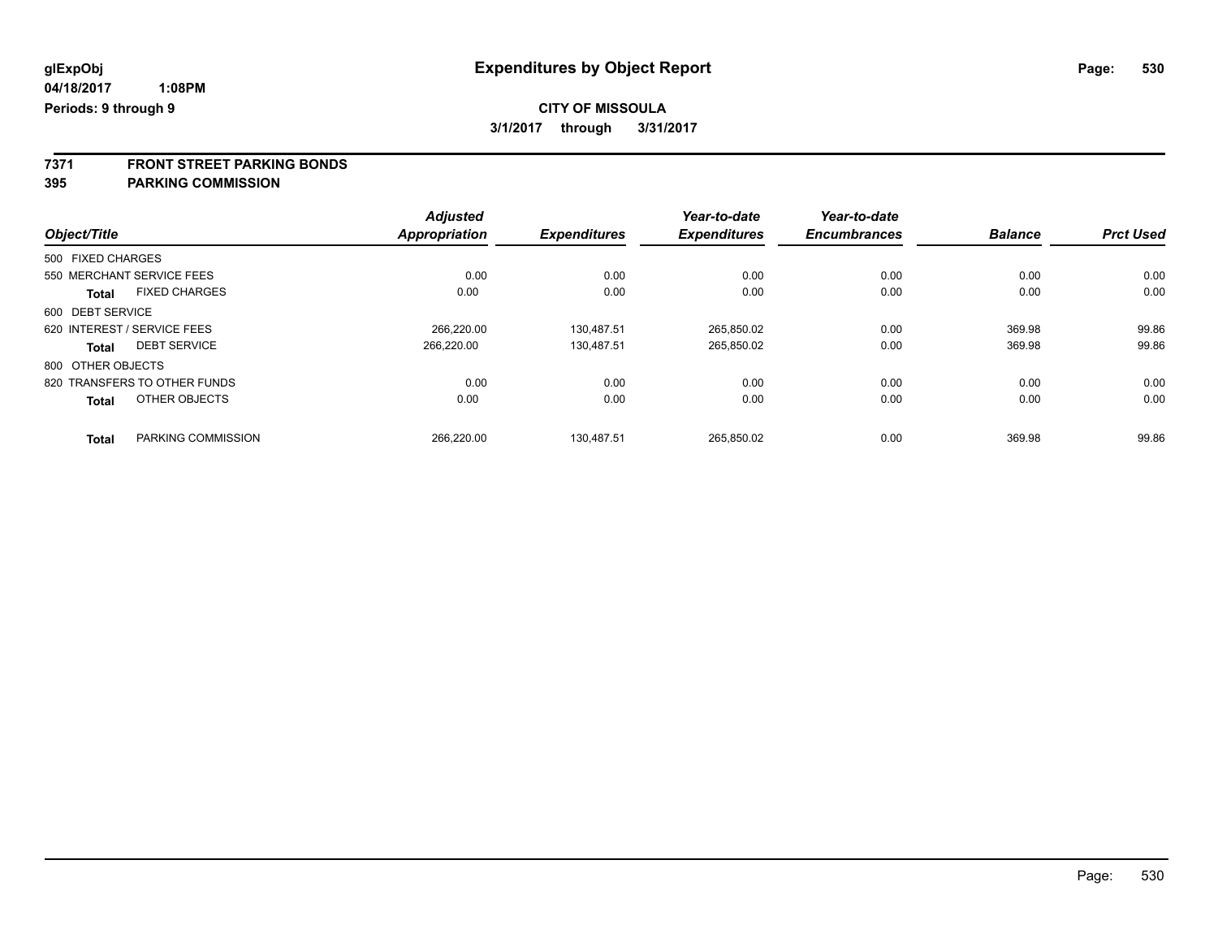**7371 FRONT STREET PARKING BONDS**

**395 PARKING COMMISSION**

|                              |                      | <b>Adjusted</b> |                     | Year-to-date        | Year-to-date        |                |                  |
|------------------------------|----------------------|-----------------|---------------------|---------------------|---------------------|----------------|------------------|
| Object/Title                 |                      | Appropriation   | <b>Expenditures</b> | <b>Expenditures</b> | <b>Encumbrances</b> | <b>Balance</b> | <b>Prct Used</b> |
| 500 FIXED CHARGES            |                      |                 |                     |                     |                     |                |                  |
| 550 MERCHANT SERVICE FEES    |                      | 0.00            | 0.00                | 0.00                | 0.00                | 0.00           | 0.00             |
| <b>Total</b>                 | <b>FIXED CHARGES</b> | 0.00            | 0.00                | 0.00                | 0.00                | 0.00           | 0.00             |
| 600 DEBT SERVICE             |                      |                 |                     |                     |                     |                |                  |
| 620 INTEREST / SERVICE FEES  |                      | 266.220.00      | 130.487.51          | 265.850.02          | 0.00                | 369.98         | 99.86            |
| <b>Total</b>                 | <b>DEBT SERVICE</b>  | 266.220.00      | 130.487.51          | 265,850.02          | 0.00                | 369.98         | 99.86            |
| 800 OTHER OBJECTS            |                      |                 |                     |                     |                     |                |                  |
| 820 TRANSFERS TO OTHER FUNDS |                      | 0.00            | 0.00                | 0.00                | 0.00                | 0.00           | 0.00             |
| <b>Total</b>                 | OTHER OBJECTS        | 0.00            | 0.00                | 0.00                | 0.00                | 0.00           | 0.00             |
| <b>Total</b>                 | PARKING COMMISSION   | 266.220.00      | 130.487.51          | 265.850.02          | 0.00                | 369.98         | 99.86            |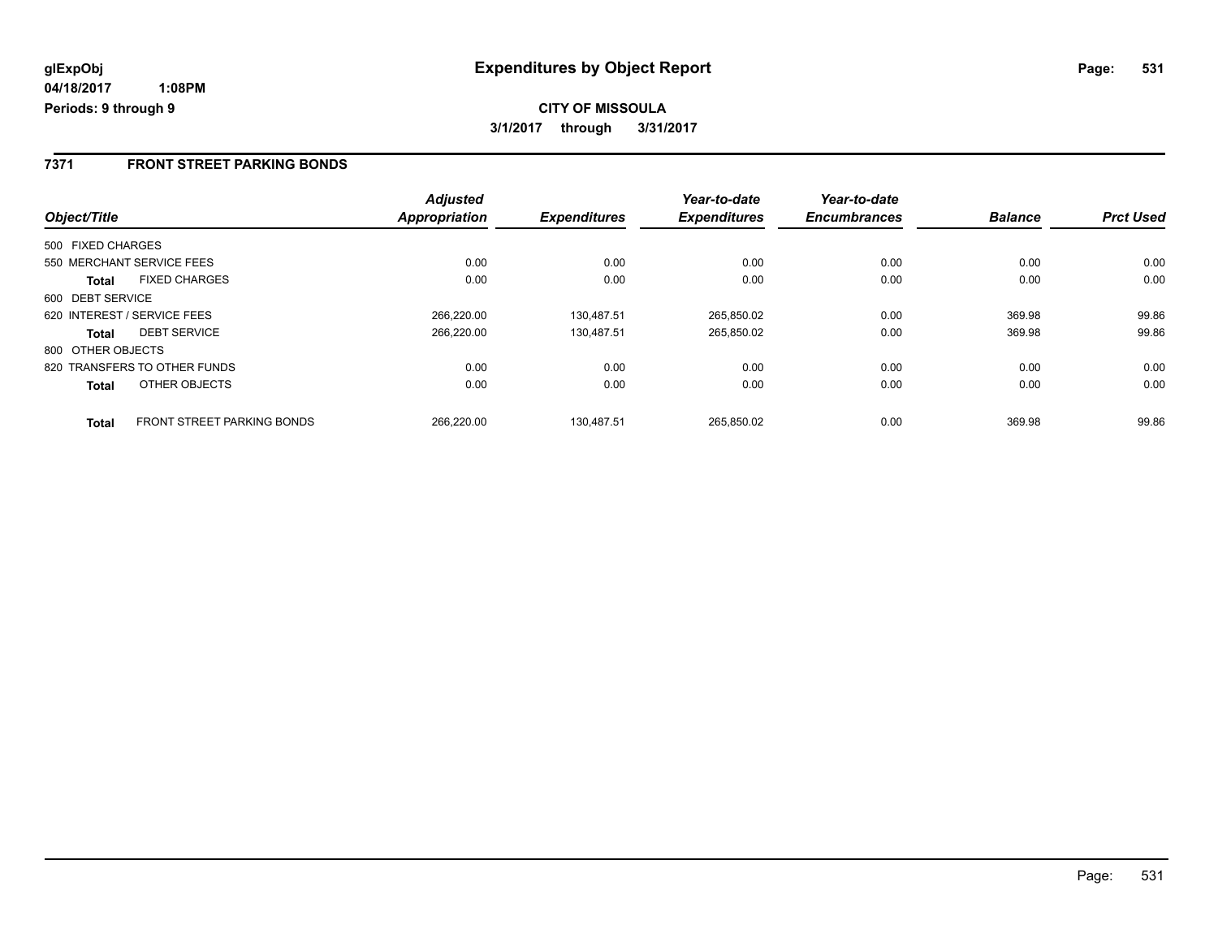### **7371 FRONT STREET PARKING BONDS**

|                   |                                   | <b>Adjusted</b>      |                     | Year-to-date        | Year-to-date        |                |                  |
|-------------------|-----------------------------------|----------------------|---------------------|---------------------|---------------------|----------------|------------------|
| Object/Title      |                                   | <b>Appropriation</b> | <b>Expenditures</b> | <b>Expenditures</b> | <b>Encumbrances</b> | <b>Balance</b> | <b>Prct Used</b> |
| 500 FIXED CHARGES |                                   |                      |                     |                     |                     |                |                  |
|                   | 550 MERCHANT SERVICE FEES         | 0.00                 | 0.00                | 0.00                | 0.00                | 0.00           | 0.00             |
| Total             | <b>FIXED CHARGES</b>              | 0.00                 | 0.00                | 0.00                | 0.00                | 0.00           | 0.00             |
| 600 DEBT SERVICE  |                                   |                      |                     |                     |                     |                |                  |
|                   | 620 INTEREST / SERVICE FEES       | 266.220.00           | 130.487.51          | 265,850.02          | 0.00                | 369.98         | 99.86            |
| Total             | <b>DEBT SERVICE</b>               | 266.220.00           | 130.487.51          | 265,850.02          | 0.00                | 369.98         | 99.86            |
| 800 OTHER OBJECTS |                                   |                      |                     |                     |                     |                |                  |
|                   | 820 TRANSFERS TO OTHER FUNDS      | 0.00                 | 0.00                | 0.00                | 0.00                | 0.00           | 0.00             |
| <b>Total</b>      | OTHER OBJECTS                     | 0.00                 | 0.00                | 0.00                | 0.00                | 0.00           | 0.00             |
| <b>Total</b>      | <b>FRONT STREET PARKING BONDS</b> | 266.220.00           | 130.487.51          | 265.850.02          | 0.00                | 369.98         | 99.86            |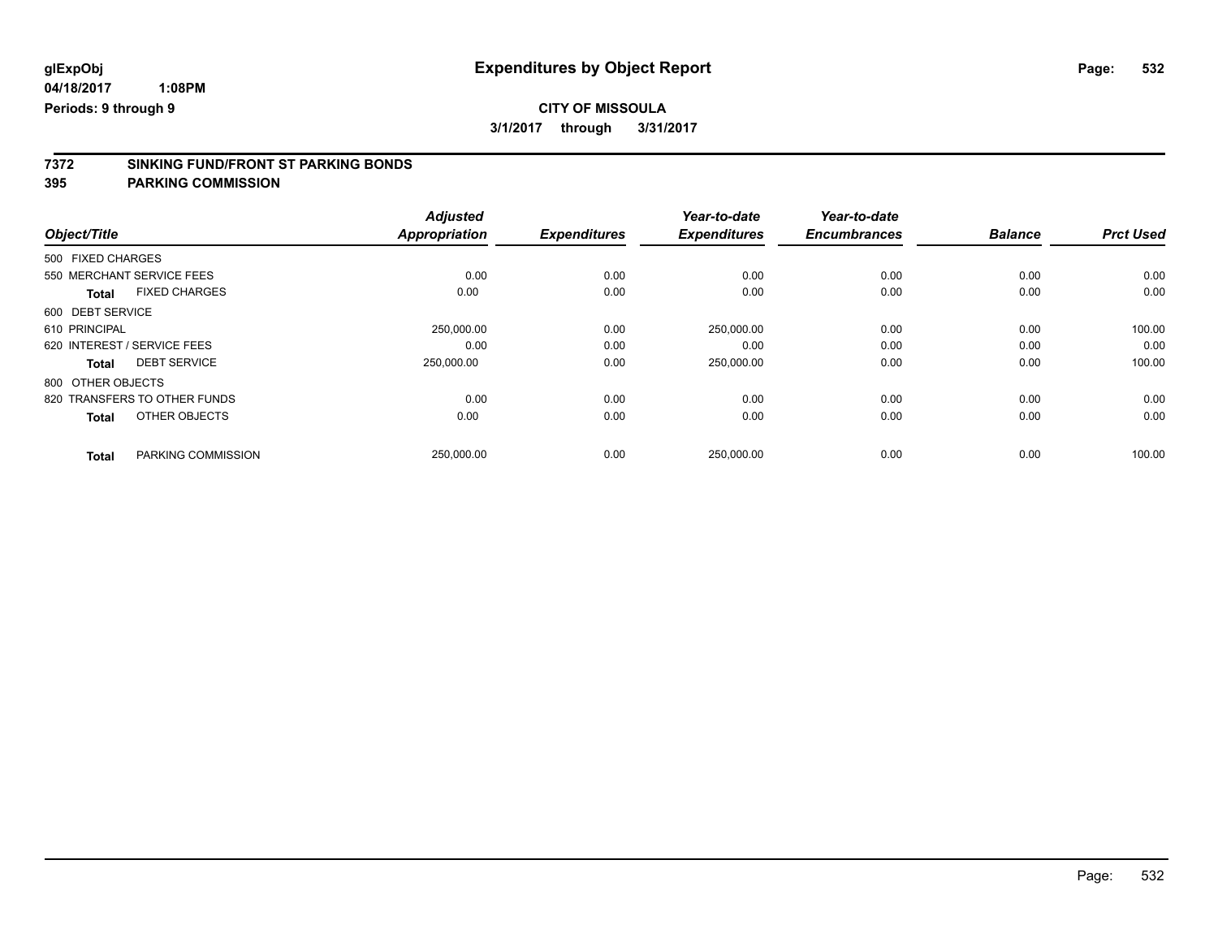**3/1/2017 through 3/31/2017**

# **7372 SINKING FUND/FRONT ST PARKING BONDS**

**395 PARKING COMMISSION**

|                                      | <b>Adjusted</b> |                     | Year-to-date        | Year-to-date        |                |                  |
|--------------------------------------|-----------------|---------------------|---------------------|---------------------|----------------|------------------|
| Object/Title                         | Appropriation   | <b>Expenditures</b> | <b>Expenditures</b> | <b>Encumbrances</b> | <b>Balance</b> | <b>Prct Used</b> |
| 500 FIXED CHARGES                    |                 |                     |                     |                     |                |                  |
| 550 MERCHANT SERVICE FEES            | 0.00            | 0.00                | 0.00                | 0.00                | 0.00           | 0.00             |
| <b>FIXED CHARGES</b><br><b>Total</b> | 0.00            | 0.00                | 0.00                | 0.00                | 0.00           | 0.00             |
| 600 DEBT SERVICE                     |                 |                     |                     |                     |                |                  |
| 610 PRINCIPAL                        | 250,000.00      | 0.00                | 250,000.00          | 0.00                | 0.00           | 100.00           |
| 620 INTEREST / SERVICE FEES          | 0.00            | 0.00                | 0.00                | 0.00                | 0.00           | 0.00             |
| <b>DEBT SERVICE</b><br><b>Total</b>  | 250,000.00      | 0.00                | 250,000.00          | 0.00                | 0.00           | 100.00           |
| 800 OTHER OBJECTS                    |                 |                     |                     |                     |                |                  |
| 820 TRANSFERS TO OTHER FUNDS         | 0.00            | 0.00                | 0.00                | 0.00                | 0.00           | 0.00             |
| OTHER OBJECTS<br><b>Total</b>        | 0.00            | 0.00                | 0.00                | 0.00                | 0.00           | 0.00             |
| PARKING COMMISSION<br><b>Total</b>   | 250,000.00      | 0.00                | 250,000.00          | 0.00                | 0.00           | 100.00           |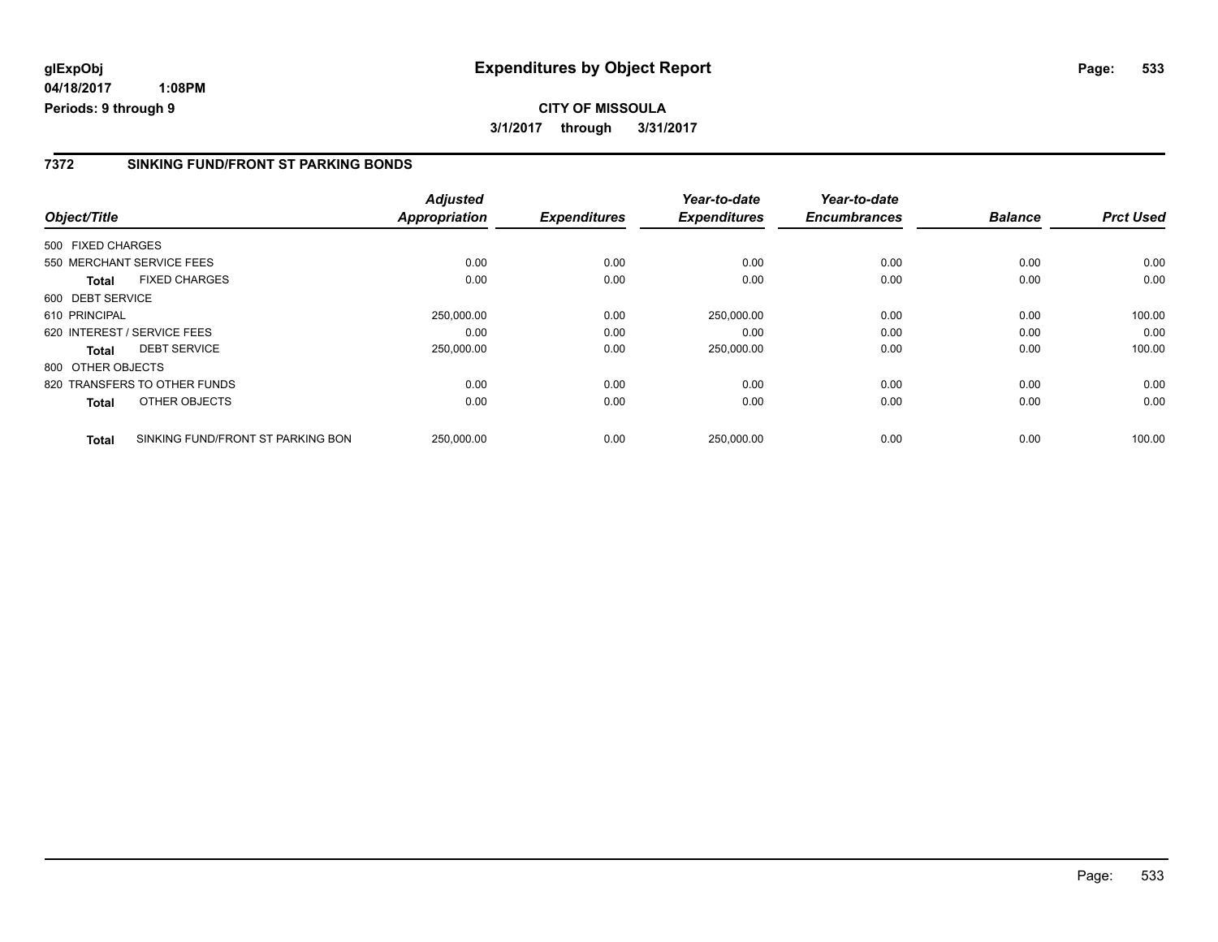### **7372 SINKING FUND/FRONT ST PARKING BONDS**

| Object/Title      |                                   | <b>Adjusted</b><br>Appropriation | <b>Expenditures</b> | Year-to-date<br><b>Expenditures</b> | Year-to-date<br><b>Encumbrances</b> | <b>Balance</b> | <b>Prct Used</b> |
|-------------------|-----------------------------------|----------------------------------|---------------------|-------------------------------------|-------------------------------------|----------------|------------------|
|                   |                                   |                                  |                     |                                     |                                     |                |                  |
| 500 FIXED CHARGES |                                   |                                  |                     |                                     |                                     |                |                  |
|                   | 550 MERCHANT SERVICE FEES         | 0.00                             | 0.00                | 0.00                                | 0.00                                | 0.00           | 0.00             |
| <b>Total</b>      | <b>FIXED CHARGES</b>              | 0.00                             | 0.00                | 0.00                                | 0.00                                | 0.00           | 0.00             |
| 600 DEBT SERVICE  |                                   |                                  |                     |                                     |                                     |                |                  |
| 610 PRINCIPAL     |                                   | 250,000.00                       | 0.00                | 250,000.00                          | 0.00                                | 0.00           | 100.00           |
|                   | 620 INTEREST / SERVICE FEES       | 0.00                             | 0.00                | 0.00                                | 0.00                                | 0.00           | 0.00             |
| <b>Total</b>      | <b>DEBT SERVICE</b>               | 250,000.00                       | 0.00                | 250,000.00                          | 0.00                                | 0.00           | 100.00           |
| 800 OTHER OBJECTS |                                   |                                  |                     |                                     |                                     |                |                  |
|                   | 820 TRANSFERS TO OTHER FUNDS      | 0.00                             | 0.00                | 0.00                                | 0.00                                | 0.00           | 0.00             |
| <b>Total</b>      | OTHER OBJECTS                     | 0.00                             | 0.00                | 0.00                                | 0.00                                | 0.00           | 0.00             |
| <b>Total</b>      | SINKING FUND/FRONT ST PARKING BON | 250,000.00                       | 0.00                | 250.000.00                          | 0.00                                | 0.00           | 100.00           |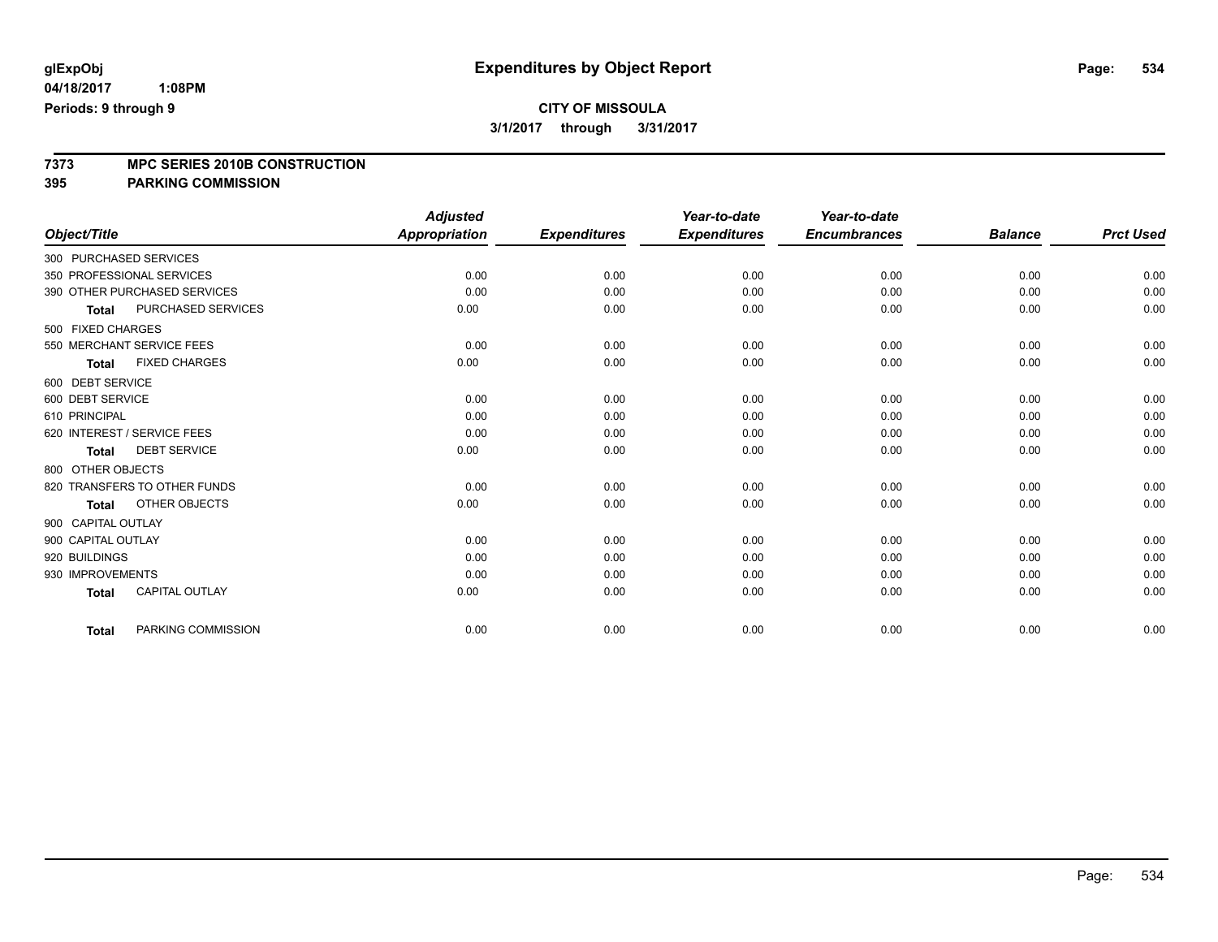# **CITY OF MISSOULA**

**3/1/2017 through 3/31/2017**

# **7373 MPC SERIES 2010B CONSTRUCTION**

**395 PARKING COMMISSION**

|                        |                              | <b>Adjusted</b>      |                     | Year-to-date        | Year-to-date        |                |                  |
|------------------------|------------------------------|----------------------|---------------------|---------------------|---------------------|----------------|------------------|
| Object/Title           |                              | <b>Appropriation</b> | <b>Expenditures</b> | <b>Expenditures</b> | <b>Encumbrances</b> | <b>Balance</b> | <b>Prct Used</b> |
| 300 PURCHASED SERVICES |                              |                      |                     |                     |                     |                |                  |
|                        | 350 PROFESSIONAL SERVICES    | 0.00                 | 0.00                | 0.00                | 0.00                | 0.00           | 0.00             |
|                        | 390 OTHER PURCHASED SERVICES | 0.00                 | 0.00                | 0.00                | 0.00                | 0.00           | 0.00             |
| <b>Total</b>           | PURCHASED SERVICES           | 0.00                 | 0.00                | 0.00                | 0.00                | 0.00           | 0.00             |
| 500 FIXED CHARGES      |                              |                      |                     |                     |                     |                |                  |
|                        | 550 MERCHANT SERVICE FEES    | 0.00                 | 0.00                | 0.00                | 0.00                | 0.00           | 0.00             |
| <b>Total</b>           | <b>FIXED CHARGES</b>         | 0.00                 | 0.00                | 0.00                | 0.00                | 0.00           | 0.00             |
| 600 DEBT SERVICE       |                              |                      |                     |                     |                     |                |                  |
| 600 DEBT SERVICE       |                              | 0.00                 | 0.00                | 0.00                | 0.00                | 0.00           | 0.00             |
| 610 PRINCIPAL          |                              | 0.00                 | 0.00                | 0.00                | 0.00                | 0.00           | 0.00             |
|                        | 620 INTEREST / SERVICE FEES  | 0.00                 | 0.00                | 0.00                | 0.00                | 0.00           | 0.00             |
| <b>Total</b>           | <b>DEBT SERVICE</b>          | 0.00                 | 0.00                | 0.00                | 0.00                | 0.00           | 0.00             |
| 800 OTHER OBJECTS      |                              |                      |                     |                     |                     |                |                  |
|                        | 820 TRANSFERS TO OTHER FUNDS | 0.00                 | 0.00                | 0.00                | 0.00                | 0.00           | 0.00             |
| <b>Total</b>           | OTHER OBJECTS                | 0.00                 | 0.00                | 0.00                | 0.00                | 0.00           | 0.00             |
| 900 CAPITAL OUTLAY     |                              |                      |                     |                     |                     |                |                  |
| 900 CAPITAL OUTLAY     |                              | 0.00                 | 0.00                | 0.00                | 0.00                | 0.00           | 0.00             |
| 920 BUILDINGS          |                              | 0.00                 | 0.00                | 0.00                | 0.00                | 0.00           | 0.00             |
| 930 IMPROVEMENTS       |                              | 0.00                 | 0.00                | 0.00                | 0.00                | 0.00           | 0.00             |
| <b>Total</b>           | CAPITAL OUTLAY               | 0.00                 | 0.00                | 0.00                | 0.00                | 0.00           | 0.00             |
| <b>Total</b>           | PARKING COMMISSION           | 0.00                 | 0.00                | 0.00                | 0.00                | 0.00           | 0.00             |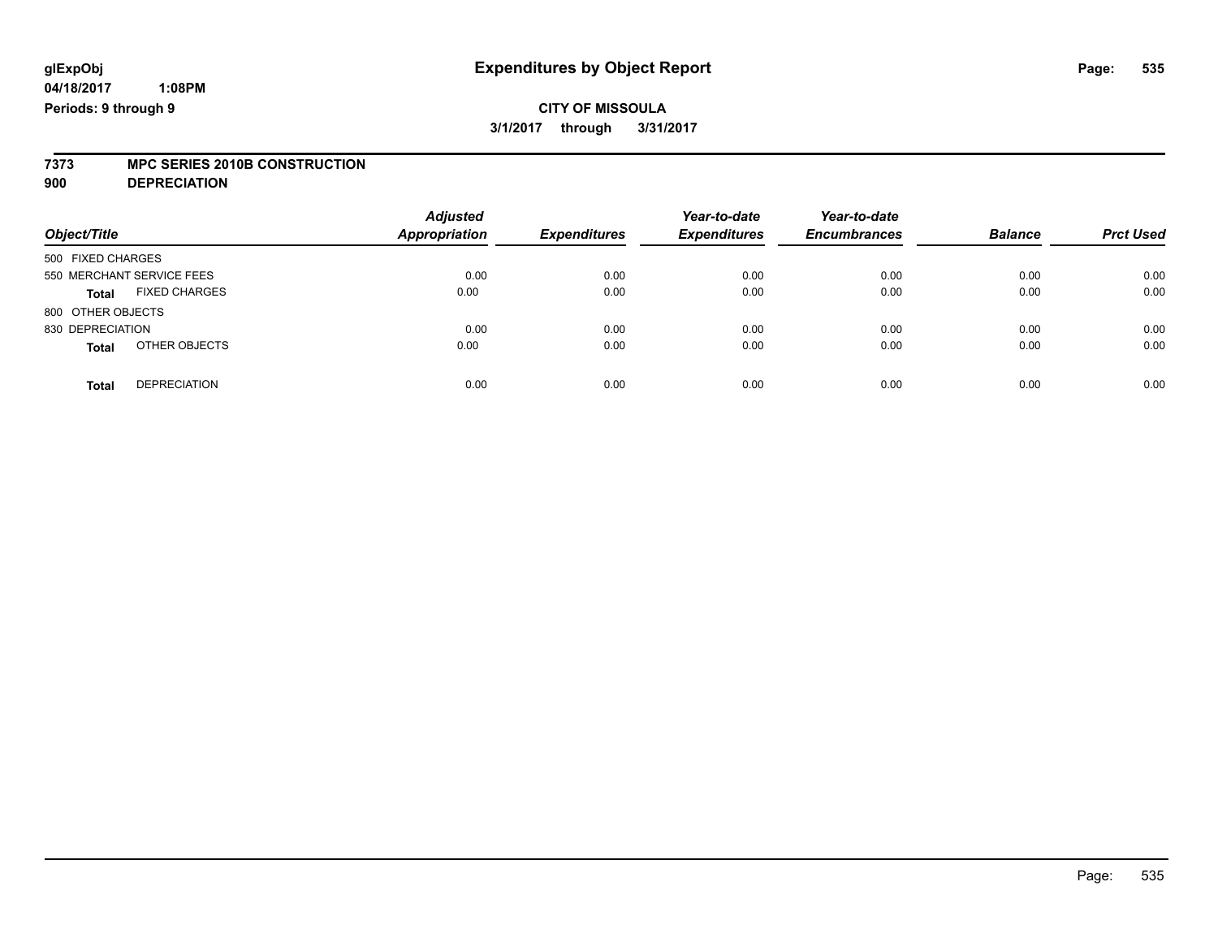# **7373 MPC SERIES 2010B CONSTRUCTION**

**900 DEPRECIATION**

| Object/Title                         | <b>Adjusted</b><br><b>Appropriation</b> | <b>Expenditures</b> | Year-to-date<br><b>Expenditures</b> | Year-to-date<br><b>Encumbrances</b> | <b>Balance</b> | <b>Prct Used</b> |
|--------------------------------------|-----------------------------------------|---------------------|-------------------------------------|-------------------------------------|----------------|------------------|
| 500 FIXED CHARGES                    |                                         |                     |                                     |                                     |                |                  |
| 550 MERCHANT SERVICE FEES            | 0.00                                    | 0.00                | 0.00                                | 0.00                                | 0.00           | 0.00             |
| <b>FIXED CHARGES</b><br><b>Total</b> | 0.00                                    | 0.00                | 0.00                                | 0.00                                | 0.00           | 0.00             |
| 800 OTHER OBJECTS                    |                                         |                     |                                     |                                     |                |                  |
| 830 DEPRECIATION                     | 0.00                                    | 0.00                | 0.00                                | 0.00                                | 0.00           | 0.00             |
| OTHER OBJECTS<br><b>Total</b>        | 0.00                                    | 0.00                | 0.00                                | 0.00                                | 0.00           | 0.00             |
| <b>DEPRECIATION</b><br><b>Total</b>  | 0.00                                    | 0.00                | 0.00                                | 0.00                                | 0.00           | 0.00             |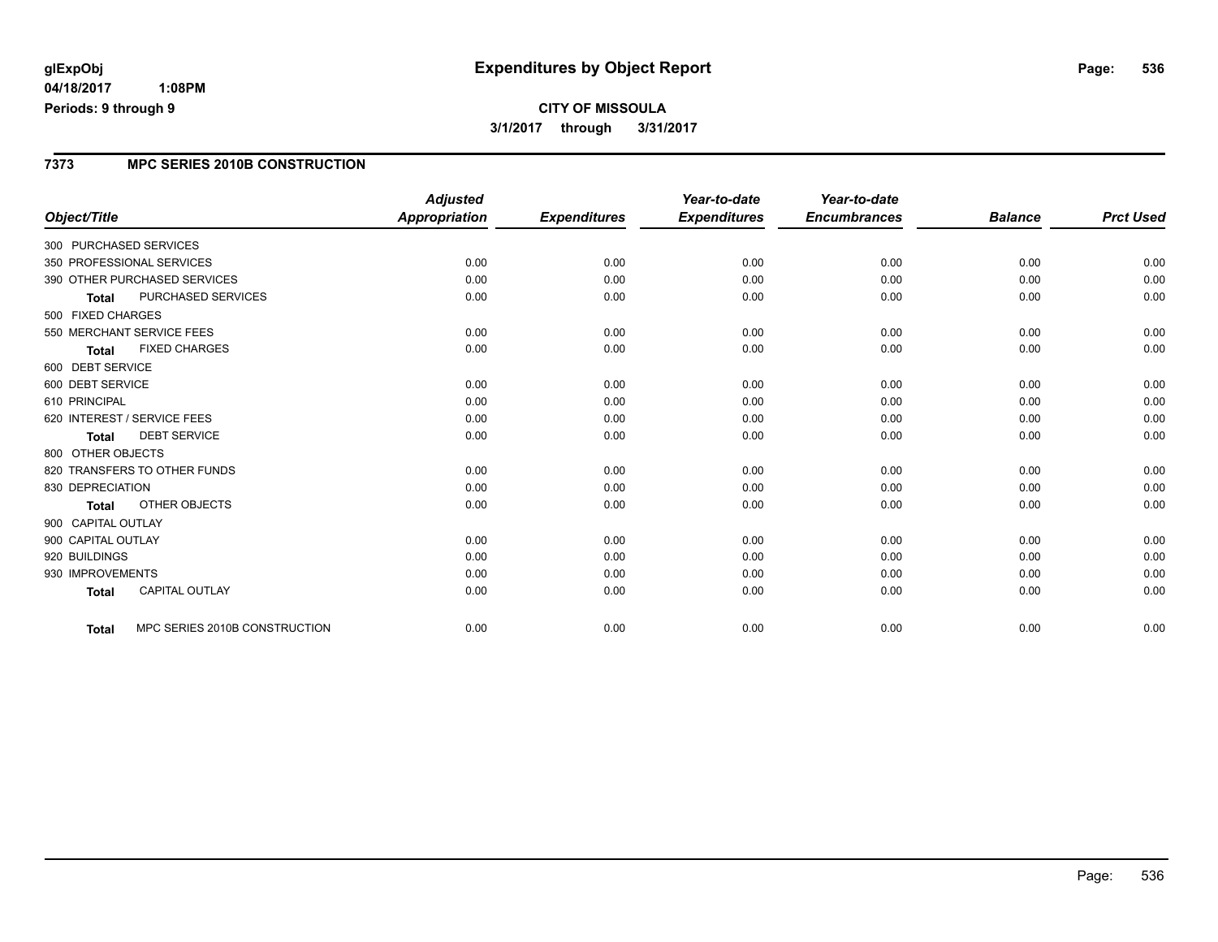# **CITY OF MISSOULA 3/1/2017 through 3/31/2017**

### **7373 MPC SERIES 2010B CONSTRUCTION**

| Object/Title                                  | <b>Adjusted</b><br><b>Appropriation</b> | <b>Expenditures</b> | Year-to-date<br><b>Expenditures</b> | Year-to-date<br><b>Encumbrances</b> | <b>Balance</b> | <b>Prct Used</b> |
|-----------------------------------------------|-----------------------------------------|---------------------|-------------------------------------|-------------------------------------|----------------|------------------|
|                                               |                                         |                     |                                     |                                     |                |                  |
| 300 PURCHASED SERVICES                        |                                         |                     |                                     |                                     |                |                  |
| 350 PROFESSIONAL SERVICES                     | 0.00                                    | 0.00                | 0.00                                | 0.00                                | 0.00           | 0.00             |
| 390 OTHER PURCHASED SERVICES                  | 0.00                                    | 0.00                | 0.00                                | 0.00                                | 0.00           | 0.00             |
| <b>PURCHASED SERVICES</b><br><b>Total</b>     | 0.00                                    | 0.00                | 0.00                                | 0.00                                | 0.00           | 0.00             |
| 500 FIXED CHARGES                             |                                         |                     |                                     |                                     |                |                  |
| 550 MERCHANT SERVICE FEES                     | 0.00                                    | 0.00                | 0.00                                | 0.00                                | 0.00           | 0.00             |
| <b>FIXED CHARGES</b><br><b>Total</b>          | 0.00                                    | 0.00                | 0.00                                | 0.00                                | 0.00           | 0.00             |
| 600 DEBT SERVICE                              |                                         |                     |                                     |                                     |                |                  |
| 600 DEBT SERVICE                              | 0.00                                    | 0.00                | 0.00                                | 0.00                                | 0.00           | 0.00             |
| 610 PRINCIPAL                                 | 0.00                                    | 0.00                | 0.00                                | 0.00                                | 0.00           | 0.00             |
| 620 INTEREST / SERVICE FEES                   | 0.00                                    | 0.00                | 0.00                                | 0.00                                | 0.00           | 0.00             |
| <b>DEBT SERVICE</b><br><b>Total</b>           | 0.00                                    | 0.00                | 0.00                                | 0.00                                | 0.00           | 0.00             |
| 800 OTHER OBJECTS                             |                                         |                     |                                     |                                     |                |                  |
| 820 TRANSFERS TO OTHER FUNDS                  | 0.00                                    | 0.00                | 0.00                                | 0.00                                | 0.00           | 0.00             |
| 830 DEPRECIATION                              | 0.00                                    | 0.00                | 0.00                                | 0.00                                | 0.00           | 0.00             |
| OTHER OBJECTS<br><b>Total</b>                 | 0.00                                    | 0.00                | 0.00                                | 0.00                                | 0.00           | 0.00             |
| 900 CAPITAL OUTLAY                            |                                         |                     |                                     |                                     |                |                  |
| 900 CAPITAL OUTLAY                            | 0.00                                    | 0.00                | 0.00                                | 0.00                                | 0.00           | 0.00             |
| 920 BUILDINGS                                 | 0.00                                    | 0.00                | 0.00                                | 0.00                                | 0.00           | 0.00             |
| 930 IMPROVEMENTS                              | 0.00                                    | 0.00                | 0.00                                | 0.00                                | 0.00           | 0.00             |
| CAPITAL OUTLAY<br><b>Total</b>                | 0.00                                    | 0.00                | 0.00                                | 0.00                                | 0.00           | 0.00             |
|                                               |                                         |                     |                                     |                                     |                |                  |
| MPC SERIES 2010B CONSTRUCTION<br><b>Total</b> | 0.00                                    | 0.00                | 0.00                                | 0.00                                | 0.00           | 0.00             |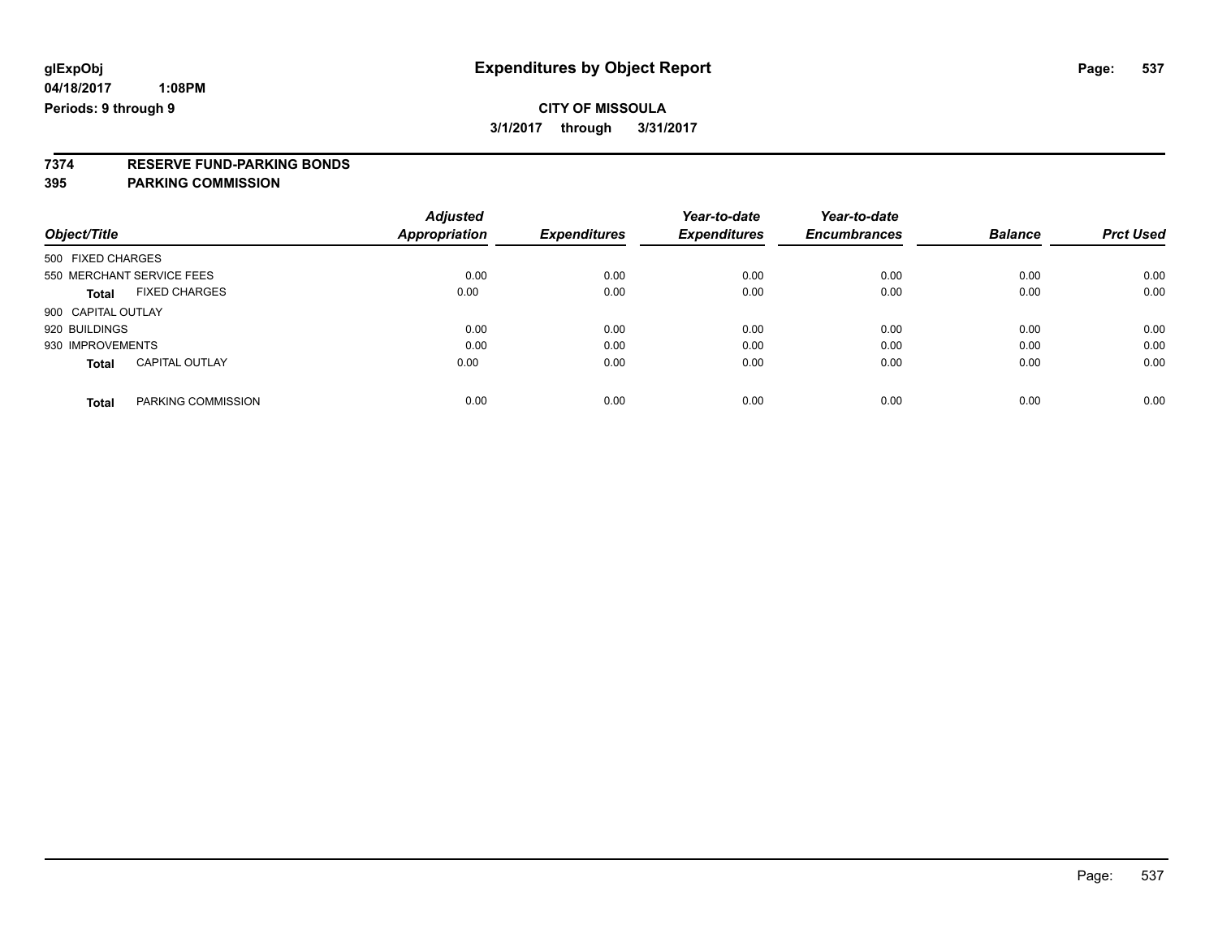### **CITY OF MISSOULA 3/1/2017 through 3/31/2017**

# **7374 RESERVE FUND-PARKING BONDS**

### **395 PARKING COMMISSION**

| Object/Title                          | <b>Adjusted</b><br>Appropriation | <b>Expenditures</b> | Year-to-date<br><b>Expenditures</b> | Year-to-date<br><b>Encumbrances</b> | <b>Balance</b> | <b>Prct Used</b> |
|---------------------------------------|----------------------------------|---------------------|-------------------------------------|-------------------------------------|----------------|------------------|
|                                       |                                  |                     |                                     |                                     |                |                  |
| 500 FIXED CHARGES                     |                                  |                     |                                     |                                     |                |                  |
| 550 MERCHANT SERVICE FEES             | 0.00                             | 0.00                | 0.00                                | 0.00                                | 0.00           | 0.00             |
| <b>FIXED CHARGES</b><br><b>Total</b>  | 0.00                             | 0.00                | 0.00                                | 0.00                                | 0.00           | 0.00             |
| 900 CAPITAL OUTLAY                    |                                  |                     |                                     |                                     |                |                  |
| 920 BUILDINGS                         | 0.00                             | 0.00                | 0.00                                | 0.00                                | 0.00           | 0.00             |
| 930 IMPROVEMENTS                      | 0.00                             | 0.00                | 0.00                                | 0.00                                | 0.00           | 0.00             |
| <b>CAPITAL OUTLAY</b><br><b>Total</b> | 0.00                             | 0.00                | 0.00                                | 0.00                                | 0.00           | 0.00             |
| PARKING COMMISSION<br><b>Total</b>    | 0.00                             | 0.00                | 0.00                                | 0.00                                | 0.00           | 0.00             |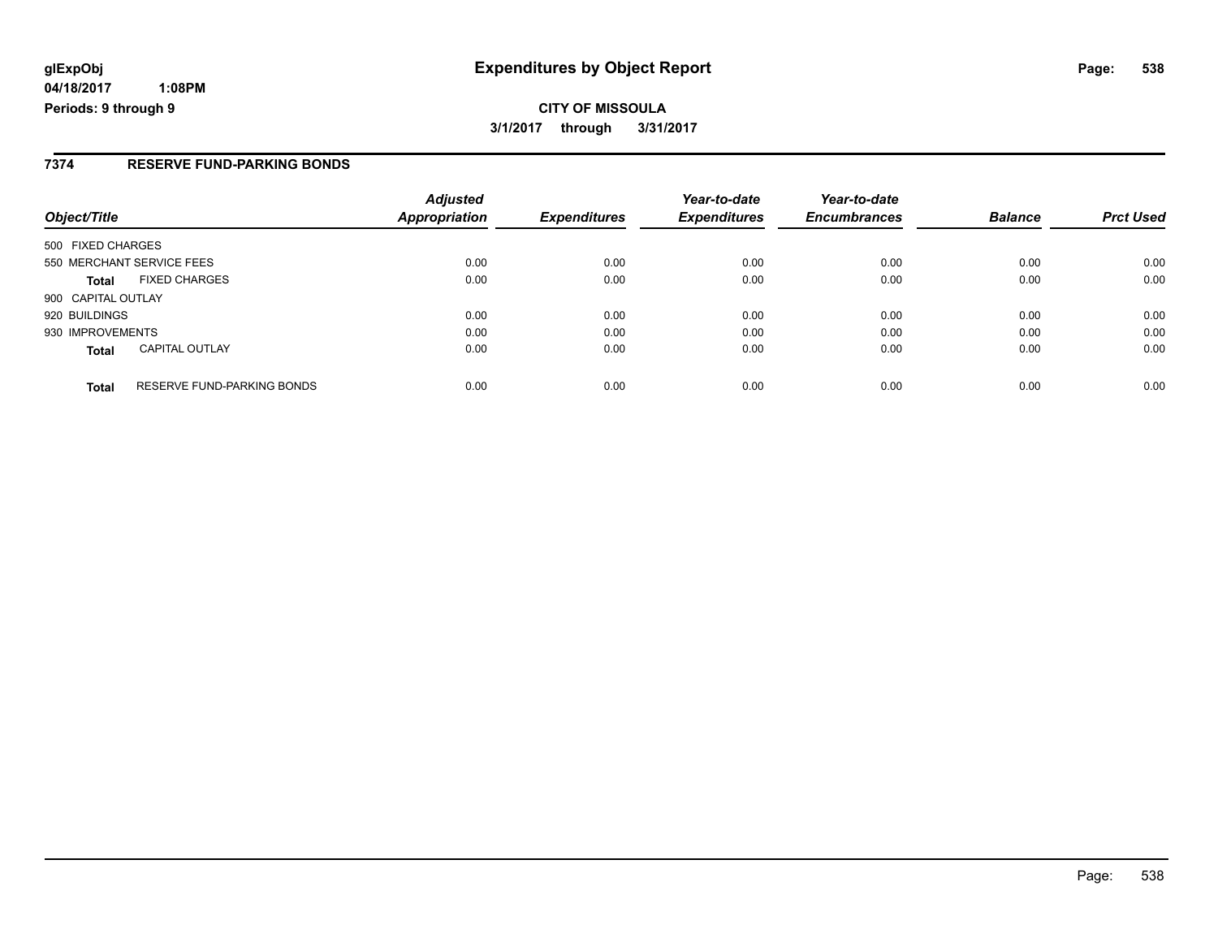# **glExpObj Expenditures by Object Report Page: 538**

**04/18/2017 1:08PM Periods: 9 through 9**

#### **7374 RESERVE FUND-PARKING BONDS**

| Object/Title                                      | <b>Adjusted</b><br><b>Appropriation</b> | <b>Expenditures</b> | Year-to-date<br><b>Expenditures</b> | Year-to-date<br><b>Encumbrances</b> | <b>Balance</b> | <b>Prct Used</b> |
|---------------------------------------------------|-----------------------------------------|---------------------|-------------------------------------|-------------------------------------|----------------|------------------|
| 500 FIXED CHARGES                                 |                                         |                     |                                     |                                     |                |                  |
| 550 MERCHANT SERVICE FEES                         | 0.00                                    | 0.00                | 0.00                                | 0.00                                | 0.00           | 0.00             |
| <b>FIXED CHARGES</b><br><b>Total</b>              | 0.00                                    | 0.00                | 0.00                                | 0.00                                | 0.00           | 0.00             |
| 900 CAPITAL OUTLAY                                |                                         |                     |                                     |                                     |                |                  |
| 920 BUILDINGS                                     | 0.00                                    | 0.00                | 0.00                                | 0.00                                | 0.00           | 0.00             |
| 930 IMPROVEMENTS                                  | 0.00                                    | 0.00                | 0.00                                | 0.00                                | 0.00           | 0.00             |
| <b>CAPITAL OUTLAY</b><br><b>Total</b>             | 0.00                                    | 0.00                | 0.00                                | 0.00                                | 0.00           | 0.00             |
| <b>RESERVE FUND-PARKING BONDS</b><br><b>Total</b> | 0.00                                    | 0.00                | 0.00                                | 0.00                                | 0.00           | 0.00             |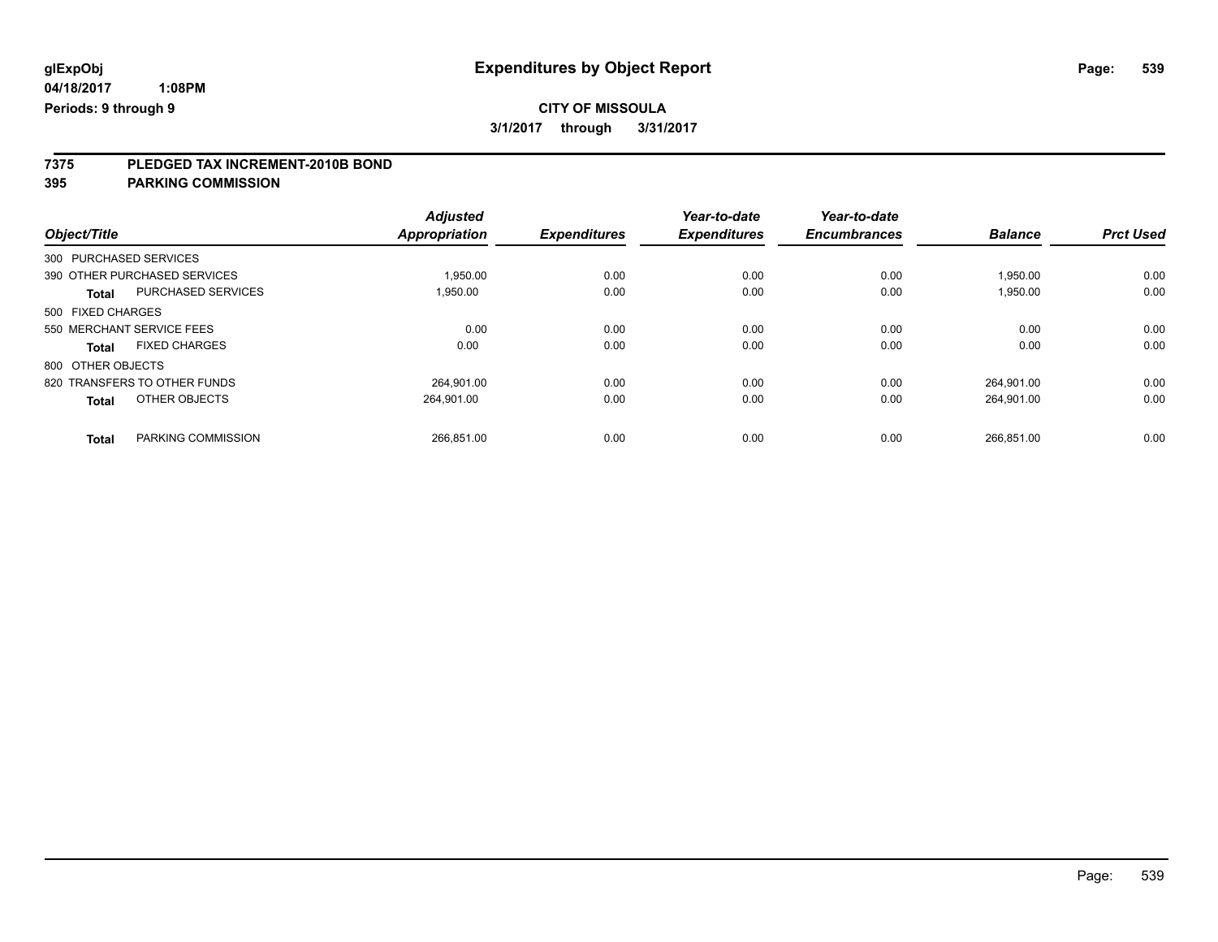# **CITY OF MISSOULA**

**3/1/2017 through 3/31/2017**

# **7375 PLEDGED TAX INCREMENT-2010B BOND**

**395 PARKING COMMISSION**

|                           |                              | <b>Adjusted</b>      |                     | Year-to-date        | Year-to-date        |                |                  |
|---------------------------|------------------------------|----------------------|---------------------|---------------------|---------------------|----------------|------------------|
| Object/Title              |                              | <b>Appropriation</b> | <b>Expenditures</b> | <b>Expenditures</b> | <b>Encumbrances</b> | <b>Balance</b> | <b>Prct Used</b> |
| 300 PURCHASED SERVICES    |                              |                      |                     |                     |                     |                |                  |
|                           | 390 OTHER PURCHASED SERVICES | 1,950.00             | 0.00                | 0.00                | 0.00                | 1,950.00       | 0.00             |
| <b>Total</b>              | PURCHASED SERVICES           | 1.950.00             | 0.00                | 0.00                | 0.00                | 1,950.00       | 0.00             |
| 500 FIXED CHARGES         |                              |                      |                     |                     |                     |                |                  |
| 550 MERCHANT SERVICE FEES |                              | 0.00                 | 0.00                | 0.00                | 0.00                | 0.00           | 0.00             |
| <b>Total</b>              | <b>FIXED CHARGES</b>         | 0.00                 | 0.00                | 0.00                | 0.00                | 0.00           | 0.00             |
| 800 OTHER OBJECTS         |                              |                      |                     |                     |                     |                |                  |
|                           | 820 TRANSFERS TO OTHER FUNDS | 264.901.00           | 0.00                | 0.00                | 0.00                | 264.901.00     | 0.00             |
| <b>Total</b>              | OTHER OBJECTS                | 264.901.00           | 0.00                | 0.00                | 0.00                | 264,901.00     | 0.00             |
| <b>Total</b>              | PARKING COMMISSION           | 266.851.00           | 0.00                | 0.00                | 0.00                | 266.851.00     | 0.00             |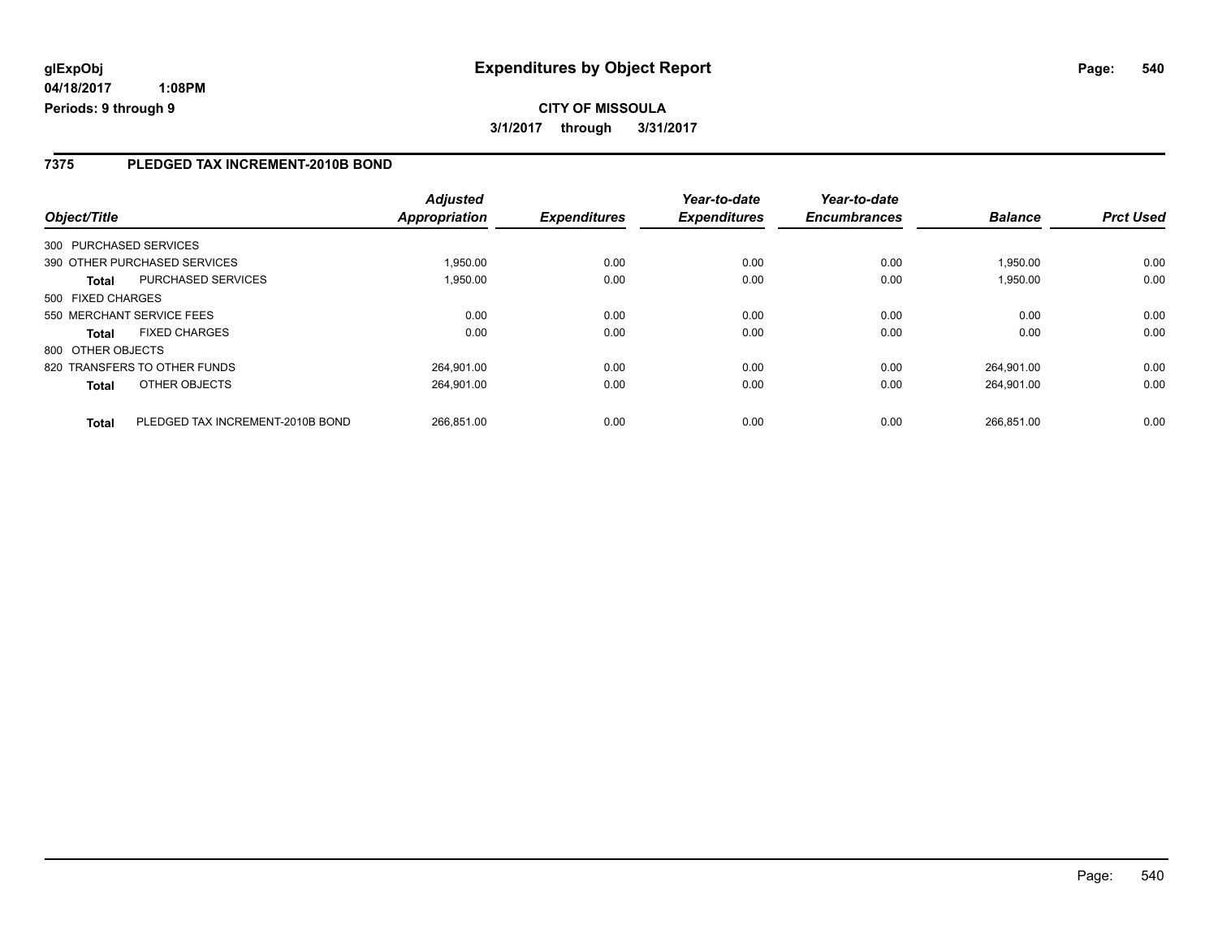### **7375 PLEDGED TAX INCREMENT-2010B BOND**

| Object/Title      |                                  | <b>Adjusted</b><br>Appropriation | <b>Expenditures</b> | Year-to-date<br><b>Expenditures</b> | Year-to-date<br><b>Encumbrances</b> | <b>Balance</b> | <b>Prct Used</b> |
|-------------------|----------------------------------|----------------------------------|---------------------|-------------------------------------|-------------------------------------|----------------|------------------|
|                   | 300 PURCHASED SERVICES           |                                  |                     |                                     |                                     |                |                  |
|                   | 390 OTHER PURCHASED SERVICES     | 1.950.00                         | 0.00                | 0.00                                | 0.00                                | 1.950.00       | 0.00             |
| <b>Total</b>      | <b>PURCHASED SERVICES</b>        | 1,950.00                         | 0.00                | 0.00                                | 0.00                                | 1,950.00       | 0.00             |
| 500 FIXED CHARGES |                                  |                                  |                     |                                     |                                     |                |                  |
|                   | 550 MERCHANT SERVICE FEES        | 0.00                             | 0.00                | 0.00                                | 0.00                                | 0.00           | 0.00             |
| <b>Total</b>      | <b>FIXED CHARGES</b>             | 0.00                             | 0.00                | 0.00                                | 0.00                                | 0.00           | 0.00             |
| 800 OTHER OBJECTS |                                  |                                  |                     |                                     |                                     |                |                  |
|                   | 820 TRANSFERS TO OTHER FUNDS     | 264.901.00                       | 0.00                | 0.00                                | 0.00                                | 264.901.00     | 0.00             |
| <b>Total</b>      | OTHER OBJECTS                    | 264.901.00                       | 0.00                | 0.00                                | 0.00                                | 264.901.00     | 0.00             |
| <b>Total</b>      | PLEDGED TAX INCREMENT-2010B BOND | 266.851.00                       | 0.00                | 0.00                                | 0.00                                | 266.851.00     | 0.00             |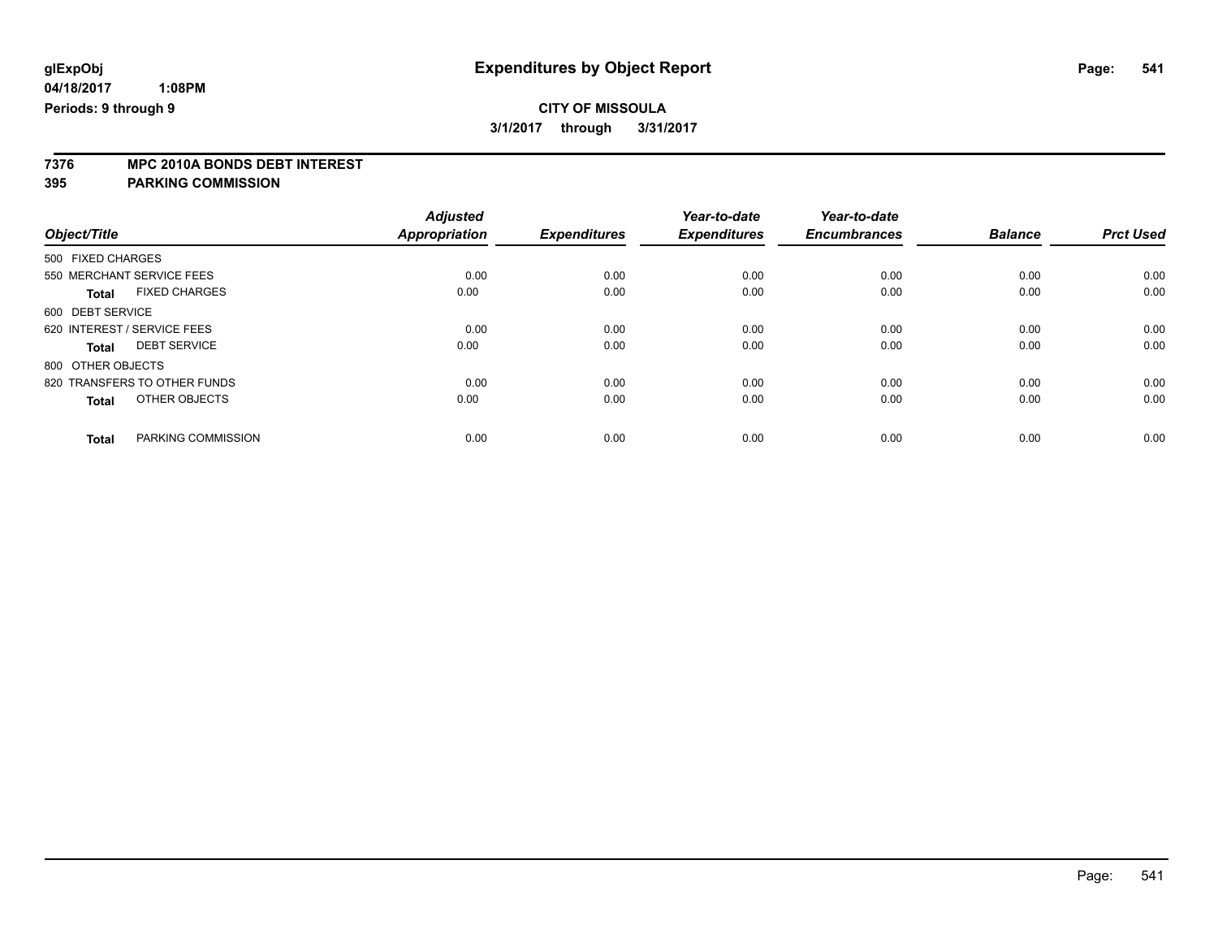**7376 MPC 2010A BONDS DEBT INTEREST**

**395 PARKING COMMISSION**

|                                      | <b>Adjusted</b><br><b>Appropriation</b> | <b>Expenditures</b> | Year-to-date<br><b>Expenditures</b> | Year-to-date<br><b>Encumbrances</b> | <b>Balance</b> | <b>Prct Used</b> |
|--------------------------------------|-----------------------------------------|---------------------|-------------------------------------|-------------------------------------|----------------|------------------|
| Object/Title                         |                                         |                     |                                     |                                     |                |                  |
| 500 FIXED CHARGES                    |                                         |                     |                                     |                                     |                |                  |
| 550 MERCHANT SERVICE FEES            | 0.00                                    | 0.00                | 0.00                                | 0.00                                | 0.00           | 0.00             |
| <b>FIXED CHARGES</b><br><b>Total</b> | 0.00                                    | 0.00                | 0.00                                | 0.00                                | 0.00           | 0.00             |
| 600 DEBT SERVICE                     |                                         |                     |                                     |                                     |                |                  |
| 620 INTEREST / SERVICE FEES          | 0.00                                    | 0.00                | 0.00                                | 0.00                                | 0.00           | 0.00             |
| <b>DEBT SERVICE</b><br>Total         | 0.00                                    | 0.00                | 0.00                                | 0.00                                | 0.00           | 0.00             |
| 800 OTHER OBJECTS                    |                                         |                     |                                     |                                     |                |                  |
| 820 TRANSFERS TO OTHER FUNDS         | 0.00                                    | 0.00                | 0.00                                | 0.00                                | 0.00           | 0.00             |
| OTHER OBJECTS<br><b>Total</b>        | 0.00                                    | 0.00                | 0.00                                | 0.00                                | 0.00           | 0.00             |
| PARKING COMMISSION<br><b>Total</b>   | 0.00                                    | 0.00                | 0.00                                | 0.00                                | 0.00           | 0.00             |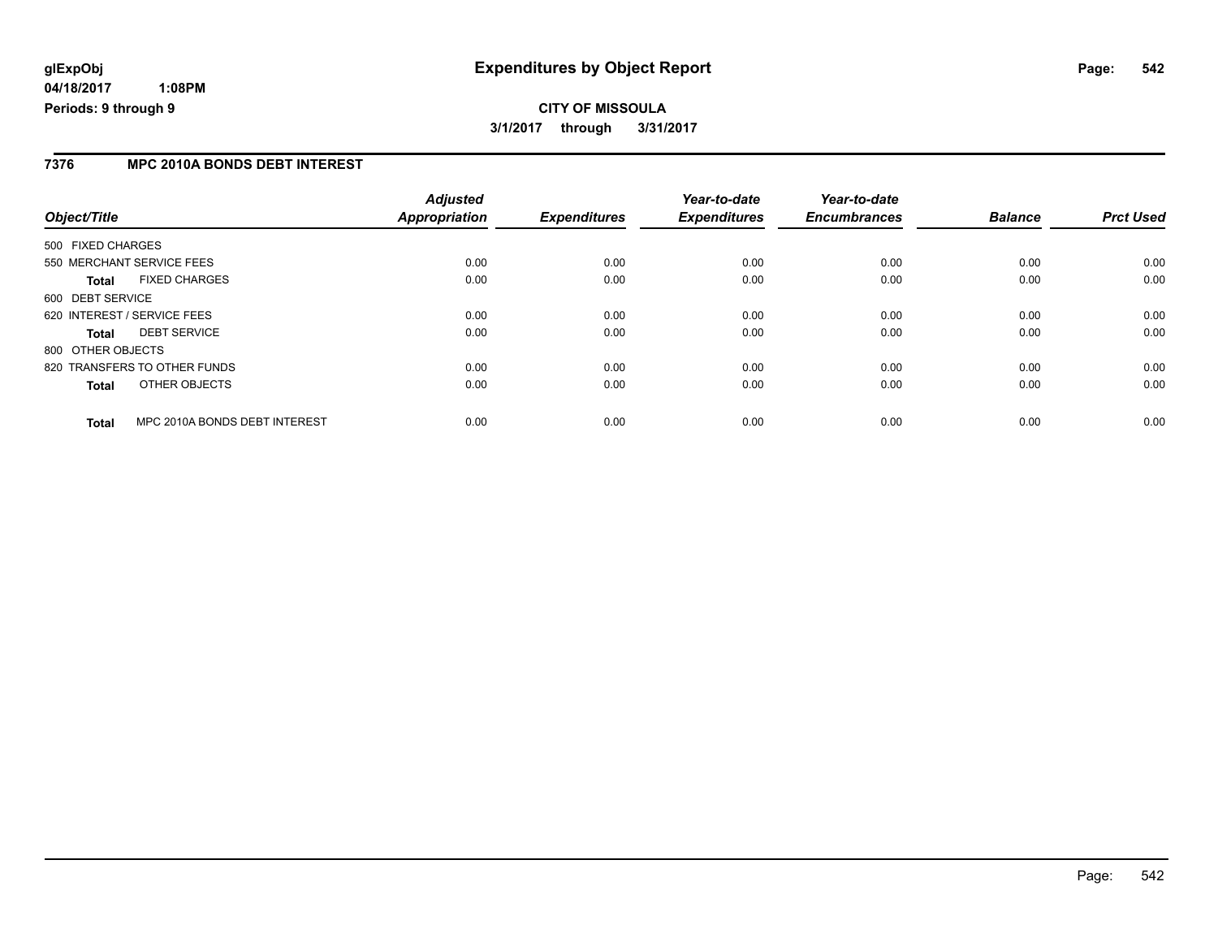## **CITY OF MISSOULA 3/1/2017 through 3/31/2017**

#### **7376 MPC 2010A BONDS DEBT INTEREST**

| Object/Title      |                               | <b>Adjusted</b><br><b>Appropriation</b> | <b>Expenditures</b> | Year-to-date<br><b>Expenditures</b> | Year-to-date<br><b>Encumbrances</b> | <b>Balance</b> | <b>Prct Used</b> |
|-------------------|-------------------------------|-----------------------------------------|---------------------|-------------------------------------|-------------------------------------|----------------|------------------|
| 500 FIXED CHARGES |                               |                                         |                     |                                     |                                     |                |                  |
|                   | 550 MERCHANT SERVICE FEES     | 0.00                                    | 0.00                | 0.00                                | 0.00                                | 0.00           | 0.00             |
| Total             | <b>FIXED CHARGES</b>          | 0.00                                    | 0.00                | 0.00                                | 0.00                                | 0.00           | 0.00             |
| 600 DEBT SERVICE  |                               |                                         |                     |                                     |                                     |                |                  |
|                   | 620 INTEREST / SERVICE FEES   | 0.00                                    | 0.00                | 0.00                                | 0.00                                | 0.00           | 0.00             |
| <b>Total</b>      | <b>DEBT SERVICE</b>           | 0.00                                    | 0.00                | 0.00                                | 0.00                                | 0.00           | 0.00             |
| 800 OTHER OBJECTS |                               |                                         |                     |                                     |                                     |                |                  |
|                   | 820 TRANSFERS TO OTHER FUNDS  | 0.00                                    | 0.00                | 0.00                                | 0.00                                | 0.00           | 0.00             |
| <b>Total</b>      | OTHER OBJECTS                 | 0.00                                    | 0.00                | 0.00                                | 0.00                                | 0.00           | 0.00             |
| <b>Total</b>      | MPC 2010A BONDS DEBT INTEREST | 0.00                                    | 0.00                | 0.00                                | 0.00                                | 0.00           | 0.00             |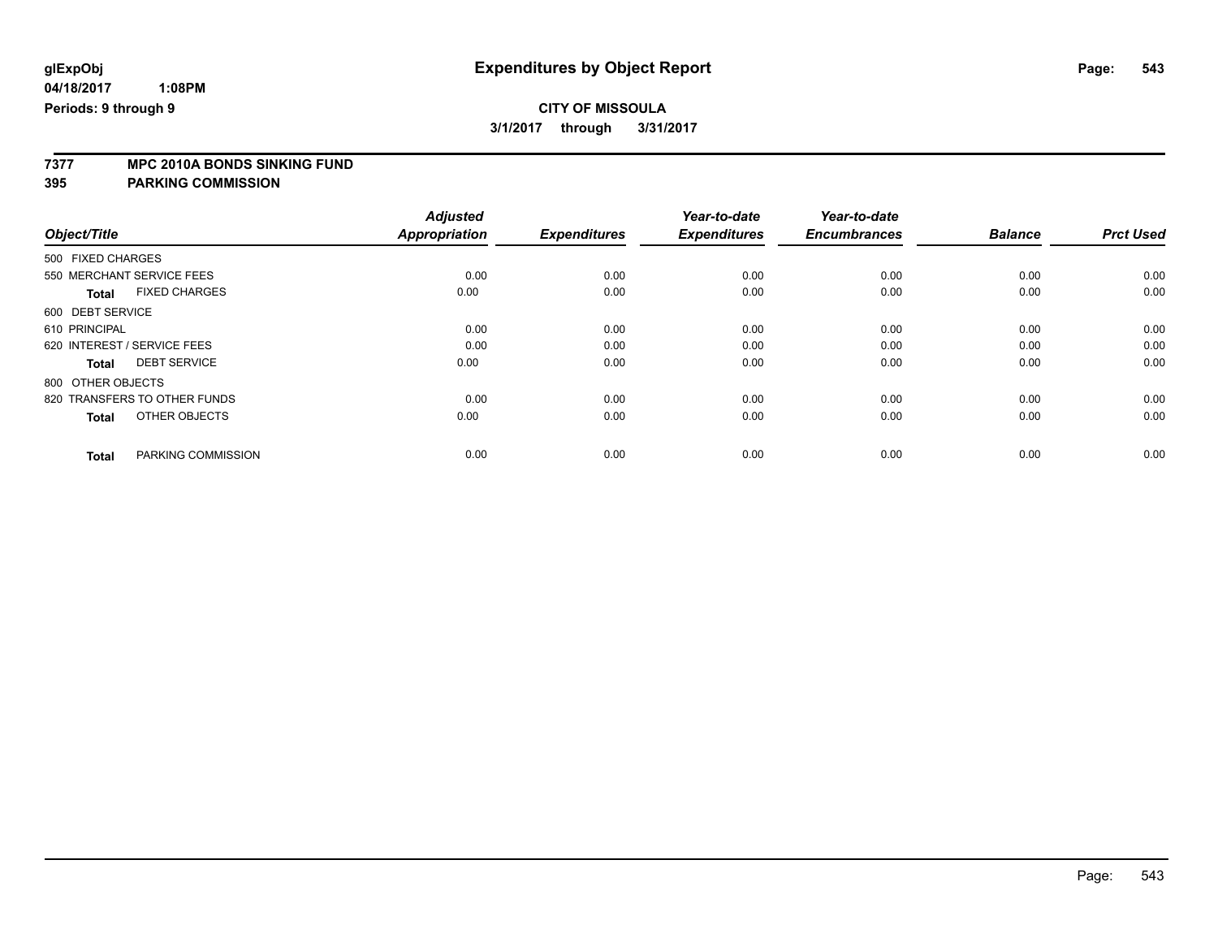### **CITY OF MISSOULA 3/1/2017 through 3/31/2017**

**7377 MPC 2010A BONDS SINKING FUND**

**395 PARKING COMMISSION**

| Object/Title      |                              | <b>Adjusted</b><br><b>Appropriation</b> | <b>Expenditures</b> | Year-to-date<br><b>Expenditures</b> | Year-to-date<br><b>Encumbrances</b> | <b>Balance</b> | <b>Prct Used</b> |
|-------------------|------------------------------|-----------------------------------------|---------------------|-------------------------------------|-------------------------------------|----------------|------------------|
|                   |                              |                                         |                     |                                     |                                     |                |                  |
| 500 FIXED CHARGES |                              |                                         |                     |                                     |                                     |                |                  |
|                   | 550 MERCHANT SERVICE FEES    | 0.00                                    | 0.00                | 0.00                                | 0.00                                | 0.00           | 0.00             |
| <b>Total</b>      | <b>FIXED CHARGES</b>         | 0.00                                    | 0.00                | 0.00                                | 0.00                                | 0.00           | 0.00             |
| 600 DEBT SERVICE  |                              |                                         |                     |                                     |                                     |                |                  |
| 610 PRINCIPAL     |                              | 0.00                                    | 0.00                | 0.00                                | 0.00                                | 0.00           | 0.00             |
|                   | 620 INTEREST / SERVICE FEES  | 0.00                                    | 0.00                | 0.00                                | 0.00                                | 0.00           | 0.00             |
| <b>Total</b>      | <b>DEBT SERVICE</b>          | 0.00                                    | 0.00                | 0.00                                | 0.00                                | 0.00           | 0.00             |
| 800 OTHER OBJECTS |                              |                                         |                     |                                     |                                     |                |                  |
|                   | 820 TRANSFERS TO OTHER FUNDS | 0.00                                    | 0.00                | 0.00                                | 0.00                                | 0.00           | 0.00             |
| <b>Total</b>      | OTHER OBJECTS                | 0.00                                    | 0.00                | 0.00                                | 0.00                                | 0.00           | 0.00             |
| <b>Total</b>      | PARKING COMMISSION           | 0.00                                    | 0.00                | 0.00                                | 0.00                                | 0.00           | 0.00             |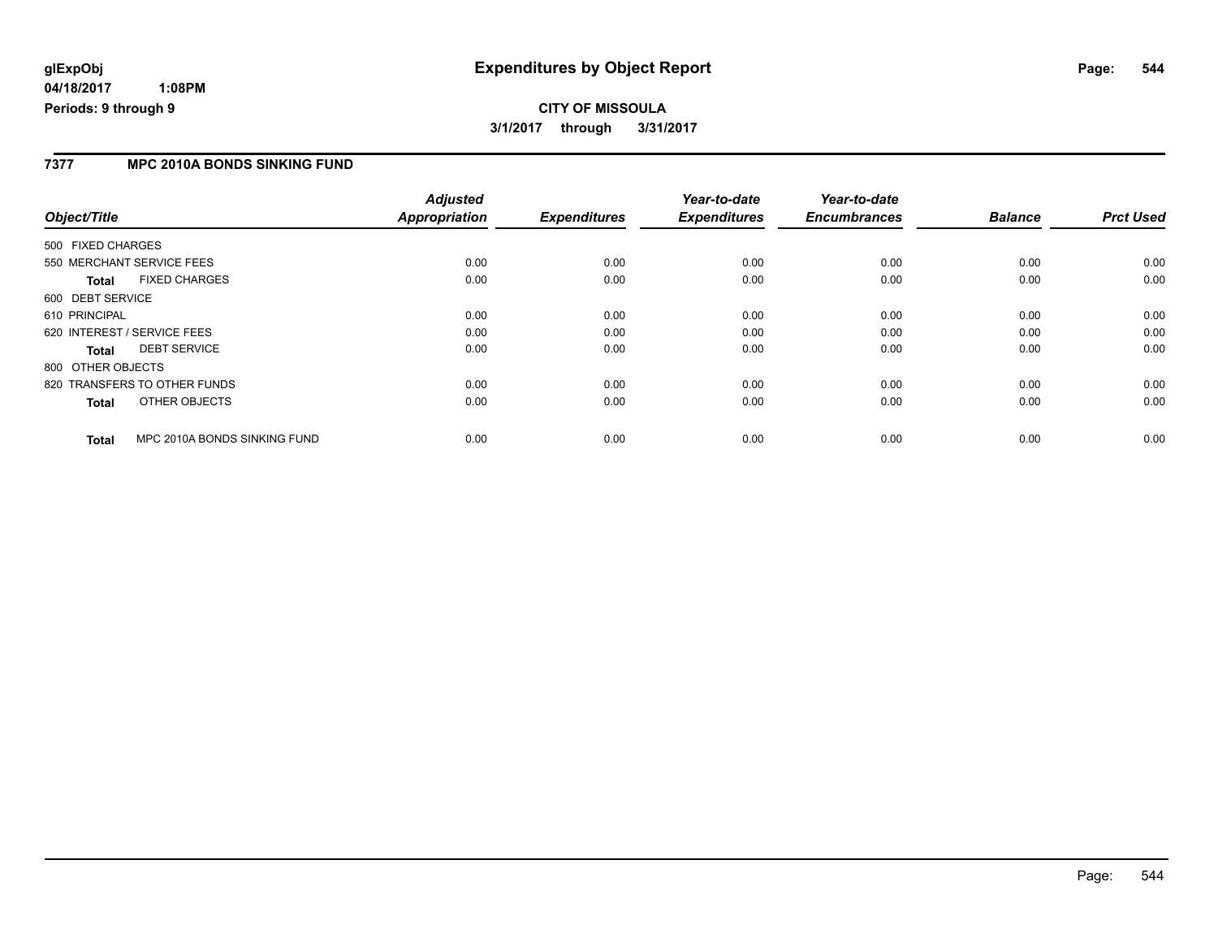## **glExpObj Expenditures by Object Report Page: 544**

**04/18/2017 1:08PM Periods: 9 through 9**

#### **7377 MPC 2010A BONDS SINKING FUND**

| Object/Title                                 | <b>Adjusted</b><br>Appropriation | <b>Expenditures</b> | Year-to-date<br><b>Expenditures</b> | Year-to-date<br><b>Encumbrances</b> | <b>Balance</b> | <b>Prct Used</b> |
|----------------------------------------------|----------------------------------|---------------------|-------------------------------------|-------------------------------------|----------------|------------------|
| 500 FIXED CHARGES                            |                                  |                     |                                     |                                     |                |                  |
|                                              |                                  |                     |                                     |                                     |                |                  |
| 550 MERCHANT SERVICE FEES                    | 0.00                             | 0.00                | 0.00                                | 0.00                                | 0.00           | 0.00             |
| <b>FIXED CHARGES</b><br><b>Total</b>         | 0.00                             | 0.00                | 0.00                                | 0.00                                | 0.00           | 0.00             |
| 600 DEBT SERVICE                             |                                  |                     |                                     |                                     |                |                  |
| 610 PRINCIPAL                                | 0.00                             | 0.00                | 0.00                                | 0.00                                | 0.00           | 0.00             |
| 620 INTEREST / SERVICE FEES                  | 0.00                             | 0.00                | 0.00                                | 0.00                                | 0.00           | 0.00             |
| <b>DEBT SERVICE</b><br><b>Total</b>          | 0.00                             | 0.00                | 0.00                                | 0.00                                | 0.00           | 0.00             |
| 800 OTHER OBJECTS                            |                                  |                     |                                     |                                     |                |                  |
| 820 TRANSFERS TO OTHER FUNDS                 | 0.00                             | 0.00                | 0.00                                | 0.00                                | 0.00           | 0.00             |
| OTHER OBJECTS<br><b>Total</b>                | 0.00                             | 0.00                | 0.00                                | 0.00                                | 0.00           | 0.00             |
| MPC 2010A BONDS SINKING FUND<br><b>Total</b> | 0.00                             | 0.00                | 0.00                                | 0.00                                | 0.00           | 0.00             |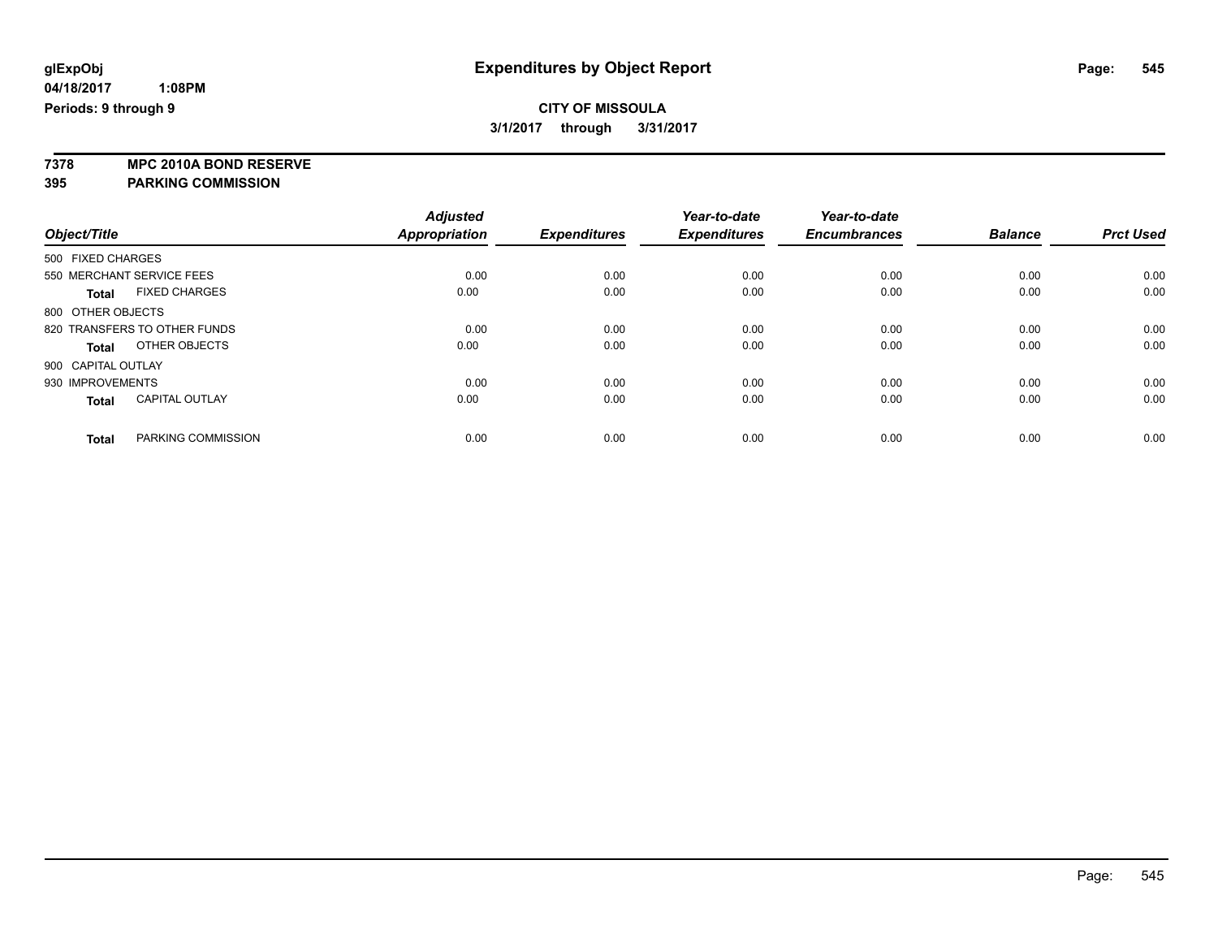**7378 MPC 2010A BOND RESERVE 395 PARKING COMMISSION**

*Object/Title Adjusted Appropriation Expenditures Year-to-date Expenditures Year-to-date Encumbrances Balance Prct Used* 500 FIXED CHARGES 550 MERCHANT SERVICE FEES 0.00 0.00 0.00 0.00 0.00 0.00 **Total** FIXED CHARGES 0.00 0.00 0.00 0.00 0.00 0.00 800 OTHER OBJECTS 820 TRANSFERS TO OTHER FUNDS 0.00 0.00 0.00 0.00 0.00 0.00 **Total** OTHER OBJECTS 0.00 0.00 0.00 0.00 0.00 0.00 900 CAPITAL OUTLAY 930 IMPROVEMENTS 0.00 0.00 0.00 0.00 0.00 0.00 **Total** CAPITAL OUTLAY 0.00 0.00 0.00 0.00 0.00 0.00 **Total** PARKING COMMISSION 0.00 0.00 0.00 0.00 0.00 0.00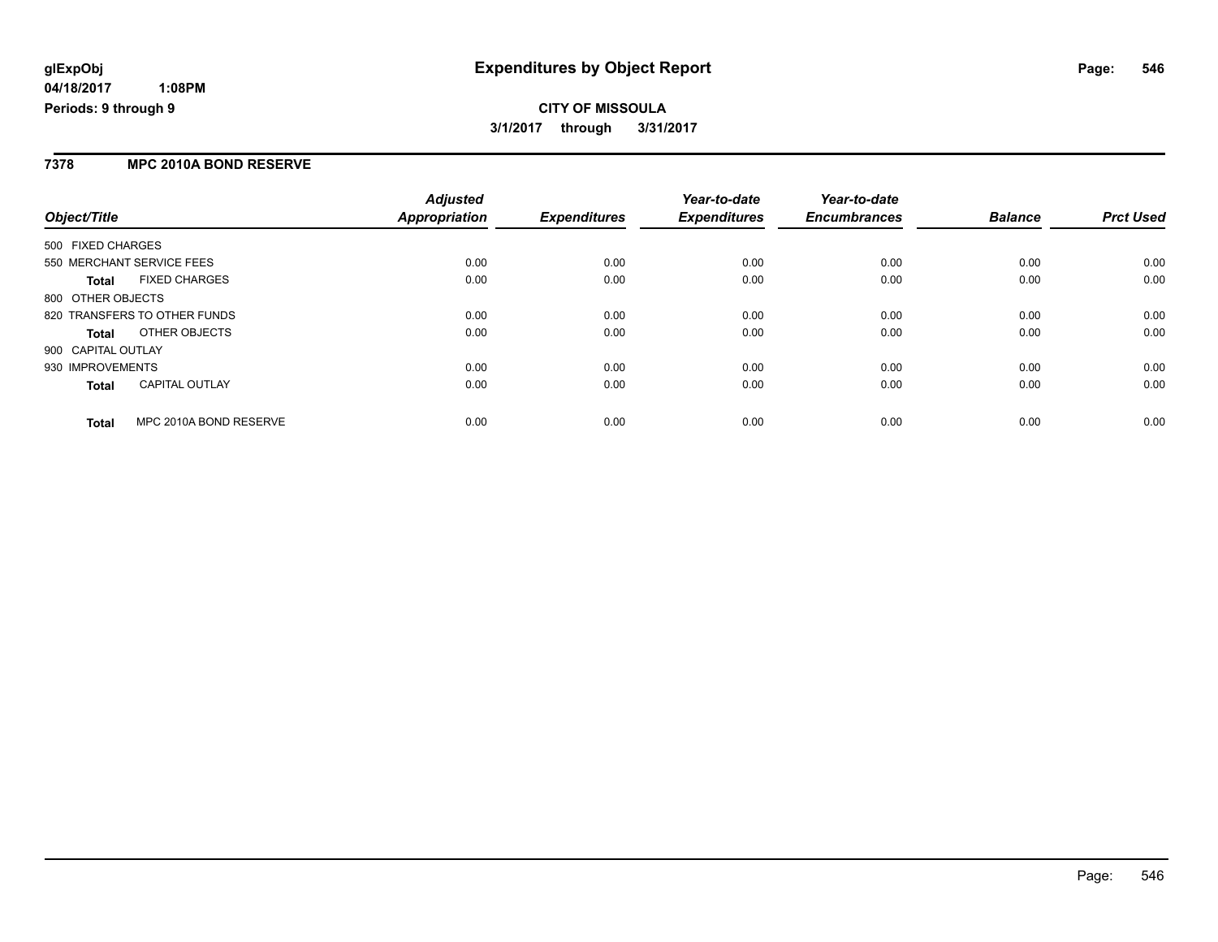## **CITY OF MISSOULA 3/1/2017 through 3/31/2017**

#### **7378 MPC 2010A BOND RESERVE**

| Object/Title                           | <b>Adjusted</b><br>Appropriation | <b>Expenditures</b> | Year-to-date<br><b>Expenditures</b> | Year-to-date<br><b>Encumbrances</b> | <b>Balance</b> | <b>Prct Used</b> |
|----------------------------------------|----------------------------------|---------------------|-------------------------------------|-------------------------------------|----------------|------------------|
|                                        |                                  |                     |                                     |                                     |                |                  |
| 500 FIXED CHARGES                      |                                  |                     |                                     |                                     |                |                  |
| 550 MERCHANT SERVICE FEES              | 0.00                             | 0.00                | 0.00                                | 0.00                                | 0.00           | 0.00             |
| <b>FIXED CHARGES</b><br><b>Total</b>   | 0.00                             | 0.00                | 0.00                                | 0.00                                | 0.00           | 0.00             |
| 800 OTHER OBJECTS                      |                                  |                     |                                     |                                     |                |                  |
| 820 TRANSFERS TO OTHER FUNDS           | 0.00                             | 0.00                | 0.00                                | 0.00                                | 0.00           | 0.00             |
| OTHER OBJECTS<br><b>Total</b>          | 0.00                             | 0.00                | 0.00                                | 0.00                                | 0.00           | 0.00             |
| 900 CAPITAL OUTLAY                     |                                  |                     |                                     |                                     |                |                  |
| 930 IMPROVEMENTS                       | 0.00                             | 0.00                | 0.00                                | 0.00                                | 0.00           | 0.00             |
| <b>CAPITAL OUTLAY</b><br><b>Total</b>  | 0.00                             | 0.00                | 0.00                                | 0.00                                | 0.00           | 0.00             |
| MPC 2010A BOND RESERVE<br><b>Total</b> | 0.00                             | 0.00                | 0.00                                | 0.00                                | 0.00           | 0.00             |

Page: 546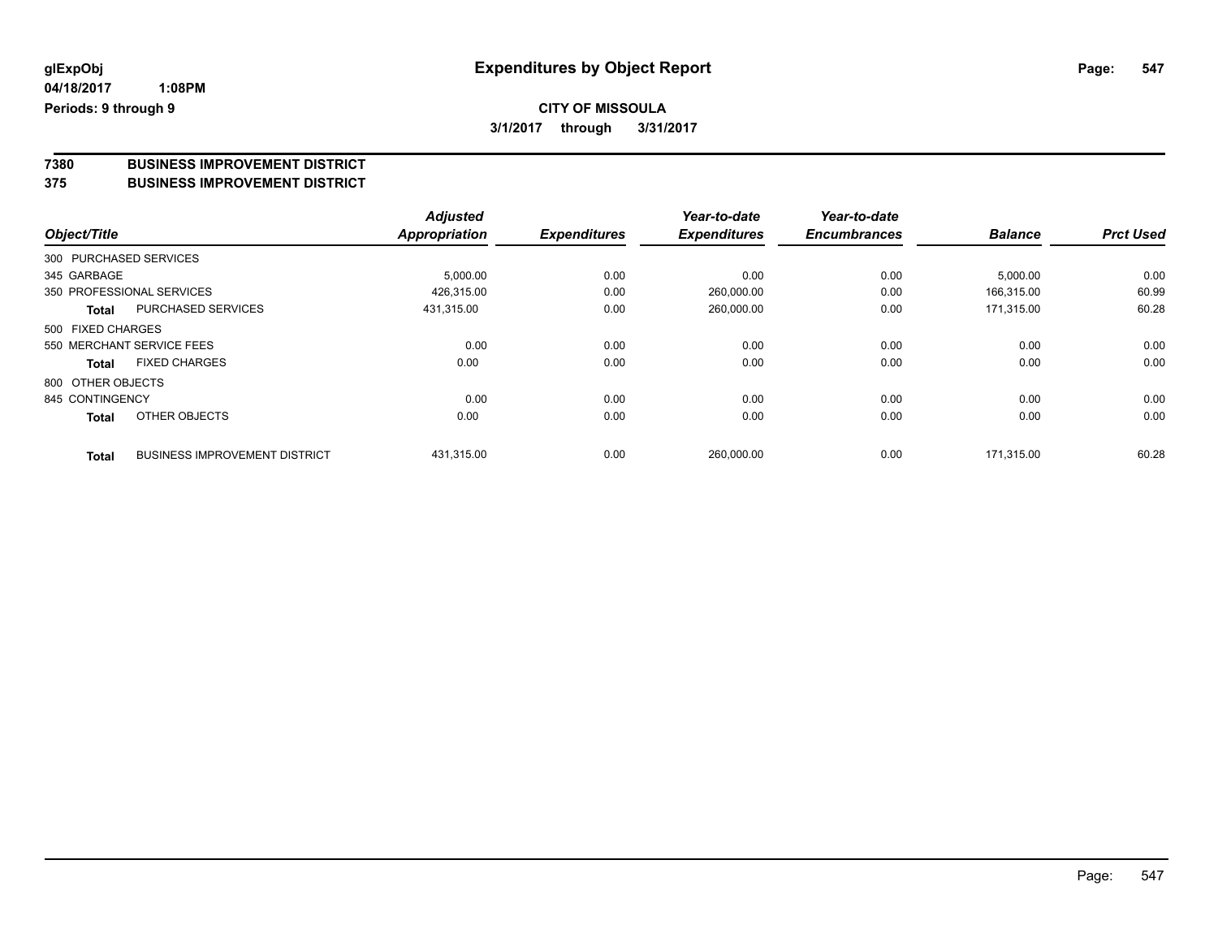## **CITY OF MISSOULA**

**3/1/2017 through 3/31/2017**

# **7380 BUSINESS IMPROVEMENT DISTRICT**

#### **375 BUSINESS IMPROVEMENT DISTRICT**

| Object/Title           |                                      | <b>Adjusted</b>      | <b>Expenditures</b> | Year-to-date<br><b>Expenditures</b> | Year-to-date        | <b>Balance</b> | <b>Prct Used</b> |
|------------------------|--------------------------------------|----------------------|---------------------|-------------------------------------|---------------------|----------------|------------------|
|                        |                                      | <b>Appropriation</b> |                     |                                     | <b>Encumbrances</b> |                |                  |
| 300 PURCHASED SERVICES |                                      |                      |                     |                                     |                     |                |                  |
| 345 GARBAGE            |                                      | 5,000.00             | 0.00                | 0.00                                | 0.00                | 5,000.00       | 0.00             |
|                        | 350 PROFESSIONAL SERVICES            | 426,315.00           | 0.00                | 260,000.00                          | 0.00                | 166.315.00     | 60.99            |
| Total                  | <b>PURCHASED SERVICES</b>            | 431.315.00           | 0.00                | 260,000.00                          | 0.00                | 171.315.00     | 60.28            |
| 500 FIXED CHARGES      |                                      |                      |                     |                                     |                     |                |                  |
|                        | 550 MERCHANT SERVICE FEES            | 0.00                 | 0.00                | 0.00                                | 0.00                | 0.00           | 0.00             |
| <b>Total</b>           | <b>FIXED CHARGES</b>                 | 0.00                 | 0.00                | 0.00                                | 0.00                | 0.00           | 0.00             |
| 800 OTHER OBJECTS      |                                      |                      |                     |                                     |                     |                |                  |
| 845 CONTINGENCY        |                                      | 0.00                 | 0.00                | 0.00                                | 0.00                | 0.00           | 0.00             |
| <b>Total</b>           | OTHER OBJECTS                        | 0.00                 | 0.00                | 0.00                                | 0.00                | 0.00           | 0.00             |
| <b>Total</b>           | <b>BUSINESS IMPROVEMENT DISTRICT</b> | 431,315.00           | 0.00                | 260,000.00                          | 0.00                | 171.315.00     | 60.28            |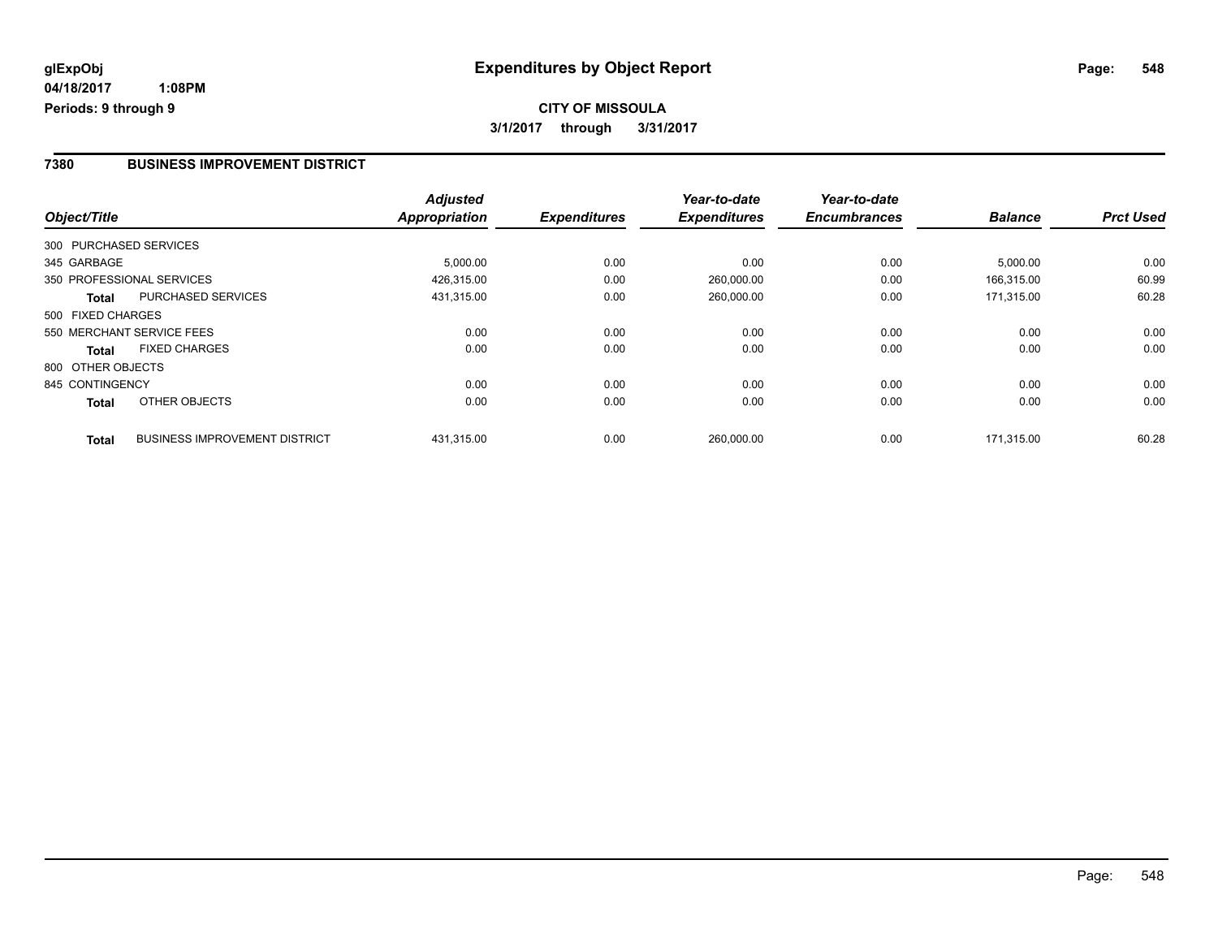#### **7380 BUSINESS IMPROVEMENT DISTRICT**

| Object/Title      |                                      | <b>Adjusted</b> | <b>Expenditures</b> | Year-to-date<br><b>Expenditures</b> | Year-to-date<br><b>Encumbrances</b> | <b>Balance</b> | <b>Prct Used</b> |
|-------------------|--------------------------------------|-----------------|---------------------|-------------------------------------|-------------------------------------|----------------|------------------|
|                   |                                      | Appropriation   |                     |                                     |                                     |                |                  |
|                   | 300 PURCHASED SERVICES               |                 |                     |                                     |                                     |                |                  |
| 345 GARBAGE       |                                      | 5,000.00        | 0.00                | 0.00                                | 0.00                                | 5,000.00       | 0.00             |
|                   | 350 PROFESSIONAL SERVICES            | 426,315.00      | 0.00                | 260,000.00                          | 0.00                                | 166,315.00     | 60.99            |
| <b>Total</b>      | PURCHASED SERVICES                   | 431,315.00      | 0.00                | 260,000.00                          | 0.00                                | 171.315.00     | 60.28            |
| 500 FIXED CHARGES |                                      |                 |                     |                                     |                                     |                |                  |
|                   | 550 MERCHANT SERVICE FEES            | 0.00            | 0.00                | 0.00                                | 0.00                                | 0.00           | 0.00             |
| Total             | <b>FIXED CHARGES</b>                 | 0.00            | 0.00                | 0.00                                | 0.00                                | 0.00           | 0.00             |
| 800 OTHER OBJECTS |                                      |                 |                     |                                     |                                     |                |                  |
| 845 CONTINGENCY   |                                      | 0.00            | 0.00                | 0.00                                | 0.00                                | 0.00           | 0.00             |
| <b>Total</b>      | OTHER OBJECTS                        | 0.00            | 0.00                | 0.00                                | 0.00                                | 0.00           | 0.00             |
| <b>Total</b>      | <b>BUSINESS IMPROVEMENT DISTRICT</b> | 431,315.00      | 0.00                | 260,000.00                          | 0.00                                | 171.315.00     | 60.28            |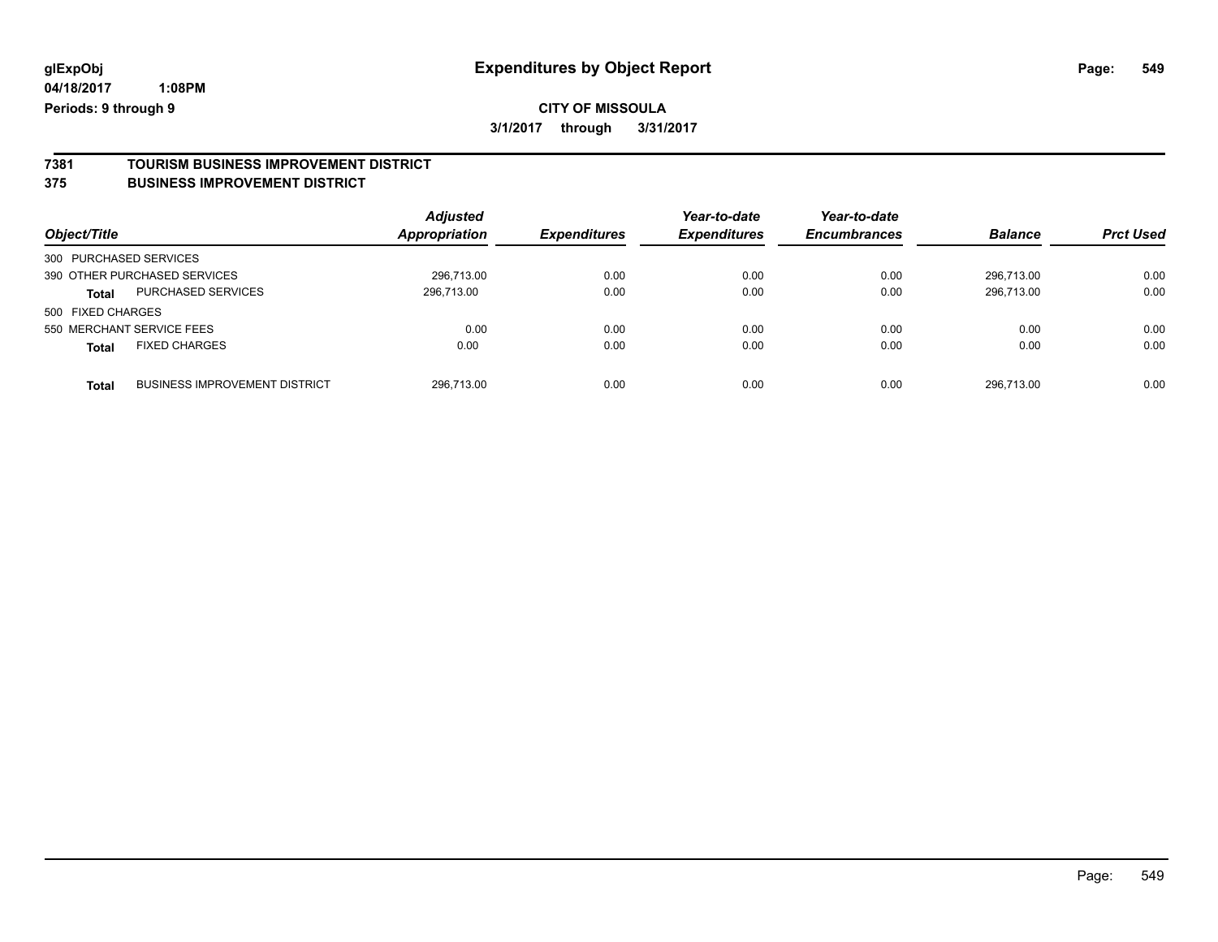### **CITY OF MISSOULA 3/1/2017 through 3/31/2017**

## **7381 TOURISM BUSINESS IMPROVEMENT DISTRICT**

#### **375 BUSINESS IMPROVEMENT DISTRICT**

| Object/Title                                         | <b>Adjusted</b><br>Appropriation | <b>Expenditures</b> | Year-to-date<br><b>Expenditures</b> | Year-to-date<br><b>Encumbrances</b> | <b>Balance</b> | <b>Prct Used</b> |
|------------------------------------------------------|----------------------------------|---------------------|-------------------------------------|-------------------------------------|----------------|------------------|
| 300 PURCHASED SERVICES                               |                                  |                     |                                     |                                     |                |                  |
| 390 OTHER PURCHASED SERVICES                         | 296.713.00                       | 0.00                | 0.00                                | 0.00                                | 296.713.00     | 0.00             |
| PURCHASED SERVICES<br>Total                          | 296.713.00                       | 0.00                | 0.00                                | 0.00                                | 296.713.00     | 0.00             |
| 500 FIXED CHARGES                                    |                                  |                     |                                     |                                     |                |                  |
| 550 MERCHANT SERVICE FEES                            | 0.00                             | 0.00                | 0.00                                | 0.00                                | 0.00           | 0.00             |
| <b>FIXED CHARGES</b><br><b>Total</b>                 | 0.00                             | 0.00                | 0.00                                | 0.00                                | 0.00           | 0.00             |
| <b>BUSINESS IMPROVEMENT DISTRICT</b><br><b>Total</b> | 296.713.00                       | 0.00                | 0.00                                | 0.00                                | 296.713.00     | 0.00             |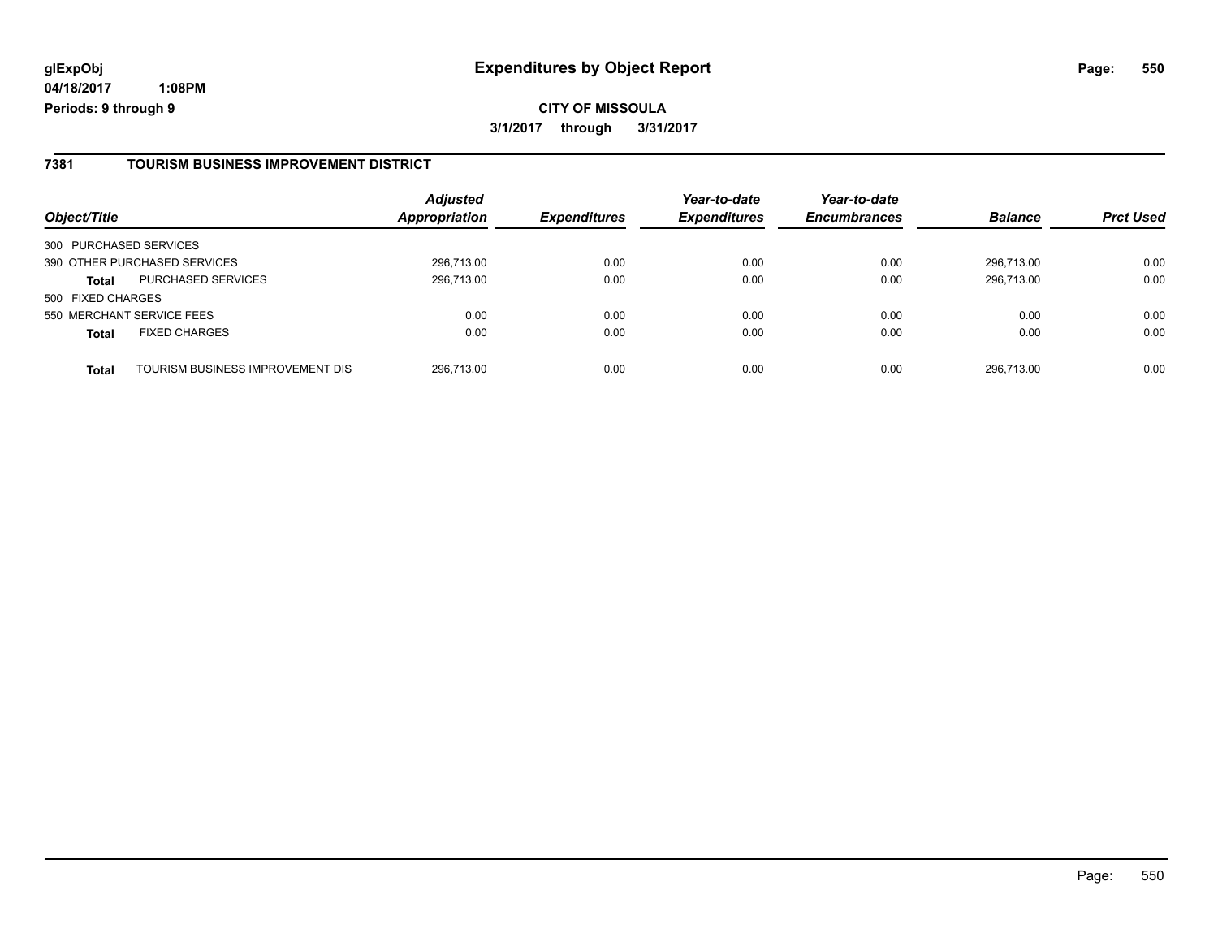#### **7381 TOURISM BUSINESS IMPROVEMENT DISTRICT**

| Object/Title           |                                  | <b>Adjusted</b><br><b>Appropriation</b> | <b>Expenditures</b> | Year-to-date<br><b>Expenditures</b> | Year-to-date<br><b>Encumbrances</b> | <b>Balance</b> | <b>Prct Used</b> |
|------------------------|----------------------------------|-----------------------------------------|---------------------|-------------------------------------|-------------------------------------|----------------|------------------|
| 300 PURCHASED SERVICES |                                  |                                         |                     |                                     |                                     |                |                  |
|                        | 390 OTHER PURCHASED SERVICES     | 296,713.00                              | 0.00                | 0.00                                | 0.00                                | 296.713.00     | 0.00             |
| <b>Total</b>           | <b>PURCHASED SERVICES</b>        | 296,713.00                              | 0.00                | 0.00                                | 0.00                                | 296.713.00     | 0.00             |
| 500 FIXED CHARGES      |                                  |                                         |                     |                                     |                                     |                |                  |
|                        | 550 MERCHANT SERVICE FEES        | 0.00                                    | 0.00                | 0.00                                | 0.00                                | 0.00           | 0.00             |
| <b>Total</b>           | <b>FIXED CHARGES</b>             | 0.00                                    | 0.00                | 0.00                                | 0.00                                | 0.00           | 0.00             |
| Total                  | TOURISM BUSINESS IMPROVEMENT DIS | 296,713.00                              | 0.00                | 0.00                                | 0.00                                | 296.713.00     | 0.00             |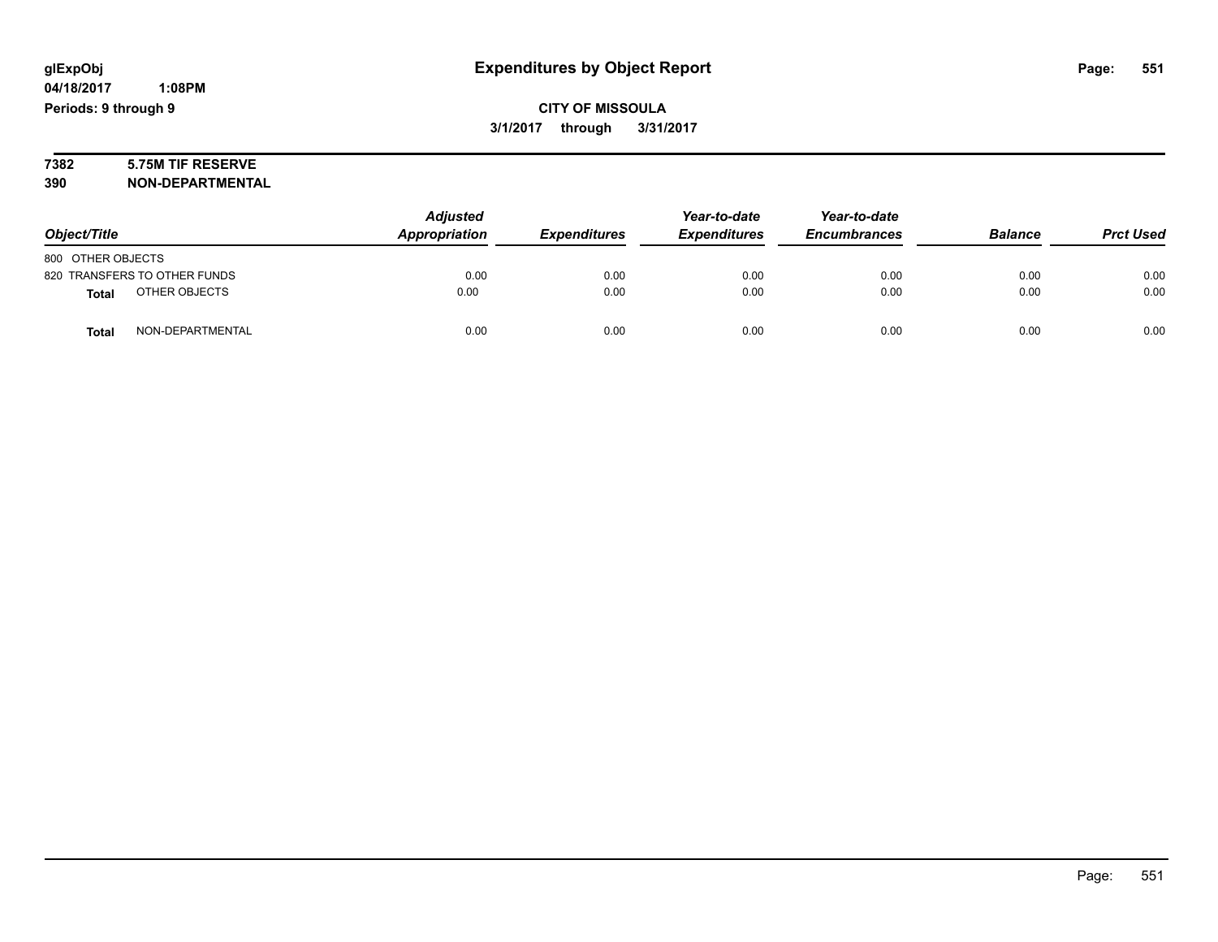**CITY OF MISSOULA 3/1/2017 through 3/31/2017**

# **7382 5.75M TIF RESERVE**

**390 NON-DEPARTMENTAL**

| Object/Title                     | <b>Adjusted</b><br>Appropriation | <b>Expenditures</b> | Year-to-date<br><b>Expenditures</b> | Year-to-date<br><b>Encumbrances</b> | <b>Balance</b> | <b>Prct Used</b> |
|----------------------------------|----------------------------------|---------------------|-------------------------------------|-------------------------------------|----------------|------------------|
| 800 OTHER OBJECTS                |                                  |                     |                                     |                                     |                |                  |
|                                  |                                  |                     |                                     |                                     |                |                  |
| 820 TRANSFERS TO OTHER FUNDS     | 0.00                             | 0.00                | 0.00                                | 0.00                                | 0.00           | 0.00             |
| OTHER OBJECTS<br><b>Total</b>    | 0.00                             | 0.00                | 0.00                                | 0.00                                | 0.00           | 0.00             |
| NON-DEPARTMENTAL<br><b>Total</b> | 0.00                             | 0.00                | 0.00                                | 0.00                                | 0.00           | 0.00             |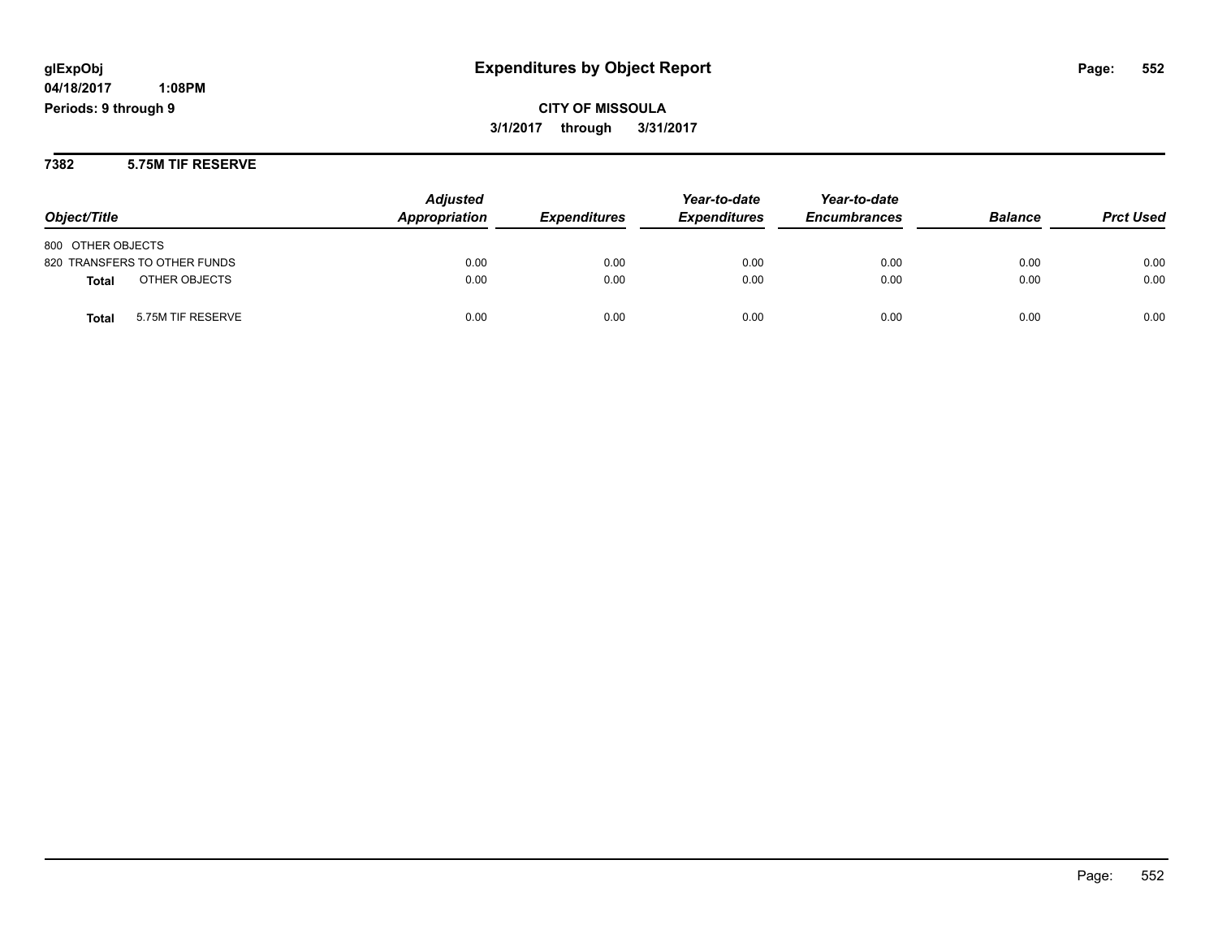**CITY OF MISSOULA 3/1/2017 through 3/31/2017**

**7382 5.75M TIF RESERVE**

| Object/Title                      | <b>Adjusted</b><br><b>Appropriation</b> | <b>Expenditures</b> | Year-to-date<br><b>Expenditures</b> | Year-to-date<br><b>Encumbrances</b> | <b>Balance</b> | <b>Prct Used</b> |
|-----------------------------------|-----------------------------------------|---------------------|-------------------------------------|-------------------------------------|----------------|------------------|
| 800 OTHER OBJECTS                 |                                         |                     |                                     |                                     |                |                  |
| 820 TRANSFERS TO OTHER FUNDS      | 0.00                                    | 0.00                | 0.00                                | 0.00                                | 0.00           | 0.00             |
| OTHER OBJECTS<br><b>Total</b>     | 0.00                                    | 0.00                | 0.00                                | 0.00                                | 0.00           | 0.00             |
| 5.75M TIF RESERVE<br><b>Total</b> | 0.00                                    | 0.00                | 0.00                                | 0.00                                | 0.00           | 0.00             |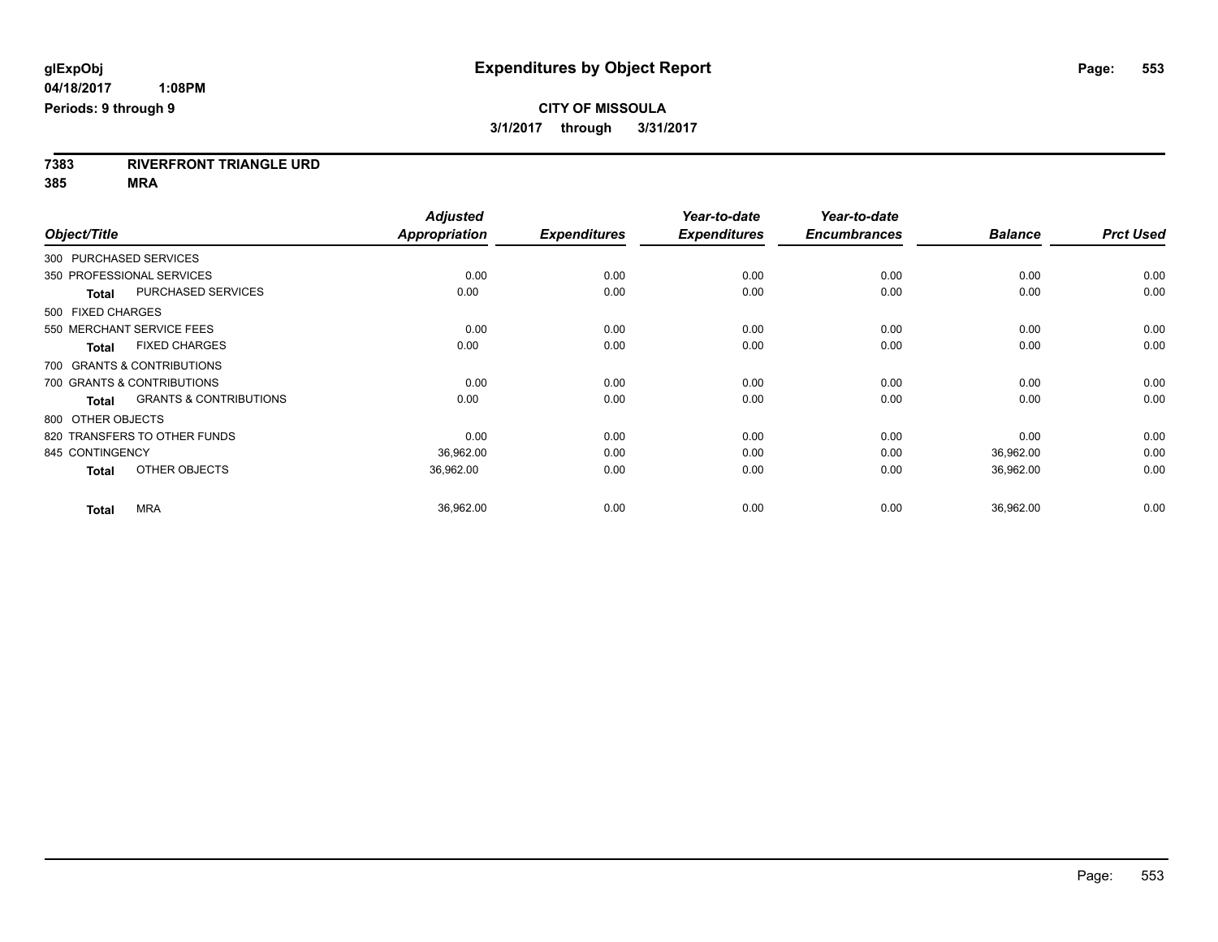**7383 RIVERFRONT TRIANGLE URD**

**385 MRA**

|                                                   | <b>Adjusted</b> |                     | Year-to-date        | Year-to-date        |                |                  |
|---------------------------------------------------|-----------------|---------------------|---------------------|---------------------|----------------|------------------|
| Object/Title                                      | Appropriation   | <b>Expenditures</b> | <b>Expenditures</b> | <b>Encumbrances</b> | <b>Balance</b> | <b>Prct Used</b> |
| 300 PURCHASED SERVICES                            |                 |                     |                     |                     |                |                  |
| 350 PROFESSIONAL SERVICES                         | 0.00            | 0.00                | 0.00                | 0.00                | 0.00           | 0.00             |
| <b>PURCHASED SERVICES</b><br><b>Total</b>         | 0.00            | 0.00                | 0.00                | 0.00                | 0.00           | 0.00             |
| 500 FIXED CHARGES                                 |                 |                     |                     |                     |                |                  |
| 550 MERCHANT SERVICE FEES                         | 0.00            | 0.00                | 0.00                | 0.00                | 0.00           | 0.00             |
| <b>FIXED CHARGES</b><br><b>Total</b>              | 0.00            | 0.00                | 0.00                | 0.00                | 0.00           | 0.00             |
| 700 GRANTS & CONTRIBUTIONS                        |                 |                     |                     |                     |                |                  |
| 700 GRANTS & CONTRIBUTIONS                        | 0.00            | 0.00                | 0.00                | 0.00                | 0.00           | 0.00             |
| <b>GRANTS &amp; CONTRIBUTIONS</b><br><b>Total</b> | 0.00            | 0.00                | 0.00                | 0.00                | 0.00           | 0.00             |
| 800 OTHER OBJECTS                                 |                 |                     |                     |                     |                |                  |
| 820 TRANSFERS TO OTHER FUNDS                      | 0.00            | 0.00                | 0.00                | 0.00                | 0.00           | 0.00             |
| 845 CONTINGENCY                                   | 36,962.00       | 0.00                | 0.00                | 0.00                | 36,962.00      | 0.00             |
| OTHER OBJECTS<br><b>Total</b>                     | 36,962.00       | 0.00                | 0.00                | 0.00                | 36,962.00      | 0.00             |
| <b>MRA</b><br><b>Total</b>                        | 36,962.00       | 0.00                | 0.00                | 0.00                | 36,962.00      | 0.00             |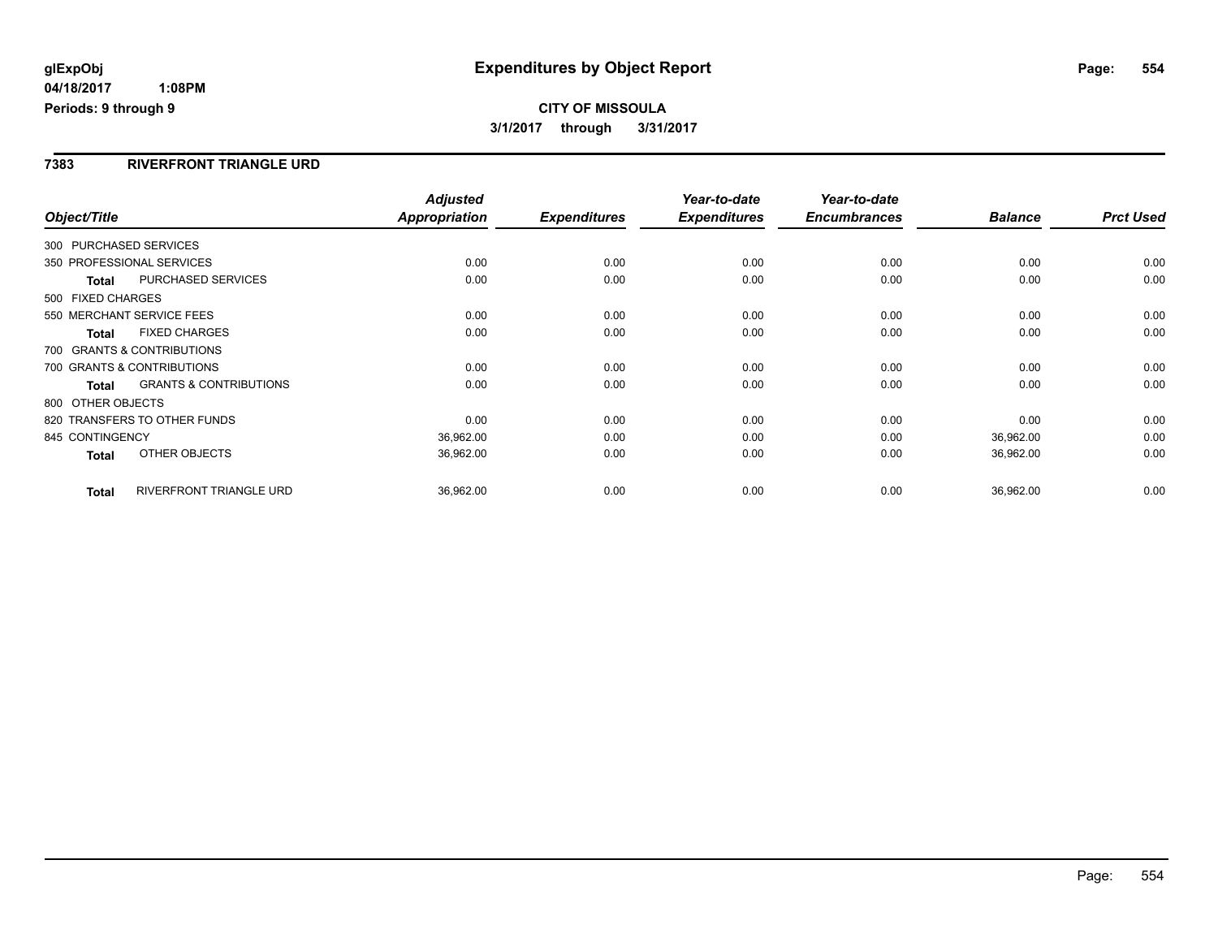## **CITY OF MISSOULA 3/1/2017 through 3/31/2017**

#### **7383 RIVERFRONT TRIANGLE URD**

| Object/Title                                      | <b>Adjusted</b><br>Appropriation | <b>Expenditures</b> | Year-to-date<br><b>Expenditures</b> | Year-to-date<br><b>Encumbrances</b> | <b>Balance</b> | <b>Prct Used</b> |
|---------------------------------------------------|----------------------------------|---------------------|-------------------------------------|-------------------------------------|----------------|------------------|
| 300 PURCHASED SERVICES                            |                                  |                     |                                     |                                     |                |                  |
| 350 PROFESSIONAL SERVICES                         | 0.00                             | 0.00                | 0.00                                | 0.00                                | 0.00           | 0.00             |
| <b>PURCHASED SERVICES</b><br>Total                | 0.00                             | 0.00                | 0.00                                | 0.00                                | 0.00           | 0.00             |
| 500 FIXED CHARGES                                 |                                  |                     |                                     |                                     |                |                  |
| 550 MERCHANT SERVICE FEES                         | 0.00                             | 0.00                | 0.00                                | 0.00                                | 0.00           | 0.00             |
| <b>FIXED CHARGES</b><br><b>Total</b>              | 0.00                             | 0.00                | 0.00                                | 0.00                                | 0.00           | 0.00             |
| 700 GRANTS & CONTRIBUTIONS                        |                                  |                     |                                     |                                     |                |                  |
| 700 GRANTS & CONTRIBUTIONS                        | 0.00                             | 0.00                | 0.00                                | 0.00                                | 0.00           | 0.00             |
| <b>GRANTS &amp; CONTRIBUTIONS</b><br><b>Total</b> | 0.00                             | 0.00                | 0.00                                | 0.00                                | 0.00           | 0.00             |
| 800 OTHER OBJECTS                                 |                                  |                     |                                     |                                     |                |                  |
| 820 TRANSFERS TO OTHER FUNDS                      | 0.00                             | 0.00                | 0.00                                | 0.00                                | 0.00           | 0.00             |
| 845 CONTINGENCY                                   | 36,962.00                        | 0.00                | 0.00                                | 0.00                                | 36,962.00      | 0.00             |
| OTHER OBJECTS<br>Total                            | 36,962.00                        | 0.00                | 0.00                                | 0.00                                | 36,962.00      | 0.00             |
|                                                   |                                  |                     |                                     |                                     |                |                  |
| RIVERFRONT TRIANGLE URD<br><b>Total</b>           | 36,962.00                        | 0.00                | 0.00                                | 0.00                                | 36,962.00      | 0.00             |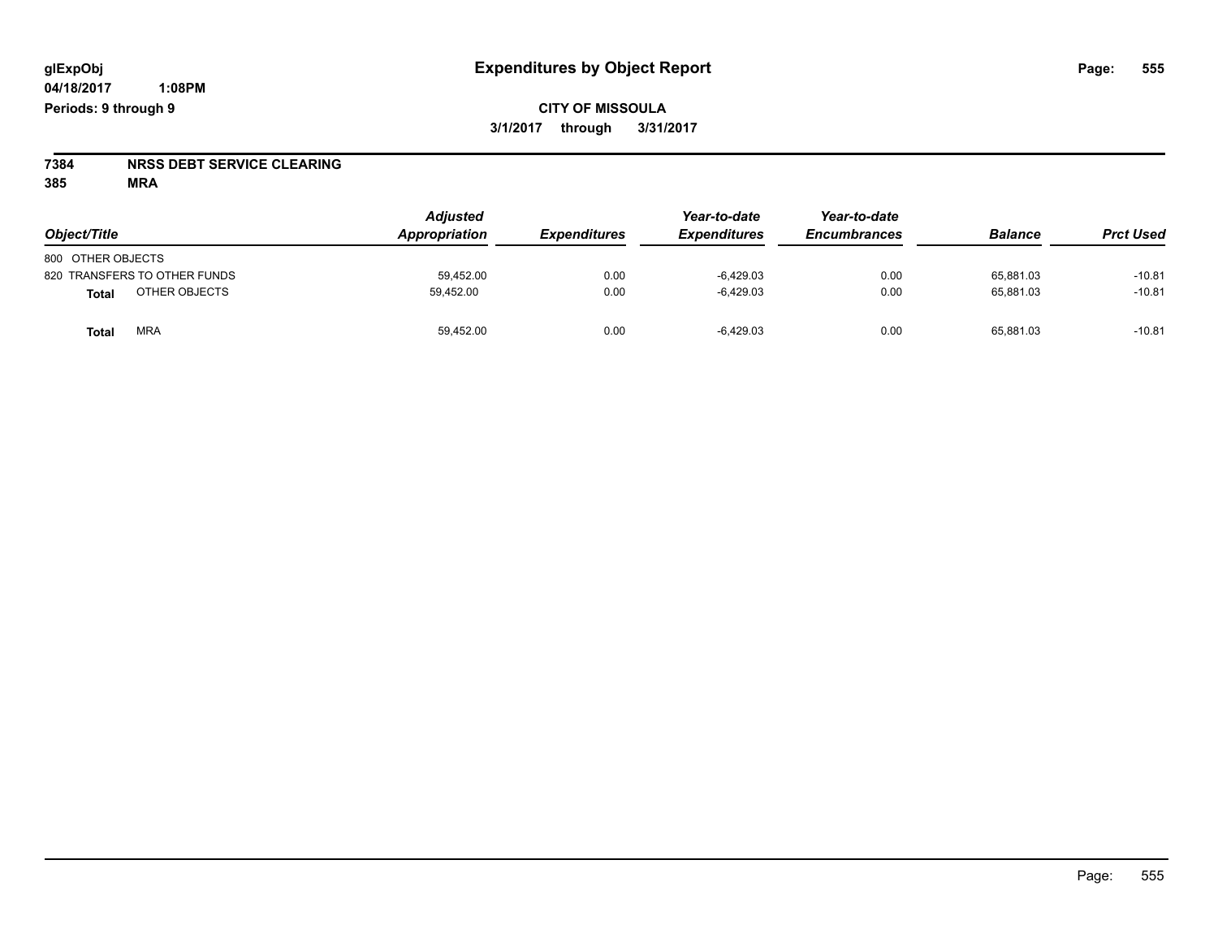# **7384 NRSS DEBT SERVICE CLEARING**

**385 MRA**

| Object/Title                 | <b>Adjusted</b><br>Appropriation | <b>Expenditures</b> | Year-to-date<br><b>Expenditures</b> | Year-to-date<br><b>Encumbrances</b> | <b>Balance</b> | <b>Prct Used</b> |
|------------------------------|----------------------------------|---------------------|-------------------------------------|-------------------------------------|----------------|------------------|
| 800 OTHER OBJECTS            |                                  |                     |                                     |                                     |                |                  |
| 820 TRANSFERS TO OTHER FUNDS | 59.452.00                        | 0.00                | $-6.429.03$                         | 0.00                                | 65.881.03      | $-10.81$         |
| OTHER OBJECTS<br>Total       | 59.452.00                        | 0.00                | $-6,429.03$                         | 0.00                                | 65,881.03      | $-10.81$         |
| <b>MRA</b><br>Total          | 59,452.00                        | 0.00                | $-6,429.03$                         | 0.00                                | 65,881.03      | $-10.81$         |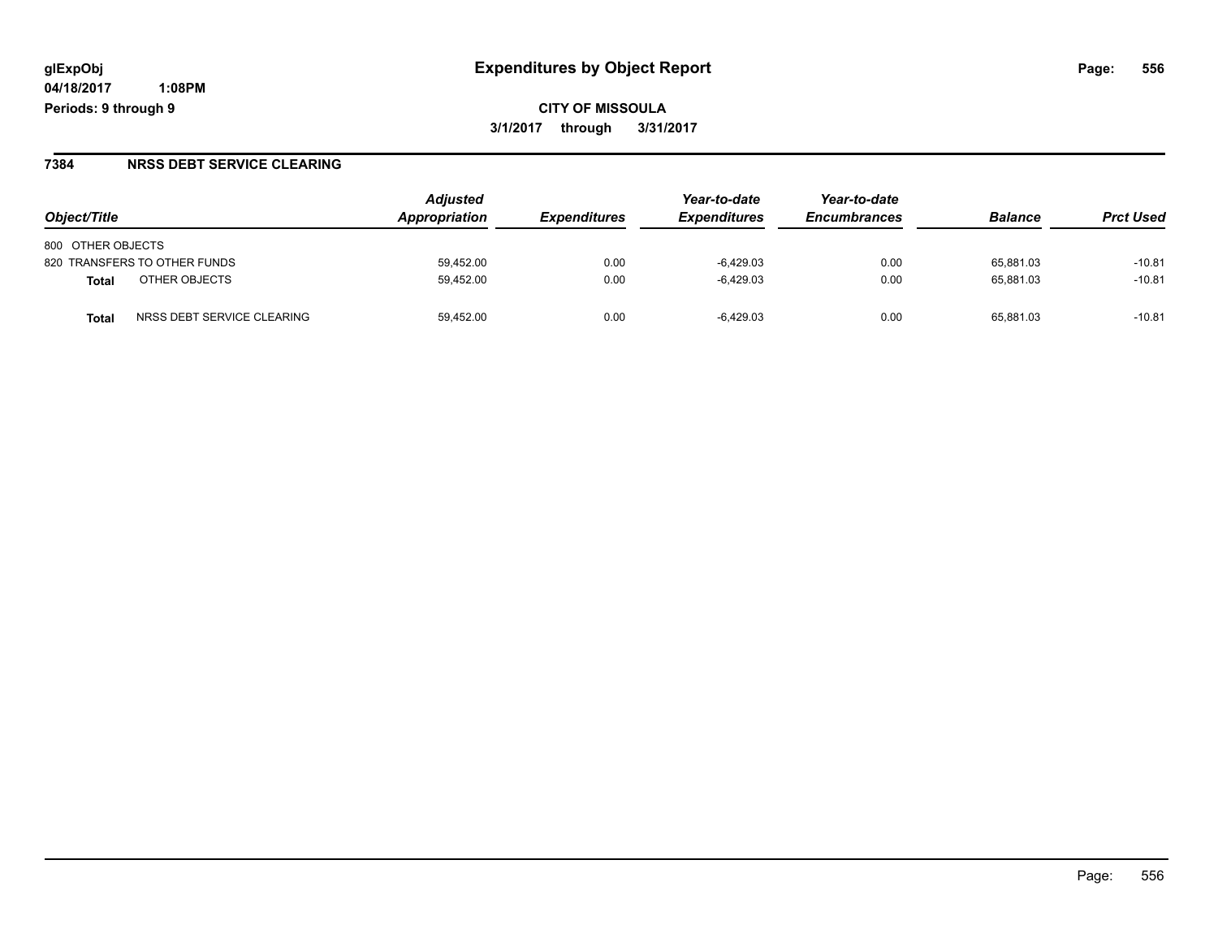**CITY OF MISSOULA 3/1/2017 through 3/31/2017**

#### **7384 NRSS DEBT SERVICE CLEARING**

| Object/Title                               | <b>Adjusted</b><br>Appropriation | <i><b>Expenditures</b></i> | Year-to-date<br><b>Expenditures</b> | Year-to-date<br><b>Encumbrances</b> | <b>Balance</b> | <b>Prct Used</b> |
|--------------------------------------------|----------------------------------|----------------------------|-------------------------------------|-------------------------------------|----------------|------------------|
| 800 OTHER OBJECTS                          |                                  |                            |                                     |                                     |                |                  |
| 820 TRANSFERS TO OTHER FUNDS               | 59.452.00                        | 0.00                       | $-6.429.03$                         | 0.00                                | 65.881.03      | $-10.81$         |
| OTHER OBJECTS<br>Total                     | 59,452.00                        | 0.00                       | -6.429.03                           | 0.00                                | 65.881.03      | $-10.81$         |
| NRSS DEBT SERVICE CLEARING<br><b>Total</b> | 59.452.00                        | 0.00                       | $-6.429.03$                         | 0.00                                | 65.881.03      | $-10.81$         |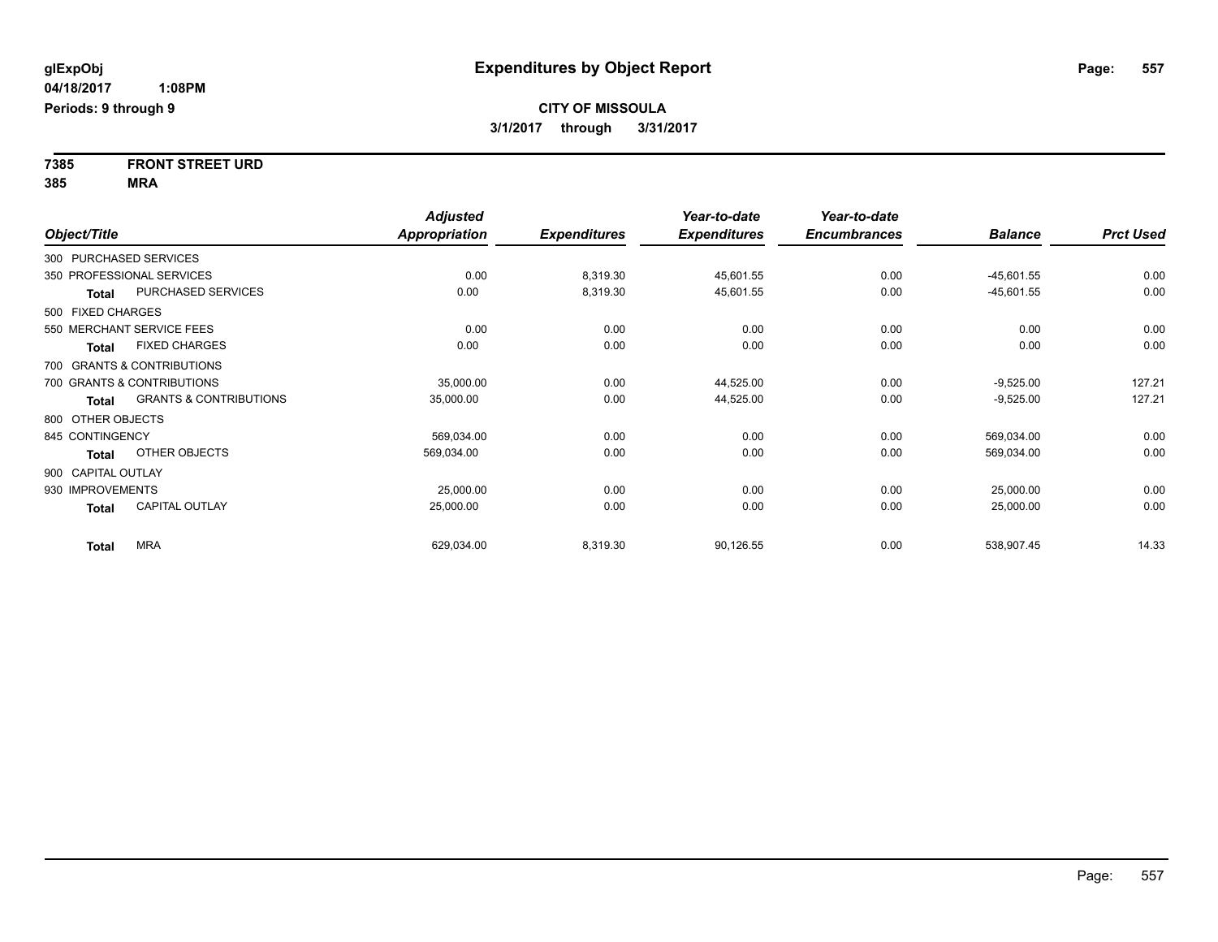**7385 FRONT STREET URD 385 MRA**

|                    |                                   | <b>Adjusted</b>      |                     | Year-to-date        | Year-to-date        |                |                  |
|--------------------|-----------------------------------|----------------------|---------------------|---------------------|---------------------|----------------|------------------|
| Object/Title       |                                   | <b>Appropriation</b> | <b>Expenditures</b> | <b>Expenditures</b> | <b>Encumbrances</b> | <b>Balance</b> | <b>Prct Used</b> |
|                    | 300 PURCHASED SERVICES            |                      |                     |                     |                     |                |                  |
|                    | 350 PROFESSIONAL SERVICES         | 0.00                 | 8,319.30            | 45,601.55           | 0.00                | $-45,601.55$   | 0.00             |
| <b>Total</b>       | PURCHASED SERVICES                | 0.00                 | 8,319.30            | 45,601.55           | 0.00                | $-45,601.55$   | 0.00             |
| 500 FIXED CHARGES  |                                   |                      |                     |                     |                     |                |                  |
|                    | 550 MERCHANT SERVICE FEES         | 0.00                 | 0.00                | 0.00                | 0.00                | 0.00           | 0.00             |
| <b>Total</b>       | <b>FIXED CHARGES</b>              | 0.00                 | 0.00                | 0.00                | 0.00                | 0.00           | 0.00             |
|                    | 700 GRANTS & CONTRIBUTIONS        |                      |                     |                     |                     |                |                  |
|                    | 700 GRANTS & CONTRIBUTIONS        | 35,000.00            | 0.00                | 44,525.00           | 0.00                | $-9,525.00$    | 127.21           |
| <b>Total</b>       | <b>GRANTS &amp; CONTRIBUTIONS</b> | 35,000.00            | 0.00                | 44,525.00           | 0.00                | $-9,525.00$    | 127.21           |
| 800 OTHER OBJECTS  |                                   |                      |                     |                     |                     |                |                  |
| 845 CONTINGENCY    |                                   | 569,034.00           | 0.00                | 0.00                | 0.00                | 569,034.00     | 0.00             |
| Total              | OTHER OBJECTS                     | 569,034.00           | 0.00                | 0.00                | 0.00                | 569,034.00     | 0.00             |
| 900 CAPITAL OUTLAY |                                   |                      |                     |                     |                     |                |                  |
| 930 IMPROVEMENTS   |                                   | 25,000.00            | 0.00                | 0.00                | 0.00                | 25,000.00      | 0.00             |
| <b>Total</b>       | <b>CAPITAL OUTLAY</b>             | 25,000.00            | 0.00                | 0.00                | 0.00                | 25,000.00      | 0.00             |
| <b>Total</b>       | <b>MRA</b>                        | 629,034.00           | 8,319.30            | 90,126.55           | 0.00                | 538,907.45     | 14.33            |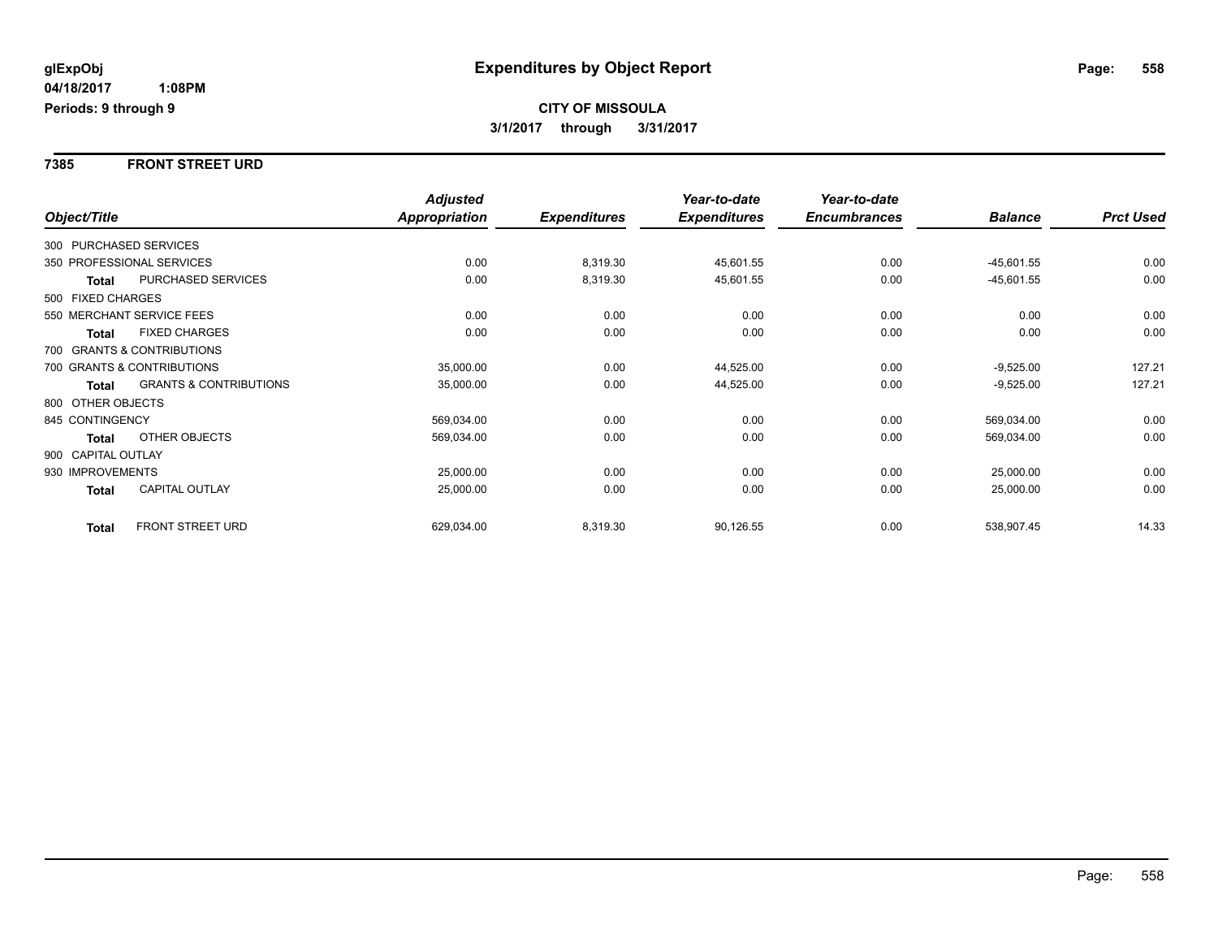#### **7385 FRONT STREET URD**

|                    |                                   | <b>Adjusted</b> |                     | Year-to-date        | Year-to-date        |                |                  |
|--------------------|-----------------------------------|-----------------|---------------------|---------------------|---------------------|----------------|------------------|
| Object/Title       |                                   | Appropriation   | <b>Expenditures</b> | <b>Expenditures</b> | <b>Encumbrances</b> | <b>Balance</b> | <b>Prct Used</b> |
|                    | 300 PURCHASED SERVICES            |                 |                     |                     |                     |                |                  |
|                    | 350 PROFESSIONAL SERVICES         | 0.00            | 8,319.30            | 45,601.55           | 0.00                | $-45,601.55$   | 0.00             |
| Total              | <b>PURCHASED SERVICES</b>         | 0.00            | 8,319.30            | 45,601.55           | 0.00                | $-45,601.55$   | 0.00             |
| 500 FIXED CHARGES  |                                   |                 |                     |                     |                     |                |                  |
|                    | 550 MERCHANT SERVICE FEES         | 0.00            | 0.00                | 0.00                | 0.00                | 0.00           | 0.00             |
| <b>Total</b>       | <b>FIXED CHARGES</b>              | 0.00            | 0.00                | 0.00                | 0.00                | 0.00           | 0.00             |
|                    | 700 GRANTS & CONTRIBUTIONS        |                 |                     |                     |                     |                |                  |
|                    | 700 GRANTS & CONTRIBUTIONS        | 35,000.00       | 0.00                | 44,525.00           | 0.00                | $-9,525.00$    | 127.21           |
| Total              | <b>GRANTS &amp; CONTRIBUTIONS</b> | 35,000.00       | 0.00                | 44,525.00           | 0.00                | $-9,525.00$    | 127.21           |
| 800 OTHER OBJECTS  |                                   |                 |                     |                     |                     |                |                  |
| 845 CONTINGENCY    |                                   | 569,034.00      | 0.00                | 0.00                | 0.00                | 569,034.00     | 0.00             |
| <b>Total</b>       | OTHER OBJECTS                     | 569,034.00      | 0.00                | 0.00                | 0.00                | 569,034.00     | 0.00             |
| 900 CAPITAL OUTLAY |                                   |                 |                     |                     |                     |                |                  |
| 930 IMPROVEMENTS   |                                   | 25,000.00       | 0.00                | 0.00                | 0.00                | 25,000.00      | 0.00             |
| Total              | CAPITAL OUTLAY                    | 25,000.00       | 0.00                | 0.00                | 0.00                | 25,000.00      | 0.00             |
| <b>Total</b>       | <b>FRONT STREET URD</b>           | 629,034.00      | 8,319.30            | 90,126.55           | 0.00                | 538,907.45     | 14.33            |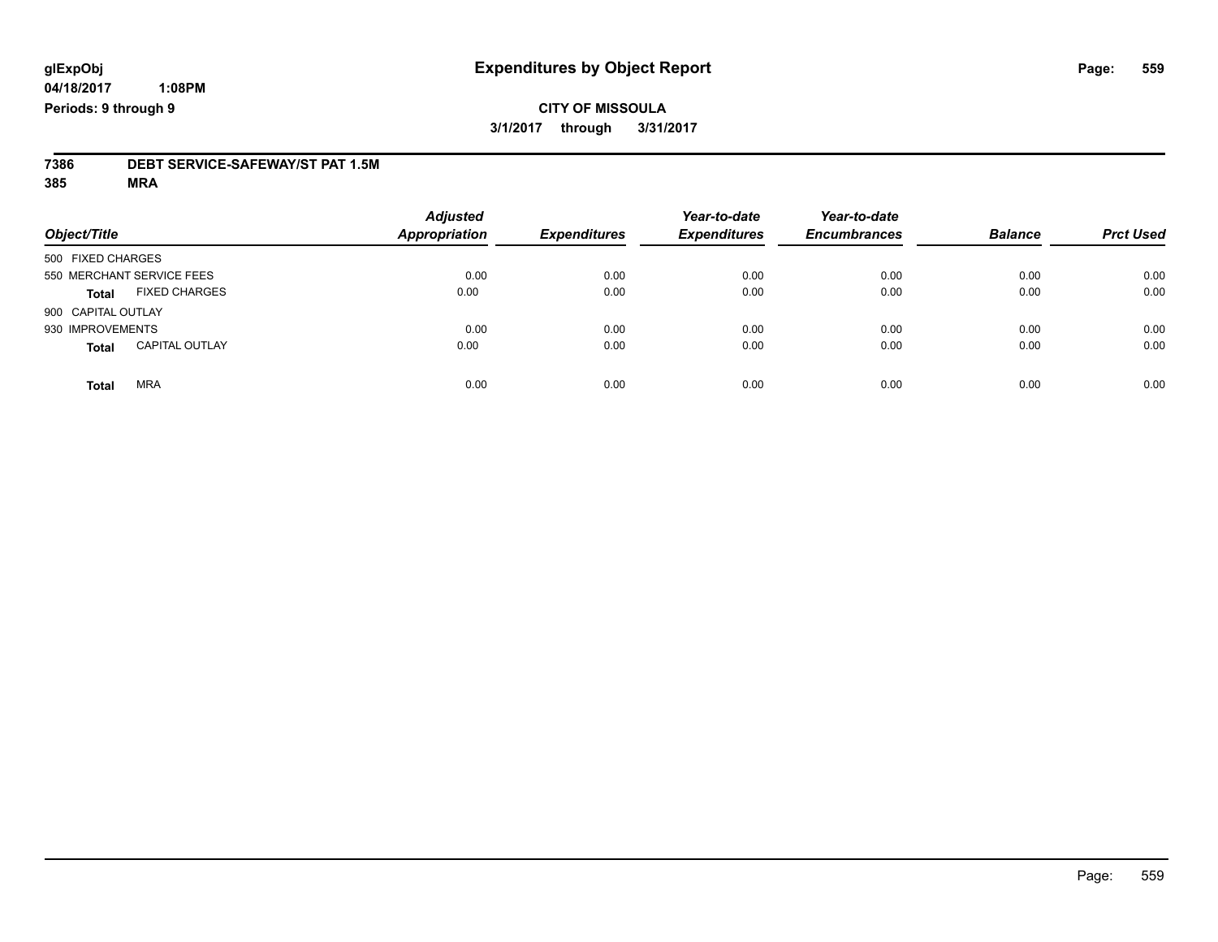### **CITY OF MISSOULA 3/1/2017 through 3/31/2017**

# **7386 DEBT SERVICE-SAFEWAY/ST PAT 1.5M**

**385 MRA**

| Object/Title       |                           | <b>Adjusted</b><br><b>Appropriation</b> | <b>Expenditures</b> | Year-to-date<br><b>Expenditures</b> | Year-to-date<br><b>Encumbrances</b> | <b>Balance</b> | <b>Prct Used</b> |
|--------------------|---------------------------|-----------------------------------------|---------------------|-------------------------------------|-------------------------------------|----------------|------------------|
| 500 FIXED CHARGES  |                           |                                         |                     |                                     |                                     |                |                  |
|                    | 550 MERCHANT SERVICE FEES | 0.00                                    | 0.00                | 0.00                                | 0.00                                | 0.00           | 0.00             |
| <b>Total</b>       | <b>FIXED CHARGES</b>      | 0.00                                    | 0.00                | 0.00                                | 0.00                                | 0.00           | 0.00             |
| 900 CAPITAL OUTLAY |                           |                                         |                     |                                     |                                     |                |                  |
| 930 IMPROVEMENTS   |                           | 0.00                                    | 0.00                | 0.00                                | 0.00                                | 0.00           | 0.00             |
| <b>Total</b>       | <b>CAPITAL OUTLAY</b>     | 0.00                                    | 0.00                | 0.00                                | 0.00                                | 0.00           | 0.00             |
| <b>Total</b>       | <b>MRA</b>                | 0.00                                    | 0.00                | 0.00                                | 0.00                                | 0.00           | 0.00             |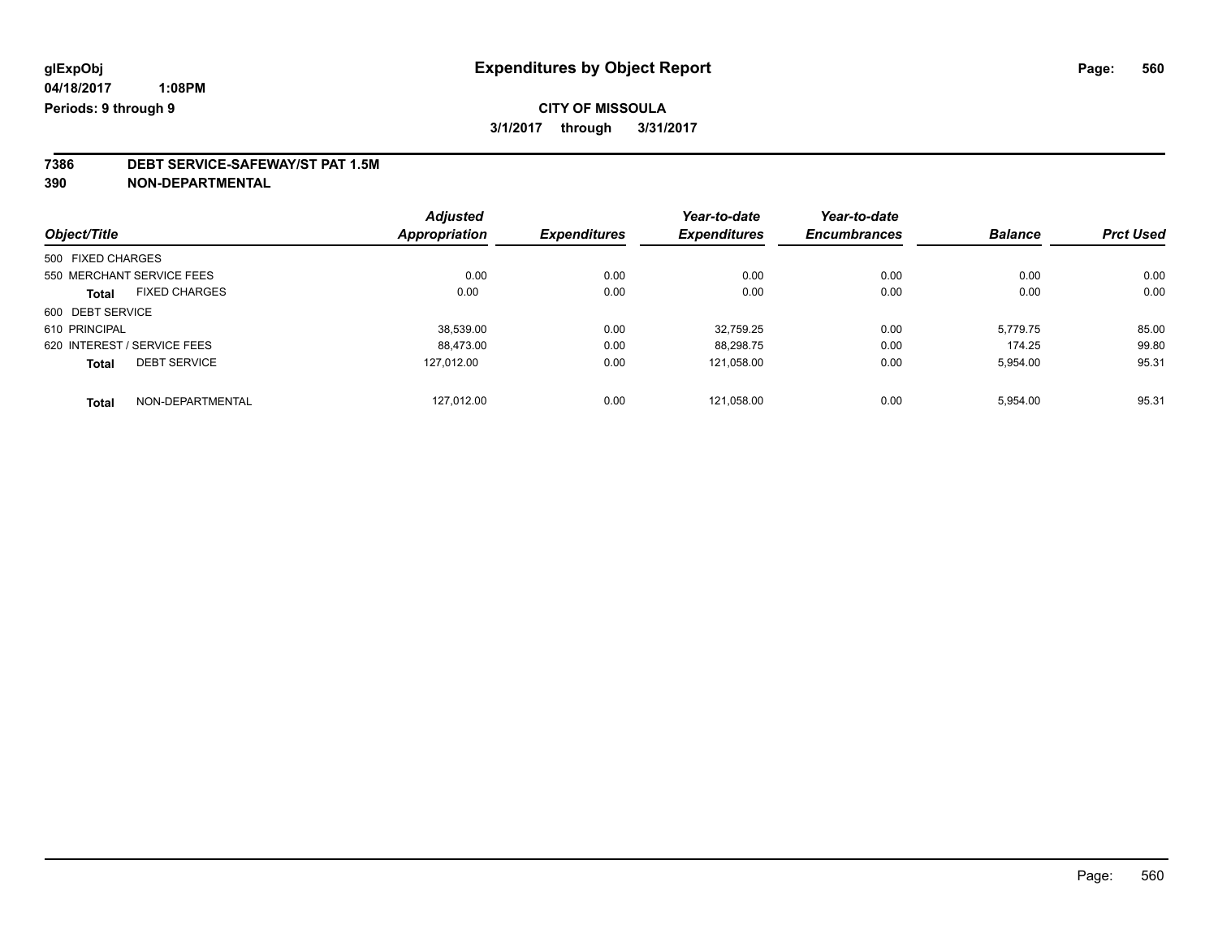## **7386 DEBT SERVICE-SAFEWAY/ST PAT 1.5M**

**390 NON-DEPARTMENTAL**

|                                     | <b>Adjusted</b>      |                     | Year-to-date        | Year-to-date        |                |                  |
|-------------------------------------|----------------------|---------------------|---------------------|---------------------|----------------|------------------|
| Object/Title                        | <b>Appropriation</b> | <b>Expenditures</b> | <b>Expenditures</b> | <b>Encumbrances</b> | <b>Balance</b> | <b>Prct Used</b> |
| 500 FIXED CHARGES                   |                      |                     |                     |                     |                |                  |
| 550 MERCHANT SERVICE FEES           | 0.00                 | 0.00                | 0.00                | 0.00                | 0.00           | 0.00             |
| <b>FIXED CHARGES</b><br>Total       | 0.00                 | 0.00                | 0.00                | 0.00                | 0.00           | 0.00             |
| 600 DEBT SERVICE                    |                      |                     |                     |                     |                |                  |
| 610 PRINCIPAL                       | 38,539.00            | 0.00                | 32.759.25           | 0.00                | 5,779.75       | 85.00            |
| 620 INTEREST / SERVICE FEES         | 88.473.00            | 0.00                | 88.298.75           | 0.00                | 174.25         | 99.80            |
| <b>DEBT SERVICE</b><br><b>Total</b> | 127.012.00           | 0.00                | 121.058.00          | 0.00                | 5,954.00       | 95.31            |
| NON-DEPARTMENTAL<br><b>Total</b>    | 127.012.00           | 0.00                | 121.058.00          | 0.00                | 5,954.00       | 95.31            |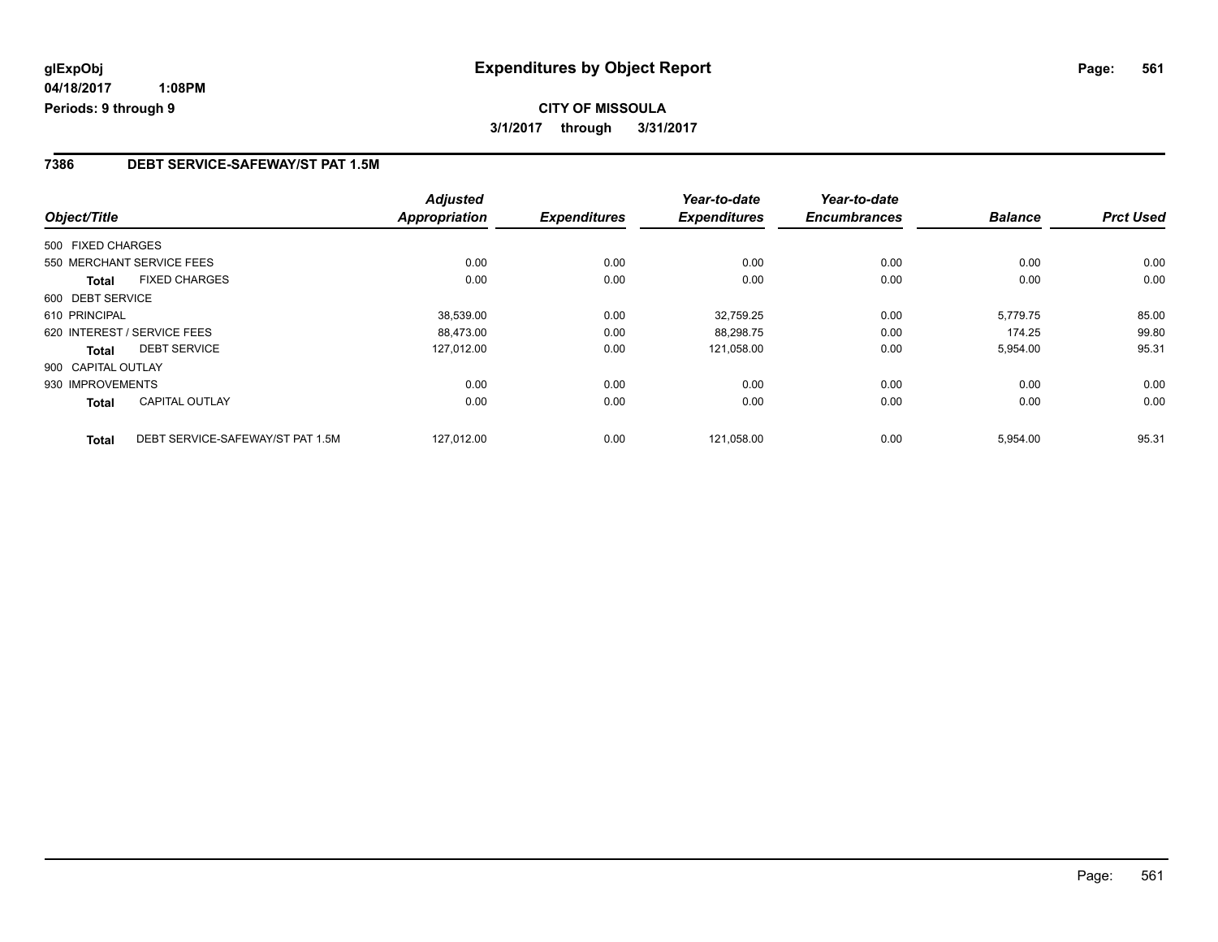## **CITY OF MISSOULA 3/1/2017 through 3/31/2017**

#### **7386 DEBT SERVICE-SAFEWAY/ST PAT 1.5M**

| Object/Title                                     | <b>Adjusted</b><br><b>Appropriation</b> | <b>Expenditures</b> | Year-to-date<br><b>Expenditures</b> | Year-to-date<br><b>Encumbrances</b> | <b>Balance</b> | <b>Prct Used</b> |
|--------------------------------------------------|-----------------------------------------|---------------------|-------------------------------------|-------------------------------------|----------------|------------------|
| 500 FIXED CHARGES                                |                                         |                     |                                     |                                     |                |                  |
| 550 MERCHANT SERVICE FEES                        | 0.00                                    | 0.00                | 0.00                                | 0.00                                | 0.00           | 0.00             |
| <b>FIXED CHARGES</b><br><b>Total</b>             | 0.00                                    | 0.00                | 0.00                                | 0.00                                | 0.00           | 0.00             |
| 600 DEBT SERVICE                                 |                                         |                     |                                     |                                     |                |                  |
| 610 PRINCIPAL                                    | 38,539.00                               | 0.00                | 32,759.25                           | 0.00                                | 5.779.75       | 85.00            |
| 620 INTEREST / SERVICE FEES                      | 88.473.00                               | 0.00                | 88,298.75                           | 0.00                                | 174.25         | 99.80            |
| <b>DEBT SERVICE</b><br>Total                     | 127,012.00                              | 0.00                | 121,058.00                          | 0.00                                | 5,954.00       | 95.31            |
| 900 CAPITAL OUTLAY                               |                                         |                     |                                     |                                     |                |                  |
| 930 IMPROVEMENTS                                 | 0.00                                    | 0.00                | 0.00                                | 0.00                                | 0.00           | 0.00             |
| <b>CAPITAL OUTLAY</b><br>Total                   | 0.00                                    | 0.00                | 0.00                                | 0.00                                | 0.00           | 0.00             |
| DEBT SERVICE-SAFEWAY/ST PAT 1.5M<br><b>Total</b> | 127.012.00                              | 0.00                | 121.058.00                          | 0.00                                | 5,954.00       | 95.31            |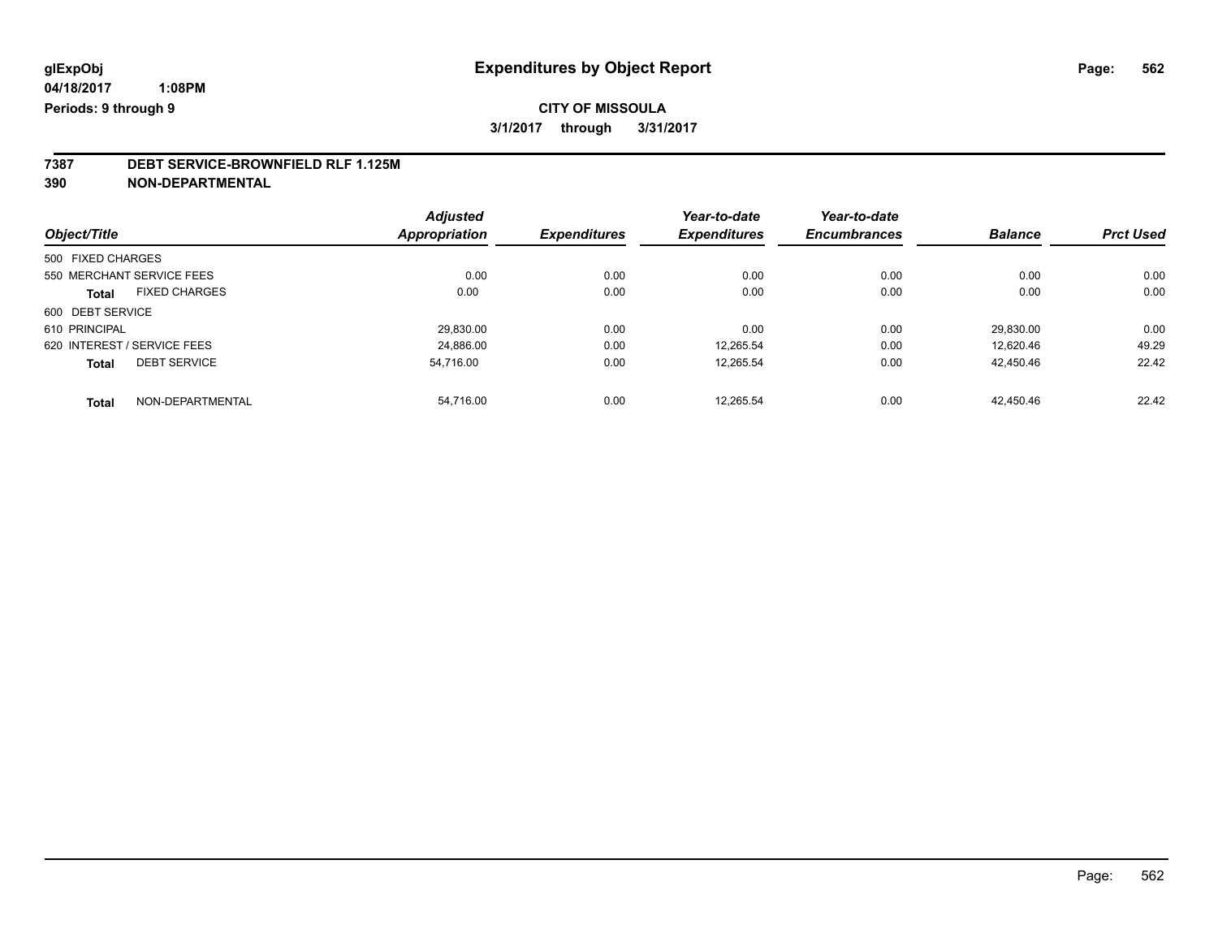## **7387 DEBT SERVICE-BROWNFIELD RLF 1.125M**

**390 NON-DEPARTMENTAL**

|                                      | <b>Adjusted</b> |                     | Year-to-date<br><b>Expenditures</b> | Year-to-date        | <b>Balance</b> |                  |
|--------------------------------------|-----------------|---------------------|-------------------------------------|---------------------|----------------|------------------|
| Object/Title                         | Appropriation   | <b>Expenditures</b> |                                     | <b>Encumbrances</b> |                | <b>Prct Used</b> |
| 500 FIXED CHARGES                    |                 |                     |                                     |                     |                |                  |
| 550 MERCHANT SERVICE FEES            | 0.00            | 0.00                | 0.00                                | 0.00                | 0.00           | 0.00             |
| <b>FIXED CHARGES</b><br><b>Total</b> | 0.00            | 0.00                | 0.00                                | 0.00                | 0.00           | 0.00             |
| 600 DEBT SERVICE                     |                 |                     |                                     |                     |                |                  |
| 610 PRINCIPAL                        | 29,830.00       | 0.00                | 0.00                                | 0.00                | 29.830.00      | 0.00             |
| 620 INTEREST / SERVICE FEES          | 24.886.00       | 0.00                | 12.265.54                           | 0.00                | 12.620.46      | 49.29            |
| <b>DEBT SERVICE</b><br><b>Total</b>  | 54.716.00       | 0.00                | 12.265.54                           | 0.00                | 42,450.46      | 22.42            |
| NON-DEPARTMENTAL<br><b>Total</b>     | 54.716.00       | 0.00                | 12.265.54                           | 0.00                | 42.450.46      | 22.42            |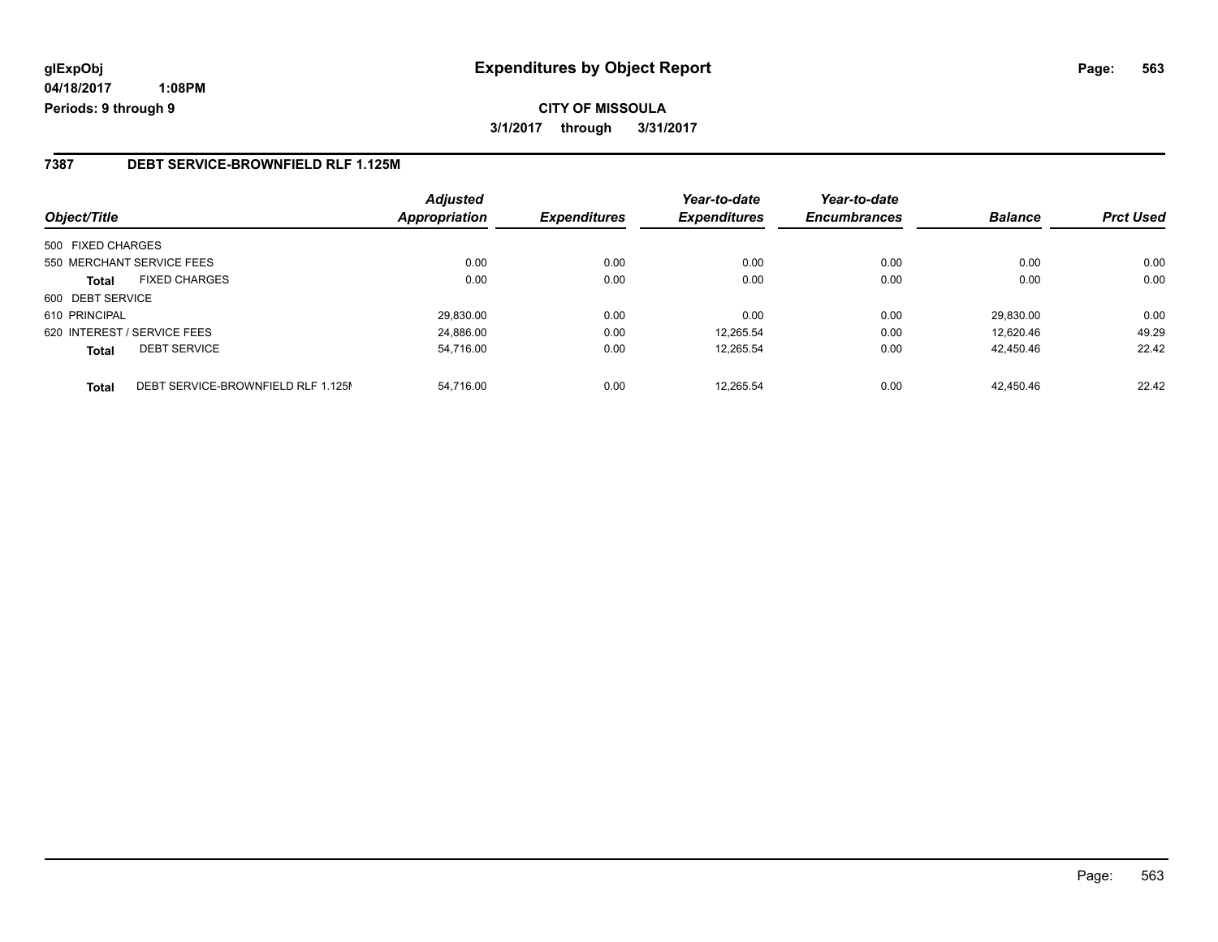## **glExpObj Expenditures by Object Report Page: 563**

**04/18/2017 1:08PM Periods: 9 through 9**

#### **7387 DEBT SERVICE-BROWNFIELD RLF 1.125M**

| Object/Title                                       | <b>Adjusted</b><br><b>Appropriation</b> | <b>Expenditures</b> | Year-to-date<br><b>Expenditures</b> | Year-to-date<br><b>Encumbrances</b> | <b>Balance</b> | <b>Prct Used</b> |
|----------------------------------------------------|-----------------------------------------|---------------------|-------------------------------------|-------------------------------------|----------------|------------------|
| 500 FIXED CHARGES                                  |                                         |                     |                                     |                                     |                |                  |
| 550 MERCHANT SERVICE FEES                          | 0.00                                    | 0.00                | 0.00                                | 0.00                                | 0.00           | 0.00             |
| <b>FIXED CHARGES</b><br><b>Total</b>               | 0.00                                    | 0.00                | 0.00                                | 0.00                                | 0.00           | 0.00             |
| 600 DEBT SERVICE                                   |                                         |                     |                                     |                                     |                |                  |
| 610 PRINCIPAL                                      | 29.830.00                               | 0.00                | 0.00                                | 0.00                                | 29.830.00      | 0.00             |
| 620 INTEREST / SERVICE FEES                        | 24,886.00                               | 0.00                | 12.265.54                           | 0.00                                | 12.620.46      | 49.29            |
| <b>DEBT SERVICE</b><br><b>Total</b>                | 54,716.00                               | 0.00                | 12.265.54                           | 0.00                                | 42.450.46      | 22.42            |
| DEBT SERVICE-BROWNFIELD RLF 1.125M<br><b>Total</b> | 54.716.00                               | 0.00                | 12.265.54                           | 0.00                                | 42.450.46      | 22.42            |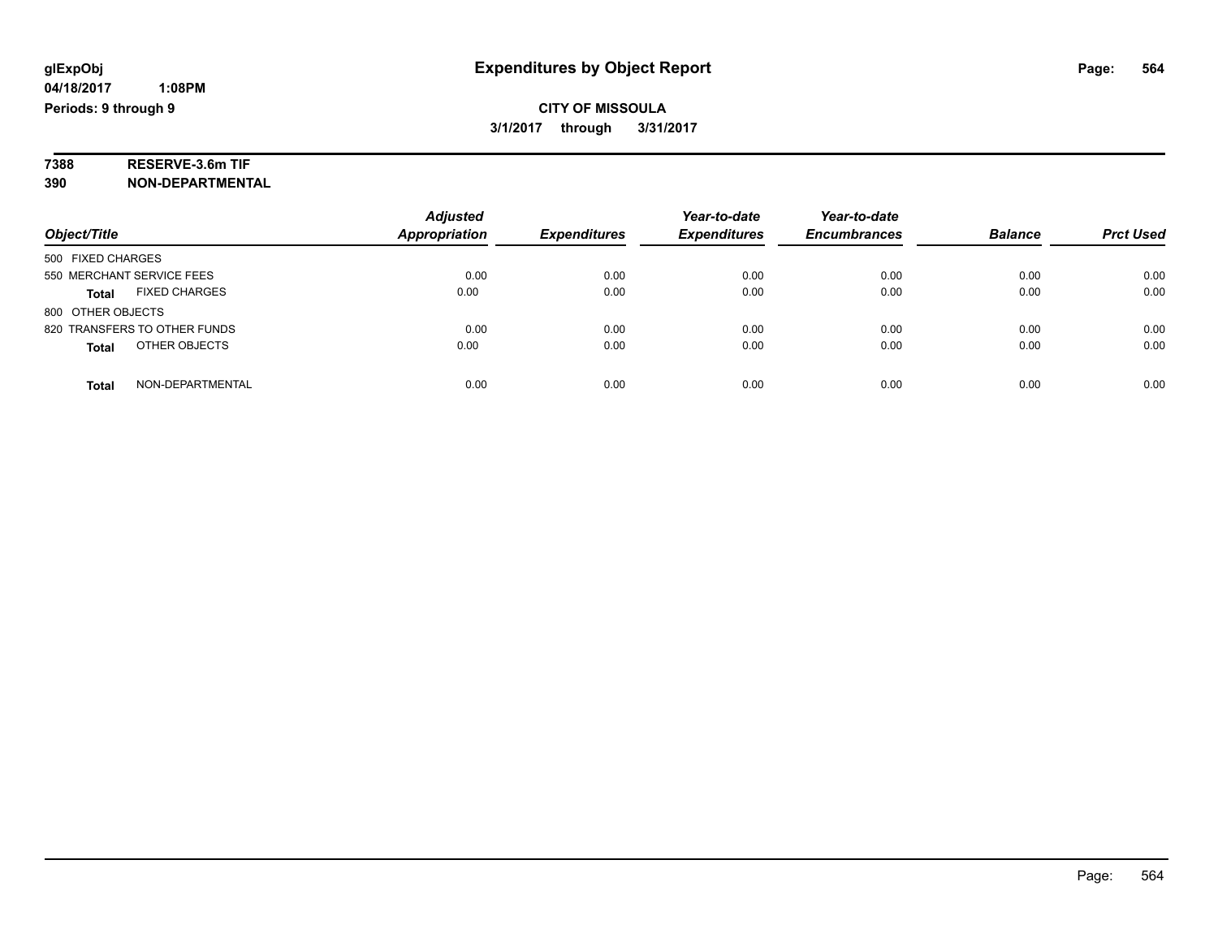# **7388 RESERVE-3.6m TIF**

**390 NON-DEPARTMENTAL**

|                                      | <b>Adjusted</b>      |                     | Year-to-date        | Year-to-date        |                |                  |
|--------------------------------------|----------------------|---------------------|---------------------|---------------------|----------------|------------------|
| Object/Title                         | <b>Appropriation</b> | <b>Expenditures</b> | <b>Expenditures</b> | <b>Encumbrances</b> | <b>Balance</b> | <b>Prct Used</b> |
| 500 FIXED CHARGES                    |                      |                     |                     |                     |                |                  |
| 550 MERCHANT SERVICE FEES            | 0.00                 | 0.00                | 0.00                | 0.00                | 0.00           | 0.00             |
| <b>FIXED CHARGES</b><br><b>Total</b> | 0.00                 | 0.00                | 0.00                | 0.00                | 0.00           | 0.00             |
| 800 OTHER OBJECTS                    |                      |                     |                     |                     |                |                  |
| 820 TRANSFERS TO OTHER FUNDS         | 0.00                 | 0.00                | 0.00                | 0.00                | 0.00           | 0.00             |
| OTHER OBJECTS<br><b>Total</b>        | 0.00                 | 0.00                | 0.00                | 0.00                | 0.00           | 0.00             |
| NON-DEPARTMENTAL<br>Total            | 0.00                 | 0.00                | 0.00                | 0.00                | 0.00           | 0.00             |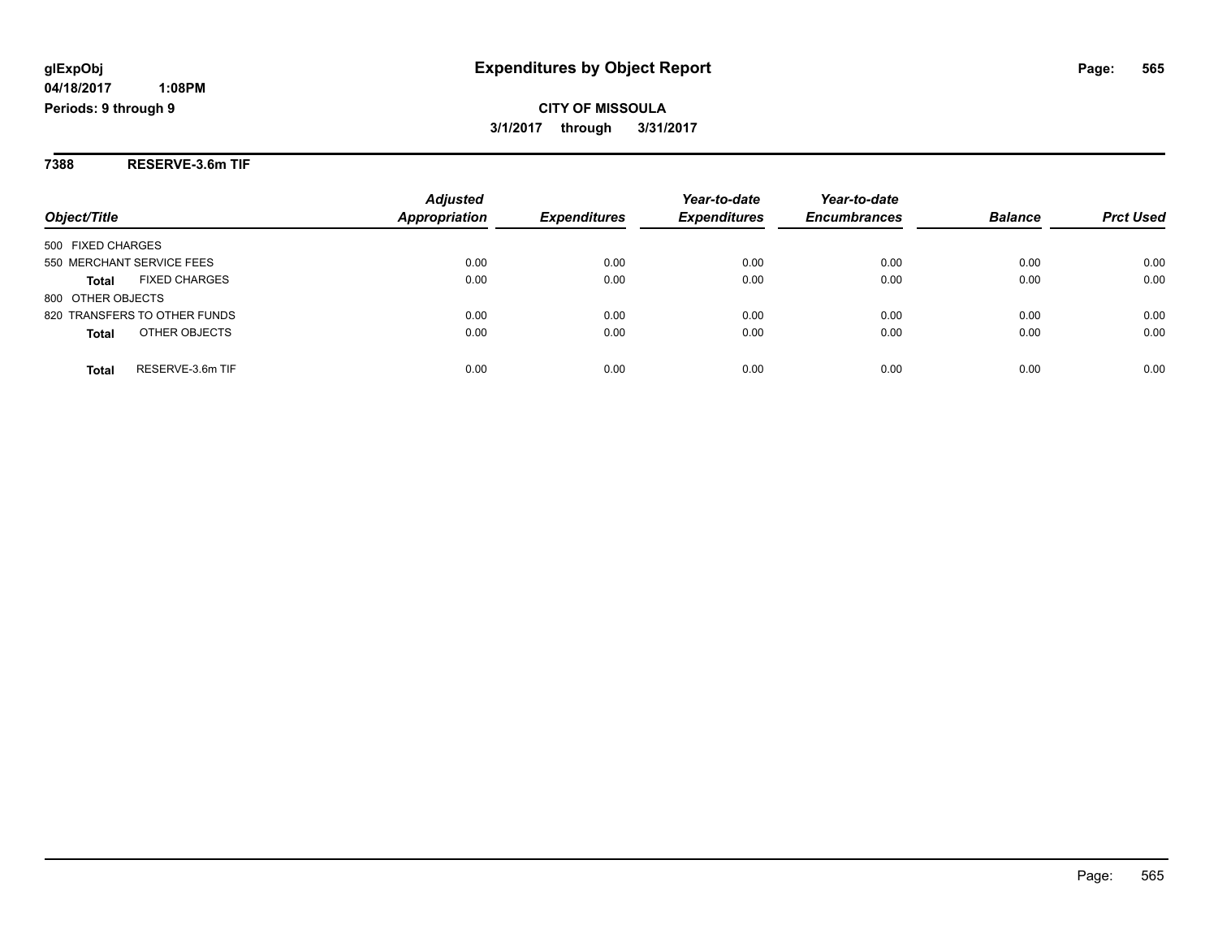#### **04/18/2017 1:08PM**

**Periods: 9 through 9**

## **CITY OF MISSOULA 3/1/2017 through 3/31/2017**

**7388 RESERVE-3.6m TIF**

| Object/Title                         | <b>Adjusted</b><br><b>Appropriation</b> | <b>Expenditures</b> | Year-to-date<br><b>Expenditures</b> | Year-to-date<br><b>Encumbrances</b> | <b>Balance</b> | <b>Prct Used</b> |
|--------------------------------------|-----------------------------------------|---------------------|-------------------------------------|-------------------------------------|----------------|------------------|
| 500 FIXED CHARGES                    |                                         |                     |                                     |                                     |                |                  |
| 550 MERCHANT SERVICE FEES            | 0.00                                    | 0.00                | 0.00                                | 0.00                                | 0.00           | 0.00             |
| <b>FIXED CHARGES</b><br><b>Total</b> | 0.00                                    | 0.00                | 0.00                                | 0.00                                | 0.00           | 0.00             |
| 800 OTHER OBJECTS                    |                                         |                     |                                     |                                     |                |                  |
| 820 TRANSFERS TO OTHER FUNDS         | 0.00                                    | 0.00                | 0.00                                | 0.00                                | 0.00           | 0.00             |
| OTHER OBJECTS<br><b>Total</b>        | 0.00                                    | 0.00                | 0.00                                | 0.00                                | 0.00           | 0.00             |
| RESERVE-3.6m TIF<br>Total            | 0.00                                    | 0.00                | 0.00                                | 0.00                                | 0.00           | 0.00             |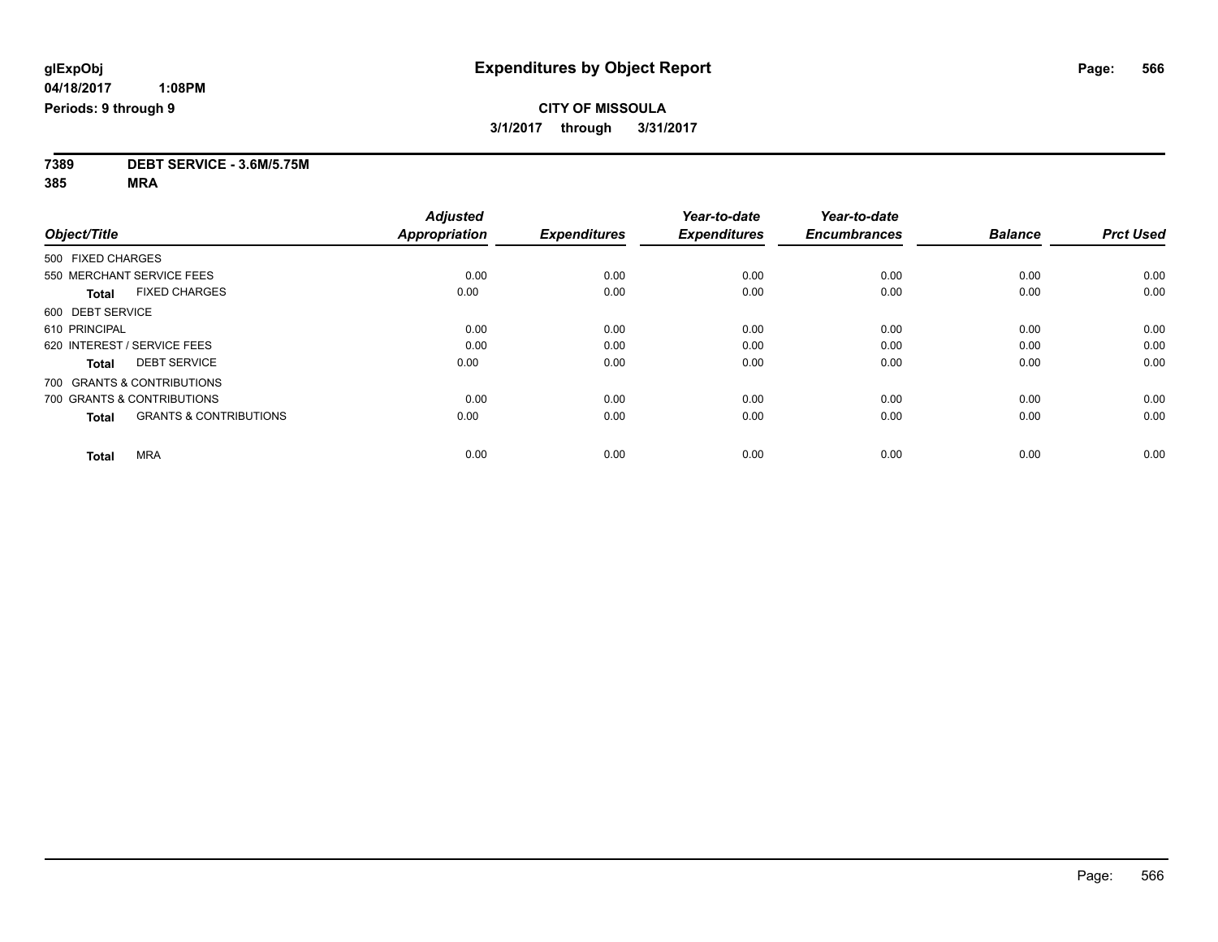**7389 DEBT SERVICE - 3.6M/5.75M**

**385 MRA**

|                                                   | <b>Adjusted</b>      |                     | Year-to-date        | Year-to-date        |                |                  |
|---------------------------------------------------|----------------------|---------------------|---------------------|---------------------|----------------|------------------|
| Object/Title                                      | <b>Appropriation</b> | <b>Expenditures</b> | <b>Expenditures</b> | <b>Encumbrances</b> | <b>Balance</b> | <b>Prct Used</b> |
| 500 FIXED CHARGES                                 |                      |                     |                     |                     |                |                  |
| 550 MERCHANT SERVICE FEES                         | 0.00                 | 0.00                | 0.00                | 0.00                | 0.00           | 0.00             |
| <b>FIXED CHARGES</b><br><b>Total</b>              | 0.00                 | 0.00                | 0.00                | 0.00                | 0.00           | 0.00             |
| 600 DEBT SERVICE                                  |                      |                     |                     |                     |                |                  |
| 610 PRINCIPAL                                     | 0.00                 | 0.00                | 0.00                | 0.00                | 0.00           | 0.00             |
| 620 INTEREST / SERVICE FEES                       | 0.00                 | 0.00                | 0.00                | 0.00                | 0.00           | 0.00             |
| <b>DEBT SERVICE</b><br><b>Total</b>               | 0.00                 | 0.00                | 0.00                | 0.00                | 0.00           | 0.00             |
| 700 GRANTS & CONTRIBUTIONS                        |                      |                     |                     |                     |                |                  |
| 700 GRANTS & CONTRIBUTIONS                        | 0.00                 | 0.00                | 0.00                | 0.00                | 0.00           | 0.00             |
| <b>GRANTS &amp; CONTRIBUTIONS</b><br><b>Total</b> | 0.00                 | 0.00                | 0.00                | 0.00                | 0.00           | 0.00             |
| <b>MRA</b><br><b>Total</b>                        | 0.00                 | 0.00                | 0.00                | 0.00                | 0.00           | 0.00             |
|                                                   |                      |                     |                     |                     |                |                  |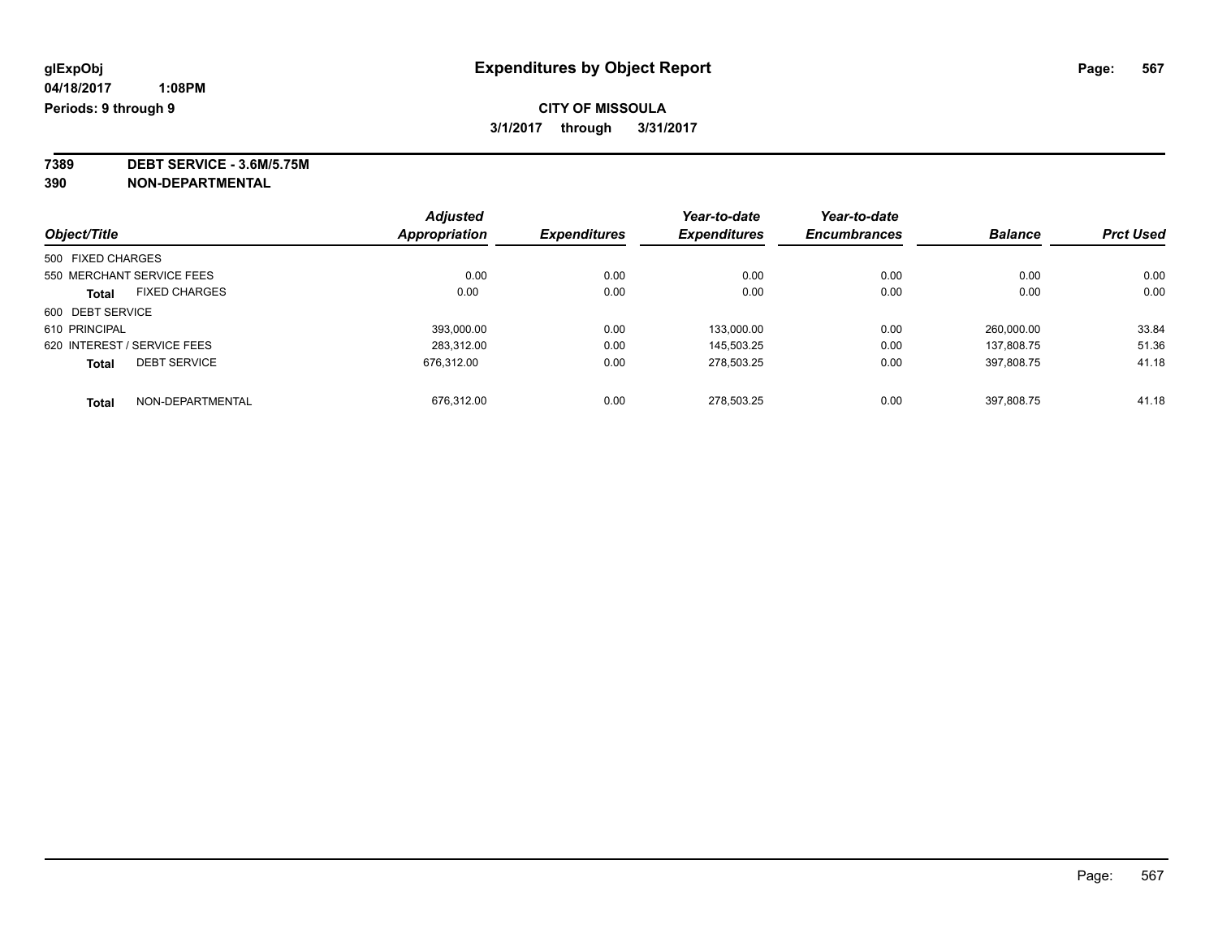**7389 DEBT SERVICE - 3.6M/5.75M**

**390 NON-DEPARTMENTAL**

|                                      |  | <b>Adjusted</b>      |                     | Year-to-date        | Year-to-date        |                |                  |
|--------------------------------------|--|----------------------|---------------------|---------------------|---------------------|----------------|------------------|
| Object/Title                         |  | <b>Appropriation</b> | <b>Expenditures</b> | <b>Expenditures</b> | <b>Encumbrances</b> | <b>Balance</b> | <b>Prct Used</b> |
| 500 FIXED CHARGES                    |  |                      |                     |                     |                     |                |                  |
| 550 MERCHANT SERVICE FEES            |  | 0.00                 | 0.00                | 0.00                | 0.00                | 0.00           | 0.00             |
| <b>FIXED CHARGES</b><br><b>Total</b> |  | 0.00                 | 0.00                | 0.00                | 0.00                | 0.00           | 0.00             |
| 600 DEBT SERVICE                     |  |                      |                     |                     |                     |                |                  |
| 610 PRINCIPAL                        |  | 393,000.00           | 0.00                | 133.000.00          | 0.00                | 260.000.00     | 33.84            |
| 620 INTEREST / SERVICE FEES          |  | 283.312.00           | 0.00                | 145.503.25          | 0.00                | 137.808.75     | 51.36            |
| <b>DEBT SERVICE</b><br><b>Total</b>  |  | 676.312.00           | 0.00                | 278,503.25          | 0.00                | 397.808.75     | 41.18            |
| NON-DEPARTMENTAL<br><b>Total</b>     |  | 676.312.00           | 0.00                | 278.503.25          | 0.00                | 397.808.75     | 41.18            |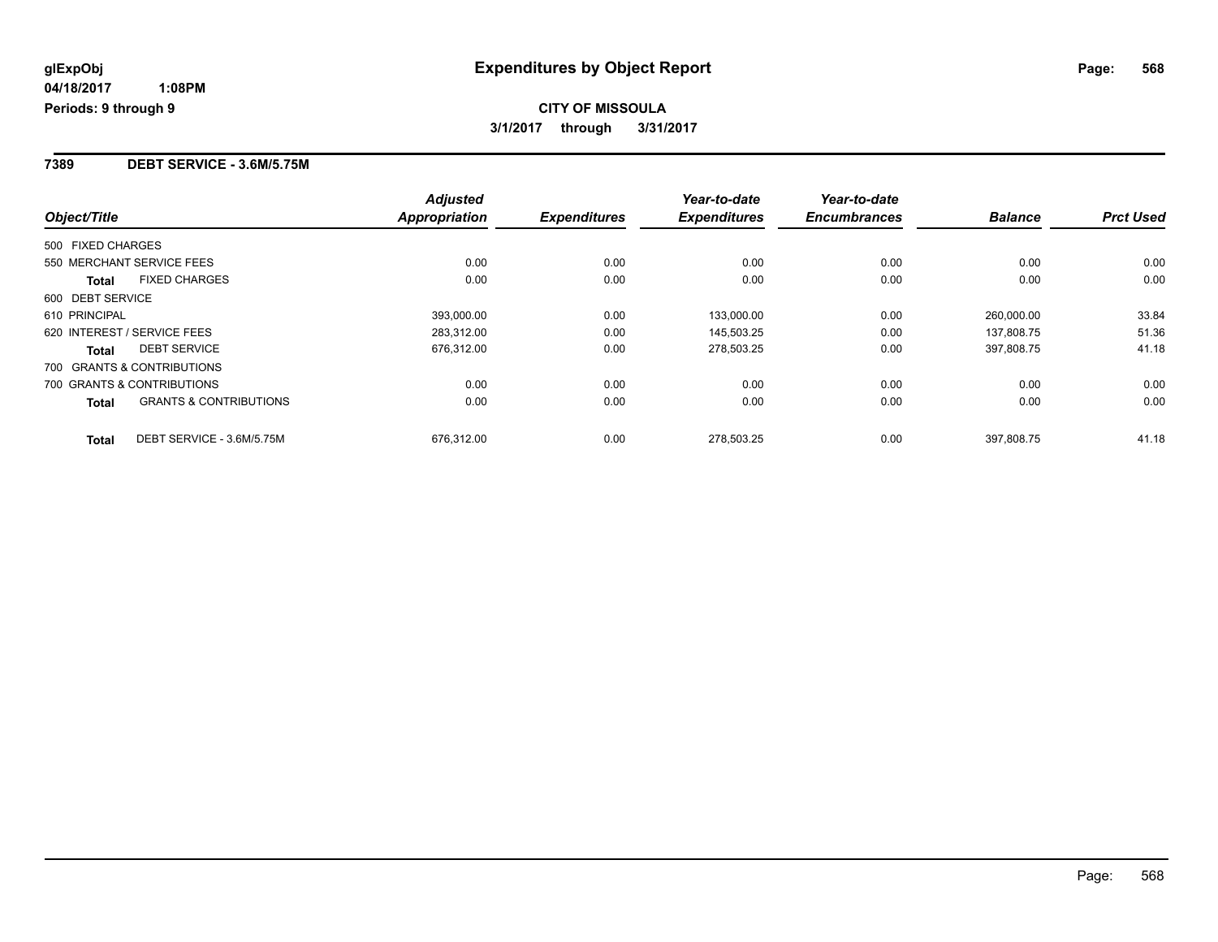## **CITY OF MISSOULA 3/1/2017 through 3/31/2017**

#### **7389 DEBT SERVICE - 3.6M/5.75M**

|                                            | <b>Adjusted</b>      |                     | Year-to-date        | Year-to-date        |                |                  |
|--------------------------------------------|----------------------|---------------------|---------------------|---------------------|----------------|------------------|
| Object/Title                               | <b>Appropriation</b> | <b>Expenditures</b> | <b>Expenditures</b> | <b>Encumbrances</b> | <b>Balance</b> | <b>Prct Used</b> |
| 500 FIXED CHARGES                          |                      |                     |                     |                     |                |                  |
| 550 MERCHANT SERVICE FEES                  | 0.00                 | 0.00                | 0.00                | 0.00                | 0.00           | 0.00             |
| <b>FIXED CHARGES</b><br><b>Total</b>       | 0.00                 | 0.00                | 0.00                | 0.00                | 0.00           | 0.00             |
| 600 DEBT SERVICE                           |                      |                     |                     |                     |                |                  |
| 610 PRINCIPAL                              | 393,000.00           | 0.00                | 133,000.00          | 0.00                | 260.000.00     | 33.84            |
| 620 INTEREST / SERVICE FEES                | 283,312.00           | 0.00                | 145,503.25          | 0.00                | 137,808.75     | 51.36            |
| <b>DEBT SERVICE</b><br>Total               | 676,312.00           | 0.00                | 278,503.25          | 0.00                | 397.808.75     | 41.18            |
| 700 GRANTS & CONTRIBUTIONS                 |                      |                     |                     |                     |                |                  |
| 700 GRANTS & CONTRIBUTIONS                 | 0.00                 | 0.00                | 0.00                | 0.00                | 0.00           | 0.00             |
| <b>GRANTS &amp; CONTRIBUTIONS</b><br>Total | 0.00                 | 0.00                | 0.00                | 0.00                | 0.00           | 0.00             |
| DEBT SERVICE - 3.6M/5.75M<br><b>Total</b>  | 676,312.00           | 0.00                | 278.503.25          | 0.00                | 397.808.75     | 41.18            |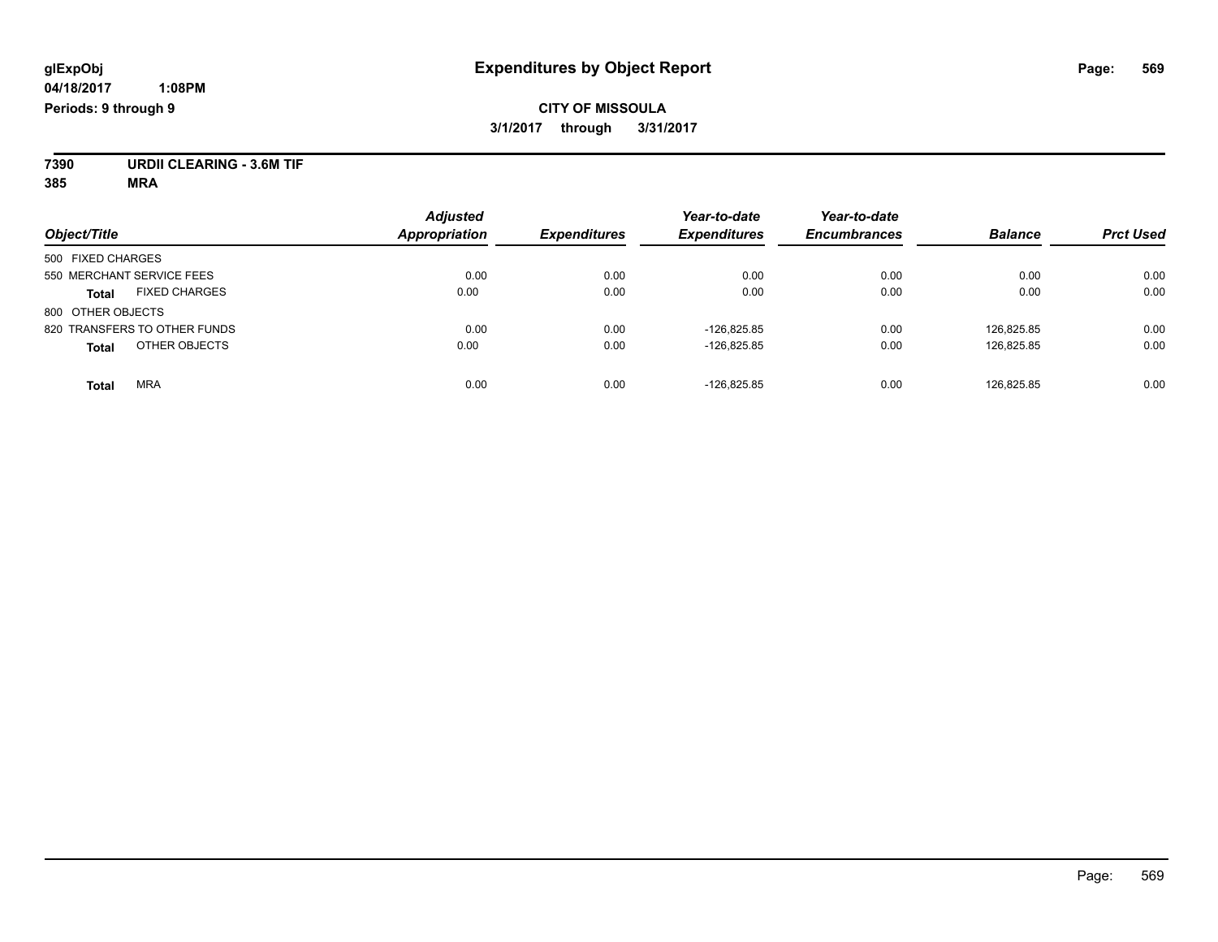## **CITY OF MISSOULA 3/1/2017 through 3/31/2017**

**7390 URDII CLEARING - 3.6M TIF**

**385 MRA**

| Object/Title                         | <b>Adjusted</b><br><b>Appropriation</b> | <b>Expenditures</b> | Year-to-date<br><b>Expenditures</b> | Year-to-date<br><b>Encumbrances</b> | <b>Balance</b> | <b>Prct Used</b> |
|--------------------------------------|-----------------------------------------|---------------------|-------------------------------------|-------------------------------------|----------------|------------------|
| 500 FIXED CHARGES                    |                                         |                     |                                     |                                     |                |                  |
| 550 MERCHANT SERVICE FEES            | 0.00                                    | 0.00                | 0.00                                | 0.00                                | 0.00           | 0.00             |
| <b>FIXED CHARGES</b><br><b>Total</b> | 0.00                                    | 0.00                | 0.00                                | 0.00                                | 0.00           | 0.00             |
| 800 OTHER OBJECTS                    |                                         |                     |                                     |                                     |                |                  |
| 820 TRANSFERS TO OTHER FUNDS         | 0.00                                    | 0.00                | $-126.825.85$                       | 0.00                                | 126.825.85     | 0.00             |
| OTHER OBJECTS<br><b>Total</b>        | 0.00                                    | 0.00                | $-126,825.85$                       | 0.00                                | 126,825.85     | 0.00             |
| <b>MRA</b><br>Total                  | 0.00                                    | 0.00                | $-126.825.85$                       | 0.00                                | 126.825.85     | 0.00             |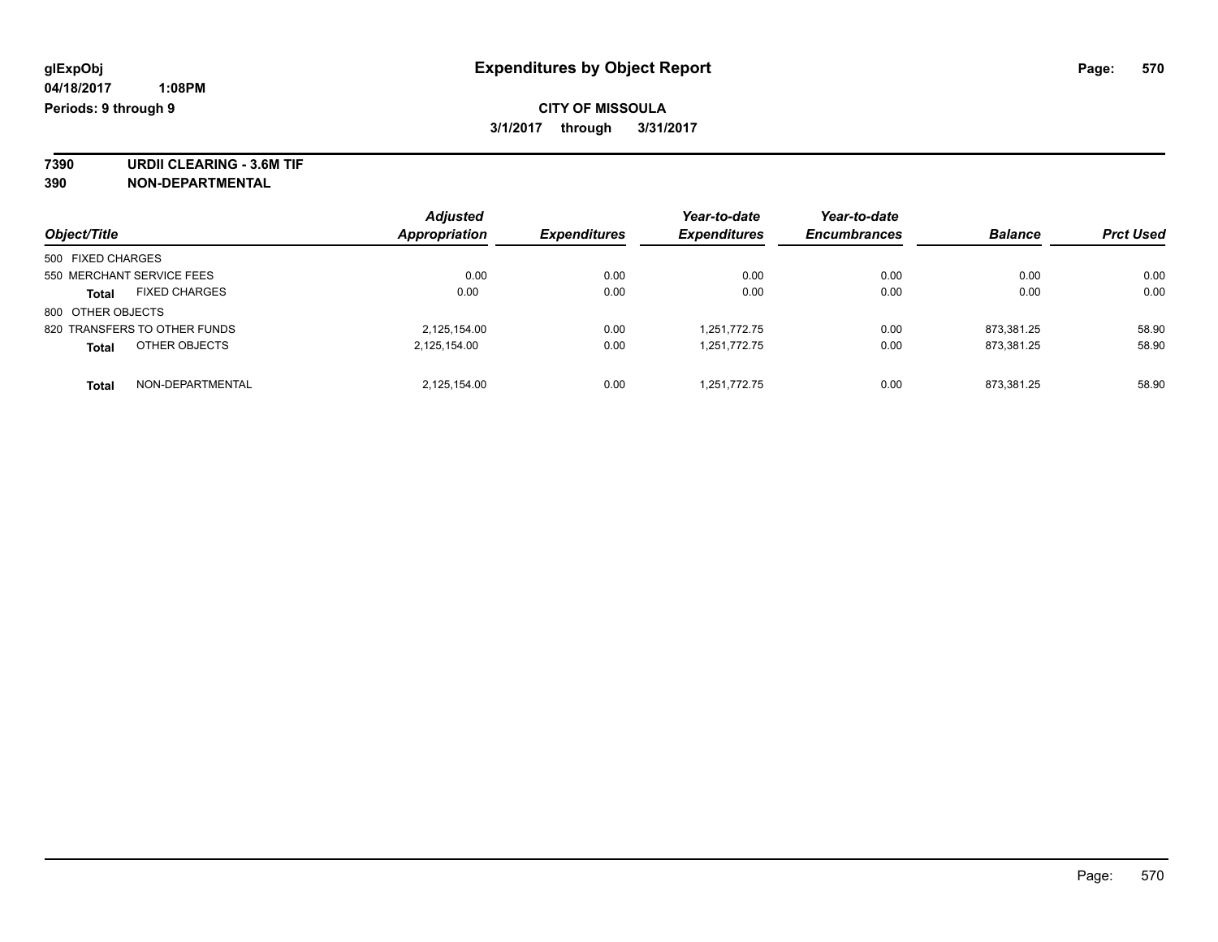**7390 URDII CLEARING - 3.6M TIF 390 NON-DEPARTMENTAL**

| Object/Title                         | <b>Adjusted</b><br><b>Appropriation</b> | <b>Expenditures</b> | Year-to-date<br><b>Expenditures</b> | Year-to-date<br><b>Encumbrances</b> | <b>Balance</b> | <b>Prct Used</b> |
|--------------------------------------|-----------------------------------------|---------------------|-------------------------------------|-------------------------------------|----------------|------------------|
|                                      |                                         |                     |                                     |                                     |                |                  |
| 500 FIXED CHARGES                    |                                         |                     |                                     |                                     |                |                  |
| 550 MERCHANT SERVICE FEES            | 0.00                                    | 0.00                | 0.00                                | 0.00                                | 0.00           | 0.00             |
| <b>FIXED CHARGES</b><br><b>Total</b> | 0.00                                    | 0.00                | 0.00                                | 0.00                                | 0.00           | 0.00             |
| 800 OTHER OBJECTS                    |                                         |                     |                                     |                                     |                |                  |
| 820 TRANSFERS TO OTHER FUNDS         | 2,125,154.00                            | 0.00                | 1.251.772.75                        | 0.00                                | 873.381.25     | 58.90            |
| OTHER OBJECTS<br><b>Total</b>        | 2,125,154.00                            | 0.00                | 1.251.772.75                        | 0.00                                | 873.381.25     | 58.90            |
| NON-DEPARTMENTAL<br><b>Total</b>     | 2,125,154.00                            | 0.00                | 1.251.772.75                        | 0.00                                | 873.381.25     | 58.90            |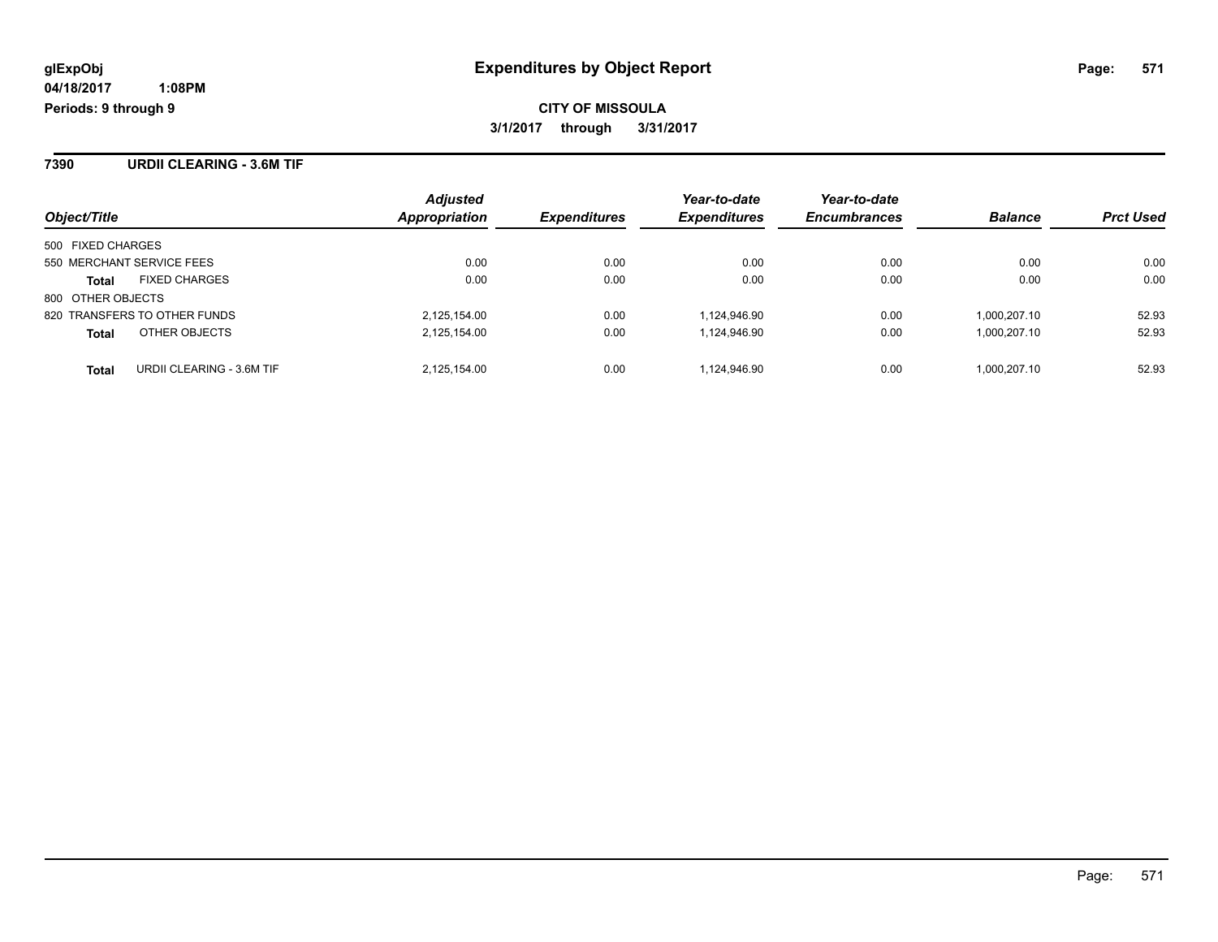**CITY OF MISSOULA 3/1/2017 through 3/31/2017**

**7390 URDII CLEARING - 3.6M TIF**

| Object/Title                 |                           | <b>Adjusted</b><br>Appropriation | <b>Expenditures</b> | Year-to-date<br><b>Expenditures</b> | Year-to-date<br><b>Encumbrances</b> | <b>Balance</b> | <b>Prct Used</b> |
|------------------------------|---------------------------|----------------------------------|---------------------|-------------------------------------|-------------------------------------|----------------|------------------|
| 500 FIXED CHARGES            |                           |                                  |                     |                                     |                                     |                |                  |
| 550 MERCHANT SERVICE FEES    |                           | 0.00                             | 0.00                | 0.00                                | 0.00                                | 0.00           | 0.00             |
| <b>Total</b>                 | <b>FIXED CHARGES</b>      | 0.00                             | 0.00                | 0.00                                | 0.00                                | 0.00           | 0.00             |
| 800 OTHER OBJECTS            |                           |                                  |                     |                                     |                                     |                |                  |
| 820 TRANSFERS TO OTHER FUNDS |                           | 2,125,154.00                     | 0.00                | 1.124.946.90                        | 0.00                                | 1.000.207.10   | 52.93            |
| <b>Total</b>                 | OTHER OBJECTS             | 2,125,154.00                     | 0.00                | 1,124,946.90                        | 0.00                                | 1,000,207.10   | 52.93            |
| <b>Total</b>                 | URDII CLEARING - 3.6M TIF | 2.125.154.00                     | 0.00                | 1.124.946.90                        | 0.00                                | 1.000.207.10   | 52.93            |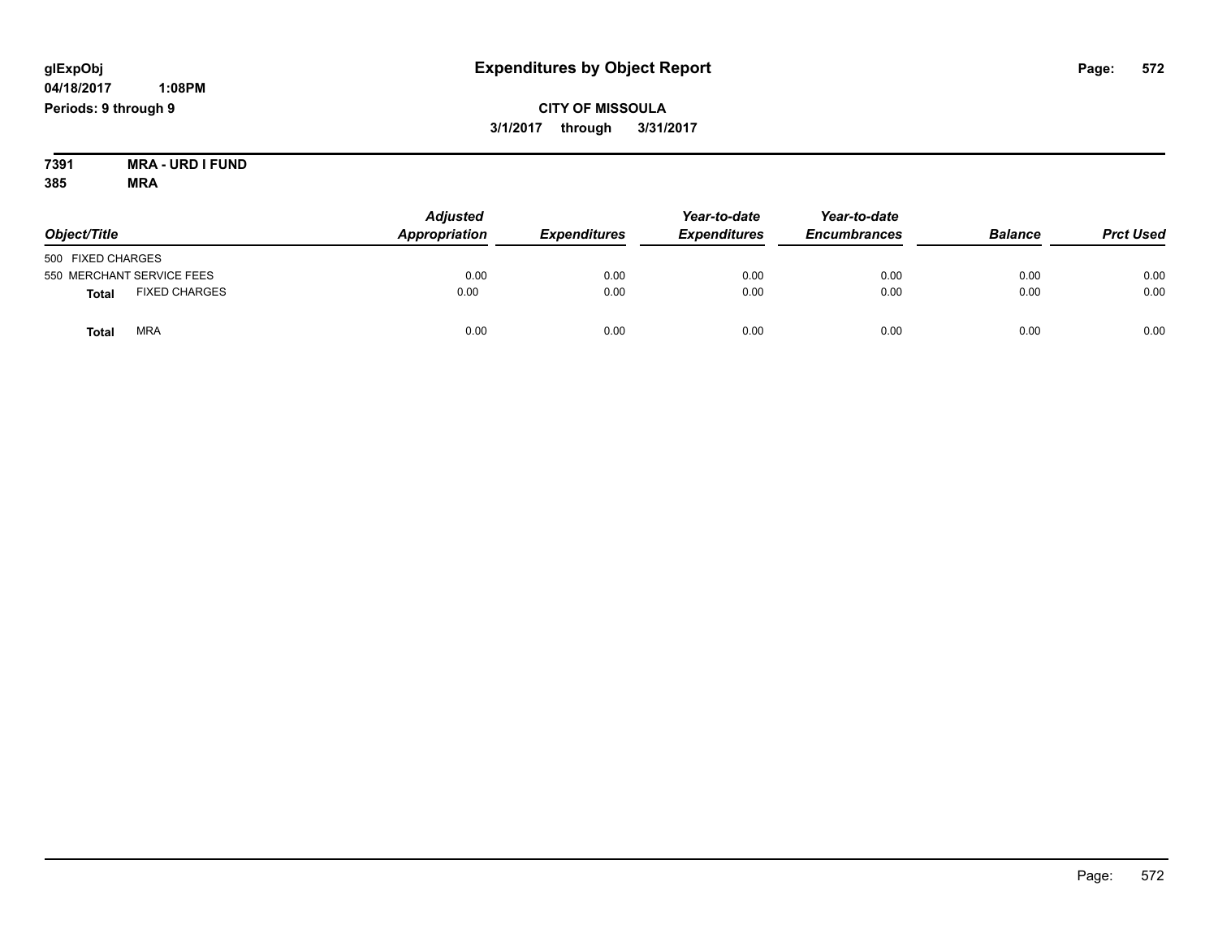## **04/18/2017**

 **1:08PM Periods: 9 through 9**

## **CITY OF MISSOULA 3/1/2017 through 3/31/2017**

**7391 MRA - URD I FUND 385 MRA**

| Object/Title      |                           | <b>Adjusted</b><br>Appropriation | <b>Expenditures</b> | Year-to-date<br><b>Expenditures</b> | Year-to-date<br><b>Encumbrances</b> | <b>Balance</b> | <b>Prct Used</b> |
|-------------------|---------------------------|----------------------------------|---------------------|-------------------------------------|-------------------------------------|----------------|------------------|
| 500 FIXED CHARGES |                           |                                  |                     |                                     |                                     |                |                  |
|                   | 550 MERCHANT SERVICE FEES | 0.00                             | 0.00                | 0.00                                | 0.00                                | 0.00           | 0.00             |
| <b>Total</b>      | <b>FIXED CHARGES</b>      | 0.00                             | 0.00                | 0.00                                | 0.00                                | 0.00           | 0.00             |
| <b>Total</b>      | <b>MRA</b>                | 0.00                             | 0.00                | 0.00                                | 0.00                                | 0.00           | 0.00             |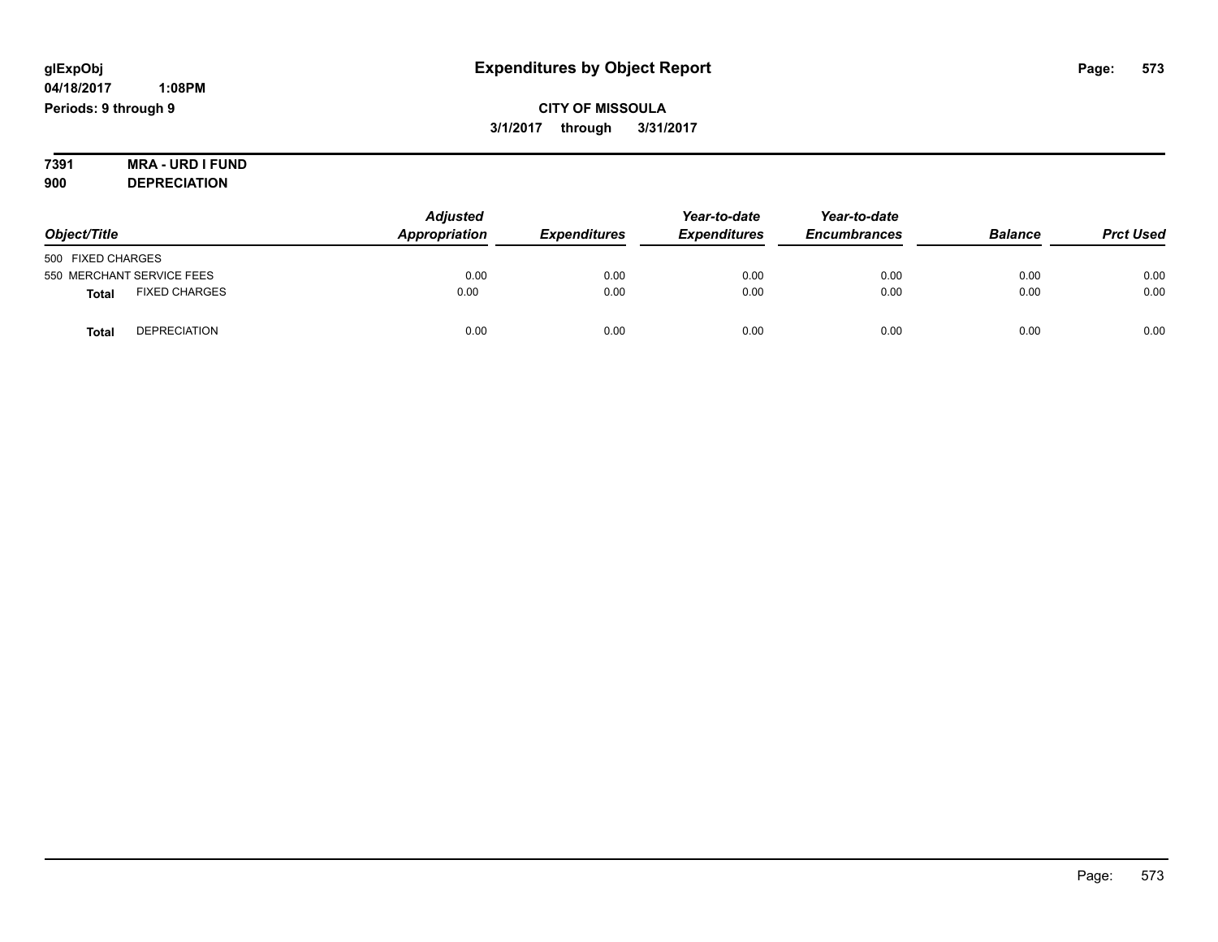**7391 MRA - URD I FUND 900 DEPRECIATION**

*Object/Title Adjusted Appropriation Expenditures Year-to-date Expenditures Year-to-date Encumbrances Balance Prct Used* 500 FIXED CHARGES 550 MERCHANT SERVICE FEES 0.00 0.00 0.00 0.00 0.00 0.00 **Total** FIXED CHARGES 0.00 0.00 0.00 0.00 0.00 0.00 **Total** DEPRECIATION 0.00 0.00 0.00 0.00 0.00 0.00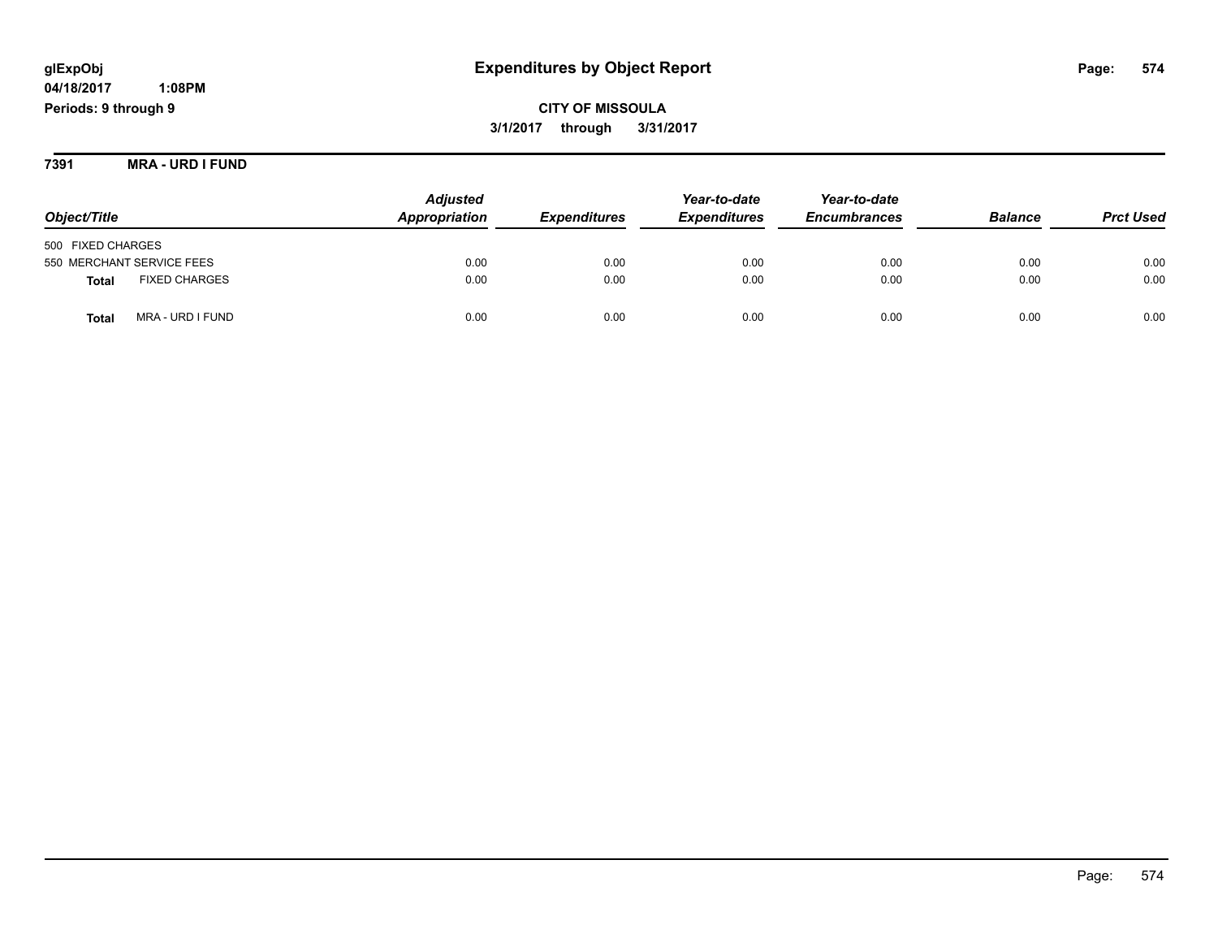## **glExpObj Expenditures by Object Report Page: 574**

**04/18/2017 1:08PM Periods: 9 through 9**

**CITY OF MISSOULA 3/1/2017 through 3/31/2017**

**7391 MRA - URD I FUND**

|                                      | <b>Adjusted</b> |                            | Year-to-date        | Year-to-date        |                |                  |
|--------------------------------------|-----------------|----------------------------|---------------------|---------------------|----------------|------------------|
| Object/Title                         | Appropriation   | <i><b>Expenditures</b></i> | <b>Expenditures</b> | <b>Encumbrances</b> | <b>Balance</b> | <b>Prct Used</b> |
| 500 FIXED CHARGES                    |                 |                            |                     |                     |                |                  |
| 550 MERCHANT SERVICE FEES            | 0.00            | 0.00                       | 0.00                | 0.00                | 0.00           | 0.00             |
| <b>FIXED CHARGES</b><br><b>Total</b> | 0.00            | 0.00                       | 0.00                | 0.00                | 0.00           | 0.00             |
| MRA - URD I FUND<br><b>Total</b>     | 0.00            | 0.00                       | 0.00                | 0.00                | 0.00           | 0.00             |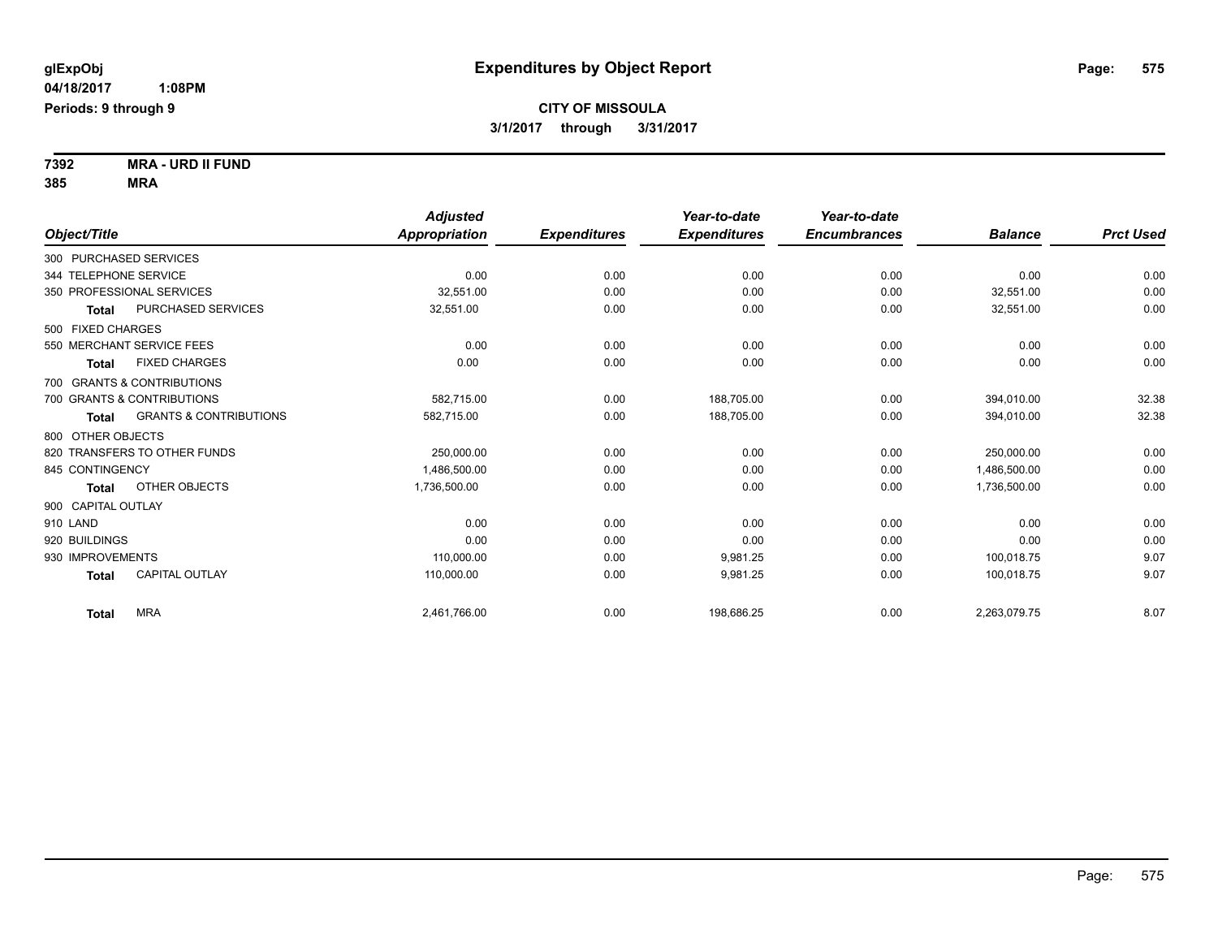**7392 MRA - URD II FUND 385 MRA**

| Object/Title           |                                   | <b>Adjusted</b><br><b>Appropriation</b> | <b>Expenditures</b> | Year-to-date<br><b>Expenditures</b> | Year-to-date<br><b>Encumbrances</b> | <b>Balance</b> | <b>Prct Used</b> |
|------------------------|-----------------------------------|-----------------------------------------|---------------------|-------------------------------------|-------------------------------------|----------------|------------------|
| 300 PURCHASED SERVICES |                                   |                                         |                     |                                     |                                     |                |                  |
|                        |                                   |                                         |                     |                                     |                                     |                |                  |
| 344 TELEPHONE SERVICE  |                                   | 0.00                                    | 0.00                | 0.00                                | 0.00                                | 0.00           | 0.00             |
|                        | 350 PROFESSIONAL SERVICES         | 32,551.00                               | 0.00                | 0.00                                | 0.00                                | 32,551.00      | 0.00             |
| <b>Total</b>           | PURCHASED SERVICES                | 32,551.00                               | 0.00                | 0.00                                | 0.00                                | 32,551.00      | 0.00             |
| 500 FIXED CHARGES      |                                   |                                         |                     |                                     |                                     |                |                  |
|                        | 550 MERCHANT SERVICE FEES         | 0.00                                    | 0.00                | 0.00                                | 0.00                                | 0.00           | 0.00             |
| <b>Total</b>           | <b>FIXED CHARGES</b>              | 0.00                                    | 0.00                | 0.00                                | 0.00                                | 0.00           | 0.00             |
|                        | 700 GRANTS & CONTRIBUTIONS        |                                         |                     |                                     |                                     |                |                  |
|                        | 700 GRANTS & CONTRIBUTIONS        | 582,715.00                              | 0.00                | 188,705.00                          | 0.00                                | 394,010.00     | 32.38            |
| Total                  | <b>GRANTS &amp; CONTRIBUTIONS</b> | 582,715.00                              | 0.00                | 188,705.00                          | 0.00                                | 394,010.00     | 32.38            |
| 800 OTHER OBJECTS      |                                   |                                         |                     |                                     |                                     |                |                  |
|                        | 820 TRANSFERS TO OTHER FUNDS      | 250,000.00                              | 0.00                | 0.00                                | 0.00                                | 250,000.00     | 0.00             |
| 845 CONTINGENCY        |                                   | 1,486,500.00                            | 0.00                | 0.00                                | 0.00                                | 1,486,500.00   | 0.00             |
| <b>Total</b>           | OTHER OBJECTS                     | 1,736,500.00                            | 0.00                | 0.00                                | 0.00                                | 1,736,500.00   | 0.00             |
| 900 CAPITAL OUTLAY     |                                   |                                         |                     |                                     |                                     |                |                  |
| 910 LAND               |                                   | 0.00                                    | 0.00                | 0.00                                | 0.00                                | 0.00           | 0.00             |
| 920 BUILDINGS          |                                   | 0.00                                    | 0.00                | 0.00                                | 0.00                                | 0.00           | 0.00             |
| 930 IMPROVEMENTS       |                                   | 110,000.00                              | 0.00                | 9,981.25                            | 0.00                                | 100.018.75     | 9.07             |
| <b>Total</b>           | <b>CAPITAL OUTLAY</b>             | 110,000.00                              | 0.00                | 9,981.25                            | 0.00                                | 100.018.75     | 9.07             |
| <b>Total</b>           | <b>MRA</b>                        | 2,461,766.00                            | 0.00                | 198.686.25                          | 0.00                                | 2,263,079.75   | 8.07             |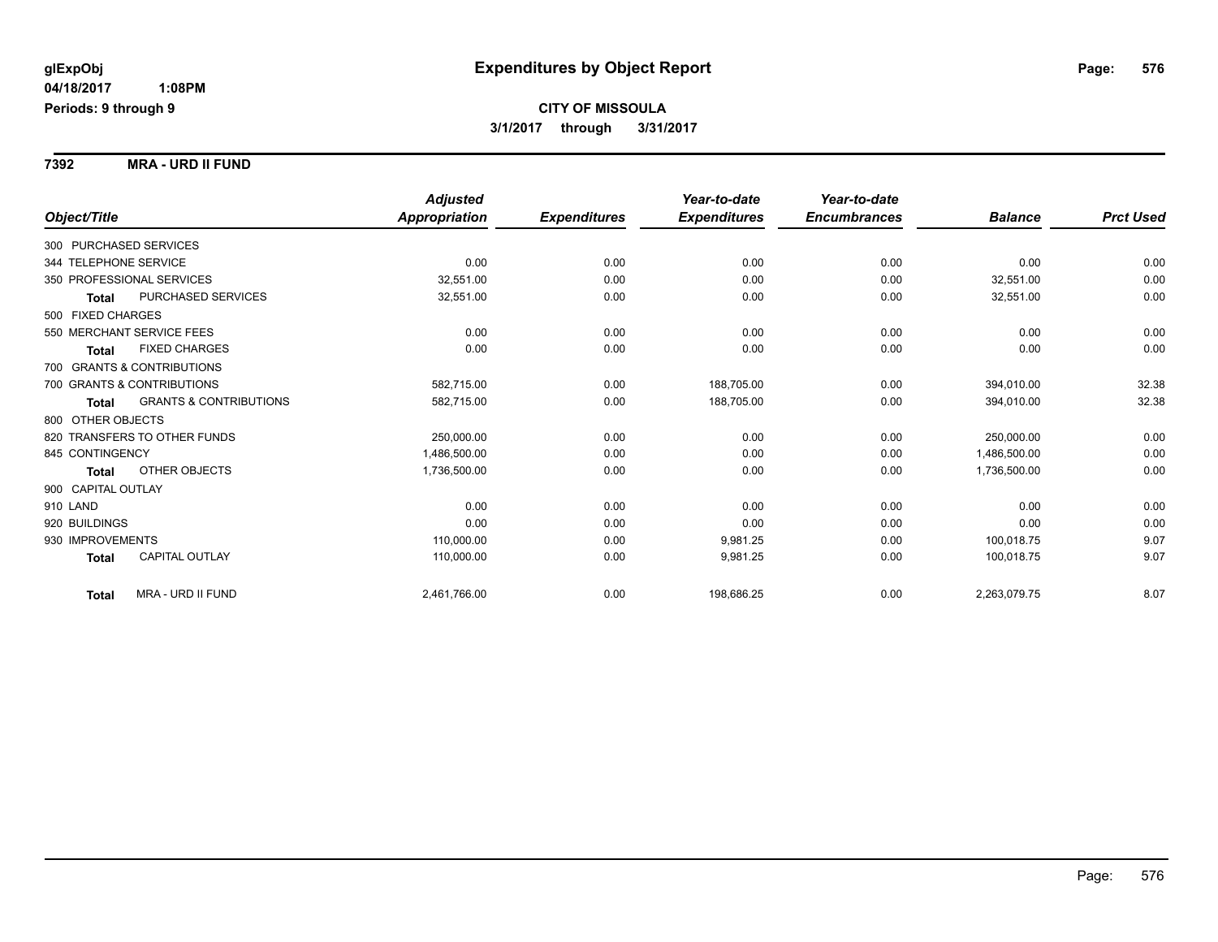**7392 MRA - URD II FUND**

|                                            | <b>Adjusted</b> |                     | Year-to-date        | Year-to-date        |                |                  |
|--------------------------------------------|-----------------|---------------------|---------------------|---------------------|----------------|------------------|
| Object/Title                               | Appropriation   | <b>Expenditures</b> | <b>Expenditures</b> | <b>Encumbrances</b> | <b>Balance</b> | <b>Prct Used</b> |
| 300 PURCHASED SERVICES                     |                 |                     |                     |                     |                |                  |
| 344 TELEPHONE SERVICE                      | 0.00            | 0.00                | 0.00                | 0.00                | 0.00           | 0.00             |
| 350 PROFESSIONAL SERVICES                  | 32,551.00       | 0.00                | 0.00                | 0.00                | 32,551.00      | 0.00             |
| PURCHASED SERVICES<br><b>Total</b>         | 32,551.00       | 0.00                | 0.00                | 0.00                | 32,551.00      | 0.00             |
| 500 FIXED CHARGES                          |                 |                     |                     |                     |                |                  |
| 550 MERCHANT SERVICE FEES                  | 0.00            | 0.00                | 0.00                | 0.00                | 0.00           | 0.00             |
| <b>FIXED CHARGES</b><br><b>Total</b>       | 0.00            | 0.00                | 0.00                | 0.00                | 0.00           | 0.00             |
| 700 GRANTS & CONTRIBUTIONS                 |                 |                     |                     |                     |                |                  |
| 700 GRANTS & CONTRIBUTIONS                 | 582,715.00      | 0.00                | 188,705.00          | 0.00                | 394,010.00     | 32.38            |
| <b>GRANTS &amp; CONTRIBUTIONS</b><br>Total | 582,715.00      | 0.00                | 188,705.00          | 0.00                | 394,010.00     | 32.38            |
| 800 OTHER OBJECTS                          |                 |                     |                     |                     |                |                  |
| 820 TRANSFERS TO OTHER FUNDS               | 250,000.00      | 0.00                | 0.00                | 0.00                | 250.000.00     | 0.00             |
| 845 CONTINGENCY                            | 1,486,500.00    | 0.00                | 0.00                | 0.00                | 1,486,500.00   | 0.00             |
| OTHER OBJECTS<br><b>Total</b>              | 1,736,500.00    | 0.00                | 0.00                | 0.00                | 1,736,500.00   | 0.00             |
| 900 CAPITAL OUTLAY                         |                 |                     |                     |                     |                |                  |
| 910 LAND                                   | 0.00            | 0.00                | 0.00                | 0.00                | 0.00           | 0.00             |
| 920 BUILDINGS                              | 0.00            | 0.00                | 0.00                | 0.00                | 0.00           | 0.00             |
| 930 IMPROVEMENTS                           | 110,000.00      | 0.00                | 9,981.25            | 0.00                | 100,018.75     | 9.07             |
| CAPITAL OUTLAY<br><b>Total</b>             | 110,000.00      | 0.00                | 9,981.25            | 0.00                | 100,018.75     | 9.07             |
| MRA - URD II FUND<br><b>Total</b>          | 2,461,766.00    | 0.00                | 198,686.25          | 0.00                | 2,263,079.75   | 8.07             |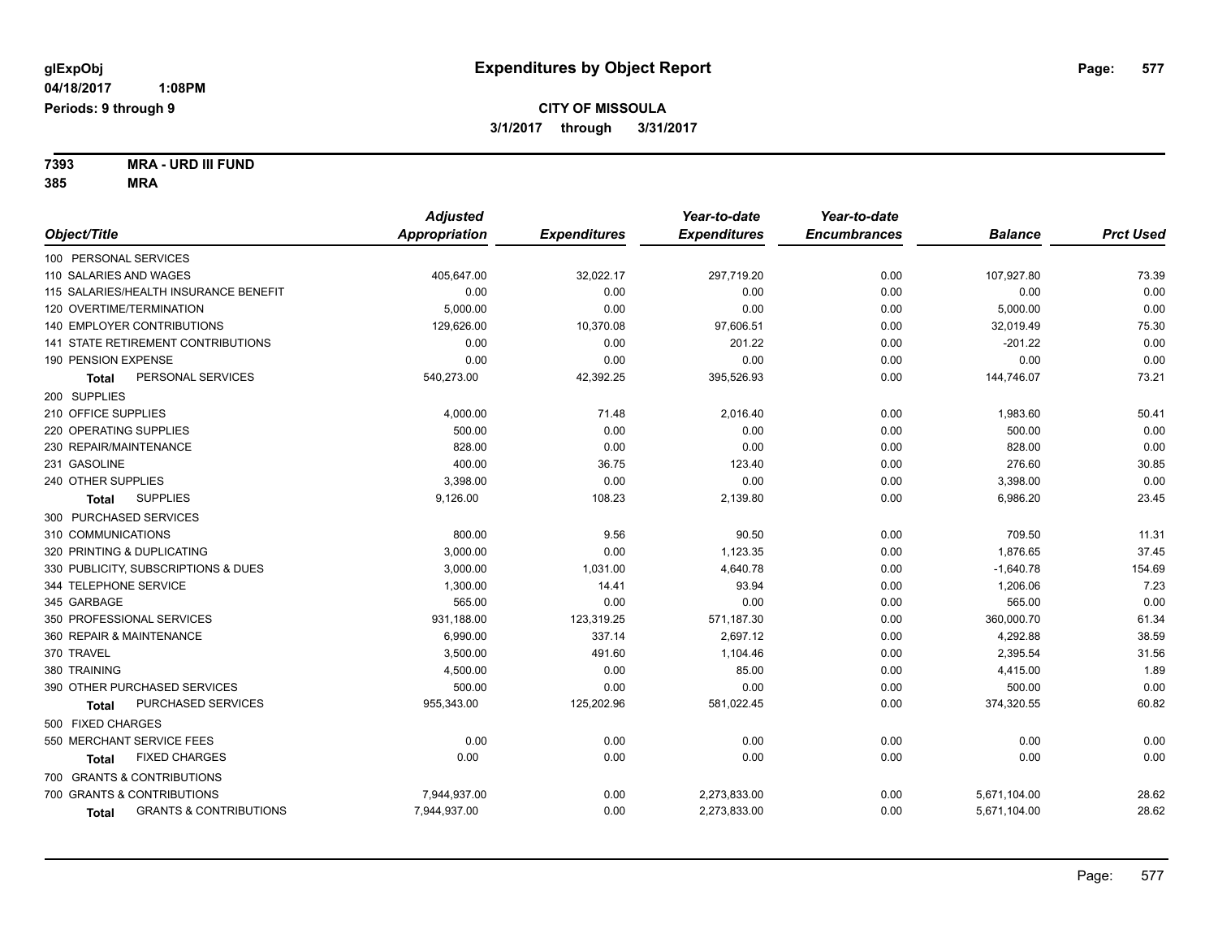**7393 MRA - URD III FUND 385 MRA**

|                                                   | <b>Adjusted</b>      |                     | Year-to-date        | Year-to-date        |                |                  |
|---------------------------------------------------|----------------------|---------------------|---------------------|---------------------|----------------|------------------|
| Object/Title                                      | <b>Appropriation</b> | <b>Expenditures</b> | <b>Expenditures</b> | <b>Encumbrances</b> | <b>Balance</b> | <b>Prct Used</b> |
| 100 PERSONAL SERVICES                             |                      |                     |                     |                     |                |                  |
| 110 SALARIES AND WAGES                            | 405,647.00           | 32,022.17           | 297,719.20          | 0.00                | 107,927.80     | 73.39            |
| 115 SALARIES/HEALTH INSURANCE BENEFIT             | 0.00                 | 0.00                | 0.00                | 0.00                | 0.00           | 0.00             |
| 120 OVERTIME/TERMINATION                          | 5,000.00             | 0.00                | 0.00                | 0.00                | 5,000.00       | 0.00             |
| <b>140 EMPLOYER CONTRIBUTIONS</b>                 | 129,626.00           | 10,370.08           | 97,606.51           | 0.00                | 32,019.49      | 75.30            |
| 141 STATE RETIREMENT CONTRIBUTIONS                | 0.00                 | 0.00                | 201.22              | 0.00                | $-201.22$      | 0.00             |
| 190 PENSION EXPENSE                               | 0.00                 | 0.00                | 0.00                | 0.00                | 0.00           | 0.00             |
| PERSONAL SERVICES<br><b>Total</b>                 | 540,273.00           | 42,392.25           | 395,526.93          | 0.00                | 144,746.07     | 73.21            |
| 200 SUPPLIES                                      |                      |                     |                     |                     |                |                  |
| 210 OFFICE SUPPLIES                               | 4,000.00             | 71.48               | 2,016.40            | 0.00                | 1,983.60       | 50.41            |
| 220 OPERATING SUPPLIES                            | 500.00               | 0.00                | 0.00                | 0.00                | 500.00         | 0.00             |
| 230 REPAIR/MAINTENANCE                            | 828.00               | 0.00                | 0.00                | 0.00                | 828.00         | 0.00             |
| 231 GASOLINE                                      | 400.00               | 36.75               | 123.40              | 0.00                | 276.60         | 30.85            |
| 240 OTHER SUPPLIES                                | 3,398.00             | 0.00                | 0.00                | 0.00                | 3,398.00       | 0.00             |
| <b>SUPPLIES</b><br><b>Total</b>                   | 9,126.00             | 108.23              | 2,139.80            | 0.00                | 6,986.20       | 23.45            |
| 300 PURCHASED SERVICES                            |                      |                     |                     |                     |                |                  |
| 310 COMMUNICATIONS                                | 800.00               | 9.56                | 90.50               | 0.00                | 709.50         | 11.31            |
| 320 PRINTING & DUPLICATING                        | 3,000.00             | 0.00                | 1,123.35            | 0.00                | 1,876.65       | 37.45            |
| 330 PUBLICITY, SUBSCRIPTIONS & DUES               | 3,000.00             | 1,031.00            | 4,640.78            | 0.00                | $-1,640.78$    | 154.69           |
| 344 TELEPHONE SERVICE                             | 1,300.00             | 14.41               | 93.94               | 0.00                | 1,206.06       | 7.23             |
| 345 GARBAGE                                       | 565.00               | 0.00                | 0.00                | 0.00                | 565.00         | 0.00             |
| 350 PROFESSIONAL SERVICES                         | 931,188.00           | 123,319.25          | 571,187.30          | 0.00                | 360,000.70     | 61.34            |
| 360 REPAIR & MAINTENANCE                          | 6,990.00             | 337.14              | 2,697.12            | 0.00                | 4,292.88       | 38.59            |
| 370 TRAVEL                                        | 3,500.00             | 491.60              | 1,104.46            | 0.00                | 2,395.54       | 31.56            |
| 380 TRAINING                                      | 4,500.00             | 0.00                | 85.00               | 0.00                | 4,415.00       | 1.89             |
| 390 OTHER PURCHASED SERVICES                      | 500.00               | 0.00                | 0.00                | 0.00                | 500.00         | 0.00             |
| PURCHASED SERVICES<br><b>Total</b>                | 955,343.00           | 125,202.96          | 581,022.45          | 0.00                | 374,320.55     | 60.82            |
| 500 FIXED CHARGES                                 |                      |                     |                     |                     |                |                  |
| 550 MERCHANT SERVICE FEES                         | 0.00                 | 0.00                | 0.00                | 0.00                | 0.00           | 0.00             |
| <b>FIXED CHARGES</b><br><b>Total</b>              | 0.00                 | 0.00                | 0.00                | 0.00                | 0.00           | 0.00             |
| 700 GRANTS & CONTRIBUTIONS                        |                      |                     |                     |                     |                |                  |
| 700 GRANTS & CONTRIBUTIONS                        | 7,944,937.00         | 0.00                | 2,273,833.00        | 0.00                | 5,671,104.00   | 28.62            |
| <b>GRANTS &amp; CONTRIBUTIONS</b><br><b>Total</b> | 7,944,937.00         | 0.00                | 2,273,833.00        | 0.00                | 5,671,104.00   | 28.62            |
|                                                   |                      |                     |                     |                     |                |                  |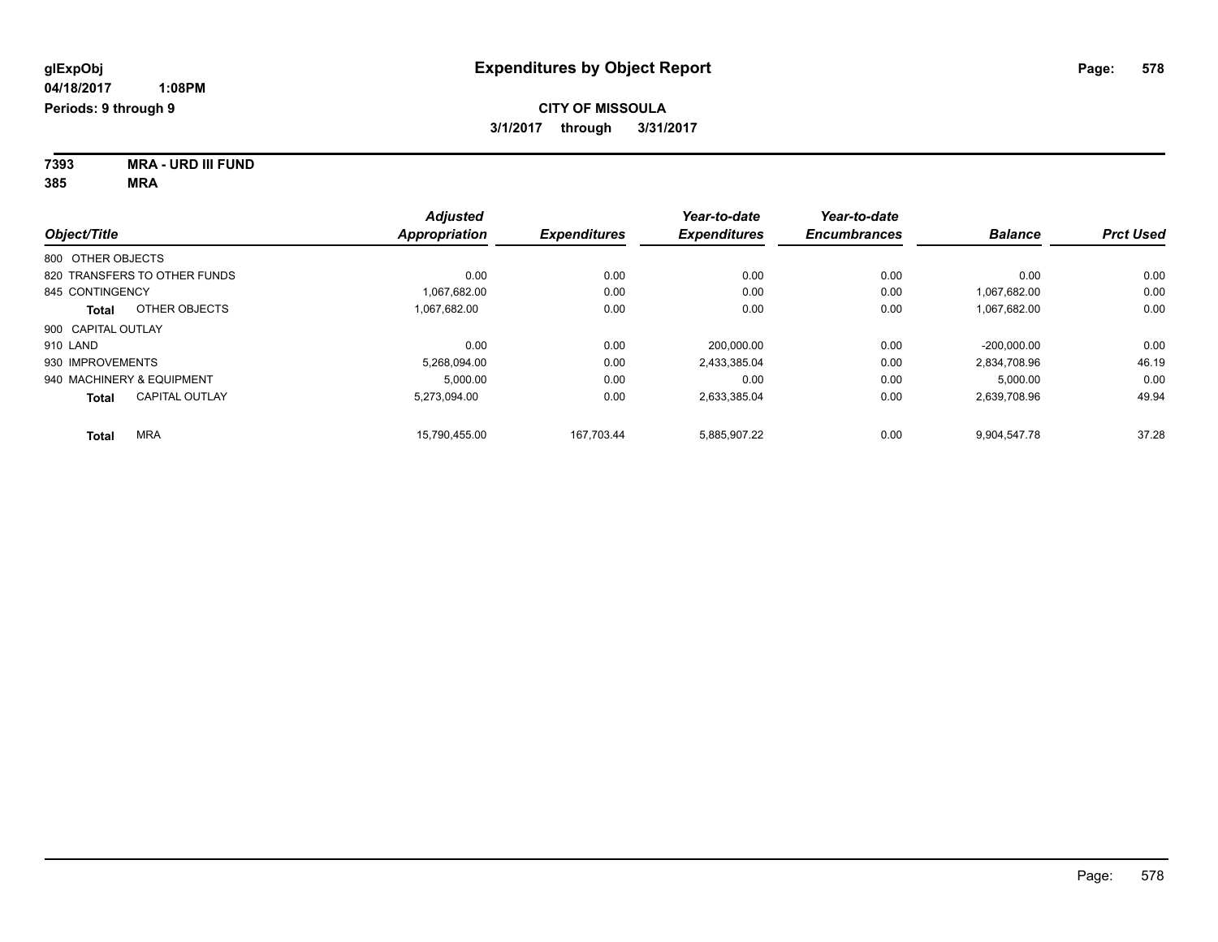**7393 MRA - URD III FUND 385 MRA**

|                                | <b>Adjusted</b>      |                     | Year-to-date        | Year-to-date        |                |                  |
|--------------------------------|----------------------|---------------------|---------------------|---------------------|----------------|------------------|
| Object/Title                   | <b>Appropriation</b> | <b>Expenditures</b> | <b>Expenditures</b> | <b>Encumbrances</b> | <b>Balance</b> | <b>Prct Used</b> |
| 800 OTHER OBJECTS              |                      |                     |                     |                     |                |                  |
| 820 TRANSFERS TO OTHER FUNDS   | 0.00                 | 0.00                | 0.00                | 0.00                | 0.00           | 0.00             |
| 845 CONTINGENCY                | 1.067.682.00         | 0.00                | 0.00                | 0.00                | 1.067.682.00   | 0.00             |
| OTHER OBJECTS<br>Total         | 1.067.682.00         | 0.00                | 0.00                | 0.00                | 1,067,682.00   | 0.00             |
| 900 CAPITAL OUTLAY             |                      |                     |                     |                     |                |                  |
| 910 LAND                       | 0.00                 | 0.00                | 200.000.00          | 0.00                | $-200.000.00$  | 0.00             |
| 930 IMPROVEMENTS               | 5.268.094.00         | 0.00                | 2.433.385.04        | 0.00                | 2,834,708.96   | 46.19            |
| 940 MACHINERY & EQUIPMENT      | 5,000.00             | 0.00                | 0.00                | 0.00                | 5,000.00       | 0.00             |
| <b>CAPITAL OUTLAY</b><br>Total | 5.273.094.00         | 0.00                | 2,633,385.04        | 0.00                | 2,639,708.96   | 49.94            |
| <b>MRA</b><br>Total            | 15.790.455.00        | 167.703.44          | 5,885,907.22        | 0.00                | 9.904.547.78   | 37.28            |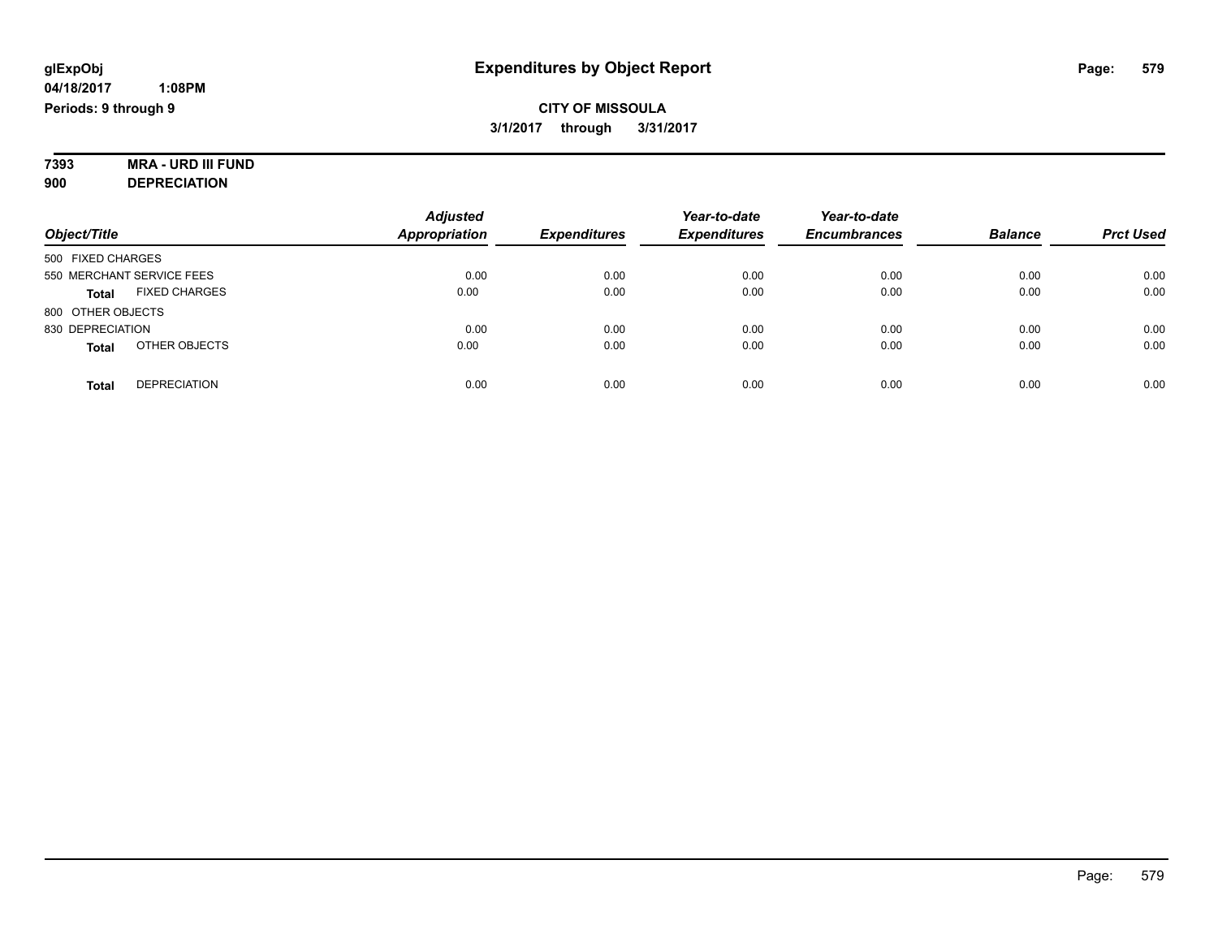#### **7393 MRA - URD III FUND 900 DEPRECIATION**

| Object/Title                         | <b>Adjusted</b><br><b>Appropriation</b> | <b>Expenditures</b> | Year-to-date<br><b>Expenditures</b> | Year-to-date<br><b>Encumbrances</b> | <b>Balance</b> | <b>Prct Used</b> |
|--------------------------------------|-----------------------------------------|---------------------|-------------------------------------|-------------------------------------|----------------|------------------|
| 500 FIXED CHARGES                    |                                         |                     |                                     |                                     |                |                  |
| 550 MERCHANT SERVICE FEES            | 0.00                                    | 0.00                | 0.00                                | 0.00                                | 0.00           | 0.00             |
| <b>FIXED CHARGES</b><br><b>Total</b> | 0.00                                    | 0.00                | 0.00                                | 0.00                                | 0.00           | 0.00             |
| 800 OTHER OBJECTS                    |                                         |                     |                                     |                                     |                |                  |
| 830 DEPRECIATION                     | 0.00                                    | 0.00                | 0.00                                | 0.00                                | 0.00           | 0.00             |
| OTHER OBJECTS<br><b>Total</b>        | 0.00                                    | 0.00                | 0.00                                | 0.00                                | 0.00           | 0.00             |
| <b>DEPRECIATION</b><br><b>Total</b>  | 0.00                                    | 0.00                | 0.00                                | 0.00                                | 0.00           | 0.00             |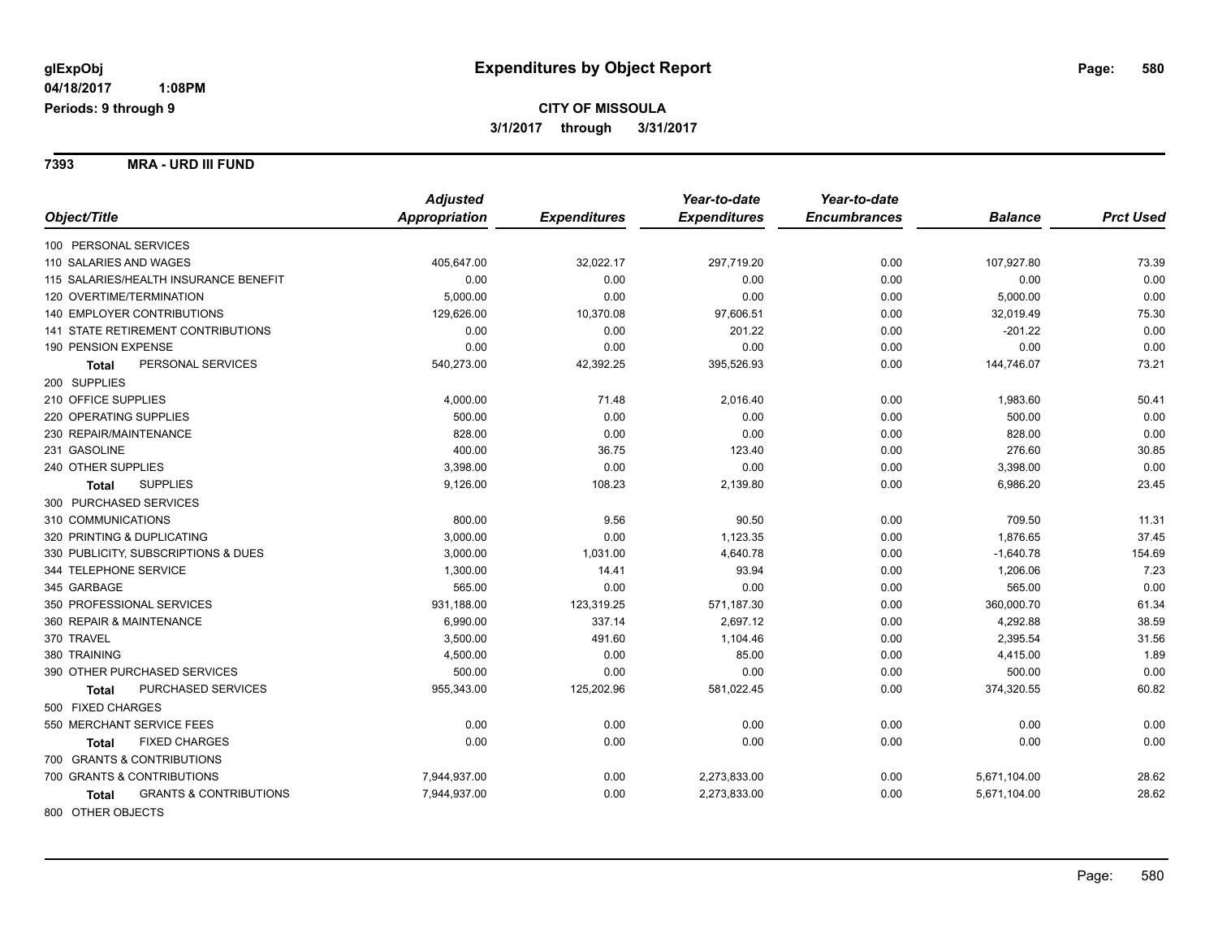**7393 MRA - URD III FUND**

| Object/Title<br>Appropriation<br><b>Expenditures</b><br><b>Expenditures</b><br><b>Encumbrances</b><br><b>Balance</b><br>100 PERSONAL SERVICES<br>110 SALARIES AND WAGES<br>405,647.00<br>32,022.17<br>297,719.20<br>0.00<br>107,927.80<br>115 SALARIES/HEALTH INSURANCE BENEFIT<br>0.00<br>0.00<br>0.00<br>0.00<br>0.00<br>120 OVERTIME/TERMINATION<br>5,000.00<br>0.00<br>5,000.00<br>0.00<br>0.00<br><b>140 EMPLOYER CONTRIBUTIONS</b><br>10,370.08<br>129,626.00<br>97,606.51<br>0.00<br>32,019.49<br><b>141 STATE RETIREMENT CONTRIBUTIONS</b><br>0.00<br>0.00<br>201.22<br>0.00<br>$-201.22$<br>190 PENSION EXPENSE<br>0.00<br>0.00<br>0.00<br>0.00<br>0.00 |                  | Year-to-date | Year-to-date | <b>Adjusted</b> |  |
|------------------------------------------------------------------------------------------------------------------------------------------------------------------------------------------------------------------------------------------------------------------------------------------------------------------------------------------------------------------------------------------------------------------------------------------------------------------------------------------------------------------------------------------------------------------------------------------------------------------------------------------------------------------|------------------|--------------|--------------|-----------------|--|
|                                                                                                                                                                                                                                                                                                                                                                                                                                                                                                                                                                                                                                                                  | <b>Prct Used</b> |              |              |                 |  |
|                                                                                                                                                                                                                                                                                                                                                                                                                                                                                                                                                                                                                                                                  |                  |              |              |                 |  |
|                                                                                                                                                                                                                                                                                                                                                                                                                                                                                                                                                                                                                                                                  | 73.39            |              |              |                 |  |
|                                                                                                                                                                                                                                                                                                                                                                                                                                                                                                                                                                                                                                                                  | 0.00             |              |              |                 |  |
|                                                                                                                                                                                                                                                                                                                                                                                                                                                                                                                                                                                                                                                                  | 0.00             |              |              |                 |  |
|                                                                                                                                                                                                                                                                                                                                                                                                                                                                                                                                                                                                                                                                  | 75.30            |              |              |                 |  |
|                                                                                                                                                                                                                                                                                                                                                                                                                                                                                                                                                                                                                                                                  | 0.00             |              |              |                 |  |
|                                                                                                                                                                                                                                                                                                                                                                                                                                                                                                                                                                                                                                                                  | 0.00             |              |              |                 |  |
| PERSONAL SERVICES<br>540,273.00<br>42,392.25<br>395,526.93<br>0.00<br>144,746.07<br><b>Total</b>                                                                                                                                                                                                                                                                                                                                                                                                                                                                                                                                                                 | 73.21            |              |              |                 |  |
| 200 SUPPLIES                                                                                                                                                                                                                                                                                                                                                                                                                                                                                                                                                                                                                                                     |                  |              |              |                 |  |
| 210 OFFICE SUPPLIES<br>4,000.00<br>71.48<br>0.00<br>2,016.40<br>1,983.60                                                                                                                                                                                                                                                                                                                                                                                                                                                                                                                                                                                         | 50.41            |              |              |                 |  |
| 500.00<br>220 OPERATING SUPPLIES<br>0.00<br>0.00<br>0.00<br>500.00                                                                                                                                                                                                                                                                                                                                                                                                                                                                                                                                                                                               | 0.00             |              |              |                 |  |
| 828.00<br>230 REPAIR/MAINTENANCE<br>0.00<br>0.00<br>0.00<br>828.00                                                                                                                                                                                                                                                                                                                                                                                                                                                                                                                                                                                               | 0.00             |              |              |                 |  |
| 400.00<br>231 GASOLINE<br>36.75<br>276.60<br>123.40<br>0.00                                                                                                                                                                                                                                                                                                                                                                                                                                                                                                                                                                                                      | 30.85            |              |              |                 |  |
| 240 OTHER SUPPLIES<br>3,398.00<br>0.00<br>0.00<br>0.00<br>3,398.00                                                                                                                                                                                                                                                                                                                                                                                                                                                                                                                                                                                               | 0.00             |              |              |                 |  |
| <b>SUPPLIES</b><br>9,126.00<br>108.23<br>0.00<br>6,986.20<br>2,139.80<br><b>Total</b>                                                                                                                                                                                                                                                                                                                                                                                                                                                                                                                                                                            | 23.45            |              |              |                 |  |
| 300 PURCHASED SERVICES                                                                                                                                                                                                                                                                                                                                                                                                                                                                                                                                                                                                                                           |                  |              |              |                 |  |
| 310 COMMUNICATIONS<br>800.00<br>9.56<br>90.50<br>0.00<br>709.50                                                                                                                                                                                                                                                                                                                                                                                                                                                                                                                                                                                                  | 11.31            |              |              |                 |  |
| 320 PRINTING & DUPLICATING<br>3,000.00<br>0.00<br>1,123.35<br>0.00<br>1,876.65                                                                                                                                                                                                                                                                                                                                                                                                                                                                                                                                                                                   | 37.45            |              |              |                 |  |
| 330 PUBLICITY, SUBSCRIPTIONS & DUES<br>3,000.00<br>1,031.00<br>4,640.78<br>0.00<br>$-1,640.78$                                                                                                                                                                                                                                                                                                                                                                                                                                                                                                                                                                   | 154.69           |              |              |                 |  |
| 344 TELEPHONE SERVICE<br>1,300.00<br>14.41<br>93.94<br>0.00<br>1,206.06                                                                                                                                                                                                                                                                                                                                                                                                                                                                                                                                                                                          | 7.23             |              |              |                 |  |
| 565.00<br>0.00<br>345 GARBAGE<br>0.00<br>0.00<br>565.00                                                                                                                                                                                                                                                                                                                                                                                                                                                                                                                                                                                                          | 0.00             |              |              |                 |  |
| 350 PROFESSIONAL SERVICES<br>931,188.00<br>123,319.25<br>571,187.30<br>0.00<br>360,000.70                                                                                                                                                                                                                                                                                                                                                                                                                                                                                                                                                                        | 61.34            |              |              |                 |  |
| 337.14<br>360 REPAIR & MAINTENANCE<br>6,990.00<br>2,697.12<br>0.00<br>4,292.88                                                                                                                                                                                                                                                                                                                                                                                                                                                                                                                                                                                   | 38.59            |              |              |                 |  |
| 370 TRAVEL<br>3,500.00<br>491.60<br>1,104.46<br>0.00<br>2,395.54                                                                                                                                                                                                                                                                                                                                                                                                                                                                                                                                                                                                 | 31.56            |              |              |                 |  |
| 4,500.00<br>0.00<br>380 TRAINING<br>85.00<br>0.00<br>4,415.00                                                                                                                                                                                                                                                                                                                                                                                                                                                                                                                                                                                                    | 1.89             |              |              |                 |  |
| 500.00<br>390 OTHER PURCHASED SERVICES<br>0.00<br>0.00<br>500.00<br>0.00                                                                                                                                                                                                                                                                                                                                                                                                                                                                                                                                                                                         | 0.00             |              |              |                 |  |
| PURCHASED SERVICES<br>955,343.00<br>374,320.55<br>125,202.96<br>581,022.45<br>0.00<br>Total                                                                                                                                                                                                                                                                                                                                                                                                                                                                                                                                                                      | 60.82            |              |              |                 |  |
| 500 FIXED CHARGES                                                                                                                                                                                                                                                                                                                                                                                                                                                                                                                                                                                                                                                |                  |              |              |                 |  |
| 550 MERCHANT SERVICE FEES<br>0.00<br>0.00<br>0.00<br>0.00<br>0.00                                                                                                                                                                                                                                                                                                                                                                                                                                                                                                                                                                                                | 0.00             |              |              |                 |  |
| <b>FIXED CHARGES</b><br>0.00<br>0.00<br>0.00<br>0.00<br>0.00<br><b>Total</b>                                                                                                                                                                                                                                                                                                                                                                                                                                                                                                                                                                                     | 0.00             |              |              |                 |  |
| 700 GRANTS & CONTRIBUTIONS                                                                                                                                                                                                                                                                                                                                                                                                                                                                                                                                                                                                                                       |                  |              |              |                 |  |
| 700 GRANTS & CONTRIBUTIONS<br>7,944,937.00<br>0.00<br>2,273,833.00<br>0.00<br>5,671,104.00                                                                                                                                                                                                                                                                                                                                                                                                                                                                                                                                                                       | 28.62            |              |              |                 |  |
| <b>GRANTS &amp; CONTRIBUTIONS</b><br>7,944,937.00<br>0.00<br>2,273,833.00<br>0.00<br>5,671,104.00<br>Total                                                                                                                                                                                                                                                                                                                                                                                                                                                                                                                                                       | 28.62            |              |              |                 |  |
| 800 OTHER OBJECTS                                                                                                                                                                                                                                                                                                                                                                                                                                                                                                                                                                                                                                                |                  |              |              |                 |  |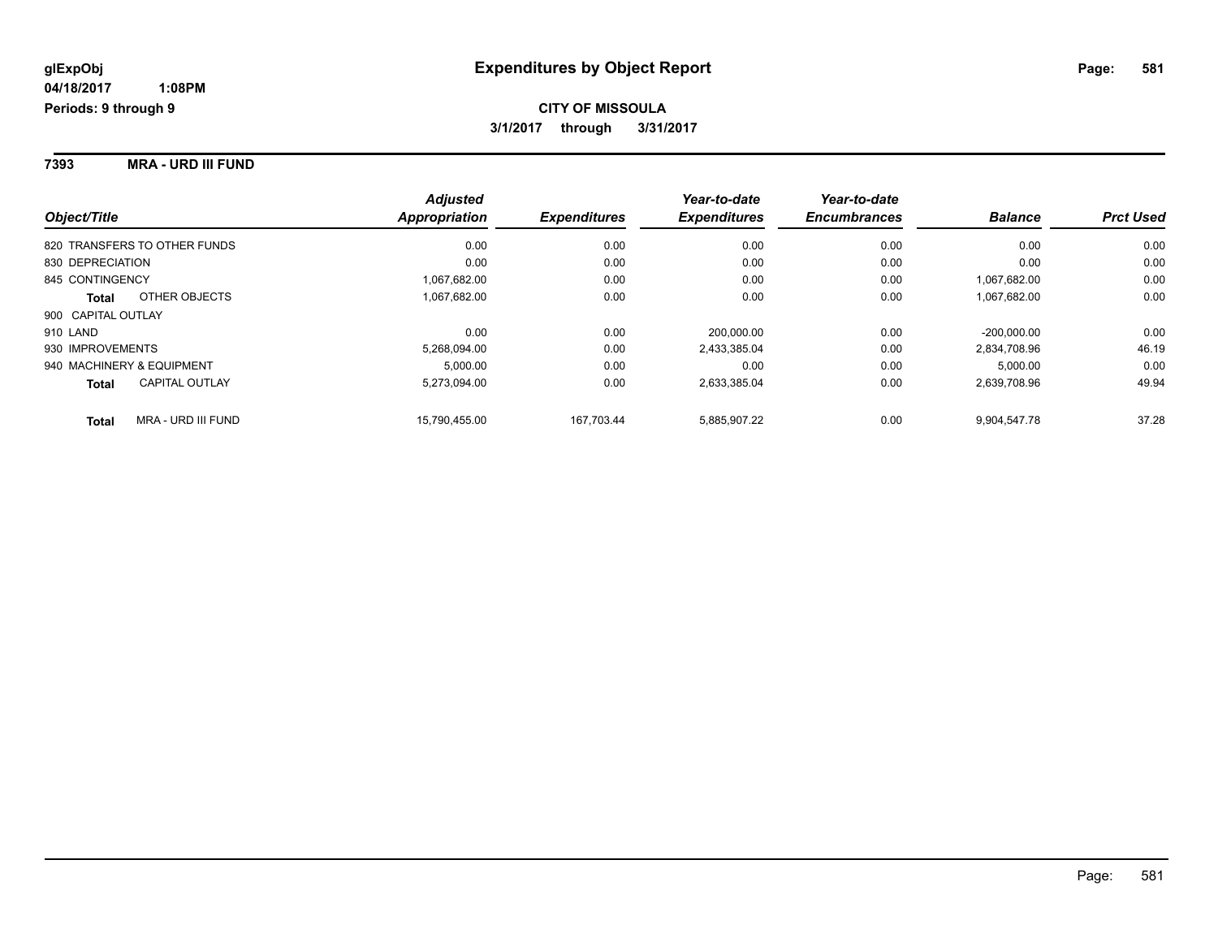#### **7393 MRA - URD III FUND**

| Object/Title                          | <b>Adjusted</b><br>Appropriation | <b>Expenditures</b> | Year-to-date<br><b>Expenditures</b> | Year-to-date<br><b>Encumbrances</b> | <b>Balance</b> | <b>Prct Used</b> |
|---------------------------------------|----------------------------------|---------------------|-------------------------------------|-------------------------------------|----------------|------------------|
| 820 TRANSFERS TO OTHER FUNDS          | 0.00                             | 0.00                | 0.00                                | 0.00                                | 0.00           | 0.00             |
| 830 DEPRECIATION                      | 0.00                             | 0.00                | 0.00                                | 0.00                                | 0.00           | 0.00             |
| 845 CONTINGENCY                       | 1,067,682.00                     | 0.00                | 0.00                                | 0.00                                | 1,067,682.00   | 0.00             |
| OTHER OBJECTS<br>Total                | 1,067,682.00                     | 0.00                | 0.00                                | 0.00                                | 1,067,682.00   | 0.00             |
| 900 CAPITAL OUTLAY                    |                                  |                     |                                     |                                     |                |                  |
| 910 LAND                              | 0.00                             | 0.00                | 200.000.00                          | 0.00                                | $-200.000.00$  | 0.00             |
| 930 IMPROVEMENTS                      | 5,268,094.00                     | 0.00                | 2,433,385.04                        | 0.00                                | 2,834,708.96   | 46.19            |
| 940 MACHINERY & EQUIPMENT             | 5.000.00                         | 0.00                | 0.00                                | 0.00                                | 5.000.00       | 0.00             |
| <b>CAPITAL OUTLAY</b><br><b>Total</b> | 5,273,094.00                     | 0.00                | 2,633,385.04                        | 0.00                                | 2,639,708.96   | 49.94            |
| MRA - URD III FUND<br><b>Total</b>    | 15.790.455.00                    | 167.703.44          | 5,885,907.22                        | 0.00                                | 9,904,547.78   | 37.28            |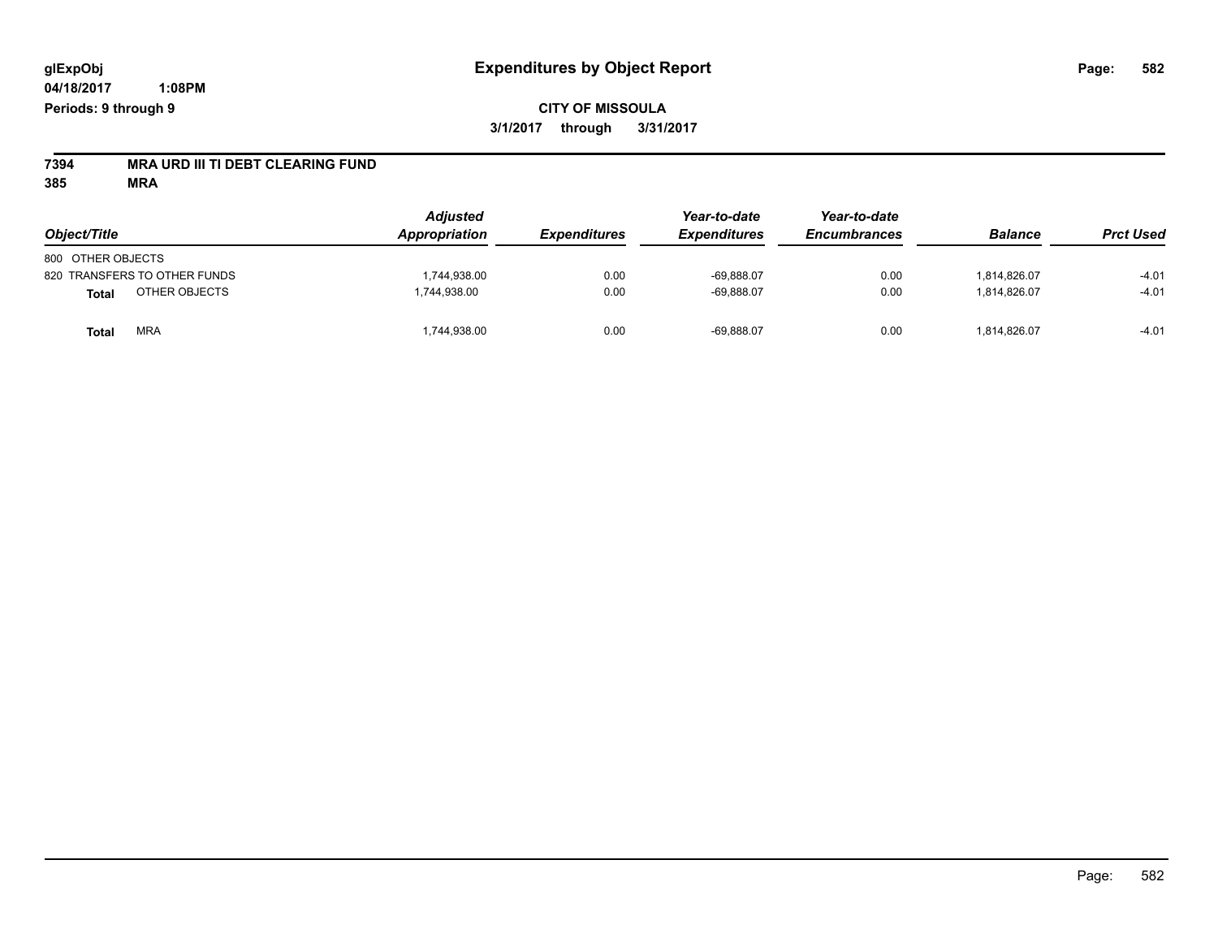# **7394 MRA URD III TI DEBT CLEARING FUND**

**385 MRA**

| Object/Title                  | <b>Adjusted</b><br>Appropriation | <b>Expenditures</b> | Year-to-date<br><b>Expenditures</b> | Year-to-date<br><b>Encumbrances</b> | <b>Balance</b> | <b>Prct Used</b> |
|-------------------------------|----------------------------------|---------------------|-------------------------------------|-------------------------------------|----------------|------------------|
|                               |                                  |                     |                                     |                                     |                |                  |
| 800 OTHER OBJECTS             |                                  |                     |                                     |                                     |                |                  |
| 820 TRANSFERS TO OTHER FUNDS  | ,744,938.00                      | 0.00                | $-69,888.07$                        | 0.00                                | 1.814.826.07   | $-4.01$          |
| OTHER OBJECTS<br><b>Total</b> | 1,744,938.00                     | 0.00                | $-69,888.07$                        | 0.00                                | 1,814,826.07   | $-4.01$          |
| <b>MRA</b><br><b>Total</b>    | ,744,938.00                      | 0.00                | $-69,888.07$                        | 0.00                                | 1,814,826.07   | $-4.01$          |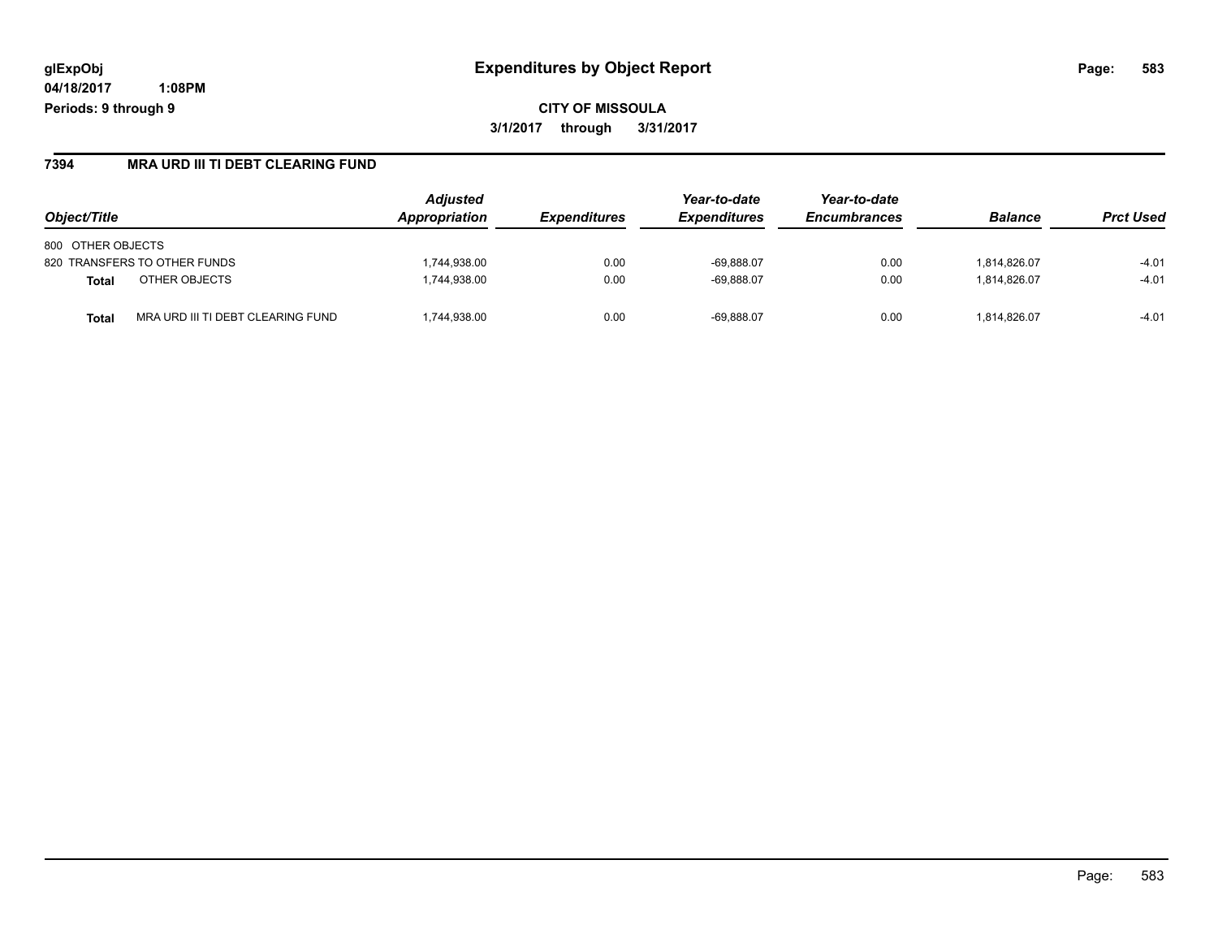# **glExpObj Expenditures by Object Report Page: 583**

**04/18/2017 1:08PM Periods: 9 through 9**

**CITY OF MISSOULA 3/1/2017 through 3/31/2017**

#### **7394 MRA URD III TI DEBT CLEARING FUND**

| Object/Title                               | <b>Adjusted</b><br>Appropriation | <b>Expenditures</b> | Year-to-date<br><i><b>Expenditures</b></i> | Year-to-date<br><b>Encumbrances</b> | <b>Balance</b> | <b>Prct Used</b> |
|--------------------------------------------|----------------------------------|---------------------|--------------------------------------------|-------------------------------------|----------------|------------------|
| 800 OTHER OBJECTS                          |                                  |                     |                                            |                                     |                |                  |
| 820 TRANSFERS TO OTHER FUNDS               | ,744,938.00                      | 0.00                | $-69.888.07$                               | 0.00                                | 1.814.826.07   | $-4.01$          |
| OTHER OBJECTS<br><b>Total</b>              | .744.938.00                      | 0.00                | $-69.888.07$                               | 0.00                                | 1.814.826.07   | $-4.01$          |
| MRA URD III TI DEBT CLEARING FUND<br>Total | ,744,938.00                      | 0.00                | $-69.888.07$                               | 0.00                                | 1.814.826.07   | $-4.01$          |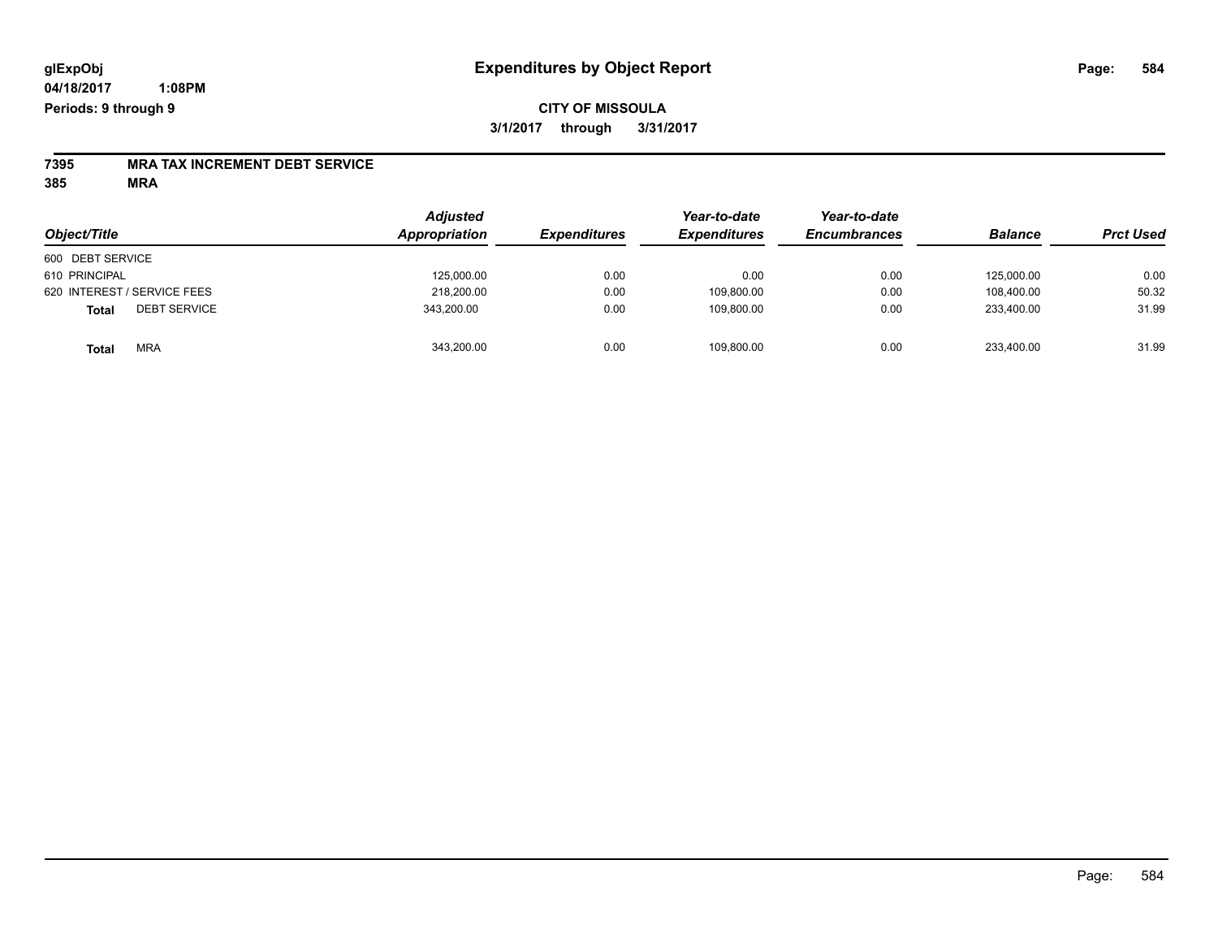#### **CITY OF MISSOULA 3/1/2017 through 3/31/2017**

# **7395 MRA TAX INCREMENT DEBT SERVICE**

**385 MRA**

| Object/Title                        | <b>Adjusted</b><br>Appropriation | <b>Expenditures</b> | Year-to-date<br><b>Expenditures</b> | Year-to-date<br><b>Encumbrances</b> | <b>Balance</b> | <b>Prct Used</b> |
|-------------------------------------|----------------------------------|---------------------|-------------------------------------|-------------------------------------|----------------|------------------|
| 600 DEBT SERVICE                    |                                  |                     |                                     |                                     |                |                  |
| 610 PRINCIPAL                       | 125,000.00                       | 0.00                | 0.00                                | 0.00                                | 125.000.00     | 0.00             |
| 620 INTEREST / SERVICE FEES         | 218,200.00                       | 0.00                | 109,800.00                          | 0.00                                | 108.400.00     | 50.32            |
| <b>DEBT SERVICE</b><br><b>Total</b> | 343,200.00                       | 0.00                | 109.800.00                          | 0.00                                | 233.400.00     | 31.99            |
| <b>MRA</b><br><b>Total</b>          | 343,200.00                       | 0.00                | 109,800.00                          | 0.00                                | 233,400.00     | 31.99            |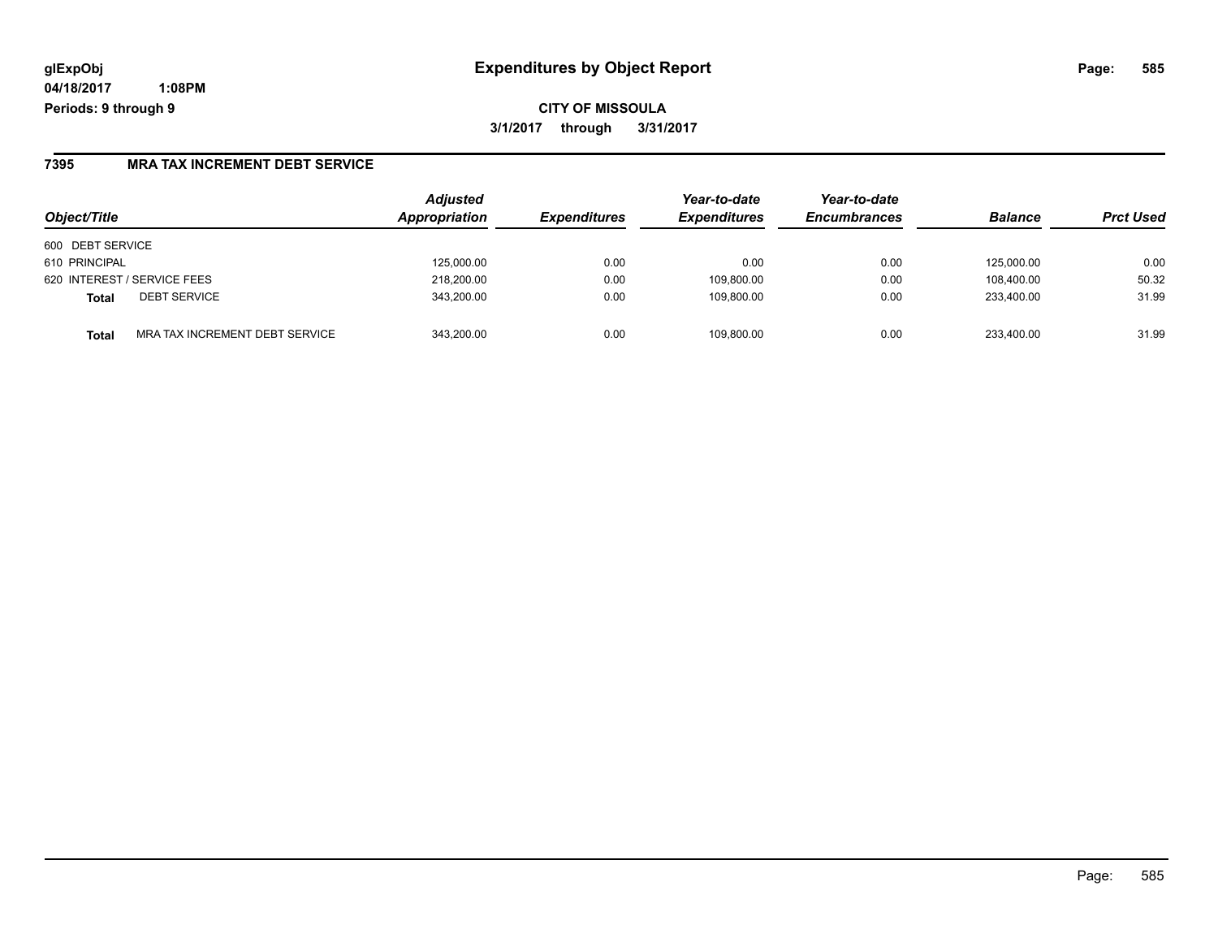# **glExpObj Expenditures by Object Report Page: 585**

**04/18/2017 1:08PM Periods: 9 through 9**

#### **7395 MRA TAX INCREMENT DEBT SERVICE**

| Object/Title                                   | <b>Adjusted</b><br>Appropriation | <i><b>Expenditures</b></i> | Year-to-date<br><b>Expenditures</b> | Year-to-date<br><b>Encumbrances</b> | <b>Balance</b> | <b>Prct Used</b> |
|------------------------------------------------|----------------------------------|----------------------------|-------------------------------------|-------------------------------------|----------------|------------------|
| 600 DEBT SERVICE                               |                                  |                            |                                     |                                     |                |                  |
| 610 PRINCIPAL                                  | 125,000.00                       | 0.00                       | 0.00                                | 0.00                                | 125.000.00     | 0.00             |
| 620 INTEREST / SERVICE FEES                    | 218,200.00                       | 0.00                       | 109.800.00                          | 0.00                                | 108.400.00     | 50.32            |
| <b>DEBT SERVICE</b><br><b>Total</b>            | 343,200.00                       | 0.00                       | 109,800.00                          | 0.00                                | 233.400.00     | 31.99            |
| MRA TAX INCREMENT DEBT SERVICE<br><b>Total</b> | 343.200.00                       | 0.00                       | 109.800.00                          | 0.00                                | 233.400.00     | 31.99            |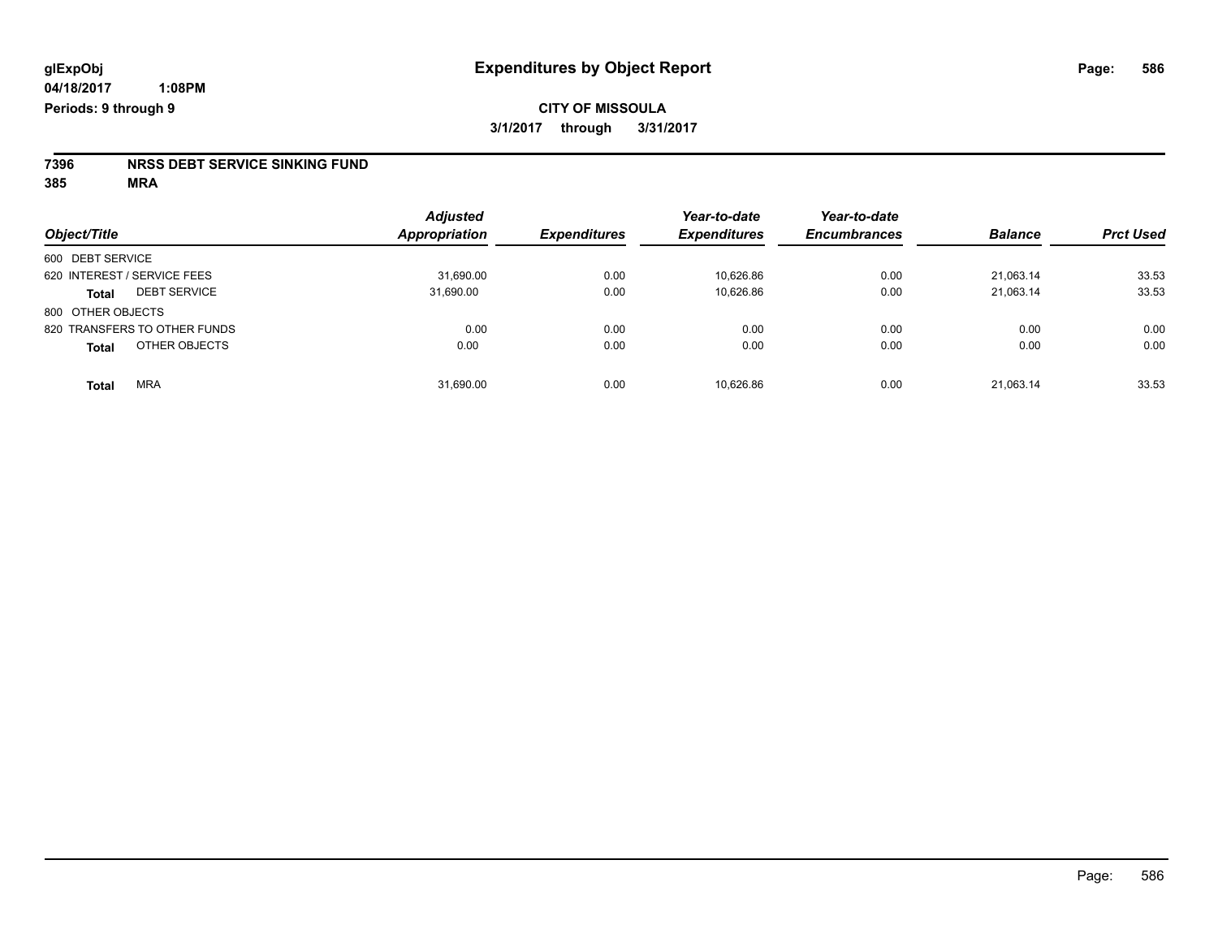# **7396 NRSS DEBT SERVICE SINKING FUND**

**385 MRA**

|                                     | <b>Adjusted</b>      |                     | Year-to-date        | Year-to-date        |                |                  |
|-------------------------------------|----------------------|---------------------|---------------------|---------------------|----------------|------------------|
| Object/Title                        | <b>Appropriation</b> | <b>Expenditures</b> | <b>Expenditures</b> | <b>Encumbrances</b> | <b>Balance</b> | <b>Prct Used</b> |
| 600 DEBT SERVICE                    |                      |                     |                     |                     |                |                  |
| 620 INTEREST / SERVICE FEES         | 31,690.00            | 0.00                | 10,626.86           | 0.00                | 21,063.14      | 33.53            |
| <b>DEBT SERVICE</b><br><b>Total</b> | 31,690.00            | 0.00                | 10.626.86           | 0.00                | 21.063.14      | 33.53            |
| 800 OTHER OBJECTS                   |                      |                     |                     |                     |                |                  |
| 820 TRANSFERS TO OTHER FUNDS        | 0.00                 | 0.00                | 0.00                | 0.00                | 0.00           | 0.00             |
| OTHER OBJECTS<br><b>Total</b>       | 0.00                 | 0.00                | 0.00                | 0.00                | 0.00           | 0.00             |
| <b>MRA</b><br><b>Total</b>          | 31,690.00            | 0.00                | 10.626.86           | 0.00                | 21,063.14      | 33.53            |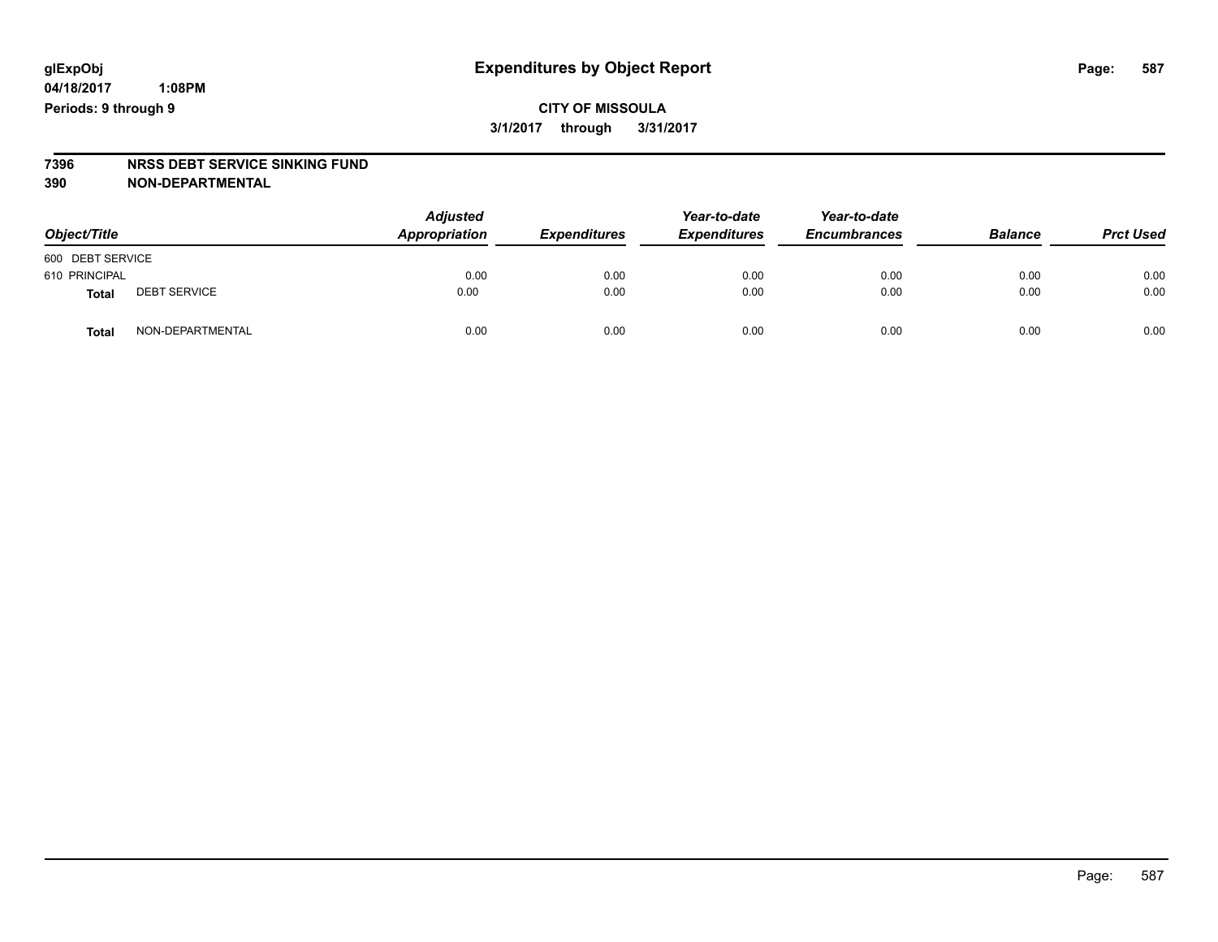### **CITY OF MISSOULA 3/1/2017 through 3/31/2017**

# **7396 NRSS DEBT SERVICE SINKING FUND**

**390 NON-DEPARTMENTAL**

| Object/Title     |                     | <b>Adjusted</b><br>Appropriation | <b>Expenditures</b> | Year-to-date<br><b>Expenditures</b> | Year-to-date<br><b>Encumbrances</b> | <b>Balance</b> | <b>Prct Used</b> |
|------------------|---------------------|----------------------------------|---------------------|-------------------------------------|-------------------------------------|----------------|------------------|
| 600 DEBT SERVICE |                     |                                  |                     |                                     |                                     |                |                  |
| 610 PRINCIPAL    |                     | 0.00                             | 0.00                | 0.00                                | 0.00                                | 0.00           | 0.00             |
| <b>Total</b>     | <b>DEBT SERVICE</b> | 0.00                             | 0.00                | 0.00                                | 0.00                                | 0.00           | 0.00             |
| Total            | NON-DEPARTMENTAL    | 0.00                             | 0.00                | 0.00                                | 0.00                                | 0.00           | 0.00             |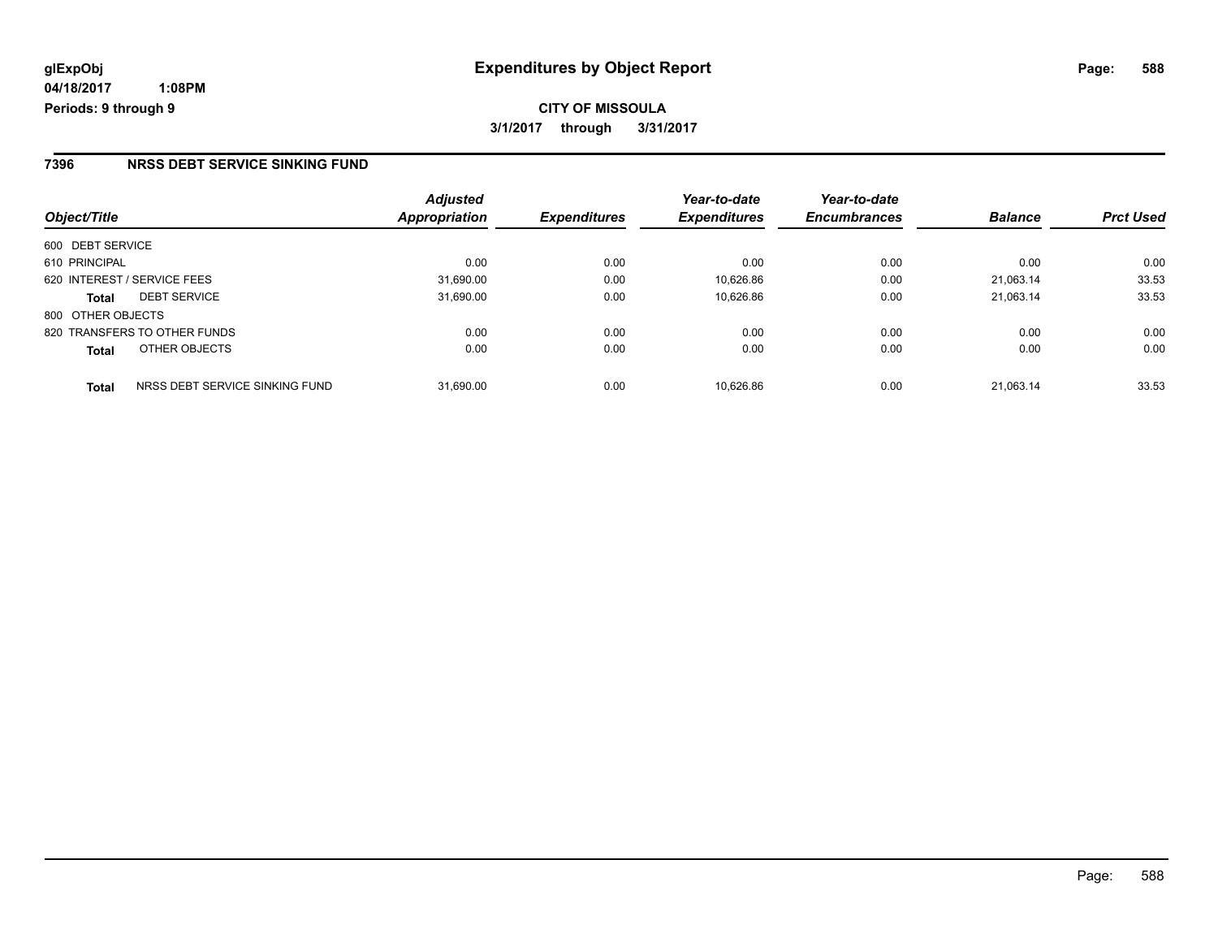**CITY OF MISSOULA 3/1/2017 through 3/31/2017**

#### **7396 NRSS DEBT SERVICE SINKING FUND**

| Object/Title                                   | <b>Adjusted</b><br>Appropriation | <b>Expenditures</b> | Year-to-date<br><b>Expenditures</b> | Year-to-date<br><b>Encumbrances</b> | <b>Balance</b> | <b>Prct Used</b> |
|------------------------------------------------|----------------------------------|---------------------|-------------------------------------|-------------------------------------|----------------|------------------|
| 600 DEBT SERVICE                               |                                  |                     |                                     |                                     |                |                  |
| 610 PRINCIPAL                                  | 0.00                             | 0.00                | 0.00                                | 0.00                                | 0.00           | 0.00             |
| 620 INTEREST / SERVICE FEES                    | 31,690.00                        | 0.00                | 10,626.86                           | 0.00                                | 21.063.14      | 33.53            |
| <b>DEBT SERVICE</b><br><b>Total</b>            | 31,690.00                        | 0.00                | 10.626.86                           | 0.00                                | 21.063.14      | 33.53            |
| 800 OTHER OBJECTS                              |                                  |                     |                                     |                                     |                |                  |
| 820 TRANSFERS TO OTHER FUNDS                   | 0.00                             | 0.00                | 0.00                                | 0.00                                | 0.00           | 0.00             |
| OTHER OBJECTS<br><b>Total</b>                  | 0.00                             | 0.00                | 0.00                                | 0.00                                | 0.00           | 0.00             |
| NRSS DEBT SERVICE SINKING FUND<br><b>Total</b> | 31.690.00                        | 0.00                | 10.626.86                           | 0.00                                | 21.063.14      | 33.53            |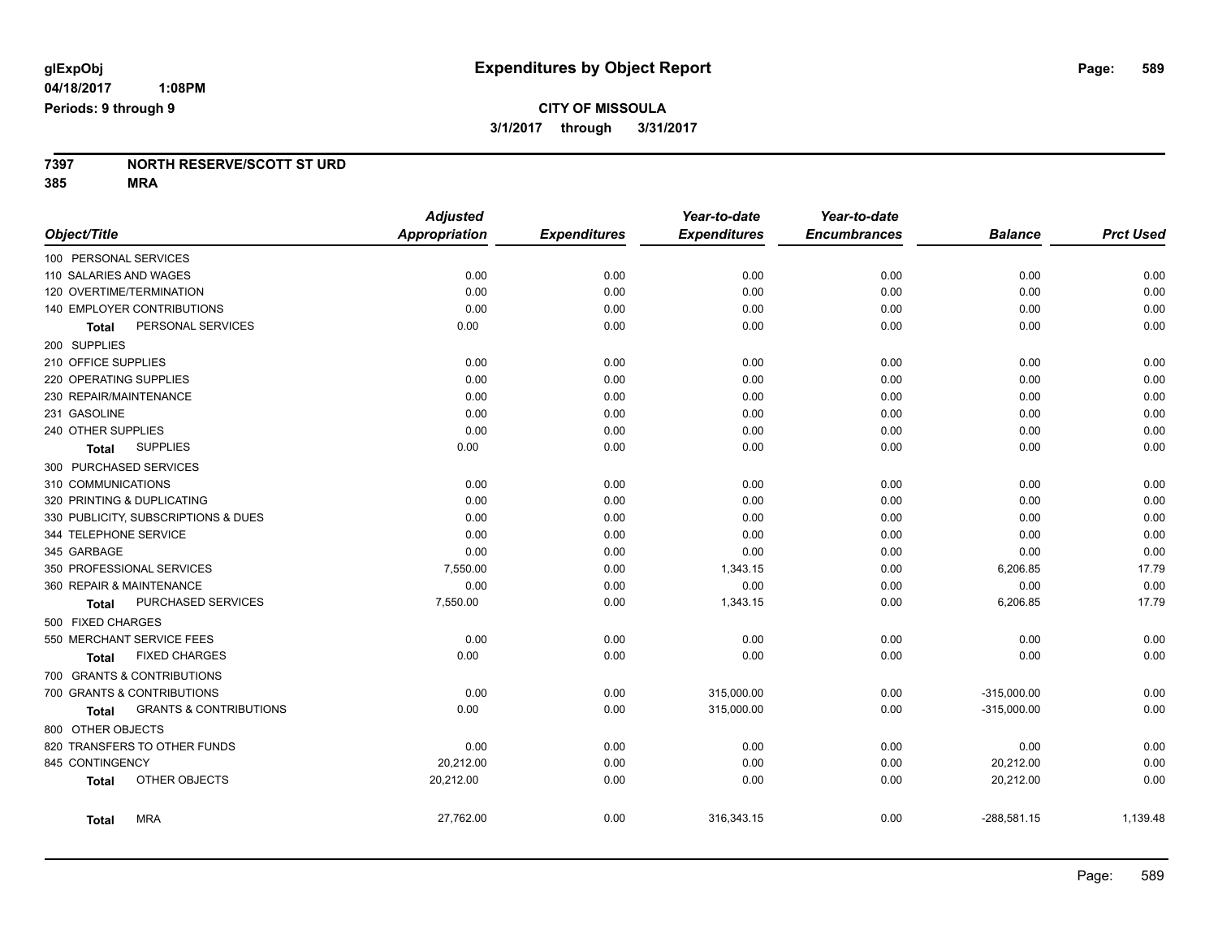#### **7397 NORTH RESERVE/SCOTT ST URD 385 MRA**

|                                                   | <b>Adjusted</b>      |                     | Year-to-date        | Year-to-date        |                |                  |
|---------------------------------------------------|----------------------|---------------------|---------------------|---------------------|----------------|------------------|
| Object/Title                                      | <b>Appropriation</b> | <b>Expenditures</b> | <b>Expenditures</b> | <b>Encumbrances</b> | <b>Balance</b> | <b>Prct Used</b> |
| 100 PERSONAL SERVICES                             |                      |                     |                     |                     |                |                  |
| 110 SALARIES AND WAGES                            | 0.00                 | 0.00                | 0.00                | 0.00                | 0.00           | 0.00             |
| 120 OVERTIME/TERMINATION                          | 0.00                 | 0.00                | 0.00                | 0.00                | 0.00           | 0.00             |
| 140 EMPLOYER CONTRIBUTIONS                        | 0.00                 | 0.00                | 0.00                | 0.00                | 0.00           | 0.00             |
| PERSONAL SERVICES<br>Total                        | 0.00                 | 0.00                | 0.00                | 0.00                | 0.00           | 0.00             |
| 200 SUPPLIES                                      |                      |                     |                     |                     |                |                  |
| 210 OFFICE SUPPLIES                               | 0.00                 | 0.00                | 0.00                | 0.00                | 0.00           | 0.00             |
| 220 OPERATING SUPPLIES                            | 0.00                 | 0.00                | 0.00                | 0.00                | 0.00           | 0.00             |
| 230 REPAIR/MAINTENANCE                            | 0.00                 | 0.00                | 0.00                | 0.00                | 0.00           | 0.00             |
| 231 GASOLINE                                      | 0.00                 | 0.00                | 0.00                | 0.00                | 0.00           | 0.00             |
| 240 OTHER SUPPLIES                                | 0.00                 | 0.00                | 0.00                | 0.00                | 0.00           | 0.00             |
| <b>SUPPLIES</b><br>Total                          | 0.00                 | 0.00                | 0.00                | 0.00                | 0.00           | 0.00             |
| 300 PURCHASED SERVICES                            |                      |                     |                     |                     |                |                  |
| 310 COMMUNICATIONS                                | 0.00                 | 0.00                | 0.00                | 0.00                | 0.00           | 0.00             |
| 320 PRINTING & DUPLICATING                        | 0.00                 | 0.00                | 0.00                | 0.00                | 0.00           | 0.00             |
| 330 PUBLICITY, SUBSCRIPTIONS & DUES               | 0.00                 | 0.00                | 0.00                | 0.00                | 0.00           | 0.00             |
| 344 TELEPHONE SERVICE                             | 0.00                 | 0.00                | 0.00                | 0.00                | 0.00           | 0.00             |
| 345 GARBAGE                                       | 0.00                 | 0.00                | 0.00                | 0.00                | 0.00           | 0.00             |
| 350 PROFESSIONAL SERVICES                         | 7,550.00             | 0.00                | 1,343.15            | 0.00                | 6,206.85       | 17.79            |
| 360 REPAIR & MAINTENANCE                          | 0.00                 | 0.00                | 0.00                | 0.00                | 0.00           | 0.00             |
| PURCHASED SERVICES<br><b>Total</b>                | 7,550.00             | 0.00                | 1,343.15            | 0.00                | 6,206.85       | 17.79            |
| 500 FIXED CHARGES                                 |                      |                     |                     |                     |                |                  |
| 550 MERCHANT SERVICE FEES                         | 0.00                 | 0.00                | 0.00                | 0.00                | 0.00           | 0.00             |
| <b>FIXED CHARGES</b><br>Total                     | 0.00                 | 0.00                | 0.00                | 0.00                | 0.00           | 0.00             |
| 700 GRANTS & CONTRIBUTIONS                        |                      |                     |                     |                     |                |                  |
| 700 GRANTS & CONTRIBUTIONS                        | 0.00                 | 0.00                | 315,000.00          | 0.00                | $-315,000.00$  | 0.00             |
| <b>GRANTS &amp; CONTRIBUTIONS</b><br><b>Total</b> | 0.00                 | 0.00                | 315,000.00          | 0.00                | $-315,000.00$  | 0.00             |
| 800 OTHER OBJECTS                                 |                      |                     |                     |                     |                |                  |
| 820 TRANSFERS TO OTHER FUNDS                      | 0.00                 | 0.00                | 0.00                | 0.00                | 0.00           | 0.00             |
| 845 CONTINGENCY                                   | 20,212.00            | 0.00                | 0.00                | 0.00                | 20,212.00      | 0.00             |
| OTHER OBJECTS<br><b>Total</b>                     | 20,212.00            | 0.00                | 0.00                | 0.00                | 20,212.00      | 0.00             |
| <b>MRA</b><br><b>Total</b>                        | 27,762.00            | 0.00                | 316,343.15          | 0.00                | $-288,581.15$  | 1,139.48         |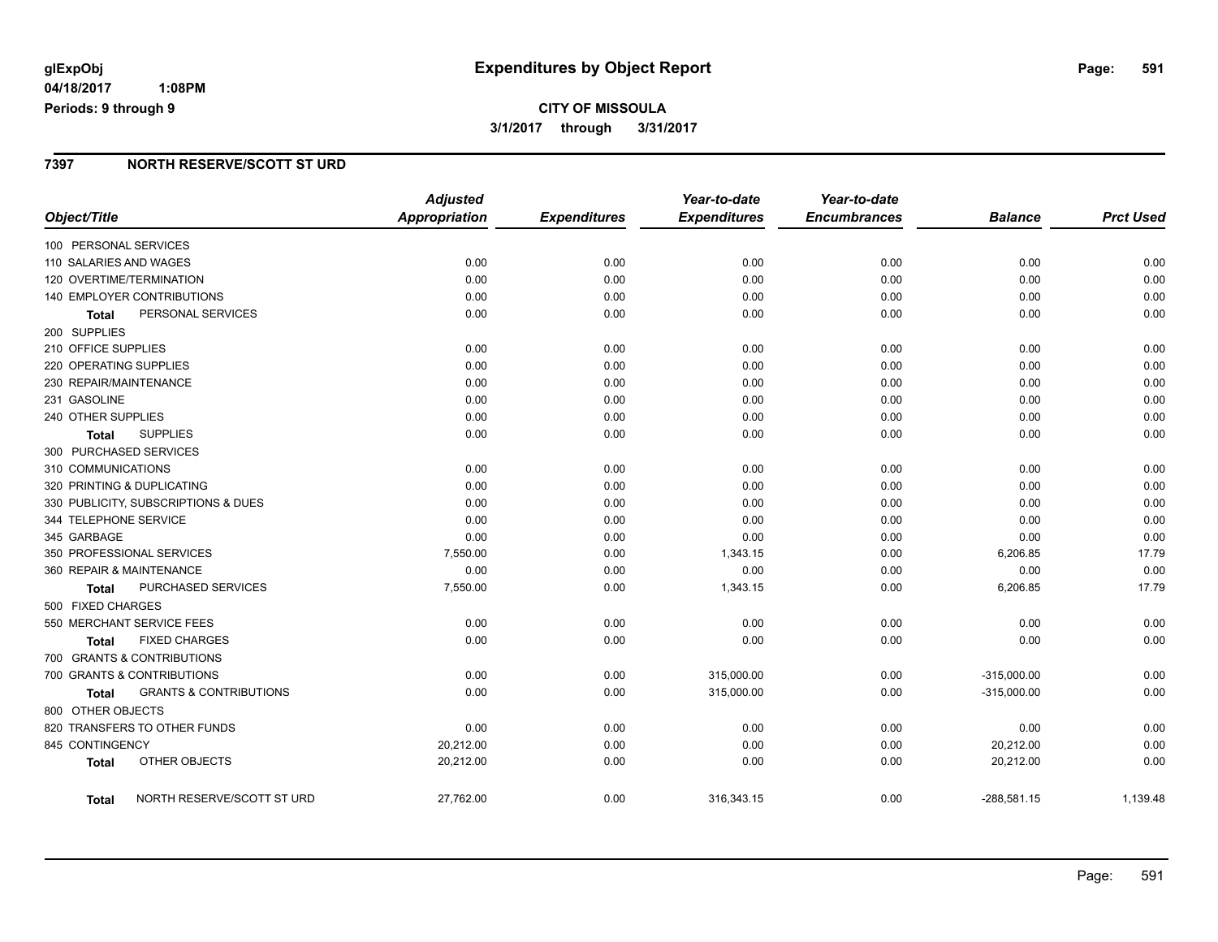## **CITY OF MISSOULA 3/1/2017 through 3/31/2017**

#### **7397 NORTH RESERVE/SCOTT ST URD**

|                                     |                                   | <b>Adjusted</b>      |                     | Year-to-date        | Year-to-date        |                |                  |
|-------------------------------------|-----------------------------------|----------------------|---------------------|---------------------|---------------------|----------------|------------------|
| Object/Title                        |                                   | <b>Appropriation</b> | <b>Expenditures</b> | <b>Expenditures</b> | <b>Encumbrances</b> | <b>Balance</b> | <b>Prct Used</b> |
| 100 PERSONAL SERVICES               |                                   |                      |                     |                     |                     |                |                  |
| 110 SALARIES AND WAGES              |                                   | 0.00                 | 0.00                | 0.00                | 0.00                | 0.00           | 0.00             |
| 120 OVERTIME/TERMINATION            |                                   | 0.00                 | 0.00                | 0.00                | 0.00                | 0.00           | 0.00             |
| 140 EMPLOYER CONTRIBUTIONS          |                                   | 0.00                 | 0.00                | 0.00                | 0.00                | 0.00           | 0.00             |
| <b>Total</b>                        | PERSONAL SERVICES                 | 0.00                 | 0.00                | 0.00                | 0.00                | 0.00           | 0.00             |
| 200 SUPPLIES                        |                                   |                      |                     |                     |                     |                |                  |
| 210 OFFICE SUPPLIES                 |                                   | 0.00                 | 0.00                | 0.00                | 0.00                | 0.00           | 0.00             |
| 220 OPERATING SUPPLIES              |                                   | 0.00                 | 0.00                | 0.00                | 0.00                | 0.00           | 0.00             |
| 230 REPAIR/MAINTENANCE              |                                   | 0.00                 | 0.00                | 0.00                | 0.00                | 0.00           | 0.00             |
| 231 GASOLINE                        |                                   | 0.00                 | 0.00                | 0.00                | 0.00                | 0.00           | 0.00             |
| 240 OTHER SUPPLIES                  |                                   | 0.00                 | 0.00                | 0.00                | 0.00                | 0.00           | 0.00             |
| <b>SUPPLIES</b><br><b>Total</b>     |                                   | 0.00                 | 0.00                | 0.00                | 0.00                | 0.00           | 0.00             |
| 300 PURCHASED SERVICES              |                                   |                      |                     |                     |                     |                |                  |
| 310 COMMUNICATIONS                  |                                   | 0.00                 | 0.00                | 0.00                | 0.00                | 0.00           | 0.00             |
| 320 PRINTING & DUPLICATING          |                                   | 0.00                 | 0.00                | 0.00                | 0.00                | 0.00           | 0.00             |
| 330 PUBLICITY, SUBSCRIPTIONS & DUES |                                   | 0.00                 | 0.00                | 0.00                | 0.00                | 0.00           | 0.00             |
| 344 TELEPHONE SERVICE               |                                   | 0.00                 | 0.00                | 0.00                | 0.00                | 0.00           | 0.00             |
| 345 GARBAGE                         |                                   | 0.00                 | 0.00                | 0.00                | 0.00                | 0.00           | 0.00             |
| 350 PROFESSIONAL SERVICES           |                                   | 7,550.00             | 0.00                | 1,343.15            | 0.00                | 6,206.85       | 17.79            |
| 360 REPAIR & MAINTENANCE            |                                   | 0.00                 | 0.00                | 0.00                | 0.00                | 0.00           | 0.00             |
| Total                               | PURCHASED SERVICES                | 7,550.00             | 0.00                | 1,343.15            | 0.00                | 6,206.85       | 17.79            |
| 500 FIXED CHARGES                   |                                   |                      |                     |                     |                     |                |                  |
| 550 MERCHANT SERVICE FEES           |                                   | 0.00                 | 0.00                | 0.00                | 0.00                | 0.00           | 0.00             |
| <b>Total</b>                        | <b>FIXED CHARGES</b>              | 0.00                 | 0.00                | 0.00                | 0.00                | 0.00           | 0.00             |
| 700 GRANTS & CONTRIBUTIONS          |                                   |                      |                     |                     |                     |                |                  |
| 700 GRANTS & CONTRIBUTIONS          |                                   | 0.00                 | 0.00                | 315,000.00          | 0.00                | $-315,000.00$  | 0.00             |
| Total                               | <b>GRANTS &amp; CONTRIBUTIONS</b> | 0.00                 | 0.00                | 315,000.00          | 0.00                | $-315,000.00$  | 0.00             |
| 800 OTHER OBJECTS                   |                                   |                      |                     |                     |                     |                |                  |
| 820 TRANSFERS TO OTHER FUNDS        |                                   | 0.00                 | 0.00                | 0.00                | 0.00                | 0.00           | 0.00             |
| 845 CONTINGENCY                     |                                   | 20,212.00            | 0.00                | 0.00                | 0.00                | 20,212.00      | 0.00             |
| <b>Total</b>                        | OTHER OBJECTS                     | 20,212.00            | 0.00                | 0.00                | 0.00                | 20,212.00      | 0.00             |
| <b>Total</b>                        | NORTH RESERVE/SCOTT ST URD        | 27,762.00            | 0.00                | 316,343.15          | 0.00                | $-288,581.15$  | 1,139.48         |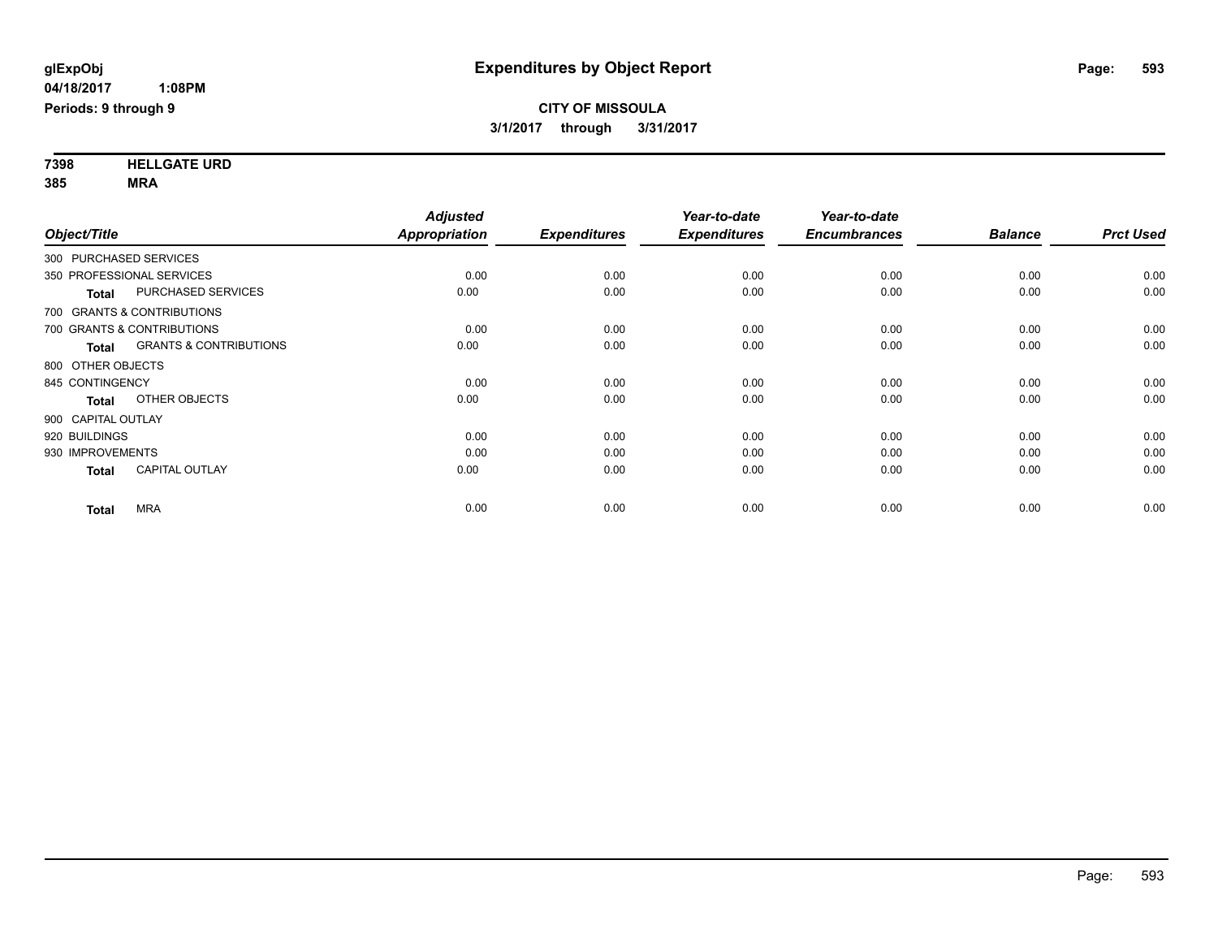**7398 HELLGATE URD 385 MRA**

| Object/Title              |                                   | <b>Adjusted</b><br>Appropriation | <b>Expenditures</b> | Year-to-date<br><b>Expenditures</b> | Year-to-date<br><b>Encumbrances</b> | <b>Balance</b> | <b>Prct Used</b> |
|---------------------------|-----------------------------------|----------------------------------|---------------------|-------------------------------------|-------------------------------------|----------------|------------------|
| 300 PURCHASED SERVICES    |                                   |                                  |                     |                                     |                                     |                |                  |
| 350 PROFESSIONAL SERVICES |                                   | 0.00                             | 0.00                | 0.00                                | 0.00                                | 0.00           | 0.00             |
| <b>Total</b>              | PURCHASED SERVICES                | 0.00                             | 0.00                | 0.00                                | 0.00                                | 0.00           | 0.00             |
|                           | 700 GRANTS & CONTRIBUTIONS        |                                  |                     |                                     |                                     |                |                  |
|                           | 700 GRANTS & CONTRIBUTIONS        | 0.00                             | 0.00                | 0.00                                | 0.00                                | 0.00           | 0.00             |
| <b>Total</b>              | <b>GRANTS &amp; CONTRIBUTIONS</b> | 0.00                             | 0.00                | 0.00                                | 0.00                                | 0.00           | 0.00             |
| 800 OTHER OBJECTS         |                                   |                                  |                     |                                     |                                     |                |                  |
| 845 CONTINGENCY           |                                   | 0.00                             | 0.00                | 0.00                                | 0.00                                | 0.00           | 0.00             |
| <b>Total</b>              | OTHER OBJECTS                     | 0.00                             | 0.00                | 0.00                                | 0.00                                | 0.00           | 0.00             |
| 900 CAPITAL OUTLAY        |                                   |                                  |                     |                                     |                                     |                |                  |
| 920 BUILDINGS             |                                   | 0.00                             | 0.00                | 0.00                                | 0.00                                | 0.00           | 0.00             |
| 930 IMPROVEMENTS          |                                   | 0.00                             | 0.00                | 0.00                                | 0.00                                | 0.00           | 0.00             |
| <b>Total</b>              | <b>CAPITAL OUTLAY</b>             | 0.00                             | 0.00                | 0.00                                | 0.00                                | 0.00           | 0.00             |
| <b>Total</b>              | <b>MRA</b>                        | 0.00                             | 0.00                | 0.00                                | 0.00                                | 0.00           | 0.00             |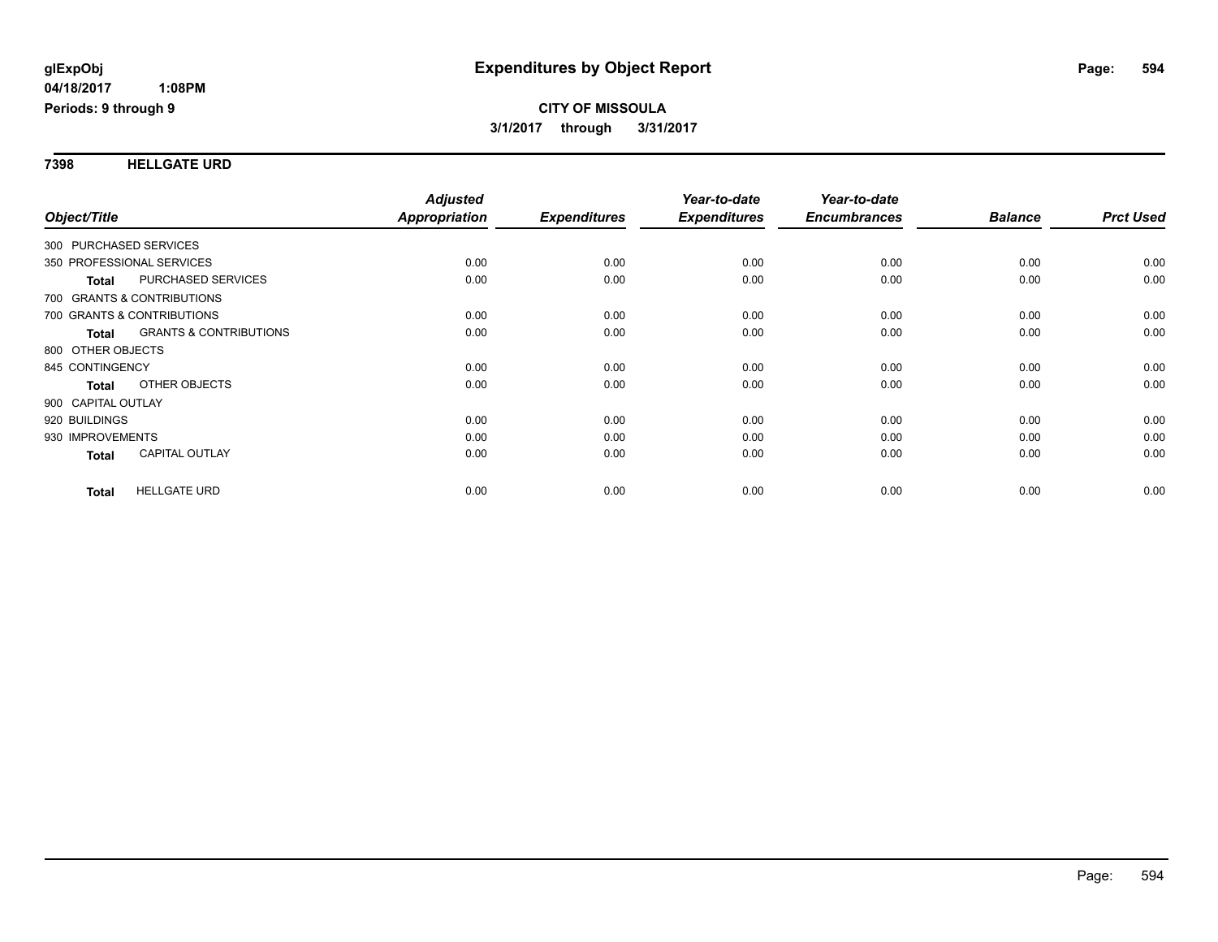#### **7398 HELLGATE URD**

| Object/Title           |                                   | <b>Adjusted</b><br>Appropriation | <b>Expenditures</b> | Year-to-date<br><b>Expenditures</b> | Year-to-date<br><b>Encumbrances</b> | <b>Balance</b> | <b>Prct Used</b> |
|------------------------|-----------------------------------|----------------------------------|---------------------|-------------------------------------|-------------------------------------|----------------|------------------|
| 300 PURCHASED SERVICES |                                   |                                  |                     |                                     |                                     |                |                  |
|                        |                                   |                                  |                     |                                     |                                     |                |                  |
|                        | 350 PROFESSIONAL SERVICES         | 0.00                             | 0.00                | 0.00                                | 0.00                                | 0.00           | 0.00             |
| Total                  | <b>PURCHASED SERVICES</b>         | 0.00                             | 0.00                | 0.00                                | 0.00                                | 0.00           | 0.00             |
|                        | 700 GRANTS & CONTRIBUTIONS        |                                  |                     |                                     |                                     |                |                  |
|                        | 700 GRANTS & CONTRIBUTIONS        | 0.00                             | 0.00                | 0.00                                | 0.00                                | 0.00           | 0.00             |
| <b>Total</b>           | <b>GRANTS &amp; CONTRIBUTIONS</b> | 0.00                             | 0.00                | 0.00                                | 0.00                                | 0.00           | 0.00             |
| 800 OTHER OBJECTS      |                                   |                                  |                     |                                     |                                     |                |                  |
| 845 CONTINGENCY        |                                   | 0.00                             | 0.00                | 0.00                                | 0.00                                | 0.00           | 0.00             |
| <b>Total</b>           | OTHER OBJECTS                     | 0.00                             | 0.00                | 0.00                                | 0.00                                | 0.00           | 0.00             |
| 900 CAPITAL OUTLAY     |                                   |                                  |                     |                                     |                                     |                |                  |
| 920 BUILDINGS          |                                   | 0.00                             | 0.00                | 0.00                                | 0.00                                | 0.00           | 0.00             |
| 930 IMPROVEMENTS       |                                   | 0.00                             | 0.00                | 0.00                                | 0.00                                | 0.00           | 0.00             |
| <b>Total</b>           | <b>CAPITAL OUTLAY</b>             | 0.00                             | 0.00                | 0.00                                | 0.00                                | 0.00           | 0.00             |
| <b>Total</b>           | <b>HELLGATE URD</b>               | 0.00                             | 0.00                | 0.00                                | 0.00                                | 0.00           | 0.00             |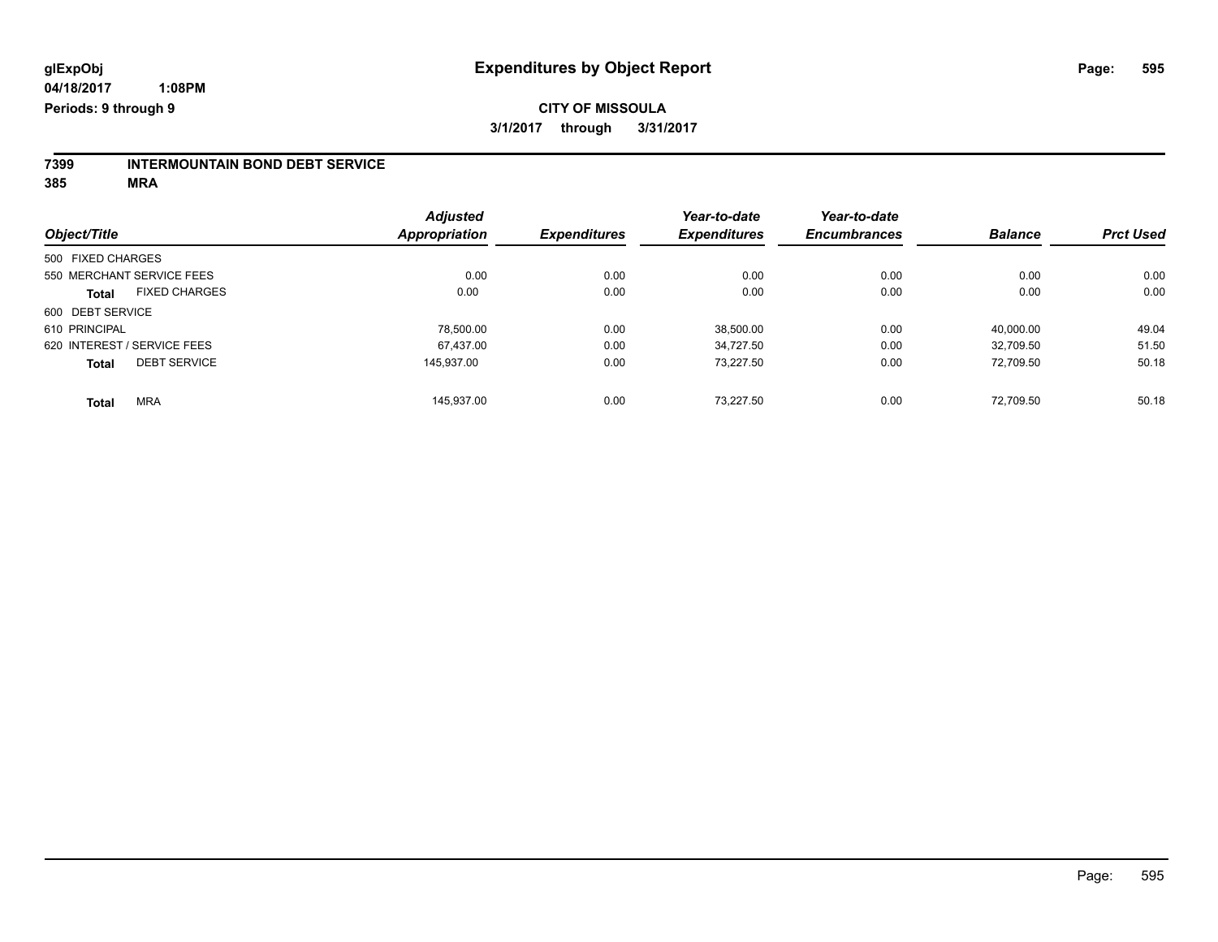#### **CITY OF MISSOULA 3/1/2017 through 3/31/2017**

# **7399 INTERMOUNTAIN BOND DEBT SERVICE**

**385 MRA**

|                                      |                      | <b>Adjusted</b>     |      | Year-to-date        | Year-to-date        |                |                  |
|--------------------------------------|----------------------|---------------------|------|---------------------|---------------------|----------------|------------------|
| Object/Title                         | <b>Appropriation</b> | <b>Expenditures</b> |      | <b>Expenditures</b> | <b>Encumbrances</b> | <b>Balance</b> | <b>Prct Used</b> |
| 500 FIXED CHARGES                    |                      |                     |      |                     |                     |                |                  |
| 550 MERCHANT SERVICE FEES            |                      | 0.00                | 0.00 | 0.00                | 0.00                | 0.00           | 0.00             |
| <b>FIXED CHARGES</b><br><b>Total</b> |                      | 0.00                | 0.00 | 0.00                | 0.00                | 0.00           | 0.00             |
| 600 DEBT SERVICE                     |                      |                     |      |                     |                     |                |                  |
| 610 PRINCIPAL                        |                      | 78,500.00           | 0.00 | 38,500.00           | 0.00                | 40,000.00      | 49.04            |
| 620 INTEREST / SERVICE FEES          |                      | 67.437.00           | 0.00 | 34.727.50           | 0.00                | 32.709.50      | 51.50            |
| <b>DEBT SERVICE</b><br><b>Total</b>  |                      | 145.937.00          | 0.00 | 73.227.50           | 0.00                | 72.709.50      | 50.18            |
| <b>MRA</b><br><b>Total</b>           |                      | 145.937.00          | 0.00 | 73.227.50           | 0.00                | 72.709.50      | 50.18            |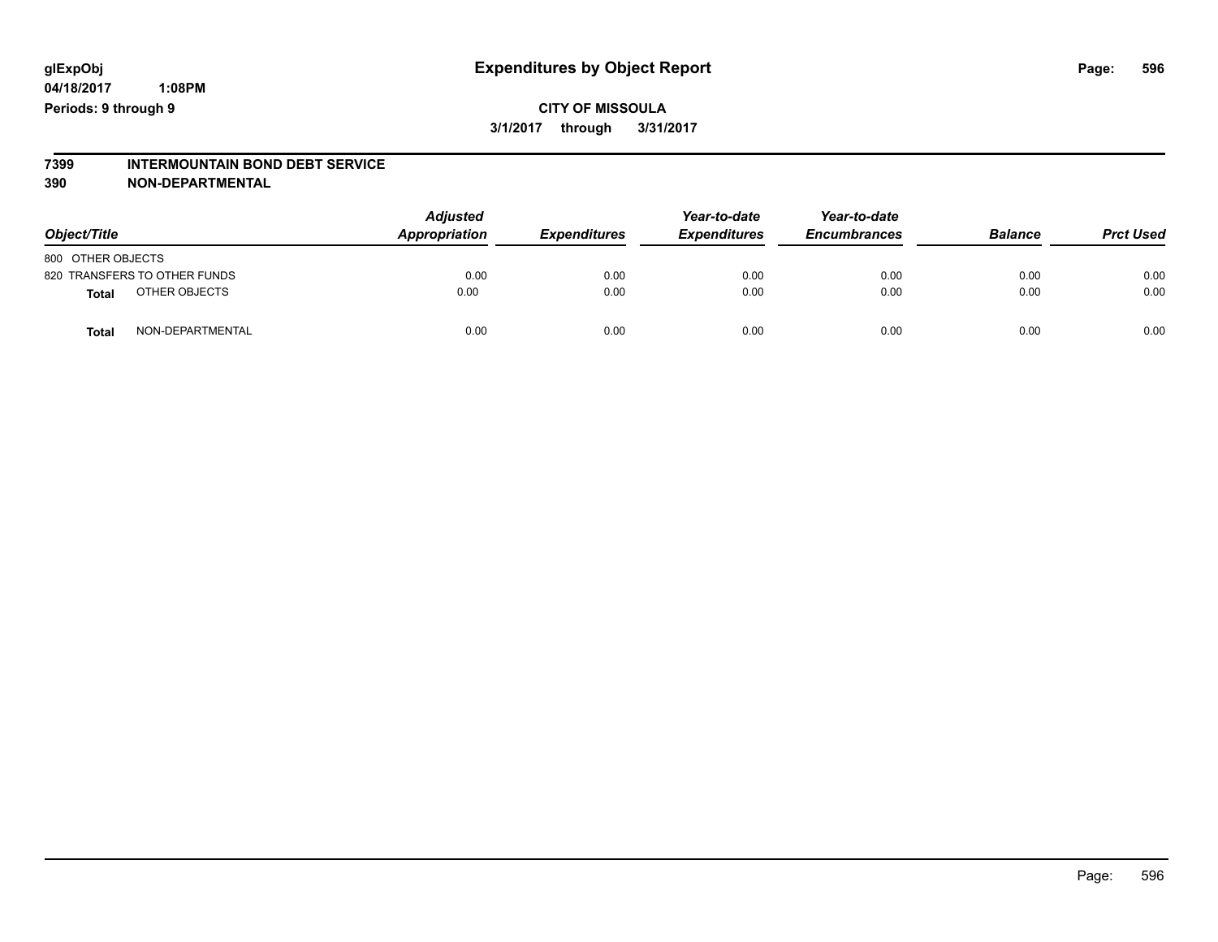#### **CITY OF MISSOULA 3/1/2017 through 3/31/2017**

# **7399 INTERMOUNTAIN BOND DEBT SERVICE**

#### **390 NON-DEPARTMENTAL**

| Object/Title                 | <b>Adjusted</b><br>Appropriation | <b>Expenditures</b> | Year-to-date<br><b>Expenditures</b> | Year-to-date<br><b>Encumbrances</b> | <b>Balance</b> | <b>Prct Used</b> |
|------------------------------|----------------------------------|---------------------|-------------------------------------|-------------------------------------|----------------|------------------|
| 800 OTHER OBJECTS            |                                  |                     |                                     |                                     |                |                  |
| 820 TRANSFERS TO OTHER FUNDS | 0.00                             | 0.00                | 0.00                                | 0.00                                | 0.00           | 0.00             |
| OTHER OBJECTS<br>Total       | 0.00                             | 0.00                | 0.00                                | 0.00                                | 0.00           | 0.00             |
| NON-DEPARTMENTAL<br>Tota     | 0.00                             | 0.00                | 0.00                                | 0.00                                | 0.00           | 0.00             |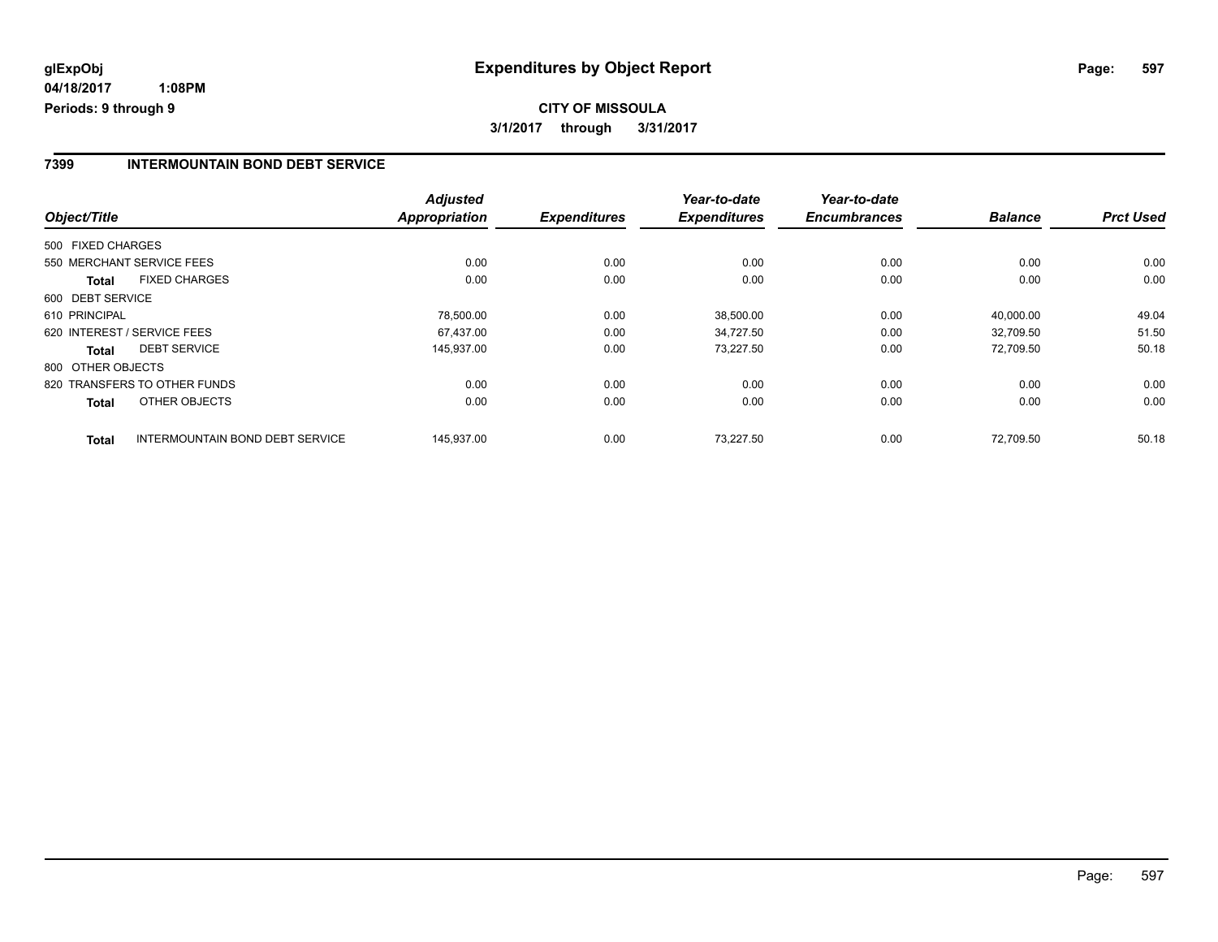## **CITY OF MISSOULA 3/1/2017 through 3/31/2017**

#### **7399 INTERMOUNTAIN BOND DEBT SERVICE**

| Object/Title      |                                 | <b>Adjusted</b><br><b>Appropriation</b> | <b>Expenditures</b> | Year-to-date<br><b>Expenditures</b> | Year-to-date<br><b>Encumbrances</b> | <b>Balance</b> | <b>Prct Used</b> |
|-------------------|---------------------------------|-----------------------------------------|---------------------|-------------------------------------|-------------------------------------|----------------|------------------|
| 500 FIXED CHARGES |                                 |                                         |                     |                                     |                                     |                |                  |
|                   |                                 |                                         |                     |                                     |                                     |                |                  |
|                   | 550 MERCHANT SERVICE FEES       | 0.00                                    | 0.00                | 0.00                                | 0.00                                | 0.00           | 0.00             |
| <b>Total</b>      | <b>FIXED CHARGES</b>            | 0.00                                    | 0.00                | 0.00                                | 0.00                                | 0.00           | 0.00             |
| 600 DEBT SERVICE  |                                 |                                         |                     |                                     |                                     |                |                  |
| 610 PRINCIPAL     |                                 | 78,500.00                               | 0.00                | 38,500.00                           | 0.00                                | 40,000.00      | 49.04            |
|                   | 620 INTEREST / SERVICE FEES     | 67.437.00                               | 0.00                | 34.727.50                           | 0.00                                | 32.709.50      | 51.50            |
| <b>Total</b>      | <b>DEBT SERVICE</b>             | 145,937.00                              | 0.00                | 73,227.50                           | 0.00                                | 72.709.50      | 50.18            |
| 800 OTHER OBJECTS |                                 |                                         |                     |                                     |                                     |                |                  |
|                   | 820 TRANSFERS TO OTHER FUNDS    | 0.00                                    | 0.00                | 0.00                                | 0.00                                | 0.00           | 0.00             |
| <b>Total</b>      | OTHER OBJECTS                   | 0.00                                    | 0.00                | 0.00                                | 0.00                                | 0.00           | 0.00             |
| <b>Total</b>      | INTERMOUNTAIN BOND DEBT SERVICE | 145,937.00                              | 0.00                | 73.227.50                           | 0.00                                | 72.709.50      | 50.18            |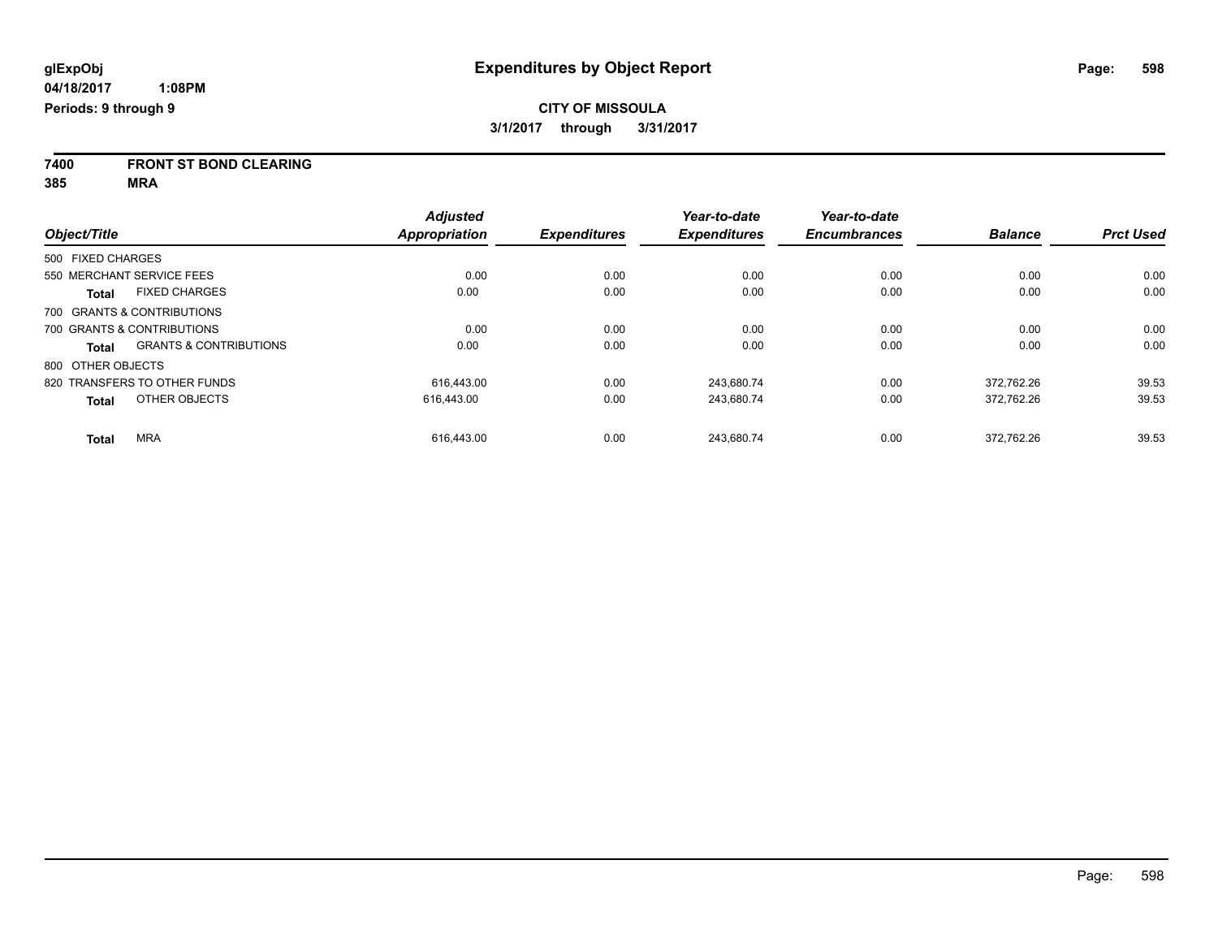**7400 FRONT ST BOND CLEARING**

**385 MRA**

|                              |                                   | <b>Adjusted</b> |                     | Year-to-date        | Year-to-date        |                |                  |
|------------------------------|-----------------------------------|-----------------|---------------------|---------------------|---------------------|----------------|------------------|
| Object/Title                 |                                   | Appropriation   | <b>Expenditures</b> | <b>Expenditures</b> | <b>Encumbrances</b> | <b>Balance</b> | <b>Prct Used</b> |
| 500 FIXED CHARGES            |                                   |                 |                     |                     |                     |                |                  |
| 550 MERCHANT SERVICE FEES    |                                   | 0.00            | 0.00                | 0.00                | 0.00                | 0.00           | 0.00             |
| <b>Total</b>                 | <b>FIXED CHARGES</b>              | 0.00            | 0.00                | 0.00                | 0.00                | 0.00           | 0.00             |
| 700 GRANTS & CONTRIBUTIONS   |                                   |                 |                     |                     |                     |                |                  |
| 700 GRANTS & CONTRIBUTIONS   |                                   | 0.00            | 0.00                | 0.00                | 0.00                | 0.00           | 0.00             |
| <b>Total</b>                 | <b>GRANTS &amp; CONTRIBUTIONS</b> | 0.00            | 0.00                | 0.00                | 0.00                | 0.00           | 0.00             |
| 800 OTHER OBJECTS            |                                   |                 |                     |                     |                     |                |                  |
| 820 TRANSFERS TO OTHER FUNDS |                                   | 616.443.00      | 0.00                | 243.680.74          | 0.00                | 372.762.26     | 39.53            |
| <b>Total</b>                 | OTHER OBJECTS                     | 616,443.00      | 0.00                | 243,680.74          | 0.00                | 372,762.26     | 39.53            |
| <b>MRA</b><br><b>Total</b>   |                                   | 616.443.00      | 0.00                | 243.680.74          | 0.00                | 372.762.26     | 39.53            |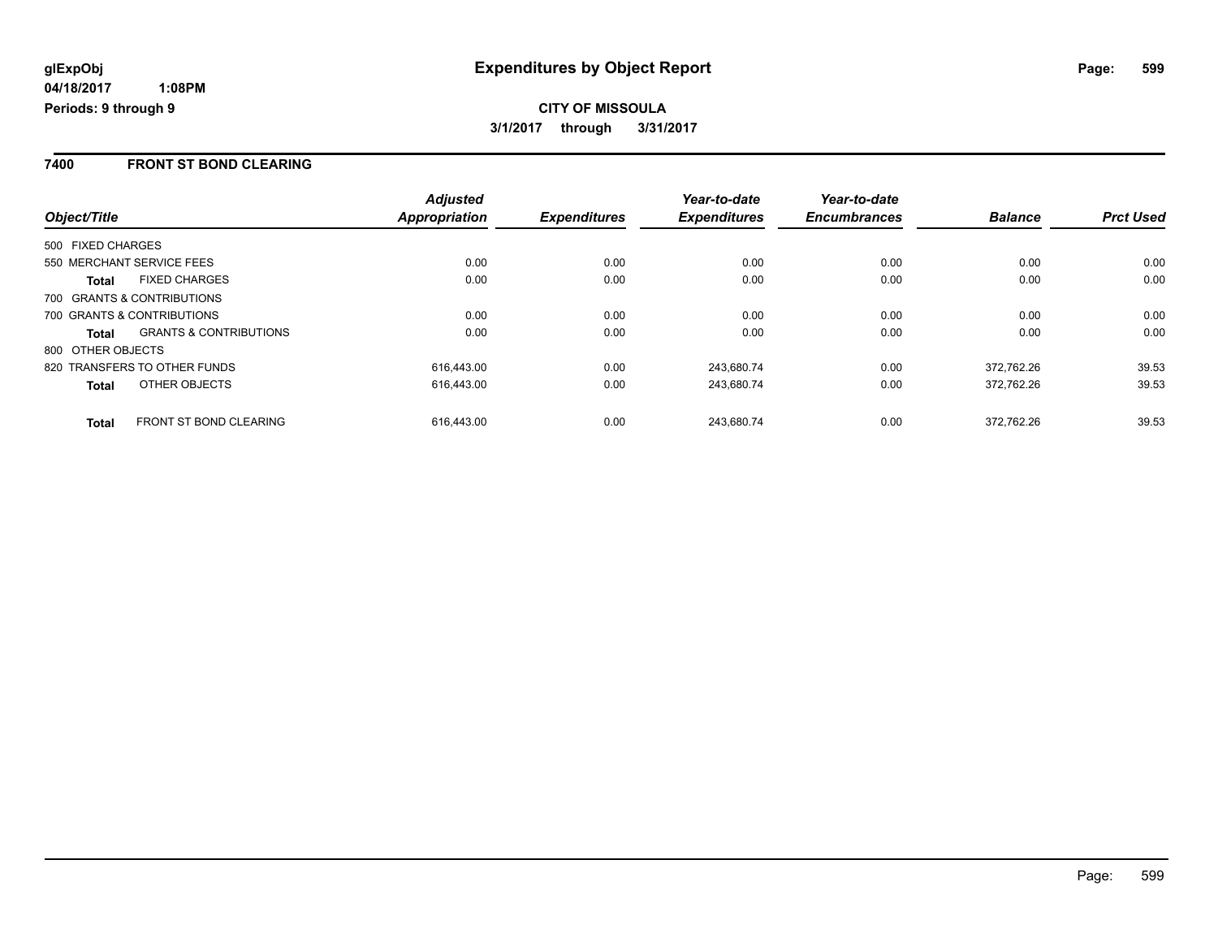## **CITY OF MISSOULA 3/1/2017 through 3/31/2017**

#### **7400 FRONT ST BOND CLEARING**

| Object/Title                                      | <b>Adjusted</b><br>Appropriation | <b>Expenditures</b> | Year-to-date<br><b>Expenditures</b> | Year-to-date<br><b>Encumbrances</b> | <b>Balance</b> | <b>Prct Used</b> |
|---------------------------------------------------|----------------------------------|---------------------|-------------------------------------|-------------------------------------|----------------|------------------|
| 500 FIXED CHARGES                                 |                                  |                     |                                     |                                     |                |                  |
| 550 MERCHANT SERVICE FEES                         | 0.00                             | 0.00                | 0.00                                | 0.00                                | 0.00           | 0.00             |
| <b>FIXED CHARGES</b><br><b>Total</b>              | 0.00                             | 0.00                | 0.00                                | 0.00                                | 0.00           | 0.00             |
| 700 GRANTS & CONTRIBUTIONS                        |                                  |                     |                                     |                                     |                |                  |
| 700 GRANTS & CONTRIBUTIONS                        | 0.00                             | 0.00                | 0.00                                | 0.00                                | 0.00           | 0.00             |
| <b>GRANTS &amp; CONTRIBUTIONS</b><br><b>Total</b> | 0.00                             | 0.00                | 0.00                                | 0.00                                | 0.00           | 0.00             |
| 800 OTHER OBJECTS                                 |                                  |                     |                                     |                                     |                |                  |
| 820 TRANSFERS TO OTHER FUNDS                      | 616.443.00                       | 0.00                | 243.680.74                          | 0.00                                | 372.762.26     | 39.53            |
| OTHER OBJECTS<br><b>Total</b>                     | 616.443.00                       | 0.00                | 243.680.74                          | 0.00                                | 372.762.26     | 39.53            |
| <b>FRONT ST BOND CLEARING</b><br><b>Total</b>     | 616.443.00                       | 0.00                | 243.680.74                          | 0.00                                | 372.762.26     | 39.53            |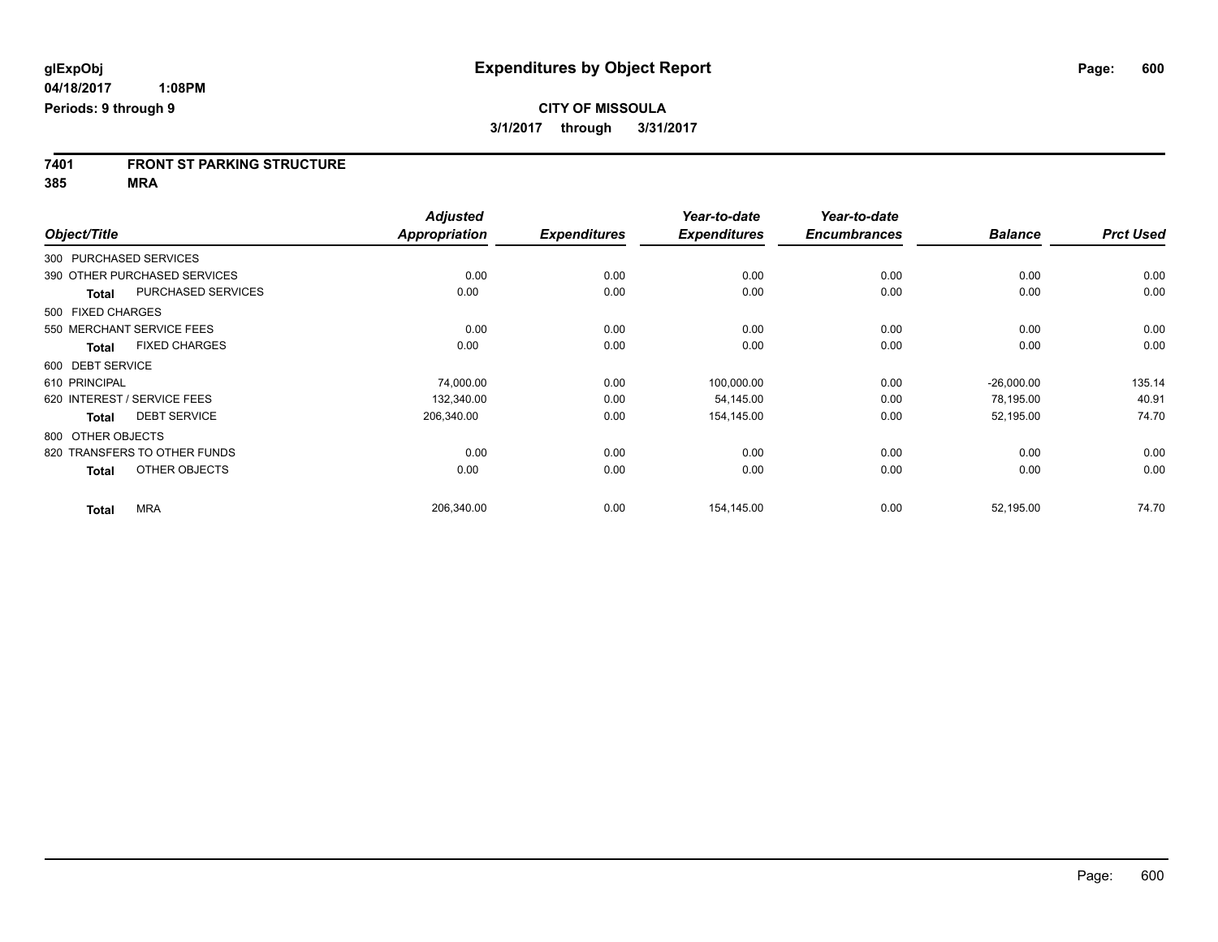**7401 FRONT ST PARKING STRUCTURE**

**385 MRA**

|                   |                              | <b>Adjusted</b>      |                     | Year-to-date        | Year-to-date        |                |                  |
|-------------------|------------------------------|----------------------|---------------------|---------------------|---------------------|----------------|------------------|
| Object/Title      |                              | <b>Appropriation</b> | <b>Expenditures</b> | <b>Expenditures</b> | <b>Encumbrances</b> | <b>Balance</b> | <b>Prct Used</b> |
|                   | 300 PURCHASED SERVICES       |                      |                     |                     |                     |                |                  |
|                   | 390 OTHER PURCHASED SERVICES | 0.00                 | 0.00                | 0.00                | 0.00                | 0.00           | 0.00             |
| <b>Total</b>      | PURCHASED SERVICES           | 0.00                 | 0.00                | 0.00                | 0.00                | 0.00           | 0.00             |
| 500 FIXED CHARGES |                              |                      |                     |                     |                     |                |                  |
|                   | 550 MERCHANT SERVICE FEES    | 0.00                 | 0.00                | 0.00                | 0.00                | 0.00           | 0.00             |
| <b>Total</b>      | <b>FIXED CHARGES</b>         | 0.00                 | 0.00                | 0.00                | 0.00                | 0.00           | 0.00             |
| 600 DEBT SERVICE  |                              |                      |                     |                     |                     |                |                  |
| 610 PRINCIPAL     |                              | 74,000.00            | 0.00                | 100,000.00          | 0.00                | $-26,000.00$   | 135.14           |
|                   | 620 INTEREST / SERVICE FEES  | 132,340.00           | 0.00                | 54,145.00           | 0.00                | 78,195.00      | 40.91            |
| <b>Total</b>      | <b>DEBT SERVICE</b>          | 206,340.00           | 0.00                | 154,145.00          | 0.00                | 52,195.00      | 74.70            |
| 800 OTHER OBJECTS |                              |                      |                     |                     |                     |                |                  |
|                   | 820 TRANSFERS TO OTHER FUNDS | 0.00                 | 0.00                | 0.00                | 0.00                | 0.00           | 0.00             |
| <b>Total</b>      | OTHER OBJECTS                | 0.00                 | 0.00                | 0.00                | 0.00                | 0.00           | 0.00             |
| <b>Total</b>      | <b>MRA</b>                   | 206,340.00           | 0.00                | 154,145.00          | 0.00                | 52,195.00      | 74.70            |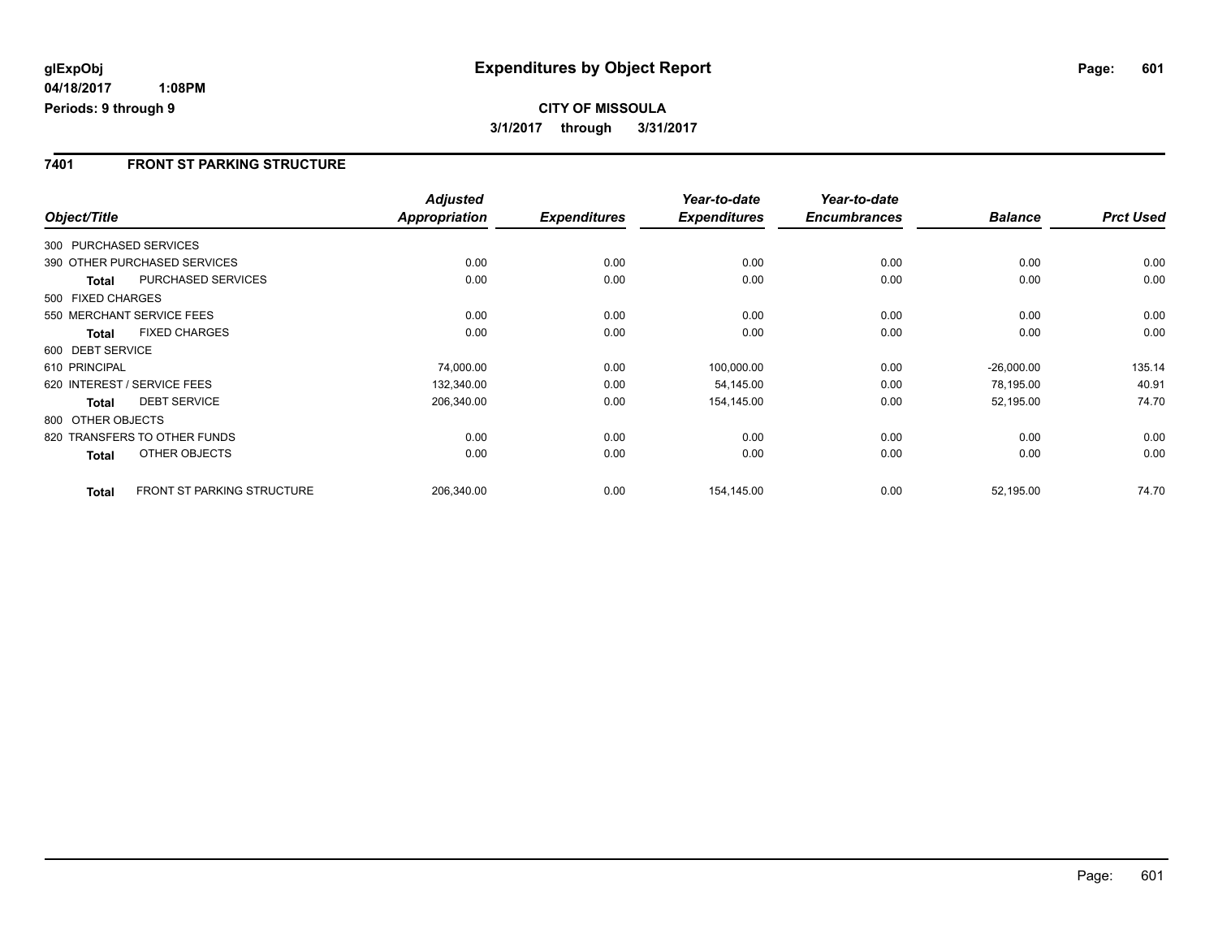## **CITY OF MISSOULA 3/1/2017 through 3/31/2017**

#### **7401 FRONT ST PARKING STRUCTURE**

|                        |                                   | <b>Adjusted</b>      |                     | Year-to-date        | Year-to-date        |                |                  |
|------------------------|-----------------------------------|----------------------|---------------------|---------------------|---------------------|----------------|------------------|
| Object/Title           |                                   | <b>Appropriation</b> | <b>Expenditures</b> | <b>Expenditures</b> | <b>Encumbrances</b> | <b>Balance</b> | <b>Prct Used</b> |
| 300 PURCHASED SERVICES |                                   |                      |                     |                     |                     |                |                  |
|                        | 390 OTHER PURCHASED SERVICES      | 0.00                 | 0.00                | 0.00                | 0.00                | 0.00           | 0.00             |
| <b>Total</b>           | <b>PURCHASED SERVICES</b>         | 0.00                 | 0.00                | 0.00                | 0.00                | 0.00           | 0.00             |
| 500 FIXED CHARGES      |                                   |                      |                     |                     |                     |                |                  |
|                        | 550 MERCHANT SERVICE FEES         | 0.00                 | 0.00                | 0.00                | 0.00                | 0.00           | 0.00             |
| Total                  | <b>FIXED CHARGES</b>              | 0.00                 | 0.00                | 0.00                | 0.00                | 0.00           | 0.00             |
| 600 DEBT SERVICE       |                                   |                      |                     |                     |                     |                |                  |
| 610 PRINCIPAL          |                                   | 74,000.00            | 0.00                | 100,000.00          | 0.00                | $-26,000.00$   | 135.14           |
|                        | 620 INTEREST / SERVICE FEES       | 132,340.00           | 0.00                | 54,145.00           | 0.00                | 78,195.00      | 40.91            |
| <b>Total</b>           | <b>DEBT SERVICE</b>               | 206,340.00           | 0.00                | 154,145.00          | 0.00                | 52,195.00      | 74.70            |
| 800 OTHER OBJECTS      |                                   |                      |                     |                     |                     |                |                  |
|                        | 820 TRANSFERS TO OTHER FUNDS      | 0.00                 | 0.00                | 0.00                | 0.00                | 0.00           | 0.00             |
| <b>Total</b>           | OTHER OBJECTS                     | 0.00                 | 0.00                | 0.00                | 0.00                | 0.00           | 0.00             |
| <b>Total</b>           | <b>FRONT ST PARKING STRUCTURE</b> | 206,340.00           | 0.00                | 154,145.00          | 0.00                | 52,195.00      | 74.70            |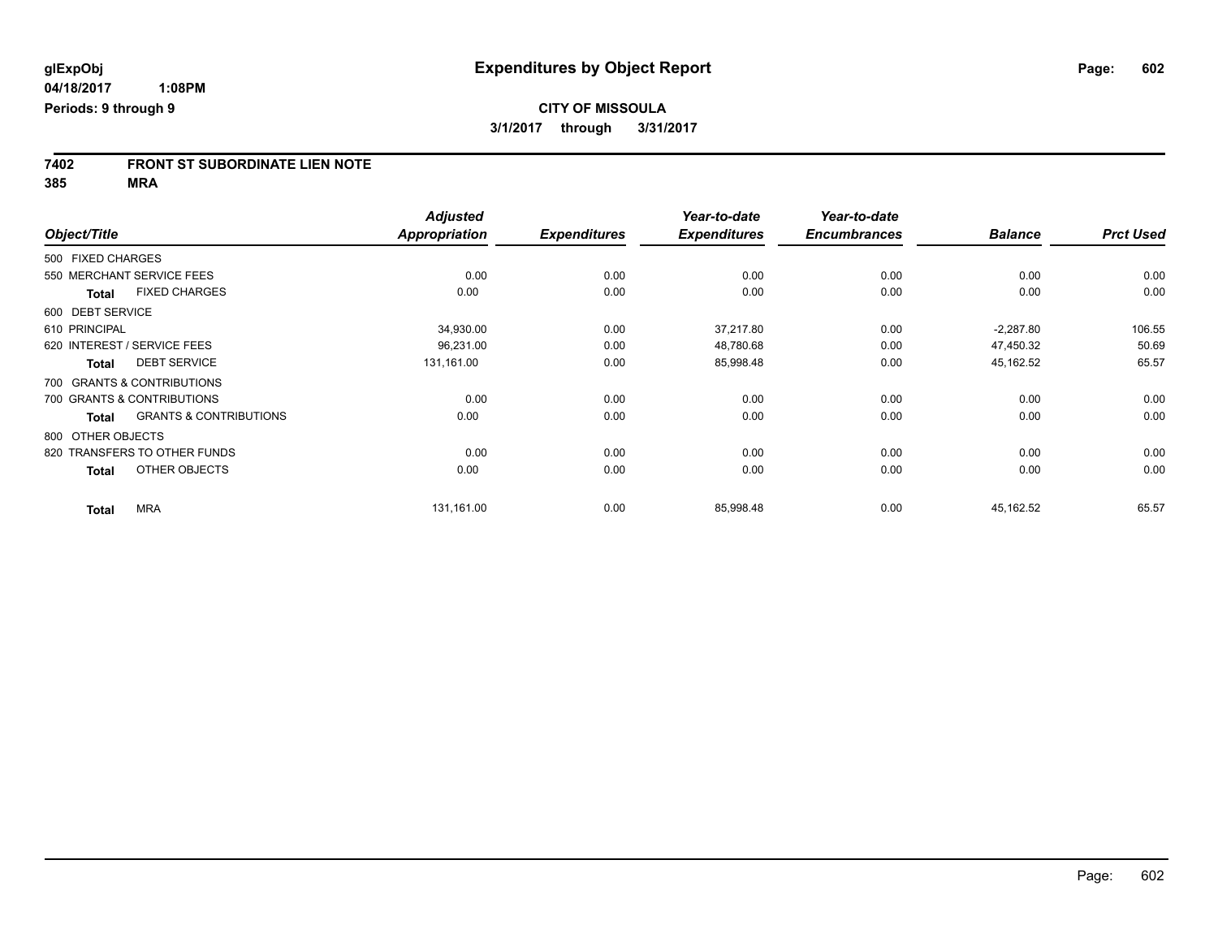# **7402 FRONT ST SUBORDINATE LIEN NOTE**

**385 MRA**

|                   |                                   | <b>Adjusted</b>      |                     | Year-to-date        | Year-to-date        |                |                  |
|-------------------|-----------------------------------|----------------------|---------------------|---------------------|---------------------|----------------|------------------|
| Object/Title      |                                   | <b>Appropriation</b> | <b>Expenditures</b> | <b>Expenditures</b> | <b>Encumbrances</b> | <b>Balance</b> | <b>Prct Used</b> |
| 500 FIXED CHARGES |                                   |                      |                     |                     |                     |                |                  |
|                   | 550 MERCHANT SERVICE FEES         | 0.00                 | 0.00                | 0.00                | 0.00                | 0.00           | 0.00             |
| <b>Total</b>      | <b>FIXED CHARGES</b>              | 0.00                 | 0.00                | 0.00                | 0.00                | 0.00           | 0.00             |
| 600 DEBT SERVICE  |                                   |                      |                     |                     |                     |                |                  |
| 610 PRINCIPAL     |                                   | 34,930.00            | 0.00                | 37,217.80           | 0.00                | $-2,287.80$    | 106.55           |
|                   | 620 INTEREST / SERVICE FEES       | 96,231.00            | 0.00                | 48,780.68           | 0.00                | 47,450.32      | 50.69            |
| <b>Total</b>      | <b>DEBT SERVICE</b>               | 131,161.00           | 0.00                | 85,998.48           | 0.00                | 45,162.52      | 65.57            |
|                   | 700 GRANTS & CONTRIBUTIONS        |                      |                     |                     |                     |                |                  |
|                   | 700 GRANTS & CONTRIBUTIONS        | 0.00                 | 0.00                | 0.00                | 0.00                | 0.00           | 0.00             |
| <b>Total</b>      | <b>GRANTS &amp; CONTRIBUTIONS</b> | 0.00                 | 0.00                | 0.00                | 0.00                | 0.00           | 0.00             |
| 800 OTHER OBJECTS |                                   |                      |                     |                     |                     |                |                  |
|                   | 820 TRANSFERS TO OTHER FUNDS      | 0.00                 | 0.00                | 0.00                | 0.00                | 0.00           | 0.00             |
| <b>Total</b>      | OTHER OBJECTS                     | 0.00                 | 0.00                | 0.00                | 0.00                | 0.00           | 0.00             |
| <b>Total</b>      | <b>MRA</b>                        | 131,161.00           | 0.00                | 85,998.48           | 0.00                | 45,162.52      | 65.57            |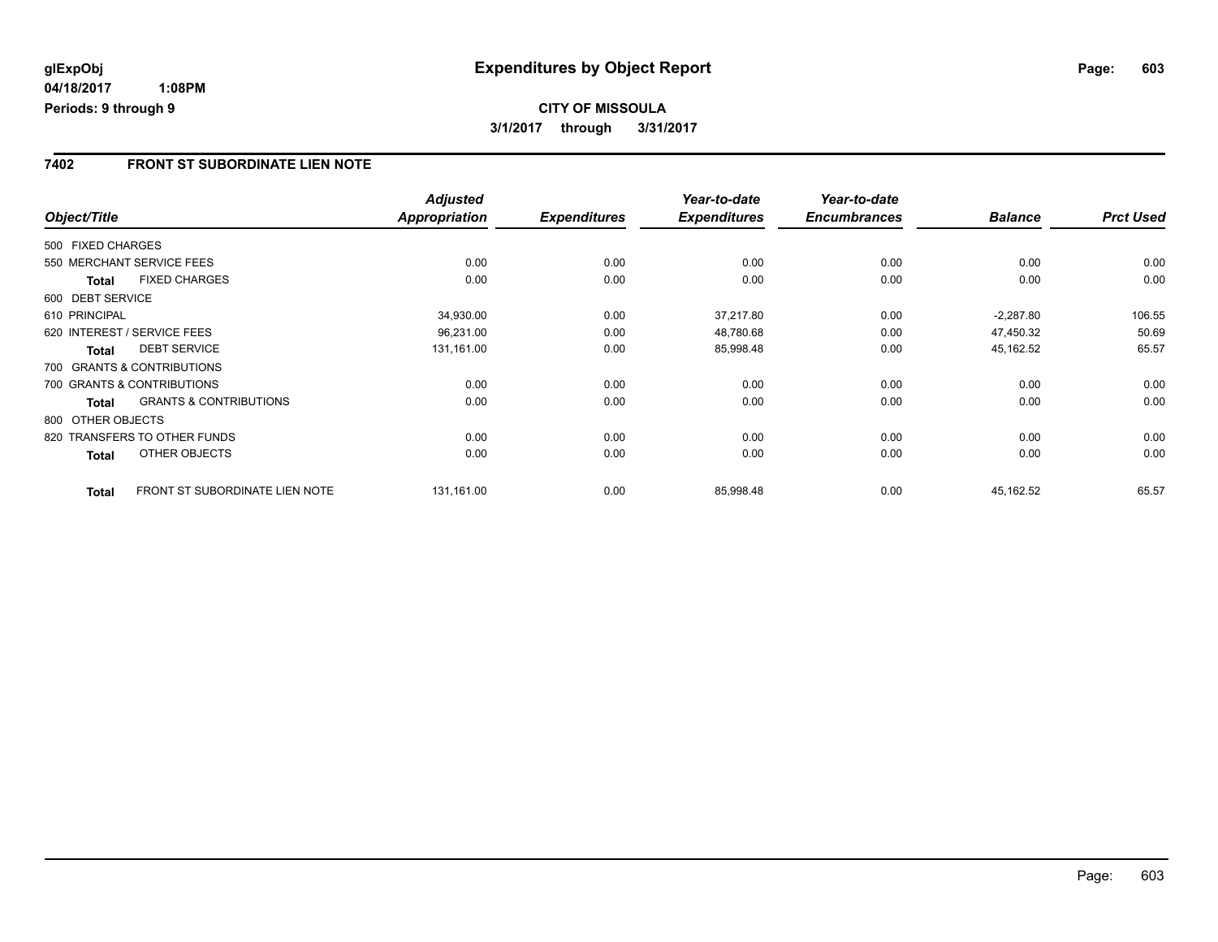## **CITY OF MISSOULA 3/1/2017 through 3/31/2017**

#### **7402 FRONT ST SUBORDINATE LIEN NOTE**

|                   |                                       | <b>Adjusted</b> |                     | Year-to-date        | Year-to-date        |                |                  |
|-------------------|---------------------------------------|-----------------|---------------------|---------------------|---------------------|----------------|------------------|
| Object/Title      |                                       | Appropriation   | <b>Expenditures</b> | <b>Expenditures</b> | <b>Encumbrances</b> | <b>Balance</b> | <b>Prct Used</b> |
| 500 FIXED CHARGES |                                       |                 |                     |                     |                     |                |                  |
|                   | 550 MERCHANT SERVICE FEES             | 0.00            | 0.00                | 0.00                | 0.00                | 0.00           | 0.00             |
| <b>Total</b>      | <b>FIXED CHARGES</b>                  | 0.00            | 0.00                | 0.00                | 0.00                | 0.00           | 0.00             |
| 600 DEBT SERVICE  |                                       |                 |                     |                     |                     |                |                  |
| 610 PRINCIPAL     |                                       | 34,930.00       | 0.00                | 37,217.80           | 0.00                | $-2.287.80$    | 106.55           |
|                   | 620 INTEREST / SERVICE FEES           | 96,231.00       | 0.00                | 48,780.68           | 0.00                | 47,450.32      | 50.69            |
| <b>Total</b>      | <b>DEBT SERVICE</b>                   | 131,161.00      | 0.00                | 85,998.48           | 0.00                | 45,162.52      | 65.57            |
|                   | 700 GRANTS & CONTRIBUTIONS            |                 |                     |                     |                     |                |                  |
|                   | 700 GRANTS & CONTRIBUTIONS            | 0.00            | 0.00                | 0.00                | 0.00                | 0.00           | 0.00             |
| <b>Total</b>      | <b>GRANTS &amp; CONTRIBUTIONS</b>     | 0.00            | 0.00                | 0.00                | 0.00                | 0.00           | 0.00             |
| 800 OTHER OBJECTS |                                       |                 |                     |                     |                     |                |                  |
|                   | 820 TRANSFERS TO OTHER FUNDS          | 0.00            | 0.00                | 0.00                | 0.00                | 0.00           | 0.00             |
| <b>Total</b>      | OTHER OBJECTS                         | 0.00            | 0.00                | 0.00                | 0.00                | 0.00           | 0.00             |
| <b>Total</b>      | <b>FRONT ST SUBORDINATE LIEN NOTE</b> | 131,161.00      | 0.00                | 85,998.48           | 0.00                | 45,162.52      | 65.57            |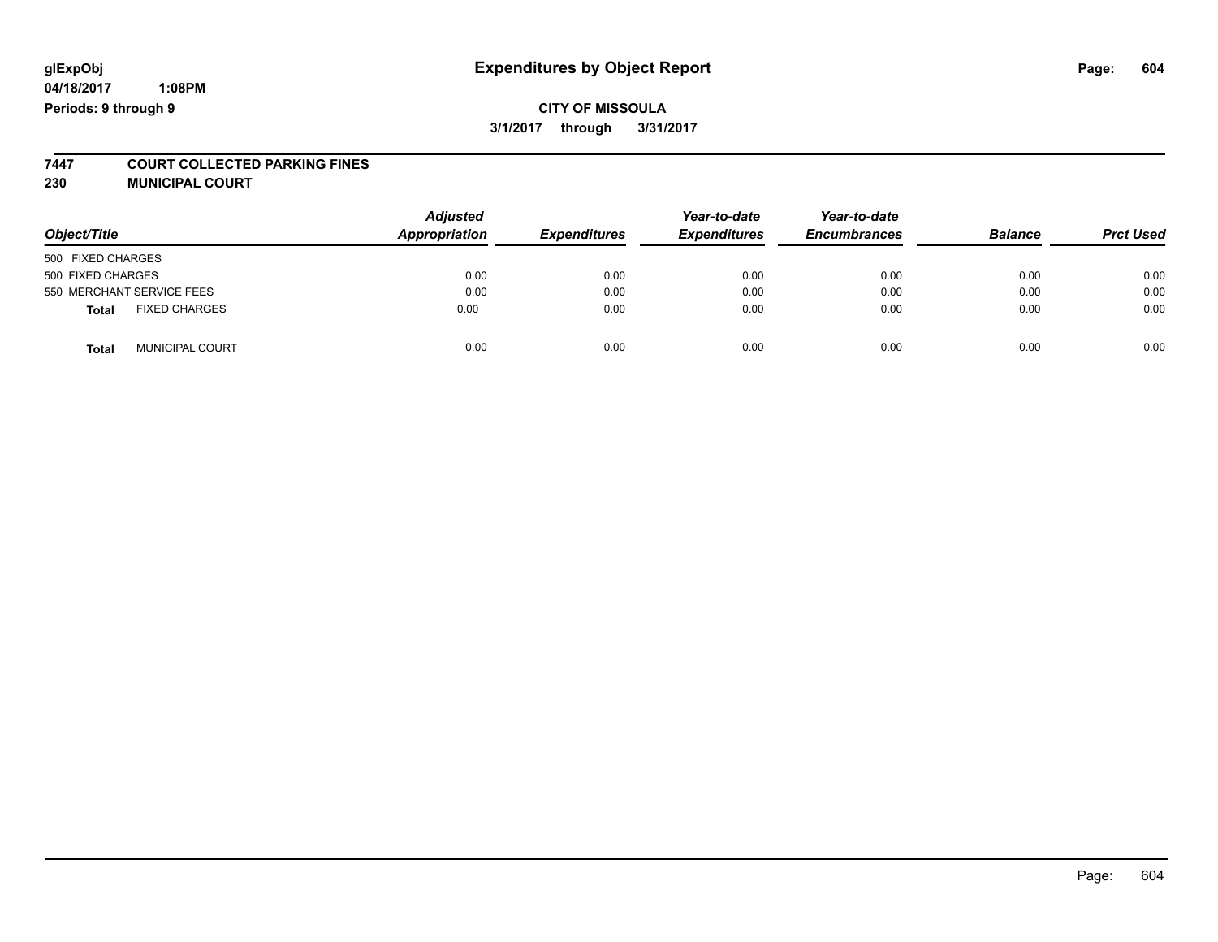# **glExpObj Expenditures by Object Report Page: 604**

**04/18/2017 1:08PM Periods: 9 through 9**

# **7447 COURT COLLECTED PARKING FINES**

**230 MUNICIPAL COURT**

|                                        | <b>Adjusted</b> |                     | Year-to-date        | Year-to-date        |                |                  |
|----------------------------------------|-----------------|---------------------|---------------------|---------------------|----------------|------------------|
| Object/Title                           | Appropriation   | <b>Expenditures</b> | <b>Expenditures</b> | <b>Encumbrances</b> | <b>Balance</b> | <b>Prct Used</b> |
| 500 FIXED CHARGES                      |                 |                     |                     |                     |                |                  |
| 500 FIXED CHARGES                      | 0.00            | 0.00                | 0.00                | 0.00                | 0.00           | 0.00             |
| 550 MERCHANT SERVICE FEES              | 0.00            | 0.00                | 0.00                | 0.00                | 0.00           | 0.00             |
| <b>FIXED CHARGES</b><br><b>Total</b>   | 0.00            | 0.00                | 0.00                | 0.00                | 0.00           | 0.00             |
| <b>MUNICIPAL COURT</b><br><b>Total</b> | 0.00            | 0.00                | 0.00                | 0.00                | 0.00           | 0.00             |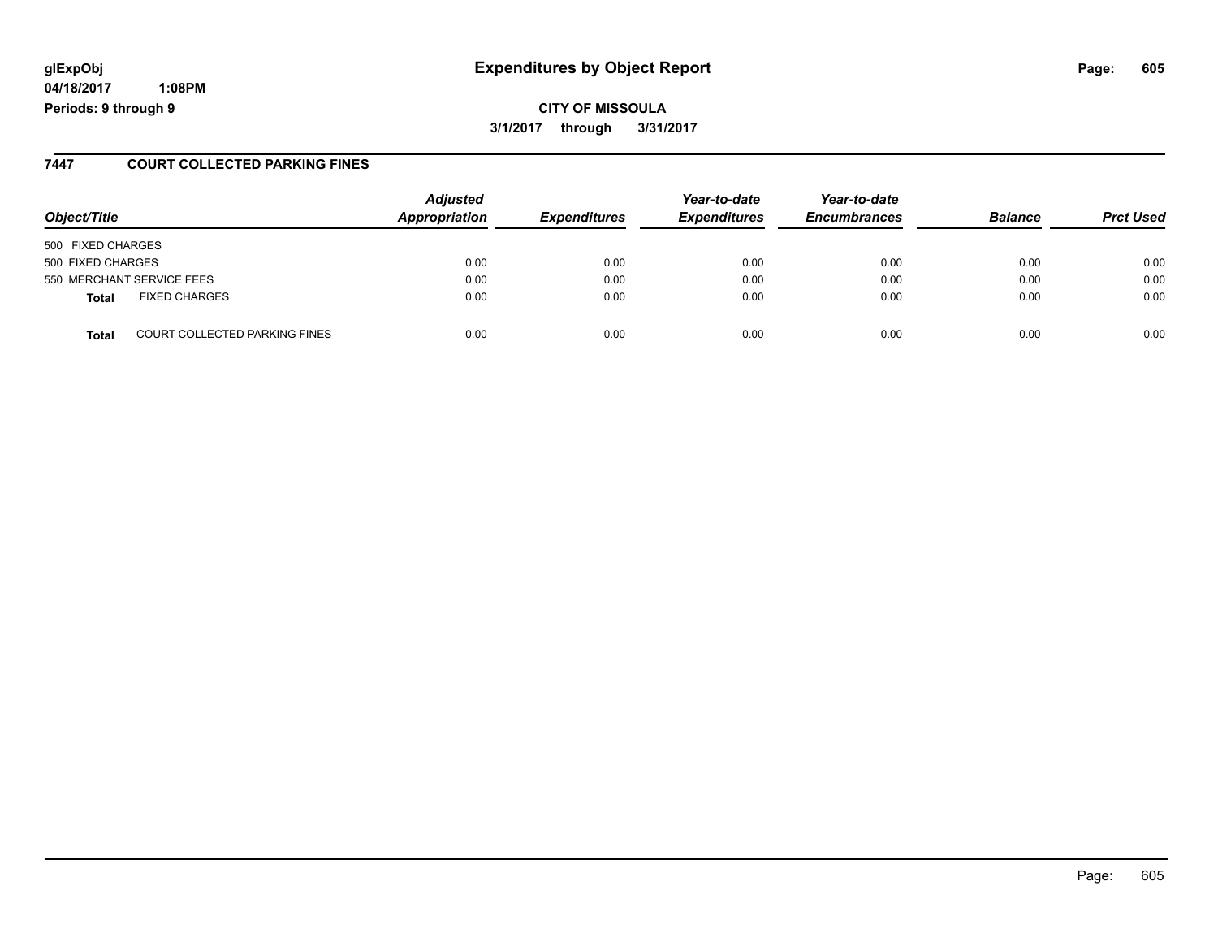# **glExpObj Expenditures by Object Report Page: 605**

**04/18/2017 1:08PM Periods: 9 through 9**

#### **7447 COURT COLLECTED PARKING FINES**

| Object/Title                                         | <b>Adjusted</b><br>Appropriation | <b>Expenditures</b> | Year-to-date<br><b>Expenditures</b> | Year-to-date<br><b>Encumbrances</b> | <b>Balance</b> | <b>Prct Used</b> |
|------------------------------------------------------|----------------------------------|---------------------|-------------------------------------|-------------------------------------|----------------|------------------|
| 500 FIXED CHARGES                                    |                                  |                     |                                     |                                     |                |                  |
| 500 FIXED CHARGES                                    | 0.00                             | 0.00                | 0.00                                | 0.00                                | 0.00           | 0.00             |
| 550 MERCHANT SERVICE FEES                            | 0.00                             | 0.00                | 0.00                                | 0.00                                | 0.00           | 0.00             |
| <b>FIXED CHARGES</b><br>Total                        | 0.00                             | 0.00                | 0.00                                | 0.00                                | 0.00           | 0.00             |
| <b>COURT COLLECTED PARKING FINES</b><br><b>Total</b> | 0.00                             | 0.00                | 0.00                                | 0.00                                | 0.00           | 0.00             |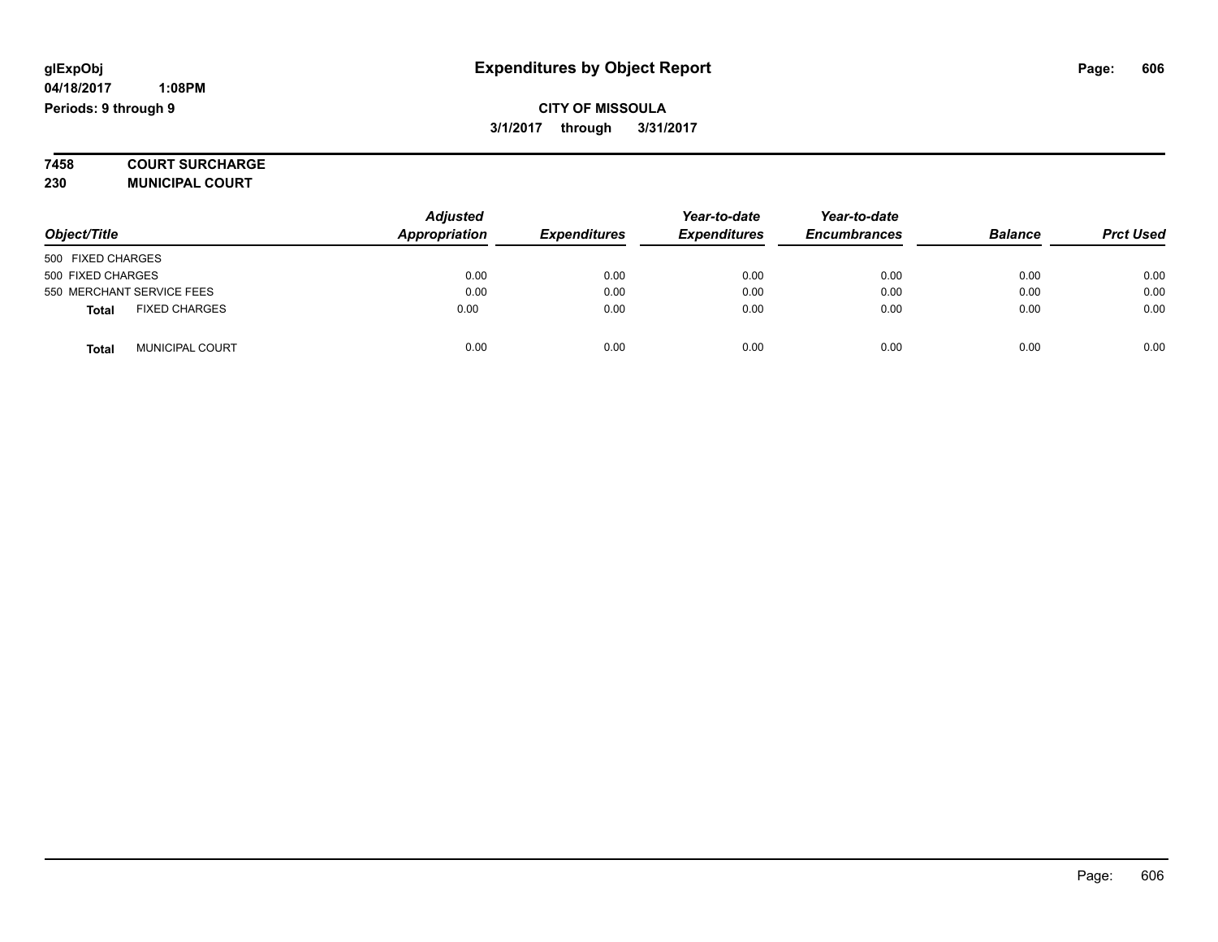**7458 COURT SURCHARGE**

**230 MUNICIPAL COURT**

|                                        | <b>Adjusted</b> |                     | Year-to-date        | Year-to-date        |                |                  |
|----------------------------------------|-----------------|---------------------|---------------------|---------------------|----------------|------------------|
| Object/Title                           | Appropriation   | <b>Expenditures</b> | <b>Expenditures</b> | <b>Encumbrances</b> | <b>Balance</b> | <b>Prct Used</b> |
| 500 FIXED CHARGES                      |                 |                     |                     |                     |                |                  |
| 500 FIXED CHARGES                      | 0.00            | 0.00                | 0.00                | 0.00                | 0.00           | 0.00             |
| 550 MERCHANT SERVICE FEES              | 0.00            | 0.00                | 0.00                | 0.00                | 0.00           | 0.00             |
| <b>FIXED CHARGES</b><br><b>Total</b>   | 0.00            | 0.00                | 0.00                | 0.00                | 0.00           | 0.00             |
| <b>MUNICIPAL COURT</b><br><b>Total</b> | 0.00            | 0.00                | 0.00                | 0.00                | 0.00           | 0.00             |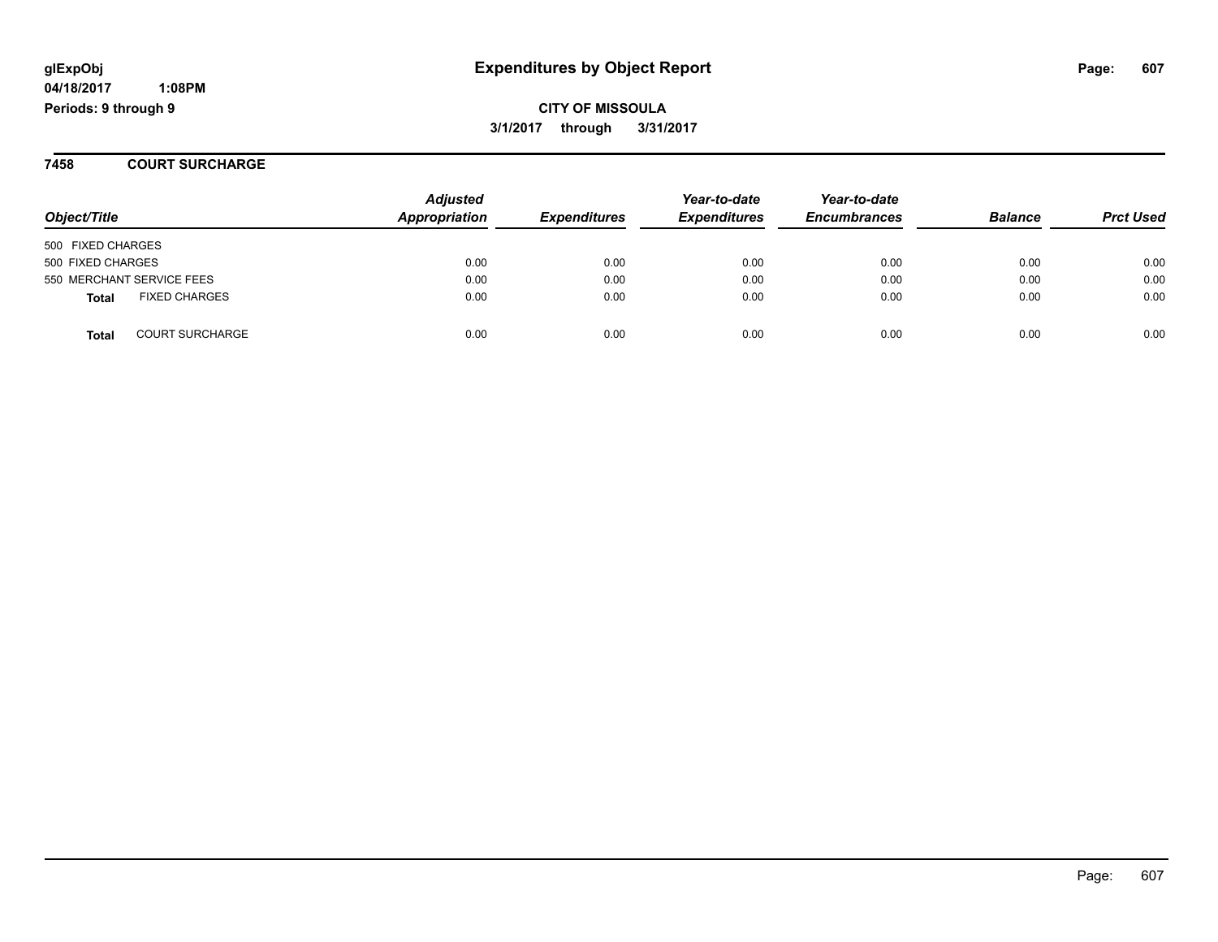**7458 COURT SURCHARGE**

| Object/Title                           | <b>Adjusted</b><br><b>Appropriation</b> | <b>Expenditures</b> | Year-to-date<br><b>Expenditures</b> | Year-to-date<br><b>Encumbrances</b> | <b>Balance</b> | <b>Prct Used</b> |
|----------------------------------------|-----------------------------------------|---------------------|-------------------------------------|-------------------------------------|----------------|------------------|
| 500 FIXED CHARGES                      |                                         |                     |                                     |                                     |                |                  |
| 500 FIXED CHARGES                      | 0.00                                    | 0.00                | 0.00                                | 0.00                                | 0.00           | 0.00             |
| 550 MERCHANT SERVICE FEES              | 0.00                                    | 0.00                | 0.00                                | 0.00                                | 0.00           | 0.00             |
| <b>FIXED CHARGES</b><br><b>Total</b>   | 0.00                                    | 0.00                | 0.00                                | 0.00                                | 0.00           | 0.00             |
| <b>COURT SURCHARGE</b><br><b>Total</b> | 0.00                                    | 0.00                | 0.00                                | 0.00                                | 0.00           | 0.00             |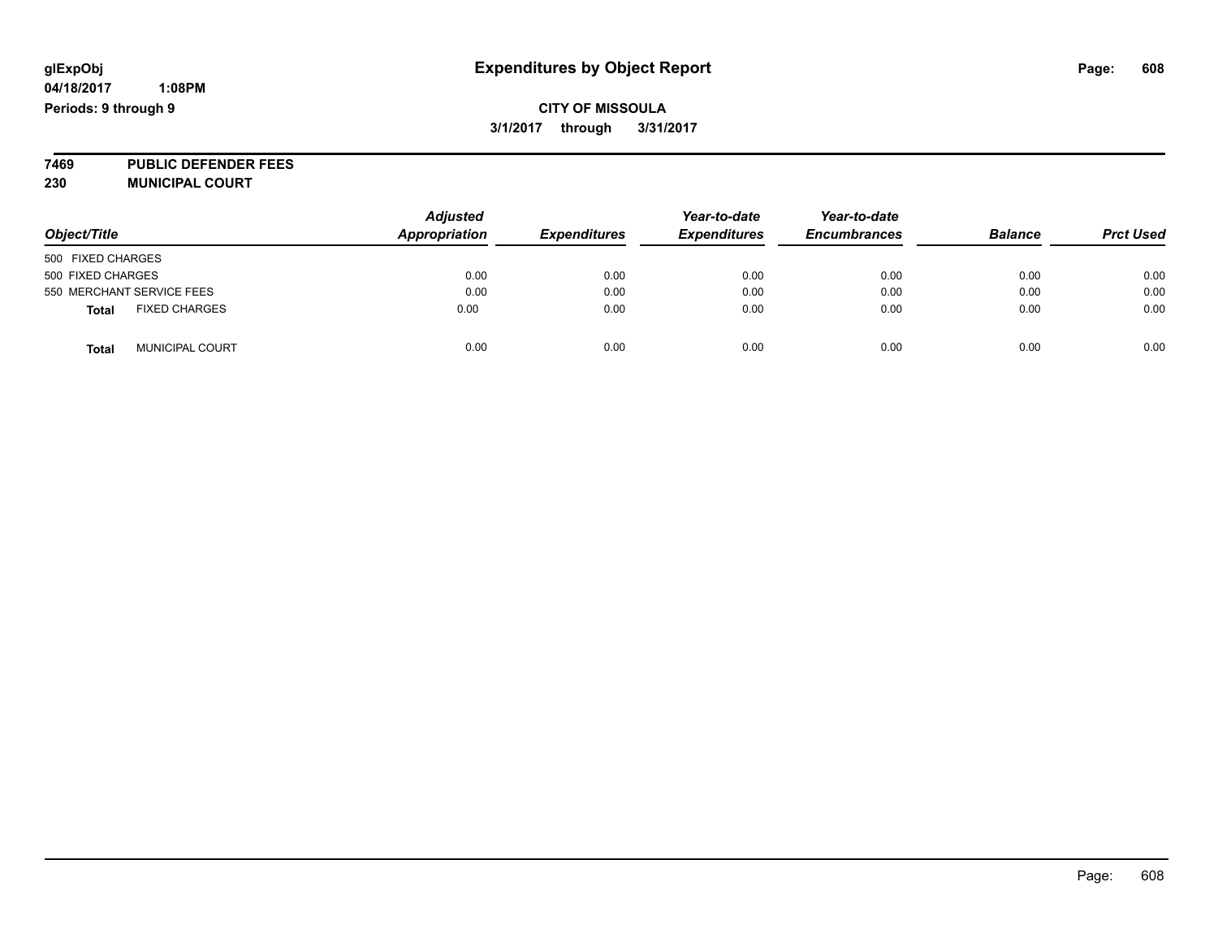**7469 PUBLIC DEFENDER FEES 230 MUNICIPAL COURT**

| Object/Title                   | <b>Adjusted</b><br><b>Appropriation</b> | <b>Expenditures</b> | Year-to-date<br><b>Expenditures</b> | Year-to-date<br><b>Encumbrances</b> | <b>Balance</b> | <b>Prct Used</b> |
|--------------------------------|-----------------------------------------|---------------------|-------------------------------------|-------------------------------------|----------------|------------------|
| 500 FIXED CHARGES              |                                         |                     |                                     |                                     |                |                  |
| 500 FIXED CHARGES              | 0.00                                    | 0.00                | 0.00                                | 0.00                                | 0.00           | 0.00             |
| 550 MERCHANT SERVICE FEES      | 0.00                                    | 0.00                | 0.00                                | 0.00                                | 0.00           | 0.00             |
| <b>FIXED CHARGES</b><br>Total  | 0.00                                    | 0.00                | 0.00                                | 0.00                                | 0.00           | 0.00             |
| <b>MUNICIPAL COURT</b><br>Tota | 0.00                                    | 0.00                | 0.00                                | 0.00                                | 0.00           | 0.00             |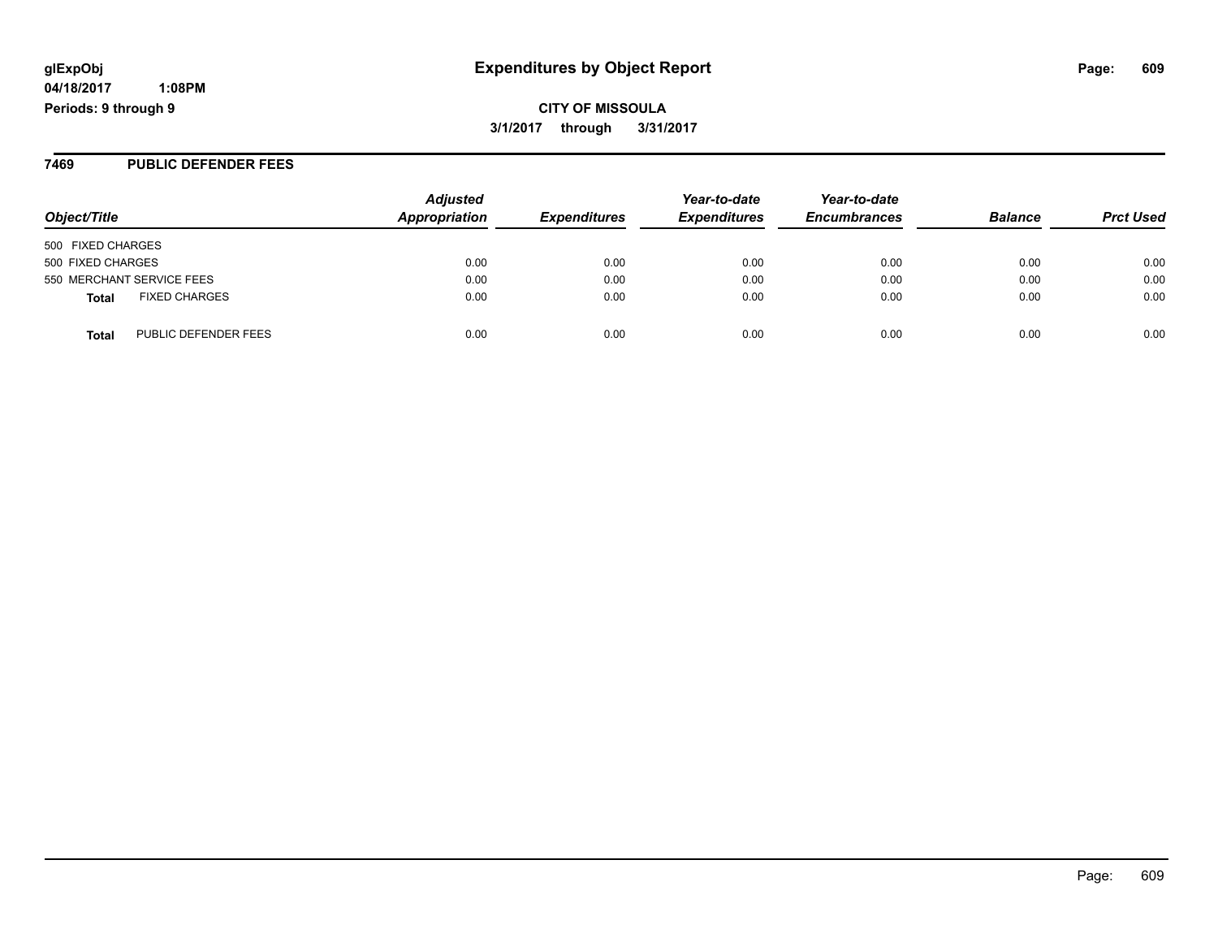# **glExpObj Expenditures by Object Report Page: 609**

**04/18/2017 1:08PM Periods: 9 through 9**

**3/1/2017 through 3/31/2017**

#### **7469 PUBLIC DEFENDER FEES**

| Object/Title                         | <b>Adjusted</b><br>Appropriation | <b>Expenditures</b> | Year-to-date<br><b>Expenditures</b> | Year-to-date<br><b>Encumbrances</b> | <b>Balance</b> | <b>Prct Used</b> |
|--------------------------------------|----------------------------------|---------------------|-------------------------------------|-------------------------------------|----------------|------------------|
| 500 FIXED CHARGES                    |                                  |                     |                                     |                                     |                |                  |
| 500 FIXED CHARGES                    | 0.00                             | 0.00                | 0.00                                | 0.00                                | 0.00           | 0.00             |
| 550 MERCHANT SERVICE FEES            | 0.00                             | 0.00                | 0.00                                | 0.00                                | 0.00           | 0.00             |
| <b>FIXED CHARGES</b><br><b>Total</b> | 0.00                             | 0.00                | 0.00                                | 0.00                                | 0.00           | 0.00             |
| PUBLIC DEFENDER FEES<br><b>Total</b> | 0.00                             | 0.00                | 0.00                                | 0.00                                | 0.00           | 0.00             |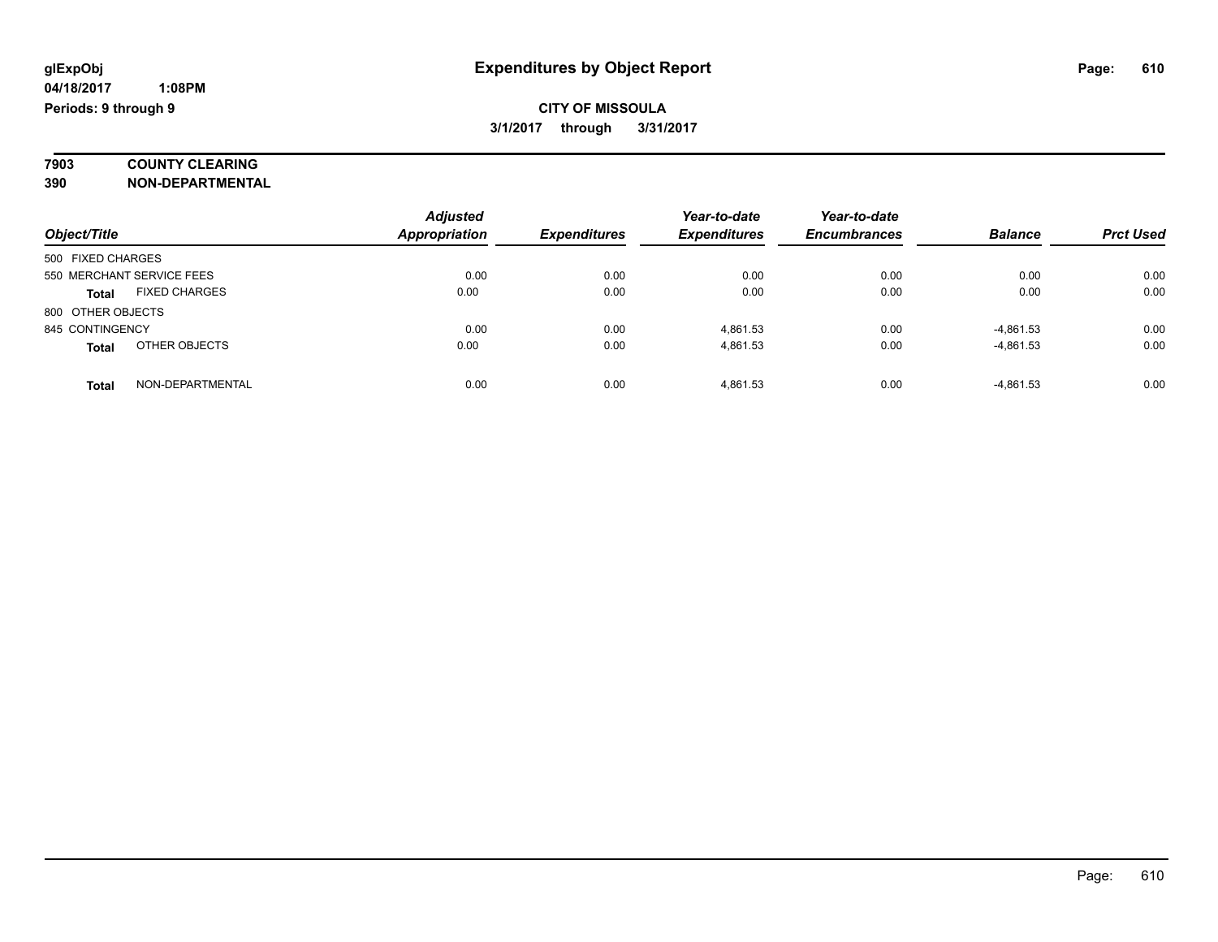# **7903 COUNTY CLEARING**

**390 NON-DEPARTMENTAL**

|                                      | <b>Adjusted</b>      |                     | Year-to-date        | Year-to-date        |                |                  |
|--------------------------------------|----------------------|---------------------|---------------------|---------------------|----------------|------------------|
| Object/Title                         | <b>Appropriation</b> | <b>Expenditures</b> | <b>Expenditures</b> | <b>Encumbrances</b> | <b>Balance</b> | <b>Prct Used</b> |
| 500 FIXED CHARGES                    |                      |                     |                     |                     |                |                  |
| 550 MERCHANT SERVICE FEES            | 0.00                 | 0.00                | 0.00                | 0.00                | 0.00           | 0.00             |
| <b>FIXED CHARGES</b><br><b>Total</b> | 0.00                 | 0.00                | 0.00                | 0.00                | 0.00           | 0.00             |
| 800 OTHER OBJECTS                    |                      |                     |                     |                     |                |                  |
| 845 CONTINGENCY                      | 0.00                 | 0.00                | 4.861.53            | 0.00                | $-4,861.53$    | 0.00             |
| OTHER OBJECTS<br><b>Total</b>        | 0.00                 | 0.00                | 4.861.53            | 0.00                | $-4,861.53$    | 0.00             |
| NON-DEPARTMENTAL<br><b>Total</b>     | 0.00                 | 0.00                | 4.861.53            | 0.00                | $-4,861.53$    | 0.00             |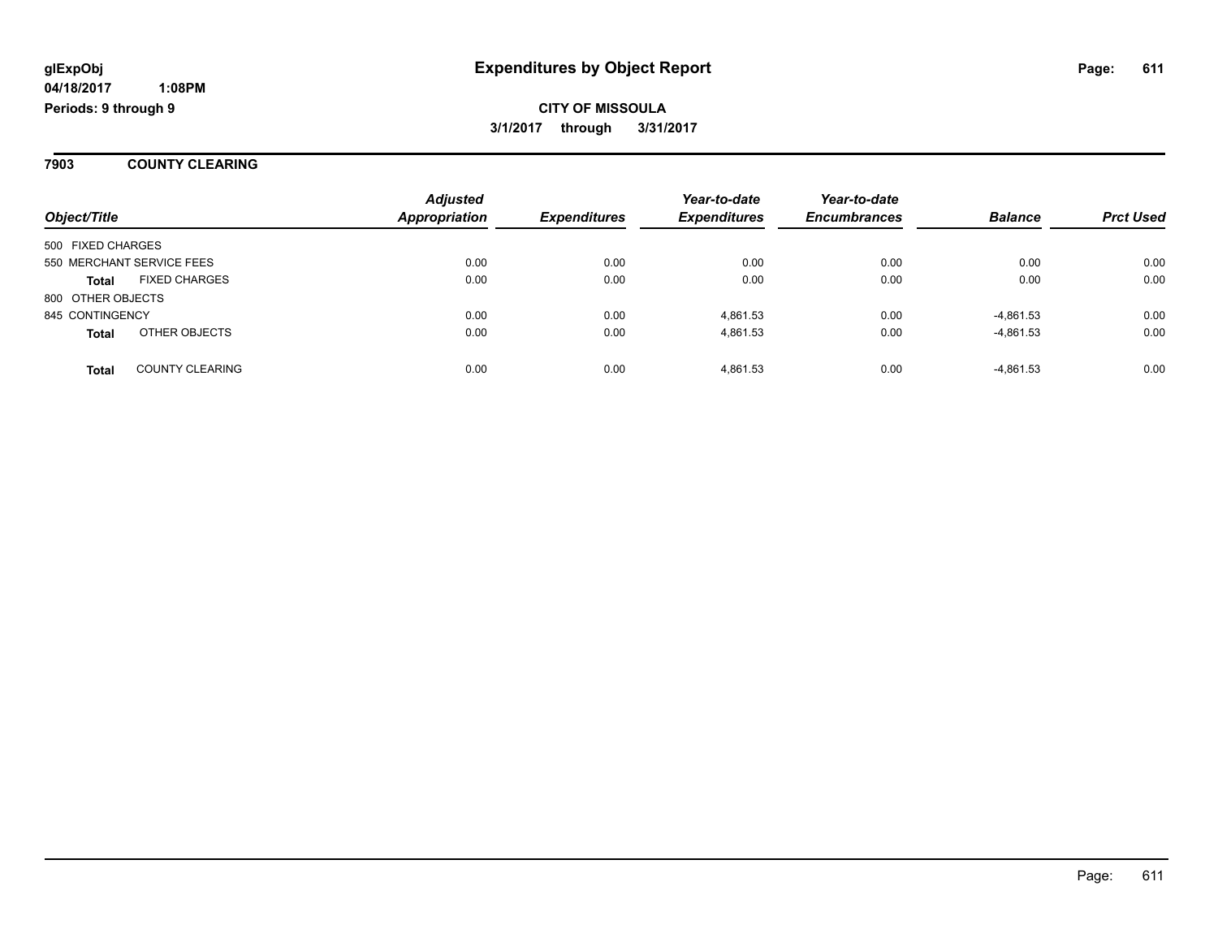**7903 COUNTY CLEARING**

| Object/Title      |                           | <b>Adjusted</b><br><b>Appropriation</b> | <b>Expenditures</b> | Year-to-date<br><b>Expenditures</b> | Year-to-date<br><b>Encumbrances</b> | <b>Balance</b> | <b>Prct Used</b> |
|-------------------|---------------------------|-----------------------------------------|---------------------|-------------------------------------|-------------------------------------|----------------|------------------|
| 500 FIXED CHARGES |                           |                                         |                     |                                     |                                     |                |                  |
|                   | 550 MERCHANT SERVICE FEES | 0.00                                    | 0.00                | 0.00                                | 0.00                                | 0.00           | 0.00             |
| <b>Total</b>      | <b>FIXED CHARGES</b>      | 0.00                                    | 0.00                | 0.00                                | 0.00                                | 0.00           | 0.00             |
| 800 OTHER OBJECTS |                           |                                         |                     |                                     |                                     |                |                  |
| 845 CONTINGENCY   |                           | 0.00                                    | 0.00                | 4.861.53                            | 0.00                                | $-4,861.53$    | 0.00             |
| <b>Total</b>      | OTHER OBJECTS             | 0.00                                    | 0.00                | 4.861.53                            | 0.00                                | $-4,861.53$    | 0.00             |
| Total             | <b>COUNTY CLEARING</b>    | 0.00                                    | 0.00                | 4,861.53                            | 0.00                                | $-4,861.53$    | 0.00             |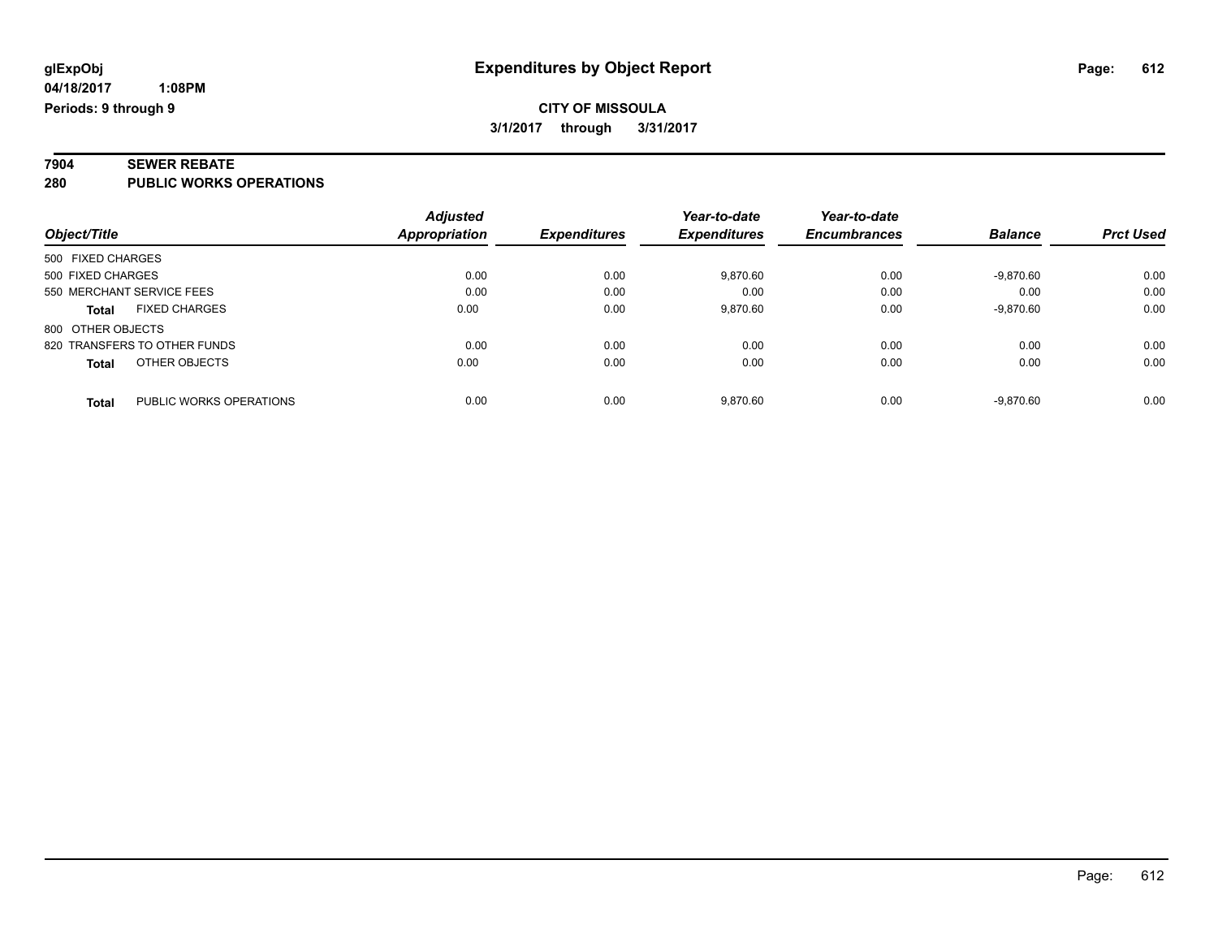# **7904 SEWER REBATE**

**280 PUBLIC WORKS OPERATIONS**

|                                         | <b>Adjusted</b> |                     | Year-to-date        | Year-to-date        |                |                  |
|-----------------------------------------|-----------------|---------------------|---------------------|---------------------|----------------|------------------|
| Object/Title                            | Appropriation   | <b>Expenditures</b> | <b>Expenditures</b> | <b>Encumbrances</b> | <b>Balance</b> | <b>Prct Used</b> |
| 500 FIXED CHARGES                       |                 |                     |                     |                     |                |                  |
| 500 FIXED CHARGES                       | 0.00            | 0.00                | 9,870.60            | 0.00                | $-9,870.60$    | 0.00             |
| 550 MERCHANT SERVICE FEES               | 0.00            | 0.00                | 0.00                | 0.00                | 0.00           | 0.00             |
| <b>FIXED CHARGES</b><br><b>Total</b>    | 0.00            | 0.00                | 9,870.60            | 0.00                | $-9,870.60$    | 0.00             |
| 800 OTHER OBJECTS                       |                 |                     |                     |                     |                |                  |
| 820 TRANSFERS TO OTHER FUNDS            | 0.00            | 0.00                | 0.00                | 0.00                | 0.00           | 0.00             |
| OTHER OBJECTS<br><b>Total</b>           | 0.00            | 0.00                | 0.00                | 0.00                | 0.00           | 0.00             |
| PUBLIC WORKS OPERATIONS<br><b>Total</b> | 0.00            | 0.00                | 9,870.60            | 0.00                | $-9.870.60$    | 0.00             |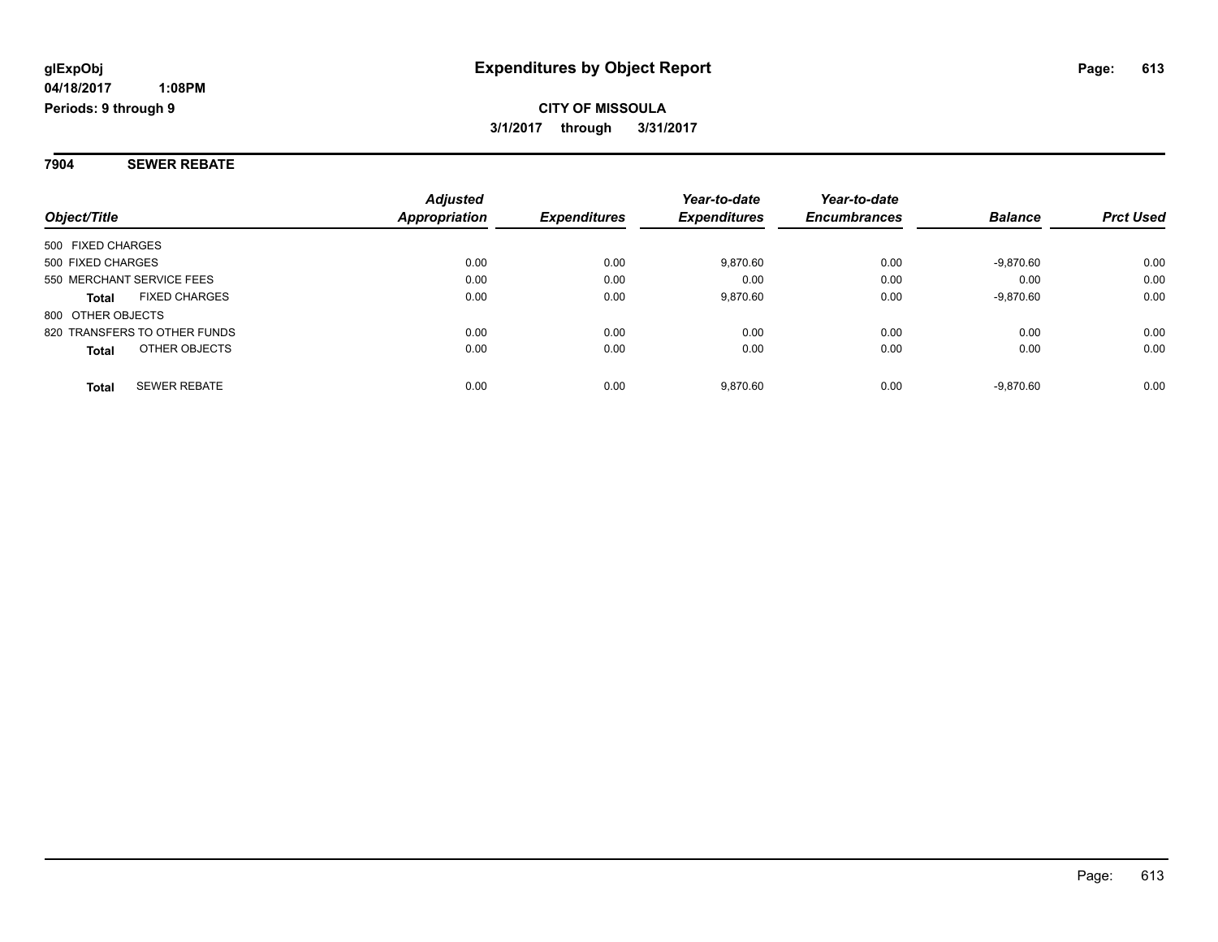**7904 SEWER REBATE**

| Object/Title                         | <b>Adjusted</b><br>Appropriation | <b>Expenditures</b> | Year-to-date<br><b>Expenditures</b> | Year-to-date<br><b>Encumbrances</b> | <b>Balance</b> | <b>Prct Used</b> |
|--------------------------------------|----------------------------------|---------------------|-------------------------------------|-------------------------------------|----------------|------------------|
| 500 FIXED CHARGES                    |                                  |                     |                                     |                                     |                |                  |
|                                      |                                  |                     |                                     |                                     |                |                  |
| 500 FIXED CHARGES                    | 0.00                             | 0.00                | 9.870.60                            | 0.00                                | $-9,870.60$    | 0.00             |
| 550 MERCHANT SERVICE FEES            | 0.00                             | 0.00                | 0.00                                | 0.00                                | 0.00           | 0.00             |
| <b>FIXED CHARGES</b><br><b>Total</b> | 0.00                             | 0.00                | 9.870.60                            | 0.00                                | $-9,870.60$    | 0.00             |
| 800 OTHER OBJECTS                    |                                  |                     |                                     |                                     |                |                  |
| 820 TRANSFERS TO OTHER FUNDS         | 0.00                             | 0.00                | 0.00                                | 0.00                                | 0.00           | 0.00             |
| OTHER OBJECTS<br><b>Total</b>        | 0.00                             | 0.00                | 0.00                                | 0.00                                | 0.00           | 0.00             |
| <b>SEWER REBATE</b><br><b>Total</b>  | 0.00                             | 0.00                | 9.870.60                            | 0.00                                | $-9.870.60$    | 0.00             |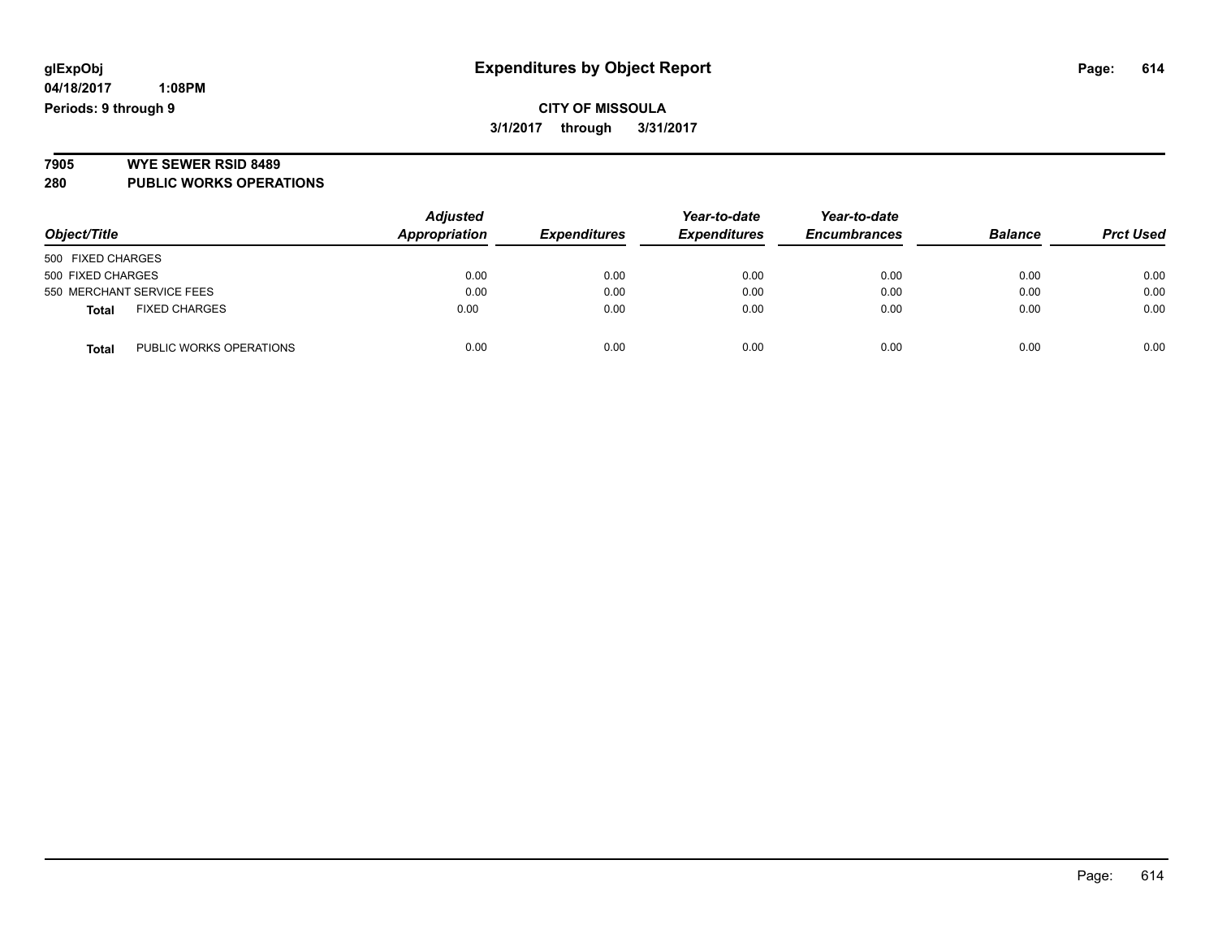### **CITY OF MISSOULA 3/1/2017 through 3/31/2017**

# **7905 WYE SEWER RSID 8489**

**280 PUBLIC WORKS OPERATIONS**

| Object/Title                            | <b>Adjusted</b><br>Appropriation | <b>Expenditures</b> | Year-to-date<br><b>Expenditures</b> | Year-to-date<br><b>Encumbrances</b> | <b>Balance</b> | <b>Prct Used</b> |
|-----------------------------------------|----------------------------------|---------------------|-------------------------------------|-------------------------------------|----------------|------------------|
|                                         |                                  |                     |                                     |                                     |                |                  |
| 500 FIXED CHARGES                       |                                  |                     |                                     |                                     |                |                  |
| 500 FIXED CHARGES                       | 0.00                             | 0.00                | 0.00                                | 0.00                                | 0.00           | 0.00             |
| 550 MERCHANT SERVICE FEES               | 0.00                             | 0.00                | 0.00                                | 0.00                                | 0.00           | 0.00             |
| <b>FIXED CHARGES</b><br><b>Total</b>    | 0.00                             | 0.00                | 0.00                                | 0.00                                | 0.00           | 0.00             |
| PUBLIC WORKS OPERATIONS<br><b>Total</b> | 0.00                             | 0.00                | 0.00                                | 0.00                                | 0.00           | 0.00             |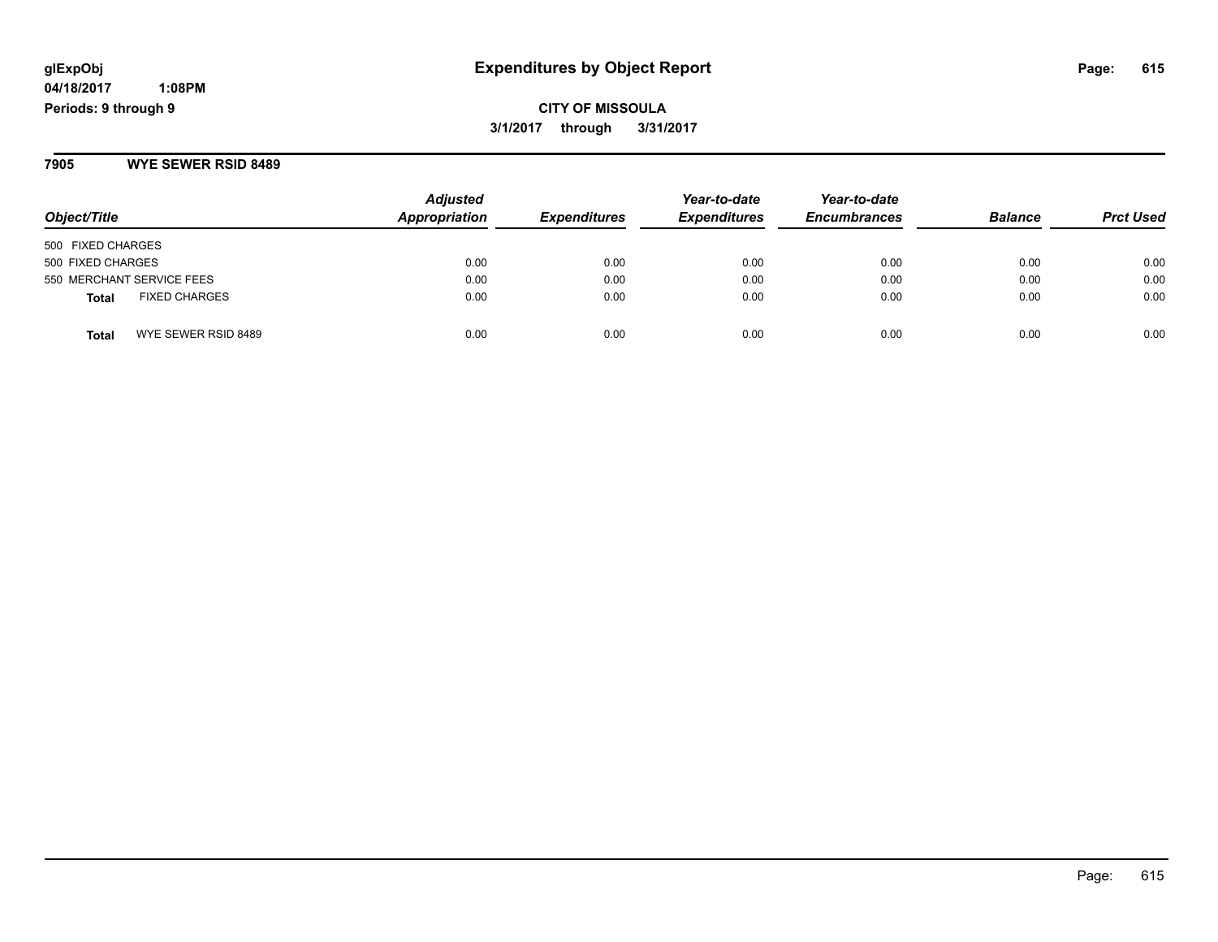**CITY OF MISSOULA 3/1/2017 through 3/31/2017**

**7905 WYE SEWER RSID 8489**

| Object/Title                         | <b>Adjusted</b><br>Appropriation | <b>Expenditures</b> | Year-to-date<br><b>Expenditures</b> | Year-to-date<br><b>Encumbrances</b> | <b>Balance</b> | <b>Prct Used</b> |
|--------------------------------------|----------------------------------|---------------------|-------------------------------------|-------------------------------------|----------------|------------------|
| 500 FIXED CHARGES                    |                                  |                     |                                     |                                     |                |                  |
| 500 FIXED CHARGES                    | 0.00                             | 0.00                | 0.00                                | 0.00                                | 0.00           | 0.00             |
| 550 MERCHANT SERVICE FEES            | 0.00                             | 0.00                | 0.00                                | 0.00                                | 0.00           | 0.00             |
| <b>FIXED CHARGES</b><br><b>Total</b> | 0.00                             | 0.00                | 0.00                                | 0.00                                | 0.00           | 0.00             |
| WYE SEWER RSID 8489<br><b>Total</b>  | 0.00                             | 0.00                | 0.00                                | 0.00                                | 0.00           | 0.00             |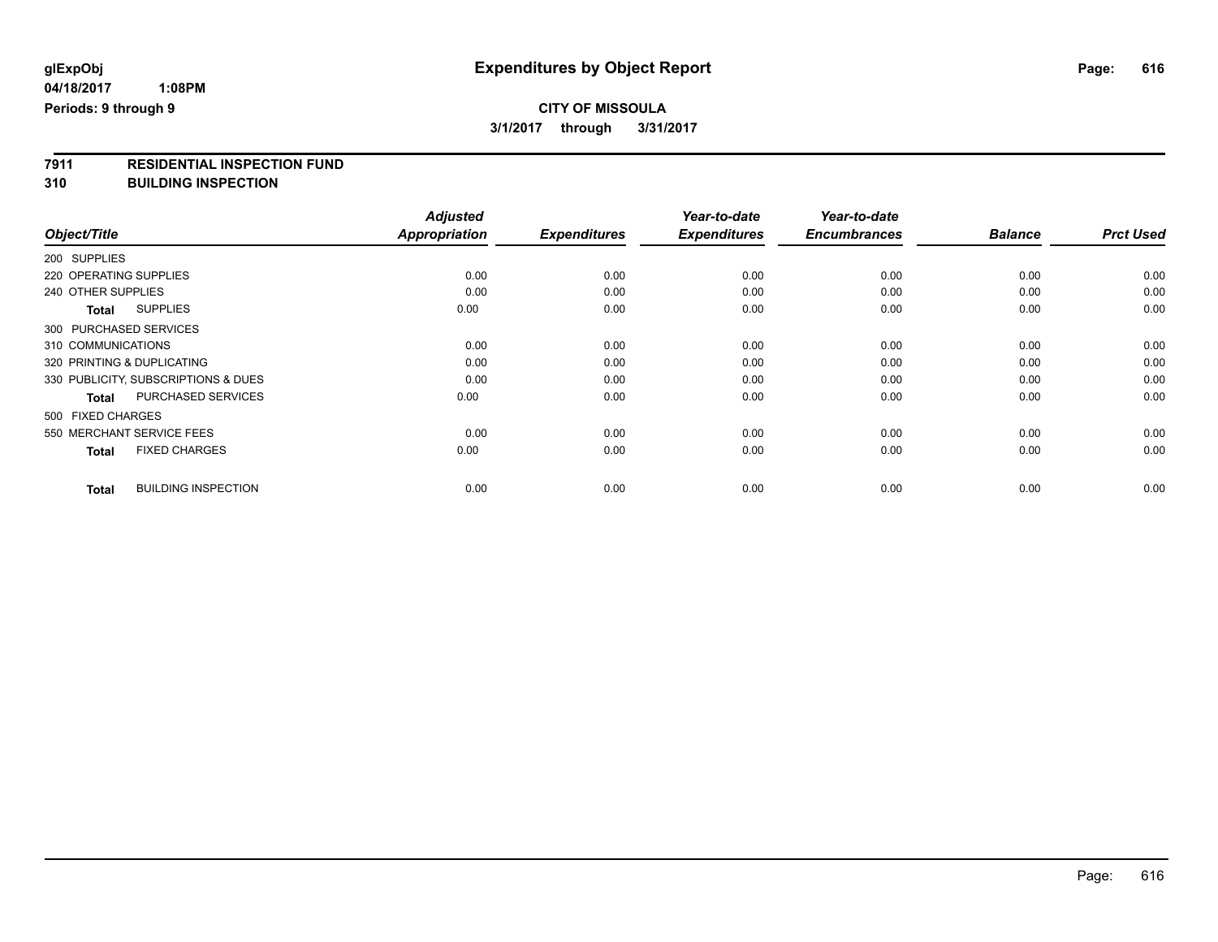**3/1/2017 through 3/31/2017**

# **7911 RESIDENTIAL INSPECTION FUND**

**310 BUILDING INSPECTION**

|                                            | <b>Adjusted</b>      |                     | Year-to-date        | Year-to-date        | <b>Balance</b> |                  |
|--------------------------------------------|----------------------|---------------------|---------------------|---------------------|----------------|------------------|
| Object/Title                               | <b>Appropriation</b> | <b>Expenditures</b> | <b>Expenditures</b> | <b>Encumbrances</b> |                | <b>Prct Used</b> |
| 200 SUPPLIES                               |                      |                     |                     |                     |                |                  |
| 220 OPERATING SUPPLIES                     | 0.00                 | 0.00                | 0.00                | 0.00                | 0.00           | 0.00             |
| 240 OTHER SUPPLIES                         | 0.00                 | 0.00                | 0.00                | 0.00                | 0.00           | 0.00             |
| <b>SUPPLIES</b><br>Total                   | 0.00                 | 0.00                | 0.00                | 0.00                | 0.00           | 0.00             |
| 300 PURCHASED SERVICES                     |                      |                     |                     |                     |                |                  |
| 310 COMMUNICATIONS                         | 0.00                 | 0.00                | 0.00                | 0.00                | 0.00           | 0.00             |
| 320 PRINTING & DUPLICATING                 | 0.00                 | 0.00                | 0.00                | 0.00                | 0.00           | 0.00             |
| 330 PUBLICITY, SUBSCRIPTIONS & DUES        | 0.00                 | 0.00                | 0.00                | 0.00                | 0.00           | 0.00             |
| <b>PURCHASED SERVICES</b><br><b>Total</b>  | 0.00                 | 0.00                | 0.00                | 0.00                | 0.00           | 0.00             |
| 500 FIXED CHARGES                          |                      |                     |                     |                     |                |                  |
| 550 MERCHANT SERVICE FEES                  | 0.00                 | 0.00                | 0.00                | 0.00                | 0.00           | 0.00             |
| <b>FIXED CHARGES</b><br><b>Total</b>       | 0.00                 | 0.00                | 0.00                | 0.00                | 0.00           | 0.00             |
| <b>BUILDING INSPECTION</b><br><b>Total</b> | 0.00                 | 0.00                | 0.00                | 0.00                | 0.00           | 0.00             |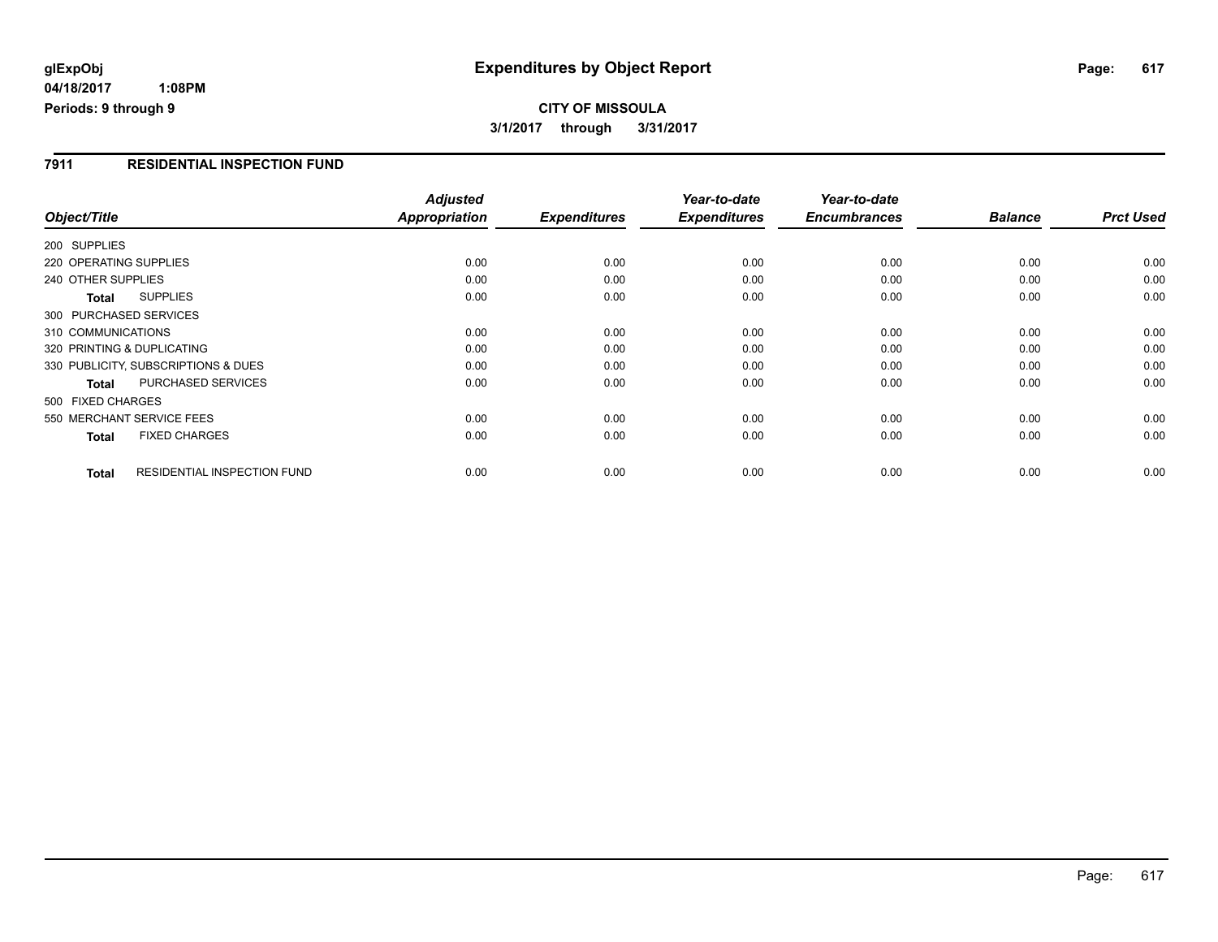## **glExpObj Expenditures by Object Report Page: 617**

**04/18/2017 1:08PM Periods: 9 through 9**

## **CITY OF MISSOULA 3/1/2017 through 3/31/2017**

#### **7911 RESIDENTIAL INSPECTION FUND**

| Object/Title                                       | <b>Adjusted</b><br><b>Appropriation</b> | <b>Expenditures</b> | Year-to-date<br><b>Expenditures</b> | Year-to-date<br><b>Encumbrances</b> | <b>Balance</b> | <b>Prct Used</b> |
|----------------------------------------------------|-----------------------------------------|---------------------|-------------------------------------|-------------------------------------|----------------|------------------|
| 200 SUPPLIES                                       |                                         |                     |                                     |                                     |                |                  |
| 220 OPERATING SUPPLIES                             | 0.00                                    | 0.00                | 0.00                                | 0.00                                | 0.00           | 0.00             |
| 240 OTHER SUPPLIES                                 | 0.00                                    | 0.00                | 0.00                                | 0.00                                | 0.00           | 0.00             |
| <b>SUPPLIES</b><br>Total                           | 0.00                                    | 0.00                | 0.00                                | 0.00                                | 0.00           | 0.00             |
| 300 PURCHASED SERVICES                             |                                         |                     |                                     |                                     |                |                  |
| 310 COMMUNICATIONS                                 | 0.00                                    | 0.00                | 0.00                                | 0.00                                | 0.00           | 0.00             |
| 320 PRINTING & DUPLICATING                         | 0.00                                    | 0.00                | 0.00                                | 0.00                                | 0.00           | 0.00             |
| 330 PUBLICITY, SUBSCRIPTIONS & DUES                | 0.00                                    | 0.00                | 0.00                                | 0.00                                | 0.00           | 0.00             |
| PURCHASED SERVICES<br><b>Total</b>                 | 0.00                                    | 0.00                | 0.00                                | 0.00                                | 0.00           | 0.00             |
| 500 FIXED CHARGES                                  |                                         |                     |                                     |                                     |                |                  |
| 550 MERCHANT SERVICE FEES                          | 0.00                                    | 0.00                | 0.00                                | 0.00                                | 0.00           | 0.00             |
| <b>FIXED CHARGES</b><br><b>Total</b>               | 0.00                                    | 0.00                | 0.00                                | 0.00                                | 0.00           | 0.00             |
| <b>RESIDENTIAL INSPECTION FUND</b><br><b>Total</b> | 0.00                                    | 0.00                | 0.00                                | 0.00                                | 0.00           | 0.00             |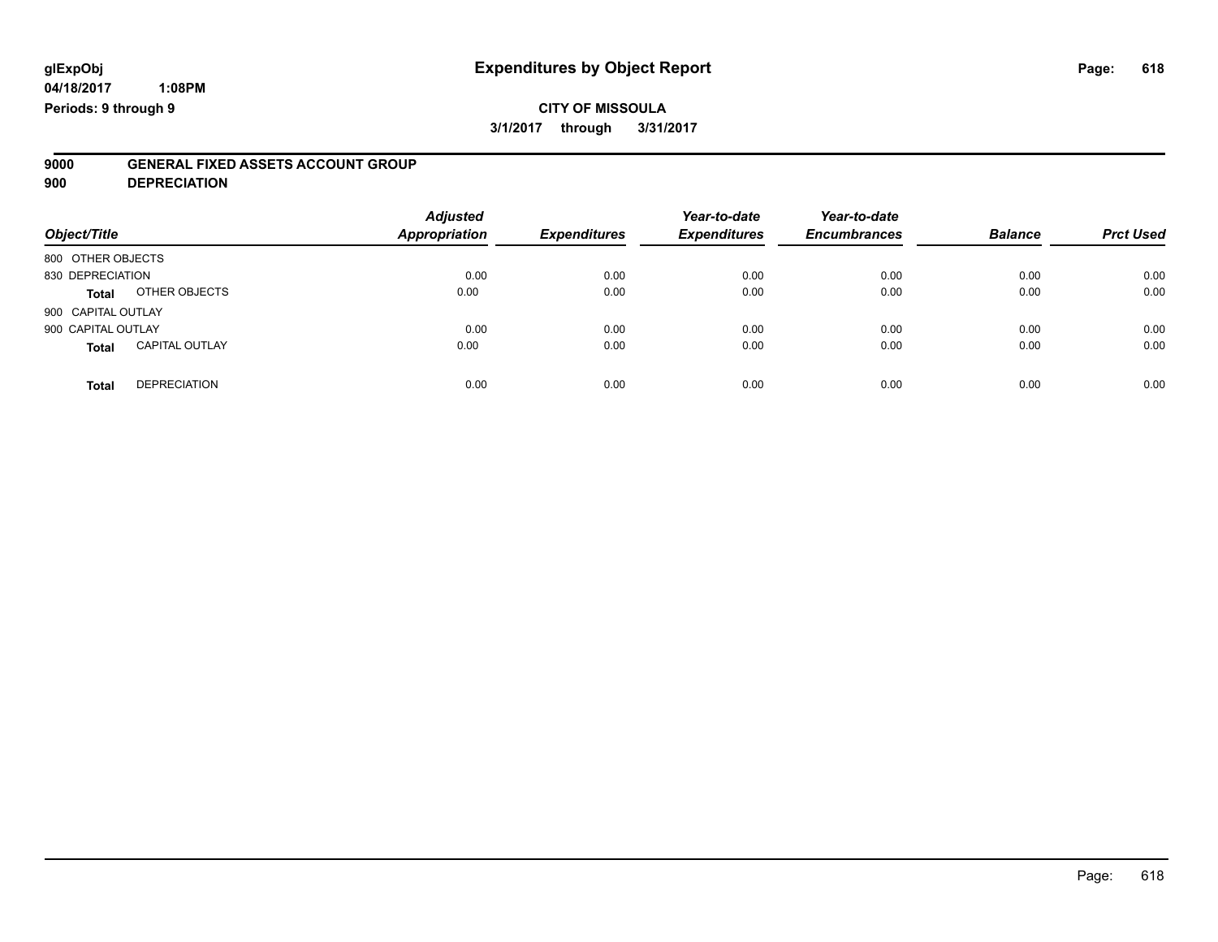# **9000 GENERAL FIXED ASSETS ACCOUNT GROUP**

**900 DEPRECIATION**

| Object/Title                          | <b>Adjusted</b><br><b>Appropriation</b> | <b>Expenditures</b> | Year-to-date<br><b>Expenditures</b> | Year-to-date<br><b>Encumbrances</b> | <b>Balance</b> | <b>Prct Used</b> |
|---------------------------------------|-----------------------------------------|---------------------|-------------------------------------|-------------------------------------|----------------|------------------|
| 800 OTHER OBJECTS                     |                                         |                     |                                     |                                     |                |                  |
| 830 DEPRECIATION                      | 0.00                                    | 0.00                | 0.00                                | 0.00                                | 0.00           | 0.00             |
| OTHER OBJECTS<br>Total                | 0.00                                    | 0.00                | 0.00                                | 0.00                                | 0.00           | 0.00             |
| 900 CAPITAL OUTLAY                    |                                         |                     |                                     |                                     |                |                  |
| 900 CAPITAL OUTLAY                    | 0.00                                    | 0.00                | 0.00                                | 0.00                                | 0.00           | 0.00             |
| <b>CAPITAL OUTLAY</b><br><b>Total</b> | 0.00                                    | 0.00                | 0.00                                | 0.00                                | 0.00           | 0.00             |
| <b>DEPRECIATION</b><br><b>Total</b>   | 0.00                                    | 0.00                | 0.00                                | 0.00                                | 0.00           | 0.00             |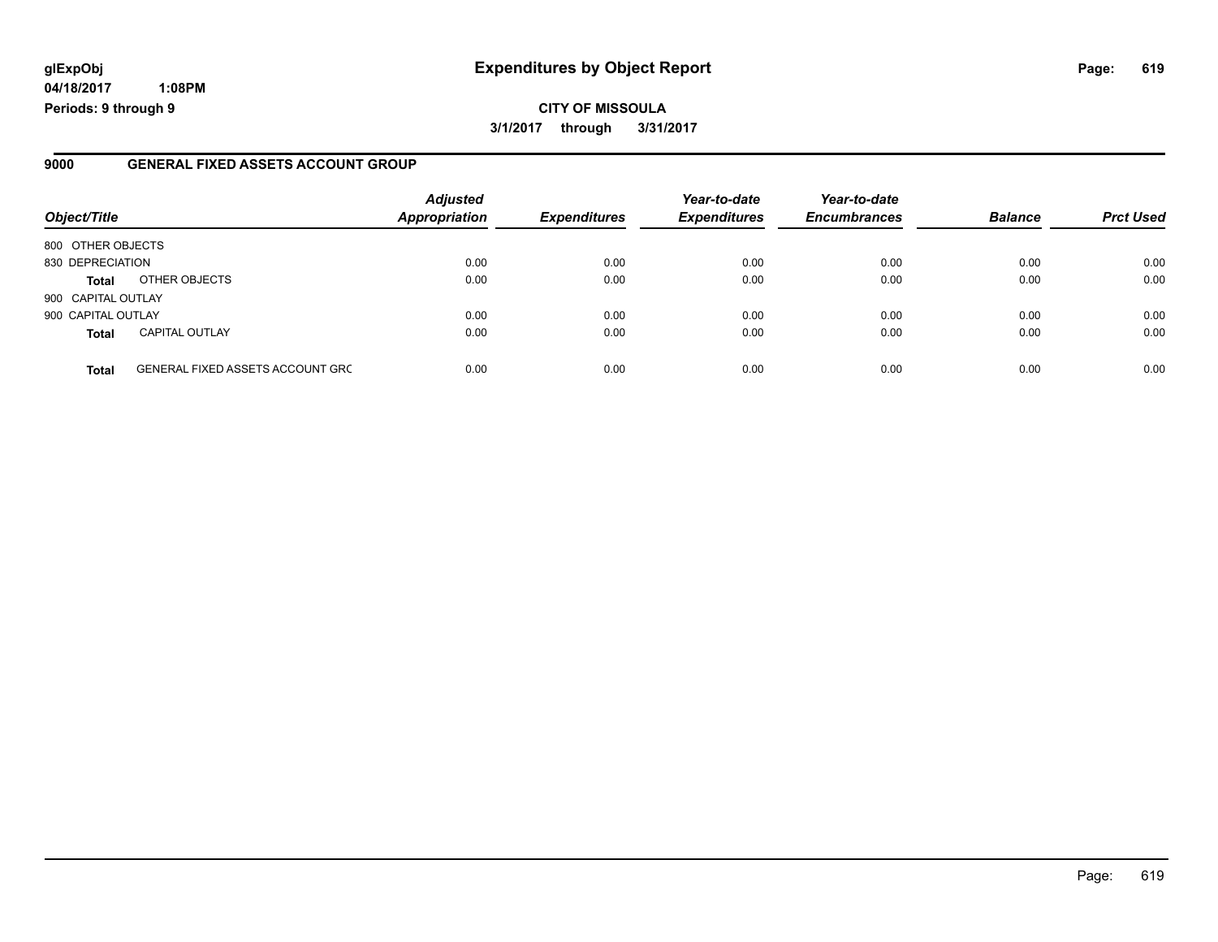## **glExpObj Expenditures by Object Report Page: 619**

**04/18/2017 1:08PM Periods: 9 through 9**

#### **9000 GENERAL FIXED ASSETS ACCOUNT GROUP**

| Object/Title       |                                         | <b>Adjusted</b><br><b>Appropriation</b> | <b>Expenditures</b> | Year-to-date<br><b>Expenditures</b> | Year-to-date<br><b>Encumbrances</b> | <b>Balance</b> | <b>Prct Used</b> |
|--------------------|-----------------------------------------|-----------------------------------------|---------------------|-------------------------------------|-------------------------------------|----------------|------------------|
| 800 OTHER OBJECTS  |                                         |                                         |                     |                                     |                                     |                |                  |
| 830 DEPRECIATION   |                                         | 0.00                                    | 0.00                | 0.00                                | 0.00                                | 0.00           | 0.00             |
| <b>Total</b>       | OTHER OBJECTS                           | 0.00                                    | 0.00                | 0.00                                | 0.00                                | 0.00           | 0.00             |
| 900 CAPITAL OUTLAY |                                         |                                         |                     |                                     |                                     |                |                  |
| 900 CAPITAL OUTLAY |                                         | 0.00                                    | 0.00                | 0.00                                | 0.00                                | 0.00           | 0.00             |
| <b>Total</b>       | <b>CAPITAL OUTLAY</b>                   | 0.00                                    | 0.00                | 0.00                                | 0.00                                | 0.00           | 0.00             |
| <b>Total</b>       | <b>GENERAL FIXED ASSETS ACCOUNT GRC</b> | 0.00                                    | 0.00                | 0.00                                | 0.00                                | 0.00           | 0.00             |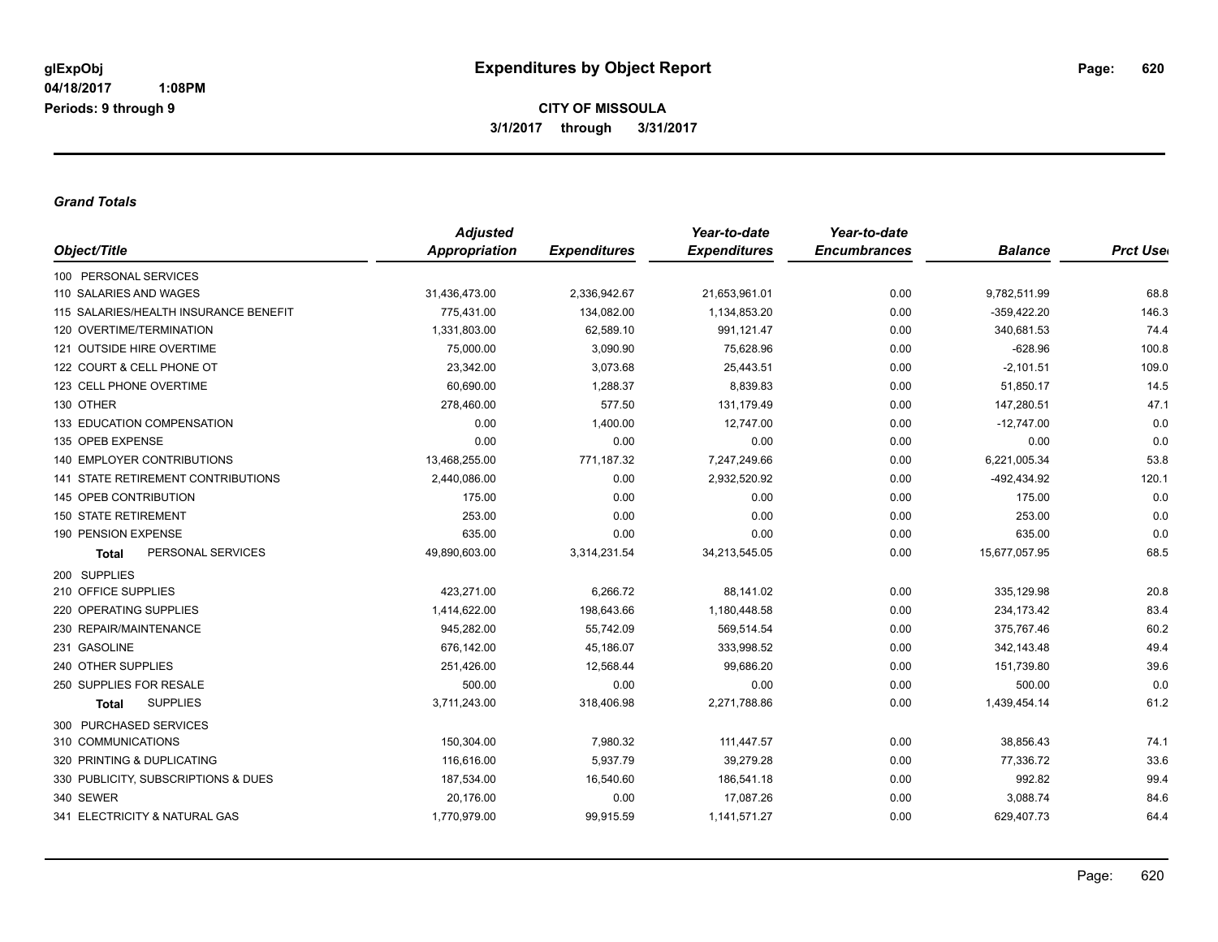#### *Grand Totals*

|                                           | <b>Adjusted</b> |                     | Year-to-date        | Year-to-date        |                |                  |
|-------------------------------------------|-----------------|---------------------|---------------------|---------------------|----------------|------------------|
| Object/Title                              | Appropriation   | <b>Expenditures</b> | <b>Expenditures</b> | <b>Encumbrances</b> | <b>Balance</b> | <b>Prct Uset</b> |
| 100 PERSONAL SERVICES                     |                 |                     |                     |                     |                |                  |
| 110 SALARIES AND WAGES                    | 31,436,473.00   | 2,336,942.67        | 21,653,961.01       | 0.00                | 9,782,511.99   | 68.8             |
| 115 SALARIES/HEALTH INSURANCE BENEFIT     | 775,431.00      | 134,082.00          | 1,134,853.20        | 0.00                | $-359,422.20$  | 146.3            |
| 120 OVERTIME/TERMINATION                  | 1,331,803.00    | 62,589.10           | 991,121.47          | 0.00                | 340,681.53     | 74.4             |
| 121 OUTSIDE HIRE OVERTIME                 | 75,000.00       | 3,090.90            | 75,628.96           | 0.00                | $-628.96$      | 100.8            |
| 122 COURT & CELL PHONE OT                 | 23,342.00       | 3,073.68            | 25,443.51           | 0.00                | $-2,101.51$    | 109.0            |
| 123 CELL PHONE OVERTIME                   | 60,690.00       | 1,288.37            | 8,839.83            | 0.00                | 51,850.17      | 14.5             |
| 130 OTHER                                 | 278,460.00      | 577.50              | 131,179.49          | 0.00                | 147,280.51     | 47.1             |
| 133 EDUCATION COMPENSATION                | 0.00            | 1,400.00            | 12,747.00           | 0.00                | $-12,747.00$   | 0.0              |
| 135 OPEB EXPENSE                          | 0.00            | 0.00                | 0.00                | 0.00                | 0.00           | 0.0              |
| <b>140 EMPLOYER CONTRIBUTIONS</b>         | 13,468,255.00   | 771,187.32          | 7,247,249.66        | 0.00                | 6,221,005.34   | 53.8             |
| <b>141 STATE RETIREMENT CONTRIBUTIONS</b> | 2,440,086.00    | 0.00                | 2,932,520.92        | 0.00                | -492,434.92    | 120.1            |
| 145 OPEB CONTRIBUTION                     | 175.00          | 0.00                | 0.00                | 0.00                | 175.00         | 0.0              |
| <b>150 STATE RETIREMENT</b>               | 253.00          | 0.00                | 0.00                | 0.00                | 253.00         | 0.0              |
| 190 PENSION EXPENSE                       | 635.00          | 0.00                | 0.00                | 0.00                | 635.00         | 0.0              |
| PERSONAL SERVICES<br><b>Total</b>         | 49,890,603.00   | 3,314,231.54        | 34,213,545.05       | 0.00                | 15,677,057.95  | 68.5             |
| 200 SUPPLIES                              |                 |                     |                     |                     |                |                  |
| 210 OFFICE SUPPLIES                       | 423,271.00      | 6,266.72            | 88,141.02           | 0.00                | 335,129.98     | 20.8             |
| 220 OPERATING SUPPLIES                    | 1,414,622.00    | 198,643.66          | 1,180,448.58        | 0.00                | 234,173.42     | 83.4             |
| 230 REPAIR/MAINTENANCE                    | 945,282.00      | 55,742.09           | 569,514.54          | 0.00                | 375,767.46     | 60.2             |
| 231 GASOLINE                              | 676,142.00      | 45,186.07           | 333,998.52          | 0.00                | 342,143.48     | 49.4             |
| 240 OTHER SUPPLIES                        | 251,426.00      | 12,568.44           | 99,686.20           | 0.00                | 151,739.80     | 39.6             |
| 250 SUPPLIES FOR RESALE                   | 500.00          | 0.00                | 0.00                | 0.00                | 500.00         | 0.0              |
| <b>SUPPLIES</b><br><b>Total</b>           | 3,711,243.00    | 318,406.98          | 2,271,788.86        | 0.00                | 1,439,454.14   | 61.2             |
| 300 PURCHASED SERVICES                    |                 |                     |                     |                     |                |                  |
| 310 COMMUNICATIONS                        | 150,304.00      | 7,980.32            | 111,447.57          | 0.00                | 38,856.43      | 74.1             |
| 320 PRINTING & DUPLICATING                | 116,616.00      | 5,937.79            | 39,279.28           | 0.00                | 77,336.72      | 33.6             |
| 330 PUBLICITY, SUBSCRIPTIONS & DUES       | 187,534.00      | 16,540.60           | 186,541.18          | 0.00                | 992.82         | 99.4             |
| 340 SEWER                                 | 20,176.00       | 0.00                | 17,087.26           | 0.00                | 3,088.74       | 84.6             |
| 341 ELECTRICITY & NATURAL GAS             | 1,770,979.00    | 99,915.59           | 1,141,571.27        | 0.00                | 629,407.73     | 64.4             |
|                                           |                 |                     |                     |                     |                |                  |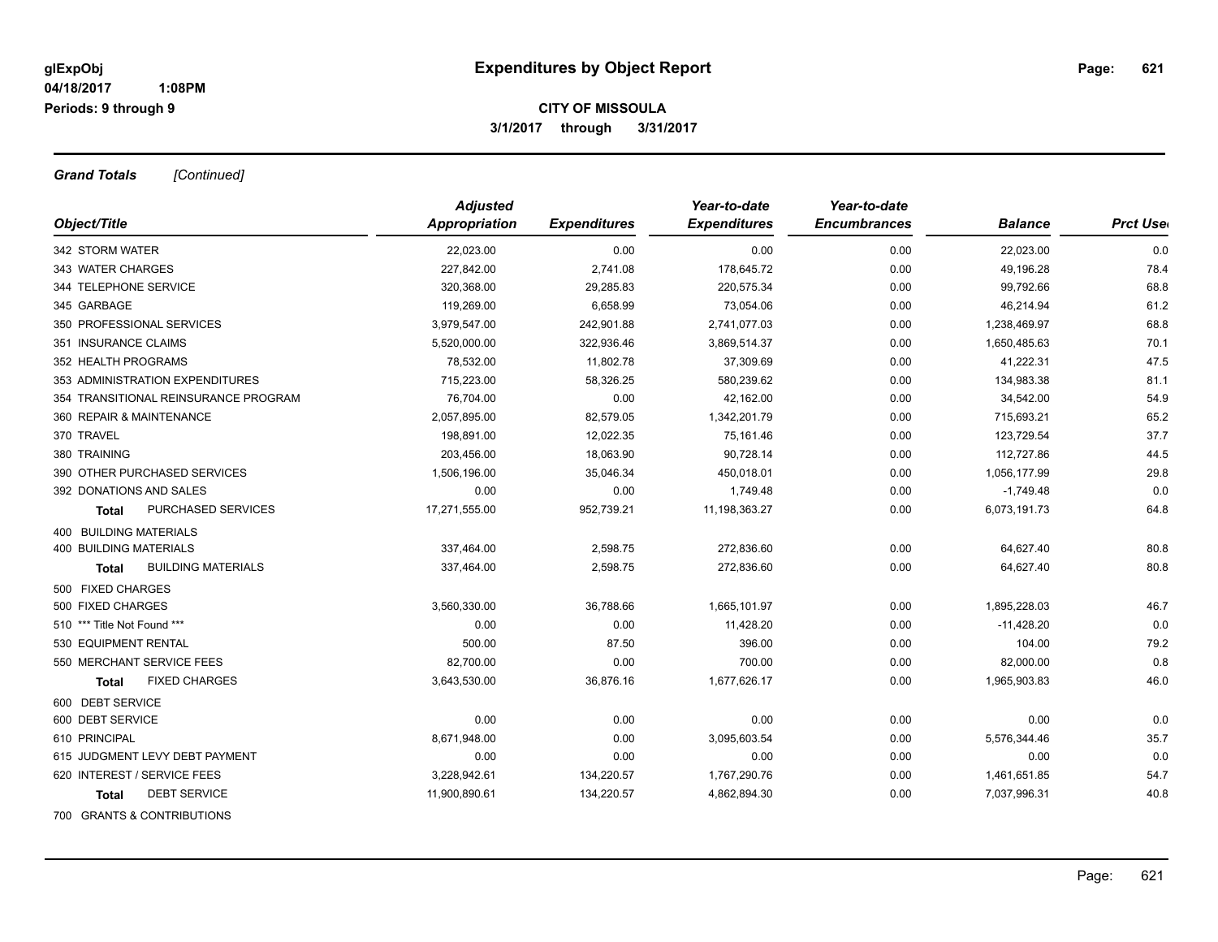*Grand Totals [Continued]*

|                                           | <b>Adjusted</b>      |                     | Year-to-date        | Year-to-date        |                |                  |
|-------------------------------------------|----------------------|---------------------|---------------------|---------------------|----------------|------------------|
| Object/Title                              | <b>Appropriation</b> | <b>Expenditures</b> | <b>Expenditures</b> | <b>Encumbrances</b> | <b>Balance</b> | <b>Prct User</b> |
| 342 STORM WATER                           | 22,023.00            | 0.00                | 0.00                | 0.00                | 22,023.00      | 0.0              |
| 343 WATER CHARGES                         | 227,842.00           | 2,741.08            | 178,645.72          | 0.00                | 49,196.28      | 78.4             |
| 344 TELEPHONE SERVICE                     | 320,368.00           | 29,285.83           | 220,575.34          | 0.00                | 99,792.66      | 68.8             |
| 345 GARBAGE                               | 119,269.00           | 6,658.99            | 73,054.06           | 0.00                | 46,214.94      | 61.2             |
| 350 PROFESSIONAL SERVICES                 | 3,979,547.00         | 242,901.88          | 2,741,077.03        | 0.00                | 1,238,469.97   | 68.8             |
| 351 INSURANCE CLAIMS                      | 5,520,000.00         | 322,936.46          | 3,869,514.37        | 0.00                | 1,650,485.63   | 70.1             |
| 352 HEALTH PROGRAMS                       | 78,532.00            | 11,802.78           | 37,309.69           | 0.00                | 41,222.31      | 47.5             |
| 353 ADMINISTRATION EXPENDITURES           | 715,223.00           | 58,326.25           | 580,239.62          | 0.00                | 134,983.38     | 81.1             |
| 354 TRANSITIONAL REINSURANCE PROGRAM      | 76,704.00            | 0.00                | 42,162.00           | 0.00                | 34,542.00      | 54.9             |
| 360 REPAIR & MAINTENANCE                  | 2,057,895.00         | 82,579.05           | 1,342,201.79        | 0.00                | 715,693.21     | 65.2             |
| 370 TRAVEL                                | 198,891.00           | 12,022.35           | 75,161.46           | 0.00                | 123,729.54     | 37.7             |
| 380 TRAINING                              | 203.456.00           | 18.063.90           | 90.728.14           | 0.00                | 112.727.86     | 44.5             |
| 390 OTHER PURCHASED SERVICES              | 1,506,196.00         | 35,046.34           | 450,018.01          | 0.00                | 1,056,177.99   | 29.8             |
| 392 DONATIONS AND SALES                   | 0.00                 | 0.00                | 1,749.48            | 0.00                | $-1,749.48$    | 0.0              |
| <b>PURCHASED SERVICES</b><br>Total        | 17,271,555.00        | 952,739.21          | 11,198,363.27       | 0.00                | 6,073,191.73   | 64.8             |
| 400 BUILDING MATERIALS                    |                      |                     |                     |                     |                |                  |
| 400 BUILDING MATERIALS                    | 337,464.00           | 2,598.75            | 272,836.60          | 0.00                | 64,627.40      | 80.8             |
| <b>BUILDING MATERIALS</b><br><b>Total</b> | 337,464.00           | 2,598.75            | 272,836.60          | 0.00                | 64,627.40      | 80.8             |
| 500 FIXED CHARGES                         |                      |                     |                     |                     |                |                  |
| 500 FIXED CHARGES                         | 3,560,330.00         | 36,788.66           | 1,665,101.97        | 0.00                | 1,895,228.03   | 46.7             |
| 510 *** Title Not Found ***               | 0.00                 | 0.00                | 11,428.20           | 0.00                | $-11,428.20$   | 0.0              |
| 530 EQUIPMENT RENTAL                      | 500.00               | 87.50               | 396.00              | 0.00                | 104.00         | 79.2             |
| 550 MERCHANT SERVICE FEES                 | 82,700.00            | 0.00                | 700.00              | 0.00                | 82,000.00      | 0.8              |
| <b>FIXED CHARGES</b><br><b>Total</b>      | 3,643,530.00         | 36,876.16           | 1,677,626.17        | 0.00                | 1,965,903.83   | 46.0             |
| 600 DEBT SERVICE                          |                      |                     |                     |                     |                |                  |
| 600 DEBT SERVICE                          | 0.00                 | 0.00                | 0.00                | 0.00                | 0.00           | 0.0              |
| 610 PRINCIPAL                             | 8,671,948.00         | 0.00                | 3,095,603.54        | 0.00                | 5,576,344.46   | 35.7             |
| 615 JUDGMENT LEVY DEBT PAYMENT            | 0.00                 | 0.00                | 0.00                | 0.00                | 0.00           | 0.0              |
| 620 INTEREST / SERVICE FEES               | 3,228,942.61         | 134,220.57          | 1,767,290.76        | 0.00                | 1,461,651.85   | 54.7             |
| <b>DEBT SERVICE</b><br>Total              | 11,900,890.61        | 134,220.57          | 4,862,894.30        | 0.00                | 7,037,996.31   | 40.8             |
| 700 GRANTS & CONTRIBUTIONS                |                      |                     |                     |                     |                |                  |